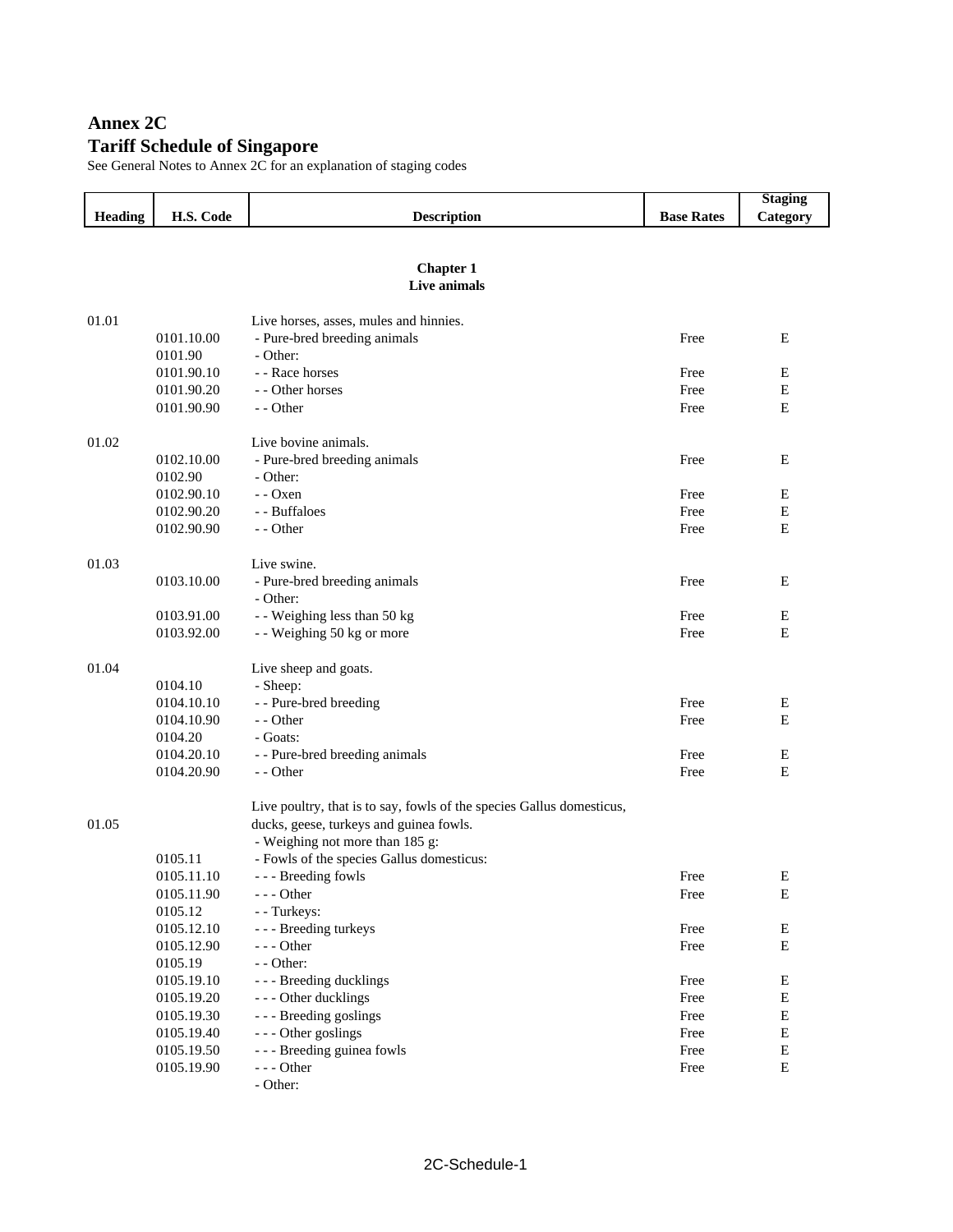# **Annex 2C Tariff Schedule of Singapore**

See General Notes to Annex 2C for an explanation of staging codes

|                |            |                                                                                                                  |                   | <b>Staging</b> |
|----------------|------------|------------------------------------------------------------------------------------------------------------------|-------------------|----------------|
| <b>Heading</b> | H.S. Code  | <b>Description</b>                                                                                               | <b>Base Rates</b> | Category       |
|                |            |                                                                                                                  |                   |                |
|                |            |                                                                                                                  |                   |                |
|                |            | <b>Chapter 1</b><br>Live animals                                                                                 |                   |                |
|                |            |                                                                                                                  |                   |                |
| 01.01          |            | Live horses, asses, mules and hinnies.                                                                           |                   |                |
|                | 0101.10.00 | - Pure-bred breeding animals                                                                                     | Free              | Ε              |
|                | 0101.90    | - Other:                                                                                                         |                   |                |
|                | 0101.90.10 | - - Race horses                                                                                                  | Free              | Ε              |
|                | 0101.90.20 | - - Other horses                                                                                                 | Free              | Е              |
|                | 0101.90.90 | - - Other                                                                                                        | Free              | E              |
| 01.02          |            | Live bovine animals.                                                                                             |                   |                |
|                | 0102.10.00 | - Pure-bred breeding animals                                                                                     | Free              | E              |
|                | 0102.90    | - Other:                                                                                                         |                   |                |
|                | 0102.90.10 | $ Oxen$                                                                                                          | Free              | E              |
|                | 0102.90.20 | - - Buffaloes                                                                                                    | Free              | Е              |
|                | 0102.90.90 | - - Other                                                                                                        | Free              | Ε              |
|                |            |                                                                                                                  |                   |                |
| 01.03          |            | Live swine.                                                                                                      |                   |                |
|                | 0103.10.00 | - Pure-bred breeding animals                                                                                     | Free              | Е              |
|                |            | - Other:                                                                                                         |                   |                |
|                | 0103.91.00 | - - Weighing less than 50 kg                                                                                     | Free              | Ε              |
|                | 0103.92.00 | - - Weighing 50 kg or more                                                                                       | Free              | Е              |
| 01.04          |            | Live sheep and goats.                                                                                            |                   |                |
|                | 0104.10    | - Sheep:                                                                                                         |                   |                |
|                | 0104.10.10 | - - Pure-bred breeding                                                                                           | Free              | Ε              |
|                | 0104.10.90 | - - Other                                                                                                        | Free              | E              |
|                | 0104.20    | - Goats:                                                                                                         |                   |                |
|                | 0104.20.10 | - - Pure-bred breeding animals                                                                                   | Free              | E              |
|                | 0104.20.90 | - - Other                                                                                                        | Free              | E              |
|                |            |                                                                                                                  |                   |                |
| 01.05          |            | Live poultry, that is to say, fowls of the species Gallus domesticus,<br>ducks, geese, turkeys and guinea fowls. |                   |                |
|                |            | - Weighing not more than 185 g:                                                                                  |                   |                |
|                | 0105.11    | - Fowls of the species Gallus domesticus:                                                                        |                   |                |
|                | 0105.11.10 | - - - Breeding fowls                                                                                             | Free              | Ε              |
|                | 0105.11.90 | --- Other                                                                                                        | Free              | Ε              |
|                | 0105.12    | - - Turkeys:                                                                                                     |                   |                |
|                | 0105.12.10 | - - - Breeding turkeys                                                                                           | Free              | E              |
|                | 0105.12.90 | $--- Other$                                                                                                      | Free              | ${\bf E}$      |
|                | 0105.19    | - - Other:                                                                                                       |                   |                |
|                | 0105.19.10 | - - - Breeding ducklings                                                                                         | Free              | E              |
|                | 0105.19.20 | --- Other ducklings                                                                                              | Free              | ${\bf E}$      |
|                | 0105.19.30 | --- Breeding goslings                                                                                            | Free              | E              |
|                | 0105.19.40 | --- Other goslings                                                                                               | Free              | E              |
|                | 0105.19.50 | - - - Breeding guinea fowls                                                                                      | Free              | E              |
|                | 0105.19.90 | $--$ Other                                                                                                       | Free              | ${\bf E}$      |
|                |            | - Other:                                                                                                         |                   |                |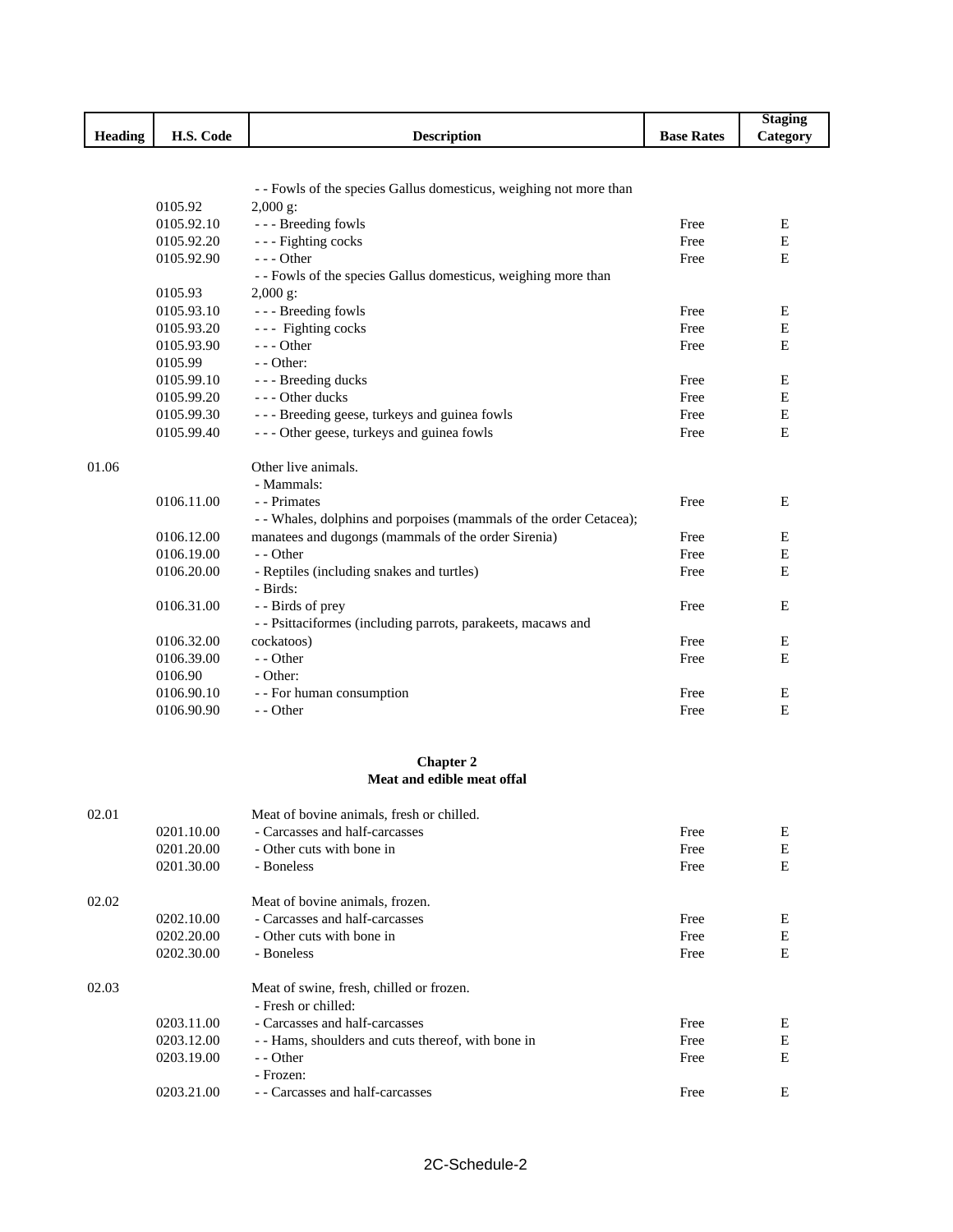|                |            |                                                                    |                   | <b>Staging</b> |
|----------------|------------|--------------------------------------------------------------------|-------------------|----------------|
| <b>Heading</b> | H.S. Code  | <b>Description</b>                                                 | <b>Base Rates</b> | Category       |
|                |            |                                                                    |                   |                |
|                |            |                                                                    |                   |                |
|                |            | - - Fowls of the species Gallus domesticus, weighing not more than |                   |                |
|                | 0105.92    | $2,000$ g:                                                         |                   |                |
|                | 0105.92.10 | --- Breeding fowls                                                 | Free              | E              |
|                | 0105.92.20 | --- Fighting cocks                                                 | Free              | E              |
|                | 0105.92.90 | - - - Other                                                        | Free              | E              |
|                |            | - - Fowls of the species Gallus domesticus, weighing more than     |                   |                |
|                | 0105.93    | $2,000$ g:                                                         |                   |                |
|                | 0105.93.10 | --- Breeding fowls                                                 | Free              | Ε              |
|                | 0105.93.20 | --- Fighting cocks                                                 | Free              | Ε              |
|                | 0105.93.90 | $- -$ Other                                                        | Free              | Е              |
|                | 0105.99    | - - Other:                                                         |                   |                |
|                | 0105.99.10 | - - - Breeding ducks                                               | Free              | E              |
|                | 0105.99.20 | --- Other ducks                                                    | Free              | E              |
|                | 0105.99.30 | - - - Breeding geese, turkeys and guinea fowls                     | Free              | E              |
|                | 0105.99.40 | - - - Other geese, turkeys and guinea fowls                        | Free              | E              |
|                |            |                                                                    |                   |                |
| 01.06          |            | Other live animals.                                                |                   |                |
|                |            | - Mammals:                                                         |                   |                |
|                | 0106.11.00 | - - Primates                                                       | Free              | E              |
|                |            | - - Whales, dolphins and porpoises (mammals of the order Cetacea); |                   |                |
|                | 0106.12.00 | manatees and dugongs (mammals of the order Sirenia)                | Free              | E              |
|                | 0106.19.00 | - - Other                                                          | Free              | Ε              |
|                | 0106.20.00 | - Reptiles (including snakes and turtles)                          | Free              | Е              |
|                |            | - Birds:                                                           |                   |                |
|                | 0106.31.00 | - - Birds of prey                                                  | Free              | E              |
|                |            | - - Psittaciformes (including parrots, parakeets, macaws and       |                   |                |
|                | 0106.32.00 | cockatoos)                                                         | Free              | Ε              |
|                | 0106.39.00 | - - Other                                                          | Free              | E              |
|                | 0106.90    | - Other:                                                           |                   |                |
|                | 0106.90.10 | - - For human consumption                                          | Free              | E              |
|                | 0106.90.90 | - - Other                                                          | Free              | E              |
|                |            |                                                                    |                   |                |
|                |            |                                                                    |                   |                |
|                |            | <b>Chapter 2</b>                                                   |                   |                |
|                |            | Meat and edible meat offal                                         |                   |                |
|                |            |                                                                    |                   |                |
| 02.01          |            | Meat of bovine animals, fresh or chilled.                          |                   |                |
|                | 0201.10.00 | - Carcasses and half-carcasses                                     | Free              | E              |
|                | 0201.20.00 | - Other cuts with bone in                                          | Free              | E              |
|                | 0201.30.00 | - Boneless                                                         | Free              | $\mathbf E$    |
|                |            |                                                                    |                   |                |
| 02.02          |            | Meat of bovine animals, frozen.                                    |                   |                |
|                | 0202.10.00 | - Carcasses and half-carcasses                                     | Free              | E              |
|                | 0202.20.00 | - Other cuts with bone in                                          | Free              | E              |
|                | 0202.30.00 | - Boneless                                                         | Free              | Е              |
|                |            |                                                                    |                   |                |
| 02.03          |            | Meat of swine, fresh, chilled or frozen.                           |                   |                |
|                |            | - Fresh or chilled:                                                |                   |                |
|                | 0203.11.00 | - Carcasses and half-carcasses                                     | Free              | Ε              |
|                | 0203.12.00 | - - Hams, shoulders and cuts thereof, with bone in                 | Free              | E              |
|                | 0203.19.00 | - - Other                                                          | Free              | Е              |
|                |            | - Frozen:                                                          |                   |                |
|                | 0203.21.00 | - - Carcasses and half-carcasses                                   | Free              | Е              |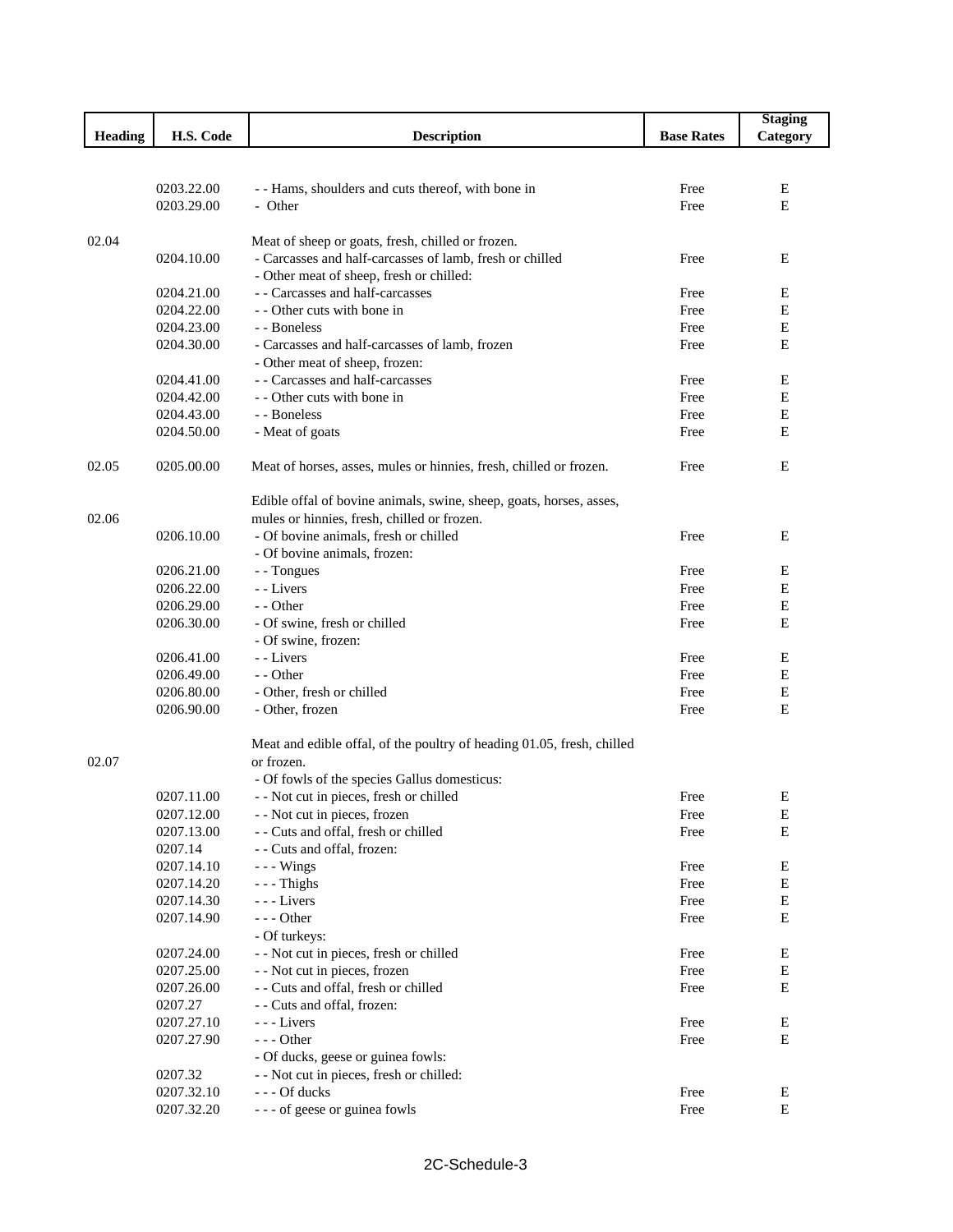|                |            |                                                                                      |                   | <b>Staging</b> |
|----------------|------------|--------------------------------------------------------------------------------------|-------------------|----------------|
| <b>Heading</b> | H.S. Code  | <b>Description</b>                                                                   | <b>Base Rates</b> | Category       |
|                |            |                                                                                      |                   |                |
|                |            |                                                                                      |                   |                |
|                | 0203.22.00 | - - Hams, shoulders and cuts thereof, with bone in                                   | Free              | E              |
|                | 0203.29.00 | - Other                                                                              | Free              | E              |
|                |            |                                                                                      |                   |                |
| 02.04          |            | Meat of sheep or goats, fresh, chilled or frozen.                                    |                   |                |
|                | 0204.10.00 | - Carcasses and half-carcasses of lamb, fresh or chilled                             | Free              | E              |
|                |            | - Other meat of sheep, fresh or chilled:                                             |                   |                |
|                | 0204.21.00 | - - Carcasses and half-carcasses                                                     | Free              | E              |
|                | 0204.22.00 | - - Other cuts with bone in                                                          | Free              | E              |
|                | 0204.23.00 | - - Boneless                                                                         | Free              | Е              |
|                | 0204.30.00 | - Carcasses and half-carcasses of lamb, frozen                                       | Free              | E              |
|                |            | - Other meat of sheep, frozen:                                                       |                   |                |
|                | 0204.41.00 | - - Carcasses and half-carcasses                                                     | Free              | E              |
|                | 0204.42.00 | - - Other cuts with bone in                                                          | Free              | Е              |
|                | 0204.43.00 | - - Boneless                                                                         | Free              | Ε              |
|                | 0204.50.00 | - Meat of goats                                                                      | Free              | Е              |
|                |            |                                                                                      |                   |                |
| 02.05          | 0205.00.00 | Meat of horses, asses, mules or hinnies, fresh, chilled or frozen.                   | Free              | E              |
|                |            |                                                                                      |                   |                |
|                |            | Edible offal of bovine animals, swine, sheep, goats, horses, asses,                  |                   |                |
| 02.06          |            |                                                                                      |                   |                |
|                | 0206.10.00 | mules or hinnies, fresh, chilled or frozen.<br>- Of bovine animals, fresh or chilled | Free              | E              |
|                |            |                                                                                      |                   |                |
|                |            | - Of bovine animals, frozen:                                                         |                   |                |
|                | 0206.21.00 | - - Tongues                                                                          | Free              | Ε              |
|                | 0206.22.00 | - - Livers                                                                           | Free              | E              |
|                | 0206.29.00 | - - Other                                                                            | Free              | $\mathbf E$    |
|                | 0206.30.00 | - Of swine, fresh or chilled                                                         | Free              | E              |
|                |            | - Of swine, frozen:                                                                  |                   |                |
|                | 0206.41.00 | - - Livers                                                                           | Free              | E              |
|                | 0206.49.00 | - - Other                                                                            | Free              | E              |
|                | 0206.80.00 | - Other, fresh or chilled                                                            | Free              | Ε              |
|                | 0206.90.00 | - Other, frozen                                                                      | Free              | E              |
|                |            |                                                                                      |                   |                |
|                |            | Meat and edible offal, of the poultry of heading 01.05, fresh, chilled               |                   |                |
| 02.07          |            | or frozen.                                                                           |                   |                |
|                |            | - Of fowls of the species Gallus domesticus:                                         |                   |                |
|                | 0207.11.00 | - - Not cut in pieces, fresh or chilled                                              | Free              | Ε              |
|                | 0207.12.00 | - - Not cut in pieces, frozen                                                        | Free              | Е              |
|                | 0207.13.00 | - - Cuts and offal, fresh or chilled                                                 | Free              | Ε              |
|                | 0207.14    | - - Cuts and offal, frozen:                                                          |                   |                |
|                | 0207.14.10 | $- -$ Wings                                                                          | Free              | Е              |
|                | 0207.14.20 | $-$ - Thighs                                                                         | Free              | E              |
|                | 0207.14.30 | --- Livers                                                                           | Free              | ${\bf E}$      |
|                | 0207.14.90 | $--$ Other                                                                           | Free              | E              |
|                |            | - Of turkeys:                                                                        |                   |                |
|                | 0207.24.00 | - - Not cut in pieces, fresh or chilled                                              | Free              | Е              |
|                | 0207.25.00 | - - Not cut in pieces, frozen                                                        | Free              | ${\bf E}$      |
|                | 0207.26.00 | - - Cuts and offal, fresh or chilled                                                 | Free              | ${\bf E}$      |
|                | 0207.27    | - - Cuts and offal, frozen:                                                          |                   |                |
|                | 0207.27.10 | --- Livers                                                                           | Free              | ${\bf E}$      |
|                | 0207.27.90 | $- -$ Other                                                                          | Free              | E              |
|                |            | - Of ducks, geese or guinea fowls:                                                   |                   |                |
|                | 0207.32    | - - Not cut in pieces, fresh or chilled:                                             |                   |                |
|                | 0207.32.10 | --- Of ducks                                                                         | Free              | E              |
|                | 0207.32.20 | --- of geese or guinea fowls                                                         | Free              | ${\bf E}$      |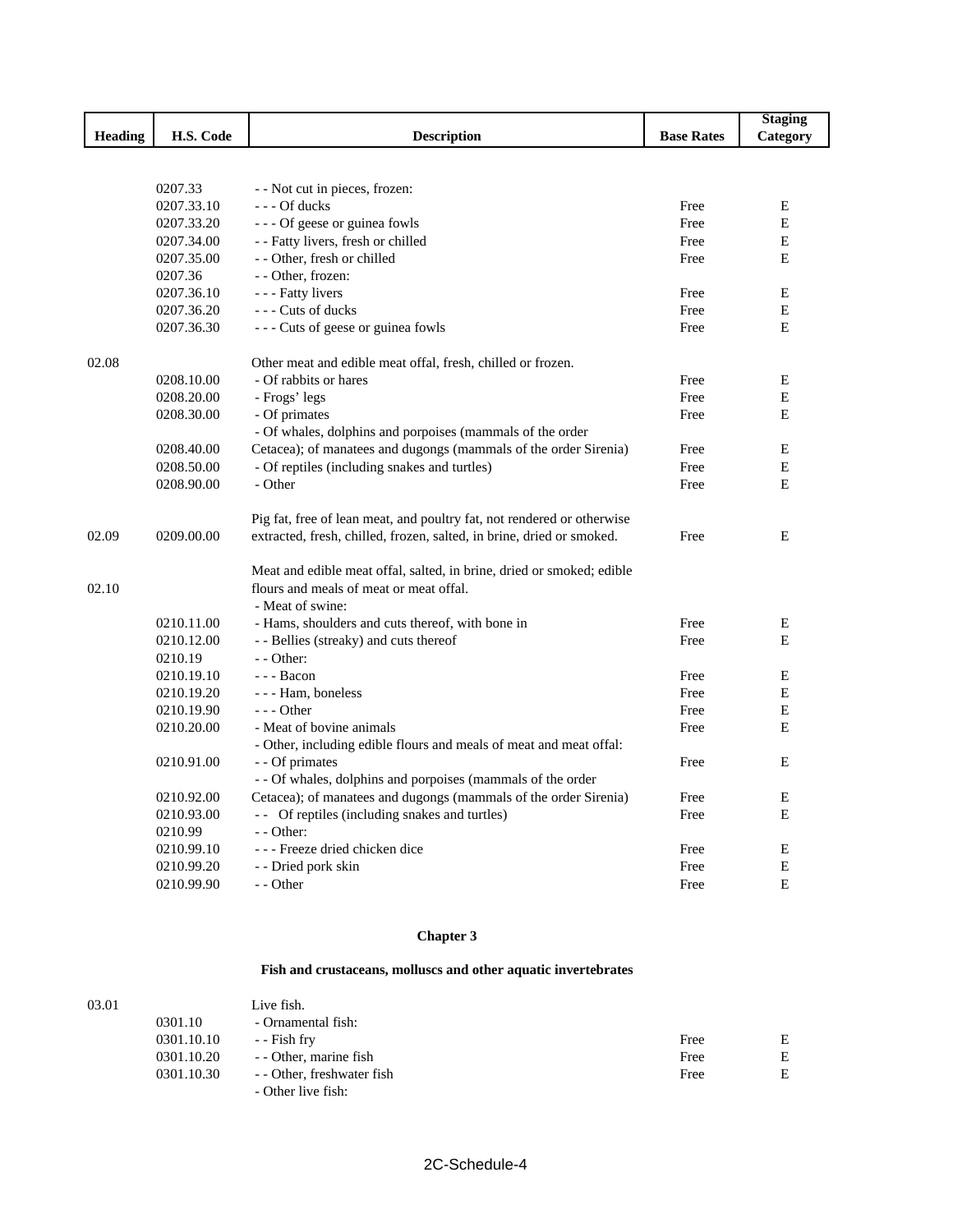|         |            |                                                                        |                   | <b>Staging</b> |
|---------|------------|------------------------------------------------------------------------|-------------------|----------------|
| Heading | H.S. Code  | <b>Description</b>                                                     | <b>Base Rates</b> | Category       |
|         |            |                                                                        |                   |                |
|         |            |                                                                        |                   |                |
|         | 0207.33    | - - Not cut in pieces, frozen:                                         |                   |                |
|         | 0207.33.10 | $--$ Of ducks                                                          | Free              | E              |
|         | 0207.33.20 | --- Of geese or guinea fowls                                           | Free              | E              |
|         | 0207.34.00 | - - Fatty livers, fresh or chilled                                     | Free              | Е              |
|         | 0207.35.00 | - - Other, fresh or chilled                                            | Free              | E              |
|         | 0207.36    | - - Other, frozen:                                                     |                   |                |
|         | 0207.36.10 | - - - Fatty livers                                                     | Free              | E              |
|         | 0207.36.20 | --- Cuts of ducks                                                      | Free              | E              |
|         | 0207.36.30 | --- Cuts of geese or guinea fowls                                      | Free              | E              |
| 02.08   |            | Other meat and edible meat offal, fresh, chilled or frozen.            |                   |                |
|         | 0208.10.00 | - Of rabbits or hares                                                  | Free              | Е              |
|         | 0208.20.00 | - Frogs' legs                                                          | Free              | E              |
|         | 0208.30.00 | - Of primates                                                          | Free              | E              |
|         |            | - Of whales, dolphins and porpoises (mammals of the order              |                   |                |
|         | 0208.40.00 | Cetacea); of manatees and dugongs (mammals of the order Sirenia)       | Free              | E              |
|         | 0208.50.00 | - Of reptiles (including snakes and turtles)                           | Free              | E              |
|         | 0208.90.00 | - Other                                                                | Free              | E              |
|         |            | Pig fat, free of lean meat, and poultry fat, not rendered or otherwise |                   |                |
| 02.09   | 0209.00.00 | extracted, fresh, chilled, frozen, salted, in brine, dried or smoked.  | Free              | E              |
|         |            |                                                                        |                   |                |
|         |            | Meat and edible meat offal, salted, in brine, dried or smoked; edible  |                   |                |
| 02.10   |            | flours and meals of meat or meat offal.                                |                   |                |
|         |            | - Meat of swine:                                                       |                   |                |
|         | 0210.11.00 | - Hams, shoulders and cuts thereof, with bone in                       | Free              | Ε              |
|         | 0210.12.00 | - - Bellies (streaky) and cuts thereof                                 | Free              | E              |
|         | 0210.19    | - - Other:                                                             |                   |                |
|         | 0210.19.10 | --- Bacon                                                              | Free              | E              |
|         | 0210.19.20 | - - - Ham, boneless                                                    | Free              | E              |
|         | 0210.19.90 | $- -$ Other                                                            | Free              | E              |
|         | 0210.20.00 | - Meat of bovine animals                                               | Free              | E              |
|         |            | - Other, including edible flours and meals of meat and meat offal:     |                   |                |
|         | 0210.91.00 | - - Of primates                                                        | Free              | E              |
|         |            | - - Of whales, dolphins and porpoises (mammals of the order            |                   |                |
|         | 0210.92.00 | Cetacea); of manatees and dugongs (mammals of the order Sirenia)       | Free              | E              |
|         | 0210.93.00 | -- Of reptiles (including snakes and turtles)                          | Free              | E              |
|         | 0210.99    | - - Other:                                                             |                   |                |
|         | 0210.99.10 | - - - Freeze dried chicken dice                                        | Free              | E              |
|         | 0210.99.20 | - - Dried pork skin                                                    | Free              | E              |
|         | 0210.99.90 | - - Other                                                              | Free              | E              |

### **Chapter 3**

### **Fish and crustaceans, molluscs and other aquatic invertebrates**

| 03.01 |            | Live fish.                                       |      |   |
|-------|------------|--------------------------------------------------|------|---|
|       | 0301.10    | - Ornamental fish:                               |      |   |
|       | 0301.10.10 | - - Fish fry                                     | Free | E |
|       | 0301.10.20 | - Other, marine fish                             | Free | Е |
|       | 0301.10.30 | - - Other, freshwater fish<br>- Other live fish: | Free | E |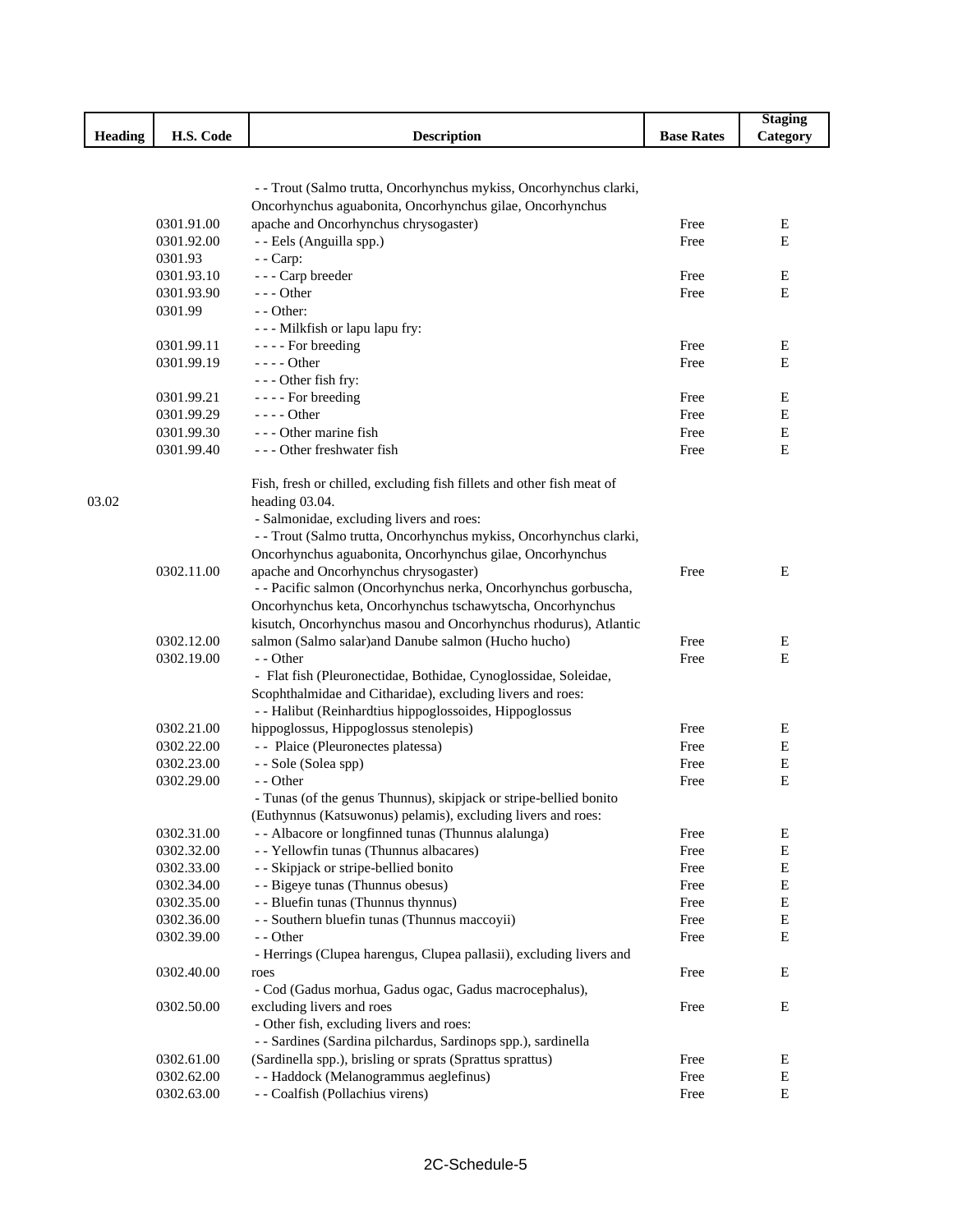|                |                          |                                                                                                                                   |                   | <b>Staging</b> |
|----------------|--------------------------|-----------------------------------------------------------------------------------------------------------------------------------|-------------------|----------------|
| <b>Heading</b> | H.S. Code                | <b>Description</b>                                                                                                                | <b>Base Rates</b> | Category       |
|                |                          |                                                                                                                                   |                   |                |
|                |                          | - - Trout (Salmo trutta, Oncorhynchus mykiss, Oncorhynchus clarki,                                                                |                   |                |
|                |                          | Oncorhynchus aguabonita, Oncorhynchus gilae, Oncorhynchus                                                                         |                   |                |
|                | 0301.91.00               | apache and Oncorhynchus chrysogaster)                                                                                             | Free              | Е              |
|                | 0301.92.00               | - - Eels (Anguilla spp.)                                                                                                          | Free              | E              |
|                | 0301.93                  | $-$ - Carp:                                                                                                                       |                   |                |
|                | 0301.93.10               | - - - Carp breeder                                                                                                                | Free              | Е              |
|                | 0301.93.90               | $- -$ Other                                                                                                                       | Free              | E              |
|                | 0301.99                  | - - Other:                                                                                                                        |                   |                |
|                |                          | - - - Milkfish or lapu lapu fry:                                                                                                  |                   |                |
|                | 0301.99.11               | - - - - For breeding                                                                                                              | Free              | Ε              |
|                | 0301.99.19               | $---$ Other                                                                                                                       | Free              | E              |
|                |                          | --- Other fish fry:                                                                                                               |                   |                |
|                | 0301.99.21               | - - - - For breeding                                                                                                              | Free              | Е              |
|                | 0301.99.29               | $- - -$ Other                                                                                                                     | Free              | E              |
|                | 0301.99.30               | --- Other marine fish                                                                                                             | Free              | Ε              |
|                | 0301.99.40               | --- Other freshwater fish                                                                                                         | Free              | E              |
|                |                          |                                                                                                                                   |                   |                |
|                |                          | Fish, fresh or chilled, excluding fish fillets and other fish meat of                                                             |                   |                |
| 03.02          |                          | heading 03.04.                                                                                                                    |                   |                |
|                |                          | - Salmonidae, excluding livers and roes:                                                                                          |                   |                |
|                |                          | - - Trout (Salmo trutta, Oncorhynchus mykiss, Oncorhynchus clarki,                                                                |                   |                |
|                |                          | Oncorhynchus aguabonita, Oncorhynchus gilae, Oncorhynchus                                                                         |                   |                |
|                | 0302.11.00               | apache and Oncorhynchus chrysogaster)                                                                                             | Free              | Ε              |
|                |                          | - - Pacific salmon (Oncorhynchus nerka, Oncorhynchus gorbuscha,                                                                   |                   |                |
|                |                          | Oncorhynchus keta, Oncorhynchus tschawytscha, Oncorhynchus                                                                        |                   |                |
|                |                          | kisutch, Oncorhynchus masou and Oncorhynchus rhodurus), Atlantic                                                                  |                   |                |
|                | 0302.12.00               | salmon (Salmo salar)and Danube salmon (Hucho hucho)                                                                               | Free              | Ε              |
|                | 0302.19.00               | - - Other                                                                                                                         | Free              | E              |
|                |                          | - Flat fish (Pleuronectidae, Bothidae, Cynoglossidae, Soleidae,                                                                   |                   |                |
|                |                          | Scophthalmidae and Citharidae), excluding livers and roes:                                                                        |                   |                |
|                |                          | - - Halibut (Reinhardtius hippoglossoides, Hippoglossus                                                                           |                   |                |
|                | 0302.21.00               | hippoglossus, Hippoglossus stenolepis)                                                                                            | Free              | Е              |
|                | 0302.22.00               | -- Plaice (Pleuronectes platessa)                                                                                                 | Free              | E              |
|                |                          |                                                                                                                                   |                   | Е              |
|                | 0302.23.00<br>0302.29.00 | - - Sole (Solea spp)<br>- - Other                                                                                                 | Free              | E              |
|                |                          |                                                                                                                                   | Free              |                |
|                |                          | - Tunas (of the genus Thunnus), skipjack or stripe-bellied bonito<br>(Euthynnus (Katsuwonus) pelamis), excluding livers and roes: |                   |                |
|                |                          |                                                                                                                                   |                   |                |
|                | 0302.31.00               | - - Albacore or longfinned tunas (Thunnus alalunga)                                                                               | Free              | Е              |
|                | 0302.32.00               | - - Yellowfin tunas (Thunnus albacares)                                                                                           | Free              | ${\bf E}$      |
|                | 0302.33.00               | - - Skipjack or stripe-bellied bonito                                                                                             | Free              | E              |
|                | 0302.34.00               | - - Bigeye tunas (Thunnus obesus)                                                                                                 | Free              | Ε              |
|                | 0302.35.00               | - - Bluefin tunas (Thunnus thynnus)                                                                                               | Free              | E              |
|                | 0302.36.00               | - - Southern bluefin tunas (Thunnus maccoyii)                                                                                     | Free              | E              |
|                | 0302.39.00               | - - Other                                                                                                                         | Free              | Е              |
|                |                          | - Herrings (Clupea harengus, Clupea pallasii), excluding livers and                                                               |                   |                |
|                | 0302.40.00               | roes                                                                                                                              | Free              | E              |
|                |                          | - Cod (Gadus morhua, Gadus ogac, Gadus macrocephalus),                                                                            |                   |                |
|                | 0302.50.00               | excluding livers and roes                                                                                                         | Free              | Е              |
|                |                          | - Other fish, excluding livers and roes:                                                                                          |                   |                |
|                |                          | - - Sardines (Sardina pilchardus, Sardinops spp.), sardinella                                                                     |                   |                |
|                | 0302.61.00               | (Sardinella spp.), brisling or sprats (Sprattus sprattus)                                                                         | Free              | Ε              |
|                | 0302.62.00               | - - Haddock (Melanogrammus aeglefinus)                                                                                            | Free              | Е              |
|                | 0302.63.00               | - - Coalfish (Pollachius virens)                                                                                                  | Free              | $\mathbf E$    |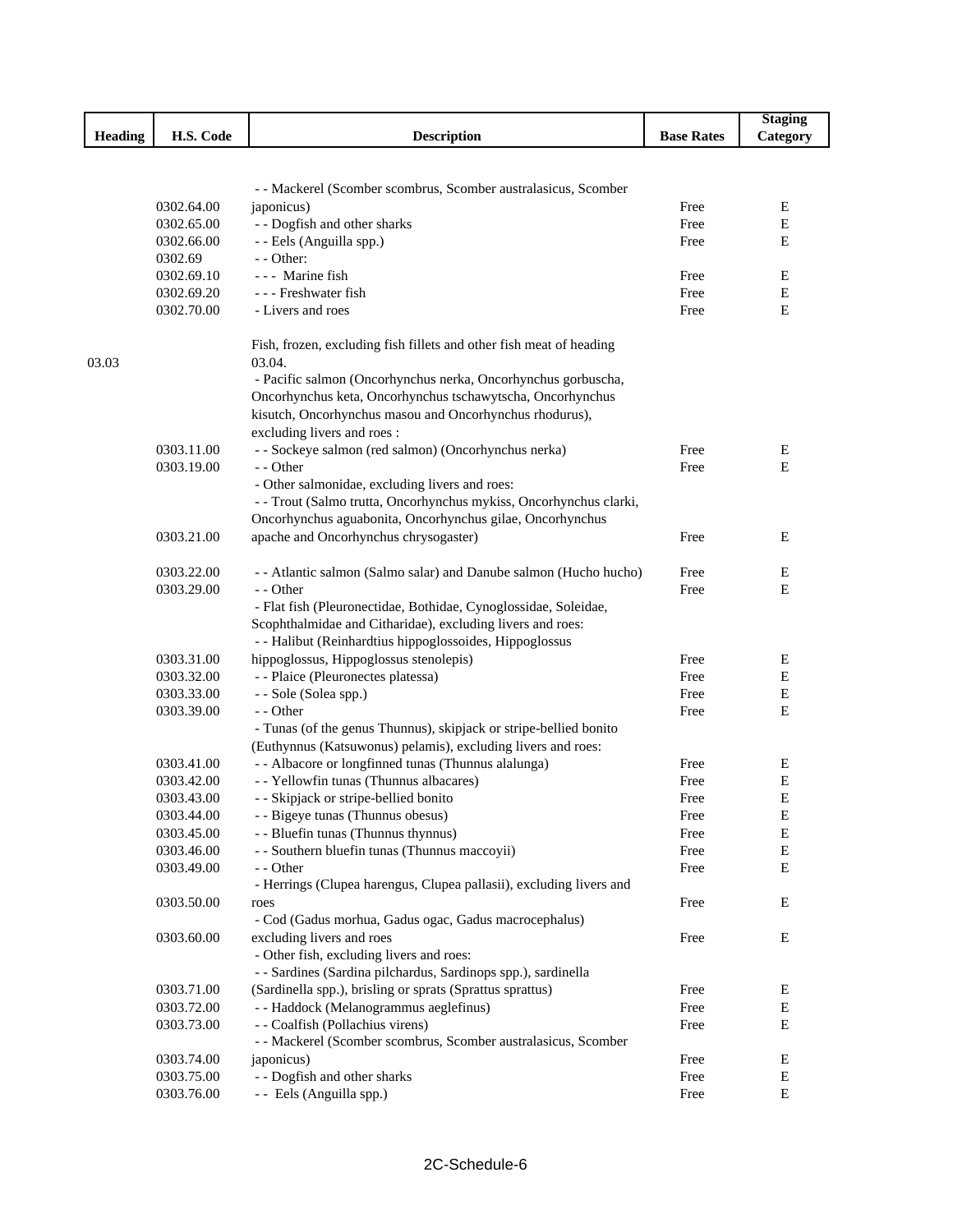|                |            |                                                                     |                   | <b>Staging</b> |
|----------------|------------|---------------------------------------------------------------------|-------------------|----------------|
| <b>Heading</b> | H.S. Code  | <b>Description</b>                                                  | <b>Base Rates</b> | Category       |
|                |            |                                                                     |                   |                |
|                |            |                                                                     |                   |                |
|                |            | - - Mackerel (Scomber scombrus, Scomber australasicus, Scomber      |                   |                |
|                | 0302.64.00 | japonicus)                                                          | Free              | E              |
|                | 0302.65.00 | - - Dogfish and other sharks                                        | Free              | Е              |
|                | 0302.66.00 | - - Eels (Anguilla spp.)                                            | Free              | Е              |
|                | 0302.69    | - - Other:                                                          |                   |                |
|                | 0302.69.10 | --- Marine fish                                                     | Free              | Е              |
|                | 0302.69.20 | - - - Freshwater fish                                               | Free              | E              |
|                | 0302.70.00 | - Livers and roes                                                   | Free              | E              |
|                |            | Fish, frozen, excluding fish fillets and other fish meat of heading |                   |                |
| 03.03          |            | 03.04.                                                              |                   |                |
|                |            | - Pacific salmon (Oncorhynchus nerka, Oncorhynchus gorbuscha,       |                   |                |
|                |            | Oncorhynchus keta, Oncorhynchus tschawytscha, Oncorhynchus          |                   |                |
|                |            | kisutch, Oncorhynchus masou and Oncorhynchus rhodurus),             |                   |                |
|                |            | excluding livers and roes:                                          |                   |                |
|                | 0303.11.00 | - - Sockeye salmon (red salmon) (Oncorhynchus nerka)                | Free              | E              |
|                | 0303.19.00 | - - Other                                                           | Free              | Е              |
|                |            | - Other salmonidae, excluding livers and roes:                      |                   |                |
|                |            | - - Trout (Salmo trutta, Oncorhynchus mykiss, Oncorhynchus clarki,  |                   |                |
|                |            | Oncorhynchus aguabonita, Oncorhynchus gilae, Oncorhynchus           |                   |                |
|                | 0303.21.00 | apache and Oncorhynchus chrysogaster)                               | Free              | Ε              |
|                |            |                                                                     |                   |                |
|                | 0303.22.00 | - - Atlantic salmon (Salmo salar) and Danube salmon (Hucho hucho)   | Free              | Ε              |
|                | 0303.29.00 | - - Other                                                           | Free              | E              |
|                |            | - Flat fish (Pleuronectidae, Bothidae, Cynoglossidae, Soleidae,     |                   |                |
|                |            | Scophthalmidae and Citharidae), excluding livers and roes:          |                   |                |
|                |            | - - Halibut (Reinhardtius hippoglossoides, Hippoglossus             |                   |                |
|                | 0303.31.00 | hippoglossus, Hippoglossus stenolepis)                              | Free              | Е              |
|                | 0303.32.00 | - - Plaice (Pleuronectes platessa)                                  | Free              | E              |
|                | 0303.33.00 | - - Sole (Solea spp.)                                               | Free              | ${\bf E}$      |
|                | 0303.39.00 | - - Other                                                           | Free              | Е              |
|                |            | - Tunas (of the genus Thunnus), skipjack or stripe-bellied bonito   |                   |                |
|                |            | (Euthynnus (Katsuwonus) pelamis), excluding livers and roes:        |                   |                |
|                | 0303.41.00 | - - Albacore or longfinned tunas (Thunnus alalunga)                 | Free              | Ε              |
|                | 0303.42.00 | - - Yellowfin tunas (Thunnus albacares)                             | Free              | E              |
|                | 0303.43.00 | - - Skipjack or stripe-bellied bonito                               | Free              | E              |
|                | 0303.44.00 | - - Bigeye tunas (Thunnus obesus)                                   | Free              | ${\bf E}$      |
|                | 0303.45.00 | - - Bluefin tunas (Thunnus thynnus)                                 | Free              | E              |
|                | 0303.46.00 | - - Southern bluefin tunas (Thunnus maccoyii)                       | Free              | E              |
|                | 0303.49.00 | - - Other                                                           | Free              | E              |
|                |            | - Herrings (Clupea harengus, Clupea pallasii), excluding livers and |                   |                |
|                | 0303.50.00 | roes                                                                | Free              | E              |
|                |            | - Cod (Gadus morhua, Gadus ogac, Gadus macrocephalus)               |                   |                |
|                | 0303.60.00 | excluding livers and roes                                           | Free              | Е              |
|                |            | - Other fish, excluding livers and roes:                            |                   |                |
|                |            | - - Sardines (Sardina pilchardus, Sardinops spp.), sardinella       |                   |                |
|                | 0303.71.00 | (Sardinella spp.), brisling or sprats (Sprattus sprattus)           | Free              | Ε              |
|                | 0303.72.00 | - - Haddock (Melanogrammus aeglefinus)                              | Free              | E              |
|                | 0303.73.00 | - - Coalfish (Pollachius virens)                                    | Free              | Е              |
|                |            | - - Mackerel (Scomber scombrus, Scomber australasicus, Scomber      |                   |                |
|                | 0303.74.00 | japonicus)                                                          | Free              | E              |
|                | 0303.75.00 | - - Dogfish and other sharks                                        | Free              | E              |
|                | 0303.76.00 | - - Eels (Anguilla spp.)                                            | Free              | $\mathbf E$    |
|                |            |                                                                     |                   |                |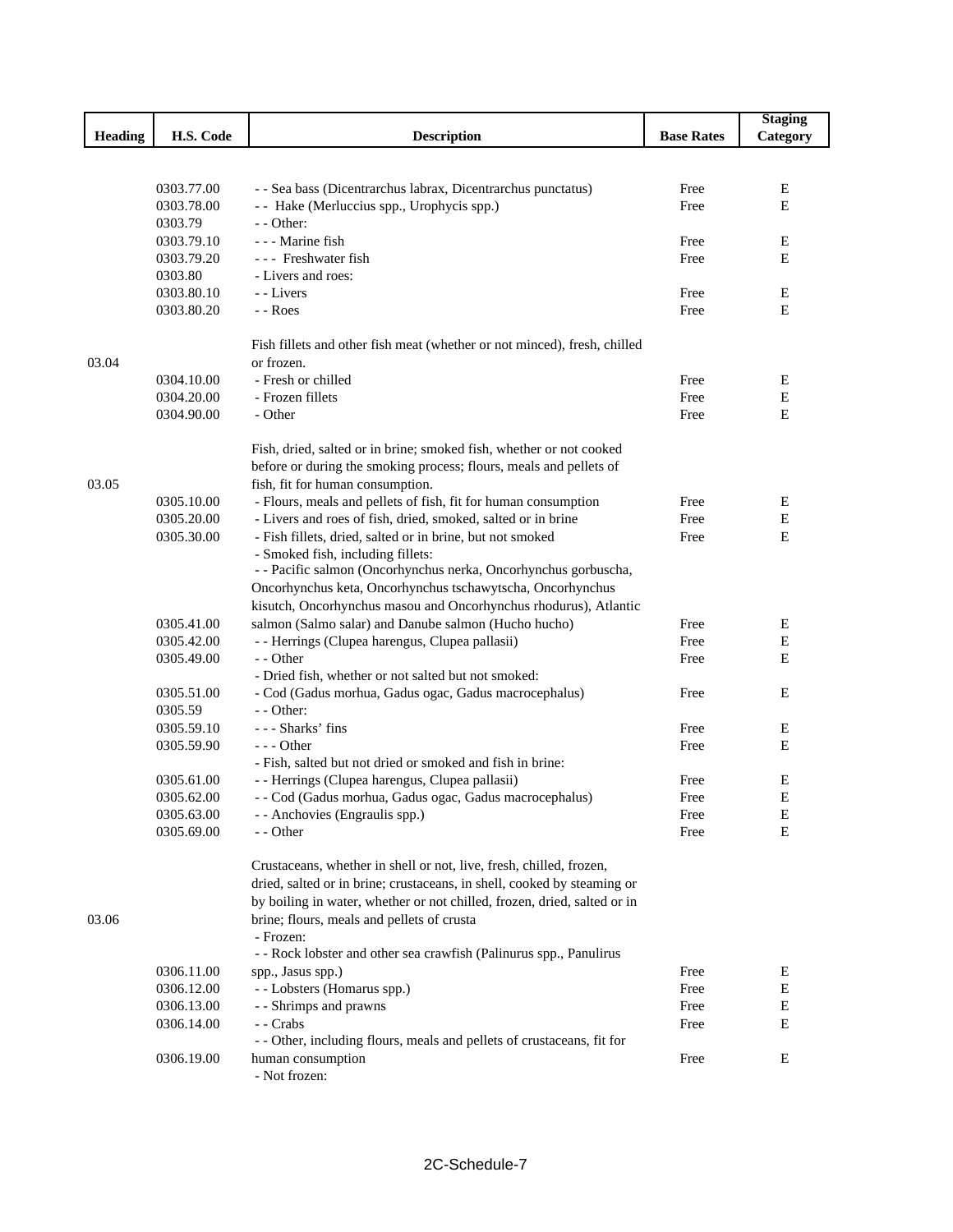|                |            |                                                                          |                   | <b>Staging</b> |
|----------------|------------|--------------------------------------------------------------------------|-------------------|----------------|
| <b>Heading</b> | H.S. Code  | <b>Description</b>                                                       | <b>Base Rates</b> | Category       |
|                |            |                                                                          |                   |                |
|                |            |                                                                          |                   |                |
|                | 0303.77.00 | - - Sea bass (Dicentrarchus labrax, Dicentrarchus punctatus)             | Free              | E              |
|                | 0303.78.00 | - - Hake (Merluccius spp., Urophycis spp.)                               | Free              | Ε              |
|                | 0303.79    | $-$ - Other:                                                             |                   |                |
|                | 0303.79.10 | --- Marine fish                                                          | Free              | E              |
|                | 0303.79.20 | --- Freshwater fish                                                      | Free              | E              |
|                | 0303.80    | - Livers and roes:                                                       |                   |                |
|                | 0303.80.10 | - Livers                                                                 | Free              | Ε              |
|                | 0303.80.20 | - - Roes                                                                 | Free              | Ε              |
|                |            | Fish fillets and other fish meat (whether or not minced), fresh, chilled |                   |                |
| 03.04          |            | or frozen.                                                               |                   |                |
|                | 0304.10.00 | - Fresh or chilled                                                       | Free              | E              |
|                | 0304.20.00 | - Frozen fillets                                                         | Free              | E              |
|                | 0304.90.00 | - Other                                                                  | Free              | E              |
|                |            |                                                                          |                   |                |
|                |            | Fish, dried, salted or in brine; smoked fish, whether or not cooked      |                   |                |
|                |            | before or during the smoking process; flours, meals and pellets of       |                   |                |
| 03.05          |            | fish, fit for human consumption.                                         |                   |                |
|                | 0305.10.00 | - Flours, meals and pellets of fish, fit for human consumption           | Free              | E              |
|                | 0305.20.00 | - Livers and roes of fish, dried, smoked, salted or in brine             | Free              | E              |
|                | 0305.30.00 | - Fish fillets, dried, salted or in brine, but not smoked                | Free              | Ε              |
|                |            | - Smoked fish, including fillets:                                        |                   |                |
|                |            | - - Pacific salmon (Oncorhynchus nerka, Oncorhynchus gorbuscha,          |                   |                |
|                |            | Oncorhynchus keta, Oncorhynchus tschawytscha, Oncorhynchus               |                   |                |
|                |            | kisutch, Oncorhynchus masou and Oncorhynchus rhodurus), Atlantic         |                   |                |
|                | 0305.41.00 | salmon (Salmo salar) and Danube salmon (Hucho hucho)                     | Free              | E              |
|                | 0305.42.00 | - - Herrings (Clupea harengus, Clupea pallasii)                          | Free              | E              |
|                | 0305.49.00 | - - Other                                                                | Free              | E              |
|                |            | - Dried fish, whether or not salted but not smoked:                      |                   |                |
|                | 0305.51.00 | - Cod (Gadus morhua, Gadus ogac, Gadus macrocephalus)                    | Free              | E              |
|                | 0305.59    | $-$ - Other:                                                             |                   |                |
|                | 0305.59.10 | --- Sharks' fins                                                         | Free              | Е              |
|                | 0305.59.90 | $--$ Other                                                               | Free              | Е              |
|                |            | - Fish, salted but not dried or smoked and fish in brine:                |                   |                |
|                | 0305.61.00 | - - Herrings (Clupea harengus, Clupea pallasii)                          | Free              | Ε              |
|                | 0305.62.00 | - - Cod (Gadus morhua, Gadus ogac, Gadus macrocephalus)                  | Free              | Е              |
|                | 0305.63.00 | - - Anchovies (Engraulis spp.)                                           | Free              | Ε              |
|                | 0305.69.00 | - - Other                                                                | Free              | Е              |
|                |            | Crustaceans, whether in shell or not, live, fresh, chilled, frozen,      |                   |                |
|                |            | dried, salted or in brine; crustaceans, in shell, cooked by steaming or  |                   |                |
|                |            | by boiling in water, whether or not chilled, frozen, dried, salted or in |                   |                |
| 03.06          |            | brine; flours, meals and pellets of crusta                               |                   |                |
|                |            | - Frozen:                                                                |                   |                |
|                |            | - - Rock lobster and other sea crawfish (Palinurus spp., Panulirus       |                   |                |
|                | 0306.11.00 | spp., Jasus spp.)                                                        | Free              | Ε              |
|                | 0306.12.00 | - - Lobsters (Homarus spp.)                                              | Free              | E              |
|                | 0306.13.00 | - - Shrimps and prawns                                                   | Free              | Е              |
|                | 0306.14.00 | - Crabs                                                                  | Free              | Ε              |
|                |            | - - Other, including flours, meals and pellets of crustaceans, fit for   |                   |                |
|                | 0306.19.00 | human consumption                                                        | Free              | E              |
|                |            | - Not frozen:                                                            |                   |                |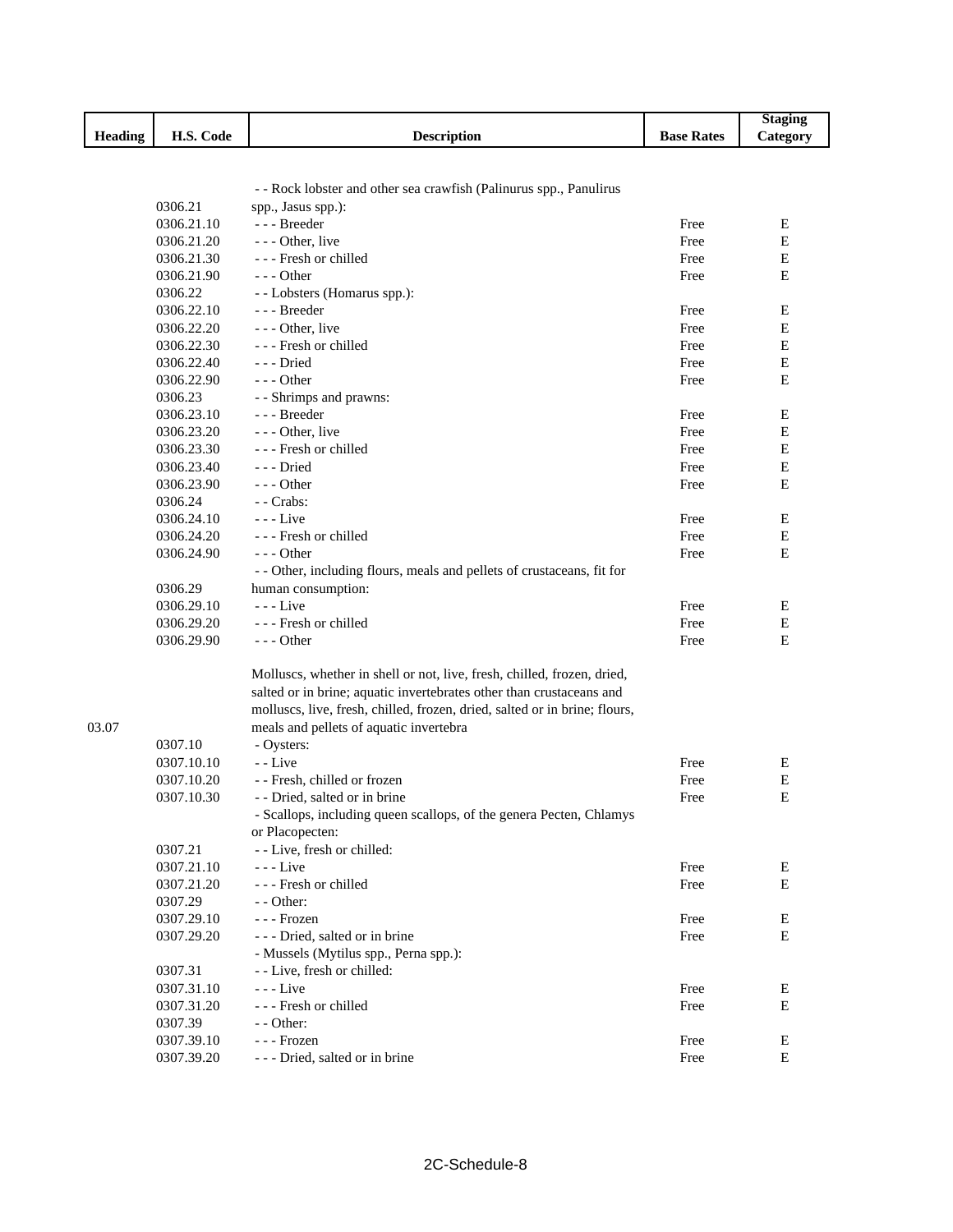|                |            |                                                                            |                   | <b>Staging</b> |
|----------------|------------|----------------------------------------------------------------------------|-------------------|----------------|
| <b>Heading</b> | H.S. Code  | <b>Description</b>                                                         | <b>Base Rates</b> | Category       |
|                |            |                                                                            |                   |                |
|                |            |                                                                            |                   |                |
|                |            | - - Rock lobster and other sea crawfish (Palinurus spp., Panulirus         |                   |                |
|                | 0306.21    | spp., Jasus spp.):                                                         |                   |                |
|                | 0306.21.10 | --- Breeder                                                                | Free              | Е              |
|                | 0306.21.20 | - - - Other, live                                                          | Free              | ${\bf E}$      |
|                | 0306.21.30 | - - - Fresh or chilled                                                     | Free              | Е              |
|                | 0306.21.90 | $- -$ Other                                                                | Free              | E              |
|                | 0306.22    | - - Lobsters (Homarus spp.):                                               |                   |                |
|                | 0306.22.10 | --- Breeder                                                                | Free              | Е              |
|                | 0306.22.20 | - - - Other, live                                                          | Free              | Е              |
|                | 0306.22.30 | --- Fresh or chilled                                                       | Free              | ${\bf E}$      |
|                | 0306.22.40 | ---Dried                                                                   | Free              | Е              |
|                | 0306.22.90 | $--$ Other                                                                 | Free              | E              |
|                | 0306.23    | - - Shrimps and prawns:                                                    |                   |                |
|                | 0306.23.10 | --- Breeder                                                                | Free              | Е              |
|                | 0306.23.20 | - - - Other, live                                                          | Free              | ${\bf E}$      |
|                | 0306.23.30 | --- Fresh or chilled                                                       | Free              | Е              |
|                | 0306.23.40 | --- Dried                                                                  | Free              | Е              |
|                | 0306.23.90 | $--$ Other                                                                 | Free              | E              |
|                | 0306.24    | - Crabs:                                                                   |                   |                |
|                | 0306.24.10 | $- -$ Live                                                                 | Free              | Е              |
|                | 0306.24.20 | --- Fresh or chilled                                                       | Free              | E              |
|                |            | - - - Other                                                                |                   | E              |
|                | 0306.24.90 |                                                                            | Free              |                |
|                |            | - - Other, including flours, meals and pellets of crustaceans, fit for     |                   |                |
|                | 0306.29    | human consumption:                                                         |                   |                |
|                | 0306.29.10 | $--$ Live                                                                  | Free              | Ε              |
|                | 0306.29.20 | --- Fresh or chilled                                                       | Free              | E              |
|                | 0306.29.90 | $--$ Other                                                                 | Free              | E              |
|                |            |                                                                            |                   |                |
|                |            | Molluscs, whether in shell or not, live, fresh, chilled, frozen, dried,    |                   |                |
|                |            | salted or in brine; aquatic invertebrates other than crustaceans and       |                   |                |
|                |            | molluscs, live, fresh, chilled, frozen, dried, salted or in brine; flours, |                   |                |
| 03.07          |            | meals and pellets of aquatic invertebra                                    |                   |                |
|                | 0307.10    | - Oysters:                                                                 |                   |                |
|                | 0307.10.10 | - - Live                                                                   | Free              | Ε              |
|                | 0307.10.20 | - - Fresh, chilled or frozen                                               | Free              | Ε              |
|                | 0307.10.30 | - - Dried, salted or in brine                                              | Free              | E              |
|                |            | - Scallops, including queen scallops, of the genera Pecten, Chlamys        |                   |                |
|                |            | or Placopecten:                                                            |                   |                |
|                | 0307.21    | - - Live, fresh or chilled:                                                |                   |                |
|                | 0307.21.10 | $- -$ Live                                                                 | Free              | Е              |
|                | 0307.21.20 | --- Fresh or chilled                                                       | Free              | Е              |
|                | 0307.29    | $-$ - Other:                                                               |                   |                |
|                | 0307.29.10 | - - - Frozen                                                               | Free              | Е              |
|                | 0307.29.20 | --- Dried, salted or in brine                                              | Free              | ${\bf E}$      |
|                |            | - Mussels (Mytilus spp., Perna spp.):                                      |                   |                |
|                | 0307.31    | - - Live, fresh or chilled:                                                |                   |                |
|                | 0307.31.10 | $- -$ Live                                                                 | Free              | E              |
|                | 0307.31.20 | --- Fresh or chilled                                                       | Free              | E              |
|                | 0307.39    | $-$ - Other:                                                               |                   |                |
|                | 0307.39.10 | - - - Frozen                                                               | Free              | Е              |
|                | 0307.39.20 | --- Dried, salted or in brine                                              | Free              | ${\bf E}$      |
|                |            |                                                                            |                   |                |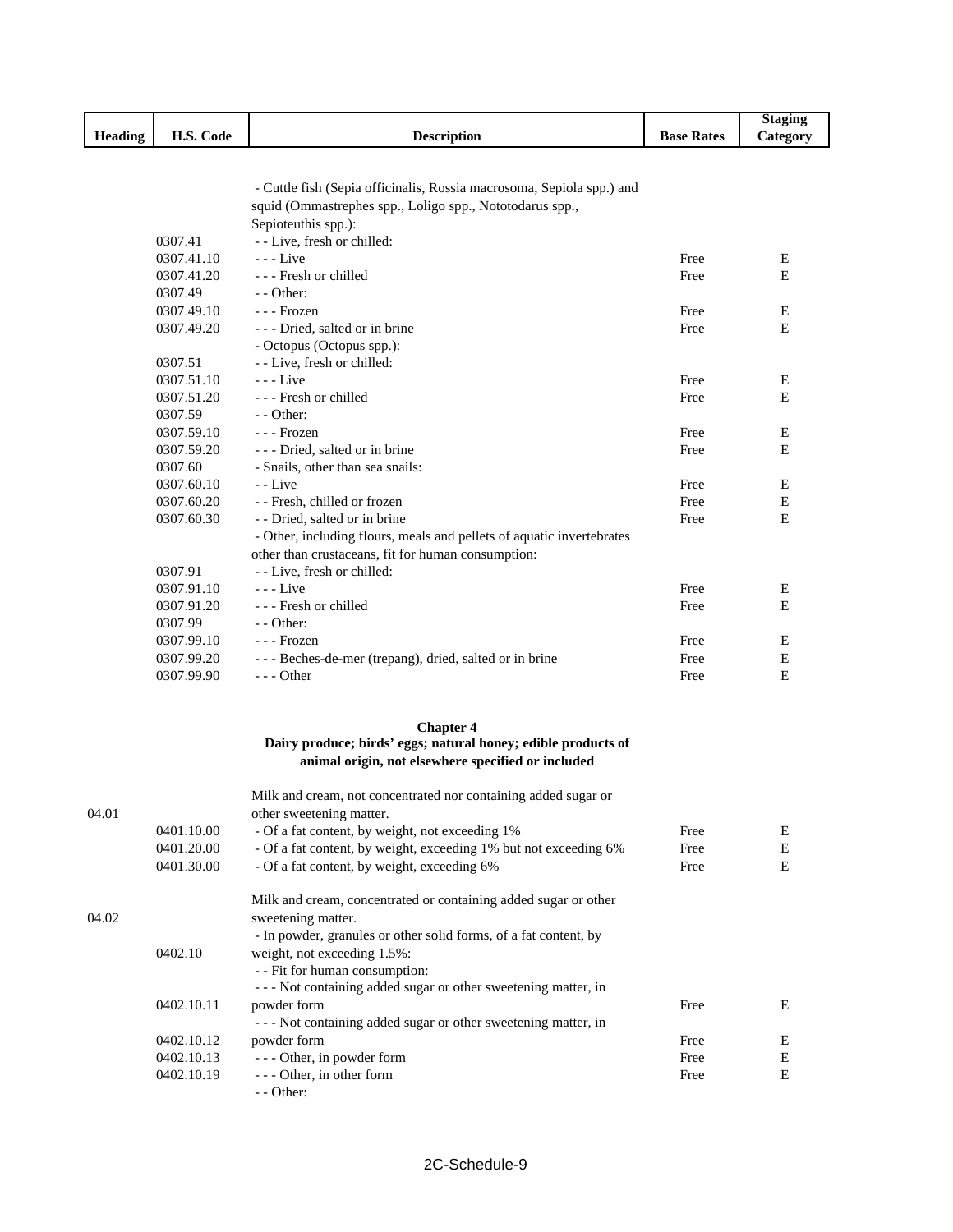|                |                          |                                                                       |                   | <b>Staging</b> |
|----------------|--------------------------|-----------------------------------------------------------------------|-------------------|----------------|
| <b>Heading</b> | H.S. Code                | <b>Description</b>                                                    | <b>Base Rates</b> | Category       |
|                |                          |                                                                       |                   |                |
|                |                          |                                                                       |                   |                |
|                |                          | - Cuttle fish (Sepia officinalis, Rossia macrosoma, Sepiola spp.) and |                   |                |
|                |                          | squid (Ommastrephes spp., Loligo spp., Nototodarus spp.,              |                   |                |
|                |                          | Sepioteuthis spp.):                                                   |                   |                |
|                | 0307.41                  | - - Live, fresh or chilled:                                           |                   |                |
|                | 0307.41.10               | $- -$ Live                                                            | Free              | Е              |
|                | 0307.41.20               | --- Fresh or chilled                                                  | Free              | Ε              |
|                | 0307.49                  | $-$ - Other:                                                          |                   |                |
|                | 0307.49.10               | - - - Frozen                                                          | Free              | Ε              |
|                | 0307.49.20               | - - - Dried, salted or in brine                                       | Free              | Ε              |
|                |                          | - Octopus (Octopus spp.):                                             |                   |                |
|                | 0307.51                  | - - Live, fresh or chilled:                                           |                   |                |
|                | 0307.51.10               | $--$ Live                                                             | Free              | Ε              |
|                | 0307.51.20               | --- Fresh or chilled                                                  | Free              | E              |
|                | 0307.59                  | $-$ - Other:                                                          |                   |                |
|                | 0307.59.10               | - - - Frozen                                                          | Free              | Ε              |
|                | 0307.59.20               | - - - Dried, salted or in brine                                       | Free              | Е              |
|                | 0307.60                  | - Snails, other than sea snails:                                      |                   |                |
|                | 0307.60.10               | - - Live                                                              | Free              | Ε              |
|                | 0307.60.20               | - - Fresh, chilled or frozen                                          | Free              | $\mathbf E$    |
|                | 0307.60.30               | - - Dried, salted or in brine                                         | Free              | E              |
|                |                          | - Other, including flours, meals and pellets of aquatic invertebrates |                   |                |
|                |                          | other than crustaceans, fit for human consumption:                    |                   |                |
|                | 0307.91                  | - - Live, fresh or chilled:                                           |                   |                |
|                | 0307.91.10               | $- -$ Live                                                            | Free              | Ε              |
|                | 0307.91.20               | --- Fresh or chilled                                                  | Free              | E              |
|                | 0307.99                  | $-$ - Other:                                                          |                   |                |
|                | 0307.99.10               | - - - Frozen                                                          | Free              | Е              |
|                | 0307.99.20               | - - - Beches-de-mer (trepang), dried, salted or in brine              | Free              | Ε              |
|                | 0307.99.90               | $- -$ Other                                                           | Free              | E              |
|                |                          |                                                                       |                   |                |
|                |                          |                                                                       |                   |                |
|                |                          | <b>Chapter 4</b>                                                      |                   |                |
|                |                          | Dairy produce; birds' eggs; natural honey; edible products of         |                   |                |
|                |                          | animal origin, not elsewhere specified or included                    |                   |                |
|                |                          |                                                                       |                   |                |
|                |                          | Milk and cream, not concentrated nor containing added sugar or        |                   |                |
| 04.01          |                          | other sweetening matter.                                              |                   |                |
|                | 0401.10.00               | - Of a fat content, by weight, not exceeding 1%                       | Free              | Е              |
|                | 0401.20.00<br>0401.30.00 | - Of a fat content, by weight, exceeding 1% but not exceeding 6%      | Free              | Е<br>Ε         |
|                |                          | - Of a fat content, by weight, exceeding 6%                           | Free              |                |
|                |                          | Milk and cream, concentrated or containing added sugar or other       |                   |                |
| 04.02          |                          | sweetening matter.                                                    |                   |                |
|                |                          | - In powder, granules or other solid forms, of a fat content, by      |                   |                |
|                | 0402.10                  | weight, not exceeding 1.5%:                                           |                   |                |
|                |                          | - - Fit for human consumption:                                        |                   |                |
|                |                          | --- Not containing added sugar or other sweetening matter, in         |                   |                |
|                |                          |                                                                       |                   |                |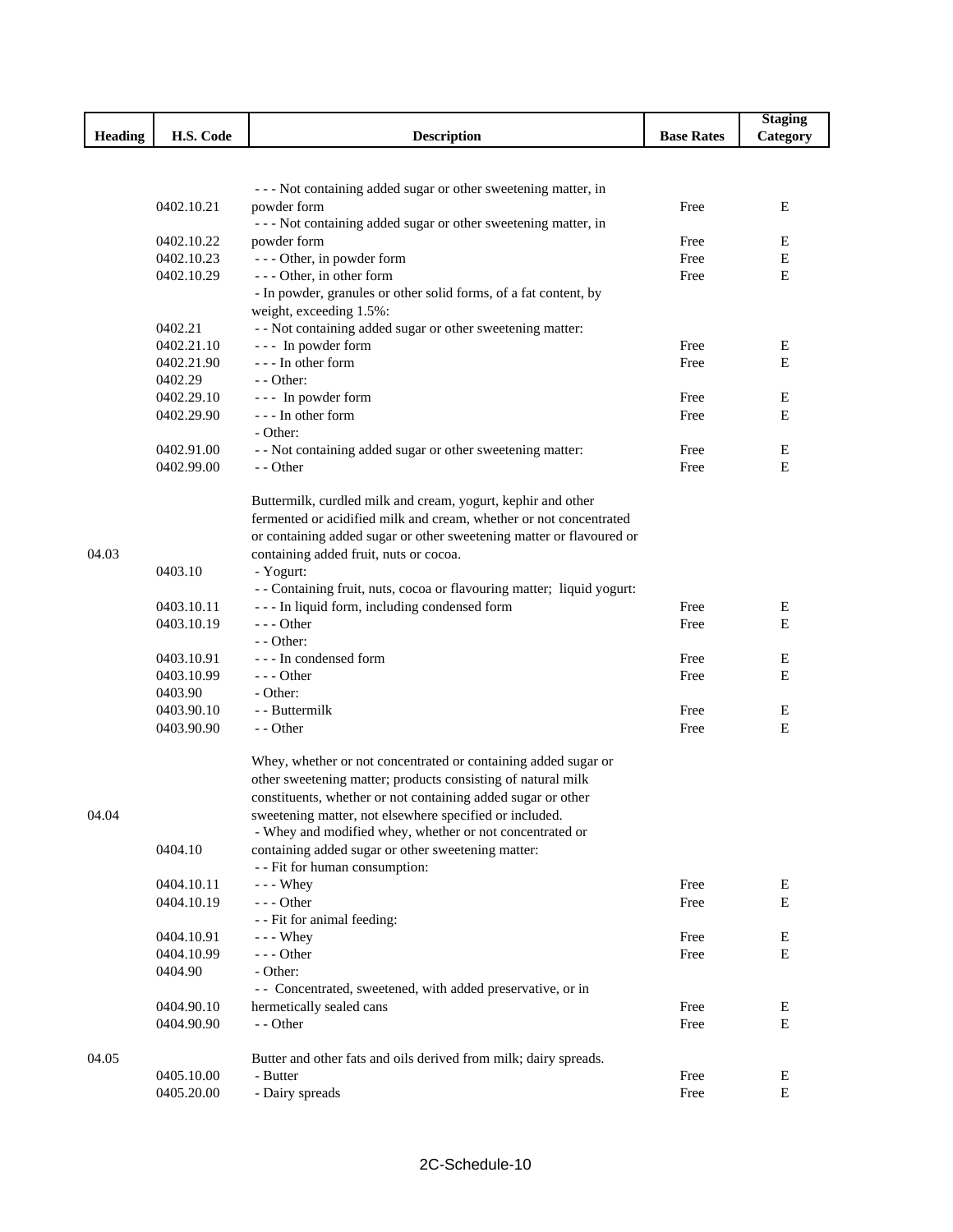|                |            |                                                                        |                   | <b>Staging</b> |
|----------------|------------|------------------------------------------------------------------------|-------------------|----------------|
| <b>Heading</b> | H.S. Code  | <b>Description</b>                                                     | <b>Base Rates</b> | Category       |
|                |            |                                                                        |                   |                |
|                |            |                                                                        |                   |                |
|                |            | --- Not containing added sugar or other sweetening matter, in          |                   |                |
|                | 0402.10.21 | powder form                                                            | Free              | E              |
|                |            | --- Not containing added sugar or other sweetening matter, in          |                   |                |
|                | 0402.10.22 | powder form                                                            | Free              | Ε              |
|                | 0402.10.23 | --- Other, in powder form                                              | Free              | Ε              |
|                | 0402.10.29 | - - - Other, in other form                                             | Free              | Ε              |
|                |            | - In powder, granules or other solid forms, of a fat content, by       |                   |                |
|                |            | weight, exceeding 1.5%:                                                |                   |                |
|                | 0402.21    | - - Not containing added sugar or other sweetening matter:             |                   |                |
|                | 0402.21.10 | --- In powder form                                                     | Free              | Ε              |
|                | 0402.21.90 | --- In other form                                                      | Free              | E              |
|                | 0402.29    | - - Other:                                                             |                   |                |
|                | 0402.29.10 | --- In powder form                                                     | Free              | Е              |
|                | 0402.29.90 | --- In other form                                                      | Free              | Е              |
|                |            | - Other:                                                               |                   |                |
|                | 0402.91.00 | - - Not containing added sugar or other sweetening matter:             | Free              | Ε              |
|                | 0402.99.00 | - - Other                                                              | Free              | E              |
|                |            |                                                                        |                   |                |
|                |            | Buttermilk, curdled milk and cream, yogurt, kephir and other           |                   |                |
|                |            | fermented or acidified milk and cream, whether or not concentrated     |                   |                |
|                |            | or containing added sugar or other sweetening matter or flavoured or   |                   |                |
| 04.03          |            | containing added fruit, nuts or cocoa.                                 |                   |                |
|                | 0403.10    | - Yogurt:                                                              |                   |                |
|                |            | - - Containing fruit, nuts, cocoa or flavouring matter; liquid yogurt: |                   |                |
|                | 0403.10.11 | --- In liquid form, including condensed form                           | Free              | Ε              |
|                | 0403.10.19 | $--$ Other                                                             | Free              | E              |
|                |            | - - Other:                                                             |                   |                |
|                | 0403.10.91 | --- In condensed form                                                  | Free              | E              |
|                | 0403.10.99 | $- -$ Other                                                            | Free              | E              |
|                | 0403.90    | - Other:                                                               |                   |                |
|                | 0403.90.10 | - - Buttermilk                                                         | Free              | E              |
|                | 0403.90.90 | - - Other                                                              | Free              | Е              |
|                |            | Whey, whether or not concentrated or containing added sugar or         |                   |                |
|                |            |                                                                        |                   |                |
|                |            | other sweetening matter; products consisting of natural milk           |                   |                |
|                |            | constituents, whether or not containing added sugar or other           |                   |                |
| 04.04          |            | sweetening matter, not elsewhere specified or included.                |                   |                |
|                |            | - Whey and modified whey, whether or not concentrated or               |                   |                |
|                | 0404.10    | containing added sugar or other sweetening matter:                     |                   |                |
|                |            | - - Fit for human consumption:                                         |                   |                |
|                | 0404.10.11 | $- -$ Whey                                                             | Free              | Ε<br>E         |
|                | 0404.10.19 | $--$ Other                                                             | Free              |                |
|                |            | - - Fit for animal feeding:                                            |                   |                |
|                | 0404.10.91 | $- -$ Whey                                                             | Free              | E              |
|                | 0404.10.99 | --- Other                                                              | Free              | E              |
|                | 0404.90    | - Other:                                                               |                   |                |
|                |            | - Concentrated, sweetened, with added preservative, or in              | Free              | Ε              |
|                | 0404.90.10 | hermetically sealed cans<br>- - Other                                  | Free              | E              |
|                | 0404.90.90 |                                                                        |                   |                |
| 04.05          |            | Butter and other fats and oils derived from milk; dairy spreads.       |                   |                |
|                | 0405.10.00 | - Butter                                                               | Free              | Ε              |
|                | 0405.20.00 | - Dairy spreads                                                        | Free              | E              |
|                |            |                                                                        |                   |                |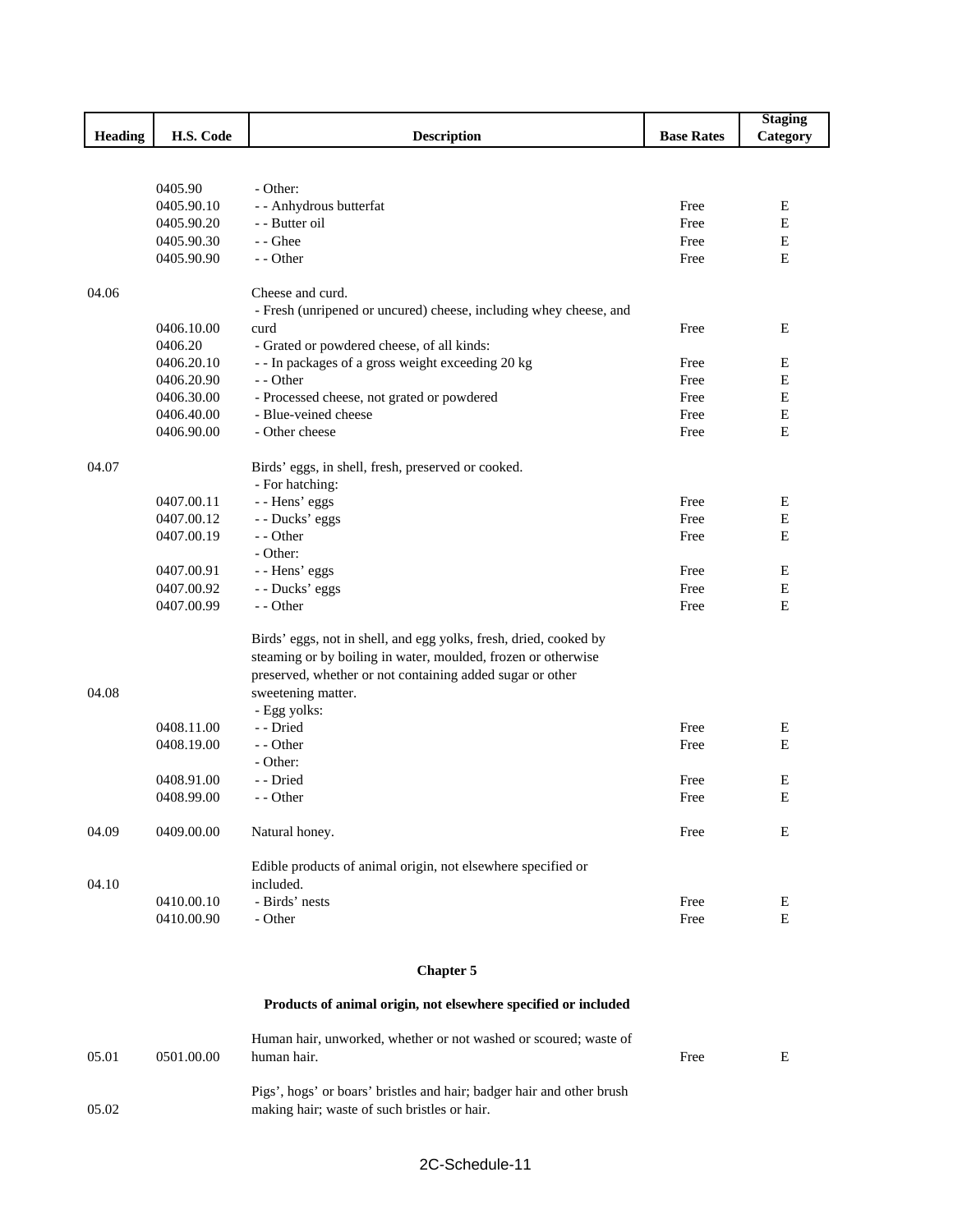|                |            |                                                                   |                   | <b>Staging</b>   |
|----------------|------------|-------------------------------------------------------------------|-------------------|------------------|
| <b>Heading</b> | H.S. Code  | <b>Description</b>                                                | <b>Base Rates</b> | Category         |
|                |            |                                                                   |                   |                  |
|                |            |                                                                   |                   |                  |
|                | 0405.90    | - Other:                                                          |                   |                  |
|                | 0405.90.10 | - - Anhydrous butterfat                                           | Free              | Ε                |
|                | 0405.90.20 | - Butter oil                                                      | Free              | ${\bf E}$        |
|                | 0405.90.30 | - - Ghee                                                          | Free              | $\mathbf E$      |
|                | 0405.90.90 | - - Other                                                         | Free              | E                |
|                |            |                                                                   |                   |                  |
| 04.06          |            | Cheese and curd.                                                  |                   |                  |
|                |            | - Fresh (unripened or uncured) cheese, including whey cheese, and |                   |                  |
|                | 0406.10.00 | curd                                                              | Free              | Ε                |
|                | 0406.20    | - Grated or powdered cheese, of all kinds:                        |                   |                  |
|                | 0406.20.10 | -- In packages of a gross weight exceeding 20 kg                  | Free              | Е                |
|                | 0406.20.90 | - - Other                                                         | Free              | $\mathbf E$      |
|                | 0406.30.00 | - Processed cheese, not grated or powdered                        | Free              | E                |
|                | 0406.40.00 | - Blue-veined cheese                                              | Free              | $\mathbf E$      |
|                | 0406.90.00 | - Other cheese                                                    | Free              | Ε                |
| 04.07          |            |                                                                   |                   |                  |
|                |            | Birds' eggs, in shell, fresh, preserved or cooked.                |                   |                  |
|                | 0407.00.11 | - For hatching:                                                   | Free              |                  |
|                | 0407.00.12 | - - Hens' eggs<br>- - Ducks' eggs                                 | Free              | E<br>$\mathbf E$ |
|                | 0407.00.19 | - - Other                                                         | Free              | $\mathbf E$      |
|                |            | - Other:                                                          |                   |                  |
|                | 0407.00.91 |                                                                   | Free              | Ε                |
|                | 0407.00.92 | - - Hens' eggs                                                    | Free              | Ε                |
|                | 0407.00.99 | - - Ducks' eggs<br>- - Other                                      | Free              | E                |
|                |            |                                                                   |                   |                  |
|                |            | Birds' eggs, not in shell, and egg yolks, fresh, dried, cooked by |                   |                  |
|                |            | steaming or by boiling in water, moulded, frozen or otherwise     |                   |                  |
|                |            | preserved, whether or not containing added sugar or other         |                   |                  |
| 04.08          |            | sweetening matter.                                                |                   |                  |
|                |            | - Egg yolks:                                                      |                   |                  |
|                | 0408.11.00 | - - Dried                                                         | Free              | Ε                |
|                | 0408.19.00 | - - Other                                                         | Free              | E                |
|                |            | - Other:                                                          |                   |                  |
|                | 0408.91.00 | - - Dried                                                         | Free              | E                |
|                | 0408.99.00 | - - Other                                                         | Free              | E                |
|                |            |                                                                   |                   |                  |
| 04.09          | 0409.00.00 | Natural honey.                                                    | Free              | Е                |
|                |            |                                                                   |                   |                  |
|                |            | Edible products of animal origin, not elsewhere specified or      |                   |                  |
| 04.10          |            | included.                                                         |                   |                  |
|                | 0410.00.10 | - Birds' nests                                                    | Free              | E                |
|                | 0410.00.90 | - Other                                                           | Free              | E                |
|                |            |                                                                   |                   |                  |
|                |            | <b>Chapter 5</b>                                                  |                   |                  |
|                |            | Products of animal origin, not elsewhere specified or included    |                   |                  |

| 05.01 | 0501.00.00 | Human hair, unworked, whether or not washed or scoured; waste of<br>human hair.                                       | Free | E. |
|-------|------------|-----------------------------------------------------------------------------------------------------------------------|------|----|
| 05.02 |            | Pigs', hogs' or boars' bristles and hair; badger hair and other brush<br>making hair; waste of such bristles or hair. |      |    |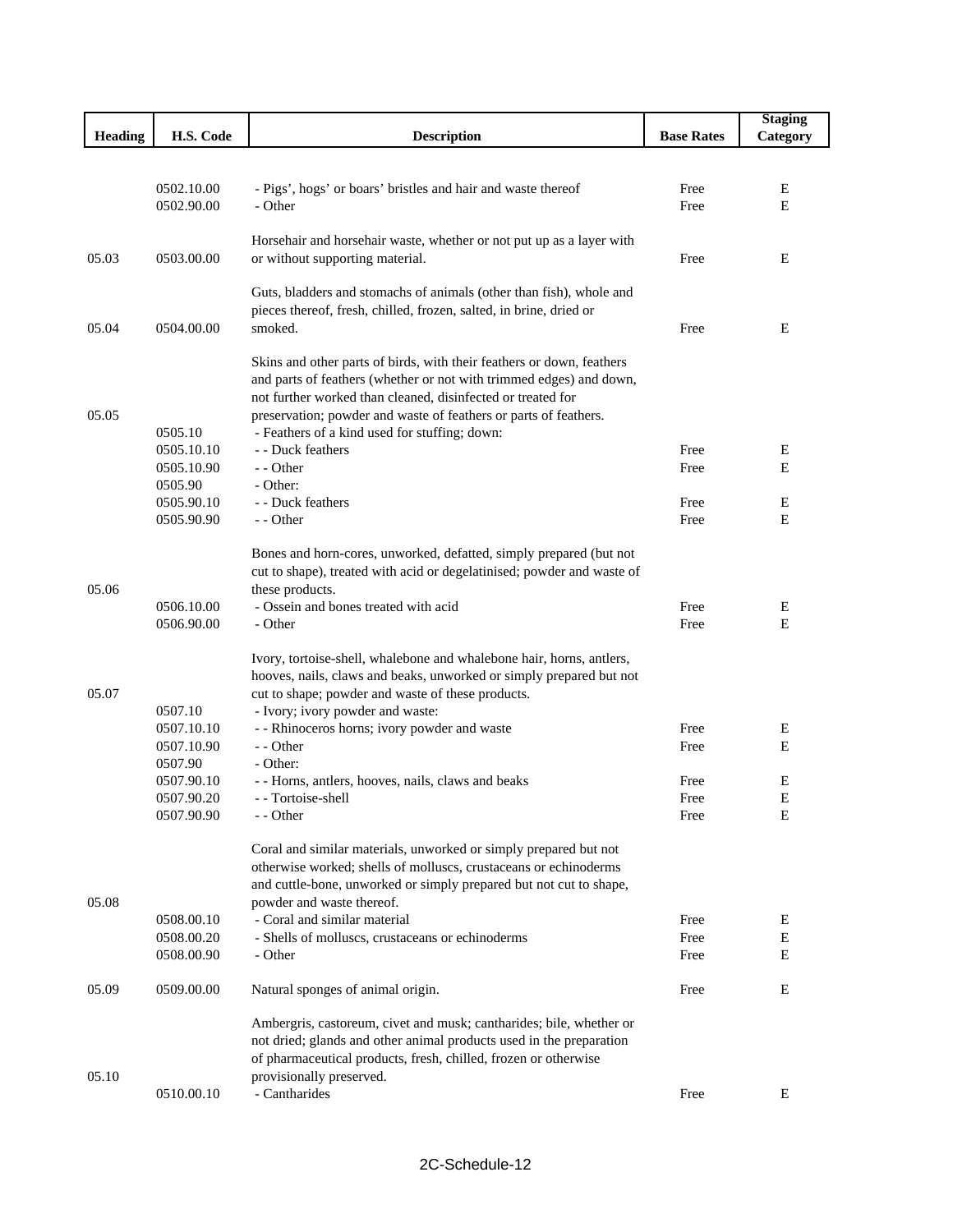|                |                          |                                                                                                                                              |                   | <b>Staging</b> |
|----------------|--------------------------|----------------------------------------------------------------------------------------------------------------------------------------------|-------------------|----------------|
| <b>Heading</b> | H.S. Code                | <b>Description</b>                                                                                                                           | <b>Base Rates</b> | Category       |
|                |                          |                                                                                                                                              |                   |                |
|                |                          |                                                                                                                                              |                   |                |
|                | 0502.10.00<br>0502.90.00 | - Pigs', hogs' or boars' bristles and hair and waste thereof<br>- Other                                                                      | Free<br>Free      | E<br>Е         |
|                |                          |                                                                                                                                              |                   |                |
|                |                          | Horsehair and horsehair waste, whether or not put up as a layer with                                                                         |                   |                |
| 05.03          | 0503.00.00               | or without supporting material.                                                                                                              | Free              | E              |
|                |                          |                                                                                                                                              |                   |                |
|                |                          | Guts, bladders and stomachs of animals (other than fish), whole and                                                                          |                   |                |
|                |                          | pieces thereof, fresh, chilled, frozen, salted, in brine, dried or                                                                           |                   |                |
| 05.04          | 0504.00.00               | smoked.                                                                                                                                      | Free              | Ε              |
|                |                          |                                                                                                                                              |                   |                |
|                |                          | Skins and other parts of birds, with their feathers or down, feathers<br>and parts of feathers (whether or not with trimmed edges) and down, |                   |                |
|                |                          | not further worked than cleaned, disinfected or treated for                                                                                  |                   |                |
| 05.05          |                          | preservation; powder and waste of feathers or parts of feathers.                                                                             |                   |                |
|                | 0505.10                  | - Feathers of a kind used for stuffing; down:                                                                                                |                   |                |
|                | 0505.10.10               | - - Duck feathers                                                                                                                            | Free              | Ε              |
|                | 0505.10.90               | - - Other                                                                                                                                    | Free              | E              |
|                | 0505.90                  | - Other:                                                                                                                                     |                   |                |
|                | 0505.90.10               | - - Duck feathers                                                                                                                            | Free              | Е              |
|                | 0505.90.90               | - - Other                                                                                                                                    | Free              | E              |
|                |                          |                                                                                                                                              |                   |                |
|                |                          | Bones and horn-cores, unworked, defatted, simply prepared (but not                                                                           |                   |                |
|                |                          | cut to shape), treated with acid or degelatinised; powder and waste of                                                                       |                   |                |
| 05.06          | 0506.10.00               | these products.<br>- Ossein and bones treated with acid                                                                                      |                   |                |
|                | 0506.90.00               | - Other                                                                                                                                      | Free<br>Free      | E<br>E         |
|                |                          |                                                                                                                                              |                   |                |
|                |                          | Ivory, tortoise-shell, whalebone and whalebone hair, horns, antlers,                                                                         |                   |                |
|                |                          | hooves, nails, claws and beaks, unworked or simply prepared but not                                                                          |                   |                |
| 05.07          |                          | cut to shape; powder and waste of these products.                                                                                            |                   |                |
|                | 0507.10                  | - Ivory; ivory powder and waste:                                                                                                             |                   |                |
|                | 0507.10.10               | - - Rhinoceros horns; ivory powder and waste                                                                                                 | Free              | Ε              |
|                | 0507.10.90               | - - Other                                                                                                                                    | Free              | E              |
|                | 0507.90                  | - Other:                                                                                                                                     |                   |                |
|                | 0507.90.10               | - - Horns, antlers, hooves, nails, claws and beaks                                                                                           | Free              | E              |
|                | 0507.90.20               | - - Tortoise-shell                                                                                                                           | Free              | E              |
|                | 0507.90.90               | - - Other                                                                                                                                    | Free              | Ε              |
|                |                          | Coral and similar materials, unworked or simply prepared but not                                                                             |                   |                |
|                |                          | otherwise worked; shells of molluscs, crustaceans or echinoderms                                                                             |                   |                |
|                |                          | and cuttle-bone, unworked or simply prepared but not cut to shape,                                                                           |                   |                |
| 05.08          |                          | powder and waste thereof.                                                                                                                    |                   |                |
|                | 0508.00.10               | - Coral and similar material                                                                                                                 | Free              | Ε              |
|                | 0508.00.20               | - Shells of molluscs, crustaceans or echinoderms                                                                                             | Free              | E              |
|                | 0508.00.90               | - Other                                                                                                                                      | Free              | Е              |
|                |                          |                                                                                                                                              |                   |                |
| 05.09          | 0509.00.00               | Natural sponges of animal origin.                                                                                                            | Free              | Е              |
|                |                          | Ambergris, castoreum, civet and musk; cantharides; bile, whether or                                                                          |                   |                |
|                |                          | not dried; glands and other animal products used in the preparation                                                                          |                   |                |
|                |                          | of pharmaceutical products, fresh, chilled, frozen or otherwise                                                                              |                   |                |
| 05.10          |                          | provisionally preserved.                                                                                                                     |                   |                |
|                | 0510.00.10               | - Cantharides                                                                                                                                | Free              | Ε              |
|                |                          |                                                                                                                                              |                   |                |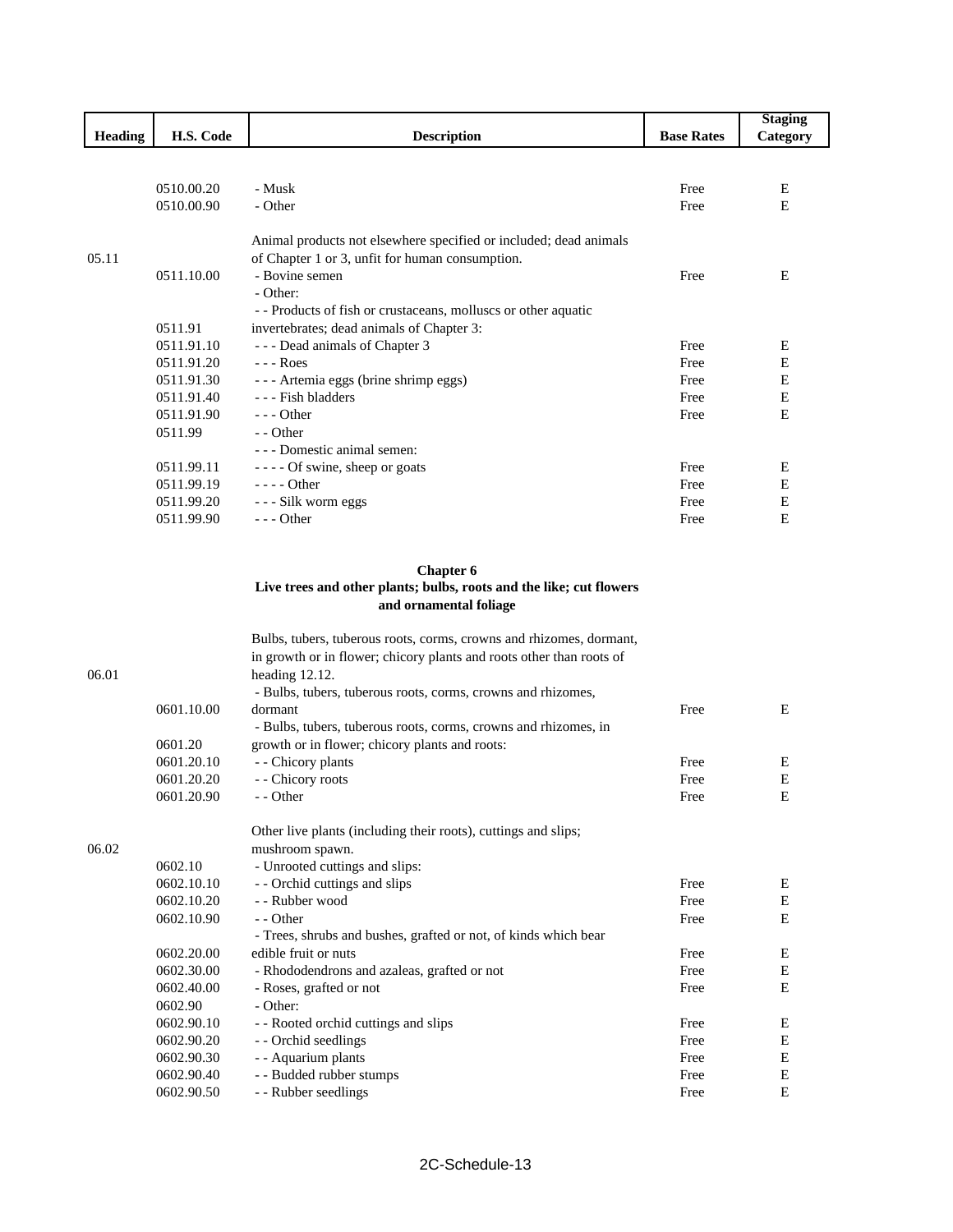|                |            |                                                                   |                   | <b>Staging</b> |
|----------------|------------|-------------------------------------------------------------------|-------------------|----------------|
| <b>Heading</b> | H.S. Code  | <b>Description</b>                                                | <b>Base Rates</b> | Category       |
|                |            |                                                                   |                   |                |
|                | 0510.00.20 | - Musk                                                            | Free              | E              |
|                | 0510.00.90 | - Other                                                           | Free              | E              |
|                |            | Animal products not elsewhere specified or included; dead animals |                   |                |
| 05.11          |            | of Chapter 1 or 3, unfit for human consumption.                   |                   |                |
|                | 0511.10.00 | - Bovine semen                                                    | Free              | E              |
|                |            | - Other:                                                          |                   |                |
|                |            | - - Products of fish or crustaceans, molluscs or other aquatic    |                   |                |
|                | 0511.91    | invertebrates; dead animals of Chapter 3:                         |                   |                |
|                | 0511.91.10 | - - - Dead animals of Chapter 3                                   | Free              | Ε              |
|                | 0511.91.20 | $--$ Roes                                                         | Free              | E              |
|                | 0511.91.30 | - - - Artemia eggs (brine shrimp eggs)                            | Free              | $\mathbf E$    |
|                | 0511.91.40 | --- Fish bladders                                                 | Free              | E              |
|                | 0511.91.90 | $- -$ Other                                                       | Free              | E              |
|                | 0511.99    | - - Other                                                         |                   |                |
|                |            | - - - Domestic animal semen:                                      |                   |                |
|                | 0511.99.11 | - - - - Of swine, sheep or goats                                  | Free              | Е              |
|                | 0511.99.19 | $---$ Other                                                       | Free              | Е              |
|                | 0511.99.20 | - - - Silk worm eggs                                              | Free              | $\mathbf E$    |
|                | 0511.99.90 | $--$ Other                                                        | Free              | E              |

#### **Chapter 6 Live trees and other plants; bulbs, roots and the like; cut flowers and ornamental foliage**

|       |            | Bulbs, tubers, tuberous roots, corms, crowns and rhizomes, dormant,  |      |           |
|-------|------------|----------------------------------------------------------------------|------|-----------|
|       |            | in growth or in flower; chicory plants and roots other than roots of |      |           |
| 06.01 |            | heading 12.12.                                                       |      |           |
|       |            | - Bulbs, tubers, tuberous roots, corms, crowns and rhizomes,         |      |           |
|       | 0601.10.00 | dormant                                                              | Free | E         |
|       |            | - Bulbs, tubers, tuberous roots, corms, crowns and rhizomes, in      |      |           |
|       | 0601.20    | growth or in flower; chicory plants and roots:                       |      |           |
|       | 0601.20.10 | - - Chicory plants                                                   | Free | E         |
|       | 0601.20.20 | - - Chicory roots                                                    | Free | ${\bf E}$ |
|       | 0601.20.90 | $-$ - Other                                                          | Free | E         |
|       |            |                                                                      |      |           |
|       |            | Other live plants (including their roots), cuttings and slips;       |      |           |
| 06.02 |            | mushroom spawn.                                                      |      |           |
|       | 0602.10    | - Unrooted cuttings and slips:                                       |      |           |
|       | 0602.10.10 | - - Orchid cuttings and slips                                        | Free | Ε         |
|       | 0602.10.20 | - - Rubber wood                                                      | Free | E         |
|       | 0602.10.90 | - - Other                                                            | Free | E         |
|       |            | - Trees, shrubs and bushes, grafted or not, of kinds which bear      |      |           |
|       | 0602.20.00 | edible fruit or nuts                                                 | Free | Ε         |
|       | 0602.30.00 | - Rhododendrons and azaleas, grafted or not                          | Free | ${\bf E}$ |
|       | 0602.40.00 | - Roses, grafted or not                                              | Free | E         |
|       | 0602.90    | - Other:                                                             |      |           |
|       | 0602.90.10 | - - Rooted orchid cuttings and slips                                 | Free | Ε         |
|       | 0602.90.20 | - - Orchid seedlings                                                 | Free | E         |
|       | 0602.90.30 | - - Aquarium plants                                                  | Free | Е         |
|       | 0602.90.40 | - - Budded rubber stumps                                             | Free | E         |
|       | 0602.90.50 | - - Rubber seedlings                                                 | Free | E         |
|       |            |                                                                      |      |           |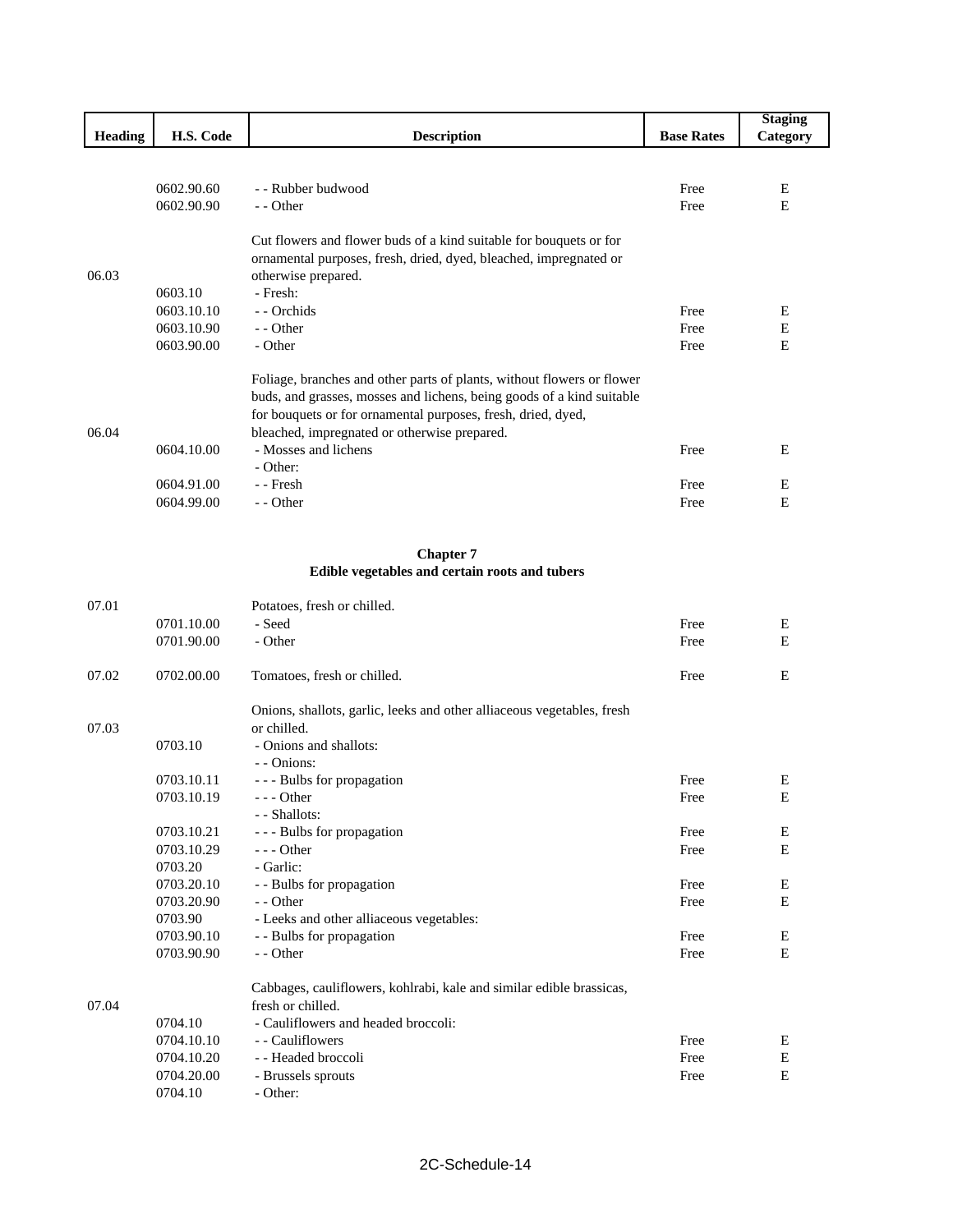|                |            |                                                                        |                   | <b>Staging</b> |
|----------------|------------|------------------------------------------------------------------------|-------------------|----------------|
| <b>Heading</b> | H.S. Code  | <b>Description</b>                                                     | <b>Base Rates</b> | Category       |
|                |            |                                                                        |                   |                |
|                | 0602.90.60 | - - Rubber budwood                                                     | Free              | E              |
|                |            |                                                                        |                   |                |
|                | 0602.90.90 | - - Other                                                              | Free              | E              |
|                |            | Cut flowers and flower buds of a kind suitable for bouquets or for     |                   |                |
|                |            | ornamental purposes, fresh, dried, dyed, bleached, impregnated or      |                   |                |
| 06.03          |            | otherwise prepared.                                                    |                   |                |
|                | 0603.10    | - Fresh:                                                               |                   |                |
|                | 0603.10.10 | - Orchids                                                              | Free              | E              |
|                | 0603.10.90 | $-$ - Other                                                            | Free              | E              |
|                | 0603.90.00 | - Other                                                                | Free              | E              |
|                |            |                                                                        |                   |                |
|                |            | Foliage, branches and other parts of plants, without flowers or flower |                   |                |
|                |            | buds, and grasses, mosses and lichens, being goods of a kind suitable  |                   |                |
|                |            | for bouquets or for ornamental purposes, fresh, dried, dyed,           |                   |                |
| 06.04          |            | bleached, impregnated or otherwise prepared.                           |                   |                |
|                | 0604.10.00 | - Mosses and lichens                                                   | Free              | Е              |
|                |            | - Other:                                                               |                   |                |
|                | 0604.91.00 | - - Fresh                                                              | Free              | Ε              |
|                | 0604.99.00 | $-$ - Other                                                            | Free              | Ε              |
|                |            |                                                                        |                   |                |
|                |            |                                                                        |                   |                |

### **Chapter 7 Edible vegetables and certain roots and tubers**

| 07.01 |            | Potatoes, fresh or chilled.                                            |      |   |
|-------|------------|------------------------------------------------------------------------|------|---|
|       | 0701.10.00 | - Seed                                                                 | Free | E |
|       | 0701.90.00 | - Other                                                                | Free | E |
| 07.02 | 0702.00.00 | Tomatoes, fresh or chilled.                                            | Free | E |
|       |            | Onions, shallots, garlic, leeks and other alliaceous vegetables, fresh |      |   |
| 07.03 |            | or chilled.                                                            |      |   |
|       | 0703.10    | - Onions and shallots:                                                 |      |   |
|       |            | - - Onions:                                                            |      |   |
|       | 0703.10.11 | - - - Bulbs for propagation                                            | Free | Ε |
|       | 0703.10.19 | $--$ Other                                                             | Free | E |
|       |            | - - Shallots:                                                          |      |   |
|       | 0703.10.21 | - - - Bulbs for propagation                                            | Free | Ε |
|       | 0703.10.29 | $- -$ Other                                                            | Free | E |
|       | 0703.20    | - Garlic:                                                              |      |   |
|       | 0703.20.10 | - - Bulbs for propagation                                              | Free | Ε |
|       | 0703.20.90 | $-$ - Other                                                            | Free | E |
|       | 0703.90    | - Leeks and other alliaceous vegetables:                               |      |   |
|       | 0703.90.10 | - - Bulbs for propagation                                              | Free | Ε |
|       | 0703.90.90 | - - Other                                                              | Free | E |
|       |            | Cabbages, cauliflowers, kohlrabi, kale and similar edible brassicas,   |      |   |
| 07.04 |            | fresh or chilled.                                                      |      |   |
|       | 0704.10    | - Cauliflowers and headed broccoli:                                    |      |   |
|       | 0704.10.10 | - Cauliflowers                                                         | Free | Ε |
|       | 0704.10.20 | - - Headed broccoli                                                    | Free | E |
|       | 0704.20.00 | - Brussels sprouts                                                     | Free | E |
|       | 0704.10    | - Other:                                                               |      |   |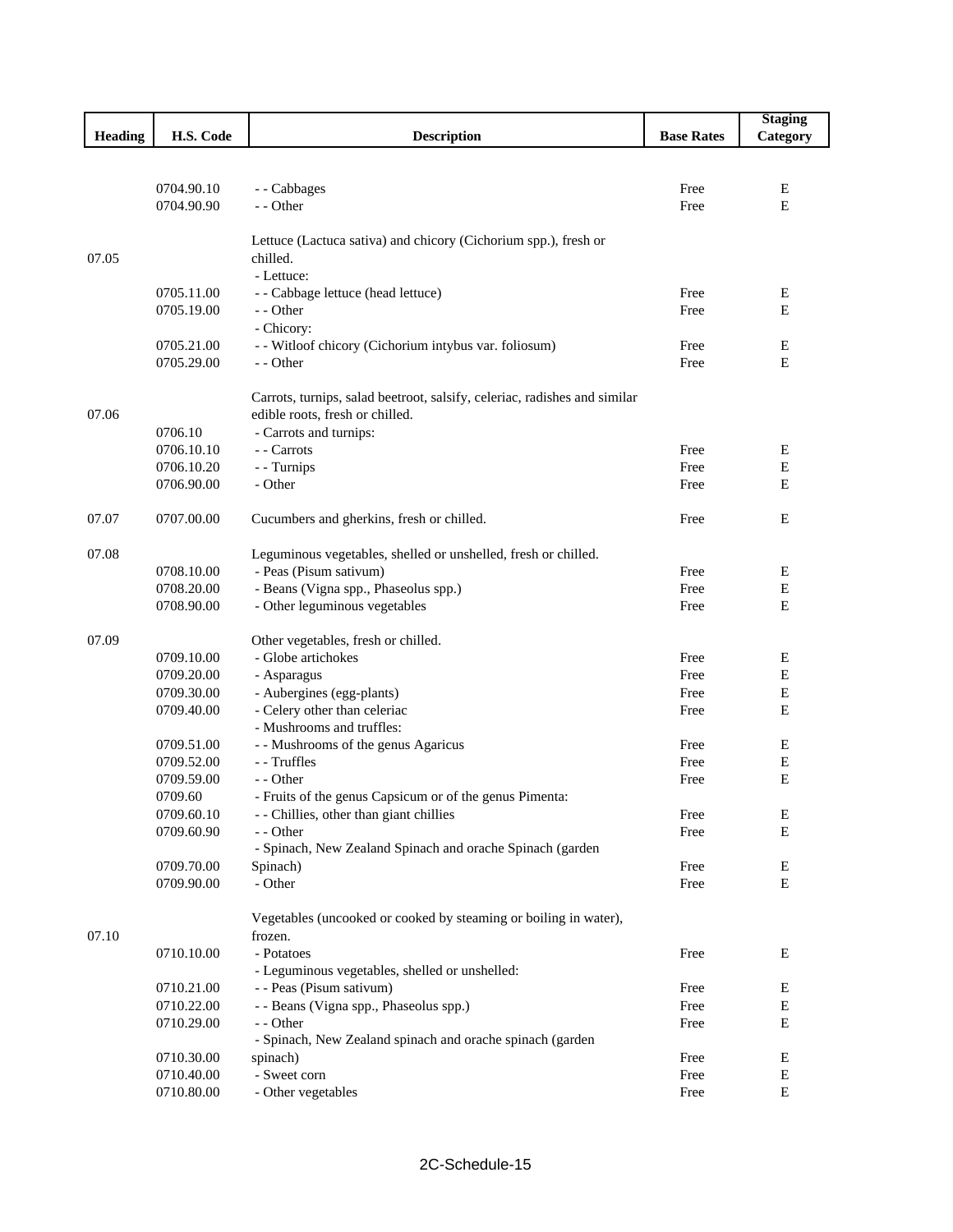|                |            |                                                                           |                   | <b>Staging</b> |
|----------------|------------|---------------------------------------------------------------------------|-------------------|----------------|
| <b>Heading</b> | H.S. Code  | <b>Description</b>                                                        | <b>Base Rates</b> | Category       |
|                |            |                                                                           |                   |                |
|                |            |                                                                           |                   |                |
|                | 0704.90.10 | - - Cabbages                                                              | Free              | Е              |
|                | 0704.90.90 | - - Other                                                                 | Free              | E              |
|                |            |                                                                           |                   |                |
|                |            | Lettuce (Lactuca sativa) and chicory (Cichorium spp.), fresh or           |                   |                |
| 07.05          |            | chilled.                                                                  |                   |                |
|                |            | - Lettuce:                                                                |                   |                |
|                | 0705.11.00 | - - Cabbage lettuce (head lettuce)                                        | Free              | Ε              |
|                | 0705.19.00 | - - Other                                                                 | Free              | E              |
|                |            | - Chicory:                                                                |                   |                |
|                | 0705.21.00 | - - Witloof chicory (Cichorium intybus var. foliosum)                     | Free              | Ε              |
|                | 0705.29.00 | - - Other                                                                 | Free              | E              |
|                |            |                                                                           |                   |                |
|                |            | Carrots, turnips, salad beetroot, salsify, celeriac, radishes and similar |                   |                |
| 07.06          |            | edible roots, fresh or chilled.                                           |                   |                |
|                | 0706.10    | - Carrots and turnips:                                                    |                   |                |
|                | 0706.10.10 | - - Carrots                                                               | Free              | Ε              |
|                | 0706.10.20 | - - Turnips                                                               | Free              | $\mathbf E$    |
|                | 0706.90.00 | - Other                                                                   | Free              | E              |
|                |            |                                                                           |                   |                |
| 07.07          | 0707.00.00 | Cucumbers and gherkins, fresh or chilled.                                 | Free              | E              |
|                |            |                                                                           |                   |                |
| 07.08          |            | Leguminous vegetables, shelled or unshelled, fresh or chilled.            |                   |                |
|                | 0708.10.00 | - Peas (Pisum sativum)                                                    | Free              | Ε              |
|                | 0708.20.00 | - Beans (Vigna spp., Phaseolus spp.)                                      | Free              | E              |
|                | 0708.90.00 | - Other leguminous vegetables                                             | Free              | E              |
| 07.09          |            | Other vegetables, fresh or chilled.                                       |                   |                |
|                | 0709.10.00 | - Globe artichokes                                                        | Free              | E              |
|                | 0709.20.00 | - Asparagus                                                               | Free              | E              |
|                | 0709.30.00 | - Aubergines (egg-plants)                                                 | Free              | Ε              |
|                | 0709.40.00 | - Celery other than celeriac                                              | Free              | Ε              |
|                |            | - Mushrooms and truffles:                                                 |                   |                |
|                | 0709.51.00 | - - Mushrooms of the genus Agaricus                                       | Free              | Ε              |
|                | 0709.52.00 | - - Truffles                                                              | Free              | Ε              |
|                | 0709.59.00 | - - Other                                                                 | Free              | E              |
|                | 0709.60    | - Fruits of the genus Capsicum or of the genus Pimenta:                   |                   |                |
|                | 0709.60.10 | - - Chillies, other than giant chillies                                   | Free              | E              |
|                | 0709.60.90 | - - Other                                                                 | Free              | Е              |
|                |            | - Spinach, New Zealand Spinach and orache Spinach (garden                 |                   |                |
|                | 0709.70.00 | Spinach)                                                                  | Free              | Е              |
|                | 0709.90.00 | - Other                                                                   | Free              | $\mathbf E$    |
|                |            |                                                                           |                   |                |
|                |            | Vegetables (uncooked or cooked by steaming or boiling in water),          |                   |                |
| 07.10          |            | frozen.                                                                   |                   |                |
|                | 0710.10.00 | - Potatoes                                                                | Free              | Е              |
|                |            | - Leguminous vegetables, shelled or unshelled:                            |                   |                |
|                | 0710.21.00 | - - Peas (Pisum sativum)                                                  | Free              | Е              |
|                | 0710.22.00 | - - Beans (Vigna spp., Phaseolus spp.)                                    | Free              | ${\bf E}$      |
|                | 0710.29.00 | - - Other                                                                 | Free              | Ε              |
|                |            | - Spinach, New Zealand spinach and orache spinach (garden                 |                   |                |
|                | 0710.30.00 | spinach)                                                                  | Free              | Ε              |
|                | 0710.40.00 | - Sweet corn                                                              | Free              | ${\bf E}$      |
|                | 0710.80.00 | - Other vegetables                                                        | Free              | $\mathbf E$    |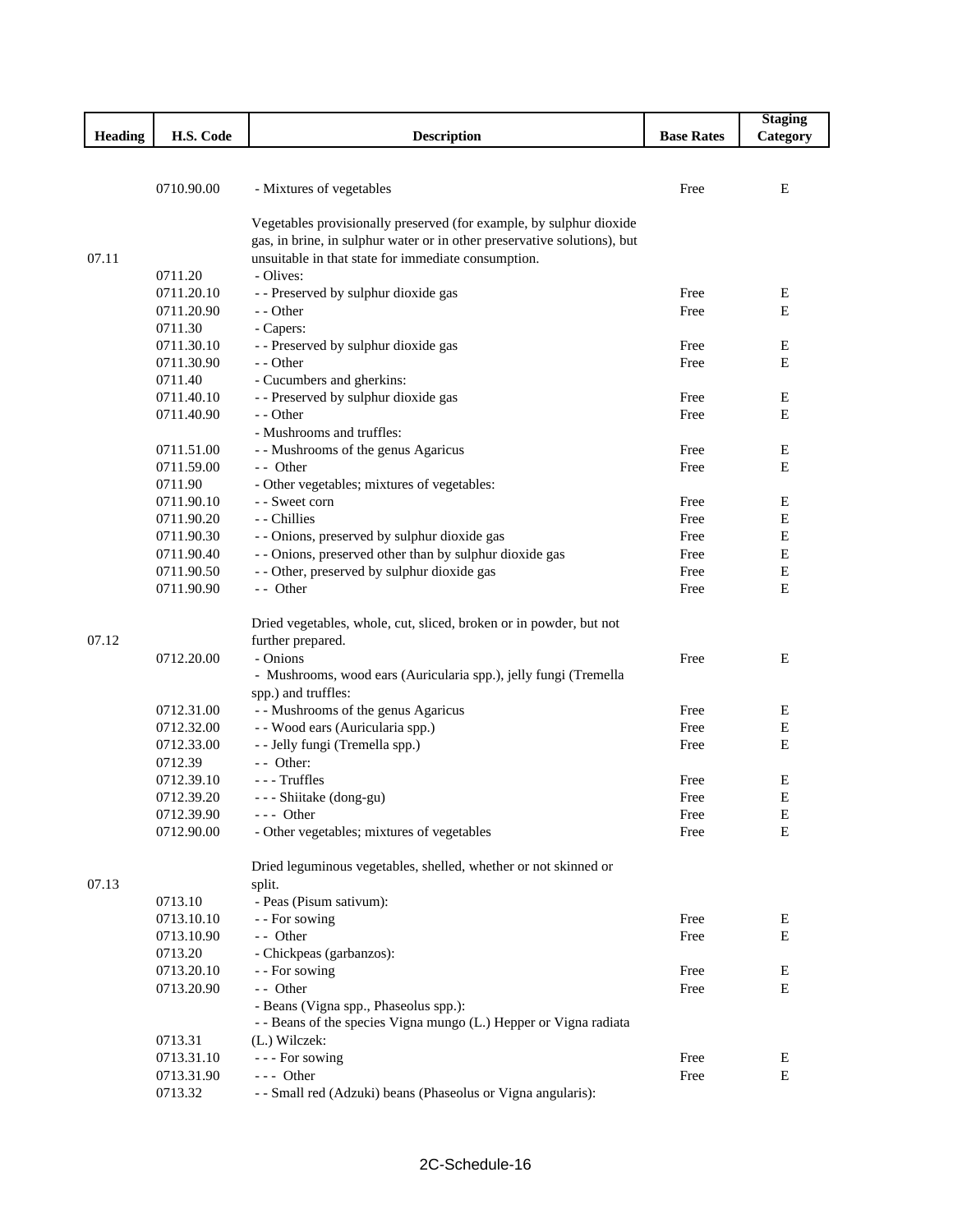|                |            |                                                                          |                   | <b>Staging</b> |
|----------------|------------|--------------------------------------------------------------------------|-------------------|----------------|
| <b>Heading</b> | H.S. Code  | <b>Description</b>                                                       | <b>Base Rates</b> | Category       |
|                |            |                                                                          |                   |                |
|                |            |                                                                          |                   |                |
|                | 0710.90.00 | - Mixtures of vegetables                                                 | Free              | E              |
|                |            |                                                                          |                   |                |
|                |            | Vegetables provisionally preserved (for example, by sulphur dioxide      |                   |                |
|                |            | gas, in brine, in sulphur water or in other preservative solutions), but |                   |                |
| 07.11          |            | unsuitable in that state for immediate consumption.                      |                   |                |
|                | 0711.20    | - Olives:                                                                |                   |                |
|                | 0711.20.10 | - - Preserved by sulphur dioxide gas                                     | Free              | Е              |
|                | 0711.20.90 | - - Other                                                                | Free              | E              |
|                | 0711.30    | - Capers:                                                                |                   |                |
|                | 0711.30.10 | - - Preserved by sulphur dioxide gas                                     | Free              | E              |
|                | 0711.30.90 | - - Other                                                                | Free              | Е              |
|                | 0711.40    | - Cucumbers and gherkins:                                                |                   |                |
|                | 0711.40.10 | - - Preserved by sulphur dioxide gas                                     | Free              | Е              |
|                | 0711.40.90 | - - Other                                                                | Free              | E              |
|                |            | - Mushrooms and truffles:                                                |                   |                |
|                | 0711.51.00 | - - Mushrooms of the genus Agaricus                                      | Free              | Е              |
|                | 0711.59.00 | - Other                                                                  | Free              | E              |
|                | 0711.90    | - Other vegetables; mixtures of vegetables:                              |                   |                |
|                | 0711.90.10 | - - Sweet corn                                                           | Free              | E              |
|                | 0711.90.20 | - - Chillies                                                             | Free              | $\mathbf E$    |
|                | 0711.90.30 | - - Onions, preserved by sulphur dioxide gas                             | Free              | $\mathbf E$    |
|                | 0711.90.40 | - - Onions, preserved other than by sulphur dioxide gas                  | Free              | Е              |
|                | 0711.90.50 | - - Other, preserved by sulphur dioxide gas                              | Free              | Е              |
|                | 0711.90.90 | - Other                                                                  | Free              | E              |
|                |            |                                                                          |                   |                |
|                |            | Dried vegetables, whole, cut, sliced, broken or in powder, but not       |                   |                |
| 07.12          |            | further prepared.                                                        |                   |                |
|                | 0712.20.00 | - Onions                                                                 | Free              | E              |
|                |            | - Mushrooms, wood ears (Auricularia spp.), jelly fungi (Tremella         |                   |                |
|                |            | spp.) and truffles:                                                      |                   |                |
|                |            | - - Mushrooms of the genus Agaricus                                      | Free              | Е              |
|                | 0712.31.00 | - - Wood ears (Auricularia spp.)                                         | Free              | E              |
|                | 0712.32.00 |                                                                          | Free              | Е              |
|                | 0712.33.00 | - - Jelly fungi (Tremella spp.)                                          |                   |                |
|                | 0712.39    | - - Other:                                                               |                   |                |
|                | 0712.39.10 | --- Truffles                                                             | Free              | Е              |
|                | 0712.39.20 | - - - Shiitake (dong-gu)                                                 | Free              | E              |
|                | 0712.39.90 | --- Other                                                                | Free              | E              |
|                | 0712.90.00 | - Other vegetables; mixtures of vegetables                               | Free              | $\mathbf E$    |
|                |            |                                                                          |                   |                |
|                |            | Dried leguminous vegetables, shelled, whether or not skinned or          |                   |                |
| 07.13          |            | split.                                                                   |                   |                |
|                | 0713.10    | - Peas (Pisum sativum):                                                  |                   |                |
|                | 0713.10.10 | - - For sowing                                                           | Free              | Е              |
|                | 0713.10.90 | - - Other                                                                | Free              | Е              |
|                | 0713.20    | - Chickpeas (garbanzos):                                                 |                   |                |
|                | 0713.20.10 | - - For sowing                                                           | Free              | E              |
|                | 0713.20.90 | - - Other                                                                | Free              | Е              |
|                |            | - Beans (Vigna spp., Phaseolus spp.):                                    |                   |                |
|                |            | - - Beans of the species Vigna mungo (L.) Hepper or Vigna radiata        |                   |                |
|                | 0713.31    | (L.) Wilczek:                                                            |                   |                |
|                | 0713.31.10 | --- For sowing                                                           | Free              | E              |
|                | 0713.31.90 | $--$ Other                                                               | Free              | Е              |
|                | 0713.32    | - - Small red (Adzuki) beans (Phaseolus or Vigna angularis):             |                   |                |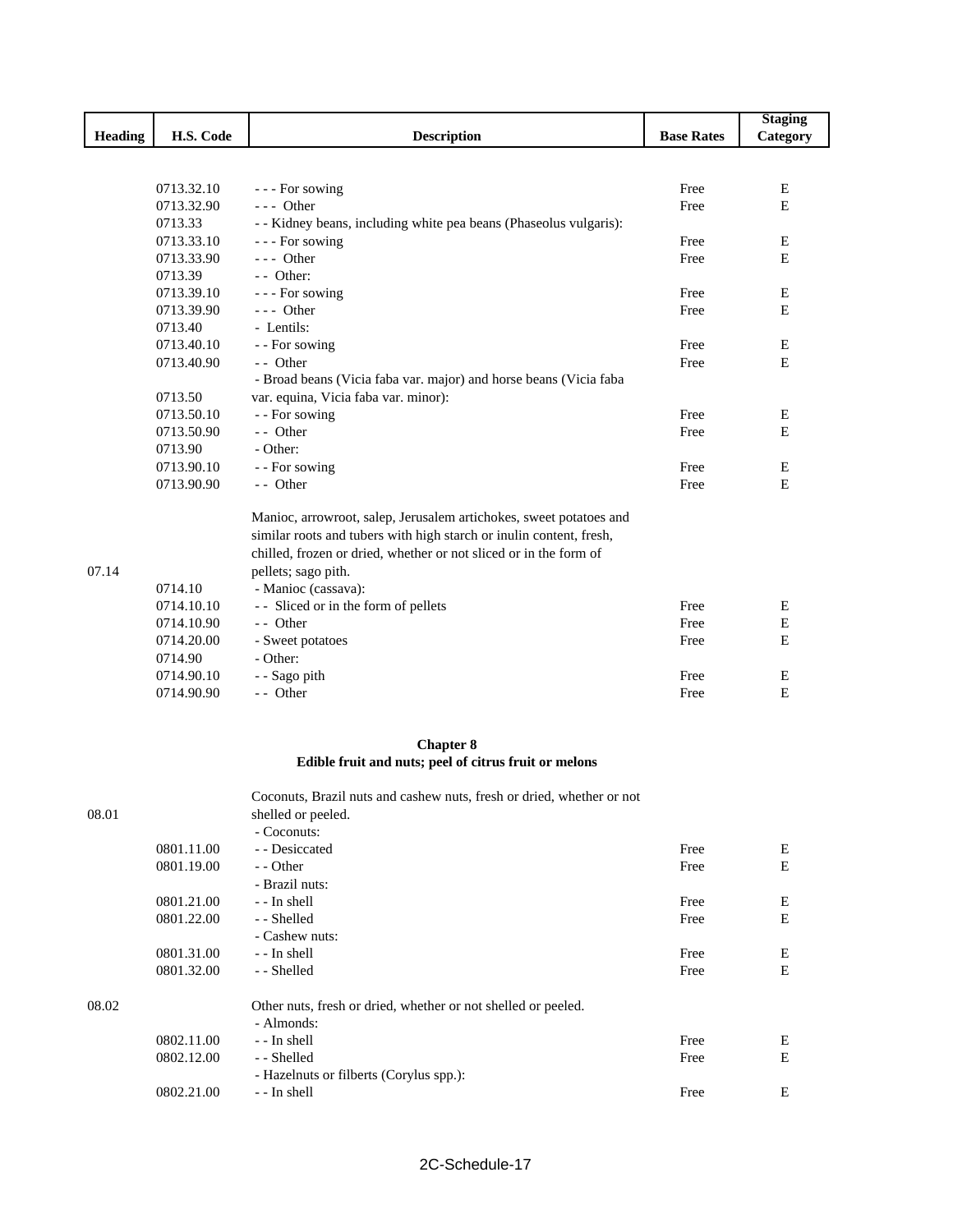|                |            |                                                                       |                   | <b>Staging</b> |
|----------------|------------|-----------------------------------------------------------------------|-------------------|----------------|
| <b>Heading</b> | H.S. Code  | <b>Description</b>                                                    | <b>Base Rates</b> | Category       |
|                |            |                                                                       |                   |                |
|                |            |                                                                       |                   |                |
|                | 0713.32.10 | --- For sowing                                                        | Free              | E              |
|                | 0713.32.90 | $--$ Other                                                            | Free              | E              |
|                | 0713.33    | - - Kidney beans, including white pea beans (Phaseolus vulgaris):     |                   |                |
|                | 0713.33.10 | --- For sowing                                                        | Free              | Ε              |
|                | 0713.33.90 | $--$ Other                                                            | Free              | E              |
|                | 0713.39    | $-$ Other:                                                            |                   |                |
|                | 0713.39.10 | --- For sowing                                                        | Free              | Ε              |
|                | 0713.39.90 | $--$ Other                                                            | Free              | Ε              |
|                | 0713.40    | - Lentils:                                                            |                   |                |
|                | 0713.40.10 | - - For sowing                                                        | Free              | Ε              |
|                | 0713.40.90 | - Other                                                               | Free              | E              |
|                |            | - Broad beans (Vicia faba var. major) and horse beans (Vicia faba     |                   |                |
|                | 0713.50    | var. equina, Vicia faba var. minor):                                  |                   |                |
|                | 0713.50.10 | - - For sowing                                                        | Free              | E              |
|                | 0713.50.90 | - Other                                                               | Free              | Ε              |
|                | 0713.90    | - Other:                                                              |                   |                |
|                | 0713.90.10 | - - For sowing                                                        | Free              | Ε              |
|                | 0713.90.90 | - - Other                                                             | Free              | E              |
|                |            |                                                                       |                   |                |
|                |            | Manioc, arrowroot, salep, Jerusalem artichokes, sweet potatoes and    |                   |                |
|                |            | similar roots and tubers with high starch or inulin content, fresh,   |                   |                |
|                |            | chilled, frozen or dried, whether or not sliced or in the form of     |                   |                |
| 07.14          |            | pellets; sago pith.                                                   |                   |                |
|                | 0714.10    | - Manioc (cassava):                                                   |                   |                |
|                | 0714.10.10 | - Sliced or in the form of pellets                                    | Free              | E              |
|                | 0714.10.90 | - - Other                                                             | Free              | $\mathbf E$    |
|                | 0714.20.00 | - Sweet potatoes                                                      | Free              | E              |
|                | 0714.90    | - Other:                                                              |                   |                |
|                | 0714.90.10 | - - Sago pith                                                         | Free              | Ε              |
|                | 0714.90.90 | - - Other                                                             | Free              | E              |
|                |            |                                                                       |                   |                |
|                |            | <b>Chapter 8</b>                                                      |                   |                |
|                |            | Edible fruit and nuts; peel of citrus fruit or melons                 |                   |                |
|                |            | Coconuts, Brazil nuts and cashew nuts, fresh or dried, whether or not |                   |                |
| 08.01          |            | shelled or peeled.                                                    |                   |                |
|                |            | - Coconuts:                                                           |                   |                |
|                | 0801.11.00 | - - Desiccated                                                        | Free              | E              |
|                | 0801.19.00 | - - Other                                                             | Free              | ${\bf E}$      |
|                |            | - Brazil nuts:                                                        |                   |                |
|                | 0801.21.00 | - - In shell                                                          | Free              | Е              |
|                | 0801.22.00 | - - Shelled                                                           | Free              | E              |
|                |            | - Cashew nuts:                                                        |                   |                |
|                | 0801.31.00 | - - In shell                                                          | Free              | ${\bf E}$      |
|                | 0801.32.00 | - - Shelled                                                           | Free              | $\mathbf E$    |
| 08.02          |            | Other nuts, fresh or dried, whether or not shelled or peeled.         |                   |                |
|                |            | - Almonds:                                                            |                   |                |
|                | 0802.11.00 | - - In shell                                                          | Free              | ${\bf E}$      |
|                |            |                                                                       |                   |                |

0802.12.00 - - Shelled **E** 

0802.21.00 - - In shell **Exercise E** 

- Hazelnuts or filberts (Corylus spp.):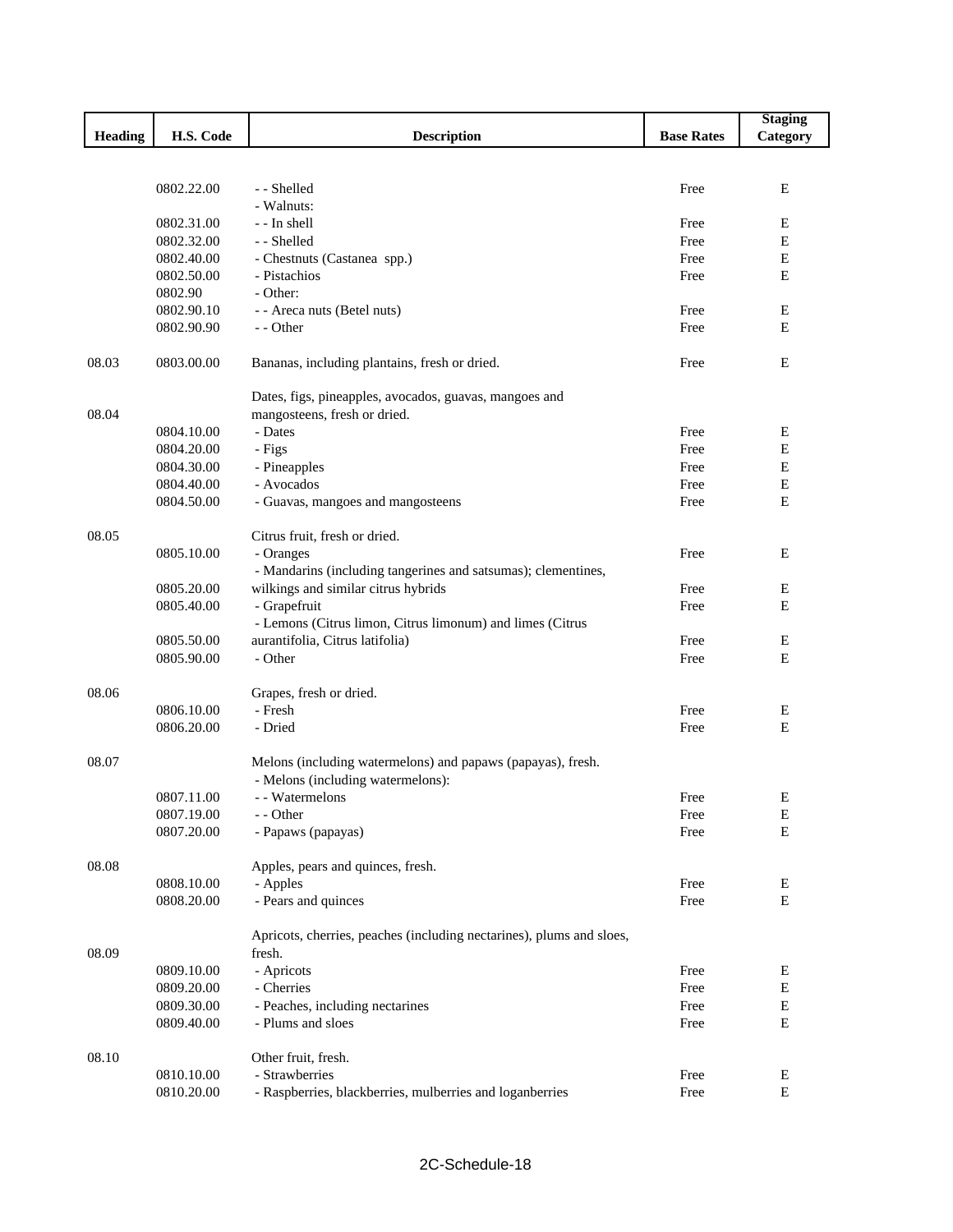| H.S. Code<br><b>Heading</b><br><b>Description</b><br><b>Base Rates</b><br>Category<br>0802.22.00<br>- - Shelled<br>Е<br>Free<br>- Walnuts:<br>0802.31.00<br>- - In shell<br>Free<br>Е<br>E<br>0802.32.00<br>- - Shelled<br>Free<br>$\mathbf E$<br>0802.40.00<br>Free<br>- Chestnuts (Castanea spp.)<br>0802.50.00<br>- Pistachios<br>E<br>Free<br>0802.90<br>- Other:<br>0802.90.10<br>- - Areca nuts (Betel nuts)<br>Free<br>Ε<br>${\bf E}$<br>0802.90.90<br>- - Other<br>Free<br>08.03<br>0803.00.00<br>Bananas, including plantains, fresh or dried.<br>E<br>Free<br>Dates, figs, pineapples, avocados, guavas, mangoes and<br>08.04<br>mangosteens, fresh or dried.<br>0804.10.00<br>- Dates<br>Free<br>Ε<br>E<br>0804.20.00<br>Free<br>- Figs<br>E<br>0804.30.00<br>- Pineapples<br>Free<br>E<br>- Avocados<br>0804.40.00<br>Free<br>E<br>0804.50.00<br>- Guavas, mangoes and mangosteens<br>Free<br>08.05<br>Citrus fruit, fresh or dried.<br>0805.10.00<br>- Oranges<br>E<br>Free<br>- Mandarins (including tangerines and satsumas); clementines,<br>wilkings and similar citrus hybrids<br>0805.20.00<br>Free<br>E<br>- Grapefruit<br>E<br>0805.40.00<br>Free<br>- Lemons (Citrus limon, Citrus limonum) and limes (Citrus<br>aurantifolia, Citrus latifolia)<br>0805.50.00<br>Ε<br>Free<br>- Other<br>0805.90.00<br>Е<br>Free<br>08.06<br>Grapes, fresh or dried.<br>0806.10.00<br>- Fresh<br>Free<br>Ε<br>E<br>0806.20.00<br>- Dried<br>Free<br>08.07<br>Melons (including watermelons) and papaws (papayas), fresh.<br>- Melons (including watermelons):<br>0807.11.00<br>- - Watermelons<br>Free<br>Е<br>0807.19.00<br>- - Other<br>Free<br>E<br>0807.20.00<br>$\mathbf E$<br>Free<br>- Papaws (papayas)<br>08.08<br>Apples, pears and quinces, fresh.<br>0808.10.00<br>Free<br>Ε<br>- Apples<br>E<br>0808.20.00<br>- Pears and quinces<br>Free<br>Apricots, cherries, peaches (including nectarines), plums and sloes,<br>08.09<br>fresh.<br>0809.10.00<br>- Apricots<br>E<br>Free<br>${\bf E}$<br>0809.20.00<br>- Cherries<br>Free<br>${\bf E}$<br>0809.30.00<br>- Peaches, including nectarines<br>Free<br>- Plums and sloes<br>$\mathbf E$<br>0809.40.00<br>Free<br>08.10<br>Other fruit, fresh.<br>- Strawberries<br>0810.10.00<br>Free<br>Ε<br>E<br>0810.20.00<br>- Raspberries, blackberries, mulberries and loganberries<br>Free |  |  | <b>Staging</b> |
|-------------------------------------------------------------------------------------------------------------------------------------------------------------------------------------------------------------------------------------------------------------------------------------------------------------------------------------------------------------------------------------------------------------------------------------------------------------------------------------------------------------------------------------------------------------------------------------------------------------------------------------------------------------------------------------------------------------------------------------------------------------------------------------------------------------------------------------------------------------------------------------------------------------------------------------------------------------------------------------------------------------------------------------------------------------------------------------------------------------------------------------------------------------------------------------------------------------------------------------------------------------------------------------------------------------------------------------------------------------------------------------------------------------------------------------------------------------------------------------------------------------------------------------------------------------------------------------------------------------------------------------------------------------------------------------------------------------------------------------------------------------------------------------------------------------------------------------------------------------------------------------------------------------------------------------------------------------------------------------------------------------------------------------------------------------------------------------------------------------------------------------------------------------------------------------------------------------------------------------------------------------------------------------------------------------------------------------------------------|--|--|----------------|
|                                                                                                                                                                                                                                                                                                                                                                                                                                                                                                                                                                                                                                                                                                                                                                                                                                                                                                                                                                                                                                                                                                                                                                                                                                                                                                                                                                                                                                                                                                                                                                                                                                                                                                                                                                                                                                                                                                                                                                                                                                                                                                                                                                                                                                                                                                                                                       |  |  |                |
|                                                                                                                                                                                                                                                                                                                                                                                                                                                                                                                                                                                                                                                                                                                                                                                                                                                                                                                                                                                                                                                                                                                                                                                                                                                                                                                                                                                                                                                                                                                                                                                                                                                                                                                                                                                                                                                                                                                                                                                                                                                                                                                                                                                                                                                                                                                                                       |  |  |                |
|                                                                                                                                                                                                                                                                                                                                                                                                                                                                                                                                                                                                                                                                                                                                                                                                                                                                                                                                                                                                                                                                                                                                                                                                                                                                                                                                                                                                                                                                                                                                                                                                                                                                                                                                                                                                                                                                                                                                                                                                                                                                                                                                                                                                                                                                                                                                                       |  |  |                |
|                                                                                                                                                                                                                                                                                                                                                                                                                                                                                                                                                                                                                                                                                                                                                                                                                                                                                                                                                                                                                                                                                                                                                                                                                                                                                                                                                                                                                                                                                                                                                                                                                                                                                                                                                                                                                                                                                                                                                                                                                                                                                                                                                                                                                                                                                                                                                       |  |  |                |
|                                                                                                                                                                                                                                                                                                                                                                                                                                                                                                                                                                                                                                                                                                                                                                                                                                                                                                                                                                                                                                                                                                                                                                                                                                                                                                                                                                                                                                                                                                                                                                                                                                                                                                                                                                                                                                                                                                                                                                                                                                                                                                                                                                                                                                                                                                                                                       |  |  |                |
|                                                                                                                                                                                                                                                                                                                                                                                                                                                                                                                                                                                                                                                                                                                                                                                                                                                                                                                                                                                                                                                                                                                                                                                                                                                                                                                                                                                                                                                                                                                                                                                                                                                                                                                                                                                                                                                                                                                                                                                                                                                                                                                                                                                                                                                                                                                                                       |  |  |                |
|                                                                                                                                                                                                                                                                                                                                                                                                                                                                                                                                                                                                                                                                                                                                                                                                                                                                                                                                                                                                                                                                                                                                                                                                                                                                                                                                                                                                                                                                                                                                                                                                                                                                                                                                                                                                                                                                                                                                                                                                                                                                                                                                                                                                                                                                                                                                                       |  |  |                |
|                                                                                                                                                                                                                                                                                                                                                                                                                                                                                                                                                                                                                                                                                                                                                                                                                                                                                                                                                                                                                                                                                                                                                                                                                                                                                                                                                                                                                                                                                                                                                                                                                                                                                                                                                                                                                                                                                                                                                                                                                                                                                                                                                                                                                                                                                                                                                       |  |  |                |
|                                                                                                                                                                                                                                                                                                                                                                                                                                                                                                                                                                                                                                                                                                                                                                                                                                                                                                                                                                                                                                                                                                                                                                                                                                                                                                                                                                                                                                                                                                                                                                                                                                                                                                                                                                                                                                                                                                                                                                                                                                                                                                                                                                                                                                                                                                                                                       |  |  |                |
|                                                                                                                                                                                                                                                                                                                                                                                                                                                                                                                                                                                                                                                                                                                                                                                                                                                                                                                                                                                                                                                                                                                                                                                                                                                                                                                                                                                                                                                                                                                                                                                                                                                                                                                                                                                                                                                                                                                                                                                                                                                                                                                                                                                                                                                                                                                                                       |  |  |                |
|                                                                                                                                                                                                                                                                                                                                                                                                                                                                                                                                                                                                                                                                                                                                                                                                                                                                                                                                                                                                                                                                                                                                                                                                                                                                                                                                                                                                                                                                                                                                                                                                                                                                                                                                                                                                                                                                                                                                                                                                                                                                                                                                                                                                                                                                                                                                                       |  |  |                |
|                                                                                                                                                                                                                                                                                                                                                                                                                                                                                                                                                                                                                                                                                                                                                                                                                                                                                                                                                                                                                                                                                                                                                                                                                                                                                                                                                                                                                                                                                                                                                                                                                                                                                                                                                                                                                                                                                                                                                                                                                                                                                                                                                                                                                                                                                                                                                       |  |  |                |
|                                                                                                                                                                                                                                                                                                                                                                                                                                                                                                                                                                                                                                                                                                                                                                                                                                                                                                                                                                                                                                                                                                                                                                                                                                                                                                                                                                                                                                                                                                                                                                                                                                                                                                                                                                                                                                                                                                                                                                                                                                                                                                                                                                                                                                                                                                                                                       |  |  |                |
|                                                                                                                                                                                                                                                                                                                                                                                                                                                                                                                                                                                                                                                                                                                                                                                                                                                                                                                                                                                                                                                                                                                                                                                                                                                                                                                                                                                                                                                                                                                                                                                                                                                                                                                                                                                                                                                                                                                                                                                                                                                                                                                                                                                                                                                                                                                                                       |  |  |                |
|                                                                                                                                                                                                                                                                                                                                                                                                                                                                                                                                                                                                                                                                                                                                                                                                                                                                                                                                                                                                                                                                                                                                                                                                                                                                                                                                                                                                                                                                                                                                                                                                                                                                                                                                                                                                                                                                                                                                                                                                                                                                                                                                                                                                                                                                                                                                                       |  |  |                |
|                                                                                                                                                                                                                                                                                                                                                                                                                                                                                                                                                                                                                                                                                                                                                                                                                                                                                                                                                                                                                                                                                                                                                                                                                                                                                                                                                                                                                                                                                                                                                                                                                                                                                                                                                                                                                                                                                                                                                                                                                                                                                                                                                                                                                                                                                                                                                       |  |  |                |
|                                                                                                                                                                                                                                                                                                                                                                                                                                                                                                                                                                                                                                                                                                                                                                                                                                                                                                                                                                                                                                                                                                                                                                                                                                                                                                                                                                                                                                                                                                                                                                                                                                                                                                                                                                                                                                                                                                                                                                                                                                                                                                                                                                                                                                                                                                                                                       |  |  |                |
|                                                                                                                                                                                                                                                                                                                                                                                                                                                                                                                                                                                                                                                                                                                                                                                                                                                                                                                                                                                                                                                                                                                                                                                                                                                                                                                                                                                                                                                                                                                                                                                                                                                                                                                                                                                                                                                                                                                                                                                                                                                                                                                                                                                                                                                                                                                                                       |  |  |                |
|                                                                                                                                                                                                                                                                                                                                                                                                                                                                                                                                                                                                                                                                                                                                                                                                                                                                                                                                                                                                                                                                                                                                                                                                                                                                                                                                                                                                                                                                                                                                                                                                                                                                                                                                                                                                                                                                                                                                                                                                                                                                                                                                                                                                                                                                                                                                                       |  |  |                |
|                                                                                                                                                                                                                                                                                                                                                                                                                                                                                                                                                                                                                                                                                                                                                                                                                                                                                                                                                                                                                                                                                                                                                                                                                                                                                                                                                                                                                                                                                                                                                                                                                                                                                                                                                                                                                                                                                                                                                                                                                                                                                                                                                                                                                                                                                                                                                       |  |  |                |
|                                                                                                                                                                                                                                                                                                                                                                                                                                                                                                                                                                                                                                                                                                                                                                                                                                                                                                                                                                                                                                                                                                                                                                                                                                                                                                                                                                                                                                                                                                                                                                                                                                                                                                                                                                                                                                                                                                                                                                                                                                                                                                                                                                                                                                                                                                                                                       |  |  |                |
|                                                                                                                                                                                                                                                                                                                                                                                                                                                                                                                                                                                                                                                                                                                                                                                                                                                                                                                                                                                                                                                                                                                                                                                                                                                                                                                                                                                                                                                                                                                                                                                                                                                                                                                                                                                                                                                                                                                                                                                                                                                                                                                                                                                                                                                                                                                                                       |  |  |                |
|                                                                                                                                                                                                                                                                                                                                                                                                                                                                                                                                                                                                                                                                                                                                                                                                                                                                                                                                                                                                                                                                                                                                                                                                                                                                                                                                                                                                                                                                                                                                                                                                                                                                                                                                                                                                                                                                                                                                                                                                                                                                                                                                                                                                                                                                                                                                                       |  |  |                |
|                                                                                                                                                                                                                                                                                                                                                                                                                                                                                                                                                                                                                                                                                                                                                                                                                                                                                                                                                                                                                                                                                                                                                                                                                                                                                                                                                                                                                                                                                                                                                                                                                                                                                                                                                                                                                                                                                                                                                                                                                                                                                                                                                                                                                                                                                                                                                       |  |  |                |
|                                                                                                                                                                                                                                                                                                                                                                                                                                                                                                                                                                                                                                                                                                                                                                                                                                                                                                                                                                                                                                                                                                                                                                                                                                                                                                                                                                                                                                                                                                                                                                                                                                                                                                                                                                                                                                                                                                                                                                                                                                                                                                                                                                                                                                                                                                                                                       |  |  |                |
|                                                                                                                                                                                                                                                                                                                                                                                                                                                                                                                                                                                                                                                                                                                                                                                                                                                                                                                                                                                                                                                                                                                                                                                                                                                                                                                                                                                                                                                                                                                                                                                                                                                                                                                                                                                                                                                                                                                                                                                                                                                                                                                                                                                                                                                                                                                                                       |  |  |                |
|                                                                                                                                                                                                                                                                                                                                                                                                                                                                                                                                                                                                                                                                                                                                                                                                                                                                                                                                                                                                                                                                                                                                                                                                                                                                                                                                                                                                                                                                                                                                                                                                                                                                                                                                                                                                                                                                                                                                                                                                                                                                                                                                                                                                                                                                                                                                                       |  |  |                |
|                                                                                                                                                                                                                                                                                                                                                                                                                                                                                                                                                                                                                                                                                                                                                                                                                                                                                                                                                                                                                                                                                                                                                                                                                                                                                                                                                                                                                                                                                                                                                                                                                                                                                                                                                                                                                                                                                                                                                                                                                                                                                                                                                                                                                                                                                                                                                       |  |  |                |
|                                                                                                                                                                                                                                                                                                                                                                                                                                                                                                                                                                                                                                                                                                                                                                                                                                                                                                                                                                                                                                                                                                                                                                                                                                                                                                                                                                                                                                                                                                                                                                                                                                                                                                                                                                                                                                                                                                                                                                                                                                                                                                                                                                                                                                                                                                                                                       |  |  |                |
|                                                                                                                                                                                                                                                                                                                                                                                                                                                                                                                                                                                                                                                                                                                                                                                                                                                                                                                                                                                                                                                                                                                                                                                                                                                                                                                                                                                                                                                                                                                                                                                                                                                                                                                                                                                                                                                                                                                                                                                                                                                                                                                                                                                                                                                                                                                                                       |  |  |                |
|                                                                                                                                                                                                                                                                                                                                                                                                                                                                                                                                                                                                                                                                                                                                                                                                                                                                                                                                                                                                                                                                                                                                                                                                                                                                                                                                                                                                                                                                                                                                                                                                                                                                                                                                                                                                                                                                                                                                                                                                                                                                                                                                                                                                                                                                                                                                                       |  |  |                |
|                                                                                                                                                                                                                                                                                                                                                                                                                                                                                                                                                                                                                                                                                                                                                                                                                                                                                                                                                                                                                                                                                                                                                                                                                                                                                                                                                                                                                                                                                                                                                                                                                                                                                                                                                                                                                                                                                                                                                                                                                                                                                                                                                                                                                                                                                                                                                       |  |  |                |
|                                                                                                                                                                                                                                                                                                                                                                                                                                                                                                                                                                                                                                                                                                                                                                                                                                                                                                                                                                                                                                                                                                                                                                                                                                                                                                                                                                                                                                                                                                                                                                                                                                                                                                                                                                                                                                                                                                                                                                                                                                                                                                                                                                                                                                                                                                                                                       |  |  |                |
|                                                                                                                                                                                                                                                                                                                                                                                                                                                                                                                                                                                                                                                                                                                                                                                                                                                                                                                                                                                                                                                                                                                                                                                                                                                                                                                                                                                                                                                                                                                                                                                                                                                                                                                                                                                                                                                                                                                                                                                                                                                                                                                                                                                                                                                                                                                                                       |  |  |                |
|                                                                                                                                                                                                                                                                                                                                                                                                                                                                                                                                                                                                                                                                                                                                                                                                                                                                                                                                                                                                                                                                                                                                                                                                                                                                                                                                                                                                                                                                                                                                                                                                                                                                                                                                                                                                                                                                                                                                                                                                                                                                                                                                                                                                                                                                                                                                                       |  |  |                |
|                                                                                                                                                                                                                                                                                                                                                                                                                                                                                                                                                                                                                                                                                                                                                                                                                                                                                                                                                                                                                                                                                                                                                                                                                                                                                                                                                                                                                                                                                                                                                                                                                                                                                                                                                                                                                                                                                                                                                                                                                                                                                                                                                                                                                                                                                                                                                       |  |  |                |
|                                                                                                                                                                                                                                                                                                                                                                                                                                                                                                                                                                                                                                                                                                                                                                                                                                                                                                                                                                                                                                                                                                                                                                                                                                                                                                                                                                                                                                                                                                                                                                                                                                                                                                                                                                                                                                                                                                                                                                                                                                                                                                                                                                                                                                                                                                                                                       |  |  |                |
|                                                                                                                                                                                                                                                                                                                                                                                                                                                                                                                                                                                                                                                                                                                                                                                                                                                                                                                                                                                                                                                                                                                                                                                                                                                                                                                                                                                                                                                                                                                                                                                                                                                                                                                                                                                                                                                                                                                                                                                                                                                                                                                                                                                                                                                                                                                                                       |  |  |                |
|                                                                                                                                                                                                                                                                                                                                                                                                                                                                                                                                                                                                                                                                                                                                                                                                                                                                                                                                                                                                                                                                                                                                                                                                                                                                                                                                                                                                                                                                                                                                                                                                                                                                                                                                                                                                                                                                                                                                                                                                                                                                                                                                                                                                                                                                                                                                                       |  |  |                |
|                                                                                                                                                                                                                                                                                                                                                                                                                                                                                                                                                                                                                                                                                                                                                                                                                                                                                                                                                                                                                                                                                                                                                                                                                                                                                                                                                                                                                                                                                                                                                                                                                                                                                                                                                                                                                                                                                                                                                                                                                                                                                                                                                                                                                                                                                                                                                       |  |  |                |
|                                                                                                                                                                                                                                                                                                                                                                                                                                                                                                                                                                                                                                                                                                                                                                                                                                                                                                                                                                                                                                                                                                                                                                                                                                                                                                                                                                                                                                                                                                                                                                                                                                                                                                                                                                                                                                                                                                                                                                                                                                                                                                                                                                                                                                                                                                                                                       |  |  |                |
|                                                                                                                                                                                                                                                                                                                                                                                                                                                                                                                                                                                                                                                                                                                                                                                                                                                                                                                                                                                                                                                                                                                                                                                                                                                                                                                                                                                                                                                                                                                                                                                                                                                                                                                                                                                                                                                                                                                                                                                                                                                                                                                                                                                                                                                                                                                                                       |  |  |                |
|                                                                                                                                                                                                                                                                                                                                                                                                                                                                                                                                                                                                                                                                                                                                                                                                                                                                                                                                                                                                                                                                                                                                                                                                                                                                                                                                                                                                                                                                                                                                                                                                                                                                                                                                                                                                                                                                                                                                                                                                                                                                                                                                                                                                                                                                                                                                                       |  |  |                |
|                                                                                                                                                                                                                                                                                                                                                                                                                                                                                                                                                                                                                                                                                                                                                                                                                                                                                                                                                                                                                                                                                                                                                                                                                                                                                                                                                                                                                                                                                                                                                                                                                                                                                                                                                                                                                                                                                                                                                                                                                                                                                                                                                                                                                                                                                                                                                       |  |  |                |
|                                                                                                                                                                                                                                                                                                                                                                                                                                                                                                                                                                                                                                                                                                                                                                                                                                                                                                                                                                                                                                                                                                                                                                                                                                                                                                                                                                                                                                                                                                                                                                                                                                                                                                                                                                                                                                                                                                                                                                                                                                                                                                                                                                                                                                                                                                                                                       |  |  |                |
|                                                                                                                                                                                                                                                                                                                                                                                                                                                                                                                                                                                                                                                                                                                                                                                                                                                                                                                                                                                                                                                                                                                                                                                                                                                                                                                                                                                                                                                                                                                                                                                                                                                                                                                                                                                                                                                                                                                                                                                                                                                                                                                                                                                                                                                                                                                                                       |  |  |                |
|                                                                                                                                                                                                                                                                                                                                                                                                                                                                                                                                                                                                                                                                                                                                                                                                                                                                                                                                                                                                                                                                                                                                                                                                                                                                                                                                                                                                                                                                                                                                                                                                                                                                                                                                                                                                                                                                                                                                                                                                                                                                                                                                                                                                                                                                                                                                                       |  |  |                |
|                                                                                                                                                                                                                                                                                                                                                                                                                                                                                                                                                                                                                                                                                                                                                                                                                                                                                                                                                                                                                                                                                                                                                                                                                                                                                                                                                                                                                                                                                                                                                                                                                                                                                                                                                                                                                                                                                                                                                                                                                                                                                                                                                                                                                                                                                                                                                       |  |  |                |
|                                                                                                                                                                                                                                                                                                                                                                                                                                                                                                                                                                                                                                                                                                                                                                                                                                                                                                                                                                                                                                                                                                                                                                                                                                                                                                                                                                                                                                                                                                                                                                                                                                                                                                                                                                                                                                                                                                                                                                                                                                                                                                                                                                                                                                                                                                                                                       |  |  |                |
|                                                                                                                                                                                                                                                                                                                                                                                                                                                                                                                                                                                                                                                                                                                                                                                                                                                                                                                                                                                                                                                                                                                                                                                                                                                                                                                                                                                                                                                                                                                                                                                                                                                                                                                                                                                                                                                                                                                                                                                                                                                                                                                                                                                                                                                                                                                                                       |  |  |                |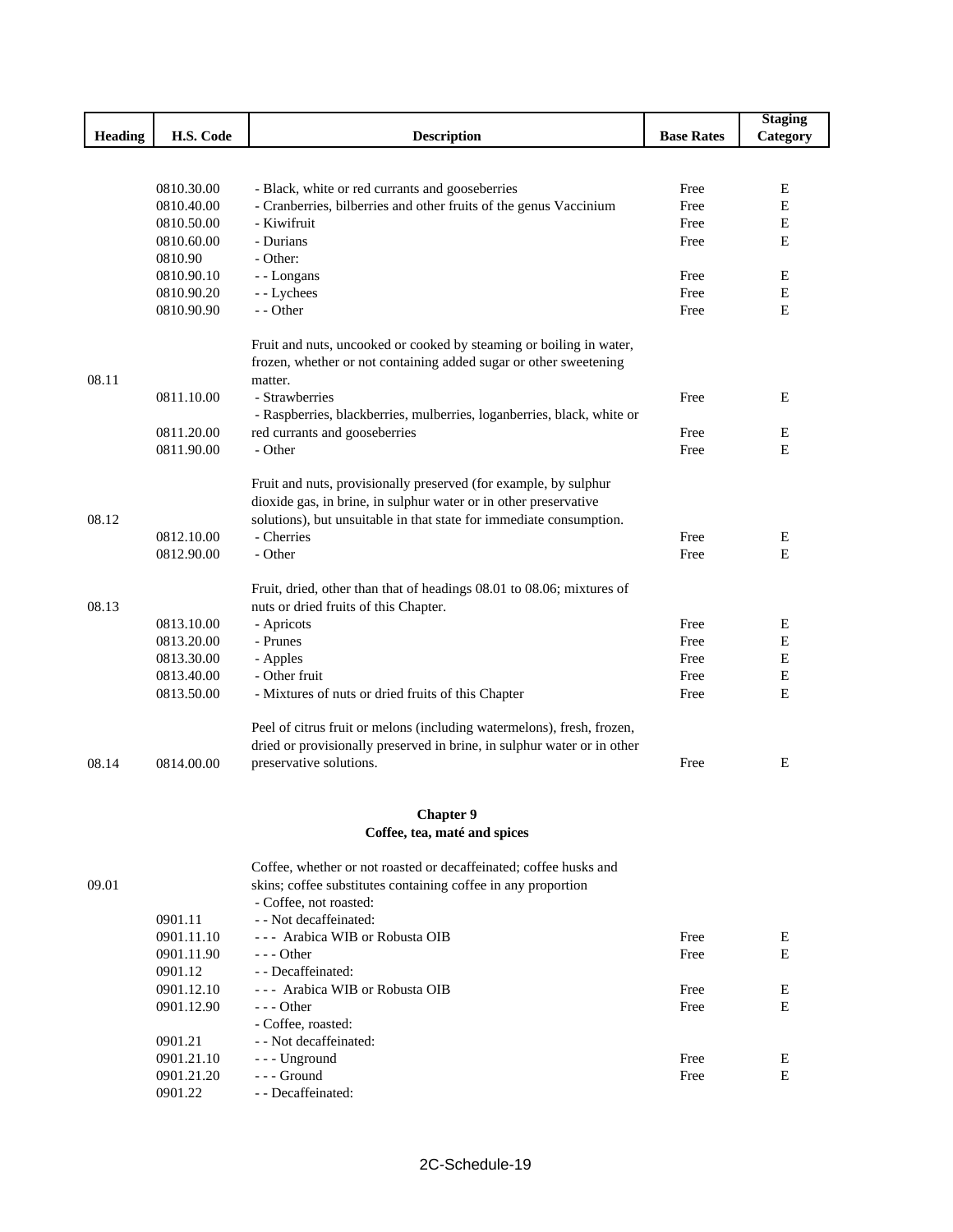|         |                          |                                                                         |                   | <b>Staging</b> |
|---------|--------------------------|-------------------------------------------------------------------------|-------------------|----------------|
| Heading | H.S. Code                | <b>Description</b>                                                      | <b>Base Rates</b> | Category       |
|         |                          |                                                                         |                   |                |
|         |                          |                                                                         |                   |                |
|         | 0810.30.00               | - Black, white or red currants and gooseberries                         | Free              | E              |
|         | 0810.40.00               | - Cranberries, bilberries and other fruits of the genus Vaccinium       | Free              | E              |
|         | 0810.50.00               | - Kiwifruit                                                             | Free              | E              |
|         | 0810.60.00               | - Durians                                                               | Free              | E              |
|         | 0810.90                  | - Other:                                                                |                   |                |
|         | 0810.90.10               | - - Longans                                                             | Free              | E              |
|         | 0810.90.20               | - - Lychees                                                             | Free              | Ε              |
|         | 0810.90.90               | - - Other                                                               | Free              | E              |
|         |                          | Fruit and nuts, uncooked or cooked by steaming or boiling in water,     |                   |                |
|         |                          | frozen, whether or not containing added sugar or other sweetening       |                   |                |
| 08.11   |                          | matter.                                                                 |                   |                |
|         | 0811.10.00               | - Strawberries                                                          | Free              | Ε              |
|         |                          | - Raspberries, blackberries, mulberries, loganberries, black, white or  |                   |                |
|         | 0811.20.00               | red currants and gooseberries                                           | Free              | Ε              |
|         | 0811.90.00               | - Other                                                                 | Free              | E              |
|         |                          |                                                                         |                   |                |
|         |                          | Fruit and nuts, provisionally preserved (for example, by sulphur        |                   |                |
|         |                          | dioxide gas, in brine, in sulphur water or in other preservative        |                   |                |
| 08.12   |                          | solutions), but unsuitable in that state for immediate consumption.     |                   |                |
|         | 0812.10.00               | - Cherries                                                              | Free              | E              |
|         | 0812.90.00               | - Other                                                                 | Free              | E              |
|         |                          | Fruit, dried, other than that of headings 08.01 to 08.06; mixtures of   |                   |                |
| 08.13   |                          | nuts or dried fruits of this Chapter.                                   |                   |                |
|         |                          |                                                                         | Free              |                |
|         | 0813.10.00               | - Apricots<br>- Prunes                                                  | Free              | E<br>E         |
|         | 0813.20.00<br>0813.30.00 |                                                                         | Free              | Ε              |
|         | 0813.40.00               | - Apples<br>- Other fruit                                               | Free              | E              |
|         | 0813.50.00               |                                                                         |                   | Ε              |
|         |                          | - Mixtures of nuts or dried fruits of this Chapter                      | Free              |                |
|         |                          | Peel of citrus fruit or melons (including watermelons), fresh, frozen,  |                   |                |
|         |                          | dried or provisionally preserved in brine, in sulphur water or in other |                   |                |
| 08.14   | 0814.00.00               | preservative solutions.                                                 | Free              | Ε              |
|         |                          |                                                                         |                   |                |
|         |                          | <b>Chapter 9</b>                                                        |                   |                |
|         |                          | Coffee, tea, maté and spices                                            |                   |                |
|         |                          |                                                                         |                   |                |
|         |                          | Coffee, whether or not roasted or decaffeinated; coffee husks and       |                   |                |
| 09.01   |                          | skins; coffee substitutes containing coffee in any proportion           |                   |                |
|         |                          | - Coffee, not roasted:                                                  |                   |                |
|         | 0901.11                  | - - Not decaffeinated:                                                  |                   |                |
|         | 0901.11.10               | --- Arabica WIB or Robusta OIB                                          | Free              | E              |
|         | 0901.11.90               | - - - Other                                                             | Free              | E              |
|         | 0901.12                  | - - Decaffeinated:                                                      |                   |                |
|         | 0901.12.10               | --- Arabica WIB or Robusta OIB                                          | Free              | Ε              |
|         | 0901.12.90               | $- -$ Other                                                             | Free              | E              |
|         |                          | - Coffee, roasted:                                                      |                   |                |
|         | 0901.21                  | - - Not decaffeinated:                                                  |                   |                |
|         | 0901.21.10               | --- Unground                                                            | Free              | E              |
|         | 0901.21.20               | --- Ground<br>- - Decaffeinated:                                        | Free              | E              |
|         | 0901.22                  |                                                                         |                   |                |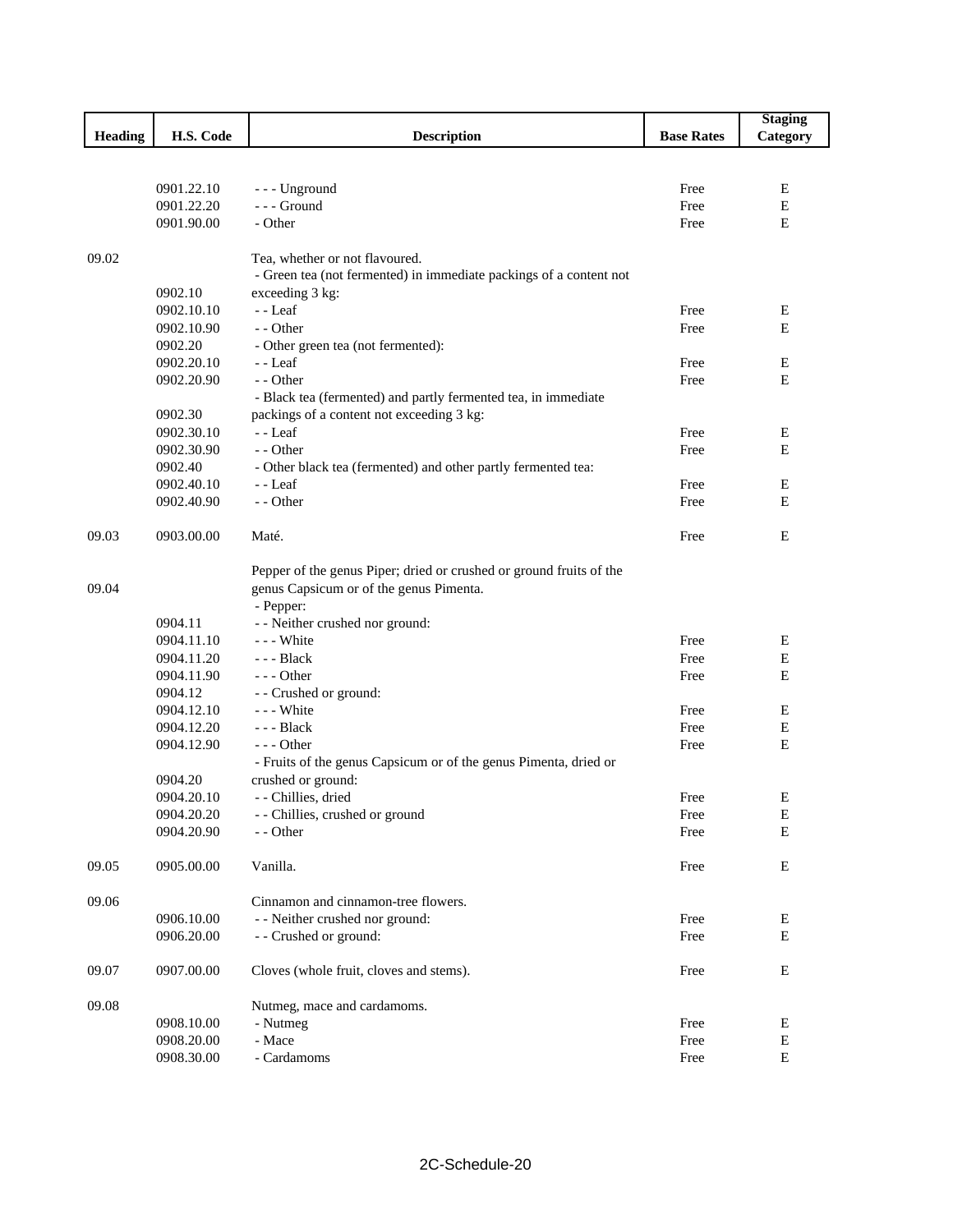|                |                          |                                                                     |                   | <b>Staging</b>   |
|----------------|--------------------------|---------------------------------------------------------------------|-------------------|------------------|
| <b>Heading</b> | H.S. Code                | <b>Description</b>                                                  | <b>Base Rates</b> | Category         |
|                |                          |                                                                     |                   |                  |
|                |                          |                                                                     |                   |                  |
|                | 0901.22.10               | --- Unground                                                        | Free              | Ε                |
|                | 0901.22.20<br>0901.90.00 | --- Ground<br>- Other                                               | Free              | $\mathbf E$<br>E |
|                |                          |                                                                     | Free              |                  |
| 09.02          |                          | Tea, whether or not flavoured.                                      |                   |                  |
|                |                          | - Green tea (not fermented) in immediate packings of a content not  |                   |                  |
|                | 0902.10                  | exceeding 3 kg:                                                     |                   |                  |
|                | 0902.10.10               | $-$ Leaf                                                            | Free              | Ε                |
|                | 0902.10.90               | - - Other                                                           | Free              | E                |
|                | 0902.20                  | - Other green tea (not fermented):                                  |                   |                  |
|                | 0902.20.10               | - - Leaf                                                            | Free              | Е                |
|                | 0902.20.90               | - - Other                                                           | Free              | E                |
|                |                          | - Black tea (fermented) and partly fermented tea, in immediate      |                   |                  |
|                | 0902.30                  | packings of a content not exceeding 3 kg:                           |                   |                  |
|                | 0902.30.10               | $-$ - Leaf                                                          | Free              | Е                |
|                | 0902.30.90               | - - Other                                                           | Free              | E                |
|                | 0902.40                  | - Other black tea (fermented) and other partly fermented tea:       |                   |                  |
|                | 0902.40.10               | - - Leaf                                                            | Free              | Е                |
|                | 0902.40.90               | - - Other                                                           | Free              | E                |
|                |                          |                                                                     |                   |                  |
| 09.03          | 0903.00.00               | Maté.                                                               | Free              | E                |
|                |                          | Pepper of the genus Piper; dried or crushed or ground fruits of the |                   |                  |
| 09.04          |                          | genus Capsicum or of the genus Pimenta.                             |                   |                  |
|                |                          | - Pepper:                                                           |                   |                  |
|                | 0904.11                  | - - Neither crushed nor ground:                                     |                   |                  |
|                | 0904.11.10               | --- White                                                           | Free              | E                |
|                | 0904.11.20               | $-- Black$                                                          | Free              | E                |
|                | 0904.11.90               | $--$ Other                                                          | Free              | Е                |
|                | 0904.12                  | - - Crushed or ground:                                              |                   |                  |
|                | 0904.12.10               | --- White                                                           | Free              | E                |
|                | 0904.12.20               | $-- Black$                                                          | Free              | $\mathbf E$      |
|                | 0904.12.90               | $--$ Other                                                          | Free              | E                |
|                |                          | - Fruits of the genus Capsicum or of the genus Pimenta, dried or    |                   |                  |
|                | 0904.20                  | crushed or ground:                                                  |                   |                  |
|                | 0904.20.10               | - - Chillies, dried                                                 | Free              | Е                |
|                | 0904.20.20               | - - Chillies, crushed or ground                                     | Free              | E                |
|                | 0904.20.90               | - - Other                                                           | Free              | $\mathbf E$      |
|                |                          |                                                                     |                   |                  |
| 09.05          | 0905.00.00               | Vanilla.                                                            | Free              | ${\bf E}$        |
| 09.06          |                          | Cinnamon and cinnamon-tree flowers.                                 |                   |                  |
|                | 0906.10.00               | - - Neither crushed nor ground:                                     | Free              | Е                |
|                | 0906.20.00               | - - Crushed or ground:                                              | Free              | Е                |
| 09.07          | 0907.00.00               | Cloves (whole fruit, cloves and stems).                             | Free              | Е                |
|                |                          |                                                                     |                   |                  |
| 09.08          |                          | Nutmeg, mace and cardamoms.                                         |                   |                  |
|                | 0908.10.00               | - Nutmeg                                                            | Free              | E                |
|                | 0908.20.00               | - Mace                                                              | Free              | E                |
|                | 0908.30.00               | - Cardamoms                                                         | Free              | E                |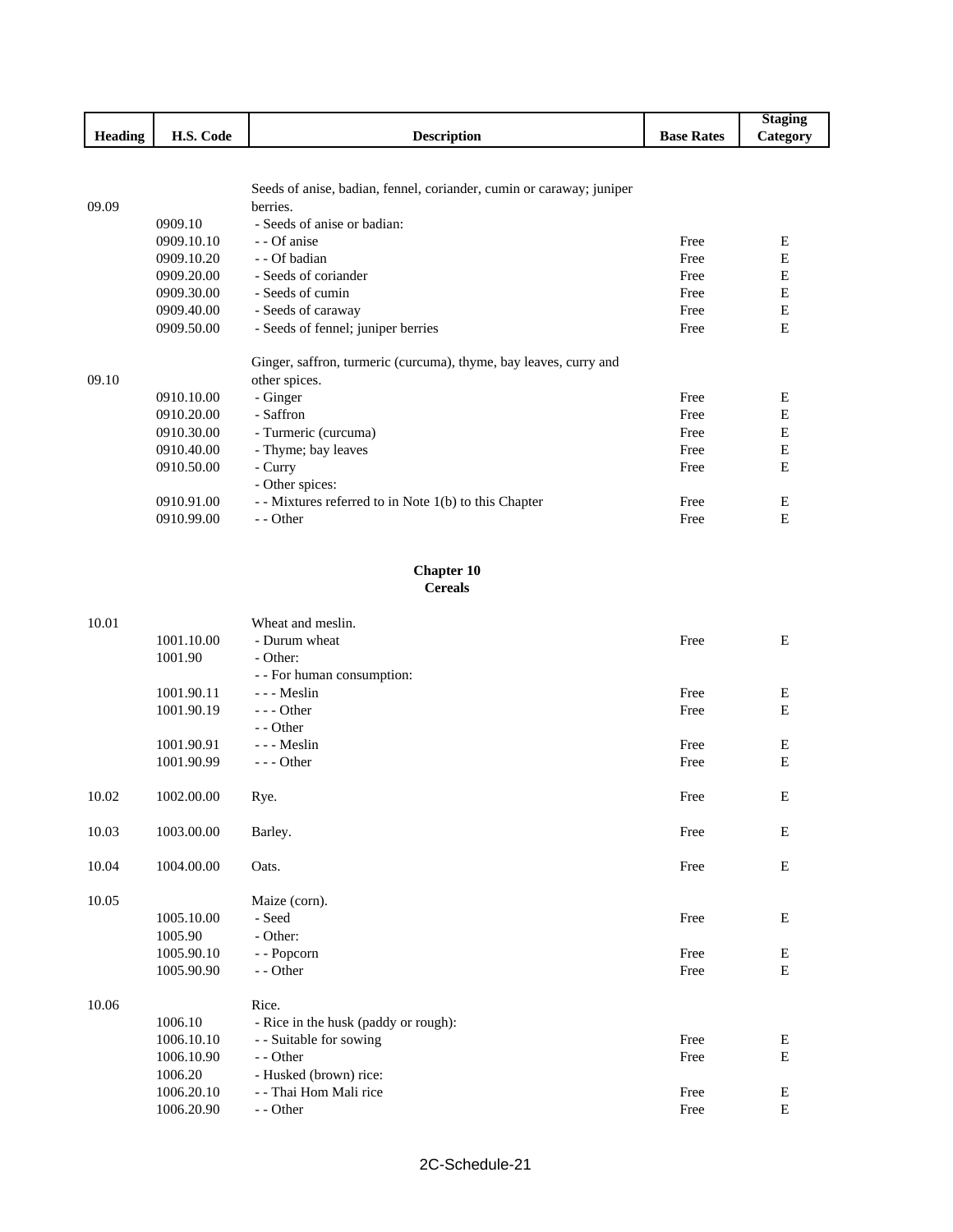|                |            |                                                                      |                   | <b>Staging</b> |
|----------------|------------|----------------------------------------------------------------------|-------------------|----------------|
| <b>Heading</b> | H.S. Code  | <b>Description</b>                                                   | <b>Base Rates</b> | Category       |
|                |            |                                                                      |                   |                |
|                |            |                                                                      |                   |                |
|                |            | Seeds of anise, badian, fennel, coriander, cumin or caraway; juniper |                   |                |
| 09.09          |            | berries.                                                             |                   |                |
|                | 0909.10    | - Seeds of anise or badian:                                          |                   |                |
|                | 0909.10.10 | - Of anise                                                           | Free              | Ε              |
|                | 0909.10.20 | - Of badian                                                          | Free              | E              |
|                | 0909.20.00 | - Seeds of coriander                                                 | Free              | E              |
|                | 0909.30.00 | - Seeds of cumin                                                     | Free              | E              |
|                | 0909.40.00 | - Seeds of caraway                                                   | Free              | E              |
|                | 0909.50.00 | - Seeds of fennel; juniper berries                                   | Free              | E              |
|                |            | Ginger, saffron, turmeric (curcuma), thyme, bay leaves, curry and    |                   |                |
| 09.10          |            | other spices.                                                        |                   |                |
|                | 0910.10.00 | - Ginger                                                             | Free              | Ε              |
|                | 0910.20.00 | - Saffron                                                            | Free              | E              |
|                | 0910.30.00 | - Turmeric (curcuma)                                                 | Free              | E              |
|                | 0910.40.00 | - Thyme; bay leaves                                                  | Free              | E              |
|                | 0910.50.00 | - Curry                                                              | Free              | E              |
|                |            | - Other spices:                                                      |                   |                |
|                | 0910.91.00 | - Mixtures referred to in Note 1(b) to this Chapter                  | Free              | Ε              |
|                |            |                                                                      | Free              | Е              |
|                | 0910.99.00 | - - Other                                                            |                   |                |

#### **Chapter 10 Cereals**

| 10.01 |            | Wheat and meslin.                    |      |           |
|-------|------------|--------------------------------------|------|-----------|
|       | 1001.10.00 | - Durum wheat                        | Free | E         |
|       | 1001.90    | - Other:                             |      |           |
|       |            | - - For human consumption:           |      |           |
|       | 1001.90.11 | --- Meslin                           | Free | E         |
|       | 1001.90.19 | $--$ Other                           | Free | ${\bf E}$ |
|       |            | - - Other                            |      |           |
|       | 1001.90.91 | --- Meslin                           | Free | Ε         |
|       | 1001.90.99 | $--$ Other                           | Free | ${\bf E}$ |
|       |            |                                      |      |           |
| 10.02 | 1002.00.00 | Rye.                                 | Free | E         |
|       |            |                                      |      |           |
| 10.03 | 1003.00.00 | Barley.                              | Free | Ε         |
|       |            |                                      |      |           |
| 10.04 | 1004.00.00 | Oats.                                | Free | E         |
| 10.05 |            | Maize (corn).                        |      |           |
|       | 1005.10.00 | - Seed                               | Free | Ε         |
|       | 1005.90    | - Other:                             |      |           |
|       | 1005.90.10 | - - Popcorn                          | Free | Е         |
|       | 1005.90.90 | - - Other                            | Free | E         |
|       |            |                                      |      |           |
| 10.06 |            | Rice.                                |      |           |
|       | 1006.10    | - Rice in the husk (paddy or rough): |      |           |
|       | 1006.10.10 | - - Suitable for sowing              | Free | Ε         |
|       | 1006.10.90 | - - Other                            | Free | ${\bf E}$ |
|       | 1006.20    | - Husked (brown) rice:               |      |           |
|       | 1006.20.10 | - - Thai Hom Mali rice               | Free | Ε         |
|       | 1006.20.90 | - - Other                            | Free | ${\bf E}$ |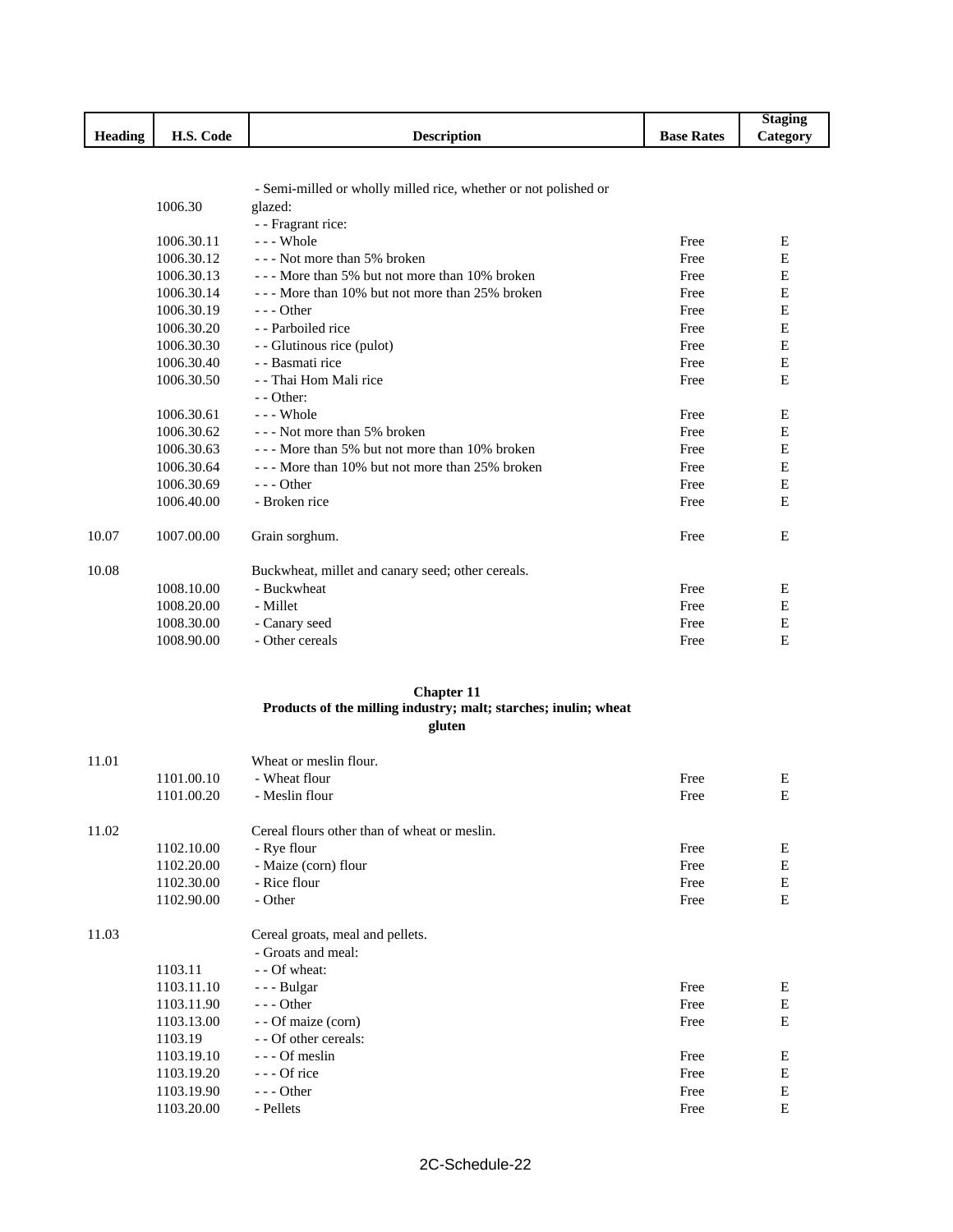|                           |                               |                    |                      | $-$ to $\alpha$ in $\sim$ |
|---------------------------|-------------------------------|--------------------|----------------------|---------------------------|
| $\cdot$<br><b>Heading</b> | $\mathcal{\cup}$ ode<br>▪▪•い• | <b>Description</b> | <b>Base</b><br>Rates | <i>a</i> tegory           |
|                           |                               |                    |                      |                           |

- Semi-milled or wholly milled rice, whether or not polished or

|       | 1006.30    | glazed:                                           |      |           |
|-------|------------|---------------------------------------------------|------|-----------|
|       |            | - - Fragrant rice:                                |      |           |
|       | 1006.30.11 | --- Whole                                         | Free | Ε         |
|       | 1006.30.12 | - - - Not more than 5% broken                     | Free | E         |
|       | 1006.30.13 | --- More than 5% but not more than 10% broken     | Free | Ε         |
|       | 1006.30.14 | --- More than 10% but not more than 25% broken    | Free | Ε         |
|       | 1006.30.19 | $--$ Other                                        | Free | ${\bf E}$ |
|       | 1006.30.20 | - - Parboiled rice                                | Free | E         |
|       | 1006.30.30 | - - Glutinous rice (pulot)                        | Free | Е         |
|       | 1006.30.40 | - - Basmati rice                                  | Free | ${\bf E}$ |
|       | 1006.30.50 | - - Thai Hom Mali rice                            | Free | E         |
|       |            | $-$ - Other:                                      |      |           |
|       | 1006.30.61 | $- -$ Whole                                       | Free | E         |
|       | 1006.30.62 | - - - Not more than 5% broken                     | Free | Ε         |
|       | 1006.30.63 | --- More than 5% but not more than 10% broken     | Free | E         |
|       | 1006.30.64 | --- More than 10% but not more than 25% broken    | Free | Е         |
|       | 1006.30.69 | $--$ Other                                        | Free | Е         |
|       | 1006.40.00 | - Broken rice                                     | Free | E         |
| 10.07 | 1007.00.00 | Grain sorghum.                                    | Free | E         |
| 10.08 |            | Buckwheat, millet and canary seed; other cereals. |      |           |
|       | 1008.10.00 | - Buckwheat                                       | Free | Ε         |
|       | 1008.20.00 | - Millet                                          | Free | Е         |
|       | 1008.30.00 | - Canary seed                                     | Free | E         |
|       | 1008.90.00 | - Other cereals                                   | Free | E         |

#### **Chapter 11 Products of the milling industry; malt; starches; inulin; wheat gluten**

| 1101.00.10<br>- Wheat flour<br>Free<br>Ε<br>E<br>1101.00.20<br>- Meslin flour<br>Free<br>Cereal flours other than of wheat or meslin.<br>11.02<br>1102.10.00<br>- Rye flour<br>Free<br>Ε<br>E<br>1102.20.00<br>- Maize (corn) flour<br>Free<br>Е<br>1102.30.00<br>- Rice flour<br>Free<br>Е<br>1102.90.00<br>- Other<br>Free<br>Cereal groats, meal and pellets.<br>11.03<br>- Groats and meal:<br>1103.11<br>- - Of wheat:<br>1103.11.10<br>- - - Bulgar<br>Free<br>Ε |
|------------------------------------------------------------------------------------------------------------------------------------------------------------------------------------------------------------------------------------------------------------------------------------------------------------------------------------------------------------------------------------------------------------------------------------------------------------------------|
|                                                                                                                                                                                                                                                                                                                                                                                                                                                                        |
|                                                                                                                                                                                                                                                                                                                                                                                                                                                                        |
|                                                                                                                                                                                                                                                                                                                                                                                                                                                                        |
|                                                                                                                                                                                                                                                                                                                                                                                                                                                                        |
|                                                                                                                                                                                                                                                                                                                                                                                                                                                                        |
|                                                                                                                                                                                                                                                                                                                                                                                                                                                                        |
|                                                                                                                                                                                                                                                                                                                                                                                                                                                                        |
|                                                                                                                                                                                                                                                                                                                                                                                                                                                                        |
|                                                                                                                                                                                                                                                                                                                                                                                                                                                                        |
|                                                                                                                                                                                                                                                                                                                                                                                                                                                                        |
|                                                                                                                                                                                                                                                                                                                                                                                                                                                                        |
| Ε<br>$--$ Other<br>1103.11.90<br>Free                                                                                                                                                                                                                                                                                                                                                                                                                                  |
| E<br>1103.13.00<br>- - Of maize (corn)<br>Free                                                                                                                                                                                                                                                                                                                                                                                                                         |
| - - Of other cereals:<br>1103.19                                                                                                                                                                                                                                                                                                                                                                                                                                       |
| 1103.19.10<br>--- Of meslin<br>Ε<br>Free                                                                                                                                                                                                                                                                                                                                                                                                                               |
| $--$ Of rice<br>Е<br>1103.19.20<br>Free                                                                                                                                                                                                                                                                                                                                                                                                                                |
| E<br>1103.19.90<br>--- Other<br>Free                                                                                                                                                                                                                                                                                                                                                                                                                                   |
|                                                                                                                                                                                                                                                                                                                                                                                                                                                                        |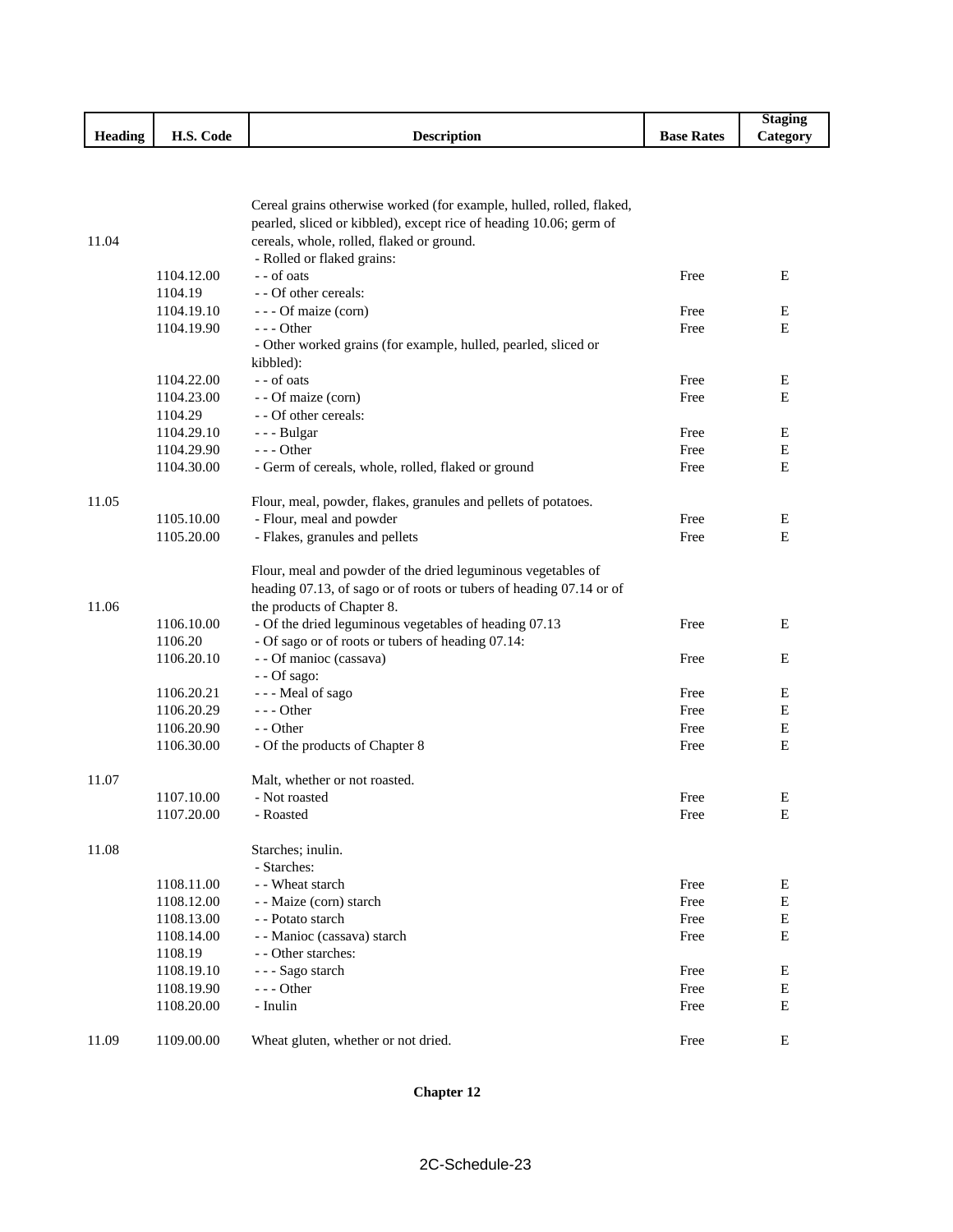|                         |                                |                    |                   | Staging               |
|-------------------------|--------------------------------|--------------------|-------------------|-----------------------|
| $\mathbf{H}$<br>Heading | $\sim$<br>TT C<br>Code<br>п.э. | <b>Description</b> | <b>Base Rates</b> | $\mathcal{L}$ ategory |

|       |            | Cereal grains otherwise worked (for example, hulled, rolled, flaked, |      |   |
|-------|------------|----------------------------------------------------------------------|------|---|
|       |            | pearled, sliced or kibbled), except rice of heading 10.06; germ of   |      |   |
| 11.04 |            | cereals, whole, rolled, flaked or ground.                            |      |   |
|       |            | - Rolled or flaked grains:                                           |      |   |
|       | 1104.12.00 | - - of oats                                                          | Free | Ε |
|       | 1104.19    | - - Of other cereals:                                                |      |   |
|       | 1104.19.10 | - - - Of maize (corn)                                                | Free | Е |
|       | 1104.19.90 | - - - Other                                                          | Free | Ε |
|       |            | - Other worked grains (for example, hulled, pearled, sliced or       |      |   |
|       |            | kibbled):                                                            |      |   |
|       | 1104.22.00 | - - of oats                                                          | Free | Е |
|       | 1104.23.00 | - - Of maize (corn)                                                  | Free | Ε |
|       | 1104.29    | - - Of other cereals:                                                |      |   |
|       | 1104.29.10 | --- Bulgar                                                           | Free | E |
|       | 1104.29.90 | --- Other                                                            | Free | Е |
|       | 1104.30.00 | - Germ of cereals, whole, rolled, flaked or ground                   | Free | Ε |
| 11.05 |            | Flour, meal, powder, flakes, granules and pellets of potatoes.       |      |   |
|       | 1105.10.00 | - Flour, meal and powder                                             | Free | E |
|       | 1105.20.00 | - Flakes, granules and pellets                                       | Free | E |
|       |            | Flour, meal and powder of the dried leguminous vegetables of         |      |   |
|       |            | heading 07.13, of sago or of roots or tubers of heading 07.14 or of  |      |   |
| 11.06 |            | the products of Chapter 8.                                           |      |   |
|       | 1106.10.00 | - Of the dried leguminous vegetables of heading 07.13                | Free | Е |
|       | 1106.20    | - Of sago or of roots or tubers of heading 07.14:                    |      |   |
|       | 1106.20.10 | - - Of manioc (cassava)                                              | Free | Ε |
|       |            | - - Of sago:                                                         |      |   |
|       | 1106.20.21 | --- Meal of sago                                                     | Free | Е |
|       | 1106.20.29 | --- Other                                                            | Free | Е |
|       | 1106.20.90 | - - Other                                                            | Free | Ε |
|       | 1106.30.00 | - Of the products of Chapter 8                                       | Free | Ε |
| 11.07 |            | Malt, whether or not roasted.                                        |      |   |
|       | 1107.10.00 | - Not roasted                                                        | Free | E |
|       | 1107.20.00 | - Roasted                                                            | Free | Ε |
| 11.08 |            | Starches; inulin.                                                    |      |   |
|       |            | - Starches:                                                          |      |   |
|       | 1108.11.00 | - - Wheat starch                                                     | Free | Е |
|       | 1108.12.00 | - - Maize (corn) starch                                              | Free | Е |
|       | 1108.13.00 | - - Potato starch                                                    | Free | E |
|       | 1108.14.00 | - - Manioc (cassava) starch                                          | Free | Е |
|       | 1108.19    | - - Other starches:                                                  |      |   |
|       | 1108.19.10 | --- Sago starch                                                      | Free | E |
|       | 1108.19.90 | $--$ Other                                                           | Free | E |
|       | 1108.20.00 | - Inulin                                                             | Free | Е |
| 11.09 | 1109.00.00 | Wheat gluten, whether or not dried.                                  | Free | Е |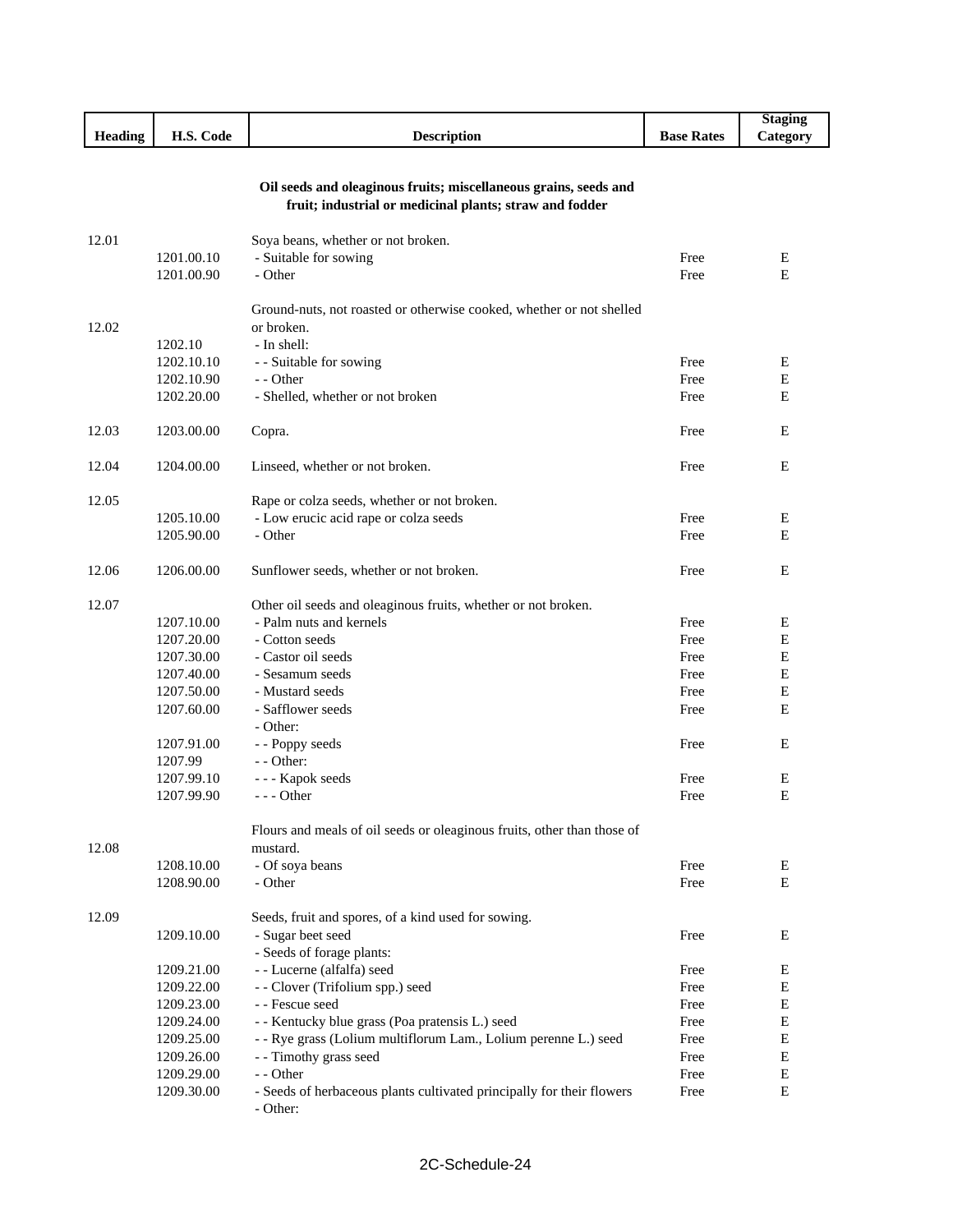|                |            |                                                                         |                   | <b>Staging</b> |
|----------------|------------|-------------------------------------------------------------------------|-------------------|----------------|
| <b>Heading</b> | H.S. Code  | <b>Description</b>                                                      | <b>Base Rates</b> | Category       |
|                |            |                                                                         |                   |                |
|                |            |                                                                         |                   |                |
|                |            | Oil seeds and oleaginous fruits; miscellaneous grains, seeds and        |                   |                |
|                |            | fruit; industrial or medicinal plants; straw and fodder                 |                   |                |
|                |            |                                                                         |                   |                |
| 12.01          |            | Soya beans, whether or not broken.                                      |                   |                |
|                | 1201.00.10 | - Suitable for sowing                                                   | Free              | Ε              |
|                | 1201.00.90 | - Other                                                                 | Free              | E              |
|                |            |                                                                         |                   |                |
|                |            | Ground-nuts, not roasted or otherwise cooked, whether or not shelled    |                   |                |
| 12.02          |            | or broken.                                                              |                   |                |
|                | 1202.10    | - In shell:                                                             |                   |                |
|                | 1202.10.10 | - - Suitable for sowing                                                 | Free              | Е              |
|                | 1202.10.90 | - - Other                                                               | Free              | E              |
|                | 1202.20.00 | - Shelled, whether or not broken                                        | Free              | E              |
|                |            |                                                                         |                   |                |
| 12.03          | 1203.00.00 | Copra.                                                                  | Free              | E              |
|                |            |                                                                         |                   |                |
| 12.04          | 1204.00.00 | Linseed, whether or not broken.                                         | Free              | E              |
| 12.05          |            |                                                                         |                   |                |
|                | 1205.10.00 | Rape or colza seeds, whether or not broken.                             | Free              |                |
|                |            | - Low erucic acid rape or colza seeds<br>- Other                        |                   | E              |
|                | 1205.90.00 |                                                                         | Free              | Е              |
| 12.06          | 1206.00.00 |                                                                         | Free              | E              |
|                |            | Sunflower seeds, whether or not broken.                                 |                   |                |
| 12.07          |            | Other oil seeds and oleaginous fruits, whether or not broken.           |                   |                |
|                | 1207.10.00 | - Palm nuts and kernels                                                 | Free              | Е              |
|                | 1207.20.00 | - Cotton seeds                                                          | Free              | Е              |
|                | 1207.30.00 | - Castor oil seeds                                                      | Free              | E              |
|                | 1207.40.00 | - Sesamum seeds                                                         | Free              | Е              |
|                | 1207.50.00 | - Mustard seeds                                                         | Free              | E              |
|                | 1207.60.00 | - Safflower seeds                                                       | Free              | Е              |
|                |            | - Other:                                                                |                   |                |
|                | 1207.91.00 | - - Poppy seeds                                                         | Free              | E              |
|                | 1207.99    | $-$ - Other:                                                            |                   |                |
|                | 1207.99.10 | --- Kapok seeds                                                         | Free              | Е              |
|                | 1207.99.90 | $--$ Other                                                              | Free              | Е              |
|                |            |                                                                         |                   |                |
|                |            | Flours and meals of oil seeds or oleaginous fruits, other than those of |                   |                |
| 12.08          |            | mustard.                                                                |                   |                |
|                | 1208.10.00 | - Of soya beans                                                         | Free              | Е              |
|                | 1208.90.00 | - Other                                                                 | Free              | E              |
|                |            |                                                                         |                   |                |
| 12.09          |            | Seeds, fruit and spores, of a kind used for sowing.                     |                   |                |
|                | 1209.10.00 | - Sugar beet seed                                                       | Free              | E              |
|                |            | - Seeds of forage plants:                                               |                   |                |
|                | 1209.21.00 | - - Lucerne (alfalfa) seed                                              | Free              | E              |
|                | 1209.22.00 | - - Clover (Trifolium spp.) seed                                        | Free              | E              |
|                | 1209.23.00 | - - Fescue seed                                                         | Free              | E              |
|                | 1209.24.00 | - - Kentucky blue grass (Poa pratensis L.) seed                         | Free              | E              |
|                | 1209.25.00 | - - Rye grass (Lolium multiflorum Lam., Lolium perenne L.) seed         | Free              | E              |
|                | 1209.26.00 | - - Timothy grass seed                                                  | Free              | E              |
|                | 1209.29.00 | - - Other                                                               | Free              | E              |
|                | 1209.30.00 | - Seeds of herbaceous plants cultivated principally for their flowers   | Free              | ${\bf E}$      |
|                |            | - Other:                                                                |                   |                |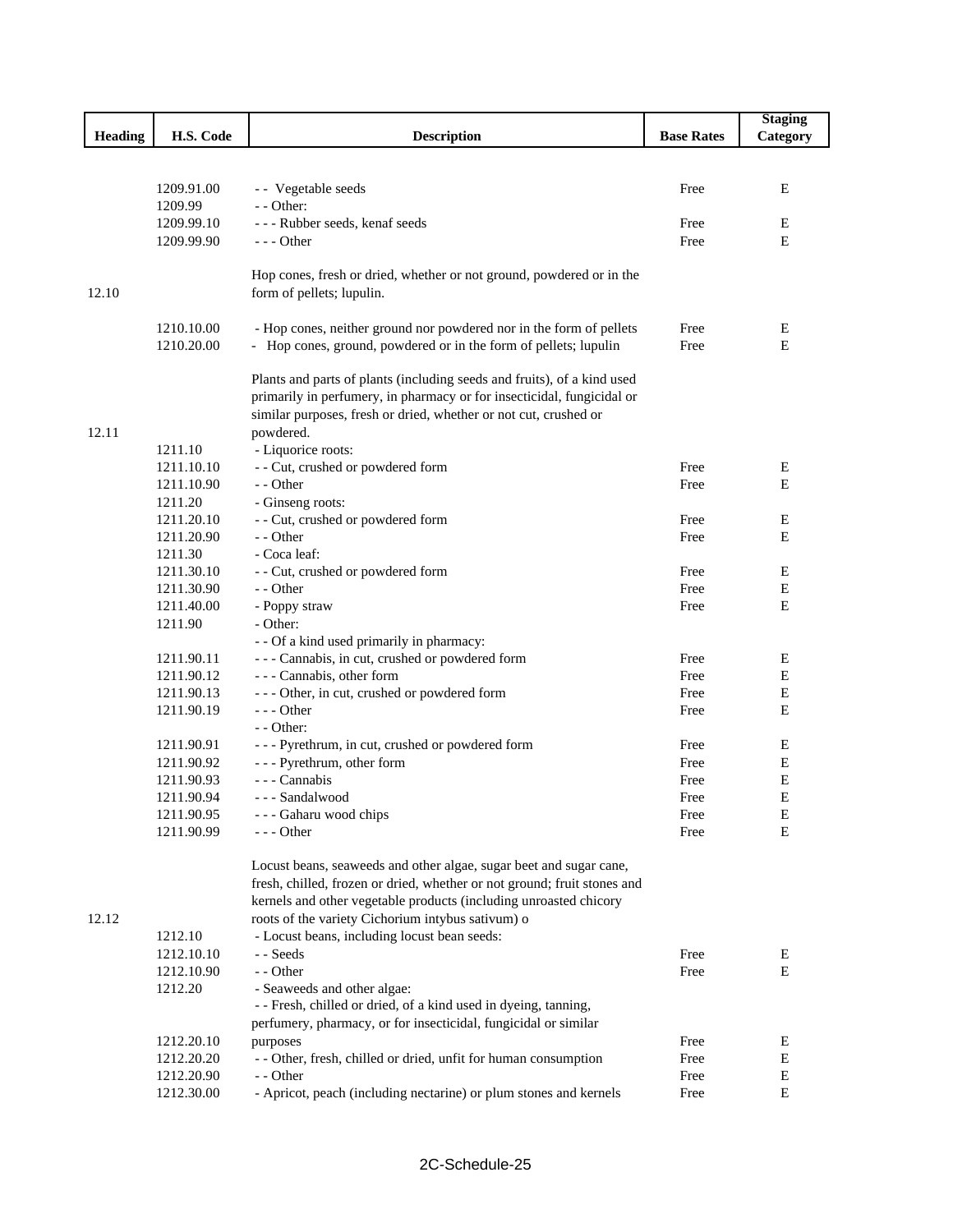|                |                          |                                                                                                                                         |                   | <b>Staging</b> |
|----------------|--------------------------|-----------------------------------------------------------------------------------------------------------------------------------------|-------------------|----------------|
| <b>Heading</b> | H.S. Code                | <b>Description</b>                                                                                                                      | <b>Base Rates</b> | Category       |
|                |                          |                                                                                                                                         |                   |                |
|                |                          |                                                                                                                                         |                   |                |
|                | 1209.91.00               | - - Vegetable seeds                                                                                                                     | Free              | E              |
|                | 1209.99                  | - - Other:                                                                                                                              |                   |                |
|                | 1209.99.10               | --- Rubber seeds, kenaf seeds                                                                                                           | Free              | Ε              |
|                | 1209.99.90               | - - - Other                                                                                                                             | Free              | E              |
|                |                          |                                                                                                                                         |                   |                |
|                |                          | Hop cones, fresh or dried, whether or not ground, powdered or in the                                                                    |                   |                |
| 12.10          |                          | form of pellets; lupulin.                                                                                                               |                   |                |
|                |                          |                                                                                                                                         |                   |                |
|                | 1210.10.00<br>1210.20.00 | - Hop cones, neither ground nor powdered nor in the form of pellets<br>- Hop cones, ground, powdered or in the form of pellets; lupulin | Free<br>Free      | E<br>E         |
|                |                          |                                                                                                                                         |                   |                |
|                |                          | Plants and parts of plants (including seeds and fruits), of a kind used                                                                 |                   |                |
|                |                          | primarily in perfumery, in pharmacy or for insecticidal, fungicidal or                                                                  |                   |                |
|                |                          | similar purposes, fresh or dried, whether or not cut, crushed or                                                                        |                   |                |
| 12.11          |                          | powdered.                                                                                                                               |                   |                |
|                | 1211.10                  | - Liquorice roots:                                                                                                                      |                   |                |
|                | 1211.10.10               | - - Cut, crushed or powdered form                                                                                                       | Free              | Ε              |
|                | 1211.10.90               | - - Other                                                                                                                               | Free              | E              |
|                | 1211.20                  | - Ginseng roots:                                                                                                                        |                   |                |
|                | 1211.20.10               | - - Cut, crushed or powdered form                                                                                                       | Free              | Ε              |
|                | 1211.20.90               | - - Other                                                                                                                               | Free              | Е              |
|                | 1211.30                  | - Coca leaf:                                                                                                                            |                   |                |
|                | 1211.30.10               | - - Cut, crushed or powdered form                                                                                                       | Free              | Ε              |
|                | 1211.30.90               | - - Other                                                                                                                               | Free              | E              |
|                | 1211.40.00               | - Poppy straw                                                                                                                           | Free              | E              |
|                | 1211.90                  | - Other:                                                                                                                                |                   |                |
|                |                          | - - Of a kind used primarily in pharmacy:                                                                                               |                   |                |
|                | 1211.90.11               | --- Cannabis, in cut, crushed or powdered form                                                                                          | Free              | E              |
|                | 1211.90.12               | - - - Cannabis, other form                                                                                                              | Free              | Е              |
|                | 1211.90.13               | --- Other, in cut, crushed or powdered form                                                                                             | Free              | Е              |
|                | 1211.90.19               | $--$ Other<br>- - Other:                                                                                                                | Free              | E              |
|                | 1211.90.91               | --- Pyrethrum, in cut, crushed or powdered form                                                                                         | Free              | Ε              |
|                | 1211.90.92               | - - - Pyrethrum, other form                                                                                                             | Free              | Е              |
|                | 1211.90.93               | - - - Cannabis                                                                                                                          | Free              | E              |
|                | 1211.90.94               | --- Sandalwood                                                                                                                          | Free              | Е              |
|                | 1211.90.95               | - - - Gaharu wood chips                                                                                                                 | Free              | Е              |
|                | 1211.90.99               | - - - Other                                                                                                                             | Free              | E              |
|                |                          |                                                                                                                                         |                   |                |
|                |                          | Locust beans, seaweeds and other algae, sugar beet and sugar cane,                                                                      |                   |                |
|                |                          | fresh, chilled, frozen or dried, whether or not ground; fruit stones and                                                                |                   |                |
|                |                          | kernels and other vegetable products (including unroasted chicory                                                                       |                   |                |
| 12.12          |                          | roots of the variety Cichorium intybus sativum) o                                                                                       |                   |                |
|                | 1212.10                  | - Locust beans, including locust bean seeds:                                                                                            |                   |                |
|                | 1212.10.10               | - - Seeds                                                                                                                               | Free              | Ε              |
|                | 1212.10.90               | - - Other                                                                                                                               | Free              | E              |
|                | 1212.20                  | - Seaweeds and other algae:                                                                                                             |                   |                |
|                |                          | - - Fresh, chilled or dried, of a kind used in dyeing, tanning,                                                                         |                   |                |
|                |                          | perfumery, pharmacy, or for insecticidal, fungicidal or similar                                                                         |                   |                |
|                | 1212.20.10               | purposes                                                                                                                                | Free              | Ε              |
|                | 1212.20.20               | - - Other, fresh, chilled or dried, unfit for human consumption                                                                         | Free              | Ε              |
|                | 1212.20.90               | - - Other                                                                                                                               | Free              | E              |
|                | 1212.30.00               | - Apricot, peach (including nectarine) or plum stones and kernels                                                                       | Free              | E              |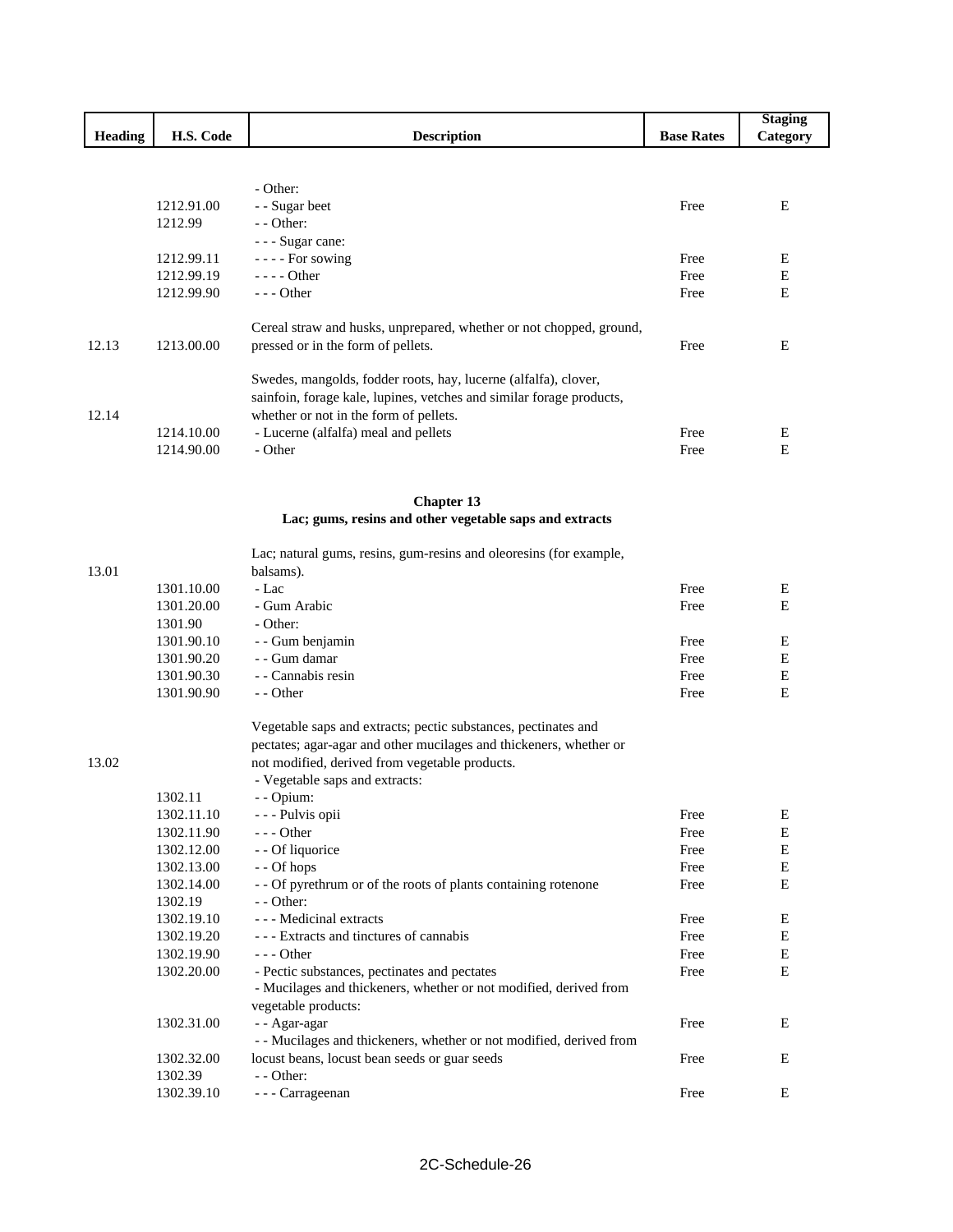|         |            |                                                                      |                   | <b>Staging</b> |
|---------|------------|----------------------------------------------------------------------|-------------------|----------------|
| Heading | H.S. Code  | <b>Description</b>                                                   | <b>Base Rates</b> | Category       |
|         |            |                                                                      |                   |                |
|         |            |                                                                      |                   |                |
|         |            | - Other:                                                             |                   |                |
|         | 1212.91.00 | - - Sugar beet                                                       | Free              | Е              |
|         | 1212.99    | - - Other:                                                           |                   |                |
|         |            | - - - Sugar cane:                                                    |                   |                |
|         | 1212.99.11 | ---- For sowing                                                      | Free              | E              |
|         | 1212.99.19 | - - - - Other                                                        | Free              | ${\bf E}$      |
|         | 1212.99.90 | --- Other                                                            | Free              | E              |
|         |            | Cereal straw and husks, unprepared, whether or not chopped, ground,  |                   |                |
| 12.13   | 1213.00.00 | pressed or in the form of pellets.                                   | Free              | E              |
|         |            | Swedes, mangolds, fodder roots, hay, lucerne (alfalfa), clover,      |                   |                |
|         |            | sainfoin, forage kale, lupines, vetches and similar forage products, |                   |                |
| 12.14   |            | whether or not in the form of pellets.                               |                   |                |
|         | 1214.10.00 | - Lucerne (alfalfa) meal and pellets                                 | Free              | Е              |
|         | 1214.90.00 | - Other                                                              | Free              | E              |
|         |            |                                                                      |                   |                |
|         |            | <b>Chapter 13</b>                                                    |                   |                |
|         |            | Lac; gums, resins and other vegetable saps and extracts              |                   |                |
|         |            | Lac; natural gums, resins, gum-resins and oleoresins (for example,   |                   |                |
| 13.01   |            | balsams).                                                            |                   |                |
|         | 1301.10.00 | - Lac                                                                | Free              | Е              |
|         | 1301.20.00 | - Gum Arabic                                                         | Free              | E              |
|         | 1301.90    | - Other:                                                             |                   |                |
|         | 1301.90.10 | - - Gum benjamin                                                     | Free              | E              |
|         | 1301.90.20 | - - Gum damar                                                        | Free              | E              |
|         | 1301.90.30 | - - Cannabis resin                                                   | Free              | Е              |
|         | 1301.90.90 | - - Other                                                            | Free              | E              |
|         |            | Vegetable saps and extracts; pectic substances, pectinates and       |                   |                |
|         |            | pectates; agar-agar and other mucilages and thickeners, whether or   |                   |                |
| 13.02   |            | not modified, derived from vegetable products.                       |                   |                |
|         |            | - Vegetable saps and extracts:                                       |                   |                |
|         | 1302.11    | - - Opium:                                                           |                   |                |
|         | 1302.11.10 | - - - Pulvis opii                                                    | Free              | E              |
|         | 1302.11.90 | $--$ Other                                                           | Free              | $\mathbf E$    |
|         | 1302.12.00 | - - Of liquorice                                                     | Free              | $\mathbf E$    |
|         | 1302.13.00 | - - Of hops                                                          | Free              | $\mathbf E$    |
|         | 1302.14.00 | - - Of pyrethrum or of the roots of plants containing rotenone       | Free              | E              |
|         | 1302.19    | - - Other:                                                           |                   |                |
|         | 1302.19.10 | - - - Medicinal extracts                                             | Free              | Е              |
|         | 1302.19.20 | --- Extracts and tinctures of cannabis                               | Free              | Е              |
|         | 1302.19.90 | - - - Other                                                          | Free              | Ε              |
|         | 1302.20.00 | - Pectic substances, pectinates and pectates                         | Free              | Е              |
|         |            | - Mucilages and thickeners, whether or not modified, derived from    |                   |                |
|         |            | vegetable products:                                                  |                   |                |
|         | 1302.31.00 | - - Agar-agar                                                        | Free              | E              |
|         |            | - - Mucilages and thickeners, whether or not modified, derived from  |                   |                |
|         | 1302.32.00 | locust beans, locust bean seeds or guar seeds                        | Free              | E              |
|         | 1302.39    | - - Other:                                                           |                   |                |
|         | 1302.39.10 | - - - Carrageenan                                                    | Free              | ${\bf E}$      |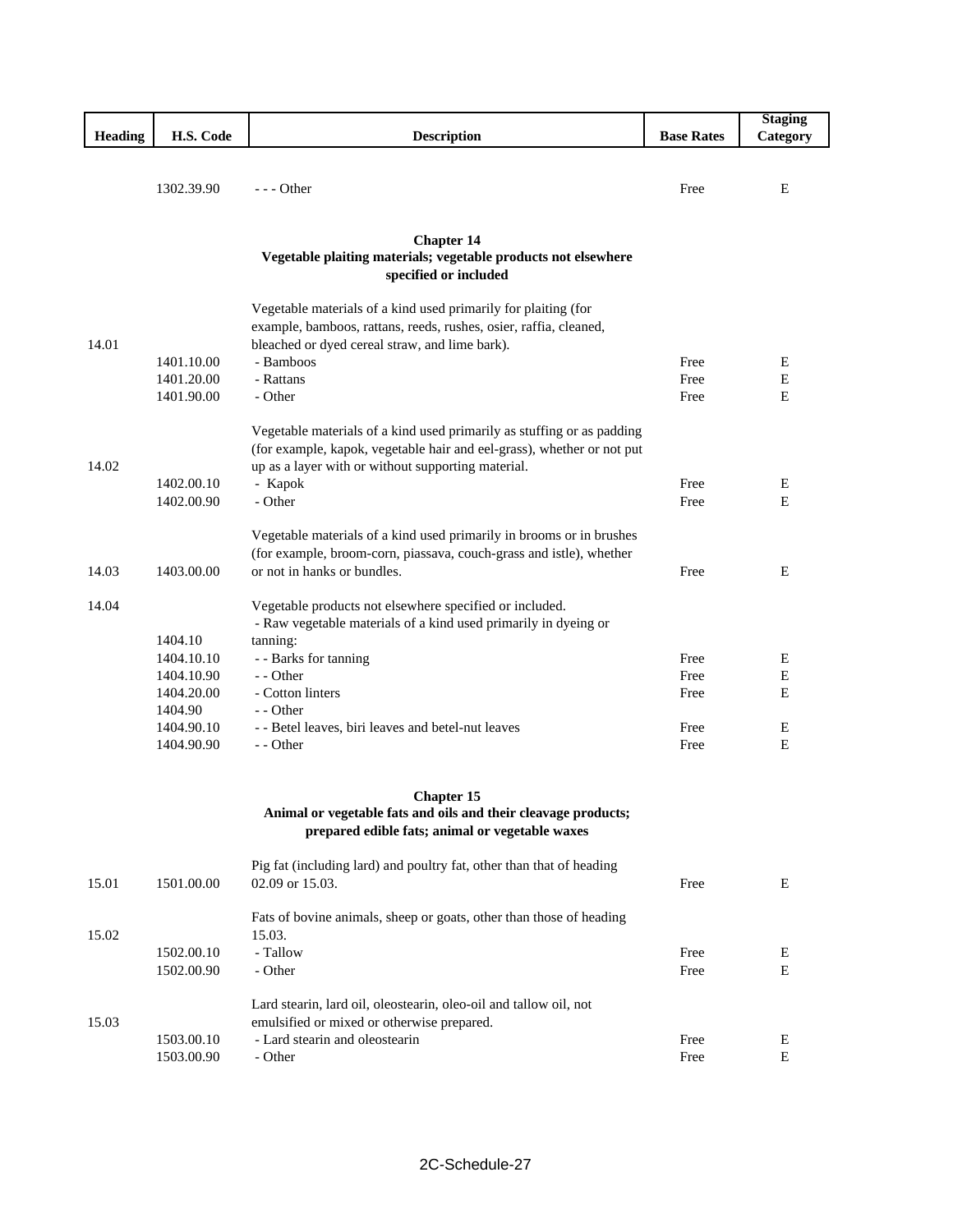|                |            |                                                                        |                   | <b>Staging</b> |
|----------------|------------|------------------------------------------------------------------------|-------------------|----------------|
| <b>Heading</b> | H.S. Code  | <b>Description</b>                                                     | <b>Base Rates</b> | Category       |
|                |            |                                                                        |                   |                |
|                |            |                                                                        |                   |                |
|                | 1302.39.90 | $--$ Other                                                             | Free              | E              |
|                |            |                                                                        |                   |                |
|                |            |                                                                        |                   |                |
|                |            | <b>Chapter 14</b>                                                      |                   |                |
|                |            | Vegetable plaiting materials; vegetable products not elsewhere         |                   |                |
|                |            | specified or included                                                  |                   |                |
|                |            |                                                                        |                   |                |
|                |            | Vegetable materials of a kind used primarily for plaiting (for         |                   |                |
|                |            | example, bamboos, rattans, reeds, rushes, osier, raffia, cleaned,      |                   |                |
| 14.01          |            | bleached or dyed cereal straw, and lime bark).                         |                   |                |
|                | 1401.10.00 | - Bamboos                                                              | Free              | Ε              |
|                | 1401.20.00 | - Rattans                                                              | Free              | Ε              |
|                | 1401.90.00 | - Other                                                                | Free              | Е              |
|                |            |                                                                        |                   |                |
|                |            | Vegetable materials of a kind used primarily as stuffing or as padding |                   |                |
|                |            | (for example, kapok, vegetable hair and eel-grass), whether or not put |                   |                |
| 14.02          |            | up as a layer with or without supporting material.                     |                   |                |
|                | 1402.00.10 | - Kapok                                                                | Free              | Е              |
|                | 1402.00.90 | - Other                                                                | Free              | E              |
|                |            |                                                                        |                   |                |
|                |            | Vegetable materials of a kind used primarily in brooms or in brushes   |                   |                |
|                |            | (for example, broom-corn, piassava, couch-grass and istle), whether    |                   |                |
| 14.03          | 1403.00.00 | or not in hanks or bundles.                                            | Free              | E              |
|                |            |                                                                        |                   |                |
| 14.04          |            | Vegetable products not elsewhere specified or included.                |                   |                |
|                |            | - Raw vegetable materials of a kind used primarily in dyeing or        |                   |                |
|                | 1404.10    | tanning:                                                               |                   |                |
|                | 1404.10.10 | - - Barks for tanning                                                  | Free              | Е              |
|                | 1404.10.90 | - - Other                                                              | Free              | Е              |
|                | 1404.20.00 | - Cotton linters                                                       | Free              | Е              |
|                | 1404.90    | - - Other                                                              |                   |                |
|                | 1404.90.10 | - - Betel leaves, biri leaves and betel-nut leaves                     | Free              | Е              |
|                | 1404.90.90 | - - Other                                                              | Free              | E              |
|                |            |                                                                        |                   |                |
|                |            |                                                                        |                   |                |
|                |            | <b>Chapter 15</b>                                                      |                   |                |
|                |            | Animal or vegetable fats and oils and their cleavage products;         |                   |                |
|                |            | prepared edible fats; animal or vegetable waxes                        |                   |                |
|                |            |                                                                        |                   |                |
|                |            | Pig fat (including lard) and poultry fat, other than that of heading   |                   |                |
| 15.01          | 1501.00.00 | 02.09 or 15.03.                                                        | Free              | E              |
|                |            |                                                                        |                   |                |
|                |            | Fats of bovine animals, sheep or goats, other than those of heading    |                   |                |
| 15.02          |            | 15.03.                                                                 |                   |                |
|                | 1502.00.10 | - Tallow                                                               | Free              | E              |
|                | 1502.00.90 | - Other                                                                | Free              | Е              |
|                |            |                                                                        |                   |                |
|                |            | Lard stearin, lard oil, oleostearin, oleo-oil and tallow oil, not      |                   |                |
| 15.03          |            | emulsified or mixed or otherwise prepared.                             |                   |                |
|                | 1503.00.10 | - Lard stearin and oleostearin                                         | Free              | E              |
|                | 1503.00.90 | - Other                                                                | Free              | E              |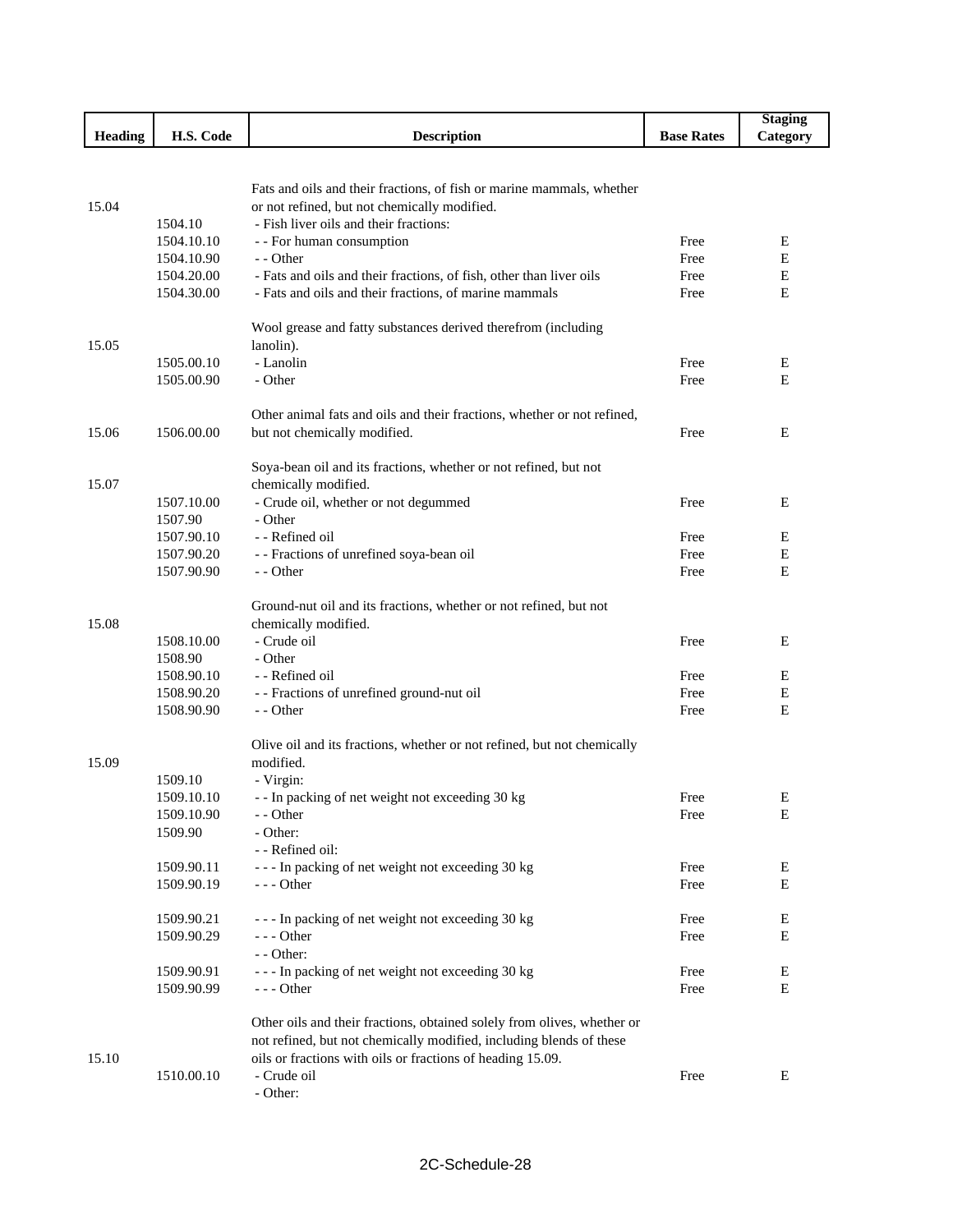|         |                          |                                                                                        |                   | <b>Staging</b> |
|---------|--------------------------|----------------------------------------------------------------------------------------|-------------------|----------------|
| Heading | H.S. Code                | <b>Description</b>                                                                     | <b>Base Rates</b> | Category       |
|         |                          |                                                                                        |                   |                |
|         |                          |                                                                                        |                   |                |
|         |                          | Fats and oils and their fractions, of fish or marine mammals, whether                  |                   |                |
| 15.04   |                          | or not refined, but not chemically modified.<br>- Fish liver oils and their fractions: |                   |                |
|         | 1504.10<br>1504.10.10    |                                                                                        |                   |                |
|         | 1504.10.90               | - - For human consumption<br>- - Other                                                 | Free<br>Free      | Е<br>E         |
|         | 1504.20.00               | - Fats and oils and their fractions, of fish, other than liver oils                    | Free              | $\mathbf E$    |
|         | 1504.30.00               | - Fats and oils and their fractions, of marine mammals                                 | Free              | E              |
|         |                          |                                                                                        |                   |                |
|         |                          | Wool grease and fatty substances derived therefrom (including                          |                   |                |
| 15.05   |                          | lanolin).                                                                              |                   |                |
|         | 1505.00.10               | - Lanolin                                                                              | Free              | Ε              |
|         | 1505.00.90               | - Other                                                                                | Free              | E              |
|         |                          |                                                                                        |                   |                |
|         |                          | Other animal fats and oils and their fractions, whether or not refined,                |                   |                |
| 15.06   | 1506.00.00               | but not chemically modified.                                                           | Free              | Е              |
|         |                          |                                                                                        |                   |                |
|         |                          | Soya-bean oil and its fractions, whether or not refined, but not                       |                   |                |
| 15.07   |                          | chemically modified.                                                                   |                   |                |
|         | 1507.10.00               | - Crude oil, whether or not degummed                                                   | Free              | Ε              |
|         | 1507.90                  | - Other                                                                                |                   |                |
|         | 1507.90.10               | - - Refined oil                                                                        | Free              | E              |
|         | 1507.90.20               | - - Fractions of unrefined soya-bean oil                                               | Free              | Е              |
|         | 1507.90.90               | - - Other                                                                              | Free              | E              |
|         |                          | Ground-nut oil and its fractions, whether or not refined, but not                      |                   |                |
| 15.08   |                          | chemically modified.                                                                   |                   |                |
|         | 1508.10.00               | - Crude oil                                                                            | Free              | Ε              |
|         | 1508.90                  | - Other                                                                                |                   |                |
|         | 1508.90.10               | - - Refined oil                                                                        | Free              | Е              |
|         | 1508.90.20               | - - Fractions of unrefined ground-nut oil                                              | Free              | E              |
|         | 1508.90.90               | - - Other                                                                              | Free              | E              |
|         |                          |                                                                                        |                   |                |
|         |                          | Olive oil and its fractions, whether or not refined, but not chemically                |                   |                |
| 15.09   |                          | modified.                                                                              |                   |                |
|         | 1509.10                  | - Virgin:                                                                              |                   |                |
|         | 1509.10.10               | - - In packing of net weight not exceeding 30 kg                                       | Free              | E              |
|         | 1509.10.90               | - - Other                                                                              | Free              | E              |
|         | 1509.90                  | - Other:                                                                               |                   |                |
|         |                          | - - Refined oil:                                                                       |                   |                |
|         | 1509.90.11<br>1509.90.19 | --- In packing of net weight not exceeding 30 kg<br>$---$ Other                        | Free<br>Free      | Ε<br>Е         |
|         |                          |                                                                                        |                   |                |
|         | 1509.90.21               | --- In packing of net weight not exceeding 30 kg                                       | Free              | E              |
|         | 1509.90.29               | - - - Other                                                                            | Free              | Е              |
|         |                          | - - Other:                                                                             |                   |                |
|         | 1509.90.91               | --- In packing of net weight not exceeding 30 kg                                       | Free              | E              |
|         | 1509.90.99               | $--$ Other                                                                             | Free              | Е              |
|         |                          |                                                                                        |                   |                |
|         |                          | Other oils and their fractions, obtained solely from olives, whether or                |                   |                |
|         |                          | not refined, but not chemically modified, including blends of these                    |                   |                |
| 15.10   |                          | oils or fractions with oils or fractions of heading 15.09.                             |                   |                |
|         | 1510.00.10               | - Crude oil                                                                            | Free              | Е              |
|         |                          | - Other:                                                                               |                   |                |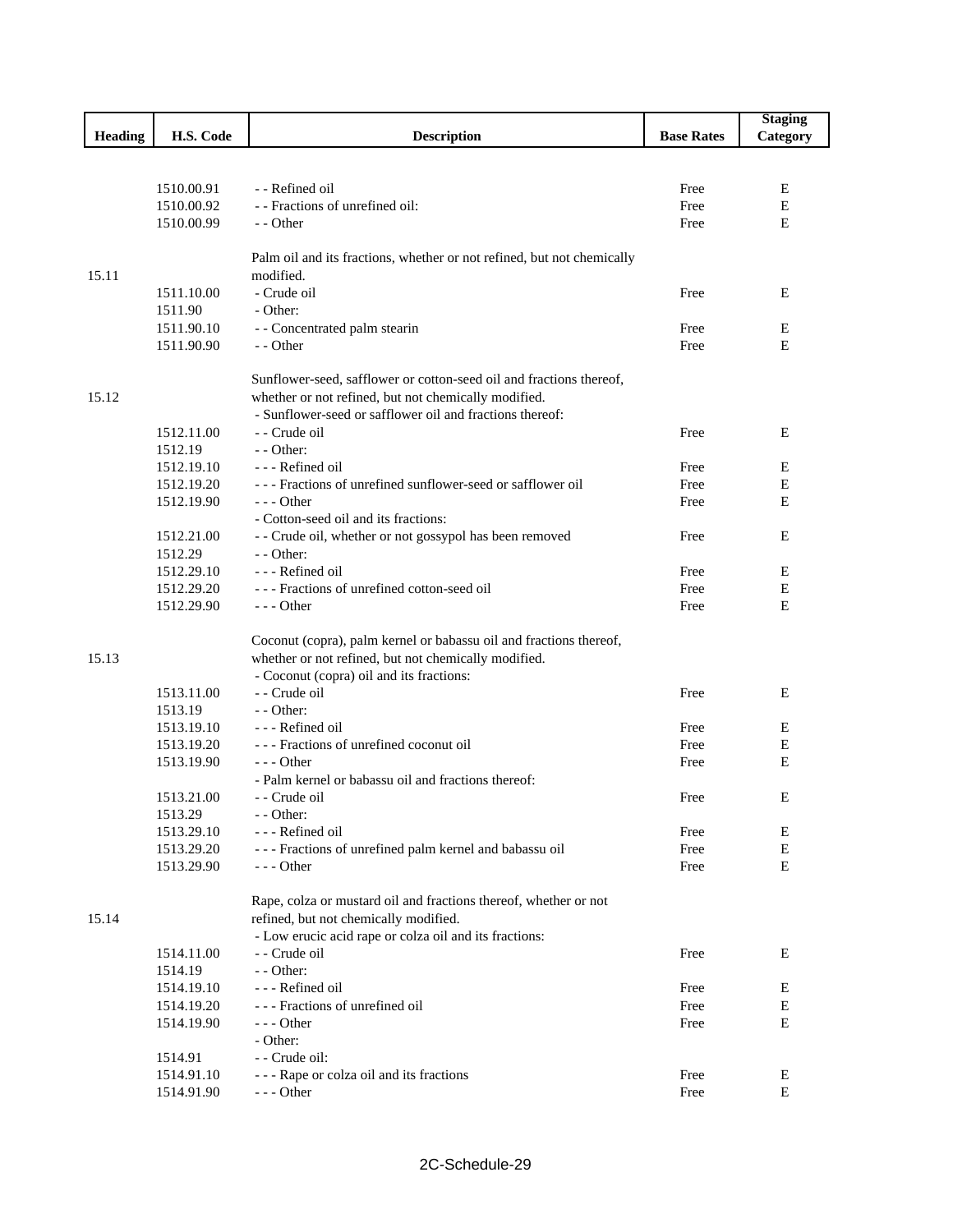|                |            |                                                                        |                   | <b>Staging</b> |
|----------------|------------|------------------------------------------------------------------------|-------------------|----------------|
| <b>Heading</b> | H.S. Code  | <b>Description</b>                                                     | <b>Base Rates</b> | Category       |
|                |            |                                                                        |                   |                |
|                |            |                                                                        |                   |                |
|                | 1510.00.91 | - - Refined oil                                                        | Free              | Ε              |
|                | 1510.00.92 | - - Fractions of unrefined oil:                                        | Free              | E              |
|                | 1510.00.99 | - - Other                                                              | Free              | E              |
|                |            |                                                                        |                   |                |
|                |            | Palm oil and its fractions, whether or not refined, but not chemically |                   |                |
| 15.11          |            | modified.                                                              |                   |                |
|                | 1511.10.00 | - Crude oil                                                            | Free              | Ε              |
|                | 1511.90    | - Other:                                                               |                   |                |
|                | 1511.90.10 | - - Concentrated palm stearin                                          | Free              | Ε              |
|                | 1511.90.90 | - - Other                                                              | Free              | E              |
|                |            |                                                                        |                   |                |
|                |            | Sunflower-seed, safflower or cotton-seed oil and fractions thereof,    |                   |                |
| 15.12          |            | whether or not refined, but not chemically modified.                   |                   |                |
|                |            | - Sunflower-seed or safflower oil and fractions thereof:               |                   |                |
|                | 1512.11.00 | - Crude oil                                                            | Free              | E              |
|                | 1512.19    | $-$ - Other:                                                           |                   |                |
|                | 1512.19.10 | --- Refined oil                                                        | Free              | Ε              |
|                | 1512.19.20 | --- Fractions of unrefined sunflower-seed or safflower oil             | Free              | Е              |
|                | 1512.19.90 | $- -$ Other                                                            | Free              | E              |
|                |            | - Cotton-seed oil and its fractions:                                   |                   |                |
|                |            |                                                                        |                   |                |
|                | 1512.21.00 | - - Crude oil, whether or not gossypol has been removed                | Free              | E              |
|                | 1512.29    | $-$ - Other:                                                           |                   |                |
|                | 1512.29.10 | --- Refined oil                                                        | Free              | Ε              |
|                | 1512.29.20 | --- Fractions of unrefined cotton-seed oil                             | Free              | Е              |
|                | 1512.29.90 | $--$ Other                                                             | Free              | E              |
|                |            |                                                                        |                   |                |
|                |            | Coconut (copra), palm kernel or babassu oil and fractions thereof,     |                   |                |
| 15.13          |            | whether or not refined, but not chemically modified.                   |                   |                |
|                |            | - Coconut (copra) oil and its fractions:                               |                   |                |
|                | 1513.11.00 | - - Crude oil                                                          | Free              | Ε              |
|                | 1513.19    | $-$ - Other:                                                           |                   |                |
|                | 1513.19.10 | --- Refined oil                                                        | Free              | Ε              |
|                | 1513.19.20 | --- Fractions of unrefined coconut oil                                 | Free              | E              |
|                | 1513.19.90 | $- -$ Other                                                            | Free              | E              |
|                |            | - Palm kernel or babassu oil and fractions thereof:                    |                   |                |
|                | 1513.21.00 | - - Crude oil                                                          | Free              | Е              |
|                | 1513.29    | - - Other:                                                             |                   |                |
|                | 1513.29.10 | --- Refined oil                                                        | Free              | Е              |
|                | 1513.29.20 | --- Fractions of unrefined palm kernel and babassu oil                 | Free              | Е              |
|                | 1513.29.90 | - - - Other                                                            | Free              | Ε              |
|                |            |                                                                        |                   |                |
|                |            | Rape, colza or mustard oil and fractions thereof, whether or not       |                   |                |
| 15.14          |            | refined, but not chemically modified.                                  |                   |                |
|                |            | - Low erucic acid rape or colza oil and its fractions:                 |                   |                |
|                | 1514.11.00 | - - Crude oil                                                          | Free              | E              |
|                | 1514.19    | - - Other:                                                             |                   |                |
|                | 1514.19.10 | - - - Refined oil                                                      | Free              | Е              |
|                | 1514.19.20 | --- Fractions of unrefined oil                                         | Free              | Е              |
|                | 1514.19.90 | $--$ Other                                                             | Free              | E              |
|                |            | - Other:                                                               |                   |                |
|                | 1514.91    | - Crude oil:                                                           |                   |                |
|                | 1514.91.10 | - - - Rape or colza oil and its fractions                              | Free              | E              |
|                | 1514.91.90 | --- Other                                                              | Free              | Е              |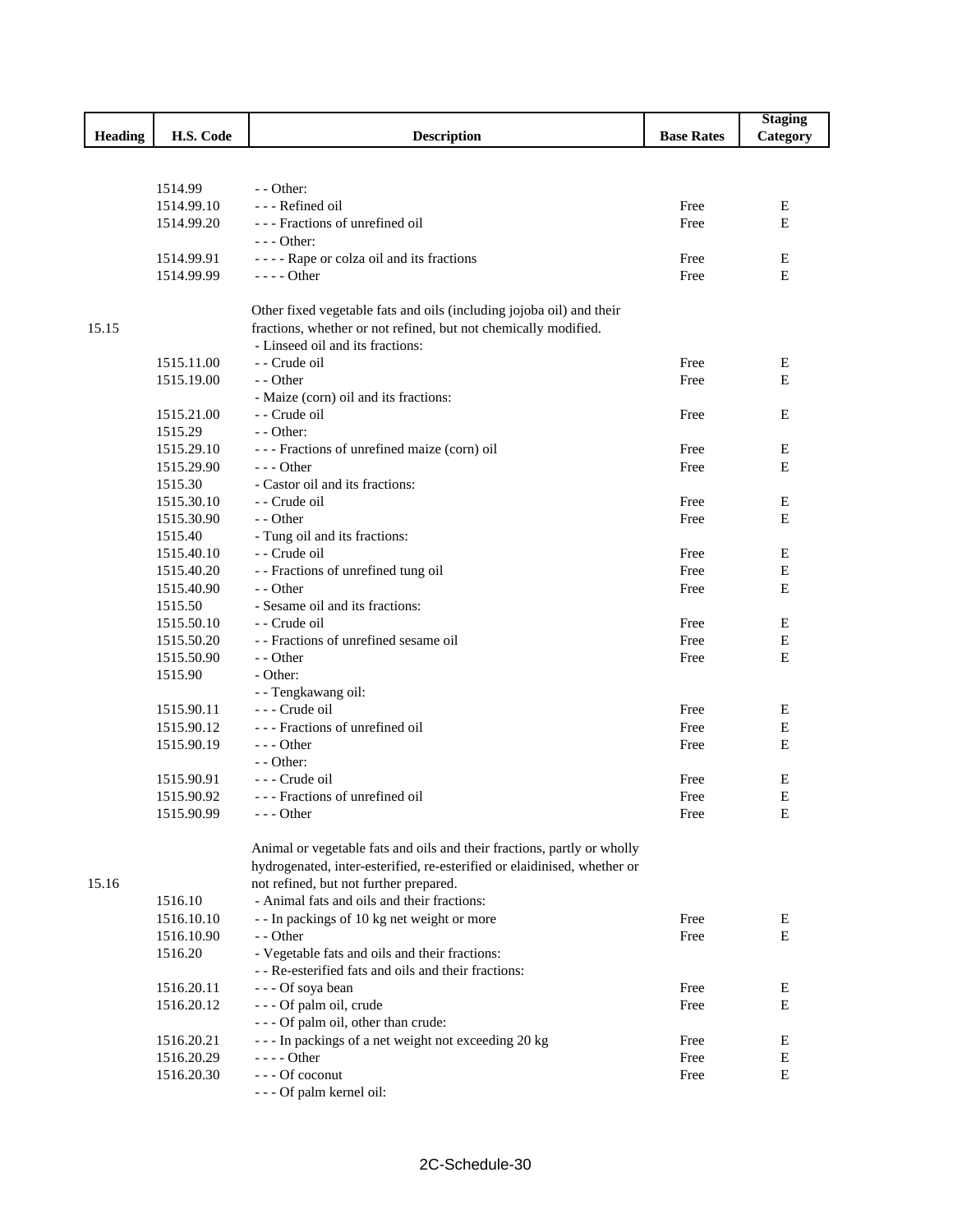|                |                       |                                                                                                     |                   | <b>Staging</b> |
|----------------|-----------------------|-----------------------------------------------------------------------------------------------------|-------------------|----------------|
| <b>Heading</b> | H.S. Code             | <b>Description</b>                                                                                  | <b>Base Rates</b> | Category       |
|                |                       |                                                                                                     |                   |                |
|                |                       |                                                                                                     |                   |                |
|                | 1514.99               | $-$ - Other:                                                                                        |                   |                |
|                | 1514.99.10            | --- Refined oil                                                                                     | Free              | E              |
|                | 1514.99.20            | --- Fractions of unrefined oil                                                                      | Free              | E              |
|                |                       | $--$ Other:                                                                                         |                   |                |
|                | 1514.99.91            | ---- Rape or colza oil and its fractions                                                            | Free              | E              |
|                | 1514.99.99            | $--- Other$                                                                                         | Free              | E              |
|                |                       |                                                                                                     |                   |                |
|                |                       | Other fixed vegetable fats and oils (including jojoba oil) and their                                |                   |                |
| 15.15          |                       | fractions, whether or not refined, but not chemically modified.<br>- Linseed oil and its fractions: |                   |                |
|                | 1515.11.00            | - - Crude oil                                                                                       | Free              |                |
|                | 1515.19.00            | - - Other                                                                                           | Free              | Е<br>E         |
|                |                       | - Maize (corn) oil and its fractions:                                                               |                   |                |
|                | 1515.21.00            | - Crude oil                                                                                         | Free              | E              |
|                | 1515.29               | $-$ - Other:                                                                                        |                   |                |
|                | 1515.29.10            | --- Fractions of unrefined maize (corn) oil                                                         | Free              | E              |
|                | 1515.29.90            | $--$ Other                                                                                          | Free              | E              |
|                | 1515.30               | - Castor oil and its fractions:                                                                     |                   |                |
|                | 1515.30.10            | - Crude oil                                                                                         | Free              | Ε              |
|                | 1515.30.90            | - - Other                                                                                           | Free              | E              |
|                | 1515.40               | - Tung oil and its fractions:                                                                       |                   |                |
|                | 1515.40.10            | - - Crude oil                                                                                       | Free              | Е              |
|                | 1515.40.20            | - - Fractions of unrefined tung oil                                                                 | Free              | Ε              |
|                | 1515.40.90            | - - Other                                                                                           | Free              | E              |
|                | 1515.50               | - Sesame oil and its fractions:                                                                     |                   |                |
|                | 1515.50.10            | - Crude oil                                                                                         | Free              | Е              |
|                | 1515.50.20            | - - Fractions of unrefined sesame oil                                                               | Free              | Е              |
|                | 1515.50.90            | - - Other                                                                                           | Free              | Е              |
|                | 1515.90               | - Other:                                                                                            |                   |                |
|                |                       | - - Tengkawang oil:                                                                                 |                   |                |
|                | 1515.90.11            | --- Crude oil                                                                                       | Free              | Е              |
|                | 1515.90.12            | --- Fractions of unrefined oil                                                                      | Free              | Е              |
|                | 1515.90.19            | $--$ Other                                                                                          | Free              | E              |
|                |                       | $-$ - Other:                                                                                        |                   |                |
|                | 1515.90.91            | - - - Crude oil                                                                                     | Free              | E              |
|                | 1515.90.92            | --- Fractions of unrefined oil                                                                      | Free              | E              |
|                | 1515.90.99            | --- Other                                                                                           | Free              | Е              |
|                |                       |                                                                                                     |                   |                |
|                |                       | Animal or vegetable fats and oils and their fractions, partly or wholly                             |                   |                |
|                |                       | hydrogenated, inter-esterified, re-esterified or elaidinised, whether or                            |                   |                |
| 15.16          |                       | not refined, but not further prepared.<br>- Animal fats and oils and their fractions:               |                   |                |
|                | 1516.10<br>1516.10.10 | - - In packings of 10 kg net weight or more                                                         | Free              | E              |
|                | 1516.10.90            | - - Other                                                                                           | Free              | Ε              |
|                | 1516.20               | - Vegetable fats and oils and their fractions:                                                      |                   |                |
|                |                       | - - Re-esterified fats and oils and their fractions:                                                |                   |                |
|                | 1516.20.11            | --- Of soya bean                                                                                    | Free              | Е              |
|                | 1516.20.12            | - - - Of palm oil, crude                                                                            | Free              | $\mathbf E$    |
|                |                       | - - - Of palm oil, other than crude:                                                                |                   |                |
|                | 1516.20.21            | --- In packings of a net weight not exceeding 20 kg                                                 | Free              | Ε              |
|                | 1516.20.29            | $--- Other$                                                                                         | Free              | Е              |
|                | 1516.20.30            | --- Of coconut                                                                                      | Free              | E              |
|                |                       | --- Of palm kernel oil:                                                                             |                   |                |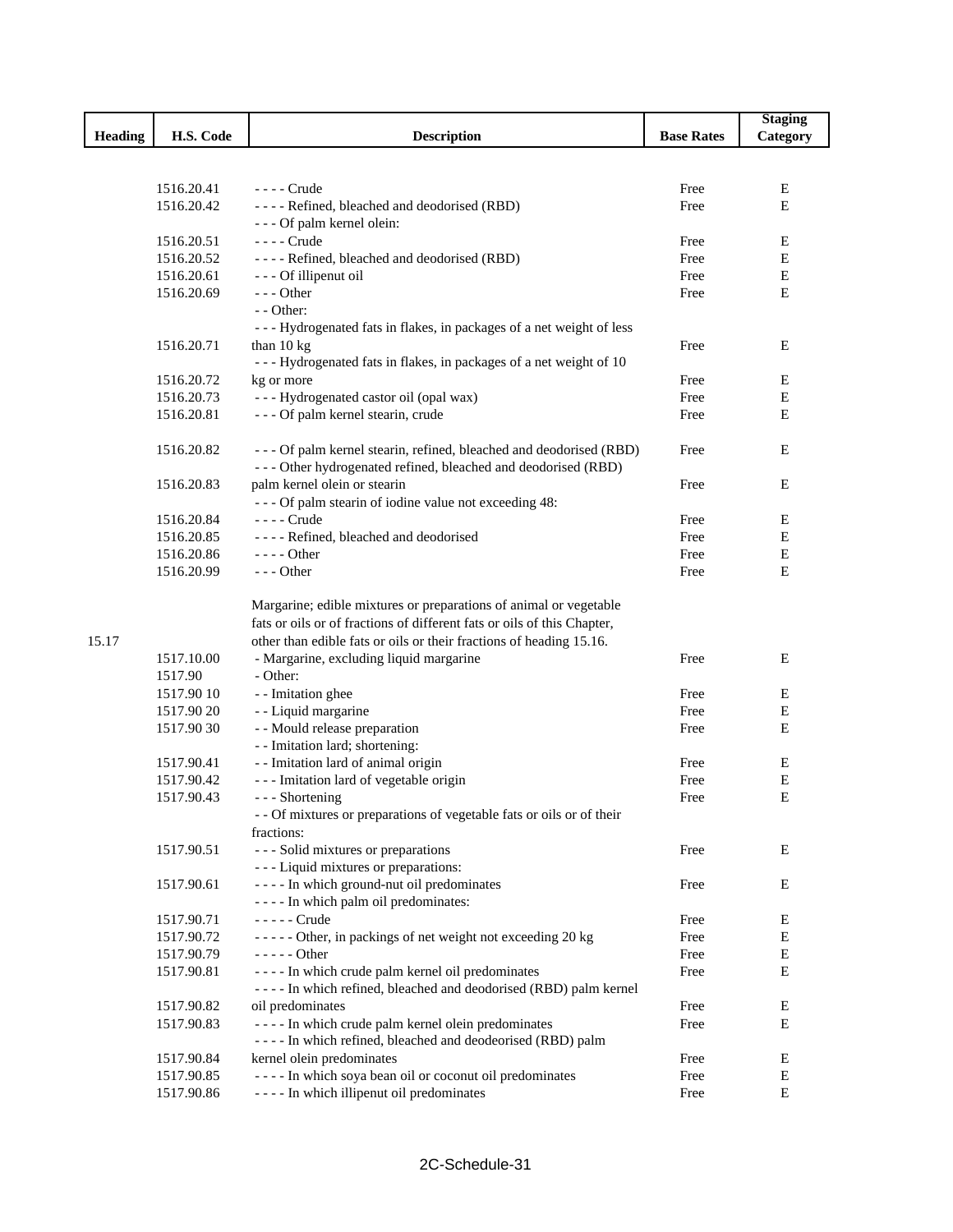|                |            |                                                                         |                   | <b>Staging</b> |
|----------------|------------|-------------------------------------------------------------------------|-------------------|----------------|
| <b>Heading</b> | H.S. Code  | <b>Description</b>                                                      | <b>Base Rates</b> | Category       |
|                |            |                                                                         |                   |                |
|                |            |                                                                         |                   |                |
|                | 1516.20.41 | - - - - Crude                                                           | Free              | E              |
|                | 1516.20.42 | ---- Refined, bleached and deodorised (RBD)                             | Free              | E              |
|                |            | - - - Of palm kernel olein:                                             |                   |                |
|                | 1516.20.51 | - - - - Crude                                                           | Free              | E              |
|                | 1516.20.52 | ---- Refined, bleached and deodorised (RBD)                             | Free              | Ε              |
|                | 1516.20.61 | - - - Of illipenut oil                                                  | Free              | Е              |
|                | 1516.20.69 | $- -$ Other                                                             | Free              | E              |
|                |            | - - Other:                                                              |                   |                |
|                |            | --- Hydrogenated fats in flakes, in packages of a net weight of less    |                   |                |
|                | 1516.20.71 | than $10 \text{ kg}$                                                    | Free              | E              |
|                |            | --- Hydrogenated fats in flakes, in packages of a net weight of 10      |                   |                |
|                | 1516.20.72 | kg or more                                                              | Free              | E              |
|                | 1516.20.73 | --- Hydrogenated castor oil (opal wax)                                  | Free              | Ε              |
|                | 1516.20.81 | - - - Of palm kernel stearin, crude                                     | Free              | E              |
|                |            |                                                                         |                   |                |
|                | 1516.20.82 | - - - Of palm kernel stearin, refined, bleached and deodorised (RBD)    | Free              | E              |
|                |            | --- Other hydrogenated refined, bleached and deodorised (RBD)           |                   |                |
|                | 1516.20.83 |                                                                         | Free              | E              |
|                |            | palm kernel olein or stearin                                            |                   |                |
|                |            | - - - Of palm stearin of iodine value not exceeding 48:                 |                   |                |
|                | 1516.20.84 | - - - - Crude                                                           | Free              | E              |
|                | 1516.20.85 | ---- Refined, bleached and deodorised                                   | Free              | Ε              |
|                | 1516.20.86 | - - - - Other                                                           | Free              | Ε              |
|                | 1516.20.99 | $- -$ Other                                                             | Free              | E              |
|                |            |                                                                         |                   |                |
|                |            | Margarine; edible mixtures or preparations of animal or vegetable       |                   |                |
|                |            | fats or oils or of fractions of different fats or oils of this Chapter, |                   |                |
| 15.17          |            | other than edible fats or oils or their fractions of heading 15.16.     |                   |                |
|                | 1517.10.00 | - Margarine, excluding liquid margarine                                 | Free              | E              |
|                | 1517.90    | - Other:                                                                |                   |                |
|                | 1517.90 10 | - - Imitation ghee                                                      | Free              | Е              |
|                | 1517.90 20 | - - Liquid margarine                                                    | Free              | Ε              |
|                | 1517.9030  | - - Mould release preparation                                           | Free              | E              |
|                |            | - - Imitation lard; shortening:                                         |                   |                |
|                | 1517.90.41 | - - Imitation lard of animal origin                                     | Free              | E              |
|                | 1517.90.42 | --- Imitation lard of vegetable origin                                  | Free              | E              |
|                | 1517.90.43 | - - - Shortening                                                        | Free              | Ε              |
|                |            | - - Of mixtures or preparations of vegetable fats or oils or of their   |                   |                |
|                |            | fractions:                                                              |                   |                |
|                | 1517.90.51 | --- Solid mixtures or preparations                                      | Free              | E              |
|                |            | --- Liquid mixtures or preparations:                                    |                   |                |
|                | 1517.90.61 | - - - - In which ground-nut oil predominates                            | Free              | E              |
|                |            | ---- In which palm oil predominates:                                    |                   |                |
|                | 1517.90.71 | - - - - - Crude                                                         | Free              | E              |
|                | 1517.90.72 | ----- Other, in packings of net weight not exceeding 20 kg              | Free              | E              |
|                | 1517.90.79 | - - - - - Other                                                         | Free              | E              |
|                | 1517.90.81 | - - - - In which crude palm kernel oil predominates                     | Free              | Е              |
|                |            | - - - - In which refined, bleached and deodorised (RBD) palm kernel     |                   |                |
|                | 1517.90.82 | oil predominates                                                        | Free              | E              |
|                | 1517.90.83 | - - - - In which crude palm kernel olein predominates                   | Free              | Ε              |
|                |            | - - - - In which refined, bleached and deodeorised (RBD) palm           |                   |                |
|                | 1517.90.84 | kernel olein predominates                                               | Free              | Ε              |
|                | 1517.90.85 | ---- In which soya bean oil or coconut oil predominates                 | Free              | E              |
|                | 1517.90.86 | - - - - In which illipenut oil predominates                             | Free              | E              |
|                |            |                                                                         |                   |                |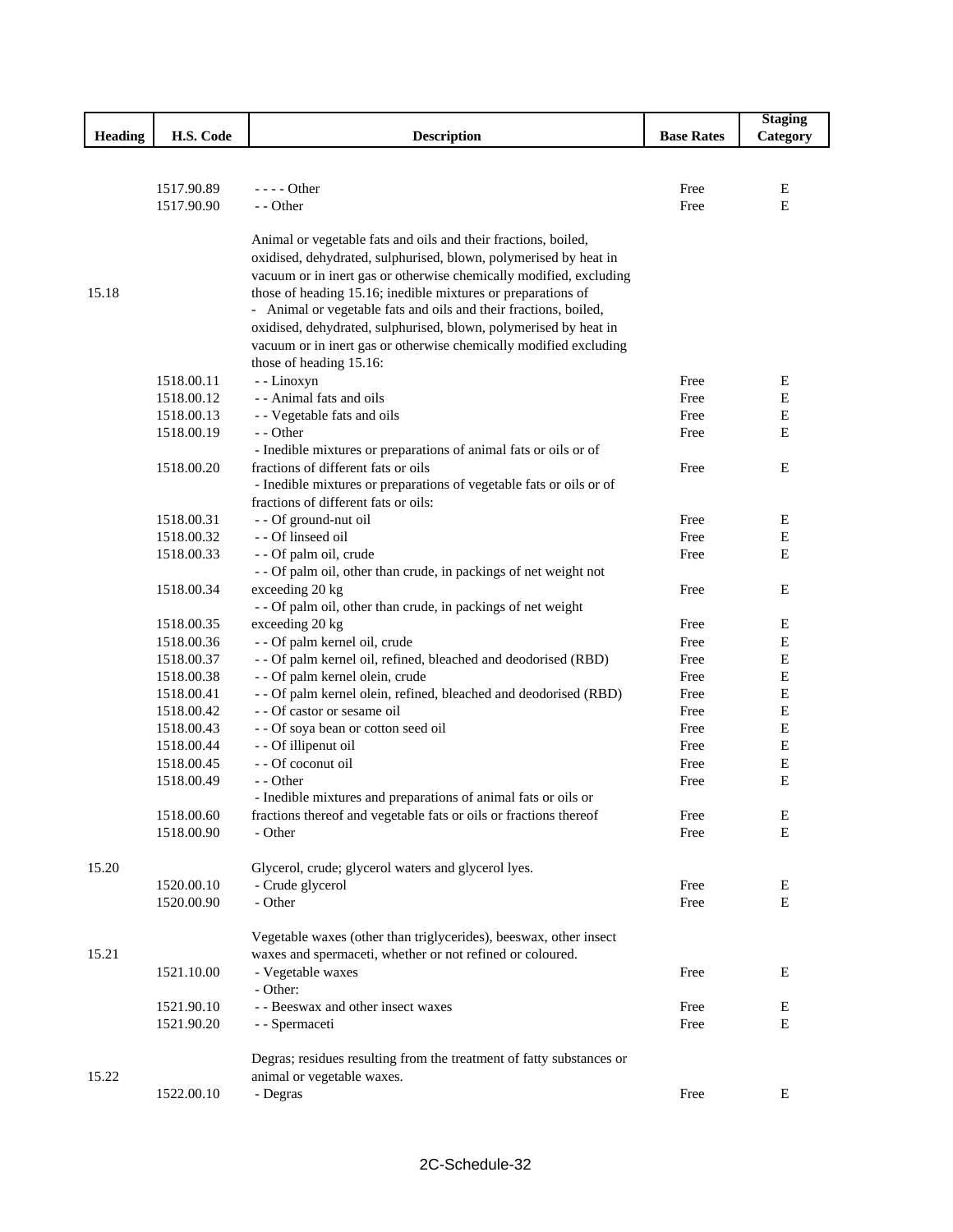|                |                          |                                                                      |                   | <b>Staging</b> |
|----------------|--------------------------|----------------------------------------------------------------------|-------------------|----------------|
| <b>Heading</b> | H.S. Code                | <b>Description</b>                                                   | <b>Base Rates</b> | Category       |
|                |                          |                                                                      |                   |                |
|                |                          |                                                                      |                   |                |
|                | 1517.90.89               | $--$ Other                                                           | Free              | E              |
|                | 1517.90.90               | - - Other                                                            | Free              | E              |
|                |                          | Animal or vegetable fats and oils and their fractions, boiled,       |                   |                |
|                |                          | oxidised, dehydrated, sulphurised, blown, polymerised by heat in     |                   |                |
|                |                          | vacuum or in inert gas or otherwise chemically modified, excluding   |                   |                |
| 15.18          |                          | those of heading 15.16; inedible mixtures or preparations of         |                   |                |
|                |                          | - Animal or vegetable fats and oils and their fractions, boiled,     |                   |                |
|                |                          | oxidised, dehydrated, sulphurised, blown, polymerised by heat in     |                   |                |
|                |                          | vacuum or in inert gas or otherwise chemically modified excluding    |                   |                |
|                |                          | those of heading 15.16:                                              |                   |                |
|                | 1518.00.11               | - - Linoxyn                                                          | Free              | Ε              |
|                | 1518.00.12               | - - Animal fats and oils                                             | Free              | E              |
|                | 1518.00.13               | - - Vegetable fats and oils                                          | Free              | $\mathbf E$    |
|                | 1518.00.19               | - - Other                                                            | Free              | E              |
|                |                          | - Inedible mixtures or preparations of animal fats or oils or of     |                   |                |
|                | 1518.00.20               | fractions of different fats or oils                                  | Free              | E              |
|                |                          | - Inedible mixtures or preparations of vegetable fats or oils or of  |                   |                |
|                |                          | fractions of different fats or oils:                                 |                   |                |
|                | 1518.00.31<br>1518.00.32 | - - Of ground-nut oil<br>- - Of linseed oil                          | Free<br>Free      | E<br>E         |
|                | 1518.00.33               | - - Of palm oil, crude                                               | Free              | E              |
|                |                          | - - Of palm oil, other than crude, in packings of net weight not     |                   |                |
|                | 1518.00.34               | exceeding 20 kg                                                      | Free              | E              |
|                |                          | - - Of palm oil, other than crude, in packings of net weight         |                   |                |
|                | 1518.00.35               | exceeding 20 kg                                                      | Free              | E              |
|                | 1518.00.36               | - - Of palm kernel oil, crude                                        | Free              | $\mathbf E$    |
|                | 1518.00.37               | - - Of palm kernel oil, refined, bleached and deodorised (RBD)       | Free              | E              |
|                | 1518.00.38               | - - Of palm kernel olein, crude                                      | Free              | $\mathbf E$    |
|                | 1518.00.41               | - - Of palm kernel olein, refined, bleached and deodorised (RBD)     | Free              | E              |
|                | 1518.00.42               | - - Of castor or sesame oil                                          | Free              | E              |
|                | 1518.00.43               | - - Of soya bean or cotton seed oil                                  | Free              | E              |
|                | 1518.00.44               | - - Of illipenut oil                                                 | Free              | E              |
|                | 1518.00.45               | - - Of coconut oil                                                   | Free              | Е              |
|                | 1518.00.49               | - - Other                                                            | Free              | Е              |
|                |                          | - Inedible mixtures and preparations of animal fats or oils or       |                   |                |
|                | 1518.00.60               | fractions thereof and vegetable fats or oils or fractions thereof    | Free              | E              |
|                | 1518.00.90               | - Other                                                              | Free              | ${\bf E}$      |
| 15.20          |                          | Glycerol, crude; glycerol waters and glycerol lyes.                  |                   |                |
|                | 1520.00.10               | - Crude glycerol                                                     | Free              | Е              |
|                | 1520.00.90               | - Other                                                              | Free              | Е              |
|                |                          |                                                                      |                   |                |
|                |                          | Vegetable waxes (other than triglycerides), beeswax, other insect    |                   |                |
| 15.21          |                          | waxes and spermaceti, whether or not refined or coloured.            |                   |                |
|                | 1521.10.00               | - Vegetable waxes                                                    | Free              | Е              |
|                |                          | - Other:                                                             |                   |                |
|                | 1521.90.10               | - - Beeswax and other insect waxes                                   | Free              | Ε              |
|                | 1521.90.20               | - - Spermaceti                                                       | Free              | Е              |
|                |                          |                                                                      |                   |                |
|                |                          | Degras; residues resulting from the treatment of fatty substances or |                   |                |
| 15.22          |                          | animal or vegetable waxes.                                           |                   |                |
|                | 1522.00.10               | - Degras                                                             | Free              | Ε              |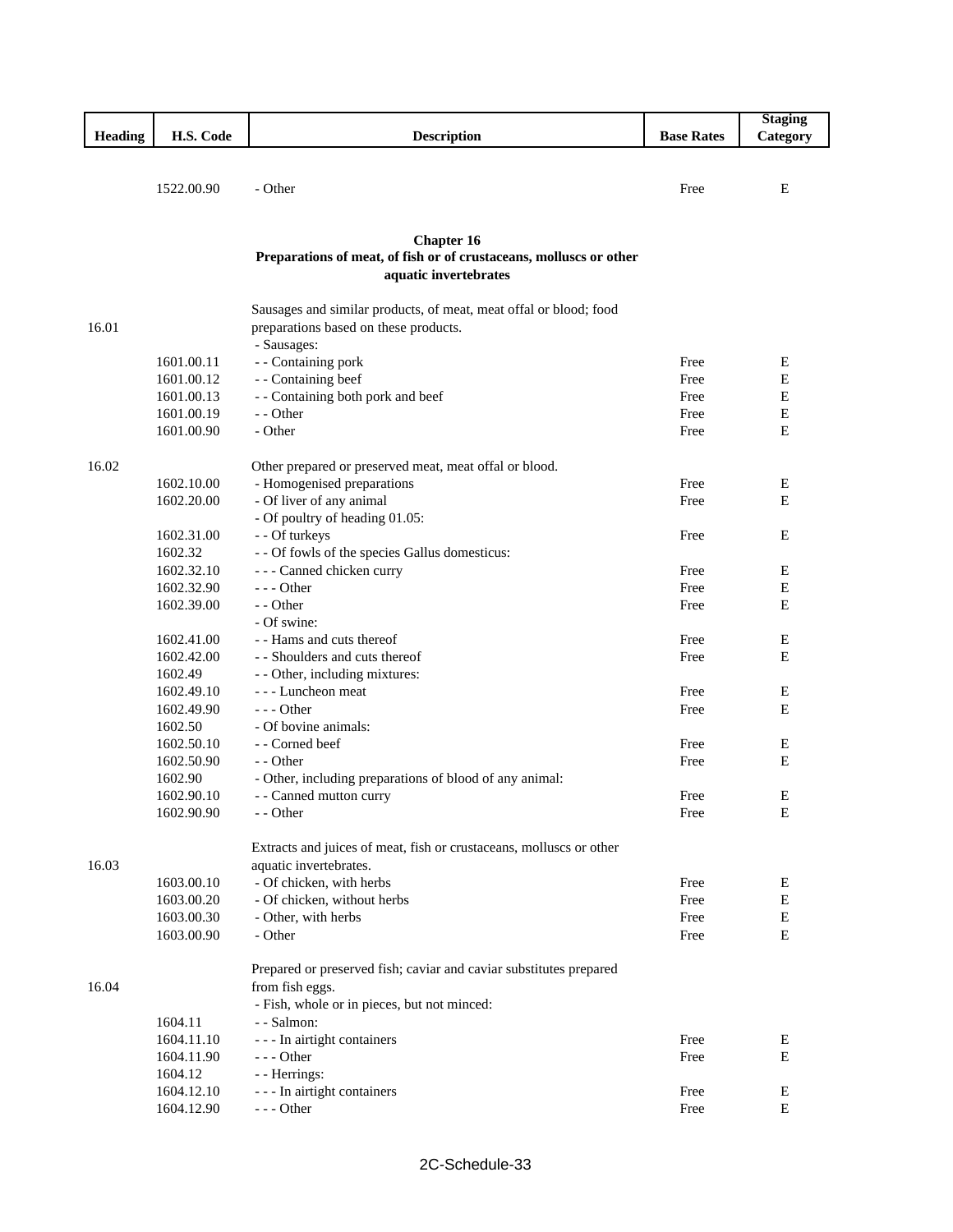|                |                       |                                                                     |                   | <b>Staging</b> |
|----------------|-----------------------|---------------------------------------------------------------------|-------------------|----------------|
| <b>Heading</b> | H.S. Code             | <b>Description</b>                                                  | <b>Base Rates</b> | Category       |
|                |                       |                                                                     |                   |                |
|                | 1522.00.90            | - Other                                                             | Free              | E              |
|                |                       |                                                                     |                   |                |
|                |                       |                                                                     |                   |                |
|                |                       | <b>Chapter 16</b>                                                   |                   |                |
|                |                       | Preparations of meat, of fish or of crustaceans, molluscs or other  |                   |                |
|                |                       | aquatic invertebrates                                               |                   |                |
|                |                       |                                                                     |                   |                |
|                |                       | Sausages and similar products, of meat, meat offal or blood; food   |                   |                |
| 16.01          |                       | preparations based on these products.                               |                   |                |
|                | 1601.00.11            | - Sausages:<br>- - Containing pork                                  | Free              | Е              |
|                | 1601.00.12            | - - Containing beef                                                 | Free              | E              |
|                | 1601.00.13            | - - Containing both pork and beef                                   | Free              | E              |
|                | 1601.00.19            | - - Other                                                           | Free              | E              |
|                | 1601.00.90            | - Other                                                             | Free              | E              |
|                |                       |                                                                     |                   |                |
| 16.02          |                       | Other prepared or preserved meat, meat offal or blood.              |                   |                |
|                | 1602.10.00            | - Homogenised preparations                                          | Free              | Е              |
|                | 1602.20.00            | - Of liver of any animal                                            | Free              | E              |
|                |                       | - Of poultry of heading 01.05:                                      |                   |                |
|                | 1602.31.00            | - - Of turkeys                                                      | Free              | E              |
|                | 1602.32               | - - Of fowls of the species Gallus domesticus:                      |                   |                |
|                | 1602.32.10            | - - - Canned chicken curry                                          | Free              | E              |
|                | 1602.32.90            | $--$ Other                                                          | Free              | E              |
|                | 1602.39.00            | - - Other                                                           | Free              | E              |
|                |                       | - Of swine:                                                         |                   |                |
|                | 1602.41.00            | - - Hams and cuts thereof                                           | Free              | Е              |
|                | 1602.42.00            | - - Shoulders and cuts thereof                                      | Free              | E              |
|                | 1602.49               | - - Other, including mixtures:                                      |                   |                |
|                | 1602.49.10            | --- Luncheon meat                                                   | Free              | Е              |
|                | 1602.49.90            | $- -$ Other                                                         | Free              | E              |
|                | 1602.50               | - Of bovine animals:                                                |                   |                |
|                | 1602.50.10            | - Corned beef                                                       | Free              | Е              |
|                | 1602.50.90            | - - Other                                                           | Free              | E              |
|                | 1602.90               | - Other, including preparations of blood of any animal:             |                   |                |
|                | 1602.90.10            | - - Canned mutton curry                                             | Free              | E              |
|                | 1602.90.90            | - - Other                                                           | Free              | ${\bf E}$      |
|                |                       | Extracts and juices of meat, fish or crustaceans, molluscs or other |                   |                |
| 16.03          |                       | aquatic invertebrates.                                              |                   |                |
|                | 1603.00.10            | - Of chicken, with herbs                                            | Free              | Ε              |
|                | 1603.00.20            | - Of chicken, without herbs                                         | Free              | E              |
|                | 1603.00.30            | - Other, with herbs                                                 | Free              | ${\bf E}$      |
|                | 1603.00.90            | - Other                                                             | Free              | E              |
|                |                       |                                                                     |                   |                |
|                |                       | Prepared or preserved fish; caviar and caviar substitutes prepared  |                   |                |
| 16.04          |                       | from fish eggs.                                                     |                   |                |
|                |                       | - Fish, whole or in pieces, but not minced:                         |                   |                |
|                | 1604.11<br>1604.11.10 | - - Salmon:                                                         | Free              |                |
|                | 1604.11.90            | - - - In airtight containers<br>$--$ Other                          | Free              | Ε<br>${\bf E}$ |
|                | 1604.12               | - - Herrings:                                                       |                   |                |
|                | 1604.12.10            | --- In airtight containers                                          | Free              | E              |
|                | 1604.12.90            | $--$ Other                                                          | Free              | ${\bf E}$      |
|                |                       |                                                                     |                   |                |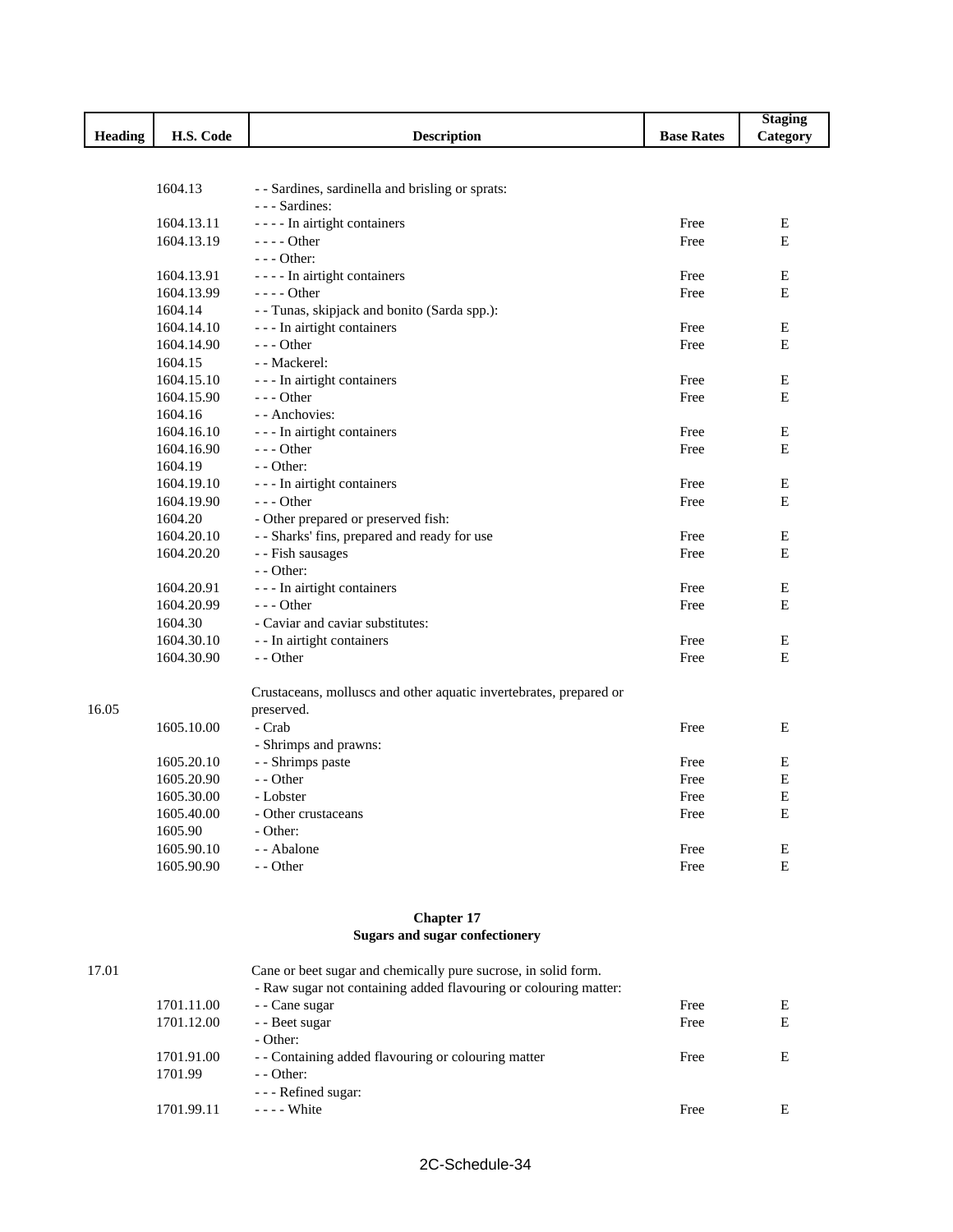|                |                       |                                                                    |                   | <b>Staging</b> |
|----------------|-----------------------|--------------------------------------------------------------------|-------------------|----------------|
| <b>Heading</b> | H.S. Code             | <b>Description</b>                                                 | <b>Base Rates</b> | Category       |
|                |                       |                                                                    |                   |                |
|                |                       |                                                                    |                   |                |
|                | 1604.13               | - - Sardines, sardinella and brisling or sprats:                   |                   |                |
|                |                       | - - - Sardines:                                                    |                   |                |
|                | 1604.13.11            | - - - - In airtight containers                                     | Free              | Ε              |
|                | 1604.13.19            | $--- Other$                                                        | Free              | E              |
|                |                       | $--$ Other:                                                        |                   |                |
|                | 1604.13.91            | - - - - In airtight containers                                     | Free              | Е              |
|                | 1604.13.99            | $--$ Other                                                         | Free              | E              |
|                | 1604.14               | - - Tunas, skipjack and bonito (Sarda spp.):                       |                   |                |
|                | 1604.14.10            | - - - In airtight containers                                       | Free              | Ε              |
|                | 1604.14.90            | $--$ Other                                                         | Free              | E              |
|                | 1604.15               | - - Mackerel:                                                      |                   |                |
|                | 1604.15.10            | - - - In airtight containers                                       | Free              | Е<br>E         |
|                | 1604.15.90<br>1604.16 | $--$ Other<br>- - Anchovies:                                       | Free              |                |
|                | 1604.16.10            |                                                                    | Free              | Ε              |
|                | 1604.16.90            | - - - In airtight containers<br>$- -$ Other                        | Free              | E              |
|                | 1604.19               | - - Other:                                                         |                   |                |
|                | 1604.19.10            | - - - In airtight containers                                       | Free              | E              |
|                | 1604.19.90            | $--$ Other                                                         | Free              | E              |
|                | 1604.20               | - Other prepared or preserved fish:                                |                   |                |
|                | 1604.20.10            | - - Sharks' fins, prepared and ready for use                       | Free              | Ε              |
|                | 1604.20.20            | - - Fish sausages                                                  | Free              | Е              |
|                |                       | $-$ - Other:                                                       |                   |                |
|                | 1604.20.91            | - - - In airtight containers                                       | Free              | ${\bf E}$      |
|                | 1604.20.99            | $- -$ Other                                                        | Free              | E              |
|                | 1604.30               | - Caviar and caviar substitutes:                                   |                   |                |
|                | 1604.30.10            | - - In airtight containers                                         | Free              | Ε              |
|                | 1604.30.90            | - - Other                                                          | Free              | E              |
|                |                       |                                                                    |                   |                |
|                |                       | Crustaceans, molluscs and other aquatic invertebrates, prepared or |                   |                |
| 16.05          |                       | preserved.                                                         |                   |                |
|                | 1605.10.00            | - Crab                                                             | Free              | Е              |
|                |                       | - Shrimps and prawns:                                              |                   |                |
|                | 1605.20.10            | - - Shrimps paste                                                  | Free              | E              |
|                | 1605.20.90            | - - Other                                                          | Free              | Е              |
|                | 1605.30.00            | - Lobster                                                          | Free              | E              |
|                | 1605.40.00            | - Other crustaceans                                                | Free              | E              |
|                | 1605.90               | - Other:                                                           |                   |                |
|                | 1605.90.10            | - - Abalone                                                        | Free              | E              |
|                | 1605.90.90            | - - Other                                                          | Free              | ${\bf E}$      |
|                |                       |                                                                    |                   |                |
|                |                       |                                                                    |                   |                |
|                |                       | <b>Chapter 17</b>                                                  |                   |                |

## **Sugars and sugar confectionery**

| 17.01 |            | Cane or beet sugar and chemically pure sucrose, in solid form.   |      |   |
|-------|------------|------------------------------------------------------------------|------|---|
|       |            | - Raw sugar not containing added flavouring or colouring matter: |      |   |
|       | 1701.11.00 | - Cane sugar                                                     | Free | E |
|       | 1701.12.00 | - Beet sugar                                                     | Free | E |
|       |            | - Other:                                                         |      |   |
|       | 1701.91.00 | - Containing added flavouring or colouring matter                | Free | E |
|       | 1701.99    | $-$ - Other:                                                     |      |   |
|       |            | - - - Refined sugar:                                             |      |   |
|       | 1701.99.11 | $---$ White                                                      | Free | E |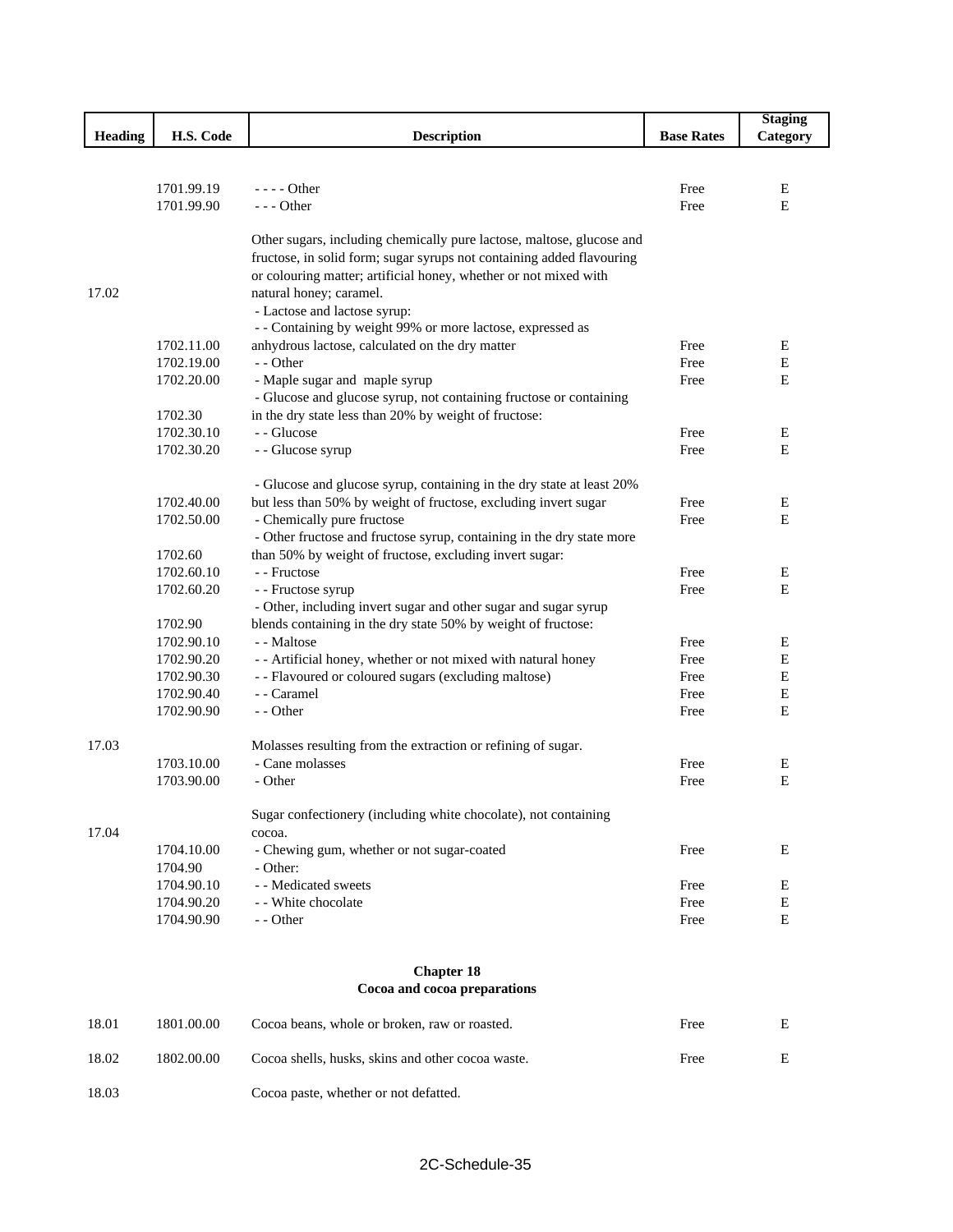|         |                          |                                                                       |                   | <b>Staging</b> |  |  |
|---------|--------------------------|-----------------------------------------------------------------------|-------------------|----------------|--|--|
| Heading | H.S. Code                | <b>Description</b>                                                    | <b>Base Rates</b> | Category       |  |  |
|         |                          |                                                                       |                   |                |  |  |
|         |                          |                                                                       |                   |                |  |  |
|         | 1701.99.19               | $---$ Other                                                           | Free              | Ε              |  |  |
|         | 1701.99.90               | $--$ Other                                                            | Free              | E              |  |  |
|         |                          | Other sugars, including chemically pure lactose, maltose, glucose and |                   |                |  |  |
|         |                          | fructose, in solid form; sugar syrups not containing added flavouring |                   |                |  |  |
|         |                          | or colouring matter; artificial honey, whether or not mixed with      |                   |                |  |  |
| 17.02   |                          | natural honey; caramel.                                               |                   |                |  |  |
|         |                          | - Lactose and lactose syrup:                                          |                   |                |  |  |
|         |                          | - - Containing by weight 99% or more lactose, expressed as            |                   |                |  |  |
|         | 1702.11.00               | anhydrous lactose, calculated on the dry matter                       | Free              | E              |  |  |
|         | 1702.19.00               | - - Other                                                             | Free              | ${\bf E}$      |  |  |
|         | 1702.20.00               | - Maple sugar and maple syrup                                         | Free              | E              |  |  |
|         |                          | - Glucose and glucose syrup, not containing fructose or containing    |                   |                |  |  |
|         | 1702.30                  | in the dry state less than 20% by weight of fructose:                 |                   |                |  |  |
|         | 1702.30.10               | - - Glucose                                                           | Free              | Е              |  |  |
|         | 1702.30.20               | - - Glucose syrup                                                     | Free              | E              |  |  |
|         |                          | - Glucose and glucose syrup, containing in the dry state at least 20% |                   |                |  |  |
|         | 1702.40.00               | but less than 50% by weight of fructose, excluding invert sugar       | Free              | E              |  |  |
|         | 1702.50.00               | - Chemically pure fructose                                            | Free              | E              |  |  |
|         |                          | - Other fructose and fructose syrup, containing in the dry state more |                   |                |  |  |
|         | 1702.60                  | than 50% by weight of fructose, excluding invert sugar:               |                   |                |  |  |
|         | 1702.60.10               | - - Fructose                                                          | Free              | Ε              |  |  |
|         | 1702.60.20               | - - Fructose syrup                                                    | Free              | Е              |  |  |
|         |                          | - Other, including invert sugar and other sugar and sugar syrup       |                   |                |  |  |
|         | 1702.90                  | blends containing in the dry state 50% by weight of fructose:         |                   |                |  |  |
|         | 1702.90.10               | - - Maltose                                                           | Free              | E              |  |  |
|         | 1702.90.20               | - - Artificial honey, whether or not mixed with natural honey         | Free              | ${\bf E}$      |  |  |
|         | 1702.90.30               | - - Flavoured or coloured sugars (excluding maltose)                  | Free              | $\mathbf E$    |  |  |
|         | 1702.90.40<br>1702.90.90 | - - Caramel<br>- - Other                                              | Free              | E<br>E         |  |  |
|         |                          |                                                                       | Free              |                |  |  |
| 17.03   |                          | Molasses resulting from the extraction or refining of sugar.          |                   |                |  |  |
|         | 1703.10.00               | - Cane molasses                                                       | Free              | Ε              |  |  |
|         | 1703.90.00               | - Other                                                               | Free              | ${\bf E}$      |  |  |
|         |                          | Sugar confectionery (including white chocolate), not containing       |                   |                |  |  |
| 17.04   |                          | cocoa.                                                                |                   |                |  |  |
|         | 1704.10.00               | - Chewing gum, whether or not sugar-coated                            | Free              | Е              |  |  |
|         | 1704.90                  | - Other:                                                              |                   |                |  |  |
|         | 1704.90.10               | - - Medicated sweets                                                  | Free              | E              |  |  |
|         | 1704.90.20               | - - White chocolate                                                   | Free              | E              |  |  |
|         | 1704.90.90               | - - Other                                                             | Free              | ${\bf E}$      |  |  |
|         |                          |                                                                       |                   |                |  |  |
|         |                          | <b>Chapter 18</b><br>Cocoa and cocoa preparations                     |                   |                |  |  |
|         |                          |                                                                       |                   |                |  |  |

| 18.01 | 1801.00.00 | Cocoa beans, whole or broken, raw or roasted.     | Free | E |
|-------|------------|---------------------------------------------------|------|---|
| 18.02 | 1802.00.00 | Cocoa shells, husks, skins and other cocoa waste. | Free |   |
| 18.03 |            | Cocoa paste, whether or not defatted.             |      |   |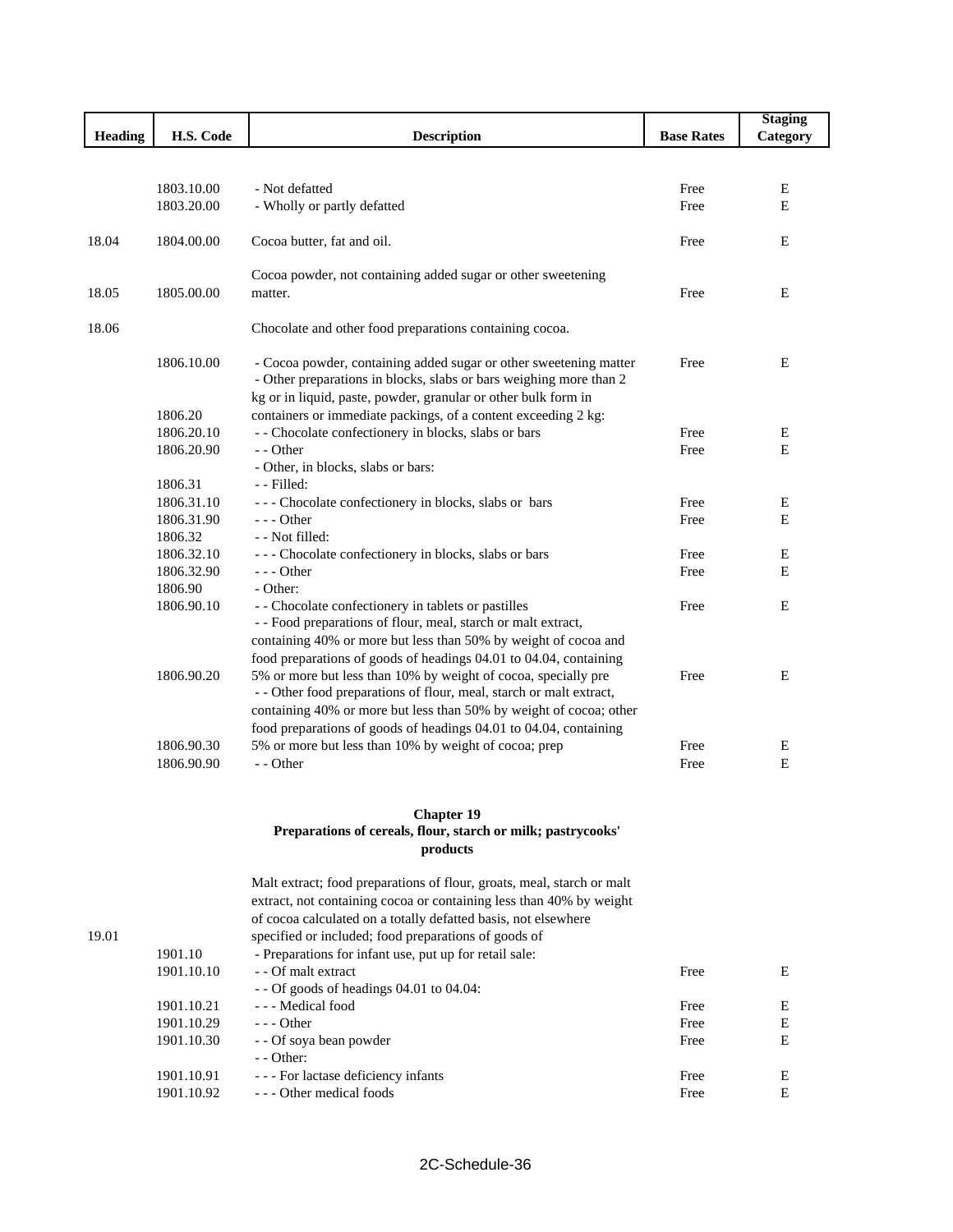|                |            |                                                                     |                   | <b>Staging</b> |
|----------------|------------|---------------------------------------------------------------------|-------------------|----------------|
| <b>Heading</b> | H.S. Code  | <b>Description</b>                                                  | <b>Base Rates</b> | Category       |
|                |            |                                                                     |                   |                |
|                | 1803.10.00 | - Not defatted                                                      | Free              | $\mathbf E$    |
|                | 1803.20.00 | - Wholly or partly defatted                                         | Free              | E              |
|                |            |                                                                     |                   |                |
| 18.04          | 1804.00.00 | Cocoa butter, fat and oil.                                          | Free              | E              |
|                |            | Cocoa powder, not containing added sugar or other sweetening        |                   |                |
| 18.05          | 1805.00.00 | matter.                                                             | Free              | E              |
| 18.06          |            | Chocolate and other food preparations containing cocoa.             |                   |                |
|                | 1806.10.00 | - Cocoa powder, containing added sugar or other sweetening matter   | Free              | E              |
|                |            | - Other preparations in blocks, slabs or bars weighing more than 2  |                   |                |
|                |            | kg or in liquid, paste, powder, granular or other bulk form in      |                   |                |
|                | 1806.20    | containers or immediate packings, of a content exceeding 2 kg:      |                   |                |
|                | 1806.20.10 | - - Chocolate confectionery in blocks, slabs or bars                | Free              | Ε              |
|                | 1806.20.90 | - Other                                                             | Free              | E              |
|                |            | - Other, in blocks, slabs or bars:                                  |                   |                |
|                | 1806.31    | - Filled:                                                           |                   |                |
|                | 1806.31.10 | --- Chocolate confectionery in blocks, slabs or bars                | Free              | E              |
|                | 1806.31.90 | $- -$ Other                                                         | Free              | E              |
|                | 1806.32    | - - Not filled:                                                     |                   |                |
|                | 1806.32.10 | --- Chocolate confectionery in blocks, slabs or bars                | Free              | E              |
|                | 1806.32.90 | $--$ Other                                                          | Free              | E              |
|                | 1806.90    | - Other:                                                            |                   |                |
|                | 1806.90.10 | - - Chocolate confectionery in tablets or pastilles                 | Free              | E              |
|                |            | - - Food preparations of flour, meal, starch or malt extract,       |                   |                |
|                |            | containing 40% or more but less than 50% by weight of cocoa and     |                   |                |
|                |            | food preparations of goods of headings 04.01 to 04.04, containing   |                   |                |
|                | 1806.90.20 | 5% or more but less than 10% by weight of cocoa, specially pre      | Free              | E              |
|                |            | - - Other food preparations of flour, meal, starch or malt extract, |                   |                |
|                |            | containing 40% or more but less than 50% by weight of cocoa; other  |                   |                |
|                |            | food preparations of goods of headings 04.01 to 04.04, containing   |                   |                |
|                | 1806.90.30 | 5% or more but less than 10% by weight of cocoa; prep               | Free              | E              |
|                | 1806.90.90 | - - Other                                                           | Free              | E              |
|                |            |                                                                     |                   |                |

#### **Chapter 19 Preparations of cereals, flour, starch or milk; pastrycooks' products**

|            | Malt extract; food preparations of flour, groats, meal, starch or malt<br>extract, not containing cocoa or containing less than 40% by weight<br>of cocoa calculated on a totally defatted basis, not elsewhere<br>specified or included; food preparations of goods of |      |   |
|------------|-------------------------------------------------------------------------------------------------------------------------------------------------------------------------------------------------------------------------------------------------------------------------|------|---|
| 1901.10    | - Preparations for infant use, put up for retail sale:                                                                                                                                                                                                                  |      |   |
| 1901.10.10 | - - Of malt extract                                                                                                                                                                                                                                                     | Free | E |
|            | $-$ - Of goods of headings 04.01 to 04.04:                                                                                                                                                                                                                              |      |   |
| 1901.10.21 | --- Medical food                                                                                                                                                                                                                                                        | Free | E |
| 1901.10.29 | $-$ - Other                                                                                                                                                                                                                                                             | Free | E |
| 1901.10.30 | - - Of soya bean powder                                                                                                                                                                                                                                                 | Free | E |
|            | $-$ - Other:                                                                                                                                                                                                                                                            |      |   |
| 1901.10.91 | - - - For lactase deficiency infants                                                                                                                                                                                                                                    | Free | E |
| 1901.10.92 | --- Other medical foods                                                                                                                                                                                                                                                 | Free | E |

#### 19.01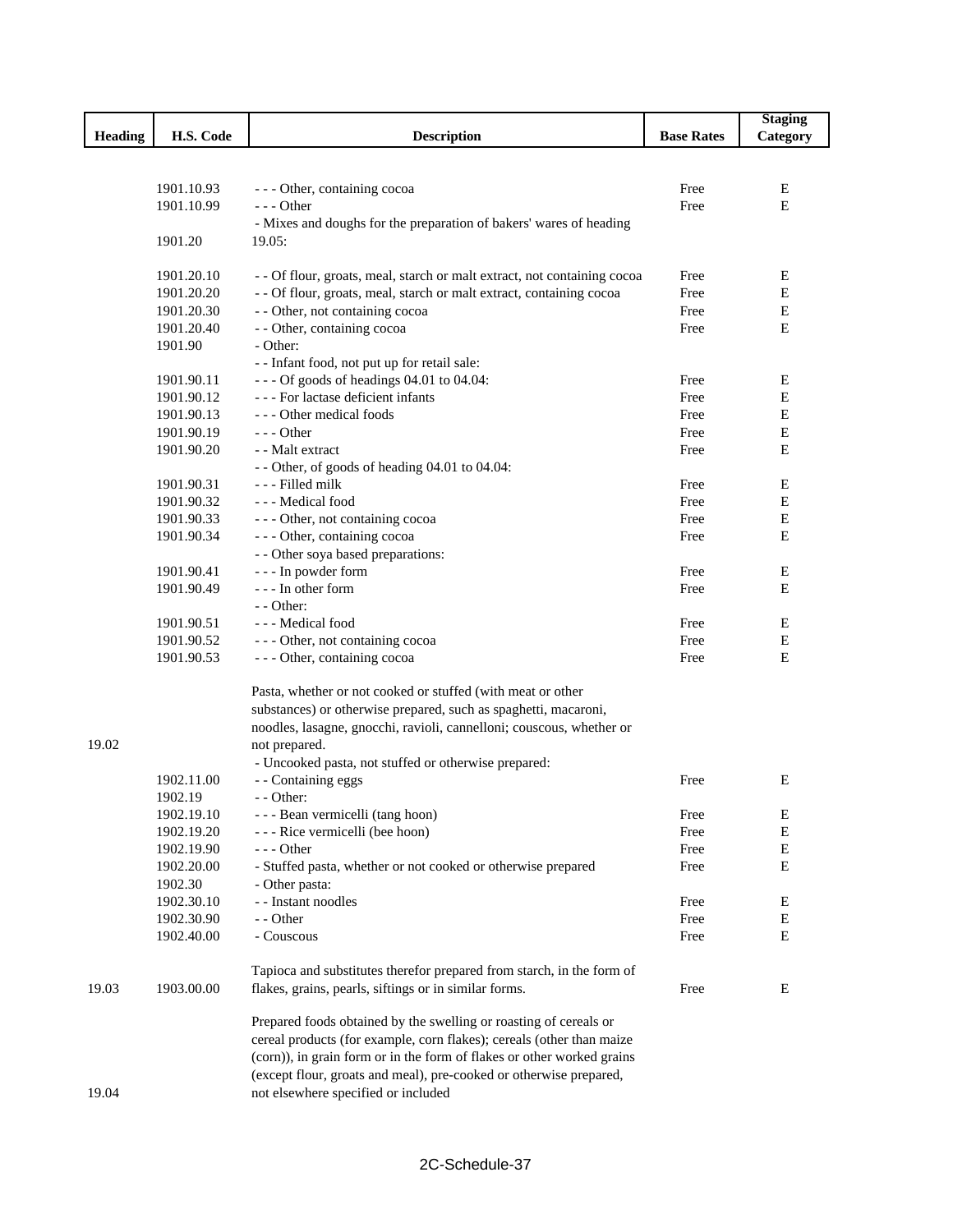|                |            |                                                                          |                   | <b>Staging</b> |
|----------------|------------|--------------------------------------------------------------------------|-------------------|----------------|
| <b>Heading</b> | H.S. Code  | <b>Description</b>                                                       | <b>Base Rates</b> | Category       |
|                |            |                                                                          |                   |                |
|                |            |                                                                          |                   |                |
|                | 1901.10.93 | - - - Other, containing cocoa                                            | Free              | Ε              |
|                | 1901.10.99 | $- -$ Other                                                              | Free              | $\mathbf E$    |
|                |            | - Mixes and doughs for the preparation of bakers' wares of heading       |                   |                |
|                | 1901.20    | 19.05:                                                                   |                   |                |
|                |            |                                                                          |                   |                |
|                | 1901.20.10 | - - Of flour, groats, meal, starch or malt extract, not containing cocoa | Free              | Е              |
|                | 1901.20.20 | - - Of flour, groats, meal, starch or malt extract, containing cocoa     | Free              | Е              |
|                | 1901.20.30 | - - Other, not containing cocoa                                          | Free              | Е              |
|                | 1901.20.40 | - - Other, containing cocoa                                              | Free              | Ε              |
|                | 1901.90    | - Other:                                                                 |                   |                |
|                |            | - - Infant food, not put up for retail sale:                             |                   |                |
|                | 1901.90.11 | --- Of goods of headings 04.01 to 04.04:                                 | Free              | Ε              |
|                | 1901.90.12 | --- For lactase deficient infants                                        | Free              | Ε              |
|                | 1901.90.13 | --- Other medical foods                                                  | Free              | Ε              |
|                | 1901.90.19 | $- -$ Other                                                              | Free              | E              |
|                | 1901.90.20 | - - Malt extract                                                         | Free              | Ε              |
|                |            | - - Other, of goods of heading 04.01 to 04.04:                           |                   |                |
|                | 1901.90.31 | - - - Filled milk                                                        | Free              | Ε              |
|                | 1901.90.32 | - - - Medical food                                                       | Free              | E              |
|                | 1901.90.33 | - - - Other, not containing cocoa                                        | Free              | Ε              |
|                | 1901.90.34 | - - - Other, containing cocoa                                            | Free              | E              |
|                |            | - - Other soya based preparations:                                       |                   |                |
|                | 1901.90.41 | - - - In powder form                                                     | Free              | Ε              |
|                | 1901.90.49 | --- In other form                                                        | Free              | E              |
|                |            | - - Other:                                                               |                   |                |
|                | 1901.90.51 | --- Medical food                                                         | Free              | Ε              |
|                | 1901.90.52 | - - - Other, not containing cocoa                                        | Free              | $\mathbf E$    |
|                | 1901.90.53 | - - - Other, containing cocoa                                            | Free              | E              |
|                |            |                                                                          |                   |                |
|                |            | Pasta, whether or not cooked or stuffed (with meat or other              |                   |                |
|                |            | substances) or otherwise prepared, such as spaghetti, macaroni,          |                   |                |
|                |            | noodles, lasagne, gnocchi, ravioli, cannelloni; couscous, whether or     |                   |                |
| 19.02          |            | not prepared.                                                            |                   |                |
|                |            | - Uncooked pasta, not stuffed or otherwise prepared:                     |                   |                |
|                | 1902.11.00 | - - Containing eggs                                                      | Free              | Ε              |
|                | 1902.19    | - - Other:                                                               |                   |                |
|                | 1902.19.10 | - - - Bean vermicelli (tang hoon)                                        | Free              | E              |
|                | 1902.19.20 | - - - Rice vermicelli (bee hoon)                                         | Free              | Е              |
|                | 1902.19.90 | - - - Other                                                              | Free              | Е              |
|                | 1902.20.00 | - Stuffed pasta, whether or not cooked or otherwise prepared             | Free              | Ε              |
|                | 1902.30    | - Other pasta:                                                           |                   |                |
|                | 1902.30.10 | - - Instant noodles                                                      | Free              | Е              |
|                | 1902.30.90 | - - Other                                                                | Free              | E              |
|                | 1902.40.00 | - Couscous                                                               | Free              | E              |
|                |            |                                                                          |                   |                |
|                |            | Tapioca and substitutes therefor prepared from starch, in the form of    |                   |                |
| 19.03          | 1903.00.00 | flakes, grains, pearls, siftings or in similar forms.                    | Free              | E              |
|                |            | Prepared foods obtained by the swelling or roasting of cereals or        |                   |                |
|                |            | cereal products (for example, corn flakes); cereals (other than maize    |                   |                |
|                |            | (corn)), in grain form or in the form of flakes or other worked grains   |                   |                |
|                |            | (except flour, groats and meal), pre-cooked or otherwise prepared,       |                   |                |
| 19.04          |            | not elsewhere specified or included                                      |                   |                |
|                |            |                                                                          |                   |                |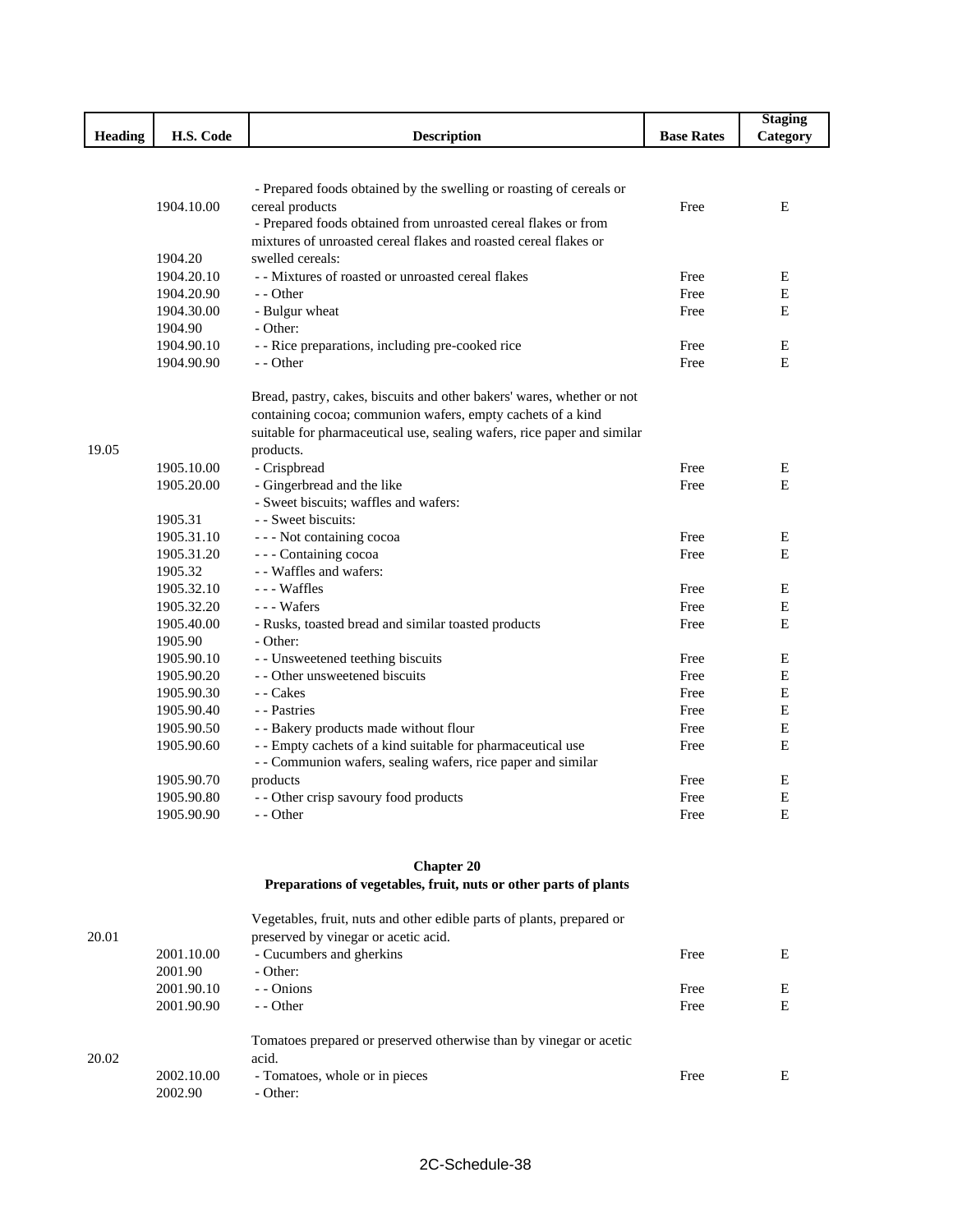|         |            |                                                                         |                   | <b>Staging</b> |
|---------|------------|-------------------------------------------------------------------------|-------------------|----------------|
| Heading | H.S. Code  | <b>Description</b>                                                      | <b>Base Rates</b> | Category       |
|         |            |                                                                         |                   |                |
|         |            |                                                                         |                   |                |
|         |            | - Prepared foods obtained by the swelling or roasting of cereals or     |                   |                |
|         | 1904.10.00 | cereal products                                                         | Free              | Ε              |
|         |            | - Prepared foods obtained from unroasted cereal flakes or from          |                   |                |
|         |            | mixtures of unroasted cereal flakes and roasted cereal flakes or        |                   |                |
|         | 1904.20    | swelled cereals:                                                        |                   |                |
|         | 1904.20.10 | - - Mixtures of roasted or unroasted cereal flakes                      | Free              | Е              |
|         | 1904.20.90 | - - Other                                                               | Free              | Ε              |
|         | 1904.30.00 | - Bulgur wheat                                                          | Free              | E              |
|         | 1904.90    | - Other:                                                                |                   |                |
|         | 1904.90.10 | - - Rice preparations, including pre-cooked rice                        | Free              | Ε              |
|         | 1904.90.90 | - - Other                                                               | Free              | E              |
|         |            |                                                                         |                   |                |
|         |            | Bread, pastry, cakes, biscuits and other bakers' wares, whether or not  |                   |                |
|         |            | containing cocoa; communion wafers, empty cachets of a kind             |                   |                |
|         |            | suitable for pharmaceutical use, sealing wafers, rice paper and similar |                   |                |
| 19.05   |            | products.                                                               |                   |                |
|         | 1905.10.00 | - Crispbread<br>- Gingerbread and the like                              | Free              | E<br>E         |
|         | 1905.20.00 | - Sweet biscuits; waffles and wafers:                                   | Free              |                |
|         | 1905.31    | - - Sweet biscuits:                                                     |                   |                |
|         | 1905.31.10 |                                                                         | Free              | E              |
|         | 1905.31.20 | --- Not containing cocoa<br>- - - Containing cocoa                      | Free              | E              |
|         | 1905.32    | - - Waffles and wafers:                                                 |                   |                |
|         | 1905.32.10 | - - - Waffles                                                           | Free              | Ε              |
|         | 1905.32.20 | - - - Wafers                                                            | Free              | E              |
|         | 1905.40.00 | - Rusks, toasted bread and similar toasted products                     | Free              | E              |
|         | 1905.90    | - Other:                                                                |                   |                |
|         | 1905.90.10 | - - Unsweetened teething biscuits                                       | Free              | Е              |
|         | 1905.90.20 | - - Other unsweetened biscuits                                          | Free              | $\mathbf E$    |
|         | 1905.90.30 | - - Cakes                                                               | Free              | Е              |
|         | 1905.90.40 | - - Pastries                                                            | Free              | E              |
|         | 1905.90.50 | - - Bakery products made without flour                                  | Free              | ${\bf E}$      |
|         | 1905.90.60 | - - Empty cachets of a kind suitable for pharmaceutical use             | Free              | E              |
|         |            | - - Communion wafers, sealing wafers, rice paper and similar            |                   |                |
|         | 1905.90.70 | products                                                                | Free              | E              |
|         | 1905.90.80 | - - Other crisp savoury food products                                   | Free              | E              |
|         | 1905.90.90 | - - Other                                                               | Free              | Ε              |
|         |            |                                                                         |                   |                |
|         |            |                                                                         |                   |                |
|         |            | <b>Chapter 20</b>                                                       |                   |                |
|         |            | Preparations of vegetables, fruit, nuts or other parts of plants        |                   |                |
|         |            | Vegetables, fruit, nuts and other edible parts of plants, prepared or   |                   |                |
| 20.01   |            | preserved by vinegar or acetic acid.                                    |                   |                |
|         | 2001.10.00 | - Cucumbers and gherkins                                                | Free              | E              |
|         | 2001.90    | - Other:                                                                |                   |                |
|         | 2001.90.10 | - - Onions                                                              | Free              | E              |
|         | 2001.90.90 | - - Other                                                               | Free              | E              |
|         |            |                                                                         |                   |                |
|         |            | Tomatoes prepared or preserved otherwise than by vinegar or acetic      |                   |                |
| 20.02   |            | acid.                                                                   |                   |                |
|         | 2002.10.00 | - Tomatoes, whole or in pieces                                          | Free              | E              |

2002.90 - Other: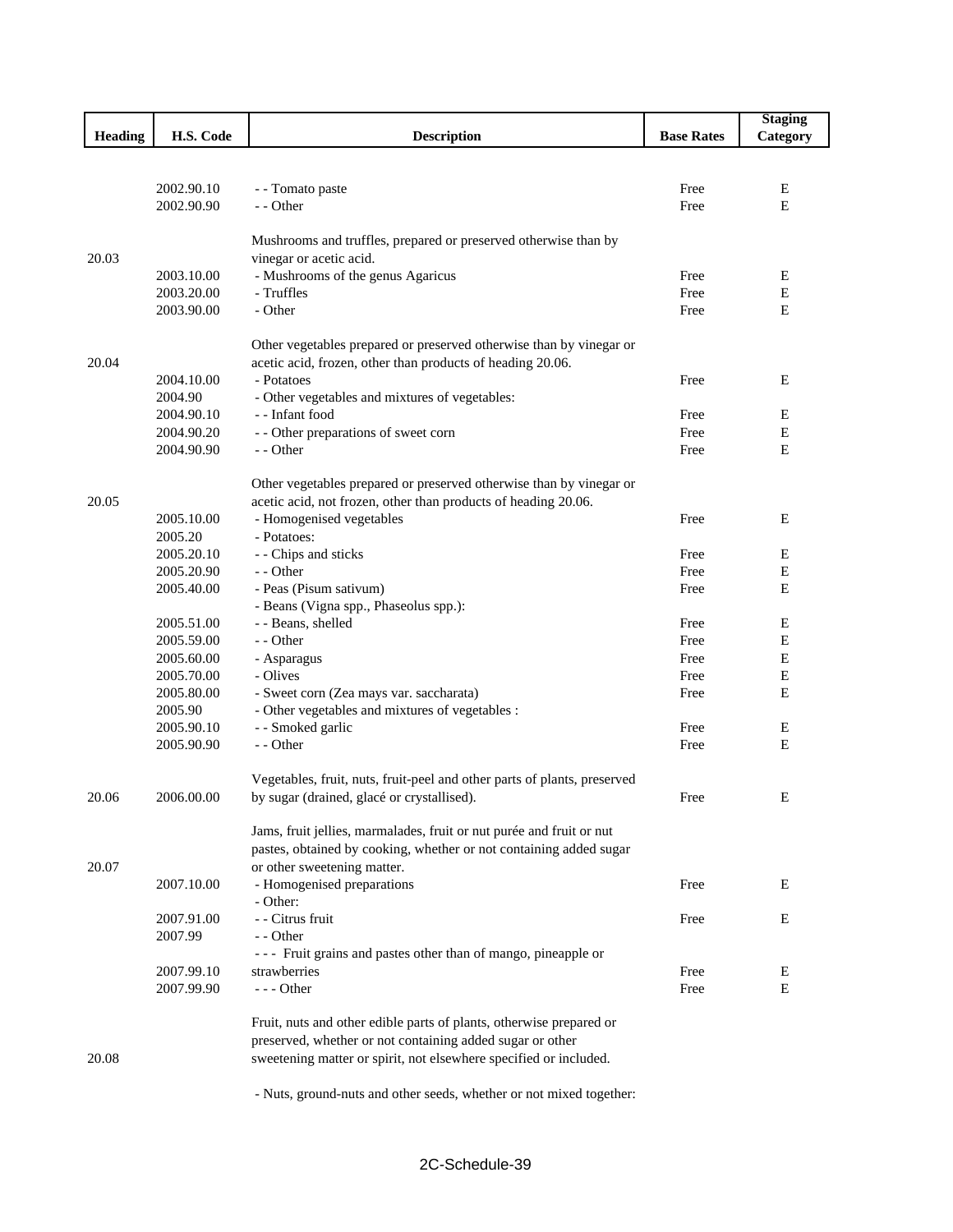|                |            |                                                                          |                   | <b>Staging</b> |
|----------------|------------|--------------------------------------------------------------------------|-------------------|----------------|
| <b>Heading</b> | H.S. Code  | <b>Description</b>                                                       | <b>Base Rates</b> | Category       |
|                |            |                                                                          |                   |                |
|                |            |                                                                          |                   |                |
|                | 2002.90.10 | - - Tomato paste                                                         | Free              | Е              |
|                | 2002.90.90 | - - Other                                                                | Free              | E              |
|                |            |                                                                          |                   |                |
|                |            | Mushrooms and truffles, prepared or preserved otherwise than by          |                   |                |
| 20.03          |            | vinegar or acetic acid.                                                  |                   |                |
|                | 2003.10.00 | - Mushrooms of the genus Agaricus                                        | Free              | Е              |
|                | 2003.20.00 | - Truffles                                                               | Free              | Е              |
|                | 2003.90.00 | - Other                                                                  | Free              | Е              |
|                |            |                                                                          |                   |                |
|                |            | Other vegetables prepared or preserved otherwise than by vinegar or      |                   |                |
| 20.04          |            | acetic acid, frozen, other than products of heading 20.06.               |                   |                |
|                | 2004.10.00 | - Potatoes                                                               | Free              | Е              |
|                | 2004.90    | - Other vegetables and mixtures of vegetables:                           |                   |                |
|                | 2004.90.10 | - - Infant food                                                          | Free              | Ε              |
|                | 2004.90.20 | - - Other preparations of sweet corn                                     | Free              | E              |
|                | 2004.90.90 | - - Other                                                                | Free              | Е              |
|                |            |                                                                          |                   |                |
|                |            | Other vegetables prepared or preserved otherwise than by vinegar or      |                   |                |
| 20.05          |            | acetic acid, not frozen, other than products of heading 20.06.           |                   |                |
|                | 2005.10.00 | - Homogenised vegetables                                                 | Free              | E              |
|                | 2005.20    | - Potatoes:                                                              |                   |                |
|                | 2005.20.10 | - - Chips and sticks                                                     | Free              | Е              |
|                | 2005.20.90 | - - Other                                                                | Free              | Е              |
|                | 2005.40.00 | - Peas (Pisum sativum)                                                   | Free              | E              |
|                |            | - Beans (Vigna spp., Phaseolus spp.):                                    |                   |                |
|                | 2005.51.00 | - - Beans, shelled                                                       | Free              | Е              |
|                | 2005.59.00 | - - Other                                                                | Free              | Е              |
|                | 2005.60.00 | - Asparagus                                                              | Free              | Е              |
|                | 2005.70.00 | - Olives                                                                 | Free              | Е              |
|                | 2005.80.00 | - Sweet corn (Zea mays var. saccharata)                                  | Free              | Е              |
|                | 2005.90    | - Other vegetables and mixtures of vegetables :                          |                   |                |
|                | 2005.90.10 | - - Smoked garlic                                                        | Free              | Е              |
|                | 2005.90.90 | - - Other                                                                | Free              | E              |
|                |            |                                                                          |                   |                |
|                |            | Vegetables, fruit, nuts, fruit-peel and other parts of plants, preserved |                   |                |
| 20.06          | 2006.00.00 | by sugar (drained, glacé or crystallised).                               | Free              | Е              |
|                |            |                                                                          |                   |                |
|                |            | Jams, fruit jellies, marmalades, fruit or nut purée and fruit or nut     |                   |                |
|                |            | pastes, obtained by cooking, whether or not containing added sugar       |                   |                |
| 20.07          |            | or other sweetening matter.                                              |                   |                |
|                | 2007.10.00 | - Homogenised preparations                                               | Free              | Е              |
|                |            | - Other:                                                                 |                   |                |
|                | 2007.91.00 | - - Citrus fruit                                                         | Free              | Е              |
|                | 2007.99    | - - Other                                                                |                   |                |
|                |            | --- Fruit grains and pastes other than of mango, pineapple or            |                   |                |
|                | 2007.99.10 | strawberries                                                             | Free              | Ε              |
|                | 2007.99.90 | $--$ Other                                                               | Free              | E              |
|                |            |                                                                          |                   |                |
|                |            | Fruit, nuts and other edible parts of plants, otherwise prepared or      |                   |                |
|                |            | preserved, whether or not containing added sugar or other                |                   |                |
| 20.08          |            | sweetening matter or spirit, not elsewhere specified or included.        |                   |                |
|                |            |                                                                          |                   |                |
|                |            | - Nuts, ground-nuts and other seeds, whether or not mixed together:      |                   |                |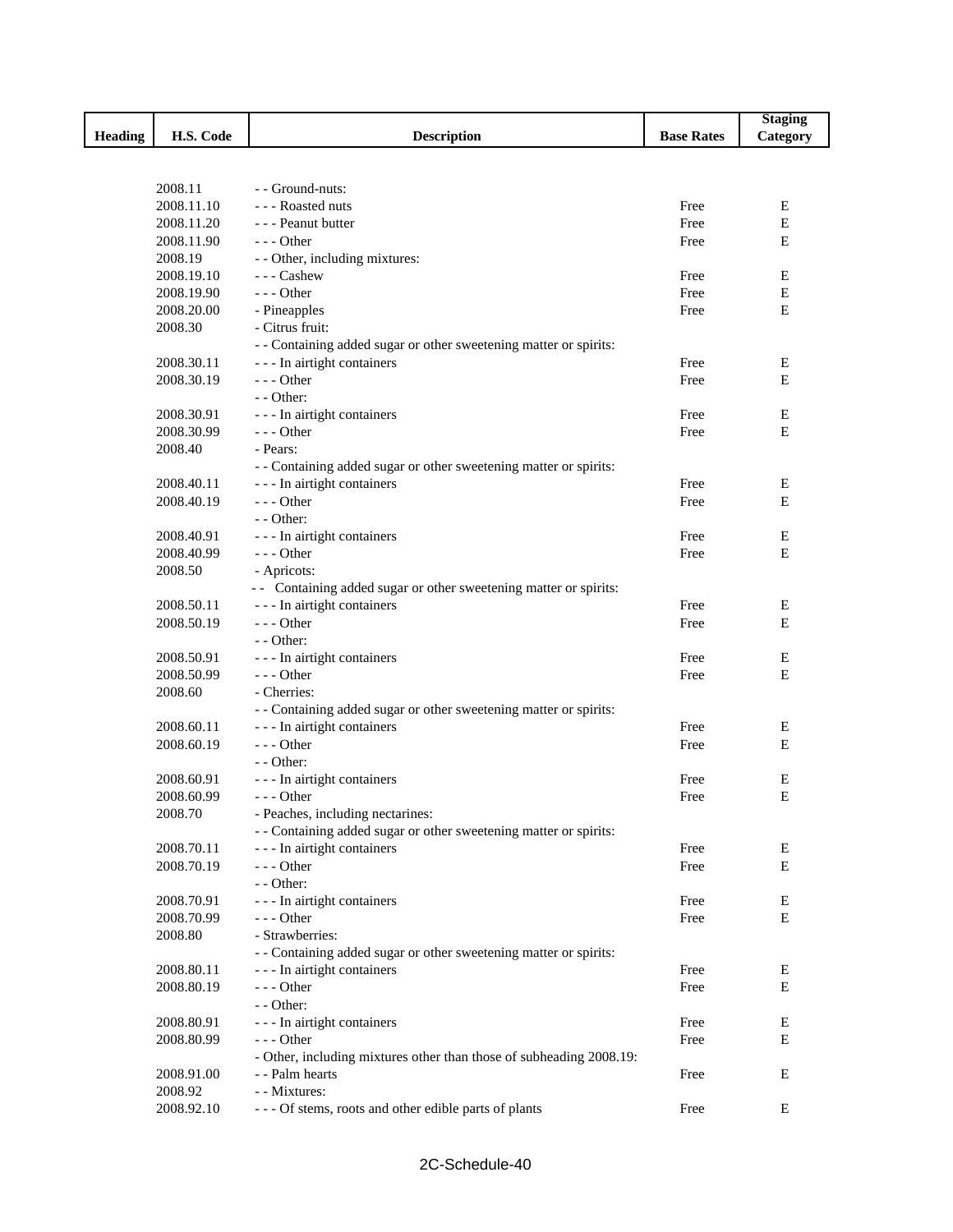|                |            |                                                                     |                   | <b>Staging</b> |
|----------------|------------|---------------------------------------------------------------------|-------------------|----------------|
| <b>Heading</b> | H.S. Code  | <b>Description</b>                                                  | <b>Base Rates</b> | Category       |
|                |            |                                                                     |                   |                |
|                |            |                                                                     |                   |                |
|                | 2008.11    | - Ground-nuts:                                                      |                   |                |
|                | 2008.11.10 | --- Roasted nuts                                                    | Free              | Е              |
|                | 2008.11.20 | - - - Peanut butter                                                 | Free              | $\mathbf E$    |
|                | 2008.11.90 | $--$ Other                                                          | Free              | E              |
|                | 2008.19    | - - Other, including mixtures:                                      |                   |                |
|                | 2008.19.10 | $--$ Cashew                                                         | Free              | Е              |
|                | 2008.19.90 | $--$ Other                                                          | Free              | E              |
|                | 2008.20.00 | - Pineapples                                                        | Free              | E              |
|                | 2008.30    | - Citrus fruit:                                                     |                   |                |
|                |            | - - Containing added sugar or other sweetening matter or spirits:   |                   |                |
|                | 2008.30.11 | - - - In airtight containers                                        | Free              | E              |
|                | 2008.30.19 | $- -$ Other                                                         | Free              | Е              |
|                |            | $-$ - Other:                                                        |                   |                |
|                | 2008.30.91 | --- In airtight containers                                          | Free              | Е              |
|                | 2008.30.99 | $--$ Other                                                          | Free              | E              |
|                | 2008.40    | - Pears:                                                            |                   |                |
|                |            | - - Containing added sugar or other sweetening matter or spirits:   |                   |                |
|                | 2008.40.11 | - - - In airtight containers                                        | Free              | Ε              |
|                | 2008.40.19 | $--$ Other                                                          | Free              | E              |
|                |            | $-$ - Other:                                                        |                   |                |
|                | 2008.40.91 | --- In airtight containers                                          | Free              | E              |
|                | 2008.40.99 | $--$ Other                                                          | Free              | E              |
|                | 2008.50    | - Apricots:                                                         |                   |                |
|                |            | - - Containing added sugar or other sweetening matter or spirits:   |                   |                |
|                | 2008.50.11 | --- In airtight containers                                          | Free              | Ε              |
|                | 2008.50.19 | $--$ Other                                                          | Free              | E              |
|                |            | $-$ - Other:                                                        |                   |                |
|                | 2008.50.91 | --- In airtight containers                                          | Free              | Е              |
|                | 2008.50.99 | $--$ Other                                                          | Free              | Ε              |
|                | 2008.60    | - Cherries:                                                         |                   |                |
|                |            | - - Containing added sugar or other sweetening matter or spirits:   |                   |                |
|                | 2008.60.11 | - - - In airtight containers                                        | Free              | Е              |
|                | 2008.60.19 | $--$ Other                                                          | Free              | E              |
|                |            | $-$ - Other:                                                        |                   |                |
|                | 2008.60.91 | --- In airtight containers                                          | Free              | Е              |
|                | 2008.60.99 | - - - Other                                                         | Free              | E              |
|                | 2008.70    | - Peaches, including nectarines:                                    |                   |                |
|                |            | - - Containing added sugar or other sweetening matter or spirits:   |                   |                |
|                | 2008.70.11 | - - - In airtight containers                                        | Free              | E              |
|                | 2008.70.19 | $--$ Other                                                          | Free              | Е              |
|                |            | - - Other:                                                          |                   |                |
|                | 2008.70.91 | - - - In airtight containers                                        | Free              | Ε              |
|                | 2008.70.99 | $- -$ Other                                                         | Free              | Е              |
|                | 2008.80    | - Strawberries:                                                     |                   |                |
|                |            | - - Containing added sugar or other sweetening matter or spirits:   |                   |                |
|                | 2008.80.11 | - - - In airtight containers                                        | Free              | Е              |
|                | 2008.80.19 | --- Other                                                           | Free              | Е              |
|                |            | $-$ - Other:                                                        |                   |                |
|                | 2008.80.91 | --- In airtight containers                                          | Free              | Ε              |
|                | 2008.80.99 | --- Other                                                           | Free              | Ε              |
|                |            | - Other, including mixtures other than those of subheading 2008.19: |                   |                |
|                | 2008.91.00 | - - Palm hearts                                                     | Free              | Ε              |
|                | 2008.92    | - - Mixtures:                                                       |                   |                |
|                | 2008.92.10 | --- Of stems, roots and other edible parts of plants                | Free              | E              |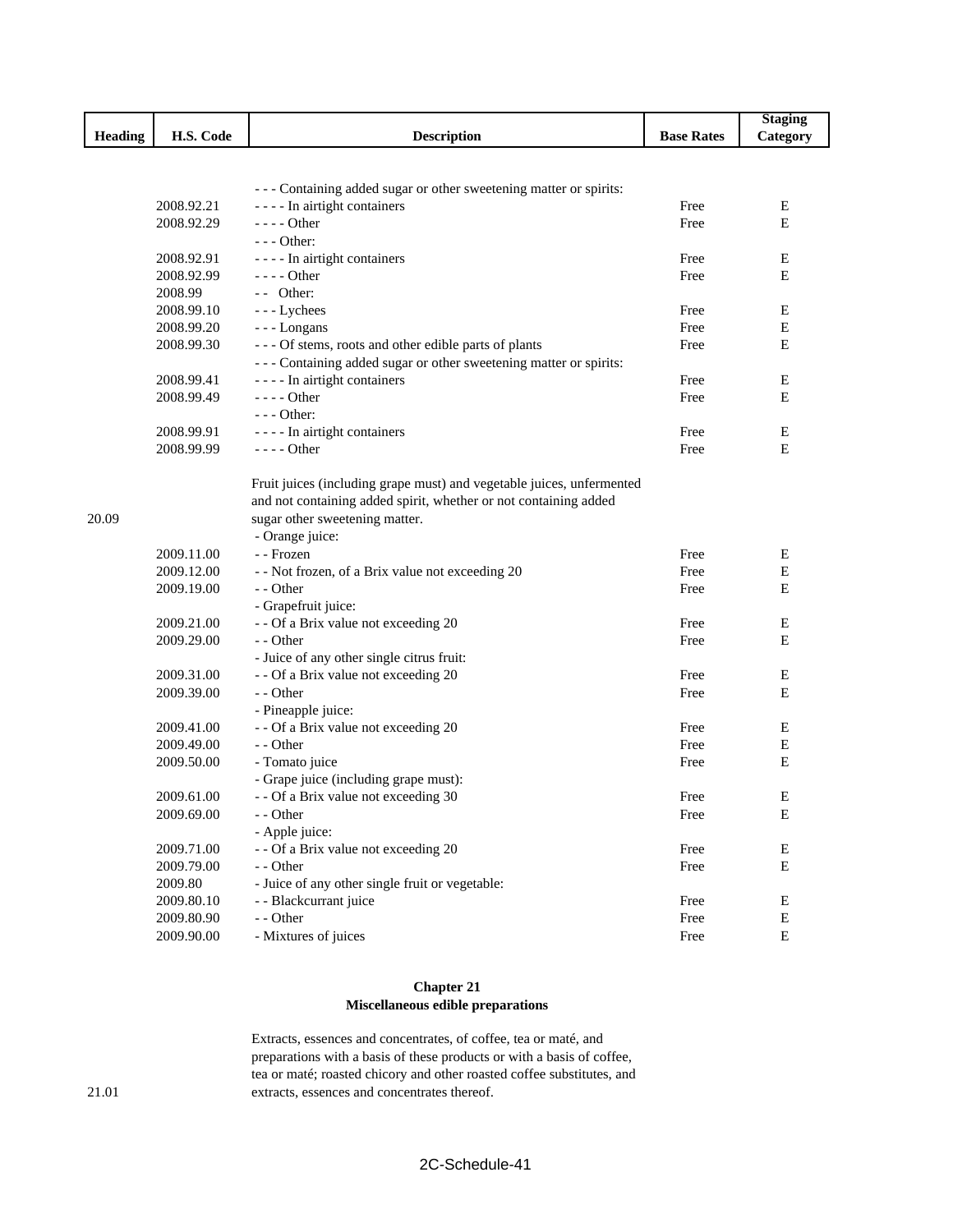| Heading<br>H.S. Code<br><b>Description</b><br><b>Base Rates</b><br>--- Containing added sugar or other sweetening matter or spirits:<br>2008.92.21<br>- - - - In airtight containers<br>Free<br>2008.92.29<br>- - - - Other<br>Free<br>$--$ Other:<br>---- In airtight containers<br>2008.92.91<br>Free<br>2008.92.99<br>- - - - Other<br>Free<br>$-$ Other:<br>2008.99<br>2008.99.10<br>--- Lychees<br>Free<br>Free<br>2008.99.20<br>--- Longans<br>2008.99.30<br>--- Of stems, roots and other edible parts of plants<br>Free<br>--- Containing added sugar or other sweetening matter or spirits:<br>2008.99.41<br>- - - - In airtight containers<br>Free<br>2008.99.49<br>$--- Other$<br>Free<br>$--$ Other: | <b>Staging</b><br>Category<br>Ε<br>Е<br>Е<br>E<br>Е<br>E<br>E |
|------------------------------------------------------------------------------------------------------------------------------------------------------------------------------------------------------------------------------------------------------------------------------------------------------------------------------------------------------------------------------------------------------------------------------------------------------------------------------------------------------------------------------------------------------------------------------------------------------------------------------------------------------------------------------------------------------------------|---------------------------------------------------------------|
|                                                                                                                                                                                                                                                                                                                                                                                                                                                                                                                                                                                                                                                                                                                  |                                                               |
|                                                                                                                                                                                                                                                                                                                                                                                                                                                                                                                                                                                                                                                                                                                  |                                                               |
|                                                                                                                                                                                                                                                                                                                                                                                                                                                                                                                                                                                                                                                                                                                  |                                                               |
|                                                                                                                                                                                                                                                                                                                                                                                                                                                                                                                                                                                                                                                                                                                  |                                                               |
|                                                                                                                                                                                                                                                                                                                                                                                                                                                                                                                                                                                                                                                                                                                  |                                                               |
|                                                                                                                                                                                                                                                                                                                                                                                                                                                                                                                                                                                                                                                                                                                  |                                                               |
|                                                                                                                                                                                                                                                                                                                                                                                                                                                                                                                                                                                                                                                                                                                  |                                                               |
|                                                                                                                                                                                                                                                                                                                                                                                                                                                                                                                                                                                                                                                                                                                  |                                                               |
|                                                                                                                                                                                                                                                                                                                                                                                                                                                                                                                                                                                                                                                                                                                  |                                                               |
|                                                                                                                                                                                                                                                                                                                                                                                                                                                                                                                                                                                                                                                                                                                  |                                                               |
|                                                                                                                                                                                                                                                                                                                                                                                                                                                                                                                                                                                                                                                                                                                  |                                                               |
|                                                                                                                                                                                                                                                                                                                                                                                                                                                                                                                                                                                                                                                                                                                  |                                                               |
|                                                                                                                                                                                                                                                                                                                                                                                                                                                                                                                                                                                                                                                                                                                  |                                                               |
|                                                                                                                                                                                                                                                                                                                                                                                                                                                                                                                                                                                                                                                                                                                  |                                                               |
|                                                                                                                                                                                                                                                                                                                                                                                                                                                                                                                                                                                                                                                                                                                  | E                                                             |
|                                                                                                                                                                                                                                                                                                                                                                                                                                                                                                                                                                                                                                                                                                                  | E                                                             |
|                                                                                                                                                                                                                                                                                                                                                                                                                                                                                                                                                                                                                                                                                                                  |                                                               |
| 2008.99.91<br>---- In airtight containers<br>Free                                                                                                                                                                                                                                                                                                                                                                                                                                                                                                                                                                                                                                                                | Ε                                                             |
| 2008.99.99<br>$---$ Other<br>Free                                                                                                                                                                                                                                                                                                                                                                                                                                                                                                                                                                                                                                                                                | Е                                                             |
| Fruit juices (including grape must) and vegetable juices, unfermented                                                                                                                                                                                                                                                                                                                                                                                                                                                                                                                                                                                                                                            |                                                               |
| and not containing added spirit, whether or not containing added                                                                                                                                                                                                                                                                                                                                                                                                                                                                                                                                                                                                                                                 |                                                               |
| sugar other sweetening matter.<br>20.09                                                                                                                                                                                                                                                                                                                                                                                                                                                                                                                                                                                                                                                                          |                                                               |
| - Orange juice:                                                                                                                                                                                                                                                                                                                                                                                                                                                                                                                                                                                                                                                                                                  |                                                               |
| 2009.11.00<br>- - Frozen<br>Free                                                                                                                                                                                                                                                                                                                                                                                                                                                                                                                                                                                                                                                                                 | Ε                                                             |
| 2009.12.00<br>Free<br>- - Not frozen, of a Brix value not exceeding 20                                                                                                                                                                                                                                                                                                                                                                                                                                                                                                                                                                                                                                           | E                                                             |
| 2009.19.00<br>- - Other<br>Free                                                                                                                                                                                                                                                                                                                                                                                                                                                                                                                                                                                                                                                                                  | E                                                             |
| - Grapefruit juice:                                                                                                                                                                                                                                                                                                                                                                                                                                                                                                                                                                                                                                                                                              |                                                               |
| 2009.21.00<br>- - Of a Brix value not exceeding 20<br>Free                                                                                                                                                                                                                                                                                                                                                                                                                                                                                                                                                                                                                                                       | E                                                             |
| 2009.29.00<br>- - Other<br>Free                                                                                                                                                                                                                                                                                                                                                                                                                                                                                                                                                                                                                                                                                  | Е                                                             |
| - Juice of any other single citrus fruit:                                                                                                                                                                                                                                                                                                                                                                                                                                                                                                                                                                                                                                                                        |                                                               |
| 2009.31.00<br>- - Of a Brix value not exceeding 20<br>Free                                                                                                                                                                                                                                                                                                                                                                                                                                                                                                                                                                                                                                                       | Е                                                             |
| 2009.39.00<br>- - Other<br>Free                                                                                                                                                                                                                                                                                                                                                                                                                                                                                                                                                                                                                                                                                  | E                                                             |
| - Pineapple juice:                                                                                                                                                                                                                                                                                                                                                                                                                                                                                                                                                                                                                                                                                               |                                                               |
| 2009.41.00<br>- - Of a Brix value not exceeding 20<br>Free                                                                                                                                                                                                                                                                                                                                                                                                                                                                                                                                                                                                                                                       | E                                                             |
| 2009.49.00<br>- - Other<br>Free                                                                                                                                                                                                                                                                                                                                                                                                                                                                                                                                                                                                                                                                                  | E                                                             |
| 2009.50.00<br>- Tomato juice<br>Free                                                                                                                                                                                                                                                                                                                                                                                                                                                                                                                                                                                                                                                                             | Е                                                             |
| - Grape juice (including grape must):                                                                                                                                                                                                                                                                                                                                                                                                                                                                                                                                                                                                                                                                            |                                                               |
| 2009.61.00<br>- - Of a Brix value not exceeding 30<br>Free                                                                                                                                                                                                                                                                                                                                                                                                                                                                                                                                                                                                                                                       | E                                                             |
| 2009.69.00<br>- - Other<br>Free                                                                                                                                                                                                                                                                                                                                                                                                                                                                                                                                                                                                                                                                                  | Ε                                                             |
| - Apple juice:                                                                                                                                                                                                                                                                                                                                                                                                                                                                                                                                                                                                                                                                                                   |                                                               |
| 2009.71.00<br>- - Of a Brix value not exceeding 20<br>Free                                                                                                                                                                                                                                                                                                                                                                                                                                                                                                                                                                                                                                                       | E                                                             |
| 2009.79.00<br>- - Other<br>Free                                                                                                                                                                                                                                                                                                                                                                                                                                                                                                                                                                                                                                                                                  | ${\bf E}$                                                     |
| 2009.80<br>- Juice of any other single fruit or vegetable:                                                                                                                                                                                                                                                                                                                                                                                                                                                                                                                                                                                                                                                       |                                                               |
| - - Blackcurrant juice<br>2009.80.10<br>Free                                                                                                                                                                                                                                                                                                                                                                                                                                                                                                                                                                                                                                                                     | Е                                                             |
| 2009.80.90<br>- - Other<br>Free                                                                                                                                                                                                                                                                                                                                                                                                                                                                                                                                                                                                                                                                                  |                                                               |
| - Mixtures of juices<br>${\bf E}$<br>2009.90.00<br>Free                                                                                                                                                                                                                                                                                                                                                                                                                                                                                                                                                                                                                                                          | E                                                             |

## **Chapter 21 Miscellaneous edible preparations**

Extracts, essences and concentrates, of coffee, tea or maté, and preparations with a basis of these products or with a basis of coffee, tea or maté; roasted chicory and other roasted coffee substitutes, and extracts, essences and concentrates thereof.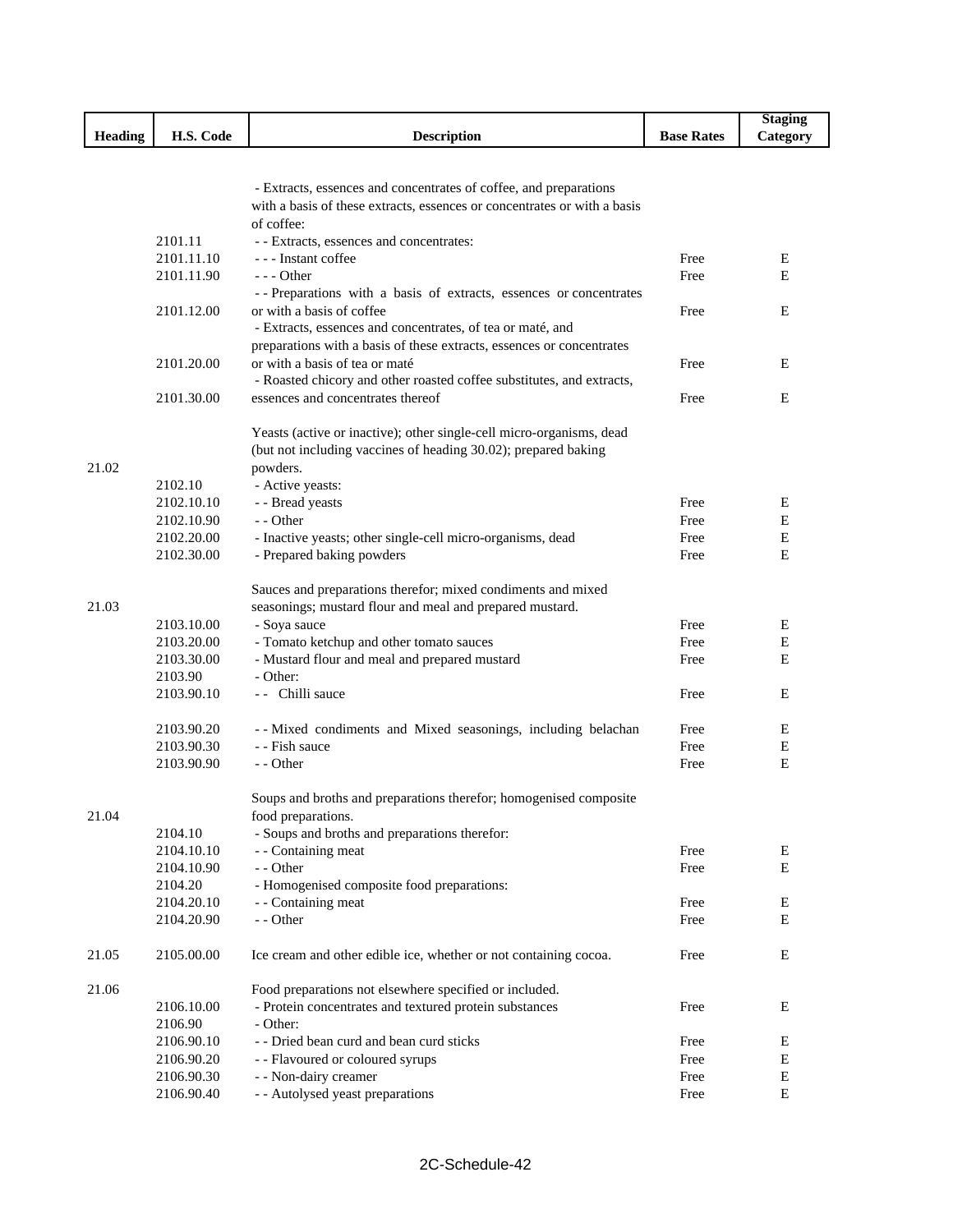| <b>Heading</b><br>H.S. Code<br><b>Description</b><br><b>Base Rates</b><br>Category<br>- Extracts, essences and concentrates of coffee, and preparations<br>with a basis of these extracts, essences or concentrates or with a basis<br>of coffee:<br>2101.11<br>- - Extracts, essences and concentrates:<br>2101.11.10<br>--- Instant coffee<br>Free<br>Ε<br>2101.11.90<br>$--$ Other<br>Е<br>Free<br>-- Preparations with a basis of extracts, essences or concentrates<br>2101.12.00<br>or with a basis of coffee<br>Free<br>E<br>- Extracts, essences and concentrates, of tea or maté, and<br>preparations with a basis of these extracts, essences or concentrates<br>2101.20.00<br>or with a basis of tea or maté<br>Free<br>Ε<br>- Roasted chicory and other roasted coffee substitutes, and extracts,<br>2101.30.00<br>essences and concentrates thereof<br>E<br>Free<br>Yeasts (active or inactive); other single-cell micro-organisms, dead<br>(but not including vaccines of heading 30.02); prepared baking<br>21.02<br>powders.<br>2102.10<br>- Active yeasts:<br>2102.10.10<br>- - Bread yeasts<br>Е<br>Free<br>E<br>- - Other<br>2102.10.90<br>Free<br>2102.20.00<br>- Inactive yeasts; other single-cell micro-organisms, dead<br>Ε<br>Free<br>E<br>2102.30.00<br>- Prepared baking powders<br>Free<br>Sauces and preparations therefor; mixed condiments and mixed<br>seasonings; mustard flour and meal and prepared mustard.<br>21.03<br>2103.10.00<br>- Soya sauce<br>Free<br>Ε<br>- Tomato ketchup and other tomato sauces<br>Ε<br>2103.20.00<br>Free<br>- Mustard flour and meal and prepared mustard<br>E<br>2103.30.00<br>Free<br>- Other:<br>2103.90<br>2103.90.10<br>-- Chilli sauce<br>E<br>Free<br>2103.90.20<br>-- Mixed condiments and Mixed seasonings, including belachan<br>Free<br>Ε<br>- - Fish sauce<br>2103.90.30<br>Free<br>Ε<br>2103.90.90<br>- - Other<br>Е<br>Free<br>Soups and broths and preparations therefor; homogenised composite<br>food preparations.<br>21.04<br>2104.10<br>- Soups and broths and preparations therefor:<br>2104.10.10<br>- - Containing meat<br>Free<br>Е<br>- - Other<br>Е<br>2104.10.90<br>Free<br>- Homogenised composite food preparations:<br>2104.20<br>2104.20.10<br>- - Containing meat<br>Free<br>Ε<br>2104.20.90<br>E<br>- - Other<br>Free<br>2105.00.00<br>E<br>21.05<br>Ice cream and other edible ice, whether or not containing cocoa.<br>Free<br>21.06<br>Food preparations not elsewhere specified or included.<br>2106.10.00<br>- Protein concentrates and textured protein substances<br>Е<br>Free<br>2106.90<br>- Other:<br>- - Dried bean curd and bean curd sticks<br>2106.90.10<br>Е<br>Free<br>${\bf E}$<br>2106.90.20<br>- - Flavoured or coloured syrups<br>Free<br>${\bf E}$<br>2106.90.30<br>- - Non-dairy creamer<br>Free |            |                                  |      | <b>Staging</b> |
|---------------------------------------------------------------------------------------------------------------------------------------------------------------------------------------------------------------------------------------------------------------------------------------------------------------------------------------------------------------------------------------------------------------------------------------------------------------------------------------------------------------------------------------------------------------------------------------------------------------------------------------------------------------------------------------------------------------------------------------------------------------------------------------------------------------------------------------------------------------------------------------------------------------------------------------------------------------------------------------------------------------------------------------------------------------------------------------------------------------------------------------------------------------------------------------------------------------------------------------------------------------------------------------------------------------------------------------------------------------------------------------------------------------------------------------------------------------------------------------------------------------------------------------------------------------------------------------------------------------------------------------------------------------------------------------------------------------------------------------------------------------------------------------------------------------------------------------------------------------------------------------------------------------------------------------------------------------------------------------------------------------------------------------------------------------------------------------------------------------------------------------------------------------------------------------------------------------------------------------------------------------------------------------------------------------------------------------------------------------------------------------------------------------------------------------------------------------------------------------------------------------------------------------------------------------------------------------------------------------------------------------------------------------------------------------------------------------------------------------------------------------------------------------------------------------------------|------------|----------------------------------|------|----------------|
|                                                                                                                                                                                                                                                                                                                                                                                                                                                                                                                                                                                                                                                                                                                                                                                                                                                                                                                                                                                                                                                                                                                                                                                                                                                                                                                                                                                                                                                                                                                                                                                                                                                                                                                                                                                                                                                                                                                                                                                                                                                                                                                                                                                                                                                                                                                                                                                                                                                                                                                                                                                                                                                                                                                                                                                                                           |            |                                  |      |                |
|                                                                                                                                                                                                                                                                                                                                                                                                                                                                                                                                                                                                                                                                                                                                                                                                                                                                                                                                                                                                                                                                                                                                                                                                                                                                                                                                                                                                                                                                                                                                                                                                                                                                                                                                                                                                                                                                                                                                                                                                                                                                                                                                                                                                                                                                                                                                                                                                                                                                                                                                                                                                                                                                                                                                                                                                                           |            |                                  |      |                |
|                                                                                                                                                                                                                                                                                                                                                                                                                                                                                                                                                                                                                                                                                                                                                                                                                                                                                                                                                                                                                                                                                                                                                                                                                                                                                                                                                                                                                                                                                                                                                                                                                                                                                                                                                                                                                                                                                                                                                                                                                                                                                                                                                                                                                                                                                                                                                                                                                                                                                                                                                                                                                                                                                                                                                                                                                           |            |                                  |      |                |
|                                                                                                                                                                                                                                                                                                                                                                                                                                                                                                                                                                                                                                                                                                                                                                                                                                                                                                                                                                                                                                                                                                                                                                                                                                                                                                                                                                                                                                                                                                                                                                                                                                                                                                                                                                                                                                                                                                                                                                                                                                                                                                                                                                                                                                                                                                                                                                                                                                                                                                                                                                                                                                                                                                                                                                                                                           |            |                                  |      |                |
|                                                                                                                                                                                                                                                                                                                                                                                                                                                                                                                                                                                                                                                                                                                                                                                                                                                                                                                                                                                                                                                                                                                                                                                                                                                                                                                                                                                                                                                                                                                                                                                                                                                                                                                                                                                                                                                                                                                                                                                                                                                                                                                                                                                                                                                                                                                                                                                                                                                                                                                                                                                                                                                                                                                                                                                                                           |            |                                  |      |                |
|                                                                                                                                                                                                                                                                                                                                                                                                                                                                                                                                                                                                                                                                                                                                                                                                                                                                                                                                                                                                                                                                                                                                                                                                                                                                                                                                                                                                                                                                                                                                                                                                                                                                                                                                                                                                                                                                                                                                                                                                                                                                                                                                                                                                                                                                                                                                                                                                                                                                                                                                                                                                                                                                                                                                                                                                                           |            |                                  |      |                |
|                                                                                                                                                                                                                                                                                                                                                                                                                                                                                                                                                                                                                                                                                                                                                                                                                                                                                                                                                                                                                                                                                                                                                                                                                                                                                                                                                                                                                                                                                                                                                                                                                                                                                                                                                                                                                                                                                                                                                                                                                                                                                                                                                                                                                                                                                                                                                                                                                                                                                                                                                                                                                                                                                                                                                                                                                           |            |                                  |      |                |
|                                                                                                                                                                                                                                                                                                                                                                                                                                                                                                                                                                                                                                                                                                                                                                                                                                                                                                                                                                                                                                                                                                                                                                                                                                                                                                                                                                                                                                                                                                                                                                                                                                                                                                                                                                                                                                                                                                                                                                                                                                                                                                                                                                                                                                                                                                                                                                                                                                                                                                                                                                                                                                                                                                                                                                                                                           |            |                                  |      |                |
|                                                                                                                                                                                                                                                                                                                                                                                                                                                                                                                                                                                                                                                                                                                                                                                                                                                                                                                                                                                                                                                                                                                                                                                                                                                                                                                                                                                                                                                                                                                                                                                                                                                                                                                                                                                                                                                                                                                                                                                                                                                                                                                                                                                                                                                                                                                                                                                                                                                                                                                                                                                                                                                                                                                                                                                                                           |            |                                  |      |                |
|                                                                                                                                                                                                                                                                                                                                                                                                                                                                                                                                                                                                                                                                                                                                                                                                                                                                                                                                                                                                                                                                                                                                                                                                                                                                                                                                                                                                                                                                                                                                                                                                                                                                                                                                                                                                                                                                                                                                                                                                                                                                                                                                                                                                                                                                                                                                                                                                                                                                                                                                                                                                                                                                                                                                                                                                                           |            |                                  |      |                |
|                                                                                                                                                                                                                                                                                                                                                                                                                                                                                                                                                                                                                                                                                                                                                                                                                                                                                                                                                                                                                                                                                                                                                                                                                                                                                                                                                                                                                                                                                                                                                                                                                                                                                                                                                                                                                                                                                                                                                                                                                                                                                                                                                                                                                                                                                                                                                                                                                                                                                                                                                                                                                                                                                                                                                                                                                           |            |                                  |      |                |
|                                                                                                                                                                                                                                                                                                                                                                                                                                                                                                                                                                                                                                                                                                                                                                                                                                                                                                                                                                                                                                                                                                                                                                                                                                                                                                                                                                                                                                                                                                                                                                                                                                                                                                                                                                                                                                                                                                                                                                                                                                                                                                                                                                                                                                                                                                                                                                                                                                                                                                                                                                                                                                                                                                                                                                                                                           |            |                                  |      |                |
|                                                                                                                                                                                                                                                                                                                                                                                                                                                                                                                                                                                                                                                                                                                                                                                                                                                                                                                                                                                                                                                                                                                                                                                                                                                                                                                                                                                                                                                                                                                                                                                                                                                                                                                                                                                                                                                                                                                                                                                                                                                                                                                                                                                                                                                                                                                                                                                                                                                                                                                                                                                                                                                                                                                                                                                                                           |            |                                  |      |                |
|                                                                                                                                                                                                                                                                                                                                                                                                                                                                                                                                                                                                                                                                                                                                                                                                                                                                                                                                                                                                                                                                                                                                                                                                                                                                                                                                                                                                                                                                                                                                                                                                                                                                                                                                                                                                                                                                                                                                                                                                                                                                                                                                                                                                                                                                                                                                                                                                                                                                                                                                                                                                                                                                                                                                                                                                                           |            |                                  |      |                |
|                                                                                                                                                                                                                                                                                                                                                                                                                                                                                                                                                                                                                                                                                                                                                                                                                                                                                                                                                                                                                                                                                                                                                                                                                                                                                                                                                                                                                                                                                                                                                                                                                                                                                                                                                                                                                                                                                                                                                                                                                                                                                                                                                                                                                                                                                                                                                                                                                                                                                                                                                                                                                                                                                                                                                                                                                           |            |                                  |      |                |
|                                                                                                                                                                                                                                                                                                                                                                                                                                                                                                                                                                                                                                                                                                                                                                                                                                                                                                                                                                                                                                                                                                                                                                                                                                                                                                                                                                                                                                                                                                                                                                                                                                                                                                                                                                                                                                                                                                                                                                                                                                                                                                                                                                                                                                                                                                                                                                                                                                                                                                                                                                                                                                                                                                                                                                                                                           |            |                                  |      |                |
|                                                                                                                                                                                                                                                                                                                                                                                                                                                                                                                                                                                                                                                                                                                                                                                                                                                                                                                                                                                                                                                                                                                                                                                                                                                                                                                                                                                                                                                                                                                                                                                                                                                                                                                                                                                                                                                                                                                                                                                                                                                                                                                                                                                                                                                                                                                                                                                                                                                                                                                                                                                                                                                                                                                                                                                                                           |            |                                  |      |                |
|                                                                                                                                                                                                                                                                                                                                                                                                                                                                                                                                                                                                                                                                                                                                                                                                                                                                                                                                                                                                                                                                                                                                                                                                                                                                                                                                                                                                                                                                                                                                                                                                                                                                                                                                                                                                                                                                                                                                                                                                                                                                                                                                                                                                                                                                                                                                                                                                                                                                                                                                                                                                                                                                                                                                                                                                                           |            |                                  |      |                |
|                                                                                                                                                                                                                                                                                                                                                                                                                                                                                                                                                                                                                                                                                                                                                                                                                                                                                                                                                                                                                                                                                                                                                                                                                                                                                                                                                                                                                                                                                                                                                                                                                                                                                                                                                                                                                                                                                                                                                                                                                                                                                                                                                                                                                                                                                                                                                                                                                                                                                                                                                                                                                                                                                                                                                                                                                           |            |                                  |      |                |
|                                                                                                                                                                                                                                                                                                                                                                                                                                                                                                                                                                                                                                                                                                                                                                                                                                                                                                                                                                                                                                                                                                                                                                                                                                                                                                                                                                                                                                                                                                                                                                                                                                                                                                                                                                                                                                                                                                                                                                                                                                                                                                                                                                                                                                                                                                                                                                                                                                                                                                                                                                                                                                                                                                                                                                                                                           |            |                                  |      |                |
|                                                                                                                                                                                                                                                                                                                                                                                                                                                                                                                                                                                                                                                                                                                                                                                                                                                                                                                                                                                                                                                                                                                                                                                                                                                                                                                                                                                                                                                                                                                                                                                                                                                                                                                                                                                                                                                                                                                                                                                                                                                                                                                                                                                                                                                                                                                                                                                                                                                                                                                                                                                                                                                                                                                                                                                                                           |            |                                  |      |                |
|                                                                                                                                                                                                                                                                                                                                                                                                                                                                                                                                                                                                                                                                                                                                                                                                                                                                                                                                                                                                                                                                                                                                                                                                                                                                                                                                                                                                                                                                                                                                                                                                                                                                                                                                                                                                                                                                                                                                                                                                                                                                                                                                                                                                                                                                                                                                                                                                                                                                                                                                                                                                                                                                                                                                                                                                                           |            |                                  |      |                |
|                                                                                                                                                                                                                                                                                                                                                                                                                                                                                                                                                                                                                                                                                                                                                                                                                                                                                                                                                                                                                                                                                                                                                                                                                                                                                                                                                                                                                                                                                                                                                                                                                                                                                                                                                                                                                                                                                                                                                                                                                                                                                                                                                                                                                                                                                                                                                                                                                                                                                                                                                                                                                                                                                                                                                                                                                           |            |                                  |      |                |
|                                                                                                                                                                                                                                                                                                                                                                                                                                                                                                                                                                                                                                                                                                                                                                                                                                                                                                                                                                                                                                                                                                                                                                                                                                                                                                                                                                                                                                                                                                                                                                                                                                                                                                                                                                                                                                                                                                                                                                                                                                                                                                                                                                                                                                                                                                                                                                                                                                                                                                                                                                                                                                                                                                                                                                                                                           |            |                                  |      |                |
|                                                                                                                                                                                                                                                                                                                                                                                                                                                                                                                                                                                                                                                                                                                                                                                                                                                                                                                                                                                                                                                                                                                                                                                                                                                                                                                                                                                                                                                                                                                                                                                                                                                                                                                                                                                                                                                                                                                                                                                                                                                                                                                                                                                                                                                                                                                                                                                                                                                                                                                                                                                                                                                                                                                                                                                                                           |            |                                  |      |                |
|                                                                                                                                                                                                                                                                                                                                                                                                                                                                                                                                                                                                                                                                                                                                                                                                                                                                                                                                                                                                                                                                                                                                                                                                                                                                                                                                                                                                                                                                                                                                                                                                                                                                                                                                                                                                                                                                                                                                                                                                                                                                                                                                                                                                                                                                                                                                                                                                                                                                                                                                                                                                                                                                                                                                                                                                                           |            |                                  |      |                |
|                                                                                                                                                                                                                                                                                                                                                                                                                                                                                                                                                                                                                                                                                                                                                                                                                                                                                                                                                                                                                                                                                                                                                                                                                                                                                                                                                                                                                                                                                                                                                                                                                                                                                                                                                                                                                                                                                                                                                                                                                                                                                                                                                                                                                                                                                                                                                                                                                                                                                                                                                                                                                                                                                                                                                                                                                           |            |                                  |      |                |
|                                                                                                                                                                                                                                                                                                                                                                                                                                                                                                                                                                                                                                                                                                                                                                                                                                                                                                                                                                                                                                                                                                                                                                                                                                                                                                                                                                                                                                                                                                                                                                                                                                                                                                                                                                                                                                                                                                                                                                                                                                                                                                                                                                                                                                                                                                                                                                                                                                                                                                                                                                                                                                                                                                                                                                                                                           |            |                                  |      |                |
|                                                                                                                                                                                                                                                                                                                                                                                                                                                                                                                                                                                                                                                                                                                                                                                                                                                                                                                                                                                                                                                                                                                                                                                                                                                                                                                                                                                                                                                                                                                                                                                                                                                                                                                                                                                                                                                                                                                                                                                                                                                                                                                                                                                                                                                                                                                                                                                                                                                                                                                                                                                                                                                                                                                                                                                                                           |            |                                  |      |                |
|                                                                                                                                                                                                                                                                                                                                                                                                                                                                                                                                                                                                                                                                                                                                                                                                                                                                                                                                                                                                                                                                                                                                                                                                                                                                                                                                                                                                                                                                                                                                                                                                                                                                                                                                                                                                                                                                                                                                                                                                                                                                                                                                                                                                                                                                                                                                                                                                                                                                                                                                                                                                                                                                                                                                                                                                                           |            |                                  |      |                |
|                                                                                                                                                                                                                                                                                                                                                                                                                                                                                                                                                                                                                                                                                                                                                                                                                                                                                                                                                                                                                                                                                                                                                                                                                                                                                                                                                                                                                                                                                                                                                                                                                                                                                                                                                                                                                                                                                                                                                                                                                                                                                                                                                                                                                                                                                                                                                                                                                                                                                                                                                                                                                                                                                                                                                                                                                           |            |                                  |      |                |
|                                                                                                                                                                                                                                                                                                                                                                                                                                                                                                                                                                                                                                                                                                                                                                                                                                                                                                                                                                                                                                                                                                                                                                                                                                                                                                                                                                                                                                                                                                                                                                                                                                                                                                                                                                                                                                                                                                                                                                                                                                                                                                                                                                                                                                                                                                                                                                                                                                                                                                                                                                                                                                                                                                                                                                                                                           |            |                                  |      |                |
|                                                                                                                                                                                                                                                                                                                                                                                                                                                                                                                                                                                                                                                                                                                                                                                                                                                                                                                                                                                                                                                                                                                                                                                                                                                                                                                                                                                                                                                                                                                                                                                                                                                                                                                                                                                                                                                                                                                                                                                                                                                                                                                                                                                                                                                                                                                                                                                                                                                                                                                                                                                                                                                                                                                                                                                                                           |            |                                  |      |                |
|                                                                                                                                                                                                                                                                                                                                                                                                                                                                                                                                                                                                                                                                                                                                                                                                                                                                                                                                                                                                                                                                                                                                                                                                                                                                                                                                                                                                                                                                                                                                                                                                                                                                                                                                                                                                                                                                                                                                                                                                                                                                                                                                                                                                                                                                                                                                                                                                                                                                                                                                                                                                                                                                                                                                                                                                                           |            |                                  |      |                |
|                                                                                                                                                                                                                                                                                                                                                                                                                                                                                                                                                                                                                                                                                                                                                                                                                                                                                                                                                                                                                                                                                                                                                                                                                                                                                                                                                                                                                                                                                                                                                                                                                                                                                                                                                                                                                                                                                                                                                                                                                                                                                                                                                                                                                                                                                                                                                                                                                                                                                                                                                                                                                                                                                                                                                                                                                           |            |                                  |      |                |
|                                                                                                                                                                                                                                                                                                                                                                                                                                                                                                                                                                                                                                                                                                                                                                                                                                                                                                                                                                                                                                                                                                                                                                                                                                                                                                                                                                                                                                                                                                                                                                                                                                                                                                                                                                                                                                                                                                                                                                                                                                                                                                                                                                                                                                                                                                                                                                                                                                                                                                                                                                                                                                                                                                                                                                                                                           |            |                                  |      |                |
|                                                                                                                                                                                                                                                                                                                                                                                                                                                                                                                                                                                                                                                                                                                                                                                                                                                                                                                                                                                                                                                                                                                                                                                                                                                                                                                                                                                                                                                                                                                                                                                                                                                                                                                                                                                                                                                                                                                                                                                                                                                                                                                                                                                                                                                                                                                                                                                                                                                                                                                                                                                                                                                                                                                                                                                                                           |            |                                  |      |                |
|                                                                                                                                                                                                                                                                                                                                                                                                                                                                                                                                                                                                                                                                                                                                                                                                                                                                                                                                                                                                                                                                                                                                                                                                                                                                                                                                                                                                                                                                                                                                                                                                                                                                                                                                                                                                                                                                                                                                                                                                                                                                                                                                                                                                                                                                                                                                                                                                                                                                                                                                                                                                                                                                                                                                                                                                                           |            |                                  |      |                |
|                                                                                                                                                                                                                                                                                                                                                                                                                                                                                                                                                                                                                                                                                                                                                                                                                                                                                                                                                                                                                                                                                                                                                                                                                                                                                                                                                                                                                                                                                                                                                                                                                                                                                                                                                                                                                                                                                                                                                                                                                                                                                                                                                                                                                                                                                                                                                                                                                                                                                                                                                                                                                                                                                                                                                                                                                           |            |                                  |      |                |
|                                                                                                                                                                                                                                                                                                                                                                                                                                                                                                                                                                                                                                                                                                                                                                                                                                                                                                                                                                                                                                                                                                                                                                                                                                                                                                                                                                                                                                                                                                                                                                                                                                                                                                                                                                                                                                                                                                                                                                                                                                                                                                                                                                                                                                                                                                                                                                                                                                                                                                                                                                                                                                                                                                                                                                                                                           |            |                                  |      |                |
|                                                                                                                                                                                                                                                                                                                                                                                                                                                                                                                                                                                                                                                                                                                                                                                                                                                                                                                                                                                                                                                                                                                                                                                                                                                                                                                                                                                                                                                                                                                                                                                                                                                                                                                                                                                                                                                                                                                                                                                                                                                                                                                                                                                                                                                                                                                                                                                                                                                                                                                                                                                                                                                                                                                                                                                                                           |            |                                  |      |                |
|                                                                                                                                                                                                                                                                                                                                                                                                                                                                                                                                                                                                                                                                                                                                                                                                                                                                                                                                                                                                                                                                                                                                                                                                                                                                                                                                                                                                                                                                                                                                                                                                                                                                                                                                                                                                                                                                                                                                                                                                                                                                                                                                                                                                                                                                                                                                                                                                                                                                                                                                                                                                                                                                                                                                                                                                                           |            |                                  |      |                |
|                                                                                                                                                                                                                                                                                                                                                                                                                                                                                                                                                                                                                                                                                                                                                                                                                                                                                                                                                                                                                                                                                                                                                                                                                                                                                                                                                                                                                                                                                                                                                                                                                                                                                                                                                                                                                                                                                                                                                                                                                                                                                                                                                                                                                                                                                                                                                                                                                                                                                                                                                                                                                                                                                                                                                                                                                           |            |                                  |      |                |
|                                                                                                                                                                                                                                                                                                                                                                                                                                                                                                                                                                                                                                                                                                                                                                                                                                                                                                                                                                                                                                                                                                                                                                                                                                                                                                                                                                                                                                                                                                                                                                                                                                                                                                                                                                                                                                                                                                                                                                                                                                                                                                                                                                                                                                                                                                                                                                                                                                                                                                                                                                                                                                                                                                                                                                                                                           |            |                                  |      |                |
|                                                                                                                                                                                                                                                                                                                                                                                                                                                                                                                                                                                                                                                                                                                                                                                                                                                                                                                                                                                                                                                                                                                                                                                                                                                                                                                                                                                                                                                                                                                                                                                                                                                                                                                                                                                                                                                                                                                                                                                                                                                                                                                                                                                                                                                                                                                                                                                                                                                                                                                                                                                                                                                                                                                                                                                                                           |            |                                  |      |                |
|                                                                                                                                                                                                                                                                                                                                                                                                                                                                                                                                                                                                                                                                                                                                                                                                                                                                                                                                                                                                                                                                                                                                                                                                                                                                                                                                                                                                                                                                                                                                                                                                                                                                                                                                                                                                                                                                                                                                                                                                                                                                                                                                                                                                                                                                                                                                                                                                                                                                                                                                                                                                                                                                                                                                                                                                                           |            |                                  |      |                |
|                                                                                                                                                                                                                                                                                                                                                                                                                                                                                                                                                                                                                                                                                                                                                                                                                                                                                                                                                                                                                                                                                                                                                                                                                                                                                                                                                                                                                                                                                                                                                                                                                                                                                                                                                                                                                                                                                                                                                                                                                                                                                                                                                                                                                                                                                                                                                                                                                                                                                                                                                                                                                                                                                                                                                                                                                           |            |                                  |      |                |
|                                                                                                                                                                                                                                                                                                                                                                                                                                                                                                                                                                                                                                                                                                                                                                                                                                                                                                                                                                                                                                                                                                                                                                                                                                                                                                                                                                                                                                                                                                                                                                                                                                                                                                                                                                                                                                                                                                                                                                                                                                                                                                                                                                                                                                                                                                                                                                                                                                                                                                                                                                                                                                                                                                                                                                                                                           |            |                                  |      |                |
|                                                                                                                                                                                                                                                                                                                                                                                                                                                                                                                                                                                                                                                                                                                                                                                                                                                                                                                                                                                                                                                                                                                                                                                                                                                                                                                                                                                                                                                                                                                                                                                                                                                                                                                                                                                                                                                                                                                                                                                                                                                                                                                                                                                                                                                                                                                                                                                                                                                                                                                                                                                                                                                                                                                                                                                                                           |            |                                  |      |                |
|                                                                                                                                                                                                                                                                                                                                                                                                                                                                                                                                                                                                                                                                                                                                                                                                                                                                                                                                                                                                                                                                                                                                                                                                                                                                                                                                                                                                                                                                                                                                                                                                                                                                                                                                                                                                                                                                                                                                                                                                                                                                                                                                                                                                                                                                                                                                                                                                                                                                                                                                                                                                                                                                                                                                                                                                                           |            |                                  |      |                |
|                                                                                                                                                                                                                                                                                                                                                                                                                                                                                                                                                                                                                                                                                                                                                                                                                                                                                                                                                                                                                                                                                                                                                                                                                                                                                                                                                                                                                                                                                                                                                                                                                                                                                                                                                                                                                                                                                                                                                                                                                                                                                                                                                                                                                                                                                                                                                                                                                                                                                                                                                                                                                                                                                                                                                                                                                           |            |                                  |      |                |
|                                                                                                                                                                                                                                                                                                                                                                                                                                                                                                                                                                                                                                                                                                                                                                                                                                                                                                                                                                                                                                                                                                                                                                                                                                                                                                                                                                                                                                                                                                                                                                                                                                                                                                                                                                                                                                                                                                                                                                                                                                                                                                                                                                                                                                                                                                                                                                                                                                                                                                                                                                                                                                                                                                                                                                                                                           |            |                                  |      |                |
|                                                                                                                                                                                                                                                                                                                                                                                                                                                                                                                                                                                                                                                                                                                                                                                                                                                                                                                                                                                                                                                                                                                                                                                                                                                                                                                                                                                                                                                                                                                                                                                                                                                                                                                                                                                                                                                                                                                                                                                                                                                                                                                                                                                                                                                                                                                                                                                                                                                                                                                                                                                                                                                                                                                                                                                                                           |            |                                  |      |                |
|                                                                                                                                                                                                                                                                                                                                                                                                                                                                                                                                                                                                                                                                                                                                                                                                                                                                                                                                                                                                                                                                                                                                                                                                                                                                                                                                                                                                                                                                                                                                                                                                                                                                                                                                                                                                                                                                                                                                                                                                                                                                                                                                                                                                                                                                                                                                                                                                                                                                                                                                                                                                                                                                                                                                                                                                                           | 2106.90.40 | - - Autolysed yeast preparations | Free | Е              |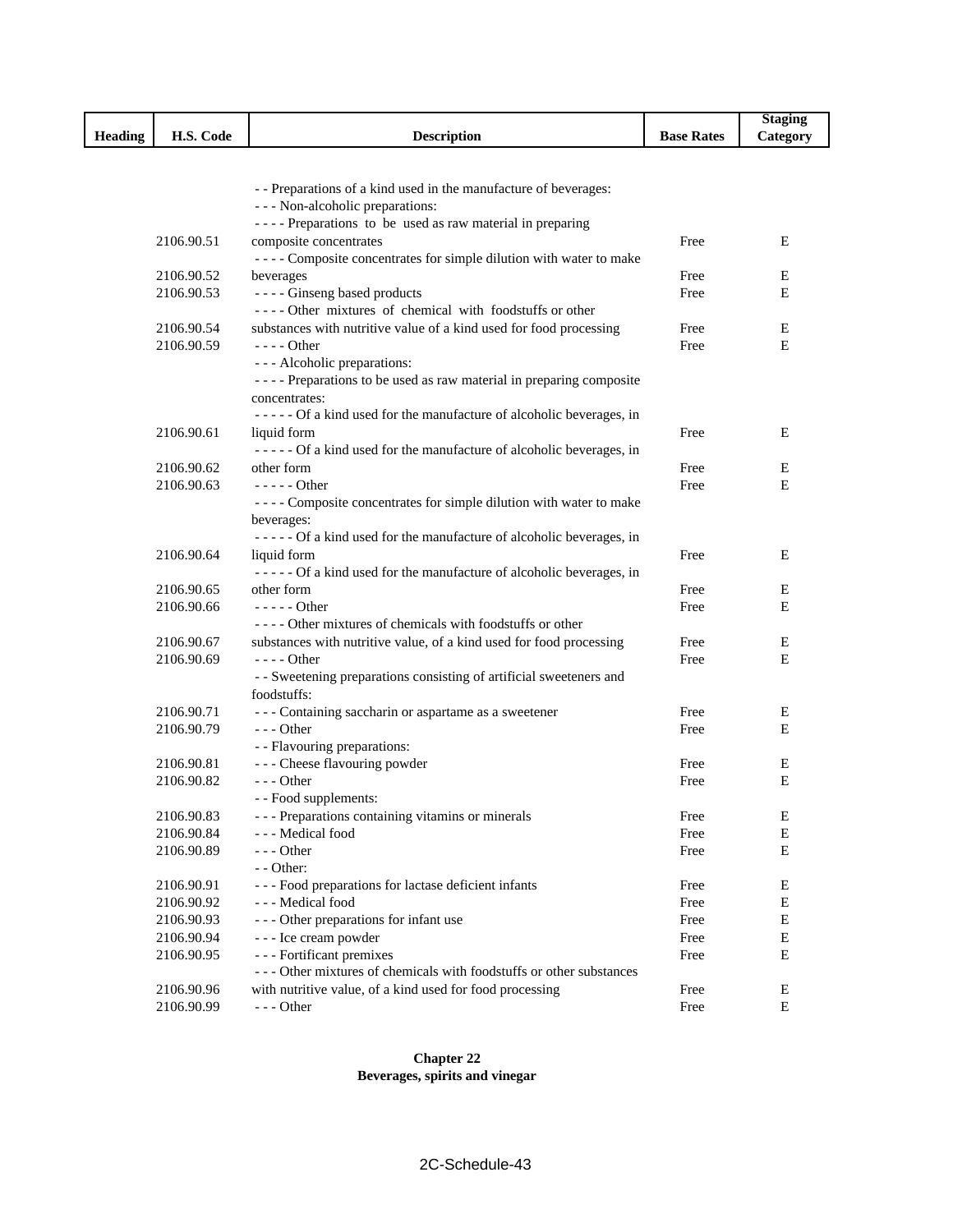|                |            |                                                                                                      |                   | <b>Staging</b> |
|----------------|------------|------------------------------------------------------------------------------------------------------|-------------------|----------------|
| <b>Heading</b> | H.S. Code  | <b>Description</b>                                                                                   | <b>Base Rates</b> | Category       |
|                |            |                                                                                                      |                   |                |
|                |            |                                                                                                      |                   |                |
|                |            | - - Preparations of a kind used in the manufacture of beverages:                                     |                   |                |
|                |            | --- Non-alcoholic preparations:                                                                      |                   |                |
|                |            | ---- Preparations to be used as raw material in preparing                                            |                   |                |
|                | 2106.90.51 | composite concentrates                                                                               | Free              | Ε              |
|                |            | ---- Composite concentrates for simple dilution with water to make                                   |                   |                |
|                | 2106.90.52 | beverages                                                                                            | Free              | Е              |
|                | 2106.90.53 | ---- Ginseng based products                                                                          | Free              | E              |
|                |            | ---- Other mixtures of chemical with foodstuffs or other                                             |                   |                |
|                | 2106.90.54 | substances with nutritive value of a kind used for food processing                                   | Free              | E              |
|                | 2106.90.59 | $---$ Other                                                                                          | Free              | E              |
|                |            | - - - Alcoholic preparations:<br>---- Preparations to be used as raw material in preparing composite |                   |                |
|                |            | concentrates:                                                                                        |                   |                |
|                |            | ----- Of a kind used for the manufacture of alcoholic beverages, in                                  |                   |                |
|                | 2106.90.61 | liquid form                                                                                          | Free              | E              |
|                |            | ----- Of a kind used for the manufacture of alcoholic beverages, in                                  |                   |                |
|                | 2106.90.62 | other form                                                                                           | Free              | Ε              |
|                | 2106.90.63 | $---$ Other                                                                                          | Free              | E              |
|                |            | ---- Composite concentrates for simple dilution with water to make                                   |                   |                |
|                |            | beverages:                                                                                           |                   |                |
|                |            | ----- Of a kind used for the manufacture of alcoholic beverages, in                                  |                   |                |
|                | 2106.90.64 | liquid form                                                                                          | Free              | E              |
|                |            | ----- Of a kind used for the manufacture of alcoholic beverages, in                                  |                   |                |
|                | 2106.90.65 | other form                                                                                           | Free              | Е              |
|                | 2106.90.66 | $---$ Other                                                                                          | Free              | E              |
|                |            | ---- Other mixtures of chemicals with foodstuffs or other                                            |                   |                |
|                | 2106.90.67 | substances with nutritive value, of a kind used for food processing                                  | Free              | Ε              |
|                | 2106.90.69 | $--- Other$                                                                                          | Free              | E              |
|                |            | - - Sweetening preparations consisting of artificial sweeteners and                                  |                   |                |
|                |            | foodstuffs:                                                                                          |                   |                |
|                | 2106.90.71 | --- Containing saccharin or aspartame as a sweetener                                                 | Free              | Ε              |
|                | 2106.90.79 | $--$ Other                                                                                           | Free              | E              |
|                |            | - - Flavouring preparations:                                                                         |                   |                |
|                | 2106.90.81 | --- Cheese flavouring powder                                                                         | Free              | Ε              |
|                | 2106.90.82 | $--$ Other                                                                                           | Free              | E              |
|                |            | - - Food supplements:                                                                                |                   |                |
|                | 2106.90.83 | --- Preparations containing vitamins or minerals                                                     | Free              | E              |
|                | 2106.90.84 | --- Medical food                                                                                     | Free              | Е              |
|                | 2106.90.89 | $--$ Other                                                                                           | Free              | E              |
|                |            | - - Other:                                                                                           |                   |                |
|                | 2106.90.91 | --- Food preparations for lactase deficient infants                                                  | Free              | Ε              |
|                | 2106.90.92 | --- Medical food                                                                                     | Free              | Е              |
|                | 2106.90.93 | --- Other preparations for infant use                                                                | Free              | ${\bf E}$      |
|                | 2106.90.94 | - - - Ice cream powder                                                                               | Free              | Е              |
|                | 2106.90.95 | - - - Fortificant premixes                                                                           | Free              | Е              |
|                |            | --- Other mixtures of chemicals with foodstuffs or other substances                                  |                   |                |
|                | 2106.90.96 | with nutritive value, of a kind used for food processing                                             | Free              | E              |
|                | 2106.90.99 | $--$ Other                                                                                           | Free              | ${\bf E}$      |

#### **Chapter 22 Beverages, spirits and vinegar**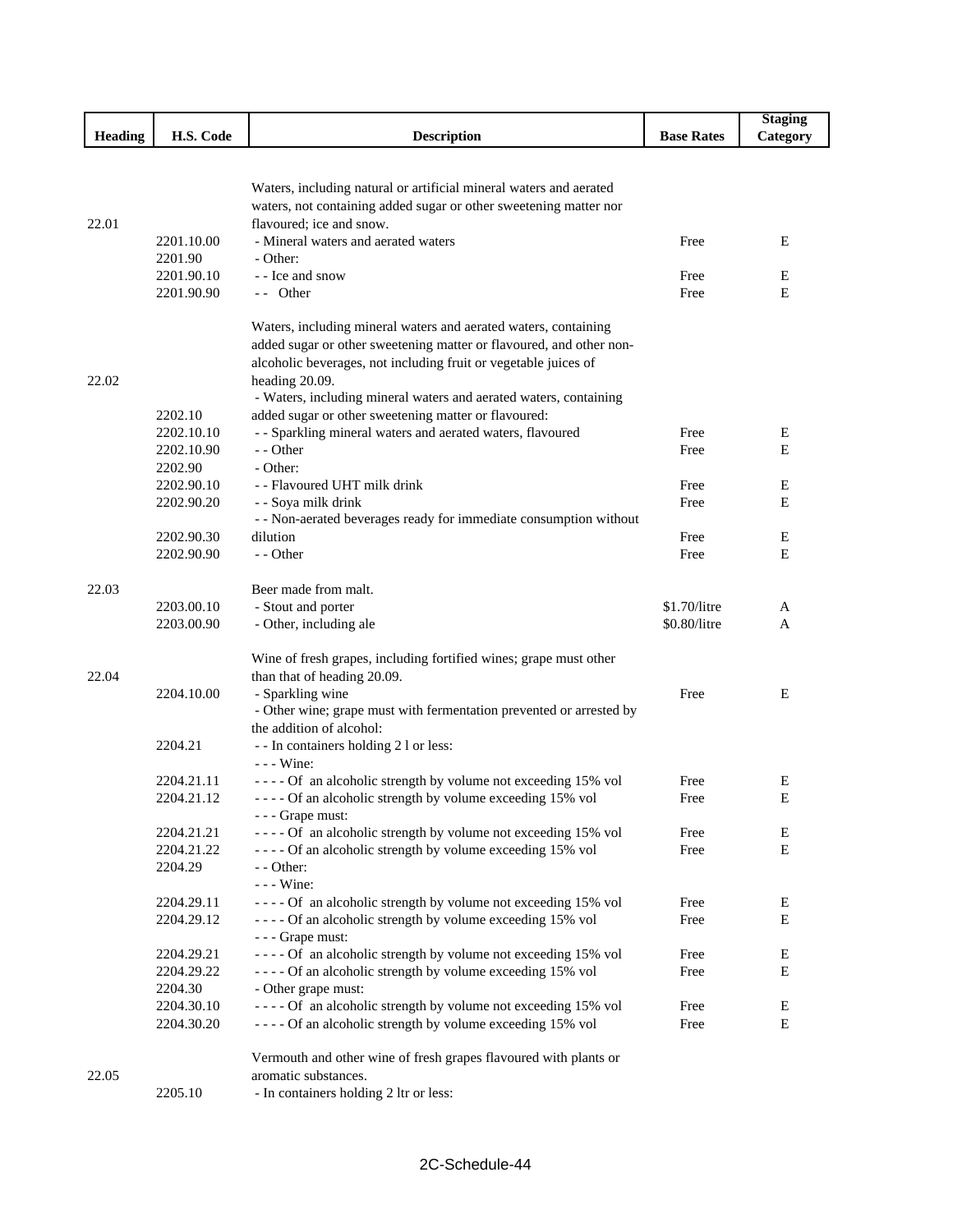|         |                          |                                                                                                                                        |                   | <b>Staging</b> |
|---------|--------------------------|----------------------------------------------------------------------------------------------------------------------------------------|-------------------|----------------|
| Heading | H.S. Code                | <b>Description</b>                                                                                                                     | <b>Base Rates</b> | Category       |
|         |                          |                                                                                                                                        |                   |                |
|         |                          |                                                                                                                                        |                   |                |
|         |                          | Waters, including natural or artificial mineral waters and aerated                                                                     |                   |                |
| 22.01   |                          | waters, not containing added sugar or other sweetening matter nor<br>flavoured; ice and snow.                                          |                   |                |
|         | 2201.10.00               | - Mineral waters and aerated waters                                                                                                    | Free              | Ε              |
|         | 2201.90                  | - Other:                                                                                                                               |                   |                |
|         | 2201.90.10               | - - Ice and snow                                                                                                                       | Free              | Е              |
|         | 2201.90.90               | -- Other                                                                                                                               | Free              | E              |
|         |                          |                                                                                                                                        |                   |                |
|         |                          | Waters, including mineral waters and aerated waters, containing<br>added sugar or other sweetening matter or flavoured, and other non- |                   |                |
|         |                          | alcoholic beverages, not including fruit or vegetable juices of                                                                        |                   |                |
| 22.02   |                          | heading 20.09.                                                                                                                         |                   |                |
|         |                          | - Waters, including mineral waters and aerated waters, containing                                                                      |                   |                |
|         | 2202.10                  | added sugar or other sweetening matter or flavoured:                                                                                   |                   |                |
|         | 2202.10.10               | - - Sparkling mineral waters and aerated waters, flavoured                                                                             | Free              | Е              |
|         | 2202.10.90               | - - Other                                                                                                                              | Free              | E              |
|         | 2202.90                  | - Other:                                                                                                                               |                   |                |
|         | 2202.90.10               | - - Flavoured UHT milk drink                                                                                                           | Free              | E              |
|         | 2202.90.20               | - - Soya milk drink                                                                                                                    | Free              | Ε              |
|         |                          | - - Non-aerated beverages ready for immediate consumption without<br>dilution                                                          |                   | Е              |
|         | 2202.90.30<br>2202.90.90 | - - Other                                                                                                                              | Free<br>Free      | E              |
|         |                          |                                                                                                                                        |                   |                |
| 22.03   |                          | Beer made from malt.                                                                                                                   |                   |                |
|         | 2203.00.10               | - Stout and porter                                                                                                                     | \$1.70/litre      | A              |
|         | 2203.00.90               | - Other, including ale                                                                                                                 | \$0.80/litre      | A              |
|         |                          | Wine of fresh grapes, including fortified wines; grape must other                                                                      |                   |                |
| 22.04   |                          | than that of heading 20.09.                                                                                                            |                   |                |
|         | 2204.10.00               | - Sparkling wine                                                                                                                       | Free              | E              |
|         |                          | - Other wine; grape must with fermentation prevented or arrested by                                                                    |                   |                |
|         |                          | the addition of alcohol:                                                                                                               |                   |                |
|         | 2204.21                  | - - In containers holding 2 l or less:                                                                                                 |                   |                |
|         |                          | $--$ Wine:                                                                                                                             |                   |                |
|         | 2204.21.11               | ---- Of an alcoholic strength by volume not exceeding 15% vol                                                                          | Free              | E              |
|         | 2204.21.12               | - - - - Of an alcoholic strength by volume exceeding 15% vol                                                                           | Free              | E              |
|         | 2204.21.21               | --- Grape must:<br>---- Of an alcoholic strength by volume not exceeding 15% vol                                                       | Free              | E              |
|         | 2204.21.22               | ---- Of an alcoholic strength by volume exceeding 15% vol                                                                              | Free              | Е              |
|         | 2204.29                  | - - Other:                                                                                                                             |                   |                |
|         |                          | $--$ Wine:                                                                                                                             |                   |                |
|         | 2204.29.11               | ---- Of an alcoholic strength by volume not exceeding 15% vol                                                                          | Free              | Ε              |
|         | 2204.29.12               | ---- Of an alcoholic strength by volume exceeding 15% vol                                                                              | Free              | Е              |
|         |                          | --- Grape must:                                                                                                                        |                   |                |
|         | 2204.29.21               | ---- Of an alcoholic strength by volume not exceeding 15% vol                                                                          | Free              | E              |
|         | 2204.29.22               | ---- Of an alcoholic strength by volume exceeding 15% vol                                                                              | Free              | Е              |
|         | 2204.30                  | - Other grape must:                                                                                                                    |                   |                |
|         | 2204.30.10<br>2204.30.20 | ---- Of an alcoholic strength by volume not exceeding 15% vol<br>---- Of an alcoholic strength by volume exceeding 15% vol             | Free<br>Free      | Ε<br>Е         |
|         |                          |                                                                                                                                        |                   |                |
|         |                          | Vermouth and other wine of fresh grapes flavoured with plants or                                                                       |                   |                |
| 22.05   |                          | aromatic substances.                                                                                                                   |                   |                |
|         | 2205.10                  | - In containers holding 2 ltr or less:                                                                                                 |                   |                |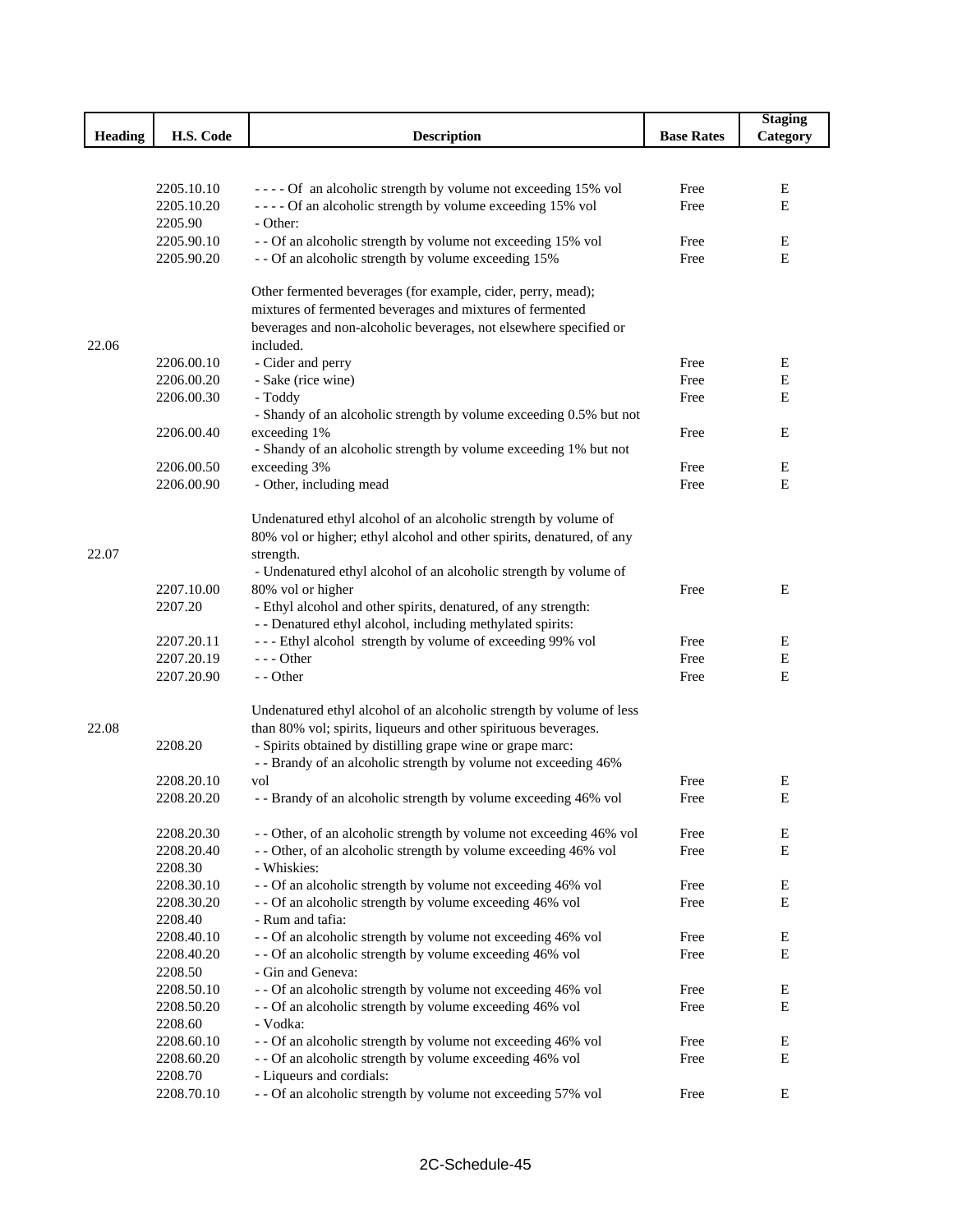|                |                          |                                                                                                                          |                   | <b>Staging</b> |
|----------------|--------------------------|--------------------------------------------------------------------------------------------------------------------------|-------------------|----------------|
| <b>Heading</b> | H.S. Code                | <b>Description</b>                                                                                                       | <b>Base Rates</b> | Category       |
|                |                          |                                                                                                                          |                   |                |
|                |                          |                                                                                                                          |                   |                |
|                | 2205.10.10               | ---- Of an alcoholic strength by volume not exceeding 15% vol                                                            | Free              | Ε              |
|                | 2205.10.20               | ---- Of an alcoholic strength by volume exceeding 15% vol                                                                | Free              | Ε              |
|                | 2205.90                  | - Other:                                                                                                                 |                   |                |
|                | 2205.90.10               | - - Of an alcoholic strength by volume not exceeding 15% vol                                                             | Free              | Ε              |
|                | 2205.90.20               | - - Of an alcoholic strength by volume exceeding 15%                                                                     | Free              | $\mathbf E$    |
|                |                          | Other fermented beverages (for example, cider, perry, mead);                                                             |                   |                |
|                |                          | mixtures of fermented beverages and mixtures of fermented                                                                |                   |                |
|                |                          | beverages and non-alcoholic beverages, not elsewhere specified or<br>included.                                           |                   |                |
| 22.06          | 2206.00.10               |                                                                                                                          |                   |                |
|                | 2206.00.20               | - Cider and perry                                                                                                        | Free              | E<br>Е         |
|                |                          | - Sake (rice wine)                                                                                                       | Free              | Е              |
|                | 2206.00.30               | - Toddy<br>- Shandy of an alcoholic strength by volume exceeding 0.5% but not                                            | Free              |                |
|                | 2206.00.40               | exceeding 1%                                                                                                             | Free              | Е              |
|                |                          | - Shandy of an alcoholic strength by volume exceeding 1% but not                                                         |                   |                |
|                | 2206.00.50               | exceeding 3%                                                                                                             | Free              | Ε              |
|                | 2206.00.90               | - Other, including mead                                                                                                  | Free              | Ε              |
|                |                          |                                                                                                                          |                   |                |
|                |                          | Undenatured ethyl alcohol of an alcoholic strength by volume of                                                          |                   |                |
|                |                          | 80% vol or higher; ethyl alcohol and other spirits, denatured, of any                                                    |                   |                |
| 22.07          |                          | strength.                                                                                                                |                   |                |
|                |                          | - Undenatured ethyl alcohol of an alcoholic strength by volume of                                                        |                   |                |
|                | 2207.10.00               | 80% vol or higher                                                                                                        | Free              | Ε              |
|                | 2207.20                  | - Ethyl alcohol and other spirits, denatured, of any strength:                                                           |                   |                |
|                |                          | - - Denatured ethyl alcohol, including methylated spirits:                                                               |                   |                |
|                | 2207.20.11               | --- Ethyl alcohol strength by volume of exceeding 99% vol                                                                | Free              | E              |
|                | 2207.20.19               | $--$ Other                                                                                                               | Free              | Е              |
|                | 2207.20.90               | - - Other                                                                                                                | Free              | Е              |
|                |                          | Undenatured ethyl alcohol of an alcoholic strength by volume of less                                                     |                   |                |
| 22.08          |                          | than 80% vol; spirits, liqueurs and other spirituous beverages.                                                          |                   |                |
|                | 2208.20                  | - Spirits obtained by distilling grape wine or grape marc:                                                               |                   |                |
|                |                          | - - Brandy of an alcoholic strength by volume not exceeding 46%                                                          |                   |                |
|                | 2208.20.10               | vol                                                                                                                      | Free              | Е              |
|                | 2208.20.20               | - - Brandy of an alcoholic strength by volume exceeding 46% vol                                                          | Free              | E              |
|                |                          |                                                                                                                          |                   |                |
|                | 2208.20.30               | - - Other, of an alcoholic strength by volume not exceeding 46% vol                                                      | Free              | E              |
|                | 2208.20.40               | - - Other, of an alcoholic strength by volume exceeding 46% vol                                                          | Free              | E              |
|                | 2208.30                  | - Whiskies:                                                                                                              |                   |                |
|                | 2208.30.10               | - - Of an alcoholic strength by volume not exceeding 46% vol                                                             | Free              | E              |
|                | 2208.30.20               | - - Of an alcoholic strength by volume exceeding 46% vol                                                                 | Free              | $\mathbf E$    |
|                | 2208.40                  | - Rum and tafia:                                                                                                         |                   |                |
|                | 2208.40.10               | - - Of an alcoholic strength by volume not exceeding 46% vol                                                             | Free              | Е              |
|                | 2208.40.20               | - - Of an alcoholic strength by volume exceeding 46% vol<br>- Gin and Geneva:                                            | Free              | E              |
|                | 2208.50                  |                                                                                                                          |                   |                |
|                | 2208.50.10<br>2208.50.20 | - - Of an alcoholic strength by volume not exceeding 46% vol<br>- - Of an alcoholic strength by volume exceeding 46% vol | Free<br>Free      | Ε<br>E         |
|                | 2208.60                  | - Vodka:                                                                                                                 |                   |                |
|                | 2208.60.10               | - - Of an alcoholic strength by volume not exceeding 46% vol                                                             | Free              | E              |
|                | 2208.60.20               | - - Of an alcoholic strength by volume exceeding 46% vol                                                                 | Free              | E              |
|                | 2208.70                  | - Liqueurs and cordials:                                                                                                 |                   |                |
|                | 2208.70.10               | - - Of an alcoholic strength by volume not exceeding 57% vol                                                             | Free              | E              |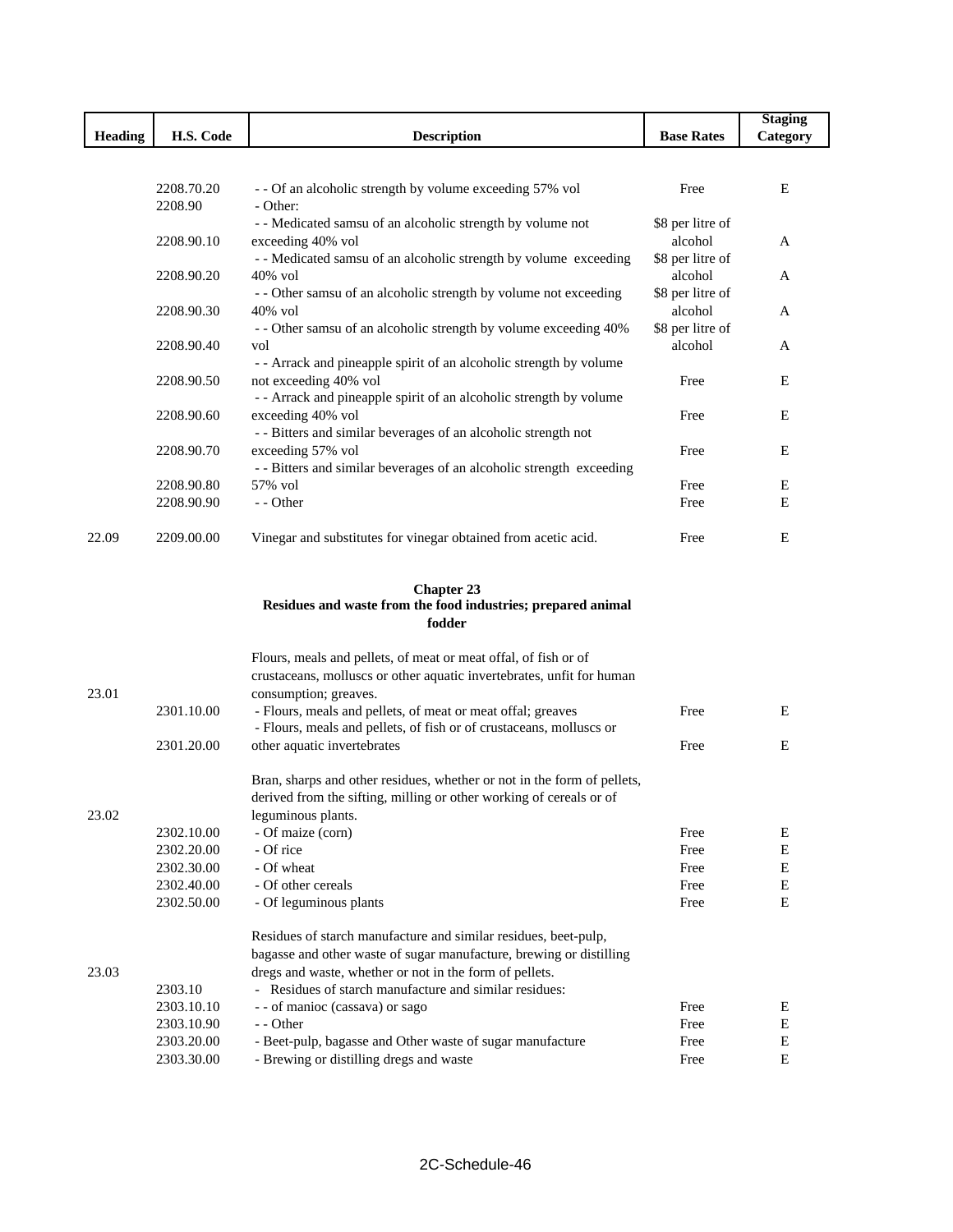|                |            |                                                                             |                             | <b>Staging</b> |
|----------------|------------|-----------------------------------------------------------------------------|-----------------------------|----------------|
| <b>Heading</b> | H.S. Code  | <b>Description</b>                                                          | <b>Base Rates</b>           | Category       |
|                |            |                                                                             |                             |                |
|                |            |                                                                             |                             |                |
|                | 2208.70.20 | - - Of an alcoholic strength by volume exceeding 57% vol                    | Free                        | E              |
|                | 2208.90    | - Other:                                                                    |                             |                |
|                |            | - - Medicated samsu of an alcoholic strength by volume not                  | \$8 per litre of            |                |
|                | 2208.90.10 | exceeding 40% vol                                                           | alcohol                     | A              |
|                |            | - - Medicated samsu of an alcoholic strength by volume exceeding            | \$8 per litre of            |                |
|                | 2208.90.20 | 40% vol<br>- - Other samsu of an alcoholic strength by volume not exceeding | alcohol<br>\$8 per litre of | A              |
|                |            | 40% vol                                                                     | alcohol                     |                |
|                | 2208.90.30 | - - Other samsu of an alcoholic strength by volume exceeding 40%            | \$8 per litre of            | A              |
|                | 2208.90.40 | vol                                                                         | alcohol                     | A              |
|                |            | - - Arrack and pineapple spirit of an alcoholic strength by volume          |                             |                |
|                | 2208.90.50 | not exceeding 40% vol                                                       | Free                        | Ε              |
|                |            | - - Arrack and pineapple spirit of an alcoholic strength by volume          |                             |                |
|                | 2208.90.60 | exceeding 40% vol                                                           | Free                        | E              |
|                |            | - - Bitters and similar beverages of an alcoholic strength not              |                             |                |
|                | 2208.90.70 | exceeding 57% vol                                                           | Free                        | Е              |
|                |            | - - Bitters and similar beverages of an alcoholic strength exceeding        |                             |                |
|                | 2208.90.80 | 57% vol                                                                     | Free                        | E              |
|                | 2208.90.90 | - - Other                                                                   | Free                        | E              |
|                |            |                                                                             |                             |                |
| 22.09          | 2209.00.00 | Vinegar and substitutes for vinegar obtained from acetic acid.              | Free                        | E              |
|                |            |                                                                             |                             |                |
|                |            |                                                                             |                             |                |
|                |            | <b>Chapter 23</b>                                                           |                             |                |
|                |            | Residues and waste from the food industries; prepared animal                |                             |                |
|                |            | fodder                                                                      |                             |                |
|                |            | Flours, meals and pellets, of meat or meat offal, of fish or of             |                             |                |
|                |            | crustaceans, molluscs or other aquatic invertebrates, unfit for human       |                             |                |
| 23.01          |            | consumption; greaves.                                                       |                             |                |
|                | 2301.10.00 | - Flours, meals and pellets, of meat or meat offal; greaves                 | Free                        | E              |
|                |            | - Flours, meals and pellets, of fish or of crustaceans, molluscs or         |                             |                |
|                | 2301.20.00 | other aquatic invertebrates                                                 | Free                        | Ε              |
|                |            |                                                                             |                             |                |
|                |            | Bran, sharps and other residues, whether or not in the form of pellets,     |                             |                |
|                |            | derived from the sifting, milling or other working of cereals or of         |                             |                |
| 23.02          |            | leguminous plants.                                                          |                             |                |
|                | 2302.10.00 | - Of maize (corn)                                                           | Free                        | E              |
|                | 2302.20.00 | - Of rice                                                                   | Free                        | ${\bf E}$      |
|                | 2302.30.00 | - Of wheat                                                                  | Free                        | $\mathbf E$    |
|                | 2302.40.00 | - Of other cereals                                                          | Free                        | ${\bf E}$      |
|                | 2302.50.00 | - Of leguminous plants                                                      | Free                        | $\mathbf E$    |
|                |            |                                                                             |                             |                |
|                |            | Residues of starch manufacture and similar residues, beet-pulp,             |                             |                |
|                |            | bagasse and other waste of sugar manufacture, brewing or distilling         |                             |                |
| 23.03          |            | dregs and waste, whether or not in the form of pellets.                     |                             |                |
|                | 2303.10    | - Residues of starch manufacture and similar residues:                      |                             |                |
|                | 2303.10.10 | - - of manioc (cassava) or sago                                             | Free                        | Е              |
|                | 2303.10.90 | - - Other                                                                   | Free                        | $\mathbf E$    |
|                | 2303.20.00 | - Beet-pulp, bagasse and Other waste of sugar manufacture                   | Free                        | E              |
|                | 2303.30.00 | - Brewing or distilling dregs and waste                                     | Free                        | E              |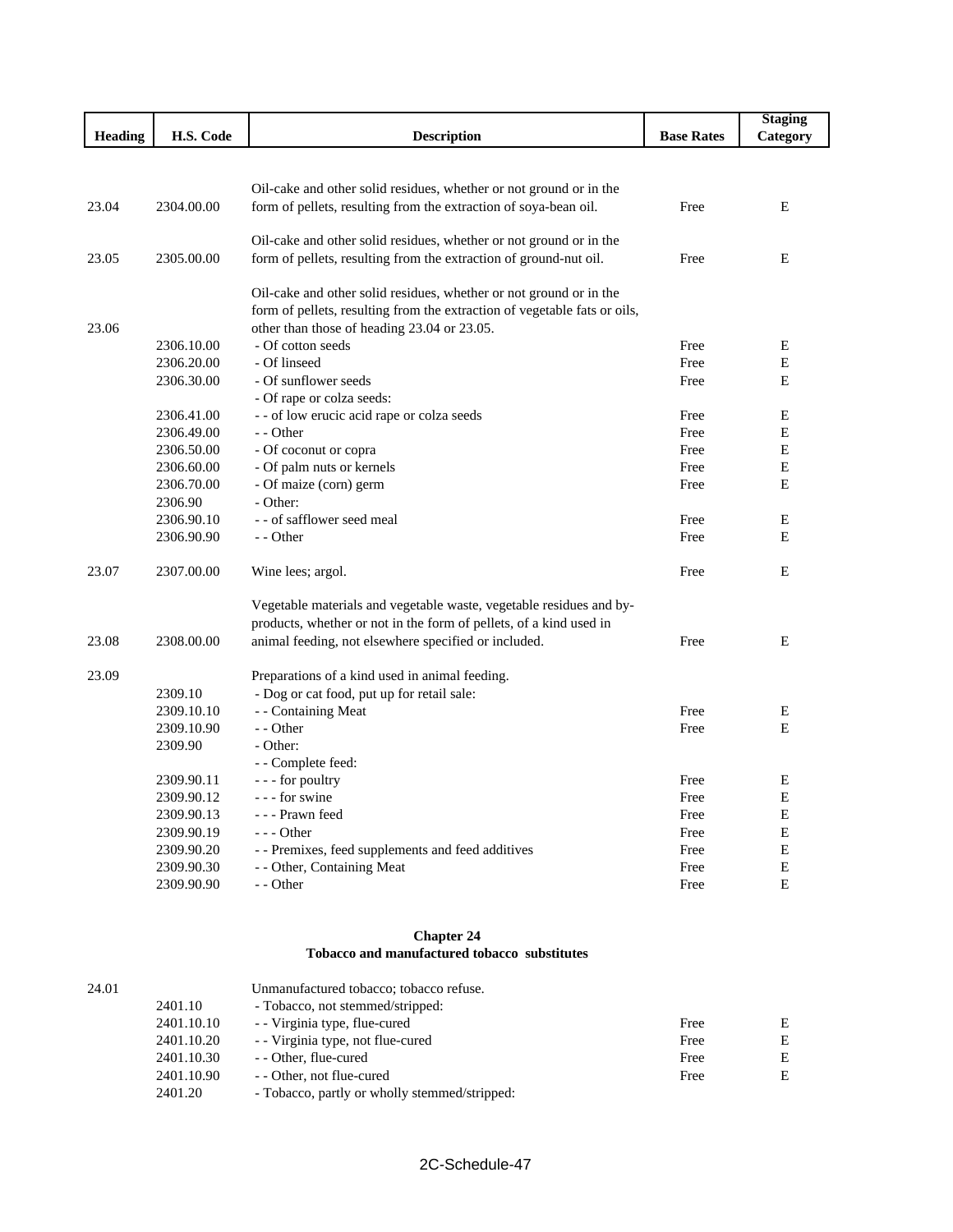|                |                          |                                                                           |                   | <b>Staging</b> |
|----------------|--------------------------|---------------------------------------------------------------------------|-------------------|----------------|
| <b>Heading</b> | H.S. Code                | <b>Description</b>                                                        | <b>Base Rates</b> | Category       |
|                |                          |                                                                           |                   |                |
|                |                          |                                                                           |                   |                |
|                |                          | Oil-cake and other solid residues, whether or not ground or in the        |                   |                |
| 23.04          | 2304.00.00               | form of pellets, resulting from the extraction of soya-bean oil.          | Free              | E              |
|                |                          |                                                                           |                   |                |
|                |                          | Oil-cake and other solid residues, whether or not ground or in the        |                   |                |
| 23.05          | 2305.00.00               | form of pellets, resulting from the extraction of ground-nut oil.         | Free              | E.             |
|                |                          | Oil-cake and other solid residues, whether or not ground or in the        |                   |                |
|                |                          | form of pellets, resulting from the extraction of vegetable fats or oils, |                   |                |
| 23.06          |                          | other than those of heading 23.04 or 23.05.                               |                   |                |
|                | 2306.10.00               | - Of cotton seeds                                                         | Free              | Ε              |
|                | 2306.20.00               | - Of linseed                                                              | Free              | E              |
|                | 2306.30.00               | - Of sunflower seeds                                                      | Free              | E              |
|                |                          | - Of rape or colza seeds:                                                 |                   |                |
|                | 2306.41.00               | - - of low erucic acid rape or colza seeds                                | Free              | Е              |
|                | 2306.49.00               | - - Other                                                                 | Free              | E              |
|                | 2306.50.00               | - Of coconut or copra                                                     | Free              | E              |
|                | 2306.60.00               | - Of palm nuts or kernels                                                 | Free              | E              |
|                | 2306.70.00               | - Of maize (corn) germ                                                    | Free              | E              |
|                | 2306.90                  | - Other:                                                                  |                   |                |
|                | 2306.90.10               | - - of safflower seed meal                                                | Free              | E              |
|                | 2306.90.90               | - - Other                                                                 | Free              | E              |
|                |                          |                                                                           |                   |                |
| 23.07          | 2307.00.00               | Wine lees; argol.                                                         | Free              | E              |
|                |                          | Vegetable materials and vegetable waste, vegetable residues and by-       |                   |                |
|                |                          | products, whether or not in the form of pellets, of a kind used in        |                   |                |
| 23.08          | 2308.00.00               | animal feeding, not elsewhere specified or included.                      | Free              | Ε              |
|                |                          |                                                                           |                   |                |
| 23.09          | 2309.10                  | Preparations of a kind used in animal feeding.                            |                   |                |
|                |                          | - Dog or cat food, put up for retail sale:                                | Free              |                |
|                | 2309.10.10<br>2309.10.90 | - - Containing Meat<br>- - Other                                          | Free              | Ε<br>E         |
|                | 2309.90                  | - Other:                                                                  |                   |                |
|                |                          | - - Complete feed:                                                        |                   |                |
|                |                          |                                                                           | Free              | Ε              |
|                | 2309.90.11               | --- for poultry<br>--- for swine                                          | Free              | Е              |
|                | 2309.90.12<br>2309.90.13 | - - - Prawn feed                                                          | Free              | E              |
|                | 2309.90.19               | $--$ Other                                                                | Free              | E              |
|                | 2309.90.20               | - - Premixes, feed supplements and feed additives                         | Free              | E              |
|                | 2309.90.30               | - - Other, Containing Meat                                                | Free              | Ε              |
|                | 2309.90.90               | - - Other                                                                 | Free              | E              |
|                |                          |                                                                           |                   |                |

# **Chapter 24 Tobacco and manufactured tobacco substitutes**

| 24.01 |            | Unmanufactured tobacco; tobacco refuse.       |      |   |
|-------|------------|-----------------------------------------------|------|---|
|       | 2401.10    | - Tobacco, not stemmed/stripped:              |      |   |
|       | 2401.10.10 | - Virginia type, flue-cured                   | Free | E |
|       | 2401.10.20 | - Virginia type, not flue-cured               | Free | E |
|       | 2401.10.30 | - - Other, flue-cured                         | Free | E |
|       | 2401.10.90 | - - Other, not flue-cured                     | Free | E |
|       | 2401.20    | - Tobacco, partly or wholly stemmed/stripped: |      |   |
|       |            |                                               |      |   |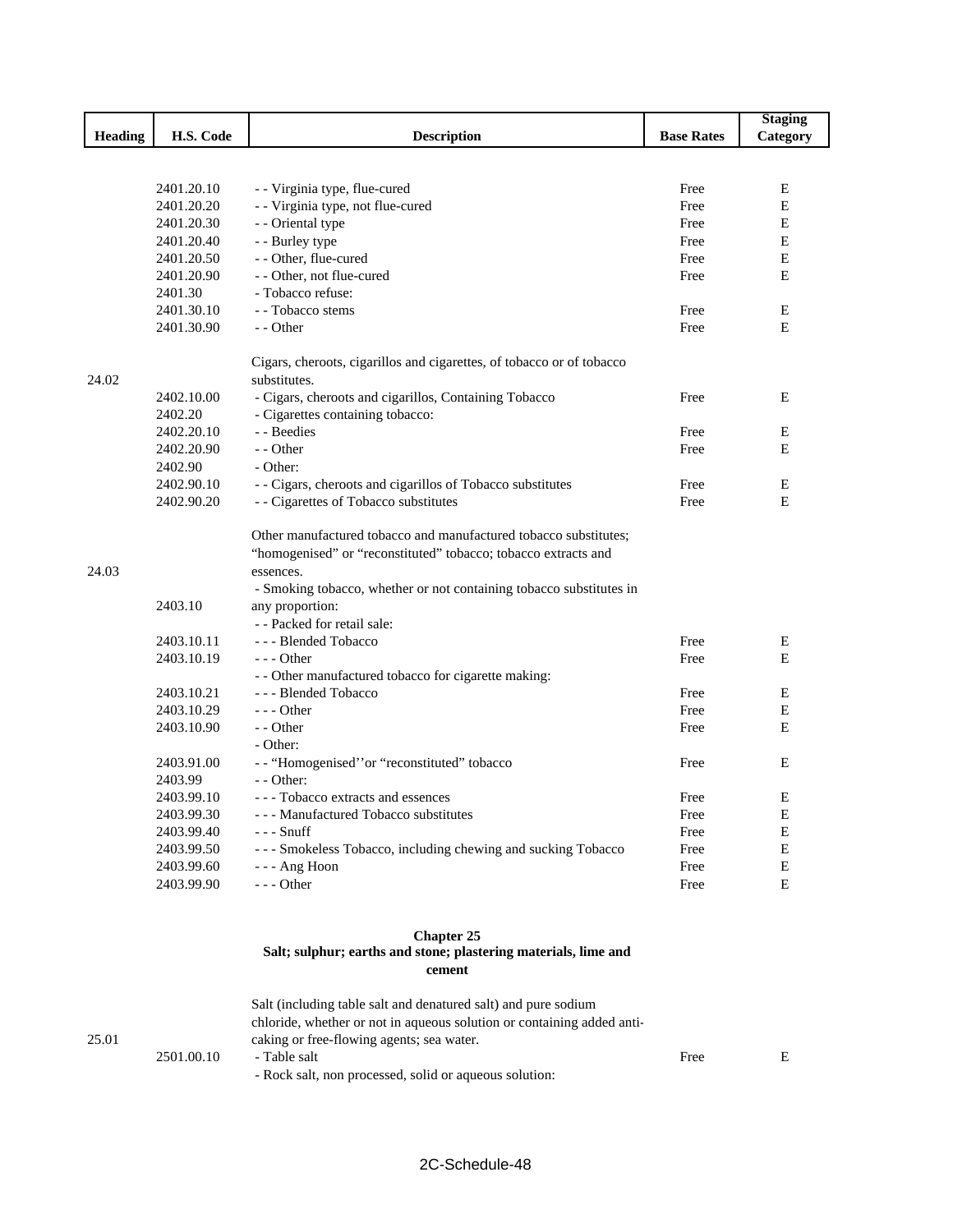|         |            |                                                                           |                   | <b>Staging</b> |
|---------|------------|---------------------------------------------------------------------------|-------------------|----------------|
| Heading | H.S. Code  | <b>Description</b>                                                        | <b>Base Rates</b> | Category       |
|         |            |                                                                           |                   |                |
|         |            |                                                                           |                   |                |
|         | 2401.20.10 | - - Virginia type, flue-cured                                             | Free              | E              |
|         | 2401.20.20 | - - Virginia type, not flue-cured                                         | Free              | E              |
|         | 2401.20.30 | - - Oriental type                                                         | Free              | E              |
|         | 2401.20.40 | - - Burley type                                                           | Free              | E              |
|         | 2401.20.50 | - - Other, flue-cured                                                     | Free              | E              |
|         | 2401.20.90 | - - Other, not flue-cured                                                 | Free              | E              |
|         | 2401.30    | - Tobacco refuse:                                                         |                   |                |
|         | 2401.30.10 | - - Tobacco stems                                                         | Free              | E              |
|         | 2401.30.90 | - - Other                                                                 | Free              | E              |
|         |            | Cigars, cheroots, cigarillos and cigarettes, of tobacco or of tobacco     |                   |                |
| 24.02   |            | substitutes.                                                              |                   |                |
|         | 2402.10.00 | - Cigars, cheroots and cigarillos, Containing Tobacco                     | Free              | Ε              |
|         | 2402.20    | - Cigarettes containing tobacco:                                          |                   |                |
|         | 2402.20.10 | - - Beedies                                                               | Free              | E              |
|         | 2402.20.90 | - - Other                                                                 | Free              | Е              |
|         | 2402.90    | - Other:                                                                  |                   |                |
|         | 2402.90.10 | - - Cigars, cheroots and cigarillos of Tobacco substitutes                | Free              | E              |
|         | 2402.90.20 | - - Cigarettes of Tobacco substitutes                                     | Free              | E              |
|         |            | Other manufactured tobacco and manufactured tobacco substitutes;          |                   |                |
|         |            | "homogenised" or "reconstituted" tobacco; tobacco extracts and            |                   |                |
| 24.03   |            | essences.                                                                 |                   |                |
|         |            | - Smoking tobacco, whether or not containing tobacco substitutes in       |                   |                |
|         | 2403.10    | any proportion:                                                           |                   |                |
|         |            | - - Packed for retail sale:                                               |                   |                |
|         | 2403.10.11 | --- Blended Tobacco                                                       | Free              | Ε              |
|         | 2403.10.19 | - - - Other                                                               | Free              | E              |
|         |            | - - Other manufactured tobacco for cigarette making:                      |                   |                |
|         | 2403.10.21 | --- Blended Tobacco                                                       | Free              | E              |
|         | 2403.10.29 | $--$ Other                                                                | Free              | Е              |
|         | 2403.10.90 | - - Other                                                                 | Free              | Е              |
|         |            | - Other:                                                                  |                   |                |
|         | 2403.91.00 | -- "Homogenised" or "reconstituted" tobacco                               | Free              | Ε              |
|         | 2403.99    | - - Other:                                                                |                   |                |
|         | 2403.99.10 | - - - Tobacco extracts and essences                                       | Free              | Е              |
|         | 2403.99.30 | --- Manufactured Tobacco substitutes                                      | Free              | E              |
|         | 2403.99.40 | $--$ Snuff                                                                | Free              | E              |
|         | 2403.99.50 | - - - Smokeless Tobacco, including chewing and sucking Tobacco            | Free              | $\mathbf E$    |
|         | 2403.99.60 | --- Ang Hoon                                                              | Free              | ${\bf E}$      |
|         | 2403.99.90 | - - - Other                                                               | Free              | $\mathbf E$    |
|         |            |                                                                           |                   |                |
|         |            | <b>Chapter 25</b>                                                         |                   |                |
|         |            | Salt; sulphur; earths and stone; plastering materials, lime and<br>cement |                   |                |
|         |            | Salt (including table salt and denatured salt) and pure sodium            |                   |                |
|         |            | chloride, whether or not in aqueous solution or containing added anti-    |                   |                |
| 25.01   |            | caking or free-flowing agents; sea water.                                 |                   |                |
|         |            |                                                                           |                   |                |

| 2501.00.10 | - Table salt                                           | Free |  |
|------------|--------------------------------------------------------|------|--|
|            | - Rock salt, non processed, solid or aqueous solution: |      |  |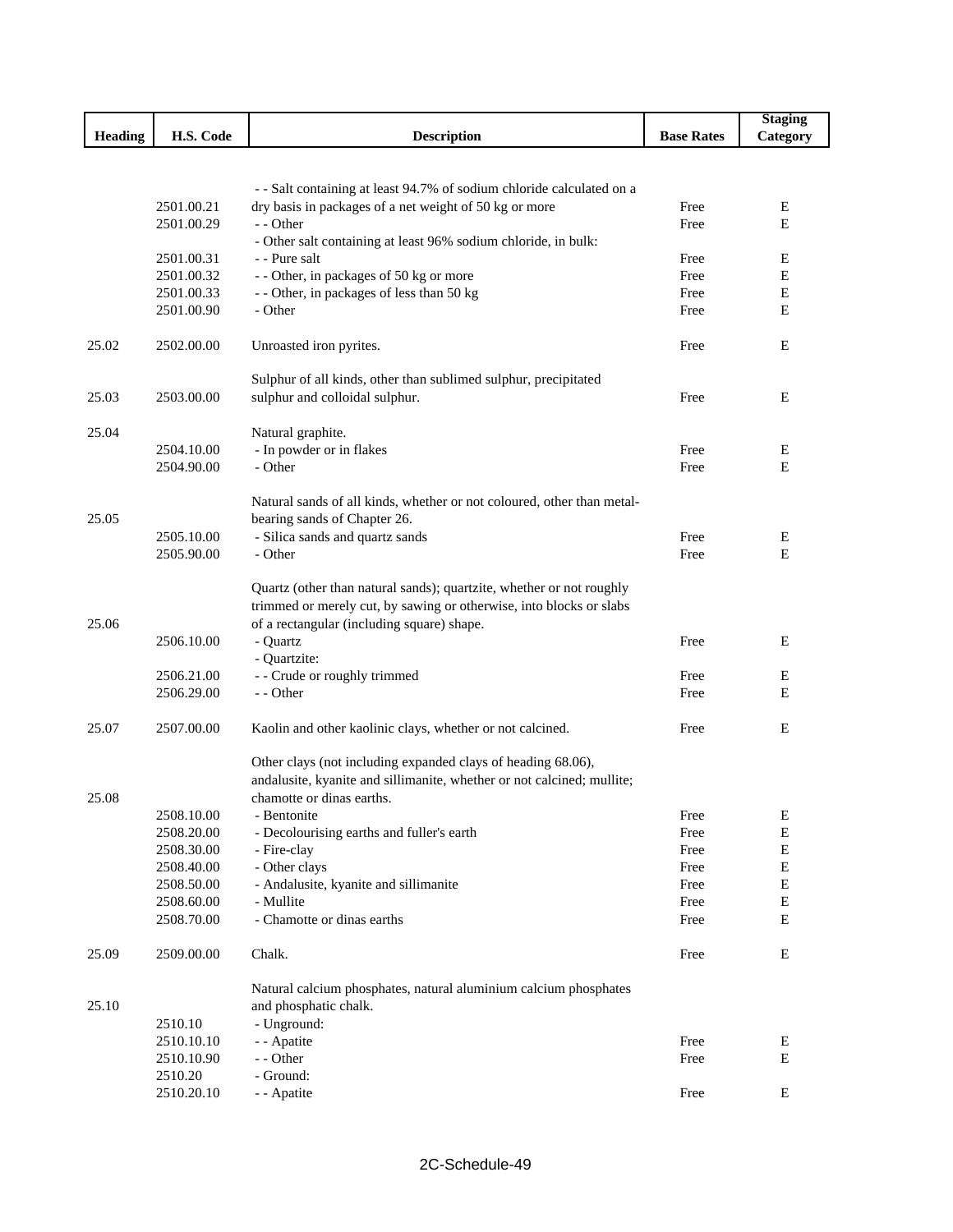|                |                          |                                                                                 |                   | <b>Staging</b>             |
|----------------|--------------------------|---------------------------------------------------------------------------------|-------------------|----------------------------|
| <b>Heading</b> | H.S. Code                | <b>Description</b>                                                              | <b>Base Rates</b> | Category                   |
|                |                          |                                                                                 |                   |                            |
|                |                          |                                                                                 |                   |                            |
|                |                          | - - Salt containing at least 94.7% of sodium chloride calculated on a           |                   |                            |
|                | 2501.00.21               | dry basis in packages of a net weight of 50 kg or more                          | Free              | Ε                          |
|                | 2501.00.29               | - - Other                                                                       | Free              | Е                          |
|                | 2501.00.31               | - Other salt containing at least 96% sodium chloride, in bulk:<br>- - Pure salt | Free              | E                          |
|                | 2501.00.32               | - - Other, in packages of 50 kg or more                                         | Free              | E                          |
|                | 2501.00.33               | - - Other, in packages of less than 50 kg                                       | Free              | Е                          |
|                | 2501.00.90               | - Other                                                                         | Free              | Е                          |
|                |                          |                                                                                 |                   |                            |
| 25.02          | 2502.00.00               | Unroasted iron pyrites.                                                         | Free              | E                          |
|                |                          |                                                                                 |                   |                            |
|                | 2503.00.00               | Sulphur of all kinds, other than sublimed sulphur, precipitated                 |                   |                            |
| 25.03          |                          | sulphur and colloidal sulphur.                                                  | Free              | Ε                          |
| 25.04          |                          | Natural graphite.                                                               |                   |                            |
|                | 2504.10.00               | - In powder or in flakes                                                        | Free              | Ε                          |
|                | 2504.90.00               | - Other                                                                         | Free              | Е                          |
|                |                          |                                                                                 |                   |                            |
|                |                          | Natural sands of all kinds, whether or not coloured, other than metal-          |                   |                            |
| 25.05          |                          | bearing sands of Chapter 26.                                                    |                   |                            |
|                | 2505.10.00               | - Silica sands and quartz sands                                                 | Free              | Е                          |
|                | 2505.90.00               | - Other                                                                         | Free              | E                          |
|                |                          |                                                                                 |                   |                            |
|                |                          | Quartz (other than natural sands); quartzite, whether or not roughly            |                   |                            |
|                |                          | trimmed or merely cut, by sawing or otherwise, into blocks or slabs             |                   |                            |
| 25.06          |                          | of a rectangular (including square) shape.                                      |                   |                            |
|                | 2506.10.00               | - Quartz                                                                        | Free              | Ε                          |
|                | 2506.21.00               | - Quartzite:<br>- - Crude or roughly trimmed                                    | Free              | E                          |
|                | 2506.29.00               | - - Other                                                                       | Free              | Ε                          |
|                |                          |                                                                                 |                   |                            |
| 25.07          | 2507.00.00               | Kaolin and other kaolinic clays, whether or not calcined.                       | Free              | Е                          |
|                |                          |                                                                                 |                   |                            |
|                |                          | Other clays (not including expanded clays of heading 68.06),                    |                   |                            |
|                |                          | andalusite, kyanite and sillimanite, whether or not calcined; mullite;          |                   |                            |
| 25.08          |                          | chamotte or dinas earths.                                                       |                   |                            |
|                | 2508.10.00<br>2508.20.00 | - Bentonite<br>- Decolourising earths and fuller's earth                        | Free<br>Free      | $\mathbf E$<br>$\mathbf E$ |
|                | 2508.30.00               | - Fire-clay                                                                     | Free              | ${\bf E}$                  |
|                | 2508.40.00               | - Other clays                                                                   | Free              | Е                          |
|                | 2508.50.00               | - Andalusite, kyanite and sillimanite                                           | Free              | $\mathbf E$                |
|                | 2508.60.00               | - Mullite                                                                       | Free              | $\mathbf E$                |
|                | 2508.70.00               | - Chamotte or dinas earths                                                      | Free              | E                          |
|                |                          |                                                                                 |                   |                            |
| 25.09          | 2509.00.00               | Chalk.                                                                          | Free              | Е                          |
|                |                          | Natural calcium phosphates, natural aluminium calcium phosphates                |                   |                            |
| 25.10          |                          | and phosphatic chalk.                                                           |                   |                            |
|                | 2510.10                  | - Unground:                                                                     |                   |                            |
|                | 2510.10.10               | - - Apatite                                                                     | Free              | Е                          |
|                | 2510.10.90               | - - Other                                                                       | Free              | Е                          |
|                | 2510.20                  | - Ground:                                                                       |                   |                            |
|                | 2510.20.10               | - - Apatite                                                                     | Free              | $\mathbf E$                |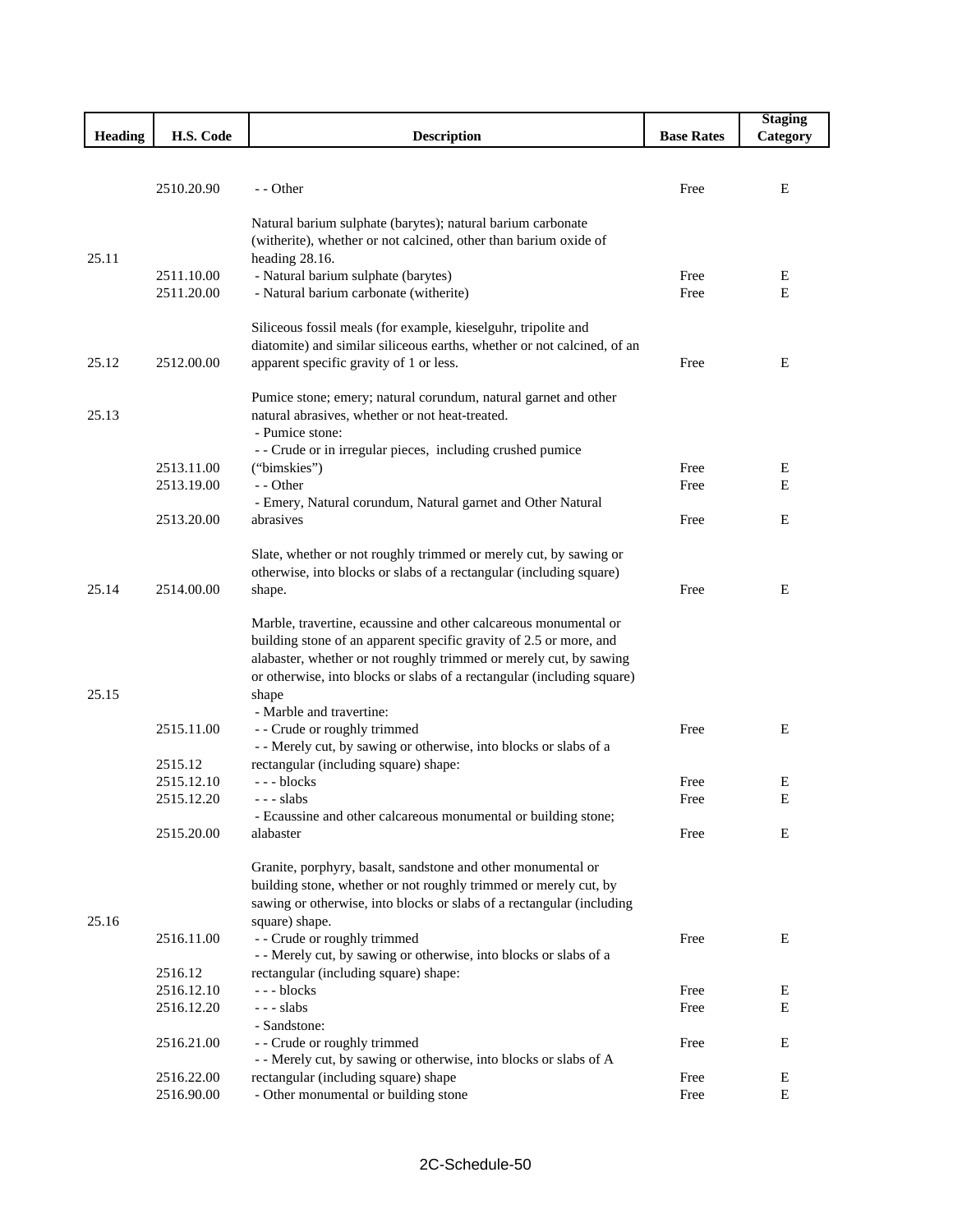|                |            |                                                                                                   |                   | <b>Staging</b> |
|----------------|------------|---------------------------------------------------------------------------------------------------|-------------------|----------------|
| <b>Heading</b> | H.S. Code  | <b>Description</b>                                                                                | <b>Base Rates</b> | Category       |
|                |            |                                                                                                   |                   |                |
|                | 2510.20.90 | - - Other                                                                                         | Free              | Ε              |
|                |            |                                                                                                   |                   |                |
|                |            | Natural barium sulphate (barytes); natural barium carbonate                                       |                   |                |
|                |            | (witherite), whether or not calcined, other than barium oxide of                                  |                   |                |
| 25.11          |            | heading 28.16.                                                                                    |                   |                |
|                | 2511.10.00 | - Natural barium sulphate (barytes)                                                               | Free              | Е              |
|                | 2511.20.00 | - Natural barium carbonate (witherite)                                                            | Free              | E              |
|                |            |                                                                                                   |                   |                |
|                |            | Siliceous fossil meals (for example, kieselguhr, tripolite and                                    |                   |                |
|                |            | diatomite) and similar siliceous earths, whether or not calcined, of an                           |                   |                |
| 25.12          | 2512.00.00 | apparent specific gravity of 1 or less.                                                           | Free              | E              |
|                |            | Pumice stone; emery; natural corundum, natural garnet and other                                   |                   |                |
| 25.13          |            | natural abrasives, whether or not heat-treated.                                                   |                   |                |
|                |            | - Pumice stone:                                                                                   |                   |                |
|                |            | - - Crude or in irregular pieces, including crushed pumice                                        |                   |                |
|                | 2513.11.00 | ("bimskies")                                                                                      | Free              | Е              |
|                | 2513.19.00 | - - Other                                                                                         | Free              | E              |
|                |            | - Emery, Natural corundum, Natural garnet and Other Natural                                       |                   |                |
|                | 2513.20.00 | abrasives                                                                                         | Free              | E              |
|                |            | Slate, whether or not roughly trimmed or merely cut, by sawing or                                 |                   |                |
|                |            | otherwise, into blocks or slabs of a rectangular (including square)                               |                   |                |
| 25.14          | 2514.00.00 | shape.                                                                                            | Free              | E              |
|                |            |                                                                                                   |                   |                |
|                |            | Marble, travertine, ecaussine and other calcareous monumental or                                  |                   |                |
|                |            | building stone of an apparent specific gravity of 2.5 or more, and                                |                   |                |
|                |            | alabaster, whether or not roughly trimmed or merely cut, by sawing                                |                   |                |
|                |            | or otherwise, into blocks or slabs of a rectangular (including square)                            |                   |                |
| 25.15          |            | shape                                                                                             |                   |                |
|                |            | - Marble and travertine:                                                                          |                   |                |
|                | 2515.11.00 | - - Crude or roughly trimmed<br>- - Merely cut, by sawing or otherwise, into blocks or slabs of a | Free              | E              |
|                | 2515.12    | rectangular (including square) shape:                                                             |                   |                |
|                | 2515.12.10 | --- blocks                                                                                        | Free              | E              |
|                | 2515.12.20 | - - - slabs                                                                                       | Free              | E              |
|                |            | - Ecaussine and other calcareous monumental or building stone;                                    |                   |                |
|                | 2515.20.00 | alabaster                                                                                         | Free              | E              |
|                |            |                                                                                                   |                   |                |
|                |            | Granite, porphyry, basalt, sandstone and other monumental or                                      |                   |                |
|                |            | building stone, whether or not roughly trimmed or merely cut, by                                  |                   |                |
|                |            | sawing or otherwise, into blocks or slabs of a rectangular (including                             |                   |                |
| 25.16          | 2516.11.00 | square) shape.<br>- - Crude or roughly trimmed                                                    | Free              | Ε              |
|                |            | - - Merely cut, by sawing or otherwise, into blocks or slabs of a                                 |                   |                |
|                | 2516.12    | rectangular (including square) shape:                                                             |                   |                |
|                | 2516.12.10 | --- blocks                                                                                        | Free              | Е              |
|                | 2516.12.20 | $--$ slabs                                                                                        | Free              | E              |
|                |            | - Sandstone:                                                                                      |                   |                |
|                | 2516.21.00 | - - Crude or roughly trimmed                                                                      | Free              | E              |
|                |            | - - Merely cut, by sawing or otherwise, into blocks or slabs of A                                 |                   |                |
|                | 2516.22.00 | rectangular (including square) shape                                                              | Free              | Ε              |
|                | 2516.90.00 | - Other monumental or building stone                                                              | Free              | E              |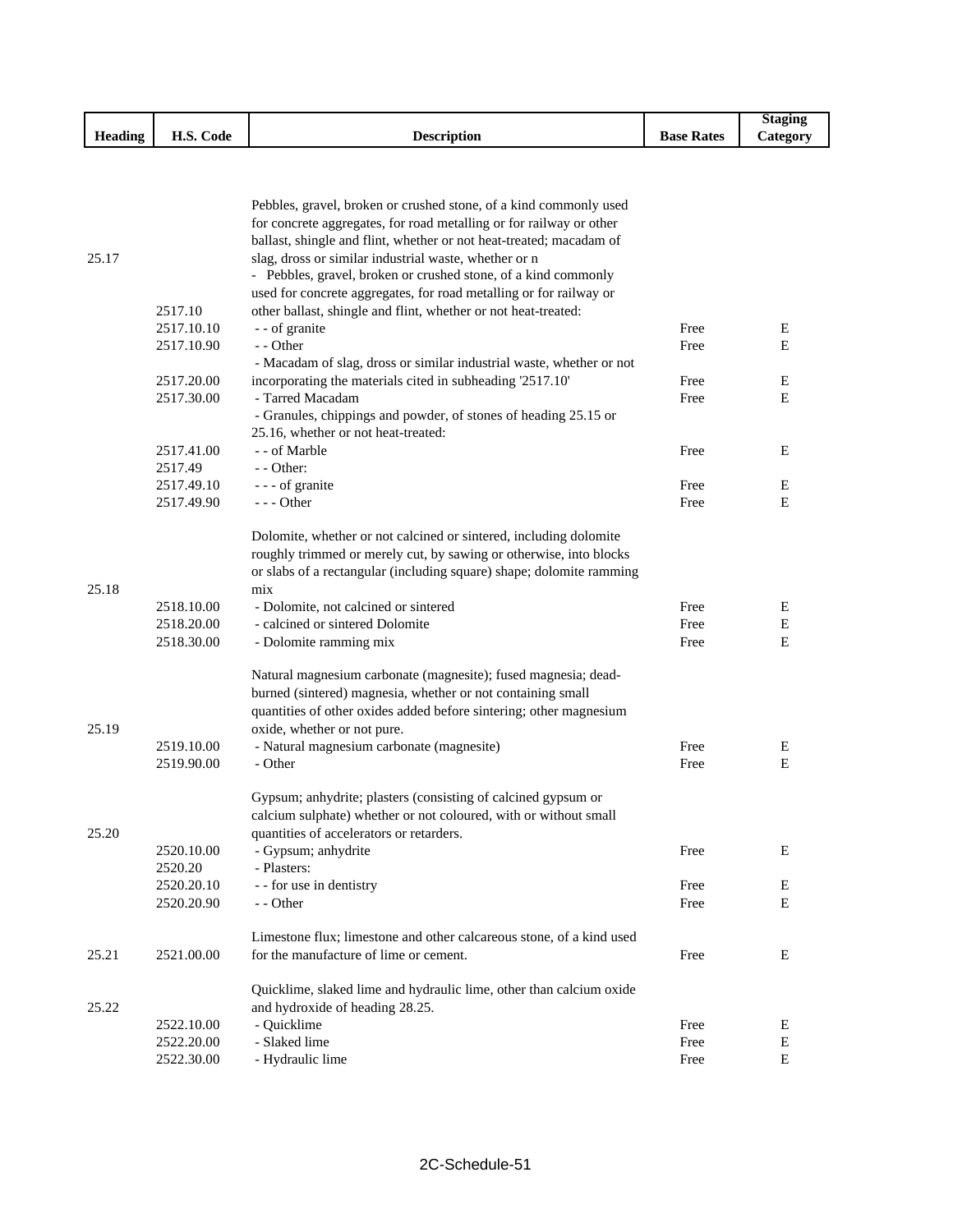|                     |                                |                    |                   | Staging               |
|---------------------|--------------------------------|--------------------|-------------------|-----------------------|
| $\cdots$<br>Heading | $\sim$<br>TT C<br>Code<br>п.э. | <b>Description</b> | <b>Base Rates</b> | $\mathcal{L}$ ategory |

|       |            | Pebbles, gravel, broken or crushed stone, of a kind commonly used    |      |   |
|-------|------------|----------------------------------------------------------------------|------|---|
|       |            | for concrete aggregates, for road metalling or for railway or other  |      |   |
|       |            | ballast, shingle and flint, whether or not heat-treated; macadam of  |      |   |
| 25.17 |            | slag, dross or similar industrial waste, whether or n                |      |   |
|       |            | - Pebbles, gravel, broken or crushed stone, of a kind commonly       |      |   |
|       |            | used for concrete aggregates, for road metalling or for railway or   |      |   |
|       | 2517.10    | other ballast, shingle and flint, whether or not heat-treated:       |      |   |
|       | 2517.10.10 | - - of granite                                                       | Free | Е |
|       | 2517.10.90 | - - Other                                                            | Free | E |
|       |            | - Macadam of slag, dross or similar industrial waste, whether or not |      |   |
|       | 2517.20.00 | incorporating the materials cited in subheading '2517.10'            | Free | Е |
|       | 2517.30.00 | - Tarred Macadam                                                     | Free | Ε |
|       |            | - Granules, chippings and powder, of stones of heading 25.15 or      |      |   |
|       |            | 25.16, whether or not heat-treated:                                  |      |   |
|       | 2517.41.00 | - - of Marble                                                        | Free | Ε |
|       | 2517.49    | - - Other:                                                           |      |   |
|       | 2517.49.10 | --- of granite                                                       | Free | E |
|       | 2517.49.90 | --- Other                                                            | Free | E |
|       |            |                                                                      |      |   |
|       |            | Dolomite, whether or not calcined or sintered, including dolomite    |      |   |
|       |            | roughly trimmed or merely cut, by sawing or otherwise, into blocks   |      |   |
|       |            | or slabs of a rectangular (including square) shape; dolomite ramming |      |   |
| 25.18 |            | mix                                                                  |      |   |
|       | 2518.10.00 | - Dolomite, not calcined or sintered                                 | Free | Е |
|       | 2518.20.00 | - calcined or sintered Dolomite                                      | Free | Е |
|       | 2518.30.00 | - Dolomite ramming mix                                               | Free | E |
|       |            | Natural magnesium carbonate (magnesite); fused magnesia; dead-       |      |   |
|       |            | burned (sintered) magnesia, whether or not containing small          |      |   |
|       |            | quantities of other oxides added before sintering; other magnesium   |      |   |
| 25.19 |            | oxide, whether or not pure.                                          |      |   |
|       | 2519.10.00 | - Natural magnesium carbonate (magnesite)                            | Free | E |
|       | 2519.90.00 | - Other                                                              | Free | E |
|       |            | Gypsum; anhydrite; plasters (consisting of calcined gypsum or        |      |   |
|       |            | calcium sulphate) whether or not coloured, with or without small     |      |   |
| 25.20 |            | quantities of accelerators or retarders.                             |      |   |
|       | 2520.10.00 | - Gypsum; anhydrite                                                  | Free | Ε |
|       | 2520.20    | - Plasters:                                                          |      |   |
|       | 2520.20.10 | - - for use in dentistry                                             | Free | Е |
|       | 2520.20.90 | - - Other                                                            | Free | E |
|       |            | Limestone flux; limestone and other calcareous stone, of a kind used |      |   |
| 25.21 | 2521.00.00 | for the manufacture of lime or cement.                               | Free | E |
|       |            | Quicklime, slaked lime and hydraulic lime, other than calcium oxide  |      |   |
| 25.22 |            | and hydroxide of heading 28.25.                                      |      |   |
|       | 2522.10.00 | - Quicklime                                                          | Free | E |
|       | 2522.20.00 | - Slaked lime                                                        | Free | E |
|       | 2522.30.00 | - Hydraulic lime                                                     | Free | Е |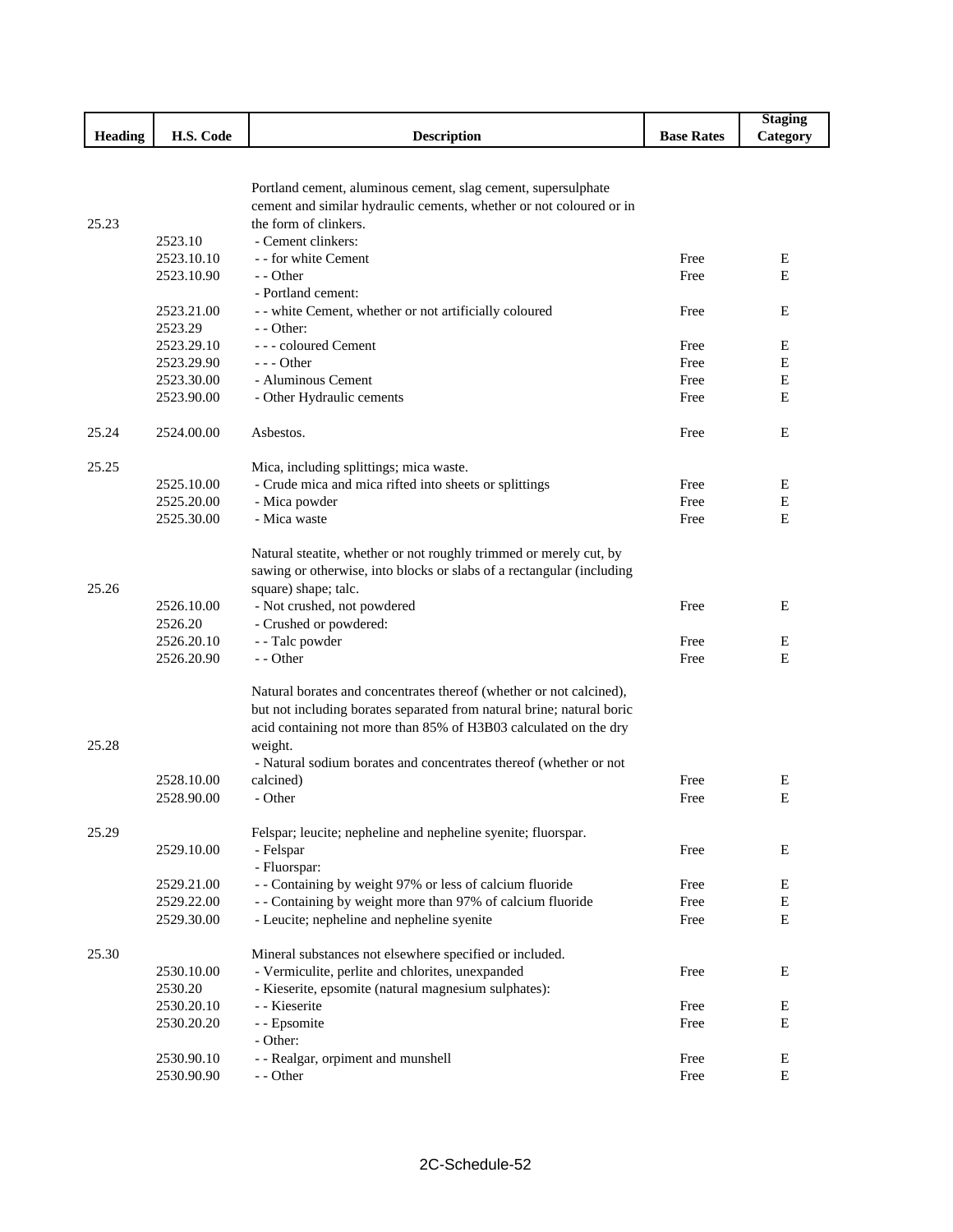|                |                          |                                                                       |                   | <b>Staging</b> |
|----------------|--------------------------|-----------------------------------------------------------------------|-------------------|----------------|
| <b>Heading</b> | H.S. Code                | <b>Description</b>                                                    | <b>Base Rates</b> | Category       |
|                |                          |                                                                       |                   |                |
|                |                          |                                                                       |                   |                |
|                |                          | Portland cement, aluminous cement, slag cement, supersulphate         |                   |                |
|                |                          | cement and similar hydraulic cements, whether or not coloured or in   |                   |                |
| 25.23          |                          | the form of clinkers.<br>- Cement clinkers:                           |                   |                |
|                | 2523.10<br>2523.10.10    | - - for white Cement                                                  | Free              | Ε              |
|                | 2523.10.90               | - - Other                                                             | Free              | E              |
|                |                          | - Portland cement:                                                    |                   |                |
|                | 2523.21.00               | - - white Cement, whether or not artificially coloured                | Free              | E              |
|                | 2523.29                  | $-$ - Other:                                                          |                   |                |
|                | 2523.29.10               | --- coloured Cement                                                   | Free              | Ε              |
|                | 2523.29.90               | $--$ Other                                                            | Free              | E              |
|                | 2523.30.00               | - Aluminous Cement                                                    | Free              | E              |
|                | 2523.90.00               | - Other Hydraulic cements                                             | Free              | E              |
|                |                          |                                                                       |                   |                |
| 25.24          | 2524.00.00               | Asbestos.                                                             | Free              | E              |
|                |                          |                                                                       |                   |                |
| 25.25          |                          | Mica, including splittings; mica waste.                               |                   |                |
|                | 2525.10.00               | - Crude mica and mica rifted into sheets or splittings                | Free              | E              |
|                | 2525.20.00               | - Mica powder                                                         | Free              | E              |
|                | 2525.30.00               | - Mica waste                                                          | Free              | E              |
|                |                          |                                                                       |                   |                |
|                |                          | Natural steatite, whether or not roughly trimmed or merely cut, by    |                   |                |
|                |                          | sawing or otherwise, into blocks or slabs of a rectangular (including |                   |                |
| 25.26          | 2526.10.00               | square) shape; talc.                                                  | Free              | Ε              |
|                | 2526.20                  | - Not crushed, not powdered                                           |                   |                |
|                |                          | - Crushed or powdered:                                                | Free              | Ε              |
|                | 2526.20.10<br>2526.20.90 | - - Talc powder<br>- - Other                                          | Free              | E              |
|                |                          |                                                                       |                   |                |
|                |                          | Natural borates and concentrates thereof (whether or not calcined),   |                   |                |
|                |                          | but not including borates separated from natural brine; natural boric |                   |                |
|                |                          | acid containing not more than 85% of H3B03 calculated on the dry      |                   |                |
| 25.28          |                          | weight.                                                               |                   |                |
|                |                          | - Natural sodium borates and concentrates thereof (whether or not     |                   |                |
|                | 2528.10.00               | calcined)                                                             | Free              | E              |
|                | 2528.90.00               | - Other                                                               | Free              | E              |
|                |                          |                                                                       |                   |                |
| 25.29          |                          | Felspar; leucite; nepheline and nepheline syenite; fluorspar.         |                   |                |
|                | 2529.10.00               | - Felspar                                                             | Free              | Е              |
|                |                          | - Fluorspar:                                                          |                   |                |
|                | 2529.21.00               | - - Containing by weight 97% or less of calcium fluoride              | Free              | E              |
|                | 2529.22.00               | - - Containing by weight more than 97% of calcium fluoride            | Free              | $\mathbf E$    |
|                | 2529.30.00               | - Leucite; nepheline and nepheline syenite                            | Free              | E              |
|                |                          |                                                                       |                   |                |
| 25.30          |                          | Mineral substances not elsewhere specified or included.               | Free              | Е              |
|                | 2530.10.00               | - Vermiculite, perlite and chlorites, unexpanded                      |                   |                |
|                | 2530.20<br>2530.20.10    | - Kieserite, epsomite (natural magnesium sulphates):<br>- - Kieserite | Free              |                |
|                | 2530.20.20               | - - Epsomite                                                          | Free              | E<br>E         |
|                |                          | - Other:                                                              |                   |                |
|                | 2530.90.10               | - - Realgar, orpiment and munshell                                    | Free              | ${\bf E}$      |
|                | 2530.90.90               | - - Other                                                             | Free              | E              |
|                |                          |                                                                       |                   |                |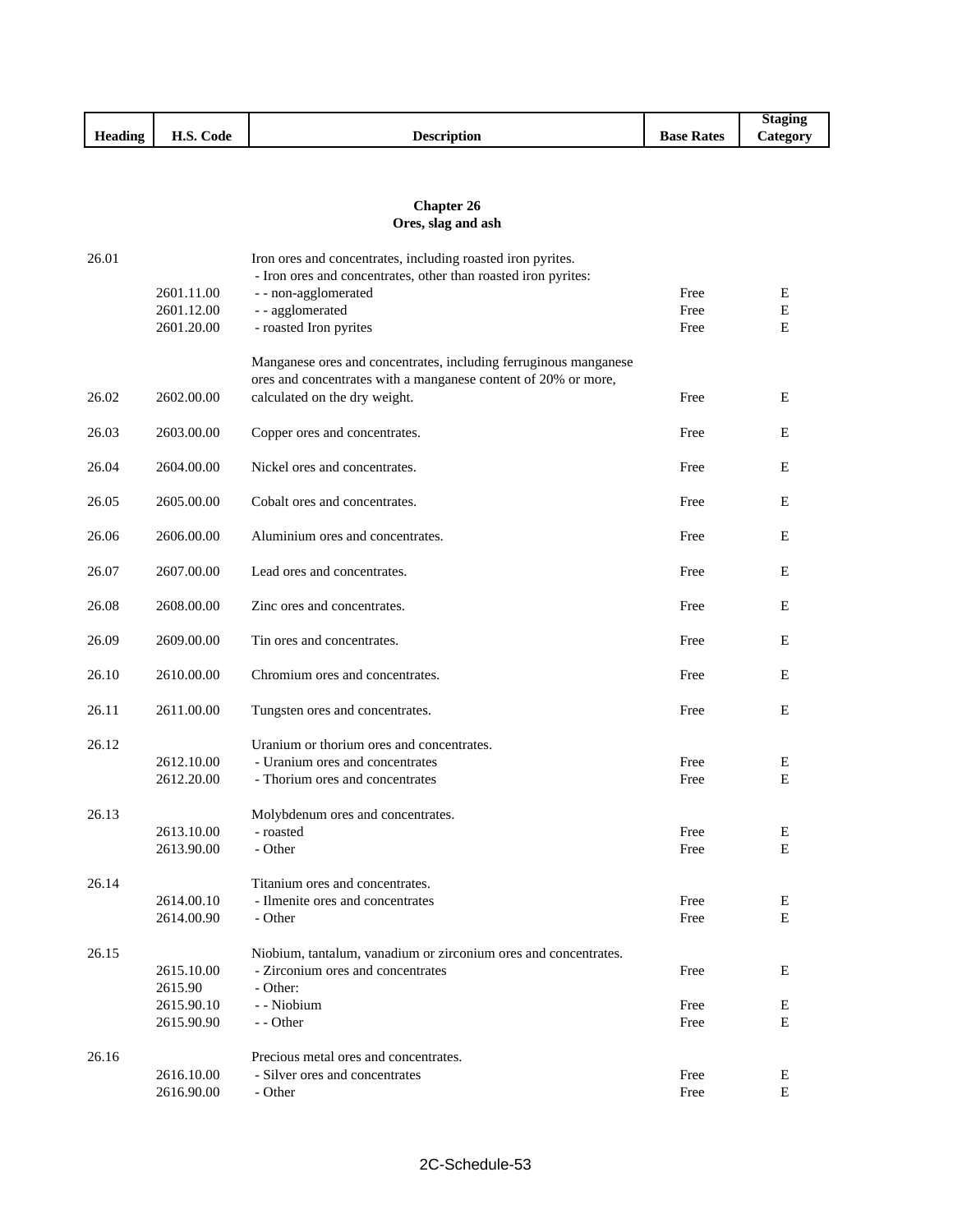|         |                                |                    |                | <b>Staging</b>        |
|---------|--------------------------------|--------------------|----------------|-----------------------|
| Heading | TT C<br>$\sim$<br>Code<br>п.э. | <b>Description</b> | Base.<br>Rates | $\mathcal{L}$ ategory |

## **Chapter 26 Ores, slag and ash**

| 26.01 |                          | Iron ores and concentrates, including roasted iron pyrites.<br>- Iron ores and concentrates, other than roasted iron pyrites:      |              |           |
|-------|--------------------------|------------------------------------------------------------------------------------------------------------------------------------|--------------|-----------|
|       | 2601.11.00               | - - non-agglomerated                                                                                                               | Free         | E         |
|       | 2601.12.00               | - - agglomerated                                                                                                                   | Free         | ${\bf E}$ |
|       | 2601.20.00               | - roasted Iron pyrites                                                                                                             | Free         | Е         |
|       |                          | Manganese ores and concentrates, including ferruginous manganese<br>ores and concentrates with a manganese content of 20% or more, |              |           |
| 26.02 | 2602.00.00               | calculated on the dry weight.                                                                                                      | Free         | E         |
| 26.03 | 2603.00.00               | Copper ores and concentrates.                                                                                                      | Free         | Ε         |
| 26.04 | 2604.00.00               | Nickel ores and concentrates.                                                                                                      | Free         | Ε         |
| 26.05 | 2605.00.00               | Cobalt ores and concentrates.                                                                                                      | Free         | E         |
| 26.06 | 2606.00.00               | Aluminium ores and concentrates.                                                                                                   | Free         | E         |
| 26.07 | 2607.00.00               | Lead ores and concentrates.                                                                                                        | Free         | Ε         |
| 26.08 | 2608.00.00               | Zinc ores and concentrates.                                                                                                        | Free         | Ε         |
| 26.09 | 2609.00.00               | Tin ores and concentrates.                                                                                                         | Free         | Ε         |
| 26.10 | 2610.00.00               | Chromium ores and concentrates.                                                                                                    | Free         | E         |
| 26.11 | 2611.00.00               | Tungsten ores and concentrates.                                                                                                    | Free         | Ε         |
| 26.12 |                          | Uranium or thorium ores and concentrates.                                                                                          |              |           |
|       | 2612.10.00               | - Uranium ores and concentrates                                                                                                    | Free         | E         |
|       | 2612.20.00               | - Thorium ores and concentrates                                                                                                    | Free         | E         |
| 26.13 |                          | Molybdenum ores and concentrates.                                                                                                  |              |           |
|       | 2613.10.00               | - roasted                                                                                                                          | Free         | E         |
|       | 2613.90.00               | - Other                                                                                                                            | Free         | Ε         |
| 26.14 |                          | Titanium ores and concentrates.                                                                                                    |              |           |
|       | 2614.00.10               | - Ilmenite ores and concentrates                                                                                                   | Free         | Ε         |
|       | 2614.00.90               | - Other                                                                                                                            | Free         | E         |
| 26.15 |                          | Niobium, tantalum, vanadium or zirconium ores and concentrates.                                                                    |              |           |
|       | 2615.10.00               | - Zirconium ores and concentrates                                                                                                  | Free         | E         |
|       | 2615.90                  | - Other:<br>- - Niobium                                                                                                            |              |           |
|       | 2615.90.10<br>2615.90.90 | - - Other                                                                                                                          | Free<br>Free | Е<br>E    |
| 26.16 |                          | Precious metal ores and concentrates.                                                                                              |              |           |
|       | 2616.10.00               | - Silver ores and concentrates                                                                                                     | Free         | E         |
|       | 2616.90.00               | - Other                                                                                                                            | Free         | E         |
|       |                          |                                                                                                                                    |              |           |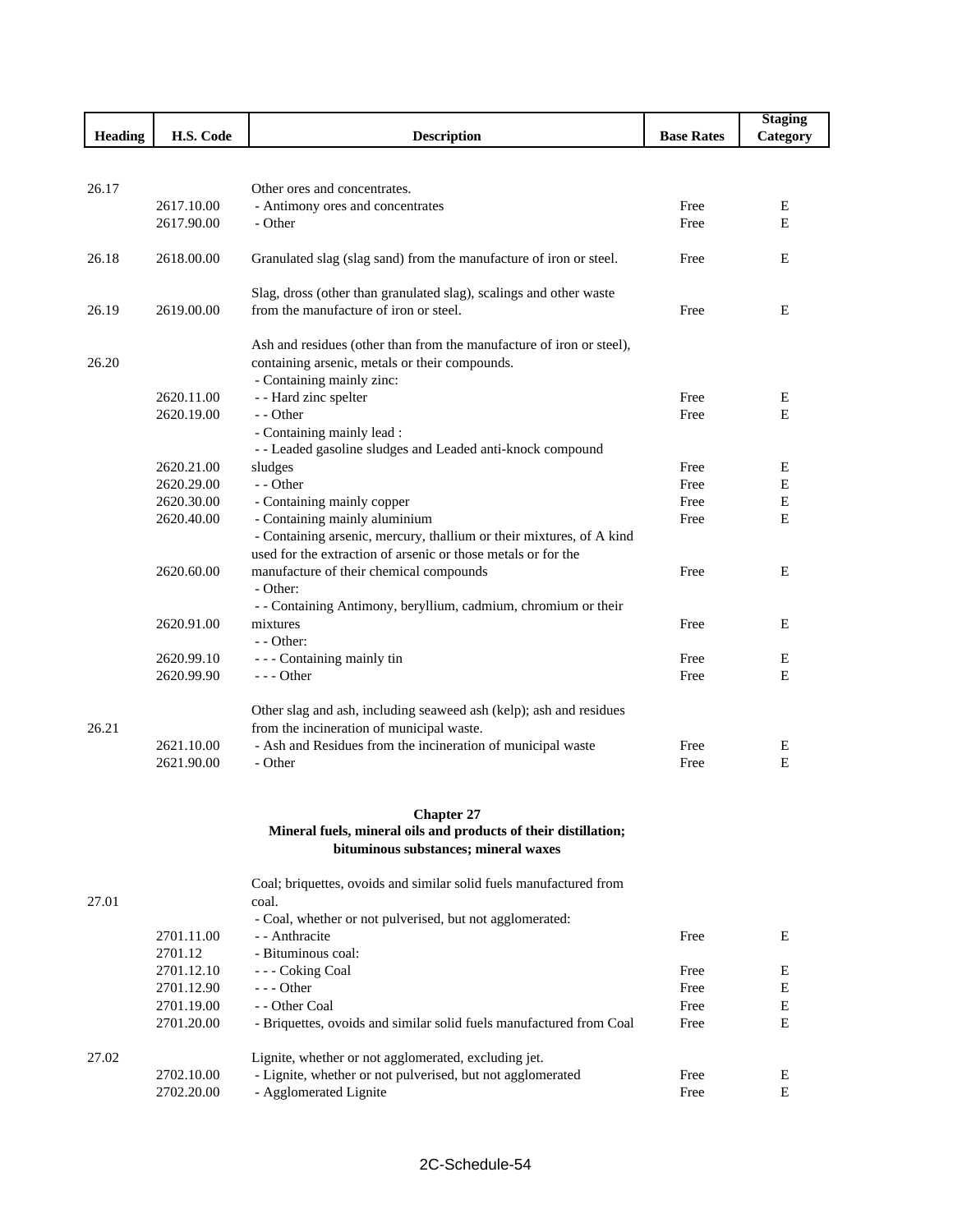|                |            |                                                                                                                                       |                   | <b>Staging</b> |
|----------------|------------|---------------------------------------------------------------------------------------------------------------------------------------|-------------------|----------------|
| <b>Heading</b> | H.S. Code  | <b>Description</b>                                                                                                                    | <b>Base Rates</b> | Category       |
|                |            |                                                                                                                                       |                   |                |
|                |            |                                                                                                                                       |                   |                |
| 26.17          |            | Other ores and concentrates.                                                                                                          |                   |                |
|                | 2617.10.00 | - Antimony ores and concentrates                                                                                                      | Free              | E              |
|                | 2617.90.00 | - Other                                                                                                                               | Free              | E              |
|                |            |                                                                                                                                       |                   |                |
| 26.18          | 2618.00.00 | Granulated slag (slag sand) from the manufacture of iron or steel.                                                                    | Free              | E              |
|                |            |                                                                                                                                       |                   |                |
|                |            | Slag, dross (other than granulated slag), scalings and other waste                                                                    |                   |                |
| 26.19          | 2619.00.00 | from the manufacture of iron or steel.                                                                                                | Free              | Ε              |
|                |            |                                                                                                                                       |                   |                |
|                |            | Ash and residues (other than from the manufacture of iron or steel),                                                                  |                   |                |
| 26.20          |            | containing arsenic, metals or their compounds.                                                                                        |                   |                |
|                |            | - Containing mainly zinc:                                                                                                             |                   |                |
|                | 2620.11.00 | - - Hard zinc spelter                                                                                                                 | Free              | Е              |
|                | 2620.19.00 | - - Other                                                                                                                             | Free              | E              |
|                |            | - Containing mainly lead :                                                                                                            |                   |                |
|                |            | - - Leaded gasoline sludges and Leaded anti-knock compound                                                                            |                   |                |
|                | 2620.21.00 | sludges                                                                                                                               | Free              | Ε              |
|                | 2620.29.00 | - - Other                                                                                                                             | Free              | E              |
|                | 2620.30.00 | - Containing mainly copper                                                                                                            | Free              | E              |
|                | 2620.40.00 | - Containing mainly aluminium                                                                                                         | Free              | $\mathbf E$    |
|                |            | - Containing arsenic, mercury, thallium or their mixtures, of A kind<br>used for the extraction of arsenic or those metals or for the |                   |                |
|                |            |                                                                                                                                       |                   |                |
|                | 2620.60.00 | manufacture of their chemical compounds                                                                                               | Free              | Ε              |
|                |            | - Other:                                                                                                                              |                   |                |
|                |            | - - Containing Antimony, beryllium, cadmium, chromium or their                                                                        |                   |                |
|                | 2620.91.00 | mixtures                                                                                                                              | Free              | Ε              |
|                | 2620.99.10 | - - Other:                                                                                                                            | Free              |                |
|                | 2620.99.90 | - - - Containing mainly tin<br>$--$ Other                                                                                             | Free              | Ε<br>E         |
|                |            |                                                                                                                                       |                   |                |
|                |            | Other slag and ash, including seaweed ash (kelp); ash and residues                                                                    |                   |                |
| 26.21          |            | from the incineration of municipal waste.                                                                                             |                   |                |
|                | 2621.10.00 | - Ash and Residues from the incineration of municipal waste                                                                           | Free              | Ε              |
|                | 2621.90.00 | - Other                                                                                                                               | Free              | E              |
|                |            |                                                                                                                                       |                   |                |
|                |            |                                                                                                                                       |                   |                |
|                |            | <b>Chapter 27</b>                                                                                                                     |                   |                |
|                |            | Mineral fuels, mineral oils and products of their distillation;                                                                       |                   |                |
|                |            | bituminous substances; mineral waxes                                                                                                  |                   |                |
|                |            |                                                                                                                                       |                   |                |
|                |            | Coal; briquettes, ovoids and similar solid fuels manufactured from                                                                    |                   |                |
| 27.01          |            | coal.                                                                                                                                 |                   |                |
|                |            | - Coal, whether or not pulverised, but not agglomerated:                                                                              |                   |                |
|                | 2701.11.00 | - - Anthracite                                                                                                                        | Free              | E              |
|                | 2701.12    | - Bituminous coal:                                                                                                                    |                   |                |
|                | 2701.12.10 | --- Coking Coal                                                                                                                       | Free              | E              |
|                | 2701.12.90 | $--$ Other                                                                                                                            | Free              | Ε              |
|                | 2701.19.00 | - - Other Coal                                                                                                                        | Free              | E              |
|                | 2701.20.00 | - Briquettes, ovoids and similar solid fuels manufactured from Coal                                                                   | Free              | E              |
|                |            |                                                                                                                                       |                   |                |
| 27.02          |            | Lignite, whether or not agglomerated, excluding jet.                                                                                  |                   |                |
|                | 2702.10.00 | - Lignite, whether or not pulverised, but not agglomerated                                                                            | Free              | E              |
|                | 2702.20.00 | - Agglomerated Lignite                                                                                                                | Free              | Ε              |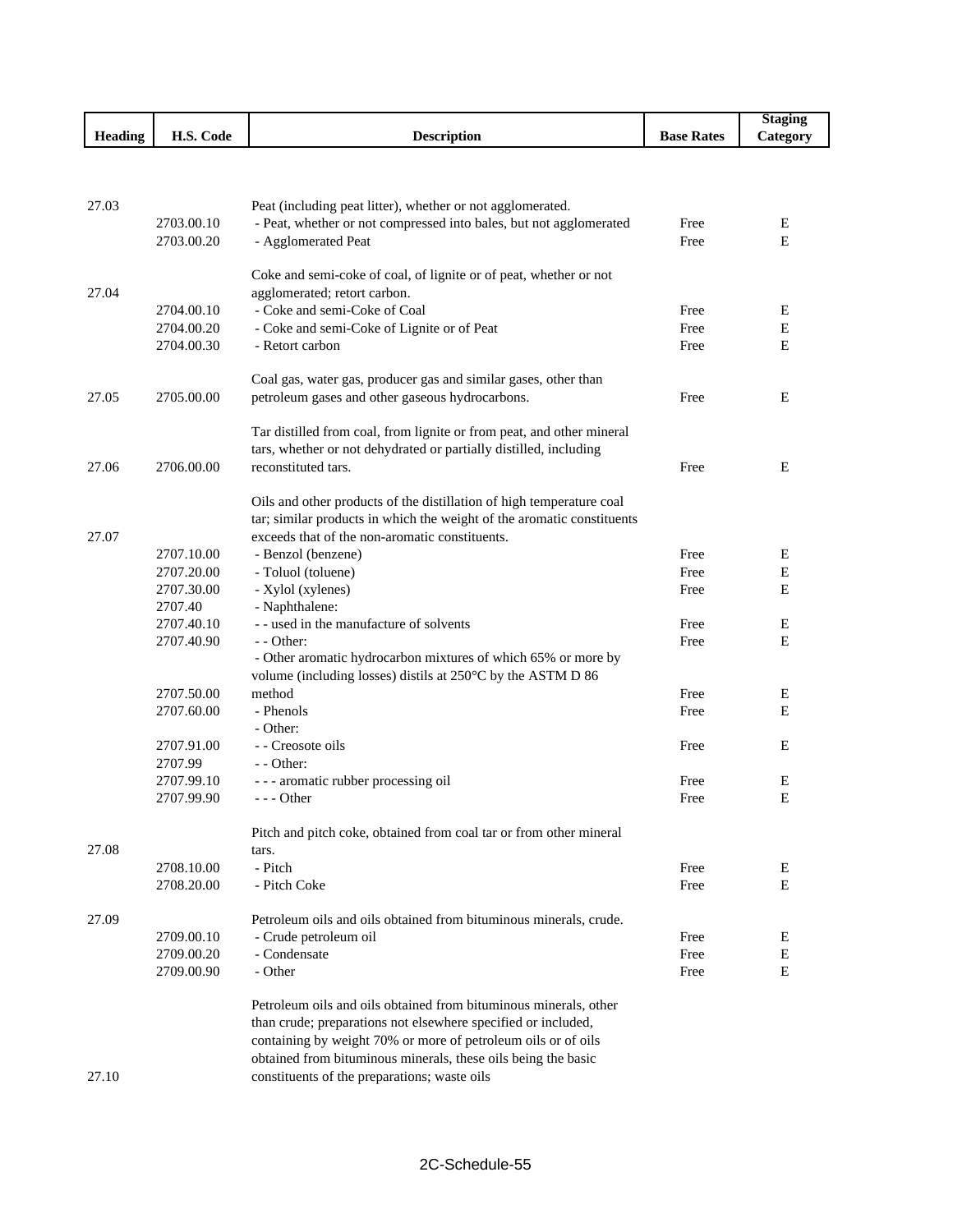|                |            |                                                                        |                   | <b>Staging</b> |
|----------------|------------|------------------------------------------------------------------------|-------------------|----------------|
| <b>Heading</b> | H.S. Code  | <b>Description</b>                                                     | <b>Base Rates</b> | Category       |
|                |            |                                                                        |                   |                |
|                |            |                                                                        |                   |                |
|                |            |                                                                        |                   |                |
| 27.03          |            | Peat (including peat litter), whether or not agglomerated.             |                   |                |
|                | 2703.00.10 | - Peat, whether or not compressed into bales, but not agglomerated     | Free              | Ε              |
|                | 2703.00.20 | - Agglomerated Peat                                                    | Free              | E              |
|                |            | Coke and semi-coke of coal, of lignite or of peat, whether or not      |                   |                |
| 27.04          |            | agglomerated; retort carbon.                                           |                   |                |
|                | 2704.00.10 | - Coke and semi-Coke of Coal                                           | Free              | Ε              |
|                | 2704.00.20 | - Coke and semi-Coke of Lignite or of Peat                             | Free              | E              |
|                | 2704.00.30 | - Retort carbon                                                        | Free              | Ε              |
|                |            |                                                                        |                   |                |
|                |            | Coal gas, water gas, producer gas and similar gases, other than        |                   |                |
| 27.05          | 2705.00.00 | petroleum gases and other gaseous hydrocarbons.                        | Free              | E              |
|                |            |                                                                        |                   |                |
|                |            | Tar distilled from coal, from lignite or from peat, and other mineral  |                   |                |
|                |            | tars, whether or not dehydrated or partially distilled, including      |                   |                |
| 27.06          | 2706.00.00 | reconstituted tars.                                                    | Free              | Ε              |
|                |            |                                                                        |                   |                |
|                |            | Oils and other products of the distillation of high temperature coal   |                   |                |
|                |            | tar; similar products in which the weight of the aromatic constituents |                   |                |
| 27.07          |            | exceeds that of the non-aromatic constituents.                         |                   |                |
|                | 2707.10.00 | - Benzol (benzene)                                                     | Free              | Ε              |
|                | 2707.20.00 | - Toluol (toluene)                                                     | Free              | E              |
|                | 2707.30.00 | - Xylol (xylenes)                                                      | Free              | E              |
|                | 2707.40    | - Naphthalene:                                                         |                   |                |
|                | 2707.40.10 | - - used in the manufacture of solvents<br>- - Other:                  | Free              | E<br>E         |
|                | 2707.40.90 | - Other aromatic hydrocarbon mixtures of which 65% or more by          | Free              |                |
|                |            | volume (including losses) distils at 250°C by the ASTM D 86            |                   |                |
|                | 2707.50.00 | method                                                                 | Free              | E              |
|                | 2707.60.00 | - Phenols                                                              | Free              | E              |
|                |            | - Other:                                                               |                   |                |
|                | 2707.91.00 | - - Creosote oils                                                      | Free              | E              |
|                | 2707.99    | - - Other:                                                             |                   |                |
|                | 2707.99.10 | --- aromatic rubber processing oil                                     | Free              | E              |
|                | 2707.99.90 | --- Other                                                              | Free              | E              |
|                |            |                                                                        |                   |                |
|                |            | Pitch and pitch coke, obtained from coal tar or from other mineral     |                   |                |
| 27.08          |            | tars.                                                                  |                   |                |
|                | 2708.10.00 | - Pitch                                                                | Free              | Ε              |
|                | 2708.20.00 | - Pitch Coke                                                           | Free              | E              |
| 27.09          |            | Petroleum oils and oils obtained from bituminous minerals, crude.      |                   |                |
|                | 2709.00.10 | - Crude petroleum oil                                                  | Free              | E              |
|                | 2709.00.20 | - Condensate                                                           | Free              | E              |
|                | 2709.00.90 | - Other                                                                | Free              | Ε              |
|                |            |                                                                        |                   |                |
|                |            | Petroleum oils and oils obtained from bituminous minerals, other       |                   |                |
|                |            | than crude; preparations not elsewhere specified or included,          |                   |                |
|                |            | containing by weight 70% or more of petroleum oils or of oils          |                   |                |
|                |            | obtained from bituminous minerals, these oils being the basic          |                   |                |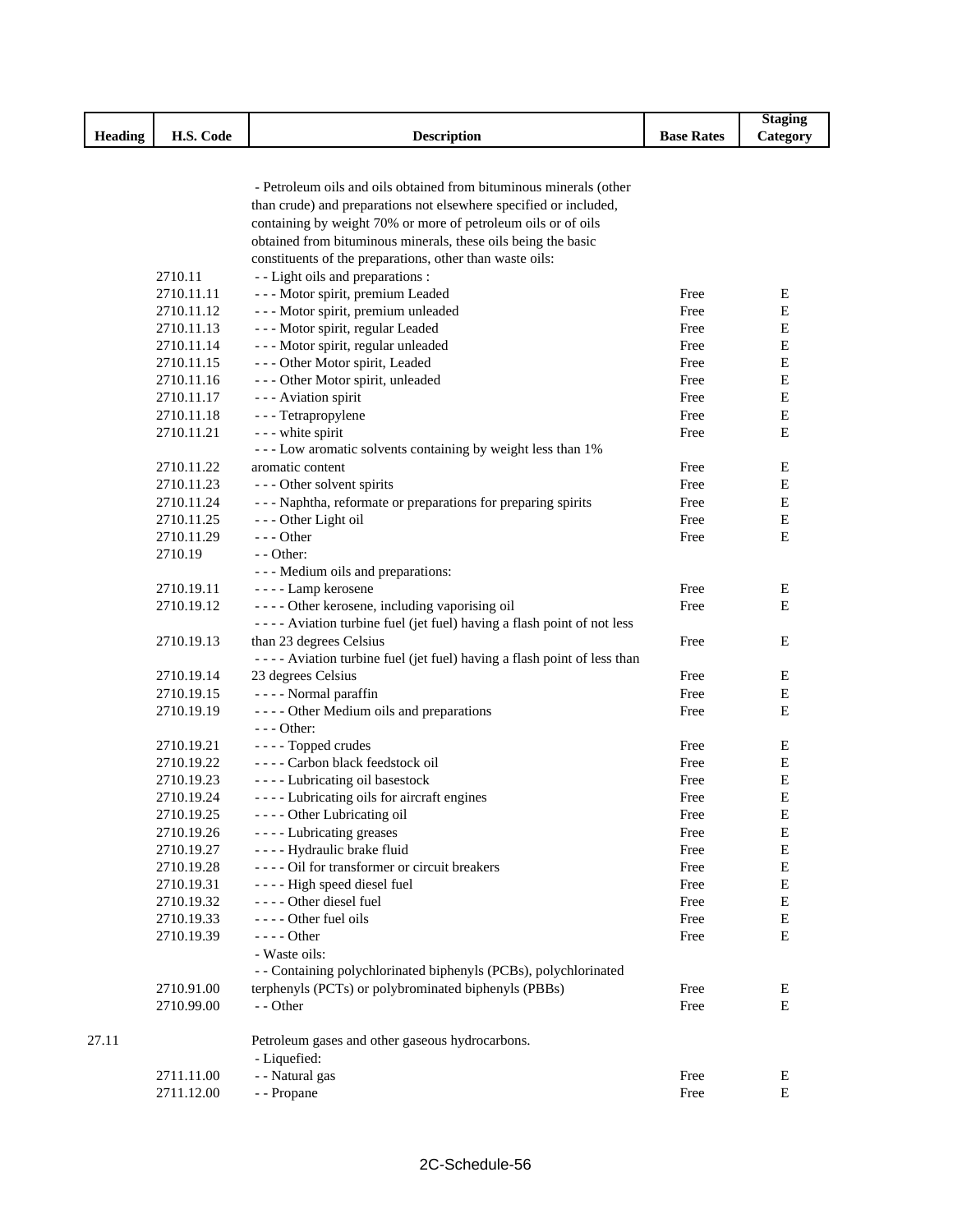|         |                          |                                                                         |                   | <b>Staging</b> |
|---------|--------------------------|-------------------------------------------------------------------------|-------------------|----------------|
| Heading | H.S. Code                | <b>Description</b>                                                      | <b>Base Rates</b> | Category       |
|         |                          |                                                                         |                   |                |
|         |                          |                                                                         |                   |                |
|         |                          | - Petroleum oils and oils obtained from bituminous minerals (other      |                   |                |
|         |                          | than crude) and preparations not elsewhere specified or included,       |                   |                |
|         |                          | containing by weight 70% or more of petroleum oils or of oils           |                   |                |
|         |                          | obtained from bituminous minerals, these oils being the basic           |                   |                |
|         |                          | constituents of the preparations, other than waste oils:                |                   |                |
|         | 2710.11                  | - - Light oils and preparations :                                       |                   |                |
|         | 2710.11.11               | - - - Motor spirit, premium Leaded                                      | Free              | Е              |
|         | 2710.11.12               | - - - Motor spirit, premium unleaded                                    | Free              | Е              |
|         | 2710.11.13               | --- Motor spirit, regular Leaded                                        | Free              | Е              |
|         | 2710.11.14               | - - - Motor spirit, regular unleaded                                    | Free              | Е              |
|         | 2710.11.15               | - - - Other Motor spirit, Leaded                                        | Free              | Е              |
|         | 2710.11.16               | - - - Other Motor spirit, unleaded                                      | Free              | Ε              |
|         | 2710.11.17               | - - - Aviation spirit                                                   | Free              | E              |
|         | 2710.11.18               | - - - Tetrapropylene                                                    | Free              | $\mathbf E$    |
|         | 2710.11.21               | - - - white spirit                                                      | Free              | E              |
|         |                          | - - - Low aromatic solvents containing by weight less than 1%           |                   |                |
|         | 2710.11.22               | aromatic content                                                        | Free              | E              |
|         | 2710.11.23               | --- Other solvent spirits                                               | Free              | E              |
|         | 2710.11.24               | --- Naphtha, reformate or preparations for preparing spirits            | Free              | Е              |
|         | 2710.11.25               | --- Other Light oil                                                     | Free              | $\mathbf E$    |
|         | 2710.11.29               | $- -$ Other                                                             | Free              | E              |
|         | 2710.19                  | - - Other:                                                              |                   |                |
|         |                          |                                                                         |                   |                |
|         |                          | - - - Medium oils and preparations:                                     |                   |                |
|         | 2710.19.11<br>2710.19.12 | - - - - Lamp kerosene                                                   | Free<br>Free      | Ε<br>Е         |
|         |                          | - - - - Other kerosene, including vaporising oil                        |                   |                |
|         |                          | ---- Aviation turbine fuel (jet fuel) having a flash point of not less  |                   |                |
|         | 2710.19.13               | than 23 degrees Celsius                                                 | Free              | Е              |
|         |                          | ---- Aviation turbine fuel (jet fuel) having a flash point of less than |                   |                |
|         | 2710.19.14               | 23 degrees Celsius                                                      | Free              | Е              |
|         | 2710.19.15               | - - - - Normal paraffin                                                 | Free              | Е              |
|         | 2710.19.19               | - - - - Other Medium oils and preparations                              | Free              | Е              |
|         |                          | $--$ Other:                                                             |                   |                |
|         | 2710.19.21               | - - - - Topped crudes                                                   | Free              | E              |
|         | 2710.19.22               | ---- Carbon black feedstock oil                                         | Free              | E              |
|         | 2710.19.23               | - - - - Lubricating oil basestock                                       | Free              | $\mathbf E$    |
|         | 2710.19.24               | - - - - Lubricating oils for aircraft engines                           | Free              | E              |
|         | 2710.19.25               | - - - - Other Lubricating oil                                           | Free              | $\mathbf E$    |
|         | 2710.19.26               | - - - - Lubricating greases                                             | Free              | ${\bf E}$      |
|         | 2710.19.27               | - - - - Hydraulic brake fluid                                           | Free              | E              |
|         | 2710.19.28               | ---- Oil for transformer or circuit breakers                            | Free              | Е              |
|         | 2710.19.31               | ---- High speed diesel fuel                                             | Free              | E              |
|         | 2710.19.32               | - - - - Other diesel fuel                                               | Free              | E              |
|         | 2710.19.33               | ---- Other fuel oils                                                    | Free              | E              |
|         | 2710.19.39               | - - - - Other                                                           | Free              | Е              |
|         |                          | - Waste oils:                                                           |                   |                |
|         |                          | - - Containing polychlorinated biphenyls (PCBs), polychlorinated        |                   |                |
|         | 2710.91.00               | terphenyls (PCTs) or polybrominated biphenyls (PBBs)                    | Free              | Ε              |
|         | 2710.99.00               | - - Other                                                               | Free              | Е              |
| 27.11   |                          | Petroleum gases and other gaseous hydrocarbons.                         |                   |                |
|         |                          | - Liquefied:                                                            |                   |                |
|         | 2711.11.00               | - - Natural gas                                                         | Free              | E              |
|         | 2711.12.00               | - - Propane                                                             | Free              | $\mathbf E$    |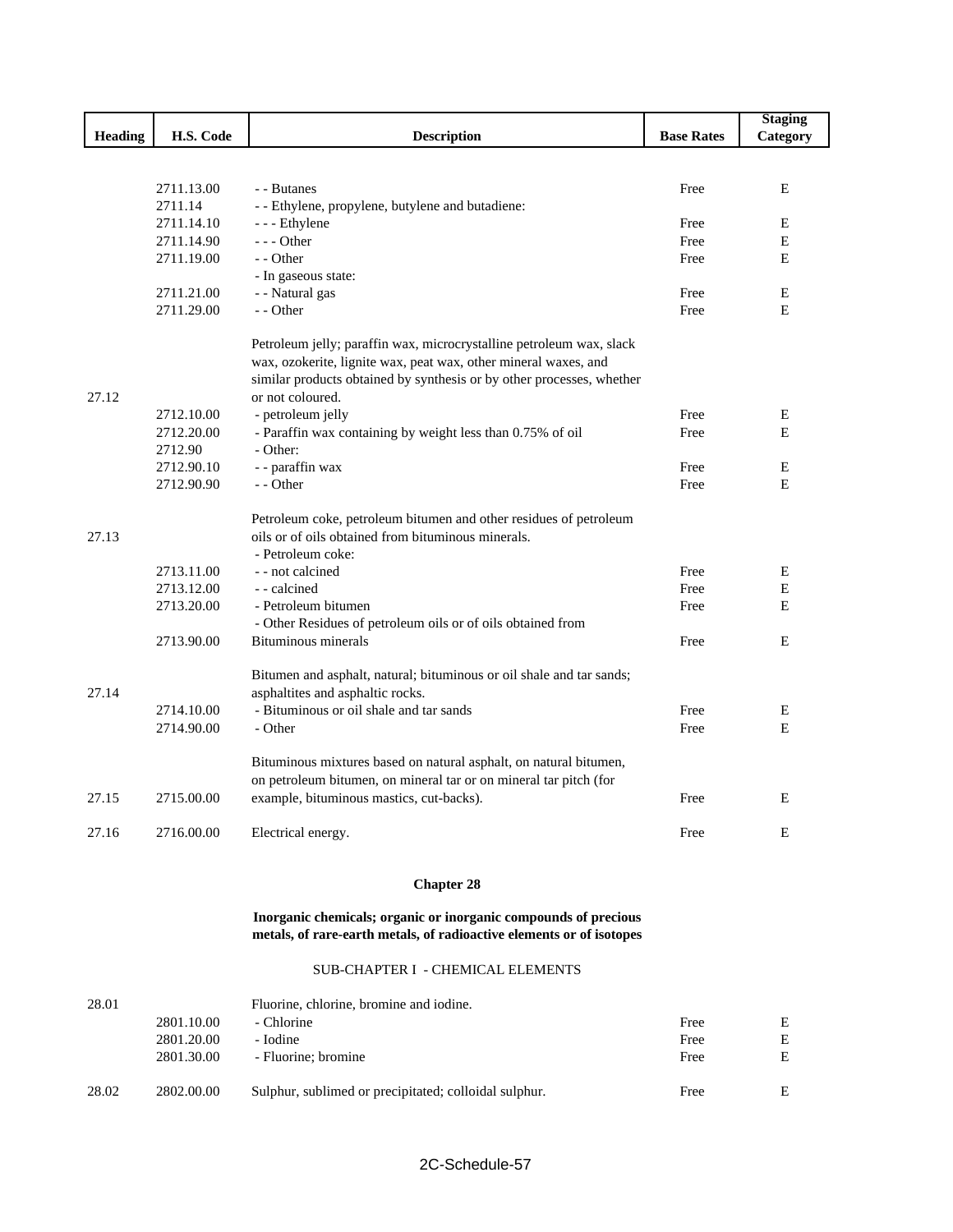|         |                       |                                                                       |                   | <b>Staging</b> |
|---------|-----------------------|-----------------------------------------------------------------------|-------------------|----------------|
| Heading | H.S. Code             | <b>Description</b>                                                    | <b>Base Rates</b> | Category       |
|         |                       |                                                                       |                   |                |
|         |                       | - - Butanes                                                           | Free              | E              |
|         | 2711.13.00<br>2711.14 | - - Ethylene, propylene, butylene and butadiene:                      |                   |                |
|         | 2711.14.10            | - - Ethylene                                                          | Free              | E              |
|         | 2711.14.90            | $--$ Other                                                            | Free              | Е              |
|         | 2711.19.00            | $-$ - Other                                                           | Free              | E              |
|         |                       | - In gaseous state:                                                   |                   |                |
|         | 2711.21.00            | - - Natural gas                                                       | Free              | E              |
|         | 2711.29.00            | - - Other                                                             | Free              | E              |
|         |                       |                                                                       |                   |                |
|         |                       | Petroleum jelly; paraffin wax, microcrystalline petroleum wax, slack  |                   |                |
|         |                       | wax, ozokerite, lignite wax, peat wax, other mineral waxes, and       |                   |                |
|         |                       | similar products obtained by synthesis or by other processes, whether |                   |                |
| 27.12   |                       | or not coloured.                                                      |                   |                |
|         | 2712.10.00            | - petroleum jelly                                                     | Free              | E              |
|         | 2712.20.00            | - Paraffin wax containing by weight less than 0.75% of oil            | Free              | E              |
|         | 2712.90               | - Other:                                                              |                   |                |
|         | 2712.90.10            | - - paraffin wax                                                      | Free              | E              |
|         | 2712.90.90            | - - Other                                                             | Free              | E              |
|         |                       |                                                                       |                   |                |
|         |                       | Petroleum coke, petroleum bitumen and other residues of petroleum     |                   |                |
| 27.13   |                       | oils or of oils obtained from bituminous minerals.                    |                   |                |
|         |                       | - Petroleum coke:                                                     |                   |                |
|         | 2713.11.00            | - - not calcined                                                      | Free              | Ε              |
|         | 2713.12.00            | - - calcined                                                          | Free              | Е              |
|         | 2713.20.00            | - Petroleum bitumen                                                   | Free              | E              |
|         |                       | - Other Residues of petroleum oils or of oils obtained from           |                   |                |
|         | 2713.90.00            | <b>Bituminous minerals</b>                                            | Free              | Е              |
|         |                       | Bitumen and asphalt, natural; bituminous or oil shale and tar sands;  |                   |                |
| 27.14   |                       | asphaltites and asphaltic rocks.                                      |                   |                |
|         | 2714.10.00            | - Bituminous or oil shale and tar sands                               | Free              | E              |
|         | 2714.90.00            | - Other                                                               | Free              | E              |
|         |                       |                                                                       |                   |                |
|         |                       | Bituminous mixtures based on natural asphalt, on natural bitumen,     |                   |                |
|         |                       | on petroleum bitumen, on mineral tar or on mineral tar pitch (for     |                   |                |
| 27.15   | 2715.00.00            | example, bituminous mastics, cut-backs).                              | Free              | E              |
| 27.16   | 2716.00.00            | Electrical energy.                                                    | Free              | E              |
|         |                       |                                                                       |                   |                |
|         |                       |                                                                       |                   |                |
|         |                       | <b>Chapter 28</b>                                                     |                   |                |

## **Inorganic chemicals; organic or inorganic compounds of precious metals, of rare-earth metals, of radioactive elements or of isotopes**

## SUB-CHAPTER I - CHEMICAL ELEMENTS

| 28.01 |            | Fluorine, chlorine, bromine and iodine.               |      |   |
|-------|------------|-------------------------------------------------------|------|---|
|       | 2801.10.00 | - Chlorine                                            | Free | E |
|       | 2801.20.00 | - Iodine                                              | Free | E |
|       | 2801.30.00 | - Fluorine; bromine                                   | Free | Е |
| 28.02 | 2802.00.00 | Sulphur, sublimed or precipitated; colloidal sulphur. | Free | E |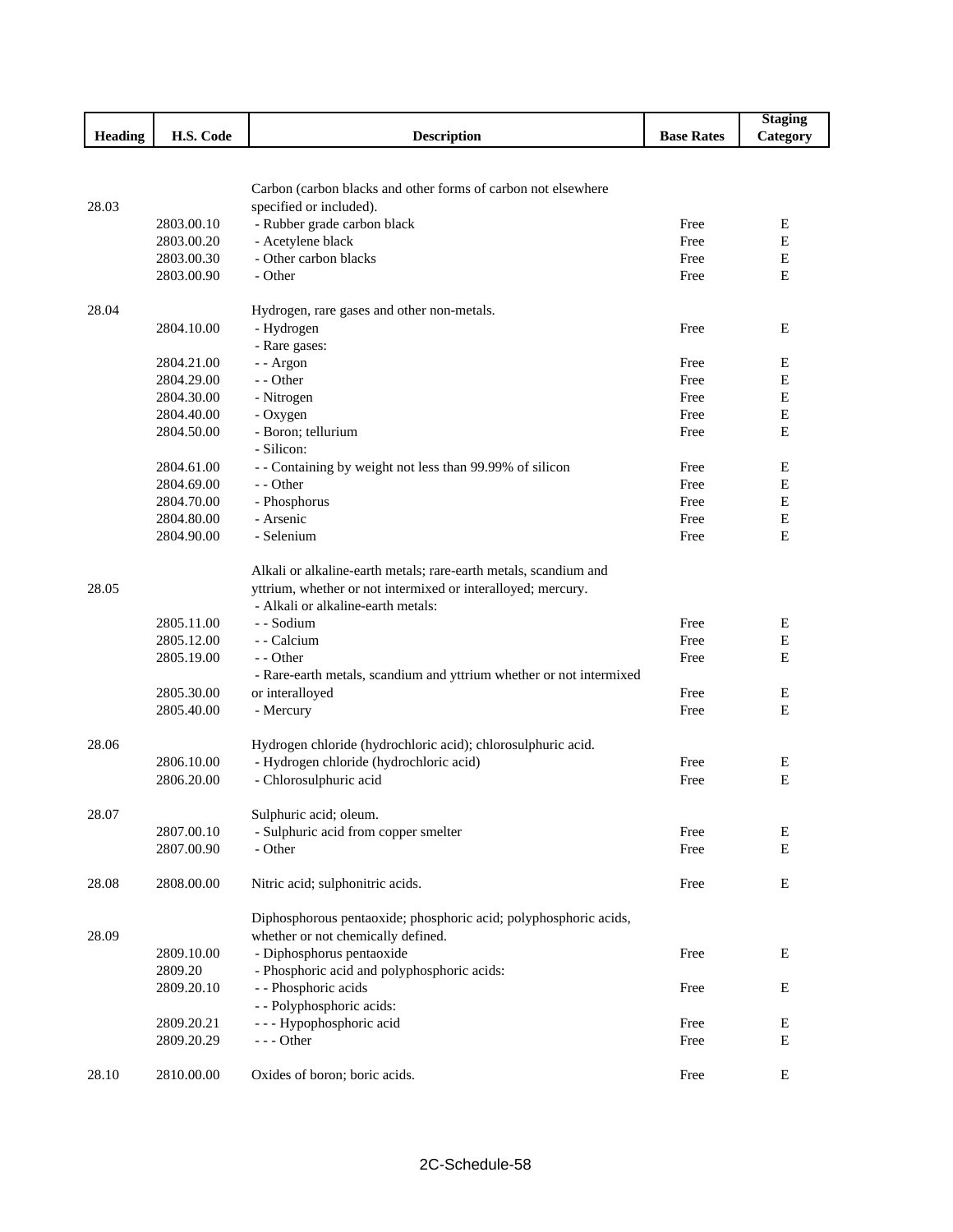|                |            |                                                                     |                   | <b>Staging</b> |
|----------------|------------|---------------------------------------------------------------------|-------------------|----------------|
| <b>Heading</b> | H.S. Code  | <b>Description</b>                                                  | <b>Base Rates</b> | Category       |
|                |            |                                                                     |                   |                |
|                |            |                                                                     |                   |                |
|                |            | Carbon (carbon blacks and other forms of carbon not elsewhere       |                   |                |
| 28.03          |            | specified or included).                                             |                   |                |
|                | 2803.00.10 | - Rubber grade carbon black                                         | Free              | Ε              |
|                | 2803.00.20 | - Acetylene black                                                   | Free              | E              |
|                | 2803.00.30 | - Other carbon blacks                                               | Free              | $\mathbf E$    |
|                | 2803.00.90 | - Other                                                             | Free              | $\mathbf E$    |
|                |            |                                                                     |                   |                |
| 28.04          |            | Hydrogen, rare gases and other non-metals.                          |                   |                |
|                | 2804.10.00 | - Hydrogen                                                          | Free              | Ε              |
|                |            | - Rare gases:                                                       |                   |                |
|                | 2804.21.00 | -- Argon                                                            | Free              | Е              |
|                | 2804.29.00 | - - Other                                                           | Free              | E              |
|                | 2804.30.00 | - Nitrogen                                                          | Free              | E              |
|                | 2804.40.00 | - Oxygen                                                            | Free              | E              |
|                | 2804.50.00 | - Boron; tellurium                                                  | Free              | E              |
|                |            | - Silicon:                                                          |                   |                |
|                | 2804.61.00 | - - Containing by weight not less than 99.99% of silicon            | Free              | E              |
|                | 2804.69.00 | - - Other                                                           | Free              | Ε              |
|                | 2804.70.00 | - Phosphorus                                                        | Free              | Е              |
|                | 2804.80.00 | - Arsenic                                                           | Free              | E              |
|                | 2804.90.00 | - Selenium                                                          | Free              | E              |
|                |            |                                                                     |                   |                |
|                |            | Alkali or alkaline-earth metals; rare-earth metals, scandium and    |                   |                |
| 28.05          |            | yttrium, whether or not intermixed or interalloyed; mercury.        |                   |                |
|                |            | - Alkali or alkaline-earth metals:                                  |                   |                |
|                | 2805.11.00 | - - Sodium                                                          | Free              | Е              |
|                | 2805.12.00 | - - Calcium                                                         | Free              | E              |
|                | 2805.19.00 | - - Other                                                           | Free              | E              |
|                |            | - Rare-earth metals, scandium and yttrium whether or not intermixed |                   |                |
|                | 2805.30.00 | or interalloyed                                                     | Free              | E              |
|                | 2805.40.00 | - Mercury                                                           | Free              | Ε              |
|                |            |                                                                     |                   |                |
| 28.06          |            | Hydrogen chloride (hydrochloric acid); chlorosulphuric acid.        |                   |                |
|                | 2806.10.00 | - Hydrogen chloride (hydrochloric acid)                             | Free              | Ε              |
|                | 2806.20.00 | - Chlorosulphuric acid                                              | Free              | E              |
|                |            |                                                                     |                   |                |
| 28.07          |            | Sulphuric acid; oleum.                                              |                   |                |
|                | 2807.00.10 | - Sulphuric acid from copper smelter                                | Free              | Ε              |
|                | 2807.00.90 | - Other                                                             | Free              | E              |
|                |            |                                                                     |                   |                |
| 28.08          | 2808.00.00 | Nitric acid; sulphonitric acids.                                    | Free              | E              |
|                |            |                                                                     |                   |                |
|                |            | Diphosphorous pentaoxide; phosphoric acid; polyphosphoric acids,    |                   |                |
| 28.09          |            | whether or not chemically defined.                                  |                   |                |
|                | 2809.10.00 | - Diphosphorus pentaoxide                                           | Free              | E              |
|                | 2809.20    | - Phosphoric acid and polyphosphoric acids:                         |                   |                |
|                |            |                                                                     |                   |                |
|                | 2809.20.10 | - - Phosphoric acids                                                | Free              | E              |
|                |            | - - Polyphosphoric acids:                                           |                   |                |
|                | 2809.20.21 | --- Hypophosphoric acid                                             | Free              | E              |
|                | 2809.20.29 | - - - Other                                                         | Free              | E              |
|                |            |                                                                     |                   |                |
| 28.10          | 2810.00.00 | Oxides of boron; boric acids.                                       | Free              | E              |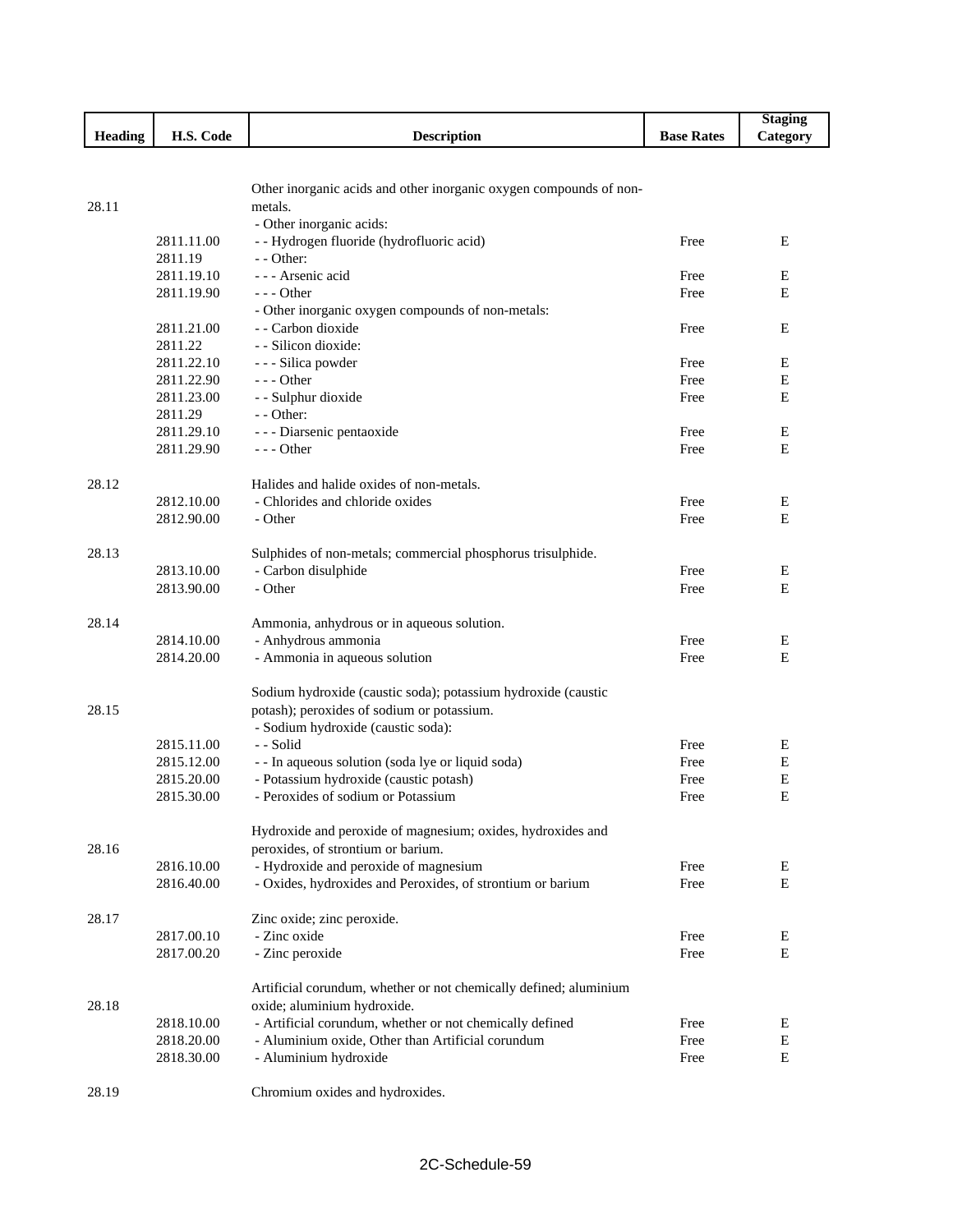|                |                          |                                                                                         |                   | <b>Staging</b> |
|----------------|--------------------------|-----------------------------------------------------------------------------------------|-------------------|----------------|
| <b>Heading</b> | H.S. Code                | <b>Description</b>                                                                      | <b>Base Rates</b> | Category       |
|                |                          |                                                                                         |                   |                |
|                |                          |                                                                                         |                   |                |
|                |                          | Other inorganic acids and other inorganic oxygen compounds of non-                      |                   |                |
| 28.11          |                          | metals.                                                                                 |                   |                |
|                |                          | - Other inorganic acids:                                                                |                   |                |
|                | 2811.11.00               | - - Hydrogen fluoride (hydrofluoric acid)                                               | Free              | Ε              |
|                | 2811.19                  | $-$ - Other:                                                                            |                   |                |
|                | 2811.19.10               | --- Arsenic acid                                                                        | Free              | Е              |
|                | 2811.19.90               | $--$ Other                                                                              | Free              | E              |
|                |                          | - Other inorganic oxygen compounds of non-metals:                                       |                   |                |
|                | 2811.21.00               | - - Carbon dioxide                                                                      | Free              | E              |
|                | 2811.22                  | - - Silicon dioxide:                                                                    |                   |                |
|                | 2811.22.10               | - - - Silica powder                                                                     | Free              | Ε              |
|                | 2811.22.90               | $--$ Other                                                                              | Free              | E              |
|                | 2811.23.00               | - - Sulphur dioxide                                                                     | Free              | E              |
|                | 2811.29                  | - - Other:                                                                              |                   |                |
|                | 2811.29.10               | - - - Diarsenic pentaoxide                                                              | Free              | Е              |
|                | 2811.29.90               | $--$ Other                                                                              | Free              | E              |
|                |                          |                                                                                         |                   |                |
| 28.12          |                          | Halides and halide oxides of non-metals.                                                |                   |                |
|                | 2812.10.00               | - Chlorides and chloride oxides                                                         | Free              | Е              |
|                | 2812.90.00               | - Other                                                                                 | Free              | E              |
|                |                          |                                                                                         |                   |                |
| 28.13          |                          | Sulphides of non-metals; commercial phosphorus trisulphide.                             |                   |                |
|                | 2813.10.00               | - Carbon disulphide                                                                     | Free              | Е              |
|                | 2813.90.00               | - Other                                                                                 | Free              | E              |
|                |                          |                                                                                         |                   |                |
| 28.14          |                          | Ammonia, anhydrous or in aqueous solution.                                              |                   |                |
|                | 2814.10.00               | - Anhydrous ammonia                                                                     | Free              | Е              |
|                | 2814.20.00               | - Ammonia in aqueous solution                                                           | Free              | E              |
|                |                          |                                                                                         |                   |                |
|                |                          | Sodium hydroxide (caustic soda); potassium hydroxide (caustic                           |                   |                |
| 28.15          |                          | potash); peroxides of sodium or potassium.                                              |                   |                |
|                |                          | - Sodium hydroxide (caustic soda):                                                      |                   |                |
|                | 2815.11.00               | - - Solid                                                                               | Free              | Е              |
|                | 2815.12.00               | - - In aqueous solution (soda lye or liquid soda)                                       | Free              | E              |
|                | 2815.20.00               | - Potassium hydroxide (caustic potash)                                                  | Free              | E              |
|                | 2815.30.00               | - Peroxides of sodium or Potassium                                                      | Free              | E              |
|                |                          |                                                                                         |                   |                |
|                |                          | Hydroxide and peroxide of magnesium; oxides, hydroxides and                             |                   |                |
| 28.16          |                          | peroxides, of strontium or barium.                                                      |                   |                |
|                | 2816.10.00               | - Hydroxide and peroxide of magnesium                                                   | Free              | Е<br>E         |
|                | 2816.40.00               | - Oxides, hydroxides and Peroxides, of strontium or barium                              | Free              |                |
|                |                          |                                                                                         |                   |                |
| 28.17          |                          | Zinc oxide; zinc peroxide.<br>- Zinc oxide                                              |                   |                |
|                | 2817.00.10               |                                                                                         | Free              | Ε              |
|                | 2817.00.20               | - Zinc peroxide                                                                         | Free              | E              |
|                |                          |                                                                                         |                   |                |
| 28.18          |                          | Artificial corundum, whether or not chemically defined; aluminium                       |                   |                |
|                |                          | oxide; aluminium hydroxide.<br>- Artificial corundum, whether or not chemically defined |                   | E              |
|                | 2818.10.00<br>2818.20.00 | - Aluminium oxide, Other than Artificial corundum                                       | Free<br>Free      | Е              |
|                | 2818.30.00               | - Aluminium hydroxide                                                                   | Free              | E              |
|                |                          |                                                                                         |                   |                |
| 28.19          |                          | Chromium oxides and hydroxides.                                                         |                   |                |
|                |                          |                                                                                         |                   |                |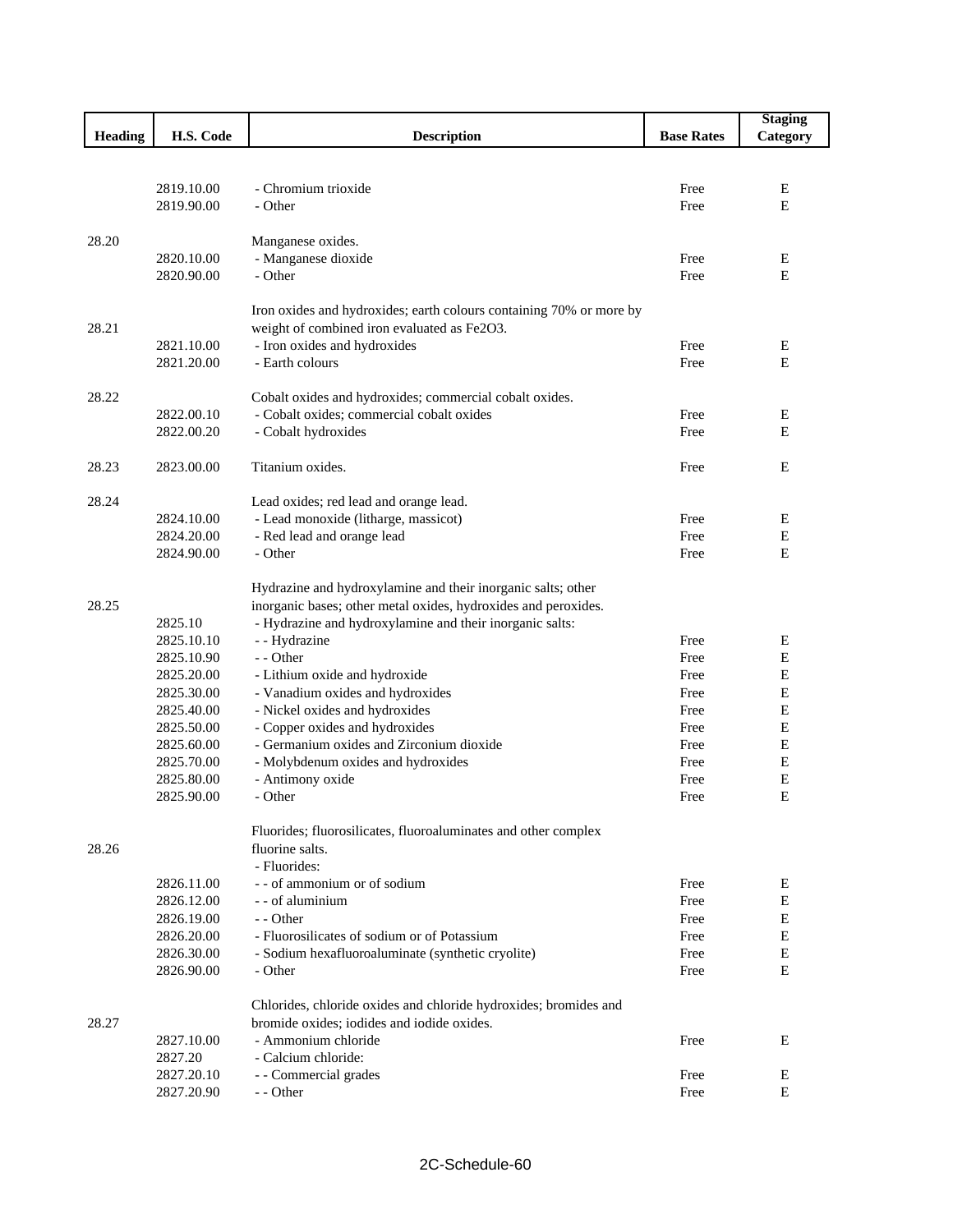|                |                          |                                                                     |                   | <b>Staging</b> |
|----------------|--------------------------|---------------------------------------------------------------------|-------------------|----------------|
| <b>Heading</b> | H.S. Code                | <b>Description</b>                                                  | <b>Base Rates</b> | Category       |
|                |                          |                                                                     |                   |                |
|                |                          |                                                                     |                   |                |
|                | 2819.10.00               | - Chromium trioxide                                                 | Free              | Ε              |
|                | 2819.90.00               | - Other                                                             | Free              | E              |
|                |                          |                                                                     |                   |                |
| 28.20          |                          | Manganese oxides.                                                   |                   |                |
|                | 2820.10.00               | - Manganese dioxide                                                 | Free              | Е              |
|                | 2820.90.00               | - Other                                                             | Free              | E              |
|                |                          |                                                                     |                   |                |
|                |                          | Iron oxides and hydroxides; earth colours containing 70% or more by |                   |                |
| 28.21          |                          | weight of combined iron evaluated as Fe2O3.                         |                   |                |
|                | 2821.10.00               | - Iron oxides and hydroxides                                        | Free              | E<br>E         |
|                | 2821.20.00               | - Earth colours                                                     | Free              |                |
| 28.22          |                          | Cobalt oxides and hydroxides; commercial cobalt oxides.             |                   |                |
|                | 2822.00.10               | - Cobalt oxides; commercial cobalt oxides                           | Free              | Е              |
|                | 2822.00.20               | - Cobalt hydroxides                                                 | Free              | E              |
|                |                          |                                                                     |                   |                |
| 28.23          | 2823.00.00               | Titanium oxides.                                                    | Free              | E              |
|                |                          |                                                                     |                   |                |
| 28.24          |                          | Lead oxides; red lead and orange lead.                              |                   |                |
|                | 2824.10.00               | - Lead monoxide (litharge, massicot)                                | Free              | Е              |
|                | 2824.20.00               | - Red lead and orange lead                                          | Free              | E              |
|                | 2824.90.00               | - Other                                                             | Free              | E              |
|                |                          |                                                                     |                   |                |
|                |                          | Hydrazine and hydroxylamine and their inorganic salts; other        |                   |                |
| 28.25          |                          | inorganic bases; other metal oxides, hydroxides and peroxides.      |                   |                |
|                | 2825.10                  | - Hydrazine and hydroxylamine and their inorganic salts:            |                   |                |
|                | 2825.10.10               | - - Hydrazine                                                       | Free              | Ε              |
|                | 2825.10.90               | - - Other                                                           | Free              | E              |
|                | 2825.20.00               | - Lithium oxide and hydroxide                                       | Free              | Ε              |
|                | 2825.30.00               | - Vanadium oxides and hydroxides                                    | Free              | E              |
|                | 2825.40.00               | - Nickel oxides and hydroxides                                      | Free              | E              |
|                | 2825.50.00               | - Copper oxides and hydroxides                                      | Free              | $\mathbf E$    |
|                | 2825.60.00               | - Germanium oxides and Zirconium dioxide                            | Free              | E              |
|                | 2825.70.00               | - Molybdenum oxides and hydroxides                                  | Free              | E              |
|                | 2825.80.00<br>2825.90.00 | - Antimony oxide                                                    | Free              | E<br>E         |
|                |                          | - Other                                                             | Free              |                |
|                |                          | Fluorides; fluorosilicates, fluoroaluminates and other complex      |                   |                |
| 28.26          |                          | fluorine salts.                                                     |                   |                |
|                |                          | - Fluorides:                                                        |                   |                |
|                | 2826.11.00               | - - of ammonium or of sodium                                        | Free              | Е              |
|                | 2826.12.00               | - - of aluminium                                                    | Free              | E              |
|                | 2826.19.00               | - - Other                                                           | Free              | E              |
|                | 2826.20.00               | - Fluorosilicates of sodium or of Potassium                         | Free              | E              |
|                | 2826.30.00               | - Sodium hexafluoroaluminate (synthetic cryolite)                   | Free              | Е              |
|                | 2826.90.00               | - Other                                                             | Free              | E              |
|                |                          |                                                                     |                   |                |
|                |                          | Chlorides, chloride oxides and chloride hydroxides; bromides and    |                   |                |
| 28.27          |                          | bromide oxides; iodides and iodide oxides.                          |                   |                |
|                | 2827.10.00               | - Ammonium chloride                                                 | Free              | Е              |
|                | 2827.20                  | - Calcium chloride:                                                 |                   |                |
|                | 2827.20.10               | - - Commercial grades                                               | Free              | Ε              |
|                | 2827.20.90               | - - Other                                                           | Free              | E              |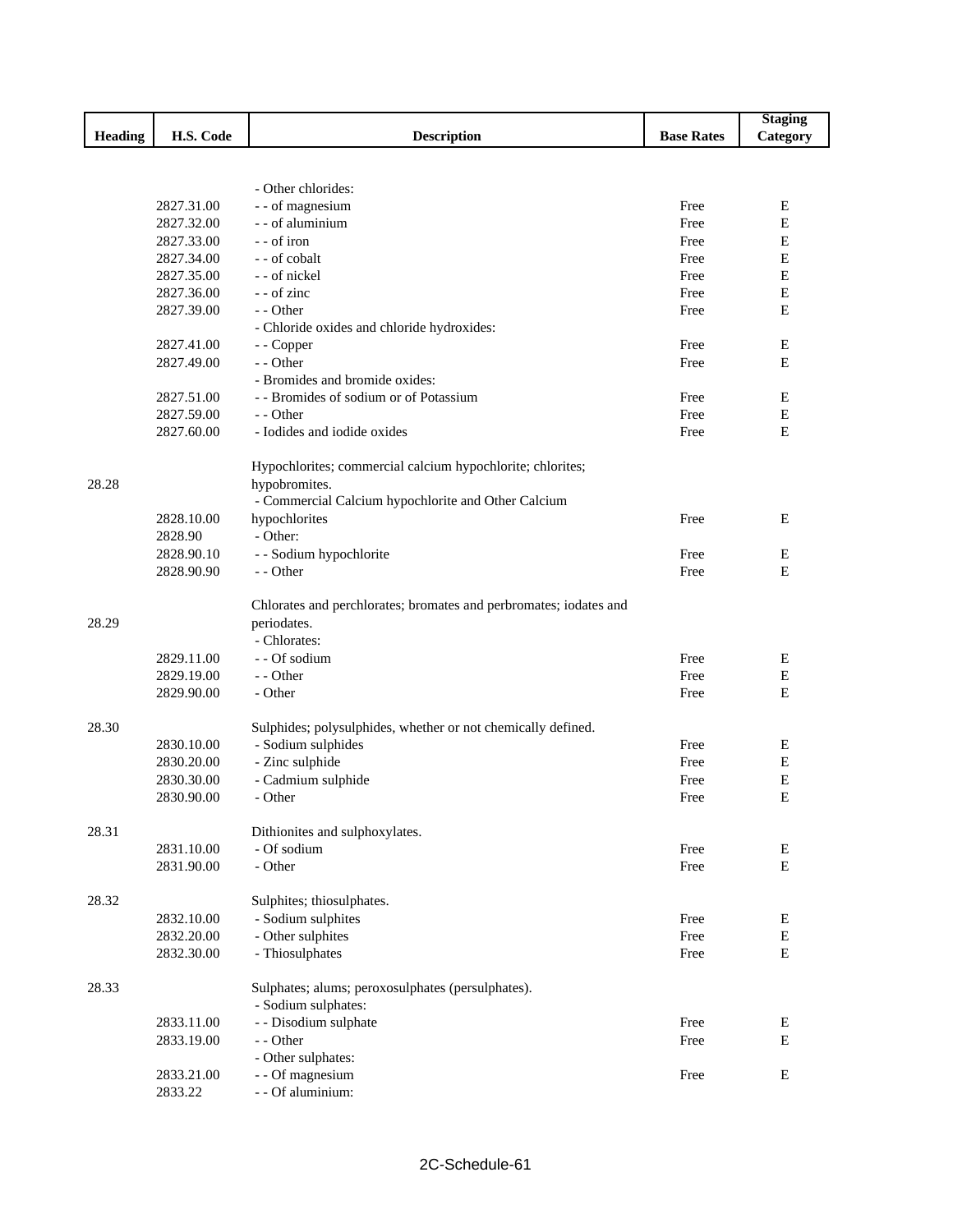|         |            |                                                                   |                   | <b>Staging</b> |
|---------|------------|-------------------------------------------------------------------|-------------------|----------------|
| Heading | H.S. Code  | <b>Description</b>                                                | <b>Base Rates</b> | Category       |
|         |            |                                                                   |                   |                |
|         |            |                                                                   |                   |                |
|         |            | - Other chlorides:                                                |                   |                |
|         | 2827.31.00 | - - of magnesium                                                  | Free              | E              |
|         | 2827.32.00 | - - of aluminium                                                  | Free              | $\mathbf E$    |
|         | 2827.33.00 | - - of iron                                                       | Free              | $\mathbf E$    |
|         | 2827.34.00 | - - of cobalt                                                     | Free              | E              |
|         | 2827.35.00 | - - of nickel                                                     | Free              | E              |
|         | 2827.36.00 | - - of zinc                                                       | Free              | E              |
|         | 2827.39.00 | - - Other                                                         | Free              | Ε              |
|         |            | - Chloride oxides and chloride hydroxides:                        |                   |                |
|         | 2827.41.00 | - - Copper                                                        | Free              | E              |
|         | 2827.49.00 | - - Other                                                         | Free              | E              |
|         |            | - Bromides and bromide oxides:                                    |                   |                |
|         | 2827.51.00 | - - Bromides of sodium or of Potassium                            | Free              | Е              |
|         | 2827.59.00 | - - Other                                                         | Free              | E              |
|         | 2827.60.00 | - Iodides and iodide oxides                                       | Free              | E              |
|         |            |                                                                   |                   |                |
|         |            | Hypochlorites; commercial calcium hypochlorite; chlorites;        |                   |                |
| 28.28   |            | hypobromites.                                                     |                   |                |
|         |            | - Commercial Calcium hypochlorite and Other Calcium               |                   |                |
|         | 2828.10.00 | hypochlorites                                                     | Free              | E              |
|         | 2828.90    | - Other:                                                          |                   |                |
|         | 2828.90.10 | - - Sodium hypochlorite                                           | Free              | Е              |
|         | 2828.90.90 | - - Other                                                         | Free              | E              |
|         |            |                                                                   |                   |                |
|         |            | Chlorates and perchlorates; bromates and perbromates; iodates and |                   |                |
| 28.29   |            | periodates.                                                       |                   |                |
|         |            | - Chlorates:                                                      |                   |                |
|         | 2829.11.00 | - - Of sodium                                                     | Free              | Е              |
|         | 2829.19.00 | - - Other                                                         | Free              | $\mathbf E$    |
|         | 2829.90.00 | - Other                                                           | Free              | Ε              |
|         |            |                                                                   |                   |                |
| 28.30   |            | Sulphides; polysulphides, whether or not chemically defined.      |                   |                |
|         | 2830.10.00 | - Sodium sulphides                                                | Free              | Е              |
|         | 2830.20.00 | - Zinc sulphide                                                   | Free              | E              |
|         | 2830.30.00 | - Cadmium sulphide                                                | Free              | Е              |
|         | 2830.90.00 | - Other                                                           | Free              | E              |
|         |            |                                                                   |                   |                |
| 28.31   |            | Dithionites and sulphoxylates.                                    |                   |                |
|         | 2831.10.00 | - Of sodium                                                       | Free              | E              |
|         | 2831.90.00 | - Other                                                           | Free              | ${\bf E}$      |
|         |            |                                                                   |                   |                |
| 28.32   |            | Sulphites; thiosulphates.                                         |                   |                |
|         | 2832.10.00 | - Sodium sulphites                                                | Free              | Е              |
|         | 2832.20.00 | - Other sulphites                                                 | Free              | Е              |
|         | 2832.30.00 | - Thiosulphates                                                   | Free              | Е              |
|         |            |                                                                   |                   |                |
| 28.33   |            | Sulphates; alums; peroxosulphates (persulphates).                 |                   |                |
|         |            | - Sodium sulphates:                                               |                   |                |
|         | 2833.11.00 | - - Disodium sulphate                                             | Free              | Е              |
|         | 2833.19.00 | - - Other                                                         | Free              | Е              |
|         |            | - Other sulphates:                                                |                   |                |
|         | 2833.21.00 | - - Of magnesium                                                  | Free              | Е              |
|         | 2833.22    | - - Of aluminium:                                                 |                   |                |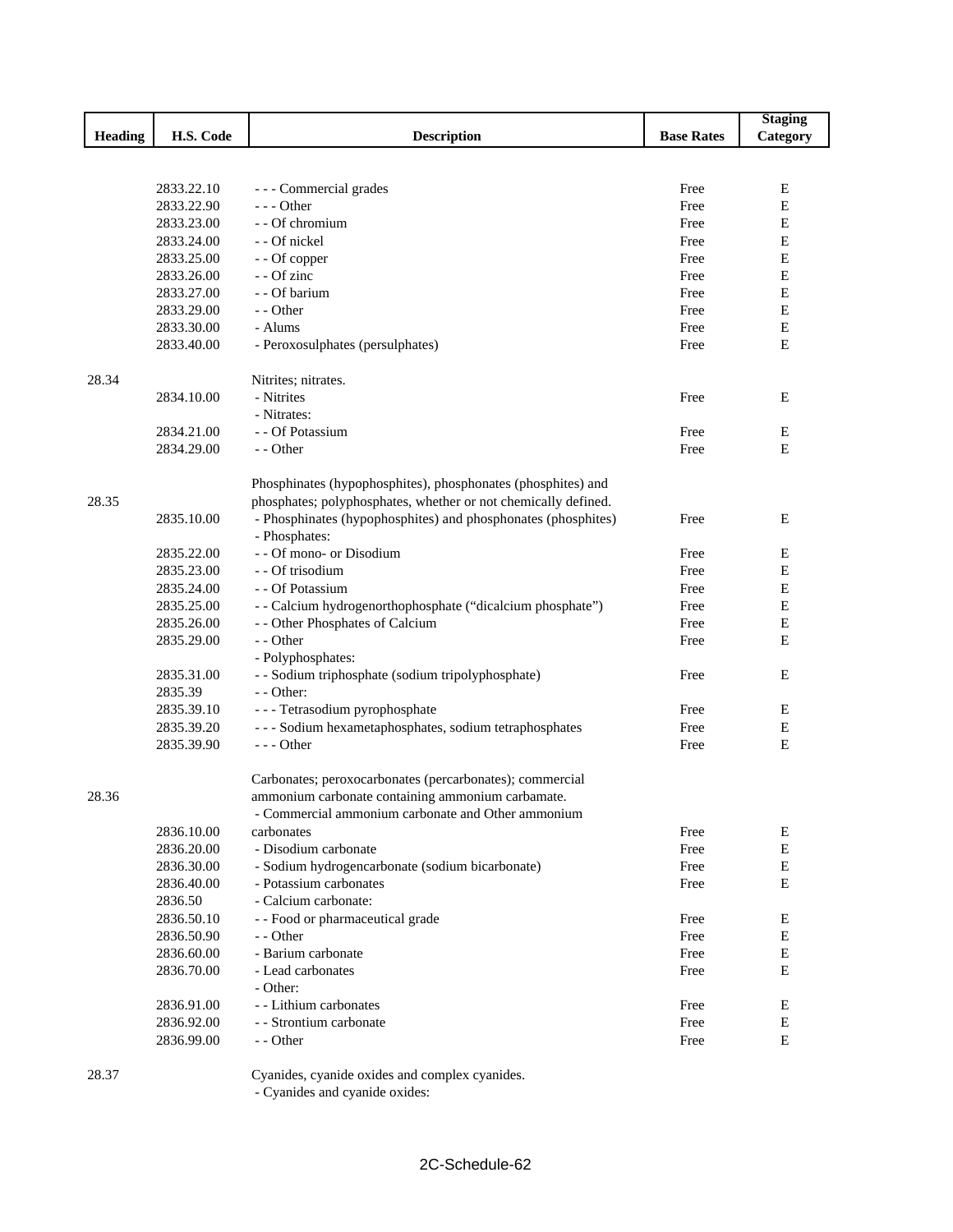|                |            |                                                                |                   | <b>Staging</b> |
|----------------|------------|----------------------------------------------------------------|-------------------|----------------|
| <b>Heading</b> | H.S. Code  | <b>Description</b>                                             | <b>Base Rates</b> | Category       |
|                |            |                                                                |                   |                |
|                |            |                                                                |                   |                |
|                | 2833.22.10 | - - - Commercial grades                                        | Free              | Е              |
|                | 2833.22.90 | $--$ Other                                                     | Free              | $\mathbf E$    |
|                | 2833.23.00 | - - Of chromium                                                | Free              | E              |
|                | 2833.24.00 | - - Of nickel                                                  | Free              | E              |
|                | 2833.25.00 | - - Of copper                                                  | Free              | $\mathbf E$    |
|                | 2833.26.00 | $-$ - Of zinc                                                  | Free              | E              |
|                | 2833.27.00 | - - Of barium                                                  | Free              | Е              |
|                | 2833.29.00 | - - Other                                                      | Free              | E              |
|                | 2833.30.00 | - Alums                                                        | Free              | E              |
|                | 2833.40.00 | - Peroxosulphates (persulphates)                               | Free              | E              |
| 28.34          |            | Nitrites; nitrates.                                            |                   |                |
|                | 2834.10.00 | - Nitrites                                                     | Free              | Е              |
|                |            | - Nitrates:                                                    |                   |                |
|                | 2834.21.00 | - - Of Potassium                                               | Free              | Е              |
|                | 2834.29.00 | - - Other                                                      | Free              | E              |
|                |            | Phosphinates (hypophosphites), phosphonates (phosphites) and   |                   |                |
| 28.35          |            | phosphates; polyphosphates, whether or not chemically defined. |                   |                |
|                | 2835.10.00 | - Phosphinates (hypophosphites) and phosphonates (phosphites)  | Free              | E              |
|                |            | - Phosphates:                                                  |                   |                |
|                | 2835.22.00 | - - Of mono- or Disodium                                       | Free              | Ε              |
|                | 2835.23.00 | - Of trisodium                                                 | Free              | Е              |
|                | 2835.24.00 | - - Of Potassium                                               | Free              | $\mathbf E$    |
|                | 2835.25.00 | - - Calcium hydrogenorthophosphate ("dicalcium phosphate")     | Free              | Е              |
|                | 2835.26.00 | - - Other Phosphates of Calcium                                | Free              | $\mathbf E$    |
|                | 2835.29.00 | - - Other                                                      | Free              | E              |
|                |            | - Polyphosphates:                                              |                   |                |
|                | 2835.31.00 | - - Sodium triphosphate (sodium tripolyphosphate)              | Free              | Ε              |
|                | 2835.39    | $-$ - Other:                                                   |                   |                |
|                | 2835.39.10 | - - - Tetrasodium pyrophosphate                                | Free              | Ε              |
|                | 2835.39.20 | - - - Sodium hexametaphosphates, sodium tetraphosphates        | Free              | Е              |
|                | 2835.39.90 | $--$ Other                                                     | Free              | E              |
|                |            |                                                                |                   |                |
|                |            | Carbonates; peroxocarbonates (percarbonates); commercial       |                   |                |
| 28.36          |            | ammonium carbonate containing ammonium carbamate.              |                   |                |
|                |            | - Commercial ammonium carbonate and Other ammonium             |                   |                |
|                | 2836.10.00 | carbonates                                                     | Free              | Е              |
|                | 2836.20.00 | - Disodium carbonate                                           | Free              | Е              |
|                | 2836.30.00 | - Sodium hydrogencarbonate (sodium bicarbonate)                | Free              | Ε              |
|                | 2836.40.00 | - Potassium carbonates                                         | Free              | E              |
|                | 2836.50    | - Calcium carbonate:                                           |                   |                |
|                | 2836.50.10 | - - Food or pharmaceutical grade                               | Free              | Ε              |
|                | 2836.50.90 | - - Other                                                      | Free              | Е              |
|                | 2836.60.00 | - Barium carbonate                                             | Free              | Е              |
|                | 2836.70.00 | - Lead carbonates                                              | Free              | Е              |
|                |            | - Other:                                                       |                   |                |
|                | 2836.91.00 | - - Lithium carbonates                                         | Free              | Ε              |
|                | 2836.92.00 | - - Strontium carbonate                                        | Free              | Е              |
|                | 2836.99.00 | - - Other                                                      | Free              | Е              |
|                |            |                                                                |                   |                |
| 28.37          |            | Cyanides, cyanide oxides and complex cyanides.                 |                   |                |

- Cyanides and cyanide oxides: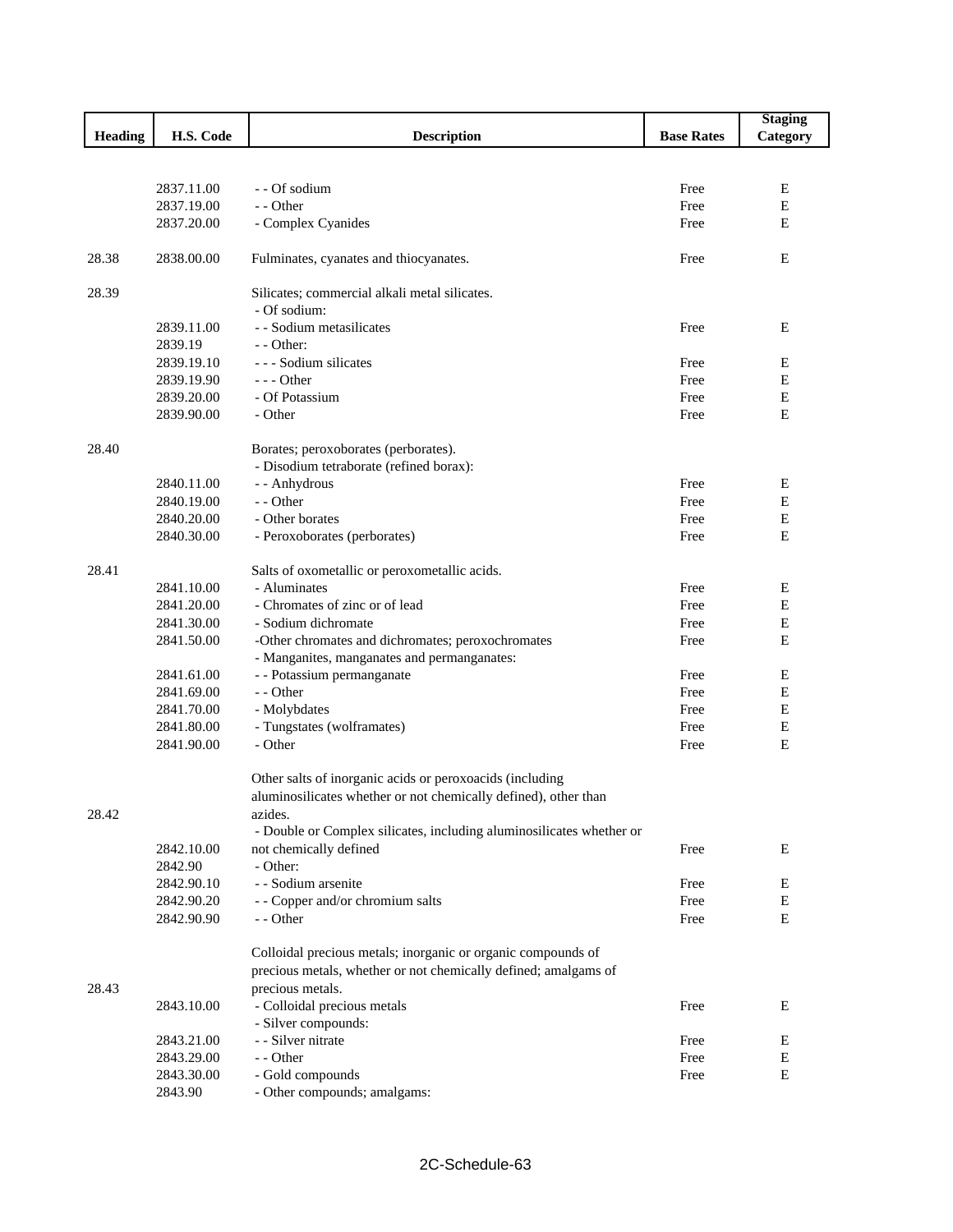|                |                          |                                                                      |                   | <b>Staging</b>   |
|----------------|--------------------------|----------------------------------------------------------------------|-------------------|------------------|
| <b>Heading</b> | H.S. Code                | <b>Description</b>                                                   | <b>Base Rates</b> | Category         |
|                |                          |                                                                      |                   |                  |
|                |                          |                                                                      |                   |                  |
|                | 2837.11.00               | - - Of sodium                                                        | Free              | Ε                |
|                | 2837.19.00               | - - Other                                                            | Free              | ${\bf E}$        |
|                | 2837.20.00               | - Complex Cyanides                                                   | Free              | E                |
|                |                          |                                                                      |                   |                  |
| 28.38          | 2838.00.00               | Fulminates, cyanates and thiocyanates.                               | Free              | E                |
|                |                          |                                                                      |                   |                  |
| 28.39          |                          | Silicates; commercial alkali metal silicates.                        |                   |                  |
|                |                          | - Of sodium:                                                         |                   |                  |
|                | 2839.11.00               | - - Sodium metasilicates                                             | Free              | Ε                |
|                | 2839.19                  | - - Other:                                                           |                   |                  |
|                | 2839.19.10               | - - - Sodium silicates                                               | Free              | Е                |
|                | 2839.19.90               | $- -$ Other                                                          | Free              | ${\bf E}$        |
|                | 2839.20.00               | - Of Potassium                                                       | Free              | ${\bf E}$        |
|                | 2839.90.00               | - Other                                                              | Free              | E                |
|                |                          |                                                                      |                   |                  |
| 28.40          |                          | Borates; peroxoborates (perborates).                                 |                   |                  |
|                |                          | - Disodium tetraborate (refined borax):                              |                   |                  |
|                | 2840.11.00               | - - Anhydrous                                                        | Free              | Е                |
|                | 2840.19.00               | - - Other                                                            | Free              | $\mathbf E$      |
|                | 2840.20.00               | - Other borates                                                      | Free              | E                |
|                | 2840.30.00               | - Peroxoborates (perborates)                                         | Free              | E                |
|                |                          |                                                                      |                   |                  |
| 28.41          |                          | Salts of oxometallic or peroxometallic acids.                        |                   |                  |
|                | 2841.10.00               | - Aluminates                                                         | Free              | E                |
|                | 2841.20.00               | - Chromates of zinc or of lead                                       | Free              | ${\bf E}$        |
|                | 2841.30.00               | - Sodium dichromate                                                  | Free              | $\mathbf E$      |
|                | 2841.50.00               | -Other chromates and dichromates; peroxochromates                    | Free              | E                |
|                |                          | - Manganites, manganates and permanganates:                          |                   |                  |
|                | 2841.61.00               | - - Potassium permanganate                                           | Free              | E                |
|                | 2841.69.00               | - - Other                                                            | Free              | Е                |
|                | 2841.70.00               | - Molybdates<br>- Tungstates (wolframates)                           | Free<br>Free      | E<br>$\mathbf E$ |
|                | 2841.80.00<br>2841.90.00 | - Other                                                              | Free              | E                |
|                |                          |                                                                      |                   |                  |
|                |                          | Other salts of inorganic acids or peroxoacids (including             |                   |                  |
|                |                          | aluminosilicates whether or not chemically defined), other than      |                   |                  |
| 28.42          |                          | azides.                                                              |                   |                  |
|                |                          | - Double or Complex silicates, including aluminosilicates whether or |                   |                  |
|                | 2842.10.00               | not chemically defined                                               | Free              | E                |
|                | 2842.90                  | - Other:                                                             |                   |                  |
|                | 2842.90.10               | - - Sodium arsenite                                                  | Free              | Е                |
|                | 2842.90.20               | - - Copper and/or chromium salts                                     | Free              | Е                |
|                | 2842.90.90               | - - Other                                                            | Free              | ${\bf E}$        |
|                |                          |                                                                      |                   |                  |
|                |                          | Colloidal precious metals; inorganic or organic compounds of         |                   |                  |
|                |                          | precious metals, whether or not chemically defined; amalgams of      |                   |                  |
| 28.43          |                          | precious metals.                                                     |                   |                  |
|                | 2843.10.00               | - Colloidal precious metals                                          | Free              | Е                |
|                |                          | - Silver compounds:                                                  |                   |                  |
|                | 2843.21.00               | - - Silver nitrate                                                   | Free              | E                |
|                | 2843.29.00               | - - Other                                                            | Free              | E                |
|                | 2843.30.00               | - Gold compounds                                                     | Free              | Е                |
|                | 2843.90                  | - Other compounds; amalgams:                                         |                   |                  |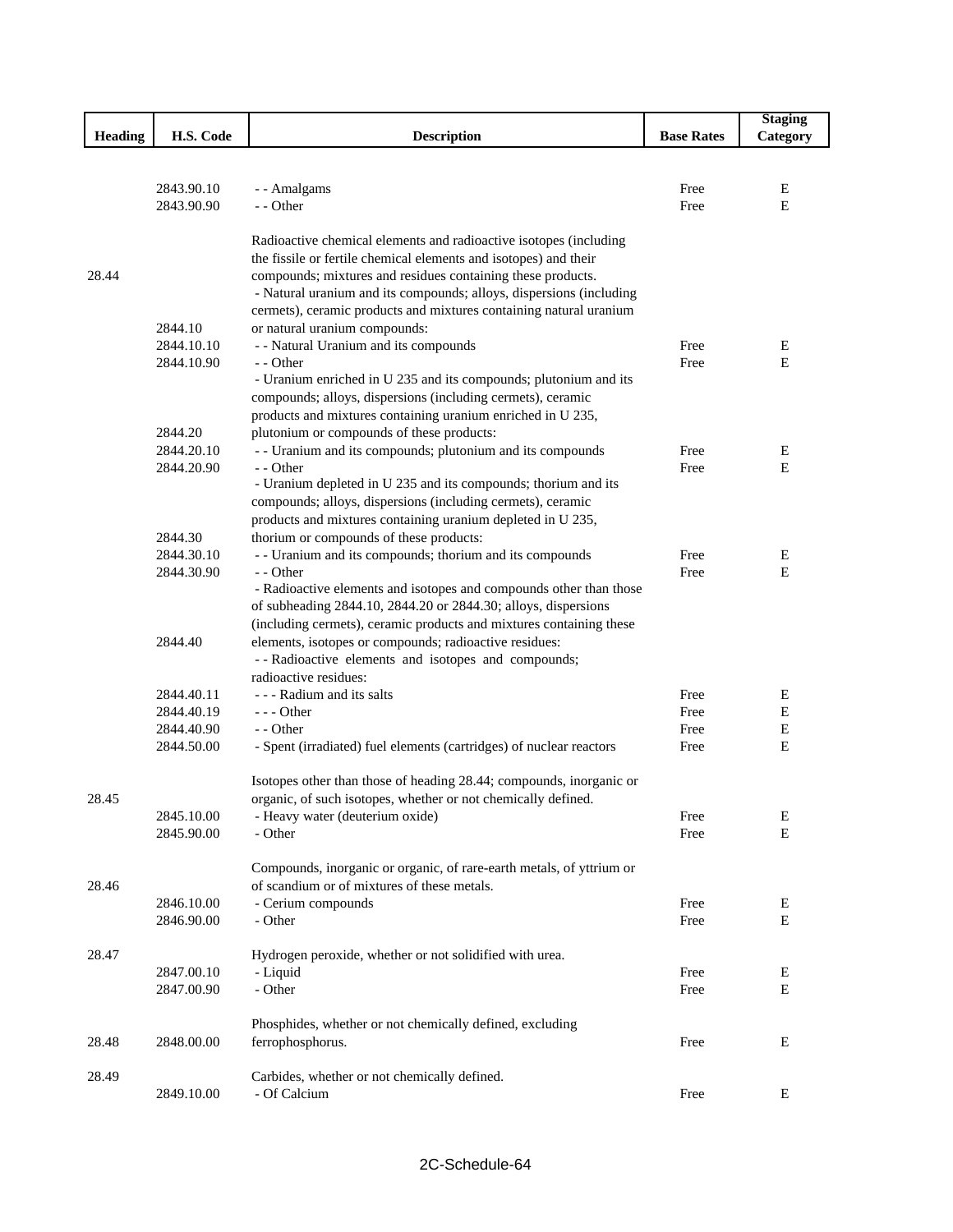|                |            |                                                                      |                   | <b>Staging</b> |
|----------------|------------|----------------------------------------------------------------------|-------------------|----------------|
| <b>Heading</b> | H.S. Code  | <b>Description</b>                                                   | <b>Base Rates</b> | Category       |
|                |            |                                                                      |                   |                |
|                |            |                                                                      |                   |                |
|                | 2843.90.10 | - - Amalgams                                                         | Free              | E              |
|                | 2843.90.90 | - - Other                                                            | Free              | E              |
|                |            |                                                                      |                   |                |
|                |            | Radioactive chemical elements and radioactive isotopes (including    |                   |                |
|                |            | the fissile or fertile chemical elements and isotopes) and their     |                   |                |
| 28.44          |            | compounds; mixtures and residues containing these products.          |                   |                |
|                |            | - Natural uranium and its compounds; alloys, dispersions (including  |                   |                |
|                |            | cermets), ceramic products and mixtures containing natural uranium   |                   |                |
|                | 2844.10    | or natural uranium compounds:                                        |                   |                |
|                | 2844.10.10 | - - Natural Uranium and its compounds                                | Free              | E              |
|                | 2844.10.90 | - - Other                                                            | Free              | E              |
|                |            | - Uranium enriched in U 235 and its compounds; plutonium and its     |                   |                |
|                |            | compounds; alloys, dispersions (including cermets), ceramic          |                   |                |
|                |            | products and mixtures containing uranium enriched in U 235,          |                   |                |
|                | 2844.20    | plutonium or compounds of these products:                            |                   |                |
|                | 2844.20.10 | - - Uranium and its compounds; plutonium and its compounds           | Free              | E              |
|                | 2844.20.90 | - - Other                                                            | Free              | Ε              |
|                |            | - Uranium depleted in U 235 and its compounds; thorium and its       |                   |                |
|                |            | compounds; alloys, dispersions (including cermets), ceramic          |                   |                |
|                |            | products and mixtures containing uranium depleted in U 235,          |                   |                |
|                | 2844.30    | thorium or compounds of these products:                              |                   |                |
|                | 2844.30.10 | - - Uranium and its compounds; thorium and its compounds             | Free              | Ε              |
|                | 2844.30.90 | - - Other                                                            | Free              | Ε              |
|                |            | - Radioactive elements and isotopes and compounds other than those   |                   |                |
|                |            | of subheading 2844.10, 2844.20 or 2844.30; alloys, dispersions       |                   |                |
|                |            | (including cermets), ceramic products and mixtures containing these  |                   |                |
|                | 2844.40    | elements, isotopes or compounds; radioactive residues:               |                   |                |
|                |            | --Radioactive elements and isotopes and compounds;                   |                   |                |
|                |            | radioactive residues:                                                |                   |                |
|                | 2844.40.11 | - - - Radium and its salts                                           | Free              | E              |
|                | 2844.40.19 | $--$ Other                                                           |                   |                |
|                |            |                                                                      | Free              | Е              |
|                | 2844.40.90 | - - Other                                                            | Free              | E              |
|                | 2844.50.00 | - Spent (irradiated) fuel elements (cartridges) of nuclear reactors  | Free              | E              |
|                |            |                                                                      |                   |                |
|                |            | Isotopes other than those of heading 28.44; compounds, inorganic or  |                   |                |
| 28.45          |            | organic, of such isotopes, whether or not chemically defined.        |                   |                |
|                | 2845.10.00 | - Heavy water (deuterium oxide)                                      | Free              | E              |
|                | 2845.90.00 | - Other                                                              | Free              | $\mathbf E$    |
|                |            |                                                                      |                   |                |
|                |            | Compounds, inorganic or organic, of rare-earth metals, of yttrium or |                   |                |
| 28.46          |            | of scandium or of mixtures of these metals.                          |                   |                |
|                | 2846.10.00 | - Cerium compounds                                                   | Free              | E              |
|                | 2846.90.00 | - Other                                                              | Free              | $\mathbf E$    |
|                |            |                                                                      |                   |                |
| 28.47          |            | Hydrogen peroxide, whether or not solidified with urea.              |                   |                |
|                | 2847.00.10 | - Liquid                                                             | Free              | Ε              |
|                | 2847.00.90 | - Other                                                              | Free              | E              |
|                |            |                                                                      |                   |                |
|                |            | Phosphides, whether or not chemically defined, excluding             |                   |                |
| 28.48          | 2848.00.00 | ferrophosphorus.                                                     | Free              | E              |
|                |            |                                                                      |                   |                |
| 28.49          |            | Carbides, whether or not chemically defined.                         |                   |                |
|                | 2849.10.00 | - Of Calcium                                                         | Free              | E              |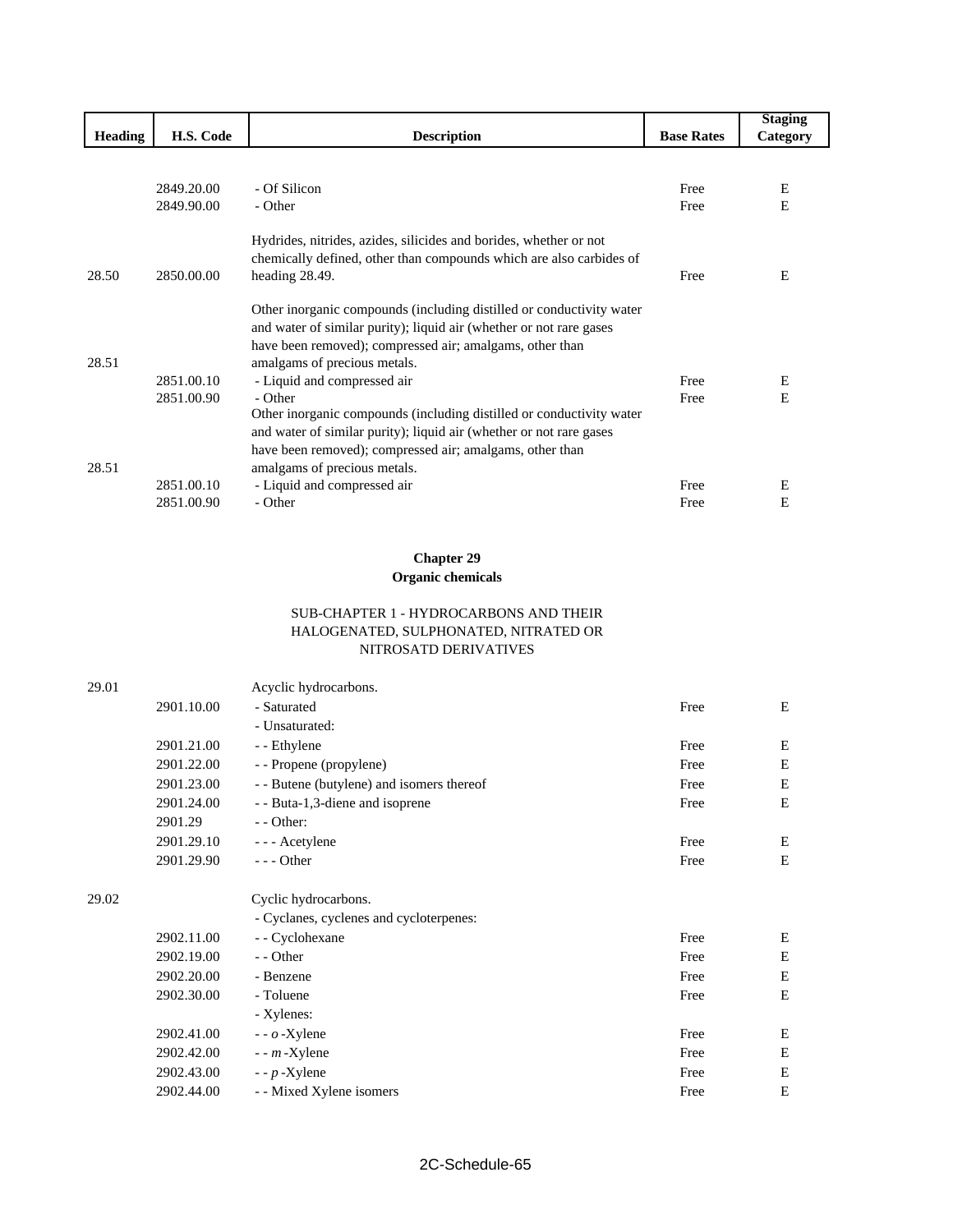|                |            |                                                                      |                   | <b>Staging</b> |
|----------------|------------|----------------------------------------------------------------------|-------------------|----------------|
| <b>Heading</b> | H.S. Code  | <b>Description</b>                                                   | <b>Base Rates</b> | Category       |
|                |            |                                                                      |                   |                |
|                | 2849.20.00 | - Of Silicon                                                         | Free              | Ε              |
|                | 2849.90.00 | - Other                                                              | Free              | E              |
|                |            |                                                                      |                   |                |
|                |            | Hydrides, nitrides, azides, silicides and borides, whether or not    |                   |                |
|                |            | chemically defined, other than compounds which are also carbides of  |                   |                |
| 28.50          | 2850.00.00 | heading 28.49.                                                       | Free              | Е              |
|                |            |                                                                      |                   |                |
|                |            | Other inorganic compounds (including distilled or conductivity water |                   |                |
|                |            | and water of similar purity); liquid air (whether or not rare gases  |                   |                |
|                |            | have been removed); compressed air; amalgams, other than             |                   |                |
| 28.51          |            | amalgams of precious metals.                                         |                   |                |
|                | 2851.00.10 | - Liquid and compressed air                                          | Free              | E              |
|                | 2851.00.90 | - Other                                                              | Free              | E              |
|                |            | Other inorganic compounds (including distilled or conductivity water |                   |                |
|                |            | and water of similar purity); liquid air (whether or not rare gases  |                   |                |
|                |            | have been removed); compressed air; amalgams, other than             |                   |                |
| 28.51          |            | amalgams of precious metals.                                         |                   |                |
|                | 2851.00.10 | - Liquid and compressed air                                          | Free              | E              |
|                | 2851.00.90 | - Other                                                              | Free              | E              |

# **Chapter 29**

## **Organic chemicals**

#### SUB-CHAPTER 1 - HYDROCARBONS AND THEIR HALOGENATED, SULPHONATED, NITRATED OR NITROSATD DERIVATIVES

| 29.01 |            | Acyclic hydrocarbons.                     |      |             |
|-------|------------|-------------------------------------------|------|-------------|
|       | 2901.10.00 | - Saturated                               | Free | Ε           |
|       |            | - Unsaturated:                            |      |             |
|       | 2901.21.00 | - - Ethylene                              | Free | Ε           |
|       | 2901.22.00 | - - Propene (propylene)                   | Free | Е           |
|       | 2901.23.00 | - - Butene (butylene) and isomers thereof | Free | $\mathbf E$ |
|       | 2901.24.00 | - - Buta-1,3-diene and isoprene           | Free | E           |
|       | 2901.29    | - - Other:                                |      |             |
|       | 2901.29.10 | - - - Acetylene                           | Free | Ε           |
|       | 2901.29.90 | $---$ Other                               | Free | Е           |
| 29.02 |            | Cyclic hydrocarbons.                      |      |             |
|       |            | - Cyclanes, cyclenes and cycloterpenes:   |      |             |
|       | 2902.11.00 | - Cyclohexane                             | Free | E           |
|       | 2902.19.00 | - - Other                                 | Free | E           |
|       | 2902.20.00 | - Benzene                                 | Free | Е           |
|       | 2902.30.00 | - Toluene                                 | Free | E           |
|       |            | - Xylenes:                                |      |             |
|       | 2902.41.00 | $-$ - $o$ -Xylene                         | Free | Ε           |
|       | 2902.42.00 | $-$ - $m$ -Xylene                         | Free | Е           |
|       | 2902.43.00 | $-$ - $p$ -Xylene                         | Free | E           |
|       | 2902.44.00 | - - Mixed Xylene isomers                  | Free | E           |
|       |            |                                           |      |             |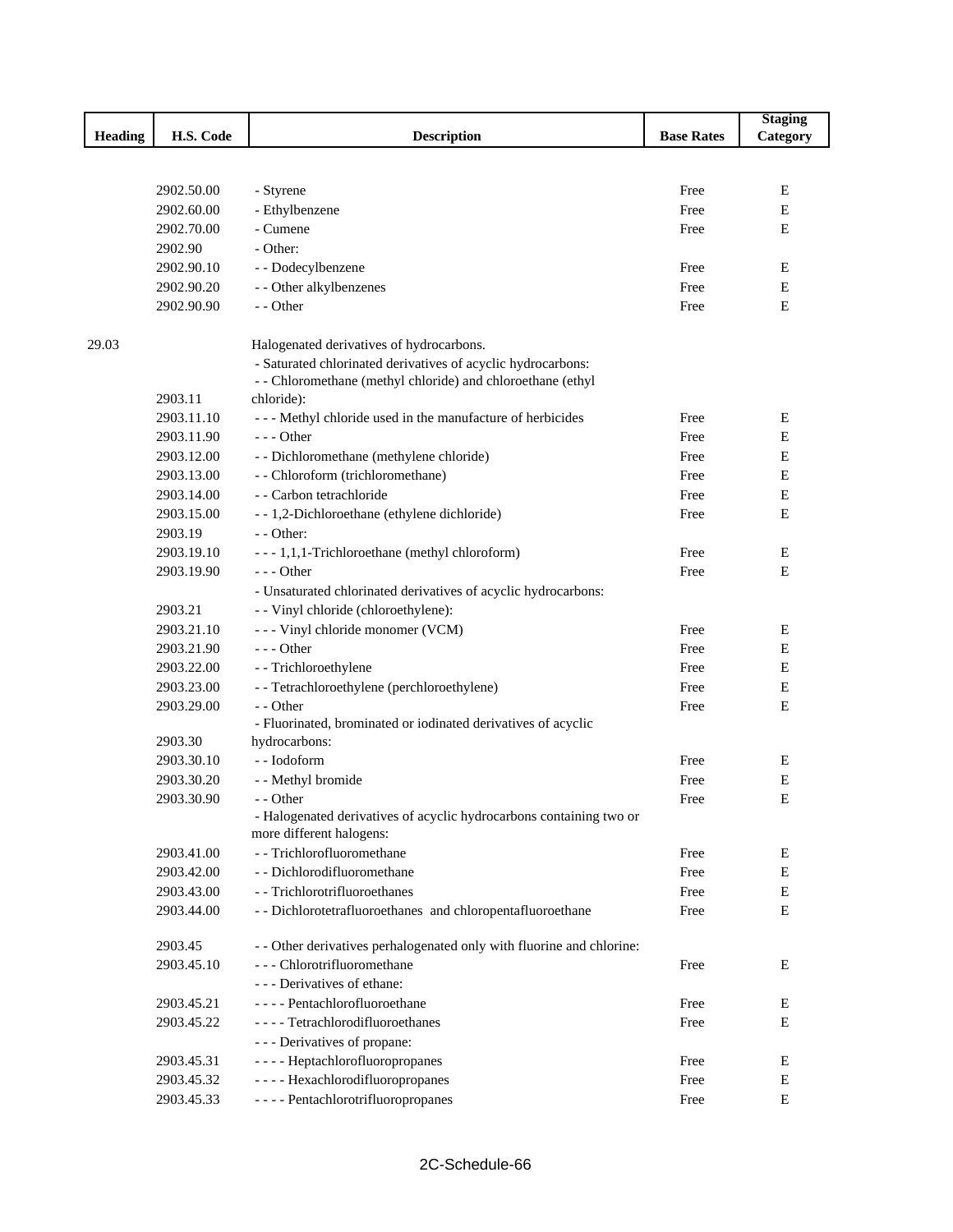|                |            |                                                                                                                             |                   | <b>Staging</b> |
|----------------|------------|-----------------------------------------------------------------------------------------------------------------------------|-------------------|----------------|
| <b>Heading</b> | H.S. Code  | <b>Description</b>                                                                                                          | <b>Base Rates</b> | Category       |
|                |            |                                                                                                                             |                   |                |
|                |            |                                                                                                                             |                   |                |
|                | 2902.50.00 | - Styrene                                                                                                                   | Free              | E              |
|                | 2902.60.00 | - Ethylbenzene                                                                                                              | Free              | E              |
|                | 2902.70.00 | - Cumene                                                                                                                    | Free              | $\mathbf E$    |
|                | 2902.90    | - Other:                                                                                                                    |                   |                |
|                | 2902.90.10 | - - Dodecylbenzene                                                                                                          | Free              | E              |
|                | 2902.90.20 | - - Other alkylbenzenes                                                                                                     | Free              | Е              |
|                | 2902.90.90 | - - Other                                                                                                                   | Free              | E              |
| 29.03          |            | Halogenated derivatives of hydrocarbons.                                                                                    |                   |                |
|                |            | - Saturated chlorinated derivatives of acyclic hydrocarbons:<br>- - Chloromethane (methyl chloride) and chloroethane (ethyl |                   |                |
|                | 2903.11    | chloride):                                                                                                                  |                   |                |
|                | 2903.11.10 | --- Methyl chloride used in the manufacture of herbicides                                                                   | Free              | Е              |
|                | 2903.11.90 | --- Other                                                                                                                   | Free              | $\mathbf E$    |
|                | 2903.12.00 | - - Dichloromethane (methylene chloride)                                                                                    | Free              | Ε              |
|                | 2903.13.00 | - - Chloroform (trichloromethane)                                                                                           | Free              | E              |
|                | 2903.14.00 | - - Carbon tetrachloride                                                                                                    | Free              | E              |
|                | 2903.15.00 | --1,2-Dichloroethane (ethylene dichloride)                                                                                  | Free              | E              |
|                | 2903.19    | - - Other:                                                                                                                  |                   |                |
|                | 2903.19.10 | --- 1,1,1-Trichloroethane (methyl chloroform)                                                                               | Free              | Е              |
|                | 2903.19.90 | $--$ Other                                                                                                                  | Free              | Ε              |
|                |            | - Unsaturated chlorinated derivatives of acyclic hydrocarbons:                                                              |                   |                |
|                | 2903.21    | - - Vinyl chloride (chloroethylene):                                                                                        |                   |                |
|                | 2903.21.10 | --- Vinyl chloride monomer (VCM)                                                                                            | Free              | Е              |
|                | 2903.21.90 | $--$ Other                                                                                                                  | Free              | E              |
|                | 2903.22.00 | - - Trichloroethylene                                                                                                       | Free              | E              |
|                | 2903.23.00 |                                                                                                                             | Free              | E              |
|                | 2903.29.00 | - - Tetrachloroethylene (perchloroethylene)<br>- - Other                                                                    | Free              | E              |
|                |            | - Fluorinated, brominated or iodinated derivatives of acyclic                                                               |                   |                |
|                | 2903.30    | hydrocarbons:                                                                                                               |                   |                |
|                | 2903.30.10 | -- Iodoform                                                                                                                 | Free              | Ε              |
|                | 2903.30.20 | - - Methyl bromide                                                                                                          | Free              | E              |
|                | 2903.30.90 | - - Other                                                                                                                   | Free              | Е              |
|                |            | - Halogenated derivatives of acyclic hydrocarbons containing two or<br>more different halogens:                             |                   |                |
|                | 2903.41.00 | - - Trichlorofluoromethane                                                                                                  | Free              | Ε              |
|                | 2903.42.00 | - - Dichlorodifluoromethane                                                                                                 | Free              | E              |
|                | 2903.43.00 | - - Trichlorotrifluoroethanes                                                                                               | Free              | E              |
|                | 2903.44.00 | - - Dichlorotetrafluoroethanes and chloropentafluoroethane                                                                  | Free              | $\mathbf E$    |
|                |            |                                                                                                                             |                   |                |
|                | 2903.45    | - - Other derivatives perhalogenated only with fluorine and chlorine:                                                       |                   |                |
|                | 2903.45.10 | --- Chlorotrifluoromethane                                                                                                  | Free              | Е              |
|                |            | - - - Derivatives of ethane:                                                                                                |                   |                |
|                | 2903.45.21 | - - - - Pentachlorofluoroethane                                                                                             | Free              | Ε              |
|                | 2903.45.22 | - - - - Tetrachlorodifluoroethanes                                                                                          | Free              | Е              |
|                |            | - - - Derivatives of propane:                                                                                               |                   |                |
|                | 2903.45.31 | - - - - Heptachlorofluoropropanes                                                                                           | Free              | E              |
|                | 2903.45.32 | ---- Hexachlorodifluoropropanes                                                                                             | Free              | Е              |
|                | 2903.45.33 | - - - - Pentachlorotrifluoropropanes                                                                                        | Free              | ${\bf E}$      |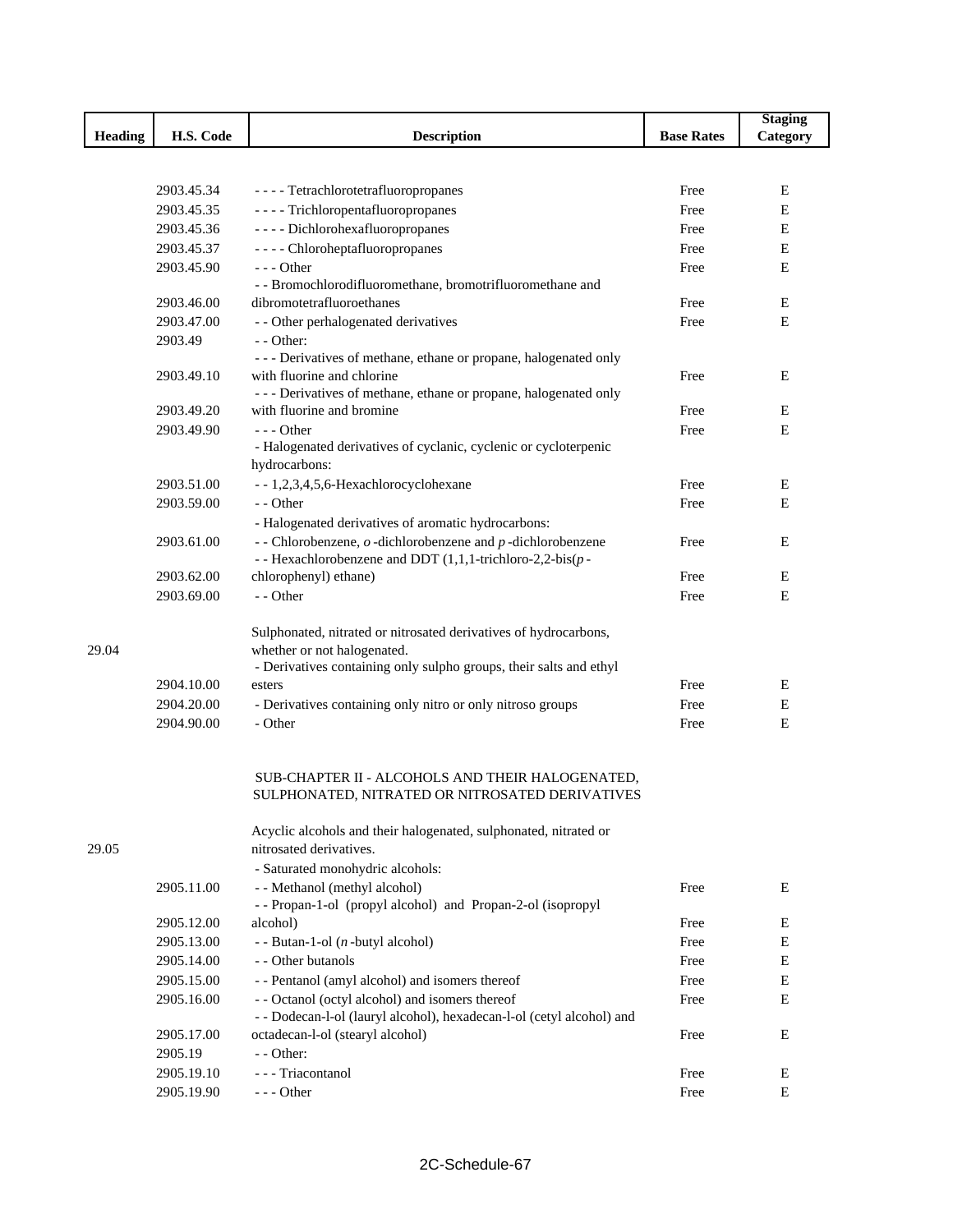|                |                          |                                                                                                                                      |                   | <b>Staging</b> |
|----------------|--------------------------|--------------------------------------------------------------------------------------------------------------------------------------|-------------------|----------------|
| <b>Heading</b> | H.S. Code                | <b>Description</b>                                                                                                                   | <b>Base Rates</b> | Category       |
|                |                          |                                                                                                                                      |                   |                |
|                |                          |                                                                                                                                      |                   |                |
|                | 2903.45.34<br>2903.45.35 | - - - - Tetrachlorotetrafluoropropanes<br>- - - - Trichloropentafluoropropanes                                                       | Free<br>Free      | E<br>E         |
|                | 2903.45.36               | ---- Dichlorohexafluoropropanes                                                                                                      | Free              | E              |
|                | 2903.45.37               | ---- Chloroheptafluoropropanes                                                                                                       | Free              | Е              |
|                | 2903.45.90               | $- -$ Other                                                                                                                          | Free              | E              |
|                |                          | - - Bromochlorodifluoromethane, bromotrifluoromethane and                                                                            |                   |                |
|                | 2903.46.00               | dibromotetrafluoroethanes                                                                                                            | Free              | E              |
|                | 2903.47.00               | - - Other perhalogenated derivatives                                                                                                 | Free              | E              |
|                | 2903.49                  | $-$ - Other:                                                                                                                         |                   |                |
|                |                          | - - - Derivatives of methane, ethane or propane, halogenated only                                                                    |                   |                |
|                | 2903.49.10               | with fluorine and chlorine                                                                                                           | Free              | E              |
|                |                          | - - - Derivatives of methane, ethane or propane, halogenated only                                                                    |                   |                |
|                | 2903.49.20               | with fluorine and bromine                                                                                                            | Free              | E              |
|                | 2903.49.90               | $--$ Other                                                                                                                           | Free              | E              |
|                |                          | - Halogenated derivatives of cyclanic, cyclenic or cycloterpenic                                                                     |                   |                |
|                |                          | hydrocarbons:                                                                                                                        |                   |                |
|                | 2903.51.00               | - - 1,2,3,4,5,6-Hexachlorocyclohexane                                                                                                | Free              | Е              |
|                | 2903.59.00               | - - Other                                                                                                                            | Free              | E              |
|                |                          | - Halogenated derivatives of aromatic hydrocarbons:                                                                                  |                   |                |
|                | 2903.61.00               | - - Chlorobenzene, $o$ -dichlorobenzene and $p$ -dichlorobenzene<br>- - Hexachlorobenzene and DDT $(1,1,1$ -trichloro-2,2-bis $(p -$ | Free              | E              |
|                | 2903.62.00               | chlorophenyl) ethane)                                                                                                                | Free              | Е              |
|                | 2903.69.00               | - - Other                                                                                                                            | Free              | E              |
|                |                          |                                                                                                                                      |                   |                |
|                |                          | Sulphonated, nitrated or nitrosated derivatives of hydrocarbons,                                                                     |                   |                |
| 29.04          |                          | whether or not halogenated.                                                                                                          |                   |                |
|                |                          | - Derivatives containing only sulpho groups, their salts and ethyl                                                                   |                   |                |
|                | 2904.10.00               | esters                                                                                                                               | Free              | E              |
|                | 2904.20.00               | - Derivatives containing only nitro or only nitroso groups                                                                           | Free              | Ε              |
|                | 2904.90.00               | - Other                                                                                                                              | Free              | Ε              |
|                |                          | SUB-CHAPTER II - ALCOHOLS AND THEIR HALOGENATED,                                                                                     |                   |                |
|                |                          | SULPHONATED, NITRATED OR NITROSATED DERIVATIVES                                                                                      |                   |                |
|                |                          | Acyclic alcohols and their halogenated, sulphonated, nitrated or                                                                     |                   |                |
| 29.05          |                          | nitrosated derivatives.                                                                                                              |                   |                |
|                |                          | - Saturated monohydric alcohols:                                                                                                     |                   |                |
|                | 2905.11.00               | - - Methanol (methyl alcohol)                                                                                                        | Free              | E              |
|                |                          | -- Propan-1-ol (propyl alcohol) and Propan-2-ol (isopropyl                                                                           |                   |                |
|                | 2905.12.00               | alcohol)                                                                                                                             | Free              | Е              |
|                | 2905.13.00               | - - Butan-1-ol $(n$ -butyl alcohol)                                                                                                  | Free              | E              |
|                | 2905.14.00               | - - Other butanols                                                                                                                   | Free              | E              |
|                | 2905.15.00               | - - Pentanol (amyl alcohol) and isomers thereof                                                                                      | Free              | E              |
|                | 2905.16.00               | - - Octanol (octyl alcohol) and isomers thereof                                                                                      | Free              | E              |
|                | 2905.17.00               | - - Dodecan-l-ol (lauryl alcohol), hexadecan-l-ol (cetyl alcohol) and<br>octadecan-l-ol (stearyl alcohol)                            | Free              | Ε              |
|                | 2905.19                  | $-$ - Other:                                                                                                                         |                   |                |
|                | 2905.19.10               | --- Triacontanol                                                                                                                     | Free              | Е              |
|                | 2905.19.90               | $--$ Other                                                                                                                           | Free              | Е              |
|                |                          |                                                                                                                                      |                   |                |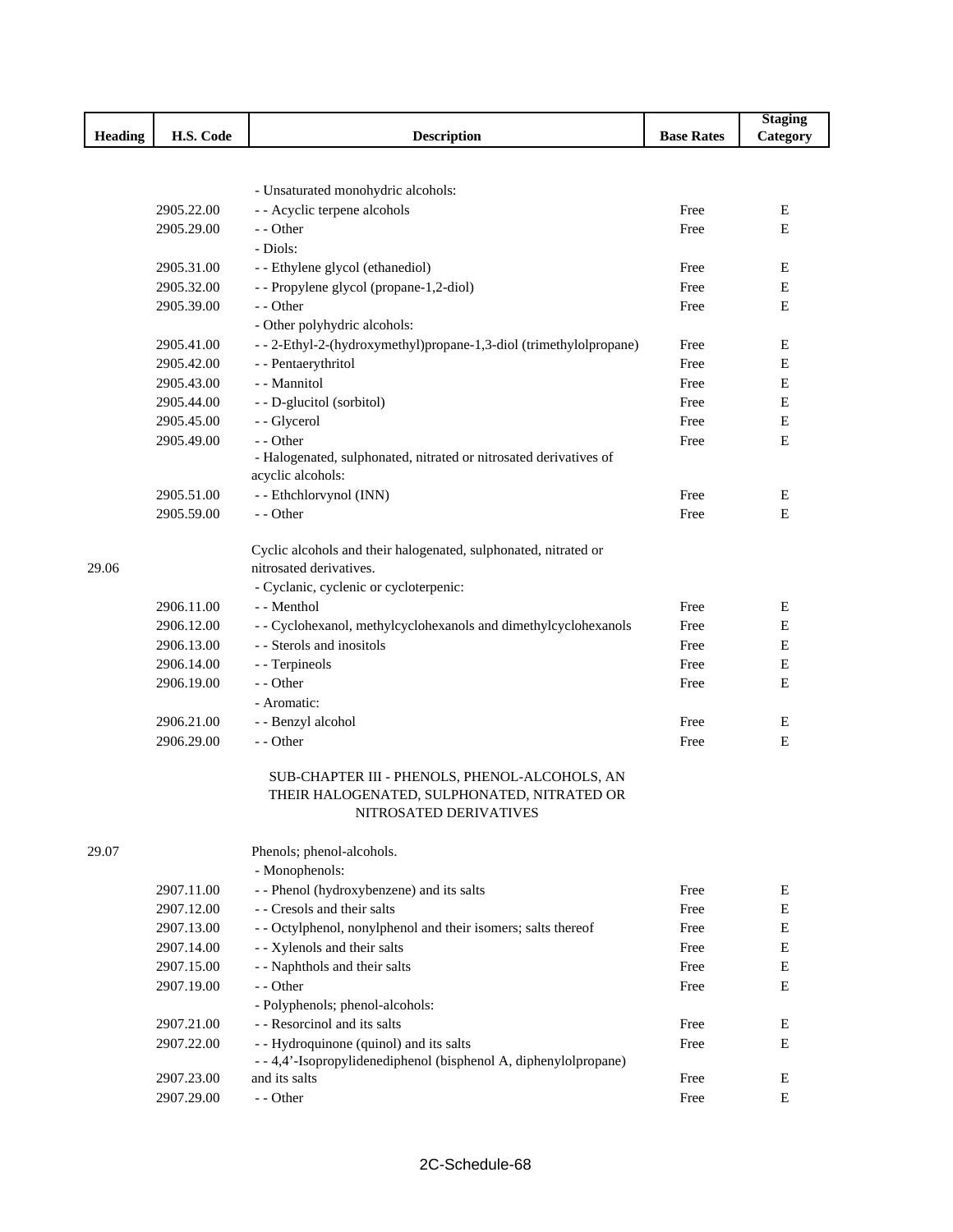|                |            |                                                                                        |                   | <b>Staging</b> |
|----------------|------------|----------------------------------------------------------------------------------------|-------------------|----------------|
| <b>Heading</b> | H.S. Code  | <b>Description</b>                                                                     | <b>Base Rates</b> | Category       |
|                |            |                                                                                        |                   |                |
|                |            |                                                                                        |                   |                |
|                |            | - Unsaturated monohydric alcohols:                                                     |                   |                |
|                | 2905.22.00 | - - Acyclic terpene alcohols                                                           | Free              | Ε              |
|                | 2905.29.00 | - - Other                                                                              | Free              | E              |
|                |            | - Diols:                                                                               |                   |                |
|                | 2905.31.00 | - - Ethylene glycol (ethanediol)                                                       | Free              | Е              |
|                | 2905.32.00 | - - Propylene glycol (propane-1,2-diol)                                                | Free              | Ε              |
|                | 2905.39.00 | - - Other                                                                              | Free              | E              |
|                |            | - Other polyhydric alcohols:                                                           |                   |                |
|                | 2905.41.00 | - - 2-Ethyl-2-(hydroxymethyl)propane-1,3-diol (trimethylolpropane)                     | Free              | Е              |
|                | 2905.42.00 | - - Pentaerythritol                                                                    | Free              | Е              |
|                | 2905.43.00 | - - Mannitol                                                                           | Free              | Е              |
|                | 2905.44.00 | - - D-glucitol (sorbitol)                                                              | Free              | E              |
|                | 2905.45.00 | - - Glycerol                                                                           | Free              | $\mathbf E$    |
|                | 2905.49.00 | - - Other                                                                              | Free              | E              |
|                |            | - Halogenated, sulphonated, nitrated or nitrosated derivatives of<br>acyclic alcohols: |                   |                |
|                | 2905.51.00 | - - Ethchlorvynol (INN)                                                                | Free              | Ε              |
|                | 2905.59.00 | - - Other                                                                              | Free              | E              |
|                |            |                                                                                        |                   |                |
|                |            | Cyclic alcohols and their halogenated, sulphonated, nitrated or                        |                   |                |
| 29.06          |            | nitrosated derivatives.                                                                |                   |                |
|                |            | - Cyclanic, cyclenic or cycloterpenic:                                                 |                   |                |
|                | 2906.11.00 | - - Menthol                                                                            | Free              | Ε              |
|                | 2906.12.00 | - - Cyclohexanol, methylcyclohexanols and dimethylcyclohexanols                        | Free              | Е              |
|                | 2906.13.00 | - - Sterols and inositols                                                              | Free              | Е              |
|                | 2906.14.00 | - - Terpineols                                                                         | Free              | Е              |
|                | 2906.19.00 | - - Other                                                                              | Free              | Е              |
|                |            | - Aromatic:                                                                            |                   |                |
|                | 2906.21.00 | - - Benzyl alcohol                                                                     | Free              | E              |
|                | 2906.29.00 | - - Other                                                                              | Free              | ${\bf E}$      |
|                |            |                                                                                        |                   |                |
|                |            | SUB-CHAPTER III - PHENOLS, PHENOL-ALCOHOLS, AN                                         |                   |                |
|                |            | THEIR HALOGENATED, SULPHONATED, NITRATED OR                                            |                   |                |
|                |            | NITROSATED DERIVATIVES                                                                 |                   |                |
|                |            |                                                                                        |                   |                |
| 29.07          |            | Phenols; phenol-alcohols.                                                              |                   |                |
|                |            | - Monophenols:                                                                         |                   |                |
|                | 2907.11.00 | - - Phenol (hydroxybenzene) and its salts                                              | Free              | E              |
|                | 2907.12.00 | - - Cresols and their salts                                                            | Free              | E              |
|                | 2907.13.00 | - - Octylphenol, nonylphenol and their isomers; salts thereof                          | Free              | E              |
|                | 2907.14.00 | - - Xylenols and their salts                                                           | Free              | E              |
|                | 2907.15.00 | - - Naphthols and their salts                                                          | Free              | E              |
|                | 2907.19.00 | - - Other                                                                              | Free              | E              |
|                |            | - Polyphenols; phenol-alcohols:                                                        |                   |                |
|                | 2907.21.00 | - - Resorcinol and its salts                                                           | Free              | Е              |
|                | 2907.22.00 | - - Hydroquinone (quinol) and its salts                                                | Free              | Е              |
|                |            | -- 4,4'-Isopropylidenediphenol (bisphenol A, diphenylolpropane)                        |                   |                |
|                | 2907.23.00 | and its salts                                                                          | Free              | E              |
|                | 2907.29.00 | - - Other                                                                              | Free              | E              |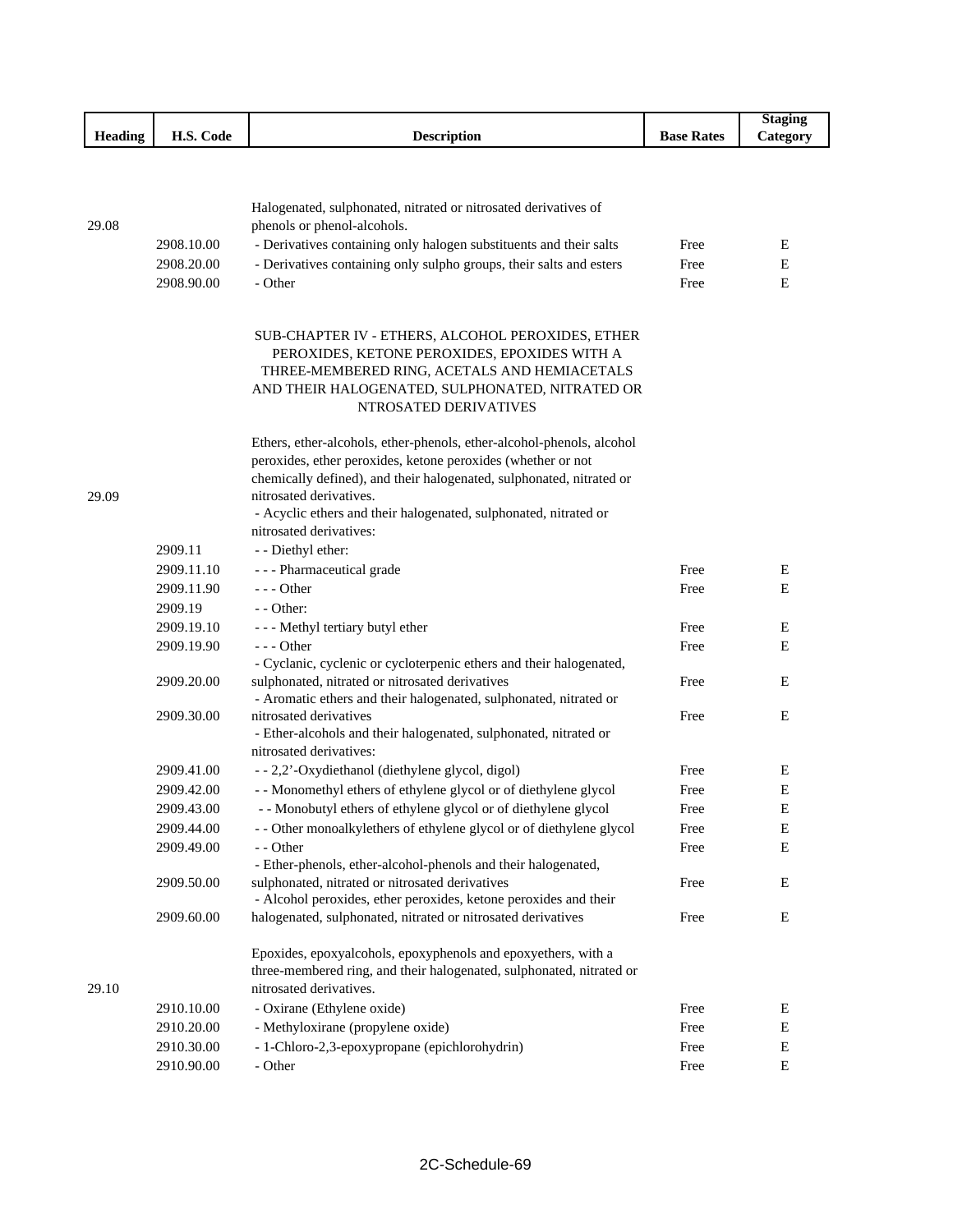|         |            |                                                                                                                      |                   | <b>Staging</b> |
|---------|------------|----------------------------------------------------------------------------------------------------------------------|-------------------|----------------|
| Heading | H.S. Code  | <b>Description</b>                                                                                                   | <b>Base Rates</b> | Category       |
|         |            |                                                                                                                      |                   |                |
|         |            |                                                                                                                      |                   |                |
|         |            | Halogenated, sulphonated, nitrated or nitrosated derivatives of                                                      |                   |                |
| 29.08   |            | phenols or phenol-alcohols.                                                                                          |                   |                |
|         | 2908.10.00 | - Derivatives containing only halogen substituents and their salts                                                   | Free              | Ε              |
|         | 2908.20.00 | - Derivatives containing only sulpho groups, their salts and esters                                                  | Free              | Е              |
|         | 2908.90.00 | - Other                                                                                                              | Free              | Е              |
|         |            |                                                                                                                      |                   |                |
|         |            |                                                                                                                      |                   |                |
|         |            | SUB-CHAPTER IV - ETHERS, ALCOHOL PEROXIDES, ETHER                                                                    |                   |                |
|         |            | PEROXIDES, KETONE PEROXIDES, EPOXIDES WITH A                                                                         |                   |                |
|         |            | THREE-MEMBERED RING, ACETALS AND HEMIACETALS                                                                         |                   |                |
|         |            | AND THEIR HALOGENATED, SULPHONATED, NITRATED OR<br>NTROSATED DERIVATIVES                                             |                   |                |
|         |            |                                                                                                                      |                   |                |
|         |            | Ethers, ether-alcohols, ether-phenols, ether-alcohol-phenols, alcohol                                                |                   |                |
|         |            | peroxides, ether peroxides, ketone peroxides (whether or not                                                         |                   |                |
|         |            | chemically defined), and their halogenated, sulphonated, nitrated or                                                 |                   |                |
| 29.09   |            | nitrosated derivatives.                                                                                              |                   |                |
|         |            | - Acyclic ethers and their halogenated, sulphonated, nitrated or                                                     |                   |                |
|         |            | nitrosated derivatives:                                                                                              |                   |                |
|         | 2909.11    | - - Diethyl ether:                                                                                                   |                   |                |
|         | 2909.11.10 | - - - Pharmaceutical grade                                                                                           | Free              | Ε              |
|         | 2909.11.90 | $- -$ Other                                                                                                          | Free              | Е              |
|         | 2909.19    | - - Other:                                                                                                           |                   |                |
|         | 2909.19.10 | - - - Methyl tertiary butyl ether                                                                                    | Free              | Ε              |
|         | 2909.19.90 | $--$ Other                                                                                                           | Free              | E              |
|         | 2909.20.00 | - Cyclanic, cyclenic or cycloterpenic ethers and their halogenated,                                                  |                   |                |
|         |            | sulphonated, nitrated or nitrosated derivatives<br>- Aromatic ethers and their halogenated, sulphonated, nitrated or | Free              | Ε              |
|         | 2909.30.00 | nitrosated derivatives                                                                                               | Free              | E              |
|         |            | - Ether-alcohols and their halogenated, sulphonated, nitrated or                                                     |                   |                |
|         |            | nitrosated derivatives:                                                                                              |                   |                |
|         | 2909.41.00 | - - 2,2'-Oxydiethanol (diethylene glycol, digol)                                                                     | Free              | Е              |
|         | 2909.42.00 | - - Monomethyl ethers of ethylene glycol or of diethylene glycol                                                     | Free              | E              |
|         | 2909.43.00 | - - Monobutyl ethers of ethylene glycol or of diethylene glycol                                                      | Free              | Е              |
|         | 2909.44.00 | - - Other monoalkylethers of ethylene glycol or of diethylene glycol                                                 | Free              | Ε              |
|         | 2909.49.00 | - - Other                                                                                                            | Free              | Е              |
|         |            | - Ether-phenols, ether-alcohol-phenols and their halogenated,                                                        |                   |                |
|         | 2909.50.00 | sulphonated, nitrated or nitrosated derivatives                                                                      | Free              | Е              |
|         |            | - Alcohol peroxides, ether peroxides, ketone peroxides and their                                                     |                   |                |
|         | 2909.60.00 | halogenated, sulphonated, nitrated or nitrosated derivatives                                                         | Free              | Е              |
|         |            | Epoxides, epoxyalcohols, epoxyphenols and epoxyethers, with a                                                        |                   |                |
|         |            | three-membered ring, and their halogenated, sulphonated, nitrated or                                                 |                   |                |
| 29.10   |            | nitrosated derivatives.                                                                                              |                   |                |
|         | 2910.10.00 | - Oxirane (Ethylene oxide)                                                                                           | Free              | E              |
|         | 2910.20.00 | - Methyloxirane (propylene oxide)                                                                                    | Free              | E              |
|         | 2910.30.00 | - 1-Chloro-2,3-epoxypropane (epichlorohydrin)                                                                        | Free              | E              |
|         | 2910.90.00 | - Other                                                                                                              | Free              | $\mathbf E$    |
|         |            |                                                                                                                      |                   |                |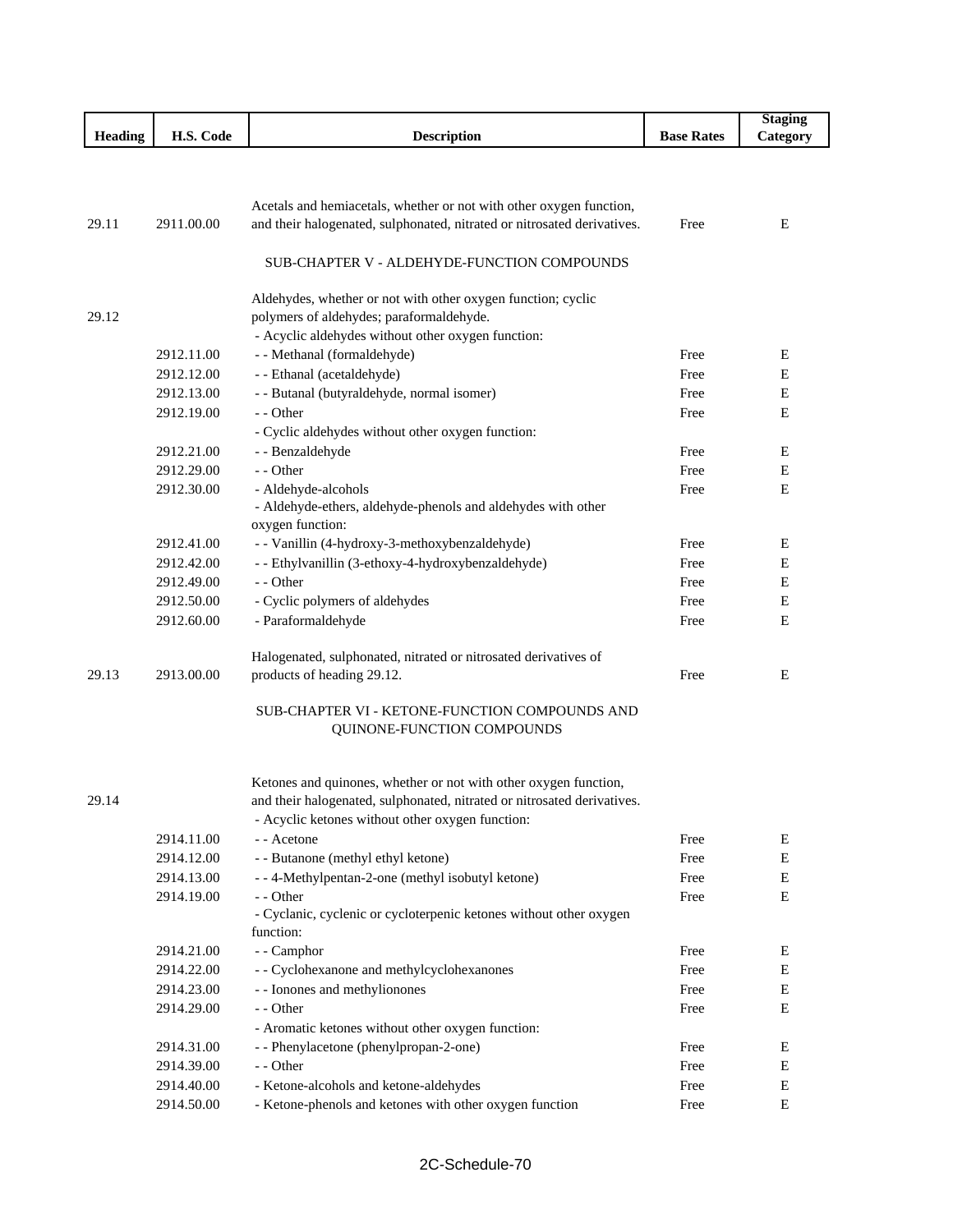|                |            |                                                                         |                   | <b>Staging</b> |
|----------------|------------|-------------------------------------------------------------------------|-------------------|----------------|
| <b>Heading</b> | H.S. Code  | <b>Description</b>                                                      | <b>Base Rates</b> | Category       |
|                |            |                                                                         |                   |                |
|                |            |                                                                         |                   |                |
|                |            | Acetals and hemiacetals, whether or not with other oxygen function,     |                   |                |
| 29.11          | 2911.00.00 | and their halogenated, sulphonated, nitrated or nitrosated derivatives. | Free              | E              |
|                |            |                                                                         |                   |                |
|                |            | SUB-CHAPTER V - ALDEHYDE-FUNCTION COMPOUNDS                             |                   |                |
|                |            |                                                                         |                   |                |
|                |            | Aldehydes, whether or not with other oxygen function; cyclic            |                   |                |
| 29.12          |            | polymers of aldehydes; paraformaldehyde.                                |                   |                |
|                |            | - Acyclic aldehydes without other oxygen function:                      |                   |                |
|                | 2912.11.00 | - - Methanal (formaldehyde)                                             | Free              | Ε              |
|                | 2912.12.00 | - - Ethanal (acetaldehyde)                                              | Free              | Е              |
|                | 2912.13.00 | - - Butanal (butyraldehyde, normal isomer)                              | Free              | Е              |
|                | 2912.19.00 | - - Other                                                               | Free              | E              |
|                |            | - Cyclic aldehydes without other oxygen function:                       |                   |                |
|                | 2912.21.00 | - - Benzaldehyde                                                        | Free              | Ε              |
|                | 2912.29.00 | - - Other                                                               | Free              | Е              |
|                | 2912.30.00 | - Aldehyde-alcohols                                                     | Free              | Ε              |
|                |            | - Aldehyde-ethers, aldehyde-phenols and aldehydes with other            |                   |                |
|                |            | oxygen function:                                                        |                   |                |
|                | 2912.41.00 | - - Vanillin (4-hydroxy-3-methoxybenzaldehyde)                          | Free              | Ε              |
|                | 2912.42.00 | - - Ethylvanillin (3-ethoxy-4-hydroxybenzaldehyde)                      | Free              | Е              |
|                | 2912.49.00 | - - Other                                                               | Free              | Е              |
|                | 2912.50.00 | - Cyclic polymers of aldehydes                                          | Free              | Е              |
|                | 2912.60.00 | - Paraformaldehyde                                                      | Free              | E              |
|                |            |                                                                         |                   |                |
|                |            | Halogenated, sulphonated, nitrated or nitrosated derivatives of         |                   |                |
| 29.13          | 2913.00.00 | products of heading 29.12.                                              | Free              | Ε              |
|                |            | SUB-CHAPTER VI - KETONE-FUNCTION COMPOUNDS AND                          |                   |                |
|                |            | QUINONE-FUNCTION COMPOUNDS                                              |                   |                |
|                |            |                                                                         |                   |                |
|                |            |                                                                         |                   |                |
|                |            | Ketones and quinones, whether or not with other oxygen function,        |                   |                |
| 29.14          |            | and their halogenated, sulphonated, nitrated or nitrosated derivatives. |                   |                |
|                |            | - Acyclic ketones without other oxygen function:                        |                   |                |
|                | 2914.11.00 | - - Acetone                                                             | Free              | E              |
|                | 2914.12.00 | - - Butanone (methyl ethyl ketone)                                      | Free              | Ε              |
|                | 2914.13.00 | --4-Methylpentan-2-one (methyl isobutyl ketone)                         | Free              | Ε              |
|                | 2914.19.00 | - - Other                                                               | Free              | Ε              |
|                |            | - Cyclanic, cyclenic or cycloterpenic ketones without other oxygen      |                   |                |
|                |            | function:                                                               |                   |                |
|                | 2914.21.00 | - - Camphor                                                             | Free              | Е              |
|                | 2914.22.00 | - - Cyclohexanone and methylcyclohexanones                              | Free              | ${\bf E}$      |
|                | 2914.23.00 | - - Ionones and methylionones                                           | Free              | Ε              |
|                | 2914.29.00 | - - Other                                                               | Free              | Ε              |
|                |            | - Aromatic ketones without other oxygen function:                       |                   |                |
|                | 2914.31.00 | - - Phenylacetone (phenylpropan-2-one)                                  | Free              | E              |
|                | 2914.39.00 | - - Other                                                               | Free              | E              |
|                | 2914.40.00 | - Ketone-alcohols and ketone-aldehydes                                  | Free              | ${\bf E}$      |
|                | 2914.50.00 | - Ketone-phenols and ketones with other oxygen function                 | Free              | E              |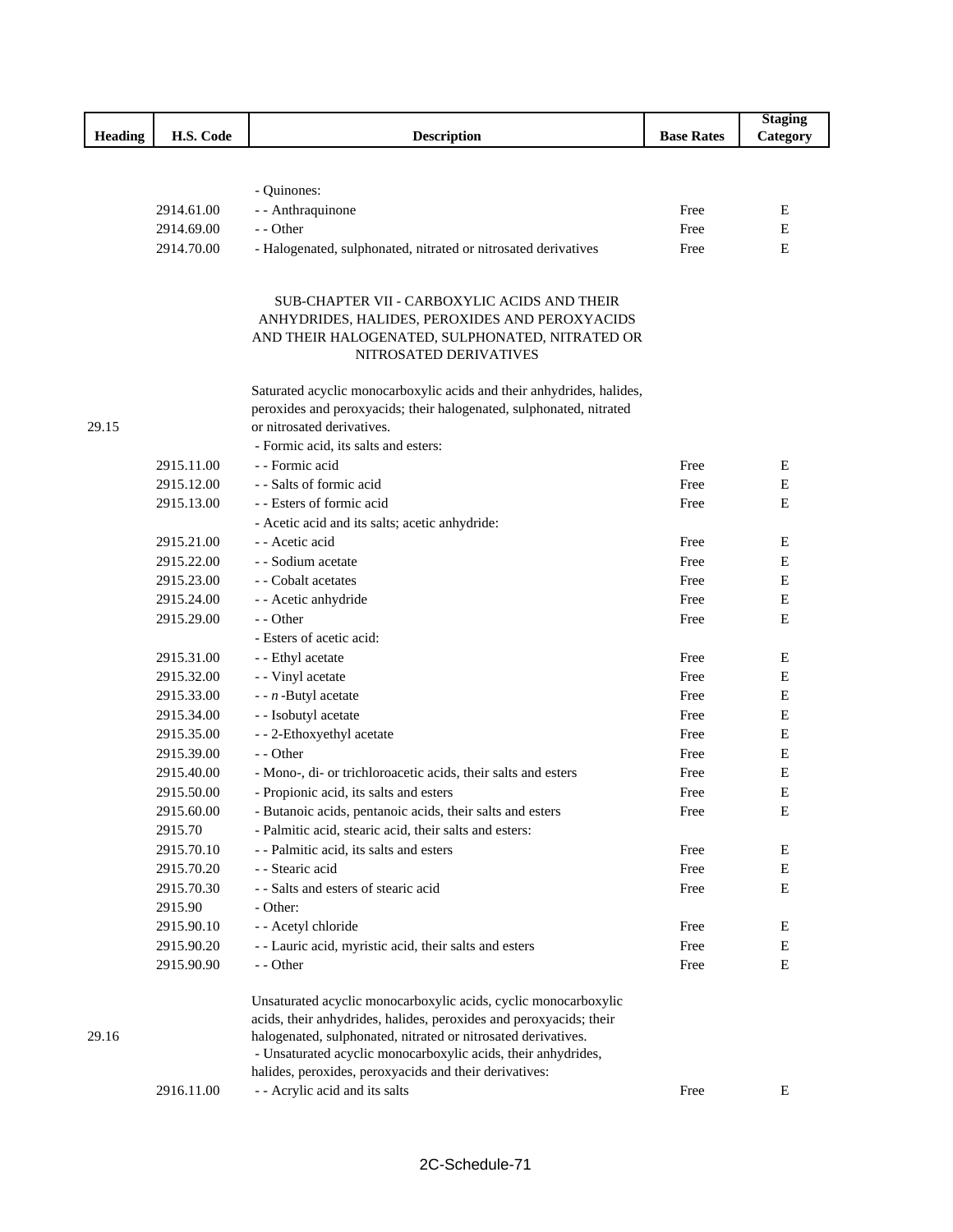|                |            |                                                                       |                   | <b>Staging</b> |
|----------------|------------|-----------------------------------------------------------------------|-------------------|----------------|
| <b>Heading</b> | H.S. Code  | <b>Description</b>                                                    | <b>Base Rates</b> | Category       |
|                |            |                                                                       |                   |                |
|                |            |                                                                       |                   |                |
|                |            | - Quinones:                                                           |                   |                |
|                | 2914.61.00 | - - Anthraquinone                                                     | Free              | Ε              |
|                | 2914.69.00 | - - Other                                                             | Free              | Е              |
|                | 2914.70.00 | - Halogenated, sulphonated, nitrated or nitrosated derivatives        | Free              | E              |
|                |            |                                                                       |                   |                |
|                |            | SUB-CHAPTER VII - CARBOXYLIC ACIDS AND THEIR                          |                   |                |
|                |            | ANHYDRIDES, HALIDES, PEROXIDES AND PEROXYACIDS                        |                   |                |
|                |            | AND THEIR HALOGENATED, SULPHONATED, NITRATED OR                       |                   |                |
|                |            | NITROSATED DERIVATIVES                                                |                   |                |
|                |            | Saturated acyclic monocarboxylic acids and their anhydrides, halides, |                   |                |
|                |            | peroxides and peroxyacids; their halogenated, sulphonated, nitrated   |                   |                |
| 29.15          |            | or nitrosated derivatives.                                            |                   |                |
|                |            | - Formic acid, its salts and esters:                                  |                   |                |
|                | 2915.11.00 | - - Formic acid                                                       | Free              | E              |
|                | 2915.12.00 | - - Salts of formic acid                                              | Free              | Е              |
|                | 2915.13.00 | - - Esters of formic acid                                             | Free              | E              |
|                |            | - Acetic acid and its salts; acetic anhydride:                        |                   |                |
|                | 2915.21.00 | - - Acetic acid                                                       | Free              | Ε              |
|                | 2915.22.00 | - - Sodium acetate                                                    | Free              | E              |
|                | 2915.23.00 | - - Cobalt acetates                                                   | Free              | E              |
|                | 2915.24.00 | - - Acetic anhydride                                                  | Free              | Е              |
|                | 2915.29.00 | - - Other                                                             | Free              | Е              |
|                |            | - Esters of acetic acid:                                              |                   |                |
|                | 2915.31.00 | - - Ethyl acetate                                                     | Free              | E              |
|                | 2915.32.00 | - - Vinyl acetate                                                     | Free              | E              |
|                | 2915.33.00 | - - $n$ -Butyl acetate                                                | Free              | E              |
|                | 2915.34.00 | - - Isobutyl acetate                                                  | Free              | Е              |
|                | 2915.35.00 | - - 2-Ethoxyethyl acetate                                             | Free              | Е              |
|                | 2915.39.00 | - - Other                                                             | Free              | E              |
|                | 2915.40.00 | - Mono-, di- or trichloroacetic acids, their salts and esters         | Free              | Е              |
|                | 2915.50.00 | - Propionic acid, its salts and esters                                | Free              | Е              |
|                | 2915.60.00 | - Butanoic acids, pentanoic acids, their salts and esters             | Free              | E              |
|                | 2915.70    | - Palmitic acid, stearic acid, their salts and esters:                |                   |                |
|                | 2915.70.10 | - - Palmitic acid, its salts and esters                               | Free              | ${\bf E}$      |
|                | 2915.70.20 | - - Stearic acid                                                      | Free              | E              |
|                | 2915.70.30 | - - Salts and esters of stearic acid                                  | Free              | E              |
|                | 2915.90    | - Other:                                                              |                   |                |
|                | 2915.90.10 | - - Acetyl chloride                                                   | Free              | Е              |
|                | 2915.90.20 | - - Lauric acid, myristic acid, their salts and esters                | Free              | ${\bf E}$      |
|                | 2915.90.90 | - - Other                                                             | Free              | E              |
|                |            | Unsaturated acyclic monocarboxylic acids, cyclic monocarboxylic       |                   |                |
|                |            | acids, their anhydrides, halides, peroxides and peroxyacids; their    |                   |                |
| 29.16          |            | halogenated, sulphonated, nitrated or nitrosated derivatives.         |                   |                |
|                |            | - Unsaturated acyclic monocarboxylic acids, their anhydrides,         |                   |                |
|                | 2916.11.00 | halides, peroxides, peroxyacids and their derivatives:                | Free              | E              |
|                |            | - - Acrylic acid and its salts                                        |                   |                |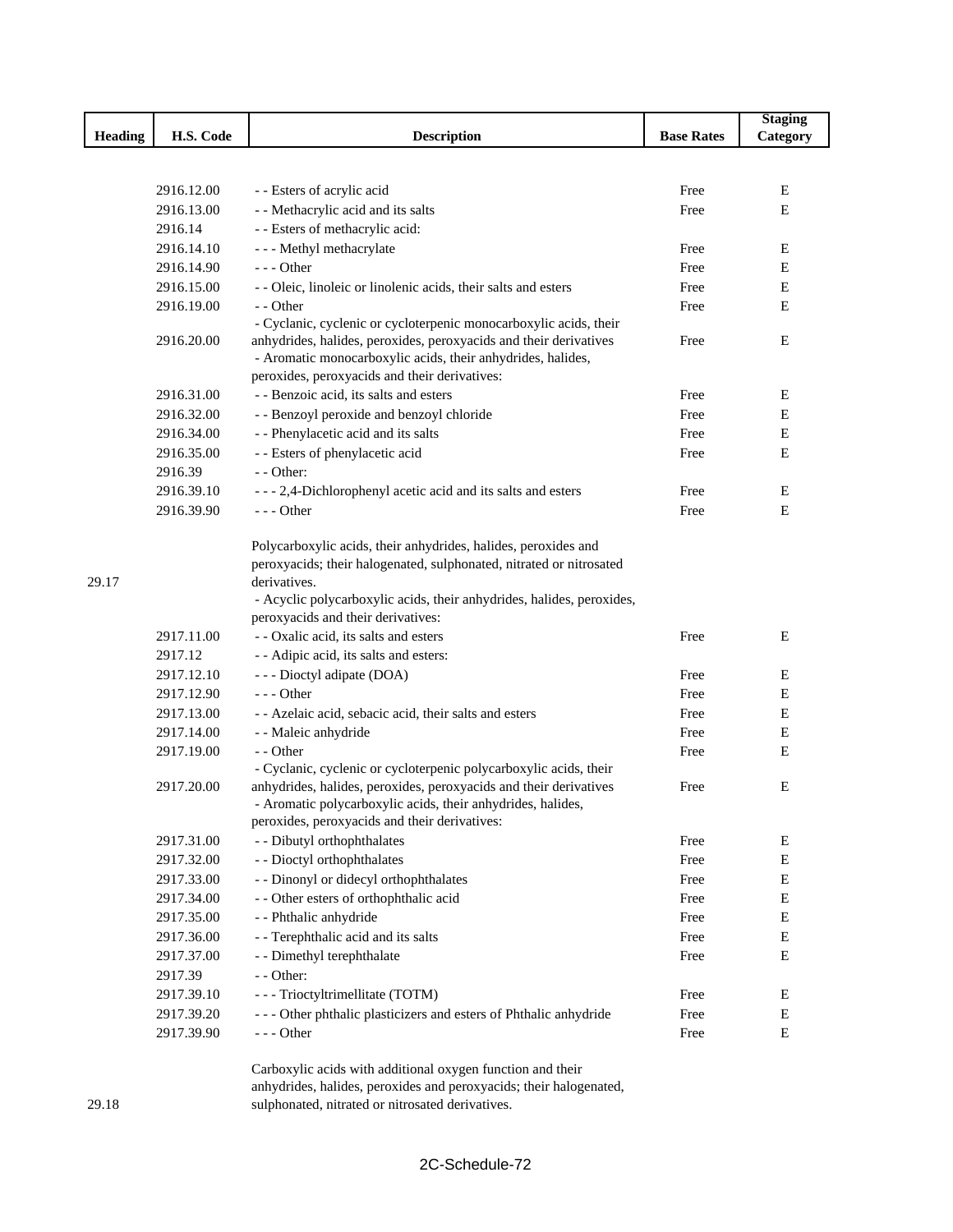|                |            |                                                                                                                                                                                   |                   | <b>Staging</b> |
|----------------|------------|-----------------------------------------------------------------------------------------------------------------------------------------------------------------------------------|-------------------|----------------|
| <b>Heading</b> | H.S. Code  | <b>Description</b>                                                                                                                                                                | <b>Base Rates</b> | Category       |
|                |            |                                                                                                                                                                                   |                   |                |
|                |            |                                                                                                                                                                                   |                   |                |
|                | 2916.12.00 | - - Esters of acrylic acid                                                                                                                                                        | Free              | Ε              |
|                | 2916.13.00 | - - Methacrylic acid and its salts                                                                                                                                                | Free              | E              |
|                | 2916.14    | - - Esters of methacrylic acid:                                                                                                                                                   |                   |                |
|                | 2916.14.10 | - - - Methyl methacrylate                                                                                                                                                         | Free              | Е              |
|                | 2916.14.90 | $--$ Other                                                                                                                                                                        | Free              | Е              |
|                | 2916.15.00 | - - Oleic, linoleic or linolenic acids, their salts and esters                                                                                                                    | Free              | Е              |
|                | 2916.19.00 | - - Other                                                                                                                                                                         | Free              | Е              |
|                |            | - Cyclanic, cyclenic or cycloterpenic monocarboxylic acids, their                                                                                                                 |                   |                |
|                | 2916.20.00 | anhydrides, halides, peroxides, peroxyacids and their derivatives<br>- Aromatic monocarboxylic acids, their anhydrides, halides,<br>peroxides, peroxyacids and their derivatives: | Free              | Е              |
|                | 2916.31.00 | - - Benzoic acid, its salts and esters                                                                                                                                            | Free              | Е              |
|                | 2916.32.00 | - - Benzoyl peroxide and benzoyl chloride                                                                                                                                         | Free              | Е              |
|                | 2916.34.00 | - - Phenylacetic acid and its salts                                                                                                                                               | Free              | Е              |
|                | 2916.35.00 | - - Esters of phenylacetic acid                                                                                                                                                   | Free              | Е              |
|                | 2916.39    | $-$ - Other:                                                                                                                                                                      |                   |                |
|                | 2916.39.10 | --- 2,4-Dichlorophenyl acetic acid and its salts and esters                                                                                                                       | Free              | Е              |
|                | 2916.39.90 | $--$ Other                                                                                                                                                                        | Free              | E              |
|                |            |                                                                                                                                                                                   |                   |                |
|                |            | Polycarboxylic acids, their anhydrides, halides, peroxides and                                                                                                                    |                   |                |
|                |            | peroxyacids; their halogenated, sulphonated, nitrated or nitrosated                                                                                                               |                   |                |
| 29.17          |            | derivatives.                                                                                                                                                                      |                   |                |
|                |            | - Acyclic polycarboxylic acids, their anhydrides, halides, peroxides,                                                                                                             |                   |                |
|                |            | peroxyacids and their derivatives:                                                                                                                                                |                   |                |
|                | 2917.11.00 | - - Oxalic acid, its salts and esters                                                                                                                                             | Free              | Е              |
|                | 2917.12    | - - Adipic acid, its salts and esters:                                                                                                                                            |                   |                |
|                | 2917.12.10 | --- Dioctyl adipate (DOA)                                                                                                                                                         | Free              | E              |
|                | 2917.12.90 | $--$ Other                                                                                                                                                                        | Free              | Е              |
|                | 2917.13.00 | - - Azelaic acid, sebacic acid, their salts and esters                                                                                                                            | Free              | Е              |
|                | 2917.14.00 | - - Maleic anhydride                                                                                                                                                              | Free              | Е              |
|                | 2917.19.00 | - - Other                                                                                                                                                                         | Free              | Е              |
|                |            | - Cyclanic, cyclenic or cycloterpenic polycarboxylic acids, their                                                                                                                 |                   |                |
|                | 2917.20.00 | anhydrides, halides, peroxides, peroxyacids and their derivatives                                                                                                                 | Free              | E              |
|                |            | - Aromatic polycarboxylic acids, their anhydrides, halides,                                                                                                                       |                   |                |
|                |            | peroxides, peroxyacids and their derivatives:                                                                                                                                     |                   |                |
|                | 2917.31.00 | - - Dibutyl orthophthalates                                                                                                                                                       | Free              | E              |
|                | 2917.32.00 | - - Dioctyl orthophthalates                                                                                                                                                       | Free              | Е              |
|                | 2917.33.00 | - - Dinonyl or didecyl orthophthalates                                                                                                                                            | Free              | Е              |
|                | 2917.34.00 | - - Other esters of orthophthalic acid                                                                                                                                            | Free              | Е              |
|                | 2917.35.00 | - - Phthalic anhydride                                                                                                                                                            | Free              | E              |
|                | 2917.36.00 | - - Terephthalic acid and its salts                                                                                                                                               | Free              | E              |
|                | 2917.37.00 | - - Dimethyl terephthalate                                                                                                                                                        | Free              | Е              |
|                | 2917.39    | - - Other:                                                                                                                                                                        |                   |                |
|                | 2917.39.10 | --- Trioctyltrimellitate (TOTM)                                                                                                                                                   | Free              | Ε              |
|                | 2917.39.20 | - - - Other phthalic plasticizers and esters of Phthalic anhydride                                                                                                                | Free              | Е              |
|                | 2917.39.90 | $--$ Other                                                                                                                                                                        | Free              | Е              |
|                |            |                                                                                                                                                                                   |                   |                |
|                |            | Corporation originate with additional oxygen function and their                                                                                                                   |                   |                |

Carboxylic acids with additional oxygen function and their anhydrides, halides, peroxides and peroxyacids; their halogenated, sulphonated, nitrated or nitrosated derivatives.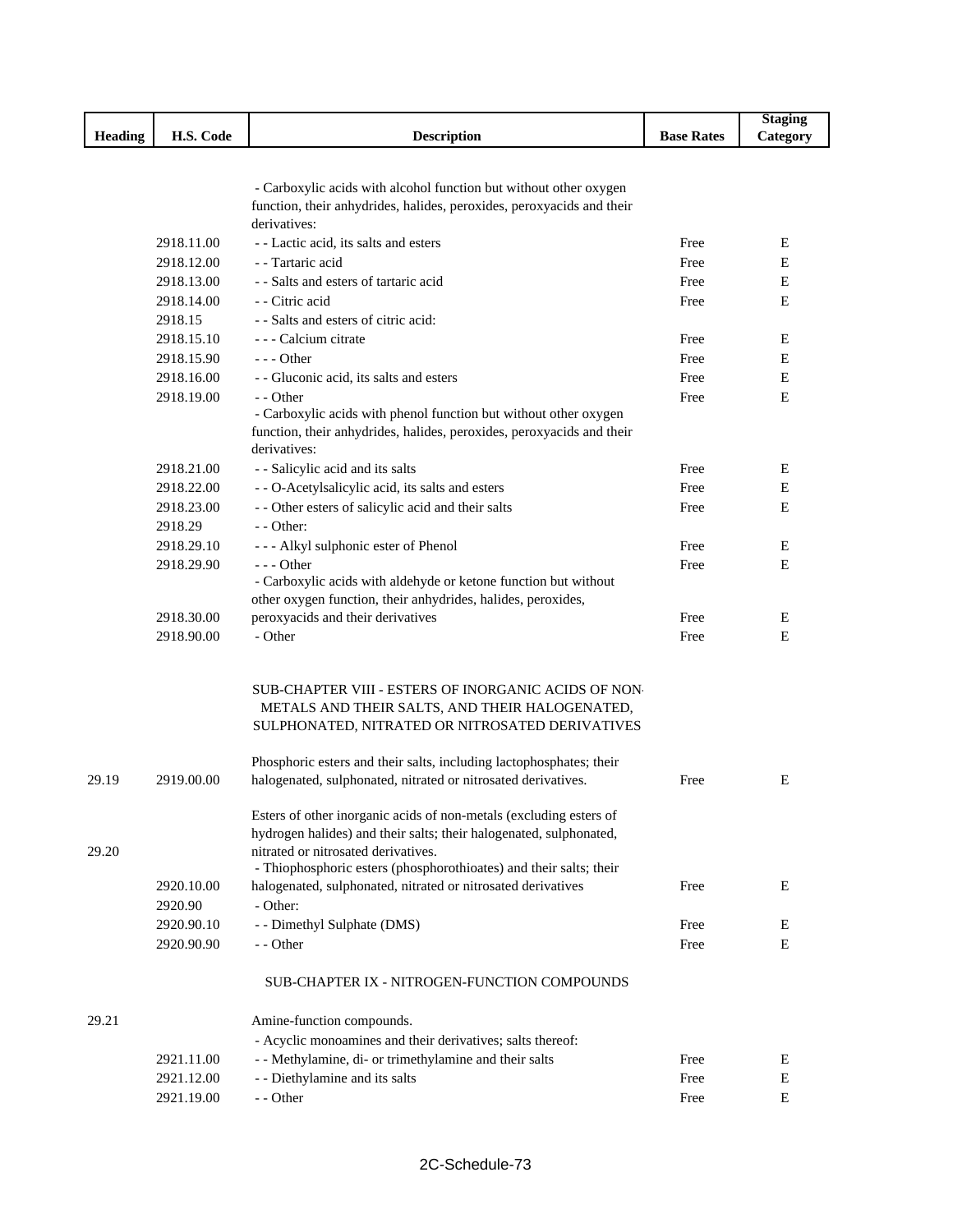|                |            |                                                                                                   |                   | <b>Staging</b> |
|----------------|------------|---------------------------------------------------------------------------------------------------|-------------------|----------------|
| <b>Heading</b> | H.S. Code  | <b>Description</b>                                                                                | <b>Base Rates</b> | Category       |
|                |            |                                                                                                   |                   |                |
|                |            |                                                                                                   |                   |                |
|                |            | - Carboxylic acids with alcohol function but without other oxygen                                 |                   |                |
|                |            | function, their anhydrides, halides, peroxides, peroxyacids and their                             |                   |                |
|                |            | derivatives:                                                                                      |                   |                |
|                | 2918.11.00 | - - Lactic acid, its salts and esters                                                             | Free              | E              |
|                | 2918.12.00 | - - Tartaric acid                                                                                 | Free              | E              |
|                | 2918.13.00 | - - Salts and esters of tartaric acid                                                             | Free              | E              |
|                | 2918.14.00 | - Citric acid                                                                                     | Free              | Ε              |
|                | 2918.15    | - - Salts and esters of citric acid:                                                              |                   |                |
|                | 2918.15.10 | - - - Calcium citrate                                                                             | Free              | E              |
|                | 2918.15.90 | $--$ Other                                                                                        | Free              | Ε              |
|                | 2918.16.00 | - - Gluconic acid, its salts and esters                                                           | Free              | Ε              |
|                | 2918.19.00 | - - Other                                                                                         | Free              | E              |
|                |            | - Carboxylic acids with phenol function but without other oxygen                                  |                   |                |
|                |            | function, their anhydrides, halides, peroxides, peroxyacids and their                             |                   |                |
|                |            | derivatives:                                                                                      |                   |                |
|                | 2918.21.00 | - - Salicylic acid and its salts                                                                  | Free              | E              |
|                | 2918.22.00 | - - O-Acetylsalicylic acid, its salts and esters                                                  | Free              | E              |
|                | 2918.23.00 | - - Other esters of salicylic acid and their salts                                                | Free              | E              |
|                | 2918.29    | $-$ - Other:                                                                                      |                   |                |
|                | 2918.29.10 | --- Alkyl sulphonic ester of Phenol                                                               | Free              | E              |
|                | 2918.29.90 | $--$ Other                                                                                        | Free              | E              |
|                |            | - Carboxylic acids with aldehyde or ketone function but without                                   |                   |                |
|                | 2918.30.00 | other oxygen function, their anhydrides, halides, peroxides,<br>peroxyacids and their derivatives | Free              | E              |
|                | 2918.90.00 | - Other                                                                                           | Free              | E              |
|                |            |                                                                                                   |                   |                |
|                |            |                                                                                                   |                   |                |
|                |            | SUB-CHAPTER VIII - ESTERS OF INORGANIC ACIDS OF NON-                                              |                   |                |
|                |            | METALS AND THEIR SALTS, AND THEIR HALOGENATED,                                                    |                   |                |
|                |            | SULPHONATED, NITRATED OR NITROSATED DERIVATIVES                                                   |                   |                |
|                |            |                                                                                                   |                   |                |
|                |            | Phosphoric esters and their salts, including lactophosphates; their                               |                   |                |
| 29.19          | 2919.00.00 | halogenated, sulphonated, nitrated or nitrosated derivatives.                                     | Free              | E              |
|                |            |                                                                                                   |                   |                |
|                |            | Esters of other inorganic acids of non-metals (excluding esters of                                |                   |                |
|                |            | hydrogen halides) and their salts; their halogenated, sulphonated,                                |                   |                |
| 29.20          |            | nitrated or nitrosated derivatives.                                                               |                   |                |
|                |            | - Thiophosphoric esters (phosphorothioates) and their salts; their                                |                   |                |
|                | 2920.10.00 | halogenated, sulphonated, nitrated or nitrosated derivatives                                      | Free              | Ε              |
|                | 2920.90    | - Other:                                                                                          |                   |                |
|                | 2920.90.10 | - - Dimethyl Sulphate (DMS)                                                                       | Free              | Е              |
|                | 2920.90.90 | - - Other                                                                                         | Free              | Е              |
|                |            |                                                                                                   |                   |                |
|                |            | SUB-CHAPTER IX - NITROGEN-FUNCTION COMPOUNDS                                                      |                   |                |
| 29.21          |            | Amine-function compounds.                                                                         |                   |                |
|                |            | - Acyclic monoamines and their derivatives; salts thereof:                                        |                   |                |
|                | 2921.11.00 | - - Methylamine, di- or trimethylamine and their salts                                            | Free              | Ε              |
|                | 2921.12.00 | - - Diethylamine and its salts                                                                    | Free              | E              |
|                | 2921.19.00 | - - Other                                                                                         | Free              | E              |
|                |            |                                                                                                   |                   |                |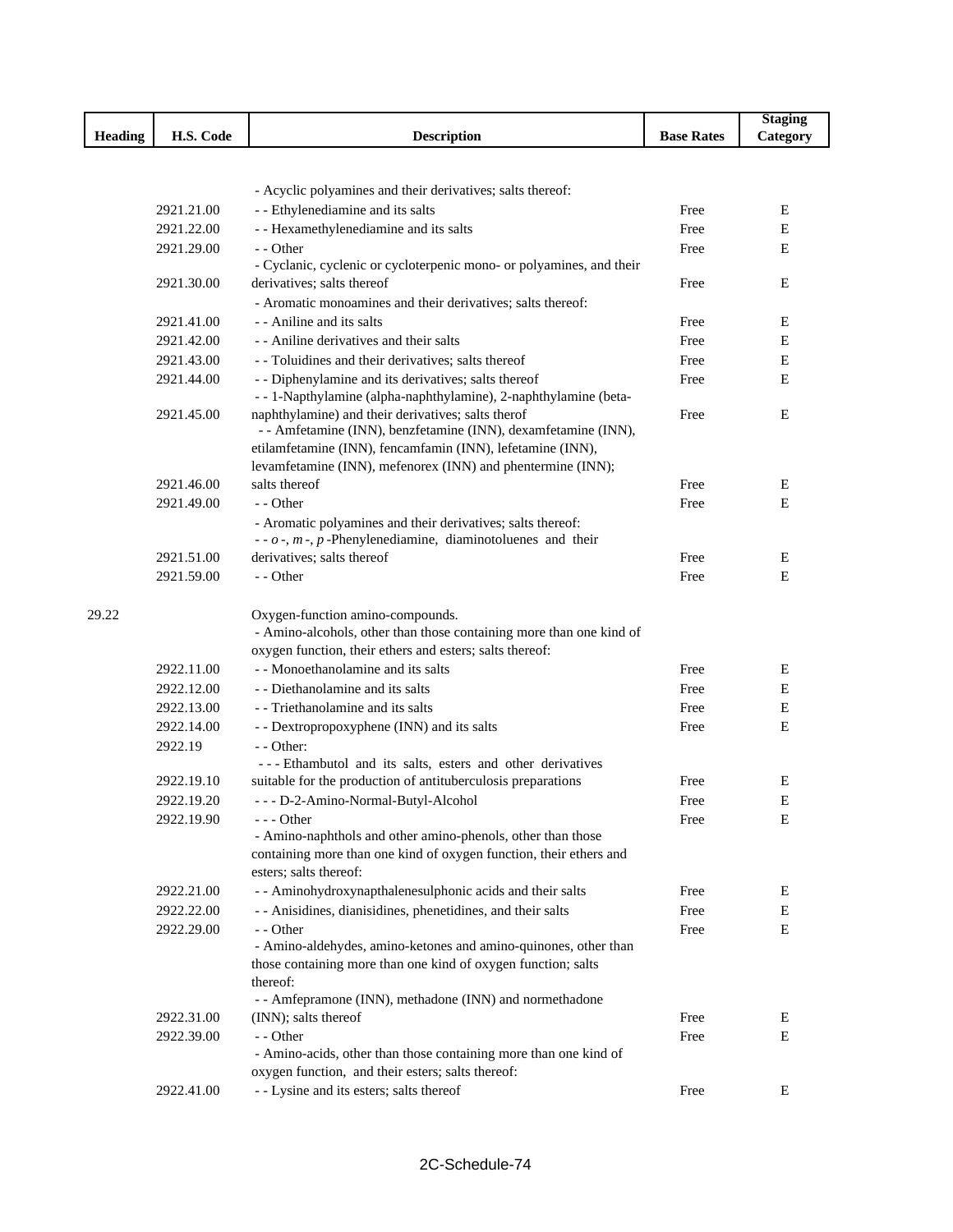|                |            |                                                                                                                           |                   | <b>Staging</b> |
|----------------|------------|---------------------------------------------------------------------------------------------------------------------------|-------------------|----------------|
| <b>Heading</b> | H.S. Code  | <b>Description</b>                                                                                                        | <b>Base Rates</b> | Category       |
|                |            |                                                                                                                           |                   |                |
|                |            |                                                                                                                           |                   |                |
|                |            | - Acyclic polyamines and their derivatives; salts thereof:                                                                |                   |                |
|                | 2921.21.00 | - - Ethylenediamine and its salts                                                                                         | Free              | Ε              |
|                | 2921.22.00 | - - Hexamethylenediamine and its salts                                                                                    | Free              | E              |
|                | 2921.29.00 | - - Other                                                                                                                 | Free              | E              |
|                |            | - Cyclanic, cyclenic or cycloterpenic mono- or polyamines, and their                                                      |                   |                |
|                | 2921.30.00 | derivatives; salts thereof                                                                                                | Free              | Ε              |
|                |            | - Aromatic monoamines and their derivatives; salts thereof:                                                               |                   |                |
|                | 2921.41.00 | - - Aniline and its salts                                                                                                 | Free              | Е              |
|                | 2921.42.00 | - - Aniline derivatives and their salts                                                                                   | Free              | $\mathbf E$    |
|                | 2921.43.00 | - Toluidines and their derivatives; salts thereof                                                                         | Free              | Ε              |
|                | 2921.44.00 | - - Diphenylamine and its derivatives; salts thereof                                                                      | Free              | E              |
|                |            | -- 1-Napthylamine (alpha-naphthylamine), 2-naphthylamine (beta-                                                           |                   |                |
|                | 2921.45.00 | naphthylamine) and their derivatives; salts therof                                                                        | Free              | Ε              |
|                |            | - - Amfetamine (INN), benzfetamine (INN), dexamfetamine (INN),                                                            |                   |                |
|                |            | etilamfetamine (INN), fencamfamin (INN), lefetamine (INN),<br>levamfetamine (INN), mefenorex (INN) and phentermine (INN); |                   |                |
|                | 2921.46.00 | salts thereof                                                                                                             | Free              | Ε              |
|                | 2921.49.00 | - - Other                                                                                                                 | Free              | Е              |
|                |            | - Aromatic polyamines and their derivatives; salts thereof:                                                               |                   |                |
|                |            | - - $o$ -, $m$ -, $p$ -Phenylenediamine, diaminotoluenes and their                                                        |                   |                |
|                | 2921.51.00 | derivatives; salts thereof                                                                                                | Free              | Ε              |
|                | 2921.59.00 | - - Other                                                                                                                 | Free              | E              |
|                |            |                                                                                                                           |                   |                |
| 29.22          |            | Oxygen-function amino-compounds.                                                                                          |                   |                |
|                |            | - Amino-alcohols, other than those containing more than one kind of                                                       |                   |                |
|                |            | oxygen function, their ethers and esters; salts thereof:                                                                  |                   |                |
|                | 2922.11.00 | - - Monoethanolamine and its salts                                                                                        | Free              | E              |
|                | 2922.12.00 | - - Diethanolamine and its salts                                                                                          | Free              | Е              |
|                | 2922.13.00 | - - Triethanolamine and its salts                                                                                         | Free              | Ε              |
|                | 2922.14.00 | - - Dextropropoxyphene (INN) and its salts                                                                                | Free              | E              |
|                | 2922.19    | $-$ - Other:                                                                                                              |                   |                |
|                |            | --- Ethambutol and its salts, esters and other derivatives                                                                |                   |                |
|                | 2922.19.10 | suitable for the production of antituberculosis preparations                                                              | Free              | Е              |
|                | 2922.19.20 | --- D-2-Amino-Normal-Butyl-Alcohol                                                                                        | Free              | $\mathbf E$    |
|                | 2922.19.90 | --- Other                                                                                                                 | Free              | Ε              |
|                |            | - Amino-naphthols and other amino-phenols, other than those                                                               |                   |                |
|                |            | containing more than one kind of oxygen function, their ethers and                                                        |                   |                |
|                |            | esters; salts thereof:                                                                                                    |                   |                |
|                | 2922.21.00 | - - Aminohydroxynapthalenesulphonic acids and their salts                                                                 | Free              | Ε              |
|                | 2922.22.00 | - - Anisidines, dianisidines, phenetidines, and their salts                                                               | Free              | Ε              |
|                | 2922.29.00 | - - Other                                                                                                                 | Free              | E              |
|                |            | - Amino-aldehydes, amino-ketones and amino-quinones, other than                                                           |                   |                |
|                |            | those containing more than one kind of oxygen function; salts                                                             |                   |                |
|                |            | thereof:                                                                                                                  |                   |                |
|                |            | - - Amfepramone (INN), methadone (INN) and normethadone                                                                   |                   |                |
|                | 2922.31.00 | (INN); salts thereof                                                                                                      | Free              | Ε              |
|                | 2922.39.00 | - - Other                                                                                                                 | Free              | Ε              |
|                |            | - Amino-acids, other than those containing more than one kind of                                                          |                   |                |
|                |            | oxygen function, and their esters; salts thereof:                                                                         |                   |                |
|                | 2922.41.00 | - - Lysine and its esters; salts thereof                                                                                  | Free              | E              |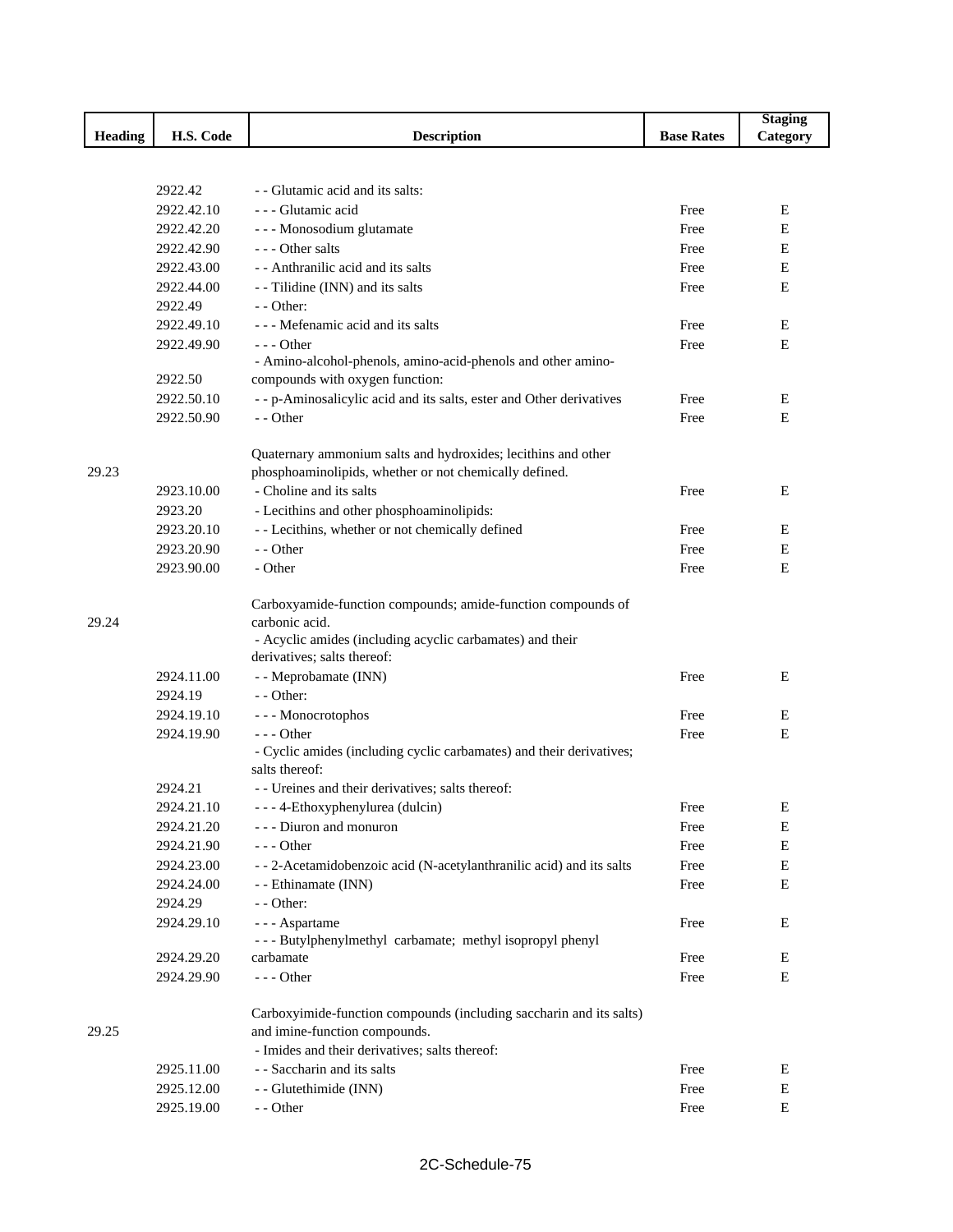|                |            |                                                                                |                   | <b>Staging</b> |
|----------------|------------|--------------------------------------------------------------------------------|-------------------|----------------|
| <b>Heading</b> | H.S. Code  | <b>Description</b>                                                             | <b>Base Rates</b> | Category       |
|                |            |                                                                                |                   |                |
|                |            |                                                                                |                   |                |
|                | 2922.42    | - - Glutamic acid and its salts:                                               |                   |                |
|                | 2922.42.10 | --- Glutamic acid                                                              | Free              | E              |
|                | 2922.42.20 | - - - Monosodium glutamate                                                     | Free              | Ε              |
|                | 2922.42.90 | --- Other salts                                                                | Free              | Ε              |
|                | 2922.43.00 | - - Anthranilic acid and its salts                                             | Free              | E              |
|                | 2922.44.00 | - Tilidine (INN) and its salts                                                 | Free              | E              |
|                | 2922.49    | $-$ - Other:                                                                   |                   |                |
|                | 2922.49.10 | --- Mefenamic acid and its salts                                               | Free              | E              |
|                | 2922.49.90 | $--$ Other                                                                     | Free              | E              |
|                |            | - Amino-alcohol-phenols, amino-acid-phenols and other amino-                   |                   |                |
|                | 2922.50    | compounds with oxygen function:                                                |                   |                |
|                | 2922.50.10 | - - p-Aminosalicylic acid and its salts, ester and Other derivatives           | Free              | E              |
|                | 2922.50.90 | - - Other                                                                      | Free              | E              |
|                |            |                                                                                |                   |                |
|                |            | Quaternary ammonium salts and hydroxides; lecithins and other                  |                   |                |
| 29.23          |            | phosphoaminolipids, whether or not chemically defined.                         |                   |                |
|                | 2923.10.00 | - Choline and its salts                                                        | Free              | E              |
|                | 2923.20    | - Lecithins and other phosphoaminolipids:                                      |                   |                |
|                | 2923.20.10 | - - Lecithins, whether or not chemically defined                               | Free              | Ε              |
|                | 2923.20.90 | - - Other                                                                      | Free              | Ε              |
|                | 2923.90.00 | - Other                                                                        | Free              | E              |
|                |            |                                                                                |                   |                |
| 29.24          |            | Carboxyamide-function compounds; amide-function compounds of<br>carbonic acid. |                   |                |
|                |            | - Acyclic amides (including acyclic carbamates) and their                      |                   |                |
|                |            | derivatives; salts thereof:                                                    |                   |                |
|                | 2924.11.00 | - - Meprobamate (INN)                                                          | Free              | E              |
|                | 2924.19    | - - Other:                                                                     |                   |                |
|                | 2924.19.10 | --- Monocrotophos                                                              | Free              | Ε              |
|                | 2924.19.90 | $--$ Other                                                                     | Free              | E              |
|                |            | - Cyclic amides (including cyclic carbamates) and their derivatives;           |                   |                |
|                |            | salts thereof:                                                                 |                   |                |
|                | 2924.21    | - - Ureines and their derivatives; salts thereof:                              |                   |                |
|                | 2924.21.10 | - - - 4-Ethoxyphenylurea (dulcin)                                              | Free              | Ε              |
|                | 2924.21.20 | - - - Diuron and monuron                                                       | Free              | E              |
|                | 2924.21.90 | $--$ Other                                                                     | Free              | E              |
|                | 2924.23.00 | --2-Acetamidobenzoic acid (N-acetylanthranilic acid) and its salts             | Free              | E              |
|                | 2924.24.00 | - - Ethinamate (INN)                                                           | Free              | E              |
|                | 2924.29    | $-$ - Other:                                                                   |                   |                |
|                | 2924.29.10 | - - - Aspartame                                                                | Free              | E              |
|                |            | --- Butylphenylmethyl carbamate; methyl isopropyl phenyl                       |                   |                |
|                | 2924.29.20 | carbamate                                                                      | Free              | Ε              |
|                | 2924.29.90 | --- Other                                                                      | Free              | E              |
|                |            |                                                                                |                   |                |
|                |            | Carboxyimide-function compounds (including saccharin and its salts)            |                   |                |
| 29.25          |            | and imine-function compounds.                                                  |                   |                |
|                |            | - Imides and their derivatives; salts thereof:                                 |                   |                |
|                | 2925.11.00 | - - Saccharin and its salts                                                    | Free              | E              |
|                | 2925.12.00 | - - Glutethimide (INN)                                                         | Free              | E              |
|                | 2925.19.00 | - - Other                                                                      | Free              | E              |
|                |            |                                                                                |                   |                |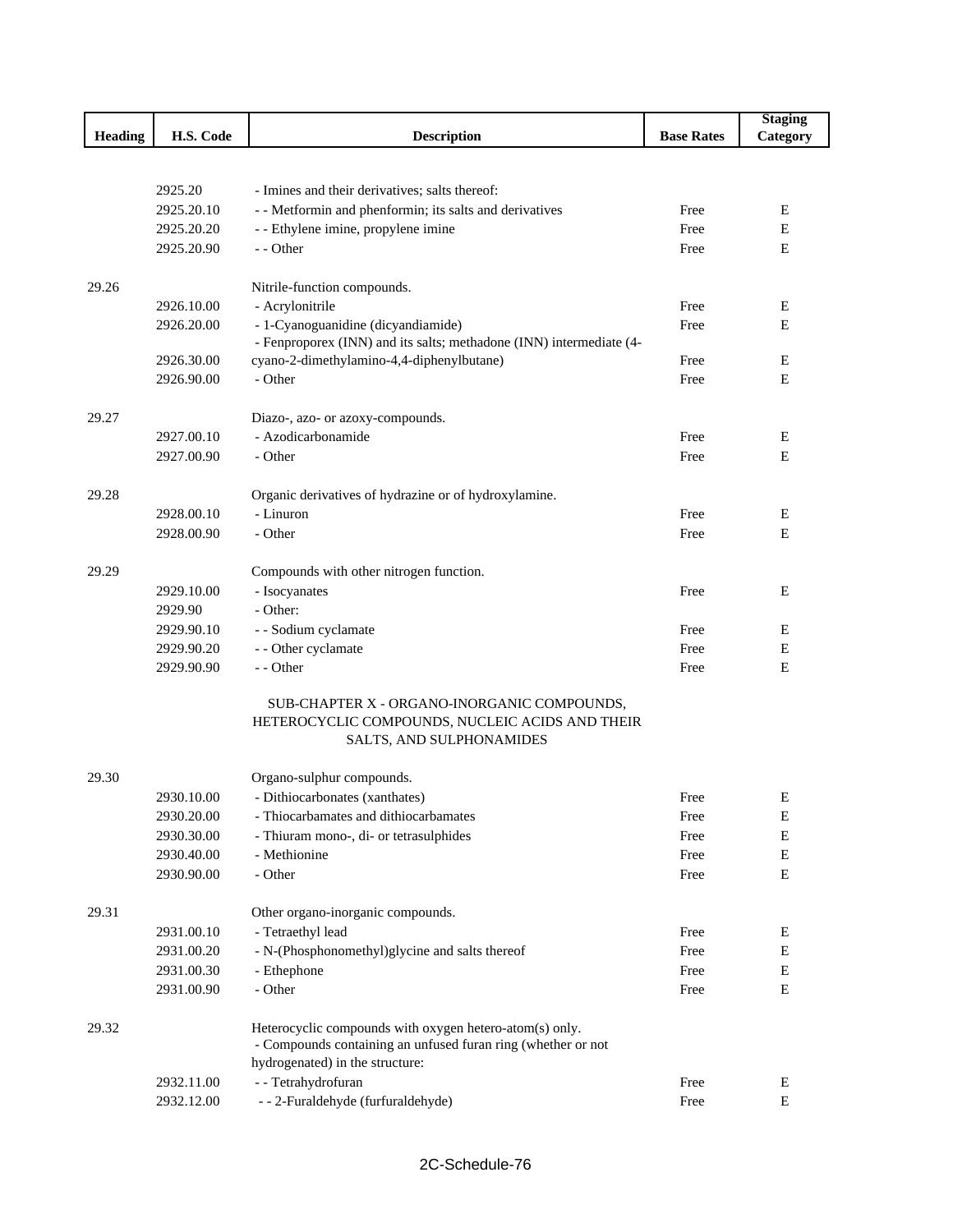|                |                          |                                                                     |                   | <b>Staging</b> |
|----------------|--------------------------|---------------------------------------------------------------------|-------------------|----------------|
| <b>Heading</b> | H.S. Code                | <b>Description</b>                                                  | <b>Base Rates</b> | Category       |
|                |                          |                                                                     |                   |                |
|                |                          |                                                                     |                   |                |
|                | 2925.20                  | - Imines and their derivatives; salts thereof:                      |                   |                |
|                | 2925.20.10               | - - Metformin and phenformin; its salts and derivatives             | Free              | E              |
|                | 2925.20.20               | - - Ethylene imine, propylene imine                                 | Free              | Ε              |
|                | 2925.20.90               | - - Other                                                           | Free              | Е              |
|                |                          |                                                                     |                   |                |
| 29.26          |                          | Nitrile-function compounds.                                         |                   |                |
|                | 2926.10.00               | - Acrylonitrile                                                     | Free              | Ε              |
|                | 2926.20.00               | - 1-Cyanoguanidine (dicyandiamide)                                  | Free              | E              |
|                |                          | - Fenproporex (INN) and its salts; methadone (INN) intermediate (4- | Free              | Ε              |
|                | 2926.30.00<br>2926.90.00 | cyano-2-dimethylamino-4,4-diphenylbutane)<br>- Other                | Free              | E              |
|                |                          |                                                                     |                   |                |
| 29.27          |                          | Diazo-, azo- or azoxy-compounds.                                    |                   |                |
|                | 2927.00.10               | - Azodicarbonamide                                                  | Free              | Ε              |
|                | 2927.00.90               | - Other                                                             | Free              | $\mathbf E$    |
|                |                          |                                                                     |                   |                |
| 29.28          |                          | Organic derivatives of hydrazine or of hydroxylamine.               |                   |                |
|                | 2928.00.10               | - Linuron                                                           | Free              | Ε              |
|                | 2928.00.90               | - Other                                                             | Free              | ${\bf E}$      |
|                |                          |                                                                     |                   |                |
| 29.29          |                          | Compounds with other nitrogen function.                             |                   |                |
|                | 2929.10.00               | - Isocyanates                                                       | Free              | Е              |
|                | 2929.90                  | - Other:                                                            |                   |                |
|                | 2929.90.10               | - - Sodium cyclamate                                                | Free              | E              |
|                | 2929.90.20               | - - Other cyclamate                                                 | Free              | Е              |
|                | 2929.90.90               | - - Other                                                           | Free              | E              |
|                |                          |                                                                     |                   |                |
|                |                          | SUB-CHAPTER X - ORGANO-INORGANIC COMPOUNDS,                         |                   |                |
|                |                          | HETEROCYCLIC COMPOUNDS, NUCLEIC ACIDS AND THEIR                     |                   |                |
|                |                          | SALTS, AND SULPHONAMIDES                                            |                   |                |
| 29.30          |                          | Organo-sulphur compounds.                                           |                   |                |
|                | 2930.10.00               | - Dithiocarbonates (xanthates)                                      | Free              | E              |
|                | 2930.20.00               | - Thiocarbamates and dithiocarbamates                               | Free              | E              |
|                | 2930.30.00               | - Thiuram mono-, di- or tetrasulphides                              | Free              | ${\bf E}$      |
|                | 2930.40.00               | - Methionine                                                        | Free              | Е              |
|                | 2930.90.00               | - Other                                                             | Free              | ${\bf E}$      |
|                |                          |                                                                     |                   |                |
| 29.31          |                          | Other organo-inorganic compounds.                                   |                   |                |
|                | 2931.00.10               | - Tetraethyl lead                                                   | Free              | E              |
|                | 2931.00.20               | - N-(Phosphonomethyl)glycine and salts thereof                      | Free              | ${\bf E}$      |
|                | 2931.00.30               | - Ethephone                                                         | Free              | Е              |
|                | 2931.00.90               | - Other                                                             | Free              | ${\bf E}$      |
|                |                          |                                                                     |                   |                |
| 29.32          |                          | Heterocyclic compounds with oxygen hetero-atom(s) only.             |                   |                |
|                |                          | - Compounds containing an unfused furan ring (whether or not        |                   |                |
|                |                          | hydrogenated) in the structure:                                     |                   |                |
|                | 2932.11.00               | - - Tetrahydrofuran                                                 | Free              | E              |
|                | 2932.12.00               | -- 2-Furaldehyde (furfuraldehyde)                                   | Free              | ${\bf E}$      |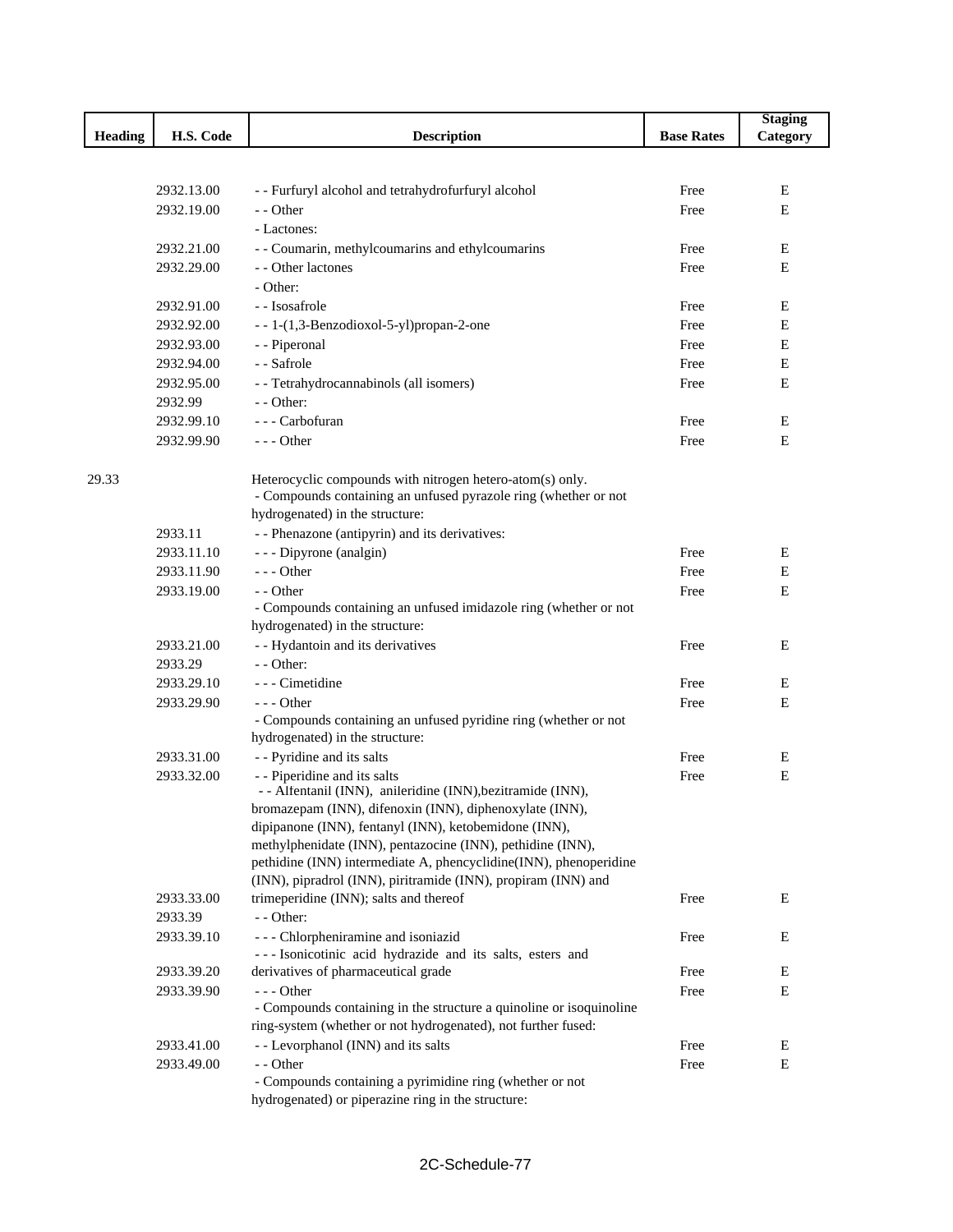|                |            |                                                                                             |                   | <b>Staging</b> |
|----------------|------------|---------------------------------------------------------------------------------------------|-------------------|----------------|
| <b>Heading</b> | H.S. Code  | <b>Description</b>                                                                          | <b>Base Rates</b> | Category       |
|                |            |                                                                                             |                   |                |
|                |            |                                                                                             |                   |                |
|                | 2932.13.00 | - - Furfuryl alcohol and tetrahydrofurfuryl alcohol                                         | Free              | Ε              |
|                | 2932.19.00 | - - Other                                                                                   | Free              | E              |
|                |            | - Lactones:                                                                                 |                   |                |
|                | 2932.21.00 | - - Coumarin, methylcoumarins and ethylcoumarins                                            | Free              | Е              |
|                | 2932.29.00 | - - Other lactones                                                                          | Free              | E              |
|                |            | - Other:                                                                                    |                   |                |
|                | 2932.91.00 | - - Isosafrole                                                                              | Free              | Е              |
|                | 2932.92.00 | --1-(1,3-Benzodioxol-5-yl)propan-2-one                                                      | Free              | E              |
|                | 2932.93.00 | - - Piperonal                                                                               | Free              | Е              |
|                | 2932.94.00 | - - Safrole                                                                                 | Free              | Е              |
|                | 2932.95.00 | - - Tetrahydrocannabinols (all isomers)                                                     | Free              | E              |
|                | 2932.99    | $-$ - Other:                                                                                |                   |                |
|                | 2932.99.10 | --- Carbofuran                                                                              | Free              | Е              |
|                | 2932.99.90 | $--$ Other                                                                                  | Free              | Е              |
|                |            |                                                                                             |                   |                |
| 29.33          |            | Heterocyclic compounds with nitrogen hetero-atom(s) only.                                   |                   |                |
|                |            | - Compounds containing an unfused pyrazole ring (whether or not                             |                   |                |
|                |            | hydrogenated) in the structure:                                                             |                   |                |
|                | 2933.11    | - - Phenazone (antipyrin) and its derivatives:                                              |                   |                |
|                | 2933.11.10 | - - - Dipyrone (analgin)                                                                    | Free              | Е              |
|                | 2933.11.90 | $--$ Other                                                                                  | Free              | Е              |
|                | 2933.19.00 | - - Other                                                                                   | Free              | Е              |
|                |            | - Compounds containing an unfused imidazole ring (whether or not                            |                   |                |
|                |            | hydrogenated) in the structure:                                                             |                   |                |
|                | 2933.21.00 | - - Hydantoin and its derivatives                                                           | Free              | E              |
|                | 2933.29    | - - Other:                                                                                  |                   |                |
|                | 2933.29.10 | - - - Cimetidine                                                                            | Free              | Е              |
|                | 2933.29.90 | $--$ Other                                                                                  | Free              | E              |
|                |            | - Compounds containing an unfused pyridine ring (whether or not                             |                   |                |
|                |            | hydrogenated) in the structure:                                                             |                   |                |
|                | 2933.31.00 | - - Pyridine and its salts                                                                  | Free              | Е              |
|                | 2933.32.00 | - - Piperidine and its salts<br>- - Alfentanil (INN), anileridine (INN), bezitramide (INN), | Free              | Е              |
|                |            | bromazepam (INN), difenoxin (INN), diphenoxylate (INN),                                     |                   |                |
|                |            | dipipanone (INN), fentanyl (INN), ketobemidone (INN),                                       |                   |                |
|                |            | methylphenidate (INN), pentazocine (INN), pethidine (INN),                                  |                   |                |
|                |            | pethidine (INN) intermediate A, phencyclidine(INN), phenoperidine                           |                   |                |
|                |            | (INN), pipradrol (INN), piritramide (INN), propiram (INN) and                               |                   |                |
|                | 2933.33.00 | trimeperidine (INN); salts and thereof                                                      | Free              | Е              |
|                | 2933.39    | $-$ - Other:                                                                                |                   |                |
|                | 2933.39.10 | --- Chlorpheniramine and isoniazid                                                          | Free              | Е              |
|                |            | --- Isonicotinic acid hydrazide and its salts, esters and                                   |                   |                |
|                | 2933.39.20 | derivatives of pharmaceutical grade                                                         | Free              | Е              |
|                | 2933.39.90 | $--- Other$                                                                                 | Free              | Е              |
|                |            | - Compounds containing in the structure a quinoline or isoquinoline                         |                   |                |
|                |            | ring-system (whether or not hydrogenated), not further fused:                               |                   |                |
|                | 2933.41.00 | - - Levorphanol (INN) and its salts                                                         | Free              | Е              |
|                | 2933.49.00 | - - Other                                                                                   | Free              | Е              |
|                |            | - Compounds containing a pyrimidine ring (whether or not                                    |                   |                |
|                |            | hydrogenated) or piperazine ring in the structure:                                          |                   |                |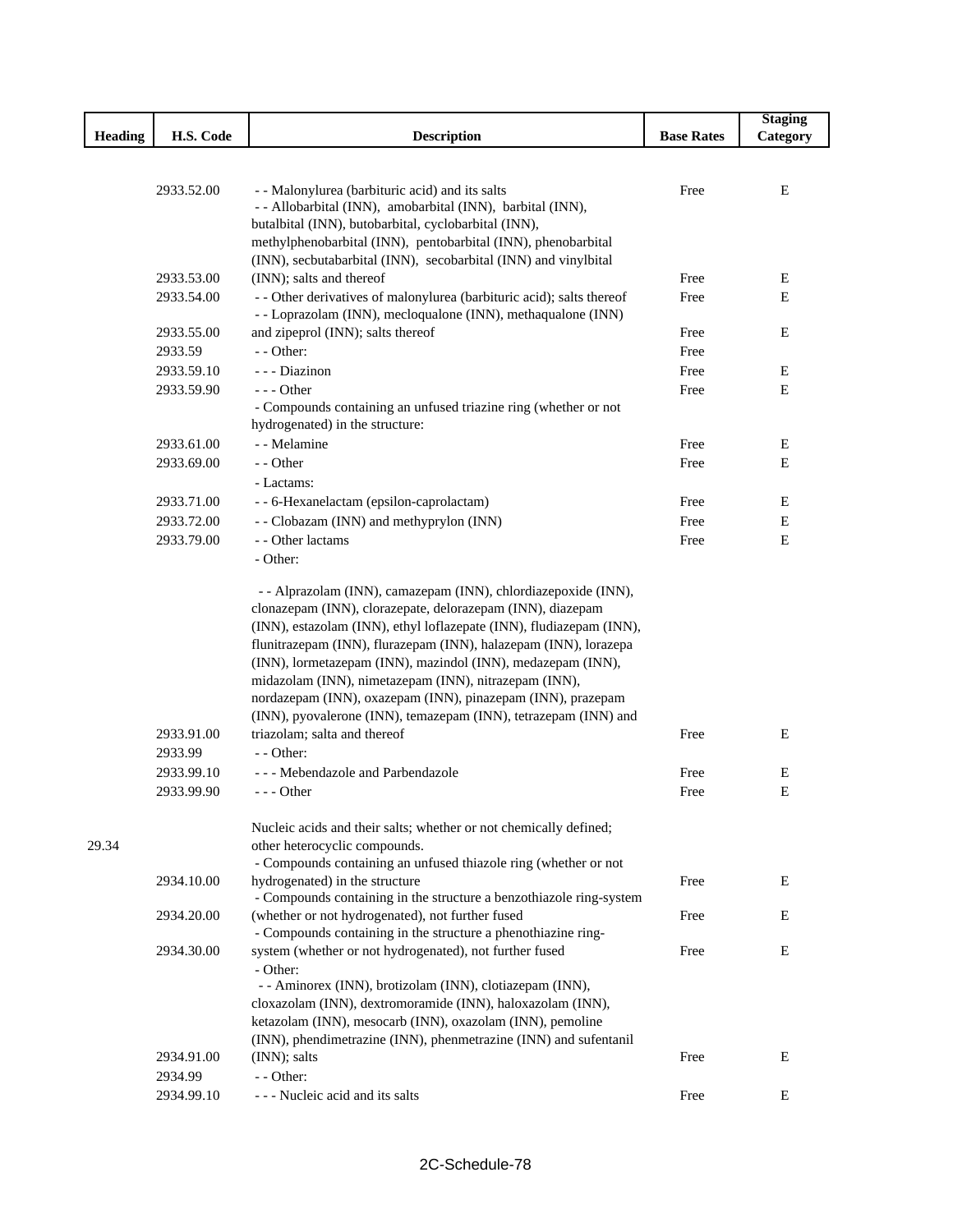|                |            |                                                                                             |                   | <b>Staging</b> |
|----------------|------------|---------------------------------------------------------------------------------------------|-------------------|----------------|
| <b>Heading</b> | H.S. Code  | <b>Description</b>                                                                          | <b>Base Rates</b> | Category       |
|                |            |                                                                                             |                   |                |
|                |            |                                                                                             |                   |                |
|                | 2933.52.00 | - - Malonylurea (barbituric acid) and its salts                                             | Free              | Ε              |
|                |            | - - Allobarbital (INN), amobarbital (INN), barbital (INN),                                  |                   |                |
|                |            | butalbital (INN), butobarbital, cyclobarbital (INN),                                        |                   |                |
|                |            | methylphenobarbital (INN), pentobarbital (INN), phenobarbital                               |                   |                |
|                | 2933.53.00 | (INN), secbutabarbital (INN), secobarbital (INN) and vinylbital<br>(INN); salts and thereof | Free              | Ε              |
|                | 2933.54.00 | - - Other derivatives of malonylurea (barbituric acid); salts thereof                       | Free              | $\mathbf E$    |
|                |            | - - Loprazolam (INN), mecloqualone (INN), methaqualone (INN)                                |                   |                |
|                | 2933.55.00 | and zipeprol (INN); salts thereof                                                           | Free              | E              |
|                | 2933.59    | - - Other:                                                                                  | Free              |                |
|                | 2933.59.10 | - - - Diazinon                                                                              | Free              | Е              |
|                | 2933.59.90 | $- -$ Other                                                                                 | Free              | E              |
|                |            | - Compounds containing an unfused triazine ring (whether or not                             |                   |                |
|                |            | hydrogenated) in the structure:                                                             |                   |                |
|                | 2933.61.00 | - - Melamine                                                                                | Free              | Ε              |
|                | 2933.69.00 | - - Other                                                                                   | Free              | ${\bf E}$      |
|                |            | - Lactams:                                                                                  |                   |                |
|                | 2933.71.00 | - - 6-Hexanelactam (epsilon-caprolactam)                                                    | Free              | Е              |
|                | 2933.72.00 | - - Clobazam (INN) and methyprylon (INN)                                                    | Free              | Е              |
|                | 2933.79.00 | - - Other lactams                                                                           | Free              | E              |
|                |            | - Other:                                                                                    |                   |                |
|                |            | - - Alprazolam (INN), camazepam (INN), chlordiazepoxide (INN),                              |                   |                |
|                |            | clonazepam (INN), clorazepate, delorazepam (INN), diazepam                                  |                   |                |
|                |            | (INN), estazolam (INN), ethyl loflazepate (INN), fludiazepam (INN),                         |                   |                |
|                |            | flunitrazepam (INN), flurazepam (INN), halazepam (INN), lorazepa                            |                   |                |
|                |            | (INN), lormetazepam (INN), mazindol (INN), medazepam (INN),                                 |                   |                |
|                |            | midazolam (INN), nimetazepam (INN), nitrazepam (INN),                                       |                   |                |
|                |            | nordazepam (INN), oxazepam (INN), pinazepam (INN), prazepam                                 |                   |                |
|                |            | (INN), pyovalerone (INN), temazepam (INN), tetrazepam (INN) and                             |                   |                |
|                | 2933.91.00 | triazolam; salta and thereof                                                                | Free              | Е              |
|                | 2933.99    | $-$ - Other:                                                                                |                   |                |
|                | 2933.99.10 | --- Mebendazole and Parbendazole                                                            | Free              | Ε              |
|                | 2933.99.90 | - - - Other                                                                                 | Free              | Ε              |
|                |            | Nucleic acids and their salts; whether or not chemically defined;                           |                   |                |
| 29.34          |            | other heterocyclic compounds.                                                               |                   |                |
|                |            | - Compounds containing an unfused thiazole ring (whether or not                             |                   |                |
|                | 2934.10.00 | hydrogenated) in the structure                                                              | Free              | E              |
|                |            | - Compounds containing in the structure a benzothiazole ring-system                         |                   |                |
|                | 2934.20.00 | (whether or not hydrogenated), not further fused                                            | Free              | E              |
|                |            | - Compounds containing in the structure a phenothiazine ring-                               |                   |                |
|                | 2934.30.00 | system (whether or not hydrogenated), not further fused                                     | Free              | Е              |
|                |            | - Other:<br>- - Aminorex (INN), brotizolam (INN), clotiazepam (INN),                        |                   |                |
|                |            | cloxazolam (INN), dextromoramide (INN), haloxazolam (INN),                                  |                   |                |
|                |            | ketazolam (INN), mesocarb (INN), oxazolam (INN), pemoline                                   |                   |                |
|                |            | (INN), phendimetrazine (INN), phenmetrazine (INN) and sufentanil                            |                   |                |
|                | 2934.91.00 | (INN); salts                                                                                | Free              | Е              |
|                | 2934.99    | - - Other:                                                                                  |                   |                |
|                | 2934.99.10 | --- Nucleic acid and its salts                                                              | Free              | E              |
|                |            |                                                                                             |                   |                |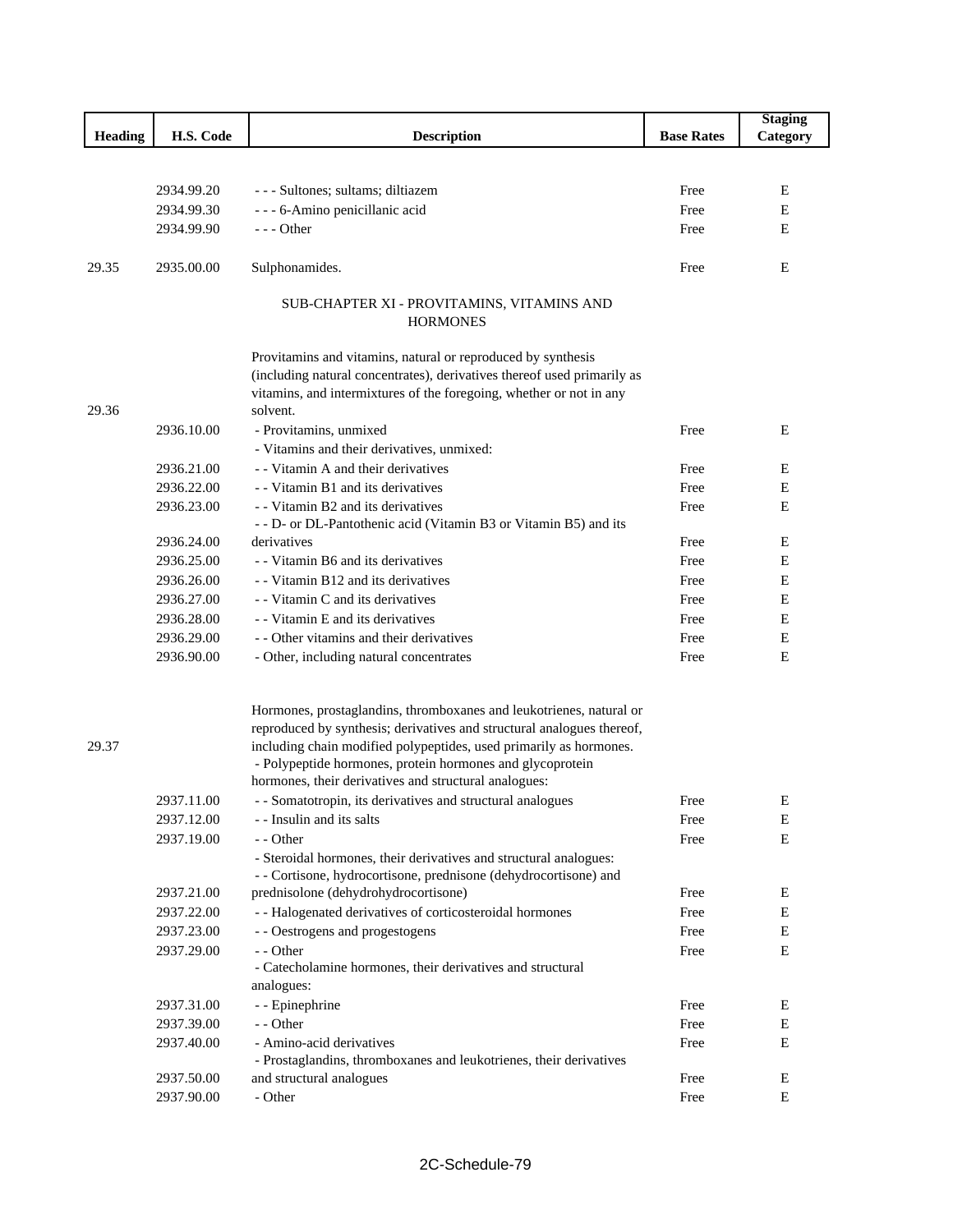|                |            |                                                                                                                                         |                   | <b>Staging</b> |
|----------------|------------|-----------------------------------------------------------------------------------------------------------------------------------------|-------------------|----------------|
| <b>Heading</b> | H.S. Code  | <b>Description</b>                                                                                                                      | <b>Base Rates</b> | Category       |
|                |            |                                                                                                                                         |                   |                |
|                |            |                                                                                                                                         |                   |                |
|                | 2934.99.20 | - - - Sultones; sultams; diltiazem                                                                                                      | Free              | E              |
|                | 2934.99.30 | - - - 6-Amino penicillanic acid                                                                                                         | Free              | E              |
|                | 2934.99.90 | $--$ Other                                                                                                                              | Free              | Ε              |
| 29.35          | 2935.00.00 | Sulphonamides.                                                                                                                          | Free              | E              |
|                |            | SUB-CHAPTER XI - PROVITAMINS, VITAMINS AND                                                                                              |                   |                |
|                |            | <b>HORMONES</b>                                                                                                                         |                   |                |
|                |            |                                                                                                                                         |                   |                |
|                |            | Provitamins and vitamins, natural or reproduced by synthesis<br>(including natural concentrates), derivatives thereof used primarily as |                   |                |
|                |            | vitamins, and intermixtures of the foregoing, whether or not in any                                                                     |                   |                |
| 29.36          |            | solvent.                                                                                                                                |                   |                |
|                | 2936.10.00 | - Provitamins, unmixed                                                                                                                  | Free              | E              |
|                |            | - Vitamins and their derivatives, unmixed:                                                                                              |                   |                |
|                | 2936.21.00 | - - Vitamin A and their derivatives                                                                                                     | Free              | Ε              |
|                | 2936.22.00 | - - Vitamin B1 and its derivatives                                                                                                      | Free              | E              |
|                | 2936.23.00 | - - Vitamin B2 and its derivatives                                                                                                      | Free              | E              |
|                |            | - - D- or DL-Pantothenic acid (Vitamin B3 or Vitamin B5) and its                                                                        |                   |                |
|                | 2936.24.00 | derivatives                                                                                                                             | Free              | E              |
|                | 2936.25.00 | - Vitamin B6 and its derivatives                                                                                                        | Free              | Е              |
|                | 2936.26.00 | - - Vitamin B12 and its derivatives                                                                                                     | Free              | Ε              |
|                | 2936.27.00 | - - Vitamin C and its derivatives                                                                                                       | Free              | Е              |
|                | 2936.28.00 | - - Vitamin E and its derivatives                                                                                                       | Free              | Ε              |
|                | 2936.29.00 | - - Other vitamins and their derivatives                                                                                                | Free              | E              |
|                | 2936.90.00 | - Other, including natural concentrates                                                                                                 | Free              | E              |
|                |            | Hormones, prostaglandins, thromboxanes and leukotrienes, natural or                                                                     |                   |                |
|                |            | reproduced by synthesis; derivatives and structural analogues thereof,                                                                  |                   |                |
| 29.37          |            | including chain modified polypeptides, used primarily as hormones.<br>- Polypeptide hormones, protein hormones and glycoprotein         |                   |                |
|                |            | hormones, their derivatives and structural analogues:                                                                                   |                   |                |
|                | 2937.11.00 | - - Somatotropin, its derivatives and structural analogues                                                                              | Free              | Е              |
|                | 2937.12.00 | - - Insulin and its salts                                                                                                               | Free              | E              |
|                | 2937.19.00 | - - Other                                                                                                                               | Free              | E              |
|                |            | - Steroidal hormones, their derivatives and structural analogues:<br>- - Cortisone, hydrocortisone, prednisone (dehydrocortisone) and   |                   |                |
|                | 2937.21.00 | prednisolone (dehydrohydrocortisone)                                                                                                    | Free              | E              |
|                | 2937.22.00 | - - Halogenated derivatives of corticosteroidal hormones                                                                                | Free              | Е              |
|                | 2937.23.00 | - - Oestrogens and progestogens                                                                                                         | Free              | E              |
|                | 2937.29.00 | - - Other                                                                                                                               | Free              | E              |
|                |            | - Catecholamine hormones, their derivatives and structural                                                                              |                   |                |
|                |            | analogues:                                                                                                                              |                   |                |
|                | 2937.31.00 | - - Epinephrine                                                                                                                         | Free              | Ε              |
|                | 2937.39.00 | - - Other                                                                                                                               | Free              | ${\bf E}$      |
|                | 2937.40.00 | - Amino-acid derivatives                                                                                                                | Free              | Ε              |
|                |            | - Prostaglandins, thromboxanes and leukotrienes, their derivatives                                                                      |                   |                |
|                | 2937.50.00 | and structural analogues                                                                                                                | Free              | Е              |
|                | 2937.90.00 | - Other                                                                                                                                 | Free              | E              |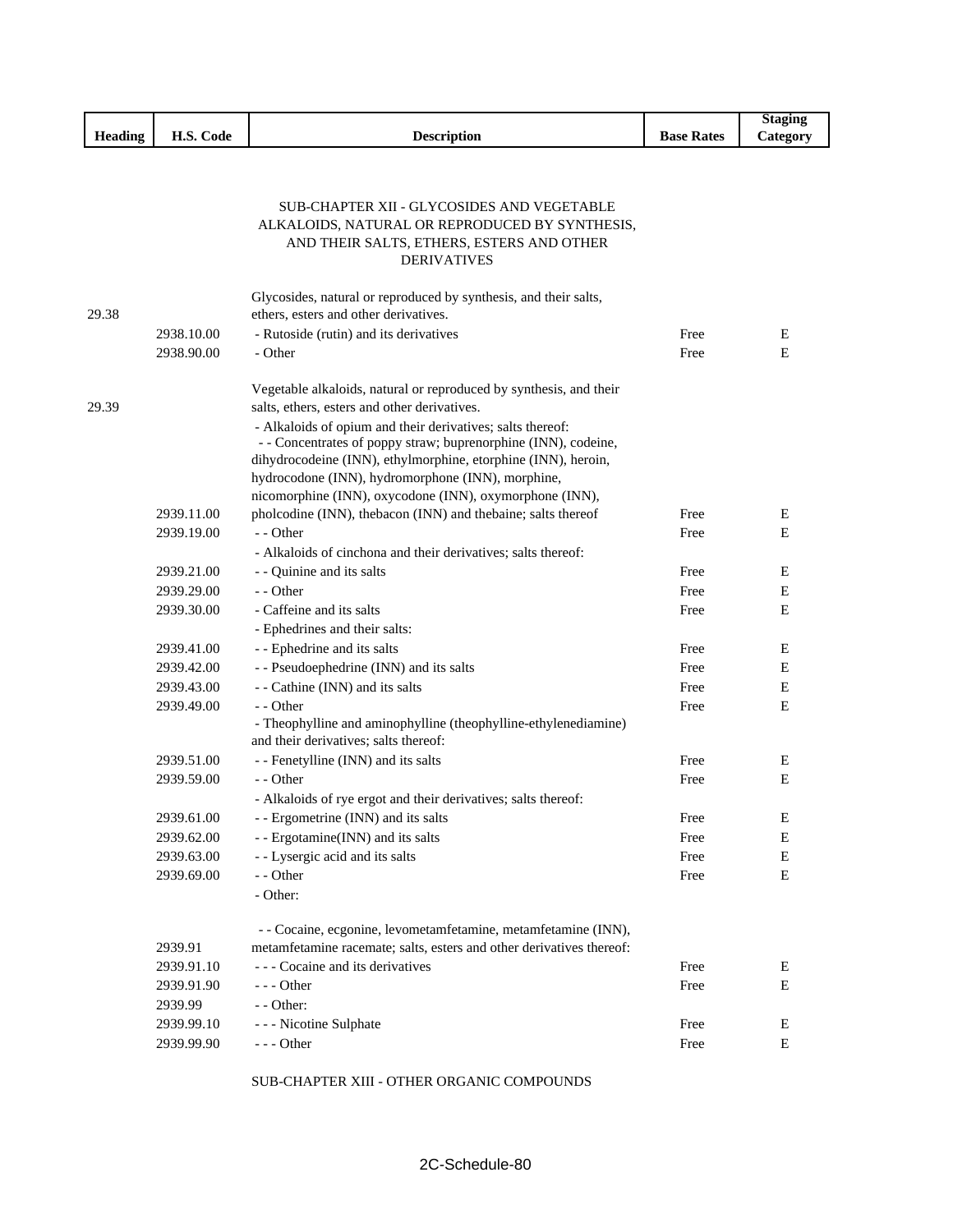|                |            |                                                                                                              |                   | <b>Staging</b> |
|----------------|------------|--------------------------------------------------------------------------------------------------------------|-------------------|----------------|
| <b>Heading</b> | H.S. Code  | <b>Description</b>                                                                                           | <b>Base Rates</b> | Category       |
|                |            |                                                                                                              |                   |                |
|                |            |                                                                                                              |                   |                |
|                |            | SUB-CHAPTER XII - GLYCOSIDES AND VEGETABLE                                                                   |                   |                |
|                |            | ALKALOIDS, NATURAL OR REPRODUCED BY SYNTHESIS,                                                               |                   |                |
|                |            | AND THEIR SALTS, ETHERS, ESTERS AND OTHER                                                                    |                   |                |
|                |            | <b>DERIVATIVES</b>                                                                                           |                   |                |
|                |            | Glycosides, natural or reproduced by synthesis, and their salts,                                             |                   |                |
| 29.38          |            | ethers, esters and other derivatives.                                                                        |                   |                |
|                | 2938.10.00 | - Rutoside (rutin) and its derivatives                                                                       | Free              | E              |
|                | 2938.90.00 | - Other                                                                                                      | Free              | E              |
|                |            | Vegetable alkaloids, natural or reproduced by synthesis, and their                                           |                   |                |
| 29.39          |            | salts, ethers, esters and other derivatives.                                                                 |                   |                |
|                |            | - Alkaloids of opium and their derivatives; salts thereof:                                                   |                   |                |
|                |            | - - Concentrates of poppy straw; buprenorphine (INN), codeine,                                               |                   |                |
|                |            | dihydrocodeine (INN), ethylmorphine, etorphine (INN), heroin,                                                |                   |                |
|                |            | hydrocodone (INN), hydromorphone (INN), morphine,<br>nicomorphine (INN), oxycodone (INN), oxymorphone (INN), |                   |                |
|                | 2939.11.00 | pholcodine (INN), thebacon (INN) and thebaine; salts thereof                                                 | Free              | Ε              |
|                | 2939.19.00 | - - Other                                                                                                    | Free              | E              |
|                |            | - Alkaloids of cinchona and their derivatives; salts thereof:                                                |                   |                |
|                | 2939.21.00 | - - Quinine and its salts                                                                                    | Free              | E              |
|                | 2939.29.00 | - - Other                                                                                                    | Free              | Е              |
|                | 2939.30.00 | - Caffeine and its salts                                                                                     | Free              | E              |
|                |            | - Ephedrines and their salts:                                                                                |                   |                |
|                | 2939.41.00 | - - Ephedrine and its salts                                                                                  | Free              | Е              |
|                | 2939.42.00 | - - Pseudoephedrine (INN) and its salts                                                                      | Free              | E              |
|                | 2939.43.00 | - - Cathine (INN) and its salts                                                                              | Free              | E              |
|                | 2939.49.00 | - - Other                                                                                                    | Free              | E              |
|                |            | - Theophylline and aminophylline (theophylline-ethylenediamine)                                              |                   |                |
|                |            | and their derivatives; salts thereof:                                                                        |                   |                |
|                | 2939.51.00 | - - Fenetylline (INN) and its salts                                                                          | Free              | Е              |
|                | 2939.59.00 | - - Other                                                                                                    | Free              | Ε              |
|                |            | - Alkaloids of rye ergot and their derivatives; salts thereof:                                               |                   |                |
|                | 2939.61.00 | - - Ergometrine (INN) and its salts                                                                          | Free              | E              |
|                | 2939.62.00 | - - Ergotamine(INN) and its salts                                                                            | Free              | E              |
|                | 2939.63.00 | - - Lysergic acid and its salts                                                                              | Free              | ${\bf E}$      |
|                | 2939.69.00 | - - Other                                                                                                    | Free              | E              |
|                |            | - Other:                                                                                                     |                   |                |
|                |            | - - Cocaine, ecgonine, levometamfetamine, metamfetamine (INN),                                               |                   |                |
|                | 2939.91    | metamfetamine racemate; salts, esters and other derivatives thereof:                                         |                   |                |
|                | 2939.91.10 | --- Cocaine and its derivatives                                                                              | Free              | E              |
|                | 2939.91.90 | $- -$ Other                                                                                                  | Free              | E              |
|                | 2939.99    | - - Other:                                                                                                   |                   |                |
|                | 2939.99.10 | - - - Nicotine Sulphate                                                                                      | Free              | E              |
|                | 2939.99.90 | $--$ Other                                                                                                   | Free              | E              |

SUB-CHAPTER XIII - OTHER ORGANIC COMPOUNDS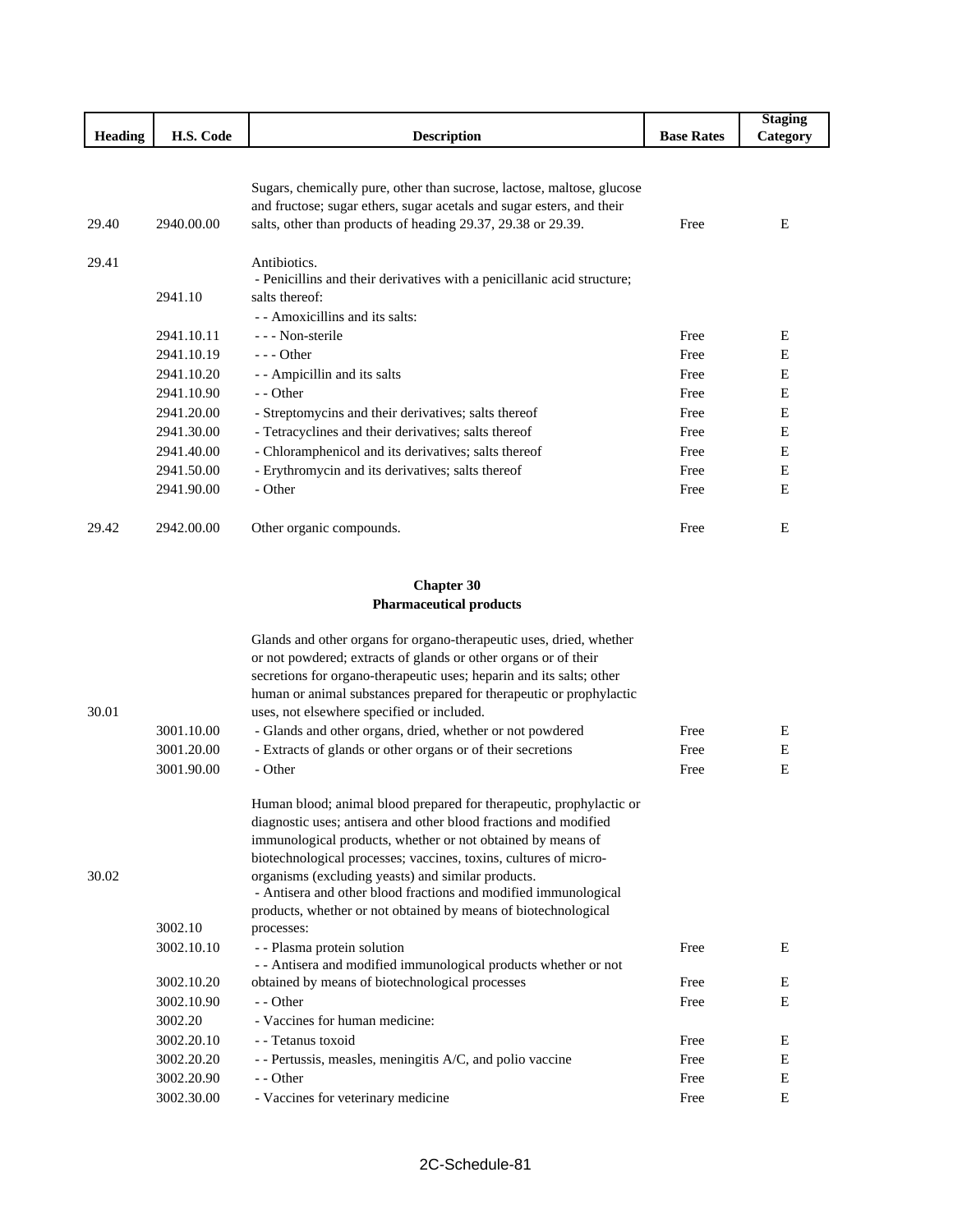|                |            |                                                                                                                                             |                   | <b>Staging</b> |
|----------------|------------|---------------------------------------------------------------------------------------------------------------------------------------------|-------------------|----------------|
| <b>Heading</b> | H.S. Code  | <b>Description</b>                                                                                                                          | <b>Base Rates</b> | Category       |
|                |            |                                                                                                                                             |                   |                |
|                |            |                                                                                                                                             |                   |                |
|                |            | Sugars, chemically pure, other than sucrose, lactose, maltose, glucose                                                                      |                   |                |
|                |            | and fructose; sugar ethers, sugar acetals and sugar esters, and their                                                                       |                   |                |
| 29.40          | 2940.00.00 | salts, other than products of heading 29.37, 29.38 or 29.39.                                                                                | Free              | E              |
|                |            |                                                                                                                                             |                   |                |
| 29.41          |            | Antibiotics.                                                                                                                                |                   |                |
|                | 2941.10    | - Penicillins and their derivatives with a penicillanic acid structure;<br>salts thereof:                                                   |                   |                |
|                |            | - - Amoxicillins and its salts:                                                                                                             |                   |                |
|                |            | - - - Non-sterile                                                                                                                           |                   |                |
|                | 2941.10.11 |                                                                                                                                             | Free              | Ε              |
|                | 2941.10.19 | - - - Other                                                                                                                                 | Free              | Ε              |
|                | 2941.10.20 | - - Ampicillin and its salts                                                                                                                | Free              | E              |
|                | 2941.10.90 | - - Other                                                                                                                                   | Free              | Ε              |
|                | 2941.20.00 | - Streptomycins and their derivatives; salts thereof                                                                                        | Free              | Е              |
|                | 2941.30.00 | - Tetracyclines and their derivatives; salts thereof                                                                                        | Free              | E              |
|                | 2941.40.00 | - Chloramphenicol and its derivatives; salts thereof                                                                                        | Free              | Ε              |
|                | 2941.50.00 | - Erythromycin and its derivatives; salts thereof                                                                                           | Free              | Ε              |
|                | 2941.90.00 | - Other                                                                                                                                     | Free              | E              |
|                |            |                                                                                                                                             |                   |                |
| 29.42          | 2942.00.00 | Other organic compounds.                                                                                                                    | Free              | E              |
|                |            |                                                                                                                                             |                   |                |
|                |            |                                                                                                                                             |                   |                |
|                |            | <b>Chapter 30</b>                                                                                                                           |                   |                |
|                |            | <b>Pharmaceutical products</b>                                                                                                              |                   |                |
|                |            |                                                                                                                                             |                   |                |
|                |            | Glands and other organs for organo-therapeutic uses, dried, whether                                                                         |                   |                |
|                |            | or not powdered; extracts of glands or other organs or of their                                                                             |                   |                |
|                |            | secretions for organo-therapeutic uses; heparin and its salts; other<br>human or animal substances prepared for therapeutic or prophylactic |                   |                |
| 30.01          |            | uses, not elsewhere specified or included.                                                                                                  |                   |                |
|                | 3001.10.00 | - Glands and other organs, dried, whether or not powdered                                                                                   | Free              | Ε              |
|                | 3001.20.00 | - Extracts of glands or other organs or of their secretions                                                                                 | Free              | Ε              |
|                | 3001.90.00 | - Other                                                                                                                                     | Free              | Ε              |
|                |            |                                                                                                                                             |                   |                |
|                |            | Human blood; animal blood prepared for therapeutic, prophylactic or                                                                         |                   |                |
|                |            | diagnostic uses; antisera and other blood fractions and modified                                                                            |                   |                |
|                |            | immunological products, whether or not obtained by means of                                                                                 |                   |                |
|                |            | biotechnological processes; vaccines, toxins, cultures of micro-                                                                            |                   |                |
| 30.02          |            | organisms (excluding yeasts) and similar products.                                                                                          |                   |                |
|                |            | - Antisera and other blood fractions and modified immunological                                                                             |                   |                |
|                |            | products, whether or not obtained by means of biotechnological                                                                              |                   |                |
|                | 3002.10    | processes:                                                                                                                                  |                   |                |
|                | 3002.10.10 | - - Plasma protein solution                                                                                                                 | Free              | Е              |
|                |            | - - Antisera and modified immunological products whether or not                                                                             |                   |                |
|                | 3002.10.20 | obtained by means of biotechnological processes                                                                                             | Free              | Ε              |
|                | 3002.10.90 | - - Other                                                                                                                                   | Free              | E              |
|                | 3002.20    | - Vaccines for human medicine:                                                                                                              |                   |                |
|                | 3002.20.10 | - - Tetanus toxoid                                                                                                                          | Free              | Ε              |
|                | 3002.20.20 | - - Pertussis, measles, meningitis A/C, and polio vaccine                                                                                   | Free              | E              |

3002.20.90 - - Other E 3002.30.00 - Vaccines for veterinary medicine Free E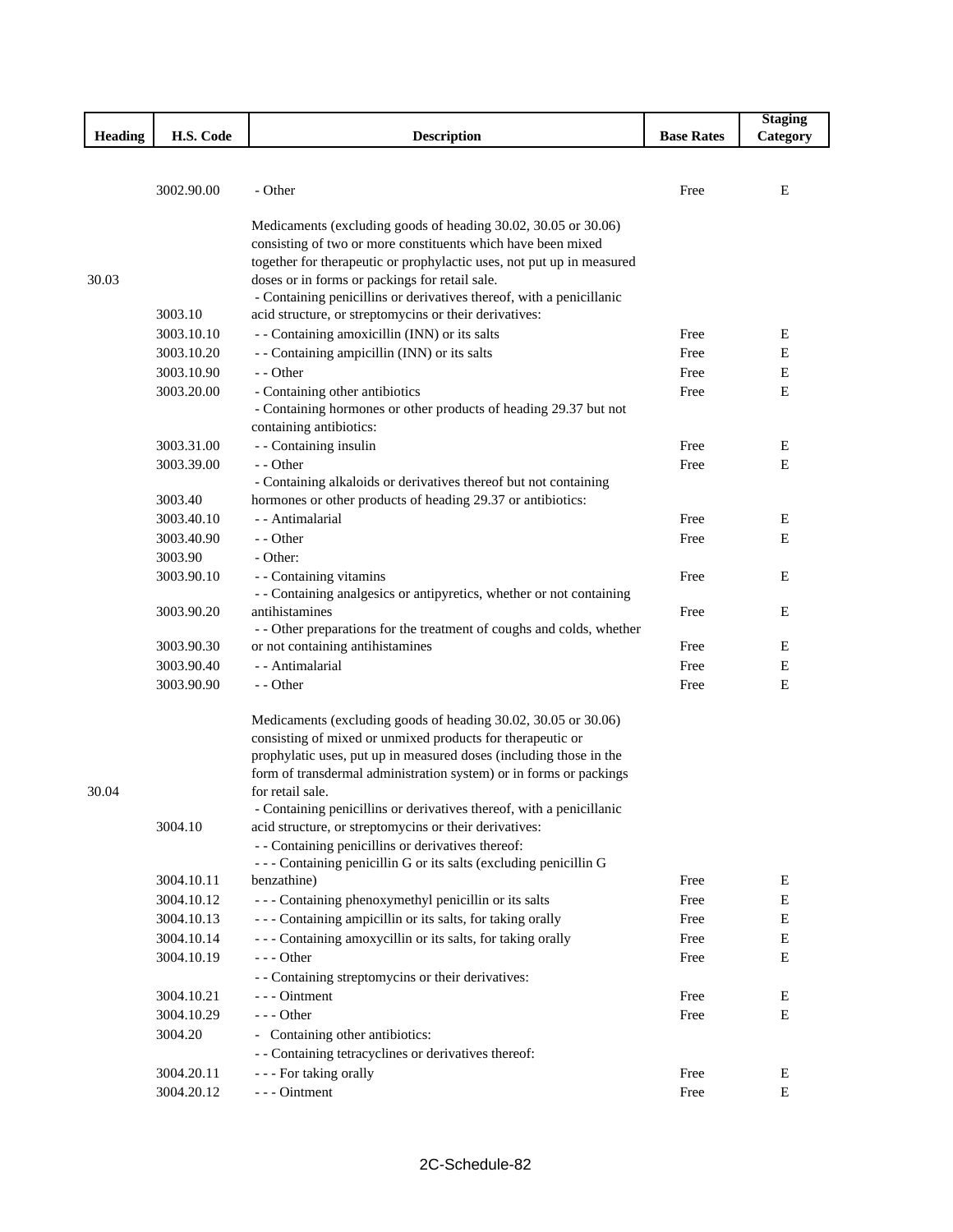|         |            |                                                                       |                   | <b>Staging</b> |
|---------|------------|-----------------------------------------------------------------------|-------------------|----------------|
| Heading | H.S. Code  | <b>Description</b>                                                    | <b>Base Rates</b> | Category       |
|         |            |                                                                       |                   |                |
|         |            |                                                                       |                   |                |
|         | 3002.90.00 | - Other                                                               | Free              | E              |
|         |            | Medicaments (excluding goods of heading 30.02, 30.05 or 30.06)        |                   |                |
|         |            | consisting of two or more constituents which have been mixed          |                   |                |
|         |            | together for therapeutic or prophylactic uses, not put up in measured |                   |                |
| 30.03   |            | doses or in forms or packings for retail sale.                        |                   |                |
|         |            | - Containing penicillins or derivatives thereof, with a penicillanic  |                   |                |
|         | 3003.10    | acid structure, or streptomycins or their derivatives:                |                   |                |
|         | 3003.10.10 | - - Containing amoxicillin (INN) or its salts                         | Free              | Ε              |
|         | 3003.10.20 | - - Containing ampicillin (INN) or its salts                          | Free              | Ε              |
|         | 3003.10.90 | - - Other                                                             | Free              | Ε              |
|         | 3003.20.00 | - Containing other antibiotics                                        | Free              | E              |
|         |            | - Containing hormones or other products of heading 29.37 but not      |                   |                |
|         |            | containing antibiotics:                                               |                   |                |
|         | 3003.31.00 | - - Containing insulin                                                | Free              | Ε              |
|         | 3003.39.00 | - - Other                                                             | Free              | E              |
|         |            | - Containing alkaloids or derivatives thereof but not containing      |                   |                |
|         | 3003.40    | hormones or other products of heading 29.37 or antibiotics:           |                   |                |
|         | 3003.40.10 | - - Antimalarial                                                      | Free              | E              |
|         | 3003.40.90 | - - Other                                                             | Free              | Ε              |
|         | 3003.90    | - Other:                                                              |                   |                |
|         | 3003.90.10 | - - Containing vitamins                                               | Free              | Ε              |
|         |            | - - Containing analgesics or antipyretics, whether or not containing  |                   |                |
|         | 3003.90.20 | antihistamines                                                        | Free              | Ε              |
|         |            | - - Other preparations for the treatment of coughs and colds, whether |                   |                |
|         | 3003.90.30 | or not containing antihistamines                                      | Free              | E              |
|         | 3003.90.40 | - - Antimalarial                                                      | Free              | E              |
|         | 3003.90.90 | - - Other                                                             | Free              | Ε              |
|         |            | Medicaments (excluding goods of heading 30.02, 30.05 or 30.06)        |                   |                |
|         |            | consisting of mixed or unmixed products for therapeutic or            |                   |                |
|         |            | prophylatic uses, put up in measured doses (including those in the    |                   |                |
|         |            | form of transdermal administration system) or in forms or packings    |                   |                |
| 30.04   |            | for retail sale.                                                      |                   |                |
|         |            | - Containing penicillins or derivatives thereof, with a penicillanic  |                   |                |
|         | 3004.10    | acid structure, or streptomycins or their derivatives:                |                   |                |
|         |            | - - Containing penicillins or derivatives thereof:                    |                   |                |
|         |            | --- Containing penicillin G or its salts (excluding penicillin G      |                   |                |
|         | 3004.10.11 | benzathine)                                                           | Free              | E              |
|         | 3004.10.12 | - - - Containing phenoxymethyl penicillin or its salts                | Free              | E              |
|         | 3004.10.13 | --- Containing ampicillin or its salts, for taking orally             | Free              | E              |
|         | 3004.10.14 | --- Containing amoxycillin or its salts, for taking orally            | Free              | E              |
|         | 3004.10.19 | - - - Other                                                           | Free              | E              |
|         |            | - - Containing streptomycins or their derivatives:                    |                   |                |
|         | 3004.10.21 | - - - Ointment                                                        | Free              | E              |
|         | 3004.10.29 | $--$ Other                                                            | Free              | E              |
|         | 3004.20    | - Containing other antibiotics:                                       |                   |                |
|         |            | - - Containing tetracyclines or derivatives thereof:                  |                   |                |
|         | 3004.20.11 | - - - For taking orally                                               | Free              | E              |
|         | 3004.20.12 | --- Ointment                                                          | Free              | E              |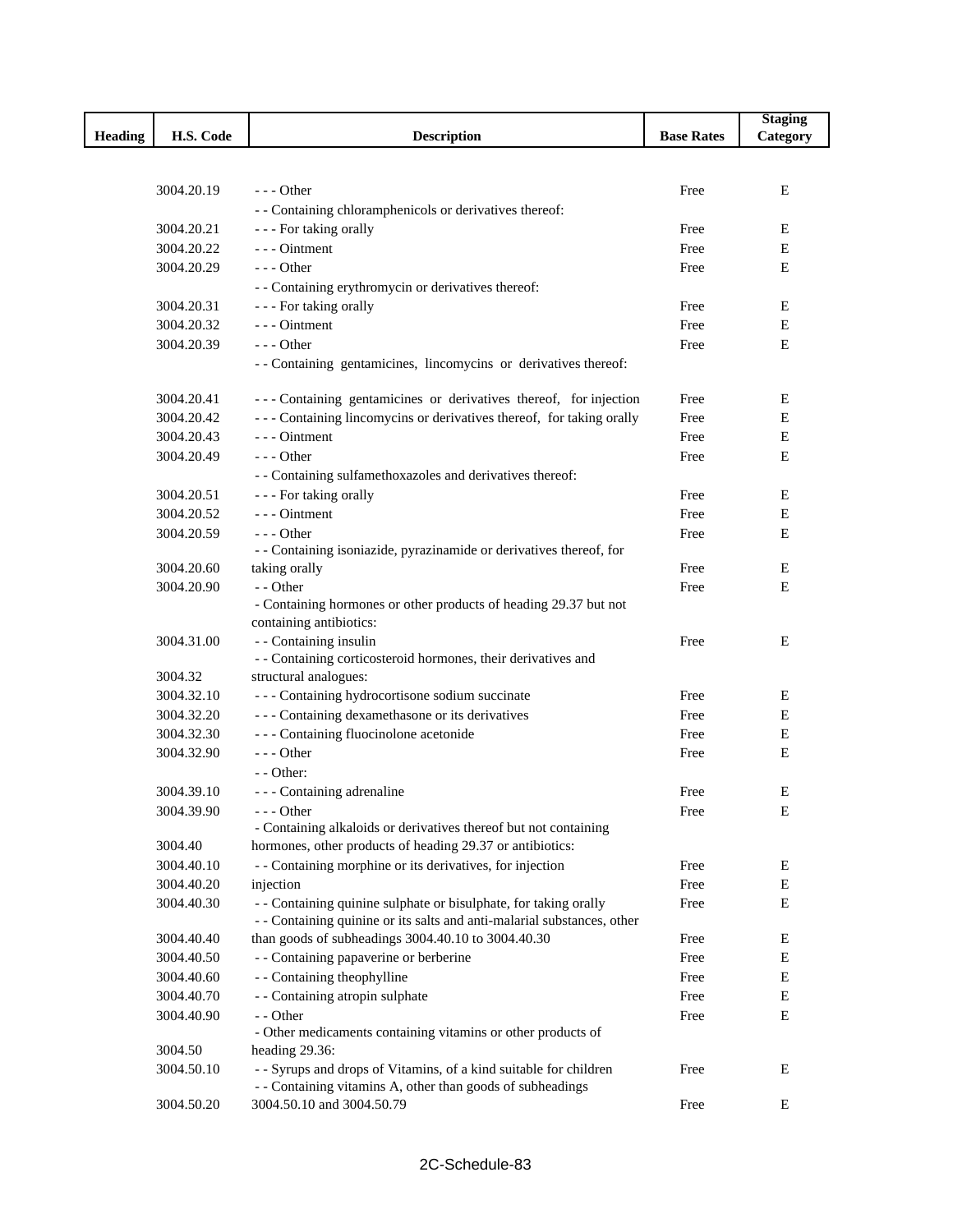|                |            |                                                                                                                                 |                   | <b>Staging</b> |
|----------------|------------|---------------------------------------------------------------------------------------------------------------------------------|-------------------|----------------|
| <b>Heading</b> | H.S. Code  | <b>Description</b>                                                                                                              | <b>Base Rates</b> | Category       |
|                |            |                                                                                                                                 |                   |                |
|                |            |                                                                                                                                 |                   |                |
|                | 3004.20.19 | $- -$ Other                                                                                                                     | Free              | Ε              |
|                |            | - - Containing chloramphenicols or derivatives thereof:                                                                         |                   |                |
|                | 3004.20.21 | - - - For taking orally                                                                                                         | Free              | E              |
|                | 3004.20.22 | --- Ointment                                                                                                                    | Free              | Ε              |
|                | 3004.20.29 | $- -$ Other                                                                                                                     | Free              | E              |
|                |            | - - Containing erythromycin or derivatives thereof:                                                                             |                   |                |
|                | 3004.20.31 | - - - For taking orally                                                                                                         | Free              | Ε              |
|                | 3004.20.32 | $--$ Ointment                                                                                                                   | Free              | E              |
|                | 3004.20.39 | $- -$ Other                                                                                                                     | Free              | $\mathbf E$    |
|                |            | -- Containing gentamicines, lincomycins or derivatives thereof:                                                                 |                   |                |
|                | 3004.20.41 | --- Containing gentamicines or derivatives thereof, for injection                                                               | Free              | Ε              |
|                | 3004.20.42 | --- Containing lincomycins or derivatives thereof, for taking orally                                                            | Free              | Ε              |
|                | 3004.20.43 | --- Ointment                                                                                                                    | Free              | E              |
|                | 3004.20.49 | $- -$ Other                                                                                                                     | Free              | Ε              |
|                |            | - - Containing sulfamethoxazoles and derivatives thereof:                                                                       |                   |                |
|                | 3004.20.51 | - - - For taking orally                                                                                                         | Free              | Ε              |
|                | 3004.20.52 | --- Ointment                                                                                                                    | Free              | Е              |
|                | 3004.20.59 | --- Other                                                                                                                       | Free              | E              |
|                |            | - - Containing isoniazide, pyrazinamide or derivatives thereof, for                                                             |                   |                |
|                | 3004.20.60 | taking orally                                                                                                                   | Free              | Ε              |
|                | 3004.20.90 | - - Other                                                                                                                       | Free              | E              |
|                |            | - Containing hormones or other products of heading 29.37 but not<br>containing antibiotics:                                     |                   |                |
|                | 3004.31.00 | - - Containing insulin                                                                                                          | Free              | Ε              |
|                |            | - - Containing corticosteroid hormones, their derivatives and                                                                   |                   |                |
|                | 3004.32    | structural analogues:                                                                                                           |                   |                |
|                | 3004.32.10 | --- Containing hydrocortisone sodium succinate                                                                                  | Free              | E              |
|                | 3004.32.20 | --- Containing dexamethasone or its derivatives                                                                                 | Free              | Ε              |
|                | 3004.32.30 | --- Containing fluocinolone acetonide                                                                                           | Free              | Ε              |
|                | 3004.32.90 | $--$ Other                                                                                                                      | Free              | E              |
|                |            | $-$ - Other:                                                                                                                    |                   |                |
|                | 3004.39.10 | - - - Containing adrenaline                                                                                                     | Free              | E              |
|                | 3004.39.90 | - - Other                                                                                                                       | Free              | ${\bf E}$      |
|                |            | - Containing alkaloids or derivatives thereof but not containing                                                                |                   |                |
|                | 3004.40    | hormones, other products of heading 29.37 or antibiotics:                                                                       |                   |                |
|                | 3004.40.10 | - - Containing morphine or its derivatives, for injection                                                                       | Free              | Ε              |
|                | 3004.40.20 | injection                                                                                                                       | Free              | Ε              |
|                | 3004.40.30 | - - Containing quinine sulphate or bisulphate, for taking orally                                                                | Free              | E              |
|                |            | - - Containing quinine or its salts and anti-malarial substances, other                                                         |                   |                |
|                | 3004.40.40 | than goods of subheadings 3004.40.10 to 3004.40.30                                                                              | Free              | Ε              |
|                | 3004.40.50 | - - Containing papaverine or berberine                                                                                          | Free              | E              |
|                | 3004.40.60 | - - Containing theophylline                                                                                                     | Free              | E              |
|                | 3004.40.70 | - - Containing atropin sulphate                                                                                                 | Free              | E              |
|                | 3004.40.90 | - - Other                                                                                                                       | Free              | E              |
|                |            | - Other medicaments containing vitamins or other products of                                                                    |                   |                |
|                | 3004.50    | heading 29.36:                                                                                                                  |                   |                |
|                | 3004.50.10 | - - Syrups and drops of Vitamins, of a kind suitable for children<br>- - Containing vitamins A, other than goods of subheadings | Free              | Ε              |
|                | 3004.50.20 | 3004.50.10 and 3004.50.79                                                                                                       | Free              | Ε              |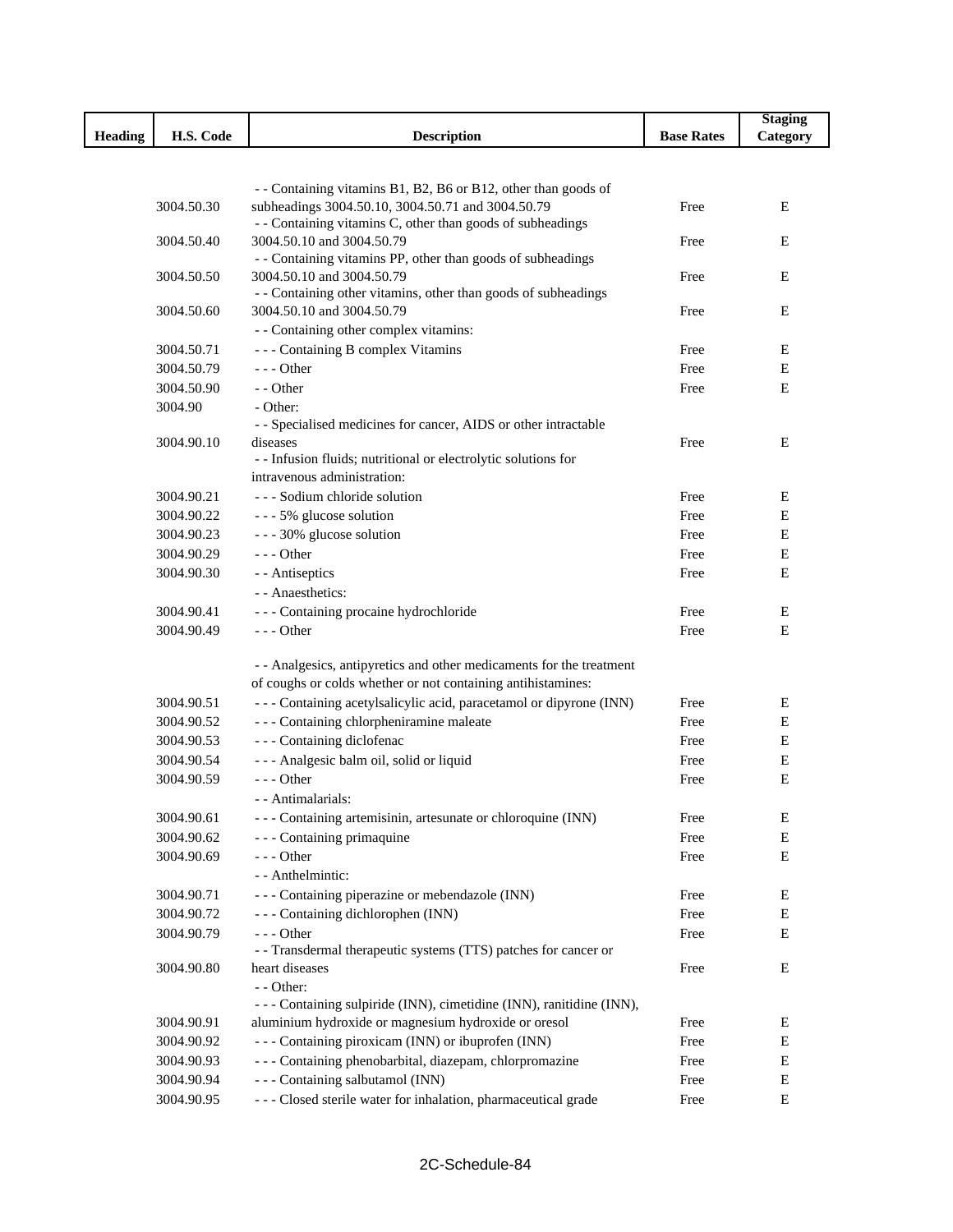|                |                          |                                                                                                                     |                   | <b>Staging</b> |
|----------------|--------------------------|---------------------------------------------------------------------------------------------------------------------|-------------------|----------------|
| <b>Heading</b> | H.S. Code                | <b>Description</b>                                                                                                  | <b>Base Rates</b> | Category       |
|                |                          |                                                                                                                     |                   |                |
|                |                          |                                                                                                                     |                   |                |
|                | 3004.50.30               | - - Containing vitamins B1, B2, B6 or B12, other than goods of<br>subheadings 3004.50.10, 3004.50.71 and 3004.50.79 | Free              | E              |
|                |                          | - - Containing vitamins C, other than goods of subheadings                                                          |                   |                |
|                | 3004.50.40               | 3004.50.10 and 3004.50.79                                                                                           | Free              | E              |
|                |                          | - - Containing vitamins PP, other than goods of subheadings                                                         |                   |                |
|                | 3004.50.50               | 3004.50.10 and 3004.50.79                                                                                           | Free              | E              |
|                |                          | - - Containing other vitamins, other than goods of subheadings                                                      |                   |                |
|                | 3004.50.60               | 3004.50.10 and 3004.50.79                                                                                           | Free              | E              |
|                |                          | - - Containing other complex vitamins:                                                                              |                   |                |
|                | 3004.50.71               | --- Containing B complex Vitamins                                                                                   | Free              | Ε              |
|                | 3004.50.79               | $--$ Other                                                                                                          | Free              | E              |
|                | 3004.50.90               | - - Other                                                                                                           | Free              | E              |
|                | 3004.90                  | - Other:                                                                                                            |                   |                |
|                | 3004.90.10               | - - Specialised medicines for cancer, AIDS or other intractable<br>diseases                                         | Free              | Е              |
|                |                          | - - Infusion fluids; nutritional or electrolytic solutions for                                                      |                   |                |
|                |                          | intravenous administration:                                                                                         |                   |                |
|                | 3004.90.21               | - - - Sodium chloride solution                                                                                      | Free              | Ε              |
|                | 3004.90.22               | --- 5% glucose solution                                                                                             | Free              | E              |
|                | 3004.90.23               | --- 30% glucose solution                                                                                            | Free              | Ε              |
|                | 3004.90.29               | $--$ Other                                                                                                          | Free              | Ε              |
|                | 3004.90.30               | - - Antiseptics                                                                                                     | Free              | E              |
|                |                          | - - Anaesthetics:                                                                                                   |                   |                |
|                | 3004.90.41               | --- Containing procaine hydrochloride                                                                               | Free              | Ε              |
|                | 3004.90.49               | $--$ Other                                                                                                          | Free              | E              |
|                |                          |                                                                                                                     |                   |                |
|                |                          | - - Analgesics, antipyretics and other medicaments for the treatment                                                |                   |                |
|                |                          | of coughs or colds whether or not containing antihistamines:                                                        |                   |                |
|                | 3004.90.51               | - - - Containing acetylsalicylic acid, paracetamol or dipyrone (INN)                                                | Free              | Ε              |
|                | 3004.90.52               | --- Containing chlorpheniramine maleate                                                                             | Free              | Ε              |
|                | 3004.90.53               | --- Containing diclofenac                                                                                           | Free              | Ε              |
|                | 3004.90.54               | --- Analgesic balm oil, solid or liquid                                                                             | Free              | Е              |
|                | 3004.90.59               | $--$ Other                                                                                                          | Free              | Е              |
|                |                          | - - Antimalarials:                                                                                                  |                   |                |
|                | 3004.90.61               | - - - Containing artemisinin, artesunate or chloroquine (INN)                                                       | Free              | Е              |
|                | 3004.90.62               | - - - Containing primaquine                                                                                         | Free              | Ε              |
|                | 3004.90.69               | $--$ Other                                                                                                          | Free              | Е              |
|                |                          | - - Anthelmintic:<br>- - - Containing piperazine or mebendazole (INN)                                               |                   |                |
|                | 3004.90.71<br>3004.90.72 | - - - Containing dichlorophen (INN)                                                                                 | Free<br>Free      | Е<br>Е         |
|                | 3004.90.79               | --- Other                                                                                                           | Free              | Е              |
|                |                          | - - Transdermal therapeutic systems (TTS) patches for cancer or                                                     |                   |                |
|                | 3004.90.80               | heart diseases                                                                                                      | Free              | Ε              |
|                |                          | - - Other:                                                                                                          |                   |                |
|                |                          | - - - Containing sulpiride (INN), cimetidine (INN), ranitidine (INN),                                               |                   |                |
|                | 3004.90.91               | aluminium hydroxide or magnesium hydroxide or oresol                                                                | Free              | Е              |
|                | 3004.90.92               | - - - Containing piroxicam (INN) or ibuprofen (INN)                                                                 | Free              | Е              |
|                | 3004.90.93               | - - - Containing phenobarbital, diazepam, chlorpromazine                                                            | Free              | Е              |
|                | 3004.90.94               | --- Containing salbutamol (INN)                                                                                     | Free              | Е              |
|                | 3004.90.95               | - - - Closed sterile water for inhalation, pharmaceutical grade                                                     | Free              | E              |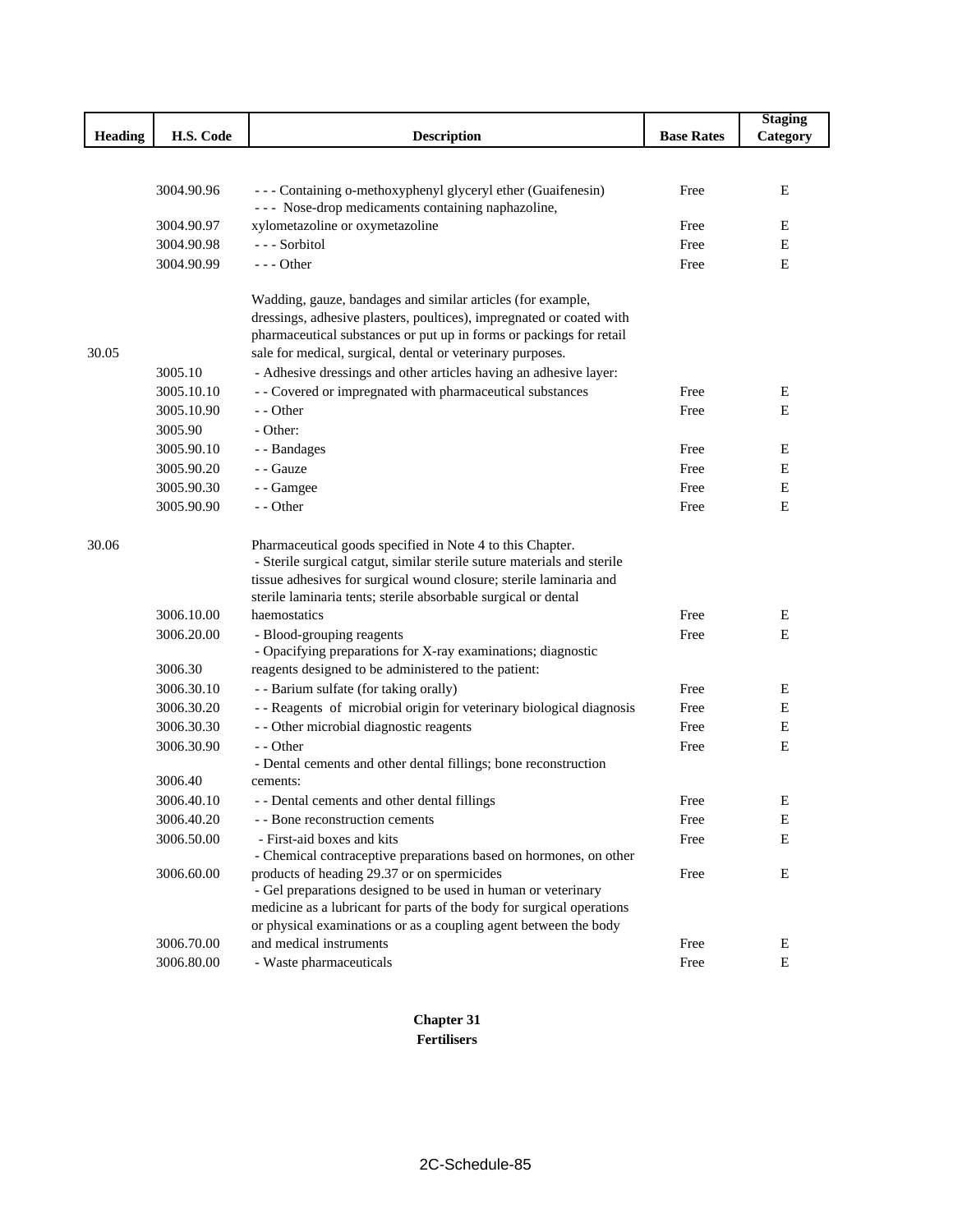|         |            |                                                                                                                                                                                                                                                                              |                   | <b>Staging</b> |
|---------|------------|------------------------------------------------------------------------------------------------------------------------------------------------------------------------------------------------------------------------------------------------------------------------------|-------------------|----------------|
| Heading | H.S. Code  | <b>Description</b>                                                                                                                                                                                                                                                           | <b>Base Rates</b> | Category       |
|         |            |                                                                                                                                                                                                                                                                              |                   |                |
|         |            |                                                                                                                                                                                                                                                                              |                   |                |
|         | 3004.90.96 | --- Containing o-methoxyphenyl glyceryl ether (Guaifenesin)<br>--- Nose-drop medicaments containing naphazoline,                                                                                                                                                             | Free              | E              |
|         | 3004.90.97 | xylometazoline or oxymetazoline                                                                                                                                                                                                                                              | Free              | E              |
| 30.05   | 3004.90.98 | --- Sorbitol                                                                                                                                                                                                                                                                 | Free              | Ε              |
|         | 3004.90.99 | $--$ Other                                                                                                                                                                                                                                                                   | Free              | E              |
|         |            | Wadding, gauze, bandages and similar articles (for example,                                                                                                                                                                                                                  |                   |                |
|         |            | dressings, adhesive plasters, poultices), impregnated or coated with                                                                                                                                                                                                         |                   |                |
|         |            | pharmaceutical substances or put up in forms or packings for retail                                                                                                                                                                                                          |                   |                |
|         |            | sale for medical, surgical, dental or veterinary purposes.                                                                                                                                                                                                                   |                   |                |
|         | 3005.10    | - Adhesive dressings and other articles having an adhesive layer:                                                                                                                                                                                                            |                   |                |
|         | 3005.10.10 | - - Covered or impregnated with pharmaceutical substances                                                                                                                                                                                                                    | Free              | Ε              |
|         | 3005.10.90 | - - Other                                                                                                                                                                                                                                                                    | Free              | E              |
|         | 3005.90    | - Other:                                                                                                                                                                                                                                                                     |                   |                |
|         | 3005.90.10 | - - Bandages                                                                                                                                                                                                                                                                 | Free              | E              |
|         | 3005.90.20 | - - Gauze                                                                                                                                                                                                                                                                    | Free              | E              |
|         | 3005.90.30 | - - Gamgee                                                                                                                                                                                                                                                                   | Free              | Ε              |
|         | 3005.90.90 | - - Other                                                                                                                                                                                                                                                                    | Free              | Ε              |
| 30.06   |            | Pharmaceutical goods specified in Note 4 to this Chapter.<br>- Sterile surgical catgut, similar sterile suture materials and sterile<br>tissue adhesives for surgical wound closure; sterile laminaria and<br>sterile laminaria tents; sterile absorbable surgical or dental |                   |                |
|         | 3006.10.00 | haemostatics                                                                                                                                                                                                                                                                 | Free              | Ε              |
|         | 3006.20.00 | - Blood-grouping reagents<br>- Opacifying preparations for X-ray examinations; diagnostic                                                                                                                                                                                    | Free              | E              |
|         | 3006.30    | reagents designed to be administered to the patient:                                                                                                                                                                                                                         |                   |                |
|         | 3006.30.10 | - - Barium sulfate (for taking orally)                                                                                                                                                                                                                                       | Free              | Ε              |
|         | 3006.30.20 | - - Reagents of microbial origin for veterinary biological diagnosis                                                                                                                                                                                                         | Free              | Ε              |
|         | 3006.30.30 | - - Other microbial diagnostic reagents                                                                                                                                                                                                                                      | Free              | Ε              |
|         | 3006.30.90 | - - Other                                                                                                                                                                                                                                                                    | Free              | E              |
|         |            | - Dental cements and other dental fillings; bone reconstruction                                                                                                                                                                                                              |                   |                |
|         | 3006.40    | cements:                                                                                                                                                                                                                                                                     |                   |                |
|         | 3006.40.10 | - - Dental cements and other dental fillings                                                                                                                                                                                                                                 | Free              | E              |
|         | 3006.40.20 | - - Bone reconstruction cements                                                                                                                                                                                                                                              | Free              | E              |
|         | 3006.50.00 | - First-aid boxes and kits                                                                                                                                                                                                                                                   | Free              | Ε              |
|         |            | - Chemical contraceptive preparations based on hormones, on other                                                                                                                                                                                                            |                   |                |
|         | 3006.60.00 | products of heading 29.37 or on spermicides<br>- Gel preparations designed to be used in human or veterinary                                                                                                                                                                 | Free              | Е              |
|         |            | medicine as a lubricant for parts of the body for surgical operations                                                                                                                                                                                                        |                   |                |
|         |            | or physical examinations or as a coupling agent between the body                                                                                                                                                                                                             |                   |                |
|         | 3006.70.00 | and medical instruments                                                                                                                                                                                                                                                      | Free              | E              |
|         | 3006.80.00 | - Waste pharmaceuticals                                                                                                                                                                                                                                                      | Free              | E              |

**Chapter 31 Fertilisers**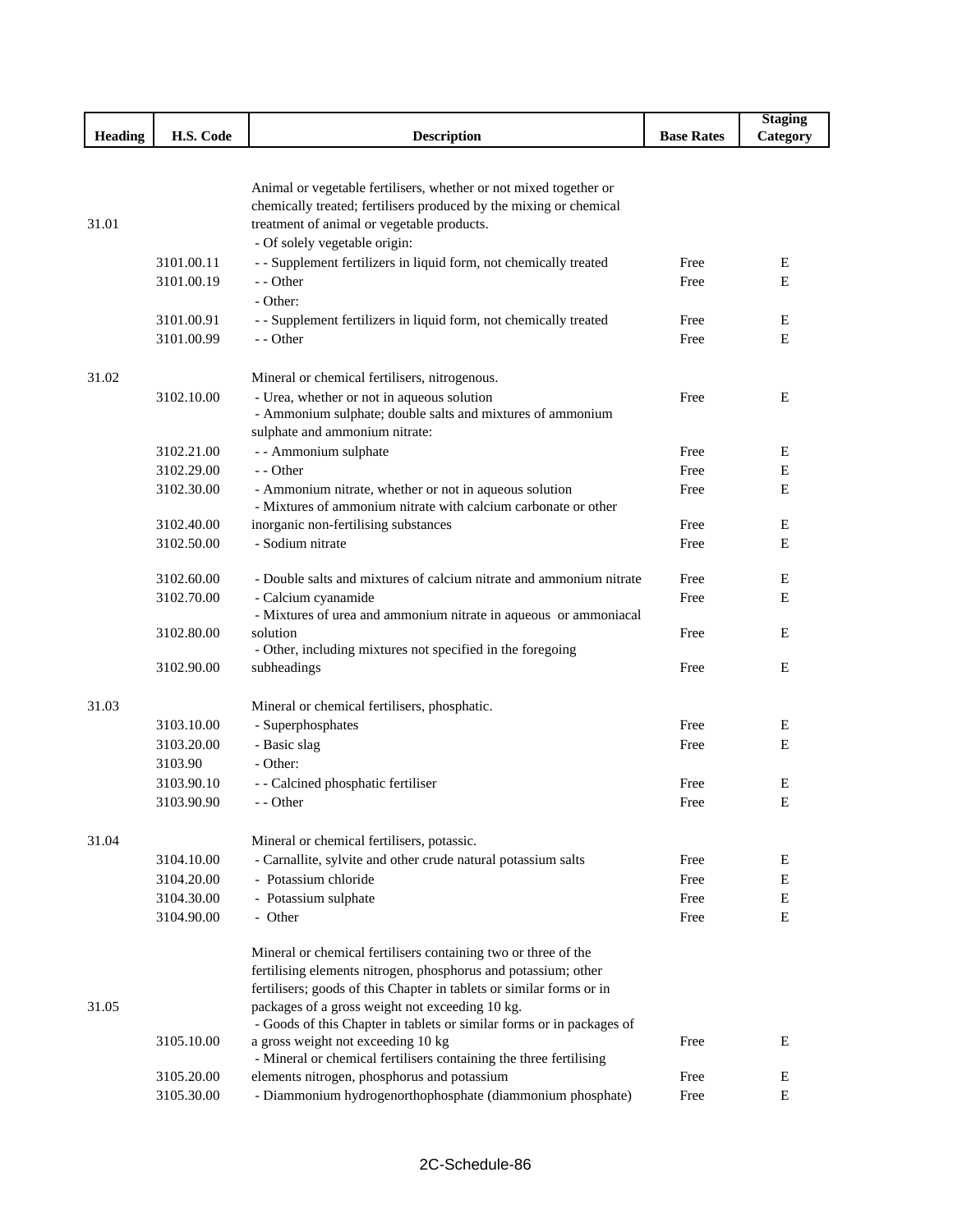|                |            |                                                                                                                   |                   | <b>Staging</b> |
|----------------|------------|-------------------------------------------------------------------------------------------------------------------|-------------------|----------------|
| <b>Heading</b> | H.S. Code  | <b>Description</b>                                                                                                | <b>Base Rates</b> | Category       |
|                |            |                                                                                                                   |                   |                |
|                |            |                                                                                                                   |                   |                |
|                |            | Animal or vegetable fertilisers, whether or not mixed together or                                                 |                   |                |
|                |            | chemically treated; fertilisers produced by the mixing or chemical                                                |                   |                |
| 31.01          |            | treatment of animal or vegetable products.                                                                        |                   |                |
|                |            | - Of solely vegetable origin:                                                                                     |                   |                |
|                | 3101.00.11 | - - Supplement fertilizers in liquid form, not chemically treated                                                 | Free              | E              |
|                | 3101.00.19 | - - Other                                                                                                         | Free              | Ε              |
|                |            | - Other:                                                                                                          |                   |                |
|                | 3101.00.91 | - - Supplement fertilizers in liquid form, not chemically treated                                                 | Free              | E              |
|                | 3101.00.99 | - - Other                                                                                                         | Free              | E              |
| 31.02          |            |                                                                                                                   |                   |                |
|                | 3102.10.00 | Mineral or chemical fertilisers, nitrogenous.<br>- Urea, whether or not in aqueous solution                       | Free              | E              |
|                |            | - Ammonium sulphate; double salts and mixtures of ammonium                                                        |                   |                |
|                |            | sulphate and ammonium nitrate:                                                                                    |                   |                |
|                | 3102.21.00 | - - Ammonium sulphate                                                                                             | Free              | E              |
|                | 3102.29.00 | - - Other                                                                                                         | Free              | E              |
|                | 3102.30.00 | - Ammonium nitrate, whether or not in aqueous solution                                                            | Free              | E              |
|                |            | - Mixtures of ammonium nitrate with calcium carbonate or other                                                    |                   |                |
|                | 3102.40.00 | inorganic non-fertilising substances                                                                              | Free              | E              |
|                | 3102.50.00 | - Sodium nitrate                                                                                                  | Free              | E              |
|                |            |                                                                                                                   |                   |                |
|                | 3102.60.00 | - Double salts and mixtures of calcium nitrate and ammonium nitrate                                               | Free              | E              |
|                | 3102.70.00 | - Calcium cyanamide                                                                                               | Free              | Ε              |
|                |            | - Mixtures of urea and ammonium nitrate in aqueous or ammoniacal                                                  |                   |                |
|                | 3102.80.00 | solution                                                                                                          | Free              | E              |
|                |            | - Other, including mixtures not specified in the foregoing                                                        |                   |                |
|                | 3102.90.00 | subheadings                                                                                                       | Free              | E              |
| 31.03          |            | Mineral or chemical fertilisers, phosphatic.                                                                      |                   |                |
|                | 3103.10.00 | - Superphosphates                                                                                                 | Free              | E              |
|                | 3103.20.00 | - Basic slag                                                                                                      | Free              | E              |
|                | 3103.90    | - Other:                                                                                                          |                   |                |
|                | 3103.90.10 | - - Calcined phosphatic fertiliser                                                                                | Free              | E              |
|                | 3103.90.90 | - - Other                                                                                                         | Free              | E              |
|                |            |                                                                                                                   |                   |                |
| 31.04          |            | Mineral or chemical fertilisers, potassic.                                                                        |                   |                |
|                | 3104.10.00 | - Carnallite, sylvite and other crude natural potassium salts                                                     | Free              | E              |
|                | 3104.20.00 | - Potassium chloride                                                                                              | Free              | E              |
|                | 3104.30.00 | - Potassium sulphate                                                                                              | Free              | E              |
|                | 3104.90.00 | - Other                                                                                                           | Free              | E              |
|                |            |                                                                                                                   |                   |                |
|                |            | Mineral or chemical fertilisers containing two or three of the                                                    |                   |                |
|                |            | fertilising elements nitrogen, phosphorus and potassium; other                                                    |                   |                |
|                |            | fertilisers; goods of this Chapter in tablets or similar forms or in                                              |                   |                |
| 31.05          |            | packages of a gross weight not exceeding 10 kg.                                                                   |                   |                |
|                |            | - Goods of this Chapter in tablets or similar forms or in packages of                                             |                   |                |
|                | 3105.10.00 | a gross weight not exceeding 10 kg                                                                                | Free              | E              |
|                | 3105.20.00 | - Mineral or chemical fertilisers containing the three fertilising<br>elements nitrogen, phosphorus and potassium | Free              | E              |
|                | 3105.30.00 | - Diammonium hydrogenorthophosphate (diammonium phosphate)                                                        | Free              | Ε              |
|                |            |                                                                                                                   |                   |                |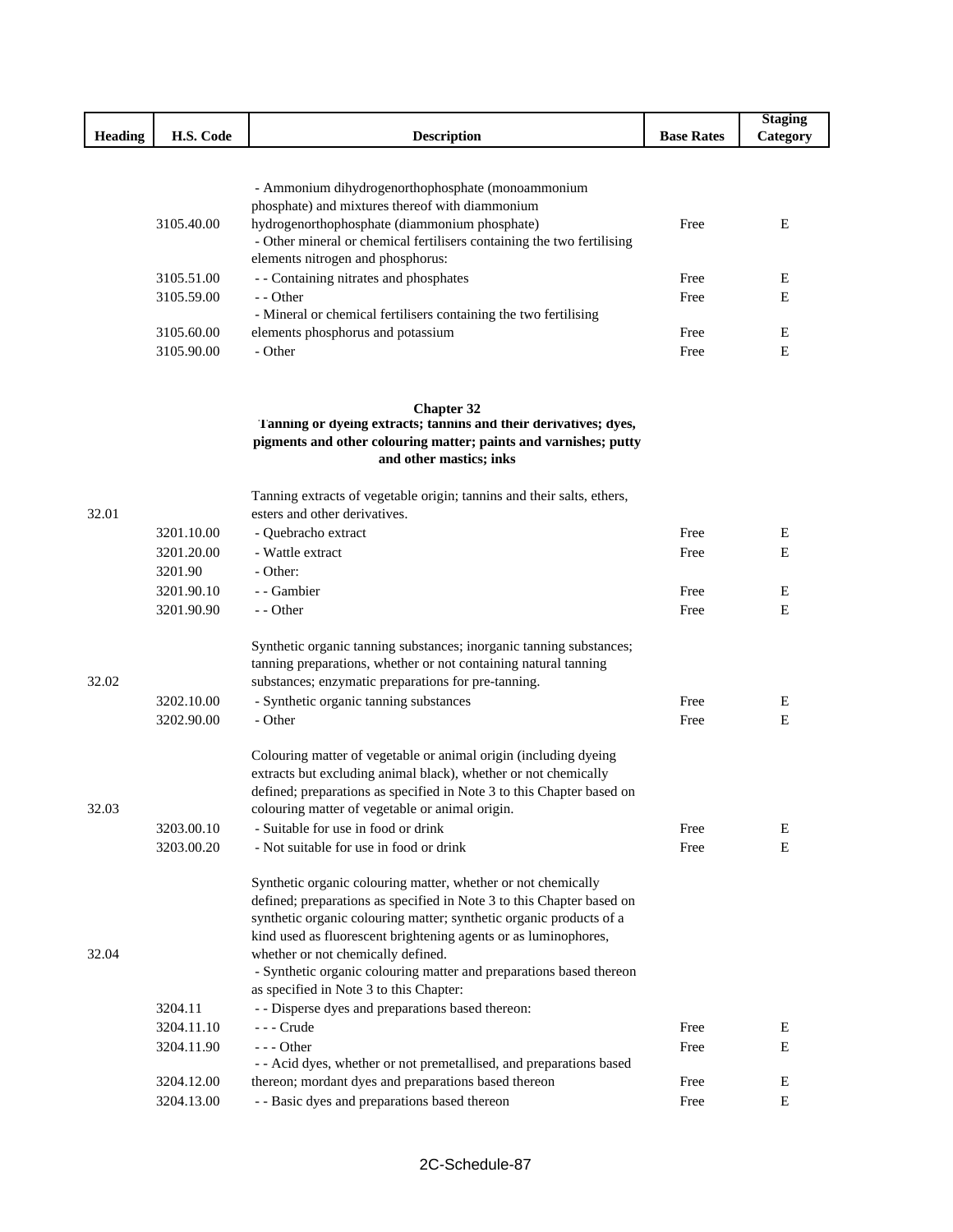| <b>Heading</b> | H.S. Code  | <b>Description</b>                                                     | <b>Base Rates</b> | <b>Staging</b><br>Category |
|----------------|------------|------------------------------------------------------------------------|-------------------|----------------------------|
|                |            |                                                                        |                   |                            |
|                |            |                                                                        |                   |                            |
|                |            | - Ammonium dihydrogenorthophosphate (monoammonium                      |                   |                            |
|                |            | phosphate) and mixtures thereof with diammonium                        |                   |                            |
|                | 3105.40.00 | hydrogenorthophosphate (diammonium phosphate)                          | Free              | E                          |
|                |            | - Other mineral or chemical fertilisers containing the two fertilising |                   |                            |
|                |            | elements nitrogen and phosphorus:                                      |                   |                            |
|                | 3105.51.00 | - - Containing nitrates and phosphates                                 | Free              | E                          |
|                | 3105.59.00 | - - Other                                                              | Free              | E                          |
|                | 3105.60.00 | - Mineral or chemical fertilisers containing the two fertilising       | Free              |                            |
|                | 3105.90.00 | elements phosphorus and potassium<br>- Other                           |                   | E<br>Ε                     |
|                |            |                                                                        | Free              |                            |
|                |            | <b>Chapter 32</b>                                                      |                   |                            |
|                |            | Tanning or dyeing extracts; tannins and their derivatives; dyes,       |                   |                            |
|                |            | pigments and other colouring matter; paints and varnishes; putty       |                   |                            |
|                |            | and other mastics; inks                                                |                   |                            |
|                |            | Tanning extracts of vegetable origin; tannins and their salts, ethers, |                   |                            |
| 32.01          |            | esters and other derivatives.                                          |                   |                            |
|                | 3201.10.00 | - Quebracho extract                                                    | Free              | Ε                          |
|                | 3201.20.00 | - Wattle extract                                                       | Free              | E                          |
|                | 3201.90    | - Other:                                                               |                   |                            |
|                | 3201.90.10 | - - Gambier                                                            | Free              | Ε                          |
|                | 3201.90.90 | - - Other                                                              | Free              | E                          |
|                |            | Synthetic organic tanning substances; inorganic tanning substances;    |                   |                            |
|                |            | tanning preparations, whether or not containing natural tanning        |                   |                            |
| 32.02          |            | substances; enzymatic preparations for pre-tanning.                    |                   |                            |
|                | 3202.10.00 | - Synthetic organic tanning substances                                 | Free              | Ε                          |
|                | 3202.90.00 | - Other                                                                | Free              | E                          |
|                |            | Colouring matter of vegetable or animal origin (including dyeing       |                   |                            |
|                |            | extracts but excluding animal black), whether or not chemically        |                   |                            |
|                |            | defined; preparations as specified in Note 3 to this Chapter based on  |                   |                            |
| 32.03          |            | colouring matter of vegetable or animal origin.                        |                   |                            |
|                | 3203.00.10 | - Suitable for use in food or drink                                    | Free              | E                          |
|                | 3203.00.20 | - Not suitable for use in food or drink                                | Free              | E                          |
|                |            | Synthetic organic colouring matter, whether or not chemically          |                   |                            |
|                |            | defined; preparations as specified in Note 3 to this Chapter based on  |                   |                            |
|                |            | synthetic organic colouring matter; synthetic organic products of a    |                   |                            |

|            | kind used as fluorescent brightening agents or as luminophores,     |      |   |
|------------|---------------------------------------------------------------------|------|---|
|            | whether or not chemically defined.                                  |      |   |
|            | - Synthetic organic colouring matter and preparations based thereon |      |   |
|            | as specified in Note 3 to this Chapter:                             |      |   |
| 3204.11    | - Disperse dyes and preparations based thereon:                     |      |   |
| 3204.11.10 | - - - Crude                                                         | Free | E |
| 3204.11.90 | $-$ - $-$ Other                                                     | Free | E |
|            | - Acid dyes, whether or not premetallised, and preparations based   |      |   |
| 3204.12.00 | thereon; mordant dyes and preparations based thereon                | Free | Е |
| 3204.13.00 | - - Basic dyes and preparations based thereon                       | Free | E |
|            |                                                                     |      |   |

32.04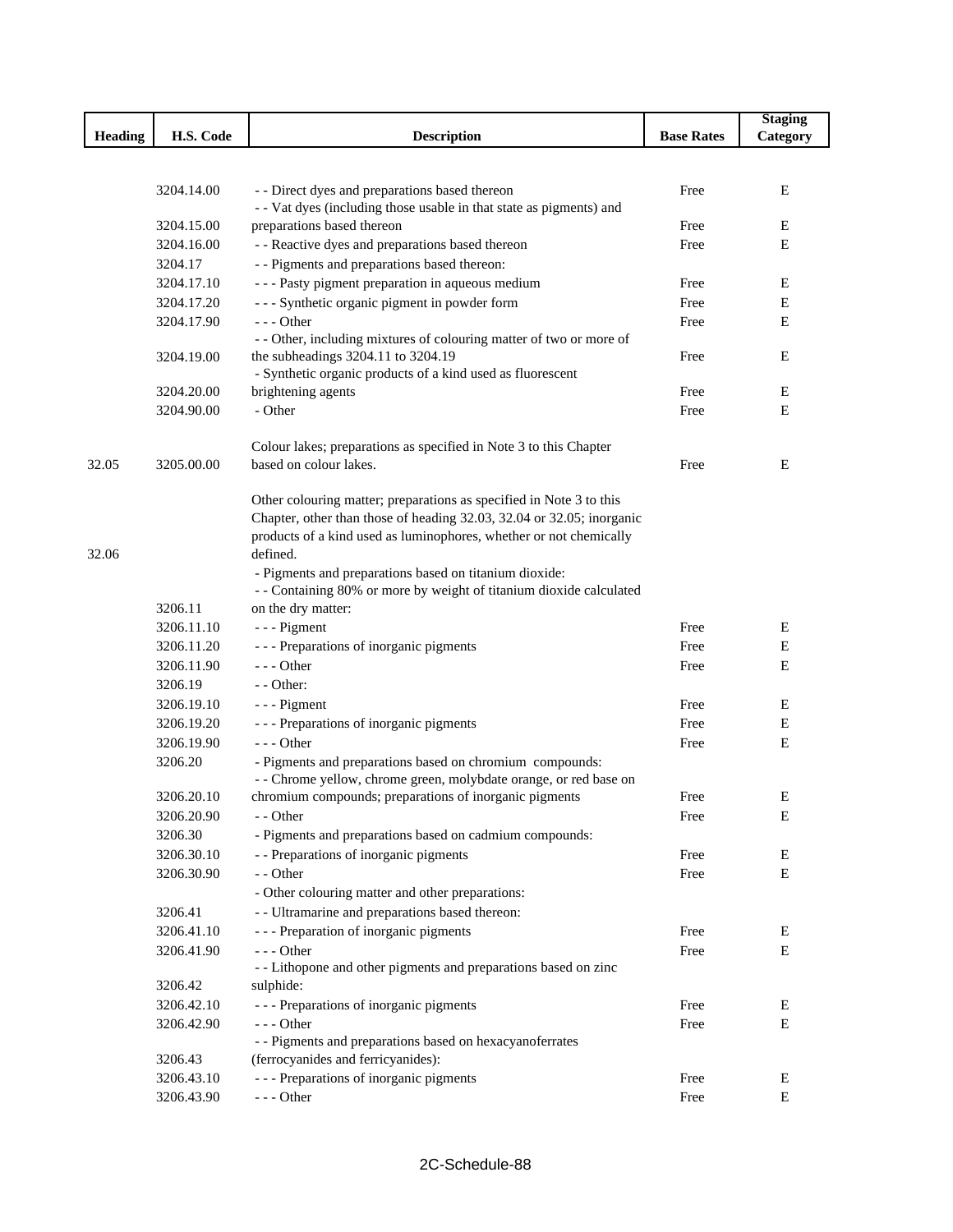|                |            |                                                                                                   |                   | <b>Staging</b> |
|----------------|------------|---------------------------------------------------------------------------------------------------|-------------------|----------------|
| <b>Heading</b> | H.S. Code  | <b>Description</b>                                                                                | <b>Base Rates</b> | Category       |
|                |            |                                                                                                   |                   |                |
|                |            |                                                                                                   |                   |                |
|                | 3204.14.00 | - - Direct dyes and preparations based thereon                                                    | Free              | Ε              |
|                | 3204.15.00 | - - Vat dyes (including those usable in that state as pigments) and<br>preparations based thereon | Free              | Ε              |
|                | 3204.16.00 | - - Reactive dyes and preparations based thereon                                                  | Free              | E              |
|                | 3204.17    | - - Pigments and preparations based thereon:                                                      |                   |                |
|                | 3204.17.10 | - - - Pasty pigment preparation in aqueous medium                                                 | Free              | Ε              |
|                | 3204.17.20 | --- Synthetic organic pigment in powder form                                                      | Free              | Е              |
|                | 3204.17.90 | --- Other                                                                                         | Free              | E              |
|                |            | - - Other, including mixtures of colouring matter of two or more of                               |                   |                |
|                | 3204.19.00 | the subheadings 3204.11 to 3204.19                                                                | Free              | E              |
|                |            | - Synthetic organic products of a kind used as fluorescent                                        |                   |                |
|                | 3204.20.00 | brightening agents                                                                                | Free              | Ε              |
|                | 3204.90.00 | - Other                                                                                           | Free              | E              |
|                |            |                                                                                                   |                   |                |
|                |            | Colour lakes; preparations as specified in Note 3 to this Chapter                                 |                   |                |
| 32.05          | 3205.00.00 | based on colour lakes.                                                                            | Free              | E              |
|                |            | Other colouring matter; preparations as specified in Note 3 to this                               |                   |                |
|                |            | Chapter, other than those of heading 32.03, 32.04 or 32.05; inorganic                             |                   |                |
|                |            | products of a kind used as luminophores, whether or not chemically                                |                   |                |
| 32.06          |            | defined.                                                                                          |                   |                |
|                |            | - Pigments and preparations based on titanium dioxide:                                            |                   |                |
|                |            | - - Containing 80% or more by weight of titanium dioxide calculated                               |                   |                |
|                | 3206.11    | on the dry matter:                                                                                |                   |                |
|                | 3206.11.10 | - - - Pigment                                                                                     | Free              | Ε              |
|                | 3206.11.20 | - - - Preparations of inorganic pigments                                                          | Free              | Ε              |
|                | 3206.11.90 | $- -$ Other                                                                                       | Free              | E              |
|                | 3206.19    | - - Other:                                                                                        |                   |                |
|                | 3206.19.10 | $--$ Pigment                                                                                      | Free              | Ε              |
|                | 3206.19.20 | - - - Preparations of inorganic pigments                                                          | Free              | Ε              |
|                | 3206.19.90 | $--$ Other                                                                                        | Free              | Ε              |
|                | 3206.20    | - Pigments and preparations based on chromium compounds:                                          |                   |                |
|                |            | - - Chrome yellow, chrome green, molybdate orange, or red base on                                 |                   |                |
|                | 3206.20.10 | chromium compounds; preparations of inorganic pigments                                            | Free              | Ε              |
|                | 3206.20.90 | - - Other                                                                                         | Free              | E              |
|                | 3206.30    | - Pigments and preparations based on cadmium compounds:                                           |                   |                |
|                | 3206.30.10 | - - Preparations of inorganic pigments                                                            | Free              | E              |
|                | 3206.30.90 | - - Other                                                                                         | Free              | $\mathbf E$    |
|                |            | - Other colouring matter and other preparations:                                                  |                   |                |
|                | 3206.41    | - - Ultramarine and preparations based thereon:                                                   |                   |                |
|                | 3206.41.10 | --- Preparation of inorganic pigments                                                             | Free              | ${\bf E}$      |
|                | 3206.41.90 | --- Other                                                                                         | Free              | $\mathbf E$    |
|                |            | - - Lithopone and other pigments and preparations based on zinc                                   |                   |                |
|                | 3206.42    | sulphide:                                                                                         |                   |                |
|                | 3206.42.10 | --- Preparations of inorganic pigments                                                            | Free              | E              |
|                | 3206.42.90 | $--$ Other                                                                                        | Free              | E              |
|                |            | - - Pigments and preparations based on hexacyanoferrates                                          |                   |                |
|                | 3206.43    | (ferrocyanides and ferricyanides):                                                                |                   |                |
|                | 3206.43.10 | --- Preparations of inorganic pigments                                                            | Free              | Ε              |
|                | 3206.43.90 | $--$ Other                                                                                        | Free              | E              |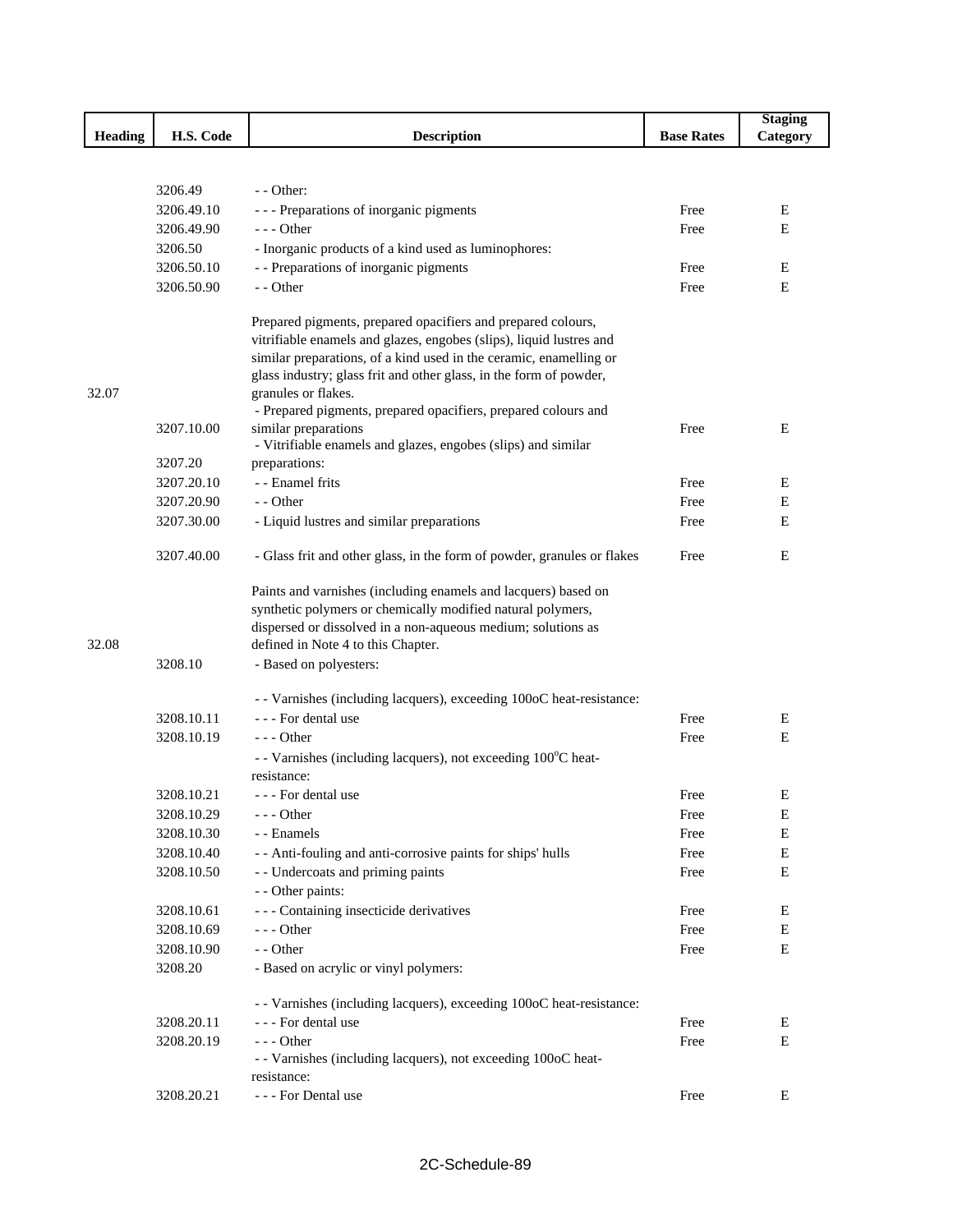|                |            |                                                                                                                                     |                   | <b>Staging</b> |
|----------------|------------|-------------------------------------------------------------------------------------------------------------------------------------|-------------------|----------------|
| <b>Heading</b> | H.S. Code  | <b>Description</b>                                                                                                                  | <b>Base Rates</b> | Category       |
|                |            |                                                                                                                                     |                   |                |
|                |            |                                                                                                                                     |                   |                |
|                | 3206.49    | - - Other:                                                                                                                          |                   |                |
|                | 3206.49.10 | --- Preparations of inorganic pigments                                                                                              | Free              | E              |
|                | 3206.49.90 | $- -$ Other                                                                                                                         | Free              | E              |
|                | 3206.50    | - Inorganic products of a kind used as luminophores:                                                                                |                   |                |
|                | 3206.50.10 | - - Preparations of inorganic pigments                                                                                              | Free              | Ε              |
|                | 3206.50.90 | - - Other                                                                                                                           | Free              | Ε              |
|                |            | Prepared pigments, prepared opacifiers and prepared colours,<br>vitrifiable enamels and glazes, engobes (slips), liquid lustres and |                   |                |
|                |            | similar preparations, of a kind used in the ceramic, enamelling or                                                                  |                   |                |
|                |            | glass industry; glass frit and other glass, in the form of powder,                                                                  |                   |                |
| 32.07          |            | granules or flakes.                                                                                                                 |                   |                |
|                |            | - Prepared pigments, prepared opacifiers, prepared colours and                                                                      |                   |                |
|                | 3207.10.00 | similar preparations                                                                                                                | Free              | E              |
|                |            | - Vitrifiable enamels and glazes, engobes (slips) and similar                                                                       |                   |                |
|                | 3207.20    | preparations:                                                                                                                       |                   |                |
|                | 3207.20.10 | - - Enamel frits                                                                                                                    | Free              | Ε              |
|                | 3207.20.90 | - - Other                                                                                                                           | Free              | Ε              |
|                | 3207.30.00 | - Liquid lustres and similar preparations                                                                                           | Free              | E              |
|                | 3207.40.00 | - Glass frit and other glass, in the form of powder, granules or flakes                                                             | Free              | E              |
|                |            | Paints and varnishes (including enamels and lacquers) based on                                                                      |                   |                |
|                |            | synthetic polymers or chemically modified natural polymers,                                                                         |                   |                |
|                |            | dispersed or dissolved in a non-aqueous medium; solutions as                                                                        |                   |                |
| 32.08          |            | defined in Note 4 to this Chapter.                                                                                                  |                   |                |
|                | 3208.10    | - Based on polyesters:                                                                                                              |                   |                |
|                |            | - - Varnishes (including lacquers), exceeding 100oC heat-resistance:                                                                |                   |                |
|                | 3208.10.11 | - - - For dental use                                                                                                                | Free              | E              |
|                | 3208.10.19 | $- -$ Other                                                                                                                         | Free              | $\mathbf E$    |
|                |            | - - Varnishes (including lacquers), not exceeding 100°C heat-                                                                       |                   |                |
|                |            | resistance:                                                                                                                         |                   |                |
|                | 3208.10.21 | - - - For dental use                                                                                                                | Free              | Ε              |
|                | 3208.10.29 | --- Other                                                                                                                           | Free              | Е              |
|                | 3208.10.30 | - - Enamels                                                                                                                         | Free              | E              |
|                | 3208.10.40 | - - Anti-fouling and anti-corrosive paints for ships' hulls                                                                         | Free              | E              |
|                | 3208.10.50 | - - Undercoats and priming paints                                                                                                   | Free              | ${\bf E}$      |
|                |            | - - Other paints:                                                                                                                   |                   |                |
|                | 3208.10.61 | --- Containing insecticide derivatives                                                                                              | Free              | E              |
|                | 3208.10.69 | $--$ Other                                                                                                                          | Free              | Е              |
|                | 3208.10.90 | - - Other                                                                                                                           | Free              | Ε              |
|                | 3208.20    | - Based on acrylic or vinyl polymers:                                                                                               |                   |                |
|                |            |                                                                                                                                     |                   |                |
|                |            | - - Varnishes (including lacquers), exceeding 100oC heat-resistance:                                                                |                   |                |
|                | 3208.20.11 | - - - For dental use                                                                                                                | Free              | Ε              |
|                | 3208.20.19 | $--$ Other                                                                                                                          | Free              | Е              |
|                |            | - - Varnishes (including lacquers), not exceeding 100oC heat-<br>resistance:                                                        |                   |                |
|                | 3208.20.21 | - - - For Dental use                                                                                                                | Free              | E              |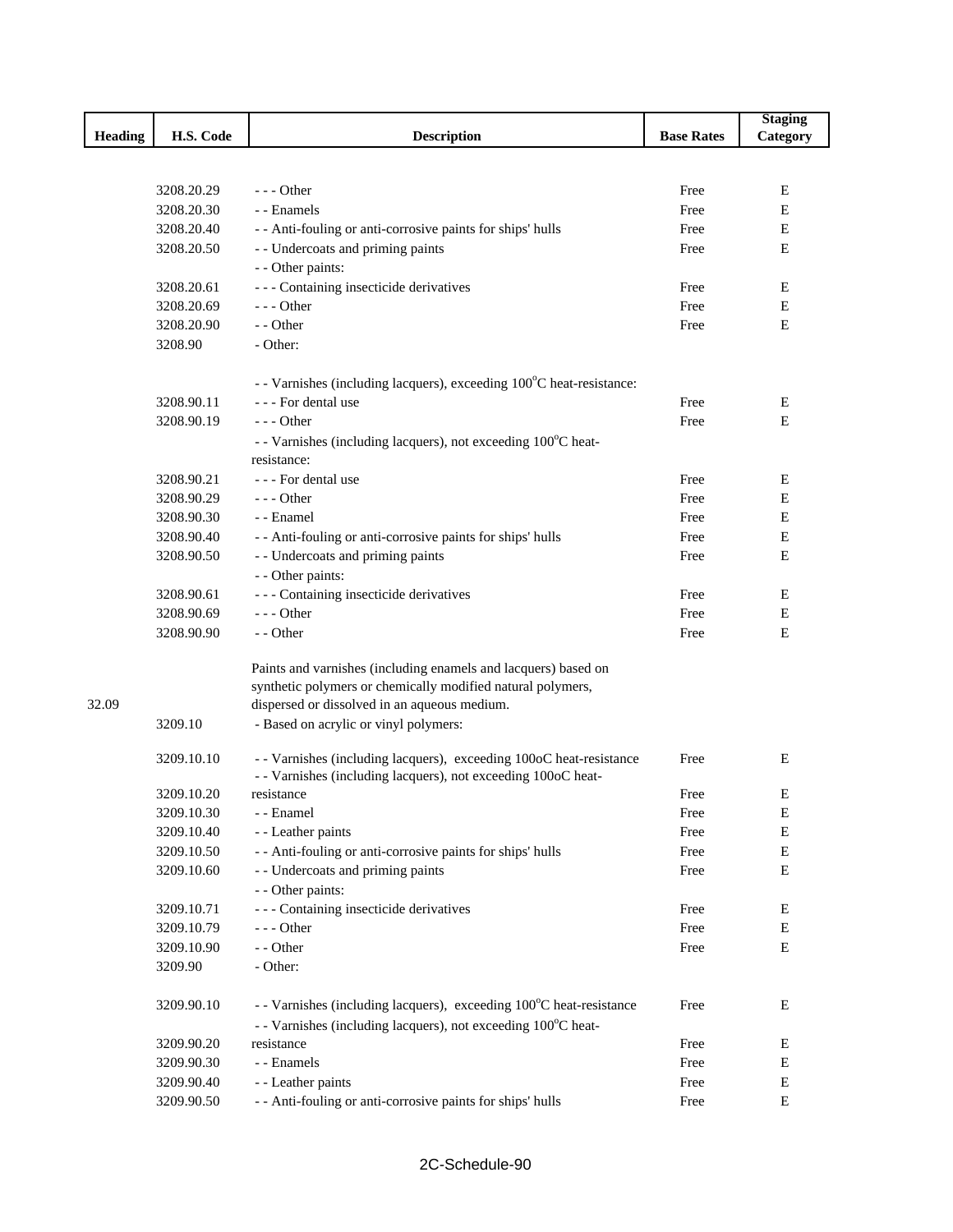|         |            |                                                                      |                   | <b>Staging</b> |
|---------|------------|----------------------------------------------------------------------|-------------------|----------------|
| Heading | H.S. Code  | <b>Description</b>                                                   | <b>Base Rates</b> | Category       |
|         |            |                                                                      |                   |                |
|         |            |                                                                      |                   |                |
|         | 3208.20.29 | $- -$ Other                                                          | Free              | Ε              |
|         | 3208.20.30 | - - Enamels                                                          | Free              | Е              |
|         | 3208.20.40 | - - Anti-fouling or anti-corrosive paints for ships' hulls           | Free              | Е              |
|         | 3208.20.50 | - - Undercoats and priming paints                                    | Free              | E              |
|         |            | - - Other paints:                                                    |                   |                |
|         | 3208.20.61 | --- Containing insecticide derivatives                               | Free              | Ε              |
|         | 3208.20.69 | --- Other                                                            | Free              | Е              |
|         | 3208.20.90 | - - Other                                                            | Free              | E              |
|         | 3208.90    | - Other:                                                             |                   |                |
|         |            | - - Varnishes (including lacquers), exceeding 100°C heat-resistance: |                   |                |
|         | 3208.90.11 | - - - For dental use                                                 | Free              | E              |
|         | 3208.90.19 | $- -$ Other                                                          | Free              | E              |
|         |            | - - Varnishes (including lacquers), not exceeding 100°C heat-        |                   |                |
|         |            | resistance:                                                          |                   |                |
|         | 3208.90.21 | - - - For dental use                                                 | Free              | E              |
|         | 3208.90.29 | $--$ Other                                                           | Free              | E              |
|         | 3208.90.30 | - - Enamel                                                           | Free              | E              |
|         | 3208.90.40 | - - Anti-fouling or anti-corrosive paints for ships' hulls           | Free              | Ε              |
|         | 3208.90.50 | - - Undercoats and priming paints                                    | Free              | Е              |
|         |            |                                                                      |                   |                |
|         |            | - - Other paints:                                                    |                   |                |
|         | 3208.90.61 | --- Containing insecticide derivatives                               | Free              | Ε              |
|         | 3208.90.69 | $- -$ Other                                                          | Free              | Ε              |
|         | 3208.90.90 | - - Other                                                            | Free              | E              |
|         |            | Paints and varnishes (including enamels and lacquers) based on       |                   |                |
|         |            | synthetic polymers or chemically modified natural polymers,          |                   |                |
| 32.09   |            | dispersed or dissolved in an aqueous medium.                         |                   |                |
|         | 3209.10    | - Based on acrylic or vinyl polymers:                                |                   |                |
|         |            |                                                                      |                   |                |
|         | 3209.10.10 | - - Varnishes (including lacquers), exceeding 100oC heat-resistance  | Free              | Ε              |
|         |            | - - Varnishes (including lacquers), not exceeding 100oC heat-        |                   |                |
|         | 3209.10.20 | resistance                                                           | Free              | E              |
|         | 3209.10.30 | - - Enamel                                                           | Free              | E              |
|         | 3209.10.40 | - - Leather paints                                                   | Free              | E              |
|         | 3209.10.50 | - - Anti-fouling or anti-corrosive paints for ships' hulls           | Free              | E              |
|         | 3209.10.60 | - - Undercoats and priming paints                                    | Free              | Ε              |
|         |            | - - Other paints:                                                    |                   |                |
|         | 3209.10.71 | --- Containing insecticide derivatives                               | Free              | Е              |
|         | 3209.10.79 | --- Other                                                            | Free              | E              |
|         | 3209.10.90 | - - Other                                                            | Free              | Ε              |
|         | 3209.90    | - Other:                                                             |                   |                |
|         |            |                                                                      |                   |                |
|         | 3209.90.10 | - Varnishes (including lacquers), exceeding 100°C heat-resistance    | Free              | Ε              |
|         |            | - - Varnishes (including lacquers), not exceeding 100°C heat-        |                   |                |
|         | 3209.90.20 | resistance                                                           | Free              | Ε              |
|         | 3209.90.30 | - - Enamels                                                          | Free              | E              |
|         | 3209.90.40 | - - Leather paints                                                   | Free              | ${\bf E}$      |
|         | 3209.90.50 | - - Anti-fouling or anti-corrosive paints for ships' hulls           | Free              | Е              |
|         |            |                                                                      |                   |                |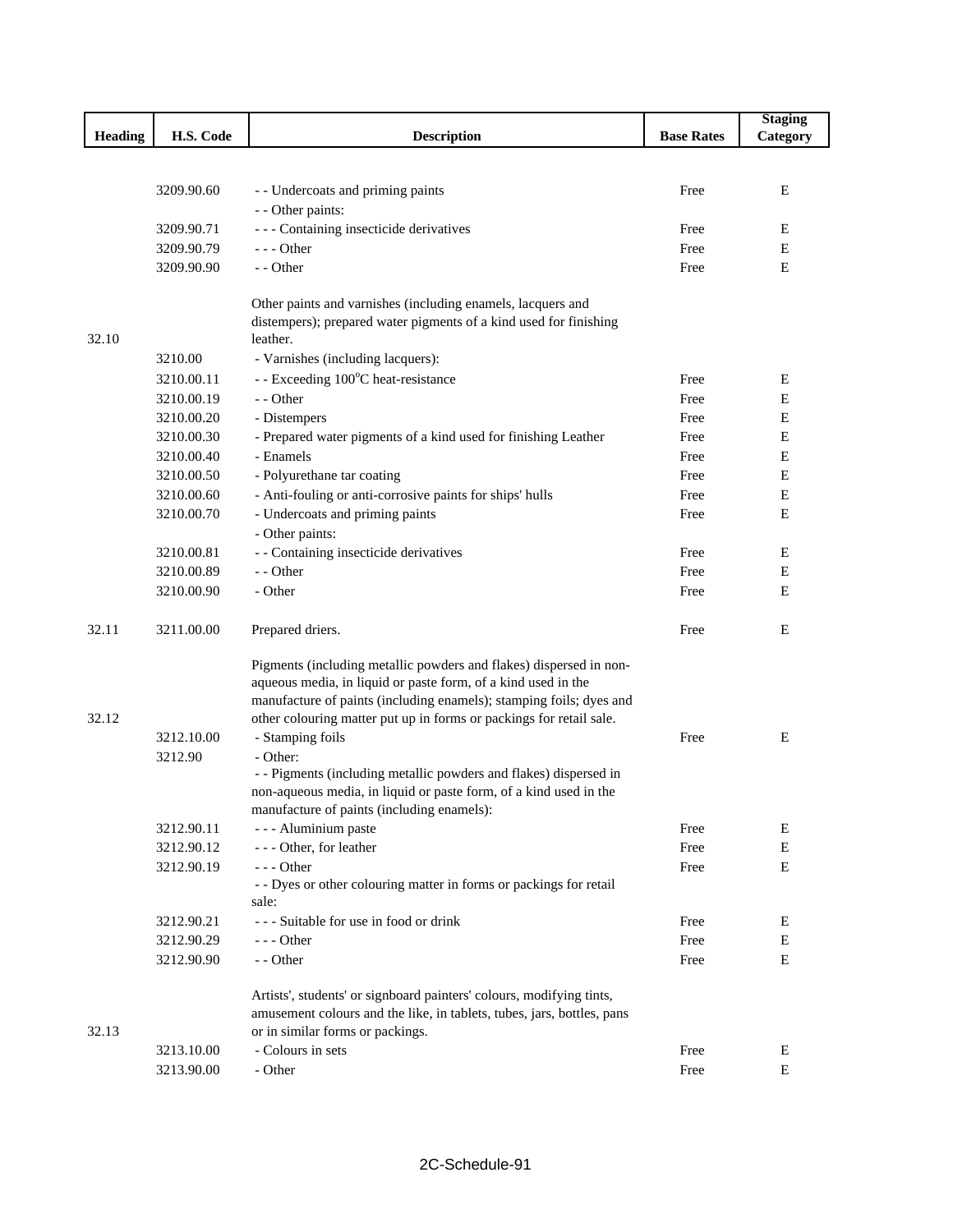|                |            |                                                                        |                   | <b>Staging</b> |
|----------------|------------|------------------------------------------------------------------------|-------------------|----------------|
| <b>Heading</b> | H.S. Code  | <b>Description</b>                                                     | <b>Base Rates</b> | Category       |
|                |            |                                                                        |                   |                |
|                |            |                                                                        |                   |                |
|                | 3209.90.60 | - - Undercoats and priming paints                                      | Free              | Ε              |
|                |            | - - Other paints:                                                      |                   |                |
|                | 3209.90.71 | --- Containing insecticide derivatives                                 | Free              | E              |
|                | 3209.90.79 | $--$ Other                                                             | Free              | Ε              |
|                | 3209.90.90 | - - Other                                                              | Free              | E              |
|                |            | Other paints and varnishes (including enamels, lacquers and            |                   |                |
|                |            | distempers); prepared water pigments of a kind used for finishing      |                   |                |
| 32.10          |            | leather.                                                               |                   |                |
|                | 3210.00    | - Varnishes (including lacquers):                                      |                   |                |
|                | 3210.00.11 | - - Exceeding 100°C heat-resistance                                    | Free              | Е              |
|                | 3210.00.19 | - - Other                                                              | Free              | Ε              |
|                | 3210.00.20 | - Distempers                                                           | Free              | Ε              |
|                | 3210.00.30 | - Prepared water pigments of a kind used for finishing Leather         | Free              | Ε              |
|                | 3210.00.40 | - Enamels                                                              | Free              | E              |
|                | 3210.00.50 | - Polyurethane tar coating                                             | Free              | E              |
|                | 3210.00.60 | - Anti-fouling or anti-corrosive paints for ships' hulls               | Free              | $\mathbf E$    |
|                | 3210.00.70 | - Undercoats and priming paints                                        | Free              | E              |
|                |            | - Other paints:                                                        |                   |                |
|                | 3210.00.81 | - - Containing insecticide derivatives                                 | Free              | Е              |
|                | 3210.00.89 | - - Other                                                              | Free              | Ε              |
|                | 3210.00.90 | - Other                                                                | Free              | E              |
|                |            |                                                                        |                   |                |
| 32.11          | 3211.00.00 | Prepared driers.                                                       | Free              | E              |
|                |            | Pigments (including metallic powders and flakes) dispersed in non-     |                   |                |
|                |            | aqueous media, in liquid or paste form, of a kind used in the          |                   |                |
|                |            | manufacture of paints (including enamels); stamping foils; dyes and    |                   |                |
| 32.12          |            | other colouring matter put up in forms or packings for retail sale.    |                   |                |
|                | 3212.10.00 | - Stamping foils                                                       | Free              | E              |
|                | 3212.90    | - Other:                                                               |                   |                |
|                |            | - - Pigments (including metallic powders and flakes) dispersed in      |                   |                |
|                |            | non-aqueous media, in liquid or paste form, of a kind used in the      |                   |                |
|                |            | manufacture of paints (including enamels):                             |                   |                |
|                | 3212.90.11 | - - - Aluminium paste                                                  | Free              | Ε              |
|                | 3212.90.12 | --- Other, for leather                                                 | Free              | Ε              |
|                | 3212.90.19 | $--$ Other                                                             | Free              | $\mathbf E$    |
|                |            | - - Dyes or other colouring matter in forms or packings for retail     |                   |                |
|                |            | sale:                                                                  |                   |                |
|                | 3212.90.21 | - - - Suitable for use in food or drink                                | Free              | Е              |
|                | 3212.90.29 | $---$ Other                                                            | Free              | Ε              |
|                | 3212.90.90 | - - Other                                                              | Free              | E              |
|                |            | Artists', students' or signboard painters' colours, modifying tints,   |                   |                |
|                |            | amusement colours and the like, in tablets, tubes, jars, bottles, pans |                   |                |
| 32.13          |            | or in similar forms or packings.                                       |                   |                |
|                | 3213.10.00 | - Colours in sets                                                      | Free              | E              |
|                | 3213.90.00 | - Other                                                                | Free              | E              |
|                |            |                                                                        |                   |                |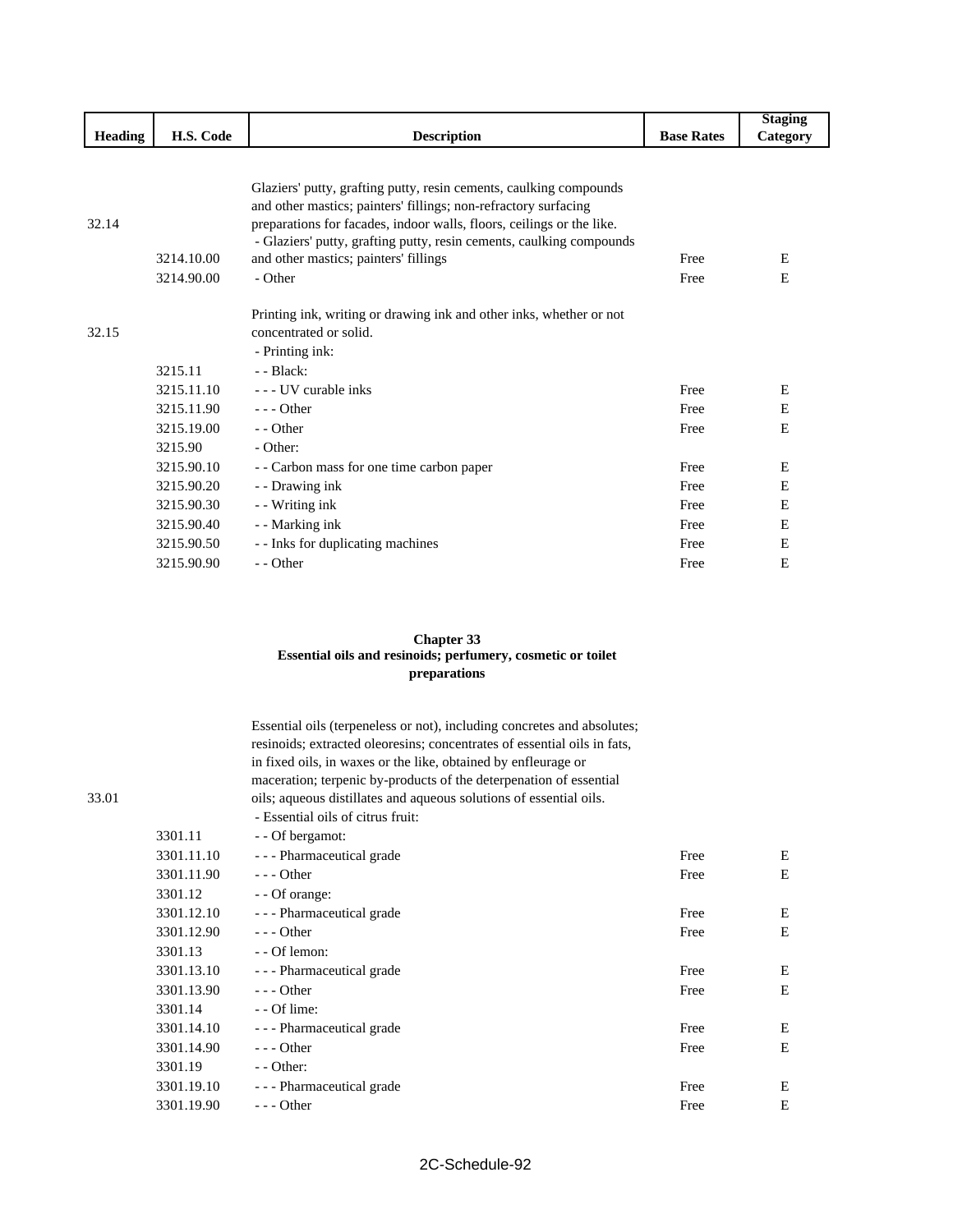|                |                          |                                                                                                                                                                                                                                                                                                                                            |                   | <b>Staging</b> |
|----------------|--------------------------|--------------------------------------------------------------------------------------------------------------------------------------------------------------------------------------------------------------------------------------------------------------------------------------------------------------------------------------------|-------------------|----------------|
| <b>Heading</b> | H.S. Code                | <b>Description</b>                                                                                                                                                                                                                                                                                                                         | <b>Base Rates</b> | Category       |
| 32.14          | 3214.10.00<br>3214.90.00 | Glaziers' putty, grafting putty, resin cements, caulking compounds<br>and other mastics; painters' fillings; non-refractory surfacing<br>preparations for facades, indoor walls, floors, ceilings or the like.<br>- Glaziers' putty, grafting putty, resin cements, caulking compounds<br>and other mastics; painters' fillings<br>- Other | Free<br>Free      | E<br>E         |
| 32.15          | 3215.11                  | Printing ink, writing or drawing ink and other inks, whether or not<br>concentrated or solid.<br>- Printing ink:<br>$-$ - Black:                                                                                                                                                                                                           |                   |                |
|                | 3215.11.10               | - - UV curable inks                                                                                                                                                                                                                                                                                                                        | Free              | Ε              |
|                | 3215.11.90               | $- -$ Other                                                                                                                                                                                                                                                                                                                                | Free              | Е              |
|                | 3215.19.00               | - - Other                                                                                                                                                                                                                                                                                                                                  | Free              | E              |
|                | 3215.90                  | - Other:                                                                                                                                                                                                                                                                                                                                   |                   |                |
|                | 3215.90.10               | - - Carbon mass for one time carbon paper                                                                                                                                                                                                                                                                                                  | Free              | E              |
|                | 3215.90.20               | - - Drawing ink                                                                                                                                                                                                                                                                                                                            | Free              | E              |
|                | 3215.90.30               | - Writing ink                                                                                                                                                                                                                                                                                                                              | Free              | E              |
|                | 3215.90.40               | - - Marking ink                                                                                                                                                                                                                                                                                                                            | Free              | Е              |
|                | 3215.90.50               | - - Inks for duplicating machines                                                                                                                                                                                                                                                                                                          | Free              | Е              |
|                | 3215.90.90               | - - Other                                                                                                                                                                                                                                                                                                                                  | Free              | Ε              |

## **Chapter 33 Essential oils and resinoids; perfumery, cosmetic or toilet preparations**

|       |            | Essential oils (terpeneless or not), including concretes and absolutes;<br>resinoids; extracted oleoresins; concentrates of essential oils in fats,<br>in fixed oils, in waxes or the like, obtained by enfleurage or<br>maceration; terpenic by-products of the deterpenation of essential |      |   |
|-------|------------|---------------------------------------------------------------------------------------------------------------------------------------------------------------------------------------------------------------------------------------------------------------------------------------------|------|---|
| 33.01 |            | oils; aqueous distillates and aqueous solutions of essential oils.                                                                                                                                                                                                                          |      |   |
|       |            | - Essential oils of citrus fruit:                                                                                                                                                                                                                                                           |      |   |
|       | 3301.11    | - - Of bergamot:                                                                                                                                                                                                                                                                            |      |   |
|       | 3301.11.10 | - - - Pharmaceutical grade                                                                                                                                                                                                                                                                  | Free | Е |
|       | 3301.11.90 | $--$ Other                                                                                                                                                                                                                                                                                  | Free | E |
|       | 3301.12    | - - Of orange:                                                                                                                                                                                                                                                                              |      |   |
|       | 3301.12.10 | - - - Pharmaceutical grade                                                                                                                                                                                                                                                                  | Free | Ε |
|       | 3301.12.90 | $--$ Other                                                                                                                                                                                                                                                                                  | Free | E |
|       | 3301.13    | - - Of lemon:                                                                                                                                                                                                                                                                               |      |   |
|       | 3301.13.10 | - - - Pharmaceutical grade                                                                                                                                                                                                                                                                  | Free | Ε |
|       | 3301.13.90 | $--$ Other                                                                                                                                                                                                                                                                                  | Free | E |
|       | 3301.14    | $-$ - Of lime:                                                                                                                                                                                                                                                                              |      |   |
|       | 3301.14.10 | - - - Pharmaceutical grade                                                                                                                                                                                                                                                                  | Free | E |
|       | 3301.14.90 | $--$ Other                                                                                                                                                                                                                                                                                  | Free | E |
|       | 3301.19    | $-$ - Other:                                                                                                                                                                                                                                                                                |      |   |
|       | 3301.19.10 | - - - Pharmaceutical grade                                                                                                                                                                                                                                                                  | Free | E |
|       | 3301.19.90 | $- -$ Other                                                                                                                                                                                                                                                                                 | Free | E |
|       |            |                                                                                                                                                                                                                                                                                             |      |   |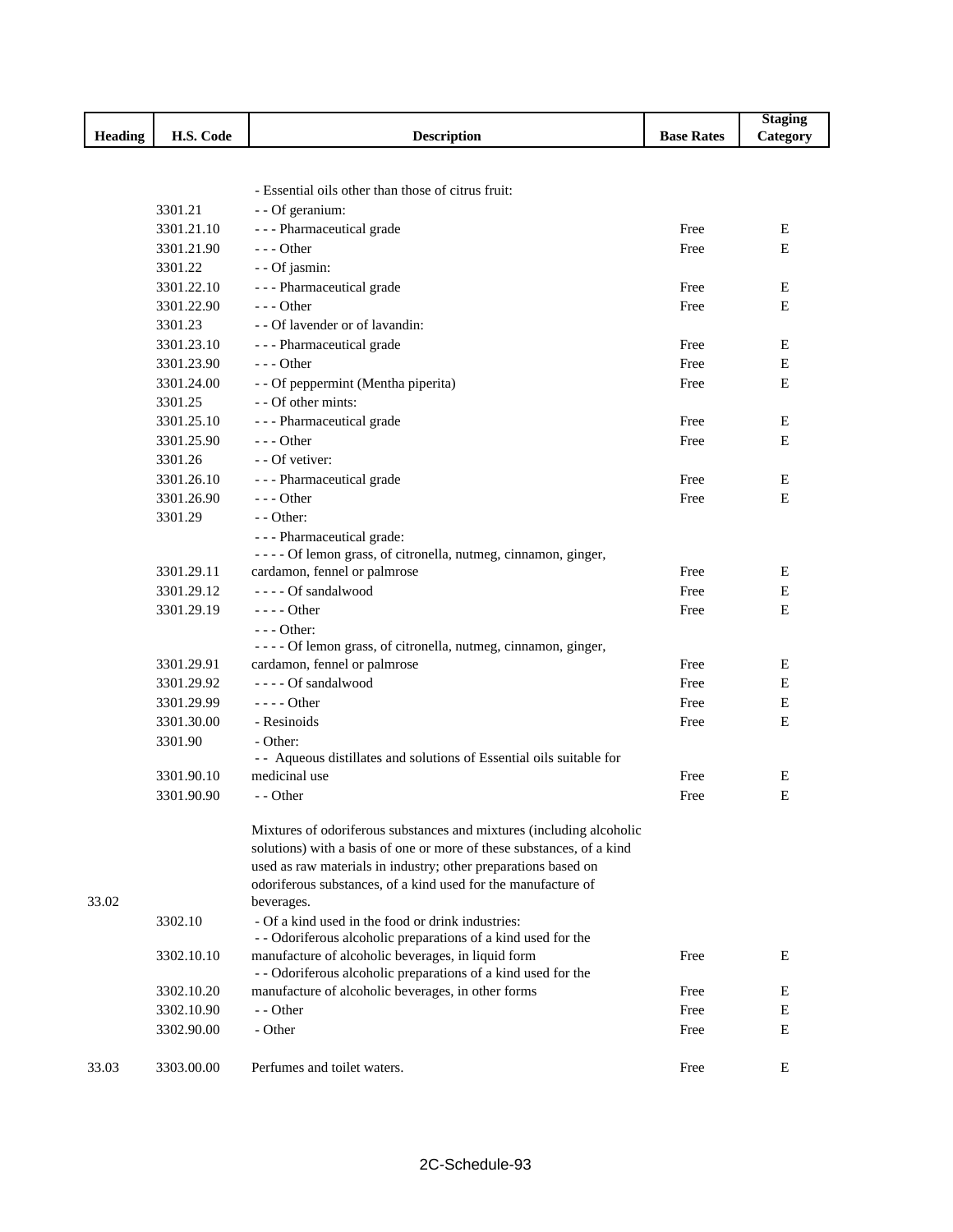|                |            |                                                                       |                   | <b>Staging</b> |
|----------------|------------|-----------------------------------------------------------------------|-------------------|----------------|
| <b>Heading</b> | H.S. Code  | <b>Description</b>                                                    | <b>Base Rates</b> | Category       |
|                |            |                                                                       |                   |                |
|                |            |                                                                       |                   |                |
|                |            | - Essential oils other than those of citrus fruit:                    |                   |                |
|                | 3301.21    | - - Of geranium:                                                      |                   |                |
|                | 3301.21.10 | - - - Pharmaceutical grade                                            | Free              | E              |
|                | 3301.21.90 | $--$ Other                                                            | Free              | E              |
|                | 3301.22    | - - Of jasmin:                                                        |                   |                |
|                | 3301.22.10 | - - - Pharmaceutical grade                                            | Free              | Ε              |
|                | 3301.22.90 | $--$ Other                                                            | Free              | E              |
|                | 3301.23    | - - Of lavender or of lavandin:                                       |                   |                |
|                | 3301.23.10 | - - - Pharmaceutical grade                                            | Free              | Ε              |
|                | 3301.23.90 | $- -$ Other                                                           | Free              | Ε              |
|                | 3301.24.00 | - - Of peppermint (Mentha piperita)                                   | Free              | E              |
|                | 3301.25    | - - Of other mints:                                                   |                   |                |
|                | 3301.25.10 | - - - Pharmaceutical grade                                            | Free              | Ε              |
|                | 3301.25.90 | $--$ Other                                                            | Free              | E              |
|                | 3301.26    | - - Of vetiver:                                                       |                   |                |
|                | 3301.26.10 | --- Pharmaceutical grade                                              | Free              | E              |
|                | 3301.26.90 | $--$ Other                                                            | Free              | E              |
|                | 3301.29    | $-$ - Other:                                                          |                   |                |
|                |            | - - - Pharmaceutical grade:                                           |                   |                |
|                |            | - - - - Of lemon grass, of citronella, nutmeg, cinnamon, ginger,      |                   |                |
|                | 3301.29.11 | cardamon, fennel or palmrose                                          | Free              | Ε              |
|                | 3301.29.12 | ---- Of sandalwood                                                    | Free              | Ε              |
|                | 3301.29.19 | $---$ Other                                                           | Free              | E              |
|                |            | - - - Other:                                                          |                   |                |
|                |            | - - - - Of lemon grass, of citronella, nutmeg, cinnamon, ginger,      |                   |                |
|                | 3301.29.91 | cardamon, fennel or palmrose                                          | Free              | Ε              |
|                | 3301.29.92 | ---- Of sandalwood                                                    | Free              | Ε              |
|                | 3301.29.99 | $---$ Other                                                           | Free              | Ε              |
|                | 3301.30.00 | - Resinoids                                                           | Free              | E              |
|                | 3301.90    | - Other:                                                              |                   |                |
|                |            | - - Aqueous distillates and solutions of Essential oils suitable for  |                   |                |
|                | 3301.90.10 | medicinal use                                                         | Free              | Ε              |
|                | 3301.90.90 | - - Other                                                             | Free              | Ε              |
|                |            | Mixtures of odoriferous substances and mixtures (including alcoholic  |                   |                |
|                |            | solutions) with a basis of one or more of these substances, of a kind |                   |                |
|                |            | used as raw materials in industry; other preparations based on        |                   |                |
|                |            | odoriferous substances, of a kind used for the manufacture of         |                   |                |
| 33.02          |            | beverages.                                                            |                   |                |
|                | 3302.10    | - Of a kind used in the food or drink industries:                     |                   |                |
|                |            | - - Odoriferous alcoholic preparations of a kind used for the         |                   |                |
|                | 3302.10.10 | manufacture of alcoholic beverages, in liquid form                    | Free              | E              |
|                |            | - - Odoriferous alcoholic preparations of a kind used for the         |                   |                |
|                | 3302.10.20 | manufacture of alcoholic beverages, in other forms                    | Free              | Ε              |
|                | 3302.10.90 | - - Other                                                             | Free              | Е              |
|                | 3302.90.00 | - Other                                                               | Free              | Ε              |
|                |            |                                                                       |                   |                |
| 33.03          | 3303.00.00 | Perfumes and toilet waters.                                           | Free              | E              |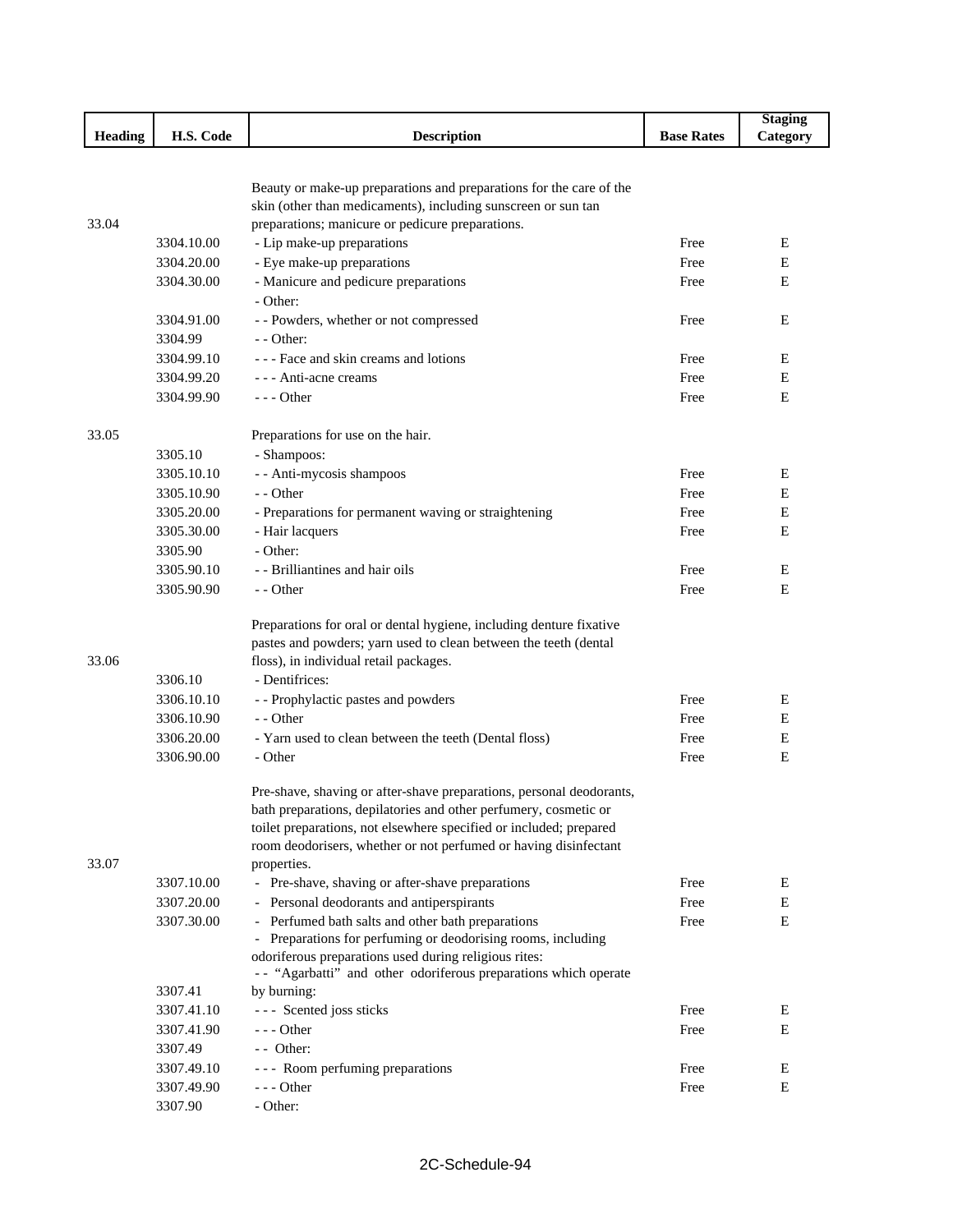|                |            |                                                                      |                   | <b>Staging</b> |
|----------------|------------|----------------------------------------------------------------------|-------------------|----------------|
| <b>Heading</b> | H.S. Code  | <b>Description</b>                                                   | <b>Base Rates</b> | Category       |
|                |            |                                                                      |                   |                |
|                |            |                                                                      |                   |                |
|                |            | Beauty or make-up preparations and preparations for the care of the  |                   |                |
|                |            | skin (other than medicaments), including sunscreen or sun tan        |                   |                |
| 33.04          |            | preparations; manicure or pedicure preparations.                     |                   |                |
|                | 3304.10.00 | - Lip make-up preparations                                           | Free              | Ε              |
|                | 3304.20.00 | - Eye make-up preparations                                           | Free              | Е              |
|                | 3304.30.00 | - Manicure and pedicure preparations                                 | Free              | Е              |
|                |            | - Other:                                                             |                   |                |
|                | 3304.91.00 | - - Powders, whether or not compressed                               | Free              | Е              |
|                | 3304.99    | $-$ - Other:                                                         |                   |                |
|                | 3304.99.10 | - - - Face and skin creams and lotions                               | Free              | Ε              |
|                | 3304.99.20 | - - - Anti-acne creams                                               | Free              | $\mathbf E$    |
|                | 3304.99.90 | $- -$ Other                                                          | Free              | E              |
| 33.05          |            | Preparations for use on the hair.                                    |                   |                |
|                | 3305.10    | - Shampoos:                                                          |                   |                |
|                | 3305.10.10 |                                                                      | Free              | Ε              |
|                |            | - - Anti-mycosis shampoos<br>$-$ - Other                             |                   | Е              |
|                | 3305.10.90 |                                                                      | Free              |                |
|                | 3305.20.00 | - Preparations for permanent waving or straightening                 | Free              | E              |
|                | 3305.30.00 | - Hair lacquers                                                      | Free              | Е              |
|                | 3305.90    | - Other:                                                             |                   |                |
|                | 3305.90.10 | - - Brilliantines and hair oils                                      | Free              | Е              |
|                | 3305.90.90 | - - Other                                                            | Free              | E              |
|                |            | Preparations for oral or dental hygiene, including denture fixative  |                   |                |
|                |            | pastes and powders; yarn used to clean between the teeth (dental     |                   |                |
| 33.06          |            | floss), in individual retail packages.                               |                   |                |
|                | 3306.10    | - Dentifrices:                                                       |                   |                |
|                | 3306.10.10 | - - Prophylactic pastes and powders                                  | Free              | Ε              |
|                | 3306.10.90 | - - Other                                                            | Free              | Е              |
|                | 3306.20.00 | - Yarn used to clean between the teeth (Dental floss)                | Free              | E              |
|                | 3306.90.00 | - Other                                                              | Free              | Е              |
|                |            |                                                                      |                   |                |
|                |            | Pre-shave, shaving or after-shave preparations, personal deodorants, |                   |                |
|                |            | bath preparations, depilatories and other perfumery, cosmetic or     |                   |                |
|                |            | toilet preparations, not elsewhere specified or included; prepared   |                   |                |
|                |            | room deodorisers, whether or not perfumed or having disinfectant     |                   |                |
| 33.07          |            | properties.                                                          |                   |                |
|                | 3307.10.00 | - Pre-shave, shaving or after-shave preparations                     | Free              | Ε              |
|                | 3307.20.00 | - Personal deodorants and antiperspirants                            | Free              | Ε              |
|                | 3307.30.00 | Perfumed bath salts and other bath preparations                      | Free              | $\mathbf E$    |
|                |            | - Preparations for perfuming or deodorising rooms, including         |                   |                |
|                |            | odoriferous preparations used during religious rites:                |                   |                |
|                |            | -- "Agarbatti" and other odoriferous preparations which operate      |                   |                |
|                | 3307.41    | by burning:                                                          |                   |                |
|                | 3307.41.10 | --- Scented joss sticks                                              | Free              | Ε              |
|                | 3307.41.90 | $- -$ Other                                                          | Free              | Е              |
|                | 3307.49    | $-$ Other:                                                           |                   |                |
|                | 3307.49.10 | - - - Room perfuming preparations                                    | Free              | Ε              |
|                | 3307.49.90 | $--$ Other                                                           | Free              | Е              |
|                | 3307.90    | - Other:                                                             |                   |                |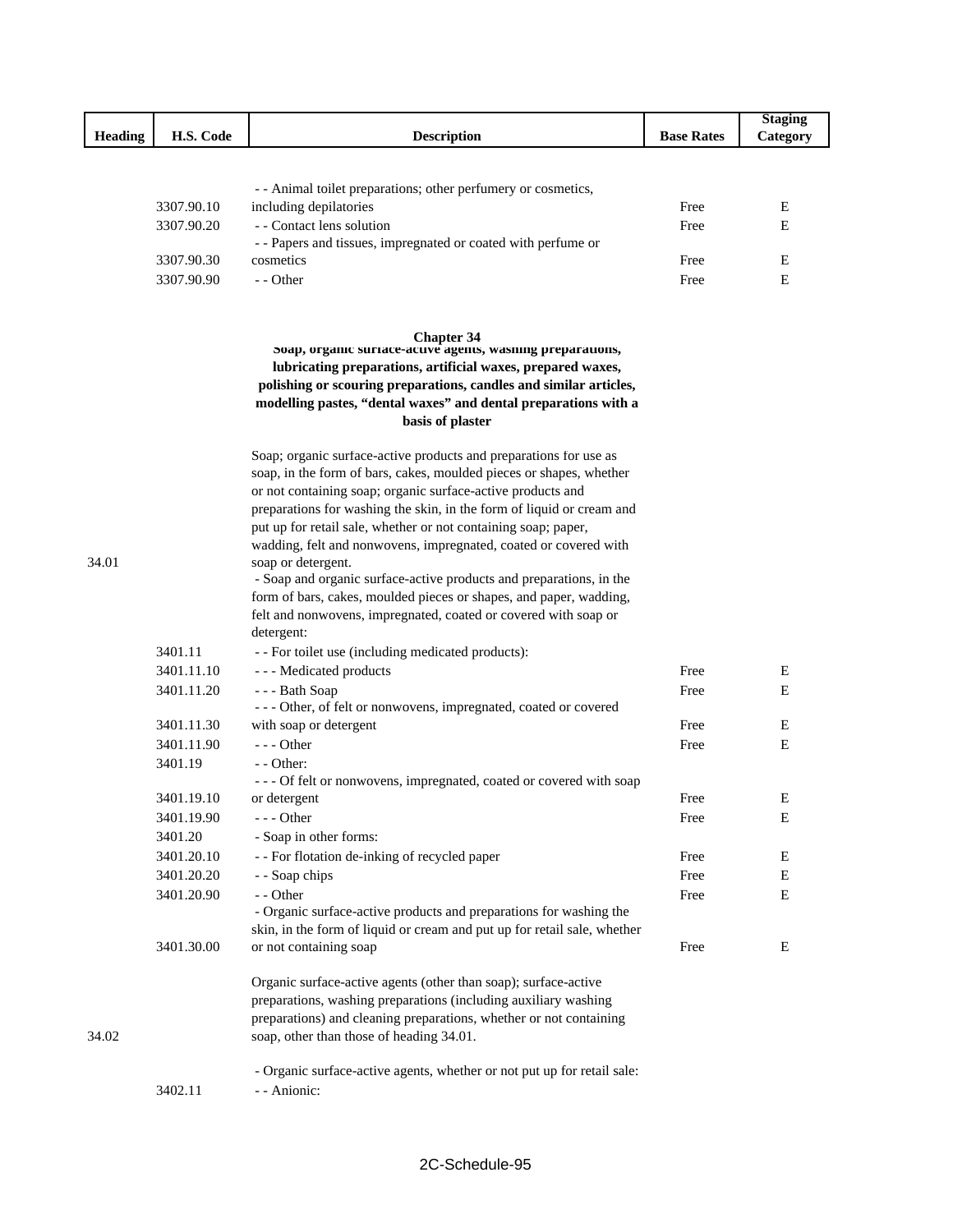|         |            |                                                                                                                                                                                                                                                                                                            |                   | <b>Staging</b> |
|---------|------------|------------------------------------------------------------------------------------------------------------------------------------------------------------------------------------------------------------------------------------------------------------------------------------------------------------|-------------------|----------------|
| Heading | H.S. Code  | <b>Description</b>                                                                                                                                                                                                                                                                                         | <b>Base Rates</b> | Category       |
|         |            |                                                                                                                                                                                                                                                                                                            |                   |                |
|         |            | - - Animal toilet preparations; other perfumery or cosmetics,                                                                                                                                                                                                                                              |                   |                |
|         | 3307.90.10 | including depilatories                                                                                                                                                                                                                                                                                     | Free              | E              |
|         | 3307.90.20 | - - Contact lens solution                                                                                                                                                                                                                                                                                  | Free              | E              |
|         |            | - - Papers and tissues, impregnated or coated with perfume or                                                                                                                                                                                                                                              |                   |                |
|         | 3307.90.30 | cosmetics                                                                                                                                                                                                                                                                                                  | Free              | E              |
|         | 3307.90.90 | $-$ - Other                                                                                                                                                                                                                                                                                                | Free              | E              |
|         |            |                                                                                                                                                                                                                                                                                                            |                   |                |
|         |            | <b>Chapter 34</b><br>soap, organic surface-active agents, wasning preparations,<br>lubricating preparations, artificial waxes, prepared waxes,<br>polishing or scouring preparations, candles and similar articles,<br>modelling pastes, "dental waxes" and dental preparations with a<br>basis of plaster |                   |                |
|         |            | Soap; organic surface-active products and preparations for use as                                                                                                                                                                                                                                          |                   |                |
|         |            | soap, in the form of bars, cakes, moulded pieces or shapes, whether                                                                                                                                                                                                                                        |                   |                |
|         |            | or not containing soap; organic surface-active products and                                                                                                                                                                                                                                                |                   |                |
|         |            | preparations for washing the skin, in the form of liquid or cream and                                                                                                                                                                                                                                      |                   |                |
|         |            | put up for retail sale, whether or not containing soap; paper,<br>wadding, felt and nonwovens, impregnated, coated or covered with                                                                                                                                                                         |                   |                |
| 34.01   |            | soap or detergent.                                                                                                                                                                                                                                                                                         |                   |                |
|         |            | - Soap and organic surface-active products and preparations, in the                                                                                                                                                                                                                                        |                   |                |
|         |            | form of bars, cakes, moulded pieces or shapes, and paper, wadding,                                                                                                                                                                                                                                         |                   |                |
|         |            | felt and nonwovens, impregnated, coated or covered with soap or<br>detergent:                                                                                                                                                                                                                              |                   |                |
|         | 3401.11    | - - For toilet use (including medicated products):                                                                                                                                                                                                                                                         |                   |                |
|         | 3401.11.10 | --- Medicated products                                                                                                                                                                                                                                                                                     | Free              | Ε              |
|         | 3401.11.20 | --- Bath Soap                                                                                                                                                                                                                                                                                              | Free              | Е              |
|         |            | --- Other, of felt or nonwovens, impregnated, coated or covered                                                                                                                                                                                                                                            |                   |                |
|         | 3401.11.30 | with soap or detergent                                                                                                                                                                                                                                                                                     | Free              | Е              |
|         | 3401.11.90 | $--$ Other                                                                                                                                                                                                                                                                                                 | Free              | E              |
|         | 3401.19    | - - Other:<br>--- Of felt or nonwovens, impregnated, coated or covered with soap                                                                                                                                                                                                                           |                   |                |
|         | 3401.19.10 | or detergent                                                                                                                                                                                                                                                                                               | Free              | Ε              |
|         | 3401.19.90 | - - - Other                                                                                                                                                                                                                                                                                                | Free              | Ε              |
|         | 3401.20    | - Soap in other forms:                                                                                                                                                                                                                                                                                     |                   |                |
|         | 3401.20.10 | - - For flotation de-inking of recycled paper                                                                                                                                                                                                                                                              | Free              | Ε              |
|         | 3401.20.20 | - - Soap chips                                                                                                                                                                                                                                                                                             | Free              | E              |
|         | 3401.20.90 | - - Other                                                                                                                                                                                                                                                                                                  | Free              | E              |
|         |            | - Organic surface-active products and preparations for washing the                                                                                                                                                                                                                                         |                   |                |
|         |            | skin, in the form of liquid or cream and put up for retail sale, whether                                                                                                                                                                                                                                   |                   |                |
|         | 3401.30.00 | or not containing soap                                                                                                                                                                                                                                                                                     | Free              | Ε              |
| 34.02   |            | Organic surface-active agents (other than soap); surface-active<br>preparations, washing preparations (including auxiliary washing<br>preparations) and cleaning preparations, whether or not containing<br>soap, other than those of heading 34.01.                                                       |                   |                |
|         |            |                                                                                                                                                                                                                                                                                                            |                   |                |
|         | 3402.11    | - Organic surface-active agents, whether or not put up for retail sale:<br>- - Anionic:                                                                                                                                                                                                                    |                   |                |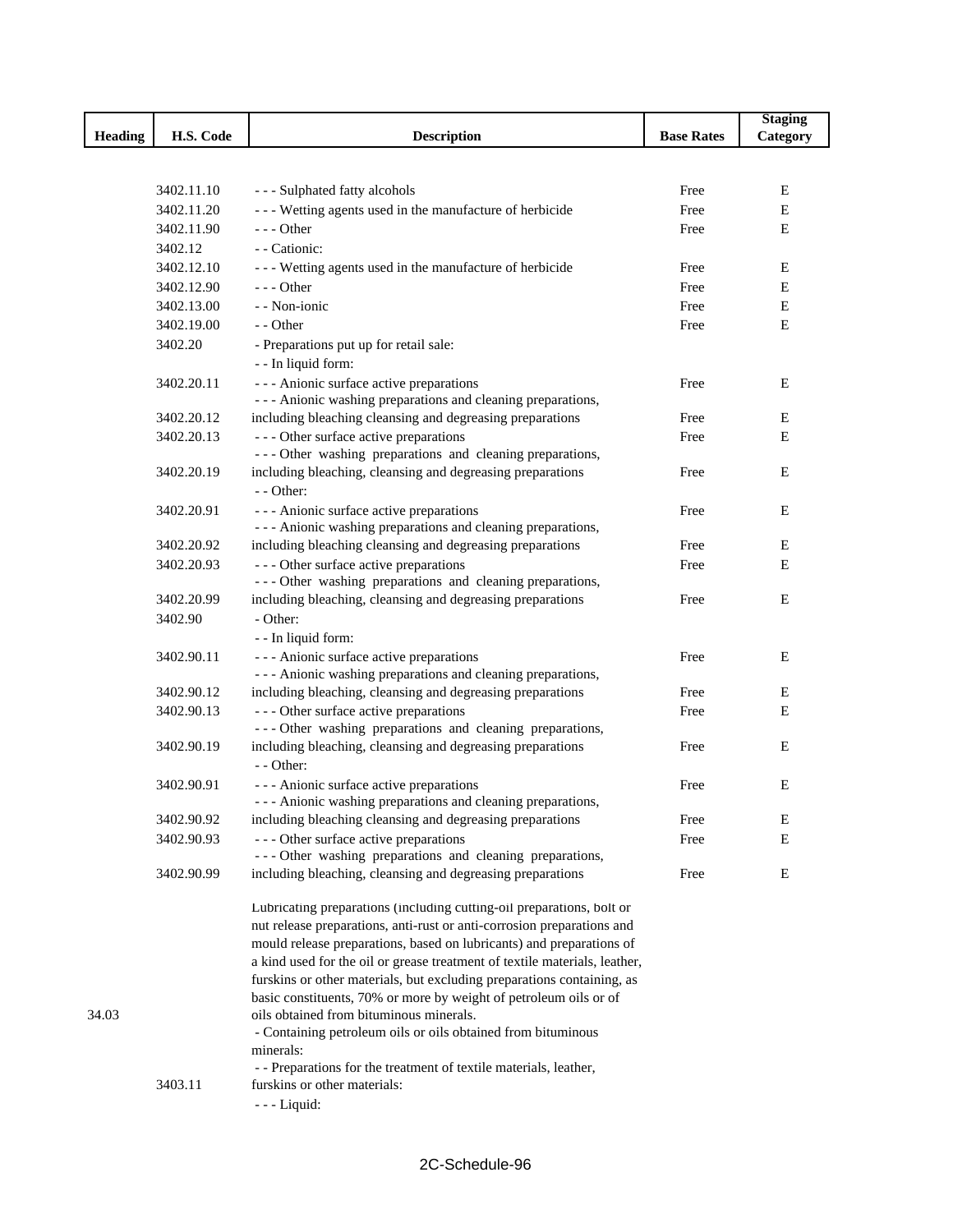|                |            |                                                                                                     |                   | <b>Staging</b> |
|----------------|------------|-----------------------------------------------------------------------------------------------------|-------------------|----------------|
| <b>Heading</b> | H.S. Code  | <b>Description</b>                                                                                  | <b>Base Rates</b> | Category       |
|                |            |                                                                                                     |                   |                |
|                |            |                                                                                                     |                   |                |
|                | 3402.11.10 | --- Sulphated fatty alcohols                                                                        | Free              | E              |
|                | 3402.11.20 | - - - Wetting agents used in the manufacture of herbicide                                           | Free              | E              |
|                | 3402.11.90 | - - - Other                                                                                         | Free              | E              |
|                | 3402.12    | - - Cationic:                                                                                       |                   |                |
|                | 3402.12.10 | --- Wetting agents used in the manufacture of herbicide                                             | Free              | E              |
|                | 3402.12.90 | $- -$ Other                                                                                         | Free              | Ε              |
|                | 3402.13.00 | - - Non-ionic                                                                                       | Free              | Ε              |
|                | 3402.19.00 | - - Other                                                                                           | Free              | $\mathbf E$    |
|                | 3402.20    | - Preparations put up for retail sale:                                                              |                   |                |
|                |            | - - In liquid form:                                                                                 |                   |                |
|                | 3402.20.11 | --- Anionic surface active preparations                                                             | Free              | Е              |
|                |            | - - - Anionic washing preparations and cleaning preparations,                                       |                   |                |
|                | 3402.20.12 | including bleaching cleansing and degreasing preparations                                           | Free              | Ε              |
|                | 3402.20.13 | --- Other surface active preparations                                                               | Free              | E              |
|                |            | --- Other washing preparations and cleaning preparations,                                           |                   |                |
|                | 3402.20.19 | including bleaching, cleansing and degreasing preparations                                          | Free              | Ε              |
|                |            | $-$ - Other:                                                                                        |                   |                |
|                | 3402.20.91 | - - - Anionic surface active preparations                                                           | Free              | Ε              |
|                |            | - - - Anionic washing preparations and cleaning preparations,                                       |                   |                |
|                | 3402.20.92 | including bleaching cleansing and degreasing preparations                                           | Free              | Ε              |
|                | 3402.20.93 | --- Other surface active preparations                                                               | Free              | E              |
|                |            | --- Other washing preparations and cleaning preparations,                                           |                   |                |
|                | 3402.20.99 | including bleaching, cleansing and degreasing preparations                                          | Free              | Ε              |
|                | 3402.90    | - Other:                                                                                            |                   |                |
|                |            | - - In liquid form:                                                                                 |                   |                |
|                | 3402.90.11 | --- Anionic surface active preparations                                                             | Free              | E              |
|                | 3402.90.12 | - - - Anionic washing preparations and cleaning preparations,                                       | Free              | E              |
|                | 3402.90.13 | including bleaching, cleansing and degreasing preparations<br>--- Other surface active preparations | Free              | E              |
|                |            | --- Other washing preparations and cleaning preparations,                                           |                   |                |
|                | 3402.90.19 | including bleaching, cleansing and degreasing preparations                                          | Free              | Ε              |
|                |            | $-$ - Other:                                                                                        |                   |                |
|                | 3402.90.91 | --- Anionic surface active preparations                                                             | Free              | Е              |
|                |            | - - - Anionic washing preparations and cleaning preparations,                                       |                   |                |
|                | 3402.90.92 | including bleaching cleansing and degreasing preparations                                           | Free              | Ε              |
|                | 3402.90.93 | --- Other surface active preparations                                                               | Free              | E              |
|                |            | --- Other washing preparations and cleaning preparations,                                           |                   |                |
|                | 3402.90.99 | including bleaching, cleansing and degreasing preparations                                          | Free              | Е              |
|                |            |                                                                                                     |                   |                |
|                |            | Lubricating preparations (including cutting-oil preparations, bolt or                               |                   |                |
|                |            | nut release preparations, anti-rust or anti-corrosion preparations and                              |                   |                |
|                |            | mould release preparations, based on lubricants) and preparations of                                |                   |                |
|                |            | a kind used for the oil or grease treatment of textile materials, leather,                          |                   |                |
|                |            | furskins or other materials, but excluding preparations containing, as                              |                   |                |
|                |            | basic constituents, 70% or more by weight of petroleum oils or of                                   |                   |                |
| 34.03          |            | oils obtained from bituminous minerals.                                                             |                   |                |
|                |            | - Containing petroleum oils or oils obtained from bituminous                                        |                   |                |
|                |            | minerals:<br>- - Preparations for the treatment of textile materials, leather,                      |                   |                |
|                | 3403.11    | furskins or other materials:                                                                        |                   |                |
|                |            | $--$ Liquid:                                                                                        |                   |                |
|                |            |                                                                                                     |                   |                |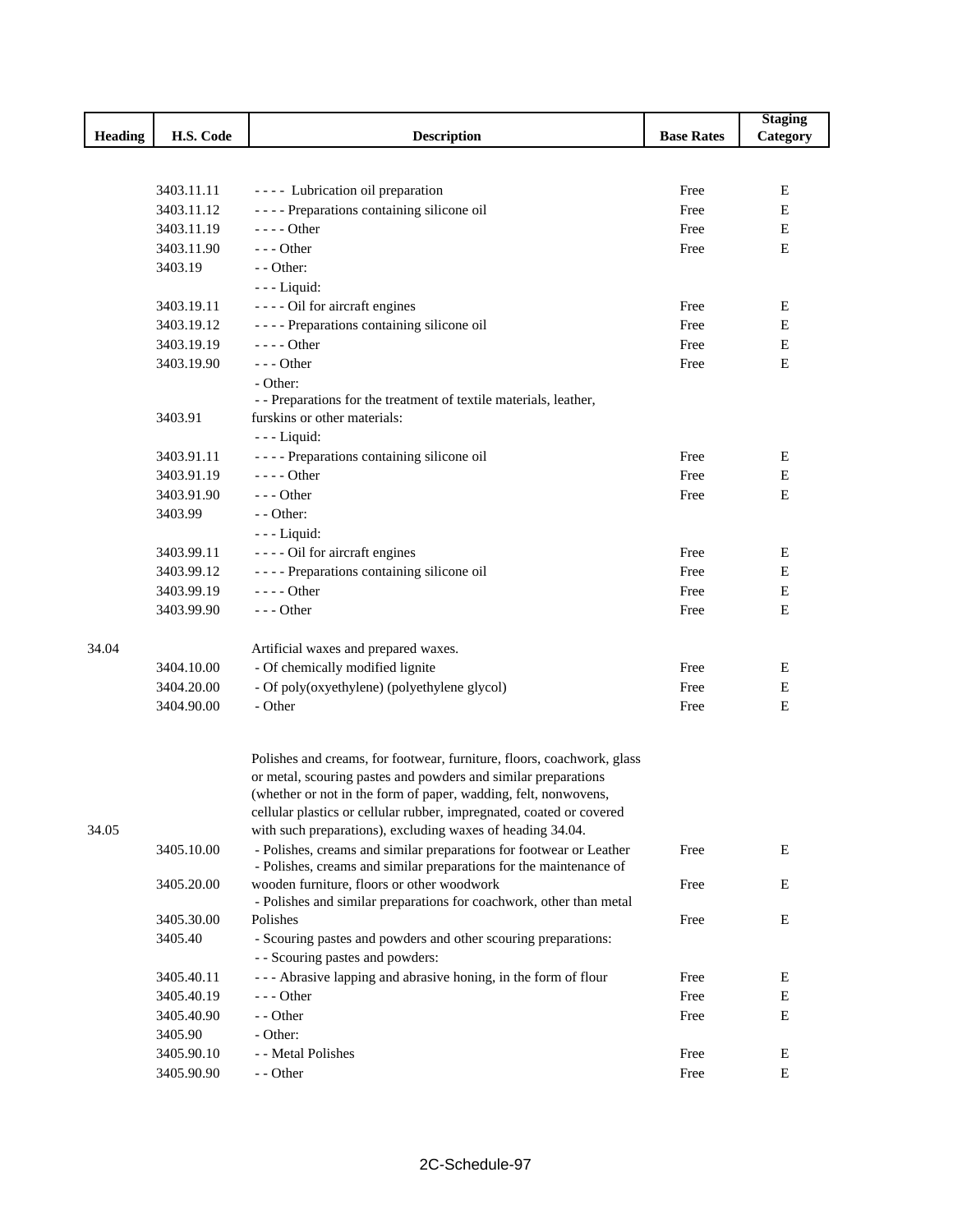|         |            |                                                                                                                                           |                   | <b>Staging</b> |
|---------|------------|-------------------------------------------------------------------------------------------------------------------------------------------|-------------------|----------------|
| Heading | H.S. Code  | <b>Description</b>                                                                                                                        | <b>Base Rates</b> | Category       |
|         |            |                                                                                                                                           |                   |                |
|         |            |                                                                                                                                           |                   |                |
|         | 3403.11.11 | ---- Lubrication oil preparation                                                                                                          | Free              | Е              |
|         | 3403.11.12 | ---- Preparations containing silicone oil                                                                                                 | Free              | Ε              |
|         | 3403.11.19 | $---$ Other                                                                                                                               | Free              | E              |
|         | 3403.11.90 | $- -$ Other                                                                                                                               | Free              | E              |
|         | 3403.19    | - - Other:                                                                                                                                |                   |                |
|         |            | $--$ Liquid:                                                                                                                              |                   |                |
|         | 3403.19.11 | - - - - Oil for aircraft engines                                                                                                          | Free              | Ε              |
|         | 3403.19.12 | ---- Preparations containing silicone oil                                                                                                 | Free              | E              |
|         | 3403.19.19 | $--- Other$                                                                                                                               | Free              | Ε              |
|         | 3403.19.90 | $- -$ Other                                                                                                                               | Free              | $\mathbf E$    |
|         |            | - Other:                                                                                                                                  |                   |                |
|         |            | - - Preparations for the treatment of textile materials, leather,                                                                         |                   |                |
|         | 3403.91    | furskins or other materials:                                                                                                              |                   |                |
|         |            | $--$ Liquid:                                                                                                                              |                   |                |
|         | 3403.91.11 | ---- Preparations containing silicone oil                                                                                                 | Free              | Ε              |
|         | 3403.91.19 | $---$ Other                                                                                                                               | Free              | Ε              |
|         | 3403.91.90 | $- -$ Other                                                                                                                               | Free              | E              |
|         | 3403.99    | - - Other:                                                                                                                                |                   |                |
|         |            | $--$ Liquid:                                                                                                                              |                   |                |
|         | 3403.99.11 | - - - - Oil for aircraft engines                                                                                                          | Free              | Ε              |
|         | 3403.99.12 | ---- Preparations containing silicone oil                                                                                                 | Free              | Ε              |
|         | 3403.99.19 | ---- Other                                                                                                                                | Free              | Ε              |
|         | 3403.99.90 | $- -$ Other                                                                                                                               | Free              | E              |
| 34.04   |            | Artificial waxes and prepared waxes.                                                                                                      |                   |                |
|         | 3404.10.00 | - Of chemically modified lignite                                                                                                          | Free              | Ε              |
|         | 3404.20.00 | - Of poly(oxyethylene) (polyethylene glycol)                                                                                              | Free              | Ε              |
|         | 3404.90.00 | - Other                                                                                                                                   | Free              | E              |
|         |            |                                                                                                                                           |                   |                |
|         |            | Polishes and creams, for footwear, furniture, floors, coachwork, glass                                                                    |                   |                |
|         |            | or metal, scouring pastes and powders and similar preparations                                                                            |                   |                |
|         |            | (whether or not in the form of paper, wadding, felt, nonwovens,                                                                           |                   |                |
|         |            | cellular plastics or cellular rubber, impregnated, coated or covered                                                                      |                   |                |
| 34.05   |            | with such preparations), excluding waxes of heading 34.04.                                                                                |                   |                |
|         | 3405.10.00 | - Polishes, creams and similar preparations for footwear or Leather<br>- Polishes, creams and similar preparations for the maintenance of | Free              | E              |
|         | 3405.20.00 | wooden furniture, floors or other woodwork<br>- Polishes and similar preparations for coachwork, other than metal                         | Free              | E              |
|         | 3405.30.00 | Polishes                                                                                                                                  | Free              | E              |
|         | 3405.40    | - Scouring pastes and powders and other scouring preparations:                                                                            |                   |                |
|         |            | - - Scouring pastes and powders:                                                                                                          |                   |                |
|         | 3405.40.11 | --- Abrasive lapping and abrasive honing, in the form of flour                                                                            | Free              | E              |
|         | 3405.40.19 | $- -$ Other                                                                                                                               | Free              | ${\bf E}$      |
|         | 3405.40.90 | - - Other                                                                                                                                 | Free              | E              |
|         | 3405.90    | - Other:                                                                                                                                  |                   |                |
|         | 3405.90.10 | - - Metal Polishes                                                                                                                        | Free              | E              |
|         | 3405.90.90 | - - Other                                                                                                                                 | Free              | ${\bf E}$      |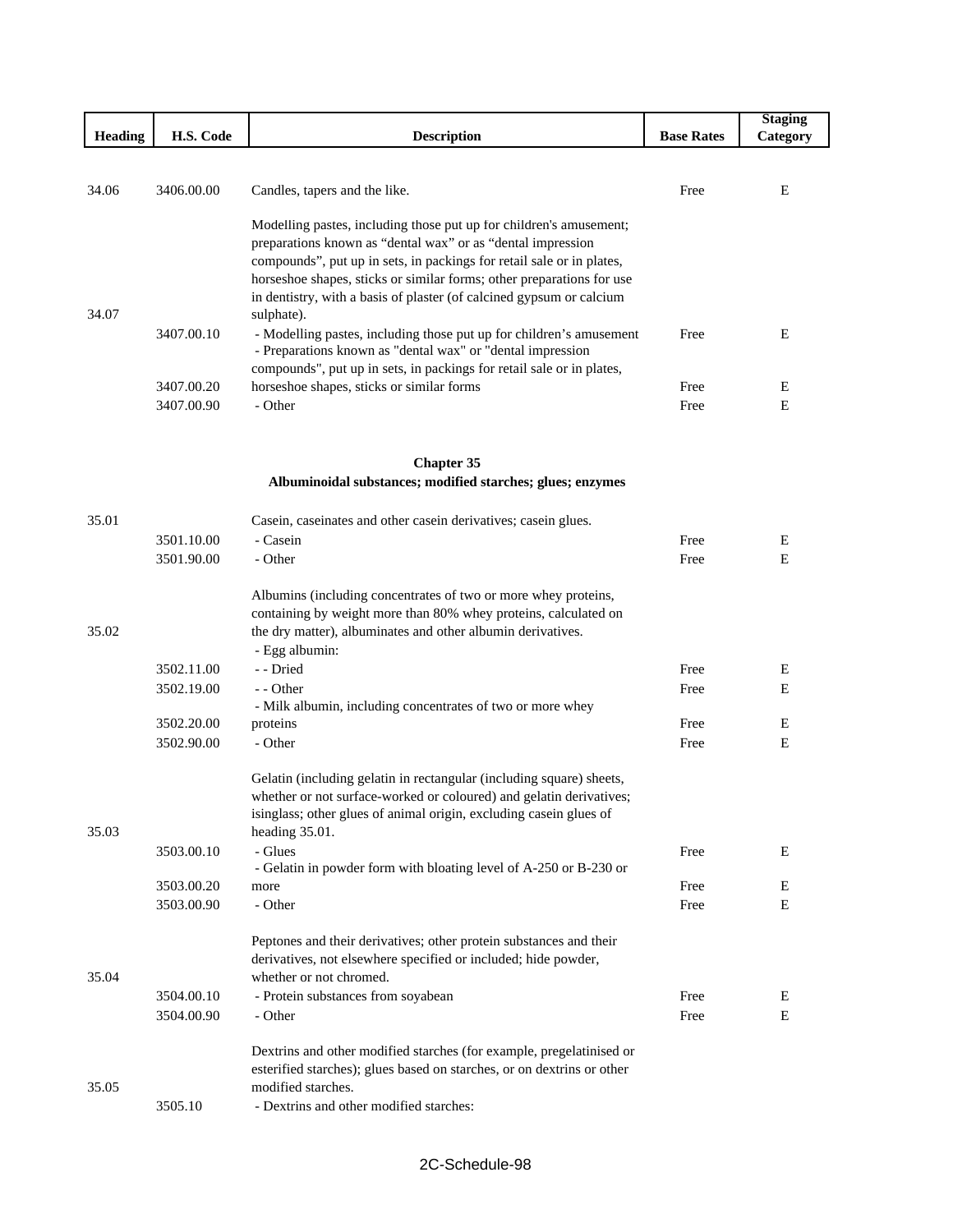|                |            |                                                                                                                                      |                   | <b>Staging</b> |
|----------------|------------|--------------------------------------------------------------------------------------------------------------------------------------|-------------------|----------------|
| <b>Heading</b> | H.S. Code  | <b>Description</b>                                                                                                                   | <b>Base Rates</b> | Category       |
|                |            |                                                                                                                                      |                   |                |
|                |            |                                                                                                                                      |                   |                |
| 34.06          | 3406.00.00 | Candles, tapers and the like.                                                                                                        | Free              | E              |
|                |            |                                                                                                                                      |                   |                |
|                |            | Modelling pastes, including those put up for children's amusement;                                                                   |                   |                |
|                |            | preparations known as "dental wax" or as "dental impression<br>compounds", put up in sets, in packings for retail sale or in plates, |                   |                |
|                |            | horseshoe shapes, sticks or similar forms; other preparations for use                                                                |                   |                |
|                |            | in dentistry, with a basis of plaster (of calcined gypsum or calcium                                                                 |                   |                |
| 34.07          |            | sulphate).                                                                                                                           |                   |                |
|                | 3407.00.10 | - Modelling pastes, including those put up for children's amusement                                                                  | Free              | E              |
|                |            | - Preparations known as "dental wax" or "dental impression                                                                           |                   |                |
|                |            | compounds", put up in sets, in packings for retail sale or in plates,                                                                |                   |                |
|                | 3407.00.20 | horseshoe shapes, sticks or similar forms                                                                                            | Free              | E              |
|                | 3407.00.90 | - Other                                                                                                                              | Free              | E              |
|                |            |                                                                                                                                      |                   |                |
|                |            |                                                                                                                                      |                   |                |
|                |            | <b>Chapter 35</b>                                                                                                                    |                   |                |
|                |            | Albuminoidal substances; modified starches; glues; enzymes                                                                           |                   |                |
|                |            |                                                                                                                                      |                   |                |
| 35.01          |            | Casein, caseinates and other casein derivatives; casein glues.                                                                       |                   |                |
|                | 3501.10.00 | - Casein                                                                                                                             | Free              | Е              |
|                | 3501.90.00 | - Other                                                                                                                              | Free              | E              |
|                |            |                                                                                                                                      |                   |                |
|                |            | Albumins (including concentrates of two or more whey proteins,<br>containing by weight more than 80% whey proteins, calculated on    |                   |                |
| 35.02          |            | the dry matter), albuminates and other albumin derivatives.                                                                          |                   |                |
|                |            | - Egg albumin:                                                                                                                       |                   |                |
|                | 3502.11.00 | - - Dried                                                                                                                            | Free              | Е              |
|                | 3502.19.00 | - - Other                                                                                                                            | Free              | Ε              |
|                |            | - Milk albumin, including concentrates of two or more whey                                                                           |                   |                |
|                | 3502.20.00 | proteins                                                                                                                             | Free              | E              |
|                | 3502.90.00 | - Other                                                                                                                              | Free              | E              |
|                |            |                                                                                                                                      |                   |                |
|                |            | Gelatin (including gelatin in rectangular (including square) sheets,                                                                 |                   |                |
|                |            | whether or not surface-worked or coloured) and gelatin derivatives;                                                                  |                   |                |
|                |            | isinglass; other glues of animal origin, excluding casein glues of                                                                   |                   |                |
| 35.03          |            | heading 35.01.                                                                                                                       |                   |                |
|                | 3503.00.10 | - Glues                                                                                                                              | Free              | E              |
|                | 3503.00.20 | - Gelatin in powder form with bloating level of A-250 or B-230 or<br>more                                                            | Free              | E              |
|                | 3503.00.90 | - Other                                                                                                                              | Free              | E              |
|                |            |                                                                                                                                      |                   |                |
|                |            | Peptones and their derivatives; other protein substances and their                                                                   |                   |                |
|                |            | derivatives, not elsewhere specified or included; hide powder,                                                                       |                   |                |
| 35.04          |            | whether or not chromed.                                                                                                              |                   |                |
|                | 3504.00.10 | - Protein substances from soyabean                                                                                                   | Free              | E              |
|                | 3504.00.90 | - Other                                                                                                                              | Free              | E              |
|                |            |                                                                                                                                      |                   |                |
|                |            | Dextrins and other modified starches (for example, pregelatinised or                                                                 |                   |                |
|                |            | esterified starches); glues based on starches, or on dextrins or other                                                               |                   |                |
| 35.05          |            | modified starches.                                                                                                                   |                   |                |
|                | 3505.10    | - Dextrins and other modified starches:                                                                                              |                   |                |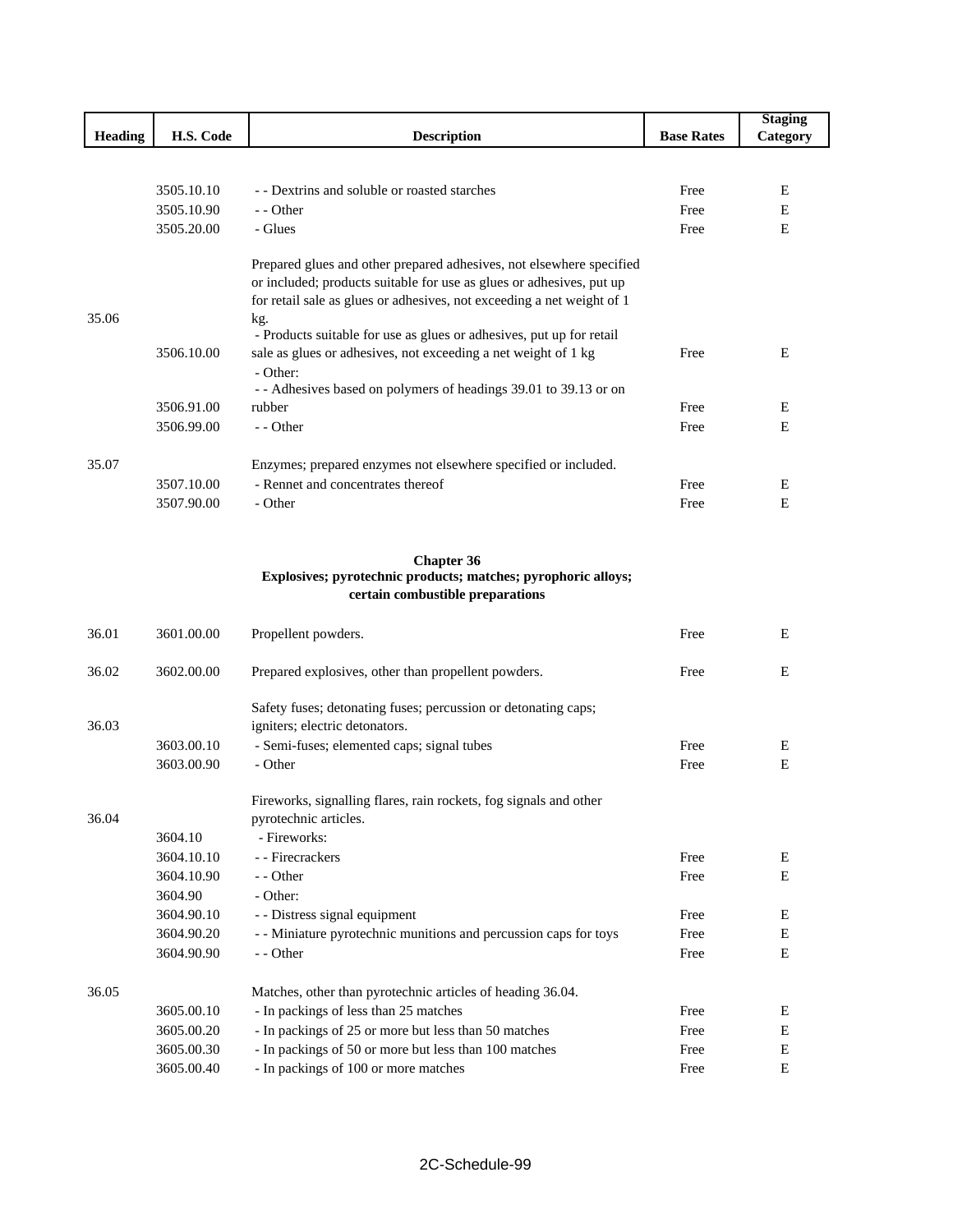|                |            |                                                                                                     |                   | <b>Staging</b> |
|----------------|------------|-----------------------------------------------------------------------------------------------------|-------------------|----------------|
| <b>Heading</b> | H.S. Code  | <b>Description</b>                                                                                  | <b>Base Rates</b> | Category       |
|                |            |                                                                                                     |                   |                |
|                |            |                                                                                                     |                   |                |
|                | 3505.10.10 | - - Dextrins and soluble or roasted starches                                                        | Free              | Е              |
|                | 3505.10.90 | - - Other                                                                                           | Free              | Ε              |
|                | 3505.20.00 | - Glues                                                                                             | Free              | Ε              |
|                |            |                                                                                                     |                   |                |
|                |            | Prepared glues and other prepared adhesives, not elsewhere specified                                |                   |                |
|                |            | or included; products suitable for use as glues or adhesives, put up                                |                   |                |
| 35.06          |            | for retail sale as glues or adhesives, not exceeding a net weight of 1<br>kg.                       |                   |                |
|                |            | - Products suitable for use as glues or adhesives, put up for retail                                |                   |                |
|                | 3506.10.00 | sale as glues or adhesives, not exceeding a net weight of 1 kg                                      | Free              | Ε              |
|                |            | - Other:                                                                                            |                   |                |
|                |            | - - Adhesives based on polymers of headings 39.01 to 39.13 or on                                    |                   |                |
|                | 3506.91.00 | rubber                                                                                              | Free              | Ε              |
|                | 3506.99.00 | - - Other                                                                                           | Free              | E              |
|                |            |                                                                                                     |                   |                |
| 35.07          |            | Enzymes; prepared enzymes not elsewhere specified or included.                                      |                   |                |
|                | 3507.10.00 | - Rennet and concentrates thereof                                                                   | Free              | E              |
|                | 3507.90.00 | - Other                                                                                             | Free              | Ε              |
|                |            |                                                                                                     |                   |                |
|                |            |                                                                                                     |                   |                |
|                |            | <b>Chapter 36</b>                                                                                   |                   |                |
|                |            | Explosives; pyrotechnic products; matches; pyrophoric alloys;<br>certain combustible preparations   |                   |                |
|                |            |                                                                                                     |                   |                |
| 36.01          | 3601.00.00 | Propellent powders.                                                                                 | Free              | E              |
|                |            |                                                                                                     |                   |                |
| 36.02          | 3602.00.00 | Prepared explosives, other than propellent powders.                                                 | Free              | Ε              |
|                |            |                                                                                                     |                   |                |
|                |            | Safety fuses; detonating fuses; percussion or detonating caps;                                      |                   |                |
| 36.03          |            | igniters; electric detonators.                                                                      |                   |                |
|                | 3603.00.10 | - Semi-fuses; elemented caps; signal tubes                                                          | Free              | Ε              |
|                | 3603.00.90 | - Other                                                                                             | Free              | Ε              |
|                |            |                                                                                                     |                   |                |
|                |            | Fireworks, signalling flares, rain rockets, fog signals and other                                   |                   |                |
| 36.04          |            | pyrotechnic articles.                                                                               |                   |                |
|                | 3604.10    | - Fireworks:                                                                                        |                   |                |
|                | 3604.10.10 | - - Firecrackers                                                                                    | Free              | E              |
|                | 3604.10.90 | - - Other                                                                                           | Free              | Е              |
|                | 3604.90    | - Other:                                                                                            |                   |                |
|                | 3604.90.10 | - - Distress signal equipment                                                                       | Free              | Ε              |
|                | 3604.90.20 | - - Miniature pyrotechnic munitions and percussion caps for toys                                    | Free              | Ε              |
|                | 3604.90.90 | - - Other                                                                                           | Free              | Ε              |
| 36.05          |            |                                                                                                     |                   |                |
|                | 3605.00.10 | Matches, other than pyrotechnic articles of heading 36.04.<br>- In packings of less than 25 matches | Free              | Ε              |
|                | 3605.00.20 | - In packings of 25 or more but less than 50 matches                                                | Free              | Е              |
|                | 3605.00.30 | - In packings of 50 or more but less than 100 matches                                               | Free              | Е              |
|                | 3605.00.40 | - In packings of 100 or more matches                                                                | Free              | Ε              |
|                |            |                                                                                                     |                   |                |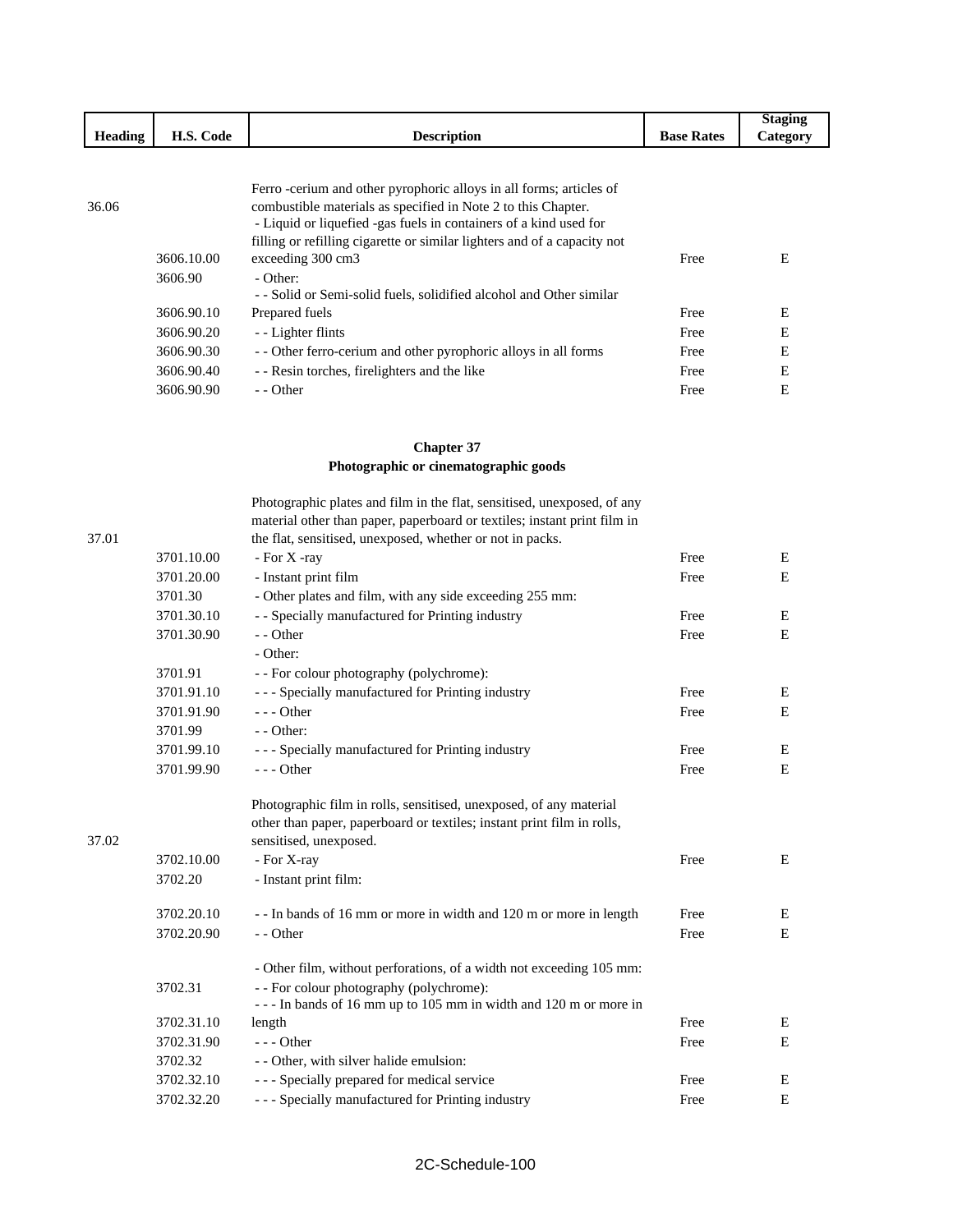|         |            |                                                                                                                                                                                                                                                                                       |                   | <b>Staging</b> |
|---------|------------|---------------------------------------------------------------------------------------------------------------------------------------------------------------------------------------------------------------------------------------------------------------------------------------|-------------------|----------------|
| Heading | H.S. Code  | <b>Description</b>                                                                                                                                                                                                                                                                    | <b>Base Rates</b> | Category       |
|         |            |                                                                                                                                                                                                                                                                                       |                   |                |
| 36.06   |            | Ferro -cerium and other pyrophoric alloys in all forms; articles of<br>combustible materials as specified in Note 2 to this Chapter.<br>- Liquid or liquefied -gas fuels in containers of a kind used for<br>filling or refilling cigarette or similar lighters and of a capacity not |                   |                |
|         | 3606.10.00 | exceeding 300 cm3                                                                                                                                                                                                                                                                     | Free              | Е              |
|         | 3606.90    | - Other:                                                                                                                                                                                                                                                                              |                   |                |
|         |            | - - Solid or Semi-solid fuels, solidified alcohol and Other similar                                                                                                                                                                                                                   |                   |                |
|         | 3606.90.10 | Prepared fuels                                                                                                                                                                                                                                                                        | Free              | E              |
|         | 3606.90.20 | - Lighter flints                                                                                                                                                                                                                                                                      | Free              | E              |
|         | 3606.90.30 | - Other ferro-cerium and other pyrophoric alloys in all forms                                                                                                                                                                                                                         | Free              | E              |
|         | 3606.90.40 | - - Resin torches, firelighters and the like                                                                                                                                                                                                                                          | Free              | E              |
|         | 3606.90.90 | - - Other                                                                                                                                                                                                                                                                             | Free              | E              |

## **Chapter 37 Photographic or cinematographic goods**

|       |            | Photographic plates and film in the flat, sensitised, unexposed, of any                                                               |      |   |
|-------|------------|---------------------------------------------------------------------------------------------------------------------------------------|------|---|
| 37.01 |            | material other than paper, paperboard or textiles; instant print film in<br>the flat, sensitised, unexposed, whether or not in packs. |      |   |
|       | 3701.10.00 | - For X -ray                                                                                                                          | Free | E |
|       |            |                                                                                                                                       | Free | E |
|       | 3701.20.00 | - Instant print film                                                                                                                  |      |   |
|       | 3701.30    | - Other plates and film, with any side exceeding 255 mm:                                                                              |      |   |
|       | 3701.30.10 | - - Specially manufactured for Printing industry                                                                                      | Free | E |
|       | 3701.30.90 | - - Other                                                                                                                             | Free | E |
|       |            | - Other:                                                                                                                              |      |   |
|       | 3701.91    | - - For colour photography (polychrome):                                                                                              |      |   |
|       | 3701.91.10 | - - - Specially manufactured for Printing industry                                                                                    | Free | Ε |
|       | 3701.91.90 | $--$ Other                                                                                                                            | Free | E |
|       | 3701.99    | $-$ - Other:                                                                                                                          |      |   |
|       | 3701.99.10 | - - - Specially manufactured for Printing industry                                                                                    | Free | Ε |
|       | 3701.99.90 | $--$ Other                                                                                                                            | Free | E |
|       |            | Photographic film in rolls, sensitised, unexposed, of any material                                                                    |      |   |
|       |            | other than paper, paperboard or textiles; instant print film in rolls,                                                                |      |   |
| 37.02 |            | sensitised, unexposed.                                                                                                                |      |   |
|       | 3702.10.00 | - For X-ray                                                                                                                           | Free | E |
|       | 3702.20    | - Instant print film:                                                                                                                 |      |   |
|       | 3702.20.10 | --In bands of 16 mm or more in width and 120 m or more in length                                                                      | Free | Ε |
|       | 3702.20.90 | - - Other                                                                                                                             | Free | E |
|       |            | - Other film, without perforations, of a width not exceeding 105 mm:                                                                  |      |   |
|       | 3702.31    | - - For colour photography (polychrome):<br>--- In bands of 16 mm up to 105 mm in width and 120 m or more in                          |      |   |
|       | 3702.31.10 | length                                                                                                                                | Free | E |
|       | 3702.31.90 | $--$ Other                                                                                                                            | Free | E |
|       | 3702.32    | - - Other, with silver halide emulsion:                                                                                               |      |   |
|       | 3702.32.10 | --- Specially prepared for medical service                                                                                            | Free | E |
|       | 3702.32.20 | - - - Specially manufactured for Printing industry                                                                                    | Free | E |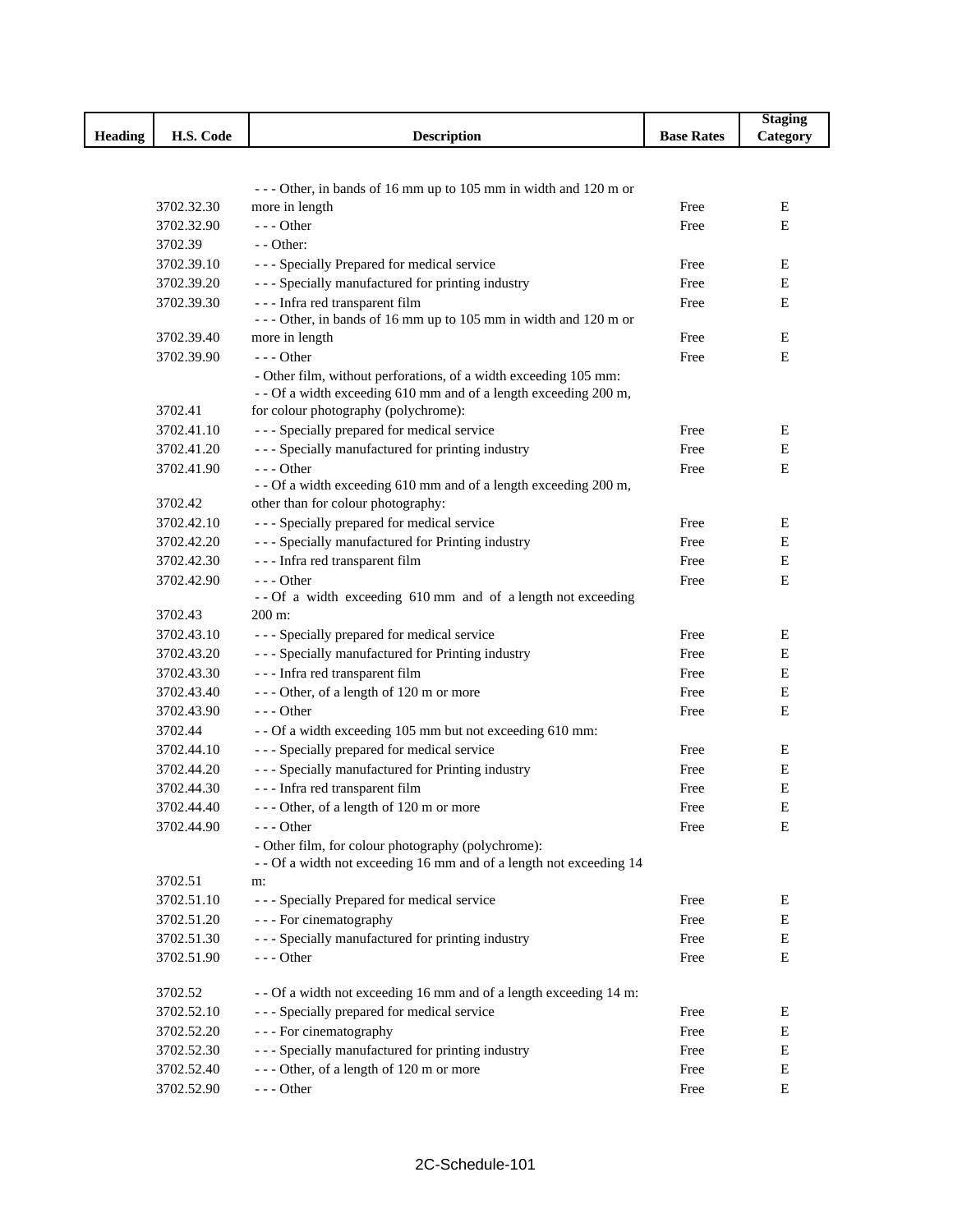|                |            |                                                                     |                   | <b>Staging</b> |
|----------------|------------|---------------------------------------------------------------------|-------------------|----------------|
| <b>Heading</b> | H.S. Code  | <b>Description</b>                                                  | <b>Base Rates</b> | Category       |
|                |            |                                                                     |                   |                |
|                |            | --- Other, in bands of 16 mm up to 105 mm in width and 120 m or     |                   |                |
|                | 3702.32.30 | more in length                                                      | Free              | E              |
|                | 3702.32.90 | $--$ Other                                                          | Free              | E              |
|                | 3702.39    | - - Other:                                                          |                   |                |
|                | 3702.39.10 | - - - Specially Prepared for medical service                        | Free              | Ε              |
|                | 3702.39.20 | - - - Specially manufactured for printing industry                  | Free              | Е              |
|                | 3702.39.30 | --- Infra red transparent film                                      | Free              | Е              |
|                |            | --- Other, in bands of 16 mm up to 105 mm in width and 120 m or     |                   |                |
|                | 3702.39.40 | more in length                                                      | Free              | Е              |
|                | 3702.39.90 | $--$ Other                                                          | Free              | Е              |
|                |            | - Other film, without perforations, of a width exceeding 105 mm:    |                   |                |
|                |            | - - Of a width exceeding 610 mm and of a length exceeding 200 m,    |                   |                |
|                | 3702.41    | for colour photography (polychrome):                                |                   |                |
|                | 3702.41.10 | - - - Specially prepared for medical service                        | Free              | Ε              |
|                | 3702.41.20 | - - - Specially manufactured for printing industry                  | Free              | E              |
|                | 3702.41.90 | $--$ Other                                                          | Free              | Е              |
|                |            | - - Of a width exceeding 610 mm and of a length exceeding 200 m,    |                   |                |
|                | 3702.42    | other than for colour photography:                                  |                   |                |
|                | 3702.42.10 | - - - Specially prepared for medical service                        | Free              | E              |
|                | 3702.42.20 | - - - Specially manufactured for Printing industry                  | Free              | Е              |
|                | 3702.42.30 | --- Infra red transparent film                                      | Free              | E              |
|                | 3702.42.90 | $--$ Other                                                          | Free              | Е              |
|                |            | -- Of a width exceeding 610 mm and of a length not exceeding        |                   |                |
|                | 3702.43    | 200 m:                                                              |                   |                |
|                | 3702.43.10 | - - - Specially prepared for medical service                        | Free              | Е              |
|                | 3702.43.20 | - - - Specially manufactured for Printing industry                  | Free              | Е              |
|                | 3702.43.30 | --- Infra red transparent film                                      | Free              | Е              |
|                | 3702.43.40 | --- Other, of a length of 120 m or more                             | Free              | Е              |
|                | 3702.43.90 | $--$ Other                                                          | Free              | Е              |
|                | 3702.44    | - - Of a width exceeding 105 mm but not exceeding 610 mm:           |                   |                |
|                | 3702.44.10 | - - - Specially prepared for medical service                        | Free              | E              |
|                | 3702.44.20 | - - - Specially manufactured for Printing industry                  | Free              | Е              |
|                | 3702.44.30 | --- Infra red transparent film                                      | Free              | Е              |
|                | 3702.44.40 | Other, of a length of 120 m or more                                 | Free              | $\mathbf E$    |
|                | 3702.44.90 | $- -$ Other                                                         | Free              | Ε              |
|                |            | - Other film, for colour photography (polychrome):                  |                   |                |
|                |            | - - Of a width not exceeding 16 mm and of a length not exceeding 14 |                   |                |
|                | 3702.51    | m:                                                                  |                   |                |
|                | 3702.51.10 | - - - Specially Prepared for medical service                        | Free              | E              |
|                | 3702.51.20 | - - - For cinematography                                            | Free              | E              |
|                | 3702.51.30 | - - - Specially manufactured for printing industry                  | Free              | E              |
|                | 3702.51.90 | $--$ Other                                                          | Free              | E              |
|                | 3702.52    | - - Of a width not exceeding 16 mm and of a length exceeding 14 m:  |                   |                |
|                | 3702.52.10 | - - - Specially prepared for medical service                        | Free              | Ε              |
|                | 3702.52.20 | - - - For cinematography                                            | Free              | E              |
|                | 3702.52.30 | - - - Specially manufactured for printing industry                  | Free              | Ε              |
|                | 3702.52.40 | --- Other, of a length of 120 m or more                             | Free              | E              |
|                | 3702.52.90 | $--$ Other                                                          | Free              | E              |
|                |            |                                                                     |                   |                |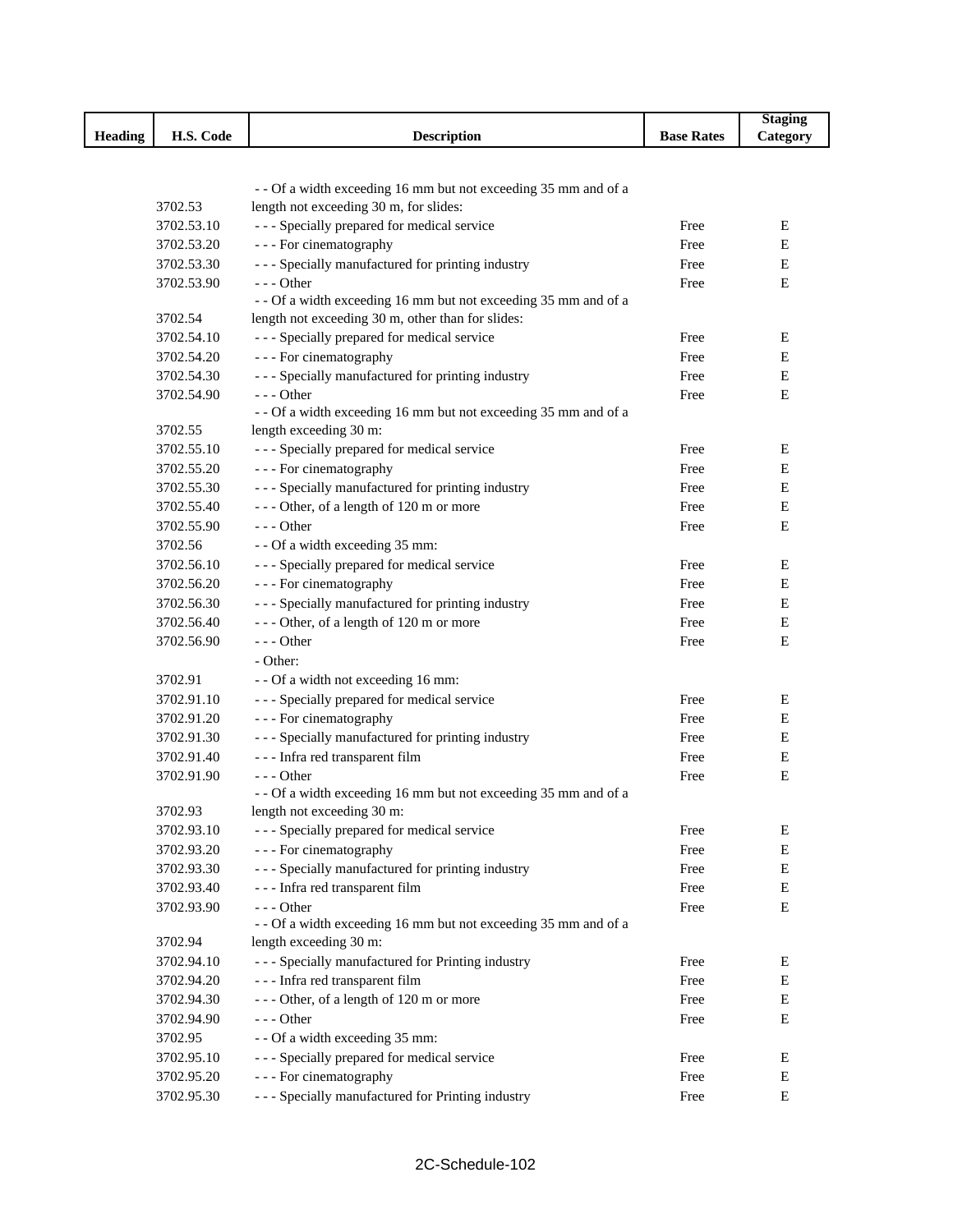| H.S. Code<br><b>Base Rates</b><br><b>Heading</b><br><b>Description</b><br>Category<br>-- Of a width exceeding 16 mm but not exceeding 35 mm and of a<br>length not exceeding 30 m, for slides:<br>3702.53<br>- - - Specially prepared for medical service<br>3702.53.10<br>Е<br>Free<br>- - - For cinematography<br>3702.53.20<br>Free<br>E<br>--- Specially manufactured for printing industry<br>3702.53.30<br>Е<br>Free<br>3702.53.90<br>$--$ Other<br>Е<br>Free<br>-- Of a width exceeding 16 mm but not exceeding 35 mm and of a<br>length not exceeding 30 m, other than for slides:<br>3702.54<br>- - - Specially prepared for medical service<br>3702.54.10<br>Е<br>Free<br>- - - For cinematography<br>3702.54.20<br>Free<br>Е<br>--- Specially manufactured for printing industry<br>3702.54.30<br>Free<br>Е<br>$--$ Other<br>3702.54.90<br>Free<br>E<br>-- Of a width exceeding 16 mm but not exceeding 35 mm and of a<br>3702.55<br>length exceeding 30 m:<br>--- Specially prepared for medical service<br>3702.55.10<br>Ε<br>Free<br>- - - For cinematography<br>3702.55.20<br>Free<br>E<br>--- Specially manufactured for printing industry<br>3702.55.30<br>Free<br>Е<br>--- Other, of a length of 120 m or more<br>3702.55.40<br>Free<br>Е<br>$--$ Other<br>$\mathbf E$<br>3702.55.90<br>Free<br>- - Of a width exceeding 35 mm:<br>3702.56<br>--- Specially prepared for medical service<br>3702.56.10<br>Free<br>Ε<br>- - - For cinematography<br>3702.56.20<br>Free<br>Е<br>--- Specially manufactured for printing industry<br>3702.56.30<br>Е<br>Free<br>--- Other, of a length of 120 m or more<br>3702.56.40<br>Free<br>Е<br>$--$ Other<br>3702.56.90<br>Free<br>E<br>- Other:<br>- - Of a width not exceeding 16 mm:<br>3702.91<br>- - - Specially prepared for medical service<br>3702.91.10<br>Free<br>E<br>- - - For cinematography<br>3702.91.20<br>Free<br>Е<br>--- Specially manufactured for printing industry<br>3702.91.30<br>Free<br>Е<br>--- Infra red transparent film<br>3702.91.40<br>Free<br>E<br>3702.91.90<br>$- -$ Other<br>Е<br>Free<br>- - Of a width exceeding 16 mm but not exceeding 35 mm and of a<br>3702.93<br>length not exceeding 30 m:<br>- - - Specially prepared for medical service<br>3702.93.10<br>Free<br>E<br>- - - For cinematography<br>3702.93.20<br>Е<br>Free<br>- - - Specially manufactured for printing industry<br>3702.93.30<br>Free<br>E<br>--- Infra red transparent film<br>3702.93.40<br>Free<br>E<br>3702.93.90<br>$--$ Other<br>Free<br>Е<br>- - Of a width exceeding 16 mm but not exceeding 35 mm and of a<br>3702.94<br>length exceeding 30 m:<br>- - - Specially manufactured for Printing industry<br>3702.94.10<br>Free<br>Е<br>--- Infra red transparent film<br>3702.94.20<br>Е<br>Free |            |                                         |      | <b>Staging</b> |
|-----------------------------------------------------------------------------------------------------------------------------------------------------------------------------------------------------------------------------------------------------------------------------------------------------------------------------------------------------------------------------------------------------------------------------------------------------------------------------------------------------------------------------------------------------------------------------------------------------------------------------------------------------------------------------------------------------------------------------------------------------------------------------------------------------------------------------------------------------------------------------------------------------------------------------------------------------------------------------------------------------------------------------------------------------------------------------------------------------------------------------------------------------------------------------------------------------------------------------------------------------------------------------------------------------------------------------------------------------------------------------------------------------------------------------------------------------------------------------------------------------------------------------------------------------------------------------------------------------------------------------------------------------------------------------------------------------------------------------------------------------------------------------------------------------------------------------------------------------------------------------------------------------------------------------------------------------------------------------------------------------------------------------------------------------------------------------------------------------------------------------------------------------------------------------------------------------------------------------------------------------------------------------------------------------------------------------------------------------------------------------------------------------------------------------------------------------------------------------------------------------------------------------------------------------------------------------------------------------------------------------------------------------------------------------------------------------------------------------------------------------------------------------|------------|-----------------------------------------|------|----------------|
|                                                                                                                                                                                                                                                                                                                                                                                                                                                                                                                                                                                                                                                                                                                                                                                                                                                                                                                                                                                                                                                                                                                                                                                                                                                                                                                                                                                                                                                                                                                                                                                                                                                                                                                                                                                                                                                                                                                                                                                                                                                                                                                                                                                                                                                                                                                                                                                                                                                                                                                                                                                                                                                                                                                                                                             |            |                                         |      |                |
|                                                                                                                                                                                                                                                                                                                                                                                                                                                                                                                                                                                                                                                                                                                                                                                                                                                                                                                                                                                                                                                                                                                                                                                                                                                                                                                                                                                                                                                                                                                                                                                                                                                                                                                                                                                                                                                                                                                                                                                                                                                                                                                                                                                                                                                                                                                                                                                                                                                                                                                                                                                                                                                                                                                                                                             |            |                                         |      |                |
|                                                                                                                                                                                                                                                                                                                                                                                                                                                                                                                                                                                                                                                                                                                                                                                                                                                                                                                                                                                                                                                                                                                                                                                                                                                                                                                                                                                                                                                                                                                                                                                                                                                                                                                                                                                                                                                                                                                                                                                                                                                                                                                                                                                                                                                                                                                                                                                                                                                                                                                                                                                                                                                                                                                                                                             |            |                                         |      |                |
|                                                                                                                                                                                                                                                                                                                                                                                                                                                                                                                                                                                                                                                                                                                                                                                                                                                                                                                                                                                                                                                                                                                                                                                                                                                                                                                                                                                                                                                                                                                                                                                                                                                                                                                                                                                                                                                                                                                                                                                                                                                                                                                                                                                                                                                                                                                                                                                                                                                                                                                                                                                                                                                                                                                                                                             |            |                                         |      |                |
|                                                                                                                                                                                                                                                                                                                                                                                                                                                                                                                                                                                                                                                                                                                                                                                                                                                                                                                                                                                                                                                                                                                                                                                                                                                                                                                                                                                                                                                                                                                                                                                                                                                                                                                                                                                                                                                                                                                                                                                                                                                                                                                                                                                                                                                                                                                                                                                                                                                                                                                                                                                                                                                                                                                                                                             |            |                                         |      |                |
|                                                                                                                                                                                                                                                                                                                                                                                                                                                                                                                                                                                                                                                                                                                                                                                                                                                                                                                                                                                                                                                                                                                                                                                                                                                                                                                                                                                                                                                                                                                                                                                                                                                                                                                                                                                                                                                                                                                                                                                                                                                                                                                                                                                                                                                                                                                                                                                                                                                                                                                                                                                                                                                                                                                                                                             |            |                                         |      |                |
|                                                                                                                                                                                                                                                                                                                                                                                                                                                                                                                                                                                                                                                                                                                                                                                                                                                                                                                                                                                                                                                                                                                                                                                                                                                                                                                                                                                                                                                                                                                                                                                                                                                                                                                                                                                                                                                                                                                                                                                                                                                                                                                                                                                                                                                                                                                                                                                                                                                                                                                                                                                                                                                                                                                                                                             |            |                                         |      |                |
|                                                                                                                                                                                                                                                                                                                                                                                                                                                                                                                                                                                                                                                                                                                                                                                                                                                                                                                                                                                                                                                                                                                                                                                                                                                                                                                                                                                                                                                                                                                                                                                                                                                                                                                                                                                                                                                                                                                                                                                                                                                                                                                                                                                                                                                                                                                                                                                                                                                                                                                                                                                                                                                                                                                                                                             |            |                                         |      |                |
|                                                                                                                                                                                                                                                                                                                                                                                                                                                                                                                                                                                                                                                                                                                                                                                                                                                                                                                                                                                                                                                                                                                                                                                                                                                                                                                                                                                                                                                                                                                                                                                                                                                                                                                                                                                                                                                                                                                                                                                                                                                                                                                                                                                                                                                                                                                                                                                                                                                                                                                                                                                                                                                                                                                                                                             |            |                                         |      |                |
|                                                                                                                                                                                                                                                                                                                                                                                                                                                                                                                                                                                                                                                                                                                                                                                                                                                                                                                                                                                                                                                                                                                                                                                                                                                                                                                                                                                                                                                                                                                                                                                                                                                                                                                                                                                                                                                                                                                                                                                                                                                                                                                                                                                                                                                                                                                                                                                                                                                                                                                                                                                                                                                                                                                                                                             |            |                                         |      |                |
|                                                                                                                                                                                                                                                                                                                                                                                                                                                                                                                                                                                                                                                                                                                                                                                                                                                                                                                                                                                                                                                                                                                                                                                                                                                                                                                                                                                                                                                                                                                                                                                                                                                                                                                                                                                                                                                                                                                                                                                                                                                                                                                                                                                                                                                                                                                                                                                                                                                                                                                                                                                                                                                                                                                                                                             |            |                                         |      |                |
|                                                                                                                                                                                                                                                                                                                                                                                                                                                                                                                                                                                                                                                                                                                                                                                                                                                                                                                                                                                                                                                                                                                                                                                                                                                                                                                                                                                                                                                                                                                                                                                                                                                                                                                                                                                                                                                                                                                                                                                                                                                                                                                                                                                                                                                                                                                                                                                                                                                                                                                                                                                                                                                                                                                                                                             |            |                                         |      |                |
|                                                                                                                                                                                                                                                                                                                                                                                                                                                                                                                                                                                                                                                                                                                                                                                                                                                                                                                                                                                                                                                                                                                                                                                                                                                                                                                                                                                                                                                                                                                                                                                                                                                                                                                                                                                                                                                                                                                                                                                                                                                                                                                                                                                                                                                                                                                                                                                                                                                                                                                                                                                                                                                                                                                                                                             |            |                                         |      |                |
|                                                                                                                                                                                                                                                                                                                                                                                                                                                                                                                                                                                                                                                                                                                                                                                                                                                                                                                                                                                                                                                                                                                                                                                                                                                                                                                                                                                                                                                                                                                                                                                                                                                                                                                                                                                                                                                                                                                                                                                                                                                                                                                                                                                                                                                                                                                                                                                                                                                                                                                                                                                                                                                                                                                                                                             |            |                                         |      |                |
|                                                                                                                                                                                                                                                                                                                                                                                                                                                                                                                                                                                                                                                                                                                                                                                                                                                                                                                                                                                                                                                                                                                                                                                                                                                                                                                                                                                                                                                                                                                                                                                                                                                                                                                                                                                                                                                                                                                                                                                                                                                                                                                                                                                                                                                                                                                                                                                                                                                                                                                                                                                                                                                                                                                                                                             |            |                                         |      |                |
|                                                                                                                                                                                                                                                                                                                                                                                                                                                                                                                                                                                                                                                                                                                                                                                                                                                                                                                                                                                                                                                                                                                                                                                                                                                                                                                                                                                                                                                                                                                                                                                                                                                                                                                                                                                                                                                                                                                                                                                                                                                                                                                                                                                                                                                                                                                                                                                                                                                                                                                                                                                                                                                                                                                                                                             |            |                                         |      |                |
|                                                                                                                                                                                                                                                                                                                                                                                                                                                                                                                                                                                                                                                                                                                                                                                                                                                                                                                                                                                                                                                                                                                                                                                                                                                                                                                                                                                                                                                                                                                                                                                                                                                                                                                                                                                                                                                                                                                                                                                                                                                                                                                                                                                                                                                                                                                                                                                                                                                                                                                                                                                                                                                                                                                                                                             |            |                                         |      |                |
|                                                                                                                                                                                                                                                                                                                                                                                                                                                                                                                                                                                                                                                                                                                                                                                                                                                                                                                                                                                                                                                                                                                                                                                                                                                                                                                                                                                                                                                                                                                                                                                                                                                                                                                                                                                                                                                                                                                                                                                                                                                                                                                                                                                                                                                                                                                                                                                                                                                                                                                                                                                                                                                                                                                                                                             |            |                                         |      |                |
|                                                                                                                                                                                                                                                                                                                                                                                                                                                                                                                                                                                                                                                                                                                                                                                                                                                                                                                                                                                                                                                                                                                                                                                                                                                                                                                                                                                                                                                                                                                                                                                                                                                                                                                                                                                                                                                                                                                                                                                                                                                                                                                                                                                                                                                                                                                                                                                                                                                                                                                                                                                                                                                                                                                                                                             |            |                                         |      |                |
|                                                                                                                                                                                                                                                                                                                                                                                                                                                                                                                                                                                                                                                                                                                                                                                                                                                                                                                                                                                                                                                                                                                                                                                                                                                                                                                                                                                                                                                                                                                                                                                                                                                                                                                                                                                                                                                                                                                                                                                                                                                                                                                                                                                                                                                                                                                                                                                                                                                                                                                                                                                                                                                                                                                                                                             |            |                                         |      |                |
|                                                                                                                                                                                                                                                                                                                                                                                                                                                                                                                                                                                                                                                                                                                                                                                                                                                                                                                                                                                                                                                                                                                                                                                                                                                                                                                                                                                                                                                                                                                                                                                                                                                                                                                                                                                                                                                                                                                                                                                                                                                                                                                                                                                                                                                                                                                                                                                                                                                                                                                                                                                                                                                                                                                                                                             |            |                                         |      |                |
|                                                                                                                                                                                                                                                                                                                                                                                                                                                                                                                                                                                                                                                                                                                                                                                                                                                                                                                                                                                                                                                                                                                                                                                                                                                                                                                                                                                                                                                                                                                                                                                                                                                                                                                                                                                                                                                                                                                                                                                                                                                                                                                                                                                                                                                                                                                                                                                                                                                                                                                                                                                                                                                                                                                                                                             |            |                                         |      |                |
|                                                                                                                                                                                                                                                                                                                                                                                                                                                                                                                                                                                                                                                                                                                                                                                                                                                                                                                                                                                                                                                                                                                                                                                                                                                                                                                                                                                                                                                                                                                                                                                                                                                                                                                                                                                                                                                                                                                                                                                                                                                                                                                                                                                                                                                                                                                                                                                                                                                                                                                                                                                                                                                                                                                                                                             |            |                                         |      |                |
|                                                                                                                                                                                                                                                                                                                                                                                                                                                                                                                                                                                                                                                                                                                                                                                                                                                                                                                                                                                                                                                                                                                                                                                                                                                                                                                                                                                                                                                                                                                                                                                                                                                                                                                                                                                                                                                                                                                                                                                                                                                                                                                                                                                                                                                                                                                                                                                                                                                                                                                                                                                                                                                                                                                                                                             |            |                                         |      |                |
|                                                                                                                                                                                                                                                                                                                                                                                                                                                                                                                                                                                                                                                                                                                                                                                                                                                                                                                                                                                                                                                                                                                                                                                                                                                                                                                                                                                                                                                                                                                                                                                                                                                                                                                                                                                                                                                                                                                                                                                                                                                                                                                                                                                                                                                                                                                                                                                                                                                                                                                                                                                                                                                                                                                                                                             |            |                                         |      |                |
|                                                                                                                                                                                                                                                                                                                                                                                                                                                                                                                                                                                                                                                                                                                                                                                                                                                                                                                                                                                                                                                                                                                                                                                                                                                                                                                                                                                                                                                                                                                                                                                                                                                                                                                                                                                                                                                                                                                                                                                                                                                                                                                                                                                                                                                                                                                                                                                                                                                                                                                                                                                                                                                                                                                                                                             |            |                                         |      |                |
|                                                                                                                                                                                                                                                                                                                                                                                                                                                                                                                                                                                                                                                                                                                                                                                                                                                                                                                                                                                                                                                                                                                                                                                                                                                                                                                                                                                                                                                                                                                                                                                                                                                                                                                                                                                                                                                                                                                                                                                                                                                                                                                                                                                                                                                                                                                                                                                                                                                                                                                                                                                                                                                                                                                                                                             |            |                                         |      |                |
|                                                                                                                                                                                                                                                                                                                                                                                                                                                                                                                                                                                                                                                                                                                                                                                                                                                                                                                                                                                                                                                                                                                                                                                                                                                                                                                                                                                                                                                                                                                                                                                                                                                                                                                                                                                                                                                                                                                                                                                                                                                                                                                                                                                                                                                                                                                                                                                                                                                                                                                                                                                                                                                                                                                                                                             |            |                                         |      |                |
|                                                                                                                                                                                                                                                                                                                                                                                                                                                                                                                                                                                                                                                                                                                                                                                                                                                                                                                                                                                                                                                                                                                                                                                                                                                                                                                                                                                                                                                                                                                                                                                                                                                                                                                                                                                                                                                                                                                                                                                                                                                                                                                                                                                                                                                                                                                                                                                                                                                                                                                                                                                                                                                                                                                                                                             |            |                                         |      |                |
|                                                                                                                                                                                                                                                                                                                                                                                                                                                                                                                                                                                                                                                                                                                                                                                                                                                                                                                                                                                                                                                                                                                                                                                                                                                                                                                                                                                                                                                                                                                                                                                                                                                                                                                                                                                                                                                                                                                                                                                                                                                                                                                                                                                                                                                                                                                                                                                                                                                                                                                                                                                                                                                                                                                                                                             |            |                                         |      |                |
|                                                                                                                                                                                                                                                                                                                                                                                                                                                                                                                                                                                                                                                                                                                                                                                                                                                                                                                                                                                                                                                                                                                                                                                                                                                                                                                                                                                                                                                                                                                                                                                                                                                                                                                                                                                                                                                                                                                                                                                                                                                                                                                                                                                                                                                                                                                                                                                                                                                                                                                                                                                                                                                                                                                                                                             |            |                                         |      |                |
|                                                                                                                                                                                                                                                                                                                                                                                                                                                                                                                                                                                                                                                                                                                                                                                                                                                                                                                                                                                                                                                                                                                                                                                                                                                                                                                                                                                                                                                                                                                                                                                                                                                                                                                                                                                                                                                                                                                                                                                                                                                                                                                                                                                                                                                                                                                                                                                                                                                                                                                                                                                                                                                                                                                                                                             |            |                                         |      |                |
|                                                                                                                                                                                                                                                                                                                                                                                                                                                                                                                                                                                                                                                                                                                                                                                                                                                                                                                                                                                                                                                                                                                                                                                                                                                                                                                                                                                                                                                                                                                                                                                                                                                                                                                                                                                                                                                                                                                                                                                                                                                                                                                                                                                                                                                                                                                                                                                                                                                                                                                                                                                                                                                                                                                                                                             |            |                                         |      |                |
|                                                                                                                                                                                                                                                                                                                                                                                                                                                                                                                                                                                                                                                                                                                                                                                                                                                                                                                                                                                                                                                                                                                                                                                                                                                                                                                                                                                                                                                                                                                                                                                                                                                                                                                                                                                                                                                                                                                                                                                                                                                                                                                                                                                                                                                                                                                                                                                                                                                                                                                                                                                                                                                                                                                                                                             |            |                                         |      |                |
|                                                                                                                                                                                                                                                                                                                                                                                                                                                                                                                                                                                                                                                                                                                                                                                                                                                                                                                                                                                                                                                                                                                                                                                                                                                                                                                                                                                                                                                                                                                                                                                                                                                                                                                                                                                                                                                                                                                                                                                                                                                                                                                                                                                                                                                                                                                                                                                                                                                                                                                                                                                                                                                                                                                                                                             |            |                                         |      |                |
|                                                                                                                                                                                                                                                                                                                                                                                                                                                                                                                                                                                                                                                                                                                                                                                                                                                                                                                                                                                                                                                                                                                                                                                                                                                                                                                                                                                                                                                                                                                                                                                                                                                                                                                                                                                                                                                                                                                                                                                                                                                                                                                                                                                                                                                                                                                                                                                                                                                                                                                                                                                                                                                                                                                                                                             |            |                                         |      |                |
|                                                                                                                                                                                                                                                                                                                                                                                                                                                                                                                                                                                                                                                                                                                                                                                                                                                                                                                                                                                                                                                                                                                                                                                                                                                                                                                                                                                                                                                                                                                                                                                                                                                                                                                                                                                                                                                                                                                                                                                                                                                                                                                                                                                                                                                                                                                                                                                                                                                                                                                                                                                                                                                                                                                                                                             |            |                                         |      |                |
|                                                                                                                                                                                                                                                                                                                                                                                                                                                                                                                                                                                                                                                                                                                                                                                                                                                                                                                                                                                                                                                                                                                                                                                                                                                                                                                                                                                                                                                                                                                                                                                                                                                                                                                                                                                                                                                                                                                                                                                                                                                                                                                                                                                                                                                                                                                                                                                                                                                                                                                                                                                                                                                                                                                                                                             |            |                                         |      |                |
|                                                                                                                                                                                                                                                                                                                                                                                                                                                                                                                                                                                                                                                                                                                                                                                                                                                                                                                                                                                                                                                                                                                                                                                                                                                                                                                                                                                                                                                                                                                                                                                                                                                                                                                                                                                                                                                                                                                                                                                                                                                                                                                                                                                                                                                                                                                                                                                                                                                                                                                                                                                                                                                                                                                                                                             |            |                                         |      |                |
|                                                                                                                                                                                                                                                                                                                                                                                                                                                                                                                                                                                                                                                                                                                                                                                                                                                                                                                                                                                                                                                                                                                                                                                                                                                                                                                                                                                                                                                                                                                                                                                                                                                                                                                                                                                                                                                                                                                                                                                                                                                                                                                                                                                                                                                                                                                                                                                                                                                                                                                                                                                                                                                                                                                                                                             |            |                                         |      |                |
|                                                                                                                                                                                                                                                                                                                                                                                                                                                                                                                                                                                                                                                                                                                                                                                                                                                                                                                                                                                                                                                                                                                                                                                                                                                                                                                                                                                                                                                                                                                                                                                                                                                                                                                                                                                                                                                                                                                                                                                                                                                                                                                                                                                                                                                                                                                                                                                                                                                                                                                                                                                                                                                                                                                                                                             |            |                                         |      |                |
|                                                                                                                                                                                                                                                                                                                                                                                                                                                                                                                                                                                                                                                                                                                                                                                                                                                                                                                                                                                                                                                                                                                                                                                                                                                                                                                                                                                                                                                                                                                                                                                                                                                                                                                                                                                                                                                                                                                                                                                                                                                                                                                                                                                                                                                                                                                                                                                                                                                                                                                                                                                                                                                                                                                                                                             |            |                                         |      |                |
|                                                                                                                                                                                                                                                                                                                                                                                                                                                                                                                                                                                                                                                                                                                                                                                                                                                                                                                                                                                                                                                                                                                                                                                                                                                                                                                                                                                                                                                                                                                                                                                                                                                                                                                                                                                                                                                                                                                                                                                                                                                                                                                                                                                                                                                                                                                                                                                                                                                                                                                                                                                                                                                                                                                                                                             |            |                                         |      |                |
|                                                                                                                                                                                                                                                                                                                                                                                                                                                                                                                                                                                                                                                                                                                                                                                                                                                                                                                                                                                                                                                                                                                                                                                                                                                                                                                                                                                                                                                                                                                                                                                                                                                                                                                                                                                                                                                                                                                                                                                                                                                                                                                                                                                                                                                                                                                                                                                                                                                                                                                                                                                                                                                                                                                                                                             |            |                                         |      |                |
|                                                                                                                                                                                                                                                                                                                                                                                                                                                                                                                                                                                                                                                                                                                                                                                                                                                                                                                                                                                                                                                                                                                                                                                                                                                                                                                                                                                                                                                                                                                                                                                                                                                                                                                                                                                                                                                                                                                                                                                                                                                                                                                                                                                                                                                                                                                                                                                                                                                                                                                                                                                                                                                                                                                                                                             |            |                                         |      |                |
|                                                                                                                                                                                                                                                                                                                                                                                                                                                                                                                                                                                                                                                                                                                                                                                                                                                                                                                                                                                                                                                                                                                                                                                                                                                                                                                                                                                                                                                                                                                                                                                                                                                                                                                                                                                                                                                                                                                                                                                                                                                                                                                                                                                                                                                                                                                                                                                                                                                                                                                                                                                                                                                                                                                                                                             | 3702.94.30 | --- Other, of a length of 120 m or more | Free | Ε              |
| $--$ Other<br>3702.94.90<br>Free<br>Е                                                                                                                                                                                                                                                                                                                                                                                                                                                                                                                                                                                                                                                                                                                                                                                                                                                                                                                                                                                                                                                                                                                                                                                                                                                                                                                                                                                                                                                                                                                                                                                                                                                                                                                                                                                                                                                                                                                                                                                                                                                                                                                                                                                                                                                                                                                                                                                                                                                                                                                                                                                                                                                                                                                                       |            |                                         |      |                |
| - - Of a width exceeding 35 mm:<br>3702.95                                                                                                                                                                                                                                                                                                                                                                                                                                                                                                                                                                                                                                                                                                                                                                                                                                                                                                                                                                                                                                                                                                                                                                                                                                                                                                                                                                                                                                                                                                                                                                                                                                                                                                                                                                                                                                                                                                                                                                                                                                                                                                                                                                                                                                                                                                                                                                                                                                                                                                                                                                                                                                                                                                                                  |            |                                         |      |                |
| - - - Specially prepared for medical service<br>3702.95.10<br>Free<br>E                                                                                                                                                                                                                                                                                                                                                                                                                                                                                                                                                                                                                                                                                                                                                                                                                                                                                                                                                                                                                                                                                                                                                                                                                                                                                                                                                                                                                                                                                                                                                                                                                                                                                                                                                                                                                                                                                                                                                                                                                                                                                                                                                                                                                                                                                                                                                                                                                                                                                                                                                                                                                                                                                                     |            |                                         |      |                |
| - - - For cinematography<br>3702.95.20<br>Free<br>Е                                                                                                                                                                                                                                                                                                                                                                                                                                                                                                                                                                                                                                                                                                                                                                                                                                                                                                                                                                                                                                                                                                                                                                                                                                                                                                                                                                                                                                                                                                                                                                                                                                                                                                                                                                                                                                                                                                                                                                                                                                                                                                                                                                                                                                                                                                                                                                                                                                                                                                                                                                                                                                                                                                                         |            |                                         |      |                |
| --- Specially manufactured for Printing industry<br>3702.95.30<br>Е<br>Free                                                                                                                                                                                                                                                                                                                                                                                                                                                                                                                                                                                                                                                                                                                                                                                                                                                                                                                                                                                                                                                                                                                                                                                                                                                                                                                                                                                                                                                                                                                                                                                                                                                                                                                                                                                                                                                                                                                                                                                                                                                                                                                                                                                                                                                                                                                                                                                                                                                                                                                                                                                                                                                                                                 |            |                                         |      |                |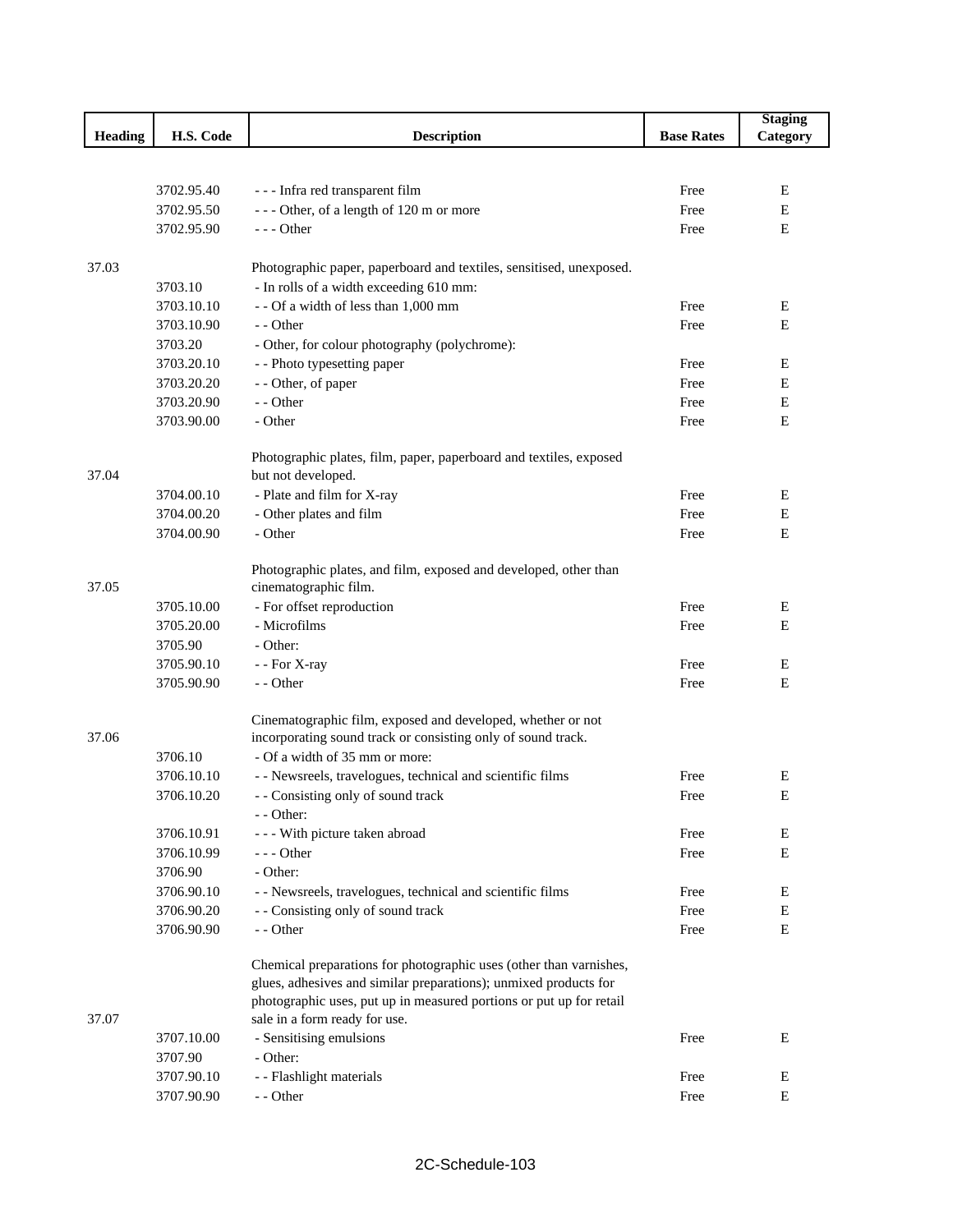|                |            |                                                                     |                   | <b>Staging</b> |
|----------------|------------|---------------------------------------------------------------------|-------------------|----------------|
| <b>Heading</b> | H.S. Code  | <b>Description</b>                                                  | <b>Base Rates</b> | Category       |
|                |            |                                                                     |                   |                |
|                |            |                                                                     |                   |                |
|                | 3702.95.40 | - - - Infra red transparent film                                    | Free              | Е              |
|                | 3702.95.50 | --- Other, of a length of 120 m or more                             | Free              | E              |
|                | 3702.95.90 | $--$ Other                                                          | Free              | E              |
|                |            |                                                                     |                   |                |
| 37.03          |            | Photographic paper, paperboard and textiles, sensitised, unexposed. |                   |                |
|                | 3703.10    | - In rolls of a width exceeding 610 mm:                             |                   |                |
|                | 3703.10.10 | - - Of a width of less than 1,000 mm                                | Free              | Ε              |
|                | 3703.10.90 | - - Other                                                           | Free              | E              |
|                | 3703.20    | - Other, for colour photography (polychrome):                       |                   |                |
|                | 3703.20.10 | - - Photo typesetting paper                                         | Free              | Е              |
|                | 3703.20.20 | - - Other, of paper                                                 | Free              | E              |
|                | 3703.20.90 | - - Other                                                           | Free              | Е              |
|                | 3703.90.00 | - Other                                                             | Free              | Ε              |
|                |            |                                                                     |                   |                |
|                |            | Photographic plates, film, paper, paperboard and textiles, exposed  |                   |                |
| 37.04          |            | but not developed.                                                  |                   |                |
|                | 3704.00.10 | - Plate and film for X-ray                                          | Free              | Е              |
|                | 3704.00.20 | - Other plates and film                                             | Free              | Е              |
|                | 3704.00.90 | - Other                                                             | Free              | Ε              |
|                |            |                                                                     |                   |                |
|                |            | Photographic plates, and film, exposed and developed, other than    |                   |                |
| 37.05          |            | cinematographic film.                                               |                   |                |
|                | 3705.10.00 | - For offset reproduction                                           | Free              | Ε              |
|                | 3705.20.00 | - Microfilms                                                        | Free              | Е              |
|                | 3705.90    | - Other:                                                            |                   |                |
|                | 3705.90.10 | - - For X-ray                                                       | Free              | Ε              |
|                | 3705.90.90 | - - Other                                                           | Free              | Е              |
|                |            |                                                                     |                   |                |
|                |            | Cinematographic film, exposed and developed, whether or not         |                   |                |
| 37.06          |            | incorporating sound track or consisting only of sound track.        |                   |                |
|                | 3706.10    | - Of a width of 35 mm or more:                                      |                   |                |
|                | 3706.10.10 | - - Newsreels, travelogues, technical and scientific films          | Free              | E              |
|                | 3706.10.20 | - - Consisting only of sound track                                  | Free              | Е              |
|                |            | $-$ - Other:                                                        |                   |                |
|                | 3706.10.91 | - - - With picture taken abroad                                     | Free              | Е              |
|                | 3706.10.99 | $---$ Other                                                         | Free              | Е              |
|                | 3706.90    | - Other:                                                            |                   |                |
|                | 3706.90.10 | - - Newsreels, travelogues, technical and scientific films          | Free              | E              |
|                | 3706.90.20 | - - Consisting only of sound track                                  | Free              | Ε              |
|                | 3706.90.90 | - - Other                                                           | Free              | Ε              |
|                |            |                                                                     |                   |                |
|                |            | Chemical preparations for photographic uses (other than varnishes,  |                   |                |
|                |            | glues, adhesives and similar preparations); unmixed products for    |                   |                |
|                |            | photographic uses, put up in measured portions or put up for retail |                   |                |
| 37.07          |            | sale in a form ready for use.                                       |                   |                |
|                | 3707.10.00 | - Sensitising emulsions                                             | Free              | Е              |
|                | 3707.90    | - Other:                                                            |                   |                |
|                | 3707.90.10 | - - Flashlight materials                                            | Free              | Ε              |
|                | 3707.90.90 | - - Other                                                           | Free              | Е              |
|                |            |                                                                     |                   |                |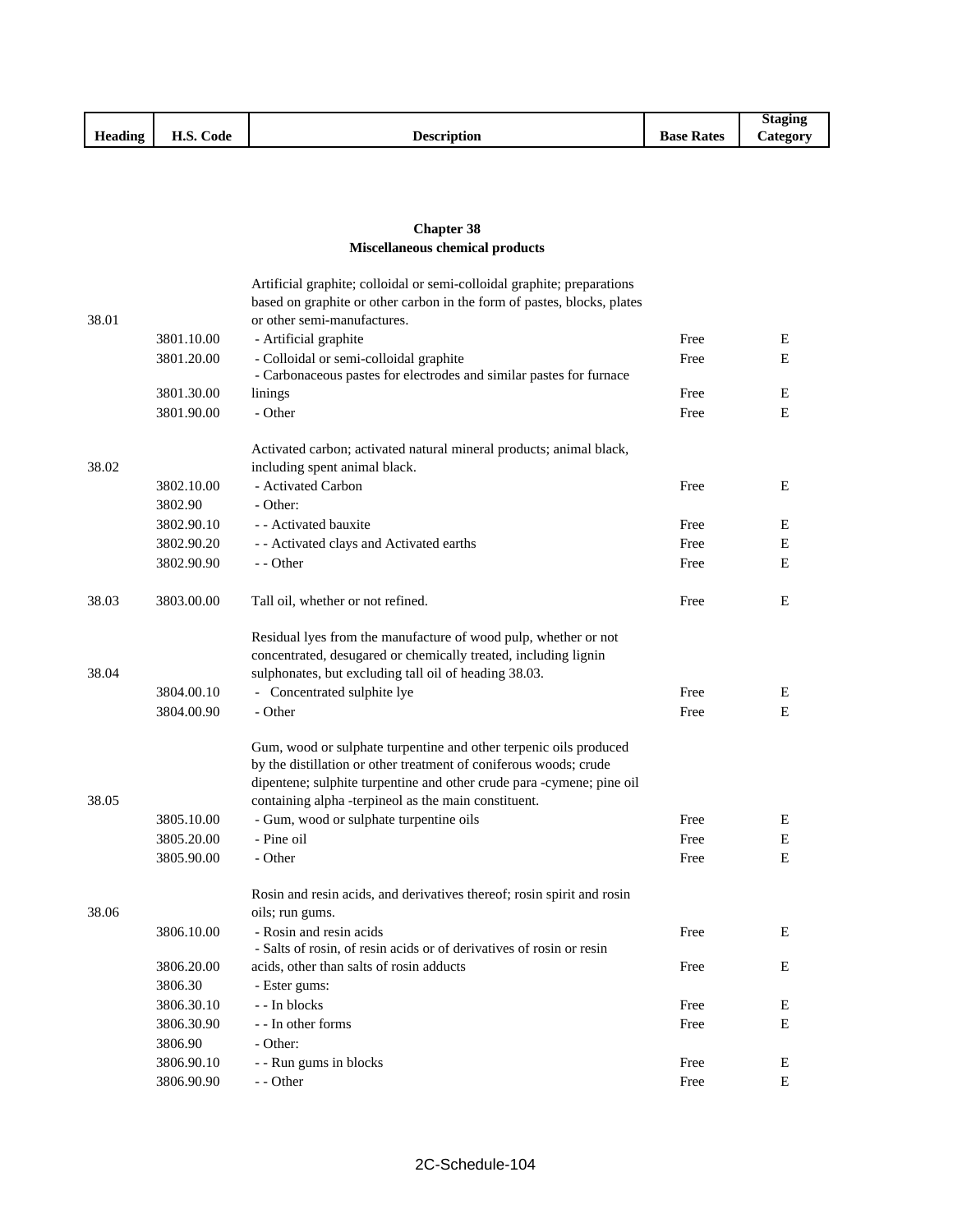|                |                      |                    |                                                     | <b>Staging</b>  |
|----------------|----------------------|--------------------|-----------------------------------------------------|-----------------|
| <b>Heading</b> | TT C<br>Code<br>п.э. | <b>Description</b> | $\mathbf{r}$<br>$\blacksquare$<br><b>Base Rates</b> | <b>Lategory</b> |

## **Chapter 38 Miscellaneous chemical products**

|       |            | Artificial graphite; colloidal or semi-colloidal graphite; preparations                                                                                                                                                                                                 |      |   |
|-------|------------|-------------------------------------------------------------------------------------------------------------------------------------------------------------------------------------------------------------------------------------------------------------------------|------|---|
|       |            | based on graphite or other carbon in the form of pastes, blocks, plates                                                                                                                                                                                                 |      |   |
| 38.01 |            | or other semi-manufactures.                                                                                                                                                                                                                                             |      |   |
|       | 3801.10.00 | - Artificial graphite                                                                                                                                                                                                                                                   | Free | Е |
|       | 3801.20.00 | - Colloidal or semi-colloidal graphite                                                                                                                                                                                                                                  | Free | E |
|       | 3801.30.00 | - Carbonaceous pastes for electrodes and similar pastes for furnace                                                                                                                                                                                                     | Free | Ε |
|       | 3801.90.00 | linings<br>- Other                                                                                                                                                                                                                                                      | Free | E |
|       |            |                                                                                                                                                                                                                                                                         |      |   |
| 38.02 |            | Activated carbon; activated natural mineral products; animal black,<br>including spent animal black.                                                                                                                                                                    |      |   |
|       | 3802.10.00 | - Activated Carbon                                                                                                                                                                                                                                                      | Free | E |
|       | 3802.90    | - Other:                                                                                                                                                                                                                                                                |      |   |
|       | 3802.90.10 | - - Activated bauxite                                                                                                                                                                                                                                                   | Free | E |
|       | 3802.90.20 | - - Activated clays and Activated earths                                                                                                                                                                                                                                | Free | Е |
|       | 3802.90.90 | - - Other                                                                                                                                                                                                                                                               | Free | E |
| 38.03 | 3803.00.00 | Tall oil, whether or not refined.                                                                                                                                                                                                                                       | Free | E |
| 38.04 |            | Residual lyes from the manufacture of wood pulp, whether or not<br>concentrated, desugared or chemically treated, including lignin<br>sulphonates, but excluding tall oil of heading 38.03.                                                                             |      |   |
|       | 3804.00.10 | - Concentrated sulphite lye                                                                                                                                                                                                                                             | Free | Е |
|       | 3804.00.90 | - Other                                                                                                                                                                                                                                                                 | Free | E |
| 38.05 |            | Gum, wood or sulphate turpentine and other terpenic oils produced<br>by the distillation or other treatment of coniferous woods; crude<br>dipentene; sulphite turpentine and other crude para -cymene; pine oil<br>containing alpha -terpineol as the main constituent. |      |   |
|       | 3805.10.00 | - Gum, wood or sulphate turpentine oils                                                                                                                                                                                                                                 | Free | Е |
|       | 3805.20.00 | - Pine oil                                                                                                                                                                                                                                                              | Free | Е |
|       | 3805.90.00 | - Other                                                                                                                                                                                                                                                                 | Free | E |
| 38.06 |            | Rosin and resin acids, and derivatives thereof; rosin spirit and rosin<br>oils; run gums.                                                                                                                                                                               |      |   |
|       | 3806.10.00 | - Rosin and resin acids<br>- Salts of rosin, of resin acids or of derivatives of rosin or resin                                                                                                                                                                         | Free | E |
|       | 3806.20.00 | acids, other than salts of rosin adducts                                                                                                                                                                                                                                | Free | E |
|       | 3806.30    | - Ester gums:                                                                                                                                                                                                                                                           |      |   |
|       | 3806.30.10 | - - In blocks                                                                                                                                                                                                                                                           | Free | Е |
|       | 3806.30.90 | - - In other forms                                                                                                                                                                                                                                                      | Free | Ε |
|       | 3806.90    | - Other:                                                                                                                                                                                                                                                                |      |   |
|       | 3806.90.10 | - - Run gums in blocks                                                                                                                                                                                                                                                  | Free | Ε |
|       | 3806.90.90 | - - Other                                                                                                                                                                                                                                                               | Free | E |
|       |            |                                                                                                                                                                                                                                                                         |      |   |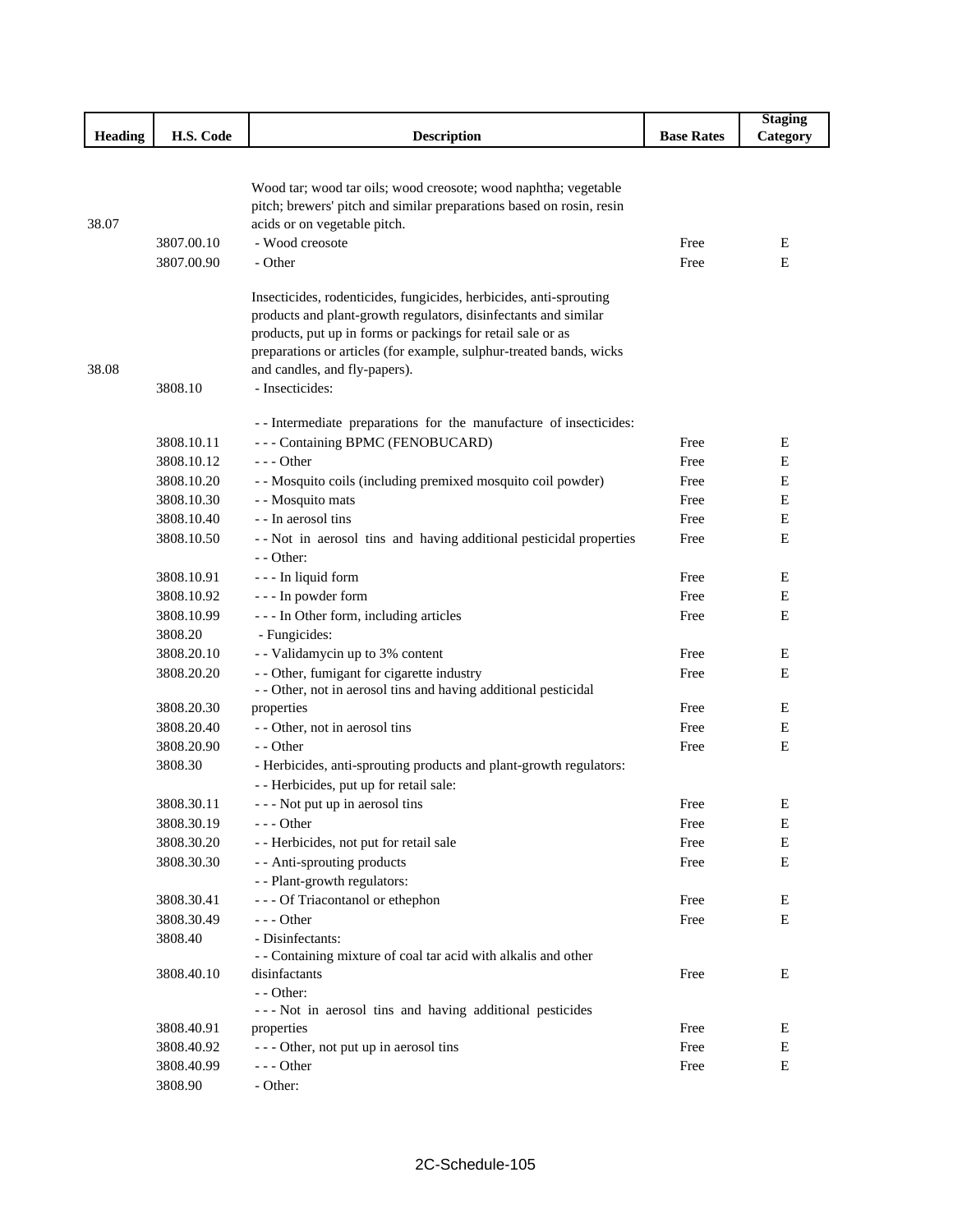|         |            |                                                                                                                                         |                   | <b>Staging</b> |
|---------|------------|-----------------------------------------------------------------------------------------------------------------------------------------|-------------------|----------------|
| Heading | H.S. Code  | <b>Description</b>                                                                                                                      | <b>Base Rates</b> | Category       |
|         |            |                                                                                                                                         |                   |                |
|         |            |                                                                                                                                         |                   |                |
|         |            | Wood tar; wood tar oils; wood creosote; wood naphtha; vegetable<br>pitch; brewers' pitch and similar preparations based on rosin, resin |                   |                |
| 38.07   |            | acids or on vegetable pitch.                                                                                                            |                   |                |
|         | 3807.00.10 | - Wood creosote                                                                                                                         | Free              | E              |
|         | 3807.00.90 | - Other                                                                                                                                 | Free              | Е              |
|         |            |                                                                                                                                         |                   |                |
|         |            | Insecticides, rodenticides, fungicides, herbicides, anti-sprouting                                                                      |                   |                |
|         |            | products and plant-growth regulators, disinfectants and similar                                                                         |                   |                |
|         |            | products, put up in forms or packings for retail sale or as                                                                             |                   |                |
|         |            | preparations or articles (for example, sulphur-treated bands, wicks                                                                     |                   |                |
| 38.08   |            | and candles, and fly-papers).                                                                                                           |                   |                |
|         | 3808.10    | - Insecticides:                                                                                                                         |                   |                |
|         |            | -- Intermediate preparations for the manufacture of insecticides:                                                                       |                   |                |
|         | 3808.10.11 | --- Containing BPMC (FENOBUCARD)                                                                                                        | Free              | Е              |
|         | 3808.10.12 | $--$ Other                                                                                                                              | Free              | Е              |
|         | 3808.10.20 | - - Mosquito coils (including premixed mosquito coil powder)                                                                            | Free              | Е              |
|         | 3808.10.30 | - - Mosquito mats                                                                                                                       | Free              | Е              |
|         | 3808.10.40 | - - In aerosol tins                                                                                                                     | Free              | Е              |
|         | 3808.10.50 | -- Not in aerosol tins and having additional pesticidal properties                                                                      | Free              | Е              |
|         |            | - - Other:                                                                                                                              |                   |                |
|         | 3808.10.91 | - - - In liquid form                                                                                                                    | Free              | Ε              |
|         | 3808.10.92 | - - - In powder form                                                                                                                    | Free              | Ε              |
|         | 3808.10.99 | --- In Other form, including articles                                                                                                   | Free              | Ε              |
|         | 3808.20    | - Fungicides:                                                                                                                           |                   |                |
|         | 3808.20.10 | - - Validamycin up to 3% content                                                                                                        | Free              | Ε              |
|         | 3808.20.20 | - - Other, fumigant for cigarette industry                                                                                              | Free              | Ε              |
|         |            | - - Other, not in aerosol tins and having additional pesticidal                                                                         |                   |                |
|         | 3808.20.30 | properties                                                                                                                              | Free              | E              |
|         | 3808.20.40 | - - Other, not in aerosol tins                                                                                                          | Free              | Ε              |
|         | 3808.20.90 | - - Other                                                                                                                               | Free              | Ε              |
|         | 3808.30    | - Herbicides, anti-sprouting products and plant-growth regulators:                                                                      |                   |                |
|         |            | - - Herbicides, put up for retail sale:                                                                                                 |                   |                |
|         | 3808.30.11 | - - Not put up in aerosol tins                                                                                                          | Free              | E              |
|         | 3808.30.19 | - - - Other                                                                                                                             | Free              | Ε              |
|         | 3808.30.20 | - - Herbicides, not put for retail sale                                                                                                 | Free              | E              |
|         | 3808.30.30 | - - Anti-sprouting products                                                                                                             | Free              | E              |
|         |            | - - Plant-growth regulators:                                                                                                            |                   |                |
|         | 3808.30.41 | - - - Of Triacontanol or ethephon                                                                                                       | Free              | E              |
|         | 3808.30.49 | $--$ Other                                                                                                                              | Free              | Ε              |
|         | 3808.40    | - Disinfectants:                                                                                                                        |                   |                |
|         |            | - - Containing mixture of coal tar acid with alkalis and other                                                                          |                   |                |
|         | 3808.40.10 | disinfactants                                                                                                                           | Free              | Е              |
|         |            | - - Other:                                                                                                                              |                   |                |
|         |            | --- Not in aerosol tins and having additional pesticides                                                                                |                   |                |
|         | 3808.40.91 | properties                                                                                                                              | Free              | E              |
|         | 3808.40.92 | --- Other, not put up in aerosol tins                                                                                                   | Free              | E              |
|         | 3808.40.99 | - - - Other                                                                                                                             | Free              | E              |
|         | 3808.90    | - Other:                                                                                                                                |                   |                |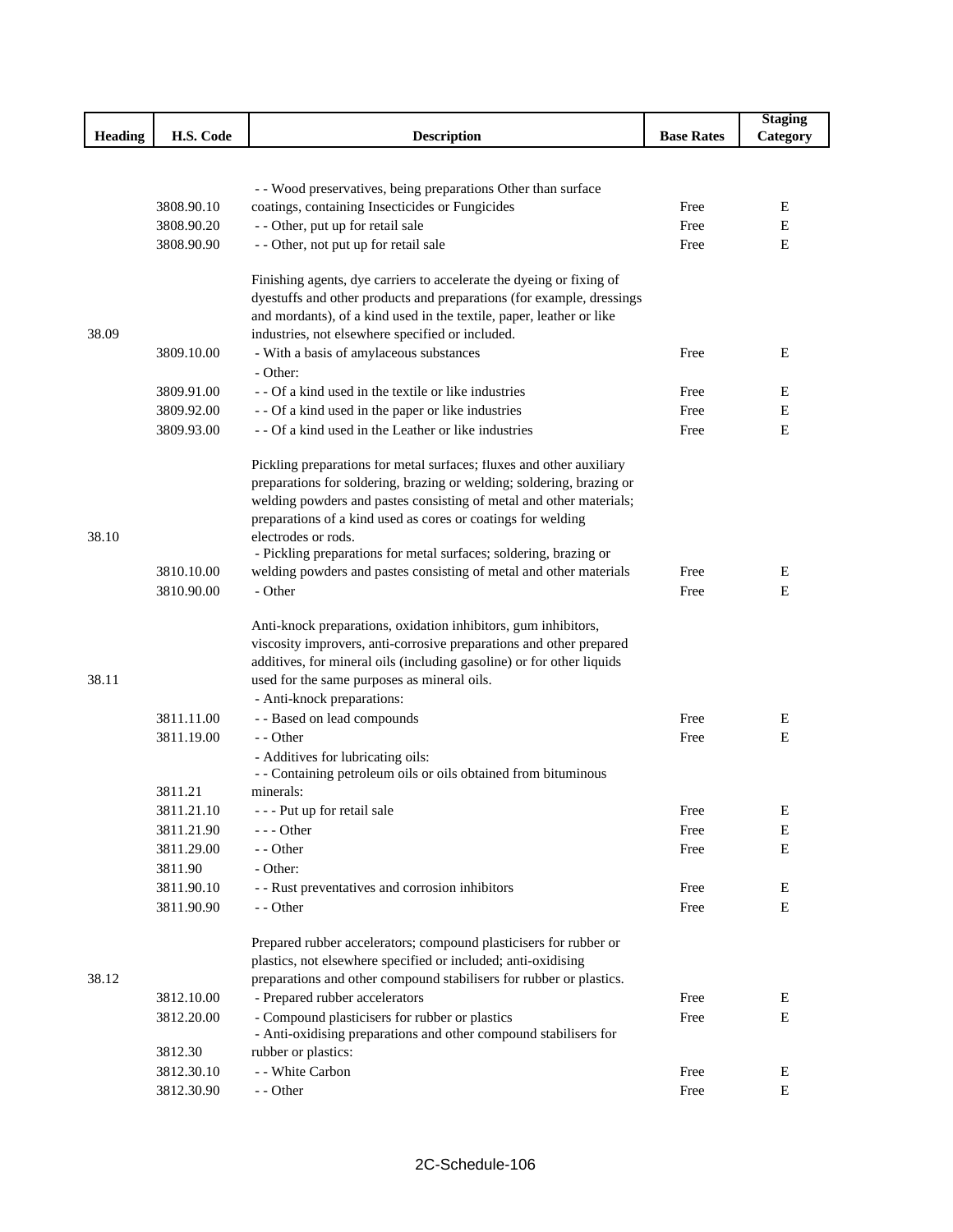|                |            |                                                                                                     |                   | <b>Staging</b> |
|----------------|------------|-----------------------------------------------------------------------------------------------------|-------------------|----------------|
| <b>Heading</b> | H.S. Code  | <b>Description</b>                                                                                  | <b>Base Rates</b> | Category       |
|                |            |                                                                                                     |                   |                |
|                |            |                                                                                                     |                   |                |
|                |            | - - Wood preservatives, being preparations Other than surface                                       |                   |                |
|                | 3808.90.10 | coatings, containing Insecticides or Fungicides                                                     | Free              | E              |
|                | 3808.90.20 | - - Other, put up for retail sale                                                                   | Free              | Е              |
|                | 3808.90.90 | - - Other, not put up for retail sale                                                               | Free              | E              |
|                |            | Finishing agents, dye carriers to accelerate the dyeing or fixing of                                |                   |                |
|                |            | dyestuffs and other products and preparations (for example, dressings                               |                   |                |
|                |            | and mordants), of a kind used in the textile, paper, leather or like                                |                   |                |
| 38.09          |            | industries, not elsewhere specified or included.                                                    |                   |                |
|                | 3809.10.00 | - With a basis of amylaceous substances                                                             | Free              | E              |
|                |            | - Other:                                                                                            |                   |                |
|                | 3809.91.00 | - - Of a kind used in the textile or like industries                                                | Free              | E              |
|                | 3809.92.00 | - - Of a kind used in the paper or like industries                                                  | Free              | Е              |
|                | 3809.93.00 | - - Of a kind used in the Leather or like industries                                                | Free              | E              |
|                |            |                                                                                                     |                   |                |
|                |            | Pickling preparations for metal surfaces; fluxes and other auxiliary                                |                   |                |
|                |            | preparations for soldering, brazing or welding; soldering, brazing or                               |                   |                |
|                |            | welding powders and pastes consisting of metal and other materials;                                 |                   |                |
| 38.10          |            | preparations of a kind used as cores or coatings for welding<br>electrodes or rods.                 |                   |                |
|                |            | - Pickling preparations for metal surfaces; soldering, brazing or                                   |                   |                |
|                | 3810.10.00 | welding powders and pastes consisting of metal and other materials                                  | Free              | Ε              |
|                | 3810.90.00 | - Other                                                                                             | Free              | E              |
|                |            |                                                                                                     |                   |                |
|                |            | Anti-knock preparations, oxidation inhibitors, gum inhibitors,                                      |                   |                |
|                |            | viscosity improvers, anti-corrosive preparations and other prepared                                 |                   |                |
|                |            | additives, for mineral oils (including gasoline) or for other liquids                               |                   |                |
| 38.11          |            | used for the same purposes as mineral oils.                                                         |                   |                |
|                |            | - Anti-knock preparations:                                                                          |                   |                |
|                | 3811.11.00 | - - Based on lead compounds                                                                         | Free              | E              |
|                | 3811.19.00 | - - Other                                                                                           | Free              | E              |
|                |            | - Additives for lubricating oils:<br>- - Containing petroleum oils or oils obtained from bituminous |                   |                |
|                | 3811.21    | minerals:                                                                                           |                   |                |
|                | 3811.21.10 | - - - Put up for retail sale                                                                        | Free              | E              |
|                | 3811.21.90 | - - - Other                                                                                         | Free              | E              |
|                | 3811.29.00 | - - Other                                                                                           | Free              | $\mathbf E$    |
|                | 3811.90    | - Other:                                                                                            |                   |                |
|                | 3811.90.10 | - - Rust preventatives and corrosion inhibitors                                                     | Free              | Е              |
|                | 3811.90.90 | - - Other                                                                                           | Free              | Е              |
|                |            |                                                                                                     |                   |                |
|                |            | Prepared rubber accelerators; compound plasticisers for rubber or                                   |                   |                |
|                |            | plastics, not elsewhere specified or included; anti-oxidising                                       |                   |                |
| 38.12          |            | preparations and other compound stabilisers for rubber or plastics.                                 |                   |                |
|                | 3812.10.00 | - Prepared rubber accelerators                                                                      | Free              | E              |
|                | 3812.20.00 | - Compound plasticisers for rubber or plastics                                                      | Free              | Е              |
|                |            | - Anti-oxidising preparations and other compound stabilisers for                                    |                   |                |
|                | 3812.30    | rubber or plastics:                                                                                 |                   |                |
|                | 3812.30.10 | - - White Carbon<br>- - Other                                                                       | Free<br>Free      | Е<br>Е         |
|                | 3812.30.90 |                                                                                                     |                   |                |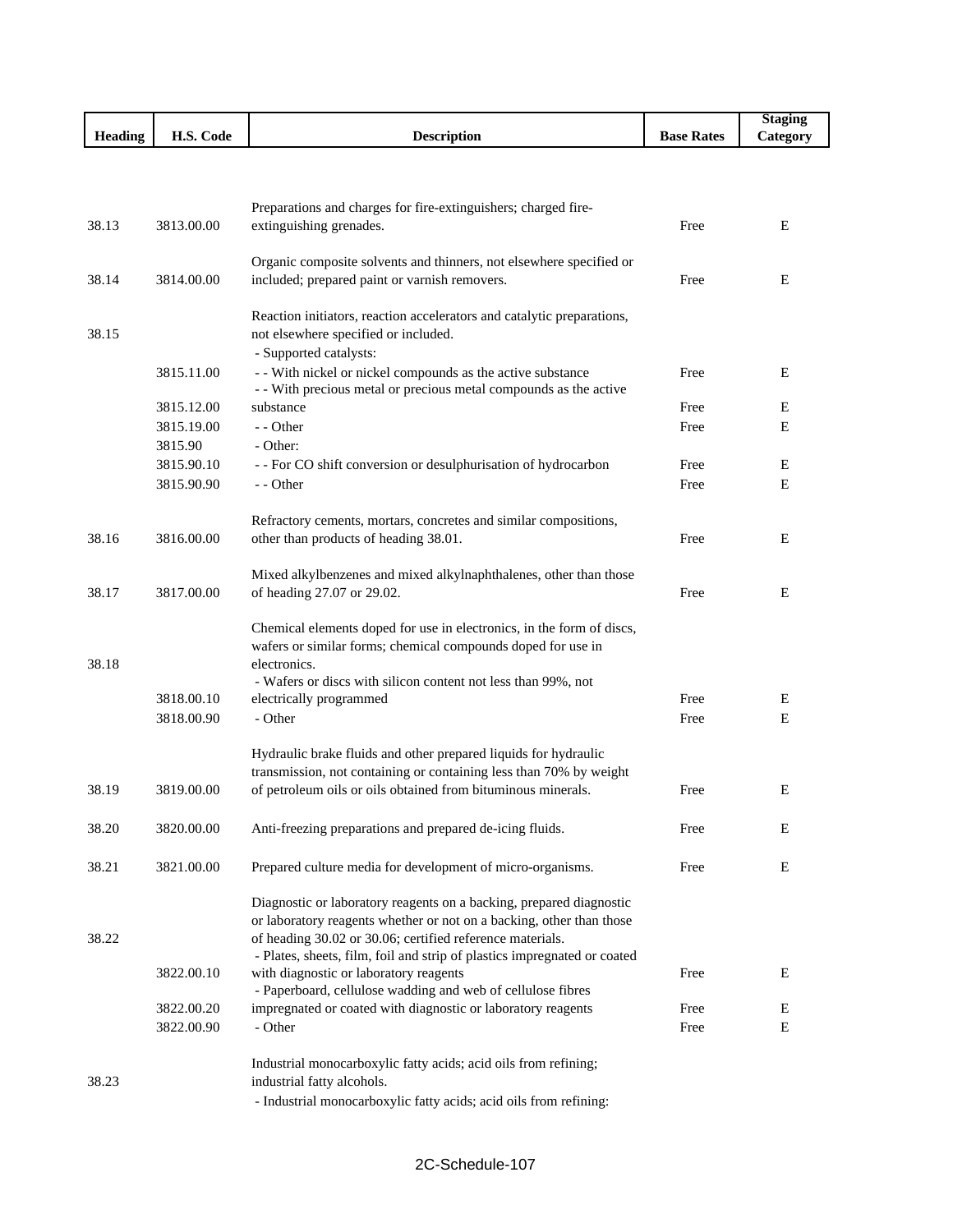|                |            |                                                                                                                                       |                   | <b>Staging</b> |
|----------------|------------|---------------------------------------------------------------------------------------------------------------------------------------|-------------------|----------------|
| <b>Heading</b> | H.S. Code  | <b>Description</b>                                                                                                                    | <b>Base Rates</b> | Category       |
|                |            |                                                                                                                                       |                   |                |
|                |            |                                                                                                                                       |                   |                |
|                |            | Preparations and charges for fire-extinguishers; charged fire-                                                                        |                   |                |
| 38.13          | 3813.00.00 | extinguishing grenades.                                                                                                               | Free              | E              |
|                |            |                                                                                                                                       |                   |                |
| 38.14          | 3814.00.00 | Organic composite solvents and thinners, not elsewhere specified or<br>included; prepared paint or varnish removers.                  | Free              | E              |
|                |            |                                                                                                                                       |                   |                |
|                |            | Reaction initiators, reaction accelerators and catalytic preparations,                                                                |                   |                |
| 38.15          |            | not elsewhere specified or included.                                                                                                  |                   |                |
|                |            | - Supported catalysts:                                                                                                                |                   |                |
|                | 3815.11.00 | - - With nickel or nickel compounds as the active substance                                                                           | Free              | E              |
|                | 3815.12.00 | - - With precious metal or precious metal compounds as the active<br>substance                                                        | Free              | Ε              |
|                | 3815.19.00 | - - Other                                                                                                                             | Free              | E              |
|                | 3815.90    | - Other:                                                                                                                              |                   |                |
|                | 3815.90.10 | - - For CO shift conversion or desulphurisation of hydrocarbon                                                                        | Free              | E              |
|                | 3815.90.90 | - - Other                                                                                                                             | Free              | E              |
|                |            |                                                                                                                                       |                   |                |
|                |            | Refractory cements, mortars, concretes and similar compositions,                                                                      |                   |                |
| 38.16          | 3816.00.00 | other than products of heading 38.01.                                                                                                 | Free              | E              |
|                |            | Mixed alkylbenzenes and mixed alkylnaphthalenes, other than those                                                                     |                   |                |
| 38.17          | 3817.00.00 | of heading 27.07 or 29.02.                                                                                                            | Free              | E              |
|                |            |                                                                                                                                       |                   |                |
|                |            | Chemical elements doped for use in electronics, in the form of discs,                                                                 |                   |                |
| 38.18          |            | wafers or similar forms; chemical compounds doped for use in<br>electronics.                                                          |                   |                |
|                |            | - Wafers or discs with silicon content not less than 99%, not                                                                         |                   |                |
|                | 3818.00.10 | electrically programmed                                                                                                               | Free              | Ε              |
|                | 3818.00.90 | - Other                                                                                                                               | Free              | E              |
|                |            |                                                                                                                                       |                   |                |
|                |            | Hydraulic brake fluids and other prepared liquids for hydraulic<br>transmission, not containing or containing less than 70% by weight |                   |                |
| 38.19          | 3819.00.00 | of petroleum oils or oils obtained from bituminous minerals.                                                                          | Free              | Ε              |
|                |            |                                                                                                                                       |                   |                |
| 38.20          | 3820.00.00 | Anti-freezing preparations and prepared de-icing fluids.                                                                              | Free              | E              |
|                |            |                                                                                                                                       |                   |                |
| 38.21          | 3821.00.00 | Prepared culture media for development of micro-organisms.                                                                            | Free              | Е              |
|                |            | Diagnostic or laboratory reagents on a backing, prepared diagnostic                                                                   |                   |                |
|                |            | or laboratory reagents whether or not on a backing, other than those                                                                  |                   |                |
| 38.22          |            | of heading 30.02 or 30.06; certified reference materials.                                                                             |                   |                |
|                |            | - Plates, sheets, film, foil and strip of plastics impregnated or coated                                                              |                   |                |
|                | 3822.00.10 | with diagnostic or laboratory reagents                                                                                                | Free              | Е              |
|                | 3822.00.20 | - Paperboard, cellulose wadding and web of cellulose fibres<br>impregnated or coated with diagnostic or laboratory reagents           | Free              | Е              |
|                | 3822.00.90 | - Other                                                                                                                               | Free              | Ε              |
|                |            |                                                                                                                                       |                   |                |
|                |            | Industrial monocarboxylic fatty acids; acid oils from refining;                                                                       |                   |                |
| 38.23          |            | industrial fatty alcohols.                                                                                                            |                   |                |

- Industrial monocarboxylic fatty acids; acid oils from refining: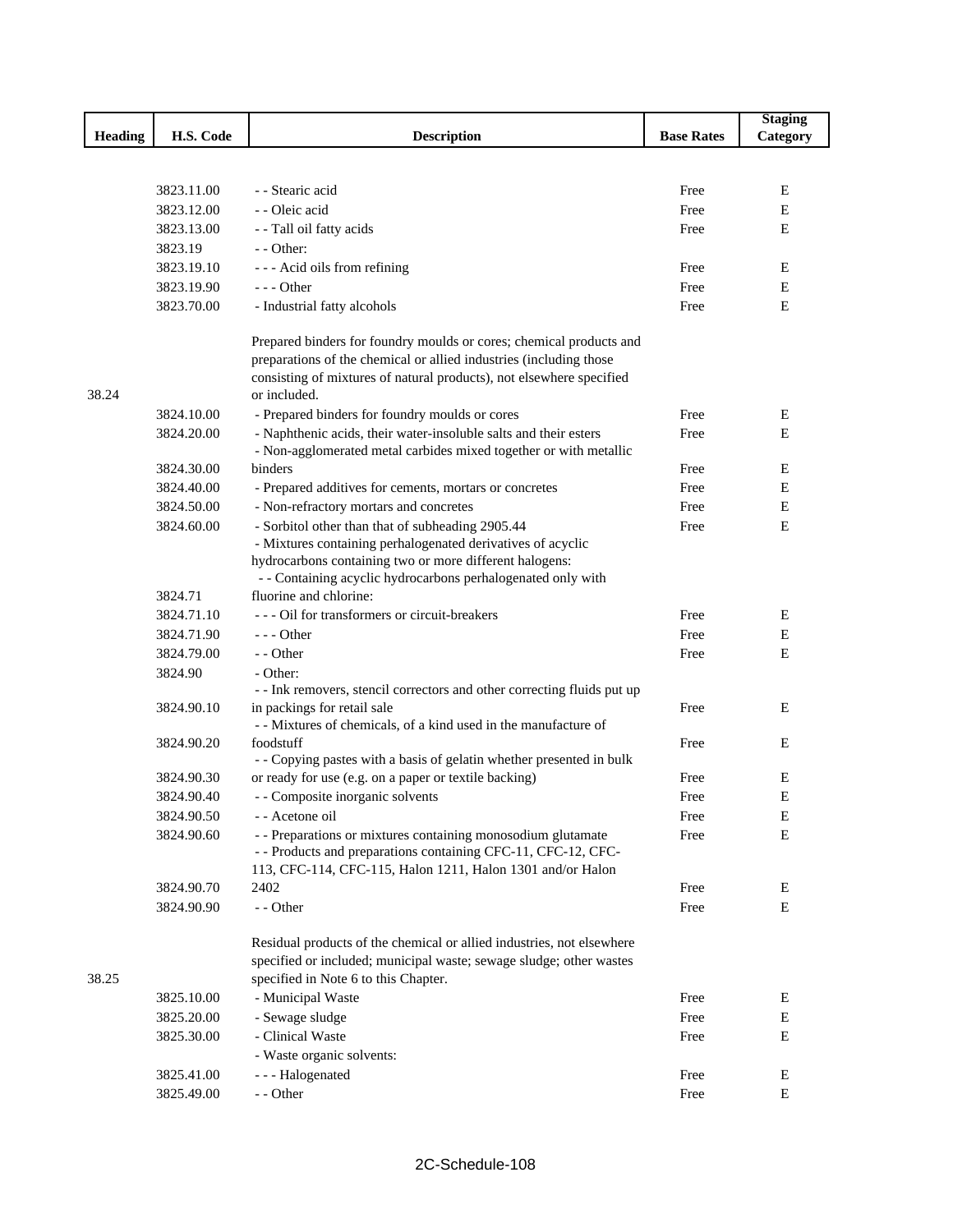| <b>Heading</b><br>H.S. Code<br><b>Description</b><br><b>Base Rates</b><br>Category<br>3823.11.00<br>- - Stearic acid<br>Free<br>Ε<br>3823.12.00<br>- - Oleic acid<br>Free<br>Е<br>3823.13.00<br>- - Tall oil fatty acids<br>E<br>Free |  |
|---------------------------------------------------------------------------------------------------------------------------------------------------------------------------------------------------------------------------------------|--|
|                                                                                                                                                                                                                                       |  |
|                                                                                                                                                                                                                                       |  |
|                                                                                                                                                                                                                                       |  |
|                                                                                                                                                                                                                                       |  |
|                                                                                                                                                                                                                                       |  |
|                                                                                                                                                                                                                                       |  |
| 3823.19<br>$-$ - Other:                                                                                                                                                                                                               |  |
| 3823.19.10<br>--- Acid oils from refining<br>Ε<br>Free                                                                                                                                                                                |  |
| 3823.19.90<br>$--$ Other<br>Free<br>Е                                                                                                                                                                                                 |  |
| 3823.70.00<br>E<br>- Industrial fatty alcohols<br>Free                                                                                                                                                                                |  |
| Prepared binders for foundry moulds or cores; chemical products and                                                                                                                                                                   |  |
| preparations of the chemical or allied industries (including those                                                                                                                                                                    |  |
| consisting of mixtures of natural products), not elsewhere specified<br>38.24<br>or included.                                                                                                                                         |  |
| 3824.10.00<br>- Prepared binders for foundry moulds or cores<br>Free<br>Ε                                                                                                                                                             |  |
| 3824.20.00<br>- Naphthenic acids, their water-insoluble salts and their esters<br>E<br>Free                                                                                                                                           |  |
| - Non-agglomerated metal carbides mixed together or with metallic                                                                                                                                                                     |  |
| 3824.30.00<br>binders<br>Ε<br>Free                                                                                                                                                                                                    |  |
| 3824.40.00<br>Ε<br>- Prepared additives for cements, mortars or concretes<br>Free                                                                                                                                                     |  |
| 3824.50.00<br>Е<br>- Non-refractory mortars and concretes<br>Free                                                                                                                                                                     |  |
| - Sorbitol other than that of subheading 2905.44<br>3824.60.00<br>E<br>Free                                                                                                                                                           |  |
| - Mixtures containing perhalogenated derivatives of acyclic                                                                                                                                                                           |  |
| hydrocarbons containing two or more different halogens:                                                                                                                                                                               |  |
| - - Containing acyclic hydrocarbons perhalogenated only with                                                                                                                                                                          |  |
| fluorine and chlorine:<br>3824.71                                                                                                                                                                                                     |  |
| 3824.71.10<br>- - - Oil for transformers or circuit-breakers<br>Free<br>Ε                                                                                                                                                             |  |
| ${\bf E}$<br>3824.71.90<br>$--$ Other<br>Free                                                                                                                                                                                         |  |
| 3824.79.00<br>- - Other<br>E<br>Free                                                                                                                                                                                                  |  |
| 3824.90<br>- Other:                                                                                                                                                                                                                   |  |
| - - Ink removers, stencil correctors and other correcting fluids put up                                                                                                                                                               |  |
| in packings for retail sale<br>3824.90.10<br>Free<br>Ε                                                                                                                                                                                |  |
| - - Mixtures of chemicals, of a kind used in the manufacture of                                                                                                                                                                       |  |
| 3824.90.20<br>foodstuff<br>Free<br>E                                                                                                                                                                                                  |  |
| - - Copying pastes with a basis of gelatin whether presented in bulk<br>or ready for use (e.g. on a paper or textile backing)<br>3824.90.30<br>Free<br>Ε                                                                              |  |
| - - Composite inorganic solvents<br>E<br>3824.90.40<br>Free                                                                                                                                                                           |  |
| 3824.90.50                                                                                                                                                                                                                            |  |
| - - Acetone oil<br>Free<br>E                                                                                                                                                                                                          |  |
| ${\bf E}$<br>3824.90.60<br>- - Preparations or mixtures containing monosodium glutamate<br>Free<br>- - Products and preparations containing CFC-11, CFC-12, CFC-                                                                      |  |
| 113, CFC-114, CFC-115, Halon 1211, Halon 1301 and/or Halon                                                                                                                                                                            |  |
| 3824.90.70<br>2402<br>Free<br>Ε                                                                                                                                                                                                       |  |
| 3824.90.90<br>- - Other<br>Ε<br>Free                                                                                                                                                                                                  |  |
|                                                                                                                                                                                                                                       |  |
| Residual products of the chemical or allied industries, not elsewhere                                                                                                                                                                 |  |
| specified or included; municipal waste; sewage sludge; other wastes                                                                                                                                                                   |  |
| 38.25<br>specified in Note 6 to this Chapter.                                                                                                                                                                                         |  |
| - Municipal Waste<br>3825.10.00<br>Free<br>Ε                                                                                                                                                                                          |  |
| 3825.20.00<br>- Sewage sludge<br>Free<br>E                                                                                                                                                                                            |  |
| ${\bf E}$<br>3825.30.00<br>- Clinical Waste<br>Free                                                                                                                                                                                   |  |
| - Waste organic solvents:                                                                                                                                                                                                             |  |
| Free<br>Е<br>3825.41.00<br>--- Halogenated                                                                                                                                                                                            |  |
| ${\bf E}$<br>3825.49.00<br>- - Other<br>Free                                                                                                                                                                                          |  |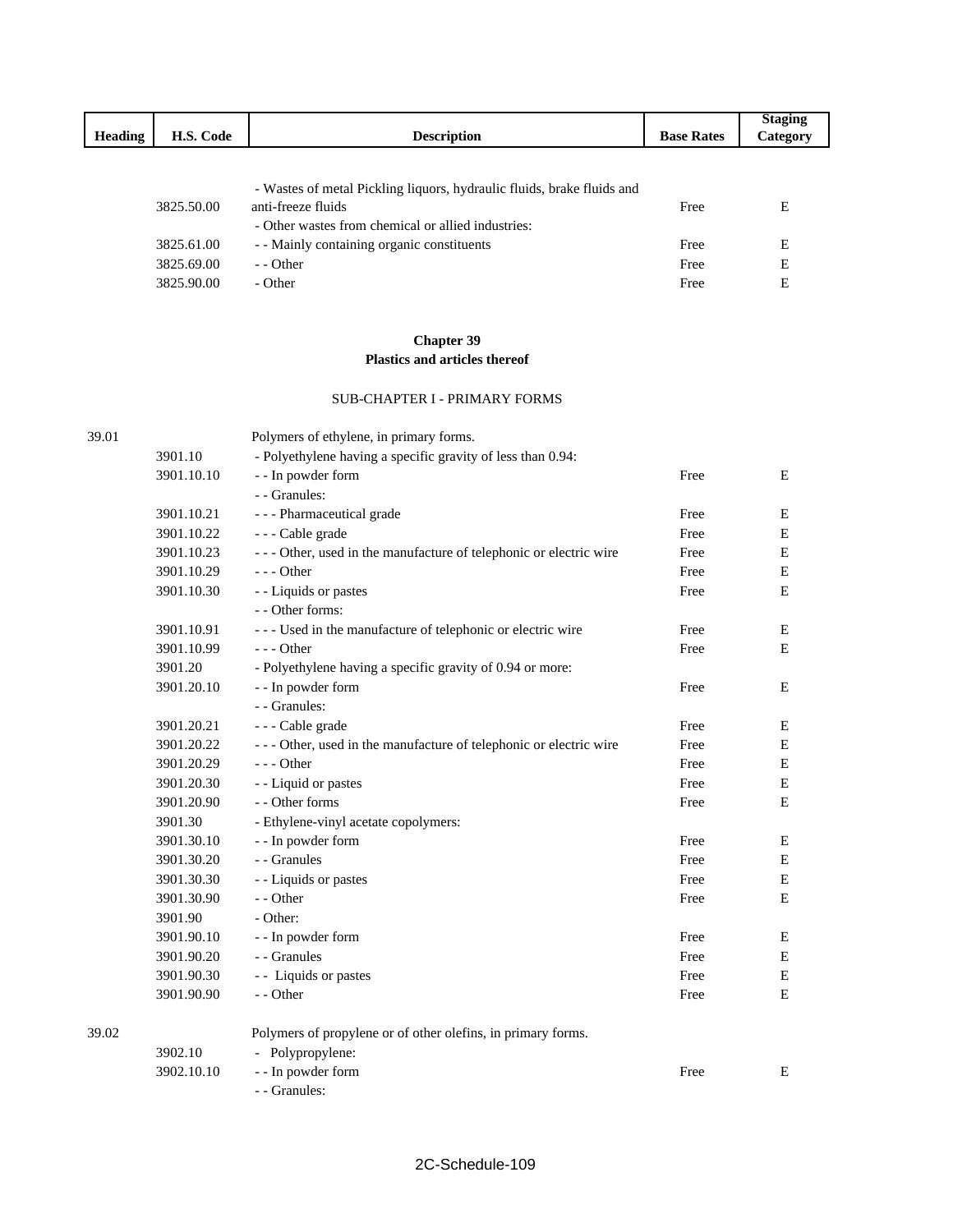|                |            |                                                                        |                   | <b>Staging</b> |
|----------------|------------|------------------------------------------------------------------------|-------------------|----------------|
| <b>Heading</b> | H.S. Code  | <b>Description</b>                                                     | <b>Base Rates</b> | Category       |
|                |            |                                                                        |                   |                |
|                |            |                                                                        |                   |                |
|                |            | - Wastes of metal Pickling liquors, hydraulic fluids, brake fluids and |                   |                |
|                | 3825.50.00 | anti-freeze fluids                                                     | Free              | Е              |
|                |            | - Other wastes from chemical or allied industries:                     |                   |                |
|                | 3825.61.00 | - - Mainly containing organic constituents                             | Free              | E              |
|                | 3825.69.00 | - Other                                                                | Free              | E              |
|                | 3825.90.00 | - Other                                                                | Free              | E              |

## **Chapter 39 Plastics and articles thereof**

#### SUB-CHAPTER I - PRIMARY FORMS

| 39.01 |            | Polymers of ethylene, in primary forms.                           |      |             |
|-------|------------|-------------------------------------------------------------------|------|-------------|
|       | 3901.10    | - Polyethylene having a specific gravity of less than 0.94:       |      |             |
|       | 3901.10.10 | - - In powder form                                                | Free | E           |
|       |            | - - Granules:                                                     |      |             |
|       | 3901.10.21 | - - - Pharmaceutical grade                                        | Free | Е           |
|       | 3901.10.22 | --- Cable grade                                                   | Free | Е           |
|       | 3901.10.23 | --- Other, used in the manufacture of telephonic or electric wire | Free | ${\bf E}$   |
|       | 3901.10.29 | $--$ Other                                                        | Free | $\mathbf E$ |
|       | 3901.10.30 | - - Liquids or pastes                                             | Free | E           |
|       |            | - - Other forms:                                                  |      |             |
|       | 3901.10.91 | --- Used in the manufacture of telephonic or electric wire        | Free | Е           |
|       | 3901.10.99 | $--$ Other                                                        | Free | ${\bf E}$   |
|       | 3901.20    | - Polyethylene having a specific gravity of 0.94 or more:         |      |             |
|       | 3901.20.10 | - - In powder form                                                | Free | Ε           |
|       |            | - - Granules:                                                     |      |             |
|       | 3901.20.21 | --- Cable grade                                                   | Free | Ε           |
|       | 3901.20.22 | --- Other, used in the manufacture of telephonic or electric wire | Free | ${\bf E}$   |
|       | 3901.20.29 | $--$ Other                                                        | Free | ${\bf E}$   |
|       | 3901.20.30 | - - Liquid or pastes                                              | Free | ${\bf E}$   |
|       | 3901.20.90 | - - Other forms                                                   | Free | $\mathbf E$ |
|       | 3901.30    | - Ethylene-vinyl acetate copolymers:                              |      |             |
|       | 3901.30.10 | - - In powder form                                                | Free | $\mathbf E$ |
|       | 3901.30.20 | - - Granules                                                      | Free | ${\bf E}$   |
|       | 3901.30.30 | - - Liquids or pastes                                             | Free | ${\bf E}$   |
|       | 3901.30.90 | - - Other                                                         | Free | E           |
|       | 3901.90    | - Other:                                                          |      |             |
|       | 3901.90.10 | - - In powder form                                                | Free | E           |
|       | 3901.90.20 | - - Granules                                                      | Free | Ε           |
|       | 3901.90.30 | - - Liquids or pastes                                             | Free | ${\bf E}$   |
|       | 3901.90.90 | - - Other                                                         | Free | $\mathbf E$ |
| 39.02 |            | Polymers of propylene or of other olefins, in primary forms.      |      |             |
|       | 3902.10    | - Polypropylene:                                                  |      |             |
|       | 3902.10.10 | - - In powder form                                                | Free | Е           |
|       |            | - - Granules:                                                     |      |             |

 $\mathbf I$ 

I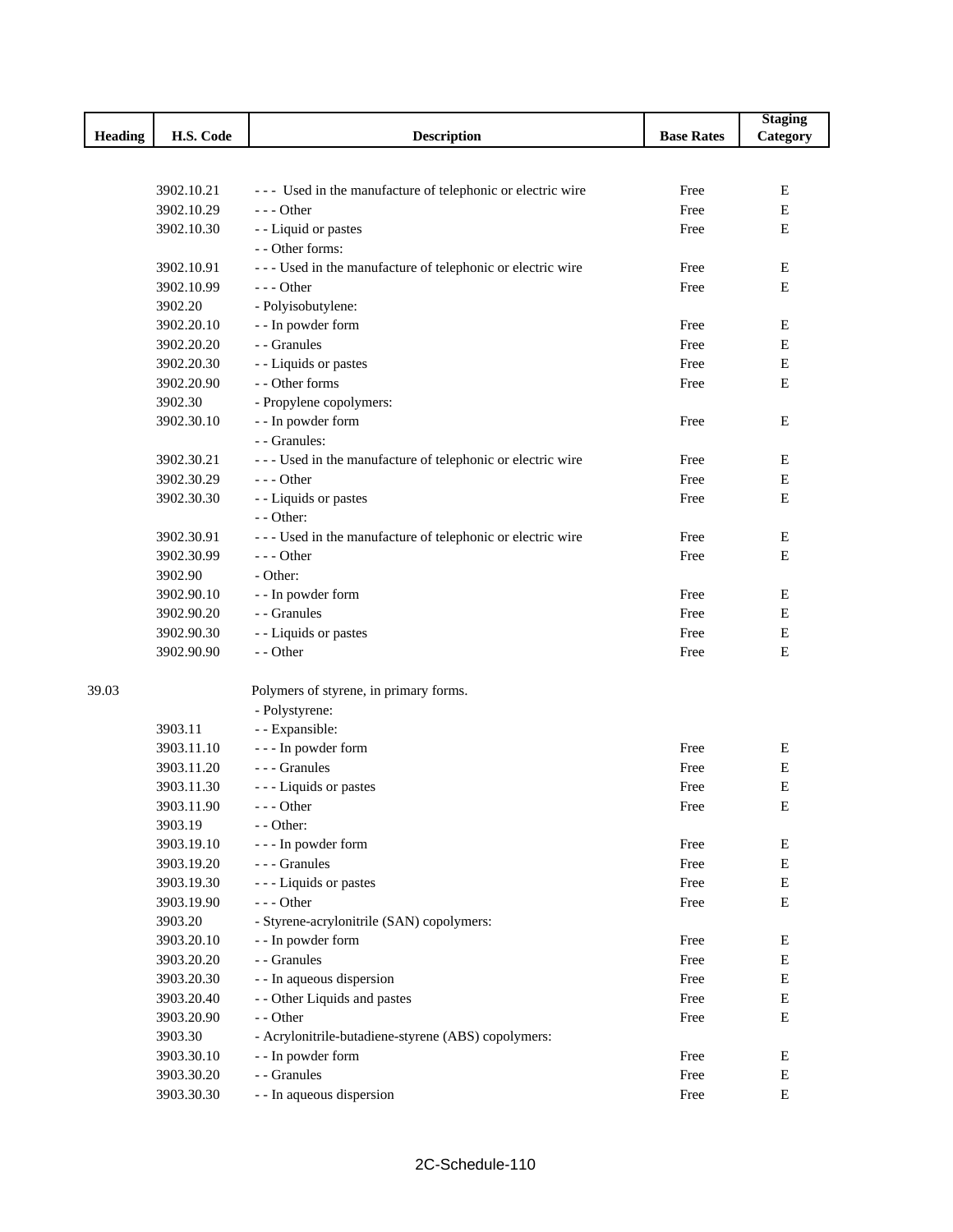|                |            |                                                              |                   | <b>Staging</b> |
|----------------|------------|--------------------------------------------------------------|-------------------|----------------|
| <b>Heading</b> | H.S. Code  | <b>Description</b>                                           | <b>Base Rates</b> | Category       |
|                |            |                                                              |                   |                |
|                |            |                                                              |                   |                |
|                | 3902.10.21 | --- Used in the manufacture of telephonic or electric wire   | Free              | E              |
|                | 3902.10.29 | $--$ Other                                                   | Free              | Ε              |
|                | 3902.10.30 | - - Liquid or pastes                                         | Free              | $\mathbf E$    |
|                |            | - - Other forms:                                             |                   |                |
|                | 3902.10.91 | - - - Used in the manufacture of telephonic or electric wire | Free              | Ε              |
|                | 3902.10.99 | --- Other                                                    | Free              | Ε              |
|                | 3902.20    | - Polyisobutylene:                                           |                   |                |
|                | 3902.20.10 | - - In powder form                                           | Free              | Ε              |
|                | 3902.20.20 | - - Granules                                                 | Free              | Ε              |
|                | 3902.20.30 | - - Liquids or pastes                                        | Free              | ${\bf E}$      |
|                | 3902.20.90 | - - Other forms                                              | Free              | $\mathbf E$    |
|                | 3902.30    | - Propylene copolymers:                                      |                   |                |
|                | 3902.30.10 | - - In powder form                                           | Free              | Е              |
|                |            | - - Granules:                                                |                   |                |
|                | 3902.30.21 | - - - Used in the manufacture of telephonic or electric wire | Free              | E              |
|                | 3902.30.29 | $--$ Other                                                   | Free              | Ε              |
|                | 3902.30.30 | - - Liquids or pastes                                        | Free              | Е              |
|                |            | $-$ - Other:                                                 |                   |                |
|                | 3902.30.91 | --- Used in the manufacture of telephonic or electric wire   | Free              | E              |
|                | 3902.30.99 | $--$ Other                                                   | Free              | $\mathbf E$    |
|                | 3902.90    | - Other:                                                     |                   |                |
|                | 3902.90.10 | - - In powder form                                           | Free              | Е              |
|                | 3902.90.20 | - - Granules                                                 | Free              | Е              |
|                | 3902.90.30 | - - Liquids or pastes                                        | Free              | Е              |
|                | 3902.90.90 | - - Other                                                    | Free              | Е              |
|                |            |                                                              |                   |                |
| 39.03          |            | Polymers of styrene, in primary forms.                       |                   |                |
|                |            | - Polystyrene:                                               |                   |                |
|                | 3903.11    | - - Expansible:                                              |                   |                |
|                | 3903.11.10 | --- In powder form                                           | Free              | Е              |
|                | 3903.11.20 | - - - Granules                                               | Free              | Е              |
|                | 3903.11.30 | --- Liquids or pastes                                        | Free              | Е              |
|                | 3903.11.90 | $-$ - Other                                                  | Free              | Ε              |
|                | 3903.19    | $-$ - Other:                                                 |                   |                |
|                | 3903.19.10 | --- In powder form                                           | Free              | E              |
|                | 3903.19.20 | --- Granules                                                 | Free              | $\mathbf E$    |
|                | 3903.19.30 | - - - Liquids or pastes                                      | Free              | E              |
|                | 3903.19.90 | $--$ Other                                                   | Free              | Е              |
|                | 3903.20    | - Styrene-acrylonitrile (SAN) copolymers:                    |                   |                |
|                | 3903.20.10 | - - In powder form                                           | Free              | Е              |
|                | 3903.20.20 | - - Granules                                                 | Free              | E              |
|                | 3903.20.30 | - - In aqueous dispersion                                    | Free              | E              |
|                | 3903.20.40 | - - Other Liquids and pastes                                 | Free              | E              |
|                | 3903.20.90 | - - Other                                                    | Free              | E              |
|                | 3903.30    | - Acrylonitrile-butadiene-styrene (ABS) copolymers:          |                   |                |
|                | 3903.30.10 | - - In powder form                                           | Free              | E              |
|                | 3903.30.20 | - - Granules                                                 | Free              | E              |
|                | 3903.30.30 | - - In aqueous dispersion                                    | Free              | E              |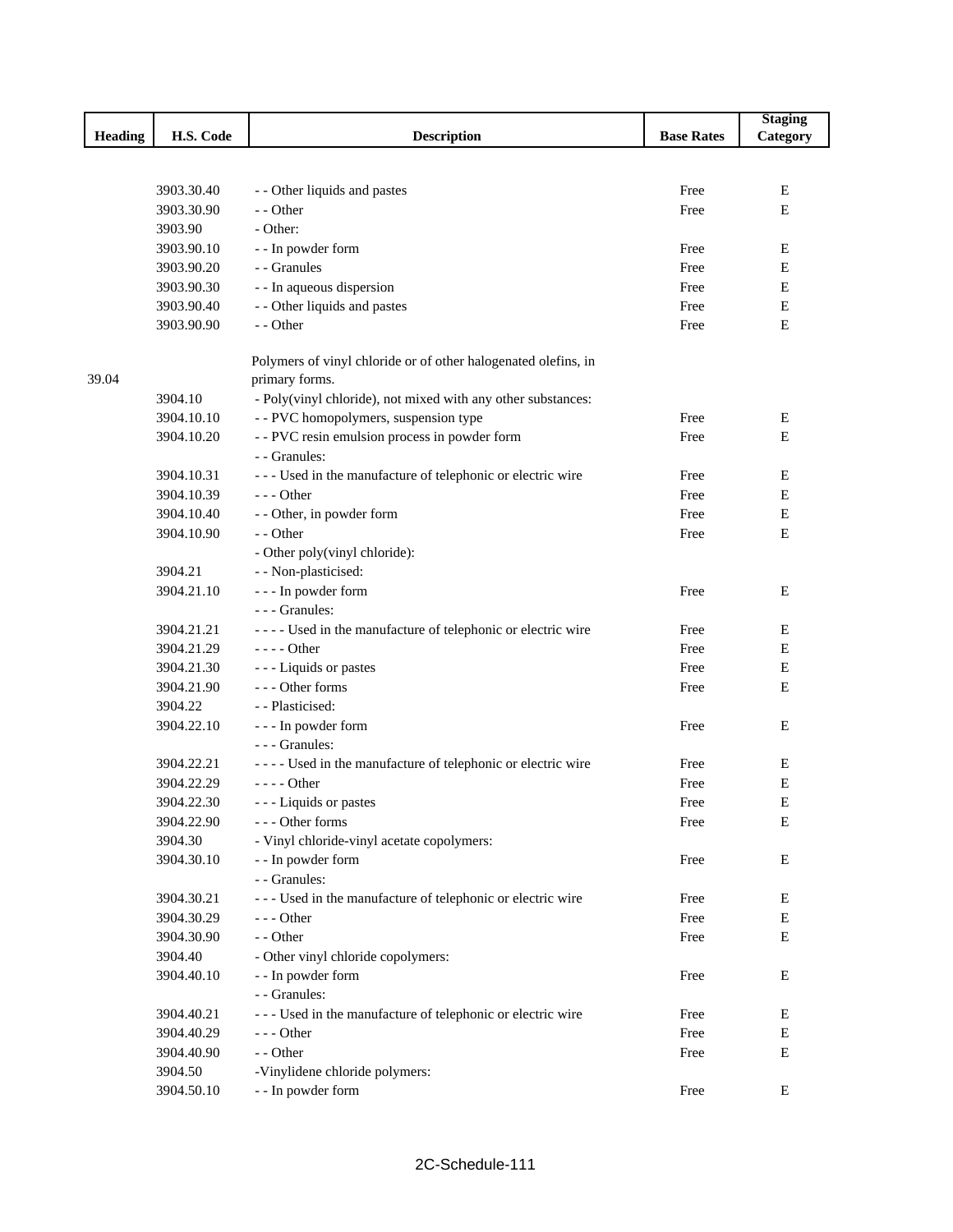|                |            |                                                                |                   | <b>Staging</b> |
|----------------|------------|----------------------------------------------------------------|-------------------|----------------|
| <b>Heading</b> | H.S. Code  | <b>Description</b>                                             | <b>Base Rates</b> | Category       |
|                |            |                                                                |                   |                |
|                |            |                                                                |                   |                |
|                | 3903.30.40 | - - Other liquids and pastes                                   | Free              | E              |
|                | 3903.30.90 | - - Other                                                      | Free              | E              |
|                | 3903.90    | - Other:                                                       |                   |                |
|                | 3903.90.10 | - - In powder form                                             | Free              | Е              |
|                | 3903.90.20 | - - Granules                                                   | Free              | Е              |
|                | 3903.90.30 | - - In aqueous dispersion                                      | Free              | Е              |
|                | 3903.90.40 | - - Other liquids and pastes                                   | Free              | Е              |
|                | 3903.90.90 | - - Other                                                      | Free              | Е              |
|                |            | Polymers of vinyl chloride or of other halogenated olefins, in |                   |                |
| 39.04          |            | primary forms.                                                 |                   |                |
|                | 3904.10    | - Poly(vinyl chloride), not mixed with any other substances:   |                   |                |
|                | 3904.10.10 | - - PVC homopolymers, suspension type                          | Free              | Е              |
|                | 3904.10.20 | - - PVC resin emulsion process in powder form                  | Free              | Е              |
|                |            | - - Granules:                                                  |                   |                |
|                | 3904.10.31 | - - - Used in the manufacture of telephonic or electric wire   | Free              | Е              |
|                | 3904.10.39 | $--$ Other                                                     | Free              | Е              |
|                | 3904.10.40 | - - Other, in powder form                                      | Free              | Е              |
|                | 3904.10.90 | - - Other                                                      | Free              | Е              |
|                |            | - Other poly(vinyl chloride):                                  |                   |                |
|                | 3904.21    | - - Non-plasticised:                                           |                   |                |
|                | 3904.21.10 | - - - In powder form                                           | Free              | E              |
|                |            | - - - Granules:                                                |                   |                |
|                | 3904.21.21 | ---- Used in the manufacture of telephonic or electric wire    | Free              | Е              |
|                | 3904.21.29 | $--- Other$                                                    | Free              | Е              |
|                | 3904.21.30 | --- Liquids or pastes                                          | Free              | Е              |
|                | 3904.21.90 | --- Other forms                                                | Free              | Е              |
|                | 3904.22    | - - Plasticised:                                               |                   |                |
|                | 3904.22.10 | - - - In powder form                                           | Free              | Е              |
|                |            | - - - Granules:                                                |                   |                |
|                | 3904.22.21 | - - - - Used in the manufacture of telephonic or electric wire | Free              | E              |
|                | 3904.22.29 | $--- Other$                                                    | Free              | Е              |
|                | 3904.22.30 | --- Liquids or pastes                                          | Free              | Е              |
|                | 3904.22.90 | --- Other forms                                                | Free              | Е              |
|                | 3904.30    | - Vinyl chloride-vinyl acetate copolymers:                     |                   |                |
|                | 3904.30.10 | - - In powder form                                             | Free              | E              |
|                |            | - - Granules:                                                  |                   |                |
|                | 3904.30.21 | --- Used in the manufacture of telephonic or electric wire     | Free              | Ε              |
|                | 3904.30.29 | $--$ Other                                                     | Free              | Ε              |
|                | 3904.30.90 | - - Other                                                      | Free              | Е              |
|                | 3904.40    | - Other vinyl chloride copolymers:                             |                   |                |
|                | 3904.40.10 | - - In powder form                                             | Free              | Ε              |
|                |            | - - Granules:                                                  |                   |                |
|                | 3904.40.21 | --- Used in the manufacture of telephonic or electric wire     | Free              | Ε              |
|                | 3904.40.29 | $--$ Other                                                     | Free              | Е              |
|                | 3904.40.90 | - - Other                                                      | Free              | Е              |
|                | 3904.50    | -Vinylidene chloride polymers:                                 |                   |                |
|                | 3904.50.10 | - - In powder form                                             | Free              | Е              |
|                |            |                                                                |                   |                |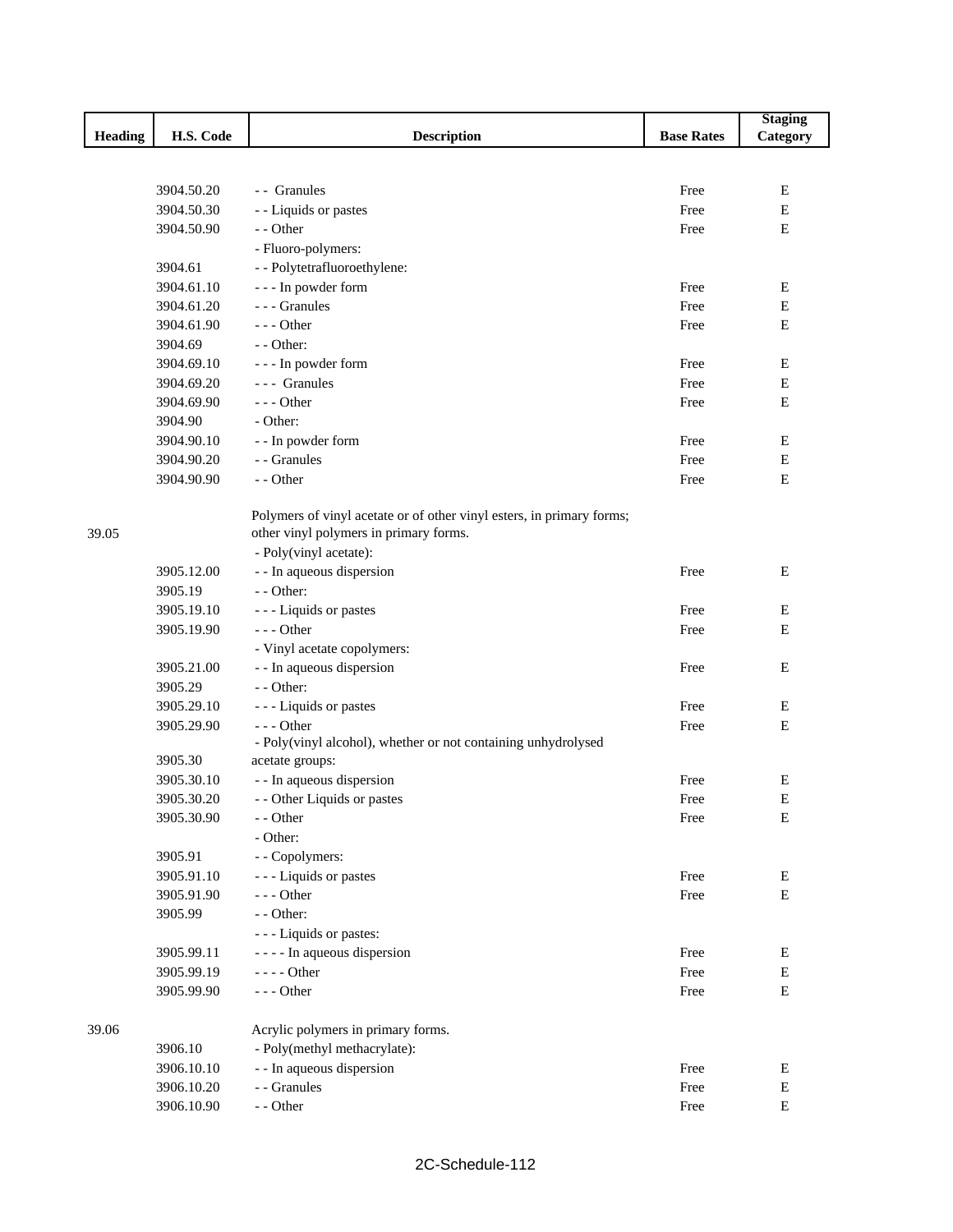|         |            |                                                                       |                   | <b>Staging</b> |
|---------|------------|-----------------------------------------------------------------------|-------------------|----------------|
| Heading | H.S. Code  | <b>Description</b>                                                    | <b>Base Rates</b> | Category       |
|         |            |                                                                       |                   |                |
|         |            |                                                                       |                   |                |
|         | 3904.50.20 | - Granules                                                            | Free              | E              |
|         | 3904.50.30 | - - Liquids or pastes                                                 | Free              | Е              |
|         | 3904.50.90 | - - Other                                                             | Free              | E              |
|         |            | - Fluoro-polymers:                                                    |                   |                |
|         | 3904.61    | - - Polytetrafluoroethylene:                                          |                   |                |
|         | 3904.61.10 | - - - In powder form                                                  | Free              | E              |
|         | 3904.61.20 | - - - Granules                                                        | Free              | E              |
|         | 3904.61.90 | $- -$ Other                                                           | Free              | Е              |
|         | 3904.69    | - - Other:                                                            |                   |                |
|         | 3904.69.10 | - - - In powder form                                                  | Free              | Е              |
|         | 3904.69.20 | --- Granules                                                          | Free              | Е              |
|         | 3904.69.90 | $- -$ Other                                                           | Free              | E              |
|         | 3904.90    | - Other:                                                              |                   |                |
|         | 3904.90.10 | - - In powder form                                                    | Free              | Е              |
|         | 3904.90.20 | - - Granules                                                          | Free              | Е              |
|         | 3904.90.90 | - - Other                                                             | Free              | E              |
|         |            |                                                                       |                   |                |
|         |            | Polymers of vinyl acetate or of other vinyl esters, in primary forms; |                   |                |
| 39.05   |            | other vinyl polymers in primary forms.                                |                   |                |
|         |            | - Poly(vinyl acetate):                                                |                   |                |
|         | 3905.12.00 | - - In aqueous dispersion                                             | Free              | Е              |
|         | 3905.19    | - - Other:                                                            |                   |                |
|         | 3905.19.10 | - - - Liquids or pastes                                               | Free              | Ε              |
|         | 3905.19.90 | $- -$ Other                                                           | Free              | Е              |
|         |            | - Vinyl acetate copolymers:                                           |                   |                |
|         | 3905.21.00 | - - In aqueous dispersion                                             | Free              | Е              |
|         | 3905.29    | - - Other:                                                            |                   |                |
|         | 3905.29.10 | - - - Liquids or pastes                                               | Free              | E              |
|         | 3905.29.90 | $--$ Other                                                            | Free              | Е              |
|         |            | - Poly(vinyl alcohol), whether or not containing unhydrolysed         |                   |                |
|         | 3905.30    | acetate groups:                                                       |                   |                |
|         | 3905.30.10 | - - In aqueous dispersion                                             | Free              | E              |
|         | 3905.30.20 | - - Other Liquids or pastes                                           | Free              | E              |
|         | 3905.30.90 | - - Other                                                             | Free              | Е              |
|         |            | - Other:                                                              |                   |                |
|         | 3905.91    | - - Copolymers:                                                       |                   |                |
|         | 3905.91.10 | - - - Liquids or pastes                                               | Free              | Е              |
|         |            | $--$ Other                                                            |                   | Е              |
|         | 3905.91.90 | $-$ - Other:                                                          | Free              |                |
|         | 3905.99    |                                                                       |                   |                |
|         |            | --- Liquids or pastes:                                                |                   |                |
|         | 3905.99.11 | - - - - In aqueous dispersion                                         | Free              | E              |
|         | 3905.99.19 | $--- Other$                                                           | Free              | E              |
|         | 3905.99.90 | $--$ Other                                                            | Free              | ${\bf E}$      |
|         |            |                                                                       |                   |                |
| 39.06   |            | Acrylic polymers in primary forms.                                    |                   |                |
|         | 3906.10    | - Poly(methyl methacrylate):                                          |                   |                |
|         | 3906.10.10 | - - In aqueous dispersion                                             | Free              | E              |
|         | 3906.10.20 | - - Granules                                                          | Free              | E              |
|         | 3906.10.90 | - - Other                                                             | Free              | ${\bf E}$      |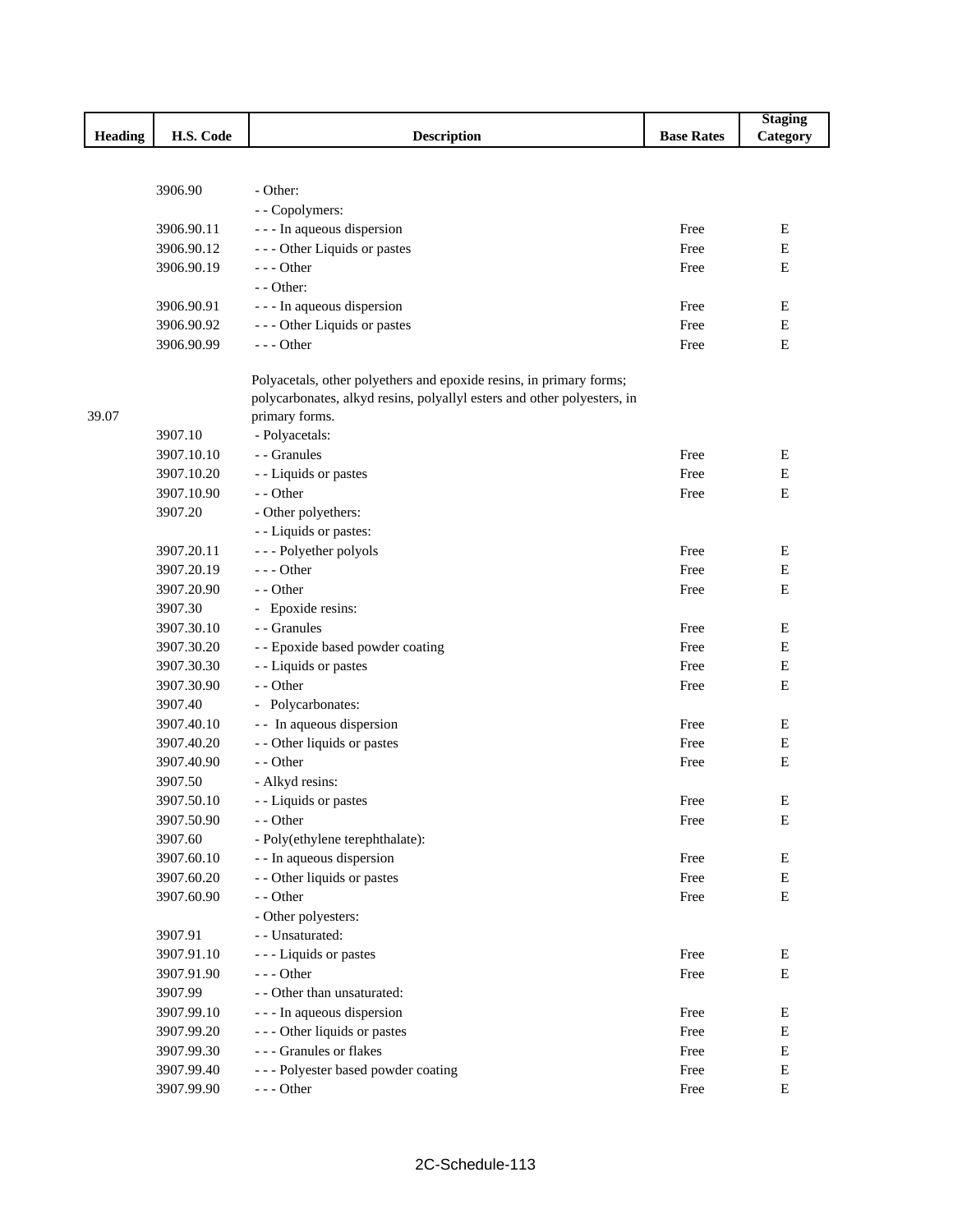|         |            |                                                                         |                   | <b>Staging</b> |
|---------|------------|-------------------------------------------------------------------------|-------------------|----------------|
| Heading | H.S. Code  | <b>Description</b>                                                      | <b>Base Rates</b> | Category       |
|         |            |                                                                         |                   |                |
|         |            |                                                                         |                   |                |
|         | 3906.90    | - Other:                                                                |                   |                |
|         |            | - - Copolymers:                                                         |                   |                |
|         | 3906.90.11 | - - - In aqueous dispersion                                             | Free              | Е              |
|         | 3906.90.12 | --- Other Liquids or pastes                                             | Free              | E              |
|         | 3906.90.19 | --- Other                                                               | Free              | E              |
|         |            | $-$ - Other:                                                            |                   |                |
|         | 3906.90.91 | - - - In aqueous dispersion                                             | Free              | E              |
|         | 3906.90.92 | --- Other Liquids or pastes                                             | Free              | $\mathbf E$    |
|         | 3906.90.99 | --- Other                                                               | Free              | E              |
|         |            | Polyacetals, other polyethers and epoxide resins, in primary forms;     |                   |                |
|         |            | polycarbonates, alkyd resins, polyallyl esters and other polyesters, in |                   |                |
| 39.07   |            | primary forms.                                                          |                   |                |
|         | 3907.10    | - Polyacetals:                                                          |                   |                |
|         | 3907.10.10 | - - Granules                                                            | Free              | E              |
|         | 3907.10.20 | - - Liquids or pastes                                                   | Free              | E              |
|         | 3907.10.90 | - - Other                                                               | Free              | E              |
|         | 3907.20    | - Other polyethers:                                                     |                   |                |
|         |            | - - Liquids or pastes:                                                  |                   |                |
|         | 3907.20.11 | --- Polyether polyols                                                   | Free              | Ε              |
|         | 3907.20.19 | $- -$ Other                                                             | Free              | Е              |
|         | 3907.20.90 | - - Other                                                               | Free              | E              |
|         | 3907.30    | - Epoxide resins:                                                       |                   |                |
|         | 3907.30.10 | - Granules                                                              | Free              | Ε              |
|         | 3907.30.20 | - - Epoxide based powder coating                                        | Free              | E              |
|         | 3907.30.30 | - - Liquids or pastes                                                   | Free              | E              |
|         | 3907.30.90 | - - Other                                                               | Free              | E              |
|         | 3907.40    | - Polycarbonates:                                                       |                   |                |
|         | 3907.40.10 | - - In aqueous dispersion                                               | Free              | E              |
|         | 3907.40.20 | - - Other liquids or pastes                                             | Free              | E              |
|         | 3907.40.90 | - - Other                                                               | Free              | Е              |
|         | 3907.50    | - Alkyd resins:                                                         |                   |                |
|         | 3907.50.10 | - - Liquids or pastes                                                   | Free              | E              |
|         | 3907.50.90 | - - Other                                                               | Free              | Ε              |
|         | 3907.60    | - Poly(ethylene terephthalate):                                         |                   |                |
|         | 3907.60.10 | - - In aqueous dispersion                                               | Free              | Е              |
|         | 3907.60.20 | - - Other liquids or pastes                                             | Free              | ${\bf E}$      |
|         | 3907.60.90 | - - Other                                                               | Free              | ${\bf E}$      |
|         |            | - Other polyesters:                                                     |                   |                |
|         | 3907.91    | - - Unsaturated:                                                        |                   |                |
|         | 3907.91.10 | - - - Liquids or pastes                                                 | Free              |                |
|         |            | $--$ Other                                                              |                   | Ε<br>${\bf E}$ |
|         | 3907.91.90 | - - Other than unsaturated:                                             | Free              |                |
|         | 3907.99    |                                                                         |                   |                |
|         | 3907.99.10 | - - - In aqueous dispersion                                             | Free              | Е              |
|         | 3907.99.20 | --- Other liquids or pastes                                             | Free              | E              |
|         | 3907.99.30 | --- Granules or flakes                                                  | Free              | Е              |
|         | 3907.99.40 | --- Polyester based powder coating                                      | Free              | Е              |
|         | 3907.99.90 | $--$ Other                                                              | Free              | ${\bf E}$      |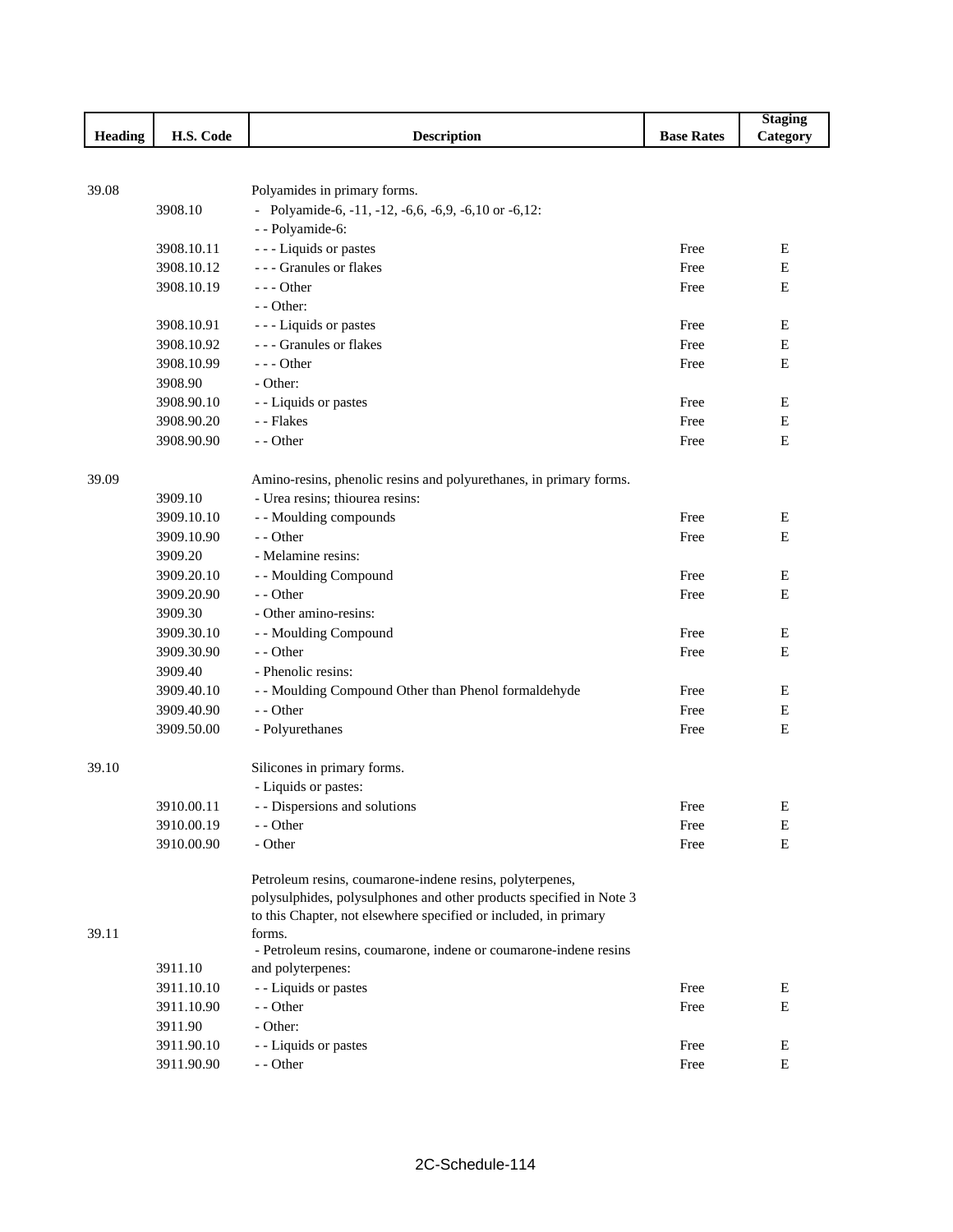|                |                       |                                                                       |                   | <b>Staging</b> |
|----------------|-----------------------|-----------------------------------------------------------------------|-------------------|----------------|
| <b>Heading</b> | H.S. Code             | <b>Description</b>                                                    | <b>Base Rates</b> | Category       |
|                |                       |                                                                       |                   |                |
|                |                       |                                                                       |                   |                |
| 39.08          |                       | Polyamides in primary forms.                                          |                   |                |
|                | 3908.10               | - Polyamide-6, $-11$ , $-12$ , $-6,6$ , $-6,9$ , $-6,10$ or $-6,12$ : |                   |                |
|                |                       | - - Polyamide-6:                                                      |                   |                |
|                | 3908.10.11            | - - - Liquids or pastes                                               | Free              | Е              |
|                | 3908.10.12            | --- Granules or flakes                                                | Free              | E              |
|                | 3908.10.19            | $--$ Other                                                            | Free              | E              |
|                |                       | - - Other:                                                            |                   |                |
|                | 3908.10.91            | - - - Liquids or pastes                                               | Free              | Е              |
|                | 3908.10.92            | --- Granules or flakes                                                | Free              | Е              |
|                | 3908.10.99            | $- -$ Other                                                           | Free              | Е              |
|                | 3908.90               | - Other:                                                              |                   |                |
|                | 3908.90.10            | - - Liquids or pastes                                                 | Free              | Е              |
|                | 3908.90.20            | - - Flakes                                                            | Free              | Е              |
|                | 3908.90.90            | - - Other                                                             | Free              | E              |
| 39.09          |                       | Amino-resins, phenolic resins and polyurethanes, in primary forms.    |                   |                |
|                | 3909.10               | - Urea resins; thiourea resins:                                       |                   |                |
|                | 3909.10.10            | - - Moulding compounds                                                | Free              | E              |
|                | 3909.10.90            | - - Other                                                             | Free              | Ε              |
|                | 3909.20               | - Melamine resins:                                                    |                   |                |
|                | 3909.20.10            | - - Moulding Compound                                                 | Free              | E              |
|                | 3909.20.90            | - - Other                                                             | Free              | Е              |
|                | 3909.30               | - Other amino-resins:                                                 |                   |                |
|                | 3909.30.10            | - - Moulding Compound                                                 | Free              | Ε              |
|                |                       | - - Other                                                             |                   | E              |
|                | 3909.30.90<br>3909.40 | - Phenolic resins:                                                    | Free              |                |
|                |                       |                                                                       |                   |                |
|                | 3909.40.10            | - - Moulding Compound Other than Phenol formaldehyde                  | Free              | Е              |
|                | 3909.40.90            | - - Other                                                             | Free              | Е              |
|                | 3909.50.00            | - Polyurethanes                                                       | Free              | Е              |
| 39.10          |                       | Silicones in primary forms.                                           |                   |                |
|                |                       | - Liquids or pastes:                                                  |                   |                |
|                | 3910.00.11            | - - Dispersions and solutions                                         | Free              | E              |
|                | 3910.00.19            | - - Other                                                             | Free              | E              |
|                | 3910.00.90            | - Other                                                               | Free              | E              |
|                |                       | Petroleum resins, coumarone-indene resins, polyterpenes,              |                   |                |
|                |                       | polysulphides, polysulphones and other products specified in Note 3   |                   |                |
|                |                       | to this Chapter, not elsewhere specified or included, in primary      |                   |                |
| 39.11          |                       | forms.                                                                |                   |                |
|                |                       | - Petroleum resins, coumarone, indene or coumarone-indene resins      |                   |                |
|                | 3911.10               | and polyterpenes:                                                     |                   |                |
|                | 3911.10.10            | - - Liquids or pastes                                                 | Free              | E              |
|                | 3911.10.90            | - - Other                                                             | Free              | Е              |
|                | 3911.90               | - Other:                                                              |                   |                |
|                | 3911.90.10            | - - Liquids or pastes                                                 | Free              | E              |
|                | 3911.90.90            | - - Other                                                             | Free              | E              |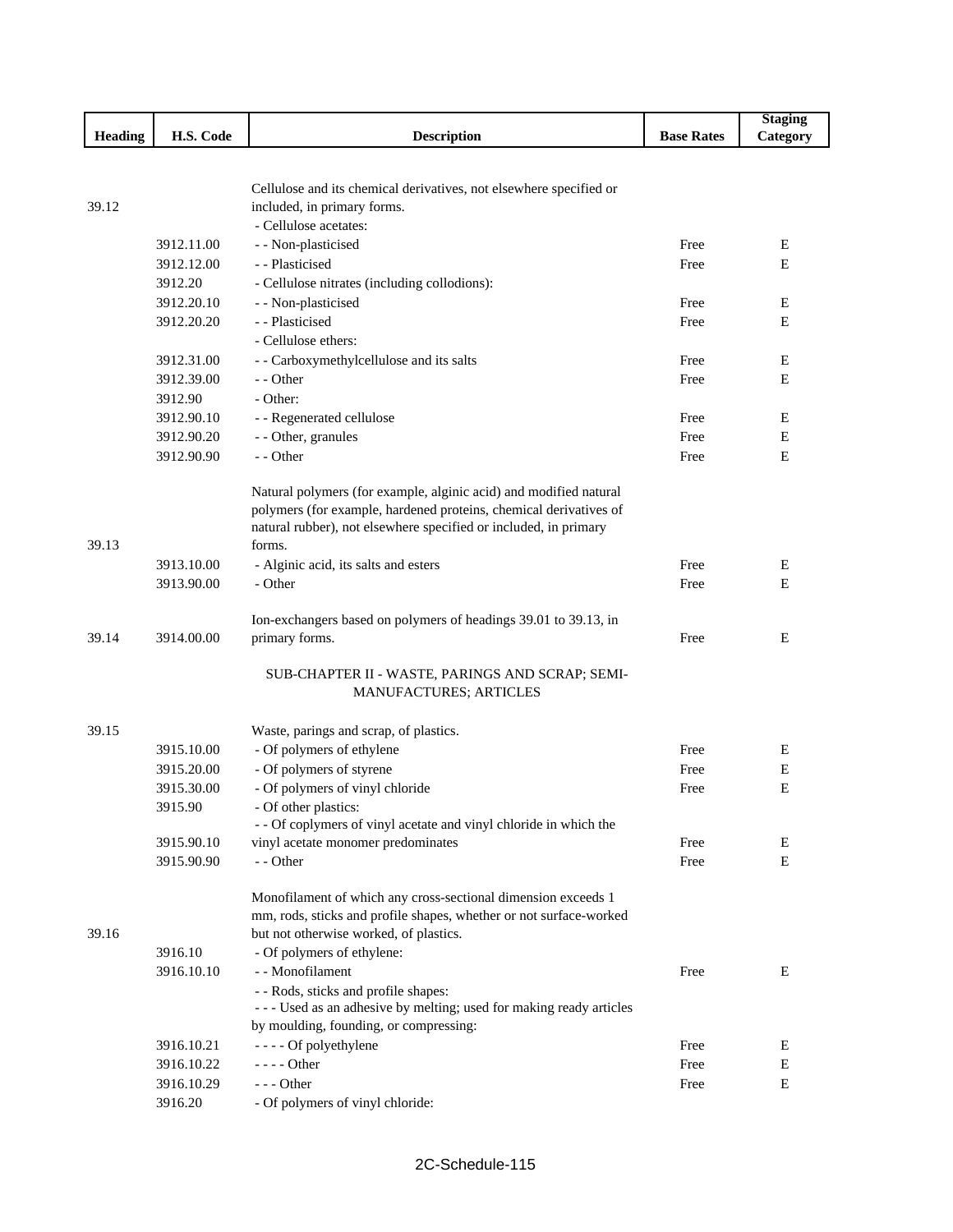|                |            |                                                                    |                   | <b>Staging</b> |
|----------------|------------|--------------------------------------------------------------------|-------------------|----------------|
| <b>Heading</b> | H.S. Code  | <b>Description</b>                                                 | <b>Base Rates</b> | Category       |
|                |            |                                                                    |                   |                |
|                |            |                                                                    |                   |                |
|                |            | Cellulose and its chemical derivatives, not elsewhere specified or |                   |                |
| 39.12          |            | included, in primary forms.                                        |                   |                |
|                |            | - Cellulose acetates:                                              |                   |                |
|                | 3912.11.00 | - - Non-plasticised                                                | Free              | E              |
|                | 3912.12.00 | - - Plasticised                                                    | Free              | E              |
|                | 3912.20    | - Cellulose nitrates (including collodions):                       |                   |                |
|                | 3912.20.10 | - - Non-plasticised                                                | Free              | E              |
|                | 3912.20.20 | - - Plasticised                                                    | Free              | E              |
|                |            | - Cellulose ethers:                                                |                   |                |
|                | 3912.31.00 | - - Carboxymethylcellulose and its salts                           | Free              | E              |
|                | 3912.39.00 | - - Other                                                          | Free              | E              |
|                | 3912.90    | - Other:                                                           |                   |                |
|                | 3912.90.10 | - - Regenerated cellulose                                          | Free              | Е              |
|                | 3912.90.20 | - - Other, granules                                                | Free              | $\mathbf E$    |
|                | 3912.90.90 | - - Other                                                          | Free              | E              |
|                |            | Natural polymers (for example, alginic acid) and modified natural  |                   |                |
|                |            | polymers (for example, hardened proteins, chemical derivatives of  |                   |                |
|                |            | natural rubber), not elsewhere specified or included, in primary   |                   |                |
| 39.13          |            | forms.                                                             |                   |                |
|                | 3913.10.00 | - Alginic acid, its salts and esters                               | Free              | Е              |
|                | 3913.90.00 | - Other                                                            | Free              | Е              |
|                |            |                                                                    |                   |                |
|                |            | Ion-exchangers based on polymers of headings 39.01 to 39.13, in    |                   |                |
| 39.14          | 3914.00.00 | primary forms.                                                     | Free              | E              |
|                |            | SUB-CHAPTER II - WASTE, PARINGS AND SCRAP; SEMI-                   |                   |                |
|                |            | MANUFACTURES; ARTICLES                                             |                   |                |
|                |            |                                                                    |                   |                |
| 39.15          |            | Waste, parings and scrap, of plastics.                             |                   |                |
|                | 3915.10.00 | - Of polymers of ethylene                                          | Free              | E              |
|                | 3915.20.00 | - Of polymers of styrene                                           | Free              | E              |
|                | 3915.30.00 | - Of polymers of vinyl chloride                                    | Free              | E              |
|                | 3915.90    | - Of other plastics:                                               |                   |                |
|                |            | - - Of coplymers of vinyl acetate and vinyl chloride in which the  |                   |                |
|                | 3915.90.10 | vinyl acetate monomer predominates                                 | Free              | E              |
|                | 3915.90.90 | - - Other                                                          | Free              | E              |
|                |            | Monofilament of which any cross-sectional dimension exceeds 1      |                   |                |
|                |            | mm, rods, sticks and profile shapes, whether or not surface-worked |                   |                |
| 39.16          |            | but not otherwise worked, of plastics.                             |                   |                |
|                | 3916.10    | - Of polymers of ethylene:                                         |                   |                |
|                | 3916.10.10 | - - Monofilament                                                   | Free              | Ε              |
|                |            | - - Rods, sticks and profile shapes:                               |                   |                |
|                |            | --- Used as an adhesive by melting; used for making ready articles |                   |                |
|                |            | by moulding, founding, or compressing:                             |                   |                |
|                | 3916.10.21 | - - - - Of polyethylene                                            | Free              | Ε              |
|                | 3916.10.22 | $---$ Other                                                        | Free              | E              |
|                | 3916.10.29 | $--$ Other                                                         | Free              | Е              |
|                | 3916.20    | - Of polymers of vinyl chloride:                                   |                   |                |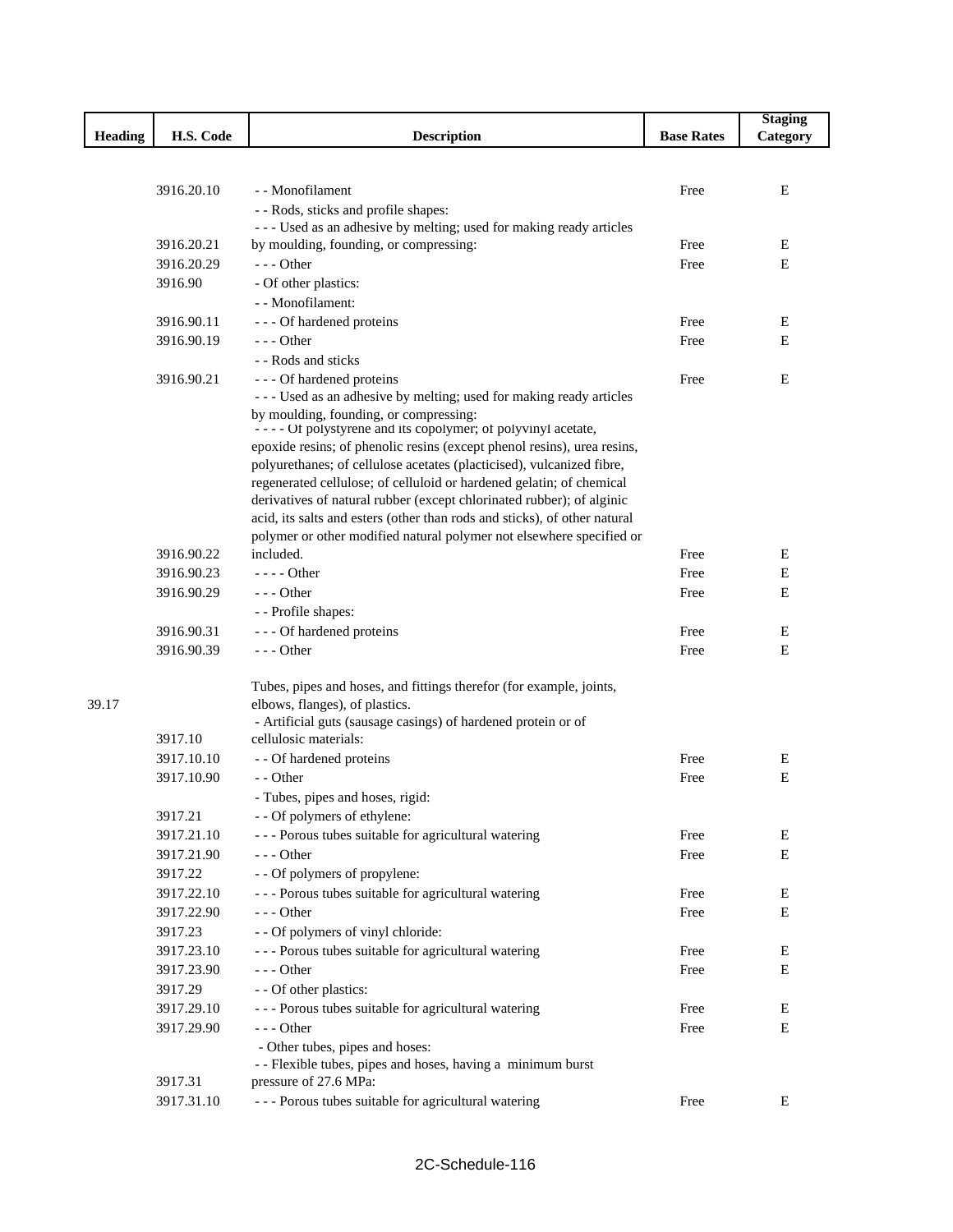|                |            |                                                                                                                                                   |                   | <b>Staging</b> |
|----------------|------------|---------------------------------------------------------------------------------------------------------------------------------------------------|-------------------|----------------|
| <b>Heading</b> | H.S. Code  | <b>Description</b>                                                                                                                                | <b>Base Rates</b> | Category       |
|                |            |                                                                                                                                                   |                   |                |
|                |            |                                                                                                                                                   |                   |                |
|                | 3916.20.10 | - - Monofilament                                                                                                                                  | Free              | E              |
|                |            | - - Rods, sticks and profile shapes:<br>--- Used as an adhesive by melting; used for making ready articles                                        |                   |                |
|                | 3916.20.21 | by moulding, founding, or compressing:                                                                                                            | Free              | E              |
|                | 3916.20.29 | $- -$ Other                                                                                                                                       | Free              | E              |
|                | 3916.90    | - Of other plastics:                                                                                                                              |                   |                |
|                |            | - - Monofilament:                                                                                                                                 |                   |                |
|                | 3916.90.11 | --- Of hardened proteins                                                                                                                          | Free              | Ε              |
|                | 3916.90.19 | $- -$ Other                                                                                                                                       | Free              | E              |
|                |            | - - Rods and sticks                                                                                                                               |                   |                |
|                | 3916.90.21 | - - - Of hardened proteins                                                                                                                        | Free              | Ε              |
|                |            | --- Used as an adhesive by melting; used for making ready articles                                                                                |                   |                |
|                |            | by moulding, founding, or compressing:                                                                                                            |                   |                |
|                |            | - - - - Of polystyrene and its copolymer; of polyvinyl acetate,                                                                                   |                   |                |
|                |            | epoxide resins; of phenolic resins (except phenol resins), urea resins,                                                                           |                   |                |
|                |            | polyurethanes; of cellulose acetates (placticised), vulcanized fibre,                                                                             |                   |                |
|                |            | regenerated cellulose; of celluloid or hardened gelatin; of chemical                                                                              |                   |                |
|                |            | derivatives of natural rubber (except chlorinated rubber); of alginic                                                                             |                   |                |
|                |            | acid, its salts and esters (other than rods and sticks), of other natural<br>polymer or other modified natural polymer not elsewhere specified or |                   |                |
|                | 3916.90.22 | included.                                                                                                                                         | Free              | Ε              |
|                | 3916.90.23 | $---$ Other                                                                                                                                       | Free              | Е              |
|                | 3916.90.29 | $--$ Other                                                                                                                                        | Free              | E              |
|                |            | - - Profile shapes:                                                                                                                               |                   |                |
|                | 3916.90.31 | --- Of hardened proteins                                                                                                                          | Free              | E              |
|                | 3916.90.39 | $- -$ Other                                                                                                                                       | Free              | E              |
|                |            |                                                                                                                                                   |                   |                |
|                |            | Tubes, pipes and hoses, and fittings therefor (for example, joints,                                                                               |                   |                |
| 39.17          |            | elbows, flanges), of plastics.                                                                                                                    |                   |                |
|                |            | - Artificial guts (sausage casings) of hardened protein or of                                                                                     |                   |                |
|                | 3917.10    | cellulosic materials:                                                                                                                             |                   |                |
|                | 3917.10.10 | - - Of hardened proteins                                                                                                                          | Free              | E              |
|                | 3917.10.90 | - - Other                                                                                                                                         | Free              | $\mathbf E$    |
|                |            | - Tubes, pipes and hoses, rigid:                                                                                                                  |                   |                |
|                | 3917.21    | - - Of polymers of ethylene:                                                                                                                      |                   |                |
|                | 3917.21.10 | --- Porous tubes suitable for agricultural watering                                                                                               | Free              | Ε              |
|                | 3917.21.90 | $--$ Other                                                                                                                                        | Free              | Е              |
|                | 3917.22    | - - Of polymers of propylene:                                                                                                                     |                   |                |
|                | 3917.22.10 | --- Porous tubes suitable for agricultural watering                                                                                               | Free              | Е              |
|                | 3917.22.90 | $--$ Other                                                                                                                                        | Free              | E              |
|                | 3917.23    | - - Of polymers of vinyl chloride:                                                                                                                |                   |                |
|                | 3917.23.10 | --- Porous tubes suitable for agricultural watering                                                                                               | Free              | Е              |
|                | 3917.23.90 | --- Other                                                                                                                                         | Free              | E              |
|                | 3917.29    | - - Of other plastics:                                                                                                                            |                   |                |
|                | 3917.29.10 | --- Porous tubes suitable for agricultural watering                                                                                               | Free              | Е              |
|                | 3917.29.90 | --- Other                                                                                                                                         | Free              | E              |
|                |            | - Other tubes, pipes and hoses:<br>- - Flexible tubes, pipes and hoses, having a minimum burst                                                    |                   |                |
|                | 3917.31    | pressure of 27.6 MPa:                                                                                                                             |                   |                |
|                | 3917.31.10 | --- Porous tubes suitable for agricultural watering                                                                                               | Free              | Е              |
|                |            |                                                                                                                                                   |                   |                |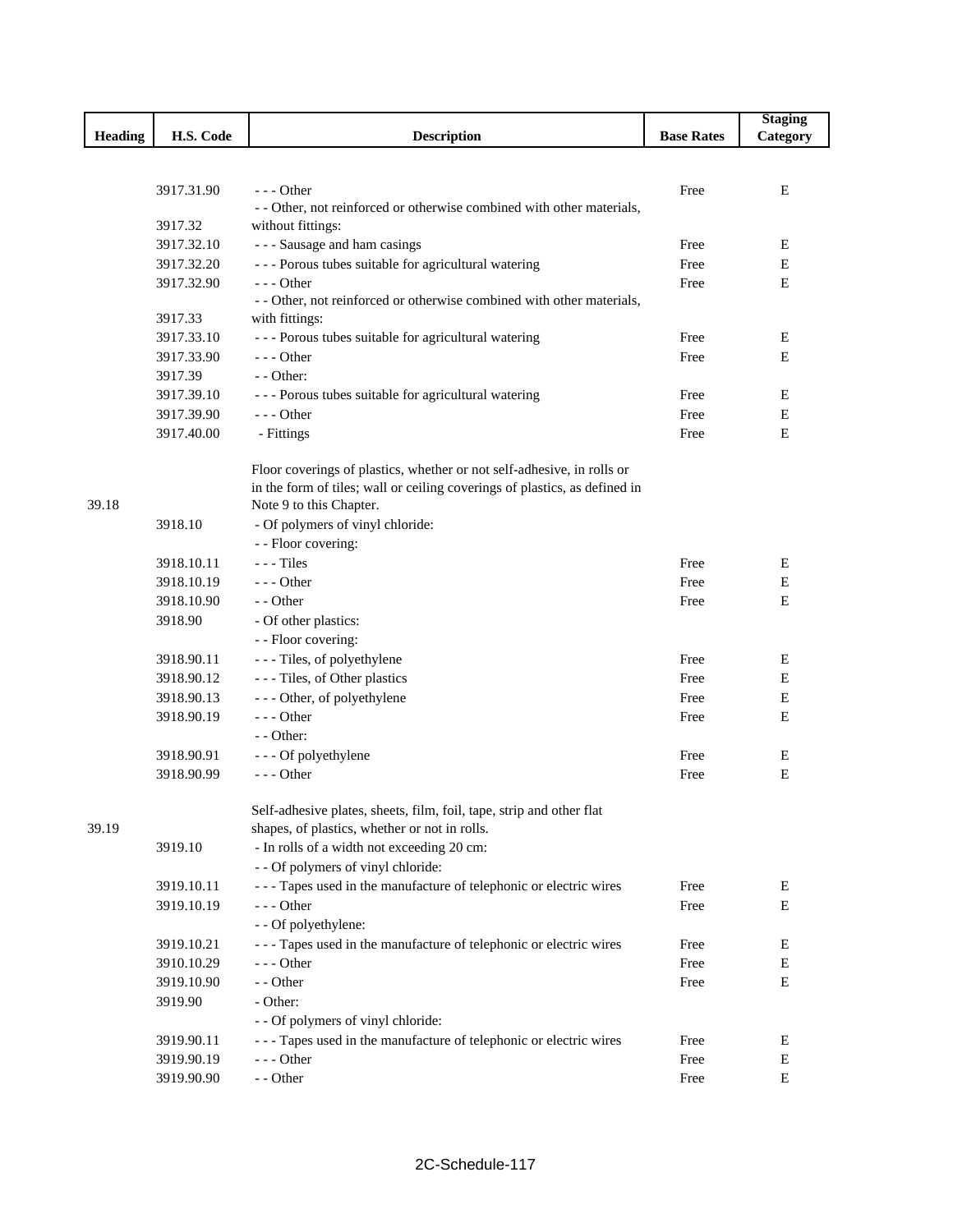| Heading<br>H.S. Code<br><b>Description</b><br><b>Base Rates</b><br>Category<br>3917.31.90<br>$- -$ Other<br>E<br>Free<br>- - Other, not reinforced or otherwise combined with other materials,<br>3917.32<br>without fittings:<br>- - - Sausage and ham casings<br>3917.32.10<br>Free<br>E<br>--- Porous tubes suitable for agricultural watering<br>3917.32.20<br>Free<br>E<br>3917.32.90<br>$--$ Other<br>E<br>Free<br>- - Other, not reinforced or otherwise combined with other materials,<br>3917.33<br>with fittings:<br>--- Porous tubes suitable for agricultural watering<br>3917.33.10<br>Free<br>Е<br>$--$ Other<br>3917.33.90<br>Free<br>E<br>$-$ - Other:<br>3917.39<br>3917.39.10<br>--- Porous tubes suitable for agricultural watering<br>E<br>Free<br>$--$ Other<br>3917.39.90<br>Free<br>Ε<br>3917.40.00<br>E<br>- Fittings<br>Free<br>Floor coverings of plastics, whether or not self-adhesive, in rolls or<br>in the form of tiles; wall or ceiling coverings of plastics, as defined in<br>39.18<br>Note 9 to this Chapter.<br>- Of polymers of vinyl chloride:<br>3918.10<br>- - Floor covering:<br>3918.10.11<br>$--$ Tiles<br>Free<br>Е<br>3918.10.19<br>$--$ Other<br>Free<br>Ε<br>3918.10.90<br>- - Other<br>E<br>Free<br>3918.90<br>- Of other plastics:<br>- - Floor covering:<br>- - - Tiles, of polyethylene<br>3918.90.11<br>Free<br>E<br>--- Tiles, of Other plastics<br>3918.90.12<br>Free<br>Е<br>--- Other, of polyethylene<br>3918.90.13<br>Free<br>Е<br>$--$ Other<br>3918.90.19<br>Free<br>E<br>- - Other:<br>3918.90.91<br>- - - Of polyethylene<br>Free<br>E<br>$\mathbf E$<br>3918.90.99<br>$- -$ Other<br>Free<br>Self-adhesive plates, sheets, film, foil, tape, strip and other flat |
|-----------------------------------------------------------------------------------------------------------------------------------------------------------------------------------------------------------------------------------------------------------------------------------------------------------------------------------------------------------------------------------------------------------------------------------------------------------------------------------------------------------------------------------------------------------------------------------------------------------------------------------------------------------------------------------------------------------------------------------------------------------------------------------------------------------------------------------------------------------------------------------------------------------------------------------------------------------------------------------------------------------------------------------------------------------------------------------------------------------------------------------------------------------------------------------------------------------------------------------------------------------------------------------------------------------------------------------------------------------------------------------------------------------------------------------------------------------------------------------------------------------------------------------------------------------------------------------------------------------------------------------------------------------------------------------------------------------------------------------|
|                                                                                                                                                                                                                                                                                                                                                                                                                                                                                                                                                                                                                                                                                                                                                                                                                                                                                                                                                                                                                                                                                                                                                                                                                                                                                                                                                                                                                                                                                                                                                                                                                                                                                                                                   |
|                                                                                                                                                                                                                                                                                                                                                                                                                                                                                                                                                                                                                                                                                                                                                                                                                                                                                                                                                                                                                                                                                                                                                                                                                                                                                                                                                                                                                                                                                                                                                                                                                                                                                                                                   |
|                                                                                                                                                                                                                                                                                                                                                                                                                                                                                                                                                                                                                                                                                                                                                                                                                                                                                                                                                                                                                                                                                                                                                                                                                                                                                                                                                                                                                                                                                                                                                                                                                                                                                                                                   |
|                                                                                                                                                                                                                                                                                                                                                                                                                                                                                                                                                                                                                                                                                                                                                                                                                                                                                                                                                                                                                                                                                                                                                                                                                                                                                                                                                                                                                                                                                                                                                                                                                                                                                                                                   |
|                                                                                                                                                                                                                                                                                                                                                                                                                                                                                                                                                                                                                                                                                                                                                                                                                                                                                                                                                                                                                                                                                                                                                                                                                                                                                                                                                                                                                                                                                                                                                                                                                                                                                                                                   |
|                                                                                                                                                                                                                                                                                                                                                                                                                                                                                                                                                                                                                                                                                                                                                                                                                                                                                                                                                                                                                                                                                                                                                                                                                                                                                                                                                                                                                                                                                                                                                                                                                                                                                                                                   |
|                                                                                                                                                                                                                                                                                                                                                                                                                                                                                                                                                                                                                                                                                                                                                                                                                                                                                                                                                                                                                                                                                                                                                                                                                                                                                                                                                                                                                                                                                                                                                                                                                                                                                                                                   |
|                                                                                                                                                                                                                                                                                                                                                                                                                                                                                                                                                                                                                                                                                                                                                                                                                                                                                                                                                                                                                                                                                                                                                                                                                                                                                                                                                                                                                                                                                                                                                                                                                                                                                                                                   |
|                                                                                                                                                                                                                                                                                                                                                                                                                                                                                                                                                                                                                                                                                                                                                                                                                                                                                                                                                                                                                                                                                                                                                                                                                                                                                                                                                                                                                                                                                                                                                                                                                                                                                                                                   |
|                                                                                                                                                                                                                                                                                                                                                                                                                                                                                                                                                                                                                                                                                                                                                                                                                                                                                                                                                                                                                                                                                                                                                                                                                                                                                                                                                                                                                                                                                                                                                                                                                                                                                                                                   |
|                                                                                                                                                                                                                                                                                                                                                                                                                                                                                                                                                                                                                                                                                                                                                                                                                                                                                                                                                                                                                                                                                                                                                                                                                                                                                                                                                                                                                                                                                                                                                                                                                                                                                                                                   |
|                                                                                                                                                                                                                                                                                                                                                                                                                                                                                                                                                                                                                                                                                                                                                                                                                                                                                                                                                                                                                                                                                                                                                                                                                                                                                                                                                                                                                                                                                                                                                                                                                                                                                                                                   |
|                                                                                                                                                                                                                                                                                                                                                                                                                                                                                                                                                                                                                                                                                                                                                                                                                                                                                                                                                                                                                                                                                                                                                                                                                                                                                                                                                                                                                                                                                                                                                                                                                                                                                                                                   |
|                                                                                                                                                                                                                                                                                                                                                                                                                                                                                                                                                                                                                                                                                                                                                                                                                                                                                                                                                                                                                                                                                                                                                                                                                                                                                                                                                                                                                                                                                                                                                                                                                                                                                                                                   |
|                                                                                                                                                                                                                                                                                                                                                                                                                                                                                                                                                                                                                                                                                                                                                                                                                                                                                                                                                                                                                                                                                                                                                                                                                                                                                                                                                                                                                                                                                                                                                                                                                                                                                                                                   |
|                                                                                                                                                                                                                                                                                                                                                                                                                                                                                                                                                                                                                                                                                                                                                                                                                                                                                                                                                                                                                                                                                                                                                                                                                                                                                                                                                                                                                                                                                                                                                                                                                                                                                                                                   |
|                                                                                                                                                                                                                                                                                                                                                                                                                                                                                                                                                                                                                                                                                                                                                                                                                                                                                                                                                                                                                                                                                                                                                                                                                                                                                                                                                                                                                                                                                                                                                                                                                                                                                                                                   |
|                                                                                                                                                                                                                                                                                                                                                                                                                                                                                                                                                                                                                                                                                                                                                                                                                                                                                                                                                                                                                                                                                                                                                                                                                                                                                                                                                                                                                                                                                                                                                                                                                                                                                                                                   |
|                                                                                                                                                                                                                                                                                                                                                                                                                                                                                                                                                                                                                                                                                                                                                                                                                                                                                                                                                                                                                                                                                                                                                                                                                                                                                                                                                                                                                                                                                                                                                                                                                                                                                                                                   |
|                                                                                                                                                                                                                                                                                                                                                                                                                                                                                                                                                                                                                                                                                                                                                                                                                                                                                                                                                                                                                                                                                                                                                                                                                                                                                                                                                                                                                                                                                                                                                                                                                                                                                                                                   |
|                                                                                                                                                                                                                                                                                                                                                                                                                                                                                                                                                                                                                                                                                                                                                                                                                                                                                                                                                                                                                                                                                                                                                                                                                                                                                                                                                                                                                                                                                                                                                                                                                                                                                                                                   |
|                                                                                                                                                                                                                                                                                                                                                                                                                                                                                                                                                                                                                                                                                                                                                                                                                                                                                                                                                                                                                                                                                                                                                                                                                                                                                                                                                                                                                                                                                                                                                                                                                                                                                                                                   |
|                                                                                                                                                                                                                                                                                                                                                                                                                                                                                                                                                                                                                                                                                                                                                                                                                                                                                                                                                                                                                                                                                                                                                                                                                                                                                                                                                                                                                                                                                                                                                                                                                                                                                                                                   |
|                                                                                                                                                                                                                                                                                                                                                                                                                                                                                                                                                                                                                                                                                                                                                                                                                                                                                                                                                                                                                                                                                                                                                                                                                                                                                                                                                                                                                                                                                                                                                                                                                                                                                                                                   |
|                                                                                                                                                                                                                                                                                                                                                                                                                                                                                                                                                                                                                                                                                                                                                                                                                                                                                                                                                                                                                                                                                                                                                                                                                                                                                                                                                                                                                                                                                                                                                                                                                                                                                                                                   |
|                                                                                                                                                                                                                                                                                                                                                                                                                                                                                                                                                                                                                                                                                                                                                                                                                                                                                                                                                                                                                                                                                                                                                                                                                                                                                                                                                                                                                                                                                                                                                                                                                                                                                                                                   |
|                                                                                                                                                                                                                                                                                                                                                                                                                                                                                                                                                                                                                                                                                                                                                                                                                                                                                                                                                                                                                                                                                                                                                                                                                                                                                                                                                                                                                                                                                                                                                                                                                                                                                                                                   |
|                                                                                                                                                                                                                                                                                                                                                                                                                                                                                                                                                                                                                                                                                                                                                                                                                                                                                                                                                                                                                                                                                                                                                                                                                                                                                                                                                                                                                                                                                                                                                                                                                                                                                                                                   |
|                                                                                                                                                                                                                                                                                                                                                                                                                                                                                                                                                                                                                                                                                                                                                                                                                                                                                                                                                                                                                                                                                                                                                                                                                                                                                                                                                                                                                                                                                                                                                                                                                                                                                                                                   |
|                                                                                                                                                                                                                                                                                                                                                                                                                                                                                                                                                                                                                                                                                                                                                                                                                                                                                                                                                                                                                                                                                                                                                                                                                                                                                                                                                                                                                                                                                                                                                                                                                                                                                                                                   |
|                                                                                                                                                                                                                                                                                                                                                                                                                                                                                                                                                                                                                                                                                                                                                                                                                                                                                                                                                                                                                                                                                                                                                                                                                                                                                                                                                                                                                                                                                                                                                                                                                                                                                                                                   |
|                                                                                                                                                                                                                                                                                                                                                                                                                                                                                                                                                                                                                                                                                                                                                                                                                                                                                                                                                                                                                                                                                                                                                                                                                                                                                                                                                                                                                                                                                                                                                                                                                                                                                                                                   |
|                                                                                                                                                                                                                                                                                                                                                                                                                                                                                                                                                                                                                                                                                                                                                                                                                                                                                                                                                                                                                                                                                                                                                                                                                                                                                                                                                                                                                                                                                                                                                                                                                                                                                                                                   |
|                                                                                                                                                                                                                                                                                                                                                                                                                                                                                                                                                                                                                                                                                                                                                                                                                                                                                                                                                                                                                                                                                                                                                                                                                                                                                                                                                                                                                                                                                                                                                                                                                                                                                                                                   |
|                                                                                                                                                                                                                                                                                                                                                                                                                                                                                                                                                                                                                                                                                                                                                                                                                                                                                                                                                                                                                                                                                                                                                                                                                                                                                                                                                                                                                                                                                                                                                                                                                                                                                                                                   |
|                                                                                                                                                                                                                                                                                                                                                                                                                                                                                                                                                                                                                                                                                                                                                                                                                                                                                                                                                                                                                                                                                                                                                                                                                                                                                                                                                                                                                                                                                                                                                                                                                                                                                                                                   |
| shapes, of plastics, whether or not in rolls.<br>39.19                                                                                                                                                                                                                                                                                                                                                                                                                                                                                                                                                                                                                                                                                                                                                                                                                                                                                                                                                                                                                                                                                                                                                                                                                                                                                                                                                                                                                                                                                                                                                                                                                                                                            |
| 3919.10<br>- In rolls of a width not exceeding 20 cm:                                                                                                                                                                                                                                                                                                                                                                                                                                                                                                                                                                                                                                                                                                                                                                                                                                                                                                                                                                                                                                                                                                                                                                                                                                                                                                                                                                                                                                                                                                                                                                                                                                                                             |
| - - Of polymers of vinyl chloride:                                                                                                                                                                                                                                                                                                                                                                                                                                                                                                                                                                                                                                                                                                                                                                                                                                                                                                                                                                                                                                                                                                                                                                                                                                                                                                                                                                                                                                                                                                                                                                                                                                                                                                |
| 3919.10.11<br>--- Tapes used in the manufacture of telephonic or electric wires<br>Free<br>Е                                                                                                                                                                                                                                                                                                                                                                                                                                                                                                                                                                                                                                                                                                                                                                                                                                                                                                                                                                                                                                                                                                                                                                                                                                                                                                                                                                                                                                                                                                                                                                                                                                      |
| 3919.10.19<br>$--$ Other<br>E<br>Free                                                                                                                                                                                                                                                                                                                                                                                                                                                                                                                                                                                                                                                                                                                                                                                                                                                                                                                                                                                                                                                                                                                                                                                                                                                                                                                                                                                                                                                                                                                                                                                                                                                                                             |
| - - Of polyethylene:                                                                                                                                                                                                                                                                                                                                                                                                                                                                                                                                                                                                                                                                                                                                                                                                                                                                                                                                                                                                                                                                                                                                                                                                                                                                                                                                                                                                                                                                                                                                                                                                                                                                                                              |
| 3919.10.21<br>--- Tapes used in the manufacture of telephonic or electric wires<br>Free<br>E                                                                                                                                                                                                                                                                                                                                                                                                                                                                                                                                                                                                                                                                                                                                                                                                                                                                                                                                                                                                                                                                                                                                                                                                                                                                                                                                                                                                                                                                                                                                                                                                                                      |
| $\mathbf E$<br>3910.10.29<br>$--$ Other<br>Free                                                                                                                                                                                                                                                                                                                                                                                                                                                                                                                                                                                                                                                                                                                                                                                                                                                                                                                                                                                                                                                                                                                                                                                                                                                                                                                                                                                                                                                                                                                                                                                                                                                                                   |
| - - Other<br>3919.10.90<br>Free<br>Е                                                                                                                                                                                                                                                                                                                                                                                                                                                                                                                                                                                                                                                                                                                                                                                                                                                                                                                                                                                                                                                                                                                                                                                                                                                                                                                                                                                                                                                                                                                                                                                                                                                                                              |
| 3919.90<br>- Other:                                                                                                                                                                                                                                                                                                                                                                                                                                                                                                                                                                                                                                                                                                                                                                                                                                                                                                                                                                                                                                                                                                                                                                                                                                                                                                                                                                                                                                                                                                                                                                                                                                                                                                               |
| - - Of polymers of vinyl chloride:                                                                                                                                                                                                                                                                                                                                                                                                                                                                                                                                                                                                                                                                                                                                                                                                                                                                                                                                                                                                                                                                                                                                                                                                                                                                                                                                                                                                                                                                                                                                                                                                                                                                                                |
| --- Tapes used in the manufacture of telephonic or electric wires<br>3919.90.11<br>E<br>Free                                                                                                                                                                                                                                                                                                                                                                                                                                                                                                                                                                                                                                                                                                                                                                                                                                                                                                                                                                                                                                                                                                                                                                                                                                                                                                                                                                                                                                                                                                                                                                                                                                      |
| 3919.90.19<br>$--$ Other<br>Е<br>Free                                                                                                                                                                                                                                                                                                                                                                                                                                                                                                                                                                                                                                                                                                                                                                                                                                                                                                                                                                                                                                                                                                                                                                                                                                                                                                                                                                                                                                                                                                                                                                                                                                                                                             |
| 3919.90.90<br>- - Other<br>E<br>Free                                                                                                                                                                                                                                                                                                                                                                                                                                                                                                                                                                                                                                                                                                                                                                                                                                                                                                                                                                                                                                                                                                                                                                                                                                                                                                                                                                                                                                                                                                                                                                                                                                                                                              |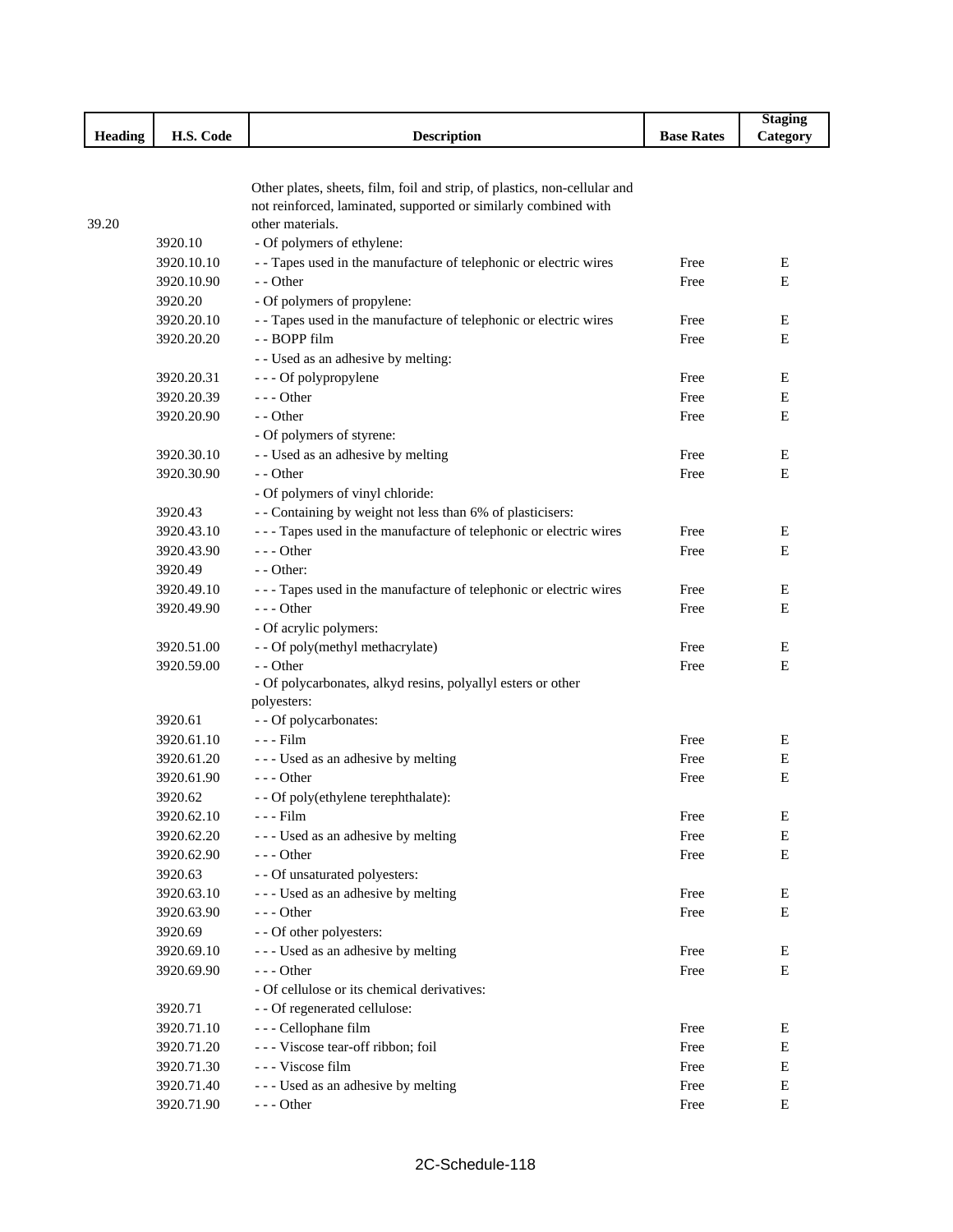|         |            |                                                                                     |                   | <b>Staging</b> |
|---------|------------|-------------------------------------------------------------------------------------|-------------------|----------------|
| Heading | H.S. Code  | <b>Description</b>                                                                  | <b>Base Rates</b> | Category       |
|         |            |                                                                                     |                   |                |
|         |            |                                                                                     |                   |                |
|         |            | Other plates, sheets, film, foil and strip, of plastics, non-cellular and           |                   |                |
| 39.20   |            | not reinforced, laminated, supported or similarly combined with<br>other materials. |                   |                |
|         | 3920.10    | - Of polymers of ethylene:                                                          |                   |                |
|         | 3920.10.10 | - - Tapes used in the manufacture of telephonic or electric wires                   | Free              | Е              |
|         | 3920.10.90 | - - Other                                                                           | Free              | E              |
|         | 3920.20    |                                                                                     |                   |                |
|         |            | - Of polymers of propylene:                                                         |                   |                |
|         | 3920.20.10 | - - Tapes used in the manufacture of telephonic or electric wires                   | Free              | Е              |
|         | 3920.20.20 | - - BOPP film                                                                       | Free              | E              |
|         |            | - - Used as an adhesive by melting:                                                 |                   |                |
|         | 3920.20.31 | - - - Of polypropylene                                                              | Free              | Е              |
|         | 3920.20.39 | $--$ Other                                                                          | Free              | E              |
|         | 3920.20.90 | - - Other                                                                           | Free              | E              |
|         |            | - Of polymers of styrene:                                                           |                   |                |
|         | 3920.30.10 | - - Used as an adhesive by melting                                                  | Free              | Е              |
|         | 3920.30.90 | - - Other                                                                           | Free              | E              |
|         |            | - Of polymers of vinyl chloride:                                                    |                   |                |
|         | 3920.43    | - - Containing by weight not less than 6% of plasticisers:                          |                   |                |
|         | 3920.43.10 | --- Tapes used in the manufacture of telephonic or electric wires                   | Free              | E              |
|         | 3920.43.90 | - - - Other                                                                         | Free              | Е              |
|         | 3920.49    | - - Other:                                                                          |                   |                |
|         | 3920.49.10 | --- Tapes used in the manufacture of telephonic or electric wires                   | Free              | E              |
|         | 3920.49.90 | - - - Other                                                                         | Free              | E              |
|         |            | - Of acrylic polymers:                                                              |                   |                |
|         | 3920.51.00 | - - Of poly(methyl methacrylate)                                                    | Free              | Е              |
|         | 3920.59.00 | - - Other                                                                           | Free              | E              |
|         |            | - Of polycarbonates, alkyd resins, polyallyl esters or other                        |                   |                |
|         |            | polyesters:                                                                         |                   |                |
|         | 3920.61    | - - Of polycarbonates:                                                              |                   |                |
|         | 3920.61.10 | - - - Film                                                                          | Free              | Е              |
|         | 3920.61.20 | --- Used as an adhesive by melting                                                  | Free              | Е              |
|         | 3920.61.90 | $--$ Other                                                                          | Free              | Е              |
|         | 3920.62    | - - Of poly(ethylene terephthalate):                                                |                   |                |
|         | 3920.62.10 | - - - Film                                                                          | Free              | E              |
|         | 3920.62.20 | --- Used as an adhesive by melting                                                  | Free              | E              |
|         | 3920.62.90 | --- Other                                                                           | Free              | Е              |
|         | 3920.63    | - - Of unsaturated polyesters:                                                      |                   |                |
|         | 3920.63.10 | --- Used as an adhesive by melting                                                  | Free              | Е              |
|         | 3920.63.90 | --- Other                                                                           | Free              | Е              |
|         | 3920.69    | - - Of other polyesters:                                                            |                   |                |
|         | 3920.69.10 | --- Used as an adhesive by melting                                                  | Free              | E              |
|         | 3920.69.90 | $--$ Other                                                                          | Free              | Е              |
|         |            | - Of cellulose or its chemical derivatives:                                         |                   |                |
|         | 3920.71    | - - Of regenerated cellulose:                                                       |                   |                |
|         | 3920.71.10 | - - - Cellophane film                                                               | Free              | Ε              |
|         | 3920.71.20 | --- Viscose tear-off ribbon; foil                                                   | Free              | Е              |
|         | 3920.71.30 | --- Viscose film                                                                    | Free              | Е              |
|         | 3920.71.40 | --- Used as an adhesive by melting                                                  | Free              | Е              |
|         | 3920.71.90 | $--$ Other                                                                          | Free              | Е              |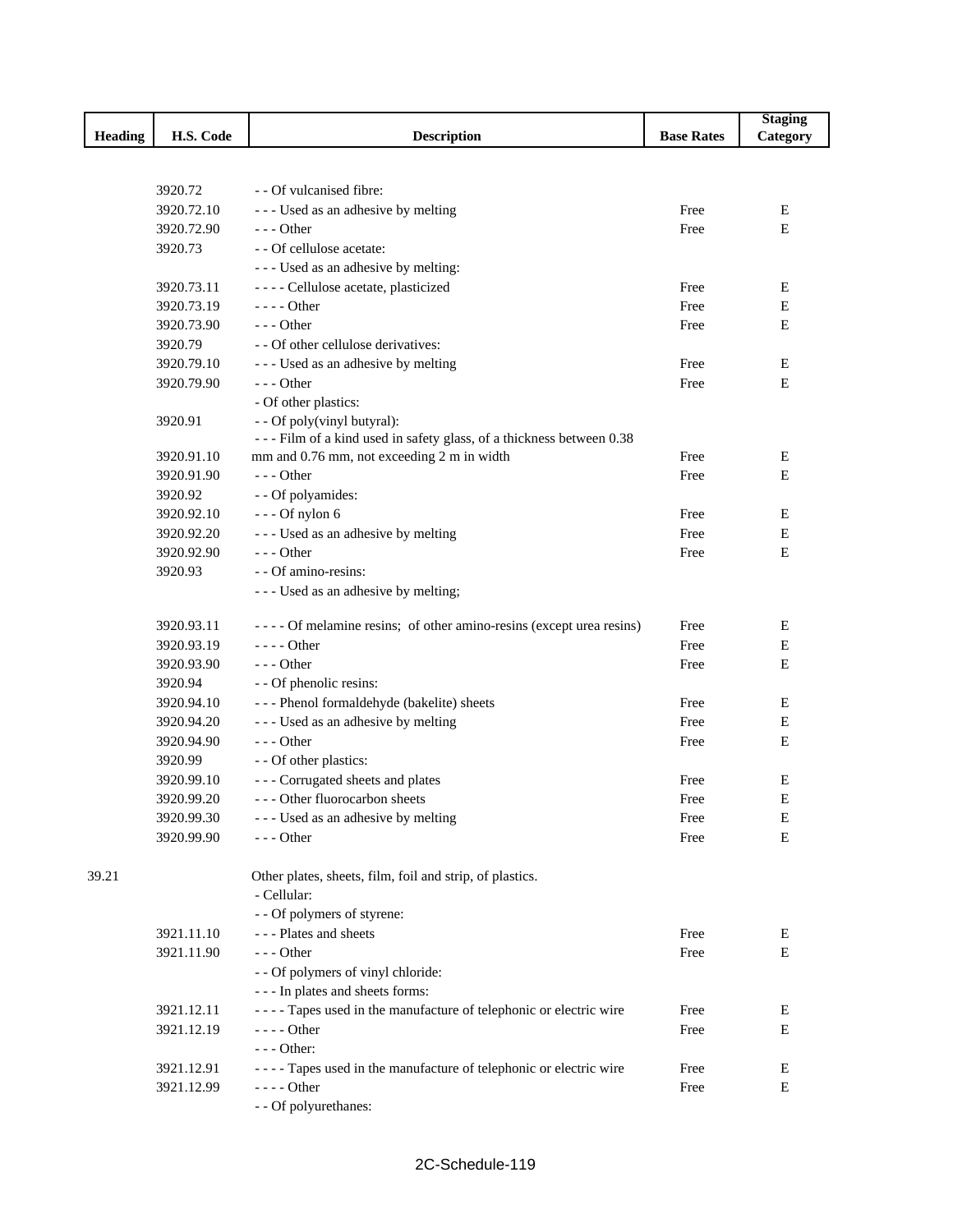|                |            |                                                                      |                   | <b>Staging</b> |
|----------------|------------|----------------------------------------------------------------------|-------------------|----------------|
| <b>Heading</b> | H.S. Code  | <b>Description</b>                                                   | <b>Base Rates</b> | Category       |
|                |            |                                                                      |                   |                |
|                | 3920.72    | - - Of vulcanised fibre:                                             |                   |                |
|                | 3920.72.10 | --- Used as an adhesive by melting                                   | Free              | Е              |
|                | 3920.72.90 | $--$ Other                                                           | Free              | E              |
|                | 3920.73    | - - Of cellulose acetate:                                            |                   |                |
|                |            | --- Used as an adhesive by melting:                                  |                   |                |
|                | 3920.73.11 | - - - - Cellulose acetate, plasticized                               | Free              | E              |
|                | 3920.73.19 | - - - - Other                                                        | Free              | Е              |
|                | 3920.73.90 | $- -$ Other                                                          | Free              | Е              |
|                | 3920.79    | - - Of other cellulose derivatives:                                  |                   |                |
|                | 3920.79.10 | - - - Used as an adhesive by melting                                 | Free              | Е              |
|                | 3920.79.90 | $--$ Other                                                           | Free              | E              |
|                |            | - Of other plastics:                                                 |                   |                |
|                | 3920.91    | - - Of poly(vinyl butyral):                                          |                   |                |
|                |            | --- Film of a kind used in safety glass, of a thickness between 0.38 |                   |                |
|                | 3920.91.10 | mm and 0.76 mm, not exceeding 2 m in width                           | Free              | Е              |
|                | 3920.91.90 | --- Other                                                            | Free              | E              |
|                | 3920.92    | - - Of polyamides:                                                   |                   |                |
|                | 3920.92.10 | $--$ Of nylon 6                                                      | Free              | E              |
|                | 3920.92.20 | --- Used as an adhesive by melting                                   | Free              | E              |
|                | 3920.92.90 | $- -$ Other                                                          | Free              | E              |
|                | 3920.93    | - - Of amino-resins:                                                 |                   |                |
|                |            | --- Used as an adhesive by melting;                                  |                   |                |
|                | 3920.93.11 | ---- Of melamine resins; of other amino-resins (except urea resins)  | Free              | E              |
|                | 3920.93.19 | $---$ Other                                                          | Free              | E              |
|                | 3920.93.90 | $--$ Other                                                           | Free              | Е              |
|                | 3920.94    | - - Of phenolic resins:                                              |                   |                |
|                | 3920.94.10 | --- Phenol formaldehyde (bakelite) sheets                            | Free              | E              |
|                | 3920.94.20 | --- Used as an adhesive by melting                                   | Free              | E              |
|                | 3920.94.90 | $--$ Other                                                           | Free              | E              |
|                | 3920.99    | - - Of other plastics:                                               |                   |                |
|                | 3920.99.10 | --- Corrugated sheets and plates                                     | Free              | E              |
|                | 3920.99.20 | --- Other fluorocarbon sheets                                        | Free              | E              |
|                | 3920.99.30 | --- Used as an adhesive by melting                                   | Free              | E              |
|                | 3920.99.90 | $--$ Other                                                           | Free              | E              |
| 39.21          |            | Other plates, sheets, film, foil and strip, of plastics.             |                   |                |
|                |            | - Cellular:                                                          |                   |                |
|                |            | - - Of polymers of styrene:                                          |                   |                |
|                | 3921.11.10 | - - - Plates and sheets                                              | Free              | E              |
|                | 3921.11.90 | $--$ Other                                                           | Free              | Ε              |
|                |            | - - Of polymers of vinyl chloride:                                   |                   |                |
|                |            | --- In plates and sheets forms:                                      |                   |                |
|                | 3921.12.11 | ---- Tapes used in the manufacture of telephonic or electric wire    | Free              | Ε              |
|                | 3921.12.19 | $---$ Other                                                          | Free              | Ε              |
|                |            | --- Other:                                                           |                   |                |
|                | 3921.12.91 | - - - - Tapes used in the manufacture of telephonic or electric wire | Free              | E              |
|                | 3921.12.99 | $---$ Other                                                          | Free              | Ε              |
|                |            | - - Of polyurethanes:                                                |                   |                |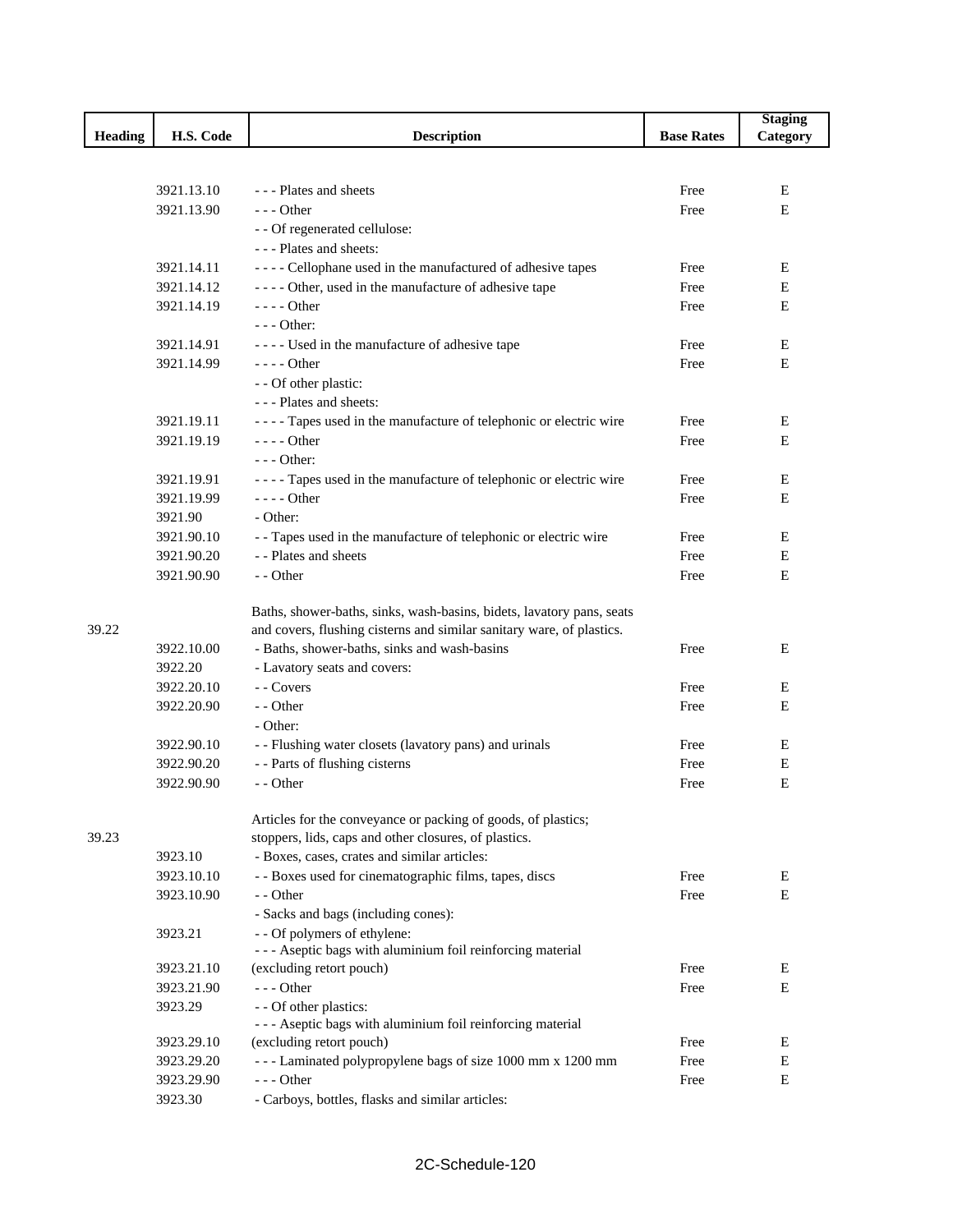|                |            |                                                                       |                   | <b>Staging</b> |
|----------------|------------|-----------------------------------------------------------------------|-------------------|----------------|
| <b>Heading</b> | H.S. Code  | <b>Description</b>                                                    | <b>Base Rates</b> | Category       |
|                |            |                                                                       |                   |                |
|                |            |                                                                       |                   |                |
|                | 3921.13.10 | - - - Plates and sheets                                               | Free              | Е              |
|                | 3921.13.90 | $--$ Other                                                            | Free              | Е              |
|                |            | - - Of regenerated cellulose:                                         |                   |                |
|                |            | --- Plates and sheets:                                                |                   |                |
|                | 3921.14.11 | ---- Cellophane used in the manufactured of adhesive tapes            | Free              | E              |
|                | 3921.14.12 | ---- Other, used in the manufacture of adhesive tape                  | Free              | Е              |
|                | 3921.14.19 | $--- Other$                                                           | Free              | E              |
|                |            | $--$ Other:                                                           |                   |                |
|                | 3921.14.91 | ---- Used in the manufacture of adhesive tape                         | Free              | Ε              |
|                | 3921.14.99 | $---$ Other                                                           | Free              | E              |
|                |            | - - Of other plastic:                                                 |                   |                |
|                |            | - - - Plates and sheets:                                              |                   |                |
|                | 3921.19.11 | - - - - Tapes used in the manufacture of telephonic or electric wire  | Free              | E              |
|                | 3921.19.19 | $---$ Other                                                           | Free              | Е              |
|                |            | $--$ Other:                                                           |                   |                |
|                | 3921.19.91 | - - - - Tapes used in the manufacture of telephonic or electric wire  | Free              | Е              |
|                | 3921.19.99 | $--- Other$                                                           | Free              | E              |
|                | 3921.90    | - Other:                                                              |                   |                |
|                | 3921.90.10 | - - Tapes used in the manufacture of telephonic or electric wire      | Free              | E              |
|                | 3921.90.20 | - - Plates and sheets                                                 | Free              | E              |
|                | 3921.90.90 | - - Other                                                             | Free              | Е              |
|                |            |                                                                       |                   |                |
|                |            | Baths, shower-baths, sinks, wash-basins, bidets, lavatory pans, seats |                   |                |
| 39.22          |            | and covers, flushing cisterns and similar sanitary ware, of plastics. |                   |                |
|                | 3922.10.00 | - Baths, shower-baths, sinks and wash-basins                          | Free              | E              |
|                | 3922.20    | - Lavatory seats and covers:                                          |                   |                |
|                | 3922.20.10 | - Covers                                                              | Free              | E              |
|                | 3922.20.90 | - - Other                                                             | Free              | E              |
|                |            | - Other:                                                              |                   |                |
|                | 3922.90.10 | - - Flushing water closets (lavatory pans) and urinals                | Free              | Ε              |
|                | 3922.90.20 | - - Parts of flushing cisterns                                        | Free              | E              |
|                | 3922.90.90 | - - Other                                                             | Free              | Е              |
|                |            |                                                                       |                   |                |
|                |            | Articles for the conveyance or packing of goods, of plastics;         |                   |                |
| 39.23          |            | stoppers, lids, caps and other closures, of plastics.                 |                   |                |
|                | 3923.10    | - Boxes, cases, crates and similar articles:                          |                   |                |
|                | 3923.10.10 | - - Boxes used for cinematographic films, tapes, discs                | Free              | E              |
|                | 3923.10.90 | - - Other                                                             | Free              | E              |
|                |            | - Sacks and bags (including cones):                                   |                   |                |
|                | 3923.21    | - - Of polymers of ethylene:                                          |                   |                |
|                |            | - - - Aseptic bags with aluminium foil reinforcing material           |                   |                |
|                | 3923.21.10 | (excluding retort pouch)                                              | Free              | E              |
|                | 3923.21.90 | --- Other                                                             | Free              | E              |
|                | 3923.29    | - - Of other plastics:                                                |                   |                |
|                |            | - - - Aseptic bags with aluminium foil reinforcing material           |                   |                |
|                | 3923.29.10 | (excluding retort pouch)                                              | Free              | Е              |
|                | 3923.29.20 | --- Laminated polypropylene bags of size 1000 mm x 1200 mm            | Free              | Е              |
|                | 3923.29.90 | --- Other                                                             | Free              | Е              |
|                | 3923.30    | - Carboys, bottles, flasks and similar articles:                      |                   |                |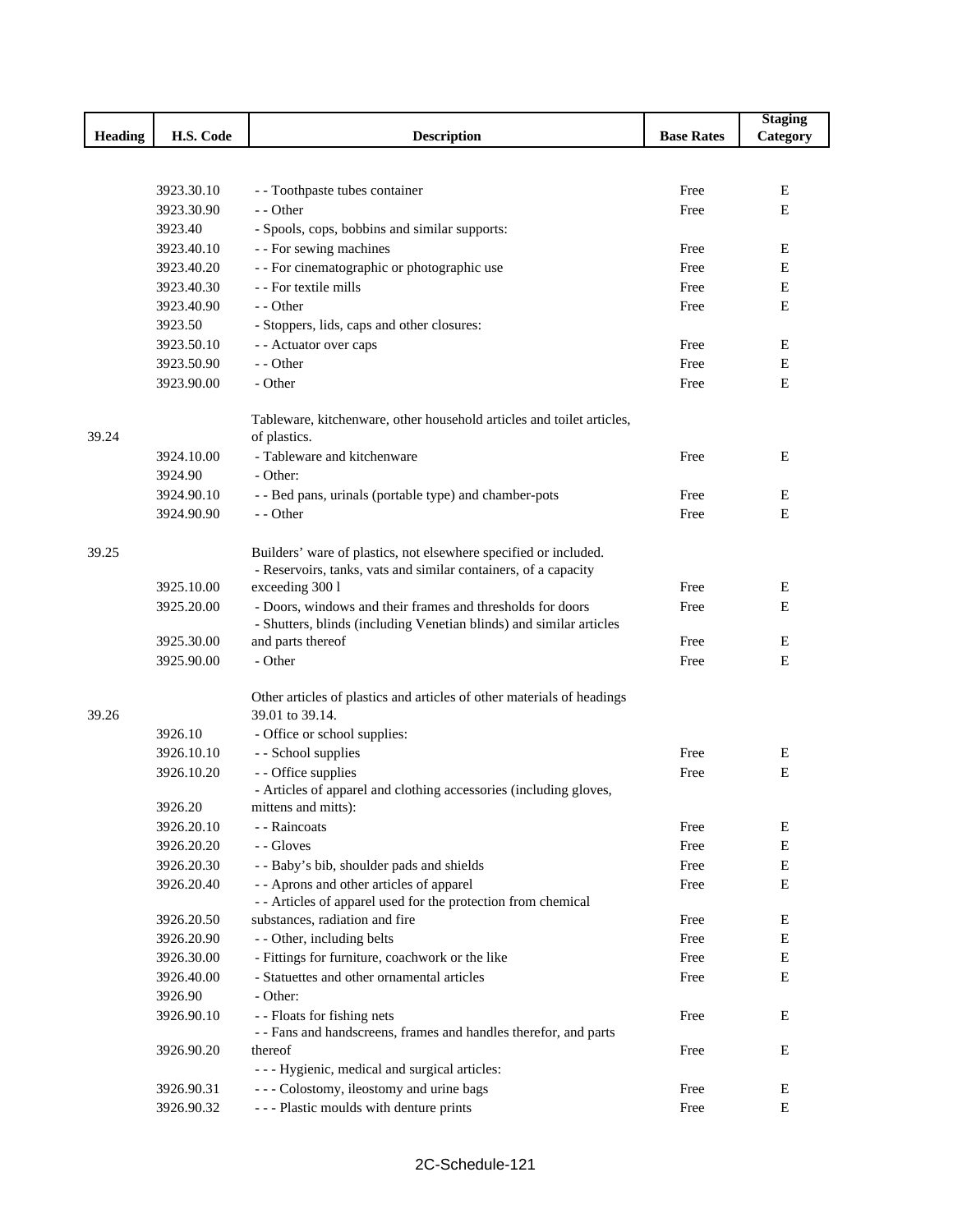|                |            |                                                                        |                   | <b>Staging</b> |
|----------------|------------|------------------------------------------------------------------------|-------------------|----------------|
| <b>Heading</b> | H.S. Code  | <b>Description</b>                                                     | <b>Base Rates</b> | Category       |
|                |            |                                                                        |                   |                |
|                |            |                                                                        |                   |                |
|                | 3923.30.10 | - - Toothpaste tubes container                                         | Free              | E              |
|                | 3923.30.90 | - - Other                                                              | Free              | E              |
|                | 3923.40    | - Spools, cops, bobbins and similar supports:                          |                   |                |
|                | 3923.40.10 | - - For sewing machines                                                | Free              | Ε              |
|                | 3923.40.20 | - - For cinematographic or photographic use                            | Free              | Ε              |
|                | 3923.40.30 | - - For textile mills                                                  | Free              | Е              |
|                | 3923.40.90 | - - Other                                                              | Free              | Е              |
|                | 3923.50    | - Stoppers, lids, caps and other closures:                             |                   |                |
|                | 3923.50.10 | - - Actuator over caps                                                 | Free              | E              |
|                | 3923.50.90 | - - Other                                                              | Free              | Е              |
|                | 3923.90.00 | - Other                                                                | Free              | Ε              |
|                |            | Tableware, kitchenware, other household articles and toilet articles,  |                   |                |
| 39.24          |            | of plastics.                                                           |                   |                |
|                | 3924.10.00 | - Tableware and kitchenware                                            | Free              | Ε              |
|                | 3924.90    | - Other:                                                               |                   |                |
|                | 3924.90.10 | - - Bed pans, urinals (portable type) and chamber-pots                 | Free              | E              |
|                | 3924.90.90 | - - Other                                                              | Free              | Е              |
| 39.25          |            | Builders' ware of plastics, not elsewhere specified or included.       |                   |                |
|                |            | - Reservoirs, tanks, vats and similar containers, of a capacity        |                   |                |
|                | 3925.10.00 | exceeding 300 l                                                        | Free              | Е              |
|                | 3925.20.00 | - Doors, windows and their frames and thresholds for doors             | Free              | Е              |
|                |            | - Shutters, blinds (including Venetian blinds) and similar articles    |                   |                |
|                | 3925.30.00 | and parts thereof                                                      | Free              | E              |
|                | 3925.90.00 | - Other                                                                | Free              | Е              |
|                |            | Other articles of plastics and articles of other materials of headings |                   |                |
| 39.26          |            | 39.01 to 39.14.                                                        |                   |                |
|                | 3926.10    | - Office or school supplies:                                           |                   |                |
|                | 3926.10.10 | - - School supplies                                                    | Free              | Ε              |
|                | 3926.10.20 | - - Office supplies                                                    | Free              | $\mathbf E$    |
|                |            | - Articles of apparel and clothing accessories (including gloves,      |                   |                |
|                | 3926.20    | mittens and mitts):                                                    |                   |                |
|                | 3926.20.10 | - - Raincoats                                                          | Free              | E              |
|                | 3926.20.20 | - - Gloves                                                             | Free              | $\mathbf E$    |
|                | 3926.20.30 | - - Baby's bib, shoulder pads and shields                              | Free              | Е              |
|                | 3926.20.40 | - - Aprons and other articles of apparel                               | Free              | E              |
|                |            | - - Articles of apparel used for the protection from chemical          |                   |                |
|                | 3926.20.50 | substances, radiation and fire                                         | Free              | E              |
|                | 3926.20.90 | - - Other, including belts                                             | Free              | Ε              |
|                | 3926.30.00 | - Fittings for furniture, coachwork or the like                        | Free              | Е              |
|                | 3926.40.00 | - Statuettes and other ornamental articles                             | Free              | Е              |
|                | 3926.90    | - Other:                                                               |                   |                |
|                | 3926.90.10 | - - Floats for fishing nets                                            | Free              | Е              |
|                |            | - - Fans and handscreens, frames and handles therefor, and parts       |                   |                |
|                | 3926.90.20 | thereof                                                                | Free              | Е              |
|                |            | - - - Hygienic, medical and surgical articles:                         |                   |                |
|                | 3926.90.31 | --- Colostomy, ileostomy and urine bags                                | Free              | Ε              |
|                | 3926.90.32 | --- Plastic moulds with denture prints                                 | Free              | Е              |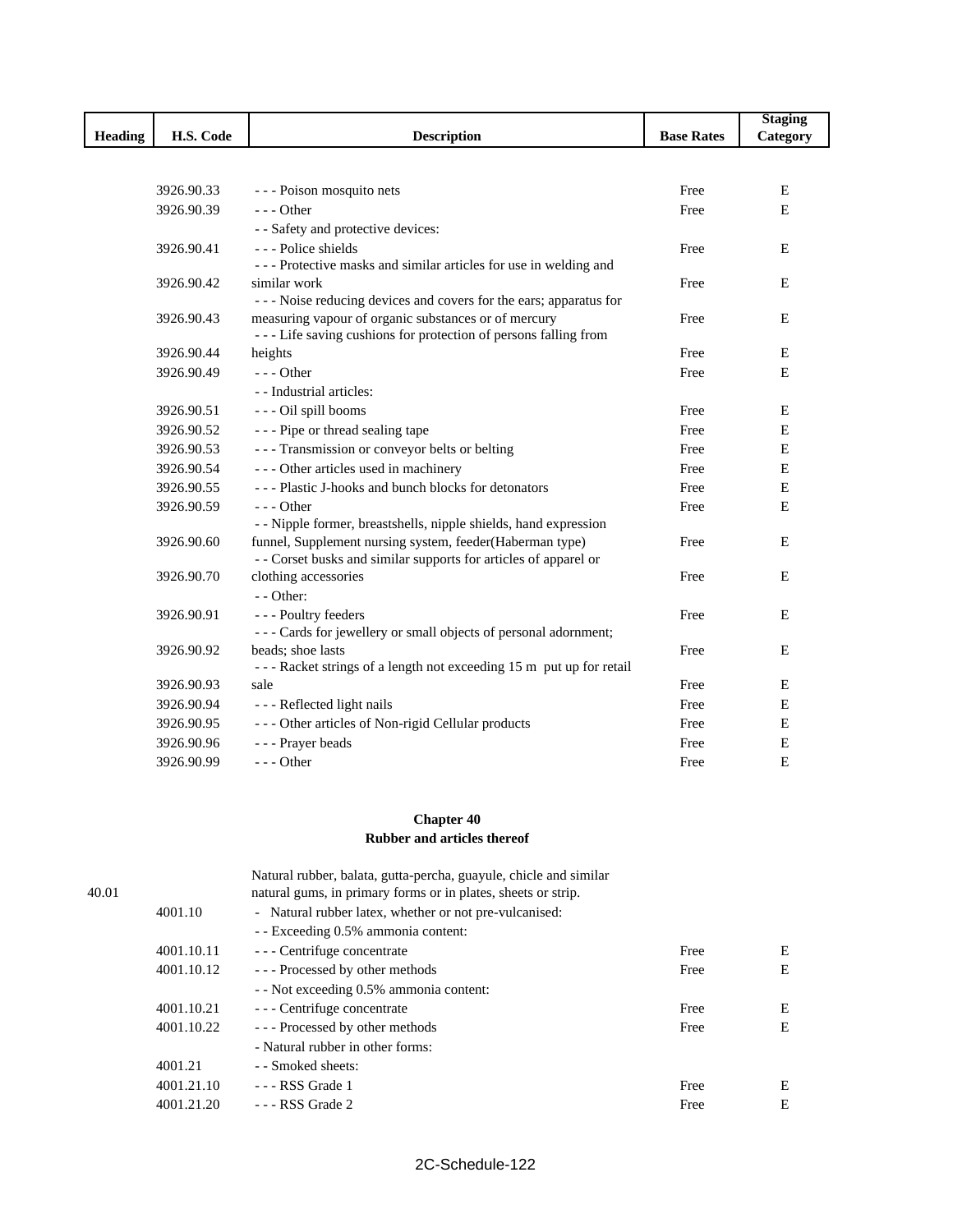|                |            |                                                                     |                   | <b>Staging</b> |
|----------------|------------|---------------------------------------------------------------------|-------------------|----------------|
| <b>Heading</b> | H.S. Code  | <b>Description</b>                                                  | <b>Base Rates</b> | Category       |
|                |            |                                                                     |                   |                |
|                |            |                                                                     |                   |                |
|                | 3926.90.33 | - - - Poison mosquito nets                                          | Free              | Ε              |
|                | 3926.90.39 | $--$ Other                                                          | Free              | E              |
|                |            | - - Safety and protective devices:                                  |                   |                |
|                | 3926.90.41 | --- Police shields                                                  | Free              | E              |
|                |            | --- Protective masks and similar articles for use in welding and    |                   |                |
|                | 3926.90.42 | similar work                                                        | Free              | E              |
|                |            | --- Noise reducing devices and covers for the ears; apparatus for   |                   |                |
|                | 3926.90.43 | measuring vapour of organic substances or of mercury                | Free              | E              |
|                |            | --- Life saving cushions for protection of persons falling from     |                   |                |
|                | 3926.90.44 | heights                                                             | Free              | Е              |
|                | 3926.90.49 | $--$ Other                                                          | Free              | E              |
|                |            | - - Industrial articles:                                            |                   |                |
|                | 3926.90.51 | - - - Oil spill booms                                               | Free              | E              |
|                | 3926.90.52 | --- Pipe or thread sealing tape                                     | Free              | E              |
|                | 3926.90.53 | --- Transmission or conveyor belts or belting                       | Free              | E              |
|                | 3926.90.54 | --- Other articles used in machinery                                | Free              | E              |
|                | 3926.90.55 | --- Plastic J-hooks and bunch blocks for detonators                 | Free              | E              |
|                | 3926.90.59 | $--$ Other                                                          | Free              | E              |
|                |            | - - Nipple former, breastshells, nipple shields, hand expression    |                   |                |
|                | 3926.90.60 | funnel, Supplement nursing system, feeder(Haberman type)            | Free              | Е              |
|                |            | - - Corset busks and similar supports for articles of apparel or    |                   |                |
|                | 3926.90.70 | clothing accessories                                                | Free              | E              |
|                |            | $-$ - Other:                                                        |                   |                |
|                | 3926.90.91 | - - - Poultry feeders                                               | Free              | E              |
|                |            | --- Cards for jewellery or small objects of personal adornment;     |                   |                |
|                | 3926.90.92 | beads: shoe lasts                                                   | Free              | E              |
|                |            | --- Racket strings of a length not exceeding 15 m put up for retail |                   |                |
|                | 3926.90.93 | sale                                                                | Free              | E              |
|                | 3926.90.94 | --- Reflected light nails                                           | Free              | E              |
|                | 3926.90.95 | --- Other articles of Non-rigid Cellular products                   | Free              | Е              |
|                | 3926.90.96 | - - - Prayer beads                                                  | Free              | Е              |
|                | 3926.90.99 | $--$ Other                                                          | Free              | E              |

# **Chapter 40 Rubber and articles thereof**

| 01 | 4001.10    | Natural rubber, balata, gutta-percha, guayule, chicle and similar<br>natural gums, in primary forms or in plates, sheets or strip.<br>- Natural rubber latex, whether or not pre-vulcanised:<br>- - Exceeding 0.5% ammonia content: |      |   |
|----|------------|-------------------------------------------------------------------------------------------------------------------------------------------------------------------------------------------------------------------------------------|------|---|
|    | 4001.10.11 | - - - Centrifuge concentrate                                                                                                                                                                                                        | Free | E |
|    | 4001.10.12 | --- Processed by other methods                                                                                                                                                                                                      | Free | E |
|    |            | - - Not exceeding 0.5% ammonia content:                                                                                                                                                                                             |      |   |
|    | 4001.10.21 | - - - Centrifuge concentrate                                                                                                                                                                                                        | Free | E |
|    | 4001.10.22 | --- Processed by other methods                                                                                                                                                                                                      | Free | E |
|    |            | - Natural rubber in other forms:                                                                                                                                                                                                    |      |   |
|    | 4001.21    | - - Smoked sheets:                                                                                                                                                                                                                  |      |   |
|    | 4001.21.10 | $--$ RSS Grade 1                                                                                                                                                                                                                    | Free | E |
|    | 4001.21.20 | $--$ RSS Grade 2                                                                                                                                                                                                                    | Free | E |
|    |            |                                                                                                                                                                                                                                     |      |   |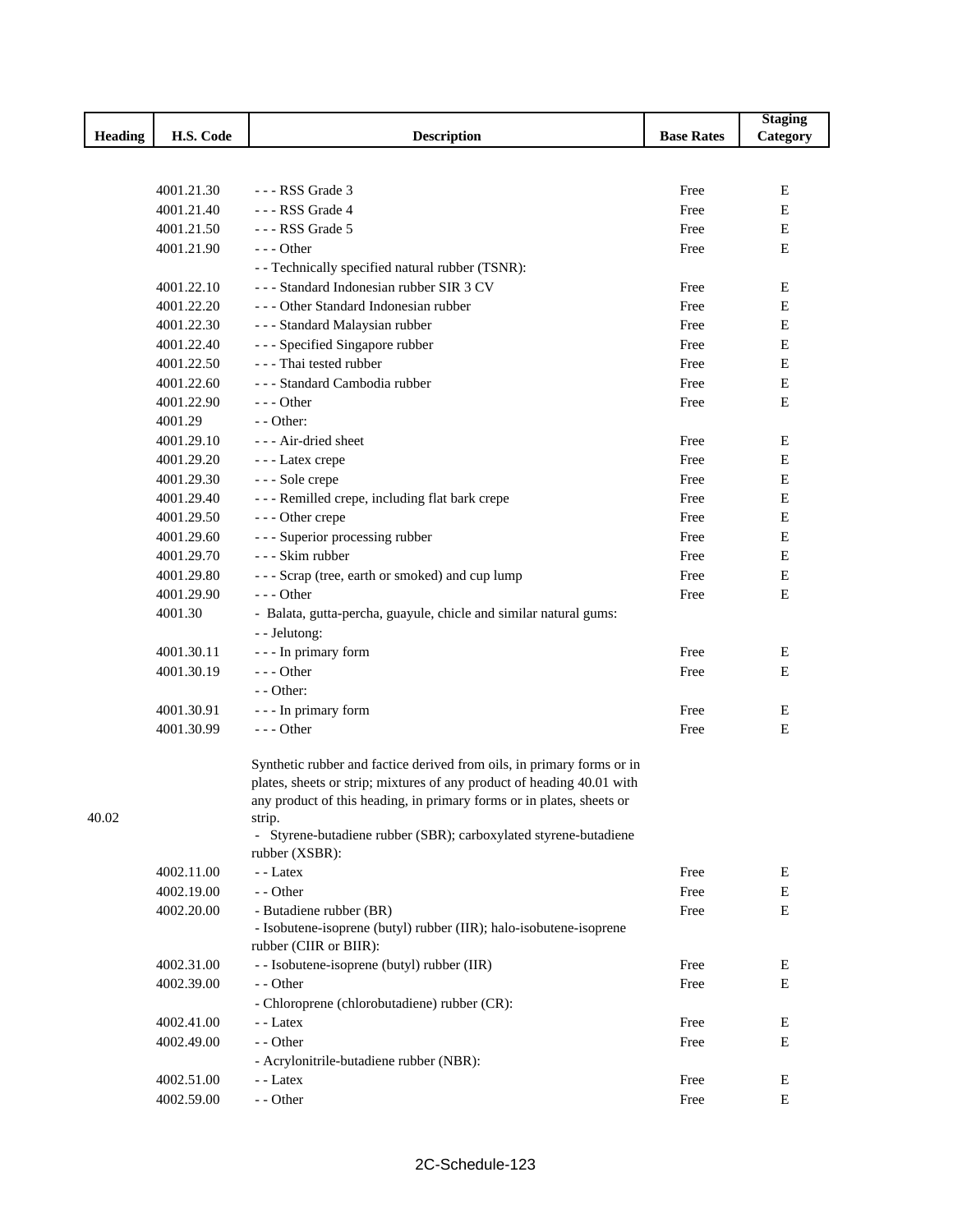|                |            |                                                                        |                   | <b>Staging</b> |
|----------------|------------|------------------------------------------------------------------------|-------------------|----------------|
| <b>Heading</b> | H.S. Code  | <b>Description</b>                                                     | <b>Base Rates</b> | Category       |
|                |            |                                                                        |                   |                |
|                |            |                                                                        |                   |                |
|                | 4001.21.30 | --- RSS Grade 3                                                        | Free              | Ε              |
|                | 4001.21.40 | --- RSS Grade 4                                                        | Free              | Е              |
|                | 4001.21.50 | $--$ RSS Grade 5                                                       | Free              | E              |
|                | 4001.21.90 | $--$ Other                                                             | Free              | E              |
|                |            | - - Technically specified natural rubber (TSNR):                       |                   |                |
|                | 4001.22.10 | --- Standard Indonesian rubber SIR 3 CV                                | Free              | Ε              |
|                | 4001.22.20 | --- Other Standard Indonesian rubber                                   | Free              | E              |
|                | 4001.22.30 | - - - Standard Malaysian rubber                                        | Free              | E              |
|                | 4001.22.40 | --- Specified Singapore rubber                                         | Free              | Е              |
|                | 4001.22.50 | - - - Thai tested rubber                                               | Free              | ${\bf E}$      |
|                | 4001.22.60 | - - - Standard Cambodia rubber                                         | Free              | ${\bf E}$      |
|                | 4001.22.90 | $--$ Other                                                             | Free              | E              |
|                | 4001.29    | $-$ - Other:                                                           |                   |                |
|                | 4001.29.10 | --- Air-dried sheet                                                    | Free              | Ε              |
|                | 4001.29.20 | - - - Latex crepe                                                      | Free              | Е              |
|                | 4001.29.30 | --- Sole crepe                                                         | Free              | Е              |
|                | 4001.29.40 | --- Remilled crepe, including flat bark crepe                          | Free              | E              |
|                | 4001.29.50 | --- Other crepe                                                        | Free              | Е              |
|                | 4001.29.60 | --- Superior processing rubber                                         | Free              | Е              |
|                | 4001.29.70 | - - - Skim rubber                                                      | Free              | Е              |
|                | 4001.29.80 | --- Scrap (tree, earth or smoked) and cup lump                         | Free              | Е              |
|                | 4001.29.90 | $--$ Other                                                             | Free              | E              |
|                | 4001.30    | - Balata, gutta-percha, guayule, chicle and similar natural gums:      |                   |                |
|                |            | - - Jelutong:                                                          |                   |                |
|                | 4001.30.11 | - - - In primary form                                                  | Free              | E              |
|                | 4001.30.19 | $--$ Other                                                             | Free              | Е              |
|                |            | $-$ - Other:                                                           |                   |                |
|                | 4001.30.91 | - - - In primary form                                                  | Free              | E              |
|                | 4001.30.99 | $--$ Other                                                             | Free              | E              |
|                |            |                                                                        |                   |                |
|                |            | Synthetic rubber and factice derived from oils, in primary forms or in |                   |                |
|                |            | plates, sheets or strip; mixtures of any product of heading 40.01 with |                   |                |
|                |            | any product of this heading, in primary forms or in plates, sheets or  |                   |                |
| 40.02          |            | strip.                                                                 |                   |                |
|                |            | - Styrene-butadiene rubber (SBR); carboxylated styrene-butadiene       |                   |                |
|                |            | rubber (XSBR):                                                         |                   |                |
|                | 4002.11.00 | - - Latex                                                              | Free              | Е              |
|                | 4002.19.00 | - - Other                                                              | Free              | ${\bf E}$      |
|                | 4002.20.00 | - Butadiene rubber (BR)                                                | Free              | E              |
|                |            | - Isobutene-isoprene (butyl) rubber (IIR); halo-isobutene-isoprene     |                   |                |
|                |            | rubber (CIIR or BIIR):                                                 |                   |                |
|                | 4002.31.00 | - - Isobutene-isoprene (butyl) rubber (IIR)                            | Free              | Ε              |
|                | 4002.39.00 | - - Other                                                              | Free              | Е              |
|                |            | - Chloroprene (chlorobutadiene) rubber (CR):                           |                   |                |
|                | 4002.41.00 | - - Latex                                                              | Free              | E              |
|                | 4002.49.00 | - - Other                                                              | Free              | E              |
|                |            | - Acrylonitrile-butadiene rubber (NBR):                                |                   |                |
|                | 4002.51.00 | - - Latex                                                              | Free              | E              |
|                | 4002.59.00 | - - Other                                                              | Free              | Е              |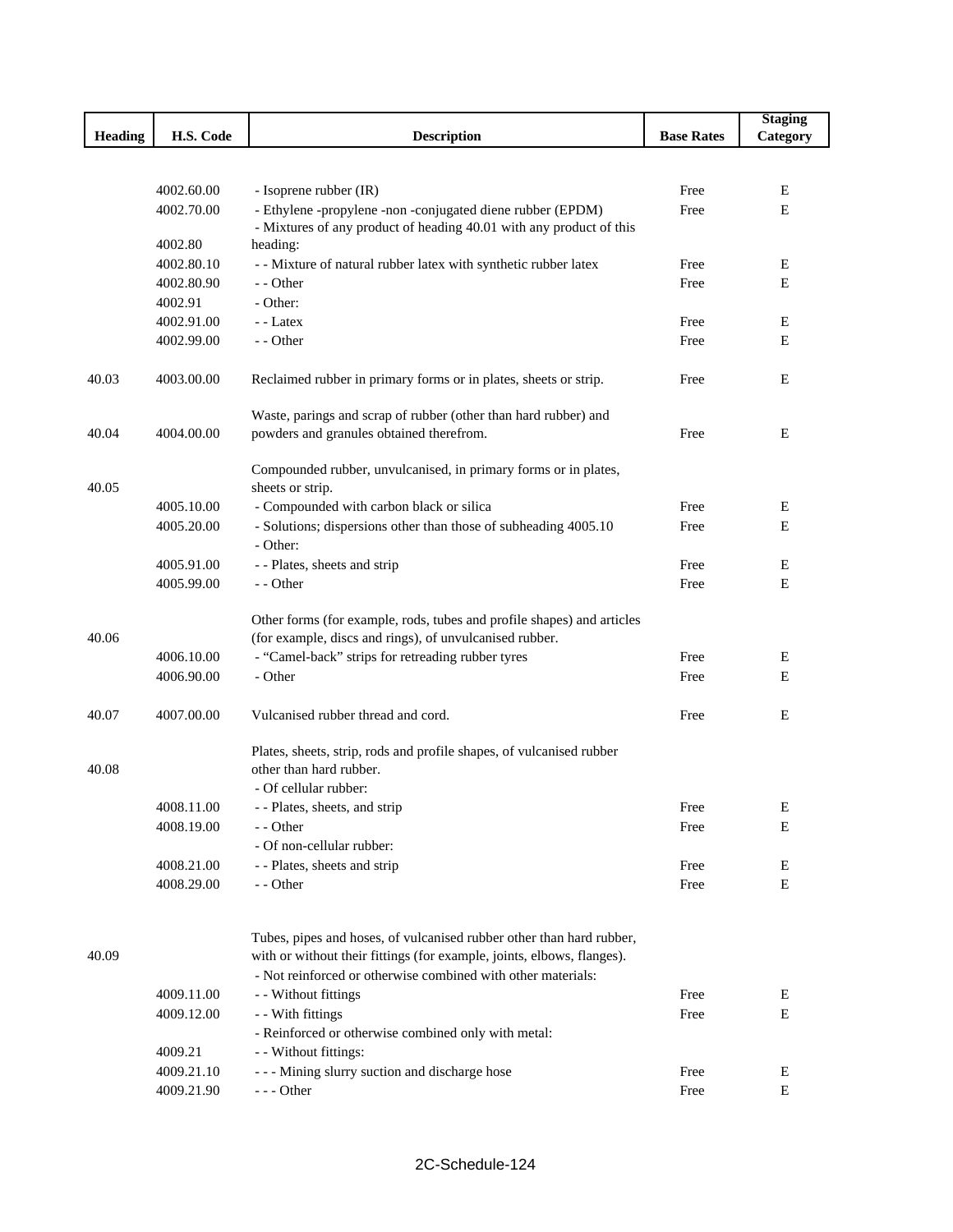|                |            |                                                                                                                                   |                   | <b>Staging</b> |
|----------------|------------|-----------------------------------------------------------------------------------------------------------------------------------|-------------------|----------------|
| <b>Heading</b> | H.S. Code  | <b>Description</b>                                                                                                                | <b>Base Rates</b> | Category       |
|                |            |                                                                                                                                   |                   |                |
|                |            |                                                                                                                                   |                   |                |
|                | 4002.60.00 | - Isoprene rubber (IR)                                                                                                            | Free              | Е              |
|                | 4002.70.00 | - Ethylene -propylene -non -conjugated diene rubber (EPDM)<br>- Mixtures of any product of heading 40.01 with any product of this | Free              | E              |
|                | 4002.80    | heading:                                                                                                                          |                   |                |
|                | 4002.80.10 | - - Mixture of natural rubber latex with synthetic rubber latex                                                                   | Free              | Ε              |
|                | 4002.80.90 | - - Other                                                                                                                         | Free              | Е              |
|                | 4002.91    | - Other:                                                                                                                          |                   |                |
|                | 4002.91.00 | - - Latex                                                                                                                         | Free              | Е              |
|                | 4002.99.00 | - - Other                                                                                                                         | Free              | Е              |
| 40.03          | 4003.00.00 | Reclaimed rubber in primary forms or in plates, sheets or strip.                                                                  | Free              | E              |
|                |            | Waste, parings and scrap of rubber (other than hard rubber) and                                                                   |                   |                |
| 40.04          | 4004.00.00 | powders and granules obtained therefrom.                                                                                          | Free              | E              |
| 40.05          |            | Compounded rubber, unvulcanised, in primary forms or in plates,<br>sheets or strip.                                               |                   |                |
|                | 4005.10.00 | - Compounded with carbon black or silica                                                                                          | Free              | Ε              |
|                | 4005.20.00 | - Solutions; dispersions other than those of subheading 4005.10                                                                   | Free              | E              |
|                |            | - Other:                                                                                                                          |                   |                |
|                | 4005.91.00 | - - Plates, sheets and strip                                                                                                      | Free              | Ε              |
|                | 4005.99.00 | - - Other                                                                                                                         | Free              | Е              |
|                |            |                                                                                                                                   |                   |                |
|                |            | Other forms (for example, rods, tubes and profile shapes) and articles                                                            |                   |                |
| 40.06          |            | (for example, discs and rings), of unvulcanised rubber.                                                                           |                   |                |
|                | 4006.10.00 | - "Camel-back" strips for retreading rubber tyres                                                                                 | Free              | Е              |
|                | 4006.90.00 | - Other                                                                                                                           | Free              | Е              |
| 40.07          | 4007.00.00 | Vulcanised rubber thread and cord.                                                                                                | Free              | Е              |
|                |            | Plates, sheets, strip, rods and profile shapes, of vulcanised rubber                                                              |                   |                |
| 40.08          |            | other than hard rubber.                                                                                                           |                   |                |
|                |            | - Of cellular rubber:                                                                                                             |                   |                |
|                | 4008.11.00 | - - Plates, sheets, and strip                                                                                                     | Free              | E              |
|                | 4008.19.00 | - - Other                                                                                                                         | Free              | E              |
|                |            | - Of non-cellular rubber:                                                                                                         |                   |                |
|                | 4008.21.00 | - - Plates, sheets and strip                                                                                                      | Free              | Е              |
|                | 4008.29.00 | - - Other                                                                                                                         | Free              | Ε              |
|                |            | Tubes, pipes and hoses, of vulcanised rubber other than hard rubber,                                                              |                   |                |
| 40.09          |            | with or without their fittings (for example, joints, elbows, flanges).                                                            |                   |                |
|                |            | - Not reinforced or otherwise combined with other materials:                                                                      |                   |                |
|                | 4009.11.00 | - - Without fittings                                                                                                              | Free              | Е              |
|                | 4009.12.00 | - - With fittings                                                                                                                 | Free              | ${\bf E}$      |
|                | 4009.21    | - Reinforced or otherwise combined only with metal:<br>- - Without fittings:                                                      |                   |                |
|                | 4009.21.10 | --- Mining slurry suction and discharge hose                                                                                      | Free              | Е              |
|                | 4009.21.90 | $--$ Other                                                                                                                        | Free              | E              |
|                |            |                                                                                                                                   |                   |                |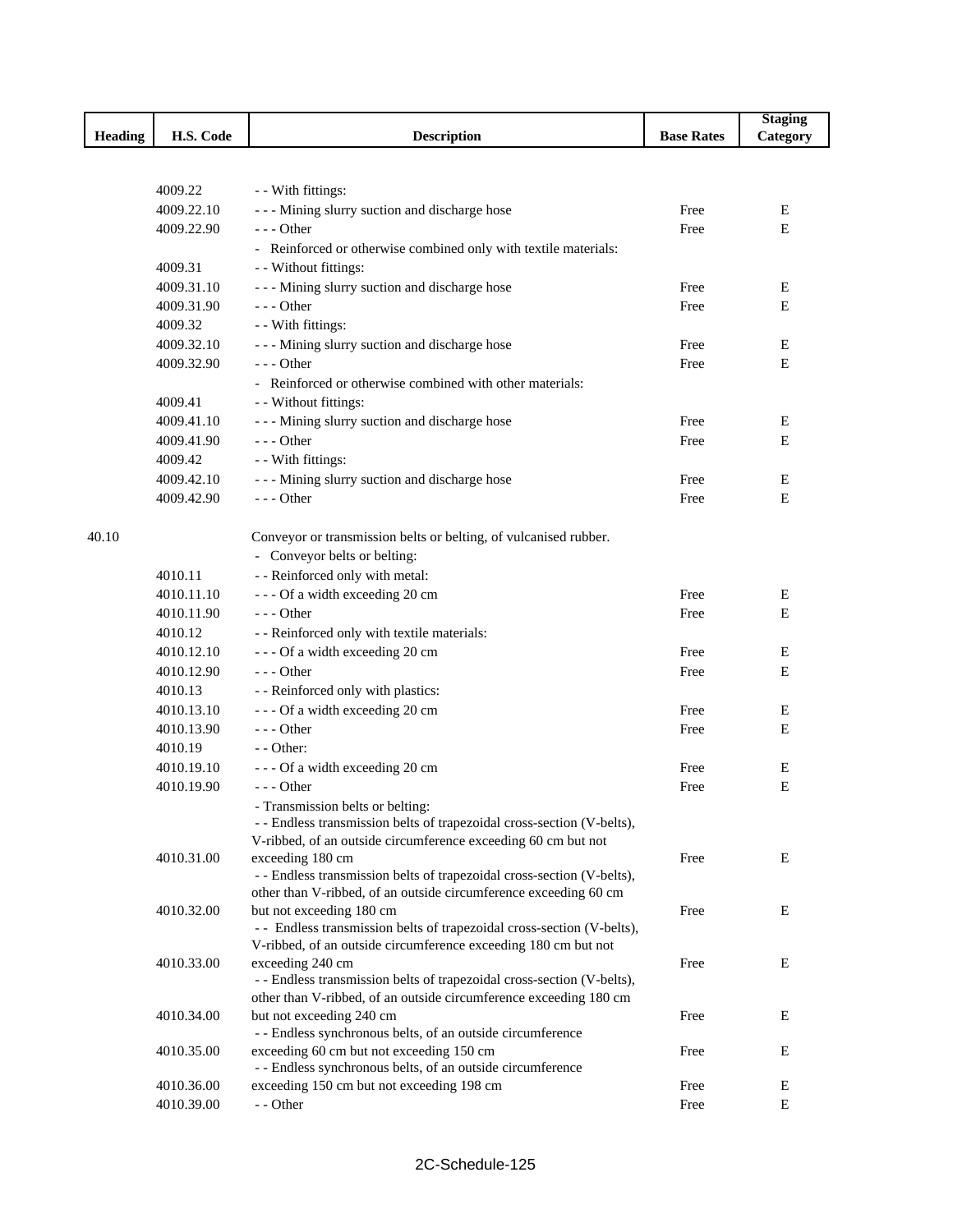|         |            |                                                                                            |                   | <b>Staging</b> |
|---------|------------|--------------------------------------------------------------------------------------------|-------------------|----------------|
| Heading | H.S. Code  | <b>Description</b>                                                                         | <b>Base Rates</b> | Category       |
|         |            |                                                                                            |                   |                |
|         |            |                                                                                            |                   |                |
|         | 4009.22    | - - With fittings:                                                                         |                   |                |
|         | 4009.22.10 | --- Mining slurry suction and discharge hose                                               | Free              | E              |
|         | 4009.22.90 | --- Other                                                                                  | Free              | Ε              |
|         |            | - Reinforced or otherwise combined only with textile materials:                            |                   |                |
|         | 4009.31    | - - Without fittings:                                                                      |                   |                |
|         | 4009.31.10 | - - - Mining slurry suction and discharge hose                                             | Free              | Ε              |
|         | 4009.31.90 | --- Other                                                                                  | Free              | E              |
|         | 4009.32    | - - With fittings:                                                                         |                   |                |
|         | 4009.32.10 | --- Mining slurry suction and discharge hose                                               | Free              | Е              |
|         | 4009.32.90 | $- -$ Other                                                                                | Free              | E              |
|         |            | - Reinforced or otherwise combined with other materials:                                   |                   |                |
|         | 4009.41    | - - Without fittings:                                                                      |                   |                |
|         | 4009.41.10 | --- Mining slurry suction and discharge hose                                               | Free              | Ε              |
|         | 4009.41.90 | $- -$ Other                                                                                | Free              | E              |
|         | 4009.42    | - - With fittings:                                                                         |                   |                |
|         | 4009.42.10 | - - - Mining slurry suction and discharge hose                                             | Free              | E              |
|         | 4009.42.90 | $--$ Other                                                                                 | Free              | E              |
|         |            |                                                                                            |                   |                |
| 40.10   |            | Conveyor or transmission belts or belting, of vulcanised rubber.                           |                   |                |
|         |            | - Conveyor belts or belting:                                                               |                   |                |
|         | 4010.11    | - - Reinforced only with metal:                                                            |                   |                |
|         | 4010.11.10 | --- Of a width exceeding 20 cm                                                             | Free              | E              |
|         | 4010.11.90 | $- -$ Other                                                                                | Free              | E              |
|         | 4010.12    | - - Reinforced only with textile materials:                                                |                   |                |
|         | 4010.12.10 | --- Of a width exceeding 20 cm                                                             | Free              | Е              |
|         | 4010.12.90 | $- -$ Other                                                                                | Free              | E              |
|         | 4010.13    |                                                                                            |                   |                |
|         |            | - - Reinforced only with plastics:                                                         |                   |                |
|         | 4010.13.10 | --- Of a width exceeding 20 cm                                                             | Free              | Е              |
|         | 4010.13.90 | --- Other                                                                                  | Free              | Е              |
|         | 4010.19    | - - Other:                                                                                 |                   |                |
|         | 4010.19.10 | --- Of a width exceeding 20 cm                                                             | Free              | E              |
|         | 4010.19.90 | --- Other                                                                                  | Free              | E              |
|         |            | - Transmission belts or belting:                                                           |                   |                |
|         |            | - - Endless transmission belts of trapezoidal cross-section (V-belts),                     |                   |                |
|         |            | V-ribbed, of an outside circumference exceeding 60 cm but not                              |                   | Е              |
|         | 4010.31.00 | exceeding 180 cm<br>- - Endless transmission belts of trapezoidal cross-section (V-belts), | Free              |                |
|         |            | other than V-ribbed, of an outside circumference exceeding 60 cm                           |                   |                |
|         | 4010.32.00 | but not exceeding 180 cm                                                                   | Free              | E              |
|         |            | - - Endless transmission belts of trapezoidal cross-section (V-belts),                     |                   |                |
|         |            | V-ribbed, of an outside circumference exceeding 180 cm but not                             |                   |                |
|         | 4010.33.00 | exceeding 240 cm                                                                           | Free              | E              |
|         |            | - - Endless transmission belts of trapezoidal cross-section (V-belts),                     |                   |                |
|         |            | other than V-ribbed, of an outside circumference exceeding 180 cm                          |                   |                |
|         | 4010.34.00 | but not exceeding 240 cm                                                                   | Free              | E              |
|         |            | - - Endless synchronous belts, of an outside circumference                                 |                   |                |
|         | 4010.35.00 | exceeding 60 cm but not exceeding 150 cm                                                   | Free              | E              |
|         |            | - - Endless synchronous belts, of an outside circumference                                 |                   |                |
|         | 4010.36.00 | exceeding 150 cm but not exceeding 198 cm                                                  | Free              | E              |
|         | 4010.39.00 | - - Other                                                                                  | Free              | E              |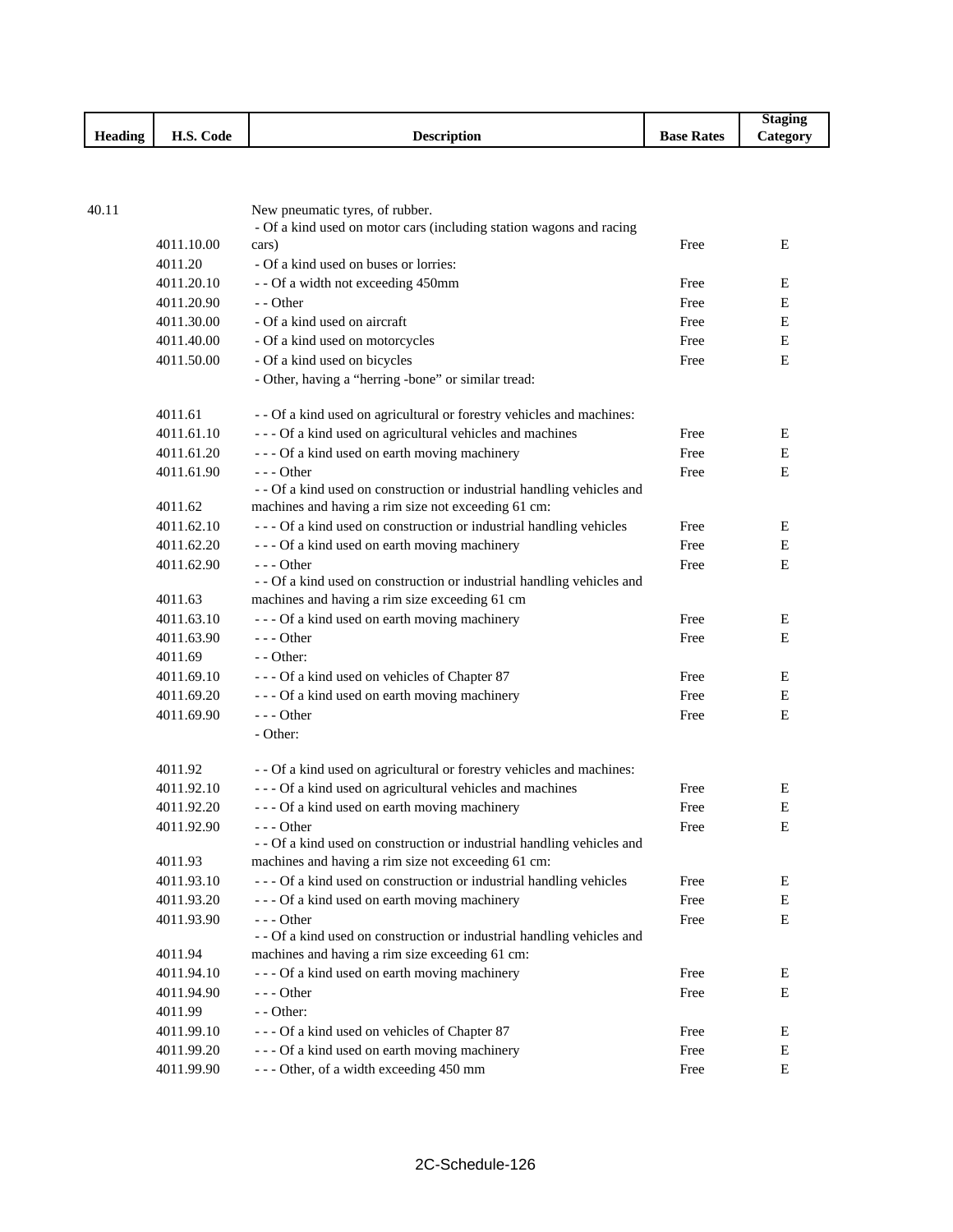|                |                      |                    |                   | Staging               |
|----------------|----------------------|--------------------|-------------------|-----------------------|
| <b>Heading</b> | TT C<br>Code<br>н.э. | <b>Description</b> | <b>Base Rates</b> | $\mathcal{L}$ ategory |

40.11 New pneumatic tyres, of rubber.

|            | - Of a kind used on motor cars (including station wagons and racing                                                      |      |   |
|------------|--------------------------------------------------------------------------------------------------------------------------|------|---|
| 4011.10.00 | cars)                                                                                                                    | Free | E |
| 4011.20    | - Of a kind used on buses or lorries:                                                                                    |      |   |
| 4011.20.10 | - - Of a width not exceeding 450mm                                                                                       | Free | E |
| 4011.20.90 | - - Other                                                                                                                | Free | Ε |
| 4011.30.00 | - Of a kind used on aircraft                                                                                             | Free | Ε |
| 4011.40.00 | - Of a kind used on motorcycles                                                                                          | Free | E |
| 4011.50.00 | - Of a kind used on bicycles                                                                                             | Free | Ε |
|            | - Other, having a "herring -bone" or similar tread:                                                                      |      |   |
| 4011.61    | - - Of a kind used on agricultural or forestry vehicles and machines:                                                    |      |   |
| 4011.61.10 | --- Of a kind used on agricultural vehicles and machines                                                                 | Free | Е |
| 4011.61.20 | --- Of a kind used on earth moving machinery                                                                             | Free | Ε |
| 4011.61.90 | $- -$ Other                                                                                                              | Free | E |
|            | - - Of a kind used on construction or industrial handling vehicles and                                                   |      |   |
| 4011.62    | machines and having a rim size not exceeding 61 cm:                                                                      |      |   |
| 4011.62.10 | --- Of a kind used on construction or industrial handling vehicles                                                       | Free | E |
| 4011.62.20 | --- Of a kind used on earth moving machinery                                                                             | Free | E |
| 4011.62.90 | $- -$ Other                                                                                                              | Free | Ε |
| 4011.63    | - - Of a kind used on construction or industrial handling vehicles and<br>machines and having a rim size exceeding 61 cm |      |   |
| 4011.63.10 | --- Of a kind used on earth moving machinery                                                                             | Free | E |
| 4011.63.90 | $--$ Other                                                                                                               | Free | Ε |
| 4011.69    | $-$ - Other:                                                                                                             |      |   |
| 4011.69.10 | --- Of a kind used on vehicles of Chapter 87                                                                             | Free | E |
| 4011.69.20 | --- Of a kind used on earth moving machinery                                                                             | Free | E |
| 4011.69.90 | $- -$ Other                                                                                                              | Free | E |
|            | - Other:                                                                                                                 |      |   |
|            |                                                                                                                          |      |   |
| 4011.92    | - - Of a kind used on agricultural or forestry vehicles and machines:                                                    |      |   |
| 4011.92.10 | --- Of a kind used on agricultural vehicles and machines                                                                 | Free | Е |
| 4011.92.20 | --- Of a kind used on earth moving machinery                                                                             | Free | Ε |
| 4011.92.90 | $- -$ Other                                                                                                              | Free | E |
|            | - - Of a kind used on construction or industrial handling vehicles and                                                   |      |   |
| 4011.93    | machines and having a rim size not exceeding 61 cm:                                                                      |      |   |
| 4011.93.10 | --- Of a kind used on construction or industrial handling vehicles                                                       | Free | E |
| 4011.93.20 | --- Of a kind used on earth moving machinery                                                                             | Free | Ε |
| 4011.93.90 | - Other<br>- - Of a kind used on construction or industrial handling vehicles and                                        | Free | E |
| 4011.94    | machines and having a rim size exceeding 61 cm:                                                                          |      |   |
| 4011.94.10 | --- Of a kind used on earth moving machinery                                                                             | Free | E |
| 4011.94.90 | --- Other                                                                                                                | Free | Е |
| 4011.99    | - - Other:                                                                                                               |      |   |
| 4011.99.10 | --- Of a kind used on vehicles of Chapter 87                                                                             | Free | E |
| 4011.99.20 | - - - Of a kind used on earth moving machinery                                                                           | Free | E |
| 4011.99.90 | --- Other, of a width exceeding 450 mm                                                                                   | Free | E |
|            |                                                                                                                          |      |   |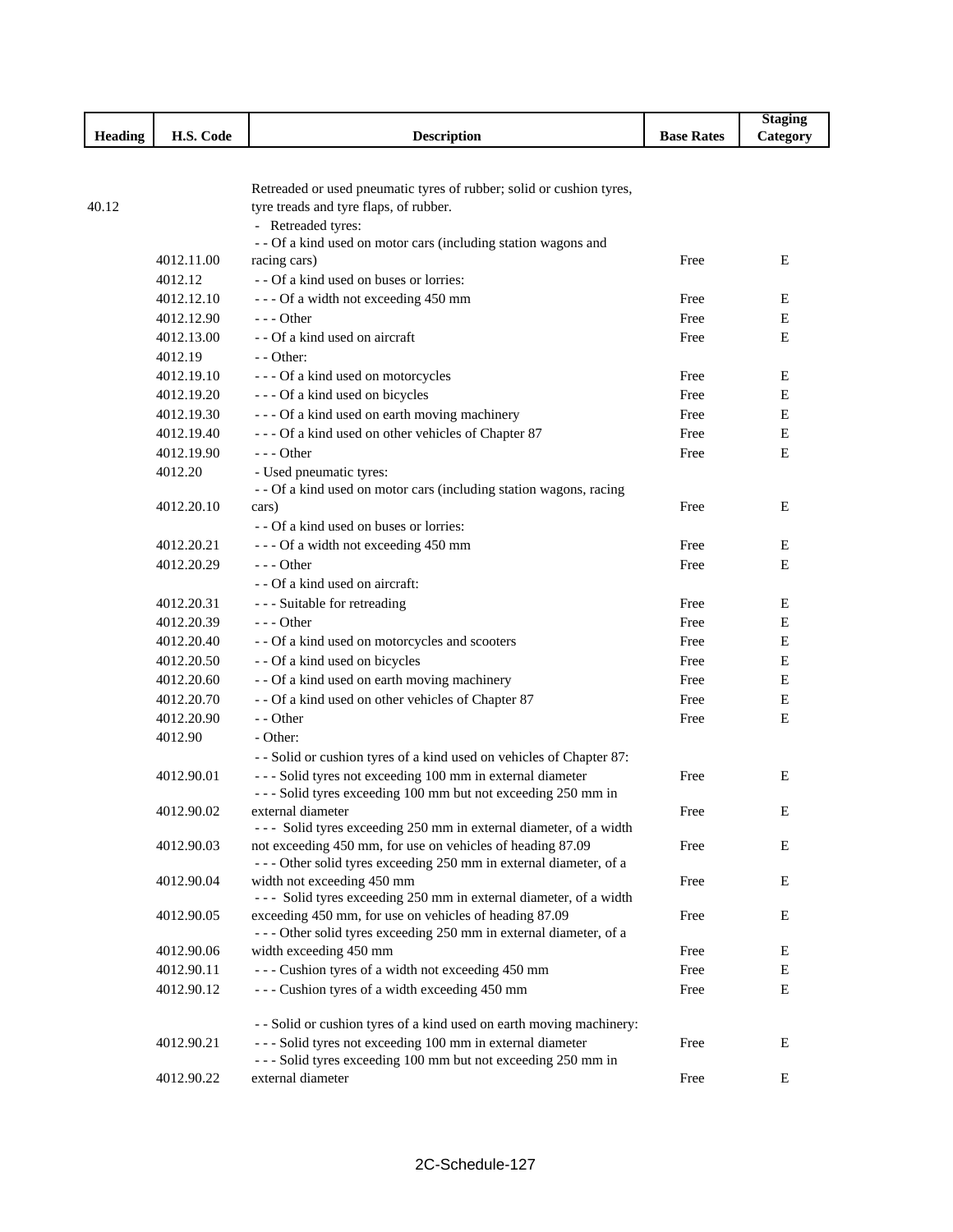|                |            |                                                                      |                   | <b>Staging</b> |
|----------------|------------|----------------------------------------------------------------------|-------------------|----------------|
| <b>Heading</b> | H.S. Code  | <b>Description</b>                                                   | <b>Base Rates</b> | Category       |
|                |            |                                                                      |                   |                |
|                |            |                                                                      |                   |                |
|                |            | Retreaded or used pneumatic tyres of rubber; solid or cushion tyres, |                   |                |
| 40.12          |            | tyre treads and tyre flaps, of rubber.                               |                   |                |
|                |            | - Retreaded tyres:                                                   |                   |                |
|                |            | - - Of a kind used on motor cars (including station wagons and       |                   |                |
|                | 4012.11.00 | racing cars)                                                         | Free              | Ε              |
|                | 4012.12    | - - Of a kind used on buses or lorries:                              |                   |                |
|                | 4012.12.10 | --- Of a width not exceeding 450 mm                                  | Free              | Е              |
|                | 4012.12.90 | $- -$ Other                                                          | Free              | Е              |
|                | 4012.13.00 | - - Of a kind used on aircraft                                       | Free              | Е              |
|                | 4012.19    | $-$ - Other:                                                         |                   |                |
|                | 4012.19.10 | --- Of a kind used on motorcycles                                    | Free              | Е              |
|                | 4012.19.20 | --- Of a kind used on bicycles                                       | Free              | Е              |
|                | 4012.19.30 | --- Of a kind used on earth moving machinery                         | Free              | Ε              |
|                | 4012.19.40 | --- Of a kind used on other vehicles of Chapter 87                   | Free              | Е              |
|                | 4012.19.90 | $--$ Other                                                           | Free              | E              |
|                | 4012.20    | - Used pneumatic tyres:                                              |                   |                |
|                |            | - - Of a kind used on motor cars (including station wagons, racing   |                   |                |
|                | 4012.20.10 | cars)                                                                | Free              | E              |
|                |            | - - Of a kind used on buses or lorries:                              |                   |                |
|                | 4012.20.21 | --- Of a width not exceeding 450 mm                                  | Free              | Ε              |
|                | 4012.20.29 | $- -$ Other                                                          | Free              | Е              |
|                |            | - - Of a kind used on aircraft:                                      |                   |                |
|                | 4012.20.31 | --- Suitable for retreading                                          | Free              | Е              |
|                | 4012.20.39 | $--$ Other                                                           | Free              | Е              |
|                | 4012.20.40 | - - Of a kind used on motorcycles and scooters                       | Free              | Е              |
|                | 4012.20.50 | - - Of a kind used on bicycles                                       | Free              | Е              |
|                | 4012.20.60 | - - Of a kind used on earth moving machinery                         | Free              | Е              |
|                | 4012.20.70 | - - Of a kind used on other vehicles of Chapter 87                   | Free              | E              |
|                | 4012.20.90 | - - Other                                                            | Free              | E              |
|                | 4012.90    | - Other:                                                             |                   |                |
|                |            | - - Solid or cushion tyres of a kind used on vehicles of Chapter 87: |                   |                |
|                | 4012.90.01 | --- Solid tyres not exceeding 100 mm in external diameter            | Free              | Ε              |
|                |            | --- Solid tyres exceeding 100 mm but not exceeding 250 mm in         |                   |                |
|                | 4012.90.02 | external diameter                                                    | Free              | ${\bf E}$      |
|                |            | --- Solid tyres exceeding 250 mm in external diameter, of a width    |                   |                |
|                | 4012.90.03 | not exceeding 450 mm, for use on vehicles of heading 87.09           | Free              | E              |
|                |            | --- Other solid tyres exceeding 250 mm in external diameter, of a    |                   |                |
|                | 4012.90.04 | width not exceeding 450 mm                                           | Free              | Ε              |
|                |            | --- Solid tyres exceeding 250 mm in external diameter, of a width    |                   |                |
|                | 4012.90.05 | exceeding 450 mm, for use on vehicles of heading 87.09               | Free              | Ε              |
|                |            | --- Other solid tyres exceeding 250 mm in external diameter, of a    |                   |                |
|                | 4012.90.06 | width exceeding 450 mm                                               | Free              | Е              |
|                | 4012.90.11 | --- Cushion tyres of a width not exceeding 450 mm                    | Free              | Е              |
|                | 4012.90.12 | --- Cushion tyres of a width exceeding 450 mm                        | Free              | Е              |
|                |            | - - Solid or cushion tyres of a kind used on earth moving machinery: |                   |                |
|                | 4012.90.21 | --- Solid tyres not exceeding 100 mm in external diameter            | Free              | Ε              |
|                |            | --- Solid tyres exceeding 100 mm but not exceeding 250 mm in         |                   |                |
|                | 4012.90.22 | external diameter                                                    | Free              | Ε              |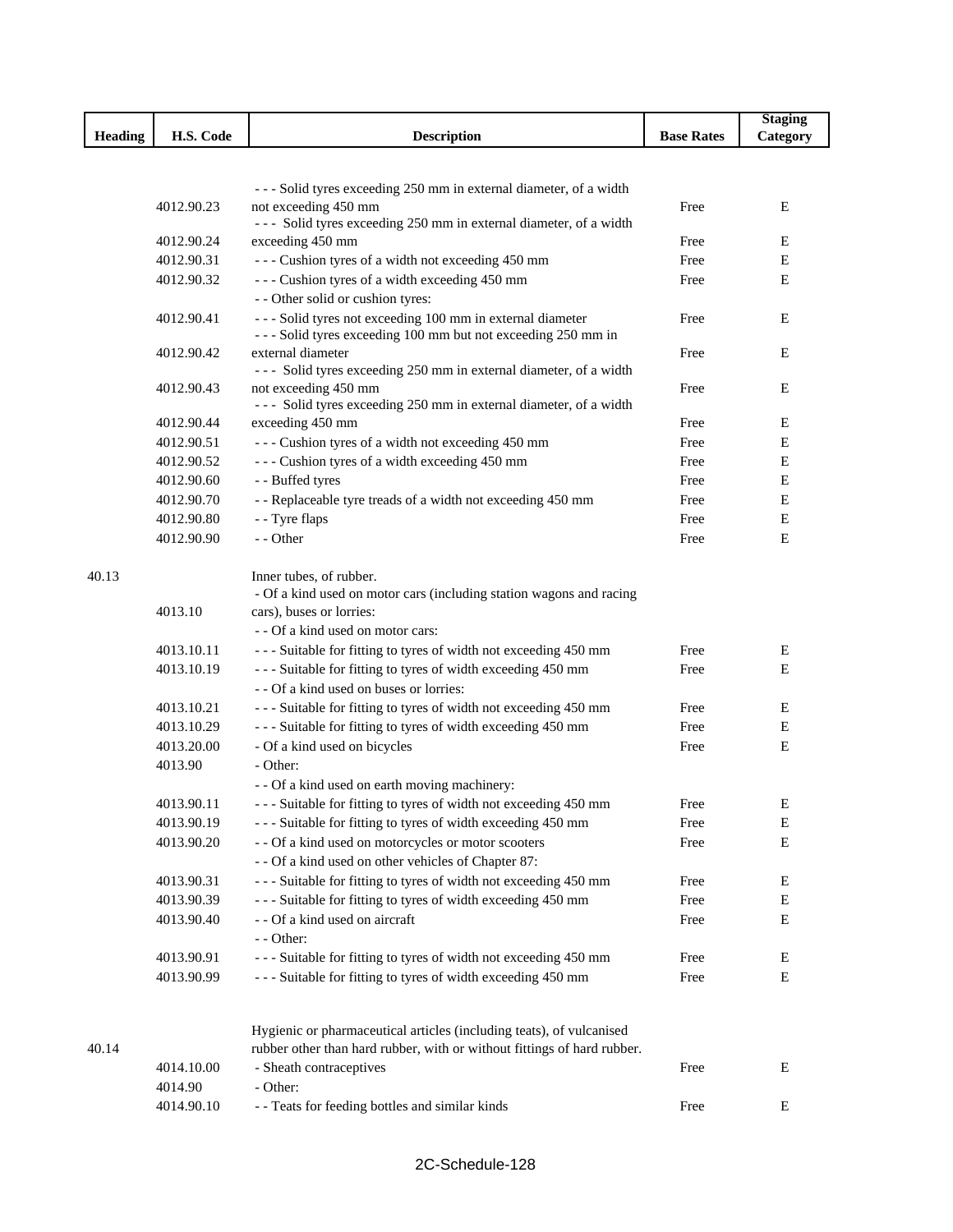|         |            |                                                                                           |                   | <b>Staging</b> |
|---------|------------|-------------------------------------------------------------------------------------------|-------------------|----------------|
| Heading | H.S. Code  | <b>Description</b>                                                                        | <b>Base Rates</b> | Category       |
|         |            |                                                                                           |                   |                |
|         |            |                                                                                           |                   |                |
|         | 4012.90.23 | --- Solid tyres exceeding 250 mm in external diameter, of a width<br>not exceeding 450 mm | Free              | E              |
|         |            | --- Solid tyres exceeding 250 mm in external diameter, of a width                         |                   |                |
|         | 4012.90.24 | exceeding 450 mm                                                                          | Free              | E              |
|         | 4012.90.31 | --- Cushion tyres of a width not exceeding 450 mm                                         | Free              | E              |
|         | 4012.90.32 | --- Cushion tyres of a width exceeding 450 mm                                             | Free              | E              |
|         |            | - - Other solid or cushion tyres:                                                         |                   |                |
|         | 4012.90.41 | --- Solid tyres not exceeding 100 mm in external diameter                                 | Free              | E              |
|         |            | --- Solid tyres exceeding 100 mm but not exceeding 250 mm in                              |                   |                |
|         | 4012.90.42 | external diameter                                                                         | Free              | Ε              |
|         |            | --- Solid tyres exceeding 250 mm in external diameter, of a width                         |                   |                |
|         | 4012.90.43 | not exceeding 450 mm                                                                      | Free              | Ε              |
|         |            | --- Solid tyres exceeding 250 mm in external diameter, of a width                         |                   |                |
|         | 4012.90.44 | exceeding 450 mm                                                                          | Free              | Ε              |
|         | 4012.90.51 | --- Cushion tyres of a width not exceeding 450 mm                                         | Free              | Е              |
|         | 4012.90.52 | --- Cushion tyres of a width exceeding 450 mm                                             | Free              | Е              |
|         | 4012.90.60 | - - Buffed tyres                                                                          | Free              | Е              |
|         | 4012.90.70 | - - Replaceable tyre treads of a width not exceeding 450 mm                               | Free              | Ε              |
|         | 4012.90.80 | - - Tyre flaps                                                                            | Free              | E              |
|         | 4012.90.90 | - - Other                                                                                 | Free              | E              |
|         |            |                                                                                           |                   |                |
| 40.13   |            | Inner tubes, of rubber.                                                                   |                   |                |
|         |            | - Of a kind used on motor cars (including station wagons and racing                       |                   |                |
|         | 4013.10    | cars), buses or lorries:                                                                  |                   |                |
|         |            | - - Of a kind used on motor cars:                                                         |                   |                |
|         | 4013.10.11 | --- Suitable for fitting to tyres of width not exceeding 450 mm                           | Free              | Е              |
|         | 4013.10.19 | --- Suitable for fitting to tyres of width exceeding 450 mm                               | Free              | Е              |
|         |            | - - Of a kind used on buses or lorries:                                                   |                   |                |
|         | 4013.10.21 | --- Suitable for fitting to tyres of width not exceeding 450 mm                           | Free              | Е              |
|         | 4013.10.29 | --- Suitable for fitting to tyres of width exceeding 450 mm                               | Free              | E              |
|         | 4013.20.00 | - Of a kind used on bicycles                                                              | Free              | E              |
|         | 4013.90    | - Other:                                                                                  |                   |                |
|         |            | - - Of a kind used on earth moving machinery:                                             |                   |                |
|         | 4013.90.11 | - - - Suitable for fitting to tyres of width not exceeding 450 mm                         | Free              | Ε              |
|         | 4013.90.19 | --- Suitable for fitting to tyres of width exceeding 450 mm                               | Free              | Ε              |
|         | 4013.90.20 | - - Of a kind used on motorcycles or motor scooters                                       | Free              | Ε              |
|         |            | - - Of a kind used on other vehicles of Chapter 87:                                       |                   |                |
|         | 4013.90.31 | --- Suitable for fitting to tyres of width not exceeding 450 mm                           | Free              | Ε              |
|         | 4013.90.39 | --- Suitable for fitting to tyres of width exceeding 450 mm                               | Free              | E              |
|         | 4013.90.40 | - - Of a kind used on aircraft                                                            | Free              | E              |
|         |            | - - Other:                                                                                |                   |                |
|         | 4013.90.91 | --- Suitable for fitting to tyres of width not exceeding 450 mm                           | Free              | Е              |
|         | 4013.90.99 | --- Suitable for fitting to tyres of width exceeding 450 mm                               | Free              | Ε              |
|         |            | Hygienic or pharmaceutical articles (including teats), of vulcanised                      |                   |                |
| 40.14   |            | rubber other than hard rubber, with or without fittings of hard rubber.                   |                   |                |
|         | 4014.10.00 | - Sheath contraceptives                                                                   | Free              | E              |
|         | 4014.90    | - Other:                                                                                  |                   |                |
|         | 4014.90.10 | - - Teats for feeding bottles and similar kinds                                           | Free              | Ε              |
|         |            |                                                                                           |                   |                |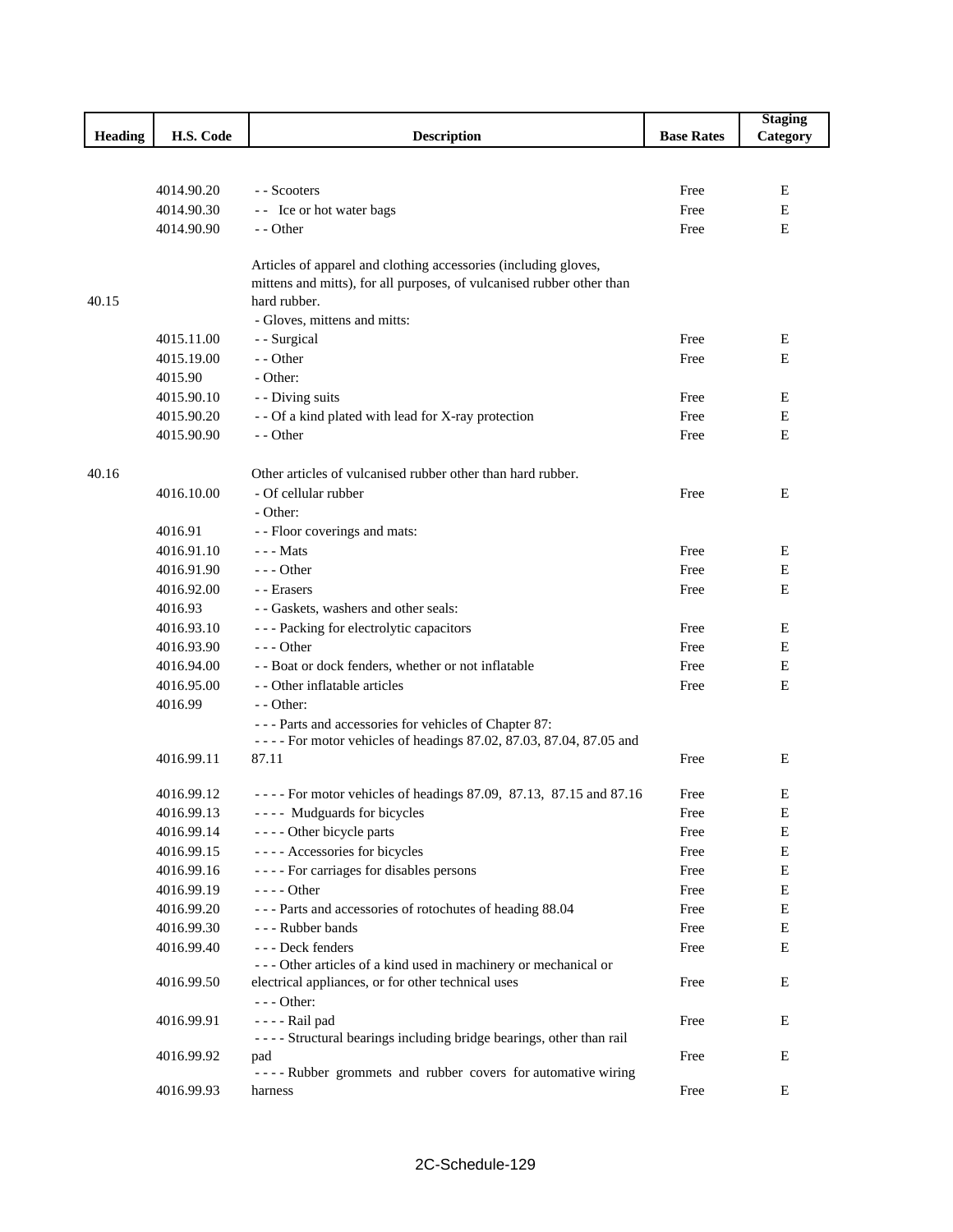|                |            |                                                                        |                   | <b>Staging</b> |
|----------------|------------|------------------------------------------------------------------------|-------------------|----------------|
| <b>Heading</b> | H.S. Code  | <b>Description</b>                                                     | <b>Base Rates</b> | Category       |
|                |            |                                                                        |                   |                |
|                |            |                                                                        |                   |                |
|                | 4014.90.20 | - - Scooters                                                           | Free              | Ε              |
|                | 4014.90.30 | -- Ice or hot water bags                                               | Free              | E              |
|                | 4014.90.90 | - - Other                                                              | Free              | E              |
|                |            |                                                                        |                   |                |
|                |            | Articles of apparel and clothing accessories (including gloves,        |                   |                |
|                |            | mittens and mitts), for all purposes, of vulcanised rubber other than  |                   |                |
| 40.15          |            | hard rubber.                                                           |                   |                |
|                |            | - Gloves, mittens and mitts:                                           |                   |                |
|                | 4015.11.00 | - - Surgical                                                           | Free              | E              |
|                | 4015.19.00 | - - Other                                                              | Free              | Ε              |
|                | 4015.90    | - Other:                                                               |                   |                |
|                | 4015.90.10 | - - Diving suits                                                       | Free              | E              |
|                | 4015.90.20 | - - Of a kind plated with lead for X-ray protection                    | Free              | Ε              |
|                | 4015.90.90 | - - Other                                                              | Free              | E              |
|                |            |                                                                        |                   |                |
| 40.16          |            | Other articles of vulcanised rubber other than hard rubber.            |                   |                |
|                | 4016.10.00 | - Of cellular rubber                                                   | Free              | E              |
|                |            | - Other:                                                               |                   |                |
|                | 4016.91    | - - Floor coverings and mats:                                          |                   |                |
|                | 4016.91.10 | - - - Mats                                                             | Free              | E              |
|                | 4016.91.90 | $--$ Other                                                             | Free              | Ε              |
|                | 4016.92.00 | - - Erasers                                                            | Free              | E              |
|                | 4016.93    | - - Gaskets, washers and other seals:                                  |                   |                |
|                | 4016.93.10 | --- Packing for electrolytic capacitors                                | Free              | E              |
|                | 4016.93.90 | $- -$ Other                                                            | Free              | Е              |
|                | 4016.94.00 | - - Boat or dock fenders, whether or not inflatable                    | Free              | Е              |
|                | 4016.95.00 | - - Other inflatable articles                                          | Free              | E              |
|                | 4016.99    | $-$ - Other:                                                           |                   |                |
|                |            | --- Parts and accessories for vehicles of Chapter 87:                  |                   |                |
|                |            | - - - - For motor vehicles of headings 87.02, 87.03, 87.04, 87.05 and  |                   |                |
|                | 4016.99.11 | 87.11                                                                  | Free              | E              |
|                |            |                                                                        |                   |                |
|                | 4016.99.12 | - - - - For motor vehicles of headings 87.09, 87.13, 87.15 and 87.16   | Free              | E              |
|                | 4016.99.13 | ---- Mudguards for bicycles                                            | Free              | Е              |
|                | 4016.99.14 | ---- Other bicycle parts                                               | Free              | E              |
|                | 4016.99.15 | ---- Accessories for bicycles                                          | Free              | ${\bf E}$      |
|                | 4016.99.16 | ---- For carriages for disables persons                                | Free              | E              |
|                | 4016.99.19 | $--- Other$                                                            | Free              | E              |
|                | 4016.99.20 | --- Parts and accessories of rotochutes of heading 88.04               | Free              | E              |
|                | 4016.99.30 | --- Rubber bands                                                       | Free              | ${\bf E}$      |
|                | 4016.99.40 | --- Deck fenders                                                       | Free              | E              |
|                |            | --- Other articles of a kind used in machinery or mechanical or        |                   |                |
|                | 4016.99.50 | electrical appliances, or for other technical uses                     | Free              | E              |
|                |            | --- Other:                                                             |                   |                |
|                | 4016.99.91 | - - - - Rail pad                                                       | Free              | E              |
|                |            | - - - - Structural bearings including bridge bearings, other than rail |                   |                |
|                | 4016.99.92 | pad                                                                    | Free              | Ε              |
|                |            | ---- Rubber grommets and rubber covers for automative wiring           |                   |                |
|                | 4016.99.93 | harness                                                                | Free              | Ε              |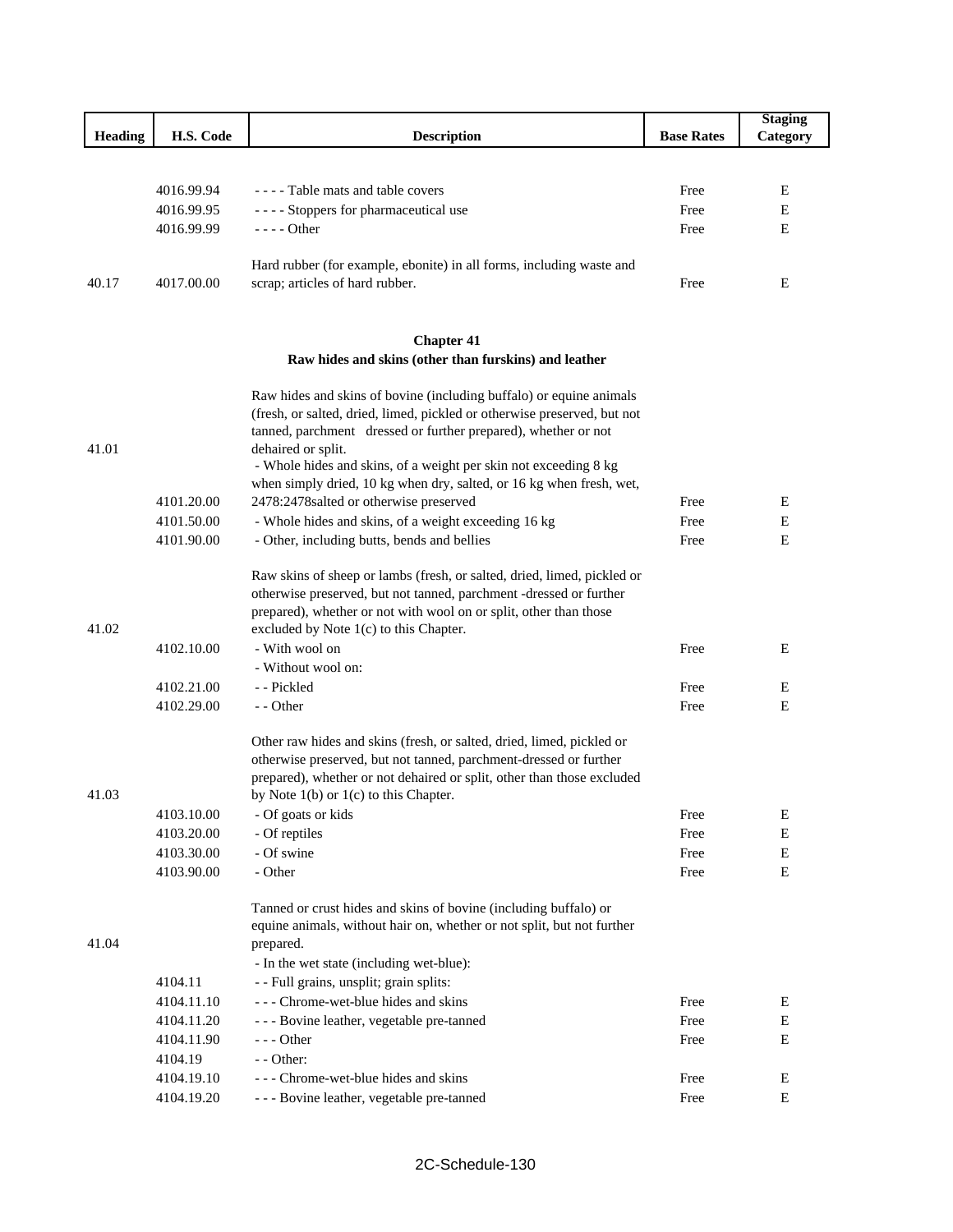|                |            |                                                                          |                   | <b>Staging</b> |
|----------------|------------|--------------------------------------------------------------------------|-------------------|----------------|
| <b>Heading</b> | H.S. Code  | <b>Description</b>                                                       | <b>Base Rates</b> | Category       |
|                |            |                                                                          |                   |                |
|                |            |                                                                          |                   |                |
|                | 4016.99.94 | - - - - Table mats and table covers                                      | Free              | Е              |
|                | 4016.99.95 | - - - - Stoppers for pharmaceutical use                                  | Free              | E              |
|                | 4016.99.99 | - - - - Other                                                            | Free              | Е              |
|                |            | Hard rubber (for example, ebonite) in all forms, including waste and     |                   |                |
| 40.17          | 4017.00.00 | scrap; articles of hard rubber.                                          | Free              | Ε              |
|                |            |                                                                          |                   |                |
|                |            | <b>Chapter 41</b>                                                        |                   |                |
|                |            | Raw hides and skins (other than furskins) and leather                    |                   |                |
|                |            | Raw hides and skins of bovine (including buffalo) or equine animals      |                   |                |
|                |            | (fresh, or salted, dried, limed, pickled or otherwise preserved, but not |                   |                |
|                |            | tanned, parchment dressed or further prepared), whether or not           |                   |                |
| 41.01          |            | dehaired or split.                                                       |                   |                |
|                |            | - Whole hides and skins, of a weight per skin not exceeding 8 kg         |                   |                |
|                |            | when simply dried, 10 kg when dry, salted, or 16 kg when fresh, wet,     |                   |                |
|                | 4101.20.00 | 2478:2478salted or otherwise preserved                                   | Free              | Е              |
|                | 4101.50.00 | - Whole hides and skins, of a weight exceeding 16 kg                     | Free              | Е              |
|                | 4101.90.00 | - Other, including butts, bends and bellies                              | Free              | Ε              |
|                |            | Raw skins of sheep or lambs (fresh, or salted, dried, limed, pickled or  |                   |                |
|                |            | otherwise preserved, but not tanned, parchment -dressed or further       |                   |                |
|                |            | prepared), whether or not with wool on or split, other than those        |                   |                |
| 41.02          |            | excluded by Note 1(c) to this Chapter.                                   |                   |                |
|                | 4102.10.00 | - With wool on                                                           | Free              | Ε              |
|                |            | - Without wool on:                                                       |                   |                |
|                | 4102.21.00 | - - Pickled                                                              | Free              | Е              |
|                | 4102.29.00 | - - Other                                                                | Free              | E              |
|                |            | Other raw hides and skins (fresh, or salted, dried, limed, pickled or    |                   |                |
|                |            | otherwise preserved, but not tanned, parchment-dressed or further        |                   |                |
|                |            | prepared), whether or not dehaired or split, other than those excluded   |                   |                |
| 41.03          |            | by Note $1(b)$ or $1(c)$ to this Chapter.                                |                   |                |
|                | 4103.10.00 | - Of goats or kids                                                       | Free              | ${\bf E}$      |
|                | 4103.20.00 | - Of reptiles                                                            | Free              | E              |
|                | 4103.30.00 | - Of swine                                                               | Free              | $\mathbf E$    |
|                | 4103.90.00 | - Other                                                                  | Free              | Е              |
|                |            |                                                                          |                   |                |
|                |            | Tanned or crust hides and skins of bovine (including buffalo) or         |                   |                |
| 41.04          |            | equine animals, without hair on, whether or not split, but not further   |                   |                |
|                |            | prepared.                                                                |                   |                |
|                |            | - In the wet state (including wet-blue):                                 |                   |                |
|                | 4104.11    | - - Full grains, unsplit; grain splits:                                  |                   |                |
|                | 4104.11.10 | --- Chrome-wet-blue hides and skins                                      | Free              | Е              |
|                | 4104.11.20 | - - - Bovine leather, vegetable pre-tanned                               | Free              | $\mathbf E$    |
|                | 4104.11.90 | --- Other                                                                | Free              | Е              |
|                | 4104.19    | - - Other:                                                               |                   |                |
|                | 4104.19.10 | - - - Chrome-wet-blue hides and skins                                    | Free              | E              |
|                | 4104.19.20 | - - - Bovine leather, vegetable pre-tanned                               | Free              | Е              |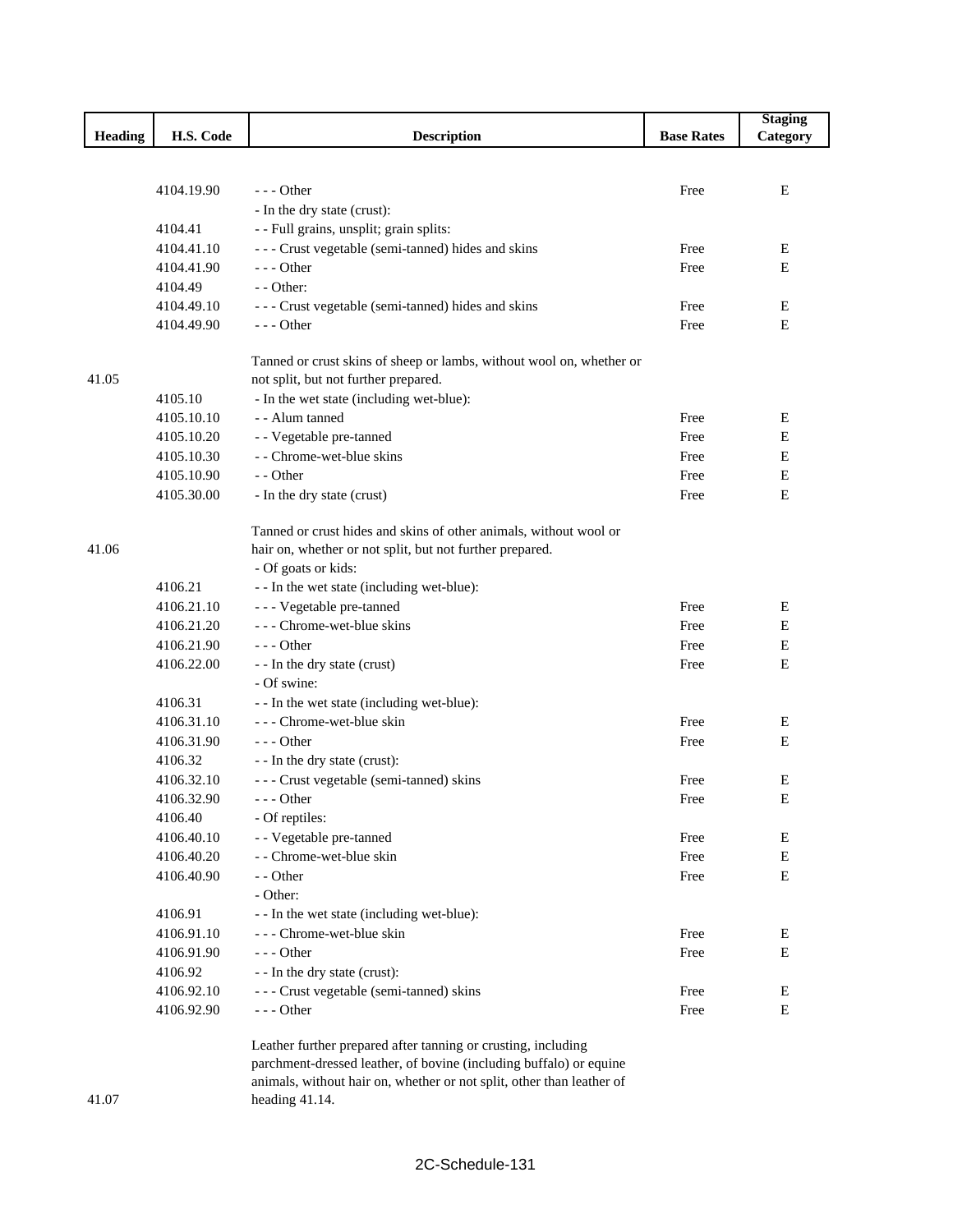|         |                       |                                                                      |                   | <b>Staging</b> |
|---------|-----------------------|----------------------------------------------------------------------|-------------------|----------------|
| Heading | H.S. Code             | <b>Description</b>                                                   | <b>Base Rates</b> | Category       |
|         |                       |                                                                      |                   |                |
|         |                       |                                                                      |                   |                |
|         | 4104.19.90            | $--$ Other                                                           | Free              | Е              |
|         |                       | - In the dry state (crust):                                          |                   |                |
|         | 4104.41<br>4104.41.10 | - - Full grains, unsplit; grain splits:                              |                   |                |
|         | 4104.41.90            | --- Crust vegetable (semi-tanned) hides and skins<br>--- Other       | Free              | Ε<br>E         |
|         | 4104.49               | $-$ - Other:                                                         | Free              |                |
|         | 4104.49.10            |                                                                      | Free              | Е              |
|         | 4104.49.90            | --- Crust vegetable (semi-tanned) hides and skins<br>$--$ Other      | Free              | ${\bf E}$      |
|         |                       |                                                                      |                   |                |
|         |                       | Tanned or crust skins of sheep or lambs, without wool on, whether or |                   |                |
| 41.05   |                       | not split, but not further prepared.                                 |                   |                |
|         | 4105.10               | - In the wet state (including wet-blue):                             |                   |                |
|         | 4105.10.10            | - - Alum tanned                                                      | Free              | Е              |
|         | 4105.10.20            | - - Vegetable pre-tanned                                             | Free              | Е              |
|         | 4105.10.30            | - - Chrome-wet-blue skins                                            | Free              | Е              |
|         | 4105.10.90            | - - Other                                                            | Free              | $\mathbf E$    |
|         | 4105.30.00            | - In the dry state (crust)                                           | Free              | E              |
|         |                       |                                                                      |                   |                |
|         |                       | Tanned or crust hides and skins of other animals, without wool or    |                   |                |
| 41.06   |                       | hair on, whether or not split, but not further prepared.             |                   |                |
|         |                       | - Of goats or kids:                                                  |                   |                |
|         | 4106.21               | - - In the wet state (including wet-blue):                           |                   |                |
|         | 4106.21.10            | - - - Vegetable pre-tanned                                           | Free              | Е              |
|         | 4106.21.20            | - - - Chrome-wet-blue skins                                          | Free              | E              |
|         | 4106.21.90            | $--$ Other                                                           | Free              | Е              |
|         | 4106.22.00            | - - In the dry state (crust)                                         | Free              | E              |
|         |                       | - Of swine:                                                          |                   |                |
|         | 4106.31               | - - In the wet state (including wet-blue):                           |                   |                |
|         | 4106.31.10            | - - - Chrome-wet-blue skin                                           | Free              | Ε              |
|         | 4106.31.90            | $--$ Other                                                           | Free              | Е              |
|         | 4106.32               | - - In the dry state (crust):                                        |                   |                |
|         | 4106.32.10            | --- Crust vegetable (semi-tanned) skins                              | Free              | Е              |
|         | 4106.32.90            | $--$ Other                                                           | Free              | Е              |
|         | 4106.40               | - Of reptiles:                                                       |                   |                |
|         | 4106.40.10            | - - Vegetable pre-tanned                                             | Free              | Е              |
|         | 4106.40.20            | - - Chrome-wet-blue skin                                             | Free              | Е              |
|         | 4106.40.90            | - - Other                                                            | Free              | E              |
|         |                       | - Other:                                                             |                   |                |
|         | 4106.91               | - - In the wet state (including wet-blue):                           |                   |                |
|         | 4106.91.10            | - - - Chrome-wet-blue skin                                           | Free              | E              |
|         | 4106.91.90            | $--$ Other                                                           | Free              | Е              |
|         | 4106.92               | - - In the dry state (crust):                                        |                   |                |
|         | 4106.92.10            | --- Crust vegetable (semi-tanned) skins                              | Free              | E              |
|         | 4106.92.90            | --- Other                                                            | Free              | ${\bf E}$      |
|         |                       | Leather further prepared after tanning or crusting, including        |                   |                |

parchment-dressed leather, of bovine (including buffalo) or equine animals, without hair on, whether or not split, other than leather of heading 41.14.

#### 41.07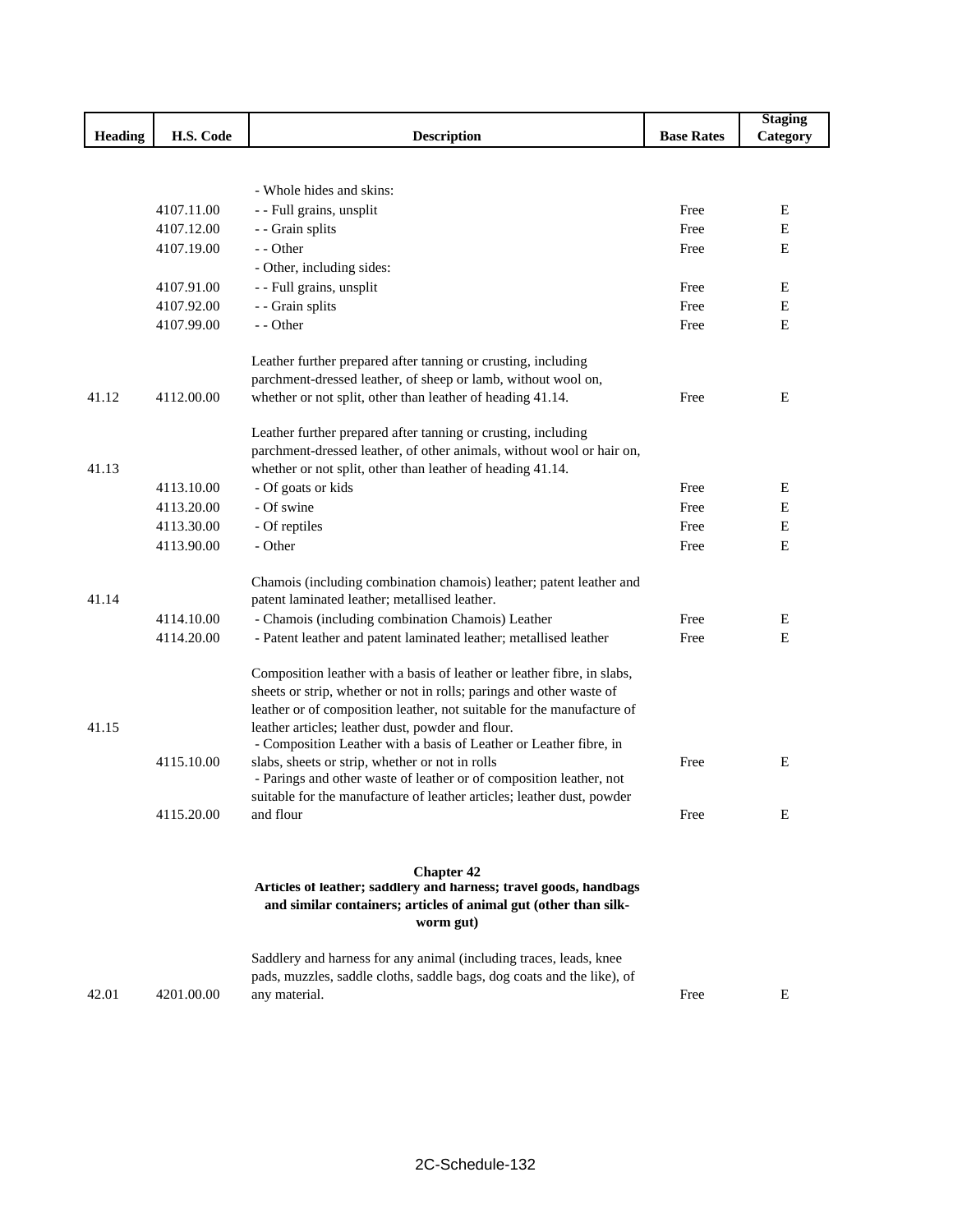|                |            |                                                                                                                      |                   | <b>Staging</b> |
|----------------|------------|----------------------------------------------------------------------------------------------------------------------|-------------------|----------------|
| <b>Heading</b> | H.S. Code  | <b>Description</b>                                                                                                   | <b>Base Rates</b> | Category       |
|                |            |                                                                                                                      |                   |                |
|                |            |                                                                                                                      |                   |                |
|                |            | - Whole hides and skins:                                                                                             |                   |                |
|                | 4107.11.00 | - - Full grains, unsplit                                                                                             | Free              | Ε              |
|                | 4107.12.00 | - - Grain splits                                                                                                     | Free              | ${\bf E}$      |
|                | 4107.19.00 | - - Other                                                                                                            | Free              | Е              |
|                |            | - Other, including sides:                                                                                            |                   |                |
|                | 4107.91.00 | - - Full grains, unsplit                                                                                             | Free              | E              |
|                | 4107.92.00 | - - Grain splits                                                                                                     | Free              | Е              |
|                | 4107.99.00 | - - Other                                                                                                            | Free              | Е              |
|                |            | Leather further prepared after tanning or crusting, including                                                        |                   |                |
|                |            | parchment-dressed leather, of sheep or lamb, without wool on,                                                        |                   |                |
| 41.12          | 4112.00.00 | whether or not split, other than leather of heading 41.14.                                                           | Free              | Ε              |
|                |            |                                                                                                                      |                   |                |
|                |            | Leather further prepared after tanning or crusting, including                                                        |                   |                |
|                |            | parchment-dressed leather, of other animals, without wool or hair on,                                                |                   |                |
| 41.13          |            | whether or not split, other than leather of heading 41.14.                                                           |                   |                |
|                | 4113.10.00 | - Of goats or kids                                                                                                   | Free              | Е              |
|                | 4113.20.00 | - Of swine                                                                                                           | Free              | Е              |
|                | 4113.30.00 | - Of reptiles                                                                                                        | Free              | Е              |
|                | 4113.90.00 | - Other                                                                                                              | Free              | E              |
|                |            |                                                                                                                      |                   |                |
| 41.14          |            | Chamois (including combination chamois) leather; patent leather and<br>patent laminated leather; metallised leather. |                   |                |
|                | 4114.10.00 | - Chamois (including combination Chamois) Leather                                                                    | Free              | Е              |
|                | 4114.20.00 | - Patent leather and patent laminated leather; metallised leather                                                    | Free              | Е              |
|                |            |                                                                                                                      |                   |                |
|                |            | Composition leather with a basis of leather or leather fibre, in slabs,                                              |                   |                |
|                |            | sheets or strip, whether or not in rolls; parings and other waste of                                                 |                   |                |
|                |            | leather or of composition leather, not suitable for the manufacture of                                               |                   |                |
| 41.15          |            | leather articles; leather dust, powder and flour.                                                                    |                   |                |
|                |            | - Composition Leather with a basis of Leather or Leather fibre, in                                                   |                   |                |
|                | 4115.10.00 | slabs, sheets or strip, whether or not in rolls                                                                      | Free              | E              |
|                |            | - Parings and other waste of leather or of composition leather, not                                                  |                   |                |
|                | 4115.20.00 | suitable for the manufacture of leather articles; leather dust, powder<br>and flour                                  | Free              | Е              |
|                |            |                                                                                                                      |                   |                |
|                |            |                                                                                                                      |                   |                |
|                |            | <b>Chapter 42</b>                                                                                                    |                   |                |
|                |            | Articles of leather; saddlery and harness; travel goods, handbags                                                    |                   |                |
|                |            | and similar containers; articles of animal gut (other than silk-<br>worm gut)                                        |                   |                |
|                |            |                                                                                                                      |                   |                |
|                |            | Saddlery and harness for any animal (including traces, leads, knee                                                   |                   |                |
|                |            | pads, muzzles, saddle cloths, saddle bags, dog coats and the like), of                                               |                   |                |
| 42.01          | 4201.00.00 | any material.                                                                                                        | Free              | Е              |
|                |            |                                                                                                                      |                   |                |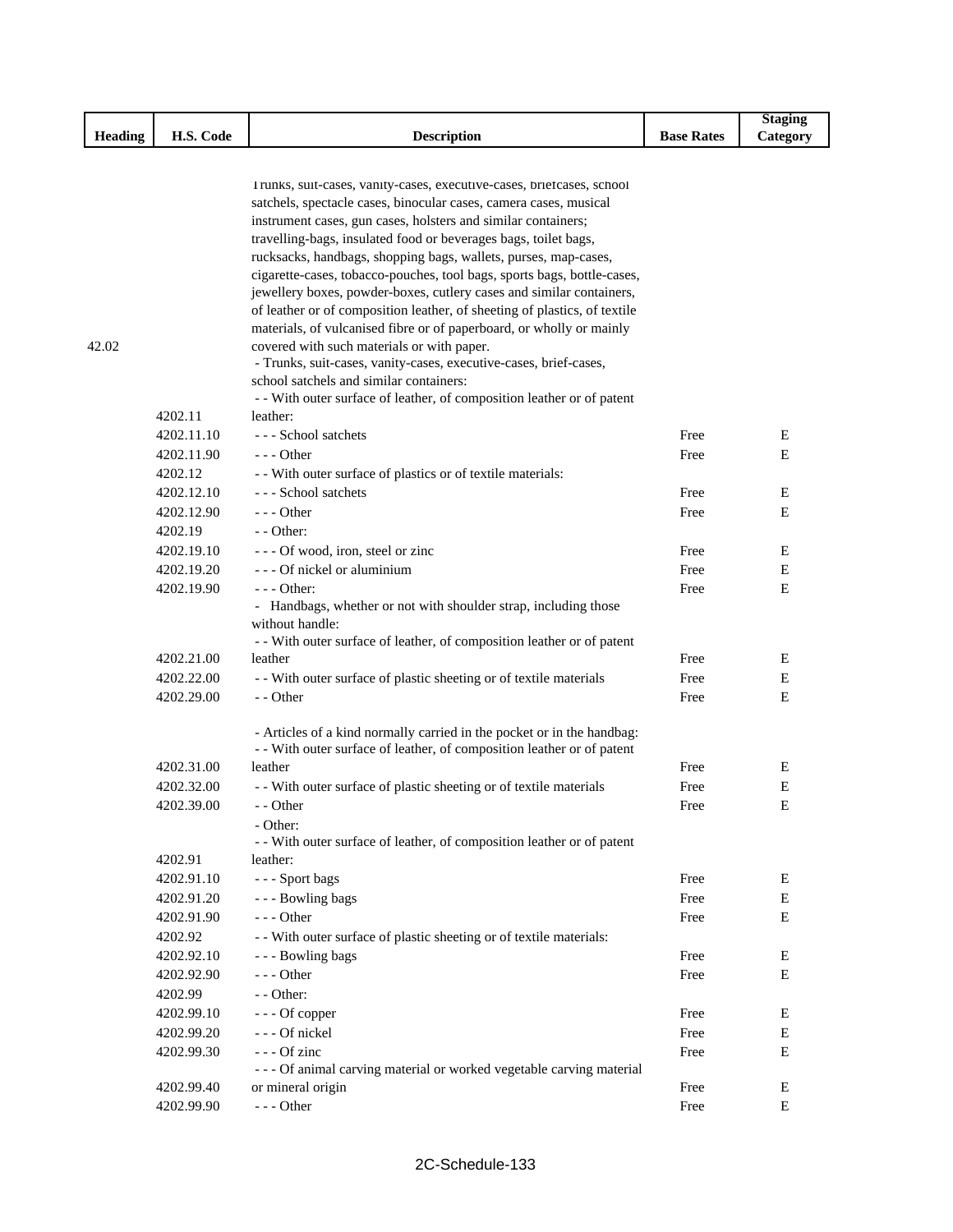|         |            |                                                                                                                                            |                   | <b>Staging</b> |
|---------|------------|--------------------------------------------------------------------------------------------------------------------------------------------|-------------------|----------------|
| Heading | H.S. Code  | <b>Description</b>                                                                                                                         | <b>Base Rates</b> | Category       |
|         |            |                                                                                                                                            |                   |                |
|         |            |                                                                                                                                            |                   |                |
|         |            | Trunks, suit-cases, vanity-cases, executive-cases, briefcases, school<br>satchels, spectacle cases, binocular cases, camera cases, musical |                   |                |
|         |            | instrument cases, gun cases, holsters and similar containers;                                                                              |                   |                |
|         |            | travelling-bags, insulated food or beverages bags, toilet bags,                                                                            |                   |                |
|         |            | rucksacks, handbags, shopping bags, wallets, purses, map-cases,                                                                            |                   |                |
|         |            | cigarette-cases, tobacco-pouches, tool bags, sports bags, bottle-cases,                                                                    |                   |                |
|         |            | jewellery boxes, powder-boxes, cutlery cases and similar containers,                                                                       |                   |                |
|         |            | of leather or of composition leather, of sheeting of plastics, of textile                                                                  |                   |                |
|         |            | materials, of vulcanised fibre or of paperboard, or wholly or mainly                                                                       |                   |                |
| 42.02   |            | covered with such materials or with paper.                                                                                                 |                   |                |
|         |            | - Trunks, suit-cases, vanity-cases, executive-cases, brief-cases,                                                                          |                   |                |
|         |            | school satchels and similar containers:                                                                                                    |                   |                |
|         |            | - - With outer surface of leather, of composition leather or of patent                                                                     |                   |                |
|         | 4202.11    | leather:                                                                                                                                   |                   |                |
|         | 4202.11.10 | --- School satchets                                                                                                                        | Free              | Ε              |
|         | 4202.11.90 | $- -$ Other                                                                                                                                | Free              | E              |
|         | 4202.12    | - - With outer surface of plastics or of textile materials:                                                                                |                   |                |
|         | 4202.12.10 | --- School satchets                                                                                                                        | Free              | Е              |
|         | 4202.12.90 | $- -$ Other                                                                                                                                | Free              | E              |
|         | 4202.19    | - - Other:                                                                                                                                 |                   |                |
|         | 4202.19.10 | --- Of wood, iron, steel or zinc                                                                                                           | Free              | Ε              |
|         | 4202.19.20 | - - - Of nickel or aluminium                                                                                                               | Free              | E              |
|         | 4202.19.90 | $--$ Other:                                                                                                                                | Free              | E              |
|         |            | - Handbags, whether or not with shoulder strap, including those                                                                            |                   |                |
|         |            | without handle:                                                                                                                            |                   |                |
|         |            | - - With outer surface of leather, of composition leather or of patent                                                                     |                   |                |
|         | 4202.21.00 | leather                                                                                                                                    | Free              | Е              |
|         | 4202.22.00 | - - With outer surface of plastic sheeting or of textile materials                                                                         | Free              | Е              |
|         | 4202.29.00 | - - Other                                                                                                                                  | Free              | E              |
|         |            | - Articles of a kind normally carried in the pocket or in the handbag:                                                                     |                   |                |
|         |            | - - With outer surface of leather, of composition leather or of patent                                                                     |                   |                |
|         | 4202.31.00 | leather                                                                                                                                    | Free              | Ε              |
|         | 4202.32.00 | - With outer surface of plastic sheeting or of textile materials                                                                           | Free              | Е              |
|         | 4202.39.00 | - - Other                                                                                                                                  | Free              | Ε              |
|         |            | - Other:                                                                                                                                   |                   |                |
|         |            | - - With outer surface of leather, of composition leather or of patent                                                                     |                   |                |
|         | 4202.91    | leather:                                                                                                                                   |                   |                |
|         | 4202.91.10 | --- Sport bags                                                                                                                             | Free              | Е              |
|         | 4202.91.20 | --- Bowling bags                                                                                                                           | Free              | Е              |
|         | 4202.91.90 | $--$ Other                                                                                                                                 | Free              | Ε              |
|         | 4202.92    | - With outer surface of plastic sheeting or of textile materials:                                                                          |                   |                |
|         | 4202.92.10 | --- Bowling bags                                                                                                                           | Free              | Е              |
|         | 4202.92.90 | --- Other                                                                                                                                  | Free              | Е              |
|         | 4202.99    | - - Other:                                                                                                                                 |                   |                |
|         | 4202.99.10 | --- Of copper                                                                                                                              | Free              | Е              |
|         | 4202.99.20 | --- Of nickel                                                                                                                              | Free              | Е              |
|         | 4202.99.30 | --- Of zinc                                                                                                                                | Free              | Е              |
|         |            | - - - Of animal carving material or worked vegetable carving material                                                                      |                   |                |
|         | 4202.99.40 | or mineral origin                                                                                                                          | Free              | Ε              |
|         | 4202.99.90 | --- Other                                                                                                                                  | Free              | $\mathbf E$    |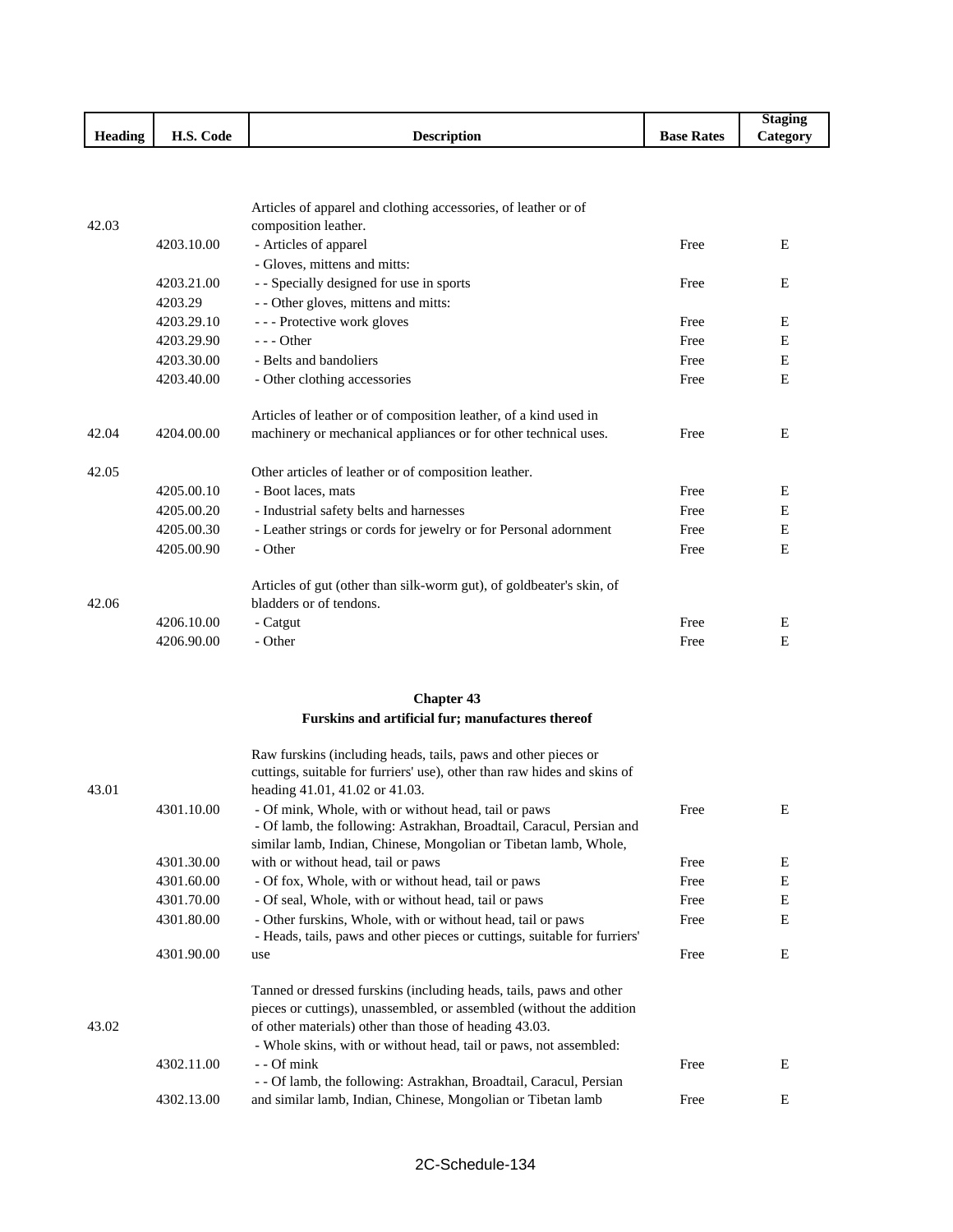|                                                |                                                                                |                    |                      | <b>Staging</b><br>$\sim$ |
|------------------------------------------------|--------------------------------------------------------------------------------|--------------------|----------------------|--------------------------|
| $\mathbf{r}$<br>$\mathbf{H}$<br><b>Heading</b> | $\mathbf{r}$ $\mathbf{r}$ $\alpha$<br>$\overline{\phantom{a}}$<br>Code<br>п.э. | <b>Description</b> | <b>Base</b><br>Rates | -<br><b>Category</b>     |

|       |            | Articles of apparel and clothing accessories, of leather or of                                  |      |   |
|-------|------------|-------------------------------------------------------------------------------------------------|------|---|
| 42.03 |            | composition leather.                                                                            |      |   |
|       | 4203.10.00 | - Articles of apparel                                                                           | Free | E |
|       |            | - Gloves, mittens and mitts:                                                                    |      |   |
|       | 4203.21.00 | - - Specially designed for use in sports                                                        | Free | E |
|       | 4203.29    | - - Other gloves, mittens and mitts:                                                            |      |   |
|       | 4203.29.10 | --- Protective work gloves                                                                      | Free | Ε |
|       | 4203.29.90 | $- -$ Other                                                                                     | Free | Ε |
|       | 4203.30.00 | - Belts and bandoliers                                                                          | Free | E |
|       | 4203.40.00 | - Other clothing accessories                                                                    | Free | E |
|       |            | Articles of leather or of composition leather, of a kind used in                                |      |   |
| 42.04 | 4204.00.00 | machinery or mechanical appliances or for other technical uses.                                 | Free | E |
| 42.05 |            | Other articles of leather or of composition leather.                                            |      |   |
|       | 4205.00.10 | - Boot laces, mats                                                                              | Free | E |
|       | 4205.00.20 | - Industrial safety belts and harnesses                                                         | Free | E |
|       | 4205.00.30 | - Leather strings or cords for jewelry or for Personal adornment                                | Free | E |
|       | 4205.00.90 | - Other                                                                                         | Free | E |
| 42.06 |            | Articles of gut (other than silk-worm gut), of goldbeater's skin, of<br>bladders or of tendons. |      |   |
|       | 4206.10.00 | - Catgut                                                                                        | Free | E |
|       | 4206.90.00 | - Other                                                                                         | Free | E |

#### **Chapter 43 Furskins and artificial fur; manufactures thereof**

|       |            | Raw furskins (including heads, tails, paws and other pieces or            |      |   |
|-------|------------|---------------------------------------------------------------------------|------|---|
|       |            | cuttings, suitable for furriers' use), other than raw hides and skins of  |      |   |
| 43.01 |            | heading 41.01, 41.02 or 41.03.                                            |      |   |
|       | 4301.10.00 | - Of mink, Whole, with or without head, tail or paws                      | Free | E |
|       |            | - Of lamb, the following: Astrakhan, Broadtail, Caracul, Persian and      |      |   |
|       |            | similar lamb, Indian, Chinese, Mongolian or Tibetan lamb, Whole,          |      |   |
|       | 4301.30.00 | with or without head, tail or paws                                        | Free | Ε |
|       | 4301.60.00 | - Of fox, Whole, with or without head, tail or paws                       | Free | E |
|       | 4301.70.00 | - Of seal, Whole, with or without head, tail or paws                      | Free | E |
|       | 4301.80.00 | - Other furskins, Whole, with or without head, tail or paws               | Free | E |
|       |            | - Heads, tails, paws and other pieces or cuttings, suitable for furriers' |      |   |
|       | 4301.90.00 | use                                                                       | Free | E |
|       |            | Tanned or dressed furskins (including heads, tails, paws and other        |      |   |
|       |            | pieces or cuttings), unassembled, or assembled (without the addition      |      |   |
| 43.02 |            | of other materials) other than those of heading 43.03.                    |      |   |
|       |            | - Whole skins, with or without head, tail or paws, not assembled:         |      |   |
|       | 4302.11.00 | - - Of mink                                                               | Free | E |
|       |            | - - Of lamb, the following: Astrakhan, Broadtail, Caracul, Persian        |      |   |
|       | 4302.13.00 | and similar lamb, Indian, Chinese, Mongolian or Tibetan lamb              | Free | Е |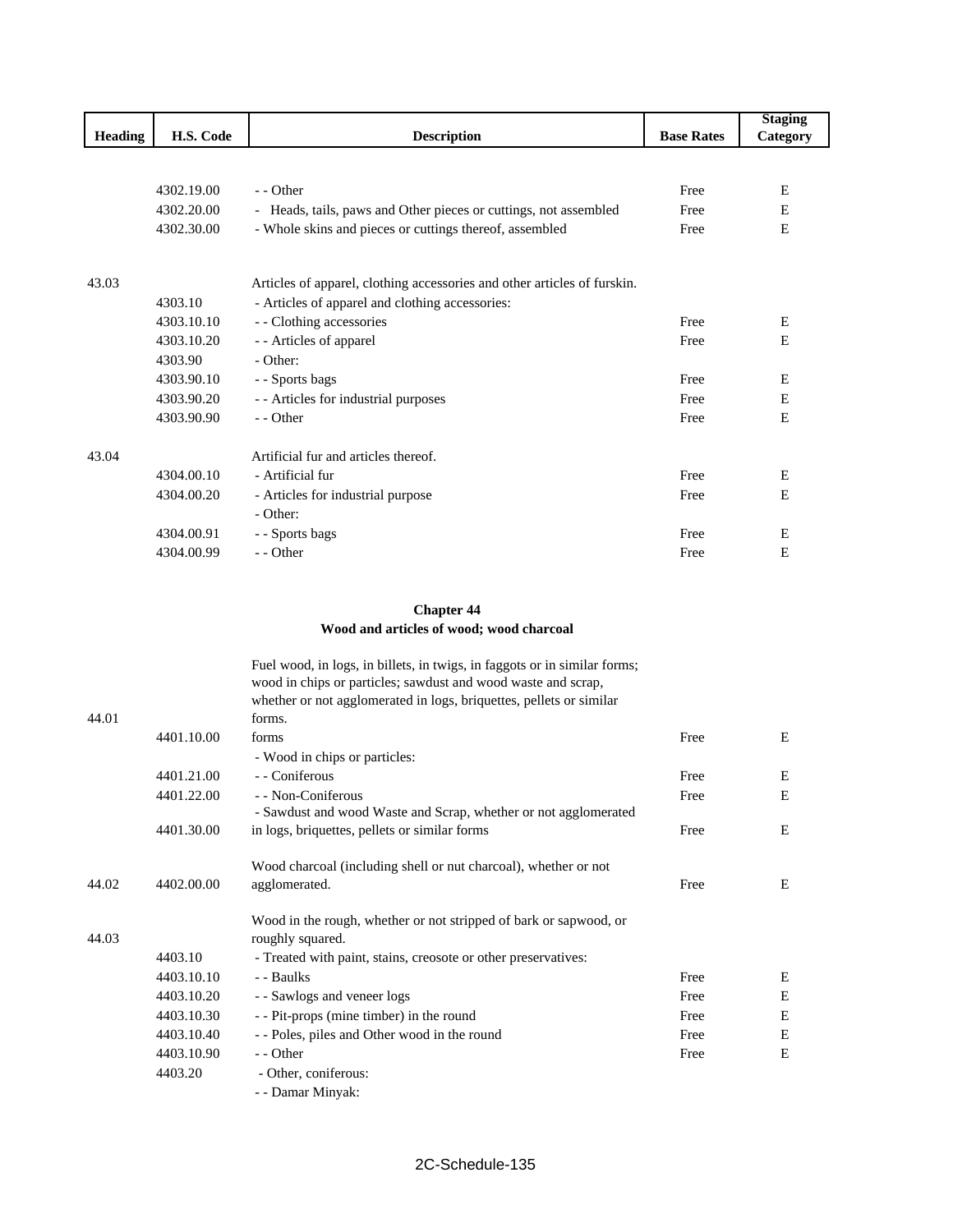|                |            |                                                                          |                   | <b>Staging</b> |
|----------------|------------|--------------------------------------------------------------------------|-------------------|----------------|
| <b>Heading</b> | H.S. Code  | <b>Description</b>                                                       | <b>Base Rates</b> | Category       |
|                |            |                                                                          |                   |                |
|                |            |                                                                          |                   |                |
|                | 4302.19.00 | - Other                                                                  | Free              | Ε              |
|                | 4302.20.00 | - Heads, tails, paws and Other pieces or cuttings, not assembled         | Free              | E              |
|                | 4302.30.00 | - Whole skins and pieces or cuttings thereof, assembled                  | Free              | E              |
|                |            |                                                                          |                   |                |
| 43.03          |            | Articles of apparel, clothing accessories and other articles of furskin. |                   |                |
|                | 4303.10    | - Articles of apparel and clothing accessories:                          |                   |                |
|                | 4303.10.10 | - - Clothing accessories                                                 | Free              | Ε              |
|                | 4303.10.20 | - - Articles of apparel                                                  | Free              | E              |
|                | 4303.90    | - Other:                                                                 |                   |                |
|                | 4303.90.10 | - - Sports bags                                                          | Free              | E              |
|                | 4303.90.20 | - - Articles for industrial purposes                                     | Free              | E              |
|                | 4303.90.90 | - - Other                                                                | Free              | E              |
| 43.04          |            | Artificial fur and articles thereof.                                     |                   |                |
|                | 4304.00.10 | - Artificial fur                                                         | Free              | E              |
|                | 4304.00.20 | - Articles for industrial purpose                                        | Free              | E              |
|                |            | - Other:                                                                 |                   |                |
|                | 4304.00.91 | - - Sports bags                                                          | Free              | Е              |
|                | 4304.00.99 | - - Other                                                                | Free              | E              |

#### **Chapter 44 Wood and articles of wood; wood charcoal**

|       |            | Fuel wood, in logs, in billets, in twigs, in faggots or in similar forms; |      |   |
|-------|------------|---------------------------------------------------------------------------|------|---|
|       |            | wood in chips or particles; sawdust and wood waste and scrap,             |      |   |
|       |            | whether or not agglomerated in logs, briquettes, pellets or similar       |      |   |
| 44.01 |            | forms.                                                                    |      |   |
|       | 4401.10.00 | forms                                                                     | Free | E |
|       |            | - Wood in chips or particles:                                             |      |   |
|       | 4401.21.00 | - - Coniferous                                                            | Free | E |
|       | 4401.22.00 | - - Non-Coniferous                                                        | Free | E |
|       |            | - Sawdust and wood Waste and Scrap, whether or not agglomerated           |      |   |
|       | 4401.30.00 | in logs, briquettes, pellets or similar forms                             | Free | E |
|       |            | Wood charcoal (including shell or nut charcoal), whether or not           |      |   |
| 44.02 | 4402.00.00 | agglomerated.                                                             | Free | E |
|       |            | Wood in the rough, whether or not stripped of bark or sapwood, or         |      |   |
| 44.03 |            | roughly squared.                                                          |      |   |
|       | 4403.10    | - Treated with paint, stains, creosote or other preservatives:            |      |   |
|       | 4403.10.10 | - - Baulks                                                                | Free | E |
|       | 4403.10.20 | - - Sawlogs and veneer logs                                               | Free | E |
|       | 4403.10.30 | - - Pit-props (mine timber) in the round                                  | Free | E |
|       | 4403.10.40 | - - Poles, piles and Other wood in the round                              | Free | Ε |
|       | 4403.10.90 | $-$ - Other                                                               | Free | E |
|       | 4403.20    | - Other, coniferous:                                                      |      |   |
|       |            | - - Damar Minyak:                                                         |      |   |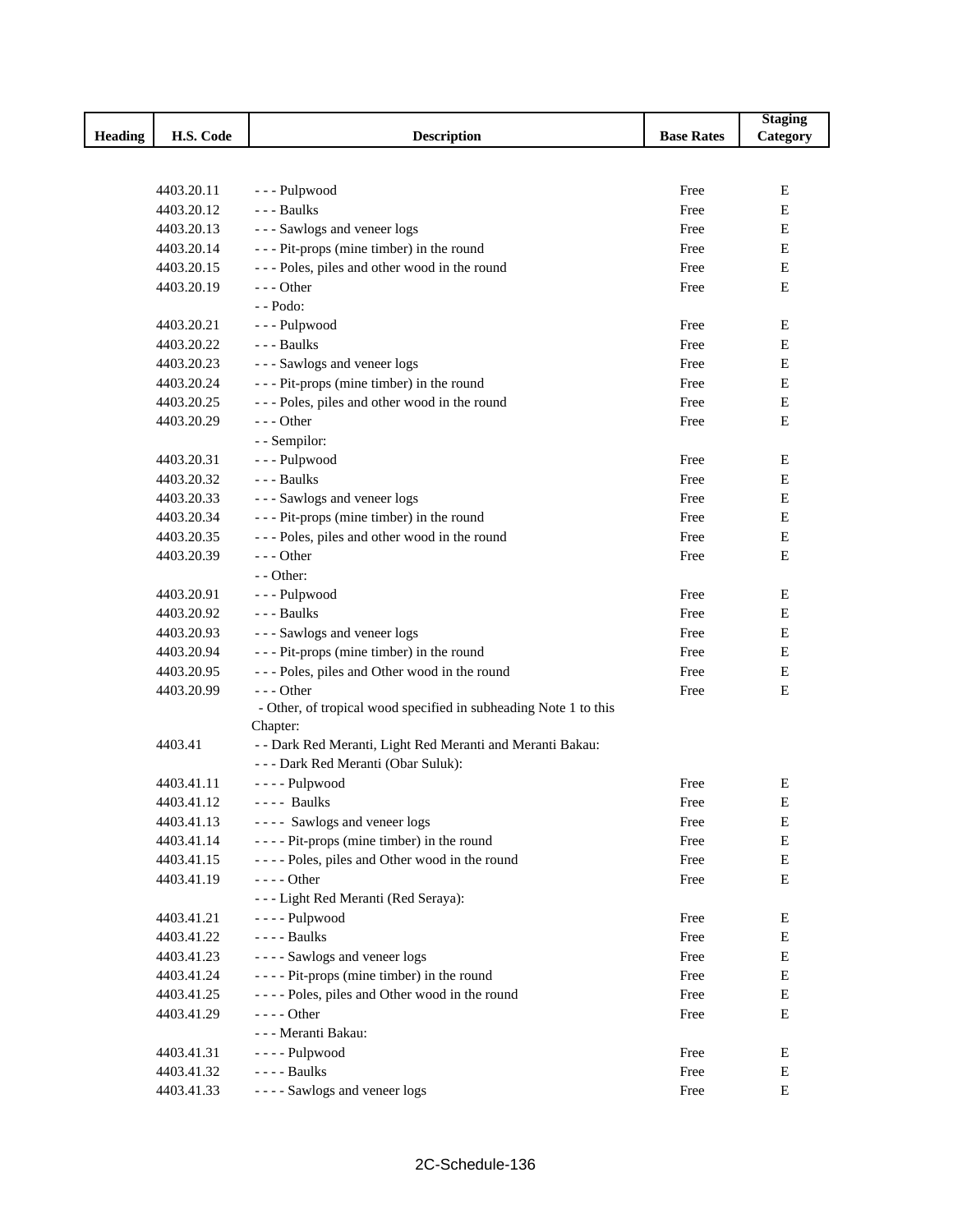|                |            |                                                                  |                   | <b>Staging</b> |
|----------------|------------|------------------------------------------------------------------|-------------------|----------------|
| <b>Heading</b> | H.S. Code  | <b>Description</b>                                               | <b>Base Rates</b> | Category       |
|                |            |                                                                  |                   |                |
|                |            |                                                                  |                   |                |
|                | 4403.20.11 | --- Pulpwood                                                     | Free              | Е              |
|                | 4403.20.12 | - - - Baulks                                                     | Free              | E              |
|                | 4403.20.13 | --- Sawlogs and veneer logs                                      | Free              | Е              |
|                | 4403.20.14 | - - - Pit-props (mine timber) in the round                       | Free              | Е              |
|                | 4403.20.15 | --- Poles, piles and other wood in the round                     | Free              | $\mathbf E$    |
|                | 4403.20.19 | $--$ Other                                                       | Free              | E              |
|                |            | $-$ - Podo:                                                      |                   |                |
|                | 4403.20.21 | --- Pulpwood                                                     | Free              | Е              |
|                | 4403.20.22 | --- Baulks                                                       | Free              | Е              |
|                | 4403.20.23 | --- Sawlogs and veneer logs                                      | Free              | E              |
|                | 4403.20.24 | --- Pit-props (mine timber) in the round                         | Free              | Е              |
|                | 4403.20.25 | --- Poles, piles and other wood in the round                     | Free              | Е              |
|                | 4403.20.29 | $- -$ Other                                                      | Free              | Е              |
|                |            | - - Sempilor:                                                    |                   |                |
|                | 4403.20.31 | --- Pulpwood                                                     | Free              | E              |
|                | 4403.20.32 | - - - Baulks                                                     | Free              | Е              |
|                | 4403.20.33 | --- Sawlogs and veneer logs                                      | Free              | Е              |
|                | 4403.20.34 | --- Pit-props (mine timber) in the round                         | Free              | Е              |
|                | 4403.20.35 | --- Poles, piles and other wood in the round                     | Free              | Е              |
|                | 4403.20.39 | $--$ Other                                                       | Free              | E              |
|                |            | $-$ - Other:                                                     |                   |                |
|                | 4403.20.91 | --- Pulpwood                                                     | Free              | Е              |
|                | 4403.20.92 | - - - Baulks                                                     | Free              | Е              |
|                | 4403.20.93 | --- Sawlogs and veneer logs                                      | Free              | Е              |
|                | 4403.20.94 | --- Pit-props (mine timber) in the round                         | Free              | Е              |
|                | 4403.20.95 | --- Poles, piles and Other wood in the round                     | Free              | Е              |
|                | 4403.20.99 | $--$ Other                                                       | Free              | E              |
|                |            | - Other, of tropical wood specified in subheading Note 1 to this |                   |                |
|                |            | Chapter:                                                         |                   |                |
|                | 4403.41    | - - Dark Red Meranti, Light Red Meranti and Meranti Bakau:       |                   |                |
|                |            | --- Dark Red Meranti (Obar Suluk):                               |                   |                |
|                | 4403.41.11 | ---- Pulpwood                                                    | Free              | E              |
|                | 4403.41.12 | $---$ Baulks                                                     | Free              | E              |
|                | 4403.41.13 | ---- Sawlogs and veneer logs                                     | Free              | E              |
|                | 4403.41.14 | ---- Pit-props (mine timber) in the round                        | Free              | E              |
|                | 4403.41.15 | ---- Poles, piles and Other wood in the round                    | Free              | E              |
|                | 4403.41.19 | $--- Other$                                                      | Free              | Е              |
|                |            | --- Light Red Meranti (Red Seraya):                              |                   |                |
|                | 4403.41.21 | ---- Pulpwood                                                    | Free              | Е              |
|                | 4403.41.22 | $--$ Baulks                                                      | Free              | Е              |
|                | 4403.41.23 | ---- Sawlogs and veneer logs                                     | Free              | E              |
|                | 4403.41.24 | - - - - Pit-props (mine timber) in the round                     | Free              | E              |
|                | 4403.41.25 | ---- Poles, piles and Other wood in the round                    | Free              | E              |
|                | 4403.41.29 | $--- Other$                                                      | Free              | Е              |
|                |            | - - - Meranti Bakau:                                             |                   |                |
|                | 4403.41.31 | ---- Pulpwood                                                    | Free              | E              |
|                | 4403.41.32 | $---$ Baulks                                                     | Free              | Е              |
|                | 4403.41.33 | ---- Sawlogs and veneer logs                                     | Free              | E              |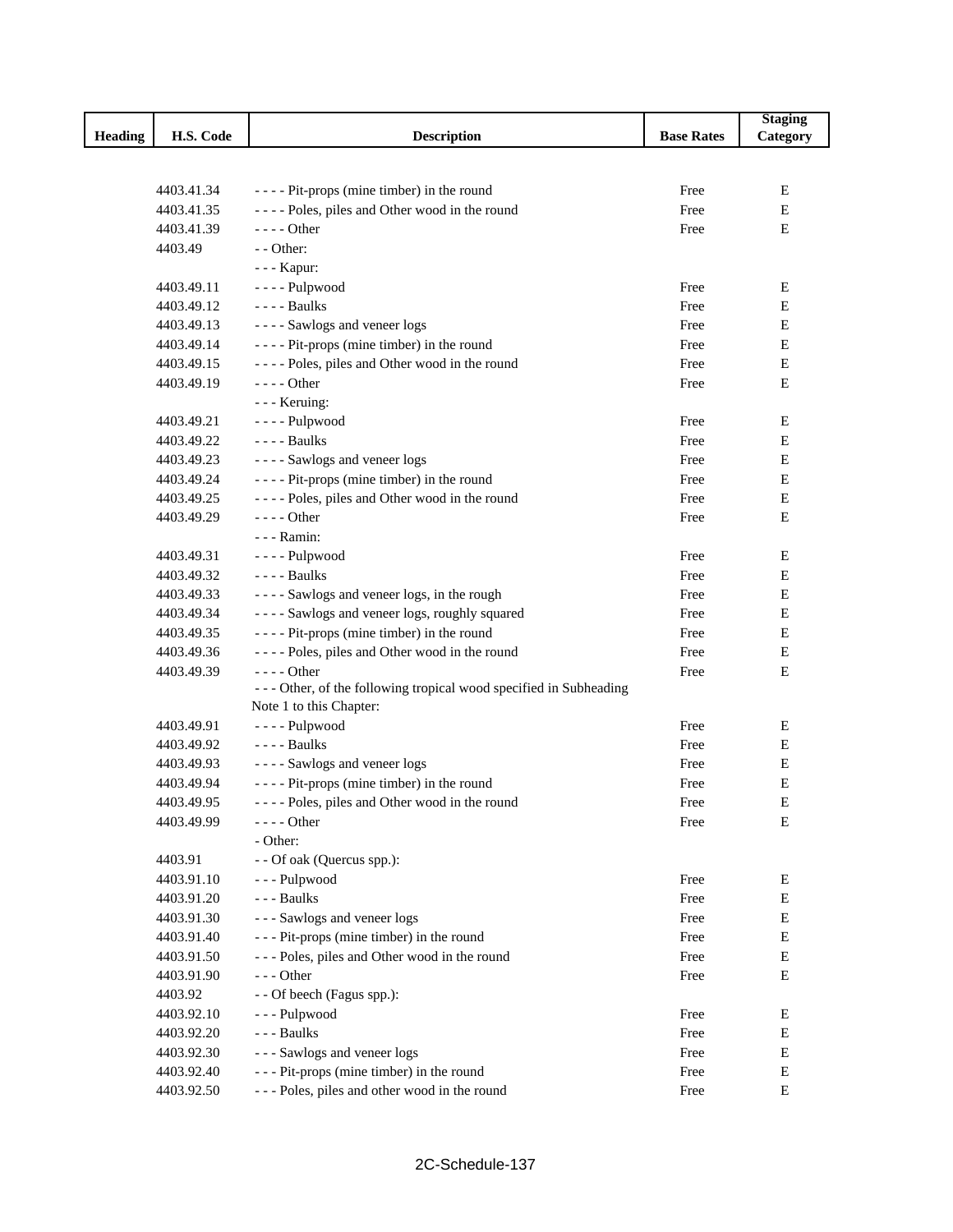|                |            |                                                                   |                   | <b>Staging</b> |
|----------------|------------|-------------------------------------------------------------------|-------------------|----------------|
| <b>Heading</b> | H.S. Code  | <b>Description</b>                                                | <b>Base Rates</b> | Category       |
|                |            |                                                                   |                   |                |
|                |            |                                                                   |                   |                |
|                | 4403.41.34 | ---- Pit-props (mine timber) in the round                         | Free              | E              |
|                | 4403.41.35 | ---- Poles, piles and Other wood in the round                     | Free              | Е              |
|                | 4403.41.39 | $--- Other$                                                       | Free              | E              |
|                | 4403.49    | - - Other:                                                        |                   |                |
|                |            | - - - Kapur:                                                      |                   |                |
|                | 4403.49.11 | ---- Pulpwood                                                     | Free              | Ε              |
|                | 4403.49.12 | - - - - Baulks                                                    | Free              | E              |
|                | 4403.49.13 | ---- Sawlogs and veneer logs                                      | Free              | Е              |
|                | 4403.49.14 | ---- Pit-props (mine timber) in the round                         | Free              | Е              |
|                | 4403.49.15 | ---- Poles, piles and Other wood in the round                     | Free              | E              |
|                | 4403.49.19 | $--- Other$                                                       | Free              | E              |
|                |            | - - - Keruing:                                                    |                   |                |
|                | 4403.49.21 | - - - - Pulpwood                                                  | Free              | Ε              |
|                | 4403.49.22 | $--$ Baulks                                                       | Free              | Ε              |
|                | 4403.49.23 | - - - - Sawlogs and veneer logs                                   | Free              | Ε              |
|                | 4403.49.24 | ---- Pit-props (mine timber) in the round                         | Free              | E              |
|                | 4403.49.25 | ---- Poles, piles and Other wood in the round                     | Free              | Е              |
|                | 4403.49.29 | $--- Other$                                                       | Free              | E              |
|                |            | - - - Ramin:                                                      |                   |                |
|                | 4403.49.31 | ---- Pulpwood                                                     | Free              | E              |
|                | 4403.49.32 | $--$ Baulks                                                       | Free              | Е              |
|                | 4403.49.33 | ---- Sawlogs and veneer logs, in the rough                        | Free              | E              |
|                | 4403.49.34 | ---- Sawlogs and veneer logs, roughly squared                     | Free              | Е              |
|                | 4403.49.35 | ---- Pit-props (mine timber) in the round                         | Free              | E              |
|                | 4403.49.36 | ---- Poles, piles and Other wood in the round                     | Free              | Е              |
|                | 4403.49.39 | $--- Other$                                                       | Free              | E              |
|                |            | --- Other, of the following tropical wood specified in Subheading |                   |                |
|                |            | Note 1 to this Chapter:                                           |                   |                |
|                | 4403.49.91 | ---- Pulpwood                                                     | Free              | Е              |
|                | 4403.49.92 | $--$ Baulks                                                       | Free              | E              |
|                | 4403.49.93 | ---- Sawlogs and veneer logs                                      | Free              | E              |
|                | 4403.49.94 | ---- Pit-props (mine timber) in the round                         | Free              | E              |
|                | 4403.49.95 | - - - - Poles, piles and Other wood in the round                  | Free              | E              |
|                | 4403.49.99 | $---$ Other                                                       | Free              | Е              |
|                |            | - Other:                                                          |                   |                |
|                | 4403.91    | - - Of oak (Quercus spp.):                                        |                   |                |
|                | 4403.91.10 | --- Pulpwood                                                      | Free              | E              |
|                | 4403.91.20 | --- Baulks                                                        | Free              | Е              |
|                | 4403.91.30 | --- Sawlogs and veneer logs                                       | Free              | Ε              |
|                | 4403.91.40 | - - - Pit-props (mine timber) in the round                        | Free              | E              |
|                | 4403.91.50 | --- Poles, piles and Other wood in the round                      | Free              | E              |
|                | 4403.91.90 | $--$ Other                                                        | Free              | Ε              |
|                | 4403.92    | - - Of beech (Fagus spp.):                                        |                   |                |
|                | 4403.92.10 | --- Pulpwood                                                      | Free              | Е              |
|                | 4403.92.20 | --- Baulks                                                        | Free              | Е              |
|                | 4403.92.30 | --- Sawlogs and veneer logs                                       | Free              | Е              |
|                | 4403.92.40 | - - - Pit-props (mine timber) in the round                        | Free              | Е              |
|                | 4403.92.50 | --- Poles, piles and other wood in the round                      | Free              | ${\bf E}$      |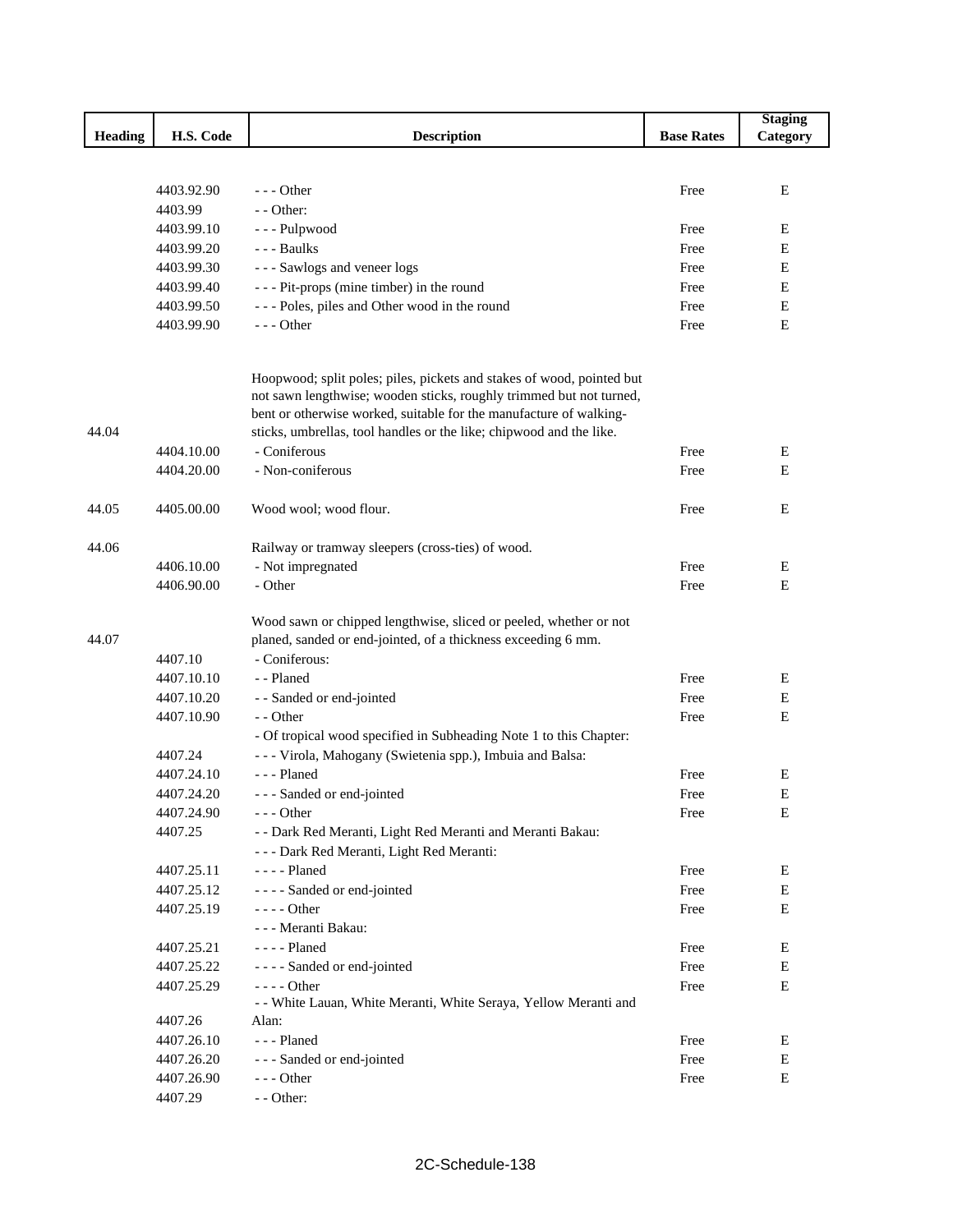|                |            |                                                                                                                                              |                   | <b>Staging</b> |
|----------------|------------|----------------------------------------------------------------------------------------------------------------------------------------------|-------------------|----------------|
| <b>Heading</b> | H.S. Code  | <b>Description</b>                                                                                                                           | <b>Base Rates</b> | Category       |
|                |            |                                                                                                                                              |                   |                |
|                |            |                                                                                                                                              |                   |                |
|                | 4403.92.90 | $--$ Other                                                                                                                                   | Free              | E              |
|                | 4403.99    | - - Other:                                                                                                                                   |                   |                |
|                | 4403.99.10 | --- Pulpwood                                                                                                                                 | Free              | E              |
|                | 4403.99.20 | --- Baulks                                                                                                                                   | Free              | Е              |
|                | 4403.99.30 | --- Sawlogs and veneer logs                                                                                                                  | Free              | Е              |
|                | 4403.99.40 | - - - Pit-props (mine timber) in the round                                                                                                   | Free              | E              |
|                | 4403.99.50 | --- Poles, piles and Other wood in the round                                                                                                 | Free              | E              |
|                | 4403.99.90 | $--$ Other                                                                                                                                   | Free              | E              |
|                |            | Hoopwood; split poles; piles, pickets and stakes of wood, pointed but<br>not sawn lengthwise; wooden sticks, roughly trimmed but not turned, |                   |                |
|                |            | bent or otherwise worked, suitable for the manufacture of walking-                                                                           |                   |                |
| 44.04          |            | sticks, umbrellas, tool handles or the like; chipwood and the like.                                                                          |                   |                |
|                | 4404.10.00 | - Coniferous                                                                                                                                 | Free              | Ε              |
|                | 4404.20.00 | - Non-coniferous                                                                                                                             | Free              | Е              |
| 44.05          | 4405.00.00 | Wood wool; wood flour.                                                                                                                       | Free              | Ε              |
| 44.06          |            | Railway or tramway sleepers (cross-ties) of wood.                                                                                            |                   |                |
|                | 4406.10.00 | - Not impregnated                                                                                                                            | Free              | Ε              |
|                | 4406.90.00 | - Other                                                                                                                                      | Free              | E              |
| 44.07          |            | Wood sawn or chipped lengthwise, sliced or peeled, whether or not<br>planed, sanded or end-jointed, of a thickness exceeding 6 mm.           |                   |                |
|                | 4407.10    | - Coniferous:                                                                                                                                |                   |                |
|                | 4407.10.10 | - - Planed                                                                                                                                   | Free              | Ε              |
|                | 4407.10.20 | - - Sanded or end-jointed                                                                                                                    | Free              | E              |
|                | 4407.10.90 | - - Other                                                                                                                                    | Free              | E              |
|                |            | - Of tropical wood specified in Subheading Note 1 to this Chapter:                                                                           |                   |                |
|                | 4407.24    | - - - Virola, Mahogany (Swietenia spp.), Imbuia and Balsa:                                                                                   |                   |                |
|                | 4407.24.10 | --- Planed                                                                                                                                   | Free              | E              |
|                | 4407.24.20 | - - - Sanded or end-jointed                                                                                                                  | Free              | Е              |
|                | 4407.24.90 | $--$ Other                                                                                                                                   | Free              | E              |
|                | 4407.25    | - - Dark Red Meranti, Light Red Meranti and Meranti Bakau:                                                                                   |                   |                |
|                |            | - - - Dark Red Meranti, Light Red Meranti:                                                                                                   |                   |                |
|                | 4407.25.11 | - - - - Planed                                                                                                                               | Free              | E              |
|                | 4407.25.12 | - - - - Sanded or end-jointed                                                                                                                | Free              | ${\bf E}$      |
|                | 4407.25.19 | $--- Other$                                                                                                                                  | Free              | Е              |
|                |            | - - - Meranti Bakau:                                                                                                                         |                   |                |
|                | 4407.25.21 | - - - - Planed                                                                                                                               | Free              | E              |
|                | 4407.25.22 | - - - - Sanded or end-jointed                                                                                                                | Free              | Е              |
|                | 4407.25.29 | - - - - Other                                                                                                                                | Free              | Е              |
|                |            | - - White Lauan, White Meranti, White Seraya, Yellow Meranti and                                                                             |                   |                |
|                | 4407.26    | Alan:                                                                                                                                        |                   |                |
|                | 4407.26.10 | --- Planed                                                                                                                                   | Free              | Ε              |
|                | 4407.26.20 | - - - Sanded or end-jointed                                                                                                                  | Free              | E              |
|                | 4407.26.90 | $--$ Other                                                                                                                                   | Free              | E              |
|                | 4407.29    | - - Other:                                                                                                                                   |                   |                |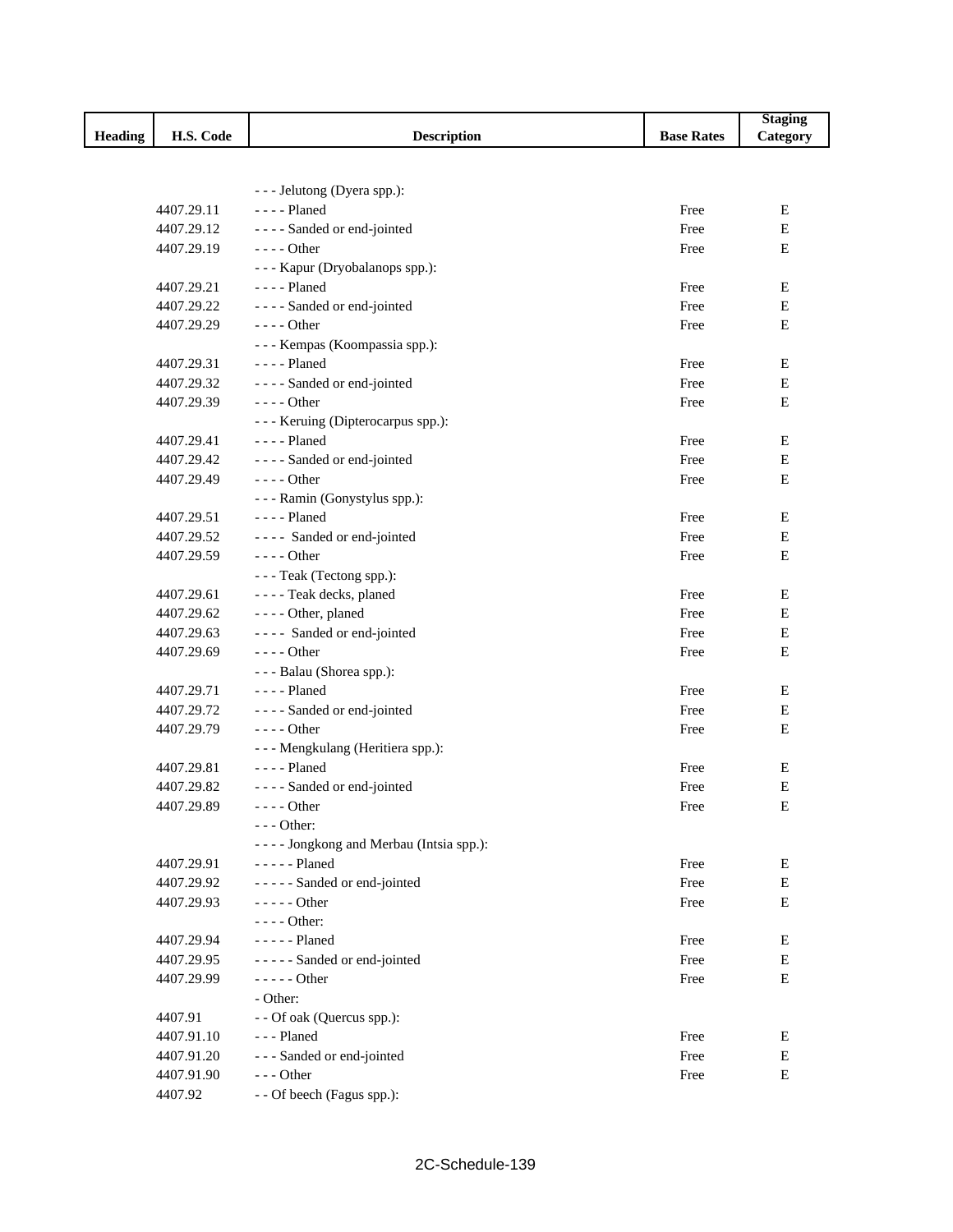|                |            |                                            |                   | <b>Staging</b> |
|----------------|------------|--------------------------------------------|-------------------|----------------|
| <b>Heading</b> | H.S. Code  | <b>Description</b>                         | <b>Base Rates</b> | Category       |
|                |            |                                            |                   |                |
|                |            |                                            |                   |                |
|                |            | - - - Jelutong (Dyera spp.):               |                   |                |
|                | 4407.29.11 | $---$ Planed                               | Free              | E              |
|                | 4407.29.12 | ---- Sanded or end-jointed                 | Free              | ${\bf E}$      |
|                | 4407.29.19 | - - - - Other                              | Free              | E              |
|                |            | - - - Kapur (Dryobalanops spp.):           |                   |                |
|                | 4407.29.21 | - - - - Planed                             | Free              | E<br>E         |
|                | 4407.29.22 | - - - - Sanded or end-jointed              | Free              |                |
|                | 4407.29.29 | - - - - Other                              | Free              | Е              |
|                |            | - - - Kempas (Koompassia spp.):            |                   |                |
|                | 4407.29.31 | - - - - Planed                             | Free              | E              |
|                | 4407.29.32 | - - - - Sanded or end-jointed              | Free              | ${\bf E}$      |
|                | 4407.29.39 | $--- Other$                                | Free              | $\mathbf E$    |
|                |            | - - - Keruing (Dipterocarpus spp.):        |                   |                |
|                | 4407.29.41 | $--$ Planed                                | Free              | E              |
|                | 4407.29.42 | ---- Sanded or end-jointed                 | Free              | Е              |
|                | 4407.29.49 | $---$ Other                                | Free              | Е              |
|                |            | - - - Ramin (Gonystylus spp.):             |                   |                |
|                | 4407.29.51 | $---$ Planed                               | Free              | Ε              |
|                | 4407.29.52 | ---- Sanded or end-jointed                 | Free              | E              |
|                | 4407.29.59 | $---$ Other                                | Free              | E              |
|                |            | - - - Teak (Tectong spp.):                 |                   |                |
|                | 4407.29.61 | - - - - Teak decks, planed                 | Free              | E              |
|                | 4407.29.62 | - - - - Other, planed                      | Free              | Е              |
|                | 4407.29.63 | ---- Sanded or end-jointed                 | Free              | ${\bf E}$      |
|                | 4407.29.69 | - - - - Other                              | Free              | E              |
|                |            | - - - Balau (Shorea spp.):                 |                   |                |
|                | 4407.29.71 | - - - - Planed                             | Free              | E              |
|                | 4407.29.72 | ---- Sanded or end-jointed                 | Free              | E              |
|                | 4407.29.79 | $--$ Other                                 | Free              | Е              |
|                |            | - - - Mengkulang (Heritiera spp.):         |                   |                |
|                | 4407.29.81 | - - - - Planed                             | Free              | Ε              |
|                | 4407.29.82 | ---- Sanded or end-jointed                 | Free              | ${\bf E}$      |
|                | 4407.29.89 | - - - - Other                              | Free              | Е              |
|                |            | $--$ Other:                                |                   |                |
|                |            | - - - - Jongkong and Merbau (Intsia spp.): |                   |                |
|                | 4407.29.91 | $---$ Planed                               | Free              | Е              |
|                | 4407.29.92 | ----- Sanded or end-jointed                | Free              | E              |
|                | 4407.29.93 | - - - - - Other                            | Free              | ${\bf E}$      |
|                |            | - - - - Other:                             |                   |                |
|                | 4407.29.94 | - - - - - Planed                           | Free              | Е              |
|                | 4407.29.95 | ----- Sanded or end-jointed                | Free              | Е              |
|                | 4407.29.99 | $---$ Other                                | Free              | Е              |
|                |            | - Other:                                   |                   |                |
|                | 4407.91    | - - Of oak (Quercus spp.):                 |                   |                |
|                | 4407.91.10 | --- Planed                                 | Free              | Ε              |
|                | 4407.91.20 | --- Sanded or end-jointed                  | Free              | E              |
|                | 4407.91.90 | --- Other                                  | Free              | Е              |
|                | 4407.92    | - - Of beech (Fagus spp.):                 |                   |                |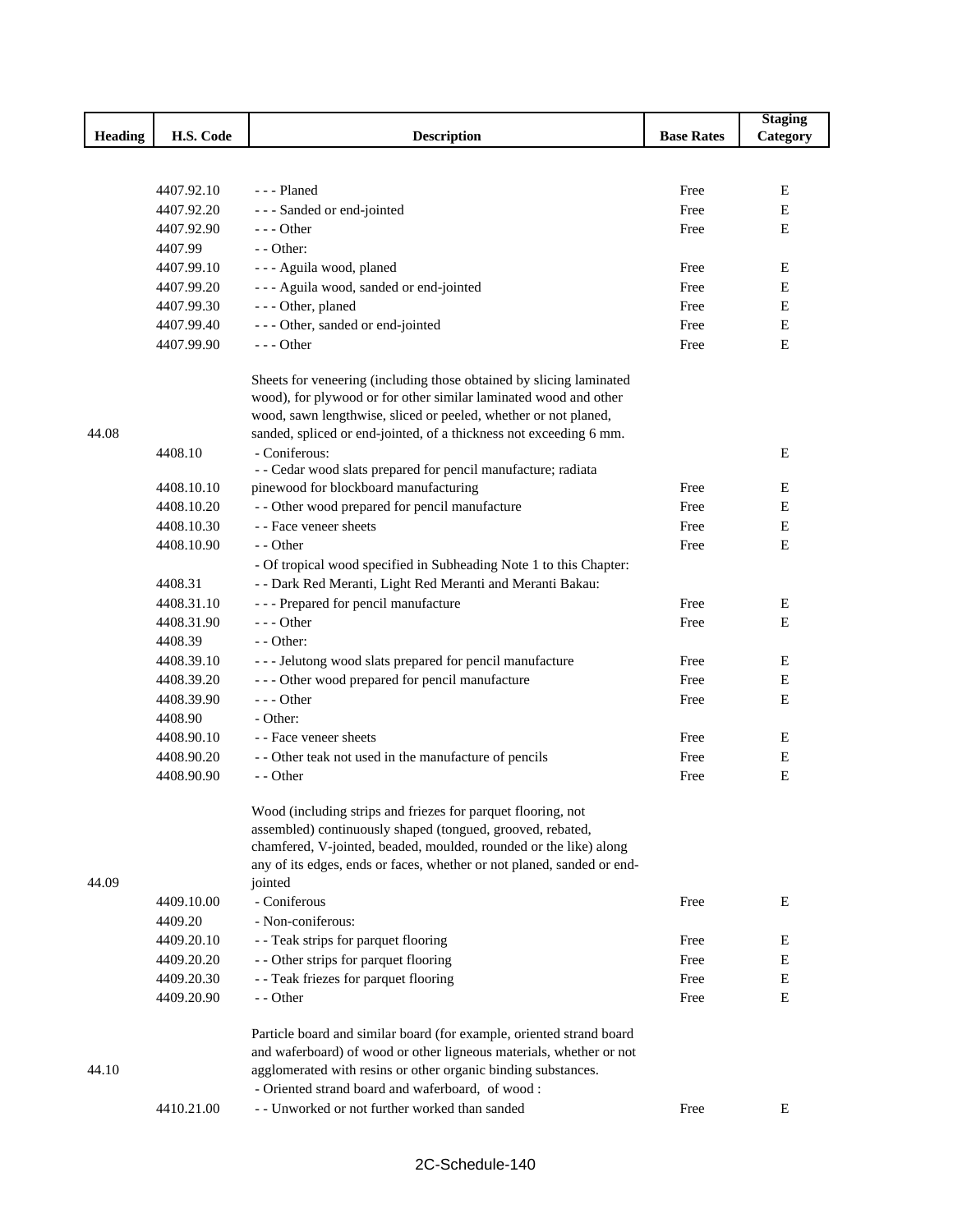|                |            |                                                                        |                   | <b>Staging</b> |
|----------------|------------|------------------------------------------------------------------------|-------------------|----------------|
| <b>Heading</b> | H.S. Code  | <b>Description</b>                                                     | <b>Base Rates</b> | Category       |
|                |            |                                                                        |                   |                |
|                |            |                                                                        |                   |                |
|                | 4407.92.10 | --- Planed                                                             | Free              | Ε              |
|                | 4407.92.20 | --- Sanded or end-jointed                                              | Free              | Е              |
|                | 4407.92.90 | $--$ Other                                                             | Free              | Ε              |
|                | 4407.99    | $-$ - Other:                                                           |                   |                |
|                | 4407.99.10 | - - - Aguila wood, planed                                              | Free              | Ε              |
|                | 4407.99.20 | --- Aguila wood, sanded or end-jointed                                 | Free              | E              |
|                | 4407.99.30 | - - - Other, planed                                                    | Free              | Е              |
|                | 4407.99.40 | --- Other, sanded or end-jointed                                       | Free              | ${\bf E}$      |
|                | 4407.99.90 | $--$ Other                                                             | Free              | E              |
|                |            | Sheets for veneering (including those obtained by slicing laminated    |                   |                |
|                |            | wood), for plywood or for other similar laminated wood and other       |                   |                |
|                |            | wood, sawn lengthwise, sliced or peeled, whether or not planed,        |                   |                |
| 44.08          |            | sanded, spliced or end-jointed, of a thickness not exceeding 6 mm.     |                   |                |
|                | 4408.10    | - Coniferous:                                                          |                   | E              |
|                |            | - - Cedar wood slats prepared for pencil manufacture; radiata          |                   |                |
|                | 4408.10.10 | pinewood for blockboard manufacturing                                  | Free              | Е              |
|                | 4408.10.20 | - - Other wood prepared for pencil manufacture                         | Free              | Е              |
|                | 4408.10.30 | - - Face veneer sheets                                                 | Free              | Е              |
|                | 4408.10.90 | - - Other                                                              | Free              | Ε              |
|                |            | - Of tropical wood specified in Subheading Note 1 to this Chapter:     |                   |                |
|                | 4408.31    | - - Dark Red Meranti, Light Red Meranti and Meranti Bakau:             |                   |                |
|                | 4408.31.10 | --- Prepared for pencil manufacture                                    | Free              | Ε              |
|                | 4408.31.90 | $--$ Other                                                             | Free              | E              |
|                | 4408.39    | - - Other:                                                             |                   |                |
|                | 4408.39.10 | --- Jelutong wood slats prepared for pencil manufacture                | Free              | Е              |
|                | 4408.39.20 | --- Other wood prepared for pencil manufacture                         | Free              | Е              |
|                | 4408.39.90 | $--$ Other                                                             | Free              | E              |
|                | 4408.90    | - Other:                                                               |                   |                |
|                | 4408.90.10 | - - Face veneer sheets                                                 | Free              | Е              |
|                | 4408.90.20 | - - Other teak not used in the manufacture of pencils                  | Free              | Е              |
|                | 4408.90.90 | - - Other                                                              | Free              | Е              |
|                |            | Wood (including strips and friezes for parquet flooring, not           |                   |                |
|                |            | assembled) continuously shaped (tongued, grooved, rebated,             |                   |                |
|                |            | chamfered, V-jointed, beaded, moulded, rounded or the like) along      |                   |                |
|                |            | any of its edges, ends or faces, whether or not planed, sanded or end- |                   |                |
| 44.09          |            | jointed                                                                |                   |                |
|                | 4409.10.00 | - Coniferous                                                           | Free              | E              |
|                | 4409.20    | - Non-coniferous:                                                      |                   |                |
|                | 4409.20.10 | - - Teak strips for parquet flooring                                   | Free              | E              |
|                | 4409.20.20 | - - Other strips for parquet flooring                                  | Free              | E              |
|                | 4409.20.30 | - - Teak friezes for parquet flooring                                  | Free              | Е              |
|                | 4409.20.90 | - - Other                                                              | Free              | $\mathbf E$    |
|                |            |                                                                        |                   |                |
|                |            | Particle board and similar board (for example, oriented strand board   |                   |                |
|                |            | and waferboard) of wood or other ligneous materials, whether or not    |                   |                |
| 44.10          |            | agglomerated with resins or other organic binding substances.          |                   |                |
|                |            | - Oriented strand board and waferboard, of wood:                       |                   |                |
|                | 4410.21.00 | - - Unworked or not further worked than sanded                         | Free              | E              |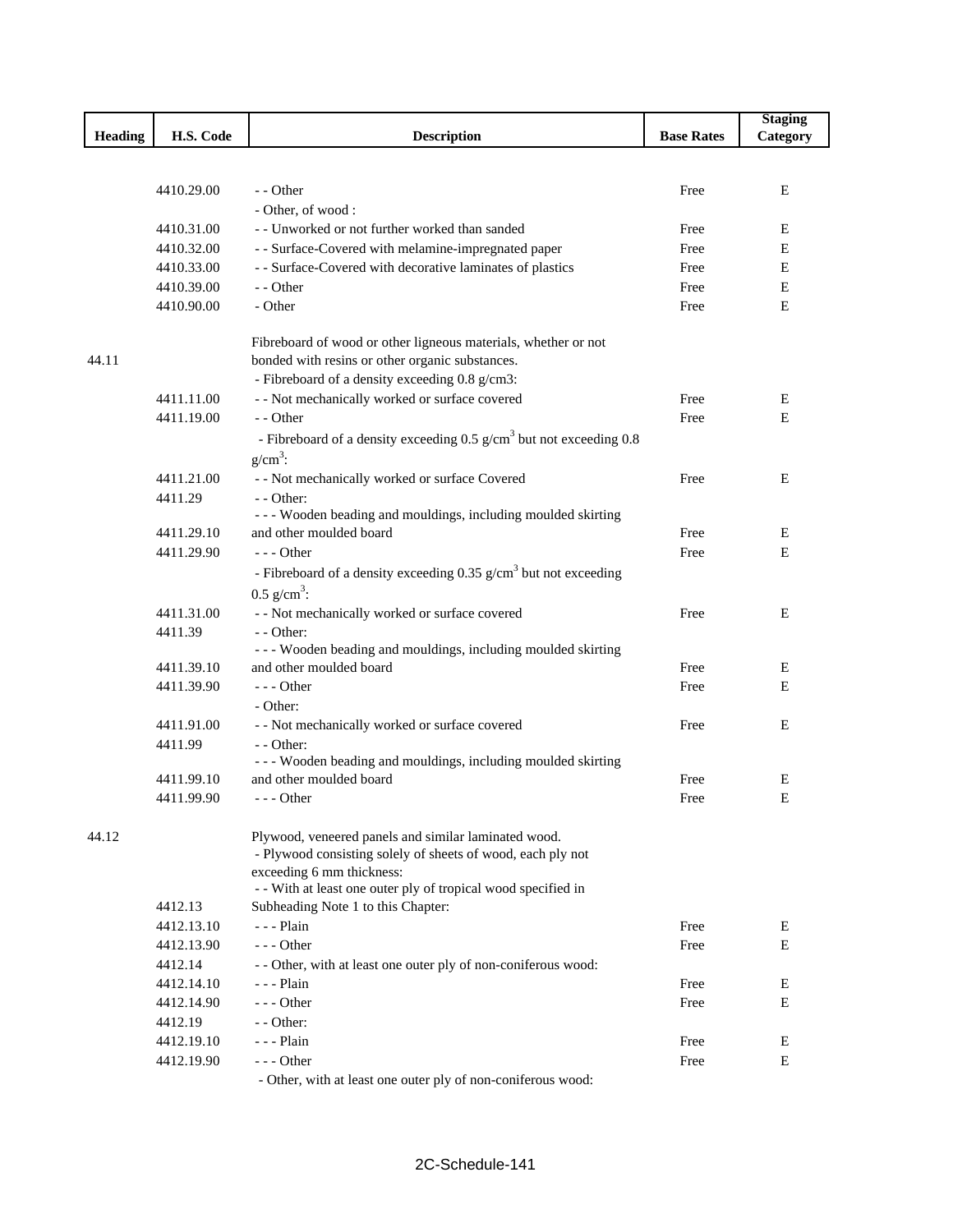|                |            |                                                                                   |                   | <b>Staging</b> |
|----------------|------------|-----------------------------------------------------------------------------------|-------------------|----------------|
| <b>Heading</b> | H.S. Code  | <b>Description</b>                                                                | <b>Base Rates</b> | Category       |
|                |            |                                                                                   |                   |                |
|                | 4410.29.00 | - - Other                                                                         |                   | Е              |
|                |            |                                                                                   | Free              |                |
|                |            | - Other, of wood:                                                                 |                   |                |
|                | 4410.31.00 | - - Unworked or not further worked than sanded                                    | Free              | Ε              |
|                | 4410.32.00 | - - Surface-Covered with melamine-impregnated paper                               | Free              | E              |
|                | 4410.33.00 | - - Surface-Covered with decorative laminates of plastics                         | Free              | Е              |
|                | 4410.39.00 | - - Other                                                                         | Free              | Е              |
|                | 4410.90.00 | - Other                                                                           | Free              | Е              |
|                |            | Fibreboard of wood or other ligneous materials, whether or not                    |                   |                |
| 44.11          |            | bonded with resins or other organic substances.                                   |                   |                |
|                |            | - Fibreboard of a density exceeding 0.8 g/cm3:                                    |                   |                |
|                | 4411.11.00 | - - Not mechanically worked or surface covered                                    | Free              | Е              |
|                | 4411.19.00 | - - Other                                                                         | Free              | E              |
|                |            | - Fibreboard of a density exceeding $0.5$ g/cm <sup>3</sup> but not exceeding 0.8 |                   |                |
|                |            | $g/cm^3$ :                                                                        |                   |                |
|                | 4411.21.00 | - - Not mechanically worked or surface Covered                                    | Free              | Ε              |
|                | 4411.29    | $-$ - Other:                                                                      |                   |                |
|                |            | - - - Wooden beading and mouldings, including moulded skirting                    |                   |                |
|                | 4411.29.10 | and other moulded board                                                           | Free              | Ε              |
|                | 4411.29.90 | $- -$ Other                                                                       | Free              | Ε              |
|                |            | - Fibreboard of a density exceeding $0.35$ g/cm <sup>3</sup> but not exceeding    |                   |                |
|                |            | $0.5$ g/cm <sup>3</sup> :                                                         |                   |                |
|                | 4411.31.00 | - - Not mechanically worked or surface covered                                    | Free              | E              |
|                | 4411.39    | - - Other:                                                                        |                   |                |
|                |            | --- Wooden beading and mouldings, including moulded skirting                      |                   |                |
|                | 4411.39.10 | and other moulded board                                                           | Free              | Ε              |
|                | 4411.39.90 | $--$ Other                                                                        | Free              | ${\bf E}$      |
|                |            | - Other:                                                                          |                   |                |
|                | 4411.91.00 | - - Not mechanically worked or surface covered                                    | Free              | E              |
|                | 4411.99    | - - Other:                                                                        |                   |                |
|                |            | - - - Wooden beading and mouldings, including moulded skirting                    |                   |                |
|                | 4411.99.10 | and other moulded board                                                           | Free              | Ε              |
|                | 4411.99.90 | - - - Other                                                                       | Free              | Е              |
|                |            |                                                                                   |                   |                |
| 44.12          |            | Plywood, veneered panels and similar laminated wood.                              |                   |                |
|                |            | - Plywood consisting solely of sheets of wood, each ply not                       |                   |                |
|                |            | exceeding 6 mm thickness:                                                         |                   |                |
|                |            | - With at least one outer ply of tropical wood specified in                       |                   |                |
|                | 4412.13    | Subheading Note 1 to this Chapter:                                                |                   |                |
|                | 4412.13.10 | $- -$ Plain                                                                       | Free              | Е              |
|                | 4412.13.90 | $- -$ Other                                                                       | Free              | Е              |
|                | 4412.14    | - - Other, with at least one outer ply of non-coniferous wood:                    |                   |                |
|                | 4412.14.10 | $- -$ Plain                                                                       | Free              | Е              |
|                | 4412.14.90 | $--$ Other                                                                        | Free              | E              |
|                | 4412.19    | $-$ - Other:                                                                      |                   |                |
|                | 4412.19.10 | $- -$ - Plain                                                                     | Free              | E              |
|                | 4412.19.90 | $- -$ Other<br>$\sim$ Other, with at least one outer ply of non-coniferous wood:  | Free              | Е              |

Other, with at least one outer ply of non-coniferous wood: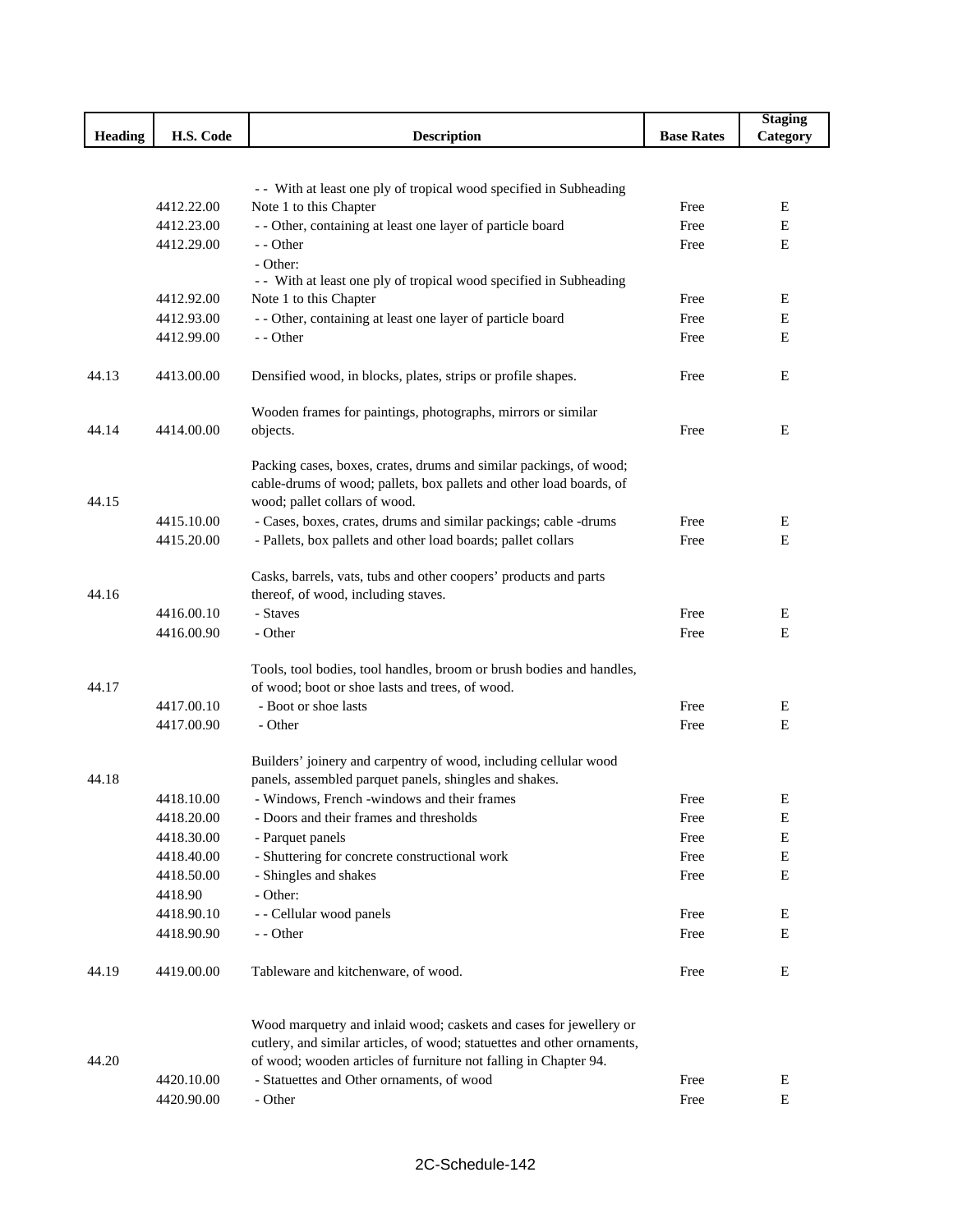|                |                          |                                                                                                               |                   | <b>Staging</b> |
|----------------|--------------------------|---------------------------------------------------------------------------------------------------------------|-------------------|----------------|
| <b>Heading</b> | H.S. Code                | <b>Description</b>                                                                                            | <b>Base Rates</b> | Category       |
|                |                          |                                                                                                               |                   |                |
|                |                          |                                                                                                               |                   |                |
|                | 4412.22.00               | - With at least one ply of tropical wood specified in Subheading                                              |                   |                |
|                |                          | Note 1 to this Chapter                                                                                        | Free<br>Free      | Е<br>Ε         |
|                | 4412.23.00<br>4412.29.00 | - - Other, containing at least one layer of particle board<br>- - Other                                       |                   | Ε              |
|                |                          | - Other:                                                                                                      | Free              |                |
|                |                          | - With at least one ply of tropical wood specified in Subheading                                              |                   |                |
|                | 4412.92.00               | Note 1 to this Chapter                                                                                        | Free              | Ε              |
|                | 4412.93.00               | - - Other, containing at least one layer of particle board                                                    | Free              | Е              |
|                | 4412.99.00               | - - Other                                                                                                     | Free              | Е              |
|                |                          |                                                                                                               |                   |                |
| 44.13          | 4413.00.00               | Densified wood, in blocks, plates, strips or profile shapes.                                                  | Free              | Ε              |
|                |                          |                                                                                                               |                   |                |
|                |                          | Wooden frames for paintings, photographs, mirrors or similar                                                  |                   |                |
| 44.14          | 4414.00.00               | objects.                                                                                                      | Free              | Ε              |
|                |                          |                                                                                                               |                   |                |
|                |                          | Packing cases, boxes, crates, drums and similar packings, of wood;                                            |                   |                |
| 44.15          |                          | cable-drums of wood; pallets, box pallets and other load boards, of<br>wood; pallet collars of wood.          |                   |                |
|                | 4415.10.00               | - Cases, boxes, crates, drums and similar packings; cable -drums                                              | Free              | Ε              |
|                | 4415.20.00               | - Pallets, box pallets and other load boards; pallet collars                                                  | Free              | Е              |
|                |                          |                                                                                                               |                   |                |
|                |                          | Casks, barrels, vats, tubs and other coopers' products and parts                                              |                   |                |
| 44.16          |                          | thereof, of wood, including staves.                                                                           |                   |                |
|                | 4416.00.10               | - Staves                                                                                                      | Free              | Ε              |
|                | 4416.00.90               | - Other                                                                                                       | Free              | $\mathbf E$    |
|                |                          |                                                                                                               |                   |                |
|                |                          | Tools, tool bodies, tool handles, broom or brush bodies and handles,                                          |                   |                |
| 44.17          |                          | of wood; boot or shoe lasts and trees, of wood.                                                               |                   |                |
|                | 4417.00.10               | - Boot or shoe lasts                                                                                          | Free              | Ε              |
|                | 4417.00.90               | - Other                                                                                                       | Free              | $\mathbf E$    |
|                |                          | Builders' joinery and carpentry of wood, including cellular wood                                              |                   |                |
| 44.18          |                          | panels, assembled parquet panels, shingles and shakes.                                                        |                   |                |
|                | 4418.10.00               | - Windows, French -windows and their frames                                                                   | Free              | E              |
|                | 4418.20.00               | - Doors and their frames and thresholds                                                                       | Free              | Ε              |
|                | 4418.30.00               | - Parquet panels                                                                                              | Free              | E              |
|                | 4418.40.00               | - Shuttering for concrete constructional work                                                                 | Free              | ${\bf E}$      |
|                | 4418.50.00               | - Shingles and shakes                                                                                         | Free              | Е              |
|                | 4418.90                  | - Other:                                                                                                      |                   |                |
|                | 4418.90.10               | - - Cellular wood panels                                                                                      | Free              | Е              |
|                | 4418.90.90               | - - Other                                                                                                     | Free              | Е              |
|                |                          |                                                                                                               |                   |                |
| 44.19          | 4419.00.00               | Tableware and kitchenware, of wood.                                                                           | Free              | Е              |
|                |                          |                                                                                                               |                   |                |
|                |                          |                                                                                                               |                   |                |
|                |                          | Wood marquetry and inlaid wood; caskets and cases for jewellery or                                            |                   |                |
| 44.20          |                          | cutlery, and similar articles, of wood; statuettes and other ornaments,                                       |                   |                |
|                | 4420.10.00               | of wood; wooden articles of furniture not falling in Chapter 94.<br>- Statuettes and Other ornaments, of wood | Free              | Е              |
|                | 4420.90.00               | - Other                                                                                                       | Free              | Е              |
|                |                          |                                                                                                               |                   |                |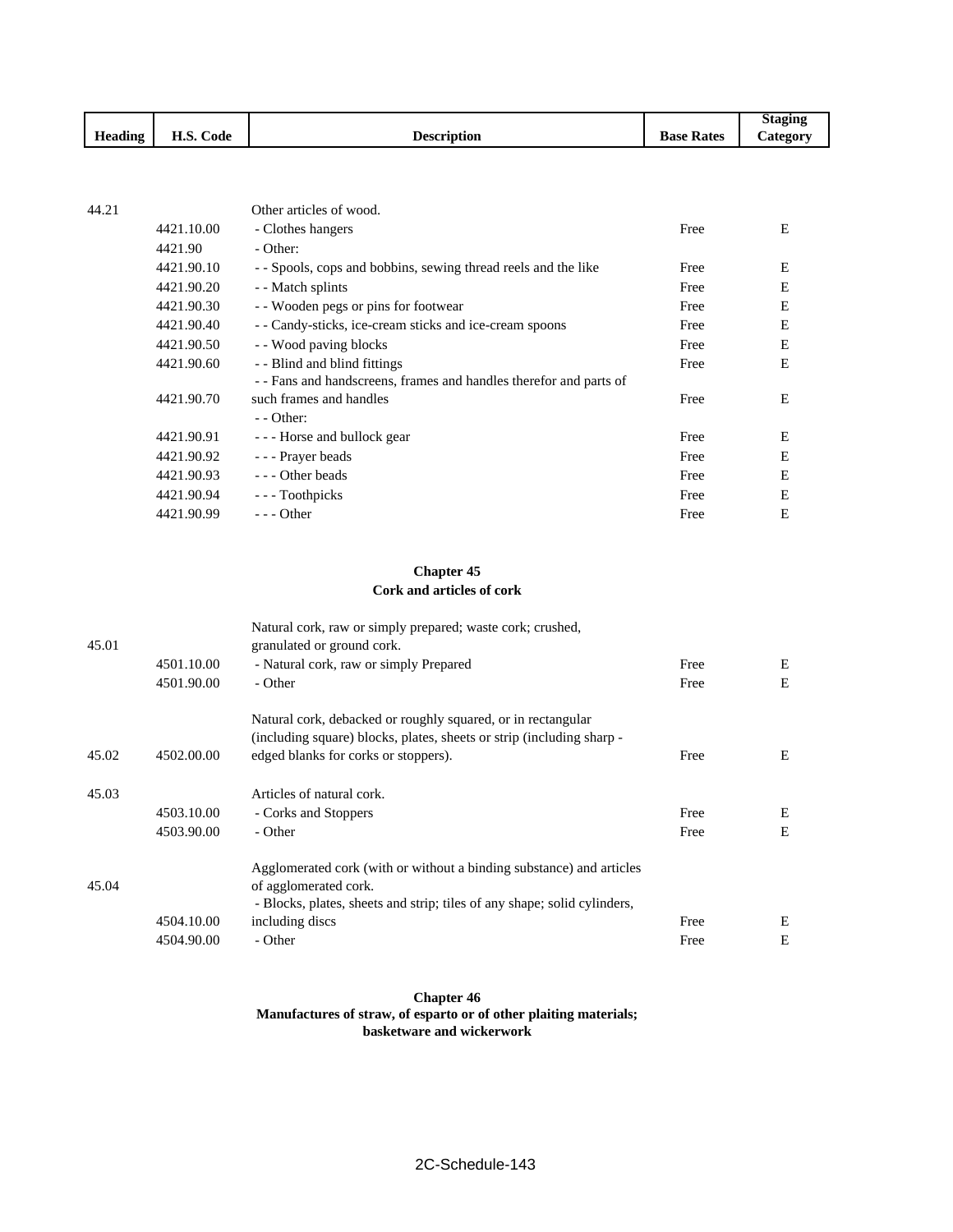|         |                                |                    |                   | Staging         |
|---------|--------------------------------|--------------------|-------------------|-----------------|
| Heading | $\sim$<br>TT A<br>Code<br>п.э. | <b>Description</b> | <b>Base Rates</b> | <b>Category</b> |

| 44.21 |            | Other articles of wood.                                           |      |   |
|-------|------------|-------------------------------------------------------------------|------|---|
|       | 4421.10.00 | - Clothes hangers                                                 | Free | E |
|       | 4421.90    | - Other:                                                          |      |   |
|       | 4421.90.10 | - Spools, cops and bobbins, sewing thread reels and the like      | Free | E |
|       | 4421.90.20 | - Match splints                                                   | Free | E |
|       | 4421.90.30 | - Wooden pegs or pins for footwear                                | Free | E |
|       | 4421.90.40 | - Candy-sticks, ice-cream sticks and ice-cream spoons             | Free | E |
|       | 4421.90.50 | - - Wood paving blocks                                            | Free | E |
|       | 4421.90.60 | - - Blind and blind fittings                                      | Free | E |
|       |            | -- Fans and handscreens, frames and handles therefor and parts of |      |   |
|       | 4421.90.70 | such frames and handles                                           | Free | E |
|       |            | $-$ - Other:                                                      |      |   |
|       | 4421.90.91 | --- Horse and bullock gear                                        | Free | E |
|       | 4421.90.92 | - - - Prayer beads                                                | Free | E |
|       | 4421.90.93 | --- Other beads                                                   | Free | E |
|       | 4421.90.94 | --- Toothpicks                                                    | Free | E |
|       | 4421.90.99 | $--$ Other                                                        | Free | E |
|       |            |                                                                   |      |   |

## **Chapter 45 Cork and articles of cork**

| 45.01 |            | Natural cork, raw or simply prepared; waste cork; crushed,<br>granulated or ground cork. |      |   |
|-------|------------|------------------------------------------------------------------------------------------|------|---|
|       | 4501.10.00 | - Natural cork, raw or simply Prepared                                                   | Free | Ε |
|       | 4501.90.00 | - Other                                                                                  | Free | E |
|       |            | Natural cork, debacked or roughly squared, or in rectangular                             |      |   |
|       |            | (including square) blocks, plates, sheets or strip (including sharp -                    |      |   |
| 45.02 | 4502.00.00 | edged blanks for corks or stoppers).                                                     | Free | Ε |
| 45.03 |            | Articles of natural cork.                                                                |      |   |
|       | 4503.10.00 | - Corks and Stoppers                                                                     | Free | E |
|       | 4503.90.00 | - Other                                                                                  | Free | E |
|       |            | Agglomerated cork (with or without a binding substance) and articles                     |      |   |
| 45.04 |            | of agglomerated cork.                                                                    |      |   |
|       |            | - Blocks, plates, sheets and strip; tiles of any shape; solid cylinders,                 |      |   |
|       | 4504.10.00 | including discs                                                                          | Free | E |
|       | 4504.90.00 | - Other                                                                                  | Free | E |

#### **Chapter 46 Manufactures of straw, of esparto or of other plaiting materials; basketware and wickerwork**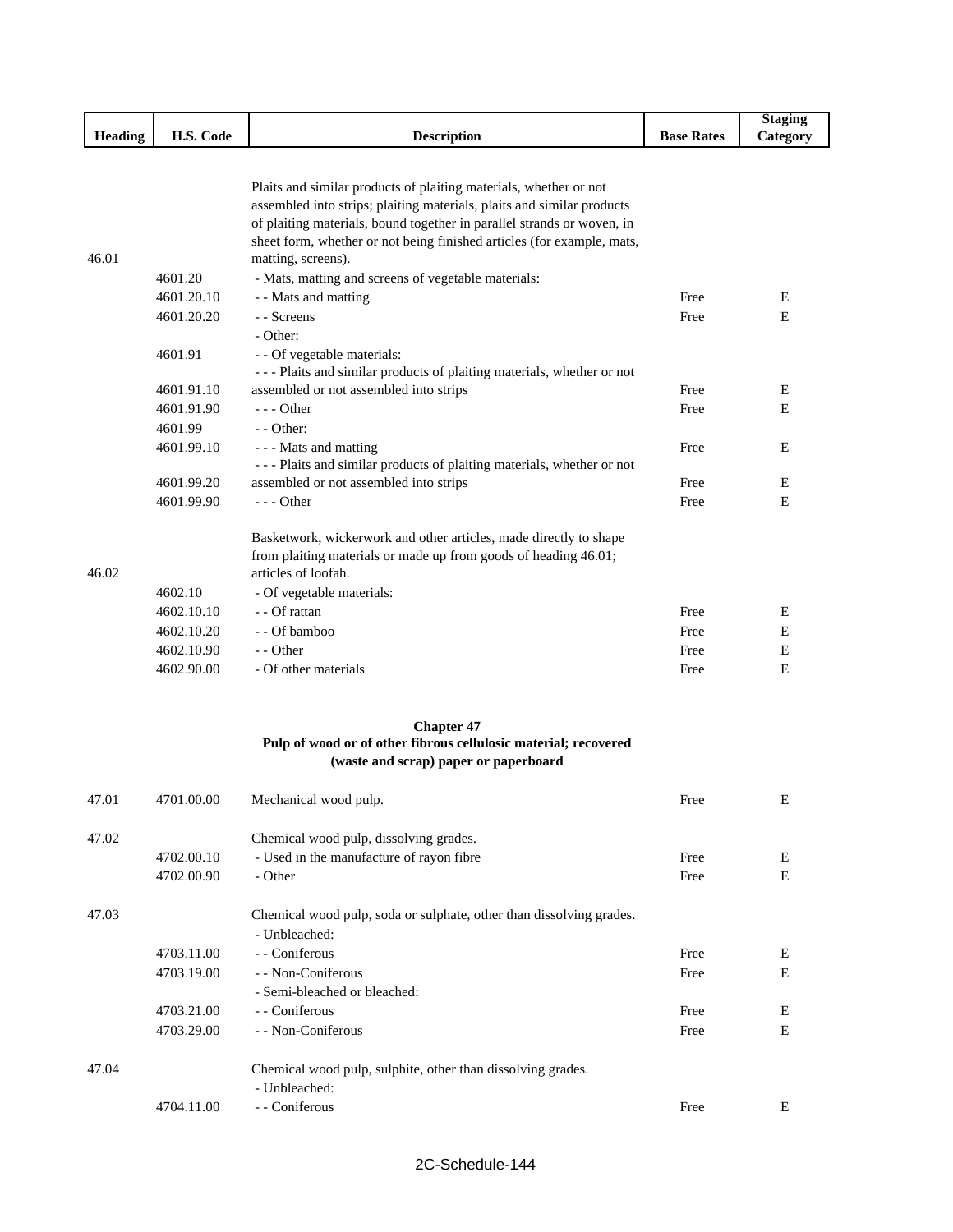|                |            |                                                                                                                                             |                   | <b>Staging</b> |
|----------------|------------|---------------------------------------------------------------------------------------------------------------------------------------------|-------------------|----------------|
| <b>Heading</b> | H.S. Code  | <b>Description</b>                                                                                                                          | <b>Base Rates</b> | Category       |
|                |            |                                                                                                                                             |                   |                |
|                |            |                                                                                                                                             |                   |                |
|                |            | Plaits and similar products of plaiting materials, whether or not<br>assembled into strips; plaiting materials, plaits and similar products |                   |                |
|                |            | of plaiting materials, bound together in parallel strands or woven, in                                                                      |                   |                |
|                |            | sheet form, whether or not being finished articles (for example, mats,                                                                      |                   |                |
| 46.01          |            | matting, screens).                                                                                                                          |                   |                |
|                | 4601.20    | - Mats, matting and screens of vegetable materials:                                                                                         |                   |                |
|                | 4601.20.10 | - - Mats and matting                                                                                                                        | Free              | E              |
|                | 4601.20.20 | - - Screens                                                                                                                                 | Free              | E              |
|                |            | - Other:                                                                                                                                    |                   |                |
|                | 4601.91    |                                                                                                                                             |                   |                |
|                |            | - - Of vegetable materials:<br>--- Plaits and similar products of plaiting materials, whether or not                                        |                   |                |
|                | 4601.91.10 | assembled or not assembled into strips                                                                                                      | Free              | E              |
|                | 4601.91.90 | $--$ Other                                                                                                                                  | Free              | E              |
|                | 4601.99    | $-$ - Other:                                                                                                                                |                   |                |
|                | 4601.99.10 | - - - Mats and matting                                                                                                                      | Free              | Е              |
|                |            | --- Plaits and similar products of plaiting materials, whether or not                                                                       |                   |                |
|                | 4601.99.20 | assembled or not assembled into strips                                                                                                      | Free              | E              |
|                | 4601.99.90 | $--$ Other                                                                                                                                  | Free              | Е              |
|                |            |                                                                                                                                             |                   |                |
|                |            | Basketwork, wickerwork and other articles, made directly to shape                                                                           |                   |                |
|                |            | from plaiting materials or made up from goods of heading 46.01;                                                                             |                   |                |
| 46.02          |            | articles of loofah.                                                                                                                         |                   |                |
|                | 4602.10    | - Of vegetable materials:                                                                                                                   |                   |                |
|                | 4602.10.10 | - - Of rattan                                                                                                                               | Free              | E              |
|                | 4602.10.20 | - - Of bamboo                                                                                                                               | Free              | E              |
|                | 4602.10.90 | - - Other                                                                                                                                   | Free              | Е              |
|                | 4602.90.00 | - Of other materials                                                                                                                        | Free              | Е              |
|                |            |                                                                                                                                             |                   |                |
|                |            | <b>Chapter 47</b><br>Pulp of wood or of other fibrous cellulosic material; recovered                                                        |                   |                |
|                |            | (waste and scrap) paper or paperboard                                                                                                       |                   |                |
|                |            |                                                                                                                                             |                   |                |
| 47.01          | 4701.00.00 | Mechanical wood pulp.                                                                                                                       | Free              | E              |
|                |            |                                                                                                                                             |                   |                |
| 47.02          |            | Chemical wood pulp, dissolving grades.                                                                                                      |                   |                |
|                | 4702.00.10 | - Used in the manufacture of rayon fibre                                                                                                    | Free              | Е              |
|                | 4702.00.90 | - Other                                                                                                                                     | Free              | E              |
|                |            |                                                                                                                                             |                   |                |
| 47.03          |            | Chemical wood pulp, soda or sulphate, other than dissolving grades.                                                                         |                   |                |
|                |            | - Unbleached:                                                                                                                               |                   |                |
|                | 4703.11.00 | - - Coniferous                                                                                                                              | Free              | Е              |
|                | 4703.19.00 | - - Non-Coniferous                                                                                                                          | Free              | E              |
|                |            | - Semi-bleached or bleached:                                                                                                                |                   |                |
|                | 4703.21.00 | - Coniferous                                                                                                                                | Free              | Е              |
|                | 4703.29.00 | - - Non-Coniferous                                                                                                                          | Free              | E              |
|                |            |                                                                                                                                             |                   |                |
| 47.04          |            | Chemical wood pulp, sulphite, other than dissolving grades.                                                                                 |                   |                |
|                |            | - Unbleached:                                                                                                                               |                   |                |
|                | 4704.11.00 | - - Coniferous                                                                                                                              | Free              | Е              |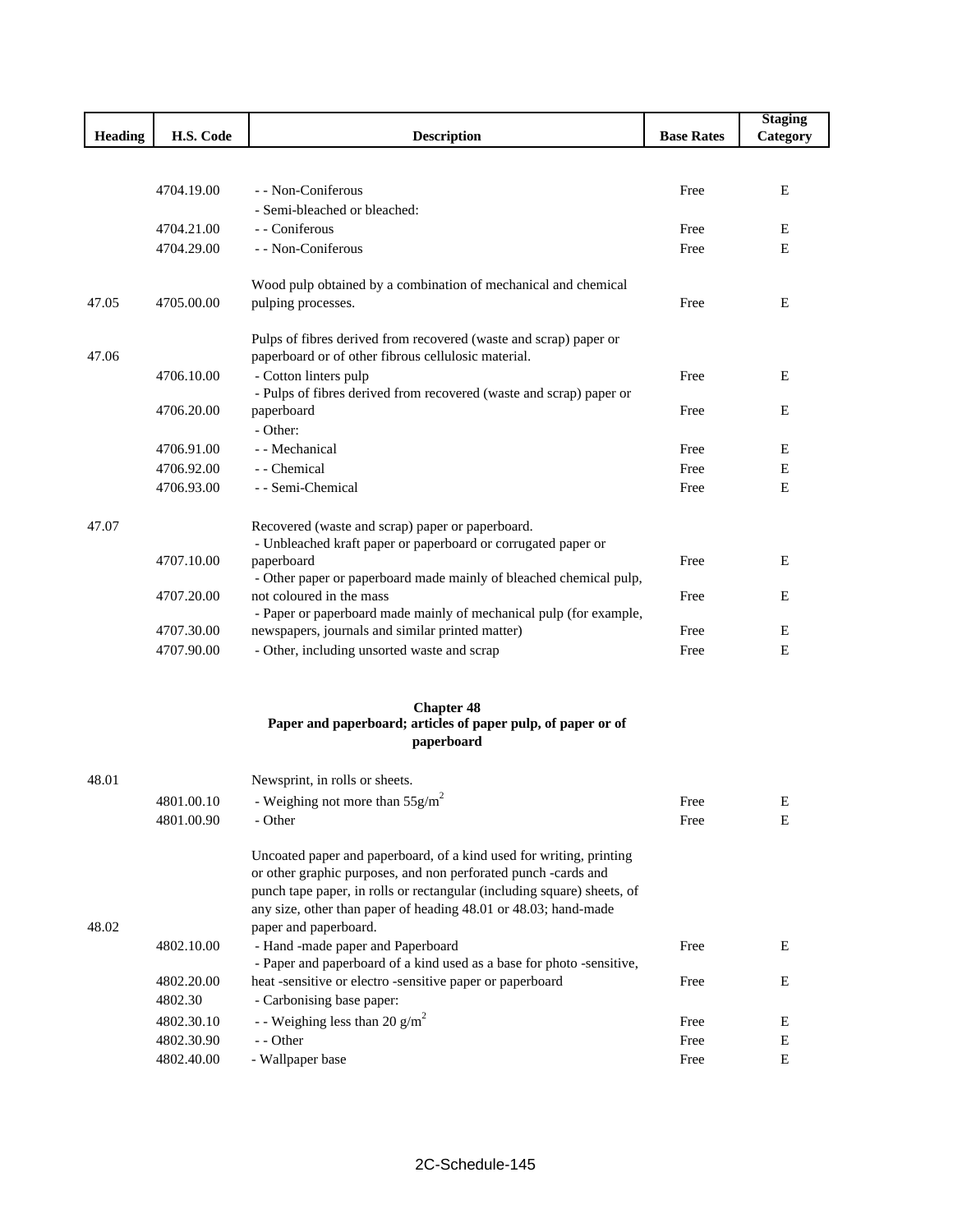|                |            |                                                                                                                                    |                   | <b>Staging</b> |
|----------------|------------|------------------------------------------------------------------------------------------------------------------------------------|-------------------|----------------|
| <b>Heading</b> | H.S. Code  | <b>Description</b>                                                                                                                 | <b>Base Rates</b> | Category       |
|                |            |                                                                                                                                    |                   |                |
|                | 4704.19.00 | - - Non-Coniferous                                                                                                                 | Free              | E              |
|                |            | - Semi-bleached or bleached:                                                                                                       |                   |                |
|                | 4704.21.00 | - - Coniferous                                                                                                                     | Free              | Ε              |
|                | 4704.29.00 | - - Non-Coniferous                                                                                                                 | Free              | E              |
|                |            |                                                                                                                                    |                   |                |
|                |            | Wood pulp obtained by a combination of mechanical and chemical                                                                     |                   |                |
| 47.05          | 4705.00.00 | pulping processes.                                                                                                                 | Free              | E              |
|                |            |                                                                                                                                    |                   |                |
|                |            | Pulps of fibres derived from recovered (waste and scrap) paper or                                                                  |                   |                |
| 47.06          |            | paperboard or of other fibrous cellulosic material.                                                                                |                   |                |
|                | 4706.10.00 | - Cotton linters pulp                                                                                                              | Free              | E              |
|                | 4706.20.00 | - Pulps of fibres derived from recovered (waste and scrap) paper or<br>paperboard                                                  | Free              | E              |
|                |            | - Other:                                                                                                                           |                   |                |
|                | 4706.91.00 | - - Mechanical                                                                                                                     | Free              | E              |
|                | 4706.92.00 | - - Chemical                                                                                                                       | Free              | E              |
|                | 4706.93.00 | - - Semi-Chemical                                                                                                                  | Free              | E              |
|                |            |                                                                                                                                    |                   |                |
| 47.07          |            | Recovered (waste and scrap) paper or paperboard.                                                                                   |                   |                |
|                |            | - Unbleached kraft paper or paperboard or corrugated paper or                                                                      |                   |                |
|                | 4707.10.00 | paperboard                                                                                                                         | Free              | E              |
|                |            | - Other paper or paperboard made mainly of bleached chemical pulp,                                                                 |                   |                |
|                | 4707.20.00 | not coloured in the mass                                                                                                           | Free              | E              |
|                |            | - Paper or paperboard made mainly of mechanical pulp (for example,                                                                 |                   |                |
|                | 4707.30.00 | newspapers, journals and similar printed matter)                                                                                   | Free              | Е              |
|                | 4707.90.00 | - Other, including unsorted waste and scrap                                                                                        | Free              | E              |
|                |            | <b>Chapter 48</b>                                                                                                                  |                   |                |
|                |            | Paper and paperboard; articles of paper pulp, of paper or of                                                                       |                   |                |
|                |            | paperboard                                                                                                                         |                   |                |
| 48.01          |            | Newsprint, in rolls or sheets.                                                                                                     |                   |                |
|                | 4801.00.10 | - Weighing not more than $55 \text{g/m}^2$                                                                                         | Free              | E              |
|                | 4801.00.90 | - Other                                                                                                                            | Free              | E              |
|                |            |                                                                                                                                    |                   |                |
|                |            | Uncoated paper and paperboard, of a kind used for writing, printing                                                                |                   |                |
|                |            | or other graphic purposes, and non perforated punch -cards and                                                                     |                   |                |
|                |            | punch tape paper, in rolls or rectangular (including square) sheets, of                                                            |                   |                |
|                |            | any size, other than paper of heading 48.01 or 48.03; hand-made                                                                    |                   |                |
| 48.02          |            | paper and paperboard.                                                                                                              |                   |                |
|                | 4802.10.00 | - Hand -made paper and Paperboard                                                                                                  | Free              | E              |
|                | 4802.20.00 | - Paper and paperboard of a kind used as a base for photo -sensitive,<br>heat -sensitive or electro -sensitive paper or paperboard | Free              | E              |
|                | 4802.30    | - Carbonising base paper:                                                                                                          |                   |                |
|                | 4802.30.10 | - - Weighing less than 20 g/m <sup>2</sup>                                                                                         | Free              | Ε              |
|                | 4802.30.90 | - - Other                                                                                                                          | Free              | E              |
|                | 4802.40.00 | - Wallpaper base                                                                                                                   | Free              | Ε              |
|                |            |                                                                                                                                    |                   |                |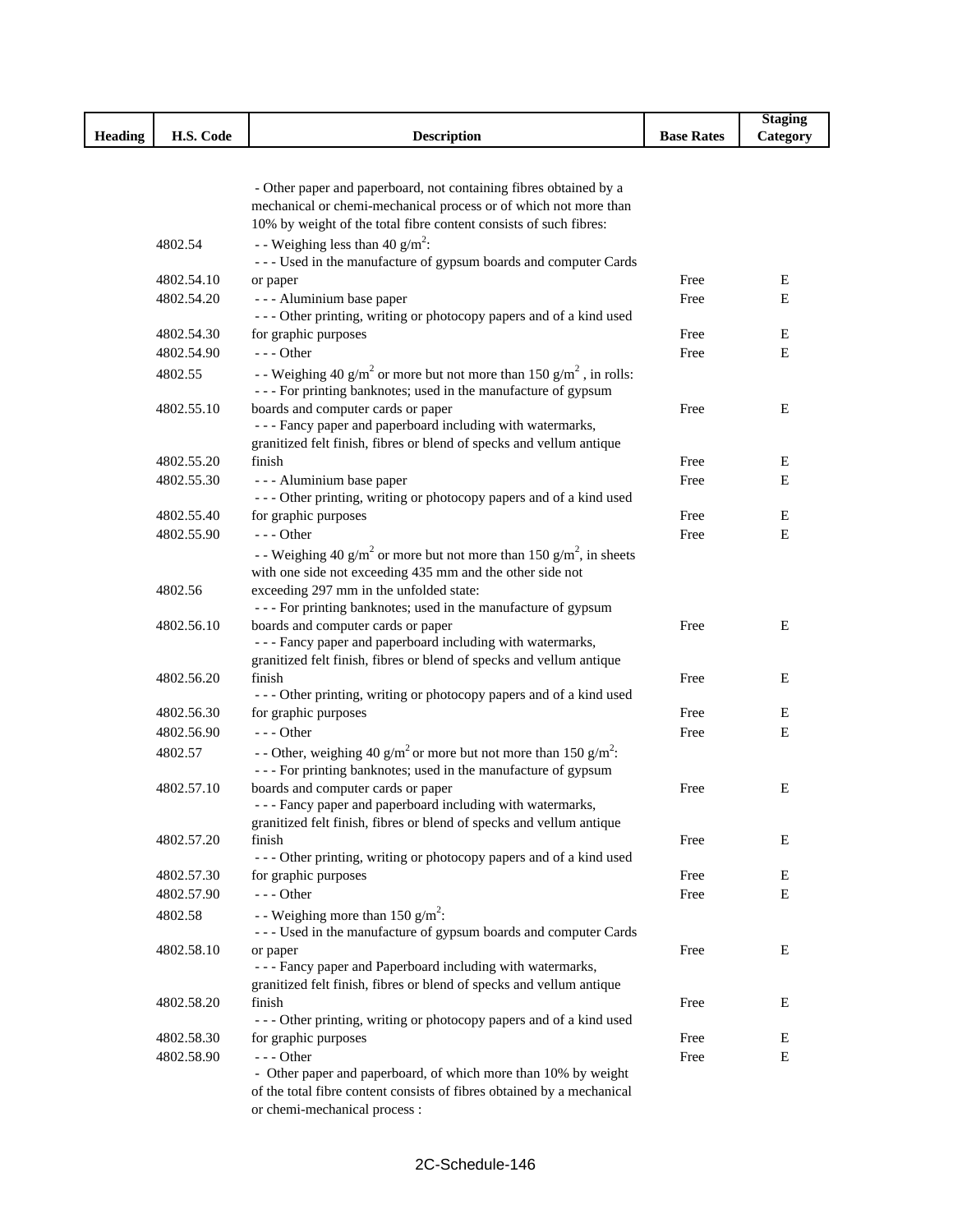|                |            |                                                                                                                                                              |                   | <b>Staging</b> |
|----------------|------------|--------------------------------------------------------------------------------------------------------------------------------------------------------------|-------------------|----------------|
| <b>Heading</b> | H.S. Code  | <b>Description</b>                                                                                                                                           | <b>Base Rates</b> | Category       |
|                |            |                                                                                                                                                              |                   |                |
|                |            | - Other paper and paperboard, not containing fibres obtained by a                                                                                            |                   |                |
|                |            | mechanical or chemi-mechanical process or of which not more than                                                                                             |                   |                |
|                |            | 10% by weight of the total fibre content consists of such fibres:                                                                                            |                   |                |
|                | 4802.54    | - - Weighing less than 40 $g/m^2$ :                                                                                                                          |                   |                |
|                |            | --- Used in the manufacture of gypsum boards and computer Cards                                                                                              |                   |                |
|                | 4802.54.10 | or paper                                                                                                                                                     | Free              | Е              |
|                | 4802.54.20 | - - - Aluminium base paper                                                                                                                                   | Free              | E              |
|                |            | --- Other printing, writing or photocopy papers and of a kind used                                                                                           |                   |                |
|                | 4802.54.30 | for graphic purposes                                                                                                                                         | Free              | Е              |
|                | 4802.54.90 | $--$ Other                                                                                                                                                   | Free              | Е              |
|                | 4802.55    | - Weighing 40 g/m <sup>2</sup> or more but not more than 150 g/m <sup>2</sup> , in rolls:<br>- - - For printing banknotes; used in the manufacture of gypsum |                   |                |
|                | 4802.55.10 | boards and computer cards or paper                                                                                                                           | Free              | E              |
|                |            | - - - Fancy paper and paperboard including with watermarks,                                                                                                  |                   |                |
|                |            | granitized felt finish, fibres or blend of specks and vellum antique                                                                                         |                   |                |
|                | 4802.55.20 | finish                                                                                                                                                       | Free              | Е              |
|                | 4802.55.30 | - - - Aluminium base paper                                                                                                                                   | Free              | E              |
|                |            | --- Other printing, writing or photocopy papers and of a kind used                                                                                           |                   |                |
|                | 4802.55.40 | for graphic purposes                                                                                                                                         | Free              | Е              |
|                | 4802.55.90 | $--$ Other                                                                                                                                                   | Free              | E              |
|                |            | - Weighing 40 g/m <sup>2</sup> or more but not more than 150 g/m <sup>2</sup> , in sheets                                                                    |                   |                |
|                |            | with one side not exceeding 435 mm and the other side not                                                                                                    |                   |                |
|                | 4802.56    | exceeding 297 mm in the unfolded state:                                                                                                                      |                   |                |
|                |            | --- For printing banknotes; used in the manufacture of gypsum                                                                                                |                   |                |
|                | 4802.56.10 | boards and computer cards or paper                                                                                                                           | Free              | Е              |
|                |            | - - - Fancy paper and paperboard including with watermarks,                                                                                                  |                   |                |
|                | 4802.56.20 | granitized felt finish, fibres or blend of specks and vellum antique<br>finish                                                                               |                   | Е              |
|                |            | --- Other printing, writing or photocopy papers and of a kind used                                                                                           | Free              |                |
|                | 4802.56.30 | for graphic purposes                                                                                                                                         | Free              | Е              |
|                | 4802.56.90 | $- -$ Other                                                                                                                                                  | Free              | Е              |
|                | 4802.57    | - - Other, weighing 40 g/m <sup>2</sup> or more but not more than 150 g/m <sup>2</sup> :                                                                     |                   |                |
|                |            | - - - For printing banknotes; used in the manufacture of gypsum                                                                                              |                   |                |
|                | 4802.57.10 | boards and computer cards or paper                                                                                                                           | Free              | Е              |
|                |            | - - Fancy paper and paperboard including with watermarks,                                                                                                    |                   |                |
|                |            | granitized felt finish, fibres or blend of specks and vellum antique                                                                                         |                   |                |
|                | 4802.57.20 | finish                                                                                                                                                       | Free              | Е              |
|                |            | --- Other printing, writing or photocopy papers and of a kind used                                                                                           |                   |                |
|                | 4802.57.30 | for graphic purposes                                                                                                                                         | Free              | E              |
|                | 4802.57.90 | $---$ Other                                                                                                                                                  | Free              | E              |
|                | 4802.58    | - - Weighing more than 150 $g/m^2$ :<br>--- Used in the manufacture of gypsum boards and computer Cards                                                      |                   |                |
|                | 4802.58.10 | or paper                                                                                                                                                     | Free              | E              |
|                |            | - - - Fancy paper and Paperboard including with watermarks,                                                                                                  |                   |                |
|                |            | granitized felt finish, fibres or blend of specks and vellum antique                                                                                         |                   |                |
|                | 4802.58.20 | finish                                                                                                                                                       | Free              | Е              |
|                |            | --- Other printing, writing or photocopy papers and of a kind used                                                                                           |                   |                |
|                | 4802.58.30 | for graphic purposes                                                                                                                                         | Free              | Е              |
|                | 4802.58.90 | $--$ Other                                                                                                                                                   | Free              | Е              |
|                |            | - Other paper and paperboard, of which more than 10% by weight                                                                                               |                   |                |
|                |            | of the total fibre content consists of fibres obtained by a mechanical                                                                                       |                   |                |
|                |            | or chemi-mechanical process :                                                                                                                                |                   |                |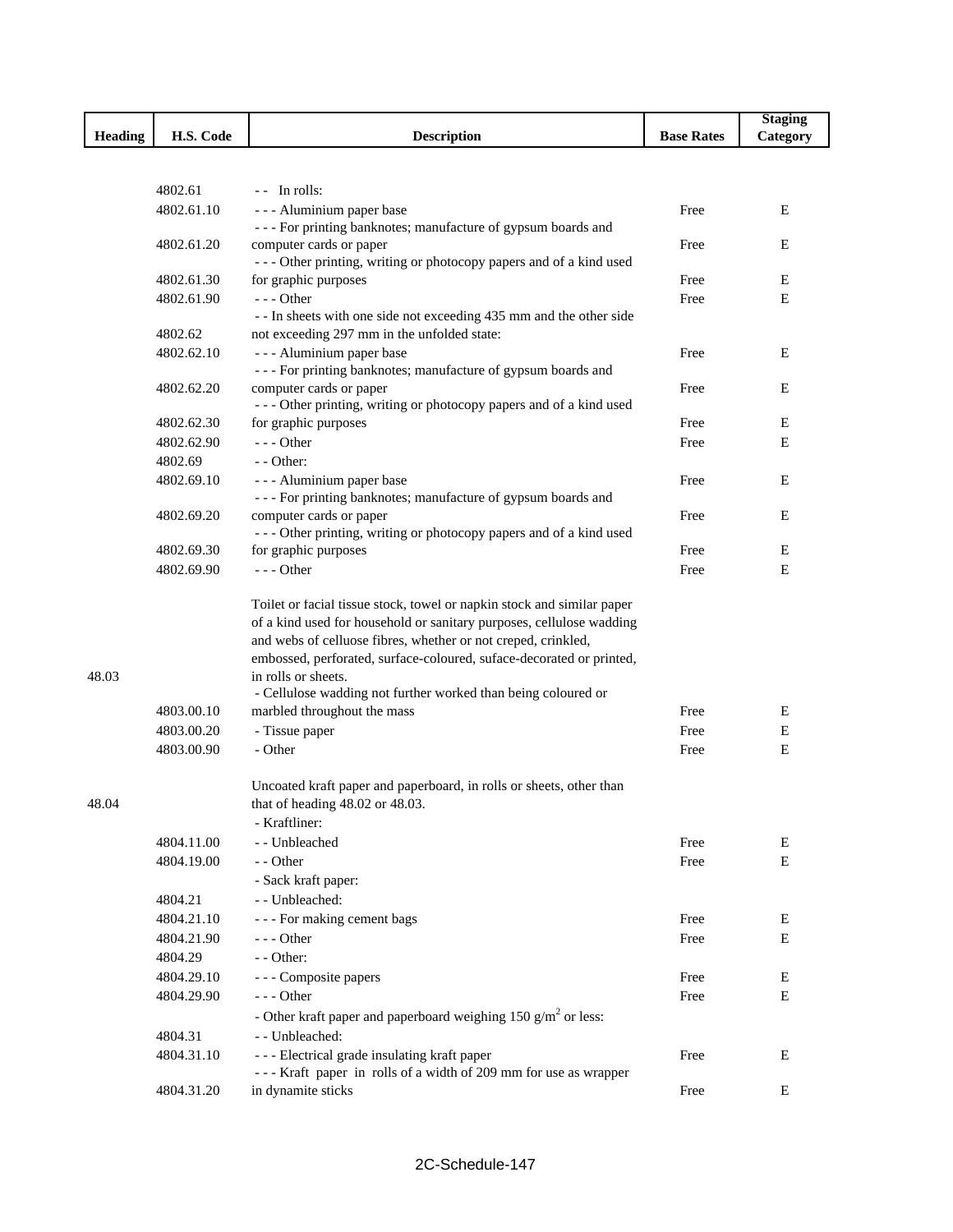|                |            |                                                                                            |                   | <b>Staging</b> |
|----------------|------------|--------------------------------------------------------------------------------------------|-------------------|----------------|
| <b>Heading</b> | H.S. Code  | <b>Description</b>                                                                         | <b>Base Rates</b> | Category       |
|                |            |                                                                                            |                   |                |
|                |            |                                                                                            |                   |                |
|                | 4802.61    | -- In rolls:                                                                               |                   |                |
|                | 4802.61.10 | - - - Aluminium paper base                                                                 | Free              | E              |
|                | 4802.61.20 | --- For printing banknotes; manufacture of gypsum boards and<br>computer cards or paper    | Free              | Е              |
|                |            | --- Other printing, writing or photocopy papers and of a kind used                         |                   |                |
|                | 4802.61.30 | for graphic purposes                                                                       | Free              | Е              |
|                | 4802.61.90 | --- Other                                                                                  | Free              | E              |
|                |            | - - In sheets with one side not exceeding 435 mm and the other side                        |                   |                |
|                | 4802.62    | not exceeding 297 mm in the unfolded state:                                                |                   |                |
|                | 4802.62.10 | - - - Aluminium paper base                                                                 | Free              | E              |
|                |            | - - - For printing banknotes; manufacture of gypsum boards and                             |                   |                |
|                | 4802.62.20 | computer cards or paper                                                                    | Free              | Е              |
|                |            | --- Other printing, writing or photocopy papers and of a kind used                         |                   |                |
|                | 4802.62.30 | for graphic purposes                                                                       | Free              | E              |
|                | 4802.62.90 | $--$ Other                                                                                 | Free              | Е              |
|                | 4802.69    | $-$ - Other:                                                                               |                   |                |
|                | 4802.69.10 | - - - Aluminium paper base<br>--- For printing banknotes; manufacture of gypsum boards and | Free              | Ε              |
|                | 4802.69.20 | computer cards or paper                                                                    | Free              | Е              |
|                |            | --- Other printing, writing or photocopy papers and of a kind used                         |                   |                |
|                | 4802.69.30 | for graphic purposes                                                                       | Free              | E              |
|                | 4802.69.90 | $--$ Other                                                                                 | Free              | E              |
|                |            |                                                                                            |                   |                |
|                |            | Toilet or facial tissue stock, towel or napkin stock and similar paper                     |                   |                |
|                |            | of a kind used for household or sanitary purposes, cellulose wadding                       |                   |                |
|                |            | and webs of celluose fibres, whether or not creped, crinkled,                              |                   |                |
|                |            | embossed, perforated, surface-coloured, suface-decorated or printed,                       |                   |                |
| 48.03          |            | in rolls or sheets.                                                                        |                   |                |
|                | 4803.00.10 | - Cellulose wadding not further worked than being coloured or                              | Free              | Е              |
|                | 4803.00.20 | marbled throughout the mass<br>- Tissue paper                                              | Free              | Е              |
|                | 4803.00.90 | - Other                                                                                    | Free              | Е              |
|                |            |                                                                                            |                   |                |
|                |            | Uncoated kraft paper and paperboard, in rolls or sheets, other than                        |                   |                |
| 48.04          |            | that of heading $48.02$ or $48.03$ .                                                       |                   |                |
|                |            | - Kraftliner:                                                                              |                   |                |
|                | 4804.11.00 | - - Unbleached                                                                             | Free              | E              |
|                | 4804.19.00 | - - Other                                                                                  | Free              | ${\bf E}$      |
|                |            | - Sack kraft paper:                                                                        |                   |                |
|                | 4804.21    | - - Unbleached:                                                                            |                   |                |
|                | 4804.21.10 | --- For making cement bags                                                                 | Free              | Ε              |
|                | 4804.21.90 | $--$ Other                                                                                 | Free              | Е              |
|                | 4804.29    | - - Other:                                                                                 |                   |                |
|                | 4804.29.10 | - - - Composite papers                                                                     | Free              | Ε              |
|                | 4804.29.90 | - - - Other                                                                                | Free              | Е              |
|                |            | - Other kraft paper and paperboard weighing $150 \text{ g/m}^2$ or less:                   |                   |                |
|                | 4804.31    | - - Unbleached:                                                                            |                   |                |
|                | 4804.31.10 | --- Electrical grade insulating kraft paper                                                | Free              | E              |
|                |            | --- Kraft paper in rolls of a width of 209 mm for use as wrapper                           |                   |                |
|                | 4804.31.20 | in dynamite sticks                                                                         | Free              | $\mathbf E$    |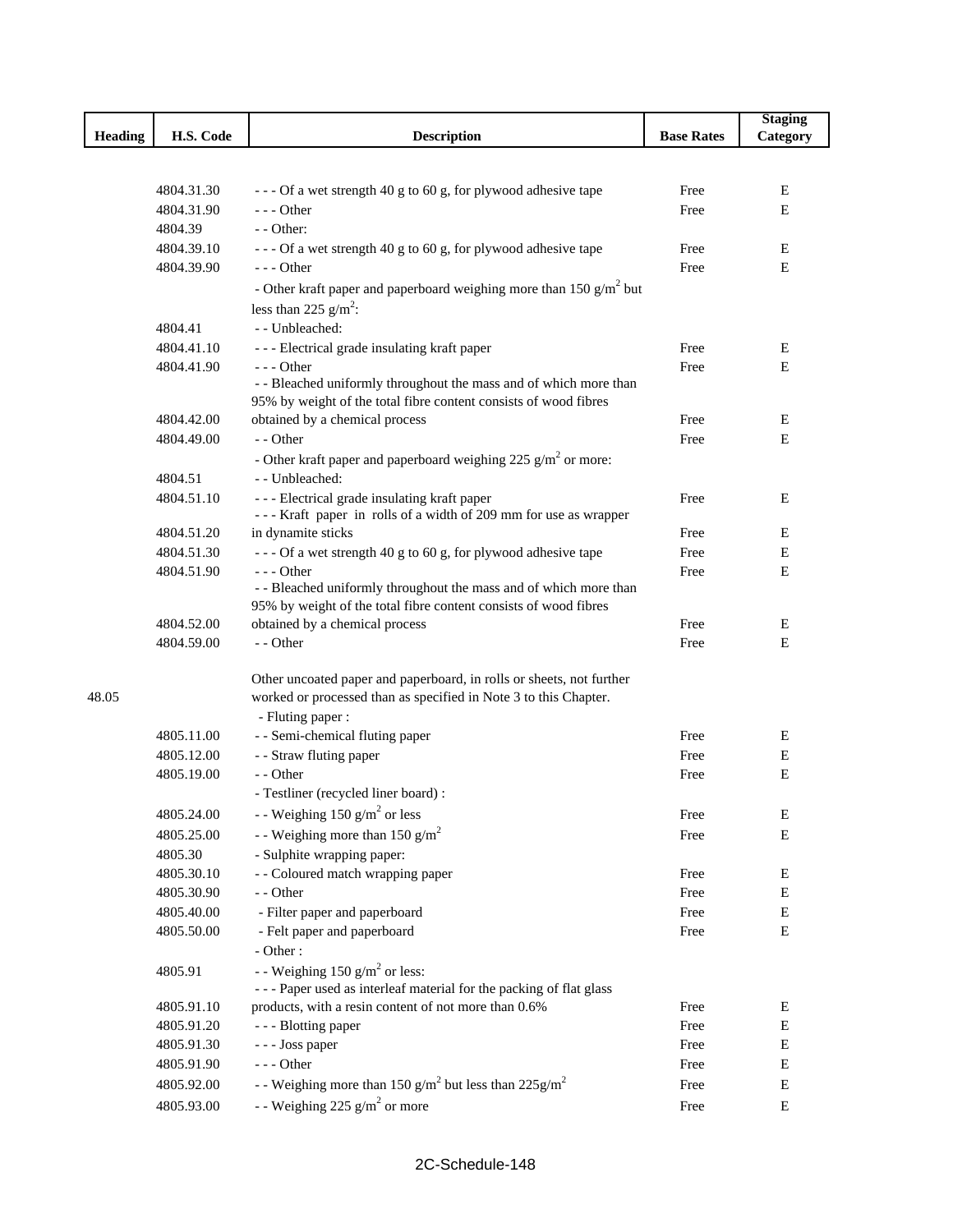| H.S. Code<br><b>Heading</b><br><b>Description</b><br><b>Base Rates</b><br>Category<br>4804.31.30<br>--- Of a wet strength 40 g to 60 g, for plywood adhesive tape<br>Free<br>E<br>$--$ Other<br>4804.31.90<br>E<br>Free<br>4804.39<br>$-$ - Other:<br>4804.39.10<br>--- Of a wet strength 40 g to 60 g, for plywood adhesive tape<br>E<br>Free<br>4804.39.90<br>$---$ Other<br>Free<br>E<br>- Other kraft paper and paperboard weighing more than 150 $g/m^2$ but<br>less than 225 $g/m^2$ :<br>- - Unbleached:<br>4804.41<br>4804.41.10<br>--- Electrical grade insulating kraft paper<br>Free<br>Ε<br>4804.41.90<br>$--$ Other<br>Free<br>E |
|-----------------------------------------------------------------------------------------------------------------------------------------------------------------------------------------------------------------------------------------------------------------------------------------------------------------------------------------------------------------------------------------------------------------------------------------------------------------------------------------------------------------------------------------------------------------------------------------------------------------------------------------------|
|                                                                                                                                                                                                                                                                                                                                                                                                                                                                                                                                                                                                                                               |
|                                                                                                                                                                                                                                                                                                                                                                                                                                                                                                                                                                                                                                               |
|                                                                                                                                                                                                                                                                                                                                                                                                                                                                                                                                                                                                                                               |
|                                                                                                                                                                                                                                                                                                                                                                                                                                                                                                                                                                                                                                               |
|                                                                                                                                                                                                                                                                                                                                                                                                                                                                                                                                                                                                                                               |
|                                                                                                                                                                                                                                                                                                                                                                                                                                                                                                                                                                                                                                               |
|                                                                                                                                                                                                                                                                                                                                                                                                                                                                                                                                                                                                                                               |
|                                                                                                                                                                                                                                                                                                                                                                                                                                                                                                                                                                                                                                               |
|                                                                                                                                                                                                                                                                                                                                                                                                                                                                                                                                                                                                                                               |
|                                                                                                                                                                                                                                                                                                                                                                                                                                                                                                                                                                                                                                               |
|                                                                                                                                                                                                                                                                                                                                                                                                                                                                                                                                                                                                                                               |
|                                                                                                                                                                                                                                                                                                                                                                                                                                                                                                                                                                                                                                               |
|                                                                                                                                                                                                                                                                                                                                                                                                                                                                                                                                                                                                                                               |
| - - Bleached uniformly throughout the mass and of which more than                                                                                                                                                                                                                                                                                                                                                                                                                                                                                                                                                                             |
| 95% by weight of the total fibre content consists of wood fibres                                                                                                                                                                                                                                                                                                                                                                                                                                                                                                                                                                              |
| 4804.42.00<br>obtained by a chemical process<br>Free<br>Ε<br>- - Other                                                                                                                                                                                                                                                                                                                                                                                                                                                                                                                                                                        |
| E<br>4804.49.00<br>Free                                                                                                                                                                                                                                                                                                                                                                                                                                                                                                                                                                                                                       |
| - Other kraft paper and paperboard weighing 225 $g/m2$ or more:                                                                                                                                                                                                                                                                                                                                                                                                                                                                                                                                                                               |
| - - Unbleached:<br>4804.51                                                                                                                                                                                                                                                                                                                                                                                                                                                                                                                                                                                                                    |
| --- Electrical grade insulating kraft paper<br>4804.51.10<br>Free<br>Ε                                                                                                                                                                                                                                                                                                                                                                                                                                                                                                                                                                        |
| --- Kraft paper in rolls of a width of 209 mm for use as wrapper<br>4804.51.20<br>in dynamite sticks<br>Ε                                                                                                                                                                                                                                                                                                                                                                                                                                                                                                                                     |
| Free<br>4804.51.30<br>Free<br>Ε                                                                                                                                                                                                                                                                                                                                                                                                                                                                                                                                                                                                               |
| --- Of a wet strength 40 g to 60 g, for plywood adhesive tape<br>4804.51.90<br>$--$ Other<br>Free<br>Ε                                                                                                                                                                                                                                                                                                                                                                                                                                                                                                                                        |
| - - Bleached uniformly throughout the mass and of which more than                                                                                                                                                                                                                                                                                                                                                                                                                                                                                                                                                                             |
| 95% by weight of the total fibre content consists of wood fibres                                                                                                                                                                                                                                                                                                                                                                                                                                                                                                                                                                              |
| 4804.52.00<br>obtained by a chemical process<br>Free<br>Ε                                                                                                                                                                                                                                                                                                                                                                                                                                                                                                                                                                                     |
| - - Other<br>4804.59.00<br>E<br>Free                                                                                                                                                                                                                                                                                                                                                                                                                                                                                                                                                                                                          |
|                                                                                                                                                                                                                                                                                                                                                                                                                                                                                                                                                                                                                                               |
| Other uncoated paper and paperboard, in rolls or sheets, not further<br>worked or processed than as specified in Note 3 to this Chapter.<br>48.05                                                                                                                                                                                                                                                                                                                                                                                                                                                                                             |
| - Fluting paper :                                                                                                                                                                                                                                                                                                                                                                                                                                                                                                                                                                                                                             |
| - - Semi-chemical fluting paper<br>4805.11.00<br>Free<br>Ε                                                                                                                                                                                                                                                                                                                                                                                                                                                                                                                                                                                    |
| - - Straw fluting paper<br>4805.12.00<br>Free<br>Е                                                                                                                                                                                                                                                                                                                                                                                                                                                                                                                                                                                            |
| - - Other<br>$\mathbf E$<br>4805.19.00<br>Free                                                                                                                                                                                                                                                                                                                                                                                                                                                                                                                                                                                                |
| - Testliner (recycled liner board) :                                                                                                                                                                                                                                                                                                                                                                                                                                                                                                                                                                                                          |
| 4805.24.00<br>- - Weighing 150 $g/m^2$ or less                                                                                                                                                                                                                                                                                                                                                                                                                                                                                                                                                                                                |
| Free<br>E                                                                                                                                                                                                                                                                                                                                                                                                                                                                                                                                                                                                                                     |
| - - Weighing more than 150 g/m <sup>2</sup><br>E<br>4805.25.00<br>Free                                                                                                                                                                                                                                                                                                                                                                                                                                                                                                                                                                        |
| - Sulphite wrapping paper:<br>4805.30                                                                                                                                                                                                                                                                                                                                                                                                                                                                                                                                                                                                         |
| - - Coloured match wrapping paper<br>4805.30.10<br>Е<br>Free                                                                                                                                                                                                                                                                                                                                                                                                                                                                                                                                                                                  |
| - - Other<br>4805.30.90<br>Е<br>Free                                                                                                                                                                                                                                                                                                                                                                                                                                                                                                                                                                                                          |
| 4805.40.00<br>- Filter paper and paperboard<br>Е<br>Free                                                                                                                                                                                                                                                                                                                                                                                                                                                                                                                                                                                      |
| 4805.50.00<br>- Felt paper and paperboard<br>Е<br>Free<br>- Other:                                                                                                                                                                                                                                                                                                                                                                                                                                                                                                                                                                            |
| - - Weighing 150 $g/m^2$ or less:<br>4805.91                                                                                                                                                                                                                                                                                                                                                                                                                                                                                                                                                                                                  |
| --- Paper used as interleaf material for the packing of flat glass                                                                                                                                                                                                                                                                                                                                                                                                                                                                                                                                                                            |
| 4805.91.10<br>products, with a resin content of not more than 0.6%<br>Е<br>Free                                                                                                                                                                                                                                                                                                                                                                                                                                                                                                                                                               |
| 4805.91.20<br>- - - Blotting paper<br>Free<br>Е                                                                                                                                                                                                                                                                                                                                                                                                                                                                                                                                                                                               |
| 4805.91.30<br>- - - Joss paper<br>Free<br>Е                                                                                                                                                                                                                                                                                                                                                                                                                                                                                                                                                                                                   |
| $--- Other$<br>Е<br>4805.91.90<br>Free                                                                                                                                                                                                                                                                                                                                                                                                                                                                                                                                                                                                        |
| - Weighing more than 150 $g/m^2$ but less than 225 $g/m^2$<br>4805.92.00<br>Free<br>Е                                                                                                                                                                                                                                                                                                                                                                                                                                                                                                                                                         |
| - - Weighing 225 $g/m^2$ or more<br>4805.93.00<br>Free<br>E                                                                                                                                                                                                                                                                                                                                                                                                                                                                                                                                                                                   |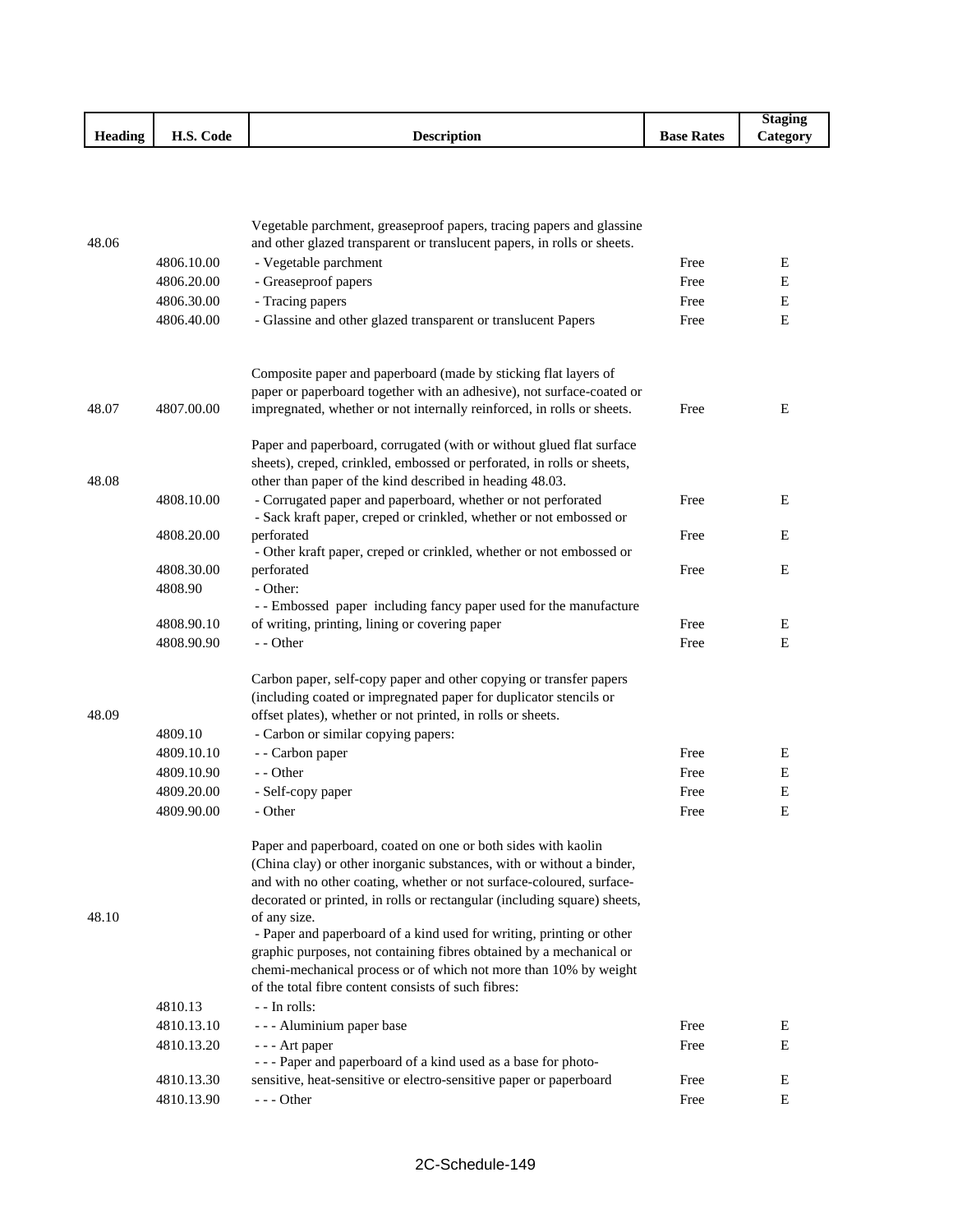|                |                        |                      |                                        | Staging         |
|----------------|------------------------|----------------------|----------------------------------------|-----------------|
| <b>Heading</b> | $\sim$<br>H.S.<br>Code | Jescription<br>LUCSL | $\blacksquare$<br><b>Rates</b><br>Base | <b>Lategory</b> |

| 48.06 |            | Vegetable parchment, greaseproof papers, tracing papers and glassine<br>and other glazed transparent or translucent papers, in rolls or sheets. |      |   |
|-------|------------|-------------------------------------------------------------------------------------------------------------------------------------------------|------|---|
|       | 4806.10.00 | - Vegetable parchment                                                                                                                           | Free | E |
|       | 4806.20.00 | - Greaseproof papers                                                                                                                            | Free | Е |
|       |            |                                                                                                                                                 | Free |   |
|       | 4806.30.00 | - Tracing papers                                                                                                                                |      | E |
|       | 4806.40.00 | - Glassine and other glazed transparent or translucent Papers                                                                                   | Free | E |
|       |            | Composite paper and paperboard (made by sticking flat layers of                                                                                 |      |   |
|       |            | paper or paperboard together with an adhesive), not surface-coated or                                                                           |      |   |
| 48.07 | 4807.00.00 | impregnated, whether or not internally reinforced, in rolls or sheets.                                                                          | Free | Е |
|       |            | Paper and paperboard, corrugated (with or without glued flat surface                                                                            |      |   |
|       |            | sheets), creped, crinkled, embossed or perforated, in rolls or sheets,                                                                          |      |   |
| 48.08 |            | other than paper of the kind described in heading 48.03.                                                                                        |      |   |
|       | 4808.10.00 | - Corrugated paper and paperboard, whether or not perforated                                                                                    | Free | Е |
|       |            | - Sack kraft paper, creped or crinkled, whether or not embossed or                                                                              |      |   |
|       | 4808.20.00 | perforated                                                                                                                                      | Free | E |
|       |            | - Other kraft paper, creped or crinkled, whether or not embossed or                                                                             |      |   |
|       | 4808.30.00 | perforated                                                                                                                                      | Free | E |
|       | 4808.90    | - Other:                                                                                                                                        |      |   |
|       |            | -- Embossed paper including fancy paper used for the manufacture                                                                                | Free |   |
|       | 4808.90.10 | of writing, printing, lining or covering paper                                                                                                  |      | E |
|       | 4808.90.90 | - - Other                                                                                                                                       | Free | E |
|       |            | Carbon paper, self-copy paper and other copying or transfer papers                                                                              |      |   |
|       |            | (including coated or impregnated paper for duplicator stencils or                                                                               |      |   |
| 48.09 |            | offset plates), whether or not printed, in rolls or sheets.                                                                                     |      |   |
|       | 4809.10    | - Carbon or similar copying papers:                                                                                                             |      |   |
|       | 4809.10.10 | - - Carbon paper                                                                                                                                | Free | E |
|       | 4809.10.90 | - - Other                                                                                                                                       | Free | E |
|       | 4809.20.00 | - Self-copy paper                                                                                                                               | Free | E |
|       | 4809.90.00 | - Other                                                                                                                                         | Free | Ε |
|       |            | Paper and paperboard, coated on one or both sides with kaolin                                                                                   |      |   |
|       |            | (China clay) or other inorganic substances, with or without a binder,                                                                           |      |   |
|       |            | and with no other coating, whether or not surface-coloured, surface-                                                                            |      |   |
| 48.10 |            | decorated or printed, in rolls or rectangular (including square) sheets,<br>of any size.                                                        |      |   |
|       |            | - Paper and paperboard of a kind used for writing, printing or other                                                                            |      |   |
|       |            | graphic purposes, not containing fibres obtained by a mechanical or                                                                             |      |   |
|       |            | chemi-mechanical process or of which not more than 10% by weight                                                                                |      |   |
|       |            | of the total fibre content consists of such fibres:                                                                                             |      |   |
|       | 4810.13    | - - In rolls:                                                                                                                                   |      |   |
|       | 4810.13.10 | - - - Aluminium paper base                                                                                                                      | Free | Ε |
|       | 4810.13.20 | - - - Art paper                                                                                                                                 | Free | E |
|       |            | --- Paper and paperboard of a kind used as a base for photo-                                                                                    |      |   |
|       | 4810.13.30 | sensitive, heat-sensitive or electro-sensitive paper or paperboard                                                                              | Free | E |
|       | 4810.13.90 | $--$ Other                                                                                                                                      | Free | E |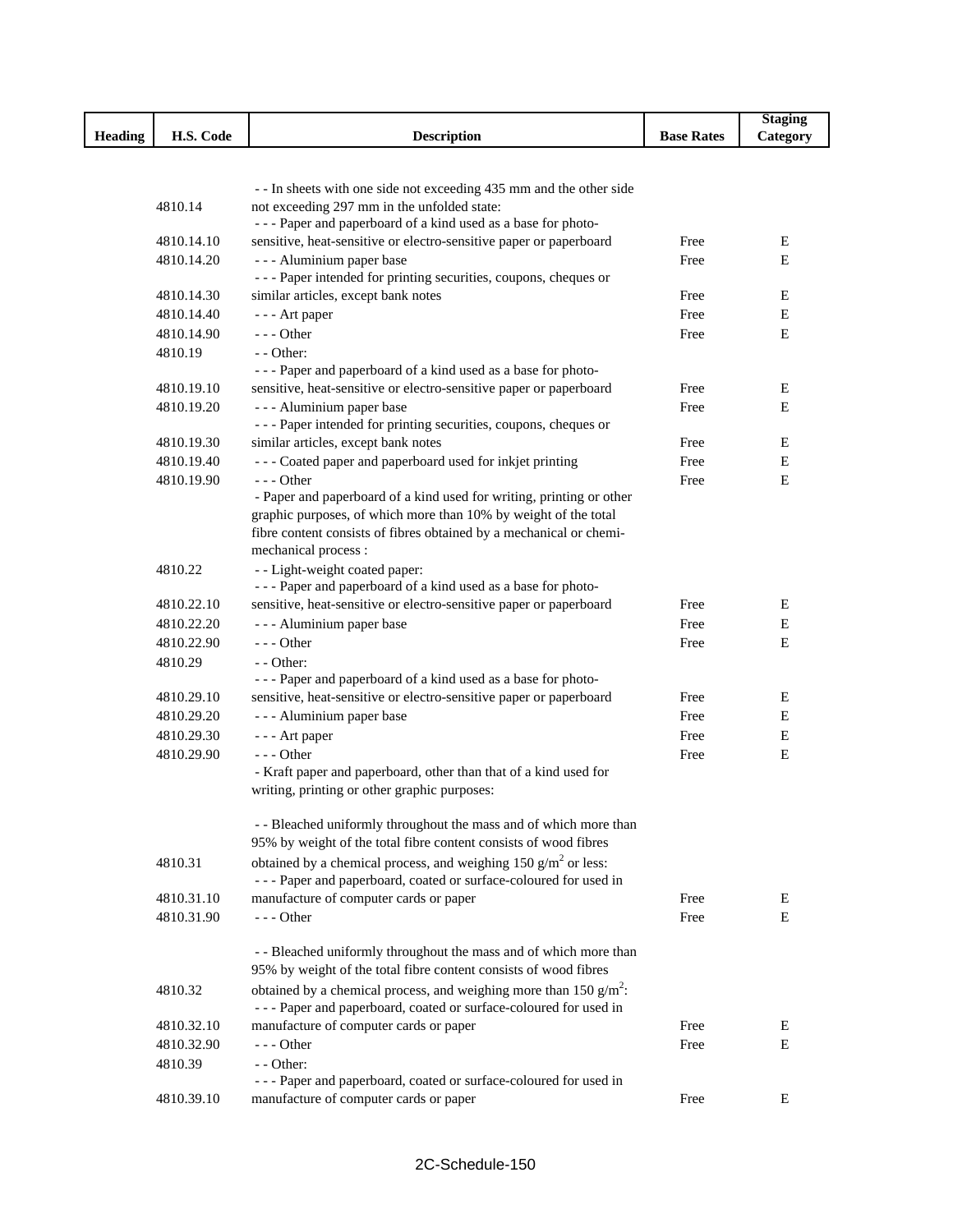|                |            |                                                                                                                                          |                   | <b>Staging</b> |
|----------------|------------|------------------------------------------------------------------------------------------------------------------------------------------|-------------------|----------------|
| <b>Heading</b> | H.S. Code  | <b>Description</b>                                                                                                                       | <b>Base Rates</b> | Category       |
|                |            |                                                                                                                                          |                   |                |
|                |            |                                                                                                                                          |                   |                |
|                |            | - - In sheets with one side not exceeding 435 mm and the other side                                                                      |                   |                |
|                | 4810.14    | not exceeding 297 mm in the unfolded state:<br>--- Paper and paperboard of a kind used as a base for photo-                              |                   |                |
|                | 4810.14.10 | sensitive, heat-sensitive or electro-sensitive paper or paperboard                                                                       | Free              | E              |
|                | 4810.14.20 | - - - Aluminium paper base                                                                                                               | Free              | E              |
|                |            | --- Paper intended for printing securities, coupons, cheques or                                                                          |                   |                |
|                | 4810.14.30 | similar articles, except bank notes                                                                                                      | Free              | E              |
|                | 4810.14.40 | - - - Art paper                                                                                                                          | Free              | E              |
|                | 4810.14.90 | --- Other                                                                                                                                | Free              | E              |
|                | 4810.19    | - - Other:                                                                                                                               |                   |                |
|                |            | --- Paper and paperboard of a kind used as a base for photo-                                                                             |                   |                |
|                | 4810.19.10 | sensitive, heat-sensitive or electro-sensitive paper or paperboard                                                                       | Free              | E              |
|                | 4810.19.20 | - - - Aluminium paper base                                                                                                               | Free              | E              |
|                |            | --- Paper intended for printing securities, coupons, cheques or                                                                          |                   |                |
|                | 4810.19.30 | similar articles, except bank notes                                                                                                      | Free              | Ε              |
|                | 4810.19.40 | --- Coated paper and paperboard used for inkjet printing                                                                                 | Free              | Е              |
|                | 4810.19.90 | $--$ Other                                                                                                                               | Free              | E              |
|                |            | - Paper and paperboard of a kind used for writing, printing or other                                                                     |                   |                |
|                |            | graphic purposes, of which more than 10% by weight of the total                                                                          |                   |                |
|                |            | fibre content consists of fibres obtained by a mechanical or chemi-                                                                      |                   |                |
|                |            | mechanical process:                                                                                                                      |                   |                |
|                | 4810.22    | - - Light-weight coated paper:<br>--- Paper and paperboard of a kind used as a base for photo-                                           |                   |                |
|                | 4810.22.10 | sensitive, heat-sensitive or electro-sensitive paper or paperboard                                                                       | Free              | E              |
|                | 4810.22.20 | - - - Aluminium paper base                                                                                                               | Free              | E              |
|                | 4810.22.90 | $--$ Other                                                                                                                               | Free              | Е              |
|                | 4810.29    | - - Other:                                                                                                                               |                   |                |
|                |            | --- Paper and paperboard of a kind used as a base for photo-                                                                             |                   |                |
|                | 4810.29.10 | sensitive, heat-sensitive or electro-sensitive paper or paperboard                                                                       | Free              | E              |
|                | 4810.29.20 | - - - Aluminium paper base                                                                                                               | Free              | Е              |
|                | 4810.29.30 | - - - Art paper                                                                                                                          | Free              | E              |
|                | 4810.29.90 | --- Other                                                                                                                                | Free              | E              |
|                |            | - Kraft paper and paperboard, other than that of a kind used for                                                                         |                   |                |
|                |            | writing, printing or other graphic purposes:                                                                                             |                   |                |
|                |            |                                                                                                                                          |                   |                |
|                |            | - - Bleached uniformly throughout the mass and of which more than                                                                        |                   |                |
|                |            | 95% by weight of the total fibre content consists of wood fibres                                                                         |                   |                |
|                | 4810.31    | obtained by a chemical process, and weighing 150 $\text{g/m}^2$ or less:                                                                 |                   |                |
|                |            | --- Paper and paperboard, coated or surface-coloured for used in                                                                         |                   |                |
|                | 4810.31.10 | manufacture of computer cards or paper                                                                                                   | Free              | E              |
|                | 4810.31.90 | $--$ Other                                                                                                                               | Free              | E              |
|                |            |                                                                                                                                          |                   |                |
|                |            | - - Bleached uniformly throughout the mass and of which more than<br>95% by weight of the total fibre content consists of wood fibres    |                   |                |
|                |            |                                                                                                                                          |                   |                |
|                | 4810.32    | obtained by a chemical process, and weighing more than 150 $g/m^2$ .<br>--- Paper and paperboard, coated or surface-coloured for used in |                   |                |
|                | 4810.32.10 | manufacture of computer cards or paper                                                                                                   | Free              | Е              |
|                | 4810.32.90 | $--$ Other                                                                                                                               | Free              | Е              |
|                | 4810.39    | - - Other:                                                                                                                               |                   |                |
|                |            | - - - Paper and paperboard, coated or surface-coloured for used in                                                                       |                   |                |
|                | 4810.39.10 | manufacture of computer cards or paper                                                                                                   | Free              | Ε              |
|                |            |                                                                                                                                          |                   |                |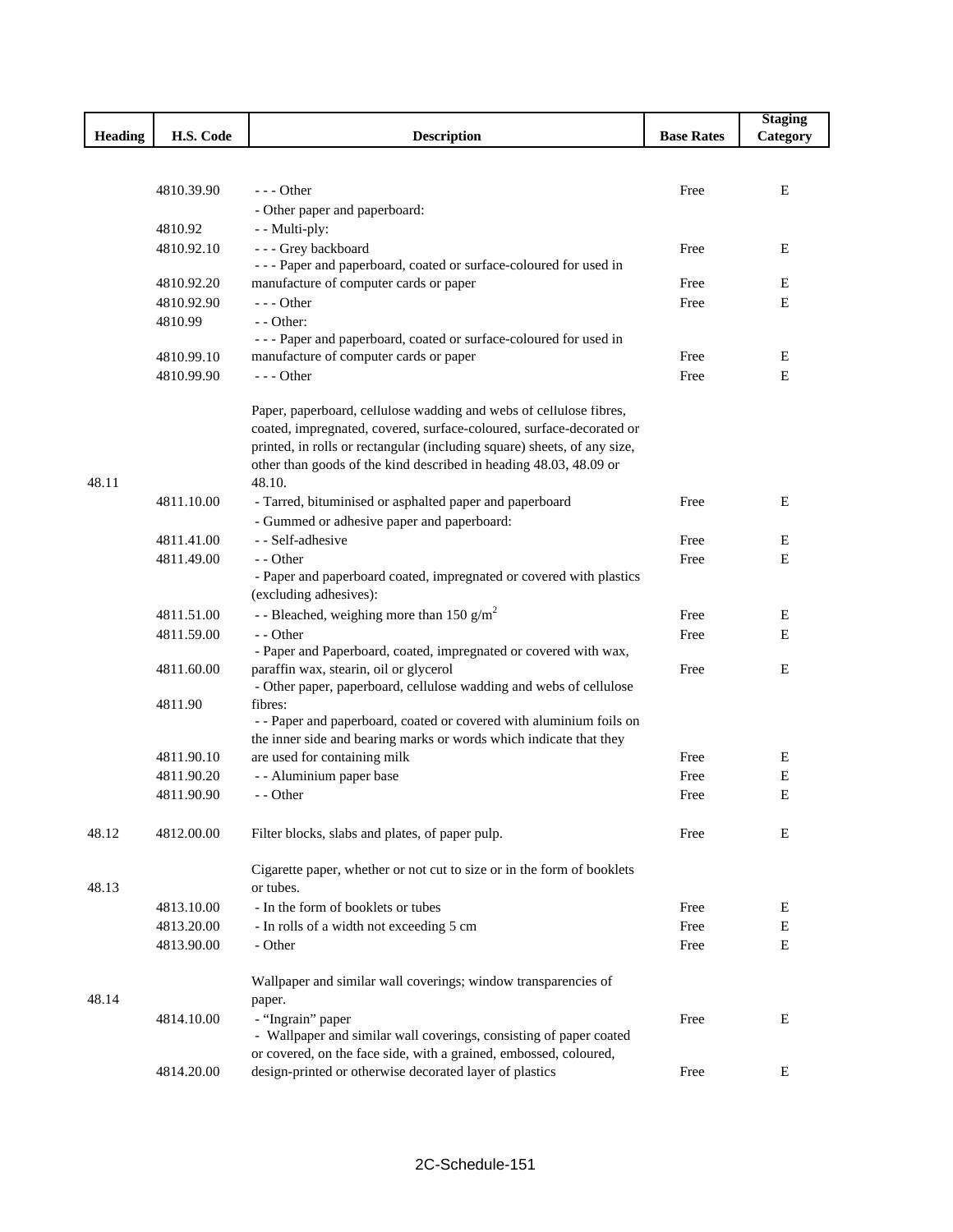|                |            |                                                                                |                   | <b>Staging</b> |
|----------------|------------|--------------------------------------------------------------------------------|-------------------|----------------|
| <b>Heading</b> | H.S. Code  | <b>Description</b>                                                             | <b>Base Rates</b> | Category       |
|                |            |                                                                                |                   |                |
|                |            |                                                                                |                   |                |
|                | 4810.39.90 | $--$ Other                                                                     | Free              | E              |
|                |            | - Other paper and paperboard:                                                  |                   |                |
|                | 4810.92    | - - Multi-ply:                                                                 |                   |                |
|                | 4810.92.10 | - - - Grey backboard                                                           | Free              | E              |
|                |            | --- Paper and paperboard, coated or surface-coloured for used in               |                   |                |
|                | 4810.92.20 | manufacture of computer cards or paper                                         | Free              | E              |
|                | 4810.92.90 | $--$ Other                                                                     | Free              | E              |
|                | 4810.99    | $-$ - Other:                                                                   |                   |                |
|                |            | --- Paper and paperboard, coated or surface-coloured for used in               |                   |                |
|                | 4810.99.10 | manufacture of computer cards or paper                                         | Free              | E              |
|                | 4810.99.90 | $--$ Other                                                                     | Free              | E              |
|                |            | Paper, paperboard, cellulose wadding and webs of cellulose fibres,             |                   |                |
|                |            | coated, impregnated, covered, surface-coloured, surface-decorated or           |                   |                |
|                |            | printed, in rolls or rectangular (including square) sheets, of any size,       |                   |                |
|                |            | other than goods of the kind described in heading 48.03, 48.09 or              |                   |                |
| 48.11          |            | 48.10.                                                                         |                   |                |
|                | 4811.10.00 | - Tarred, bituminised or asphalted paper and paperboard                        | Free              | Ε              |
|                |            | - Gummed or adhesive paper and paperboard:                                     |                   |                |
|                | 4811.41.00 | - - Self-adhesive                                                              | Free              | E              |
|                | 4811.49.00 | - - Other                                                                      | Free              | Е              |
|                |            | - Paper and paperboard coated, impregnated or covered with plastics            |                   |                |
|                |            | (excluding adhesives):                                                         |                   |                |
|                | 4811.51.00 | - - Bleached, weighing more than 150 $g/m2$                                    | Free              | Ε              |
|                | 4811.59.00 | - - Other                                                                      | Free              | E              |
|                |            | - Paper and Paperboard, coated, impregnated or covered with wax,               |                   |                |
|                | 4811.60.00 | paraffin wax, stearin, oil or glycerol                                         | Free              | E              |
|                |            | - Other paper, paperboard, cellulose wadding and webs of cellulose             |                   |                |
|                | 4811.90    | fibres:<br>- - Paper and paperboard, coated or covered with aluminium foils on |                   |                |
|                |            | the inner side and bearing marks or words which indicate that they             |                   |                |
|                | 4811.90.10 | are used for containing milk                                                   | Free              | E              |
|                | 4811.90.20 | - - Aluminium paper base                                                       | Free              | E              |
|                | 4811.90.90 | - - Other                                                                      | Free              | E              |
|                |            |                                                                                |                   |                |
| 48.12          | 4812.00.00 | Filter blocks, slabs and plates, of paper pulp.                                | Free              | E              |
|                |            |                                                                                |                   |                |
|                |            | Cigarette paper, whether or not cut to size or in the form of booklets         |                   |                |
| 48.13          |            | or tubes.                                                                      |                   |                |
|                | 4813.10.00 | - In the form of booklets or tubes                                             | Free              | Ε              |
|                | 4813.20.00 | - In rolls of a width not exceeding 5 cm                                       | Free              | Е              |
|                | 4813.90.00 | - Other                                                                        | Free              | E              |
|                |            | Wallpaper and similar wall coverings; window transparencies of                 |                   |                |
| 48.14          |            | paper.                                                                         |                   |                |
|                | 4814.10.00 | - "Ingrain" paper                                                              | Free              | Ε              |
|                |            | - Wallpaper and similar wall coverings, consisting of paper coated             |                   |                |
|                |            | or covered, on the face side, with a grained, embossed, coloured,              |                   |                |
|                | 4814.20.00 | design-printed or otherwise decorated layer of plastics                        | Free              | Ε              |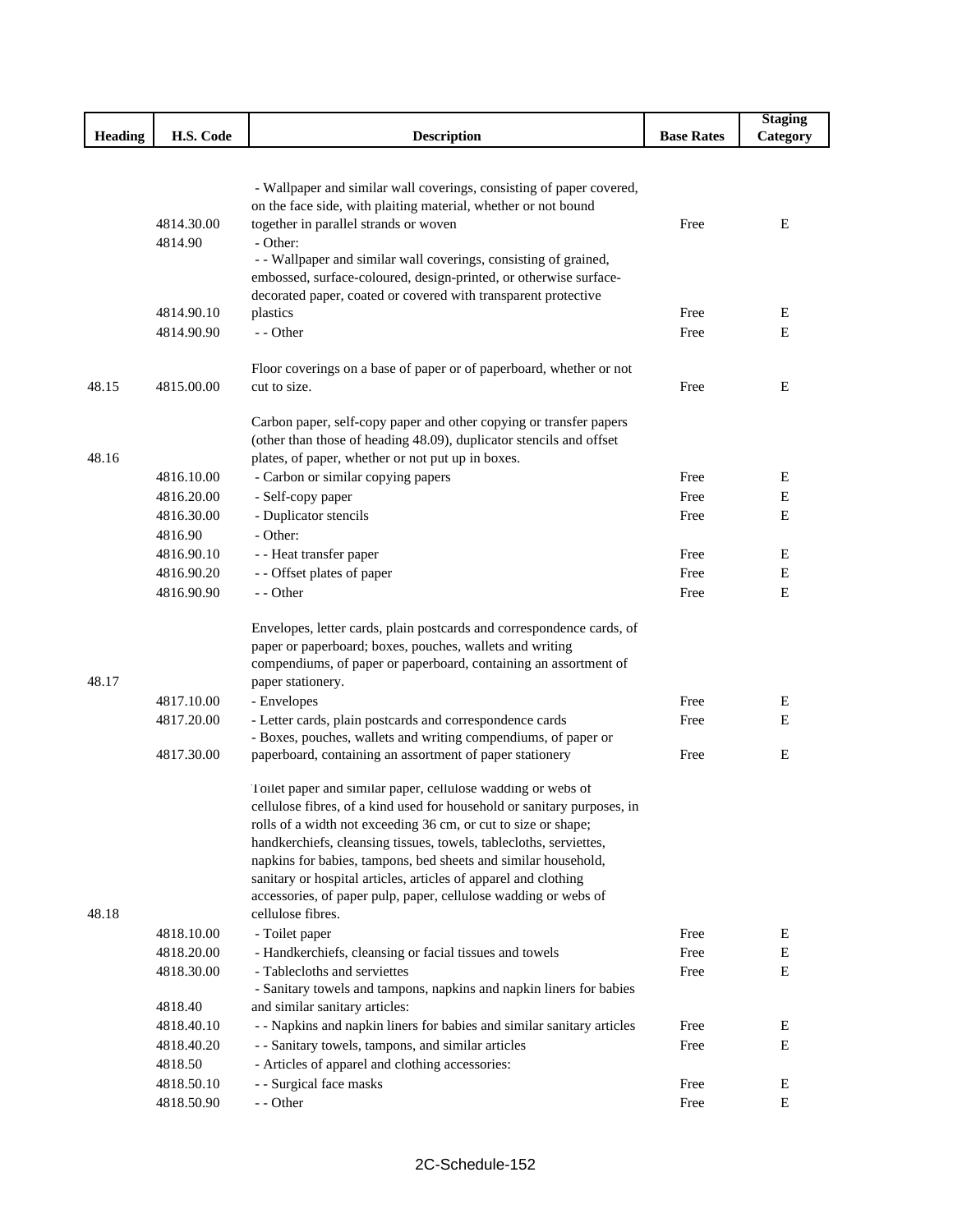|                |            |                                                                                                                                           |                   | <b>Staging</b> |
|----------------|------------|-------------------------------------------------------------------------------------------------------------------------------------------|-------------------|----------------|
| <b>Heading</b> | H.S. Code  | <b>Description</b>                                                                                                                        | <b>Base Rates</b> | Category       |
|                |            |                                                                                                                                           |                   |                |
|                |            |                                                                                                                                           |                   |                |
|                |            | - Wallpaper and similar wall coverings, consisting of paper covered,                                                                      |                   |                |
|                |            | on the face side, with plaiting material, whether or not bound                                                                            | Free              | E              |
|                | 4814.30.00 | together in parallel strands or woven                                                                                                     |                   |                |
|                | 4814.90    | - Other:<br>- - Wallpaper and similar wall coverings, consisting of grained,                                                              |                   |                |
|                |            | embossed, surface-coloured, design-printed, or otherwise surface-                                                                         |                   |                |
|                |            | decorated paper, coated or covered with transparent protective                                                                            |                   |                |
|                | 4814.90.10 | plastics                                                                                                                                  | Free              | Е              |
|                | 4814.90.90 | - - Other                                                                                                                                 | Free              | E              |
|                |            |                                                                                                                                           |                   |                |
|                |            | Floor coverings on a base of paper or of paperboard, whether or not                                                                       |                   |                |
| 48.15          | 4815.00.00 | cut to size.                                                                                                                              | Free              | Е              |
|                |            |                                                                                                                                           |                   |                |
|                |            | Carbon paper, self-copy paper and other copying or transfer papers                                                                        |                   |                |
|                |            | (other than those of heading 48.09), duplicator stencils and offset                                                                       |                   |                |
| 48.16          |            | plates, of paper, whether or not put up in boxes.                                                                                         |                   |                |
|                | 4816.10.00 | - Carbon or similar copying papers                                                                                                        | Free              | E              |
|                | 4816.20.00 | - Self-copy paper                                                                                                                         | Free              | Е              |
|                | 4816.30.00 | - Duplicator stencils                                                                                                                     | Free              | E              |
|                | 4816.90    | - Other:                                                                                                                                  |                   |                |
|                | 4816.90.10 | - - Heat transfer paper                                                                                                                   | Free              | Е              |
|                | 4816.90.20 | - - Offset plates of paper                                                                                                                | Free              | Е              |
|                | 4816.90.90 | - - Other                                                                                                                                 | Free              | E              |
|                |            | Envelopes, letter cards, plain postcards and correspondence cards, of                                                                     |                   |                |
|                |            | paper or paperboard; boxes, pouches, wallets and writing                                                                                  |                   |                |
|                |            | compendiums, of paper or paperboard, containing an assortment of                                                                          |                   |                |
| 48.17          |            | paper stationery.                                                                                                                         |                   |                |
|                | 4817.10.00 | - Envelopes                                                                                                                               | Free              | E              |
|                | 4817.20.00 | - Letter cards, plain postcards and correspondence cards                                                                                  | Free              | Е              |
|                |            | - Boxes, pouches, wallets and writing compendiums, of paper or                                                                            |                   |                |
|                | 4817.30.00 | paperboard, containing an assortment of paper stationery                                                                                  | Free              | E              |
|                |            |                                                                                                                                           |                   |                |
|                |            | Toilet paper and similar paper, cellulose wadding or webs of                                                                              |                   |                |
|                |            | cellulose fibres, of a kind used for household or sanitary purposes, in<br>rolls of a width not exceeding 36 cm, or cut to size or shape; |                   |                |
|                |            | handkerchiefs, cleansing tissues, towels, tablecloths, serviettes,                                                                        |                   |                |
|                |            | napkins for babies, tampons, bed sheets and similar household,                                                                            |                   |                |
|                |            | sanitary or hospital articles, articles of apparel and clothing                                                                           |                   |                |
|                |            | accessories, of paper pulp, paper, cellulose wadding or webs of                                                                           |                   |                |
| 48.18          |            | cellulose fibres.                                                                                                                         |                   |                |
|                | 4818.10.00 | - Toilet paper                                                                                                                            | Free              | Е              |
|                | 4818.20.00 | - Handkerchiefs, cleansing or facial tissues and towels                                                                                   | Free              | Е              |
|                | 4818.30.00 | - Tablecloths and serviettes                                                                                                              | Free              | E              |
|                |            | - Sanitary towels and tampons, napkins and napkin liners for babies                                                                       |                   |                |
|                | 4818.40    | and similar sanitary articles:                                                                                                            |                   |                |
|                | 4818.40.10 | - - Napkins and napkin liners for babies and similar sanitary articles                                                                    | Free              | E              |
|                | 4818.40.20 | - - Sanitary towels, tampons, and similar articles                                                                                        | Free              | Е              |
|                | 4818.50    | - Articles of apparel and clothing accessories:                                                                                           |                   |                |
|                | 4818.50.10 | - - Surgical face masks                                                                                                                   | Free              | E              |
|                | 4818.50.90 | - - Other                                                                                                                                 | Free              | E              |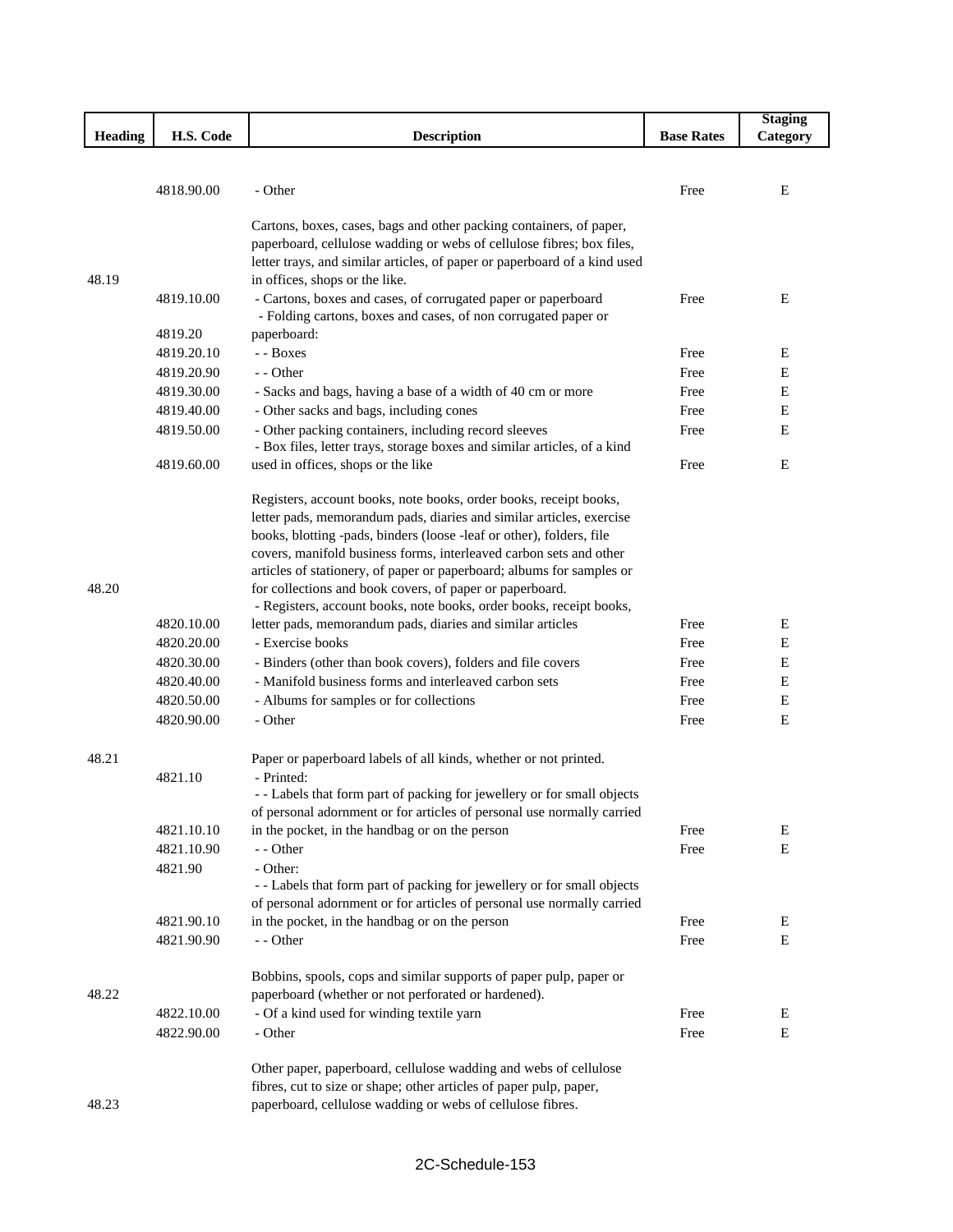|                |            |                                                                                                                                              |                   | <b>Staging</b> |
|----------------|------------|----------------------------------------------------------------------------------------------------------------------------------------------|-------------------|----------------|
| <b>Heading</b> | H.S. Code  | <b>Description</b>                                                                                                                           | <b>Base Rates</b> | Category       |
|                |            |                                                                                                                                              |                   |                |
|                |            |                                                                                                                                              |                   |                |
|                | 4818.90.00 | - Other                                                                                                                                      | Free              | E              |
|                |            |                                                                                                                                              |                   |                |
|                |            | Cartons, boxes, cases, bags and other packing containers, of paper,<br>paperboard, cellulose wadding or webs of cellulose fibres; box files, |                   |                |
|                |            | letter trays, and similar articles, of paper or paperboard of a kind used                                                                    |                   |                |
| 48.19          |            | in offices, shops or the like.                                                                                                               |                   |                |
|                | 4819.10.00 | - Cartons, boxes and cases, of corrugated paper or paperboard                                                                                | Free              | E              |
|                |            | - Folding cartons, boxes and cases, of non corrugated paper or                                                                               |                   |                |
|                | 4819.20    | paperboard:                                                                                                                                  |                   |                |
|                | 4819.20.10 | - - Boxes                                                                                                                                    | Free              | Ε              |
|                | 4819.20.90 | - - Other                                                                                                                                    | Free              | Е              |
|                | 4819.30.00 | - Sacks and bags, having a base of a width of 40 cm or more                                                                                  | Free              | $\mathbf E$    |
|                | 4819.40.00 | - Other sacks and bags, including cones                                                                                                      | Free              | E              |
|                | 4819.50.00 | - Other packing containers, including record sleeves                                                                                         | Free              | E              |
|                |            | - Box files, letter trays, storage boxes and similar articles, of a kind                                                                     |                   |                |
|                | 4819.60.00 | used in offices, shops or the like                                                                                                           | Free              | Ε              |
|                |            |                                                                                                                                              |                   |                |
|                |            | Registers, account books, note books, order books, receipt books,                                                                            |                   |                |
|                |            | letter pads, memorandum pads, diaries and similar articles, exercise<br>books, blotting -pads, binders (loose -leaf or other), folders, file |                   |                |
|                |            | covers, manifold business forms, interleaved carbon sets and other                                                                           |                   |                |
|                |            | articles of stationery, of paper or paperboard; albums for samples or                                                                        |                   |                |
| 48.20          |            | for collections and book covers, of paper or paperboard.                                                                                     |                   |                |
|                |            | - Registers, account books, note books, order books, receipt books,                                                                          |                   |                |
|                | 4820.10.00 | letter pads, memorandum pads, diaries and similar articles                                                                                   | Free              | E              |
|                | 4820.20.00 | - Exercise books                                                                                                                             | Free              | E              |
|                | 4820.30.00 | - Binders (other than book covers), folders and file covers                                                                                  | Free              | Е              |
|                | 4820.40.00 | - Manifold business forms and interleaved carbon sets                                                                                        | Free              | E              |
|                | 4820.50.00 | - Albums for samples or for collections                                                                                                      | Free              | E              |
|                | 4820.90.00 | - Other                                                                                                                                      | Free              | Ε              |
|                |            |                                                                                                                                              |                   |                |
| 48.21          |            | Paper or paperboard labels of all kinds, whether or not printed.                                                                             |                   |                |
|                | 4821.10    | - Printed:                                                                                                                                   |                   |                |
|                |            | - - Labels that form part of packing for jewellery or for small objects                                                                      |                   |                |
|                | 4821.10.10 | of personal adornment or for articles of personal use normally carried<br>in the pocket, in the handbag or on the person                     | Free              | Е              |
|                | 4821.10.90 | - - Other                                                                                                                                    | Free              | Ε              |
|                | 4821.90    | - Other:                                                                                                                                     |                   |                |
|                |            | - - Labels that form part of packing for jewellery or for small objects                                                                      |                   |                |
|                |            | of personal adornment or for articles of personal use normally carried                                                                       |                   |                |
|                | 4821.90.10 | in the pocket, in the handbag or on the person                                                                                               | Free              | Е              |
|                | 4821.90.90 | - - Other                                                                                                                                    | Free              | E              |
|                |            |                                                                                                                                              |                   |                |
|                |            | Bobbins, spools, cops and similar supports of paper pulp, paper or                                                                           |                   |                |
| 48.22          |            | paperboard (whether or not perforated or hardened).                                                                                          |                   |                |
|                | 4822.10.00 | - Of a kind used for winding textile yarn                                                                                                    | Free              | E              |
|                | 4822.90.00 | - Other                                                                                                                                      | Free              | Ε              |
|                |            |                                                                                                                                              |                   |                |
|                |            | Other paper, paperboard, cellulose wadding and webs of cellulose                                                                             |                   |                |
|                |            | fibres, cut to size or shape; other articles of paper pulp, paper,                                                                           |                   |                |
| 48.23          |            | paperboard, cellulose wadding or webs of cellulose fibres.                                                                                   |                   |                |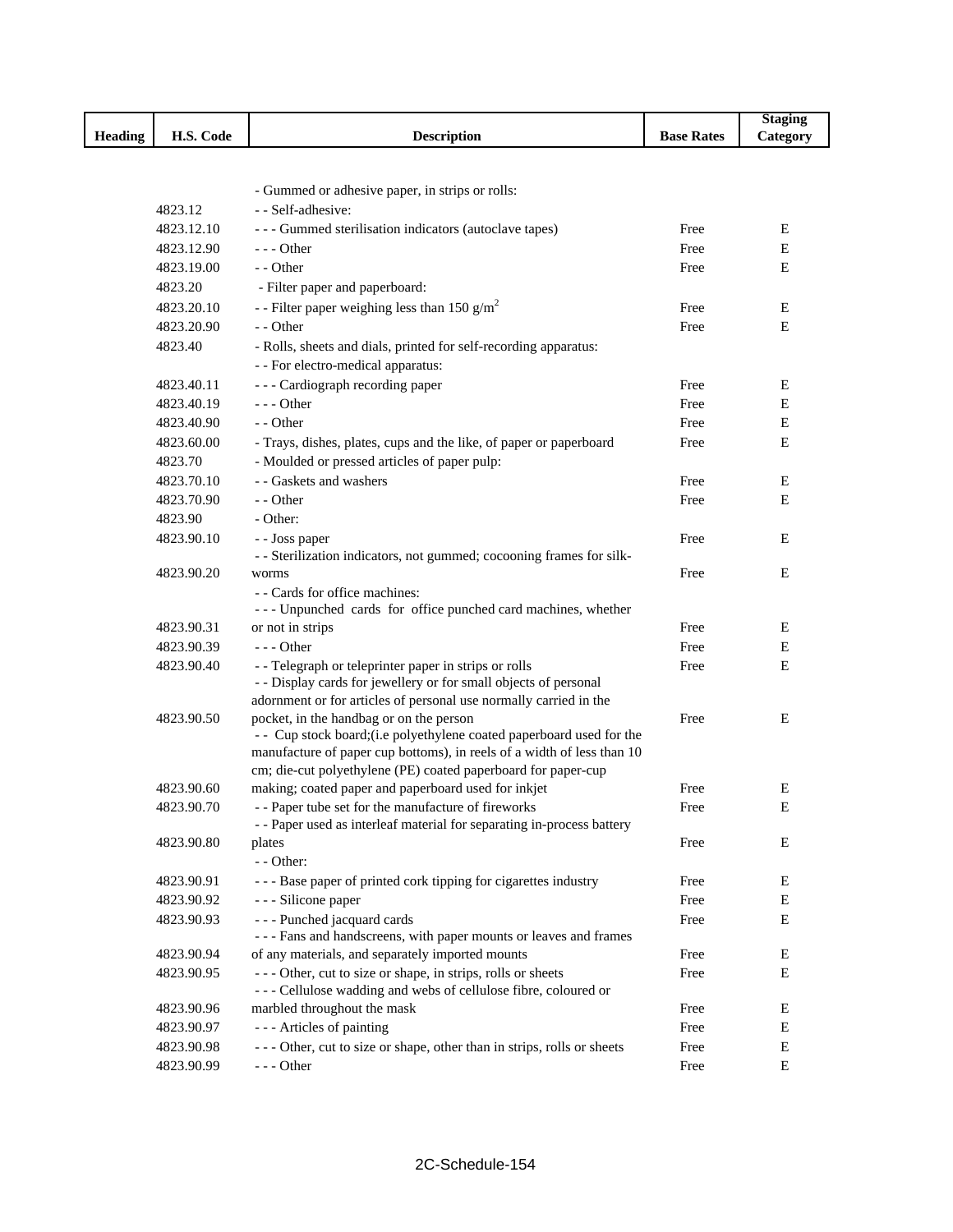|                |            |                                                                                                                                               |                   | <b>Staging</b> |
|----------------|------------|-----------------------------------------------------------------------------------------------------------------------------------------------|-------------------|----------------|
| <b>Heading</b> | H.S. Code  | <b>Description</b>                                                                                                                            | <b>Base Rates</b> | Category       |
|                |            |                                                                                                                                               |                   |                |
|                |            |                                                                                                                                               |                   |                |
|                |            | - Gummed or adhesive paper, in strips or rolls:                                                                                               |                   |                |
|                | 4823.12    | - - Self-adhesive:                                                                                                                            |                   |                |
|                | 4823.12.10 | --- Gummed sterilisation indicators (autoclave tapes)                                                                                         | Free              | Е              |
|                | 4823.12.90 | $- -$ Other                                                                                                                                   | Free              | E              |
|                | 4823.19.00 | - - Other                                                                                                                                     | Free              | E              |
|                | 4823.20    | - Filter paper and paperboard:                                                                                                                |                   |                |
|                | 4823.20.10 | - - Filter paper weighing less than 150 g/m <sup>2</sup>                                                                                      | Free              | Ε              |
|                | 4823.20.90 | - - Other                                                                                                                                     | Free              | E              |
|                | 4823.40    | - Rolls, sheets and dials, printed for self-recording apparatus:                                                                              |                   |                |
|                |            | - - For electro-medical apparatus:                                                                                                            |                   |                |
|                | 4823.40.11 | --- Cardiograph recording paper                                                                                                               | Free              | Ε              |
|                | 4823.40.19 | $--$ Other                                                                                                                                    | Free              | Ε              |
|                | 4823.40.90 | - - Other                                                                                                                                     | Free              | Е              |
|                | 4823.60.00 | - Trays, dishes, plates, cups and the like, of paper or paperboard                                                                            | Free              | E              |
|                | 4823.70    | - Moulded or pressed articles of paper pulp:                                                                                                  |                   |                |
|                | 4823.70.10 | - - Gaskets and washers                                                                                                                       | Free              | Ε              |
|                | 4823.70.90 | - - Other                                                                                                                                     | Free              | E              |
|                | 4823.90    | - Other:                                                                                                                                      |                   |                |
|                | 4823.90.10 | - - Joss paper                                                                                                                                | Free              | E              |
|                |            | - - Sterilization indicators, not gummed; cocooning frames for silk-                                                                          |                   |                |
|                | 4823.90.20 | worms                                                                                                                                         | Free              | E              |
|                |            | - - Cards for office machines:                                                                                                                |                   |                |
|                |            | --- Unpunched cards for office punched card machines, whether                                                                                 |                   |                |
|                | 4823.90.31 | or not in strips                                                                                                                              | Free              | Ε              |
|                | 4823.90.39 | $--$ Other                                                                                                                                    | Free              | E              |
|                | 4823.90.40 | - - Telegraph or teleprinter paper in strips or rolls                                                                                         | Free              | E              |
|                |            | - - Display cards for jewellery or for small objects of personal                                                                              |                   |                |
|                |            | adornment or for articles of personal use normally carried in the                                                                             |                   |                |
|                | 4823.90.50 | pocket, in the handbag or on the person                                                                                                       | Free              | Ε              |
|                |            | - Cup stock board; (i.e polyethylene coated paperboard used for the<br>manufacture of paper cup bottoms), in reels of a width of less than 10 |                   |                |
|                |            | cm; die-cut polyethylene (PE) coated paperboard for paper-cup                                                                                 |                   |                |
|                | 4823.90.60 | making; coated paper and paperboard used for inkjet                                                                                           | Free              | Ε              |
|                | 4823.90.70 | - - Paper tube set for the manufacture of fireworks                                                                                           | Free              | ${\bf E}$      |
|                |            | - - Paper used as interleaf material for separating in-process battery                                                                        |                   |                |
|                | 4823.90.80 | plates                                                                                                                                        | Free              | E              |
|                |            | - - Other:                                                                                                                                    |                   |                |
|                | 4823.90.91 | --- Base paper of printed cork tipping for cigarettes industry                                                                                | Free              | Ε              |
|                | 4823.90.92 | - - - Silicone paper                                                                                                                          | Free              | Ε              |
|                | 4823.90.93 | --- Punched jacquard cards                                                                                                                    | Free              | Е              |
|                |            | --- Fans and handscreens, with paper mounts or leaves and frames                                                                              |                   |                |
|                | 4823.90.94 | of any materials, and separately imported mounts                                                                                              | Free              | E              |
|                | 4823.90.95 | --- Other, cut to size or shape, in strips, rolls or sheets                                                                                   | Free              | E              |
|                |            | --- Cellulose wadding and webs of cellulose fibre, coloured or                                                                                |                   |                |
|                | 4823.90.96 | marbled throughout the mask                                                                                                                   | Free              | Ε              |
|                | 4823.90.97 | --- Articles of painting                                                                                                                      | Free              | E              |
|                | 4823.90.98 | --- Other, cut to size or shape, other than in strips, rolls or sheets                                                                        | Free              | Е              |
|                | 4823.90.99 | $--$ Other                                                                                                                                    | Free              | E              |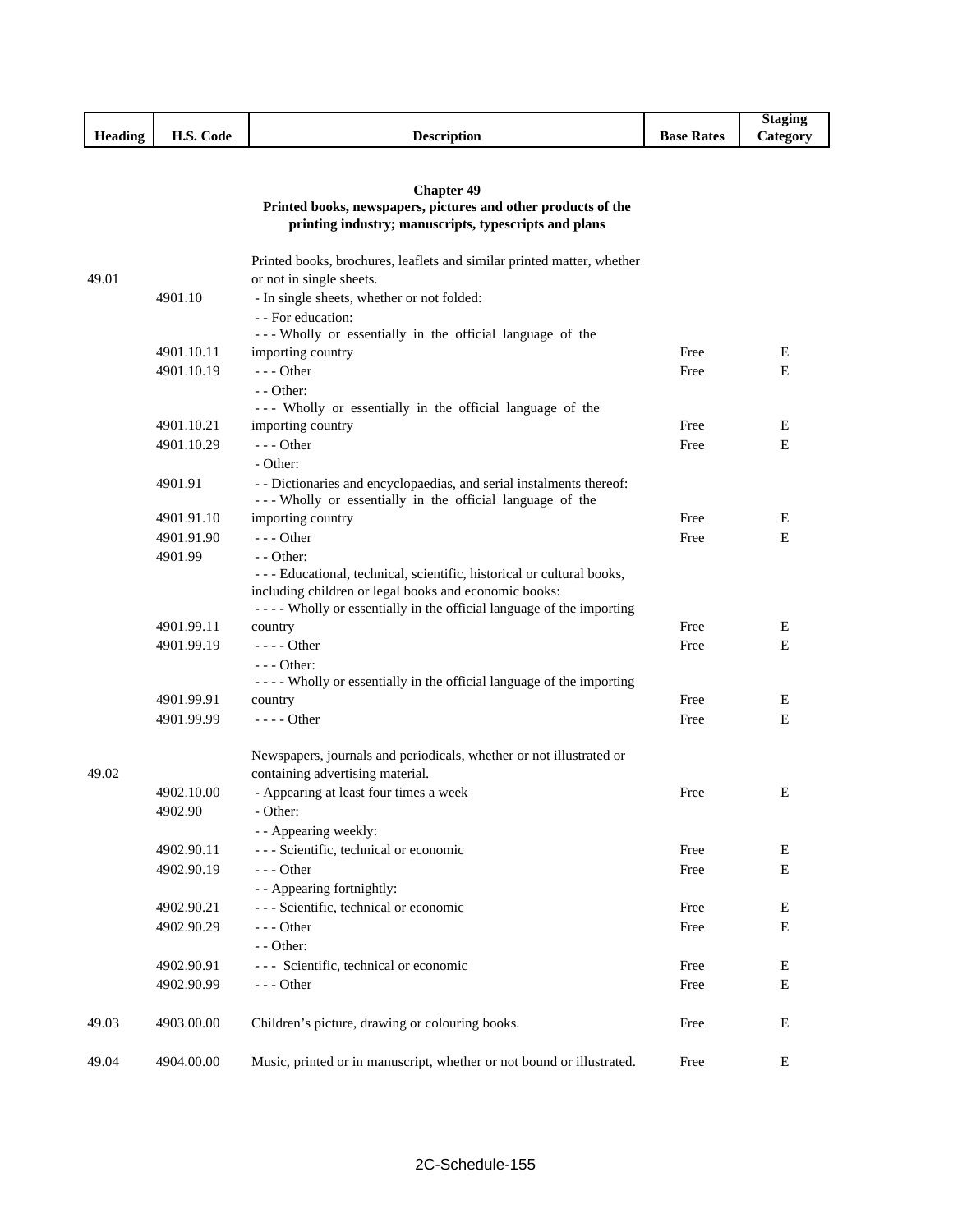|         |                                |                    |               | <b>Staging</b>        |
|---------|--------------------------------|--------------------|---------------|-----------------------|
| Heading | TT C<br>$\sim$<br>Code<br>п.э. | <b>Description</b> | Base<br>Rates | $\mathcal{L}$ ategory |

# **Chapter 49**

# **Printed books, newspapers, pictures and other products of the printing industry; manuscripts, typescripts and plans**

| 49.01 |            | Printed books, brochures, leaflets and similar printed matter, whether<br>or not in single sheets.                               |      |             |
|-------|------------|----------------------------------------------------------------------------------------------------------------------------------|------|-------------|
|       | 4901.10    | - In single sheets, whether or not folded:                                                                                       |      |             |
|       |            | - - For education:                                                                                                               |      |             |
|       |            | --- Wholly or essentially in the official language of the                                                                        |      |             |
|       | 4901.10.11 | importing country                                                                                                                | Free | E           |
|       | 4901.10.19 | $--$ Other                                                                                                                       | Free | E           |
|       |            | $-$ - Other:                                                                                                                     |      |             |
|       |            | --- Wholly or essentially in the official language of the                                                                        |      |             |
|       | 4901.10.21 | importing country                                                                                                                | Free | E           |
|       | 4901.10.29 | $- -$ Other                                                                                                                      | Free | E           |
|       |            | - Other:                                                                                                                         |      |             |
|       | 4901.91    | - - Dictionaries and encyclopaedias, and serial instalments thereof:                                                             |      |             |
|       |            | --- Wholly or essentially in the official language of the                                                                        |      |             |
|       | 4901.91.10 | importing country                                                                                                                | Free | Е           |
|       | 4901.91.90 | $--$ Other                                                                                                                       | Free | E           |
|       | 4901.99    | $-$ - Other:                                                                                                                     |      |             |
|       |            | - - - Educational, technical, scientific, historical or cultural books,<br>including children or legal books and economic books: |      |             |
|       |            | - - - - Wholly or essentially in the official language of the importing                                                          |      |             |
|       | 4901.99.11 | country                                                                                                                          | Free | Е           |
|       | 4901.99.19 | - - - - Other                                                                                                                    | Free | E           |
|       |            | $--$ Other:                                                                                                                      |      |             |
|       |            | - - - - Wholly or essentially in the official language of the importing                                                          |      |             |
|       | 4901.99.91 | country                                                                                                                          | Free | E           |
|       | 4901.99.99 | $--- Other$                                                                                                                      | Free | E           |
| 49.02 |            | Newspapers, journals and periodicals, whether or not illustrated or<br>containing advertising material.                          |      |             |
|       | 4902.10.00 | - Appearing at least four times a week                                                                                           | Free | E           |
|       | 4902.90    | - Other:                                                                                                                         |      |             |
|       |            | - - Appearing weekly:                                                                                                            |      |             |
|       | 4902.90.11 | --- Scientific, technical or economic                                                                                            | Free | Е           |
|       | 4902.90.19 | $- -$ Other                                                                                                                      | Free | E           |
|       |            | - - Appearing fortnightly:                                                                                                       |      |             |
|       | 4902.90.21 | --- Scientific, technical or economic                                                                                            | Free | Ε           |
|       | 4902.90.29 | $--$ Other                                                                                                                       | Free | $\mathbf E$ |
|       |            | - - Other:                                                                                                                       |      |             |
|       | 4902.90.91 | --- Scientific, technical or economic                                                                                            | Free | Ε           |
|       | 4902.90.99 | $--$ Other                                                                                                                       | Free | Ε           |
| 49.03 | 4903.00.00 | Children's picture, drawing or colouring books.                                                                                  | Free | Ε           |
| 49.04 | 4904.00.00 | Music, printed or in manuscript, whether or not bound or illustrated.                                                            | Free | E           |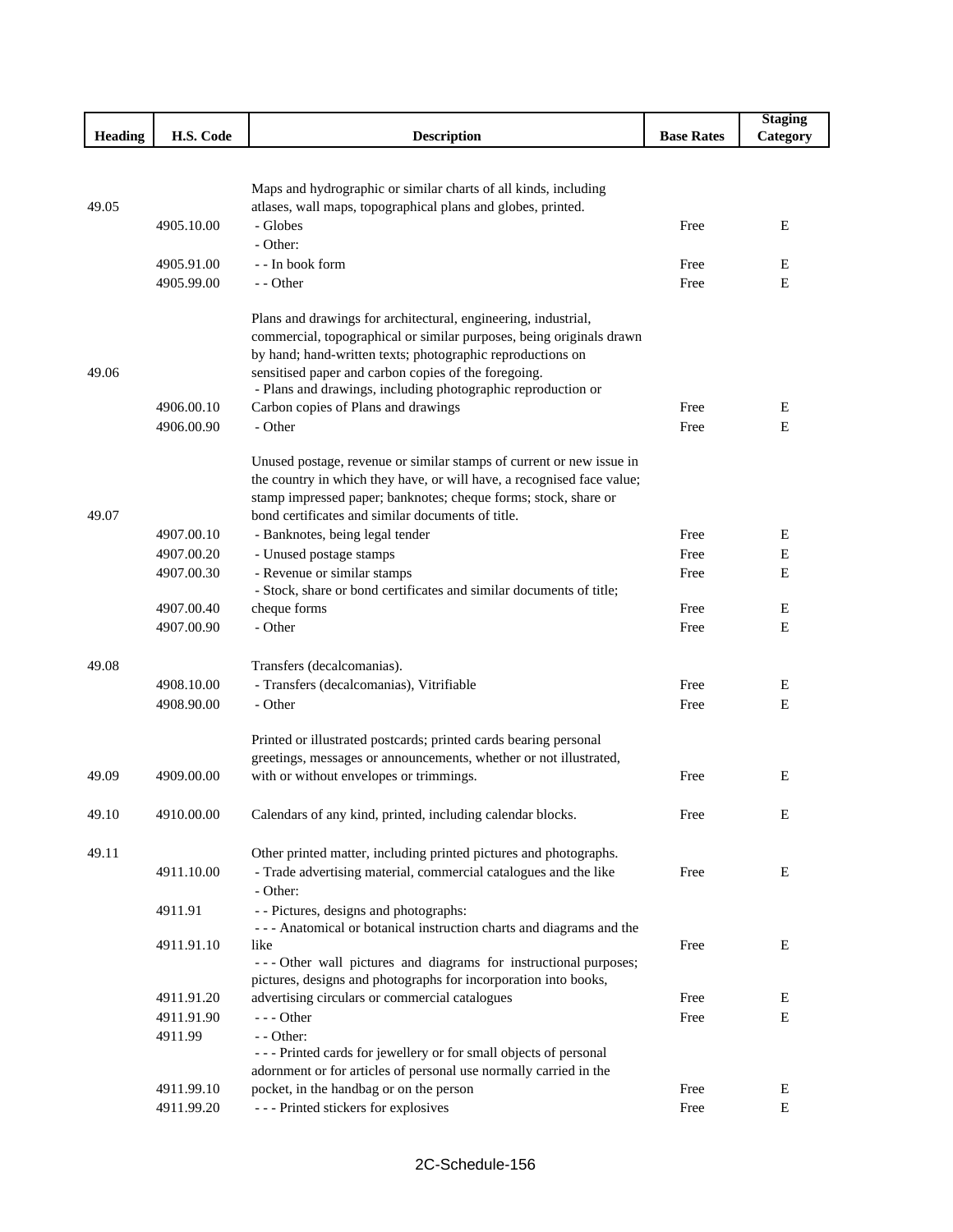|                |            |                                                                        |                   | <b>Staging</b> |
|----------------|------------|------------------------------------------------------------------------|-------------------|----------------|
| <b>Heading</b> | H.S. Code  | <b>Description</b>                                                     | <b>Base Rates</b> | Category       |
|                |            |                                                                        |                   |                |
|                |            |                                                                        |                   |                |
|                |            | Maps and hydrographic or similar charts of all kinds, including        |                   |                |
| 49.05          |            | atlases, wall maps, topographical plans and globes, printed.           |                   |                |
|                | 4905.10.00 | - Globes                                                               | Free              | E              |
|                |            | - Other:                                                               |                   |                |
|                | 4905.91.00 | - - In book form                                                       | Free              | E              |
|                | 4905.99.00 | - - Other                                                              | Free              | Е              |
|                |            | Plans and drawings for architectural, engineering, industrial,         |                   |                |
|                |            | commercial, topographical or similar purposes, being originals drawn   |                   |                |
|                |            | by hand; hand-written texts; photographic reproductions on             |                   |                |
| 49.06          |            | sensitised paper and carbon copies of the foregoing.                   |                   |                |
|                |            | - Plans and drawings, including photographic reproduction or           |                   |                |
|                | 4906.00.10 | Carbon copies of Plans and drawings                                    | Free              | E              |
|                | 4906.00.90 | - Other                                                                | Free              | Е              |
|                |            |                                                                        |                   |                |
|                |            | Unused postage, revenue or similar stamps of current or new issue in   |                   |                |
|                |            | the country in which they have, or will have, a recognised face value; |                   |                |
|                |            | stamp impressed paper; banknotes; cheque forms; stock, share or        |                   |                |
| 49.07          |            | bond certificates and similar documents of title.                      |                   |                |
|                | 4907.00.10 | - Banknotes, being legal tender                                        | Free              | E              |
|                | 4907.00.20 | - Unused postage stamps                                                | Free              | E              |
|                | 4907.00.30 | - Revenue or similar stamps                                            | Free              | Е              |
|                |            | - Stock, share or bond certificates and similar documents of title;    |                   |                |
|                | 4907.00.40 | cheque forms                                                           | Free              | E              |
|                | 4907.00.90 | - Other                                                                | Free              | Е              |
|                |            |                                                                        |                   |                |
| 49.08          |            | Transfers (decalcomanias).                                             |                   |                |
|                | 4908.10.00 | - Transfers (decalcomanias), Vitrifiable                               | Free              | E              |
|                | 4908.90.00 | - Other                                                                | Free              | Е              |
|                |            |                                                                        |                   |                |
|                |            | Printed or illustrated postcards; printed cards bearing personal       |                   |                |
|                |            | greetings, messages or announcements, whether or not illustrated,      |                   |                |
| 49.09          | 4909.00.00 | with or without envelopes or trimmings.                                | Free              | E              |
|                |            |                                                                        |                   |                |
| 49.10          | 4910.00.00 | Calendars of any kind, printed, including calendar blocks.             | Free              | E              |
|                |            |                                                                        |                   |                |
| 49.11          |            | Other printed matter, including printed pictures and photographs.      |                   |                |
|                | 4911.10.00 | - Trade advertising material, commercial catalogues and the like       | Free              | Е              |
|                |            | - Other:                                                               |                   |                |
|                | 4911.91    | - - Pictures, designs and photographs:                                 |                   |                |
|                |            | --- Anatomical or botanical instruction charts and diagrams and the    |                   |                |
|                | 4911.91.10 | like                                                                   | Free              | Е              |
|                |            | --- Other wall pictures and diagrams for instructional purposes;       |                   |                |
|                |            | pictures, designs and photographs for incorporation into books,        |                   |                |
|                | 4911.91.20 | advertising circulars or commercial catalogues                         | Free              | E              |
|                | 4911.91.90 | $--$ Other                                                             | Free              | Е              |
|                | 4911.99    | - - Other:                                                             |                   |                |
|                |            | --- Printed cards for jewellery or for small objects of personal       |                   |                |
|                | 4911.99.10 | adornment or for articles of personal use normally carried in the      | Free              | Е              |
|                |            | pocket, in the handbag or on the person                                |                   |                |
|                | 4911.99.20 | --- Printed stickers for explosives                                    | Free              | ${\bf E}$      |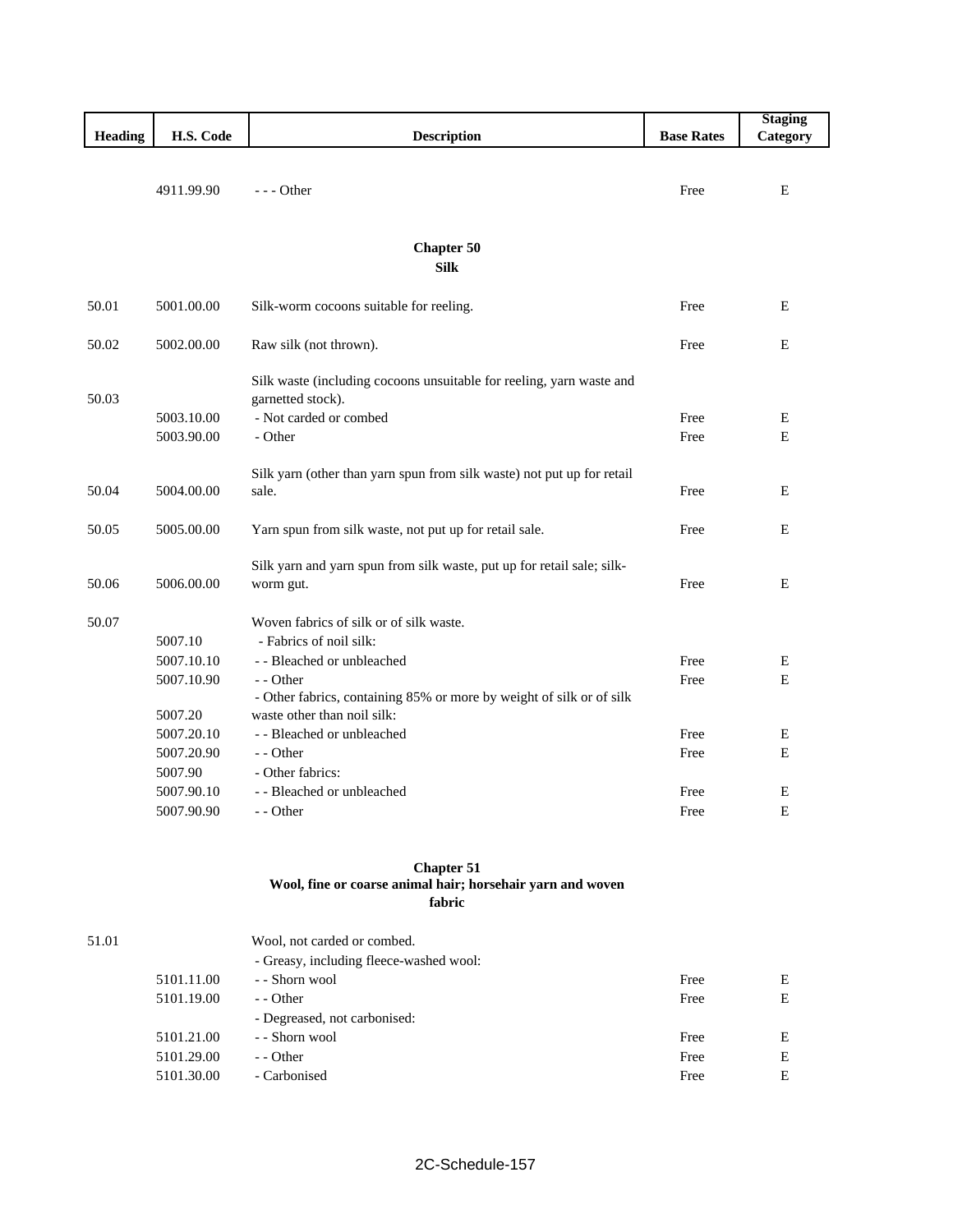|                |            |                                                                        |                   | <b>Staging</b> |
|----------------|------------|------------------------------------------------------------------------|-------------------|----------------|
| <b>Heading</b> | H.S. Code  | <b>Description</b>                                                     | <b>Base Rates</b> | Category       |
|                |            |                                                                        |                   |                |
|                | 4911.99.90 | $- -$ Other                                                            | Free              | E              |
|                |            |                                                                        |                   |                |
|                |            |                                                                        |                   |                |
|                |            | <b>Chapter 50</b>                                                      |                   |                |
|                |            | <b>Silk</b>                                                            |                   |                |
|                |            |                                                                        |                   |                |
| 50.01          | 5001.00.00 | Silk-worm cocoons suitable for reeling.                                | Free              | E              |
|                |            |                                                                        |                   |                |
| 50.02          | 5002.00.00 | Raw silk (not thrown).                                                 | Free              | E              |
|                |            | Silk waste (including cocoons unsuitable for reeling, yarn waste and   |                   |                |
| 50.03          |            | garnetted stock).                                                      |                   |                |
|                | 5003.10.00 | - Not carded or combed                                                 | Free              | E              |
|                | 5003.90.00 | - Other                                                                | Free              | E              |
|                |            |                                                                        |                   |                |
|                |            | Silk yarn (other than yarn spun from silk waste) not put up for retail |                   |                |
| 50.04          | 5004.00.00 | sale.                                                                  | Free              | E              |
|                |            |                                                                        |                   |                |
| 50.05          | 5005.00.00 | Yarn spun from silk waste, not put up for retail sale.                 | Free              | E              |
|                |            | Silk yarn and yarn spun from silk waste, put up for retail sale; silk- |                   |                |
| 50.06          | 5006.00.00 | worm gut.                                                              | Free              | E              |
|                |            |                                                                        |                   |                |
| 50.07          |            | Woven fabrics of silk or of silk waste.                                |                   |                |
|                | 5007.10    | - Fabrics of noil silk:                                                |                   |                |
|                | 5007.10.10 | - - Bleached or unbleached                                             | Free              | $\mathbf E$    |
|                | 5007.10.90 | - - Other                                                              | Free              | E              |
|                |            | - Other fabrics, containing 85% or more by weight of silk or of silk   |                   |                |
|                | 5007.20    | waste other than noil silk:                                            |                   |                |
|                | 5007.20.10 | - - Bleached or unbleached                                             | Free              | Ε              |
|                | 5007.20.90 | - - Other                                                              | Free              | E              |
|                | 5007.90    | - Other fabrics:                                                       |                   |                |
|                | 5007.90.10 | - - Bleached or unbleached                                             | Free              | Ε              |
|                | 5007.90.90 | - - Other                                                              | Free              | E              |
|                |            |                                                                        |                   |                |

#### **Chapter 51 Wool, fine or coarse animal hair; horsehair yarn and woven fabric**

| 51.01 |            | Wool, not carded or combed.             |      |   |
|-------|------------|-----------------------------------------|------|---|
|       |            | - Greasy, including fleece-washed wool: |      |   |
|       | 5101.11.00 | - - Shorn wool                          | Free | E |
|       | 5101.19.00 | $-$ - Other                             | Free | E |
|       |            | - Degreased, not carbonised:            |      |   |
|       | 5101.21.00 | - - Shorn wool                          | Free | E |
|       | 5101.29.00 | $-$ - Other                             | Free | E |
|       | 5101.30.00 | - Carbonised                            | Free | E |
|       |            |                                         |      |   |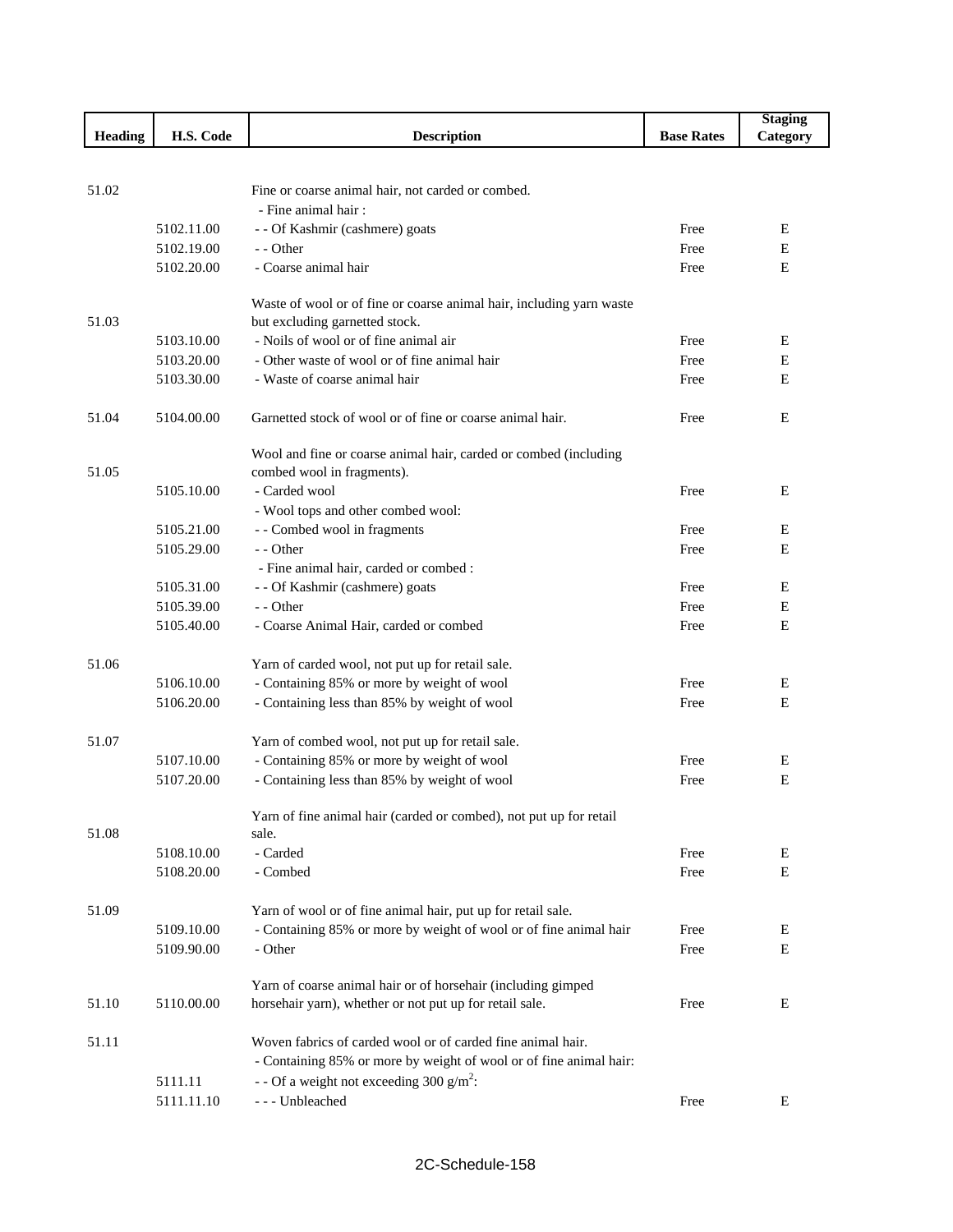|                |            |                                                                                            |                   | <b>Staging</b> |
|----------------|------------|--------------------------------------------------------------------------------------------|-------------------|----------------|
| <b>Heading</b> | H.S. Code  | <b>Description</b>                                                                         | <b>Base Rates</b> | Category       |
|                |            |                                                                                            |                   |                |
|                |            |                                                                                            |                   |                |
| 51.02          |            | Fine or coarse animal hair, not carded or combed.                                          |                   |                |
|                |            | - Fine animal hair:                                                                        |                   |                |
|                | 5102.11.00 | - - Of Kashmir (cashmere) goats                                                            | Free              | E              |
|                | 5102.19.00 | - - Other<br>- Coarse animal hair                                                          | Free              | E<br>E         |
|                | 5102.20.00 |                                                                                            | Free              |                |
|                |            | Waste of wool or of fine or coarse animal hair, including yarn waste                       |                   |                |
| 51.03          |            | but excluding garnetted stock.                                                             |                   |                |
|                | 5103.10.00 | - Noils of wool or of fine animal air                                                      | Free              | E              |
|                | 5103.20.00 | - Other waste of wool or of fine animal hair                                               | Free              | E              |
|                | 5103.30.00 | - Waste of coarse animal hair                                                              | Free              | E              |
|                |            |                                                                                            |                   |                |
| 51.04          | 5104.00.00 | Garnetted stock of wool or of fine or coarse animal hair.                                  | Free              | E              |
|                |            |                                                                                            |                   |                |
|                |            | Wool and fine or coarse animal hair, carded or combed (including                           |                   |                |
| 51.05          |            | combed wool in fragments).                                                                 |                   |                |
|                | 5105.10.00 | - Carded wool                                                                              | Free              | E              |
|                |            | - Wool tops and other combed wool:                                                         |                   |                |
|                | 5105.21.00 | - - Combed wool in fragments                                                               | Free              | Ε              |
|                | 5105.29.00 | - - Other                                                                                  | Free              | E              |
|                |            | - Fine animal hair, carded or combed :                                                     |                   |                |
|                | 5105.31.00 | - - Of Kashmir (cashmere) goats                                                            | Free              | Ε              |
|                | 5105.39.00 | - - Other                                                                                  | Free              | Е              |
|                | 5105.40.00 | - Coarse Animal Hair, carded or combed                                                     | Free              | E              |
|                |            |                                                                                            |                   |                |
| 51.06          | 5106.10.00 | Yarn of carded wool, not put up for retail sale.                                           |                   |                |
|                | 5106.20.00 | - Containing 85% or more by weight of wool<br>- Containing less than 85% by weight of wool | Free<br>Free      | Ε<br>E         |
|                |            |                                                                                            |                   |                |
| 51.07          |            | Yarn of combed wool, not put up for retail sale.                                           |                   |                |
|                | 5107.10.00 | - Containing 85% or more by weight of wool                                                 | Free              | Ε              |
|                | 5107.20.00 | - Containing less than 85% by weight of wool                                               | Free              | E              |
|                |            |                                                                                            |                   |                |
|                |            | Yarn of fine animal hair (carded or combed), not put up for retail                         |                   |                |
| 51.08          |            | sale.                                                                                      |                   |                |
|                | 5108.10.00 | - Carded                                                                                   | Free              | Ε              |
|                | 5108.20.00 | - Combed                                                                                   | Free              | Е              |
|                |            |                                                                                            |                   |                |
| 51.09          |            | Yarn of wool or of fine animal hair, put up for retail sale.                               |                   |                |
|                | 5109.10.00 | - Containing 85% or more by weight of wool or of fine animal hair                          | Free              | E              |
|                | 5109.90.00 | - Other                                                                                    | Free              | Е              |
|                |            |                                                                                            |                   |                |
|                |            | Yarn of coarse animal hair or of horsehair (including gimped                               |                   |                |
| 51.10          | 5110.00.00 | horsehair yarn), whether or not put up for retail sale.                                    | Free              | Ε              |
|                |            |                                                                                            |                   |                |
| 51.11          |            | Woven fabrics of carded wool or of carded fine animal hair.                                |                   |                |
|                |            | - Containing 85% or more by weight of wool or of fine animal hair:                         |                   |                |
|                | 5111.11    | - - Of a weight not exceeding 300 $g/m^2$ :                                                |                   |                |
|                | 5111.11.10 | --- Unbleached                                                                             | Free              | Е              |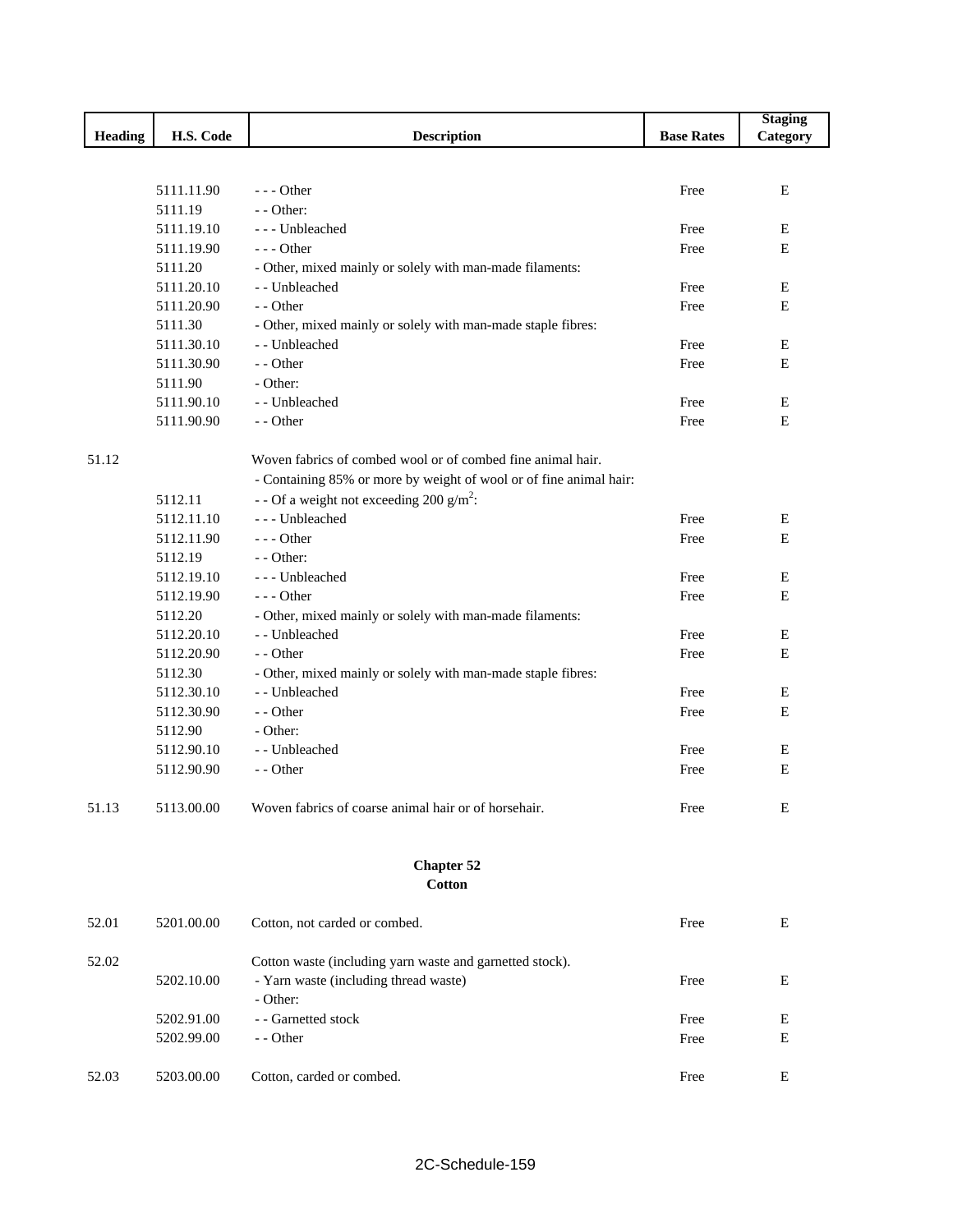|         |            |                                                                    |                   | <b>Staging</b> |
|---------|------------|--------------------------------------------------------------------|-------------------|----------------|
| Heading | H.S. Code  | <b>Description</b>                                                 | <b>Base Rates</b> | Category       |
|         |            |                                                                    |                   |                |
|         |            |                                                                    |                   |                |
|         | 5111.11.90 | $--$ Other                                                         | Free              | Ε              |
|         | 5111.19    | $-$ - Other:                                                       |                   |                |
|         | 5111.19.10 | --- Unbleached                                                     | Free              | E              |
|         | 5111.19.90 | $--$ Other                                                         | Free              | $\mathbf E$    |
|         | 5111.20    | - Other, mixed mainly or solely with man-made filaments:           |                   |                |
|         | 5111.20.10 | - - Unbleached                                                     | Free              | Ε              |
|         | 5111.20.90 | - - Other                                                          | Free              | E              |
|         | 5111.30    | - Other, mixed mainly or solely with man-made staple fibres:       |                   |                |
|         | 5111.30.10 | - - Unbleached                                                     | Free              | Ε              |
|         | 5111.30.90 | - - Other                                                          | Free              | E              |
|         | 5111.90    | - Other:                                                           |                   |                |
|         | 5111.90.10 | - - Unbleached                                                     | Free              | E              |
|         | 5111.90.90 | - - Other                                                          | Free              | $\mathbf E$    |
| 51.12   |            | Woven fabrics of combed wool or of combed fine animal hair.        |                   |                |
|         |            | - Containing 85% or more by weight of wool or of fine animal hair: |                   |                |
|         | 5112.11    | - - Of a weight not exceeding 200 g/m <sup>2</sup> :               |                   |                |
|         | 5112.11.10 | --- Unbleached                                                     | Free              | Е              |
|         | 5112.11.90 | $--$ Other                                                         | Free              | Ε              |
|         | 5112.19    | $-$ - Other:                                                       |                   |                |
|         | 5112.19.10 | --- Unbleached                                                     | Free              | E              |
|         | 5112.19.90 | $--$ Other                                                         | Free              | E              |
|         | 5112.20    | - Other, mixed mainly or solely with man-made filaments:           |                   |                |
|         | 5112.20.10 | - - Unbleached                                                     | Free              | E              |
|         | 5112.20.90 | - - Other                                                          | Free              | E              |
|         | 5112.30    | - Other, mixed mainly or solely with man-made staple fibres:       |                   |                |
|         | 5112.30.10 | - - Unbleached                                                     | Free              | E              |
|         | 5112.30.90 | - - Other                                                          | Free              | E              |
|         | 5112.90    | - Other:                                                           |                   |                |
|         | 5112.90.10 | - - Unbleached                                                     | Free              | Ε              |
|         |            | - - Other                                                          | Free              | Ε              |
|         | 5112.90.90 |                                                                    |                   |                |
| 51.13   | 5113.00.00 | Woven fabrics of coarse animal hair or of horsehair.               | Free              | E              |
|         |            | <b>Chapter 52</b>                                                  |                   |                |
|         |            | <b>Cotton</b>                                                      |                   |                |
| 52.01   | 5201.00.00 | Cotton, not carded or combed.                                      | Free              | Ε              |
| 52.02   |            | Cotton waste (including yarn waste and garnetted stock).           |                   |                |
|         | 5202.10.00 | - Yarn waste (including thread waste)                              | Free              | Ε              |
|         |            | - Other:                                                           |                   |                |
|         | 5202.91.00 | - - Garnetted stock                                                | Free              | E              |
|         | 5202.99.00 | - - Other                                                          | Free              | Ε              |
|         |            |                                                                    |                   |                |
| 52.03   | 5203.00.00 | Cotton, carded or combed.                                          | Free              | E              |
|         |            |                                                                    |                   |                |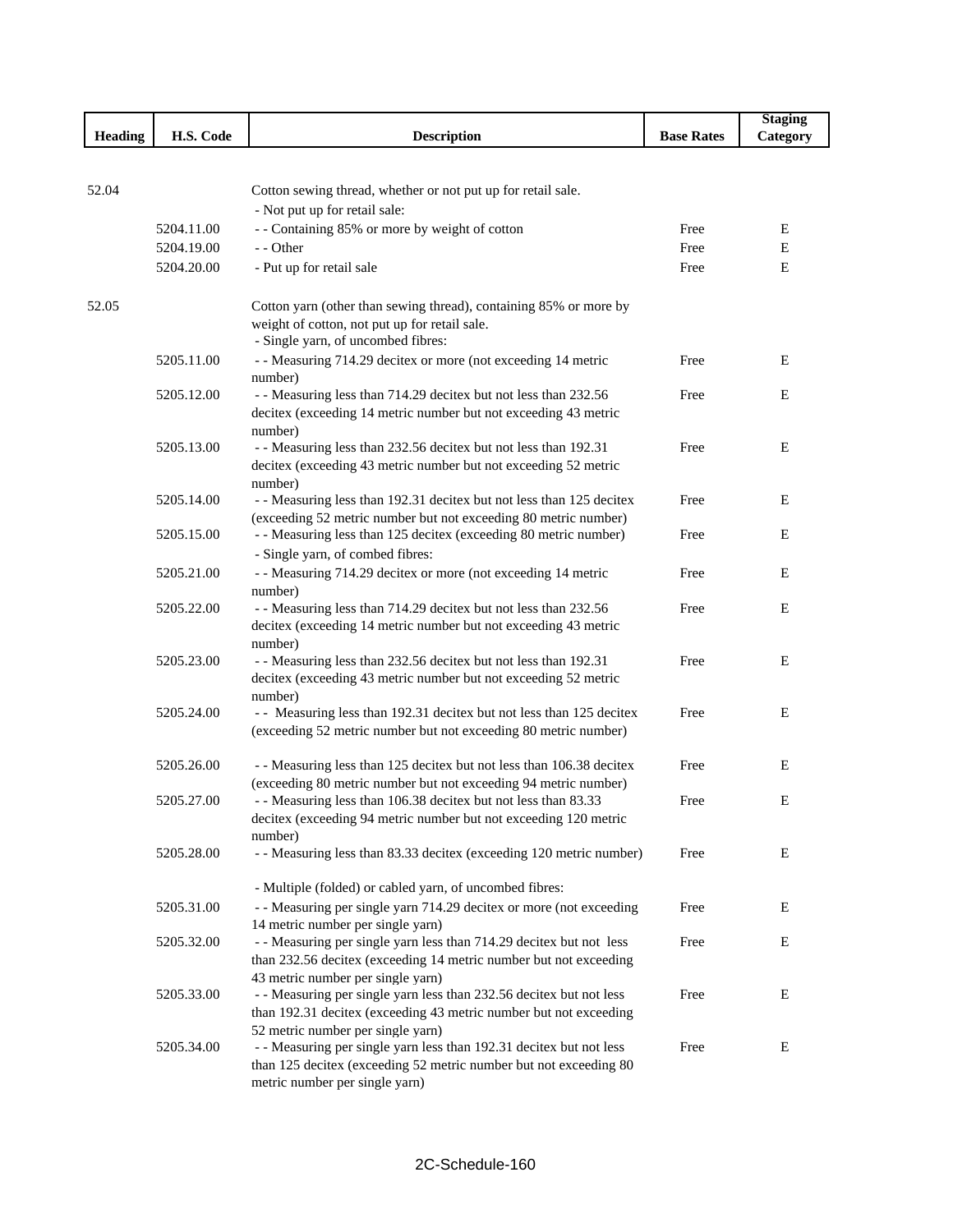|                |            |                                                                                                          |                   | <b>Staging</b> |
|----------------|------------|----------------------------------------------------------------------------------------------------------|-------------------|----------------|
| <b>Heading</b> | H.S. Code  | <b>Description</b>                                                                                       | <b>Base Rates</b> | Category       |
|                |            |                                                                                                          |                   |                |
|                |            |                                                                                                          |                   |                |
| 52.04          |            | Cotton sewing thread, whether or not put up for retail sale.                                             |                   |                |
|                |            | - Not put up for retail sale:                                                                            |                   |                |
|                | 5204.11.00 | - - Containing 85% or more by weight of cotton                                                           | Free              | Ε              |
|                | 5204.19.00 | - - Other                                                                                                | Free              | Е              |
|                | 5204.20.00 | - Put up for retail sale                                                                                 | Free              | E              |
| 52.05          |            | Cotton yarn (other than sewing thread), containing 85% or more by                                        |                   |                |
|                |            | weight of cotton, not put up for retail sale.                                                            |                   |                |
|                |            | - Single yarn, of uncombed fibres:                                                                       |                   |                |
|                | 5205.11.00 | - - Measuring 714.29 decitex or more (not exceeding 14 metric                                            | Free              | E              |
|                |            | number)                                                                                                  |                   |                |
|                | 5205.12.00 | - - Measuring less than 714.29 decitex but not less than 232.56                                          | Free              | E              |
|                |            | decitex (exceeding 14 metric number but not exceeding 43 metric                                          |                   |                |
|                |            | number)                                                                                                  |                   |                |
|                | 5205.13.00 | - - Measuring less than 232.56 decitex but not less than 192.31                                          | Free              | Ε              |
|                |            | decitex (exceeding 43 metric number but not exceeding 52 metric                                          |                   |                |
|                |            | number)                                                                                                  |                   |                |
|                | 5205.14.00 | - - Measuring less than 192.31 decitex but not less than 125 decitex                                     | Free              | E              |
|                |            | (exceeding 52 metric number but not exceeding 80 metric number)                                          |                   |                |
|                | 5205.15.00 | - - Measuring less than 125 decitex (exceeding 80 metric number)                                         | Free              | Е              |
|                |            | - Single yarn, of combed fibres:                                                                         |                   |                |
|                | 5205.21.00 | - - Measuring 714.29 decitex or more (not exceeding 14 metric                                            | Free              | Е              |
|                | 5205.22.00 | number)<br>- - Measuring less than 714.29 decitex but not less than 232.56                               | Free              | Ε              |
|                |            | decitex (exceeding 14 metric number but not exceeding 43 metric                                          |                   |                |
|                |            | number)                                                                                                  |                   |                |
|                | 5205.23.00 | - - Measuring less than 232.56 decitex but not less than 192.31                                          | Free              | Ε              |
|                |            | decitex (exceeding 43 metric number but not exceeding 52 metric                                          |                   |                |
|                |            | number)                                                                                                  |                   |                |
|                | 5205.24.00 | - - Measuring less than 192.31 decitex but not less than 125 decitex                                     | Free              | Ε              |
|                |            | (exceeding 52 metric number but not exceeding 80 metric number)                                          |                   |                |
|                | 5205.26.00 | - - Measuring less than 125 decitex but not less than 106.38 decitex                                     | Free              | E              |
|                |            | (exceeding 80 metric number but not exceeding 94 metric number)                                          |                   |                |
|                | 5205.27.00 | - - Measuring less than 106.38 decitex but not less than 83.33                                           | Free              | Е              |
|                |            | decitex (exceeding 94 metric number but not exceeding 120 metric                                         |                   |                |
|                |            | number)                                                                                                  |                   |                |
|                | 5205.28.00 | - - Measuring less than 83.33 decitex (exceeding 120 metric number)                                      | Free              | E              |
|                |            | - Multiple (folded) or cabled yarn, of uncombed fibres:                                                  |                   |                |
|                | 5205.31.00 | - - Measuring per single yarn 714.29 decitex or more (not exceeding                                      | Free              | Ε              |
|                |            | 14 metric number per single yarn)                                                                        |                   |                |
|                | 5205.32.00 | - - Measuring per single yarn less than 714.29 decitex but not less                                      | Free              | Е              |
|                |            | than 232.56 decitex (exceeding 14 metric number but not exceeding                                        |                   |                |
|                |            | 43 metric number per single yarn)                                                                        |                   |                |
|                | 5205.33.00 | - - Measuring per single yarn less than 232.56 decitex but not less                                      | Free              | E              |
|                |            | than 192.31 decitex (exceeding 43 metric number but not exceeding                                        |                   |                |
|                | 5205.34.00 | 52 metric number per single yarn)<br>- - Measuring per single yarn less than 192.31 decitex but not less | Free              | Ε              |
|                |            | than 125 decitex (exceeding 52 metric number but not exceeding 80                                        |                   |                |
|                |            | metric number per single yarn)                                                                           |                   |                |
|                |            |                                                                                                          |                   |                |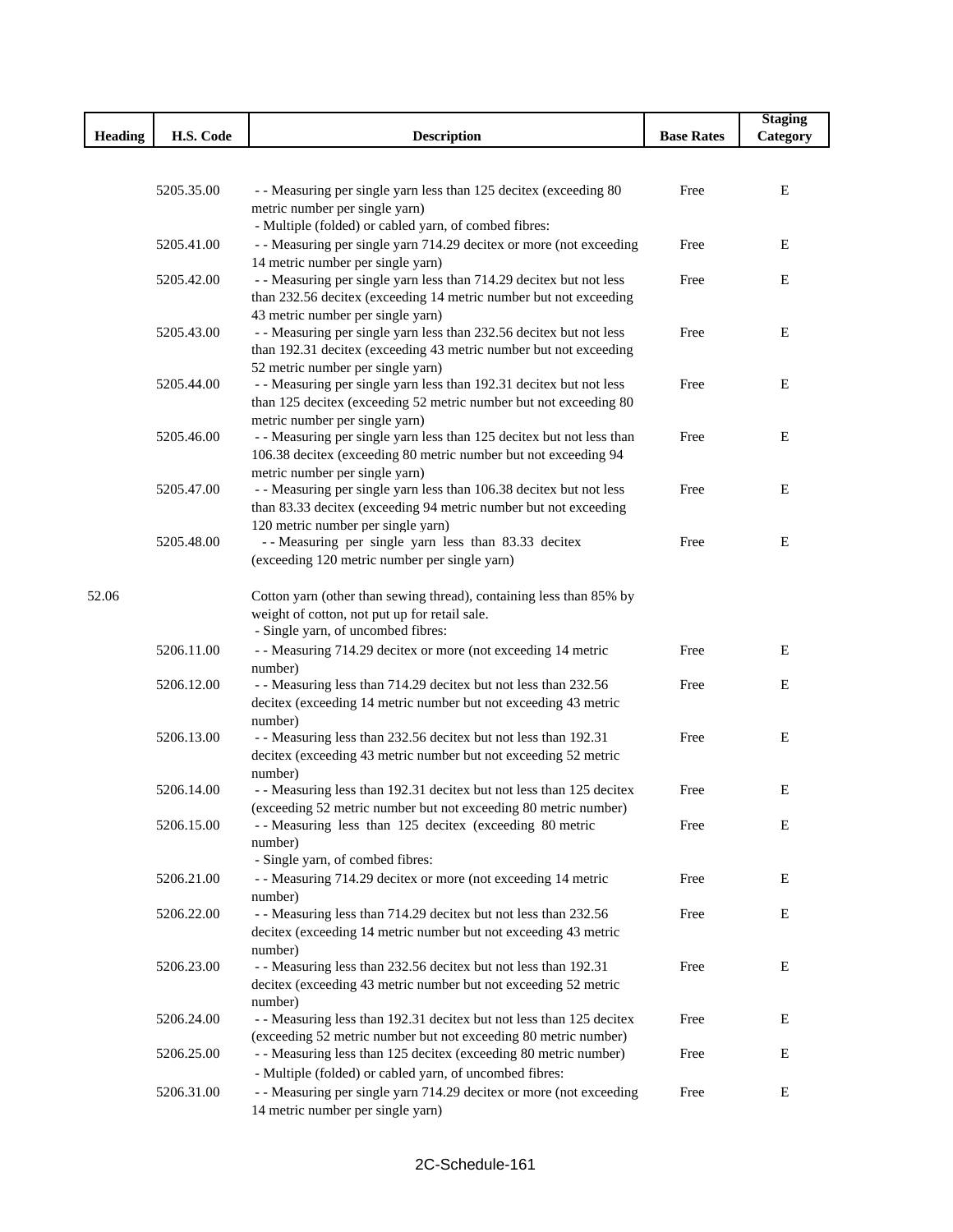|                |            |                                                                                                                                          |                   | <b>Staging</b> |
|----------------|------------|------------------------------------------------------------------------------------------------------------------------------------------|-------------------|----------------|
| <b>Heading</b> | H.S. Code  | <b>Description</b>                                                                                                                       | <b>Base Rates</b> | Category       |
|                |            |                                                                                                                                          |                   |                |
|                |            |                                                                                                                                          |                   |                |
|                | 5205.35.00 | - - Measuring per single yarn less than 125 decitex (exceeding 80                                                                        | Free              | Е              |
|                |            | metric number per single yarn)                                                                                                           |                   |                |
|                |            | - Multiple (folded) or cabled yarn, of combed fibres:                                                                                    |                   |                |
|                | 5205.41.00 | - - Measuring per single yarn 714.29 decitex or more (not exceeding                                                                      | Free              | Ε              |
|                |            | 14 metric number per single yarn)                                                                                                        | Free              | E              |
|                | 5205.42.00 | - - Measuring per single yarn less than 714.29 decitex but not less<br>than 232.56 decitex (exceeding 14 metric number but not exceeding |                   |                |
|                |            | 43 metric number per single yarn)                                                                                                        |                   |                |
|                | 5205.43.00 | - - Measuring per single yarn less than 232.56 decitex but not less                                                                      | Free              | E              |
|                |            | than 192.31 decitex (exceeding 43 metric number but not exceeding                                                                        |                   |                |
|                |            | 52 metric number per single yarn)                                                                                                        |                   |                |
|                | 5205.44.00 | - - Measuring per single yarn less than 192.31 decitex but not less                                                                      | Free              | E              |
|                |            | than 125 decitex (exceeding 52 metric number but not exceeding 80                                                                        |                   |                |
|                |            | metric number per single yarn)                                                                                                           |                   |                |
|                | 5205.46.00 | - - Measuring per single yarn less than 125 decitex but not less than                                                                    | Free              | Ε              |
|                |            | 106.38 decitex (exceeding 80 metric number but not exceeding 94                                                                          |                   |                |
|                |            | metric number per single yarn)                                                                                                           |                   |                |
|                | 5205.47.00 | - - Measuring per single yarn less than 106.38 decitex but not less                                                                      | Free              | E              |
|                |            | than 83.33 decitex (exceeding 94 metric number but not exceeding                                                                         |                   |                |
|                | 5205.48.00 | 120 metric number per single yarn)<br>-- Measuring per single yarn less than 83.33 decitex                                               | Free              | E              |
|                |            | (exceeding 120 metric number per single yarn)                                                                                            |                   |                |
|                |            |                                                                                                                                          |                   |                |
| 52.06          |            | Cotton yarn (other than sewing thread), containing less than 85% by                                                                      |                   |                |
|                |            | weight of cotton, not put up for retail sale.                                                                                            |                   |                |
|                |            | - Single yarn, of uncombed fibres:                                                                                                       |                   |                |
|                | 5206.11.00 | - - Measuring 714.29 decitex or more (not exceeding 14 metric                                                                            | Free              | E              |
|                |            | number)                                                                                                                                  |                   |                |
|                | 5206.12.00 | - - Measuring less than 714.29 decitex but not less than 232.56                                                                          | Free              | E              |
|                |            | decitex (exceeding 14 metric number but not exceeding 43 metric                                                                          |                   |                |
|                |            | number)                                                                                                                                  |                   |                |
|                | 5206.13.00 | - - Measuring less than 232.56 decitex but not less than 192.31                                                                          | Free              | Ε              |
|                |            | decitex (exceeding 43 metric number but not exceeding 52 metric                                                                          |                   |                |
|                |            | number)                                                                                                                                  |                   |                |
|                | 5206.14.00 | - - Measuring less than 192.31 decitex but not less than 125 decitex                                                                     | Free              | Ε              |
|                |            | (exceeding 52 metric number but not exceeding 80 metric number)                                                                          |                   |                |
|                | 5206.15.00 | -- Measuring less than 125 decitex (exceeding 80 metric                                                                                  | Free              | Ε              |
|                |            | number)<br>- Single yarn, of combed fibres:                                                                                              |                   |                |
|                | 5206.21.00 | - - Measuring 714.29 decitex or more (not exceeding 14 metric                                                                            | Free              | Ε              |
|                |            | number)                                                                                                                                  |                   |                |
|                | 5206.22.00 | - - Measuring less than 714.29 decitex but not less than 232.56                                                                          | Free              | E              |
|                |            | decitex (exceeding 14 metric number but not exceeding 43 metric                                                                          |                   |                |
|                |            | number)                                                                                                                                  |                   |                |
|                | 5206.23.00 | - - Measuring less than 232.56 decitex but not less than 192.31                                                                          | Free              | Ε              |
|                |            | decitex (exceeding 43 metric number but not exceeding 52 metric                                                                          |                   |                |
|                |            | number)                                                                                                                                  |                   |                |
|                | 5206.24.00 | - - Measuring less than 192.31 decitex but not less than 125 decitex                                                                     | Free              | E              |
|                |            | (exceeding 52 metric number but not exceeding 80 metric number)                                                                          |                   |                |
|                | 5206.25.00 | - - Measuring less than 125 decitex (exceeding 80 metric number)                                                                         | Free              | E              |
|                |            | - Multiple (folded) or cabled yarn, of uncombed fibres:                                                                                  |                   |                |
|                | 5206.31.00 | - - Measuring per single yarn 714.29 decitex or more (not exceeding                                                                      | Free              | E              |
|                |            | 14 metric number per single yarn)                                                                                                        |                   |                |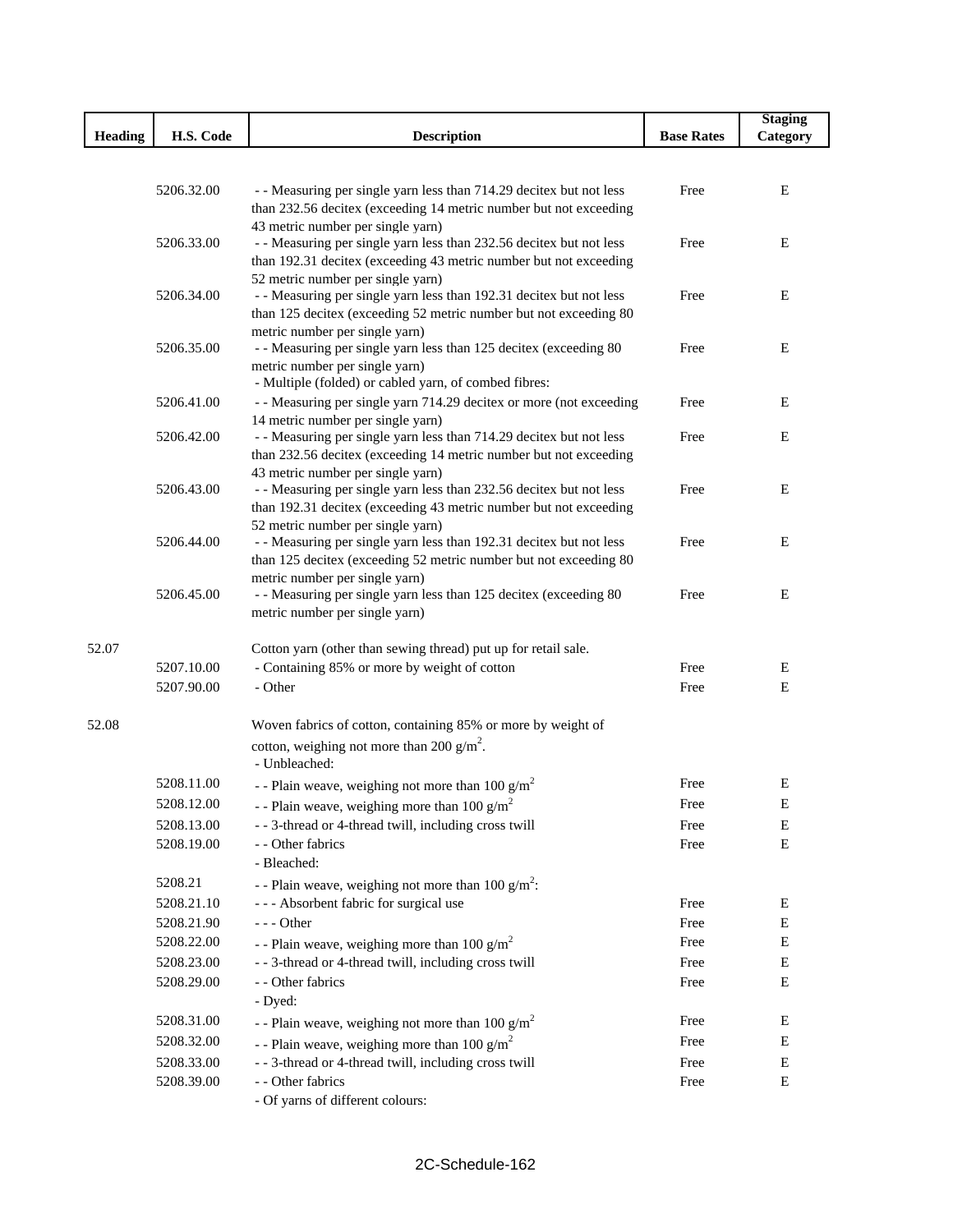|                                                                                                                                                                | <b>Staging</b> |
|----------------------------------------------------------------------------------------------------------------------------------------------------------------|----------------|
| <b>Heading</b><br>H.S. Code<br><b>Description</b><br><b>Base Rates</b>                                                                                         | Category       |
|                                                                                                                                                                |                |
| 5206.32.00<br>- - Measuring per single yarn less than 714.29 decitex but not less<br>Free                                                                      | Ε              |
| than 232.56 decitex (exceeding 14 metric number but not exceeding                                                                                              |                |
| 43 metric number per single yarn)                                                                                                                              |                |
| - - Measuring per single yarn less than 232.56 decitex but not less<br>Free<br>5206.33.00                                                                      | E              |
| than 192.31 decitex (exceeding 43 metric number but not exceeding                                                                                              |                |
| 52 metric number per single yarn)                                                                                                                              |                |
| - - Measuring per single yarn less than 192.31 decitex but not less<br>5206.34.00<br>Free<br>than 125 decitex (exceeding 52 metric number but not exceeding 80 | E              |
| metric number per single yarn)                                                                                                                                 |                |
| 5206.35.00<br>- - Measuring per single yarn less than 125 decitex (exceeding 80<br>Free                                                                        | Ε              |
| metric number per single yarn)                                                                                                                                 |                |
| - Multiple (folded) or cabled yarn, of combed fibres:                                                                                                          |                |
| - - Measuring per single yarn 714.29 decitex or more (not exceeding<br>5206.41.00<br>Free                                                                      | Ε              |
| 14 metric number per single yarn)<br>- - Measuring per single yarn less than 714.29 decitex but not less<br>5206.42.00<br>Free                                 | Ε              |
| than 232.56 decitex (exceeding 14 metric number but not exceeding                                                                                              |                |
| 43 metric number per single yarn)                                                                                                                              |                |
| 5206.43.00<br>- - Measuring per single yarn less than 232.56 decitex but not less<br>Free                                                                      | Ε              |
| than 192.31 decitex (exceeding 43 metric number but not exceeding                                                                                              |                |
| 52 metric number per single yarn)<br>5206.44.00<br>Free                                                                                                        | Ε              |
| - - Measuring per single yarn less than 192.31 decitex but not less<br>than 125 decitex (exceeding 52 metric number but not exceeding 80                       |                |
| metric number per single yarn)                                                                                                                                 |                |
| 5206.45.00<br>- - Measuring per single yarn less than 125 decitex (exceeding 80<br>Free                                                                        | E              |
| metric number per single yarn)                                                                                                                                 |                |
|                                                                                                                                                                |                |
| 52.07<br>Cotton yarn (other than sewing thread) put up for retail sale.<br>5207.10.00<br>Free                                                                  | Ε              |
| - Containing 85% or more by weight of cotton<br>5207.90.00<br>- Other<br>Free                                                                                  | ${\bf E}$      |
|                                                                                                                                                                |                |
| Woven fabrics of cotton, containing 85% or more by weight of<br>52.08                                                                                          |                |
| cotton, weighing not more than 200 g/m <sup>2</sup> .                                                                                                          |                |
| - Unbleached:                                                                                                                                                  |                |
| 5208.11.00<br>Free<br>- - Plain weave, weighing not more than 100 $g/m^2$                                                                                      | E              |
| 5208.12.00<br>- - Plain weave, weighing more than 100 $g/m^2$<br>Free                                                                                          | Е              |
| - - 3-thread or 4-thread twill, including cross twill<br>5208.13.00<br>Free                                                                                    | Ε              |
| 5208.19.00<br>- - Other fabrics<br>Free                                                                                                                        | $\mathbf E$    |
| - Bleached:                                                                                                                                                    |                |
| 5208.21<br>- - Plain weave, weighing not more than 100 $g/m^2$ :                                                                                               |                |
| --- Absorbent fabric for surgical use<br>5208.21.10<br>Free                                                                                                    | E              |
| 5208.21.90<br>$- -$ Other<br>Free                                                                                                                              | E              |
| 5208.22.00<br>- - Plain weave, weighing more than 100 $g/m^2$<br>Free                                                                                          | E              |
| - - 3-thread or 4-thread twill, including cross twill<br>5208.23.00<br>Free                                                                                    | ${\bf E}$      |
| 5208.29.00<br>- - Other fabrics<br>Free                                                                                                                        | E              |
| - Dyed:<br>5208.31.00<br>Free                                                                                                                                  | Ε              |
| - - Plain weave, weighing not more than 100 $g/m^2$<br>Free                                                                                                    |                |
| 5208.32.00<br>- - Plain weave, weighing more than 100 $g/m^2$                                                                                                  | E              |
| - - 3-thread or 4-thread twill, including cross twill<br>5208.33.00<br>Free<br>5208.39.00<br>- - Other fabrics<br>Free                                         | Ε<br>E         |
| - Of yarns of different colours:                                                                                                                               |                |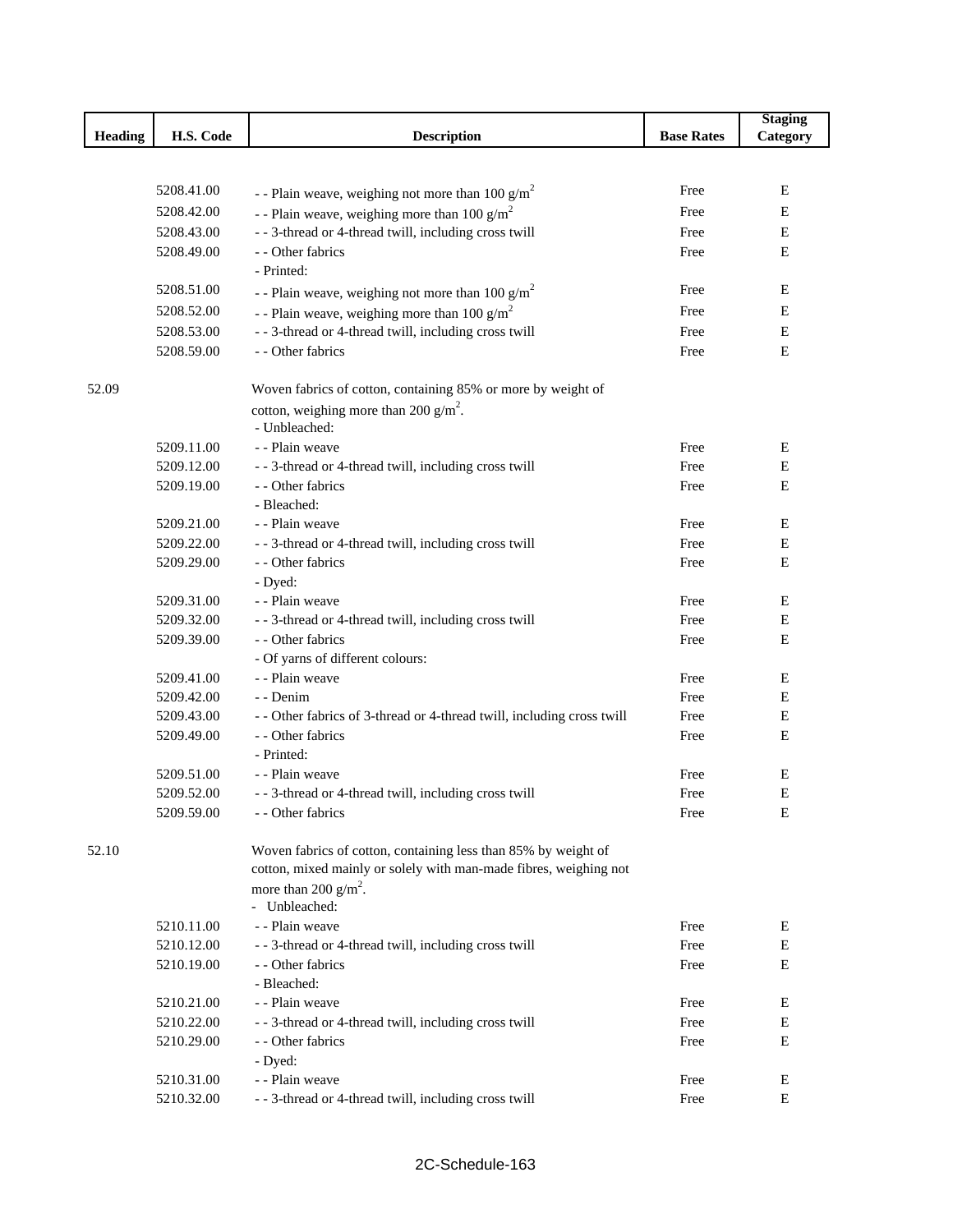|         |            |                                                                        |                   | <b>Staging</b> |
|---------|------------|------------------------------------------------------------------------|-------------------|----------------|
| Heading | H.S. Code  | <b>Description</b>                                                     | <b>Base Rates</b> | Category       |
|         |            |                                                                        |                   |                |
|         |            |                                                                        |                   |                |
|         | 5208.41.00 | - - Plain weave, weighing not more than 100 $g/m^2$                    | Free              | E              |
|         | 5208.42.00 | - - Plain weave, weighing more than 100 $g/m^2$                        | Free              | E              |
|         | 5208.43.00 | - - 3-thread or 4-thread twill, including cross twill                  | Free              | E              |
|         | 5208.49.00 | - - Other fabrics                                                      | Free              | E              |
|         |            | - Printed:                                                             |                   |                |
|         | 5208.51.00 | - - Plain weave, weighing not more than 100 $g/m^2$                    | Free              | Ε              |
|         | 5208.52.00 | - - Plain weave, weighing more than 100 $g/m^2$                        | Free              | Е              |
|         | 5208.53.00 | - - 3-thread or 4-thread twill, including cross twill                  | Free              | E              |
|         | 5208.59.00 | - - Other fabrics                                                      | Free              | E              |
| 52.09   |            | Woven fabrics of cotton, containing 85% or more by weight of           |                   |                |
|         |            | cotton, weighing more than 200 $g/m^2$ .                               |                   |                |
|         |            | - Unbleached:                                                          |                   |                |
|         | 5209.11.00 | - - Plain weave                                                        | Free              | E              |
|         | 5209.12.00 | - - 3-thread or 4-thread twill, including cross twill                  | Free              | $\mathbf E$    |
|         | 5209.19.00 | - - Other fabrics                                                      | Free              | E              |
|         |            | - Bleached:                                                            |                   |                |
|         | 5209.21.00 | - - Plain weave                                                        | Free              | E              |
|         | 5209.22.00 | - - 3-thread or 4-thread twill, including cross twill                  | Free              | $\mathbf E$    |
|         | 5209.29.00 | - - Other fabrics                                                      | Free              | E              |
|         |            | - Dyed:                                                                |                   |                |
|         | 5209.31.00 | - - Plain weave                                                        | Free              | E              |
|         | 5209.32.00 | - - 3-thread or 4-thread twill, including cross twill                  | Free              | E              |
|         | 5209.39.00 | - - Other fabrics                                                      | Free              | E              |
|         |            | - Of yarns of different colours:                                       |                   |                |
|         | 5209.41.00 | - - Plain weave                                                        | Free              | E              |
|         | 5209.42.00 | - - Denim                                                              | Free              | Е              |
|         | 5209.43.00 | - - Other fabrics of 3-thread or 4-thread twill, including cross twill | Free              | $\mathbf E$    |
|         | 5209.49.00 | - - Other fabrics                                                      | Free              | E              |
|         |            | - Printed:                                                             |                   |                |
|         | 5209.51.00 | - - Plain weave                                                        | Free              | E              |
|         | 5209.52.00 | - - 3-thread or 4-thread twill, including cross twill                  | Free              | E              |
|         | 5209.59.00 | - - Other fabrics                                                      | Free              | E              |
| 52.10   |            | Woven fabrics of cotton, containing less than 85% by weight of         |                   |                |
|         |            | cotton, mixed mainly or solely with man-made fibres, weighing not      |                   |                |
|         |            | more than 200 $g/m^2$ .<br>- Unbleached:                               |                   |                |
|         | 5210.11.00 | - - Plain weave                                                        | Free              | Ε              |
|         | 5210.12.00 | - - 3-thread or 4-thread twill, including cross twill                  | Free              | E              |
|         | 5210.19.00 | - - Other fabrics                                                      | Free              | E              |
|         |            | - Bleached:                                                            |                   |                |
|         | 5210.21.00 | - - Plain weave                                                        | Free              | Е              |
|         | 5210.22.00 | - - 3-thread or 4-thread twill, including cross twill                  | Free              | ${\bf E}$      |
|         | 5210.29.00 | - - Other fabrics                                                      | Free              | E              |
|         |            | - Dyed:                                                                |                   |                |
|         | 5210.31.00 | - - Plain weave                                                        | Free              | E              |
|         | 5210.32.00 | - - 3-thread or 4-thread twill, including cross twill                  | Free              | E              |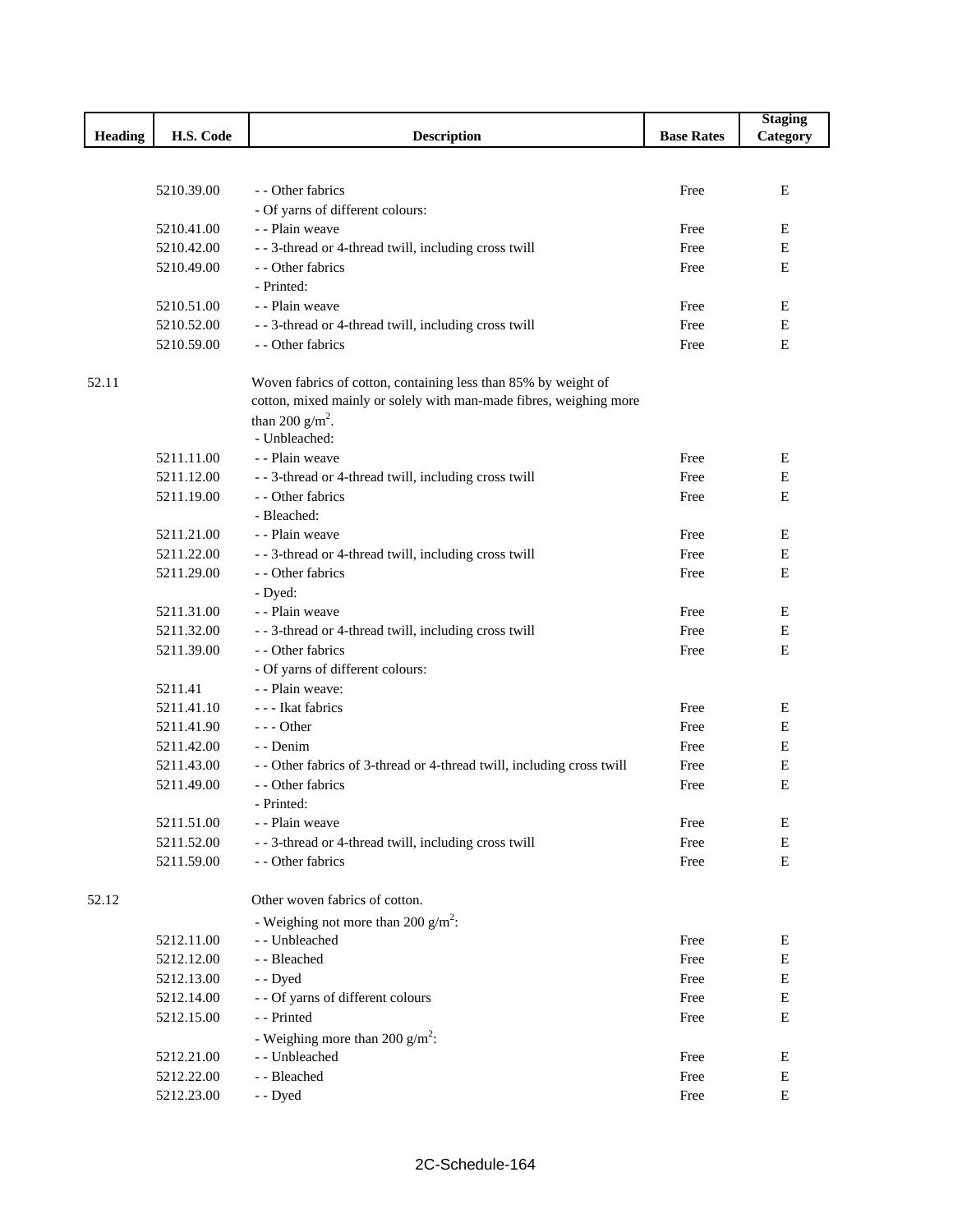|                |            |                                                                        |                   | <b>Staging</b> |
|----------------|------------|------------------------------------------------------------------------|-------------------|----------------|
| <b>Heading</b> | H.S. Code  | <b>Description</b>                                                     | <b>Base Rates</b> | Category       |
|                |            |                                                                        |                   |                |
|                |            |                                                                        |                   |                |
|                | 5210.39.00 | - - Other fabrics                                                      | Free              | E              |
|                |            | - Of yarns of different colours:                                       |                   |                |
|                | 5210.41.00 | - - Plain weave                                                        | Free              | E              |
|                | 5210.42.00 | - - 3-thread or 4-thread twill, including cross twill                  | Free              | E              |
|                | 5210.49.00 | - - Other fabrics<br>- Printed:                                        | Free              | Ε              |
|                | 5210.51.00 | - - Plain weave                                                        | Free              | E              |
|                | 5210.52.00 | - - 3-thread or 4-thread twill, including cross twill                  | Free              | E              |
|                | 5210.59.00 | - - Other fabrics                                                      | Free              | E              |
|                |            |                                                                        |                   |                |
| 52.11          |            | Woven fabrics of cotton, containing less than 85% by weight of         |                   |                |
|                |            | cotton, mixed mainly or solely with man-made fibres, weighing more     |                   |                |
|                |            | than 200 $g/m^2$ .                                                     |                   |                |
|                |            | - Unbleached:                                                          |                   |                |
|                | 5211.11.00 | - - Plain weave                                                        | Free              | E              |
|                | 5211.12.00 | - - 3-thread or 4-thread twill, including cross twill                  | Free              | E              |
|                | 5211.19.00 | - - Other fabrics                                                      | Free              | Ε              |
|                |            | - Bleached:                                                            |                   |                |
|                | 5211.21.00 | - - Plain weave                                                        | Free              | E              |
|                | 5211.22.00 | - - 3-thread or 4-thread twill, including cross twill                  | Free              | E              |
|                | 5211.29.00 | - - Other fabrics                                                      | Free              | Ε              |
|                |            | - Dyed:                                                                |                   |                |
|                | 5211.31.00 | - - Plain weave                                                        | Free              | E              |
|                | 5211.32.00 | - - 3-thread or 4-thread twill, including cross twill                  | Free              | E              |
|                | 5211.39.00 | - - Other fabrics                                                      | Free              | E              |
|                |            | - Of yarns of different colours:                                       |                   |                |
|                | 5211.41    | - - Plain weave:                                                       |                   |                |
|                | 5211.41.10 | - - - Ikat fabrics                                                     | Free              | E              |
|                | 5211.41.90 | $--$ Other                                                             | Free              | E              |
|                | 5211.42.00 | - - Denim                                                              | Free              | E              |
|                | 5211.43.00 | - - Other fabrics of 3-thread or 4-thread twill, including cross twill | Free              | E              |
|                | 5211.49.00 | - - Other fabrics                                                      | Free              | E              |
|                |            | - Printed:                                                             |                   |                |
|                | 5211.51.00 | - - Plain weave                                                        | Free              | Е              |
|                | 5211.52.00 | - - 3-thread or 4-thread twill, including cross twill                  | Free              | E              |
|                | 5211.59.00 | - - Other fabrics                                                      | Free              | ${\bf E}$      |
|                |            |                                                                        |                   |                |
| 52.12          |            | Other woven fabrics of cotton.                                         |                   |                |
|                |            | - Weighing not more than 200 $g/m^2$ :                                 |                   |                |
|                | 5212.11.00 | - - Unbleached                                                         | Free              | E              |
|                | 5212.12.00 | - - Bleached                                                           | Free              | E              |
|                | 5212.13.00 | - - Dyed                                                               | Free              | E              |
|                | 5212.14.00 | - - Of yarns of different colours                                      | Free              | E              |
|                | 5212.15.00 | - - Printed                                                            | Free              | E              |
|                |            | - Weighing more than 200 $g/m^2$ :                                     |                   |                |
|                | 5212.21.00 | - - Unbleached                                                         | Free              | E              |
|                | 5212.22.00 | - - Bleached                                                           | Free              | E              |
|                | 5212.23.00 | - - Dyed                                                               | Free              | Е              |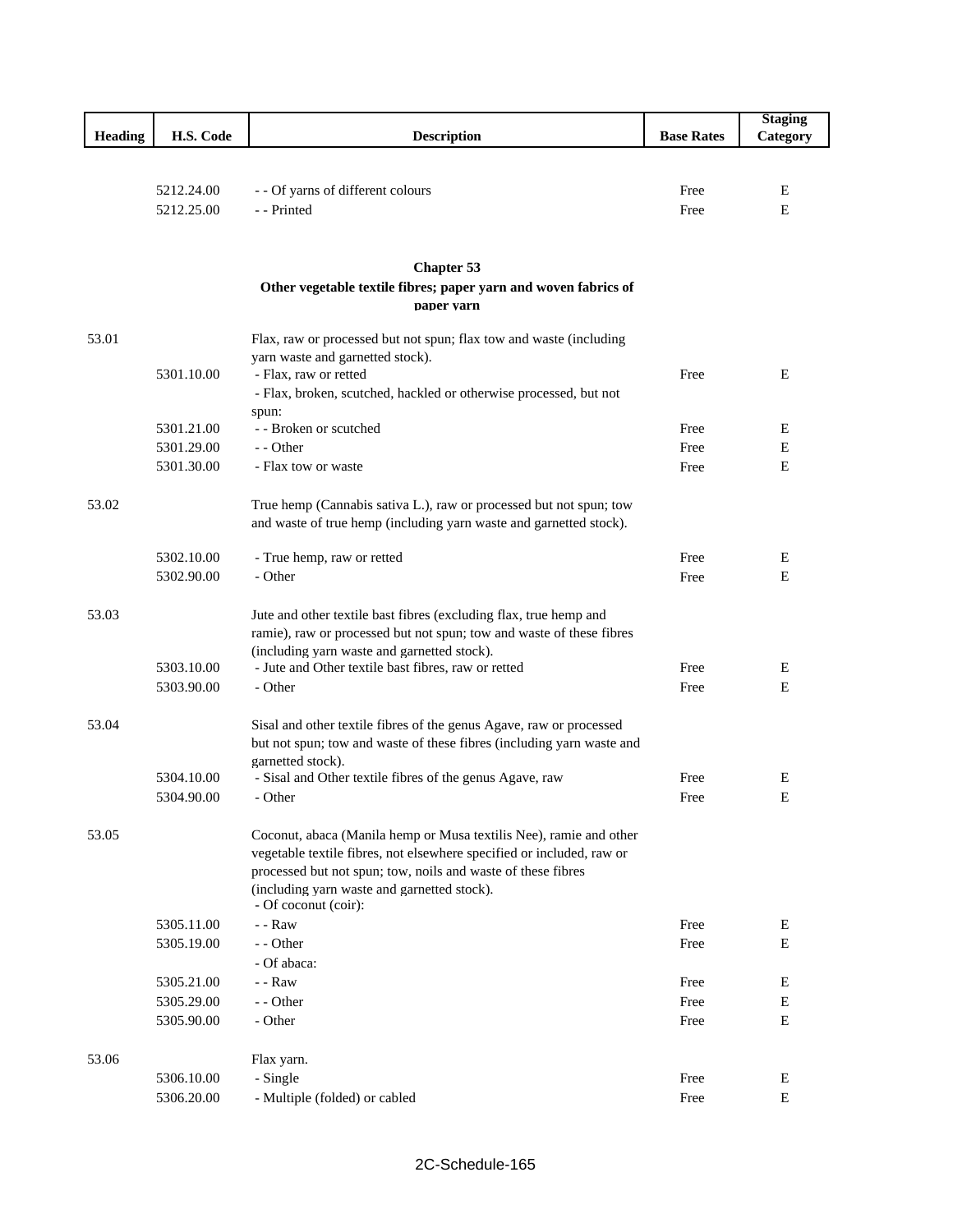|                |            |                                                                               |                   | <b>Staging</b> |
|----------------|------------|-------------------------------------------------------------------------------|-------------------|----------------|
| <b>Heading</b> | H.S. Code  | <b>Description</b>                                                            | <b>Base Rates</b> | Category       |
|                |            |                                                                               |                   |                |
|                |            |                                                                               |                   |                |
|                | 5212.24.00 | - - Of yarns of different colours                                             | Free              | E              |
|                | 5212.25.00 | - - Printed                                                                   | Free              | E              |
|                |            |                                                                               |                   |                |
|                |            |                                                                               |                   |                |
|                |            | <b>Chapter 53</b>                                                             |                   |                |
|                |            | Other vegetable textile fibres; paper yarn and woven fabrics of<br>paper varn |                   |                |
| 53.01          |            | Flax, raw or processed but not spun; flax tow and waste (including            |                   |                |
|                |            | yarn waste and garnetted stock).                                              |                   |                |
|                | 5301.10.00 | - Flax, raw or retted                                                         | Free              | Ε              |
|                |            | - Flax, broken, scutched, hackled or otherwise processed, but not             |                   |                |
|                |            | spun:                                                                         |                   |                |
|                | 5301.21.00 | - - Broken or scutched                                                        | Free              | Е              |
|                | 5301.29.00 | - - Other                                                                     | Free              | Е              |
|                | 5301.30.00 | - Flax tow or waste                                                           | Free              | Е              |
|                |            |                                                                               |                   |                |
| 53.02          |            | True hemp (Cannabis sativa L.), raw or processed but not spun; tow            |                   |                |
|                |            | and waste of true hemp (including yarn waste and garnetted stock).            |                   |                |
|                | 5302.10.00 | - True hemp, raw or retted                                                    | Free              | Е              |
|                | 5302.90.00 | - Other                                                                       | Free              | E              |
|                |            |                                                                               |                   |                |
| 53.03          |            | Jute and other textile bast fibres (excluding flax, true hemp and             |                   |                |
|                |            | ramie), raw or processed but not spun; tow and waste of these fibres          |                   |                |
|                |            | (including yarn waste and garnetted stock).                                   |                   |                |
|                | 5303.10.00 | - Jute and Other textile bast fibres, raw or retted                           | Free              | E              |
|                | 5303.90.00 | - Other                                                                       | Free              | E              |
|                |            |                                                                               |                   |                |
| 53.04          |            | Sisal and other textile fibres of the genus Agave, raw or processed           |                   |                |
|                |            | but not spun; tow and waste of these fibres (including yarn waste and         |                   |                |
|                | 5304.10.00 | garnetted stock).                                                             | Free              | Ε              |
|                | 5304.90.00 | - Sisal and Other textile fibres of the genus Agave, raw<br>- Other           | Free              | Е              |
|                |            |                                                                               |                   |                |
| 53.05          |            | Coconut, abaca (Manila hemp or Musa textilis Nee), ramie and other            |                   |                |
|                |            | vegetable textile fibres, not elsewhere specified or included, raw or         |                   |                |
|                |            | processed but not spun; tow, noils and waste of these fibres                  |                   |                |
|                |            | (including yarn waste and garnetted stock).                                   |                   |                |
|                |            | - Of coconut (coir):                                                          |                   |                |
|                | 5305.11.00 | $-$ - $\mathsf{Raw}$                                                          | Free              | E              |
|                | 5305.19.00 | - - Other                                                                     | Free              | Е              |
|                |            | - Of abaca:                                                                   |                   |                |
|                | 5305.21.00 | $-$ - $\Gamma$ aw                                                             | Free              | E              |
|                | 5305.29.00 | - - Other                                                                     | Free              | Е              |
|                | 5305.90.00 | - Other                                                                       | Free              | ${\bf E}$      |
|                |            |                                                                               |                   |                |
| 53.06          |            | Flax yarn.                                                                    |                   |                |
|                | 5306.10.00 | - Single                                                                      | Free              | E              |
|                | 5306.20.00 | - Multiple (folded) or cabled                                                 | Free              | E              |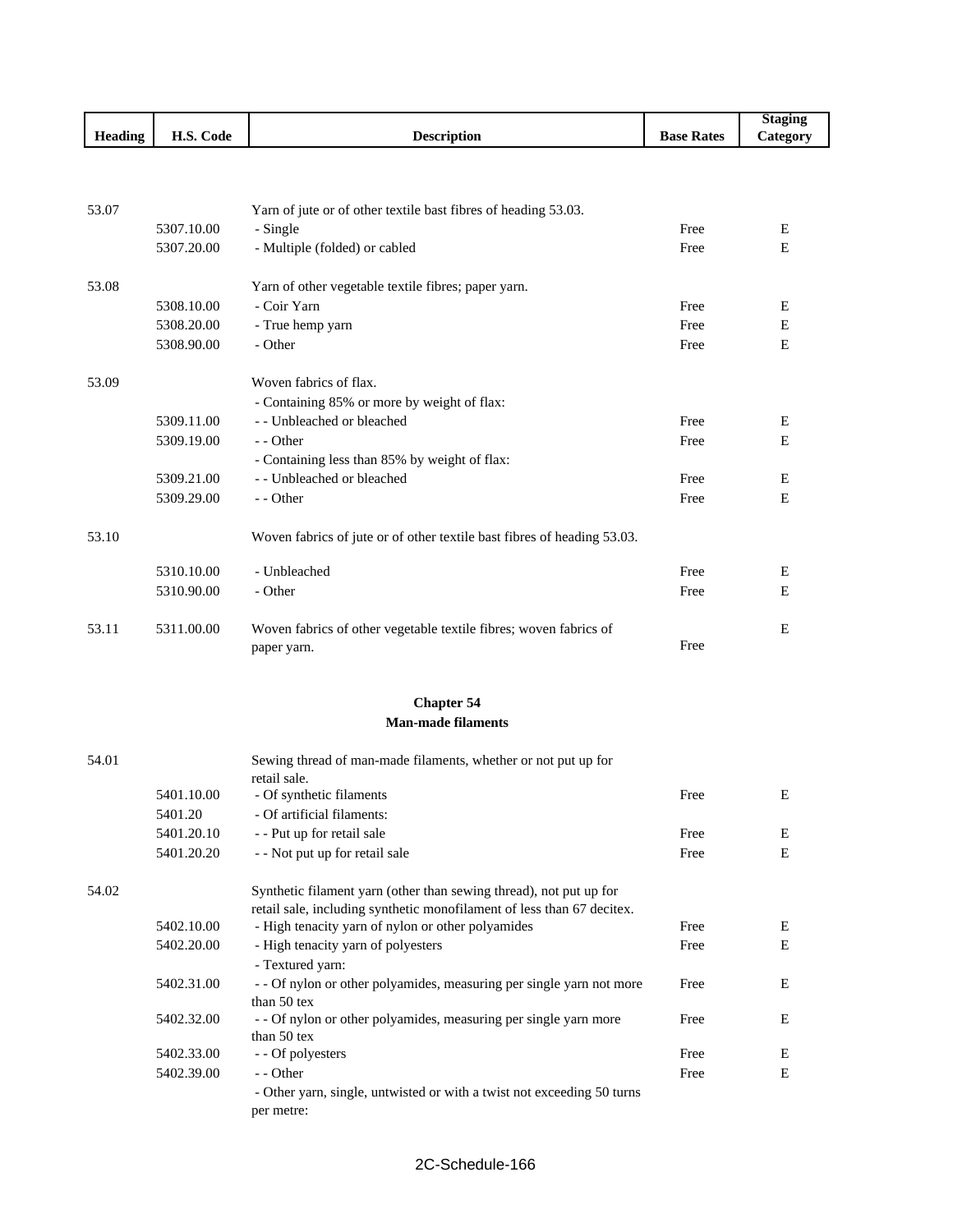|                |            |                                                                         |                   | <b>Staging</b> |
|----------------|------------|-------------------------------------------------------------------------|-------------------|----------------|
| <b>Heading</b> | H.S. Code  | <b>Description</b>                                                      | <b>Base Rates</b> | Category       |
|                |            |                                                                         |                   |                |
|                |            |                                                                         |                   |                |
| 53.07          |            | Yarn of jute or of other textile bast fibres of heading 53.03.          |                   |                |
|                | 5307.10.00 | - Single                                                                | Free              | E              |
|                | 5307.20.00 | - Multiple (folded) or cabled                                           | Free              | E              |
| 53.08          |            | Yarn of other vegetable textile fibres; paper yarn.                     |                   |                |
|                | 5308.10.00 | - Coir Yarn                                                             | Free              | E              |
|                | 5308.20.00 | - True hemp yarn                                                        | Free              | E              |
|                | 5308.90.00 | - Other                                                                 | Free              | E              |
| 53.09          |            | Woven fabrics of flax.                                                  |                   |                |
|                |            | - Containing 85% or more by weight of flax:                             |                   |                |
|                | 5309.11.00 | - - Unbleached or bleached                                              | Free              | E              |
|                | 5309.19.00 | - - Other                                                               | Free              | E              |
|                |            | - Containing less than 85% by weight of flax:                           |                   |                |
|                | 5309.21.00 | - - Unbleached or bleached                                              | Free              | E              |
|                | 5309.29.00 | - - Other                                                               | Free              | E              |
| 53.10          |            | Woven fabrics of jute or of other textile bast fibres of heading 53.03. |                   |                |
|                | 5310.10.00 | - Unbleached                                                            | Free              | Ε              |
|                | 5310.90.00 | - Other                                                                 | Free              | E              |
| 53.11          | 5311.00.00 | Woven fabrics of other vegetable textile fibres; woven fabrics of       |                   | E              |
|                |            | paper yarn.                                                             | Free              |                |

### **Chapter 54 Man-made filaments**

| 54.01 |            | Sewing thread of man-made filaments, whether or not put up for         |      |   |  |
|-------|------------|------------------------------------------------------------------------|------|---|--|
|       | 5401.10.00 | retail sale.<br>- Of synthetic filaments                               | Free | E |  |
|       | 5401.20    | - Of artificial filaments:                                             |      |   |  |
|       | 5401.20.10 | - - Put up for retail sale                                             | Free | E |  |
|       | 5401.20.20 | - - Not put up for retail sale                                         | Free | Ε |  |
| 54.02 |            | Synthetic filament yarn (other than sewing thread), not put up for     |      |   |  |
|       |            | retail sale, including synthetic monofilament of less than 67 decitex. |      |   |  |
|       | 5402.10.00 | - High tenacity yarn of nylon or other polyamides                      | Free | Ε |  |
|       | 5402.20.00 | - High tenacity yarn of polyesters                                     | Free | E |  |
|       |            | - Textured yarn:                                                       |      |   |  |
|       | 5402.31.00 | - - Of nylon or other polyamides, measuring per single yarn not more   | Free | Ε |  |
|       |            | than $50$ tex                                                          |      |   |  |
|       | 5402.32.00 | - - Of nylon or other polyamides, measuring per single yarn more       | Free | Ε |  |
|       |            | than $50$ tex                                                          |      |   |  |
|       | 5402.33.00 | - - Of polyesters                                                      | Free | Ε |  |
|       | 5402.39.00 | - - Other                                                              | Free | Е |  |
|       |            | - Other yarn, single, untwisted or with a twist not exceeding 50 turns |      |   |  |
|       |            | per metre:                                                             |      |   |  |
|       |            |                                                                        |      |   |  |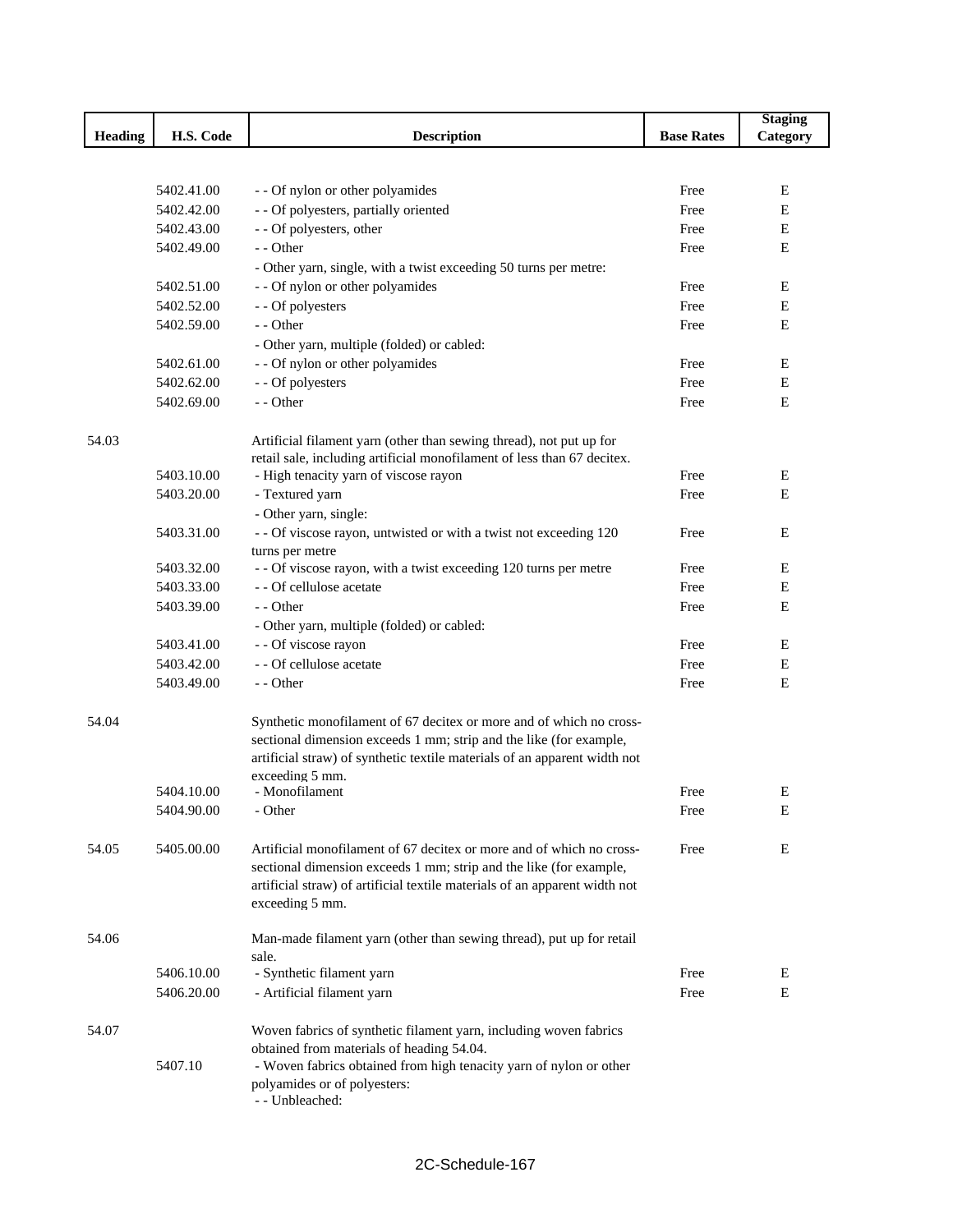|                |            |                                                                                      |                   | <b>Staging</b> |
|----------------|------------|--------------------------------------------------------------------------------------|-------------------|----------------|
| <b>Heading</b> | H.S. Code  | <b>Description</b>                                                                   | <b>Base Rates</b> | Category       |
|                |            |                                                                                      |                   |                |
|                |            |                                                                                      |                   |                |
|                | 5402.41.00 | - - Of nylon or other polyamides                                                     | Free              | Е              |
|                | 5402.42.00 | - - Of polyesters, partially oriented                                                | Free              | E              |
|                | 5402.43.00 | - - Of polyesters, other                                                             | Free              | E              |
|                | 5402.49.00 | - - Other                                                                            | Free              | Е              |
|                |            | - Other yarn, single, with a twist exceeding 50 turns per metre:                     |                   |                |
|                | 5402.51.00 | - - Of nylon or other polyamides                                                     | Free              | Ε              |
|                | 5402.52.00 | - - Of polyesters                                                                    | Free              | E              |
|                | 5402.59.00 | - - Other                                                                            | Free              | E              |
|                |            | - Other yarn, multiple (folded) or cabled:                                           |                   |                |
|                | 5402.61.00 | - - Of nylon or other polyamides                                                     | Free              | Ε              |
|                | 5402.62.00 | - - Of polyesters                                                                    | Free              | E              |
|                | 5402.69.00 | - - Other                                                                            | Free              | E              |
| 54.03          |            | Artificial filament yarn (other than sewing thread), not put up for                  |                   |                |
|                |            | retail sale, including artificial monofilament of less than 67 decitex.              |                   |                |
|                | 5403.10.00 | - High tenacity yarn of viscose rayon                                                | Free              | E              |
|                | 5403.20.00 | - Textured yarn                                                                      | Free              | E              |
|                |            | - Other yarn, single:                                                                |                   |                |
|                | 5403.31.00 | - - Of viscose rayon, untwisted or with a twist not exceeding 120<br>turns per metre | Free              | E              |
|                | 5403.32.00 | - - Of viscose rayon, with a twist exceeding 120 turns per metre                     | Free              | Е              |
|                | 5403.33.00 | - - Of cellulose acetate                                                             | Free              | Е              |
|                | 5403.39.00 | - - Other                                                                            | Free              | Е              |
|                |            | - Other yarn, multiple (folded) or cabled:                                           |                   |                |
|                | 5403.41.00 | - - Of viscose rayon                                                                 | Free              | Ε              |
|                | 5403.42.00 | - - Of cellulose acetate                                                             | Free              | Ε              |
|                | 5403.49.00 | - - Other                                                                            | Free              | Е              |
| 54.04          |            | Synthetic monofilament of 67 decitex or more and of which no cross-                  |                   |                |
|                |            | sectional dimension exceeds 1 mm; strip and the like (for example,                   |                   |                |
|                |            | artificial straw) of synthetic textile materials of an apparent width not            |                   |                |
|                |            | exceeding 5 mm.                                                                      |                   |                |
|                | 5404.10.00 | - Monofilament                                                                       | Free              | Ε              |
|                | 5404.90.00 | - Other                                                                              | Free              | E              |
| 54.05          | 5405.00.00 | Artificial monofilament of 67 decitex or more and of which no cross-                 | Free              | E              |
|                |            | sectional dimension exceeds 1 mm; strip and the like (for example,                   |                   |                |
|                |            | artificial straw) of artificial textile materials of an apparent width not           |                   |                |
|                |            | exceeding 5 mm.                                                                      |                   |                |
| 54.06          |            | Man-made filament yarn (other than sewing thread), put up for retail                 |                   |                |
|                |            | sale.                                                                                |                   |                |
|                | 5406.10.00 | - Synthetic filament yarn                                                            | Free              | E              |
|                | 5406.20.00 | - Artificial filament yarn                                                           | Free              | Е              |
| 54.07          |            | Woven fabrics of synthetic filament yarn, including woven fabrics                    |                   |                |
|                |            | obtained from materials of heading 54.04.                                            |                   |                |
|                | 5407.10    | - Woven fabrics obtained from high tenacity yarn of nylon or other                   |                   |                |
|                |            | polyamides or of polyesters:<br>- - Unbleached:                                      |                   |                |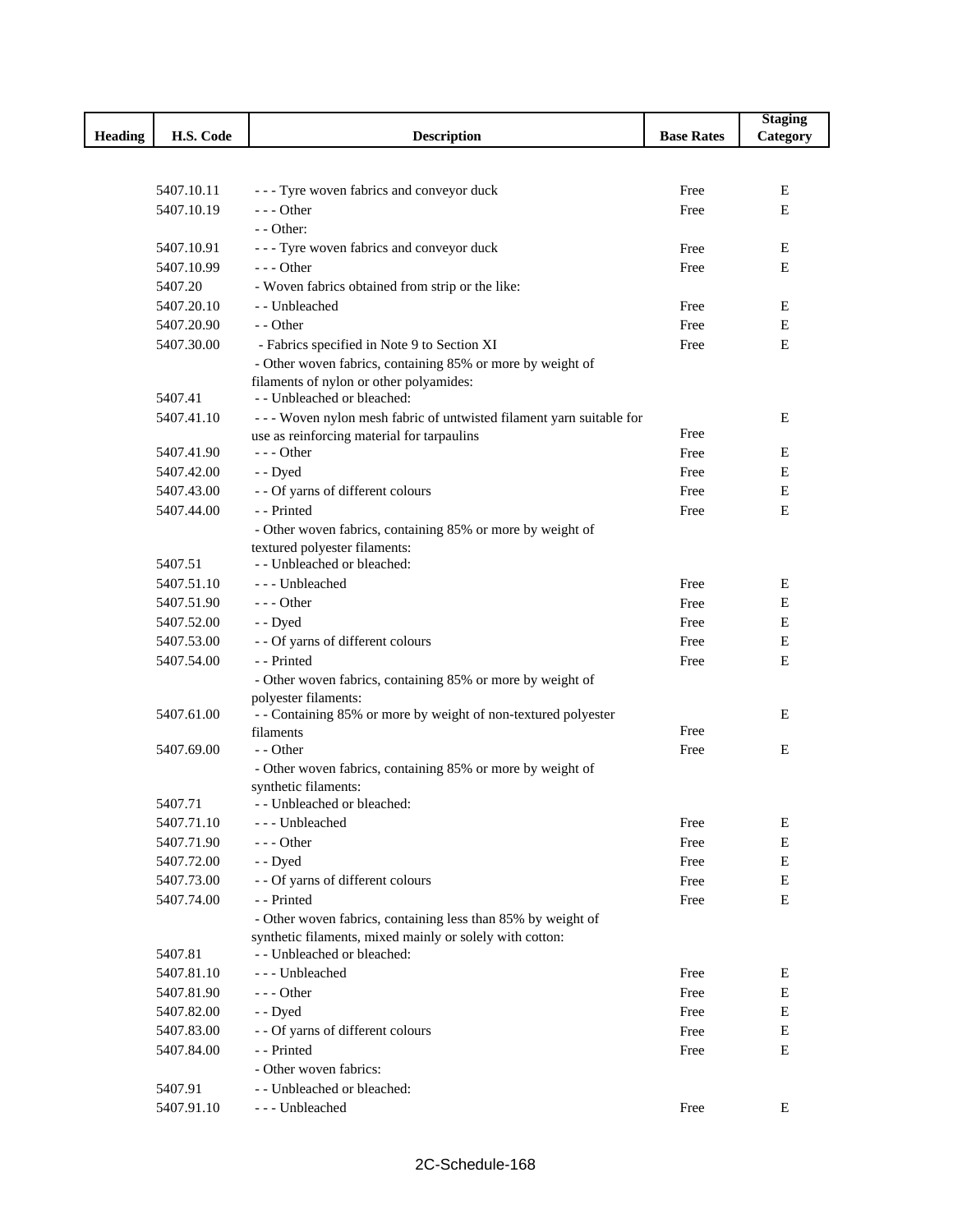|                |            |                                                                             |                   | <b>Staging</b> |
|----------------|------------|-----------------------------------------------------------------------------|-------------------|----------------|
| <b>Heading</b> | H.S. Code  | <b>Description</b>                                                          | <b>Base Rates</b> | Category       |
|                |            |                                                                             |                   |                |
|                |            |                                                                             |                   |                |
|                | 5407.10.11 | --- Tyre woven fabrics and conveyor duck                                    | Free              | Е              |
|                | 5407.10.19 | $--$ Other                                                                  | Free              | Е              |
|                |            | $-$ - Other:                                                                |                   |                |
|                | 5407.10.91 | - - - Tyre woven fabrics and conveyor duck                                  | Free              | E              |
|                | 5407.10.99 | $--$ Other                                                                  | Free              | Е              |
|                | 5407.20    | - Woven fabrics obtained from strip or the like:                            |                   |                |
|                | 5407.20.10 | - - Unbleached                                                              | Free              | E              |
|                | 5407.20.90 | - - Other                                                                   | Free              | Е              |
|                | 5407.30.00 | - Fabrics specified in Note 9 to Section XI                                 | Free              | Е              |
|                |            | - Other woven fabrics, containing 85% or more by weight of                  |                   |                |
|                |            | filaments of nylon or other polyamides:                                     |                   |                |
|                | 5407.41    | - - Unbleached or bleached:                                                 |                   |                |
|                | 5407.41.10 | --- Woven nylon mesh fabric of untwisted filament yarn suitable for         |                   | E              |
|                |            | use as reinforcing material for tarpaulins                                  | Free              |                |
|                | 5407.41.90 | $--$ Other                                                                  | Free              | Е              |
|                | 5407.42.00 | - - Dyed                                                                    | Free              | Е              |
|                | 5407.43.00 | - - Of yarns of different colours                                           | Free              | Е              |
|                | 5407.44.00 | - - Printed                                                                 | Free              | Е              |
|                |            | - Other woven fabrics, containing 85% or more by weight of                  |                   |                |
|                |            | textured polyester filaments:                                               |                   |                |
|                | 5407.51    | - - Unbleached or bleached:                                                 |                   |                |
|                | 5407.51.10 | --- Unbleached                                                              | Free              | Ε              |
|                | 5407.51.90 | --- Other                                                                   | Free              | Е              |
|                | 5407.52.00 | - - Dyed                                                                    | Free              | E              |
|                | 5407.53.00 | - - Of yarns of different colours                                           | Free              | Е              |
|                | 5407.54.00 | - - Printed                                                                 | Free              | Е              |
|                |            | - Other woven fabrics, containing 85% or more by weight of                  |                   |                |
|                | 5407.61.00 | polyester filaments:                                                        |                   |                |
|                |            | - - Containing 85% or more by weight of non-textured polyester<br>filaments | Free              | Е              |
|                | 5407.69.00 | - - Other                                                                   | Free              | E              |
|                |            | - Other woven fabrics, containing 85% or more by weight of                  |                   |                |
|                |            | synthetic filaments:                                                        |                   |                |
|                | 5407.71    | - - Unbleached or bleached:                                                 |                   |                |
|                | 5407.71.10 | --- Unbleached                                                              | Free              | Е              |
|                | 5407.71.90 | $--$ Other                                                                  | Free              | Е              |
|                | 5407.72.00 | - - Dyed                                                                    | Free              | E              |
|                | 5407.73.00 | - - Of yarns of different colours                                           | Free              | Е              |
|                | 5407.74.00 | - - Printed                                                                 | Free              | Е              |
|                |            | - Other woven fabrics, containing less than 85% by weight of                |                   |                |
|                |            | synthetic filaments, mixed mainly or solely with cotton:                    |                   |                |
|                | 5407.81    | - - Unbleached or bleached:                                                 |                   |                |
|                | 5407.81.10 | --- Unbleached                                                              | Free              | Е              |
|                | 5407.81.90 | $--$ Other                                                                  | Free              | Е              |
|                | 5407.82.00 | - - Dyed                                                                    | Free              | Е              |
|                | 5407.83.00 | - - Of yarns of different colours                                           | Free              | Е              |
|                | 5407.84.00 | - - Printed                                                                 | Free              | Е              |
|                |            | - Other woven fabrics:                                                      |                   |                |
|                | 5407.91    | - - Unbleached or bleached:                                                 |                   |                |
|                | 5407.91.10 | --- Unbleached                                                              | Free              | Е              |
|                |            |                                                                             |                   |                |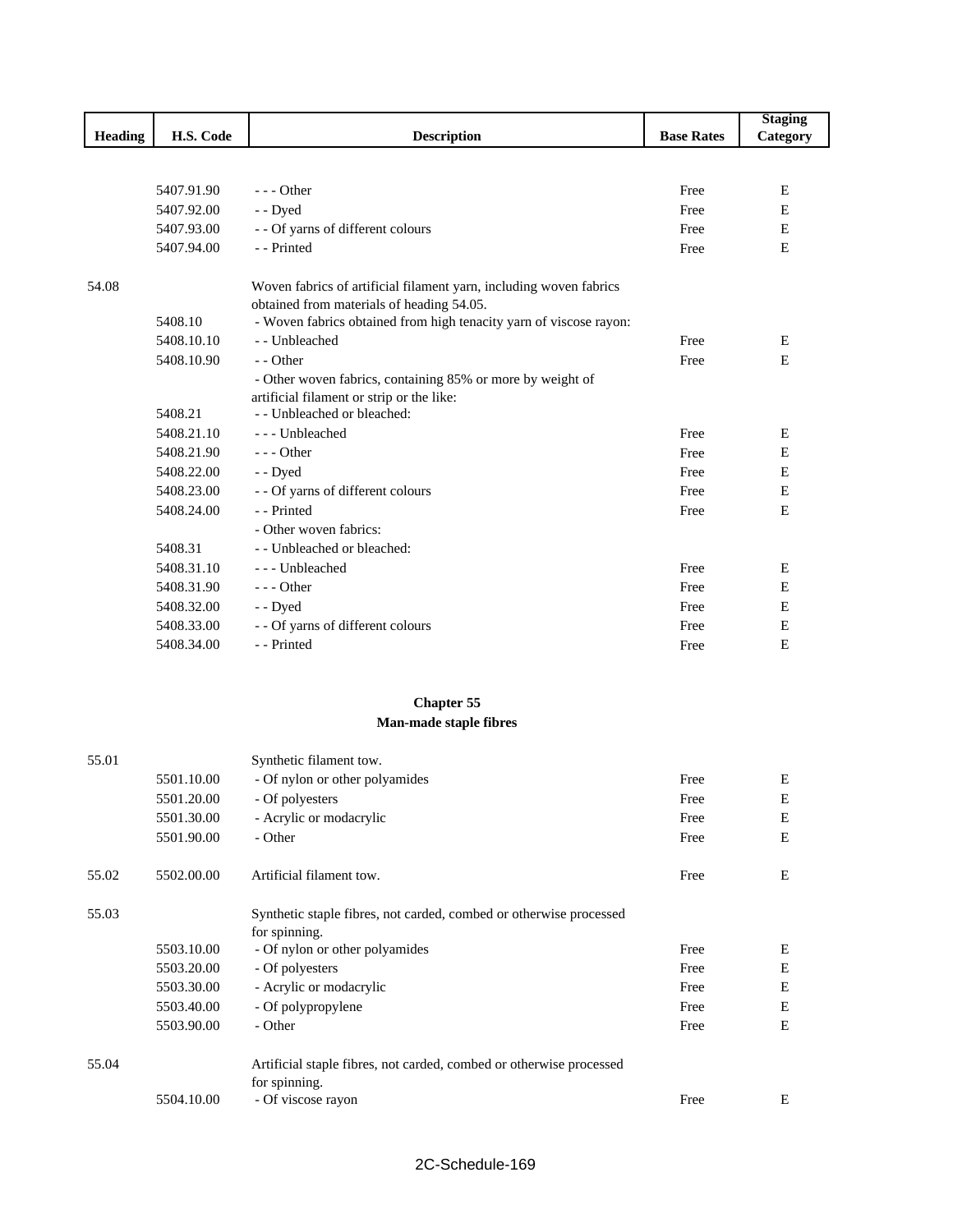|                |            |                                                                                                                 |                   | <b>Staging</b> |
|----------------|------------|-----------------------------------------------------------------------------------------------------------------|-------------------|----------------|
| <b>Heading</b> | H.S. Code  | <b>Description</b>                                                                                              | <b>Base Rates</b> | Category       |
|                |            |                                                                                                                 |                   |                |
|                |            |                                                                                                                 |                   |                |
|                | 5407.91.90 | $--$ Other                                                                                                      | Free              | E              |
|                | 5407.92.00 | - - Dyed                                                                                                        | Free              | E              |
|                | 5407.93.00 | - - Of yarns of different colours                                                                               | Free              | E              |
|                | 5407.94.00 | - - Printed                                                                                                     | Free              | E              |
| 54.08          |            | Woven fabrics of artificial filament yarn, including woven fabrics<br>obtained from materials of heading 54.05. |                   |                |
|                | 5408.10    | - Woven fabrics obtained from high tenacity yarn of viscose rayon:                                              |                   |                |
|                | 5408.10.10 | -- Unbleached                                                                                                   | Free              | E              |
|                | 5408.10.90 | $-$ - Other                                                                                                     | Free              | E              |
|                |            | - Other woven fabrics, containing 85% or more by weight of                                                      |                   |                |
|                |            | artificial filament or strip or the like:                                                                       |                   |                |
|                | 5408.21    | - Unbleached or bleached:                                                                                       |                   |                |
|                | 5408.21.10 | --- Unbleached                                                                                                  | Free              | Ε              |
|                | 5408.21.90 | $- -$ Other                                                                                                     | Free              | E              |
|                | 5408.22.00 | - - Dyed                                                                                                        | Free              | E              |
|                | 5408.23.00 | - - Of yarns of different colours                                                                               | Free              | Е              |
|                | 5408.24.00 | - - Printed                                                                                                     | Free              | E              |
|                |            | - Other woven fabrics:                                                                                          |                   |                |
|                | 5408.31    | - Unbleached or bleached:                                                                                       |                   |                |
|                | 5408.31.10 | --- Unbleached                                                                                                  | Free              | Ε              |
|                | 5408.31.90 | $--$ Other                                                                                                      | Free              | E              |
|                | 5408.32.00 | - - Dyed                                                                                                        | Free              | E              |
|                | 5408.33.00 | - - Of yarns of different colours                                                                               | Free              | E              |
|                | 5408.34.00 | - - Printed                                                                                                     | Free              | E              |

# **Chapter 55 Man-made staple fibres**

| 55.01 |            | Synthetic filament tow.                                             |      |   |
|-------|------------|---------------------------------------------------------------------|------|---|
|       | 5501.10.00 | - Of nylon or other polyamides                                      | Free | E |
|       | 5501.20.00 | - Of polyesters                                                     | Free | E |
|       | 5501.30.00 | - Acrylic or modacrylic                                             | Free | E |
|       | 5501.90.00 | - Other                                                             | Free | E |
| 55.02 | 5502.00.00 | Artificial filament tow.                                            | Free | E |
| 55.03 |            | Synthetic staple fibres, not carded, combed or otherwise processed  |      |   |
|       |            | for spinning.                                                       |      |   |
|       | 5503.10.00 | - Of nylon or other polyamides                                      | Free | Ε |
|       | 5503.20.00 | - Of polyesters                                                     | Free | E |
|       | 5503.30.00 | - Acrylic or modacrylic                                             | Free | E |
|       | 5503.40.00 | - Of polypropylene                                                  | Free | E |
|       | 5503.90.00 | - Other                                                             | Free | E |
| 55.04 |            | Artificial staple fibres, not carded, combed or otherwise processed |      |   |
|       |            | for spinning.                                                       |      |   |
|       | 5504.10.00 | - Of viscose rayon                                                  | Free | E |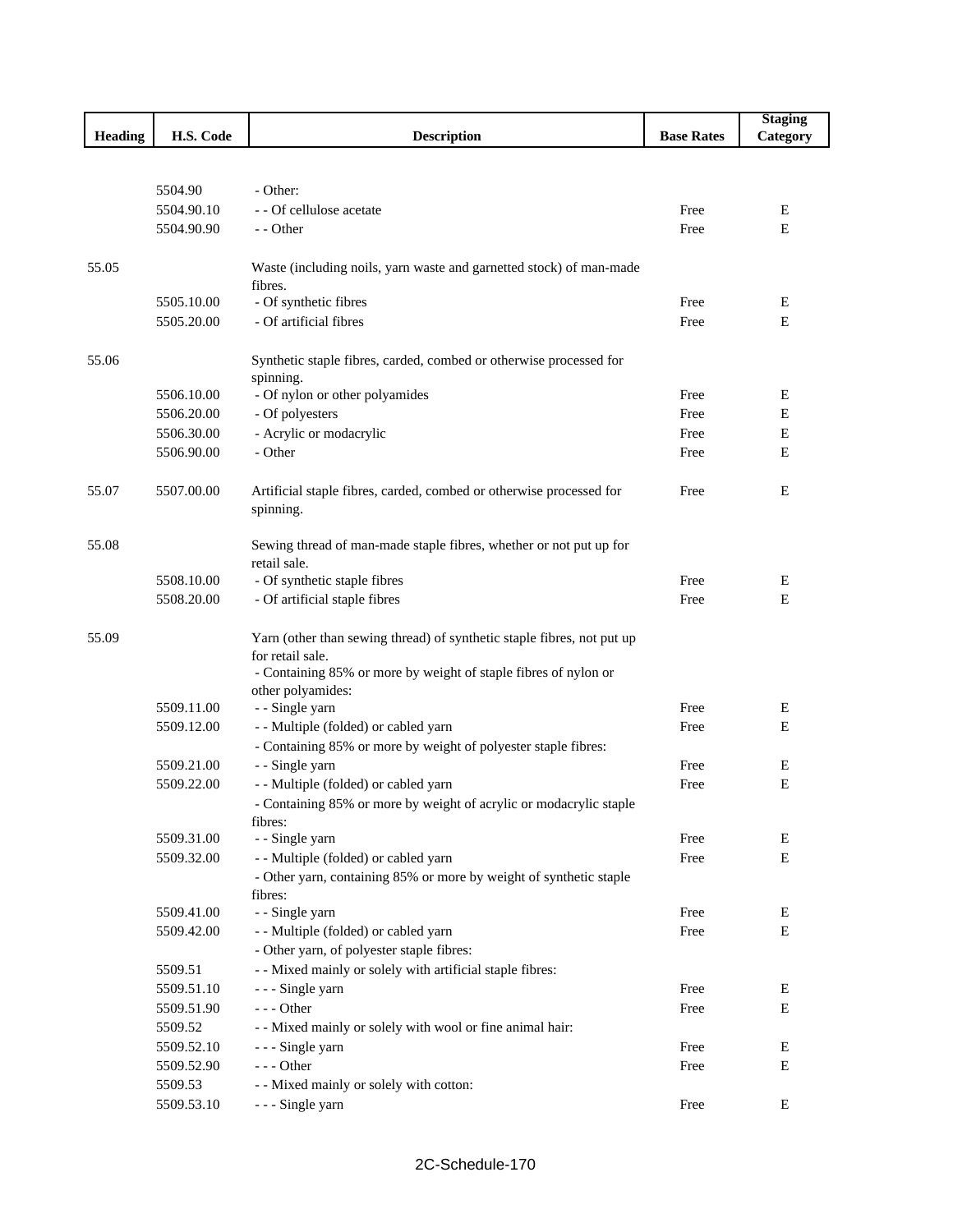|                |            |                                                                        |                   | <b>Staging</b> |
|----------------|------------|------------------------------------------------------------------------|-------------------|----------------|
| <b>Heading</b> | H.S. Code  | <b>Description</b>                                                     | <b>Base Rates</b> | Category       |
|                |            |                                                                        |                   |                |
|                |            |                                                                        |                   |                |
|                | 5504.90    | - Other:                                                               |                   |                |
|                | 5504.90.10 | - - Of cellulose acetate                                               | Free              | E              |
|                | 5504.90.90 | - - Other                                                              | Free              | E              |
|                |            |                                                                        |                   |                |
| 55.05          |            | Waste (including noils, yarn waste and garnetted stock) of man-made    |                   |                |
|                | 5505.10.00 | fibres.<br>- Of synthetic fibres                                       |                   |                |
|                |            |                                                                        | Free              | Ε              |
|                | 5505.20.00 | - Of artificial fibres                                                 | Free              | E              |
| 55.06          |            | Synthetic staple fibres, carded, combed or otherwise processed for     |                   |                |
|                |            | spinning.                                                              |                   |                |
|                | 5506.10.00 | - Of nylon or other polyamides                                         | Free              | Ε              |
|                | 5506.20.00 | - Of polyesters                                                        | Free              | Е              |
|                | 5506.30.00 | - Acrylic or modacrylic                                                | Free              | E              |
|                | 5506.90.00 | - Other                                                                | Free              | E              |
|                |            |                                                                        |                   |                |
| 55.07          | 5507.00.00 | Artificial staple fibres, carded, combed or otherwise processed for    | Free              | E              |
|                |            | spinning.                                                              |                   |                |
|                |            |                                                                        |                   |                |
| 55.08          |            | Sewing thread of man-made staple fibres, whether or not put up for     |                   |                |
|                |            | retail sale.                                                           |                   |                |
|                | 5508.10.00 | - Of synthetic staple fibres                                           | Free              | Ε              |
|                | 5508.20.00 | - Of artificial staple fibres                                          | Free              | E              |
|                |            |                                                                        |                   |                |
| 55.09          |            | Yarn (other than sewing thread) of synthetic staple fibres, not put up |                   |                |
|                |            | for retail sale.                                                       |                   |                |
|                |            | - Containing 85% or more by weight of staple fibres of nylon or        |                   |                |
|                | 5509.11.00 | other polyamides:<br>- - Single yarn                                   | Free              | Ε              |
|                | 5509.12.00 | - - Multiple (folded) or cabled yarn                                   | Free              | Е              |
|                |            | - Containing 85% or more by weight of polyester staple fibres:         |                   |                |
|                | 5509.21.00 | - - Single yarn                                                        | Free              | E              |
|                | 5509.22.00 | -- Multiple (folded) or cabled yarn                                    | Free              | Е              |
|                |            | - Containing 85% or more by weight of acrylic or modacrylic staple     |                   |                |
|                |            | fibres:                                                                |                   |                |
|                | 5509.31.00 | - - Single yarn                                                        | Free              | Ε              |
|                | 5509.32.00 | - - Multiple (folded) or cabled yarn                                   | Free              | E              |
|                |            | - Other yarn, containing 85% or more by weight of synthetic staple     |                   |                |
|                |            | fibres:                                                                |                   |                |
|                | 5509.41.00 | - - Single yarn                                                        | Free              | Ε              |
|                | 5509.42.00 | - - Multiple (folded) or cabled yarn                                   | Free              | E              |
|                |            | - Other yarn, of polyester staple fibres:                              |                   |                |
|                | 5509.51    | - - Mixed mainly or solely with artificial staple fibres:              |                   |                |
|                | 5509.51.10 | - - - Single yarn                                                      | Free              | Ε              |
|                | 5509.51.90 | $--$ Other                                                             | Free              | Е              |
|                | 5509.52    | - - Mixed mainly or solely with wool or fine animal hair:              |                   |                |
|                | 5509.52.10 | - - - Single yarn                                                      | Free              | Ε              |
|                | 5509.52.90 | $--$ Other                                                             | Free              | Ε              |
|                | 5509.53    | - - Mixed mainly or solely with cotton:                                |                   |                |
|                | 5509.53.10 | --- Single yarn                                                        | Free              | Ε              |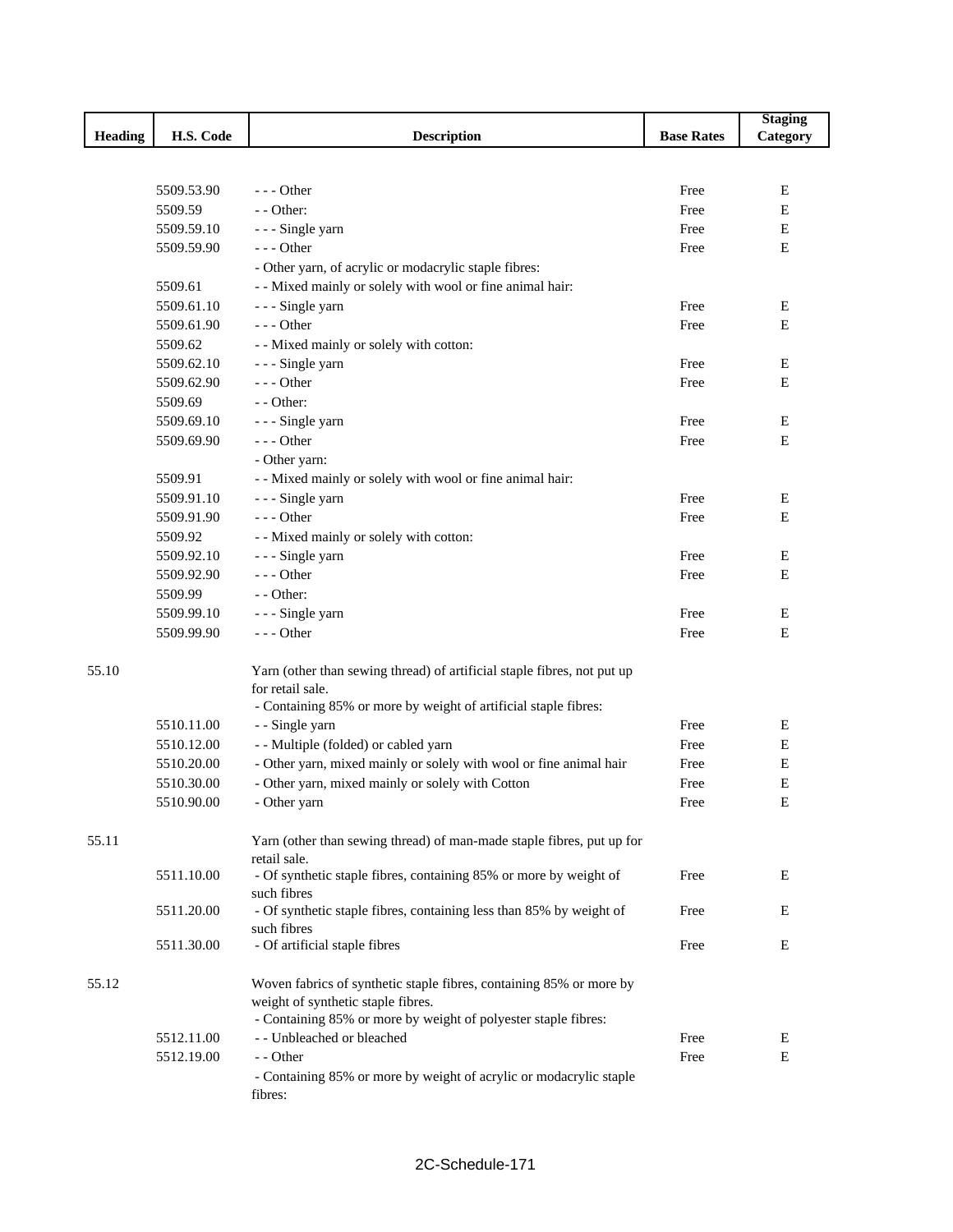|                |            |                                                                                                            |                   | <b>Staging</b> |
|----------------|------------|------------------------------------------------------------------------------------------------------------|-------------------|----------------|
| <b>Heading</b> | H.S. Code  | <b>Description</b>                                                                                         | <b>Base Rates</b> | Category       |
|                |            |                                                                                                            |                   |                |
|                |            |                                                                                                            |                   |                |
|                | 5509.53.90 | $- -$ Other                                                                                                | Free              | E              |
|                | 5509.59    | $-$ - Other:                                                                                               | Free              | Е              |
|                | 5509.59.10 | - - - Single yarn                                                                                          | Free              | Е              |
|                | 5509.59.90 | $--$ Other                                                                                                 | Free              | E              |
|                |            | - Other yarn, of acrylic or modacrylic staple fibres:                                                      |                   |                |
|                | 5509.61    | - - Mixed mainly or solely with wool or fine animal hair:                                                  |                   |                |
|                | 5509.61.10 | - - - Single yarn                                                                                          | Free              | E              |
|                | 5509.61.90 | --- Other                                                                                                  | Free              | E              |
|                | 5509.62    | - - Mixed mainly or solely with cotton:                                                                    |                   |                |
|                | 5509.62.10 | - - - Single yarn                                                                                          | Free              | E              |
|                | 5509.62.90 | $--$ Other                                                                                                 | Free              | E              |
|                | 5509.69    | $-$ - Other:                                                                                               |                   |                |
|                | 5509.69.10 | - - - Single yarn                                                                                          | Free              | E              |
|                | 5509.69.90 | $--$ Other                                                                                                 | Free              | E              |
|                |            | - Other yarn:                                                                                              |                   |                |
|                | 5509.91    | - - Mixed mainly or solely with wool or fine animal hair:                                                  |                   |                |
|                | 5509.91.10 | --- Single yarn                                                                                            | Free              | Ε              |
|                | 5509.91.90 | $--$ Other                                                                                                 | Free              | Е              |
|                | 5509.92    | - - Mixed mainly or solely with cotton:                                                                    |                   |                |
|                | 5509.92.10 | --- Single yarn                                                                                            | Free              | E              |
|                | 5509.92.90 | $--$ Other                                                                                                 | Free              | E              |
|                | 5509.99    | - - Other:                                                                                                 |                   |                |
|                |            |                                                                                                            |                   |                |
|                | 5509.99.10 | --- Single yarn                                                                                            | Free              | E              |
|                | 5509.99.90 | $--$ Other                                                                                                 | Free              | E              |
|                |            |                                                                                                            |                   |                |
| 55.10          |            | Yarn (other than sewing thread) of artificial staple fibres, not put up<br>for retail sale.                |                   |                |
|                |            | - Containing 85% or more by weight of artificial staple fibres:                                            |                   |                |
|                | 5510.11.00 | - - Single yarn                                                                                            | Free              | E              |
|                |            |                                                                                                            | Free              | E              |
|                | 5510.12.00 | - - Multiple (folded) or cabled yarn<br>- Other yarn, mixed mainly or solely with wool or fine animal hair | Free              |                |
|                | 5510.20.00 |                                                                                                            |                   | Ε              |
|                | 5510.30.00 | - Other yarn, mixed mainly or solely with Cotton                                                           | Free              | Е              |
|                | 5510.90.00 | - Other yarn                                                                                               | Free              | Е              |
|                |            |                                                                                                            |                   |                |
| 55.11          |            | Yarn (other than sewing thread) of man-made staple fibres, put up for                                      |                   |                |
|                |            | retail sale.                                                                                               |                   | E              |
|                | 5511.10.00 | - Of synthetic staple fibres, containing 85% or more by weight of<br>such fibres                           | Free              |                |
|                | 5511.20.00 | - Of synthetic staple fibres, containing less than 85% by weight of                                        | Free              | Е              |
|                |            | such fibres                                                                                                |                   |                |
|                | 5511.30.00 | - Of artificial staple fibres                                                                              | Free              | E              |
|                |            |                                                                                                            |                   |                |
| 55.12          |            | Woven fabrics of synthetic staple fibres, containing 85% or more by                                        |                   |                |
|                |            | weight of synthetic staple fibres.                                                                         |                   |                |
|                |            | - Containing 85% or more by weight of polyester staple fibres:                                             |                   |                |
|                | 5512.11.00 | - - Unbleached or bleached                                                                                 | Free              | E              |
|                | 5512.19.00 | - - Other                                                                                                  | Free              | E              |
|                |            | - Containing 85% or more by weight of acrylic or modacrylic staple                                         |                   |                |
|                |            | fibres:                                                                                                    |                   |                |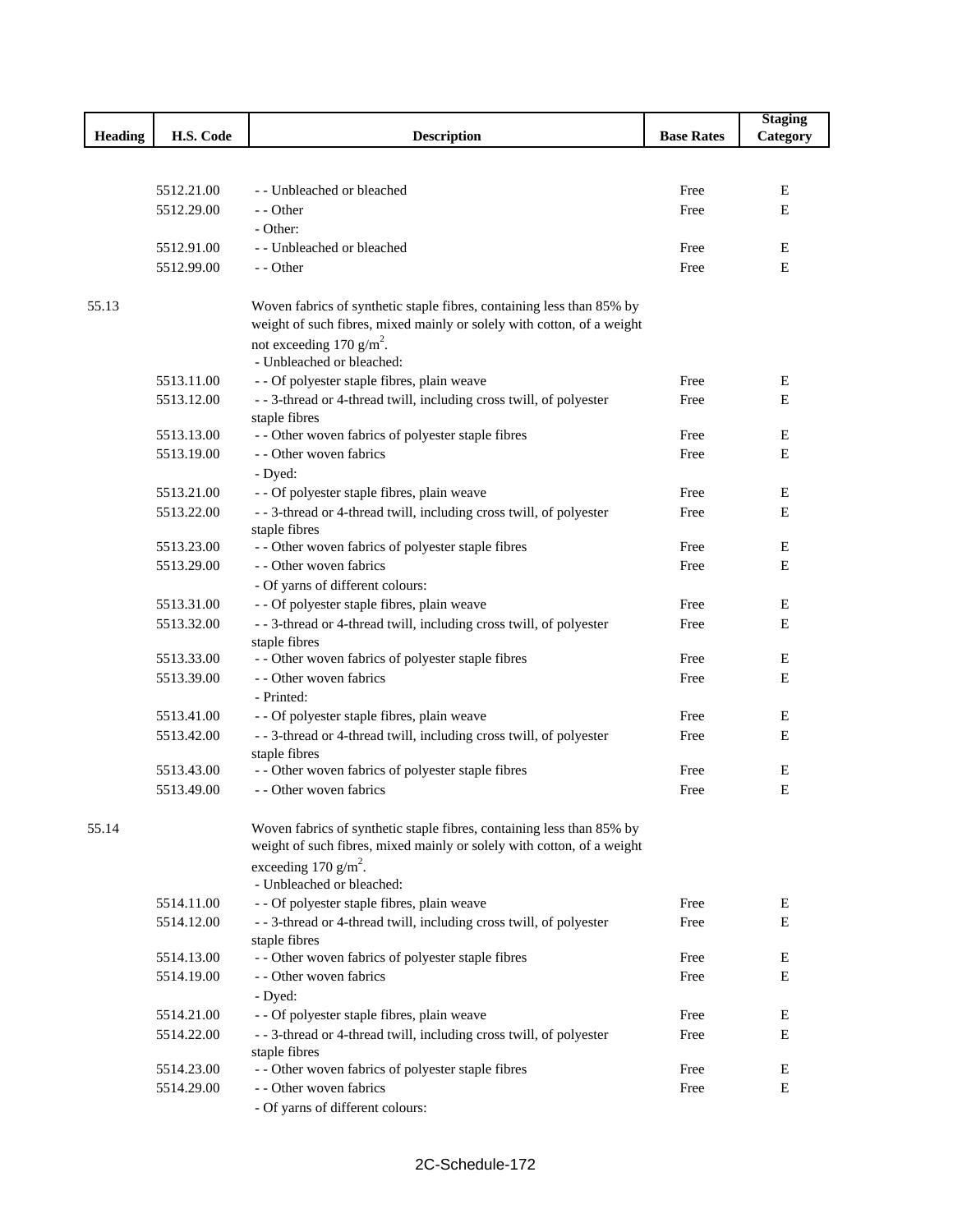|                |            |                                                                                                                                                 |                   | <b>Staging</b> |
|----------------|------------|-------------------------------------------------------------------------------------------------------------------------------------------------|-------------------|----------------|
| <b>Heading</b> | H.S. Code  | <b>Description</b>                                                                                                                              | <b>Base Rates</b> | Category       |
|                |            |                                                                                                                                                 |                   |                |
|                |            |                                                                                                                                                 |                   |                |
|                | 5512.21.00 | - - Unbleached or bleached                                                                                                                      | Free              | Е              |
|                | 5512.29.00 | - - Other                                                                                                                                       | Free              | E              |
|                |            | - Other:                                                                                                                                        |                   |                |
|                | 5512.91.00 | - - Unbleached or bleached                                                                                                                      | Free              | E              |
|                | 5512.99.00 | - - Other                                                                                                                                       | Free              | E              |
|                |            |                                                                                                                                                 |                   |                |
| 55.13          |            | Woven fabrics of synthetic staple fibres, containing less than 85% by                                                                           |                   |                |
|                |            | weight of such fibres, mixed mainly or solely with cotton, of a weight                                                                          |                   |                |
|                |            | not exceeding 170 g/m <sup>2</sup> .                                                                                                            |                   |                |
|                |            | - Unbleached or bleached:                                                                                                                       |                   |                |
|                | 5513.11.00 | - - Of polyester staple fibres, plain weave                                                                                                     | Free              | E              |
|                | 5513.12.00 | - - 3-thread or 4-thread twill, including cross twill, of polyester<br>staple fibres                                                            | Free              | E              |
|                | 5513.13.00 | - - Other woven fabrics of polyester staple fibres                                                                                              | Free              | Е              |
|                | 5513.19.00 | - - Other woven fabrics                                                                                                                         | Free              | E              |
|                |            | - Dyed:                                                                                                                                         |                   |                |
|                | 5513.21.00 | - - Of polyester staple fibres, plain weave                                                                                                     | Free              | E              |
|                | 5513.22.00 | - - 3-thread or 4-thread twill, including cross twill, of polyester                                                                             | Free              | E              |
|                |            | staple fibres                                                                                                                                   |                   |                |
|                | 5513.23.00 | - - Other woven fabrics of polyester staple fibres                                                                                              | Free              | E              |
|                | 5513.29.00 | - - Other woven fabrics                                                                                                                         | Free              | E              |
|                |            | - Of yarns of different colours:                                                                                                                |                   |                |
|                | 5513.31.00 | - - Of polyester staple fibres, plain weave                                                                                                     | Free              | E              |
|                | 5513.32.00 | - - 3-thread or 4-thread twill, including cross twill, of polyester                                                                             | Free              | Е              |
|                |            | staple fibres                                                                                                                                   |                   |                |
|                | 5513.33.00 | - - Other woven fabrics of polyester staple fibres                                                                                              | Free              | E              |
|                | 5513.39.00 | - - Other woven fabrics                                                                                                                         | Free              | E              |
|                |            | - Printed:                                                                                                                                      |                   |                |
|                | 5513.41.00 | - - Of polyester staple fibres, plain weave                                                                                                     | Free              | E              |
|                | 5513.42.00 | - - 3-thread or 4-thread twill, including cross twill, of polyester                                                                             | Free              | Е              |
|                |            | staple fibres                                                                                                                                   |                   |                |
|                | 5513.43.00 | - - Other woven fabrics of polyester staple fibres                                                                                              | Free              | E              |
|                | 5513.49.00 | - - Other woven fabrics                                                                                                                         | Free              | E              |
|                |            |                                                                                                                                                 |                   |                |
| 55.14          |            | Woven fabrics of synthetic staple fibres, containing less than 85% by<br>weight of such fibres, mixed mainly or solely with cotton, of a weight |                   |                |
|                |            | exceeding 170 g/m <sup>2</sup> .                                                                                                                |                   |                |
|                |            | - Unbleached or bleached:                                                                                                                       |                   |                |
|                | 5514.11.00 | - - Of polyester staple fibres, plain weave                                                                                                     | Free              | E              |
|                | 5514.12.00 | --3-thread or 4-thread twill, including cross twill, of polyester                                                                               | Free              | E              |
|                |            | staple fibres                                                                                                                                   |                   |                |
|                | 5514.13.00 | - - Other woven fabrics of polyester staple fibres                                                                                              | Free              | E              |
|                | 5514.19.00 | - - Other woven fabrics                                                                                                                         | Free              | E              |
|                |            | - Dyed:                                                                                                                                         |                   |                |
|                | 5514.21.00 | - - Of polyester staple fibres, plain weave                                                                                                     | Free              | Е              |
|                | 5514.22.00 | --3-thread or 4-thread twill, including cross twill, of polyester                                                                               | Free              | E              |
|                |            | staple fibres                                                                                                                                   |                   |                |
|                | 5514.23.00 | - - Other woven fabrics of polyester staple fibres                                                                                              | Free              | E              |
|                | 5514.29.00 | - - Other woven fabrics                                                                                                                         | Free              | Е              |
|                |            | - Of yarns of different colours:                                                                                                                |                   |                |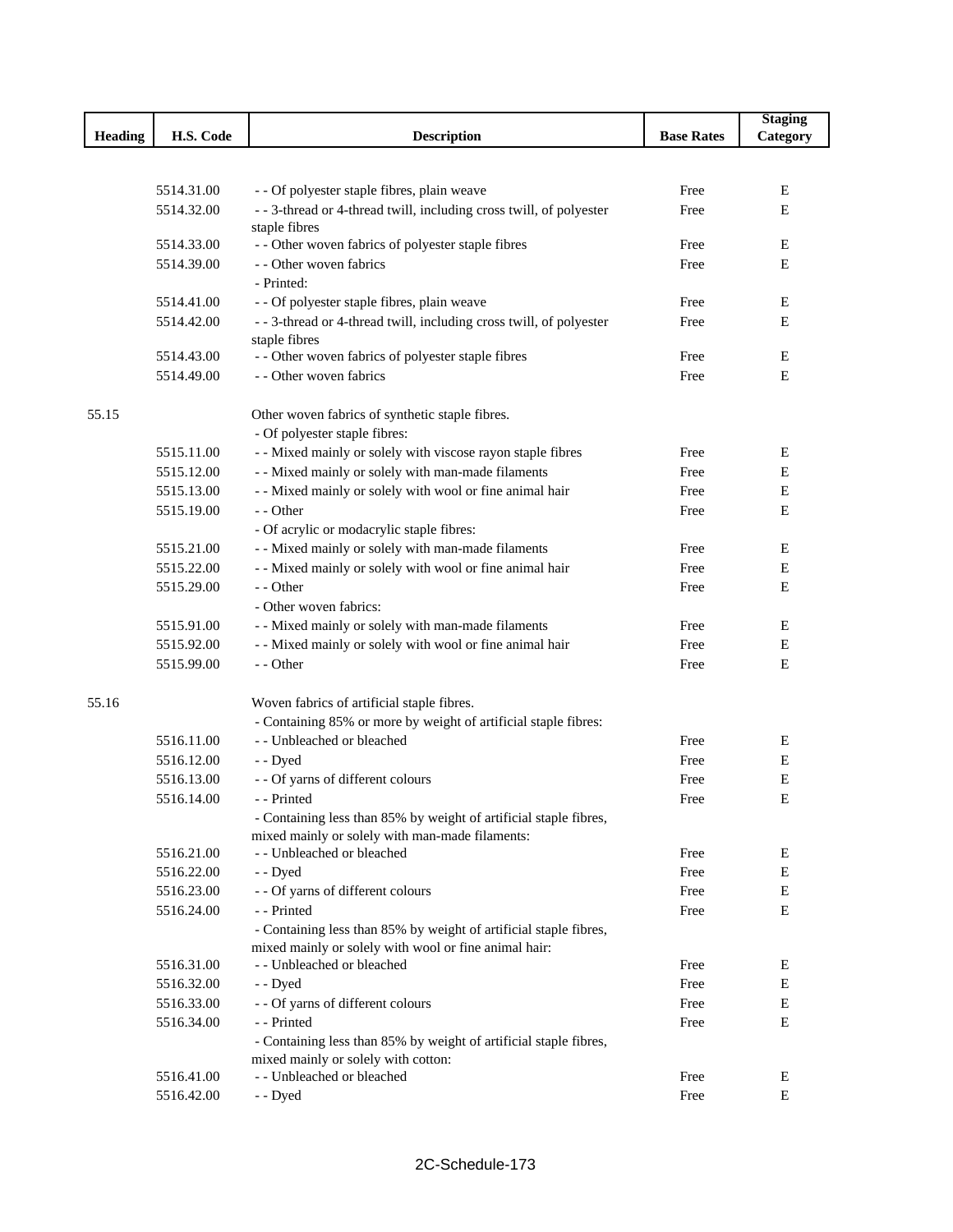|         |            |                                                                     |                   | <b>Staging</b> |
|---------|------------|---------------------------------------------------------------------|-------------------|----------------|
| Heading | H.S. Code  | <b>Description</b>                                                  | <b>Base Rates</b> | Category       |
|         |            |                                                                     |                   |                |
|         |            |                                                                     |                   |                |
|         | 5514.31.00 | - - Of polyester staple fibres, plain weave                         | Free              | E              |
|         | 5514.32.00 | - - 3-thread or 4-thread twill, including cross twill, of polyester | Free              | E              |
|         |            | staple fibres                                                       |                   |                |
|         | 5514.33.00 | - - Other woven fabrics of polyester staple fibres                  | Free              | Е              |
|         | 5514.39.00 | - - Other woven fabrics                                             | Free              | Е              |
|         |            | - Printed:                                                          |                   |                |
|         | 5514.41.00 | - - Of polyester staple fibres, plain weave                         | Free              | E              |
|         | 5514.42.00 | - - 3-thread or 4-thread twill, including cross twill, of polyester | Free              | E              |
|         |            | staple fibres                                                       |                   |                |
|         | 5514.43.00 | - - Other woven fabrics of polyester staple fibres                  | Free              | E              |
|         | 5514.49.00 | - - Other woven fabrics                                             | Free              | E              |
| 55.15   |            | Other woven fabrics of synthetic staple fibres.                     |                   |                |
|         |            | - Of polyester staple fibres:                                       |                   |                |
|         | 5515.11.00 | - - Mixed mainly or solely with viscose rayon staple fibres         | Free              | E              |
|         | 5515.12.00 | - - Mixed mainly or solely with man-made filaments                  | Free              | Е              |
|         | 5515.13.00 | - - Mixed mainly or solely with wool or fine animal hair            | Free              | E              |
|         | 5515.19.00 | - - Other                                                           | Free              | E              |
|         |            | - Of acrylic or modacrylic staple fibres:                           |                   |                |
|         | 5515.21.00 | - - Mixed mainly or solely with man-made filaments                  | Free              | Ε              |
|         | 5515.22.00 | - - Mixed mainly or solely with wool or fine animal hair            | Free              | E              |
|         | 5515.29.00 | - - Other                                                           | Free              | E              |
|         |            | - Other woven fabrics:                                              |                   |                |
|         | 5515.91.00 | - - Mixed mainly or solely with man-made filaments                  | Free              | Ε              |
|         | 5515.92.00 | - - Mixed mainly or solely with wool or fine animal hair            | Free              | Е              |
|         | 5515.99.00 | - - Other                                                           | Free              | Е              |
|         |            |                                                                     |                   |                |
| 55.16   |            | Woven fabrics of artificial staple fibres.                          |                   |                |
|         |            | - Containing 85% or more by weight of artificial staple fibres:     |                   |                |
|         | 5516.11.00 | - - Unbleached or bleached                                          | Free              | Ε              |
|         | 5516.12.00 | - - Dyed                                                            | Free              | Е              |
|         | 5516.13.00 | - - Of yarns of different colours                                   | Free              | Е              |
|         | 5516.14.00 | - - Printed                                                         | Free              | E              |
|         |            | - Containing less than 85% by weight of artificial staple fibres,   |                   |                |
|         |            | mixed mainly or solely with man-made filaments:                     |                   |                |
|         | 5516.21.00 | - - Unbleached or bleached                                          | Free              | Ε              |
|         | 5516.22.00 | - - Dyed                                                            | Free              | Ε              |
|         | 5516.23.00 | - - Of yarns of different colours                                   | Free              | Ε              |
|         | 5516.24.00 | - - Printed                                                         | Free              | Ε              |
|         |            | - Containing less than 85% by weight of artificial staple fibres,   |                   |                |
|         |            | mixed mainly or solely with wool or fine animal hair:               |                   |                |
|         | 5516.31.00 | - - Unbleached or bleached                                          | Free              | Ε              |
|         | 5516.32.00 | - - Dyed                                                            | Free              | Е              |
|         | 5516.33.00 | - - Of yarns of different colours                                   | Free              | ${\bf E}$      |
|         | 5516.34.00 | - - Printed                                                         | Free              | E              |
|         |            | - Containing less than 85% by weight of artificial staple fibres,   |                   |                |
|         |            | mixed mainly or solely with cotton:                                 |                   |                |
|         | 5516.41.00 | - - Unbleached or bleached                                          | Free              | Ε              |
|         | 5516.42.00 | - - Dyed                                                            | Free              | Ε              |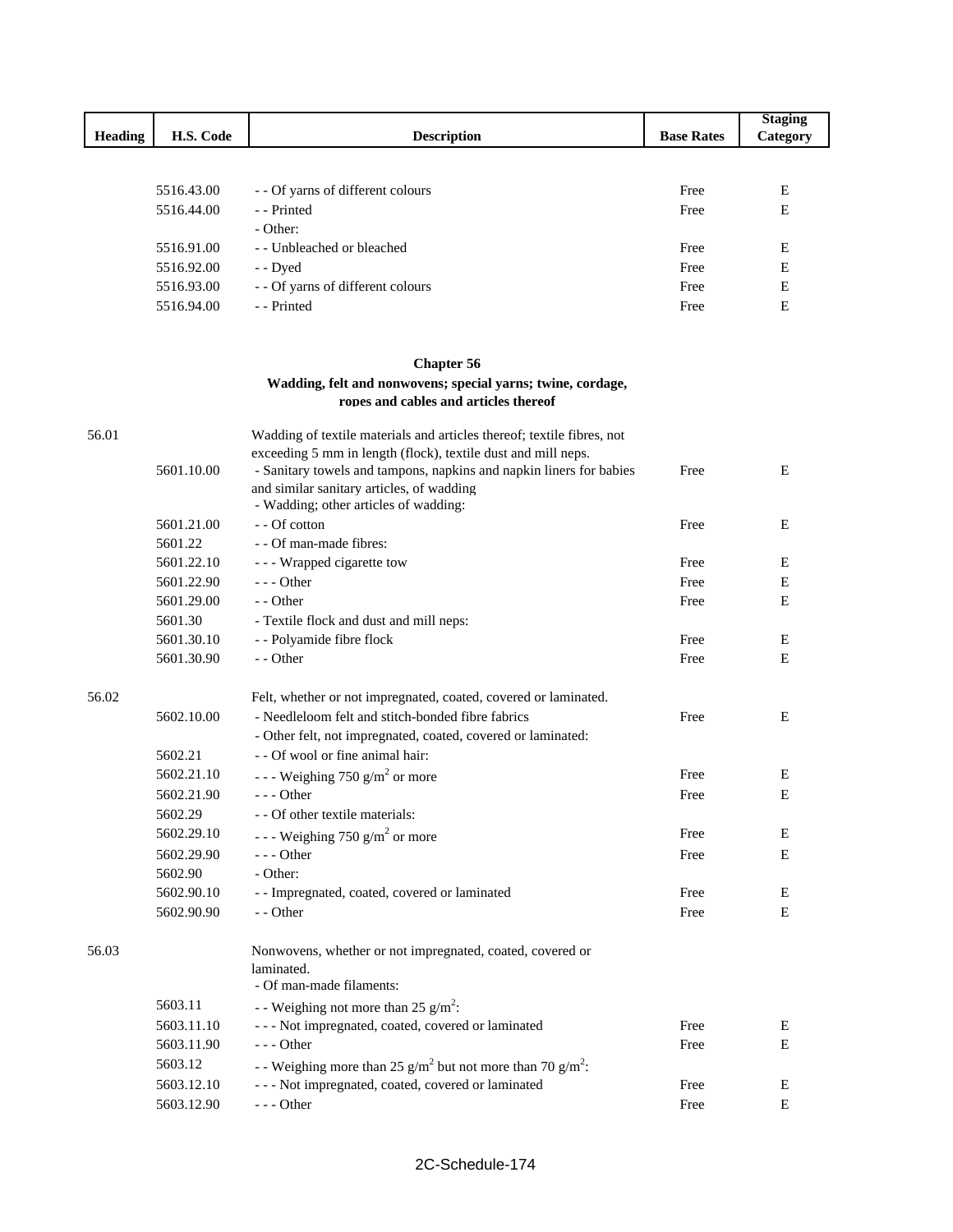|                |            |                                                                                                                                         |                   | <b>Staging</b> |
|----------------|------------|-----------------------------------------------------------------------------------------------------------------------------------------|-------------------|----------------|
| <b>Heading</b> | H.S. Code  | <b>Description</b>                                                                                                                      | <b>Base Rates</b> | Category       |
|                |            |                                                                                                                                         |                   |                |
|                | 5516.43.00 | - - Of yarns of different colours                                                                                                       | Free              | Е              |
|                | 5516.44.00 | - - Printed                                                                                                                             | Free              | E              |
|                |            | - Other:                                                                                                                                |                   |                |
|                | 5516.91.00 | - - Unbleached or bleached                                                                                                              | Free              | Е              |
|                | 5516.92.00 | - - Dyed                                                                                                                                | Free              | E              |
|                | 5516.93.00 | - - Of yarns of different colours                                                                                                       | Free              | Е              |
|                | 5516.94.00 | - - Printed                                                                                                                             | Free              | Е              |
|                |            |                                                                                                                                         |                   |                |
|                |            |                                                                                                                                         |                   |                |
|                |            | <b>Chapter 56</b>                                                                                                                       |                   |                |
|                |            | Wadding, felt and nonwovens; special yarns; twine, cordage,                                                                             |                   |                |
|                |            | ropes and cables and articles thereof                                                                                                   |                   |                |
| 56.01          |            |                                                                                                                                         |                   |                |
|                |            | Wadding of textile materials and articles thereof; textile fibres, not<br>exceeding 5 mm in length (flock), textile dust and mill neps. |                   |                |
|                | 5601.10.00 | - Sanitary towels and tampons, napkins and napkin liners for babies                                                                     | Free              | E              |
|                |            | and similar sanitary articles, of wadding                                                                                               |                   |                |
|                |            | - Wadding; other articles of wadding:                                                                                                   |                   |                |
|                | 5601.21.00 | - - Of cotton                                                                                                                           | Free              | E              |
|                | 5601.22    | - - Of man-made fibres:                                                                                                                 |                   |                |
|                | 5601.22.10 | - - - Wrapped cigarette tow                                                                                                             | Free              | Е              |
|                | 5601.22.90 | $--$ Other                                                                                                                              | Free              | E              |
|                | 5601.29.00 | - - Other                                                                                                                               | Free              | Е              |
|                | 5601.30    | - Textile flock and dust and mill neps:                                                                                                 |                   |                |
|                | 5601.30.10 | - - Polyamide fibre flock                                                                                                               | Free              | Е              |
|                | 5601.30.90 | - - Other                                                                                                                               | Free              | Е              |
|                |            |                                                                                                                                         |                   |                |
| 56.02          |            | Felt, whether or not impregnated, coated, covered or laminated.                                                                         |                   |                |
|                | 5602.10.00 | - Needleloom felt and stitch-bonded fibre fabrics                                                                                       | Free              | Е              |
|                |            | - Other felt, not impregnated, coated, covered or laminated:                                                                            |                   |                |
|                | 5602.21    | - - Of wool or fine animal hair:                                                                                                        |                   |                |
|                | 5602.21.10 | - - - Weighing 750 $g/m^2$ or more                                                                                                      | Free              | Е              |
|                | 5602.21.90 | --- Other                                                                                                                               | Free              | E              |
|                | 5602.29    | - - Of other textile materials:                                                                                                         |                   |                |
|                | 5602.29.10 | - - - Weighing 750 g/m <sup>2</sup> or more                                                                                             | Free              | Е              |
|                | 5602.29.90 | --- Other                                                                                                                               | Free              | Ε              |
|                | 5602.90    | - Other:                                                                                                                                |                   |                |
|                | 5602.90.10 | - - Impregnated, coated, covered or laminated                                                                                           | Free              | E              |
|                | 5602.90.90 | - - Other                                                                                                                               | Free              | Е              |
| 56.03          |            | Nonwovens, whether or not impregnated, coated, covered or                                                                               |                   |                |
|                |            | laminated.                                                                                                                              |                   |                |
|                |            | - Of man-made filaments:                                                                                                                |                   |                |
|                | 5603.11    | - Weighing not more than 25 $g/m^2$ :                                                                                                   |                   |                |
|                | 5603.11.10 | --- Not impregnated, coated, covered or laminated                                                                                       | Free              | E              |
|                | 5603.11.90 | --- Other                                                                                                                               | Free              | Е              |
|                | 5603.12    | - Weighing more than 25 $g/m^2$ but not more than 70 $g/m^2$ :                                                                          |                   |                |
|                | 5603.12.10 | - - - Not impregnated, coated, covered or laminated                                                                                     | Free              | Ε              |
|                | 5603.12.90 | --- Other                                                                                                                               | Free              | $\mathbf E$    |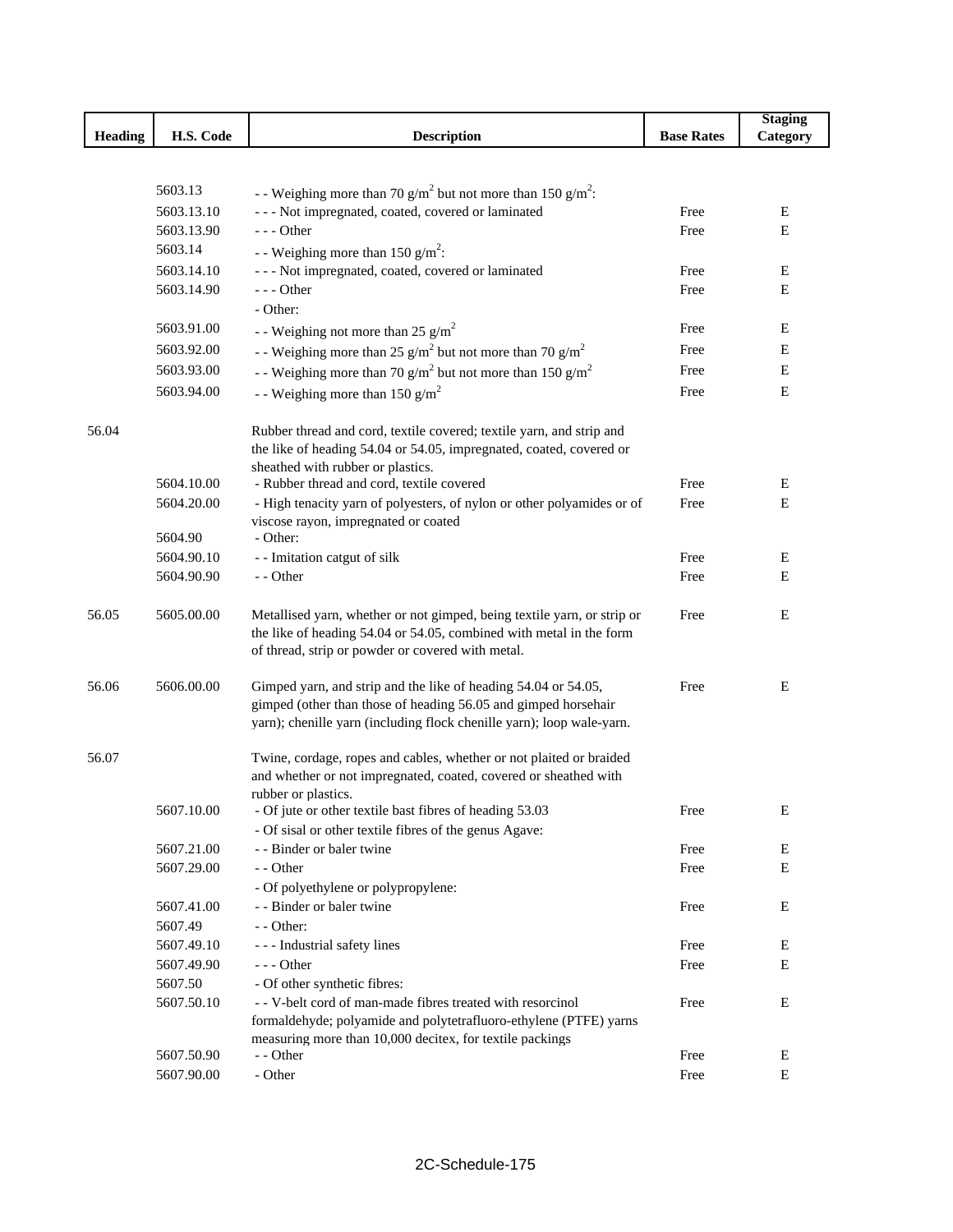| <b>Heading</b><br>H.S. Code<br><b>Description</b><br><b>Base Rates</b><br>Category<br>5603.13<br>- - Weighing more than 70 g/m <sup>2</sup> but not more than 150 g/m <sup>2</sup> :<br>--- Not impregnated, coated, covered or laminated<br>5603.13.10<br>Free<br>Ε<br>--- Other<br>5603.13.90<br>Free<br>Е<br>5603.14<br>- - Weighing more than 150 $g/m^2$ :<br>--- Not impregnated, coated, covered or laminated<br>5603.14.10<br>E<br>Free<br>$--$ Other<br>5603.14.90<br>Free<br>Е<br>- Other:<br>5603.91.00<br>Free<br>Ε<br>- - Weighing not more than 25 g/m <sup>2</sup><br>5603.92.00<br>E<br>- Weighing more than 25 g/m <sup>2</sup> but not more than 70 g/m <sup>2</sup><br>Free<br>5603.93.00<br>- - Weighing more than 70 g/m <sup>2</sup> but not more than 150 g/m <sup>2</sup><br>Е<br>Free<br>5603.94.00<br>E<br>Free |  |                                             | <b>Staging</b> |
|-------------------------------------------------------------------------------------------------------------------------------------------------------------------------------------------------------------------------------------------------------------------------------------------------------------------------------------------------------------------------------------------------------------------------------------------------------------------------------------------------------------------------------------------------------------------------------------------------------------------------------------------------------------------------------------------------------------------------------------------------------------------------------------------------------------------------------------------|--|---------------------------------------------|----------------|
|                                                                                                                                                                                                                                                                                                                                                                                                                                                                                                                                                                                                                                                                                                                                                                                                                                           |  |                                             |                |
|                                                                                                                                                                                                                                                                                                                                                                                                                                                                                                                                                                                                                                                                                                                                                                                                                                           |  |                                             |                |
|                                                                                                                                                                                                                                                                                                                                                                                                                                                                                                                                                                                                                                                                                                                                                                                                                                           |  |                                             |                |
|                                                                                                                                                                                                                                                                                                                                                                                                                                                                                                                                                                                                                                                                                                                                                                                                                                           |  |                                             |                |
|                                                                                                                                                                                                                                                                                                                                                                                                                                                                                                                                                                                                                                                                                                                                                                                                                                           |  |                                             |                |
|                                                                                                                                                                                                                                                                                                                                                                                                                                                                                                                                                                                                                                                                                                                                                                                                                                           |  |                                             |                |
|                                                                                                                                                                                                                                                                                                                                                                                                                                                                                                                                                                                                                                                                                                                                                                                                                                           |  |                                             |                |
|                                                                                                                                                                                                                                                                                                                                                                                                                                                                                                                                                                                                                                                                                                                                                                                                                                           |  |                                             |                |
|                                                                                                                                                                                                                                                                                                                                                                                                                                                                                                                                                                                                                                                                                                                                                                                                                                           |  |                                             |                |
|                                                                                                                                                                                                                                                                                                                                                                                                                                                                                                                                                                                                                                                                                                                                                                                                                                           |  |                                             |                |
|                                                                                                                                                                                                                                                                                                                                                                                                                                                                                                                                                                                                                                                                                                                                                                                                                                           |  |                                             |                |
|                                                                                                                                                                                                                                                                                                                                                                                                                                                                                                                                                                                                                                                                                                                                                                                                                                           |  |                                             |                |
|                                                                                                                                                                                                                                                                                                                                                                                                                                                                                                                                                                                                                                                                                                                                                                                                                                           |  |                                             |                |
|                                                                                                                                                                                                                                                                                                                                                                                                                                                                                                                                                                                                                                                                                                                                                                                                                                           |  | - - Weighing more than 150 g/m <sup>2</sup> |                |
| 56.04<br>Rubber thread and cord, textile covered; textile yarn, and strip and                                                                                                                                                                                                                                                                                                                                                                                                                                                                                                                                                                                                                                                                                                                                                             |  |                                             |                |
| the like of heading 54.04 or 54.05, impregnated, coated, covered or                                                                                                                                                                                                                                                                                                                                                                                                                                                                                                                                                                                                                                                                                                                                                                       |  |                                             |                |
| sheathed with rubber or plastics.                                                                                                                                                                                                                                                                                                                                                                                                                                                                                                                                                                                                                                                                                                                                                                                                         |  |                                             |                |
| 5604.10.00<br>- Rubber thread and cord, textile covered<br>Free<br>Ε                                                                                                                                                                                                                                                                                                                                                                                                                                                                                                                                                                                                                                                                                                                                                                      |  |                                             |                |
| $\mathbf E$<br>5604.20.00<br>- High tenacity yarn of polyesters, of nylon or other polyamides or of<br>Free                                                                                                                                                                                                                                                                                                                                                                                                                                                                                                                                                                                                                                                                                                                               |  |                                             |                |
| viscose rayon, impregnated or coated<br>5604.90<br>- Other:                                                                                                                                                                                                                                                                                                                                                                                                                                                                                                                                                                                                                                                                                                                                                                               |  |                                             |                |
| 5604.90.10<br>- - Imitation catgut of silk<br>E<br>Free                                                                                                                                                                                                                                                                                                                                                                                                                                                                                                                                                                                                                                                                                                                                                                                   |  |                                             |                |
| 5604.90.90<br>- - Other<br>Е<br>Free                                                                                                                                                                                                                                                                                                                                                                                                                                                                                                                                                                                                                                                                                                                                                                                                      |  |                                             |                |
|                                                                                                                                                                                                                                                                                                                                                                                                                                                                                                                                                                                                                                                                                                                                                                                                                                           |  |                                             |                |
| 56.05<br>5605.00.00<br>Metallised yarn, whether or not gimped, being textile yarn, or strip or<br>Free<br>Ε                                                                                                                                                                                                                                                                                                                                                                                                                                                                                                                                                                                                                                                                                                                               |  |                                             |                |
| the like of heading 54.04 or 54.05, combined with metal in the form                                                                                                                                                                                                                                                                                                                                                                                                                                                                                                                                                                                                                                                                                                                                                                       |  |                                             |                |
| of thread, strip or powder or covered with metal.                                                                                                                                                                                                                                                                                                                                                                                                                                                                                                                                                                                                                                                                                                                                                                                         |  |                                             |                |
|                                                                                                                                                                                                                                                                                                                                                                                                                                                                                                                                                                                                                                                                                                                                                                                                                                           |  |                                             |                |
| 5606.00.00<br>56.06<br>Gimped yarn, and strip and the like of heading 54.04 or 54.05,<br>Free<br>E                                                                                                                                                                                                                                                                                                                                                                                                                                                                                                                                                                                                                                                                                                                                        |  |                                             |                |
| gimped (other than those of heading 56.05 and gimped horsehair                                                                                                                                                                                                                                                                                                                                                                                                                                                                                                                                                                                                                                                                                                                                                                            |  |                                             |                |
| yarn); chenille yarn (including flock chenille yarn); loop wale-yarn.                                                                                                                                                                                                                                                                                                                                                                                                                                                                                                                                                                                                                                                                                                                                                                     |  |                                             |                |
| 56.07<br>Twine, cordage, ropes and cables, whether or not plaited or braided                                                                                                                                                                                                                                                                                                                                                                                                                                                                                                                                                                                                                                                                                                                                                              |  |                                             |                |
| and whether or not impregnated, coated, covered or sheathed with                                                                                                                                                                                                                                                                                                                                                                                                                                                                                                                                                                                                                                                                                                                                                                          |  |                                             |                |
| rubber or plastics.                                                                                                                                                                                                                                                                                                                                                                                                                                                                                                                                                                                                                                                                                                                                                                                                                       |  |                                             |                |
| - Of jute or other textile bast fibres of heading 53.03<br>5607.10.00<br>Free<br>Е                                                                                                                                                                                                                                                                                                                                                                                                                                                                                                                                                                                                                                                                                                                                                        |  |                                             |                |
| - Of sisal or other textile fibres of the genus Agave:                                                                                                                                                                                                                                                                                                                                                                                                                                                                                                                                                                                                                                                                                                                                                                                    |  |                                             |                |
| 5607.21.00<br>- - Binder or baler twine<br>Free<br>E                                                                                                                                                                                                                                                                                                                                                                                                                                                                                                                                                                                                                                                                                                                                                                                      |  |                                             |                |
| 5607.29.00<br>- - Other<br>E<br>Free                                                                                                                                                                                                                                                                                                                                                                                                                                                                                                                                                                                                                                                                                                                                                                                                      |  |                                             |                |
| - Of polyethylene or polypropylene:                                                                                                                                                                                                                                                                                                                                                                                                                                                                                                                                                                                                                                                                                                                                                                                                       |  |                                             |                |
| - - Binder or baler twine<br>5607.41.00<br>Е<br>Free                                                                                                                                                                                                                                                                                                                                                                                                                                                                                                                                                                                                                                                                                                                                                                                      |  |                                             |                |
| 5607.49<br>$-$ - Other:                                                                                                                                                                                                                                                                                                                                                                                                                                                                                                                                                                                                                                                                                                                                                                                                                   |  |                                             |                |
| 5607.49.10<br>--- Industrial safety lines<br>Free<br>Ε                                                                                                                                                                                                                                                                                                                                                                                                                                                                                                                                                                                                                                                                                                                                                                                    |  |                                             |                |
| 5607.49.90<br>$--$ Other<br>E<br>Free                                                                                                                                                                                                                                                                                                                                                                                                                                                                                                                                                                                                                                                                                                                                                                                                     |  |                                             |                |
| - Of other synthetic fibres:<br>5607.50                                                                                                                                                                                                                                                                                                                                                                                                                                                                                                                                                                                                                                                                                                                                                                                                   |  |                                             |                |
| - - V-belt cord of man-made fibres treated with resorcinol<br>5607.50.10<br>Free<br>Е                                                                                                                                                                                                                                                                                                                                                                                                                                                                                                                                                                                                                                                                                                                                                     |  |                                             |                |
| formaldehyde; polyamide and polytetrafluoro-ethylene (PTFE) yarns<br>measuring more than 10,000 decitex, for textile packings                                                                                                                                                                                                                                                                                                                                                                                                                                                                                                                                                                                                                                                                                                             |  |                                             |                |
| 5607.50.90<br>Free<br>Е<br>- - Other                                                                                                                                                                                                                                                                                                                                                                                                                                                                                                                                                                                                                                                                                                                                                                                                      |  |                                             |                |
| 5607.90.00<br>- Other<br>Е<br>Free                                                                                                                                                                                                                                                                                                                                                                                                                                                                                                                                                                                                                                                                                                                                                                                                        |  |                                             |                |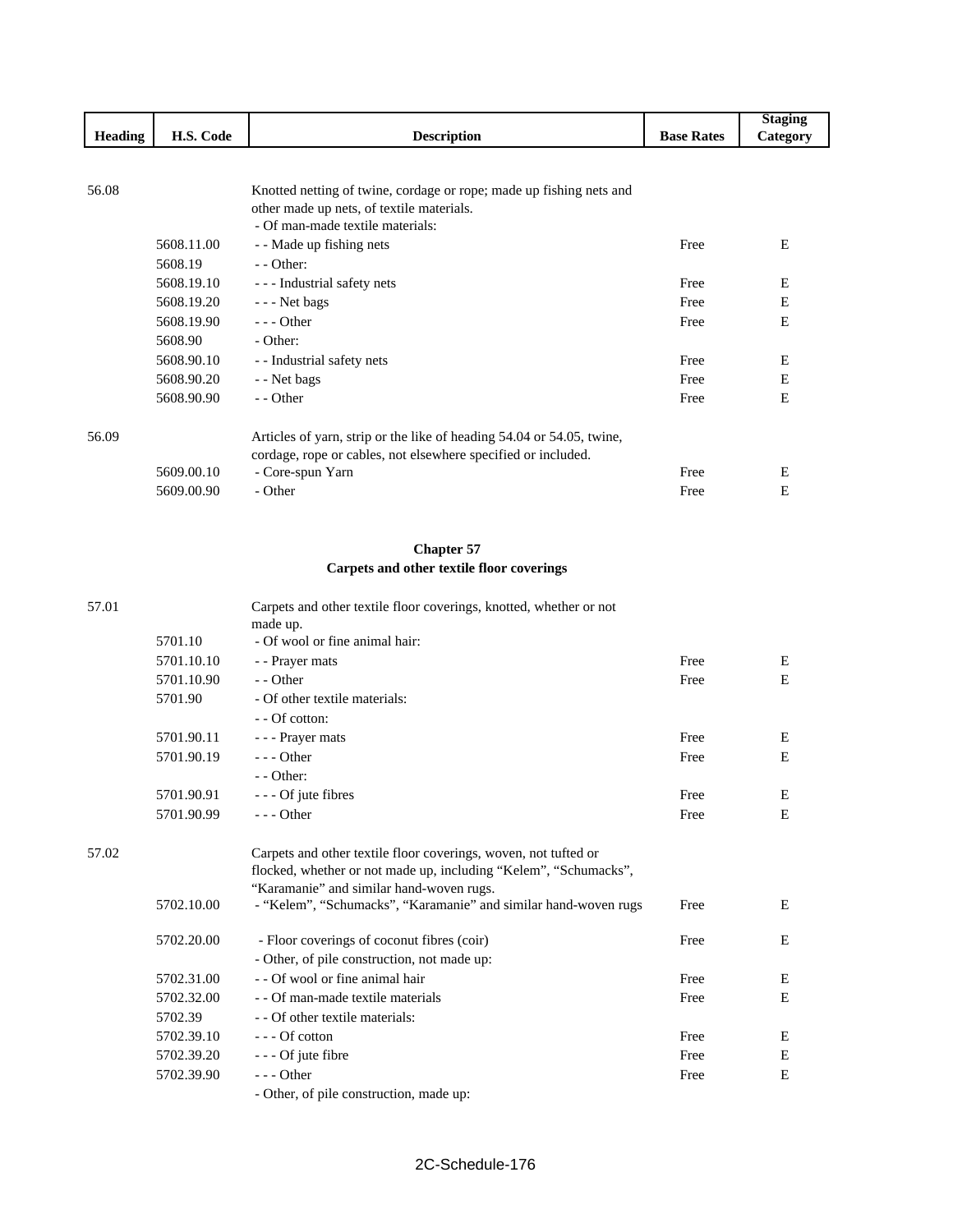|                |            |                                                                       |                   | <b>Staging</b> |
|----------------|------------|-----------------------------------------------------------------------|-------------------|----------------|
| <b>Heading</b> | H.S. Code  | <b>Description</b>                                                    | <b>Base Rates</b> | Category       |
|                |            |                                                                       |                   |                |
|                |            |                                                                       |                   |                |
| 56.08          |            | Knotted netting of twine, cordage or rope; made up fishing nets and   |                   |                |
|                |            | other made up nets, of textile materials.                             |                   |                |
|                |            | - Of man-made textile materials:                                      |                   |                |
|                | 5608.11.00 | - - Made up fishing nets                                              | Free              | E              |
|                | 5608.19    | $-$ - Other:                                                          |                   |                |
|                | 5608.19.10 | - - - Industrial safety nets                                          | Free              | E              |
|                | 5608.19.20 | - - - Net bags                                                        | Free              | E              |
|                | 5608.19.90 | $- -$ Other                                                           | Free              | E              |
|                | 5608.90    | - Other:                                                              |                   |                |
|                | 5608.90.10 | - - Industrial safety nets                                            | Free              | E              |
|                | 5608.90.20 | - - Net bags                                                          | Free              | E              |
|                | 5608.90.90 | - - Other                                                             | Free              | E              |
| 56.09          |            | Articles of yarn, strip or the like of heading 54.04 or 54.05, twine, |                   |                |
|                |            | cordage, rope or cables, not elsewhere specified or included.         |                   |                |
|                | 5609.00.10 | - Core-spun Yarn                                                      | Free              | E              |
|                | 5609.00.90 | - Other                                                               | Free              | E              |

# **Chapter 57 Carpets and other textile floor coverings**

| 57.01 |            | Carpets and other textile floor coverings, knotted, whether or not<br>made up. |      |   |
|-------|------------|--------------------------------------------------------------------------------|------|---|
|       | 5701.10    | - Of wool or fine animal hair:                                                 |      |   |
|       | 5701.10.10 | - - Prayer mats                                                                | Free | Ε |
|       | 5701.10.90 | - - Other                                                                      | Free | E |
|       | 5701.90    | - Of other textile materials:                                                  |      |   |
|       |            | - - Of cotton:                                                                 |      |   |
|       | 5701.90.11 | - - - Prayer mats                                                              | Free | Ε |
|       | 5701.90.19 | $- -$ Other                                                                    | Free | E |
|       |            | $-$ - Other:                                                                   |      |   |
|       | 5701.90.91 | - - - Of jute fibres                                                           | Free | E |
|       | 5701.90.99 | $--$ Other                                                                     | Free | E |
| 57.02 |            | Carpets and other textile floor coverings, woven, not tufted or                |      |   |
|       |            | flocked, whether or not made up, including "Kelem", "Schumacks",               |      |   |
|       |            | "Karamanie" and similar hand-woven rugs.                                       |      |   |
|       | 5702.10.00 | - "Kelem", "Schumacks", "Karamanie" and similar hand-woven rugs                | Free | E |
|       | 5702.20.00 | - Floor coverings of coconut fibres (coir)                                     | Free | E |
|       |            | - Other, of pile construction, not made up:                                    |      |   |
|       | 5702.31.00 | - - Of wool or fine animal hair                                                | Free | Ε |
|       | 5702.32.00 | - - Of man-made textile materials                                              | Free | E |
|       | 5702.39    | - - Of other textile materials:                                                |      |   |
|       | 5702.39.10 | $--$ Of cotton                                                                 | Free | E |
|       | 5702.39.20 | - - - Of jute fibre                                                            | Free | E |
|       | 5702.39.90 | $- -$ Other                                                                    | Free | E |
|       |            | - Other, of pile construction, made up:                                        |      |   |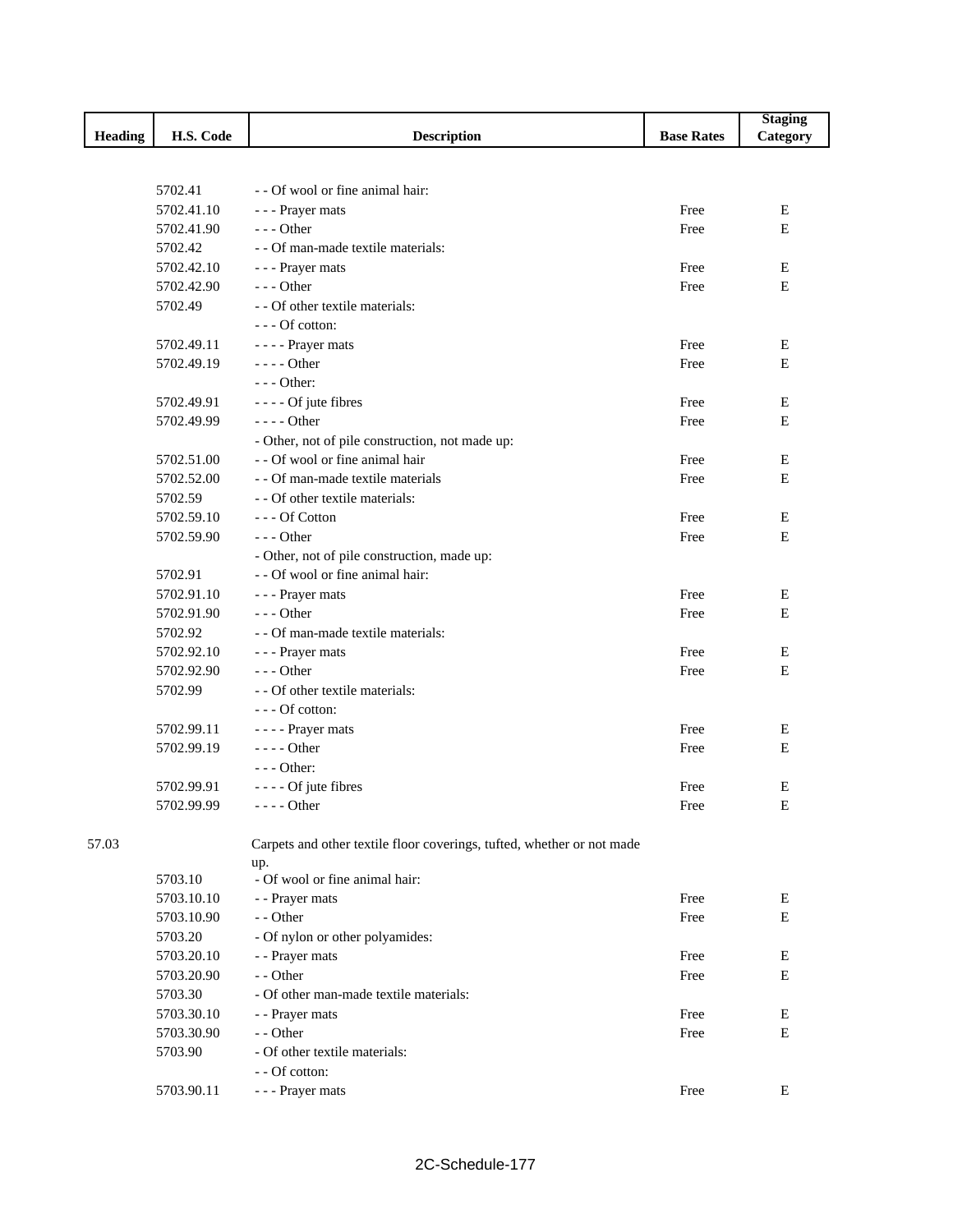|                |            |                                                                        |                   | <b>Staging</b> |
|----------------|------------|------------------------------------------------------------------------|-------------------|----------------|
| <b>Heading</b> | H.S. Code  | <b>Description</b>                                                     | <b>Base Rates</b> | Category       |
|                |            |                                                                        |                   |                |
|                |            |                                                                        |                   |                |
|                | 5702.41    | - - Of wool or fine animal hair:                                       |                   |                |
|                | 5702.41.10 | - - - Prayer mats                                                      | Free              | E              |
|                | 5702.41.90 | --- Other                                                              | Free              | E              |
|                | 5702.42    | - - Of man-made textile materials:                                     |                   |                |
|                | 5702.42.10 | - - - Prayer mats                                                      | Free              | Е              |
|                | 5702.42.90 | $--$ Other                                                             | Free              | E              |
|                | 5702.49    | - - Of other textile materials:                                        |                   |                |
|                |            | --- Of cotton:                                                         |                   |                |
|                | 5702.49.11 | - - - - Prayer mats                                                    | Free              | Е              |
|                | 5702.49.19 | - - - - Other                                                          | Free              | E              |
|                |            | $--$ Other:                                                            |                   |                |
|                | 5702.49.91 | - - - - Of jute fibres                                                 | Free              | E              |
|                | 5702.49.99 | ---- Other                                                             | Free              | E              |
|                |            | - Other, not of pile construction, not made up:                        |                   |                |
|                | 5702.51.00 | - - Of wool or fine animal hair                                        | Free              | Е              |
|                | 5702.52.00 | - - Of man-made textile materials                                      | Free              | $\mathbf E$    |
|                | 5702.59    | - - Of other textile materials:                                        |                   |                |
|                | 5702.59.10 | $--$ Of Cotton                                                         | Free              | Е              |
|                | 5702.59.90 | $--$ Other                                                             | Free              | Е              |
|                |            | - Other, not of pile construction, made up:                            |                   |                |
|                | 5702.91    | - - Of wool or fine animal hair:                                       |                   |                |
|                | 5702.91.10 | - - - Prayer mats                                                      | Free              | E              |
|                | 5702.91.90 | $--$ Other                                                             | Free              | E              |
|                | 5702.92    | - - Of man-made textile materials:                                     |                   |                |
|                | 5702.92.10 | - - - Prayer mats                                                      | Free              | Е              |
|                | 5702.92.90 | $--$ Other                                                             | Free              | E              |
|                | 5702.99    | - - Of other textile materials:                                        |                   |                |
|                |            | --- Of cotton:                                                         |                   |                |
|                | 5702.99.11 | - - - - Prayer mats                                                    | Free              | Е              |
|                | 5702.99.19 | $--- Other$                                                            | Free              | E              |
|                |            | $--$ Other:                                                            |                   |                |
|                | 5702.99.91 | - - - - Of jute fibres                                                 | Free              | Ε              |
|                | 5702.99.99 | - - - - Other                                                          | Free              | Ε              |
|                |            |                                                                        |                   |                |
| 57.03          |            | Carpets and other textile floor coverings, tufted, whether or not made |                   |                |
|                |            | up.                                                                    |                   |                |
|                | 5703.10    | - Of wool or fine animal hair:                                         |                   |                |
|                | 5703.10.10 | - - Prayer mats                                                        | Free              | E              |
|                | 5703.10.90 | - - Other                                                              | Free              | $\mathbf E$    |
|                | 5703.20    | - Of nylon or other polyamides:                                        |                   |                |
|                | 5703.20.10 | - - Prayer mats                                                        | Free              | Е              |
|                | 5703.20.90 | - - Other                                                              | Free              | E              |
|                | 5703.30    | - Of other man-made textile materials:                                 |                   |                |
|                | 5703.30.10 | - - Prayer mats                                                        | Free              | Е              |
|                | 5703.30.90 | - - Other                                                              | Free              | E              |
|                | 5703.90    | - Of other textile materials:                                          |                   |                |
|                |            | - - Of cotton:                                                         |                   |                |
|                | 5703.90.11 | - - - Prayer mats                                                      | Free              | Е              |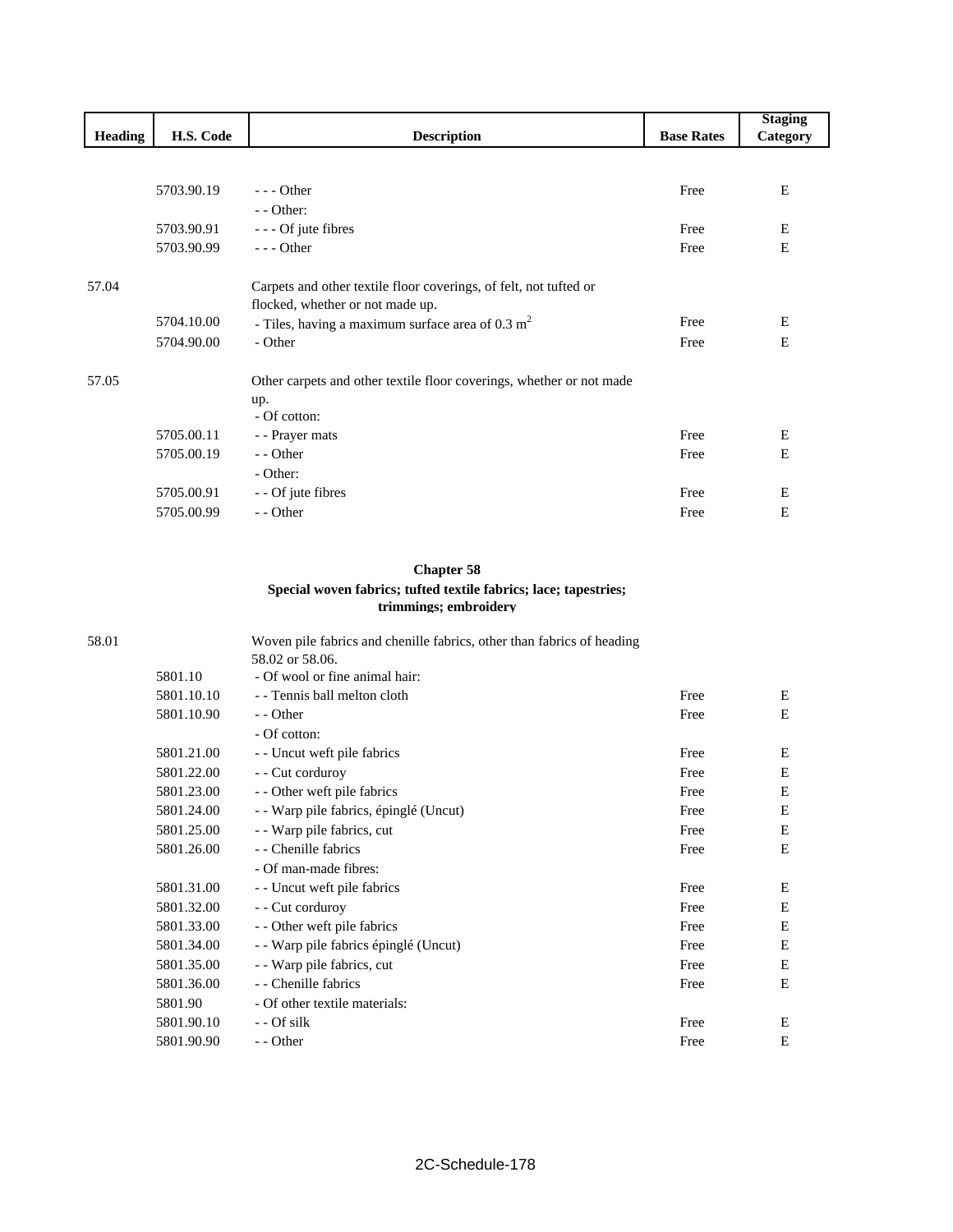|                |            |                                                                      |                   | <b>Staging</b> |
|----------------|------------|----------------------------------------------------------------------|-------------------|----------------|
| <b>Heading</b> | H.S. Code  | <b>Description</b>                                                   | <b>Base Rates</b> | Category       |
|                |            |                                                                      |                   |                |
|                |            |                                                                      |                   |                |
|                | 5703.90.19 | $--$ Other                                                           | Free              | E              |
|                |            | $-$ - Other:                                                         |                   |                |
|                | 5703.90.91 | - - - Of jute fibres                                                 | Free              | Е              |
|                | 5703.90.99 | $--$ Other                                                           | Free              | E              |
|                |            |                                                                      |                   |                |
| 57.04          |            | Carpets and other textile floor coverings, of felt, not tufted or    |                   |                |
|                |            | flocked, whether or not made up.                                     |                   |                |
|                | 5704.10.00 | - Tiles, having a maximum surface area of $0.3 \text{ m}^2$          | Free              | Ε              |
|                | 5704.90.00 | - Other                                                              | Free              | E              |
| 57.05          |            | Other carpets and other textile floor coverings, whether or not made |                   |                |
|                |            | up.                                                                  |                   |                |
|                |            | - Of cotton:                                                         |                   |                |
|                | 5705.00.11 | - - Prayer mats                                                      | Free              | Е              |
|                | 5705.00.19 | - - Other                                                            | Free              | E              |
|                |            | - Other:                                                             |                   |                |
|                | 5705.00.91 | - - Of jute fibres                                                   | Free              | Е              |
|                | 5705.00.99 | - - Other                                                            | Free              | E              |

# **Chapter 58 Special woven fabrics; tufted textile fabrics; lace; tapestries; trimmings; embroidery**

| 58.01 |            | Woven pile fabrics and chenille fabrics, other than fabrics of heading |      |   |
|-------|------------|------------------------------------------------------------------------|------|---|
|       |            | 58.02 or 58.06.                                                        |      |   |
|       | 5801.10    | - Of wool or fine animal hair:                                         |      |   |
|       | 5801.10.10 | - - Tennis ball melton cloth                                           | Free | Ε |
|       | 5801.10.90 | - - Other                                                              | Free | Е |
|       |            | - Of cotton:                                                           |      |   |
|       | 5801.21.00 | - Uncut weft pile fabrics                                              | Free | Е |
|       | 5801.22.00 | - - Cut corduroy                                                       | Free | Е |
|       | 5801.23.00 | - - Other weft pile fabrics                                            | Free | Е |
|       | 5801.24.00 | - Warp pile fabrics, épinglé (Uncut)                                   | Free | Е |
|       | 5801.25.00 | - Warp pile fabrics, cut                                               | Free | Е |
|       | 5801.26.00 | - - Chenille fabrics                                                   | Free | E |
|       |            | - Of man-made fibres:                                                  |      |   |
|       | 5801.31.00 | - - Uncut weft pile fabrics                                            | Free | Е |
|       | 5801.32.00 | - - Cut corduroy                                                       | Free | Е |
|       | 5801.33.00 | - - Other weft pile fabrics                                            | Free | E |
|       | 5801.34.00 | - Warp pile fabrics épinglé (Uncut)                                    | Free | E |
|       | 5801.35.00 | - Warp pile fabrics, cut                                               | Free | Е |
|       | 5801.36.00 | - - Chenille fabrics                                                   | Free | E |
|       | 5801.90    | - Of other textile materials:                                          |      |   |
|       | 5801.90.10 | - - Of silk                                                            | Free | Ε |
|       | 5801.90.90 | - - Other                                                              | Free | Е |
|       |            |                                                                        |      |   |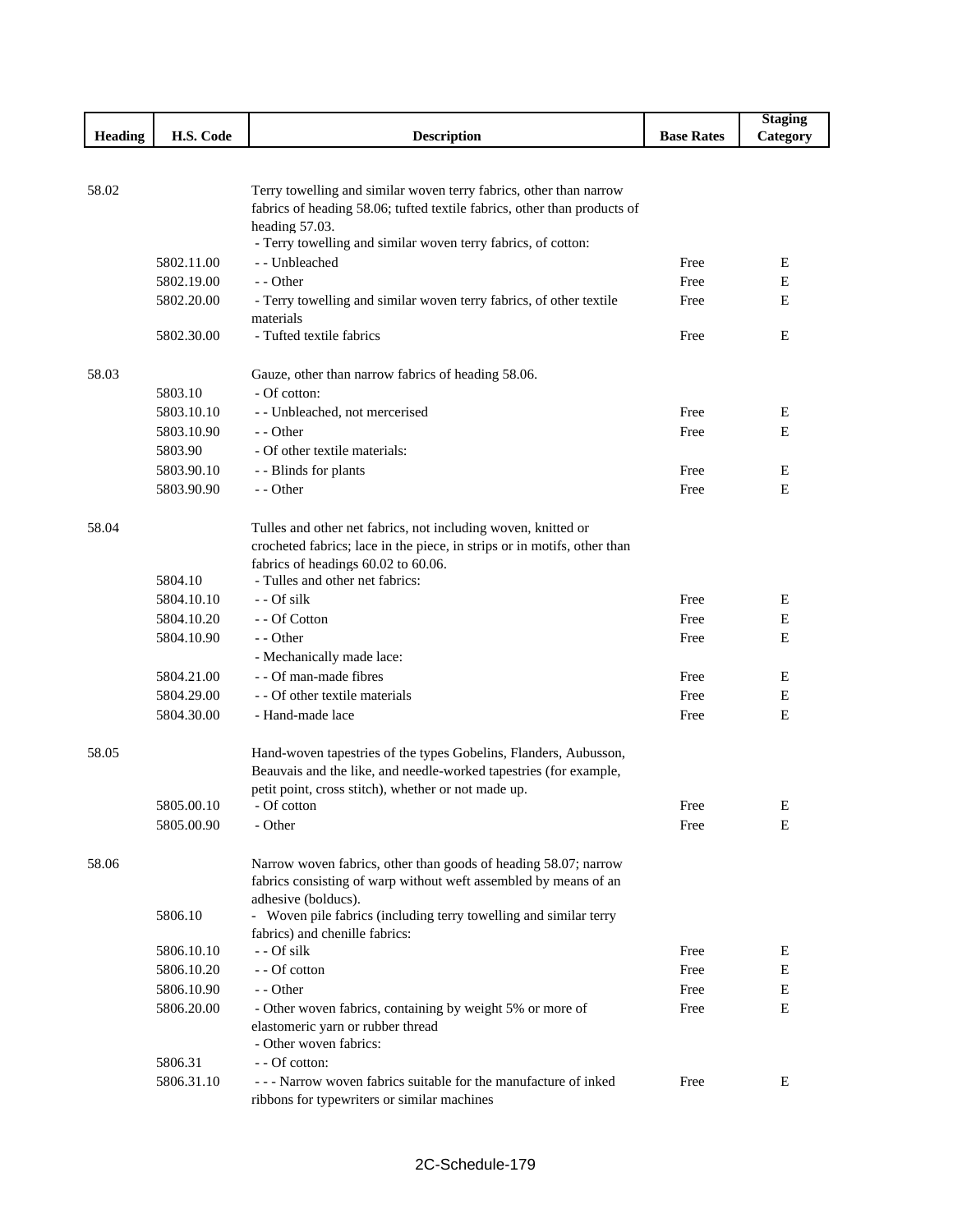|                |            |                                                                          |                   | <b>Staging</b> |
|----------------|------------|--------------------------------------------------------------------------|-------------------|----------------|
| <b>Heading</b> | H.S. Code  | <b>Description</b>                                                       | <b>Base Rates</b> | Category       |
|                |            |                                                                          |                   |                |
|                |            |                                                                          |                   |                |
| 58.02          |            | Terry towelling and similar woven terry fabrics, other than narrow       |                   |                |
|                |            | fabrics of heading 58.06; tufted textile fabrics, other than products of |                   |                |
|                |            | heading 57.03.                                                           |                   |                |
|                |            | - Terry towelling and similar woven terry fabrics, of cotton:            |                   |                |
|                | 5802.11.00 | - - Unbleached                                                           | Free              | Е              |
|                | 5802.19.00 | $-$ - Other                                                              | Free              | E              |
|                | 5802.20.00 | - Terry towelling and similar woven terry fabrics, of other textile      | Free              | E              |
|                | 5802.30.00 | materials<br>- Tufted textile fabrics                                    | Free              | E              |
|                |            |                                                                          |                   |                |
| 58.03          |            | Gauze, other than narrow fabrics of heading 58.06.                       |                   |                |
|                | 5803.10    | - Of cotton:                                                             |                   |                |
|                | 5803.10.10 | - - Unbleached, not mercerised                                           | Free              | Е              |
|                | 5803.10.90 | - - Other                                                                | Free              | E              |
|                | 5803.90    | - Of other textile materials:                                            |                   |                |
|                | 5803.90.10 | - - Blinds for plants                                                    | Free              | Е              |
|                | 5803.90.90 | - - Other                                                                | Free              | E              |
|                |            |                                                                          |                   |                |
| 58.04          |            | Tulles and other net fabrics, not including woven, knitted or            |                   |                |
|                |            | crocheted fabrics; lace in the piece, in strips or in motifs, other than |                   |                |
|                |            | fabrics of headings 60.02 to 60.06.                                      |                   |                |
|                | 5804.10    | - Tulles and other net fabrics:                                          |                   |                |
|                | 5804.10.10 | - - Of silk                                                              | Free              | E              |
|                | 5804.10.20 | - - Of Cotton                                                            | Free              | Е              |
|                | 5804.10.90 | - - Other                                                                | Free              | Е              |
|                |            | - Mechanically made lace:                                                |                   |                |
|                | 5804.21.00 | - - Of man-made fibres                                                   | Free              | E              |
|                | 5804.29.00 | - - Of other textile materials                                           | Free              | Е              |
|                | 5804.30.00 | - Hand-made lace                                                         | Free              | E              |
|                |            |                                                                          |                   |                |
| 58.05          |            | Hand-woven tapestries of the types Gobelins, Flanders, Aubusson,         |                   |                |
|                |            | Beauvais and the like, and needle-worked tapestries (for example,        |                   |                |
|                |            | petit point, cross stitch), whether or not made up.                      |                   |                |
|                | 5805.00.10 | - Of cotton                                                              | Free              | Ε              |
|                | 5805.00.90 | - Other                                                                  | Free              | E              |
|                |            |                                                                          |                   |                |
| 58.06          |            | Narrow woven fabrics, other than goods of heading 58.07; narrow          |                   |                |
|                |            | fabrics consisting of warp without weft assembled by means of an         |                   |                |
|                |            | adhesive (bolducs).                                                      |                   |                |
|                | 5806.10    | - Woven pile fabrics (including terry towelling and similar terry        |                   |                |
|                | 5806.10.10 | fabrics) and chenille fabrics:<br>- - Of silk                            | Free              | E              |
|                | 5806.10.20 | - - Of cotton                                                            | Free              | Е              |
|                | 5806.10.90 | - - Other                                                                | Free              | Е              |
|                | 5806.20.00 | - Other woven fabrics, containing by weight 5% or more of                | Free              | E              |
|                |            | elastomeric yarn or rubber thread                                        |                   |                |
|                |            | - Other woven fabrics:                                                   |                   |                |
|                | 5806.31    | - - Of cotton:                                                           |                   |                |
|                | 5806.31.10 | --- Narrow woven fabrics suitable for the manufacture of inked           | Free              | E              |
|                |            | ribbons for typewriters or similar machines                              |                   |                |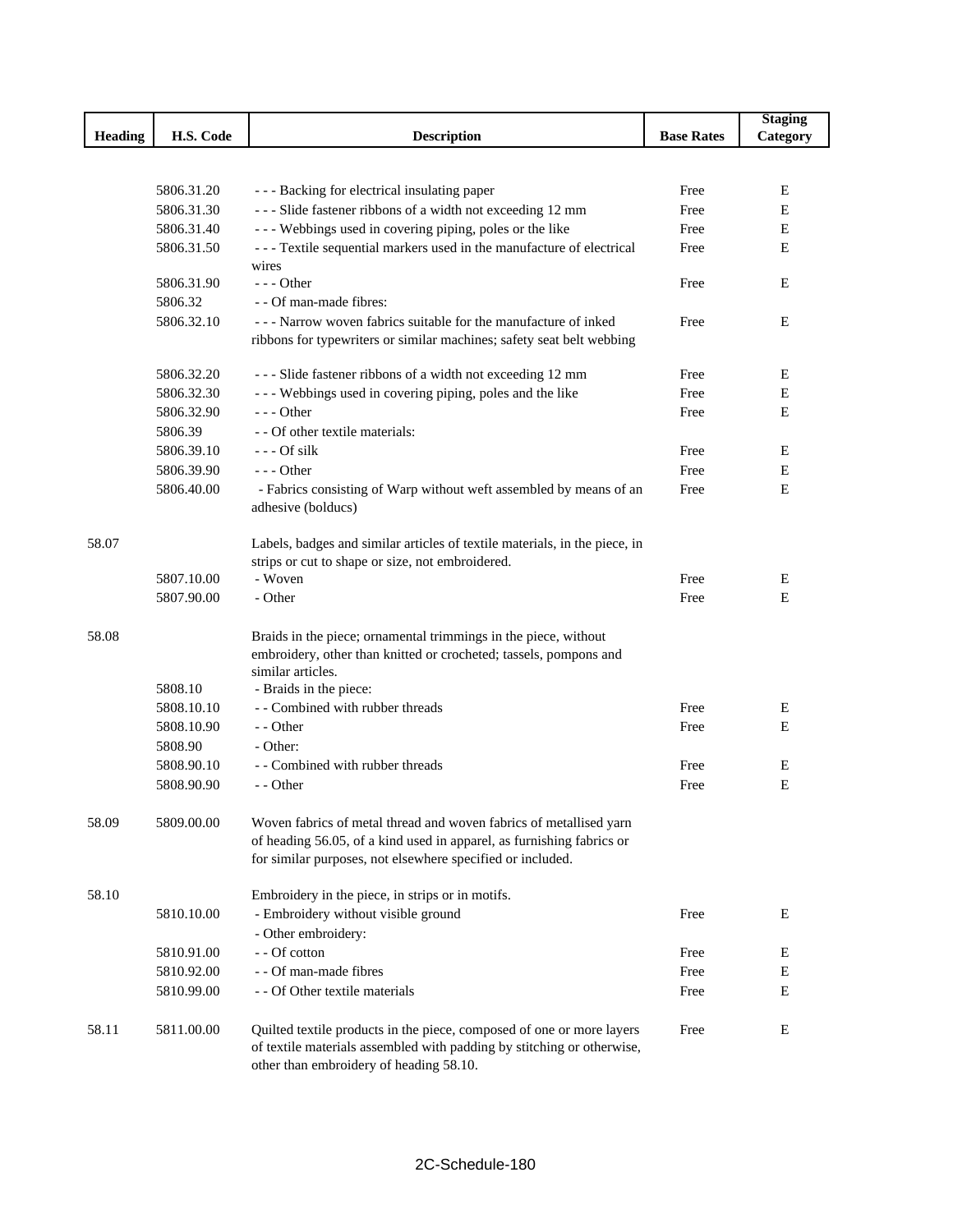|                |            |                                                                                                                                                                                                           |                   | <b>Staging</b> |
|----------------|------------|-----------------------------------------------------------------------------------------------------------------------------------------------------------------------------------------------------------|-------------------|----------------|
| <b>Heading</b> | H.S. Code  | <b>Description</b>                                                                                                                                                                                        | <b>Base Rates</b> | Category       |
|                |            |                                                                                                                                                                                                           |                   |                |
|                |            |                                                                                                                                                                                                           |                   |                |
|                | 5806.31.20 | --- Backing for electrical insulating paper                                                                                                                                                               | Free              | ${\bf E}$      |
|                | 5806.31.30 | --- Slide fastener ribbons of a width not exceeding 12 mm                                                                                                                                                 | Free              | E              |
|                | 5806.31.40 | --- Webbings used in covering piping, poles or the like                                                                                                                                                   | Free              | Е              |
|                | 5806.31.50 | --- Textile sequential markers used in the manufacture of electrical<br>wires                                                                                                                             | Free              | E              |
|                | 5806.31.90 | $--$ Other                                                                                                                                                                                                | Free              | E              |
|                | 5806.32    | - - Of man-made fibres:                                                                                                                                                                                   |                   |                |
|                | 5806.32.10 | - - - Narrow woven fabrics suitable for the manufacture of inked                                                                                                                                          | Free              | E              |
|                |            | ribbons for typewriters or similar machines; safety seat belt webbing                                                                                                                                     |                   |                |
|                | 5806.32.20 | --- Slide fastener ribbons of a width not exceeding 12 mm                                                                                                                                                 | Free              | E              |
|                | 5806.32.30 | --- Webbings used in covering piping, poles and the like                                                                                                                                                  | Free              | E              |
|                | 5806.32.90 | $--$ Other                                                                                                                                                                                                | Free              | E              |
|                | 5806.39    | - - Of other textile materials:                                                                                                                                                                           |                   |                |
|                | 5806.39.10 | $--$ Of silk                                                                                                                                                                                              | Free              | Е              |
|                | 5806.39.90 | $- -$ Other                                                                                                                                                                                               | Free              | Е              |
|                | 5806.40.00 | - Fabrics consisting of Warp without weft assembled by means of an<br>adhesive (bolducs)                                                                                                                  | Free              | E              |
| 58.07          |            | Labels, badges and similar articles of textile materials, in the piece, in<br>strips or cut to shape or size, not embroidered.                                                                            |                   |                |
|                | 5807.10.00 | - Woven                                                                                                                                                                                                   | Free              | E              |
|                | 5807.90.00 | - Other                                                                                                                                                                                                   | Free              | E              |
| 58.08          |            | Braids in the piece; ornamental trimmings in the piece, without<br>embroidery, other than knitted or crocheted; tassels, pompons and<br>similar articles.                                                 |                   |                |
|                | 5808.10    | - Braids in the piece:                                                                                                                                                                                    |                   |                |
|                | 5808.10.10 | - - Combined with rubber threads                                                                                                                                                                          | Free              | E              |
|                | 5808.10.90 | - - Other                                                                                                                                                                                                 | Free              | E              |
|                | 5808.90    | - Other:                                                                                                                                                                                                  |                   |                |
|                | 5808.90.10 | - - Combined with rubber threads                                                                                                                                                                          | Free              | Е              |
|                | 5808.90.90 | - - Other                                                                                                                                                                                                 | Free              | E              |
| 58.09          | 5809.00.00 | Woven fabrics of metal thread and woven fabrics of metallised yarn<br>of heading 56.05, of a kind used in apparel, as furnishing fabrics or<br>for similar purposes, not elsewhere specified or included. |                   |                |
| 58.10          |            | Embroidery in the piece, in strips or in motifs.                                                                                                                                                          |                   |                |
|                | 5810.10.00 | - Embroidery without visible ground                                                                                                                                                                       | Free              | Е              |
|                |            | - Other embroidery:                                                                                                                                                                                       |                   |                |
|                | 5810.91.00 | - - Of cotton                                                                                                                                                                                             | Free              | Е              |
|                | 5810.92.00 | - - Of man-made fibres                                                                                                                                                                                    | Free              | E              |
|                | 5810.99.00 | - - Of Other textile materials                                                                                                                                                                            | Free              | E              |
| 58.11          | 5811.00.00 | Quilted textile products in the piece, composed of one or more layers<br>of textile materials assembled with padding by stitching or otherwise,<br>other than embroidery of heading 58.10.                | Free              | Е              |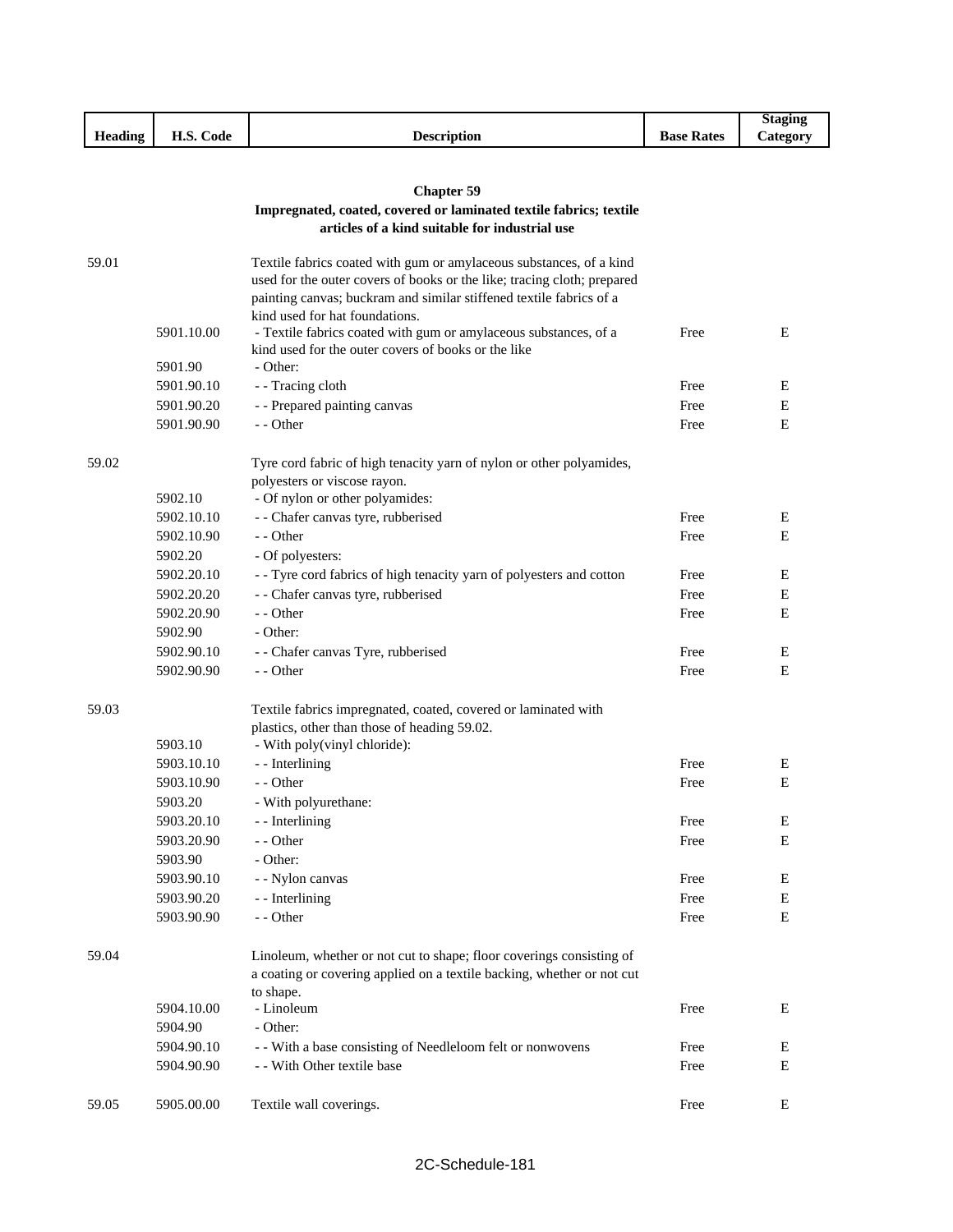|                |            |                                                                         |                   | <b>Staging</b> |
|----------------|------------|-------------------------------------------------------------------------|-------------------|----------------|
| <b>Heading</b> | H.S. Code  | <b>Description</b>                                                      | <b>Base Rates</b> | Category       |
|                |            |                                                                         |                   |                |
|                |            |                                                                         |                   |                |
|                |            | <b>Chapter 59</b>                                                       |                   |                |
|                |            | Impregnated, coated, covered or laminated textile fabrics; textile      |                   |                |
|                |            | articles of a kind suitable for industrial use                          |                   |                |
| 59.01          |            | Textile fabrics coated with gum or amylaceous substances, of a kind     |                   |                |
|                |            | used for the outer covers of books or the like; tracing cloth; prepared |                   |                |
|                |            | painting canvas; buckram and similar stiffened textile fabrics of a     |                   |                |
|                |            | kind used for hat foundations.                                          |                   |                |
|                | 5901.10.00 | - Textile fabrics coated with gum or amylaceous substances, of a        | Free              | Ε              |
|                |            | kind used for the outer covers of books or the like                     |                   |                |
|                | 5901.90    | - Other:                                                                |                   |                |
|                | 5901.90.10 | - Tracing cloth                                                         | Free              | Ε              |
|                | 5901.90.20 | - - Prepared painting canvas                                            | Free              | Ε              |
|                | 5901.90.90 | - - Other                                                               | Free              | Ε              |
|                |            |                                                                         |                   |                |
| 59.02          |            | Tyre cord fabric of high tenacity yarn of nylon or other polyamides,    |                   |                |
|                | 5902.10    | polyesters or viscose rayon.<br>- Of nylon or other polyamides:         |                   |                |
|                | 5902.10.10 | - - Chafer canvas tyre, rubberised                                      | Free              | Ε              |
|                | 5902.10.90 | $-$ - Other                                                             | Free              | E              |
|                | 5902.20    | - Of polyesters:                                                        |                   |                |
|                | 5902.20.10 | - - Tyre cord fabrics of high tenacity yarn of polyesters and cotton    | Free              | Ε              |
|                | 5902.20.20 | - - Chafer canvas tyre, rubberised                                      | Free              | Ε              |
|                | 5902.20.90 | - - Other                                                               | Free              | E              |
|                | 5902.90    | - Other:                                                                |                   |                |
|                | 5902.90.10 | - - Chafer canvas Tyre, rubberised                                      | Free              | E              |
|                | 5902.90.90 | - - Other                                                               | Free              | E              |
|                |            |                                                                         |                   |                |
| 59.03          |            | Textile fabrics impregnated, coated, covered or laminated with          |                   |                |
|                |            | plastics, other than those of heading 59.02.                            |                   |                |
|                | 5903.10    | - With poly(vinyl chloride):                                            |                   |                |
|                | 5903.10.10 | - - Interlining                                                         | Free              | E              |
|                | 5903.10.90 | - - Other                                                               | Free              | Ε              |
|                | 5903.20    | - With polyurethane:                                                    |                   |                |
|                | 5903.20.10 | - - Interlining                                                         | Free              | E              |
|                | 5903.20.90 | - - Other                                                               | Free              | Ε              |
|                | 5903.90    | - Other:                                                                |                   |                |
|                | 5903.90.10 | - - Nylon canvas                                                        | Free              | Е              |
|                | 5903.90.20 | - - Interlining                                                         | Free              | Ε              |
|                | 5903.90.90 | - - Other                                                               | Free              | $\mathbf E$    |
|                |            |                                                                         |                   |                |
| 59.04          |            | Linoleum, whether or not cut to shape; floor coverings consisting of    |                   |                |
|                |            | a coating or covering applied on a textile backing, whether or not cut  |                   |                |
|                | 5904.10.00 | to shape.<br>- Linoleum                                                 | Free              | Ε              |
|                | 5904.90    | - Other:                                                                |                   |                |
|                | 5904.90.10 | - - With a base consisting of Needleloom felt or nonwovens              | Free              | Ε              |
|                | 5904.90.90 | - - With Other textile base                                             | Free              | Е              |
|                |            |                                                                         |                   |                |
| 59.05          | 5905.00.00 | Textile wall coverings.                                                 | Free              | E              |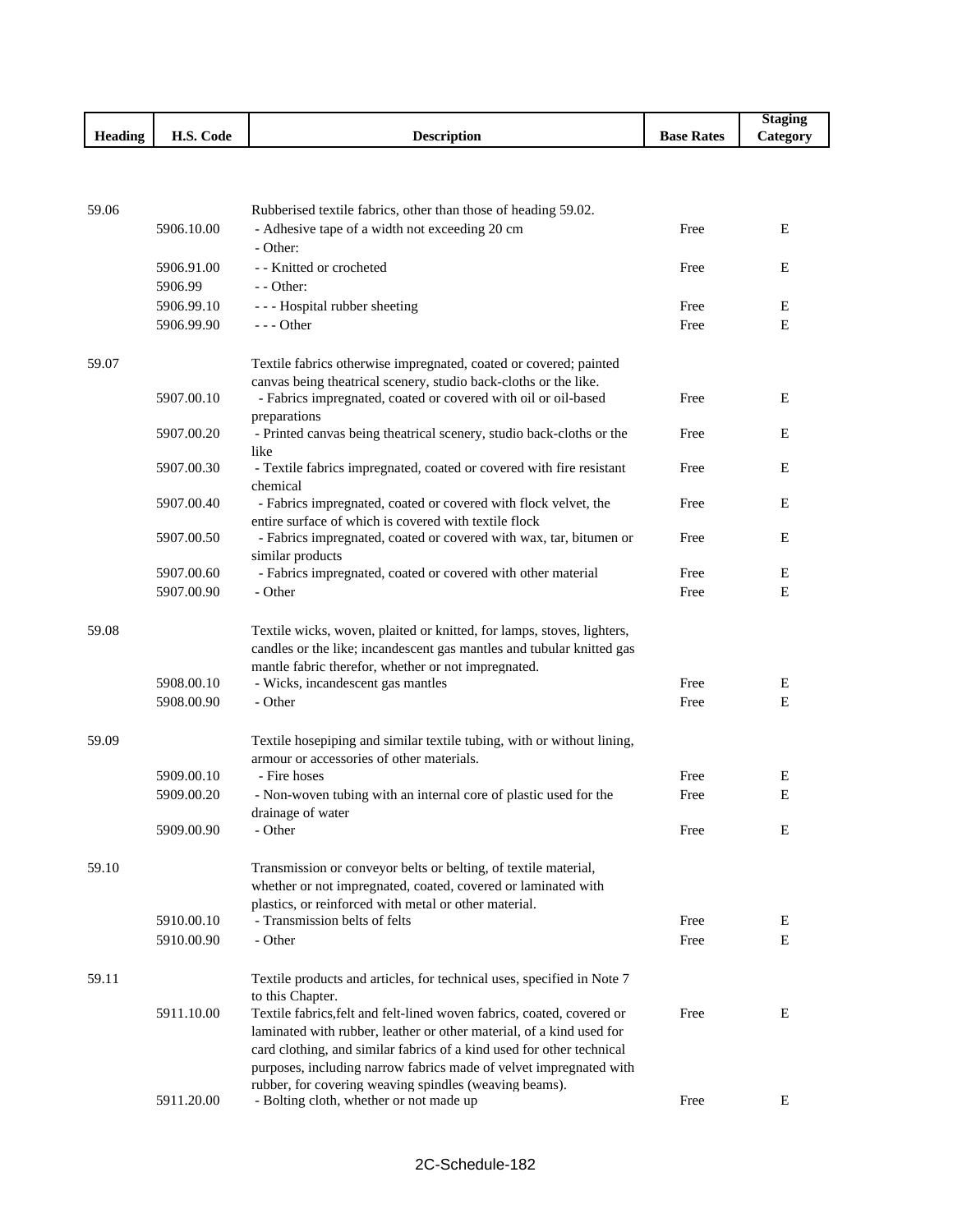|                                                     |                                                              |             |                      | Staging                |
|-----------------------------------------------------|--------------------------------------------------------------|-------------|----------------------|------------------------|
| $\mathbf{H}$<br>$\mathbf{r}$<br><b>Heading</b><br>- | $\mathbf{r}$ $\mathbf{r}$ $\alpha$<br>$\sim$<br>Code<br>п.э. | Description | <b>Base</b><br>Rates | $-$<br><b>Category</b> |

| 59.06 |            | Rubberised textile fabrics, other than those of heading 59.02.                                                                              |      |   |
|-------|------------|---------------------------------------------------------------------------------------------------------------------------------------------|------|---|
|       | 5906.10.00 | - Adhesive tape of a width not exceeding 20 cm<br>- Other:                                                                                  | Free | E |
|       | 5906.91.00 | - - Knitted or crocheted                                                                                                                    | Free | E |
|       | 5906.99    | - - Other:                                                                                                                                  |      |   |
|       | 5906.99.10 | --- Hospital rubber sheeting                                                                                                                | Free | Е |
|       | 5906.99.90 | $- -$ Other                                                                                                                                 | Free | Ε |
| 59.07 |            | Textile fabrics otherwise impregnated, coated or covered; painted                                                                           |      |   |
|       |            | canvas being theatrical scenery, studio back-cloths or the like.                                                                            |      |   |
|       | 5907.00.10 | - Fabrics impregnated, coated or covered with oil or oil-based<br>preparations                                                              | Free | E |
|       | 5907.00.20 | - Printed canvas being theatrical scenery, studio back-cloths or the<br>like                                                                | Free | E |
|       | 5907.00.30 | - Textile fabrics impregnated, coated or covered with fire resistant<br>chemical                                                            | Free | E |
|       | 5907.00.40 | - Fabrics impregnated, coated or covered with flock velvet, the<br>entire surface of which is covered with textile flock                    | Free | E |
|       | 5907.00.50 | - Fabrics impregnated, coated or covered with wax, tar, bitumen or                                                                          | Free | E |
|       |            | similar products                                                                                                                            |      |   |
|       | 5907.00.60 | - Fabrics impregnated, coated or covered with other material                                                                                | Free | E |
|       | 5907.00.90 | - Other                                                                                                                                     | Free | E |
| 59.08 |            | Textile wicks, woven, plaited or knitted, for lamps, stoves, lighters,                                                                      |      |   |
|       |            | candles or the like; incandescent gas mantles and tubular knitted gas                                                                       |      |   |
|       |            | mantle fabric therefor, whether or not impregnated.                                                                                         |      |   |
|       | 5908.00.10 | - Wicks, incandescent gas mantles                                                                                                           | Free | E |
|       | 5908.00.90 | - Other                                                                                                                                     | Free | E |
| 59.09 |            | Textile hosepiping and similar textile tubing, with or without lining,                                                                      |      |   |
|       |            | armour or accessories of other materials.                                                                                                   |      |   |
|       | 5909.00.10 | - Fire hoses                                                                                                                                | Free | E |
|       | 5909.00.20 | - Non-woven tubing with an internal core of plastic used for the<br>drainage of water                                                       | Free | E |
|       | 5909.00.90 | - Other                                                                                                                                     | Free | E |
| 59.10 |            | Transmission or conveyor belts or belting, of textile material,                                                                             |      |   |
|       |            | whether or not impregnated, coated, covered or laminated with                                                                               |      |   |
|       |            | plastics, or reinforced with metal or other material.                                                                                       |      |   |
|       | 5910.00.10 | - Transmission belts of felts                                                                                                               | Free | E |
|       | 5910.00.90 | - Other                                                                                                                                     | Free | E |
| 59.11 |            | Textile products and articles, for technical uses, specified in Note 7                                                                      |      |   |
|       |            | to this Chapter.                                                                                                                            |      |   |
|       | 5911.10.00 | Textile fabrics, felt and felt-lined woven fabrics, coated, covered or                                                                      | Free | Е |
|       |            | laminated with rubber, leather or other material, of a kind used for                                                                        |      |   |
|       |            | card clothing, and similar fabrics of a kind used for other technical<br>purposes, including narrow fabrics made of velvet impregnated with |      |   |
|       |            | rubber, for covering weaving spindles (weaving beams).                                                                                      |      |   |
|       | 5911.20.00 | - Bolting cloth, whether or not made up                                                                                                     | Free | Е |
|       |            |                                                                                                                                             |      |   |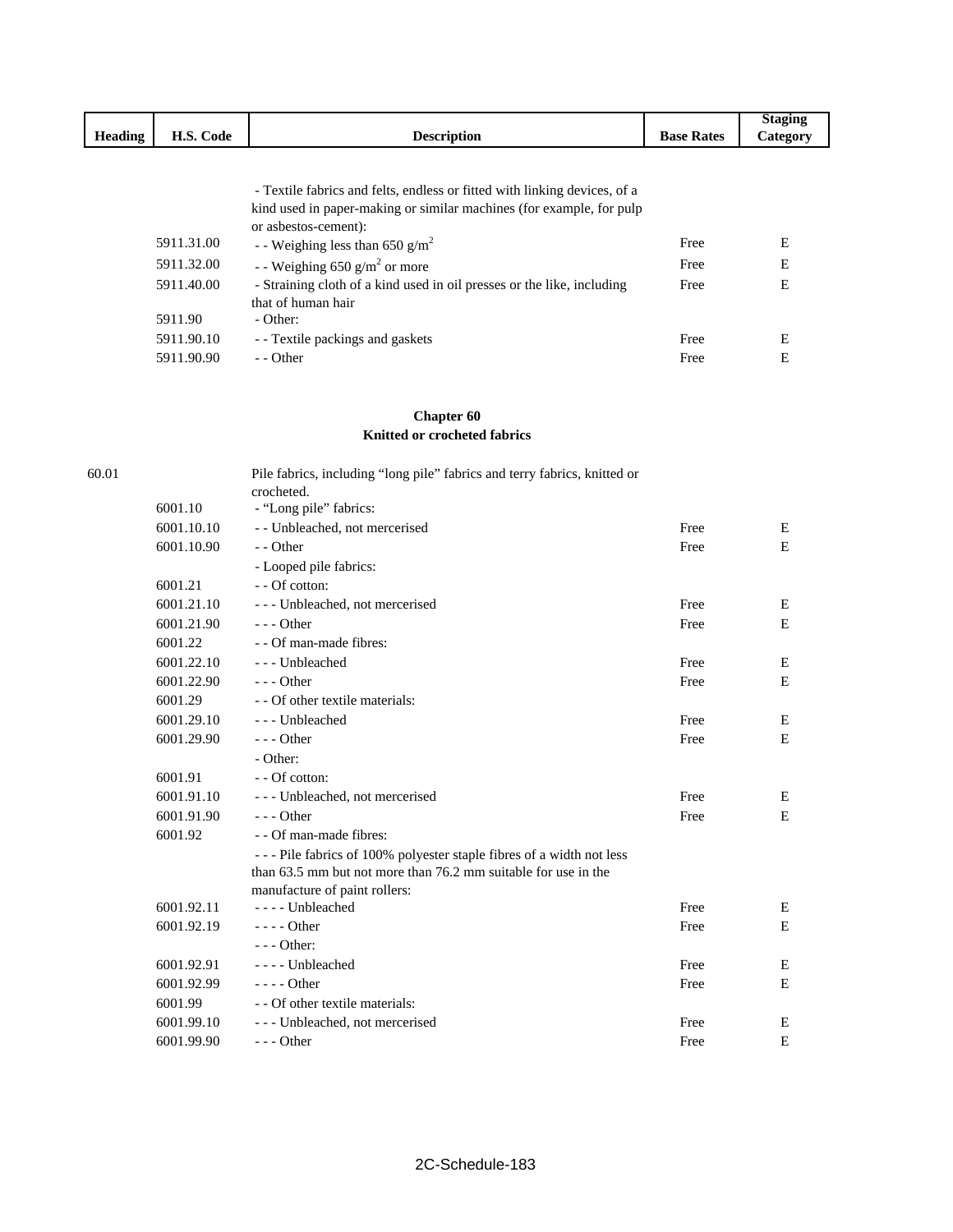|                |                      |                                |                   | 'toging                    |
|----------------|----------------------|--------------------------------|-------------------|----------------------------|
| <b>Heading</b> | TT (<br>Code<br>п.э. | <i><b>Jescription</b></i><br>. | <b>Base Rates</b> | -<br>$\mathcal{L}$ ategory |
|                |                      |                                |                   |                            |

 - Textile fabrics and felts, endless or fitted with linking devices, of a kind used in paper-making or similar machines (for example, for pulp or asbestos-cement):

| 5911.31.00 | - Weighing less than 650 g/m <sup>2</sup>                              | Free | E |
|------------|------------------------------------------------------------------------|------|---|
| 5911.32.00 | - - Weighing 650 g/m <sup>2</sup> or more                              | Free | E |
| 5911.40.00 | - Straining cloth of a kind used in oil presses or the like, including | Free | E |
|            | that of human hair                                                     |      |   |
| 5911.90    | - Other:                                                               |      |   |
| 5911.90.10 | - Textile packings and gaskets                                         | Free | E |
| 5911.90.90 | $-$ - Other                                                            | Free | E |

### **Chapter 60 Knitted or crocheted fabrics**

| 60.01 |            | Pile fabrics, including "long pile" fabrics and terry fabrics, knitted or<br>crocheted. |      |   |
|-------|------------|-----------------------------------------------------------------------------------------|------|---|
|       | 6001.10    | - "Long pile" fabrics:                                                                  |      |   |
|       | 6001.10.10 | - - Unbleached, not mercerised                                                          | Free | Ε |
|       | 6001.10.90 | - - Other                                                                               | Free | E |
|       |            | - Looped pile fabrics:                                                                  |      |   |
|       | 6001.21    | - - Of cotton:                                                                          |      |   |
|       | 6001.21.10 | --- Unbleached, not mercerised                                                          | Free | E |
|       | 6001.21.90 | $--$ Other                                                                              | Free | E |
|       | 6001.22    | - - Of man-made fibres:                                                                 |      |   |
|       | 6001.22.10 | --- Unbleached                                                                          | Free | Ε |
|       | 6001.22.90 | $--$ Other                                                                              | Free | E |
|       | 6001.29    | - - Of other textile materials:                                                         |      |   |
|       | 6001.29.10 | --- Unbleached                                                                          | Free | Ε |
|       | 6001.29.90 | $- -$ Other                                                                             | Free | E |
|       |            | - Other:                                                                                |      |   |
|       | 6001.91    | - - Of cotton:                                                                          |      |   |
|       | 6001.91.10 | --- Unbleached, not mercerised                                                          | Free | E |
|       | 6001.91.90 | $- -$ Other                                                                             | Free | E |
|       | 6001.92    | - - Of man-made fibres:                                                                 |      |   |
|       |            | --- Pile fabrics of 100% polyester staple fibres of a width not less                    |      |   |
|       |            | than 63.5 mm but not more than 76.2 mm suitable for use in the                          |      |   |
|       |            | manufacture of paint rollers:                                                           |      |   |
|       | 6001.92.11 | ---- Unbleached                                                                         | Free | Ε |
|       | 6001.92.19 | $--$ Other                                                                              | Free | E |
|       |            | $--$ Other:                                                                             |      |   |
|       | 6001.92.91 | ---- Unbleached                                                                         | Free | Ε |
|       | 6001.92.99 | $--- Other$                                                                             | Free | E |
|       | 6001.99    | - - Of other textile materials:                                                         |      |   |
|       | 6001.99.10 | --- Unbleached, not mercerised                                                          | Free | Ε |
|       | 6001.99.90 | $--$ Other                                                                              | Free | Е |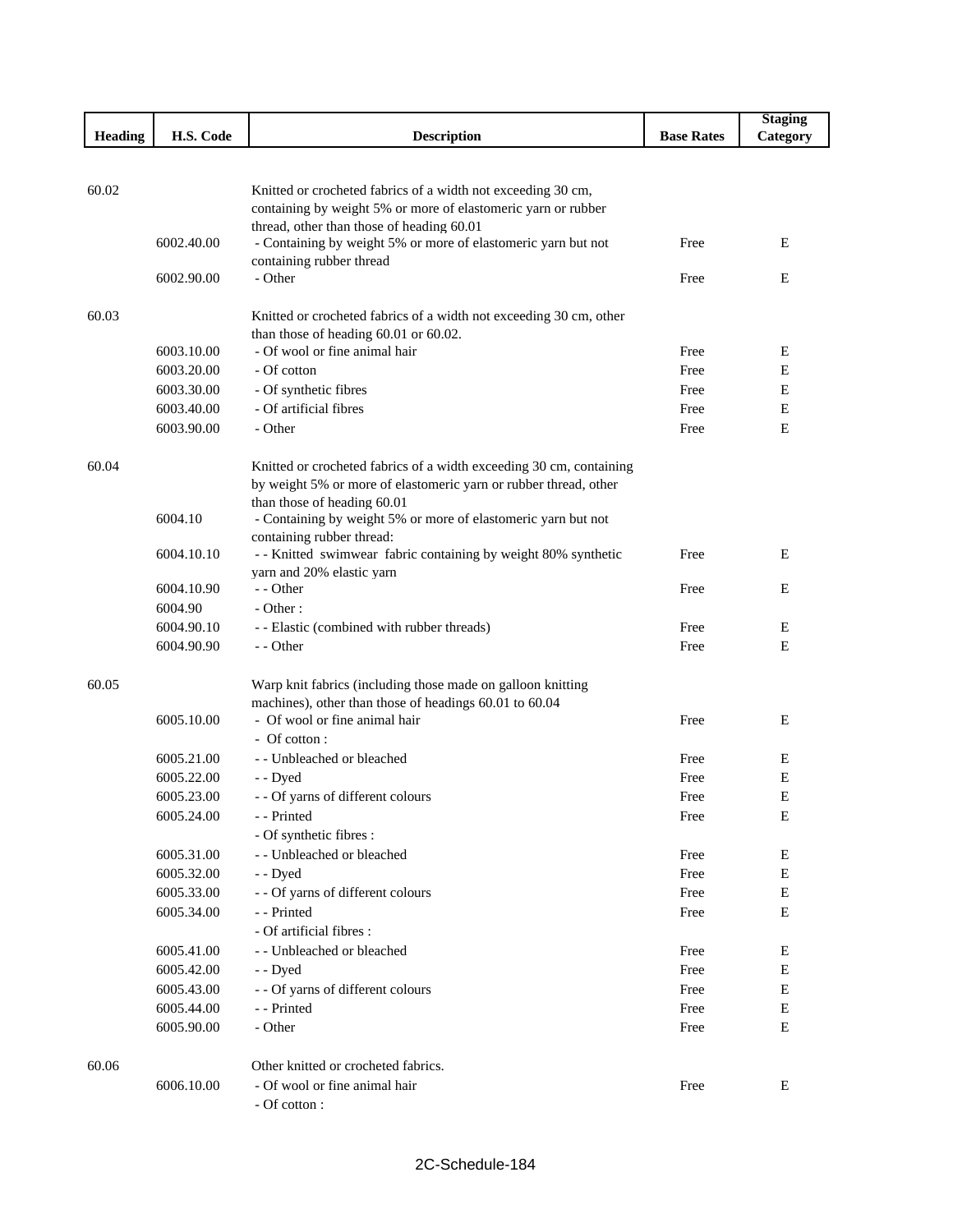|         |            |                                                                                                                               |                   | <b>Staging</b> |
|---------|------------|-------------------------------------------------------------------------------------------------------------------------------|-------------------|----------------|
| Heading | H.S. Code  | <b>Description</b>                                                                                                            | <b>Base Rates</b> | Category       |
|         |            |                                                                                                                               |                   |                |
| 60.02   |            |                                                                                                                               |                   |                |
|         |            | Knitted or crocheted fabrics of a width not exceeding 30 cm,<br>containing by weight 5% or more of elastomeric yarn or rubber |                   |                |
|         |            | thread, other than those of heading 60.01                                                                                     |                   |                |
|         | 6002.40.00 | - Containing by weight 5% or more of elastomeric yarn but not                                                                 | Free              | E              |
|         |            | containing rubber thread                                                                                                      |                   |                |
|         | 6002.90.00 | - Other                                                                                                                       | Free              | Е              |
|         |            |                                                                                                                               |                   |                |
| 60.03   |            | Knitted or crocheted fabrics of a width not exceeding 30 cm, other                                                            |                   |                |
|         | 6003.10.00 | than those of heading 60.01 or 60.02.<br>- Of wool or fine animal hair                                                        | Free              | Е              |
|         | 6003.20.00 | - Of cotton                                                                                                                   | Free              | Е              |
|         | 6003.30.00 | - Of synthetic fibres                                                                                                         | Free              | Е              |
|         | 6003.40.00 | - Of artificial fibres                                                                                                        | Free              | Ε              |
|         | 6003.90.00 | - Other                                                                                                                       | Free              | E              |
|         |            |                                                                                                                               |                   |                |
| 60.04   |            | Knitted or crocheted fabrics of a width exceeding 30 cm, containing                                                           |                   |                |
|         |            | by weight 5% or more of elastomeric yarn or rubber thread, other                                                              |                   |                |
|         |            | than those of heading 60.01                                                                                                   |                   |                |
|         | 6004.10    | - Containing by weight 5% or more of elastomeric yarn but not                                                                 |                   |                |
|         |            | containing rubber thread:                                                                                                     |                   |                |
|         | 6004.10.10 | - - Knitted swimwear fabric containing by weight 80% synthetic                                                                | Free              | E              |
|         | 6004.10.90 | yarn and 20% elastic yarn<br>- - Other                                                                                        | Free              | E              |
|         | 6004.90    | $- Other:$                                                                                                                    |                   |                |
|         | 6004.90.10 | - - Elastic (combined with rubber threads)                                                                                    | Free              | E              |
|         | 6004.90.90 | - - Other                                                                                                                     | Free              | Ε              |
|         |            |                                                                                                                               |                   |                |
| 60.05   |            | Warp knit fabrics (including those made on galloon knitting                                                                   |                   |                |
|         |            | machines), other than those of headings 60.01 to 60.04                                                                        |                   |                |
|         | 6005.10.00 | - Of wool or fine animal hair                                                                                                 | Free              | E              |
|         |            | - Of cotton:                                                                                                                  |                   |                |
|         | 6005.21.00 | - - Unbleached or bleached                                                                                                    | Free              | E              |
|         | 6005.22.00 | - - Dyed                                                                                                                      | Free              | E              |
|         | 6005.23.00 | - - Of yarns of different colours                                                                                             | Free              | Е              |
|         | 6005.24.00 | - - Printed                                                                                                                   | Free              | E              |
|         | 6005.31.00 | - Of synthetic fibres :<br>- - Unbleached or bleached                                                                         | Free              | Ε              |
|         | 6005.32.00 |                                                                                                                               | Free              | Ε              |
|         | 6005.33.00 | - - Dyed<br>- - Of yarns of different colours                                                                                 | Free              | $\mathbf E$    |
|         | 6005.34.00 | - - Printed                                                                                                                   | Free              | Ε              |
|         |            | - Of artificial fibres :                                                                                                      |                   |                |
|         | 6005.41.00 | - - Unbleached or bleached                                                                                                    | Free              | Ε              |
|         | 6005.42.00 | - - Dyed                                                                                                                      | Free              | Ε              |
|         | 6005.43.00 | - - Of yarns of different colours                                                                                             | Free              | Ε              |
|         | 6005.44.00 | - - Printed                                                                                                                   | Free              | E              |
|         | 6005.90.00 | - Other                                                                                                                       | Free              | $\mathbf E$    |
|         |            |                                                                                                                               |                   |                |
| 60.06   |            | Other knitted or crocheted fabrics.                                                                                           |                   |                |
|         | 6006.10.00 | - Of wool or fine animal hair                                                                                                 | Free              | E              |
|         |            | - Of cotton :                                                                                                                 |                   |                |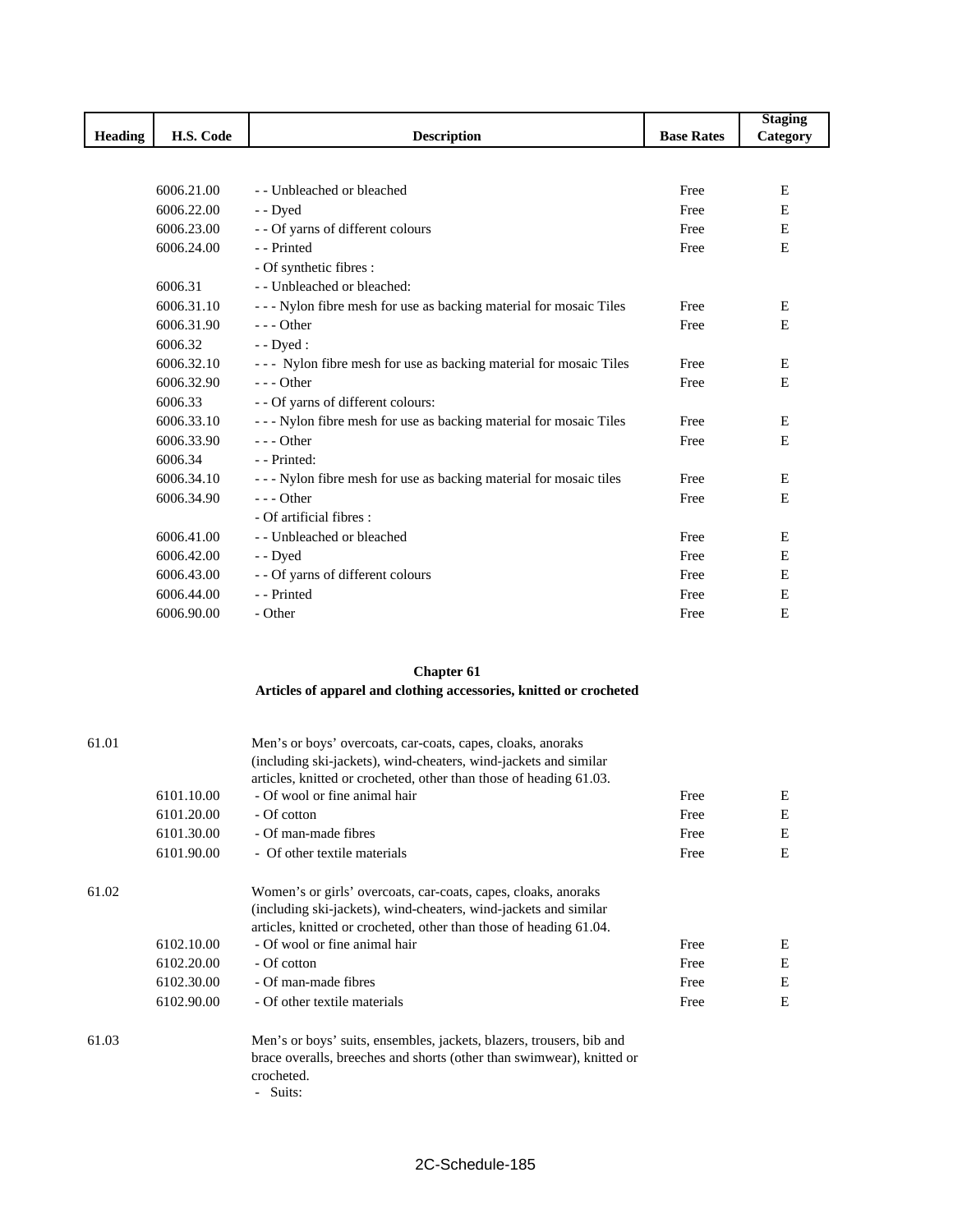|                |            |                                                                   |                   | <b>Staging</b> |
|----------------|------------|-------------------------------------------------------------------|-------------------|----------------|
| <b>Heading</b> | H.S. Code  | <b>Description</b>                                                | <b>Base Rates</b> | Category       |
|                |            |                                                                   |                   |                |
|                |            |                                                                   |                   |                |
|                | 6006.21.00 | - - Unbleached or bleached                                        | Free              | E              |
|                | 6006.22.00 | - - Dyed                                                          | Free              | E              |
|                | 6006.23.00 | - - Of yarns of different colours                                 | Free              | E              |
|                | 6006.24.00 | - - Printed                                                       | Free              | E              |
|                |            | - Of synthetic fibres :                                           |                   |                |
|                | 6006.31    | - Unbleached or bleached:                                         |                   |                |
|                | 6006.31.10 | --- Nylon fibre mesh for use as backing material for mosaic Tiles | Free              | Ε              |
|                | 6006.31.90 | $- -$ Other                                                       | Free              | E              |
|                | 6006.32    | $-$ Dyed :                                                        |                   |                |
|                | 6006.32.10 | --- Nylon fibre mesh for use as backing material for mosaic Tiles | Free              | Е              |
|                | 6006.32.90 | $- -$ Other                                                       | Free              | E              |
|                | 6006.33    | - - Of yarns of different colours:                                |                   |                |
|                | 6006.33.10 | --- Nylon fibre mesh for use as backing material for mosaic Tiles | Free              | E              |
|                | 6006.33.90 | $--$ Other                                                        | Free              | E              |
|                | 6006.34    | - - Printed:                                                      |                   |                |
|                | 6006.34.10 | --- Nylon fibre mesh for use as backing material for mosaic tiles | Free              | E              |
|                | 6006.34.90 | $- -$ Other                                                       | Free              | E              |
|                |            | - Of artificial fibres :                                          |                   |                |
|                | 6006.41.00 | - - Unbleached or bleached                                        | Free              | E              |
|                | 6006.42.00 | - - Dyed                                                          | Free              | E              |
|                | 6006.43.00 | - - Of yarns of different colours                                 | Free              | E              |
|                | 6006.44.00 | - - Printed                                                       | Free              | E              |
|                | 6006.90.00 | - Other                                                           | Free              | E              |
|                |            |                                                                   |                   |                |

## **Chapter 61**

## **Articles of apparel and clothing accessories, knitted or crocheted**

| 61.01 |            | Men's or boys' overcoats, car-coats, capes, cloaks, anoraks           |      |   |  |
|-------|------------|-----------------------------------------------------------------------|------|---|--|
|       |            | (including ski-jackets), wind-cheaters, wind-jackets and similar      |      |   |  |
|       |            | articles, knitted or crocheted, other than those of heading 61.03.    |      |   |  |
|       | 6101.10.00 | - Of wool or fine animal hair                                         | Free | Ε |  |
|       | 6101.20.00 | - Of cotton                                                           | Free | Ε |  |
|       | 6101.30.00 | - Of man-made fibres                                                  | Free | Ε |  |
|       | 6101.90.00 | - Of other textile materials                                          | Free | E |  |
| 61.02 |            | Women's or girls' overcoats, car-coats, capes, cloaks, anoraks        |      |   |  |
|       |            | (including ski-jackets), wind-cheaters, wind-jackets and similar      |      |   |  |
|       |            | articles, knitted or crocheted, other than those of heading 61.04.    |      |   |  |
|       | 6102.10.00 | - Of wool or fine animal hair                                         | Free | Ε |  |
|       | 6102.20.00 | - Of cotton                                                           | Free | Ε |  |
|       | 6102.30.00 | - Of man-made fibres                                                  | Free | Ε |  |
|       | 6102.90.00 | - Of other textile materials                                          | Free | Ε |  |
| 61.03 |            | Men's or boys' suits, ensembles, jackets, blazers, trousers, bib and  |      |   |  |
|       |            | brace overalls, breeches and shorts (other than swimwear), knitted or |      |   |  |

crocheted. - Suits: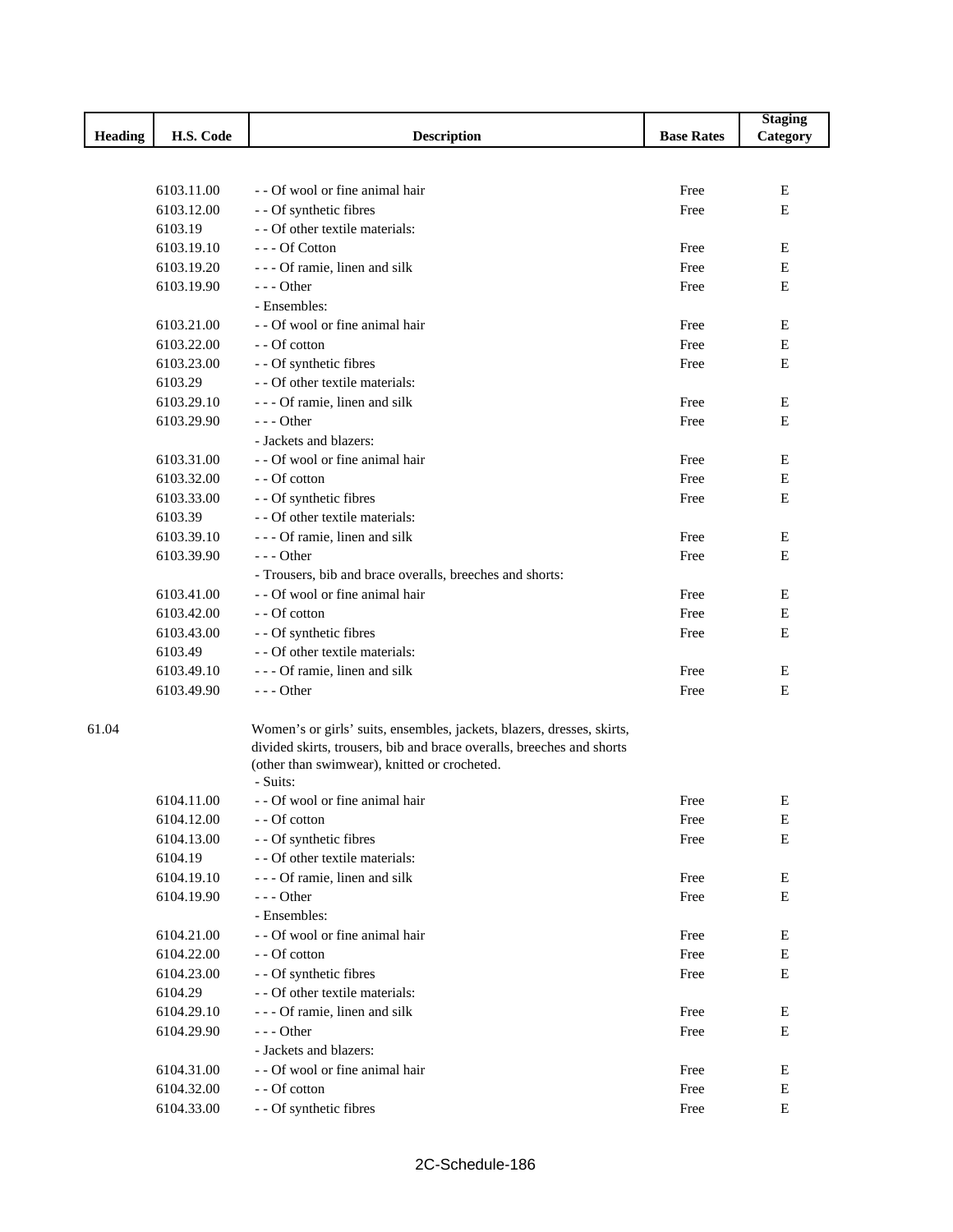|                |            |                                                                        |                   | <b>Staging</b> |
|----------------|------------|------------------------------------------------------------------------|-------------------|----------------|
| <b>Heading</b> | H.S. Code  | <b>Description</b>                                                     | <b>Base Rates</b> | Category       |
|                |            |                                                                        |                   |                |
|                |            |                                                                        |                   |                |
|                | 6103.11.00 | - Of wool or fine animal hair                                          | Free              | Е              |
|                | 6103.12.00 | - - Of synthetic fibres                                                | Free              | E              |
|                | 6103.19    | - - Of other textile materials:                                        |                   |                |
|                | 6103.19.10 | --- Of Cotton                                                          | Free              | Е              |
|                | 6103.19.20 | - - - Of ramie, linen and silk                                         | Free              | Ε              |
|                | 6103.19.90 | $--$ Other                                                             | Free              | E              |
|                |            | - Ensembles:                                                           |                   |                |
|                | 6103.21.00 | - - Of wool or fine animal hair                                        | Free              | E              |
|                | 6103.22.00 | - - Of cotton                                                          | Free              | Ε              |
|                | 6103.23.00 | - - Of synthetic fibres                                                | Free              | $\mathbf E$    |
|                | 6103.29    | - - Of other textile materials:                                        |                   |                |
|                | 6103.29.10 | - - - Of ramie, linen and silk                                         | Free              | E              |
|                | 6103.29.90 | $--$ Other                                                             | Free              | Ε              |
|                |            | - Jackets and blazers:                                                 |                   |                |
|                | 6103.31.00 | - - Of wool or fine animal hair                                        | Free              | Ε              |
|                | 6103.32.00 | - - Of cotton                                                          | Free              | E              |
|                | 6103.33.00 | - - Of synthetic fibres                                                | Free              | Ε              |
|                | 6103.39    | - - Of other textile materials:                                        |                   |                |
|                | 6103.39.10 | - - - Of ramie, linen and silk                                         | Free              | Ε              |
|                | 6103.39.90 | $--$ Other                                                             | Free              | E              |
|                |            | - Trousers, bib and brace overalls, breeches and shorts:               |                   |                |
|                | 6103.41.00 | - - Of wool or fine animal hair                                        | Free              | Ε              |
|                | 6103.42.00 | - - Of cotton                                                          | Free              | E              |
|                | 6103.43.00 | - - Of synthetic fibres                                                | Free              | E              |
|                | 6103.49    | - - Of other textile materials:                                        |                   |                |
|                | 6103.49.10 | - - - Of ramie, linen and silk                                         | Free              | Ε              |
|                | 6103.49.90 | $--$ Other                                                             | Free              | E              |
| 61.04          |            | Women's or girls' suits, ensembles, jackets, blazers, dresses, skirts, |                   |                |
|                |            | divided skirts, trousers, bib and brace overalls, breeches and shorts  |                   |                |
|                |            | (other than swimwear), knitted or crocheted.                           |                   |                |
|                |            | - Suits:                                                               |                   |                |
|                | 6104.11.00 | - - Of wool or fine animal hair                                        | Free              | Ε              |
|                | 6104.12.00 | - - Of cotton                                                          | Free              | Ε              |
|                | 6104.13.00 | - - Of synthetic fibres                                                | Free              | Е              |
|                | 6104.19    | - - Of other textile materials:                                        |                   |                |
|                | 6104.19.10 | - - - Of ramie, linen and silk                                         | Free              | Е              |
|                | 6104.19.90 | --- Other                                                              | Free              | E              |
|                |            | - Ensembles:                                                           |                   |                |
|                | 6104.21.00 | - - Of wool or fine animal hair                                        | Free              | Ε              |
|                | 6104.22.00 | - - Of cotton                                                          | Free              | Е              |
|                | 6104.23.00 | - - Of synthetic fibres                                                | Free              | Ε              |
|                | 6104.29    | - - Of other textile materials:                                        |                   |                |
|                | 6104.29.10 | --- Of ramie, linen and silk                                           | Free              | Ε              |
|                | 6104.29.90 | $--$ Other                                                             | Free              | Е              |
|                |            | - Jackets and blazers:                                                 |                   |                |
|                | 6104.31.00 | - - Of wool or fine animal hair                                        | Free              | E              |
|                | 6104.32.00 | - - Of cotton                                                          | Free              | Е              |
|                | 6104.33.00 | - - Of synthetic fibres                                                | Free              | ${\bf E}$      |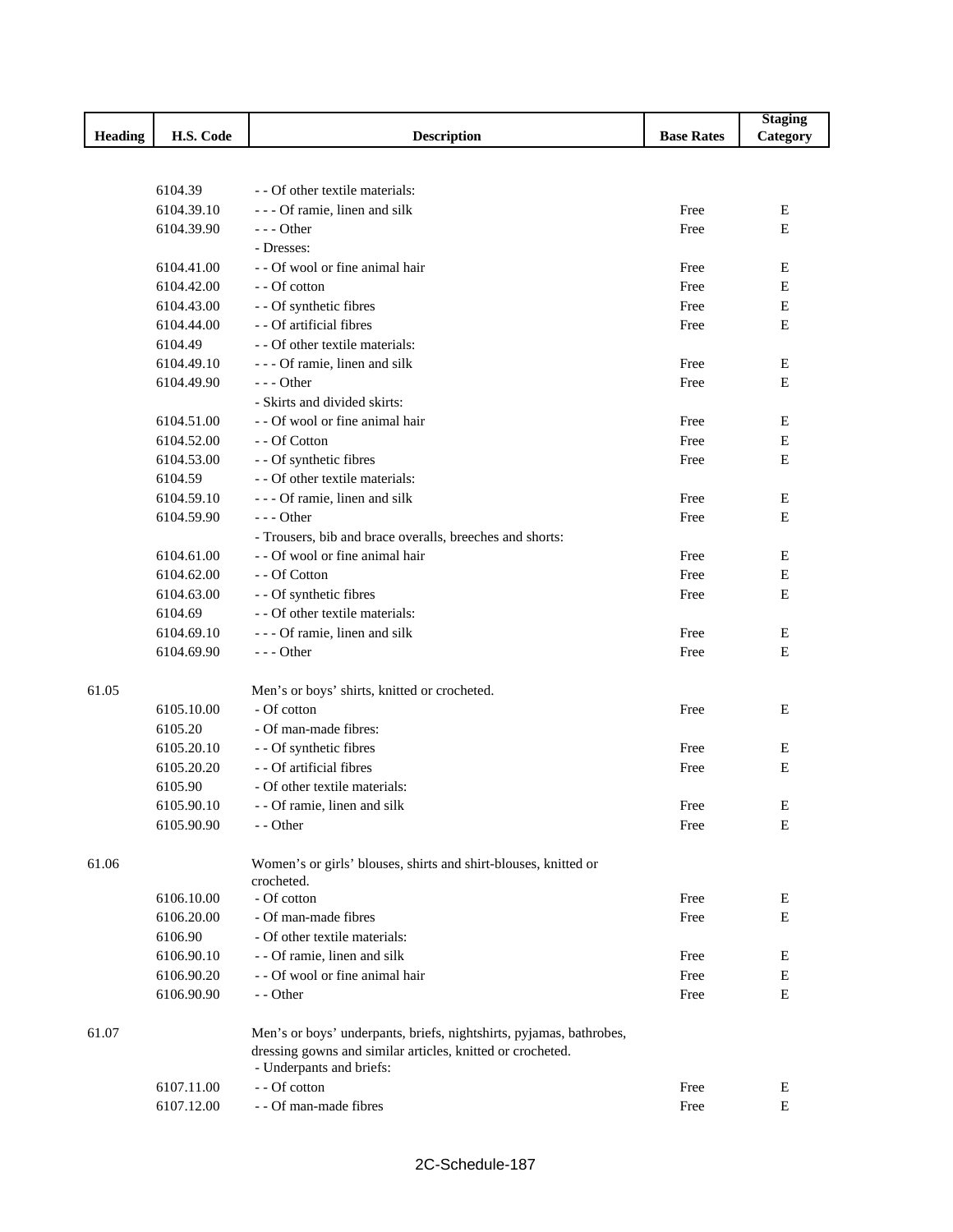|                |            |                                                                     |                   | <b>Staging</b> |
|----------------|------------|---------------------------------------------------------------------|-------------------|----------------|
| <b>Heading</b> | H.S. Code  | <b>Description</b>                                                  | <b>Base Rates</b> | Category       |
|                |            |                                                                     |                   |                |
|                |            |                                                                     |                   |                |
|                | 6104.39    | - - Of other textile materials:                                     |                   |                |
|                | 6104.39.10 | - - - Of ramie, linen and silk                                      | Free              | Е              |
|                | 6104.39.90 | --- Other                                                           | Free              | E              |
|                |            | - Dresses:                                                          |                   |                |
|                | 6104.41.00 | - - Of wool or fine animal hair                                     | Free              | Ε              |
|                | 6104.42.00 | - - Of cotton                                                       | Free              | $\mathbf E$    |
|                | 6104.43.00 | - - Of synthetic fibres                                             | Free              | $\mathbf E$    |
|                | 6104.44.00 | - - Of artificial fibres                                            | Free              | $\mathbf E$    |
|                | 6104.49    | - - Of other textile materials:                                     |                   |                |
|                | 6104.49.10 | - - - Of ramie, linen and silk                                      | Free              | Ε              |
|                | 6104.49.90 | $--$ Other                                                          | Free              | E              |
|                |            | - Skirts and divided skirts:                                        |                   |                |
|                | 6104.51.00 | - - Of wool or fine animal hair                                     | Free              | Ε              |
|                | 6104.52.00 | - - Of Cotton                                                       | Free              | Ε              |
|                | 6104.53.00 | - - Of synthetic fibres                                             | Free              | E              |
|                | 6104.59    | - - Of other textile materials:                                     |                   |                |
|                | 6104.59.10 | - - - Of ramie, linen and silk                                      | Free              | Ε              |
|                | 6104.59.90 | $- -$ Other                                                         | Free              | Ε              |
|                |            | - Trousers, bib and brace overalls, breeches and shorts:            |                   |                |
|                | 6104.61.00 | - - Of wool or fine animal hair                                     | Free              | Е              |
|                | 6104.62.00 | - - Of Cotton                                                       | Free              | $\mathbf E$    |
|                | 6104.63.00 | - - Of synthetic fibres                                             | Free              | E              |
|                | 6104.69    | - - Of other textile materials:                                     |                   |                |
|                | 6104.69.10 | - - - Of ramie, linen and silk                                      | Free              | Е              |
|                | 6104.69.90 | --- Other                                                           | Free              | E              |
| 61.05          |            | Men's or boys' shirts, knitted or crocheted.                        |                   |                |
|                | 6105.10.00 | - Of cotton                                                         | Free              | Е              |
|                | 6105.20    | - Of man-made fibres:                                               |                   |                |
|                | 6105.20.10 | - - Of synthetic fibres                                             | Free              | Ε              |
|                | 6105.20.20 | - - Of artificial fibres                                            | Free              | E              |
|                | 6105.90    | - Of other textile materials:                                       |                   |                |
|                | 6105.90.10 | - - Of ramie, linen and silk                                        | Free              | Ε              |
|                | 6105.90.90 | - - Other                                                           | Free              | Ε              |
| 61.06          |            | Women's or girls' blouses, shirts and shirt-blouses, knitted or     |                   |                |
|                |            | crocheted.                                                          |                   |                |
|                | 6106.10.00 | - Of cotton                                                         | Free              | Ε              |
|                | 6106.20.00 | - Of man-made fibres                                                | Free              | Е              |
|                | 6106.90    | - Of other textile materials:                                       |                   |                |
|                | 6106.90.10 | - - Of ramie, linen and silk                                        | Free              | Ε              |
|                | 6106.90.20 | - - Of wool or fine animal hair                                     | Free              | Ε              |
|                | 6106.90.90 | - - Other                                                           | Free              | Е              |
| 61.07          |            | Men's or boys' underpants, briefs, nightshirts, pyjamas, bathrobes, |                   |                |
|                |            | dressing gowns and similar articles, knitted or crocheted.          |                   |                |
|                |            | - Underpants and briefs:                                            |                   |                |
|                | 6107.11.00 | - - Of cotton                                                       | Free              | Ε              |
|                | 6107.12.00 | - - Of man-made fibres                                              | Free              | $\mathbf E$    |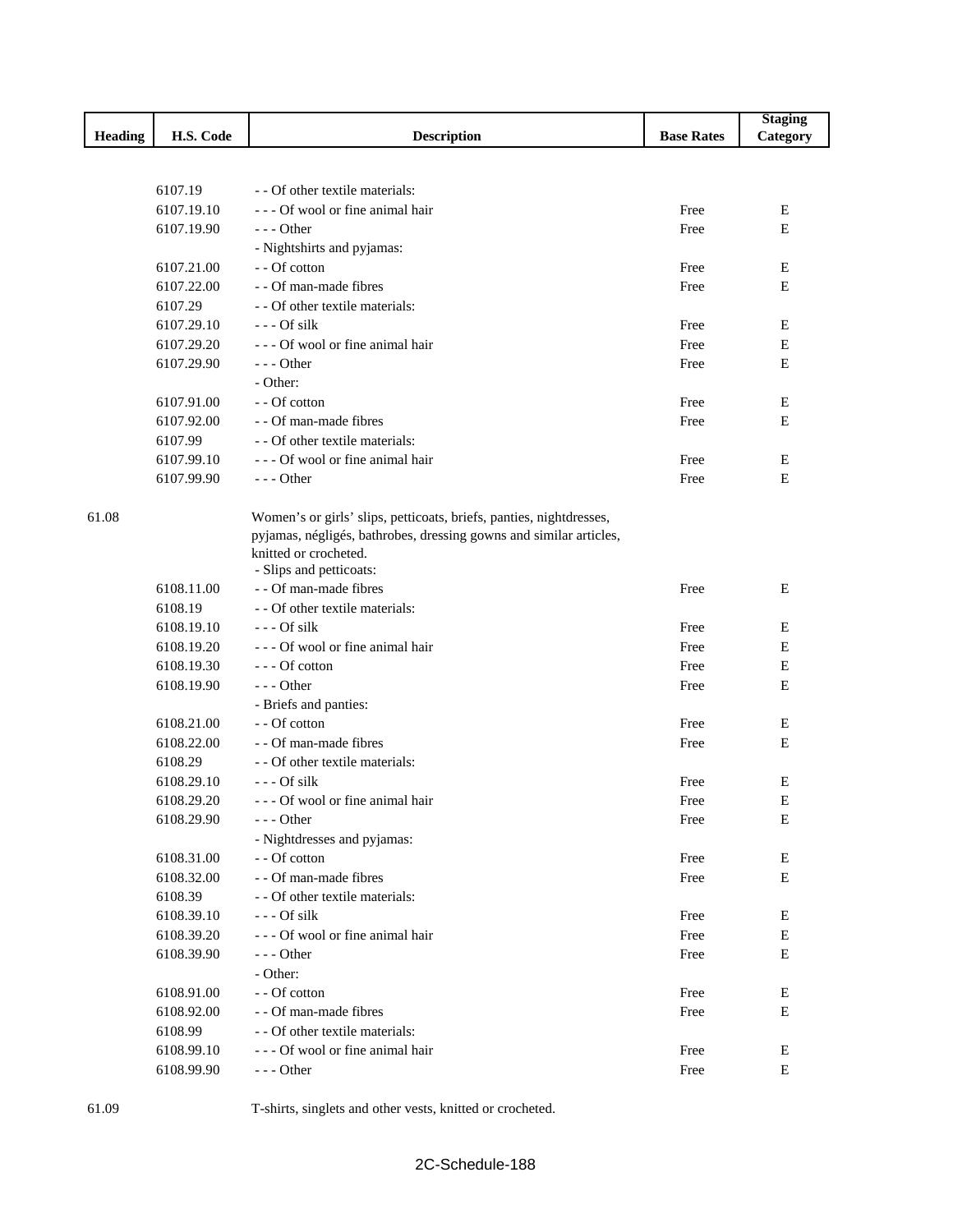|         |            |                                                                     |                   | <b>Staging</b> |
|---------|------------|---------------------------------------------------------------------|-------------------|----------------|
| Heading | H.S. Code  | <b>Description</b>                                                  | <b>Base Rates</b> | Category       |
|         |            |                                                                     |                   |                |
|         |            |                                                                     |                   |                |
|         | 6107.19    | - - Of other textile materials:                                     |                   |                |
|         | 6107.19.10 | - - - Of wool or fine animal hair                                   | Free              | Е              |
|         | 6107.19.90 | $--$ Other                                                          | Free              | Е              |
|         |            | - Nightshirts and pyjamas:                                          |                   |                |
|         | 6107.21.00 | - - Of cotton                                                       | Free              | Е              |
|         | 6107.22.00 | - - Of man-made fibres                                              | Free              | Е              |
|         | 6107.29    | - - Of other textile materials:                                     |                   |                |
|         | 6107.29.10 | $- -$ Of silk                                                       | Free              | Ε              |
|         | 6107.29.20 | - - - Of wool or fine animal hair                                   | Free              | E              |
|         | 6107.29.90 | $- -$ Other                                                         | Free              | E              |
|         |            | - Other:                                                            |                   |                |
|         | 6107.91.00 | - - Of cotton                                                       | Free              | E              |
|         | 6107.92.00 | - - Of man-made fibres                                              | Free              | $\mathbf E$    |
|         | 6107.99    | - - Of other textile materials:                                     |                   |                |
|         | 6107.99.10 | --- Of wool or fine animal hair                                     | Free              | E              |
|         | 6107.99.90 | $--$ Other                                                          | Free              | $\mathbf E$    |
|         |            |                                                                     |                   |                |
| 61.08   |            | Women's or girls' slips, petticoats, briefs, panties, nightdresses, |                   |                |
|         |            | pyjamas, négligés, bathrobes, dressing gowns and similar articles,  |                   |                |
|         |            | knitted or crocheted.                                               |                   |                |
|         |            | - Slips and petticoats:                                             |                   |                |
|         | 6108.11.00 | - - Of man-made fibres                                              | Free              | Е              |
|         | 6108.19    | - - Of other textile materials:                                     |                   |                |
|         | 6108.19.10 | $--$ Of silk                                                        | Free              | E              |
|         | 6108.19.20 | --- Of wool or fine animal hair                                     | Free              | E              |
|         | 6108.19.30 | --- Of cotton                                                       | Free              | E              |
|         | 6108.19.90 | $- -$ Other                                                         | Free              | E              |
|         |            | - Briefs and panties:                                               |                   |                |
|         | 6108.21.00 | - - Of cotton                                                       | Free              | E              |
|         | 6108.22.00 | - - Of man-made fibres                                              | Free              | E              |
|         | 6108.29    | - - Of other textile materials:                                     |                   |                |
|         | 6108.29.10 | $--$ Of silk                                                        | Free              | E              |
|         | 6108.29.20 | - - - Of wool or fine animal hair                                   | Free              | E              |
|         | 6108.29.90 | --- Other                                                           | Free              | Е              |
|         |            | - Nightdresses and pyjamas:                                         |                   |                |
|         | 6108.31.00 | - - Of cotton                                                       | Free              | E              |
|         | 6108.32.00 | - - Of man-made fibres                                              | Free              | ${\bf E}$      |
|         | 6108.39    | - - Of other textile materials:                                     |                   |                |
|         | 6108.39.10 | $- -$ Of silk                                                       | Free              | E              |
|         | 6108.39.20 | --- Of wool or fine animal hair                                     | Free              | E              |
|         | 6108.39.90 | $- -$ Other                                                         | Free              | E              |
|         |            | - Other:                                                            |                   |                |
|         | 6108.91.00 | - - Of cotton                                                       | Free              | E              |
|         | 6108.92.00 | - - Of man-made fibres                                              | Free              | Е              |
|         | 6108.99    | - - Of other textile materials:                                     |                   |                |
|         | 6108.99.10 | --- Of wool or fine animal hair                                     | Free              | Е              |
|         | 6108.99.90 | $--- Other$                                                         | Free              | E              |
|         |            |                                                                     |                   |                |

61.09 T-shirts, singlets and other vests, knitted or crocheted.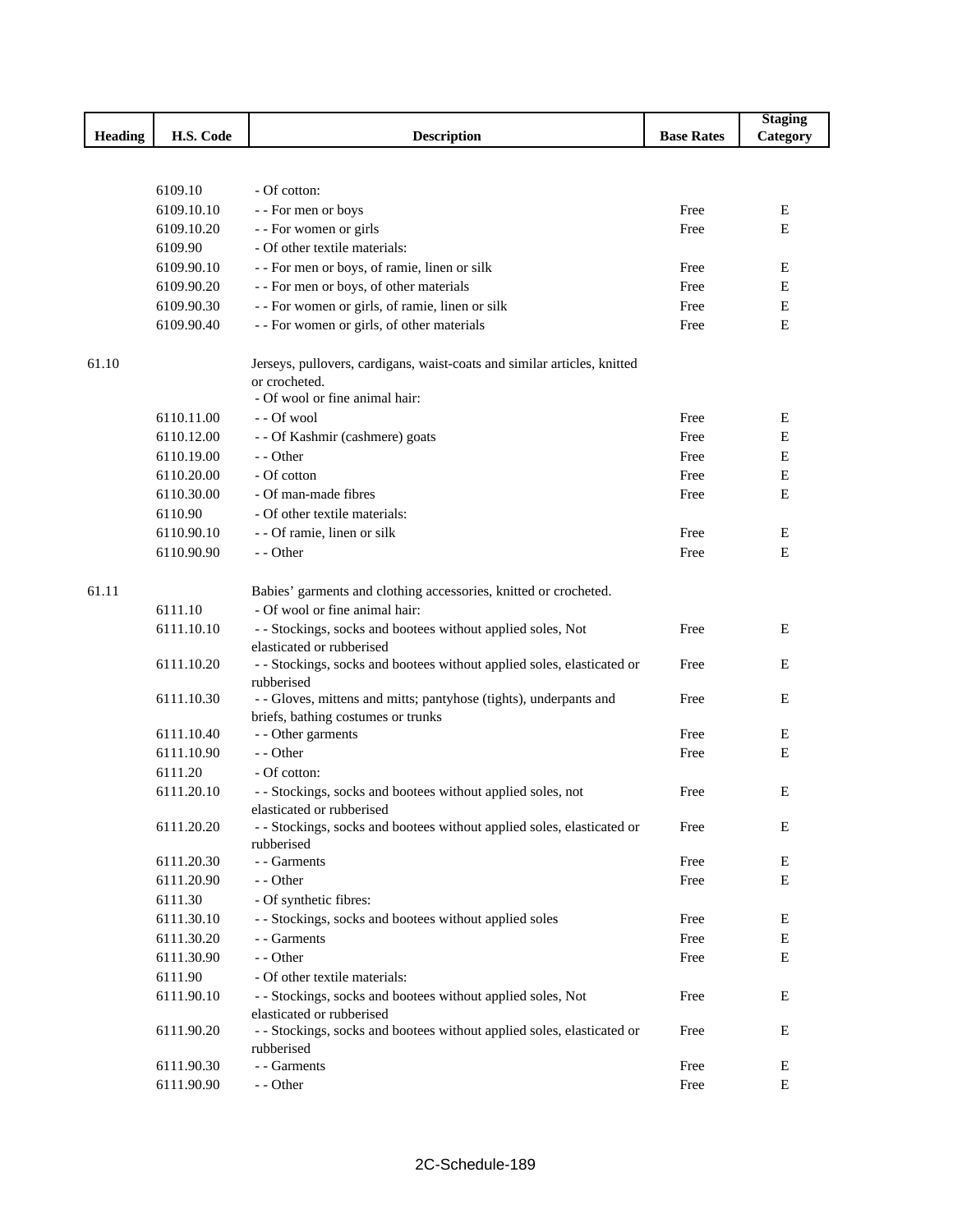|                |            |                                                                                                                             |                   | <b>Staging</b> |
|----------------|------------|-----------------------------------------------------------------------------------------------------------------------------|-------------------|----------------|
| <b>Heading</b> | H.S. Code  | <b>Description</b>                                                                                                          | <b>Base Rates</b> | Category       |
|                |            |                                                                                                                             |                   |                |
|                |            |                                                                                                                             |                   |                |
|                | 6109.10    | - Of cotton:                                                                                                                |                   |                |
|                | 6109.10.10 | - - For men or boys                                                                                                         | Free              | E              |
|                | 6109.10.20 | - - For women or girls                                                                                                      | Free              | E              |
|                | 6109.90    | - Of other textile materials:                                                                                               |                   |                |
|                | 6109.90.10 | - - For men or boys, of ramie, linen or silk                                                                                | Free              | E              |
|                | 6109.90.20 | - - For men or boys, of other materials                                                                                     | Free              | E              |
|                | 6109.90.30 | - - For women or girls, of ramie, linen or silk                                                                             | Free              | E              |
|                | 6109.90.40 | - - For women or girls, of other materials                                                                                  | Free              | E              |
| 61.10          |            | Jerseys, pullovers, cardigans, waist-coats and similar articles, knitted<br>or crocheted.<br>- Of wool or fine animal hair: |                   |                |
|                | 6110.11.00 | - - Of wool                                                                                                                 | Free              | E              |
|                | 6110.12.00 | - - Of Kashmir (cashmere) goats                                                                                             | Free              | E              |
|                | 6110.19.00 | - - Other                                                                                                                   | Free              | E              |
|                | 6110.20.00 | - Of cotton                                                                                                                 | Free              | E              |
|                | 6110.30.00 | - Of man-made fibres                                                                                                        | Free              | E              |
|                | 6110.90    | - Of other textile materials:                                                                                               |                   |                |
|                | 6110.90.10 | - - Of ramie, linen or silk                                                                                                 | Free              | Ε              |
|                | 6110.90.90 | $-$ - Other                                                                                                                 | Free              | E              |
|                |            |                                                                                                                             |                   |                |
| 61.11          |            | Babies' garments and clothing accessories, knitted or crocheted.                                                            |                   |                |
|                | 6111.10    | - Of wool or fine animal hair:                                                                                              |                   |                |
|                | 6111.10.10 | - - Stockings, socks and bootees without applied soles, Not<br>elasticated or rubberised                                    | Free              | E              |
|                | 6111.10.20 | - - Stockings, socks and bootees without applied soles, elasticated or<br>rubberised                                        | Free              | E              |
|                | 6111.10.30 | - - Gloves, mittens and mitts; pantyhose (tights), underpants and<br>briefs, bathing costumes or trunks                     | Free              | E              |
|                | 6111.10.40 | - - Other garments                                                                                                          | Free              | E              |
|                | 6111.10.90 | - - Other                                                                                                                   | Free              | E              |
|                | 6111.20    | - Of cotton:                                                                                                                |                   |                |
|                | 6111.20.10 | - - Stockings, socks and bootees without applied soles, not                                                                 | Free              | Ε              |
|                | 6111.20.20 | elasticated or rubberised<br>- - Stockings, socks and bootees without applied soles, elasticated or<br>rubberised           | Free              | Ε              |
|                | 6111.20.30 | - - Garments                                                                                                                | Free              | Ε              |
|                | 6111.20.90 | $-$ - Other                                                                                                                 | Free              | E              |
|                | 6111.30    | - Of synthetic fibres:                                                                                                      |                   |                |
|                | 6111.30.10 | - - Stockings, socks and bootees without applied soles                                                                      | Free              | Ε              |
|                | 6111.30.20 | - - Garments                                                                                                                | Free              | Ε              |
|                | 6111.30.90 | - - Other                                                                                                                   | Free              | E              |
|                | 6111.90    | - Of other textile materials:                                                                                               |                   |                |
|                | 6111.90.10 | - - Stockings, socks and bootees without applied soles, Not                                                                 | Free              | Ε              |
|                |            | elasticated or rubberised                                                                                                   |                   |                |
|                | 6111.90.20 | - - Stockings, socks and bootees without applied soles, elasticated or<br>rubberised                                        | Free              | E              |
|                | 6111.90.30 | - - Garments                                                                                                                | Free              | Ε              |
|                | 6111.90.90 | - - Other                                                                                                                   | Free              | $\mathbf E$    |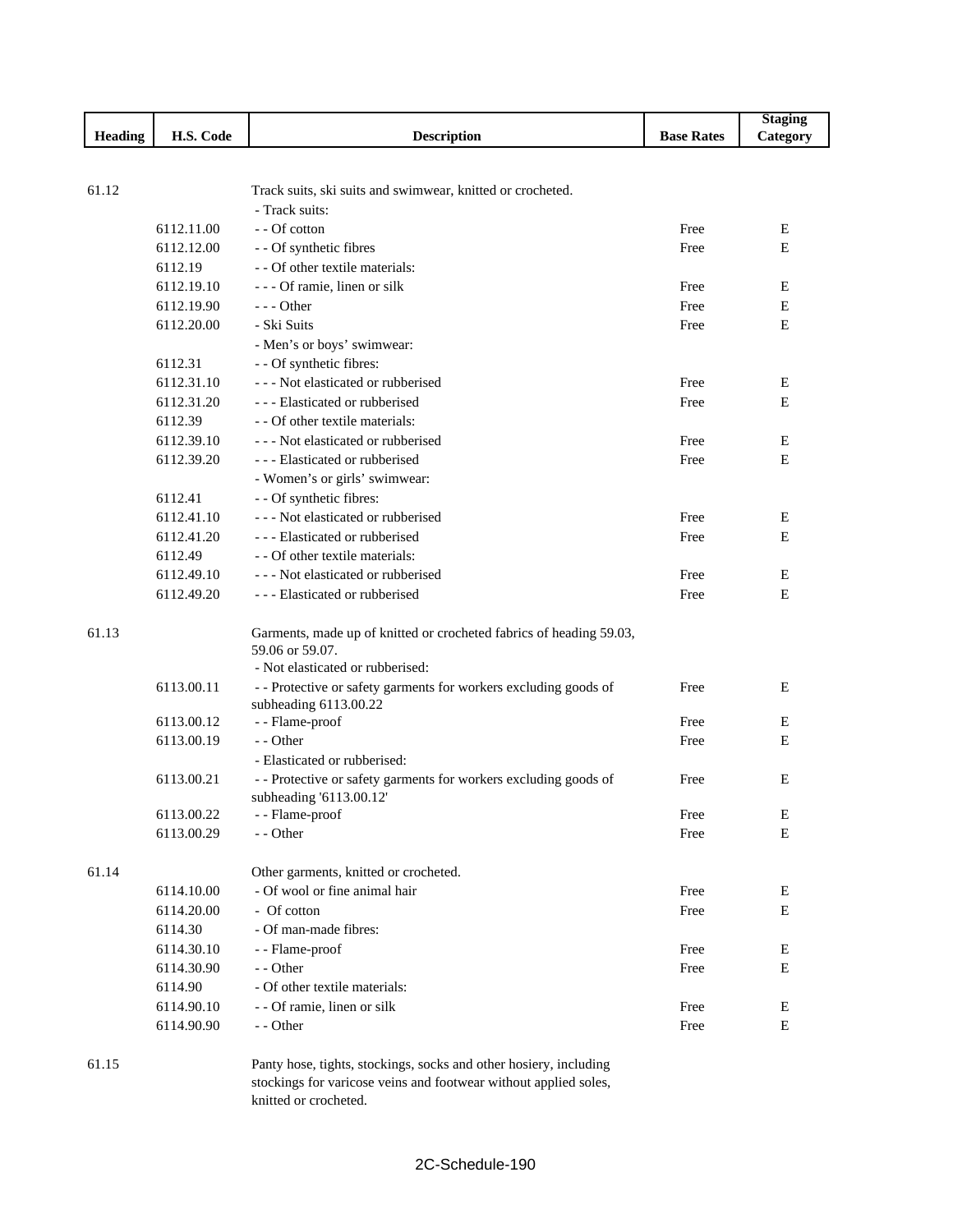|                |            |                                                                     |                   | <b>Staging</b> |
|----------------|------------|---------------------------------------------------------------------|-------------------|----------------|
| <b>Heading</b> | H.S. Code  | <b>Description</b>                                                  | <b>Base Rates</b> | Category       |
|                |            |                                                                     |                   |                |
|                |            |                                                                     |                   |                |
| 61.12          |            | Track suits, ski suits and swimwear, knitted or crocheted.          |                   |                |
|                |            | - Track suits:                                                      |                   |                |
|                | 6112.11.00 | - - Of cotton                                                       | Free              | E              |
|                | 6112.12.00 | - - Of synthetic fibres                                             | Free              | E              |
|                | 6112.19    | - - Of other textile materials:                                     |                   |                |
|                | 6112.19.10 | - - - Of ramie, linen or silk                                       | Free              | Ε              |
|                | 6112.19.90 | $- -$ Other                                                         | Free              | E              |
|                | 6112.20.00 | - Ski Suits                                                         | Free              | E              |
|                |            | - Men's or boys' swimwear:                                          |                   |                |
|                | 6112.31    | - - Of synthetic fibres:                                            |                   |                |
|                | 6112.31.10 | --- Not elasticated or rubberised                                   | Free              | E              |
|                | 6112.31.20 | --- Elasticated or rubberised                                       | Free              | E              |
|                | 6112.39    | - - Of other textile materials:                                     |                   |                |
|                | 6112.39.10 | --- Not elasticated or rubberised                                   | Free              | Ε              |
|                | 6112.39.20 | --- Elasticated or rubberised                                       | Free              | Ε              |
|                |            | - Women's or girls' swimwear:                                       |                   |                |
|                | 6112.41    | - - Of synthetic fibres:                                            |                   |                |
|                | 6112.41.10 | --- Not elasticated or rubberised                                   | Free              | Ε              |
|                | 6112.41.20 | --- Elasticated or rubberised                                       | Free              | E              |
|                | 6112.49    | - - Of other textile materials:                                     |                   |                |
|                | 6112.49.10 | --- Not elasticated or rubberised                                   | Free              | E              |
|                | 6112.49.20 | --- Elasticated or rubberised                                       | Free              | Ε              |
|                |            |                                                                     |                   |                |
| 61.13          |            | Garments, made up of knitted or crocheted fabrics of heading 59.03, |                   |                |
|                |            | 59.06 or 59.07.                                                     |                   |                |
|                |            | - Not elasticated or rubberised:                                    |                   |                |
|                | 6113.00.11 | - - Protective or safety garments for workers excluding goods of    | Free              | E              |
|                |            | subheading 6113.00.22                                               |                   |                |
|                | 6113.00.12 | - - Flame-proof                                                     | Free              | Ε              |
|                | 6113.00.19 | - - Other                                                           | Free              | Е              |
|                |            | - Elasticated or rubberised:                                        |                   |                |
|                | 6113.00.21 | - - Protective or safety garments for workers excluding goods of    | Free              | Ε              |
|                |            | subheading '6113.00.12'                                             |                   |                |
|                | 6113.00.22 | - - Flame-proof                                                     | Free              | E              |
|                | 6113.00.29 | - - Other                                                           | Free              | E              |
|                |            |                                                                     |                   |                |
| 61.14          |            | Other garments, knitted or crocheted.                               |                   |                |
|                | 6114.10.00 | - Of wool or fine animal hair                                       | Free              | Ε              |
|                | 6114.20.00 | - Of cotton                                                         | Free              | E              |
|                | 6114.30    | - Of man-made fibres:                                               |                   |                |
|                | 6114.30.10 | - - Flame-proof                                                     | Free              | E              |
|                | 6114.30.90 | - - Other                                                           | Free              | E              |
|                | 6114.90    | - Of other textile materials:                                       |                   |                |
|                | 6114.90.10 | - - Of ramie, linen or silk                                         | Free              | E              |
|                | 6114.90.90 | - - Other                                                           | Free              | E              |
|                |            |                                                                     |                   |                |
| 61.15          |            | Panty hose, tights, stockings, socks and other hosiery, including   |                   |                |

stockings for varicose veins and footwear without applied soles, knitted or crocheted.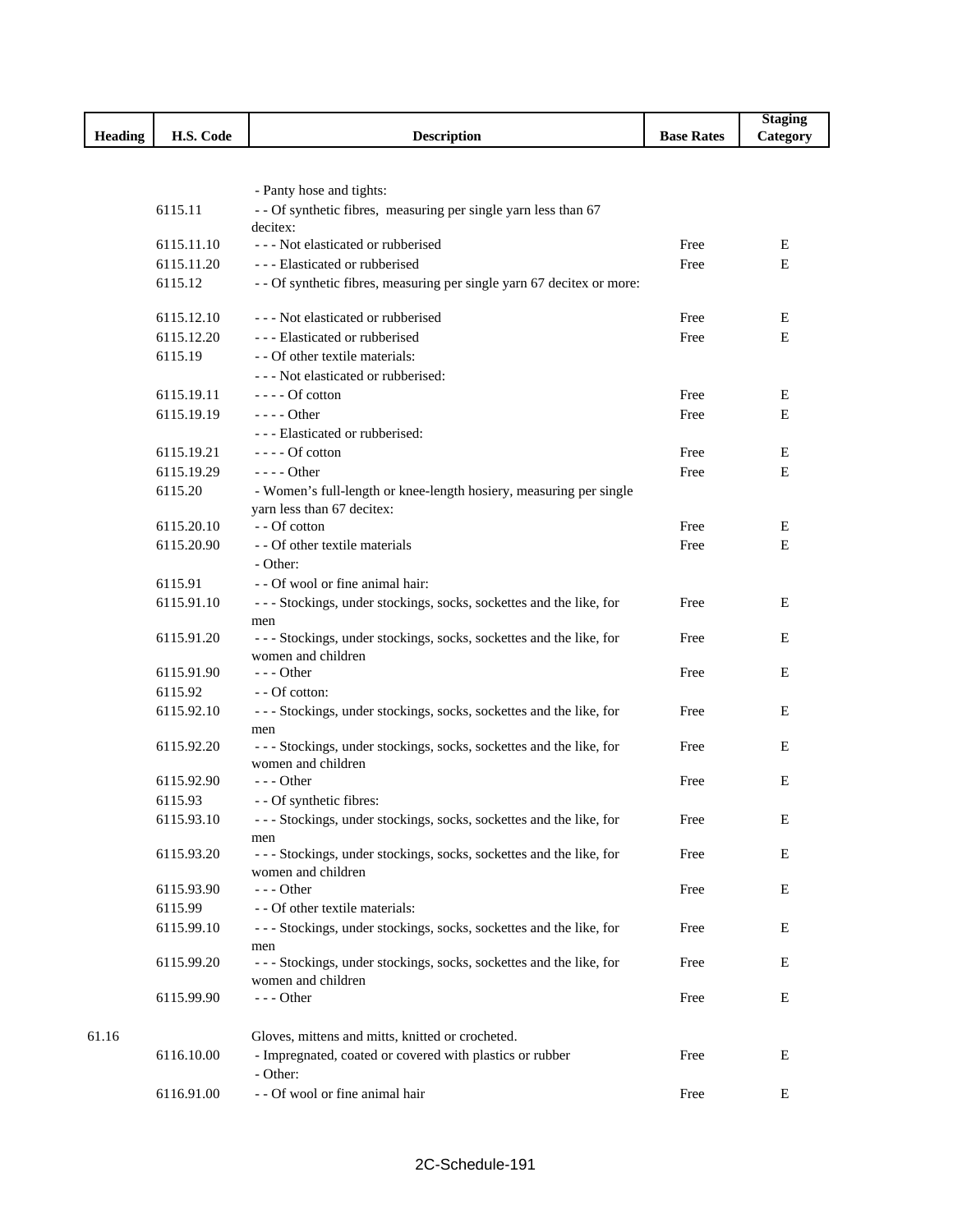|                |            |                                                                                          |                   | <b>Staging</b> |
|----------------|------------|------------------------------------------------------------------------------------------|-------------------|----------------|
| <b>Heading</b> | H.S. Code  | <b>Description</b>                                                                       | <b>Base Rates</b> | Category       |
|                |            |                                                                                          |                   |                |
|                |            |                                                                                          |                   |                |
|                |            | - Panty hose and tights:                                                                 |                   |                |
|                | 6115.11    | - - Of synthetic fibres, measuring per single yarn less than 67<br>decitex:              |                   |                |
|                | 6115.11.10 | --- Not elasticated or rubberised                                                        | Free              | Ε              |
|                | 6115.11.20 | - - - Elasticated or rubberised                                                          | Free              | E              |
|                | 6115.12    | - - Of synthetic fibres, measuring per single yarn 67 decitex or more:                   |                   |                |
|                | 6115.12.10 | --- Not elasticated or rubberised                                                        | Free              | Ε              |
|                | 6115.12.20 | --- Elasticated or rubberised                                                            | Free              | Е              |
|                | 6115.19    | - - Of other textile materials:                                                          |                   |                |
|                |            | --- Not elasticated or rubberised:                                                       |                   |                |
|                | 6115.19.11 | $---$ Of cotton                                                                          | Free              | Ε              |
|                | 6115.19.19 | - - - - Other                                                                            | Free              | E              |
|                |            | --- Elasticated or rubberised:                                                           |                   |                |
|                | 6115.19.21 | $---$ Of cotton                                                                          | Free              | Е              |
|                | 6115.19.29 | $---$ Other                                                                              | Free              | Е              |
|                | 6115.20    | - Women's full-length or knee-length hosiery, measuring per single                       |                   |                |
|                |            | yarn less than 67 decitex:                                                               |                   |                |
|                | 6115.20.10 | - - Of cotton                                                                            | Free              | Ε              |
|                | 6115.20.90 | - - Of other textile materials                                                           | Free              | E              |
|                |            | - Other:                                                                                 |                   |                |
|                | 6115.91    | - - Of wool or fine animal hair:                                                         |                   |                |
|                | 6115.91.10 | --- Stockings, under stockings, socks, sockettes and the like, for                       | Free              | E              |
|                |            | men                                                                                      |                   |                |
|                | 6115.91.20 | --- Stockings, under stockings, socks, sockettes and the like, for                       | Free              | Ε              |
|                |            | women and children                                                                       |                   |                |
|                | 6115.91.90 | $- -$ Other                                                                              | Free              | Ε              |
|                | 6115.92    | - - Of cotton:                                                                           |                   |                |
|                | 6115.92.10 | --- Stockings, under stockings, socks, sockettes and the like, for                       | Free              | Ε              |
|                | 6115.92.20 | men<br>--- Stockings, under stockings, socks, sockettes and the like, for                | Free              | Ε              |
|                |            | women and children                                                                       |                   |                |
|                | 6115.92.90 | $--$ Other                                                                               | Free              | Ε              |
|                | 6115.93    | - - Of synthetic fibres:                                                                 |                   |                |
|                | 6115.93.10 | --- Stockings, under stockings, socks, sockettes and the like, for                       | Free              | Ε              |
|                |            | men                                                                                      |                   |                |
|                | 6115.93.20 | --- Stockings, under stockings, socks, sockettes and the like, for                       | Free              | E              |
|                |            | women and children                                                                       |                   |                |
|                | 6115.93.90 | - - - Other                                                                              | Free              | Ε              |
|                | 6115.99    | - - Of other textile materials:                                                          |                   |                |
|                | 6115.99.10 | --- Stockings, under stockings, socks, sockettes and the like, for                       | Free              | E              |
|                |            | men                                                                                      |                   |                |
|                | 6115.99.20 | --- Stockings, under stockings, socks, sockettes and the like, for<br>women and children | Free              | E              |
|                | 6115.99.90 | --- Other                                                                                | Free              | Ε              |
|                |            |                                                                                          |                   |                |
| 61.16          |            | Gloves, mittens and mitts, knitted or crocheted.                                         |                   |                |
|                | 6116.10.00 | - Impregnated, coated or covered with plastics or rubber                                 | Free              | Е              |
|                |            | - Other:                                                                                 |                   |                |
|                | 6116.91.00 | - - Of wool or fine animal hair                                                          | Free              | E              |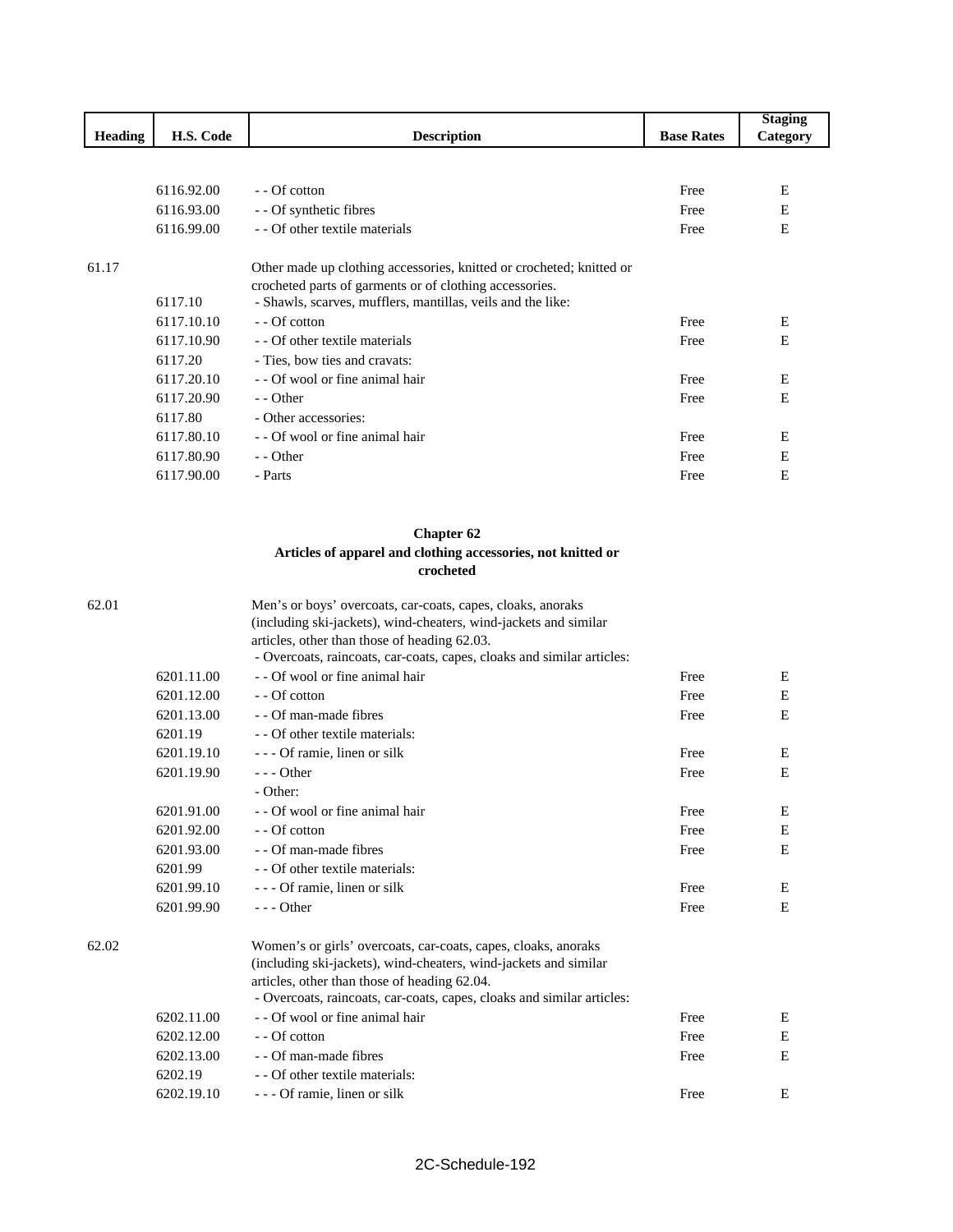|                |            |                                                                      |                   | <b>Staging</b> |
|----------------|------------|----------------------------------------------------------------------|-------------------|----------------|
| <b>Heading</b> | H.S. Code  | <b>Description</b>                                                   | <b>Base Rates</b> | Category       |
|                |            |                                                                      |                   |                |
|                |            |                                                                      |                   |                |
|                | 6116.92.00 | - Of cotton                                                          | Free              | E              |
|                | 6116.93.00 | - - Of synthetic fibres                                              | Free              | E              |
|                | 6116.99.00 | - - Of other textile materials                                       | Free              | E              |
| 61.17          |            | Other made up clothing accessories, knitted or crocheted; knitted or |                   |                |
|                |            | crocheted parts of garments or of clothing accessories.              |                   |                |
|                | 6117.10    | - Shawls, scarves, mufflers, mantillas, veils and the like:          |                   |                |
|                | 6117.10.10 | - - Of cotton                                                        | Free              | Ε              |
|                | 6117.10.90 | - Of other textile materials                                         | Free              | E              |
|                | 6117.20    | - Ties, bow ties and cravats:                                        |                   |                |
|                | 6117.20.10 | - Of wool or fine animal hair                                        | Free              | E              |
|                | 6117.20.90 | - - Other                                                            | Free              | E              |
|                | 6117.80    | - Other accessories:                                                 |                   |                |
|                | 6117.80.10 | - - Of wool or fine animal hair                                      | Free              | E              |
|                | 6117.80.90 | - - Other                                                            | Free              | E              |
|                | 6117.90.00 | - Parts                                                              | Free              | E              |

## **Chapter 62 Articles of apparel and clothing accessories, not knitted or crocheted**

| 62.01 |            | Men's or boys' overcoats, car-coats, capes, cloaks, anoraks            |      |   |
|-------|------------|------------------------------------------------------------------------|------|---|
|       |            | (including ski-jackets), wind-cheaters, wind-jackets and similar       |      |   |
|       |            | articles, other than those of heading 62.03.                           |      |   |
|       |            | - Overcoats, raincoats, car-coats, capes, cloaks and similar articles: |      |   |
|       | 6201.11.00 | - - Of wool or fine animal hair                                        | Free | E |
|       | 6201.12.00 | - - Of cotton                                                          | Free | E |
|       | 6201.13.00 | - - Of man-made fibres                                                 | Free | E |
|       | 6201.19    | - Of other textile materials:                                          |      |   |
|       | 6201.19.10 | - - - Of ramie, linen or silk                                          | Free | Ε |
|       | 6201.19.90 | $- -$ Other                                                            | Free | E |
|       |            | - Other:                                                               |      |   |
|       | 6201.91.00 | - - Of wool or fine animal hair                                        | Free | E |
|       | 6201.92.00 | - - Of cotton                                                          | Free | Ε |
|       | 6201.93.00 | - - Of man-made fibres                                                 | Free | E |
|       | 6201.99    | - - Of other textile materials:                                        |      |   |
|       | 6201.99.10 | - - - Of ramie, linen or silk                                          | Free | Ε |
|       | 6201.99.90 | $- -$ Other                                                            | Free | E |
| 62.02 |            | Women's or girls' overcoats, car-coats, capes, cloaks, anoraks         |      |   |
|       |            | (including ski-jackets), wind-cheaters, wind-jackets and similar       |      |   |
|       |            | articles, other than those of heading 62.04.                           |      |   |
|       |            | - Overcoats, raincoats, car-coats, capes, cloaks and similar articles: |      |   |
|       | 6202.11.00 | - - Of wool or fine animal hair                                        | Free | Ε |
|       | 6202.12.00 | - - Of cotton                                                          | Free | E |
|       | 6202.13.00 | - - Of man-made fibres                                                 | Free | E |
|       | 6202.19    | - - Of other textile materials:                                        |      |   |
|       | 6202.19.10 | - - - Of ramie, linen or silk                                          | Free | E |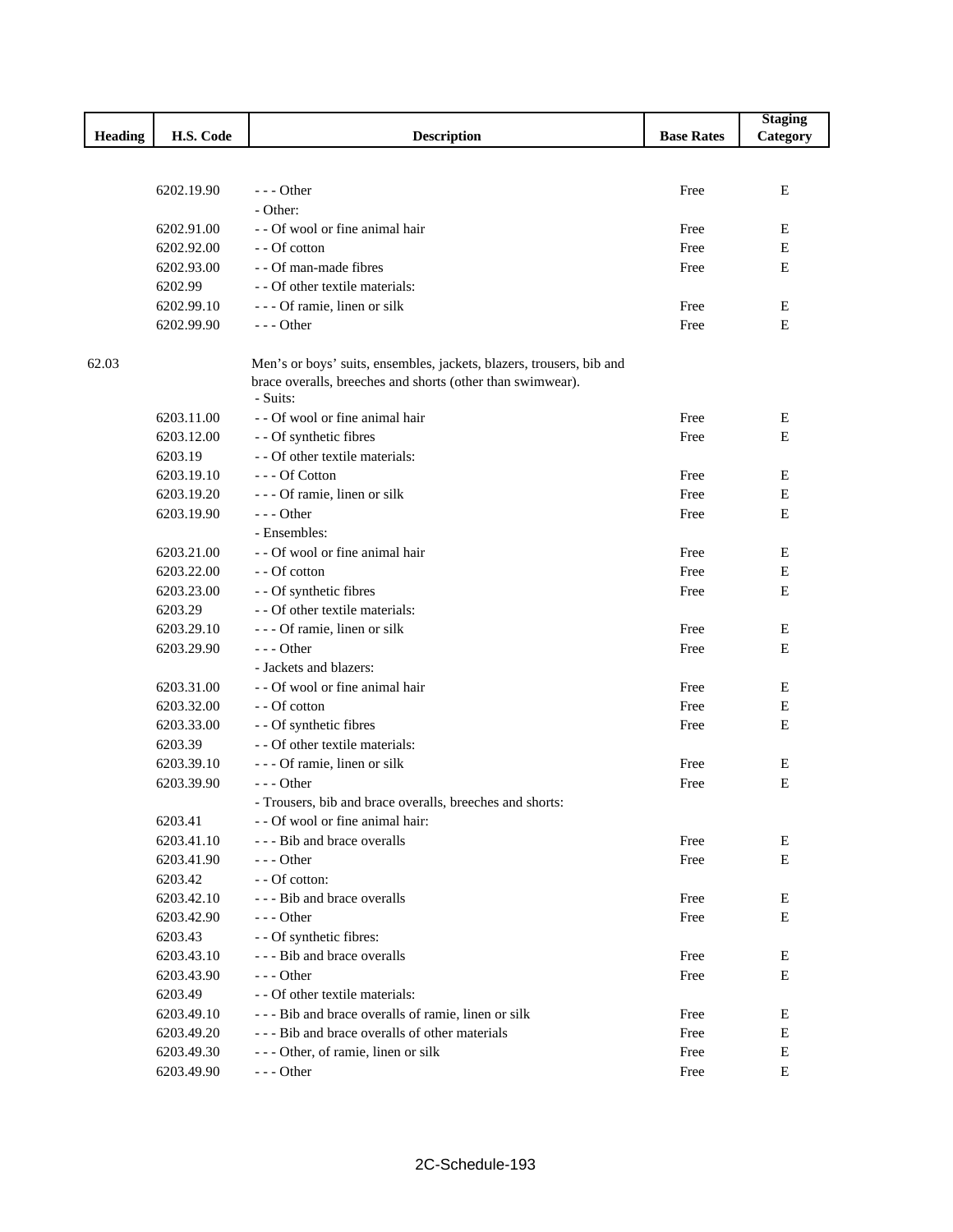|         |            |                                                                                                                                                |                   | <b>Staging</b> |
|---------|------------|------------------------------------------------------------------------------------------------------------------------------------------------|-------------------|----------------|
| Heading | H.S. Code  | <b>Description</b>                                                                                                                             | <b>Base Rates</b> | Category       |
|         |            |                                                                                                                                                |                   |                |
|         |            |                                                                                                                                                |                   |                |
|         | 6202.19.90 | $--$ Other                                                                                                                                     | Free              | E              |
|         |            | - Other:                                                                                                                                       |                   |                |
|         | 6202.91.00 | - - Of wool or fine animal hair                                                                                                                | Free              | Ε              |
|         | 6202.92.00 | - - Of cotton                                                                                                                                  | Free              | Ε              |
|         | 6202.93.00 | - - Of man-made fibres                                                                                                                         | Free              | E              |
|         | 6202.99    | - - Of other textile materials:                                                                                                                |                   |                |
|         | 6202.99.10 | - - - Of ramie, linen or silk                                                                                                                  | Free              | Ε              |
|         | 6202.99.90 | --- Other                                                                                                                                      | Free              | E              |
| 62.03   |            | Men's or boys' suits, ensembles, jackets, blazers, trousers, bib and<br>brace overalls, breeches and shorts (other than swimwear).<br>- Suits: |                   |                |
|         | 6203.11.00 | - - Of wool or fine animal hair                                                                                                                | Free              | Е              |
|         | 6203.12.00 | - - Of synthetic fibres                                                                                                                        | Free              | E              |
|         | 6203.19    | - - Of other textile materials:                                                                                                                |                   |                |
|         | 6203.19.10 | --- Of Cotton                                                                                                                                  | Free              | E              |
|         | 6203.19.20 | - - - Of ramie, linen or silk                                                                                                                  | Free              | Ε              |
|         | 6203.19.90 | $- -$ Other                                                                                                                                    | Free              | E              |
|         |            | - Ensembles:                                                                                                                                   |                   |                |
|         | 6203.21.00 | - - Of wool or fine animal hair                                                                                                                | Free              | Ε              |
|         | 6203.22.00 | - - Of cotton                                                                                                                                  | Free              | Ε              |
|         | 6203.23.00 | - - Of synthetic fibres                                                                                                                        | Free              | Ε              |
|         | 6203.29    | - - Of other textile materials:                                                                                                                |                   |                |
|         | 6203.29.10 | - - - Of ramie, linen or silk                                                                                                                  | Free              | Ε              |
|         | 6203.29.90 | $--$ Other                                                                                                                                     | Free              | E              |
|         |            | - Jackets and blazers:                                                                                                                         |                   |                |
|         | 6203.31.00 | - - Of wool or fine animal hair                                                                                                                | Free              | E              |
|         |            |                                                                                                                                                |                   |                |
|         | 6203.32.00 | - - Of cotton                                                                                                                                  | Free              | E              |
|         | 6203.33.00 | - - Of synthetic fibres                                                                                                                        | Free              | E              |
|         | 6203.39    | - - Of other textile materials:                                                                                                                |                   |                |
|         | 6203.39.10 | - - - Of ramie, linen or silk                                                                                                                  | Free              | Е              |
|         | 6203.39.90 | $--$ Other                                                                                                                                     | Free              | Ε              |
|         |            | - Trousers, bib and brace overalls, breeches and shorts:                                                                                       |                   |                |
|         | 6203.41    | - - Of wool or fine animal hair:                                                                                                               |                   |                |
|         | 6203.41.10 | - - - Bib and brace overalls                                                                                                                   | Free              | Е              |
|         | 6203.41.90 | - - - Other                                                                                                                                    | Free              | Е              |
|         | 6203.42    | - - Of cotton:                                                                                                                                 |                   |                |
|         | 6203.42.10 | --- Bib and brace overalls                                                                                                                     | Free              | Е              |
|         | 6203.42.90 | $- -$ Other                                                                                                                                    | Free              | Ε              |
|         | 6203.43    | - - Of synthetic fibres:                                                                                                                       |                   |                |
|         | 6203.43.10 | - - - Bib and brace overalls                                                                                                                   | Free              | Ε              |
|         | 6203.43.90 | $- -$ Other                                                                                                                                    | Free              | Ε              |
|         | 6203.49    | - - Of other textile materials:                                                                                                                |                   |                |
|         | 6203.49.10 | --- Bib and brace overalls of ramie, linen or silk                                                                                             | Free              | Ε              |
|         | 6203.49.20 | --- Bib and brace overalls of other materials                                                                                                  | Free              | E              |
|         | 6203.49.30 | --- Other, of ramie, linen or silk                                                                                                             | Free              | E              |
|         | 6203.49.90 | $--$ Other                                                                                                                                     | Free              | E              |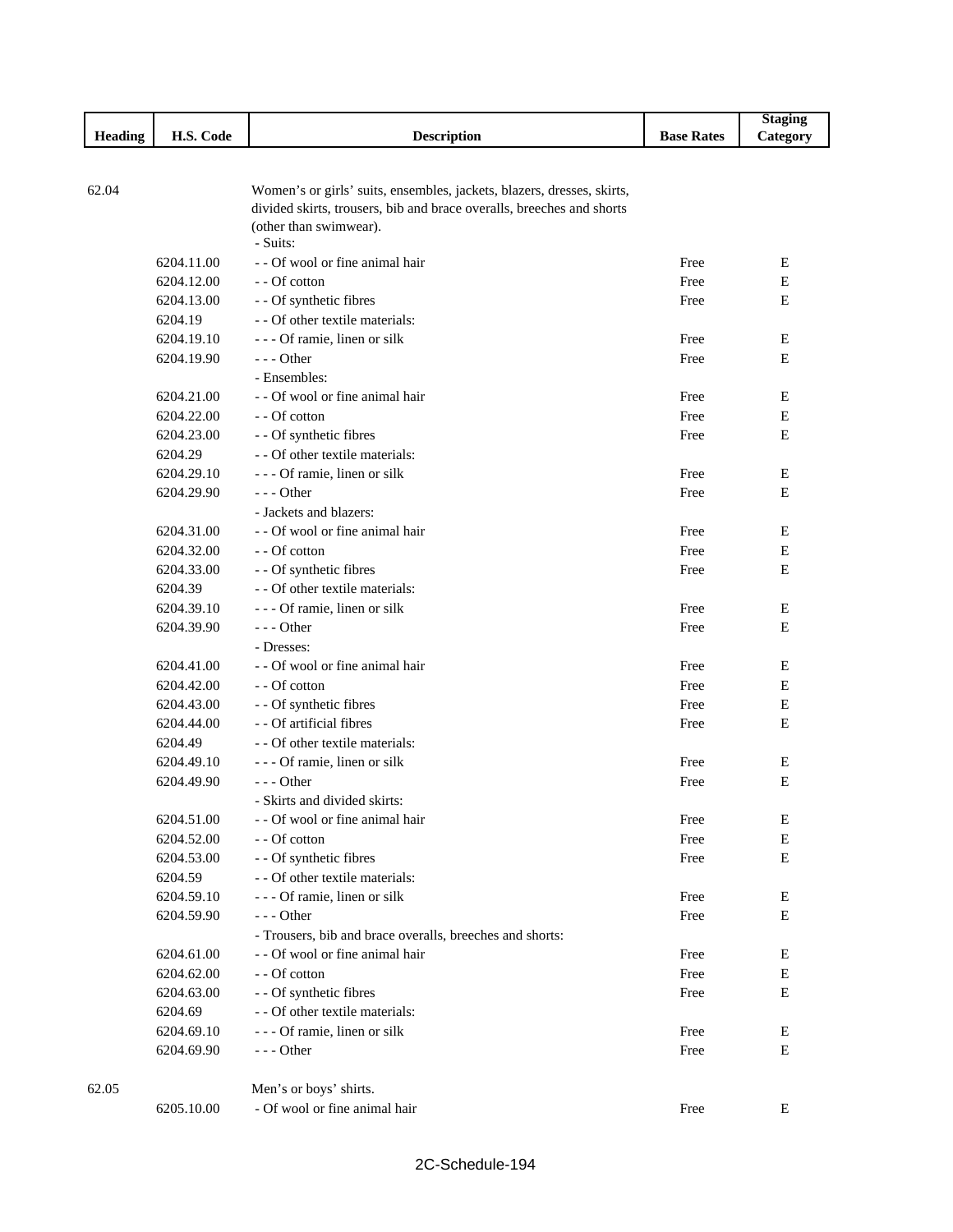|                |            |                                                                        |                   | <b>Staging</b> |
|----------------|------------|------------------------------------------------------------------------|-------------------|----------------|
| <b>Heading</b> | H.S. Code  | <b>Description</b>                                                     | <b>Base Rates</b> | Category       |
|                |            |                                                                        |                   |                |
| 62.04          |            | Women's or girls' suits, ensembles, jackets, blazers, dresses, skirts, |                   |                |
|                |            | divided skirts, trousers, bib and brace overalls, breeches and shorts  |                   |                |
|                |            | (other than swimwear).                                                 |                   |                |
|                |            | - Suits:                                                               |                   |                |
|                | 6204.11.00 | - - Of wool or fine animal hair                                        | Free              | E              |
|                | 6204.12.00 | - - Of cotton                                                          | Free              | Е              |
|                | 6204.13.00 | - - Of synthetic fibres                                                | Free              | Е              |
|                | 6204.19    | - - Of other textile materials:                                        |                   |                |
|                | 6204.19.10 | - - - Of ramie, linen or silk                                          | Free              | Е              |
|                | 6204.19.90 | $--$ Other                                                             | Free              | E              |
|                |            | - Ensembles:                                                           |                   |                |
|                | 6204.21.00 | - - Of wool or fine animal hair                                        | Free              | Е              |
|                | 6204.22.00 | - - Of cotton                                                          | Free              | Е              |
|                | 6204.23.00 | - - Of synthetic fibres                                                | Free              | Е              |
|                | 6204.29    | - - Of other textile materials:                                        |                   |                |
|                | 6204.29.10 | - - - Of ramie, linen or silk                                          | Free              | Е              |
|                | 6204.29.90 | $--$ Other                                                             | Free              | Е              |
|                |            | - Jackets and blazers:                                                 |                   |                |
|                | 6204.31.00 | - - Of wool or fine animal hair                                        | Free              | Е              |
|                | 6204.32.00 | - - Of cotton                                                          | Free              | E              |
|                | 6204.33.00 | - - Of synthetic fibres                                                | Free              | E              |
|                | 6204.39    | - - Of other textile materials:                                        |                   |                |
|                | 6204.39.10 | - - - Of ramie, linen or silk                                          | Free              | Е              |
|                | 6204.39.90 | $--$ Other                                                             | Free              | E              |
|                |            | - Dresses:                                                             |                   |                |
|                | 6204.41.00 | - - Of wool or fine animal hair                                        | Free              | E              |
|                | 6204.42.00 | - - Of cotton                                                          | Free              | Е              |
|                | 6204.43.00 | - - Of synthetic fibres                                                | Free              | Ε              |
|                | 6204.44.00 | - - Of artificial fibres                                               | Free              | Ε              |
|                | 6204.49    | - - Of other textile materials:                                        |                   |                |
|                | 6204.49.10 | - - - Of ramie, linen or silk                                          | Free              | Е              |
|                | 6204.49.90 | $--$ Other                                                             | Free              | Е              |
|                | 6204.51.00 | - Skirts and divided skirts:<br>- - Of wool or fine animal hair        |                   |                |
|                | 6204.52.00 | - - Of cotton                                                          | Free<br>Free      | E<br>E         |
|                | 6204.53.00 | - - Of synthetic fibres                                                | Free              | E              |
|                | 6204.59    | - - Of other textile materials:                                        |                   |                |
|                | 6204.59.10 | - - - Of ramie, linen or silk                                          | Free              | Е              |
|                | 6204.59.90 | --- Other                                                              | Free              | E              |
|                |            | - Trousers, bib and brace overalls, breeches and shorts:               |                   |                |
|                | 6204.61.00 | - - Of wool or fine animal hair                                        | Free              | Е              |
|                | 6204.62.00 | - - Of cotton                                                          | Free              | Е              |
|                | 6204.63.00 | - - Of synthetic fibres                                                | Free              | Е              |
|                | 6204.69    | - - Of other textile materials:                                        |                   |                |
|                | 6204.69.10 | - - - Of ramie, linen or silk                                          | Free              | E              |
|                | 6204.69.90 | $--$ Other                                                             | Free              | Е              |
|                |            |                                                                        |                   |                |
| 62.05          |            | Men's or boys' shirts.                                                 |                   |                |
|                | 6205.10.00 | - Of wool or fine animal hair                                          | Free              | E              |

Г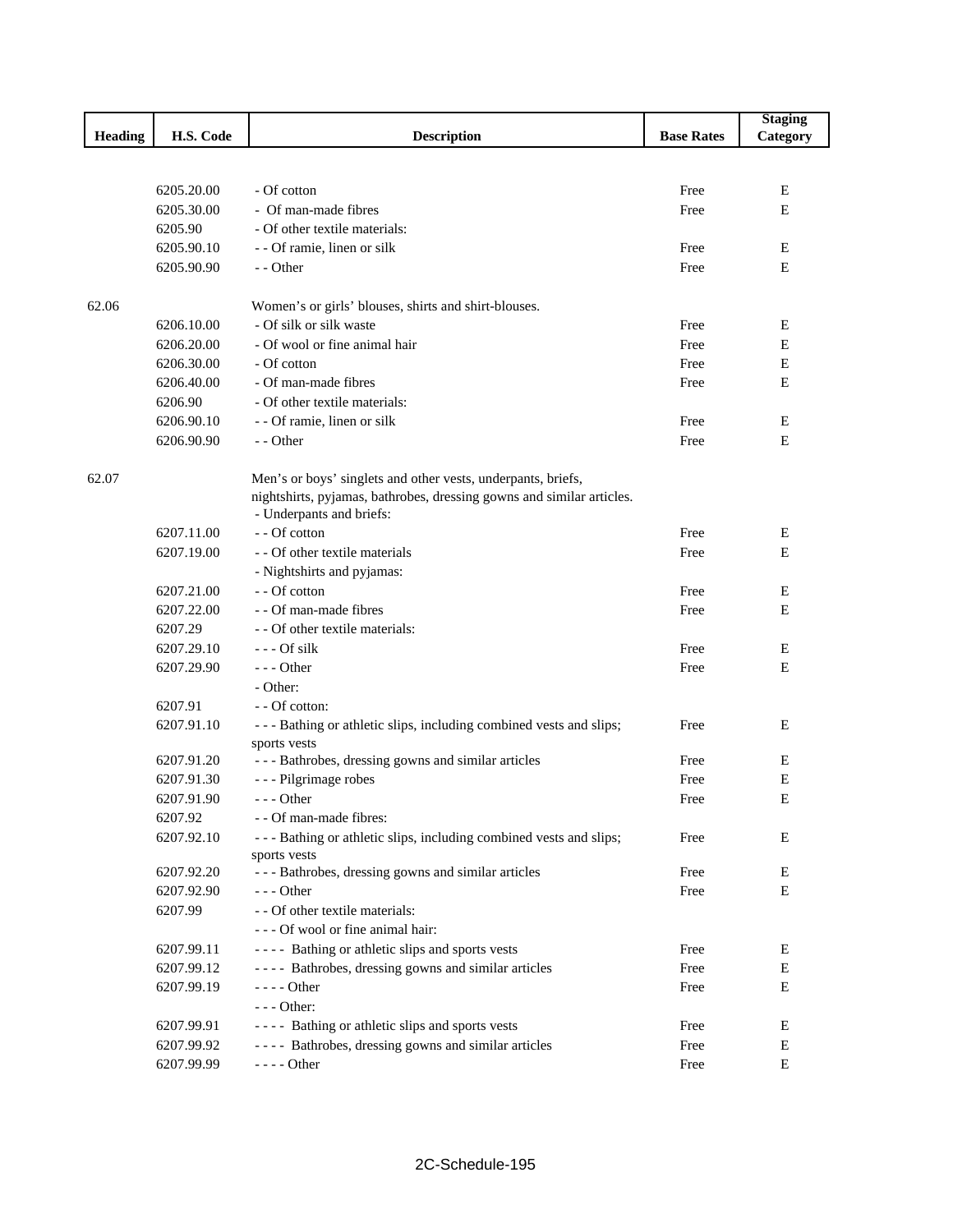|         |            |                                                                       |                   | <b>Staging</b> |
|---------|------------|-----------------------------------------------------------------------|-------------------|----------------|
| Heading | H.S. Code  | <b>Description</b>                                                    | <b>Base Rates</b> | Category       |
|         |            |                                                                       |                   |                |
|         |            |                                                                       |                   |                |
|         | 6205.20.00 | - Of cotton                                                           | Free              | Е              |
|         | 6205.30.00 | - Of man-made fibres                                                  | Free              | Е              |
|         | 6205.90    | - Of other textile materials:                                         |                   |                |
|         | 6205.90.10 | - - Of ramie, linen or silk                                           | Free              | Е              |
|         | 6205.90.90 | - - Other                                                             | Free              | E              |
|         |            |                                                                       |                   |                |
| 62.06   |            | Women's or girls' blouses, shirts and shirt-blouses.                  |                   |                |
|         | 6206.10.00 | - Of silk or silk waste                                               | Free              | E              |
|         | 6206.20.00 | - Of wool or fine animal hair                                         | Free              | Е              |
|         | 6206.30.00 | - Of cotton                                                           | Free              | E              |
|         | 6206.40.00 | - Of man-made fibres                                                  | Free              | Е              |
|         | 6206.90    | - Of other textile materials:                                         |                   |                |
|         | 6206.90.10 | - - Of ramie, linen or silk                                           | Free              | E              |
|         | 6206.90.90 | - - Other                                                             | Free              | E              |
|         |            |                                                                       |                   |                |
| 62.07   |            | Men's or boys' singlets and other vests, underpants, briefs,          |                   |                |
|         |            | nightshirts, pyjamas, bathrobes, dressing gowns and similar articles. |                   |                |
|         |            | - Underpants and briefs:                                              |                   |                |
|         | 6207.11.00 | - - Of cotton                                                         | Free              | Е              |
|         | 6207.19.00 | - - Of other textile materials                                        | Free              | E              |
|         |            | - Nightshirts and pyjamas:                                            |                   |                |
|         | 6207.21.00 | - - Of cotton                                                         | Free              | Е              |
|         | 6207.22.00 | - - Of man-made fibres                                                | Free              | Е              |
|         | 6207.29    | - - Of other textile materials:                                       |                   |                |
|         | 6207.29.10 | --- Of silk                                                           | Free              | Е              |
|         | 6207.29.90 | $--$ Other                                                            | Free              | Е              |
|         |            | - Other:                                                              |                   |                |
|         | 6207.91    | - - Of cotton:                                                        |                   |                |
|         | 6207.91.10 | - - - Bathing or athletic slips, including combined vests and slips;  | Free              | Ε              |
|         |            | sports vests                                                          |                   |                |
|         | 6207.91.20 | --- Bathrobes, dressing gowns and similar articles                    | Free              | Е              |
|         | 6207.91.30 | - - - Pilgrimage robes                                                | Free              | E              |
|         | 6207.91.90 | $- -$ Other                                                           | Free              | E              |
|         | 6207.92    | - - Of man-made fibres:                                               |                   |                |
|         | 6207.92.10 | - - - Bathing or athletic slips, including combined vests and slips;  | Free              | Е              |
|         |            | sports vests                                                          |                   |                |
|         | 6207.92.20 | --- Bathrobes, dressing gowns and similar articles                    | Free              | Ε              |
|         | 6207.92.90 | --- Other                                                             | Free              | Е              |
|         | 6207.99    | - - Of other textile materials:                                       |                   |                |
|         |            | --- Of wool or fine animal hair:                                      |                   |                |
|         | 6207.99.11 | ---- Bathing or athletic slips and sports vests                       | Free              | E              |
|         | 6207.99.12 | ---- Bathrobes, dressing gowns and similar articles                   | Free              | Е              |
|         | 6207.99.19 | $--$ Other                                                            | Free              | E              |
|         |            | - - - Other:                                                          |                   |                |
|         | 6207.99.91 | ---- Bathing or athletic slips and sports vests                       | Free              | E              |
|         | 6207.99.92 | ---- Bathrobes, dressing gowns and similar articles                   | Free              | E              |
|         | 6207.99.99 | - - - - Other                                                         | Free              | E              |
|         |            |                                                                       |                   |                |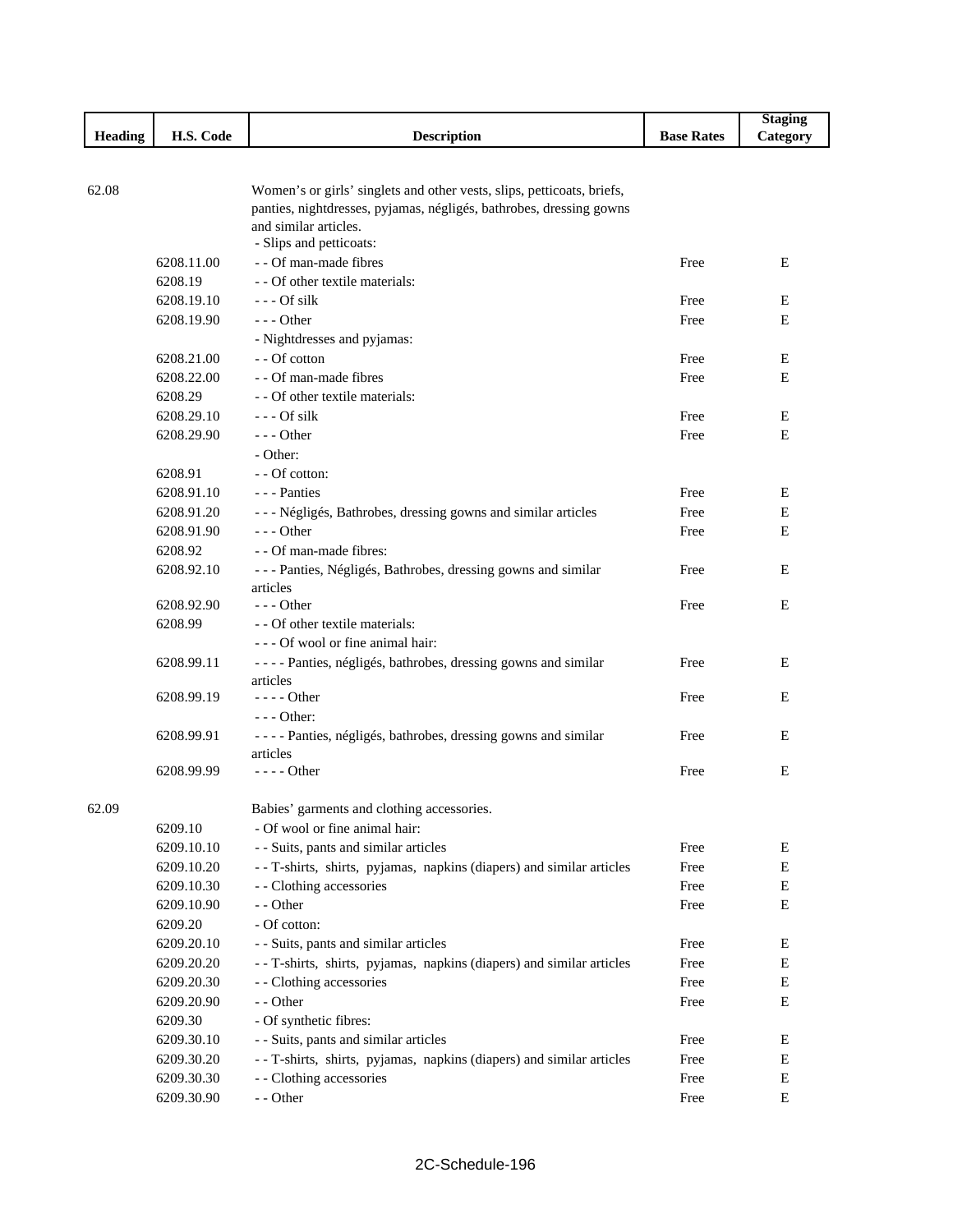|       |                |            |                                                                        |                   | <b>Staging</b> |
|-------|----------------|------------|------------------------------------------------------------------------|-------------------|----------------|
|       | <b>Heading</b> | H.S. Code  | <b>Description</b>                                                     | <b>Base Rates</b> | Category       |
|       |                |            |                                                                        |                   |                |
|       |                |            |                                                                        |                   |                |
| 62.08 |                |            | Women's or girls' singlets and other vests, slips, petticoats, briefs, |                   |                |
|       |                |            | panties, nightdresses, pyjamas, négligés, bathrobes, dressing gowns    |                   |                |
|       |                |            | and similar articles.<br>- Slips and petticoats:                       |                   |                |
|       | 6208.11.00     |            | - - Of man-made fibres                                                 | Free              | Ε              |
|       |                |            | - - Of other textile materials:                                        |                   |                |
|       | 6208.19        |            | $--$ Of silk                                                           |                   |                |
|       | 6208.19.10     | 6208.19.90 | $--$ Other                                                             | Free<br>Free      | E<br>E         |
|       |                |            |                                                                        |                   |                |
|       |                |            | - Nightdresses and pyjamas:<br>- - Of cotton                           |                   |                |
|       | 6208.21.00     |            |                                                                        | Free              | Ε              |
|       |                | 6208.22.00 | - - Of man-made fibres                                                 | Free              | E              |
|       | 6208.29        |            | - - Of other textile materials:                                        |                   |                |
|       |                | 6208.29.10 | $--$ Of silk                                                           | Free              | Ε              |
|       |                | 6208.29.90 | $- -$ Other                                                            | Free              | E              |
|       |                |            | - Other:                                                               |                   |                |
|       | 6208.91        |            | - - Of cotton:                                                         |                   |                |
|       |                | 6208.91.10 | --- Panties                                                            | Free              | E              |
|       |                | 6208.91.20 | --- Négligés, Bathrobes, dressing gowns and similar articles           | Free              | E              |
|       |                | 6208.91.90 | $--$ Other                                                             | Free              | E              |
|       | 6208.92        |            | - - Of man-made fibres:                                                |                   |                |
|       |                | 6208.92.10 | --- Panties, Négligés, Bathrobes, dressing gowns and similar           | Free              | E              |
|       |                |            | articles                                                               |                   |                |
|       |                | 6208.92.90 | $--$ Other                                                             | Free              | E              |
|       | 6208.99        |            | - - Of other textile materials:                                        |                   |                |
|       |                |            | --- Of wool or fine animal hair:                                       |                   |                |
|       | 6208.99.11     |            | ---- Panties, négligés, bathrobes, dressing gowns and similar          | Free              | Ε              |
|       |                | 6208.99.19 | articles<br>$---Other$                                                 | Free              | E              |
|       |                |            | $--$ Other:                                                            |                   |                |
|       | 6208.99.91     |            | ---- Panties, négligés, bathrobes, dressing gowns and similar          | Free              | E              |
|       |                |            | articles                                                               |                   |                |
|       | 6208.99.99     |            | - - - - Other                                                          | Free              | E              |
|       |                |            |                                                                        |                   |                |
| 62.09 |                |            | Babies' garments and clothing accessories.                             |                   |                |
|       | 6209.10        |            | - Of wool or fine animal hair:                                         |                   |                |
|       | 6209.10.10     |            | - - Suits, pants and similar articles                                  | Free              | E              |
|       |                | 6209.10.20 | - - T-shirts, shirts, pyjamas, napkins (diapers) and similar articles  | Free              | E              |
|       |                | 6209.10.30 | - - Clothing accessories                                               | Free              | ${\bf E}$      |
|       |                | 6209.10.90 | - - Other                                                              | Free              | Е              |
|       | 6209.20        |            | - Of cotton:                                                           |                   |                |
|       |                | 6209.20.10 | - - Suits, pants and similar articles                                  | Free              | Е              |
|       |                | 6209.20.20 | - - T-shirts, shirts, pyjamas, napkins (diapers) and similar articles  | Free              | E              |
|       |                | 6209.20.30 | - - Clothing accessories                                               | Free              | Е              |
|       |                | 6209.20.90 | - - Other                                                              | Free              | Е              |
|       | 6209.30        |            | - Of synthetic fibres:                                                 |                   |                |
|       |                | 6209.30.10 | - - Suits, pants and similar articles                                  | Free              | Е              |
|       |                | 6209.30.20 | - - T-shirts, shirts, pyjamas, napkins (diapers) and similar articles  | Free              | Е              |
|       |                | 6209.30.30 | - - Clothing accessories                                               | Free              | Е              |
|       |                | 6209.30.90 | - - Other                                                              | Free              | ${\bf E}$      |
|       |                |            |                                                                        |                   |                |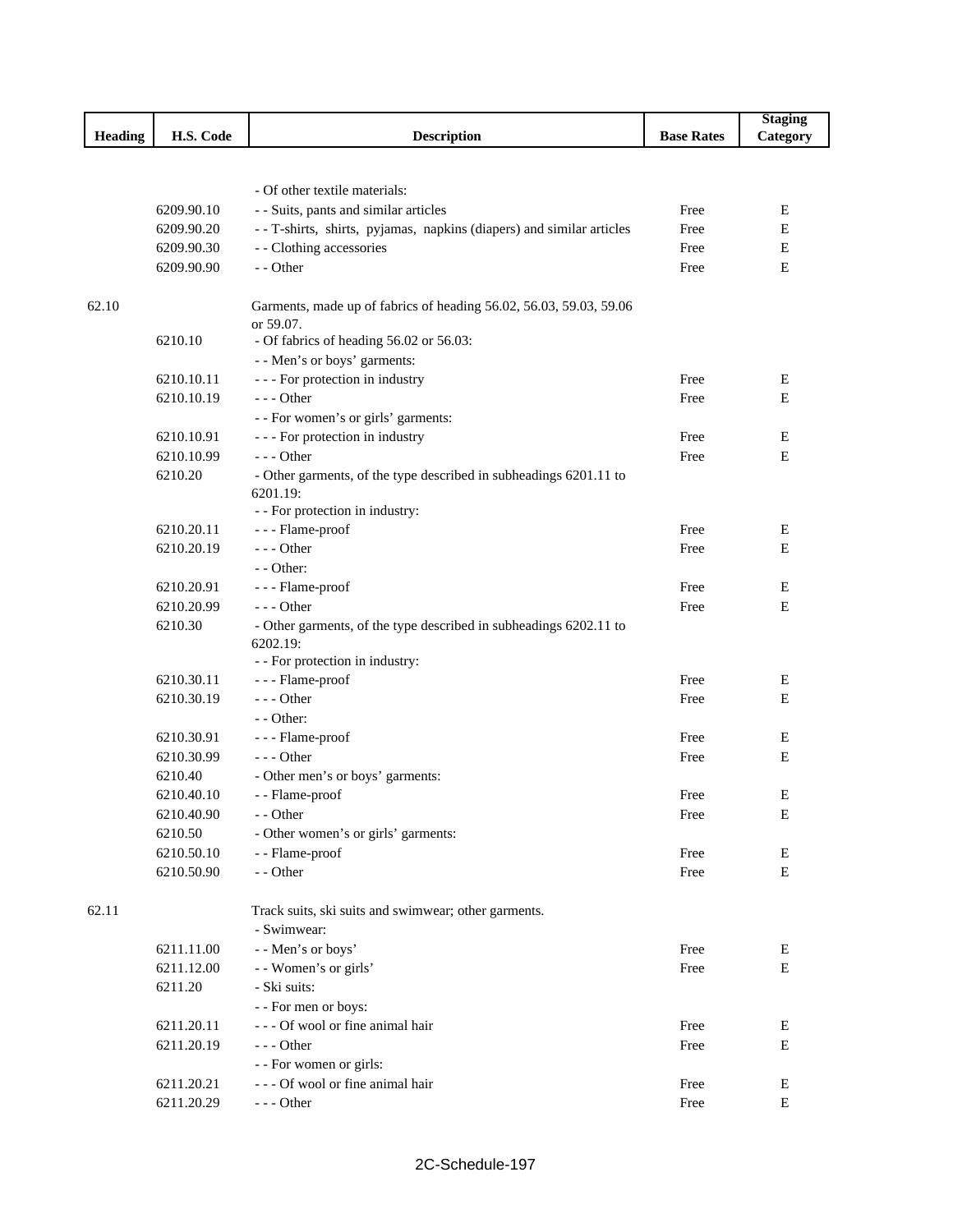|                |            |                                                                               |                   | <b>Staging</b> |
|----------------|------------|-------------------------------------------------------------------------------|-------------------|----------------|
| <b>Heading</b> | H.S. Code  | <b>Description</b>                                                            | <b>Base Rates</b> | Category       |
|                |            |                                                                               |                   |                |
|                |            |                                                                               |                   |                |
|                |            | - Of other textile materials:                                                 |                   |                |
|                | 6209.90.10 | - - Suits, pants and similar articles                                         | Free              | E              |
|                | 6209.90.20 | - - T-shirts, shirts, pyjamas, napkins (diapers) and similar articles         | Free              | E              |
|                | 6209.90.30 | - - Clothing accessories                                                      | Free              | E              |
|                | 6209.90.90 | - - Other                                                                     | Free              | Ε              |
|                |            |                                                                               |                   |                |
| 62.10          |            | Garments, made up of fabrics of heading 56.02, 56.03, 59.03, 59.06            |                   |                |
|                | 6210.10    | or 59.07.                                                                     |                   |                |
|                |            | - Of fabrics of heading 56.02 or 56.03:                                       |                   |                |
|                | 6210.10.11 | - - Men's or boys' garments:                                                  |                   |                |
|                |            | - - - For protection in industry                                              | Free              | E              |
|                | 6210.10.19 | --- Other                                                                     | Free              | Е              |
|                |            | - - For women's or girls' garments:                                           |                   |                |
|                | 6210.10.91 | - - - For protection in industry                                              | Free              | E              |
|                | 6210.10.99 | $--$ Other                                                                    | Free              | Ε              |
|                | 6210.20    | - Other garments, of the type described in subheadings 6201.11 to             |                   |                |
|                |            | 6201.19:<br>- - For protection in industry:                                   |                   |                |
|                | 6210.20.11 |                                                                               | Free              | E              |
|                | 6210.20.19 | - - - Flame-proof<br>$--$ Other                                               |                   | E              |
|                |            | - - Other:                                                                    | Free              |                |
|                |            |                                                                               | Free              | Ε              |
|                | 6210.20.91 | - - - Flame-proof                                                             |                   |                |
|                | 6210.20.99 | $- -$ Other                                                                   | Free              | E              |
|                | 6210.30    | - Other garments, of the type described in subheadings 6202.11 to<br>6202.19: |                   |                |
|                |            | - - For protection in industry:                                               |                   |                |
|                | 6210.30.11 | - - - Flame-proof                                                             | Free              | Ε              |
|                | 6210.30.19 | $--$ Other                                                                    | Free              | E              |
|                |            | - - Other:                                                                    |                   |                |
|                | 6210.30.91 | - - - Flame-proof                                                             | Free              | Е              |
|                | 6210.30.99 | $--$ Other                                                                    | Free              | Е              |
|                | 6210.40    | - Other men's or boys' garments:                                              |                   |                |
|                | 6210.40.10 | - - Flame-proof                                                               | Free              | Ε              |
|                | 6210.40.90 | - - Other                                                                     | Free              |                |
|                | 6210.50    | - Other women's or girls' garments:                                           |                   | Ε              |
|                | 6210.50.10 | - - Flame-proof                                                               | Free              | E              |
|                | 6210.50.90 | - - Other                                                                     | Free              | E              |
|                |            |                                                                               |                   |                |
| 62.11          |            | Track suits, ski suits and swimwear; other garments.                          |                   |                |
|                |            | - Swimwear:                                                                   |                   |                |
|                |            |                                                                               | Free              | E              |
|                | 6211.11.00 | - - Men's or boys'                                                            | Free              | E              |
|                | 6211.12.00 | - - Women's or girls'                                                         |                   |                |
|                | 6211.20    | - Ski suits:                                                                  |                   |                |
|                |            | - - For men or boys:                                                          |                   |                |
|                | 6211.20.11 | --- Of wool or fine animal hair                                               | Free              | E              |
|                | 6211.20.19 | $--$ Other                                                                    | Free              | E              |
|                |            | - - For women or girls:                                                       |                   |                |
|                | 6211.20.21 | --- Of wool or fine animal hair                                               | Free              | E              |
|                | 6211.20.29 | $--$ Other                                                                    | Free              | E              |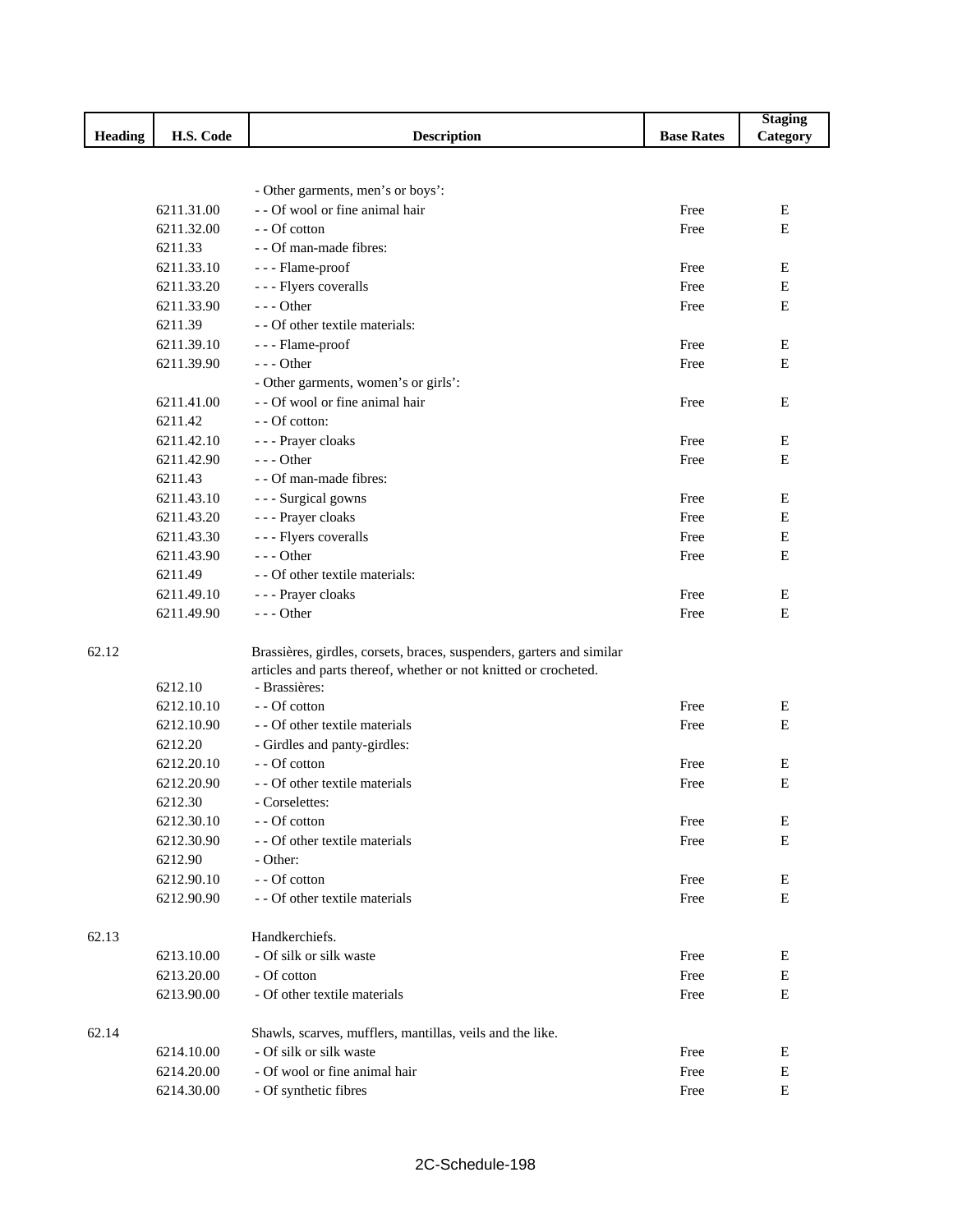|         |            |                                                                       |                   | <b>Staging</b> |
|---------|------------|-----------------------------------------------------------------------|-------------------|----------------|
| Heading | H.S. Code  | <b>Description</b>                                                    | <b>Base Rates</b> | Category       |
|         |            |                                                                       |                   |                |
|         |            |                                                                       |                   |                |
|         |            | - Other garments, men's or boys':                                     |                   |                |
|         | 6211.31.00 | - - Of wool or fine animal hair                                       | Free              | Е              |
|         | 6211.32.00 | - - Of cotton                                                         | Free              | Ε              |
|         | 6211.33    | - - Of man-made fibres:                                               |                   |                |
|         | 6211.33.10 | - - - Flame-proof                                                     | Free              | E              |
|         | 6211.33.20 | - - - Flyers coveralls                                                | Free              | Ε              |
|         | 6211.33.90 | $--$ Other                                                            | Free              | $\mathbf E$    |
|         | 6211.39    | - - Of other textile materials:                                       |                   |                |
|         | 6211.39.10 | - - - Flame-proof                                                     | Free              | E              |
|         | 6211.39.90 | $--$ Other                                                            | Free              | E              |
|         |            | - Other garments, women's or girls':                                  |                   |                |
|         | 6211.41.00 | - - Of wool or fine animal hair                                       | Free              | E              |
|         | 6211.42    | - - Of cotton:                                                        |                   |                |
|         | 6211.42.10 | - - - Prayer cloaks                                                   | Free              | E              |
|         | 6211.42.90 | $--$ Other                                                            | Free              | Ε              |
|         | 6211.43    | - - Of man-made fibres:                                               |                   |                |
|         | 6211.43.10 | --- Surgical gowns                                                    | Free              | E              |
|         | 6211.43.20 | - - - Prayer cloaks                                                   | Free              | E              |
|         | 6211.43.30 | - - - Flyers coveralls                                                | Free              | Ε              |
|         | 6211.43.90 | $- -$ Other                                                           | Free              | Ε              |
|         | 6211.49    | - - Of other textile materials:                                       |                   |                |
|         | 6211.49.10 | - - - Prayer cloaks                                                   | Free              | E              |
|         | 6211.49.90 | --- Other                                                             | Free              | Ε              |
|         |            |                                                                       |                   |                |
| 62.12   |            | Brassières, girdles, corsets, braces, suspenders, garters and similar |                   |                |
|         |            | articles and parts thereof, whether or not knitted or crocheted.      |                   |                |
|         | 6212.10    | - Brassières:                                                         |                   |                |
|         | 6212.10.10 | - - Of cotton                                                         | Free              | E              |
|         | 6212.10.90 | - - Of other textile materials                                        | Free              | Ε              |
|         | 6212.20    | - Girdles and panty-girdles:                                          |                   |                |
|         | 6212.20.10 | - - Of cotton                                                         | Free              | Ε              |
|         | 6212.20.90 | - - Of other textile materials                                        | Free              | E              |
|         | 6212.30    | - Corselettes:                                                        |                   |                |
|         | 6212.30.10 | - - Of cotton                                                         | Free              | Ε              |
|         | 6212.30.90 | - - Of other textile materials                                        | Free              | Е              |
|         | 6212.90    | - Other:                                                              |                   |                |
|         | 6212.90.10 | - - Of cotton                                                         | Free              | Ε              |
|         | 6212.90.90 | - - Of other textile materials                                        | Free              | E              |
|         |            |                                                                       |                   |                |
| 62.13   |            | Handkerchiefs.                                                        |                   |                |
|         | 6213.10.00 | - Of silk or silk waste                                               | Free              | E              |
|         | 6213.20.00 | - Of cotton                                                           | Free              | E              |
|         | 6213.90.00 | - Of other textile materials                                          | Free              | E              |
|         |            |                                                                       |                   |                |
| 62.14   |            | Shawls, scarves, mufflers, mantillas, veils and the like.             |                   |                |
|         | 6214.10.00 | - Of silk or silk waste                                               | Free              | E              |
|         | 6214.20.00 | - Of wool or fine animal hair                                         | Free              | E              |
|         | 6214.30.00 | - Of synthetic fibres                                                 | Free              | E              |
|         |            |                                                                       |                   |                |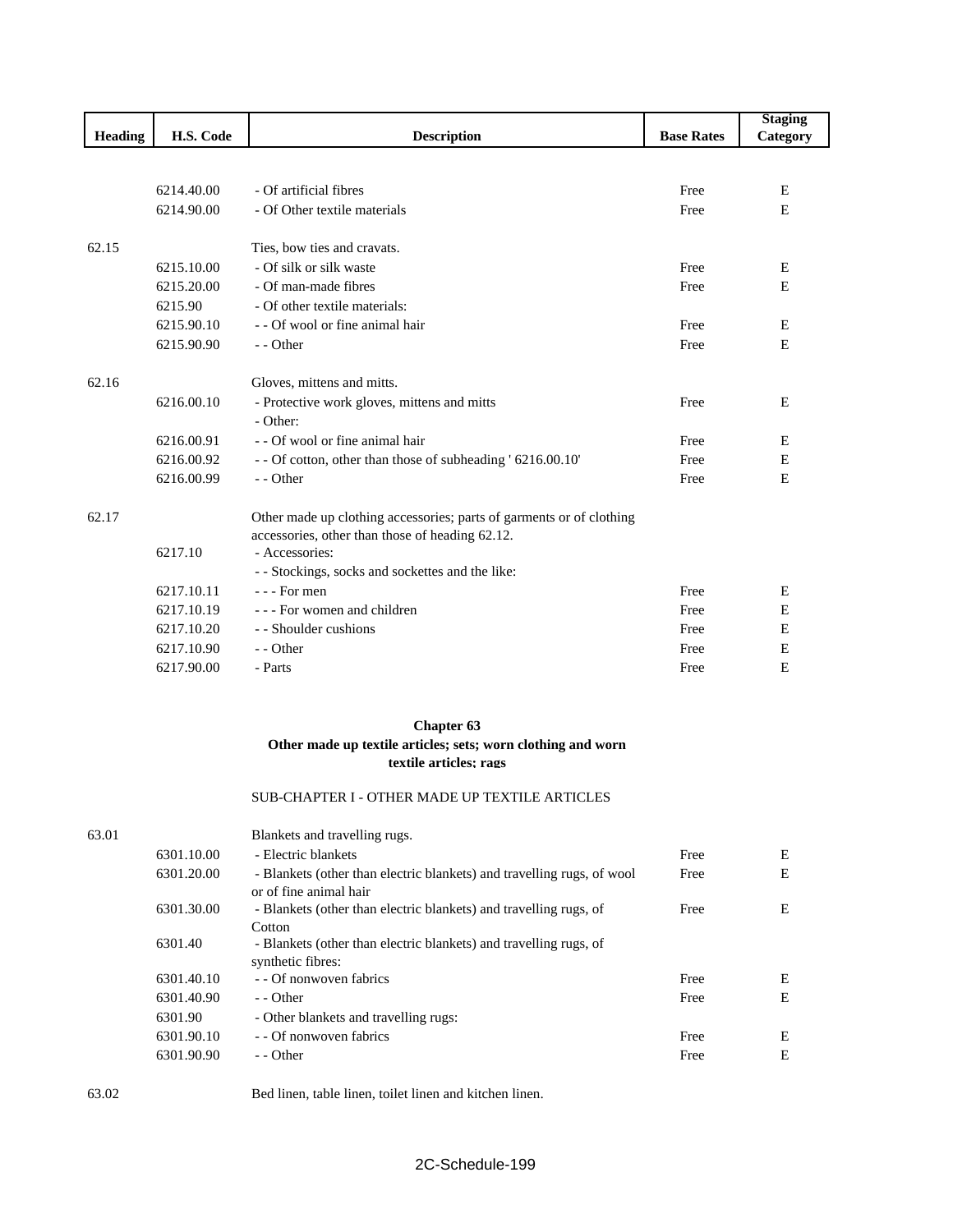|                |            |                                                                      |                   | <b>Staging</b> |
|----------------|------------|----------------------------------------------------------------------|-------------------|----------------|
| <b>Heading</b> | H.S. Code  | <b>Description</b>                                                   | <b>Base Rates</b> | Category       |
|                |            |                                                                      |                   |                |
|                | 6214.40.00 | - Of artificial fibres                                               | Free              | E              |
|                | 6214.90.00 | - Of Other textile materials                                         | Free              | E              |
|                |            |                                                                      |                   |                |
| 62.15          |            | Ties, bow ties and cravats.                                          |                   |                |
|                | 6215.10.00 | - Of silk or silk waste                                              | Free              | E              |
|                | 6215.20.00 | - Of man-made fibres                                                 | Free              | E              |
|                | 6215.90    | - Of other textile materials:                                        |                   |                |
|                | 6215.90.10 | - - Of wool or fine animal hair                                      | Free              | E              |
|                | 6215.90.90 | $-$ - Other                                                          | Free              | E              |
|                |            |                                                                      |                   |                |
| 62.16          |            | Gloves, mittens and mitts.                                           |                   |                |
|                | 6216.00.10 | - Protective work gloves, mittens and mitts                          | Free              | E              |
|                |            | - Other:                                                             |                   |                |
|                | 6216.00.91 | - - Of wool or fine animal hair                                      | Free              | E              |
|                | 6216.00.92 | - - Of cotton, other than those of subheading ' 6216.00.10'          | Free              | E              |
|                | 6216.00.99 | - - Other                                                            | Free              | E              |
| 62.17          |            | Other made up clothing accessories; parts of garments or of clothing |                   |                |
|                |            | accessories, other than those of heading 62.12.                      |                   |                |
|                | 6217.10    | - Accessories:                                                       |                   |                |
|                |            | - - Stockings, socks and sockettes and the like:                     |                   |                |
|                | 6217.10.11 | $- -$ For men                                                        | Free              | E              |
|                | 6217.10.19 | - - - For women and children                                         | Free              | E              |
|                | 6217.10.20 | - - Shoulder cushions                                                | Free              | E              |
|                | 6217.10.90 | - - Other                                                            | Free              | E              |
|                | 6217.90.00 | - Parts                                                              | Free              | E              |
|                |            |                                                                      |                   |                |

#### **Chapter 63**

#### **Other made up textile articles; sets; worn clothing and worn textile articles; rags**

#### SUB-CHAPTER I - OTHER MADE UP TEXTILE ARTICLES

63.01 Blankets and travelling rugs. 6301.10.00 - Electric blankets E 6301.20.00 - Blankets (other than electric blankets) and travelling rugs, of wool or of fine animal hair Free E 6301.30.00 - Blankets (other than electric blankets) and travelling rugs, of **Cotton** Free E 6301.40 - Blankets (other than electric blankets) and travelling rugs, of synthetic fibres: 6301.40.10 - - Of nonwoven fabrics Free E 6301.40.90 - Other E 6301.90 - Other blankets and travelling rugs: 6301.90.10 - - Of nonwoven fabrics Free E 6301.90.90 - Other E

#### 63.02 Bed linen, table linen, toilet linen and kitchen linen.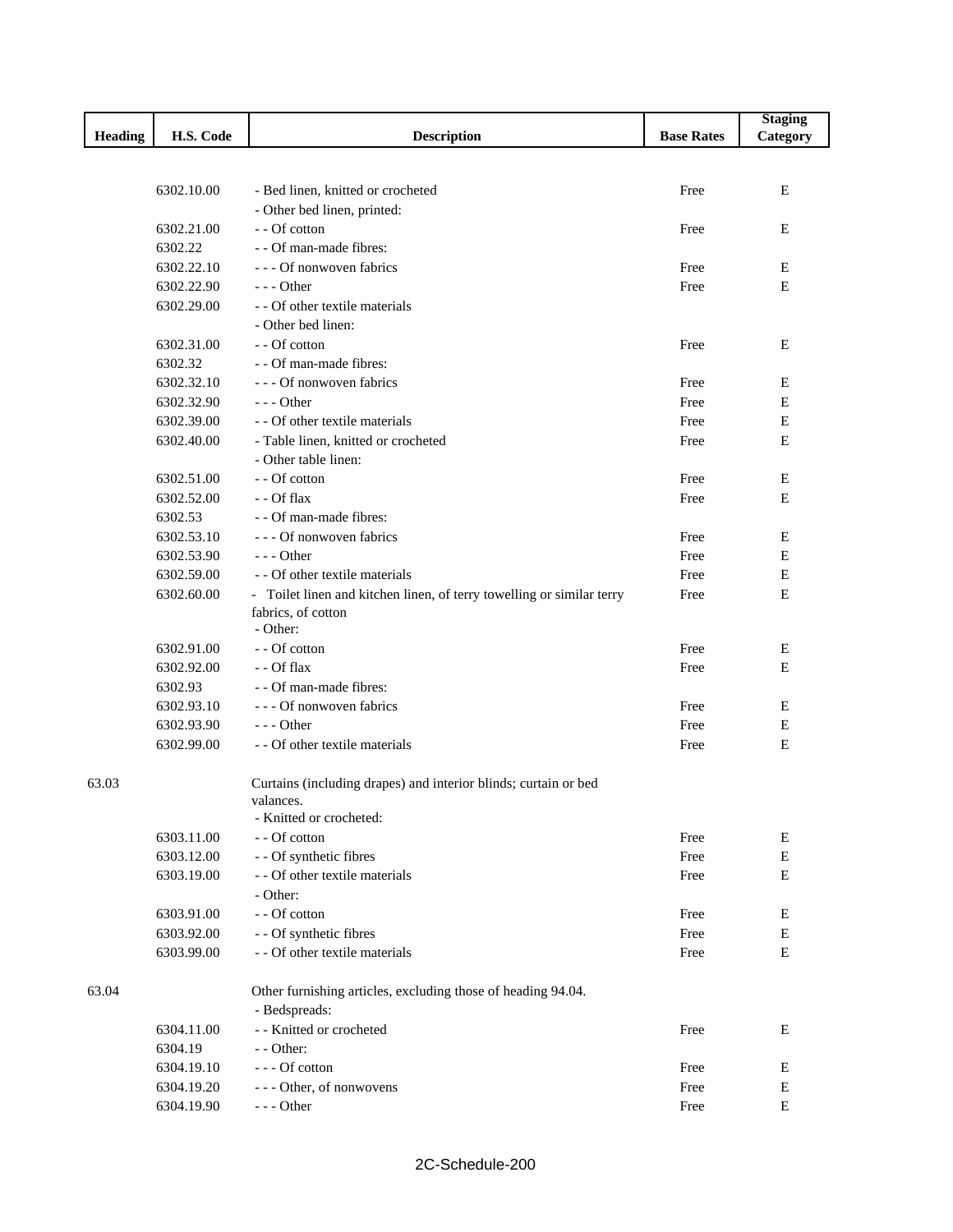|         |            |                                                                       |                   | <b>Staging</b> |
|---------|------------|-----------------------------------------------------------------------|-------------------|----------------|
| Heading | H.S. Code  | <b>Description</b>                                                    | <b>Base Rates</b> | Category       |
|         |            |                                                                       |                   |                |
|         |            |                                                                       |                   |                |
|         | 6302.10.00 | - Bed linen, knitted or crocheted                                     | Free              | Е              |
|         |            | - Other bed linen, printed:                                           |                   |                |
|         | 6302.21.00 | - - Of cotton                                                         | Free              | Е              |
|         | 6302.22    | - - Of man-made fibres:                                               |                   |                |
|         | 6302.22.10 | - - - Of nonwoven fabrics                                             | Free              | Е              |
|         | 6302.22.90 | $--$ Other                                                            | Free              | E              |
|         | 6302.29.00 | - - Of other textile materials                                        |                   |                |
|         |            | - Other bed linen:                                                    |                   |                |
|         | 6302.31.00 | - - Of cotton                                                         | Free              | Ε              |
|         | 6302.32    | - - Of man-made fibres:                                               |                   |                |
|         | 6302.32.10 | - - - Of nonwoven fabrics                                             | Free              | Е              |
|         | 6302.32.90 | $--$ Other                                                            | Free              | E              |
|         | 6302.39.00 | - - Of other textile materials                                        | Free              | ${\bf E}$      |
|         | 6302.40.00 | - Table linen, knitted or crocheted                                   | Free              | $\mathbf E$    |
|         |            | - Other table linen:                                                  |                   |                |
|         | 6302.51.00 | - - Of cotton                                                         | Free              | Ε              |
|         | 6302.52.00 | - - Of flax                                                           | Free              | $\mathbf E$    |
|         | 6302.53    | - - Of man-made fibres:                                               |                   |                |
|         | 6302.53.10 | - - - Of nonwoven fabrics                                             | Free              | Ε              |
|         | 6302.53.90 | $--$ Other                                                            | Free              | Ε              |
|         | 6302.59.00 | - - Of other textile materials                                        | Free              | Е              |
|         | 6302.60.00 | - Toilet linen and kitchen linen, of terry towelling or similar terry | Free              | E              |
|         |            | fabrics, of cotton                                                    |                   |                |
|         |            | - Other:                                                              |                   |                |
|         | 6302.91.00 | - - Of cotton                                                         | Free              | Ε              |
|         | 6302.92.00 | - - Of flax                                                           | Free              | E              |
|         | 6302.93    | - - Of man-made fibres:                                               |                   |                |
|         | 6302.93.10 | - - - Of nonwoven fabrics                                             | Free              | Е              |
|         | 6302.93.90 | $--$ Other                                                            | Free              | Ε              |
|         | 6302.99.00 | - - Of other textile materials                                        | Free              | E              |
|         |            |                                                                       |                   |                |
| 63.03   |            | Curtains (including drapes) and interior blinds; curtain or bed       |                   |                |
|         |            | valances.                                                             |                   |                |
|         |            | - Knitted or crocheted:                                               |                   |                |
|         | 6303.11.00 | - - Of cotton                                                         | Free              | E              |
|         | 6303.12.00 | - - Of synthetic fibres                                               | Free              | ${\bf E}$      |
|         | 6303.19.00 | - - Of other textile materials                                        | Free              | ${\bf E}$      |
|         |            | - Other:                                                              |                   |                |
|         | 6303.91.00 | - - Of cotton                                                         | Free              | E              |
|         | 6303.92.00 | - - Of synthetic fibres                                               | Free              | E              |
|         | 6303.99.00 | - - Of other textile materials                                        | Free              | ${\bf E}$      |
|         |            |                                                                       |                   |                |
| 63.04   |            | Other furnishing articles, excluding those of heading 94.04.          |                   |                |
|         |            | - Bedspreads:                                                         |                   |                |
|         | 6304.11.00 | - - Knitted or crocheted                                              | Free              | Е              |
|         | 6304.19    | - - Other:                                                            |                   |                |
|         |            |                                                                       |                   |                |
|         | 6304.19.10 | --- Of cotton                                                         | Free              | Е              |
|         | 6304.19.20 | --- Other, of nonwovens                                               | Free              | E              |
|         | 6304.19.90 | $--$ Other                                                            | Free              | ${\bf E}$      |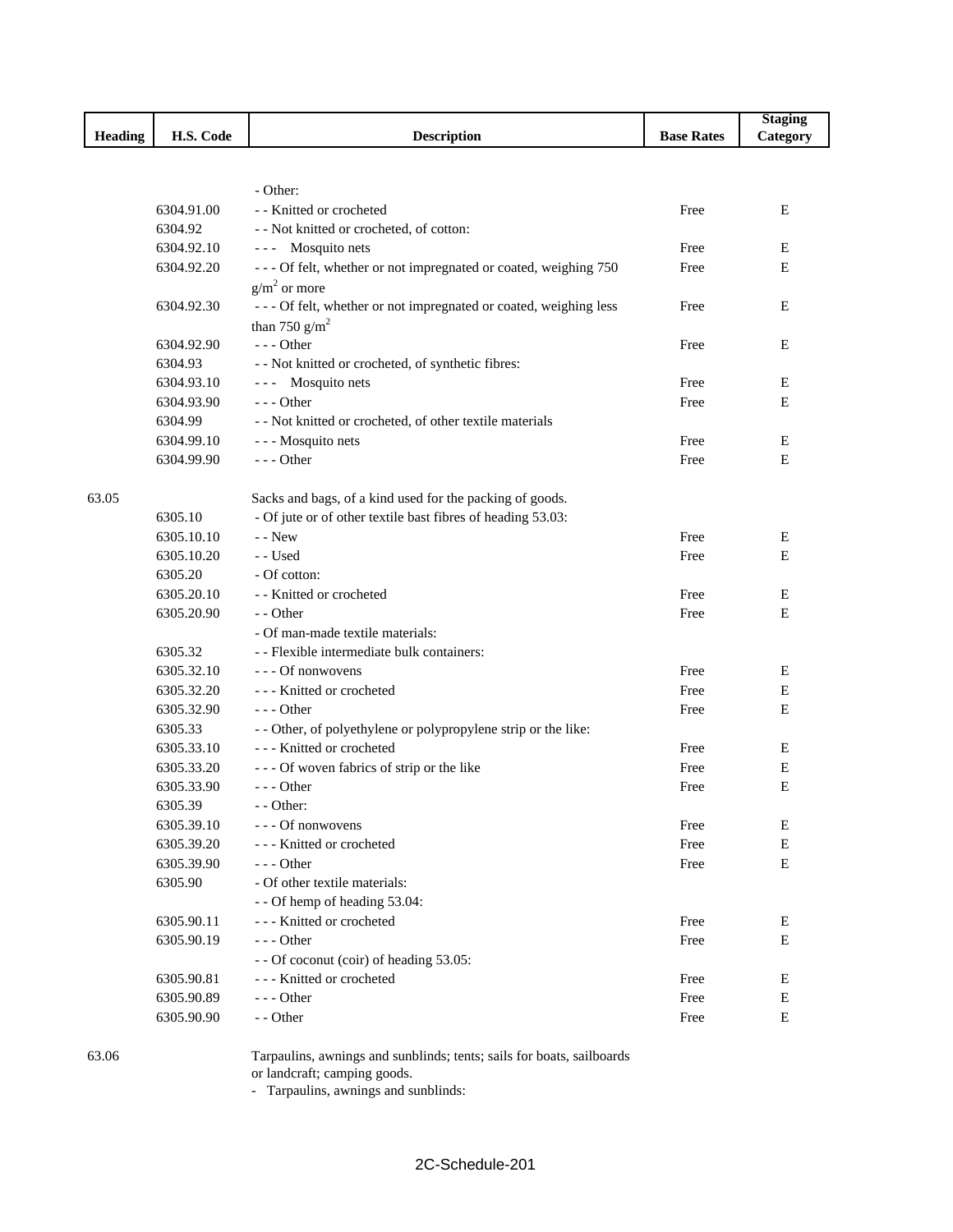|         |            |                                                                  |                   | <b>Staging</b> |
|---------|------------|------------------------------------------------------------------|-------------------|----------------|
| Heading | H.S. Code  | <b>Description</b>                                               | <b>Base Rates</b> | Category       |
|         |            |                                                                  |                   |                |
|         |            |                                                                  |                   |                |
|         |            | - Other:                                                         |                   |                |
|         | 6304.91.00 | - - Knitted or crocheted                                         | Free              | E              |
|         | 6304.92    | - - Not knitted or crocheted, of cotton:                         |                   |                |
|         | 6304.92.10 | --- Mosquito nets                                                | Free              | Е              |
|         | 6304.92.20 | --- Of felt, whether or not impregnated or coated, weighing 750  | Free              | Е              |
|         |            | $g/m2$ or more                                                   |                   |                |
|         | 6304.92.30 | --- Of felt, whether or not impregnated or coated, weighing less | Free              | Е              |
|         |            | than 750 $g/m^2$                                                 |                   |                |
|         | 6304.92.90 | --- Other                                                        | Free              | Ε              |
|         | 6304.93    | - - Not knitted or crocheted, of synthetic fibres:               |                   |                |
|         | 6304.93.10 | --- Mosquito nets                                                | Free              | Е              |
|         | 6304.93.90 | $--$ Other                                                       | Free              | Е              |
|         | 6304.99    | - - Not knitted or crocheted, of other textile materials         |                   |                |
|         | 6304.99.10 | - - - Mosquito nets                                              | Free              | Ε              |
|         | 6304.99.90 | $- -$ Other                                                      | Free              | E              |
|         |            |                                                                  |                   |                |
| 63.05   |            | Sacks and bags, of a kind used for the packing of goods.         |                   |                |
|         | 6305.10    | - Of jute or of other textile bast fibres of heading 53.03:      |                   |                |
|         | 6305.10.10 | $-$ - New                                                        | Free              | Е              |
|         | 6305.10.20 | - - Used                                                         | Free              | E              |
|         | 6305.20    | - Of cotton:                                                     |                   |                |
|         | 6305.20.10 | - - Knitted or crocheted                                         | Free              | Ε              |
|         | 6305.20.90 | - - Other                                                        | Free              | Е              |
|         |            | - Of man-made textile materials:                                 |                   |                |
|         | 6305.32    | - - Flexible intermediate bulk containers:                       |                   |                |
|         | 6305.32.10 | --- Of nonwovens                                                 | Free              | Е              |
|         | 6305.32.20 | --- Knitted or crocheted                                         | Free              | Е              |
|         | 6305.32.90 | $--$ Other                                                       | Free              | Е              |
|         | 6305.33    | - - Other, of polyethylene or polypropylene strip or the like:   |                   |                |
|         | 6305.33.10 | --- Knitted or crocheted                                         | Free              | Е              |
|         | 6305.33.20 | --- Of woven fabrics of strip or the like                        | Free              | E              |
|         | 6305.33.90 | $--$ Other                                                       | Free              | E              |
|         | 6305.39    | $-$ - Other:                                                     |                   |                |
|         | 6305.39.10 | --- Of nonwovens                                                 | Free              | Ε              |
|         | 6305.39.20 | - - - Knitted or crocheted                                       | Free              | Е              |
|         | 6305.39.90 | - - - Other                                                      | Free              | Е              |
|         | 6305.90    | - Of other textile materials:                                    |                   |                |
|         |            | - - Of hemp of heading 53.04:                                    |                   |                |
|         | 6305.90.11 | --- Knitted or crocheted                                         | Free              | E              |
|         | 6305.90.19 | --- Other                                                        | Free              | Е              |
|         |            | - - Of coconut (coir) of heading 53.05:                          |                   |                |
|         | 6305.90.81 | --- Knitted or crocheted                                         | Free              | Е              |
|         | 6305.90.89 | --- Other                                                        | Free              | Е              |
|         | 6305.90.90 | - - Other                                                        | Free              | Е              |
|         |            |                                                                  |                   |                |

63.06 Tarpaulins, awnings and sunblinds; tents; sails for boats, sailboards or landcraft; camping goods.

- Tarpaulins, awnings and sunblinds: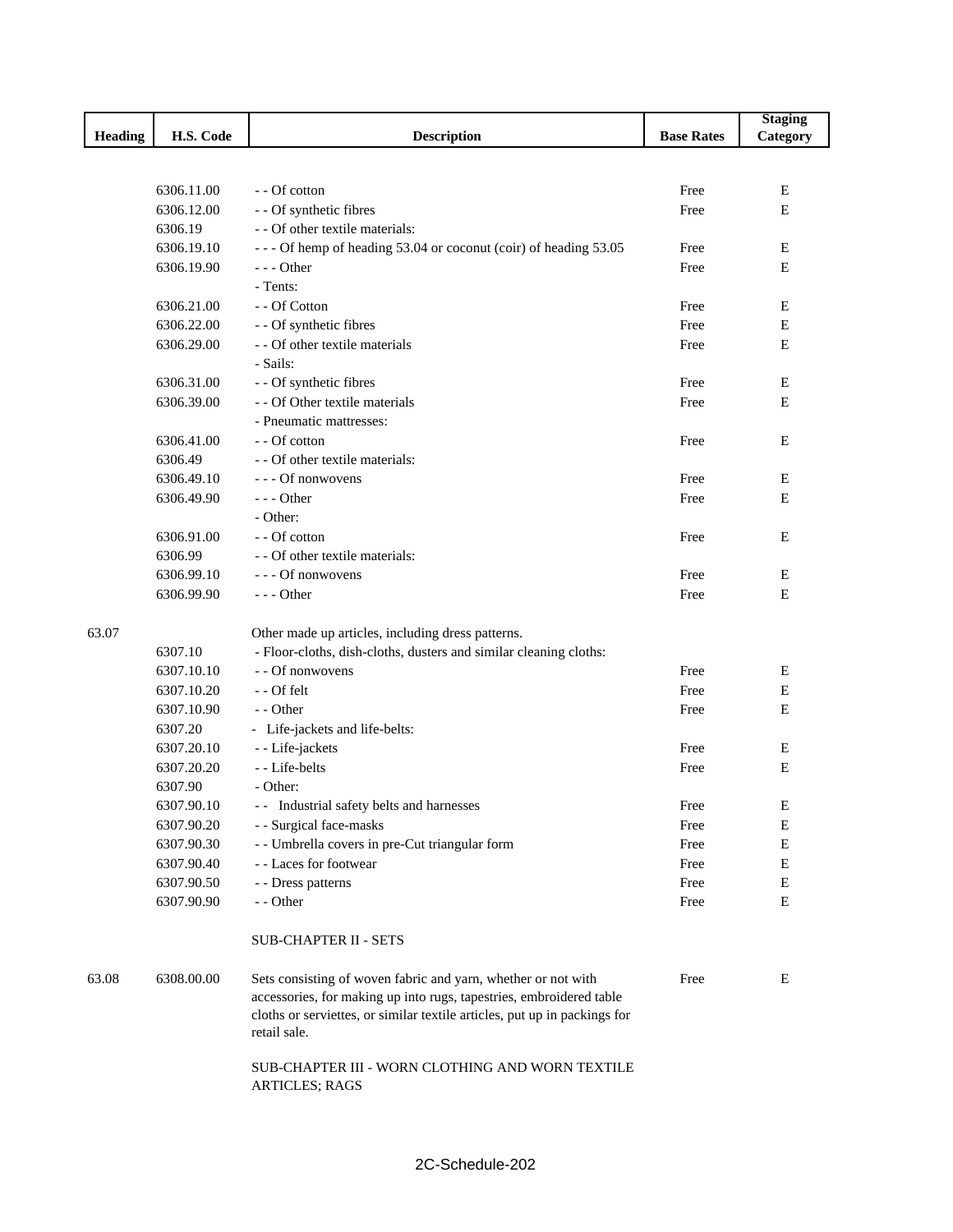|         |            |                                                                                                                                                                                                                                   |                   | <b>Staging</b> |
|---------|------------|-----------------------------------------------------------------------------------------------------------------------------------------------------------------------------------------------------------------------------------|-------------------|----------------|
| Heading | H.S. Code  | <b>Description</b>                                                                                                                                                                                                                | <b>Base Rates</b> | Category       |
|         |            |                                                                                                                                                                                                                                   |                   |                |
|         |            |                                                                                                                                                                                                                                   |                   |                |
|         | 6306.11.00 | - - Of cotton                                                                                                                                                                                                                     | Free              | Е              |
|         | 6306.12.00 | - - Of synthetic fibres                                                                                                                                                                                                           | Free              | E              |
|         | 6306.19    | - - Of other textile materials:                                                                                                                                                                                                   |                   |                |
|         | 6306.19.10 | --- Of hemp of heading 53.04 or coconut (coir) of heading 53.05                                                                                                                                                                   | Free              | Е              |
|         | 6306.19.90 | --- Other                                                                                                                                                                                                                         | Free              | E              |
|         |            | - Tents:                                                                                                                                                                                                                          |                   |                |
|         | 6306.21.00 | - - Of Cotton                                                                                                                                                                                                                     | Free              | E              |
|         | 6306.22.00 | - - Of synthetic fibres                                                                                                                                                                                                           | Free              | E              |
|         | 6306.29.00 | - - Of other textile materials                                                                                                                                                                                                    | Free              | E              |
|         |            | - Sails:                                                                                                                                                                                                                          |                   |                |
|         | 6306.31.00 | - - Of synthetic fibres                                                                                                                                                                                                           | Free              | Ε              |
|         | 6306.39.00 | - - Of Other textile materials                                                                                                                                                                                                    | Free              | E              |
|         |            | - Pneumatic mattresses:                                                                                                                                                                                                           |                   |                |
|         | 6306.41.00 | - - Of cotton                                                                                                                                                                                                                     | Free              | Ε              |
|         | 6306.49    | - - Of other textile materials:                                                                                                                                                                                                   |                   |                |
|         | 6306.49.10 | --- Of nonwovens                                                                                                                                                                                                                  | Free              | Ε              |
|         | 6306.49.90 | $--$ Other                                                                                                                                                                                                                        | Free              | E              |
|         |            | - Other:                                                                                                                                                                                                                          |                   |                |
|         | 6306.91.00 | - - Of cotton                                                                                                                                                                                                                     | Free              | E              |
|         | 6306.99    | - - Of other textile materials:                                                                                                                                                                                                   |                   |                |
|         | 6306.99.10 | --- Of nonwovens                                                                                                                                                                                                                  | Free              | Ε              |
|         | 6306.99.90 | --- Other                                                                                                                                                                                                                         | Free              | Ε              |
|         |            |                                                                                                                                                                                                                                   |                   |                |
| 63.07   |            | Other made up articles, including dress patterns.                                                                                                                                                                                 |                   |                |
|         | 6307.10    | - Floor-cloths, dish-cloths, dusters and similar cleaning cloths:                                                                                                                                                                 |                   |                |
|         | 6307.10.10 | - - Of nonwovens                                                                                                                                                                                                                  | Free              | Ε              |
|         | 6307.10.20 | - - Of felt                                                                                                                                                                                                                       | Free              | E              |
|         | 6307.10.90 | - - Other                                                                                                                                                                                                                         | Free              | E              |
|         | 6307.20    | - Life-jackets and life-belts:                                                                                                                                                                                                    |                   |                |
|         | 6307.20.10 | - - Life-jackets                                                                                                                                                                                                                  | Free              | Е              |
|         | 6307.20.20 | - - Life-belts                                                                                                                                                                                                                    | Free              | Ε              |
|         | 6307.90    | - Other:                                                                                                                                                                                                                          |                   |                |
|         | 6307.90.10 | - - Industrial safety belts and harnesses                                                                                                                                                                                         | Free              | Ε              |
|         | 6307.90.20 | - - Surgical face-masks                                                                                                                                                                                                           | Free              | Ε              |
|         | 6307.90.30 | - - Umbrella covers in pre-Cut triangular form                                                                                                                                                                                    | Free              | Е              |
|         | 6307.90.40 | - - Laces for footwear                                                                                                                                                                                                            | Free              | ${\bf E}$      |
|         | 6307.90.50 | - - Dress patterns                                                                                                                                                                                                                | Free              | Е              |
|         | 6307.90.90 | - - Other                                                                                                                                                                                                                         | Free              | $\mathbf E$    |
|         |            |                                                                                                                                                                                                                                   |                   |                |
|         |            | <b>SUB-CHAPTER II - SETS</b>                                                                                                                                                                                                      |                   |                |
| 63.08   | 6308.00.00 | Sets consisting of woven fabric and yarn, whether or not with<br>accessories, for making up into rugs, tapestries, embroidered table<br>cloths or serviettes, or similar textile articles, put up in packings for<br>retail sale. | Free              | Ε              |
|         |            | SUB-CHAPTER III - WORN CLOTHING AND WORN TEXTILE<br><b>ARTICLES; RAGS</b>                                                                                                                                                         |                   |                |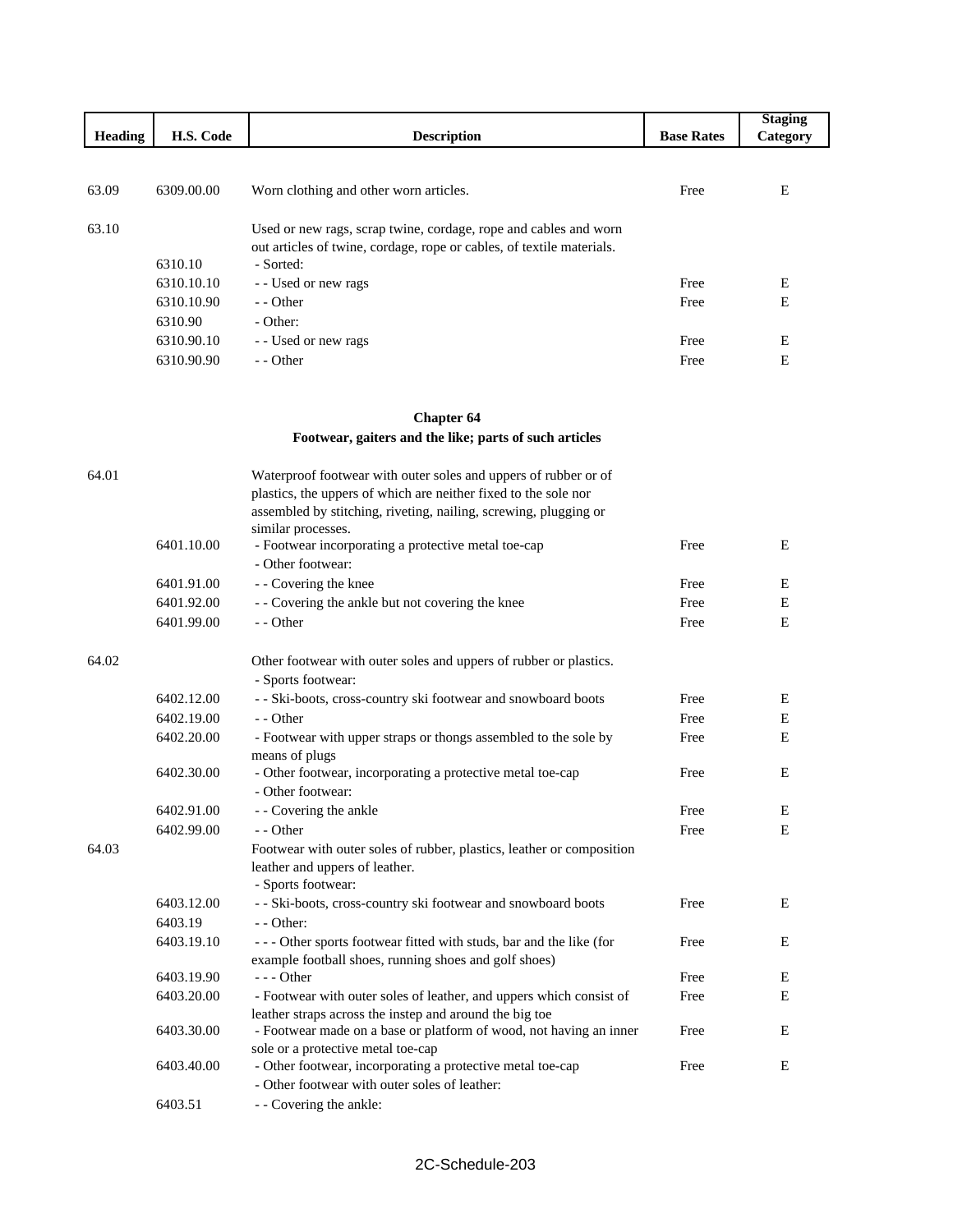| <b>Heading</b> | H.S. Code  | <b>Description</b>                                                                                                                                     | <b>Base Rates</b> | <b>Staging</b><br>Category |
|----------------|------------|--------------------------------------------------------------------------------------------------------------------------------------------------------|-------------------|----------------------------|
|                |            |                                                                                                                                                        |                   |                            |
| 63.09          | 6309.00.00 | Worn clothing and other worn articles.                                                                                                                 | Free              | Ε                          |
| 63.10          | 6310.10    | Used or new rags, scrap twine, cordage, rope and cables and worn<br>out articles of twine, cordage, rope or cables, of textile materials.<br>- Sorted: |                   |                            |
|                | 6310.10.10 | - Used or new rags                                                                                                                                     | Free              | E                          |
|                | 6310.10.90 | $-$ - Other                                                                                                                                            | Free              | E                          |
|                | 6310.90    | - Other:                                                                                                                                               |                   |                            |
|                | 6310.90.10 | - Used or new rags                                                                                                                                     | Free              | E                          |
|                | 6310.90.90 | - Other                                                                                                                                                | Free              | E                          |

# **Chapter 64 Footwear, gaiters and the like; parts of such articles**

| 64.01 |            | Waterproof footwear with outer soles and uppers of rubber or of<br>plastics, the uppers of which are neither fixed to the sole nor<br>assembled by stitching, riveting, nailing, screwing, plugging or<br>similar processes. |      |   |
|-------|------------|------------------------------------------------------------------------------------------------------------------------------------------------------------------------------------------------------------------------------|------|---|
|       | 6401.10.00 | - Footwear incorporating a protective metal toe-cap<br>- Other footwear:                                                                                                                                                     | Free | E |
|       | 6401.91.00 | - - Covering the knee                                                                                                                                                                                                        | Free | E |
|       | 6401.92.00 | - - Covering the ankle but not covering the knee                                                                                                                                                                             | Free | E |
|       | 6401.99.00 | - - Other                                                                                                                                                                                                                    | Free | E |
| 64.02 |            | Other footwear with outer soles and uppers of rubber or plastics.<br>- Sports footwear:                                                                                                                                      |      |   |
|       | 6402.12.00 | - - Ski-boots, cross-country ski footwear and snowboard boots                                                                                                                                                                | Free | E |
|       | 6402.19.00 | - - Other                                                                                                                                                                                                                    | Free | E |
|       | 6402.20.00 | - Footwear with upper straps or thongs assembled to the sole by<br>means of plugs                                                                                                                                            | Free | E |
|       | 6402.30.00 | - Other footwear, incorporating a protective metal toe-cap<br>- Other footwear:                                                                                                                                              | Free | E |
|       | 6402.91.00 | - - Covering the ankle                                                                                                                                                                                                       | Free | Е |
|       | 6402.99.00 | $-$ - Other                                                                                                                                                                                                                  | Free | E |
| 64.03 |            | Footwear with outer soles of rubber, plastics, leather or composition<br>leather and uppers of leather.<br>- Sports footwear:                                                                                                |      |   |
|       | 6403.12.00 | - - Ski-boots, cross-country ski footwear and snowboard boots                                                                                                                                                                | Free | E |
|       | 6403.19    | $-$ - Other:                                                                                                                                                                                                                 |      |   |
|       | 6403.19.10 | --- Other sports footwear fitted with studs, bar and the like (for<br>example football shoes, running shoes and golf shoes)                                                                                                  | Free | E |
|       | 6403.19.90 | $--$ Other                                                                                                                                                                                                                   | Free | E |
|       | 6403.20.00 | - Footwear with outer soles of leather, and uppers which consist of<br>leather straps across the instep and around the big toe                                                                                               | Free | E |
|       | 6403.30.00 | - Footwear made on a base or platform of wood, not having an inner<br>sole or a protective metal toe-cap                                                                                                                     | Free | E |
|       | 6403.40.00 | - Other footwear, incorporating a protective metal toe-cap<br>- Other footwear with outer soles of leather:                                                                                                                  | Free | E |
|       | 6403.51    | - - Covering the ankle:                                                                                                                                                                                                      |      |   |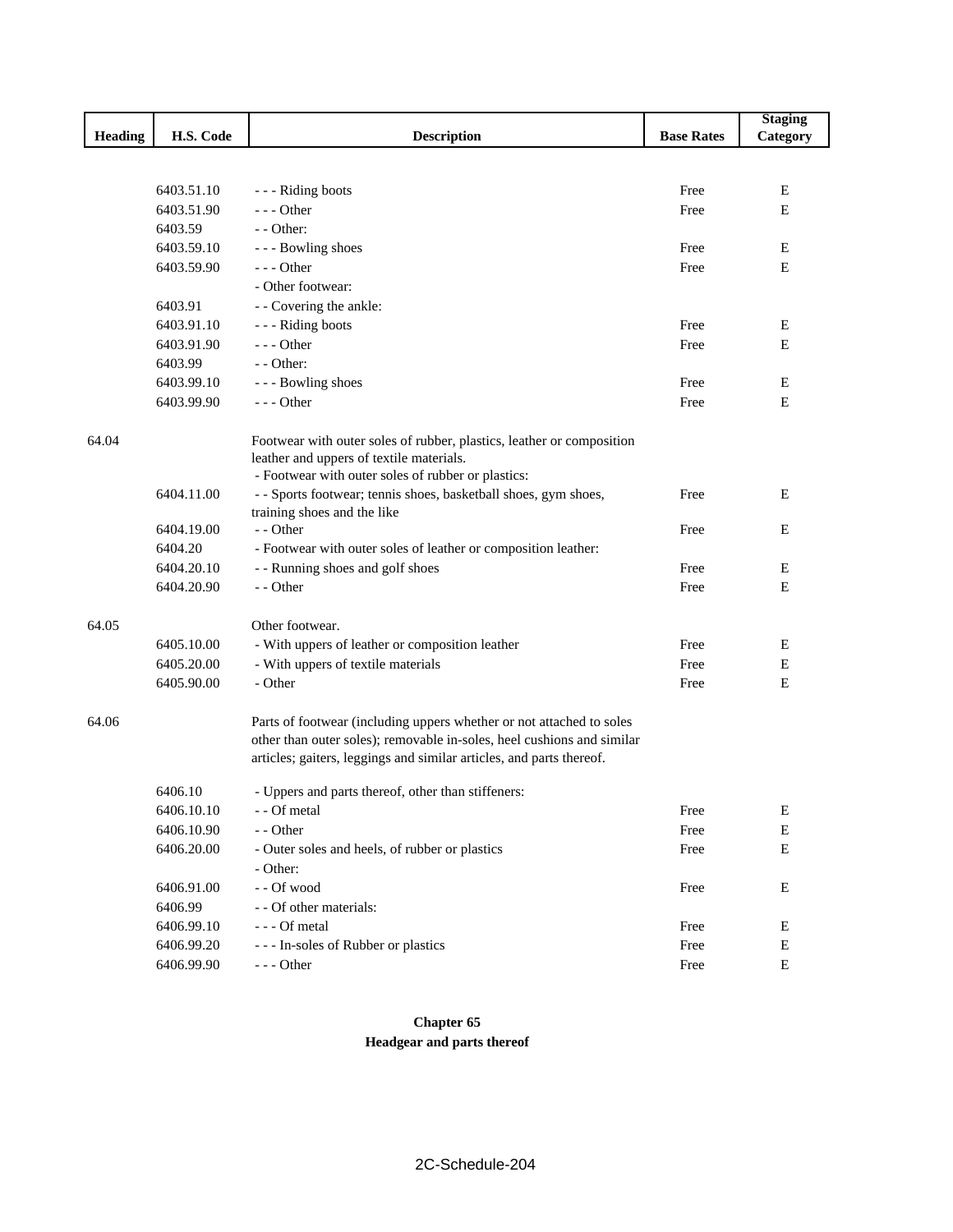| <b>Heading</b><br>H.S. Code<br><b>Description</b><br><b>Base Rates</b><br>Category<br>6403.51.10<br>Free<br>Ε<br>- - - Riding boots<br>6403.51.90<br>$--$ Other<br>E<br>Free<br>6403.59<br>- - Other:<br>6403.59.10<br>Free<br>E<br>--- Bowling shoes<br>6403.59.90<br>$--$ Other<br>Free<br>E<br>- Other footwear:<br>- - Covering the ankle:<br>6403.91<br>6403.91.10<br>--- Riding boots<br>Free<br>E<br>6403.91.90<br>$- -$ Other<br>Free<br>E<br>6403.99<br>$-$ - Other:<br>--- Bowling shoes<br>6403.99.10<br>Free<br>Ε<br>6403.99.90<br>$--$ Other<br>E<br>Free<br>64.04<br>Footwear with outer soles of rubber, plastics, leather or composition<br>leather and uppers of textile materials.<br>- Footwear with outer soles of rubber or plastics:<br>6404.11.00<br>- - Sports footwear; tennis shoes, basketball shoes, gym shoes,<br>Ε<br>Free<br>training shoes and the like<br>- - Other<br>6404.19.00<br>Free<br>E<br>6404.20<br>- Footwear with outer soles of leather or composition leather:<br>6404.20.10<br>- - Running shoes and golf shoes<br>Free<br>Е<br>6404.20.90<br>- - Other<br>Free<br>E<br>64.05<br>Other footwear.<br>6405.10.00<br>- With uppers of leather or composition leather<br>Free<br>Ε<br>6405.20.00<br>- With uppers of textile materials<br>Free<br>Ε<br>6405.90.00<br>- Other<br>Е<br>Free |
|--------------------------------------------------------------------------------------------------------------------------------------------------------------------------------------------------------------------------------------------------------------------------------------------------------------------------------------------------------------------------------------------------------------------------------------------------------------------------------------------------------------------------------------------------------------------------------------------------------------------------------------------------------------------------------------------------------------------------------------------------------------------------------------------------------------------------------------------------------------------------------------------------------------------------------------------------------------------------------------------------------------------------------------------------------------------------------------------------------------------------------------------------------------------------------------------------------------------------------------------------------------------------------------------------------------------------------------|
|                                                                                                                                                                                                                                                                                                                                                                                                                                                                                                                                                                                                                                                                                                                                                                                                                                                                                                                                                                                                                                                                                                                                                                                                                                                                                                                                      |
|                                                                                                                                                                                                                                                                                                                                                                                                                                                                                                                                                                                                                                                                                                                                                                                                                                                                                                                                                                                                                                                                                                                                                                                                                                                                                                                                      |
|                                                                                                                                                                                                                                                                                                                                                                                                                                                                                                                                                                                                                                                                                                                                                                                                                                                                                                                                                                                                                                                                                                                                                                                                                                                                                                                                      |
|                                                                                                                                                                                                                                                                                                                                                                                                                                                                                                                                                                                                                                                                                                                                                                                                                                                                                                                                                                                                                                                                                                                                                                                                                                                                                                                                      |
|                                                                                                                                                                                                                                                                                                                                                                                                                                                                                                                                                                                                                                                                                                                                                                                                                                                                                                                                                                                                                                                                                                                                                                                                                                                                                                                                      |
|                                                                                                                                                                                                                                                                                                                                                                                                                                                                                                                                                                                                                                                                                                                                                                                                                                                                                                                                                                                                                                                                                                                                                                                                                                                                                                                                      |
|                                                                                                                                                                                                                                                                                                                                                                                                                                                                                                                                                                                                                                                                                                                                                                                                                                                                                                                                                                                                                                                                                                                                                                                                                                                                                                                                      |
|                                                                                                                                                                                                                                                                                                                                                                                                                                                                                                                                                                                                                                                                                                                                                                                                                                                                                                                                                                                                                                                                                                                                                                                                                                                                                                                                      |
|                                                                                                                                                                                                                                                                                                                                                                                                                                                                                                                                                                                                                                                                                                                                                                                                                                                                                                                                                                                                                                                                                                                                                                                                                                                                                                                                      |
|                                                                                                                                                                                                                                                                                                                                                                                                                                                                                                                                                                                                                                                                                                                                                                                                                                                                                                                                                                                                                                                                                                                                                                                                                                                                                                                                      |
|                                                                                                                                                                                                                                                                                                                                                                                                                                                                                                                                                                                                                                                                                                                                                                                                                                                                                                                                                                                                                                                                                                                                                                                                                                                                                                                                      |
|                                                                                                                                                                                                                                                                                                                                                                                                                                                                                                                                                                                                                                                                                                                                                                                                                                                                                                                                                                                                                                                                                                                                                                                                                                                                                                                                      |
|                                                                                                                                                                                                                                                                                                                                                                                                                                                                                                                                                                                                                                                                                                                                                                                                                                                                                                                                                                                                                                                                                                                                                                                                                                                                                                                                      |
|                                                                                                                                                                                                                                                                                                                                                                                                                                                                                                                                                                                                                                                                                                                                                                                                                                                                                                                                                                                                                                                                                                                                                                                                                                                                                                                                      |
|                                                                                                                                                                                                                                                                                                                                                                                                                                                                                                                                                                                                                                                                                                                                                                                                                                                                                                                                                                                                                                                                                                                                                                                                                                                                                                                                      |
|                                                                                                                                                                                                                                                                                                                                                                                                                                                                                                                                                                                                                                                                                                                                                                                                                                                                                                                                                                                                                                                                                                                                                                                                                                                                                                                                      |
|                                                                                                                                                                                                                                                                                                                                                                                                                                                                                                                                                                                                                                                                                                                                                                                                                                                                                                                                                                                                                                                                                                                                                                                                                                                                                                                                      |
|                                                                                                                                                                                                                                                                                                                                                                                                                                                                                                                                                                                                                                                                                                                                                                                                                                                                                                                                                                                                                                                                                                                                                                                                                                                                                                                                      |
|                                                                                                                                                                                                                                                                                                                                                                                                                                                                                                                                                                                                                                                                                                                                                                                                                                                                                                                                                                                                                                                                                                                                                                                                                                                                                                                                      |
|                                                                                                                                                                                                                                                                                                                                                                                                                                                                                                                                                                                                                                                                                                                                                                                                                                                                                                                                                                                                                                                                                                                                                                                                                                                                                                                                      |
|                                                                                                                                                                                                                                                                                                                                                                                                                                                                                                                                                                                                                                                                                                                                                                                                                                                                                                                                                                                                                                                                                                                                                                                                                                                                                                                                      |
|                                                                                                                                                                                                                                                                                                                                                                                                                                                                                                                                                                                                                                                                                                                                                                                                                                                                                                                                                                                                                                                                                                                                                                                                                                                                                                                                      |
|                                                                                                                                                                                                                                                                                                                                                                                                                                                                                                                                                                                                                                                                                                                                                                                                                                                                                                                                                                                                                                                                                                                                                                                                                                                                                                                                      |
|                                                                                                                                                                                                                                                                                                                                                                                                                                                                                                                                                                                                                                                                                                                                                                                                                                                                                                                                                                                                                                                                                                                                                                                                                                                                                                                                      |
|                                                                                                                                                                                                                                                                                                                                                                                                                                                                                                                                                                                                                                                                                                                                                                                                                                                                                                                                                                                                                                                                                                                                                                                                                                                                                                                                      |
|                                                                                                                                                                                                                                                                                                                                                                                                                                                                                                                                                                                                                                                                                                                                                                                                                                                                                                                                                                                                                                                                                                                                                                                                                                                                                                                                      |
|                                                                                                                                                                                                                                                                                                                                                                                                                                                                                                                                                                                                                                                                                                                                                                                                                                                                                                                                                                                                                                                                                                                                                                                                                                                                                                                                      |
|                                                                                                                                                                                                                                                                                                                                                                                                                                                                                                                                                                                                                                                                                                                                                                                                                                                                                                                                                                                                                                                                                                                                                                                                                                                                                                                                      |
| 64.06<br>Parts of footwear (including uppers whether or not attached to soles                                                                                                                                                                                                                                                                                                                                                                                                                                                                                                                                                                                                                                                                                                                                                                                                                                                                                                                                                                                                                                                                                                                                                                                                                                                        |
| other than outer soles); removable in-soles, heel cushions and similar                                                                                                                                                                                                                                                                                                                                                                                                                                                                                                                                                                                                                                                                                                                                                                                                                                                                                                                                                                                                                                                                                                                                                                                                                                                               |
| articles; gaiters, leggings and similar articles, and parts thereof.                                                                                                                                                                                                                                                                                                                                                                                                                                                                                                                                                                                                                                                                                                                                                                                                                                                                                                                                                                                                                                                                                                                                                                                                                                                                 |
| 6406.10<br>- Uppers and parts thereof, other than stiffeners:                                                                                                                                                                                                                                                                                                                                                                                                                                                                                                                                                                                                                                                                                                                                                                                                                                                                                                                                                                                                                                                                                                                                                                                                                                                                        |
| 6406.10.10<br>- - Of metal<br>Free<br>E                                                                                                                                                                                                                                                                                                                                                                                                                                                                                                                                                                                                                                                                                                                                                                                                                                                                                                                                                                                                                                                                                                                                                                                                                                                                                              |
| 6406.10.90<br>- - Other<br>Free<br>E                                                                                                                                                                                                                                                                                                                                                                                                                                                                                                                                                                                                                                                                                                                                                                                                                                                                                                                                                                                                                                                                                                                                                                                                                                                                                                 |
| 6406.20.00<br>${\bf E}$<br>- Outer soles and heels, of rubber or plastics<br>Free                                                                                                                                                                                                                                                                                                                                                                                                                                                                                                                                                                                                                                                                                                                                                                                                                                                                                                                                                                                                                                                                                                                                                                                                                                                    |
| - Other:                                                                                                                                                                                                                                                                                                                                                                                                                                                                                                                                                                                                                                                                                                                                                                                                                                                                                                                                                                                                                                                                                                                                                                                                                                                                                                                             |
| 6406.91.00<br>- - Of wood<br>Е<br>Free                                                                                                                                                                                                                                                                                                                                                                                                                                                                                                                                                                                                                                                                                                                                                                                                                                                                                                                                                                                                                                                                                                                                                                                                                                                                                               |
| 6406.99<br>- - Of other materials:                                                                                                                                                                                                                                                                                                                                                                                                                                                                                                                                                                                                                                                                                                                                                                                                                                                                                                                                                                                                                                                                                                                                                                                                                                                                                                   |
| --- Of metal<br>6406.99.10<br>Free<br>Ε                                                                                                                                                                                                                                                                                                                                                                                                                                                                                                                                                                                                                                                                                                                                                                                                                                                                                                                                                                                                                                                                                                                                                                                                                                                                                              |
| 6406.99.20<br>--- In-soles of Rubber or plastics<br>E<br>Free                                                                                                                                                                                                                                                                                                                                                                                                                                                                                                                                                                                                                                                                                                                                                                                                                                                                                                                                                                                                                                                                                                                                                                                                                                                                        |
| 6406.99.90<br>${\bf E}$<br>$--$ Other<br>Free                                                                                                                                                                                                                                                                                                                                                                                                                                                                                                                                                                                                                                                                                                                                                                                                                                                                                                                                                                                                                                                                                                                                                                                                                                                                                        |

**Chapter 65 Headgear and parts thereof**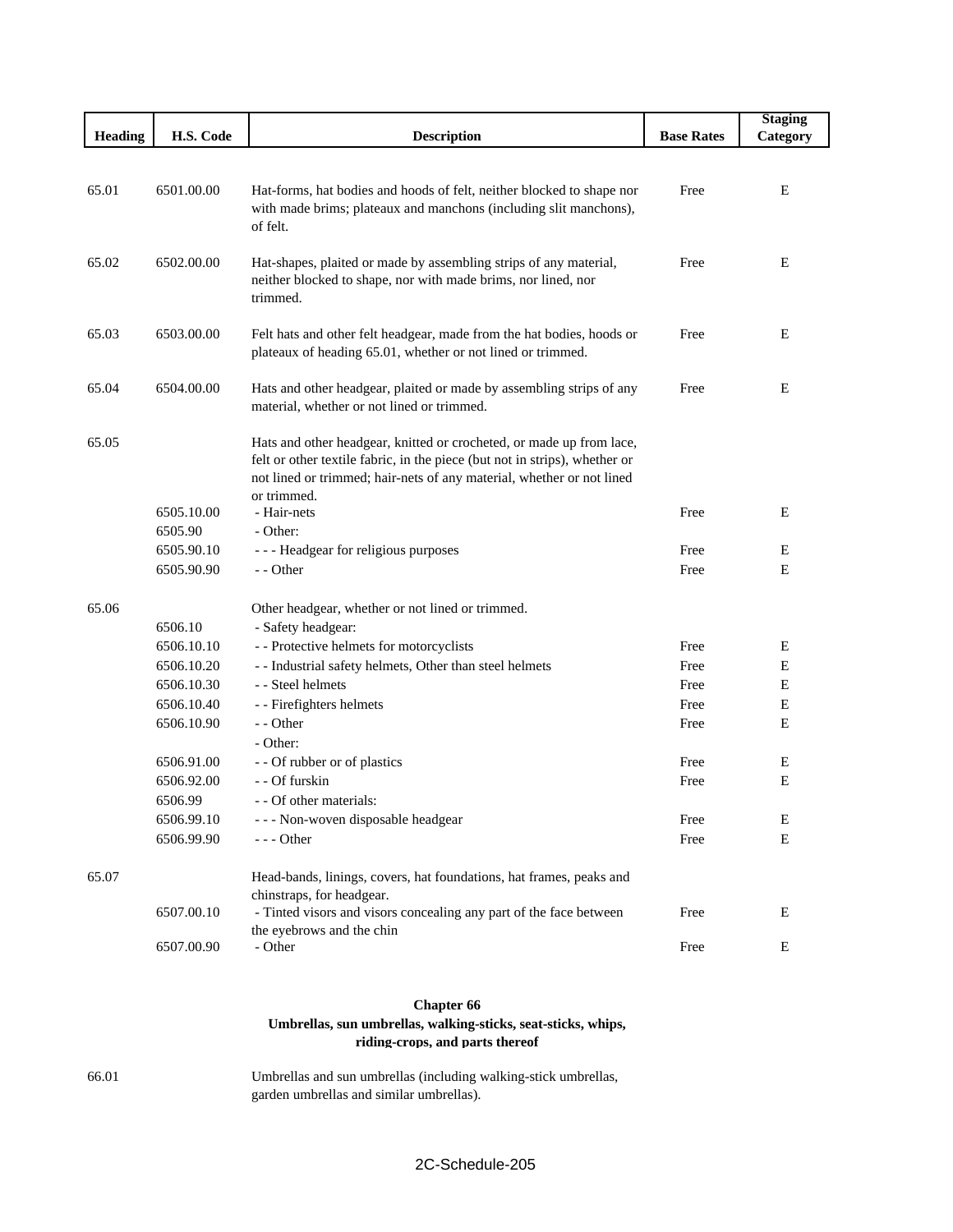|                |                       |                                                                                                                                                                                                                                            |                   | <b>Staging</b> |
|----------------|-----------------------|--------------------------------------------------------------------------------------------------------------------------------------------------------------------------------------------------------------------------------------------|-------------------|----------------|
| <b>Heading</b> | H.S. Code             | <b>Description</b>                                                                                                                                                                                                                         | <b>Base Rates</b> | Category       |
|                |                       |                                                                                                                                                                                                                                            |                   |                |
| 65.01          | 6501.00.00            | Hat-forms, hat bodies and hoods of felt, neither blocked to shape nor<br>with made brims; plateaux and manchons (including slit manchons),<br>of felt.                                                                                     | Free              | Ε              |
| 65.02          | 6502.00.00            | Hat-shapes, plaited or made by assembling strips of any material,<br>neither blocked to shape, nor with made brims, nor lined, nor<br>trimmed.                                                                                             | Free              | Ε              |
| 65.03          | 6503.00.00            | Felt hats and other felt headgear, made from the hat bodies, hoods or<br>plateaux of heading 65.01, whether or not lined or trimmed.                                                                                                       | Free              | E              |
| 65.04          | 6504.00.00            | Hats and other headgear, plaited or made by assembling strips of any<br>material, whether or not lined or trimmed.                                                                                                                         | Free              | E              |
| 65.05          |                       | Hats and other headgear, knitted or crocheted, or made up from lace,<br>felt or other textile fabric, in the piece (but not in strips), whether or<br>not lined or trimmed; hair-nets of any material, whether or not lined<br>or trimmed. |                   |                |
|                | 6505.10.00<br>6505.90 | - Hair-nets<br>- Other:                                                                                                                                                                                                                    | Free              | Ε              |
|                | 6505.90.10            | --- Headgear for religious purposes                                                                                                                                                                                                        | Free              | E              |
|                | 6505.90.90            | - - Other                                                                                                                                                                                                                                  | Free              | E              |
| 65.06          | 6506.10               | Other headgear, whether or not lined or trimmed.<br>- Safety headgear:                                                                                                                                                                     |                   |                |
|                | 6506.10.10            | - - Protective helmets for motorcyclists                                                                                                                                                                                                   | Free              | Ε              |
|                | 6506.10.20            | - - Industrial safety helmets, Other than steel helmets                                                                                                                                                                                    | Free              | Ε              |
|                | 6506.10.30            | - - Steel helmets                                                                                                                                                                                                                          | Free              | Е              |
|                | 6506.10.40            | - - Firefighters helmets                                                                                                                                                                                                                   | Free              | Ε              |
|                | 6506.10.90            | $-$ - Other<br>- Other:                                                                                                                                                                                                                    | Free              | E              |
|                | 6506.91.00            | - - Of rubber or of plastics                                                                                                                                                                                                               | Free              | Ε              |
|                | 6506.92.00            | - - Of furskin                                                                                                                                                                                                                             | Free              | E              |
|                | 6506.99               | - - Of other materials:                                                                                                                                                                                                                    |                   |                |
|                | 6506.99.10            | - - - Non-woven disposable headgear                                                                                                                                                                                                        | Free              | Е              |
|                | 6506.99.90            | $---$ Other                                                                                                                                                                                                                                | Free              | Ε              |
| 65.07          |                       | Head-bands, linings, covers, hat foundations, hat frames, peaks and<br>chinstraps, for headgear.                                                                                                                                           |                   |                |
|                | 6507.00.10            | - Tinted visors and visors concealing any part of the face between<br>the eyebrows and the chin                                                                                                                                            | Free              | Ε              |
|                | 6507.00.90            | - Other                                                                                                                                                                                                                                    | Free              | Е              |

#### **Chapter 66 Umbrellas, sun umbrellas, walking-sticks, seat-sticks, whips, riding-crops, and parts thereof**

66.01 Umbrellas and sun umbrellas (including walking-stick umbrellas, garden umbrellas and similar umbrellas).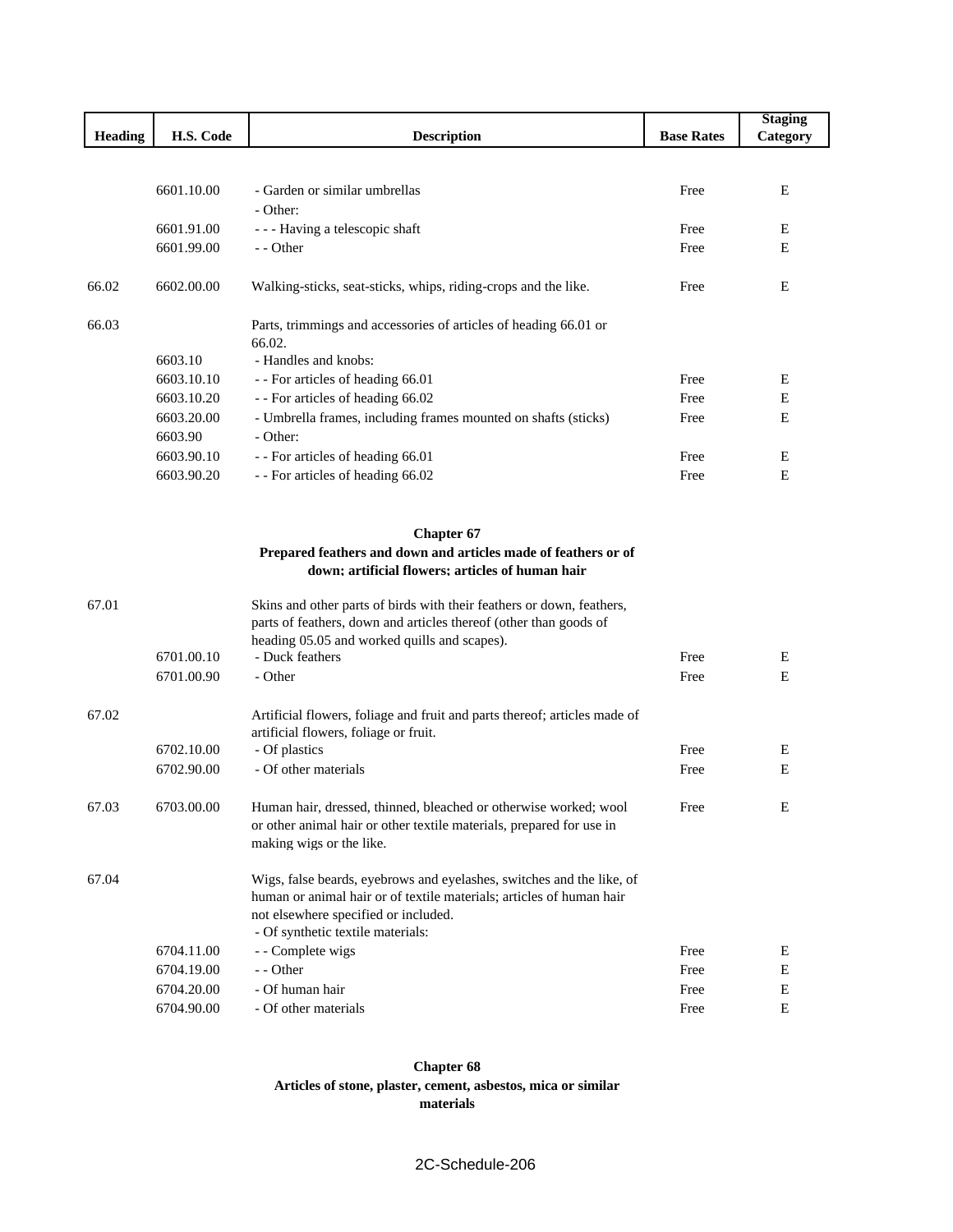|                |            |                                                                           |                   | <b>Staging</b> |
|----------------|------------|---------------------------------------------------------------------------|-------------------|----------------|
| <b>Heading</b> | H.S. Code  | <b>Description</b>                                                        | <b>Base Rates</b> | Category       |
|                |            |                                                                           |                   |                |
|                | 6601.10.00 | - Garden or similar umbrellas                                             | Free              | Е              |
|                |            | - Other:                                                                  |                   |                |
|                | 6601.91.00 | --- Having a telescopic shaft                                             | Free              | Ε              |
|                | 6601.99.00 | - - Other                                                                 | Free              | Ε              |
|                |            |                                                                           |                   |                |
| 66.02          | 6602.00.00 | Walking-sticks, seat-sticks, whips, riding-crops and the like.            | Free              | Ε              |
| 66.03          |            | Parts, trimmings and accessories of articles of heading 66.01 or          |                   |                |
|                |            | 66.02.                                                                    |                   |                |
|                | 6603.10    | - Handles and knobs:                                                      |                   |                |
|                | 6603.10.10 | - - For articles of heading 66.01                                         | Free              | Ε              |
|                | 6603.10.20 | - - For articles of heading 66.02                                         | Free              | E              |
|                | 6603.20.00 | - Umbrella frames, including frames mounted on shafts (sticks)            | Free              | E              |
|                | 6603.90    | - Other:                                                                  |                   |                |
|                | 6603.90.10 | - - For articles of heading 66.01                                         | Free              | Ε              |
|                | 6603.90.20 | - - For articles of heading 66.02                                         | Free              | E              |
|                |            | <b>Chapter 67</b>                                                         |                   |                |
|                |            | Prepared feathers and down and articles made of feathers or of            |                   |                |
|                |            | down; artificial flowers; articles of human hair                          |                   |                |
| 67.01          |            | Skins and other parts of birds with their feathers or down, feathers,     |                   |                |
|                |            | parts of feathers, down and articles thereof (other than goods of         |                   |                |
|                |            | heading 05.05 and worked quills and scapes).                              |                   |                |
|                | 6701.00.10 | - Duck feathers                                                           | Free              | Ε              |
|                | 6701.00.90 | - Other                                                                   | Free              | E              |
|                |            |                                                                           |                   |                |
| 67.02          |            | Artificial flowers, foliage and fruit and parts thereof; articles made of |                   |                |
|                |            | artificial flowers, foliage or fruit.                                     |                   |                |
|                | 6702.10.00 | - Of plastics                                                             | Free              | Ε              |
|                | 6702.90.00 | - Of other materials                                                      | Free              | E              |
| 67.03          | 6703.00.00 | Human hair, dressed, thinned, bleached or otherwise worked; wool          | Free              | E              |
|                |            | or other animal hair or other textile materials, prepared for use in      |                   |                |
|                |            | making wigs or the like.                                                  |                   |                |
| 67.04          |            | Wigs, false beards, eyebrows and eyelashes, switches and the like, of     |                   |                |
|                |            | human or animal hair or of textile materials; articles of human hair      |                   |                |
|                |            | not elsewhere specified or included.<br>- Of synthetic textile materials: |                   |                |
|                | 6704.11.00 | - - Complete wigs                                                         | Free              | Ε              |
|                | 6704.19.00 | - - Other                                                                 | Free              | Е              |
|                | 6704.20.00 | - Of human hair                                                           | Free              | E              |
|                | 6704.90.00 | - Of other materials                                                      | Free              | E              |
|                |            |                                                                           |                   |                |

#### **Chapter 68 Articles of stone, plaster, cement, asbestos, mica or similar materials**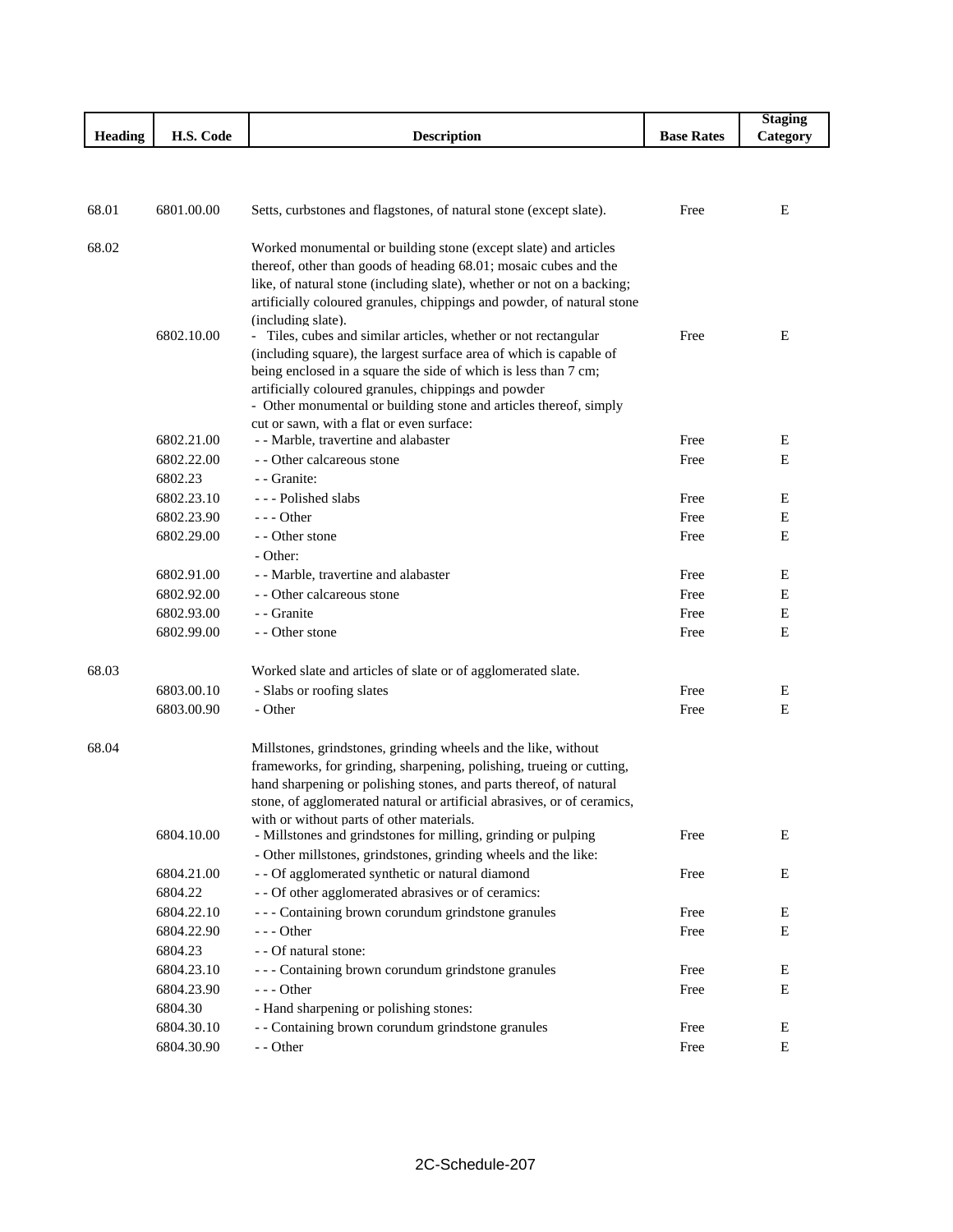|         |                          |                                                                                                                                     |                   | <b>Staging</b> |
|---------|--------------------------|-------------------------------------------------------------------------------------------------------------------------------------|-------------------|----------------|
| Heading | H.S. Code                | <b>Description</b>                                                                                                                  | <b>Base Rates</b> | Category       |
|         |                          |                                                                                                                                     |                   |                |
|         |                          |                                                                                                                                     |                   |                |
| 68.01   | 6801.00.00               | Setts, curbstones and flagstones, of natural stone (except slate).                                                                  | Free              | E              |
|         |                          |                                                                                                                                     |                   |                |
| 68.02   |                          | Worked monumental or building stone (except slate) and articles<br>thereof, other than goods of heading 68.01; mosaic cubes and the |                   |                |
|         |                          | like, of natural stone (including slate), whether or not on a backing;                                                              |                   |                |
|         |                          | artificially coloured granules, chippings and powder, of natural stone                                                              |                   |                |
|         |                          | (including slate).                                                                                                                  |                   |                |
|         | 6802.10.00               | - Tiles, cubes and similar articles, whether or not rectangular                                                                     | Free              | Ε              |
|         |                          | (including square), the largest surface area of which is capable of                                                                 |                   |                |
|         |                          | being enclosed in a square the side of which is less than 7 cm;                                                                     |                   |                |
|         |                          | artificially coloured granules, chippings and powder<br>- Other monumental or building stone and articles thereof, simply           |                   |                |
|         |                          | cut or sawn, with a flat or even surface:                                                                                           |                   |                |
|         | 6802.21.00               | - - Marble, travertine and alabaster                                                                                                | Free              | E              |
|         | 6802.22.00               | - - Other calcareous stone                                                                                                          | Free              | E              |
|         | 6802.23                  | - Granite:                                                                                                                          |                   |                |
|         | 6802.23.10               | --- Polished slabs                                                                                                                  | Free              | E              |
|         | 6802.23.90               | $--$ Other                                                                                                                          | Free              | E              |
|         | 6802.29.00               | - - Other stone                                                                                                                     | Free              | E              |
|         |                          | - Other:                                                                                                                            |                   |                |
|         | 6802.91.00               | - - Marble, travertine and alabaster                                                                                                | Free              | E              |
|         | 6802.92.00               | - - Other calcareous stone                                                                                                          | Free              | Ε              |
|         | 6802.93.00               | - Granite                                                                                                                           | Free              | E              |
|         | 6802.99.00               | - - Other stone                                                                                                                     | Free              | E              |
| 68.03   |                          | Worked slate and articles of slate or of agglomerated slate.                                                                        |                   |                |
|         | 6803.00.10               | - Slabs or roofing slates                                                                                                           | Free              | E              |
|         | 6803.00.90               | - Other                                                                                                                             | Free              | Ε              |
| 68.04   |                          | Millstones, grindstones, grinding wheels and the like, without                                                                      |                   |                |
|         |                          | frameworks, for grinding, sharpening, polishing, trueing or cutting,                                                                |                   |                |
|         |                          | hand sharpening or polishing stones, and parts thereof, of natural                                                                  |                   |                |
|         |                          | stone, of agglomerated natural or artificial abrasives, or of ceramics,                                                             |                   |                |
|         |                          | with or without parts of other materials.                                                                                           |                   |                |
|         | 6804.10.00               | - Millstones and grindstones for milling, grinding or pulping                                                                       | Free              | Ε              |
|         |                          | - Other millstones, grindstones, grinding wheels and the like:                                                                      |                   |                |
|         | 6804.21.00               | - - Of agglomerated synthetic or natural diamond                                                                                    | Free              | E              |
|         | 6804.22                  | - - Of other agglomerated abrasives or of ceramics:                                                                                 |                   |                |
|         | 6804.22.10               | --- Containing brown corundum grindstone granules                                                                                   | Free              | E              |
|         | 6804.22.90               | --- Other                                                                                                                           | Free              | Е              |
|         | 6804.23                  | - - Of natural stone:                                                                                                               |                   |                |
|         | 6804.23.10<br>6804.23.90 | --- Containing brown corundum grindstone granules<br>- - - Other                                                                    | Free<br>Free      | E<br>E         |
|         | 6804.30                  | - Hand sharpening or polishing stones:                                                                                              |                   |                |
|         | 6804.30.10               | - - Containing brown corundum grindstone granules                                                                                   | Free              | Ε              |
|         | 6804.30.90               | - - Other                                                                                                                           | Free              | E              |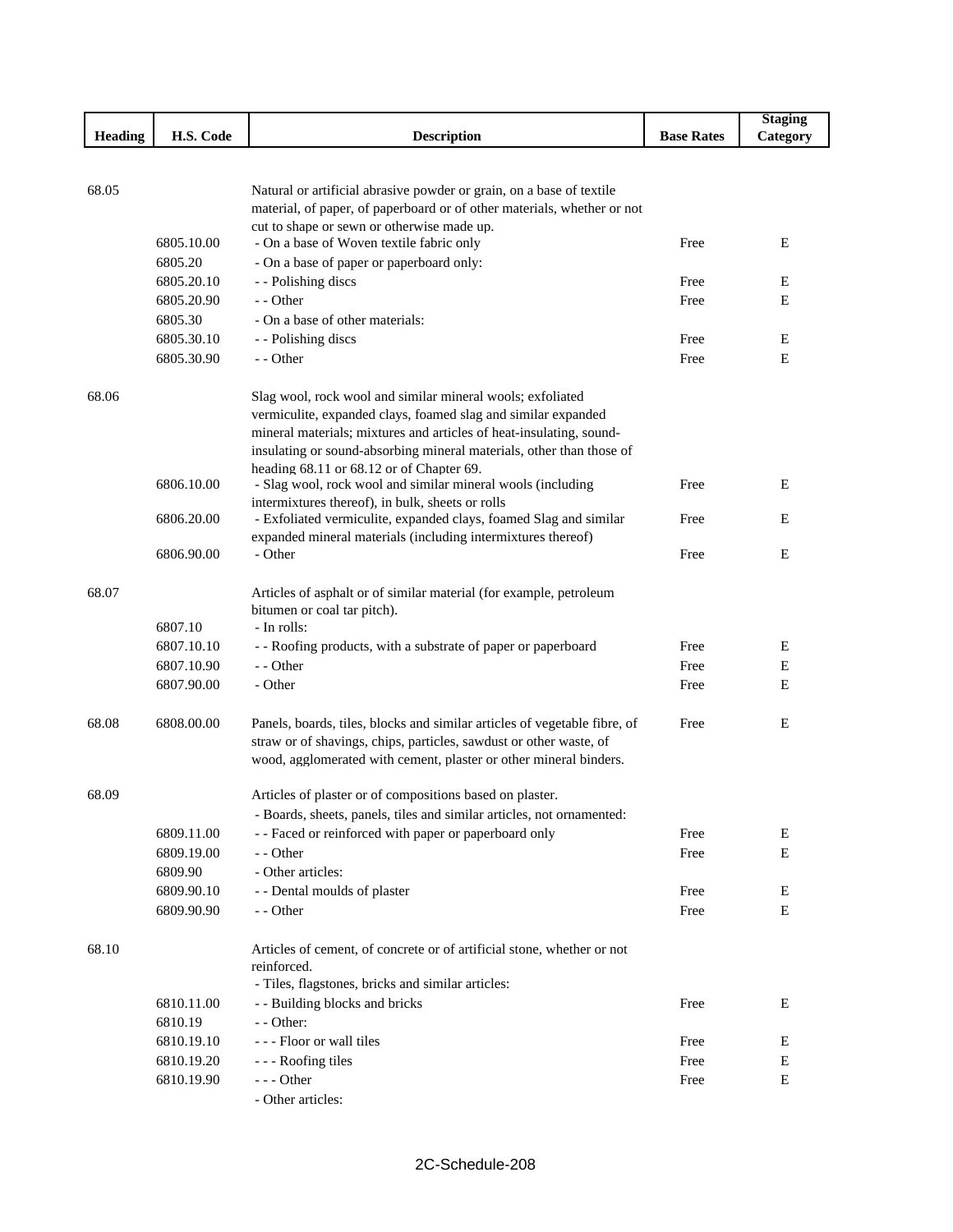|                |                       |                                                                                                   |                   | <b>Staging</b> |
|----------------|-----------------------|---------------------------------------------------------------------------------------------------|-------------------|----------------|
| <b>Heading</b> | H.S. Code             | <b>Description</b>                                                                                | <b>Base Rates</b> | Category       |
|                |                       |                                                                                                   |                   |                |
|                |                       |                                                                                                   |                   |                |
| 68.05          |                       | Natural or artificial abrasive powder or grain, on a base of textile                              |                   |                |
|                |                       | material, of paper, of paperboard or of other materials, whether or not                           |                   |                |
|                | 6805.10.00            | cut to shape or sewn or otherwise made up.<br>- On a base of Woven textile fabric only            | Free              | E              |
|                | 6805.20               | - On a base of paper or paperboard only:                                                          |                   |                |
|                | 6805.20.10            | - - Polishing discs                                                                               | Free              | E              |
|                | 6805.20.90            | $-$ - Other                                                                                       | Free              | E              |
|                | 6805.30               | - On a base of other materials:                                                                   |                   |                |
|                | 6805.30.10            | - - Polishing discs                                                                               | Free              | E              |
|                | 6805.30.90            | - - Other                                                                                         | Free              | E              |
|                |                       |                                                                                                   |                   |                |
| 68.06          |                       | Slag wool, rock wool and similar mineral wools; exfoliated                                        |                   |                |
|                |                       | vermiculite, expanded clays, foamed slag and similar expanded                                     |                   |                |
|                |                       | mineral materials; mixtures and articles of heat-insulating, sound-                               |                   |                |
|                |                       | insulating or sound-absorbing mineral materials, other than those of                              |                   |                |
|                |                       | heading 68.11 or 68.12 or of Chapter 69.                                                          |                   |                |
|                | 6806.10.00            | - Slag wool, rock wool and similar mineral wools (including                                       | Free              | E              |
|                |                       | intermixtures thereof), in bulk, sheets or rolls                                                  |                   |                |
|                | 6806.20.00            | - Exfoliated vermiculite, expanded clays, foamed Slag and similar                                 | Free              | E              |
|                |                       | expanded mineral materials (including intermixtures thereof)                                      |                   |                |
|                | 6806.90.00            | - Other                                                                                           | Free              | E              |
| 68.07          |                       |                                                                                                   |                   |                |
|                |                       | Articles of asphalt or of similar material (for example, petroleum<br>bitumen or coal tar pitch). |                   |                |
|                | 6807.10               | - In rolls:                                                                                       |                   |                |
|                | 6807.10.10            | - - Roofing products, with a substrate of paper or paperboard                                     | Free              | E              |
|                | 6807.10.90            | - - Other                                                                                         | Free              | Ε              |
|                | 6807.90.00            | - Other                                                                                           | Free              | Ε              |
|                |                       |                                                                                                   |                   |                |
| 68.08          | 6808.00.00            | Panels, boards, tiles, blocks and similar articles of vegetable fibre, of                         | Free              | E              |
|                |                       | straw or of shavings, chips, particles, sawdust or other waste, of                                |                   |                |
|                |                       | wood, agglomerated with cement, plaster or other mineral binders.                                 |                   |                |
|                |                       |                                                                                                   |                   |                |
| 68.09          |                       | Articles of plaster or of compositions based on plaster.                                          |                   |                |
|                |                       | - Boards, sheets, panels, tiles and similar articles, not ornamented:                             |                   |                |
|                | 6809.11.00            | - - Faced or reinforced with paper or paperboard only                                             | Free              | Ε              |
|                | 6809.19.00            | - - Other                                                                                         | Free              | E              |
|                | 6809.90               | - Other articles:                                                                                 |                   |                |
|                | 6809.90.10            | - - Dental moulds of plaster                                                                      | Free              | Ε              |
|                | 6809.90.90            | - - Other                                                                                         | Free              | E              |
|                |                       |                                                                                                   |                   |                |
| 68.10          |                       | Articles of cement, of concrete or of artificial stone, whether or not                            |                   |                |
|                |                       | reinforced.<br>- Tiles, flagstones, bricks and similar articles:                                  |                   |                |
|                |                       |                                                                                                   |                   | E              |
|                | 6810.11.00<br>6810.19 | - - Building blocks and bricks<br>$-$ - Other:                                                    | Free              |                |
|                | 6810.19.10            | --- Floor or wall tiles                                                                           | Free              | E              |
|                | 6810.19.20            |                                                                                                   | Free              | E              |
|                | 6810.19.90            | - - - Roofing tiles<br>--- Other                                                                  | Free              | E              |
|                |                       | - Other articles:                                                                                 |                   |                |
|                |                       |                                                                                                   |                   |                |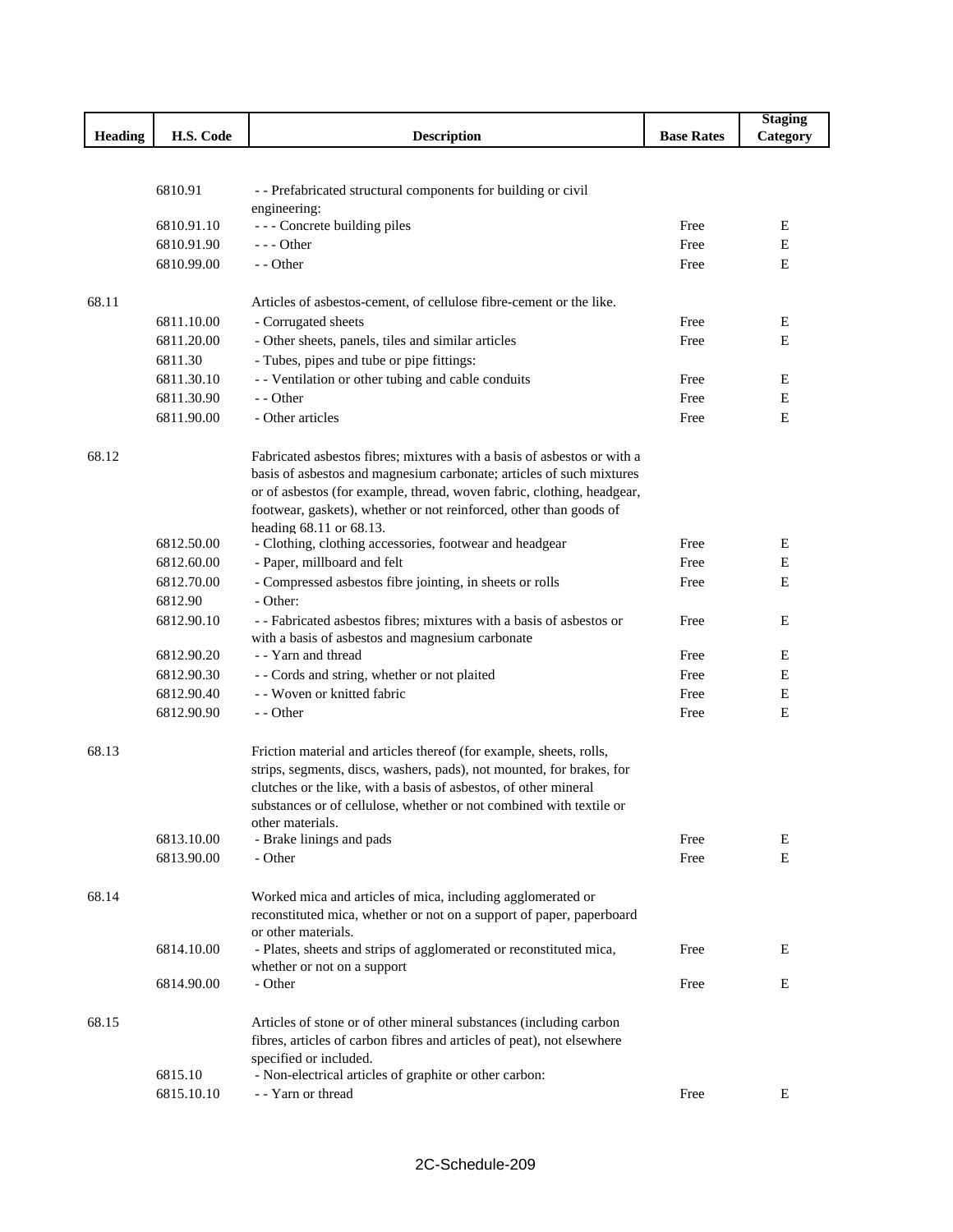|                |                          |                                                                              |                   | <b>Staging</b> |
|----------------|--------------------------|------------------------------------------------------------------------------|-------------------|----------------|
| <b>Heading</b> | H.S. Code                | <b>Description</b>                                                           | <b>Base Rates</b> | Category       |
|                |                          |                                                                              |                   |                |
|                |                          |                                                                              |                   |                |
|                | 6810.91                  | - - Prefabricated structural components for building or civil                |                   |                |
|                |                          | engineering:                                                                 |                   |                |
|                | 6810.91.10               | - - - Concrete building piles<br>$--$ Other                                  | Free              | Ε              |
|                | 6810.91.90<br>6810.99.00 | - - Other                                                                    | Free<br>Free      | E<br>Е         |
|                |                          |                                                                              |                   |                |
| 68.11          |                          | Articles of asbestos-cement, of cellulose fibre-cement or the like.          |                   |                |
|                | 6811.10.00               | - Corrugated sheets                                                          | Free              | Е              |
|                | 6811.20.00               | - Other sheets, panels, tiles and similar articles                           | Free              | Ε              |
|                | 6811.30                  | - Tubes, pipes and tube or pipe fittings:                                    |                   |                |
|                | 6811.30.10               | - - Ventilation or other tubing and cable conduits                           | Free              | Ε              |
|                | 6811.30.90               | - - Other                                                                    | Free              | E              |
|                | 6811.90.00               | - Other articles                                                             | Free              | Ε              |
|                |                          |                                                                              |                   |                |
| 68.12          |                          | Fabricated asbestos fibres; mixtures with a basis of asbestos or with a      |                   |                |
|                |                          | basis of asbestos and magnesium carbonate; articles of such mixtures         |                   |                |
|                |                          | or of asbestos (for example, thread, woven fabric, clothing, headgear,       |                   |                |
|                |                          | footwear, gaskets), whether or not reinforced, other than goods of           |                   |                |
|                |                          | heading 68.11 or 68.13.                                                      |                   |                |
|                | 6812.50.00               | - Clothing, clothing accessories, footwear and headgear                      | Free              | Ε              |
|                | 6812.60.00               | - Paper, millboard and felt                                                  | Free              | Е              |
|                | 6812.70.00               | - Compressed asbestos fibre jointing, in sheets or rolls                     | Free              | Е              |
|                | 6812.90                  | - Other:                                                                     |                   |                |
|                | 6812.90.10               | - - Fabricated asbestos fibres; mixtures with a basis of asbestos or         | Free              | Ε              |
|                |                          | with a basis of asbestos and magnesium carbonate                             |                   |                |
|                | 6812.90.20               | - - Yarn and thread                                                          | Free              | Ε              |
|                | 6812.90.30               | - - Cords and string, whether or not plaited                                 | Free              | Ε              |
|                | 6812.90.40               | - - Woven or knitted fabric                                                  | Free              | Ε              |
|                | 6812.90.90               | - - Other                                                                    | Free              | E              |
|                |                          |                                                                              |                   |                |
| 68.13          |                          | Friction material and articles thereof (for example, sheets, rolls,          |                   |                |
|                |                          | strips, segments, discs, washers, pads), not mounted, for brakes, for        |                   |                |
|                |                          | clutches or the like, with a basis of asbestos, of other mineral             |                   |                |
|                |                          | substances or of cellulose, whether or not combined with textile or          |                   |                |
|                | 6813.10.00               | other materials.<br>- Brake linings and pads                                 | Free              | E              |
|                | 6813.90.00               | - Other                                                                      | Free              | E              |
|                |                          |                                                                              |                   |                |
| 68.14          |                          | Worked mica and articles of mica, including agglomerated or                  |                   |                |
|                |                          | reconstituted mica, whether or not on a support of paper, paperboard         |                   |                |
|                |                          | or other materials.                                                          |                   |                |
|                | 6814.10.00               | - Plates, sheets and strips of agglomerated or reconstituted mica,           | Free              | Ε              |
|                |                          | whether or not on a support                                                  |                   |                |
|                | 6814.90.00               | - Other                                                                      | Free              | E              |
|                |                          |                                                                              |                   |                |
| 68.15          |                          | Articles of stone or of other mineral substances (including carbon           |                   |                |
|                |                          | fibres, articles of carbon fibres and articles of peat), not elsewhere       |                   |                |
|                |                          | specified or included.                                                       |                   |                |
|                | 6815.10<br>6815.10.10    | - Non-electrical articles of graphite or other carbon:<br>- - Yarn or thread | Free              | Ε              |
|                |                          |                                                                              |                   |                |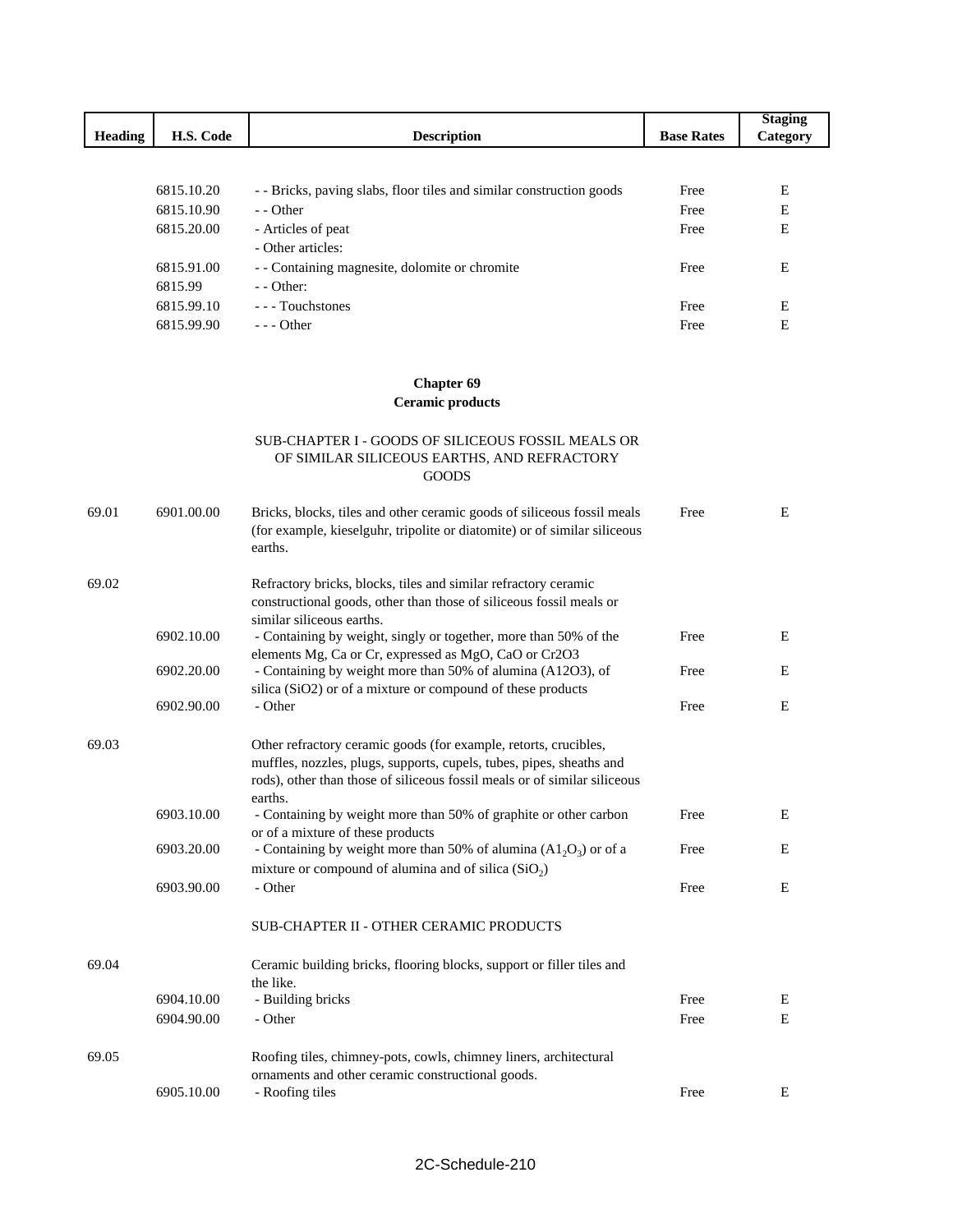| <b>Heading</b> | H.S. Code  | <b>Description</b>                                                 | <b>Base Rates</b> | <b>Staging</b><br>Category |
|----------------|------------|--------------------------------------------------------------------|-------------------|----------------------------|
|                |            |                                                                    |                   |                            |
|                | 6815.10.20 | - Bricks, paving slabs, floor tiles and similar construction goods | Free              | E                          |
|                | 6815.10.90 | $-$ - Other                                                        | Free              | E                          |
|                | 6815.20.00 | - Articles of peat                                                 | Free              | E                          |
|                |            | - Other articles:                                                  |                   |                            |
|                | 6815.91.00 | - Containing magnesite, dolomite or chromite                       | Free              | E                          |
|                | 6815.99    | $-$ - Other:                                                       |                   |                            |
|                | 6815.99.10 | --- Touchstones                                                    | Free              | E                          |
|                | 6815.99.90 | $- -$ Other                                                        | Free              | E                          |

# **Chapter 69**

**Ceramic products**

#### SUB-CHAPTER I - GOODS OF SILICEOUS FOSSIL MEALS OR OF SIMILAR SILICEOUS EARTHS, AND REFRACTORY GOODS

| 69.01 | 6901.00.00 | Bricks, blocks, tiles and other ceramic goods of siliceous fossil meals<br>(for example, kieselguhr, tripolite or diatomite) or of similar siliceous<br>earths.                                                                  | Free | E |
|-------|------------|----------------------------------------------------------------------------------------------------------------------------------------------------------------------------------------------------------------------------------|------|---|
| 69.02 |            | Refractory bricks, blocks, tiles and similar refractory ceramic<br>constructional goods, other than those of siliceous fossil meals or<br>similar siliceous earths.                                                              |      |   |
|       | 6902.10.00 | - Containing by weight, singly or together, more than 50% of the<br>elements Mg, Ca or Cr, expressed as MgO, CaO or Cr2O3                                                                                                        | Free | Ε |
|       | 6902.20.00 | - Containing by weight more than 50% of alumina (A12O3), of<br>silica (SiO2) or of a mixture or compound of these products                                                                                                       | Free | E |
|       | 6902.90.00 | - Other                                                                                                                                                                                                                          | Free | E |
| 69.03 |            | Other refractory ceramic goods (for example, retorts, crucibles,<br>muffles, nozzles, plugs, supports, cupels, tubes, pipes, sheaths and<br>rods), other than those of siliceous fossil meals or of similar siliceous<br>earths. |      |   |
|       | 6903.10.00 | - Containing by weight more than 50% of graphite or other carbon<br>or of a mixture of these products                                                                                                                            | Free | Ε |
|       | 6903.20.00 | - Containing by weight more than 50% of alumina $(A12O3)$ or of a<br>mixture or compound of alumina and of silica $(SiO2)$                                                                                                       | Free | E |
|       | 6903.90.00 | - Other                                                                                                                                                                                                                          | Free | E |
|       |            | <b>SUB-CHAPTER II - OTHER CERAMIC PRODUCTS</b>                                                                                                                                                                                   |      |   |
| 69.04 |            | Ceramic building bricks, flooring blocks, support or filler tiles and<br>the like.                                                                                                                                               |      |   |
|       | 6904.10.00 | - Building bricks                                                                                                                                                                                                                | Free | Ε |
|       | 6904.90.00 | - Other                                                                                                                                                                                                                          | Free | E |
| 69.05 |            | Roofing tiles, chimney-pots, cowls, chimney liners, architectural<br>ornaments and other ceramic constructional goods.                                                                                                           |      |   |
|       | 6905.10.00 | - Roofing tiles                                                                                                                                                                                                                  | Free | Ε |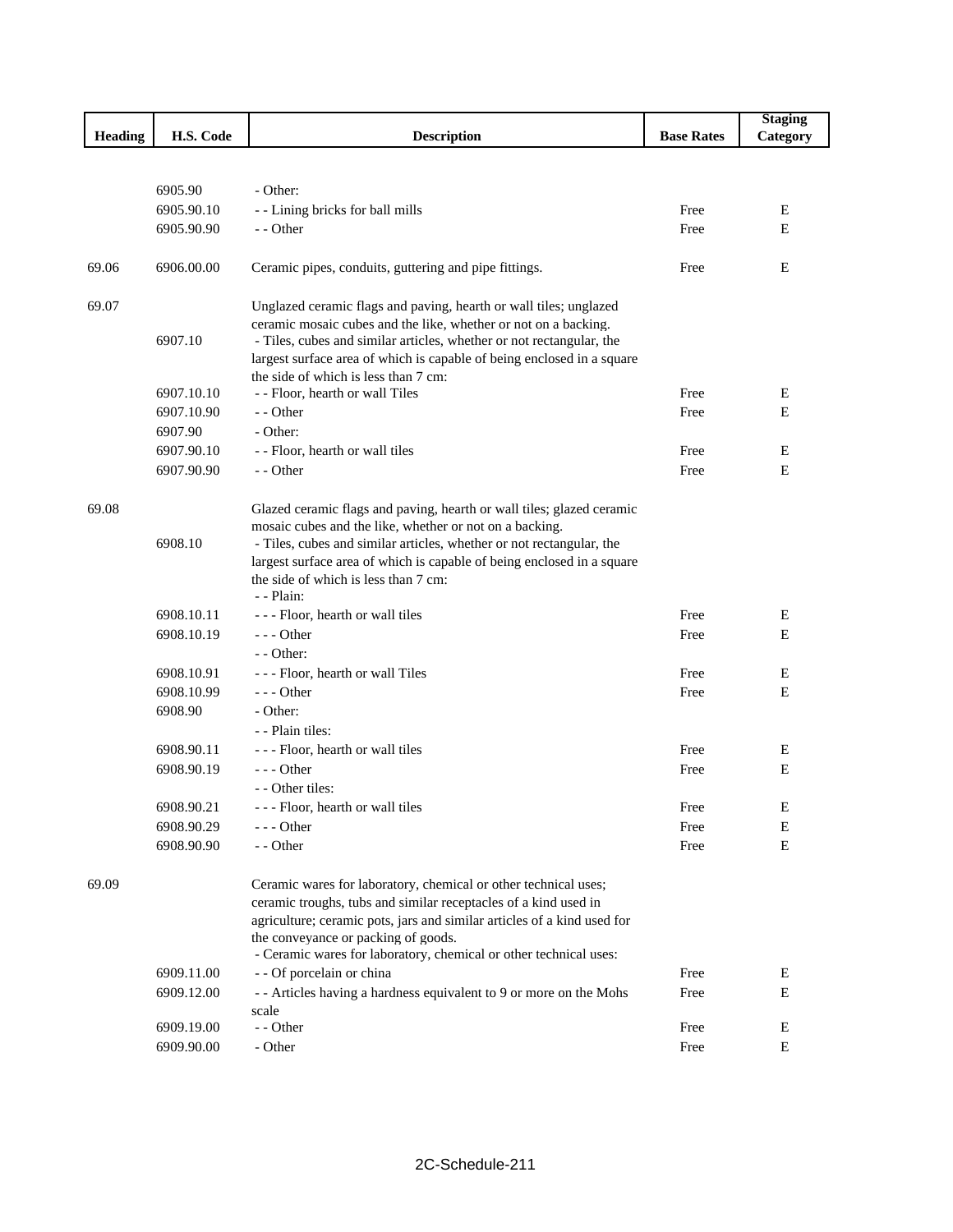|                |            |                                                                                                                                         |                   | <b>Staging</b> |
|----------------|------------|-----------------------------------------------------------------------------------------------------------------------------------------|-------------------|----------------|
| <b>Heading</b> | H.S. Code  | <b>Description</b>                                                                                                                      | <b>Base Rates</b> | Category       |
|                |            |                                                                                                                                         |                   |                |
|                |            |                                                                                                                                         |                   |                |
|                | 6905.90    | - Other:                                                                                                                                |                   |                |
|                | 6905.90.10 | - - Lining bricks for ball mills                                                                                                        | Free              | E              |
|                | 6905.90.90 | - - Other                                                                                                                               | Free              | Е              |
| 69.06          | 6906.00.00 | Ceramic pipes, conduits, guttering and pipe fittings.                                                                                   | Free              | E              |
|                |            |                                                                                                                                         |                   |                |
| 69.07          |            | Unglazed ceramic flags and paving, hearth or wall tiles; unglazed                                                                       |                   |                |
|                | 6907.10    | ceramic mosaic cubes and the like, whether or not on a backing.<br>- Tiles, cubes and similar articles, whether or not rectangular, the |                   |                |
|                |            | largest surface area of which is capable of being enclosed in a square                                                                  |                   |                |
|                |            | the side of which is less than 7 cm:                                                                                                    |                   |                |
|                | 6907.10.10 | - - Floor, hearth or wall Tiles                                                                                                         | Free              | Ε              |
|                | 6907.10.90 | $-$ - Other                                                                                                                             | Free              | E              |
|                | 6907.90    | - Other:                                                                                                                                |                   |                |
|                | 6907.90.10 | - - Floor, hearth or wall tiles                                                                                                         | Free              | Ε              |
|                | 6907.90.90 | - - Other                                                                                                                               | Free              | ${\bf E}$      |
|                |            |                                                                                                                                         |                   |                |
| 69.08          |            | Glazed ceramic flags and paving, hearth or wall tiles; glazed ceramic                                                                   |                   |                |
|                |            | mosaic cubes and the like, whether or not on a backing.                                                                                 |                   |                |
|                | 6908.10    | - Tiles, cubes and similar articles, whether or not rectangular, the                                                                    |                   |                |
|                |            | largest surface area of which is capable of being enclosed in a square                                                                  |                   |                |
|                |            | the side of which is less than 7 cm:<br>- - Plain:                                                                                      |                   |                |
|                | 6908.10.11 | --- Floor, hearth or wall tiles                                                                                                         | Free              | Е              |
|                | 6908.10.19 | $--$ Other                                                                                                                              | Free              | Е              |
|                |            | - - Other:                                                                                                                              |                   |                |
|                | 6908.10.91 | - - - Floor, hearth or wall Tiles                                                                                                       | Free              | Ε              |
|                | 6908.10.99 | $--$ Other                                                                                                                              | Free              | Е              |
|                | 6908.90    | - Other:                                                                                                                                |                   |                |
|                |            | - - Plain tiles:                                                                                                                        |                   |                |
|                | 6908.90.11 | --- Floor, hearth or wall tiles                                                                                                         | Free              | Ε              |
|                | 6908.90.19 | $--$ Other                                                                                                                              | Free              | E              |
|                |            | - - Other tiles:                                                                                                                        |                   |                |
|                | 6908.90.21 | --- Floor, hearth or wall tiles                                                                                                         | Free              | E              |
|                | 6908.90.29 | - - - Other                                                                                                                             | Free              | Ε              |
|                | 6908.90.90 | - - Other                                                                                                                               | Free              | Ε              |
| 69.09          |            | Ceramic wares for laboratory, chemical or other technical uses;                                                                         |                   |                |
|                |            | ceramic troughs, tubs and similar receptacles of a kind used in                                                                         |                   |                |
|                |            | agriculture; ceramic pots, jars and similar articles of a kind used for                                                                 |                   |                |
|                |            | the conveyance or packing of goods.                                                                                                     |                   |                |
|                |            | - Ceramic wares for laboratory, chemical or other technical uses:                                                                       |                   |                |
|                | 6909.11.00 | - - Of porcelain or china                                                                                                               | Free              | Ε              |
|                | 6909.12.00 | - - Articles having a hardness equivalent to 9 or more on the Mohs                                                                      | Free              | Е              |
|                |            | scale                                                                                                                                   |                   |                |
|                | 6909.19.00 | - - Other                                                                                                                               | Free              | Ε              |
|                | 6909.90.00 | - Other                                                                                                                                 | Free              | Е              |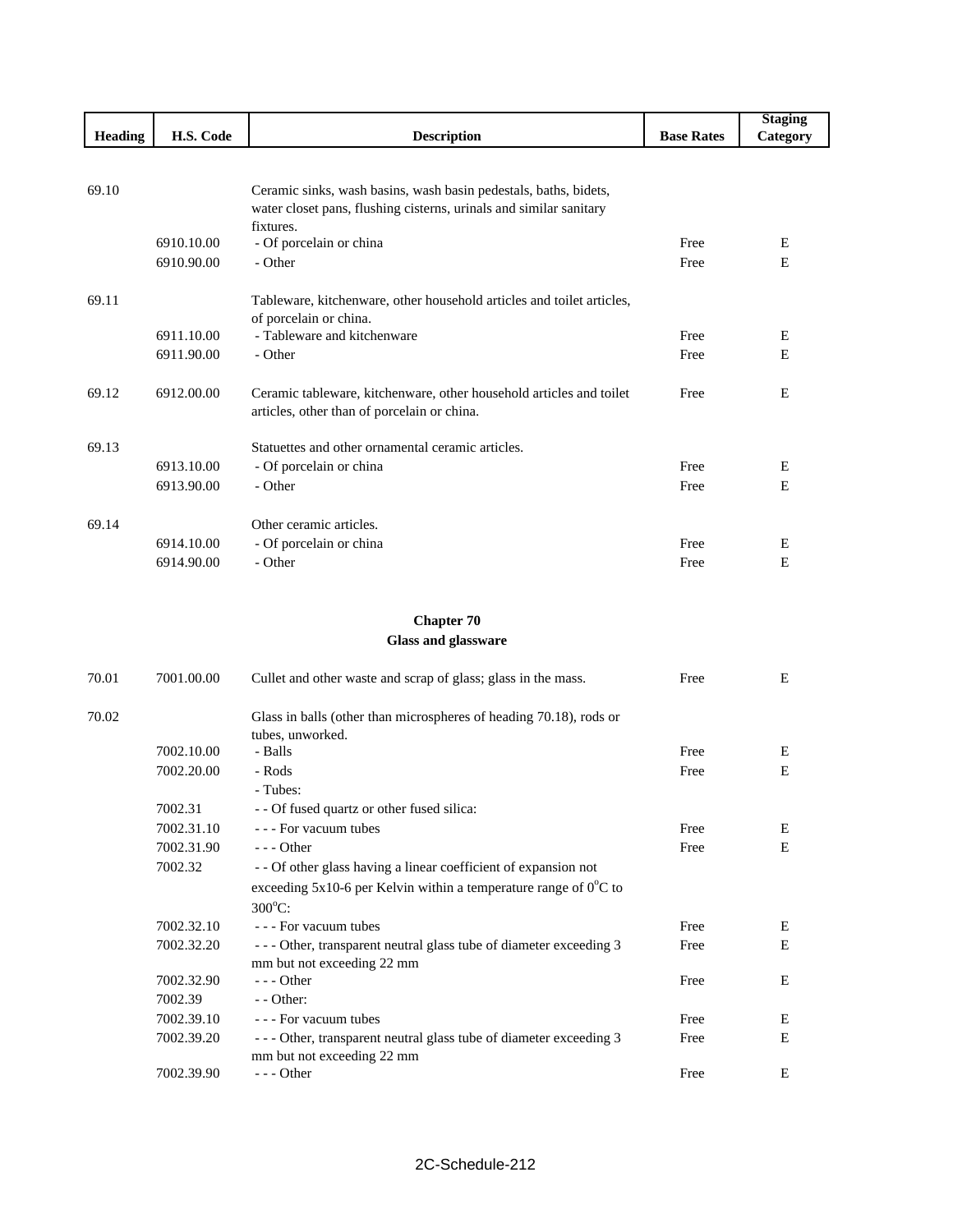|                |            |                                                                                                                                        |                   | <b>Staging</b> |
|----------------|------------|----------------------------------------------------------------------------------------------------------------------------------------|-------------------|----------------|
| <b>Heading</b> | H.S. Code  | <b>Description</b>                                                                                                                     | <b>Base Rates</b> | Category       |
|                |            |                                                                                                                                        |                   |                |
|                |            |                                                                                                                                        |                   |                |
| 69.10          |            | Ceramic sinks, wash basins, wash basin pedestals, baths, bidets,<br>water closet pans, flushing cisterns, urinals and similar sanitary |                   |                |
|                |            | fixtures.                                                                                                                              |                   |                |
|                | 6910.10.00 | - Of porcelain or china                                                                                                                | Free              | E              |
|                | 6910.90.00 | - Other                                                                                                                                | Free              | E              |
|                |            |                                                                                                                                        |                   |                |
| 69.11          |            | Tableware, kitchenware, other household articles and toilet articles,                                                                  |                   |                |
|                |            | of porcelain or china.                                                                                                                 |                   |                |
|                | 6911.10.00 | - Tableware and kitchenware                                                                                                            | Free              | E              |
|                | 6911.90.00 | - Other                                                                                                                                | Free              | E              |
|                |            |                                                                                                                                        |                   |                |
| 69.12          | 6912.00.00 | Ceramic tableware, kitchenware, other household articles and toilet                                                                    | Free              | E              |
|                |            | articles, other than of porcelain or china.                                                                                            |                   |                |
| 69.13          |            | Statuettes and other ornamental ceramic articles.                                                                                      |                   |                |
|                | 6913.10.00 | - Of porcelain or china                                                                                                                | Free              | E              |
|                | 6913.90.00 | - Other                                                                                                                                | Free              | E              |
|                |            |                                                                                                                                        |                   |                |
| 69.14          |            | Other ceramic articles.                                                                                                                |                   |                |
|                | 6914.10.00 | - Of porcelain or china                                                                                                                | Free              | Ε              |
|                | 6914.90.00 | - Other                                                                                                                                | Free              | E              |

# **Chapter 70 Glass and glassware**

| 70.01 | 7001.00.00 | Cullet and other waste and scrap of glass; glass in the mass.              | Free | Ε |
|-------|------------|----------------------------------------------------------------------------|------|---|
| 70.02 |            | Glass in balls (other than microspheres of heading 70.18), rods or         |      |   |
|       |            | tubes, unworked.                                                           |      |   |
|       | 7002.10.00 | - Balls                                                                    | Free | Ε |
|       | 7002.20.00 | - Rods                                                                     | Free | E |
|       |            | - Tubes:                                                                   |      |   |
|       | 7002.31    | - - Of fused quartz or other fused silica:                                 |      |   |
|       | 7002.31.10 | - - - For vacuum tubes                                                     | Free | Ε |
|       | 7002.31.90 | $- -$ Other                                                                | Free | E |
|       | 7002.32    | - - Of other glass having a linear coefficient of expansion not            |      |   |
|       |            | exceeding 5x10-6 per Kelvin within a temperature range of $0^{\circ}$ C to |      |   |
|       |            | $300^{\circ}$ C:                                                           |      |   |
|       | 7002.32.10 | - - - For vacuum tubes                                                     | Free | E |
|       | 7002.32.20 | - - - Other, transparent neutral glass tube of diameter exceeding 3        | Free | E |
|       |            | mm but not exceeding 22 mm                                                 |      |   |
|       | 7002.32.90 | $-$ - Other                                                                | Free | E |
|       | 7002.39    | $-$ - Other:                                                               |      |   |
|       | 7002.39.10 | - - - For vacuum tubes                                                     | Free | E |
|       | 7002.39.20 | - - - Other, transparent neutral glass tube of diameter exceeding 3        | Free | E |
|       |            | mm but not exceeding 22 mm                                                 |      |   |
|       | 7002.39.90 | $--$ Other                                                                 | Free | E |
|       |            |                                                                            |      |   |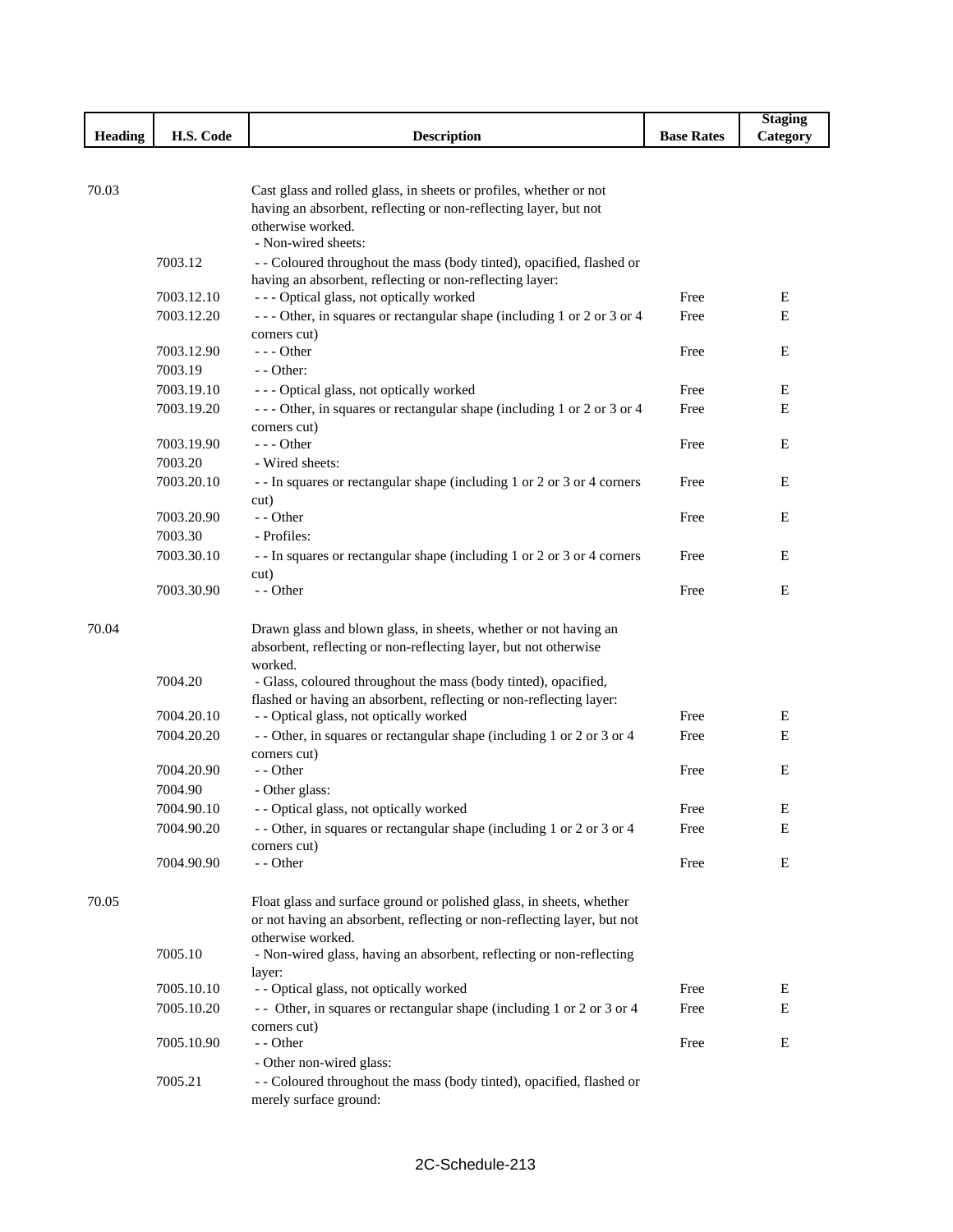|            |                                                                                                                                                                                                                                                                    |                                                                                                                                                                                                                                                                                                                                                                                                                                                                                                                                                                                                                                                                                                                                                                                                                                                                                                                                                                                                                                                                                                                                                                                                                                                                                                                                                                                                                                                                                                                                                                                                                                                                                                                                                                                                | <b>Staging</b>                                                                                               |
|------------|--------------------------------------------------------------------------------------------------------------------------------------------------------------------------------------------------------------------------------------------------------------------|------------------------------------------------------------------------------------------------------------------------------------------------------------------------------------------------------------------------------------------------------------------------------------------------------------------------------------------------------------------------------------------------------------------------------------------------------------------------------------------------------------------------------------------------------------------------------------------------------------------------------------------------------------------------------------------------------------------------------------------------------------------------------------------------------------------------------------------------------------------------------------------------------------------------------------------------------------------------------------------------------------------------------------------------------------------------------------------------------------------------------------------------------------------------------------------------------------------------------------------------------------------------------------------------------------------------------------------------------------------------------------------------------------------------------------------------------------------------------------------------------------------------------------------------------------------------------------------------------------------------------------------------------------------------------------------------------------------------------------------------------------------------------------------------|--------------------------------------------------------------------------------------------------------------|
| H.S. Code  | <b>Description</b>                                                                                                                                                                                                                                                 | <b>Base Rates</b>                                                                                                                                                                                                                                                                                                                                                                                                                                                                                                                                                                                                                                                                                                                                                                                                                                                                                                                                                                                                                                                                                                                                                                                                                                                                                                                                                                                                                                                                                                                                                                                                                                                                                                                                                                              | Category                                                                                                     |
|            |                                                                                                                                                                                                                                                                    |                                                                                                                                                                                                                                                                                                                                                                                                                                                                                                                                                                                                                                                                                                                                                                                                                                                                                                                                                                                                                                                                                                                                                                                                                                                                                                                                                                                                                                                                                                                                                                                                                                                                                                                                                                                                |                                                                                                              |
|            |                                                                                                                                                                                                                                                                    |                                                                                                                                                                                                                                                                                                                                                                                                                                                                                                                                                                                                                                                                                                                                                                                                                                                                                                                                                                                                                                                                                                                                                                                                                                                                                                                                                                                                                                                                                                                                                                                                                                                                                                                                                                                                |                                                                                                              |
|            |                                                                                                                                                                                                                                                                    |                                                                                                                                                                                                                                                                                                                                                                                                                                                                                                                                                                                                                                                                                                                                                                                                                                                                                                                                                                                                                                                                                                                                                                                                                                                                                                                                                                                                                                                                                                                                                                                                                                                                                                                                                                                                |                                                                                                              |
|            |                                                                                                                                                                                                                                                                    |                                                                                                                                                                                                                                                                                                                                                                                                                                                                                                                                                                                                                                                                                                                                                                                                                                                                                                                                                                                                                                                                                                                                                                                                                                                                                                                                                                                                                                                                                                                                                                                                                                                                                                                                                                                                |                                                                                                              |
|            |                                                                                                                                                                                                                                                                    |                                                                                                                                                                                                                                                                                                                                                                                                                                                                                                                                                                                                                                                                                                                                                                                                                                                                                                                                                                                                                                                                                                                                                                                                                                                                                                                                                                                                                                                                                                                                                                                                                                                                                                                                                                                                |                                                                                                              |
|            |                                                                                                                                                                                                                                                                    |                                                                                                                                                                                                                                                                                                                                                                                                                                                                                                                                                                                                                                                                                                                                                                                                                                                                                                                                                                                                                                                                                                                                                                                                                                                                                                                                                                                                                                                                                                                                                                                                                                                                                                                                                                                                |                                                                                                              |
|            |                                                                                                                                                                                                                                                                    |                                                                                                                                                                                                                                                                                                                                                                                                                                                                                                                                                                                                                                                                                                                                                                                                                                                                                                                                                                                                                                                                                                                                                                                                                                                                                                                                                                                                                                                                                                                                                                                                                                                                                                                                                                                                |                                                                                                              |
|            |                                                                                                                                                                                                                                                                    |                                                                                                                                                                                                                                                                                                                                                                                                                                                                                                                                                                                                                                                                                                                                                                                                                                                                                                                                                                                                                                                                                                                                                                                                                                                                                                                                                                                                                                                                                                                                                                                                                                                                                                                                                                                                | E                                                                                                            |
|            |                                                                                                                                                                                                                                                                    |                                                                                                                                                                                                                                                                                                                                                                                                                                                                                                                                                                                                                                                                                                                                                                                                                                                                                                                                                                                                                                                                                                                                                                                                                                                                                                                                                                                                                                                                                                                                                                                                                                                                                                                                                                                                |                                                                                                              |
|            |                                                                                                                                                                                                                                                                    |                                                                                                                                                                                                                                                                                                                                                                                                                                                                                                                                                                                                                                                                                                                                                                                                                                                                                                                                                                                                                                                                                                                                                                                                                                                                                                                                                                                                                                                                                                                                                                                                                                                                                                                                                                                                | Ε                                                                                                            |
|            |                                                                                                                                                                                                                                                                    |                                                                                                                                                                                                                                                                                                                                                                                                                                                                                                                                                                                                                                                                                                                                                                                                                                                                                                                                                                                                                                                                                                                                                                                                                                                                                                                                                                                                                                                                                                                                                                                                                                                                                                                                                                                                | E                                                                                                            |
|            |                                                                                                                                                                                                                                                                    |                                                                                                                                                                                                                                                                                                                                                                                                                                                                                                                                                                                                                                                                                                                                                                                                                                                                                                                                                                                                                                                                                                                                                                                                                                                                                                                                                                                                                                                                                                                                                                                                                                                                                                                                                                                                |                                                                                                              |
|            |                                                                                                                                                                                                                                                                    |                                                                                                                                                                                                                                                                                                                                                                                                                                                                                                                                                                                                                                                                                                                                                                                                                                                                                                                                                                                                                                                                                                                                                                                                                                                                                                                                                                                                                                                                                                                                                                                                                                                                                                                                                                                                |                                                                                                              |
|            |                                                                                                                                                                                                                                                                    |                                                                                                                                                                                                                                                                                                                                                                                                                                                                                                                                                                                                                                                                                                                                                                                                                                                                                                                                                                                                                                                                                                                                                                                                                                                                                                                                                                                                                                                                                                                                                                                                                                                                                                                                                                                                | Ε<br>Ε                                                                                                       |
|            |                                                                                                                                                                                                                                                                    |                                                                                                                                                                                                                                                                                                                                                                                                                                                                                                                                                                                                                                                                                                                                                                                                                                                                                                                                                                                                                                                                                                                                                                                                                                                                                                                                                                                                                                                                                                                                                                                                                                                                                                                                                                                                |                                                                                                              |
|            |                                                                                                                                                                                                                                                                    |                                                                                                                                                                                                                                                                                                                                                                                                                                                                                                                                                                                                                                                                                                                                                                                                                                                                                                                                                                                                                                                                                                                                                                                                                                                                                                                                                                                                                                                                                                                                                                                                                                                                                                                                                                                                | E                                                                                                            |
|            |                                                                                                                                                                                                                                                                    |                                                                                                                                                                                                                                                                                                                                                                                                                                                                                                                                                                                                                                                                                                                                                                                                                                                                                                                                                                                                                                                                                                                                                                                                                                                                                                                                                                                                                                                                                                                                                                                                                                                                                                                                                                                                |                                                                                                              |
|            |                                                                                                                                                                                                                                                                    |                                                                                                                                                                                                                                                                                                                                                                                                                                                                                                                                                                                                                                                                                                                                                                                                                                                                                                                                                                                                                                                                                                                                                                                                                                                                                                                                                                                                                                                                                                                                                                                                                                                                                                                                                                                                | Ε                                                                                                            |
|            |                                                                                                                                                                                                                                                                    |                                                                                                                                                                                                                                                                                                                                                                                                                                                                                                                                                                                                                                                                                                                                                                                                                                                                                                                                                                                                                                                                                                                                                                                                                                                                                                                                                                                                                                                                                                                                                                                                                                                                                                                                                                                                |                                                                                                              |
|            |                                                                                                                                                                                                                                                                    |                                                                                                                                                                                                                                                                                                                                                                                                                                                                                                                                                                                                                                                                                                                                                                                                                                                                                                                                                                                                                                                                                                                                                                                                                                                                                                                                                                                                                                                                                                                                                                                                                                                                                                                                                                                                | E                                                                                                            |
|            |                                                                                                                                                                                                                                                                    |                                                                                                                                                                                                                                                                                                                                                                                                                                                                                                                                                                                                                                                                                                                                                                                                                                                                                                                                                                                                                                                                                                                                                                                                                                                                                                                                                                                                                                                                                                                                                                                                                                                                                                                                                                                                |                                                                                                              |
|            |                                                                                                                                                                                                                                                                    |                                                                                                                                                                                                                                                                                                                                                                                                                                                                                                                                                                                                                                                                                                                                                                                                                                                                                                                                                                                                                                                                                                                                                                                                                                                                                                                                                                                                                                                                                                                                                                                                                                                                                                                                                                                                | E                                                                                                            |
|            |                                                                                                                                                                                                                                                                    |                                                                                                                                                                                                                                                                                                                                                                                                                                                                                                                                                                                                                                                                                                                                                                                                                                                                                                                                                                                                                                                                                                                                                                                                                                                                                                                                                                                                                                                                                                                                                                                                                                                                                                                                                                                                |                                                                                                              |
| 7003.30.90 | - - Other                                                                                                                                                                                                                                                          | Free                                                                                                                                                                                                                                                                                                                                                                                                                                                                                                                                                                                                                                                                                                                                                                                                                                                                                                                                                                                                                                                                                                                                                                                                                                                                                                                                                                                                                                                                                                                                                                                                                                                                                                                                                                                           | E                                                                                                            |
|            |                                                                                                                                                                                                                                                                    |                                                                                                                                                                                                                                                                                                                                                                                                                                                                                                                                                                                                                                                                                                                                                                                                                                                                                                                                                                                                                                                                                                                                                                                                                                                                                                                                                                                                                                                                                                                                                                                                                                                                                                                                                                                                |                                                                                                              |
|            |                                                                                                                                                                                                                                                                    |                                                                                                                                                                                                                                                                                                                                                                                                                                                                                                                                                                                                                                                                                                                                                                                                                                                                                                                                                                                                                                                                                                                                                                                                                                                                                                                                                                                                                                                                                                                                                                                                                                                                                                                                                                                                |                                                                                                              |
|            |                                                                                                                                                                                                                                                                    |                                                                                                                                                                                                                                                                                                                                                                                                                                                                                                                                                                                                                                                                                                                                                                                                                                                                                                                                                                                                                                                                                                                                                                                                                                                                                                                                                                                                                                                                                                                                                                                                                                                                                                                                                                                                |                                                                                                              |
|            | worked.                                                                                                                                                                                                                                                            |                                                                                                                                                                                                                                                                                                                                                                                                                                                                                                                                                                                                                                                                                                                                                                                                                                                                                                                                                                                                                                                                                                                                                                                                                                                                                                                                                                                                                                                                                                                                                                                                                                                                                                                                                                                                |                                                                                                              |
| 7004.20    | - Glass, coloured throughout the mass (body tinted), opacified,                                                                                                                                                                                                    |                                                                                                                                                                                                                                                                                                                                                                                                                                                                                                                                                                                                                                                                                                                                                                                                                                                                                                                                                                                                                                                                                                                                                                                                                                                                                                                                                                                                                                                                                                                                                                                                                                                                                                                                                                                                |                                                                                                              |
|            | flashed or having an absorbent, reflecting or non-reflecting layer:                                                                                                                                                                                                |                                                                                                                                                                                                                                                                                                                                                                                                                                                                                                                                                                                                                                                                                                                                                                                                                                                                                                                                                                                                                                                                                                                                                                                                                                                                                                                                                                                                                                                                                                                                                                                                                                                                                                                                                                                                |                                                                                                              |
| 7004.20.10 |                                                                                                                                                                                                                                                                    | Free                                                                                                                                                                                                                                                                                                                                                                                                                                                                                                                                                                                                                                                                                                                                                                                                                                                                                                                                                                                                                                                                                                                                                                                                                                                                                                                                                                                                                                                                                                                                                                                                                                                                                                                                                                                           | E                                                                                                            |
| 7004.20.20 |                                                                                                                                                                                                                                                                    | Free                                                                                                                                                                                                                                                                                                                                                                                                                                                                                                                                                                                                                                                                                                                                                                                                                                                                                                                                                                                                                                                                                                                                                                                                                                                                                                                                                                                                                                                                                                                                                                                                                                                                                                                                                                                           | Ε                                                                                                            |
|            | corners cut)                                                                                                                                                                                                                                                       |                                                                                                                                                                                                                                                                                                                                                                                                                                                                                                                                                                                                                                                                                                                                                                                                                                                                                                                                                                                                                                                                                                                                                                                                                                                                                                                                                                                                                                                                                                                                                                                                                                                                                                                                                                                                |                                                                                                              |
|            |                                                                                                                                                                                                                                                                    |                                                                                                                                                                                                                                                                                                                                                                                                                                                                                                                                                                                                                                                                                                                                                                                                                                                                                                                                                                                                                                                                                                                                                                                                                                                                                                                                                                                                                                                                                                                                                                                                                                                                                                                                                                                                | E                                                                                                            |
|            | - Other glass:                                                                                                                                                                                                                                                     |                                                                                                                                                                                                                                                                                                                                                                                                                                                                                                                                                                                                                                                                                                                                                                                                                                                                                                                                                                                                                                                                                                                                                                                                                                                                                                                                                                                                                                                                                                                                                                                                                                                                                                                                                                                                |                                                                                                              |
|            |                                                                                                                                                                                                                                                                    |                                                                                                                                                                                                                                                                                                                                                                                                                                                                                                                                                                                                                                                                                                                                                                                                                                                                                                                                                                                                                                                                                                                                                                                                                                                                                                                                                                                                                                                                                                                                                                                                                                                                                                                                                                                                | E                                                                                                            |
| 7004.90.20 |                                                                                                                                                                                                                                                                    | Free                                                                                                                                                                                                                                                                                                                                                                                                                                                                                                                                                                                                                                                                                                                                                                                                                                                                                                                                                                                                                                                                                                                                                                                                                                                                                                                                                                                                                                                                                                                                                                                                                                                                                                                                                                                           | Е                                                                                                            |
|            |                                                                                                                                                                                                                                                                    |                                                                                                                                                                                                                                                                                                                                                                                                                                                                                                                                                                                                                                                                                                                                                                                                                                                                                                                                                                                                                                                                                                                                                                                                                                                                                                                                                                                                                                                                                                                                                                                                                                                                                                                                                                                                |                                                                                                              |
|            |                                                                                                                                                                                                                                                                    |                                                                                                                                                                                                                                                                                                                                                                                                                                                                                                                                                                                                                                                                                                                                                                                                                                                                                                                                                                                                                                                                                                                                                                                                                                                                                                                                                                                                                                                                                                                                                                                                                                                                                                                                                                                                | E                                                                                                            |
|            |                                                                                                                                                                                                                                                                    |                                                                                                                                                                                                                                                                                                                                                                                                                                                                                                                                                                                                                                                                                                                                                                                                                                                                                                                                                                                                                                                                                                                                                                                                                                                                                                                                                                                                                                                                                                                                                                                                                                                                                                                                                                                                |                                                                                                              |
|            |                                                                                                                                                                                                                                                                    |                                                                                                                                                                                                                                                                                                                                                                                                                                                                                                                                                                                                                                                                                                                                                                                                                                                                                                                                                                                                                                                                                                                                                                                                                                                                                                                                                                                                                                                                                                                                                                                                                                                                                                                                                                                                |                                                                                                              |
|            |                                                                                                                                                                                                                                                                    |                                                                                                                                                                                                                                                                                                                                                                                                                                                                                                                                                                                                                                                                                                                                                                                                                                                                                                                                                                                                                                                                                                                                                                                                                                                                                                                                                                                                                                                                                                                                                                                                                                                                                                                                                                                                |                                                                                                              |
|            |                                                                                                                                                                                                                                                                    |                                                                                                                                                                                                                                                                                                                                                                                                                                                                                                                                                                                                                                                                                                                                                                                                                                                                                                                                                                                                                                                                                                                                                                                                                                                                                                                                                                                                                                                                                                                                                                                                                                                                                                                                                                                                |                                                                                                              |
|            |                                                                                                                                                                                                                                                                    |                                                                                                                                                                                                                                                                                                                                                                                                                                                                                                                                                                                                                                                                                                                                                                                                                                                                                                                                                                                                                                                                                                                                                                                                                                                                                                                                                                                                                                                                                                                                                                                                                                                                                                                                                                                                |                                                                                                              |
|            |                                                                                                                                                                                                                                                                    |                                                                                                                                                                                                                                                                                                                                                                                                                                                                                                                                                                                                                                                                                                                                                                                                                                                                                                                                                                                                                                                                                                                                                                                                                                                                                                                                                                                                                                                                                                                                                                                                                                                                                                                                                                                                | E                                                                                                            |
|            |                                                                                                                                                                                                                                                                    |                                                                                                                                                                                                                                                                                                                                                                                                                                                                                                                                                                                                                                                                                                                                                                                                                                                                                                                                                                                                                                                                                                                                                                                                                                                                                                                                                                                                                                                                                                                                                                                                                                                                                                                                                                                                | E                                                                                                            |
|            |                                                                                                                                                                                                                                                                    |                                                                                                                                                                                                                                                                                                                                                                                                                                                                                                                                                                                                                                                                                                                                                                                                                                                                                                                                                                                                                                                                                                                                                                                                                                                                                                                                                                                                                                                                                                                                                                                                                                                                                                                                                                                                |                                                                                                              |
| 7005.10.90 | - - Other                                                                                                                                                                                                                                                          | Free                                                                                                                                                                                                                                                                                                                                                                                                                                                                                                                                                                                                                                                                                                                                                                                                                                                                                                                                                                                                                                                                                                                                                                                                                                                                                                                                                                                                                                                                                                                                                                                                                                                                                                                                                                                           | E                                                                                                            |
|            |                                                                                                                                                                                                                                                                    |                                                                                                                                                                                                                                                                                                                                                                                                                                                                                                                                                                                                                                                                                                                                                                                                                                                                                                                                                                                                                                                                                                                                                                                                                                                                                                                                                                                                                                                                                                                                                                                                                                                                                                                                                                                                |                                                                                                              |
| 7005.21    |                                                                                                                                                                                                                                                                    |                                                                                                                                                                                                                                                                                                                                                                                                                                                                                                                                                                                                                                                                                                                                                                                                                                                                                                                                                                                                                                                                                                                                                                                                                                                                                                                                                                                                                                                                                                                                                                                                                                                                                                                                                                                                |                                                                                                              |
|            | merely surface ground:                                                                                                                                                                                                                                             |                                                                                                                                                                                                                                                                                                                                                                                                                                                                                                                                                                                                                                                                                                                                                                                                                                                                                                                                                                                                                                                                                                                                                                                                                                                                                                                                                                                                                                                                                                                                                                                                                                                                                                                                                                                                |                                                                                                              |
|            | 7003.12<br>7003.12.10<br>7003.12.20<br>7003.12.90<br>7003.19<br>7003.19.10<br>7003.19.20<br>7003.19.90<br>7003.20<br>7003.20.10<br>7003.20.90<br>7003.30<br>7003.30.10<br>7004.20.90<br>7004.90<br>7004.90.10<br>7004.90.90<br>7005.10<br>7005.10.10<br>7005.10.20 | Cast glass and rolled glass, in sheets or profiles, whether or not<br>having an absorbent, reflecting or non-reflecting layer, but not<br>otherwise worked.<br>- Non-wired sheets:<br>- - Coloured throughout the mass (body tinted), opacified, flashed or<br>having an absorbent, reflecting or non-reflecting layer:<br>--- Optical glass, not optically worked<br>--- Other, in squares or rectangular shape (including 1 or 2 or 3 or 4<br>corners cut)<br>$--$ Other<br>- - Other:<br>--- Optical glass, not optically worked<br>--- Other, in squares or rectangular shape (including 1 or 2 or 3 or 4<br>corners cut)<br>$--$ Other<br>- Wired sheets:<br>- - In squares or rectangular shape (including 1 or 2 or 3 or 4 corners<br>cut)<br>- - Other<br>- Profiles:<br>- - In squares or rectangular shape (including 1 or 2 or 3 or 4 corners<br>cut)<br>Drawn glass and blown glass, in sheets, whether or not having an<br>absorbent, reflecting or non-reflecting layer, but not otherwise<br>- - Optical glass, not optically worked<br>- - Other, in squares or rectangular shape (including 1 or 2 or 3 or 4<br>- - Other<br>- - Optical glass, not optically worked<br>- - Other, in squares or rectangular shape (including 1 or 2 or 3 or 4<br>corners cut)<br>- - Other<br>Float glass and surface ground or polished glass, in sheets, whether<br>or not having an absorbent, reflecting or non-reflecting layer, but not<br>otherwise worked.<br>- Non-wired glass, having an absorbent, reflecting or non-reflecting<br>layer:<br>- - Optical glass, not optically worked<br>- Other, in squares or rectangular shape (including 1 or 2 or 3 or 4<br>corners cut)<br>- Other non-wired glass:<br>- - Coloured throughout the mass (body tinted), opacified, flashed or | Free<br>Free<br>Free<br>Free<br>Free<br>Free<br>Free<br>Free<br>Free<br>Free<br>Free<br>Free<br>Free<br>Free |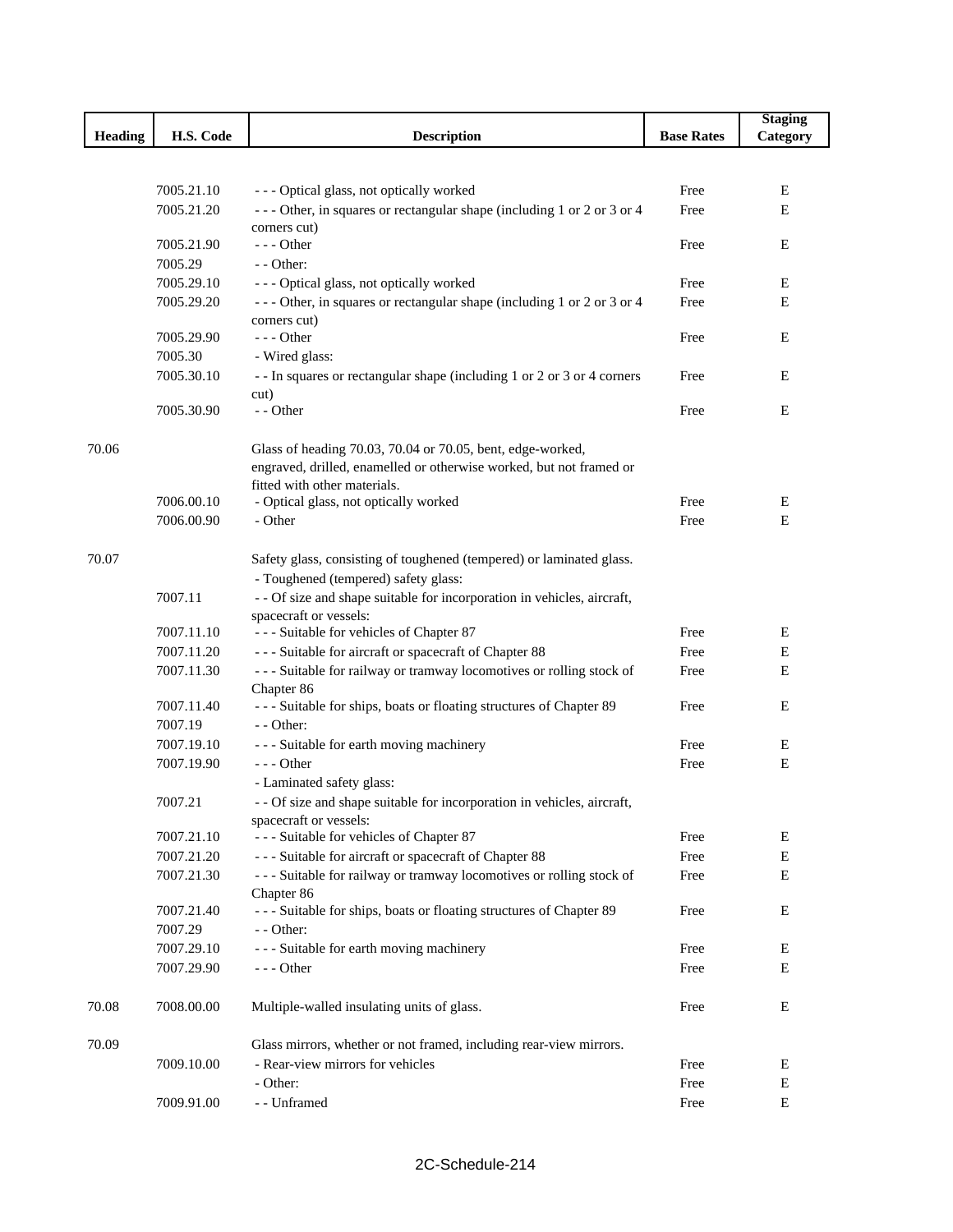|                |            |                                                                                                     |                   | <b>Staging</b> |
|----------------|------------|-----------------------------------------------------------------------------------------------------|-------------------|----------------|
| <b>Heading</b> | H.S. Code  | <b>Description</b>                                                                                  | <b>Base Rates</b> | Category       |
|                |            |                                                                                                     |                   |                |
|                |            |                                                                                                     |                   |                |
|                | 7005.21.10 | --- Optical glass, not optically worked                                                             | Free              | Ε              |
|                | 7005.21.20 | --- Other, in squares or rectangular shape (including 1 or 2 or 3 or 4                              | Free              | E              |
|                | 7005.21.90 | corners cut)<br>$--$ Other                                                                          | Free              | E              |
|                | 7005.29    | $-$ - Other:                                                                                        |                   |                |
|                | 7005.29.10 | --- Optical glass, not optically worked                                                             | Free              | E              |
|                | 7005.29.20 | --- Other, in squares or rectangular shape (including 1 or 2 or 3 or 4                              | Free              | E              |
|                |            | corners cut)                                                                                        |                   |                |
|                | 7005.29.90 | $- -$ Other                                                                                         | Free              | E              |
|                | 7005.30    | - Wired glass:                                                                                      |                   |                |
|                | 7005.30.10 | - - In squares or rectangular shape (including 1 or 2 or 3 or 4 corners                             | Free              | E              |
|                |            | cut)                                                                                                |                   |                |
|                | 7005.30.90 | - - Other                                                                                           | Free              | Ε              |
|                |            |                                                                                                     |                   |                |
| 70.06          |            | Glass of heading 70.03, 70.04 or 70.05, bent, edge-worked,                                          |                   |                |
|                |            | engraved, drilled, enamelled or otherwise worked, but not framed or<br>fitted with other materials. |                   |                |
|                | 7006.00.10 | - Optical glass, not optically worked                                                               | Free              | Е              |
|                | 7006.00.90 | - Other                                                                                             | Free              | Ε              |
|                |            |                                                                                                     |                   |                |
| 70.07          |            | Safety glass, consisting of toughened (tempered) or laminated glass.                                |                   |                |
|                |            | - Toughened (tempered) safety glass:                                                                |                   |                |
|                | 7007.11    | - - Of size and shape suitable for incorporation in vehicles, aircraft,                             |                   |                |
|                |            | spacecraft or vessels:                                                                              |                   |                |
|                | 7007.11.10 | --- Suitable for vehicles of Chapter 87                                                             | Free              | E              |
|                | 7007.11.20 | --- Suitable for aircraft or spacecraft of Chapter 88                                               | Free              | Е              |
|                | 7007.11.30 | --- Suitable for railway or tramway locomotives or rolling stock of                                 | Free              | Ε              |
|                |            | Chapter 86                                                                                          |                   |                |
|                | 7007.11.40 | --- Suitable for ships, boats or floating structures of Chapter 89                                  | Free              | E              |
|                | 7007.19    | - - Other:                                                                                          |                   |                |
|                | 7007.19.10 | --- Suitable for earth moving machinery                                                             | Free              | E              |
|                | 7007.19.90 | $--$ Other                                                                                          | Free              | Е              |
|                |            | - Laminated safety glass:                                                                           |                   |                |
|                | 7007.21    | - - Of size and shape suitable for incorporation in vehicles, aircraft,                             |                   |                |
|                | 7007.21.10 | spacecraft or vessels:<br>--- Suitable for vehicles of Chapter 87                                   | Free              | E              |
|                | 7007.21.20 | --- Suitable for aircraft or spacecraft of Chapter 88                                               | Free              | E              |
|                | 7007.21.30 | --- Suitable for railway or tramway locomotives or rolling stock of                                 | Free              | Ε              |
|                |            | Chapter 86                                                                                          |                   |                |
|                | 7007.21.40 | --- Suitable for ships, boats or floating structures of Chapter 89                                  | Free              | E              |
|                | 7007.29    | - - Other:                                                                                          |                   |                |
|                | 7007.29.10 | --- Suitable for earth moving machinery                                                             | Free              | E              |
|                | 7007.29.90 | $--$ Other                                                                                          | Free              | Е              |
|                |            |                                                                                                     |                   |                |
| 70.08          | 7008.00.00 | Multiple-walled insulating units of glass.                                                          | Free              | E              |
|                |            |                                                                                                     |                   |                |
| 70.09          |            | Glass mirrors, whether or not framed, including rear-view mirrors.                                  |                   |                |
|                | 7009.10.00 | - Rear-view mirrors for vehicles                                                                    | Free              | E              |
|                |            | - Other:                                                                                            | Free              | E              |
|                | 7009.91.00 | - - Unframed                                                                                        | Free              | E              |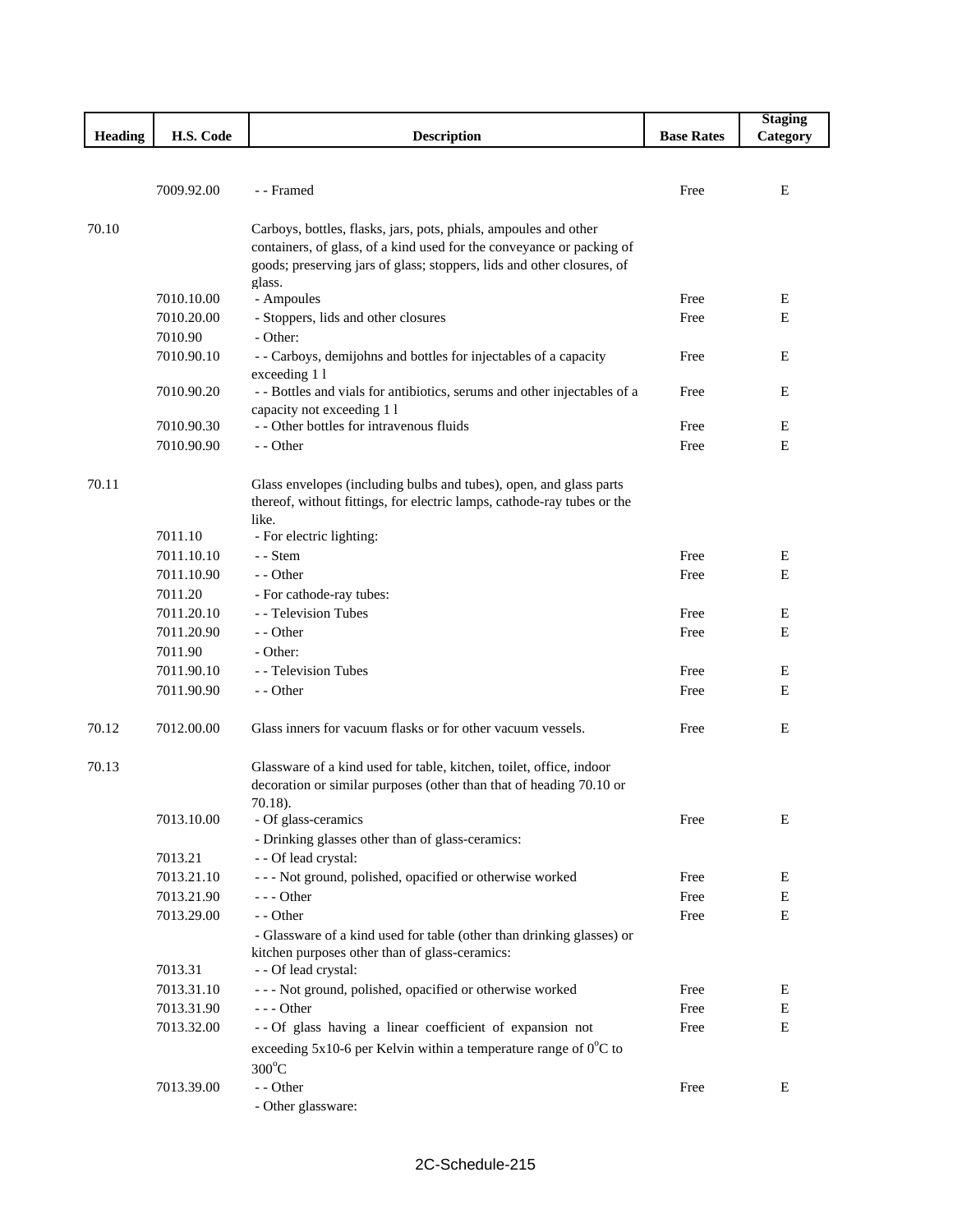|                |            |                                                                            |                   | <b>Staging</b> |
|----------------|------------|----------------------------------------------------------------------------|-------------------|----------------|
| <b>Heading</b> | H.S. Code  | <b>Description</b>                                                         | <b>Base Rates</b> | Category       |
|                |            |                                                                            |                   |                |
|                |            |                                                                            |                   |                |
|                | 7009.92.00 | - - Framed                                                                 | Free              | Ε              |
|                |            |                                                                            |                   |                |
| 70.10          |            | Carboys, bottles, flasks, jars, pots, phials, ampoules and other           |                   |                |
|                |            | containers, of glass, of a kind used for the conveyance or packing of      |                   |                |
|                |            | goods; preserving jars of glass; stoppers, lids and other closures, of     |                   |                |
|                |            | glass.                                                                     |                   |                |
|                | 7010.10.00 | - Ampoules                                                                 | Free              | E              |
|                | 7010.20.00 | - Stoppers, lids and other closures                                        | Free              | E              |
|                | 7010.90    | - Other:                                                                   |                   |                |
|                | 7010.90.10 | - - Carboys, demijohns and bottles for injectables of a capacity           | Free              | E              |
|                |            | exceeding 11                                                               |                   |                |
|                | 7010.90.20 | - - Bottles and vials for antibiotics, serums and other injectables of a   | Free              | E              |
|                |            | capacity not exceeding 1 l                                                 |                   |                |
|                | 7010.90.30 | - - Other bottles for intravenous fluids                                   | Free              | Ε              |
|                | 7010.90.90 | - - Other                                                                  | Free              | Е              |
|                |            |                                                                            |                   |                |
| 70.11          |            | Glass envelopes (including bulbs and tubes), open, and glass parts         |                   |                |
|                |            | thereof, without fittings, for electric lamps, cathode-ray tubes or the    |                   |                |
|                |            | like.                                                                      |                   |                |
|                | 7011.10    | - For electric lighting:                                                   |                   |                |
|                | 7011.10.10 | - - Stem                                                                   | Free              | E              |
|                |            |                                                                            |                   |                |
|                | 7011.10.90 | - - Other                                                                  | Free              | E              |
|                | 7011.20    | - For cathode-ray tubes:                                                   |                   |                |
|                | 7011.20.10 | - - Television Tubes                                                       | Free              | E              |
|                | 7011.20.90 | - - Other                                                                  | Free              | Е              |
|                | 7011.90    | - Other:                                                                   |                   |                |
|                | 7011.90.10 | - - Television Tubes                                                       | Free              | E              |
|                | 7011.90.90 | - - Other                                                                  | Free              | E              |
|                |            |                                                                            |                   |                |
| 70.12          | 7012.00.00 | Glass inners for vacuum flasks or for other vacuum vessels.                | Free              | E              |
|                |            |                                                                            |                   |                |
| 70.13          |            | Glassware of a kind used for table, kitchen, toilet, office, indoor        |                   |                |
|                |            | decoration or similar purposes (other than that of heading 70.10 or        |                   |                |
|                |            | 70.18).                                                                    |                   |                |
|                | 7013.10.00 | - Of glass-ceramics                                                        | Free              | E              |
|                |            | - Drinking glasses other than of glass-ceramics:                           |                   |                |
|                | 7013.21    | - - Of lead crystal:                                                       |                   |                |
|                | 7013.21.10 | - - - Not ground, polished, opacified or otherwise worked                  | Free              | E              |
|                | 7013.21.90 |                                                                            | Free              | Ε              |
|                |            | - - - Other                                                                |                   |                |
|                | 7013.29.00 | - - Other                                                                  | Free              | Ε              |
|                |            | - Glassware of a kind used for table (other than drinking glasses) or      |                   |                |
|                |            | kitchen purposes other than of glass-ceramics:                             |                   |                |
|                | 7013.31    | - - Of lead crystal:                                                       |                   |                |
|                | 7013.31.10 | - - - Not ground, polished, opacified or otherwise worked                  | Free              | E              |
|                | 7013.31.90 | - - - Other                                                                | Free              | E              |
|                | 7013.32.00 | -- Of glass having a linear coefficient of expansion not                   | Free              | Ε              |
|                |            | exceeding 5x10-6 per Kelvin within a temperature range of $0^{\circ}$ C to |                   |                |
|                |            | $300^{\circ}$ C                                                            |                   |                |
|                | 7013.39.00 | - - Other                                                                  | Free              | Ε              |
|                |            | - Other glassware:                                                         |                   |                |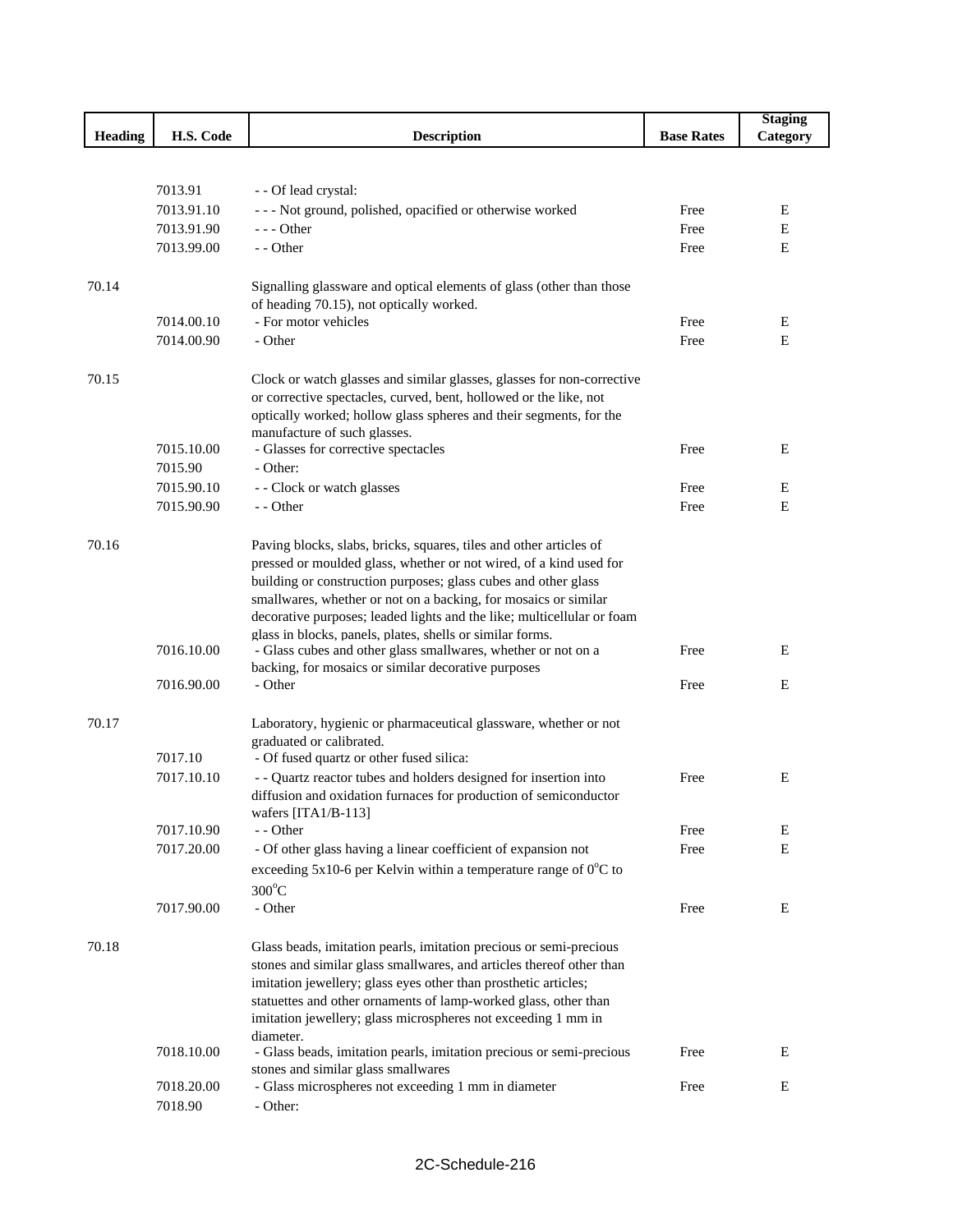|                |            |                                                                                                    |                   | <b>Staging</b> |
|----------------|------------|----------------------------------------------------------------------------------------------------|-------------------|----------------|
| <b>Heading</b> | H.S. Code  | <b>Description</b>                                                                                 | <b>Base Rates</b> | Category       |
|                |            |                                                                                                    |                   |                |
|                |            |                                                                                                    |                   |                |
|                | 7013.91    | - - Of lead crystal:                                                                               |                   |                |
|                | 7013.91.10 | --- Not ground, polished, opacified or otherwise worked                                            | Free              | Ε              |
|                | 7013.91.90 | $- -$ Other                                                                                        | Free              | Е              |
|                | 7013.99.00 | - - Other                                                                                          | Free              | Е              |
|                |            |                                                                                                    |                   |                |
| 70.14          |            | Signalling glassware and optical elements of glass (other than those                               |                   |                |
|                |            | of heading 70.15), not optically worked.                                                           |                   |                |
|                | 7014.00.10 | - For motor vehicles                                                                               | Free              | Ε              |
|                | 7014.00.90 | - Other                                                                                            | Free              | Е              |
|                |            |                                                                                                    |                   |                |
| 70.15          |            | Clock or watch glasses and similar glasses, glasses for non-corrective                             |                   |                |
|                |            | or corrective spectacles, curved, bent, hollowed or the like, not                                  |                   |                |
|                |            | optically worked; hollow glass spheres and their segments, for the<br>manufacture of such glasses. |                   |                |
|                | 7015.10.00 | - Glasses for corrective spectacles                                                                | Free              | E              |
|                | 7015.90    | - Other:                                                                                           |                   |                |
|                | 7015.90.10 | - - Clock or watch glasses                                                                         | Free              | Е              |
|                | 7015.90.90 | - - Other                                                                                          | Free              | E              |
|                |            |                                                                                                    |                   |                |
| 70.16          |            | Paving blocks, slabs, bricks, squares, tiles and other articles of                                 |                   |                |
|                |            | pressed or moulded glass, whether or not wired, of a kind used for                                 |                   |                |
|                |            | building or construction purposes; glass cubes and other glass                                     |                   |                |
|                |            | smallwares, whether or not on a backing, for mosaics or similar                                    |                   |                |
|                |            | decorative purposes; leaded lights and the like; multicellular or foam                             |                   |                |
|                |            | glass in blocks, panels, plates, shells or similar forms.                                          |                   |                |
|                | 7016.10.00 | - Glass cubes and other glass smallwares, whether or not on a                                      | Free              | Ε              |
|                |            | backing, for mosaics or similar decorative purposes                                                |                   |                |
|                | 7016.90.00 | - Other                                                                                            | Free              | Е              |
| 70.17          |            | Laboratory, hygienic or pharmaceutical glassware, whether or not                                   |                   |                |
|                |            | graduated or calibrated.                                                                           |                   |                |
|                | 7017.10    | - Of fused quartz or other fused silica:                                                           |                   |                |
|                | 7017.10.10 | - - Quartz reactor tubes and holders designed for insertion into                                   | Free              | Ε              |
|                |            | diffusion and oxidation furnaces for production of semiconductor                                   |                   |                |
|                |            | wafers [ITA1/B-113]                                                                                |                   |                |
|                | 7017.10.90 | - - Other                                                                                          | Free              | E              |
|                | 7017.20.00 | - Of other glass having a linear coefficient of expansion not                                      | Free              | E              |
|                |            | exceeding 5x10-6 per Kelvin within a temperature range of $0^{\circ}$ C to                         |                   |                |
|                |            | $300^{\circ}$ C                                                                                    |                   |                |
|                | 7017.90.00 | - Other                                                                                            | Free              | Ε              |
|                |            |                                                                                                    |                   |                |
| 70.18          |            | Glass beads, imitation pearls, imitation precious or semi-precious                                 |                   |                |
|                |            | stones and similar glass smallwares, and articles thereof other than                               |                   |                |
|                |            | imitation jewellery; glass eyes other than prosthetic articles;                                    |                   |                |
|                |            | statuettes and other ornaments of lamp-worked glass, other than                                    |                   |                |
|                |            | imitation jewellery; glass microspheres not exceeding 1 mm in                                      |                   |                |
|                |            | diameter.                                                                                          |                   |                |
|                | 7018.10.00 | - Glass beads, imitation pearls, imitation precious or semi-precious                               | Free              | Ε              |
|                | 7018.20.00 | stones and similar glass smallwares<br>- Glass microspheres not exceeding 1 mm in diameter         | Free              | Ε              |
|                | 7018.90    | - Other:                                                                                           |                   |                |
|                |            |                                                                                                    |                   |                |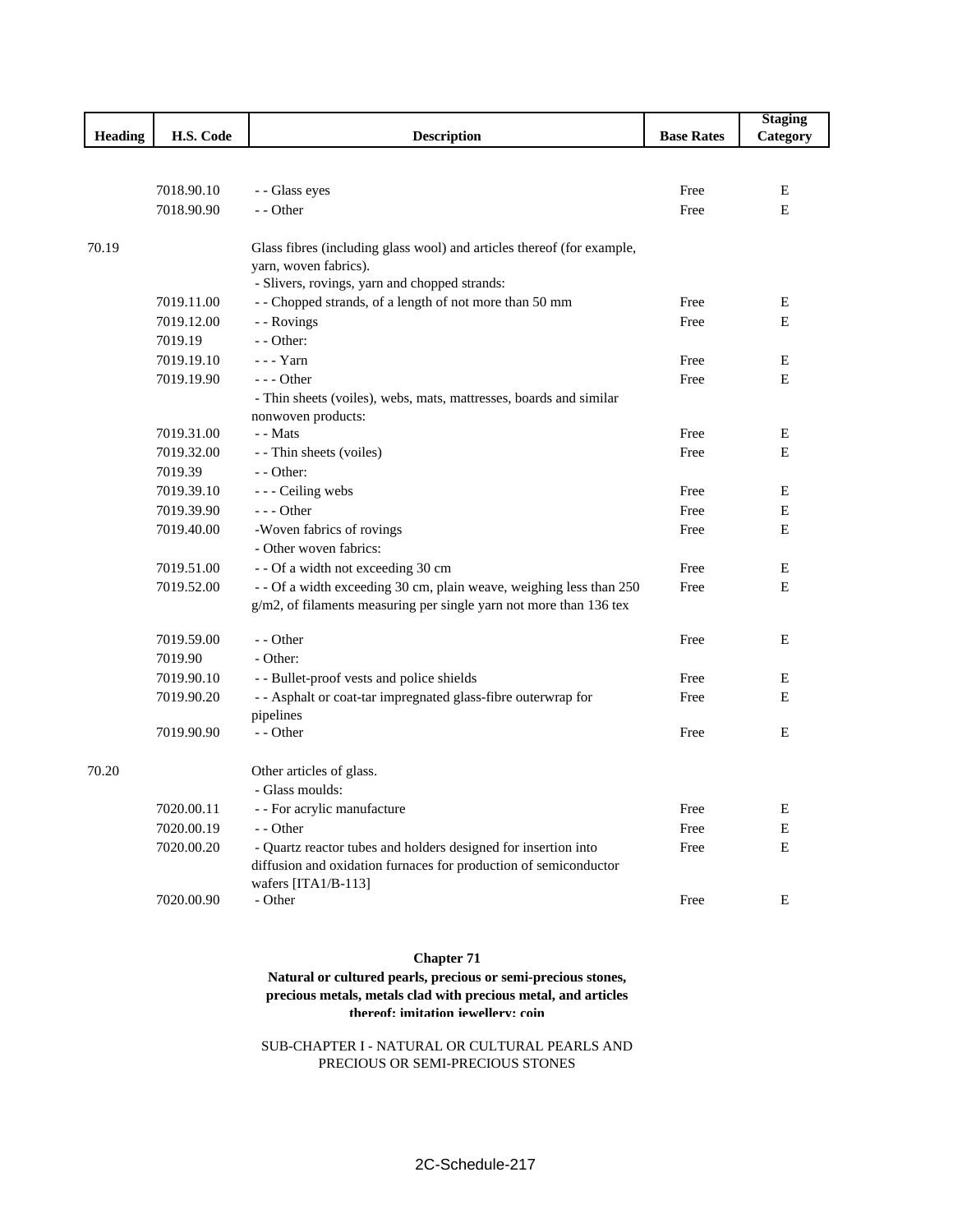|                |            |                                                                        |                   | <b>Staging</b> |
|----------------|------------|------------------------------------------------------------------------|-------------------|----------------|
| <b>Heading</b> | H.S. Code  | <b>Description</b>                                                     | <b>Base Rates</b> | Category       |
|                |            |                                                                        |                   |                |
|                |            |                                                                        |                   |                |
|                | 7018.90.10 | - - Glass eyes<br>- - Other                                            | Free              | E              |
|                | 7018.90.90 |                                                                        | Free              | E              |
| 70.19          |            | Glass fibres (including glass wool) and articles thereof (for example, |                   |                |
|                |            | yarn, woven fabrics).                                                  |                   |                |
|                |            | - Slivers, rovings, yarn and chopped strands:                          |                   |                |
|                | 7019.11.00 | - - Chopped strands, of a length of not more than 50 mm                | Free              | E              |
|                | 7019.12.00 | - - Rovings                                                            | Free              | E              |
|                | 7019.19    | - - Other:                                                             |                   |                |
|                | 7019.19.10 | $--$ Yarn                                                              | Free              | E              |
|                | 7019.19.90 | $--$ Other                                                             | Free              | Ε              |
|                |            | - Thin sheets (voiles), webs, mats, mattresses, boards and similar     |                   |                |
|                |            | nonwoven products:                                                     |                   |                |
|                | 7019.31.00 | - - Mats                                                               | Free              | E              |
|                | 7019.32.00 | - - Thin sheets (voiles)                                               | Free              | E              |
|                | 7019.39    | - - Other:                                                             |                   |                |
|                | 7019.39.10 | - - - Ceiling webs                                                     | Free              | Ε              |
|                | 7019.39.90 | $--$ Other                                                             | Free              | Ε              |
|                | 7019.40.00 | -Woven fabrics of rovings                                              | Free              | Е              |
|                |            | - Other woven fabrics:                                                 |                   |                |
|                | 7019.51.00 | - - Of a width not exceeding 30 cm                                     | Free              | Ε              |
|                | 7019.52.00 | - - Of a width exceeding 30 cm, plain weave, weighing less than 250    | Free              | E              |
|                |            | g/m2, of filaments measuring per single yarn not more than 136 tex     |                   |                |
|                | 7019.59.00 | - - Other                                                              | Free              | E              |
|                | 7019.90    | - Other:                                                               |                   |                |
|                | 7019.90.10 | - - Bullet-proof vests and police shields                              | Free              | Ε              |
|                | 7019.90.20 | - - Asphalt or coat-tar impregnated glass-fibre outerwrap for          | Free              | E              |
|                |            | pipelines                                                              |                   |                |
|                | 7019.90.90 | - - Other                                                              | Free              | Ε              |
| 70.20          |            | Other articles of glass.                                               |                   |                |
|                |            | - Glass moulds:                                                        |                   |                |
|                | 7020.00.11 | - - For acrylic manufacture                                            | Free              | E              |
|                | 7020.00.19 | - - Other                                                              | Free              | E              |
|                | 7020.00.20 | - Quartz reactor tubes and holders designed for insertion into         | Free              | $\mathbf E$    |
|                |            | diffusion and oxidation furnaces for production of semiconductor       |                   |                |
|                |            | wafers [ITA1/B-113]                                                    |                   |                |
|                | 7020.00.90 | - Other                                                                | Free              | E              |
|                |            |                                                                        |                   |                |

## **Chapter 71**

**Natural or cultured pearls, precious or semi-precious stones, precious metals, metals clad with precious metal, and articles thereof; imitation jewellery; coin**

SUB-CHAPTER I - NATURAL OR CULTURAL PEARLS AND PRECIOUS OR SEMI-PRECIOUS STONES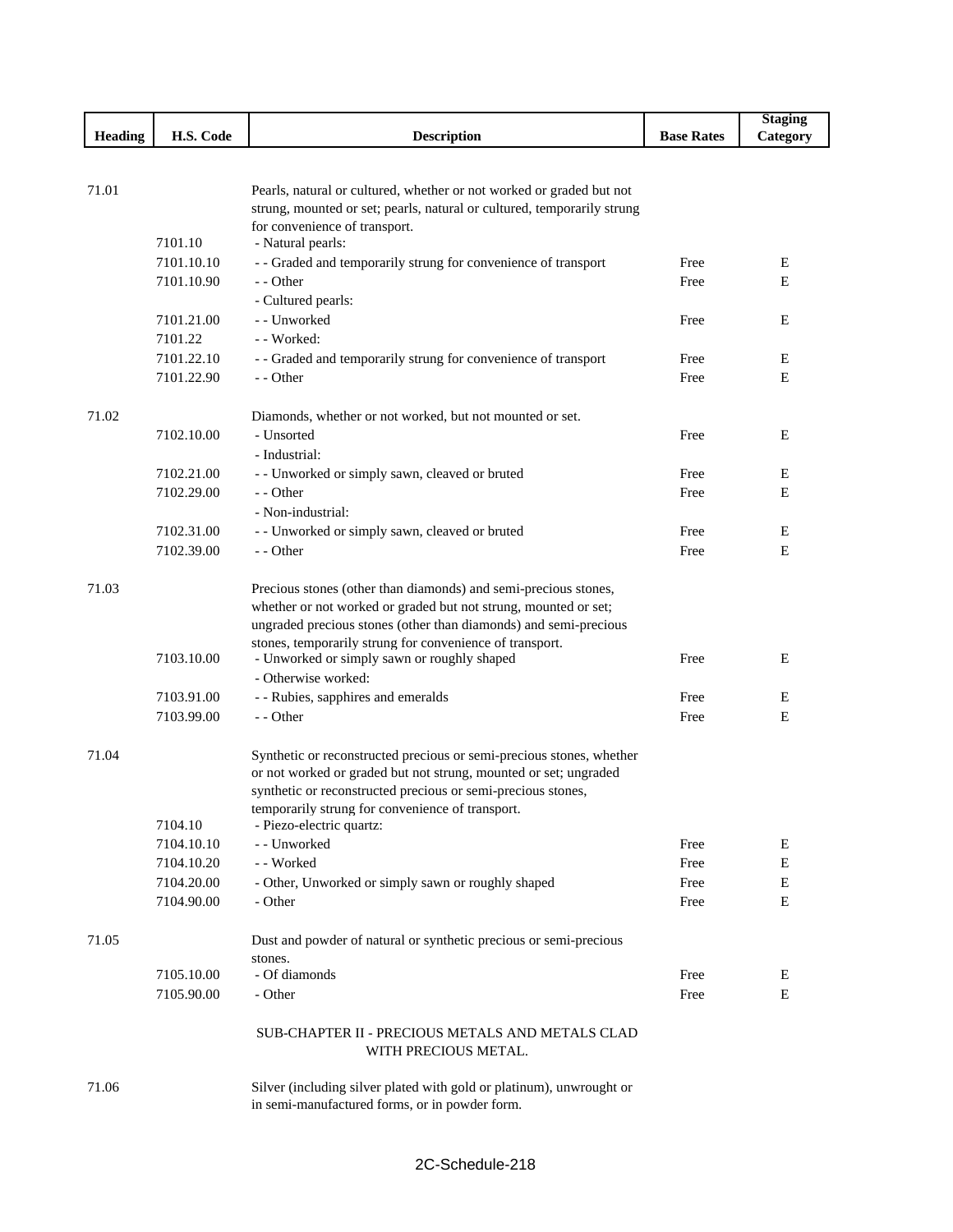|                |            |                                                                                                                                          |                   | <b>Staging</b> |
|----------------|------------|------------------------------------------------------------------------------------------------------------------------------------------|-------------------|----------------|
| <b>Heading</b> | H.S. Code  | <b>Description</b>                                                                                                                       | <b>Base Rates</b> | Category       |
|                |            |                                                                                                                                          |                   |                |
|                |            |                                                                                                                                          |                   |                |
| 71.01          |            | Pearls, natural or cultured, whether or not worked or graded but not                                                                     |                   |                |
|                |            | strung, mounted or set; pearls, natural or cultured, temporarily strung                                                                  |                   |                |
|                | 7101.10    | for convenience of transport.<br>- Natural pearls:                                                                                       |                   |                |
|                | 7101.10.10 | - - Graded and temporarily strung for convenience of transport                                                                           | Free              | E              |
|                | 7101.10.90 | - - Other                                                                                                                                | Free              | E              |
|                |            | - Cultured pearls:                                                                                                                       |                   |                |
|                | 7101.21.00 | - - Unworked                                                                                                                             | Free              | E              |
|                | 7101.22    | - - Worked:                                                                                                                              |                   |                |
|                | 7101.22.10 | - - Graded and temporarily strung for convenience of transport                                                                           | Free              | E              |
|                | 7101.22.90 | - - Other                                                                                                                                | Free              | Е              |
|                |            |                                                                                                                                          |                   |                |
| 71.02          |            | Diamonds, whether or not worked, but not mounted or set.                                                                                 |                   |                |
|                | 7102.10.00 | - Unsorted                                                                                                                               | Free              | E              |
|                |            | - Industrial:                                                                                                                            |                   |                |
|                | 7102.21.00 | - - Unworked or simply sawn, cleaved or bruted                                                                                           | Free              | Ε              |
|                | 7102.29.00 | - - Other                                                                                                                                | Free              | Ε              |
|                |            | - Non-industrial:                                                                                                                        |                   |                |
|                | 7102.31.00 | - - Unworked or simply sawn, cleaved or bruted                                                                                           | Free              | Е              |
|                | 7102.39.00 | - - Other                                                                                                                                | Free              | E              |
|                |            |                                                                                                                                          |                   |                |
| 71.03          |            | Precious stones (other than diamonds) and semi-precious stones,                                                                          |                   |                |
|                |            | whether or not worked or graded but not strung, mounted or set;                                                                          |                   |                |
|                |            | ungraded precious stones (other than diamonds) and semi-precious                                                                         |                   |                |
|                |            | stones, temporarily strung for convenience of transport.                                                                                 |                   |                |
|                | 7103.10.00 | - Unworked or simply sawn or roughly shaped                                                                                              | Free              | E              |
|                |            | - Otherwise worked:                                                                                                                      |                   |                |
|                | 7103.91.00 | - - Rubies, sapphires and emeralds                                                                                                       | Free              | E              |
|                | 7103.99.00 | - - Other                                                                                                                                | Free              | Е              |
|                |            |                                                                                                                                          |                   |                |
| 71.04          |            | Synthetic or reconstructed precious or semi-precious stones, whether<br>or not worked or graded but not strung, mounted or set; ungraded |                   |                |
|                |            | synthetic or reconstructed precious or semi-precious stones,                                                                             |                   |                |
|                |            | temporarily strung for convenience of transport.                                                                                         |                   |                |
|                | 7104.10    | - Piezo-electric quartz:                                                                                                                 |                   |                |
|                | 7104.10.10 | - - Unworked                                                                                                                             | Free              | E              |
|                | 7104.10.20 | - - Worked                                                                                                                               | Free              | Ε              |
|                | 7104.20.00 | - Other, Unworked or simply sawn or roughly shaped                                                                                       | Free              | E              |
|                | 7104.90.00 | - Other                                                                                                                                  | Free              | Ε              |
|                |            |                                                                                                                                          |                   |                |
| 71.05          |            | Dust and powder of natural or synthetic precious or semi-precious                                                                        |                   |                |
|                |            | stones.                                                                                                                                  |                   |                |
|                | 7105.10.00 | - Of diamonds                                                                                                                            | Free              | Ε              |
|                | 7105.90.00 | - Other                                                                                                                                  | Free              | E              |
|                |            | SUB-CHAPTER II - PRECIOUS METALS AND METALS CLAD                                                                                         |                   |                |
|                |            | WITH PRECIOUS METAL.                                                                                                                     |                   |                |
| 71.06          |            | Silver (including silver plated with gold or platinum), unwrought or                                                                     |                   |                |
|                |            |                                                                                                                                          |                   |                |

in semi-manufactured forms, or in powder form.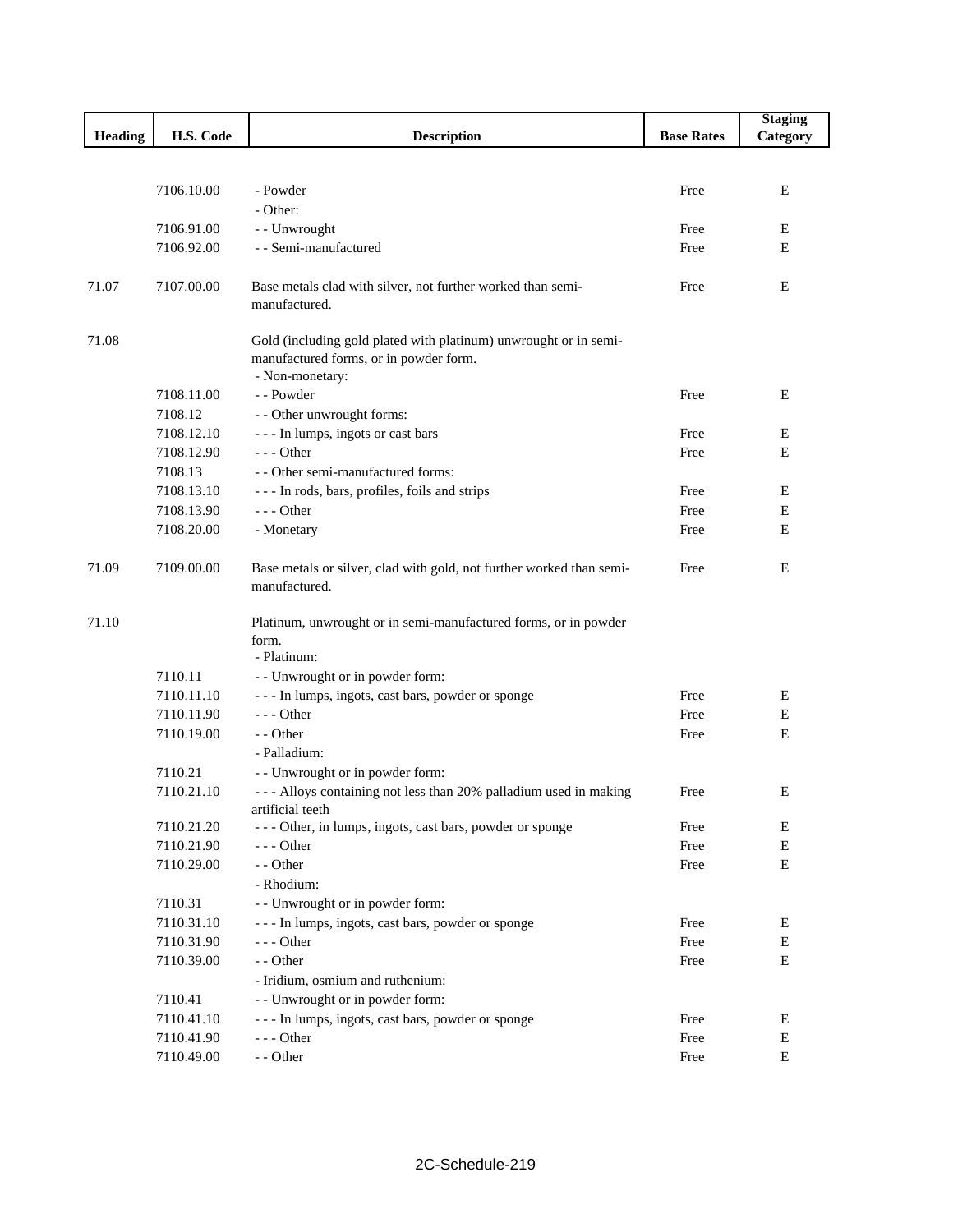|                |            |                                                                                                                               |                   | <b>Staging</b> |
|----------------|------------|-------------------------------------------------------------------------------------------------------------------------------|-------------------|----------------|
| <b>Heading</b> | H.S. Code  | <b>Description</b>                                                                                                            | <b>Base Rates</b> | Category       |
|                |            |                                                                                                                               |                   |                |
|                |            |                                                                                                                               |                   |                |
|                | 7106.10.00 | - Powder                                                                                                                      | Free              | E              |
|                |            | - Other:                                                                                                                      |                   |                |
|                | 7106.91.00 | - - Unwrought                                                                                                                 | Free              | Е              |
|                | 7106.92.00 | - - Semi-manufactured                                                                                                         | Free              | E              |
| 71.07          | 7107.00.00 | Base metals clad with silver, not further worked than semi-<br>manufactured.                                                  | Free              | E              |
|                |            |                                                                                                                               |                   |                |
| 71.08          |            | Gold (including gold plated with platinum) unwrought or in semi-<br>manufactured forms, or in powder form.<br>- Non-monetary: |                   |                |
|                | 7108.11.00 | - - Powder                                                                                                                    | Free              | Ε              |
|                | 7108.12    | - - Other unwrought forms:                                                                                                    |                   |                |
|                | 7108.12.10 | --- In lumps, ingots or cast bars                                                                                             | Free              | Е              |
|                | 7108.12.90 | $--$ Other                                                                                                                    | Free              | E              |
|                | 7108.13    | - - Other semi-manufactured forms:                                                                                            |                   |                |
|                | 7108.13.10 | --- In rods, bars, profiles, foils and strips                                                                                 | Free              | Ε              |
|                | 7108.13.90 | --- Other                                                                                                                     | Free              | E              |
|                | 7108.20.00 | - Monetary                                                                                                                    | Free              | Е              |
|                |            |                                                                                                                               |                   |                |
| 71.09          | 7109.00.00 | Base metals or silver, clad with gold, not further worked than semi-<br>manufactured.                                         | Free              | Ε              |
| 71.10          |            | Platinum, unwrought or in semi-manufactured forms, or in powder                                                               |                   |                |
|                |            | form.                                                                                                                         |                   |                |
|                |            | - Platinum:                                                                                                                   |                   |                |
|                | 7110.11    | - - Unwrought or in powder form:                                                                                              |                   |                |
|                | 7110.11.10 | --- In lumps, ingots, cast bars, powder or sponge                                                                             | Free              | Ε              |
|                | 7110.11.90 | $--$ Other                                                                                                                    | Free              | Ε              |
|                | 7110.19.00 | - - Other                                                                                                                     | Free              | Ε              |
|                |            | - Palladium:                                                                                                                  |                   |                |
|                | 7110.21    | - - Unwrought or in powder form:                                                                                              |                   |                |
|                | 7110.21.10 | --- Alloys containing not less than 20% palladium used in making                                                              | Free              | Ε              |
|                |            | artificial teeth                                                                                                              |                   |                |
|                | 7110.21.20 | --- Other, in lumps, ingots, cast bars, powder or sponge                                                                      | Free              | Е              |
|                | 7110.21.90 | - - - Other                                                                                                                   | Free              | Е              |
|                | 7110.29.00 | - - Other                                                                                                                     | Free              | ${\bf E}$      |
|                |            | - Rhodium:                                                                                                                    |                   |                |
|                | 7110.31    | - - Unwrought or in powder form:                                                                                              |                   |                |
|                | 7110.31.10 | --- In lumps, ingots, cast bars, powder or sponge                                                                             | Free              | Е              |
|                | 7110.31.90 | $--$ Other                                                                                                                    | Free              | Е              |
|                | 7110.39.00 | - - Other                                                                                                                     | Free              | Ε              |
|                |            | - Iridium, osmium and ruthenium:                                                                                              |                   |                |
|                | 7110.41    | - - Unwrought or in powder form:                                                                                              |                   |                |
|                | 7110.41.10 | --- In lumps, ingots, cast bars, powder or sponge                                                                             | Free              | E              |
|                | 7110.41.90 | --- Other                                                                                                                     | Free              | Е              |
|                | 7110.49.00 | - - Other                                                                                                                     | Free              | E              |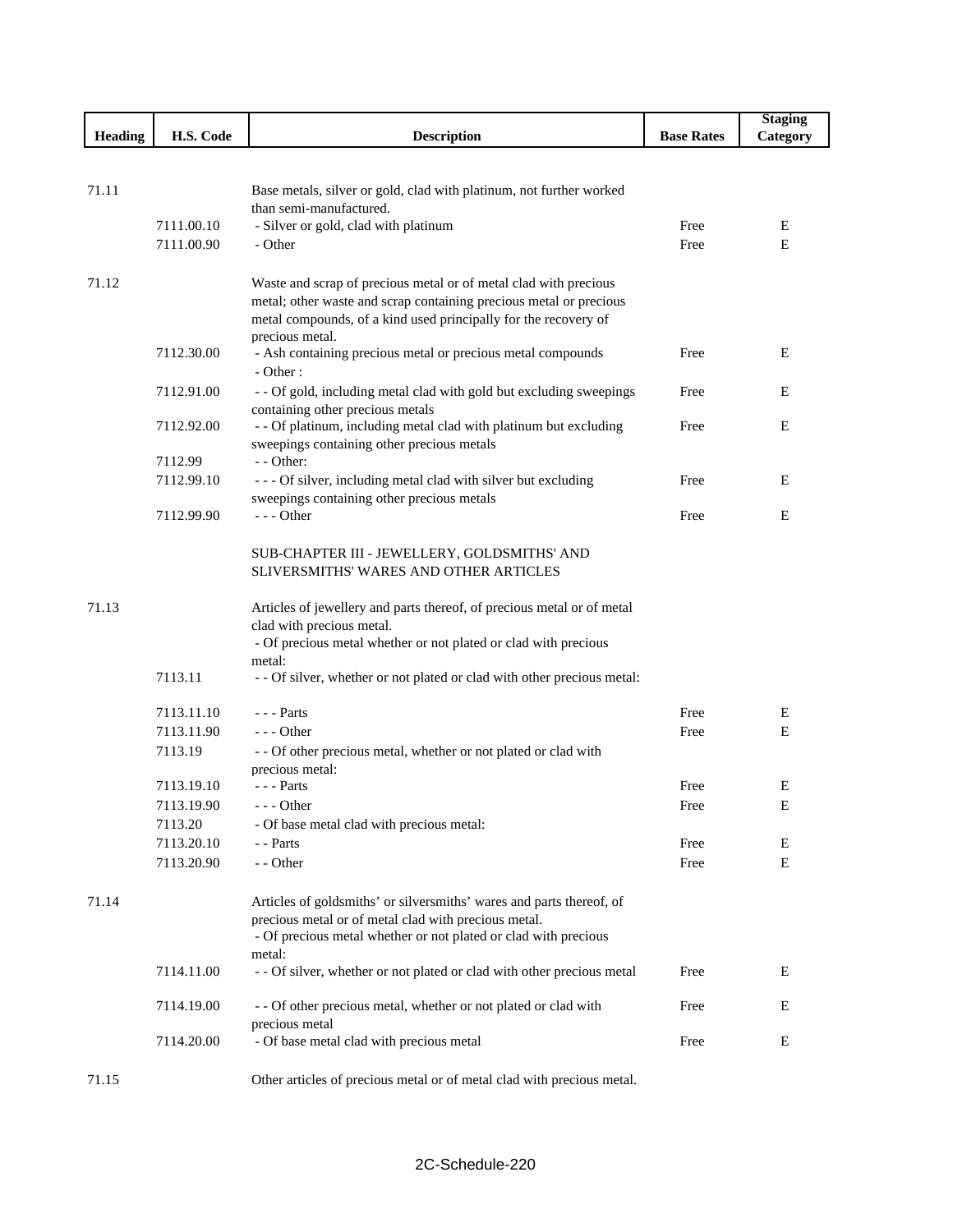|                |            |                                                                                                                                       |                   | <b>Staging</b> |
|----------------|------------|---------------------------------------------------------------------------------------------------------------------------------------|-------------------|----------------|
| <b>Heading</b> | H.S. Code  | <b>Description</b>                                                                                                                    | <b>Base Rates</b> | Category       |
|                |            |                                                                                                                                       |                   |                |
|                |            |                                                                                                                                       |                   |                |
| 71.11          |            | Base metals, silver or gold, clad with platinum, not further worked                                                                   |                   |                |
|                |            | than semi-manufactured.                                                                                                               |                   |                |
|                | 7111.00.10 | - Silver or gold, clad with platinum                                                                                                  | Free              | E              |
|                | 7111.00.90 | - Other                                                                                                                               | Free              | Ε              |
|                |            |                                                                                                                                       |                   |                |
| 71.12          |            | Waste and scrap of precious metal or of metal clad with precious                                                                      |                   |                |
|                |            | metal; other waste and scrap containing precious metal or precious<br>metal compounds, of a kind used principally for the recovery of |                   |                |
|                |            | precious metal.                                                                                                                       |                   |                |
|                | 7112.30.00 | - Ash containing precious metal or precious metal compounds                                                                           | Free              | E              |
|                |            | - Other:                                                                                                                              |                   |                |
|                | 7112.91.00 | - - Of gold, including metal clad with gold but excluding sweepings                                                                   | Free              | E              |
|                |            | containing other precious metals                                                                                                      |                   |                |
|                | 7112.92.00 | - - Of platinum, including metal clad with platinum but excluding                                                                     | Free              | E              |
|                |            | sweepings containing other precious metals                                                                                            |                   |                |
|                | 7112.99    | - - Other:                                                                                                                            |                   |                |
|                | 7112.99.10 | - - - Of silver, including metal clad with silver but excluding                                                                       | Free              | E              |
|                |            | sweepings containing other precious metals                                                                                            |                   |                |
|                | 7112.99.90 | --- Other                                                                                                                             | Free              | E              |
|                |            |                                                                                                                                       |                   |                |
|                |            | SUB-CHAPTER III - JEWELLERY, GOLDSMITHS' AND                                                                                          |                   |                |
|                |            | SLIVERSMITHS' WARES AND OTHER ARTICLES                                                                                                |                   |                |
|                |            |                                                                                                                                       |                   |                |
| 71.13          |            | Articles of jewellery and parts thereof, of precious metal or of metal                                                                |                   |                |
|                |            | clad with precious metal.                                                                                                             |                   |                |
|                |            | - Of precious metal whether or not plated or clad with precious                                                                       |                   |                |
|                | 7113.11    | metal:                                                                                                                                |                   |                |
|                |            | - - Of silver, whether or not plated or clad with other precious metal:                                                               |                   |                |
|                | 7113.11.10 | $--$ Parts                                                                                                                            | Free              | Ε              |
|                | 7113.11.90 | $- -$ Other                                                                                                                           | Free              | E              |
|                | 7113.19    | - - Of other precious metal, whether or not plated or clad with                                                                       |                   |                |
|                |            | precious metal:                                                                                                                       |                   |                |
|                | 7113.19.10 | $- -$ Parts                                                                                                                           | Free              | Е              |
|                | 7113.19.90 | $-$ - Other                                                                                                                           | Free              | Е              |
|                | 7113.20    | - Of base metal clad with precious metal:                                                                                             |                   |                |
|                | 7113.20.10 | - - Parts                                                                                                                             | Free              | E              |
|                | 7113.20.90 | - - Other                                                                                                                             | Free              | Ε              |
|                |            |                                                                                                                                       |                   |                |
| 71.14          |            | Articles of goldsmiths' or silversmiths' wares and parts thereof, of                                                                  |                   |                |
|                |            | precious metal or of metal clad with precious metal.                                                                                  |                   |                |
|                |            | - Of precious metal whether or not plated or clad with precious                                                                       |                   |                |
|                |            | metal:                                                                                                                                |                   |                |
|                | 7114.11.00 | - - Of silver, whether or not plated or clad with other precious metal                                                                | Free              | E              |
|                |            |                                                                                                                                       |                   |                |
|                | 7114.19.00 | - - Of other precious metal, whether or not plated or clad with                                                                       | Free              | E              |
|                |            | precious metal                                                                                                                        |                   |                |
|                | 7114.20.00 | - Of base metal clad with precious metal                                                                                              | Free              | Ε              |
| 71.15          |            | Other articles of precious metal or of metal clad with precious metal.                                                                |                   |                |
|                |            |                                                                                                                                       |                   |                |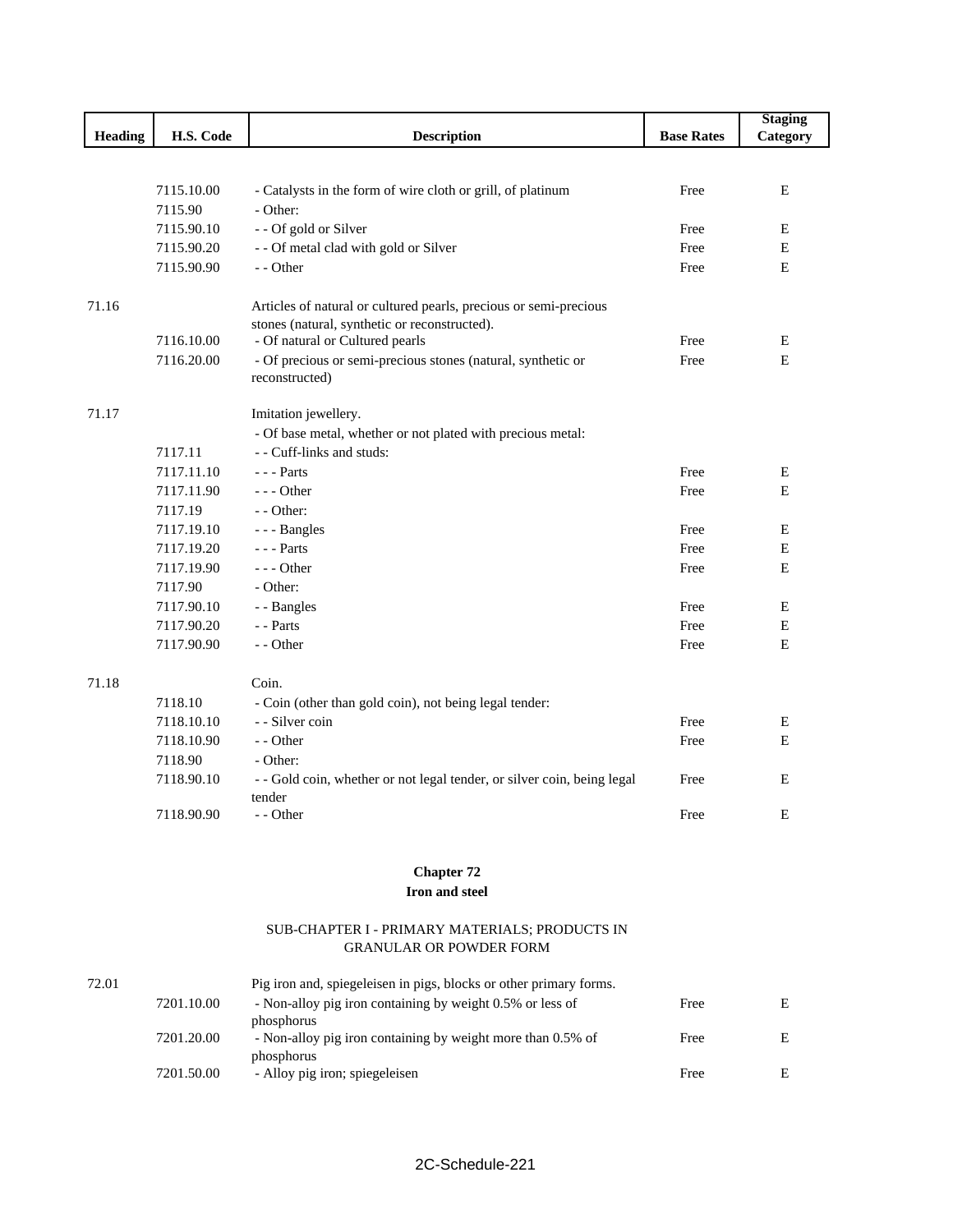|         |            |                                                                         |                   | <b>Staging</b> |
|---------|------------|-------------------------------------------------------------------------|-------------------|----------------|
| Heading | H.S. Code  | <b>Description</b>                                                      | <b>Base Rates</b> | Category       |
|         |            |                                                                         |                   |                |
|         |            |                                                                         |                   |                |
|         | 7115.10.00 | - Catalysts in the form of wire cloth or grill, of platinum             | Free              | E              |
|         | 7115.90    | - Other:                                                                |                   |                |
|         | 7115.90.10 | - - Of gold or Silver                                                   | Free              | Ε              |
|         | 7115.90.20 | - - Of metal clad with gold or Silver                                   | Free              | E              |
|         | 7115.90.90 | - - Other                                                               | Free              | E              |
| 71.16   |            | Articles of natural or cultured pearls, precious or semi-precious       |                   |                |
|         |            | stones (natural, synthetic or reconstructed).                           |                   |                |
|         | 7116.10.00 | - Of natural or Cultured pearls                                         | Free              | E              |
|         | 7116.20.00 | - Of precious or semi-precious stones (natural, synthetic or            | Free              | E              |
|         |            | reconstructed)                                                          |                   |                |
| 71.17   |            | Imitation jewellery.                                                    |                   |                |
|         |            | - Of base metal, whether or not plated with precious metal:             |                   |                |
|         | 7117.11    | - - Cuff-links and studs:                                               |                   |                |
|         | 7117.11.10 | $\overline{\phantom{a}}$ - $\overline{\phantom{a}}$ - Parts             | Free              | E              |
|         | 7117.11.90 | --- Other                                                               | Free              | E              |
|         | 7117.19    | - - Other:                                                              |                   |                |
|         | 7117.19.10 | --- Bangles                                                             | Free              | Ε              |
|         | 7117.19.20 | $--$ Parts                                                              | Free              | $\mathbf E$    |
|         | 7117.19.90 | $--$ Other                                                              | Free              | $\mathbf E$    |
|         | 7117.90    | - Other:                                                                |                   |                |
|         | 7117.90.10 | - - Bangles                                                             | Free              | Ε              |
|         | 7117.90.20 | - - Parts                                                               | Free              | $\mathbf E$    |
|         | 7117.90.90 | - - Other                                                               | Free              | $\mathbf E$    |
| 71.18   |            | Coin.                                                                   |                   |                |
|         | 7118.10    | - Coin (other than gold coin), not being legal tender:                  |                   |                |
|         | 7118.10.10 | - Silver coin                                                           | Free              | Ε              |
|         | 7118.10.90 | - - Other                                                               | Free              | E              |
|         | 7118.90    | - Other:                                                                |                   |                |
|         | 7118.90.10 | - - Gold coin, whether or not legal tender, or silver coin, being legal | Free              | E              |
|         |            | tender                                                                  |                   |                |
|         | 7118.90.90 | - - Other                                                               | Free              | E              |

## **Chapter 72**

## **Iron and steel**

## SUB-CHAPTER I - PRIMARY MATERIALS; PRODUCTS IN GRANULAR OR POWDER FORM

| 72.01 |            | Pig iron and, spiegeleisen in pigs, blocks or other primary forms. |      |   |
|-------|------------|--------------------------------------------------------------------|------|---|
|       | 7201.10.00 | - Non-alloy pig iron containing by weight 0.5% or less of          | Free | E |
|       |            | phosphorus                                                         |      |   |
|       | 7201.20.00 | - Non-alloy pig iron containing by weight more than 0.5% of        | Free | E |
|       |            | phosphorus                                                         |      |   |
|       | 7201.50.00 | - Alloy pig iron; spiegeleisen                                     | Free | E |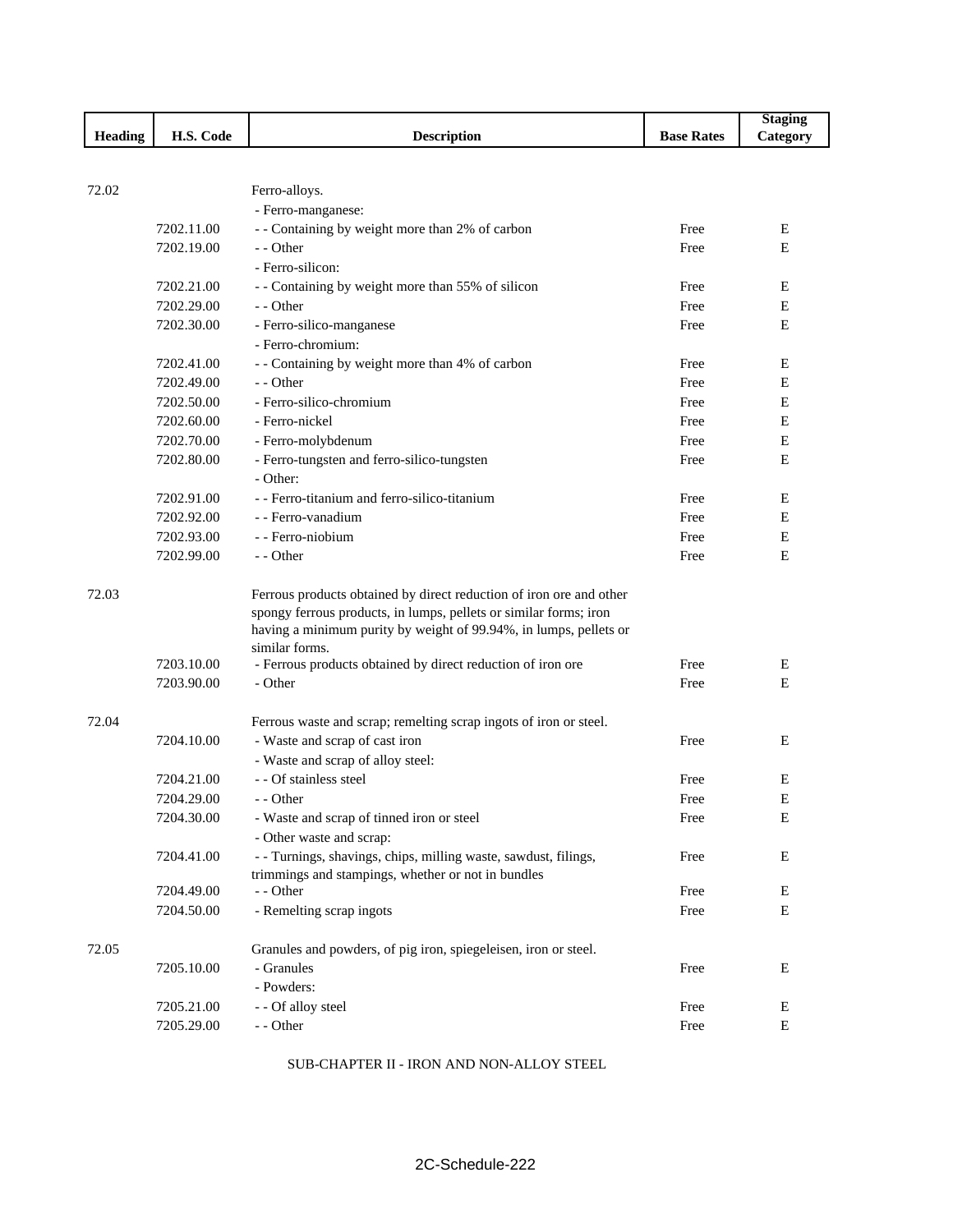|                |                          |                                                                     |                   | <b>Staging</b> |
|----------------|--------------------------|---------------------------------------------------------------------|-------------------|----------------|
| <b>Heading</b> | H.S. Code                | <b>Description</b>                                                  | <b>Base Rates</b> | Category       |
|                |                          |                                                                     |                   |                |
|                |                          |                                                                     |                   |                |
| 72.02          |                          | Ferro-alloys.                                                       |                   |                |
|                | 7202.11.00               | - Ferro-manganese:                                                  | Free              |                |
|                | 7202.19.00               | - - Containing by weight more than 2% of carbon<br>- - Other        | Free              | Ε<br>E         |
|                |                          | - Ferro-silicon:                                                    |                   |                |
|                |                          | - - Containing by weight more than 55% of silicon                   | Free              | E              |
|                | 7202.21.00<br>7202.29.00 | - - Other                                                           | Free              | E              |
|                | 7202.30.00               | - Ferro-silico-manganese                                            | Free              | E              |
|                |                          | - Ferro-chromium:                                                   |                   |                |
|                | 7202.41.00               | - - Containing by weight more than 4% of carbon                     | Free              | Ε              |
|                | 7202.49.00               | - - Other                                                           | Free              | Ε              |
|                | 7202.50.00               | - Ferro-silico-chromium                                             | Free              | E              |
|                | 7202.60.00               | - Ferro-nickel                                                      | Free              | Ε              |
|                | 7202.70.00               | - Ferro-molybdenum                                                  | Free              | Ε              |
|                | 7202.80.00               | - Ferro-tungsten and ferro-silico-tungsten                          | Free              | Ε              |
|                |                          | - Other:                                                            |                   |                |
|                | 7202.91.00               | - - Ferro-titanium and ferro-silico-titanium                        | Free              | E              |
|                | 7202.92.00               | - - Ferro-vanadium                                                  | Free              | E              |
|                | 7202.93.00               | - - Ferro-niobium                                                   | Free              | E              |
|                | 7202.99.00               | - - Other                                                           | Free              | Е              |
| 72.03          |                          | Ferrous products obtained by direct reduction of iron ore and other |                   |                |
|                |                          | spongy ferrous products, in lumps, pellets or similar forms; iron   |                   |                |
|                |                          | having a minimum purity by weight of 99.94%, in lumps, pellets or   |                   |                |
|                |                          | similar forms.                                                      |                   |                |
|                | 7203.10.00               | - Ferrous products obtained by direct reduction of iron ore         | Free              | Е              |
|                | 7203.90.00               | - Other                                                             | Free              | E              |
| 72.04          |                          | Ferrous waste and scrap; remelting scrap ingots of iron or steel.   |                   |                |
|                | 7204.10.00               | - Waste and scrap of cast iron                                      | Free              | E              |
|                |                          | - Waste and scrap of alloy steel:                                   |                   |                |
|                | 7204.21.00               | - - Of stainless steel                                              | Free              | E              |
|                | 7204.29.00               | - - Other                                                           | Free              | Е              |
|                | 7204.30.00               | - Waste and scrap of tinned iron or steel                           | Free              | Е              |
|                |                          | - Other waste and scrap:                                            |                   |                |
|                | 7204.41.00               | - - Turnings, shavings, chips, milling waste, sawdust, filings,     | Free              | Ε              |
|                |                          | trimmings and stampings, whether or not in bundles                  |                   |                |
|                | 7204.49.00               | - - Other                                                           | Free              | Е              |
|                | 7204.50.00               | - Remelting scrap ingots                                            | Free              | Ε              |
| 72.05          |                          | Granules and powders, of pig iron, spiegeleisen, iron or steel.     |                   |                |
|                | 7205.10.00               | - Granules                                                          | Free              | Ε              |
|                |                          | - Powders:                                                          |                   |                |
|                | 7205.21.00               | - - Of alloy steel                                                  | Free              | E              |
|                | 7205.29.00               | - - Other                                                           | Free              | E              |

SUB-CHAPTER II - IRON AND NON-ALLOY STEEL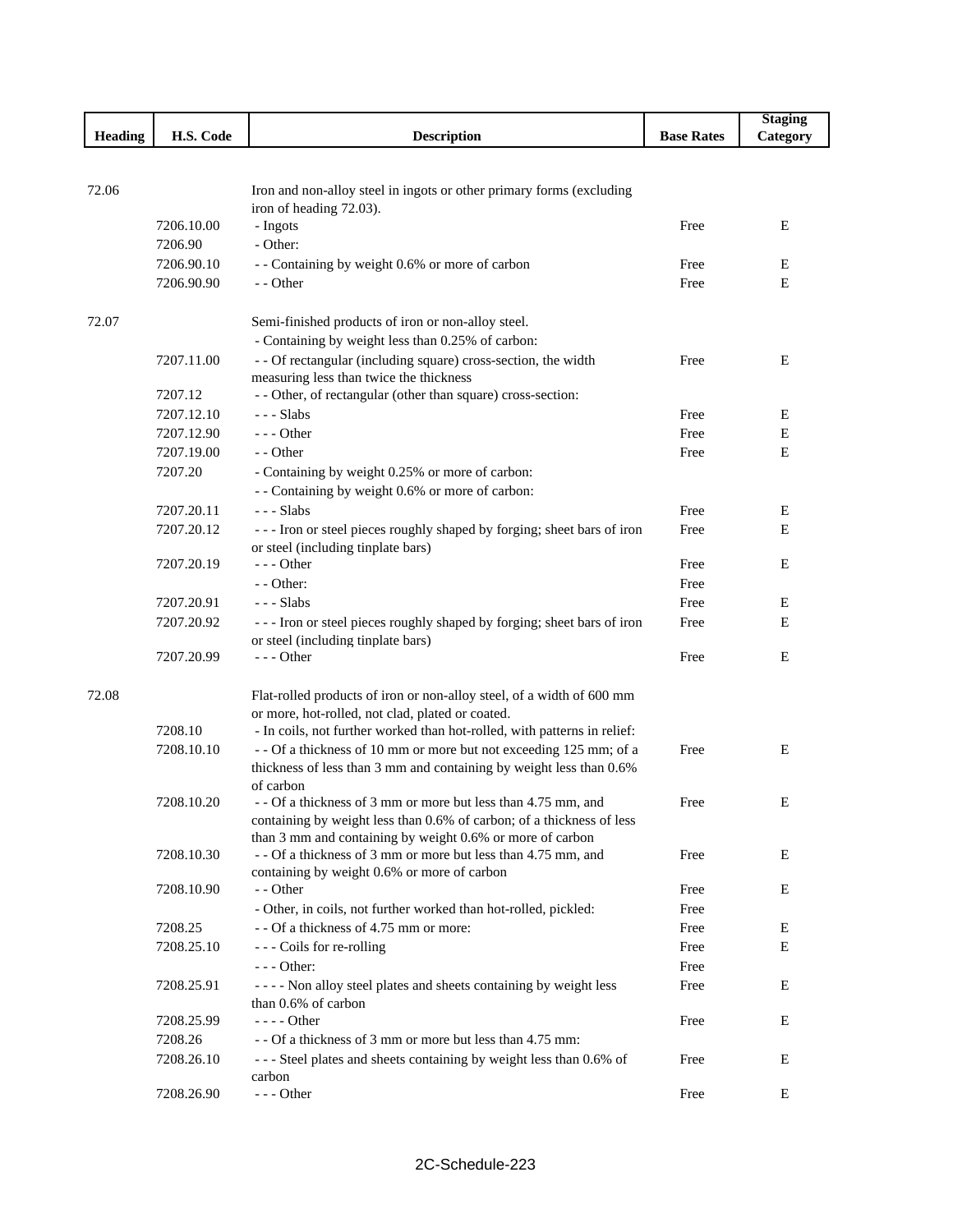|                |            |                                                                            |                   | <b>Staging</b> |
|----------------|------------|----------------------------------------------------------------------------|-------------------|----------------|
| <b>Heading</b> | H.S. Code  | <b>Description</b>                                                         | <b>Base Rates</b> | Category       |
|                |            |                                                                            |                   |                |
|                |            |                                                                            |                   |                |
| 72.06          |            | Iron and non-alloy steel in ingots or other primary forms (excluding       |                   |                |
|                | 7206.10.00 | iron of heading 72.03).<br>- Ingots                                        | Free              | Ε              |
|                | 7206.90    | - Other:                                                                   |                   |                |
|                | 7206.90.10 | - - Containing by weight 0.6% or more of carbon                            | Free              | Ε              |
|                | 7206.90.90 | - - Other                                                                  | Free              | E              |
|                |            |                                                                            |                   |                |
| 72.07          |            | Semi-finished products of iron or non-alloy steel.                         |                   |                |
|                |            | - Containing by weight less than 0.25% of carbon:                          |                   |                |
|                | 7207.11.00 | - - Of rectangular (including square) cross-section, the width             | Free              | Ε              |
|                |            | measuring less than twice the thickness                                    |                   |                |
|                | 7207.12    | - - Other, of rectangular (other than square) cross-section:               |                   |                |
|                | 7207.12.10 | $--$ Slabs                                                                 | Free              | E              |
|                | 7207.12.90 | $--$ Other                                                                 | Free              | Е              |
|                | 7207.19.00 | - - Other                                                                  | Free              | Е              |
|                | 7207.20    | - Containing by weight 0.25% or more of carbon:                            |                   |                |
|                |            | - - Containing by weight 0.6% or more of carbon:                           |                   |                |
|                | 7207.20.11 | $--$ Slabs                                                                 | Free              | Ε              |
|                | 7207.20.12 | --- Iron or steel pieces roughly shaped by forging; sheet bars of iron     | Free              | E              |
|                |            | or steel (including tinplate bars)                                         |                   |                |
|                | 7207.20.19 | $--$ Other                                                                 | Free              | Е              |
|                |            | - - Other:                                                                 | Free              |                |
|                | 7207.20.91 | - - - Slabs                                                                | Free              | Ε              |
|                | 7207.20.92 | --- Iron or steel pieces roughly shaped by forging; sheet bars of iron     | Free              | E              |
|                |            | or steel (including tinplate bars)                                         |                   |                |
|                | 7207.20.99 | $--$ Other                                                                 | Free              | Е              |
|                |            |                                                                            |                   |                |
| 72.08          |            | Flat-rolled products of iron or non-alloy steel, of a width of 600 mm      |                   |                |
|                |            | or more, hot-rolled, not clad, plated or coated.                           |                   |                |
|                | 7208.10    | - In coils, not further worked than hot-rolled, with patterns in relief:   |                   |                |
|                | 7208.10.10 | -- Of a thickness of 10 mm or more but not exceeding 125 mm; of a          | Free              | Ε              |
|                |            | thickness of less than 3 mm and containing by weight less than 0.6%        |                   |                |
|                | 7208.10.20 | of carbon<br>- - Of a thickness of 3 mm or more but less than 4.75 mm, and | Free              | Ε              |
|                |            | containing by weight less than 0.6% of carbon; of a thickness of less      |                   |                |
|                |            | than 3 mm and containing by weight 0.6% or more of carbon                  |                   |                |
|                | 7208.10.30 | - - Of a thickness of 3 mm or more but less than 4.75 mm, and              | Free              | E              |
|                |            | containing by weight 0.6% or more of carbon                                |                   |                |
|                | 7208.10.90 | - - Other                                                                  | Free              | Ε              |
|                |            | - Other, in coils, not further worked than hot-rolled, pickled:            | Free              |                |
|                | 7208.25    | - - Of a thickness of 4.75 mm or more:                                     | Free              | Е              |
|                | 7208.25.10 | --- Coils for re-rolling                                                   | Free              | Е              |
|                |            | $--$ Other:                                                                | Free              |                |
|                | 7208.25.91 | - - - - Non alloy steel plates and sheets containing by weight less        | Free              | Ε              |
|                |            | than 0.6% of carbon                                                        |                   |                |
|                | 7208.25.99 | $--- Other$                                                                | Free              | Ε              |
|                | 7208.26    | - - Of a thickness of 3 mm or more but less than 4.75 mm:                  |                   |                |
|                | 7208.26.10 | --- Steel plates and sheets containing by weight less than 0.6% of         | Free              | Ε              |
|                |            | carbon                                                                     |                   |                |
|                | 7208.26.90 | $--$ Other                                                                 | Free              | Ε              |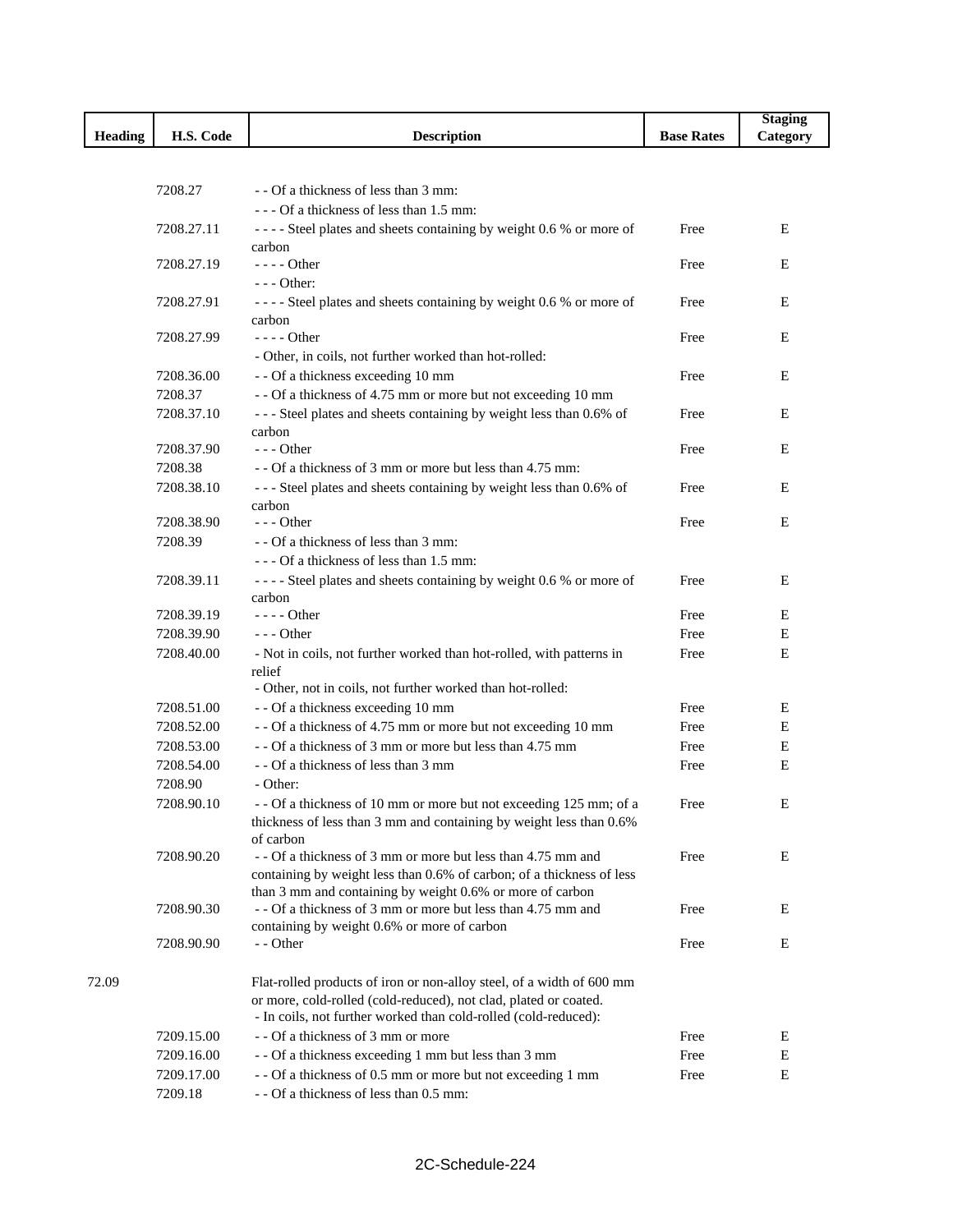|                |            |                                                                              |                   | <b>Staging</b> |
|----------------|------------|------------------------------------------------------------------------------|-------------------|----------------|
| <b>Heading</b> | H.S. Code  | <b>Description</b>                                                           | <b>Base Rates</b> | Category       |
|                |            |                                                                              |                   |                |
|                |            |                                                                              |                   |                |
|                | 7208.27    | - - Of a thickness of less than 3 mm:                                        |                   |                |
|                |            | --- Of a thickness of less than 1.5 mm:                                      |                   |                |
|                | 7208.27.11 | ---- Steel plates and sheets containing by weight 0.6 % or more of           | Free              | E              |
|                |            | carbon                                                                       |                   |                |
|                | 7208.27.19 | $---$ Other                                                                  | Free              | Ε              |
|                |            | $--$ Other:                                                                  |                   |                |
|                | 7208.27.91 | ---- Steel plates and sheets containing by weight 0.6 % or more of           | Free              | E              |
|                |            | carbon                                                                       |                   |                |
|                | 7208.27.99 | $---$ Other                                                                  | Free              | E              |
|                |            | - Other, in coils, not further worked than hot-rolled:                       |                   |                |
|                | 7208.36.00 | - - Of a thickness exceeding 10 mm                                           | Free              | Е              |
|                | 7208.37    | - - Of a thickness of 4.75 mm or more but not exceeding 10 mm                |                   |                |
|                | 7208.37.10 | --- Steel plates and sheets containing by weight less than 0.6% of           | Free              | Ε              |
|                | 7208.37.90 | carbon                                                                       |                   |                |
|                |            | $--$ Other                                                                   | Free              | E              |
|                | 7208.38    | - - Of a thickness of 3 mm or more but less than 4.75 mm:                    |                   |                |
|                | 7208.38.10 | --- Steel plates and sheets containing by weight less than 0.6% of           | Free              | Ε              |
|                | 7208.38.90 | carbon<br>$--$ Other                                                         | Free              | E              |
|                | 7208.39    | - - Of a thickness of less than 3 mm:                                        |                   |                |
|                |            | --- Of a thickness of less than 1.5 mm:                                      |                   |                |
|                | 7208.39.11 |                                                                              | Free              | Ε              |
|                |            | ---- Steel plates and sheets containing by weight 0.6 % or more of<br>carbon |                   |                |
|                | 7208.39.19 | $--- Other$                                                                  | Free              | E              |
|                | 7208.39.90 | $--$ Other                                                                   | Free              | E              |
|                | 7208.40.00 | - Not in coils, not further worked than hot-rolled, with patterns in         | Free              | E              |
|                |            | relief                                                                       |                   |                |
|                |            | - Other, not in coils, not further worked than hot-rolled:                   |                   |                |
|                | 7208.51.00 | - - Of a thickness exceeding 10 mm                                           | Free              | Ε              |
|                | 7208.52.00 | - - Of a thickness of 4.75 mm or more but not exceeding 10 mm                | Free              | E              |
|                | 7208.53.00 | - - Of a thickness of 3 mm or more but less than 4.75 mm                     | Free              | E              |
|                | 7208.54.00 | - - Of a thickness of less than 3 mm                                         | Free              | E              |
|                | 7208.90    | - Other:                                                                     |                   |                |
|                | 7208.90.10 | - - Of a thickness of 10 mm or more but not exceeding 125 mm; of a           | Free              | E              |
|                |            | thickness of less than 3 mm and containing by weight less than 0.6%          |                   |                |
|                |            | of carbon                                                                    |                   |                |
|                | 7208.90.20 | - - Of a thickness of 3 mm or more but less than 4.75 mm and                 | Free              | E              |
|                |            | containing by weight less than 0.6% of carbon; of a thickness of less        |                   |                |
|                |            | than 3 mm and containing by weight 0.6% or more of carbon                    |                   |                |
|                | 7208.90.30 | - - Of a thickness of 3 mm or more but less than 4.75 mm and                 | Free              | Ε              |
|                |            | containing by weight 0.6% or more of carbon                                  |                   |                |
|                | 7208.90.90 | - - Other                                                                    | Free              | E              |
|                |            |                                                                              |                   |                |
| 72.09          |            | Flat-rolled products of iron or non-alloy steel, of a width of 600 mm        |                   |                |
|                |            | or more, cold-rolled (cold-reduced), not clad, plated or coated.             |                   |                |
|                |            | - In coils, not further worked than cold-rolled (cold-reduced):              |                   |                |
|                | 7209.15.00 | - - Of a thickness of 3 mm or more                                           | Free              | E              |
|                | 7209.16.00 | - - Of a thickness exceeding 1 mm but less than 3 mm                         | Free              | E              |
|                | 7209.17.00 | - - Of a thickness of 0.5 mm or more but not exceeding 1 mm                  | Free              | Ε              |
|                | 7209.18    | - - Of a thickness of less than 0.5 mm:                                      |                   |                |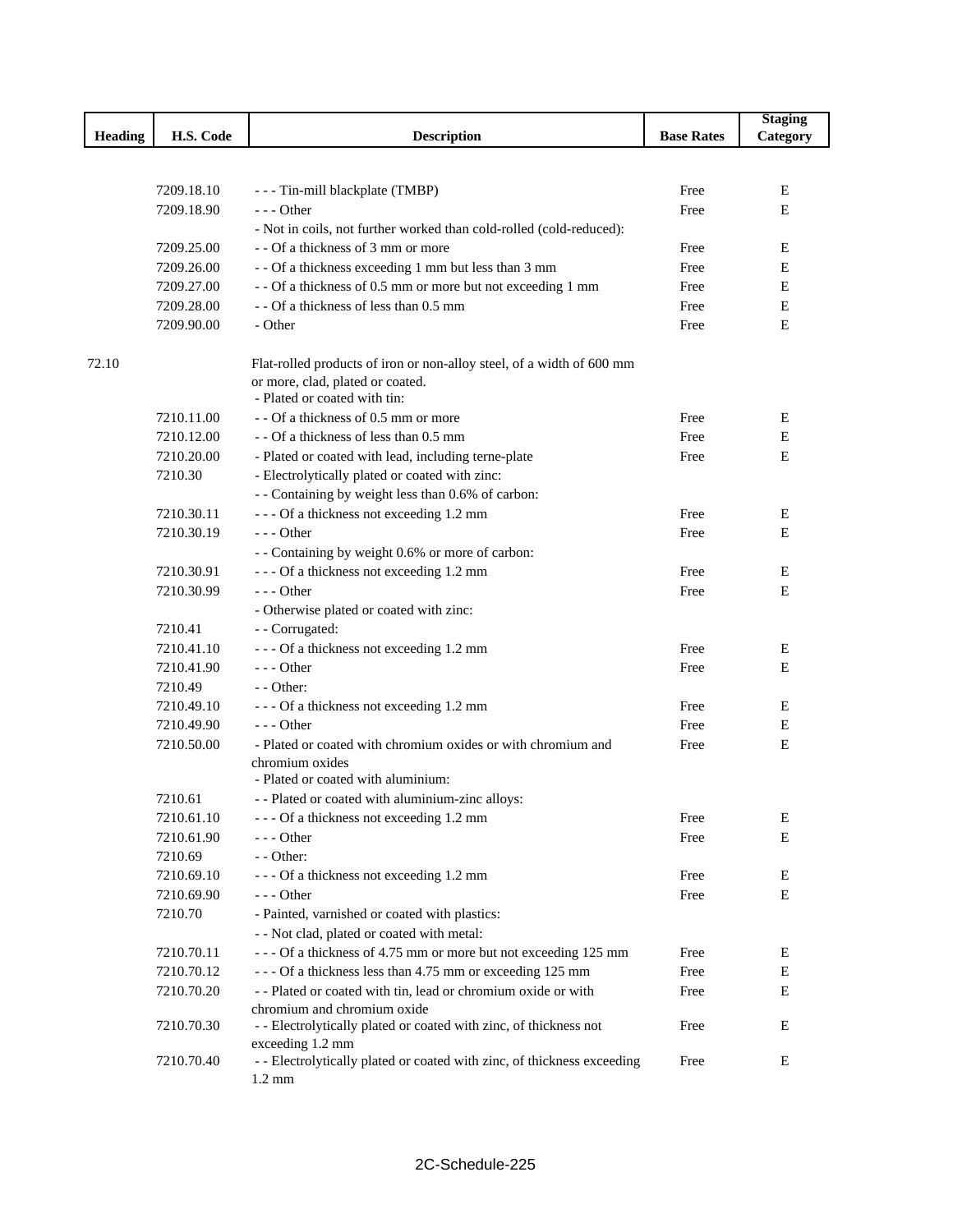|                |            |                                                                                                                                           |                   | <b>Staging</b> |
|----------------|------------|-------------------------------------------------------------------------------------------------------------------------------------------|-------------------|----------------|
| <b>Heading</b> | H.S. Code  | <b>Description</b>                                                                                                                        | <b>Base Rates</b> | Category       |
|                |            |                                                                                                                                           |                   |                |
|                |            |                                                                                                                                           |                   |                |
|                | 7209.18.10 | --- Tin-mill blackplate (TMBP)                                                                                                            | Free              | Е              |
|                | 7209.18.90 | $--$ Other                                                                                                                                | Free              | E              |
|                |            | - Not in coils, not further worked than cold-rolled (cold-reduced):                                                                       |                   |                |
|                | 7209.25.00 | - - Of a thickness of 3 mm or more                                                                                                        | Free              | Е              |
|                | 7209.26.00 | - - Of a thickness exceeding 1 mm but less than 3 mm                                                                                      | Free              | Е              |
|                | 7209.27.00 | - - Of a thickness of 0.5 mm or more but not exceeding 1 mm                                                                               | Free              | $\mathbf E$    |
|                | 7209.28.00 | - - Of a thickness of less than 0.5 mm                                                                                                    | Free              | $\mathbf E$    |
|                | 7209.90.00 | - Other                                                                                                                                   | Free              | E              |
| 72.10          |            | Flat-rolled products of iron or non-alloy steel, of a width of 600 mm<br>or more, clad, plated or coated.<br>- Plated or coated with tin: |                   |                |
|                | 7210.11.00 | - - Of a thickness of 0.5 mm or more                                                                                                      | Free              | Е              |
|                | 7210.12.00 | - - Of a thickness of less than 0.5 mm                                                                                                    | Free              | E              |
|                | 7210.20.00 |                                                                                                                                           | Free              | E              |
|                | 7210.30    | - Plated or coated with lead, including terne-plate                                                                                       |                   |                |
|                |            | - Electrolytically plated or coated with zinc:                                                                                            |                   |                |
|                |            | - - Containing by weight less than 0.6% of carbon:                                                                                        |                   |                |
|                | 7210.30.11 | --- Of a thickness not exceeding 1.2 mm                                                                                                   | Free              | E              |
|                | 7210.30.19 | $- -$ Other                                                                                                                               | Free              | E              |
|                |            | - - Containing by weight 0.6% or more of carbon:                                                                                          |                   |                |
|                | 7210.30.91 | --- Of a thickness not exceeding 1.2 mm                                                                                                   | Free              | E              |
|                | 7210.30.99 | $- -$ Other                                                                                                                               | Free              | E              |
|                |            | - Otherwise plated or coated with zinc:                                                                                                   |                   |                |
|                | 7210.41    | - - Corrugated:                                                                                                                           |                   |                |
|                | 7210.41.10 | --- Of a thickness not exceeding 1.2 mm                                                                                                   | Free              | Е              |
|                | 7210.41.90 | $- -$ Other                                                                                                                               | Free              | E              |
|                | 7210.49    | $-$ - Other:                                                                                                                              |                   |                |
|                | 7210.49.10 | --- Of a thickness not exceeding 1.2 mm                                                                                                   | Free              | E              |
|                | 7210.49.90 | $- -$ Other                                                                                                                               | Free              | Ε              |
|                | 7210.50.00 | - Plated or coated with chromium oxides or with chromium and<br>chromium oxides<br>- Plated or coated with aluminium:                     | Free              | E              |
|                | 7210.61    | - - Plated or coated with aluminium-zinc alloys:                                                                                          |                   |                |
|                | 7210.61.10 | --- Of a thickness not exceeding 1.2 mm                                                                                                   | Free              | E              |
|                | 7210.61.90 | $--$ Other                                                                                                                                | Free              | E              |
|                | 7210.69    | - - Other:                                                                                                                                |                   |                |
|                | 7210.69.10 | --- Of a thickness not exceeding 1.2 mm                                                                                                   | Free              | E              |
|                | 7210.69.90 | $--$ Other                                                                                                                                | Free              | Е              |
|                | 7210.70    | - Painted, varnished or coated with plastics:                                                                                             |                   |                |
|                |            |                                                                                                                                           |                   |                |
|                |            | - - Not clad, plated or coated with metal:                                                                                                |                   |                |
|                | 7210.70.11 | --- Of a thickness of 4.75 mm or more but not exceeding 125 mm                                                                            | Free              | E              |
|                | 7210.70.12 | --- Of a thickness less than 4.75 mm or exceeding 125 mm                                                                                  | Free              | Е              |
|                | 7210.70.20 | -- Plated or coated with tin, lead or chromium oxide or with                                                                              | Free              | Е              |
|                | 7210.70.30 | chromium and chromium oxide<br>- - Electrolytically plated or coated with zinc, of thickness not                                          | Free              | Е              |
|                |            | exceeding 1.2 mm                                                                                                                          |                   |                |
|                | 7210.70.40 | - - Electrolytically plated or coated with zinc, of thickness exceeding<br>$1.2 \text{ mm}$                                               | Free              | Ε              |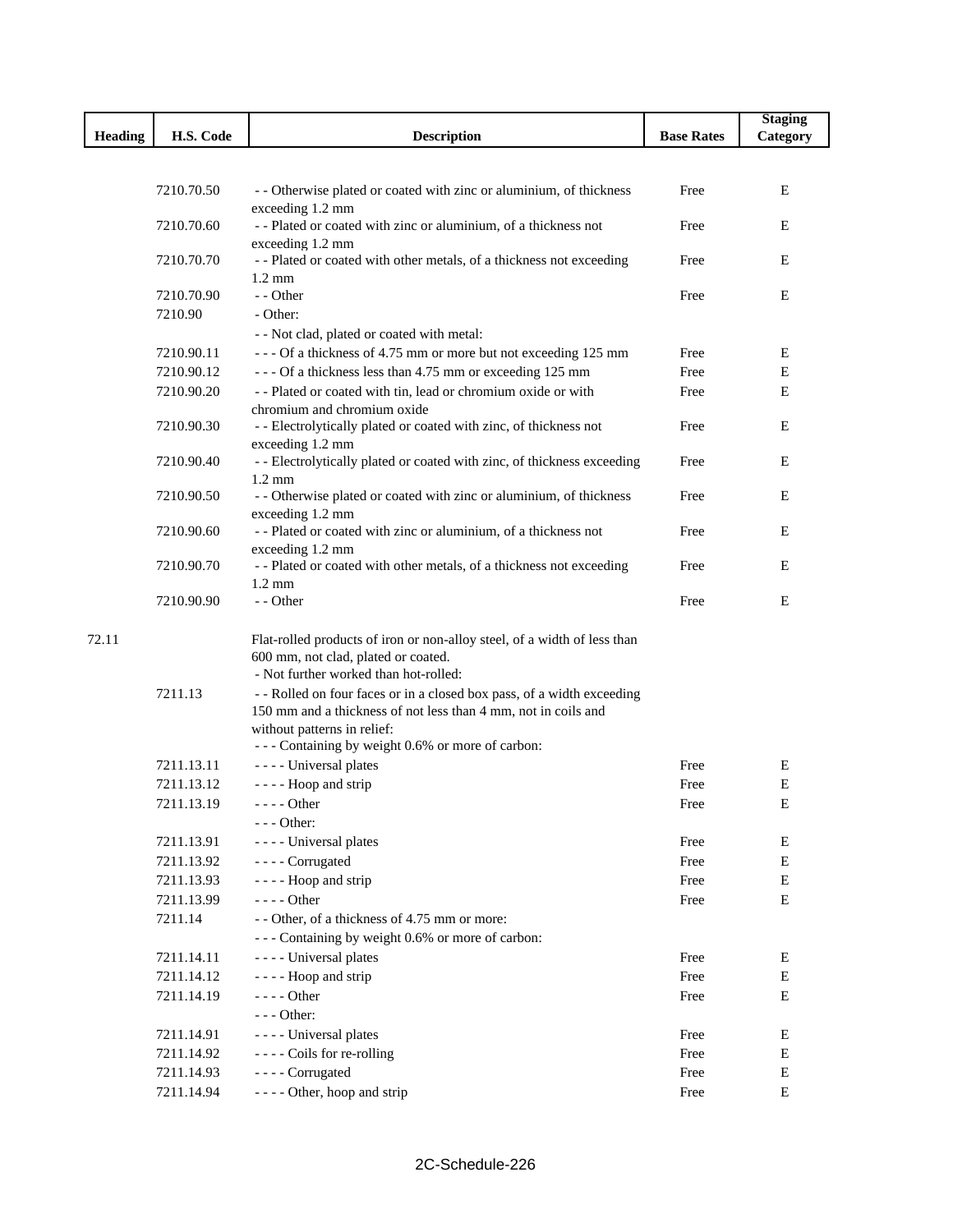|         |            |                                                                                     |                   | <b>Staging</b> |
|---------|------------|-------------------------------------------------------------------------------------|-------------------|----------------|
| Heading | H.S. Code  | <b>Description</b>                                                                  | <b>Base Rates</b> | Category       |
|         |            |                                                                                     |                   |                |
|         |            |                                                                                     |                   |                |
|         | 7210.70.50 | - - Otherwise plated or coated with zinc or aluminium, of thickness                 | Free              | E              |
|         |            | exceeding 1.2 mm                                                                    |                   |                |
|         | 7210.70.60 | -- Plated or coated with zinc or aluminium, of a thickness not<br>exceeding 1.2 mm  | Free              | E              |
|         | 7210.70.70 | -- Plated or coated with other metals, of a thickness not exceeding                 | Free              | Ε              |
|         |            | $1.2 \text{ mm}$                                                                    |                   |                |
|         | 7210.70.90 | - - Other                                                                           | Free              | Ε              |
|         | 7210.90    | - Other:                                                                            |                   |                |
|         |            | - - Not clad, plated or coated with metal:                                          |                   |                |
|         | 7210.90.11 | --- Of a thickness of 4.75 mm or more but not exceeding 125 mm                      | Free              | Ε              |
|         | 7210.90.12 | --- Of a thickness less than 4.75 mm or exceeding 125 mm                            | Free              | E              |
|         | 7210.90.20 | - - Plated or coated with tin, lead or chromium oxide or with                       | Free              | E              |
|         |            | chromium and chromium oxide                                                         |                   |                |
|         | 7210.90.30 | - - Electrolytically plated or coated with zinc, of thickness not                   | Free              | Ε              |
|         |            | exceeding 1.2 mm                                                                    |                   |                |
|         | 7210.90.40 | - - Electrolytically plated or coated with zinc, of thickness exceeding             | Free              | E              |
|         |            | $1.2 \text{ mm}$                                                                    |                   |                |
|         | 7210.90.50 | - - Otherwise plated or coated with zinc or aluminium, of thickness                 | Free              | E              |
|         | 7210.90.60 | exceeding 1.2 mm                                                                    | Free              | E              |
|         |            | - - Plated or coated with zinc or aluminium, of a thickness not<br>exceeding 1.2 mm |                   |                |
|         | 7210.90.70 | -- Plated or coated with other metals, of a thickness not exceeding                 | Free              | E              |
|         |            | $1.2 \text{ mm}$                                                                    |                   |                |
|         | 7210.90.90 | - - Other                                                                           | Free              | Ε              |
|         |            |                                                                                     |                   |                |
| 72.11   |            | Flat-rolled products of iron or non-alloy steel, of a width of less than            |                   |                |
|         |            | 600 mm, not clad, plated or coated.                                                 |                   |                |
|         |            | - Not further worked than hot-rolled:                                               |                   |                |
|         | 7211.13    | - - Rolled on four faces or in a closed box pass, of a width exceeding              |                   |                |
|         |            | 150 mm and a thickness of not less than 4 mm, not in coils and                      |                   |                |
|         |            | without patterns in relief:                                                         |                   |                |
|         |            | --- Containing by weight 0.6% or more of carbon:                                    |                   |                |
|         | 7211.13.11 | ---- Universal plates                                                               | Free              | E              |
|         | 7211.13.12 | - - - - Hoop and strip                                                              | Free              | $\mathbf E$    |
|         | 7211.13.19 | $---$ Other                                                                         | Free              | E              |
|         |            | $--$ Other:                                                                         |                   |                |
|         | 7211.13.91 | - - - - Universal plates                                                            | Free              | ${\bf E}$      |
|         | 7211.13.92 | - - - - Corrugated                                                                  | Free              | ${\bf E}$      |
|         | 7211.13.93 | - - - - Hoop and strip                                                              | Free              | ${\bf E}$      |
|         | 7211.13.99 | ---- Other                                                                          | Free              | $\mathbf E$    |
|         | 7211.14    | - - Other, of a thickness of 4.75 mm or more:                                       |                   |                |
|         |            | --- Containing by weight 0.6% or more of carbon:                                    |                   |                |
|         | 7211.14.11 | ---- Universal plates                                                               | Free              | Е              |
|         | 7211.14.12 | - - - - Hoop and strip                                                              | Free              | E              |
|         | 7211.14.19 | $--- Other$                                                                         | Free              | E              |
|         |            | $--$ Other:                                                                         |                   |                |
|         | 7211.14.91 | - - - - Universal plates                                                            | Free              | Ε              |
|         | 7211.14.92 | ---- Coils for re-rolling                                                           | Free              | Ε              |
|         | 7211.14.93 | - - - - Corrugated                                                                  | Free              | Ε              |
|         | 7211.14.94 | - - - - Other, hoop and strip                                                       | Free              | E              |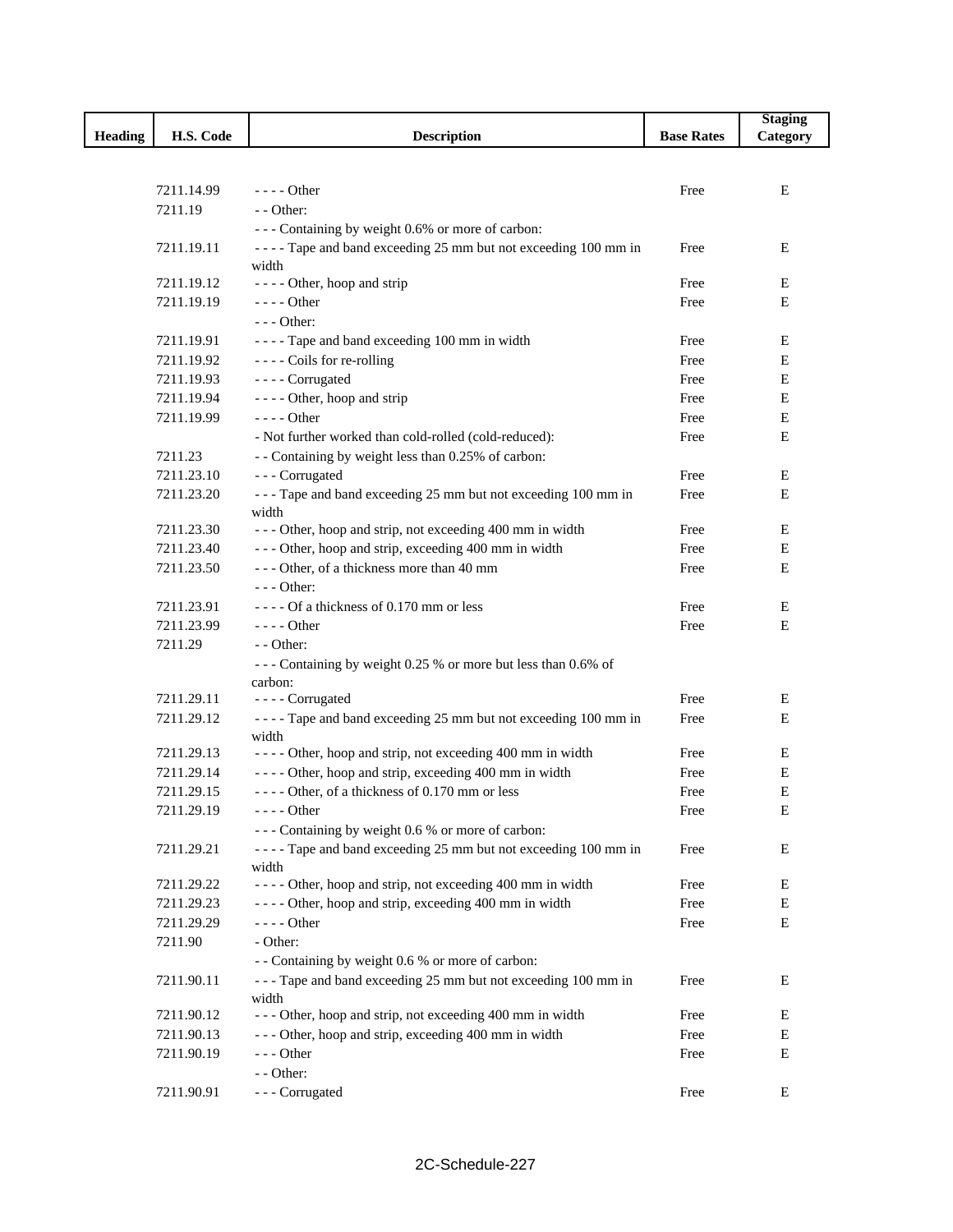|                |            |                                                                         |                   | <b>Staging</b> |
|----------------|------------|-------------------------------------------------------------------------|-------------------|----------------|
| <b>Heading</b> | H.S. Code  | <b>Description</b>                                                      | <b>Base Rates</b> | Category       |
|                |            |                                                                         |                   |                |
|                |            |                                                                         |                   |                |
|                | 7211.14.99 | $---$ Other                                                             | Free              | Ε              |
|                | 7211.19    | - - Other:                                                              |                   |                |
|                |            | --- Containing by weight 0.6% or more of carbon:                        |                   |                |
|                | 7211.19.11 | ---- Tape and band exceeding 25 mm but not exceeding 100 mm in<br>width | Free              | E              |
|                | 7211.19.12 | - - - - Other, hoop and strip                                           | Free              | E              |
|                | 7211.19.19 | $--- Other$                                                             | Free              | E              |
|                |            | $--$ Other:                                                             |                   |                |
|                | 7211.19.91 | ---- Tape and band exceeding 100 mm in width                            | Free              | E              |
|                | 7211.19.92 | ---- Coils for re-rolling                                               | Free              | E              |
|                | 7211.19.93 | - - - - Corrugated                                                      | Free              | Е              |
|                | 7211.19.94 | - - - - Other, hoop and strip                                           | Free              | ${\bf E}$      |
|                | 7211.19.99 | $--- Other$                                                             | Free              | Ε              |
|                |            | - Not further worked than cold-rolled (cold-reduced):                   | Free              | E              |
|                | 7211.23    | - - Containing by weight less than 0.25% of carbon:                     |                   |                |
|                | 7211.23.10 | --- Corrugated                                                          | Free              | Е              |
|                | 7211.23.20 | --- Tape and band exceeding 25 mm but not exceeding 100 mm in           | Free              | E              |
|                |            | width                                                                   |                   |                |
|                | 7211.23.30 | --- Other, hoop and strip, not exceeding 400 mm in width                | Free              | Ε              |
|                | 7211.23.40 | --- Other, hoop and strip, exceeding 400 mm in width                    | Free              | E              |
|                | 7211.23.50 | --- Other, of a thickness more than 40 mm                               | Free              | Ε              |
|                |            | $--$ Other:                                                             |                   |                |
|                | 7211.23.91 | $---$ Of a thickness of 0.170 mm or less                                | Free              | Е              |
|                | 7211.23.99 | $--- Other$                                                             | Free              | E              |
|                | 7211.29    | - - Other:                                                              |                   |                |
|                |            | --- Containing by weight 0.25 % or more but less than 0.6% of           |                   |                |
|                |            | carbon:                                                                 |                   |                |
|                | 7211.29.11 | - - - - Corrugated                                                      | Free              | Е              |
|                | 7211.29.12 | ---- Tape and band exceeding 25 mm but not exceeding 100 mm in          | Free              | Ε              |
|                |            | width                                                                   |                   |                |
|                | 7211.29.13 | - - - - Other, hoop and strip, not exceeding 400 mm in width            | Free              | Е              |
|                | 7211.29.14 | - - - - Other, hoop and strip, exceeding 400 mm in width                | Free              | Ε              |
|                | 7211.29.15 | ---- Other, of a thickness of 0.170 mm or less                          | Free              | Ε              |
|                | 7211.29.19 | - - - - Other                                                           | Free              | E              |
|                |            | --- Containing by weight 0.6 % or more of carbon:                       |                   |                |
|                | 7211.29.21 | ---- Tape and band exceeding 25 mm but not exceeding 100 mm in          | Free              | Е              |
|                | 7211.29.22 | width<br>- - - - Other, hoop and strip, not exceeding 400 mm in width   | Free              | E              |
|                | 7211.29.23 | - - - - Other, hoop and strip, exceeding 400 mm in width                | Free              | E              |
|                | 7211.29.29 | - - - - Other                                                           | Free              | ${\bf E}$      |
|                | 7211.90    | - Other:                                                                |                   |                |
|                |            | - - Containing by weight 0.6 % or more of carbon:                       |                   |                |
|                | 7211.90.11 | --- Tape and band exceeding 25 mm but not exceeding 100 mm in           | Free              | E              |
|                |            | width                                                                   |                   |                |
|                | 7211.90.12 | --- Other, hoop and strip, not exceeding 400 mm in width                | Free              | Е              |
|                | 7211.90.13 | --- Other, hoop and strip, exceeding 400 mm in width                    | Free              | E              |
|                | 7211.90.19 | $--$ Other                                                              | Free              | ${\bf E}$      |
|                |            | - - Other:                                                              |                   |                |
|                | 7211.90.91 | --- Corrugated                                                          | Free              | Е              |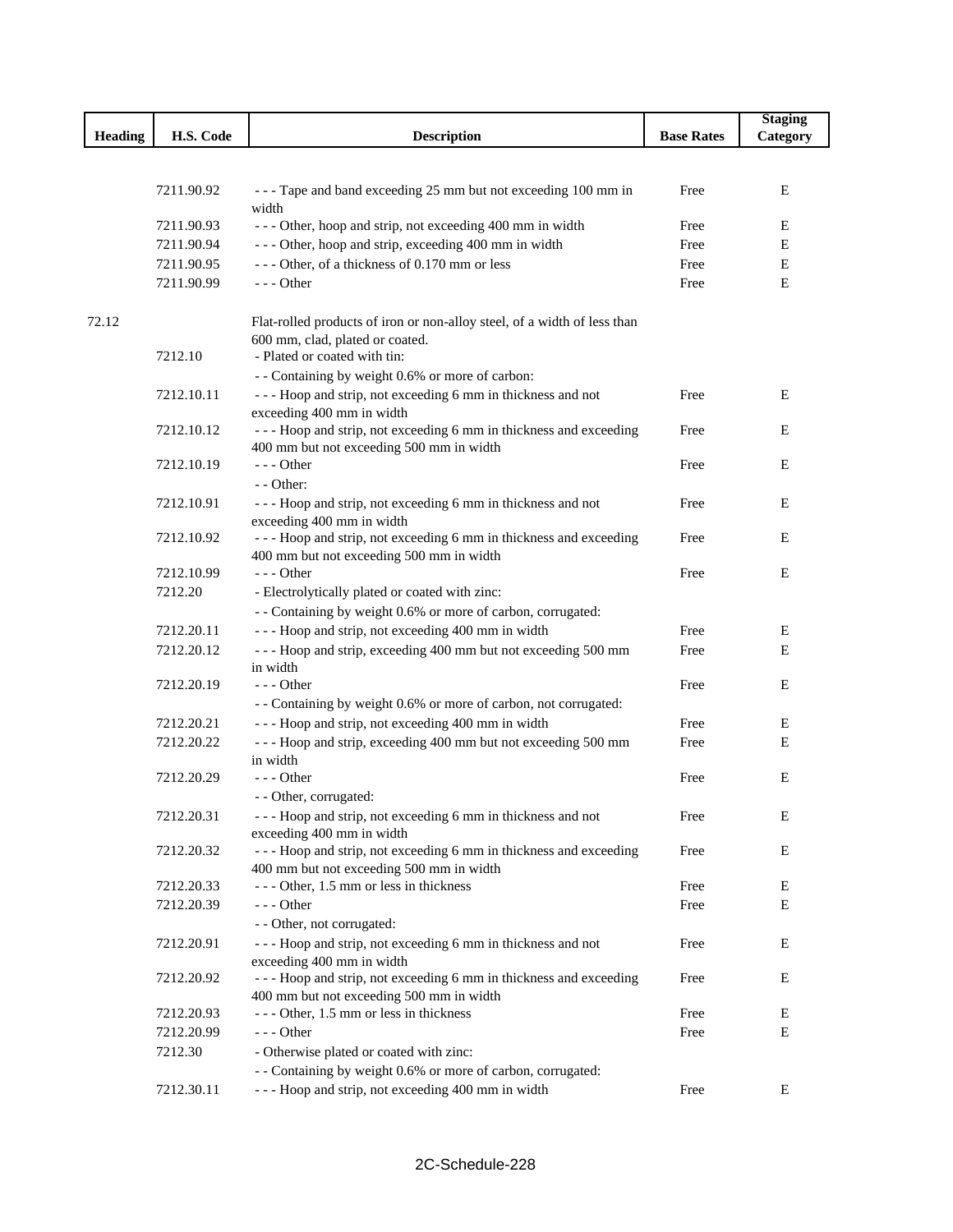|                |                          |                                                                                                       |                   | <b>Staging</b> |
|----------------|--------------------------|-------------------------------------------------------------------------------------------------------|-------------------|----------------|
| <b>Heading</b> | H.S. Code                | <b>Description</b>                                                                                    | <b>Base Rates</b> | Category       |
|                |                          |                                                                                                       |                   |                |
|                |                          |                                                                                                       |                   |                |
|                | 7211.90.92               | --- Tape and band exceeding 25 mm but not exceeding 100 mm in                                         | Free              | E              |
|                |                          | width                                                                                                 |                   |                |
|                | 7211.90.93               | --- Other, hoop and strip, not exceeding 400 mm in width                                              | Free              | Е              |
|                | 7211.90.94               | --- Other, hoop and strip, exceeding 400 mm in width<br>--- Other, of a thickness of 0.170 mm or less | Free              | E<br>E         |
|                | 7211.90.95<br>7211.90.99 | $--$ Other                                                                                            | Free              | Е              |
|                |                          |                                                                                                       | Free              |                |
| 72.12          |                          | Flat-rolled products of iron or non-alloy steel, of a width of less than                              |                   |                |
|                |                          | 600 mm, clad, plated or coated.                                                                       |                   |                |
|                | 7212.10                  | - Plated or coated with tin:                                                                          |                   |                |
|                |                          | - - Containing by weight 0.6% or more of carbon:                                                      |                   |                |
|                | 7212.10.11               | --- Hoop and strip, not exceeding 6 mm in thickness and not                                           | Free              | Ε              |
|                |                          | exceeding 400 mm in width                                                                             |                   |                |
|                | 7212.10.12               | --- Hoop and strip, not exceeding 6 mm in thickness and exceeding                                     | Free              | E              |
|                |                          | 400 mm but not exceeding 500 mm in width                                                              |                   |                |
|                | 7212.10.19               | - - - Other                                                                                           | Free              | Ε              |
|                |                          | $-$ - Other:                                                                                          |                   |                |
|                | 7212.10.91               | --- Hoop and strip, not exceeding 6 mm in thickness and not                                           | Free              | E              |
|                |                          | exceeding 400 mm in width                                                                             |                   |                |
|                | 7212.10.92               | --- Hoop and strip, not exceeding 6 mm in thickness and exceeding                                     | Free              | E              |
|                |                          | 400 mm but not exceeding 500 mm in width                                                              |                   |                |
|                | 7212.10.99               | $--$ Other                                                                                            | Free              | E              |
|                | 7212.20                  | - Electrolytically plated or coated with zinc:                                                        |                   |                |
|                |                          | - - Containing by weight 0.6% or more of carbon, corrugated:                                          |                   |                |
|                | 7212.20.11               | --- Hoop and strip, not exceeding 400 mm in width                                                     | Free              | Е              |
|                | 7212.20.12               | --- Hoop and strip, exceeding 400 mm but not exceeding 500 mm                                         | Free              | Ε              |
|                |                          | in width                                                                                              |                   |                |
|                | 7212.20.19               | $--$ Other                                                                                            | Free              | Ε              |
|                |                          | - - Containing by weight 0.6% or more of carbon, not corrugated:                                      |                   |                |
|                | 7212.20.21               | --- Hoop and strip, not exceeding 400 mm in width                                                     | Free              | E              |
|                | 7212.20.22               | --- Hoop and strip, exceeding 400 mm but not exceeding 500 mm                                         | Free              | E              |
|                | 7212.20.29               | in width<br>$--$ Other                                                                                | Free              | Ε              |
|                |                          | - - Other, corrugated:                                                                                |                   |                |
|                | 7212.20.31               | --- Hoop and strip, not exceeding 6 mm in thickness and not                                           | Free              | E              |
|                |                          | exceeding 400 mm in width                                                                             |                   |                |
|                | 7212.20.32               | --- Hoop and strip, not exceeding 6 mm in thickness and exceeding                                     | Free              | E              |
|                |                          | 400 mm but not exceeding 500 mm in width                                                              |                   |                |
|                | 7212.20.33               | - - - Other, 1.5 mm or less in thickness                                                              | Free              | E              |
|                | 7212.20.39               | - - - Other                                                                                           | Free              | Ε              |
|                |                          | - - Other, not corrugated:                                                                            |                   |                |
|                | 7212.20.91               | --- Hoop and strip, not exceeding 6 mm in thickness and not                                           | Free              | Ε              |
|                |                          | exceeding 400 mm in width                                                                             |                   |                |
|                | 7212.20.92               | --- Hoop and strip, not exceeding 6 mm in thickness and exceeding                                     | Free              | E              |
|                |                          | 400 mm but not exceeding 500 mm in width                                                              |                   |                |
|                | 7212.20.93               | --- Other, 1.5 mm or less in thickness                                                                | Free              | E              |
|                | 7212.20.99               | $--$ Other                                                                                            | Free              | E              |
|                | 7212.30                  | - Otherwise plated or coated with zinc:                                                               |                   |                |
|                |                          | - - Containing by weight 0.6% or more of carbon, corrugated:                                          |                   |                |
|                | 7212.30.11               | --- Hoop and strip, not exceeding 400 mm in width                                                     | Free              | E              |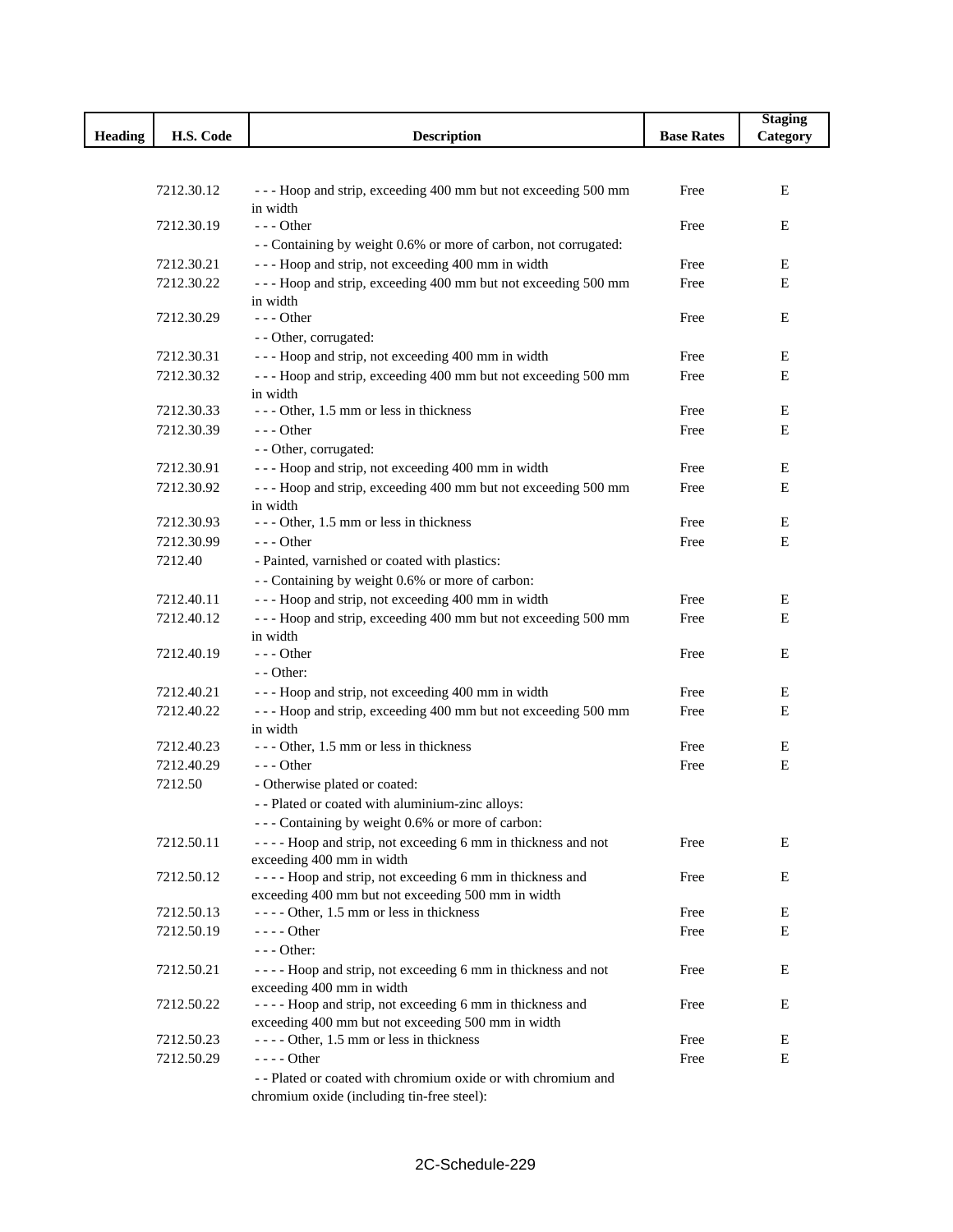|                |            |                                                                  |                   | <b>Staging</b> |
|----------------|------------|------------------------------------------------------------------|-------------------|----------------|
| <b>Heading</b> | H.S. Code  | <b>Description</b>                                               | <b>Base Rates</b> | Category       |
|                |            |                                                                  |                   |                |
|                |            |                                                                  |                   |                |
|                | 7212.30.12 | --- Hoop and strip, exceeding 400 mm but not exceeding 500 mm    | Free              | E              |
|                |            | in width                                                         |                   |                |
|                | 7212.30.19 | $- -$ Other                                                      | Free              | Ε              |
|                |            | - - Containing by weight 0.6% or more of carbon, not corrugated: |                   |                |
|                | 7212.30.21 | --- Hoop and strip, not exceeding 400 mm in width                | Free              | Е              |
|                | 7212.30.22 | --- Hoop and strip, exceeding 400 mm but not exceeding 500 mm    | Free              | E              |
|                |            | in width                                                         |                   |                |
|                | 7212.30.29 | $- -$ Other                                                      | Free              | Е              |
|                |            | - - Other, corrugated:                                           |                   |                |
|                | 7212.30.31 | --- Hoop and strip, not exceeding 400 mm in width                | Free              | Ε              |
|                | 7212.30.32 | --- Hoop and strip, exceeding 400 mm but not exceeding 500 mm    | Free              | E              |
|                |            | in width<br>--- Other, 1.5 mm or less in thickness               |                   | Е              |
|                | 7212.30.33 |                                                                  | Free              |                |
|                | 7212.30.39 | $--$ Other                                                       | Free              | Е              |
|                |            | - - Other, corrugated:                                           |                   |                |
|                | 7212.30.91 | --- Hoop and strip, not exceeding 400 mm in width                | Free              | Ε              |
|                | 7212.30.92 | --- Hoop and strip, exceeding 400 mm but not exceeding 500 mm    | Free              | Е              |
|                | 7212.30.93 | in width<br>--- Other, 1.5 mm or less in thickness               | Free              | Е              |
|                | 7212.30.99 | $- -$ Other                                                      | Free              | Е              |
|                | 7212.40    | - Painted, varnished or coated with plastics:                    |                   |                |
|                |            |                                                                  |                   |                |
|                |            | - - Containing by weight 0.6% or more of carbon:                 |                   |                |
|                | 7212.40.11 | --- Hoop and strip, not exceeding 400 mm in width                | Free              | Е              |
|                | 7212.40.12 | --- Hoop and strip, exceeding 400 mm but not exceeding 500 mm    | Free              | E              |
|                | 7212.40.19 | in width<br>$--$ Other                                           | Free              | Е              |
|                |            | $-$ - Other:                                                     |                   |                |
|                | 7212.40.21 | --- Hoop and strip, not exceeding 400 mm in width                | Free              | Ε              |
|                | 7212.40.22 | --- Hoop and strip, exceeding 400 mm but not exceeding 500 mm    | Free              | Е              |
|                |            | in width                                                         |                   |                |
|                | 7212.40.23 | --- Other, 1.5 mm or less in thickness                           | Free              | Е              |
|                | 7212.40.29 | $--$ Other                                                       | Free              | Ε              |
|                | 7212.50    | - Otherwise plated or coated:                                    |                   |                |
|                |            | - - Plated or coated with aluminium-zinc alloys:                 |                   |                |
|                |            | --- Containing by weight 0.6% or more of carbon:                 |                   |                |
|                | 7212.50.11 | ---- Hoop and strip, not exceeding 6 mm in thickness and not     | Free              | Е              |
|                |            | exceeding 400 mm in width                                        |                   |                |
|                | 7212.50.12 | ---- Hoop and strip, not exceeding 6 mm in thickness and         | Free              | Е              |
|                |            | exceeding 400 mm but not exceeding 500 mm in width               |                   |                |
|                | 7212.50.13 | ---- Other, 1.5 mm or less in thickness                          | Free              | Е              |
|                | 7212.50.19 | $---$ Other                                                      | Free              | Е              |
|                |            | $--$ Other:                                                      |                   |                |
|                | 7212.50.21 | ---- Hoop and strip, not exceeding 6 mm in thickness and not     | Free              | Е              |
|                |            | exceeding 400 mm in width                                        |                   |                |
|                | 7212.50.22 | ---- Hoop and strip, not exceeding 6 mm in thickness and         | Free              | Е              |
|                |            | exceeding 400 mm but not exceeding 500 mm in width               |                   |                |
|                | 7212.50.23 | ---- Other, 1.5 mm or less in thickness                          | Free              | E              |
|                | 7212.50.29 | $--- Other$                                                      | Free              | Е              |
|                |            | -- Plated or coated with chromium oxide or with chromium and     |                   |                |
|                |            | chromium oxide (including tin-free steel):                       |                   |                |

L

2C-Schedule-229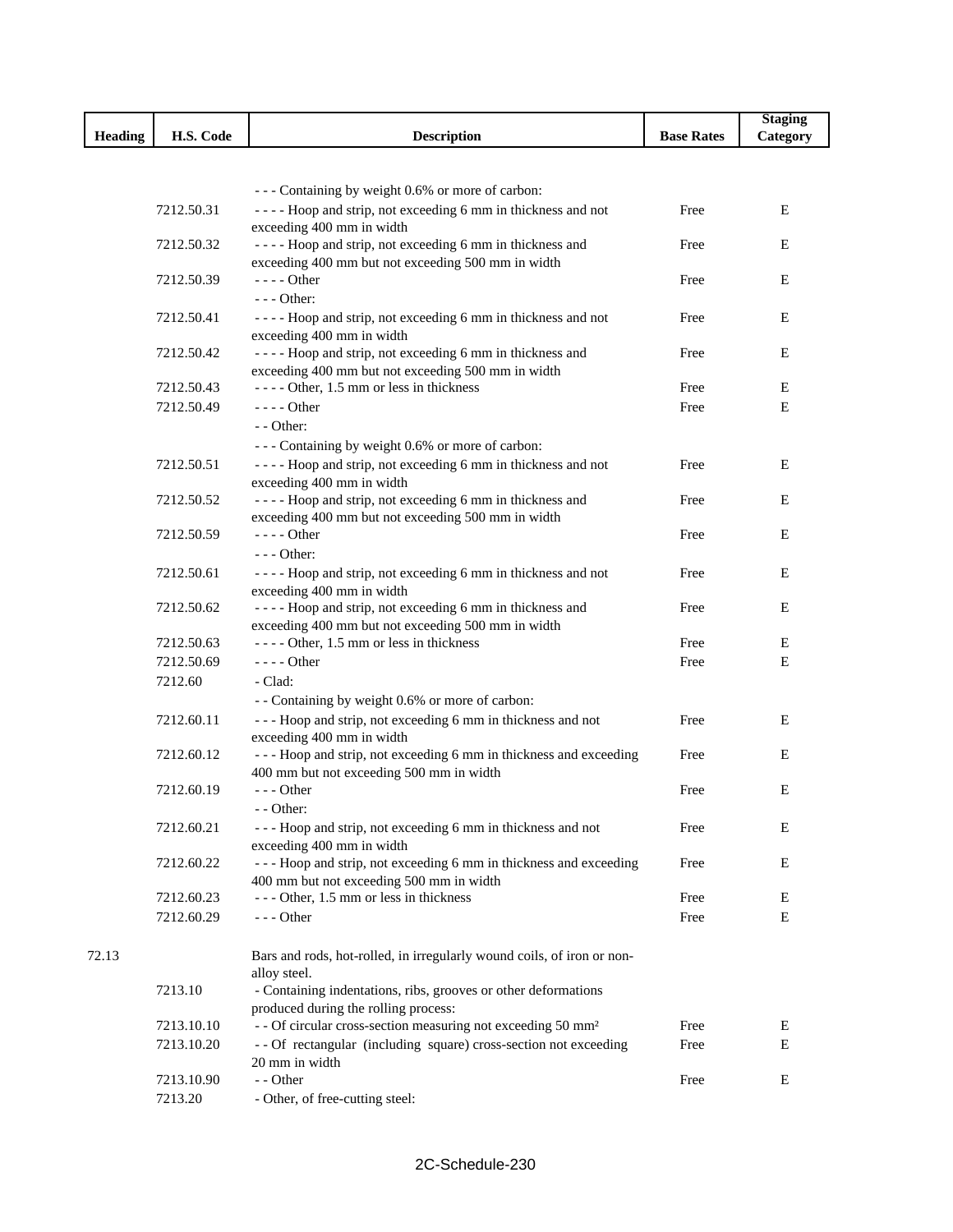|                |            |                                                                                                                |                   | <b>Staging</b> |
|----------------|------------|----------------------------------------------------------------------------------------------------------------|-------------------|----------------|
| <b>Heading</b> | H.S. Code  | <b>Description</b>                                                                                             | <b>Base Rates</b> | Category       |
|                |            |                                                                                                                |                   |                |
|                |            |                                                                                                                |                   |                |
|                |            | --- Containing by weight 0.6% or more of carbon:                                                               |                   |                |
|                | 7212.50.31 | ---- Hoop and strip, not exceeding 6 mm in thickness and not                                                   | Free              | E              |
|                |            | exceeding 400 mm in width                                                                                      |                   |                |
|                | 7212.50.32 | ---- Hoop and strip, not exceeding 6 mm in thickness and                                                       | Free              | E              |
|                | 7212.50.39 | exceeding 400 mm but not exceeding 500 mm in width<br>$---$ Other                                              | Free              | Ε              |
|                |            | $--$ Other:                                                                                                    |                   |                |
|                | 7212.50.41 | ---- Hoop and strip, not exceeding 6 mm in thickness and not                                                   | Free              | Ε              |
|                |            | exceeding 400 mm in width                                                                                      |                   |                |
|                | 7212.50.42 | ---- Hoop and strip, not exceeding 6 mm in thickness and                                                       | Free              | Ε              |
|                |            | exceeding 400 mm but not exceeding 500 mm in width                                                             |                   |                |
|                | 7212.50.43 | $---$ Other, 1.5 mm or less in thickness                                                                       | Free              | E              |
|                | 7212.50.49 | $---$ Other                                                                                                    | Free              | E              |
|                |            | $-$ - Other:                                                                                                   |                   |                |
|                |            | --- Containing by weight 0.6% or more of carbon:                                                               |                   |                |
|                | 7212.50.51 | ---- Hoop and strip, not exceeding 6 mm in thickness and not                                                   | Free              | E              |
|                |            | exceeding 400 mm in width                                                                                      |                   |                |
|                | 7212.50.52 | ---- Hoop and strip, not exceeding 6 mm in thickness and                                                       | Free              | E              |
|                |            | exceeding 400 mm but not exceeding 500 mm in width                                                             |                   |                |
|                | 7212.50.59 | $---$ Other                                                                                                    | Free              | E              |
|                |            | $--$ Other:                                                                                                    |                   |                |
|                | 7212.50.61 | ---- Hoop and strip, not exceeding 6 mm in thickness and not                                                   | Free              | E              |
|                |            | exceeding 400 mm in width                                                                                      |                   |                |
|                | 7212.50.62 | ---- Hoop and strip, not exceeding 6 mm in thickness and<br>exceeding 400 mm but not exceeding 500 mm in width | Free              | E              |
|                | 7212.50.63 | ---- Other, 1.5 mm or less in thickness                                                                        | Free              | E              |
|                | 7212.50.69 | $---$ Other                                                                                                    | Free              | Ε              |
|                | 7212.60    | - Clad:                                                                                                        |                   |                |
|                |            | - - Containing by weight 0.6% or more of carbon:                                                               |                   |                |
|                | 7212.60.11 | --- Hoop and strip, not exceeding 6 mm in thickness and not                                                    | Free              | Ε              |
|                |            | exceeding 400 mm in width                                                                                      |                   |                |
|                | 7212.60.12 | --- Hoop and strip, not exceeding 6 mm in thickness and exceeding                                              | Free              | E              |
|                |            | 400 mm but not exceeding 500 mm in width                                                                       |                   |                |
|                | 7212.60.19 | $--$ Other                                                                                                     | Free              | E              |
|                |            | - - Other:                                                                                                     |                   |                |
|                | 7212.60.21 | --- Hoop and strip, not exceeding 6 mm in thickness and not                                                    | Free              | E              |
|                |            | exceeding 400 mm in width                                                                                      |                   |                |
|                | 7212.60.22 | --- Hoop and strip, not exceeding 6 mm in thickness and exceeding                                              | Free              | E              |
|                |            | 400 mm but not exceeding 500 mm in width                                                                       |                   |                |
|                | 7212.60.23 | --- Other, 1.5 mm or less in thickness                                                                         | Free              | Е              |
|                | 7212.60.29 | $--$ Other                                                                                                     | Free              | E              |
| 72.13          |            |                                                                                                                |                   |                |
|                |            | Bars and rods, hot-rolled, in irregularly wound coils, of iron or non-<br>alloy steel.                         |                   |                |
|                | 7213.10    | - Containing indentations, ribs, grooves or other deformations                                                 |                   |                |
|                |            | produced during the rolling process:                                                                           |                   |                |
|                | 7213.10.10 | - - Of circular cross-section measuring not exceeding 50 mm <sup>2</sup>                                       | Free              | E              |
|                | 7213.10.20 | -- Of rectangular (including square) cross-section not exceeding                                               | Free              | Ε              |
|                |            | 20 mm in width                                                                                                 |                   |                |
|                | 7213.10.90 | - - Other                                                                                                      | Free              | E              |
|                | 7213.20    | - Other, of free-cutting steel:                                                                                |                   |                |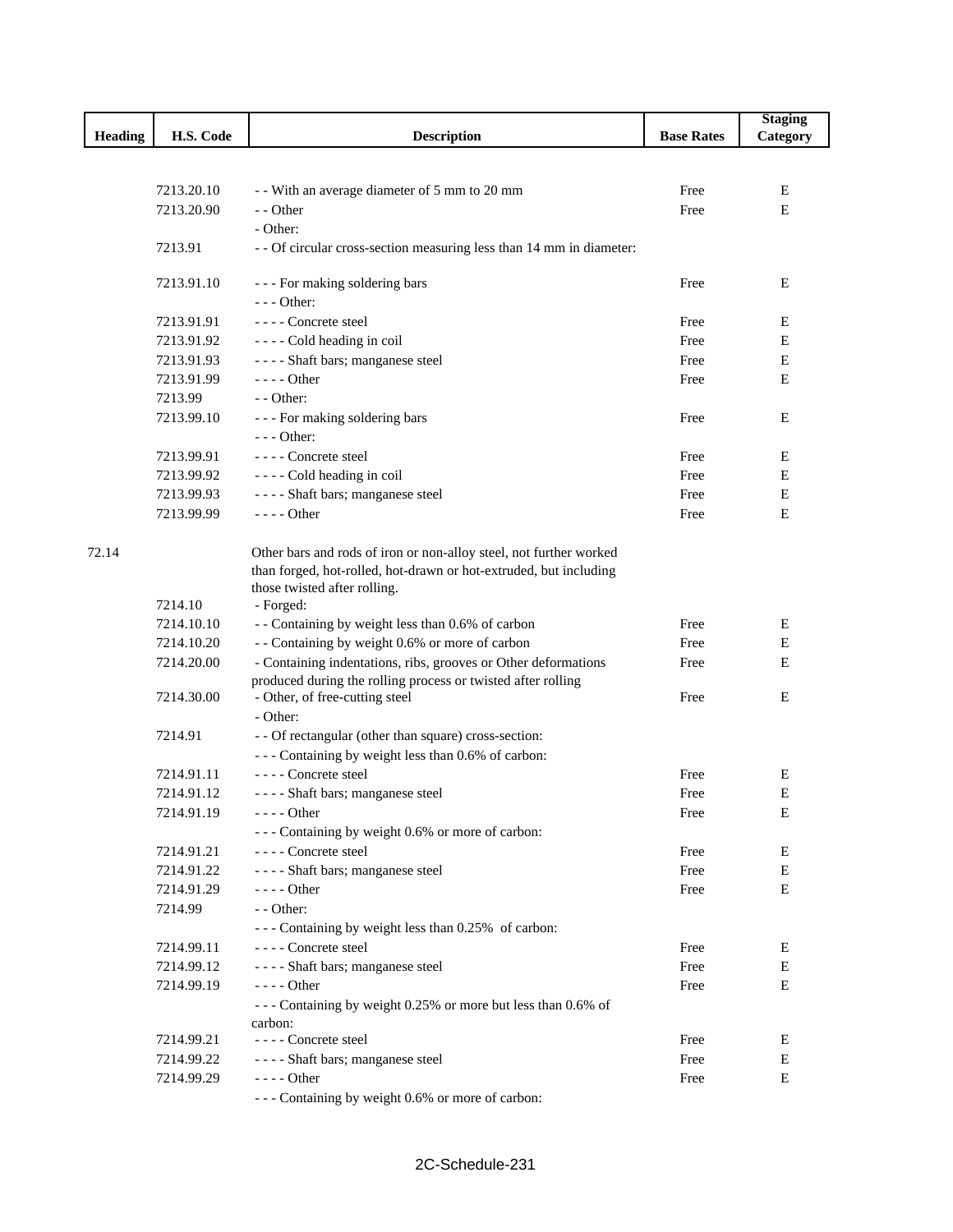|                |            |                                                                      |                   | <b>Staging</b> |
|----------------|------------|----------------------------------------------------------------------|-------------------|----------------|
| <b>Heading</b> | H.S. Code  | <b>Description</b>                                                   | <b>Base Rates</b> | Category       |
|                |            |                                                                      |                   |                |
|                |            |                                                                      |                   |                |
|                | 7213.20.10 | - - With an average diameter of 5 mm to 20 mm                        | Free              | Е              |
|                | 7213.20.90 | - - Other                                                            | Free              | E              |
|                |            | - Other:                                                             |                   |                |
|                | 7213.91    | - - Of circular cross-section measuring less than 14 mm in diameter: |                   |                |
|                | 7213.91.10 | --- For making soldering bars                                        | Free              | Ε              |
|                |            | $--$ Other:                                                          |                   |                |
|                | 7213.91.91 | - - - - Concrete steel                                               | Free              | Е              |
|                | 7213.91.92 | - - - - Cold heading in coil                                         | Free              | E              |
|                | 7213.91.93 | ---- Shaft bars; manganese steel                                     | Free              | E              |
|                | 7213.91.99 | $--- Other$                                                          | Free              | E              |
|                | 7213.99    | $-$ - Other:                                                         |                   |                |
|                | 7213.99.10 | --- For making soldering bars                                        | Free              | E              |
|                |            | $--$ Other:                                                          |                   |                |
|                | 7213.99.91 | ---- Concrete steel                                                  | Free              | E              |
|                | 7213.99.92 | - - - - Cold heading in coil                                         | Free              | E              |
|                | 7213.99.93 | ---- Shaft bars; manganese steel                                     | Free              | Е              |
|                | 7213.99.99 | $---$ Other                                                          | Free              | E              |
|                |            |                                                                      |                   |                |
| 72.14          |            | Other bars and rods of iron or non-alloy steel, not further worked   |                   |                |
|                |            | than forged, hot-rolled, hot-drawn or hot-extruded, but including    |                   |                |
|                |            | those twisted after rolling.                                         |                   |                |
|                | 7214.10    | - Forged:                                                            |                   |                |
|                | 7214.10.10 | - - Containing by weight less than 0.6% of carbon                    | Free              | E              |
|                | 7214.10.20 | - - Containing by weight 0.6% or more of carbon                      | Free              | E              |
|                | 7214.20.00 | - Containing indentations, ribs, grooves or Other deformations       | Free              | Е              |
|                |            | produced during the rolling process or twisted after rolling         |                   |                |
|                | 7214.30.00 | - Other, of free-cutting steel                                       | Free              | E              |
|                |            | - Other:                                                             |                   |                |
|                | 7214.91    | - - Of rectangular (other than square) cross-section:                |                   |                |
|                |            | --- Containing by weight less than 0.6% of carbon:                   |                   |                |
|                | 7214.91.11 | ---- Concrete steel                                                  | Free              | E              |
|                | 7214.91.12 | ---- Shaft bars; manganese steel                                     | Free              | E              |
|                | 7214.91.19 | $--- Other$                                                          | Free              | Ε              |
|                |            | --- Containing by weight 0.6% or more of carbon:                     |                   |                |
|                | 7214.91.21 | ---- Concrete steel                                                  | Free              | Е              |
|                | 7214.91.22 | ---- Shaft bars; manganese steel                                     | Free              | Е              |
|                | 7214.91.29 | $--- Other$                                                          | Free              | Ε              |
|                | 7214.99    | $-$ - Other:                                                         |                   |                |
|                |            | --- Containing by weight less than 0.25% of carbon:                  |                   |                |
|                | 7214.99.11 | ---- Concrete steel                                                  | Free              | E              |
|                | 7214.99.12 | ---- Shaft bars; manganese steel                                     | Free              | Е              |
|                | 7214.99.19 | - - - - Other                                                        | Free              | E              |
|                |            | --- Containing by weight 0.25% or more but less than 0.6% of         |                   |                |
|                |            | carbon:                                                              |                   |                |
|                | 7214.99.21 | ---- Concrete steel                                                  | Free              | Е              |
|                | 7214.99.22 | ---- Shaft bars; manganese steel                                     | Free              | Е              |
|                | 7214.99.29 | - - - - Other                                                        | Free              | E              |
|                |            | --- Containing by weight 0.6% or more of carbon:                     |                   |                |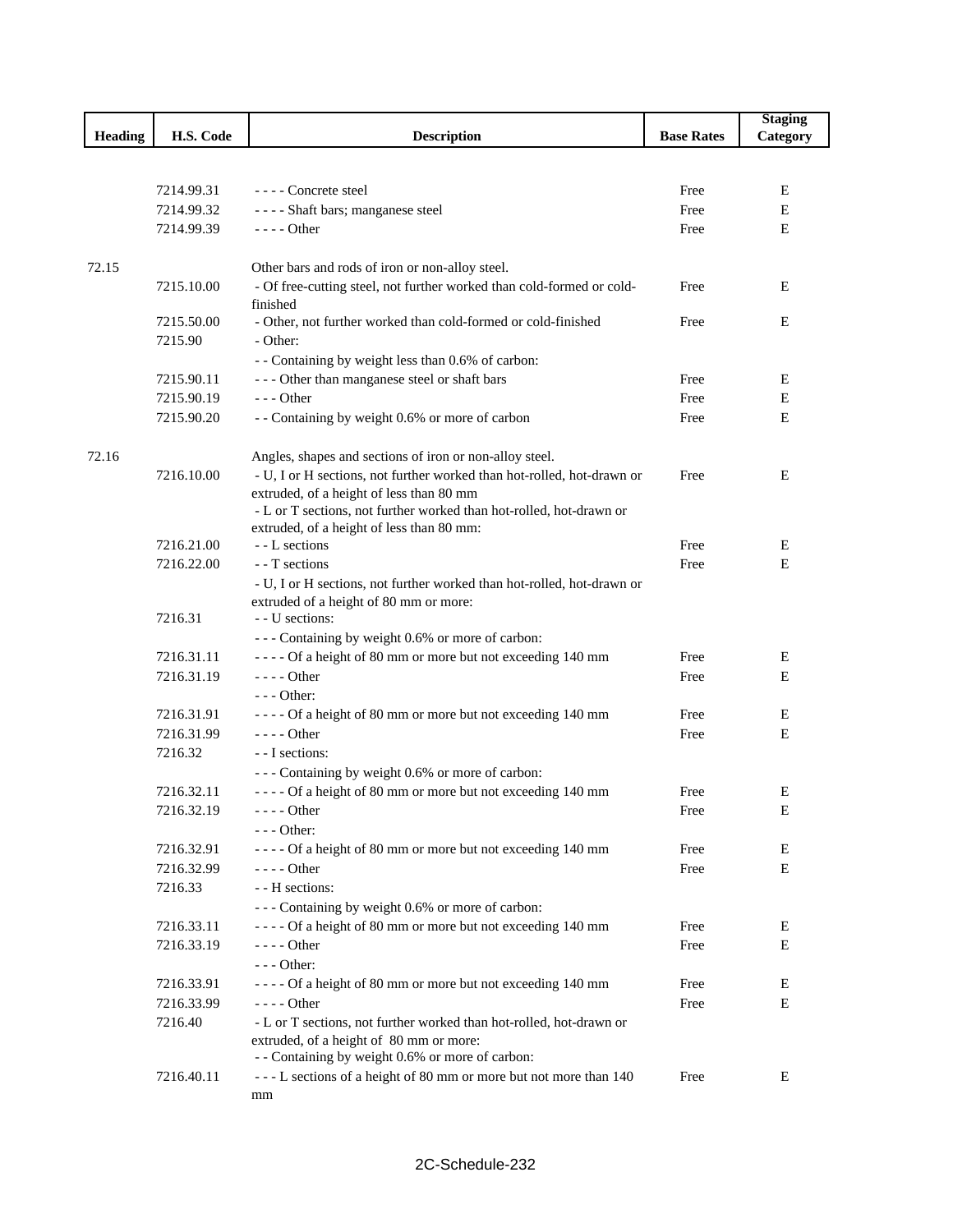|                |            |                                                                           |                   | <b>Staging</b> |
|----------------|------------|---------------------------------------------------------------------------|-------------------|----------------|
| <b>Heading</b> | H.S. Code  | <b>Description</b>                                                        | <b>Base Rates</b> | Category       |
|                |            |                                                                           |                   |                |
|                |            |                                                                           |                   |                |
|                | 7214.99.31 | ---- Concrete steel                                                       | Free              | E              |
|                | 7214.99.32 | ---- Shaft bars; manganese steel                                          | Free              | E              |
|                | 7214.99.39 | $---$ Other                                                               | Free              | E              |
|                |            |                                                                           |                   |                |
| 72.15          |            | Other bars and rods of iron or non-alloy steel.                           |                   |                |
|                | 7215.10.00 | - Of free-cutting steel, not further worked than cold-formed or cold-     | Free              | Е              |
|                |            | finished                                                                  |                   |                |
|                | 7215.50.00 | - Other, not further worked than cold-formed or cold-finished             | Free              | E              |
|                | 7215.90    | - Other:                                                                  |                   |                |
|                |            | - - Containing by weight less than 0.6% of carbon:                        |                   |                |
|                | 7215.90.11 | --- Other than manganese steel or shaft bars                              | Free              | E              |
|                | 7215.90.19 | $--$ Other                                                                | Free              | E              |
|                | 7215.90.20 | - - Containing by weight 0.6% or more of carbon                           | Free              | E              |
|                |            |                                                                           |                   |                |
| 72.16          |            | Angles, shapes and sections of iron or non-alloy steel.                   |                   |                |
|                | 7216.10.00 | - U, I or H sections, not further worked than hot-rolled, hot-drawn or    | Free              | E              |
|                |            | extruded, of a height of less than 80 mm                                  |                   |                |
|                |            | - L or T sections, not further worked than hot-rolled, hot-drawn or       |                   |                |
|                |            | extruded, of a height of less than 80 mm:                                 |                   |                |
|                | 7216.21.00 | - - L sections                                                            | Free              | E              |
|                | 7216.22.00 | - T sections                                                              | Free              | E              |
|                |            | - U, I or H sections, not further worked than hot-rolled, hot-drawn or    |                   |                |
|                | 7216.31    | extruded of a height of 80 mm or more:<br>- U sections:                   |                   |                |
|                |            |                                                                           |                   |                |
|                | 7216.31.11 | --- Containing by weight 0.6% or more of carbon:                          |                   |                |
|                | 7216.31.19 | ---- Of a height of 80 mm or more but not exceeding 140 mm<br>$--- Other$ | Free              | E              |
|                |            |                                                                           | Free              | Ε              |
|                |            | $--$ Other:                                                               |                   |                |
|                | 7216.31.91 | ---- Of a height of 80 mm or more but not exceeding 140 mm                | Free              | E              |
|                | 7216.31.99 | $--- Other$                                                               | Free              | E              |
|                | 7216.32    | - - I sections:                                                           |                   |                |
|                |            | --- Containing by weight 0.6% or more of carbon:                          |                   |                |
|                | 7216.32.11 | ---- Of a height of 80 mm or more but not exceeding 140 mm                | Free              | Ε              |
|                | 7216.32.19 | $---$ Other                                                               | Free              | E              |
|                |            | - - - Other:                                                              |                   |                |
|                | 7216.32.91 | ---- Of a height of 80 mm or more but not exceeding 140 mm                | Free              | Ε              |
|                | 7216.32.99 | - - - - Other                                                             | Free              | E              |
|                | 7216.33    | - - H sections:                                                           |                   |                |
|                |            | --- Containing by weight 0.6% or more of carbon:                          |                   |                |
|                | 7216.33.11 | ---- Of a height of 80 mm or more but not exceeding 140 mm                | Free              | E              |
|                | 7216.33.19 | - - - - Other                                                             | Free              | E              |
|                |            | $--$ Other:                                                               |                   |                |
|                | 7216.33.91 | ---- Of a height of 80 mm or more but not exceeding 140 mm                | Free              | Ε              |
|                | 7216.33.99 | $--- Other$                                                               | Free              | E              |
|                | 7216.40    | - L or T sections, not further worked than hot-rolled, hot-drawn or       |                   |                |
|                |            | extruded, of a height of 80 mm or more:                                   |                   |                |
|                |            | - - Containing by weight 0.6% or more of carbon:                          |                   |                |
|                | 7216.40.11 | --- L sections of a height of 80 mm or more but not more than 140         | Free              | E              |
|                |            | mm                                                                        |                   |                |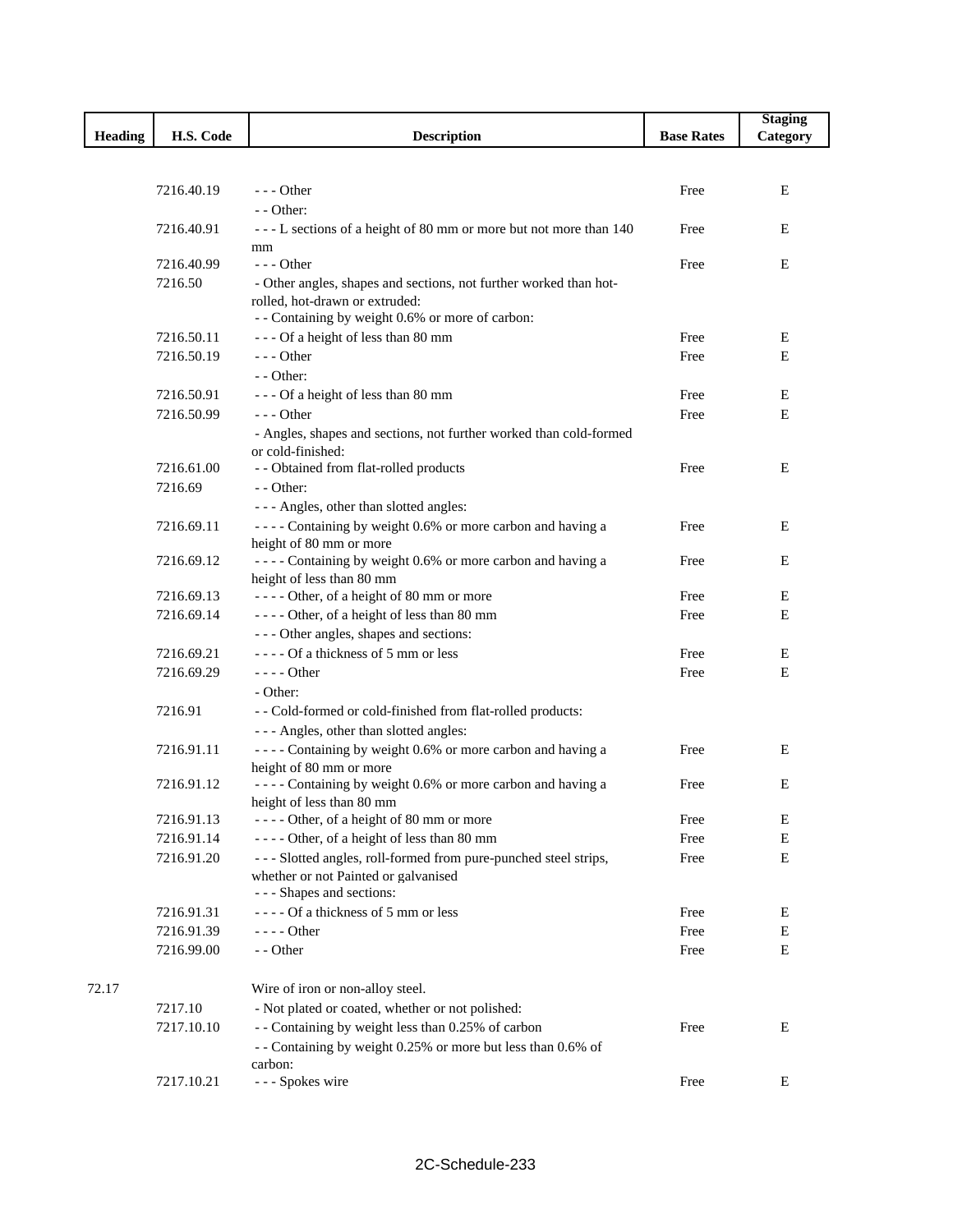|                |            |                                                                    |                   | <b>Staging</b> |
|----------------|------------|--------------------------------------------------------------------|-------------------|----------------|
| <b>Heading</b> | H.S. Code  | <b>Description</b>                                                 | <b>Base Rates</b> | Category       |
|                |            |                                                                    |                   |                |
|                |            |                                                                    |                   |                |
|                | 7216.40.19 | $--$ Other                                                         | Free              | E              |
|                |            | $-$ - Other:                                                       |                   |                |
|                | 7216.40.91 | --- L sections of a height of 80 mm or more but not more than 140  | Free              | Е              |
|                |            | mm                                                                 |                   |                |
|                | 7216.40.99 | $- -$ Other                                                        | Free              | E              |
|                | 7216.50    | - Other angles, shapes and sections, not further worked than hot-  |                   |                |
|                |            | rolled, hot-drawn or extruded:                                     |                   |                |
|                | 7216.50.11 | - - Containing by weight 0.6% or more of carbon:                   | Free              |                |
|                |            | --- Of a height of less than 80 mm                                 |                   | Е              |
|                | 7216.50.19 | $--$ Other                                                         | Free              | Е              |
|                |            | $-$ - Other:                                                       |                   |                |
|                | 7216.50.91 | --- Of a height of less than 80 mm                                 | Free              | Е              |
|                | 7216.50.99 | $--$ Other                                                         | Free              | Е              |
|                |            | - Angles, shapes and sections, not further worked than cold-formed |                   |                |
|                | 7216.61.00 | or cold-finished:<br>- - Obtained from flat-rolled products        | Free              | E              |
|                | 7216.69    | - - Other:                                                         |                   |                |
|                |            | --- Angles, other than slotted angles:                             |                   |                |
|                |            | ---- Containing by weight 0.6% or more carbon and having a         |                   |                |
|                | 7216.69.11 | height of 80 mm or more                                            | Free              | E              |
|                | 7216.69.12 | ---- Containing by weight 0.6% or more carbon and having a         | Free              | Е              |
|                |            | height of less than 80 mm                                          |                   |                |
|                | 7216.69.13 | ---- Other, of a height of 80 mm or more                           | Free              | E              |
|                | 7216.69.14 | ---- Other, of a height of less than 80 mm                         | Free              | Е              |
|                |            | --- Other angles, shapes and sections:                             |                   |                |
|                | 7216.69.21 | ---- Of a thickness of 5 mm or less                                | Free              | Е              |
|                | 7216.69.29 | $--- Other$                                                        | Free              | Е              |
|                |            | - Other:                                                           |                   |                |
|                | 7216.91    | - - Cold-formed or cold-finished from flat-rolled products:        |                   |                |
|                |            | --- Angles, other than slotted angles:                             |                   |                |
|                | 7216.91.11 | ---- Containing by weight 0.6% or more carbon and having a         | Free              | E              |
|                |            | height of 80 mm or more                                            |                   |                |
|                | 7216.91.12 | ---- Containing by weight 0.6% or more carbon and having a         | Free              | E              |
|                |            | height of less than 80 mm                                          |                   |                |
|                | 7216.91.13 | ---- Other, of a height of 80 mm or more                           | Free              | E              |
|                | 7216.91.14 | ---- Other, of a height of less than 80 mm                         | Free              | Е              |
|                | 7216.91.20 | --- Slotted angles, roll-formed from pure-punched steel strips,    | Free              | Е              |
|                |            | whether or not Painted or galvanised                               |                   |                |
|                |            | - - - Shapes and sections:                                         |                   |                |
|                | 7216.91.31 | ---- Of a thickness of 5 mm or less                                | Free              | Е              |
|                | 7216.91.39 | - - - - Other                                                      | Free              | Е              |
|                | 7216.99.00 | - - Other                                                          | Free              | E              |
| 72.17          |            | Wire of iron or non-alloy steel.                                   |                   |                |
|                | 7217.10    | - Not plated or coated, whether or not polished:                   |                   |                |
|                | 7217.10.10 | - - Containing by weight less than 0.25% of carbon                 | Free              | Е              |
|                |            | - - Containing by weight 0.25% or more but less than 0.6% of       |                   |                |
|                |            | carbon:                                                            |                   |                |
|                | 7217.10.21 | --- Spokes wire                                                    | Free              | Е              |
|                |            |                                                                    |                   |                |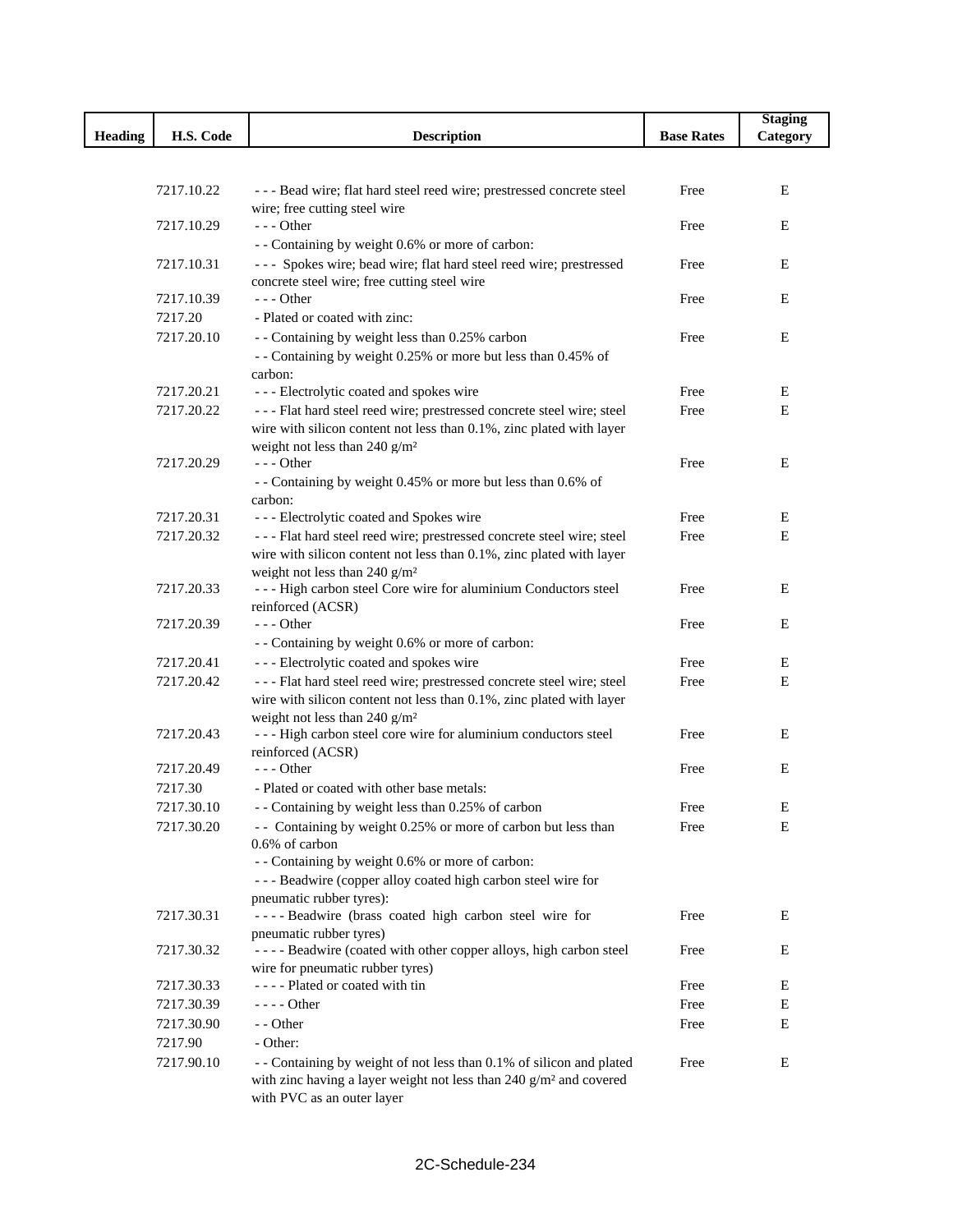|                |            |                                                                                                                    |                   | <b>Staging</b> |
|----------------|------------|--------------------------------------------------------------------------------------------------------------------|-------------------|----------------|
| <b>Heading</b> | H.S. Code  | <b>Description</b>                                                                                                 | <b>Base Rates</b> | Category       |
|                |            |                                                                                                                    |                   |                |
|                |            |                                                                                                                    |                   |                |
|                | 7217.10.22 | --- Bead wire; flat hard steel reed wire; prestressed concrete steel                                               | Free              | Е              |
|                | 7217.10.29 | wire; free cutting steel wire<br>$--$ Other                                                                        |                   | Е              |
|                |            |                                                                                                                    | Free              |                |
|                | 7217.10.31 | - - Containing by weight 0.6% or more of carbon:                                                                   |                   |                |
|                |            | --- Spokes wire; bead wire; flat hard steel reed wire; prestressed<br>concrete steel wire; free cutting steel wire | Free              | Е              |
|                | 7217.10.39 | $- -$ Other                                                                                                        | Free              | Е              |
|                | 7217.20    | - Plated or coated with zinc:                                                                                      |                   |                |
|                | 7217.20.10 | - - Containing by weight less than 0.25% carbon                                                                    | Free              | Е              |
|                |            | - - Containing by weight 0.25% or more but less than 0.45% of                                                      |                   |                |
|                |            | carbon:                                                                                                            |                   |                |
|                | 7217.20.21 | --- Electrolytic coated and spokes wire                                                                            | Free              | Е              |
|                | 7217.20.22 | --- Flat hard steel reed wire; prestressed concrete steel wire; steel                                              | Free              | E              |
|                |            | wire with silicon content not less than 0.1%, zinc plated with layer                                               |                   |                |
|                |            | weight not less than 240 $g/m^2$                                                                                   |                   |                |
|                | 7217.20.29 | $--$ Other                                                                                                         | Free              | E              |
|                |            | - - Containing by weight 0.45% or more but less than 0.6% of                                                       |                   |                |
|                |            | carbon:                                                                                                            |                   |                |
|                | 7217.20.31 | --- Electrolytic coated and Spokes wire                                                                            | Free              | Е              |
|                | 7217.20.32 | --- Flat hard steel reed wire; prestressed concrete steel wire; steel                                              | Free              | E              |
|                |            | wire with silicon content not less than 0.1%, zinc plated with layer                                               |                   |                |
|                |            | weight not less than 240 g/m <sup>2</sup>                                                                          |                   |                |
|                | 7217.20.33 | --- High carbon steel Core wire for aluminium Conductors steel                                                     | Free              | Е              |
|                |            | reinforced (ACSR)                                                                                                  |                   |                |
|                | 7217.20.39 | $--$ Other                                                                                                         | Free              | Е              |
|                |            | - - Containing by weight 0.6% or more of carbon:                                                                   |                   |                |
|                | 7217.20.41 | --- Electrolytic coated and spokes wire                                                                            | Free              | Е              |
|                | 7217.20.42 | --- Flat hard steel reed wire; prestressed concrete steel wire; steel                                              | Free              | E              |
|                |            | wire with silicon content not less than 0.1%, zinc plated with layer<br>weight not less than 240 $g/m^2$           |                   |                |
|                | 7217.20.43 | --- High carbon steel core wire for aluminium conductors steel                                                     | Free              | Е              |
|                |            | reinforced (ACSR)                                                                                                  |                   |                |
|                | 7217.20.49 | $- -$ Other                                                                                                        | Free              | Е              |
|                | 7217.30    | - Plated or coated with other base metals:                                                                         |                   |                |
|                | 7217.30.10 | - - Containing by weight less than 0.25% of carbon                                                                 | Free              | E              |
|                | 7217.30.20 | - - Containing by weight 0.25% or more of carbon but less than                                                     | Free              | Е              |
|                |            | 0.6% of carbon                                                                                                     |                   |                |
|                |            | - - Containing by weight 0.6% or more of carbon:                                                                   |                   |                |
|                |            | --- Beadwire (copper alloy coated high carbon steel wire for                                                       |                   |                |
|                |            | pneumatic rubber tyres):                                                                                           |                   |                |
|                | 7217.30.31 | ---- Beadwire (brass coated high carbon steel wire for                                                             | Free              | E              |
|                |            | pneumatic rubber tyres)                                                                                            |                   |                |
|                | 7217.30.32 | ---- Beadwire (coated with other copper alloys, high carbon steel                                                  | Free              | E              |
|                |            | wire for pneumatic rubber tyres)                                                                                   |                   |                |
|                | 7217.30.33 | ---- Plated or coated with tin                                                                                     | Free              | E              |
|                | 7217.30.39 | $--- Other$                                                                                                        | Free              | E              |
|                | 7217.30.90 | - - Other                                                                                                          | Free              | Е              |
|                | 7217.90    | - Other:                                                                                                           |                   |                |
|                | 7217.90.10 | - - Containing by weight of not less than 0.1% of silicon and plated                                               | Free              | Е              |
|                |            | with zinc having a layer weight not less than 240 g/m <sup>2</sup> and covered                                     |                   |                |
|                |            | with PVC as an outer layer                                                                                         |                   |                |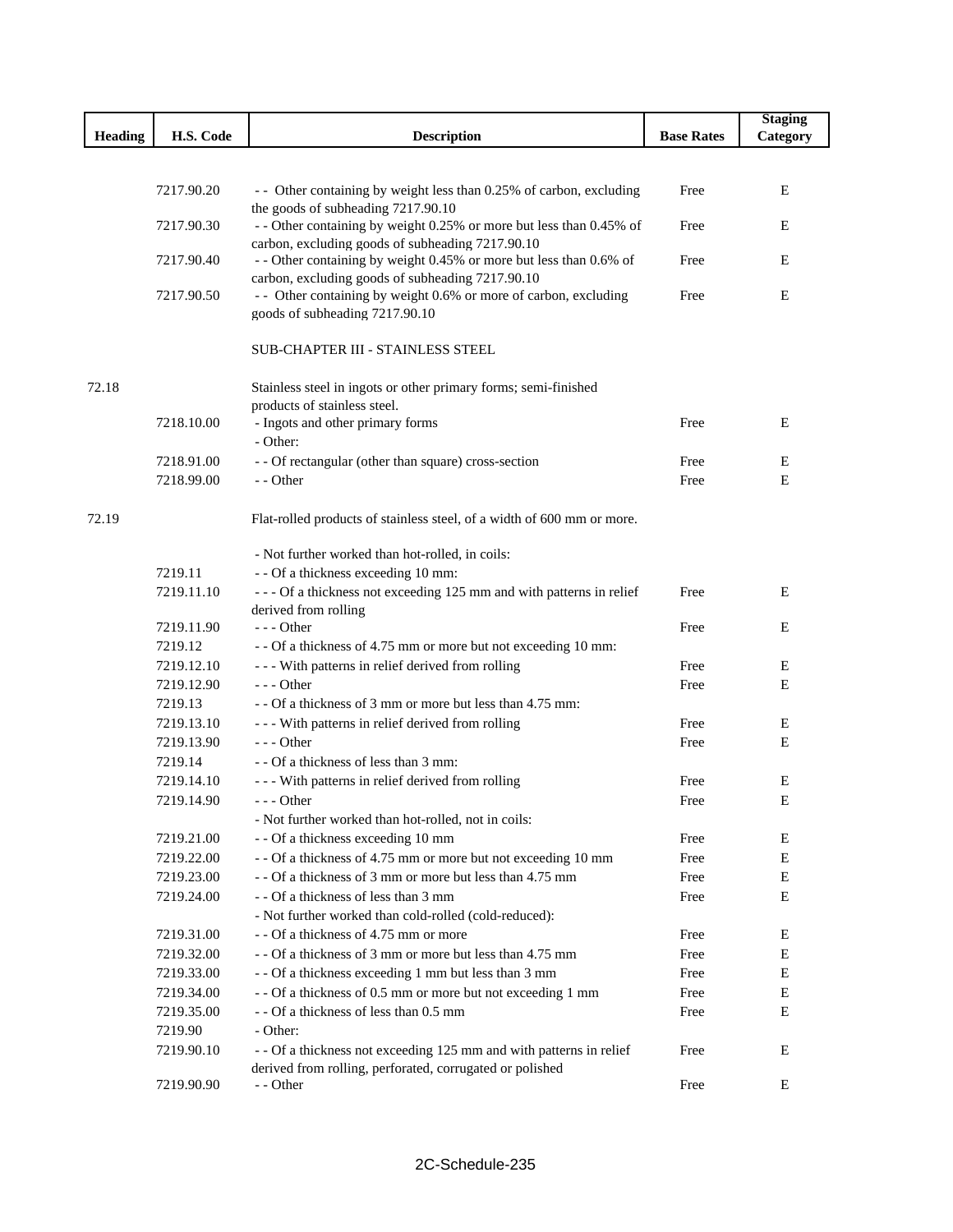|                |                          |                                                                                                         |                   | <b>Staging</b> |
|----------------|--------------------------|---------------------------------------------------------------------------------------------------------|-------------------|----------------|
| <b>Heading</b> | H.S. Code                | <b>Description</b>                                                                                      | <b>Base Rates</b> | Category       |
|                |                          |                                                                                                         |                   |                |
|                |                          |                                                                                                         | Free              |                |
|                | 7217.90.20               | - Other containing by weight less than 0.25% of carbon, excluding<br>the goods of subheading 7217.90.10 |                   | E              |
|                | 7217.90.30               | - - Other containing by weight 0.25% or more but less than 0.45% of                                     | Free              | Ε              |
|                |                          | carbon, excluding goods of subheading 7217.90.10                                                        |                   |                |
|                | 7217.90.40               | - - Other containing by weight 0.45% or more but less than 0.6% of                                      | Free              | E              |
|                |                          | carbon, excluding goods of subheading 7217.90.10                                                        |                   |                |
|                | 7217.90.50               | - Other containing by weight 0.6% or more of carbon, excluding<br>goods of subheading 7217.90.10        | Free              | Ε              |
|                |                          |                                                                                                         |                   |                |
|                |                          | SUB-CHAPTER III - STAINLESS STEEL                                                                       |                   |                |
| 72.18          |                          | Stainless steel in ingots or other primary forms; semi-finished                                         |                   |                |
|                |                          | products of stainless steel.                                                                            |                   |                |
|                | 7218.10.00               | - Ingots and other primary forms                                                                        | Free              | E              |
|                |                          | - Other:                                                                                                |                   |                |
|                | 7218.91.00               | - - Of rectangular (other than square) cross-section                                                    | Free              | E              |
|                | 7218.99.00               | - - Other                                                                                               | Free              | E              |
| 72.19          |                          | Flat-rolled products of stainless steel, of a width of 600 mm or more.                                  |                   |                |
|                |                          | - Not further worked than hot-rolled, in coils:                                                         |                   |                |
|                | 7219.11                  | - - Of a thickness exceeding 10 mm:                                                                     |                   |                |
|                | 7219.11.10               | --- Of a thickness not exceeding 125 mm and with patterns in relief                                     | Free              | Ε              |
|                |                          | derived from rolling                                                                                    |                   |                |
|                | 7219.11.90               | $--$ Other                                                                                              | Free              | E              |
|                | 7219.12                  | - - Of a thickness of 4.75 mm or more but not exceeding 10 mm:                                          |                   |                |
|                | 7219.12.10<br>7219.12.90 | - - - With patterns in relief derived from rolling<br>$--$ Other                                        | Free              | E              |
|                | 7219.13                  | - - Of a thickness of 3 mm or more but less than 4.75 mm:                                               | Free              | Ε              |
|                | 7219.13.10               | - - - With patterns in relief derived from rolling                                                      | Free              | E              |
|                | 7219.13.90               | $- -$ Other                                                                                             | Free              | Ε              |
|                | 7219.14                  | - - Of a thickness of less than 3 mm:                                                                   |                   |                |
|                | 7219.14.10               | - - - With patterns in relief derived from rolling                                                      | Free              | E              |
|                | 7219.14.90               | - - - Other                                                                                             | Free              | E              |
|                |                          | - Not further worked than hot-rolled, not in coils:                                                     |                   |                |
|                | 7219.21.00               | - - Of a thickness exceeding 10 mm                                                                      | Free              | Ε              |
|                | 7219.22.00               | - - Of a thickness of 4.75 mm or more but not exceeding 10 mm                                           | Free              | E              |
|                | 7219.23.00               | -- Of a thickness of 3 mm or more but less than 4.75 mm                                                 | Free              | E              |
|                | 7219.24.00               | - - Of a thickness of less than 3 mm                                                                    | Free              | E              |
|                |                          | - Not further worked than cold-rolled (cold-reduced):                                                   |                   |                |
|                | 7219.31.00               | - - Of a thickness of 4.75 mm or more                                                                   | Free              | E              |
|                | 7219.32.00               | - - Of a thickness of 3 mm or more but less than 4.75 mm                                                | Free              | E              |
|                | 7219.33.00               | - - Of a thickness exceeding 1 mm but less than 3 mm                                                    | Free              | E              |
|                | 7219.34.00               | - - Of a thickness of 0.5 mm or more but not exceeding 1 mm                                             | Free              | E              |
|                | 7219.35.00               | - - Of a thickness of less than 0.5 mm                                                                  | Free              | E              |
|                | 7219.90                  | - Other:                                                                                                |                   |                |
|                | 7219.90.10               | - - Of a thickness not exceeding 125 mm and with patterns in relief                                     | Free              | E              |
|                | 7219.90.90               | derived from rolling, perforated, corrugated or polished<br>- - Other                                   | Free              | E              |
|                |                          |                                                                                                         |                   |                |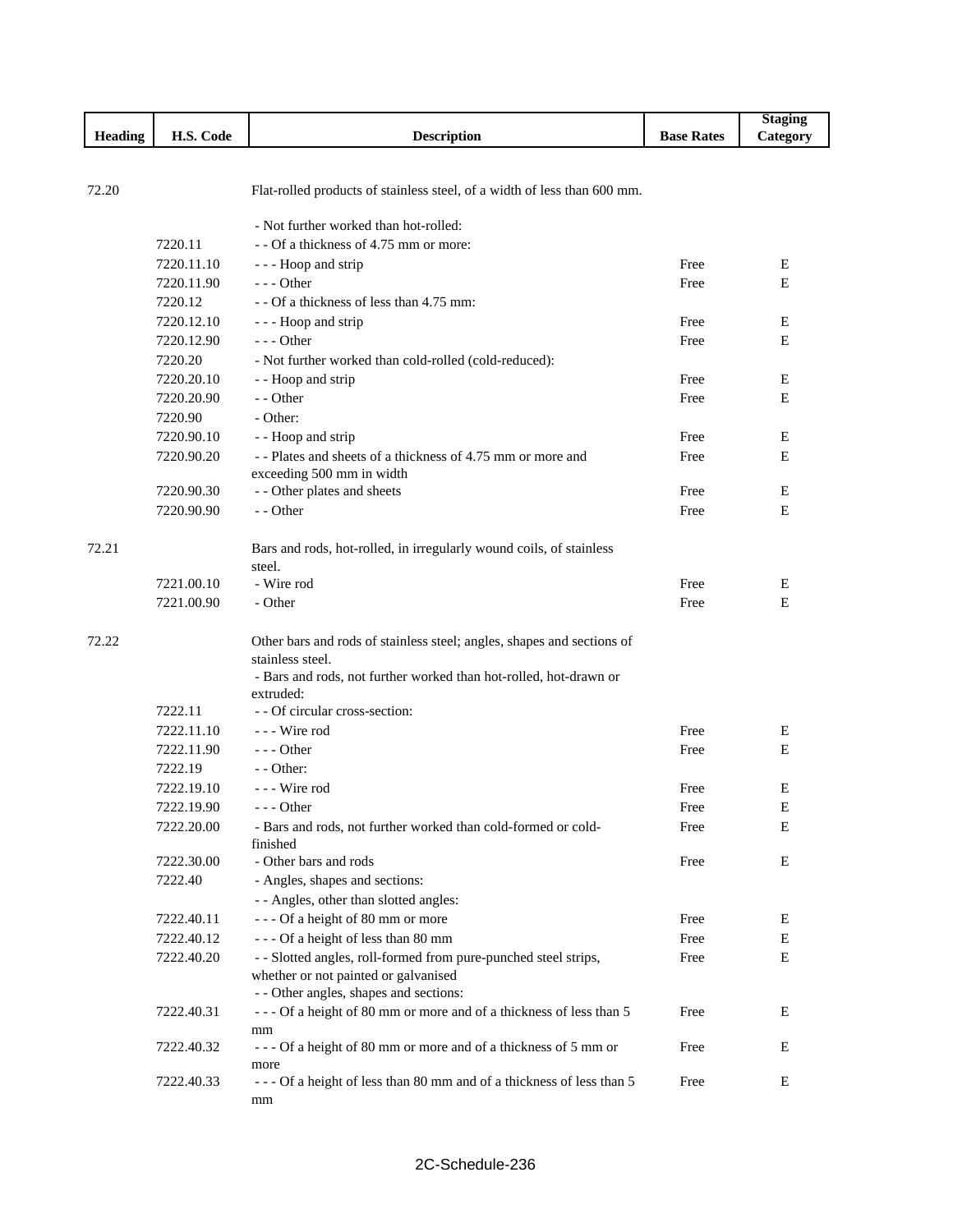|                |            |                                                                                |                   | <b>Staging</b> |
|----------------|------------|--------------------------------------------------------------------------------|-------------------|----------------|
| <b>Heading</b> | H.S. Code  | <b>Description</b>                                                             | <b>Base Rates</b> | Category       |
|                |            |                                                                                |                   |                |
|                |            |                                                                                |                   |                |
| 72.20          |            | Flat-rolled products of stainless steel, of a width of less than 600 mm.       |                   |                |
|                |            | - Not further worked than hot-rolled:                                          |                   |                |
|                | 7220.11    | - - Of a thickness of 4.75 mm or more:                                         |                   |                |
|                | 7220.11.10 | - - - Hoop and strip                                                           | Free              | Ε              |
|                | 7220.11.90 | $- -$ Other                                                                    | Free              | E              |
|                | 7220.12    | - - Of a thickness of less than 4.75 mm:                                       |                   |                |
|                | 7220.12.10 | - - - Hoop and strip                                                           | Free              | E              |
|                | 7220.12.90 | $--$ Other                                                                     | Free              | E              |
|                | 7220.20    | - Not further worked than cold-rolled (cold-reduced):                          |                   |                |
|                | 7220.20.10 | - - Hoop and strip                                                             | Free              | E              |
|                | 7220.20.90 | - - Other                                                                      | Free              | Ε              |
|                | 7220.90    | - Other:                                                                       |                   |                |
|                | 7220.90.10 | - - Hoop and strip                                                             | Free              | E              |
|                | 7220.90.20 | -- Plates and sheets of a thickness of 4.75 mm or more and                     | Free              | E              |
|                |            | exceeding 500 mm in width                                                      |                   |                |
|                | 7220.90.30 | - - Other plates and sheets                                                    | Free              | Е              |
|                | 7220.90.90 | - - Other                                                                      | Free              | Ε              |
|                |            |                                                                                |                   |                |
| 72.21          |            | Bars and rods, hot-rolled, in irregularly wound coils, of stainless            |                   |                |
|                |            | steel.                                                                         |                   |                |
|                | 7221.00.10 | - Wire rod                                                                     | Free              | Е              |
|                | 7221.00.90 | - Other                                                                        | Free              | Ε              |
|                |            |                                                                                |                   |                |
| 72.22          |            | Other bars and rods of stainless steel; angles, shapes and sections of         |                   |                |
|                |            | stainless steel.                                                               |                   |                |
|                |            | - Bars and rods, not further worked than hot-rolled, hot-drawn or<br>extruded: |                   |                |
|                | 7222.11    | - - Of circular cross-section:                                                 |                   |                |
|                | 7222.11.10 | --- Wire rod                                                                   | Free              | Ε              |
|                | 7222.11.90 | $--$ Other                                                                     | Free              | E              |
|                | 7222.19    | $-$ - Other:                                                                   |                   |                |
|                | 7222.19.10 | --- Wire rod                                                                   | Free              | Е              |
|                | 7222.19.90 | - - - Other                                                                    | Free              | E              |
|                | 7222.20.00 | - Bars and rods, not further worked than cold-formed or cold-                  | Free              | Е              |
|                |            | finished                                                                       |                   |                |
|                | 7222.30.00 | - Other bars and rods                                                          | Free              | E              |
|                | 7222.40    | - Angles, shapes and sections:                                                 |                   |                |
|                |            | - - Angles, other than slotted angles:                                         |                   |                |
|                | 7222.40.11 | --- Of a height of 80 mm or more                                               | Free              | Ε              |
|                | 7222.40.12 | --- Of a height of less than 80 mm                                             | Free              | E              |
|                | 7222.40.20 | - - Slotted angles, roll-formed from pure-punched steel strips,                | Free              | E              |
|                |            | whether or not painted or galvanised                                           |                   |                |
|                |            | - - Other angles, shapes and sections:                                         |                   |                |
|                | 7222.40.31 | --- Of a height of 80 mm or more and of a thickness of less than 5             | Free              | Ε              |
|                |            | mm                                                                             |                   |                |
|                | 7222.40.32 | --- Of a height of 80 mm or more and of a thickness of 5 mm or                 | Free              | Ε              |
|                | 7222.40.33 | more<br>--- Of a height of less than 80 mm and of a thickness of less than 5   | Free              | Е              |
|                |            | mm                                                                             |                   |                |
|                |            |                                                                                |                   |                |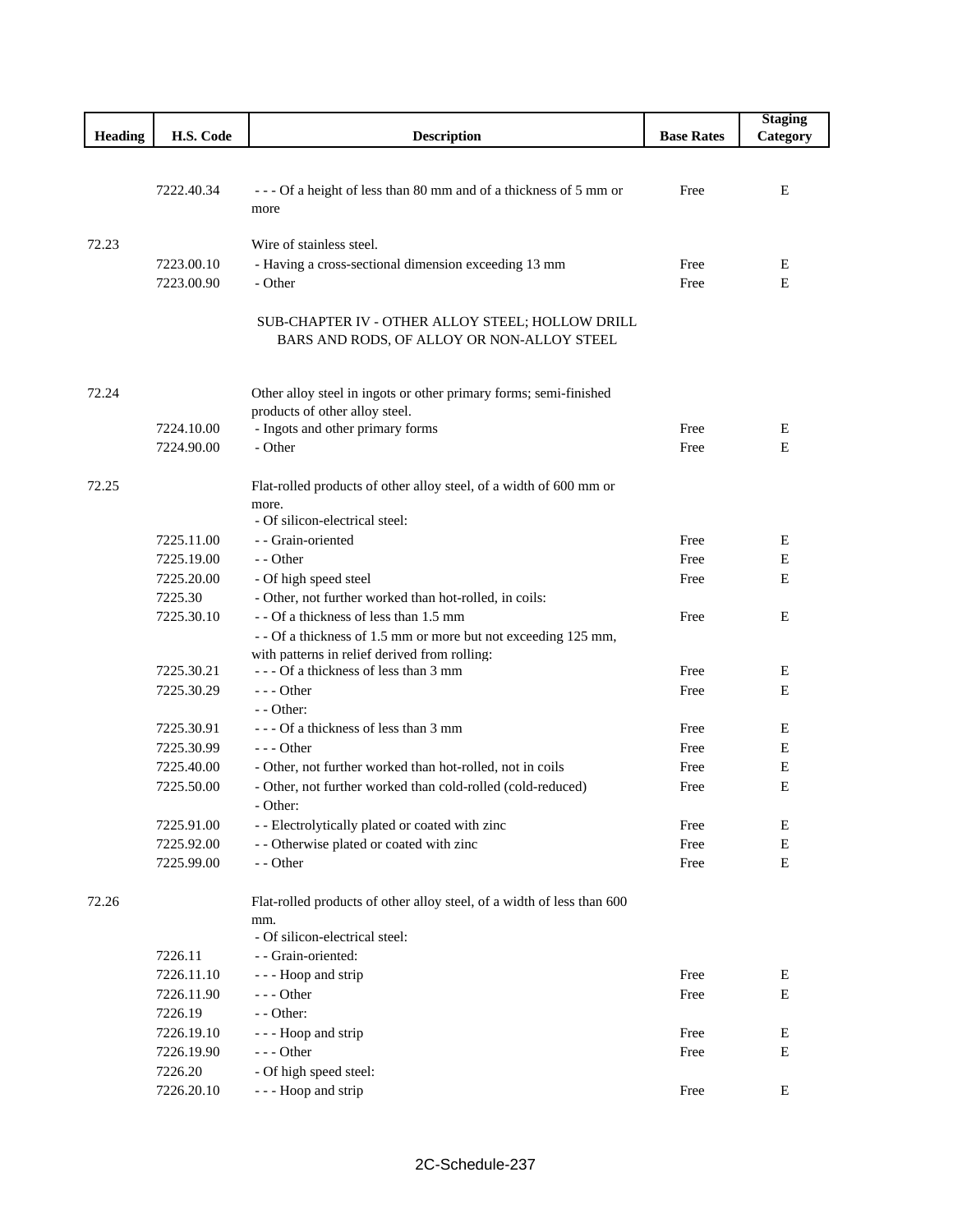|                |                          |                                                                                                                          |                   | <b>Staging</b> |
|----------------|--------------------------|--------------------------------------------------------------------------------------------------------------------------|-------------------|----------------|
| <b>Heading</b> | H.S. Code                | <b>Description</b>                                                                                                       | <b>Base Rates</b> | Category       |
|                |                          |                                                                                                                          |                   |                |
|                |                          |                                                                                                                          |                   |                |
|                | 7222.40.34               | --- Of a height of less than 80 mm and of a thickness of 5 mm or                                                         | Free              | E              |
|                |                          | more                                                                                                                     |                   |                |
| 72.23          |                          | Wire of stainless steel.                                                                                                 |                   |                |
|                | 7223.00.10               | - Having a cross-sectional dimension exceeding 13 mm                                                                     | Free              | Е              |
|                | 7223.00.90               | - Other                                                                                                                  | Free              | E              |
|                |                          |                                                                                                                          |                   |                |
|                |                          | SUB-CHAPTER IV - OTHER ALLOY STEEL; HOLLOW DRILL                                                                         |                   |                |
|                |                          | BARS AND RODS, OF ALLOY OR NON-ALLOY STEEL                                                                               |                   |                |
|                |                          |                                                                                                                          |                   |                |
|                |                          |                                                                                                                          |                   |                |
| 72.24          |                          | Other alloy steel in ingots or other primary forms; semi-finished                                                        |                   |                |
|                | 7224.10.00               | products of other alloy steel.<br>- Ingots and other primary forms                                                       | Free              | E              |
|                | 7224.90.00               | - Other                                                                                                                  | Free              | E              |
|                |                          |                                                                                                                          |                   |                |
| 72.25          |                          | Flat-rolled products of other alloy steel, of a width of 600 mm or                                                       |                   |                |
|                |                          | more.                                                                                                                    |                   |                |
|                |                          | - Of silicon-electrical steel:                                                                                           |                   |                |
|                | 7225.11.00               | - - Grain-oriented                                                                                                       | Free              | E              |
|                | 7225.19.00               | - - Other                                                                                                                | Free              | Ε              |
|                | 7225.20.00               | - Of high speed steel                                                                                                    | Free              | E              |
|                | 7225.30                  | - Other, not further worked than hot-rolled, in coils:                                                                   |                   |                |
|                | 7225.30.10               | - - Of a thickness of less than 1.5 mm                                                                                   | Free              | E              |
|                |                          | - - Of a thickness of 1.5 mm or more but not exceeding 125 mm,                                                           |                   |                |
|                |                          | with patterns in relief derived from rolling:                                                                            |                   |                |
|                | 7225.30.21               | --- Of a thickness of less than 3 mm                                                                                     | Free              | E              |
|                | 7225.30.29               | $--$ Other                                                                                                               | Free              | Ε              |
|                |                          | $-$ - Other:                                                                                                             |                   |                |
|                | 7225.30.91               | --- Of a thickness of less than 3 mm                                                                                     | Free              | Е              |
|                | 7225.30.99<br>7225.40.00 | $--$ Other                                                                                                               | Free              | Ε<br>Ε         |
|                | 7225.50.00               | - Other, not further worked than hot-rolled, not in coils<br>- Other, not further worked than cold-rolled (cold-reduced) | Free<br>Free      | E              |
|                |                          | - Other:                                                                                                                 |                   |                |
|                | 7225.91.00               | - - Electrolytically plated or coated with zinc                                                                          | Free              | E              |
|                | 7225.92.00               | - - Otherwise plated or coated with zinc                                                                                 | Free              | E              |
|                | 7225.99.00               | - - Other                                                                                                                | Free              | Ε              |
|                |                          |                                                                                                                          |                   |                |
| 72.26          |                          | Flat-rolled products of other alloy steel, of a width of less than 600                                                   |                   |                |
|                |                          | mm.                                                                                                                      |                   |                |
|                |                          | - Of silicon-electrical steel:                                                                                           |                   |                |
|                | 7226.11                  | - - Grain-oriented:                                                                                                      |                   |                |
|                | 7226.11.10               | - - - Hoop and strip                                                                                                     | Free              | Е              |
|                | 7226.11.90               | $--$ Other                                                                                                               | Free              | E              |
|                | 7226.19                  | - - Other:                                                                                                               |                   |                |
|                | 7226.19.10               | - - - Hoop and strip                                                                                                     | Free              | Ε              |
|                | 7226.19.90               | --- Other                                                                                                                | Free              | Ε              |
|                | 7226.20                  | - Of high speed steel:                                                                                                   |                   |                |
|                | 7226.20.10               | - - - Hoop and strip                                                                                                     | Free              | Ε              |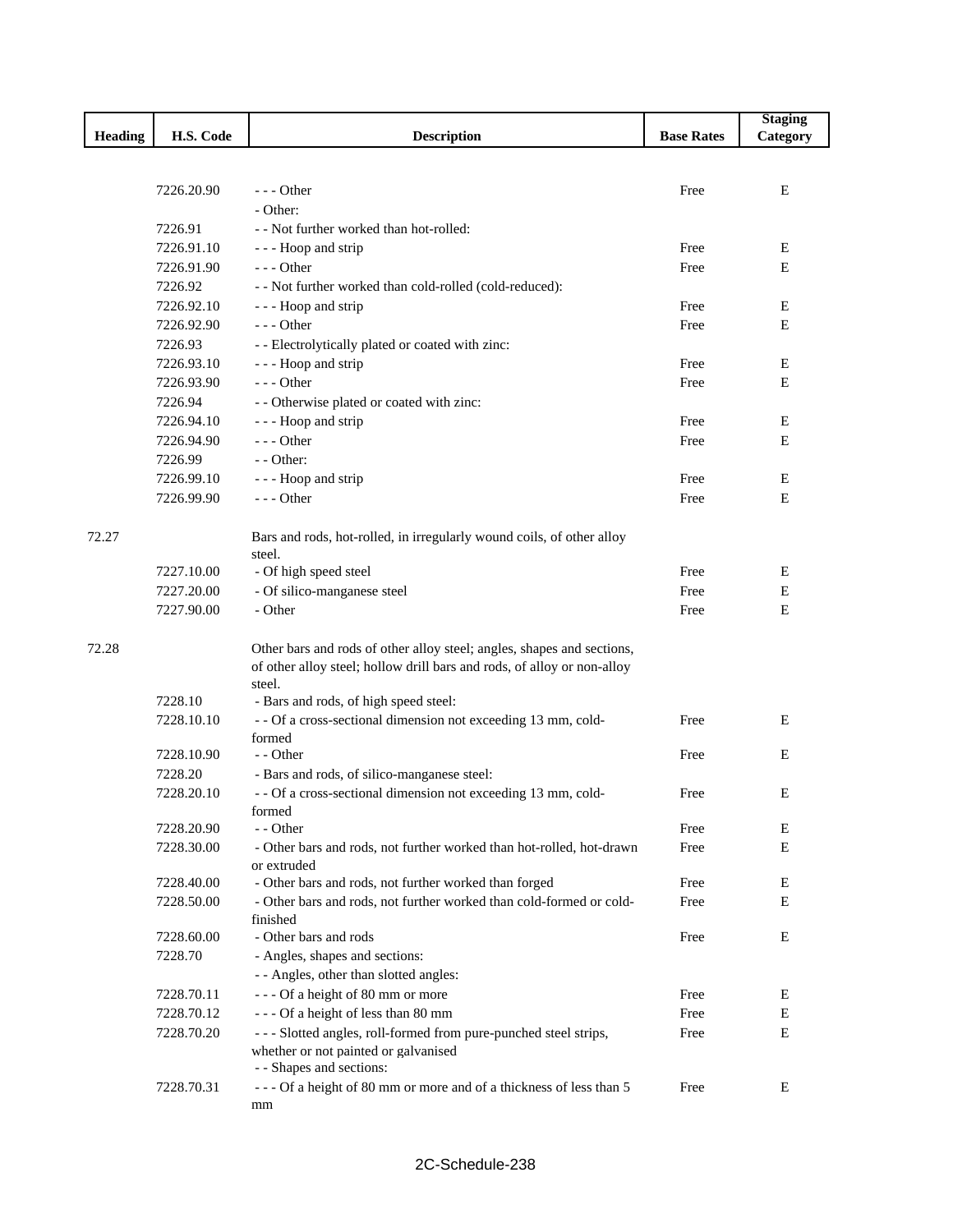|                |                          |                                                                                     |                   | <b>Staging</b> |
|----------------|--------------------------|-------------------------------------------------------------------------------------|-------------------|----------------|
| <b>Heading</b> | H.S. Code                | <b>Description</b>                                                                  | <b>Base Rates</b> | Category       |
|                |                          |                                                                                     |                   |                |
|                |                          |                                                                                     |                   |                |
|                | 7226.20.90               | $--$ Other                                                                          | Free              | E              |
|                | 7226.91                  | - Other:<br>- - Not further worked than hot-rolled:                                 |                   |                |
|                | 7226.91.10               | - - - Hoop and strip                                                                | Free              | E              |
|                | 7226.91.90               | --- Other                                                                           | Free              | Е              |
|                | 7226.92                  | - - Not further worked than cold-rolled (cold-reduced):                             |                   |                |
|                | 7226.92.10               | - - - Hoop and strip                                                                | Free              | E              |
|                | 7226.92.90               | $--$ Other                                                                          | Free              | E              |
|                | 7226.93                  | - - Electrolytically plated or coated with zinc:                                    |                   |                |
|                | 7226.93.10               | - - - Hoop and strip                                                                | Free              | E              |
|                | 7226.93.90               | $--$ Other                                                                          | Free              | E              |
|                | 7226.94                  | - - Otherwise plated or coated with zinc:                                           |                   |                |
|                | 7226.94.10               | - - - Hoop and strip                                                                | Free              | Ε              |
|                | 7226.94.90               | $--$ Other                                                                          | Free              | E              |
|                | 7226.99                  | - - Other:                                                                          |                   |                |
|                | 7226.99.10               |                                                                                     | Free              | E              |
|                | 7226.99.90               | - - - Hoop and strip<br>$--$ Other                                                  | Free              | E              |
|                |                          |                                                                                     |                   |                |
| 72.27          |                          | Bars and rods, hot-rolled, in irregularly wound coils, of other alloy               |                   |                |
|                |                          | steel.                                                                              |                   |                |
|                | 7227.10.00               | - Of high speed steel                                                               | Free              | Ε              |
|                | 7227.20.00               | - Of silico-manganese steel                                                         | Free              | Е              |
|                | 7227.90.00               | - Other                                                                             | Free              | E              |
|                |                          |                                                                                     |                   |                |
| 72.28          |                          | Other bars and rods of other alloy steel; angles, shapes and sections,              |                   |                |
|                |                          | of other alloy steel; hollow drill bars and rods, of alloy or non-alloy             |                   |                |
|                |                          | steel.                                                                              |                   |                |
|                | 7228.10                  | - Bars and rods, of high speed steel:                                               |                   |                |
|                | 7228.10.10               | - - Of a cross-sectional dimension not exceeding 13 mm, cold-                       | Free              | E              |
|                |                          | formed                                                                              |                   |                |
|                | 7228.10.90               | - - Other                                                                           | Free              | E              |
|                | 7228.20                  | - Bars and rods, of silico-manganese steel:                                         |                   |                |
|                | 7228.20.10               | - - Of a cross-sectional dimension not exceeding 13 mm, cold-                       | Free              | Е              |
|                |                          | formed                                                                              |                   |                |
|                | 7228.20.90<br>7228.30.00 | - - Other                                                                           | Free              | E              |
|                |                          | - Other bars and rods, not further worked than hot-rolled, hot-drawn<br>or extruded | Free              | E              |
|                | 7228.40.00               | - Other bars and rods, not further worked than forged                               | Free              | E              |
|                | 7228.50.00               | - Other bars and rods, not further worked than cold-formed or cold-                 | Free              | E              |
|                |                          | finished                                                                            |                   |                |
|                | 7228.60.00               | - Other bars and rods                                                               | Free              | E              |
|                | 7228.70                  | - Angles, shapes and sections:                                                      |                   |                |
|                |                          | - - Angles, other than slotted angles:                                              |                   |                |
|                | 7228.70.11               | --- Of a height of 80 mm or more                                                    | Free              | Ε              |
|                | 7228.70.12               | --- Of a height of less than 80 mm                                                  | Free              | Ε              |
|                | 7228.70.20               | --- Slotted angles, roll-formed from pure-punched steel strips,                     | Free              | E              |
|                |                          | whether or not painted or galvanised                                                |                   |                |
|                |                          | - - Shapes and sections:                                                            |                   |                |
|                | 7228.70.31               | --- Of a height of 80 mm or more and of a thickness of less than 5                  | Free              | E              |
|                |                          | mm                                                                                  |                   |                |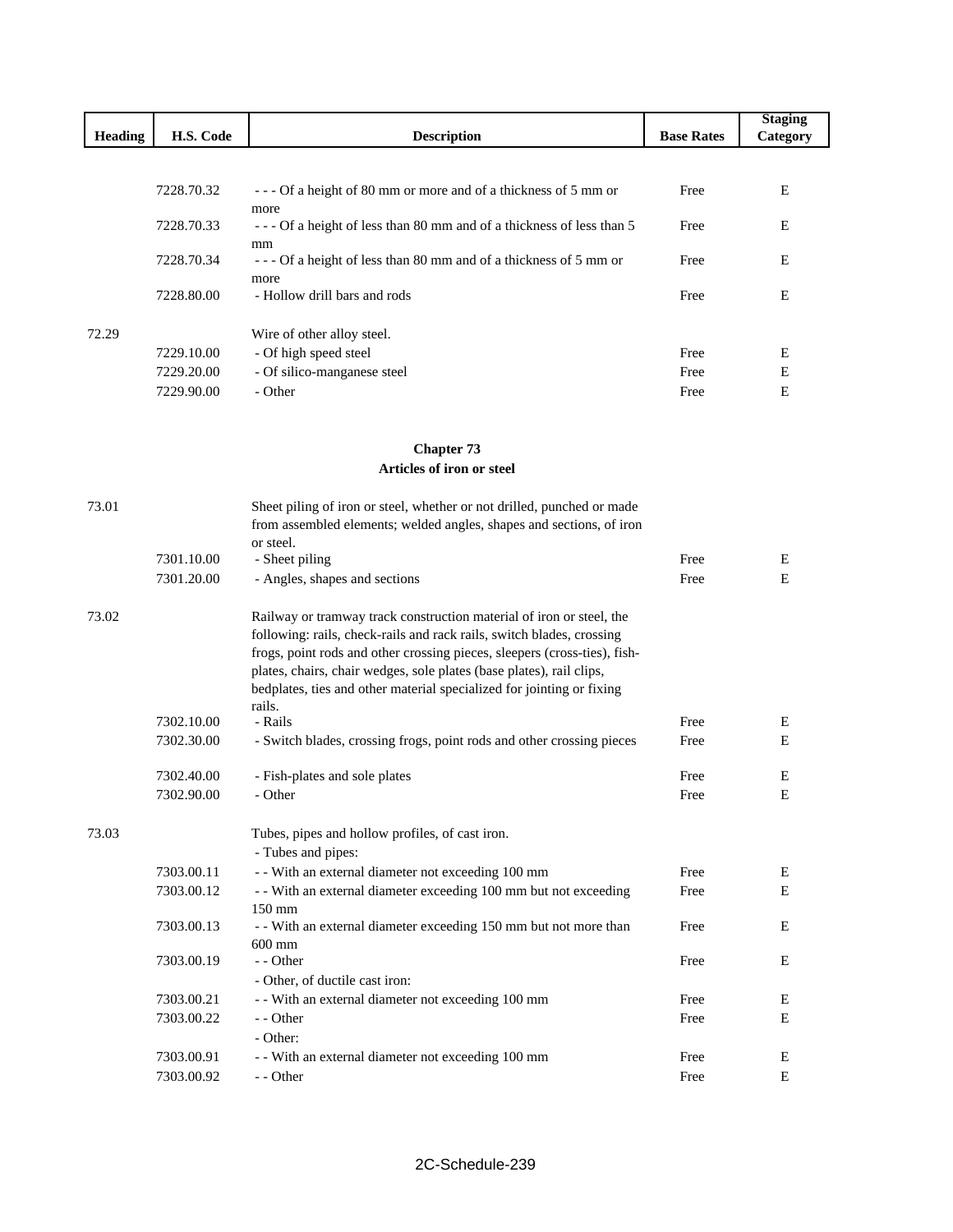|                |            |                                                                              |                   | <b>Staging</b> |
|----------------|------------|------------------------------------------------------------------------------|-------------------|----------------|
| <b>Heading</b> | H.S. Code  | <b>Description</b>                                                           | <b>Base Rates</b> | Category       |
|                |            |                                                                              |                   |                |
|                |            |                                                                              |                   |                |
|                | 7228.70.32 | --- Of a height of 80 mm or more and of a thickness of 5 mm or               | Free              | E              |
|                | 7228.70.33 | more<br>--- Of a height of less than 80 mm and of a thickness of less than 5 | Free              | E              |
|                |            | mm                                                                           |                   |                |
|                | 7228.70.34 | --- Of a height of less than 80 mm and of a thickness of 5 mm or             | Free              | E              |
|                |            | more                                                                         |                   |                |
|                | 7228.80.00 | - Hollow drill bars and rods                                                 | Free              | E              |
|                |            |                                                                              |                   |                |
| 72.29          | 7229.10.00 | Wire of other alloy steel.<br>- Of high speed steel                          | Free              | Ε              |
|                | 7229.20.00 | - Of silico-manganese steel                                                  | Free              | E              |
|                | 7229.90.00 | - Other                                                                      | Free              | E              |
|                |            |                                                                              |                   |                |
|                |            |                                                                              |                   |                |
|                |            | <b>Chapter 73</b>                                                            |                   |                |
|                |            | Articles of iron or steel                                                    |                   |                |
|                |            |                                                                              |                   |                |
| 73.01          |            | Sheet piling of iron or steel, whether or not drilled, punched or made       |                   |                |
|                |            | from assembled elements; welded angles, shapes and sections, of iron         |                   |                |
|                |            | or steel.                                                                    |                   |                |
|                | 7301.10.00 | - Sheet piling                                                               | Free              | E<br>Ε         |
|                | 7301.20.00 | - Angles, shapes and sections                                                | Free              |                |
| 73.02          |            | Railway or tramway track construction material of iron or steel, the         |                   |                |
|                |            | following: rails, check-rails and rack rails, switch blades, crossing        |                   |                |
|                |            | frogs, point rods and other crossing pieces, sleepers (cross-ties), fish-    |                   |                |
|                |            | plates, chairs, chair wedges, sole plates (base plates), rail clips,         |                   |                |
|                |            | bedplates, ties and other material specialized for jointing or fixing        |                   |                |
|                | 7302.10.00 | rails.<br>- Rails                                                            | Free              | Ε              |
|                | 7302.30.00 | - Switch blades, crossing frogs, point rods and other crossing pieces        | Free              | E              |
|                |            |                                                                              |                   |                |
|                | 7302.40.00 | - Fish-plates and sole plates                                                | Free              | E              |
|                | 7302.90.00 | - Other                                                                      | Free              | Е              |
|                |            |                                                                              |                   |                |
| 73.03          |            | Tubes, pipes and hollow profiles, of cast iron.                              |                   |                |
|                |            | - Tubes and pipes:                                                           |                   |                |
|                | 7303.00.11 | - With an external diameter not exceeding 100 mm                             | Free              | E              |
|                | 7303.00.12 | - - With an external diameter exceeding 100 mm but not exceeding             | Free              | ${\bf E}$      |
|                | 7303.00.13 | 150 mm<br>- With an external diameter exceeding 150 mm but not more than     | Free              | E              |
|                |            | $600$ mm                                                                     |                   |                |
|                | 7303.00.19 | - - Other                                                                    | Free              | E              |
|                |            | - Other, of ductile cast iron:                                               |                   |                |
|                | 7303.00.21 | - - With an external diameter not exceeding 100 mm                           | Free              | Ε              |
|                | 7303.00.22 | - - Other                                                                    | Free              | Е              |
|                |            | - Other:                                                                     |                   |                |
|                | 7303.00.91 | - - With an external diameter not exceeding 100 mm                           | Free              | Ε              |
|                | 7303.00.92 | - - Other                                                                    | Free              | ${\bf E}$      |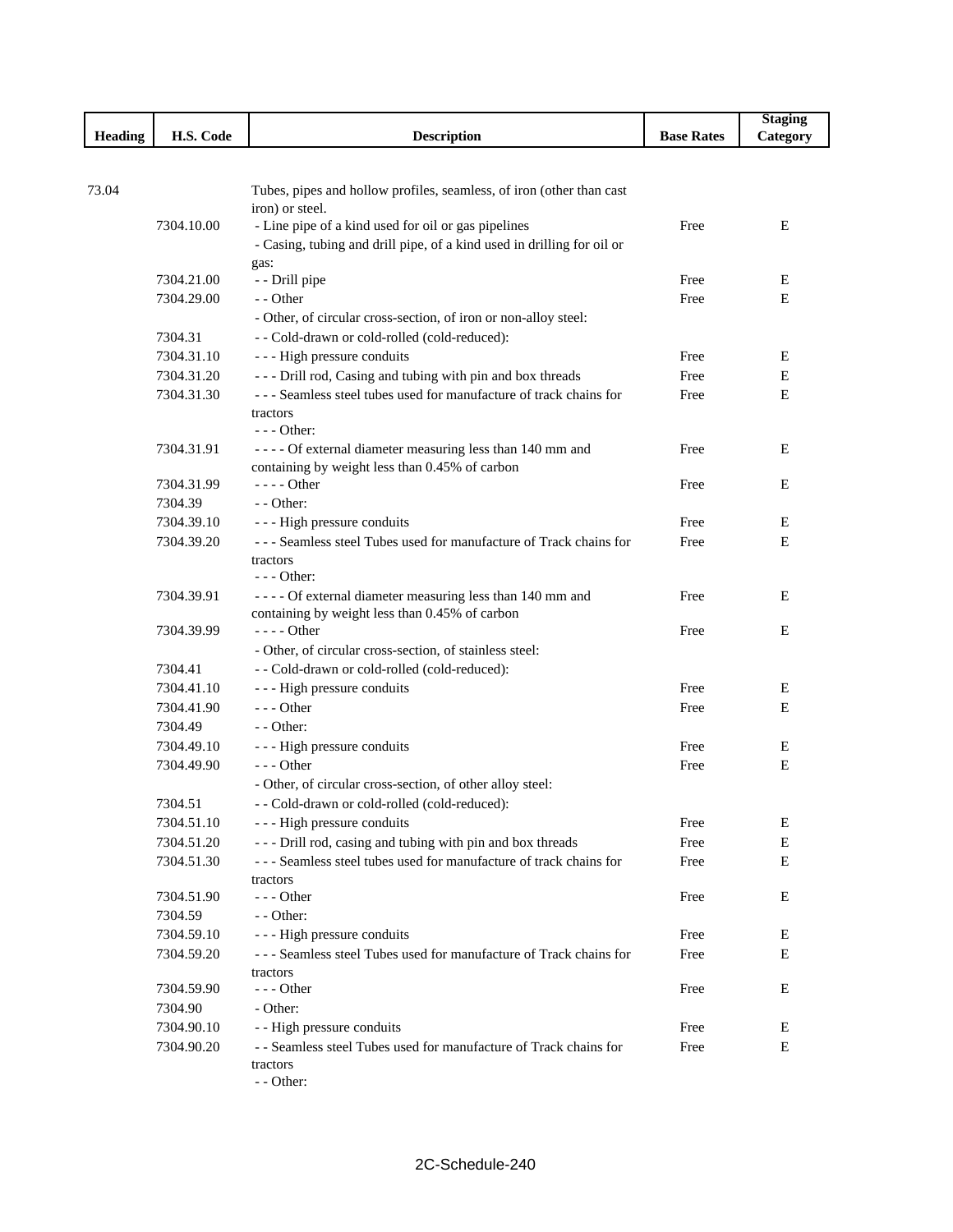|                |            |                                                                                                               |                   | <b>Staging</b> |
|----------------|------------|---------------------------------------------------------------------------------------------------------------|-------------------|----------------|
| <b>Heading</b> | H.S. Code  | <b>Description</b>                                                                                            | <b>Base Rates</b> | Category       |
|                |            |                                                                                                               |                   |                |
| 73.04          |            |                                                                                                               |                   |                |
|                |            | Tubes, pipes and hollow profiles, seamless, of iron (other than cast<br>iron) or steel.                       |                   |                |
|                | 7304.10.00 | - Line pipe of a kind used for oil or gas pipelines                                                           | Free              | E              |
|                |            | - Casing, tubing and drill pipe, of a kind used in drilling for oil or                                        |                   |                |
|                |            | gas:                                                                                                          |                   |                |
|                | 7304.21.00 | - - Drill pipe                                                                                                | Free              | E              |
|                | 7304.29.00 | - - Other                                                                                                     | Free              | E              |
|                |            | - Other, of circular cross-section, of iron or non-alloy steel:                                               |                   |                |
|                | 7304.31    | - - Cold-drawn or cold-rolled (cold-reduced):                                                                 |                   |                |
|                | 7304.31.10 | - - - High pressure conduits                                                                                  | Free              | Ε              |
|                | 7304.31.20 | --- Drill rod, Casing and tubing with pin and box threads                                                     | Free              | E              |
|                | 7304.31.30 | --- Seamless steel tubes used for manufacture of track chains for                                             | Free              | Ε              |
|                |            | tractors                                                                                                      |                   |                |
|                |            | $- -$ Other:                                                                                                  |                   |                |
|                | 7304.31.91 | - - - - Of external diameter measuring less than 140 mm and<br>containing by weight less than 0.45% of carbon | Free              | E              |
|                | 7304.31.99 | $--- Other$                                                                                                   | Free              | E              |
|                | 7304.39    | - - Other:                                                                                                    |                   |                |
|                | 7304.39.10 | --- High pressure conduits                                                                                    | Free              | Ε              |
|                | 7304.39.20 | --- Seamless steel Tubes used for manufacture of Track chains for                                             | Free              | E              |
|                |            | tractors                                                                                                      |                   |                |
|                |            | $--$ Other:                                                                                                   |                   |                |
|                | 7304.39.91 | - - - - Of external diameter measuring less than 140 mm and                                                   | Free              | Ε              |
|                |            | containing by weight less than 0.45% of carbon                                                                |                   |                |
|                | 7304.39.99 | $---$ Other                                                                                                   | Free              | E              |
|                |            | - Other, of circular cross-section, of stainless steel:                                                       |                   |                |
|                | 7304.41    | - - Cold-drawn or cold-rolled (cold-reduced):                                                                 |                   |                |
|                | 7304.41.10 | - - - High pressure conduits                                                                                  | Free              | E              |
|                | 7304.41.90 | $--$ Other                                                                                                    | Free              | E              |
|                | 7304.49    | - - Other:                                                                                                    |                   |                |
|                | 7304.49.10 | - - - High pressure conduits                                                                                  | Free              | E              |
|                | 7304.49.90 | $--$ Other                                                                                                    | Free              | E              |
|                |            | - Other, of circular cross-section, of other alloy steel:                                                     |                   |                |
|                | 7304.51    | - Cold-drawn or cold-rolled (cold-reduced):                                                                   |                   |                |
|                | 7304.51.10 | - - - High pressure conduits                                                                                  | Free              | E              |
|                | 7304.51.20 | --- Drill rod, casing and tubing with pin and box threads                                                     | Free              | Е              |
|                | 7304.51.30 | --- Seamless steel tubes used for manufacture of track chains for<br>tractors                                 | Free              | Е              |
|                | 7304.51.90 | $--$ Other                                                                                                    | Free              | Е              |
|                | 7304.59    | - - Other:                                                                                                    |                   |                |
|                | 7304.59.10 | - - - High pressure conduits                                                                                  | Free              | E              |
|                | 7304.59.20 | --- Seamless steel Tubes used for manufacture of Track chains for                                             | Free              | Е              |
|                |            | tractors                                                                                                      |                   |                |
|                | 7304.59.90 | $--$ Other                                                                                                    | Free              | Ε              |
|                | 7304.90    | - Other:                                                                                                      |                   |                |
|                | 7304.90.10 | - - High pressure conduits                                                                                    | Free              | Е              |
|                | 7304.90.20 | - - Seamless steel Tubes used for manufacture of Track chains for                                             | Free              | E              |
|                |            | tractors                                                                                                      |                   |                |
|                |            | - - Other:                                                                                                    |                   |                |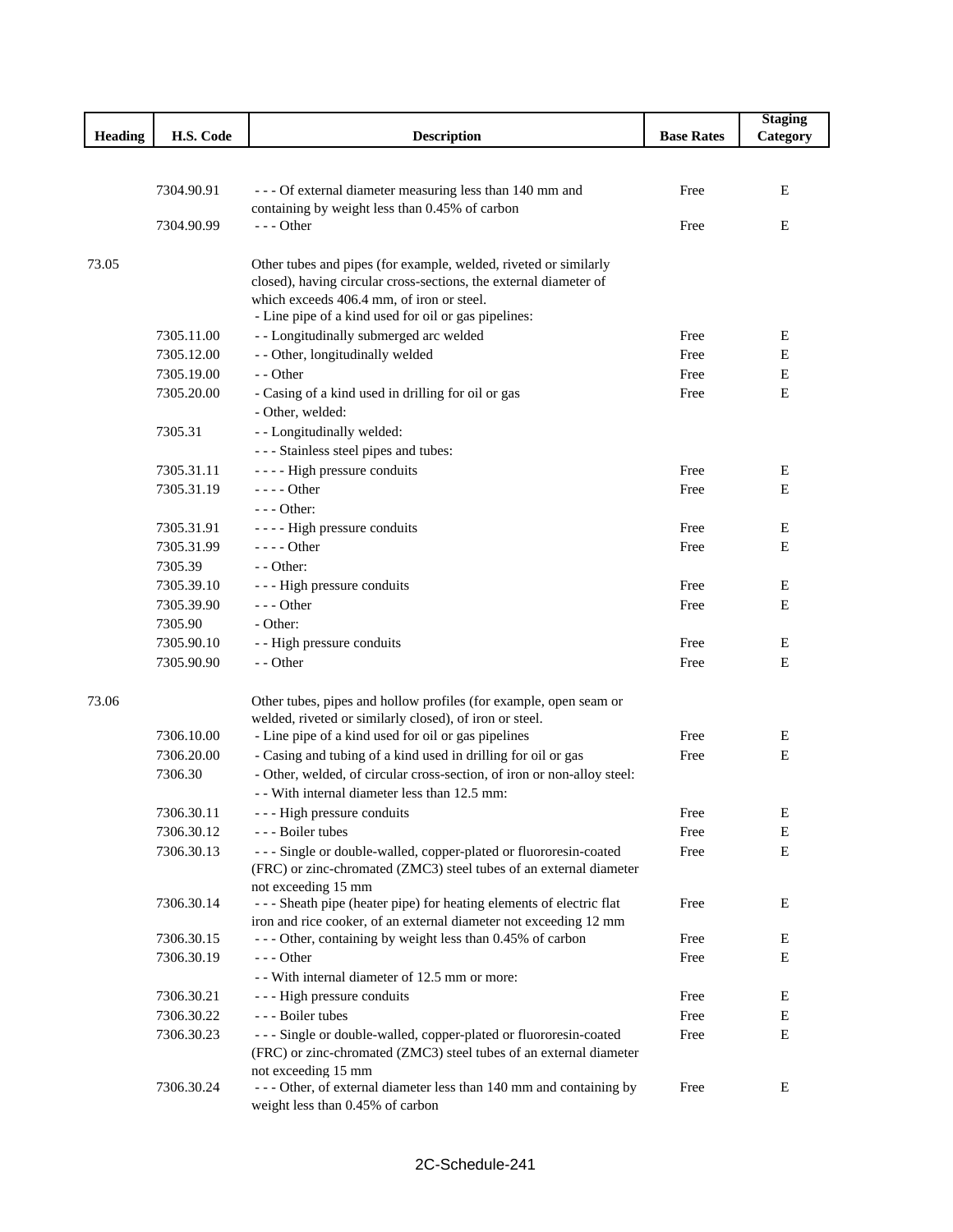|         |                          |                                                                                                           |                   | <b>Staging</b> |
|---------|--------------------------|-----------------------------------------------------------------------------------------------------------|-------------------|----------------|
| Heading | H.S. Code                | <b>Description</b>                                                                                        | <b>Base Rates</b> | Category       |
|         |                          |                                                                                                           |                   |                |
|         |                          |                                                                                                           |                   |                |
|         | 7304.90.91               | --- Of external diameter measuring less than 140 mm and<br>containing by weight less than 0.45% of carbon | Free              | E              |
|         | 7304.90.99               | $- -$ Other                                                                                               | Free              | E              |
|         |                          |                                                                                                           |                   |                |
| 73.05   |                          | Other tubes and pipes (for example, welded, riveted or similarly                                          |                   |                |
|         |                          | closed), having circular cross-sections, the external diameter of                                         |                   |                |
|         |                          | which exceeds 406.4 mm, of iron or steel.                                                                 |                   |                |
|         |                          | - Line pipe of a kind used for oil or gas pipelines:                                                      |                   |                |
|         | 7305.11.00               | - - Longitudinally submerged arc welded                                                                   | Free              | E              |
|         | 7305.12.00               | - - Other, longitudinally welded                                                                          | Free              | E              |
|         | 7305.19.00               | - - Other                                                                                                 | Free              | E              |
|         | 7305.20.00               | - Casing of a kind used in drilling for oil or gas                                                        | Free              | E              |
|         |                          | - Other, welded:                                                                                          |                   |                |
|         | 7305.31                  | - - Longitudinally welded:                                                                                |                   |                |
|         |                          | --- Stainless steel pipes and tubes:                                                                      |                   |                |
|         | 7305.31.11               | - - - - High pressure conduits                                                                            | Free              | Ε              |
|         | 7305.31.19               | $--- Other$                                                                                               | Free              | E              |
|         |                          | $--$ Other:                                                                                               |                   |                |
|         | 7305.31.91               | - - - - High pressure conduits                                                                            | Free              | E              |
|         | 7305.31.99               | $--- Other$                                                                                               | Free              | E              |
|         | 7305.39                  | $-$ - Other:                                                                                              |                   |                |
|         | 7305.39.10               | - - - High pressure conduits                                                                              | Free              | E              |
|         | 7305.39.90               | $--$ Other                                                                                                | Free              | E              |
|         | 7305.90                  | - Other:                                                                                                  |                   |                |
|         | 7305.90.10<br>7305.90.90 | - - High pressure conduits<br>- - Other                                                                   | Free<br>Free      | E<br>E         |
|         |                          |                                                                                                           |                   |                |
| 73.06   |                          | Other tubes, pipes and hollow profiles (for example, open seam or                                         |                   |                |
|         |                          | welded, riveted or similarly closed), of iron or steel.                                                   |                   |                |
|         | 7306.10.00               | - Line pipe of a kind used for oil or gas pipelines                                                       | Free              | E              |
|         | 7306.20.00               | - Casing and tubing of a kind used in drilling for oil or gas                                             | Free              | E              |
|         | 7306.30                  | - Other, welded, of circular cross-section, of iron or non-alloy steel:                                   |                   |                |
|         |                          | - With internal diameter less than 12.5 mm:                                                               |                   |                |
|         | 7306.30.11               | --- High pressure conduits                                                                                | Free              | E              |
|         | 7306.30.12               | - - - Boiler tubes                                                                                        | Free              | Е              |
|         | 7306.30.13               | --- Single or double-walled, copper-plated or fluororesin-coated                                          | Free              | $\mathbf E$    |
|         |                          | (FRC) or zinc-chromated (ZMC3) steel tubes of an external diameter                                        |                   |                |
|         |                          | not exceeding 15 mm                                                                                       |                   |                |
|         | 7306.30.14               | --- Sheath pipe (heater pipe) for heating elements of electric flat                                       | Free              | E              |
|         |                          | iron and rice cooker, of an external diameter not exceeding 12 mm                                         |                   |                |
|         | 7306.30.15<br>7306.30.19 | --- Other, containing by weight less than 0.45% of carbon<br>$--$ Other                                   | Free              | E<br>E         |
|         |                          | - With internal diameter of 12.5 mm or more:                                                              | Free              |                |
|         | 7306.30.21               | --- High pressure conduits                                                                                | Free              | E              |
|         | 7306.30.22               | --- Boiler tubes                                                                                          | Free              | E              |
|         | 7306.30.23               | --- Single or double-walled, copper-plated or fluororesin-coated                                          | Free              | E              |
|         |                          | (FRC) or zinc-chromated (ZMC3) steel tubes of an external diameter                                        |                   |                |
|         |                          | not exceeding 15 mm                                                                                       |                   |                |
|         | 7306.30.24               | --- Other, of external diameter less than 140 mm and containing by                                        | Free              | Ε              |
|         |                          | weight less than 0.45% of carbon                                                                          |                   |                |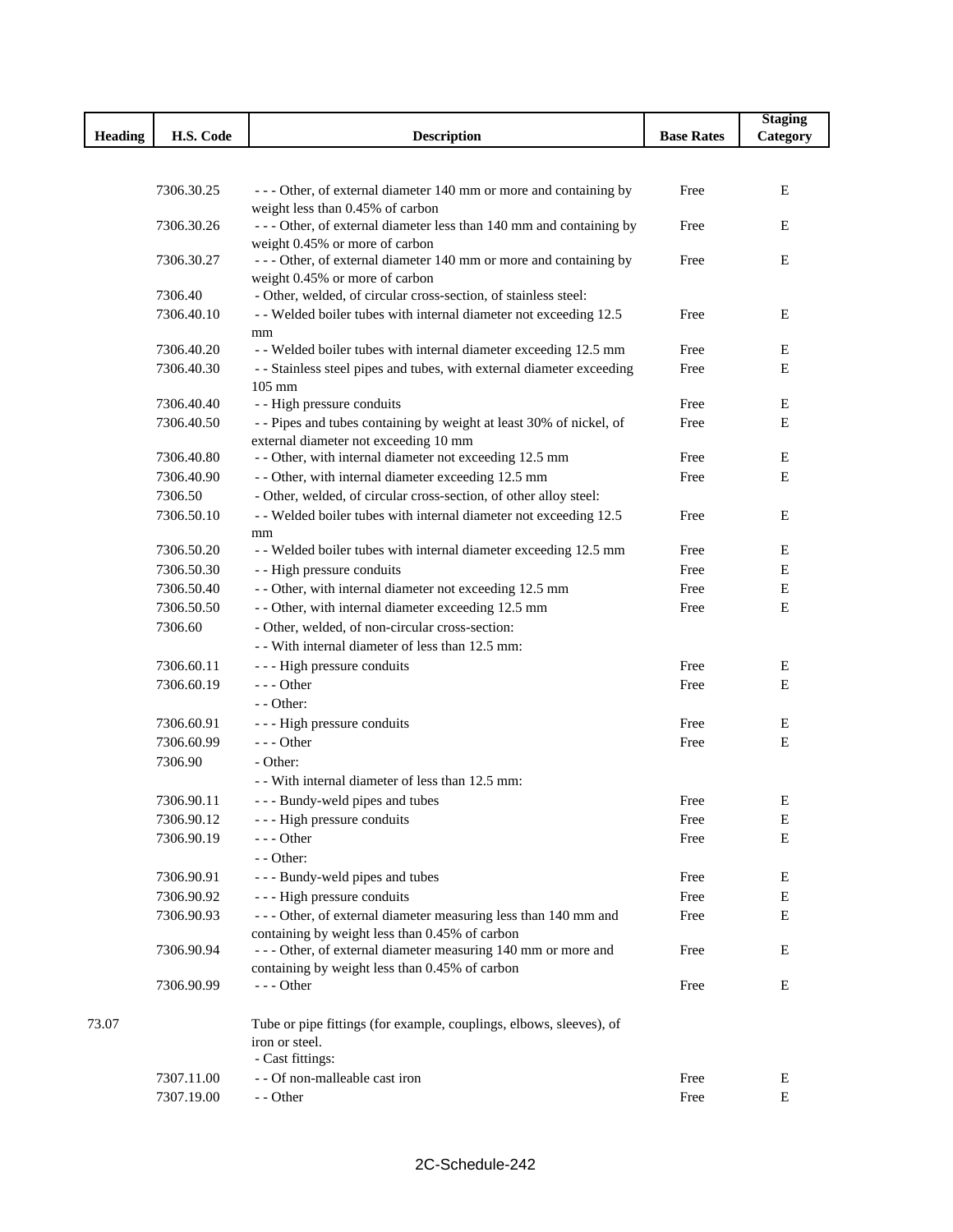|                |                          |                                                                                                      |                   | <b>Staging</b> |
|----------------|--------------------------|------------------------------------------------------------------------------------------------------|-------------------|----------------|
| <b>Heading</b> | H.S. Code                | <b>Description</b>                                                                                   | <b>Base Rates</b> | Category       |
|                |                          |                                                                                                      |                   |                |
|                |                          |                                                                                                      |                   |                |
|                | 7306.30.25               | --- Other, of external diameter 140 mm or more and containing by                                     | Free              | Е              |
|                | 7306.30.26               | weight less than 0.45% of carbon                                                                     |                   | Е              |
|                |                          | --- Other, of external diameter less than 140 mm and containing by<br>weight 0.45% or more of carbon | Free              |                |
|                | 7306.30.27               | - - - Other, of external diameter 140 mm or more and containing by                                   | Free              | Е              |
|                |                          | weight 0.45% or more of carbon                                                                       |                   |                |
|                | 7306.40                  | - Other, welded, of circular cross-section, of stainless steel:                                      |                   |                |
|                | 7306.40.10               | - Welded boiler tubes with internal diameter not exceeding 12.5                                      | Free              | Е              |
|                |                          | mm                                                                                                   |                   |                |
|                | 7306.40.20               | - - Welded boiler tubes with internal diameter exceeding 12.5 mm                                     | Free              | E              |
|                | 7306.40.30               | - - Stainless steel pipes and tubes, with external diameter exceeding                                | Free              | E              |
|                |                          | $105 \text{ mm}$                                                                                     |                   |                |
|                | 7306.40.40               | - - High pressure conduits                                                                           | Free              | Е              |
|                | 7306.40.50               | -- Pipes and tubes containing by weight at least 30% of nickel, of                                   | Free              | Е              |
|                |                          | external diameter not exceeding 10 mm                                                                |                   |                |
|                | 7306.40.80<br>7306.40.90 | - - Other, with internal diameter not exceeding 12.5 mm                                              | Free              | E<br>${\bf E}$ |
|                | 7306.50                  | - - Other, with internal diameter exceeding 12.5 mm                                                  | Free              |                |
|                | 7306.50.10               | - Other, welded, of circular cross-section, of other alloy steel:                                    |                   |                |
|                |                          | - - Welded boiler tubes with internal diameter not exceeding 12.5<br>mm                              | Free              | Е              |
|                | 7306.50.20               | - - Welded boiler tubes with internal diameter exceeding 12.5 mm                                     | Free              | E              |
|                | 7306.50.30               | - - High pressure conduits                                                                           | Free              | E              |
|                | 7306.50.40               | - - Other, with internal diameter not exceeding 12.5 mm                                              | Free              | Е              |
|                | 7306.50.50               | - - Other, with internal diameter exceeding 12.5 mm                                                  | Free              | ${\bf E}$      |
|                | 7306.60                  | - Other, welded, of non-circular cross-section:                                                      |                   |                |
|                |                          | - With internal diameter of less than 12.5 mm:                                                       |                   |                |
|                | 7306.60.11               | - - - High pressure conduits                                                                         | Free              | E              |
|                | 7306.60.19               | $--$ Other                                                                                           | Free              | Е              |
|                |                          | - - Other:                                                                                           |                   |                |
|                | 7306.60.91               | - - - High pressure conduits                                                                         | Free              | E              |
|                | 7306.60.99               | $--$ Other                                                                                           | Free              | ${\bf E}$      |
|                | 7306.90                  | - Other:                                                                                             |                   |                |
|                |                          | - With internal diameter of less than 12.5 mm:                                                       |                   |                |
|                | 7306.90.11               | - - - Bundy-weld pipes and tubes                                                                     | Free              | Е              |
|                | 7306.90.12               | - - - High pressure conduits                                                                         | Free              | E              |
|                | 7306.90.19               | --- Other                                                                                            | Free              | E              |
|                |                          | - - Other:                                                                                           |                   |                |
|                | 7306.90.91               | - - - Bundy-weld pipes and tubes                                                                     | Free              | E              |
|                | 7306.90.92               | - - - High pressure conduits                                                                         | Free              | E              |
|                | 7306.90.93               | --- Other, of external diameter measuring less than 140 mm and                                       | Free              | E              |
|                |                          | containing by weight less than 0.45% of carbon                                                       |                   |                |
|                | 7306.90.94               | - - - Other, of external diameter measuring 140 mm or more and                                       | Free              | E              |
|                |                          | containing by weight less than 0.45% of carbon                                                       |                   |                |
|                | 7306.90.99               | --- Other                                                                                            | Free              | Е              |
| 73.07          |                          |                                                                                                      |                   |                |
|                |                          | Tube or pipe fittings (for example, couplings, elbows, sleeves), of<br>iron or steel.                |                   |                |
|                |                          | - Cast fittings:                                                                                     |                   |                |
|                | 7307.11.00               | - - Of non-malleable cast iron                                                                       | Free              | E              |
|                | 7307.19.00               | - - Other                                                                                            | Free              | Е              |
|                |                          |                                                                                                      |                   |                |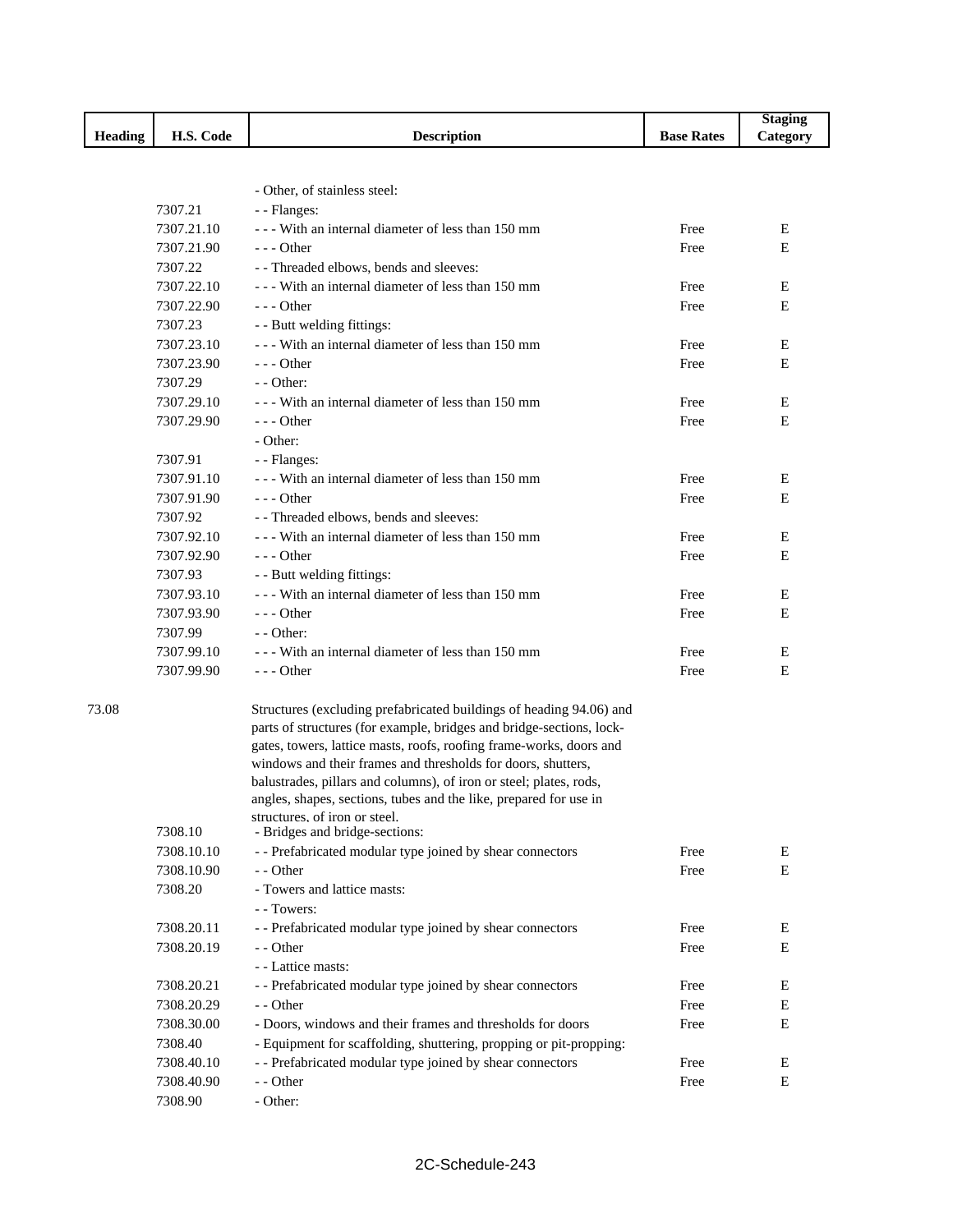|                |            |                                                                      |                   | <b>Staging</b> |
|----------------|------------|----------------------------------------------------------------------|-------------------|----------------|
| <b>Heading</b> | H.S. Code  | <b>Description</b>                                                   | <b>Base Rates</b> | Category       |
|                |            |                                                                      |                   |                |
|                |            |                                                                      |                   |                |
|                |            | - Other, of stainless steel:                                         |                   |                |
|                | 7307.21    | - - Flanges:                                                         |                   |                |
|                | 7307.21.10 | --- With an internal diameter of less than 150 mm                    | Free              | E              |
|                | 7307.21.90 | $- -$ Other                                                          | Free              | E              |
|                | 7307.22    | - - Threaded elbows, bends and sleeves:                              |                   |                |
|                | 7307.22.10 | --- With an internal diameter of less than 150 mm                    | Free              | Ε              |
|                | 7307.22.90 | $--$ Other                                                           | Free              | Е              |
|                | 7307.23    | - - Butt welding fittings:                                           |                   |                |
|                | 7307.23.10 | --- With an internal diameter of less than 150 mm                    | Free              | E              |
|                | 7307.23.90 | $--$ Other                                                           | Free              | Е              |
|                | 7307.29    | $-$ - Other:                                                         |                   |                |
|                | 7307.29.10 | --- With an internal diameter of less than 150 mm                    | Free              | E              |
|                | 7307.29.90 | $- -$ Other                                                          | Free              | E              |
|                |            | - Other:                                                             |                   |                |
|                | 7307.91    | - - Flanges:                                                         |                   |                |
|                | 7307.91.10 | --- With an internal diameter of less than 150 mm                    | Free              | Ε              |
|                | 7307.91.90 | $--$ Other                                                           | Free              | E              |
|                | 7307.92    | - - Threaded elbows, bends and sleeves:                              |                   |                |
|                | 7307.92.10 | --- With an internal diameter of less than 150 mm                    | Free              | E              |
|                | 7307.92.90 | $--$ Other                                                           | Free              | Е              |
|                | 7307.93    | - - Butt welding fittings:                                           |                   |                |
|                | 7307.93.10 | --- With an internal diameter of less than 150 mm                    | Free              | Е              |
|                | 7307.93.90 | $--$ Other                                                           | Free              | E              |
|                | 7307.99    | - - Other:                                                           |                   |                |
|                | 7307.99.10 | --- With an internal diameter of less than 150 mm                    | Free              | Е              |
|                | 7307.99.90 | $--$ Other                                                           | Free              | Е              |
|                |            |                                                                      |                   |                |
| 73.08          |            | Structures (excluding prefabricated buildings of heading 94.06) and  |                   |                |
|                |            | parts of structures (for example, bridges and bridge-sections, lock- |                   |                |
|                |            | gates, towers, lattice masts, roofs, roofing frame-works, doors and  |                   |                |
|                |            | windows and their frames and thresholds for doors, shutters,         |                   |                |
|                |            | balustrades, pillars and columns), of iron or steel; plates, rods,   |                   |                |
|                |            | angles, shapes, sections, tubes and the like, prepared for use in    |                   |                |
|                |            | structures, of iron or steel.                                        |                   |                |
|                | 7308.10    | - Bridges and bridge-sections:                                       |                   |                |
|                | 7308.10.10 | - - Prefabricated modular type joined by shear connectors            | Free              | Е              |
|                | 7308.10.90 | - - Other                                                            | Free              | Е              |
|                | 7308.20    | - Towers and lattice masts:                                          |                   |                |
|                |            | - - Towers:                                                          |                   |                |
|                | 7308.20.11 | - - Prefabricated modular type joined by shear connectors            | Free              | E              |
|                | 7308.20.19 | - - Other                                                            | Free              | Е              |
|                |            | - - Lattice masts:                                                   |                   |                |
|                | 7308.20.21 | - - Prefabricated modular type joined by shear connectors            | Free              | Ε              |
|                | 7308.20.29 | - - Other                                                            | Free              | Е              |
|                | 7308.30.00 | - Doors, windows and their frames and thresholds for doors           | Free              | Е              |
|                | 7308.40    | - Equipment for scaffolding, shuttering, propping or pit-propping:   |                   |                |
|                | 7308.40.10 | - - Prefabricated modular type joined by shear connectors            | Free              | Е              |
|                | 7308.40.90 | - - Other                                                            | Free              | Е              |
|                | 7308.90    | - Other:                                                             |                   |                |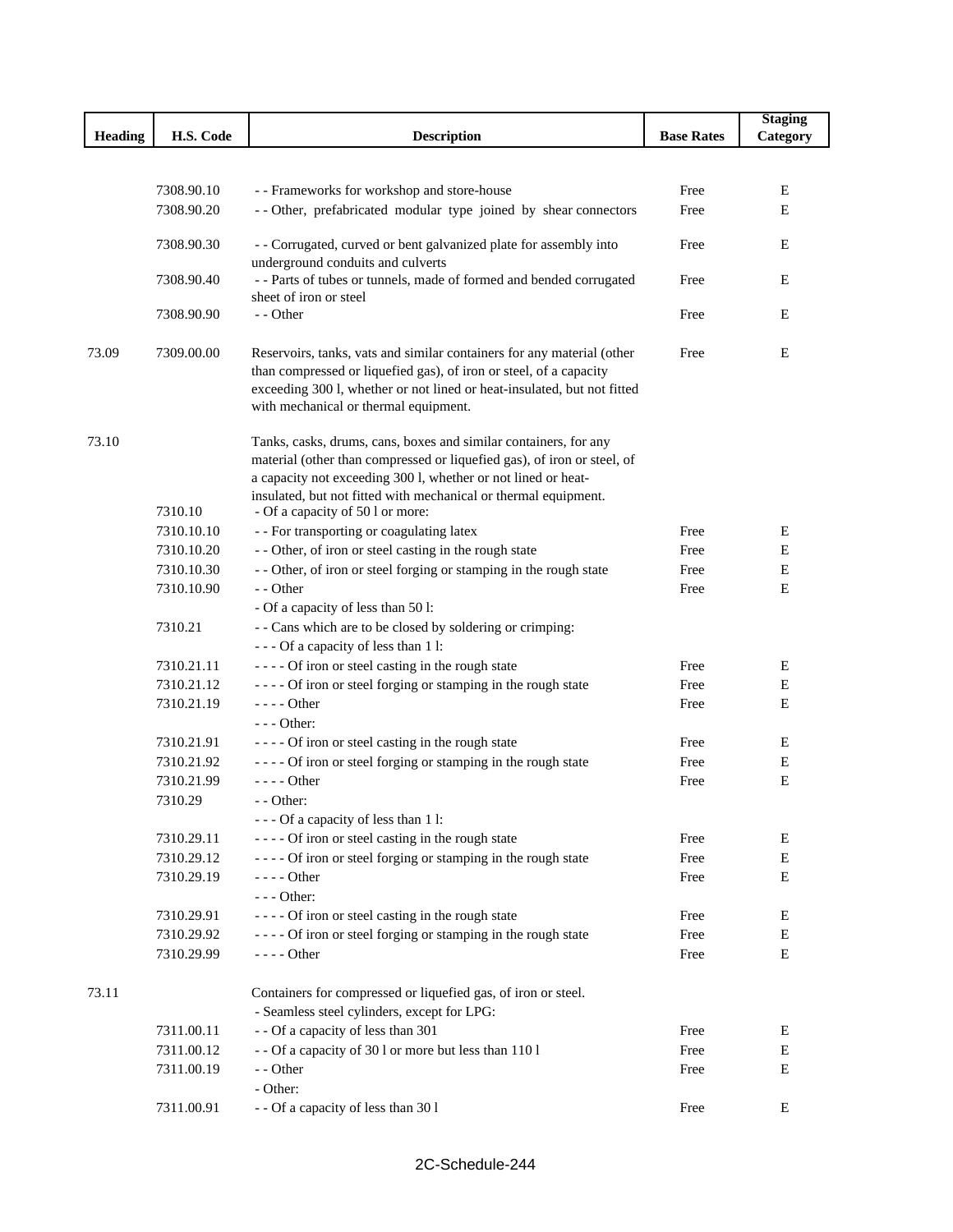|                |            |                                                                                                                |                   | <b>Staging</b> |
|----------------|------------|----------------------------------------------------------------------------------------------------------------|-------------------|----------------|
| <b>Heading</b> | H.S. Code  | <b>Description</b>                                                                                             | <b>Base Rates</b> | Category       |
|                |            |                                                                                                                |                   |                |
|                | 7308.90.10 |                                                                                                                | Free              |                |
|                | 7308.90.20 | - - Frameworks for workshop and store-house<br>-- Other, prefabricated modular type joined by shear connectors | Free              | Е<br>E         |
|                |            |                                                                                                                |                   |                |
|                | 7308.90.30 | - - Corrugated, curved or bent galvanized plate for assembly into                                              | Free              | Ε              |
|                | 7308.90.40 | underground conduits and culverts<br>- - Parts of tubes or tunnels, made of formed and bended corrugated       | Free              | E              |
|                |            | sheet of iron or steel                                                                                         |                   |                |
|                | 7308.90.90 | - - Other                                                                                                      | Free              | E              |
|                |            |                                                                                                                |                   |                |
| 73.09          | 7309.00.00 | Reservoirs, tanks, vats and similar containers for any material (other                                         | Free              | E              |
|                |            | than compressed or liquefied gas), of iron or steel, of a capacity                                             |                   |                |
|                |            | exceeding 300 l, whether or not lined or heat-insulated, but not fitted                                        |                   |                |
|                |            | with mechanical or thermal equipment.                                                                          |                   |                |
| 73.10          |            | Tanks, casks, drums, cans, boxes and similar containers, for any                                               |                   |                |
|                |            | material (other than compressed or liquefied gas), of iron or steel, of                                        |                   |                |
|                |            | a capacity not exceeding 300 l, whether or not lined or heat-                                                  |                   |                |
|                |            | insulated, but not fitted with mechanical or thermal equipment.                                                |                   |                |
|                | 7310.10    | - Of a capacity of 50 l or more:                                                                               |                   |                |
|                | 7310.10.10 | - - For transporting or coagulating latex                                                                      | Free              | Ε              |
|                | 7310.10.20 | - - Other, of iron or steel casting in the rough state                                                         | Free              | Ε              |
|                | 7310.10.30 | - - Other, of iron or steel forging or stamping in the rough state                                             | Free              | E              |
|                | 7310.10.90 | - - Other<br>- Of a capacity of less than 50 l:                                                                | Free              | E              |
|                | 7310.21    | - - Cans which are to be closed by soldering or crimping:                                                      |                   |                |
|                |            | - - - Of a capacity of less than 1 l:                                                                          |                   |                |
|                | 7310.21.11 | ---- Of iron or steel casting in the rough state                                                               | Free              | Ε              |
|                | 7310.21.12 | ---- Of iron or steel forging or stamping in the rough state                                                   | Free              | E              |
|                | 7310.21.19 | $---$ Other                                                                                                    | Free              | E              |
|                |            | $- -$ Other:                                                                                                   |                   |                |
|                | 7310.21.91 | ---- Of iron or steel casting in the rough state                                                               | Free              | E              |
|                | 7310.21.92 | ---- Of iron or steel forging or stamping in the rough state                                                   | Free              | Е              |
|                | 7310.21.99 | $--- Other$                                                                                                    | Free              | E              |
|                | 7310.29    | - - Other:                                                                                                     |                   |                |
|                |            | - - - Of a capacity of less than 1 l:                                                                          |                   |                |
|                | 7310.29.11 | ---- Of iron or steel casting in the rough state                                                               | Free              | E              |
|                | 7310.29.12 | ---- Of iron or steel forging or stamping in the rough state                                                   | Free              | E              |
|                | 7310.29.19 | $--- Other$<br>$--$ Other:                                                                                     | Free              | Е              |
|                | 7310.29.91 | ---- Of iron or steel casting in the rough state                                                               | Free              | Е              |
|                | 7310.29.92 | ---- Of iron or steel forging or stamping in the rough state                                                   | Free              | Ε              |
|                | 7310.29.99 | - - - - Other                                                                                                  | Free              | E              |
|                |            |                                                                                                                |                   |                |
| 73.11          |            | Containers for compressed or liquefied gas, of iron or steel.                                                  |                   |                |
|                |            | - Seamless steel cylinders, except for LPG:                                                                    |                   |                |
|                | 7311.00.11 | - - Of a capacity of less than 301                                                                             | Free              | E              |
|                | 7311.00.12 | - - Of a capacity of 30 l or more but less than 110 l                                                          | Free              | Е              |
|                | 7311.00.19 | - - Other                                                                                                      | Free              | E              |
|                |            | - Other:                                                                                                       |                   |                |
|                | 7311.00.91 | - - Of a capacity of less than 30 l                                                                            | Free              | E              |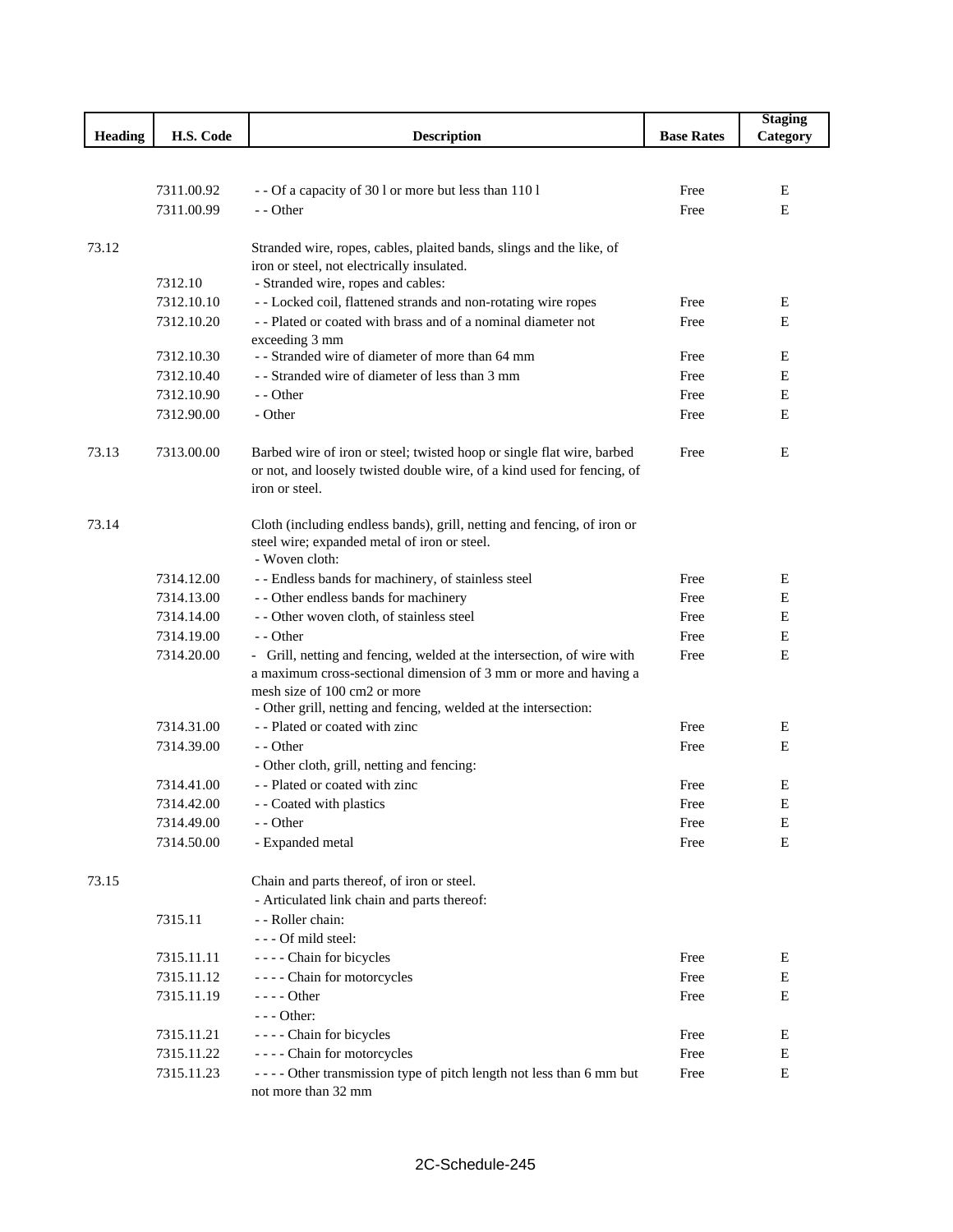|                |            |                                                                                                                    |                   | <b>Staging</b> |
|----------------|------------|--------------------------------------------------------------------------------------------------------------------|-------------------|----------------|
| <b>Heading</b> | H.S. Code  | <b>Description</b>                                                                                                 | <b>Base Rates</b> | Category       |
|                |            |                                                                                                                    |                   |                |
|                |            |                                                                                                                    |                   |                |
|                | 7311.00.92 | - - Of a capacity of 30 l or more but less than 110 l                                                              | Free              | Е              |
|                | 7311.00.99 | $-$ - Other                                                                                                        | Free              | E              |
|                |            |                                                                                                                    |                   |                |
| 73.12          |            | Stranded wire, ropes, cables, plaited bands, slings and the like, of<br>iron or steel, not electrically insulated. |                   |                |
|                | 7312.10    | - Stranded wire, ropes and cables:                                                                                 |                   |                |
|                | 7312.10.10 | - - Locked coil, flattened strands and non-rotating wire ropes                                                     | Free              | E              |
|                | 7312.10.20 | -- Plated or coated with brass and of a nominal diameter not                                                       | Free              | E              |
|                |            | exceeding 3 mm                                                                                                     |                   |                |
|                | 7312.10.30 | - - Stranded wire of diameter of more than 64 mm                                                                   | Free              | Е              |
|                | 7312.10.40 | - - Stranded wire of diameter of less than 3 mm                                                                    | Free              | Ε              |
|                | 7312.10.90 | - - Other                                                                                                          | Free              | Е              |
|                | 7312.90.00 | - Other                                                                                                            | Free              | E              |
|                |            |                                                                                                                    |                   |                |
| 73.13          | 7313.00.00 | Barbed wire of iron or steel; twisted hoop or single flat wire, barbed                                             | Free              | E              |
|                |            | or not, and loosely twisted double wire, of a kind used for fencing, of                                            |                   |                |
|                |            | iron or steel.                                                                                                     |                   |                |
|                |            |                                                                                                                    |                   |                |
| 73.14          |            | Cloth (including endless bands), grill, netting and fencing, of iron or                                            |                   |                |
|                |            | steel wire; expanded metal of iron or steel.                                                                       |                   |                |
|                |            | - Woven cloth:                                                                                                     |                   |                |
|                | 7314.12.00 | - - Endless bands for machinery, of stainless steel                                                                | Free              | E              |
|                | 7314.13.00 | - - Other endless bands for machinery                                                                              | Free              | Е              |
|                | 7314.14.00 | - - Other woven cloth, of stainless steel                                                                          | Free              | Е              |
|                | 7314.19.00 | - - Other                                                                                                          | Free              | Ε              |
|                | 7314.20.00 | - Grill, netting and fencing, welded at the intersection, of wire with                                             | Free              | E              |
|                |            | a maximum cross-sectional dimension of 3 mm or more and having a<br>mesh size of 100 cm2 or more                   |                   |                |
|                |            | - Other grill, netting and fencing, welded at the intersection:                                                    |                   |                |
|                | 7314.31.00 | - - Plated or coated with zinc                                                                                     | Free              | Ε              |
|                | 7314.39.00 | - - Other                                                                                                          | Free              | E              |
|                |            | - Other cloth, grill, netting and fencing:                                                                         |                   |                |
|                | 7314.41.00 | - - Plated or coated with zinc                                                                                     | Free              | Ε              |
|                | 7314.42.00 | - - Coated with plastics                                                                                           | Free              | E              |
|                | 7314.49.00 | - - Other                                                                                                          | Free              | Ε              |
|                | 7314.50.00 | - Expanded metal                                                                                                   | Free              | Ε              |
|                |            |                                                                                                                    |                   |                |
| 73.15          |            | Chain and parts thereof, of iron or steel.                                                                         |                   |                |
|                |            | - Articulated link chain and parts thereof:                                                                        |                   |                |
|                | 7315.11    | - - Roller chain:                                                                                                  |                   |                |
|                |            | --- Of mild steel:                                                                                                 |                   |                |
|                | 7315.11.11 | - - - - Chain for bicycles                                                                                         | Free              | Е              |
|                | 7315.11.12 | ---- Chain for motorcycles                                                                                         | Free              | Ε              |
|                | 7315.11.19 | $--$ Other                                                                                                         | Free              | Ε              |
|                |            | $--$ Other:                                                                                                        |                   |                |
|                | 7315.11.21 | - - - - Chain for bicycles                                                                                         | Free              | Ε              |
|                | 7315.11.22 | - - - - Chain for motorcycles                                                                                      | Free              | $\mathbf E$    |
|                | 7315.11.23 | ---- Other transmission type of pitch length not less than 6 mm but                                                | Free              | Ε              |
|                |            | not more than 32 mm                                                                                                |                   |                |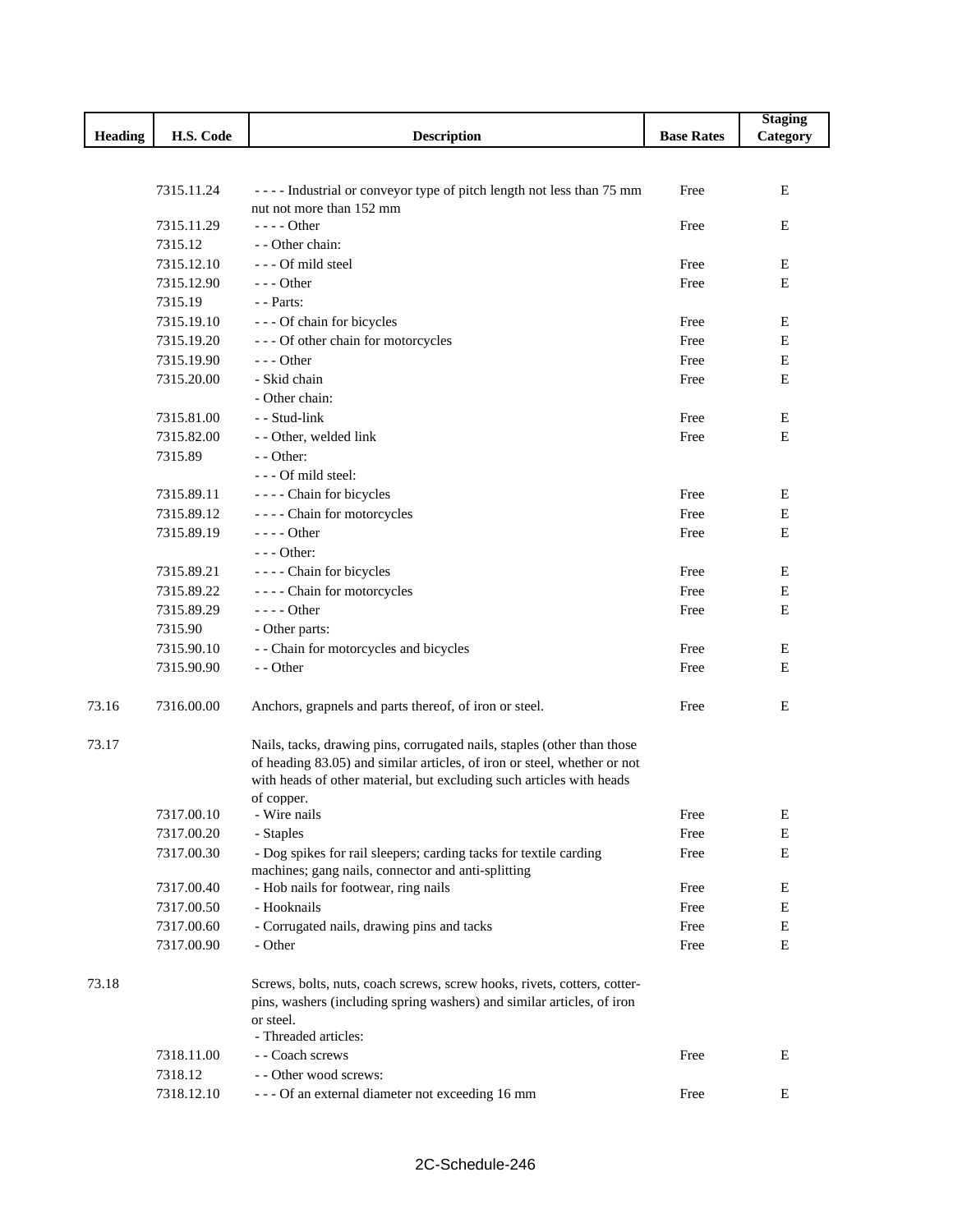|                |            |                                                                          |                   | <b>Staging</b> |
|----------------|------------|--------------------------------------------------------------------------|-------------------|----------------|
| <b>Heading</b> | H.S. Code  | <b>Description</b>                                                       | <b>Base Rates</b> | Category       |
|                |            |                                                                          |                   |                |
|                |            |                                                                          |                   |                |
|                | 7315.11.24 | ---- Industrial or conveyor type of pitch length not less than 75 mm     | Free              | E              |
|                | 7315.11.29 | nut not more than 152 mm<br>$--- Other$                                  | Free              | Ε              |
|                | 7315.12    | - - Other chain:                                                         |                   |                |
|                | 7315.12.10 | --- Of mild steel                                                        | Free              | E              |
|                | 7315.12.90 | $--$ Other                                                               | Free              | E              |
|                | 7315.19    | - - Parts:                                                               |                   |                |
|                | 7315.19.10 | --- Of chain for bicycles                                                | Free              | E              |
|                | 7315.19.20 | --- Of other chain for motorcycles                                       | Free              | E              |
|                | 7315.19.90 | $--$ Other                                                               | Free              | Ε              |
|                | 7315.20.00 | - Skid chain                                                             | Free              | E              |
|                |            | - Other chain:                                                           |                   |                |
|                | 7315.81.00 | - - Stud-link                                                            | Free              | E              |
|                | 7315.82.00 | - - Other, welded link                                                   | Free              | E              |
|                | 7315.89    | - - Other:                                                               |                   |                |
|                |            | - - - Of mild steel:                                                     |                   |                |
|                | 7315.89.11 | - - - - Chain for bicycles                                               | Free              | E              |
|                | 7315.89.12 | - - - - Chain for motorcycles                                            | Free              | $\mathbf E$    |
|                | 7315.89.19 | - - - - Other                                                            | Free              | E              |
|                |            | - - - Other:                                                             |                   |                |
|                | 7315.89.21 | - - - - Chain for bicycles                                               | Free              | E              |
|                | 7315.89.22 | - - - - Chain for motorcycles                                            | Free              | Ε              |
|                | 7315.89.29 | $--- Other$                                                              | Free              | E              |
|                | 7315.90    | - Other parts:                                                           |                   |                |
|                | 7315.90.10 | - - Chain for motorcycles and bicycles                                   | Free              | Ε              |
|                | 7315.90.90 | - - Other                                                                | Free              | E              |
|                |            |                                                                          |                   |                |
| 73.16          | 7316.00.00 | Anchors, grapnels and parts thereof, of iron or steel.                   | Free              | E              |
|                |            |                                                                          |                   |                |
| 73.17          |            | Nails, tacks, drawing pins, corrugated nails, staples (other than those  |                   |                |
|                |            | of heading 83.05) and similar articles, of iron or steel, whether or not |                   |                |
|                |            | with heads of other material, but excluding such articles with heads     |                   |                |
|                | 7317.00.10 | of copper.<br>- Wire nails                                               | Free              |                |
|                | 7317.00.20 | - Staples                                                                | Free              | E<br>E         |
|                | 7317.00.30 | - Dog spikes for rail sleepers; carding tacks for textile carding        | Free              | $\mathbf E$    |
|                |            | machines; gang nails, connector and anti-splitting                       |                   |                |
|                | 7317.00.40 | - Hob nails for footwear, ring nails                                     | Free              | Е              |
|                | 7317.00.50 | - Hooknails                                                              | Free              | E              |
|                | 7317.00.60 | - Corrugated nails, drawing pins and tacks                               | Free              | E              |
|                | 7317.00.90 | - Other                                                                  | Free              | Е              |
|                |            |                                                                          |                   |                |
| 73.18          |            | Screws, bolts, nuts, coach screws, screw hooks, rivets, cotters, cotter- |                   |                |
|                |            | pins, washers (including spring washers) and similar articles, of iron   |                   |                |
|                |            | or steel.                                                                |                   |                |
|                |            | - Threaded articles:                                                     |                   |                |
|                | 7318.11.00 | - - Coach screws                                                         | Free              | Ε              |
|                | 7318.12    | - - Other wood screws:                                                   |                   |                |
|                | 7318.12.10 | --- Of an external diameter not exceeding 16 mm                          | Free              | E              |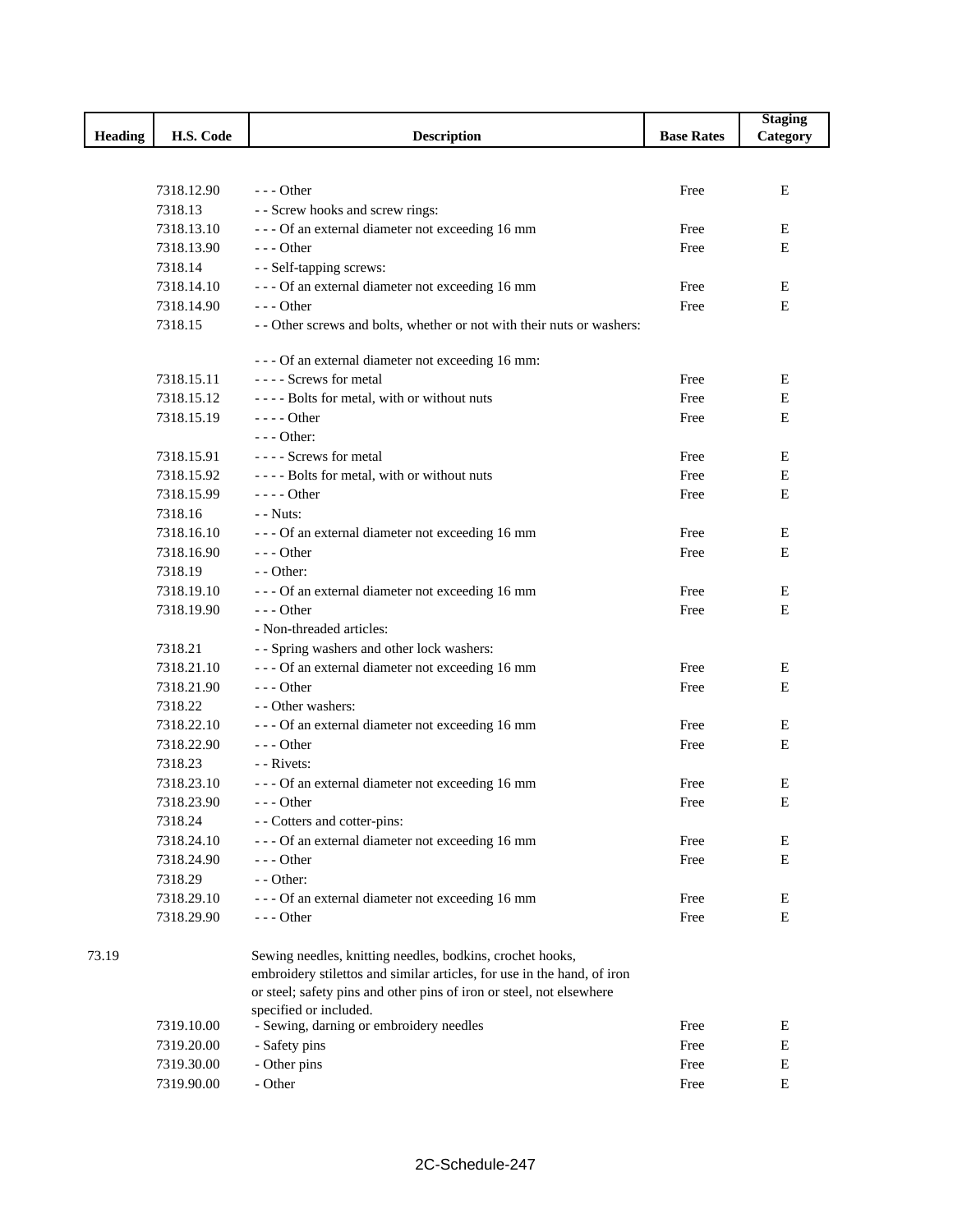|                |            |                                                                                                                                      |                   | <b>Staging</b> |
|----------------|------------|--------------------------------------------------------------------------------------------------------------------------------------|-------------------|----------------|
| <b>Heading</b> | H.S. Code  | <b>Description</b>                                                                                                                   | <b>Base Rates</b> | Category       |
|                |            |                                                                                                                                      |                   |                |
|                |            |                                                                                                                                      |                   |                |
|                | 7318.12.90 | $--$ Other                                                                                                                           | Free              | Ε              |
|                | 7318.13    | - - Screw hooks and screw rings:                                                                                                     |                   |                |
|                | 7318.13.10 | --- Of an external diameter not exceeding 16 mm                                                                                      | Free              | E              |
|                | 7318.13.90 | $--$ Other                                                                                                                           | Free              | Ε              |
|                | 7318.14    | - - Self-tapping screws:                                                                                                             |                   |                |
|                | 7318.14.10 | --- Of an external diameter not exceeding 16 mm                                                                                      | Free              | E              |
|                | 7318.14.90 | $--$ Other                                                                                                                           | Free              | E              |
|                | 7318.15    | - - Other screws and bolts, whether or not with their nuts or washers:                                                               |                   |                |
|                |            | --- Of an external diameter not exceeding 16 mm:                                                                                     |                   |                |
|                | 7318.15.11 | - - - - Screws for metal                                                                                                             | Free              | E              |
|                | 7318.15.12 | ---- Bolts for metal, with or without nuts                                                                                           | Free              | $\mathbf E$    |
|                | 7318.15.19 | $---$ Other                                                                                                                          | Free              | E              |
|                |            | $--$ Other:                                                                                                                          |                   |                |
|                | 7318.15.91 | ---- Screws for metal                                                                                                                | Free              | Ε              |
|                | 7318.15.92 | ---- Bolts for metal, with or without nuts                                                                                           | Free              | Ε              |
|                | 7318.15.99 | $---$ Other                                                                                                                          | Free              | $\mathbf E$    |
|                | 7318.16    | $-$ - Nuts:                                                                                                                          |                   |                |
|                | 7318.16.10 | --- Of an external diameter not exceeding 16 mm                                                                                      | Free              | E              |
|                | 7318.16.90 | $--$ Other                                                                                                                           | Free              | Ε              |
|                | 7318.19    | $-$ - Other:                                                                                                                         |                   |                |
|                | 7318.19.10 | --- Of an external diameter not exceeding 16 mm                                                                                      | Free              | E              |
|                | 7318.19.90 | $--$ Other                                                                                                                           | Free              | Ε              |
|                |            | - Non-threaded articles:                                                                                                             |                   |                |
|                | 7318.21    | - - Spring washers and other lock washers:                                                                                           |                   |                |
|                | 7318.21.10 | --- Of an external diameter not exceeding 16 mm                                                                                      | Free              | Ε              |
|                | 7318.21.90 | $--$ Other                                                                                                                           | Free              | E              |
|                | 7318.22    | - - Other washers:                                                                                                                   |                   |                |
|                | 7318.22.10 | --- Of an external diameter not exceeding 16 mm                                                                                      | Free              | E              |
|                | 7318.22.90 | $--$ Other                                                                                                                           | Free              | Е              |
|                | 7318.23    | - - Rivets:                                                                                                                          |                   |                |
|                | 7318.23.10 | --- Of an external diameter not exceeding 16 mm                                                                                      | Free              | E              |
|                | 7318.23.90 | --- Other                                                                                                                            | Free              | E              |
|                | 7318.24    | - - Cotters and cotter-pins:                                                                                                         |                   |                |
|                | 7318.24.10 | --- Of an external diameter not exceeding 16 mm                                                                                      | Free              | E              |
|                | 7318.24.90 | $--$ Other                                                                                                                           | Free              | Ε              |
|                | 7318.29    | $-$ - Other:                                                                                                                         |                   |                |
|                | 7318.29.10 | --- Of an external diameter not exceeding 16 mm                                                                                      | Free              | Ε              |
|                | 7318.29.90 | $--$ Other                                                                                                                           | Free              | E              |
| 73.19          |            | Sewing needles, knitting needles, bodkins, crochet hooks,<br>embroidery stilettos and similar articles, for use in the hand, of iron |                   |                |
|                |            | or steel; safety pins and other pins of iron or steel, not elsewhere                                                                 |                   |                |
|                | 7319.10.00 | specified or included.<br>- Sewing, darning or embroidery needles                                                                    | Free              | E              |
|                | 7319.20.00 |                                                                                                                                      | Free              | Ε              |
|                | 7319.30.00 | - Safety pins<br>- Other pins                                                                                                        | Free              | E              |
|                | 7319.90.00 | - Other                                                                                                                              | Free              | E              |
|                |            |                                                                                                                                      |                   |                |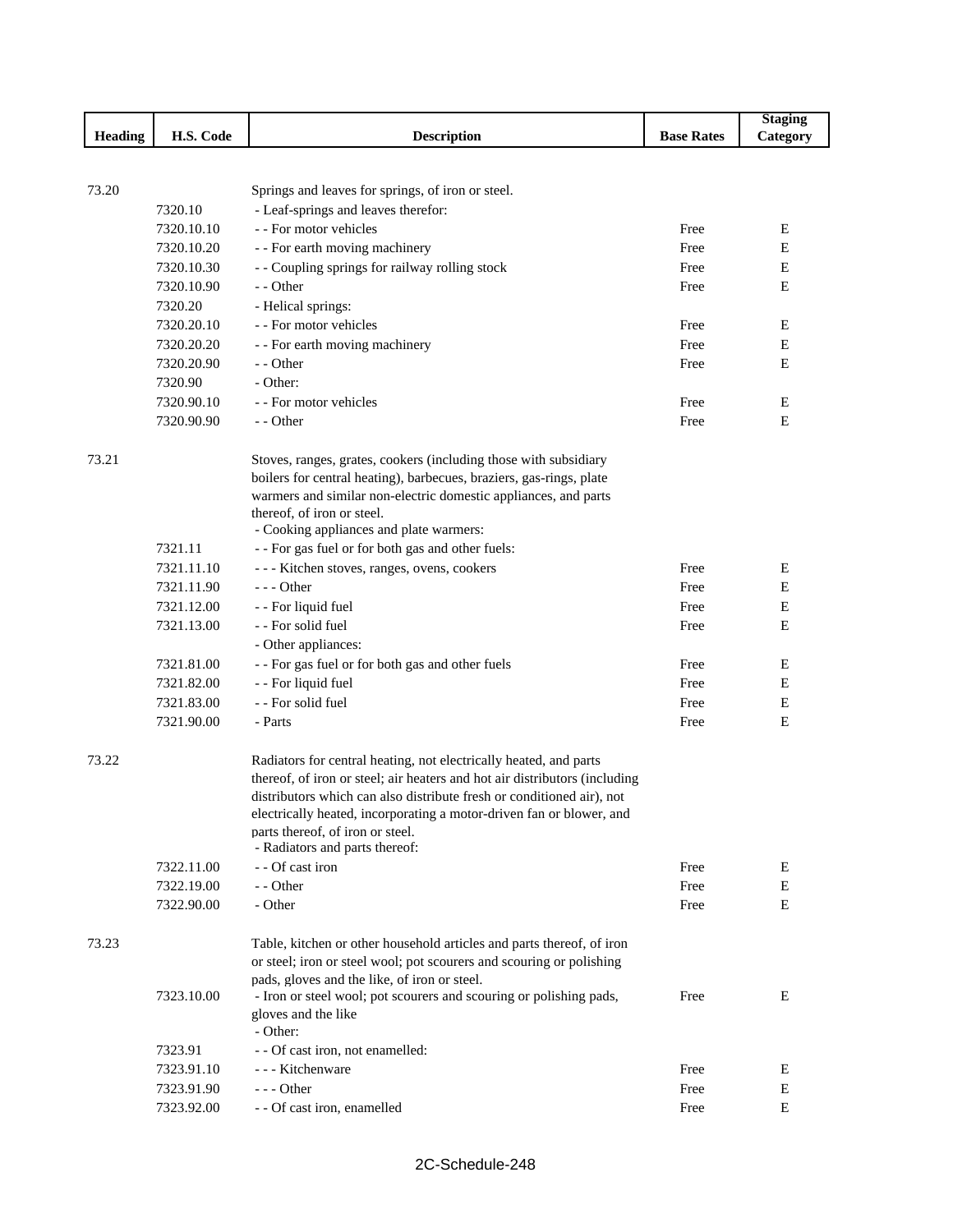|         |            |                                                                            |                   | <b>Staging</b> |
|---------|------------|----------------------------------------------------------------------------|-------------------|----------------|
| Heading | H.S. Code  | <b>Description</b>                                                         | <b>Base Rates</b> | Category       |
|         |            |                                                                            |                   |                |
|         |            |                                                                            |                   |                |
| 73.20   |            | Springs and leaves for springs, of iron or steel.                          |                   |                |
|         | 7320.10    | - Leaf-springs and leaves therefor:                                        |                   |                |
|         | 7320.10.10 | - - For motor vehicles                                                     | Free              | E              |
|         | 7320.10.20 | - - For earth moving machinery                                             | Free              | Ε              |
|         | 7320.10.30 | - - Coupling springs for railway rolling stock                             | Free              | Ε              |
|         | 7320.10.90 | - - Other                                                                  | Free              | Ε              |
|         | 7320.20    | - Helical springs:                                                         |                   |                |
|         | 7320.20.10 | - - For motor vehicles                                                     | Free              | Е              |
|         | 7320.20.20 | - - For earth moving machinery                                             | Free              | Ε              |
|         | 7320.20.90 | - - Other                                                                  | Free              | Ε              |
|         | 7320.90    | - Other:                                                                   |                   |                |
|         | 7320.90.10 | - - For motor vehicles                                                     | Free              | Ε              |
|         | 7320.90.90 | - - Other                                                                  | Free              | Е              |
|         |            |                                                                            |                   |                |
| 73.21   |            | Stoves, ranges, grates, cookers (including those with subsidiary           |                   |                |
|         |            | boilers for central heating), barbecues, braziers, gas-rings, plate        |                   |                |
|         |            | warmers and similar non-electric domestic appliances, and parts            |                   |                |
|         |            | thereof, of iron or steel.                                                 |                   |                |
|         |            | - Cooking appliances and plate warmers:                                    |                   |                |
|         | 7321.11    | - - For gas fuel or for both gas and other fuels:                          |                   |                |
|         | 7321.11.10 | --- Kitchen stoves, ranges, ovens, cookers                                 | Free              | E              |
|         | 7321.11.90 | $--$ Other                                                                 | Free              | E              |
|         | 7321.12.00 | - - For liquid fuel                                                        | Free              | E              |
|         | 7321.13.00 | - - For solid fuel                                                         | Free              | Ε              |
|         |            | - Other appliances:                                                        |                   |                |
|         | 7321.81.00 | - - For gas fuel or for both gas and other fuels                           | Free              | Ε              |
|         | 7321.82.00 | - - For liquid fuel                                                        | Free              | E              |
|         | 7321.83.00 | - - For solid fuel                                                         | Free              | Ε              |
|         | 7321.90.00 | - Parts                                                                    | Free              | E              |
| 73.22   |            | Radiators for central heating, not electrically heated, and parts          |                   |                |
|         |            | thereof, of iron or steel; air heaters and hot air distributors (including |                   |                |
|         |            | distributors which can also distribute fresh or conditioned air), not      |                   |                |
|         |            | electrically heated, incorporating a motor-driven fan or blower, and       |                   |                |
|         |            | parts thereof, of iron or steel.                                           |                   |                |
|         |            | - Radiators and parts thereof:                                             |                   |                |
|         | 7322.11.00 | - - Of cast iron                                                           | Free              | Ε              |
|         | 7322.19.00 | - - Other                                                                  | Free              | E              |
|         | 7322.90.00 | - Other                                                                    | Free              | Е              |
| 73.23   |            | Table, kitchen or other household articles and parts thereof, of iron      |                   |                |
|         |            | or steel; iron or steel wool; pot scourers and scouring or polishing       |                   |                |
|         |            | pads, gloves and the like, of iron or steel.                               |                   |                |
|         | 7323.10.00 | - Iron or steel wool; pot scourers and scouring or polishing pads,         | Free              | Ε              |
|         |            | gloves and the like                                                        |                   |                |
|         |            | - Other:                                                                   |                   |                |
|         | 7323.91    | - - Of cast iron, not enamelled:                                           |                   |                |
|         | 7323.91.10 | - - - Kitchenware                                                          | Free              | Е              |
|         | 7323.91.90 | $--$ Other                                                                 | Free              | $\mathbf E$    |
|         | 7323.92.00 | - - Of cast iron, enamelled                                                | Free              | ${\bf E}$      |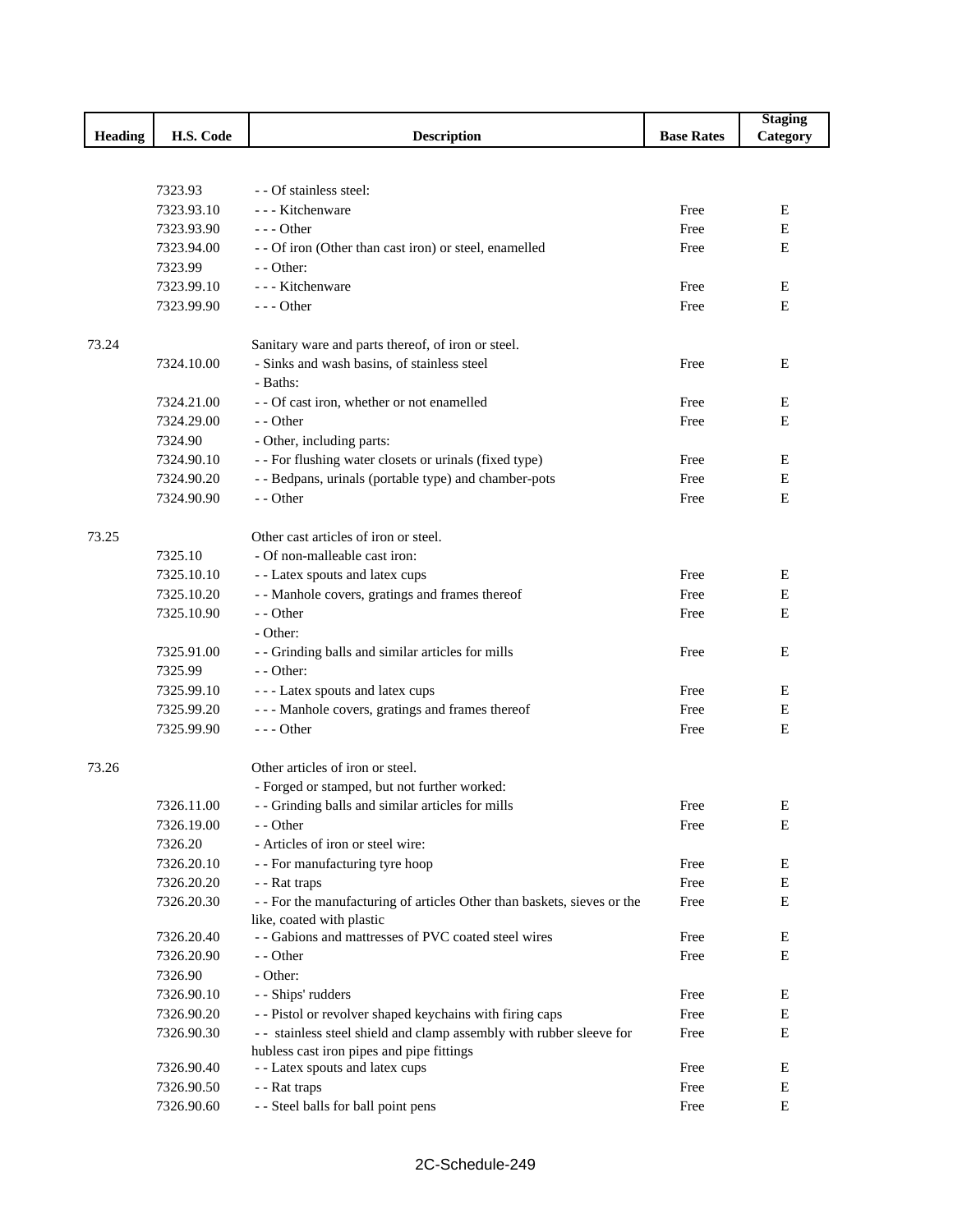|         |            |                                                                         |                   | <b>Staging</b> |
|---------|------------|-------------------------------------------------------------------------|-------------------|----------------|
| Heading | H.S. Code  | <b>Description</b>                                                      | <b>Base Rates</b> | Category       |
|         |            |                                                                         |                   |                |
|         |            |                                                                         |                   |                |
|         | 7323.93    | - - Of stainless steel:                                                 |                   |                |
|         | 7323.93.10 | - - - Kitchenware                                                       | Free              | E              |
|         | 7323.93.90 | $--$ Other                                                              | Free              | E              |
|         | 7323.94.00 | - - Of iron (Other than cast iron) or steel, enamelled                  | Free              | E              |
|         | 7323.99    | $-$ - Other:                                                            |                   |                |
|         | 7323.99.10 | - - - Kitchenware                                                       | Free              | Ε              |
|         | 7323.99.90 | $--$ Other                                                              | Free              | E              |
| 73.24   |            | Sanitary ware and parts thereof, of iron or steel.                      |                   |                |
|         | 7324.10.00 | - Sinks and wash basins, of stainless steel                             | Free              | E              |
|         |            | - Baths:                                                                |                   |                |
|         | 7324.21.00 | - - Of cast iron, whether or not enamelled                              | Free              | Ε              |
|         | 7324.29.00 | - - Other                                                               | Free              | E              |
|         | 7324.90    | - Other, including parts:                                               |                   |                |
|         | 7324.90.10 | - - For flushing water closets or urinals (fixed type)                  | Free              | Е              |
|         | 7324.90.20 | - - Bedpans, urinals (portable type) and chamber-pots                   | Free              | Е              |
|         | 7324.90.90 | - - Other                                                               | Free              | E              |
|         |            |                                                                         |                   |                |
| 73.25   |            | Other cast articles of iron or steel.                                   |                   |                |
|         | 7325.10    | - Of non-malleable cast iron:                                           |                   |                |
|         | 7325.10.10 | - - Latex spouts and latex cups                                         | Free              | Ε              |
|         | 7325.10.20 | - - Manhole covers, gratings and frames thereof                         | Free              | Е              |
|         | 7325.10.90 | - - Other                                                               | Free              | E              |
|         |            | - Other:                                                                |                   |                |
|         | 7325.91.00 | - - Grinding balls and similar articles for mills                       | Free              | E              |
|         | 7325.99    | - - Other:                                                              |                   |                |
|         | 7325.99.10 | --- Latex spouts and latex cups                                         | Free              | Ε              |
|         | 7325.99.20 | --- Manhole covers, gratings and frames thereof                         | Free              | Е              |
|         | 7325.99.90 | --- Other                                                               | Free              | E              |
|         |            |                                                                         |                   |                |
| 73.26   |            | Other articles of iron or steel.                                        |                   |                |
|         |            | - Forged or stamped, but not further worked:                            |                   |                |
|         | 7326.11.00 | - - Grinding balls and similar articles for mills                       | Free              | E              |
|         | 7326.19.00 | - - Other                                                               | Free              | E              |
|         | 7326.20    | - Articles of iron or steel wire:                                       |                   |                |
|         | 7326.20.10 | - - For manufacturing tyre hoop                                         | Free              | E              |
|         | 7326.20.20 | - - Rat traps                                                           | Free              | E              |
|         | 7326.20.30 | - - For the manufacturing of articles Other than baskets, sieves or the | Free              | E              |
|         |            | like, coated with plastic                                               |                   |                |
|         | 7326.20.40 | - - Gabions and mattresses of PVC coated steel wires                    | Free              | Ε              |
|         | 7326.20.90 | - - Other                                                               | Free              | Е              |
|         | 7326.90    | - Other:                                                                |                   |                |
|         | 7326.90.10 | - - Ships' rudders                                                      | Free              | Ε              |
|         | 7326.90.20 | - - Pistol or revolver shaped keychains with firing caps                | Free              | Е              |
|         | 7326.90.30 | - - stainless steel shield and clamp assembly with rubber sleeve for    | Free              | $\mathbf E$    |
|         |            | hubless cast iron pipes and pipe fittings                               |                   |                |
|         | 7326.90.40 | - - Latex spouts and latex cups                                         | Free              | Ε              |
|         | 7326.90.50 | - - Rat traps                                                           | Free              | Ε              |
|         | 7326.90.60 | - - Steel balls for ball point pens                                     | Free              | E              |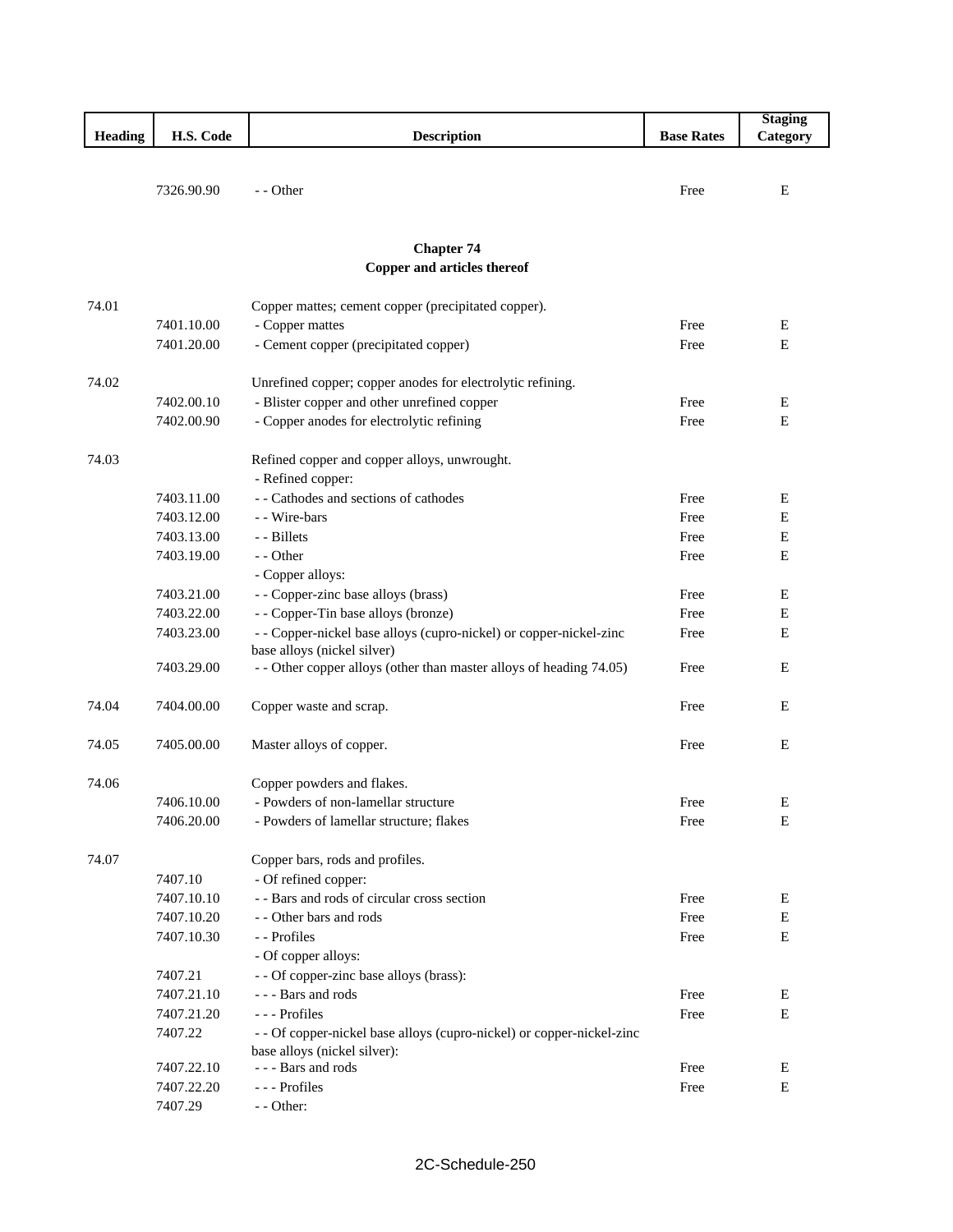|                |            |                                                                       |                   | <b>Staging</b> |
|----------------|------------|-----------------------------------------------------------------------|-------------------|----------------|
| <b>Heading</b> | H.S. Code  | <b>Description</b>                                                    | <b>Base Rates</b> | Category       |
|                |            |                                                                       |                   |                |
|                |            |                                                                       |                   |                |
|                | 7326.90.90 | - - Other                                                             | Free              | E              |
|                |            |                                                                       |                   |                |
|                |            |                                                                       |                   |                |
|                |            | <b>Chapter 74</b><br>Copper and articles thereof                      |                   |                |
|                |            |                                                                       |                   |                |
| 74.01          |            | Copper mattes; cement copper (precipitated copper).                   |                   |                |
|                | 7401.10.00 | - Copper mattes                                                       | Free              | E              |
|                | 7401.20.00 | - Cement copper (precipitated copper)                                 | Free              | $\mathbf E$    |
|                |            |                                                                       |                   |                |
| 74.02          |            | Unrefined copper; copper anodes for electrolytic refining.            |                   |                |
|                | 7402.00.10 | - Blister copper and other unrefined copper                           | Free              | Е              |
|                | 7402.00.90 | - Copper anodes for electrolytic refining                             | Free              | E              |
|                |            |                                                                       |                   |                |
| 74.03          |            | Refined copper and copper alloys, unwrought.                          |                   |                |
|                |            | - Refined copper:                                                     |                   |                |
|                | 7403.11.00 | - - Cathodes and sections of cathodes                                 | Free              | E              |
|                | 7403.12.00 | - - Wire-bars                                                         | Free              | Ε              |
|                | 7403.13.00 | - Billets                                                             | Free              | E              |
|                | 7403.19.00 | - - Other                                                             | Free              | E              |
|                |            | - Copper alloys:                                                      |                   |                |
|                | 7403.21.00 | - - Copper-zinc base alloys (brass)                                   | Free              | E              |
|                | 7403.22.00 | - - Copper-Tin base alloys (bronze)                                   | Free              | Ε              |
|                | 7403.23.00 | - - Copper-nickel base alloys (cupro-nickel) or copper-nickel-zinc    | Free              | Ε              |
|                |            | base alloys (nickel silver)                                           |                   |                |
|                | 7403.29.00 | - - Other copper alloys (other than master alloys of heading 74.05)   | Free              | E              |
|                |            |                                                                       |                   |                |
| 74.04          | 7404.00.00 | Copper waste and scrap.                                               | Free              | E              |
| 74.05          | 7405.00.00 |                                                                       | Free              | Ε              |
|                |            | Master alloys of copper.                                              |                   |                |
| 74.06          |            | Copper powders and flakes.                                            |                   |                |
|                | 7406.10.00 | - Powders of non-lamellar structure                                   | Free              | E              |
|                | 7406.20.00 | - Powders of lamellar structure; flakes                               | Free              | E              |
|                |            |                                                                       |                   |                |
| 74.07          |            | Copper bars, rods and profiles.                                       |                   |                |
|                | 7407.10    | - Of refined copper:                                                  |                   |                |
|                | 7407.10.10 | - - Bars and rods of circular cross section                           | Free              | E              |
|                | 7407.10.20 | - - Other bars and rods                                               | Free              | E              |
|                | 7407.10.30 | - - Profiles                                                          | Free              | E              |
|                |            | - Of copper alloys:                                                   |                   |                |
|                | 7407.21    | - - Of copper-zinc base alloys (brass):                               |                   |                |
|                | 7407.21.10 | --- Bars and rods                                                     | Free              | Ε              |
|                | 7407.21.20 | --- Profiles                                                          | Free              | E              |
|                | 7407.22    | - - Of copper-nickel base alloys (cupro-nickel) or copper-nickel-zinc |                   |                |
|                |            | base alloys (nickel silver):                                          |                   |                |
|                | 7407.22.10 | --- Bars and rods                                                     | Free              | Е              |
|                | 7407.22.20 | --- Profiles                                                          | Free              | Ε              |
|                | 7407.29    | - - Other:                                                            |                   |                |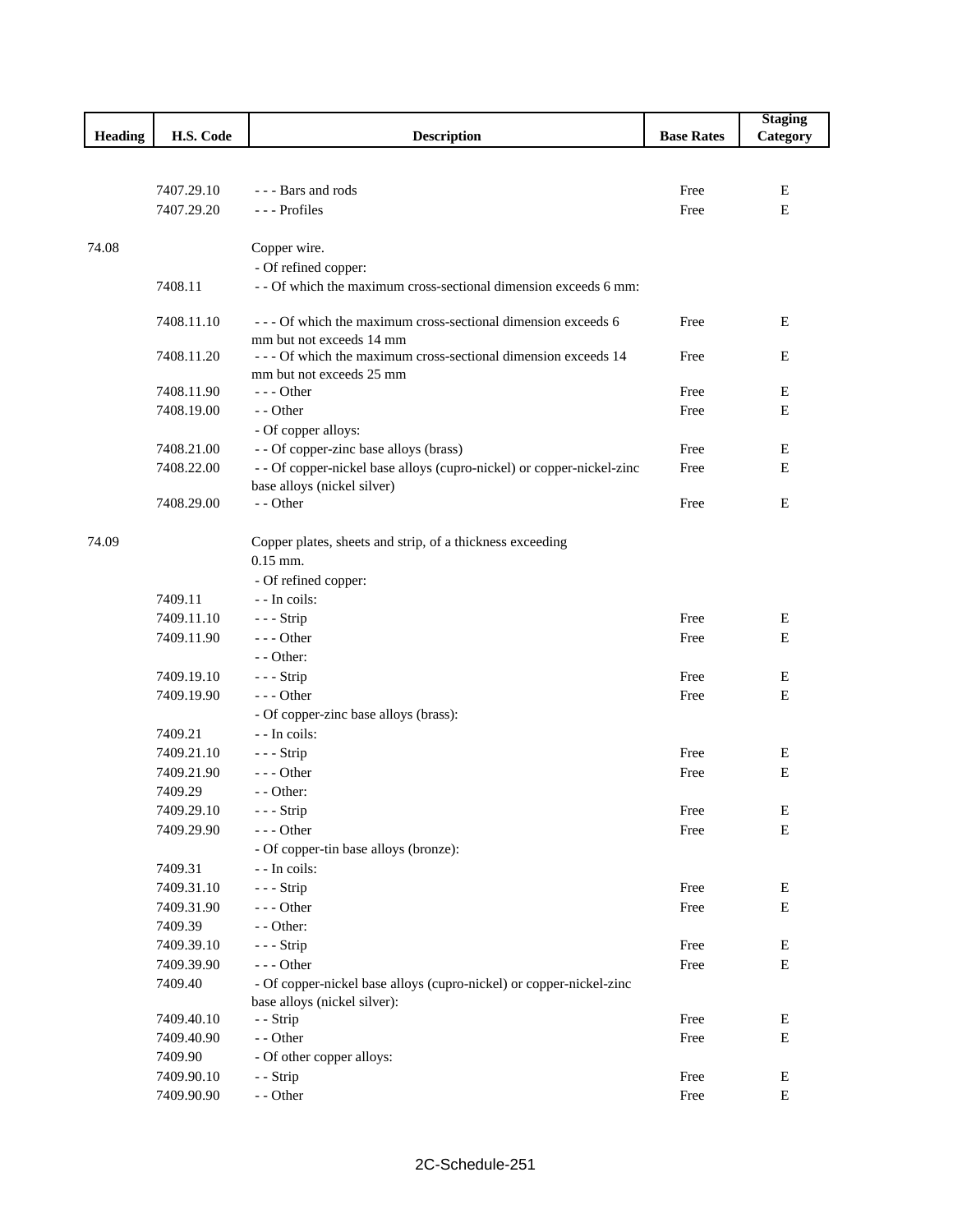|                |            |                                                                                                     |                   | <b>Staging</b> |
|----------------|------------|-----------------------------------------------------------------------------------------------------|-------------------|----------------|
| <b>Heading</b> | H.S. Code  | <b>Description</b>                                                                                  | <b>Base Rates</b> | Category       |
|                |            |                                                                                                     |                   |                |
|                |            |                                                                                                     |                   |                |
|                | 7407.29.10 | --- Bars and rods                                                                                   | Free              | E              |
|                | 7407.29.20 | --- Profiles                                                                                        | Free              | $\mathbf E$    |
|                |            |                                                                                                     |                   |                |
| 74.08          |            | Copper wire.                                                                                        |                   |                |
|                |            | - Of refined copper:                                                                                |                   |                |
|                | 7408.11    | - - Of which the maximum cross-sectional dimension exceeds 6 mm:                                    |                   |                |
|                | 7408.11.10 | --- Of which the maximum cross-sectional dimension exceeds 6                                        | Free              | E              |
|                |            | mm but not exceeds 14 mm                                                                            |                   |                |
|                | 7408.11.20 | - - - Of which the maximum cross-sectional dimension exceeds 14                                     | Free              | Ε              |
|                |            | mm but not exceeds 25 mm                                                                            |                   |                |
|                | 7408.11.90 | --- Other                                                                                           | Free              | Ε              |
|                | 7408.19.00 | - - Other                                                                                           | Free              | E              |
|                |            | - Of copper alloys:                                                                                 |                   |                |
|                | 7408.21.00 | - - Of copper-zinc base alloys (brass)                                                              | Free              | E              |
|                | 7408.22.00 | - - Of copper-nickel base alloys (cupro-nickel) or copper-nickel-zinc                               | Free              | Ε              |
|                |            | base alloys (nickel silver)                                                                         |                   |                |
|                | 7408.29.00 | - - Other                                                                                           | Free              | E              |
|                |            |                                                                                                     |                   |                |
| 74.09          |            | Copper plates, sheets and strip, of a thickness exceeding<br>$0.15$ mm.                             |                   |                |
|                |            | - Of refined copper:                                                                                |                   |                |
|                | 7409.11    | - - In coils:                                                                                       |                   |                |
|                | 7409.11.10 | $--$ Strip                                                                                          | Free              | E              |
|                | 7409.11.90 | $--$ Other                                                                                          | Free              | Е              |
|                |            | $-$ - Other:                                                                                        |                   |                |
|                | 7409.19.10 | $--$ Strip                                                                                          | Free              | E              |
|                | 7409.19.90 | $--$ Other                                                                                          | Free              | E              |
|                |            | - Of copper-zinc base alloys (brass):                                                               |                   |                |
|                | 7409.21    | - - In coils:                                                                                       |                   |                |
|                | 7409.21.10 | --- Strip                                                                                           | Free              | Е              |
|                | 7409.21.90 | $--$ Other                                                                                          | Free              | Ε              |
|                | 7409.29    | - - Other:                                                                                          |                   |                |
|                | 7409.29.10 | - - - Strip                                                                                         | Free              | ${\bf E}$      |
|                | 7409.29.90 | --- Other                                                                                           | Free              | Ε              |
|                |            | - Of copper-tin base alloys (bronze):                                                               |                   |                |
|                | 7409.31    | - - In coils:                                                                                       |                   |                |
|                | 7409.31.10 | - - - Strip                                                                                         | Free              | E              |
|                | 7409.31.90 | $--$ Other                                                                                          | Free              | E              |
|                | 7409.39    | - - Other:                                                                                          |                   |                |
|                | 7409.39.10 | $--$ Strip                                                                                          | Free              | ${\bf E}$      |
|                | 7409.39.90 | --- Other                                                                                           | Free              | $\mathbf E$    |
|                | 7409.40    | - Of copper-nickel base alloys (cupro-nickel) or copper-nickel-zinc<br>base alloys (nickel silver): |                   |                |
|                | 7409.40.10 | - - Strip                                                                                           | Free              | Ε              |
|                | 7409.40.90 | - - Other                                                                                           | Free              | ${\bf E}$      |
|                | 7409.90    | - Of other copper alloys:                                                                           |                   |                |
|                | 7409.90.10 | - - Strip                                                                                           | Free              | ${\bf E}$      |
|                | 7409.90.90 | - - Other                                                                                           | Free              | E              |
|                |            |                                                                                                     |                   |                |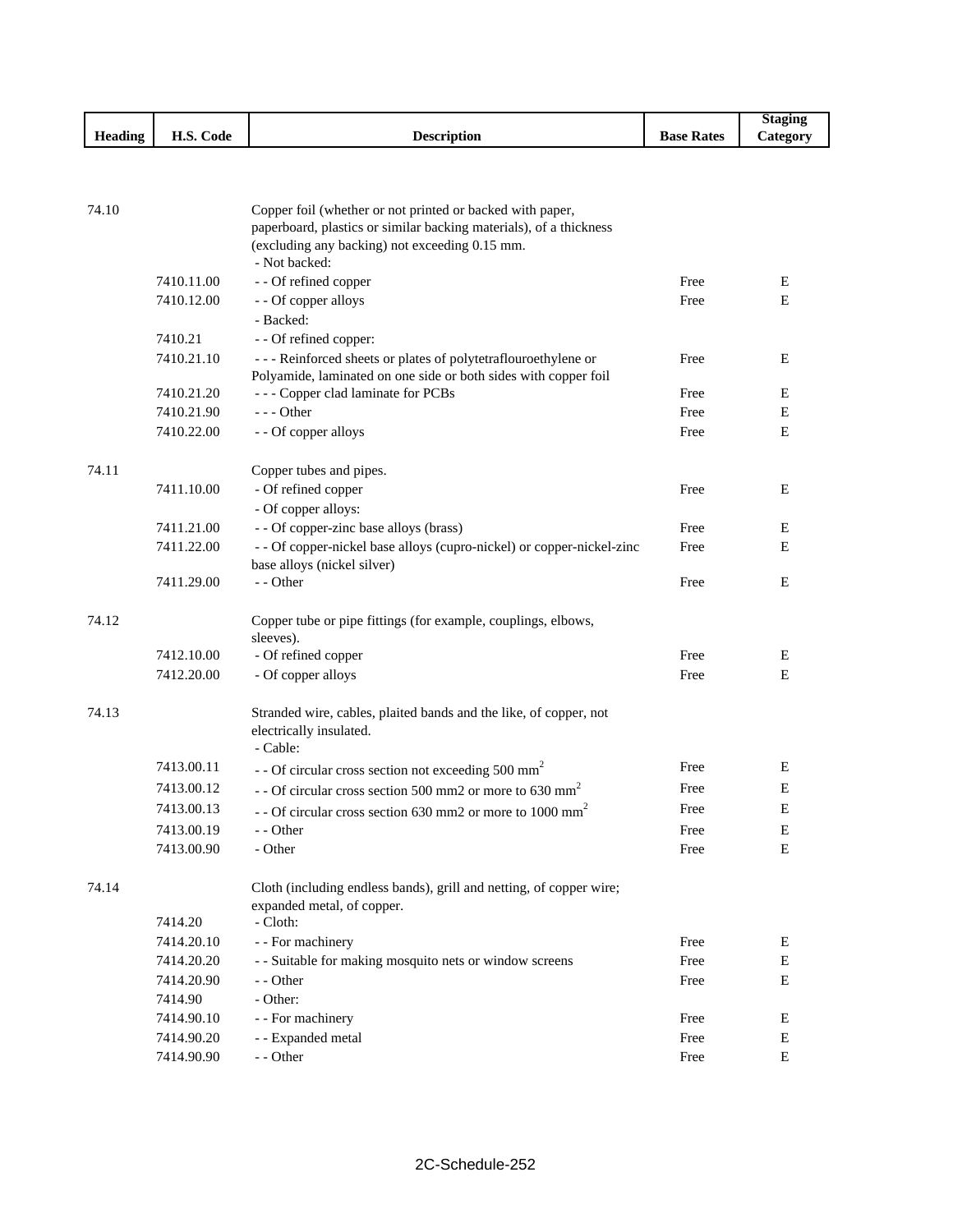|         |                             |             |                   | Stagin          |
|---------|-----------------------------|-------------|-------------------|-----------------|
| Heading | H.S. C <sub>0</sub><br>Code | Description | <b>Base Rates</b> | <b>Category</b> |

| 74.10 |                          | Copper foil (whether or not printed or backed with paper,<br>paperboard, plastics or similar backing materials), of a thickness<br>(excluding any backing) not exceeding 0.15 mm.<br>- Not backed: |              |   |
|-------|--------------------------|----------------------------------------------------------------------------------------------------------------------------------------------------------------------------------------------------|--------------|---|
|       | 7410.11.00               | - - Of refined copper                                                                                                                                                                              | Free         | Е |
|       | 7410.12.00               | - - Of copper alloys<br>- Backed:                                                                                                                                                                  | Free         | E |
|       | 7410.21                  | - - Of refined copper:                                                                                                                                                                             |              |   |
|       | 7410.21.10               | --- Reinforced sheets or plates of polytetraflouroethylene or<br>Polyamide, laminated on one side or both sides with copper foil                                                                   | Free         | E |
|       | 7410.21.20               | --- Copper clad laminate for PCBs                                                                                                                                                                  | Free         | E |
|       | 7410.21.90               | $--$ Other                                                                                                                                                                                         | Free         | E |
|       | 7410.22.00               | - - Of copper alloys                                                                                                                                                                               | Free         | E |
| 74.11 |                          | Copper tubes and pipes.                                                                                                                                                                            |              |   |
|       | 7411.10.00               | - Of refined copper                                                                                                                                                                                | Free         | E |
|       |                          | - Of copper alloys:                                                                                                                                                                                |              |   |
|       | 7411.21.00               | - - Of copper-zinc base alloys (brass)                                                                                                                                                             | Free         | E |
|       | 7411.22.00               | - - Of copper-nickel base alloys (cupro-nickel) or copper-nickel-zinc<br>base alloys (nickel silver)                                                                                               | Free         | E |
|       | 7411.29.00               | - - Other                                                                                                                                                                                          | Free         | E |
| 74.12 |                          | Copper tube or pipe fittings (for example, couplings, elbows,<br>sleeves).                                                                                                                         |              |   |
|       | 7412.10.00               | - Of refined copper                                                                                                                                                                                | Free         | E |
|       | 7412.20.00               | - Of copper alloys                                                                                                                                                                                 | Free         | E |
| 74.13 |                          | Stranded wire, cables, plaited bands and the like, of copper, not<br>electrically insulated.<br>- Cable:                                                                                           |              |   |
|       | 7413.00.11               | - - Of circular cross section not exceeding $500 \text{ mm}^2$                                                                                                                                     | Free         | Е |
|       | 7413.00.12               | - - Of circular cross section 500 mm2 or more to 630 mm <sup>2</sup>                                                                                                                               | Free         | E |
|       | 7413.00.13               | - - Of circular cross section 630 mm2 or more to 1000 mm <sup>2</sup>                                                                                                                              | Free         | E |
|       | 7413.00.19               | - - Other                                                                                                                                                                                          | Free         | E |
|       | 7413.00.90               | - Other                                                                                                                                                                                            | Free         | E |
| 74.14 |                          | Cloth (including endless bands), grill and netting, of copper wire;<br>expanded metal, of copper.<br>- Cloth:                                                                                      |              |   |
|       | 7414.20                  |                                                                                                                                                                                                    |              |   |
|       | 7414.20.10               | - - For machinery<br>- - Suitable for making mosquito nets or window screens                                                                                                                       | Free<br>Free | E |
|       | 7414.20.20<br>7414.20.90 | - - Other                                                                                                                                                                                          | Free         | Е |
|       |                          | - Other:                                                                                                                                                                                           |              | Е |
|       | 7414.90                  | - - For machinery                                                                                                                                                                                  |              |   |
|       | 7414.90.10               |                                                                                                                                                                                                    | Free         | E |
|       | 7414.90.20               | - - Expanded metal<br>- - Other                                                                                                                                                                    | Free         | E |
|       | 7414.90.90               |                                                                                                                                                                                                    | Free         | Е |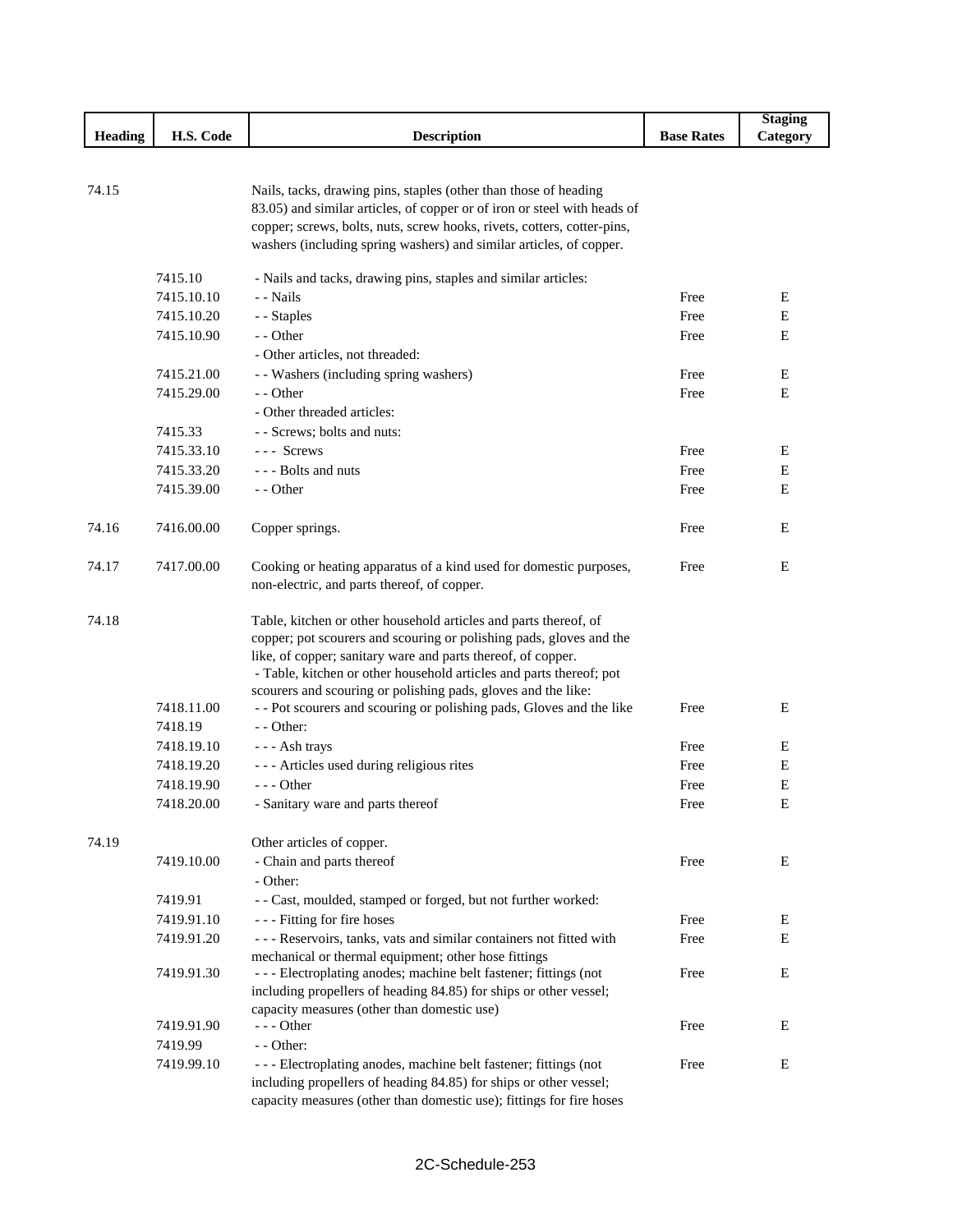|                |            |                                                                                                                                                |                   | <b>Staging</b> |
|----------------|------------|------------------------------------------------------------------------------------------------------------------------------------------------|-------------------|----------------|
| <b>Heading</b> | H.S. Code  | <b>Description</b>                                                                                                                             | <b>Base Rates</b> | Category       |
|                |            |                                                                                                                                                |                   |                |
|                |            |                                                                                                                                                |                   |                |
| 74.15          |            | Nails, tacks, drawing pins, staples (other than those of heading                                                                               |                   |                |
|                |            | 83.05) and similar articles, of copper or of iron or steel with heads of                                                                       |                   |                |
|                |            | copper; screws, bolts, nuts, screw hooks, rivets, cotters, cotter-pins,<br>washers (including spring washers) and similar articles, of copper. |                   |                |
|                |            |                                                                                                                                                |                   |                |
|                | 7415.10    | - Nails and tacks, drawing pins, staples and similar articles:                                                                                 |                   |                |
|                | 7415.10.10 | - - Nails                                                                                                                                      | Free              | E              |
|                | 7415.10.20 | - - Staples                                                                                                                                    | Free              | E              |
|                | 7415.10.90 | - - Other                                                                                                                                      | Free              | E              |
|                |            | - Other articles, not threaded:                                                                                                                |                   |                |
|                | 7415.21.00 | - - Washers (including spring washers)                                                                                                         | Free              | E              |
|                | 7415.29.00 | - - Other                                                                                                                                      | Free              | E              |
|                |            | - Other threaded articles:                                                                                                                     |                   |                |
|                | 7415.33    | - - Screws; bolts and nuts:                                                                                                                    |                   |                |
|                | 7415.33.10 | $--$ Screws                                                                                                                                    | Free              | Ε              |
|                | 7415.33.20 | --- Bolts and nuts                                                                                                                             | Free              | E              |
|                | 7415.39.00 | - - Other                                                                                                                                      | Free              | E              |
|                |            |                                                                                                                                                |                   |                |
| 74.16          | 7416.00.00 | Copper springs.                                                                                                                                | Free              | E              |
|                |            |                                                                                                                                                |                   |                |
| 74.17          | 7417.00.00 | Cooking or heating apparatus of a kind used for domestic purposes,                                                                             | Free              | E              |
|                |            | non-electric, and parts thereof, of copper.                                                                                                    |                   |                |
|                |            |                                                                                                                                                |                   |                |
| 74.18          |            | Table, kitchen or other household articles and parts thereof, of                                                                               |                   |                |
|                |            | copper; pot scourers and scouring or polishing pads, gloves and the                                                                            |                   |                |
|                |            | like, of copper; sanitary ware and parts thereof, of copper.<br>- Table, kitchen or other household articles and parts thereof; pot            |                   |                |
|                |            | scourers and scouring or polishing pads, gloves and the like:                                                                                  |                   |                |
|                | 7418.11.00 | - - Pot scourers and scouring or polishing pads, Gloves and the like                                                                           | Free              | E              |
|                | 7418.19    | - - Other:                                                                                                                                     |                   |                |
|                | 7418.19.10 | --- Ash trays                                                                                                                                  | Free              | E              |
|                | 7418.19.20 | --- Articles used during religious rites                                                                                                       | Free              | E              |
|                | 7418.19.90 | $--$ Other                                                                                                                                     | Free              | ${\bf E}$      |
|                | 7418.20.00 | - Sanitary ware and parts thereof                                                                                                              | Free              | Е              |
|                |            |                                                                                                                                                |                   |                |
| 74.19          |            | Other articles of copper.                                                                                                                      |                   |                |
|                | 7419.10.00 | - Chain and parts thereof                                                                                                                      | Free              | E              |
|                |            | - Other:                                                                                                                                       |                   |                |
|                | 7419.91    | - - Cast, moulded, stamped or forged, but not further worked:                                                                                  |                   |                |
|                | 7419.91.10 | --- Fitting for fire hoses                                                                                                                     | Free              | E              |
|                | 7419.91.20 | - - - Reservoirs, tanks, vats and similar containers not fitted with                                                                           | Free              | E              |
|                |            | mechanical or thermal equipment; other hose fittings                                                                                           |                   |                |
|                | 7419.91.30 | --- Electroplating anodes; machine belt fastener; fittings (not                                                                                | Free              | E              |
|                |            | including propellers of heading 84.85) for ships or other vessel;                                                                              |                   |                |
|                |            | capacity measures (other than domestic use)                                                                                                    |                   |                |
|                | 7419.91.90 | $--$ Other                                                                                                                                     | Free              | E              |
|                | 7419.99    | - - Other:                                                                                                                                     |                   |                |
|                | 7419.99.10 | --- Electroplating anodes, machine belt fastener; fittings (not                                                                                | Free              | E              |
|                |            | including propellers of heading 84.85) for ships or other vessel;<br>capacity measures (other than domestic use); fittings for fire hoses      |                   |                |
|                |            |                                                                                                                                                |                   |                |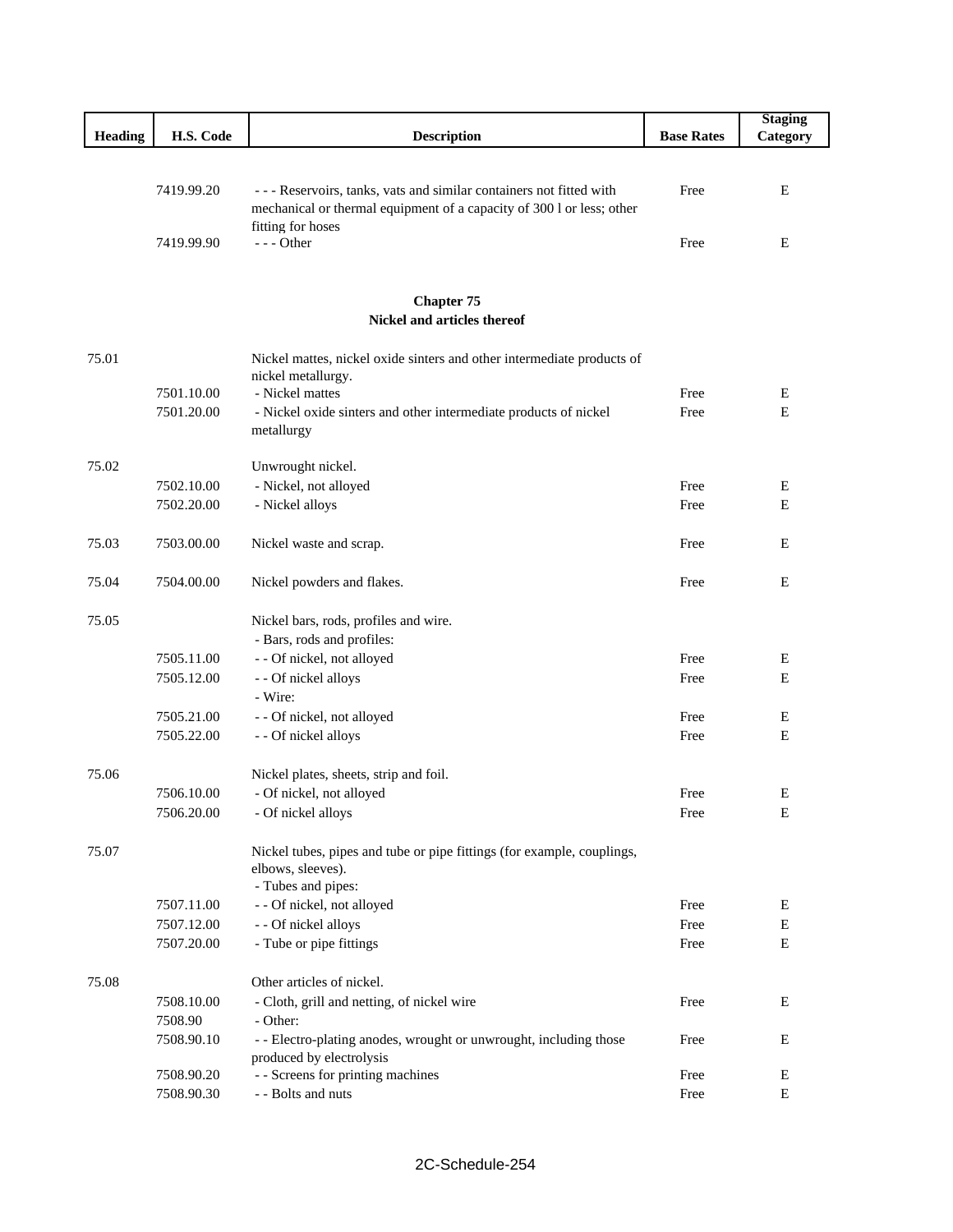|                |            |                                                                                                                                               |                   | <b>Staging</b> |
|----------------|------------|-----------------------------------------------------------------------------------------------------------------------------------------------|-------------------|----------------|
| <b>Heading</b> | H.S. Code  | <b>Description</b>                                                                                                                            | <b>Base Rates</b> | Category       |
|                |            |                                                                                                                                               |                   |                |
|                | 7419.99.20 | - - - Reservoirs, tanks, vats and similar containers not fitted with<br>mechanical or thermal equipment of a capacity of 300 l or less; other | Free              | E              |
|                | 7419.99.90 | fitting for hoses<br>--- Other                                                                                                                | Free              | Ε              |
|                |            | <b>Chapter 75</b>                                                                                                                             |                   |                |
|                |            | Nickel and articles thereof                                                                                                                   |                   |                |
| 75.01          |            |                                                                                                                                               |                   |                |
|                |            | Nickel mattes, nickel oxide sinters and other intermediate products of<br>nickel metallurgy.                                                  |                   |                |
|                | 7501.10.00 | - Nickel mattes                                                                                                                               | Free              | E              |
|                | 7501.20.00 | - Nickel oxide sinters and other intermediate products of nickel                                                                              | Free              | E              |
|                |            | metallurgy                                                                                                                                    |                   |                |
| 75.02          |            | Unwrought nickel.                                                                                                                             |                   |                |
|                | 7502.10.00 | - Nickel, not alloyed                                                                                                                         | Free              | Ε              |
|                | 7502.20.00 | - Nickel alloys                                                                                                                               | Free              | Е              |
|                |            |                                                                                                                                               |                   |                |
| 75.03          | 7503.00.00 | Nickel waste and scrap.                                                                                                                       | Free              | Е              |
| 75.04          | 7504.00.00 | Nickel powders and flakes.                                                                                                                    | Free              | E              |
| 75.05          |            | Nickel bars, rods, profiles and wire.                                                                                                         |                   |                |
|                |            | - Bars, rods and profiles:                                                                                                                    |                   |                |
|                | 7505.11.00 | - - Of nickel, not alloyed                                                                                                                    | Free              | E              |
|                | 7505.12.00 | - - Of nickel alloys                                                                                                                          | Free              | E              |
|                |            | - Wire:                                                                                                                                       |                   |                |
|                | 7505.21.00 | - - Of nickel, not alloyed                                                                                                                    | Free              | E              |
|                | 7505.22.00 | - - Of nickel alloys                                                                                                                          | Free              | Е              |
| 75.06          |            | Nickel plates, sheets, strip and foil.                                                                                                        |                   |                |
|                | 7506.10.00 | - Of nickel, not alloyed                                                                                                                      | Free              | Е              |
|                | 7506.20.00 | - Of nickel alloys                                                                                                                            | Free              | E              |
| 75.07          |            | Nickel tubes, pipes and tube or pipe fittings (for example, couplings,                                                                        |                   |                |
|                |            | elbows, sleeves).                                                                                                                             |                   |                |
|                |            | - Tubes and pipes:                                                                                                                            |                   |                |
|                | 7507.11.00 | - - Of nickel, not alloyed                                                                                                                    | Free              | Ε              |
|                | 7507.12.00 | - - Of nickel alloys                                                                                                                          | Free              | ${\bf E}$      |
|                | 7507.20.00 | - Tube or pipe fittings                                                                                                                       | Free              | Е              |
| 75.08          |            | Other articles of nickel.                                                                                                                     |                   |                |
|                | 7508.10.00 | - Cloth, grill and netting, of nickel wire                                                                                                    | Free              | Ε              |
|                | 7508.90    | - Other:                                                                                                                                      |                   |                |
|                | 7508.90.10 | - - Electro-plating anodes, wrought or unwrought, including those                                                                             | Free              | Е              |
|                | 7508.90.20 | produced by electrolysis<br>- - Screens for printing machines                                                                                 | Free              | E              |
|                | 7508.90.30 | - - Bolts and nuts                                                                                                                            | Free              | ${\bf E}$      |
|                |            |                                                                                                                                               |                   |                |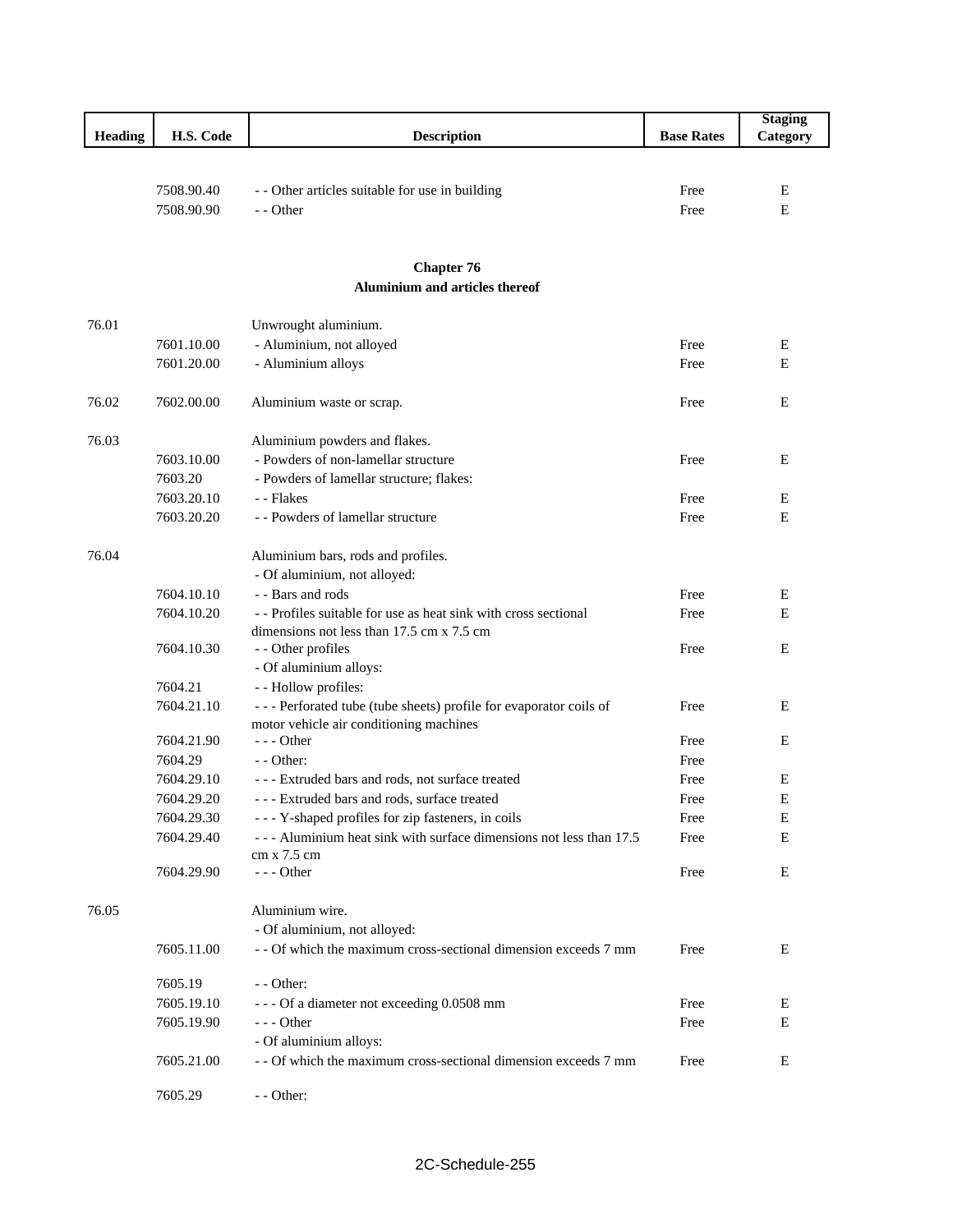|         |                          |                                                                                                                           |                   | <b>Staging</b> |
|---------|--------------------------|---------------------------------------------------------------------------------------------------------------------------|-------------------|----------------|
| Heading | H.S. Code                | <b>Description</b>                                                                                                        | <b>Base Rates</b> | Category       |
|         |                          |                                                                                                                           |                   |                |
|         |                          |                                                                                                                           |                   |                |
|         | 7508.90.40<br>7508.90.90 | - - Other articles suitable for use in building<br>- - Other                                                              | Free<br>Free      | Е<br>E         |
|         |                          |                                                                                                                           |                   |                |
|         |                          |                                                                                                                           |                   |                |
|         |                          | <b>Chapter 76</b>                                                                                                         |                   |                |
|         |                          | <b>Aluminium and articles thereof</b>                                                                                     |                   |                |
|         |                          |                                                                                                                           |                   |                |
| 76.01   |                          | Unwrought aluminium.                                                                                                      |                   |                |
|         | 7601.10.00               | - Aluminium, not alloyed                                                                                                  | Free              | Ε              |
|         | 7601.20.00               | - Aluminium alloys                                                                                                        | Free              | Ε              |
|         |                          |                                                                                                                           |                   |                |
| 76.02   | 7602.00.00               | Aluminium waste or scrap.                                                                                                 | Free              | E              |
|         |                          |                                                                                                                           |                   |                |
| 76.03   |                          | Aluminium powders and flakes.                                                                                             |                   |                |
|         | 7603.10.00               | - Powders of non-lamellar structure                                                                                       | Free              | Ε              |
|         | 7603.20                  | - Powders of lamellar structure; flakes:                                                                                  |                   |                |
|         | 7603.20.10               | - - Flakes                                                                                                                | Free              | Ε              |
|         | 7603.20.20               | - - Powders of lamellar structure                                                                                         | Free              | E              |
| 76.04   |                          | Aluminium bars, rods and profiles.                                                                                        |                   |                |
|         |                          | - Of aluminium, not alloyed:                                                                                              |                   |                |
|         | 7604.10.10               | - - Bars and rods                                                                                                         | Free              | Ε              |
|         | 7604.10.20               | -- Profiles suitable for use as heat sink with cross sectional                                                            | Free              | E              |
|         |                          | dimensions not less than 17.5 cm x 7.5 cm                                                                                 |                   |                |
|         | 7604.10.30               | - - Other profiles                                                                                                        | Free              | E              |
|         |                          | - Of aluminium alloys:                                                                                                    |                   |                |
|         | 7604.21                  | - - Hollow profiles:                                                                                                      |                   |                |
|         | 7604.21.10               | --- Perforated tube (tube sheets) profile for evaporator coils of                                                         | Free              | E              |
|         |                          | motor vehicle air conditioning machines                                                                                   |                   |                |
|         | 7604.21.90               | $--$ Other                                                                                                                | Free              | E              |
|         | 7604.29                  | $-$ - Other:                                                                                                              | Free              |                |
|         | 7604.29.10               | --- Extruded bars and rods, not surface treated                                                                           | Free              | Ε              |
|         | 7604.29.20               | --- Extruded bars and rods, surface treated                                                                               | Free              | E              |
|         | 7604.29.30               | - - - Y-shaped profiles for zip fasteners, in coils<br>--- Aluminium heat sink with surface dimensions not less than 17.5 | Free              | Е              |
|         | 7604.29.40               | cm x 7.5 cm                                                                                                               | Free              | E              |
|         | 7604.29.90               | --- Other                                                                                                                 | Free              | E              |
|         |                          |                                                                                                                           |                   |                |
| 76.05   |                          | Aluminium wire.                                                                                                           |                   |                |
|         |                          | - Of aluminium, not alloyed:                                                                                              |                   |                |
|         | 7605.11.00               | - - Of which the maximum cross-sectional dimension exceeds 7 mm                                                           | Free              | Е              |
|         |                          |                                                                                                                           |                   |                |
|         | 7605.19                  | - - Other:                                                                                                                |                   |                |
|         | 7605.19.10               | --- Of a diameter not exceeding 0.0508 mm                                                                                 | Free              | Ε              |
|         | 7605.19.90               | $--- Other$                                                                                                               | Free              | Ε              |
|         |                          | - Of aluminium alloys:<br>- - Of which the maximum cross-sectional dimension exceeds 7 mm                                 |                   |                |
|         | 7605.21.00               |                                                                                                                           | Free              | Е              |
|         | 7605.29                  | - - Other:                                                                                                                |                   |                |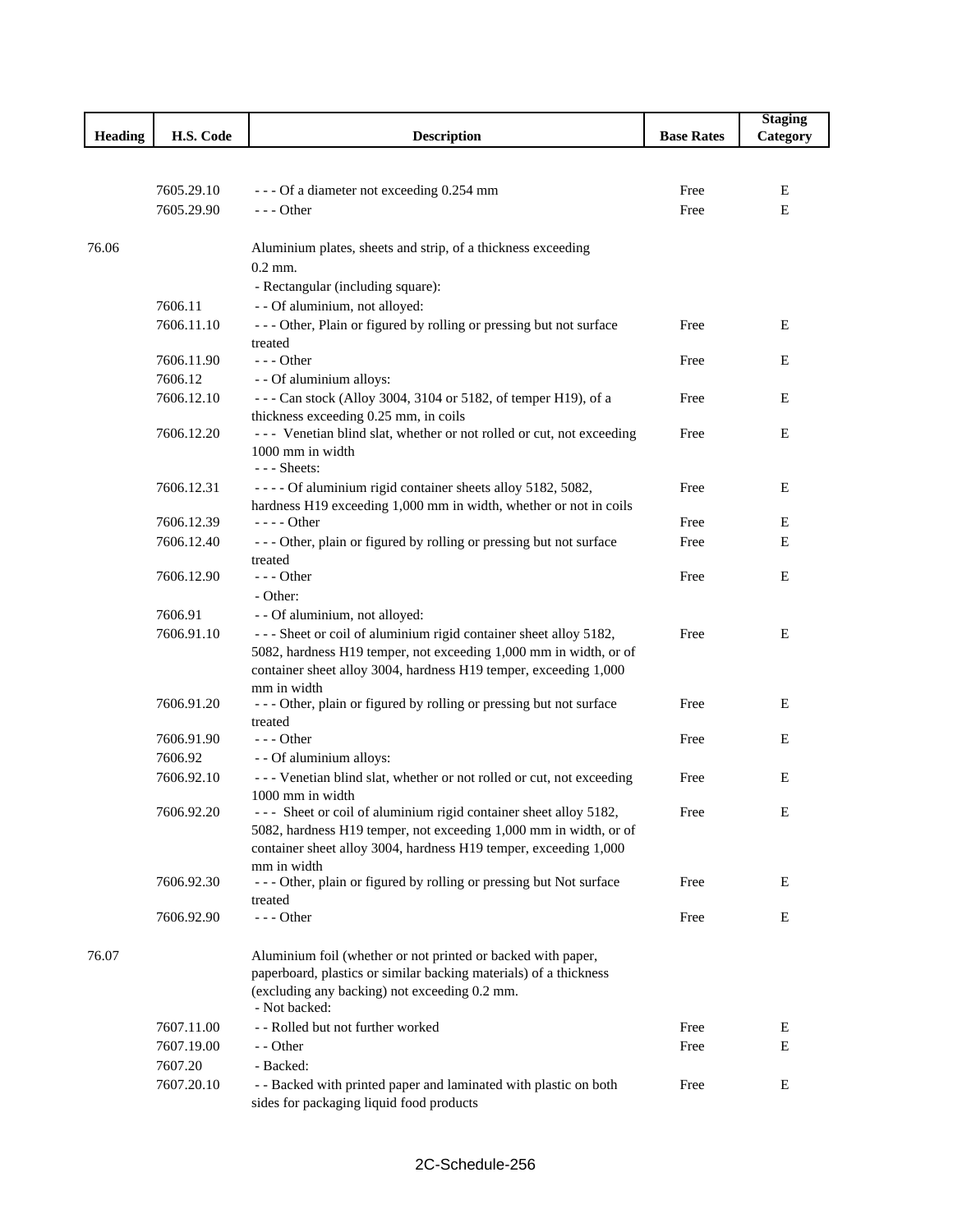|                |            |                                                                                                                                   |                   | <b>Staging</b> |
|----------------|------------|-----------------------------------------------------------------------------------------------------------------------------------|-------------------|----------------|
| <b>Heading</b> | H.S. Code  | <b>Description</b>                                                                                                                | <b>Base Rates</b> | Category       |
|                |            |                                                                                                                                   |                   |                |
|                |            |                                                                                                                                   |                   |                |
|                | 7605.29.10 | --- Of a diameter not exceeding 0.254 mm                                                                                          | Free              | E              |
|                | 7605.29.90 | $--$ Other                                                                                                                        | Free              | E              |
|                |            |                                                                                                                                   |                   |                |
| 76.06          |            | Aluminium plates, sheets and strip, of a thickness exceeding                                                                      |                   |                |
|                |            | $0.2$ mm.                                                                                                                         |                   |                |
|                |            | - Rectangular (including square):                                                                                                 |                   |                |
|                | 7606.11    | - - Of aluminium, not alloyed:                                                                                                    |                   |                |
|                | 7606.11.10 | --- Other, Plain or figured by rolling or pressing but not surface                                                                | Free              | Е              |
|                |            | treated                                                                                                                           |                   |                |
|                | 7606.11.90 | $--$ Other                                                                                                                        | Free              | Е              |
|                | 7606.12    | - - Of aluminium alloys:                                                                                                          |                   |                |
|                | 7606.12.10 | --- Can stock (Alloy 3004, 3104 or 5182, of temper H19), of a                                                                     | Free              | Е              |
|                |            | thickness exceeding 0.25 mm, in coils                                                                                             |                   |                |
|                | 7606.12.20 | --- Venetian blind slat, whether or not rolled or cut, not exceeding                                                              | Free              | Е              |
|                |            | 1000 mm in width                                                                                                                  |                   |                |
|                |            | $--$ Sheets:                                                                                                                      |                   |                |
|                | 7606.12.31 | - - - - Of aluminium rigid container sheets alloy 5182, 5082,                                                                     | Free              | E              |
|                | 7606.12.39 | hardness H19 exceeding 1,000 mm in width, whether or not in coils<br>$---$ Other                                                  | Free              | E              |
|                | 7606.12.40 | --- Other, plain or figured by rolling or pressing but not surface                                                                | Free              | Е              |
|                |            | treated                                                                                                                           |                   |                |
|                | 7606.12.90 | $--$ Other                                                                                                                        | Free              | E              |
|                |            | - Other:                                                                                                                          |                   |                |
|                | 7606.91    | - - Of aluminium, not alloyed:                                                                                                    |                   |                |
|                | 7606.91.10 | --- Sheet or coil of aluminium rigid container sheet alloy 5182,                                                                  | Free              | E              |
|                |            | 5082, hardness H19 temper, not exceeding 1,000 mm in width, or of                                                                 |                   |                |
|                |            | container sheet alloy 3004, hardness H19 temper, exceeding 1,000                                                                  |                   |                |
|                |            | mm in width                                                                                                                       |                   |                |
|                | 7606.91.20 | --- Other, plain or figured by rolling or pressing but not surface                                                                | Free              | E              |
|                |            | treated                                                                                                                           |                   |                |
|                | 7606.91.90 | $--$ Other                                                                                                                        | Free              | Е              |
|                | 7606.92    | - - Of aluminium alloys:                                                                                                          |                   |                |
|                | 7606.92.10 | --- Venetian blind slat, whether or not rolled or cut, not exceeding                                                              | Free              | Е              |
|                |            | 1000 mm in width                                                                                                                  |                   |                |
|                | 7606.92.20 | --- Sheet or coil of aluminium rigid container sheet alloy 5182,                                                                  | Free              | Е              |
|                |            | 5082, hardness H19 temper, not exceeding 1,000 mm in width, or of                                                                 |                   |                |
|                |            | container sheet alloy 3004, hardness H19 temper, exceeding 1,000                                                                  |                   |                |
|                |            | mm in width                                                                                                                       |                   |                |
|                | 7606.92.30 | --- Other, plain or figured by rolling or pressing but Not surface                                                                | Free              | Е              |
|                | 7606.92.90 | treated                                                                                                                           |                   |                |
|                |            | $--$ Other                                                                                                                        | Free              | Е              |
|                |            |                                                                                                                                   |                   |                |
| 76.07          |            | Aluminium foil (whether or not printed or backed with paper,<br>paperboard, plastics or similar backing materials) of a thickness |                   |                |
|                |            | (excluding any backing) not exceeding 0.2 mm.                                                                                     |                   |                |
|                |            | - Not backed:                                                                                                                     |                   |                |
|                | 7607.11.00 | - - Rolled but not further worked                                                                                                 | Free              | E              |
|                | 7607.19.00 | - - Other                                                                                                                         | Free              | E              |
|                | 7607.20    | - Backed:                                                                                                                         |                   |                |
|                | 7607.20.10 | - - Backed with printed paper and laminated with plastic on both                                                                  | Free              | E              |
|                |            | sides for packaging liquid food products                                                                                          |                   |                |
|                |            |                                                                                                                                   |                   |                |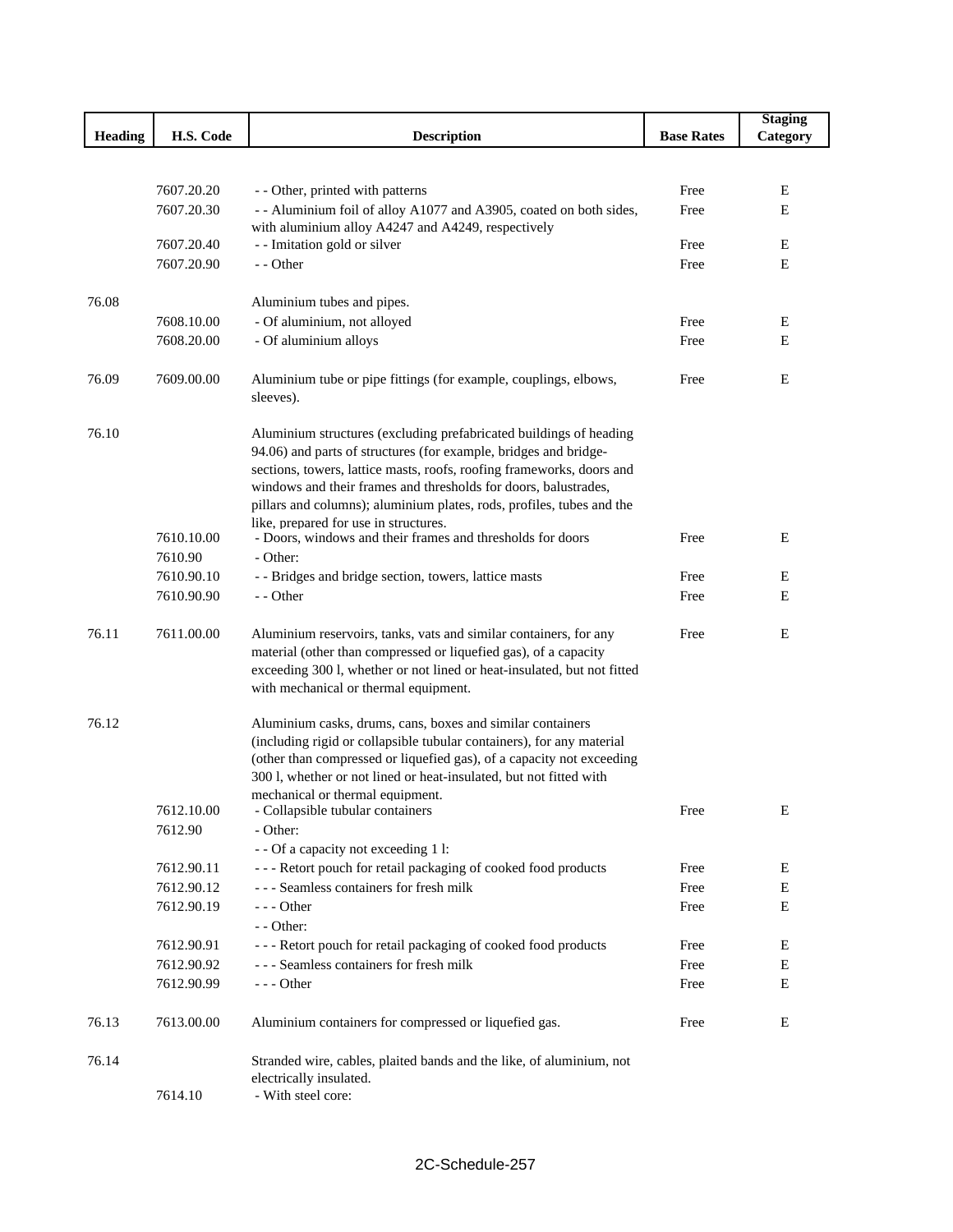|                |            |                                                                                                                                       |                   | <b>Staging</b> |
|----------------|------------|---------------------------------------------------------------------------------------------------------------------------------------|-------------------|----------------|
| <b>Heading</b> | H.S. Code  | <b>Description</b>                                                                                                                    | <b>Base Rates</b> | Category       |
|                |            |                                                                                                                                       |                   |                |
|                |            |                                                                                                                                       |                   |                |
|                | 7607.20.20 | - - Other, printed with patterns                                                                                                      | Free              | Е              |
|                | 7607.20.30 | - - Aluminium foil of alloy A1077 and A3905, coated on both sides,                                                                    | Free              | E              |
|                |            | with aluminium alloy A4247 and A4249, respectively                                                                                    |                   |                |
|                | 7607.20.40 | - - Imitation gold or silver                                                                                                          | Free              | Ε              |
|                | 7607.20.90 | - - Other                                                                                                                             | Free              | Е              |
| 76.08          |            | Aluminium tubes and pipes.                                                                                                            |                   |                |
|                | 7608.10.00 | - Of aluminium, not alloyed                                                                                                           | Free              | Ε              |
|                | 7608.20.00 | - Of aluminium alloys                                                                                                                 | Free              | E              |
|                |            |                                                                                                                                       |                   |                |
| 76.09          | 7609.00.00 | Aluminium tube or pipe fittings (for example, couplings, elbows,                                                                      | Free              | Е              |
|                |            | sleeves).                                                                                                                             |                   |                |
| 76.10          |            | Aluminium structures (excluding prefabricated buildings of heading                                                                    |                   |                |
|                |            | 94.06) and parts of structures (for example, bridges and bridge-                                                                      |                   |                |
|                |            | sections, towers, lattice masts, roofs, roofing frameworks, doors and                                                                 |                   |                |
|                |            | windows and their frames and thresholds for doors, balustrades,                                                                       |                   |                |
|                |            | pillars and columns); aluminium plates, rods, profiles, tubes and the                                                                 |                   |                |
|                |            | like, prepared for use in structures.                                                                                                 |                   |                |
|                | 7610.10.00 | - Doors, windows and their frames and thresholds for doors                                                                            | Free              | Ε              |
|                | 7610.90    | - Other:                                                                                                                              |                   |                |
|                | 7610.90.10 | - - Bridges and bridge section, towers, lattice masts                                                                                 | Free              | Е              |
|                | 7610.90.90 | - - Other                                                                                                                             | Free              | E              |
| 76.11          | 7611.00.00 |                                                                                                                                       | Free              | E              |
|                |            | Aluminium reservoirs, tanks, vats and similar containers, for any<br>material (other than compressed or liquefied gas), of a capacity |                   |                |
|                |            | exceeding 300 l, whether or not lined or heat-insulated, but not fitted                                                               |                   |                |
|                |            | with mechanical or thermal equipment.                                                                                                 |                   |                |
|                |            |                                                                                                                                       |                   |                |
| 76.12          |            | Aluminium casks, drums, cans, boxes and similar containers                                                                            |                   |                |
|                |            | (including rigid or collapsible tubular containers), for any material                                                                 |                   |                |
|                |            | (other than compressed or liquefied gas), of a capacity not exceeding                                                                 |                   |                |
|                |            | 300 l, whether or not lined or heat-insulated, but not fitted with                                                                    |                   |                |
|                |            | mechanical or thermal equipment.                                                                                                      |                   |                |
|                | 7612.10.00 | - Collapsible tubular containers                                                                                                      | Free              | E              |
|                | 7612.90    | - Other:                                                                                                                              |                   |                |
|                | 7612.90.11 | - - Of a capacity not exceeding 1 l:<br>--- Retort pouch for retail packaging of cooked food products                                 | Free              | Е              |
|                |            | --- Seamless containers for fresh milk                                                                                                | Free              |                |
|                | 7612.90.12 | $--$ Other                                                                                                                            | Free              | Е              |
|                | 7612.90.19 | - - Other:                                                                                                                            |                   | E              |
|                |            |                                                                                                                                       |                   |                |
|                | 7612.90.91 | --- Retort pouch for retail packaging of cooked food products<br>--- Seamless containers for fresh milk                               | Free<br>Free      | Ε              |
|                | 7612.90.92 | $--$ Other                                                                                                                            |                   | E<br>Ε         |
|                | 7612.90.99 |                                                                                                                                       | Free              |                |
| 76.13          | 7613.00.00 | Aluminium containers for compressed or liquefied gas.                                                                                 | Free              | Е              |
| 76.14          |            | Stranded wire, cables, plaited bands and the like, of aluminium, not                                                                  |                   |                |
|                |            | electrically insulated.                                                                                                               |                   |                |
|                | 7614.10    | - With steel core:                                                                                                                    |                   |                |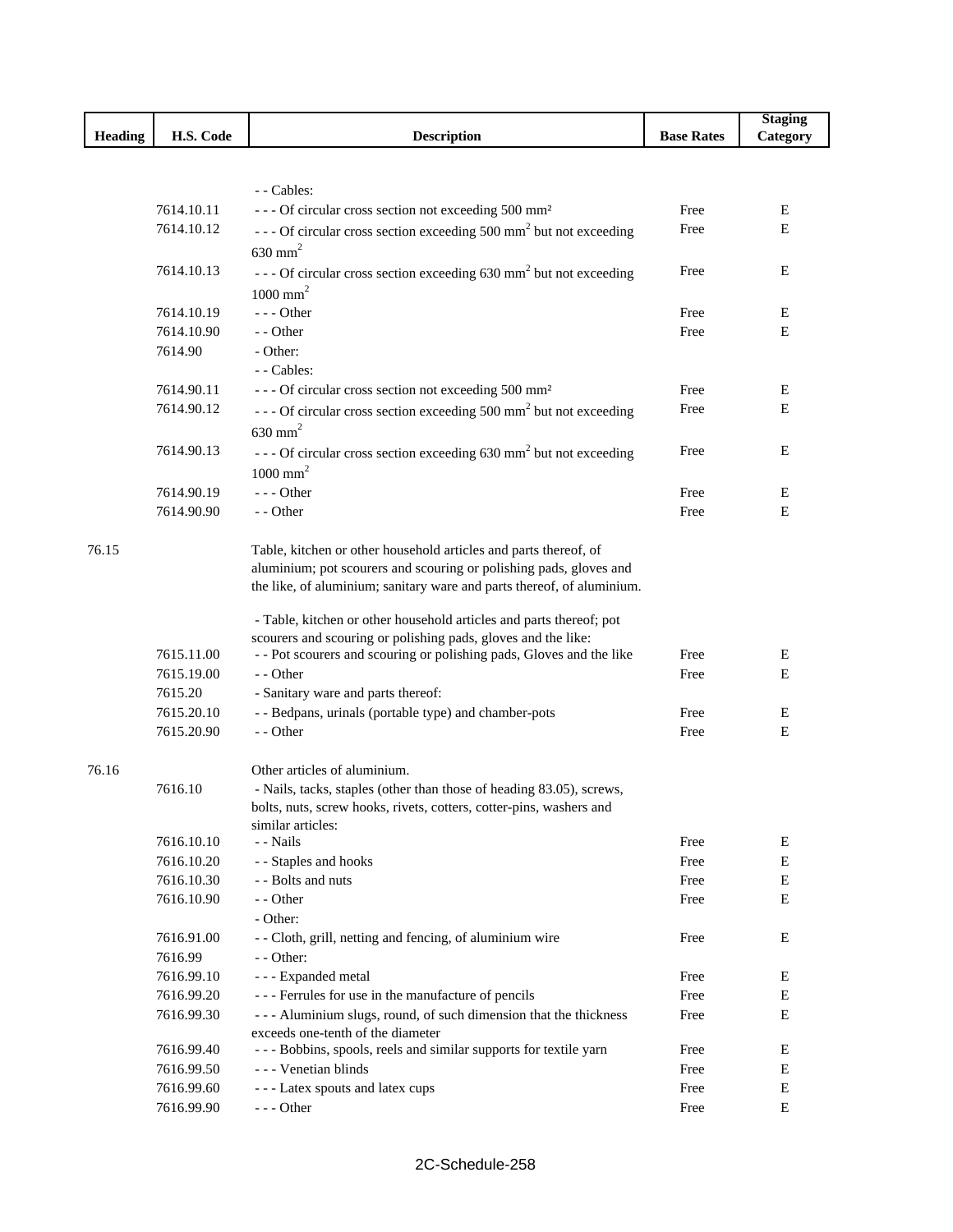|                |            |                                                                                      |                   | <b>Staging</b> |
|----------------|------------|--------------------------------------------------------------------------------------|-------------------|----------------|
| <b>Heading</b> | H.S. Code  | <b>Description</b>                                                                   | <b>Base Rates</b> | Category       |
|                |            |                                                                                      |                   |                |
|                |            |                                                                                      |                   |                |
|                |            | - - Cables:                                                                          |                   |                |
|                | 7614.10.11 | --- Of circular cross section not exceeding 500 mm <sup>2</sup>                      | Free              | Ε              |
|                | 7614.10.12 | --- Of circular cross section exceeding 500 mm <sup>2</sup> but not exceeding        | Free              | E              |
|                |            | $630$ mm <sup>2</sup>                                                                |                   |                |
|                | 7614.10.13 | $\cdots$ - Of circular cross section exceeding 630 mm <sup>2</sup> but not exceeding | Free              | Е              |
|                |            | $1000$ mm <sup>2</sup>                                                               |                   |                |
|                | 7614.10.19 | $--$ Other                                                                           | Free              | Е              |
|                | 7614.10.90 | - - Other                                                                            | Free              | E              |
|                | 7614.90    | - Other:                                                                             |                   |                |
|                |            | - - Cables:                                                                          |                   |                |
|                | 7614.90.11 | --- Of circular cross section not exceeding 500 mm <sup>2</sup>                      | Free              | Ε              |
|                | 7614.90.12 | --- Of circular cross section exceeding 500 mm <sup>2</sup> but not exceeding        | Free              | Е              |
|                |            | $630$ mm <sup>2</sup>                                                                |                   |                |
|                | 7614.90.13 | $\cdots$ - Of circular cross section exceeding 630 mm <sup>2</sup> but not exceeding | Free              | Е              |
|                |            | $1000$ mm <sup>2</sup>                                                               |                   |                |
|                | 7614.90.19 | --- Other                                                                            | Free              | Е              |
|                | 7614.90.90 | - - Other                                                                            | Free              | E              |
|                |            |                                                                                      |                   |                |
| 76.15          |            | Table, kitchen or other household articles and parts thereof, of                     |                   |                |
|                |            | aluminium; pot scourers and scouring or polishing pads, gloves and                   |                   |                |
|                |            | the like, of aluminium; sanitary ware and parts thereof, of aluminium.               |                   |                |
|                |            |                                                                                      |                   |                |
|                |            | - Table, kitchen or other household articles and parts thereof; pot                  |                   |                |
|                |            | scourers and scouring or polishing pads, gloves and the like:                        |                   |                |
|                | 7615.11.00 | - - Pot scourers and scouring or polishing pads, Gloves and the like                 | Free              | Ε              |
|                | 7615.19.00 | - - Other                                                                            | Free              | Е              |
|                | 7615.20    | - Sanitary ware and parts thereof:                                                   |                   |                |
|                | 7615.20.10 | - - Bedpans, urinals (portable type) and chamber-pots                                | Free              | Е              |
|                | 7615.20.90 | - - Other                                                                            | Free              | E              |
| 76.16          |            | Other articles of aluminium.                                                         |                   |                |
|                | 7616.10    | - Nails, tacks, staples (other than those of heading 83.05), screws,                 |                   |                |
|                |            | bolts, nuts, screw hooks, rivets, cotters, cotter-pins, washers and                  |                   |                |
|                |            | similar articles:                                                                    |                   |                |
|                | 7616.10.10 | - - Nails                                                                            | Free              | Ε              |
|                | 7616.10.20 | - - Staples and hooks                                                                | Free              | Е              |
|                | 7616.10.30 | - - Bolts and nuts                                                                   | Free              | Ε              |
|                | 7616.10.90 | - - Other                                                                            | Free              | E              |
|                |            | - Other:                                                                             |                   |                |
|                | 7616.91.00 | - - Cloth, grill, netting and fencing, of aluminium wire                             | Free              | Ε              |
|                | 7616.99    | $-$ - Other:                                                                         |                   |                |
|                | 7616.99.10 | - - - Expanded metal                                                                 | Free              | Ε              |
|                | 7616.99.20 | --- Ferrules for use in the manufacture of pencils                                   | Free              | E              |
|                | 7616.99.30 | - - - Aluminium slugs, round, of such dimension that the thickness                   | Free              | E              |
|                |            | exceeds one-tenth of the diameter                                                    |                   |                |
|                | 7616.99.40 | --- Bobbins, spools, reels and similar supports for textile yarn                     | Free              | Ε              |
|                | 7616.99.50 | - - - Venetian blinds                                                                | Free              | Ε              |
|                | 7616.99.60 | --- Latex spouts and latex cups                                                      | Free              | Е              |
|                | 7616.99.90 | $--$ Other                                                                           | Free              | Ε              |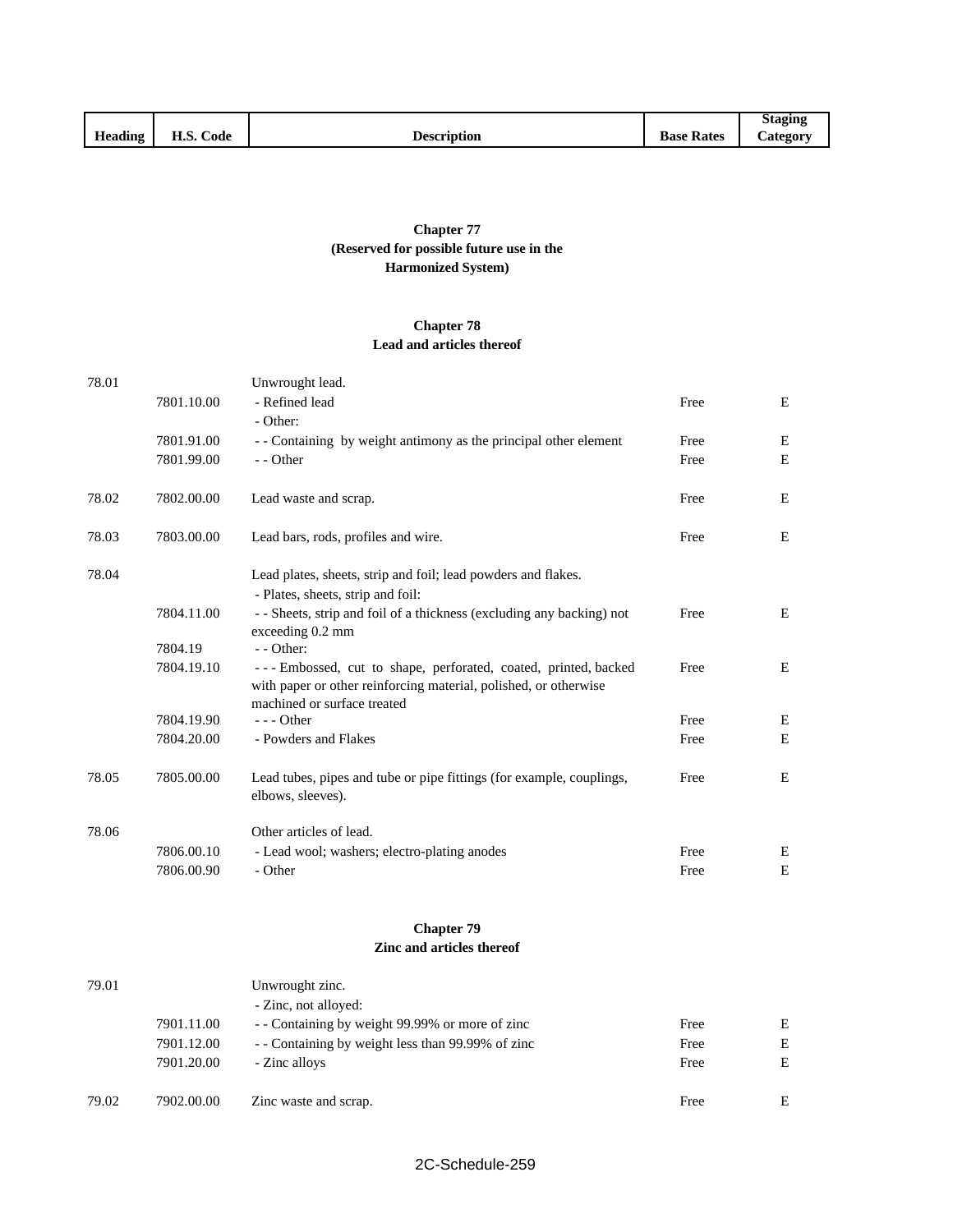|         |                    |                    |                   | Staging         |
|---------|--------------------|--------------------|-------------------|-----------------|
| Heading | --<br>Code<br>п.э. | <b>Description</b> | <b>Base Rates</b> | <b>Category</b> |

## **Chapter 77 (Reserved for possible future use in the Harmonized System)**

### **Chapter 78 Lead and articles thereof**

| 78.01 |            | Unwrought lead.                                                       |      |             |
|-------|------------|-----------------------------------------------------------------------|------|-------------|
|       | 7801.10.00 | - Refined lead                                                        | Free | E           |
|       |            | - Other:                                                              |      |             |
|       | 7801.91.00 | - - Containing by weight antimony as the principal other element      | Free | Е           |
|       | 7801.99.00 | - - Other                                                             | Free | E           |
|       |            |                                                                       |      |             |
| 78.02 | 7802.00.00 | Lead waste and scrap.                                                 | Free | E           |
|       |            |                                                                       |      |             |
| 78.03 | 7803.00.00 | Lead bars, rods, profiles and wire.                                   | Free | Е           |
| 78.04 |            | Lead plates, sheets, strip and foil; lead powders and flakes.         |      |             |
|       |            | - Plates, sheets, strip and foil:                                     |      |             |
|       | 7804.11.00 | - - Sheets, strip and foil of a thickness (excluding any backing) not | Free | Е           |
|       |            | exceeding 0.2 mm                                                      |      |             |
|       | 7804.19    | - - Other:                                                            |      |             |
|       | 7804.19.10 | --- Embossed, cut to shape, perforated, coated, printed, backed       | Free | Е           |
|       |            | with paper or other reinforcing material, polished, or otherwise      |      |             |
|       | 7804.19.90 | machined or surface treated<br>$--$ Other                             | Free | Е           |
|       | 7804.20.00 | - Powders and Flakes                                                  | Free | E           |
|       |            |                                                                       |      |             |
| 78.05 | 7805.00.00 | Lead tubes, pipes and tube or pipe fittings (for example, couplings,  | Free | Ε           |
|       |            | elbows, sleeves).                                                     |      |             |
| 78.06 |            | Other articles of lead.                                               |      |             |
|       | 7806.00.10 | - Lead wool; washers; electro-plating anodes                          | Free | E           |
|       | 7806.00.90 | - Other                                                               | Free | $\mathbf E$ |
|       |            |                                                                       |      |             |
|       |            | <b>Chapter 79</b>                                                     |      |             |
|       |            | Zinc and articles thereof                                             |      |             |
|       |            |                                                                       |      |             |
| 79.01 |            | Unwrought zinc.                                                       |      |             |

|       |            | - Zinc, not alloyed:                            |      |   |
|-------|------------|-------------------------------------------------|------|---|
|       | 7901.11.00 | - Containing by weight 99.99% or more of zinc   | Free | E |
|       | 7901.12.00 | - Containing by weight less than 99.99% of zinc | Free | E |
|       | 7901.20.00 | - Zinc alloys                                   | Free | E |
|       |            |                                                 |      |   |
| 79.02 | 7902.00.00 | Zinc waste and scrap.                           | Free | E |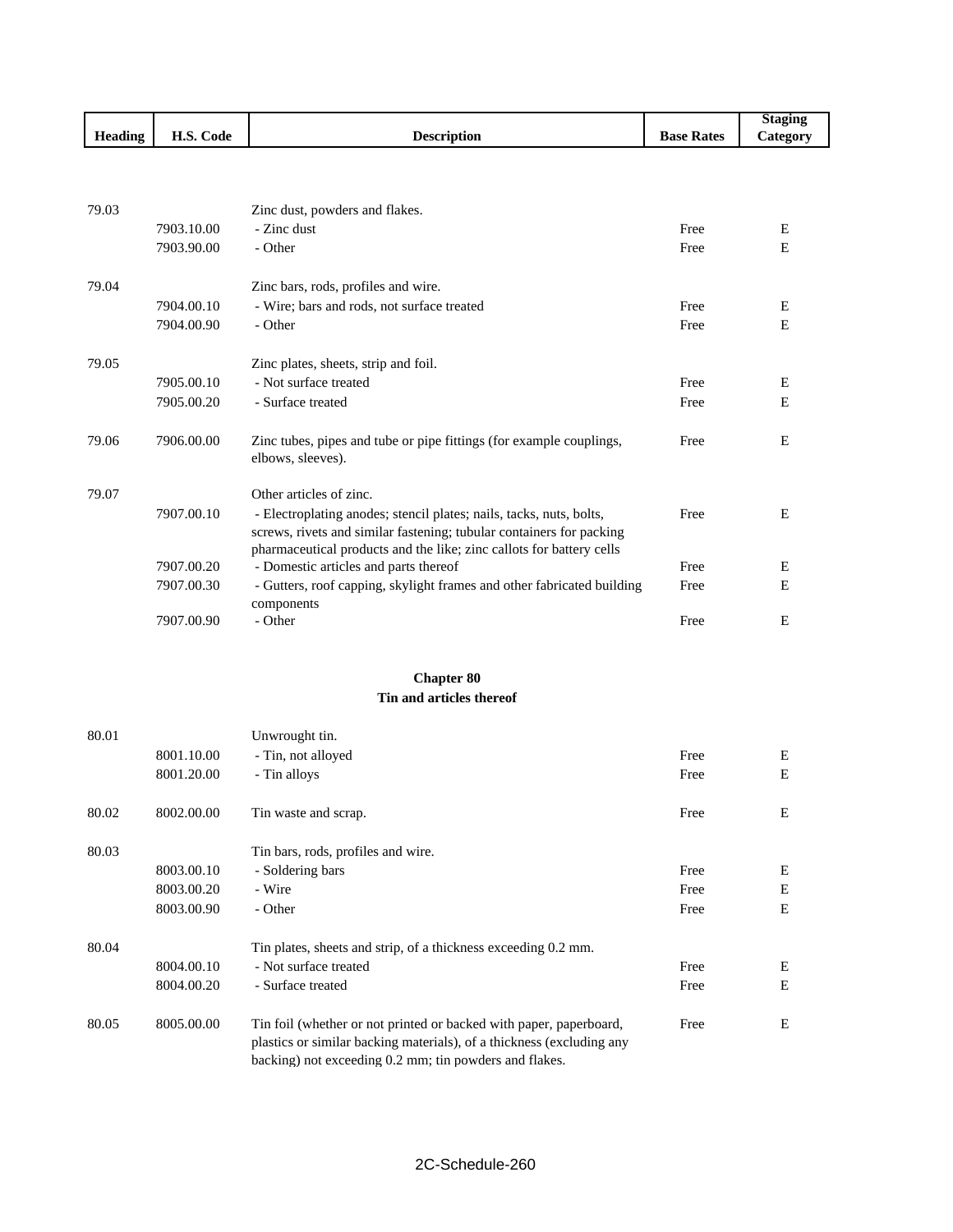|                |                          |                                                                                                                                                                                                                     |                   | <b>Staging</b> |  |  |  |
|----------------|--------------------------|---------------------------------------------------------------------------------------------------------------------------------------------------------------------------------------------------------------------|-------------------|----------------|--|--|--|
| <b>Heading</b> | H.S. Code                | <b>Description</b>                                                                                                                                                                                                  | <b>Base Rates</b> | Category       |  |  |  |
|                |                          |                                                                                                                                                                                                                     |                   |                |  |  |  |
|                |                          |                                                                                                                                                                                                                     |                   |                |  |  |  |
| 79.03          |                          | Zinc dust, powders and flakes.                                                                                                                                                                                      |                   |                |  |  |  |
|                | 7903.10.00               | - Zinc dust                                                                                                                                                                                                         | Free              | Ε              |  |  |  |
|                | 7903.90.00               | - Other                                                                                                                                                                                                             | Free              | E              |  |  |  |
| 79.04          |                          | Zinc bars, rods, profiles and wire.                                                                                                                                                                                 |                   |                |  |  |  |
|                | 7904.00.10               | - Wire; bars and rods, not surface treated                                                                                                                                                                          | Free              | E              |  |  |  |
|                | 7904.00.90               | - Other                                                                                                                                                                                                             | Free              | E              |  |  |  |
| 79.05          |                          | Zinc plates, sheets, strip and foil.                                                                                                                                                                                |                   |                |  |  |  |
|                | 7905.00.10               | - Not surface treated                                                                                                                                                                                               | Free              | E              |  |  |  |
|                | 7905.00.20               | - Surface treated                                                                                                                                                                                                   | Free              | E              |  |  |  |
| 79.06          | 7906.00.00               | Zinc tubes, pipes and tube or pipe fittings (for example couplings,<br>elbows, sleeves).                                                                                                                            | Free              | E              |  |  |  |
| 79.07          |                          | Other articles of zinc.                                                                                                                                                                                             |                   |                |  |  |  |
|                | 7907.00.10               | - Electroplating anodes; stencil plates; nails, tacks, nuts, bolts,<br>screws, rivets and similar fastening; tubular containers for packing<br>pharmaceutical products and the like; zinc callots for battery cells | Free              | E              |  |  |  |
|                | 7907.00.20               | - Domestic articles and parts thereof                                                                                                                                                                               | Free              | E              |  |  |  |
|                | 7907.00.30               | - Gutters, roof capping, skylight frames and other fabricated building<br>components                                                                                                                                | Free              | E              |  |  |  |
|                | 7907.00.90               | - Other                                                                                                                                                                                                             | Free              | E              |  |  |  |
|                |                          |                                                                                                                                                                                                                     |                   |                |  |  |  |
|                |                          | <b>Chapter 80</b>                                                                                                                                                                                                   |                   |                |  |  |  |
|                | Tin and articles thereof |                                                                                                                                                                                                                     |                   |                |  |  |  |

| 80.01 |            | Unwrought tin.                                                                                                                                                                                        |      |   |
|-------|------------|-------------------------------------------------------------------------------------------------------------------------------------------------------------------------------------------------------|------|---|
|       | 8001.10.00 | - Tin, not alloyed                                                                                                                                                                                    | Free | Ε |
|       | 8001.20.00 | - Tin alloys                                                                                                                                                                                          | Free | E |
| 80.02 | 8002.00.00 | Tin waste and scrap.                                                                                                                                                                                  | Free | Е |
| 80.03 |            | Tin bars, rods, profiles and wire.                                                                                                                                                                    |      |   |
|       | 8003.00.10 | - Soldering bars                                                                                                                                                                                      | Free | E |
|       | 8003.00.20 | - Wire                                                                                                                                                                                                | Free | E |
|       | 8003.00.90 | - Other                                                                                                                                                                                               | Free | E |
| 80.04 |            | Tin plates, sheets and strip, of a thickness exceeding 0.2 mm.                                                                                                                                        |      |   |
|       | 8004.00.10 | - Not surface treated                                                                                                                                                                                 | Free | E |
|       | 8004.00.20 | - Surface treated                                                                                                                                                                                     | Free | E |
| 80.05 | 8005.00.00 | Tin foil (whether or not printed or backed with paper, paperboard,<br>plastics or similar backing materials), of a thickness (excluding any<br>backing) not exceeding 0.2 mm; tin powders and flakes. | Free | E |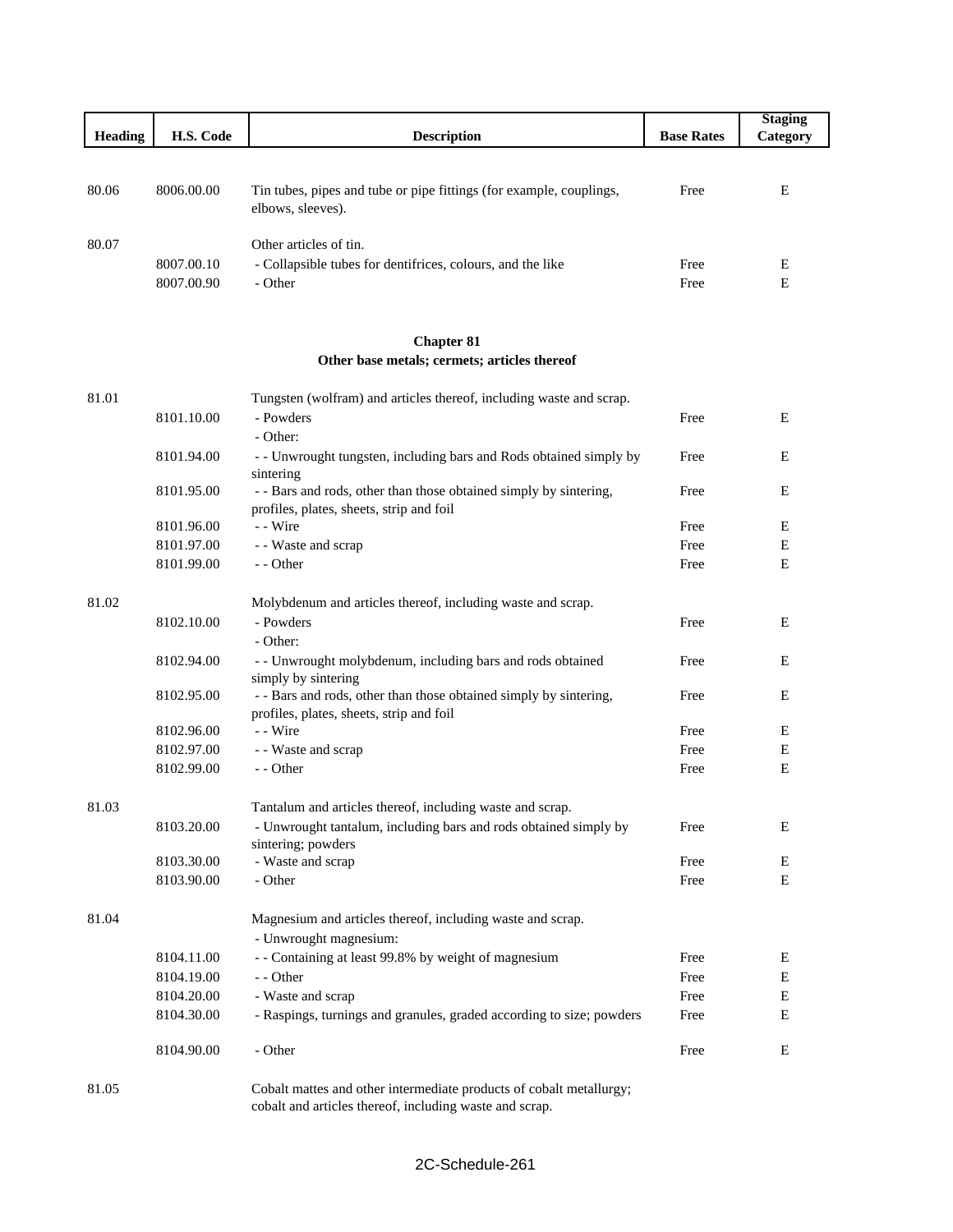| <b>Heading</b> | H.S. Code                | <b>Description</b>                                                                              | <b>Base Rates</b> | <b>Staging</b><br>Category |
|----------------|--------------------------|-------------------------------------------------------------------------------------------------|-------------------|----------------------------|
| 80.06          | 8006.00.00               | Tin tubes, pipes and tube or pipe fittings (for example, couplings,<br>elbows, sleeves).        | Free              | E                          |
| 80.07          | 8007.00.10<br>8007.00.90 | Other articles of tin.<br>- Collapsible tubes for dentifrices, colours, and the like<br>- Other | Free<br>Free      | E<br>E                     |

┚

# **Chapter 81 Other base metals; cermets; articles thereof**

| 81.01       |            | Tungsten (wolfram) and articles thereof, including waste and scrap.  |      |             |
|-------------|------------|----------------------------------------------------------------------|------|-------------|
|             | 8101.10.00 | - Powders                                                            | Free | E           |
|             |            | - Other:                                                             |      |             |
|             | 8101.94.00 | - - Unwrought tungsten, including bars and Rods obtained simply by   | Free | E           |
|             |            | sintering                                                            |      |             |
|             | 8101.95.00 | - - Bars and rods, other than those obtained simply by sintering,    | Free | $\mathbf E$ |
|             |            | profiles, plates, sheets, strip and foil                             |      |             |
|             | 8101.96.00 | - - Wire                                                             | Free | $\mathbf E$ |
|             | 8101.97.00 | - - Waste and scrap                                                  | Free | $\mathbf E$ |
|             | 8101.99.00 | - - Other                                                            | Free | E           |
| 81.02       |            | Molybdenum and articles thereof, including waste and scrap.          |      |             |
|             | 8102.10.00 | - Powders                                                            | Free | $\mathbf E$ |
|             |            | - Other:                                                             |      |             |
|             | 8102.94.00 | - - Unwrought molybdenum, including bars and rods obtained           | Free | E           |
|             |            | simply by sintering                                                  |      |             |
|             | 8102.95.00 | - - Bars and rods, other than those obtained simply by sintering,    | Free | E           |
|             |            | profiles, plates, sheets, strip and foil                             |      |             |
|             | 8102.96.00 | - - Wire                                                             | Free | $\mathbf E$ |
|             | 8102.97.00 | - - Waste and scrap                                                  | Free | ${\bf E}$   |
|             | 8102.99.00 | - - Other                                                            | Free | E           |
| 81.03       |            | Tantalum and articles thereof, including waste and scrap.            |      |             |
|             | 8103.20.00 | - Unwrought tantalum, including bars and rods obtained simply by     | Free | Е           |
|             |            | sintering; powders                                                   |      |             |
|             | 8103.30.00 | - Waste and scrap                                                    | Free | E           |
|             | 8103.90.00 | - Other                                                              | Free | $\mathbf E$ |
| 81.04       |            | Magnesium and articles thereof, including waste and scrap.           |      |             |
|             |            | - Unwrought magnesium:                                               |      |             |
|             | 8104.11.00 | - - Containing at least 99.8% by weight of magnesium                 | Free | Е           |
|             | 8104.19.00 | - - Other                                                            | Free | $\mathbf E$ |
|             | 8104.20.00 | - Waste and scrap                                                    | Free | $\mathbf E$ |
|             | 8104.30.00 | - Raspings, turnings and granules, graded according to size; powders | Free | $\mathbf E$ |
|             | 8104.90.00 | - Other                                                              | Free | E           |
| $01 \Omega$ |            | Coholt motton and other intermediate meduate of eahelt motelly       |      |             |

81.05 Cobalt mattes and other intermediate products of cobalt metallurgy; cobalt and articles thereof, including waste and scrap.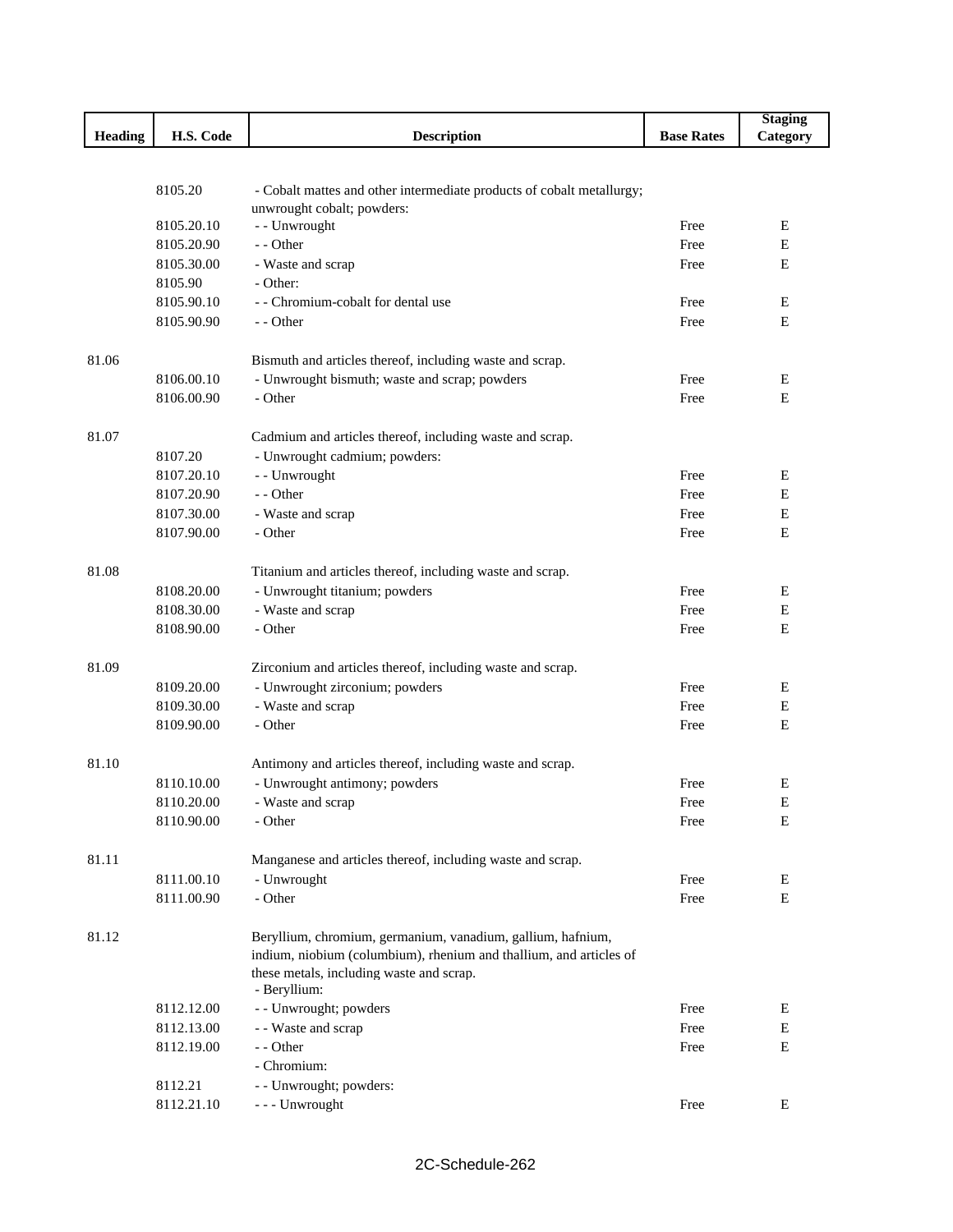|                |            |                                                                                                     |                   | <b>Staging</b> |
|----------------|------------|-----------------------------------------------------------------------------------------------------|-------------------|----------------|
| <b>Heading</b> | H.S. Code  | <b>Description</b>                                                                                  | <b>Base Rates</b> | Category       |
|                |            |                                                                                                     |                   |                |
|                | 8105.20    |                                                                                                     |                   |                |
|                |            | - Cobalt mattes and other intermediate products of cobalt metallurgy;<br>unwrought cobalt; powders: |                   |                |
|                | 8105.20.10 | - - Unwrought                                                                                       | Free              | Ε              |
|                | 8105.20.90 | - - Other                                                                                           | Free              | Е              |
|                | 8105.30.00 | - Waste and scrap                                                                                   | Free              | Е              |
|                | 8105.90    | - Other:                                                                                            |                   |                |
|                | 8105.90.10 | - - Chromium-cobalt for dental use                                                                  | Free              | Ε              |
|                | 8105.90.90 | - - Other                                                                                           | Free              | Е              |
|                |            |                                                                                                     |                   |                |
| 81.06          |            | Bismuth and articles thereof, including waste and scrap.                                            |                   |                |
|                | 8106.00.10 | - Unwrought bismuth; waste and scrap; powders                                                       | Free              | Ε              |
|                | 8106.00.90 | - Other                                                                                             | Free              | E              |
| 81.07          |            | Cadmium and articles thereof, including waste and scrap.                                            |                   |                |
|                | 8107.20    | - Unwrought cadmium; powders:                                                                       |                   |                |
|                | 8107.20.10 | - - Unwrought                                                                                       | Free              | Ε              |
|                | 8107.20.90 | - - Other                                                                                           | Free              | Е              |
|                | 8107.30.00 | - Waste and scrap                                                                                   | Free              | Ε              |
|                | 8107.90.00 | - Other                                                                                             | Free              | Е              |
|                |            |                                                                                                     |                   |                |
| 81.08          |            | Titanium and articles thereof, including waste and scrap.                                           |                   |                |
|                | 8108.20.00 | - Unwrought titanium; powders                                                                       | Free              | Е              |
|                | 8108.30.00 | - Waste and scrap                                                                                   | Free              | Е              |
|                | 8108.90.00 | - Other                                                                                             | Free              | E              |
|                |            |                                                                                                     |                   |                |
| 81.09          |            | Zirconium and articles thereof, including waste and scrap.                                          |                   |                |
|                | 8109.20.00 | - Unwrought zirconium; powders                                                                      | Free              | Ε              |
|                | 8109.30.00 | - Waste and scrap                                                                                   | Free              | Е              |
|                | 8109.90.00 | - Other                                                                                             | Free              | E              |
| 81.10          |            | Antimony and articles thereof, including waste and scrap.                                           |                   |                |
|                | 8110.10.00 | - Unwrought antimony; powders                                                                       | Free              | Е              |
|                | 8110.20.00 | - Waste and scrap                                                                                   | Free              | E              |
|                | 8110.90.00 | - Other                                                                                             | Free              | Е              |
|                |            |                                                                                                     |                   |                |
| 81.11          |            | Manganese and articles thereof, including waste and scrap.                                          |                   |                |
|                | 8111.00.10 | - Unwrought                                                                                         | Free              | Ε              |
|                | 8111.00.90 | - Other                                                                                             | Free              | ${\bf E}$      |
| 81.12          |            | Beryllium, chromium, germanium, vanadium, gallium, hafnium,                                         |                   |                |
|                |            | indium, niobium (columbium), rhenium and thallium, and articles of                                  |                   |                |
|                |            | these metals, including waste and scrap.                                                            |                   |                |
|                |            | - Beryllium:                                                                                        |                   |                |
|                | 8112.12.00 | - - Unwrought; powders                                                                              | Free              | Ε              |
|                | 8112.13.00 | - - Waste and scrap<br>- - Other                                                                    | Free<br>Free      | E<br>Е         |
|                | 8112.19.00 | - Chromium:                                                                                         |                   |                |
|                | 8112.21    | - - Unwrought; powders:                                                                             |                   |                |
|                | 8112.21.10 | --- Unwrought                                                                                       | Free              | E              |
|                |            |                                                                                                     |                   |                |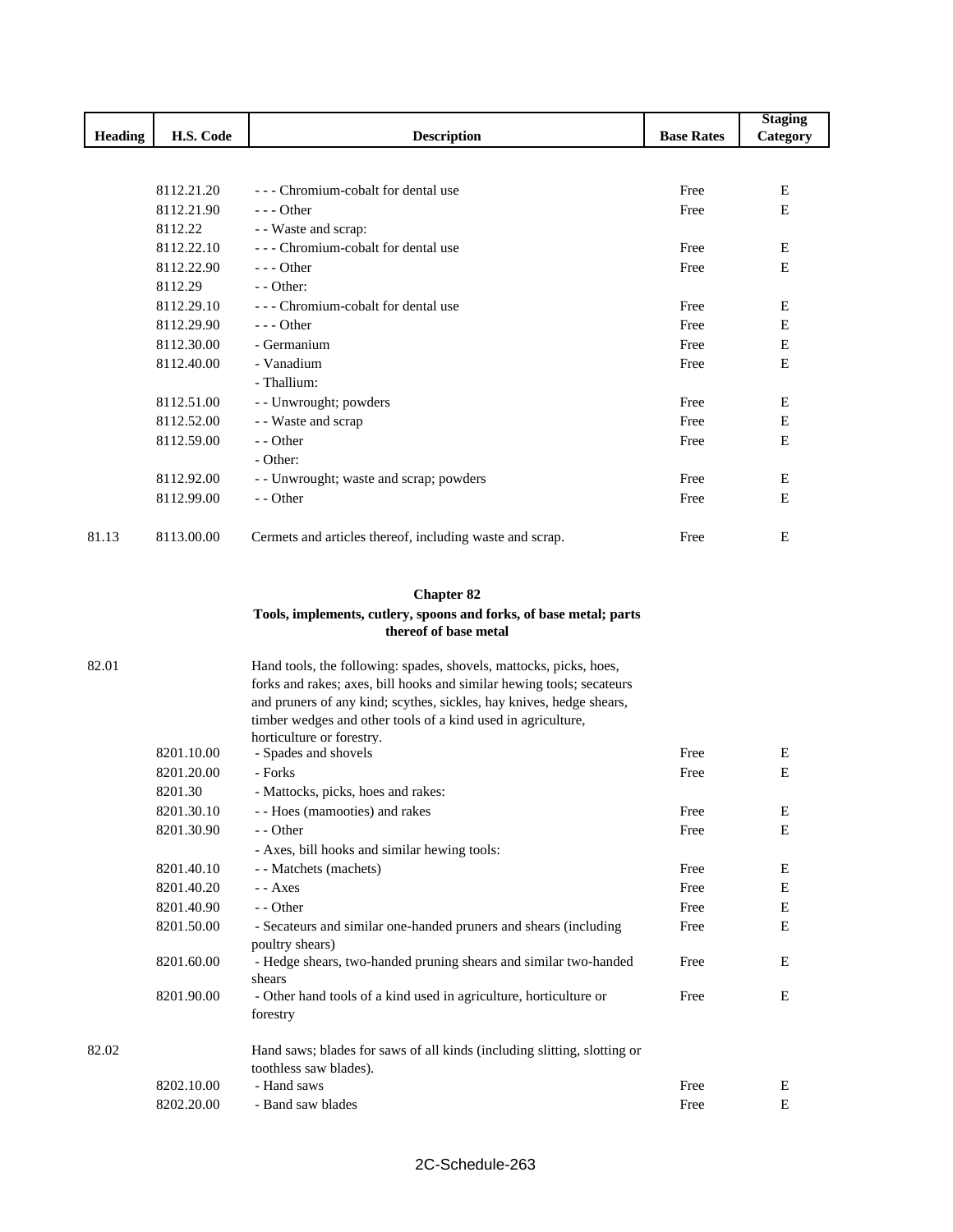|         |            |                                                                          |                   | <b>Staging</b> |
|---------|------------|--------------------------------------------------------------------------|-------------------|----------------|
| Heading | H.S. Code  | <b>Description</b>                                                       | <b>Base Rates</b> | Category       |
|         |            |                                                                          |                   |                |
|         | 8112.21.20 | --- Chromium-cobalt for dental use                                       | Free              | Е              |
|         | 8112.21.90 | $--$ Other                                                               | Free              | Е              |
|         | 8112.22    | - - Waste and scrap:                                                     |                   |                |
|         | 8112.22.10 | --- Chromium-cobalt for dental use                                       | Free              | E              |
|         | 8112.22.90 | $--$ Other                                                               | Free              | Е              |
|         | 8112.29    | $-$ - Other:                                                             |                   |                |
|         | 8112.29.10 | --- Chromium-cobalt for dental use                                       | Free              | Е              |
|         | 8112.29.90 | $--$ Other                                                               | Free              | Е              |
|         | 8112.30.00 | - Germanium                                                              | Free              | E              |
|         | 8112.40.00 | - Vanadium                                                               | Free              | E              |
|         |            | - Thallium:                                                              |                   |                |
|         | 8112.51.00 | - - Unwrought; powders                                                   | Free              | Е              |
|         | 8112.52.00 | - - Waste and scrap                                                      | Free              | E              |
|         | 8112.59.00 | - - Other                                                                | Free              | Е              |
|         |            | - Other:                                                                 |                   |                |
|         | 8112.92.00 | - - Unwrought; waste and scrap; powders                                  | Free              | Е              |
|         | 8112.99.00 | - - Other                                                                | Free              | Е              |
|         |            |                                                                          |                   |                |
| 81.13   | 8113.00.00 | Cermets and articles thereof, including waste and scrap.                 | Free              | Е              |
|         |            |                                                                          |                   |                |
|         |            | <b>Chapter 82</b>                                                        |                   |                |
|         |            | Tools, implements, cutlery, spoons and forks, of base metal; parts       |                   |                |
|         |            | thereof of base metal                                                    |                   |                |
| 82.01   |            | Hand tools, the following: spades, shovels, mattocks, picks, hoes,       |                   |                |
|         |            | forks and rakes; axes, bill hooks and similar hewing tools; secateurs    |                   |                |
|         |            | and pruners of any kind; scythes, sickles, hay knives, hedge shears,     |                   |                |
|         |            | timber wedges and other tools of a kind used in agriculture,             |                   |                |
|         |            | horticulture or forestry.                                                |                   |                |
|         | 8201.10.00 | - Spades and shovels                                                     | Free              | Е              |
|         | 8201.20.00 | - Forks                                                                  | Free              | E              |
|         | 8201.30    | - Mattocks, picks, hoes and rakes:                                       |                   |                |
|         | 8201.30.10 | - - Hoes (mamooties) and rakes                                           | Free              | E              |
|         | 8201.30.90 | - - Other                                                                | Free              | E              |
|         |            | - Axes, bill hooks and similar hewing tools:                             |                   |                |
|         | 8201.40.10 | - - Matchets (machets)                                                   | Free              | E              |
|         | 8201.40.20 | - - Axes                                                                 | Free              | Е              |
|         | 8201.40.90 | - - Other                                                                | Free              | E              |
|         | 8201.50.00 | - Secateurs and similar one-handed pruners and shears (including         | Free              | Е              |
|         |            | poultry shears)                                                          |                   |                |
|         | 8201.60.00 | - Hedge shears, two-handed pruning shears and similar two-handed         | Free              | Е              |
|         |            | shears                                                                   |                   |                |
|         | 8201.90.00 | - Other hand tools of a kind used in agriculture, horticulture or        | Free              | Е              |
|         |            | forestry                                                                 |                   |                |
| 82.02   |            | Hand saws; blades for saws of all kinds (including slitting, slotting or |                   |                |
|         |            | toothless saw blades).                                                   |                   |                |
|         | 8202.10.00 | - Hand saws                                                              | Free              | Е              |
|         | 8202.20.00 | - Band saw blades                                                        | Free              | ${\bf E}$      |
|         |            |                                                                          |                   |                |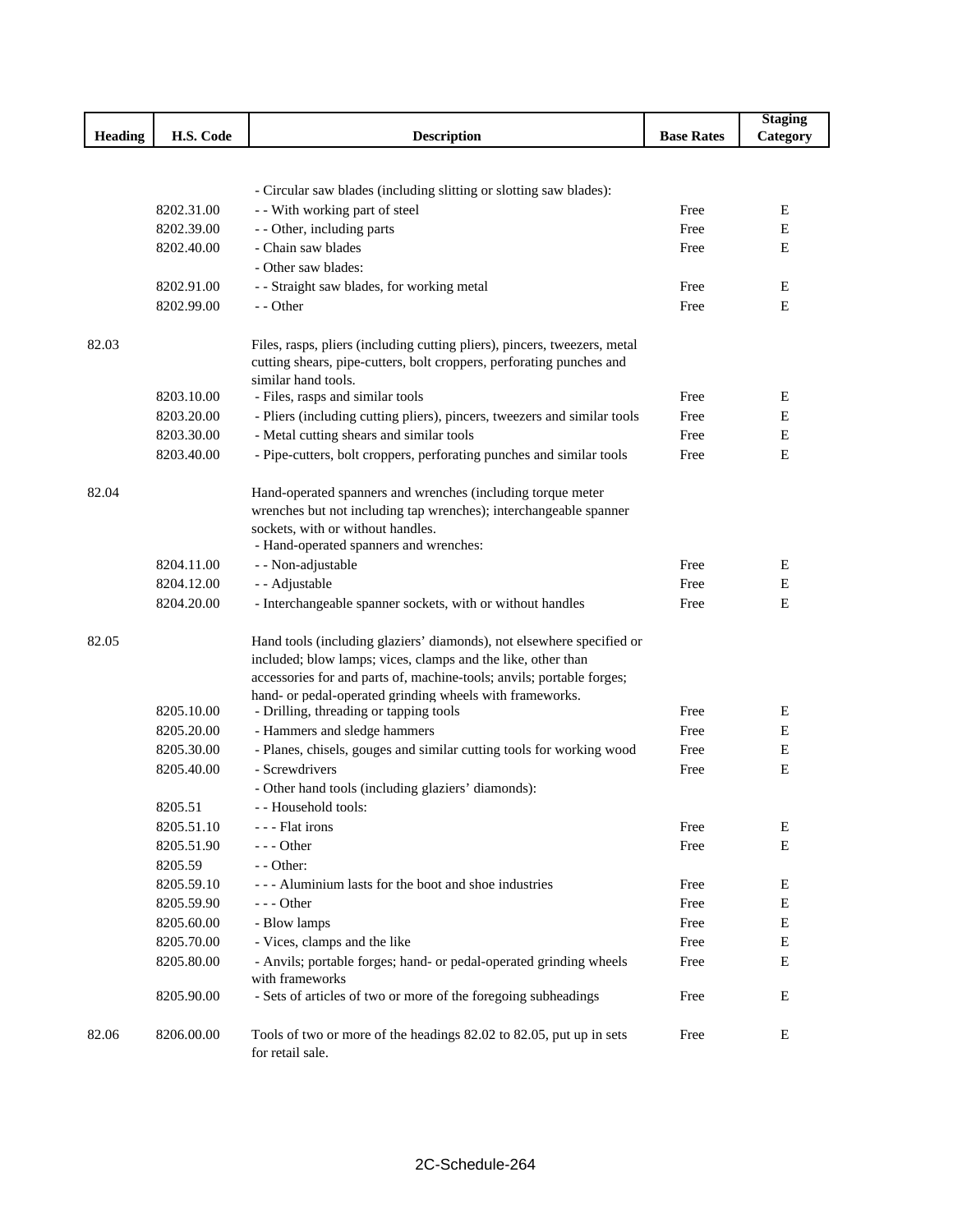|                |            |                                                                                         |                   | <b>Staging</b> |
|----------------|------------|-----------------------------------------------------------------------------------------|-------------------|----------------|
| <b>Heading</b> | H.S. Code  | <b>Description</b>                                                                      | <b>Base Rates</b> | Category       |
|                |            |                                                                                         |                   |                |
|                |            |                                                                                         |                   |                |
|                |            | - Circular saw blades (including slitting or slotting saw blades):                      |                   |                |
|                | 8202.31.00 | - - With working part of steel                                                          | Free              | Ε              |
|                | 8202.39.00 | - - Other, including parts                                                              | Free              | E              |
|                | 8202.40.00 | - Chain saw blades                                                                      | Free              | E              |
|                |            | - Other saw blades:                                                                     |                   |                |
|                | 8202.91.00 | - - Straight saw blades, for working metal                                              | Free              | Ε              |
|                | 8202.99.00 | - - Other                                                                               | Free              | Е              |
| 82.03          |            | Files, rasps, pliers (including cutting pliers), pincers, tweezers, metal               |                   |                |
|                |            | cutting shears, pipe-cutters, bolt croppers, perforating punches and                    |                   |                |
|                |            | similar hand tools.                                                                     |                   |                |
|                | 8203.10.00 | - Files, rasps and similar tools                                                        | Free              | Ε              |
|                | 8203.20.00 | - Pliers (including cutting pliers), pincers, tweezers and similar tools                | Free              | E              |
|                | 8203.30.00 | - Metal cutting shears and similar tools                                                | Free              | Е              |
|                | 8203.40.00 | - Pipe-cutters, bolt croppers, perforating punches and similar tools                    | Free              | Е              |
|                |            |                                                                                         |                   |                |
| 82.04          |            | Hand-operated spanners and wrenches (including torque meter                             |                   |                |
|                |            | wrenches but not including tap wrenches); interchangeable spanner                       |                   |                |
|                |            | sockets, with or without handles.                                                       |                   |                |
|                |            | - Hand-operated spanners and wrenches:                                                  |                   |                |
|                | 8204.11.00 | - - Non-adjustable                                                                      | Free              | Ε              |
|                | 8204.12.00 | - - Adjustable                                                                          | Free              | E              |
|                | 8204.20.00 | - Interchangeable spanner sockets, with or without handles                              | Free              | E              |
| 82.05          |            | Hand tools (including glaziers' diamonds), not elsewhere specified or                   |                   |                |
|                |            | included; blow lamps; vices, clamps and the like, other than                            |                   |                |
|                |            | accessories for and parts of, machine-tools; anvils; portable forges;                   |                   |                |
|                |            | hand- or pedal-operated grinding wheels with frameworks.                                |                   |                |
|                | 8205.10.00 | - Drilling, threading or tapping tools                                                  | Free              | Ε              |
|                | 8205.20.00 | - Hammers and sledge hammers                                                            | Free              | Е              |
|                | 8205.30.00 | - Planes, chisels, gouges and similar cutting tools for working wood                    | Free              | Е              |
|                | 8205.40.00 | - Screwdrivers                                                                          | Free              | Е              |
|                |            | - Other hand tools (including glaziers' diamonds):                                      |                   |                |
|                | 8205.51    | - - Household tools:                                                                    |                   |                |
|                | 8205.51.10 | --- Flat irons                                                                          | Free              | E              |
|                | 8205.51.90 | --- Other                                                                               | Free              | ${\bf E}$      |
|                | 8205.59    | - - Other:                                                                              |                   |                |
|                | 8205.59.10 | --- Aluminium lasts for the boot and shoe industries                                    | Free              | Ε              |
|                | 8205.59.90 | $--$ Other                                                                              | Free              | E              |
|                | 8205.60.00 | - Blow lamps                                                                            | Free              | Е              |
|                | 8205.70.00 | - Vices, clamps and the like                                                            | Free              | E              |
|                | 8205.80.00 | - Anvils; portable forges; hand- or pedal-operated grinding wheels                      | Free              | ${\bf E}$      |
|                |            | with frameworks                                                                         |                   |                |
|                | 8205.90.00 | - Sets of articles of two or more of the foregoing subheadings                          | Free              | Е              |
|                |            |                                                                                         |                   |                |
| 82.06          | 8206.00.00 | Tools of two or more of the headings 82.02 to 82.05, put up in sets<br>for retail sale. | Free              | Е              |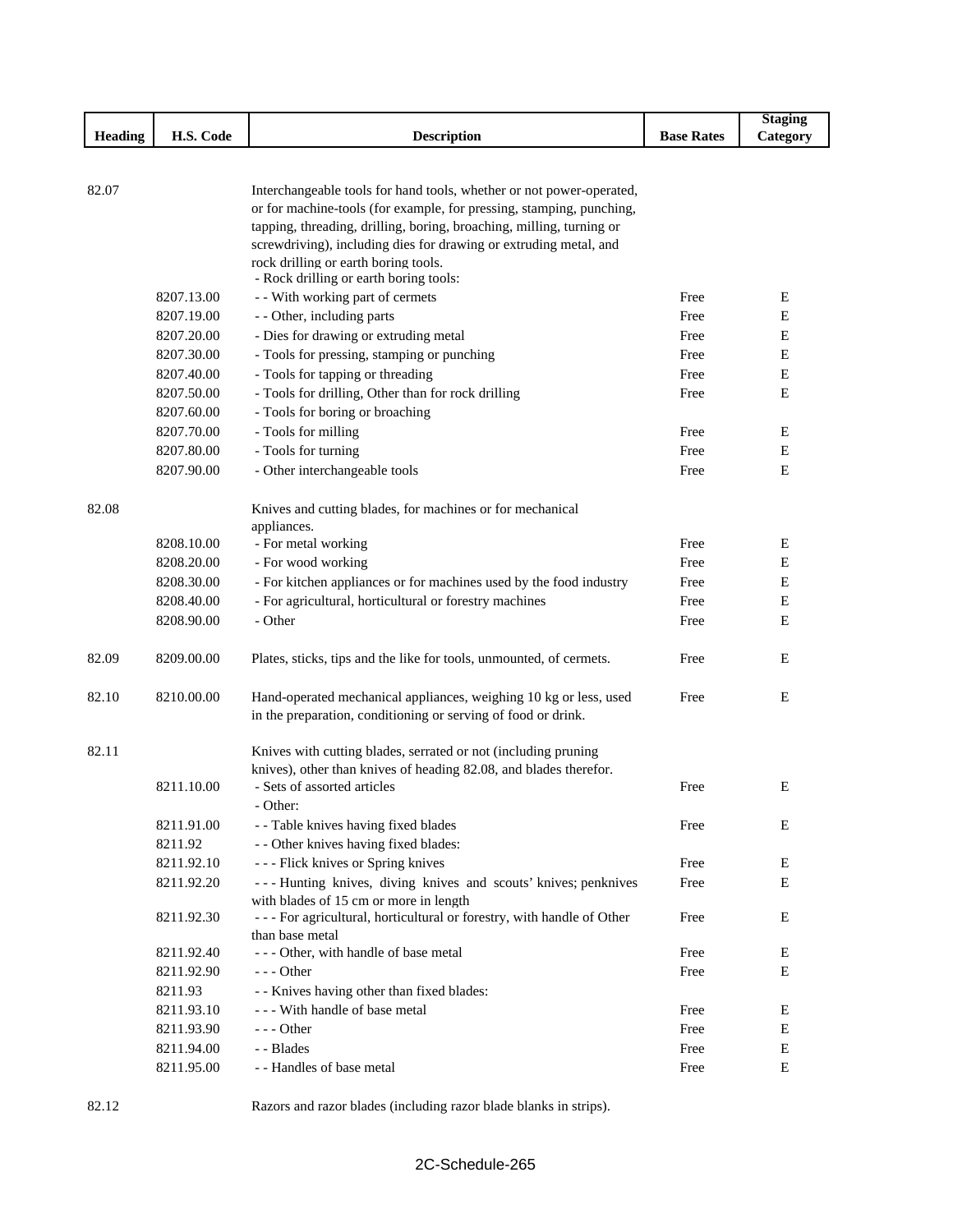|                |            |                                                                                                                                              |                   | <b>Staging</b> |
|----------------|------------|----------------------------------------------------------------------------------------------------------------------------------------------|-------------------|----------------|
| <b>Heading</b> | H.S. Code  | <b>Description</b>                                                                                                                           | <b>Base Rates</b> | Category       |
|                |            |                                                                                                                                              |                   |                |
|                |            |                                                                                                                                              |                   |                |
| 82.07          |            | Interchangeable tools for hand tools, whether or not power-operated,                                                                         |                   |                |
|                |            | or for machine-tools (for example, for pressing, stamping, punching,<br>tapping, threading, drilling, boring, broaching, milling, turning or |                   |                |
|                |            | screwdriving), including dies for drawing or extruding metal, and                                                                            |                   |                |
|                |            | rock drilling or earth boring tools.                                                                                                         |                   |                |
|                |            | - Rock drilling or earth boring tools:                                                                                                       |                   |                |
|                | 8207.13.00 | - - With working part of cermets                                                                                                             | Free              | Е              |
|                | 8207.19.00 | - - Other, including parts                                                                                                                   | Free              | Е              |
|                | 8207.20.00 | - Dies for drawing or extruding metal                                                                                                        | Free              | Е              |
|                | 8207.30.00 | - Tools for pressing, stamping or punching                                                                                                   | Free              | Е              |
|                | 8207.40.00 | - Tools for tapping or threading                                                                                                             | Free              | Е              |
|                | 8207.50.00 | - Tools for drilling, Other than for rock drilling                                                                                           | Free              | E              |
|                | 8207.60.00 | - Tools for boring or broaching                                                                                                              |                   |                |
|                | 8207.70.00 | - Tools for milling                                                                                                                          | Free              | E              |
|                | 8207.80.00 | - Tools for turning                                                                                                                          | Free              | E              |
|                | 8207.90.00 | - Other interchangeable tools                                                                                                                | Free              | Е              |
|                |            |                                                                                                                                              |                   |                |
| 82.08          |            | Knives and cutting blades, for machines or for mechanical                                                                                    |                   |                |
|                |            | appliances.                                                                                                                                  |                   |                |
|                | 8208.10.00 | - For metal working                                                                                                                          | Free              | E              |
|                | 8208.20.00 | - For wood working                                                                                                                           | Free              | E              |
|                | 8208.30.00 | - For kitchen appliances or for machines used by the food industry                                                                           | Free              | Ε              |
|                | 8208.40.00 | - For agricultural, horticultural or forestry machines                                                                                       | Free              | Е              |
|                | 8208.90.00 | - Other                                                                                                                                      | Free              | Е              |
|                |            |                                                                                                                                              |                   |                |
| 82.09          | 8209.00.00 | Plates, sticks, tips and the like for tools, unmounted, of cermets.                                                                          | Free              | E              |
|                |            |                                                                                                                                              |                   |                |
| 82.10          | 8210.00.00 | Hand-operated mechanical appliances, weighing 10 kg or less, used                                                                            | Free              | E              |
|                |            | in the preparation, conditioning or serving of food or drink.                                                                                |                   |                |
|                |            |                                                                                                                                              |                   |                |
| 82.11          |            | Knives with cutting blades, serrated or not (including pruning                                                                               |                   |                |
|                |            | knives), other than knives of heading 82.08, and blades therefor.                                                                            |                   |                |
|                | 8211.10.00 | - Sets of assorted articles                                                                                                                  | Free              | Е              |
|                |            | - Other:                                                                                                                                     |                   |                |
|                | 8211.91.00 | - - Table knives having fixed blades                                                                                                         | Free              | Ε              |
|                | 8211.92    | - - Other knives having fixed blades:                                                                                                        |                   |                |
|                | 8211.92.10 | --- Flick knives or Spring knives                                                                                                            | Free              | Ε              |
|                | 8211.92.20 | --- Hunting knives, diving knives and scouts' knives; penknives                                                                              | Free              | E              |
|                | 8211.92.30 | with blades of 15 cm or more in length<br>- - - For agricultural, horticultural or forestry, with handle of Other                            | Free              | E              |
|                |            | than base metal                                                                                                                              |                   |                |
|                | 8211.92.40 | - - - Other, with handle of base metal                                                                                                       | Free              | E              |
|                | 8211.92.90 | - - - Other                                                                                                                                  | Free              | E              |
|                | 8211.93    | - - Knives having other than fixed blades:                                                                                                   |                   |                |
|                | 8211.93.10 | --- With handle of base metal                                                                                                                | Free              | Ε              |
|                | 8211.93.90 | $--$ Other                                                                                                                                   | Free              | E              |
|                | 8211.94.00 | - - Blades                                                                                                                                   | Free              | Ε              |
|                | 8211.95.00 | - - Handles of base metal                                                                                                                    | Free              | E              |
|                |            |                                                                                                                                              |                   |                |

82.12 Razors and razor blades (including razor blade blanks in strips).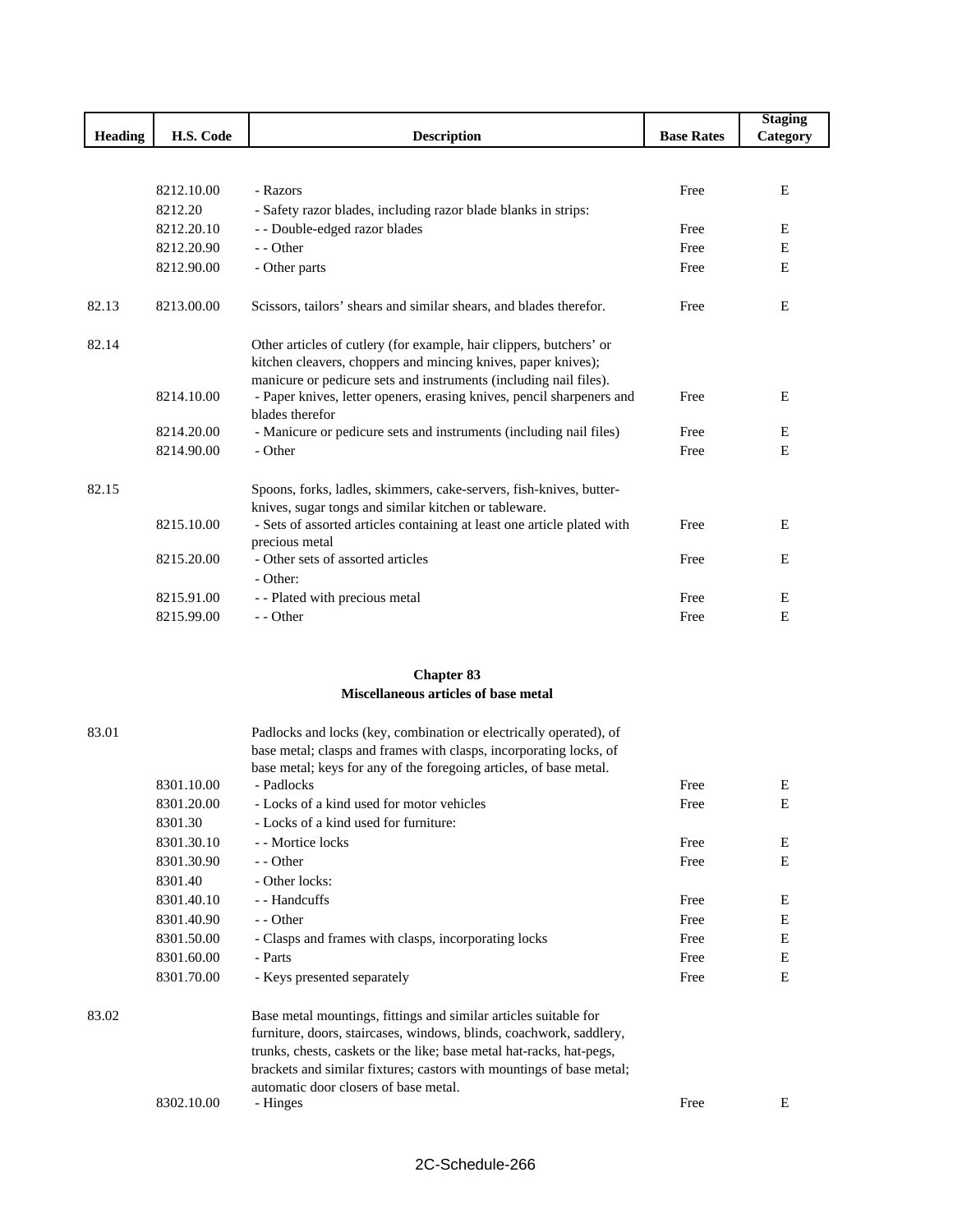|                |            |                                                                                          |                   | <b>Staging</b> |
|----------------|------------|------------------------------------------------------------------------------------------|-------------------|----------------|
| <b>Heading</b> | H.S. Code  | <b>Description</b>                                                                       | <b>Base Rates</b> | Category       |
|                |            |                                                                                          |                   |                |
|                |            |                                                                                          |                   |                |
|                | 8212.10.00 | - Razors                                                                                 | Free              | E              |
|                | 8212.20    | - Safety razor blades, including razor blade blanks in strips:                           |                   |                |
|                | 8212.20.10 | - - Double-edged razor blades                                                            | Free              | E              |
|                | 8212.20.90 | - - Other                                                                                | Free              | E              |
|                | 8212.90.00 | - Other parts                                                                            | Free              | E              |
| 82.13          | 8213.00.00 | Scissors, tailors' shears and similar shears, and blades therefor.                       | Free              | E              |
| 82.14          |            | Other articles of cutlery (for example, hair clippers, butchers' or                      |                   |                |
|                |            | kitchen cleavers, choppers and mincing knives, paper knives);                            |                   |                |
|                |            | manicure or pedicure sets and instruments (including nail files).                        |                   |                |
|                | 8214.10.00 | - Paper knives, letter openers, erasing knives, pencil sharpeners and<br>blades therefor | Free              | E              |
|                | 8214.20.00 | - Manicure or pedicure sets and instruments (including nail files)                       | Free              | E              |
|                | 8214.90.00 | - Other                                                                                  | Free              | E              |
| 82.15          |            | Spoons, forks, ladles, skimmers, cake-servers, fish-knives, butter-                      |                   |                |
|                |            | knives, sugar tongs and similar kitchen or tableware.                                    |                   |                |
|                | 8215.10.00 | - Sets of assorted articles containing at least one article plated with                  | Free              | E              |
|                |            | precious metal                                                                           |                   |                |
|                | 8215.20.00 | - Other sets of assorted articles<br>- Other:                                            | Free              | E              |
|                | 8215.91.00 | - - Plated with precious metal                                                           | Free              | E              |
|                | 8215.99.00 | - - Other                                                                                | Free              | E              |
|                |            |                                                                                          |                   |                |

### **Chapter 83 Miscellaneous articles of base metal**

| 83.01 |            | Padlocks and locks (key, combination or electrically operated), of   |      |   |
|-------|------------|----------------------------------------------------------------------|------|---|
|       |            | base metal; clasps and frames with clasps, incorporating locks, of   |      |   |
|       |            | base metal; keys for any of the foregoing articles, of base metal.   |      |   |
|       | 8301.10.00 | - Padlocks                                                           | Free | Ε |
|       | 8301.20.00 | - Locks of a kind used for motor vehicles                            | Free | E |
|       | 8301.30    | - Locks of a kind used for furniture:                                |      |   |
|       | 8301.30.10 | - - Mortice locks                                                    | Free | Ε |
|       | 8301.30.90 | - - Other                                                            | Free | E |
|       | 8301.40    | - Other locks:                                                       |      |   |
|       | 8301.40.10 | - - Handcuffs                                                        | Free | E |
|       | 8301.40.90 | - - Other                                                            | Free | E |
|       | 8301.50.00 | - Clasps and frames with clasps, incorporating locks                 | Free | E |
|       | 8301.60.00 | - Parts                                                              | Free | E |
|       | 8301.70.00 | - Keys presented separately                                          | Free | E |
| 83.02 |            | Base metal mountings, fittings and similar articles suitable for     |      |   |
|       |            | furniture, doors, staircases, windows, blinds, coachwork, saddlery,  |      |   |
|       |            | trunks, chests, caskets or the like; base metal hat-racks, hat-pegs, |      |   |
|       |            | brackets and similar fixtures; castors with mountings of base metal; |      |   |
|       |            | automatic door closers of base metal.                                |      |   |
|       | 8302.10.00 | - Hinges                                                             | Free | Ε |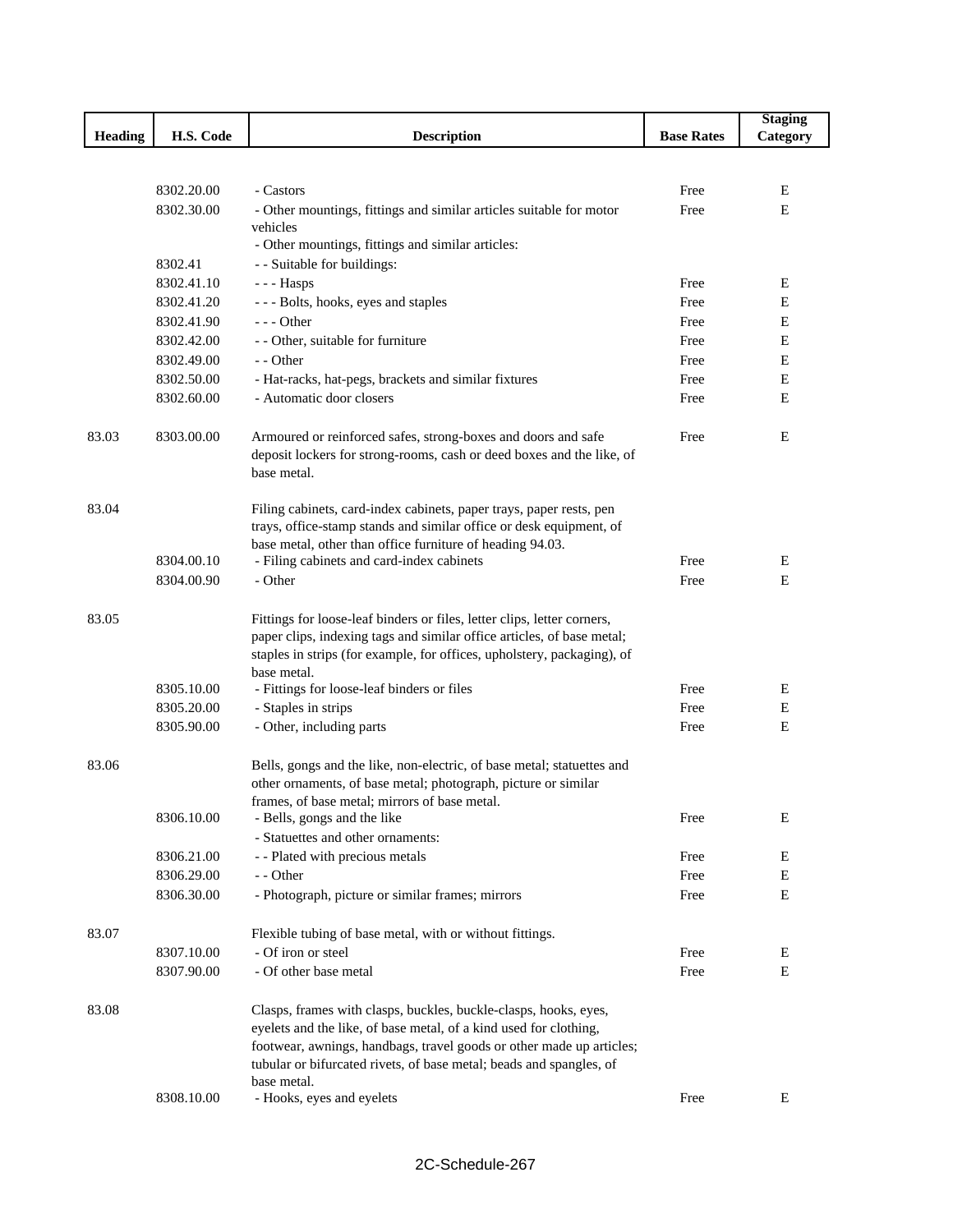|                |            |                                                                                                                                          |                   | <b>Staging</b> |
|----------------|------------|------------------------------------------------------------------------------------------------------------------------------------------|-------------------|----------------|
| <b>Heading</b> | H.S. Code  | <b>Description</b>                                                                                                                       | <b>Base Rates</b> | Category       |
|                |            |                                                                                                                                          |                   |                |
|                |            |                                                                                                                                          |                   |                |
|                | 8302.20.00 | - Castors                                                                                                                                | Free              | Е              |
|                | 8302.30.00 | - Other mountings, fittings and similar articles suitable for motor<br>vehicles                                                          | Free              | E              |
|                |            | - Other mountings, fittings and similar articles:                                                                                        |                   |                |
|                | 8302.41    | - - Suitable for buildings:                                                                                                              |                   |                |
|                | 8302.41.10 | --- Hasps                                                                                                                                | Free              | Ε              |
|                | 8302.41.20 | - - - Bolts, hooks, eyes and staples                                                                                                     | Free              | E              |
|                | 8302.41.90 | $--$ Other                                                                                                                               | Free              | E              |
|                | 8302.42.00 | - - Other, suitable for furniture                                                                                                        | Free              | Е              |
|                | 8302.49.00 | - - Other                                                                                                                                | Free              | Е              |
|                | 8302.50.00 | - Hat-racks, hat-pegs, brackets and similar fixtures                                                                                     | Free              | Е              |
|                | 8302.60.00 | - Automatic door closers                                                                                                                 | Free              | E              |
|                |            |                                                                                                                                          |                   |                |
| 83.03          | 8303.00.00 | Armoured or reinforced safes, strong-boxes and doors and safe                                                                            | Free              | Е              |
|                |            | deposit lockers for strong-rooms, cash or deed boxes and the like, of                                                                    |                   |                |
|                |            | base metal.                                                                                                                              |                   |                |
|                |            |                                                                                                                                          |                   |                |
| 83.04          |            | Filing cabinets, card-index cabinets, paper trays, paper rests, pen                                                                      |                   |                |
|                |            | trays, office-stamp stands and similar office or desk equipment, of                                                                      |                   |                |
|                |            | base metal, other than office furniture of heading 94.03.                                                                                |                   |                |
|                | 8304.00.10 | - Filing cabinets and card-index cabinets                                                                                                | Free              | Ε              |
|                | 8304.00.90 | - Other                                                                                                                                  | Free              | E              |
|                |            |                                                                                                                                          |                   |                |
| 83.05          |            | Fittings for loose-leaf binders or files, letter clips, letter corners,                                                                  |                   |                |
|                |            | paper clips, indexing tags and similar office articles, of base metal;                                                                   |                   |                |
|                |            | staples in strips (for example, for offices, upholstery, packaging), of                                                                  |                   |                |
|                |            | base metal.                                                                                                                              |                   |                |
|                | 8305.10.00 | - Fittings for loose-leaf binders or files                                                                                               | Free              | Ε              |
|                | 8305.20.00 | - Staples in strips                                                                                                                      | Free              | Е              |
|                | 8305.90.00 | - Other, including parts                                                                                                                 | Free              | Е              |
| 83.06          |            |                                                                                                                                          |                   |                |
|                |            | Bells, gongs and the like, non-electric, of base metal; statuettes and<br>other ornaments, of base metal; photograph, picture or similar |                   |                |
|                |            | frames, of base metal; mirrors of base metal.                                                                                            |                   |                |
|                | 8306.10.00 | - Bells, gongs and the like                                                                                                              | Free              | E              |
|                |            | - Statuettes and other ornaments:                                                                                                        |                   |                |
|                | 8306.21.00 | - - Plated with precious metals                                                                                                          | Free              | E              |
|                | 8306.29.00 | - - Other                                                                                                                                | Free              | Е              |
|                | 8306.30.00 | - Photograph, picture or similar frames; mirrors                                                                                         | Free              | Е              |
|                |            |                                                                                                                                          |                   |                |
| 83.07          |            | Flexible tubing of base metal, with or without fittings.                                                                                 |                   |                |
|                | 8307.10.00 | - Of iron or steel                                                                                                                       | Free              | E              |
|                | 8307.90.00 | - Of other base metal                                                                                                                    | Free              | Е              |
|                |            |                                                                                                                                          |                   |                |
| 83.08          |            | Clasps, frames with clasps, buckles, buckle-clasps, hooks, eyes,                                                                         |                   |                |
|                |            | eyelets and the like, of base metal, of a kind used for clothing,                                                                        |                   |                |
|                |            | footwear, awnings, handbags, travel goods or other made up articles;                                                                     |                   |                |
|                |            | tubular or bifurcated rivets, of base metal; beads and spangles, of                                                                      |                   |                |
|                |            | base metal.                                                                                                                              |                   |                |
|                | 8308.10.00 | - Hooks, eyes and eyelets                                                                                                                | Free              | Ε              |
|                |            |                                                                                                                                          |                   |                |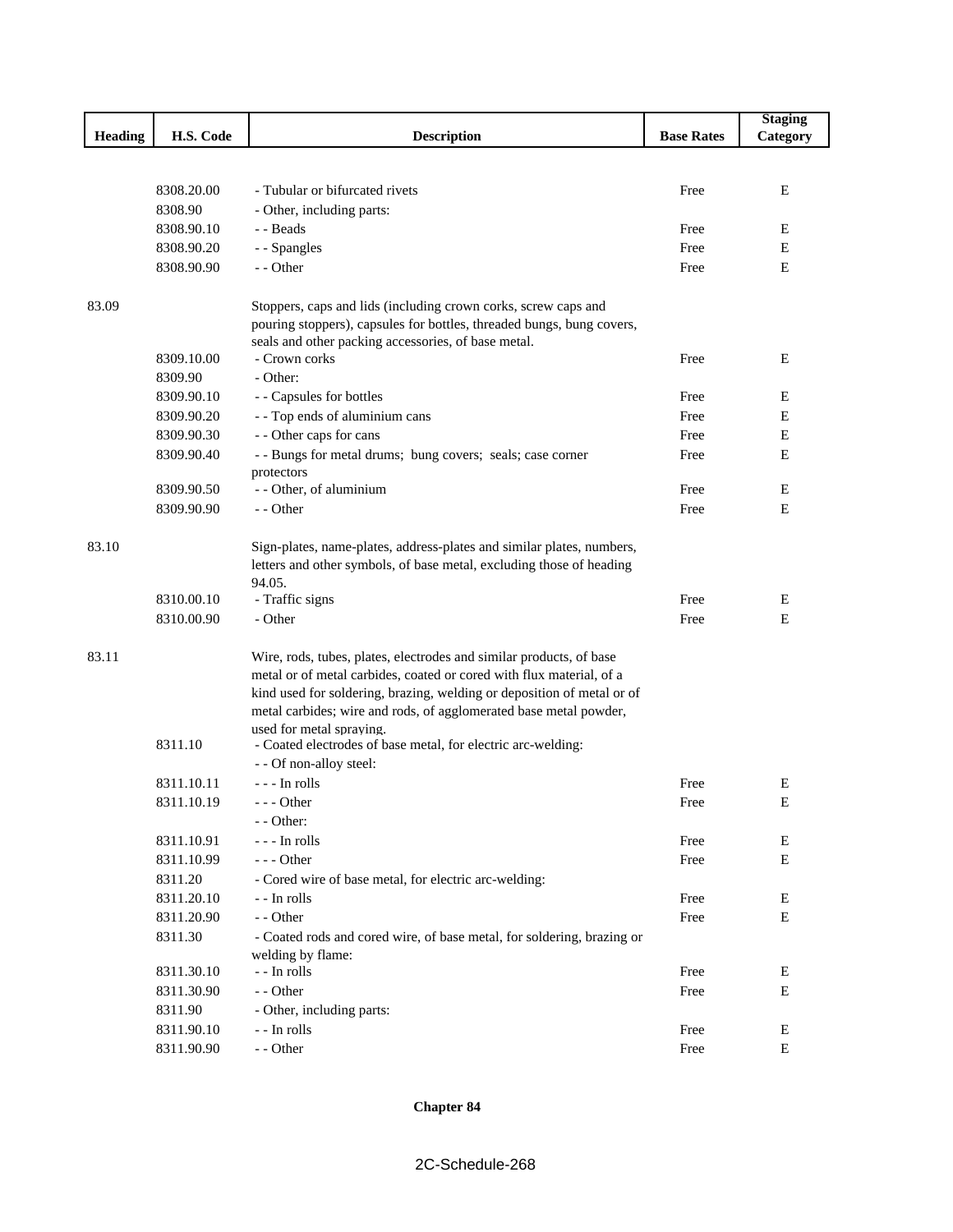|                |            |                                                                                               |                   | <b>Staging</b> |
|----------------|------------|-----------------------------------------------------------------------------------------------|-------------------|----------------|
| <b>Heading</b> | H.S. Code  | <b>Description</b>                                                                            | <b>Base Rates</b> | Category       |
|                |            |                                                                                               |                   |                |
|                |            |                                                                                               |                   |                |
|                | 8308.20.00 | - Tubular or bifurcated rivets                                                                | Free              | Е              |
|                | 8308.90    | - Other, including parts:                                                                     |                   |                |
|                | 8308.90.10 | - - Beads                                                                                     | Free              | E              |
|                | 8308.90.20 | - - Spangles                                                                                  | Free              | Е              |
|                | 8308.90.90 | - - Other                                                                                     | Free              | Е              |
|                |            |                                                                                               |                   |                |
| 83.09          |            | Stoppers, caps and lids (including crown corks, screw caps and                                |                   |                |
|                |            | pouring stoppers), capsules for bottles, threaded bungs, bung covers,                         |                   |                |
|                | 8309.10.00 | seals and other packing accessories, of base metal.<br>- Crown corks                          | Free              | E              |
|                | 8309.90    | - Other:                                                                                      |                   |                |
|                | 8309.90.10 | - - Capsules for bottles                                                                      | Free              | Е              |
|                | 8309.90.20 | - - Top ends of aluminium cans                                                                | Free              | E              |
|                | 8309.90.30 | - - Other caps for cans                                                                       | Free              | Е              |
|                | 8309.90.40 | - - Bungs for metal drums; bung covers; seals; case corner                                    | Free              | Е              |
|                |            | protectors                                                                                    |                   |                |
|                | 8309.90.50 | - - Other, of aluminium                                                                       | Free              | Е              |
|                | 8309.90.90 | - - Other                                                                                     | Free              | E              |
|                |            |                                                                                               |                   |                |
| 83.10          |            | Sign-plates, name-plates, address-plates and similar plates, numbers,                         |                   |                |
|                |            | letters and other symbols, of base metal, excluding those of heading                          |                   |                |
|                |            | 94.05.                                                                                        |                   |                |
|                | 8310.00.10 | - Traffic signs                                                                               | Free              | E              |
|                | 8310.00.90 | - Other                                                                                       | Free              | E              |
|                |            |                                                                                               |                   |                |
| 83.11          |            | Wire, rods, tubes, plates, electrodes and similar products, of base                           |                   |                |
|                |            | metal or of metal carbides, coated or cored with flux material, of a                          |                   |                |
|                |            | kind used for soldering, brazing, welding or deposition of metal or of                        |                   |                |
|                |            | metal carbides; wire and rods, of agglomerated base metal powder,<br>used for metal spraving. |                   |                |
|                | 8311.10    | - Coated electrodes of base metal, for electric arc-welding:                                  |                   |                |
|                |            | - - Of non-alloy steel:                                                                       |                   |                |
|                | 8311.10.11 | - - - In rolls                                                                                | Free              | E              |
|                | 8311.10.19 | - - - Other                                                                                   | Free              | E              |
|                |            | - - Other:                                                                                    |                   |                |
|                | 8311.10.91 | - - - In rolls                                                                                | Free              | Е              |
|                | 8311.10.99 | --- Other                                                                                     | Free              | ${\bf E}$      |
|                | 8311.20    | - Cored wire of base metal, for electric arc-welding:                                         |                   |                |
|                | 8311.20.10 | - - In rolls                                                                                  | Free              | Ε              |
|                | 8311.20.90 | - - Other                                                                                     | Free              | Е              |
|                | 8311.30    | - Coated rods and cored wire, of base metal, for soldering, brazing or                        |                   |                |
|                |            | welding by flame:                                                                             |                   |                |
|                | 8311.30.10 | - - In rolls                                                                                  | Free              | Е              |
|                | 8311.30.90 | - - Other                                                                                     | Free              | Е              |
|                | 8311.90    | - Other, including parts:                                                                     |                   |                |
|                | 8311.90.10 | - - In rolls                                                                                  | Free              | E              |
|                | 8311.90.90 | - - Other                                                                                     | Free              | Е              |
|                |            |                                                                                               |                   |                |

### **Chapter 84**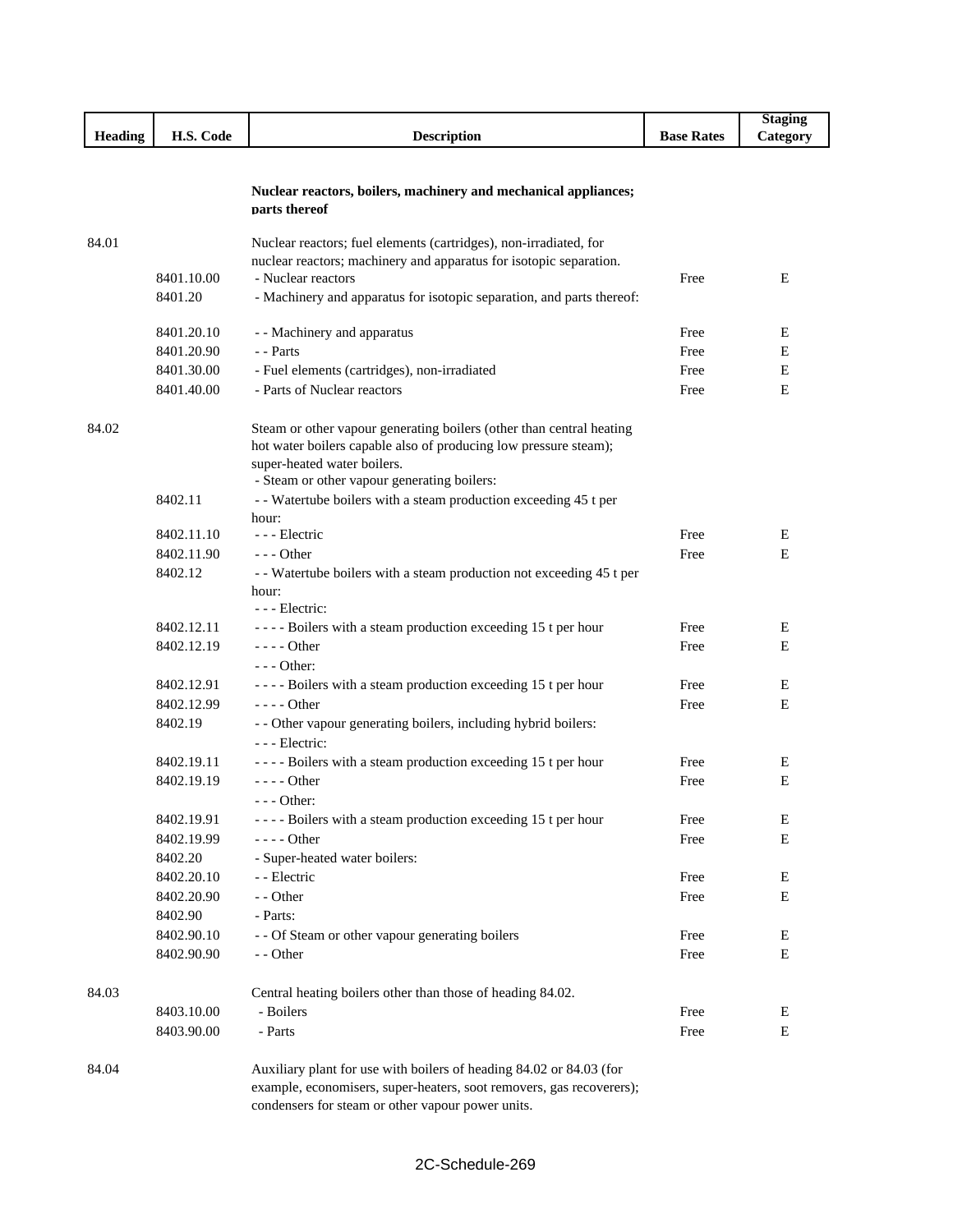|                |            |                                                                                                                                             |                   | <b>Staging</b> |
|----------------|------------|---------------------------------------------------------------------------------------------------------------------------------------------|-------------------|----------------|
| <b>Heading</b> | H.S. Code  | <b>Description</b>                                                                                                                          | <b>Base Rates</b> | Category       |
|                |            |                                                                                                                                             |                   |                |
|                |            |                                                                                                                                             |                   |                |
|                |            | Nuclear reactors, boilers, machinery and mechanical appliances;                                                                             |                   |                |
|                |            | parts thereof                                                                                                                               |                   |                |
| 84.01          |            | Nuclear reactors; fuel elements (cartridges), non-irradiated, for                                                                           |                   |                |
|                |            | nuclear reactors; machinery and apparatus for isotopic separation.                                                                          |                   |                |
|                | 8401.10.00 | - Nuclear reactors                                                                                                                          | Free              | E              |
|                | 8401.20    | - Machinery and apparatus for isotopic separation, and parts thereof:                                                                       |                   |                |
|                |            |                                                                                                                                             |                   |                |
|                | 8401.20.10 | - - Machinery and apparatus                                                                                                                 | Free              | E              |
|                | 8401.20.90 | - - Parts                                                                                                                                   | Free              | Е              |
|                | 8401.30.00 | - Fuel elements (cartridges), non-irradiated                                                                                                | Free              | Е              |
|                | 8401.40.00 | - Parts of Nuclear reactors                                                                                                                 | Free              | E              |
|                |            |                                                                                                                                             |                   |                |
| 84.02          |            | Steam or other vapour generating boilers (other than central heating                                                                        |                   |                |
|                |            | hot water boilers capable also of producing low pressure steam);                                                                            |                   |                |
|                |            | super-heated water boilers.<br>- Steam or other vapour generating boilers:                                                                  |                   |                |
|                | 8402.11    | - - Watertube boilers with a steam production exceeding 45 t per                                                                            |                   |                |
|                |            | hour:                                                                                                                                       |                   |                |
|                | 8402.11.10 | --- Electric                                                                                                                                | Free              | E              |
|                | 8402.11.90 | $- -$ Other                                                                                                                                 | Free              | Е              |
|                | 8402.12    | - - Watertube boilers with a steam production not exceeding 45 t per                                                                        |                   |                |
|                |            | hour:                                                                                                                                       |                   |                |
|                |            | --- Electric:                                                                                                                               |                   |                |
|                | 8402.12.11 | ---- Boilers with a steam production exceeding 15 t per hour                                                                                | Free              | E              |
|                | 8402.12.19 | $---$ Other                                                                                                                                 | Free              | E              |
|                |            | $--$ Other:                                                                                                                                 |                   |                |
|                | 8402.12.91 | ---- Boilers with a steam production exceeding 15 t per hour                                                                                | Free              | E              |
|                | 8402.12.99 | $---$ Other                                                                                                                                 | Free              | E              |
|                | 8402.19    | - - Other vapour generating boilers, including hybrid boilers:                                                                              |                   |                |
|                |            | --- Electric:                                                                                                                               |                   |                |
|                | 8402.19.11 | ---- Boilers with a steam production exceeding 15 t per hour                                                                                | Free              | E              |
|                | 8402.19.19 | $---$ Other                                                                                                                                 | Free              | E              |
|                |            | $--$ Other:                                                                                                                                 |                   |                |
|                | 8402.19.91 | ---- Boilers with a steam production exceeding 15 t per hour                                                                                | Free              | E              |
|                | 8402.19.99 | - - - - Other                                                                                                                               | Free              | Е              |
|                | 8402.20    | - Super-heated water boilers:                                                                                                               |                   |                |
|                | 8402.20.10 | - - Electric                                                                                                                                | Free              | E              |
|                | 8402.20.90 | - - Other                                                                                                                                   | Free              | E              |
|                | 8402.90    | - Parts:                                                                                                                                    |                   |                |
|                | 8402.90.10 | - - Of Steam or other vapour generating boilers                                                                                             | Free              | Ε              |
|                | 8402.90.90 | - - Other                                                                                                                                   | Free              | E              |
|                |            |                                                                                                                                             |                   |                |
| 84.03          |            | Central heating boilers other than those of heading 84.02.                                                                                  |                   |                |
|                | 8403.10.00 | - Boilers                                                                                                                                   | Free              | Ε              |
|                | 8403.90.00 | - Parts                                                                                                                                     | Free              | E              |
|                |            |                                                                                                                                             |                   |                |
| 84.04          |            | Auxiliary plant for use with boilers of heading 84.02 or 84.03 (for<br>example, economisers, super-heaters, soot removers, gas recoverers); |                   |                |
|                |            | condensers for steam or other vapour power units.                                                                                           |                   |                |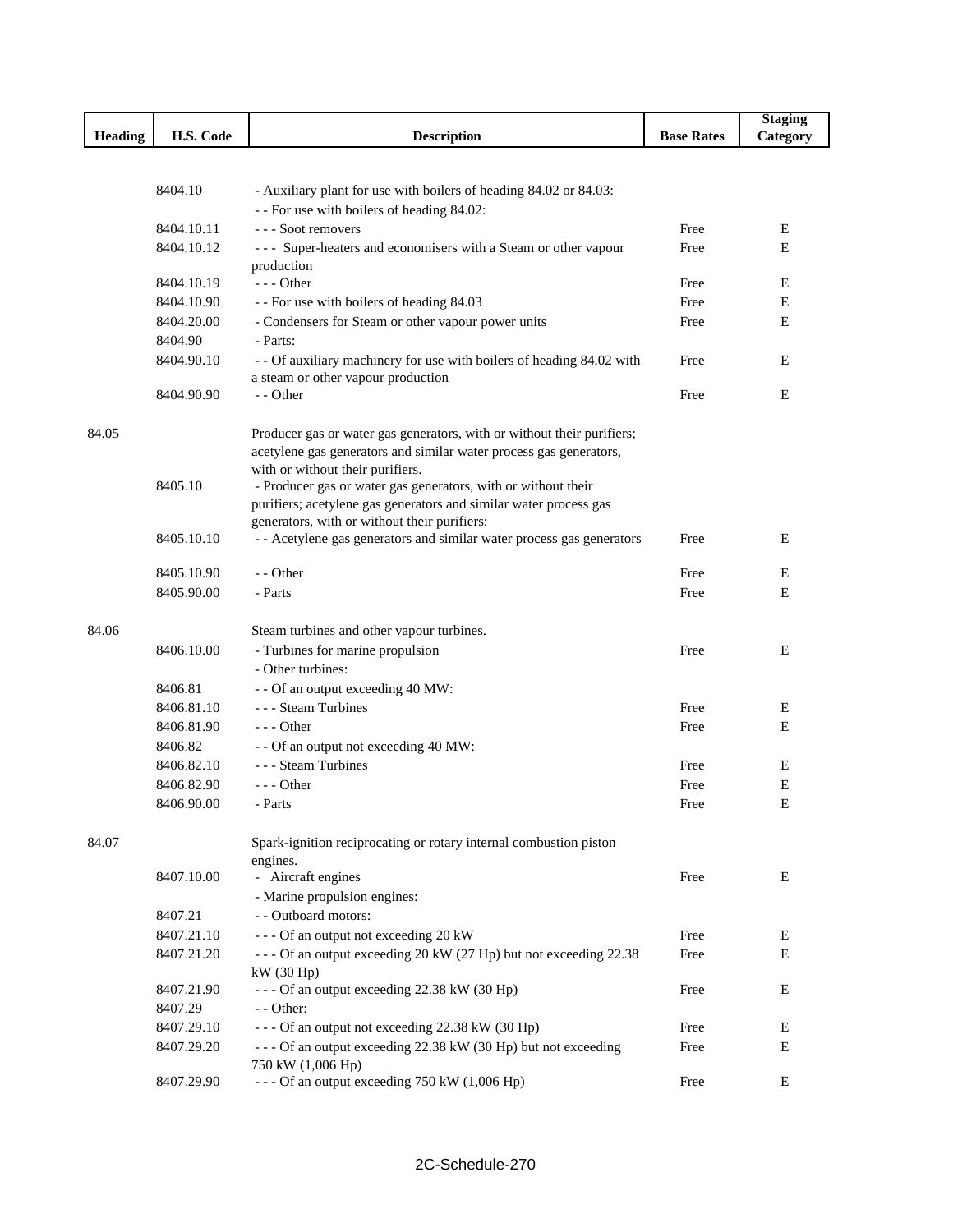|                |            |                                                                                                             |                   | <b>Staging</b> |
|----------------|------------|-------------------------------------------------------------------------------------------------------------|-------------------|----------------|
| <b>Heading</b> | H.S. Code  | <b>Description</b>                                                                                          | <b>Base Rates</b> | Category       |
|                |            |                                                                                                             |                   |                |
|                |            |                                                                                                             |                   |                |
|                | 8404.10    | - Auxiliary plant for use with boilers of heading 84.02 or 84.03:                                           |                   |                |
|                |            | - - For use with boilers of heading 84.02:                                                                  |                   |                |
|                | 8404.10.11 | --- Soot removers                                                                                           | Free              | Е              |
|                | 8404.10.12 | - - - Super-heaters and economisers with a Steam or other vapour                                            | Free              | E              |
|                | 8404.10.19 | production<br>$--$ Other                                                                                    | Free              | Ε              |
|                | 8404.10.90 |                                                                                                             | Free              | Е              |
|                | 8404.20.00 | - - For use with boilers of heading 84.03<br>- Condensers for Steam or other vapour power units             | Free              | Е              |
|                | 8404.90    | - Parts:                                                                                                    |                   |                |
|                | 8404.90.10 |                                                                                                             | Free              | Е              |
|                |            | - - Of auxiliary machinery for use with boilers of heading 84.02 with<br>a steam or other vapour production |                   |                |
|                | 8404.90.90 | - - Other                                                                                                   | Free              | Е              |
|                |            |                                                                                                             |                   |                |
| 84.05          |            | Producer gas or water gas generators, with or without their purifiers;                                      |                   |                |
|                |            | acetylene gas generators and similar water process gas generators,                                          |                   |                |
|                |            | with or without their purifiers.                                                                            |                   |                |
|                | 8405.10    | - Producer gas or water gas generators, with or without their                                               |                   |                |
|                |            | purifiers; acetylene gas generators and similar water process gas                                           |                   |                |
|                |            | generators, with or without their purifiers:                                                                |                   |                |
|                | 8405.10.10 | - - Acetylene gas generators and similar water process gas generators                                       | Free              | E              |
|                |            |                                                                                                             |                   |                |
|                | 8405.10.90 | - - Other                                                                                                   | Free              | Е              |
|                | 8405.90.00 | - Parts                                                                                                     | Free              | E              |
| 84.06          |            | Steam turbines and other vapour turbines.                                                                   |                   |                |
|                | 8406.10.00 | - Turbines for marine propulsion                                                                            | Free              | Ε              |
|                |            | - Other turbines:                                                                                           |                   |                |
|                | 8406.81    | - - Of an output exceeding 40 MW:                                                                           |                   |                |
|                | 8406.81.10 | - - - Steam Turbines                                                                                        | Free              | Е              |
|                | 8406.81.90 | $--$ Other                                                                                                  | Free              | Е              |
|                | 8406.82    | - - Of an output not exceeding 40 MW:                                                                       |                   |                |
|                | 8406.82.10 | - - - Steam Turbines                                                                                        | Free              | E              |
|                | 8406.82.90 | --- Other                                                                                                   | Free              | E              |
|                | 8406.90.00 | - Parts                                                                                                     | Free              | E              |
|                |            |                                                                                                             |                   |                |
| 84.07          |            | Spark-ignition reciprocating or rotary internal combustion piston                                           |                   |                |
|                |            | engines.                                                                                                    |                   |                |
|                | 8407.10.00 | - Aircraft engines                                                                                          | Free              | Ε              |
|                |            | - Marine propulsion engines:                                                                                |                   |                |
|                | 8407.21    | - - Outboard motors:                                                                                        |                   |                |
|                | 8407.21.10 | --- Of an output not exceeding 20 kW                                                                        | Free              | Ε              |
|                | 8407.21.20 | --- Of an output exceeding 20 kW (27 Hp) but not exceeding 22.38                                            | Free              | E              |
|                |            | kW(30 Hp)                                                                                                   |                   |                |
|                | 8407.21.90 | --- Of an output exceeding 22.38 kW (30 Hp)                                                                 | Free              | Е              |
|                | 8407.29    | - - Other:                                                                                                  |                   |                |
|                | 8407.29.10 | --- Of an output not exceeding 22.38 kW (30 Hp)                                                             | Free              | E              |
|                | 8407.29.20 | --- Of an output exceeding 22.38 kW (30 Hp) but not exceeding                                               | Free              | Е              |
|                |            | 750 kW (1,006 Hp)                                                                                           |                   |                |
|                | 8407.29.90 | --- Of an output exceeding 750 kW (1,006 Hp)                                                                | Free              | Ε              |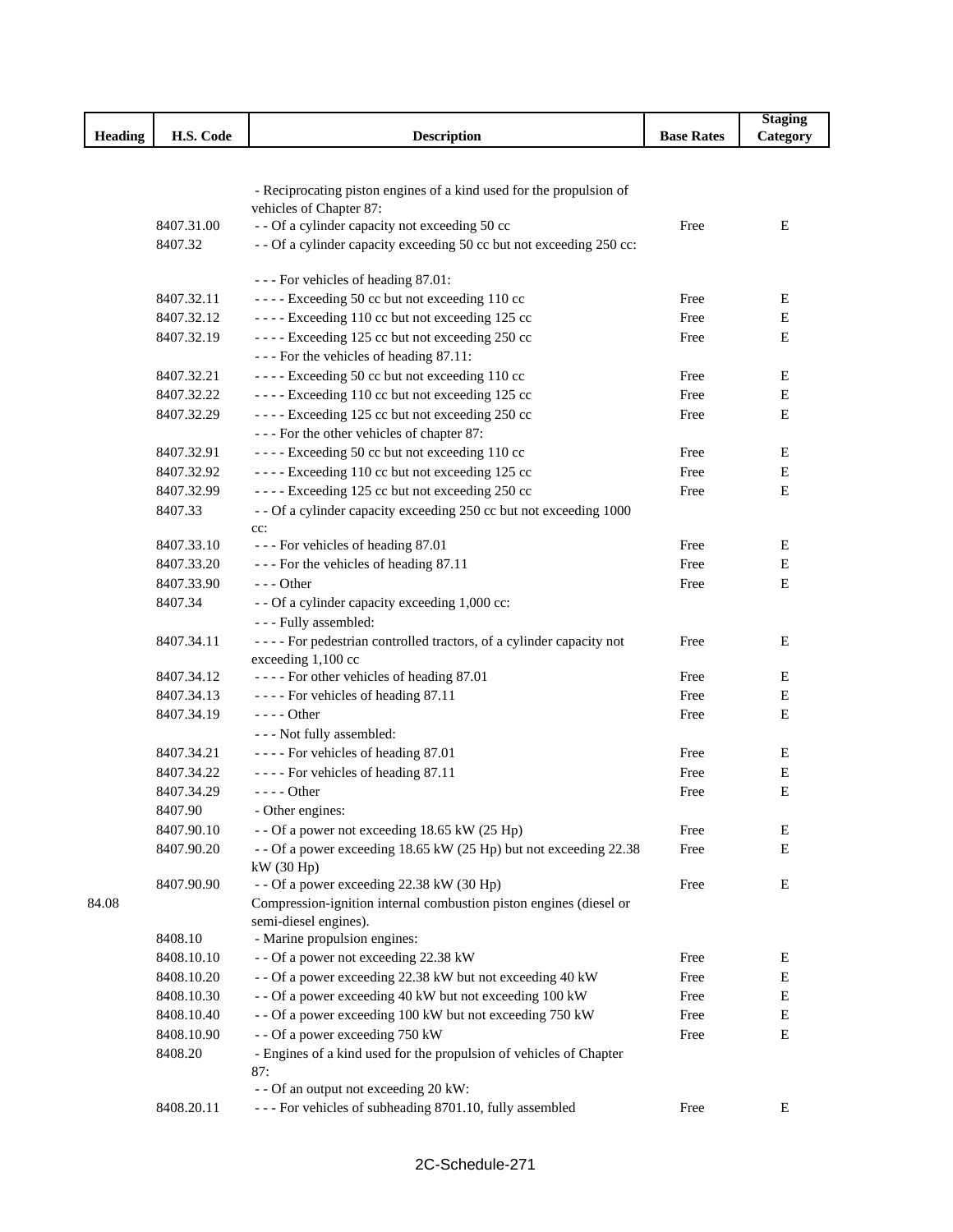|                |            |                                                                                             |                   | <b>Staging</b> |
|----------------|------------|---------------------------------------------------------------------------------------------|-------------------|----------------|
| <b>Heading</b> | H.S. Code  | <b>Description</b>                                                                          | <b>Base Rates</b> | Category       |
|                |            |                                                                                             |                   |                |
|                |            |                                                                                             |                   |                |
|                |            | - Reciprocating piston engines of a kind used for the propulsion of                         |                   |                |
|                | 8407.31.00 | vehicles of Chapter 87:<br>- - Of a cylinder capacity not exceeding 50 cc                   | Free              | Ε              |
|                | 8407.32    | - - Of a cylinder capacity exceeding 50 cc but not exceeding 250 cc:                        |                   |                |
|                |            |                                                                                             |                   |                |
|                |            | --- For vehicles of heading 87.01:                                                          |                   |                |
|                | 8407.32.11 | ---- Exceeding 50 cc but not exceeding 110 cc                                               | Free              | Е              |
|                | 8407.32.12 | ---- Exceeding 110 cc but not exceeding 125 cc                                              | Free              | Е              |
|                | 8407.32.19 | ---- Exceeding 125 cc but not exceeding 250 cc                                              | Free              | Е              |
|                |            | --- For the vehicles of heading 87.11:                                                      |                   |                |
|                | 8407.32.21 | ---- Exceeding 50 cc but not exceeding 110 cc                                               | Free              | Ε              |
|                | 8407.32.22 | ---- Exceeding 110 cc but not exceeding 125 cc                                              | Free              | E              |
|                | 8407.32.29 | ---- Exceeding 125 cc but not exceeding 250 cc                                              | Free              | E              |
|                |            | --- For the other vehicles of chapter 87:                                                   |                   |                |
|                | 8407.32.91 | ---- Exceeding 50 cc but not exceeding 110 cc                                               | Free              | Е              |
|                | 8407.32.92 | ---- Exceeding 110 cc but not exceeding 125 cc                                              | Free              | E              |
|                | 8407.32.99 | ---- Exceeding 125 cc but not exceeding 250 cc                                              | Free              | Ε              |
|                | 8407.33    | - - Of a cylinder capacity exceeding 250 cc but not exceeding 1000                          |                   |                |
|                |            | cc:                                                                                         |                   |                |
|                | 8407.33.10 | --- For vehicles of heading 87.01                                                           | Free              | Ε              |
|                | 8407.33.20 | --- For the vehicles of heading 87.11                                                       | Free              | Е              |
|                | 8407.33.90 | $--$ Other                                                                                  | Free              | Е              |
|                | 8407.34    | - - Of a cylinder capacity exceeding 1,000 cc:                                              |                   |                |
|                |            | - - - Fully assembled:                                                                      |                   |                |
|                | 8407.34.11 | - - - - For pedestrian controlled tractors, of a cylinder capacity not                      | Free              | Ε              |
|                |            | exceeding 1,100 cc                                                                          |                   |                |
|                | 8407.34.12 | ---- For other vehicles of heading 87.01                                                    | Free              | E              |
|                | 8407.34.13 | ---- For vehicles of heading 87.11                                                          | Free              | Е              |
|                | 8407.34.19 | - - - - Other                                                                               | Free              | Ε              |
|                |            | - - - Not fully assembled:                                                                  |                   |                |
|                | 8407.34.21 | ---- For vehicles of heading 87.01                                                          | Free              | Ε              |
|                | 8407.34.22 | ---- For vehicles of heading 87.11                                                          | Free              | E              |
|                | 8407.34.29 | - - - - Other                                                                               | Free              | Е              |
|                | 8407.90    | - Other engines:                                                                            |                   |                |
|                | 8407.90.10 | - - Of a power not exceeding 18.65 kW (25 Hp)                                               | Free              | Е              |
|                | 8407.90.20 | - - Of a power exceeding 18.65 kW (25 Hp) but not exceeding 22.38                           | Free              | E              |
|                |            | kW(30 Hp)                                                                                   |                   |                |
|                | 8407.90.90 | - - Of a power exceeding 22.38 kW (30 Hp)                                                   | Free              | Ε              |
| 84.08          |            | Compression-ignition internal combustion piston engines (diesel or<br>semi-diesel engines). |                   |                |
|                | 8408.10    | - Marine propulsion engines:                                                                |                   |                |
|                | 8408.10.10 | - - Of a power not exceeding 22.38 kW                                                       | Free              | Е              |
|                | 8408.10.20 | - - Of a power exceeding 22.38 kW but not exceeding 40 kW                                   | Free              | Ε              |
|                | 8408.10.30 | - - Of a power exceeding 40 kW but not exceeding 100 kW                                     | Free              | E              |
|                | 8408.10.40 | - - Of a power exceeding 100 kW but not exceeding 750 kW                                    | Free              | ${\bf E}$      |
|                | 8408.10.90 | - - Of a power exceeding 750 kW                                                             | Free              | E              |
|                | 8408.20    | - Engines of a kind used for the propulsion of vehicles of Chapter                          |                   |                |
|                |            | 87:                                                                                         |                   |                |
|                |            | - - Of an output not exceeding 20 kW:                                                       |                   |                |
|                | 8408.20.11 | - - - For vehicles of subheading 8701.10, fully assembled                                   | Free              | E              |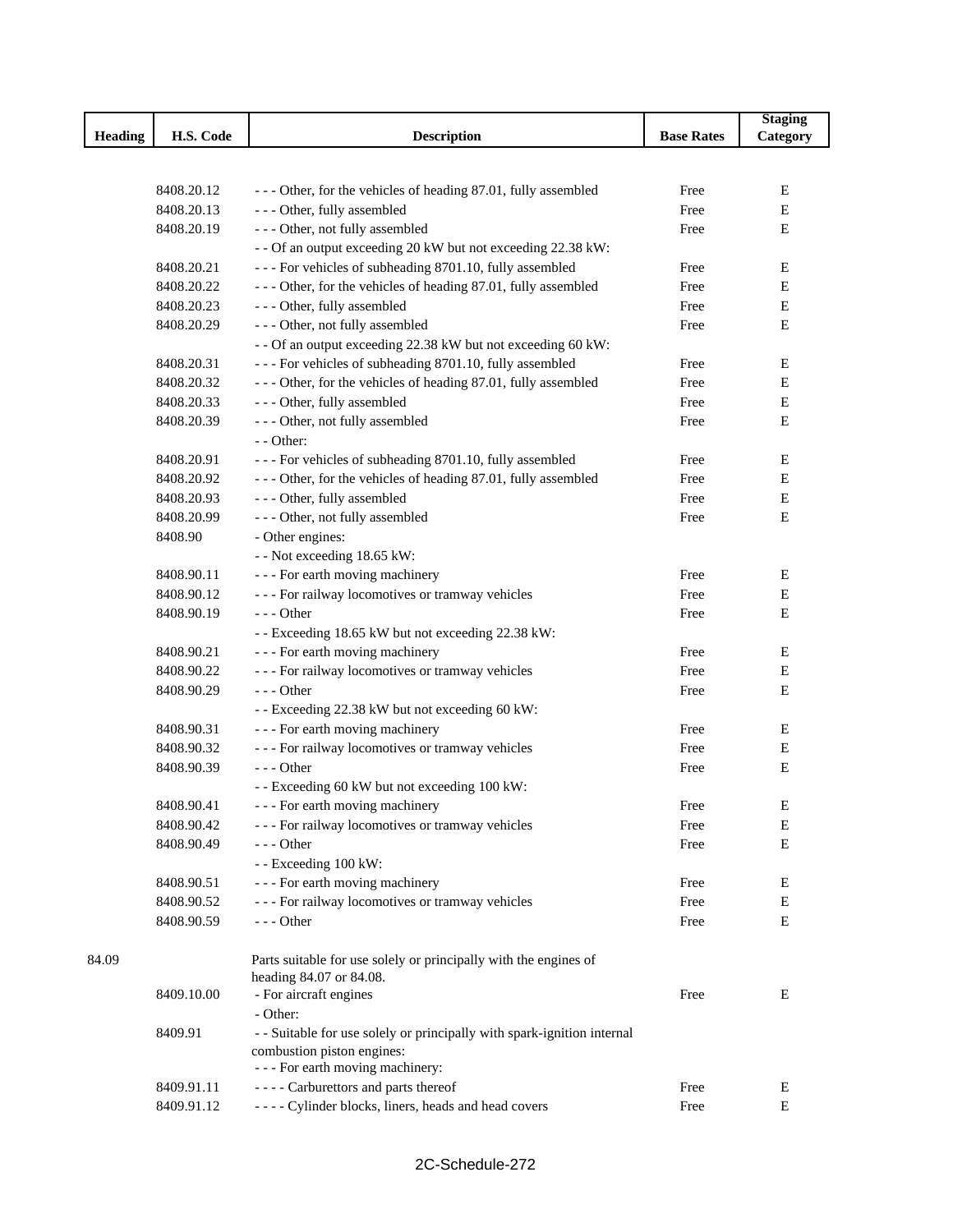|                |                          |                                                                          |                   | <b>Staging</b> |
|----------------|--------------------------|--------------------------------------------------------------------------|-------------------|----------------|
| <b>Heading</b> | H.S. Code                | <b>Description</b>                                                       | <b>Base Rates</b> | Category       |
|                |                          |                                                                          |                   |                |
|                |                          |                                                                          |                   |                |
|                | 8408.20.12               | --- Other, for the vehicles of heading 87.01, fully assembled            | Free              | Е              |
|                | 8408.20.13               | - - - Other, fully assembled                                             | Free              | E              |
|                | 8408.20.19               | --- Other, not fully assembled                                           | Free              | Ε              |
|                |                          | - - Of an output exceeding 20 kW but not exceeding 22.38 kW:             |                   |                |
|                | 8408.20.21               | --- For vehicles of subheading 8701.10, fully assembled                  | Free              | Е              |
|                | 8408.20.22               | --- Other, for the vehicles of heading 87.01, fully assembled            | Free              | Е              |
|                | 8408.20.23               | --- Other, fully assembled                                               | Free              | Е              |
|                | 8408.20.29               | --- Other, not fully assembled                                           | Free              | Е              |
|                |                          | - - Of an output exceeding 22.38 kW but not exceeding 60 kW:             |                   |                |
|                | 8408.20.31               | - - - For vehicles of subheading 8701.10, fully assembled                | Free              | Е              |
|                | 8408.20.32               | --- Other, for the vehicles of heading 87.01, fully assembled            | Free              | $\mathbf E$    |
|                | 8408.20.33               | --- Other, fully assembled                                               | Free              | Е              |
|                | 8408.20.39               | --- Other, not fully assembled                                           | Free              | Е              |
|                |                          | - - Other:                                                               |                   |                |
|                | 8408.20.91               | --- For vehicles of subheading 8701.10, fully assembled                  | Free              | Ε              |
|                | 8408.20.92               | --- Other, for the vehicles of heading 87.01, fully assembled            | Free              | Е              |
|                | 8408.20.93               | --- Other, fully assembled                                               | Free              | Е              |
|                | 8408.20.99               | --- Other, not fully assembled                                           | Free              | Е              |
|                | 8408.90                  | - Other engines:                                                         |                   |                |
|                |                          | - - Not exceeding 18.65 kW:                                              |                   |                |
|                | 8408.90.11               | - - - For earth moving machinery                                         | Free              | Ε              |
|                | 8408.90.12               | --- For railway locomotives or tramway vehicles                          | Free              | Е              |
|                | 8408.90.19               | $--$ Other                                                               | Free              | Е              |
|                |                          | - - Exceeding 18.65 kW but not exceeding 22.38 kW:                       |                   |                |
|                | 8408.90.21               | - - - For earth moving machinery                                         | Free              | Е              |
|                | 8408.90.22               | --- For railway locomotives or tramway vehicles                          | Free              | Е              |
|                | 8408.90.29               | --- Other                                                                | Free              | Е              |
|                |                          | - - Exceeding 22.38 kW but not exceeding 60 kW:                          |                   |                |
|                | 8408.90.31               | --- For earth moving machinery                                           | Free              | Е              |
|                | 8408.90.32               | --- For railway locomotives or tramway vehicles                          | Free              | Е              |
|                | 8408.90.39               | --- Other                                                                | Free              | E              |
|                |                          | - - Exceeding 60 kW but not exceeding 100 kW:                            |                   |                |
|                | 8408.90.41               | - - - For earth moving machinery                                         | Free              | Е              |
|                | 8408.90.42               | --- For railway locomotives or tramway vehicles                          | Free              | E              |
|                | 8408.90.49               | $- -$ Other                                                              | Free              | Е              |
|                |                          | - - Exceeding 100 kW:                                                    |                   |                |
|                | 8408.90.51               | - - - For earth moving machinery                                         | Free              | Ε              |
|                | 8408.90.52               | --- For railway locomotives or tramway vehicles                          | Free              | Е              |
|                | 8408.90.59               | $--$ Other                                                               | Free              | Е              |
|                |                          |                                                                          |                   |                |
| 84.09          |                          | Parts suitable for use solely or principally with the engines of         |                   |                |
|                |                          | heading 84.07 or 84.08.                                                  |                   |                |
|                | 8409.10.00               | - For aircraft engines                                                   | Free              | Ε              |
|                |                          | - Other:                                                                 |                   |                |
|                | 8409.91                  | - - Suitable for use solely or principally with spark-ignition internal  |                   |                |
|                |                          | combustion piston engines:                                               |                   |                |
|                |                          | - - - For earth moving machinery:<br>---- Carburettors and parts thereof |                   |                |
|                | 8409.91.11<br>8409.91.12 | ---- Cylinder blocks, liners, heads and head covers                      | Free<br>Free      | E<br>${\bf E}$ |
|                |                          |                                                                          |                   |                |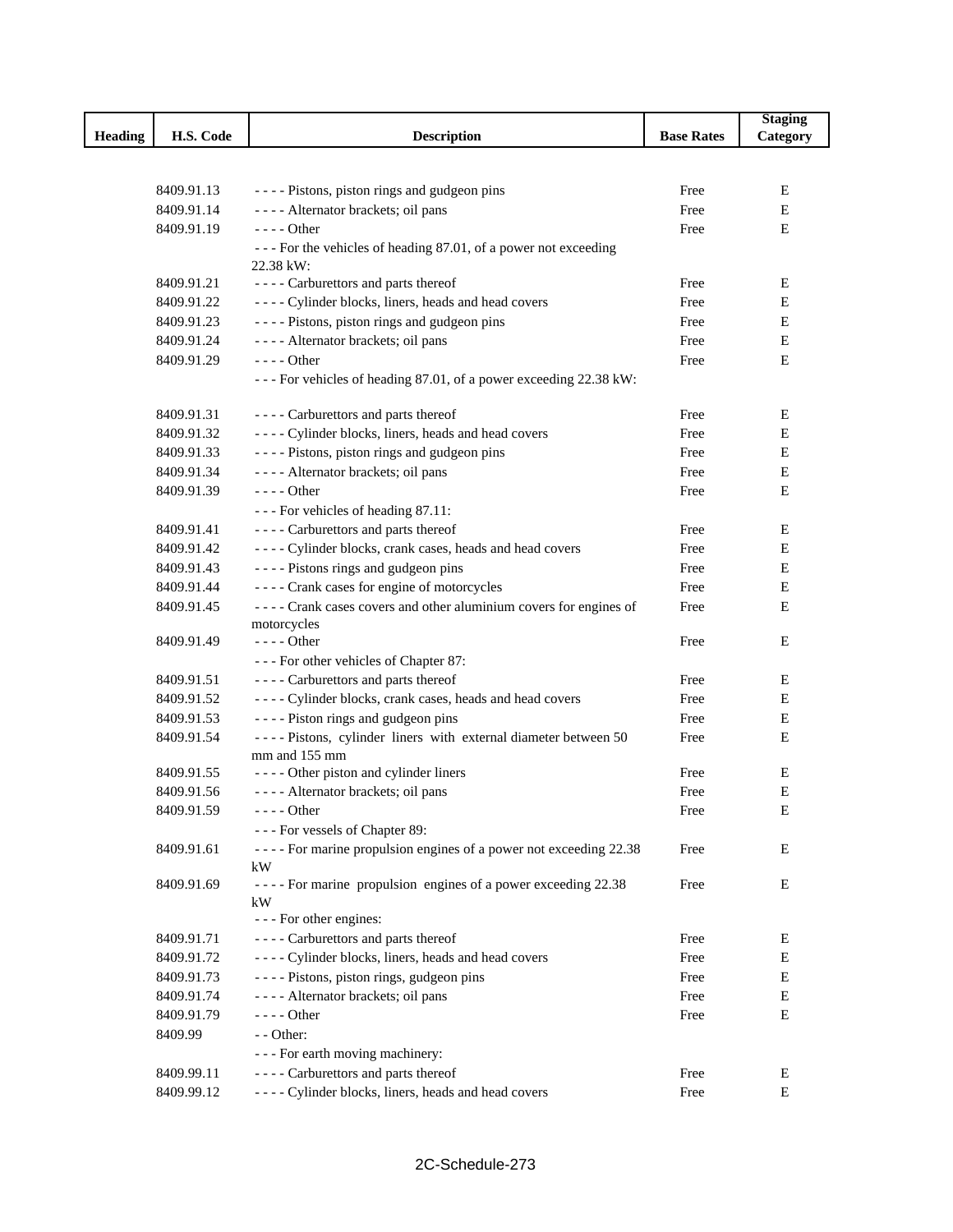|                |            |                                                                   |                   | <b>Staging</b> |
|----------------|------------|-------------------------------------------------------------------|-------------------|----------------|
| <b>Heading</b> | H.S. Code  | <b>Description</b>                                                | <b>Base Rates</b> | Category       |
|                |            |                                                                   |                   |                |
|                |            |                                                                   |                   |                |
|                | 8409.91.13 | ---- Pistons, piston rings and gudgeon pins                       | Free              | Е              |
|                | 8409.91.14 | ---- Alternator brackets; oil pans                                | Free              | Е              |
|                | 8409.91.19 | $---$ Other                                                       | Free              | Е              |
|                |            | --- For the vehicles of heading 87.01, of a power not exceeding   |                   |                |
|                |            | 22.38 kW:                                                         |                   |                |
|                | 8409.91.21 | ---- Carburettors and parts thereof                               | Free              | Ε              |
|                | 8409.91.22 | ---- Cylinder blocks, liners, heads and head covers               | Free              | Е              |
|                | 8409.91.23 | ---- Pistons, piston rings and gudgeon pins                       | Free              | Е              |
|                | 8409.91.24 | ---- Alternator brackets; oil pans                                | Free              | Е              |
|                | 8409.91.29 | $--- Other$                                                       | Free              | Е              |
|                |            | --- For vehicles of heading 87.01, of a power exceeding 22.38 kW: |                   |                |
|                | 8409.91.31 | ---- Carburettors and parts thereof                               | Free              | E              |
|                | 8409.91.32 | ---- Cylinder blocks, liners, heads and head covers               | Free              | Е              |
|                | 8409.91.33 | ---- Pistons, piston rings and gudgeon pins                       | Free              | Е              |
|                | 8409.91.34 | ---- Alternator brackets; oil pans                                | Free              | Е              |
|                | 8409.91.39 | $--$ Other                                                        | Free              | Е              |
|                |            | --- For vehicles of heading 87.11:                                |                   |                |
|                | 8409.91.41 | ---- Carburettors and parts thereof                               | Free              | Е              |
|                | 8409.91.42 | ---- Cylinder blocks, crank cases, heads and head covers          | Free              | $\mathbf E$    |
|                | 8409.91.43 | ---- Pistons rings and gudgeon pins                               | Free              | E              |
|                | 8409.91.44 | ---- Crank cases for engine of motorcycles                        | Free              | Е              |
|                | 8409.91.45 | ---- Crank cases covers and other aluminium covers for engines of | Free              | Е              |
|                |            | motorcycles                                                       |                   |                |
|                | 8409.91.49 | - - - - Other                                                     | Free              | Е              |
|                |            | --- For other vehicles of Chapter 87:                             |                   |                |
|                | 8409.91.51 | ---- Carburettors and parts thereof                               | Free              | Е              |
|                | 8409.91.52 | ---- Cylinder blocks, crank cases, heads and head covers          | Free              | Е              |
|                | 8409.91.53 | ---- Piston rings and gudgeon pins                                | Free              | Е              |
|                | 8409.91.54 | ---- Pistons, cylinder liners with external diameter between 50   | Free              | Е              |
|                |            | mm and 155 mm                                                     |                   |                |
|                | 8409.91.55 | ---- Other piston and cylinder liners                             | Free              | Е              |
|                | 8409.91.56 | ---- Alternator brackets; oil pans                                | Free              | Е              |
|                | 8409.91.59 | $---$ Other                                                       | Free              | ${\bf E}$      |
|                |            | --- For vessels of Chapter 89:                                    |                   |                |
|                | 8409.91.61 | ---- For marine propulsion engines of a power not exceeding 22.38 | Free              | Е              |
|                |            | kW                                                                |                   |                |
|                | 8409.91.69 | ---- For marine propulsion engines of a power exceeding 22.38     | Free              | Е              |
|                |            | kW                                                                |                   |                |
|                |            | - - - For other engines:                                          |                   |                |
|                | 8409.91.71 | ---- Carburettors and parts thereof                               | Free              | Ε              |
|                | 8409.91.72 | ---- Cylinder blocks, liners, heads and head covers               | Free              | Е              |
|                | 8409.91.73 | ---- Pistons, piston rings, gudgeon pins                          | Free              | Е              |
|                | 8409.91.74 | ---- Alternator brackets; oil pans                                | Free              | Е              |
|                | 8409.91.79 | $--- Other$                                                       | Free              | Е              |
|                | 8409.99    | - - Other:                                                        |                   |                |
|                |            | - - - For earth moving machinery:                                 |                   |                |
|                | 8409.99.11 | ---- Carburettors and parts thereof                               | Free              | E              |
|                | 8409.99.12 | ---- Cylinder blocks, liners, heads and head covers               | Free              | $\mathbf E$    |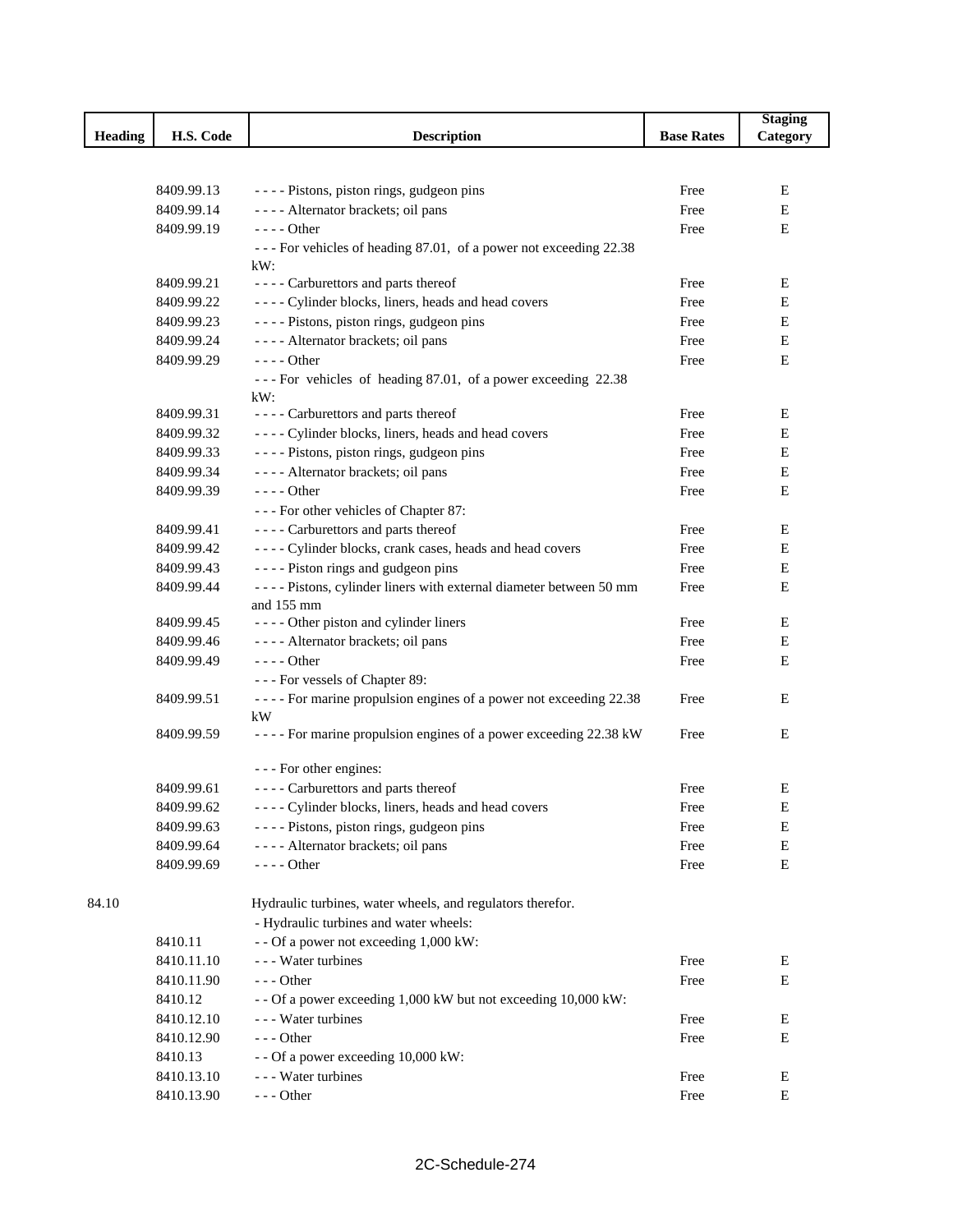|                |            |                                                                             |                   | <b>Staging</b> |
|----------------|------------|-----------------------------------------------------------------------------|-------------------|----------------|
| <b>Heading</b> | H.S. Code  | <b>Description</b>                                                          | <b>Base Rates</b> | Category       |
|                |            |                                                                             |                   |                |
|                |            |                                                                             |                   |                |
|                | 8409.99.13 | ---- Pistons, piston rings, gudgeon pins                                    | Free              | Е              |
|                | 8409.99.14 | ---- Alternator brackets; oil pans                                          | Free              | Е              |
|                | 8409.99.19 | $--- Other$                                                                 | Free              | Е              |
|                |            | --- For vehicles of heading 87.01, of a power not exceeding 22.38<br>$kW$ : |                   |                |
|                | 8409.99.21 | ---- Carburettors and parts thereof                                         | Free              | Е              |
|                | 8409.99.22 | ---- Cylinder blocks, liners, heads and head covers                         | Free              | Е              |
|                | 8409.99.23 | ---- Pistons, piston rings, gudgeon pins                                    | Free              | E              |
|                | 8409.99.24 | ---- Alternator brackets; oil pans                                          | Free              | Е              |
|                | 8409.99.29 | $--- Other$                                                                 | Free              | Е              |
|                |            | --- For vehicles of heading 87.01, of a power exceeding 22.38               |                   |                |
|                |            | kW:                                                                         |                   |                |
|                | 8409.99.31 | ---- Carburettors and parts thereof                                         | Free              | Е              |
|                | 8409.99.32 | ---- Cylinder blocks, liners, heads and head covers                         | Free              | Ε              |
|                | 8409.99.33 | ---- Pistons, piston rings, gudgeon pins                                    | Free              | Е              |
|                | 8409.99.34 | ---- Alternator brackets; oil pans                                          | Free              | Е              |
|                | 8409.99.39 | - - - - Other                                                               | Free              | E              |
|                |            | --- For other vehicles of Chapter 87:                                       |                   |                |
|                | 8409.99.41 | ---- Carburettors and parts thereof                                         | Free              | Е              |
|                | 8409.99.42 | ---- Cylinder blocks, crank cases, heads and head covers                    | Free              | Е              |
|                | 8409.99.43 | ---- Piston rings and gudgeon pins                                          | Free              | Е              |
|                | 8409.99.44 | - - - - Pistons, cylinder liners with external diameter between 50 mm       | Free              | Е              |
|                |            | and 155 mm                                                                  |                   |                |
|                | 8409.99.45 | ---- Other piston and cylinder liners                                       | Free              | Е              |
|                | 8409.99.46 | ---- Alternator brackets; oil pans                                          | Free              | Е              |
|                | 8409.99.49 | - - - - Other                                                               | Free              | Е              |
|                |            | --- For vessels of Chapter 89:                                              |                   |                |
|                | 8409.99.51 | ---- For marine propulsion engines of a power not exceeding 22.38           | Free              | Е              |
|                |            | kW                                                                          |                   |                |
|                | 8409.99.59 | ---- For marine propulsion engines of a power exceeding 22.38 kW            | Free              | Е              |
|                |            | - - - For other engines:                                                    |                   |                |
|                | 8409.99.61 | ---- Carburettors and parts thereof                                         | Free              | Ε              |
|                | 8409.99.62 | ---- Cylinder blocks, liners, heads and head covers                         | Free              | E              |
|                | 8409.99.63 | ---- Pistons, piston rings, gudgeon pins                                    | Free              | E              |
|                | 8409.99.64 | ---- Alternator brackets; oil pans                                          | Free              | Е              |
|                | 8409.99.69 | $--- Other$                                                                 | Free              | Е              |
|                |            |                                                                             |                   |                |
| 84.10          |            | Hydraulic turbines, water wheels, and regulators therefor.                  |                   |                |
|                |            | - Hydraulic turbines and water wheels:                                      |                   |                |
|                | 8410.11    | - - Of a power not exceeding 1,000 kW:                                      |                   |                |
|                | 8410.11.10 | - - - Water turbines                                                        | Free              | Е              |
|                | 8410.11.90 | $--$ Other                                                                  | Free              | Е              |
|                | 8410.12    | - - Of a power exceeding 1,000 kW but not exceeding 10,000 kW:              |                   |                |
|                | 8410.12.10 | - - - Water turbines                                                        | Free              | Ε              |
|                | 8410.12.90 | $--$ Other                                                                  | Free              | E              |
|                | 8410.13    | - - Of a power exceeding 10,000 kW:                                         |                   |                |
|                | 8410.13.10 | - - - Water turbines                                                        | Free              | Е              |
|                | 8410.13.90 | $--$ Other                                                                  | Free              | E              |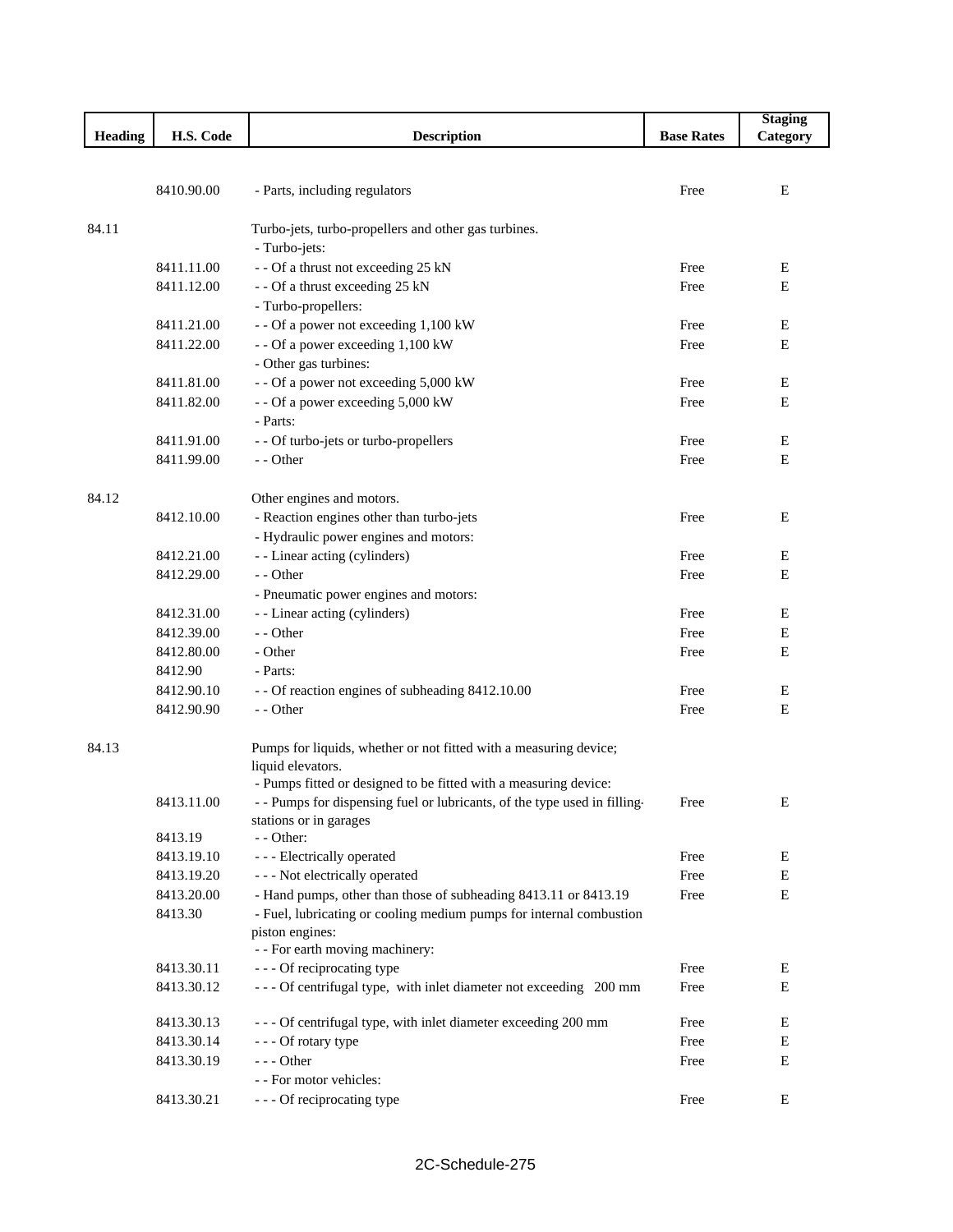|                |            |                                                                                        |                   | <b>Staging</b> |
|----------------|------------|----------------------------------------------------------------------------------------|-------------------|----------------|
| <b>Heading</b> | H.S. Code  | <b>Description</b>                                                                     | <b>Base Rates</b> | Category       |
|                |            |                                                                                        |                   |                |
|                |            |                                                                                        |                   |                |
|                | 8410.90.00 | - Parts, including regulators                                                          | Free              | E              |
|                |            |                                                                                        |                   |                |
| 84.11          |            | Turbo-jets, turbo-propellers and other gas turbines.                                   |                   |                |
|                |            | - Turbo-jets:                                                                          |                   |                |
|                | 8411.11.00 | - - Of a thrust not exceeding 25 kN                                                    | Free              | E<br>E         |
|                | 8411.12.00 | - - Of a thrust exceeding 25 kN<br>- Turbo-propellers:                                 | Free              |                |
|                | 8411.21.00 | - - Of a power not exceeding 1,100 kW                                                  | Free              | E              |
|                | 8411.22.00 | - - Of a power exceeding 1,100 kW                                                      | Free              | E              |
|                |            | - Other gas turbines:                                                                  |                   |                |
|                | 8411.81.00 | - - Of a power not exceeding 5,000 kW                                                  | Free              | E              |
|                | 8411.82.00 | - - Of a power exceeding 5,000 kW                                                      | Free              | E              |
|                |            | - Parts:                                                                               |                   |                |
|                | 8411.91.00 | - - Of turbo-jets or turbo-propellers                                                  | Free              | Ε              |
|                | 8411.99.00 | - - Other                                                                              | Free              | $\mathbf E$    |
|                |            |                                                                                        |                   |                |
| 84.12          |            | Other engines and motors.                                                              |                   |                |
|                | 8412.10.00 | - Reaction engines other than turbo-jets                                               | Free              | E              |
|                |            | - Hydraulic power engines and motors:                                                  |                   |                |
|                | 8412.21.00 | - - Linear acting (cylinders)                                                          | Free              | E              |
|                | 8412.29.00 | - - Other                                                                              | Free              | E              |
|                |            | - Pneumatic power engines and motors:                                                  |                   |                |
|                | 8412.31.00 | - - Linear acting (cylinders)                                                          | Free              | E              |
|                | 8412.39.00 | - - Other                                                                              | Free              | E              |
|                | 8412.80.00 | - Other                                                                                | Free              | E              |
|                | 8412.90    | - Parts:                                                                               |                   |                |
|                | 8412.90.10 | - - Of reaction engines of subheading 8412.10.00                                       | Free              | E              |
|                | 8412.90.90 | - - Other                                                                              | Free              | E              |
|                |            |                                                                                        |                   |                |
| 84.13          |            | Pumps for liquids, whether or not fitted with a measuring device;                      |                   |                |
|                |            | liquid elevators.                                                                      |                   |                |
|                |            | - Pumps fitted or designed to be fitted with a measuring device:                       |                   |                |
|                | 8413.11.00 | - - Pumps for dispensing fuel or lubricants, of the type used in filling-              | Free              | Ε              |
|                |            | stations or in garages                                                                 |                   |                |
|                | 8413.19    | - - Other:                                                                             |                   |                |
|                | 8413.19.10 | - - - Electrically operated                                                            | Free              | E              |
|                | 8413.19.20 | - - - Not electrically operated                                                        | Free              | E              |
|                | 8413.20.00 | - Hand pumps, other than those of subheading 8413.11 or 8413.19                        | Free              | E              |
|                | 8413.30    | - Fuel, lubricating or cooling medium pumps for internal combustion<br>piston engines: |                   |                |
|                |            | - - For earth moving machinery:                                                        |                   |                |
|                | 8413.30.11 | --- Of reciprocating type                                                              | Free              | E              |
|                | 8413.30.12 | --- Of centrifugal type, with inlet diameter not exceeding 200 mm                      | Free              | Е              |
|                |            |                                                                                        |                   |                |
|                | 8413.30.13 | - - - Of centrifugal type, with inlet diameter exceeding 200 mm                        | Free              | ${\bf E}$      |
|                | 8413.30.14 | - - - Of rotary type                                                                   | Free              | E              |
|                | 8413.30.19 | --- Other                                                                              | Free              | E              |
|                |            | - - For motor vehicles:                                                                |                   |                |
|                | 8413.30.21 | - - - Of reciprocating type                                                            | Free              | ${\bf E}$      |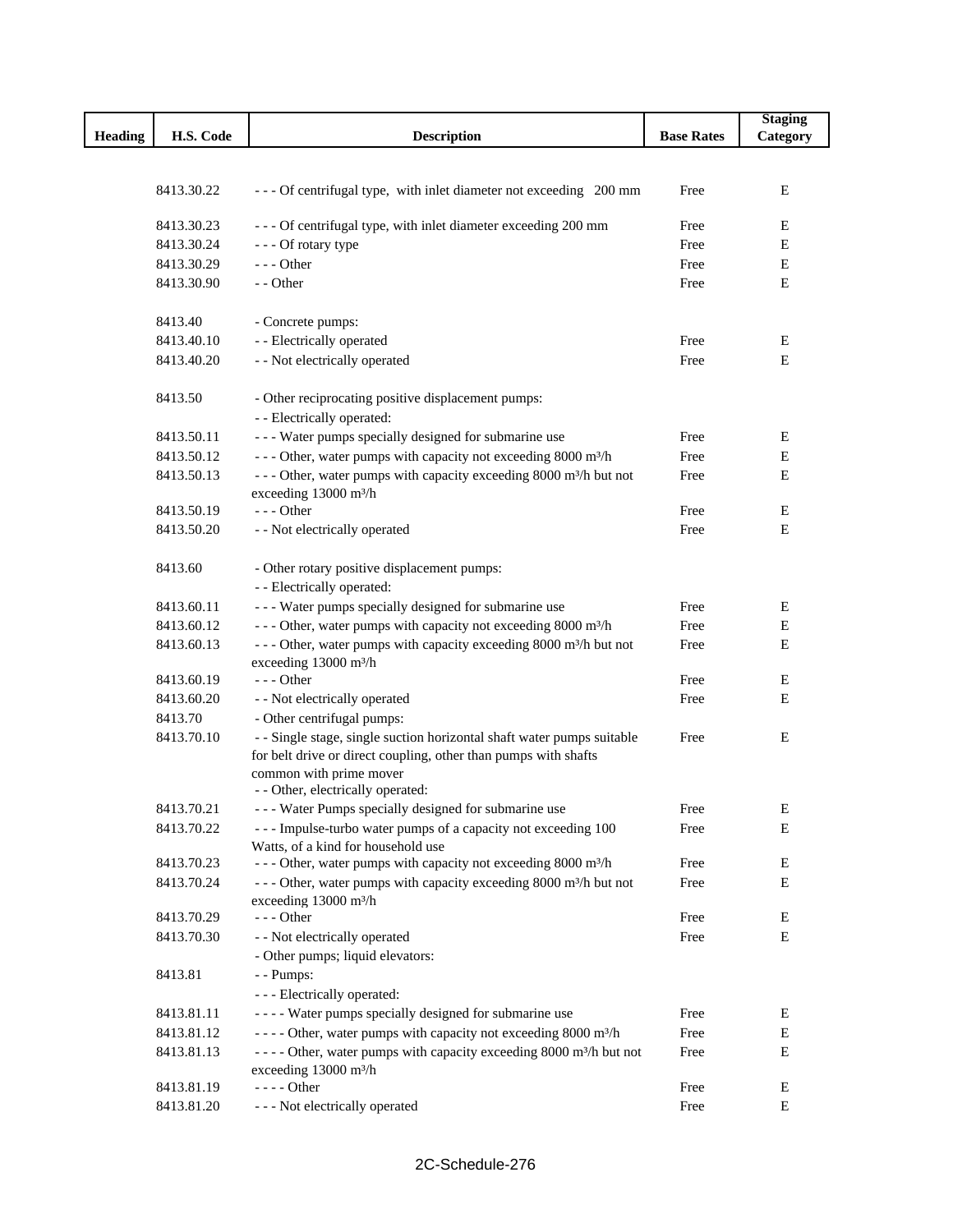|                |            |                                                                                                     |                   | <b>Staging</b> |
|----------------|------------|-----------------------------------------------------------------------------------------------------|-------------------|----------------|
| <b>Heading</b> | H.S. Code  | <b>Description</b>                                                                                  | <b>Base Rates</b> | Category       |
|                |            |                                                                                                     |                   |                |
|                |            |                                                                                                     |                   |                |
|                | 8413.30.22 | --- Of centrifugal type, with inlet diameter not exceeding 200 mm                                   | Free              | E              |
|                | 8413.30.23 | - - - Of centrifugal type, with inlet diameter exceeding 200 mm                                     | Free              | E              |
|                | 8413.30.24 | --- Of rotary type                                                                                  | Free              | E              |
|                | 8413.30.29 | $--$ Other                                                                                          | Free              | Ε              |
|                | 8413.30.90 | - - Other                                                                                           | Free              | E              |
|                |            |                                                                                                     |                   |                |
|                | 8413.40    | - Concrete pumps:                                                                                   |                   |                |
|                | 8413.40.10 | - - Electrically operated                                                                           | Free              | Е              |
|                | 8413.40.20 | - - Not electrically operated                                                                       | Free              | E              |
|                |            |                                                                                                     |                   |                |
|                | 8413.50    | - Other reciprocating positive displacement pumps:                                                  |                   |                |
|                |            | - - Electrically operated:                                                                          |                   |                |
|                | 8413.50.11 | --- Water pumps specially designed for submarine use                                                | Free              | E              |
|                | 8413.50.12 | --- Other, water pumps with capacity not exceeding 8000 m <sup>3</sup> /h                           | Free              | Е              |
|                | 8413.50.13 | --- Other, water pumps with capacity exceeding 8000 m <sup>3</sup> /h but not                       | Free              | Е              |
|                |            | exceeding 13000 m <sup>3</sup> /h                                                                   |                   |                |
|                | 8413.50.19 | $---$ Other                                                                                         | Free              | $\mathbf E$    |
|                | 8413.50.20 | - - Not electrically operated                                                                       | Free              | E              |
|                |            |                                                                                                     |                   |                |
|                | 8413.60    | - Other rotary positive displacement pumps:                                                         |                   |                |
|                |            | - - Electrically operated:                                                                          |                   |                |
|                | 8413.60.11 | --- Water pumps specially designed for submarine use                                                | Free              | Ε              |
|                | 8413.60.12 | --- Other, water pumps with capacity not exceeding 8000 m <sup>3</sup> /h                           | Free              | ${\bf E}$      |
|                | 8413.60.13 | --- Other, water pumps with capacity exceeding 8000 m <sup>3</sup> /h but not                       | Free              | E              |
|                |            | exceeding 13000 m <sup>3</sup> /h                                                                   |                   |                |
|                | 8413.60.19 | $--$ Other                                                                                          | Free              | E              |
|                | 8413.60.20 | - - Not electrically operated                                                                       | Free              | Е              |
|                | 8413.70    | - Other centrifugal pumps:                                                                          |                   |                |
|                | 8413.70.10 | - - Single stage, single suction horizontal shaft water pumps suitable                              | Free              | E              |
|                |            | for belt drive or direct coupling, other than pumps with shafts                                     |                   |                |
|                |            | common with prime mover                                                                             |                   |                |
|                |            | - - Other, electrically operated:                                                                   |                   |                |
|                | 8413.70.21 | --- Water Pumps specially designed for submarine use                                                | Free              | E              |
|                | 8413.70.22 | --- Impulse-turbo water pumps of a capacity not exceeding 100<br>Watts, of a kind for household use | Free              | Е              |
|                | 8413.70.23 | - - - Other, water pumps with capacity not exceeding 8000 m <sup>3</sup> /h                         | Free              | E              |
|                | 8413.70.24 | --- Other, water pumps with capacity exceeding 8000 m <sup>3</sup> /h but not                       | Free              | E              |
|                |            | exceeding 13000 m <sup>3</sup> /h                                                                   |                   |                |
|                | 8413.70.29 | $--$ Other                                                                                          | Free              | Ε              |
|                | 8413.70.30 | - - Not electrically operated                                                                       | Free              | E              |
|                |            | - Other pumps; liquid elevators:                                                                    |                   |                |
|                | 8413.81    | - - Pumps:                                                                                          |                   |                |
|                |            | - - - Electrically operated:                                                                        |                   |                |
|                | 8413.81.11 | ---- Water pumps specially designed for submarine use                                               | Free              | E              |
|                | 8413.81.12 | - - - - Other, water pumps with capacity not exceeding 8000 m <sup>3</sup> /h                       | Free              | E              |
|                | 8413.81.13 | - - - - Other, water pumps with capacity exceeding 8000 m <sup>3</sup> /h but not                   | Free              | Е              |
|                |            | exceeding 13000 m <sup>3</sup> /h                                                                   |                   |                |
|                | 8413.81.19 | $--- Other$                                                                                         | Free              | E              |
|                | 8413.81.20 | - - - Not electrically operated                                                                     | Free              | E              |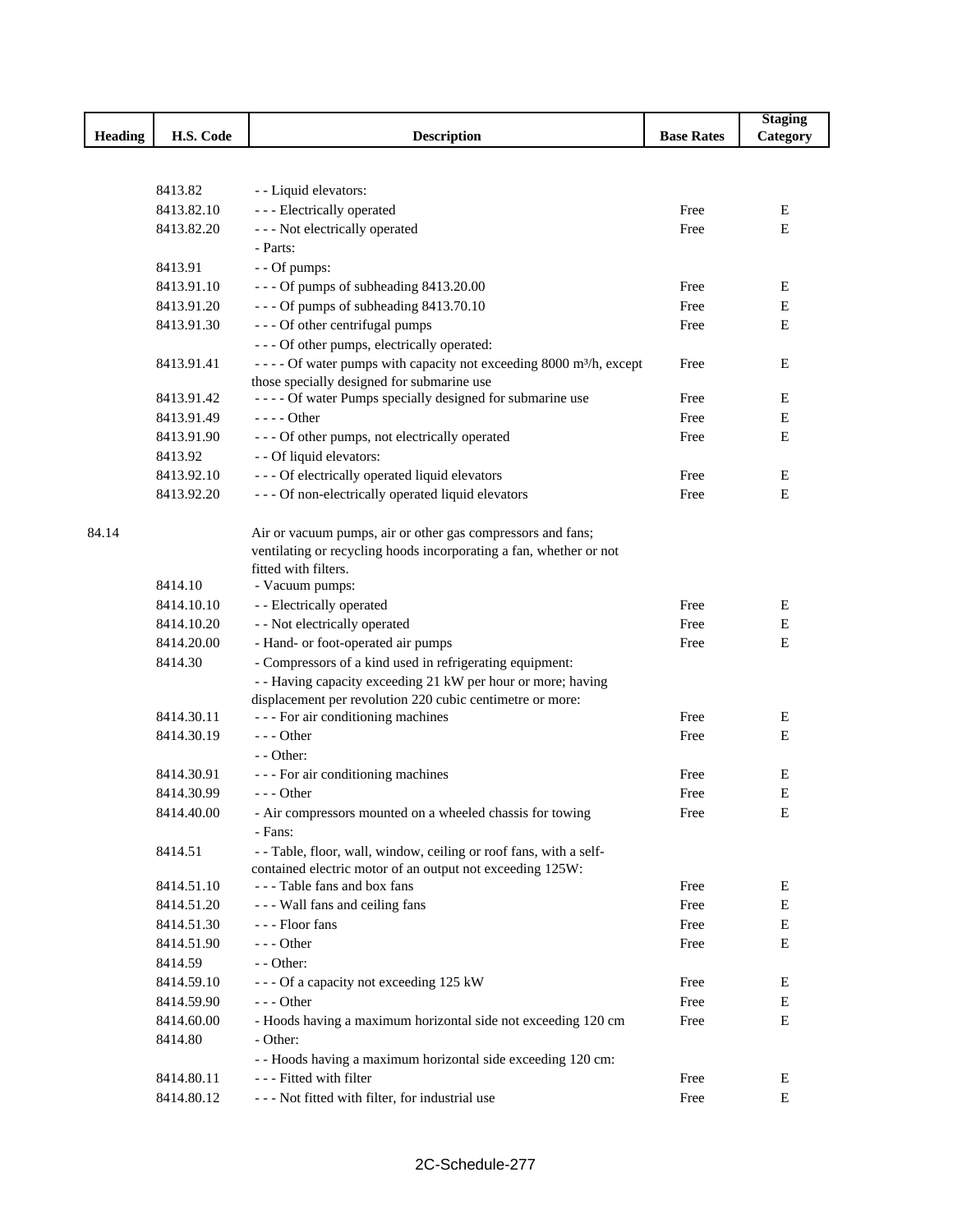|                |            |                                                                                                |                   | <b>Staging</b> |
|----------------|------------|------------------------------------------------------------------------------------------------|-------------------|----------------|
| <b>Heading</b> | H.S. Code  | <b>Description</b>                                                                             | <b>Base Rates</b> | Category       |
|                |            |                                                                                                |                   |                |
|                |            |                                                                                                |                   |                |
|                | 8413.82    | - - Liquid elevators:                                                                          |                   |                |
|                | 8413.82.10 | - - - Electrically operated                                                                    | Free              | Е              |
|                | 8413.82.20 | - - - Not electrically operated                                                                | Free              | E              |
|                |            | - Parts:                                                                                       |                   |                |
|                | 8413.91    | - - Of pumps:                                                                                  |                   |                |
|                | 8413.91.10 | --- Of pumps of subheading 8413.20.00                                                          | Free              | Ε              |
|                | 8413.91.20 | --- Of pumps of subheading 8413.70.10                                                          | Free              | E              |
|                | 8413.91.30 | --- Of other centrifugal pumps                                                                 | Free              | E              |
|                |            | - - - Of other pumps, electrically operated:                                                   |                   |                |
|                | 8413.91.41 | - - - - Of water pumps with capacity not exceeding 8000 m <sup>3</sup> /h, except              | Free              | Е              |
|                |            | those specially designed for submarine use                                                     |                   |                |
|                | 8413.91.42 | - - - - Of water Pumps specially designed for submarine use                                    | Free              | E              |
|                | 8413.91.49 | $--- Other$                                                                                    | Free              | E              |
|                | 8413.91.90 | - - - Of other pumps, not electrically operated                                                | Free              | E              |
|                | 8413.92    | - - Of liquid elevators:                                                                       |                   |                |
|                | 8413.92.10 | - - - Of electrically operated liquid elevators                                                | Free              | Е              |
|                | 8413.92.20 | - - - Of non-electrically operated liquid elevators                                            | Free              | E              |
|                |            |                                                                                                |                   |                |
| 84.14          |            | Air or vacuum pumps, air or other gas compressors and fans;                                    |                   |                |
|                |            | ventilating or recycling hoods incorporating a fan, whether or not                             |                   |                |
|                | 8414.10    | fitted with filters.                                                                           |                   |                |
|                |            | - Vacuum pumps:                                                                                |                   |                |
|                | 8414.10.10 | - - Electrically operated                                                                      | Free              | E              |
|                | 8414.10.20 | - - Not electrically operated                                                                  | Free              | E              |
|                | 8414.20.00 | - Hand- or foot-operated air pumps                                                             | Free              | E              |
|                | 8414.30    | - Compressors of a kind used in refrigerating equipment:                                       |                   |                |
|                |            | - - Having capacity exceeding 21 kW per hour or more; having                                   |                   |                |
|                | 8414.30.11 | displacement per revolution 220 cubic centimetre or more:<br>--- For air conditioning machines | Free              | ${\bf E}$      |
|                | 8414.30.19 | $--$ Other                                                                                     | Free              | E              |
|                |            | - - Other:                                                                                     |                   |                |
|                |            |                                                                                                |                   |                |
|                | 8414.30.91 | --- For air conditioning machines                                                              | Free              | E              |
|                | 8414.30.99 | $- -$ Other                                                                                    | Free              | E              |
|                | 8414.40.00 | - Air compressors mounted on a wheeled chassis for towing                                      | Free              | Ε              |
|                |            | - Fans:                                                                                        |                   |                |
|                | 8414.51    | - - Table, floor, wall, window, ceiling or roof fans, with a self-                             |                   |                |
|                | 8414.51.10 | contained electric motor of an output not exceeding 125W:<br>- - - Table fans and box fans     | Free              | Е              |
|                | 8414.51.20 | - - - Wall fans and ceiling fans                                                               | Free              | Е              |
|                | 8414.51.30 | --- Floor fans                                                                                 | Free              | Е              |
|                |            | $--$ Other                                                                                     |                   | E              |
|                | 8414.51.90 | $-$ - Other:                                                                                   | Free              |                |
|                | 8414.59    |                                                                                                |                   |                |
|                | 8414.59.10 | --- Of a capacity not exceeding 125 kW                                                         | Free              | E              |
|                | 8414.59.90 | $--$ Other                                                                                     | Free              | E              |
|                | 8414.60.00 | - Hoods having a maximum horizontal side not exceeding 120 cm                                  | Free              | Е              |
|                | 8414.80    | - Other:                                                                                       |                   |                |
|                |            | - - Hoods having a maximum horizontal side exceeding 120 cm:                                   |                   |                |
|                | 8414.80.11 | --- Fitted with filter                                                                         | Free              | E              |
|                | 8414.80.12 | - - - Not fitted with filter, for industrial use                                               | Free              | E              |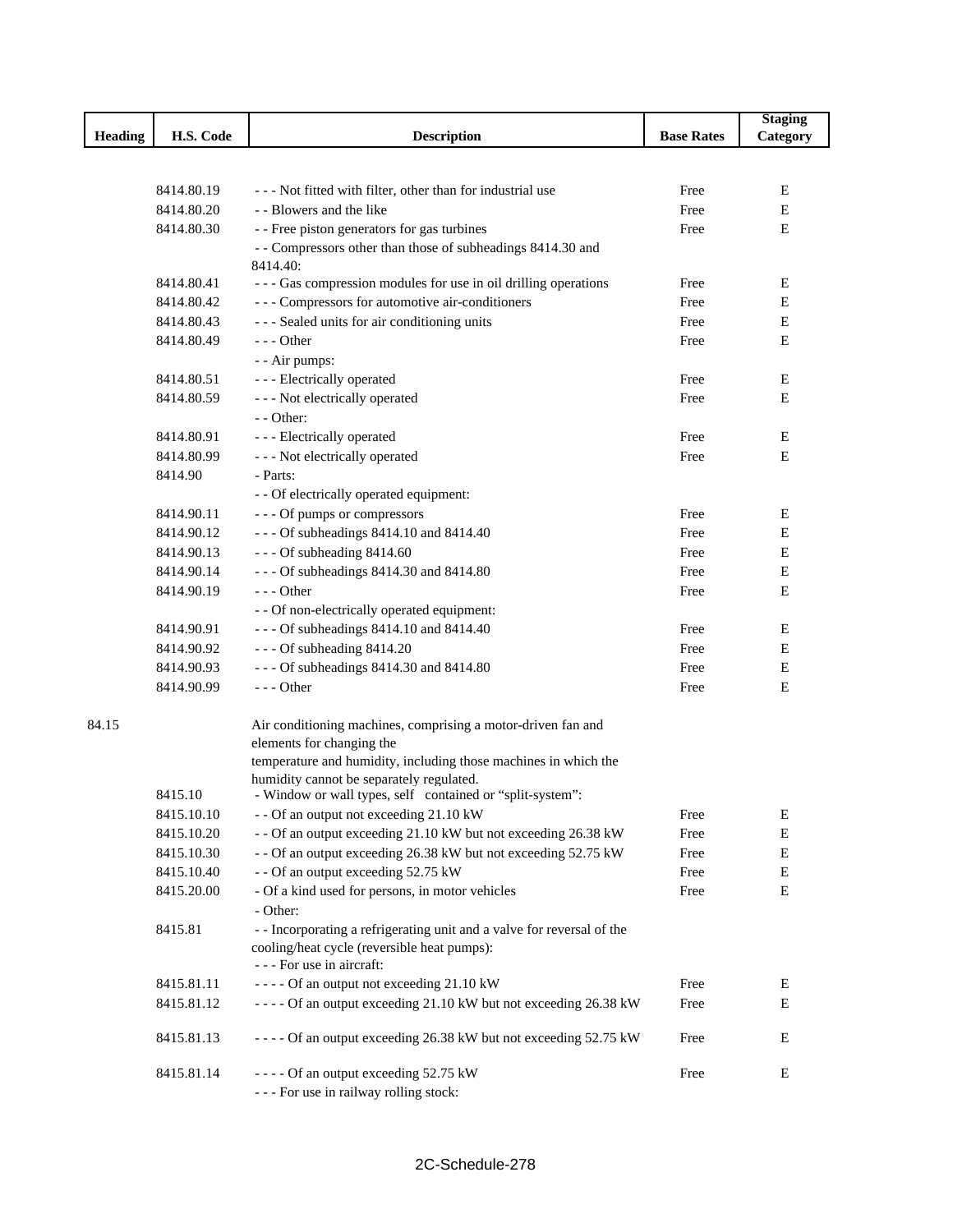|                |            |                                                                            |                   | <b>Staging</b> |
|----------------|------------|----------------------------------------------------------------------------|-------------------|----------------|
| <b>Heading</b> | H.S. Code  | <b>Description</b>                                                         | <b>Base Rates</b> | Category       |
|                |            |                                                                            |                   |                |
|                |            |                                                                            |                   |                |
|                | 8414.80.19 | --- Not fitted with filter, other than for industrial use                  | Free              | Е              |
|                | 8414.80.20 | - - Blowers and the like                                                   | Free              | E              |
|                | 8414.80.30 | - - Free piston generators for gas turbines                                | Free              | E              |
|                |            | - - Compressors other than those of subheadings 8414.30 and                |                   |                |
|                | 8414.80.41 | 8414.40:<br>--- Gas compression modules for use in oil drilling operations | Free              | E              |
|                | 8414.80.42 | --- Compressors for automotive air-conditioners                            | Free              | Е              |
|                | 8414.80.43 | --- Sealed units for air conditioning units                                | Free              | Е              |
|                | 8414.80.49 | $--$ Other                                                                 | Free              | E              |
|                |            | - - Air pumps:                                                             |                   |                |
|                | 8414.80.51 | - - - Electrically operated                                                | Free              | Е              |
|                | 8414.80.59 | - - - Not electrically operated                                            | Free              | E              |
|                |            | - - Other:                                                                 |                   |                |
|                | 8414.80.91 | - - - Electrically operated                                                | Free              | E              |
|                | 8414.80.99 | - - - Not electrically operated                                            | Free              | E              |
|                | 8414.90    | - Parts:                                                                   |                   |                |
|                |            | - - Of electrically operated equipment:                                    |                   |                |
|                | 8414.90.11 | --- Of pumps or compressors                                                | Free              | E              |
|                | 8414.90.12 | - - - Of subheadings 8414.10 and 8414.40                                   | Free              | E              |
|                | 8414.90.13 | $--$ Of subheading 8414.60                                                 | Free              | E              |
|                | 8414.90.14 | - - - Of subheadings 8414.30 and 8414.80                                   | Free              | Е              |
|                | 8414.90.19 | $- -$ Other                                                                | Free              | E              |
|                |            | - - Of non-electrically operated equipment:                                |                   |                |
|                | 8414.90.91 | - - - Of subheadings 8414.10 and 8414.40                                   | Free              | Е              |
|                | 8414.90.92 | $--$ Of subheading 8414.20                                                 | Free              | E              |
|                | 8414.90.93 | --- Of subheadings 8414.30 and 8414.80                                     | Free              | Е              |
|                | 8414.90.99 | $--$ Other                                                                 | Free              | $\mathbf E$    |
|                |            |                                                                            |                   |                |
| 84.15          |            | Air conditioning machines, comprising a motor-driven fan and               |                   |                |
|                |            | elements for changing the                                                  |                   |                |
|                |            | temperature and humidity, including those machines in which the            |                   |                |
|                |            | humidity cannot be separately regulated.                                   |                   |                |
|                | 8415.10    | - Window or wall types, self contained or "split-system":                  |                   |                |
|                | 8415.10.10 | - - Of an output not exceeding 21.10 kW                                    | Free              | E              |
|                | 8415.10.20 | - - Of an output exceeding 21.10 kW but not exceeding 26.38 kW             | Free              | E              |
|                | 8415.10.30 | - - Of an output exceeding 26.38 kW but not exceeding 52.75 kW             | Free              | Е              |
|                | 8415.10.40 | - - Of an output exceeding 52.75 kW                                        | Free              | Е              |
|                | 8415.20.00 | - Of a kind used for persons, in motor vehicles                            | Free              | ${\bf E}$      |
|                |            | - Other:                                                                   |                   |                |
|                | 8415.81    | - - Incorporating a refrigerating unit and a valve for reversal of the     |                   |                |
|                |            | cooling/heat cycle (reversible heat pumps):                                |                   |                |
|                |            | - - - For use in aircraft:                                                 |                   |                |
|                | 8415.81.11 | ---- Of an output not exceeding 21.10 kW                                   | Free              | Ε              |
|                | 8415.81.12 | ---- Of an output exceeding 21.10 kW but not exceeding 26.38 kW            | Free              | Е              |
|                | 8415.81.13 | ---- Of an output exceeding 26.38 kW but not exceeding 52.75 kW            | Free              | Ε              |
|                | 8415.81.14 | ---- Of an output exceeding 52.75 kW                                       | Free              | E              |
|                |            | --- For use in railway rolling stock:                                      |                   |                |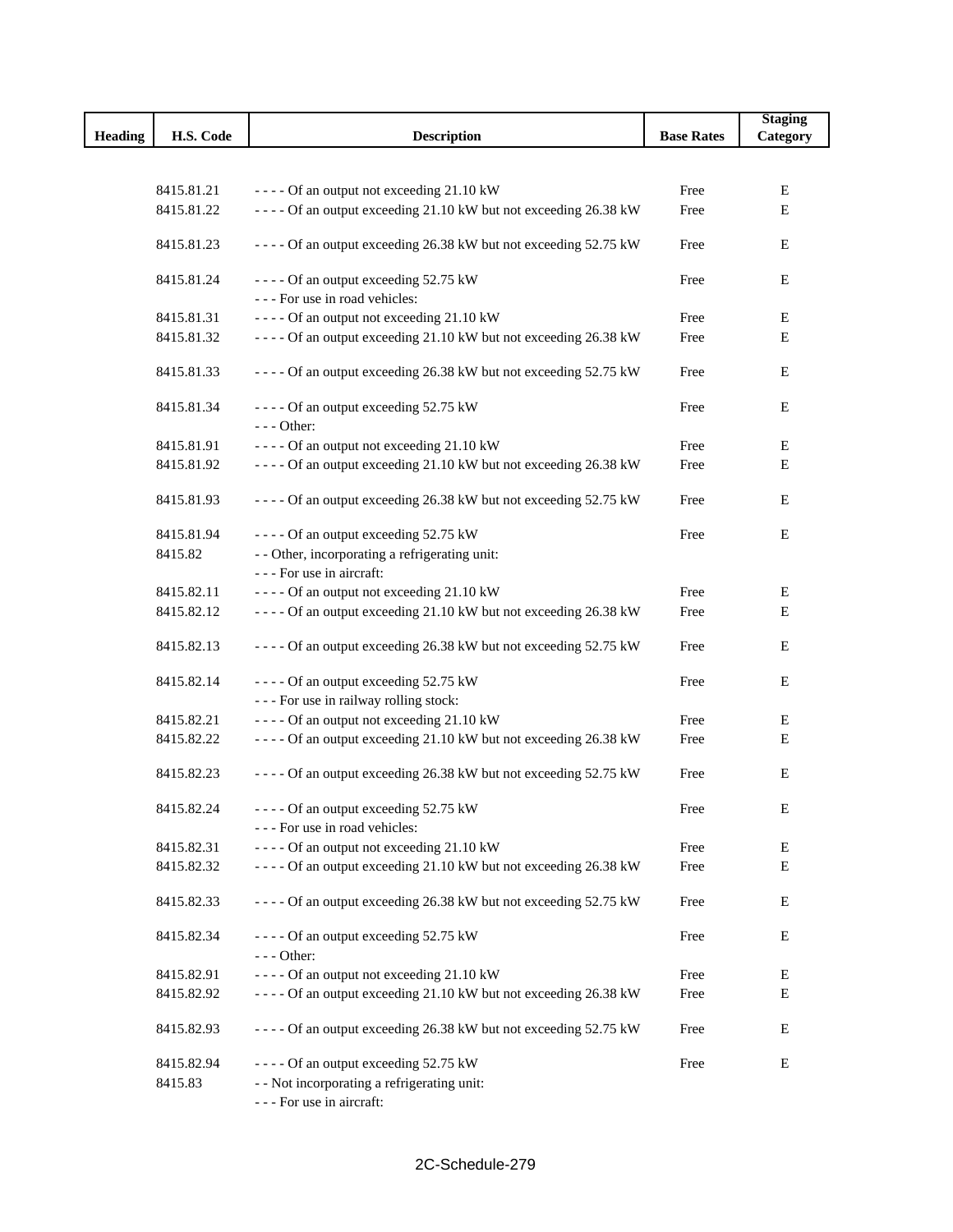|         |            |                                                                         |                   | <b>Staging</b> |
|---------|------------|-------------------------------------------------------------------------|-------------------|----------------|
| Heading | H.S. Code  | <b>Description</b>                                                      | <b>Base Rates</b> | Category       |
|         |            |                                                                         |                   |                |
|         | 8415.81.21 | ---- Of an output not exceeding 21.10 kW                                | Free              | Е              |
|         | 8415.81.22 | ---- Of an output exceeding 21.10 kW but not exceeding 26.38 kW         | Free              | Е              |
|         |            |                                                                         |                   |                |
|         | 8415.81.23 | ---- Of an output exceeding 26.38 kW but not exceeding 52.75 kW         | Free              | E              |
|         | 8415.81.24 | ---- Of an output exceeding 52.75 kW<br>--- For use in road vehicles:   | Free              | Е              |
|         | 8415.81.31 | ---- Of an output not exceeding 21.10 kW                                | Free              | E              |
|         | 8415.81.32 | ---- Of an output exceeding 21.10 kW but not exceeding 26.38 kW         | Free              | Е              |
|         |            |                                                                         |                   |                |
|         | 8415.81.33 | ---- Of an output exceeding 26.38 kW but not exceeding 52.75 kW         | Free              | Е              |
|         | 8415.81.34 | ---- Of an output exceeding 52.75 kW                                    | Free              | E              |
|         |            | $--$ Other:                                                             |                   |                |
|         | 8415.81.91 | ---- Of an output not exceeding 21.10 kW                                | Free              | Е              |
|         | 8415.81.92 | ---- Of an output exceeding 21.10 kW but not exceeding 26.38 kW         | Free              | E              |
|         | 8415.81.93 | ---- Of an output exceeding 26.38 kW but not exceeding 52.75 kW         | Free              | Е              |
|         | 8415.81.94 | ---- Of an output exceeding 52.75 kW                                    | Free              | E              |
|         | 8415.82    | - - Other, incorporating a refrigerating unit:                          |                   |                |
|         |            | --- For use in aircraft:                                                |                   |                |
|         | 8415.82.11 | ---- Of an output not exceeding 21.10 kW                                | Free              | Е              |
|         | 8415.82.12 | ---- Of an output exceeding 21.10 kW but not exceeding 26.38 kW         | Free              | E              |
|         |            |                                                                         |                   |                |
|         | 8415.82.13 | ---- Of an output exceeding 26.38 kW but not exceeding 52.75 kW         | Free              | Е              |
|         | 8415.82.14 | ---- Of an output exceeding 52.75 kW                                    | Free              | Е              |
|         |            | --- For use in railway rolling stock:                                   |                   |                |
|         | 8415.82.21 | ---- Of an output not exceeding 21.10 kW                                | Free              | Ε              |
|         | 8415.82.22 | ---- Of an output exceeding 21.10 kW but not exceeding 26.38 kW         | Free              | E              |
|         |            |                                                                         |                   |                |
|         | 8415.82.23 | ---- Of an output exceeding 26.38 kW but not exceeding 52.75 kW         | Free              | Е              |
|         | 8415.82.24 | ---- Of an output exceeding 52.75 kW<br>--- For use in road vehicles:   | Free              | $\mathbf E$    |
|         | 8415.82.31 | ---- Of an output not exceeding 21.10 kW                                | Free              | Е              |
|         | 8415.82.32 | ---- Of an output exceeding 21.10 kW but not exceeding 26.38 kW         | Free              | $\mathbf E$    |
|         |            |                                                                         |                   |                |
|         | 8415.82.33 | ---- Of an output exceeding 26.38 kW but not exceeding 52.75 kW         | Free              | Е              |
|         | 8415.82.34 | ---- Of an output exceeding 52.75 kW<br>$--- Other:$                    | Free              | E              |
|         | 8415.82.91 | ---- Of an output not exceeding 21.10 kW                                | Free              | E              |
|         | 8415.82.92 | ---- Of an output exceeding 21.10 kW but not exceeding 26.38 kW         | Free              | E              |
|         |            |                                                                         |                   |                |
|         | 8415.82.93 | ---- Of an output exceeding 26.38 kW but not exceeding 52.75 kW         | Free              | Ε              |
|         | 8415.82.94 | ---- Of an output exceeding 52.75 kW                                    | Free              | E              |
|         | 8415.83    | - - Not incorporating a refrigerating unit:<br>--- For use in aircraft: |                   |                |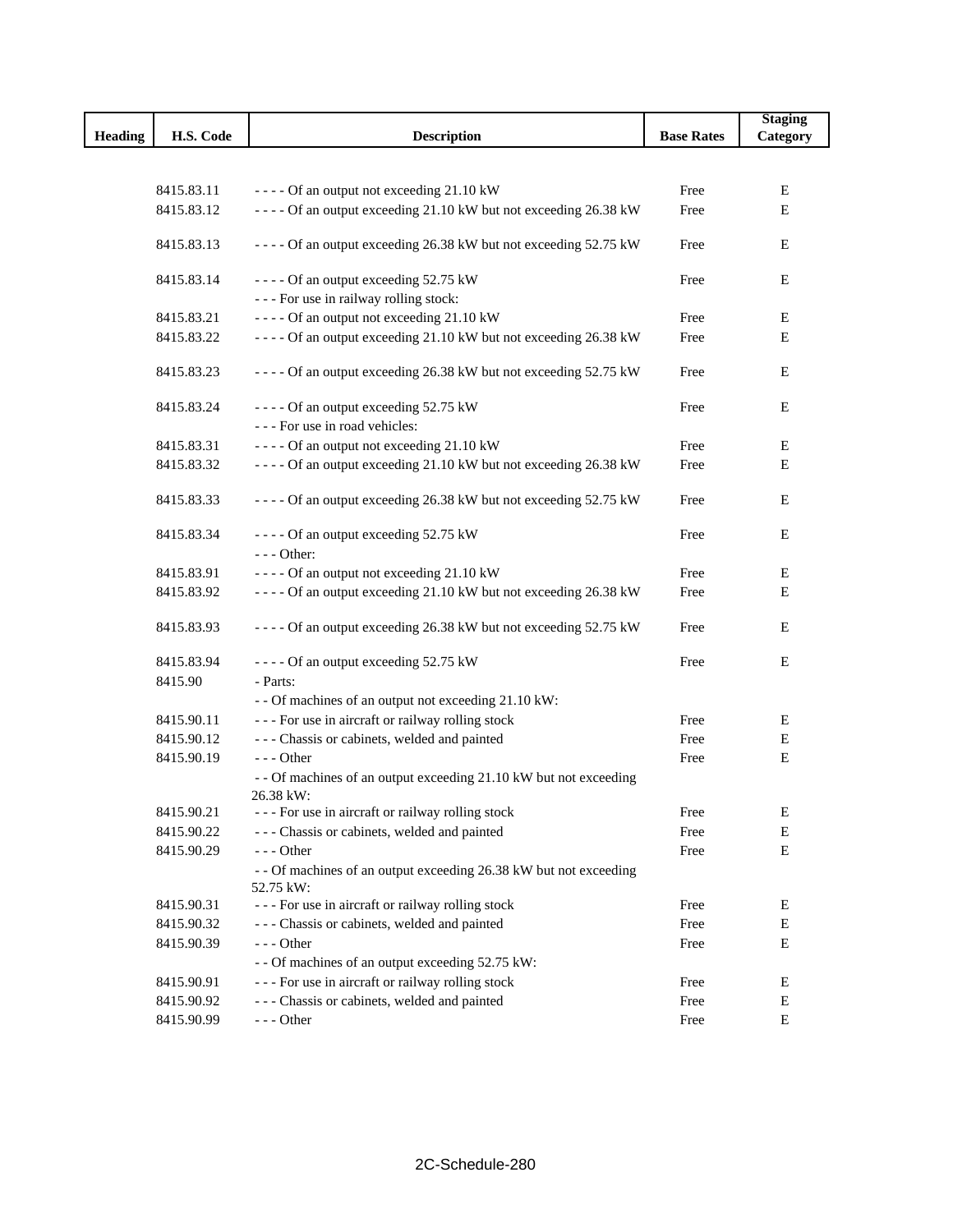|                |            |                                                                   |                   | <b>Staging</b> |
|----------------|------------|-------------------------------------------------------------------|-------------------|----------------|
| <b>Heading</b> | H.S. Code  | <b>Description</b>                                                | <b>Base Rates</b> | Category       |
|                |            |                                                                   |                   |                |
|                | 8415.83.11 | ---- Of an output not exceeding 21.10 kW                          | Free              | Е              |
|                | 8415.83.12 | ---- Of an output exceeding 21.10 kW but not exceeding 26.38 kW   | Free              | $\mathbf E$    |
|                |            |                                                                   |                   |                |
|                | 8415.83.13 | ---- Of an output exceeding 26.38 kW but not exceeding 52.75 kW   | Free              | E              |
|                | 8415.83.14 | ---- Of an output exceeding 52.75 kW                              | Free              | E              |
|                |            | --- For use in railway rolling stock:                             |                   |                |
|                | 8415.83.21 | - - - - Of an output not exceeding 21.10 kW                       | Free              | Ε              |
|                | 8415.83.22 | ---- Of an output exceeding 21.10 kW but not exceeding 26.38 kW   | Free              | Е              |
|                | 8415.83.23 | ---- Of an output exceeding 26.38 kW but not exceeding 52.75 kW   | Free              | Ε              |
|                |            |                                                                   |                   |                |
|                | 8415.83.24 | ---- Of an output exceeding 52.75 kW                              | Free              | E              |
|                |            | --- For use in road vehicles:                                     |                   |                |
|                | 8415.83.31 | ---- Of an output not exceeding 21.10 kW                          | Free              | Ε              |
|                | 8415.83.32 | ---- Of an output exceeding 21.10 kW but not exceeding 26.38 kW   | Free              | Е              |
|                | 8415.83.33 | ---- Of an output exceeding 26.38 kW but not exceeding 52.75 kW   | Free              | E              |
|                | 8415.83.34 | ---- Of an output exceeding 52.75 kW                              | Free              | E              |
|                |            | $--$ Other:                                                       |                   |                |
|                | 8415.83.91 | ---- Of an output not exceeding 21.10 kW                          | Free              | Ε              |
|                | 8415.83.92 | ---- Of an output exceeding 21.10 kW but not exceeding 26.38 kW   | Free              | E              |
|                | 8415.83.93 | ---- Of an output exceeding 26.38 kW but not exceeding 52.75 kW   | Free              | Ε              |
|                | 8415.83.94 | ---- Of an output exceeding 52.75 kW                              | Free              | E              |
|                | 8415.90    | - Parts:                                                          |                   |                |
|                |            | - - Of machines of an output not exceeding 21.10 kW:              |                   |                |
|                | 8415.90.11 | --- For use in aircraft or railway rolling stock                  | Free              | Ε              |
|                | 8415.90.12 | --- Chassis or cabinets, welded and painted                       | Free              | E              |
|                | 8415.90.19 | --- Other                                                         | Free              | E              |
|                |            | - - Of machines of an output exceeding 21.10 kW but not exceeding |                   |                |
|                |            | 26.38 kW:                                                         |                   |                |
|                | 8415.90.21 | --- For use in aircraft or railway rolling stock                  | Free              | Ε              |
|                | 8415.90.22 | --- Chassis or cabinets, welded and painted                       | Free              | E              |
|                | 8415.90.29 | $--$ Other                                                        | Free              | ${\bf E}$      |
|                |            | - - Of machines of an output exceeding 26.38 kW but not exceeding |                   |                |
|                |            | 52.75 kW:                                                         |                   |                |
|                | 8415.90.31 | --- For use in aircraft or railway rolling stock                  | Free              | E              |
|                | 8415.90.32 | --- Chassis or cabinets, welded and painted                       | Free              | E              |
|                | 8415.90.39 | $--$ Other                                                        | Free              | E              |
|                |            | - - Of machines of an output exceeding 52.75 kW:                  |                   |                |
|                | 8415.90.91 | --- For use in aircraft or railway rolling stock                  | Free              | E              |
|                | 8415.90.92 | --- Chassis or cabinets, welded and painted                       | Free              | Е              |
|                | 8415.90.99 | $--$ Other                                                        | Free              | ${\bf E}$      |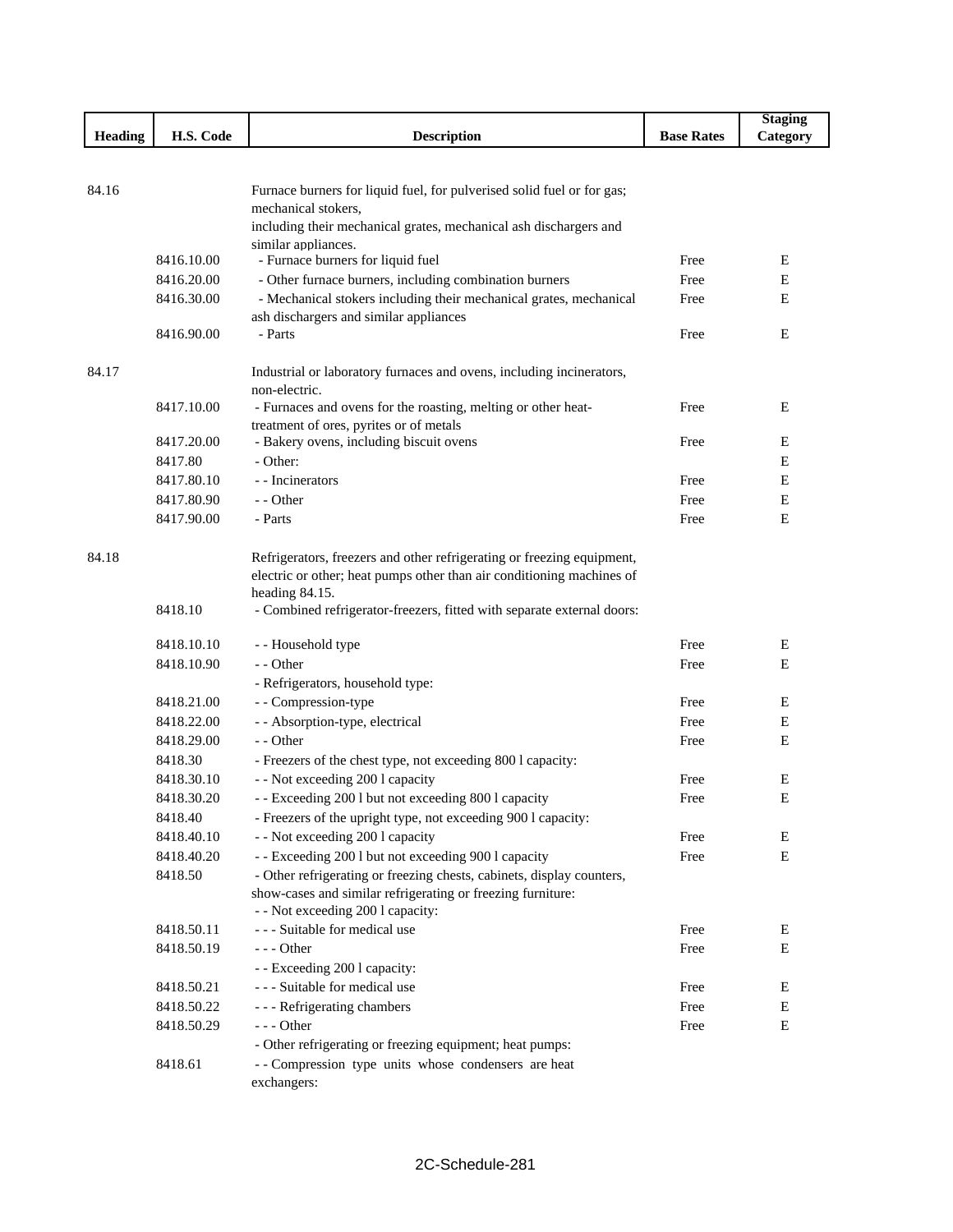|         |            |                                                                                          |                   | <b>Staging</b> |
|---------|------------|------------------------------------------------------------------------------------------|-------------------|----------------|
| Heading | H.S. Code  | <b>Description</b>                                                                       | <b>Base Rates</b> | Category       |
|         |            |                                                                                          |                   |                |
|         |            |                                                                                          |                   |                |
| 84.16   |            | Furnace burners for liquid fuel, for pulverised solid fuel or for gas;                   |                   |                |
|         |            | mechanical stokers,                                                                      |                   |                |
|         |            | including their mechanical grates, mechanical ash dischargers and<br>similar appliances. |                   |                |
|         | 8416.10.00 | - Furnace burners for liquid fuel                                                        | Free              | E              |
|         | 8416.20.00 | - Other furnace burners, including combination burners                                   | Free              | E              |
|         | 8416.30.00 | - Mechanical stokers including their mechanical grates, mechanical                       | Free              | E              |
|         |            | ash dischargers and similar appliances                                                   |                   |                |
|         | 8416.90.00 | - Parts                                                                                  | Free              | E              |
|         |            |                                                                                          |                   |                |
| 84.17   |            | Industrial or laboratory furnaces and ovens, including incinerators,                     |                   |                |
|         |            | non-electric.                                                                            |                   |                |
|         | 8417.10.00 | - Furnaces and ovens for the roasting, melting or other heat-                            | Free              | Ε              |
|         |            | treatment of ores, pyrites or of metals                                                  |                   |                |
|         | 8417.20.00 | - Bakery ovens, including biscuit ovens                                                  | Free              | E              |
|         | 8417.80    | - Other:                                                                                 |                   | Ε              |
|         | 8417.80.10 | - - Incinerators                                                                         | Free              | E              |
|         | 8417.80.90 | - - Other                                                                                | Free              | Е              |
|         | 8417.90.00 | - Parts                                                                                  | Free              | E              |
|         |            |                                                                                          |                   |                |
| 84.18   |            | Refrigerators, freezers and other refrigerating or freezing equipment,                   |                   |                |
|         |            | electric or other; heat pumps other than air conditioning machines of                    |                   |                |
|         |            | heading 84.15.                                                                           |                   |                |
|         | 8418.10    | - Combined refrigerator-freezers, fitted with separate external doors:                   |                   |                |
|         | 8418.10.10 | - - Household type                                                                       | Free              | E              |
|         | 8418.10.90 | - - Other                                                                                | Free              | E              |
|         |            |                                                                                          |                   |                |
|         |            | - Refrigerators, household type:                                                         |                   |                |
|         | 8418.21.00 | - - Compression-type                                                                     | Free              | Ε              |
|         | 8418.22.00 | - - Absorption-type, electrical                                                          | Free              | Е              |
|         | 8418.29.00 | - - Other                                                                                | Free              | E              |
|         | 8418.30    | - Freezers of the chest type, not exceeding 800 l capacity:                              |                   |                |
|         | 8418.30.10 | - - Not exceeding 200 l capacity                                                         | Free              | Ε              |
|         | 8418.30.20 | - - Exceeding 200 l but not exceeding 800 l capacity                                     | Free              | E              |
|         | 8418.40    | - Freezers of the upright type, not exceeding 900 l capacity:                            |                   |                |
|         | 8418.40.10 | - - Not exceeding 200 l capacity                                                         | Free              | E              |
|         | 8418.40.20 | - - Exceeding 200 l but not exceeding 900 l capacity                                     | Free              | E              |
|         | 8418.50    | - Other refrigerating or freezing chests, cabinets, display counters,                    |                   |                |
|         |            | show-cases and similar refrigerating or freezing furniture:                              |                   |                |
|         |            | - - Not exceeding 200 l capacity:                                                        |                   |                |
|         | 8418.50.11 | --- Suitable for medical use                                                             | Free              | E              |
|         | 8418.50.19 | $--$ Other                                                                               | Free              | E              |
|         |            | - - Exceeding 200 l capacity:                                                            |                   |                |
|         | 8418.50.21 | --- Suitable for medical use                                                             | Free              | ${\bf E}$      |
|         | 8418.50.22 | --- Refrigerating chambers                                                               | Free              | ${\bf E}$      |
|         | 8418.50.29 | --- Other                                                                                | Free              | $\mathbf E$    |
|         |            | - Other refrigerating or freezing equipment; heat pumps:                                 |                   |                |
|         | 8418.61    | -- Compression type units whose condensers are heat                                      |                   |                |
|         |            | exchangers:                                                                              |                   |                |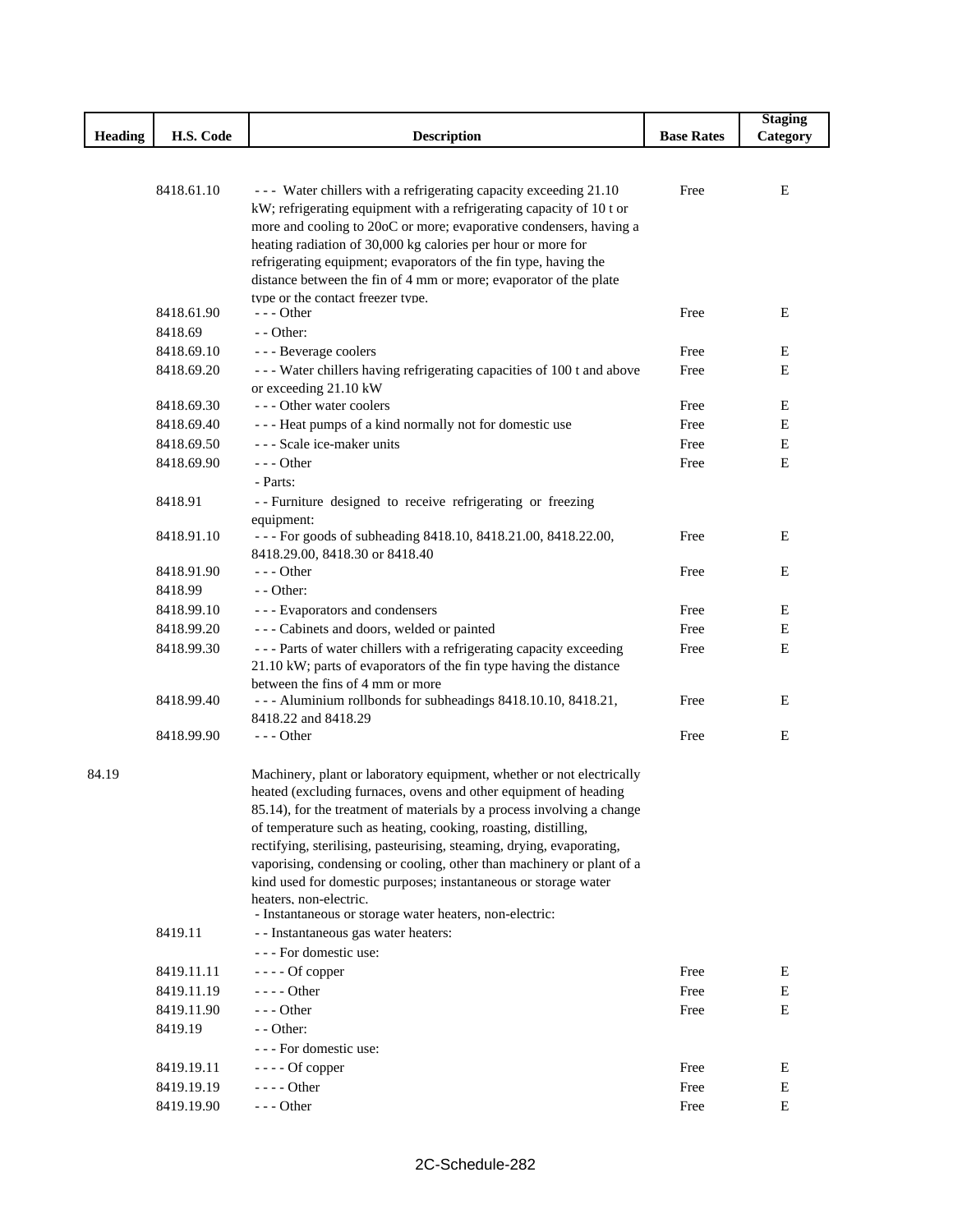|         |            |                                                                                                                                                                                                                |                   | <b>Staging</b> |
|---------|------------|----------------------------------------------------------------------------------------------------------------------------------------------------------------------------------------------------------------|-------------------|----------------|
| Heading | H.S. Code  | <b>Description</b>                                                                                                                                                                                             | <b>Base Rates</b> | Category       |
|         |            |                                                                                                                                                                                                                |                   |                |
|         | 8418.61.10 | --- Water chillers with a refrigerating capacity exceeding 21.10<br>kW; refrigerating equipment with a refrigerating capacity of 10 t or<br>more and cooling to 20oC or more; evaporative condensers, having a | Free              | E              |
|         |            | heating radiation of 30,000 kg calories per hour or more for<br>refrigerating equipment; evaporators of the fin type, having the<br>distance between the fin of 4 mm or more; evaporator of the plate          |                   |                |
|         | 8418.61.90 | type or the contact freezer type.<br>- - - Other                                                                                                                                                               | Free              | Ε              |
|         | 8418.69    | - - Other:                                                                                                                                                                                                     |                   |                |
|         | 8418.69.10 | - - - Beverage coolers                                                                                                                                                                                         | Free              | E              |
|         | 8418.69.20 | - - - Water chillers having refrigerating capacities of 100 t and above<br>or exceeding 21.10 kW                                                                                                               | Free              | E              |
|         | 8418.69.30 | --- Other water coolers                                                                                                                                                                                        | Free              | Ε              |
|         | 8418.69.40 | --- Heat pumps of a kind normally not for domestic use                                                                                                                                                         | Free              | E              |
|         | 8418.69.50 | - - - Scale ice-maker units                                                                                                                                                                                    | Free              | Е              |
|         | 8418.69.90 | --- Other                                                                                                                                                                                                      | Free              | E              |
|         |            | - Parts:                                                                                                                                                                                                       |                   |                |
|         | 8418.91    | -- Furniture designed to receive refrigerating or freezing<br>equipment:                                                                                                                                       |                   |                |
|         | 8418.91.10 | --- For goods of subheading 8418.10, 8418.21.00, 8418.22.00,<br>8418.29.00, 8418.30 or 8418.40                                                                                                                 | Free              | E              |
|         | 8418.91.90 | $--$ Other                                                                                                                                                                                                     | Free              | Ε              |
|         | 8418.99    | - - Other:                                                                                                                                                                                                     |                   |                |
|         | 8418.99.10 | - - - Evaporators and condensers                                                                                                                                                                               | Free              | Ε              |
|         | 8418.99.20 | --- Cabinets and doors, welded or painted                                                                                                                                                                      | Free              | E              |
|         | 8418.99.30 | --- Parts of water chillers with a refrigerating capacity exceeding                                                                                                                                            | Free              | Е              |
|         |            | 21.10 kW; parts of evaporators of the fin type having the distance<br>between the fins of 4 mm or more                                                                                                         |                   |                |
|         | 8418.99.40 | - - - Aluminium rollbonds for subheadings 8418.10.10, 8418.21,<br>8418.22 and 8418.29                                                                                                                          | Free              | E              |
|         | 8418.99.90 | --- Other                                                                                                                                                                                                      | Free              | E              |
|         |            |                                                                                                                                                                                                                |                   |                |
| 84.19   |            | Machinery, plant or laboratory equipment, whether or not electrically                                                                                                                                          |                   |                |
|         |            | heated (excluding furnaces, ovens and other equipment of heading                                                                                                                                               |                   |                |
|         |            | 85.14), for the treatment of materials by a process involving a change                                                                                                                                         |                   |                |
|         |            | of temperature such as heating, cooking, roasting, distilling,                                                                                                                                                 |                   |                |
|         |            | rectifying, sterilising, pasteurising, steaming, drying, evaporating,                                                                                                                                          |                   |                |
|         |            | vaporising, condensing or cooling, other than machinery or plant of a<br>kind used for domestic purposes; instantaneous or storage water                                                                       |                   |                |
|         |            | heaters. non-electric.<br>- Instantaneous or storage water heaters, non-electric:                                                                                                                              |                   |                |
|         | 8419.11    | - - Instantaneous gas water heaters:                                                                                                                                                                           |                   |                |
|         |            | --- For domestic use:                                                                                                                                                                                          |                   |                |
|         | 8419.11.11 | $---$ Of copper                                                                                                                                                                                                | Free              | Ε              |
|         | 8419.11.19 | $--- Other$                                                                                                                                                                                                    | Free              | ${\bf E}$      |
|         | 8419.11.90 | $- -$ Other                                                                                                                                                                                                    | Free              | E              |
|         | 8419.19    | - - Other:                                                                                                                                                                                                     |                   |                |
|         |            | --- For domestic use:                                                                                                                                                                                          |                   |                |
|         | 8419.19.11 | $---$ Of copper                                                                                                                                                                                                | Free              | E              |
|         | 8419.19.19 | - - - - Other                                                                                                                                                                                                  | Free              | Е              |
|         | 8419.19.90 | $--$ Other                                                                                                                                                                                                     | Free              | $\mathbf E$    |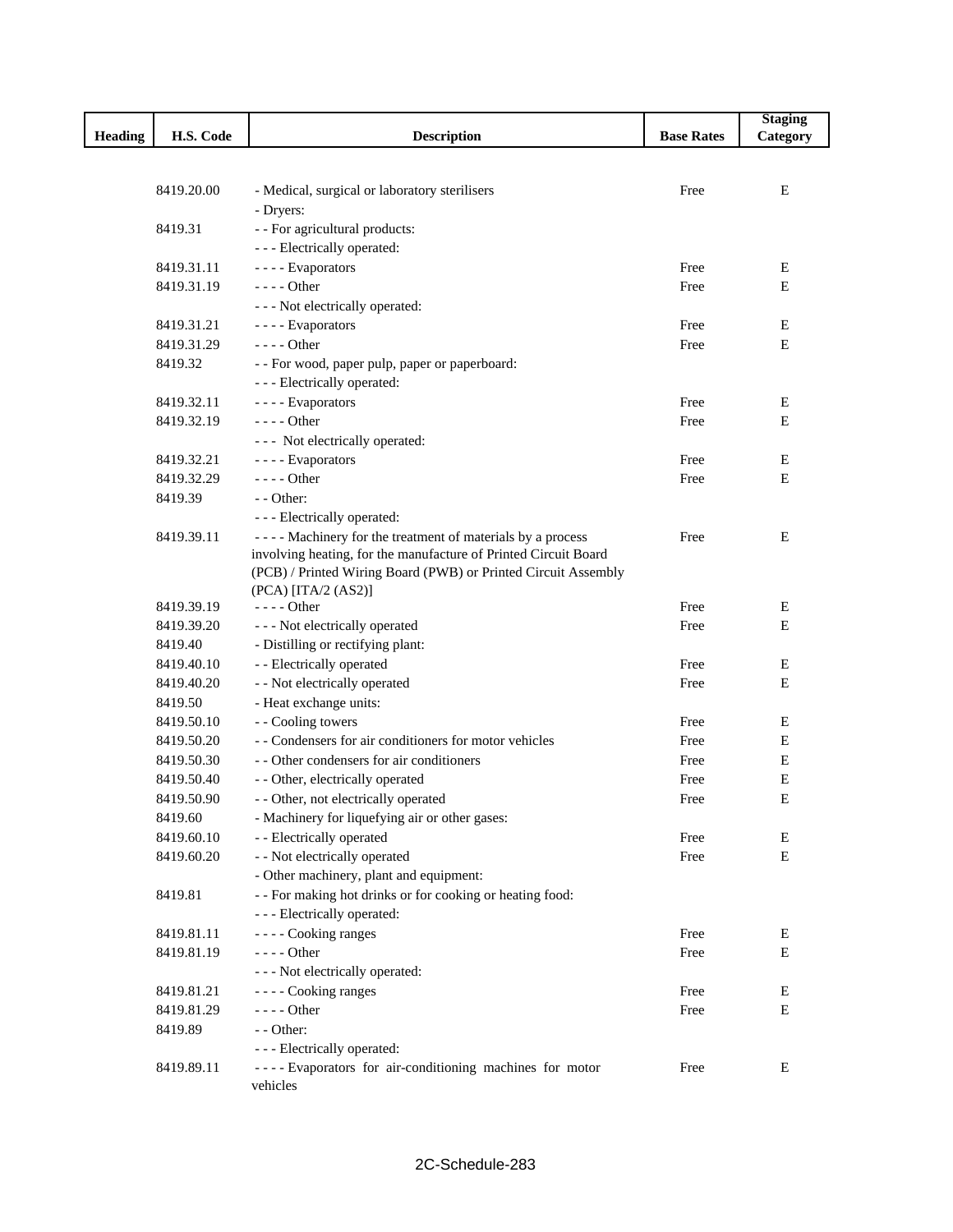|                |            |                                                                 |                   | <b>Staging</b> |
|----------------|------------|-----------------------------------------------------------------|-------------------|----------------|
| <b>Heading</b> | H.S. Code  | <b>Description</b>                                              | <b>Base Rates</b> | Category       |
|                |            |                                                                 |                   |                |
|                |            |                                                                 |                   |                |
|                | 8419.20.00 | - Medical, surgical or laboratory sterilisers                   | Free              | Е              |
|                |            | - Dryers:                                                       |                   |                |
|                | 8419.31    | - - For agricultural products:                                  |                   |                |
|                |            | - - - Electrically operated:                                    |                   |                |
|                | 8419.31.11 | ---- Evaporators                                                | Free              | E              |
|                | 8419.31.19 | $---Other$                                                      | Free              | E              |
|                |            | - - - Not electrically operated:                                |                   |                |
|                | 8419.31.21 | ---- Evaporators                                                | Free              | E              |
|                | 8419.31.29 | $--- Other$                                                     | Free              | E              |
|                | 8419.32    | - - For wood, paper pulp, paper or paperboard:                  |                   |                |
|                |            | - - - Electrically operated:                                    |                   |                |
|                | 8419.32.11 | ---- Evaporators                                                | Free              | E              |
|                | 8419.32.19 | $--- Other$                                                     | Free              | $\mathbf E$    |
|                |            | --- Not electrically operated:                                  |                   |                |
|                | 8419.32.21 | ---- Evaporators                                                | Free              | Е              |
|                | 8419.32.29 | $--$ Other                                                      | Free              | $\mathbf E$    |
|                | 8419.39    | $-$ - Other:                                                    |                   |                |
|                |            | - - - Electrically operated:                                    |                   |                |
|                | 8419.39.11 | ---- Machinery for the treatment of materials by a process      | Free              | Е              |
|                |            | involving heating, for the manufacture of Printed Circuit Board |                   |                |
|                |            | (PCB) / Printed Wiring Board (PWB) or Printed Circuit Assembly  |                   |                |
|                |            | $(PCA)$ [ITA/2 (AS2)]                                           |                   |                |
|                | 8419.39.19 | $--- Other$                                                     | Free              | Е              |
|                | 8419.39.20 | - - - Not electrically operated                                 | Free              | E              |
|                | 8419.40    | - Distilling or rectifying plant:                               |                   |                |
|                | 8419.40.10 | - - Electrically operated                                       | Free              | Е              |
|                | 8419.40.20 | - - Not electrically operated                                   | Free              | E              |
|                | 8419.50    | - Heat exchange units:                                          |                   |                |
|                | 8419.50.10 | - - Cooling towers                                              | Free              | Е              |
|                | 8419.50.20 | - - Condensers for air conditioners for motor vehicles          | Free              | Е              |
|                | 8419.50.30 | - - Other condensers for air conditioners                       | Free              | Е              |
|                | 8419.50.40 | - - Other, electrically operated                                | Free              | E              |
|                | 8419.50.90 | - - Other, not electrically operated                            | Free              | E              |
|                | 8419.60    | - Machinery for liquefying air or other gases:                  |                   |                |
|                | 8419.60.10 | - - Electrically operated                                       | Free              | E              |
|                | 8419.60.20 | - - Not electrically operated                                   | Free              | $\mathbf E$    |
|                |            | - Other machinery, plant and equipment:                         |                   |                |
|                | 8419.81    | - - For making hot drinks or for cooking or heating food:       |                   |                |
|                |            | - - - Electrically operated:                                    |                   |                |
|                | 8419.81.11 | - - - - Cooking ranges                                          | Free              | Е              |
|                | 8419.81.19 | - - - - Other                                                   | Free              | Е              |
|                |            | - - - Not electrically operated:                                |                   |                |
|                | 8419.81.21 | ---- Cooking ranges                                             | Free              | E              |
|                | 8419.81.29 | $--- Other$                                                     | Free              | Е              |
|                | 8419.89    | - - Other:                                                      |                   |                |
|                |            | - - - Electrically operated:                                    |                   |                |
|                | 8419.89.11 | ---- Evaporators for air-conditioning machines for motor        | Free              | E              |
|                |            | vehicles                                                        |                   |                |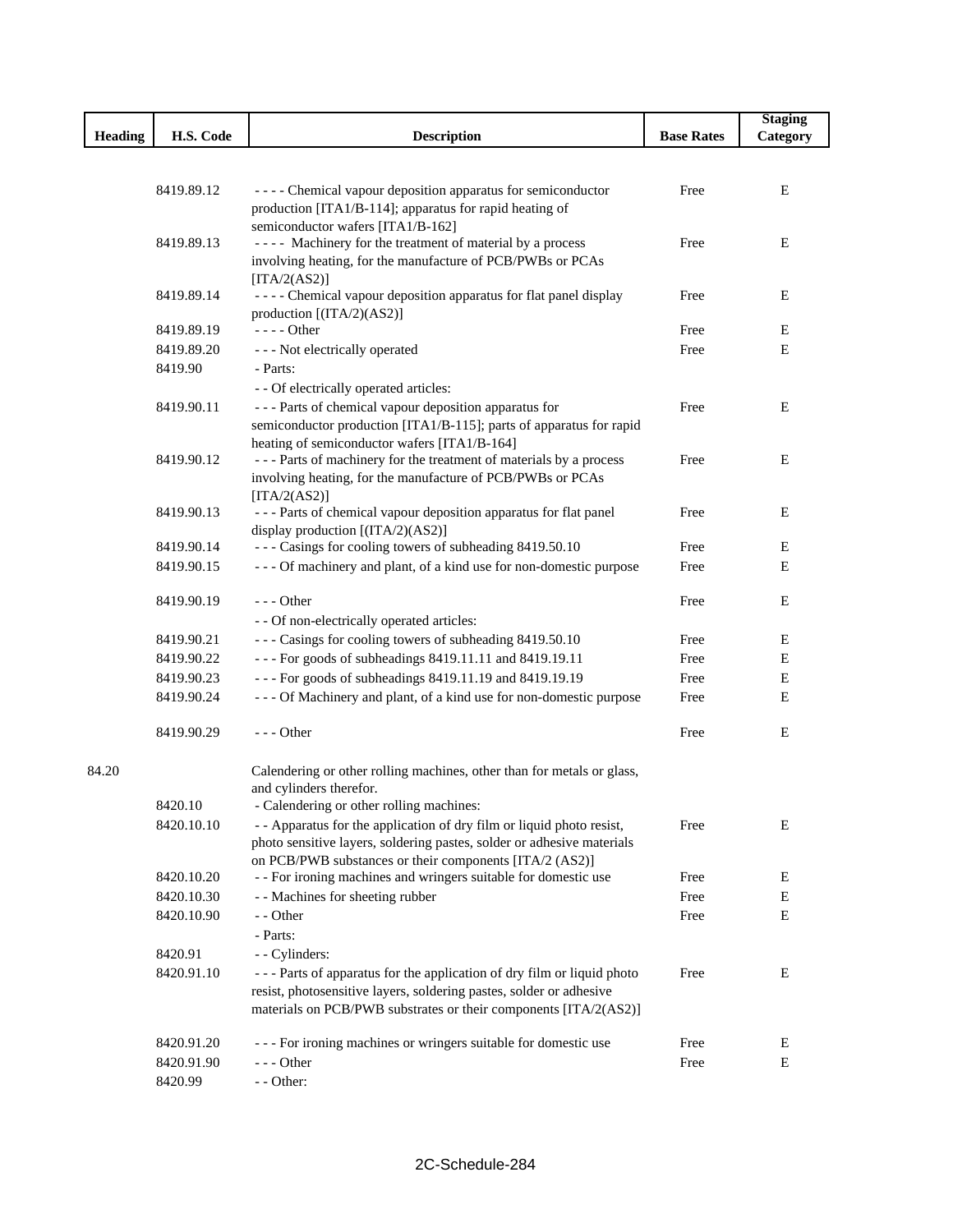|         |            |                                                                                                                                         |                   | <b>Staging</b> |
|---------|------------|-----------------------------------------------------------------------------------------------------------------------------------------|-------------------|----------------|
| Heading | H.S. Code  | <b>Description</b>                                                                                                                      | <b>Base Rates</b> | Category       |
|         |            |                                                                                                                                         |                   |                |
|         |            |                                                                                                                                         |                   |                |
|         | 8419.89.12 | - - - - Chemical vapour deposition apparatus for semiconductor                                                                          | Free              | E              |
|         |            | production [ITA1/B-114]; apparatus for rapid heating of                                                                                 |                   |                |
|         | 8419.89.13 | semiconductor wafers [ITA1/B-162]<br>---- Machinery for the treatment of material by a process                                          | Free              | E              |
|         |            | involving heating, for the manufacture of PCB/PWBs or PCAs                                                                              |                   |                |
|         |            | [ITA/2(AS2)]                                                                                                                            |                   |                |
|         | 8419.89.14 | - - - - Chemical vapour deposition apparatus for flat panel display                                                                     | Free              | Ε              |
|         |            | production [(ITA/2)(AS2)]                                                                                                               |                   |                |
|         | 8419.89.19 | - - - - Other                                                                                                                           | Free              | E              |
|         | 8419.89.20 | - - - Not electrically operated                                                                                                         | Free              | E              |
|         | 8419.90    | - Parts:                                                                                                                                |                   |                |
|         |            | - - Of electrically operated articles:                                                                                                  |                   |                |
|         | 8419.90.11 | --- Parts of chemical vapour deposition apparatus for                                                                                   | Free              | Е              |
|         |            | semiconductor production [ITA1/B-115]; parts of apparatus for rapid                                                                     |                   |                |
|         |            | heating of semiconductor wafers [ITA1/B-164]                                                                                            |                   |                |
|         | 8419.90.12 | --- Parts of machinery for the treatment of materials by a process                                                                      | Free              | E              |
|         |            | involving heating, for the manufacture of PCB/PWBs or PCAs                                                                              |                   |                |
|         | 8419.90.13 | [ITA/2(AS2)]<br>--- Parts of chemical vapour deposition apparatus for flat panel                                                        | Free              | E              |
|         |            | display production [(ITA/2)(AS2)]                                                                                                       |                   |                |
|         | 8419.90.14 | --- Casings for cooling towers of subheading 8419.50.10                                                                                 | Free              | Е              |
|         | 8419.90.15 | --- Of machinery and plant, of a kind use for non-domestic purpose                                                                      | Free              | E              |
|         |            |                                                                                                                                         |                   |                |
|         | 8419.90.19 | $- -$ Other                                                                                                                             | Free              | E              |
|         |            | - - Of non-electrically operated articles:                                                                                              |                   |                |
|         | 8419.90.21 | --- Casings for cooling towers of subheading 8419.50.10                                                                                 | Free              | Е              |
|         | 8419.90.22 | - - - For goods of subheadings 8419.11.11 and 8419.19.11                                                                                | Free              | Е              |
|         | 8419.90.23 | - - - For goods of subheadings 8419.11.19 and 8419.19.19                                                                                | Free              | Е              |
|         | 8419.90.24 | - - - Of Machinery and plant, of a kind use for non-domestic purpose                                                                    | Free              | Е              |
|         | 8419.90.29 | $--$ Other                                                                                                                              | Free              | E              |
| 84.20   |            | Calendering or other rolling machines, other than for metals or glass,                                                                  |                   |                |
|         |            | and cylinders therefor.                                                                                                                 |                   |                |
|         | 8420.10    | - Calendering or other rolling machines:                                                                                                |                   |                |
|         | 8420.10.10 | - - Apparatus for the application of dry film or liquid photo resist,                                                                   | Free              | Е              |
|         |            | photo sensitive layers, soldering pastes, solder or adhesive materials                                                                  |                   |                |
|         |            | on PCB/PWB substances or their components [ITA/2 (AS2)]                                                                                 |                   |                |
|         | 8420.10.20 | - - For ironing machines and wringers suitable for domestic use                                                                         | Free              | E              |
|         | 8420.10.30 | - - Machines for sheeting rubber                                                                                                        | Free              | E              |
|         | 8420.10.90 | - - Other                                                                                                                               | Free              | E              |
|         |            | - Parts:                                                                                                                                |                   |                |
|         | 8420.91    | - - Cylinders:                                                                                                                          |                   |                |
|         | 8420.91.10 | - - - Parts of apparatus for the application of dry film or liquid photo                                                                | Free              | E              |
|         |            | resist, photosensitive layers, soldering pastes, solder or adhesive<br>materials on PCB/PWB substrates or their components [ITA/2(AS2)] |                   |                |
|         | 8420.91.20 | --- For ironing machines or wringers suitable for domestic use                                                                          | Free              | Ε              |
|         | 8420.91.90 | $--$ Other                                                                                                                              | Free              | Е              |
|         | 8420.99    | - - Other:                                                                                                                              |                   |                |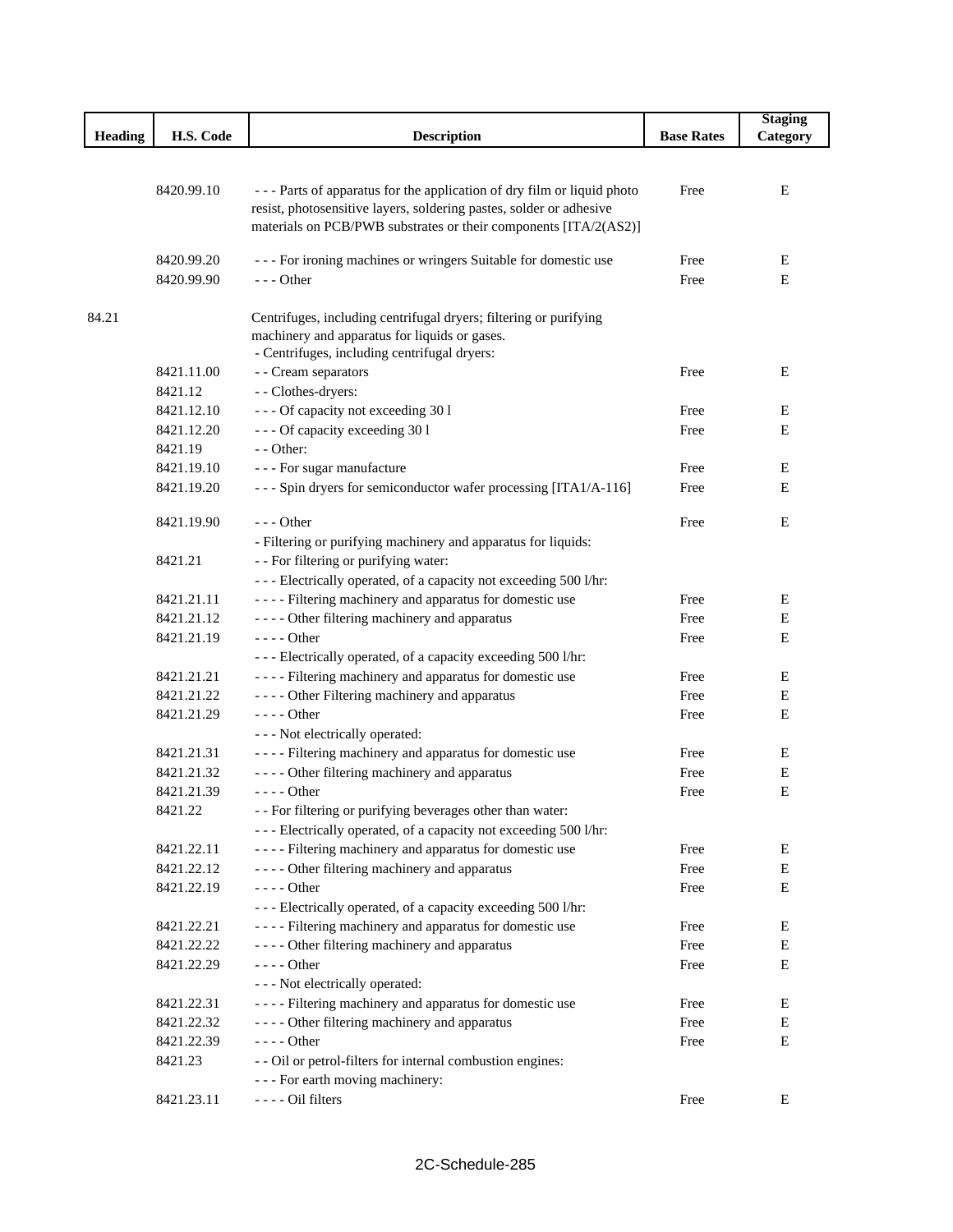|         |            |                                                                                                                                                                                                                   |                   | <b>Staging</b> |
|---------|------------|-------------------------------------------------------------------------------------------------------------------------------------------------------------------------------------------------------------------|-------------------|----------------|
| Heading | H.S. Code  | <b>Description</b>                                                                                                                                                                                                | <b>Base Rates</b> | Category       |
|         |            |                                                                                                                                                                                                                   |                   |                |
|         | 8420.99.10 | --- Parts of apparatus for the application of dry film or liquid photo<br>resist, photosensitive layers, soldering pastes, solder or adhesive<br>materials on PCB/PWB substrates or their components [ITA/2(AS2)] | Free              | E              |
|         | 8420.99.20 | - - - For ironing machines or wringers Suitable for domestic use                                                                                                                                                  | Free              | E              |
|         | 8420.99.90 | $- -$ Other                                                                                                                                                                                                       | Free              | Е              |
|         |            |                                                                                                                                                                                                                   |                   |                |
| 84.21   |            | Centrifuges, including centrifugal dryers; filtering or purifying<br>machinery and apparatus for liquids or gases.<br>- Centrifuges, including centrifugal dryers:                                                |                   |                |
|         | 8421.11.00 | - - Cream separators                                                                                                                                                                                              | Free              | Ε              |
|         | 8421.12    | - - Clothes-dryers:                                                                                                                                                                                               |                   |                |
|         | 8421.12.10 | --- Of capacity not exceeding 30 l                                                                                                                                                                                | Free              | E              |
|         | 8421.12.20 | --- Of capacity exceeding 30 l                                                                                                                                                                                    | Free              | Е              |
|         | 8421.19    | - - Other:                                                                                                                                                                                                        |                   |                |
|         | 8421.19.10 | - - - For sugar manufacture                                                                                                                                                                                       | Free              | Ε              |
|         | 8421.19.20 | --- Spin dryers for semiconductor wafer processing [ITA1/A-116]                                                                                                                                                   | Free              | Е              |
|         | 8421.19.90 | $--$ Other                                                                                                                                                                                                        | Free              | Е              |
|         |            | - Filtering or purifying machinery and apparatus for liquids:                                                                                                                                                     |                   |                |
|         | 8421.21    | - - For filtering or purifying water:                                                                                                                                                                             |                   |                |
|         |            | --- Electrically operated, of a capacity not exceeding 500 l/hr:                                                                                                                                                  |                   |                |
|         | 8421.21.11 | - - - - Filtering machinery and apparatus for domestic use                                                                                                                                                        | Free              | Ε              |
|         | 8421.21.12 | - - - - Other filtering machinery and apparatus                                                                                                                                                                   | Free              | Е              |
|         | 8421.21.19 | $--- Other$                                                                                                                                                                                                       | Free              | Е              |
|         |            | - - - Electrically operated, of a capacity exceeding 500 l/hr:                                                                                                                                                    |                   |                |
|         | 8421.21.21 | ---- Filtering machinery and apparatus for domestic use                                                                                                                                                           | Free              | E              |
|         | 8421.21.22 | - - - - Other Filtering machinery and apparatus                                                                                                                                                                   | Free              | Е              |
|         | 8421.21.29 | $--- Other$                                                                                                                                                                                                       | Free              | Е              |
|         |            | - - - Not electrically operated:                                                                                                                                                                                  |                   |                |
|         | 8421.21.31 | - - - - Filtering machinery and apparatus for domestic use                                                                                                                                                        | Free              | Ε              |
|         | 8421.21.32 | - - - - Other filtering machinery and apparatus                                                                                                                                                                   | Free              | Е              |
|         | 8421.21.39 | - - - - Other                                                                                                                                                                                                     | Free              | E              |
|         | 8421.22    | - - For filtering or purifying beverages other than water:                                                                                                                                                        |                   |                |
|         |            | - - - Electrically operated, of a capacity not exceeding 500 l/hr:                                                                                                                                                |                   |                |
|         | 8421.22.11 | - - - - Filtering machinery and apparatus for domestic use                                                                                                                                                        | Free              | E              |
|         | 8421.22.12 | - - - - Other filtering machinery and apparatus                                                                                                                                                                   | Free              | ${\bf E}$      |
|         | 8421.22.19 | $--- Other$                                                                                                                                                                                                       | Free              | E              |
|         |            | - - - Electrically operated, of a capacity exceeding 500 l/hr:                                                                                                                                                    |                   |                |
|         | 8421.22.21 | - - - - Filtering machinery and apparatus for domestic use                                                                                                                                                        | Free              | Ε              |
|         | 8421.22.22 | - - - - Other filtering machinery and apparatus                                                                                                                                                                   | Free              | ${\bf E}$      |
|         | 8421.22.29 | $--- Other$                                                                                                                                                                                                       | Free              | E              |
|         |            | - - - Not electrically operated:                                                                                                                                                                                  |                   |                |
|         | 8421.22.31 | - - - - Filtering machinery and apparatus for domestic use                                                                                                                                                        | Free              | Е              |
|         | 8421.22.32 | - - - - Other filtering machinery and apparatus                                                                                                                                                                   | Free              | E              |
|         | 8421.22.39 | - - - - Other                                                                                                                                                                                                     | Free              | E              |
|         | 8421.23    | - - Oil or petrol-filters for internal combustion engines:                                                                                                                                                        |                   |                |
|         |            | - - - For earth moving machinery:                                                                                                                                                                                 |                   |                |
|         | 8421.23.11 | ---- Oil filters                                                                                                                                                                                                  | Free              | Ε              |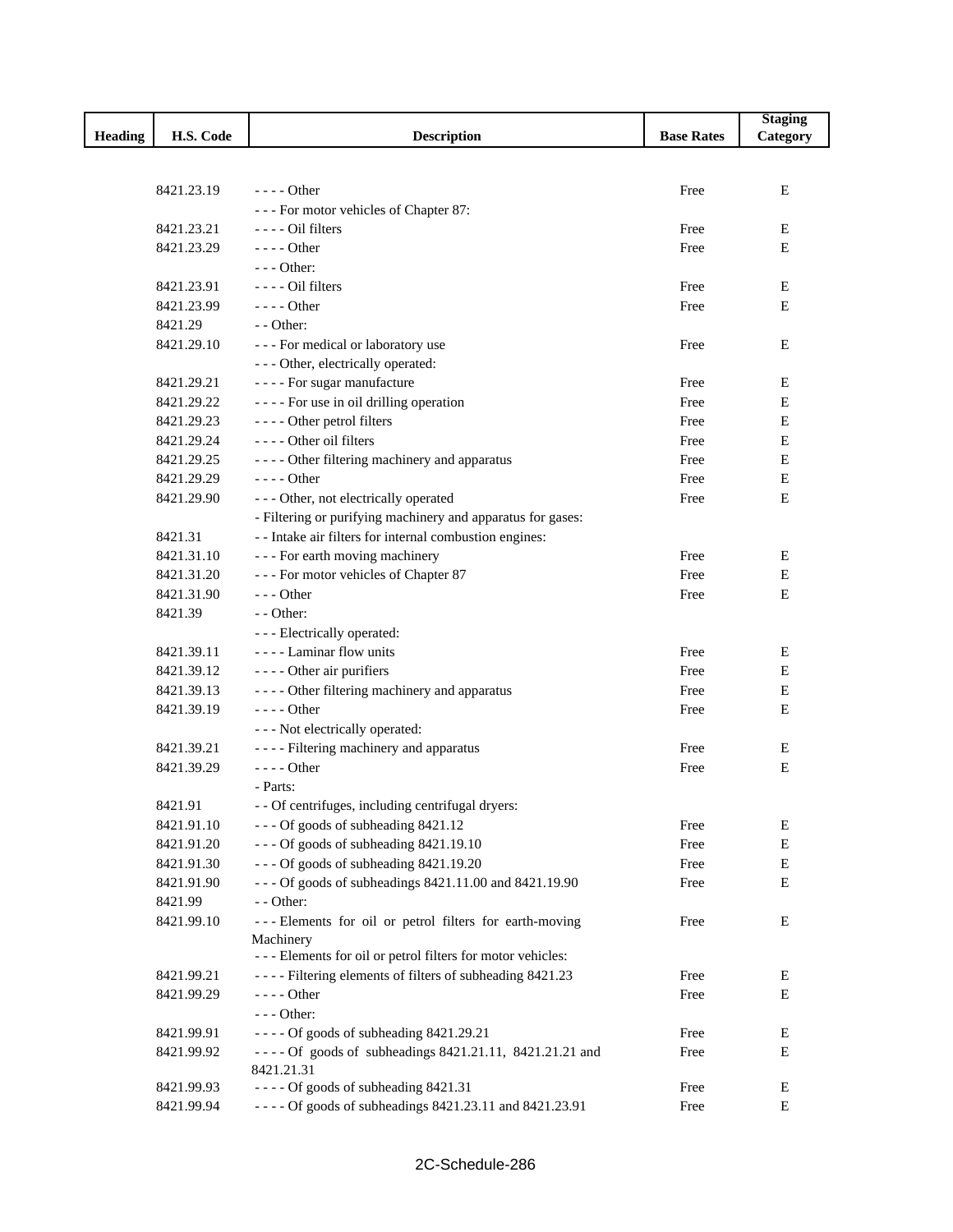|                |            |                                                             |                   | <b>Staging</b> |
|----------------|------------|-------------------------------------------------------------|-------------------|----------------|
| <b>Heading</b> | H.S. Code  | <b>Description</b>                                          | <b>Base Rates</b> | Category       |
|                |            |                                                             |                   |                |
|                |            |                                                             |                   |                |
|                | 8421.23.19 | $---$ Other                                                 | Free              | $\mathbf E$    |
|                |            | --- For motor vehicles of Chapter 87:                       |                   |                |
|                | 8421.23.21 | $---$ Oil filters                                           | Free              | Е              |
|                | 8421.23.29 | $---$ Other                                                 | Free              | Е              |
|                |            | $--$ Other:                                                 |                   |                |
|                | 8421.23.91 | $---$ Oil filters                                           | Free              | Е              |
|                | 8421.23.99 | $---$ Other                                                 | Free              | E              |
|                | 8421.29    | $-$ - Other:                                                |                   |                |
|                | 8421.29.10 | --- For medical or laboratory use                           | Free              | Е              |
|                |            | - - - Other, electrically operated:                         |                   |                |
|                | 8421.29.21 | - - - - For sugar manufacture                               | Free              | Е              |
|                | 8421.29.22 | ---- For use in oil drilling operation                      | Free              | E              |
|                | 8421.29.23 | ---- Other petrol filters                                   | Free              | Е              |
|                | 8421.29.24 | ---- Other oil filters                                      | Free              | Ε              |
|                | 8421.29.25 | - - - - Other filtering machinery and apparatus             | Free              | Е              |
|                | 8421.29.29 | $---$ Other                                                 | Free              | Ε              |
|                | 8421.29.90 | - - - Other, not electrically operated                      | Free              | Е              |
|                |            | - Filtering or purifying machinery and apparatus for gases: |                   |                |
|                | 8421.31    | - - Intake air filters for internal combustion engines:     |                   |                |
|                | 8421.31.10 | --- For earth moving machinery                              | Free              | E              |
|                | 8421.31.20 | --- For motor vehicles of Chapter 87                        | Free              | Е              |
|                | 8421.31.90 | $--$ Other                                                  | Free              | Е              |
|                | 8421.39    | $-$ - Other:                                                |                   |                |
|                |            | - - - Electrically operated:                                |                   |                |
|                | 8421.39.11 | - - - - Laminar flow units                                  | Free              | Е              |
|                | 8421.39.12 | - - - - Other air purifiers                                 | Free              | Е              |
|                | 8421.39.13 | - - - - Other filtering machinery and apparatus             | Free              | E              |
|                | 8421.39.19 | $---Other$                                                  | Free              | Е              |
|                |            | - - - Not electrically operated:                            |                   |                |
|                | 8421.39.21 | - - - - Filtering machinery and apparatus                   | Free              | Е              |
|                | 8421.39.29 | $---Other$                                                  | Free              | E              |
|                |            | - Parts:                                                    |                   |                |
|                | 8421.91    | - - Of centrifuges, including centrifugal dryers:           |                   |                |
|                | 8421.91.10 | --- Of goods of subheading 8421.12                          | Free              | Ε              |
|                | 8421.91.20 | --- Of goods of subheading 8421.19.10                       | Free              | E              |
|                | 8421.91.30 | --- Of goods of subheading 8421.19.20                       | Free              | E              |
|                | 8421.91.90 | --- Of goods of subheadings 8421.11.00 and 8421.19.90       | Free              | Е              |
|                | 8421.99    | $-$ - Other:                                                |                   |                |
|                | 8421.99.10 | --- Elements for oil or petrol filters for earth-moving     | Free              | Ε              |
|                |            | Machinery                                                   |                   |                |
|                |            | --- Elements for oil or petrol filters for motor vehicles:  |                   |                |
|                | 8421.99.21 | ---- Filtering elements of filters of subheading 8421.23    | Free              | Ε              |
|                | 8421.99.29 | $--- Other$                                                 | Free              | Е              |
|                |            | $--$ Other:                                                 |                   |                |
|                | 8421.99.91 | ---- Of goods of subheading 8421.29.21                      | Free              | Е              |
|                | 8421.99.92 | ---- Of goods of subheadings 8421.21.11, 8421.21.21 and     | Free              | Ε              |
|                |            | 8421.21.31                                                  |                   |                |
|                | 8421.99.93 | ---- Of goods of subheading 8421.31                         | Free              | Ε              |
|                | 8421.99.94 | ---- Of goods of subheadings 8421.23.11 and 8421.23.91      | Free              | Ε              |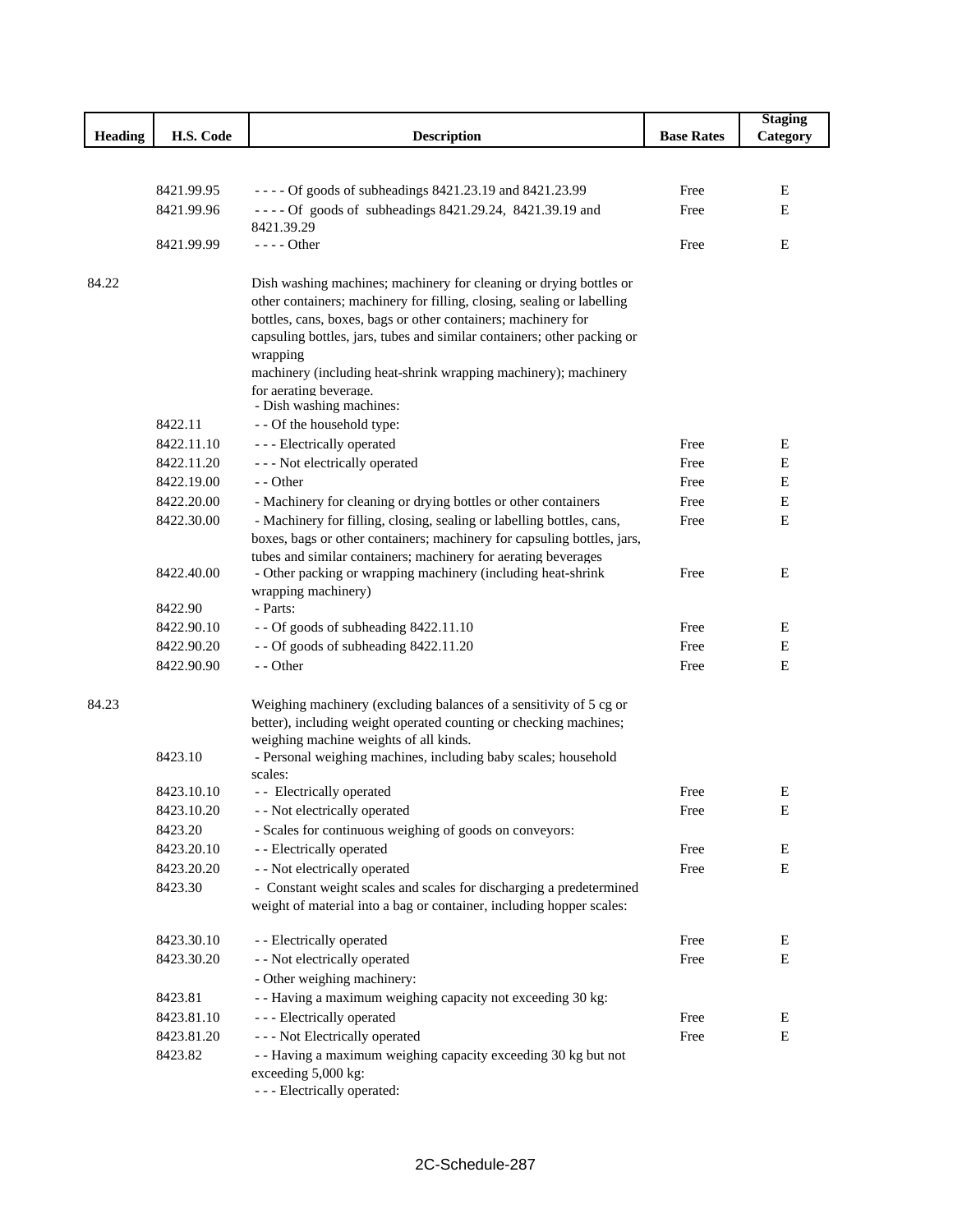|                |            |                                                                                                                                             |                   | <b>Staging</b> |
|----------------|------------|---------------------------------------------------------------------------------------------------------------------------------------------|-------------------|----------------|
| <b>Heading</b> | H.S. Code  | <b>Description</b>                                                                                                                          | <b>Base Rates</b> | Category       |
|                |            |                                                                                                                                             |                   |                |
|                |            |                                                                                                                                             |                   |                |
|                | 8421.99.95 | - - - - Of goods of subheadings 8421.23.19 and 8421.23.99                                                                                   | Free              | Е              |
|                | 8421.99.96 | ---- Of goods of subheadings 8421.29.24, 8421.39.19 and                                                                                     | Free              | Ε              |
|                |            | 8421.39.29<br>- - - - Other                                                                                                                 |                   |                |
|                | 8421.99.99 |                                                                                                                                             | Free              | Ε              |
| 84.22          |            | Dish washing machines; machinery for cleaning or drying bottles or                                                                          |                   |                |
|                |            | other containers; machinery for filling, closing, sealing or labelling                                                                      |                   |                |
|                |            | bottles, cans, boxes, bags or other containers; machinery for                                                                               |                   |                |
|                |            | capsuling bottles, jars, tubes and similar containers; other packing or                                                                     |                   |                |
|                |            | wrapping                                                                                                                                    |                   |                |
|                |            | machinery (including heat-shrink wrapping machinery); machinery                                                                             |                   |                |
|                |            | for aerating beverage.                                                                                                                      |                   |                |
|                | 8422.11    | - Dish washing machines:<br>- - Of the household type:                                                                                      |                   |                |
|                | 8422.11.10 | - - - Electrically operated                                                                                                                 | Free              | Е              |
|                | 8422.11.20 | - - - Not electrically operated                                                                                                             | Free              | Е              |
|                | 8422.19.00 | - - Other                                                                                                                                   | Free              | Ε              |
|                | 8422.20.00 | - Machinery for cleaning or drying bottles or other containers                                                                              | Free              | $\mathbf E$    |
|                | 8422.30.00 | - Machinery for filling, closing, sealing or labelling bottles, cans,                                                                       | Free              | E              |
|                |            | boxes, bags or other containers; machinery for capsuling bottles, jars,                                                                     |                   |                |
|                |            | tubes and similar containers; machinery for aerating beverages                                                                              |                   |                |
|                | 8422.40.00 | - Other packing or wrapping machinery (including heat-shrink                                                                                | Free              | E              |
|                |            | wrapping machinery)                                                                                                                         |                   |                |
|                | 8422.90    | - Parts:                                                                                                                                    |                   |                |
|                | 8422.90.10 | - - Of goods of subheading 8422.11.10                                                                                                       | Free              | E              |
|                | 8422.90.20 | -- Of goods of subheading 8422.11.20                                                                                                        | Free              | Ε              |
|                | 8422.90.90 | - - Other                                                                                                                                   | Free              | E              |
| 84.23          |            | Weighing machinery (excluding balances of a sensitivity of 5 cg or                                                                          |                   |                |
|                |            | better), including weight operated counting or checking machines;                                                                           |                   |                |
|                |            | weighing machine weights of all kinds.                                                                                                      |                   |                |
|                | 8423.10    | - Personal weighing machines, including baby scales; household                                                                              |                   |                |
|                |            | scales:                                                                                                                                     |                   |                |
|                | 8423.10.10 | - - Electrically operated                                                                                                                   | Free              | Ε              |
|                | 8423.10.20 | - - Not electrically operated                                                                                                               | Free              | E              |
|                | 8423.20    | - Scales for continuous weighing of goods on conveyors:                                                                                     |                   |                |
|                | 8423.20.10 | - - Electrically operated                                                                                                                   | Free              | E              |
|                | 8423.20.20 | - - Not electrically operated                                                                                                               | Free              | $\mathbf E$    |
|                | 8423.30    | - Constant weight scales and scales for discharging a predetermined<br>weight of material into a bag or container, including hopper scales: |                   |                |
|                |            |                                                                                                                                             |                   |                |
|                | 8423.30.10 | - - Electrically operated                                                                                                                   | Free              | E              |
|                | 8423.30.20 | - - Not electrically operated                                                                                                               | Free              | E              |
|                |            | - Other weighing machinery:                                                                                                                 |                   |                |
|                | 8423.81    | - - Having a maximum weighing capacity not exceeding 30 kg:                                                                                 |                   |                |
|                | 8423.81.10 | - - - Electrically operated                                                                                                                 | Free              | E              |
|                | 8423.81.20 | - - - Not Electrically operated                                                                                                             | Free              | $\mathbf E$    |
|                | 8423.82    | - - Having a maximum weighing capacity exceeding 30 kg but not                                                                              |                   |                |
|                |            | exceeding 5,000 kg:                                                                                                                         |                   |                |
|                |            | - - - Electrically operated:                                                                                                                |                   |                |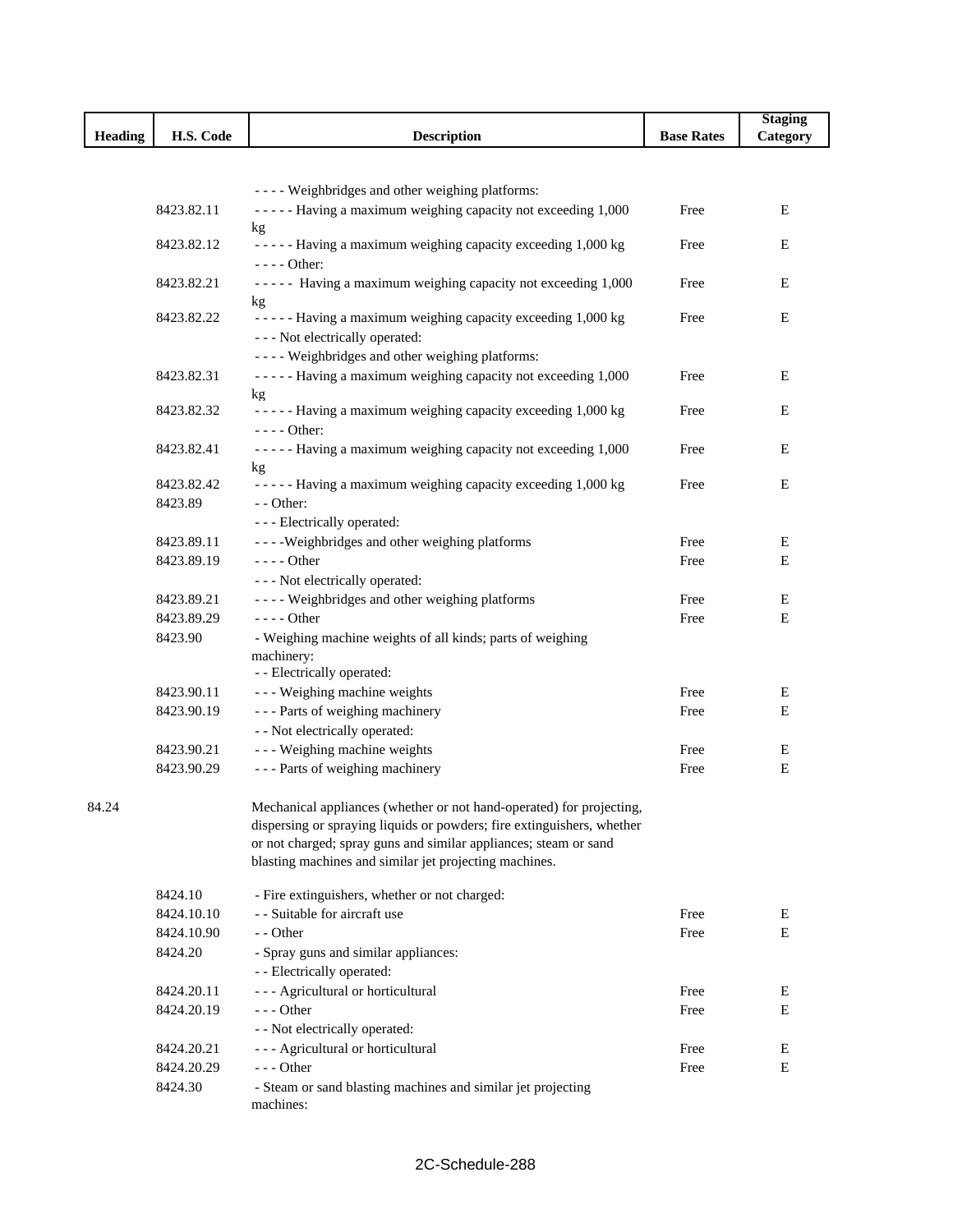|                |                          |                                                                        |                   | <b>Staging</b> |
|----------------|--------------------------|------------------------------------------------------------------------|-------------------|----------------|
| <b>Heading</b> | H.S. Code                | <b>Description</b>                                                     | <b>Base Rates</b> | Category       |
|                |                          |                                                                        |                   |                |
|                |                          | ---- Weighbridges and other weighing platforms:                        |                   |                |
|                | 8423.82.11               | ----- Having a maximum weighing capacity not exceeding 1,000           | Free              | Е              |
|                |                          | kg                                                                     |                   |                |
|                | 8423.82.12               | ----- Having a maximum weighing capacity exceeding 1,000 kg            | Free              | Е              |
|                |                          | $--- Other:$                                                           |                   |                |
|                | 8423.82.21               | ----- Having a maximum weighing capacity not exceeding 1,000           | Free              | Е              |
|                | 8423.82.22               | kg<br>- - - - - Having a maximum weighing capacity exceeding 1,000 kg  | Free              | Е              |
|                |                          | - - - Not electrically operated:                                       |                   |                |
|                |                          | ---- Weighbridges and other weighing platforms:                        |                   |                |
|                | 8423.82.31               | ----- Having a maximum weighing capacity not exceeding 1,000           | Free              | Е              |
|                |                          | kg                                                                     |                   |                |
|                | 8423.82.32               | ----- Having a maximum weighing capacity exceeding 1,000 kg            | Free              | E              |
|                |                          | $--- Other:$                                                           |                   |                |
|                | 8423.82.41               | - - - - - Having a maximum weighing capacity not exceeding 1,000       | Free              | E              |
|                | 8423.82.42               | kg<br>----- Having a maximum weighing capacity exceeding 1,000 kg      | Free              | Е              |
|                | 8423.89                  | - - Other:                                                             |                   |                |
|                |                          | - - - Electrically operated:                                           |                   |                |
|                | 8423.89.11               | ----Weighbridges and other weighing platforms                          | Free              | E              |
|                | 8423.89.19               | ---- Other                                                             | Free              | E              |
|                |                          | - - - Not electrically operated:                                       |                   |                |
|                | 8423.89.21               | ---- Weighbridges and other weighing platforms                         | Free              | Е              |
|                | 8423.89.29               | $--- Other$                                                            | Free              | E              |
|                | 8423.90                  | - Weighing machine weights of all kinds; parts of weighing             |                   |                |
|                |                          | machinery:                                                             |                   |                |
|                |                          | - - Electrically operated:                                             |                   |                |
|                | 8423.90.11               | --- Weighing machine weights                                           | Free              | Е              |
|                | 8423.90.19               | --- Parts of weighing machinery                                        | Free              | Е              |
|                |                          | - - Not electrically operated:<br>--- Weighing machine weights         | Free              | Е              |
|                | 8423.90.21<br>8423.90.29 | --- Parts of weighing machinery                                        | Free              | E              |
|                |                          |                                                                        |                   |                |
| 84.24          |                          | Mechanical appliances (whether or not hand-operated) for projecting,   |                   |                |
|                |                          | dispersing or spraying liquids or powders; fire extinguishers, whether |                   |                |
|                |                          | or not charged; spray guns and similar appliances; steam or sand       |                   |                |
|                |                          | blasting machines and similar jet projecting machines.                 |                   |                |
|                | 8424.10                  | - Fire extinguishers, whether or not charged:                          |                   |                |
|                | 8424.10.10               | - - Suitable for aircraft use                                          | Free              | Ε              |
|                | 8424.10.90               | - - Other                                                              | Free              | E              |
|                | 8424.20                  | - Spray guns and similar appliances:                                   |                   |                |
|                |                          | - - Electrically operated:                                             |                   |                |
|                | 8424.20.11               | - - - Agricultural or horticultural                                    | Free              | Ε              |
|                | 8424.20.19               | --- Other                                                              | Free              | Е              |
|                |                          | - - Not electrically operated:                                         |                   |                |
|                | 8424.20.21               | - - - Agricultural or horticultural                                    | Free              | E              |
|                | 8424.20.29               | $--$ Other                                                             | Free              | Е              |
|                | 8424.30                  | - Steam or sand blasting machines and similar jet projecting           |                   |                |
|                |                          | machines:                                                              |                   |                |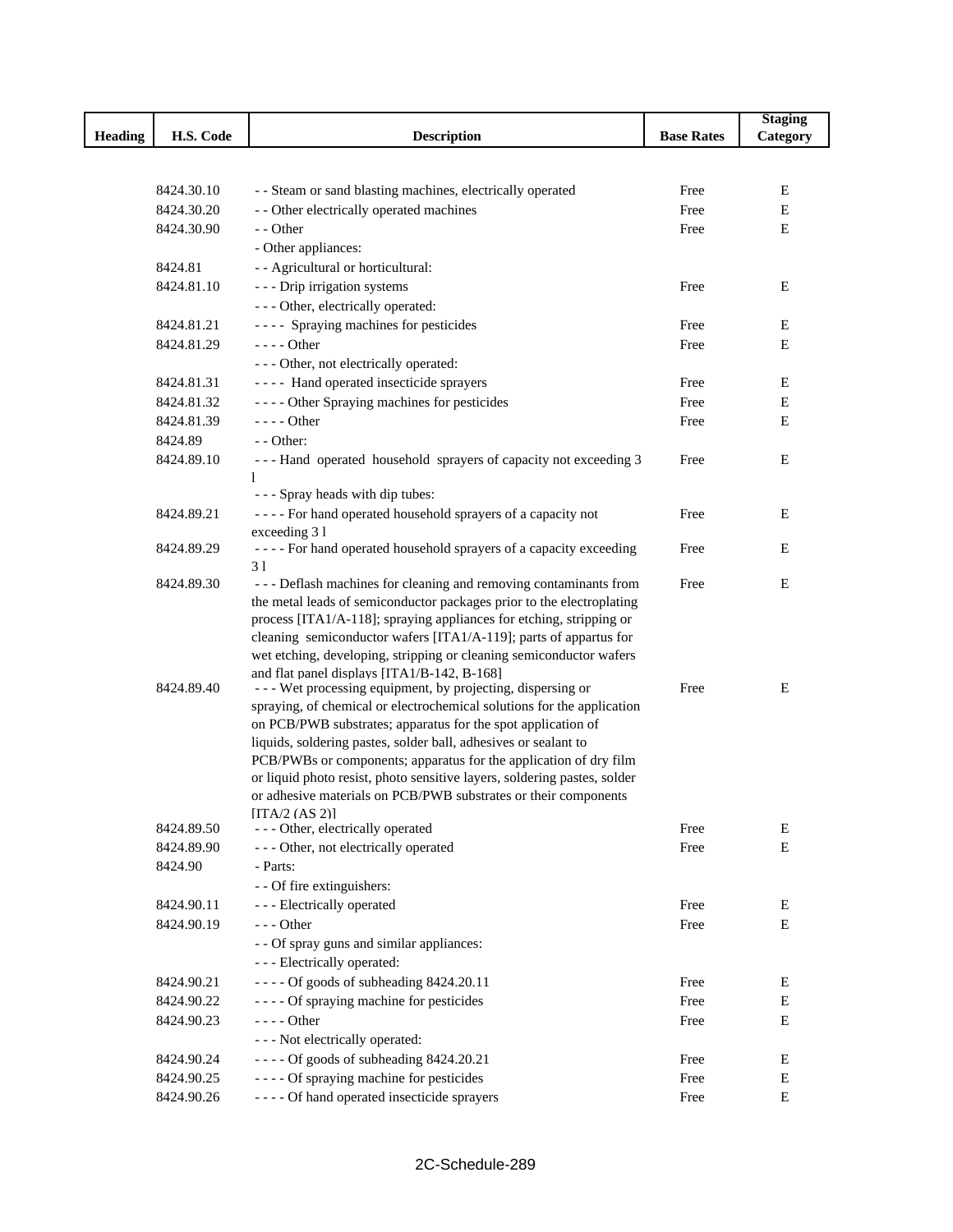|                |            |                                                                                                                                           |                   | <b>Staging</b> |
|----------------|------------|-------------------------------------------------------------------------------------------------------------------------------------------|-------------------|----------------|
| <b>Heading</b> | H.S. Code  | <b>Description</b>                                                                                                                        | <b>Base Rates</b> | Category       |
|                |            |                                                                                                                                           |                   |                |
|                |            |                                                                                                                                           |                   |                |
|                | 8424.30.10 | - - Steam or sand blasting machines, electrically operated                                                                                | Free              | Ε              |
|                | 8424.30.20 | - - Other electrically operated machines                                                                                                  | Free              | E              |
|                | 8424.30.90 | - - Other                                                                                                                                 | Free              | E              |
|                |            | - Other appliances:                                                                                                                       |                   |                |
|                | 8424.81    | - - Agricultural or horticultural:                                                                                                        |                   |                |
|                | 8424.81.10 | - - - Drip irrigation systems                                                                                                             | Free              | Ε              |
|                |            | --- Other, electrically operated:                                                                                                         |                   |                |
|                | 8424.81.21 | ---- Spraying machines for pesticides                                                                                                     | Free              | E              |
|                | 8424.81.29 | - - - - Other                                                                                                                             | Free              | Е              |
|                |            | - - - Other, not electrically operated:                                                                                                   |                   |                |
|                | 8424.81.31 | ---- Hand operated insecticide sprayers                                                                                                   | Free              | Е              |
|                | 8424.81.32 | ---- Other Spraying machines for pesticides                                                                                               | Free              | Е              |
|                | 8424.81.39 | $--- Other$                                                                                                                               | Free              | Е              |
|                | 8424.89    | $-$ - Other:                                                                                                                              |                   |                |
|                | 8424.89.10 | --- Hand operated household sprayers of capacity not exceeding 3                                                                          | Free              | Ε              |
|                |            | 1                                                                                                                                         |                   |                |
|                |            | - - - Spray heads with dip tubes:                                                                                                         |                   |                |
|                | 8424.89.21 | ---- For hand operated household sprayers of a capacity not                                                                               | Free              | Ε              |
|                |            | exceeding 31                                                                                                                              |                   |                |
|                | 8424.89.29 | ---- For hand operated household sprayers of a capacity exceeding                                                                         | Free              | E              |
|                |            | 31                                                                                                                                        |                   |                |
|                | 8424.89.30 | --- Deflash machines for cleaning and removing contaminants from<br>the metal leads of semiconductor packages prior to the electroplating | Free              | E              |
|                |            | process [ITA1/A-118]; spraying appliances for etching, stripping or                                                                       |                   |                |
|                |            | cleaning semiconductor wafers [ITA1/A-119]; parts of appartus for                                                                         |                   |                |
|                |            | wet etching, developing, stripping or cleaning semiconductor wafers                                                                       |                   |                |
|                |            | and flat panel displays [ITA1/B-142, B-168]                                                                                               |                   |                |
|                | 8424.89.40 | - - - Wet processing equipment, by projecting, dispersing or                                                                              | Free              | Ε              |
|                |            | spraying, of chemical or electrochemical solutions for the application                                                                    |                   |                |
|                |            | on PCB/PWB substrates; apparatus for the spot application of                                                                              |                   |                |
|                |            | liquids, soldering pastes, solder ball, adhesives or sealant to                                                                           |                   |                |
|                |            | PCB/PWBs or components; apparatus for the application of dry film                                                                         |                   |                |
|                |            | or liquid photo resist, photo sensitive layers, soldering pastes, solder                                                                  |                   |                |
|                |            | or adhesive materials on PCB/PWB substrates or their components                                                                           |                   |                |
|                | 8424.89.50 | $[ITA/2 (AS 2)]$<br>- - - Other, electrically operated                                                                                    | Free              | Ε              |
|                | 8424.89.90 | --- Other, not electrically operated                                                                                                      | Free              | E              |
|                | 8424.90    | - Parts:                                                                                                                                  |                   |                |
|                |            | - - Of fire extinguishers:                                                                                                                |                   |                |
|                | 8424.90.11 | - - - Electrically operated                                                                                                               | Free              | E              |
|                | 8424.90.19 | $- -$ Other                                                                                                                               | Free              | ${\bf E}$      |
|                |            | - - Of spray guns and similar appliances:                                                                                                 |                   |                |
|                |            | - - - Electrically operated:                                                                                                              |                   |                |
|                | 8424.90.21 | $---$ Of goods of subheading 8424.20.11                                                                                                   | Free              | Ε              |
|                | 8424.90.22 | ---- Of spraying machine for pesticides                                                                                                   | Free              | E              |
|                | 8424.90.23 | - - - - Other                                                                                                                             | Free              | Е              |
|                |            | - - - Not electrically operated:                                                                                                          |                   |                |
|                | 8424.90.24 | ---- Of goods of subheading 8424.20.21                                                                                                    | Free              | Е              |
|                |            | ---- Of spraying machine for pesticides                                                                                                   |                   | Е              |
|                | 8424.90.25 | ---- Of hand operated insecticide sprayers                                                                                                | Free              | Е              |
|                | 8424.90.26 |                                                                                                                                           | Free              |                |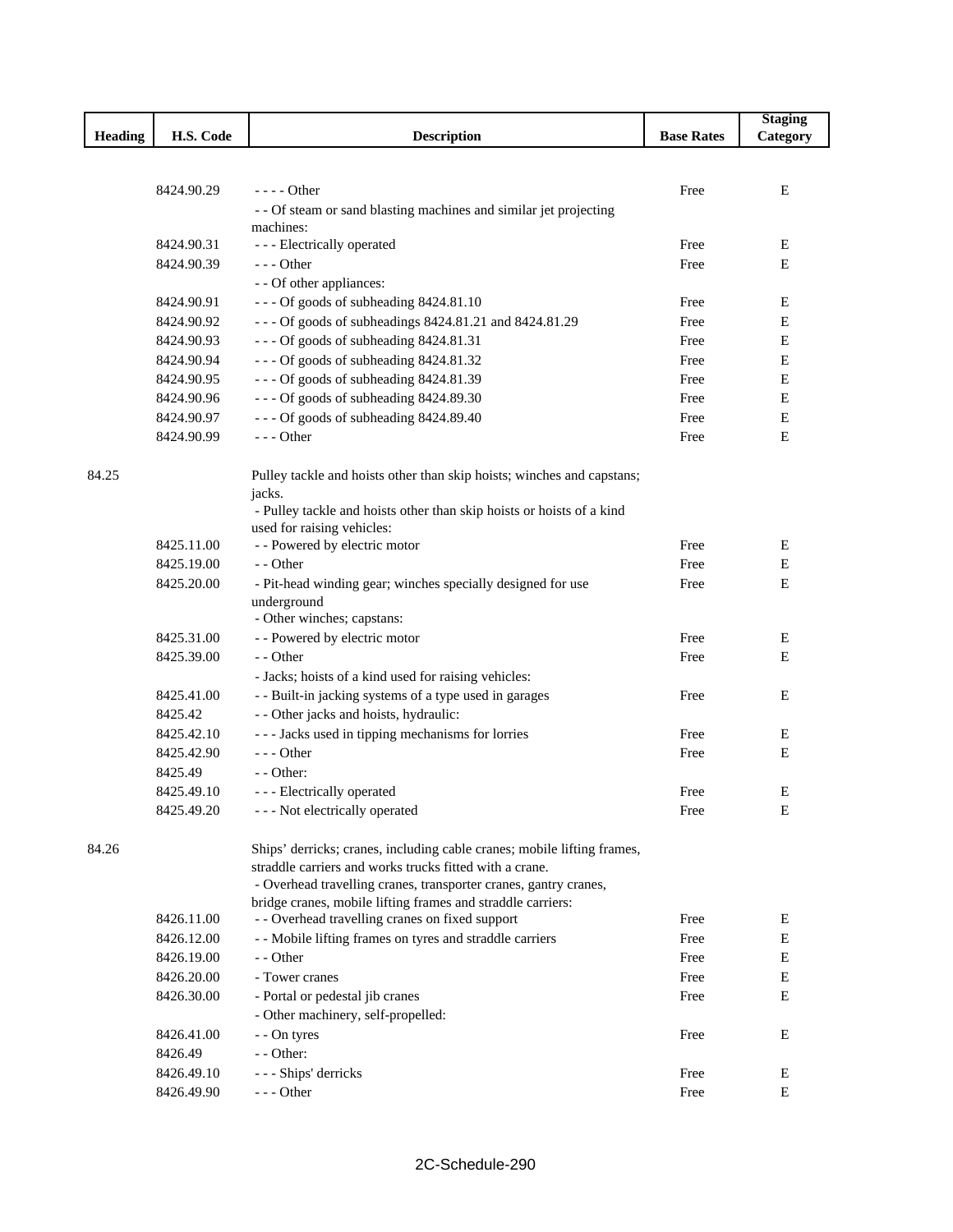|                |            |                                                                                  |                   | <b>Staging</b> |
|----------------|------------|----------------------------------------------------------------------------------|-------------------|----------------|
| <b>Heading</b> | H.S. Code  | <b>Description</b>                                                               | <b>Base Rates</b> | Category       |
|                |            |                                                                                  |                   |                |
|                |            |                                                                                  |                   |                |
|                | 8424.90.29 | $---$ Other                                                                      | Free              | E              |
|                |            | - - Of steam or sand blasting machines and similar jet projecting                |                   |                |
|                | 8424.90.31 | machines:<br>- - - Electrically operated                                         | Free              | E              |
|                | 8424.90.39 | $--$ Other                                                                       | Free              | Е              |
|                |            | - - Of other appliances:                                                         |                   |                |
|                | 8424.90.91 | --- Of goods of subheading 8424.81.10                                            | Free              | E              |
|                | 8424.90.92 | --- Of goods of subheadings 8424.81.21 and 8424.81.29                            | Free              | Е              |
|                | 8424.90.93 | --- Of goods of subheading 8424.81.31                                            | Free              | Ε              |
|                | 8424.90.94 | --- Of goods of subheading 8424.81.32                                            | Free              | Е              |
|                | 8424.90.95 | --- Of goods of subheading 8424.81.39                                            | Free              | Ε              |
|                | 8424.90.96 | --- Of goods of subheading 8424.89.30                                            | Free              | Ε              |
|                | 8424.90.97 | --- Of goods of subheading 8424.89.40                                            | Free              | Ε              |
|                |            | $--$ Other                                                                       |                   | Ε              |
|                | 8424.90.99 |                                                                                  | Free              |                |
| 84.25          |            |                                                                                  |                   |                |
|                |            | Pulley tackle and hoists other than skip hoists; winches and capstans;<br>jacks. |                   |                |
|                |            | - Pulley tackle and hoists other than skip hoists or hoists of a kind            |                   |                |
|                |            | used for raising vehicles:                                                       |                   |                |
|                | 8425.11.00 | - - Powered by electric motor                                                    | Free              | E              |
|                | 8425.19.00 | - - Other                                                                        | Free              | Ε              |
|                | 8425.20.00 | - Pit-head winding gear; winches specially designed for use                      | Free              | Е              |
|                |            | underground                                                                      |                   |                |
|                |            | - Other winches; capstans:                                                       |                   |                |
|                | 8425.31.00 | - - Powered by electric motor                                                    | Free              | Е              |
|                | 8425.39.00 | - - Other                                                                        | Free              | Е              |
|                |            | - Jacks; hoists of a kind used for raising vehicles:                             |                   |                |
|                | 8425.41.00 | - - Built-in jacking systems of a type used in garages                           | Free              | E              |
|                | 8425.42    | - - Other jacks and hoists, hydraulic:                                           |                   |                |
|                | 8425.42.10 | --- Jacks used in tipping mechanisms for lorries                                 | Free              | Ε              |
|                | 8425.42.90 | $--$ Other                                                                       | Free              | E              |
|                | 8425.49    | - - Other:                                                                       |                   |                |
|                | 8425.49.10 | - - - Electrically operated                                                      | Free              | Ε              |
|                | 8425.49.20 | - - - Not electrically operated                                                  | Free              | ${\bf E}$      |
|                |            |                                                                                  |                   |                |
| 84.26          |            | Ships' derricks; cranes, including cable cranes; mobile lifting frames,          |                   |                |
|                |            | straddle carriers and works trucks fitted with a crane.                          |                   |                |
|                |            | - Overhead travelling cranes, transporter cranes, gantry cranes,                 |                   |                |
|                |            | bridge cranes, mobile lifting frames and straddle carriers:                      |                   |                |
|                | 8426.11.00 | - - Overhead travelling cranes on fixed support                                  | Free              | Ε              |
|                | 8426.12.00 | - - Mobile lifting frames on tyres and straddle carriers                         | Free              | E              |
|                | 8426.19.00 | - - Other                                                                        | Free              | ${\bf E}$      |
|                | 8426.20.00 | - Tower cranes                                                                   | Free              | E              |
|                | 8426.30.00 | - Portal or pedestal jib cranes                                                  | Free              | E              |
|                |            | - Other machinery, self-propelled:                                               |                   |                |
|                | 8426.41.00 | - - On tyres                                                                     | Free              | E              |
|                | 8426.49    | - - Other:                                                                       |                   |                |
|                | 8426.49.10 | --- Ships' derricks                                                              | Free              | Ε              |
|                | 8426.49.90 | --- Other                                                                        | Free              | E              |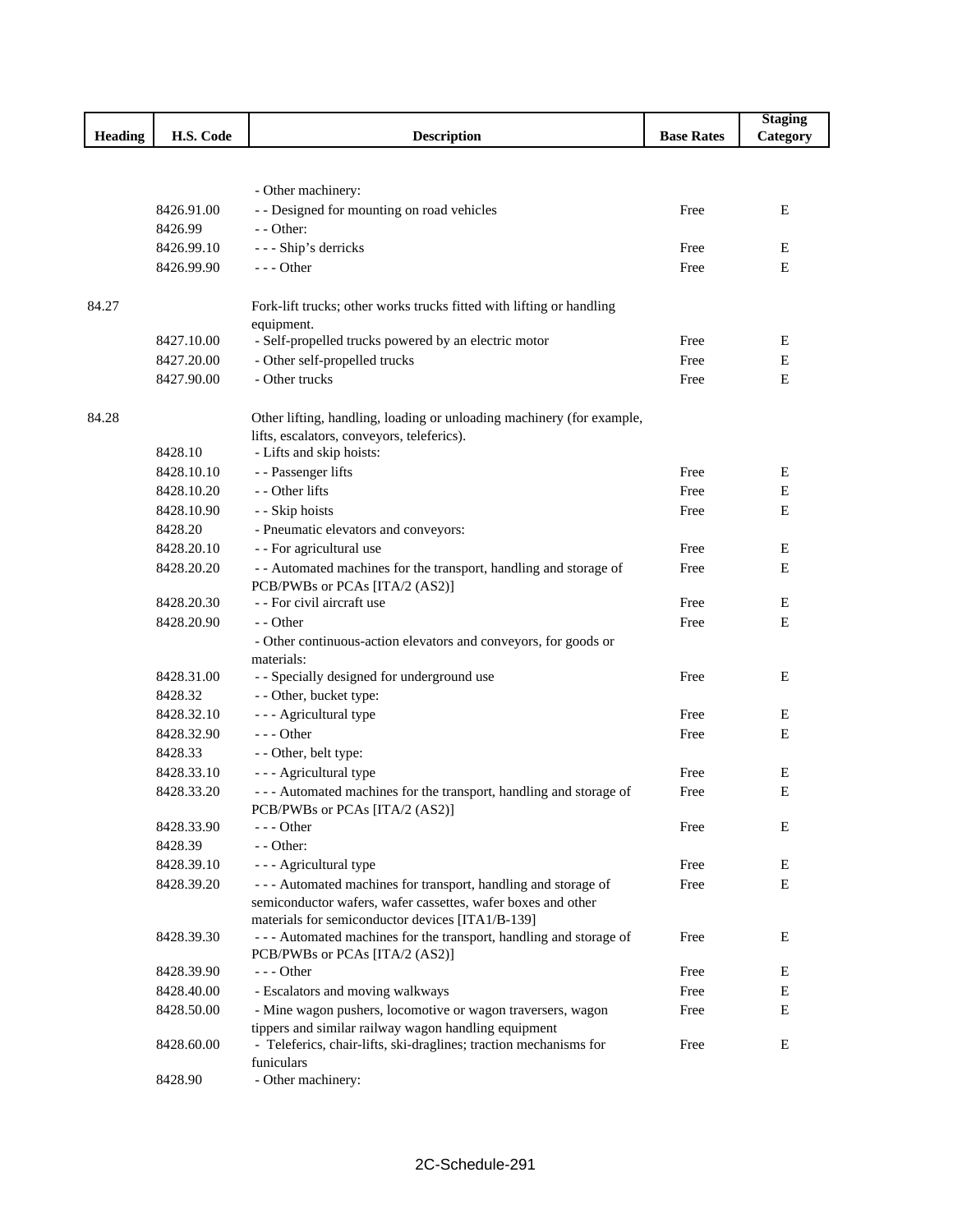|         |            |                                                                                                                               |                   | <b>Staging</b> |
|---------|------------|-------------------------------------------------------------------------------------------------------------------------------|-------------------|----------------|
| Heading | H.S. Code  | <b>Description</b>                                                                                                            | <b>Base Rates</b> | Category       |
|         |            |                                                                                                                               |                   |                |
|         |            |                                                                                                                               |                   |                |
|         |            | - Other machinery:                                                                                                            |                   |                |
|         | 8426.91.00 | - - Designed for mounting on road vehicles                                                                                    | Free              | E              |
|         | 8426.99    | $-$ - Other:                                                                                                                  |                   |                |
|         | 8426.99.10 | - - - Ship's derricks                                                                                                         | Free              | Е              |
|         | 8426.99.90 | $- -$ Other                                                                                                                   | Free              | E              |
|         |            |                                                                                                                               |                   |                |
| 84.27   |            | Fork-lift trucks; other works trucks fitted with lifting or handling                                                          |                   |                |
|         | 8427.10.00 | equipment.<br>- Self-propelled trucks powered by an electric motor                                                            | Free              | Е              |
|         | 8427.20.00 | - Other self-propelled trucks                                                                                                 | Free              | E              |
|         | 8427.90.00 | - Other trucks                                                                                                                | Free              | E              |
|         |            |                                                                                                                               |                   |                |
| 84.28   |            | Other lifting, handling, loading or unloading machinery (for example,                                                         |                   |                |
|         |            | lifts, escalators, conveyors, teleferics).                                                                                    |                   |                |
|         | 8428.10    | - Lifts and skip hoists:                                                                                                      |                   |                |
|         | 8428.10.10 | - - Passenger lifts                                                                                                           | Free              | E              |
|         | 8428.10.20 | - - Other lifts                                                                                                               | Free              | E              |
|         | 8428.10.90 | - - Skip hoists                                                                                                               | Free              | E              |
|         | 8428.20    | - Pneumatic elevators and conveyors:                                                                                          |                   |                |
|         | 8428.20.10 | - - For agricultural use                                                                                                      | Free              | E              |
|         | 8428.20.20 | - - Automated machines for the transport, handling and storage of                                                             | Free              | Е              |
|         |            | PCB/PWBs or PCAs [ITA/2 (AS2)]                                                                                                |                   |                |
|         | 8428.20.30 | - - For civil aircraft use                                                                                                    | Free              | Е              |
|         | 8428.20.90 | - - Other                                                                                                                     | Free              | E              |
|         |            | - Other continuous-action elevators and conveyors, for goods or                                                               |                   |                |
|         |            | materials:                                                                                                                    |                   |                |
|         | 8428.31.00 | - - Specially designed for underground use                                                                                    | Free              | Е              |
|         | 8428.32    | - - Other, bucket type:                                                                                                       |                   |                |
|         | 8428.32.10 | - - - Agricultural type                                                                                                       | Free              | Е              |
|         | 8428.32.90 | $- -$ Other                                                                                                                   | Free              | E              |
|         | 8428.33    | - - Other, belt type:                                                                                                         |                   |                |
|         | 8428.33.10 | - - - Agricultural type                                                                                                       | Free              | Е              |
|         | 8428.33.20 | --- Automated machines for the transport, handling and storage of                                                             | Free              | E              |
|         |            | PCB/PWBs or PCAs [ITA/2 (AS2)]                                                                                                |                   |                |
|         | 8428.33.90 | $- -$ Other                                                                                                                   | Free              | E              |
|         | 8428.39    | - - Other:                                                                                                                    |                   |                |
|         | 8428.39.10 | - - - Agricultural type                                                                                                       | Free              | Е              |
|         | 8428.39.20 | --- Automated machines for transport, handling and storage of<br>semiconductor wafers, wafer cassettes, wafer boxes and other | Free              | E              |
|         |            | materials for semiconductor devices [ITA1/B-139]                                                                              |                   |                |
|         | 8428.39.30 | --- Automated machines for the transport, handling and storage of                                                             | Free              | Е              |
|         |            | PCB/PWBs or PCAs [ITA/2 (AS2)]                                                                                                |                   |                |
|         | 8428.39.90 | $--$ Other                                                                                                                    | Free              | E              |
|         | 8428.40.00 | - Escalators and moving walkways                                                                                              | Free              | Е              |
|         | 8428.50.00 | - Mine wagon pushers, locomotive or wagon traversers, wagon                                                                   | Free              | Е              |
|         |            | tippers and similar railway wagon handling equipment                                                                          |                   |                |
|         | 8428.60.00 | - Teleferics, chair-lifts, ski-draglines; traction mechanisms for                                                             | Free              | E              |
|         |            | funiculars                                                                                                                    |                   |                |
|         | 8428.90    | - Other machinery:                                                                                                            |                   |                |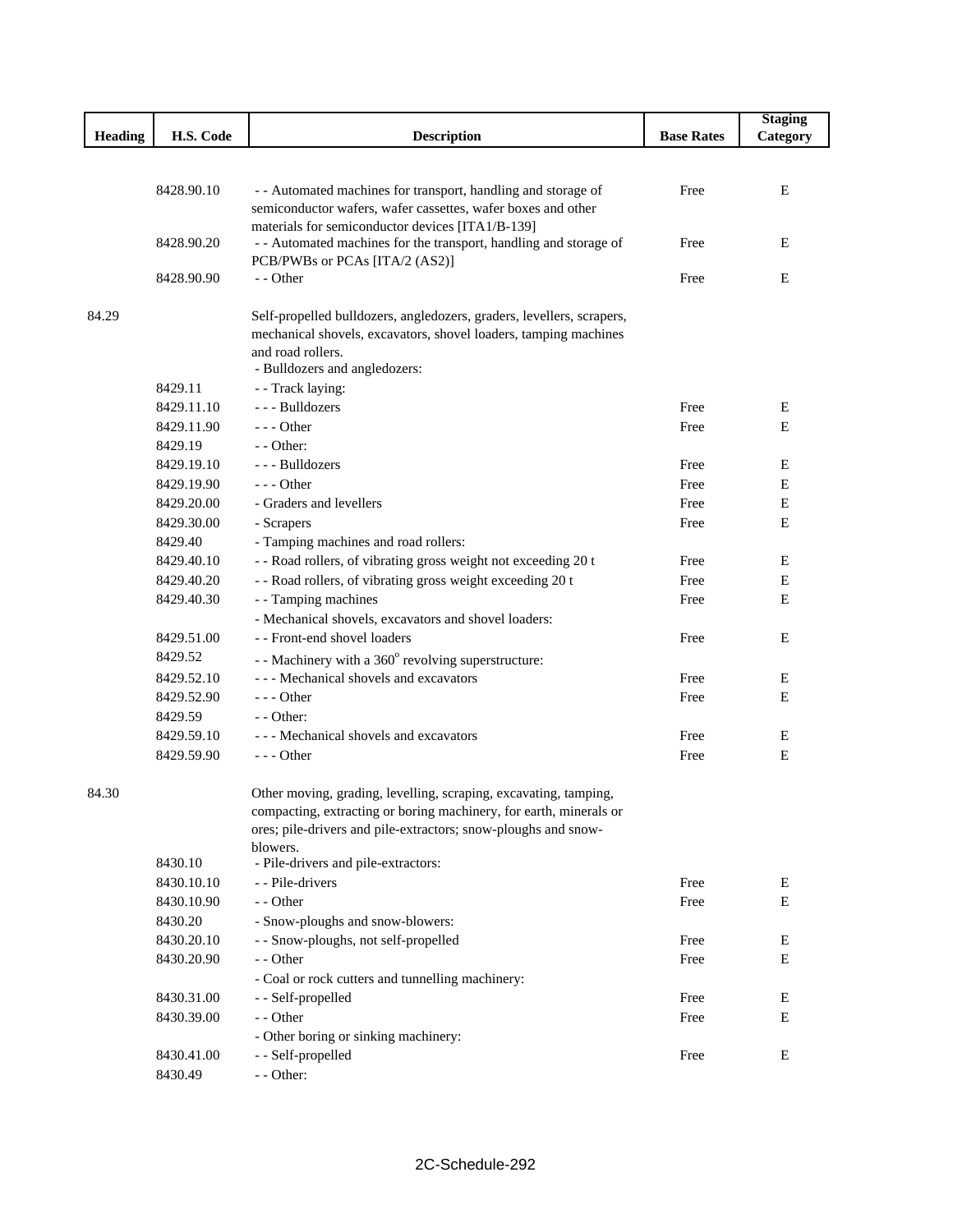|                |            |                                                                                                                       |                   | <b>Staging</b> |
|----------------|------------|-----------------------------------------------------------------------------------------------------------------------|-------------------|----------------|
| <b>Heading</b> | H.S. Code  | <b>Description</b>                                                                                                    | <b>Base Rates</b> | Category       |
|                |            |                                                                                                                       |                   |                |
|                |            |                                                                                                                       |                   |                |
|                | 8428.90.10 | - - Automated machines for transport, handling and storage of                                                         | Free              | E              |
|                |            | semiconductor wafers, wafer cassettes, wafer boxes and other                                                          |                   |                |
|                | 8428.90.20 | materials for semiconductor devices [ITA1/B-139]<br>- - Automated machines for the transport, handling and storage of | Free              | E              |
|                |            | PCB/PWBs or PCAs [ITA/2 (AS2)]                                                                                        |                   |                |
|                | 8428.90.90 | - - Other                                                                                                             | Free              | Ε              |
|                |            |                                                                                                                       |                   |                |
| 84.29          |            | Self-propelled bulldozers, angledozers, graders, levellers, scrapers,                                                 |                   |                |
|                |            | mechanical shovels, excavators, shovel loaders, tamping machines                                                      |                   |                |
|                |            | and road rollers.                                                                                                     |                   |                |
|                |            | - Bulldozers and angledozers:                                                                                         |                   |                |
|                | 8429.11    | - - Track laying:                                                                                                     |                   |                |
|                | 8429.11.10 | --- Bulldozers                                                                                                        | Free              | Ε              |
|                | 8429.11.90 | $--$ Other                                                                                                            | Free              | E              |
|                | 8429.19    | $-$ - Other:                                                                                                          |                   |                |
|                | 8429.19.10 | --- Bulldozers                                                                                                        | Free              | E              |
|                | 8429.19.90 | $- -$ Other                                                                                                           | Free              | Ε              |
|                | 8429.20.00 | - Graders and levellers                                                                                               | Free              | Ε              |
|                | 8429.30.00 | - Scrapers                                                                                                            | Free              | E              |
|                | 8429.40    | - Tamping machines and road rollers:                                                                                  |                   |                |
|                | 8429.40.10 | - - Road rollers, of vibrating gross weight not exceeding 20 t                                                        | Free              | E              |
|                | 8429.40.20 | - - Road rollers, of vibrating gross weight exceeding 20 t                                                            | Free              | Ε              |
|                | 8429.40.30 | - - Tamping machines                                                                                                  | Free              | Е              |
|                |            | - Mechanical shovels, excavators and shovel loaders:                                                                  |                   |                |
|                | 8429.51.00 | - - Front-end shovel loaders                                                                                          | Free              | E              |
|                | 8429.52    | - - Machinery with a 360° revolving superstructure:                                                                   |                   |                |
|                | 8429.52.10 | --- Mechanical shovels and excavators                                                                                 | Free              | Ε              |
|                | 8429.52.90 | $--$ Other                                                                                                            | Free              | E              |
|                | 8429.59    | - - Other:                                                                                                            |                   |                |
|                | 8429.59.10 | --- Mechanical shovels and excavators                                                                                 | Free              | Ε              |
|                | 8429.59.90 | $- -$ Other                                                                                                           | Free              | E              |
|                |            |                                                                                                                       |                   |                |
| 84.30          |            | Other moving, grading, levelling, scraping, excavating, tamping,                                                      |                   |                |
|                |            | compacting, extracting or boring machinery, for earth, minerals or                                                    |                   |                |
|                |            | ores; pile-drivers and pile-extractors; snow-ploughs and snow-                                                        |                   |                |
|                | 8430.10    | blowers.<br>- Pile-drivers and pile-extractors:                                                                       |                   |                |
|                | 8430.10.10 | - - Pile-drivers                                                                                                      | Free              | Ε              |
|                | 8430.10.90 | - - Other                                                                                                             | Free              | E              |
|                | 8430.20    | - Snow-ploughs and snow-blowers:                                                                                      |                   |                |
|                | 8430.20.10 | - - Snow-ploughs, not self-propelled                                                                                  | Free              | Ε              |
|                | 8430.20.90 | - - Other                                                                                                             | Free              | Ε              |
|                |            | - Coal or rock cutters and tunnelling machinery:                                                                      |                   |                |
|                | 8430.31.00 | - - Self-propelled                                                                                                    | Free              | E              |
|                | 8430.39.00 | - - Other                                                                                                             | Free              | Ε              |
|                |            | - Other boring or sinking machinery:                                                                                  |                   |                |
|                | 8430.41.00 | - - Self-propelled                                                                                                    | Free              | E              |
|                | 8430.49    | - - Other:                                                                                                            |                   |                |
|                |            |                                                                                                                       |                   |                |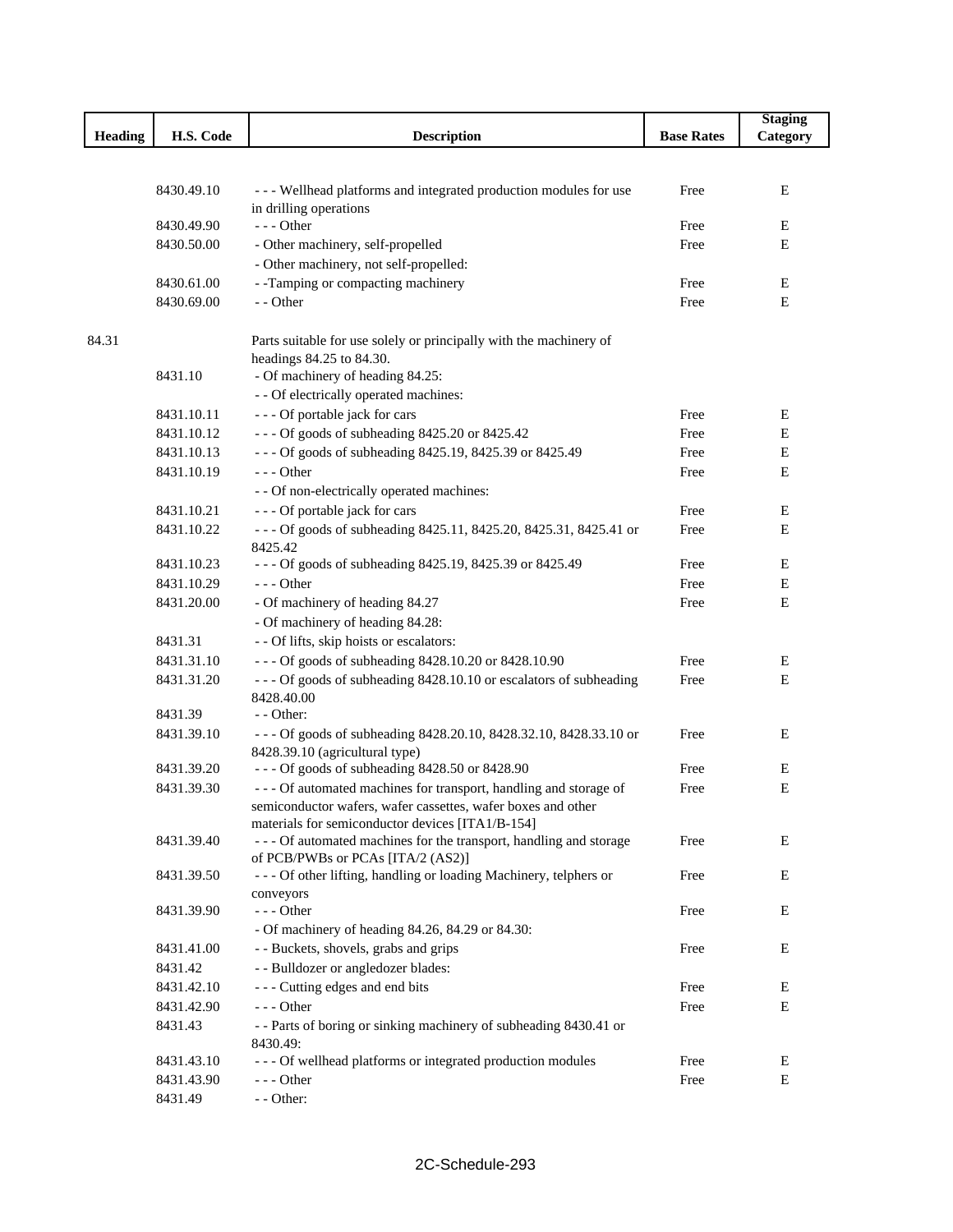|         |            |                                                                    |                   | <b>Staging</b> |
|---------|------------|--------------------------------------------------------------------|-------------------|----------------|
| Heading | H.S. Code  | <b>Description</b>                                                 | <b>Base Rates</b> | Category       |
|         |            |                                                                    |                   |                |
|         |            |                                                                    |                   |                |
|         | 8430.49.10 | --- Wellhead platforms and integrated production modules for use   | Free              | Ε              |
|         | 8430.49.90 | in drilling operations<br>--- Other                                | Free              | Е              |
|         | 8430.50.00 | - Other machinery, self-propelled                                  | Free              | Ε              |
|         |            | - Other machinery, not self-propelled:                             |                   |                |
|         | 8430.61.00 | - -Tamping or compacting machinery                                 | Free              | Е              |
|         | 8430.69.00 | - - Other                                                          | Free              | Ε              |
|         |            |                                                                    |                   |                |
| 84.31   |            | Parts suitable for use solely or principally with the machinery of |                   |                |
|         |            | headings 84.25 to 84.30.                                           |                   |                |
|         | 8431.10    | - Of machinery of heading 84.25:                                   |                   |                |
|         |            | - - Of electrically operated machines:                             |                   |                |
|         | 8431.10.11 | --- Of portable jack for cars                                      | Free              | E              |
|         | 8431.10.12 | --- Of goods of subheading 8425.20 or 8425.42                      | Free              | Ε              |
|         | 8431.10.13 | --- Of goods of subheading 8425.19, 8425.39 or 8425.49             | Free              | Е              |
|         | 8431.10.19 | --- Other                                                          | Free              | Ε              |
|         |            | - - Of non-electrically operated machines:                         |                   |                |
|         | 8431.10.21 | --- Of portable jack for cars                                      | Free              | $\mathbf E$    |
|         | 8431.10.22 | --- Of goods of subheading 8425.11, 8425.20, 8425.31, 8425.41 or   | Free              | Ε              |
|         |            | 8425.42                                                            |                   |                |
|         | 8431.10.23 | --- Of goods of subheading 8425.19, 8425.39 or 8425.49             | Free              | Ε              |
|         | 8431.10.29 | --- Other                                                          | Free              | Е              |
|         | 8431.20.00 | - Of machinery of heading 84.27                                    | Free              | Ε              |
|         |            | - Of machinery of heading 84.28:                                   |                   |                |
|         | 8431.31    | - - Of lifts, skip hoists or escalators:                           |                   |                |
|         | 8431.31.10 | --- Of goods of subheading 8428.10.20 or 8428.10.90                | Free              | Ε              |
|         | 8431.31.20 | --- Of goods of subheading 8428.10.10 or escalators of subheading  | Free              | Ε              |
|         |            | 8428.40.00                                                         |                   |                |
|         | 8431.39    | - - Other:                                                         |                   |                |
|         | 8431.39.10 | --- Of goods of subheading 8428.20.10, 8428.32.10, 8428.33.10 or   | Free              | E              |
|         |            | 8428.39.10 (agricultural type)                                     |                   |                |
|         | 8431.39.20 | --- Of goods of subheading 8428.50 or 8428.90                      | Free              | E              |
|         | 8431.39.30 | --- Of automated machines for transport, handling and storage of   | Free              | Ε              |
|         |            | semiconductor wafers, wafer cassettes, wafer boxes and other       |                   |                |
|         |            | materials for semiconductor devices [ITA1/B-154]                   |                   |                |
|         | 8431.39.40 | --- Of automated machines for the transport, handling and storage  | Free              | E              |
|         |            | of PCB/PWBs or PCAs [ITA/2 (AS2)]                                  |                   |                |
|         | 8431.39.50 | - - - Of other lifting, handling or loading Machinery, telphers or | Free              | E              |
|         | 8431.39.90 | conveyors<br>--- Other                                             | Free              | Ε              |
|         |            | - Of machinery of heading 84.26, 84.29 or 84.30:                   |                   |                |
|         | 8431.41.00 | - - Buckets, shovels, grabs and grips                              | Free              | Е              |
|         | 8431.42    | - - Bulldozer or angledozer blades:                                |                   |                |
|         | 8431.42.10 | --- Cutting edges and end bits                                     | Free              | Е              |
|         | 8431.42.90 | --- Other                                                          | Free              | Ε              |
|         | 8431.43    | -- Parts of boring or sinking machinery of subheading 8430.41 or   |                   |                |
|         |            | 8430.49:                                                           |                   |                |
|         | 8431.43.10 | --- Of wellhead platforms or integrated production modules         | Free              | E              |
|         | 8431.43.90 | $--$ Other                                                         | Free              | E              |
|         | 8431.49    | - - Other:                                                         |                   |                |
|         |            |                                                                    |                   |                |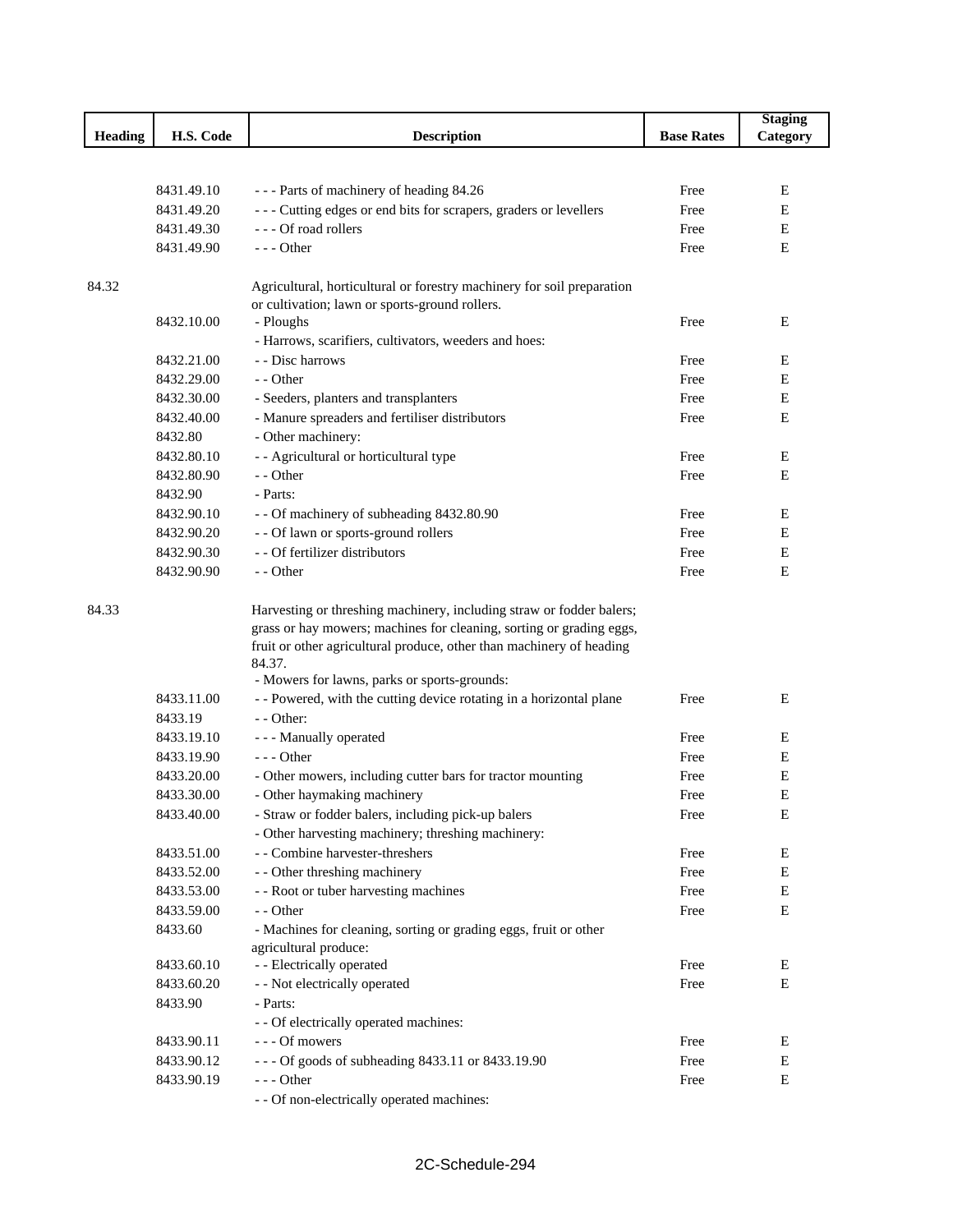|                |                          |                                                                                                                                                                                                                                                                                |                   | <b>Staging</b> |
|----------------|--------------------------|--------------------------------------------------------------------------------------------------------------------------------------------------------------------------------------------------------------------------------------------------------------------------------|-------------------|----------------|
| <b>Heading</b> | H.S. Code                | <b>Description</b>                                                                                                                                                                                                                                                             | <b>Base Rates</b> | Category       |
|                |                          |                                                                                                                                                                                                                                                                                |                   |                |
|                |                          |                                                                                                                                                                                                                                                                                |                   |                |
|                | 8431.49.10               | --- Parts of machinery of heading 84.26                                                                                                                                                                                                                                        | Free              | Е              |
|                | 8431.49.20               | --- Cutting edges or end bits for scrapers, graders or levellers                                                                                                                                                                                                               | Free              | E              |
|                | 8431.49.30               | --- Of road rollers                                                                                                                                                                                                                                                            | Free              | E              |
|                | 8431.49.90               | $--$ Other                                                                                                                                                                                                                                                                     | Free              | Ε              |
|                |                          |                                                                                                                                                                                                                                                                                |                   |                |
| 84.32          |                          | Agricultural, horticultural or forestry machinery for soil preparation                                                                                                                                                                                                         |                   |                |
|                | 8432.10.00               | or cultivation; lawn or sports-ground rollers.<br>- Ploughs                                                                                                                                                                                                                    | Free              | Ε              |
|                |                          | - Harrows, scarifiers, cultivators, weeders and hoes:                                                                                                                                                                                                                          |                   |                |
|                | 8432.21.00               | - - Disc harrows                                                                                                                                                                                                                                                               | Free              | E              |
|                | 8432.29.00               | - - Other                                                                                                                                                                                                                                                                      | Free              | Ε              |
|                | 8432.30.00               | - Seeders, planters and transplanters                                                                                                                                                                                                                                          | Free              | Ε              |
|                | 8432.40.00               | - Manure spreaders and fertiliser distributors                                                                                                                                                                                                                                 | Free              | E              |
|                | 8432.80                  | - Other machinery:                                                                                                                                                                                                                                                             |                   |                |
|                | 8432.80.10               | - - Agricultural or horticultural type                                                                                                                                                                                                                                         | Free              | Ε              |
|                | 8432.80.90               | - - Other                                                                                                                                                                                                                                                                      | Free              | E              |
|                | 8432.90                  | - Parts:                                                                                                                                                                                                                                                                       |                   |                |
|                | 8432.90.10               |                                                                                                                                                                                                                                                                                | Free              |                |
|                |                          | - - Of machinery of subheading 8432.80.90<br>- - Of lawn or sports-ground rollers                                                                                                                                                                                              | Free              | Ε              |
|                | 8432.90.20<br>8432.90.30 | - - Of fertilizer distributors                                                                                                                                                                                                                                                 | Free              | Е              |
|                |                          |                                                                                                                                                                                                                                                                                |                   | Е              |
|                | 8432.90.90               | - - Other                                                                                                                                                                                                                                                                      | Free              | E              |
| 84.33          |                          | Harvesting or threshing machinery, including straw or fodder balers;<br>grass or hay mowers; machines for cleaning, sorting or grading eggs,<br>fruit or other agricultural produce, other than machinery of heading<br>84.37.<br>- Mowers for lawns, parks or sports-grounds: |                   |                |
|                | 8433.11.00               | - - Powered, with the cutting device rotating in a horizontal plane                                                                                                                                                                                                            | Free              | Ε              |
|                | 8433.19                  | - - Other:                                                                                                                                                                                                                                                                     |                   |                |
|                | 8433.19.10               | - - - Manually operated                                                                                                                                                                                                                                                        | Free              | Ε              |
|                | 8433.19.90               | $--$ Other                                                                                                                                                                                                                                                                     | Free              | E              |
|                | 8433.20.00               | - Other mowers, including cutter bars for tractor mounting                                                                                                                                                                                                                     | Free              | Ε              |
|                | 8433.30.00               | - Other haymaking machinery                                                                                                                                                                                                                                                    | Free              | Ε              |
|                | 8433.40.00               | - Straw or fodder balers, including pick-up balers                                                                                                                                                                                                                             | Free              | E              |
|                |                          | - Other harvesting machinery; threshing machinery:                                                                                                                                                                                                                             |                   |                |
|                | 8433.51.00               | - - Combine harvester-threshers                                                                                                                                                                                                                                                | Free              | E              |
|                | 8433.52.00               | - - Other threshing machinery                                                                                                                                                                                                                                                  | Free              | $\mathbf E$    |
|                | 8433.53.00               | - - Root or tuber harvesting machines                                                                                                                                                                                                                                          | Free              | E              |
|                | 8433.59.00               | - - Other                                                                                                                                                                                                                                                                      | Free              | E              |
|                | 8433.60                  | - Machines for cleaning, sorting or grading eggs, fruit or other                                                                                                                                                                                                               |                   |                |
|                |                          | agricultural produce:                                                                                                                                                                                                                                                          |                   |                |
|                | 8433.60.10               | - - Electrically operated                                                                                                                                                                                                                                                      | Free              | Ε              |
|                | 8433.60.20               | - - Not electrically operated                                                                                                                                                                                                                                                  | Free              | E              |
|                | 8433.90                  | - Parts:                                                                                                                                                                                                                                                                       |                   |                |
|                |                          | - - Of electrically operated machines:                                                                                                                                                                                                                                         |                   |                |
|                | 8433.90.11               | --- Of mowers                                                                                                                                                                                                                                                                  | Free              | Е              |
|                | 8433.90.12               | --- Of goods of subheading 8433.11 or 8433.19.90                                                                                                                                                                                                                               | Free              | E              |
|                | 8433.90.19               | --- Other                                                                                                                                                                                                                                                                      | Free              | E              |
|                |                          | - - Of non-electrically operated machines:                                                                                                                                                                                                                                     |                   |                |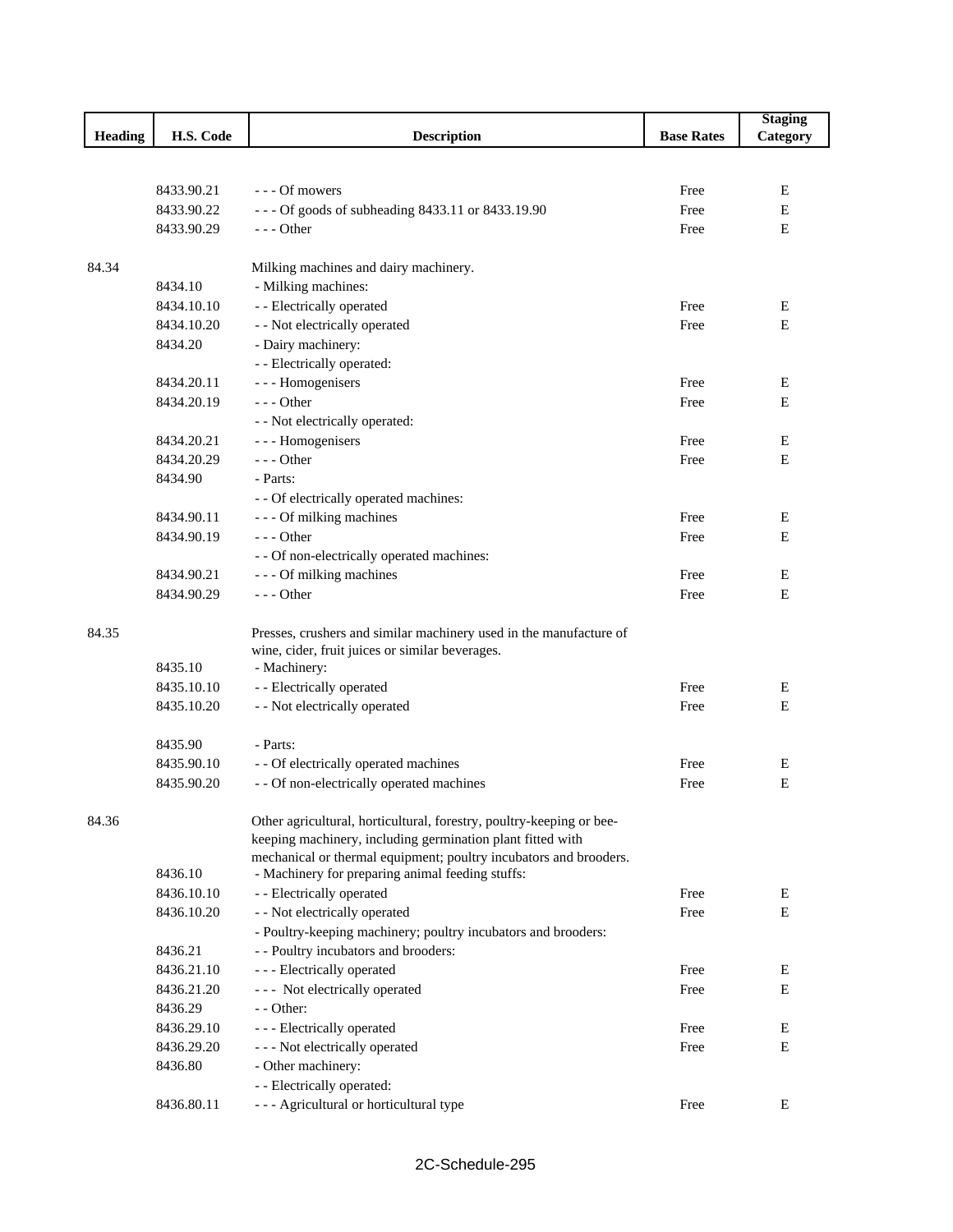|         |            |                                                                      |                   | <b>Staging</b> |
|---------|------------|----------------------------------------------------------------------|-------------------|----------------|
| Heading | H.S. Code  | <b>Description</b>                                                   | <b>Base Rates</b> | Category       |
|         |            |                                                                      |                   |                |
|         |            |                                                                      |                   |                |
|         | 8433.90.21 | - - - Of mowers                                                      | Free              | E              |
|         | 8433.90.22 | --- Of goods of subheading 8433.11 or 8433.19.90                     | Free              | E              |
|         | 8433.90.29 | $--$ Other                                                           | Free              | E              |
|         |            |                                                                      |                   |                |
| 84.34   |            | Milking machines and dairy machinery.                                |                   |                |
|         | 8434.10    | - Milking machines:                                                  |                   |                |
|         | 8434.10.10 | - - Electrically operated                                            | Free              | Е              |
|         | 8434.10.20 | - - Not electrically operated                                        | Free              | E              |
|         | 8434.20    | - Dairy machinery:                                                   |                   |                |
|         |            | - - Electrically operated:                                           |                   |                |
|         | 8434.20.11 | - - - Homogenisers                                                   | Free              | E              |
|         | 8434.20.19 | $--$ Other                                                           | Free              | E              |
|         |            | - - Not electrically operated:                                       |                   |                |
|         | 8434.20.21 | - - - Homogenisers                                                   | Free              | E              |
|         | 8434.20.29 | $--$ Other                                                           | Free              | E              |
|         | 8434.90    | - Parts:                                                             |                   |                |
|         |            | - - Of electrically operated machines:                               |                   |                |
|         | 8434.90.11 | - - - Of milking machines                                            | Free              | E              |
|         | 8434.90.19 | $--$ Other                                                           | Free              | E              |
|         |            |                                                                      |                   |                |
|         |            | - - Of non-electrically operated machines:                           |                   |                |
|         | 8434.90.21 | --- Of milking machines                                              | Free              | Е              |
|         | 8434.90.29 | $--$ Other                                                           | Free              | E              |
|         |            |                                                                      |                   |                |
| 84.35   |            | Presses, crushers and similar machinery used in the manufacture of   |                   |                |
|         | 8435.10    | wine, cider, fruit juices or similar beverages.<br>- Machinery:      |                   |                |
|         | 8435.10.10 | - - Electrically operated                                            | Free              | Е              |
|         |            |                                                                      |                   | Е              |
|         | 8435.10.20 | - - Not electrically operated                                        | Free              |                |
|         | 8435.90    | - Parts:                                                             |                   |                |
|         | 8435.90.10 | - - Of electrically operated machines                                | Free              | Е              |
|         | 8435.90.20 | - - Of non-electrically operated machines                            | Free              | ${\bf E}$      |
|         |            |                                                                      |                   |                |
| 84.36   |            | Other agricultural, horticultural, forestry, poultry-keeping or bee- |                   |                |
|         |            | keeping machinery, including germination plant fitted with           |                   |                |
|         |            | mechanical or thermal equipment; poultry incubators and brooders.    |                   |                |
|         | 8436.10    | - Machinery for preparing animal feeding stuffs:                     |                   |                |
|         | 8436.10.10 | - - Electrically operated                                            | Free              | E              |
|         | 8436.10.20 | - - Not electrically operated                                        | Free              | E              |
|         |            | - Poultry-keeping machinery; poultry incubators and brooders:        |                   |                |
|         | 8436.21    | - - Poultry incubators and brooders:                                 |                   |                |
|         | 8436.21.10 | - - - Electrically operated                                          | Free              | Ε              |
|         | 8436.21.20 | --- Not electrically operated                                        | Free              | E              |
|         | 8436.29    | - - Other:                                                           |                   |                |
|         | 8436.29.10 | - - - Electrically operated                                          | Free              | Е              |
|         | 8436.29.20 | - - - Not electrically operated                                      | Free              | Е              |
|         | 8436.80    | - Other machinery:                                                   |                   |                |
|         |            | - - Electrically operated:                                           |                   |                |
|         |            |                                                                      |                   | Е              |
|         | 8436.80.11 | - - - Agricultural or horticultural type                             | Free              |                |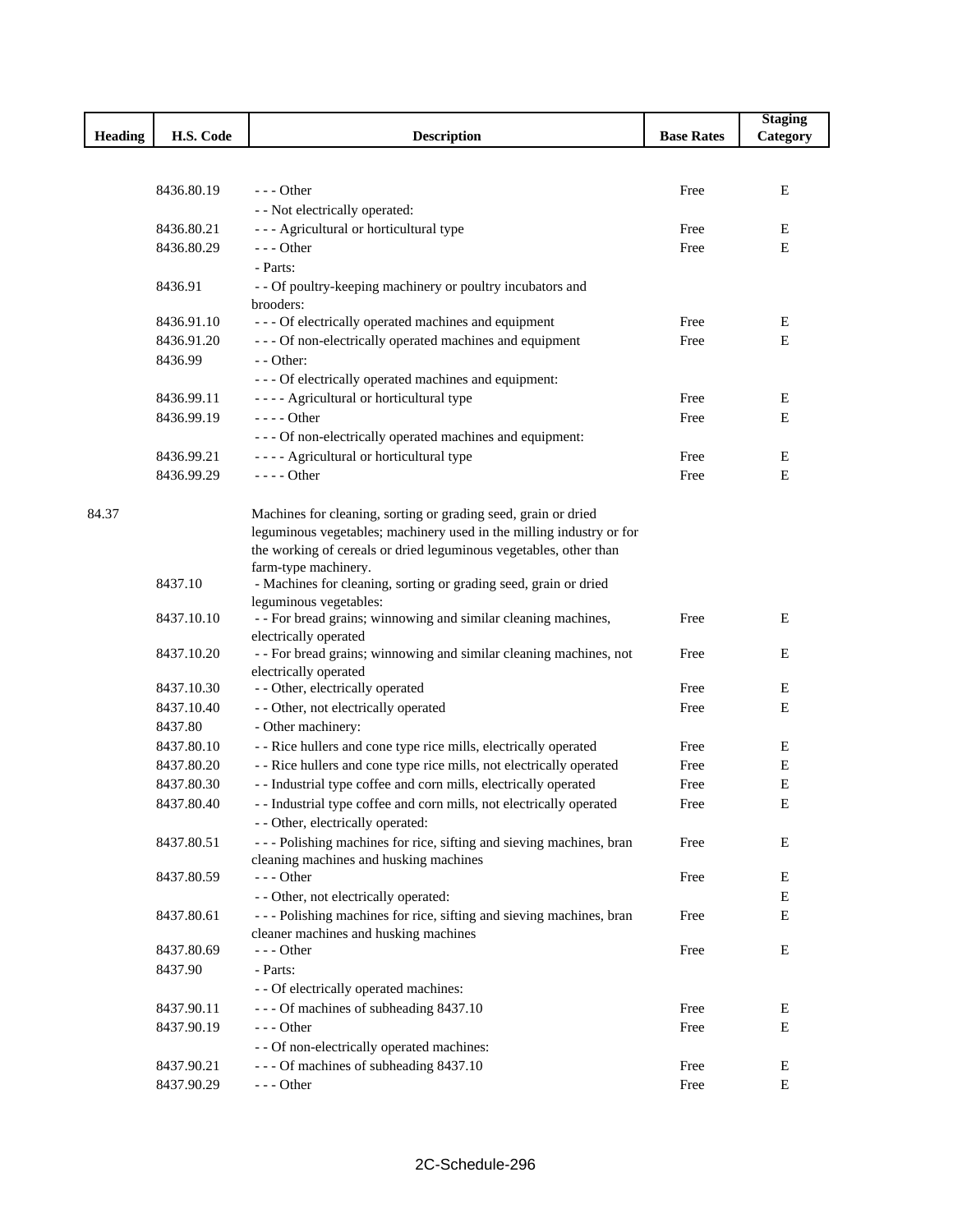|                |            |                                                                                                               |                   | <b>Staging</b> |
|----------------|------------|---------------------------------------------------------------------------------------------------------------|-------------------|----------------|
| <b>Heading</b> | H.S. Code  | <b>Description</b>                                                                                            | <b>Base Rates</b> | Category       |
|                |            |                                                                                                               |                   |                |
|                |            |                                                                                                               |                   |                |
|                | 8436.80.19 | $--$ Other                                                                                                    | Free              | E              |
|                |            | - - Not electrically operated:                                                                                |                   |                |
|                | 8436.80.21 | --- Agricultural or horticultural type                                                                        | Free              | Ε              |
|                | 8436.80.29 | $--$ Other                                                                                                    | Free              | E              |
|                |            | - Parts:                                                                                                      |                   |                |
|                | 8436.91    | - - Of poultry-keeping machinery or poultry incubators and<br>brooders:                                       |                   |                |
|                | 8436.91.10 | --- Of electrically operated machines and equipment                                                           | Free              | E              |
|                | 8436.91.20 | - - - Of non-electrically operated machines and equipment                                                     | Free              | E              |
|                | 8436.99    | $-$ - Other:                                                                                                  |                   |                |
|                |            | - - - Of electrically operated machines and equipment:                                                        |                   |                |
|                | 8436.99.11 | ---- Agricultural or horticultural type                                                                       | Free              | E              |
|                | 8436.99.19 | $--- Other$                                                                                                   | Free              | E              |
|                |            | - - - Of non-electrically operated machines and equipment:                                                    |                   |                |
|                | 8436.99.21 | ---- Agricultural or horticultural type                                                                       | Free              | E              |
|                | 8436.99.29 | $--- Other$                                                                                                   | Free              | E              |
|                |            |                                                                                                               |                   |                |
| 84.37          |            | Machines for cleaning, sorting or grading seed, grain or dried                                                |                   |                |
|                |            | leguminous vegetables; machinery used in the milling industry or for                                          |                   |                |
|                |            | the working of cereals or dried leguminous vegetables, other than                                             |                   |                |
|                |            | farm-type machinery.                                                                                          |                   |                |
|                | 8437.10    | - Machines for cleaning, sorting or grading seed, grain or dried                                              |                   |                |
|                |            | leguminous vegetables:                                                                                        |                   |                |
|                | 8437.10.10 | - - For bread grains; winnowing and similar cleaning machines,                                                | Free              | E              |
|                | 8437.10.20 | electrically operated                                                                                         |                   | E              |
|                |            | - - For bread grains; winnowing and similar cleaning machines, not<br>electrically operated                   | Free              |                |
|                | 8437.10.30 | - - Other, electrically operated                                                                              | Free              | E              |
|                | 8437.10.40 | - - Other, not electrically operated                                                                          | Free              | Е              |
|                | 8437.80    | - Other machinery:                                                                                            |                   |                |
|                | 8437.80.10 | - - Rice hullers and cone type rice mills, electrically operated                                              | Free              | Ε              |
|                | 8437.80.20 | - - Rice hullers and cone type rice mills, not electrically operated                                          | Free              | Е              |
|                | 8437.80.30 | - - Industrial type coffee and corn mills, electrically operated                                              | Free              | $\mathbf E$    |
|                | 8437.80.40 | - - Industrial type coffee and corn mills, not electrically operated                                          | Free              | E              |
|                |            |                                                                                                               |                   |                |
|                |            | - - Other, electrically operated:                                                                             |                   |                |
|                | 8437.80.51 | --- Polishing machines for rice, sifting and sieving machines, bran<br>cleaning machines and husking machines | Free              | Е              |
|                | 8437.80.59 | $--$ Other                                                                                                    | Free              | Е              |
|                |            | - - Other, not electrically operated:                                                                         |                   | Е              |
|                | 8437.80.61 | --- Polishing machines for rice, sifting and sieving machines, bran                                           | Free              | $\mathbf E$    |
|                |            | cleaner machines and husking machines                                                                         |                   |                |
|                | 8437.80.69 | $--$ Other                                                                                                    | Free              | Е              |
|                | 8437.90    | - Parts:                                                                                                      |                   |                |
|                |            | - - Of electrically operated machines:                                                                        |                   |                |
|                | 8437.90.11 | --- Of machines of subheading 8437.10                                                                         | Free              | E              |
|                | 8437.90.19 | --- Other                                                                                                     | Free              | E              |
|                |            | - - Of non-electrically operated machines:                                                                    |                   |                |
|                | 8437.90.21 | --- Of machines of subheading 8437.10                                                                         | Free              | E              |
|                | 8437.90.29 | $--$ Other                                                                                                    | Free              | $\mathbf E$    |
|                |            |                                                                                                               |                   |                |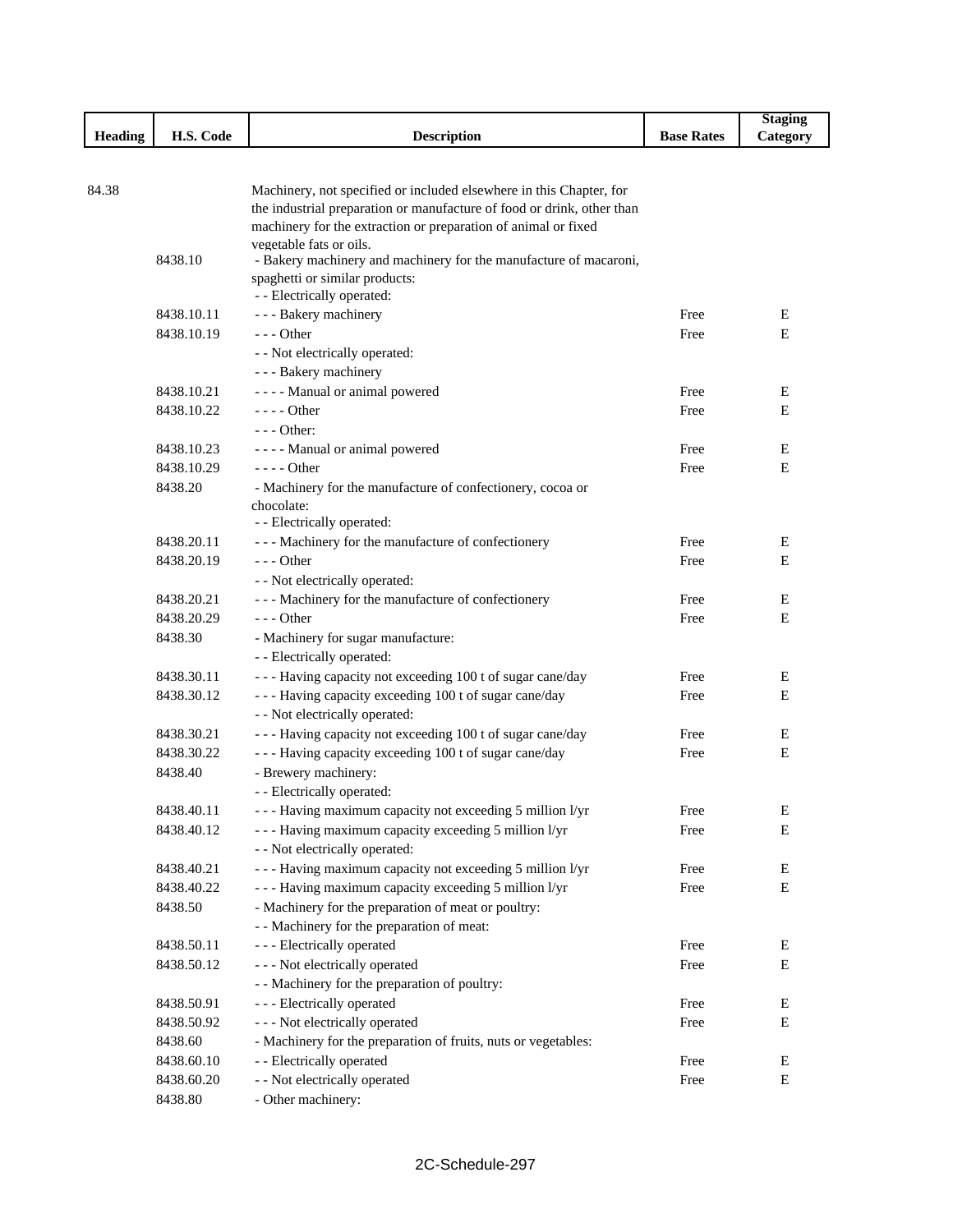|                |            |                                                                                           |                   | <b>Staging</b> |
|----------------|------------|-------------------------------------------------------------------------------------------|-------------------|----------------|
| <b>Heading</b> | H.S. Code  | <b>Description</b>                                                                        | <b>Base Rates</b> | Category       |
|                |            |                                                                                           |                   |                |
|                |            |                                                                                           |                   |                |
| 84.38          |            | Machinery, not specified or included elsewhere in this Chapter, for                       |                   |                |
|                |            | the industrial preparation or manufacture of food or drink, other than                    |                   |                |
|                |            | machinery for the extraction or preparation of animal or fixed<br>vegetable fats or oils. |                   |                |
|                | 8438.10    | - Bakery machinery and machinery for the manufacture of macaroni,                         |                   |                |
|                |            | spaghetti or similar products:                                                            |                   |                |
|                |            | - - Electrically operated:                                                                |                   |                |
|                | 8438.10.11 | - - - Bakery machinery                                                                    | Free              | E              |
|                | 8438.10.19 | $- -$ Other                                                                               | Free              | E              |
|                |            | - - Not electrically operated:                                                            |                   |                |
|                |            | - - - Bakery machinery                                                                    |                   |                |
|                | 8438.10.21 | - - - - Manual or animal powered                                                          | Free              | Е              |
|                | 8438.10.22 | $--- Other$                                                                               | Free              | E              |
|                |            | $--$ Other:                                                                               |                   |                |
|                | 8438.10.23 | - - - - Manual or animal powered                                                          | Free              | Е              |
|                | 8438.10.29 | $---$ Other                                                                               | Free              | Е              |
|                | 8438.20    | - Machinery for the manufacture of confectionery, cocoa or                                |                   |                |
|                |            | chocolate:                                                                                |                   |                |
|                |            | - - Electrically operated:                                                                |                   |                |
|                | 8438.20.11 | --- Machinery for the manufacture of confectionery                                        | Free              | Е              |
|                | 8438.20.19 | $--$ Other                                                                                | Free              | Е              |
|                |            | - - Not electrically operated:                                                            |                   |                |
|                | 8438.20.21 | --- Machinery for the manufacture of confectionery                                        | Free              | Е              |
|                | 8438.20.29 | $--$ Other                                                                                | Free              | Е              |
|                | 8438.30    | - Machinery for sugar manufacture:                                                        |                   |                |
|                |            | - - Electrically operated:                                                                |                   |                |
|                | 8438.30.11 | --- Having capacity not exceeding 100 t of sugar cane/day                                 | Free              | Е              |
|                | 8438.30.12 | --- Having capacity exceeding 100 t of sugar cane/day                                     | Free              | Е              |
|                |            | - - Not electrically operated:                                                            |                   |                |
|                | 8438.30.21 | --- Having capacity not exceeding 100 t of sugar cane/day                                 | Free              | E              |
|                | 8438.30.22 | --- Having capacity exceeding 100 t of sugar cane/day                                     | Free              | E              |
|                | 8438.40    | - Brewery machinery:                                                                      |                   |                |
|                |            | - - Electrically operated:                                                                |                   |                |
|                | 8438.40.11 | --- Having maximum capacity not exceeding 5 million l/yr                                  | Free              | ${\bf E}$      |
|                | 8438.40.12 | - - - Having maximum capacity exceeding 5 million l/yr                                    | Free              | Е              |
|                |            | - - Not electrically operated:                                                            |                   |                |
|                | 8438.40.21 | - - - Having maximum capacity not exceeding 5 million l/yr                                | Free              | E              |
|                | 8438.40.22 | --- Having maximum capacity exceeding 5 million l/yr                                      | Free              | ${\bf E}$      |
|                | 8438.50    | - Machinery for the preparation of meat or poultry:                                       |                   |                |
|                |            | - - Machinery for the preparation of meat:                                                |                   |                |
|                | 8438.50.11 | - - - Electrically operated                                                               | Free              | E              |
|                | 8438.50.12 | - - - Not electrically operated                                                           | Free              | E              |
|                |            | - - Machinery for the preparation of poultry:                                             |                   |                |
|                | 8438.50.91 | - - - Electrically operated                                                               | Free              | E              |
|                | 8438.50.92 | - - - Not electrically operated                                                           | Free              | ${\bf E}$      |
|                | 8438.60    | - Machinery for the preparation of fruits, nuts or vegetables:                            |                   |                |
|                | 8438.60.10 | - - Electrically operated                                                                 | Free              | E              |
|                | 8438.60.20 | - - Not electrically operated                                                             | Free              | E              |
|                | 8438.80    | - Other machinery:                                                                        |                   |                |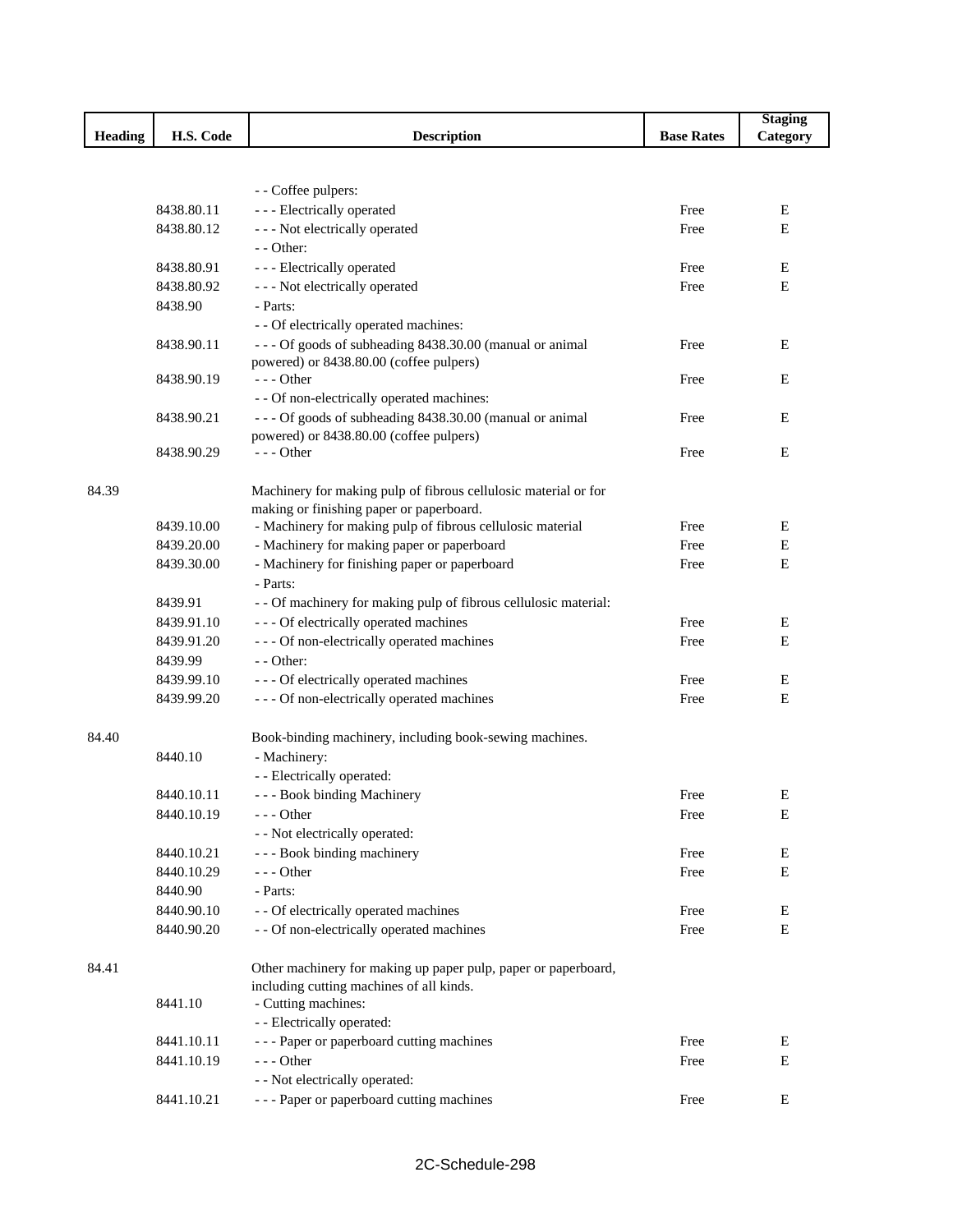|                |            |                                                                  |                   | <b>Staging</b> |
|----------------|------------|------------------------------------------------------------------|-------------------|----------------|
| <b>Heading</b> | H.S. Code  | <b>Description</b>                                               | <b>Base Rates</b> | Category       |
|                |            |                                                                  |                   |                |
|                |            |                                                                  |                   |                |
|                |            | - - Coffee pulpers:                                              |                   |                |
|                | 8438.80.11 | - - - Electrically operated                                      | Free              | E              |
|                | 8438.80.12 | - - - Not electrically operated                                  | Free              | E              |
|                |            | $-$ - Other:                                                     |                   |                |
|                | 8438.80.91 | - - - Electrically operated                                      | Free              | E              |
|                | 8438.80.92 | - - - Not electrically operated                                  | Free              | E              |
|                | 8438.90    | - Parts:                                                         |                   |                |
|                |            | - - Of electrically operated machines:                           |                   |                |
|                | 8438.90.11 | --- Of goods of subheading 8438.30.00 (manual or animal          | Free              | E              |
|                |            | powered) or 8438.80.00 (coffee pulpers)                          |                   |                |
|                | 8438.90.19 | $--$ Other                                                       | Free              | E              |
|                |            | - - Of non-electrically operated machines:                       |                   |                |
|                | 8438.90.21 | --- Of goods of subheading 8438.30.00 (manual or animal          | Free              | E              |
|                |            | powered) or 8438.80.00 (coffee pulpers)                          |                   |                |
|                | 8438.90.29 | --- Other                                                        | Free              | E              |
|                |            |                                                                  |                   |                |
| 84.39          |            | Machinery for making pulp of fibrous cellulosic material or for  |                   |                |
|                |            | making or finishing paper or paperboard.                         |                   |                |
|                | 8439.10.00 | - Machinery for making pulp of fibrous cellulosic material       | Free              | E              |
|                | 8439.20.00 | - Machinery for making paper or paperboard                       | Free              | E              |
|                | 8439.30.00 | - Machinery for finishing paper or paperboard                    | Free              | E              |
|                |            | - Parts:                                                         |                   |                |
|                | 8439.91    | - - Of machinery for making pulp of fibrous cellulosic material: |                   |                |
|                | 8439.91.10 | - - - Of electrically operated machines                          | Free              | Ε              |
|                | 8439.91.20 | - - - Of non-electrically operated machines                      | Free              | E              |
|                | 8439.99    | - - Other:                                                       |                   |                |
|                | 8439.99.10 | - - - Of electrically operated machines                          | Free              | E              |
|                | 8439.99.20 | - - - Of non-electrically operated machines                      | Free              | E              |
|                |            |                                                                  |                   |                |
| 84.40          |            | Book-binding machinery, including book-sewing machines.          |                   |                |
|                | 8440.10    | - Machinery:                                                     |                   |                |
|                |            | - - Electrically operated:                                       |                   |                |
|                | 8440.10.11 | --- Book binding Machinery                                       | Free              | Ε              |
|                | 8440.10.19 | --- Other                                                        | Free              | Ε              |
|                |            | - - Not electrically operated:                                   |                   |                |
|                | 8440.10.21 | - - - Book binding machinery                                     | Free              | Е              |
|                | 8440.10.29 | $--$ Other                                                       | Free              | E              |
|                | 8440.90    | - Parts:                                                         |                   |                |
|                | 8440.90.10 | - - Of electrically operated machines                            | Free              | Ε              |
|                | 8440.90.20 | - - Of non-electrically operated machines                        | Free              | Е              |
|                |            |                                                                  |                   |                |
| 84.41          |            | Other machinery for making up paper pulp, paper or paperboard,   |                   |                |
|                |            | including cutting machines of all kinds.                         |                   |                |
|                | 8441.10    | - Cutting machines:                                              |                   |                |
|                |            | - - Electrically operated:                                       |                   |                |
|                | 8441.10.11 | --- Paper or paperboard cutting machines                         | Free              | Ε              |
|                | 8441.10.19 | --- Other                                                        | Free              | E              |
|                |            | - - Not electrically operated:                                   |                   |                |
|                | 8441.10.21 | --- Paper or paperboard cutting machines                         | Free              | Ε              |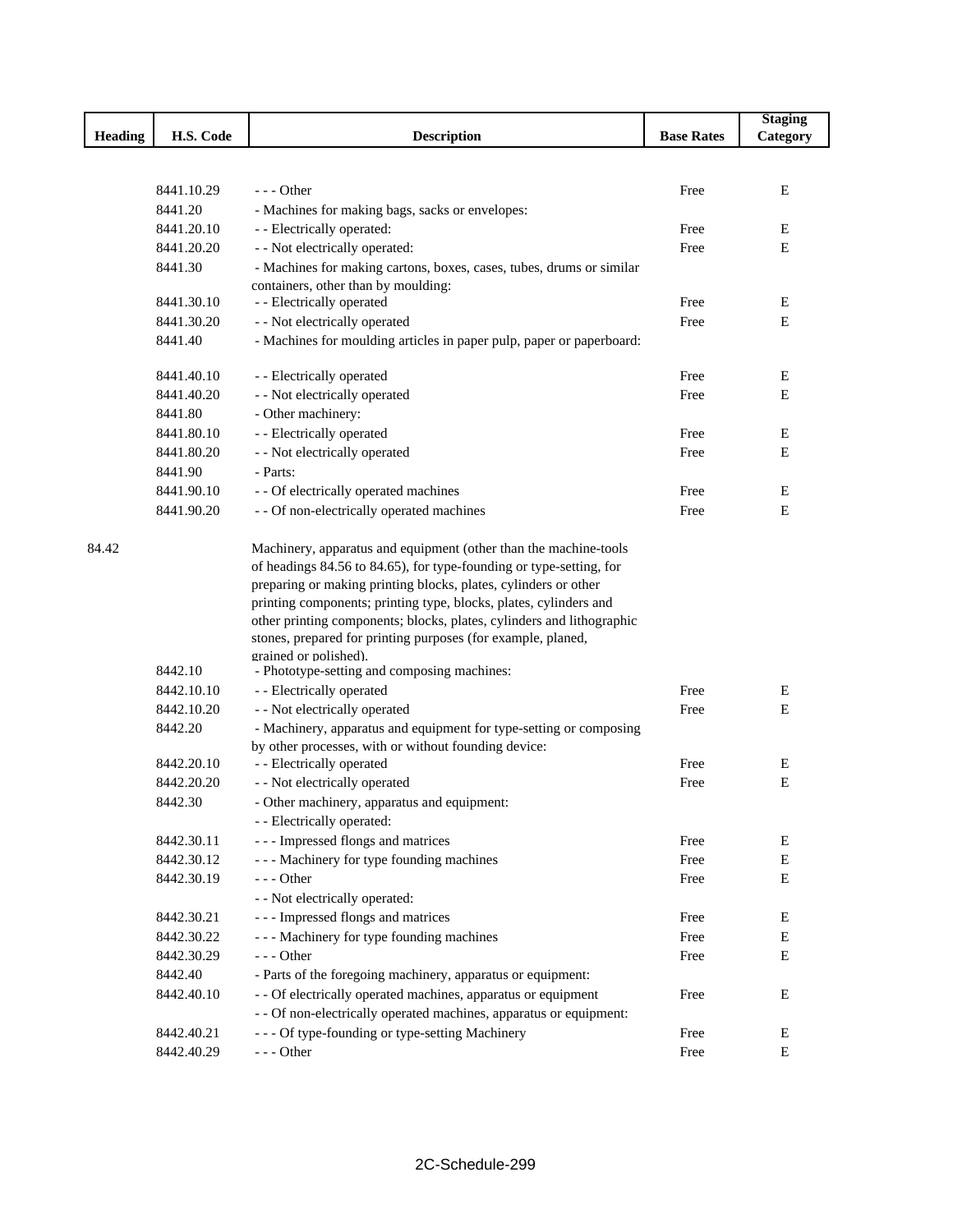|                |            |                                                                       |                   | <b>Staging</b> |
|----------------|------------|-----------------------------------------------------------------------|-------------------|----------------|
| <b>Heading</b> | H.S. Code  | <b>Description</b>                                                    | <b>Base Rates</b> | Category       |
|                |            |                                                                       |                   |                |
|                |            |                                                                       |                   |                |
|                | 8441.10.29 | $- -$ Other                                                           | Free              | E              |
|                | 8441.20    | - Machines for making bags, sacks or envelopes:                       |                   |                |
|                | 8441.20.10 | - - Electrically operated:                                            | Free              | E              |
|                | 8441.20.20 | - - Not electrically operated:                                        | Free              | E              |
|                | 8441.30    | - Machines for making cartons, boxes, cases, tubes, drums or similar  |                   |                |
|                | 8441.30.10 | containers, other than by moulding:                                   |                   |                |
|                | 8441.30.20 | - - Electrically operated                                             | Free              | E              |
|                |            | - - Not electrically operated                                         | Free              | Ε              |
|                | 8441.40    | - Machines for moulding articles in paper pulp, paper or paperboard:  |                   |                |
|                | 8441.40.10 | - - Electrically operated                                             | Free              | E              |
|                | 8441.40.20 | - - Not electrically operated                                         | Free              | Ε              |
|                | 8441.80    | - Other machinery:                                                    |                   |                |
|                | 8441.80.10 | - - Electrically operated                                             | Free              | E              |
|                | 8441.80.20 | - - Not electrically operated                                         | Free              | Ε              |
|                | 8441.90    | - Parts:                                                              |                   |                |
|                | 8441.90.10 | - - Of electrically operated machines                                 | Free              | E              |
|                | 8441.90.20 | - - Of non-electrically operated machines                             | Free              | E              |
|                |            |                                                                       |                   |                |
| 84.42          |            | Machinery, apparatus and equipment (other than the machine-tools      |                   |                |
|                |            | of headings 84.56 to 84.65), for type-founding or type-setting, for   |                   |                |
|                |            | preparing or making printing blocks, plates, cylinders or other       |                   |                |
|                |            | printing components; printing type, blocks, plates, cylinders and     |                   |                |
|                |            | other printing components; blocks, plates, cylinders and lithographic |                   |                |
|                |            | stones, prepared for printing purposes (for example, planed,          |                   |                |
|                | 8442.10    | grained or polished).<br>- Phototype-setting and composing machines:  |                   |                |
|                | 8442.10.10 | - - Electrically operated                                             | Free              | E              |
|                | 8442.10.20 | - - Not electrically operated                                         | Free              | Ε              |
|                | 8442.20    | - Machinery, apparatus and equipment for type-setting or composing    |                   |                |
|                |            | by other processes, with or without founding device:                  |                   |                |
|                | 8442.20.10 | - - Electrically operated                                             | Free              | E              |
|                | 8442.20.20 | - - Not electrically operated                                         | Free              | ${\bf E}$      |
|                | 8442.30    | - Other machinery, apparatus and equipment:                           |                   |                |
|                |            | - - Electrically operated:                                            |                   |                |
|                | 8442.30.11 | --- Impressed flongs and matrices                                     | Free              | E              |
|                | 8442.30.12 | --- Machinery for type founding machines                              | Free              | E              |
|                | 8442.30.19 | $--$ Other                                                            | Free              | E              |
|                |            | - - Not electrically operated:                                        |                   |                |
|                | 8442.30.21 | --- Impressed flongs and matrices                                     | Free              | E              |
|                | 8442.30.22 | --- Machinery for type founding machines                              | Free              | E              |
|                | 8442.30.29 | $--$ Other                                                            | Free              | E              |
|                | 8442.40    | - Parts of the foregoing machinery, apparatus or equipment:           |                   |                |
|                | 8442.40.10 | - - Of electrically operated machines, apparatus or equipment         | Free              | E              |
|                |            | - - Of non-electrically operated machines, apparatus or equipment:    |                   |                |
|                | 8442.40.21 | - - - Of type-founding or type-setting Machinery                      | Free              | E              |
|                | 8442.40.29 | $--$ Other                                                            | Free              | E              |
|                |            |                                                                       |                   |                |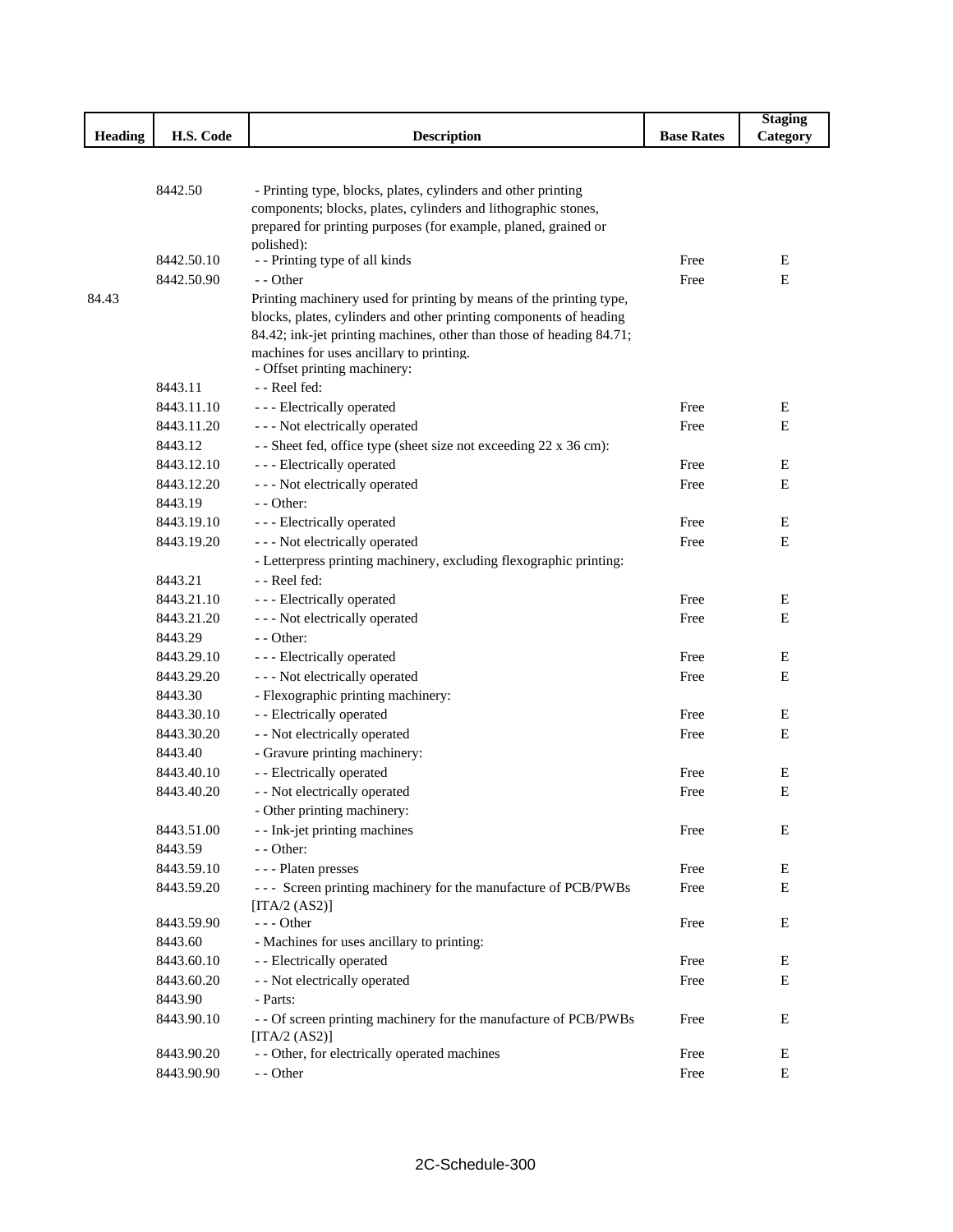|                |            |                                                                                                                                 |                   | <b>Staging</b> |
|----------------|------------|---------------------------------------------------------------------------------------------------------------------------------|-------------------|----------------|
| <b>Heading</b> | H.S. Code  | <b>Description</b>                                                                                                              | <b>Base Rates</b> | Category       |
|                |            |                                                                                                                                 |                   |                |
|                |            |                                                                                                                                 |                   |                |
|                | 8442.50    | - Printing type, blocks, plates, cylinders and other printing<br>components; blocks, plates, cylinders and lithographic stones, |                   |                |
|                |            | prepared for printing purposes (for example, planed, grained or                                                                 |                   |                |
|                |            | polished):                                                                                                                      |                   |                |
|                | 8442.50.10 | - - Printing type of all kinds                                                                                                  | Free              | Е              |
|                | 8442.50.90 | - - Other                                                                                                                       | Free              | ${\bf E}$      |
| 84.43          |            | Printing machinery used for printing by means of the printing type,                                                             |                   |                |
|                |            | blocks, plates, cylinders and other printing components of heading                                                              |                   |                |
|                |            | 84.42; ink-jet printing machines, other than those of heading 84.71;                                                            |                   |                |
|                |            | machines for uses ancillary to printing.                                                                                        |                   |                |
|                |            | - Offset printing machinery:                                                                                                    |                   |                |
|                | 8443.11    | - - Reel fed:                                                                                                                   |                   |                |
|                | 8443.11.10 | - - - Electrically operated                                                                                                     | Free              | Ε              |
|                | 8443.11.20 | - - - Not electrically operated                                                                                                 | Free              | Е              |
|                | 8443.12    | - - Sheet fed, office type (sheet size not exceeding 22 x 36 cm):                                                               |                   |                |
|                | 8443.12.10 | - - - Electrically operated                                                                                                     | Free              | Е              |
|                | 8443.12.20 | - - - Not electrically operated                                                                                                 | Free              | Е              |
|                | 8443.19    | $-$ - Other:                                                                                                                    |                   |                |
|                | 8443.19.10 | - - - Electrically operated                                                                                                     | Free              | E              |
|                | 8443.19.20 | - - - Not electrically operated                                                                                                 | Free              | Е              |
|                |            | - Letterpress printing machinery, excluding flexographic printing:                                                              |                   |                |
|                | 8443.21    | - - Reel fed:                                                                                                                   |                   |                |
|                | 8443.21.10 | - - - Electrically operated                                                                                                     | Free              | Ε              |
|                | 8443.21.20 | --- Not electrically operated                                                                                                   | Free              | Е              |
|                | 8443.29    | $-$ - Other:                                                                                                                    |                   |                |
|                | 8443.29.10 | - - - Electrically operated                                                                                                     | Free              | Е              |
|                | 8443.29.20 | - - - Not electrically operated                                                                                                 | Free              | Е              |
|                | 8443.30    | - Flexographic printing machinery:                                                                                              |                   |                |
|                | 8443.30.10 | - - Electrically operated                                                                                                       | Free              | Е              |
|                | 8443.30.20 | - - Not electrically operated                                                                                                   | Free              | Е              |
|                | 8443.40    | - Gravure printing machinery:                                                                                                   |                   |                |
|                | 8443.40.10 | - - Electrically operated                                                                                                       | Free              | E              |
|                | 8443.40.20 | - - Not electrically operated                                                                                                   | Free              | ${\bf E}$      |
|                |            | - Other printing machinery:                                                                                                     |                   |                |
|                | 8443.51.00 | - - Ink-jet printing machines                                                                                                   | Free              | E              |
|                | 8443.59    | $-$ - Other:                                                                                                                    |                   |                |
|                | 8443.59.10 | - - - Platen presses                                                                                                            | Free              | E              |
|                | 8443.59.20 | --- Screen printing machinery for the manufacture of PCB/PWBs                                                                   | Free              | ${\bf E}$      |
|                |            | [ITA/2 (AS2)]                                                                                                                   |                   |                |
|                | 8443.59.90 | $--$ Other                                                                                                                      | Free              | Е              |
|                | 8443.60    | - Machines for uses ancillary to printing:                                                                                      |                   |                |
|                | 8443.60.10 | - - Electrically operated                                                                                                       | Free              | Е              |
|                | 8443.60.20 | - - Not electrically operated                                                                                                   | Free              | Е              |
|                | 8443.90    | - Parts:                                                                                                                        |                   |                |
|                | 8443.90.10 | - - Of screen printing machinery for the manufacture of PCB/PWBs                                                                | Free              | Е              |
|                |            | [ $\text{ITA}/2 \text{ (AS2)}$ ]                                                                                                |                   |                |
|                | 8443.90.20 | - - Other, for electrically operated machines                                                                                   | Free              | Е              |
|                | 8443.90.90 | - - Other                                                                                                                       | Free              | E              |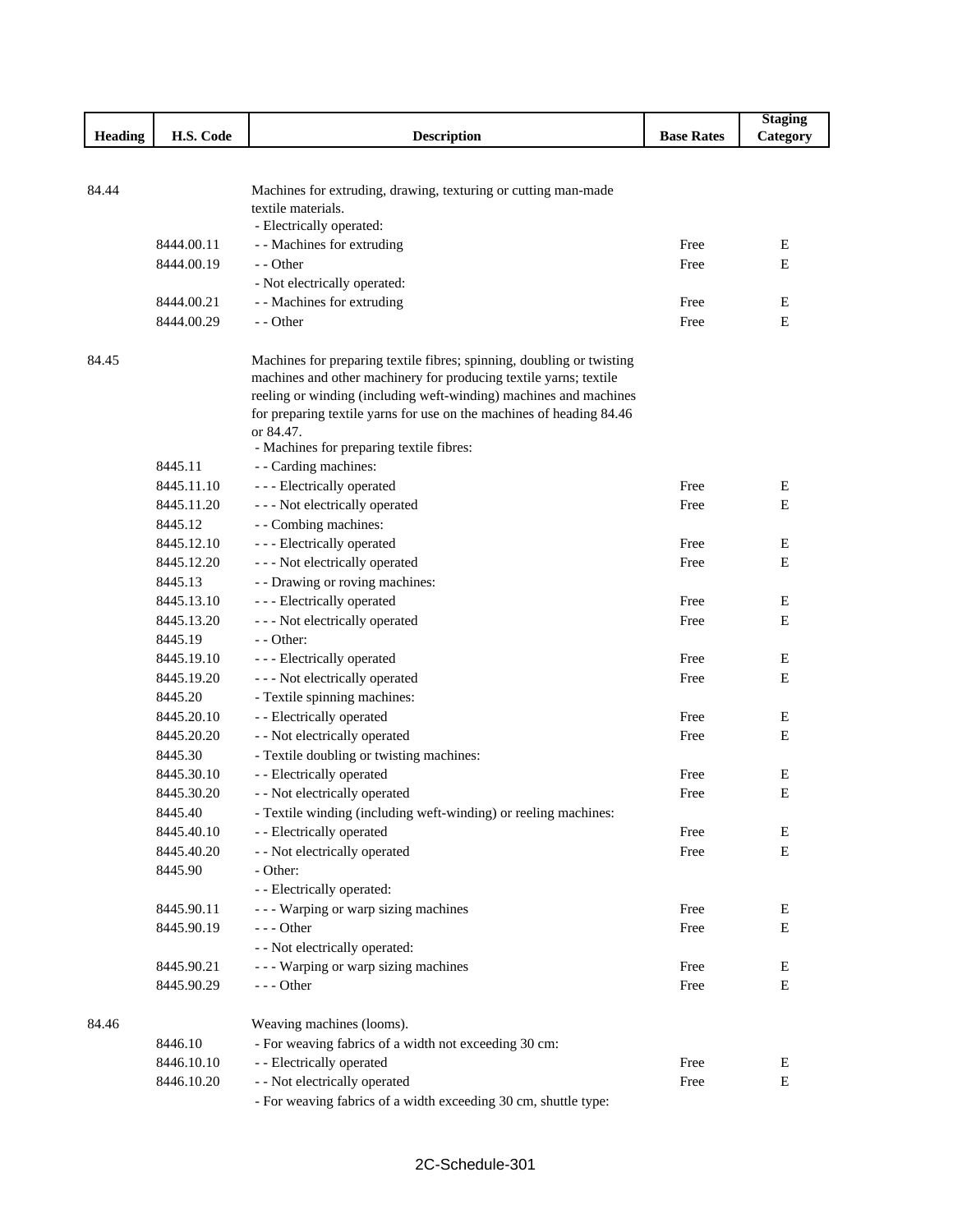|                |            |                                                                                      |                   | <b>Staging</b> |
|----------------|------------|--------------------------------------------------------------------------------------|-------------------|----------------|
| <b>Heading</b> | H.S. Code  | <b>Description</b>                                                                   | <b>Base Rates</b> | Category       |
|                |            |                                                                                      |                   |                |
|                |            |                                                                                      |                   |                |
| 84.44          |            | Machines for extruding, drawing, texturing or cutting man-made<br>textile materials. |                   |                |
|                |            | - Electrically operated:                                                             |                   |                |
|                | 8444.00.11 | - - Machines for extruding                                                           | Free              | Ε              |
|                | 8444.00.19 | - - Other                                                                            | Free              | Е              |
|                |            | - Not electrically operated:                                                         |                   |                |
|                | 8444.00.21 | - - Machines for extruding                                                           | Free              | Ε              |
|                | 8444.00.29 | - - Other                                                                            | Free              | Ε              |
|                |            |                                                                                      |                   |                |
| 84.45          |            | Machines for preparing textile fibres; spinning, doubling or twisting                |                   |                |
|                |            | machines and other machinery for producing textile yarns; textile                    |                   |                |
|                |            | reeling or winding (including weft-winding) machines and machines                    |                   |                |
|                |            | for preparing textile yarns for use on the machines of heading 84.46                 |                   |                |
|                |            | or 84.47.                                                                            |                   |                |
|                |            | - Machines for preparing textile fibres:                                             |                   |                |
|                | 8445.11    | - - Carding machines:                                                                |                   |                |
|                | 8445.11.10 | - - - Electrically operated                                                          | Free              | Ε              |
|                | 8445.11.20 | - - - Not electrically operated                                                      | Free              | Е              |
|                | 8445.12    | - - Combing machines:                                                                |                   |                |
|                | 8445.12.10 | - - - Electrically operated                                                          | Free              | Е              |
|                | 8445.12.20 | - - - Not electrically operated                                                      | Free              | Е              |
|                | 8445.13    | - - Drawing or roving machines:                                                      |                   |                |
|                | 8445.13.10 | - - - Electrically operated                                                          | Free              | Е              |
|                | 8445.13.20 | - - - Not electrically operated                                                      | Free              | ${\bf E}$      |
|                | 8445.19    | $-$ - Other:                                                                         |                   |                |
|                | 8445.19.10 | - - - Electrically operated                                                          | Free              | Ε              |
|                | 8445.19.20 | - - - Not electrically operated                                                      | Free              | Е              |
|                | 8445.20    | - Textile spinning machines:                                                         |                   |                |
|                | 8445.20.10 | - - Electrically operated                                                            | Free              | Е              |
|                | 8445.20.20 | - - Not electrically operated                                                        | Free              | ${\bf E}$      |
|                | 8445.30    | - Textile doubling or twisting machines:                                             |                   |                |
|                | 8445.30.10 | - - Electrically operated                                                            | Free              | Е              |
|                | 8445.30.20 | - - Not electrically operated                                                        | Free              | E              |
|                | 8445.40    | - Textile winding (including weft-winding) or reeling machines:                      |                   |                |
|                | 8445.40.10 | - - Electrically operated                                                            | Free              | Е              |
|                | 8445.40.20 | - - Not electrically operated                                                        | Free              | E              |
|                | 8445.90    | - Other:                                                                             |                   |                |
|                |            | - - Electrically operated:                                                           |                   |                |
|                | 8445.90.11 | --- Warping or warp sizing machines                                                  | Free              | E              |
|                | 8445.90.19 | $--$ Other                                                                           | Free              | E              |
|                |            | - - Not electrically operated:                                                       |                   |                |
|                | 8445.90.21 | - - - Warping or warp sizing machines                                                | Free              | E              |
|                | 8445.90.29 | $--$ Other                                                                           | Free              | E              |
|                |            |                                                                                      |                   |                |
| 84.46          |            | Weaving machines (looms).                                                            |                   |                |
|                | 8446.10    | - For weaving fabrics of a width not exceeding 30 cm:                                |                   |                |
|                | 8446.10.10 | - - Electrically operated                                                            | Free              | Е              |
|                | 8446.10.20 | - - Not electrically operated                                                        | Free              | Е              |
|                |            | - For weaving fabrics of a width exceeding 30 cm, shuttle type:                      |                   |                |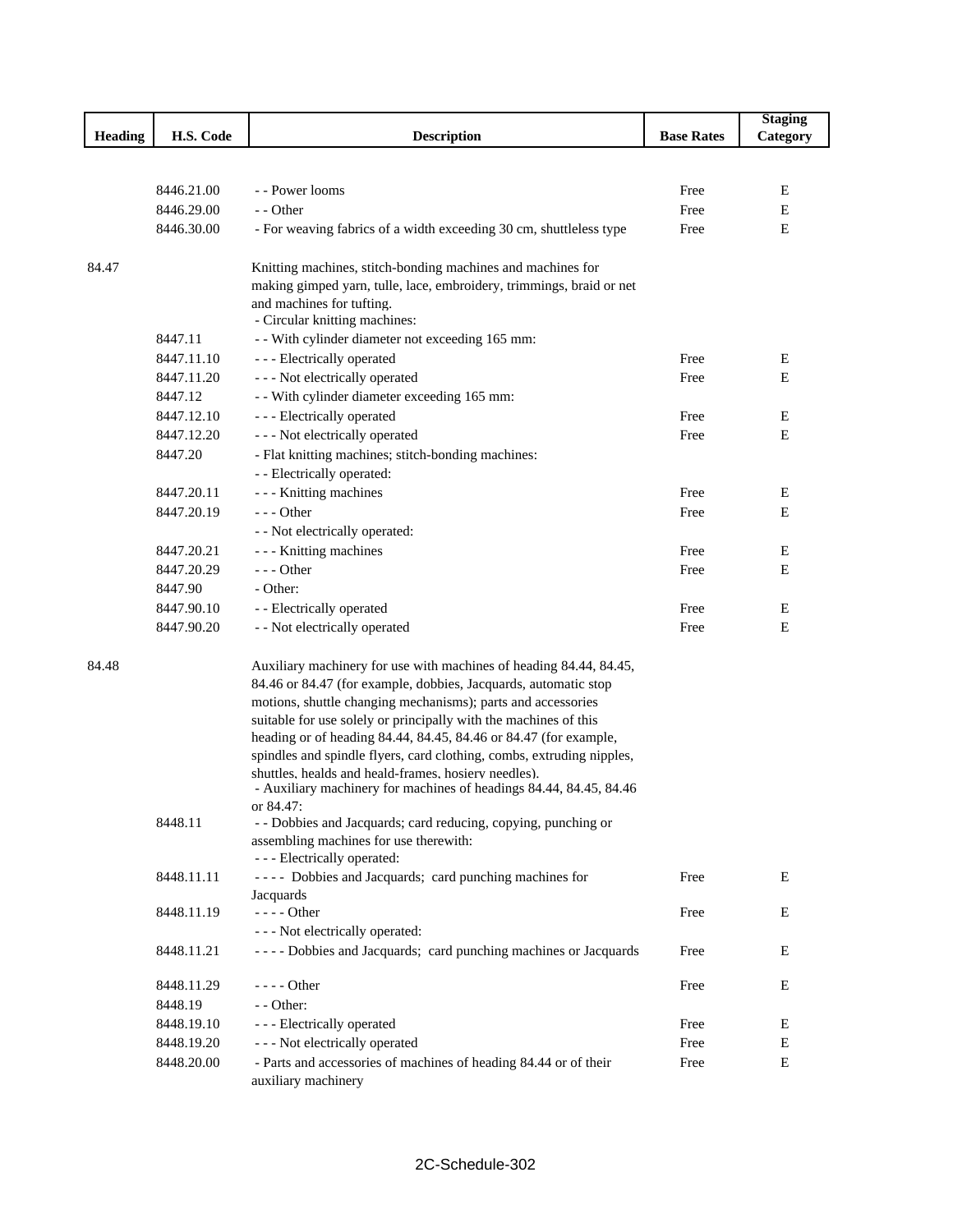|                |            |                                                                                         |                   | <b>Staging</b> |
|----------------|------------|-----------------------------------------------------------------------------------------|-------------------|----------------|
| <b>Heading</b> | H.S. Code  | <b>Description</b>                                                                      | <b>Base Rates</b> | Category       |
|                |            |                                                                                         |                   |                |
|                |            |                                                                                         |                   |                |
|                | 8446.21.00 | - - Power looms                                                                         | Free              | Е              |
|                | 8446.29.00 | - - Other                                                                               | Free              | E              |
|                | 8446.30.00 | - For weaving fabrics of a width exceeding 30 cm, shuttleless type                      | Free              | E              |
| 84.47          |            | Knitting machines, stitch-bonding machines and machines for                             |                   |                |
|                |            | making gimped yarn, tulle, lace, embroidery, trimmings, braid or net                    |                   |                |
|                |            | and machines for tufting.                                                               |                   |                |
|                |            | - Circular knitting machines:                                                           |                   |                |
|                | 8447.11    | - With cylinder diameter not exceeding 165 mm:                                          |                   |                |
|                | 8447.11.10 | - - - Electrically operated                                                             | Free              | Ε              |
|                | 8447.11.20 | - - - Not electrically operated                                                         | Free              | Ε              |
|                | 8447.12    | - - With cylinder diameter exceeding 165 mm:                                            |                   |                |
|                | 8447.12.10 | - - - Electrically operated                                                             | Free              | Е              |
|                | 8447.12.20 | - - - Not electrically operated                                                         | Free              | Ε              |
|                | 8447.20    | - Flat knitting machines; stitch-bonding machines:                                      |                   |                |
|                |            | - - Electrically operated:                                                              |                   |                |
|                | 8447.20.11 | - - - Knitting machines                                                                 | Free              | Ε              |
|                | 8447.20.19 | $--$ Other                                                                              | Free              | Ε              |
|                |            | - - Not electrically operated:                                                          |                   |                |
|                | 8447.20.21 | - - - Knitting machines                                                                 | Free              | Ε              |
|                | 8447.20.29 | $--$ Other                                                                              | Free              | E              |
|                | 8447.90    | - Other:                                                                                |                   |                |
|                | 8447.90.10 | - - Electrically operated                                                               | Free              | E              |
|                | 8447.90.20 | - - Not electrically operated                                                           | Free              | Ε              |
| 84.48          |            | Auxiliary machinery for use with machines of heading 84.44, 84.45,                      |                   |                |
|                |            | 84.46 or 84.47 (for example, dobbies, Jacquards, automatic stop                         |                   |                |
|                |            | motions, shuttle changing mechanisms); parts and accessories                            |                   |                |
|                |            | suitable for use solely or principally with the machines of this                        |                   |                |
|                |            | heading or of heading 84.44, 84.45, 84.46 or 84.47 (for example,                        |                   |                |
|                |            | spindles and spindle flyers, card clothing, combs, extruding nipples,                   |                   |                |
|                |            | shuttles, healds and heald-frames, hosiery needles).                                    |                   |                |
|                |            | - Auxiliary machinery for machines of headings 84.44, 84.45, 84.46<br>or 84.47:         |                   |                |
|                | 8448.11    | - - Dobbies and Jacquards; card reducing, copying, punching or                          |                   |                |
|                |            | assembling machines for use therewith:                                                  |                   |                |
|                |            | - - - Electrically operated:                                                            |                   |                |
|                | 8448.11.11 | ---- Dobbies and Jacquards; card punching machines for                                  | Free              | E              |
|                |            | Jacquards                                                                               |                   |                |
|                | 8448.11.19 | - - - - Other                                                                           | Free              | E              |
|                |            | - - - Not electrically operated:                                                        |                   |                |
|                | 8448.11.21 | - - - - Dobbies and Jacquards; card punching machines or Jacquards                      | Free              | Ε              |
|                | 8448.11.29 | $--- Other$                                                                             | Free              | E              |
|                | 8448.19    | - - Other:                                                                              |                   |                |
|                | 8448.19.10 | - - - Electrically operated                                                             | Free              | E              |
|                | 8448.19.20 | - - - Not electrically operated                                                         | Free              | Ε              |
|                | 8448.20.00 | - Parts and accessories of machines of heading 84.44 or of their<br>auxiliary machinery | Free              | E              |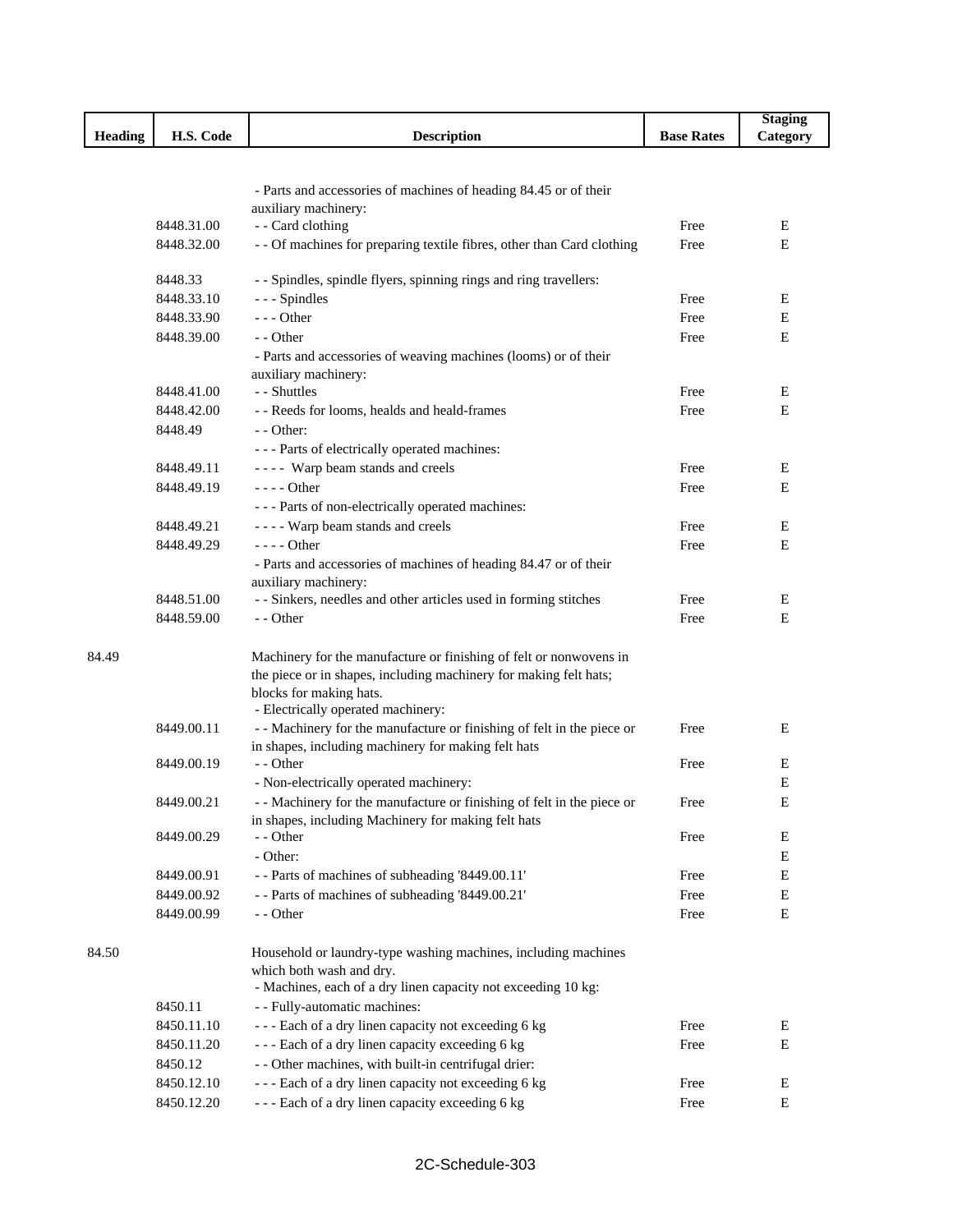|                |            |                                                                        |                   | <b>Staging</b> |
|----------------|------------|------------------------------------------------------------------------|-------------------|----------------|
| <b>Heading</b> | H.S. Code  | <b>Description</b>                                                     | <b>Base Rates</b> | Category       |
|                |            |                                                                        |                   |                |
|                |            |                                                                        |                   |                |
|                |            | - Parts and accessories of machines of heading 84.45 or of their       |                   |                |
|                |            | auxiliary machinery:                                                   |                   |                |
|                | 8448.31.00 | - - Card clothing                                                      | Free              | E              |
|                | 8448.32.00 | - - Of machines for preparing textile fibres, other than Card clothing | Free              | E              |
|                |            |                                                                        |                   |                |
|                | 8448.33    | - - Spindles, spindle flyers, spinning rings and ring travellers:      |                   |                |
|                | 8448.33.10 | --- Spindles                                                           | Free              | Ε              |
|                | 8448.33.90 | $--$ Other                                                             | Free              | Е              |
|                | 8448.39.00 | - - Other                                                              | Free              | Е              |
|                |            | - Parts and accessories of weaving machines (looms) or of their        |                   |                |
|                |            | auxiliary machinery:                                                   |                   |                |
|                | 8448.41.00 | - - Shuttles                                                           | Free              | E              |
|                | 8448.42.00 | - - Reeds for looms, healds and heald-frames                           | Free              | E              |
|                | 8448.49    | - - Other:                                                             |                   |                |
|                |            | --- Parts of electrically operated machines:                           |                   |                |
|                |            |                                                                        |                   |                |
|                | 8448.49.11 | ---- Warp beam stands and creels                                       | Free              | E              |
|                | 8448.49.19 | $--- Other$                                                            | Free              | E              |
|                |            | - - - Parts of non-electrically operated machines:                     |                   |                |
|                | 8448.49.21 | ---- Warp beam stands and creels                                       | Free              | E              |
|                | 8448.49.29 | $--$ Other                                                             | Free              | E              |
|                |            | - Parts and accessories of machines of heading 84.47 or of their       |                   |                |
|                |            | auxiliary machinery:                                                   |                   |                |
|                | 8448.51.00 | - - Sinkers, needles and other articles used in forming stitches       | Free              | Ε              |
|                | 8448.59.00 | - - Other                                                              | Free              | E              |
|                |            |                                                                        |                   |                |
| 84.49          |            | Machinery for the manufacture or finishing of felt or nonwovens in     |                   |                |
|                |            | the piece or in shapes, including machinery for making felt hats;      |                   |                |
|                |            | blocks for making hats.                                                |                   |                |
|                |            | - Electrically operated machinery:                                     |                   |                |
|                | 8449.00.11 | - - Machinery for the manufacture or finishing of felt in the piece or | Free              | E              |
|                |            | in shapes, including machinery for making felt hats                    |                   |                |
|                | 8449.00.19 | - - Other                                                              | Free              | Ε              |
|                |            | - Non-electrically operated machinery:                                 |                   | Е              |
|                | 8449.00.21 | - - Machinery for the manufacture or finishing of felt in the piece or | Free              | E              |
|                |            | in shapes, including Machinery for making felt hats                    |                   |                |
|                | 8449.00.29 | - - Other                                                              | Free              | E              |
|                |            | - Other:                                                               |                   | Е              |
|                | 8449.00.91 | - - Parts of machines of subheading '8449.00.11'                       | Free              | Е              |
|                | 8449.00.92 | - - Parts of machines of subheading '8449.00.21'                       | Free              | E              |
|                | 8449.00.99 | - - Other                                                              | Free              | E              |
|                |            |                                                                        |                   |                |
|                |            |                                                                        |                   |                |
| 84.50          |            | Household or laundry-type washing machines, including machines         |                   |                |
|                |            | which both wash and dry.                                               |                   |                |
|                |            | - Machines, each of a dry linen capacity not exceeding 10 kg:          |                   |                |
|                | 8450.11    | - - Fully-automatic machines:                                          |                   |                |
|                | 8450.11.10 | --- Each of a dry linen capacity not exceeding 6 kg                    | Free              | E              |
|                | 8450.11.20 | --- Each of a dry linen capacity exceeding 6 kg                        | Free              | Е              |
|                | 8450.12    | - - Other machines, with built-in centrifugal drier:                   |                   |                |
|                | 8450.12.10 | --- Each of a dry linen capacity not exceeding 6 kg                    | Free              | Е              |
|                | 8450.12.20 | --- Each of a dry linen capacity exceeding 6 kg                        | Free              | E              |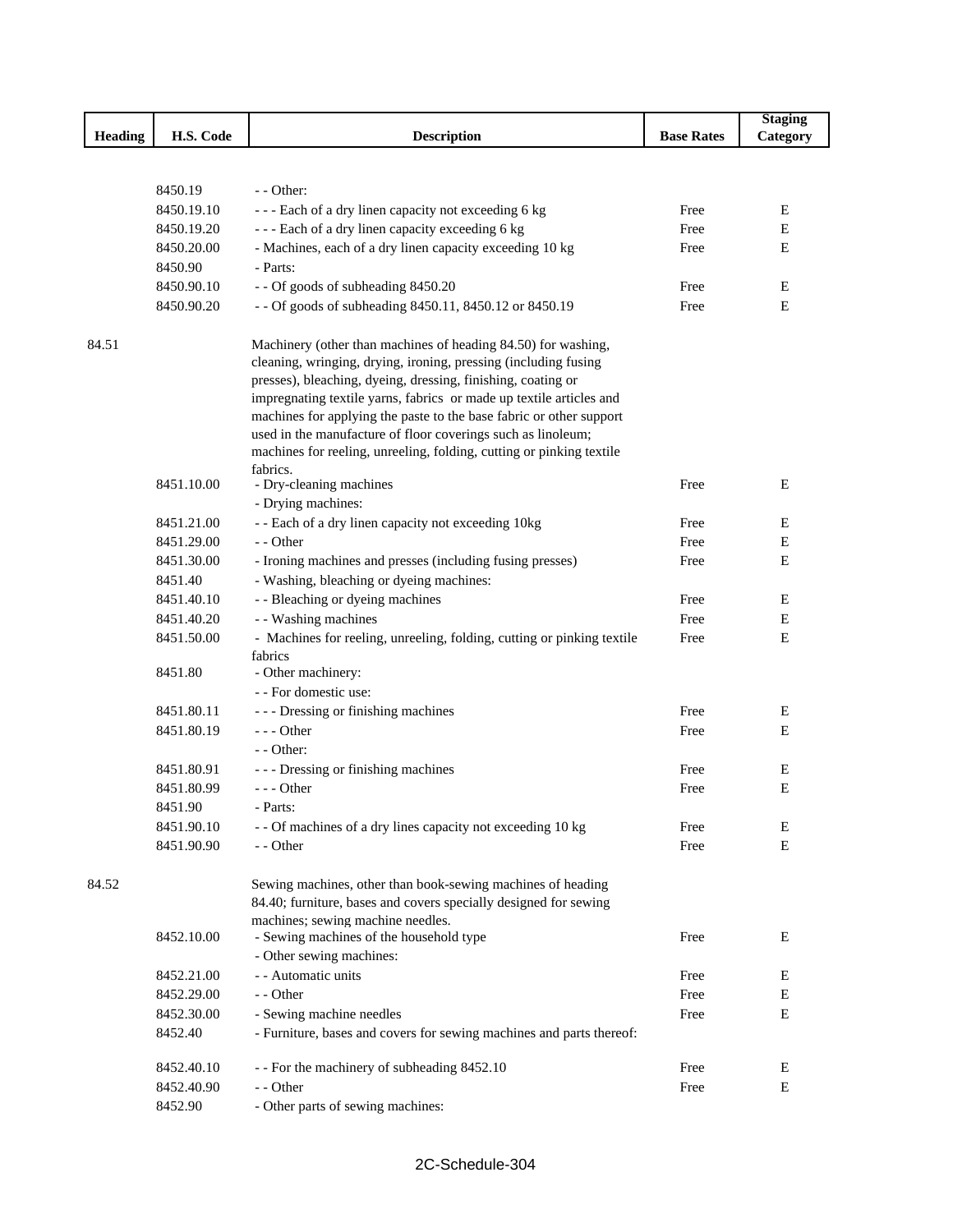|         |            |                                                                        |                   | <b>Staging</b> |
|---------|------------|------------------------------------------------------------------------|-------------------|----------------|
| Heading | H.S. Code  | <b>Description</b>                                                     | <b>Base Rates</b> | Category       |
|         |            |                                                                        |                   |                |
|         |            |                                                                        |                   |                |
|         | 8450.19    | $-$ - Other:                                                           |                   |                |
|         | 8450.19.10 | --- Each of a dry linen capacity not exceeding 6 kg                    | Free              | Е              |
|         | 8450.19.20 | --- Each of a dry linen capacity exceeding 6 kg                        | Free              | E              |
|         | 8450.20.00 | - Machines, each of a dry linen capacity exceeding 10 kg               | Free              | ${\bf E}$      |
|         | 8450.90    | - Parts:                                                               |                   |                |
|         | 8450.90.10 | - - Of goods of subheading 8450.20                                     | Free              | Е              |
|         | 8450.90.20 | - - Of goods of subheading 8450.11, 8450.12 or 8450.19                 | Free              | E              |
| 84.51   |            | Machinery (other than machines of heading 84.50) for washing,          |                   |                |
|         |            | cleaning, wringing, drying, ironing, pressing (including fusing        |                   |                |
|         |            | presses), bleaching, dyeing, dressing, finishing, coating or           |                   |                |
|         |            | impregnating textile yarns, fabrics or made up textile articles and    |                   |                |
|         |            | machines for applying the paste to the base fabric or other support    |                   |                |
|         |            | used in the manufacture of floor coverings such as linoleum;           |                   |                |
|         |            | machines for reeling, unreeling, folding, cutting or pinking textile   |                   |                |
|         |            | fabrics.                                                               |                   |                |
|         | 8451.10.00 | - Dry-cleaning machines                                                | Free              | Е              |
|         |            | - Drying machines:                                                     |                   |                |
|         | 8451.21.00 | - - Each of a dry linen capacity not exceeding 10kg                    | Free              | Е              |
|         | 8451.29.00 | - - Other                                                              | Free              | E              |
|         | 8451.30.00 | - Ironing machines and presses (including fusing presses)              | Free              | Е              |
|         | 8451.40    | - Washing, bleaching or dyeing machines:                               |                   |                |
|         | 8451.40.10 | - - Bleaching or dyeing machines                                       | Free              | Е              |
|         | 8451.40.20 | - - Washing machines                                                   | Free              | Е              |
|         | 8451.50.00 | - Machines for reeling, unreeling, folding, cutting or pinking textile | Free              | Е              |
|         |            | fabrics                                                                |                   |                |
|         | 8451.80    | - Other machinery:                                                     |                   |                |
|         |            | - - For domestic use:                                                  |                   |                |
|         | 8451.80.11 | - - - Dressing or finishing machines                                   | Free              | Е              |
|         | 8451.80.19 | $--$ Other                                                             | Free              | E              |
|         |            | $-$ - Other:                                                           |                   |                |
|         | 8451.80.91 | - - - Dressing or finishing machines                                   | Free              | Е              |
|         | 8451.80.99 | $--$ Other                                                             | Free              | $\mathbf E$    |
|         | 8451.90    | - Parts:                                                               |                   |                |
|         | 8451.90.10 | - - Of machines of a dry lines capacity not exceeding 10 kg            | Free              | Е              |
|         | 8451.90.90 | - - Other                                                              | Free              | E              |
| 84.52   |            | Sewing machines, other than book-sewing machines of heading            |                   |                |
|         |            | 84.40; furniture, bases and covers specially designed for sewing       |                   |                |
|         |            | machines; sewing machine needles.                                      |                   |                |
|         | 8452.10.00 | - Sewing machines of the household type                                | Free              | Е              |
|         |            | - Other sewing machines:                                               |                   |                |
|         | 8452.21.00 | - - Automatic units                                                    | Free              | E              |
|         | 8452.29.00 | - - Other                                                              | Free              | Е              |
|         | 8452.30.00 | - Sewing machine needles                                               | Free              | E              |
|         | 8452.40    | - Furniture, bases and covers for sewing machines and parts thereof:   |                   |                |
|         | 8452.40.10 | - - For the machinery of subheading 8452.10                            | Free              | Е              |
|         | 8452.40.90 | - - Other                                                              | Free              | Е              |
|         | 8452.90    | - Other parts of sewing machines:                                      |                   |                |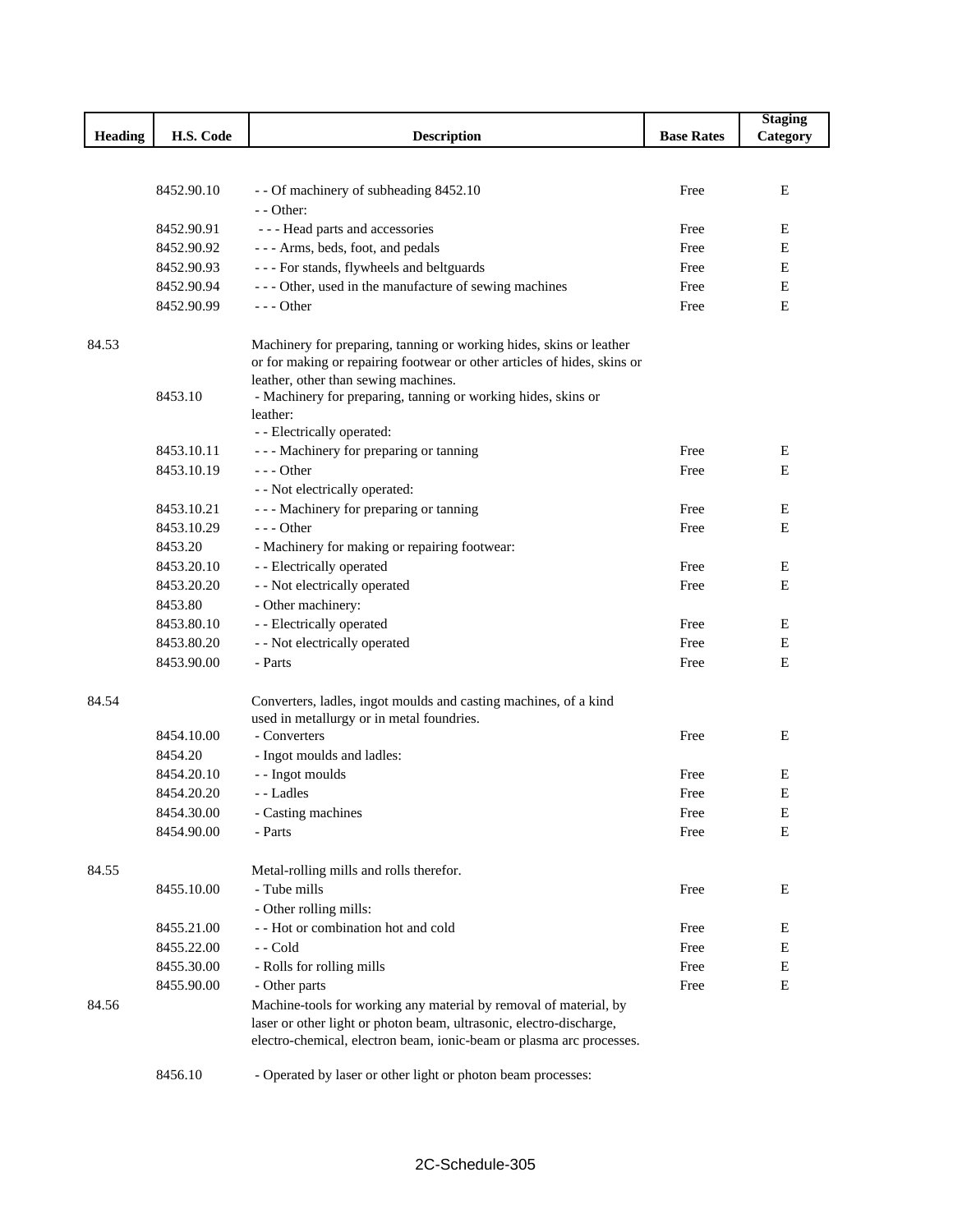|                |            |                                                                                                               |                   | <b>Staging</b> |
|----------------|------------|---------------------------------------------------------------------------------------------------------------|-------------------|----------------|
| <b>Heading</b> | H.S. Code  | <b>Description</b>                                                                                            | <b>Base Rates</b> | Category       |
|                |            |                                                                                                               |                   |                |
|                |            |                                                                                                               |                   |                |
|                | 8452.90.10 | - - Of machinery of subheading 8452.10                                                                        | Free              | E              |
|                |            | - - Other:                                                                                                    |                   |                |
|                | 8452.90.91 | --- Head parts and accessories                                                                                | Free              | E              |
|                | 8452.90.92 | --- Arms, beds, foot, and pedals                                                                              | Free              | Е              |
|                | 8452.90.93 | --- For stands, flywheels and beltguards                                                                      | Free              | E              |
|                | 8452.90.94 | --- Other, used in the manufacture of sewing machines                                                         | Free              | E              |
|                | 8452.90.99 | $--$ Other                                                                                                    | Free              | Е              |
| 84.53          |            | Machinery for preparing, tanning or working hides, skins or leather                                           |                   |                |
|                |            | or for making or repairing footwear or other articles of hides, skins or                                      |                   |                |
|                |            | leather, other than sewing machines.                                                                          |                   |                |
|                | 8453.10    | - Machinery for preparing, tanning or working hides, skins or                                                 |                   |                |
|                |            | leather:                                                                                                      |                   |                |
|                |            | - - Electrically operated:                                                                                    |                   |                |
|                | 8453.10.11 | --- Machinery for preparing or tanning                                                                        | Free              | Е              |
|                | 8453.10.19 | $--$ Other                                                                                                    | Free              | E              |
|                |            | - - Not electrically operated:                                                                                |                   |                |
|                | 8453.10.21 | --- Machinery for preparing or tanning                                                                        | Free              | E              |
|                | 8453.10.29 | $--$ Other                                                                                                    | Free              | E              |
|                | 8453.20    | - Machinery for making or repairing footwear:                                                                 |                   |                |
|                | 8453.20.10 | - - Electrically operated                                                                                     | Free              | Е              |
|                | 8453.20.20 | - - Not electrically operated                                                                                 | Free              | Е              |
|                | 8453.80    | - Other machinery:                                                                                            |                   |                |
|                | 8453.80.10 | - - Electrically operated                                                                                     | Free              | E              |
|                | 8453.80.20 | - - Not electrically operated                                                                                 | Free              | E              |
|                | 8453.90.00 | - Parts                                                                                                       | Free              | E              |
| 84.54          |            |                                                                                                               |                   |                |
|                |            | Converters, ladles, ingot moulds and casting machines, of a kind<br>used in metallurgy or in metal foundries. |                   |                |
|                | 8454.10.00 | - Converters                                                                                                  | Free              | E              |
|                | 8454.20    | - Ingot moulds and ladles:                                                                                    |                   |                |
|                | 8454.20.10 | - - Ingot moulds                                                                                              | Free              | E              |
|                | 8454.20.20 | - - Ladles                                                                                                    | Free              | E              |
|                | 8454.30.00 | - Casting machines                                                                                            | Free              | E              |
|                | 8454.90.00 |                                                                                                               |                   | Е              |
|                |            | - Parts                                                                                                       | Free              |                |
| 84.55          |            | Metal-rolling mills and rolls therefor.                                                                       |                   |                |
|                | 8455.10.00 | - Tube mills                                                                                                  | Free              | Е              |
|                |            | - Other rolling mills:                                                                                        |                   |                |
|                | 8455.21.00 | - - Hot or combination hot and cold                                                                           | Free              | E              |
|                | 8455.22.00 | - - Cold                                                                                                      | Free              | Е              |
|                | 8455.30.00 | - Rolls for rolling mills                                                                                     | Free              | E              |
|                | 8455.90.00 | - Other parts                                                                                                 | Free              | Е              |
| 84.56          |            | Machine-tools for working any material by removal of material, by                                             |                   |                |
|                |            | laser or other light or photon beam, ultrasonic, electro-discharge,                                           |                   |                |
|                |            | electro-chemical, electron beam, ionic-beam or plasma arc processes.                                          |                   |                |
|                | 8456.10    | - Operated by laser or other light or photon beam processes:                                                  |                   |                |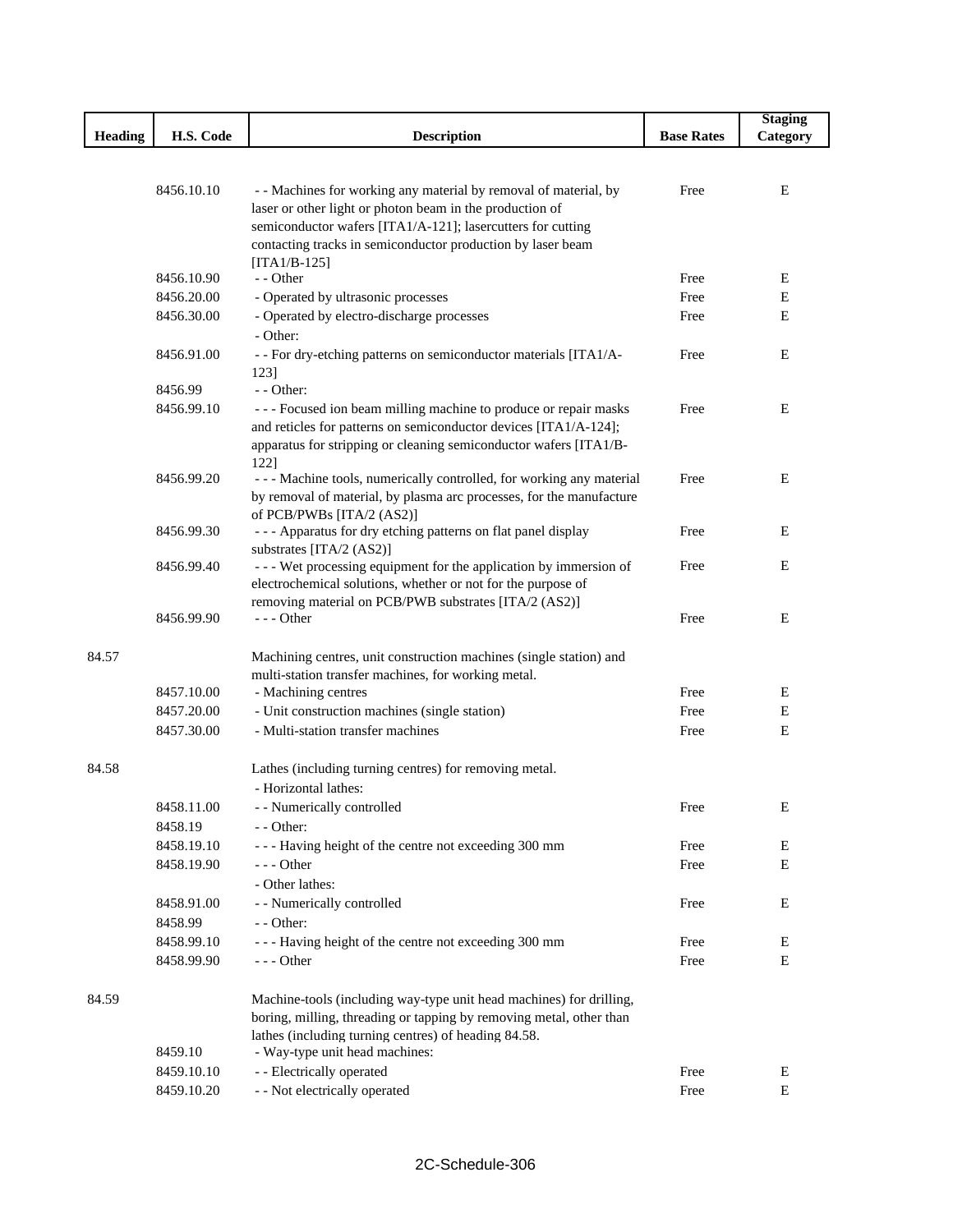|                |                       |                                                                                                                                     |                   | <b>Staging</b> |
|----------------|-----------------------|-------------------------------------------------------------------------------------------------------------------------------------|-------------------|----------------|
| <b>Heading</b> | H.S. Code             | <b>Description</b>                                                                                                                  | <b>Base Rates</b> | Category       |
|                |                       |                                                                                                                                     |                   |                |
|                |                       |                                                                                                                                     |                   |                |
|                | 8456.10.10            | - - Machines for working any material by removal of material, by                                                                    | Free              | E              |
|                |                       | laser or other light or photon beam in the production of                                                                            |                   |                |
|                |                       | semiconductor wafers [ITA1/A-121]; lasercutters for cutting                                                                         |                   |                |
|                |                       | contacting tracks in semiconductor production by laser beam                                                                         |                   |                |
|                | 8456.10.90            | $[ITA1/B-125]$<br>$-$ - Other                                                                                                       | Free              | E              |
|                | 8456.20.00            |                                                                                                                                     | Free              | E              |
|                |                       | - Operated by ultrasonic processes<br>- Operated by electro-discharge processes                                                     |                   | E              |
|                | 8456.30.00            |                                                                                                                                     | Free              |                |
|                |                       | - Other:                                                                                                                            |                   |                |
|                | 8456.91.00            | - - For dry-etching patterns on semiconductor materials [ITA1/A-                                                                    | Free              | Ε              |
|                | 8456.99               | 1231<br>$-$ - Other:                                                                                                                |                   |                |
|                | 8456.99.10            |                                                                                                                                     | Free              | E              |
|                |                       | --- Focused ion beam milling machine to produce or repair masks<br>and reticles for patterns on semiconductor devices [ITA1/A-124]; |                   |                |
|                |                       | apparatus for stripping or cleaning semiconductor wafers [ITA1/B-                                                                   |                   |                |
|                |                       | 122]                                                                                                                                |                   |                |
|                | 8456.99.20            | - - - Machine tools, numerically controlled, for working any material                                                               | Free              | E              |
|                |                       | by removal of material, by plasma arc processes, for the manufacture                                                                |                   |                |
|                |                       | of PCB/PWBs [ITA/2 (AS2)]                                                                                                           |                   |                |
|                | 8456.99.30            | - - - Apparatus for dry etching patterns on flat panel display                                                                      | Free              | E              |
|                |                       | substrates [ITA/2 (AS2)]                                                                                                            |                   |                |
|                | 8456.99.40            | --- Wet processing equipment for the application by immersion of                                                                    | Free              | E              |
|                |                       | electrochemical solutions, whether or not for the purpose of                                                                        |                   |                |
|                |                       | removing material on PCB/PWB substrates [ITA/2 (AS2)]                                                                               |                   |                |
|                | 8456.99.90            | --- Other                                                                                                                           | Free              | E              |
|                |                       |                                                                                                                                     |                   |                |
| 84.57          |                       | Machining centres, unit construction machines (single station) and                                                                  |                   |                |
|                |                       | multi-station transfer machines, for working metal.                                                                                 |                   |                |
|                | 8457.10.00            | - Machining centres                                                                                                                 | Free              | Ε              |
|                | 8457.20.00            | - Unit construction machines (single station)                                                                                       | Free              | E              |
|                | 8457.30.00            | - Multi-station transfer machines                                                                                                   | Free              | E              |
|                |                       |                                                                                                                                     |                   |                |
| 84.58          |                       | Lathes (including turning centres) for removing metal.                                                                              |                   |                |
|                |                       | - Horizontal lathes:                                                                                                                |                   |                |
|                | 8458.11.00            | - - Numerically controlled                                                                                                          | Free              | E              |
|                | 8458.19               | - - Other:                                                                                                                          |                   |                |
|                | 8458.19.10            | --- Having height of the centre not exceeding 300 mm                                                                                | Free              | E              |
|                | 8458.19.90            | --- Other                                                                                                                           | Free              | E              |
|                |                       | - Other lathes:                                                                                                                     |                   |                |
|                | 8458.91.00            | - - Numerically controlled                                                                                                          | Free              | E              |
|                | 8458.99               | - - Other:                                                                                                                          |                   |                |
|                | 8458.99.10            | --- Having height of the centre not exceeding 300 mm                                                                                | Free              | E              |
|                | 8458.99.90            | --- Other                                                                                                                           | Free              | E              |
|                |                       |                                                                                                                                     |                   |                |
| 84.59          |                       | Machine-tools (including way-type unit head machines) for drilling,                                                                 |                   |                |
|                |                       | boring, milling, threading or tapping by removing metal, other than                                                                 |                   |                |
|                |                       | lathes (including turning centres) of heading 84.58.                                                                                |                   |                |
|                | 8459.10<br>8459.10.10 | - Way-type unit head machines:<br>- - Electrically operated                                                                         | Free              | Ε              |
|                |                       |                                                                                                                                     |                   |                |
|                | 8459.10.20            | - - Not electrically operated                                                                                                       | Free              | E              |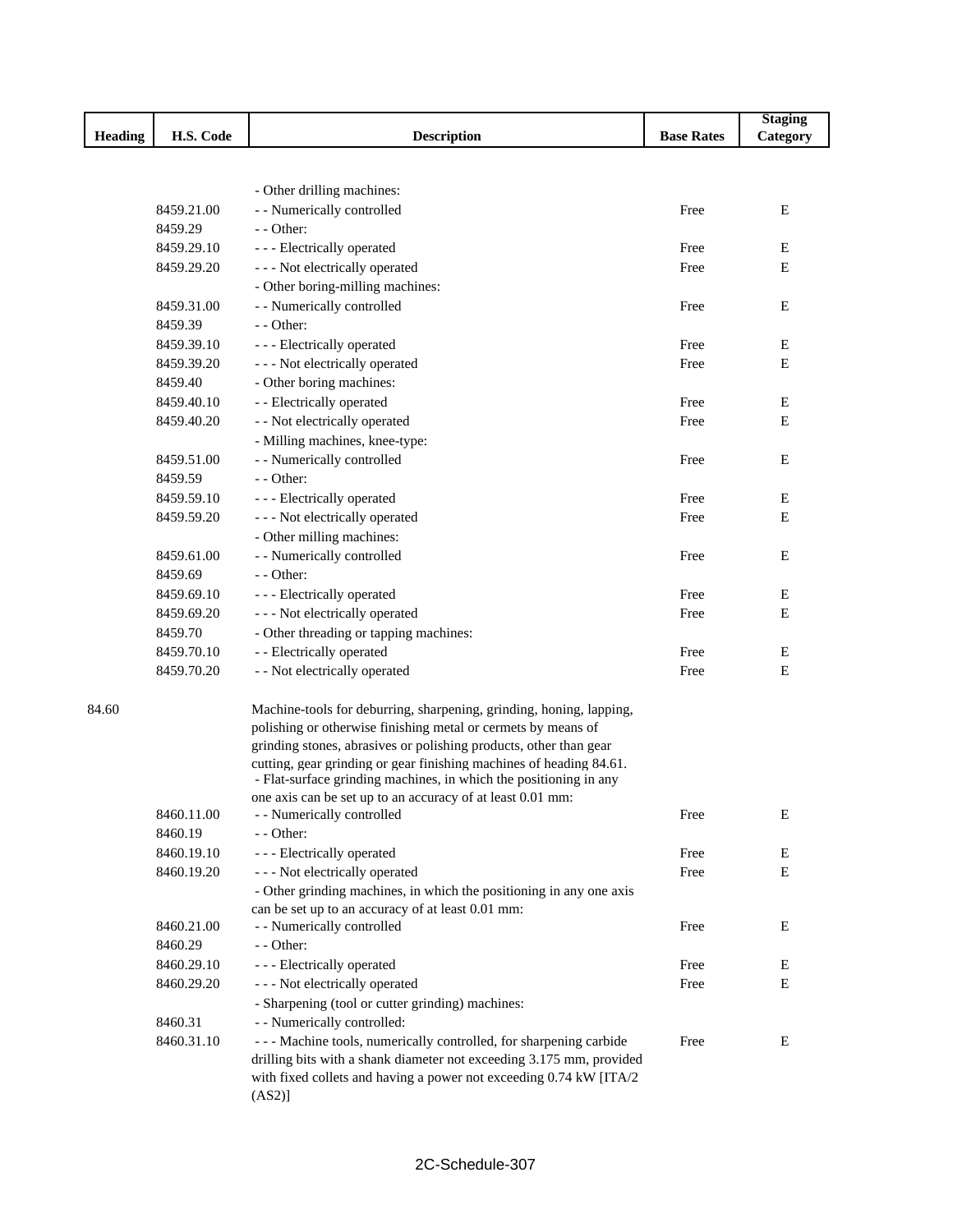|                |            |                                                                                          |                   | <b>Staging</b> |
|----------------|------------|------------------------------------------------------------------------------------------|-------------------|----------------|
| <b>Heading</b> | H.S. Code  | <b>Description</b>                                                                       | <b>Base Rates</b> | Category       |
|                |            |                                                                                          |                   |                |
|                |            |                                                                                          |                   |                |
|                |            | - Other drilling machines:                                                               |                   |                |
|                | 8459.21.00 | - - Numerically controlled                                                               | Free              | E              |
|                | 8459.29    | - - Other:                                                                               |                   |                |
|                | 8459.29.10 | - - - Electrically operated                                                              | Free              | Е              |
|                | 8459.29.20 | --- Not electrically operated                                                            | Free              | E              |
|                |            | - Other boring-milling machines:                                                         |                   |                |
|                | 8459.31.00 | - - Numerically controlled                                                               | Free              | Е              |
|                | 8459.39    | - - Other:                                                                               |                   |                |
|                | 8459.39.10 | - - - Electrically operated                                                              | Free              | Е              |
|                | 8459.39.20 | - - - Not electrically operated                                                          | Free              | E              |
|                | 8459.40    | - Other boring machines:                                                                 |                   |                |
|                | 8459.40.10 | - - Electrically operated                                                                | Free              | Е              |
|                | 8459.40.20 | - - Not electrically operated                                                            | Free              | Е              |
|                |            | - Milling machines, knee-type:                                                           |                   |                |
|                | 8459.51.00 | - - Numerically controlled                                                               | Free              | Е              |
|                | 8459.59    | $-$ - Other:                                                                             |                   |                |
|                | 8459.59.10 | - - - Electrically operated                                                              | Free              | Ε              |
|                | 8459.59.20 | --- Not electrically operated                                                            | Free              | Е              |
|                |            | - Other milling machines:                                                                |                   |                |
|                | 8459.61.00 | - - Numerically controlled                                                               | Free              | E              |
|                | 8459.69    | - - Other:                                                                               |                   |                |
|                | 8459.69.10 | - - - Electrically operated                                                              | Free              | Ε              |
|                | 8459.69.20 | - - - Not electrically operated                                                          | Free              | E              |
|                | 8459.70    | - Other threading or tapping machines:                                                   |                   |                |
|                | 8459.70.10 | - - Electrically operated                                                                | Free              | Е              |
|                | 8459.70.20 | - - Not electrically operated                                                            | Free              | E              |
| 84.60          |            | Machine-tools for deburring, sharpening, grinding, honing, lapping,                      |                   |                |
|                |            | polishing or otherwise finishing metal or cermets by means of                            |                   |                |
|                |            | grinding stones, abrasives or polishing products, other than gear                        |                   |                |
|                |            | cutting, gear grinding or gear finishing machines of heading 84.61.                      |                   |                |
|                |            | - Flat-surface grinding machines, in which the positioning in any                        |                   |                |
|                | 8460.11.00 | one axis can be set up to an accuracy of at least 0.01 mm:<br>- - Numerically controlled | Free              | Е              |
|                | 8460.19    | - - Other:                                                                               |                   |                |
|                | 8460.19.10 | - - - Electrically operated                                                              | Free              | Е              |
|                | 8460.19.20 | --- Not electrically operated                                                            | Free              | Е              |
|                |            | - Other grinding machines, in which the positioning in any one axis                      |                   |                |
|                |            | can be set up to an accuracy of at least 0.01 mm:                                        |                   |                |
|                | 8460.21.00 | - - Numerically controlled                                                               | Free              | Е              |
|                | 8460.29    | - - Other:                                                                               |                   |                |
|                | 8460.29.10 | - - - Electrically operated                                                              | Free              | E              |
|                | 8460.29.20 | - - - Not electrically operated                                                          | Free              | ${\bf E}$      |
|                |            | - Sharpening (tool or cutter grinding) machines:                                         |                   |                |
|                | 8460.31    | - - Numerically controlled:                                                              |                   |                |
|                | 8460.31.10 | - - - Machine tools, numerically controlled, for sharpening carbide                      | Free              | Ε              |
|                |            | drilling bits with a shank diameter not exceeding 3.175 mm, provided                     |                   |                |
|                |            | with fixed collets and having a power not exceeding 0.74 kW [ITA/2                       |                   |                |
|                |            | $(AS2)$ ]                                                                                |                   |                |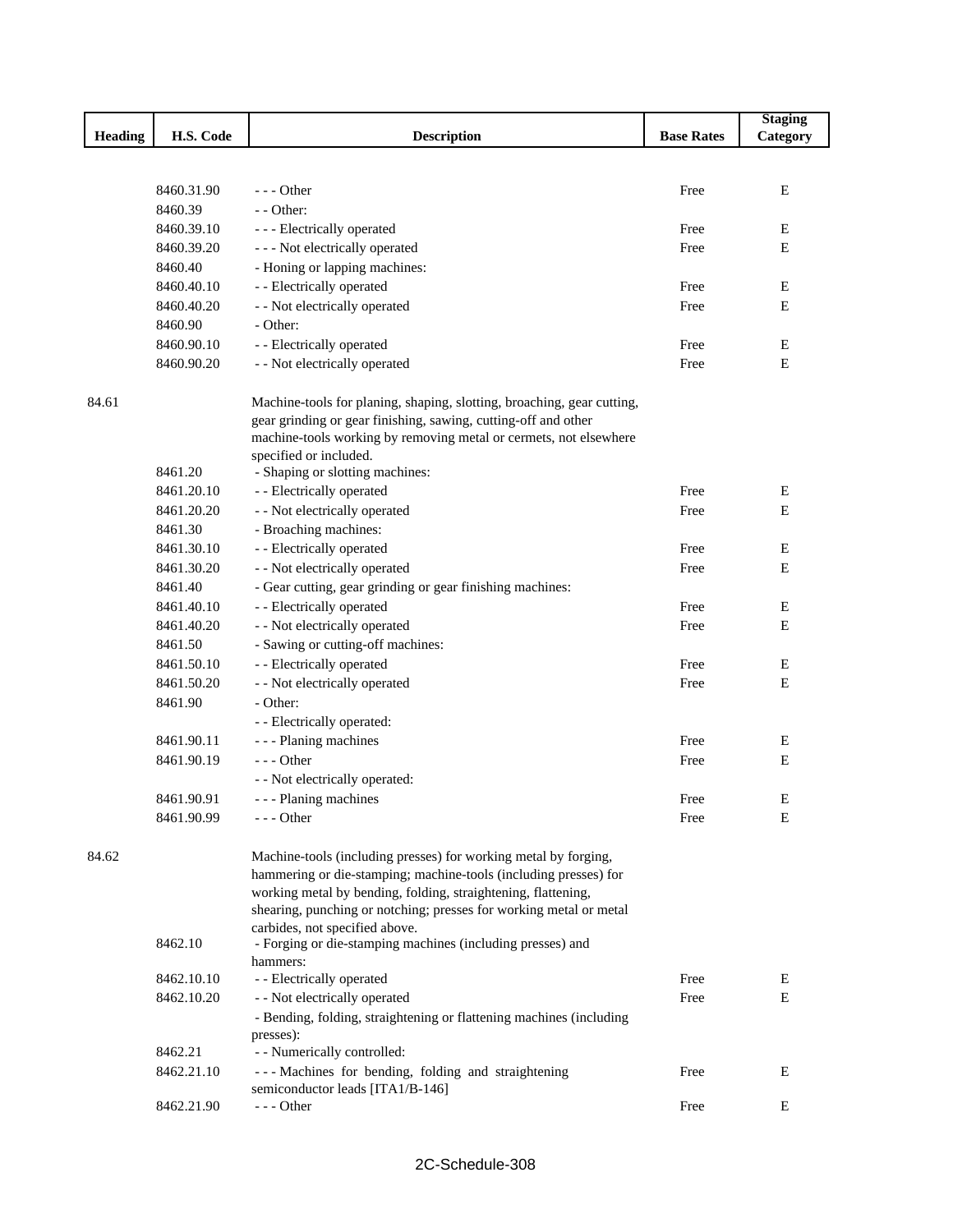|                |                       |                                                                                             |                   | <b>Staging</b> |
|----------------|-----------------------|---------------------------------------------------------------------------------------------|-------------------|----------------|
| <b>Heading</b> | H.S. Code             | <b>Description</b>                                                                          | <b>Base Rates</b> | Category       |
|                |                       |                                                                                             |                   |                |
|                |                       |                                                                                             |                   |                |
|                | 8460.31.90            | $--$ Other                                                                                  | Free              | E              |
|                | 8460.39               | - - Other:                                                                                  |                   |                |
|                | 8460.39.10            | - - - Electrically operated                                                                 | Free              | E              |
|                | 8460.39.20            | - - - Not electrically operated                                                             | Free              | Е              |
|                | 8460.40               | - Honing or lapping machines:                                                               |                   |                |
|                | 8460.40.10            | - - Electrically operated                                                                   | Free              | E              |
|                | 8460.40.20<br>8460.90 | - - Not electrically operated<br>- Other:                                                   | Free              | E              |
|                |                       |                                                                                             |                   |                |
|                | 8460.90.10            | - - Electrically operated                                                                   | Free              | E              |
|                | 8460.90.20            | - - Not electrically operated                                                               | Free              | $\mathbf E$    |
| 84.61          |                       | Machine-tools for planing, shaping, slotting, broaching, gear cutting,                      |                   |                |
|                |                       | gear grinding or gear finishing, sawing, cutting-off and other                              |                   |                |
|                |                       | machine-tools working by removing metal or cermets, not elsewhere<br>specified or included. |                   |                |
|                | 8461.20               | - Shaping or slotting machines:                                                             |                   |                |
|                | 8461.20.10            | - - Electrically operated                                                                   | Free              | E              |
|                | 8461.20.20            | - - Not electrically operated                                                               | Free              | Е              |
|                | 8461.30               | - Broaching machines:                                                                       |                   |                |
|                | 8461.30.10            | - - Electrically operated                                                                   | Free              | E              |
|                | 8461.30.20            | - - Not electrically operated                                                               | Free              | Е              |
|                | 8461.40               | - Gear cutting, gear grinding or gear finishing machines:                                   |                   |                |
|                | 8461.40.10            | - - Electrically operated                                                                   | Free              | E              |
|                | 8461.40.20            | - - Not electrically operated                                                               | Free              | E              |
|                | 8461.50               | - Sawing or cutting-off machines:                                                           |                   |                |
|                | 8461.50.10            | - - Electrically operated                                                                   | Free              | Ε              |
|                | 8461.50.20            | - - Not electrically operated                                                               | Free              | E              |
|                | 8461.90               | - Other:                                                                                    |                   |                |
|                |                       | - - Electrically operated:                                                                  |                   |                |
|                | 8461.90.11            | - - - Planing machines                                                                      | Free              | Ε              |
|                | 8461.90.19            | $--$ Other                                                                                  | Free              | Е              |
|                |                       | - - Not electrically operated:                                                              |                   |                |
|                | 8461.90.91            | - - - Planing machines                                                                      | Free              | Ε              |
|                | 8461.90.99            | --- Other                                                                                   | Free              | E              |
| 84.62          |                       | Machine-tools (including presses) for working metal by forging,                             |                   |                |
|                |                       | hammering or die-stamping; machine-tools (including presses) for                            |                   |                |
|                |                       | working metal by bending, folding, straightening, flattening,                               |                   |                |
|                |                       | shearing, punching or notching; presses for working metal or metal                          |                   |                |
|                |                       | carbides, not specified above.                                                              |                   |                |
|                | 8462.10               | - Forging or die-stamping machines (including presses) and                                  |                   |                |
|                |                       | hammers:                                                                                    |                   |                |
|                | 8462.10.10            | - - Electrically operated                                                                   | Free              | Е              |
|                | 8462.10.20            | - - Not electrically operated                                                               | Free              | E              |
|                |                       | - Bending, folding, straightening or flattening machines (including<br>presses):            |                   |                |
|                | 8462.21               | - - Numerically controlled:                                                                 |                   |                |
|                | 8462.21.10            | --- Machines for bending, folding and straightening                                         | Free              | E              |
|                |                       | semiconductor leads [ITA1/B-146]                                                            |                   |                |
|                | 8462.21.90            | $--$ Other                                                                                  | Free              | Е              |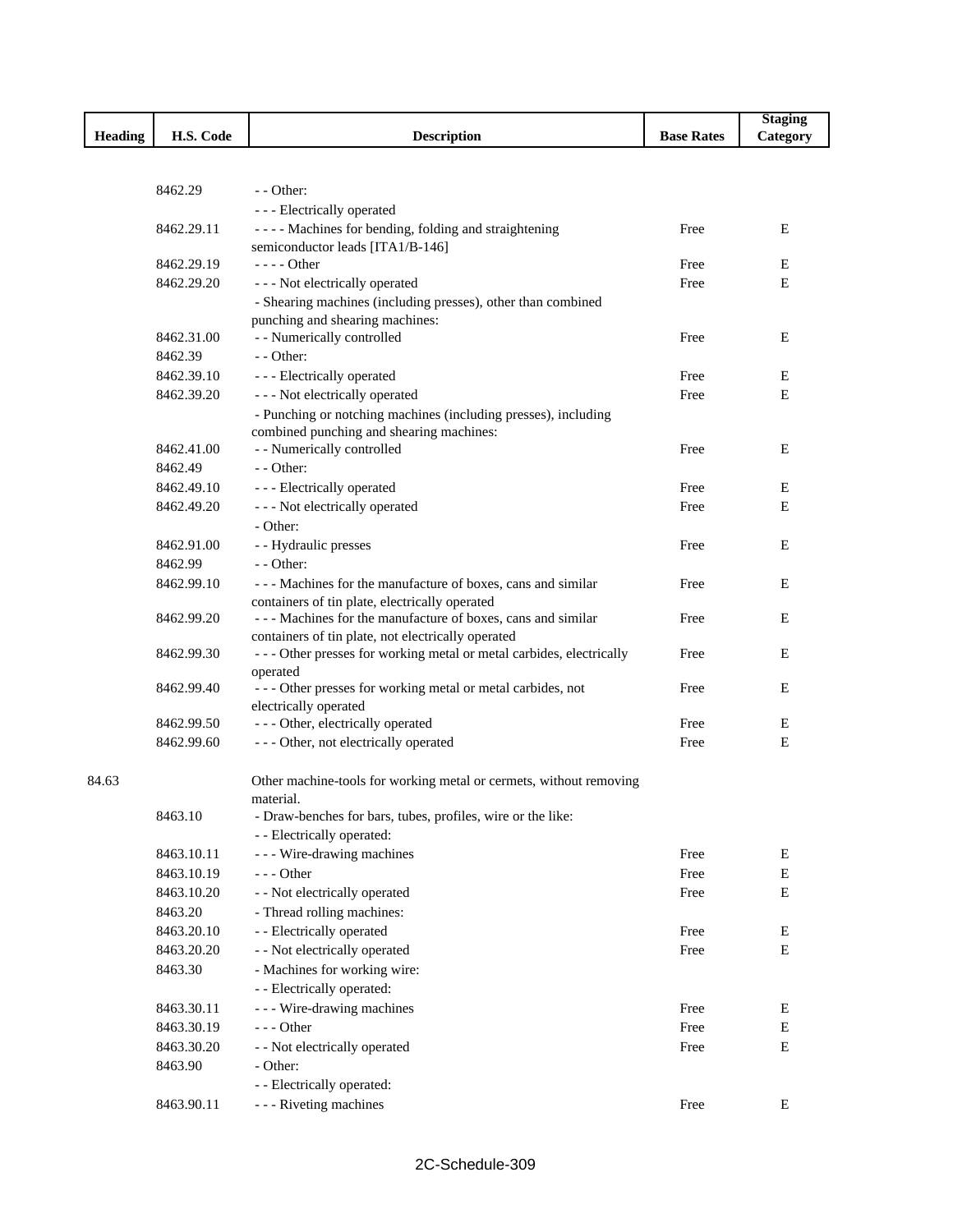|         |            |                                                                                     |                   | <b>Staging</b> |
|---------|------------|-------------------------------------------------------------------------------------|-------------------|----------------|
| Heading | H.S. Code  | <b>Description</b>                                                                  | <b>Base Rates</b> | Category       |
|         |            |                                                                                     |                   |                |
|         |            |                                                                                     |                   |                |
|         | 8462.29    | $-$ - Other:                                                                        |                   |                |
|         |            | - - - Electrically operated                                                         |                   |                |
|         | 8462.29.11 | - - - - Machines for bending, folding and straightening                             | Free              | E              |
|         |            | semiconductor leads [ITA1/B-146]                                                    |                   |                |
|         | 8462.29.19 | $---$ Other                                                                         | Free              | E              |
|         | 8462.29.20 | - - - Not electrically operated                                                     | Free              | E              |
|         |            | - Shearing machines (including presses), other than combined                        |                   |                |
|         |            | punching and shearing machines:                                                     |                   |                |
|         | 8462.31.00 | - - Numerically controlled                                                          | Free              | Е              |
|         | 8462.39    | - - Other:                                                                          |                   |                |
|         | 8462.39.10 | - - - Electrically operated                                                         | Free              | E              |
|         | 8462.39.20 | - - - Not electrically operated                                                     | Free              | Е              |
|         |            | - Punching or notching machines (including presses), including                      |                   |                |
|         |            | combined punching and shearing machines:                                            |                   |                |
|         | 8462.41.00 | - - Numerically controlled                                                          | Free              | Е              |
|         | 8462.49    | - - Other:                                                                          |                   |                |
|         | 8462.49.10 | - - - Electrically operated                                                         | Free              | E              |
|         | 8462.49.20 | --- Not electrically operated                                                       | Free              | E              |
|         |            | - Other:                                                                            |                   |                |
|         | 8462.91.00 | - - Hydraulic presses                                                               | Free              | E              |
|         | 8462.99    | $-$ - Other:                                                                        |                   |                |
|         | 8462.99.10 | --- Machines for the manufacture of boxes, cans and similar                         | Free              | E              |
|         |            | containers of tin plate, electrically operated                                      |                   |                |
|         | 8462.99.20 | --- Machines for the manufacture of boxes, cans and similar                         | Free              | E              |
|         |            | containers of tin plate, not electrically operated                                  |                   |                |
|         | 8462.99.30 | - - - Other presses for working metal or metal carbides, electrically               | Free              | E              |
|         | 8462.99.40 | operated                                                                            | Free              | Е              |
|         |            | --- Other presses for working metal or metal carbides, not<br>electrically operated |                   |                |
|         | 8462.99.50 | --- Other, electrically operated                                                    | Free              | E              |
|         | 8462.99.60 | --- Other, not electrically operated                                                | Free              | E              |
|         |            |                                                                                     |                   |                |
| 84.63   |            | Other machine-tools for working metal or cermets, without removing                  |                   |                |
|         |            | material.                                                                           |                   |                |
|         | 8463.10    | - Draw-benches for bars, tubes, profiles, wire or the like:                         |                   |                |
|         |            | - - Electrically operated:                                                          |                   |                |
|         | 8463.10.11 | - - - Wire-drawing machines                                                         | Free              | E              |
|         | 8463.10.19 | $--$ Other                                                                          | Free              | ${\bf E}$      |
|         | 8463.10.20 | - - Not electrically operated                                                       | Free              | $\mathbf E$    |
|         | 8463.20    | - Thread rolling machines:                                                          |                   |                |
|         | 8463.20.10 | - - Electrically operated                                                           | Free              | Е              |
|         |            |                                                                                     | Free              | Е              |
|         | 8463.20.20 | - - Not electrically operated                                                       |                   |                |
|         | 8463.30    | - Machines for working wire:                                                        |                   |                |
|         |            | - - Electrically operated:                                                          |                   |                |
|         | 8463.30.11 | - - - Wire-drawing machines                                                         | Free              | E              |
|         | 8463.30.19 | $--$ Other                                                                          | Free              | E              |
|         | 8463.30.20 | - - Not electrically operated                                                       | Free              | $\mathbf E$    |
|         | 8463.90    | - Other:                                                                            |                   |                |
|         |            | - - Electrically operated:                                                          |                   |                |
|         | 8463.90.11 | - - - Riveting machines                                                             | Free              | E              |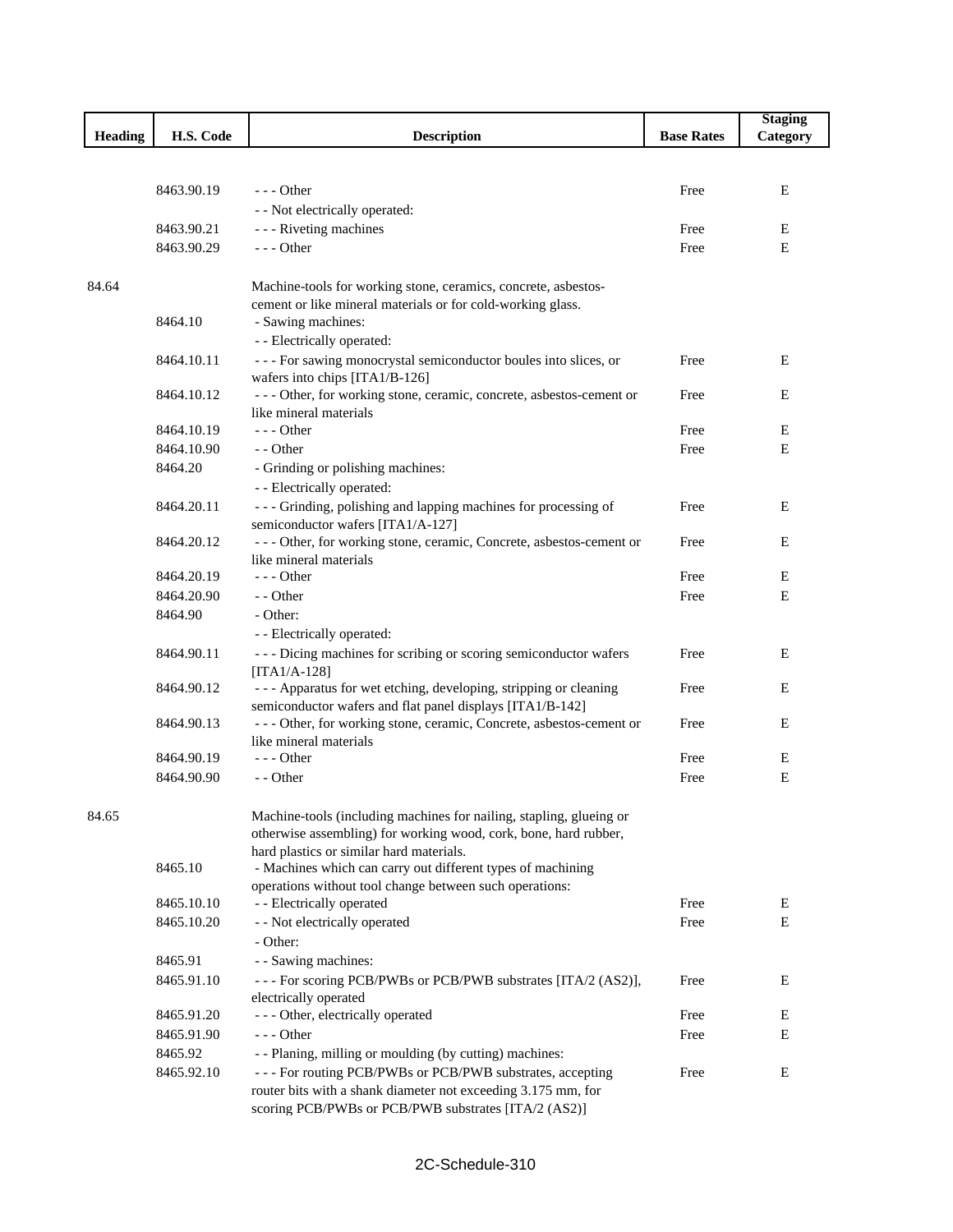|                |            |                                                                                                         |                   | <b>Staging</b> |
|----------------|------------|---------------------------------------------------------------------------------------------------------|-------------------|----------------|
| <b>Heading</b> | H.S. Code  | <b>Description</b>                                                                                      | <b>Base Rates</b> | Category       |
|                |            |                                                                                                         |                   |                |
|                |            |                                                                                                         |                   |                |
|                | 8463.90.19 | $- -$ Other                                                                                             | Free              | Е              |
|                |            | - - Not electrically operated:                                                                          |                   |                |
|                | 8463.90.21 | - - - Riveting machines                                                                                 | Free              | Ε              |
|                | 8463.90.29 | $--$ Other                                                                                              | Free              | E              |
|                |            |                                                                                                         |                   |                |
| 84.64          |            | Machine-tools for working stone, ceramics, concrete, asbestos-                                          |                   |                |
|                |            | cement or like mineral materials or for cold-working glass.                                             |                   |                |
|                | 8464.10    | - Sawing machines:                                                                                      |                   |                |
|                |            | - - Electrically operated:                                                                              |                   |                |
|                | 8464.10.11 | --- For sawing monocrystal semiconductor boules into slices, or                                         | Free              | E              |
|                | 8464.10.12 | wafers into chips [ITA1/B-126]<br>--- Other, for working stone, ceramic, concrete, asbestos-cement or   | Free              | E              |
|                |            | like mineral materials                                                                                  |                   |                |
|                | 8464.10.19 | $- -$ Other                                                                                             | Free              | E              |
|                | 8464.10.90 | - - Other                                                                                               | Free              | E              |
|                | 8464.20    | - Grinding or polishing machines:                                                                       |                   |                |
|                |            | - - Electrically operated:                                                                              |                   |                |
|                | 8464.20.11 | --- Grinding, polishing and lapping machines for processing of                                          | Free              | E              |
|                |            | semiconductor wafers [ITA1/A-127]                                                                       |                   |                |
|                | 8464.20.12 | --- Other, for working stone, ceramic, Concrete, asbestos-cement or                                     | Free              | E              |
|                |            | like mineral materials                                                                                  |                   |                |
|                | 8464.20.19 | $--$ Other                                                                                              | Free              | Е              |
|                | 8464.20.90 | - - Other                                                                                               | Free              | Е              |
|                | 8464.90    | - Other:                                                                                                |                   |                |
|                |            | - - Electrically operated:                                                                              |                   |                |
|                | 8464.90.11 | --- Dicing machines for scribing or scoring semiconductor wafers                                        | Free              | Ε              |
|                |            | $[ITA1/A-128]$                                                                                          |                   |                |
|                | 8464.90.12 | - - - Apparatus for wet etching, developing, stripping or cleaning                                      | Free              | E              |
|                |            | semiconductor wafers and flat panel displays [ITA1/B-142]                                               |                   |                |
|                | 8464.90.13 | --- Other, for working stone, ceramic, Concrete, asbestos-cement or                                     | Free              | Ε              |
|                |            | like mineral materials                                                                                  |                   |                |
|                | 8464.90.19 | $--$ Other                                                                                              | Free              | Ε              |
|                | 8464.90.90 | - - Other                                                                                               | Free              | Е              |
|                |            |                                                                                                         |                   |                |
| 84.65          |            | Machine-tools (including machines for nailing, stapling, glueing or                                     |                   |                |
|                |            | otherwise assembling) for working wood, cork, bone, hard rubber,                                        |                   |                |
|                | 8465.10    | hard plastics or similar hard materials.<br>- Machines which can carry out different types of machining |                   |                |
|                |            | operations without tool change between such operations:                                                 |                   |                |
|                | 8465.10.10 | - - Electrically operated                                                                               | Free              | E              |
|                | 8465.10.20 | - - Not electrically operated                                                                           | Free              | Е              |
|                |            | - Other:                                                                                                |                   |                |
|                | 8465.91    | - - Sawing machines:                                                                                    |                   |                |
|                | 8465.91.10 | --- For scoring PCB/PWBs or PCB/PWB substrates [ITA/2 (AS2)],                                           | Free              | Ε              |
|                |            | electrically operated                                                                                   |                   |                |
|                | 8465.91.20 | - - - Other, electrically operated                                                                      | Free              | E              |
|                | 8465.91.90 | - - - Other                                                                                             | Free              | Е              |
|                | 8465.92    | - - Planing, milling or moulding (by cutting) machines:                                                 |                   |                |
|                | 8465.92.10 | --- For routing PCB/PWBs or PCB/PWB substrates, accepting                                               | Free              | E              |
|                |            | router bits with a shank diameter not exceeding 3.175 mm, for                                           |                   |                |
|                |            | scoring PCB/PWBs or PCB/PWB substrates [ITA/2 (AS2)]                                                    |                   |                |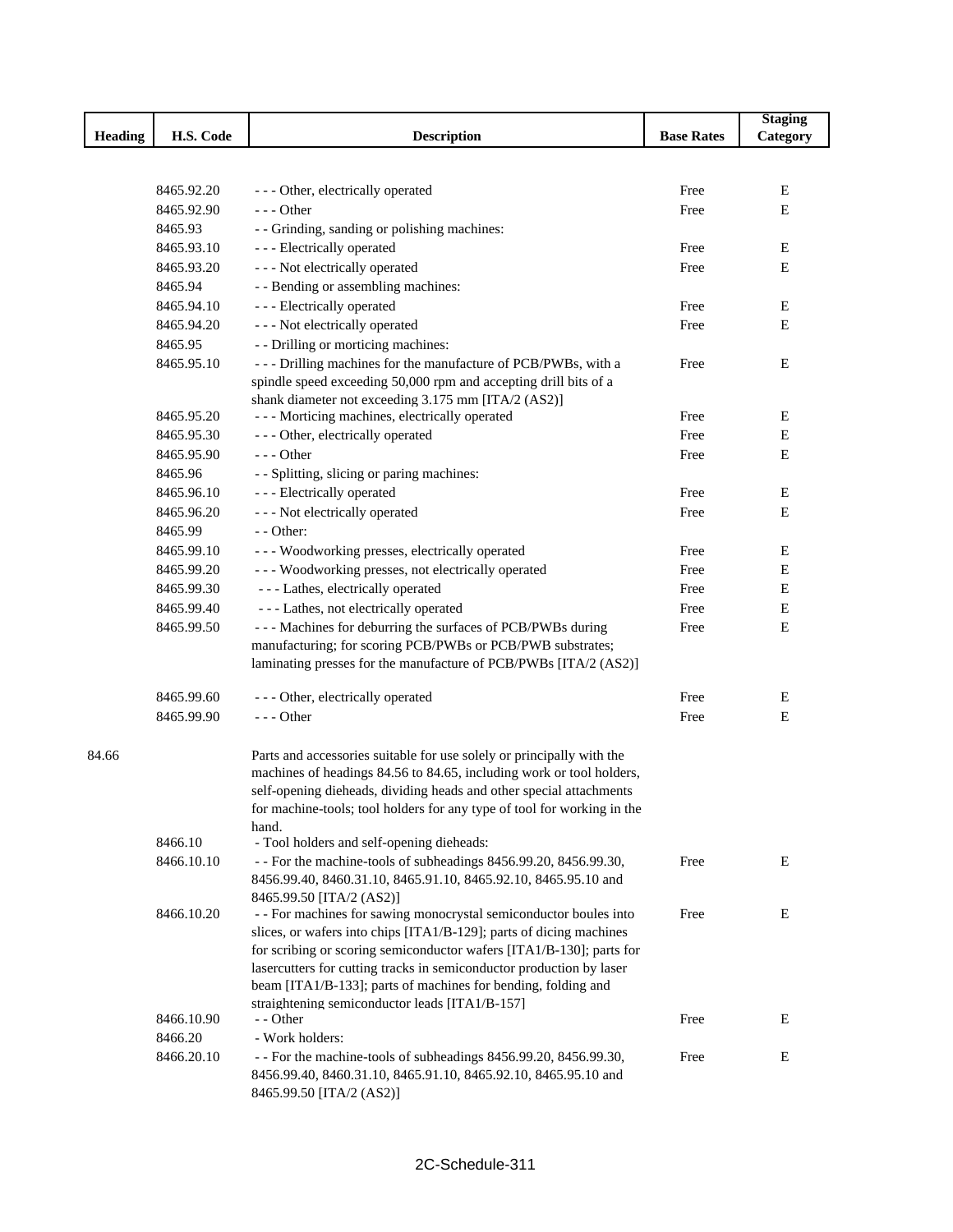|                |            |                                                                                                                                              |                   | <b>Staging</b> |
|----------------|------------|----------------------------------------------------------------------------------------------------------------------------------------------|-------------------|----------------|
| <b>Heading</b> | H.S. Code  | <b>Description</b>                                                                                                                           | <b>Base Rates</b> | Category       |
|                |            |                                                                                                                                              |                   |                |
|                |            |                                                                                                                                              |                   |                |
|                | 8465.92.20 | --- Other, electrically operated                                                                                                             | Free              | E              |
|                | 8465.92.90 | $--$ Other                                                                                                                                   | Free              | Е              |
|                | 8465.93    | - - Grinding, sanding or polishing machines:                                                                                                 |                   |                |
|                | 8465.93.10 | - - - Electrically operated                                                                                                                  | Free              | E              |
|                | 8465.93.20 | - - - Not electrically operated                                                                                                              | Free              | Ε              |
|                | 8465.94    | - - Bending or assembling machines:                                                                                                          |                   |                |
|                | 8465.94.10 | - - - Electrically operated                                                                                                                  | Free              | E              |
|                | 8465.94.20 | - - - Not electrically operated                                                                                                              | Free              | Ε              |
|                | 8465.95    | - - Drilling or morticing machines:                                                                                                          |                   |                |
|                | 8465.95.10 | --- Drilling machines for the manufacture of PCB/PWBs, with a                                                                                | Free              | Е              |
|                |            | spindle speed exceeding 50,000 rpm and accepting drill bits of a                                                                             |                   |                |
|                |            | shank diameter not exceeding 3.175 mm [ITA/2 (AS2)]                                                                                          |                   |                |
|                | 8465.95.20 | - - - Morticing machines, electrically operated                                                                                              | Free              | E              |
|                | 8465.95.30 | --- Other, electrically operated                                                                                                             | Free              | Е              |
|                | 8465.95.90 | $--$ Other                                                                                                                                   | Free              | E              |
|                | 8465.96    | - - Splitting, slicing or paring machines:                                                                                                   |                   |                |
|                | 8465.96.10 | - - - Electrically operated                                                                                                                  | Free              | E              |
|                | 8465.96.20 | - - - Not electrically operated                                                                                                              | Free              | Ε              |
|                | 8465.99    | $-$ - Other:                                                                                                                                 |                   |                |
|                | 8465.99.10 | - - - Woodworking presses, electrically operated                                                                                             | Free              | Ε              |
|                | 8465.99.20 | --- Woodworking presses, not electrically operated                                                                                           | Free              | Ε              |
|                | 8465.99.30 | - - - Lathes, electrically operated                                                                                                          | Free              | Ε              |
|                | 8465.99.40 | --- Lathes, not electrically operated                                                                                                        | Free              | Е              |
|                | 8465.99.50 | --- Machines for deburring the surfaces of PCB/PWBs during                                                                                   | Free              | Е              |
|                |            | manufacturing; for scoring PCB/PWBs or PCB/PWB substrates;                                                                                   |                   |                |
|                |            | laminating presses for the manufacture of PCB/PWBs [ITA/2 (AS2)]                                                                             |                   |                |
|                | 8465.99.60 | --- Other, electrically operated                                                                                                             | Free              | E              |
|                | 8465.99.90 | $--$ Other                                                                                                                                   | Free              | ${\bf E}$      |
|                |            |                                                                                                                                              |                   |                |
| 84.66          |            | Parts and accessories suitable for use solely or principally with the                                                                        |                   |                |
|                |            | machines of headings 84.56 to 84.65, including work or tool holders,                                                                         |                   |                |
|                |            | self-opening dieheads, dividing heads and other special attachments                                                                          |                   |                |
|                |            | for machine-tools; tool holders for any type of tool for working in the                                                                      |                   |                |
|                |            | hand.                                                                                                                                        |                   |                |
|                | 8466.10    | - Tool holders and self-opening dieheads:                                                                                                    |                   |                |
|                | 8466.10.10 | - - For the machine-tools of subheadings 8456.99.20, 8456.99.30,                                                                             | Free              | E              |
|                |            | 8456.99.40, 8460.31.10, 8465.91.10, 8465.92.10, 8465.95.10 and                                                                               |                   |                |
|                |            | 8465.99.50 [ITA/2 (AS2)]                                                                                                                     |                   |                |
|                | 8466.10.20 | - - For machines for sawing monocrystal semiconductor boules into                                                                            | Free              | Ε              |
|                |            | slices, or wafers into chips [ITA1/B-129]; parts of dicing machines                                                                          |                   |                |
|                |            | for scribing or scoring semiconductor wafers [ITA1/B-130]; parts for<br>lasercutters for cutting tracks in semiconductor production by laser |                   |                |
|                |            | beam [ITA1/B-133]; parts of machines for bending, folding and                                                                                |                   |                |
|                |            | straightening semiconductor leads [ITA1/B-157]                                                                                               |                   |                |
|                | 8466.10.90 | - - Other                                                                                                                                    | Free              | E              |
|                | 8466.20    | - Work holders:                                                                                                                              |                   |                |
|                | 8466.20.10 | - - For the machine-tools of subheadings 8456.99.20, 8456.99.30,                                                                             | Free              | E              |
|                |            | 8456.99.40, 8460.31.10, 8465.91.10, 8465.92.10, 8465.95.10 and                                                                               |                   |                |
|                |            | 8465.99.50 [ITA/2 (AS2)]                                                                                                                     |                   |                |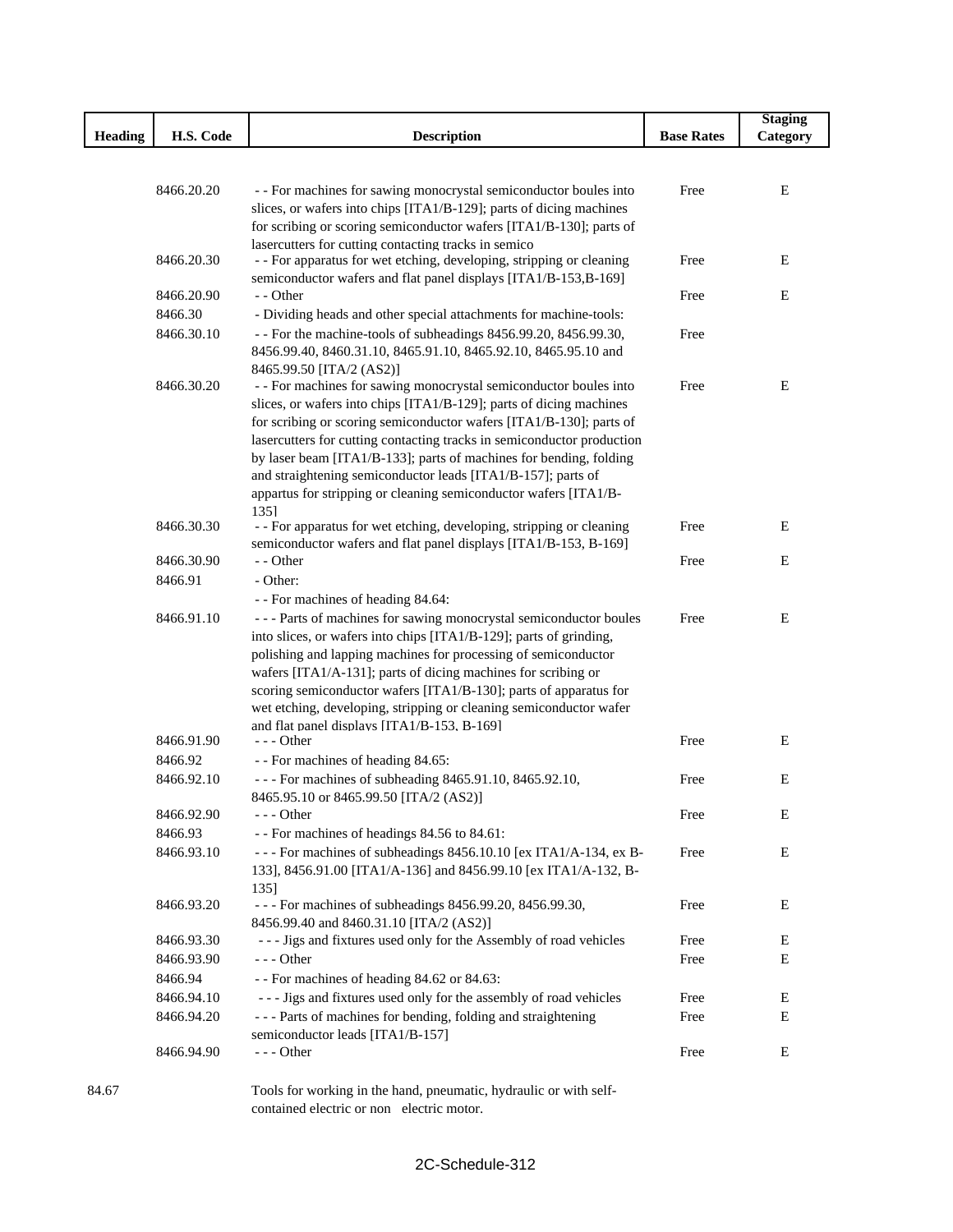|                |            |                                                                                                                                    |                   | <b>Staging</b> |
|----------------|------------|------------------------------------------------------------------------------------------------------------------------------------|-------------------|----------------|
| <b>Heading</b> | H.S. Code  | <b>Description</b>                                                                                                                 | <b>Base Rates</b> | Category       |
|                |            |                                                                                                                                    |                   |                |
|                |            |                                                                                                                                    |                   |                |
|                | 8466.20.20 | - - For machines for sawing monocrystal semiconductor boules into                                                                  | Free              | Е              |
|                |            | slices, or wafers into chips [ITA1/B-129]; parts of dicing machines                                                                |                   |                |
|                |            | for scribing or scoring semiconductor wafers [ITA1/B-130]; parts of<br>lasercutters for cutting contacting tracks in semico        |                   |                |
|                | 8466.20.30 | - - For apparatus for wet etching, developing, stripping or cleaning                                                               | Free              | Ε              |
|                |            | semiconductor wafers and flat panel displays [ITA1/B-153,B-169]                                                                    |                   |                |
|                | 8466.20.90 | - - Other                                                                                                                          | Free              | Е              |
|                | 8466.30    | - Dividing heads and other special attachments for machine-tools:                                                                  |                   |                |
|                | 8466.30.10 | - - For the machine-tools of subheadings 8456.99.20, 8456.99.30,                                                                   | Free              |                |
|                |            | 8456.99.40, 8460.31.10, 8465.91.10, 8465.92.10, 8465.95.10 and                                                                     |                   |                |
|                |            | 8465.99.50 [ITA/2 (AS2)]                                                                                                           |                   |                |
|                | 8466.30.20 | - - For machines for sawing monocrystal semiconductor boules into                                                                  | Free              | Ε              |
|                |            | slices, or wafers into chips [ITA1/B-129]; parts of dicing machines                                                                |                   |                |
|                |            | for scribing or scoring semiconductor wafers [ITA1/B-130]; parts of                                                                |                   |                |
|                |            | lasercutters for cutting contacting tracks in semiconductor production                                                             |                   |                |
|                |            | by laser beam [ITA1/B-133]; parts of machines for bending, folding                                                                 |                   |                |
|                |            | and straightening semiconductor leads [ITA1/B-157]; parts of                                                                       |                   |                |
|                |            | appartus for stripping or cleaning semiconductor wafers [ITA1/B-                                                                   |                   |                |
|                |            | 1351                                                                                                                               |                   |                |
|                | 8466.30.30 | - - For apparatus for wet etching, developing, stripping or cleaning                                                               | Free              | Е              |
|                |            | semiconductor wafers and flat panel displays [ITA1/B-153, B-169]                                                                   |                   |                |
|                | 8466.30.90 | - - Other                                                                                                                          | Free              | E              |
|                | 8466.91    | - Other:                                                                                                                           |                   |                |
|                |            | - - For machines of heading 84.64:                                                                                                 |                   |                |
|                | 8466.91.10 | --- Parts of machines for sawing monocrystal semiconductor boules                                                                  | Free              | Ε              |
|                |            | into slices, or wafers into chips [ITA1/B-129]; parts of grinding,                                                                 |                   |                |
|                |            | polishing and lapping machines for processing of semiconductor                                                                     |                   |                |
|                |            | wafers [ITA1/A-131]; parts of dicing machines for scribing or<br>scoring semiconductor wafers [ITA1/B-130]; parts of apparatus for |                   |                |
|                |            | wet etching, developing, stripping or cleaning semiconductor wafer                                                                 |                   |                |
|                |            | and flat panel displays [ITA1/B-153, B-169]                                                                                        |                   |                |
|                | 8466.91.90 | $--$ Other                                                                                                                         | Free              | Е              |
|                | 8466.92    | - - For machines of heading 84.65:                                                                                                 |                   |                |
|                | 8466.92.10 | - - - For machines of subheading 8465.91.10, 8465.92.10,                                                                           | Free              | E              |
|                |            | 8465.95.10 or 8465.99.50 [ITA/2 (AS2)]                                                                                             |                   |                |
|                | 8466.92.90 | --- Other                                                                                                                          | Free              | E              |
|                | 8466.93    | - - For machines of headings 84.56 to 84.61:                                                                                       |                   |                |
|                | 8466.93.10 | --- For machines of subheadings 8456.10.10 [ex ITA1/A-134, ex B-                                                                   | Free              | E              |
|                |            | 133], 8456.91.00 [ITA1/A-136] and 8456.99.10 [ex ITA1/A-132, B-                                                                    |                   |                |
|                |            | 135]                                                                                                                               |                   |                |
|                | 8466.93.20 | - - - For machines of subheadings 8456.99.20, 8456.99.30,                                                                          | Free              | Е              |
|                |            | 8456.99.40 and 8460.31.10 [ITA/2 (AS2)]                                                                                            |                   |                |
|                | 8466.93.30 | --- Jigs and fixtures used only for the Assembly of road vehicles                                                                  | Free              | Е              |
|                | 8466.93.90 | $--$ Other                                                                                                                         | Free              | Е              |
|                | 8466.94    | - - For machines of heading 84.62 or 84.63:                                                                                        |                   |                |
|                | 8466.94.10 | --- Jigs and fixtures used only for the assembly of road vehicles                                                                  | Free              | Е              |
|                | 8466.94.20 | --- Parts of machines for bending, folding and straightening                                                                       | Free              | Е              |
|                |            | semiconductor leads [ITA1/B-157]                                                                                                   |                   |                |
|                | 8466.94.90 | $--$ Other                                                                                                                         | Free              | E              |
|                |            |                                                                                                                                    |                   |                |

Ī

I

84.67 Tools for working in the hand, pneumatic, hydraulic or with selfcontained electric or non electric motor.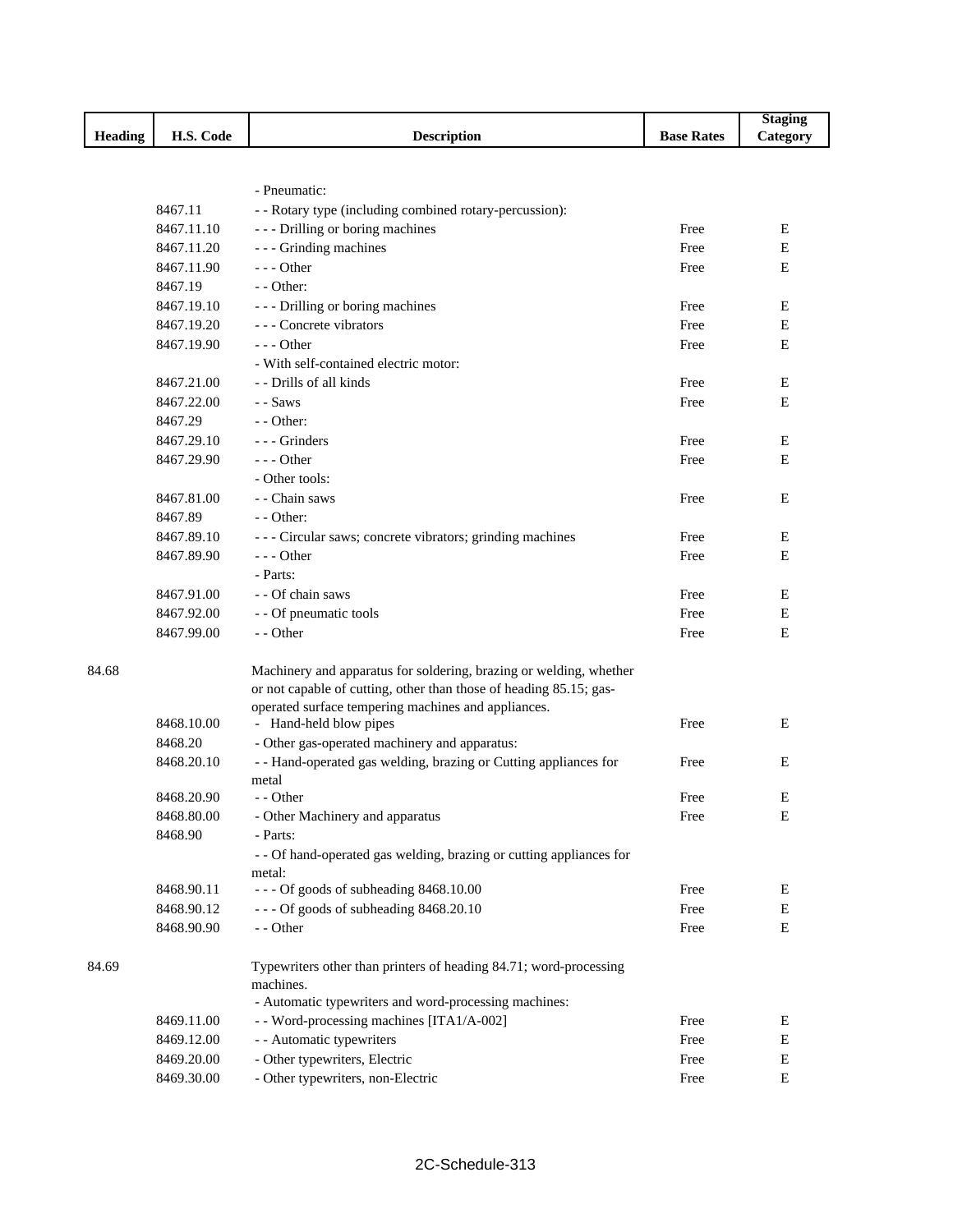|         |            |                                                                                                                                          |                   | <b>Staging</b> |
|---------|------------|------------------------------------------------------------------------------------------------------------------------------------------|-------------------|----------------|
| Heading | H.S. Code  | <b>Description</b>                                                                                                                       | <b>Base Rates</b> | Category       |
|         |            |                                                                                                                                          |                   |                |
|         |            |                                                                                                                                          |                   |                |
|         |            | - Pneumatic:                                                                                                                             |                   |                |
|         | 8467.11    | - - Rotary type (including combined rotary-percussion):                                                                                  |                   |                |
|         | 8467.11.10 | --- Drilling or boring machines                                                                                                          | Free              | E              |
|         | 8467.11.20 | - - - Grinding machines                                                                                                                  | Free              | E              |
|         | 8467.11.90 | $--$ Other                                                                                                                               | Free              | E              |
|         | 8467.19    | $-$ - Other:                                                                                                                             |                   |                |
|         | 8467.19.10 | --- Drilling or boring machines                                                                                                          | Free              | E              |
|         | 8467.19.20 | --- Concrete vibrators                                                                                                                   | Free              | E              |
|         | 8467.19.90 | $- -$ Other                                                                                                                              | Free              | E              |
|         |            | - With self-contained electric motor:                                                                                                    |                   |                |
|         | 8467.21.00 | - - Drills of all kinds                                                                                                                  | Free              | Е              |
|         | 8467.22.00 | - - Saws                                                                                                                                 | Free              | E              |
|         | 8467.29    | $-$ - Other:                                                                                                                             |                   |                |
|         | 8467.29.10 | --- Grinders                                                                                                                             | Free              | Е              |
|         | 8467.29.90 | $- -$ Other                                                                                                                              | Free              | E              |
|         |            | - Other tools:                                                                                                                           |                   |                |
|         | 8467.81.00 | - - Chain saws                                                                                                                           | Free              | E              |
|         | 8467.89    | $-$ - Other:                                                                                                                             |                   |                |
|         | 8467.89.10 | --- Circular saws; concrete vibrators; grinding machines                                                                                 | Free              | E              |
|         | 8467.89.90 | $--$ Other                                                                                                                               | Free              | E              |
|         |            | - Parts:                                                                                                                                 |                   |                |
|         | 8467.91.00 | - - Of chain saws                                                                                                                        | Free              | E              |
|         | 8467.92.00 |                                                                                                                                          | Free              | E              |
|         |            | - - Of pneumatic tools<br>- - Other                                                                                                      |                   |                |
|         | 8467.99.00 |                                                                                                                                          | Free              | E              |
|         |            |                                                                                                                                          |                   |                |
| 84.68   |            | Machinery and apparatus for soldering, brazing or welding, whether<br>or not capable of cutting, other than those of heading 85.15; gas- |                   |                |
|         |            | operated surface tempering machines and appliances.                                                                                      |                   |                |
|         | 8468.10.00 | - Hand-held blow pipes                                                                                                                   | Free              | E              |
|         | 8468.20    | - Other gas-operated machinery and apparatus:                                                                                            |                   |                |
|         | 8468.20.10 | - - Hand-operated gas welding, brazing or Cutting appliances for                                                                         | Free              | E              |
|         |            | metal                                                                                                                                    |                   |                |
|         | 8468.20.90 | - - Other                                                                                                                                | Free              | Е              |
|         | 8468.80.00 | - Other Machinery and apparatus                                                                                                          | Free              | E              |
|         | 8468.90    | - Parts:                                                                                                                                 |                   |                |
|         |            | - - Of hand-operated gas welding, brazing or cutting appliances for                                                                      |                   |                |
|         |            | metal:                                                                                                                                   |                   |                |
|         | 8468.90.11 | --- Of goods of subheading 8468.10.00                                                                                                    | Free              | Ε              |
|         | 8468.90.12 | --- Of goods of subheading 8468.20.10                                                                                                    | Free              | Е              |
|         | 8468.90.90 | - - Other                                                                                                                                | Free              | Е              |
|         |            |                                                                                                                                          |                   |                |
| 84.69   |            | Typewriters other than printers of heading 84.71; word-processing                                                                        |                   |                |
|         |            | machines.                                                                                                                                |                   |                |
|         |            | - Automatic typewriters and word-processing machines:                                                                                    |                   |                |
|         | 8469.11.00 | - - Word-processing machines [ITA1/A-002]                                                                                                | Free              | E              |
|         | 8469.12.00 | - - Automatic typewriters                                                                                                                | Free              | Е              |
|         | 8469.20.00 | - Other typewriters, Electric                                                                                                            | Free              | Е              |
|         | 8469.30.00 | - Other typewriters, non-Electric                                                                                                        | Free              | Е              |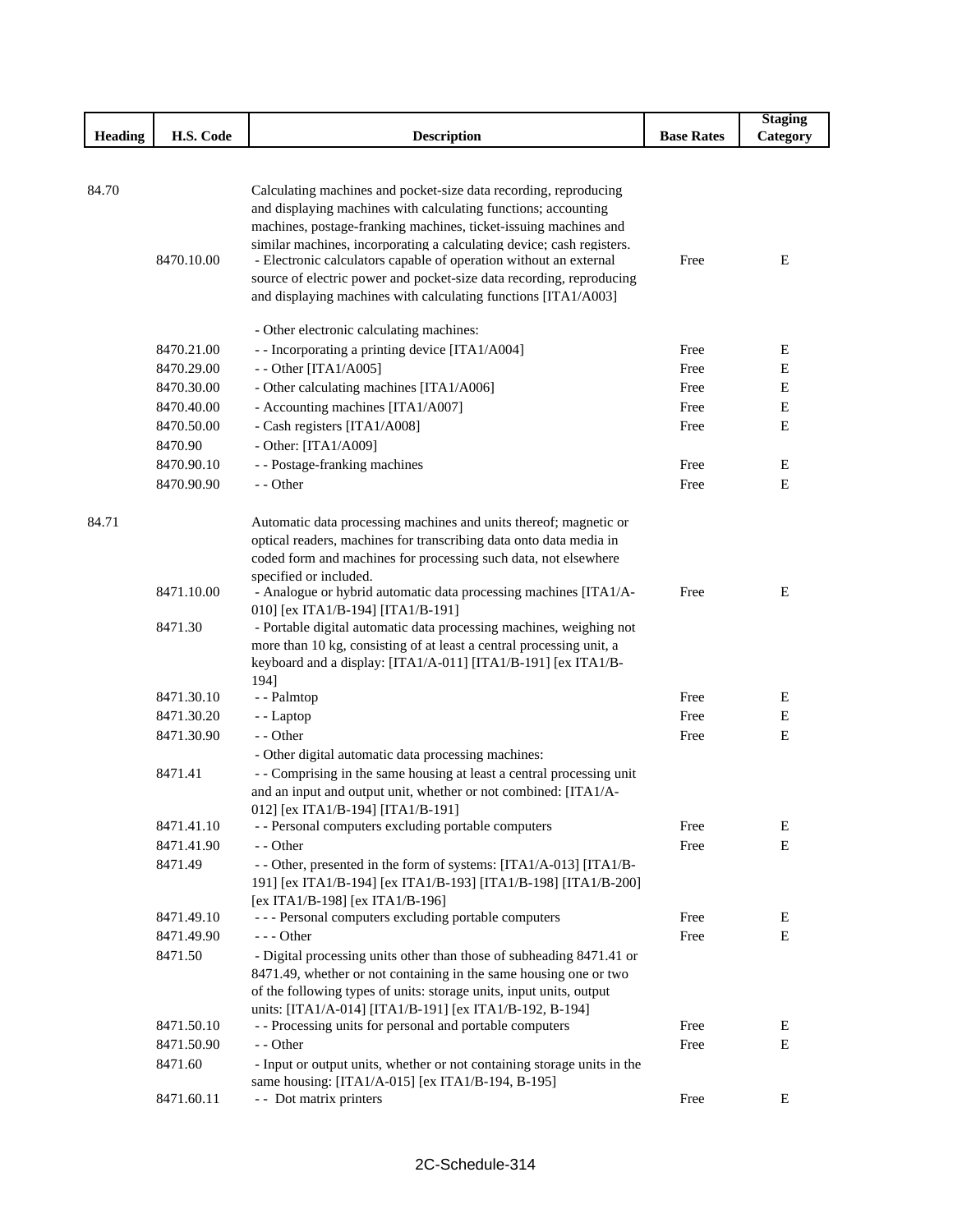|                |                       |                                                                                                                                                                                                                                                                                                                                                      |                   | <b>Staging</b> |
|----------------|-----------------------|------------------------------------------------------------------------------------------------------------------------------------------------------------------------------------------------------------------------------------------------------------------------------------------------------------------------------------------------------|-------------------|----------------|
| <b>Heading</b> | H.S. Code             | <b>Description</b>                                                                                                                                                                                                                                                                                                                                   | <b>Base Rates</b> | Category       |
|                |                       |                                                                                                                                                                                                                                                                                                                                                      |                   |                |
| 84.70          | 8470.10.00            | Calculating machines and pocket-size data recording, reproducing<br>and displaying machines with calculating functions; accounting<br>machines, postage-franking machines, ticket-issuing machines and<br>similar machines, incorporating a calculating device; cash registers.<br>- Electronic calculators capable of operation without an external | Free              | Ε              |
|                |                       | source of electric power and pocket-size data recording, reproducing<br>and displaying machines with calculating functions [ITA1/A003]<br>- Other electronic calculating machines:                                                                                                                                                                   |                   |                |
|                | 8470.21.00            | - - Incorporating a printing device [ITA1/A004]                                                                                                                                                                                                                                                                                                      | Free              | Ε              |
|                | 8470.29.00            | - - Other [ITA1/A005]                                                                                                                                                                                                                                                                                                                                | Free              | Ε              |
|                | 8470.30.00            | - Other calculating machines [ITA1/A006]                                                                                                                                                                                                                                                                                                             | Free              | Ε              |
|                | 8470.40.00            | - Accounting machines [ITA1/A007]                                                                                                                                                                                                                                                                                                                    | Free              | Е              |
|                | 8470.50.00            | - Cash registers [ITA1/A008]                                                                                                                                                                                                                                                                                                                         | Free              | ${\bf E}$      |
|                | 8470.90               | - Other: $[ITA1/A009]$                                                                                                                                                                                                                                                                                                                               |                   |                |
|                | 8470.90.10            |                                                                                                                                                                                                                                                                                                                                                      |                   | Ε              |
|                |                       | - - Postage-franking machines<br>- - Other                                                                                                                                                                                                                                                                                                           | Free              |                |
|                | 8470.90.90            |                                                                                                                                                                                                                                                                                                                                                      | Free              | Е              |
| 84.71          |                       | Automatic data processing machines and units thereof; magnetic or<br>optical readers, machines for transcribing data onto data media in<br>coded form and machines for processing such data, not elsewhere<br>specified or included.                                                                                                                 |                   |                |
|                | 8471.10.00<br>8471.30 | - Analogue or hybrid automatic data processing machines [ITA1/A-<br>010] [ex ITA1/B-194] [ITA1/B-191]<br>- Portable digital automatic data processing machines, weighing not<br>more than 10 kg, consisting of at least a central processing unit, a<br>keyboard and a display: [ITA1/A-011] [ITA1/B-191] [ex ITA1/B-<br>194]                        | Free              | Ε              |
|                | 8471.30.10            | - - Palmtop                                                                                                                                                                                                                                                                                                                                          | Free              | Е              |
|                | 8471.30.20            | - - Laptop                                                                                                                                                                                                                                                                                                                                           | Free              | $\mathbf E$    |
|                | 8471.30.90            | - - Other                                                                                                                                                                                                                                                                                                                                            | Free              | Ε              |
|                |                       | - Other digital automatic data processing machines:                                                                                                                                                                                                                                                                                                  |                   |                |
|                | 8471.41               | - - Comprising in the same housing at least a central processing unit<br>and an input and output unit, whether or not combined: [ITA1/A-<br>012] [ex ITA1/B-194] [ITA1/B-191]                                                                                                                                                                        |                   |                |
|                | 8471.41.10            | - - Personal computers excluding portable computers                                                                                                                                                                                                                                                                                                  | Free              | Е              |
|                | 8471.41.90<br>8471.49 | - - Other<br>- - Other, presented in the form of systems: [ITA1/A-013] [ITA1/B-<br>191] [ex ITA1/B-194] [ex ITA1/B-193] [ITA1/B-198] [ITA1/B-200]<br>[ex ITA1/B-198] [ex ITA1/B-196]                                                                                                                                                                 | Free              | E              |
|                | 8471.49.10            | --- Personal computers excluding portable computers                                                                                                                                                                                                                                                                                                  | Free              | E              |
|                | 8471.49.90            | $--$ Other                                                                                                                                                                                                                                                                                                                                           | Free              | Ε              |
|                | 8471.50               | - Digital processing units other than those of subheading 8471.41 or<br>8471.49, whether or not containing in the same housing one or two<br>of the following types of units: storage units, input units, output<br>units: [ITA1/A-014] [ITA1/B-191] [ex ITA1/B-192, B-194]                                                                          |                   |                |
|                | 8471.50.10            | - - Processing units for personal and portable computers                                                                                                                                                                                                                                                                                             | Free              | E              |
|                | 8471.50.90            | - - Other                                                                                                                                                                                                                                                                                                                                            | Free              | Ε              |
|                | 8471.60               | - Input or output units, whether or not containing storage units in the<br>same housing: [ITA1/A-015] [ex ITA1/B-194, B-195]                                                                                                                                                                                                                         |                   |                |
|                | 8471.60.11            | - - Dot matrix printers                                                                                                                                                                                                                                                                                                                              | Free              | E              |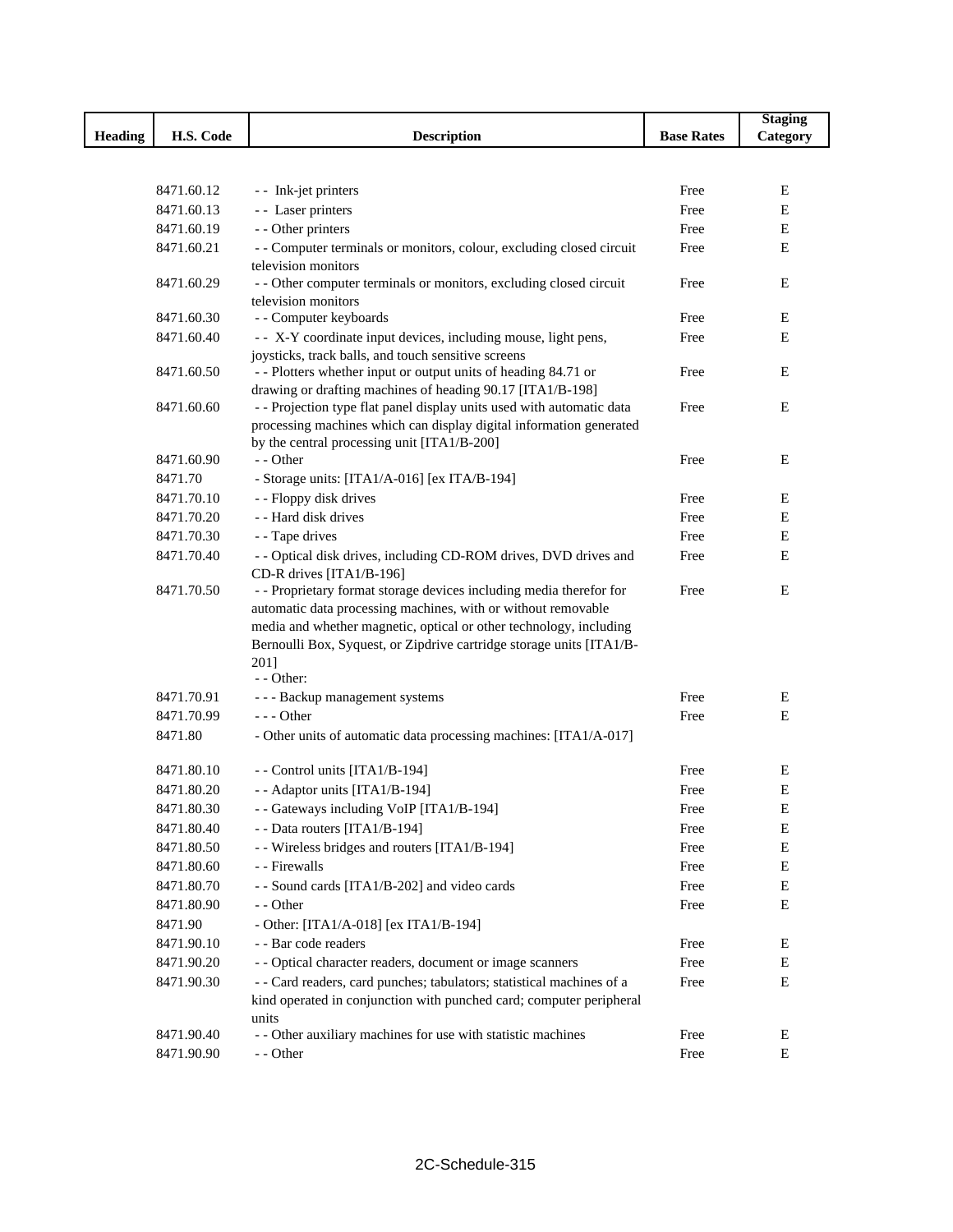|                |            |                                                                                                                                              |                   | <b>Staging</b> |
|----------------|------------|----------------------------------------------------------------------------------------------------------------------------------------------|-------------------|----------------|
| <b>Heading</b> | H.S. Code  | <b>Description</b>                                                                                                                           | <b>Base Rates</b> | Category       |
|                |            |                                                                                                                                              |                   |                |
|                |            |                                                                                                                                              |                   |                |
|                | 8471.60.12 | - - Ink-jet printers                                                                                                                         | Free              | Е              |
|                | 8471.60.13 | - - Laser printers                                                                                                                           | Free              | Ε              |
|                | 8471.60.19 | - - Other printers                                                                                                                           | Free              | Ε              |
|                | 8471.60.21 | - - Computer terminals or monitors, colour, excluding closed circuit                                                                         | Free              | E              |
|                |            | television monitors                                                                                                                          |                   |                |
|                | 8471.60.29 | - - Other computer terminals or monitors, excluding closed circuit                                                                           | Free              | Ε              |
|                |            | television monitors                                                                                                                          |                   |                |
|                | 8471.60.30 | - - Computer keyboards                                                                                                                       | Free              | Ε              |
|                | 8471.60.40 | - - X-Y coordinate input devices, including mouse, light pens,                                                                               | Free              | Е              |
|                |            | joysticks, track balls, and touch sensitive screens                                                                                          |                   |                |
|                | 8471.60.50 | - - Plotters whether input or output units of heading 84.71 or                                                                               | Free              | Ε              |
|                | 8471.60.60 | drawing or drafting machines of heading 90.17 [ITA1/B-198]                                                                                   |                   | Ε              |
|                |            | - - Projection type flat panel display units used with automatic data<br>processing machines which can display digital information generated | Free              |                |
|                |            | by the central processing unit [ITA1/B-200]                                                                                                  |                   |                |
|                | 8471.60.90 | - - Other                                                                                                                                    | Free              | E              |
|                | 8471.70    | - Storage units: [ITA1/A-016] [ex ITA/B-194]                                                                                                 |                   |                |
|                | 8471.70.10 | - - Floppy disk drives                                                                                                                       | Free              | Ε              |
|                | 8471.70.20 | - - Hard disk drives                                                                                                                         | Free              | Е              |
|                |            |                                                                                                                                              |                   |                |
|                | 8471.70.30 | - - Tape drives                                                                                                                              | Free              | Ε              |
|                | 8471.70.40 | - - Optical disk drives, including CD-ROM drives, DVD drives and<br>CD-R drives [ITA1/B-196]                                                 | Free              | E              |
|                | 8471.70.50 | - - Proprietary format storage devices including media therefor for                                                                          | Free              | E              |
|                |            | automatic data processing machines, with or without removable                                                                                |                   |                |
|                |            | media and whether magnetic, optical or other technology, including                                                                           |                   |                |
|                |            | Bernoulli Box, Syquest, or Zipdrive cartridge storage units [ITA1/B-                                                                         |                   |                |
|                |            | 2011                                                                                                                                         |                   |                |
|                |            | - - Other:                                                                                                                                   |                   |                |
|                | 8471.70.91 | - - - Backup management systems                                                                                                              | Free              | Ε              |
|                | 8471.70.99 | $--$ Other                                                                                                                                   | Free              | E              |
|                | 8471.80    | - Other units of automatic data processing machines: [ITA1/A-017]                                                                            |                   |                |
|                | 8471.80.10 | -- Control units [ITA1/B-194]                                                                                                                | Free              | Е              |
|                | 8471.80.20 | - - Adaptor units [ITA1/B-194]                                                                                                               | Free              | $\mathbf E$    |
|                | 8471.80.30 | - - Gateways including VoIP [ITA1/B-194]                                                                                                     | Free              | $\bf E$        |
|                | 8471.80.40 | - - Data routers [ITA1/B-194]                                                                                                                | Free              | E              |
|                | 8471.80.50 | - - Wireless bridges and routers [ITA1/B-194]                                                                                                | Free              | $\mathbf E$    |
|                | 8471.80.60 | - - Firewalls                                                                                                                                | Free              | Ε              |
|                | 8471.80.70 | - - Sound cards [ITA1/B-202] and video cards                                                                                                 | Free              | Ε              |
|                | 8471.80.90 |                                                                                                                                              |                   | Е              |
|                |            | - - Other                                                                                                                                    | Free              |                |
|                | 8471.90    | - Other: [ITA1/A-018] [ex ITA1/B-194]                                                                                                        |                   |                |
|                | 8471.90.10 | - - Bar code readers                                                                                                                         | Free              | Е              |
|                | 8471.90.20 | - - Optical character readers, document or image scanners                                                                                    | Free              | Ε              |
|                | 8471.90.30 | - - Card readers, card punches; tabulators; statistical machines of a                                                                        | Free              | E              |
|                |            | kind operated in conjunction with punched card; computer peripheral                                                                          |                   |                |
|                | 8471.90.40 | units<br>- - Other auxiliary machines for use with statistic machines                                                                        | Free              | Е              |
|                |            |                                                                                                                                              |                   |                |
|                | 8471.90.90 | - - Other                                                                                                                                    | Free              | Е              |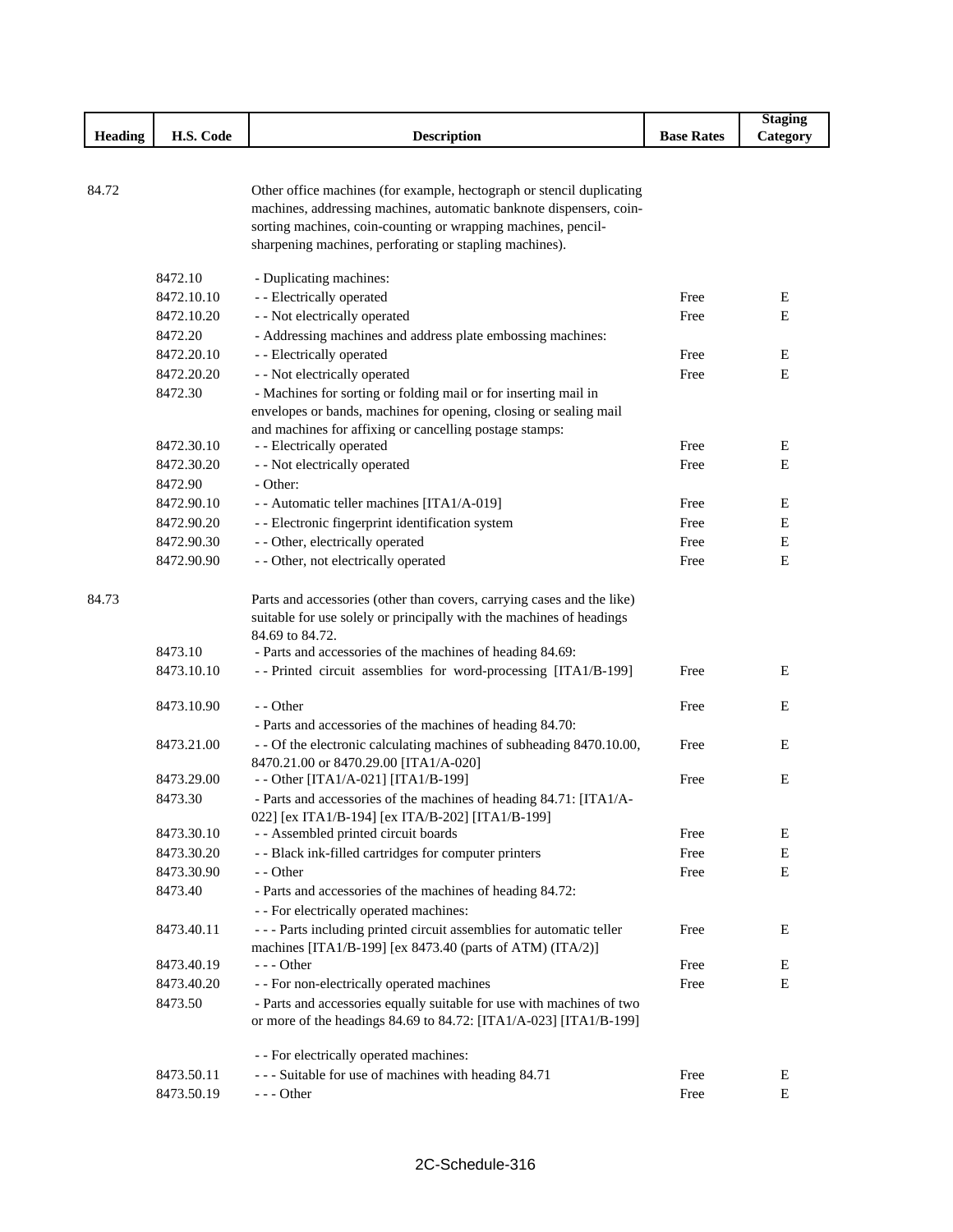|                |            |                                                                                                                                      |                   | <b>Staging</b> |
|----------------|------------|--------------------------------------------------------------------------------------------------------------------------------------|-------------------|----------------|
| <b>Heading</b> | H.S. Code  | <b>Description</b>                                                                                                                   | <b>Base Rates</b> | Category       |
|                |            |                                                                                                                                      |                   |                |
|                |            |                                                                                                                                      |                   |                |
| 84.72          |            | Other office machines (for example, hectograph or stencil duplicating                                                                |                   |                |
|                |            | machines, addressing machines, automatic banknote dispensers, coin-<br>sorting machines, coin-counting or wrapping machines, pencil- |                   |                |
|                |            | sharpening machines, perforating or stapling machines).                                                                              |                   |                |
|                |            |                                                                                                                                      |                   |                |
|                | 8472.10    | - Duplicating machines:                                                                                                              |                   |                |
|                | 8472.10.10 | - - Electrically operated                                                                                                            | Free              | E              |
|                | 8472.10.20 | - - Not electrically operated                                                                                                        | Free              | E              |
|                | 8472.20    | - Addressing machines and address plate embossing machines:                                                                          |                   |                |
|                | 8472.20.10 | - - Electrically operated                                                                                                            | Free              | E              |
|                | 8472.20.20 | - - Not electrically operated                                                                                                        | Free              | $\mathbf E$    |
|                | 8472.30    | - Machines for sorting or folding mail or for inserting mail in                                                                      |                   |                |
|                |            | envelopes or bands, machines for opening, closing or sealing mail                                                                    |                   |                |
|                |            | and machines for affixing or cancelling postage stamps:                                                                              |                   |                |
|                | 8472.30.10 | - - Electrically operated                                                                                                            | Free              | E              |
|                | 8472.30.20 | - - Not electrically operated                                                                                                        | Free              | E              |
|                | 8472.90    | - Other:                                                                                                                             |                   |                |
|                | 8472.90.10 | - - Automatic teller machines [ITA1/A-019]                                                                                           | Free              | E              |
|                | 8472.90.20 | - - Electronic fingerprint identification system                                                                                     | Free              | E              |
|                | 8472.90.30 | - - Other, electrically operated                                                                                                     | Free              | Ε              |
|                | 8472.90.90 | - - Other, not electrically operated                                                                                                 | Free              | Ε              |
| 84.73          |            | Parts and accessories (other than covers, carrying cases and the like)                                                               |                   |                |
|                |            | suitable for use solely or principally with the machines of headings                                                                 |                   |                |
|                |            | 84.69 to 84.72.                                                                                                                      |                   |                |
|                | 8473.10    | - Parts and accessories of the machines of heading 84.69:                                                                            |                   |                |
|                | 8473.10.10 | -- Printed circuit assemblies for word-processing [ITA1/B-199]                                                                       | Free              | E              |
|                | 8473.10.90 | - - Other                                                                                                                            | Free              | E              |
|                |            | - Parts and accessories of the machines of heading 84.70:                                                                            |                   |                |
|                | 8473.21.00 | - - Of the electronic calculating machines of subheading 8470.10.00,                                                                 | Free              | E              |
|                |            | 8470.21.00 or 8470.29.00 [ITA1/A-020]                                                                                                |                   |                |
|                | 8473.29.00 | - - Other [ITA1/A-021] [ITA1/B-199]                                                                                                  | Free              | E              |
|                | 8473.30    | - Parts and accessories of the machines of heading 84.71: [ITA1/A-                                                                   |                   |                |
|                |            | 022] [ex ITA1/B-194] [ex ITA/B-202] [ITA1/B-199]                                                                                     |                   |                |
|                | 8473.30.10 | - - Assembled printed circuit boards                                                                                                 | Free              | Ε              |
|                | 8473.30.20 | - - Black ink-filled cartridges for computer printers                                                                                | Free              | ${\bf E}$      |
|                | 8473.30.90 | - - Other                                                                                                                            | Free              | E              |
|                | 8473.40    | - Parts and accessories of the machines of heading 84.72:<br>- - For electrically operated machines:                                 |                   |                |
|                | 8473.40.11 | --- Parts including printed circuit assemblies for automatic teller                                                                  | Free              | E              |
|                |            | machines [ITA1/B-199] [ex 8473.40 (parts of ATM) (ITA/2)]                                                                            |                   |                |
|                | 8473.40.19 | - - - Other                                                                                                                          | Free              | E              |
|                | 8473.40.20 | - - For non-electrically operated machines                                                                                           | Free              | E              |
|                | 8473.50    | - Parts and accessories equally suitable for use with machines of two                                                                |                   |                |
|                |            | or more of the headings 84.69 to 84.72: [ITA1/A-023] [ITA1/B-199]                                                                    |                   |                |
|                |            | - - For electrically operated machines:                                                                                              |                   |                |
|                | 8473.50.11 | --- Suitable for use of machines with heading 84.71                                                                                  | Free              | Ε              |
|                | 8473.50.19 | $--$ Other                                                                                                                           | Free              | ${\bf E}$      |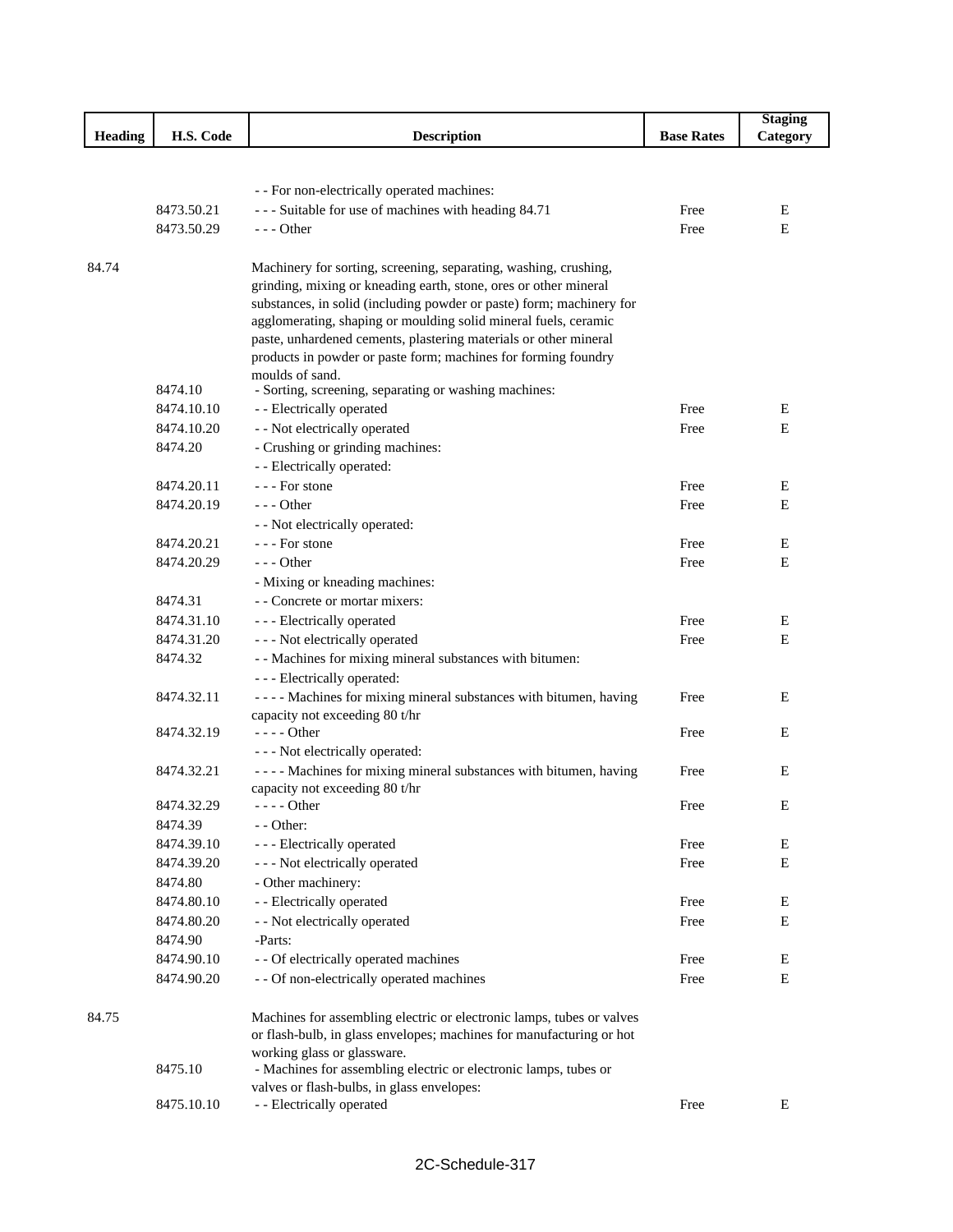|         |            |                                                                       |                   | <b>Staging</b> |
|---------|------------|-----------------------------------------------------------------------|-------------------|----------------|
| Heading | H.S. Code  | <b>Description</b>                                                    | <b>Base Rates</b> | Category       |
|         |            |                                                                       |                   |                |
|         |            |                                                                       |                   |                |
|         |            | - - For non-electrically operated machines:                           |                   |                |
|         | 8473.50.21 | --- Suitable for use of machines with heading 84.71                   | Free              | E              |
|         | 8473.50.29 | $--$ Other                                                            | Free              | E              |
|         |            |                                                                       |                   |                |
| 84.74   |            | Machinery for sorting, screening, separating, washing, crushing,      |                   |                |
|         |            | grinding, mixing or kneading earth, stone, ores or other mineral      |                   |                |
|         |            | substances, in solid (including powder or paste) form; machinery for  |                   |                |
|         |            | agglomerating, shaping or moulding solid mineral fuels, ceramic       |                   |                |
|         |            | paste, unhardened cements, plastering materials or other mineral      |                   |                |
|         |            | products in powder or paste form; machines for forming foundry        |                   |                |
|         | 8474.10    | moulds of sand.                                                       |                   |                |
|         |            | - Sorting, screening, separating or washing machines:                 |                   |                |
|         | 8474.10.10 | - - Electrically operated                                             | Free              | E              |
|         | 8474.10.20 | - - Not electrically operated                                         | Free              | $\mathbf E$    |
|         | 8474.20    | - Crushing or grinding machines:                                      |                   |                |
|         |            | - - Electrically operated:                                            |                   |                |
|         | 8474.20.11 | --- For stone                                                         | Free              | E              |
|         | 8474.20.19 | $--$ Other                                                            | Free              | E              |
|         |            | - - Not electrically operated:                                        |                   |                |
|         | 8474.20.21 | --- For stone                                                         | Free              | Ε              |
|         | 8474.20.29 | $--$ Other                                                            | Free              | Ε              |
|         |            | - Mixing or kneading machines:                                        |                   |                |
|         | 8474.31    | - - Concrete or mortar mixers:                                        |                   |                |
|         | 8474.31.10 | - - - Electrically operated                                           | Free              | Е              |
|         | 8474.31.20 | - - - Not electrically operated                                       | Free              | E              |
|         | 8474.32    | - - Machines for mixing mineral substances with bitumen:              |                   |                |
|         |            | - - - Electrically operated:                                          |                   |                |
|         | 8474.32.11 | - - - - Machines for mixing mineral substances with bitumen, having   | Free              | Ε              |
|         |            | capacity not exceeding 80 t/hr                                        |                   |                |
|         | 8474.32.19 | - - - - Other                                                         | Free              | E              |
|         |            | - - - Not electrically operated:                                      |                   |                |
|         | 8474.32.21 | - - - - Machines for mixing mineral substances with bitumen, having   | Free              | E              |
|         |            | capacity not exceeding 80 t/hr                                        |                   |                |
|         | 8474.32.29 |                                                                       | Free              | Ε              |
|         | 8474.39    | - - Other:                                                            |                   |                |
|         | 8474.39.10 | - - - Electrically operated                                           | Free              | E              |
|         | 8474.39.20 | --- Not electrically operated                                         | Free              | E              |
|         | 8474.80    | - Other machinery:                                                    |                   |                |
|         | 8474.80.10 | - - Electrically operated                                             | Free              | Е              |
|         | 8474.80.20 | - - Not electrically operated                                         | Free              | Е              |
|         | 8474.90    | -Parts:                                                               |                   |                |
|         | 8474.90.10 | - - Of electrically operated machines                                 | Free              | E              |
|         | 8474.90.20 | - - Of non-electrically operated machines                             | Free              | Ε              |
| 84.75   |            | Machines for assembling electric or electronic lamps, tubes or valves |                   |                |
|         |            | or flash-bulb, in glass envelopes; machines for manufacturing or hot  |                   |                |
|         |            | working glass or glassware.                                           |                   |                |
|         | 8475.10    | - Machines for assembling electric or electronic lamps, tubes or      |                   |                |
|         |            | valves or flash-bulbs, in glass envelopes:                            |                   |                |
|         | 8475.10.10 | - - Electrically operated                                             | Free              | Е              |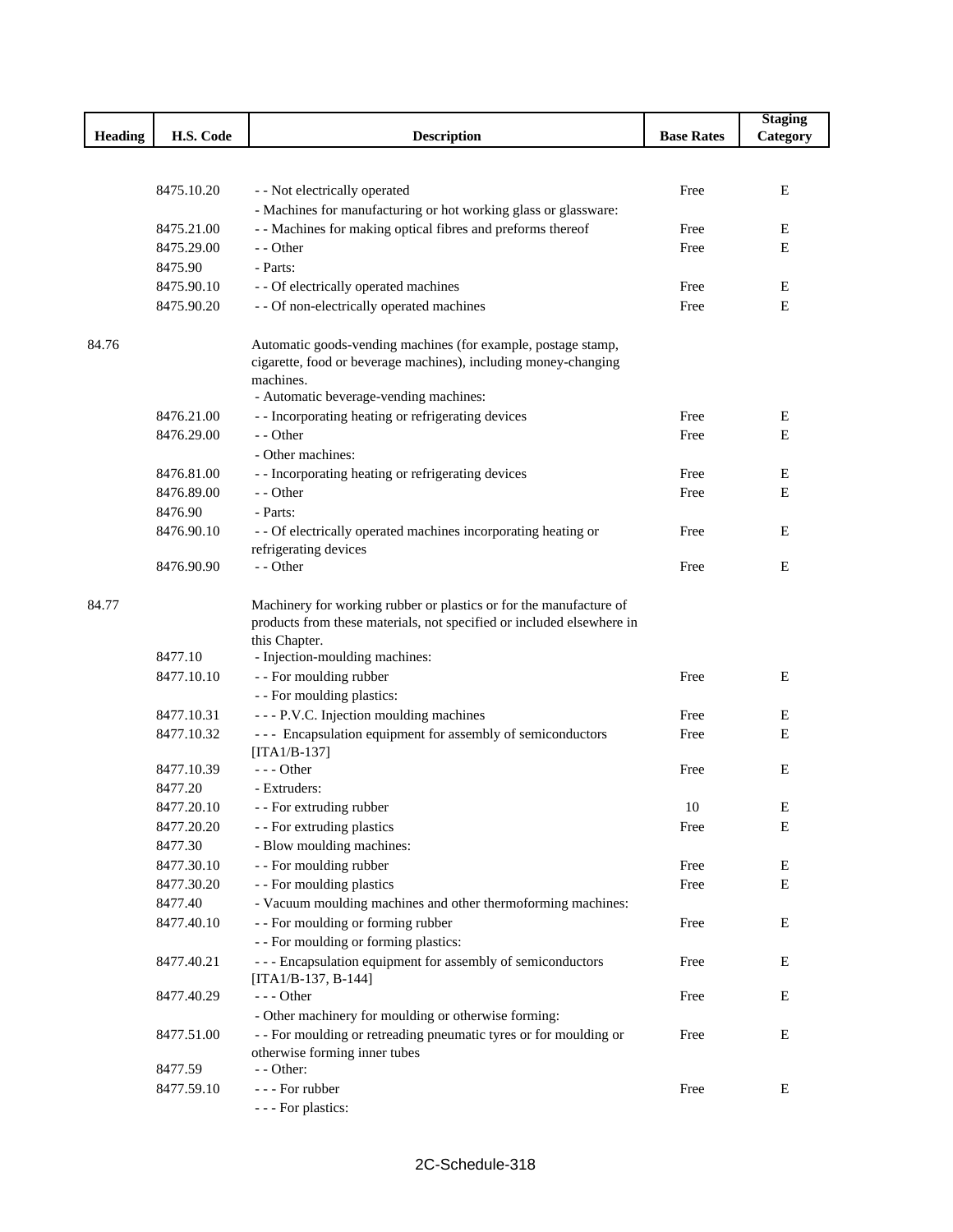|         |            |                                                                       |                   | <b>Staging</b> |
|---------|------------|-----------------------------------------------------------------------|-------------------|----------------|
| Heading | H.S. Code  | <b>Description</b>                                                    | <b>Base Rates</b> | Category       |
|         |            |                                                                       |                   |                |
|         |            |                                                                       |                   |                |
|         | 8475.10.20 | - - Not electrically operated                                         | Free              | E              |
|         |            | - Machines for manufacturing or hot working glass or glassware:       |                   |                |
|         | 8475.21.00 | - - Machines for making optical fibres and preforms thereof           | Free              | Е              |
|         | 8475.29.00 | - - Other                                                             | Free              | Ε              |
|         | 8475.90    | - Parts:                                                              |                   |                |
|         | 8475.90.10 | - - Of electrically operated machines                                 | Free              | Ε              |
|         | 8475.90.20 | - - Of non-electrically operated machines                             | Free              | E              |
| 84.76   |            | Automatic goods-vending machines (for example, postage stamp,         |                   |                |
|         |            | cigarette, food or beverage machines), including money-changing       |                   |                |
|         |            | machines.                                                             |                   |                |
|         |            | - Automatic beverage-vending machines:                                |                   |                |
|         | 8476.21.00 | - - Incorporating heating or refrigerating devices                    | Free              | E              |
|         | 8476.29.00 | - - Other                                                             | Free              | Е              |
|         |            | - Other machines:                                                     |                   |                |
|         | 8476.81.00 | - - Incorporating heating or refrigerating devices                    | Free              | E              |
|         | 8476.89.00 | - - Other                                                             | Free              | E              |
|         | 8476.90    | - Parts:                                                              |                   |                |
|         | 8476.90.10 | - - Of electrically operated machines incorporating heating or        | Free              | Ε              |
|         |            | refrigerating devices                                                 |                   |                |
|         | 8476.90.90 | - - Other                                                             | Free              | E              |
|         |            |                                                                       |                   |                |
| 84.77   |            | Machinery for working rubber or plastics or for the manufacture of    |                   |                |
|         |            | products from these materials, not specified or included elsewhere in |                   |                |
|         |            | this Chapter.                                                         |                   |                |
|         | 8477.10    | - Injection-moulding machines:                                        |                   |                |
|         | 8477.10.10 | - - For moulding rubber                                               | Free              | E              |
|         |            | - - For moulding plastics:                                            |                   |                |
|         | 8477.10.31 | --- P.V.C. Injection moulding machines                                | Free              | E              |
|         | 8477.10.32 | --- Encapsulation equipment for assembly of semiconductors            | Free              | Ε              |
|         |            | $[ITA1/B-137]$                                                        |                   |                |
|         | 8477.10.39 | $--- Other$                                                           | Free              | E              |
|         | 8477.20    | - Extruders:                                                          |                   |                |
|         | 8477.20.10 | - - For extruding rubber                                              | 10                | E              |
|         | 8477.20.20 | - - For extruding plastics                                            | Free              | Е              |
|         | 8477.30    | - Blow moulding machines:                                             |                   |                |
|         | 8477.30.10 | - - For moulding rubber                                               | Free              | Е              |
|         | 8477.30.20 | - - For moulding plastics                                             | Free              | Ε              |
|         | 8477.40    | - Vacuum moulding machines and other thermoforming machines:          |                   |                |
|         | 8477.40.10 | - - For moulding or forming rubber                                    | Free              | Ε              |
|         |            | - - For moulding or forming plastics:                                 |                   |                |
|         | 8477.40.21 | --- Encapsulation equipment for assembly of semiconductors            | Free              | E              |
|         |            | $[ITA1/B-137, B-144]$                                                 |                   |                |
|         | 8477.40.29 | $--$ Other                                                            | Free              | E              |
|         |            | - Other machinery for moulding or otherwise forming:                  |                   |                |
|         | 8477.51.00 | - - For moulding or retreading pneumatic tyres or for moulding or     | Free              | E              |
|         | 8477.59    | otherwise forming inner tubes<br>$-$ - Other:                         |                   |                |
|         |            | - - - For rubber                                                      | Free              |                |
|         | 8477.59.10 |                                                                       |                   | E              |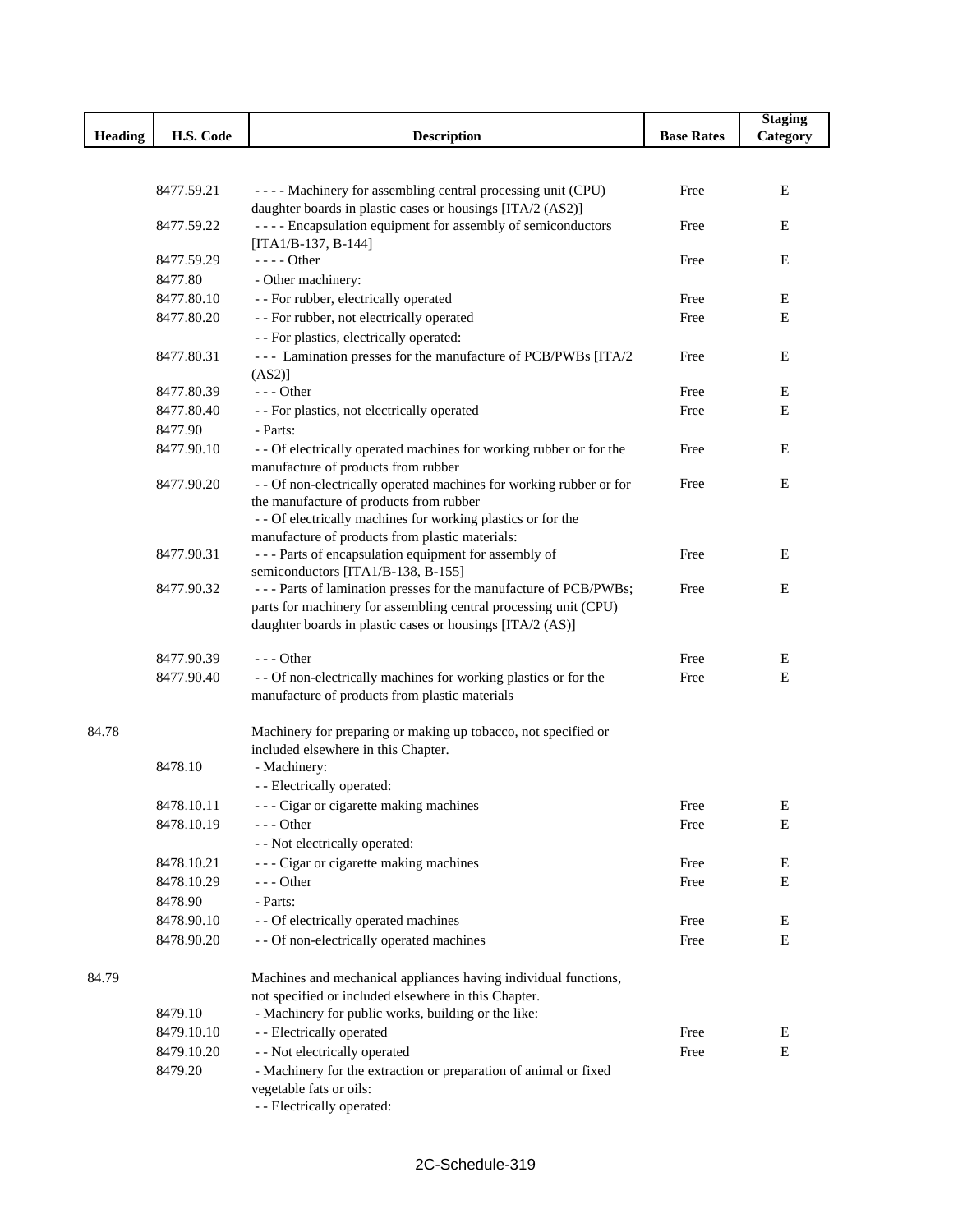|         |                                 |                                                                                                                              |                   | <b>Staging</b> |
|---------|---------------------------------|------------------------------------------------------------------------------------------------------------------------------|-------------------|----------------|
| Heading | H.S. Code<br><b>Description</b> |                                                                                                                              | <b>Base Rates</b> | Category       |
|         |                                 |                                                                                                                              |                   |                |
|         |                                 |                                                                                                                              |                   |                |
|         | 8477.59.21                      | - - - - Machinery for assembling central processing unit (CPU)<br>daughter boards in plastic cases or housings [ITA/2 (AS2)] | Free              | E              |
|         | 8477.59.22                      | ---- Encapsulation equipment for assembly of semiconductors                                                                  | Free              | Ε              |
|         |                                 | $[ITA1/B-137, B-144]$                                                                                                        |                   |                |
|         | 8477.59.29                      | $--- Other$                                                                                                                  | Free              | Ε              |
|         | 8477.80                         | - Other machinery:                                                                                                           |                   |                |
|         | 8477.80.10                      | - - For rubber, electrically operated                                                                                        | Free              | Ε              |
|         | 8477.80.20                      | - - For rubber, not electrically operated                                                                                    | Free              | E              |
|         |                                 | - - For plastics, electrically operated:                                                                                     |                   |                |
|         | 8477.80.31                      | --- Lamination presses for the manufacture of PCB/PWBs [ITA/2                                                                | Free              | E              |
|         |                                 | (AS2)]                                                                                                                       |                   |                |
|         | 8477.80.39                      | $--$ Other                                                                                                                   | Free              | Ε              |
|         | 8477.80.40                      | - - For plastics, not electrically operated                                                                                  | Free              | E              |
|         | 8477.90                         | - Parts:                                                                                                                     |                   |                |
|         | 8477.90.10                      | - - Of electrically operated machines for working rubber or for the                                                          | Free              | Ε              |
|         |                                 | manufacture of products from rubber                                                                                          |                   | Ε              |
|         | 8477.90.20                      | - - Of non-electrically operated machines for working rubber or for<br>the manufacture of products from rubber               | Free              |                |
|         |                                 | - - Of electrically machines for working plastics or for the                                                                 |                   |                |
|         |                                 | manufacture of products from plastic materials:                                                                              |                   |                |
|         | 8477.90.31                      | --- Parts of encapsulation equipment for assembly of                                                                         | Free              | Ε              |
|         |                                 | semiconductors [ITA1/B-138, B-155]                                                                                           |                   |                |
|         | 8477.90.32                      | --- Parts of lamination presses for the manufacture of PCB/PWBs;                                                             | Free              | E              |
|         |                                 | parts for machinery for assembling central processing unit (CPU)                                                             |                   |                |
|         |                                 | daughter boards in plastic cases or housings [ITA/2 (AS)]                                                                    |                   |                |
|         | 8477.90.39                      | $--$ Other                                                                                                                   | Free              | Е              |
|         | 8477.90.40                      | - - Of non-electrically machines for working plastics or for the                                                             | Free              | Ε              |
|         |                                 | manufacture of products from plastic materials                                                                               |                   |                |
| 84.78   |                                 | Machinery for preparing or making up tobacco, not specified or                                                               |                   |                |
|         |                                 | included elsewhere in this Chapter.                                                                                          |                   |                |
|         | 8478.10                         | - Machinery:                                                                                                                 |                   |                |
|         |                                 | - - Electrically operated:                                                                                                   |                   |                |
|         | 8478.10.11                      | - - - Cigar or cigarette making machines                                                                                     | Free              | E              |
|         | 8478.10.19                      | $--$ Other                                                                                                                   | Free              | Ε              |
|         |                                 | - - Not electrically operated:                                                                                               |                   |                |
|         | 8478.10.21                      | --- Cigar or cigarette making machines                                                                                       | Free              | E              |
|         | 8478.10.29                      | $--$ Other                                                                                                                   | Free              | E              |
|         | 8478.90                         | - Parts:                                                                                                                     |                   |                |
|         | 8478.90.10                      | - - Of electrically operated machines                                                                                        | Free              | E              |
|         | 8478.90.20                      | - - Of non-electrically operated machines                                                                                    | Free              | Е              |
| 84.79   |                                 | Machines and mechanical appliances having individual functions,                                                              |                   |                |
|         |                                 | not specified or included elsewhere in this Chapter.                                                                         |                   |                |
|         | 8479.10                         | - Machinery for public works, building or the like:                                                                          |                   |                |
|         | 8479.10.10                      | - - Electrically operated                                                                                                    | Free              | Е              |
|         | 8479.10.20                      | - - Not electrically operated                                                                                                | Free              | $\mathbf E$    |
|         | 8479.20                         | - Machinery for the extraction or preparation of animal or fixed<br>vegetable fats or oils:                                  |                   |                |
|         |                                 | - - Electrically operated:                                                                                                   |                   |                |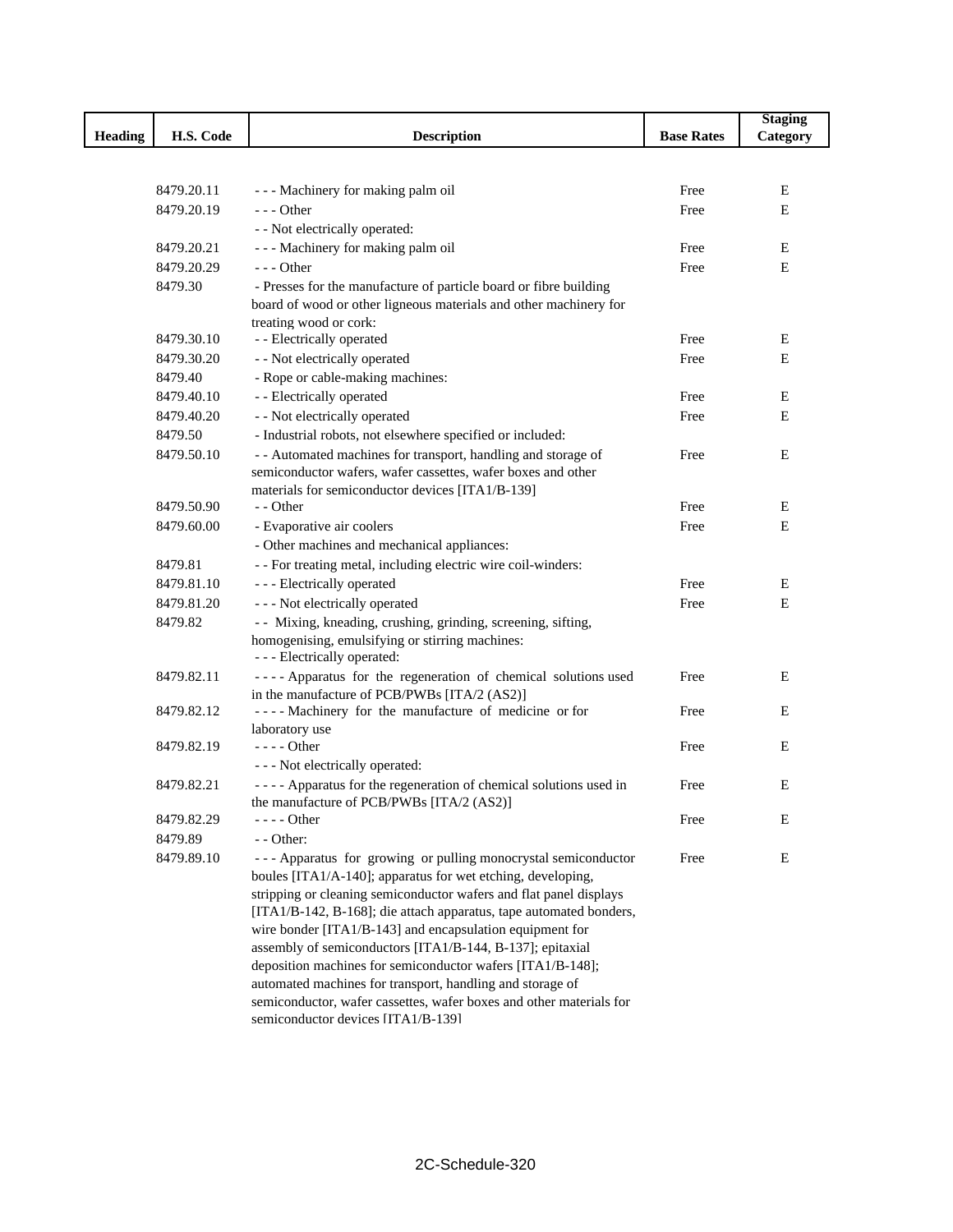|                |            |                                                                                                                         |                   | <b>Staging</b> |
|----------------|------------|-------------------------------------------------------------------------------------------------------------------------|-------------------|----------------|
| <b>Heading</b> | H.S. Code  | <b>Description</b>                                                                                                      | <b>Base Rates</b> | Category       |
|                |            |                                                                                                                         |                   |                |
|                |            |                                                                                                                         |                   |                |
|                | 8479.20.11 | - - - Machinery for making palm oil                                                                                     | Free              | Ε              |
|                | 8479.20.19 | $--$ Other                                                                                                              | Free              | Е              |
|                |            | - - Not electrically operated:                                                                                          |                   |                |
|                | 8479.20.21 | --- Machinery for making palm oil                                                                                       | Free              | Ε              |
|                | 8479.20.29 | $--$ Other                                                                                                              | Free              | Е              |
|                | 8479.30    | - Presses for the manufacture of particle board or fibre building                                                       |                   |                |
|                |            | board of wood or other ligneous materials and other machinery for                                                       |                   |                |
|                | 8479.30.10 | treating wood or cork:<br>- - Electrically operated                                                                     | Free              | Ε              |
|                | 8479.30.20 | - - Not electrically operated                                                                                           | Free              | Е              |
|                | 8479.40    | - Rope or cable-making machines:                                                                                        |                   |                |
|                | 8479.40.10 | - - Electrically operated                                                                                               | Free              | E              |
|                | 8479.40.20 | - - Not electrically operated                                                                                           |                   | E              |
|                |            |                                                                                                                         | Free              |                |
|                | 8479.50    | - Industrial robots, not elsewhere specified or included:                                                               |                   |                |
|                | 8479.50.10 | - - Automated machines for transport, handling and storage of                                                           | Free              | Е              |
|                |            | semiconductor wafers, wafer cassettes, wafer boxes and other<br>materials for semiconductor devices [ITA1/B-139]        |                   |                |
|                | 8479.50.90 | - - Other                                                                                                               | Free              | Ε              |
|                | 8479.60.00 | - Evaporative air coolers                                                                                               | Free              | Е              |
|                |            | - Other machines and mechanical appliances:                                                                             |                   |                |
|                | 8479.81    | - - For treating metal, including electric wire coil-winders:                                                           |                   |                |
|                | 8479.81.10 | - - - Electrically operated                                                                                             | Free              | Е              |
|                | 8479.81.20 | - - - Not electrically operated                                                                                         | Free              | Ε              |
|                | 8479.82    | - Mixing, kneading, crushing, grinding, screening, sifting,                                                             |                   |                |
|                |            | homogenising, emulsifying or stirring machines:                                                                         |                   |                |
|                |            | - - - Electrically operated:                                                                                            |                   |                |
|                | 8479.82.11 | ---- Apparatus for the regeneration of chemical solutions used                                                          | Free              | Е              |
|                |            | in the manufacture of PCB/PWBs [ITA/2 (AS2)]                                                                            |                   |                |
|                | 8479.82.12 | ---- Machinery for the manufacture of medicine or for                                                                   | Free              | Е              |
|                |            | laboratory use                                                                                                          |                   |                |
|                | 8479.82.19 | $--$ Other                                                                                                              | Free              | Е              |
|                |            | - - - Not electrically operated:                                                                                        |                   |                |
|                | 8479.82.21 | ---- Apparatus for the regeneration of chemical solutions used in                                                       | Free              | Е              |
|                |            | the manufacture of PCB/PWBs [ITA/2 (AS2)]                                                                               |                   |                |
|                | 8479.82.29 | $--- Other$                                                                                                             | Free              | Е              |
|                | 8479.89    | - - Other:                                                                                                              |                   |                |
|                | 8479.89.10 | --- Apparatus for growing or pulling monocrystal semiconductor                                                          | Free              | Е              |
|                |            | boules [ITA1/A-140]; apparatus for wet etching, developing,                                                             |                   |                |
|                |            | stripping or cleaning semiconductor wafers and flat panel displays                                                      |                   |                |
|                |            | [ITA1/B-142, B-168]; die attach apparatus, tape automated bonders,                                                      |                   |                |
|                |            | wire bonder [ITA1/B-143] and encapsulation equipment for                                                                |                   |                |
|                |            | assembly of semiconductors [ITA1/B-144, B-137]; epitaxial<br>deposition machines for semiconductor wafers [ITA1/B-148]; |                   |                |
|                |            | automated machines for transport, handling and storage of                                                               |                   |                |
|                |            | semiconductor, wafer cassettes, wafer boxes and other materials for                                                     |                   |                |
|                |            | semiconductor devices IITA1/R-1391                                                                                      |                   |                |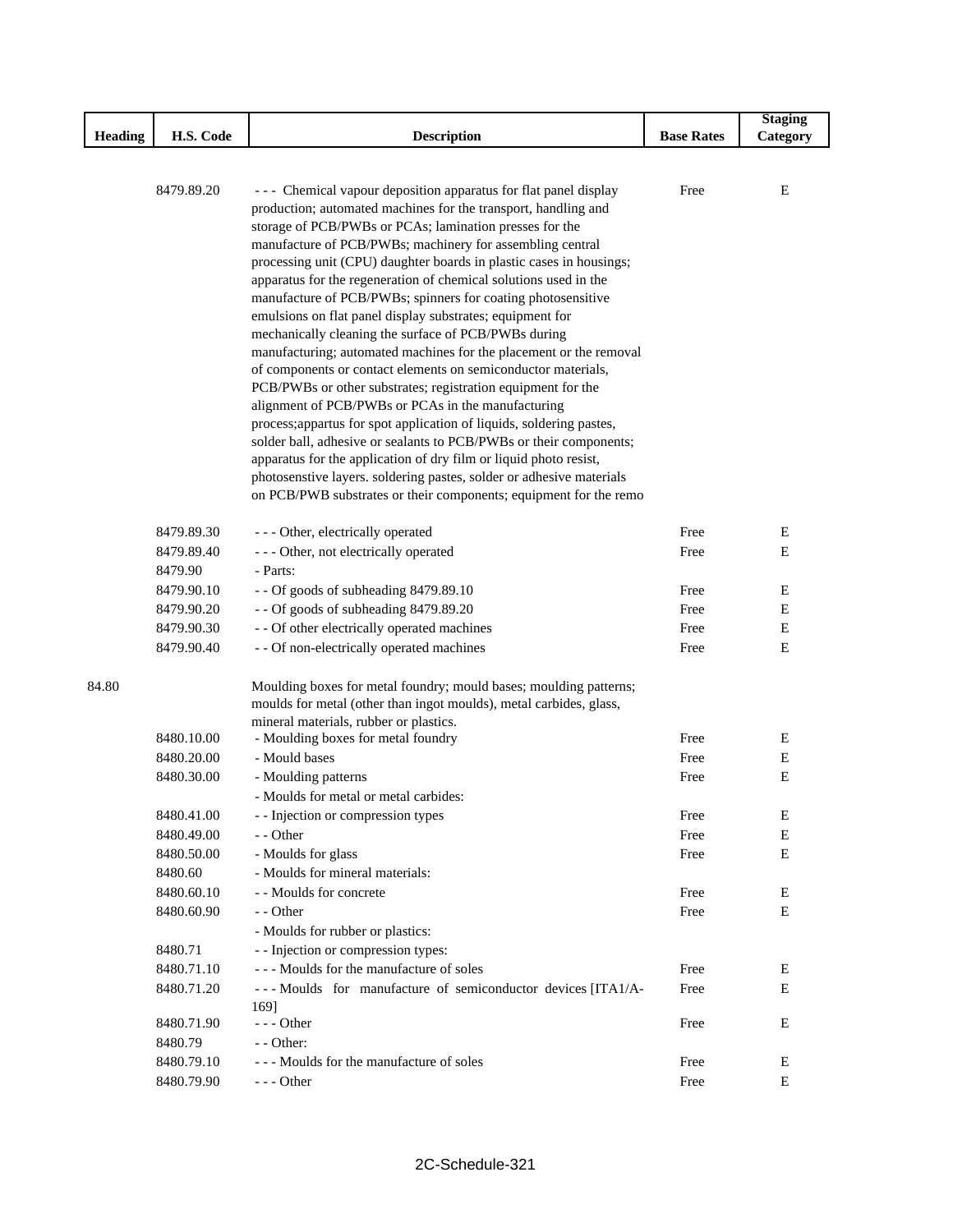|                |            |                                                                      |                   | <b>Staging</b> |
|----------------|------------|----------------------------------------------------------------------|-------------------|----------------|
| <b>Heading</b> | H.S. Code  | <b>Description</b>                                                   | <b>Base Rates</b> | Category       |
|                |            |                                                                      |                   |                |
|                |            |                                                                      |                   |                |
|                | 8479.89.20 | --- Chemical vapour deposition apparatus for flat panel display      | Free              | $-E$           |
|                |            | production; automated machines for the transport, handling and       |                   |                |
|                |            | storage of PCB/PWBs or PCAs; lamination presses for the              |                   |                |
|                |            | manufacture of PCB/PWBs; machinery for assembling central            |                   |                |
|                |            | processing unit (CPU) daughter boards in plastic cases in housings;  |                   |                |
|                |            | apparatus for the regeneration of chemical solutions used in the     |                   |                |
|                |            | manufacture of PCB/PWBs; spinners for coating photosensitive         |                   |                |
|                |            | emulsions on flat panel display substrates; equipment for            |                   |                |
|                |            | mechanically cleaning the surface of PCB/PWBs during                 |                   |                |
|                |            | manufacturing; automated machines for the placement or the removal   |                   |                |
|                |            | of components or contact elements on semiconductor materials,        |                   |                |
|                |            | PCB/PWBs or other substrates; registration equipment for the         |                   |                |
|                |            | alignment of PCB/PWBs or PCAs in the manufacturing                   |                   |                |
|                |            | process; appartus for spot application of liquids, soldering pastes, |                   |                |
|                |            | solder ball, adhesive or sealants to PCB/PWBs or their components;   |                   |                |
|                |            | apparatus for the application of dry film or liquid photo resist,    |                   |                |
|                |            | photosenstive layers. soldering pastes, solder or adhesive materials |                   |                |
|                |            | on PCB/PWB substrates or their components; equipment for the remo    |                   |                |
|                |            |                                                                      |                   |                |
|                | 8479.89.30 | - - - Other, electrically operated                                   | Free              | $\mathbf{F}$   |
|                | 8479.89.40 | - - - Other, not electrically operated                               | Free              |                |
|                | 8479.90    | - Parts:                                                             |                   |                |
|                | 8479.90.10 | - - Of goods of subheading 8479.89.10                                | Free              | E              |
|                | 8479.90.20 | - - Of goods of subheading 8479.89.20                                | Free              | E              |
|                | 8479.90.30 | - - Of other electrically operated machines                          | Free              | E              |
|                | 8479.90.40 | - - Of non-electrically operated machines                            | Free              |                |
|                |            |                                                                      |                   |                |
| 84.80          |            | Moulding boxes for metal foundry; mould bases; moulding patterns;    |                   |                |
|                |            | moulds for metal (other than ingot moulds), metal carbides, glass,   |                   |                |
|                |            | mineral materials, rubber or plastics.                               |                   |                |
|                | 8480.10.00 | - Moulding boxes for metal foundry                                   | Free              | E              |
|                | 8480.20.00 | - Mould bases                                                        | Free              | $\mathbf{E}$   |
|                | 8480.30.00 | - Moulding patterns                                                  | Free              |                |
|                |            | - Moulds for metal or metal carbides:                                |                   |                |
|                | 8480.41.00 | - - Injection or compression types                                   | Free              |                |
|                | 8480.49.00 | - - Other                                                            | Free              |                |
|                | 8480.50.00 | - Moulds for glass                                                   | Free              | E              |
|                | 8480.60    | - Moulds for mineral materials:                                      |                   |                |
|                | 8480.60.10 | - - Moulds for concrete                                              | Free              | E              |
|                | 8480.60.90 | - - Other                                                            | Free              | E              |
|                |            | - Moulds for rubber or plastics:                                     |                   |                |
| 8480.71        |            | - - Injection or compression types:                                  |                   |                |
|                | 8480.71.10 | --- Moulds for the manufacture of soles                              | Free              | E              |
|                | 8480.71.20 | --- Moulds for manufacture of semiconductor devices [ITA1/A-         | Free              | E              |
|                |            | 169]                                                                 |                   |                |
|                | 8480.71.90 | $- -$ Other                                                          | Free              | E              |
| 8480.79        |            | $-$ - Other:                                                         |                   |                |
|                | 8480.79.10 | --- Moulds for the manufacture of soles                              | Free              | E              |
|                | 8480.79.90 | $- -$ Other                                                          | Free              |                |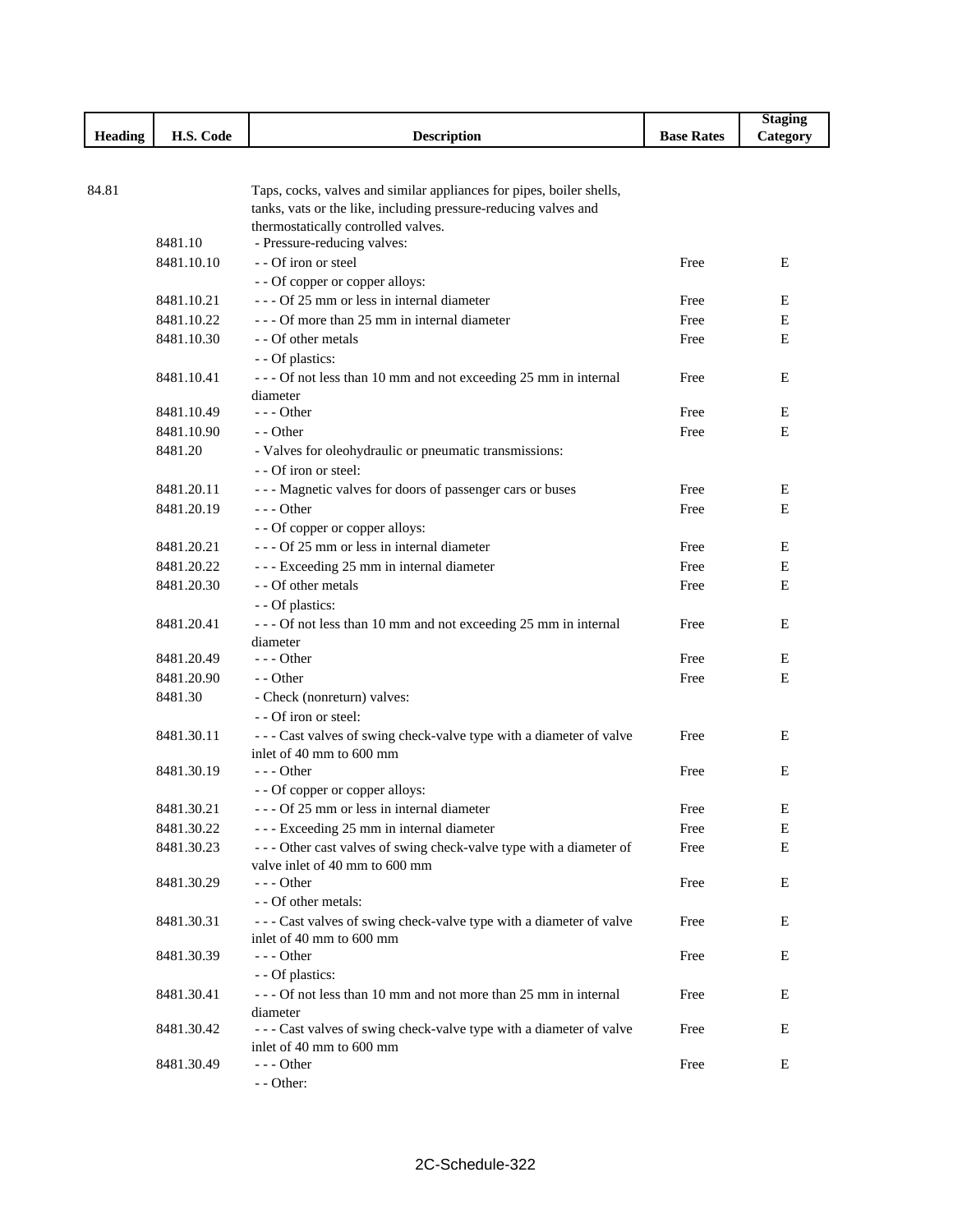|         |            |                                                                                                |                   | <b>Staging</b> |
|---------|------------|------------------------------------------------------------------------------------------------|-------------------|----------------|
| Heading | H.S. Code  | <b>Description</b>                                                                             | <b>Base Rates</b> | Category       |
|         |            |                                                                                                |                   |                |
|         |            |                                                                                                |                   |                |
| 84.81   |            | Taps, cocks, valves and similar appliances for pipes, boiler shells,                           |                   |                |
|         |            | tanks, vats or the like, including pressure-reducing valves and                                |                   |                |
|         |            | thermostatically controlled valves.                                                            |                   |                |
|         | 8481.10    | - Pressure-reducing valves:                                                                    |                   |                |
|         | 8481.10.10 | - - Of iron or steel                                                                           | Free              | E              |
|         |            | - - Of copper or copper alloys:                                                                |                   |                |
|         | 8481.10.21 | $- -$ Of 25 mm or less in internal diameter                                                    | Free              | Ε              |
|         | 8481.10.22 | - - - Of more than 25 mm in internal diameter                                                  | Free              | Ε              |
|         | 8481.10.30 | - - Of other metals                                                                            | Free              | E              |
|         |            | - - Of plastics:                                                                               |                   |                |
|         | 8481.10.41 | --- Of not less than 10 mm and not exceeding 25 mm in internal                                 | Free              | E              |
|         |            | diameter                                                                                       |                   |                |
|         | 8481.10.49 | $--$ Other                                                                                     | Free              | E              |
|         | 8481.10.90 | - - Other                                                                                      | Free              | E              |
|         | 8481.20    | - Valves for oleohydraulic or pneumatic transmissions:                                         |                   |                |
|         |            | - - Of iron or steel:                                                                          |                   |                |
|         | 8481.20.11 | --- Magnetic valves for doors of passenger cars or buses                                       | Free              | Е              |
|         | 8481.20.19 | $--$ Other                                                                                     | Free              | E              |
|         |            | - - Of copper or copper alloys:                                                                |                   |                |
|         | 8481.20.21 | --- Of 25 mm or less in internal diameter                                                      | Free              | E              |
|         | 8481.20.22 | --- Exceeding 25 mm in internal diameter                                                       | Free              | $\mathbf E$    |
|         | 8481.20.30 | - - Of other metals                                                                            | Free              | E              |
|         |            | - - Of plastics:                                                                               |                   |                |
|         | 8481.20.41 | --- Of not less than 10 mm and not exceeding 25 mm in internal                                 | Free              | E              |
|         |            | diameter                                                                                       |                   |                |
|         | 8481.20.49 | $--$ Other                                                                                     | Free              | Ε              |
|         | 8481.20.90 | - - Other                                                                                      | Free              | E              |
|         | 8481.30    | - Check (nonreturn) valves:                                                                    |                   |                |
|         |            | - - Of iron or steel:                                                                          |                   |                |
|         | 8481.30.11 |                                                                                                | Free              | E              |
|         |            | --- Cast valves of swing check-valve type with a diameter of valve<br>inlet of 40 mm to 600 mm |                   |                |
|         | 8481.30.19 | $--$ Other                                                                                     | Free              | E              |
|         |            | - - Of copper or copper alloys:                                                                |                   |                |
|         |            |                                                                                                |                   |                |
|         | 8481.30.21 | - Of 25 mm or less in internal diameter                                                        | Free              | E              |
|         | 8481.30.22 | --- Exceeding 25 mm in internal diameter                                                       | Free              | Ε              |
|         | 8481.30.23 | --- Other cast valves of swing check-valve type with a diameter of                             | Free              | E              |
|         |            | valve inlet of 40 mm to 600 mm                                                                 |                   |                |
|         | 8481.30.29 | $--$ Other                                                                                     | Free              | Ε              |
|         |            | - - Of other metals:                                                                           |                   |                |
|         | 8481.30.31 | --- Cast valves of swing check-valve type with a diameter of valve                             | Free              | E              |
|         |            | inlet of 40 mm to 600 mm                                                                       |                   |                |
|         | 8481.30.39 | $--$ Other                                                                                     | Free              | Ε              |
|         |            | - - Of plastics:                                                                               |                   |                |
|         | 8481.30.41 | --- Of not less than 10 mm and not more than 25 mm in internal                                 | Free              | Ε              |
|         |            | diameter                                                                                       |                   |                |
|         | 8481.30.42 | --- Cast valves of swing check-valve type with a diameter of valve                             | Free              | Ε              |
|         |            | inlet of 40 mm to 600 mm<br>--- Other                                                          |                   |                |
|         | 8481.30.49 |                                                                                                | Free              | Е              |
|         |            | - - Other:                                                                                     |                   |                |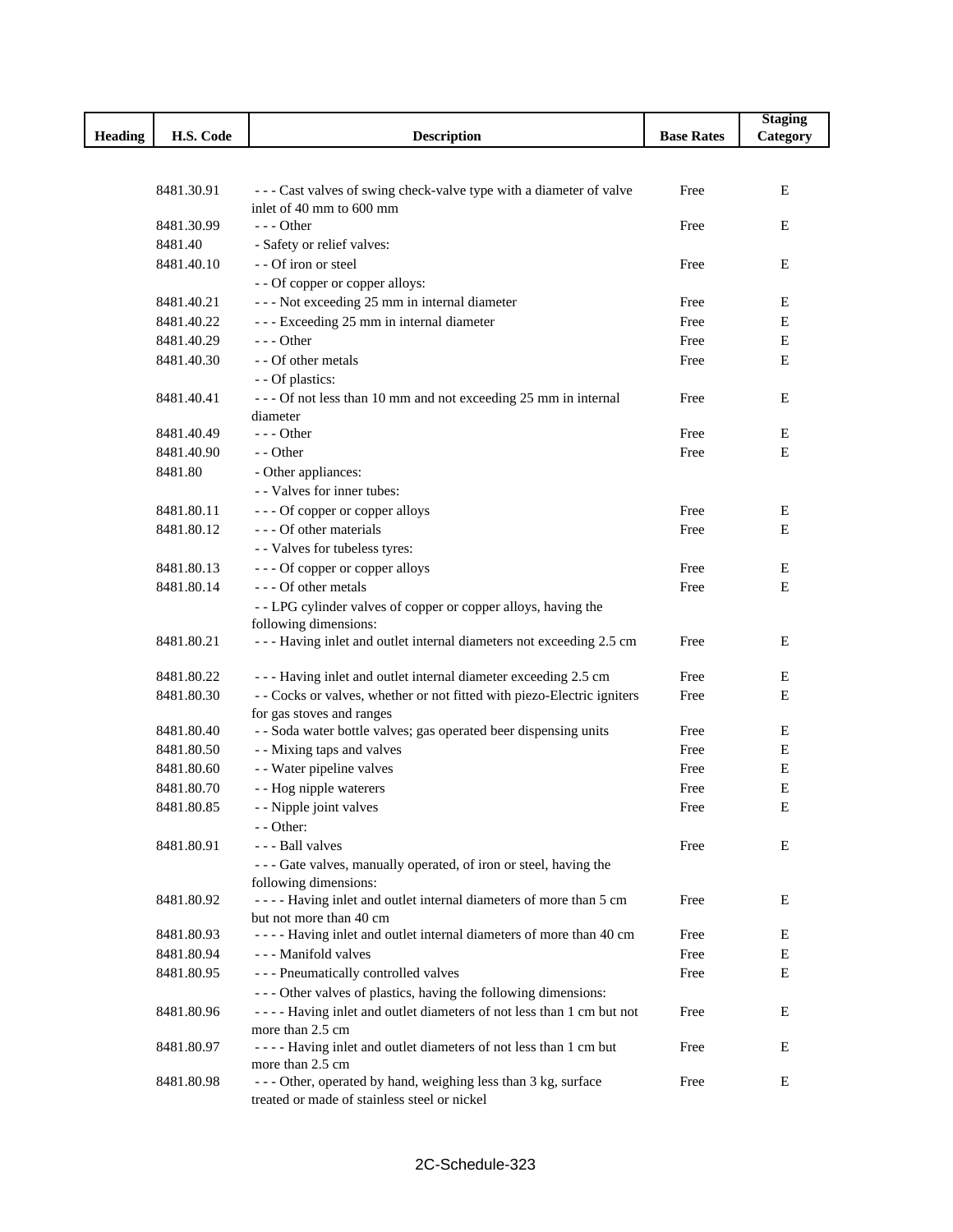|                |            |                                                                                                |                   | <b>Staging</b> |
|----------------|------------|------------------------------------------------------------------------------------------------|-------------------|----------------|
| <b>Heading</b> | H.S. Code  | <b>Description</b>                                                                             | <b>Base Rates</b> | Category       |
|                |            |                                                                                                |                   |                |
|                |            |                                                                                                |                   |                |
|                | 8481.30.91 | --- Cast valves of swing check-valve type with a diameter of valve<br>inlet of 40 mm to 600 mm | Free              | E              |
|                | 8481.30.99 | $- -$ Other                                                                                    | Free              | E              |
|                | 8481.40    | - Safety or relief valves:                                                                     |                   |                |
|                | 8481.40.10 | - - Of iron or steel                                                                           | Free              | $\mathbf E$    |
|                |            | - - Of copper or copper alloys:                                                                |                   |                |
|                | 8481.40.21 | --- Not exceeding 25 mm in internal diameter                                                   | Free              | E              |
|                | 8481.40.22 | --- Exceeding 25 mm in internal diameter                                                       | Free              | E              |
|                | 8481.40.29 | $--$ Other                                                                                     | Free              | $\mathbf E$    |
|                | 8481.40.30 | - - Of other metals                                                                            | Free              | $\mathbf E$    |
|                |            | - - Of plastics:                                                                               |                   |                |
|                | 8481.40.41 | --- Of not less than 10 mm and not exceeding 25 mm in internal                                 | Free              | E              |
|                |            | diameter                                                                                       |                   |                |
|                | 8481.40.49 | $- -$ Other                                                                                    | Free              | E              |
|                | 8481.40.90 | - - Other                                                                                      | Free              | E              |
|                | 8481.80    | - Other appliances:                                                                            |                   |                |
|                |            | - - Valves for inner tubes:                                                                    |                   |                |
|                | 8481.80.11 | --- Of copper or copper alloys                                                                 | Free              | E              |
|                | 8481.80.12 | --- Of other materials                                                                         | Free              | Ε              |
|                |            | - - Valves for tubeless tyres:                                                                 |                   |                |
|                | 8481.80.13 | --- Of copper or copper alloys                                                                 | Free              | Ε              |
|                | 8481.80.14 | --- Of other metals                                                                            | Free              | E              |
|                |            | - - LPG cylinder valves of copper or copper alloys, having the                                 |                   |                |
|                |            | following dimensions:                                                                          |                   |                |
|                | 8481.80.21 | --- Having inlet and outlet internal diameters not exceeding 2.5 cm                            | Free              | E              |
|                | 8481.80.22 | --- Having inlet and outlet internal diameter exceeding 2.5 cm                                 | Free              | E              |
|                | 8481.80.30 | - - Cocks or valves, whether or not fitted with piezo-Electric igniters                        | Free              | E              |
|                |            | for gas stoves and ranges                                                                      |                   |                |
|                | 8481.80.40 | - - Soda water bottle valves; gas operated beer dispensing units                               | Free              | E              |
|                | 8481.80.50 | - - Mixing taps and valves                                                                     | Free              | E              |
|                | 8481.80.60 | - - Water pipeline valves                                                                      | Free              | Ε              |
|                | 8481.80.70 | - - Hog nipple waterers                                                                        | Free              | E              |
|                | 8481.80.85 | - - Nipple joint valves                                                                        | Free              | E              |
|                |            | - - Other:                                                                                     |                   |                |
|                | 8481.80.91 | - - - Ball valves                                                                              | Free              | E              |
|                |            | --- Gate valves, manually operated, of iron or steel, having the                               |                   |                |
|                |            | following dimensions:                                                                          |                   |                |
|                | 8481.80.92 | ---- Having inlet and outlet internal diameters of more than 5 cm                              | Free              | Е              |
|                |            | but not more than 40 cm                                                                        |                   |                |
|                | 8481.80.93 | ---- Having inlet and outlet internal diameters of more than 40 cm                             | Free              | E              |
|                | 8481.80.94 | --- Manifold valves                                                                            | Free              | E              |
|                | 8481.80.95 | --- Pneumatically controlled valves                                                            | Free              | E              |
|                |            | --- Other valves of plastics, having the following dimensions:                                 |                   |                |
|                | 8481.80.96 | ---- Having inlet and outlet diameters of not less than 1 cm but not                           | Free              | E              |
|                | 8481.80.97 | more than 2.5 cm<br>---- Having inlet and outlet diameters of not less than 1 cm but           | Free              | Ε              |
|                |            | more than 2.5 cm                                                                               |                   |                |
|                | 8481.80.98 | --- Other, operated by hand, weighing less than 3 kg, surface                                  | Free              | Ε              |
|                |            | treated or made of stainless steel or nickel                                                   |                   |                |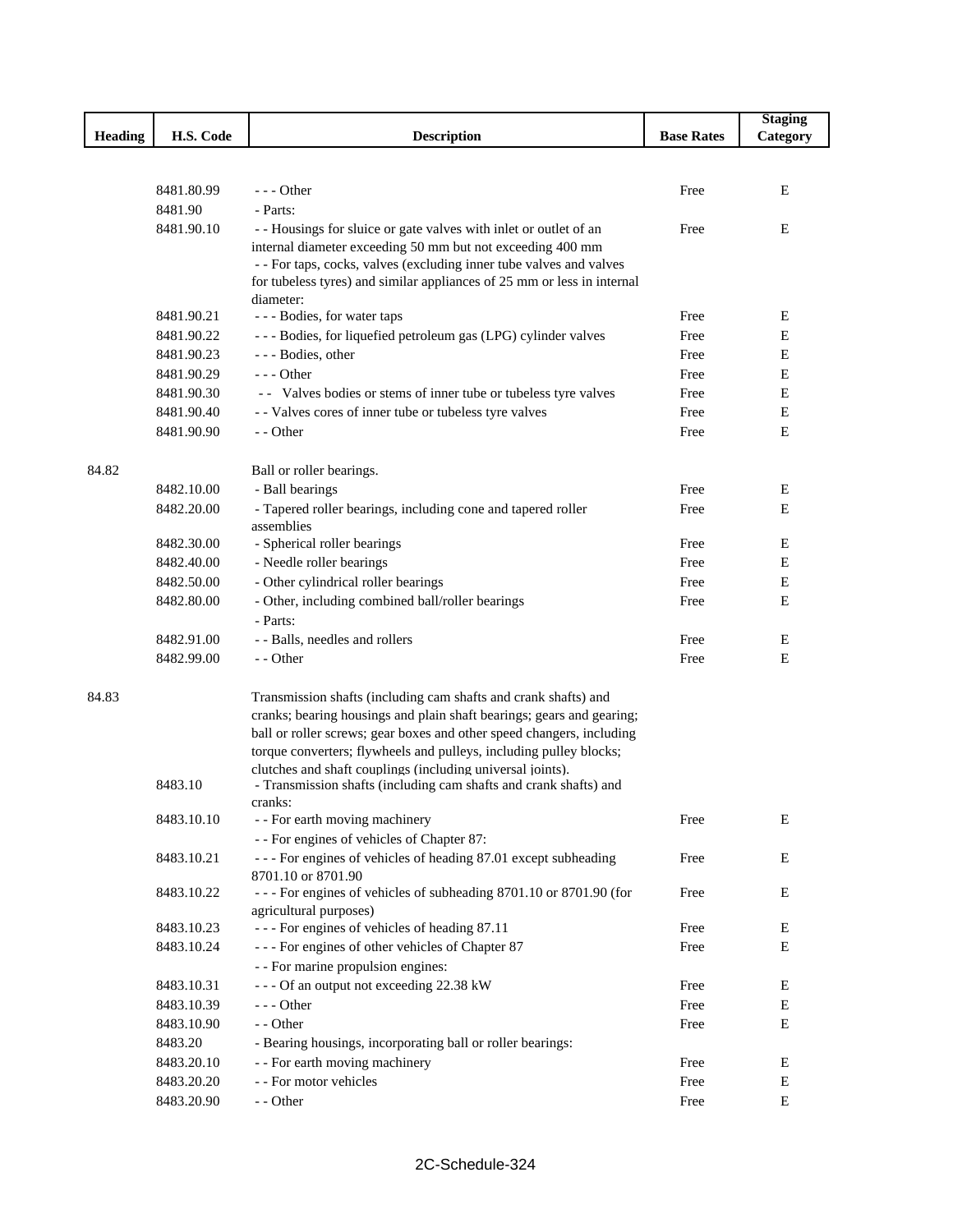|                |            |                                                                                         |                   | <b>Staging</b> |
|----------------|------------|-----------------------------------------------------------------------------------------|-------------------|----------------|
| <b>Heading</b> | H.S. Code  | <b>Description</b>                                                                      | <b>Base Rates</b> | Category       |
|                |            |                                                                                         |                   |                |
|                |            |                                                                                         |                   |                |
|                | 8481.80.99 | $--$ Other                                                                              | Free              | E              |
|                | 8481.90    | - Parts:                                                                                |                   |                |
|                | 8481.90.10 | - - Housings for sluice or gate valves with inlet or outlet of an                       | Free              | E              |
|                |            | internal diameter exceeding 50 mm but not exceeding 400 mm                              |                   |                |
|                |            | - - For taps, cocks, valves (excluding inner tube valves and valves                     |                   |                |
|                |            | for tubeless tyres) and similar appliances of 25 mm or less in internal                 |                   |                |
|                | 8481.90.21 | diameter:<br>--- Bodies, for water taps                                                 | Free              | E              |
|                | 8481.90.22 | --- Bodies, for liquefied petroleum gas (LPG) cylinder valves                           | Free              | E              |
|                | 8481.90.23 | --- Bodies, other                                                                       | Free              | E              |
|                | 8481.90.29 | $- -$ Other                                                                             | Free              | Ε              |
|                | 8481.90.30 | - Valves bodies or stems of inner tube or tubeless tyre valves                          | Free              | E              |
|                | 8481.90.40 | - - Valves cores of inner tube or tubeless tyre valves                                  | Free              | E              |
|                | 8481.90.90 | - - Other                                                                               | Free              | Ε              |
|                |            |                                                                                         |                   |                |
| 84.82          |            |                                                                                         |                   |                |
|                | 8482.10.00 | Ball or roller bearings.                                                                | Free              | E              |
|                | 8482.20.00 | - Ball bearings                                                                         | Free              | Ε              |
|                |            | - Tapered roller bearings, including cone and tapered roller<br>assemblies              |                   |                |
|                | 8482.30.00 | - Spherical roller bearings                                                             | Free              | E              |
|                | 8482.40.00 | - Needle roller bearings                                                                | Free              | E              |
|                | 8482.50.00 | - Other cylindrical roller bearings                                                     | Free              | E              |
|                | 8482.80.00 | - Other, including combined ball/roller bearings                                        | Free              | E              |
|                |            | - Parts:                                                                                |                   |                |
|                | 8482.91.00 | - - Balls, needles and rollers                                                          | Free              | E              |
|                | 8482.99.00 | - - Other                                                                               | Free              | E              |
|                |            |                                                                                         |                   |                |
| 84.83          |            | Transmission shafts (including cam shafts and crank shafts) and                         |                   |                |
|                |            | cranks; bearing housings and plain shaft bearings; gears and gearing;                   |                   |                |
|                |            | ball or roller screws; gear boxes and other speed changers, including                   |                   |                |
|                |            | torque converters; flywheels and pulleys, including pulley blocks;                      |                   |                |
|                |            | clutches and shaft couplings (including universal joints).                              |                   |                |
|                | 8483.10    | - Transmission shafts (including cam shafts and crank shafts) and                       |                   |                |
|                |            | cranks:                                                                                 |                   |                |
|                | 8483.10.10 | - - For earth moving machinery                                                          | Free              | E              |
|                |            | - - For engines of vehicles of Chapter 87:                                              |                   |                |
|                | 8483.10.21 | --- For engines of vehicles of heading 87.01 except subheading                          | Free              | E              |
|                | 8483.10.22 | 8701.10 or 8701.90<br>--- For engines of vehicles of subheading 8701.10 or 8701.90 (for | Free              | E              |
|                |            | agricultural purposes)                                                                  |                   |                |
|                | 8483.10.23 | --- For engines of vehicles of heading 87.11                                            | Free              | E              |
|                | 8483.10.24 | --- For engines of other vehicles of Chapter 87                                         | Free              | E              |
|                |            | - - For marine propulsion engines:                                                      |                   |                |
|                | 8483.10.31 | --- Of an output not exceeding 22.38 kW                                                 | Free              | E              |
|                | 8483.10.39 | $--$ Other                                                                              | Free              | E              |
|                | 8483.10.90 | - - Other                                                                               | Free              | Е              |
|                | 8483.20    | - Bearing housings, incorporating ball or roller bearings:                              |                   |                |
|                | 8483.20.10 | - - For earth moving machinery                                                          | Free              | E              |
|                | 8483.20.20 | - - For motor vehicles                                                                  | Free              | E              |
|                | 8483.20.90 | - - Other                                                                               | Free              | E              |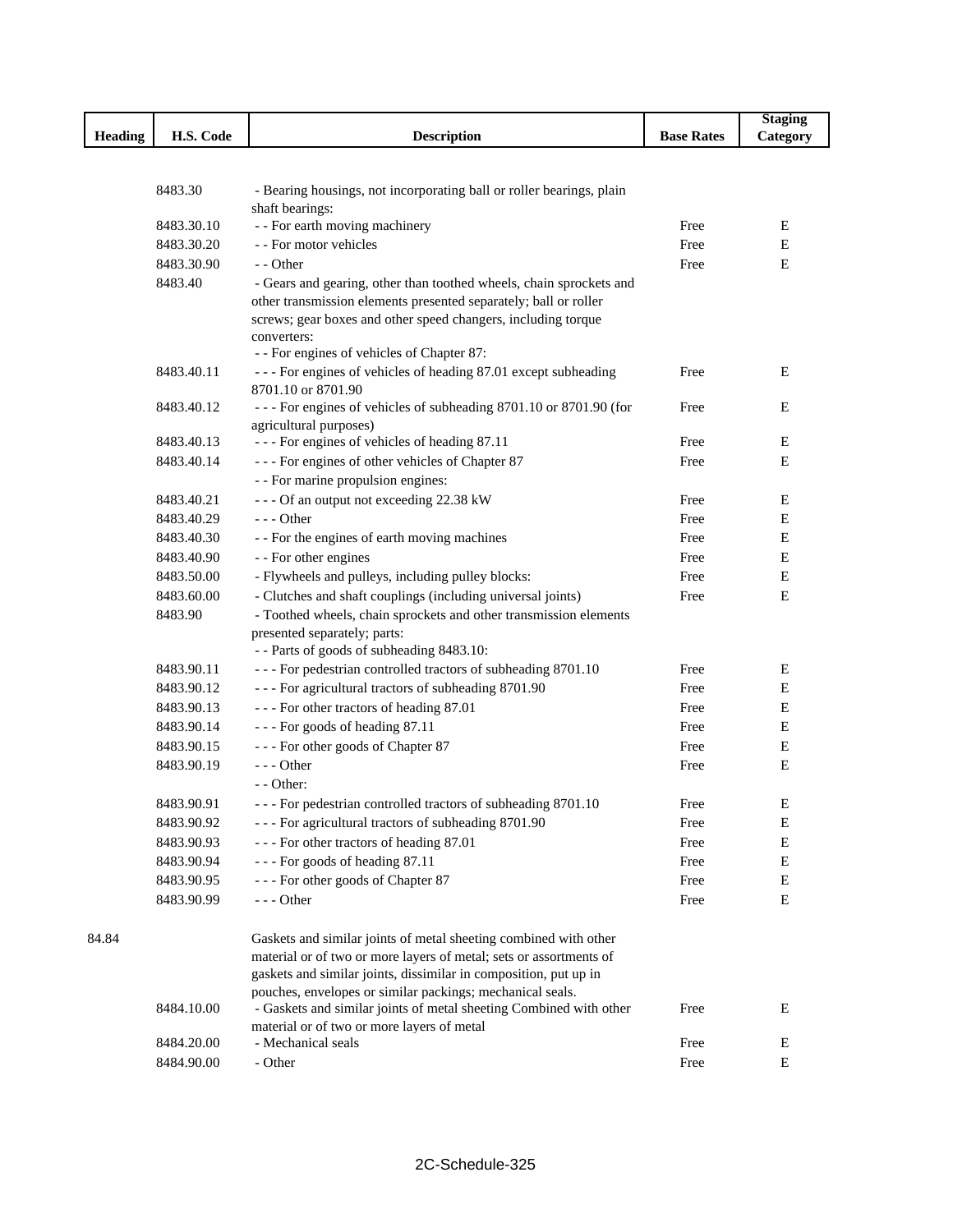|                |                          |                                                                                                                                         |                   | <b>Staging</b> |
|----------------|--------------------------|-----------------------------------------------------------------------------------------------------------------------------------------|-------------------|----------------|
| <b>Heading</b> | H.S. Code                | <b>Description</b>                                                                                                                      | <b>Base Rates</b> | Category       |
|                |                          |                                                                                                                                         |                   |                |
|                |                          |                                                                                                                                         |                   |                |
|                | 8483.30                  | - Bearing housings, not incorporating ball or roller bearings, plain                                                                    |                   |                |
|                |                          | shaft bearings:                                                                                                                         | Free              | Ε              |
|                | 8483.30.10<br>8483.30.20 | - - For earth moving machinery<br>- - For motor vehicles                                                                                | Free              | Е              |
|                | 8483.30.90               | - - Other                                                                                                                               | Free              | Е              |
|                | 8483.40                  |                                                                                                                                         |                   |                |
|                |                          | - Gears and gearing, other than toothed wheels, chain sprockets and<br>other transmission elements presented separately; ball or roller |                   |                |
|                |                          | screws; gear boxes and other speed changers, including torque                                                                           |                   |                |
|                |                          | converters:                                                                                                                             |                   |                |
|                |                          | - - For engines of vehicles of Chapter 87:                                                                                              |                   |                |
|                | 8483.40.11               | --- For engines of vehicles of heading 87.01 except subheading                                                                          | Free              | Е              |
|                |                          | 8701.10 or 8701.90                                                                                                                      |                   |                |
|                | 8483.40.12               | --- For engines of vehicles of subheading 8701.10 or 8701.90 (for                                                                       | Free              | E              |
|                |                          | agricultural purposes)                                                                                                                  |                   |                |
|                | 8483.40.13               | --- For engines of vehicles of heading 87.11                                                                                            | Free              | Ε              |
|                | 8483.40.14               | --- For engines of other vehicles of Chapter 87                                                                                         | Free              | $\mathbf E$    |
|                |                          | - - For marine propulsion engines:                                                                                                      |                   |                |
|                | 8483.40.21               | --- Of an output not exceeding 22.38 kW                                                                                                 | Free              | E              |
|                | 8483.40.29               | $--$ Other                                                                                                                              | Free              | E              |
|                | 8483.40.30               | - - For the engines of earth moving machines                                                                                            | Free              | E              |
|                | 8483.40.90               | - - For other engines                                                                                                                   | Free              | Е              |
|                | 8483.50.00               | - Flywheels and pulleys, including pulley blocks:                                                                                       | Free              | $\mathbf E$    |
|                | 8483.60.00               | - Clutches and shaft couplings (including universal joints)                                                                             | Free              | E              |
|                | 8483.90                  | - Toothed wheels, chain sprockets and other transmission elements                                                                       |                   |                |
|                |                          | presented separately; parts:                                                                                                            |                   |                |
|                |                          | -- Parts of goods of subheading 8483.10:                                                                                                |                   |                |
|                | 8483.90.11<br>8483.90.12 | --- For pedestrian controlled tractors of subheading 8701.10                                                                            | Free              | Ε<br>E         |
|                | 8483.90.13               | --- For agricultural tractors of subheading 8701.90                                                                                     | Free              | Ε              |
|                | 8483.90.14               | --- For other tractors of heading 87.01<br>--- For goods of heading 87.11                                                               | Free<br>Free      | $\mathbf E$    |
|                | 8483.90.15               |                                                                                                                                         | Free              | $\mathbf E$    |
|                | 8483.90.19               | --- For other goods of Chapter 87<br>$--$ Other                                                                                         |                   | E              |
|                |                          | - - Other:                                                                                                                              | Free              |                |
|                | 8483.90.91               | --- For pedestrian controlled tractors of subheading 8701.10                                                                            | Free              | Е              |
|                |                          |                                                                                                                                         | Free              | E              |
|                | 8483.90.92<br>8483.90.93 | - - - For agricultural tractors of subheading 8701.90<br>--- For other tractors of heading 87.01                                        | Free              | E              |
|                | 8483.90.94               | --- For goods of heading 87.11                                                                                                          | Free              | Ε              |
|                | 8483.90.95               | --- For other goods of Chapter 87                                                                                                       | Free              | Ε              |
|                | 8483.90.99               | --- Other                                                                                                                               | Free              | ${\bf E}$      |
|                |                          |                                                                                                                                         |                   |                |
| 84.84          |                          | Gaskets and similar joints of metal sheeting combined with other                                                                        |                   |                |
|                |                          | material or of two or more layers of metal; sets or assortments of                                                                      |                   |                |
|                |                          | gaskets and similar joints, dissimilar in composition, put up in                                                                        |                   |                |
|                |                          | pouches, envelopes or similar packings; mechanical seals.                                                                               |                   |                |
|                | 8484.10.00               | - Gaskets and similar joints of metal sheeting Combined with other                                                                      | Free              | Е              |
|                |                          | material or of two or more layers of metal                                                                                              |                   |                |
|                | 8484.20.00               | - Mechanical seals                                                                                                                      | Free              | E              |
|                | 8484.90.00               | - Other                                                                                                                                 | Free              | E              |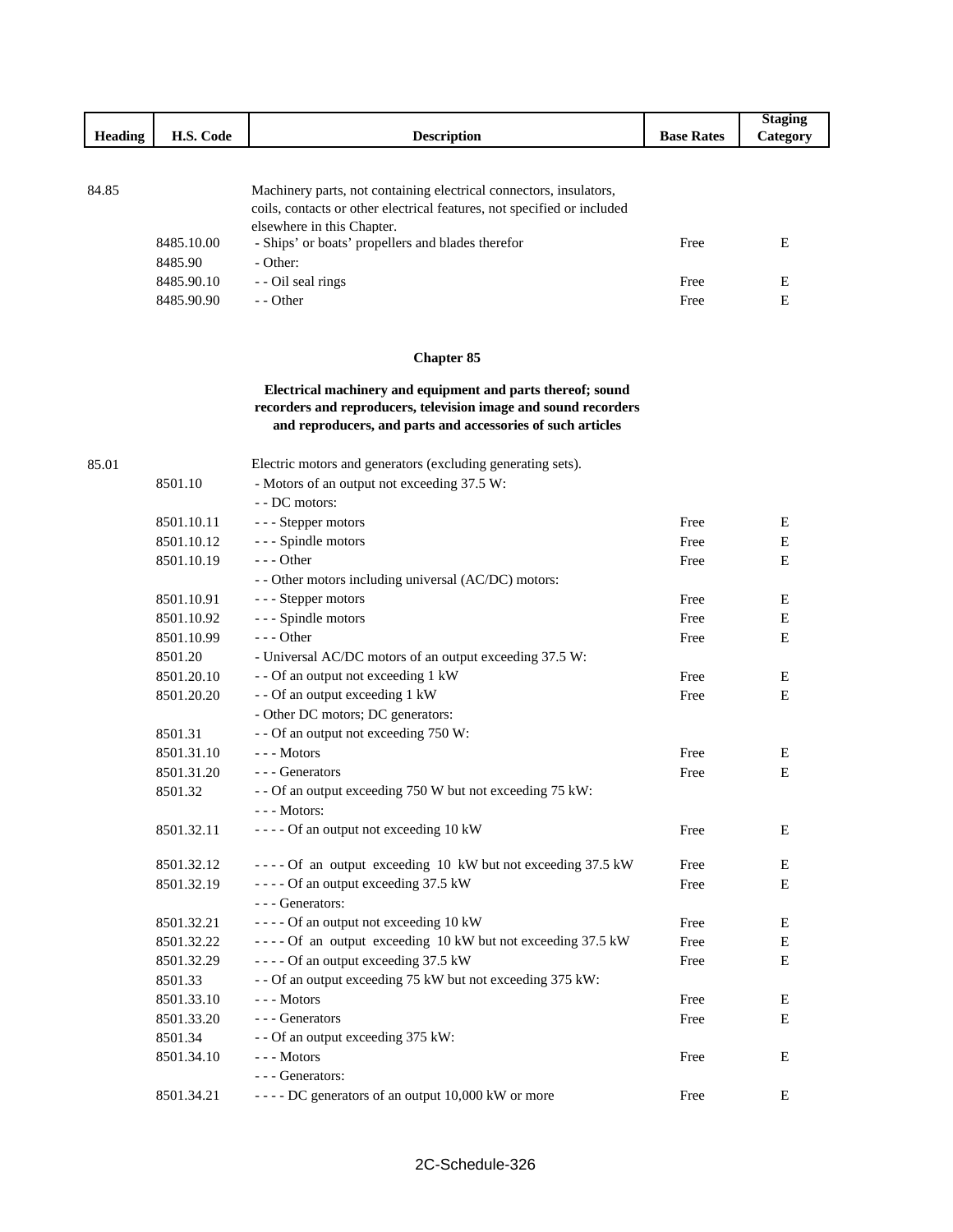|                |            |                                                                                                                                |                   | <b>Staging</b> |
|----------------|------------|--------------------------------------------------------------------------------------------------------------------------------|-------------------|----------------|
| <b>Heading</b> | H.S. Code  | <b>Description</b>                                                                                                             | <b>Base Rates</b> | Category       |
|                |            |                                                                                                                                |                   |                |
| 84.85          |            | Machinery parts, not containing electrical connectors, insulators,                                                             |                   |                |
|                |            | coils, contacts or other electrical features, not specified or included                                                        |                   |                |
|                |            | elsewhere in this Chapter.                                                                                                     |                   |                |
|                | 8485.10.00 | - Ships' or boats' propellers and blades therefor                                                                              | Free              | Ε              |
|                | 8485.90    | - Other:                                                                                                                       |                   |                |
|                | 8485.90.10 | - - Oil seal rings                                                                                                             | Free              | E              |
|                | 8485.90.90 | - - Other                                                                                                                      | Free              | E              |
|                |            |                                                                                                                                |                   |                |
|                |            | <b>Chapter 85</b>                                                                                                              |                   |                |
|                |            |                                                                                                                                |                   |                |
|                |            | Electrical machinery and equipment and parts thereof; sound                                                                    |                   |                |
|                |            | recorders and reproducers, television image and sound recorders<br>and reproducers, and parts and accessories of such articles |                   |                |
|                |            |                                                                                                                                |                   |                |
| 85.01          |            | Electric motors and generators (excluding generating sets).                                                                    |                   |                |
|                | 8501.10    | - Motors of an output not exceeding 37.5 W:                                                                                    |                   |                |
|                |            | - - DC motors:                                                                                                                 |                   |                |
|                | 8501.10.11 | --- Stepper motors                                                                                                             | Free              | E              |
|                | 8501.10.12 | - - - Spindle motors                                                                                                           | Free              | E              |
|                | 8501.10.19 | $--$ Other                                                                                                                     | Free              | E              |
|                |            | - - Other motors including universal (AC/DC) motors:                                                                           |                   |                |
|                | 8501.10.91 | --- Stepper motors                                                                                                             | Free              | E              |
|                | 8501.10.92 | - - - Spindle motors                                                                                                           | Free              | Ε              |
|                | 8501.10.99 | $--$ Other                                                                                                                     | Free              | E              |
|                | 8501.20    | - Universal AC/DC motors of an output exceeding 37.5 W:                                                                        |                   |                |
|                | 8501.20.10 | - - Of an output not exceeding 1 kW                                                                                            | Free              | E              |
|                | 8501.20.20 | - - Of an output exceeding 1 kW                                                                                                | Free              | Ε              |
|                |            | - Other DC motors; DC generators:                                                                                              |                   |                |
|                | 8501.31    | - - Of an output not exceeding 750 W:                                                                                          |                   |                |
|                | 8501.31.10 | --- Motors                                                                                                                     | Free              | $\mathbf E$    |
|                | 8501.31.20 | - - - Generators                                                                                                               | Free              | Ε              |
|                | 8501.32    | - - Of an output exceeding 750 W but not exceeding 75 kW:                                                                      |                   |                |
|                |            | $--$ Motors:                                                                                                                   |                   |                |

| 0.001.32   | $\sim$ - Or an output executing 750 W but not executing 75 KW.<br>--- Motors: |      |   |
|------------|-------------------------------------------------------------------------------|------|---|
| 8501.32.11 | $---$ Of an output not exceeding 10 kW                                        | Free | E |
| 8501.32.12 | ---- Of an output exceeding 10 kW but not exceeding 37.5 kW                   | Free | E |
| 8501.32.19 | $---$ Of an output exceeding 37.5 kW                                          | Free | E |
|            | - - - Generators:                                                             |      |   |
| 8501.32.21 | $---$ Of an output not exceeding 10 kW                                        | Free | E |
| 8501.32.22 | $---$ Of an output exceeding 10 kW but not exceeding 37.5 kW                  | Free | E |
| 8501.32.29 | $---$ Of an output exceeding 37.5 kW                                          | Free | E |
| 8501.33    | - - Of an output exceeding 75 kW but not exceeding 375 kW:                    |      |   |
| 8501.33.10 | - - - Motors                                                                  | Free | E |
| 8501.33.20 | - - - Generators                                                              | Free | E |
| 8501.34    | - - Of an output exceeding 375 kW:                                            |      |   |
| 8501.34.10 | --- Motors                                                                    | Free | E |
|            | - - - Generators:                                                             |      |   |
| 8501.34.21 | $---$ DC generators of an output 10,000 kW or more                            | Free | E |
|            |                                                                               |      |   |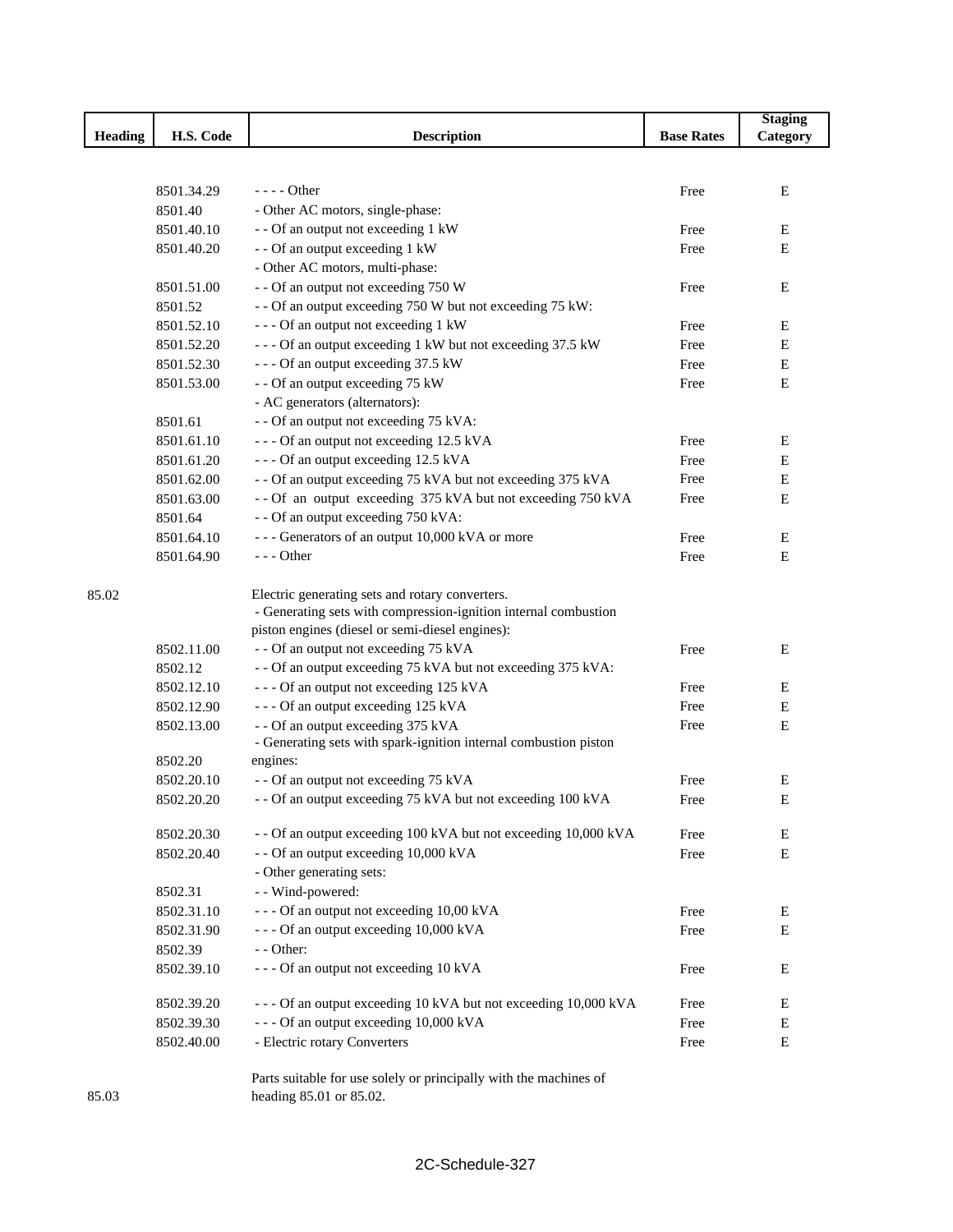|                |            |                                                                                              |                   | <b>Staging</b> |
|----------------|------------|----------------------------------------------------------------------------------------------|-------------------|----------------|
| <b>Heading</b> | H.S. Code  | <b>Description</b>                                                                           | <b>Base Rates</b> | Category       |
|                |            |                                                                                              |                   |                |
|                |            |                                                                                              |                   |                |
|                | 8501.34.29 | $---$ Other                                                                                  | Free              | E              |
|                | 8501.40    | - Other AC motors, single-phase:                                                             |                   |                |
|                | 8501.40.10 | - - Of an output not exceeding 1 kW                                                          | Free              | Ε              |
|                | 8501.40.20 | - - Of an output exceeding 1 kW                                                              | Free              | Ε              |
|                |            | - Other AC motors, multi-phase:                                                              |                   |                |
|                | 8501.51.00 | - - Of an output not exceeding 750 W                                                         | Free              | E              |
|                | 8501.52    | - - Of an output exceeding 750 W but not exceeding 75 kW:                                    |                   |                |
|                | 8501.52.10 | --- Of an output not exceeding 1 kW                                                          | Free              | Ε              |
|                | 8501.52.20 | --- Of an output exceeding 1 kW but not exceeding 37.5 kW                                    | Free              | Ε              |
|                | 8501.52.30 | --- Of an output exceeding 37.5 kW                                                           | Free              | Ε              |
|                | 8501.53.00 | - - Of an output exceeding 75 kW                                                             | Free              | Ε              |
|                |            | - AC generators (alternators):                                                               |                   |                |
|                | 8501.61    | - - Of an output not exceeding 75 kVA:                                                       |                   |                |
|                | 8501.61.10 | --- Of an output not exceeding 12.5 kVA                                                      | Free              | Ε              |
|                | 8501.61.20 | --- Of an output exceeding 12.5 kVA                                                          | Free              | Ε              |
|                | 8501.62.00 | - - Of an output exceeding 75 kVA but not exceeding 375 kVA                                  | Free              | Ε              |
|                | 8501.63.00 | -- Of an output exceeding 375 kVA but not exceeding 750 kVA                                  | Free              | Ε              |
|                | 8501.64    | - - Of an output exceeding 750 kVA:                                                          |                   |                |
|                | 8501.64.10 | --- Generators of an output 10,000 kVA or more                                               | Free              | Ε              |
|                | 8501.64.90 | $--$ Other                                                                                   | Free              | Ε              |
| 85.02          |            | Electric generating sets and rotary converters.                                              |                   |                |
|                |            | - Generating sets with compression-ignition internal combustion                              |                   |                |
|                |            | piston engines (diesel or semi-diesel engines):                                              |                   |                |
|                | 8502.11.00 | - - Of an output not exceeding 75 kVA                                                        | Free              | E              |
|                | 8502.12    | - - Of an output exceeding 75 kVA but not exceeding 375 kVA:                                 |                   |                |
|                | 8502.12.10 | --- Of an output not exceeding 125 kVA                                                       | Free              | E              |
|                | 8502.12.90 | --- Of an output exceeding 125 kVA                                                           | Free              | E              |
|                | 8502.13.00 | - - Of an output exceeding 375 kVA                                                           | Free              | E              |
|                |            | - Generating sets with spark-ignition internal combustion piston                             |                   |                |
|                | 8502.20    | engines:                                                                                     |                   |                |
|                | 8502.20.10 | - - Of an output not exceeding 75 kVA                                                        | Free              | Ε              |
|                | 8502.20.20 | - - Of an output exceeding 75 kVA but not exceeding 100 kVA                                  | Free              | E              |
|                | 8502.20.30 | - - Of an output exceeding 100 kVA but not exceeding 10,000 kVA                              | Free              | Ε              |
|                | 8502.20.40 | - - Of an output exceeding 10,000 kVA                                                        | Free              | Ε              |
|                |            | - Other generating sets:                                                                     |                   |                |
|                | 8502.31    | - - Wind-powered:                                                                            |                   |                |
|                | 8502.31.10 | --- Of an output not exceeding 10,00 kVA                                                     | Free              | E              |
|                | 8502.31.90 | --- Of an output exceeding 10,000 kVA                                                        | Free              | Ε              |
|                | 8502.39    | - - Other:                                                                                   |                   |                |
|                | 8502.39.10 | --- Of an output not exceeding 10 kVA                                                        | Free              | E              |
|                | 8502.39.20 | --- Of an output exceeding 10 kVA but not exceeding 10,000 kVA                               | Free              | E              |
|                | 8502.39.30 | --- Of an output exceeding 10,000 kVA                                                        | Free              | E              |
|                | 8502.40.00 | - Electric rotary Converters                                                                 | Free              | Ε              |
| 85.03          |            | Parts suitable for use solely or principally with the machines of<br>heading 85.01 or 85.02. |                   |                |

heading 85.01 or 85.02.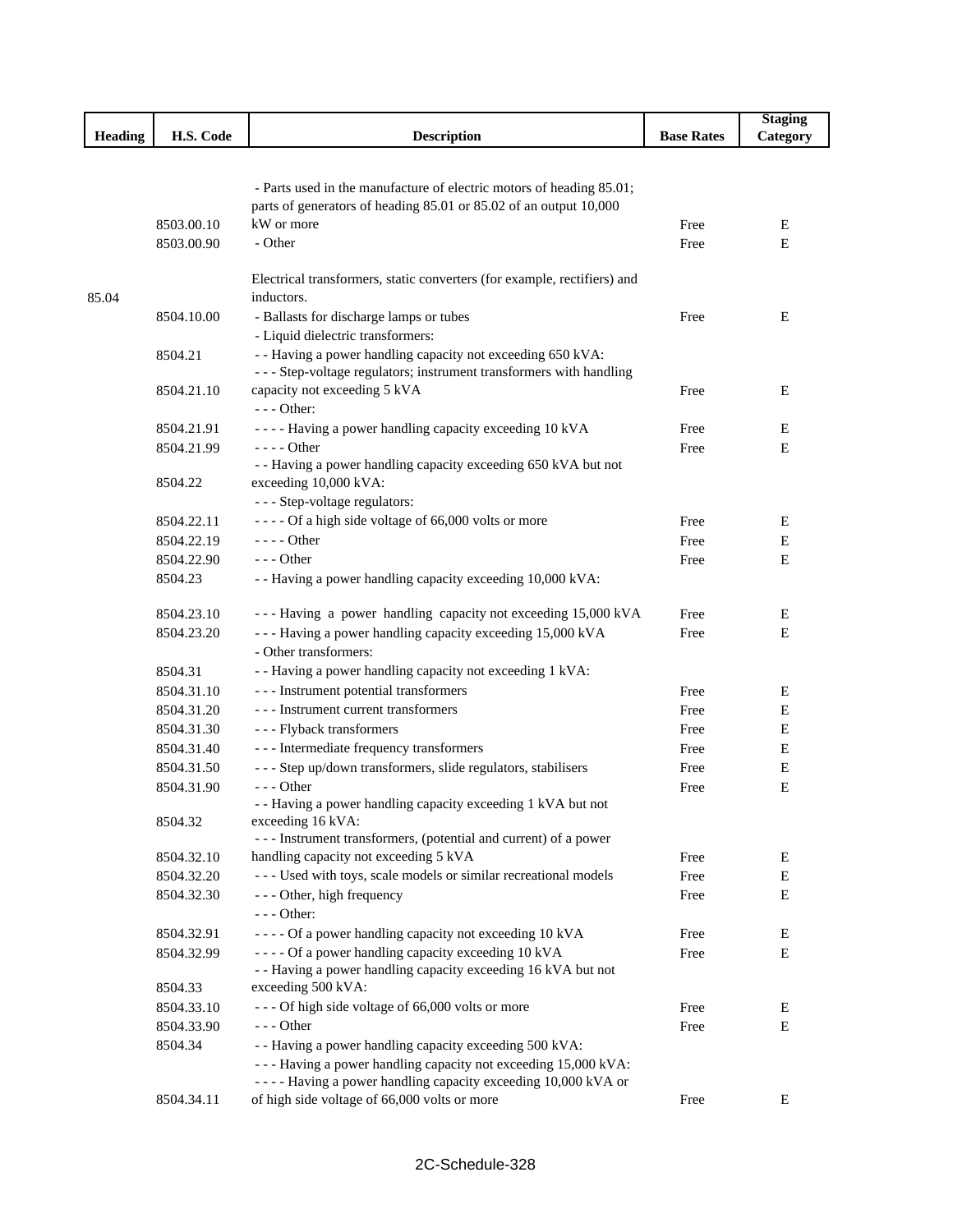|                |            |                                                                                                                                           |                   | <b>Staging</b> |
|----------------|------------|-------------------------------------------------------------------------------------------------------------------------------------------|-------------------|----------------|
| <b>Heading</b> | H.S. Code  | <b>Description</b>                                                                                                                        | <b>Base Rates</b> | Category       |
|                |            |                                                                                                                                           |                   |                |
|                |            |                                                                                                                                           |                   |                |
|                |            | - Parts used in the manufacture of electric motors of heading 85.01;<br>parts of generators of heading 85.01 or 85.02 of an output 10,000 |                   |                |
|                | 8503.00.10 | kW or more                                                                                                                                | Free              | Е              |
|                | 8503.00.90 | - Other                                                                                                                                   | Free              | ${\bf E}$      |
|                |            |                                                                                                                                           |                   |                |
|                |            | Electrical transformers, static converters (for example, rectifiers) and                                                                  |                   |                |
| 85.04          |            | inductors.                                                                                                                                |                   |                |
|                | 8504.10.00 | - Ballasts for discharge lamps or tubes                                                                                                   | Free              | Ε              |
|                |            | - Liquid dielectric transformers:                                                                                                         |                   |                |
|                | 8504.21    | - - Having a power handling capacity not exceeding 650 kVA:                                                                               |                   |                |
|                |            | - - - Step-voltage regulators; instrument transformers with handling                                                                      |                   |                |
|                | 8504.21.10 | capacity not exceeding 5 kVA                                                                                                              | Free              | E              |
|                |            | $--$ Other:                                                                                                                               |                   |                |
|                | 8504.21.91 | ---- Having a power handling capacity exceeding 10 kVA                                                                                    | Free              | E              |
|                | 8504.21.99 | - - - - Other                                                                                                                             | Free              | Е              |
|                |            | - - Having a power handling capacity exceeding 650 kVA but not                                                                            |                   |                |
|                | 8504.22    | exceeding 10,000 kVA:                                                                                                                     |                   |                |
|                |            | --- Step-voltage regulators:                                                                                                              |                   |                |
|                | 8504.22.11 | ---- Of a high side voltage of 66,000 volts or more                                                                                       | Free              | Е              |
|                | 8504.22.19 | $---$ Other                                                                                                                               | Free              | E              |
|                | 8504.22.90 | $--$ Other                                                                                                                                | Free              | E              |
|                | 8504.23    | - - Having a power handling capacity exceeding 10,000 kVA:                                                                                |                   |                |
|                | 8504.23.10 | --- Having a power handling capacity not exceeding 15,000 kVA                                                                             | Free              | E              |
|                | 8504.23.20 | --- Having a power handling capacity exceeding 15,000 kVA                                                                                 | Free              | E              |
|                |            | - Other transformers:                                                                                                                     |                   |                |
|                | 8504.31    | - - Having a power handling capacity not exceeding 1 kVA:                                                                                 |                   |                |
|                | 8504.31.10 | --- Instrument potential transformers                                                                                                     | Free              | Е              |
|                | 8504.31.20 | --- Instrument current transformers                                                                                                       | Free              | Е              |
|                | 8504.31.30 | - - - Flyback transformers                                                                                                                | Free              | E              |
|                | 8504.31.40 | --- Intermediate frequency transformers                                                                                                   | Free              | E              |
|                | 8504.31.50 | - - - Step up/down transformers, slide regulators, stabilisers                                                                            | Free              | E              |
|                | 8504.31.90 | $- -$ Other                                                                                                                               | Free              | Е              |
|                |            | -- Having a power handling capacity exceeding 1 kVA but not                                                                               |                   |                |
|                | 8504.32    | exceeding 16 kVA:                                                                                                                         |                   |                |
|                |            | - - - Instrument transformers, (potential and current) of a power                                                                         |                   |                |
|                | 8504.32.10 | handling capacity not exceeding 5 kVA                                                                                                     | Free              | E              |
|                | 8504.32.20 | --- Used with toys, scale models or similar recreational models                                                                           | Free              | E              |
|                | 8504.32.30 | - - - Other, high frequency                                                                                                               | Free              | Е              |
|                |            | - - - Other:                                                                                                                              |                   |                |
|                | 8504.32.91 | ---- Of a power handling capacity not exceeding 10 kVA                                                                                    | Free              | Ε              |
|                | 8504.32.99 | ---- Of a power handling capacity exceeding 10 kVA                                                                                        | Free              | E              |
|                |            | - - Having a power handling capacity exceeding 16 kVA but not                                                                             |                   |                |
|                | 8504.33    | exceeding 500 kVA:                                                                                                                        |                   |                |
|                | 8504.33.10 | --- Of high side voltage of 66,000 volts or more<br>$--$ Other                                                                            | Free              | Ε              |
|                | 8504.33.90 |                                                                                                                                           | Free              | Е              |
|                | 8504.34    | - - Having a power handling capacity exceeding 500 kVA:<br>--- Having a power handling capacity not exceeding 15,000 kVA:                 |                   |                |
|                |            | - - - - Having a power handling capacity exceeding 10,000 kVA or                                                                          |                   |                |
|                | 8504.34.11 | of high side voltage of 66,000 volts or more                                                                                              | Free              | Ε              |
|                |            |                                                                                                                                           |                   |                |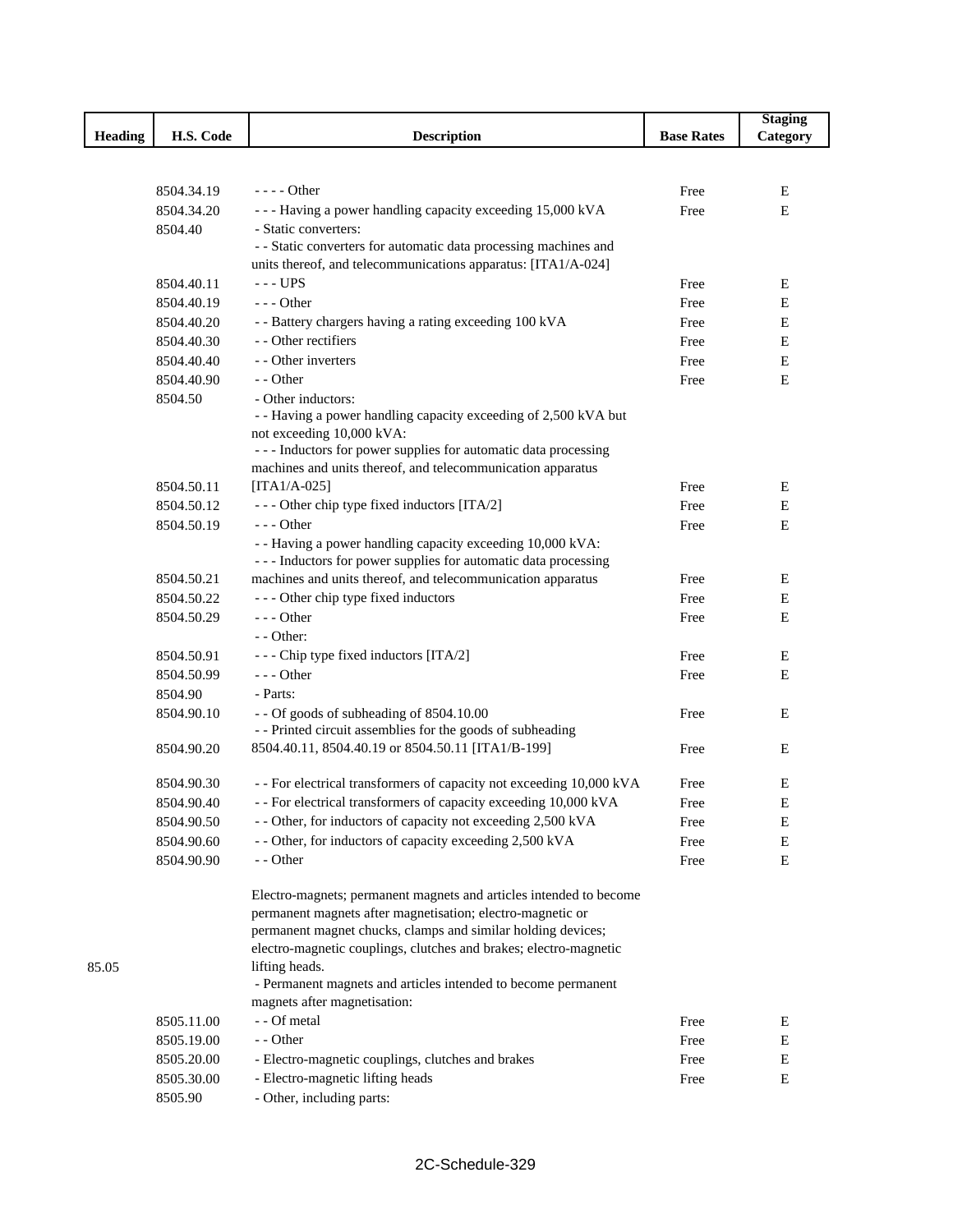|                |            |                                                                                                                               |                   | <b>Staging</b> |
|----------------|------------|-------------------------------------------------------------------------------------------------------------------------------|-------------------|----------------|
| <b>Heading</b> | H.S. Code  | <b>Description</b>                                                                                                            | <b>Base Rates</b> | Category       |
|                |            |                                                                                                                               |                   |                |
|                |            |                                                                                                                               |                   |                |
|                | 8504.34.19 | $---$ Other                                                                                                                   | Free              | Е              |
|                | 8504.34.20 | --- Having a power handling capacity exceeding 15,000 kVA                                                                     | Free              | $\mathbf E$    |
|                | 8504.40    | - Static converters:                                                                                                          |                   |                |
|                |            | - - Static converters for automatic data processing machines and                                                              |                   |                |
|                |            | units thereof, and telecommunications apparatus: [ITA1/A-024]                                                                 |                   |                |
|                | 8504.40.11 | $--$ UPS                                                                                                                      | Free              | E              |
|                | 8504.40.19 | $--$ Other                                                                                                                    | Free              | Е              |
|                | 8504.40.20 | - - Battery chargers having a rating exceeding 100 kVA                                                                        | Free              | ${\bf E}$      |
|                | 8504.40.30 | - - Other rectifiers                                                                                                          | Free              | ${\bf E}$      |
|                | 8504.40.40 | - - Other inverters                                                                                                           | Free              | ${\bf E}$      |
|                | 8504.40.90 | - - Other                                                                                                                     | Free              | $\mathbf E$    |
|                | 8504.50    | - Other inductors:                                                                                                            |                   |                |
|                |            | - - Having a power handling capacity exceeding of 2,500 kVA but                                                               |                   |                |
|                |            | not exceeding 10,000 kVA:                                                                                                     |                   |                |
|                |            | --- Inductors for power supplies for automatic data processing<br>machines and units thereof, and telecommunication apparatus |                   |                |
|                | 8504.50.11 | [ITA1/A-025]                                                                                                                  | Free              | E              |
|                | 8504.50.12 | --- Other chip type fixed inductors [ITA/2]                                                                                   | Free              | E              |
|                | 8504.50.19 | $--$ Other                                                                                                                    | Free              | E              |
|                |            | - - Having a power handling capacity exceeding 10,000 kVA:                                                                    |                   |                |
|                |            | --- Inductors for power supplies for automatic data processing                                                                |                   |                |
|                | 8504.50.21 | machines and units thereof, and telecommunication apparatus                                                                   | Free              | Ε              |
|                | 8504.50.22 | --- Other chip type fixed inductors                                                                                           | Free              | E              |
|                | 8504.50.29 | $--$ Other                                                                                                                    | Free              | E              |
|                |            | $-$ - Other:                                                                                                                  |                   |                |
|                | 8504.50.91 | - - - Chip type fixed inductors [ITA/2]                                                                                       | Free              | Е              |
|                | 8504.50.99 | $--$ Other                                                                                                                    | Free              | E              |
|                | 8504.90    | - Parts:                                                                                                                      |                   |                |
|                | 8504.90.10 | - - Of goods of subheading of 8504.10.00                                                                                      | Free              | Е              |
|                |            | - - Printed circuit assemblies for the goods of subheading                                                                    |                   |                |
|                | 8504.90.20 | 8504.40.11, 8504.40.19 or 8504.50.11 [ITA1/B-199]                                                                             | Free              | Е              |
|                |            |                                                                                                                               |                   |                |
|                | 8504.90.30 | - - For electrical transformers of capacity not exceeding 10,000 kVA                                                          | Free              | Ε              |
|                | 8504.90.40 | - - For electrical transformers of capacity exceeding 10,000 kVA                                                              | Free              | E              |
|                | 8504.90.50 | - - Other, for inductors of capacity not exceeding 2,500 kVA                                                                  | Free              | E              |
|                | 8504.90.60 | - - Other, for inductors of capacity exceeding 2,500 kVA                                                                      | Free              | Е              |
|                | 8504.90.90 | - - Other                                                                                                                     | Free              | E              |
|                |            |                                                                                                                               |                   |                |
|                |            | Electro-magnets; permanent magnets and articles intended to become                                                            |                   |                |
|                |            | permanent magnets after magnetisation; electro-magnetic or                                                                    |                   |                |
|                |            | permanent magnet chucks, clamps and similar holding devices;                                                                  |                   |                |
|                |            | electro-magnetic couplings, clutches and brakes; electro-magnetic                                                             |                   |                |
| 85.05          |            | lifting heads.                                                                                                                |                   |                |
|                |            | - Permanent magnets and articles intended to become permanent                                                                 |                   |                |
|                |            | magnets after magnetisation:<br>- - Of metal                                                                                  |                   |                |
|                | 8505.11.00 | - - Other                                                                                                                     | Free              | Е              |
|                | 8505.19.00 |                                                                                                                               | Free              | ${\bf E}$      |
|                | 8505.20.00 | - Electro-magnetic couplings, clutches and brakes                                                                             | Free              | ${\bf E}$      |
|                | 8505.30.00 | - Electro-magnetic lifting heads                                                                                              | Free              | Е              |
|                | 8505.90    | - Other, including parts:                                                                                                     |                   |                |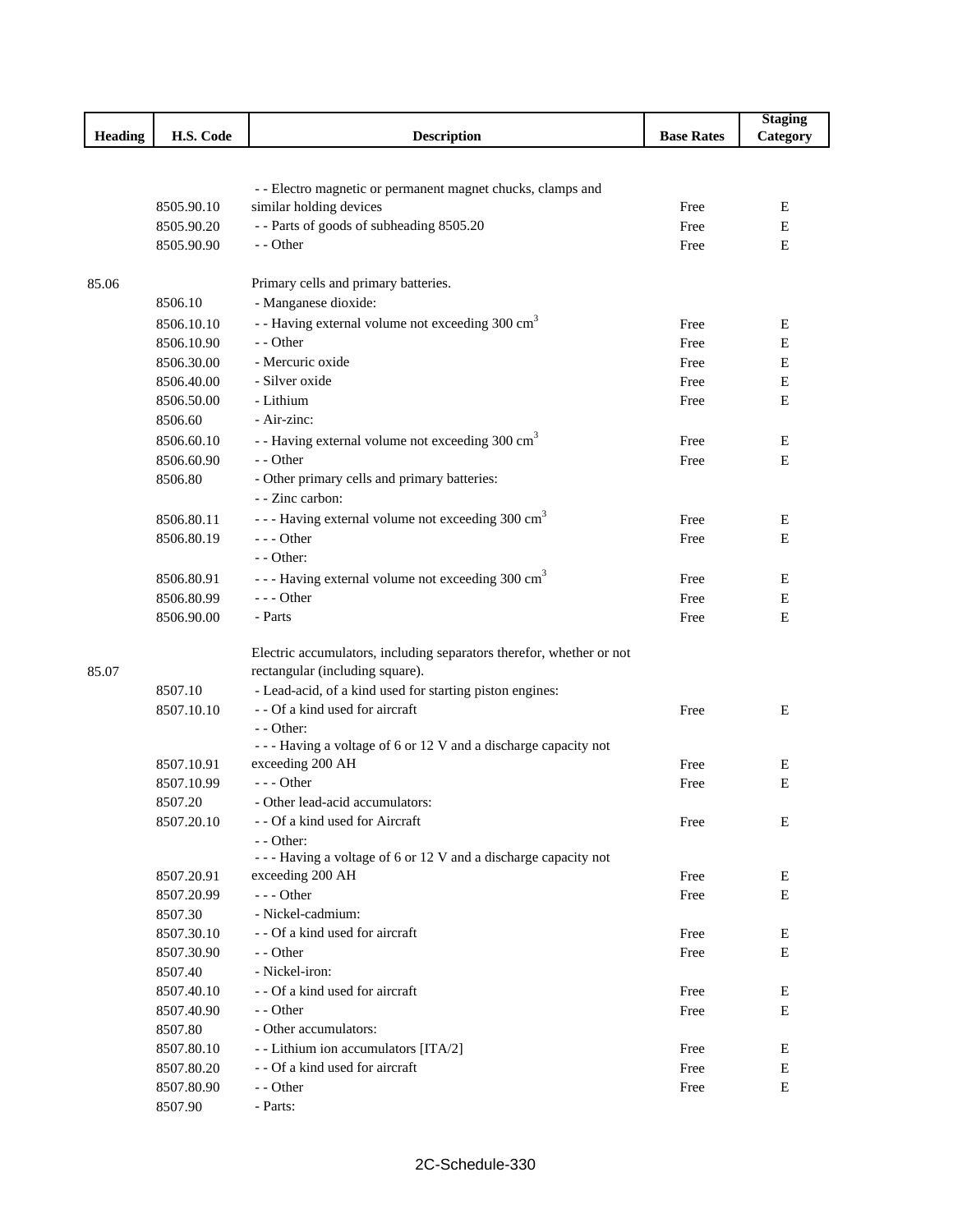|                |            |                                                                      |                   | <b>Staging</b> |
|----------------|------------|----------------------------------------------------------------------|-------------------|----------------|
| <b>Heading</b> | H.S. Code  | <b>Description</b>                                                   | <b>Base Rates</b> | Category       |
|                |            |                                                                      |                   |                |
|                |            |                                                                      |                   |                |
|                |            | - - Electro magnetic or permanent magnet chucks, clamps and          |                   |                |
|                | 8505.90.10 | similar holding devices                                              | Free              | E              |
|                | 8505.90.20 | -- Parts of goods of subheading 8505.20                              | Free              | Ε              |
|                | 8505.90.90 | - - Other                                                            | Free              | E              |
|                |            |                                                                      |                   |                |
| 85.06          |            | Primary cells and primary batteries.                                 |                   |                |
|                | 8506.10    | - Manganese dioxide:                                                 |                   |                |
|                | 8506.10.10 | - - Having external volume not exceeding 300 cm <sup>3</sup>         | Free              | Ε              |
|                | 8506.10.90 | - - Other                                                            | Free              | Ε              |
|                | 8506.30.00 | - Mercuric oxide                                                     | Free              | E              |
|                | 8506.40.00 | - Silver oxide                                                       | Free              | E              |
|                | 8506.50.00 | - Lithium                                                            | Free              | E              |
|                | 8506.60    | - Air-zinc:                                                          |                   |                |
|                | 8506.60.10 | - - Having external volume not exceeding 300 cm <sup>3</sup>         | Free              | Ε              |
|                | 8506.60.90 | - - Other                                                            | Free              | E              |
|                | 8506.80    | - Other primary cells and primary batteries:                         |                   |                |
|                |            | - - Zinc carbon:                                                     |                   |                |
|                | 8506.80.11 | - - - Having external volume not exceeding 300 cm <sup>3</sup>       | Free              | E              |
|                | 8506.80.19 | $--$ Other                                                           | Free              | Ε              |
|                |            | $-$ - Other:                                                         |                   |                |
|                | 8506.80.91 | --- Having external volume not exceeding 300 cm <sup>3</sup>         | Free              | Ε              |
|                | 8506.80.99 | --- Other                                                            | Free              | E              |
|                | 8506.90.00 | - Parts                                                              | Free              | E              |
|                |            |                                                                      |                   |                |
|                |            | Electric accumulators, including separators therefor, whether or not |                   |                |
| 85.07          |            | rectangular (including square).                                      |                   |                |
|                | 8507.10    | - Lead-acid, of a kind used for starting piston engines:             |                   |                |
|                | 8507.10.10 | - - Of a kind used for aircraft                                      | Free              | E              |
|                |            | $-$ - Other:                                                         |                   |                |
|                |            | --- Having a voltage of 6 or 12 V and a discharge capacity not       |                   |                |
|                | 8507.10.91 | exceeding 200 AH                                                     | Free              | Ε              |
|                | 8507.10.99 | $--$ Other                                                           | Free              | Ε              |
|                | 8507.20    | - Other lead-acid accumulators:                                      |                   |                |
|                | 8507.20.10 | - - Of a kind used for Aircraft                                      | Free              | E              |
|                |            | - - Other:                                                           |                   |                |
|                |            | --- Having a voltage of 6 or 12 V and a discharge capacity not       |                   |                |
|                | 8507.20.91 | exceeding 200 AH                                                     | Free              | Ε              |
|                | 8507.20.99 | --- Other                                                            | Free              | E              |
|                | 8507.30    | - Nickel-cadmium:                                                    |                   |                |
|                | 8507.30.10 | - - Of a kind used for aircraft                                      | Free              | Ε              |
|                | 8507.30.90 | - - Other                                                            | Free              | E              |
|                | 8507.40    | - Nickel-iron:                                                       |                   |                |
|                | 8507.40.10 | - - Of a kind used for aircraft                                      | Free              | Ε              |
|                | 8507.40.90 | - - Other                                                            | Free              | E              |
|                | 8507.80    | - Other accumulators:                                                |                   |                |
|                | 8507.80.10 | - - Lithium ion accumulators [ITA/2]                                 | Free              | Ε              |
|                | 8507.80.20 | - - Of a kind used for aircraft                                      | Free              | E              |
|                | 8507.80.90 | - - Other                                                            | Free              | E              |
|                | 8507.90    | - Parts:                                                             |                   |                |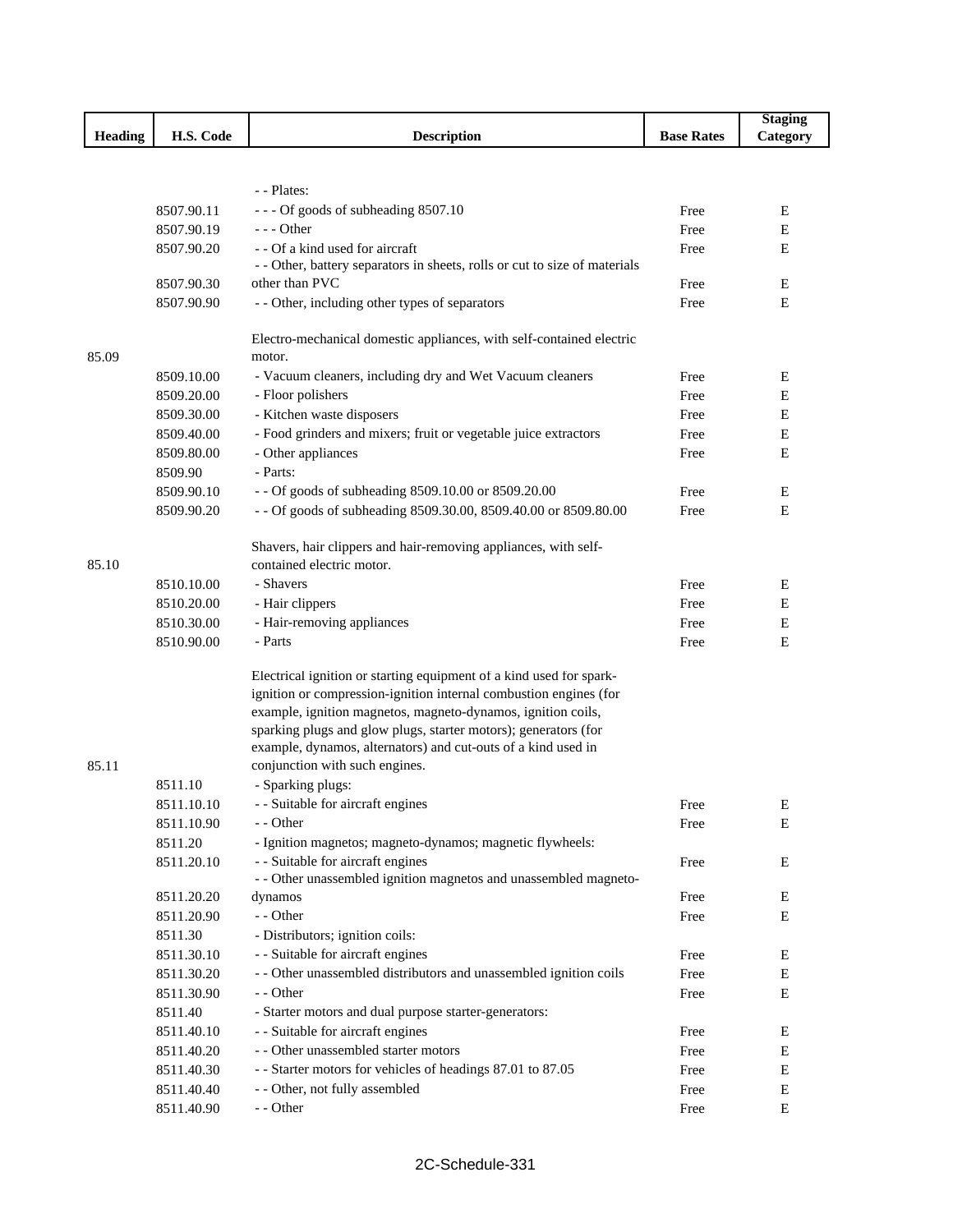|                |            |                                                                                                                                          |                   | <b>Staging</b> |
|----------------|------------|------------------------------------------------------------------------------------------------------------------------------------------|-------------------|----------------|
| <b>Heading</b> | H.S. Code  | <b>Description</b>                                                                                                                       | <b>Base Rates</b> | Category       |
|                |            |                                                                                                                                          |                   |                |
|                |            |                                                                                                                                          |                   |                |
|                |            | - - Plates:                                                                                                                              |                   |                |
|                | 8507.90.11 | --- Of goods of subheading 8507.10                                                                                                       | Free              | Ε              |
|                | 8507.90.19 | - - - Other                                                                                                                              | Free              | E              |
|                | 8507.90.20 | - - Of a kind used for aircraft                                                                                                          | Free              | E              |
|                | 8507.90.30 | - - Other, battery separators in sheets, rolls or cut to size of materials<br>other than PVC                                             | Free              | Е              |
|                | 8507.90.90 | - - Other, including other types of separators                                                                                           |                   | Ε              |
|                |            |                                                                                                                                          | Free              |                |
|                |            | Electro-mechanical domestic appliances, with self-contained electric                                                                     |                   |                |
| 85.09          |            | motor.                                                                                                                                   |                   |                |
|                | 8509.10.00 | - Vacuum cleaners, including dry and Wet Vacuum cleaners                                                                                 | Free              | E              |
|                | 8509.20.00 | - Floor polishers                                                                                                                        | Free              | E              |
|                | 8509.30.00 | - Kitchen waste disposers                                                                                                                | Free              | E              |
|                | 8509.40.00 | - Food grinders and mixers; fruit or vegetable juice extractors                                                                          | Free              | Ε              |
|                | 8509.80.00 | - Other appliances                                                                                                                       | Free              | E              |
|                | 8509.90    | - Parts:                                                                                                                                 |                   |                |
|                | 8509.90.10 | - - Of goods of subheading 8509.10.00 or 8509.20.00                                                                                      | Free              | E              |
|                | 8509.90.20 | - - Of goods of subheading 8509.30.00, 8509.40.00 or 8509.80.00                                                                          | Free              | Ε              |
|                |            |                                                                                                                                          |                   |                |
|                |            | Shavers, hair clippers and hair-removing appliances, with self-                                                                          |                   |                |
| 85.10          |            | contained electric motor.                                                                                                                |                   |                |
|                | 8510.10.00 | - Shavers                                                                                                                                | Free              | Ε              |
|                | 8510.20.00 | - Hair clippers                                                                                                                          | Free              | Ε              |
|                | 8510.30.00 | - Hair-removing appliances                                                                                                               | Free              | ${\bf E}$      |
|                | 8510.90.00 | - Parts                                                                                                                                  | Free              | E              |
|                |            |                                                                                                                                          |                   |                |
|                |            | Electrical ignition or starting equipment of a kind used for spark-<br>ignition or compression-ignition internal combustion engines (for |                   |                |
|                |            | example, ignition magnetos, magneto-dynamos, ignition coils,                                                                             |                   |                |
|                |            | sparking plugs and glow plugs, starter motors); generators (for                                                                          |                   |                |
|                |            | example, dynamos, alternators) and cut-outs of a kind used in                                                                            |                   |                |
| 85.11          |            | conjunction with such engines.                                                                                                           |                   |                |
|                | 8511.10    | - Sparking plugs:                                                                                                                        |                   |                |
|                | 8511.10.10 | - - Suitable for aircraft engines                                                                                                        | Free              | Ε              |
|                | 8511.10.90 | - - Other                                                                                                                                | Free              | Е              |
|                | 8511.20    | - Ignition magnetos; magneto-dynamos; magnetic flywheels:                                                                                |                   |                |
|                | 8511.20.10 | - - Suitable for aircraft engines                                                                                                        | Free              | Е              |
|                |            | - - Other unassembled ignition magnetos and unassembled magneto-                                                                         |                   |                |
|                | 8511.20.20 | dynamos                                                                                                                                  | Free              | E              |
|                | 8511.20.90 | - - Other                                                                                                                                | Free              | Ε              |
|                | 8511.30    | - Distributors; ignition coils:                                                                                                          |                   |                |
|                | 8511.30.10 | - - Suitable for aircraft engines                                                                                                        | Free              | Е              |
|                | 8511.30.20 | - - Other unassembled distributors and unassembled ignition coils                                                                        | Free              | E              |
|                | 8511.30.90 | - - Other                                                                                                                                | Free              | Е              |
|                | 8511.40    | - Starter motors and dual purpose starter-generators:                                                                                    |                   |                |
|                | 8511.40.10 | - - Suitable for aircraft engines                                                                                                        | Free              | E              |
|                | 8511.40.20 | - - Other unassembled starter motors                                                                                                     | Free              | E              |
|                | 8511.40.30 | - - Starter motors for vehicles of headings 87.01 to 87.05                                                                               | Free              | E              |
|                | 8511.40.40 | - - Other, not fully assembled                                                                                                           | Free              | ${\bf E}$      |
|                | 8511.40.90 | - - Other                                                                                                                                | Free              | $\mathbf E$    |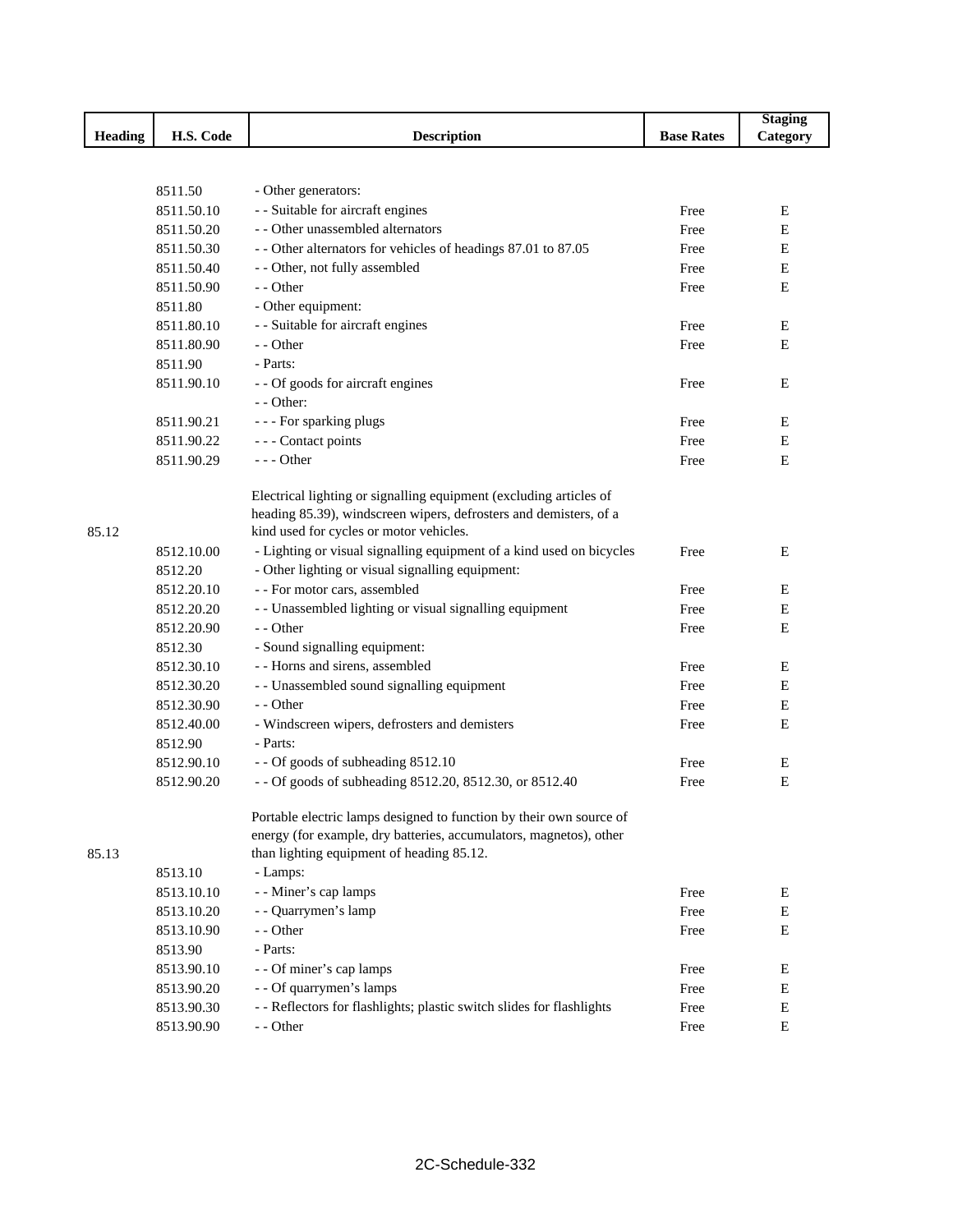|         |            |                                                                                                                 |                   | <b>Staging</b> |
|---------|------------|-----------------------------------------------------------------------------------------------------------------|-------------------|----------------|
| Heading | H.S. Code  | <b>Description</b>                                                                                              | <b>Base Rates</b> | Category       |
|         |            |                                                                                                                 |                   |                |
|         |            |                                                                                                                 |                   |                |
|         | 8511.50    | - Other generators:                                                                                             |                   |                |
|         | 8511.50.10 | - - Suitable for aircraft engines                                                                               | Free              | Ε              |
|         | 8511.50.20 | - - Other unassembled alternators                                                                               | Free              | E              |
|         | 8511.50.30 | - - Other alternators for vehicles of headings 87.01 to 87.05                                                   | Free              | Ε              |
|         | 8511.50.40 | - - Other, not fully assembled                                                                                  | Free              | Ε              |
|         | 8511.50.90 | - - Other                                                                                                       | Free              | Ε              |
|         | 8511.80    | - Other equipment:                                                                                              |                   |                |
|         | 8511.80.10 | - - Suitable for aircraft engines                                                                               | Free              | E              |
|         | 8511.80.90 | - - Other                                                                                                       | Free              | Ε              |
|         | 8511.90    | - Parts:                                                                                                        |                   |                |
|         | 8511.90.10 | - - Of goods for aircraft engines                                                                               | Free              | E              |
|         |            | - - Other:                                                                                                      |                   |                |
|         | 8511.90.21 | - - - For sparking plugs                                                                                        | Free              | Ε              |
|         | 8511.90.22 | - - - Contact points                                                                                            | Free              | Ε              |
|         | 8511.90.29 | $--$ Other                                                                                                      | Free              | Ε              |
|         |            |                                                                                                                 |                   |                |
|         |            | Electrical lighting or signalling equipment (excluding articles of                                              |                   |                |
|         |            | heading 85.39), windscreen wipers, defrosters and demisters, of a                                               |                   |                |
| 85.12   |            | kind used for cycles or motor vehicles.                                                                         |                   |                |
|         | 8512.10.00 | - Lighting or visual signalling equipment of a kind used on bicycles                                            | Free              | E              |
|         | 8512.20    | - Other lighting or visual signalling equipment:                                                                |                   |                |
|         | 8512.20.10 | - - For motor cars, assembled                                                                                   | Free              | Ε              |
|         | 8512.20.20 | - - Unassembled lighting or visual signalling equipment                                                         | Free              | E              |
|         | 8512.20.90 | - - Other                                                                                                       | Free              | E              |
|         | 8512.30    | - Sound signalling equipment:                                                                                   |                   |                |
|         | 8512.30.10 | - - Horns and sirens, assembled                                                                                 | Free              | Ε              |
|         | 8512.30.20 | - - Unassembled sound signalling equipment                                                                      | Free              | E              |
|         | 8512.30.90 | - - Other                                                                                                       | Free              | E              |
|         | 8512.40.00 | - Windscreen wipers, defrosters and demisters                                                                   | Free              | E              |
|         | 8512.90    | - Parts:                                                                                                        |                   |                |
|         | 8512.90.10 | - - Of goods of subheading 8512.10                                                                              | Free              | E              |
|         | 8512.90.20 | - - Of goods of subheading 8512.20, 8512.30, or 8512.40                                                         | Free              | Е              |
|         |            |                                                                                                                 |                   |                |
|         |            | Portable electric lamps designed to function by their own source of                                             |                   |                |
| 85.13   |            | energy (for example, dry batteries, accumulators, magnetos), other<br>than lighting equipment of heading 85.12. |                   |                |
|         |            |                                                                                                                 |                   |                |
|         | 8513.10    | - Lamps:                                                                                                        |                   |                |
|         | 8513.10.10 | - - Miner's cap lamps                                                                                           | Free              | Ε<br>E         |
|         | 8513.10.20 | - - Quarrymen's lamp<br>- - Other                                                                               | Free              |                |
|         | 8513.10.90 |                                                                                                                 | Free              | E              |
|         | 8513.90    | - Parts:                                                                                                        |                   |                |
|         | 8513.90.10 | - - Of miner's cap lamps                                                                                        | Free              | E              |
|         | 8513.90.20 | - - Of quarrymen's lamps                                                                                        | Free              | Ε              |
|         | 8513.90.30 | - - Reflectors for flashlights; plastic switch slides for flashlights                                           | Free              | ${\bf E}$      |
|         | 8513.90.90 | - - Other                                                                                                       | Free              | ${\bf E}$      |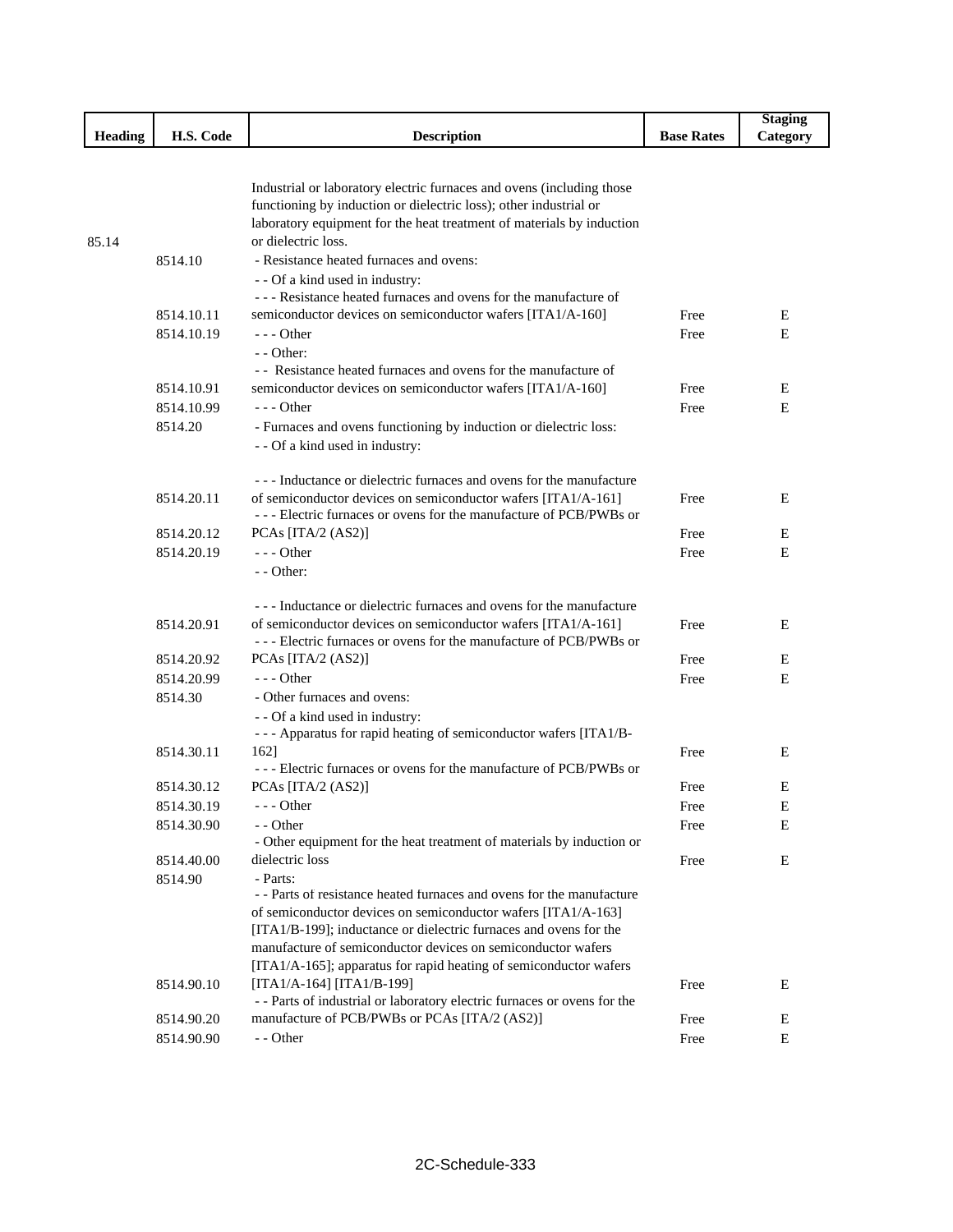|         |            |                                                                                                    |                   | <b>Staging</b> |
|---------|------------|----------------------------------------------------------------------------------------------------|-------------------|----------------|
| Heading | H.S. Code  | <b>Description</b>                                                                                 | <b>Base Rates</b> | Category       |
|         |            |                                                                                                    |                   |                |
|         |            |                                                                                                    |                   |                |
|         |            | Industrial or laboratory electric furnaces and ovens (including those                              |                   |                |
|         |            | functioning by induction or dielectric loss); other industrial or                                  |                   |                |
|         |            | laboratory equipment for the heat treatment of materials by induction<br>or dielectric loss.       |                   |                |
| 85.14   |            | - Resistance heated furnaces and ovens:                                                            |                   |                |
|         | 8514.10    |                                                                                                    |                   |                |
|         |            | - - Of a kind used in industry:<br>--- Resistance heated furnaces and ovens for the manufacture of |                   |                |
|         | 8514.10.11 | semiconductor devices on semiconductor wafers [ITA1/A-160]                                         | Free              | E              |
|         | 8514.10.19 | $--$ Other                                                                                         | Free              | E              |
|         |            | $-$ - Other:                                                                                       |                   |                |
|         |            | - - Resistance heated furnaces and ovens for the manufacture of                                    |                   |                |
|         | 8514.10.91 | semiconductor devices on semiconductor wafers [ITA1/A-160]                                         | Free              | Ε              |
|         | 8514.10.99 | $- -$ Other                                                                                        | Free              | E              |
|         | 8514.20    | - Furnaces and ovens functioning by induction or dielectric loss:                                  |                   |                |
|         |            | - - Of a kind used in industry:                                                                    |                   |                |
|         |            |                                                                                                    |                   |                |
|         |            | --- Inductance or dielectric furnaces and ovens for the manufacture                                |                   |                |
|         | 8514.20.11 | of semiconductor devices on semiconductor wafers [ITA1/A-161]                                      | Free              | E              |
|         |            | --- Electric furnaces or ovens for the manufacture of PCB/PWBs or                                  |                   |                |
|         | 8514.20.12 | PCAs [ITA/2 $(AS2)$ ]                                                                              | Free              | Е              |
|         | 8514.20.19 | --- Other                                                                                          | Free              | E              |
|         |            | $-$ - Other:                                                                                       |                   |                |
|         |            |                                                                                                    |                   |                |
|         |            | --- Inductance or dielectric furnaces and ovens for the manufacture                                |                   |                |
|         | 8514.20.91 | of semiconductor devices on semiconductor wafers [ITA1/A-161]                                      | Free              | E              |
|         |            | --- Electric furnaces or ovens for the manufacture of PCB/PWBs or                                  |                   |                |
|         | 8514.20.92 | PCAs [ITA/2 (AS2)]                                                                                 | Free              | E              |
|         | 8514.20.99 | $- -$ Other                                                                                        | Free              | E              |
|         | 8514.30    | - Other furnaces and ovens:                                                                        |                   |                |
|         |            | - - Of a kind used in industry:                                                                    |                   |                |
|         |            | - - - Apparatus for rapid heating of semiconductor wafers [ITA1/B-                                 |                   |                |
|         | 8514.30.11 | 1621                                                                                               | Free              | Е              |
|         |            | --- Electric furnaces or ovens for the manufacture of PCB/PWBs or                                  |                   |                |
|         | 8514.30.12 | PCAs [ITA/2 $(AS2)$ ]                                                                              | Free              | E              |
|         | 8514.30.19 | --- Other                                                                                          | Free              | E              |
|         | 8514.30.90 | - - Other                                                                                          | Free              | Е              |
|         |            | - Other equipment for the heat treatment of materials by induction or                              |                   |                |
|         | 8514.40.00 | dielectric loss                                                                                    | Free              | E              |
|         | 8514.90    | - Parts:<br>- - Parts of resistance heated furnaces and ovens for the manufacture                  |                   |                |
|         |            | of semiconductor devices on semiconductor wafers [ITA1/A-163]                                      |                   |                |
|         |            | [ITA1/B-199]; inductance or dielectric furnaces and ovens for the                                  |                   |                |
|         |            | manufacture of semiconductor devices on semiconductor wafers                                       |                   |                |
|         |            | [ITA1/A-165]; apparatus for rapid heating of semiconductor wafers                                  |                   |                |
|         | 8514.90.10 | [ITA1/A-164] [ITA1/B-199]                                                                          | Free              | Е              |
|         |            | - - Parts of industrial or laboratory electric furnaces or ovens for the                           |                   |                |
|         | 8514.90.20 | manufacture of PCB/PWBs or PCAs [ITA/2 (AS2)]                                                      | Free              | E              |
|         | 8514.90.90 | - - Other                                                                                          | Free              | E              |
|         |            |                                                                                                    |                   |                |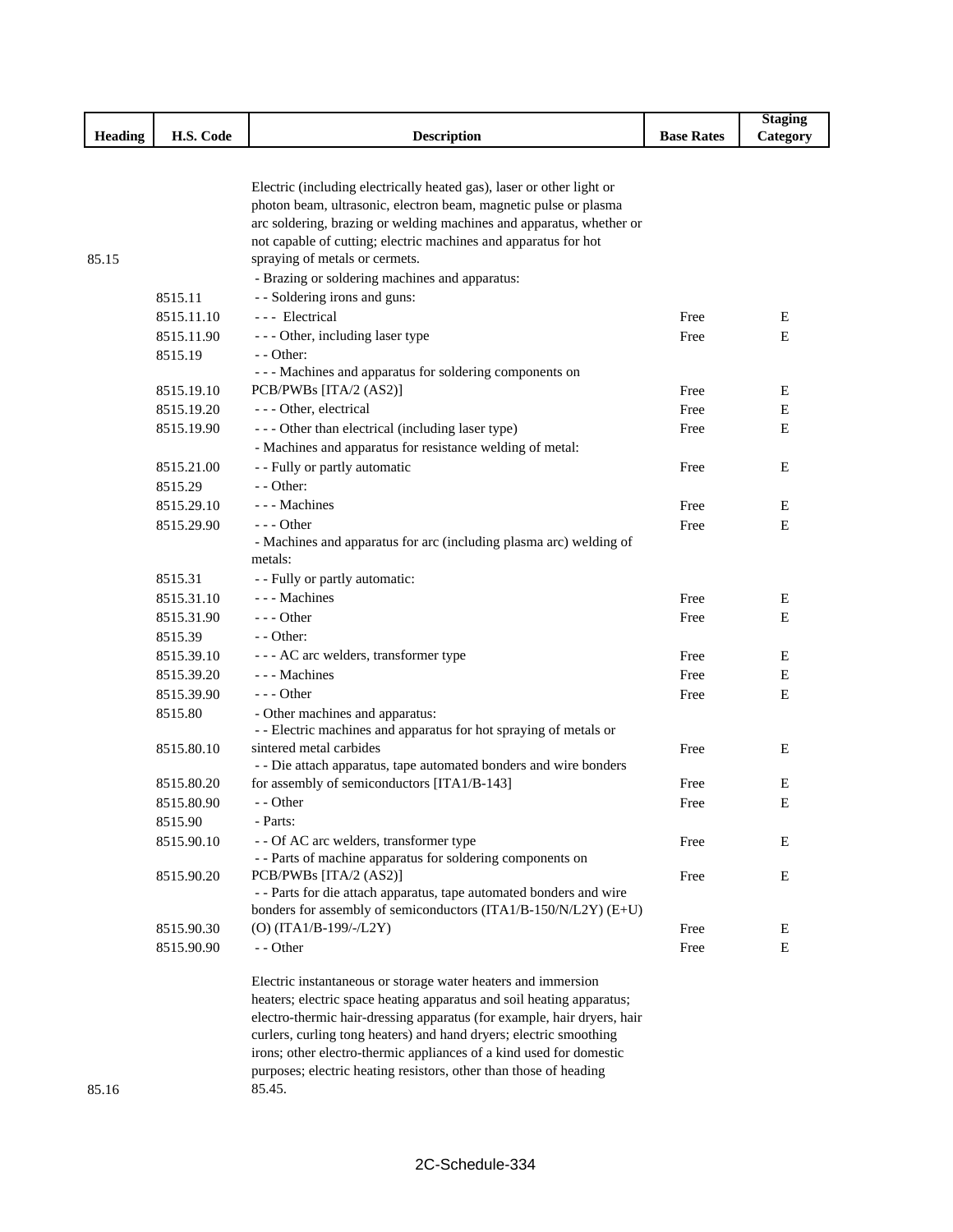|         |            |                                                                                              |                   | <b>Staging</b> |
|---------|------------|----------------------------------------------------------------------------------------------|-------------------|----------------|
| Heading | H.S. Code  | <b>Description</b>                                                                           | <b>Base Rates</b> | Category       |
|         |            |                                                                                              |                   |                |
|         |            | Electric (including electrically heated gas), laser or other light or                        |                   |                |
|         |            | photon beam, ultrasonic, electron beam, magnetic pulse or plasma                             |                   |                |
|         |            | arc soldering, brazing or welding machines and apparatus, whether or                         |                   |                |
|         |            | not capable of cutting; electric machines and apparatus for hot                              |                   |                |
| 85.15   |            | spraying of metals or cermets.                                                               |                   |                |
|         |            | - Brazing or soldering machines and apparatus:                                               |                   |                |
|         | 8515.11    | - - Soldering irons and guns:                                                                |                   |                |
|         | 8515.11.10 | --- Electrical                                                                               | Free              | Ε              |
|         | 8515.11.90 | - - - Other, including laser type                                                            | Free              | E              |
|         | 8515.19    | - - Other:                                                                                   |                   |                |
|         |            | --- Machines and apparatus for soldering components on                                       |                   |                |
|         | 8515.19.10 | PCB/PWBs [ITA/2 (AS2)]                                                                       | Free              | E              |
|         | 8515.19.20 | - - - Other, electrical                                                                      | Free              | E              |
|         | 8515.19.90 | - - - Other than electrical (including laser type)                                           | Free              | E              |
|         |            | - Machines and apparatus for resistance welding of metal:                                    |                   |                |
|         | 8515.21.00 | - - Fully or partly automatic                                                                | Free              | E              |
|         | 8515.29    | - - Other:                                                                                   |                   |                |
|         | 8515.29.10 | - - - Machines                                                                               | Free              | Ε              |
|         | 8515.29.90 | - - - Other                                                                                  | Free              | E              |
|         |            | - Machines and apparatus for arc (including plasma arc) welding of                           |                   |                |
|         |            | metals:                                                                                      |                   |                |
|         | 8515.31    | - - Fully or partly automatic:                                                               |                   |                |
|         | 8515.31.10 | - - - Machines                                                                               | Free              | Ε              |
|         | 8515.31.90 | $--$ Other                                                                                   | Free              | Ε              |
|         | 8515.39    | - - Other:                                                                                   |                   |                |
|         | 8515.39.10 | - - - AC arc welders, transformer type                                                       | Free              | Ε              |
|         | 8515.39.20 | - - - Machines                                                                               | Free              | E              |
|         | 8515.39.90 | $--$ Other                                                                                   | Free              | Ε              |
|         | 8515.80    | - Other machines and apparatus:                                                              |                   |                |
|         | 8515.80.10 | - - Electric machines and apparatus for hot spraying of metals or<br>sintered metal carbides | Free              | E              |
|         |            | - - Die attach apparatus, tape automated bonders and wire bonders                            |                   |                |
|         | 8515.80.20 | for assembly of semiconductors [ITA1/B-143]                                                  | Free              | Ε              |
|         | 8515.80.90 | - - Other                                                                                    | Free              | Е              |
|         | 8515.90    | - Parts:                                                                                     |                   |                |
|         | 8515.90.10 | - - Of AC arc welders, transformer type                                                      | Free              | E              |
|         |            | - - Parts of machine apparatus for soldering components on                                   |                   |                |
|         | 8515.90.20 | PCB/PWBs [ITA/2 (AS2)]                                                                       | Free              | E              |
|         |            | - - Parts for die attach apparatus, tape automated bonders and wire                          |                   |                |
|         |            | bonders for assembly of semiconductors (ITA1/B-150/N/L2Y) (E+U)                              |                   |                |
|         | 8515.90.30 | $(O)$ (ITA1/B-199/-/L2Y)                                                                     | Free              | Ε              |
|         | 8515.90.90 | - - Other                                                                                    | Free              | E              |
|         |            | Electric instantaneous or storage water heaters and immersion                                |                   |                |
|         |            | heaters; electric space heating apparatus and soil heating apparatus;                        |                   |                |
|         |            | electro-thermic hair-dressing apparatus (for example, hair dryers, hair                      |                   |                |
|         |            | curlers, curling tong heaters) and hand dryers; electric smoothing                           |                   |                |
|         |            | irons; other electro-thermic appliances of a kind used for domestic                          |                   |                |
|         |            | purposes; electric heating resistors, other than those of heading                            |                   |                |
| 85.16   |            | 85.45.                                                                                       |                   |                |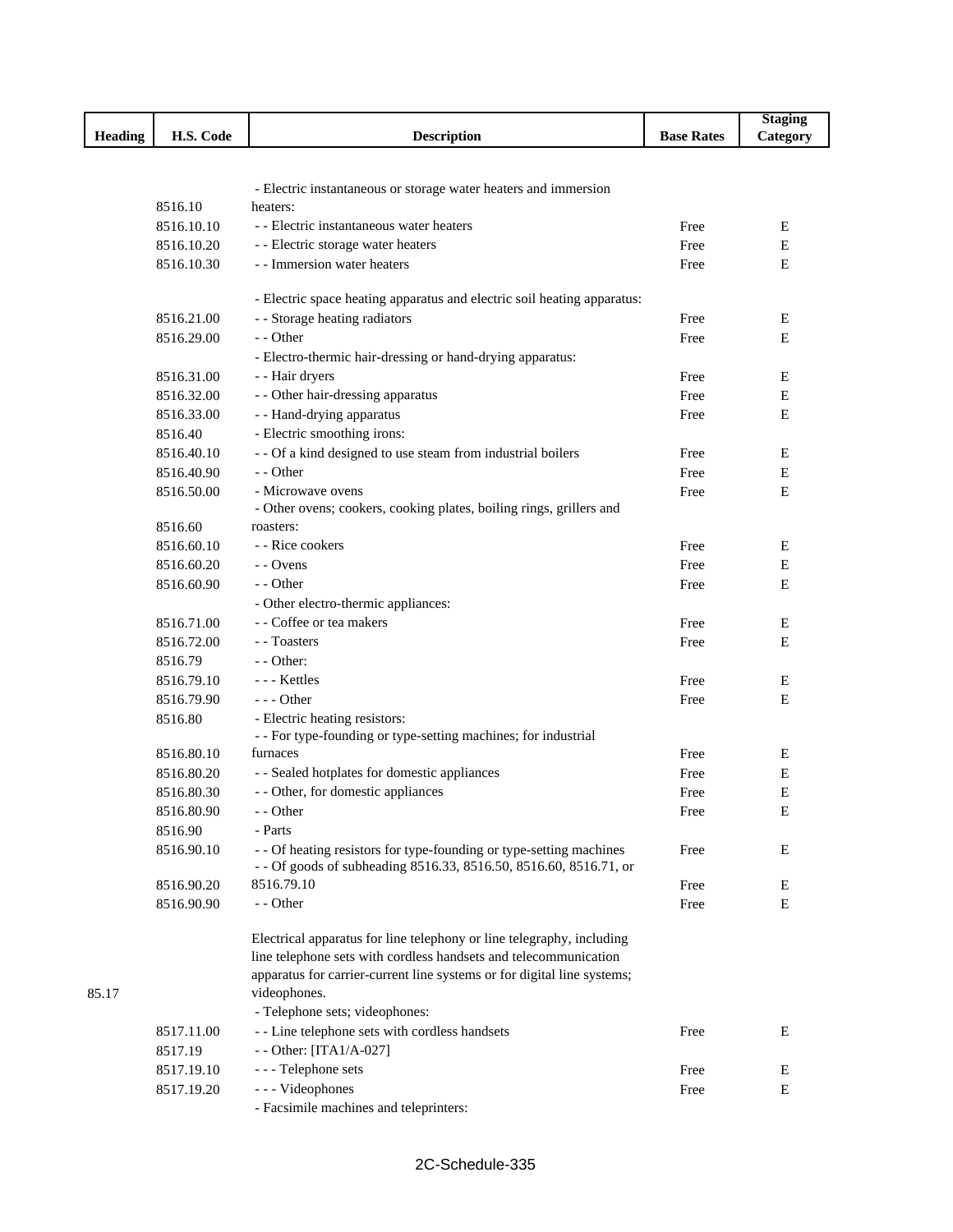|         |            |                                                                         |                   | <b>Staging</b> |
|---------|------------|-------------------------------------------------------------------------|-------------------|----------------|
| Heading | H.S. Code  | <b>Description</b>                                                      | <b>Base Rates</b> | Category       |
|         |            |                                                                         |                   |                |
|         |            |                                                                         |                   |                |
|         |            | - Electric instantaneous or storage water heaters and immersion         |                   |                |
|         | 8516.10    | heaters:                                                                |                   |                |
|         | 8516.10.10 | - - Electric instantaneous water heaters                                | Free              | E              |
|         | 8516.10.20 | - - Electric storage water heaters                                      | Free              | E              |
|         | 8516.10.30 | - - Immersion water heaters                                             | Free              | E              |
|         |            | - Electric space heating apparatus and electric soil heating apparatus: |                   |                |
|         | 8516.21.00 | - - Storage heating radiators                                           | Free              | E              |
|         | 8516.29.00 | - - Other                                                               | Free              | E              |
|         |            | - Electro-thermic hair-dressing or hand-drying apparatus:               |                   |                |
|         | 8516.31.00 | - - Hair dryers                                                         | Free              | E              |
|         | 8516.32.00 | - - Other hair-dressing apparatus                                       | Free              | Ε              |
|         | 8516.33.00 | - - Hand-drying apparatus                                               | Free              | E              |
|         | 8516.40    | - Electric smoothing irons:                                             |                   |                |
|         | 8516.40.10 | - - Of a kind designed to use steam from industrial boilers             | Free              | Ε              |
|         | 8516.40.90 | - - Other                                                               | Free              | Ε              |
|         | 8516.50.00 | - Microwave ovens                                                       | Free              | E              |
|         |            | - Other ovens; cookers, cooking plates, boiling rings, grillers and     |                   |                |
|         | 8516.60    | roasters:                                                               |                   |                |
|         | 8516.60.10 | - - Rice cookers                                                        | Free              | E              |
|         | 8516.60.20 | - - Ovens                                                               | Free              | E              |
|         | 8516.60.90 | - - Other                                                               | Free              | E              |
|         |            | - Other electro-thermic appliances:                                     |                   |                |
|         | 8516.71.00 | - - Coffee or tea makers                                                | Free              | Ε              |
|         | 8516.72.00 | - - Toasters                                                            | Free              | Е              |
|         | 8516.79    | - - Other:                                                              |                   |                |
|         | 8516.79.10 | --- Kettles                                                             | Free              | Ε              |
|         | 8516.79.90 | --- Other                                                               | Free              | E              |
|         | 8516.80    | - Electric heating resistors:                                           |                   |                |
|         |            | - - For type-founding or type-setting machines; for industrial          |                   |                |
|         | 8516.80.10 | furnaces                                                                | Free              | E              |
|         | 8516.80.20 | - - Sealed hotplates for domestic appliances                            | Free              | Е              |
|         | 8516.80.30 | - - Other, for domestic appliances                                      | Free              | Ε              |
|         | 8516.80.90 | - - Other                                                               | Free              | E              |
|         | 8516.90    | - Parts                                                                 |                   |                |
|         | 8516.90.10 | - - Of heating resistors for type-founding or type-setting machines     | Free              | Ε              |
|         |            | - - Of goods of subheading 8516.33, 8516.50, 8516.60, 8516.71, or       |                   |                |
|         | 8516.90.20 | 8516.79.10                                                              | Free              | Ε              |
|         | 8516.90.90 | - - Other                                                               | Free              | E              |
|         |            |                                                                         |                   |                |
|         |            | Electrical apparatus for line telephony or line telegraphy, including   |                   |                |
|         |            | line telephone sets with cordless handsets and telecommunication        |                   |                |
|         |            | apparatus for carrier-current line systems or for digital line systems; |                   |                |
| 85.17   |            | videophones.                                                            |                   |                |
|         |            | - Telephone sets; videophones:                                          |                   |                |
|         | 8517.11.00 | - - Line telephone sets with cordless handsets                          | Free              | E              |
|         | 8517.19    | - - Other: [ITA1/A-027]                                                 |                   |                |
|         | 8517.19.10 | --- Telephone sets                                                      | Free              | E              |
|         | 8517.19.20 | --- Videophones                                                         | Free              | Ε              |
|         |            | - Facsimile machines and teleprinters:                                  |                   |                |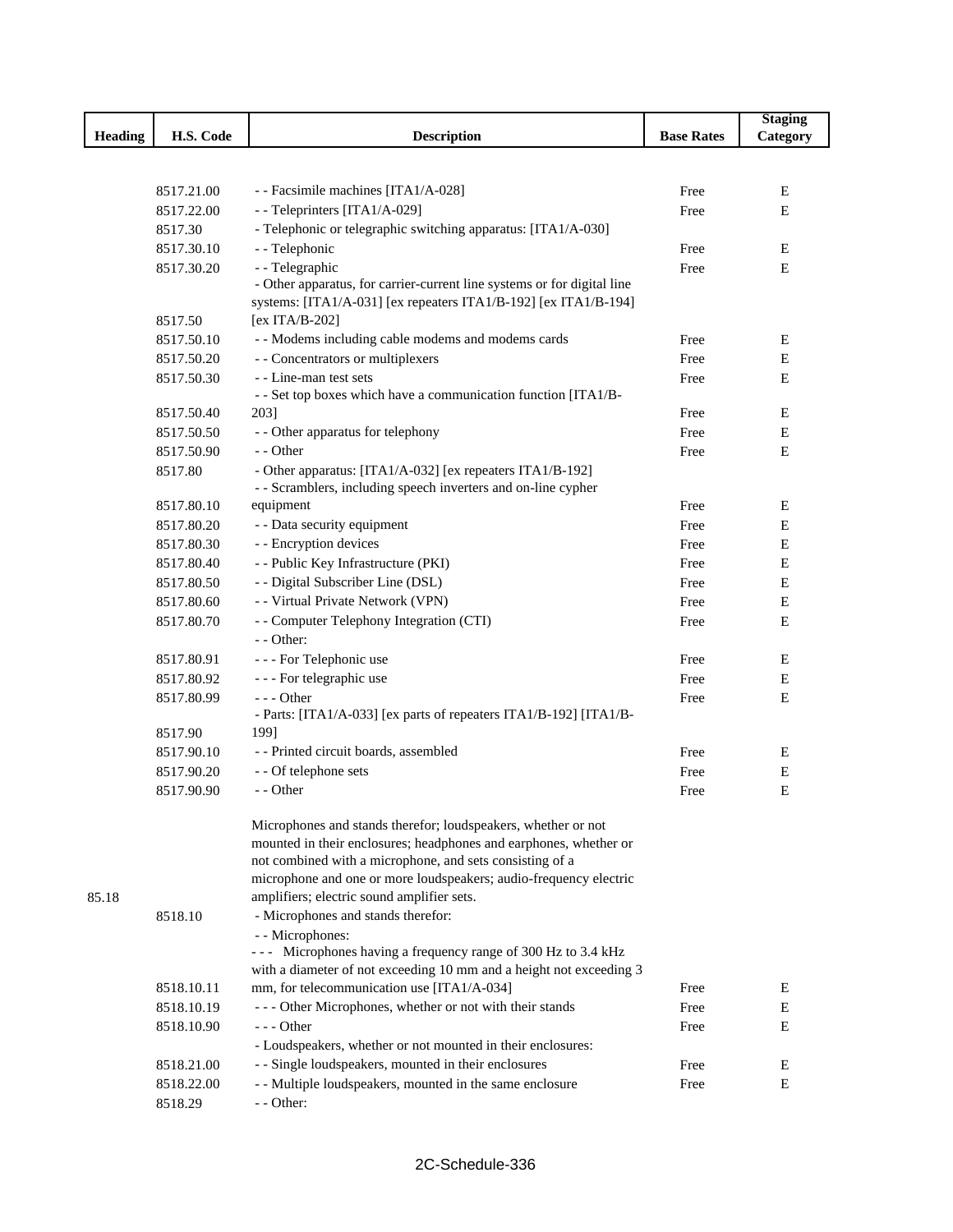|                |            |                                                                                                                                            |                   | <b>Staging</b> |
|----------------|------------|--------------------------------------------------------------------------------------------------------------------------------------------|-------------------|----------------|
| <b>Heading</b> | H.S. Code  | <b>Description</b>                                                                                                                         | <b>Base Rates</b> | Category       |
|                |            |                                                                                                                                            |                   |                |
|                |            |                                                                                                                                            |                   |                |
|                | 8517.21.00 | - - Facsimile machines [ITA1/A-028]                                                                                                        | Free              | E              |
|                | 8517.22.00 | - - Teleprinters [ITA1/A-029]                                                                                                              | Free              | E              |
|                | 8517.30    | - Telephonic or telegraphic switching apparatus: [ITA1/A-030]                                                                              |                   |                |
|                | 8517.30.10 | - - Telephonic                                                                                                                             | Free              | E              |
|                | 8517.30.20 | - - Telegraphic                                                                                                                            | Free              | E              |
|                |            | - Other apparatus, for carrier-current line systems or for digital line<br>systems: [ITA1/A-031] [ex repeaters ITA1/B-192] [ex ITA1/B-194] |                   |                |
|                | 8517.50    | [ex ITA/B-202]                                                                                                                             |                   |                |
|                | 8517.50.10 | - - Modems including cable modems and modems cards                                                                                         | Free              | Е              |
|                | 8517.50.20 | - - Concentrators or multiplexers                                                                                                          | Free              | Ε              |
|                | 8517.50.30 | - - Line-man test sets                                                                                                                     | Free              | E              |
|                |            | - - Set top boxes which have a communication function [ITA1/B-                                                                             |                   |                |
|                | 8517.50.40 | 203]                                                                                                                                       | Free              | E              |
|                | 8517.50.50 | - - Other apparatus for telephony                                                                                                          | Free              | Ε              |
|                | 8517.50.90 | - - Other                                                                                                                                  | Free              | E              |
|                | 8517.80    | - Other apparatus: [ITA1/A-032] [ex repeaters ITA1/B-192]                                                                                  |                   |                |
|                |            | - - Scramblers, including speech inverters and on-line cypher                                                                              |                   |                |
|                | 8517.80.10 | equipment                                                                                                                                  | Free              | E              |
|                | 8517.80.20 | - - Data security equipment                                                                                                                | Free              | Ε              |
|                | 8517.80.30 | - - Encryption devices                                                                                                                     | Free              | Ε              |
|                | 8517.80.40 | - - Public Key Infrastructure (PKI)                                                                                                        | Free              | Ε              |
|                | 8517.80.50 | - - Digital Subscriber Line (DSL)                                                                                                          | Free              | E              |
|                | 8517.80.60 | - - Virtual Private Network (VPN)                                                                                                          | Free              | E              |
|                | 8517.80.70 | - - Computer Telephony Integration (CTI)                                                                                                   | Free              | $\mathbf E$    |
|                |            | - - Other:                                                                                                                                 |                   |                |
|                | 8517.80.91 | - - - For Telephonic use                                                                                                                   | Free              | E              |
|                | 8517.80.92 | - - - For telegraphic use                                                                                                                  | Free              | Ε              |
|                | 8517.80.99 | $--$ Other                                                                                                                                 | Free              | E              |
|                |            | - Parts: [ITA1/A-033] [ex parts of repeaters ITA1/B-192] [ITA1/B-                                                                          |                   |                |
|                | 8517.90    | 199]                                                                                                                                       |                   |                |
|                | 8517.90.10 | - - Printed circuit boards, assembled                                                                                                      | Free              | E              |
|                | 8517.90.20 | - - Of telephone sets                                                                                                                      | Free              | Ε              |
|                | 8517.90.90 | - - Other                                                                                                                                  | Free              | Ε              |
|                |            | Microphones and stands therefor; loudspeakers, whether or not                                                                              |                   |                |
|                |            | mounted in their enclosures; headphones and earphones, whether or                                                                          |                   |                |
|                |            | not combined with a microphone, and sets consisting of a                                                                                   |                   |                |
|                |            | microphone and one or more loudspeakers; audio-frequency electric                                                                          |                   |                |
| 85.18          |            | amplifiers; electric sound amplifier sets.                                                                                                 |                   |                |
|                | 8518.10    | - Microphones and stands therefor:                                                                                                         |                   |                |
|                |            | - - Microphones:                                                                                                                           |                   |                |
|                |            | --- Microphones having a frequency range of 300 Hz to 3.4 kHz                                                                              |                   |                |
|                |            | with a diameter of not exceeding 10 mm and a height not exceeding 3                                                                        |                   |                |
|                | 8518.10.11 | mm, for telecommunication use [ITA1/A-034]                                                                                                 | Free              | Е              |
|                | 8518.10.19 | - - - Other Microphones, whether or not with their stands                                                                                  | Free              | Е              |
|                | 8518.10.90 | --- Other                                                                                                                                  | Free              | Ε              |
|                |            | - Loudspeakers, whether or not mounted in their enclosures:                                                                                |                   |                |
|                | 8518.21.00 | - - Single loudspeakers, mounted in their enclosures                                                                                       | Free              | E              |
|                | 8518.22.00 | - - Multiple loudspeakers, mounted in the same enclosure<br>- - Other:                                                                     | Free              | Ε              |
|                | 8518.29    |                                                                                                                                            |                   |                |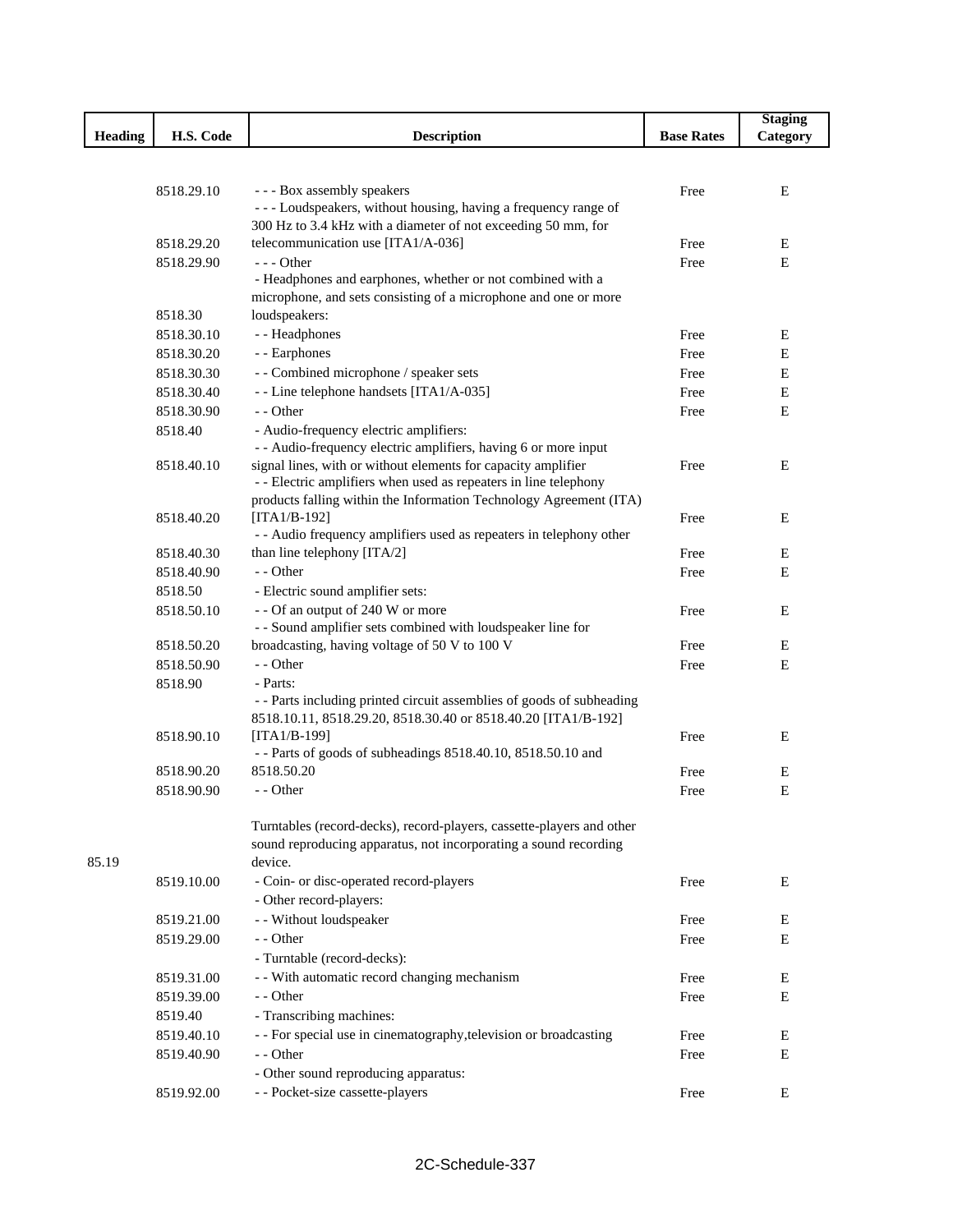|                |            |                                                                                                                                 |                   | <b>Staging</b> |
|----------------|------------|---------------------------------------------------------------------------------------------------------------------------------|-------------------|----------------|
| <b>Heading</b> | H.S. Code  | <b>Description</b>                                                                                                              | <b>Base Rates</b> | Category       |
|                |            |                                                                                                                                 |                   |                |
|                |            |                                                                                                                                 |                   |                |
|                | 8518.29.10 | --- Box assembly speakers                                                                                                       | Free              | E              |
|                |            | --- Loudspeakers, without housing, having a frequency range of<br>300 Hz to 3.4 kHz with a diameter of not exceeding 50 mm, for |                   |                |
|                | 8518.29.20 | telecommunication use [ITA1/A-036]                                                                                              | Free              | E              |
|                | 8518.29.90 | $--$ Other                                                                                                                      | Free              | E              |
|                |            | - Headphones and earphones, whether or not combined with a                                                                      |                   |                |
|                |            | microphone, and sets consisting of a microphone and one or more                                                                 |                   |                |
|                | 8518.30    | loudspeakers:                                                                                                                   |                   |                |
|                | 8518.30.10 | - - Headphones                                                                                                                  | Free              | E              |
|                | 8518.30.20 | - - Earphones                                                                                                                   | Free              | E              |
|                | 8518.30.30 | - - Combined microphone / speaker sets                                                                                          | Free              | Ε              |
|                | 8518.30.40 | - - Line telephone handsets [ITA1/A-035]                                                                                        | Free              | E              |
|                | 8518.30.90 | - - Other                                                                                                                       | Free              | E              |
|                | 8518.40    | - Audio-frequency electric amplifiers:                                                                                          |                   |                |
|                |            | - - Audio-frequency electric amplifiers, having 6 or more input                                                                 |                   |                |
|                | 8518.40.10 | signal lines, with or without elements for capacity amplifier                                                                   | Free              | E              |
|                |            | - - Electric amplifiers when used as repeaters in line telephony                                                                |                   |                |
|                |            | products falling within the Information Technology Agreement (ITA)                                                              |                   |                |
|                | 8518.40.20 | $[ITA1/B-192]$                                                                                                                  | Free              | E              |
|                |            | - - Audio frequency amplifiers used as repeaters in telephony other                                                             |                   |                |
|                | 8518.40.30 | than line telephony [ITA/2]                                                                                                     | Free              | Ε              |
|                | 8518.40.90 | - - Other                                                                                                                       | Free              | E              |
|                | 8518.50    | - Electric sound amplifier sets:                                                                                                |                   |                |
|                | 8518.50.10 | - - Of an output of 240 W or more                                                                                               | Free              | Ε              |
|                |            | - - Sound amplifier sets combined with loudspeaker line for                                                                     |                   |                |
|                | 8518.50.20 | broadcasting, having voltage of 50 V to 100 V                                                                                   | Free              | E              |
|                | 8518.50.90 | - - Other                                                                                                                       | Free              | E              |
|                | 8518.90    | - Parts:                                                                                                                        |                   |                |
|                |            | - - Parts including printed circuit assemblies of goods of subheading                                                           |                   |                |
|                |            | 8518.10.11, 8518.29.20, 8518.30.40 or 8518.40.20 [ITA1/B-192]<br>$[TAA/B-199]$                                                  |                   |                |
|                | 8518.90.10 | - - Parts of goods of subheadings 8518.40.10, 8518.50.10 and                                                                    | Free              | Ε              |
|                | 8518.90.20 | 8518.50.20                                                                                                                      | Free              | E              |
|                | 8518.90.90 | - - Other                                                                                                                       | Free              | E              |
|                |            |                                                                                                                                 |                   |                |
|                |            | Turntables (record-decks), record-players, cassette-players and other                                                           |                   |                |
|                |            | sound reproducing apparatus, not incorporating a sound recording                                                                |                   |                |
| 85.19          |            | device.                                                                                                                         |                   |                |
|                | 8519.10.00 | - Coin- or disc-operated record-players                                                                                         | Free              | E              |
|                |            | - Other record-players:                                                                                                         |                   |                |
|                | 8519.21.00 | - - Without loudspeaker                                                                                                         | Free              | E              |
|                | 8519.29.00 | - - Other                                                                                                                       | Free              | E              |
|                |            | - Turntable (record-decks):                                                                                                     |                   |                |
|                | 8519.31.00 | - - With automatic record changing mechanism                                                                                    | Free              | E              |
|                | 8519.39.00 | - - Other                                                                                                                       | Free              | E              |
|                | 8519.40    | - Transcribing machines:                                                                                                        |                   |                |
|                | 8519.40.10 | - - For special use in cinematography, television or broadcasting                                                               | Free              | E              |
|                | 8519.40.90 | - - Other                                                                                                                       | Free              | Ε              |
|                |            | - Other sound reproducing apparatus:                                                                                            |                   |                |
|                | 8519.92.00 | - - Pocket-size cassette-players                                                                                                | Free              | E              |
|                |            |                                                                                                                                 |                   |                |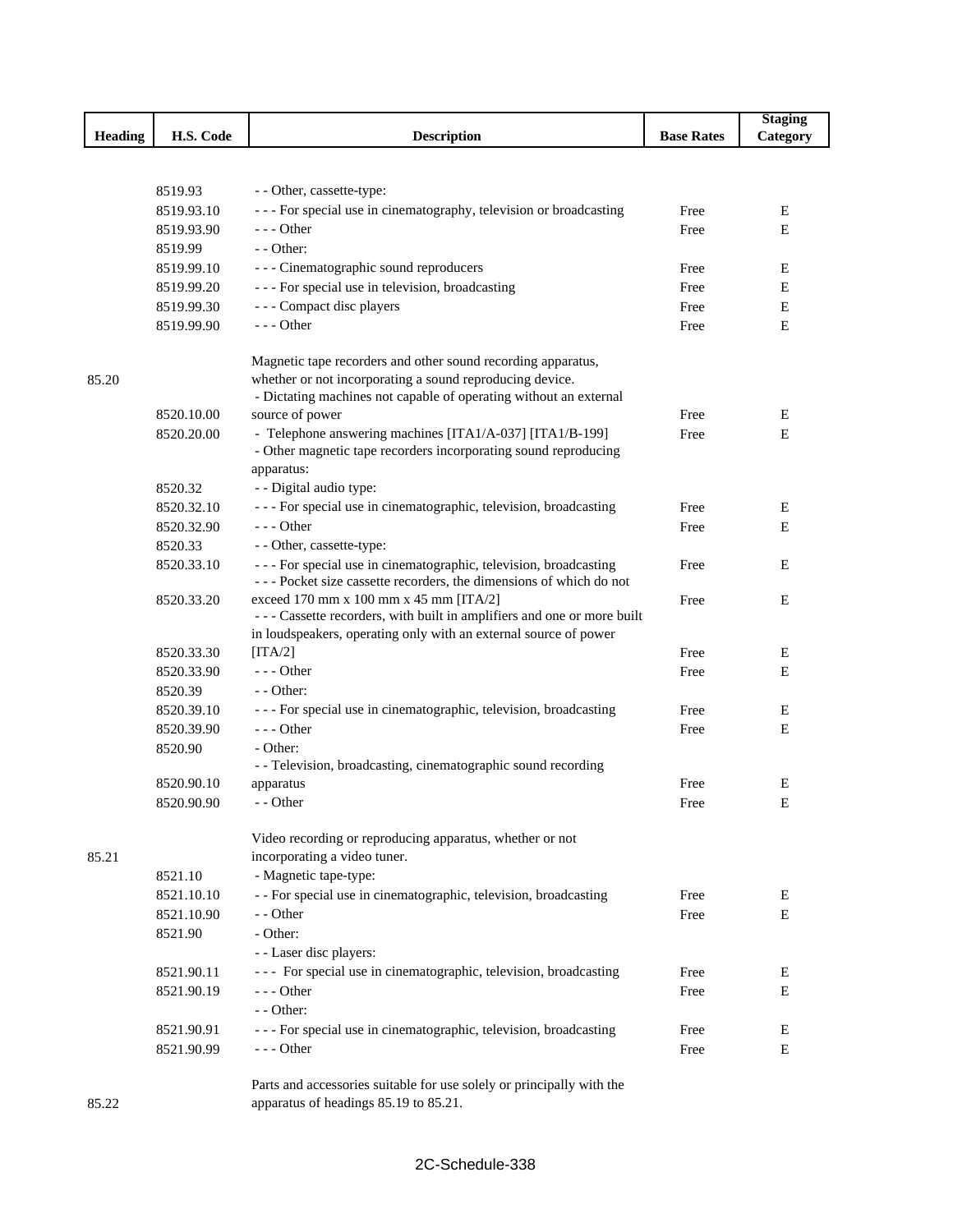|                |                          |                                                                                                                          |                   | <b>Staging</b> |
|----------------|--------------------------|--------------------------------------------------------------------------------------------------------------------------|-------------------|----------------|
| <b>Heading</b> | H.S. Code                | <b>Description</b>                                                                                                       | <b>Base Rates</b> | Category       |
|                |                          |                                                                                                                          |                   |                |
|                |                          |                                                                                                                          |                   |                |
|                | 8519.93                  | - - Other, cassette-type:                                                                                                |                   |                |
|                | 8519.93.10               | --- For special use in cinematography, television or broadcasting                                                        | Free              | E              |
|                | 8519.93.90               | $--$ Other                                                                                                               | Free              | E              |
|                | 8519.99                  | $-$ - Other:                                                                                                             |                   |                |
|                | 8519.99.10               | --- Cinematographic sound reproducers                                                                                    | Free              | Ε              |
|                | 8519.99.20               | --- For special use in television, broadcasting                                                                          | Free              | Ε              |
|                | 8519.99.30               | - - - Compact disc players                                                                                               | Free              | Ε              |
|                | 8519.99.90               | --- Other                                                                                                                | Free              | E              |
|                |                          |                                                                                                                          |                   |                |
| 85.20          |                          | Magnetic tape recorders and other sound recording apparatus,<br>whether or not incorporating a sound reproducing device. |                   |                |
|                |                          | - Dictating machines not capable of operating without an external                                                        |                   |                |
|                | 8520.10.00               | source of power                                                                                                          | Free              | E              |
|                | 8520.20.00               | - Telephone answering machines [ITA1/A-037] [ITA1/B-199]                                                                 | Free              | E              |
|                |                          | - Other magnetic tape recorders incorporating sound reproducing                                                          |                   |                |
|                |                          | apparatus:                                                                                                               |                   |                |
|                | 8520.32                  | - - Digital audio type:                                                                                                  |                   |                |
|                | 8520.32.10               | - - - For special use in cinematographic, television, broadcasting                                                       | Free              | E              |
|                | 8520.32.90               | $--$ Other                                                                                                               | Free              | E              |
|                | 8520.33                  | - - Other, cassette-type:                                                                                                |                   |                |
|                | 8520.33.10               | - - - For special use in cinematographic, television, broadcasting                                                       | Free              | Ε              |
|                |                          | --- Pocket size cassette recorders, the dimensions of which do not                                                       |                   |                |
|                | 8520.33.20               | exceed 170 mm x 100 mm x 45 mm [ITA/2]                                                                                   | Free              | Ε              |
|                |                          | --- Cassette recorders, with built in amplifiers and one or more built                                                   |                   |                |
|                |                          | in loudspeakers, operating only with an external source of power                                                         |                   |                |
|                | 8520.33.30               | [ITA/2]                                                                                                                  | Free              | E              |
|                | 8520.33.90               | $--$ Other                                                                                                               | Free              | E              |
|                | 8520.39                  | - - Other:                                                                                                               |                   |                |
|                | 8520.39.10               | - - - For special use in cinematographic, television, broadcasting                                                       | Free              | E              |
|                | 8520.39.90               | --- Other                                                                                                                | Free              | E              |
|                | 8520.90                  | - Other:                                                                                                                 |                   |                |
|                |                          | - - Television, broadcasting, cinematographic sound recording                                                            |                   |                |
|                | 8520.90.10<br>8520.90.90 | apparatus<br>- - Other                                                                                                   | Free              | Ε              |
|                |                          |                                                                                                                          | Free              | Ε              |
|                |                          | Video recording or reproducing apparatus, whether or not                                                                 |                   |                |
| 85.21          |                          | incorporating a video tuner.                                                                                             |                   |                |
|                | 8521.10                  | - Magnetic tape-type:                                                                                                    |                   |                |
|                | 8521.10.10               | - - For special use in cinematographic, television, broadcasting                                                         | Free              | Ε              |
|                | 8521.10.90               | - - Other                                                                                                                | Free              | E              |
|                | 8521.90                  | - Other:                                                                                                                 |                   |                |
|                |                          | - - Laser disc players:                                                                                                  |                   |                |
|                | 8521.90.11               | --- For special use in cinematographic, television, broadcasting                                                         | Free              | E              |
|                | 8521.90.19               | --- Other                                                                                                                | Free              | E              |
|                |                          | - - Other:                                                                                                               |                   |                |
|                | 8521.90.91               | --- For special use in cinematographic, television, broadcasting                                                         | Free              | E              |
|                | 8521.90.99               | - - - Other                                                                                                              | Free              | E              |
|                |                          |                                                                                                                          |                   |                |
|                |                          | Parts and accessories suitable for use solely or principally with the                                                    |                   |                |
| 85.22          |                          | apparatus of headings 85.19 to 85.21.                                                                                    |                   |                |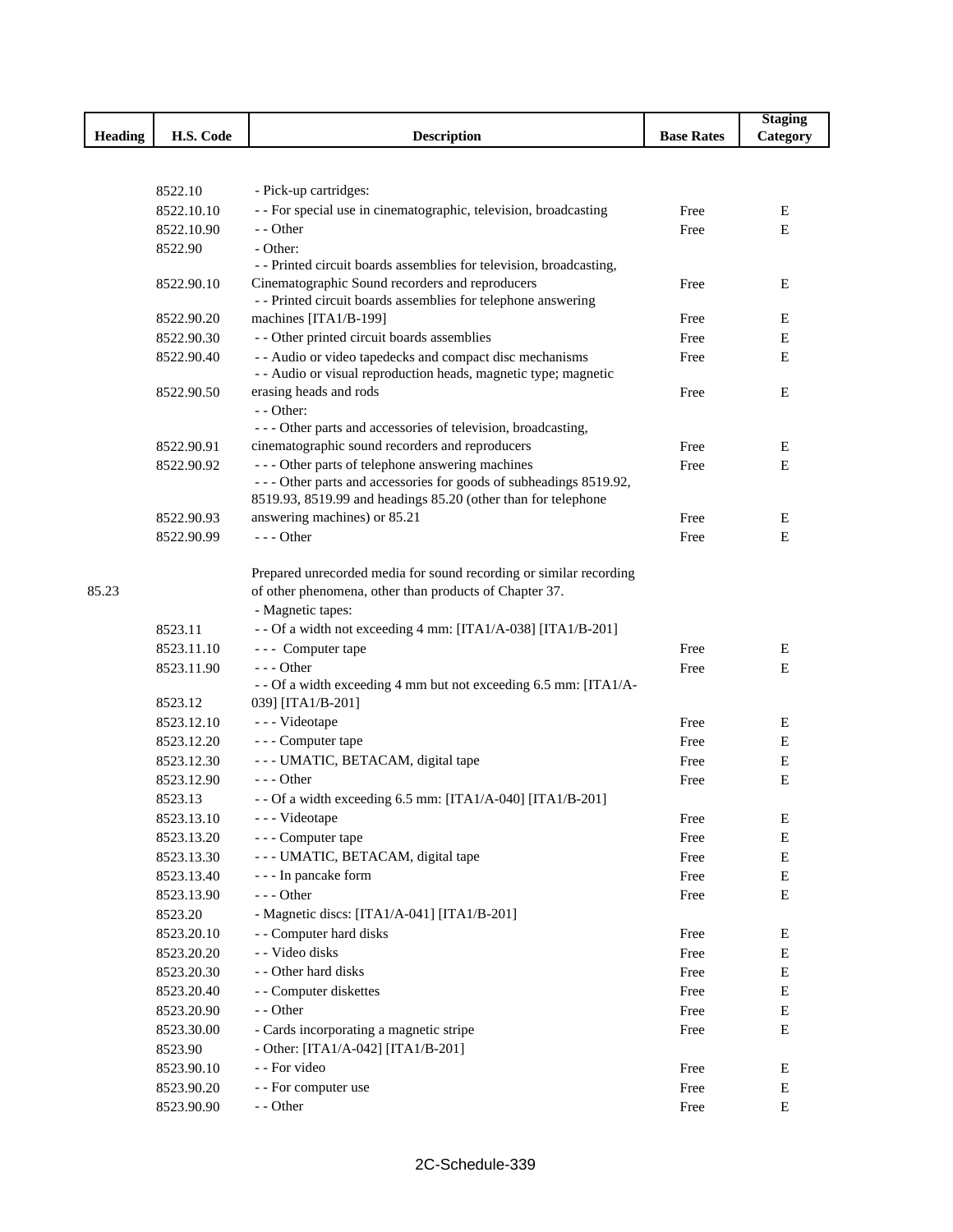|                |            |                                                                                                                  |                   | <b>Staging</b> |
|----------------|------------|------------------------------------------------------------------------------------------------------------------|-------------------|----------------|
| <b>Heading</b> | H.S. Code  | <b>Description</b>                                                                                               | <b>Base Rates</b> | Category       |
|                |            |                                                                                                                  |                   |                |
|                |            |                                                                                                                  |                   |                |
|                | 8522.10    | - Pick-up cartridges:                                                                                            |                   |                |
|                | 8522.10.10 | - - For special use in cinematographic, television, broadcasting                                                 | Free              | Ε              |
|                | 8522.10.90 | - - Other                                                                                                        | Free              | E              |
|                | 8522.90    | - Other:                                                                                                         |                   |                |
|                |            | - - Printed circuit boards assemblies for television, broadcasting,                                              |                   |                |
|                | 8522.90.10 | Cinematographic Sound recorders and reproducers<br>- - Printed circuit boards assemblies for telephone answering | Free              | Е              |
|                | 8522.90.20 | machines [ITA1/B-199]                                                                                            | Free              | Е              |
|                | 8522.90.30 | - - Other printed circuit boards assemblies                                                                      | Free              | E              |
|                | 8522.90.40 | - - Audio or video tapedecks and compact disc mechanisms                                                         | Free              | Е              |
|                |            | - - Audio or visual reproduction heads, magnetic type; magnetic                                                  |                   |                |
|                | 8522.90.50 | erasing heads and rods                                                                                           | Free              | E              |
|                |            | $-$ - Other:                                                                                                     |                   |                |
|                |            | --- Other parts and accessories of television, broadcasting,                                                     |                   |                |
|                | 8522.90.91 | cinematographic sound recorders and reproducers                                                                  | Free              | E              |
|                | 8522.90.92 | --- Other parts of telephone answering machines                                                                  | Free              | Е              |
|                |            | --- Other parts and accessories for goods of subheadings 8519.92,                                                |                   |                |
|                |            | 8519.93, 8519.99 and headings 85.20 (other than for telephone                                                    |                   |                |
|                | 8522.90.93 | answering machines) or 85.21                                                                                     | Free              | Е              |
|                | 8522.90.99 | $--$ Other                                                                                                       | Free              | E              |
|                |            |                                                                                                                  |                   |                |
|                |            | Prepared unrecorded media for sound recording or similar recording                                               |                   |                |
| 85.23          |            | of other phenomena, other than products of Chapter 37.                                                           |                   |                |
|                |            | - Magnetic tapes:                                                                                                |                   |                |
|                | 8523.11    | - - Of a width not exceeding 4 mm: [ITA1/A-038] [ITA1/B-201]                                                     |                   |                |
|                | 8523.11.10 | --- Computer tape                                                                                                | Free              | E              |
|                | 8523.11.90 | $--$ Other<br>- - Of a width exceeding 4 mm but not exceeding 6.5 mm: [ITA1/A-                                   | Free              | E              |
|                | 8523.12    | 039] [ITA1/B-201]                                                                                                |                   |                |
|                | 8523.12.10 | - - - Videotape                                                                                                  | Free              | Е              |
|                | 8523.12.20 | - - - Computer tape                                                                                              | Free              | Е              |
|                | 8523.12.30 | --- UMATIC, BETACAM, digital tape                                                                                | Free              | Е              |
|                | 8523.12.90 | $--$ Other                                                                                                       | Free              | E              |
|                | 8523.13    | - - Of a width exceeding 6.5 mm: [ITA1/A-040] [ITA1/B-201]                                                       |                   |                |
|                | 8523.13.10 | --- Videotape                                                                                                    | Free              | E              |
|                | 8523.13.20 | - - - Computer tape                                                                                              | Free              | ${\bf E}$      |
|                | 8523.13.30 | --- UMATIC, BETACAM, digital tape                                                                                | Free              | ${\bf E}$      |
|                | 8523.13.40 | - - - In pancake form                                                                                            | Free              | ${\bf E}$      |
|                | 8523.13.90 | $--$ Other                                                                                                       | Free              | Е              |
|                | 8523.20    | - Magnetic discs: [ITA1/A-041] [ITA1/B-201]                                                                      |                   |                |
|                | 8523.20.10 | - - Computer hard disks                                                                                          | Free              | Е              |
|                | 8523.20.20 | - - Video disks                                                                                                  | Free              | ${\bf E}$      |
|                | 8523.20.30 | - - Other hard disks                                                                                             | Free              | E              |
|                |            | - - Computer diskettes                                                                                           | Free              |                |
|                | 8523.20.40 | - - Other                                                                                                        |                   | E              |
|                | 8523.20.90 |                                                                                                                  | Free              | E              |
|                | 8523.30.00 | - Cards incorporating a magnetic stripe                                                                          | Free              | E              |
|                | 8523.90    | - Other: [ITA1/A-042] [ITA1/B-201]<br>- - For video                                                              |                   |                |
|                | 8523.90.10 |                                                                                                                  | Free              | E              |
|                | 8523.90.20 | - - For computer use<br>- - Other                                                                                | Free              | E<br>${\bf E}$ |
|                | 8523.90.90 |                                                                                                                  | Free              |                |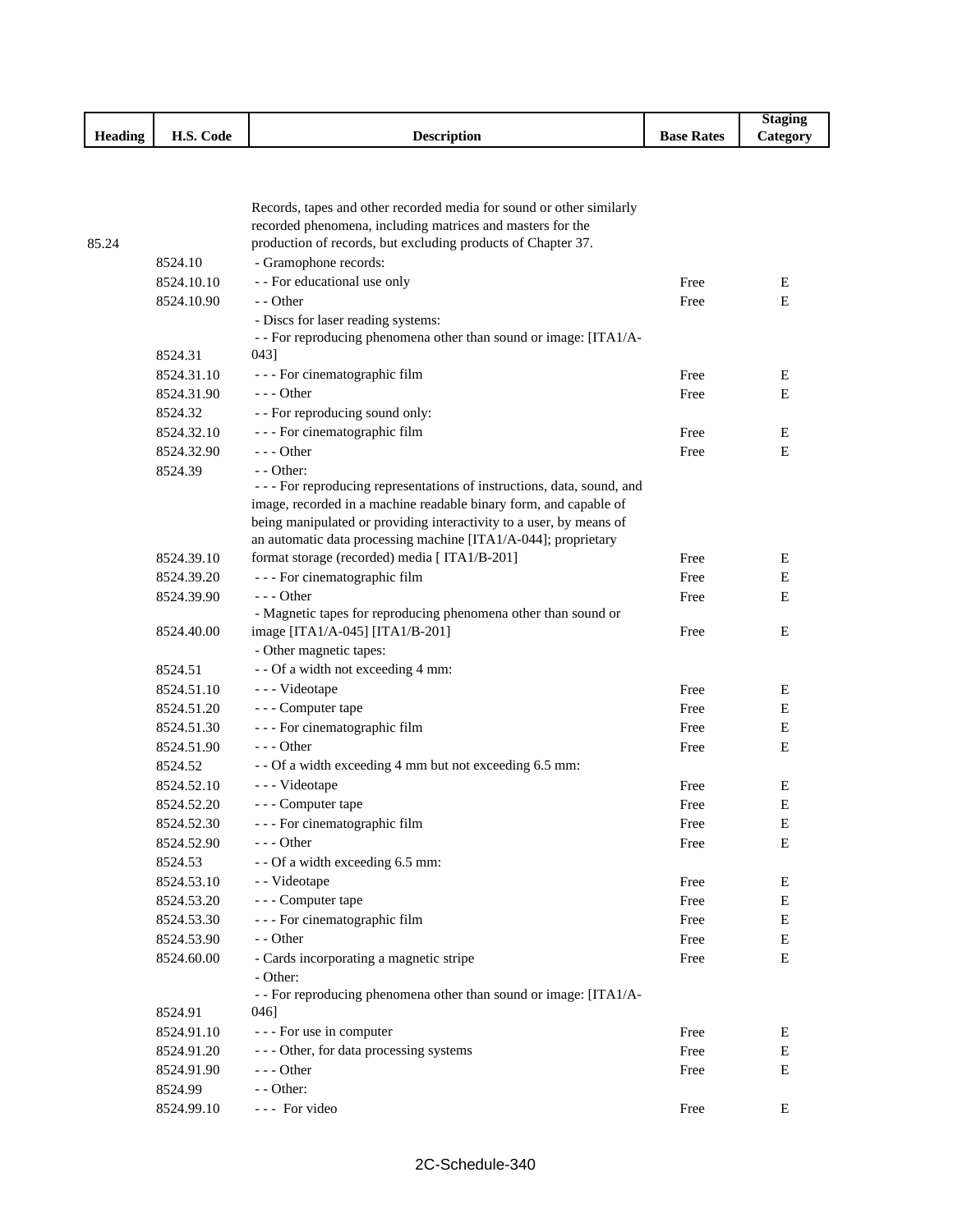|         |              |                    |                   | Stagin          |
|---------|--------------|--------------------|-------------------|-----------------|
| Heading | Code<br>п.э. | <b>Description</b> | <b>Base Rates</b> | <b>Category</b> |

|       |            | Records, tapes and other recorded media for sound or other similarly                    |      |           |
|-------|------------|-----------------------------------------------------------------------------------------|------|-----------|
|       |            | recorded phenomena, including matrices and masters for the                              |      |           |
| 85.24 |            | production of records, but excluding products of Chapter 37.                            |      |           |
|       | 8524.10    | - Gramophone records:                                                                   |      |           |
|       | 8524.10.10 | - - For educational use only                                                            | Free | Е         |
|       | 8524.10.90 | - - Other                                                                               | Free | Ε         |
|       |            | - Discs for laser reading systems:                                                      |      |           |
|       |            | - - For reproducing phenomena other than sound or image: [ITA1/A-                       |      |           |
|       | 8524.31    | 043]                                                                                    |      |           |
|       | 8524.31.10 | - - - For cinematographic film                                                          | Free | E         |
|       | 8524.31.90 | $--$ Other                                                                              | Free | Ε         |
|       | 8524.32    | - - For reproducing sound only:                                                         |      |           |
|       | 8524.32.10 | - - - For cinematographic film                                                          | Free | E         |
|       | 8524.32.90 | $--$ Other                                                                              | Free | E         |
|       | 8524.39    | $-$ - Other:<br>- - - For reproducing representations of instructions, data, sound, and |      |           |
|       |            | image, recorded in a machine readable binary form, and capable of                       |      |           |
|       |            | being manipulated or providing interactivity to a user, by means of                     |      |           |
|       |            | an automatic data processing machine [ITA1/A-044]; proprietary                          |      |           |
|       | 8524.39.10 | format storage (recorded) media [ ITA1/B-201]                                           | Free | E         |
|       | 8524.39.20 | - - - For cinematographic film                                                          | Free | E         |
|       | 8524.39.90 | $--$ Other                                                                              | Free | E         |
|       |            | - Magnetic tapes for reproducing phenomena other than sound or                          |      |           |
|       | 8524.40.00 | image [ITA1/A-045] [ITA1/B-201]                                                         | Free | Ε         |
|       |            | - Other magnetic tapes:                                                                 |      |           |
|       | 8524.51    | - - Of a width not exceeding 4 mm:                                                      |      |           |
|       | 8524.51.10 | - - - Videotape                                                                         | Free | E         |
|       | 8524.51.20 | - - - Computer tape                                                                     | Free | Е         |
|       | 8524.51.30 | - - - For cinematographic film                                                          | Free | Е         |
|       | 8524.51.90 | $--$ Other                                                                              | Free | Е         |
|       | 8524.52    | - - Of a width exceeding 4 mm but not exceeding 6.5 mm:                                 |      |           |
|       | 8524.52.10 | --- Videotape                                                                           | Free | E         |
|       | 8524.52.20 | --- Computer tape                                                                       | Free | Е         |
|       | 8524.52.30 | - - - For cinematographic film                                                          | Free | Ε         |
|       | 8524.52.90 | $- -$ Other                                                                             | Free | E         |
|       | 8524.53    | - - Of a width exceeding 6.5 mm:                                                        |      |           |
|       | 8524.53.10 | - Videotape                                                                             | Free | Ε         |
|       | 8524.53.20 | --- Computer tape                                                                       | Free | ${\bf E}$ |
|       | 8524.53.30 | - - - For cinematographic film                                                          | Free | Е         |
|       | 8524.53.90 | - - Other                                                                               | Free | Е         |
|       | 8524.60.00 | - Cards incorporating a magnetic stripe                                                 | Free | Ε         |
|       |            | - Other:                                                                                |      |           |
|       |            | - - For reproducing phenomena other than sound or image: [ITA1/A-                       |      |           |
|       | 8524.91    | 046]                                                                                    |      |           |
|       | 8524.91.10 | - - - For use in computer                                                               | Free | Е         |
|       | 8524.91.20 | --- Other, for data processing systems                                                  | Free | Е         |
|       | 8524.91.90 | $--$ Other                                                                              | Free | Е         |
|       | 8524.99    | $-$ - Other:                                                                            |      |           |
|       | 8524.99.10 | --- For video                                                                           | Free | Е         |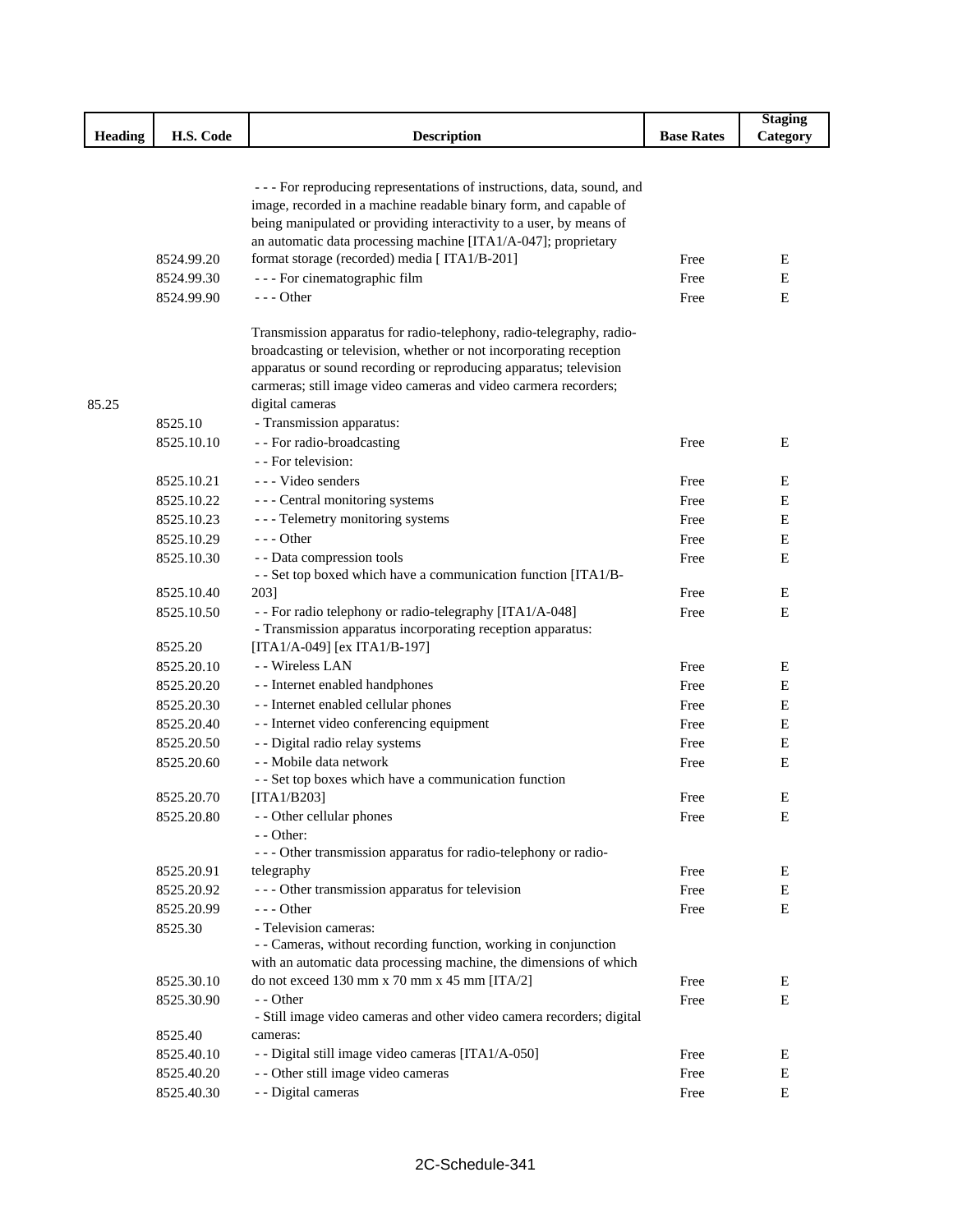|                |            |                                                                                                                                          |                   | <b>Staging</b> |
|----------------|------------|------------------------------------------------------------------------------------------------------------------------------------------|-------------------|----------------|
| <b>Heading</b> | H.S. Code  | <b>Description</b>                                                                                                                       | <b>Base Rates</b> | Category       |
|                |            |                                                                                                                                          |                   |                |
|                |            |                                                                                                                                          |                   |                |
|                |            | - - - For reproducing representations of instructions, data, sound, and                                                                  |                   |                |
|                |            | image, recorded in a machine readable binary form, and capable of<br>being manipulated or providing interactivity to a user, by means of |                   |                |
|                |            | an automatic data processing machine [ITA1/A-047]; proprietary                                                                           |                   |                |
|                | 8524.99.20 | format storage (recorded) media [ ITA1/B-201]                                                                                            | Free              | E              |
|                | 8524.99.30 | - - - For cinematographic film                                                                                                           | Free              | E              |
|                | 8524.99.90 | $--$ Other                                                                                                                               | Free              | Ε              |
|                |            |                                                                                                                                          |                   |                |
|                |            | Transmission apparatus for radio-telephony, radio-telegraphy, radio-                                                                     |                   |                |
|                |            | broadcasting or television, whether or not incorporating reception                                                                       |                   |                |
|                |            | apparatus or sound recording or reproducing apparatus; television                                                                        |                   |                |
|                |            | carmeras; still image video cameras and video carmera recorders;                                                                         |                   |                |
| 85.25          |            | digital cameras                                                                                                                          |                   |                |
|                | 8525.10    | - Transmission apparatus:                                                                                                                |                   |                |
|                | 8525.10.10 | - - For radio-broadcasting                                                                                                               | Free              | E              |
|                |            | - - For television:                                                                                                                      |                   |                |
|                | 8525.10.21 | --- Video senders                                                                                                                        | Free              | Ε              |
|                | 8525.10.22 | --- Central monitoring systems                                                                                                           | Free              | E              |
|                | 8525.10.23 | - - - Telemetry monitoring systems                                                                                                       | Free              | E              |
|                | 8525.10.29 | $--$ Other                                                                                                                               | Free              | E              |
|                | 8525.10.30 | - - Data compression tools                                                                                                               | Free              | Ε              |
|                |            | - - Set top boxed which have a communication function [ITA1/B-                                                                           |                   |                |
|                | 8525.10.40 | 203]                                                                                                                                     | Free              | E              |
|                | 8525.10.50 | - - For radio telephony or radio-telegraphy [ITA1/A-048]                                                                                 | Free              | E              |
|                | 8525.20    | - Transmission apparatus incorporating reception apparatus:<br>[ITA1/A-049] [ex ITA1/B-197]                                              |                   |                |
|                | 8525.20.10 | - - Wireless LAN                                                                                                                         | Free              | E              |
|                | 8525.20.20 | - - Internet enabled handphones                                                                                                          | Free              | E              |
|                | 8525.20.30 | - - Internet enabled cellular phones                                                                                                     | Free              | E              |
|                | 8525.20.40 | - - Internet video conferencing equipment                                                                                                | Free              | E              |
|                | 8525.20.50 | - - Digital radio relay systems                                                                                                          | Free              | E              |
|                | 8525.20.60 | - - Mobile data network                                                                                                                  | Free              | Ε              |
|                |            | - - Set top boxes which have a communication function                                                                                    |                   |                |
|                | 8525.20.70 | [TA1/B203]                                                                                                                               | Free              | Е              |
|                | 8525.20.80 | - - Other cellular phones                                                                                                                | Free              | Е              |
|                |            | - - Other:                                                                                                                               |                   |                |
|                |            | - - - Other transmission apparatus for radio-telephony or radio-                                                                         |                   |                |
|                | 8525.20.91 | telegraphy                                                                                                                               | Free              | E              |
|                | 8525.20.92 | --- Other transmission apparatus for television                                                                                          | Free              | Е              |
|                | 8525.20.99 | --- Other                                                                                                                                | Free              | E              |
|                | 8525.30    | - Television cameras:                                                                                                                    |                   |                |
|                |            | - - Cameras, without recording function, working in conjunction                                                                          |                   |                |
|                |            | with an automatic data processing machine, the dimensions of which                                                                       |                   |                |
|                | 8525.30.10 | do not exceed 130 mm x 70 mm x 45 mm [ITA/2]                                                                                             | Free              | Е              |
|                | 8525.30.90 | - - Other                                                                                                                                | Free              | E              |
|                |            | - Still image video cameras and other video camera recorders; digital                                                                    |                   |                |
|                | 8525.40    | cameras:                                                                                                                                 |                   |                |
|                | 8525.40.10 | - - Digital still image video cameras [ITA1/A-050]                                                                                       | Free              | Е              |
|                | 8525.40.20 | - - Other still image video cameras                                                                                                      | Free              | Е              |
|                | 8525.40.30 | - - Digital cameras                                                                                                                      | Free              | E              |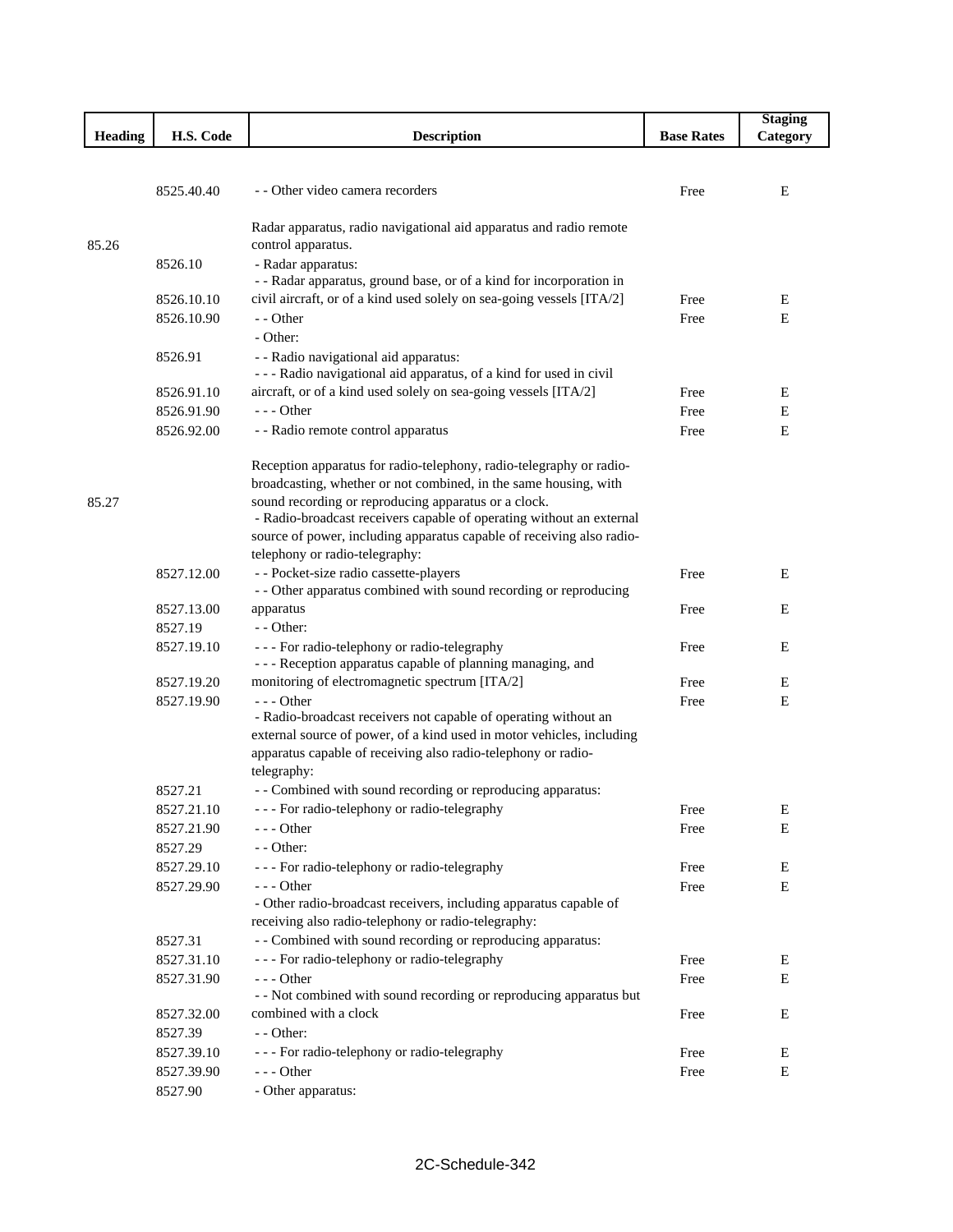|                |            |                                                                                           |                   | <b>Staging</b> |
|----------------|------------|-------------------------------------------------------------------------------------------|-------------------|----------------|
| <b>Heading</b> | H.S. Code  | <b>Description</b>                                                                        | <b>Base Rates</b> | Category       |
|                |            |                                                                                           |                   |                |
|                |            |                                                                                           |                   |                |
|                | 8525.40.40 | - - Other video camera recorders                                                          | Free              | E              |
|                |            |                                                                                           |                   |                |
|                |            | Radar apparatus, radio navigational aid apparatus and radio remote                        |                   |                |
| 85.26          |            | control apparatus.                                                                        |                   |                |
|                | 8526.10    | - Radar apparatus:<br>- - Radar apparatus, ground base, or of a kind for incorporation in |                   |                |
|                | 8526.10.10 | civil aircraft, or of a kind used solely on sea-going vessels [ITA/2]                     | Free              | E              |
|                | 8526.10.90 | - - Other                                                                                 | Free              | E              |
|                |            | - Other:                                                                                  |                   |                |
|                | 8526.91    | - - Radio navigational aid apparatus:                                                     |                   |                |
|                |            | - - - Radio navigational aid apparatus, of a kind for used in civil                       |                   |                |
|                | 8526.91.10 | aircraft, or of a kind used solely on sea-going vessels [ITA/2]                           | Free              | E              |
|                | 8526.91.90 | $--$ Other                                                                                | Free              | Ε              |
|                | 8526.92.00 | - - Radio remote control apparatus                                                        | Free              | Ε              |
|                |            |                                                                                           |                   |                |
|                |            | Reception apparatus for radio-telephony, radio-telegraphy or radio-                       |                   |                |
|                |            | broadcasting, whether or not combined, in the same housing, with                          |                   |                |
| 85.27          |            | sound recording or reproducing apparatus or a clock.                                      |                   |                |
|                |            | - Radio-broadcast receivers capable of operating without an external                      |                   |                |
|                |            | source of power, including apparatus capable of receiving also radio-                     |                   |                |
|                |            | telephony or radio-telegraphy:                                                            |                   |                |
|                | 8527.12.00 | - - Pocket-size radio cassette-players                                                    | Free              | E              |
|                |            | - - Other apparatus combined with sound recording or reproducing                          |                   |                |
|                | 8527.13.00 | apparatus                                                                                 | Free              | Ε              |
|                | 8527.19    | $-$ - Other:                                                                              |                   |                |
|                | 8527.19.10 | - - - For radio-telephony or radio-telegraphy                                             | Free              | Е              |
|                |            | - - - Reception apparatus capable of planning managing, and                               |                   |                |
|                | 8527.19.20 | monitoring of electromagnetic spectrum [ITA/2]                                            | Free              | Ε              |
|                | 8527.19.90 | - - - Other<br>- Radio-broadcast receivers not capable of operating without an            | Free              | E              |
|                |            | external source of power, of a kind used in motor vehicles, including                     |                   |                |
|                |            | apparatus capable of receiving also radio-telephony or radio-                             |                   |                |
|                |            | telegraphy:                                                                               |                   |                |
|                | 8527.21    | - - Combined with sound recording or reproducing apparatus:                               |                   |                |
|                | 8527.21.10 | - - - For radio-telephony or radio-telegraphy                                             | Free              | E              |
|                | 8527.21.90 | - - - Other                                                                               | Free              | Ε              |
|                | 8527.29    | - - Other:                                                                                |                   |                |
|                | 8527.29.10 | - - - For radio-telephony or radio-telegraphy                                             | Free              | E              |
|                | 8527.29.90 | $--$ Other                                                                                | Free              | Ε              |
|                |            | - Other radio-broadcast receivers, including apparatus capable of                         |                   |                |
|                |            | receiving also radio-telephony or radio-telegraphy:                                       |                   |                |
|                | 8527.31    | - - Combined with sound recording or reproducing apparatus:                               |                   |                |
|                | 8527.31.10 | - - - For radio-telephony or radio-telegraphy                                             | Free              | Ε              |
|                | 8527.31.90 | $--$ Other                                                                                | Free              | E              |
|                |            | - - Not combined with sound recording or reproducing apparatus but                        |                   |                |
|                | 8527.32.00 | combined with a clock                                                                     | Free              | E              |
|                | 8527.39    | - - Other:                                                                                |                   |                |
|                | 8527.39.10 | - - - For radio-telephony or radio-telegraphy                                             | Free              | Ε              |
|                | 8527.39.90 | - - - Other                                                                               | Free              | Е              |
|                | 8527.90    | - Other apparatus:                                                                        |                   |                |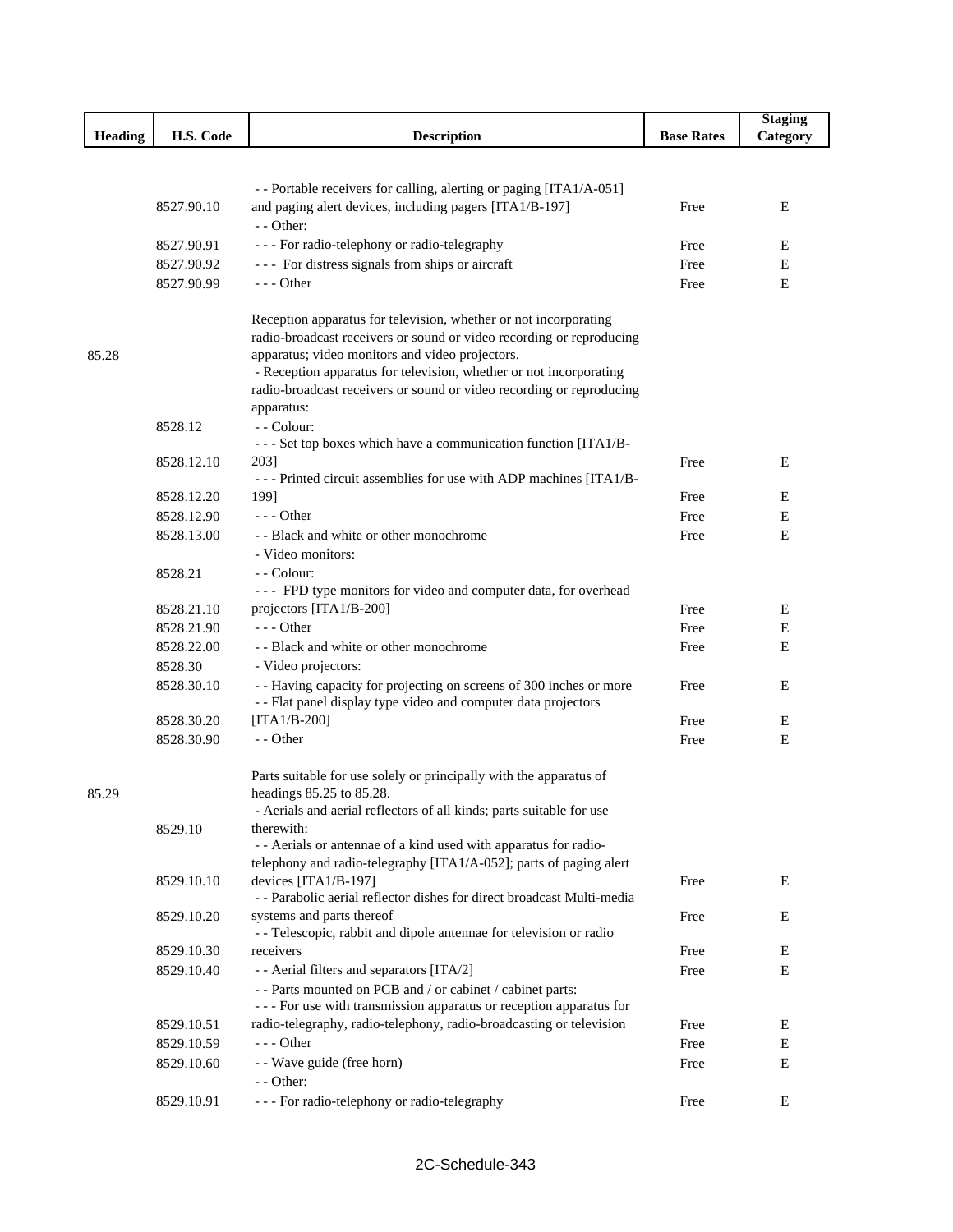|                |            |                                                                                                                                |                   | <b>Staging</b> |
|----------------|------------|--------------------------------------------------------------------------------------------------------------------------------|-------------------|----------------|
| <b>Heading</b> | H.S. Code  | <b>Description</b>                                                                                                             | <b>Base Rates</b> | Category       |
|                |            |                                                                                                                                |                   |                |
|                |            |                                                                                                                                |                   |                |
|                |            | - - Portable receivers for calling, alerting or paging [ITA1/A-051]<br>and paging alert devices, including pagers [ITA1/B-197] |                   |                |
|                | 8527.90.10 | $-$ - Other:                                                                                                                   | Free              | Ε              |
|                | 8527.90.91 | - - - For radio-telephony or radio-telegraphy                                                                                  | Free              | Ε              |
|                | 8527.90.92 | --- For distress signals from ships or aircraft                                                                                | Free              | E              |
|                | 8527.90.99 | $--$ Other                                                                                                                     | Free              | E              |
|                |            |                                                                                                                                |                   |                |
|                |            | Reception apparatus for television, whether or not incorporating                                                               |                   |                |
|                |            | radio-broadcast receivers or sound or video recording or reproducing                                                           |                   |                |
| 85.28          |            | apparatus; video monitors and video projectors.                                                                                |                   |                |
|                |            | - Reception apparatus for television, whether or not incorporating                                                             |                   |                |
|                |            | radio-broadcast receivers or sound or video recording or reproducing                                                           |                   |                |
|                |            | apparatus:                                                                                                                     |                   |                |
|                | 8528.12    | - - Colour:                                                                                                                    |                   |                |
|                | 8528.12.10 | - - - Set top boxes which have a communication function [ITA1/B-<br>2031                                                       | Free              | Ε              |
|                |            | --- Printed circuit assemblies for use with ADP machines [ITA1/B-                                                              |                   |                |
|                | 8528.12.20 | 199]                                                                                                                           | Free              | Е              |
|                | 8528.12.90 | $--$ Other                                                                                                                     | Free              | Ε              |
|                | 8528.13.00 | - - Black and white or other monochrome                                                                                        | Free              | E              |
|                |            | - Video monitors:                                                                                                              |                   |                |
|                | 8528.21    | - - Colour:                                                                                                                    |                   |                |
|                |            | --- FPD type monitors for video and computer data, for overhead                                                                |                   |                |
|                | 8528.21.10 | projectors [ITA1/B-200]                                                                                                        | Free              | Ε              |
|                | 8528.21.90 | $--$ Other                                                                                                                     | Free              | Ε              |
|                | 8528.22.00 | - - Black and white or other monochrome                                                                                        | Free              | E              |
|                | 8528.30    | - Video projectors:                                                                                                            |                   |                |
|                | 8528.30.10 | - - Having capacity for projecting on screens of 300 inches or more                                                            | Free              | Ε              |
|                |            | - - Flat panel display type video and computer data projectors                                                                 |                   |                |
|                | 8528.30.20 | $[ITA1/B-200]$                                                                                                                 | Free              | Ε              |
|                | 8528.30.90 | - - Other                                                                                                                      | Free              | Ε              |
|                |            | Parts suitable for use solely or principally with the apparatus of                                                             |                   |                |
| 85.29          |            | headings 85.25 to 85.28.                                                                                                       |                   |                |
|                |            | - Aerials and aerial reflectors of all kinds; parts suitable for use                                                           |                   |                |
|                | 8529.10    | therewith:                                                                                                                     |                   |                |
|                |            | - - Aerials or antennae of a kind used with apparatus for radio-                                                               |                   |                |
|                |            | telephony and radio-telegraphy [ITA1/A-052]; parts of paging alert                                                             |                   |                |
|                | 8529.10.10 | devices [ITA1/B-197]                                                                                                           | Free              | E              |
|                |            | - - Parabolic aerial reflector dishes for direct broadcast Multi-media                                                         |                   |                |
|                | 8529.10.20 | systems and parts thereof<br>- - Telescopic, rabbit and dipole antennae for television or radio                                | Free              | E              |
|                | 8529.10.30 | receivers                                                                                                                      | Free              | E              |
|                | 8529.10.40 | - - Aerial filters and separators [ITA/2]                                                                                      | Free              | $\mathbf E$    |
|                |            | - - Parts mounted on PCB and / or cabinet / cabinet parts:                                                                     |                   |                |
|                |            | - - - For use with transmission apparatus or reception apparatus for                                                           |                   |                |
|                | 8529.10.51 | radio-telegraphy, radio-telephony, radio-broadcasting or television                                                            | Free              | Е              |
|                | 8529.10.59 | --- Other                                                                                                                      | Free              | E              |
|                | 8529.10.60 | - - Wave guide (free horn)                                                                                                     | Free              | E              |
|                |            | - - Other:                                                                                                                     |                   |                |
|                | 8529.10.91 | - - - For radio-telephony or radio-telegraphy                                                                                  | Free              | E              |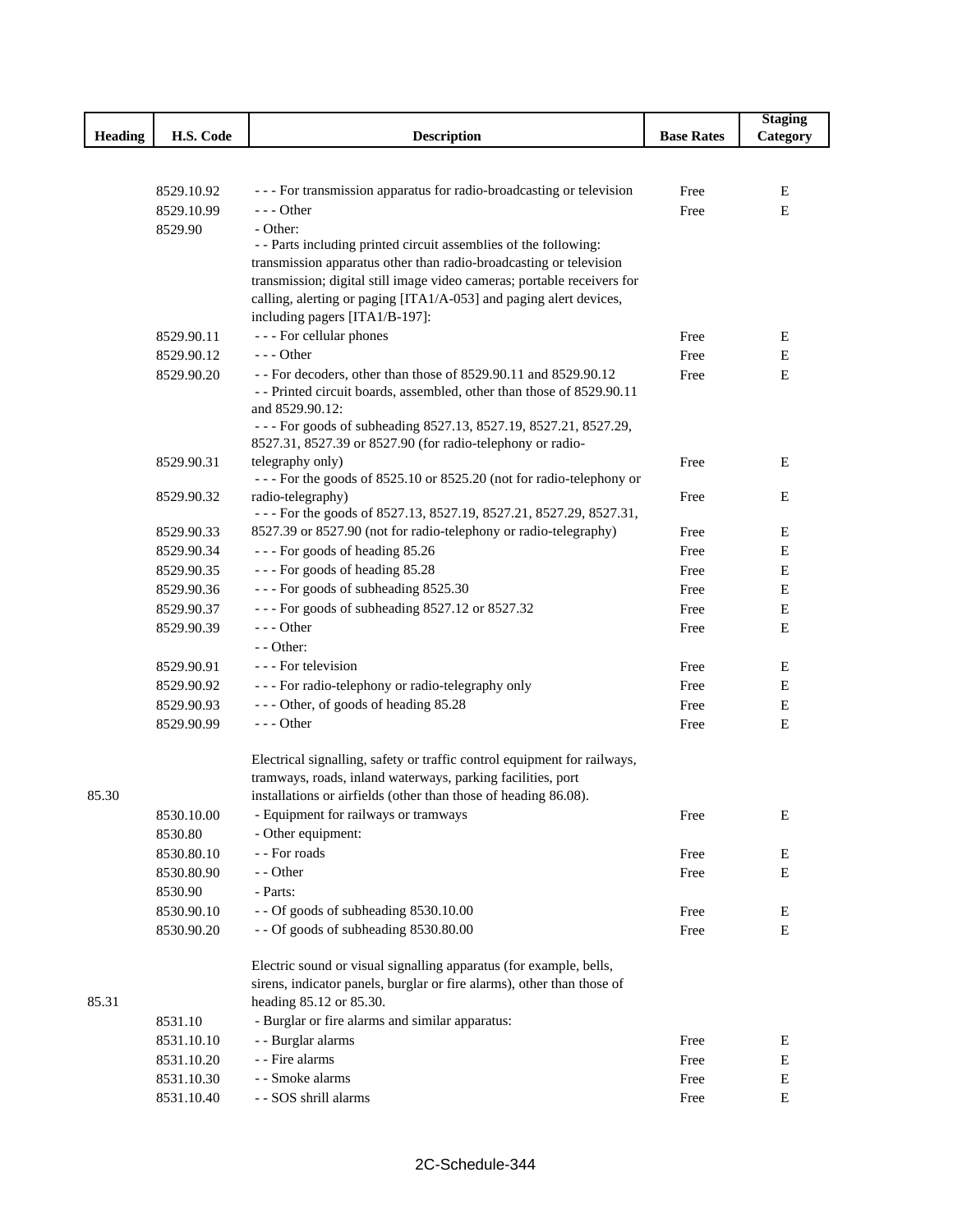|                |                          |                                                                                                                                         |                   | <b>Staging</b> |
|----------------|--------------------------|-----------------------------------------------------------------------------------------------------------------------------------------|-------------------|----------------|
| <b>Heading</b> | H.S. Code                | <b>Description</b>                                                                                                                      | <b>Base Rates</b> | Category       |
|                |                          |                                                                                                                                         |                   |                |
|                |                          |                                                                                                                                         |                   |                |
|                | 8529.10.92               | - - - For transmission apparatus for radio-broadcasting or television                                                                   | Free              | Ε              |
|                | 8529.10.99               | $--$ Other                                                                                                                              | Free              | E              |
|                | 8529.90                  | - Other:                                                                                                                                |                   |                |
|                |                          | - - Parts including printed circuit assemblies of the following:<br>transmission apparatus other than radio-broadcasting or television  |                   |                |
|                |                          | transmission; digital still image video cameras; portable receivers for                                                                 |                   |                |
|                |                          | calling, alerting or paging [ITA1/A-053] and paging alert devices,                                                                      |                   |                |
|                |                          | including pagers [ITA1/B-197]:                                                                                                          |                   |                |
|                | 8529.90.11               | - - - For cellular phones                                                                                                               | Free              | E              |
|                | 8529.90.12               | $--$ Other                                                                                                                              | Free              | E              |
|                | 8529.90.20               | - - For decoders, other than those of 8529.90.11 and 8529.90.12                                                                         | Free              | E              |
|                |                          | - - Printed circuit boards, assembled, other than those of 8529.90.11                                                                   |                   |                |
|                |                          | and 8529.90.12:                                                                                                                         |                   |                |
|                |                          | --- For goods of subheading 8527.13, 8527.19, 8527.21, 8527.29,                                                                         |                   |                |
|                |                          | 8527.31, 8527.39 or 8527.90 (for radio-telephony or radio-                                                                              |                   |                |
|                | 8529.90.31               | telegraphy only)                                                                                                                        | Free              | E              |
|                |                          | --- For the goods of 8525.10 or 8525.20 (not for radio-telephony or                                                                     |                   |                |
|                | 8529.90.32               | radio-telegraphy)                                                                                                                       | Free              | Е              |
|                |                          | - - - For the goods of 8527.13, 8527.19, 8527.21, 8527.29, 8527.31,<br>8527.39 or 8527.90 (not for radio-telephony or radio-telegraphy) |                   |                |
|                | 8529.90.33               |                                                                                                                                         | Free              | E              |
|                | 8529.90.34               | --- For goods of heading 85.26                                                                                                          | Free              | Ε              |
|                | 8529.90.35               | --- For goods of heading 85.28                                                                                                          | Free              | Ε              |
|                | 8529.90.36               | --- For goods of subheading 8525.30                                                                                                     | Free              | Ε              |
|                | 8529.90.37               | --- For goods of subheading 8527.12 or 8527.32                                                                                          | Free              | E              |
|                | 8529.90.39               | $--$ Other<br>$-$ - Other:                                                                                                              | Free              | Ε              |
|                |                          | - - - For television                                                                                                                    |                   |                |
|                | 8529.90.91               |                                                                                                                                         | Free              | E              |
|                | 8529.90.92               | - - - For radio-telephony or radio-telegraphy only                                                                                      | Free              | Ε              |
|                | 8529.90.93<br>8529.90.99 | --- Other, of goods of heading 85.28<br>$- -$ Other                                                                                     | Free              | Ε              |
|                |                          |                                                                                                                                         | Free              | Ε              |
|                |                          | Electrical signalling, safety or traffic control equipment for railways,                                                                |                   |                |
|                |                          | tramways, roads, inland waterways, parking facilities, port                                                                             |                   |                |
| 85.30          |                          | installations or airfields (other than those of heading 86.08).                                                                         |                   |                |
|                | 8530.10.00               | - Equipment for railways or tramways                                                                                                    | Free              | Ε              |
|                | 8530.80                  | - Other equipment:                                                                                                                      |                   |                |
|                | 8530.80.10               | - - For roads                                                                                                                           | Free              | ${\bf E}$      |
|                | 8530.80.90               | - - Other                                                                                                                               | Free              | E              |
|                | 8530.90                  | - Parts:                                                                                                                                |                   |                |
|                | 8530.90.10               | - - Of goods of subheading 8530.10.00                                                                                                   | Free              | Ε              |
|                | 8530.90.20               | - - Of goods of subheading 8530.80.00                                                                                                   | Free              | Ε              |
|                |                          | Electric sound or visual signalling apparatus (for example, bells,                                                                      |                   |                |
|                |                          | sirens, indicator panels, burglar or fire alarms), other than those of                                                                  |                   |                |
| 85.31          |                          | heading 85.12 or 85.30.                                                                                                                 |                   |                |
|                | 8531.10                  | - Burglar or fire alarms and similar apparatus:                                                                                         |                   |                |
|                | 8531.10.10               | - - Burglar alarms                                                                                                                      | Free              | ${\bf E}$      |
|                | 8531.10.20               | - - Fire alarms                                                                                                                         | Free              | Е              |
|                | 8531.10.30               | - - Smoke alarms                                                                                                                        | Free              | ${\bf E}$      |
|                | 8531.10.40               | - - SOS shrill alarms                                                                                                                   | Free              | Е              |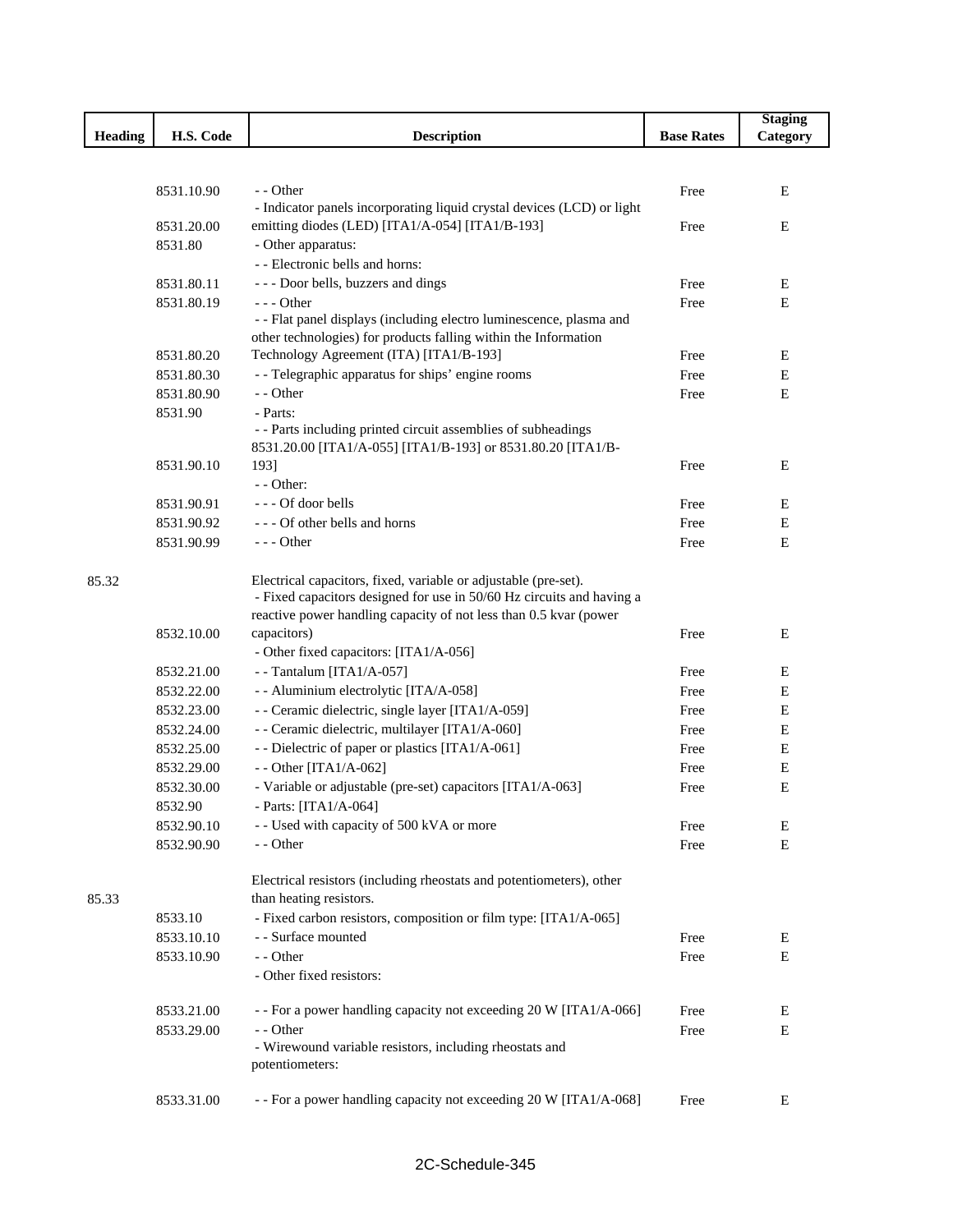|         |            |                                                                        |                   | <b>Staging</b> |
|---------|------------|------------------------------------------------------------------------|-------------------|----------------|
| Heading | H.S. Code  | <b>Description</b>                                                     | <b>Base Rates</b> | Category       |
|         |            |                                                                        |                   |                |
|         |            |                                                                        |                   |                |
|         | 8531.10.90 | - - Other                                                              | Free              | Ε              |
|         |            | - Indicator panels incorporating liquid crystal devices (LCD) or light |                   |                |
|         | 8531.20.00 | emitting diodes (LED) [ITA1/A-054] [ITA1/B-193]                        | Free              | Ε              |
|         | 8531.80    | - Other apparatus:                                                     |                   |                |
|         |            | - - Electronic bells and horns:                                        |                   |                |
|         | 8531.80.11 | --- Door bells, buzzers and dings                                      | Free              | E              |
|         | 8531.80.19 | $--$ Other                                                             | Free              | Ε              |
|         |            | - - Flat panel displays (including electro luminescence, plasma and    |                   |                |
|         |            | other technologies) for products falling within the Information        |                   |                |
|         | 8531.80.20 | Technology Agreement (ITA) [ITA1/B-193]                                | Free              | Е              |
|         | 8531.80.30 | - - Telegraphic apparatus for ships' engine rooms                      | Free              | ${\bf E}$      |
|         | 8531.80.90 | - - Other                                                              | Free              | Ε              |
|         | 8531.90    | - Parts:                                                               |                   |                |
|         |            | - - Parts including printed circuit assemblies of subheadings          |                   |                |
|         |            | 8531.20.00 [ITA1/A-055] [ITA1/B-193] or 8531.80.20 [ITA1/B-            |                   |                |
|         | 8531.90.10 | 193]                                                                   | Free              | E              |
|         |            | $-$ - Other:                                                           |                   |                |
|         | 8531.90.91 | $--$ Of door bells                                                     | Free              | E              |
|         | 8531.90.92 | --- Of other bells and horns                                           | Free              | Ε              |
|         | 8531.90.99 | $--$ Other                                                             | Free              | E              |
| 85.32   |            | Electrical capacitors, fixed, variable or adjustable (pre-set).        |                   |                |
|         |            | - Fixed capacitors designed for use in 50/60 Hz circuits and having a  |                   |                |
|         |            | reactive power handling capacity of not less than 0.5 kvar (power      |                   |                |
|         | 8532.10.00 | capacitors)                                                            | Free              | E              |
|         |            | - Other fixed capacitors: [ITA1/A-056]                                 |                   |                |
|         | 8532.21.00 | --Tantalum [ITA1/A-057]                                                | Free              | E              |
|         | 8532.22.00 | - - Aluminium electrolytic [ITA/A-058]                                 | Free              | Ε              |
|         | 8532.23.00 | - - Ceramic dielectric, single layer [ITA1/A-059]                      | Free              | Ε              |
|         | 8532.24.00 | - - Ceramic dielectric, multilayer [ITA1/A-060]                        | Free              | Е              |
|         | 8532.25.00 | - - Dielectric of paper or plastics [ITA1/A-061]                       | Free              | Ε              |
|         | 8532.29.00 | - - Other [ITA1/A-062]                                                 | Free              | Ε              |
|         | 8532.30.00 | - Variable or adjustable (pre-set) capacitors [ITA1/A-063]             | Free              | Ε              |
|         | 8532.90    | - Parts: $[ITA1/A-064]$                                                |                   |                |
|         | 8532.90.10 | - - Used with capacity of 500 kVA or more                              | Free              | Ε              |
|         | 8532.90.90 | - - Other                                                              | Free              | $\mathbf E$    |
|         |            |                                                                        |                   |                |
|         |            | Electrical resistors (including rheostats and potentiometers), other   |                   |                |
| 85.33   |            | than heating resistors.                                                |                   |                |
|         | 8533.10    | - Fixed carbon resistors, composition or film type: [ITA1/A-065]       |                   |                |
|         | 8533.10.10 | - - Surface mounted                                                    | Free              | E              |
|         | 8533.10.90 | - - Other                                                              | Free              | Ε              |
|         |            | - Other fixed resistors:                                               |                   |                |
|         | 8533.21.00 | - - For a power handling capacity not exceeding 20 W [ITA1/A-066]      | Free              | E              |
|         | 8533.29.00 | - - Other                                                              | Free              | E              |
|         |            | - Wirewound variable resistors, including rheostats and                |                   |                |
|         |            | potentiometers:                                                        |                   |                |
|         |            |                                                                        |                   |                |
|         | 8533.31.00 | - - For a power handling capacity not exceeding 20 W [ITA1/A-068]      | Free              | Ε              |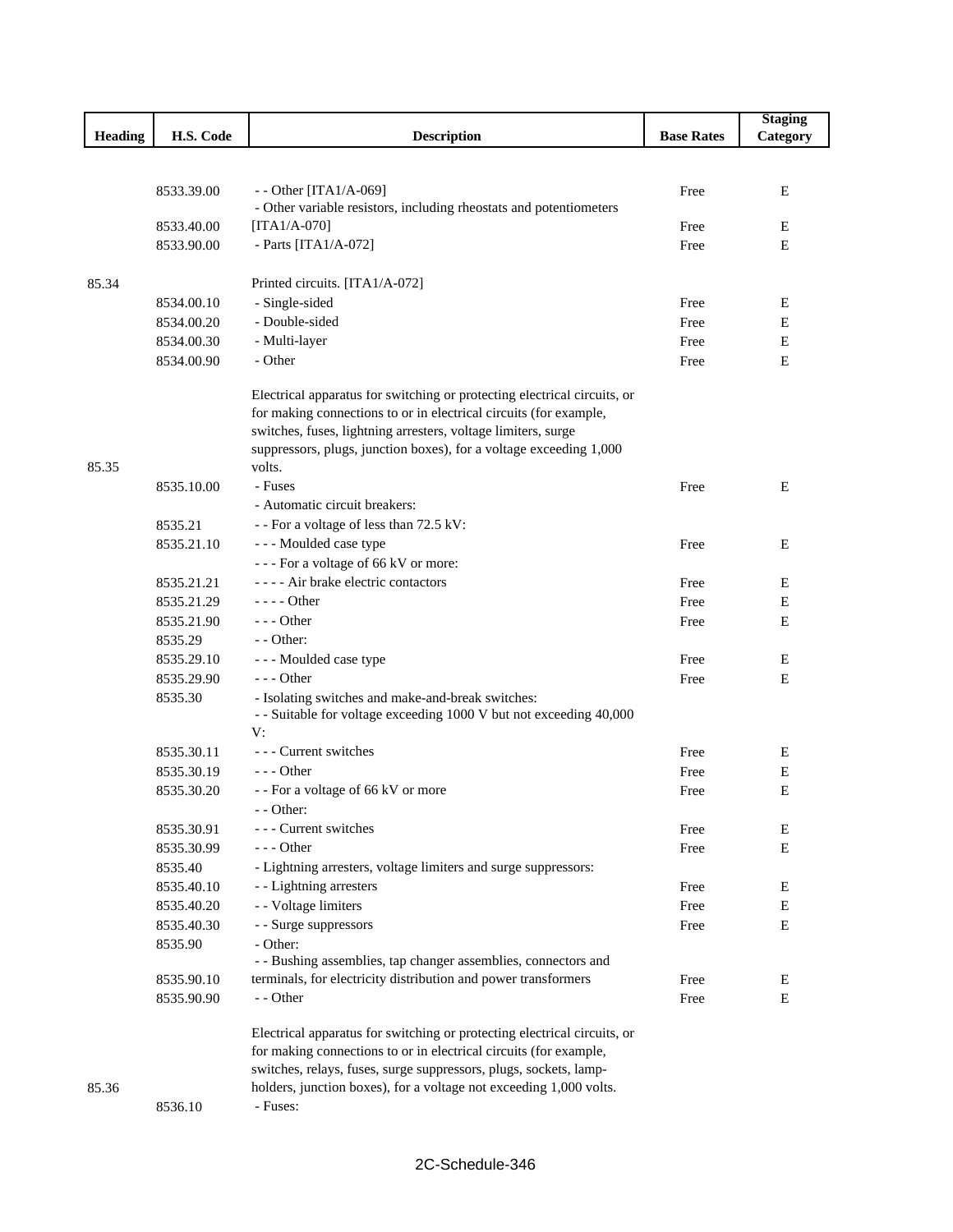|                |            |                                                                                                                                               |                   | <b>Staging</b> |
|----------------|------------|-----------------------------------------------------------------------------------------------------------------------------------------------|-------------------|----------------|
| <b>Heading</b> | H.S. Code  | <b>Description</b>                                                                                                                            | <b>Base Rates</b> | Category       |
|                |            |                                                                                                                                               |                   |                |
|                |            |                                                                                                                                               |                   |                |
|                | 8533.39.00 | - - Other [ITA1/A-069]                                                                                                                        | Free              | Е              |
|                |            | - Other variable resistors, including rheostats and potentiometers                                                                            |                   |                |
|                | 8533.40.00 | $[ITA1/A-070]$                                                                                                                                | Free              | Е              |
|                | 8533.90.00 | - Parts [ITA1/A-072]                                                                                                                          | Free              | E              |
|                |            |                                                                                                                                               |                   |                |
| 85.34          |            | Printed circuits. [ITA1/A-072]                                                                                                                |                   |                |
|                | 8534.00.10 | - Single-sided                                                                                                                                | Free              | Е              |
|                | 8534.00.20 | - Double-sided                                                                                                                                | Free              | E              |
|                | 8534.00.30 | - Multi-layer                                                                                                                                 | Free              | E              |
|                | 8534.00.90 | - Other                                                                                                                                       | Free              | E              |
|                |            | Electrical apparatus for switching or protecting electrical circuits, or<br>for making connections to or in electrical circuits (for example, |                   |                |
|                |            | switches, fuses, lightning arresters, voltage limiters, surge<br>suppressors, plugs, junction boxes), for a voltage exceeding 1,000           |                   |                |
| 85.35          |            | volts.                                                                                                                                        |                   |                |
|                | 8535.10.00 | - Fuses                                                                                                                                       | Free              | E              |
|                |            | - Automatic circuit breakers:                                                                                                                 |                   |                |
|                | 8535.21    | - - For a voltage of less than 72.5 kV:                                                                                                       |                   |                |
|                | 8535.21.10 | --- Moulded case type                                                                                                                         | Free              | Ε              |
|                |            | --- For a voltage of 66 kV or more:                                                                                                           |                   |                |
|                | 8535.21.21 | ---- Air brake electric contactors                                                                                                            | Free              | E              |
|                | 8535.21.29 | $---$ Other                                                                                                                                   | Free              | E              |
|                | 8535.21.90 | $--$ Other                                                                                                                                    | Free              | E              |
|                | 8535.29    | - - Other:                                                                                                                                    |                   |                |
|                | 8535.29.10 | - - - Moulded case type                                                                                                                       | Free              | Ε              |
|                | 8535.29.90 | $--$ Other                                                                                                                                    | Free              | Ε              |
|                | 8535.30    | - Isolating switches and make-and-break switches:                                                                                             |                   |                |
|                |            | - - Suitable for voltage exceeding 1000 V but not exceeding 40,000                                                                            |                   |                |
|                |            | V:                                                                                                                                            |                   |                |
|                | 8535.30.11 | --- Current switches                                                                                                                          | Free              | Ε              |
|                | 8535.30.19 | $- -$ Other                                                                                                                                   | Free              | Е              |
|                | 8535.30.20 | - - For a voltage of 66 kV or more                                                                                                            | Free              | E              |
|                |            | - - Other:                                                                                                                                    |                   |                |
|                | 8535.30.91 | --- Current switches                                                                                                                          | Free              | Е              |
|                | 8535.30.99 | - - - Other                                                                                                                                   | Free              | E              |
|                | 8535.40    | - Lightning arresters, voltage limiters and surge suppressors:                                                                                |                   |                |
|                | 8535.40.10 | - - Lightning arresters                                                                                                                       | Free              | E              |
|                | 8535.40.20 | - - Voltage limiters                                                                                                                          | Free              | E              |
|                | 8535.40.30 | - - Surge suppressors                                                                                                                         | Free              | Е              |
|                | 8535.90    | - Other:                                                                                                                                      |                   |                |
|                |            | - - Bushing assemblies, tap changer assemblies, connectors and<br>terminals, for electricity distribution and power transformers              |                   |                |
|                | 8535.90.10 |                                                                                                                                               | Free              | E              |
|                | 8535.90.90 | - - Other                                                                                                                                     | Free              | E              |
|                |            | Electrical apparatus for switching or protecting electrical circuits, or                                                                      |                   |                |
|                |            | for making connections to or in electrical circuits (for example,                                                                             |                   |                |
|                |            | switches, relays, fuses, surge suppressors, plugs, sockets, lamp-                                                                             |                   |                |
| 85.36          |            | holders, junction boxes), for a voltage not exceeding 1,000 volts.                                                                            |                   |                |
|                | 8536.10    | - Fuses:                                                                                                                                      |                   |                |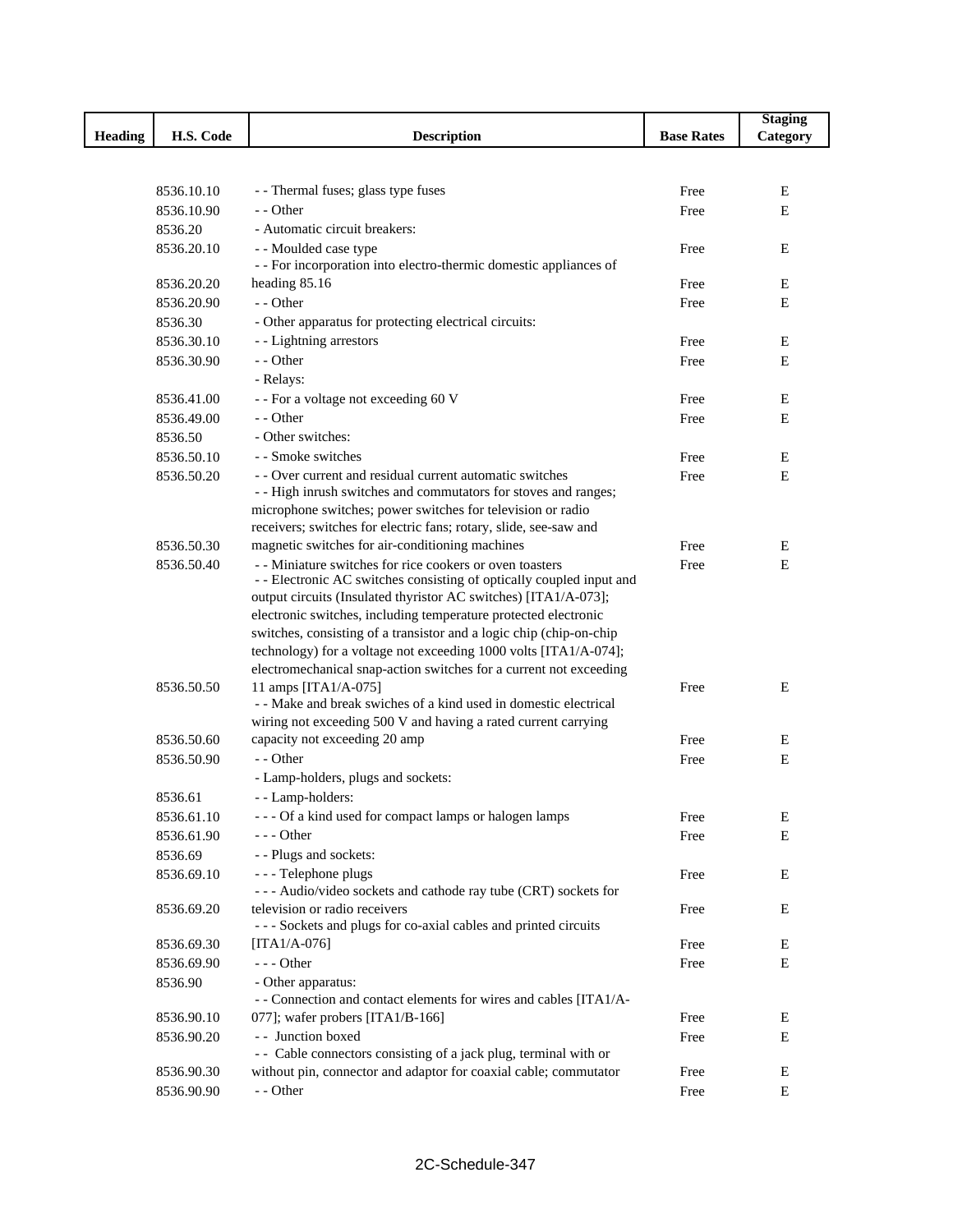|                |            |                                                                                                                                        |                   | <b>Staging</b> |
|----------------|------------|----------------------------------------------------------------------------------------------------------------------------------------|-------------------|----------------|
| <b>Heading</b> | H.S. Code  | <b>Description</b>                                                                                                                     | <b>Base Rates</b> | Category       |
|                |            |                                                                                                                                        |                   |                |
|                |            |                                                                                                                                        |                   |                |
|                | 8536.10.10 | - - Thermal fuses; glass type fuses                                                                                                    | Free              | E              |
|                | 8536.10.90 | - - Other                                                                                                                              | Free              | Ε              |
|                | 8536.20    | - Automatic circuit breakers:                                                                                                          |                   |                |
|                | 8536.20.10 | - - Moulded case type<br>- - For incorporation into electro-thermic domestic appliances of                                             | Free              | E              |
|                | 8536.20.20 | heading 85.16                                                                                                                          | Free              | Ε              |
|                | 8536.20.90 | - - Other                                                                                                                              | Free              | Ε              |
|                | 8536.30    | - Other apparatus for protecting electrical circuits:                                                                                  |                   |                |
|                | 8536.30.10 | - - Lightning arrestors                                                                                                                | Free              | Ε              |
|                | 8536.30.90 | - - Other                                                                                                                              | Free              | E              |
|                |            | - Relays:                                                                                                                              |                   |                |
|                | 8536.41.00 | - - For a voltage not exceeding 60 V                                                                                                   | Free              | Ε              |
|                | 8536.49.00 | - - Other                                                                                                                              | Free              | Ε              |
|                | 8536.50    | - Other switches:                                                                                                                      |                   |                |
|                | 8536.50.10 | - - Smoke switches                                                                                                                     | Free              | Ε              |
|                | 8536.50.20 | - - Over current and residual current automatic switches                                                                               | Free              | Ε              |
|                |            | - - High inrush switches and commutators for stoves and ranges;                                                                        |                   |                |
|                |            | microphone switches; power switches for television or radio                                                                            |                   |                |
|                |            | receivers; switches for electric fans; rotary, slide, see-saw and                                                                      |                   |                |
|                | 8536.50.30 | magnetic switches for air-conditioning machines                                                                                        | Free              | Ε              |
|                | 8536.50.40 | - - Miniature switches for rice cookers or oven toasters                                                                               | Free              | E              |
|                |            | - - Electronic AC switches consisting of optically coupled input and                                                                   |                   |                |
|                |            | output circuits (Insulated thyristor AC switches) [ITA1/A-073];                                                                        |                   |                |
|                |            | electronic switches, including temperature protected electronic<br>switches, consisting of a transistor and a logic chip (chip-on-chip |                   |                |
|                |            | technology) for a voltage not exceeding 1000 volts [ITA1/A-074];                                                                       |                   |                |
|                |            | electromechanical snap-action switches for a current not exceeding                                                                     |                   |                |
|                | 8536.50.50 | 11 amps [ITA1/A-075]                                                                                                                   | Free              | E              |
|                |            | - - Make and break swiches of a kind used in domestic electrical                                                                       |                   |                |
|                |            | wiring not exceeding 500 V and having a rated current carrying                                                                         |                   |                |
|                | 8536.50.60 | capacity not exceeding 20 amp                                                                                                          | Free              | Ε              |
|                | 8536.50.90 | - - Other                                                                                                                              | Free              | Ε              |
|                |            | - Lamp-holders, plugs and sockets:                                                                                                     |                   |                |
|                | 8536.61    | - - Lamp-holders:                                                                                                                      |                   |                |
|                | 8536.61.10 | --- Of a kind used for compact lamps or halogen lamps                                                                                  | Free              | Ε              |
|                | 8536.61.90 | $--$ Other                                                                                                                             | Free              | E              |
|                | 8536.69    | - - Plugs and sockets:                                                                                                                 |                   |                |
|                | 8536.69.10 | - - - Telephone plugs                                                                                                                  | Free              | E              |
|                |            | --- Audio/video sockets and cathode ray tube (CRT) sockets for                                                                         |                   |                |
|                | 8536.69.20 | television or radio receivers<br>- - - Sockets and plugs for co-axial cables and printed circuits                                      | Free              | E              |
|                | 8536.69.30 | $[ITA1/A-076]$                                                                                                                         | Free              | Е              |
|                | 8536.69.90 | $--$ Other                                                                                                                             | Free              | E              |
|                | 8536.90    | - Other apparatus:                                                                                                                     |                   |                |
|                |            | - - Connection and contact elements for wires and cables [ITA1/A-                                                                      |                   |                |
|                | 8536.90.10 | 077]; wafer probers [ITA1/B-166]                                                                                                       | Free              | E              |
|                | 8536.90.20 | - - Junction boxed                                                                                                                     | Free              | E              |
|                |            | - - Cable connectors consisting of a jack plug, terminal with or                                                                       |                   |                |
|                | 8536.90.30 | without pin, connector and adaptor for coaxial cable; commutator                                                                       | Free              | Ε              |
|                | 8536.90.90 | - - Other                                                                                                                              | Free              | E              |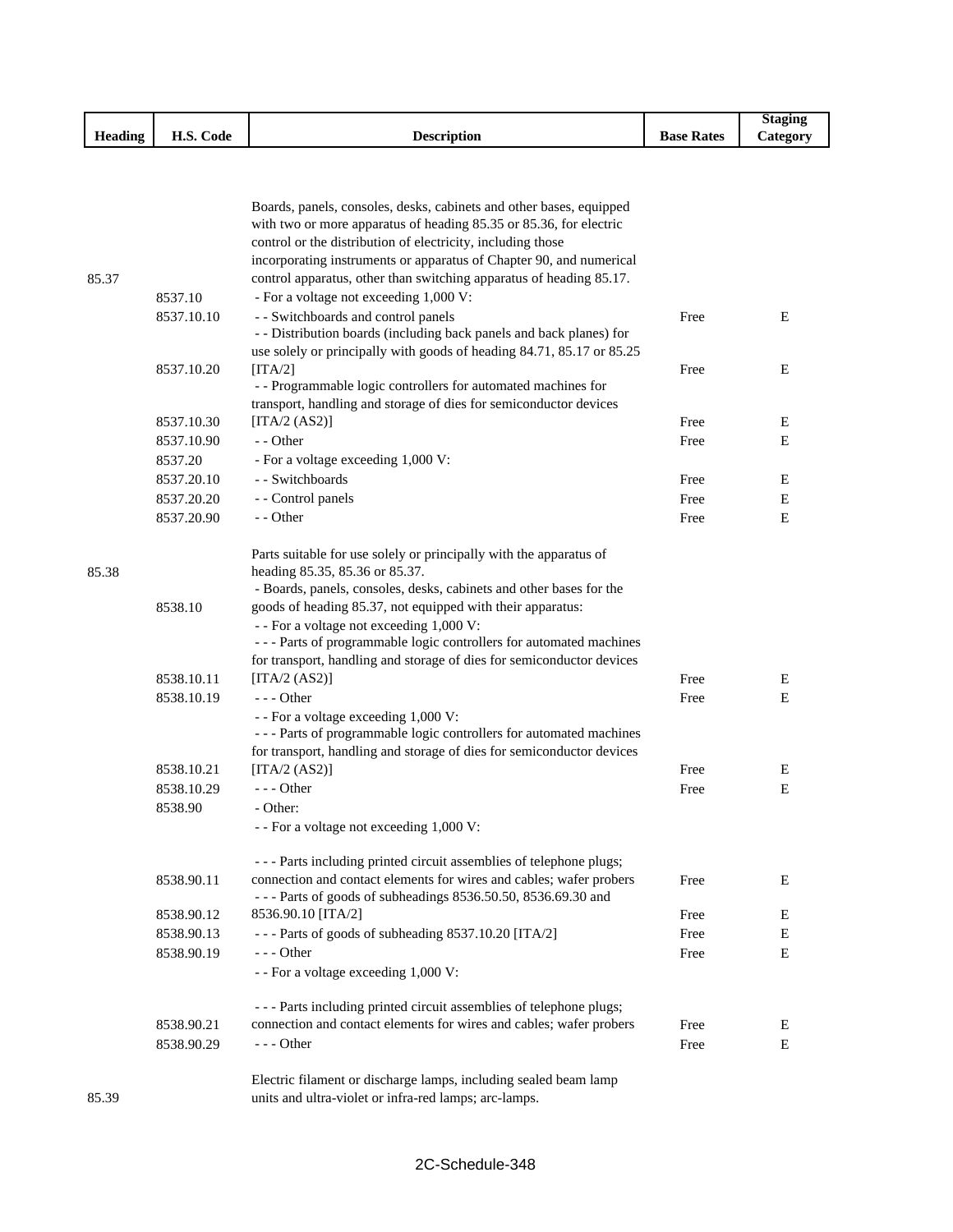|                                   |                                |             |               | Staging<br>$\sim$     |
|-----------------------------------|--------------------------------|-------------|---------------|-----------------------|
| $\cdots$<br>$-$<br><b>Heading</b> | $\sim$<br>TT C<br>Code<br>п.э. | Description | Rates<br>Base | $\mathcal{L}$ ategory |

|       |            | Boards, panels, consoles, desks, cabinets and other bases, equipped<br>with two or more apparatus of heading 85.35 or 85.36, for electric<br>control or the distribution of electricity, including those<br>incorporating instruments or apparatus of Chapter 90, and numerical |      |   |
|-------|------------|---------------------------------------------------------------------------------------------------------------------------------------------------------------------------------------------------------------------------------------------------------------------------------|------|---|
| 85.37 |            | control apparatus, other than switching apparatus of heading 85.17.                                                                                                                                                                                                             |      |   |
|       | 8537.10    | - For a voltage not exceeding 1,000 V:                                                                                                                                                                                                                                          |      |   |
|       | 8537.10.10 | - - Switchboards and control panels<br>- - Distribution boards (including back panels and back planes) for<br>use solely or principally with goods of heading 84.71, 85.17 or 85.25                                                                                             | Free | Е |
|       |            |                                                                                                                                                                                                                                                                                 |      | Е |
|       | 8537.10.20 | [ITA/2]<br>- - Programmable logic controllers for automated machines for                                                                                                                                                                                                        | Free |   |
|       |            | transport, handling and storage of dies for semiconductor devices                                                                                                                                                                                                               |      |   |
|       | 8537.10.30 | [ $\text{ITA}/2 \text{ (AS2)}$ ]                                                                                                                                                                                                                                                | Free | Е |
|       | 8537.10.90 | - - Other                                                                                                                                                                                                                                                                       | Free | E |
|       | 8537.20    | - For a voltage exceeding 1,000 V:                                                                                                                                                                                                                                              |      |   |
|       | 8537.20.10 | - - Switchboards                                                                                                                                                                                                                                                                | Free | Е |
|       | 8537.20.20 | - - Control panels                                                                                                                                                                                                                                                              | Free | Е |
|       | 8537.20.90 | - - Other                                                                                                                                                                                                                                                                       | Free | Е |
| 85.38 |            | Parts suitable for use solely or principally with the apparatus of<br>heading 85.35, 85.36 or 85.37.                                                                                                                                                                            |      |   |
|       |            | - Boards, panels, consoles, desks, cabinets and other bases for the                                                                                                                                                                                                             |      |   |
|       | 8538.10    | goods of heading 85.37, not equipped with their apparatus:                                                                                                                                                                                                                      |      |   |
|       |            | - - For a voltage not exceeding 1,000 V:<br>--- Parts of programmable logic controllers for automated machines                                                                                                                                                                  |      |   |
|       |            | for transport, handling and storage of dies for semiconductor devices                                                                                                                                                                                                           |      |   |
|       | 8538.10.11 | [ITA/2 $(AS2)$ ]                                                                                                                                                                                                                                                                | Free | Е |
|       | 8538.10.19 | $--$ Other                                                                                                                                                                                                                                                                      | Free | E |
|       |            | - - For a voltage exceeding 1,000 V:<br>--- Parts of programmable logic controllers for automated machines                                                                                                                                                                      |      |   |
|       |            | for transport, handling and storage of dies for semiconductor devices                                                                                                                                                                                                           |      |   |
|       | 8538.10.21 | [ITA/2 $(AS2)$ ]                                                                                                                                                                                                                                                                | Free | Е |
|       | 8538.10.29 | $--$ Other                                                                                                                                                                                                                                                                      | Free | Е |
|       | 8538.90    | - Other:<br>- - For a voltage not exceeding 1,000 V:                                                                                                                                                                                                                            |      |   |
|       |            |                                                                                                                                                                                                                                                                                 |      |   |
|       |            | - - - Parts including printed circuit assemblies of telephone plugs;                                                                                                                                                                                                            |      |   |
|       | 8538.90.11 | connection and contact elements for wires and cables; wafer probers<br>--- Parts of goods of subheadings 8536.50.50, 8536.69.30 and                                                                                                                                             | Free | Е |
|       | 8538.90.12 | 8536.90.10 [ITA/2]                                                                                                                                                                                                                                                              | Free | Ε |
|       | 8538.90.13 | --- Parts of goods of subheading 8537.10.20 [ITA/2]                                                                                                                                                                                                                             | Free | Е |
|       | 8538.90.19 | $--$ Other                                                                                                                                                                                                                                                                      | Free | Е |
|       |            | - - For a voltage exceeding 1,000 V:                                                                                                                                                                                                                                            |      |   |
|       |            | - - - Parts including printed circuit assemblies of telephone plugs;                                                                                                                                                                                                            |      |   |
|       | 8538.90.21 | connection and contact elements for wires and cables; wafer probers                                                                                                                                                                                                             | Free | E |
|       | 8538.90.29 | $--$ Other                                                                                                                                                                                                                                                                      | Free | E |
| 85.39 |            | Electric filament or discharge lamps, including sealed beam lamp<br>units and ultra-violet or infra-red lamps; arc-lamps.                                                                                                                                                       |      |   |

units and ultra-violet or infra-red lamps; arc-lamps.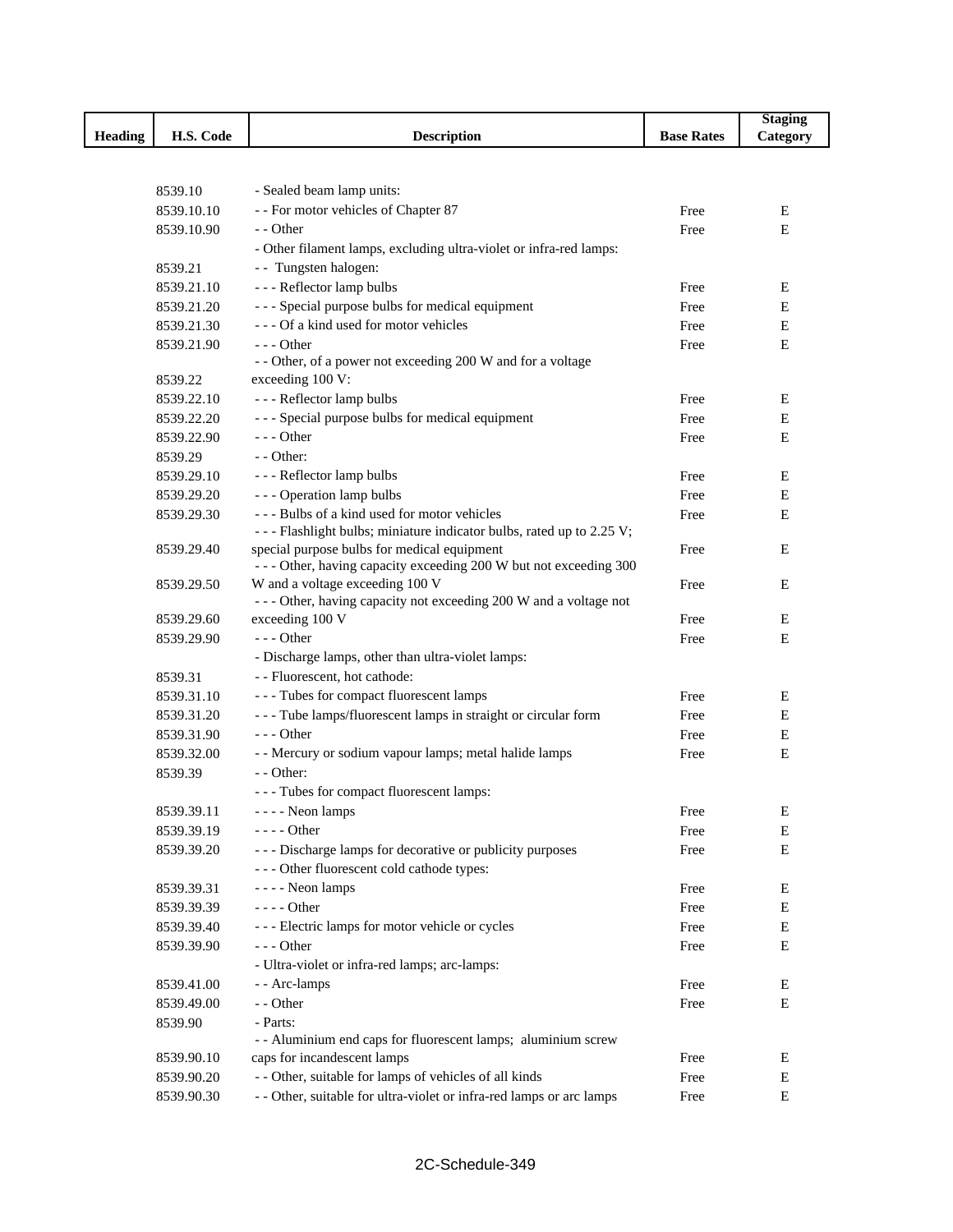|                |                          |                                                                                                          |                   | <b>Staging</b> |
|----------------|--------------------------|----------------------------------------------------------------------------------------------------------|-------------------|----------------|
| <b>Heading</b> | H.S. Code                | <b>Description</b>                                                                                       | <b>Base Rates</b> | Category       |
|                |                          |                                                                                                          |                   |                |
|                |                          |                                                                                                          |                   |                |
|                | 8539.10                  | - Sealed beam lamp units:                                                                                |                   |                |
|                | 8539.10.10               | - - For motor vehicles of Chapter 87                                                                     | Free              | E              |
|                | 8539.10.90               | - - Other                                                                                                | Free              | E              |
|                |                          | - Other filament lamps, excluding ultra-violet or infra-red lamps:                                       |                   |                |
|                | 8539.21                  | - - Tungsten halogen:                                                                                    |                   |                |
|                | 8539.21.10               | --- Reflector lamp bulbs                                                                                 | Free              | E              |
|                | 8539.21.20               | --- Special purpose bulbs for medical equipment<br>--- Of a kind used for motor vehicles                 | Free              | E              |
|                | 8539.21.30               | $--$ Other                                                                                               | Free              | Ε              |
|                | 8539.21.90               | - - Other, of a power not exceeding 200 W and for a voltage                                              | Free              | Ε              |
|                | 8539.22                  | exceeding 100 V:                                                                                         |                   |                |
|                | 8539.22.10               | --- Reflector lamp bulbs                                                                                 | Free              | E              |
|                | 8539.22.20               | --- Special purpose bulbs for medical equipment                                                          | Free              | E              |
|                | 8539.22.90               | $--$ Other                                                                                               | Free              | E              |
|                | 8539.29                  | - - Other:                                                                                               |                   |                |
|                | 8539.29.10               | --- Reflector lamp bulbs                                                                                 | Free              | E              |
|                | 8539.29.20               | - - - Operation lamp bulbs                                                                               | Free              | E              |
|                | 8539.29.30               | --- Bulbs of a kind used for motor vehicles                                                              | Free              | E              |
|                |                          | - - - Flashlight bulbs; miniature indicator bulbs, rated up to 2.25 V;                                   |                   |                |
|                | 8539.29.40               | special purpose bulbs for medical equipment                                                              | Free              | E              |
|                |                          | --- Other, having capacity exceeding 200 W but not exceeding 300                                         |                   |                |
|                | 8539.29.50               | W and a voltage exceeding 100 V                                                                          | Free              | E              |
|                |                          | --- Other, having capacity not exceeding 200 W and a voltage not                                         |                   |                |
|                | 8539.29.60               | exceeding 100 V                                                                                          | Free              | Ε              |
|                | 8539.29.90               | $- -$ Other                                                                                              | Free              | E              |
|                |                          | - Discharge lamps, other than ultra-violet lamps:                                                        |                   |                |
|                | 8539.31                  | - - Fluorescent, hot cathode:                                                                            |                   |                |
|                | 8539.31.10               | --- Tubes for compact fluorescent lamps<br>--- Tube lamps/fluorescent lamps in straight or circular form | Free              | Ε              |
|                | 8539.31.20               | $--$ Other                                                                                               | Free              | E<br>Ε         |
|                | 8539.31.90<br>8539.32.00 | - - Mercury or sodium vapour lamps; metal halide lamps                                                   | Free<br>Free      | E              |
|                | 8539.39                  | $-$ - Other:                                                                                             |                   |                |
|                |                          | --- Tubes for compact fluorescent lamps:                                                                 |                   |                |
|                | 8539.39.11               | - - - - Neon lamps                                                                                       | Free              | E              |
|                | 8539.39.19               | - - - - Other                                                                                            | Free              | Ε              |
|                | 8539.39.20               | --- Discharge lamps for decorative or publicity purposes                                                 | Free              | Ε              |
|                |                          | --- Other fluorescent cold cathode types:                                                                |                   |                |
|                | 8539.39.31               | - - - - Neon lamps                                                                                       | Free              | E              |
|                | 8539.39.39               | $--- Other$                                                                                              | Free              | E              |
|                | 8539.39.40               | --- Electric lamps for motor vehicle or cycles                                                           | Free              | Е              |
|                | 8539.39.90               | $--$ Other                                                                                               | Free              | Ε              |
|                |                          | - Ultra-violet or infra-red lamps; arc-lamps:                                                            |                   |                |
|                | 8539.41.00               | - - Arc-lamps                                                                                            | Free              | E              |
|                | 8539.49.00               | - - Other                                                                                                | Free              | Ε              |
|                | 8539.90                  | - Parts:                                                                                                 |                   |                |
|                |                          | - - Aluminium end caps for fluorescent lamps; aluminium screw                                            |                   |                |
|                | 8539.90.10               | caps for incandescent lamps                                                                              | Free              | E              |
|                | 8539.90.20               | - - Other, suitable for lamps of vehicles of all kinds                                                   | Free              | E              |
|                | 8539.90.30               | - - Other, suitable for ultra-violet or infra-red lamps or arc lamps                                     | Free              | E              |
|                |                          |                                                                                                          |                   |                |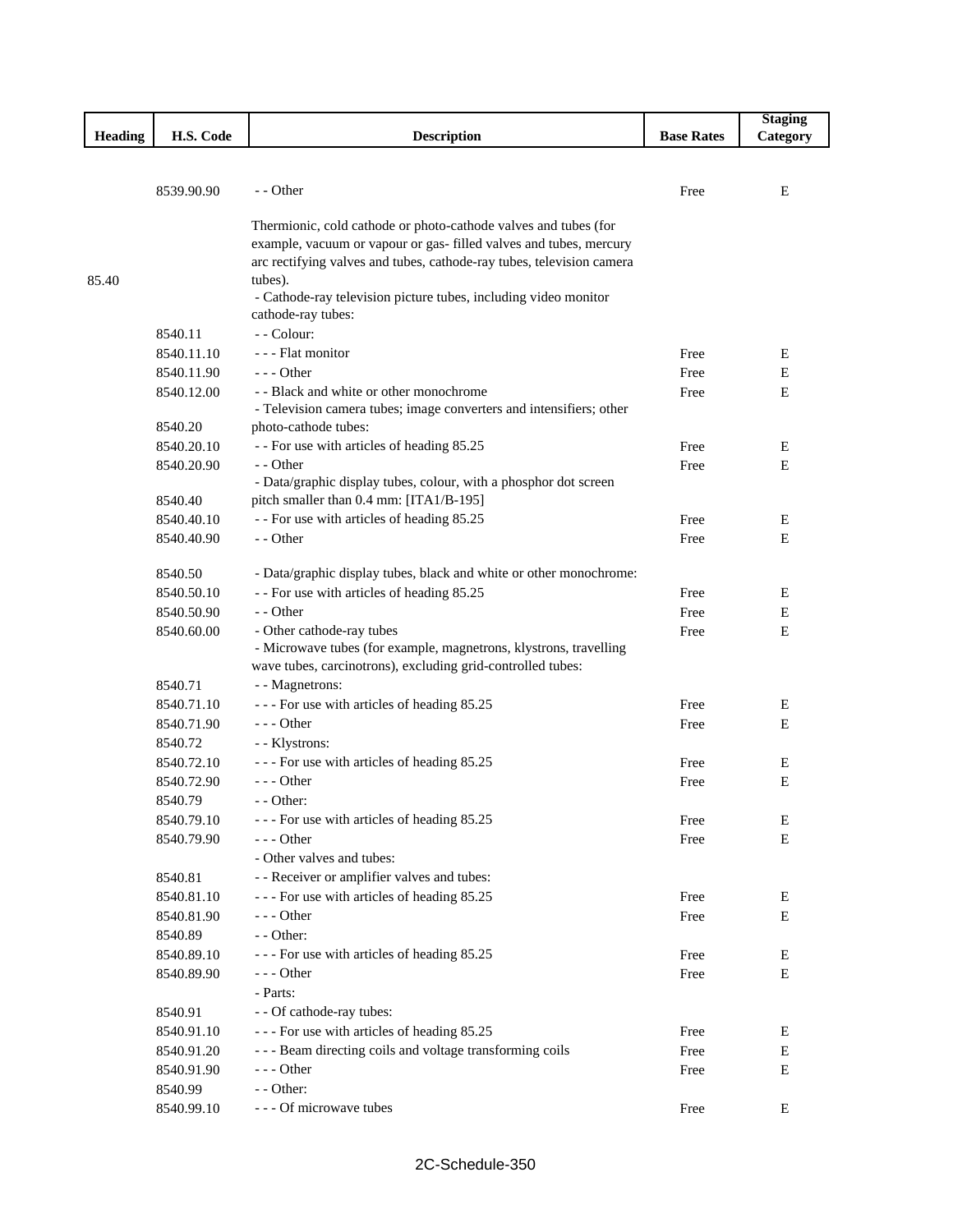|         |                          |                                                                                       |                   | <b>Staging</b> |
|---------|--------------------------|---------------------------------------------------------------------------------------|-------------------|----------------|
| Heading | H.S. Code                | <b>Description</b>                                                                    | <b>Base Rates</b> | Category       |
|         |                          |                                                                                       |                   |                |
|         |                          |                                                                                       |                   |                |
|         | 8539.90.90               | $-$ - Other                                                                           | Free              | E              |
|         |                          | Thermionic, cold cathode or photo-cathode valves and tubes (for                       |                   |                |
|         |                          | example, vacuum or vapour or gas- filled valves and tubes, mercury                    |                   |                |
|         |                          | arc rectifying valves and tubes, cathode-ray tubes, television camera                 |                   |                |
| 85.40   |                          | tubes).                                                                               |                   |                |
|         |                          | - Cathode-ray television picture tubes, including video monitor                       |                   |                |
|         |                          | cathode-ray tubes:                                                                    |                   |                |
|         | 8540.11                  | - - Colour:                                                                           |                   |                |
|         | 8540.11.10               | - - - Flat monitor                                                                    | Free              | E              |
|         | 8540.11.90               | --- Other                                                                             | Free              | E              |
|         | 8540.12.00               | - - Black and white or other monochrome                                               | Free              | Ε              |
|         |                          | - Television camera tubes; image converters and intensifiers; other                   |                   |                |
|         | 8540.20                  | photo-cathode tubes:                                                                  |                   |                |
|         | 8540.20.10               | - - For use with articles of heading 85.25                                            | Free              | E              |
|         | 8540.20.90               | $-$ - Other                                                                           | Free              | E              |
|         |                          | - Data/graphic display tubes, colour, with a phosphor dot screen                      |                   |                |
|         | 8540.40                  | pitch smaller than 0.4 mm: [ITA1/B-195]<br>- - For use with articles of heading 85.25 |                   |                |
|         | 8540.40.10<br>8540.40.90 |                                                                                       | Free              | E              |
|         |                          | - - Other                                                                             | Free              | Ε              |
|         | 8540.50                  | - Data/graphic display tubes, black and white or other monochrome:                    |                   |                |
|         | 8540.50.10               | - - For use with articles of heading 85.25                                            | Free              | E              |
|         | 8540.50.90               | - - Other                                                                             | Free              | Ε              |
|         | 8540.60.00               | - Other cathode-ray tubes                                                             | Free              | E              |
|         |                          | - Microwave tubes (for example, magnetrons, klystrons, travelling                     |                   |                |
|         |                          | wave tubes, carcinotrons), excluding grid-controlled tubes:                           |                   |                |
|         | 8540.71                  | - - Magnetrons:                                                                       |                   |                |
|         | 8540.71.10               | --- For use with articles of heading 85.25                                            | Free              | E              |
|         | 8540.71.90               | $--$ Other                                                                            | Free              | E              |
|         | 8540.72                  | - - Klystrons:                                                                        |                   |                |
|         | 8540.72.10               | --- For use with articles of heading 85.25                                            | Free              | Е              |
|         | 8540.72.90               | --- Other                                                                             | Free              | Ε              |
|         | 8540.79                  | - - Other:                                                                            |                   |                |
|         | 8540.79.10               | --- For use with articles of heading 85.25                                            | Free              | Е              |
|         | 8540.79.90               | $--$ Other                                                                            | Free              | E              |
|         |                          | - Other valves and tubes:                                                             |                   |                |
|         | 8540.81                  | - - Receiver or amplifier valves and tubes:                                           |                   |                |
|         | 8540.81.10               | --- For use with articles of heading 85.25                                            | Free              | E              |
|         | 8540.81.90               | $--$ Other                                                                            | Free              | Ε              |
|         | 8540.89                  | - - Other:                                                                            |                   |                |
|         | 8540.89.10               | --- For use with articles of heading 85.25                                            | Free              | E              |
|         | 8540.89.90               | - - - Other                                                                           | Free              | Ε              |
|         |                          | - Parts:                                                                              |                   |                |
|         | 8540.91                  | - - Of cathode-ray tubes:                                                             |                   |                |
|         | 8540.91.10               | --- For use with articles of heading 85.25                                            | Free              | E              |
|         | 8540.91.20               | --- Beam directing coils and voltage transforming coils                               | Free              | E              |
|         | 8540.91.90               | - - - Other                                                                           | Free              | Ε              |
|         | 8540.99                  | - - Other:                                                                            |                   |                |
|         | 8540.99.10               | - - - Of microwave tubes                                                              | Free              | Ε              |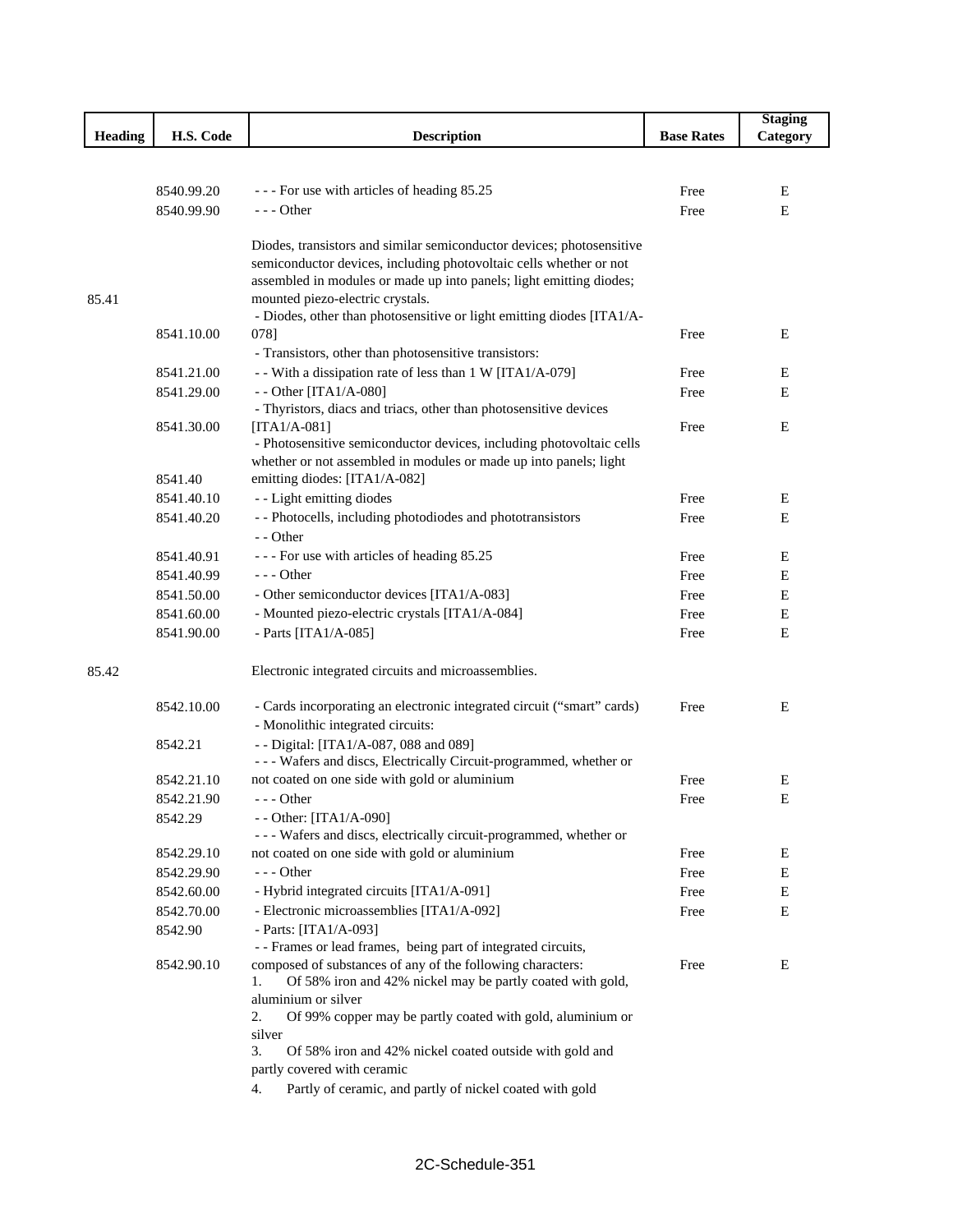|                |            |                                                                                                           |                   | <b>Staging</b> |
|----------------|------------|-----------------------------------------------------------------------------------------------------------|-------------------|----------------|
| <b>Heading</b> | H.S. Code  | <b>Description</b>                                                                                        | <b>Base Rates</b> | Category       |
|                |            |                                                                                                           |                   |                |
|                |            |                                                                                                           |                   |                |
|                | 8540.99.20 | --- For use with articles of heading 85.25                                                                | Free              | E              |
|                | 8540.99.90 | - - - Other                                                                                               | Free              | E              |
|                |            |                                                                                                           |                   |                |
|                |            | Diodes, transistors and similar semiconductor devices; photosensitive                                     |                   |                |
|                |            | semiconductor devices, including photovoltaic cells whether or not                                        |                   |                |
|                |            | assembled in modules or made up into panels; light emitting diodes;                                       |                   |                |
| 85.41          |            | mounted piezo-electric crystals.<br>- Diodes, other than photosensitive or light emitting diodes [ITA1/A- |                   |                |
|                | 8541.10.00 | 078]                                                                                                      | Free              | Ε              |
|                |            | - Transistors, other than photosensitive transistors:                                                     |                   |                |
|                | 8541.21.00 | - With a dissipation rate of less than 1 W [ITA1/A-079]                                                   | Free              | Ε              |
|                | 8541.29.00 | - - Other [ITA1/A-080]                                                                                    | Free              | Ε              |
|                |            | - Thyristors, diacs and triacs, other than photosensitive devices                                         |                   |                |
|                | 8541.30.00 | $[ITA1/A-081]$                                                                                            | Free              | Ε              |
|                |            | - Photosensitive semiconductor devices, including photovoltaic cells                                      |                   |                |
|                |            | whether or not assembled in modules or made up into panels; light                                         |                   |                |
|                | 8541.40    | emitting diodes: [ITA1/A-082]                                                                             |                   |                |
|                | 8541.40.10 | - - Light emitting diodes                                                                                 | Free              | Ε              |
|                | 8541.40.20 | - - Photocells, including photodiodes and phototransistors                                                | Free              | Ε              |
|                |            | - - Other                                                                                                 |                   |                |
|                | 8541.40.91 | --- For use with articles of heading 85.25                                                                | Free              | E              |
|                | 8541.40.99 | - - - Other                                                                                               | Free              | Ε              |
|                | 8541.50.00 | - Other semiconductor devices [ITA1/A-083]                                                                | Free              | E              |
|                | 8541.60.00 | - Mounted piezo-electric crystals [ITA1/A-084]                                                            | Free              | E              |
|                | 8541.90.00 | - Parts [ITA1/A-085]                                                                                      | Free              | E              |
|                |            |                                                                                                           |                   |                |
| 85.42          |            | Electronic integrated circuits and microassemblies.                                                       |                   |                |
|                | 8542.10.00 | - Cards incorporating an electronic integrated circuit ("smart" cards)                                    | Free              | Ε              |
|                |            | - Monolithic integrated circuits:                                                                         |                   |                |
|                | 8542.21    | - - Digital: [ITA1/A-087, 088 and 089]                                                                    |                   |                |
|                |            | - - - Wafers and discs, Electrically Circuit-programmed, whether or                                       |                   |                |
|                | 8542.21.10 | not coated on one side with gold or aluminium                                                             | Free              | Ε              |
|                | 8542.21.90 | $--$ Other                                                                                                | Free              | E              |
|                | 8542.29    | - - Other: [ITA1/A-090]                                                                                   |                   |                |
|                |            | - - - Wafers and discs, electrically circuit-programmed, whether or                                       |                   |                |
|                | 8542.29.10 | not coated on one side with gold or aluminium                                                             | Free              | E              |
|                | 8542.29.90 | $--$ Other                                                                                                | Free              | E              |
|                | 8542.60.00 | - Hybrid integrated circuits [ITA1/A-091]                                                                 | Free              | E              |
|                | 8542.70.00 | - Electronic microassemblies [ITA1/A-092]                                                                 | Free              | E              |
|                | 8542.90    | - Parts: [ITA1/A-093]                                                                                     |                   |                |
|                |            | - - Frames or lead frames, being part of integrated circuits,                                             |                   |                |
|                | 8542.90.10 | composed of substances of any of the following characters:                                                | Free              | Е              |
|                |            | Of 58% iron and 42% nickel may be partly coated with gold,<br>1.                                          |                   |                |
|                |            | aluminium or silver                                                                                       |                   |                |
|                |            | 2.<br>Of 99% copper may be partly coated with gold, aluminium or<br>silver                                |                   |                |
|                |            | 3.<br>Of 58% iron and 42% nickel coated outside with gold and                                             |                   |                |
|                |            | partly covered with ceramic                                                                               |                   |                |
|                |            | Partly of ceramic, and partly of nickel coated with gold<br>4.                                            |                   |                |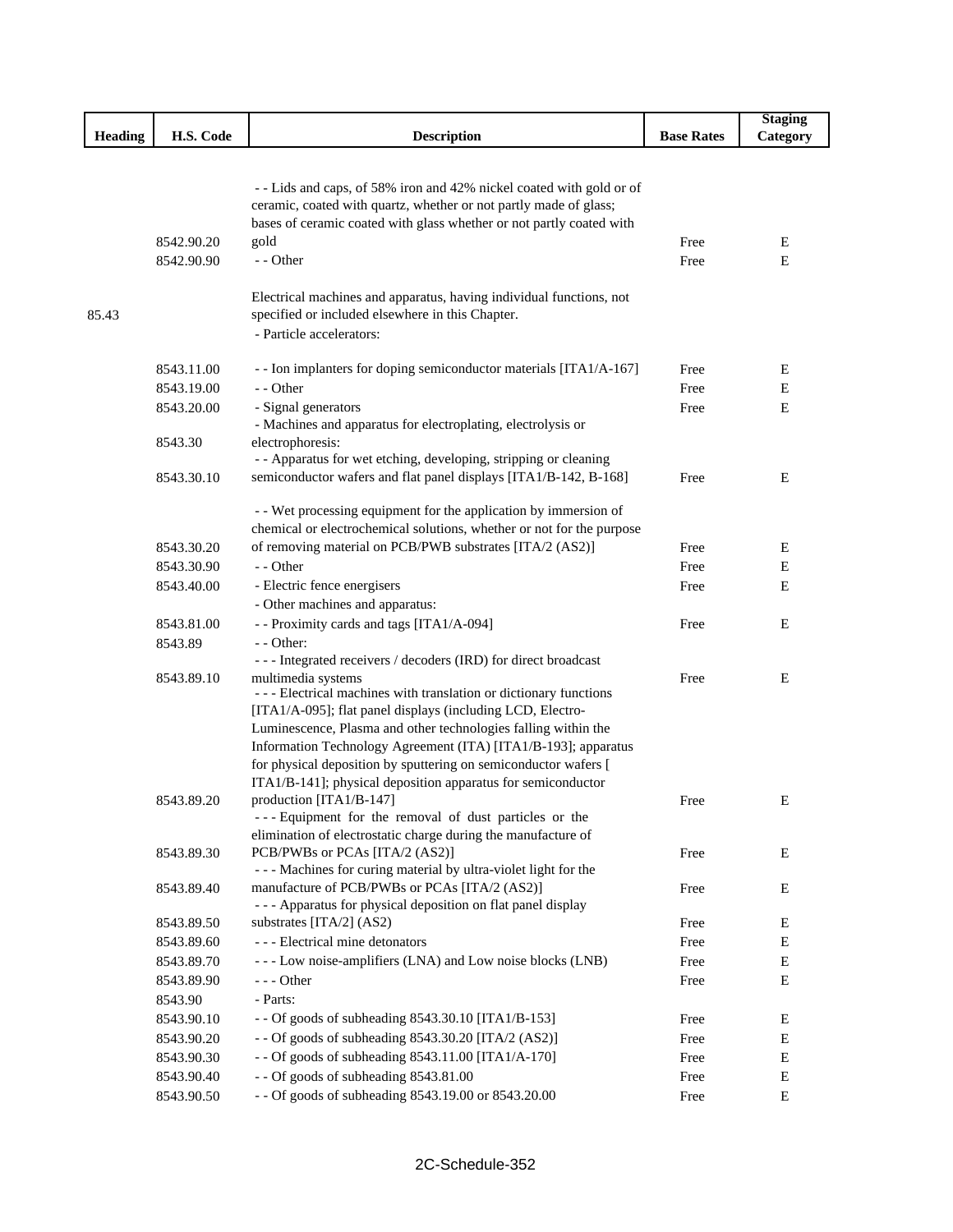|                |            |                                                                                                                                           |                   | <b>Staging</b> |
|----------------|------------|-------------------------------------------------------------------------------------------------------------------------------------------|-------------------|----------------|
| <b>Heading</b> | H.S. Code  | <b>Description</b>                                                                                                                        | <b>Base Rates</b> | Category       |
|                |            |                                                                                                                                           |                   |                |
|                |            |                                                                                                                                           |                   |                |
|                |            | - - Lids and caps, of 58% iron and 42% nickel coated with gold or of<br>ceramic, coated with quartz, whether or not partly made of glass; |                   |                |
|                |            | bases of ceramic coated with glass whether or not partly coated with                                                                      |                   |                |
|                | 8542.90.20 | gold                                                                                                                                      | Free              | E              |
|                | 8542.90.90 | - - Other                                                                                                                                 |                   | Ε              |
|                |            |                                                                                                                                           | Free              |                |
|                |            | Electrical machines and apparatus, having individual functions, not                                                                       |                   |                |
| 85.43          |            | specified or included elsewhere in this Chapter.                                                                                          |                   |                |
|                |            | - Particle accelerators:                                                                                                                  |                   |                |
|                |            |                                                                                                                                           |                   |                |
|                | 8543.11.00 | - - Ion implanters for doping semiconductor materials [ITA1/A-167]                                                                        | Free              | Е              |
|                | 8543.19.00 | - - Other                                                                                                                                 | Free              | E              |
|                | 8543.20.00 | - Signal generators                                                                                                                       | Free              | E              |
|                |            | - Machines and apparatus for electroplating, electrolysis or                                                                              |                   |                |
|                | 8543.30    | electrophoresis:                                                                                                                          |                   |                |
|                |            | - - Apparatus for wet etching, developing, stripping or cleaning                                                                          |                   |                |
|                | 8543.30.10 | semiconductor wafers and flat panel displays [ITA1/B-142, B-168]                                                                          | Free              | E              |
|                |            |                                                                                                                                           |                   |                |
|                |            | - - Wet processing equipment for the application by immersion of                                                                          |                   |                |
|                |            | chemical or electrochemical solutions, whether or not for the purpose                                                                     |                   |                |
|                | 8543.30.20 | of removing material on PCB/PWB substrates [ITA/2 (AS2)]                                                                                  | Free              | Е              |
|                | 8543.30.90 | - - Other                                                                                                                                 | Free              | Ε              |
|                | 8543.40.00 | - Electric fence energisers                                                                                                               | Free              | Ε              |
|                |            | - Other machines and apparatus:                                                                                                           |                   |                |
|                | 8543.81.00 | - - Proximity cards and tags [ITA1/A-094]                                                                                                 | Free              | Ε              |
|                | 8543.89    | $-$ - Other:                                                                                                                              |                   |                |
|                |            | --- Integrated receivers / decoders (IRD) for direct broadcast                                                                            |                   |                |
|                | 8543.89.10 | multimedia systems<br>--- Electrical machines with translation or dictionary functions                                                    | Free              | Ε              |
|                |            | [ITA1/A-095]; flat panel displays (including LCD, Electro-                                                                                |                   |                |
|                |            | Luminescence, Plasma and other technologies falling within the                                                                            |                   |                |
|                |            | Information Technology Agreement (ITA) [ITA1/B-193]; apparatus                                                                            |                   |                |
|                |            | for physical deposition by sputtering on semiconductor wafers [                                                                           |                   |                |
|                |            | ITA1/B-141]; physical deposition apparatus for semiconductor                                                                              |                   |                |
|                | 8543.89.20 | production [ITA1/B-147]                                                                                                                   | Free              | Ε              |
|                |            | --- Equipment for the removal of dust particles or the                                                                                    |                   |                |
|                |            | elimination of electrostatic charge during the manufacture of                                                                             |                   |                |
|                | 8543.89.30 | PCB/PWBs or PCAs [ITA/2 (AS2)]                                                                                                            | Free              | Е              |
|                |            | --- Machines for curing material by ultra-violet light for the                                                                            |                   |                |
|                | 8543.89.40 | manufacture of PCB/PWBs or PCAs [ITA/2 (AS2)]                                                                                             | Free              | Ε              |
|                |            | - - - Apparatus for physical deposition on flat panel display                                                                             |                   |                |
|                | 8543.89.50 | substrates [ITA/2] (AS2)                                                                                                                  | Free              | E              |
|                | 8543.89.60 | --- Electrical mine detonators                                                                                                            | Free              | Е              |
|                | 8543.89.70 | --- Low noise-amplifiers (LNA) and Low noise blocks (LNB)                                                                                 | Free              | Е              |
|                | 8543.89.90 | $--$ Other                                                                                                                                | Free              | Е              |
|                | 8543.90    | - Parts:                                                                                                                                  |                   |                |
|                | 8543.90.10 | - - Of goods of subheading 8543.30.10 [ITA1/B-153]                                                                                        | Free              | Ε              |
|                | 8543.90.20 | - - Of goods of subheading 8543.30.20 [ITA/2 (AS2)]                                                                                       | Free              | Ε              |
|                | 8543.90.30 | - - Of goods of subheading 8543.11.00 [ITA1/A-170]                                                                                        | Free              | Е              |
|                | 8543.90.40 | - - Of goods of subheading 8543.81.00                                                                                                     | Free              | Е              |
|                | 8543.90.50 | - - Of goods of subheading 8543.19.00 or 8543.20.00                                                                                       | Free              | Е              |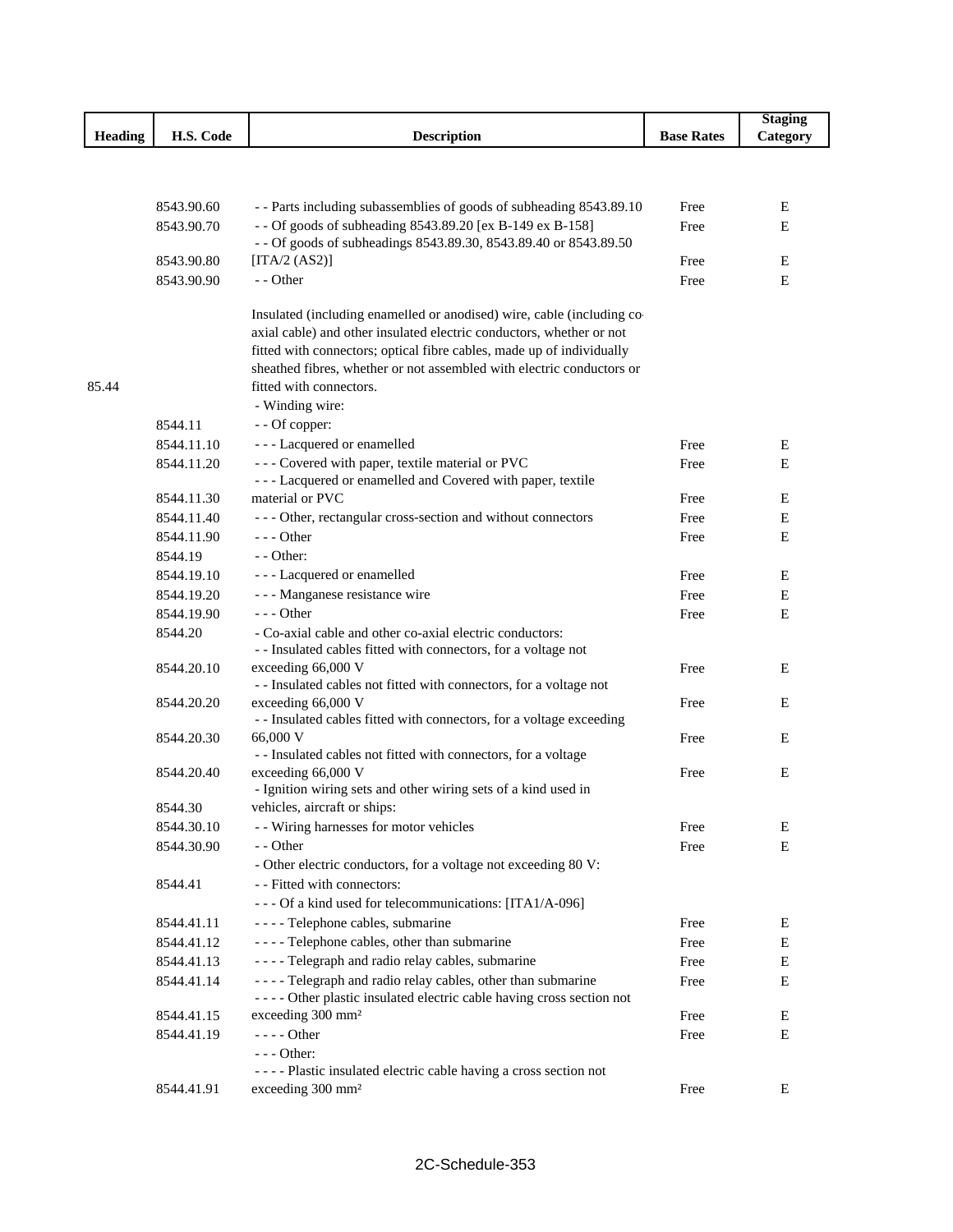|                |            |                                                                                                                                                |                   | <b>Staging</b> |
|----------------|------------|------------------------------------------------------------------------------------------------------------------------------------------------|-------------------|----------------|
| <b>Heading</b> | H.S. Code  | <b>Description</b>                                                                                                                             | <b>Base Rates</b> | Category       |
|                |            |                                                                                                                                                |                   |                |
|                |            |                                                                                                                                                |                   |                |
|                | 8543.90.60 | - - Parts including subassemblies of goods of subheading 8543.89.10                                                                            | Free              | E              |
|                | 8543.90.70 | - - Of goods of subheading 8543.89.20 [ex B-149 ex B-158]                                                                                      | Free              | E              |
|                |            | - - Of goods of subheadings 8543.89.30, 8543.89.40 or 8543.89.50                                                                               |                   |                |
|                | 8543.90.80 | [ITA/2 $(AS2)$ ]                                                                                                                               | Free              | E              |
|                | 8543.90.90 | - - Other                                                                                                                                      | Free              | Ε              |
|                |            |                                                                                                                                                |                   |                |
|                |            | Insulated (including enamelled or anodised) wire, cable (including co-<br>axial cable) and other insulated electric conductors, whether or not |                   |                |
|                |            | fitted with connectors; optical fibre cables, made up of individually                                                                          |                   |                |
|                |            | sheathed fibres, whether or not assembled with electric conductors or                                                                          |                   |                |
| 85.44          |            | fitted with connectors.                                                                                                                        |                   |                |
|                |            | - Winding wire:                                                                                                                                |                   |                |
|                | 8544.11    | - - Of copper:                                                                                                                                 |                   |                |
|                | 8544.11.10 | - - - Lacquered or enamelled                                                                                                                   | Free              | E              |
|                | 8544.11.20 | - - - Covered with paper, textile material or PVC                                                                                              | Free              | E              |
|                |            | - - - Lacquered or enamelled and Covered with paper, textile                                                                                   |                   |                |
|                | 8544.11.30 | material or PVC                                                                                                                                | Free              | Е              |
|                | 8544.11.40 | --- Other, rectangular cross-section and without connectors                                                                                    | Free              | E              |
|                | 8544.11.90 | $--$ Other                                                                                                                                     | Free              | E              |
|                | 8544.19    | $-$ - Other:                                                                                                                                   |                   |                |
|                | 8544.19.10 | - - - Lacquered or enamelled                                                                                                                   | Free              | E              |
|                | 8544.19.20 | - - - Manganese resistance wire                                                                                                                | Free              | E              |
|                | 8544.19.90 | $--$ Other                                                                                                                                     | Free              | Ε              |
|                | 8544.20    | - Co-axial cable and other co-axial electric conductors:                                                                                       |                   |                |
|                |            | - - Insulated cables fitted with connectors, for a voltage not                                                                                 |                   |                |
|                | 8544.20.10 | exceeding 66,000 V                                                                                                                             | Free              | E              |
|                |            | - - Insulated cables not fitted with connectors, for a voltage not                                                                             |                   |                |
|                | 8544.20.20 | exceeding 66,000 V                                                                                                                             | Free              | E              |
|                | 8544.20.30 | - - Insulated cables fitted with connectors, for a voltage exceeding<br>66,000 V                                                               | Free              | E              |
|                |            | - - Insulated cables not fitted with connectors, for a voltage                                                                                 |                   |                |
|                | 8544.20.40 | exceeding 66,000 V                                                                                                                             | Free              | Ε              |
|                |            | - Ignition wiring sets and other wiring sets of a kind used in                                                                                 |                   |                |
|                | 8544.30    | vehicles, aircraft or ships:                                                                                                                   |                   |                |
|                | 8544.30.10 | - - Wiring harnesses for motor vehicles                                                                                                        | Free              | E              |
|                | 8544.30.90 | - - Other                                                                                                                                      | Free              | Ε              |
|                |            | - Other electric conductors, for a voltage not exceeding 80 V:                                                                                 |                   |                |
|                | 8544.41    | - - Fitted with connectors:                                                                                                                    |                   |                |
|                |            | --- Of a kind used for telecommunications: [ITA1/A-096]                                                                                        |                   |                |
|                | 8544.41.11 | - - - - Telephone cables, submarine                                                                                                            | Free              | Е              |
|                | 8544.41.12 | - - - - Telephone cables, other than submarine                                                                                                 | Free              | E              |
|                | 8544.41.13 | - - - - Telegraph and radio relay cables, submarine                                                                                            | Free              | E              |
|                | 8544.41.14 | - - - - Telegraph and radio relay cables, other than submarine                                                                                 | Free              | E              |
|                |            | ---- Other plastic insulated electric cable having cross section not                                                                           |                   |                |
|                | 8544.41.15 | exceeding 300 mm <sup>2</sup>                                                                                                                  | Free              | Е              |
|                | 8544.41.19 | $--- Other$                                                                                                                                    | Free              | E              |
|                |            | $--$ Other:                                                                                                                                    |                   |                |
|                |            | ---- Plastic insulated electric cable having a cross section not                                                                               |                   |                |
|                | 8544.41.91 | exceeding 300 mm <sup>2</sup>                                                                                                                  | Free              | Е              |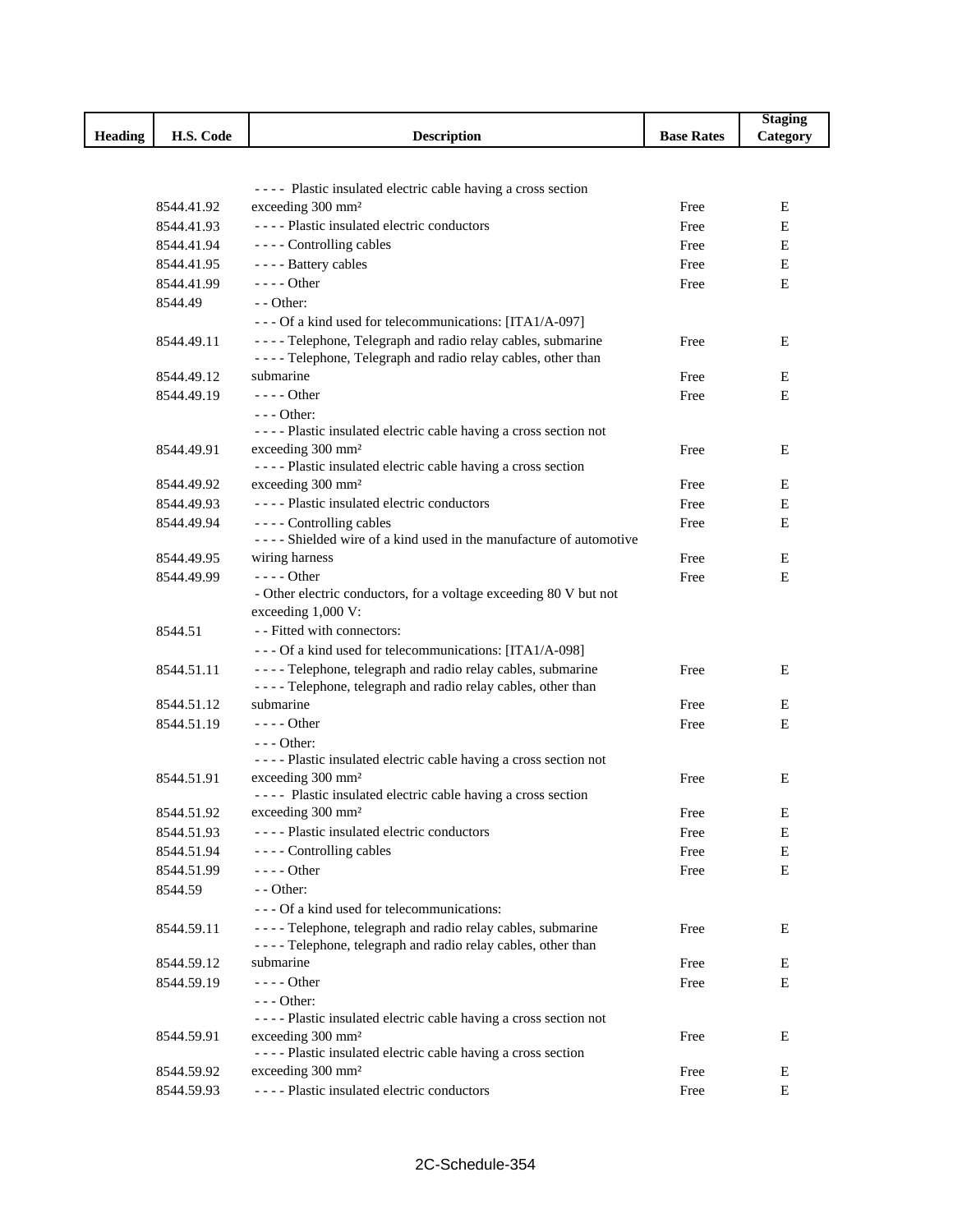|                |                          |                                                                                                                                   |                   | <b>Staging</b> |
|----------------|--------------------------|-----------------------------------------------------------------------------------------------------------------------------------|-------------------|----------------|
| <b>Heading</b> | H.S. Code                | <b>Description</b>                                                                                                                | <b>Base Rates</b> | Category       |
|                |                          |                                                                                                                                   |                   |                |
|                |                          |                                                                                                                                   |                   |                |
|                |                          | ---- Plastic insulated electric cable having a cross section<br>exceeding 300 mm <sup>2</sup>                                     | Free              | Ε              |
|                | 8544.41.92<br>8544.41.93 | ---- Plastic insulated electric conductors                                                                                        |                   | E              |
|                |                          | ---- Controlling cables                                                                                                           | Free<br>Free      | E              |
|                | 8544.41.94<br>8544.41.95 | - - - - Battery cables                                                                                                            | Free              | E              |
|                | 8544.41.99               | $--- Other$                                                                                                                       | Free              | E              |
|                | 8544.49                  | $-$ - Other:                                                                                                                      |                   |                |
|                |                          | --- Of a kind used for telecommunications: [ITA1/A-097]                                                                           |                   |                |
|                | 8544.49.11               | - - - - Telephone, Telegraph and radio relay cables, submarine                                                                    | Free              | Ε              |
|                |                          | - - - - Telephone, Telegraph and radio relay cables, other than                                                                   |                   |                |
|                | 8544.49.12               | submarine                                                                                                                         | Free              | E              |
|                | 8544.49.19               | $--$ Other                                                                                                                        | Free              | E              |
|                |                          | $--$ Other:                                                                                                                       |                   |                |
|                |                          | ---- Plastic insulated electric cable having a cross section not                                                                  |                   |                |
|                | 8544.49.91               | exceeding 300 mm <sup>2</sup>                                                                                                     | Free              | Ε              |
|                |                          | ---- Plastic insulated electric cable having a cross section                                                                      |                   |                |
|                | 8544.49.92               | exceeding 300 mm <sup>2</sup>                                                                                                     | Free              | Е              |
|                | 8544.49.93               | ---- Plastic insulated electric conductors                                                                                        | Free              | Ε              |
|                | 8544.49.94               | ---- Controlling cables                                                                                                           | Free              | E              |
|                |                          | ---- Shielded wire of a kind used in the manufacture of automotive                                                                |                   |                |
|                | 8544.49.95               | wiring harness                                                                                                                    | Free              | Ε              |
|                | 8544.49.99               | $--- Other$                                                                                                                       | Free              | E              |
|                |                          | - Other electric conductors, for a voltage exceeding 80 V but not                                                                 |                   |                |
|                |                          | exceeding 1,000 V:                                                                                                                |                   |                |
|                | 8544.51                  | - - Fitted with connectors:                                                                                                       |                   |                |
|                |                          | --- Of a kind used for telecommunications: [ITA1/A-098]                                                                           |                   |                |
|                | 8544.51.11               | - - - - Telephone, telegraph and radio relay cables, submarine<br>- - - - Telephone, telegraph and radio relay cables, other than | Free              | E              |
|                | 8544.51.12               | submarine                                                                                                                         | Free              | E              |
|                | 8544.51.19               | $---$ Other                                                                                                                       | Free              | Ε              |
|                |                          | $--$ Other:                                                                                                                       |                   |                |
|                |                          | ---- Plastic insulated electric cable having a cross section not                                                                  |                   |                |
|                | 8544.51.91               | exceeding 300 mm <sup>2</sup>                                                                                                     | Free              | E              |
|                |                          | ---- Plastic insulated electric cable having a cross section                                                                      |                   |                |
|                | 8544.51.92               | exceeding 300 mm <sup>2</sup>                                                                                                     | Free              | Ε              |
|                | 8544.51.93               | ---- Plastic insulated electric conductors                                                                                        | Free              | E              |
|                | 8544.51.94               | ---- Controlling cables                                                                                                           | Free              | ${\bf E}$      |
|                | 8544.51.99               | ---- Other                                                                                                                        | Free              | E              |
|                | 8544.59                  | $-$ - Other:                                                                                                                      |                   |                |
|                |                          | --- Of a kind used for telecommunications:                                                                                        |                   |                |
|                | 8544.59.11               | - - - - Telephone, telegraph and radio relay cables, submarine                                                                    | Free              | Ε              |
|                |                          | - - - - Telephone, telegraph and radio relay cables, other than                                                                   |                   |                |
|                | 8544.59.12               | submarine                                                                                                                         | Free              | Ε              |
|                | 8544.59.19               | $--- Other$                                                                                                                       | Free              | Ε              |
|                |                          | $--$ Other:                                                                                                                       |                   |                |
|                |                          | ---- Plastic insulated electric cable having a cross section not                                                                  |                   |                |
|                | 8544.59.91               | exceeding 300 mm <sup>2</sup><br>---- Plastic insulated electric cable having a cross section                                     | Free              | Ε              |
|                | 8544.59.92               | exceeding 300 mm <sup>2</sup>                                                                                                     | Free              | E              |
|                | 8544.59.93               | ---- Plastic insulated electric conductors                                                                                        | Free              | $\mathbf E$    |
|                |                          |                                                                                                                                   |                   |                |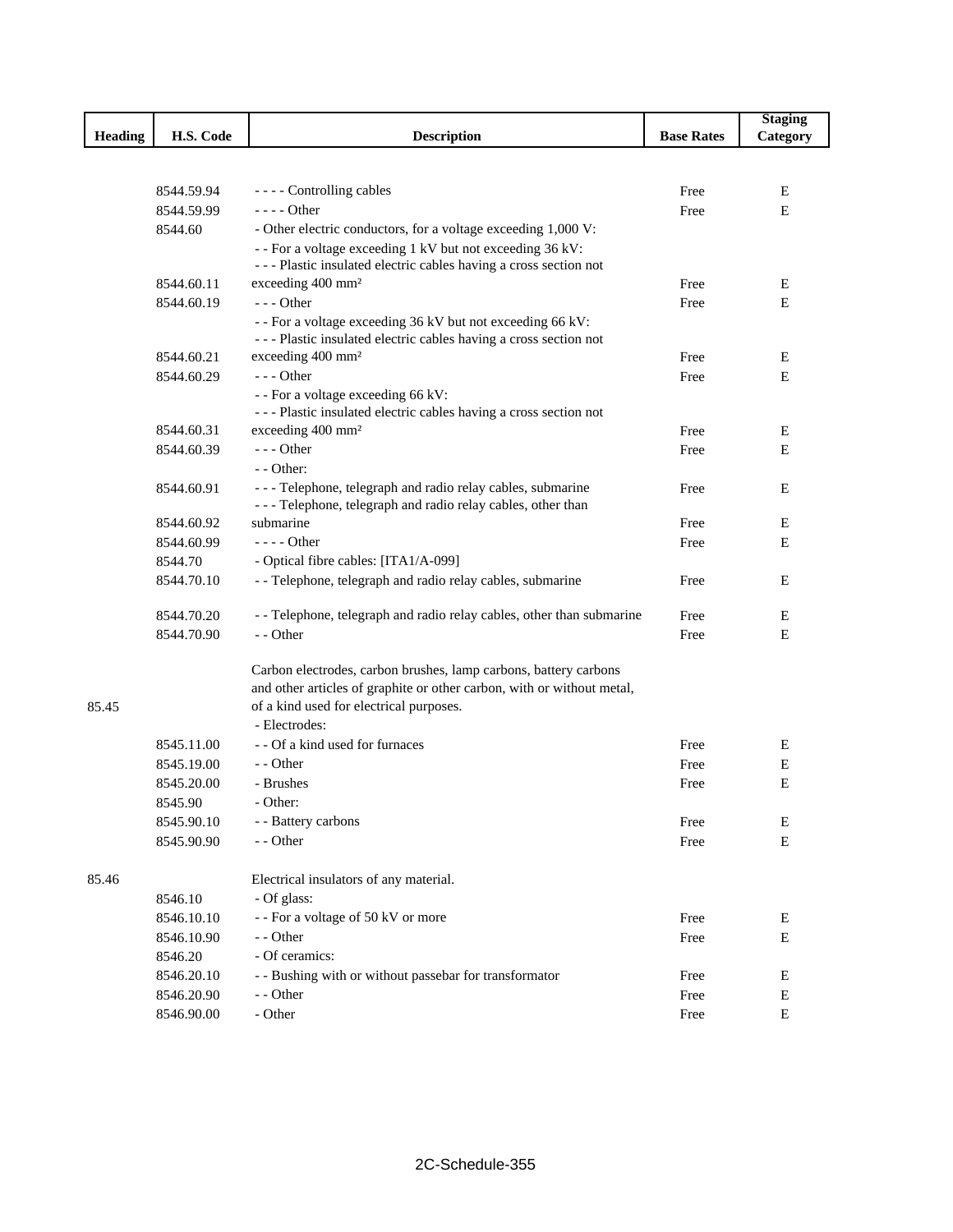|         |            |                                                                        |                   | <b>Staging</b> |
|---------|------------|------------------------------------------------------------------------|-------------------|----------------|
| Heading | H.S. Code  | <b>Description</b>                                                     | <b>Base Rates</b> | Category       |
|         |            |                                                                        |                   |                |
|         |            |                                                                        |                   |                |
|         | 8544.59.94 | - - - - Controlling cables                                             | Free              | Е              |
|         | 8544.59.99 | - - - - Other                                                          | Free              | E              |
|         | 8544.60    | - Other electric conductors, for a voltage exceeding 1,000 V:          |                   |                |
|         |            | - - For a voltage exceeding 1 kV but not exceeding 36 kV:              |                   |                |
|         |            | --- Plastic insulated electric cables having a cross section not       |                   |                |
|         | 8544.60.11 | exceeding 400 mm <sup>2</sup>                                          | Free              | E              |
|         | 8544.60.19 | $--$ Other                                                             | Free              | E              |
|         |            | - - For a voltage exceeding 36 kV but not exceeding 66 kV:             |                   |                |
|         |            | --- Plastic insulated electric cables having a cross section not       |                   |                |
|         | 8544.60.21 | exceeding 400 mm <sup>2</sup>                                          | Free              | E              |
|         | 8544.60.29 | $--$ Other                                                             | Free              | E              |
|         |            | - - For a voltage exceeding 66 kV:                                     |                   |                |
|         |            | --- Plastic insulated electric cables having a cross section not       |                   |                |
|         | 8544.60.31 | exceeding 400 mm <sup>2</sup>                                          | Free              | E              |
|         | 8544.60.39 | --- Other                                                              | Free              | E              |
|         |            | - - Other:                                                             |                   |                |
|         | 8544.60.91 | - - - Telephone, telegraph and radio relay cables, submarine           | Free              | Ε              |
|         |            | - - - Telephone, telegraph and radio relay cables, other than          |                   |                |
|         | 8544.60.92 | submarine                                                              | Free              | E              |
|         | 8544.60.99 | - - - - Other                                                          | Free              | E              |
|         | 8544.70    | - Optical fibre cables: [ITA1/A-099]                                   |                   |                |
|         | 8544.70.10 | - - Telephone, telegraph and radio relay cables, submarine             | Free              | Ε              |
|         | 8544.70.20 | - - Telephone, telegraph and radio relay cables, other than submarine  | Free              | Ε              |
|         | 8544.70.90 | - - Other                                                              | Free              | Ε              |
|         |            |                                                                        |                   |                |
|         |            | Carbon electrodes, carbon brushes, lamp carbons, battery carbons       |                   |                |
|         |            | and other articles of graphite or other carbon, with or without metal, |                   |                |
| 85.45   |            | of a kind used for electrical purposes.                                |                   |                |
|         |            | - Electrodes:                                                          |                   |                |
|         | 8545.11.00 | - - Of a kind used for furnaces                                        | Free              | E              |
|         | 8545.19.00 | - - Other                                                              | Free              | E              |
|         | 8545.20.00 | - Brushes                                                              | Free              | Ε              |
|         | 8545.90    | - Other:                                                               |                   |                |
|         | 8545.90.10 | - - Battery carbons                                                    | Free              | E              |
|         | 8545.90.90 | - - Other                                                              | Free              | Ε              |
|         |            |                                                                        |                   |                |
| 85.46   |            | Electrical insulators of any material.                                 |                   |                |
|         | 8546.10    | - Of glass:                                                            |                   |                |
|         | 8546.10.10 | - - For a voltage of 50 kV or more                                     | Free              | Ε              |
|         | 8546.10.90 | - - Other                                                              | Free              | Ε              |
|         | 8546.20    | - Of ceramics:                                                         |                   |                |
|         | 8546.20.10 | - - Bushing with or without passebar for transformator                 | Free              | E              |
|         | 8546.20.90 | - - Other                                                              | Free              | Ε              |
|         | 8546.90.00 | - Other                                                                | Free              | Ε              |
|         |            |                                                                        |                   |                |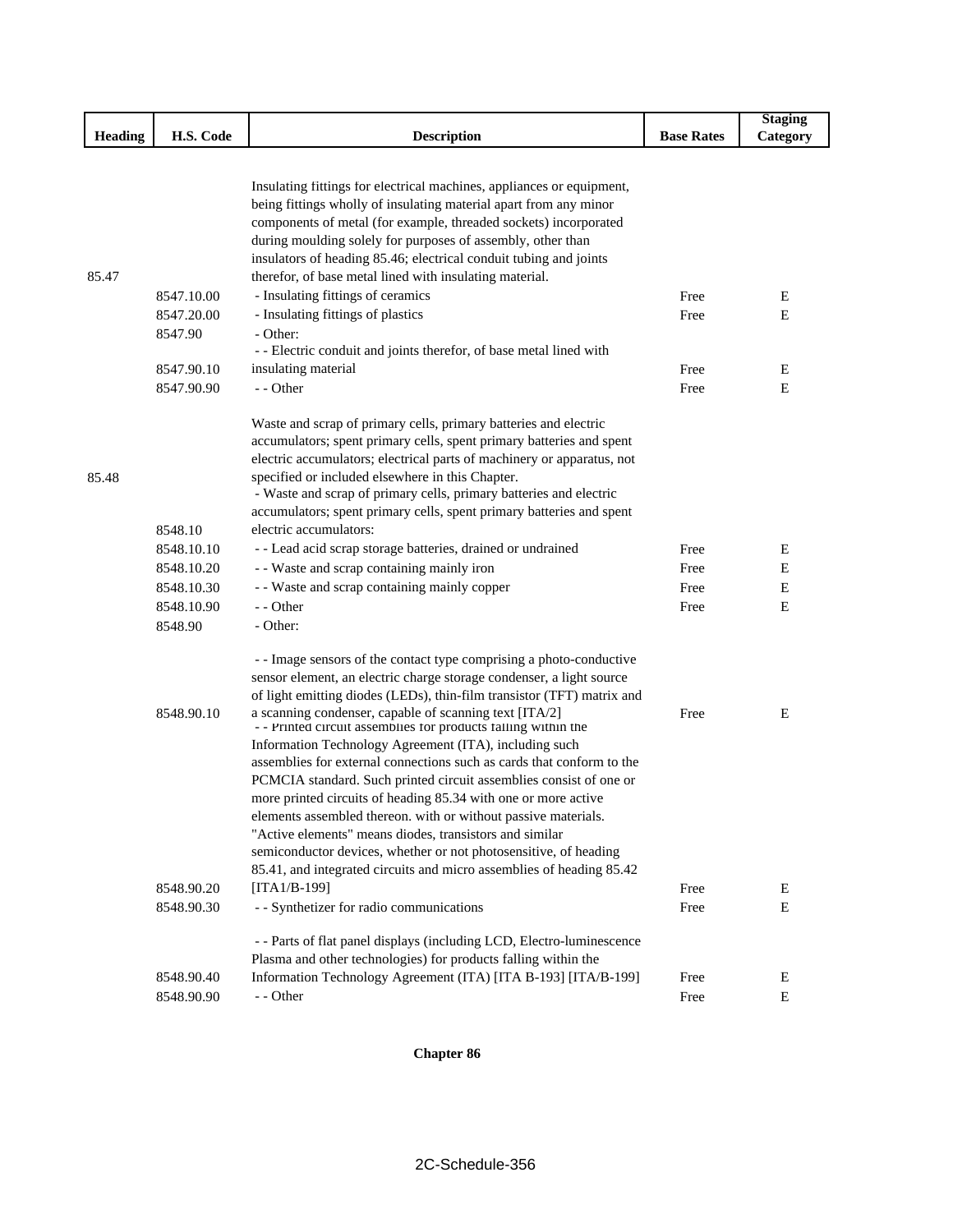|         |            |                                                                                                                                            |                   | <b>Staging</b> |
|---------|------------|--------------------------------------------------------------------------------------------------------------------------------------------|-------------------|----------------|
| Heading | H.S. Code  | <b>Description</b>                                                                                                                         | <b>Base Rates</b> | Category       |
|         |            |                                                                                                                                            |                   |                |
|         |            |                                                                                                                                            |                   |                |
|         |            | Insulating fittings for electrical machines, appliances or equipment,<br>being fittings wholly of insulating material apart from any minor |                   |                |
|         |            | components of metal (for example, threaded sockets) incorporated                                                                           |                   |                |
|         |            | during moulding solely for purposes of assembly, other than                                                                                |                   |                |
|         |            | insulators of heading 85.46; electrical conduit tubing and joints                                                                          |                   |                |
| 85.47   |            | therefor, of base metal lined with insulating material.                                                                                    |                   |                |
|         | 8547.10.00 | - Insulating fittings of ceramics                                                                                                          | Free              | Ε              |
|         | 8547.20.00 | - Insulating fittings of plastics                                                                                                          | Free              | E              |
|         | 8547.90    | - Other:                                                                                                                                   |                   |                |
|         |            | - - Electric conduit and joints therefor, of base metal lined with                                                                         |                   |                |
|         | 8547.90.10 | insulating material                                                                                                                        | Free              | Ε              |
|         | 8547.90.90 | - - Other                                                                                                                                  | Free              | E              |
|         |            |                                                                                                                                            |                   |                |
|         |            | Waste and scrap of primary cells, primary batteries and electric                                                                           |                   |                |
|         |            | accumulators; spent primary cells, spent primary batteries and spent                                                                       |                   |                |
|         |            | electric accumulators; electrical parts of machinery or apparatus, not                                                                     |                   |                |
| 85.48   |            | specified or included elsewhere in this Chapter.                                                                                           |                   |                |
|         |            | - Waste and scrap of primary cells, primary batteries and electric                                                                         |                   |                |
|         |            | accumulators; spent primary cells, spent primary batteries and spent                                                                       |                   |                |
|         | 8548.10    | electric accumulators:                                                                                                                     |                   |                |
|         | 8548.10.10 | - - Lead acid scrap storage batteries, drained or undrained                                                                                | Free              | Ε              |
|         | 8548.10.20 | - - Waste and scrap containing mainly iron                                                                                                 | Free              | Ε              |
|         | 8548.10.30 | - - Waste and scrap containing mainly copper                                                                                               | Free              | ${\bf E}$      |
|         | 8548.10.90 | - - Other                                                                                                                                  | Free              | E              |
|         | 8548.90    | - Other:                                                                                                                                   |                   |                |
|         |            | - - Image sensors of the contact type comprising a photo-conductive                                                                        |                   |                |
|         |            | sensor element, an electric charge storage condenser, a light source                                                                       |                   |                |
|         |            | of light emitting diodes (LEDs), thin-film transistor (TFT) matrix and                                                                     |                   |                |
|         | 8548.90.10 | a scanning condenser, capable of scanning text [ITA/2]<br>- - Printed circuit assemblies for products falling within the                   | Free              | Е              |
|         |            | Information Technology Agreement (ITA), including such                                                                                     |                   |                |
|         |            | assemblies for external connections such as cards that conform to the                                                                      |                   |                |
|         |            | PCMCIA standard. Such printed circuit assemblies consist of one or                                                                         |                   |                |
|         |            | more printed circuits of heading 85.34 with one or more active                                                                             |                   |                |
|         |            | elements assembled thereon. with or without passive materials.                                                                             |                   |                |
|         |            | "Active elements" means diodes, transistors and similar                                                                                    |                   |                |
|         |            | semiconductor devices, whether or not photosensitive, of heading                                                                           |                   |                |
|         |            | 85.41, and integrated circuits and micro assemblies of heading 85.42                                                                       |                   |                |
|         | 8548.90.20 | [ITA1/B-199]                                                                                                                               | Free              | Ε              |
|         | 8548.90.30 | - - Synthetizer for radio communications                                                                                                   | Free              | $\mathbf E$    |
|         |            | - - Parts of flat panel displays (including LCD, Electro-luminescence                                                                      |                   |                |
|         |            | Plasma and other technologies) for products falling within the                                                                             |                   |                |
|         | 8548.90.40 | Information Technology Agreement (ITA) [ITA B-193] [ITA/B-199]                                                                             | Free              | Ε              |
|         | 8548.90.90 | - - Other                                                                                                                                  | Free              | $\mathbf E$    |

**Chapter 86**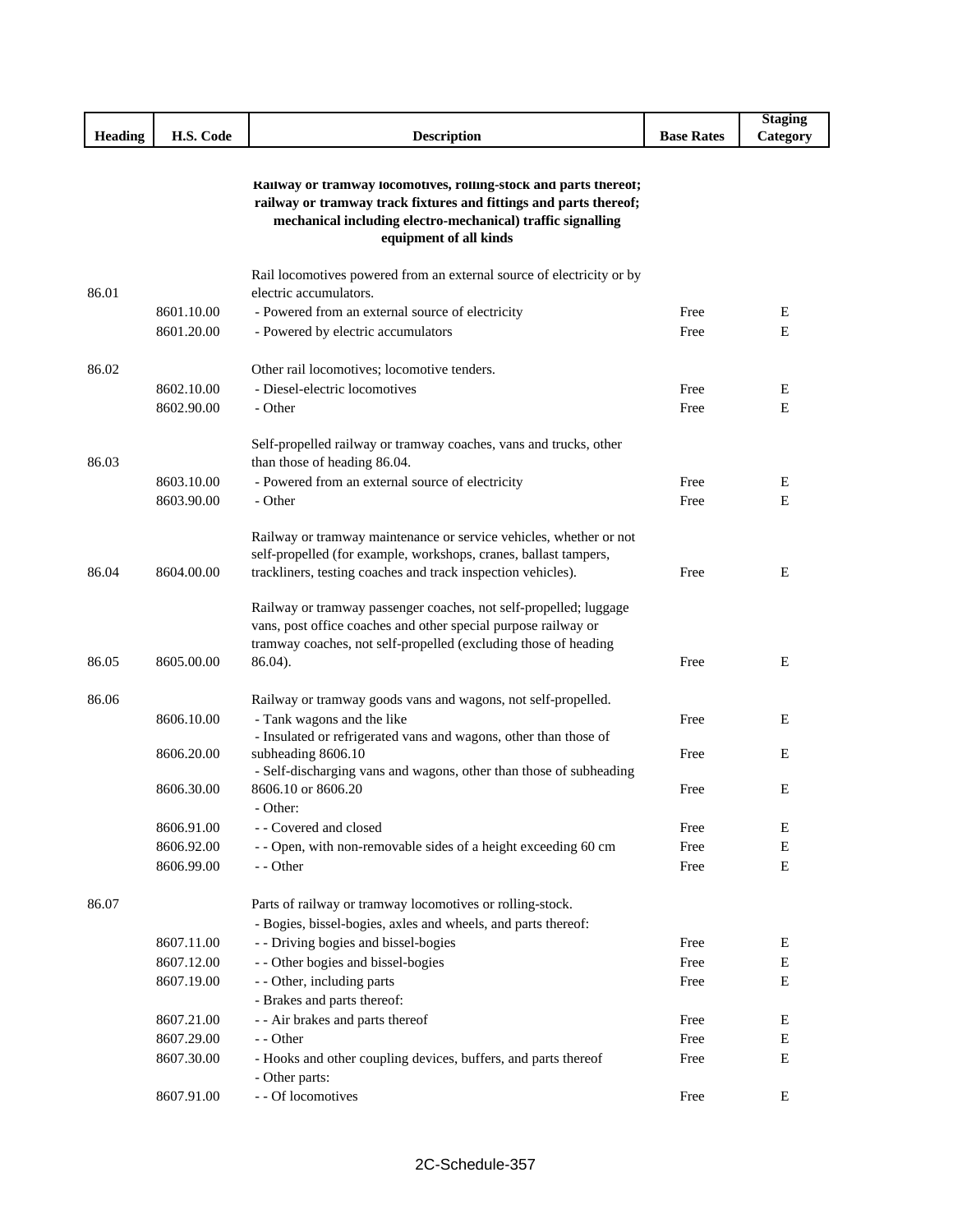|                |            |                                                                                                                                                                                                                                |                   | <b>Staging</b> |
|----------------|------------|--------------------------------------------------------------------------------------------------------------------------------------------------------------------------------------------------------------------------------|-------------------|----------------|
| <b>Heading</b> | H.S. Code  | <b>Description</b>                                                                                                                                                                                                             | <b>Base Rates</b> | Category       |
|                |            | Kailway or tramway locomotives, rolling-stock and parts thereor;<br>railway or tramway track fixtures and fittings and parts thereof;<br>mechanical including electro-mechanical) traffic signalling<br>equipment of all kinds |                   |                |
| 86.01          |            | Rail locomotives powered from an external source of electricity or by<br>electric accumulators.                                                                                                                                |                   |                |
|                | 8601.10.00 | - Powered from an external source of electricity                                                                                                                                                                               | Free              | E              |
|                | 8601.20.00 | - Powered by electric accumulators                                                                                                                                                                                             | Free              | E              |
|                |            |                                                                                                                                                                                                                                |                   |                |
| 86.02          |            | Other rail locomotives; locomotive tenders.                                                                                                                                                                                    |                   |                |
|                | 8602.10.00 | - Diesel-electric locomotives                                                                                                                                                                                                  | Free              | E              |
|                | 8602.90.00 | - Other                                                                                                                                                                                                                        | Free              | E              |
| 86.03          |            | Self-propelled railway or tramway coaches, vans and trucks, other<br>than those of heading 86.04.                                                                                                                              |                   |                |
|                | 8603.10.00 | - Powered from an external source of electricity                                                                                                                                                                               | Free              | E              |
|                | 8603.90.00 | - Other                                                                                                                                                                                                                        | Free              | Е              |
| 86.04          | 8604.00.00 | Railway or tramway maintenance or service vehicles, whether or not<br>self-propelled (for example, workshops, cranes, ballast tampers,<br>trackliners, testing coaches and track inspection vehicles).                         | Free              | E              |
| 86.05          | 8605.00.00 | Railway or tramway passenger coaches, not self-propelled; luggage<br>vans, post office coaches and other special purpose railway or<br>tramway coaches, not self-propelled (excluding those of heading<br>86.04).              | Free              | E              |
| 86.06          |            | Railway or tramway goods vans and wagons, not self-propelled.                                                                                                                                                                  |                   |                |
|                | 8606.10.00 | - Tank wagons and the like                                                                                                                                                                                                     | Free              | E              |
|                | 8606.20.00 | - Insulated or refrigerated vans and wagons, other than those of<br>subheading 8606.10                                                                                                                                         | Free              | E              |
|                |            | - Self-discharging vans and wagons, other than those of subheading                                                                                                                                                             |                   |                |
|                | 8606.30.00 | 8606.10 or 8606.20<br>- Other:                                                                                                                                                                                                 | Free              | E              |
|                | 8606.91.00 | - - Covered and closed                                                                                                                                                                                                         | Free              | Ε              |
|                | 8606.92.00 | - - Open, with non-removable sides of a height exceeding 60 cm                                                                                                                                                                 | Free              | E              |
|                | 8606.99.00 | - - Other                                                                                                                                                                                                                      | Free              | $\mathbf E$    |
| 86.07          |            | Parts of railway or tramway locomotives or rolling-stock.<br>- Bogies, bissel-bogies, axles and wheels, and parts thereof:                                                                                                     |                   |                |
|                | 8607.11.00 | - - Driving bogies and bissel-bogies                                                                                                                                                                                           | Free              | Е              |
|                | 8607.12.00 | - - Other bogies and bissel-bogies                                                                                                                                                                                             | Free              | E              |
|                | 8607.19.00 | - - Other, including parts                                                                                                                                                                                                     | Free              | Ε              |
|                |            | - Brakes and parts thereof:                                                                                                                                                                                                    |                   |                |
|                | 8607.21.00 | - - Air brakes and parts thereof                                                                                                                                                                                               | Free              | E              |
|                | 8607.29.00 | - - Other                                                                                                                                                                                                                      | Free              | ${\bf E}$      |
|                | 8607.30.00 | - Hooks and other coupling devices, buffers, and parts thereof<br>- Other parts:                                                                                                                                               | Free              | Ε              |
|                | 8607.91.00 | - - Of locomotives                                                                                                                                                                                                             | Free              | ${\bf E}$      |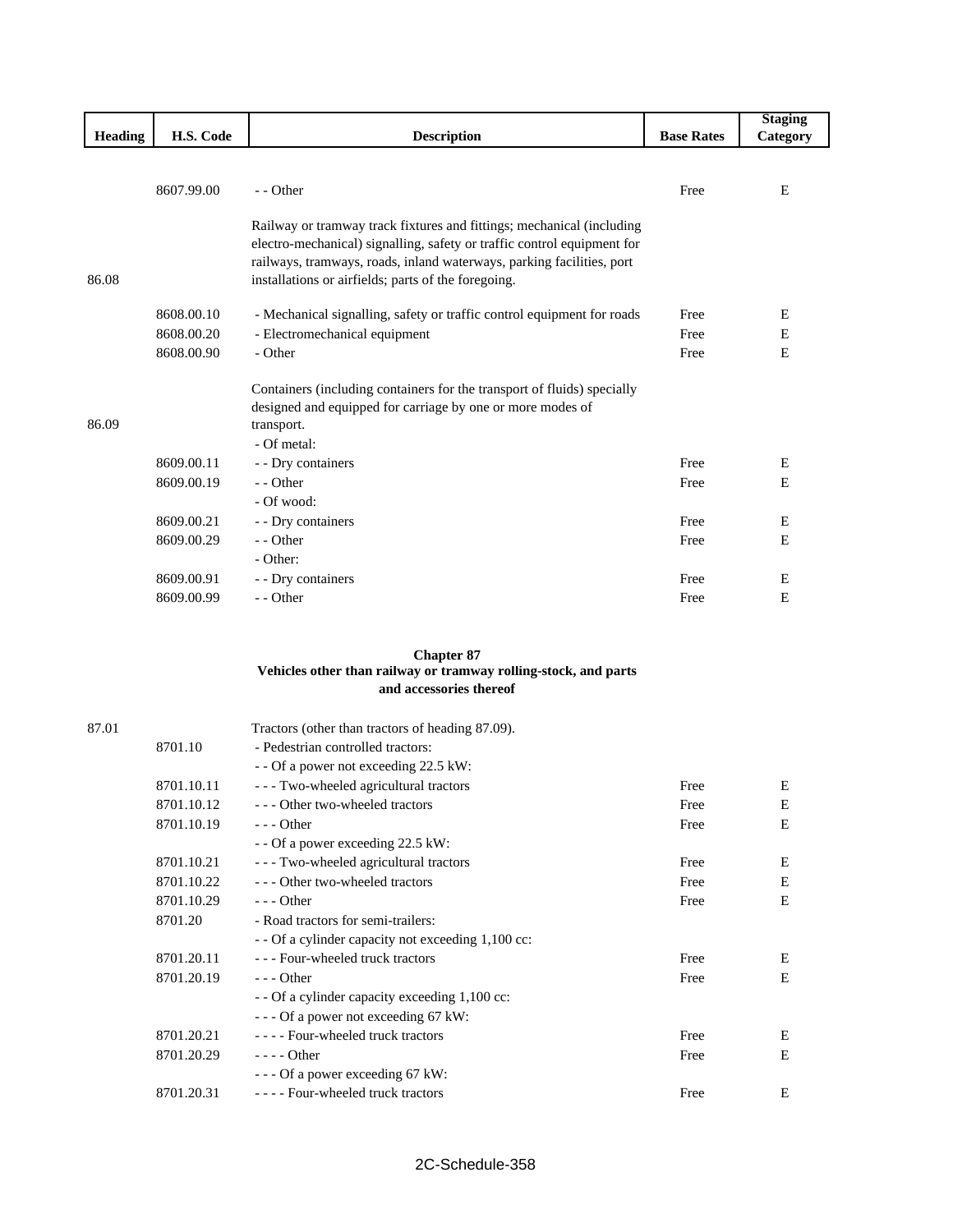|                |            |                                                                                                                                                                                                                           |                   | <b>Staging</b> |
|----------------|------------|---------------------------------------------------------------------------------------------------------------------------------------------------------------------------------------------------------------------------|-------------------|----------------|
| <b>Heading</b> | H.S. Code  | <b>Description</b>                                                                                                                                                                                                        | <b>Base Rates</b> | Category       |
|                |            |                                                                                                                                                                                                                           |                   |                |
|                | 8607.99.00 | - - Other                                                                                                                                                                                                                 | Free              | E              |
|                |            |                                                                                                                                                                                                                           |                   |                |
|                |            | Railway or tramway track fixtures and fittings; mechanical (including<br>electro-mechanical) signalling, safety or traffic control equipment for<br>railways, tramways, roads, inland waterways, parking facilities, port |                   |                |
| 86.08          |            | installations or airfields; parts of the foregoing.                                                                                                                                                                       |                   |                |
|                | 8608.00.10 | - Mechanical signalling, safety or traffic control equipment for roads                                                                                                                                                    | Free              | Ε              |
|                | 8608.00.20 | - Electromechanical equipment                                                                                                                                                                                             | Free              | E              |
|                | 8608.00.90 | - Other                                                                                                                                                                                                                   | Free              | Ε              |
| 86.09          |            | Containers (including containers for the transport of fluids) specially<br>designed and equipped for carriage by one or more modes of<br>transport.<br>- Of metal:                                                        |                   |                |
|                | 8609.00.11 | - - Dry containers                                                                                                                                                                                                        | Free              | Ε              |
|                | 8609.00.19 | - - Other                                                                                                                                                                                                                 | Free              | E              |
|                |            | - Of wood:                                                                                                                                                                                                                |                   |                |
|                | 8609.00.21 | - - Dry containers                                                                                                                                                                                                        | Free              | Е              |
|                | 8609.00.29 | - - Other                                                                                                                                                                                                                 | Free              | E              |
|                |            | - Other:                                                                                                                                                                                                                  |                   |                |
|                | 8609.00.91 | - - Dry containers                                                                                                                                                                                                        | Free              | Ε              |
|                | 8609.00.99 | - - Other                                                                                                                                                                                                                 | Free              | E              |

## **Chapter 87 Vehicles other than railway or tramway rolling-stock, and parts and accessories thereof**

| 87.01 |            | Tractors (other than tractors of heading 87.09).   |      |   |
|-------|------------|----------------------------------------------------|------|---|
|       | 8701.10    | - Pedestrian controlled tractors:                  |      |   |
|       |            | - - Of a power not exceeding 22.5 kW:              |      |   |
|       | 8701.10.11 | --- Two-wheeled agricultural tractors              | Free | E |
|       | 8701.10.12 | --- Other two-wheeled tractors                     | Free | Ε |
|       | 8701.10.19 | $--$ Other                                         | Free | E |
|       |            | - - Of a power exceeding 22.5 kW:                  |      |   |
|       | 8701.10.21 | --- Two-wheeled agricultural tractors              | Free | Ε |
|       | 8701.10.22 | --- Other two-wheeled tractors                     | Free | E |
|       | 8701.10.29 | $--$ Other                                         | Free | E |
|       | 8701.20    | - Road tractors for semi-trailers:                 |      |   |
|       |            | - - Of a cylinder capacity not exceeding 1,100 cc: |      |   |
|       | 8701.20.11 | --- Four-wheeled truck tractors                    | Free | E |
|       | 8701.20.19 | $- -$ Other                                        | Free | E |
|       |            | - - Of a cylinder capacity exceeding 1,100 cc:     |      |   |
|       |            | $-$ - Of a power not exceeding 67 kW:              |      |   |
|       | 8701.20.21 | ---- Four-wheeled truck tractors                   | Free | Ε |
|       | 8701.20.29 | $--- Other$                                        | Free | E |
|       |            | $-$ - - Of a power exceeding 67 kW:                |      |   |
|       | 8701.20.31 | ---- Four-wheeled truck tractors                   | Free | E |
|       |            |                                                    |      |   |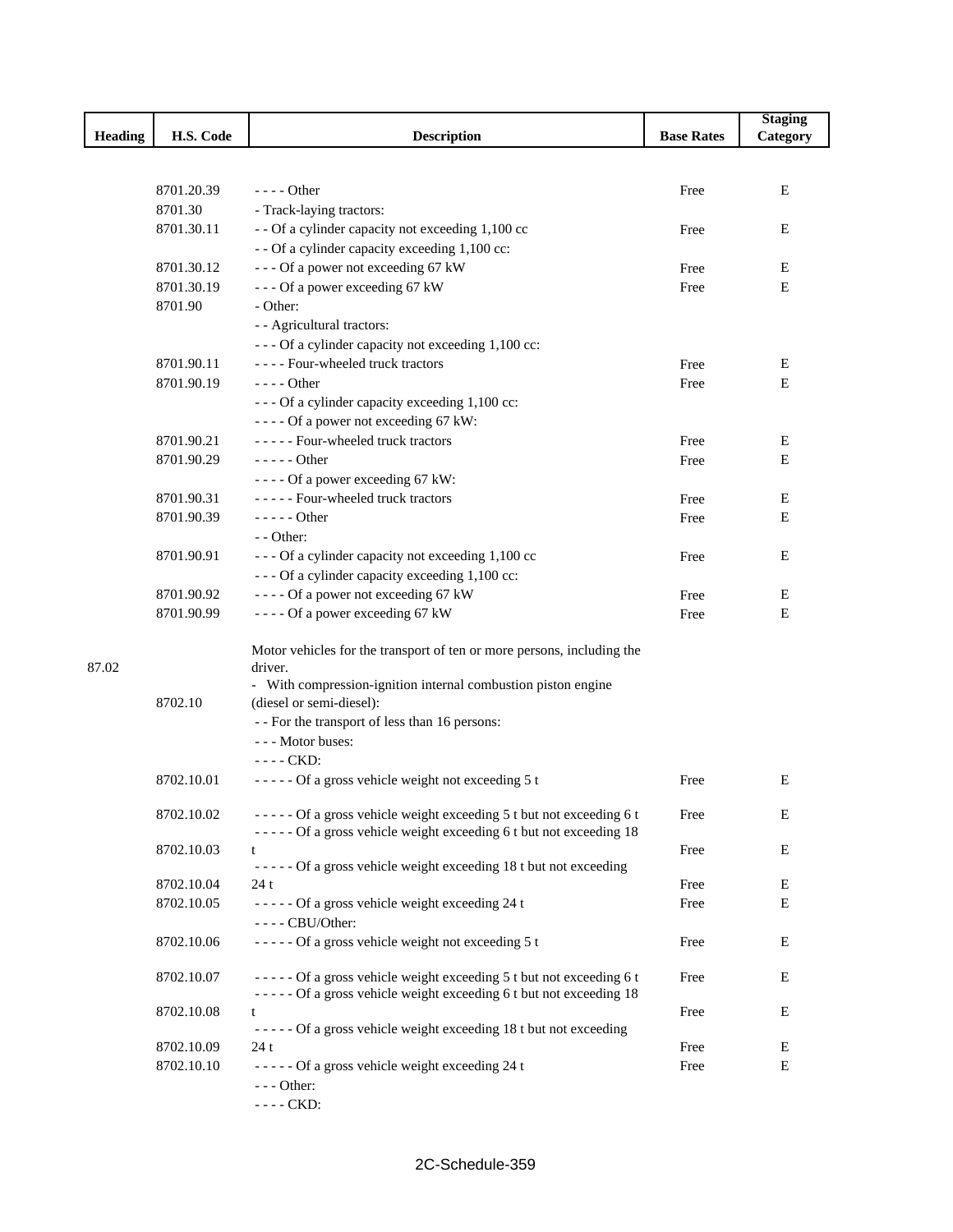|         |            |                                                                                   |                   | <b>Staging</b> |
|---------|------------|-----------------------------------------------------------------------------------|-------------------|----------------|
| Heading | H.S. Code  | <b>Description</b>                                                                | <b>Base Rates</b> | Category       |
|         |            |                                                                                   |                   |                |
|         |            |                                                                                   |                   |                |
|         | 8701.20.39 | $---$ Other                                                                       | Free              | Е              |
|         | 8701.30    | - Track-laying tractors:                                                          |                   |                |
|         | 8701.30.11 | - - Of a cylinder capacity not exceeding 1,100 cc                                 | Free              | Ε              |
|         |            | - - Of a cylinder capacity exceeding 1,100 cc:                                    |                   |                |
|         | 8701.30.12 | --- Of a power not exceeding 67 kW                                                | Free              | E              |
|         | 8701.30.19 | --- Of a power exceeding 67 kW                                                    | Free              | Ε              |
|         | 8701.90    | - Other:                                                                          |                   |                |
|         |            | - - Agricultural tractors:                                                        |                   |                |
|         |            | --- Of a cylinder capacity not exceeding 1,100 cc:                                |                   |                |
|         | 8701.90.11 | ---- Four-wheeled truck tractors                                                  | Free              | Ε              |
|         | 8701.90.19 | $---$ Other                                                                       | Free              | Ε              |
|         |            | - - - Of a cylinder capacity exceeding 1,100 cc:                                  |                   |                |
|         |            | ---- Of a power not exceeding 67 kW:                                              |                   |                |
|         | 8701.90.21 | ----- Four-wheeled truck tractors                                                 | Free              | Ε              |
|         | 8701.90.29 | $--- Other$                                                                       | Free              | E              |
|         |            | ---- Of a power exceeding 67 kW:                                                  |                   |                |
|         | 8701.90.31 | ----- Four-wheeled truck tractors                                                 | Free              | Ε              |
|         | 8701.90.39 | $---$ Other                                                                       | Free              | Е              |
|         |            | $-$ - Other:                                                                      |                   |                |
|         | 8701.90.91 | --- Of a cylinder capacity not exceeding 1,100 cc                                 | Free              | Ε              |
|         |            | - - - Of a cylinder capacity exceeding 1,100 cc:                                  |                   |                |
|         | 8701.90.92 | ---- Of a power not exceeding 67 kW                                               | Free              | E              |
|         | 8701.90.99 | ---- Of a power exceeding 67 kW                                                   | Free              | Ε              |
|         |            |                                                                                   |                   |                |
| 87.02   |            | Motor vehicles for the transport of ten or more persons, including the<br>driver. |                   |                |
|         |            | - With compression-ignition internal combustion piston engine                     |                   |                |
|         | 8702.10    | (diesel or semi-diesel):                                                          |                   |                |
|         |            | - - For the transport of less than 16 persons:                                    |                   |                |
|         |            | --- Motor buses:                                                                  |                   |                |
|         |            | $--$ CKD:                                                                         |                   |                |
|         | 8702.10.01 | ----- Of a gross vehicle weight not exceeding 5 t                                 | Free              | Е              |
|         |            |                                                                                   |                   |                |
|         | 8702.10.02 | ----- Of a gross vehicle weight exceeding 5 t but not exceeding 6 t               | Free              | Ε              |
|         |            | ----- Of a gross vehicle weight exceeding 6 t but not exceeding 18                |                   |                |
|         | 8702.10.03 | t                                                                                 | Free              | E              |
|         |            | ----- Of a gross vehicle weight exceeding 18 t but not exceeding                  |                   |                |
|         | 8702.10.04 | 24t                                                                               | Free              | Е              |
|         | 8702.10.05 | ----- Of a gross vehicle weight exceeding 24 t<br>$---$ CBU/Other:                | Free              | Е              |
|         | 8702.10.06 | ----- Of a gross vehicle weight not exceeding 5 t                                 | Free              | Е              |
|         | 8702.10.07 | ----- Of a gross vehicle weight exceeding 5 t but not exceeding 6 t               | Free              | E              |
|         |            | ----- Of a gross vehicle weight exceeding 6 t but not exceeding 18                |                   |                |
|         | 8702.10.08 | t                                                                                 | Free              | Ε              |
|         |            | ----- Of a gross vehicle weight exceeding 18 t but not exceeding                  |                   |                |
|         | 8702.10.09 | 24 t                                                                              | Free              | Е              |
|         | 8702.10.10 | ----- Of a gross vehicle weight exceeding 24 t                                    | Free              | E              |
|         |            | $--$ Other:                                                                       |                   |                |
|         |            | ---- CKD:                                                                         |                   |                |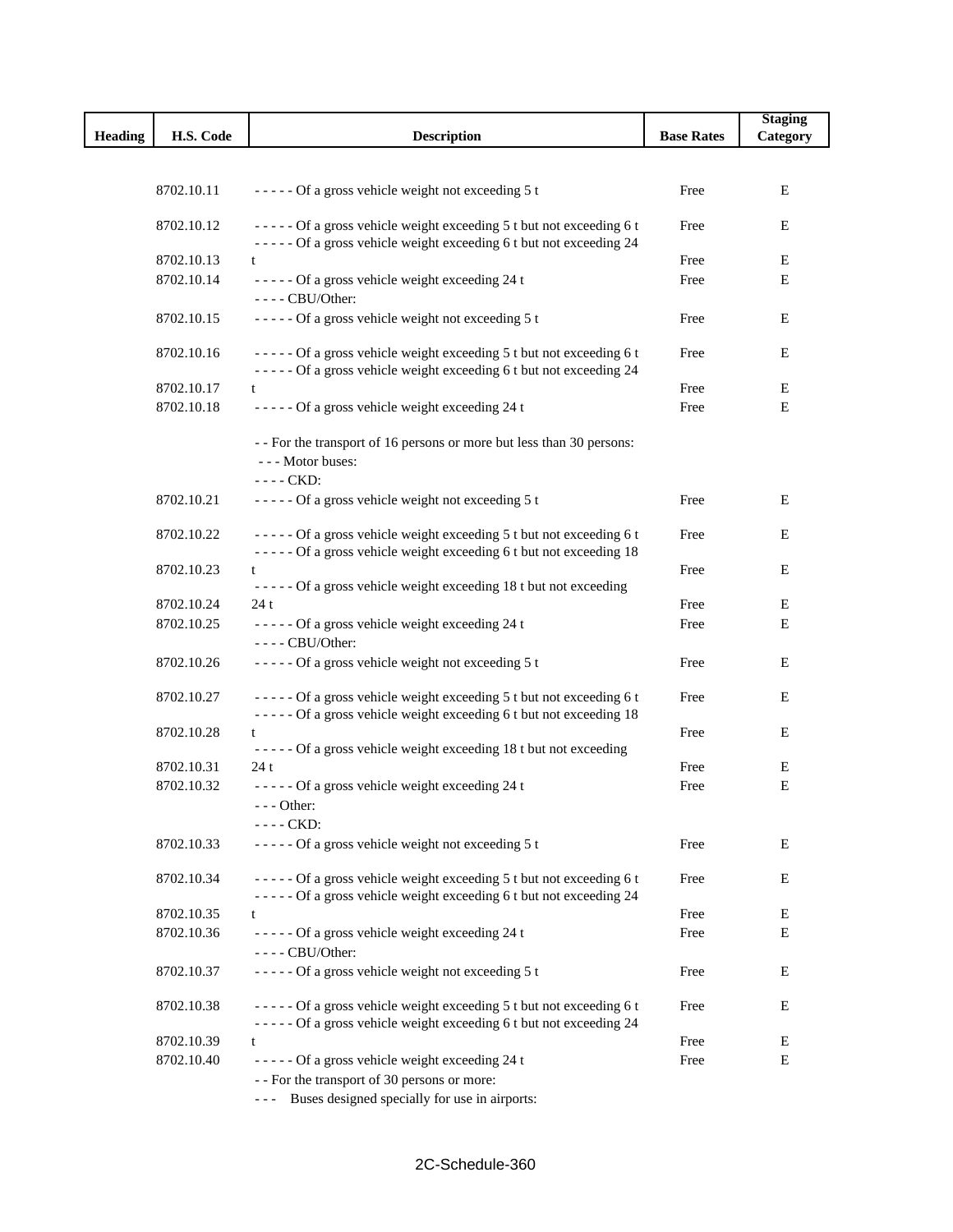|                |            |                                                                                                                                           |                   | <b>Staging</b> |
|----------------|------------|-------------------------------------------------------------------------------------------------------------------------------------------|-------------------|----------------|
| <b>Heading</b> | H.S. Code  | <b>Description</b>                                                                                                                        | <b>Base Rates</b> | Category       |
|                |            |                                                                                                                                           |                   |                |
|                |            |                                                                                                                                           |                   |                |
|                | 8702.10.11 | ----- Of a gross vehicle weight not exceeding 5 t                                                                                         | Free              | Ε              |
|                |            |                                                                                                                                           |                   |                |
|                | 8702.10.12 | ----- Of a gross vehicle weight exceeding 5 t but not exceeding 6 t                                                                       | Free              | Ε              |
|                |            | ----- Of a gross vehicle weight exceeding 6 t but not exceeding 24                                                                        |                   |                |
|                | 8702.10.13 | t                                                                                                                                         | Free              | Ε              |
|                | 8702.10.14 | ----- Of a gross vehicle weight exceeding 24 t                                                                                            | Free              | E              |
|                |            | $---$ CBU/Other:                                                                                                                          |                   |                |
|                | 8702.10.15 | ----- Of a gross vehicle weight not exceeding 5 t                                                                                         | Free              | Ε              |
|                |            |                                                                                                                                           |                   |                |
|                | 8702.10.16 | ----- Of a gross vehicle weight exceeding 5 t but not exceeding 6 t                                                                       | Free              | E              |
|                |            | ----- Of a gross vehicle weight exceeding 6 t but not exceeding 24                                                                        |                   |                |
|                | 8702.10.17 | t                                                                                                                                         | Free              | E              |
|                | 8702.10.18 | ----- Of a gross vehicle weight exceeding 24 t                                                                                            | Free              | E              |
|                |            |                                                                                                                                           |                   |                |
|                |            | -- For the transport of 16 persons or more but less than 30 persons:                                                                      |                   |                |
|                |            | --- Motor buses:                                                                                                                          |                   |                |
|                |            | ---- CKD:                                                                                                                                 |                   |                |
|                | 8702.10.21 | ----- Of a gross vehicle weight not exceeding 5 t                                                                                         | Free              | E              |
|                |            |                                                                                                                                           |                   |                |
|                | 8702.10.22 | ----- Of a gross vehicle weight exceeding 5 t but not exceeding 6 t                                                                       | Free              | Ε              |
|                |            | ----- Of a gross vehicle weight exceeding 6 t but not exceeding 18                                                                        |                   |                |
|                | 8702.10.23 |                                                                                                                                           | Free              | Ε              |
|                |            | ----- Of a gross vehicle weight exceeding 18 t but not exceeding                                                                          |                   |                |
|                | 8702.10.24 | 24t                                                                                                                                       | Free              | Ε              |
|                | 8702.10.25 | ----- Of a gross vehicle weight exceeding 24 t                                                                                            | Free              | E              |
|                |            | ---- CBU/Other:                                                                                                                           |                   |                |
|                | 8702.10.26 | ----- Of a gross vehicle weight not exceeding 5 t                                                                                         | Free              | Ε              |
|                |            |                                                                                                                                           |                   |                |
|                | 8702.10.27 | ----- Of a gross vehicle weight exceeding 5 t but not exceeding 6 t                                                                       | Free              | Ε              |
|                |            | ----- Of a gross vehicle weight exceeding 6 t but not exceeding 18                                                                        |                   |                |
|                | 8702.10.28 | t                                                                                                                                         | Free              | E              |
|                |            | ----- Of a gross vehicle weight exceeding 18 t but not exceeding                                                                          |                   |                |
|                | 8702.10.31 | 24t                                                                                                                                       | Free              | Ε              |
|                | 8702.10.32 | ----- Of a gross vehicle weight exceeding 24 t                                                                                            | Free              | Ε              |
|                |            | - - - Other:                                                                                                                              |                   |                |
|                |            | $---$ CKD:                                                                                                                                |                   |                |
|                | 8702.10.33 | ----- Of a gross vehicle weight not exceeding 5 t                                                                                         | Free              | Ε              |
|                |            |                                                                                                                                           |                   |                |
|                | 8702.10.34 | ----- Of a gross vehicle weight exceeding 5 t but not exceeding 6 t                                                                       | Free              | E              |
|                |            | ----- Of a gross vehicle weight exceeding 6 t but not exceeding 24                                                                        |                   |                |
|                | 8702.10.35 | t                                                                                                                                         | Free              | E              |
|                | 8702.10.36 | ----- Of a gross vehicle weight exceeding 24 t                                                                                            | Free              | Ε              |
|                |            | $---$ CBU/Other:                                                                                                                          |                   |                |
|                |            |                                                                                                                                           |                   |                |
|                | 8702.10.37 | ----- Of a gross vehicle weight not exceeding 5 t                                                                                         | Free              | Ε              |
|                |            |                                                                                                                                           |                   |                |
|                | 8702.10.38 | ----- Of a gross vehicle weight exceeding 5 t but not exceeding 6 t<br>----- Of a gross vehicle weight exceeding 6 t but not exceeding 24 | Free              | Ε              |
|                | 8702.10.39 | t                                                                                                                                         | Free              | Е              |
|                | 8702.10.40 | ----- Of a gross vehicle weight exceeding 24 t                                                                                            | Free              | Ε              |
|                |            |                                                                                                                                           |                   |                |
|                |            | - - For the transport of 30 persons or more:                                                                                              |                   |                |
|                |            | --- Buses designed specially for use in airports:                                                                                         |                   |                |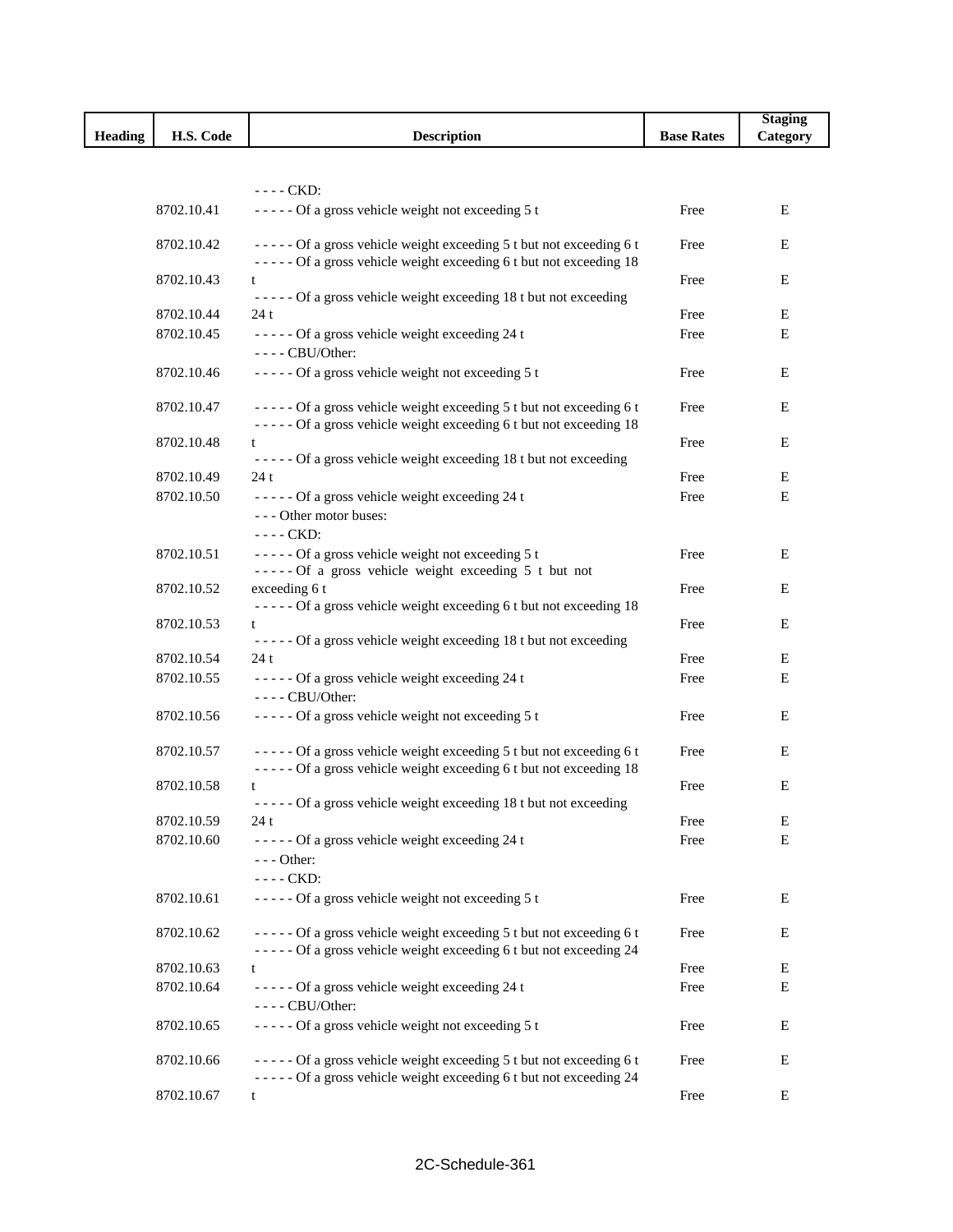|                |            |                                                                                                                                           |                   | <b>Staging</b> |
|----------------|------------|-------------------------------------------------------------------------------------------------------------------------------------------|-------------------|----------------|
| <b>Heading</b> | H.S. Code  | <b>Description</b>                                                                                                                        | <b>Base Rates</b> | Category       |
|                |            |                                                                                                                                           |                   |                |
|                |            |                                                                                                                                           |                   |                |
|                |            | $---$ CKD:                                                                                                                                |                   |                |
|                | 8702.10.41 | ----- Of a gross vehicle weight not exceeding 5 t                                                                                         | Free              | Ε              |
|                |            |                                                                                                                                           |                   |                |
|                | 8702.10.42 | ----- Of a gross vehicle weight exceeding 5 t but not exceeding 6 t                                                                       | Free              | Е              |
|                |            | ----- Of a gross vehicle weight exceeding 6 t but not exceeding 18                                                                        |                   |                |
|                | 8702.10.43 |                                                                                                                                           | Free              | Е              |
|                |            | t<br>----- Of a gross vehicle weight exceeding 18 t but not exceeding                                                                     |                   |                |
|                | 8702.10.44 | 24t                                                                                                                                       | Free              | Е              |
|                |            |                                                                                                                                           |                   |                |
|                | 8702.10.45 | ----- Of a gross vehicle weight exceeding 24 t                                                                                            | Free              | E              |
|                |            | $---$ CBU/Other:                                                                                                                          |                   |                |
|                | 8702.10.46 | ----- Of a gross vehicle weight not exceeding 5 t                                                                                         | Free              | E              |
|                |            |                                                                                                                                           |                   |                |
|                | 8702.10.47 | ----- Of a gross vehicle weight exceeding 5 t but not exceeding 6 t                                                                       | Free              | E              |
|                |            | ----- Of a gross vehicle weight exceeding 6 t but not exceeding 18                                                                        |                   |                |
|                | 8702.10.48 | t                                                                                                                                         | Free              | E              |
|                |            | ----- Of a gross vehicle weight exceeding 18 t but not exceeding                                                                          |                   |                |
|                | 8702.10.49 | 24t                                                                                                                                       | Free              | E              |
|                | 8702.10.50 | ----- Of a gross vehicle weight exceeding 24 t                                                                                            | Free              | E              |
|                |            | --- Other motor buses:                                                                                                                    |                   |                |
|                |            | $---CKD:$                                                                                                                                 |                   |                |
|                | 8702.10.51 | ----- Of a gross vehicle weight not exceeding 5 t                                                                                         | Free              | Е              |
|                |            | ----- Of a gross vehicle weight exceeding 5 t but not                                                                                     |                   |                |
|                |            |                                                                                                                                           |                   |                |
|                | 8702.10.52 | exceeding 6 t<br>----- Of a gross vehicle weight exceeding 6 t but not exceeding 18                                                       | Free              | Е              |
|                |            |                                                                                                                                           |                   | Е              |
|                | 8702.10.53 | t                                                                                                                                         | Free              |                |
|                |            | ----- Of a gross vehicle weight exceeding 18 t but not exceeding                                                                          |                   |                |
|                | 8702.10.54 | 24t                                                                                                                                       | Free              | E              |
|                | 8702.10.55 | ----- Of a gross vehicle weight exceeding 24 t                                                                                            | Free              | $\mathbf E$    |
|                |            | ---- CBU/Other:                                                                                                                           |                   |                |
|                | 8702.10.56 | ----- Of a gross vehicle weight not exceeding 5 t                                                                                         | Free              | E              |
|                |            |                                                                                                                                           |                   |                |
|                | 8702.10.57 | ----- Of a gross vehicle weight exceeding 5 t but not exceeding 6 t                                                                       | Free              | Е              |
|                |            | ----- Of a gross vehicle weight exceeding 6 t but not exceeding 18                                                                        |                   |                |
|                | 8702.10.58 |                                                                                                                                           | Free              | Е              |
|                |            | ----- Of a gross vehicle weight exceeding 18 t but not exceeding                                                                          |                   |                |
|                | 8702.10.59 | 24t                                                                                                                                       | Free              | Е              |
|                | 8702.10.60 | ----- Of a gross vehicle weight exceeding 24 t                                                                                            | Free              | Е              |
|                |            | $--$ Other:                                                                                                                               |                   |                |
|                |            | ---- CKD:                                                                                                                                 |                   |                |
|                |            | ----- Of a gross vehicle weight not exceeding 5 t                                                                                         |                   |                |
|                | 8702.10.61 |                                                                                                                                           | Free              | Е              |
|                |            |                                                                                                                                           |                   |                |
|                | 8702.10.62 | ----- Of a gross vehicle weight exceeding 5 t but not exceeding 6 t<br>----- Of a gross vehicle weight exceeding 6 t but not exceeding 24 | Free              | E              |
|                |            |                                                                                                                                           |                   |                |
|                | 8702.10.63 | t                                                                                                                                         | Free              | E              |
|                | 8702.10.64 | ----- Of a gross vehicle weight exceeding 24 t                                                                                            | Free              | Е              |
|                |            | $---$ CBU/Other:                                                                                                                          |                   |                |
|                | 8702.10.65 | ----- Of a gross vehicle weight not exceeding 5 t                                                                                         | Free              | Е              |
|                |            |                                                                                                                                           |                   |                |
|                | 8702.10.66 | ----- Of a gross vehicle weight exceeding 5 t but not exceeding 6 t                                                                       | Free              | Е              |
|                |            | ----- Of a gross vehicle weight exceeding 6 t but not exceeding 24                                                                        |                   |                |
|                | 8702.10.67 | t                                                                                                                                         | Free              | Е              |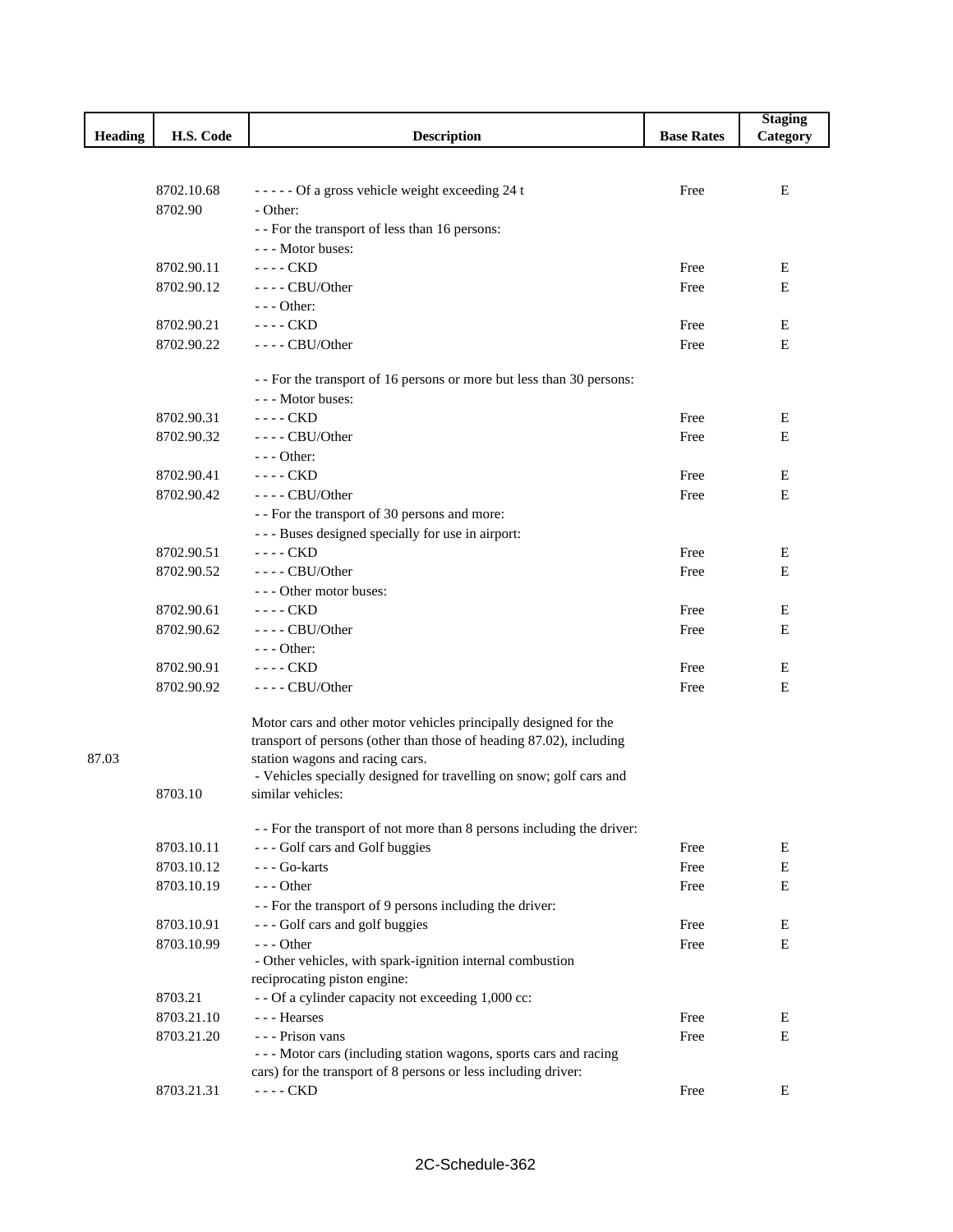|                |            |                                                                        |                   | <b>Staging</b> |
|----------------|------------|------------------------------------------------------------------------|-------------------|----------------|
| <b>Heading</b> | H.S. Code  | <b>Description</b>                                                     | <b>Base Rates</b> | Category       |
|                |            |                                                                        |                   |                |
|                |            |                                                                        |                   |                |
|                | 8702.10.68 | ----- Of a gross vehicle weight exceeding 24 t                         | Free              | E              |
|                | 8702.90    | - Other:                                                               |                   |                |
|                |            | - - For the transport of less than 16 persons:                         |                   |                |
|                |            | --- Motor buses:                                                       |                   |                |
|                | 8702.90.11 | $---$ CKD                                                              | Free              | Е              |
|                | 8702.90.12 | $---$ CBU/Other                                                        | Free              | E              |
|                |            | - - - Other:                                                           |                   |                |
|                | 8702.90.21 | $---$ CKD                                                              | Free              | Ε              |
|                | 8702.90.22 | ---- CBU/Other                                                         | Free              | E              |
|                |            |                                                                        |                   |                |
|                |            | - - For the transport of 16 persons or more but less than 30 persons:  |                   |                |
|                |            | --- Motor buses:                                                       |                   |                |
|                | 8702.90.31 | ---- CKD                                                               | Free              | E              |
|                | 8702.90.32 | $---$ CBU/Other                                                        | Free              | E              |
|                |            | $--$ Other:                                                            |                   |                |
|                | 8702.90.41 | $---$ CKD                                                              | Free              | Ε              |
|                |            | $---$ CBU/Other                                                        |                   | E              |
|                | 8702.90.42 |                                                                        | Free              |                |
|                |            | - - For the transport of 30 persons and more:                          |                   |                |
|                |            | --- Buses designed specially for use in airport:                       |                   |                |
|                | 8702.90.51 | $---$ CKD                                                              | Free              | E              |
|                | 8702.90.52 | ---- CBU/Other                                                         | Free              | Е              |
|                |            | --- Other motor buses:                                                 |                   |                |
|                | 8702.90.61 | ---- CKD                                                               | Free              | Ε              |
|                | 8702.90.62 | $---$ CBU/Other                                                        | Free              | E              |
|                |            | $--$ Other:                                                            |                   |                |
|                | 8702.90.91 | $--$ CKD                                                               | Free              | Ε              |
|                | 8702.90.92 | $---$ CBU/Other                                                        | Free              | Ε              |
|                |            |                                                                        |                   |                |
|                |            | Motor cars and other motor vehicles principally designed for the       |                   |                |
|                |            | transport of persons (other than those of heading 87.02), including    |                   |                |
| 87.03          |            | station wagons and racing cars.                                        |                   |                |
|                |            | - Vehicles specially designed for travelling on snow; golf cars and    |                   |                |
|                | 8703.10    | similar vehicles:                                                      |                   |                |
|                |            |                                                                        |                   |                |
|                |            | - - For the transport of not more than 8 persons including the driver: |                   |                |
|                | 8703.10.11 | --- Golf cars and Golf buggies                                         | Free              | E              |
|                | 8703.10.12 | --- Go-karts                                                           | Free              | E              |
|                | 8703.10.19 | $--$ Other                                                             | Free              | E              |
|                |            | - - For the transport of 9 persons including the driver:               |                   |                |
|                | 8703.10.91 | --- Golf cars and golf buggies                                         | Free              | E              |
|                | 8703.10.99 | $--$ Other                                                             | Free              | E              |
|                |            | - Other vehicles, with spark-ignition internal combustion              |                   |                |
|                |            | reciprocating piston engine:                                           |                   |                |
|                | 8703.21    | - - Of a cylinder capacity not exceeding 1,000 cc:                     |                   |                |
|                | 8703.21.10 | --- Hearses                                                            | Free              | E              |
|                |            | --- Prison vans                                                        | Free              | E              |
|                | 8703.21.20 | --- Motor cars (including station wagons, sports cars and racing       |                   |                |
|                |            | cars) for the transport of 8 persons or less including driver:         |                   |                |
|                |            |                                                                        |                   |                |
|                | 8703.21.31 | ---- CKD                                                               | Free              | E              |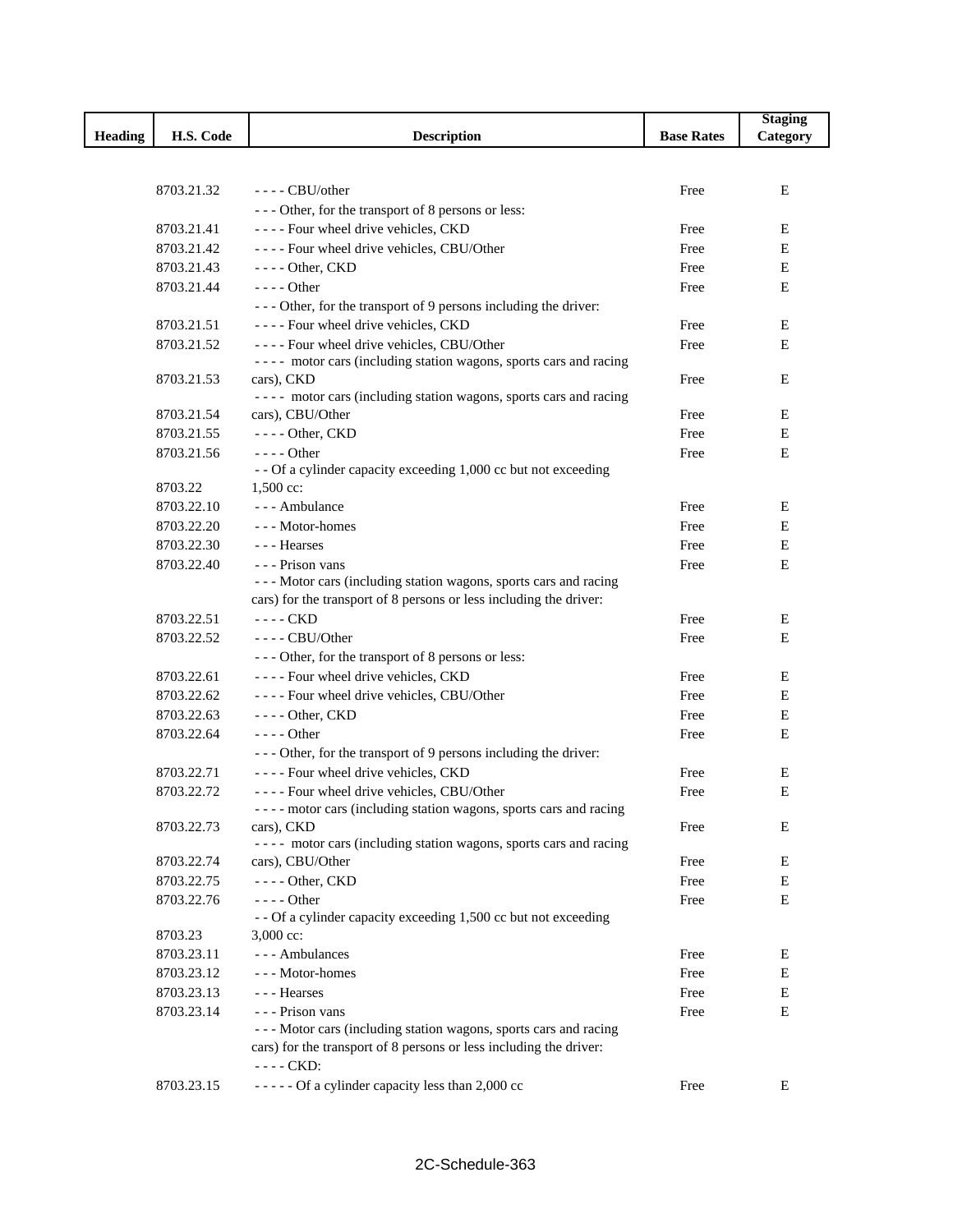|                |            |                                                                                 |                   | <b>Staging</b> |
|----------------|------------|---------------------------------------------------------------------------------|-------------------|----------------|
| <b>Heading</b> | H.S. Code  | <b>Description</b>                                                              | <b>Base Rates</b> | Category       |
|                |            |                                                                                 |                   |                |
|                |            |                                                                                 |                   |                |
|                | 8703.21.32 | $---$ CBU/other                                                                 | Free              | E              |
|                |            | --- Other, for the transport of 8 persons or less:                              |                   |                |
|                | 8703.21.41 | ---- Four wheel drive vehicles, CKD                                             | Free              | E              |
|                | 8703.21.42 | ---- Four wheel drive vehicles, CBU/Other                                       | Free              | E              |
|                | 8703.21.43 | $---$ Other, CKD                                                                | Free              | E              |
|                | 8703.21.44 | $--$ Other                                                                      | Free              | E              |
|                |            | - - - Other, for the transport of 9 persons including the driver:               |                   |                |
|                | 8703.21.51 | ---- Four wheel drive vehicles, CKD                                             | Free              | E              |
|                | 8703.21.52 | ---- Four wheel drive vehicles, CBU/Other                                       | Free              | E              |
|                |            | ---- motor cars (including station wagons, sports cars and racing<br>cars), CKD |                   | E              |
|                | 8703.21.53 | ---- motor cars (including station wagons, sports cars and racing               | Free              |                |
|                | 8703.21.54 | cars), CBU/Other                                                                | Free              | Ε              |
|                | 8703.21.55 | $---$ Other, CKD                                                                | Free              | E              |
|                | 8703.21.56 | $--- Other$                                                                     | Free              | E              |
|                |            | - - Of a cylinder capacity exceeding 1,000 cc but not exceeding                 |                   |                |
|                | 8703.22    | 1,500 cc:                                                                       |                   |                |
|                | 8703.22.10 | --- Ambulance                                                                   | Free              | Ε              |
|                | 8703.22.20 | --- Motor-homes                                                                 | Free              | Е              |
|                | 8703.22.30 | --- Hearses                                                                     | Free              | E              |
|                | 8703.22.40 | - - - Prison vans                                                               | Free              | Ε              |
|                |            | --- Motor cars (including station wagons, sports cars and racing                |                   |                |
|                |            | cars) for the transport of 8 persons or less including the driver:              |                   |                |
|                | 8703.22.51 | $---$ CKD                                                                       | Free              | Ε              |
|                | 8703.22.52 | ---- CBU/Other                                                                  | Free              | Е              |
|                |            | --- Other, for the transport of 8 persons or less:                              |                   |                |
|                | 8703.22.61 | ---- Four wheel drive vehicles, CKD                                             | Free              | Ε              |
|                | 8703.22.62 | ---- Four wheel drive vehicles, CBU/Other                                       | Free              | Е              |
|                | 8703.22.63 | $---$ Other, CKD                                                                | Free              | $\mathbf E$    |
|                | 8703.22.64 | $--$ Other                                                                      | Free              | E              |
|                |            | - - - Other, for the transport of 9 persons including the driver:               |                   |                |
|                | 8703.22.71 | ---- Four wheel drive vehicles, CKD                                             | Free              | Ε              |
|                | 8703.22.72 | ---- Four wheel drive vehicles, CBU/Other                                       | Free              | E              |
|                |            | - - - - motor cars (including station wagons, sports cars and racing            |                   |                |
|                | 8703.22.73 | cars), CKD                                                                      | Free              | E              |
|                | 8703.22.74 | ---- motor cars (including station wagons, sports cars and racing               |                   | E              |
|                |            | cars), CBU/Other                                                                | Free              |                |
|                | 8703.22.75 | $---$ Other, CKD<br>$---$ Other                                                 | Free              | E<br>E         |
|                | 8703.22.76 | - - Of a cylinder capacity exceeding 1,500 cc but not exceeding                 | Free              |                |
|                | 8703.23    | $3,000 \text{ cc}$ :                                                            |                   |                |
|                | 8703.23.11 | --- Ambulances                                                                  | Free              | E              |
|                | 8703.23.12 | --- Motor-homes                                                                 | Free              | E              |
|                | 8703.23.13 | --- Hearses                                                                     | Free              | Ε              |
|                | 8703.23.14 | - - - Prison vans                                                               | Free              | E              |
|                |            | --- Motor cars (including station wagons, sports cars and racing                |                   |                |
|                |            | cars) for the transport of 8 persons or less including the driver:              |                   |                |
|                |            | $---$ CKD:                                                                      |                   |                |
|                | 8703.23.15 | ----- Of a cylinder capacity less than 2,000 cc                                 | Free              | E              |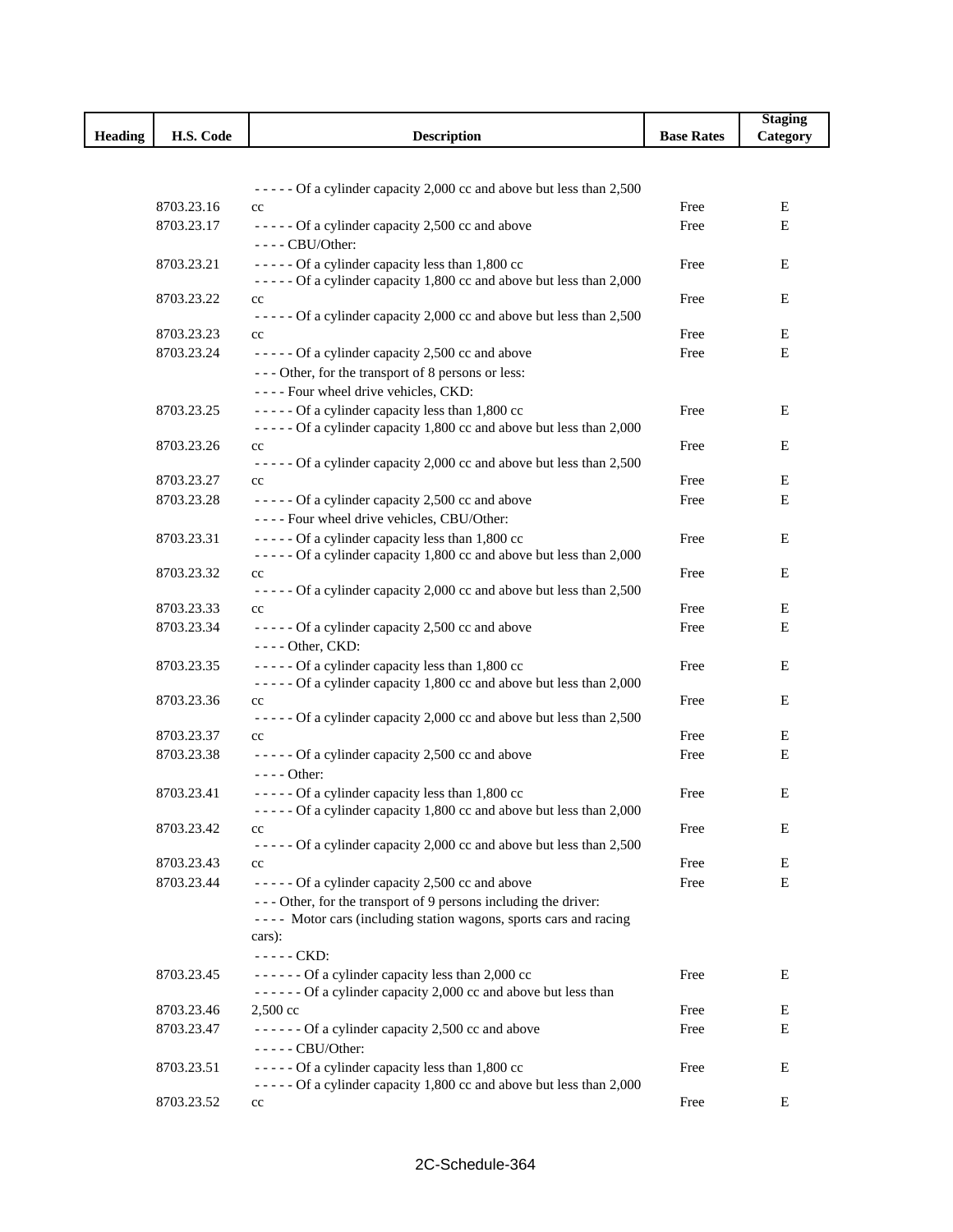|                |            |                                                                                                                        |                   | <b>Staging</b> |
|----------------|------------|------------------------------------------------------------------------------------------------------------------------|-------------------|----------------|
| <b>Heading</b> | H.S. Code  | <b>Description</b>                                                                                                     | <b>Base Rates</b> | Category       |
|                |            |                                                                                                                        |                   |                |
|                |            |                                                                                                                        |                   |                |
|                | 8703.23.16 | ----- Of a cylinder capacity 2,000 cc and above but less than 2,500                                                    | Free              | Ε              |
|                | 8703.23.17 | $_{\rm cc}$<br>----- Of a cylinder capacity 2,500 cc and above                                                         | Free              | Ε              |
|                |            | $---$ CBU/Other:                                                                                                       |                   |                |
|                | 8703.23.21 | ----- Of a cylinder capacity less than 1,800 cc                                                                        | Free              | Ε              |
|                |            | - - - - - Of a cylinder capacity 1,800 cc and above but less than 2,000                                                |                   |                |
|                | 8703.23.22 | $_{\rm cc}$                                                                                                            | Free              | Ε              |
|                |            | ----- Of a cylinder capacity 2,000 cc and above but less than 2,500                                                    |                   |                |
|                | 8703.23.23 | $_{\rm cc}$                                                                                                            | Free              | Ε              |
|                | 8703.23.24 | ----- Of a cylinder capacity 2,500 cc and above                                                                        | Free              | Е              |
|                |            | --- Other, for the transport of 8 persons or less:                                                                     |                   |                |
|                |            | ---- Four wheel drive vehicles, CKD:                                                                                   |                   |                |
|                | 8703.23.25 | ----- Of a cylinder capacity less than 1,800 cc                                                                        | Free              | E              |
|                |            | ----- Of a cylinder capacity 1,800 cc and above but less than 2,000                                                    |                   |                |
|                | 8703.23.26 | $_{\rm cc}$                                                                                                            | Free              | Ε              |
|                |            | ----- Of a cylinder capacity 2,000 cc and above but less than 2,500                                                    |                   |                |
|                | 8703.23.27 | $_{\rm cc}$                                                                                                            | Free              | Ε              |
|                | 8703.23.28 | ----- Of a cylinder capacity 2,500 cc and above                                                                        | Free              | E              |
|                |            | ---- Four wheel drive vehicles, CBU/Other:                                                                             |                   |                |
|                | 8703.23.31 | ----- Of a cylinder capacity less than 1,800 cc                                                                        | Free              | Ε              |
|                |            | ----- Of a cylinder capacity 1,800 cc and above but less than 2,000                                                    |                   |                |
|                | 8703.23.32 | $_{\rm cc}$                                                                                                            | Free              | Ε              |
|                |            | ----- Of a cylinder capacity 2,000 cc and above but less than 2,500                                                    |                   |                |
|                | 8703.23.33 | cc                                                                                                                     | Free              | Ε              |
|                | 8703.23.34 | ----- Of a cylinder capacity 2,500 cc and above<br>- - - - Other, CKD:                                                 | Free              | Ε              |
|                | 8703.23.35 | ----- Of a cylinder capacity less than 1,800 cc                                                                        | Free              | Ε              |
|                |            | ----- Of a cylinder capacity 1,800 cc and above but less than 2,000                                                    |                   |                |
|                | 8703.23.36 | cc                                                                                                                     | Free              | E              |
|                |            | ----- Of a cylinder capacity 2,000 cc and above but less than 2,500                                                    |                   |                |
|                | 8703.23.37 | cc                                                                                                                     | Free              | Ε              |
|                | 8703.23.38 | ----- Of a cylinder capacity 2,500 cc and above                                                                        | Free              | Е              |
|                |            | $--$ Other:                                                                                                            |                   |                |
|                | 8703.23.41 | ----- Of a cylinder capacity less than 1,800 cc<br>----- Of a cylinder capacity 1,800 cc and above but less than 2,000 | Free              | Е              |
|                | 8703.23.42 | cc                                                                                                                     | Free              | Ε              |
|                |            | - - - - - Of a cylinder capacity 2,000 cc and above but less than 2,500                                                |                   |                |
|                | 8703.23.43 | cc                                                                                                                     | Free              | Ε              |
|                | 8703.23.44 | ----- Of a cylinder capacity 2,500 cc and above                                                                        | Free              | E              |
|                |            | --- Other, for the transport of 9 persons including the driver:                                                        |                   |                |
|                |            | ---- Motor cars (including station wagons, sports cars and racing                                                      |                   |                |
|                |            | cars):                                                                                                                 |                   |                |
|                |            | ----- CKD:                                                                                                             |                   |                |
|                | 8703.23.45 | $---$ Of a cylinder capacity less than 2,000 cc                                                                        | Free              | Ε              |
|                |            | ------ Of a cylinder capacity 2,000 cc and above but less than                                                         |                   |                |
|                | 8703.23.46 | 2,500 cc                                                                                                               | Free              | Ε              |
|                | 8703.23.47 | ------ Of a cylinder capacity 2,500 cc and above                                                                       | Free              | Ε              |
|                |            | - - - - - CBU/Other:                                                                                                   |                   |                |
|                | 8703.23.51 | ----- Of a cylinder capacity less than 1,800 cc                                                                        | Free              | Ε              |
|                |            | ----- Of a cylinder capacity 1,800 cc and above but less than 2,000                                                    |                   |                |
|                | 8703.23.52 | cc                                                                                                                     | Free              | Ε              |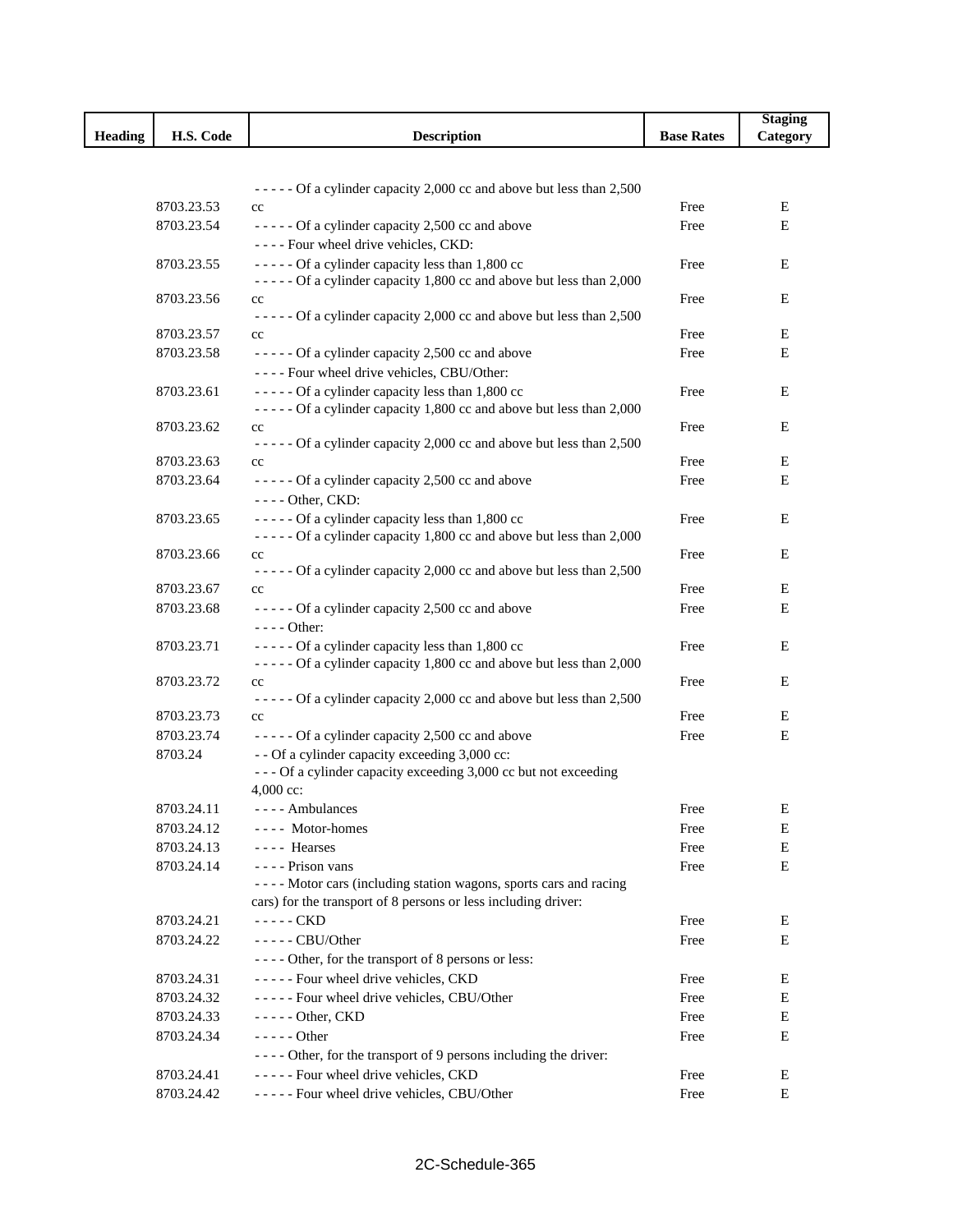|                |            |                                                                           |                   | <b>Staging</b> |
|----------------|------------|---------------------------------------------------------------------------|-------------------|----------------|
| <b>Heading</b> | H.S. Code  | <b>Description</b>                                                        | <b>Base Rates</b> | Category       |
|                |            |                                                                           |                   |                |
|                |            |                                                                           |                   |                |
|                |            | ----- Of a cylinder capacity 2,000 cc and above but less than 2,500       |                   |                |
|                | 8703.23.53 | $_{\rm cc}$                                                               | Free              | Е              |
|                | 8703.23.54 | - - - - - Of a cylinder capacity 2,500 cc and above                       | Free              | Е              |
|                |            | ---- Four wheel drive vehicles, CKD:                                      |                   |                |
|                | 8703.23.55 | ----- Of a cylinder capacity less than 1,800 cc                           | Free              | E              |
|                |            | ----- Of a cylinder capacity 1,800 cc and above but less than 2,000       |                   |                |
|                | 8703.23.56 | cc<br>$---$ Of a cylinder capacity 2,000 cc and above but less than 2,500 | Free              | E              |
|                | 8703.23.57 | $_{\rm cc}$                                                               | Free              | Ε              |
|                | 8703.23.58 | ----- Of a cylinder capacity 2,500 cc and above                           | Free              | Е              |
|                |            | ---- Four wheel drive vehicles, CBU/Other:                                |                   |                |
|                | 8703.23.61 | ----- Of a cylinder capacity less than 1,800 cc                           | Free              | Е              |
|                |            | ----- Of a cylinder capacity 1,800 cc and above but less than 2,000       |                   |                |
|                | 8703.23.62 | cc                                                                        | Free              | Е              |
|                |            | ----- Of a cylinder capacity 2,000 cc and above but less than 2,500       |                   |                |
|                | 8703.23.63 | $_{\rm cc}$                                                               | Free              | E              |
|                | 8703.23.64 | ----- Of a cylinder capacity 2,500 cc and above                           | Free              | Ε              |
|                |            | - - - - Other, CKD:                                                       |                   |                |
|                | 8703.23.65 | ----- Of a cylinder capacity less than 1,800 cc                           | Free              | Е              |
|                |            | ----- Of a cylinder capacity 1,800 cc and above but less than 2,000       |                   |                |
|                | 8703.23.66 | cc                                                                        | Free              | Е              |
|                |            | ----- Of a cylinder capacity 2,000 cc and above but less than 2,500       |                   |                |
|                | 8703.23.67 | cc                                                                        | Free              | Е              |
|                | 8703.23.68 | ----- Of a cylinder capacity 2,500 cc and above                           | Free              | Ε              |
|                |            | $--- Other:$                                                              |                   |                |
|                | 8703.23.71 | ----- Of a cylinder capacity less than 1,800 cc                           | Free              | Ε              |
|                |            | ----- Of a cylinder capacity 1,800 cc and above but less than 2,000       |                   |                |
|                | 8703.23.72 | cc                                                                        | Free              | Е              |
|                |            | ----- Of a cylinder capacity 2,000 cc and above but less than 2,500       |                   |                |
|                | 8703.23.73 | cc                                                                        | Free              | Ε              |
|                | 8703.23.74 | ----- Of a cylinder capacity 2,500 cc and above                           | Free              | Е              |
|                | 8703.24    | - - Of a cylinder capacity exceeding 3,000 cc:                            |                   |                |
|                |            | --- Of a cylinder capacity exceeding 3,000 cc but not exceeding           |                   |                |
|                |            | $4,000$ cc:                                                               |                   |                |
|                | 8703.24.11 | ---- Ambulances                                                           | Free              | E              |
|                | 8703.24.12 | ---- Motor-homes                                                          | Free              | E              |
|                | 8703.24.13 | ---- Hearses                                                              | Free              | E              |
|                | 8703.24.14 | ---- Prison vans                                                          | Free              | E              |
|                |            | ---- Motor cars (including station wagons, sports cars and racing         |                   |                |
|                |            | cars) for the transport of 8 persons or less including driver:            |                   |                |
|                | 8703.24.21 | $---$ CKD                                                                 | Free              | Е              |
|                | 8703.24.22 | - - - - - CBU/Other                                                       | Free              | Ε              |
|                |            | ---- Other, for the transport of 8 persons or less:                       |                   |                |
|                | 8703.24.31 | ----- Four wheel drive vehicles, CKD                                      | Free              | E              |
|                | 8703.24.32 | ----- Four wheel drive vehicles, CBU/Other                                | Free              | Е              |
|                | 8703.24.33 | $---$ Other, CKD                                                          | Free              | E              |
|                | 8703.24.34 | $--- Other$                                                               | Free              | E              |
|                |            | - - - - Other, for the transport of 9 persons including the driver:       |                   |                |
|                | 8703.24.41 | ----- Four wheel drive vehicles, CKD                                      | Free              | Е              |
|                | 8703.24.42 | ----- Four wheel drive vehicles, CBU/Other                                | Free              | Е              |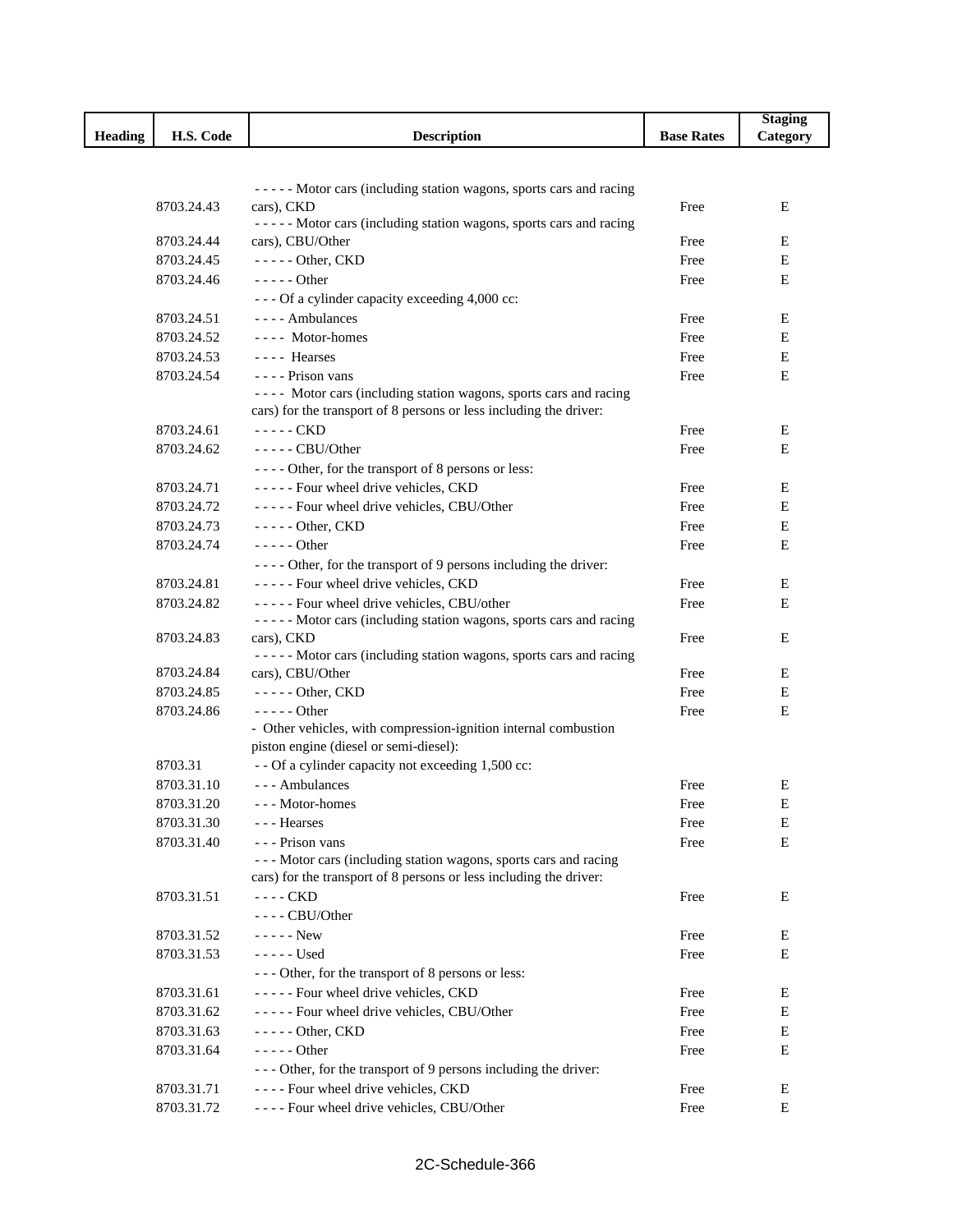|                |            |                                                                                  |                   | <b>Staging</b> |
|----------------|------------|----------------------------------------------------------------------------------|-------------------|----------------|
| <b>Heading</b> | H.S. Code  | <b>Description</b>                                                               | <b>Base Rates</b> | Category       |
|                |            |                                                                                  |                   |                |
|                |            |                                                                                  |                   |                |
|                |            | ----- Motor cars (including station wagons, sports cars and racing               |                   |                |
|                | 8703.24.43 | cars), CKD<br>----- Motor cars (including station wagons, sports cars and racing | Free              | Ε              |
|                | 8703.24.44 | cars), CBU/Other                                                                 | Free              | Ε              |
|                | 8703.24.45 | $---$ Other, CKD                                                                 | Free              | Е              |
|                | 8703.24.46 | $--- Other$                                                                      | Free              | Е              |
|                |            | - - - Of a cylinder capacity exceeding 4,000 cc:                                 |                   |                |
|                | 8703.24.51 | $---$ Ambulances                                                                 | Free              | Ε              |
|                | 8703.24.52 | ---- Motor-homes                                                                 | Free              | Е              |
|                | 8703.24.53 | ---- Hearses                                                                     | Free              | E              |
|                | 8703.24.54 | - - - - Prison vans                                                              | Free              | E              |
|                |            | ---- Motor cars (including station wagons, sports cars and racing                |                   |                |
|                |            | cars) for the transport of 8 persons or less including the driver:               |                   |                |
|                | 8703.24.61 | $---$ CKD                                                                        | Free              | Ε              |
|                | 8703.24.62 | $---$ CBU/Other                                                                  | Free              | Е              |
|                |            | ---- Other, for the transport of 8 persons or less:                              |                   |                |
|                | 8703.24.71 | ----- Four wheel drive vehicles, CKD                                             | Free              | Е              |
|                | 8703.24.72 | ----- Four wheel drive vehicles, CBU/Other                                       | Free              | Е              |
|                | 8703.24.73 | $---$ Other, CKD                                                                 | Free              | Ε              |
|                | 8703.24.74 | $--- Other$                                                                      | Free              | Ε              |
|                |            | - - - - Other, for the transport of 9 persons including the driver:              |                   |                |
|                | 8703.24.81 | ----- Four wheel drive vehicles, CKD                                             | Free              | E              |
|                | 8703.24.82 | ----- Four wheel drive vehicles, CBU/other                                       | Free              | Е              |
|                |            | ----- Motor cars (including station wagons, sports cars and racing               |                   |                |
|                | 8703.24.83 | cars), CKD                                                                       | Free              | Е              |
|                |            | ----- Motor cars (including station wagons, sports cars and racing               |                   |                |
|                | 8703.24.84 | cars), CBU/Other                                                                 | Free              | Ε              |
|                | 8703.24.85 | $---$ Other, CKD                                                                 | Free              | Е              |
|                | 8703.24.86 | $---$ Other                                                                      | Free              | E              |
|                |            | - Other vehicles, with compression-ignition internal combustion                  |                   |                |
|                | 8703.31    | piston engine (diesel or semi-diesel):                                           |                   |                |
|                | 8703.31.10 | - - Of a cylinder capacity not exceeding 1,500 cc:<br>--- Ambulances             |                   | Е              |
|                | 8703.31.20 |                                                                                  | Free              |                |
|                | 8703.31.30 | --- Motor-homes<br>- - - Hearses                                                 | Free              | E<br>Е         |
|                | 8703.31.40 | - - - Prison vans                                                                | Free<br>Free      | E              |
|                |            | --- Motor cars (including station wagons, sports cars and racing                 |                   |                |
|                |            | cars) for the transport of 8 persons or less including the driver:               |                   |                |
|                | 8703.31.51 | ---- CKD                                                                         | Free              | Е              |
|                |            | ---- CBU/Other                                                                   |                   |                |
|                | 8703.31.52 | $---New$                                                                         | Free              | Ε              |
|                | 8703.31.53 | - - - - - Used                                                                   | Free              | Е              |
|                |            | --- Other, for the transport of 8 persons or less:                               |                   |                |
|                | 8703.31.61 | ----- Four wheel drive vehicles, CKD                                             | Free              | Е              |
|                | 8703.31.62 | ----- Four wheel drive vehicles, CBU/Other                                       | Free              | Е              |
|                | 8703.31.63 | $---$ Other, CKD                                                                 | Free              | Е              |
|                | 8703.31.64 | $--- Other$                                                                      | Free              | Е              |
|                |            | - - - Other, for the transport of 9 persons including the driver:                |                   |                |
|                | 8703.31.71 | ---- Four wheel drive vehicles, CKD                                              | Free              | Е              |
|                | 8703.31.72 | ---- Four wheel drive vehicles, CBU/Other                                        | Free              | E              |
|                |            |                                                                                  |                   |                |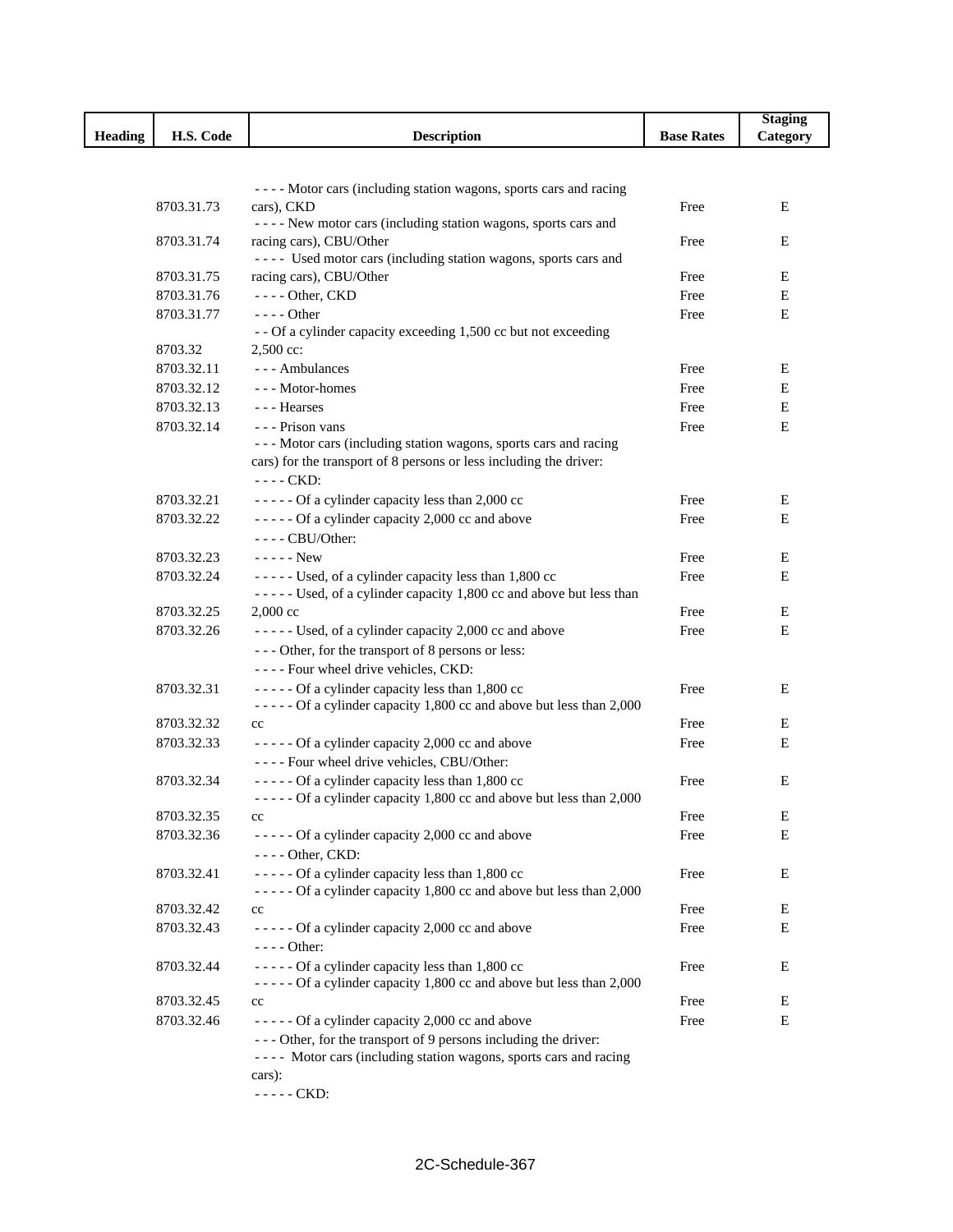|         |            |                                                                                                                        |                   | <b>Staging</b> |
|---------|------------|------------------------------------------------------------------------------------------------------------------------|-------------------|----------------|
| Heading | H.S. Code  | <b>Description</b>                                                                                                     | <b>Base Rates</b> | Category       |
|         |            |                                                                                                                        |                   |                |
|         |            |                                                                                                                        |                   |                |
|         |            | ---- Motor cars (including station wagons, sports cars and racing                                                      |                   |                |
|         | 8703.31.73 | cars), CKD<br>---- New motor cars (including station wagons, sports cars and                                           | Free              | Е              |
|         | 8703.31.74 | racing cars), CBU/Other                                                                                                | Free              | Е              |
|         |            | ---- Used motor cars (including station wagons, sports cars and                                                        |                   |                |
|         | 8703.31.75 | racing cars), CBU/Other                                                                                                | Free              | Е              |
|         | 8703.31.76 | $---$ Other, CKD                                                                                                       | Free              | E              |
|         | 8703.31.77 | $--- Other$                                                                                                            | Free              | E              |
|         |            | - - Of a cylinder capacity exceeding 1,500 cc but not exceeding                                                        |                   |                |
|         | 8703.32    | $2,500$ cc:                                                                                                            |                   |                |
|         | 8703.32.11 | --- Ambulances                                                                                                         | Free              | Е              |
|         | 8703.32.12 | --- Motor-homes                                                                                                        | Free              | Е              |
|         | 8703.32.13 | --- Hearses                                                                                                            | Free              | Е              |
|         | 8703.32.14 | - - - Prison vans                                                                                                      | Free              | E              |
|         |            | --- Motor cars (including station wagons, sports cars and racing                                                       |                   |                |
|         |            | cars) for the transport of 8 persons or less including the driver:                                                     |                   |                |
|         |            | $---$ CKD:                                                                                                             |                   |                |
|         | 8703.32.21 | ----- Of a cylinder capacity less than 2,000 cc                                                                        | Free              | Е              |
|         | 8703.32.22 | ----- Of a cylinder capacity 2,000 cc and above                                                                        | Free              | Е              |
|         |            | $---$ CBU/Other:                                                                                                       |                   |                |
|         | 8703.32.23 | $---New$                                                                                                               | Free              | Е              |
|         | 8703.32.24 | ----- Used, of a cylinder capacity less than 1,800 cc                                                                  | Free              | Е              |
|         |            | ----- Used, of a cylinder capacity 1,800 cc and above but less than                                                    |                   |                |
|         | 8703.32.25 | $2,000 \text{ cc}$                                                                                                     | Free              | Е              |
|         | 8703.32.26 | ----- Used, of a cylinder capacity 2,000 cc and above                                                                  | Free              | E              |
|         |            | --- Other, for the transport of 8 persons or less:                                                                     |                   |                |
|         |            | ---- Four wheel drive vehicles, CKD:                                                                                   |                   |                |
|         | 8703.32.31 | ----- Of a cylinder capacity less than 1,800 cc                                                                        | Free              | E              |
|         |            | ----- Of a cylinder capacity 1,800 cc and above but less than 2,000                                                    |                   |                |
|         | 8703.32.32 | cc                                                                                                                     | Free              | Е              |
|         | 8703.32.33 | ----- Of a cylinder capacity 2,000 cc and above                                                                        | Free              | Е              |
|         |            | ---- Four wheel drive vehicles, CBU/Other:                                                                             |                   |                |
|         | 8703.32.34 | ----- Of a cylinder capacity less than 1,800 cc                                                                        | Free              | E              |
|         |            | ----- Of a cylinder capacity 1,800 cc and above but less than 2,000                                                    |                   |                |
|         | 8703.32.35 | cc                                                                                                                     | Free              | Ε              |
|         | 8703.32.36 | ----- Of a cylinder capacity 2,000 cc and above                                                                        | Free              | Е              |
|         |            | $---$ Other, CKD:                                                                                                      |                   |                |
|         | 8703.32.41 | ----- Of a cylinder capacity less than 1,800 cc<br>----- Of a cylinder capacity 1,800 cc and above but less than 2,000 | Free              | Е              |
|         | 8703.32.42 | cc                                                                                                                     | Free              | Е              |
|         | 8703.32.43 | ----- Of a cylinder capacity 2,000 cc and above                                                                        | Free              | Е              |
|         |            | $---$ Other:                                                                                                           |                   |                |
|         | 8703.32.44 | ----- Of a cylinder capacity less than 1,800 cc                                                                        | Free              | Е              |
|         |            | ----- Of a cylinder capacity 1,800 cc and above but less than 2,000                                                    |                   |                |
|         | 8703.32.45 | cc                                                                                                                     | Free              | Е              |
|         | 8703.32.46 | ----- Of a cylinder capacity 2,000 cc and above                                                                        | Free              | Е              |
|         |            | --- Other, for the transport of 9 persons including the driver:                                                        |                   |                |
|         |            | ---- Motor cars (including station wagons, sports cars and racing                                                      |                   |                |
|         |            | cars):                                                                                                                 |                   |                |
|         |            | $---$ CKD:                                                                                                             |                   |                |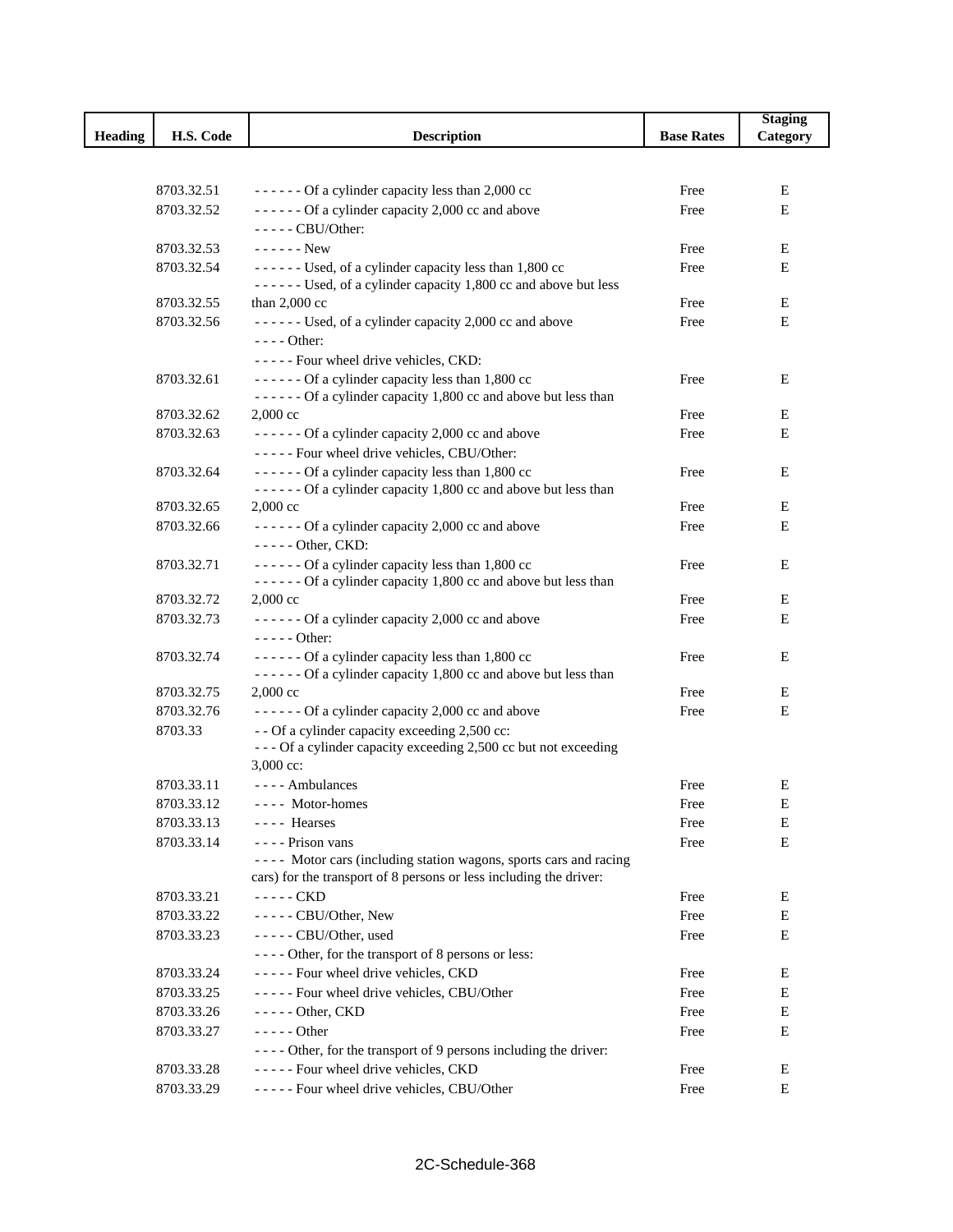|                |            |                                                                                                 |                   | <b>Staging</b> |
|----------------|------------|-------------------------------------------------------------------------------------------------|-------------------|----------------|
| <b>Heading</b> | H.S. Code  | <b>Description</b>                                                                              | <b>Base Rates</b> | Category       |
|                |            |                                                                                                 |                   |                |
|                |            |                                                                                                 |                   |                |
|                | 8703.32.51 | $---$ Of a cylinder capacity less than 2,000 cc                                                 | Free              | E              |
|                | 8703.32.52 | ------ Of a cylinder capacity 2,000 cc and above                                                | Free              | E              |
|                |            | $---CBU/Other:$                                                                                 |                   |                |
|                | 8703.32.53 | $---New$                                                                                        | Free              | Е              |
|                | 8703.32.54 | ------ Used, of a cylinder capacity less than 1,800 cc                                          | Free              | E              |
|                |            | ------ Used, of a cylinder capacity 1,800 cc and above but less                                 |                   |                |
|                | 8703.32.55 | than $2,000$ cc                                                                                 | Free              | Е              |
|                | 8703.32.56 | ------ Used, of a cylinder capacity 2,000 cc and above                                          | Free              | E              |
|                |            | $--- Other:$                                                                                    |                   |                |
|                |            | ----- Four wheel drive vehicles, CKD:                                                           |                   |                |
|                | 8703.32.61 | ------ Of a cylinder capacity less than 1,800 cc                                                | Free              | Е              |
|                | 8703.32.62 | ------ Of a cylinder capacity 1,800 cc and above but less than<br>$2,000$ cc                    | Free              | E              |
|                | 8703.32.63 |                                                                                                 |                   | Е              |
|                |            | ------ Of a cylinder capacity 2,000 cc and above<br>----- Four wheel drive vehicles, CBU/Other: | Free              |                |
|                | 8703.32.64 | ------ Of a cylinder capacity less than 1,800 cc                                                |                   | Е              |
|                |            | ------ Of a cylinder capacity 1,800 cc and above but less than                                  | Free              |                |
|                | 8703.32.65 | 2,000 cc                                                                                        | Free              | E              |
|                | 8703.32.66 | $---$ Of a cylinder capacity 2,000 cc and above                                                 | Free              | Е              |
|                |            | - - - - - Other, CKD:                                                                           |                   |                |
|                | 8703.32.71 | ------ Of a cylinder capacity less than 1,800 cc                                                | Free              | Е              |
|                |            | ------ Of a cylinder capacity 1,800 cc and above but less than                                  |                   |                |
|                | 8703.32.72 | 2,000 cc                                                                                        | Free              | Е              |
|                | 8703.32.73 | ------ Of a cylinder capacity 2,000 cc and above                                                | Free              | Е              |
|                |            | - - - - - Other:                                                                                |                   |                |
|                | 8703.32.74 | ------ Of a cylinder capacity less than 1,800 cc                                                | Free              | Е              |
|                |            | ------ Of a cylinder capacity 1,800 cc and above but less than                                  |                   |                |
|                | 8703.32.75 | $2,000$ cc                                                                                      | Free              | Е              |
|                | 8703.32.76 | ------ Of a cylinder capacity 2,000 cc and above                                                | Free              | Е              |
|                | 8703.33    | - - Of a cylinder capacity exceeding 2,500 cc:                                                  |                   |                |
|                |            | --- Of a cylinder capacity exceeding 2,500 cc but not exceeding                                 |                   |                |
|                |            | 3,000 cc:                                                                                       |                   |                |
|                | 8703.33.11 | ---- Ambulances                                                                                 | Free              | Е              |
|                | 8703.33.12 | ---- Motor-homes                                                                                | Free              | E              |
|                | 8703.33.13 | ---- Hearses                                                                                    | Free              | E              |
|                | 8703.33.14 | ---- Prison vans                                                                                | Free              | E              |
|                |            | ---- Motor cars (including station wagons, sports cars and racing                               |                   |                |
|                |            | cars) for the transport of 8 persons or less including the driver:                              |                   |                |
|                | 8703.33.21 | $---$ CKD                                                                                       | Free              | E              |
|                | 8703.33.22 | - - - - - CBU/Other, New                                                                        | Free              | E              |
|                | 8703.33.23 | - - - - - CBU/Other, used                                                                       | Free              | Е              |
|                |            | ---- Other, for the transport of 8 persons or less:                                             |                   |                |
|                | 8703.33.24 | ----- Four wheel drive vehicles, CKD                                                            | Free              | E              |
|                | 8703.33.25 | ----- Four wheel drive vehicles, CBU/Other                                                      | Free              | E              |
|                | 8703.33.26 | $---$ Other, CKD                                                                                | Free              | E              |
|                | 8703.33.27 | $--- Other$                                                                                     | Free              | E              |
|                |            | - - - - Other, for the transport of 9 persons including the driver:                             |                   |                |
|                | 8703.33.28 | ----- Four wheel drive vehicles, CKD                                                            | Free              | E              |
|                | 8703.33.29 | ----- Four wheel drive vehicles, CBU/Other                                                      | Free              | Е              |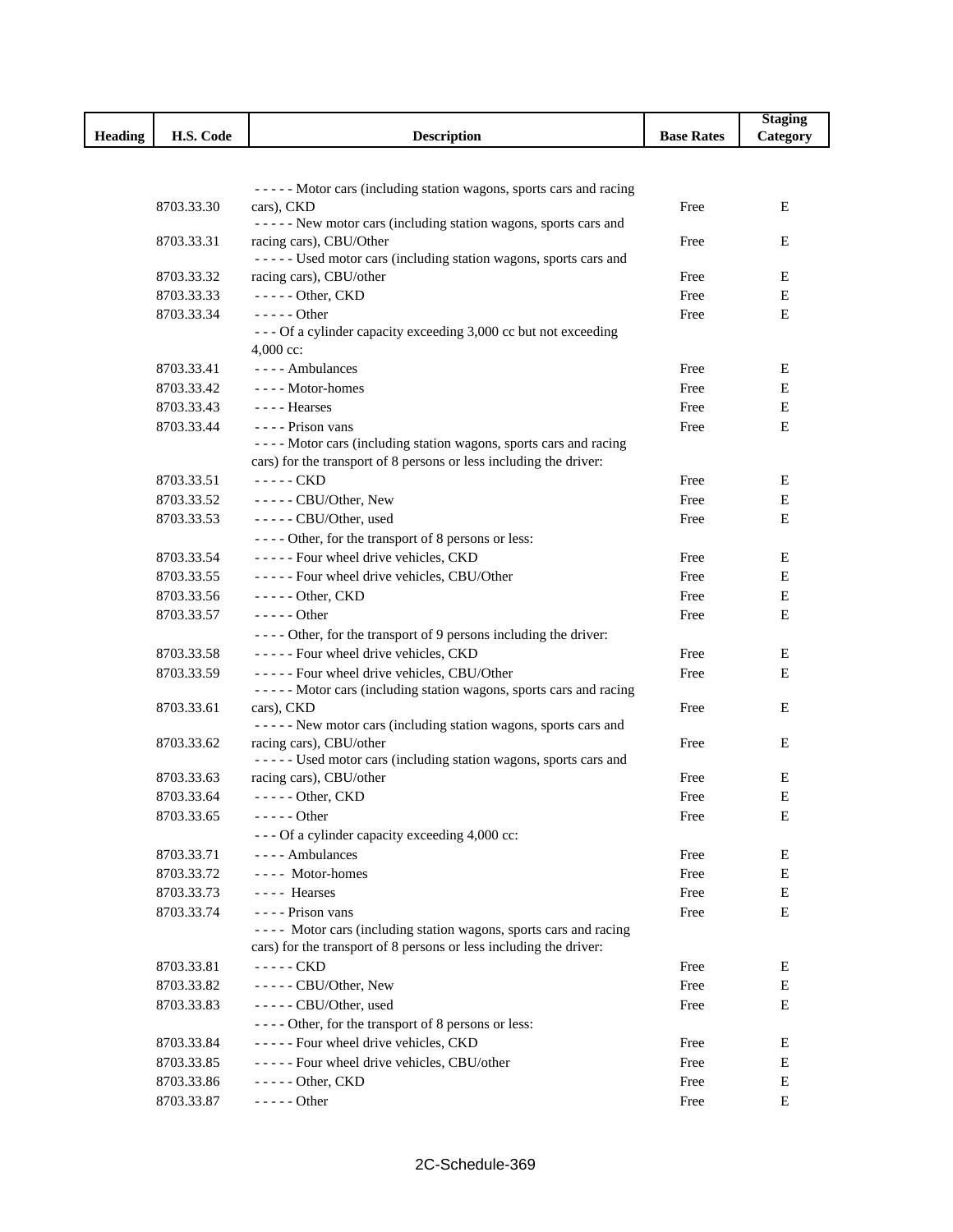|         |            |                                                                                          |                   | <b>Staging</b> |
|---------|------------|------------------------------------------------------------------------------------------|-------------------|----------------|
| Heading | H.S. Code  | <b>Description</b>                                                                       | <b>Base Rates</b> | Category       |
|         |            |                                                                                          |                   |                |
|         |            |                                                                                          |                   |                |
|         |            | ----- Motor cars (including station wagons, sports cars and racing                       |                   |                |
|         | 8703.33.30 | cars), CKD<br>----- New motor cars (including station wagons, sports cars and            | Free              | E              |
|         | 8703.33.31 | racing cars), CBU/Other                                                                  | Free              | E              |
|         |            | ----- Used motor cars (including station wagons, sports cars and                         |                   |                |
|         | 8703.33.32 | racing cars), CBU/other                                                                  | Free              | E              |
|         | 8703.33.33 | $---$ Other, CKD                                                                         | Free              | E              |
|         | 8703.33.34 | - - - - - Other                                                                          | Free              | E              |
|         |            | --- Of a cylinder capacity exceeding 3,000 cc but not exceeding                          |                   |                |
|         |            | $4,000$ cc:                                                                              |                   |                |
|         | 8703.33.41 | - - - - Ambulances                                                                       | Free              | Е              |
|         | 8703.33.42 | ---- Motor-homes                                                                         | Free              | E              |
|         | 8703.33.43 | - - - - Hearses                                                                          | Free              | E              |
|         | 8703.33.44 | - - - - Prison vans                                                                      | Free              | E              |
|         |            | ---- Motor cars (including station wagons, sports cars and racing                        |                   |                |
|         |            | cars) for the transport of 8 persons or less including the driver:                       |                   |                |
|         | 8703.33.51 | - - - - - CKD                                                                            | Free              | Е              |
|         | 8703.33.52 | ----- CBU/Other, New                                                                     | Free              | E              |
|         | 8703.33.53 | $---$ CBU/Other, used                                                                    | Free              | E              |
|         |            | ---- Other, for the transport of 8 persons or less:                                      |                   |                |
|         | 8703.33.54 | - - - - - Four wheel drive vehicles, CKD                                                 | Free              | E              |
|         | 8703.33.55 | ----- Four wheel drive vehicles, CBU/Other                                               | Free              | Е              |
|         | 8703.33.56 | $---$ Other, CKD                                                                         | Free              | Е              |
|         | 8703.33.57 | $---$ Other                                                                              | Free              | Е              |
|         |            | - - - - Other, for the transport of 9 persons including the driver:                      |                   |                |
|         | 8703.33.58 | ----- Four wheel drive vehicles, CKD                                                     | Free              | Е              |
|         | 8703.33.59 | ----- Four wheel drive vehicles, CBU/Other                                               | Free              | E              |
|         |            | ----- Motor cars (including station wagons, sports cars and racing                       |                   |                |
|         | 8703.33.61 | cars), CKD                                                                               | Free              | Е              |
|         |            | ----- New motor cars (including station wagons, sports cars and                          |                   |                |
|         | 8703.33.62 | racing cars), CBU/other                                                                  | Free              | E              |
|         |            | ----- Used motor cars (including station wagons, sports cars and                         |                   |                |
|         | 8703.33.63 | racing cars), CBU/other                                                                  | Free              | E              |
|         | 8703.33.64 | $---$ Other, CKD                                                                         | Free              | $\mathbf E$    |
|         | 8703.33.65 | $---Other$                                                                               | Free              | E              |
|         |            | - - - Of a cylinder capacity exceeding 4,000 cc:                                         |                   |                |
|         | 8703.33.71 | ---- Ambulances                                                                          | Free              | Е              |
|         | 8703.33.72 | ---- Motor-homes                                                                         | Free              | Е              |
|         | 8703.33.73 | ---- Hearses                                                                             | Free              | E              |
|         | 8703.33.74 | - - - - Prison vans<br>---- Motor cars (including station wagons, sports cars and racing | Free              | Е              |
|         |            | cars) for the transport of 8 persons or less including the driver:                       |                   |                |
|         | 8703.33.81 | ----- CKD                                                                                | Free              | Е              |
|         | 8703.33.82 | $---$ CBU/Other, New                                                                     | Free              | Е              |
|         |            |                                                                                          |                   | E              |
|         | 8703.33.83 | - - - - - CBU/Other, used<br>---- Other, for the transport of 8 persons or less:         | Free              |                |
|         | 8703.33.84 | ----- Four wheel drive vehicles, CKD                                                     | Free              | E              |
|         | 8703.33.85 | ----- Four wheel drive vehicles, CBU/other                                               | Free              | Е              |
|         | 8703.33.86 | $---$ Other, CKD                                                                         | Free              | E              |
|         | 8703.33.87 | $---Other$                                                                               | Free              | Е              |
|         |            |                                                                                          |                   |                |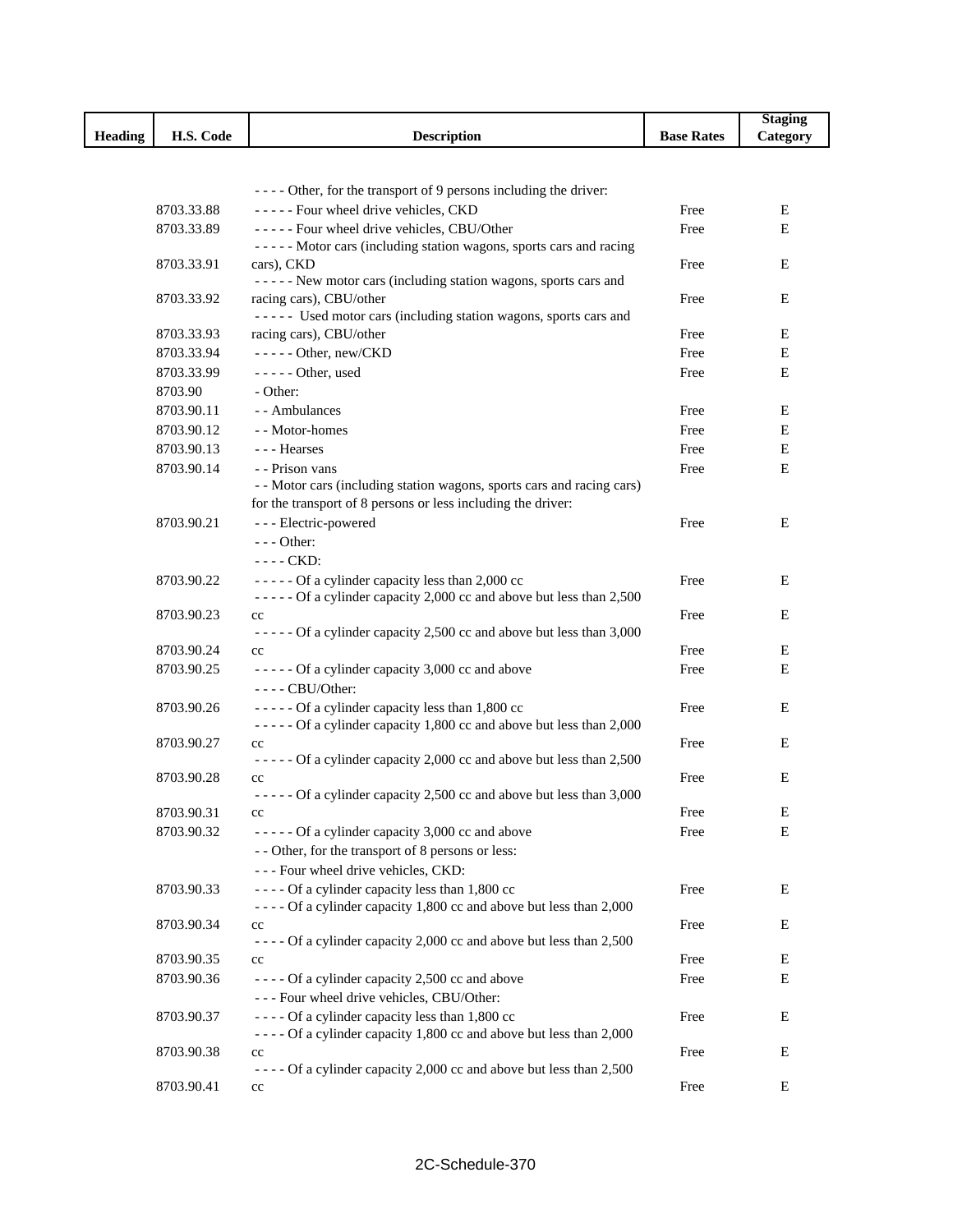|                |            |                                                                        |                   | <b>Staging</b> |
|----------------|------------|------------------------------------------------------------------------|-------------------|----------------|
| <b>Heading</b> | H.S. Code  | <b>Description</b>                                                     | <b>Base Rates</b> | Category       |
|                |            |                                                                        |                   |                |
|                |            |                                                                        |                   |                |
|                |            | - - - - Other, for the transport of 9 persons including the driver:    |                   |                |
|                | 8703.33.88 | ----- Four wheel drive vehicles, CKD                                   | Free              | Е              |
|                | 8703.33.89 | ----- Four wheel drive vehicles, CBU/Other                             | Free              | E              |
|                |            | ----- Motor cars (including station wagons, sports cars and racing     |                   |                |
|                | 8703.33.91 | cars), CKD                                                             | Free              | Е              |
|                |            | ----- New motor cars (including station wagons, sports cars and        |                   |                |
|                | 8703.33.92 | racing cars), CBU/other                                                | Free              | Е              |
|                |            | ----- Used motor cars (including station wagons, sports cars and       |                   |                |
|                | 8703.33.93 | racing cars), CBU/other                                                | Free              | Ε              |
|                | 8703.33.94 | $---$ Other, new/CKD                                                   | Free              | Е              |
|                | 8703.33.99 | ----- Other, used                                                      | Free              | E              |
|                | 8703.90    | - Other:                                                               |                   |                |
|                | 8703.90.11 | - - Ambulances                                                         | Free              | Ε              |
|                | 8703.90.12 | - - Motor-homes                                                        | Free              | Е              |
|                | 8703.90.13 | --- Hearses                                                            | Free              | Е              |
|                | 8703.90.14 | - - Prison vans                                                        | Free              | $\mathbf E$    |
|                |            | - - Motor cars (including station wagons, sports cars and racing cars) |                   |                |
|                |            | for the transport of 8 persons or less including the driver:           |                   |                |
|                | 8703.90.21 | - - - Electric-powered                                                 | Free              | Е              |
|                |            | $--$ Other:                                                            |                   |                |
|                |            | $---$ CKD:                                                             |                   |                |
|                | 8703.90.22 | ----- Of a cylinder capacity less than 2,000 cc                        | Free              | Ε              |
|                |            | ----- Of a cylinder capacity 2,000 cc and above but less than 2,500    |                   |                |
|                | 8703.90.23 | cc                                                                     | Free              | Е              |
|                |            | ----- Of a cylinder capacity 2,500 cc and above but less than 3,000    |                   |                |
|                | 8703.90.24 | cc                                                                     | Free              | Е              |
|                | 8703.90.25 | ----- Of a cylinder capacity 3,000 cc and above                        | Free              | Е              |
|                |            | $---$ CBU/Other:                                                       |                   |                |
|                | 8703.90.26 | ----- Of a cylinder capacity less than 1,800 cc                        | Free              | Е              |
|                |            | ----- Of a cylinder capacity 1,800 cc and above but less than 2,000    |                   |                |
|                | 8703.90.27 | cc                                                                     | Free              | Е              |
|                |            | ----- Of a cylinder capacity 2,000 cc and above but less than 2,500    |                   |                |
|                | 8703.90.28 | cc                                                                     | Free              | Е              |
|                |            | ----- Of a cylinder capacity 2,500 cc and above but less than 3,000    |                   |                |
|                | 8703.90.31 | cc                                                                     | Free              | Ε              |
|                | 8703.90.32 | ----- Of a cylinder capacity 3,000 cc and above                        | Free              | E              |
|                |            | - - Other, for the transport of 8 persons or less:                     |                   |                |
|                |            | --- Four wheel drive vehicles, CKD:                                    |                   |                |
|                | 8703.90.33 | ---- Of a cylinder capacity less than 1,800 cc                         | Free              | Е              |
|                |            | ---- Of a cylinder capacity 1,800 cc and above but less than 2,000     |                   |                |
|                | 8703.90.34 | cc                                                                     | Free              | Е              |
|                |            | - - - - Of a cylinder capacity 2,000 cc and above but less than 2,500  |                   |                |
|                | 8703.90.35 | cc                                                                     | Free              | Е              |
|                | 8703.90.36 | - - - - Of a cylinder capacity 2,500 cc and above                      | Free              | Е              |
|                |            | --- Four wheel drive vehicles, CBU/Other:                              |                   |                |
|                | 8703.90.37 | ---- Of a cylinder capacity less than 1,800 cc                         | Free              | Ε              |
|                |            | $---$ Of a cylinder capacity 1,800 cc and above but less than 2,000    |                   |                |
|                | 8703.90.38 | cc                                                                     | Free              | Ε              |
|                |            | - - - - Of a cylinder capacity 2,000 cc and above but less than 2,500  |                   |                |
|                | 8703.90.41 | $_{\rm cc}$                                                            | Free              | Е              |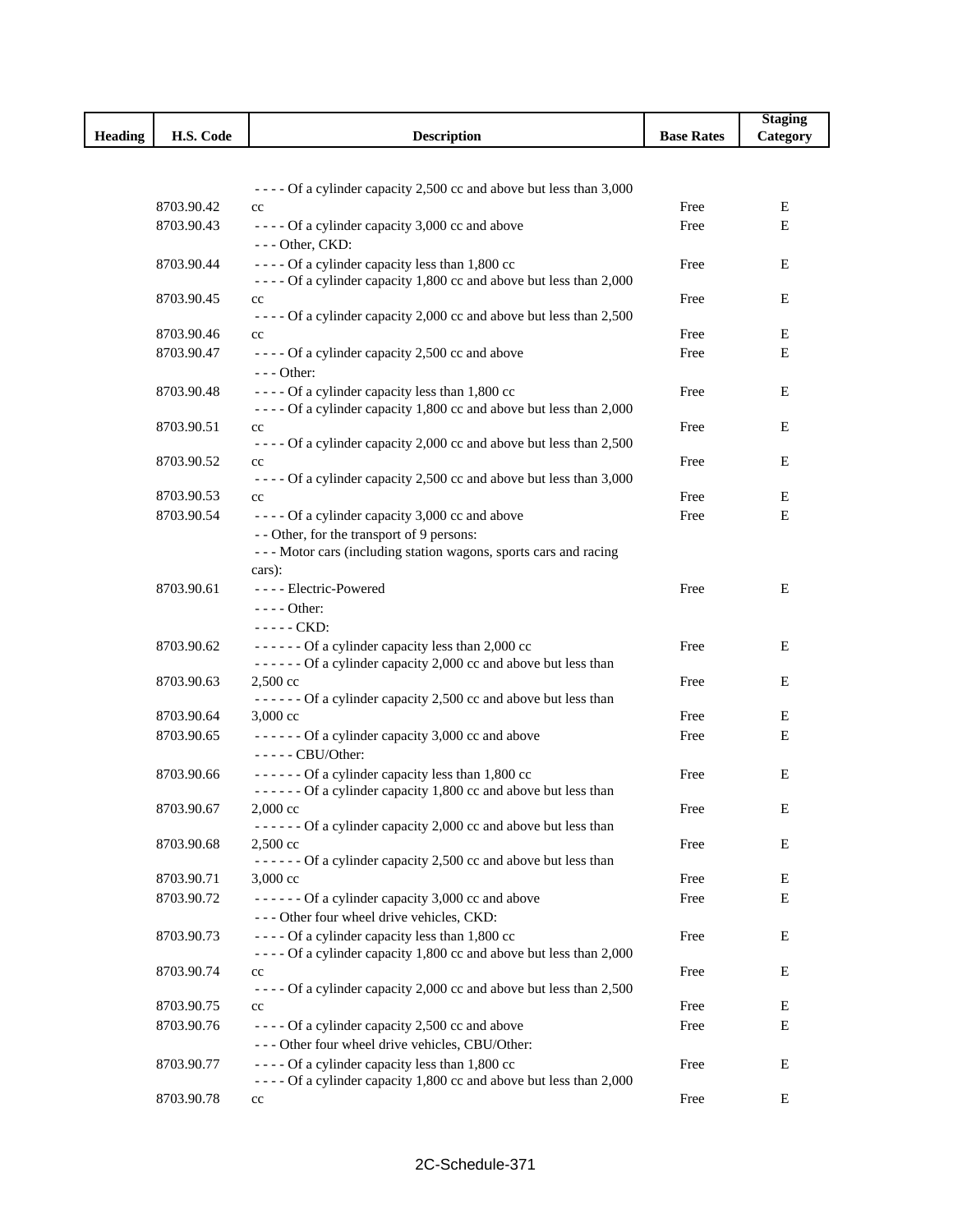|                |            |                                                                                                                      |                   | <b>Staging</b> |
|----------------|------------|----------------------------------------------------------------------------------------------------------------------|-------------------|----------------|
| <b>Heading</b> | H.S. Code  | <b>Description</b>                                                                                                   | <b>Base Rates</b> | Category       |
|                |            |                                                                                                                      |                   |                |
|                |            |                                                                                                                      |                   |                |
|                |            | - - - - Of a cylinder capacity 2,500 cc and above but less than 3,000                                                |                   |                |
|                | 8703.90.42 | $_{\rm cc}$                                                                                                          | Free              | E              |
|                | 8703.90.43 | - - - - Of a cylinder capacity 3,000 cc and above                                                                    | Free              | Е              |
|                |            | --- Other, CKD:                                                                                                      |                   |                |
|                | 8703.90.44 | ---- Of a cylinder capacity less than 1,800 cc<br>---- Of a cylinder capacity 1,800 cc and above but less than 2,000 | Free              | E              |
|                | 8703.90.45 | $_{\rm cc}$                                                                                                          | Free              | E              |
|                |            | ---- Of a cylinder capacity 2,000 cc and above but less than 2,500                                                   |                   |                |
|                | 8703.90.46 | $_{\rm cc}$                                                                                                          | Free              | E              |
|                | 8703.90.47 | - - - - Of a cylinder capacity 2,500 cc and above                                                                    | Free              | Е              |
|                |            | $--$ Other:                                                                                                          |                   |                |
|                | 8703.90.48 | ---- Of a cylinder capacity less than 1,800 cc                                                                       | Free              | Е              |
|                |            | - - - - Of a cylinder capacity 1,800 cc and above but less than 2,000                                                |                   |                |
|                | 8703.90.51 | $_{\rm cc}$                                                                                                          | Free              | Ε              |
|                |            | - - - - Of a cylinder capacity 2,000 cc and above but less than 2,500                                                |                   |                |
|                | 8703.90.52 | $_{\rm cc}$                                                                                                          | Free              | Ε              |
|                |            | ---- Of a cylinder capacity 2,500 cc and above but less than 3,000                                                   |                   |                |
|                | 8703.90.53 | cc                                                                                                                   | Free              | Ε              |
|                | 8703.90.54 | - - - - Of a cylinder capacity 3,000 cc and above                                                                    | Free              | E              |
|                |            | - - Other, for the transport of 9 persons:                                                                           |                   |                |
|                |            | --- Motor cars (including station wagons, sports cars and racing                                                     |                   |                |
|                |            | cars):                                                                                                               |                   |                |
|                | 8703.90.61 | ---- Electric-Powered                                                                                                | Free              | E              |
|                |            | $---$ Other:                                                                                                         |                   |                |
|                |            | ----- CKD:                                                                                                           |                   |                |
|                | 8703.90.62 | ------ Of a cylinder capacity less than 2,000 cc                                                                     | Free              | E              |
|                |            | ------ Of a cylinder capacity 2,000 cc and above but less than                                                       |                   |                |
|                | 8703.90.63 | 2,500 cc<br>------ Of a cylinder capacity 2,500 cc and above but less than                                           | Free              | E              |
|                | 8703.90.64 | 3,000 cc                                                                                                             | Free              | E              |
|                | 8703.90.65 | ------ Of a cylinder capacity 3,000 cc and above                                                                     | Free              | Е              |
|                |            | ----- CBU/Other:                                                                                                     |                   |                |
|                | 8703.90.66 | ------ Of a cylinder capacity less than 1,800 cc                                                                     | Free              | Е              |
|                |            | ------ Of a cylinder capacity 1,800 cc and above but less than                                                       |                   |                |
|                | 8703.90.67 | 2,000 cc                                                                                                             | Free              | $\mathbf E$    |
|                |            | ------ Of a cylinder capacity 2,000 cc and above but less than                                                       |                   |                |
|                | 8703.90.68 | $2,500 \text{ cc}$                                                                                                   | Free              | E              |
|                |            | ------ Of a cylinder capacity 2,500 cc and above but less than                                                       |                   |                |
|                | 8703.90.71 | $3,000 \text{ cc}$                                                                                                   | Free              | Ε              |
|                | 8703.90.72 | $---$ Of a cylinder capacity 3,000 cc and above                                                                      | Free              | E              |
|                |            | --- Other four wheel drive vehicles, CKD:                                                                            |                   |                |
|                | 8703.90.73 | ---- Of a cylinder capacity less than 1,800 cc                                                                       | Free              | Е              |
|                |            | - - - - Of a cylinder capacity 1,800 cc and above but less than 2,000                                                |                   |                |
|                | 8703.90.74 | cc                                                                                                                   | Free              | Е              |
|                |            | - - - - Of a cylinder capacity 2,000 cc and above but less than 2,500                                                |                   |                |
|                | 8703.90.75 | cc                                                                                                                   | Free              | Е              |
|                | 8703.90.76 | - - - - Of a cylinder capacity 2,500 cc and above                                                                    | Free              | Е              |
|                |            | --- Other four wheel drive vehicles, CBU/Other:                                                                      |                   |                |
|                | 8703.90.77 | ---- Of a cylinder capacity less than 1,800 cc                                                                       | Free              | E              |
|                |            | - - - - Of a cylinder capacity 1,800 cc and above but less than 2,000                                                |                   |                |
|                | 8703.90.78 | $_{\rm cc}$                                                                                                          | Free              | Е              |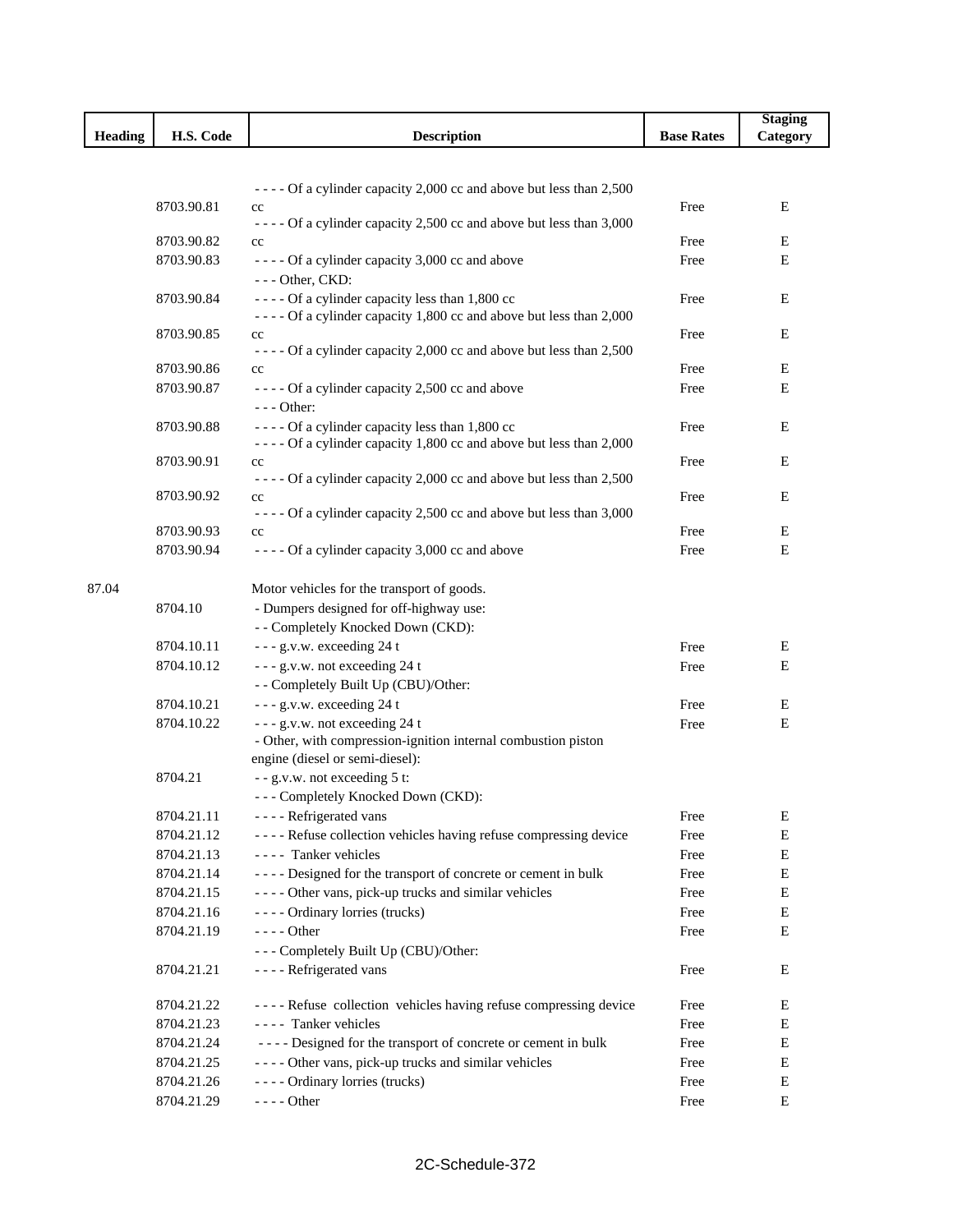|         |            |                                                                                                                            |                   | <b>Staging</b> |
|---------|------------|----------------------------------------------------------------------------------------------------------------------------|-------------------|----------------|
| Heading | H.S. Code  | <b>Description</b>                                                                                                         | <b>Base Rates</b> | Category       |
|         |            |                                                                                                                            |                   |                |
|         |            |                                                                                                                            |                   |                |
|         |            | - - - - Of a cylinder capacity 2,000 cc and above but less than 2,500                                                      |                   |                |
|         | 8703.90.81 | cc                                                                                                                         | Free              | E              |
|         |            | - - - - Of a cylinder capacity 2,500 cc and above but less than 3,000                                                      |                   |                |
|         | 8703.90.82 | $_{\rm cc}$                                                                                                                | Free              | Е              |
|         | 8703.90.83 | - - - - Of a cylinder capacity 3,000 cc and above                                                                          | Free              | E              |
|         |            | --- Other, CKD:                                                                                                            |                   |                |
|         | 8703.90.84 | - - - - Of a cylinder capacity less than 1,800 cc<br>- - - - Of a cylinder capacity 1,800 cc and above but less than 2,000 | Free              | Ε              |
|         | 8703.90.85 | $_{\rm cc}$                                                                                                                | Free              | Е              |
|         |            | - - - - Of a cylinder capacity 2,000 cc and above but less than 2,500                                                      |                   |                |
|         | 8703.90.86 | $_{\rm cc}$                                                                                                                | Free              | E              |
|         | 8703.90.87 | - - - - Of a cylinder capacity 2,500 cc and above                                                                          | Free              | E              |
|         |            | $--$ Other:                                                                                                                |                   |                |
|         | 8703.90.88 | - - - - Of a cylinder capacity less than 1,800 cc                                                                          | Free              | Ε              |
|         |            | - - - - Of a cylinder capacity 1,800 cc and above but less than 2,000                                                      |                   |                |
|         | 8703.90.91 | $_{\rm cc}$                                                                                                                | Free              | Е              |
|         |            | - - - - Of a cylinder capacity 2,000 cc and above but less than 2,500                                                      |                   |                |
|         | 8703.90.92 | cc                                                                                                                         | Free              | Ε              |
|         |            | - - - - Of a cylinder capacity 2,500 cc and above but less than 3,000                                                      |                   |                |
|         | 8703.90.93 | cc                                                                                                                         | Free              | Е              |
|         | 8703.90.94 | - - - - Of a cylinder capacity 3,000 cc and above                                                                          | Free              | Е              |
| 87.04   |            | Motor vehicles for the transport of goods.                                                                                 |                   |                |
|         | 8704.10    | - Dumpers designed for off-highway use:                                                                                    |                   |                |
|         |            | - - Completely Knocked Down (CKD):                                                                                         |                   |                |
|         | 8704.10.11 | --- g.v.w. exceeding 24 t                                                                                                  | Free              | Ε              |
|         | 8704.10.12 | --- g.v.w. not exceeding 24 t                                                                                              | Free              | Е              |
|         |            | - - Completely Built Up (CBU)/Other:                                                                                       |                   |                |
|         | 8704.10.21 | --- g.v.w. exceeding 24 t                                                                                                  | Free              | E              |
|         | 8704.10.22 | --- g.v.w. not exceeding 24 t                                                                                              | Free              | E              |
|         |            | - Other, with compression-ignition internal combustion piston                                                              |                   |                |
|         |            | engine (diesel or semi-diesel):                                                                                            |                   |                |
|         | 8704.21    | - - g.v.w. not exceeding 5 t:                                                                                              |                   |                |
|         |            | --- Completely Knocked Down (CKD):                                                                                         |                   |                |
|         | 8704.21.11 | ---- Refrigerated vans                                                                                                     | Free              | E              |
|         | 8704.21.12 | - - - - Refuse collection vehicles having refuse compressing device                                                        | Free              | E              |
|         | 8704.21.13 | ---- Tanker vehicles                                                                                                       | Free              | E              |
|         | 8704.21.14 | ---- Designed for the transport of concrete or cement in bulk                                                              | Free              | E              |
|         | 8704.21.15 | - - - - Other vans, pick-up trucks and similar vehicles                                                                    | Free              | Е              |
|         | 8704.21.16 | ---- Ordinary lorries (trucks)                                                                                             | Free              | Е              |
|         | 8704.21.19 | - - - - Other                                                                                                              | Free              | Е              |
|         |            | --- Completely Built Up (CBU)/Other:                                                                                       |                   |                |
|         |            |                                                                                                                            |                   |                |
|         | 8704.21.21 | - - - - Refrigerated vans                                                                                                  | Free              | Ε              |
|         | 8704.21.22 | ---- Refuse collection vehicles having refuse compressing device                                                           | Free              | Ε              |
|         | 8704.21.23 | ---- Tanker vehicles                                                                                                       | Free              | E              |
|         | 8704.21.24 | ---- Designed for the transport of concrete or cement in bulk                                                              | Free              | E              |
|         | 8704.21.25 | - - - - Other vans, pick-up trucks and similar vehicles                                                                    | Free              | E              |
|         | 8704.21.26 | ---- Ordinary lorries (trucks)                                                                                             | Free              | E              |
|         | 8704.21.29 | - - - - Other                                                                                                              | Free              | Е              |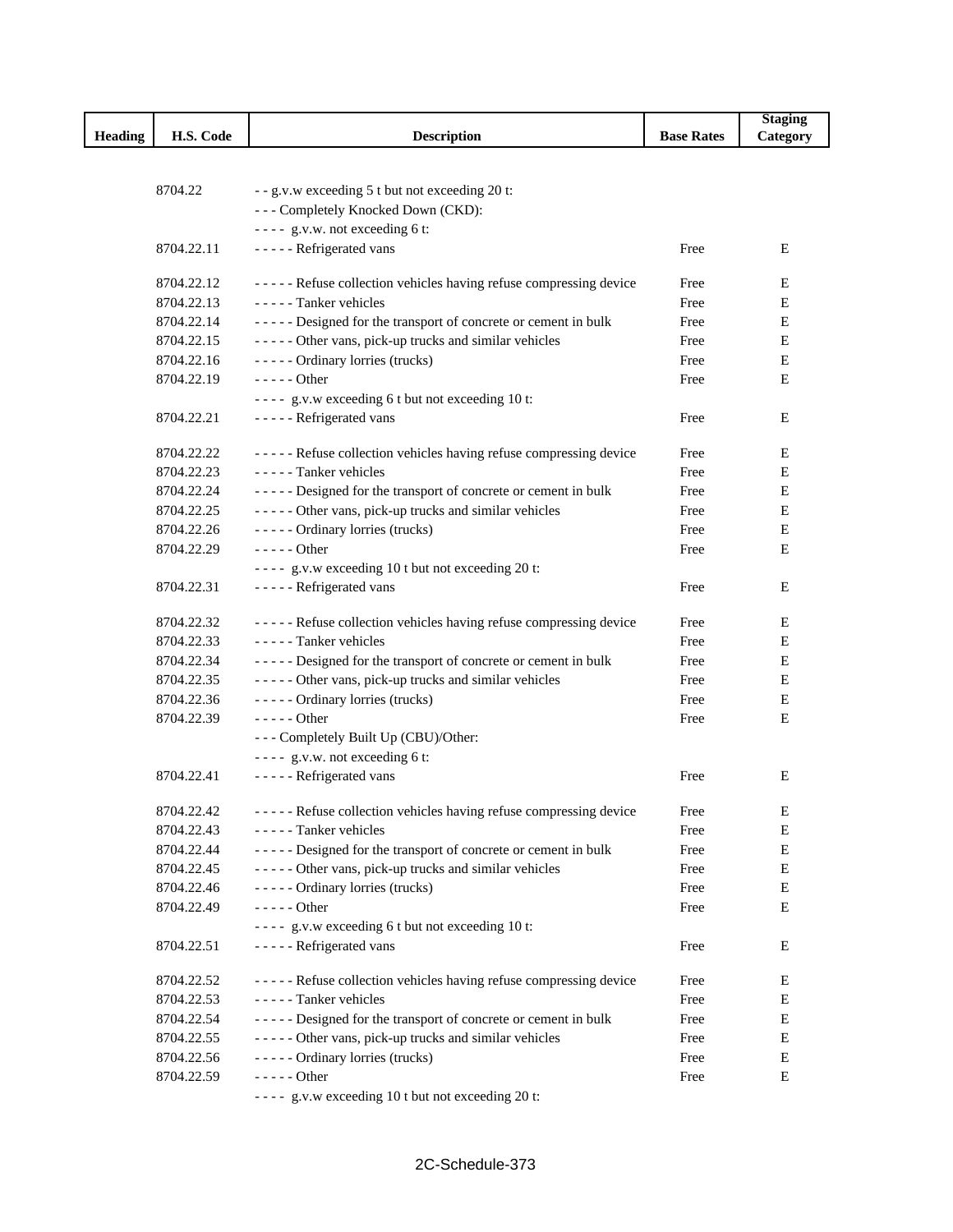|                |            |                                                                   |                   | <b>Staging</b> |
|----------------|------------|-------------------------------------------------------------------|-------------------|----------------|
| <b>Heading</b> | H.S. Code  | <b>Description</b>                                                | <b>Base Rates</b> | Category       |
|                |            |                                                                   |                   |                |
|                |            |                                                                   |                   |                |
|                | 8704.22    | - - g.v.w exceeding 5 t but not exceeding 20 t:                   |                   |                |
|                |            | --- Completely Knocked Down (CKD):                                |                   |                |
|                |            | ---- g.v.w. not exceeding 6 t:                                    |                   |                |
|                | 8704.22.11 | - - - - - Refrigerated vans                                       | Free              | Е              |
|                | 8704.22.12 | ----- Refuse collection vehicles having refuse compressing device | Free              | Ε              |
|                | 8704.22.13 | - - - - - Tanker vehicles                                         | Free              | E              |
|                | 8704.22.14 | ----- Designed for the transport of concrete or cement in bulk    | Free              | Е              |
|                | 8704.22.15 | ----- Other vans, pick-up trucks and similar vehicles             | Free              | E              |
|                | 8704.22.16 | ----- Ordinary lorries (trucks)                                   | Free              | E              |
|                | 8704.22.19 | $--- Other$                                                       | Free              | Е              |
|                |            | ---- g.v.w exceeding 6 t but not exceeding 10 t:                  |                   |                |
|                | 8704.22.21 | - - - - - Refrigerated vans                                       | Free              | Е              |
|                |            |                                                                   |                   |                |
|                | 8704.22.22 | ----- Refuse collection vehicles having refuse compressing device | Free              | Ε              |
|                | 8704.22.23 | - - - - - Tanker vehicles                                         | Free              | Е              |
|                | 8704.22.24 | ----- Designed for the transport of concrete or cement in bulk    | Free              | Ε              |
|                | 8704.22.25 | ----- Other vans, pick-up trucks and similar vehicles             | Free              | E              |
|                | 8704.22.26 | ----- Ordinary lorries (trucks)                                   | Free              | Е              |
|                | 8704.22.29 | $---Other$                                                        | Free              | Е              |
|                |            | ---- g.v.w exceeding 10 t but not exceeding 20 t:                 |                   |                |
|                | 8704.22.31 | - - - - - Refrigerated vans                                       | Free              | Е              |
|                | 8704.22.32 | ----- Refuse collection vehicles having refuse compressing device | Free              | Е              |
|                | 8704.22.33 | - - - - - Tanker vehicles                                         | Free              | E              |
|                | 8704.22.34 | ----- Designed for the transport of concrete or cement in bulk    | Free              | E              |
|                | 8704.22.35 | ----- Other vans, pick-up trucks and similar vehicles             | Free              | Е              |
|                | 8704.22.36 | ----- Ordinary lorries (trucks)                                   | Free              | Е              |
|                | 8704.22.39 | $---Other$                                                        | Free              | E              |
|                |            | --- Completely Built Up (CBU)/Other:                              |                   |                |
|                |            | ---- g.v.w. not exceeding 6 t:                                    |                   |                |
|                | 8704.22.41 | - - - - - Refrigerated vans                                       | Free              | Е              |
|                |            |                                                                   |                   |                |
|                | 8704.22.42 | ----- Refuse collection vehicles having refuse compressing device | Free              | E              |
|                | 8704.22.43 | ----- Tanker vehicles                                             | Free              | Ε              |
|                | 8704.22.44 | ----- Designed for the transport of concrete or cement in bulk    | Free              | E              |
|                | 8704.22.45 | ----- Other vans, pick-up trucks and similar vehicles             | Free              | E              |
|                | 8704.22.46 | ----- Ordinary lorries (trucks)                                   | Free              | ${\bf E}$      |
|                | 8704.22.49 | $--- Other$                                                       | Free              | Е              |
|                |            | ---- g.v.w exceeding 6 t but not exceeding 10 t:                  |                   |                |
|                | 8704.22.51 | - - - - - Refrigerated vans                                       | Free              | Е              |
|                |            | ----- Refuse collection vehicles having refuse compressing device |                   |                |
|                | 8704.22.52 |                                                                   | Free              | Ε              |
|                | 8704.22.53 | - - - - - Tanker vehicles                                         | Free              | E              |
|                | 8704.22.54 | ----- Designed for the transport of concrete or cement in bulk    | Free              | ${\bf E}$      |
|                | 8704.22.55 | ----- Other vans, pick-up trucks and similar vehicles             | Free              | E              |
|                | 8704.22.56 | ----- Ordinary lorries (trucks)                                   | Free              | E              |
|                | 8704.22.59 | $---Other$                                                        | Free              | E              |
|                |            | ---- g.v.w exceeding 10 t but not exceeding 20 t:                 |                   |                |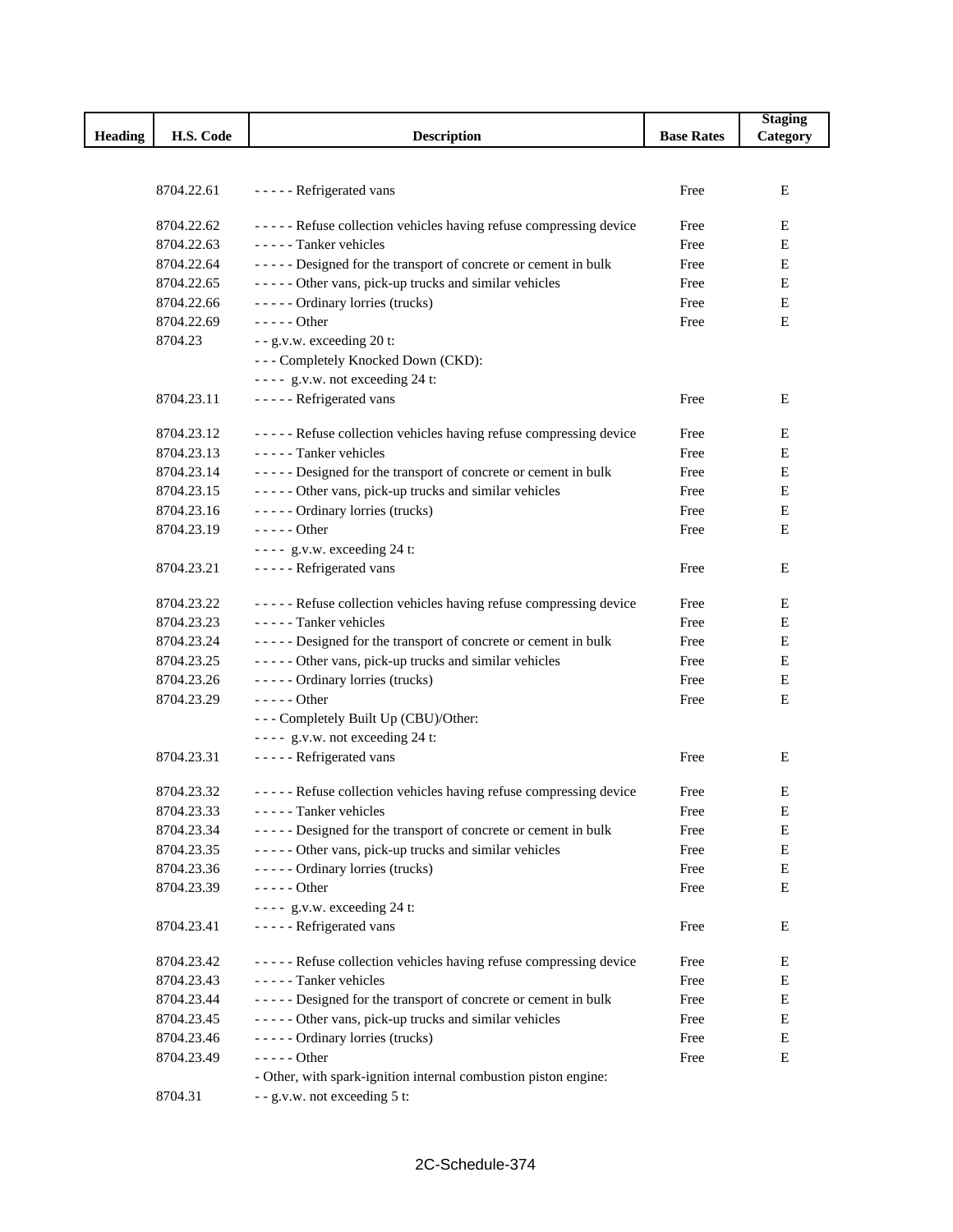|                |            |                                                                   |                   | <b>Staging</b> |
|----------------|------------|-------------------------------------------------------------------|-------------------|----------------|
| <b>Heading</b> | H.S. Code  | <b>Description</b>                                                | <b>Base Rates</b> | Category       |
|                |            |                                                                   |                   |                |
|                |            |                                                                   |                   |                |
|                | 8704.22.61 | - - - - - Refrigerated vans                                       | Free              | Е              |
|                | 8704.22.62 | ----- Refuse collection vehicles having refuse compressing device | Free              | Е              |
|                | 8704.22.63 | - - - - - Tanker vehicles                                         | Free              | Е              |
|                | 8704.22.64 | ----- Designed for the transport of concrete or cement in bulk    | Free              | E              |
|                | 8704.22.65 | ----- Other vans, pick-up trucks and similar vehicles             | Free              | Ε              |
|                | 8704.22.66 | ----- Ordinary lorries (trucks)                                   | Free              | E              |
|                |            | $---Other$                                                        |                   | Е              |
|                | 8704.22.69 |                                                                   | Free              |                |
|                | 8704.23    | - - g.v.w. exceeding 20 t:                                        |                   |                |
|                |            | --- Completely Knocked Down (CKD):                                |                   |                |
|                |            | ---- g.v.w. not exceeding 24 t:                                   |                   |                |
|                | 8704.23.11 | - - - - - Refrigerated vans                                       | Free              | Е              |
|                | 8704.23.12 | ----- Refuse collection vehicles having refuse compressing device | Free              | Ε              |
|                | 8704.23.13 | - - - - - Tanker vehicles                                         | Free              | E              |
|                | 8704.23.14 | ----- Designed for the transport of concrete or cement in bulk    | Free              | E              |
|                | 8704.23.15 | ----- Other vans, pick-up trucks and similar vehicles             | Free              | Е              |
|                | 8704.23.16 | ----- Ordinary lorries (trucks)                                   | Free              | Е              |
|                | 8704.23.19 | $---Other$                                                        |                   | Е              |
|                |            |                                                                   | Free              |                |
|                |            | $---$ g.v.w. exceeding 24 t:                                      |                   |                |
|                | 8704.23.21 | - - - - - Refrigerated vans                                       | Free              | Е              |
|                | 8704.23.22 | ----- Refuse collection vehicles having refuse compressing device | Free              | Е              |
|                | 8704.23.23 | - - - - - Tanker vehicles                                         | Free              | E              |
|                | 8704.23.24 | ----- Designed for the transport of concrete or cement in bulk    | Free              | Е              |
|                | 8704.23.25 | ----- Other vans, pick-up trucks and similar vehicles             | Free              | Е              |
|                | 8704.23.26 | ----- Ordinary lorries (trucks)                                   | Free              | E              |
|                | 8704.23.29 | - - - - - Other                                                   | Free              | Е              |
|                |            | --- Completely Built Up (CBU)/Other:                              |                   |                |
|                |            | ---- g.v.w. not exceeding 24 t:                                   |                   |                |
|                | 8704.23.31 | - - - - - Refrigerated vans                                       | Free              | E              |
|                |            |                                                                   |                   |                |
|                | 8704.23.32 | ----- Refuse collection vehicles having refuse compressing device | Free              | Е              |
|                | 8704.23.33 | ----- Tanker vehicles                                             | Free              | E              |
|                | 8704.23.34 | ----- Designed for the transport of concrete or cement in bulk    | Free              | E              |
|                | 8704.23.35 | ----- Other vans, pick-up trucks and similar vehicles             | Free              | Е              |
|                | 8704.23.36 | ----- Ordinary lorries (trucks)                                   | Free              | E              |
|                | 8704.23.39 | $---$ Other                                                       | Free              | Ε              |
|                |            | $---$ g.v.w. exceeding 24 t:                                      |                   |                |
|                | 8704.23.41 | - - - - - Refrigerated vans                                       | Free              | Ε              |
|                |            |                                                                   |                   |                |
|                | 8704.23.42 | ----- Refuse collection vehicles having refuse compressing device | Free              | Ε              |
|                | 8704.23.43 | - - - - - Tanker vehicles                                         | Free              | Ε              |
|                | 8704.23.44 | ----- Designed for the transport of concrete or cement in bulk    | Free              | Ε              |
|                | 8704.23.45 | ----- Other vans, pick-up trucks and similar vehicles             | Free              | E              |
|                | 8704.23.46 | ----- Ordinary lorries (trucks)                                   | Free              | Е              |
|                | 8704.23.49 | $---Other$                                                        | Free              | Е              |
|                |            | - Other, with spark-ignition internal combustion piston engine:   |                   |                |
|                | 8704.31    | - - g.v.w. not exceeding 5 t:                                     |                   |                |
|                |            |                                                                   |                   |                |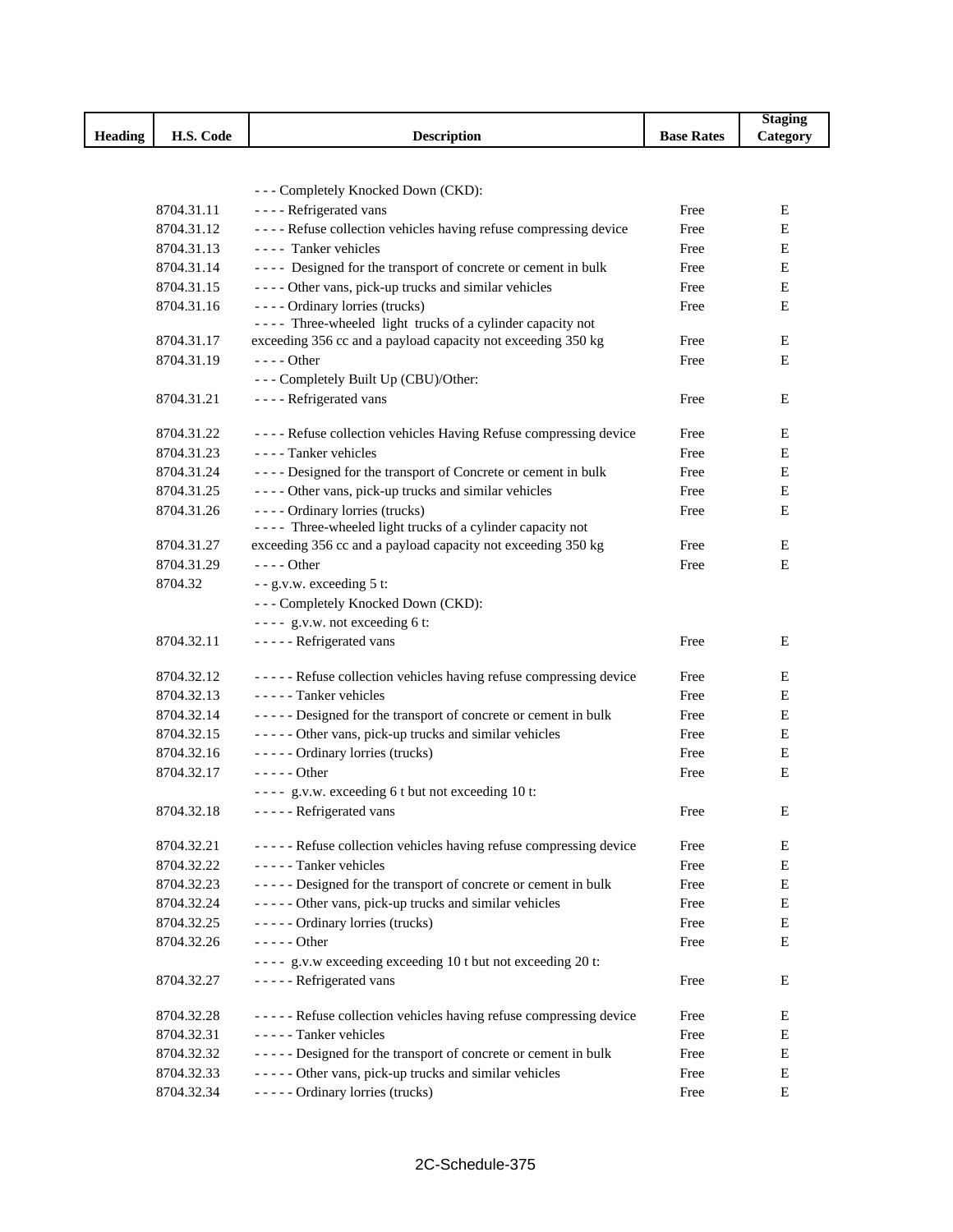|                |            |                                                                     |                   | <b>Staging</b> |
|----------------|------------|---------------------------------------------------------------------|-------------------|----------------|
| <b>Heading</b> | H.S. Code  | <b>Description</b>                                                  | <b>Base Rates</b> | Category       |
|                |            |                                                                     |                   |                |
|                |            |                                                                     |                   |                |
|                |            | --- Completely Knocked Down (CKD):                                  |                   |                |
|                | 8704.31.11 | - - - - Refrigerated vans                                           | Free              | E              |
|                | 8704.31.12 | ---- Refuse collection vehicles having refuse compressing device    | Free              | Е              |
|                | 8704.31.13 | ---- Tanker vehicles                                                | Free              | Е              |
|                | 8704.31.14 | ---- Designed for the transport of concrete or cement in bulk       | Free              | Е              |
|                | 8704.31.15 | - - - - Other vans, pick-up trucks and similar vehicles             | Free              | E              |
|                | 8704.31.16 | ---- Ordinary lorries (trucks)                                      | Free              | Е              |
|                |            | ---- Three-wheeled light trucks of a cylinder capacity not          |                   |                |
|                | 8704.31.17 | exceeding 356 cc and a payload capacity not exceeding 350 kg        | Free              | E              |
|                | 8704.31.19 | $---$ Other                                                         | Free              | Ε              |
|                |            | --- Completely Built Up (CBU)/Other:                                |                   |                |
|                | 8704.31.21 | - - - - Refrigerated vans                                           | Free              | E              |
|                | 8704.31.22 | - - - - Refuse collection vehicles Having Refuse compressing device | Free              | Ε              |
|                | 8704.31.23 | - - - - Tanker vehicles                                             | Free              | Е              |
|                | 8704.31.24 | - - - - Designed for the transport of Concrete or cement in bulk    | Free              | Ε              |
|                | 8704.31.25 | - - - - Other vans, pick-up trucks and similar vehicles             | Free              | E              |
|                | 8704.31.26 | ---- Ordinary lorries (trucks)                                      | Free              | Ε              |
|                |            | ---- Three-wheeled light trucks of a cylinder capacity not          |                   |                |
|                | 8704.31.27 | exceeding 356 cc and a payload capacity not exceeding 350 kg        | Free              | E              |
|                | 8704.31.29 | $--- Other$                                                         | Free              | Е              |
|                | 8704.32    | - - g.v.w. exceeding 5 t:                                           |                   |                |
|                |            | --- Completely Knocked Down (CKD):                                  |                   |                |
|                |            | $---$ g.v.w. not exceeding 6 t:                                     |                   |                |
|                | 8704.32.11 | - - - - - Refrigerated vans                                         | Free              | E              |
|                |            |                                                                     |                   |                |
|                | 8704.32.12 | ----- Refuse collection vehicles having refuse compressing device   | Free              | E              |
|                | 8704.32.13 | - - - - - Tanker vehicles                                           | Free              | Ε              |
|                | 8704.32.14 | ----- Designed for the transport of concrete or cement in bulk      | Free              | E              |
|                | 8704.32.15 | - - - - - Other vans, pick-up trucks and similar vehicles           | Free              | Ε              |
|                | 8704.32.16 | ----- Ordinary lorries (trucks)                                     | Free              | E              |
|                | 8704.32.17 | - - - - - Other                                                     | Free              | E              |
|                |            | ---- g.v.w. exceeding 6 t but not exceeding 10 t:                   |                   |                |
|                | 8704.32.18 | ----- Refrigerated vans                                             | Free              | ${\bf E}$      |
|                |            |                                                                     |                   |                |
|                | 8704.32.21 | ----- Refuse collection vehicles having refuse compressing device   | Free              | E              |
|                | 8704.32.22 | - - - - - Tanker vehicles                                           | Free              | E              |
|                | 8704.32.23 | ----- Designed for the transport of concrete or cement in bulk      | Free              | E              |
|                | 8704.32.24 | - - - - - Other vans, pick-up trucks and similar vehicles           | Free              | E              |
|                | 8704.32.25 | ----- Ordinary lorries (trucks)                                     | Free              | E              |
|                | 8704.32.26 | $---Other$                                                          | Free              | E              |
|                |            | ---- g.v.w exceeding exceeding 10 t but not exceeding 20 t:         |                   |                |
|                | 8704.32.27 | - - - - - Refrigerated vans                                         | Free              | E              |
|                |            |                                                                     |                   |                |
|                | 8704.32.28 | ----- Refuse collection vehicles having refuse compressing device   | Free              | E              |
|                | 8704.32.31 | - - - - - Tanker vehicles                                           | Free              | E              |
|                | 8704.32.32 | ----- Designed for the transport of concrete or cement in bulk      | Free              | E              |
|                | 8704.32.33 | ----- Other vans, pick-up trucks and similar vehicles               | Free              | E              |
|                | 8704.32.34 | ----- Ordinary lorries (trucks)                                     | Free              | ${\bf E}$      |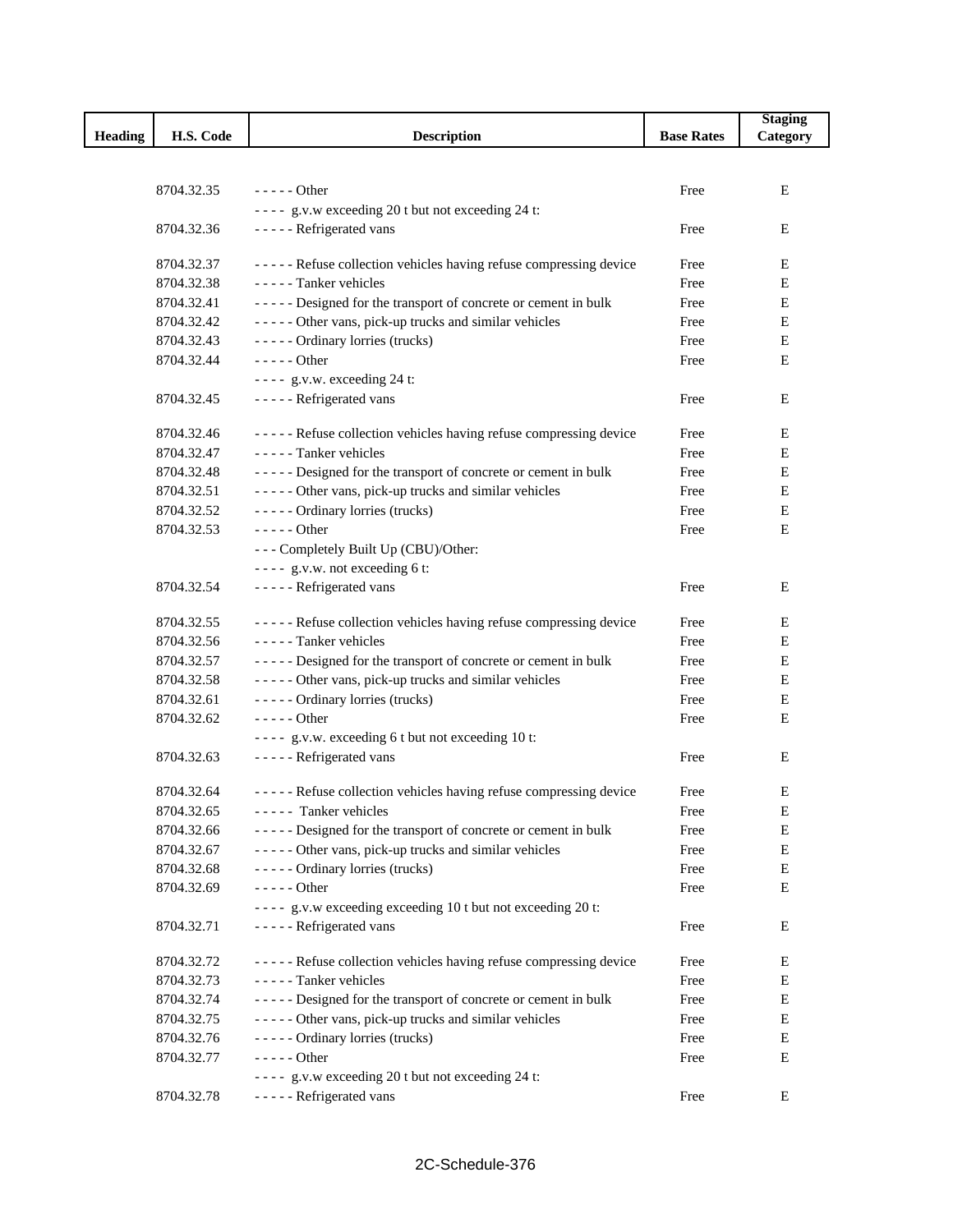|                |            |                                                                   |                   | <b>Staging</b> |
|----------------|------------|-------------------------------------------------------------------|-------------------|----------------|
| <b>Heading</b> | H.S. Code  | <b>Description</b>                                                | <b>Base Rates</b> | Category       |
|                |            |                                                                   |                   |                |
|                |            |                                                                   |                   |                |
|                | 8704.32.35 | $---$ Other                                                       | Free              | E              |
|                |            | ---- g.v.w exceeding 20 t but not exceeding 24 t:                 |                   |                |
|                | 8704.32.36 | - - - - - Refrigerated vans                                       | Free              | Ε              |
|                | 8704.32.37 | ----- Refuse collection vehicles having refuse compressing device | Free              | Ε              |
|                | 8704.32.38 | - - - - - Tanker vehicles                                         | Free              | Е              |
|                | 8704.32.41 | ----- Designed for the transport of concrete or cement in bulk    | Free              | Ε              |
|                | 8704.32.42 | ----- Other vans, pick-up trucks and similar vehicles             | Free              | E              |
|                | 8704.32.43 | ----- Ordinary lorries (trucks)                                   | Free              | Е              |
|                | 8704.32.44 | $---Other$                                                        | Free              | E              |
|                |            | ---- g.v.w. exceeding 24 t:                                       |                   |                |
|                | 8704.32.45 | - - - - - Refrigerated vans                                       | Free              | Ε              |
|                | 8704.32.46 | ----- Refuse collection vehicles having refuse compressing device | Free              | Ε              |
|                | 8704.32.47 | - - - - - Tanker vehicles                                         | Free              | Е              |
|                | 8704.32.48 | ----- Designed for the transport of concrete or cement in bulk    | Free              | E              |
|                | 8704.32.51 | ----- Other vans, pick-up trucks and similar vehicles             | Free              | E              |
|                | 8704.32.52 | ----- Ordinary lorries (trucks)                                   | Free              | Ε              |
|                | 8704.32.53 | - - - - - Other                                                   | Free              | Ε              |
|                |            | --- Completely Built Up (CBU)/Other:                              |                   |                |
|                |            | $---$ g.v.w. not exceeding 6 t:                                   |                   |                |
|                | 8704.32.54 | - - - - - Refrigerated vans                                       | Free              | Ε              |
|                |            |                                                                   |                   |                |
|                | 8704.32.55 | ----- Refuse collection vehicles having refuse compressing device | Free              | Ε              |
|                | 8704.32.56 | - - - - - Tanker vehicles                                         | Free              | E              |
|                | 8704.32.57 | ----- Designed for the transport of concrete or cement in bulk    | Free              | Е              |
|                | 8704.32.58 | ----- Other vans, pick-up trucks and similar vehicles             | Free              | Е              |
|                | 8704.32.61 | ----- Ordinary lorries (trucks)                                   | Free              | Ε              |
|                | 8704.32.62 | $--- Other$                                                       | Free              | Е              |
|                |            | ---- g.v.w. exceeding 6 t but not exceeding 10 t:                 |                   |                |
|                | 8704.32.63 | - - - - - Refrigerated vans                                       | Free              | Е              |
|                | 8704.32.64 | ----- Refuse collection vehicles having refuse compressing device | Free              | Ε              |
|                | 8704.32.65 | ----- Tanker vehicles                                             | Free              | E              |
|                | 8704.32.66 | ----- Designed for the transport of concrete or cement in bulk    | Free              | Ε              |
|                | 8704.32.67 | ----- Other vans, pick-up trucks and similar vehicles             | Free              | E              |
|                | 8704.32.68 | ----- Ordinary lorries (trucks)                                   | Free              | Е              |
|                | 8704.32.69 | - - - - - Other                                                   | Free              | Е              |
|                |            | ---- g.v.w exceeding exceeding 10 t but not exceeding 20 t:       |                   |                |
|                | 8704.32.71 | - - - - - Refrigerated vans                                       | Free              | Е              |
|                |            |                                                                   |                   |                |
|                | 8704.32.72 | ----- Refuse collection vehicles having refuse compressing device | Free              | Ε              |
|                | 8704.32.73 | - - - - - Tanker vehicles                                         | Free              | E              |
|                | 8704.32.74 | ----- Designed for the transport of concrete or cement in bulk    | Free              | E              |
|                | 8704.32.75 | ----- Other vans, pick-up trucks and similar vehicles             | Free              | E              |
|                | 8704.32.76 | ----- Ordinary lorries (trucks)                                   | Free              | Ε              |
|                | 8704.32.77 | - - - - - Other                                                   | Free              | Ε              |
|                |            | ---- g.v.w exceeding 20 t but not exceeding 24 t:                 |                   |                |
|                | 8704.32.78 | - - - - - Refrigerated vans                                       | Free              | Е              |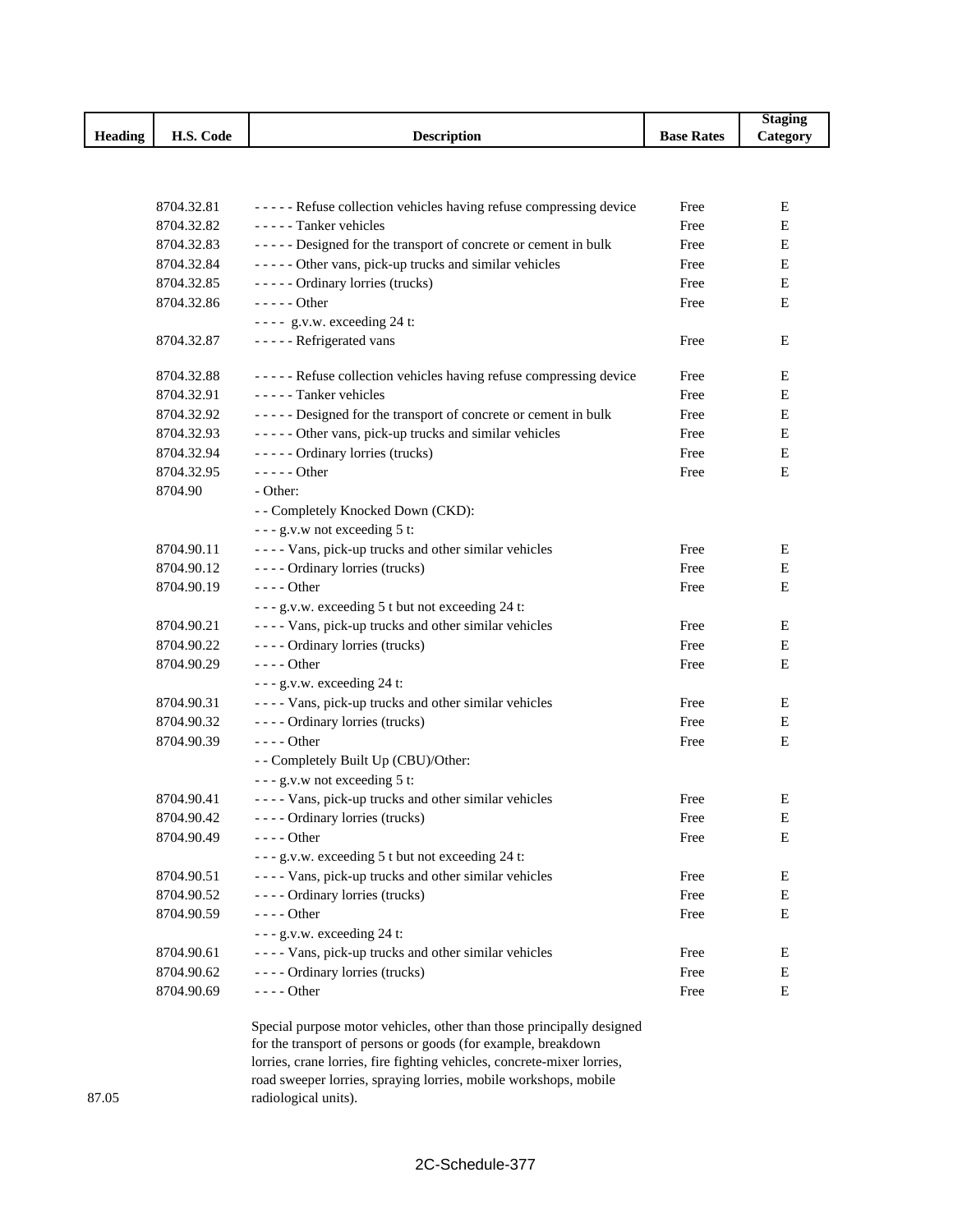|                |                        |                    |                   | Stagin         |
|----------------|------------------------|--------------------|-------------------|----------------|
| <b>Heading</b> | H.S.<br>$\sim$<br>Code | <b>Description</b> | <b>Base Rates</b> | <b>Lategor</b> |

| 8704.32.81 | ----- Refuse collection vehicles having refuse compressing device | Free | Ε |
|------------|-------------------------------------------------------------------|------|---|
| 8704.32.82 | - - - - - Tanker vehicles                                         | Free | Е |
| 8704.32.83 | ----- Designed for the transport of concrete or cement in bulk    | Free | Е |
| 8704.32.84 | ----- Other vans, pick-up trucks and similar vehicles             | Free | Е |
| 8704.32.85 | ----- Ordinary lorries (trucks)                                   | Free | Е |
| 8704.32.86 | $---Other$                                                        | Free | E |
|            | ---- g.v.w. exceeding 24 t:                                       |      |   |
| 8704.32.87 | - - - - - Refrigerated vans                                       | Free | Ε |
| 8704.32.88 | ----- Refuse collection vehicles having refuse compressing device | Free | E |
| 8704.32.91 | - - - - - Tanker vehicles                                         | Free | Е |
| 8704.32.92 | ----- Designed for the transport of concrete or cement in bulk    | Free | Е |
| 8704.32.93 | ----- Other vans, pick-up trucks and similar vehicles             | Free | E |
| 8704.32.94 | ----- Ordinary lorries (trucks)                                   | Free | E |
| 8704.32.95 | $---Other$                                                        | Free | Ε |
| 8704.90    | - Other:                                                          |      |   |
|            | - - Completely Knocked Down (CKD):                                |      |   |
|            | --- g.v.w not exceeding 5 t:                                      |      |   |
| 8704.90.11 | - - - - Vans, pick-up trucks and other similar vehicles           | Free | Е |
| 8704.90.12 | ---- Ordinary lorries (trucks)                                    | Free | Е |
| 8704.90.19 | - - - - Other                                                     | Free | Е |
|            | --- g.v.w. exceeding 5 t but not exceeding 24 t:                  |      |   |
| 8704.90.21 | - - - - Vans, pick-up trucks and other similar vehicles           | Free | Е |
| 8704.90.22 | ---- Ordinary lorries (trucks)                                    | Free | Е |
| 8704.90.29 | - - - - Other                                                     | Free | Е |
|            | $--$ g.v.w. exceeding 24 t:                                       |      |   |
| 8704.90.31 | - - - - Vans, pick-up trucks and other similar vehicles           | Free | Е |
| 8704.90.32 | ---- Ordinary lorries (trucks)                                    | Free | E |
| 8704.90.39 | $---$ Other                                                       | Free | E |
|            | - - Completely Built Up (CBU)/Other:                              |      |   |
|            | --- g.v.w not exceeding 5 t:                                      |      |   |
| 8704.90.41 | - - - - Vans, pick-up trucks and other similar vehicles           | Free | Ε |
| 8704.90.42 | ---- Ordinary lorries (trucks)                                    | Free | Е |
| 8704.90.49 | - - - - Other                                                     | Free | Е |
|            | - - - g.v.w. exceeding 5 t but not exceeding 24 t:                |      |   |
| 8704.90.51 | - - - - Vans, pick-up trucks and other similar vehicles           | Free | E |
| 8704.90.52 | - - - - Ordinary lorries (trucks)                                 | Free | E |
| 8704.90.59 | - - - - Other                                                     | Free | Е |
|            | - - - g.v.w. exceeding 24 t:                                      |      |   |
| 8704.90.61 | - - - - Vans, pick-up trucks and other similar vehicles           | Free | Ε |
| 8704.90.62 | ---- Ordinary lorries (trucks)                                    | Free | Е |
| 8704.90.69 | - - - - Other                                                     | Free | Е |
|            |                                                                   |      |   |

Special purpose motor vehicles, other than those principally designed for the transport of persons or goods (for example, breakdown lorries, crane lorries, fire fighting vehicles, concrete-mixer lorries, road sweeper lorries, spraying lorries, mobile workshops, mobile radiological units).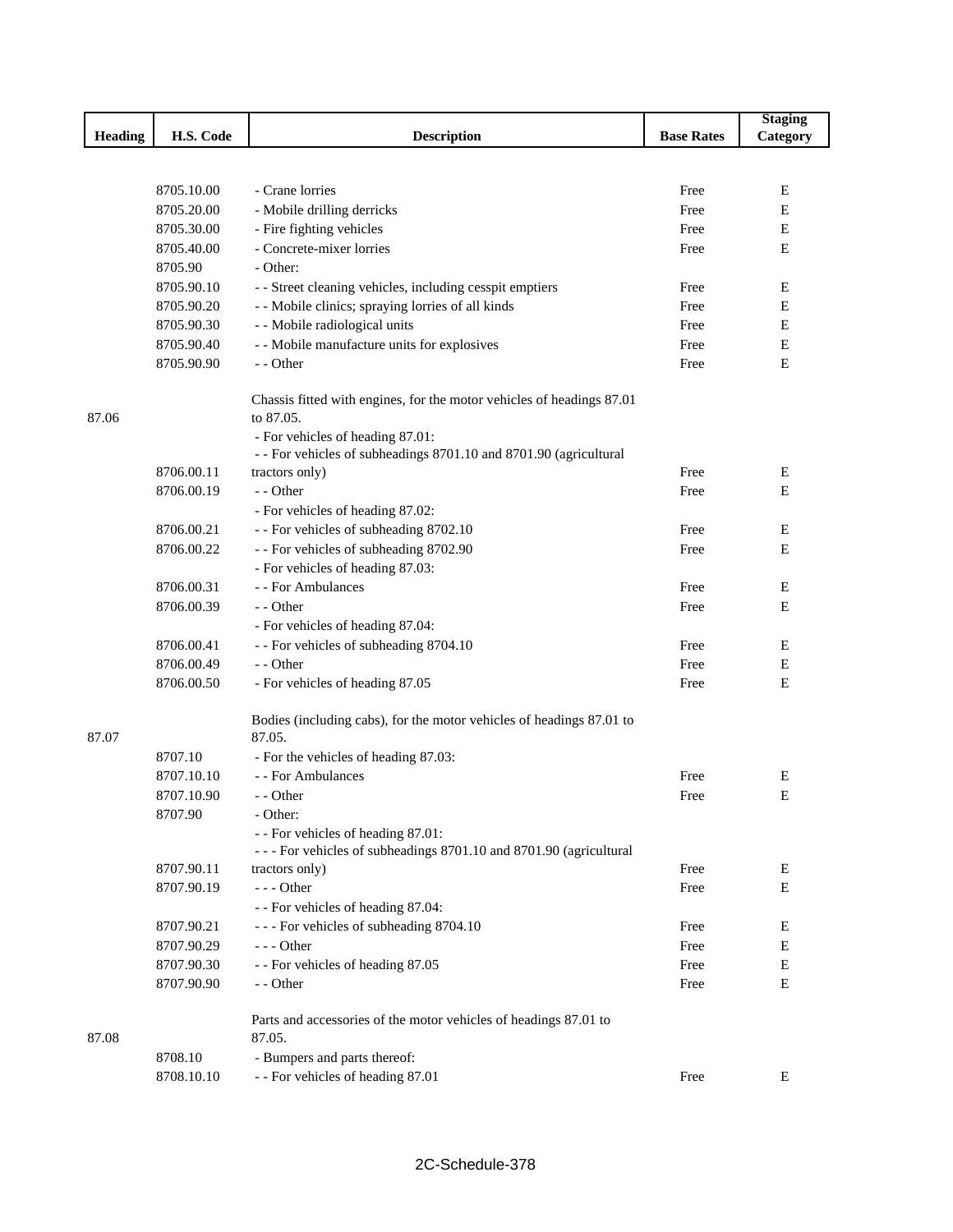|                |            |                                                                                    |                   | <b>Staging</b> |
|----------------|------------|------------------------------------------------------------------------------------|-------------------|----------------|
| <b>Heading</b> | H.S. Code  | <b>Description</b>                                                                 | <b>Base Rates</b> | Category       |
|                |            |                                                                                    |                   |                |
|                |            |                                                                                    |                   |                |
|                | 8705.10.00 | - Crane lorries                                                                    | Free              | Е              |
|                | 8705.20.00 | - Mobile drilling derricks                                                         | Free              | E              |
|                | 8705.30.00 | - Fire fighting vehicles                                                           | Free              | Ε              |
|                | 8705.40.00 | - Concrete-mixer lorries                                                           | Free              | Е              |
|                | 8705.90    | - Other:                                                                           |                   |                |
|                | 8705.90.10 | - - Street cleaning vehicles, including cesspit emptiers                           | Free              | Ε              |
|                | 8705.90.20 | - - Mobile clinics; spraying lorries of all kinds                                  | Free              | E              |
|                | 8705.90.30 | - - Mobile radiological units                                                      | Free              | E              |
|                | 8705.90.40 | - - Mobile manufacture units for explosives                                        | Free              | Е              |
|                | 8705.90.90 | - - Other                                                                          | Free              | E              |
| 87.06          |            | Chassis fitted with engines, for the motor vehicles of headings 87.01<br>to 87.05. |                   |                |
|                |            | - For vehicles of heading 87.01:                                                   |                   |                |
|                |            | - - For vehicles of subheadings 8701.10 and 8701.90 (agricultural                  |                   |                |
|                | 8706.00.11 | tractors only)                                                                     | Free              | Е              |
|                | 8706.00.19 | - - Other                                                                          | Free              | E              |
|                |            | - For vehicles of heading 87.02:                                                   |                   |                |
|                | 8706.00.21 | - - For vehicles of subheading 8702.10                                             | Free              | E              |
|                | 8706.00.22 | - - For vehicles of subheading 8702.90                                             | Free              | E              |
|                |            | - For vehicles of heading 87.03:                                                   |                   |                |
|                | 8706.00.31 | - - For Ambulances                                                                 | Free              | Е              |
|                | 8706.00.39 | - - Other                                                                          | Free              | E              |
|                |            | - For vehicles of heading 87.04:                                                   |                   |                |
|                | 8706.00.41 | - - For vehicles of subheading 8704.10                                             | Free              | Е              |
|                | 8706.00.49 | - - Other                                                                          | Free              | Ε              |
|                | 8706.00.50 | - For vehicles of heading 87.05                                                    | Free              | Е              |
|                |            | Bodies (including cabs), for the motor vehicles of headings 87.01 to               |                   |                |
| 87.07          |            | 87.05.                                                                             |                   |                |
|                | 8707.10    | - For the vehicles of heading 87.03:                                               |                   |                |
|                | 8707.10.10 | - - For Ambulances                                                                 | Free              | Е              |
|                | 8707.10.90 | - - Other                                                                          | Free              | E              |
|                | 8707.90    | - Other:                                                                           |                   |                |
|                |            | - - For vehicles of heading 87.01:                                                 |                   |                |
|                |            | - - - For vehicles of subheadings 8701.10 and 8701.90 (agricultural                |                   |                |
|                | 8707.90.11 | tractors only)                                                                     | Free              | Е              |
|                | 8707.90.19 | $--$ Other                                                                         | Free              | Е              |
|                |            | - - For vehicles of heading 87.04:                                                 |                   |                |
|                | 8707.90.21 | --- For vehicles of subheading 8704.10                                             | Free              | Ε              |
|                | 8707.90.29 | $--$ Other                                                                         | Free              | Е              |
|                | 8707.90.30 | -- For vehicles of heading 87.05                                                   | Free              | E              |
|                | 8707.90.90 | - - Other                                                                          | Free              | Е              |
| 87.08          |            | Parts and accessories of the motor vehicles of headings 87.01 to<br>87.05.         |                   |                |
|                | 8708.10    | - Bumpers and parts thereof:                                                       |                   |                |
|                | 8708.10.10 | - - For vehicles of heading 87.01                                                  | Free              | Ε              |
|                |            |                                                                                    |                   |                |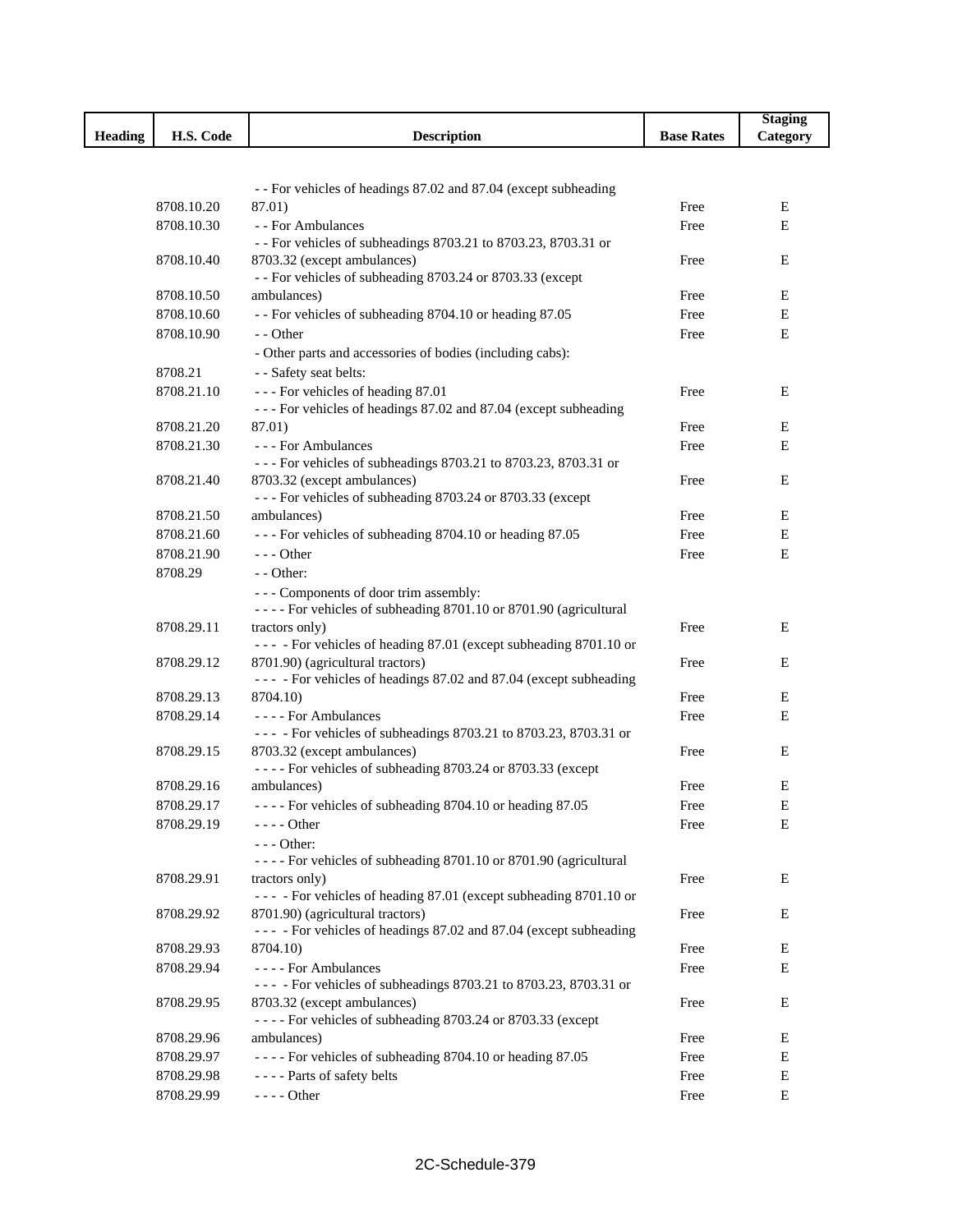|                |                          |                                                                                                 |                   | <b>Staging</b> |
|----------------|--------------------------|-------------------------------------------------------------------------------------------------|-------------------|----------------|
| <b>Heading</b> | H.S. Code                | <b>Description</b>                                                                              | <b>Base Rates</b> | Category       |
|                |                          |                                                                                                 |                   |                |
|                |                          |                                                                                                 |                   |                |
|                |                          | - - For vehicles of headings 87.02 and 87.04 (except subheading                                 |                   |                |
|                | 8708.10.20               | 87.01)                                                                                          | Free              | Ε              |
|                | 8708.10.30               | - - For Ambulances<br>- - For vehicles of subheadings 8703.21 to 8703.23, 8703.31 or            | Free              | ${\bf E}$      |
|                | 8708.10.40               | 8703.32 (except ambulances)                                                                     | Free              | E              |
|                |                          | -- For vehicles of subheading 8703.24 or 8703.33 (except                                        |                   |                |
|                | 8708.10.50               | ambulances)                                                                                     | Free              | Ε              |
|                | 8708.10.60               | - - For vehicles of subheading 8704.10 or heading 87.05                                         | Free              | Е              |
|                | 8708.10.90               | - - Other                                                                                       | Free              | E              |
|                |                          | - Other parts and accessories of bodies (including cabs):                                       |                   |                |
|                | 8708.21                  | - - Safety seat belts:                                                                          |                   |                |
|                | 8708.21.10               | --- For vehicles of heading 87.01                                                               | Free              | Е              |
|                |                          | --- For vehicles of headings 87.02 and 87.04 (except subheading                                 |                   |                |
|                | 8708.21.20               | 87.01)                                                                                          | Free              | Е              |
|                | 8708.21.30               | --- For Ambulances                                                                              | Free              | E              |
|                |                          | --- For vehicles of subheadings 8703.21 to 8703.23, 8703.31 or                                  |                   |                |
|                | 8708.21.40               | 8703.32 (except ambulances)<br>--- For vehicles of subheading 8703.24 or 8703.33 (except        | Free              | E              |
|                | 8708.21.50               | ambulances)                                                                                     | Free              | E              |
|                | 8708.21.60               | --- For vehicles of subheading 8704.10 or heading 87.05                                         | Free              | Е              |
|                | 8708.21.90               | $--$ Other                                                                                      | Free              | E              |
|                | 8708.29                  | $-$ - Other:                                                                                    |                   |                |
|                |                          | --- Components of door trim assembly:                                                           |                   |                |
|                |                          | - - - - For vehicles of subheading 8701.10 or 8701.90 (agricultural                             |                   |                |
|                | 8708.29.11               | tractors only)                                                                                  | Free              | E              |
|                |                          | --- - For vehicles of heading 87.01 (except subheading 8701.10 or                               |                   |                |
|                | 8708.29.12               | 8701.90) (agricultural tractors)                                                                | Free              | E              |
|                |                          | --- - For vehicles of headings 87.02 and 87.04 (except subheading                               |                   |                |
|                | 8708.29.13               | 8704.10)                                                                                        | Free              | Е              |
|                | 8708.29.14               | ---- For Ambulances                                                                             | Free              | E              |
|                | 8708.29.15               | --- - For vehicles of subheadings 8703.21 to 8703.23, 8703.31 or<br>8703.32 (except ambulances) | Free              | Е              |
|                |                          | ---- For vehicles of subheading 8703.24 or 8703.33 (except                                      |                   |                |
|                | 8708.29.16               | ambulances)                                                                                     | Free              | E              |
|                | 8708.29.17               | ---- For vehicles of subheading 8704.10 or heading 87.05                                        | Free              | E              |
|                | 8708.29.19               | $--- Other$                                                                                     | Free              | Е              |
|                |                          | - - - Other:                                                                                    |                   |                |
|                |                          | - - - - For vehicles of subheading 8701.10 or 8701.90 (agricultural                             |                   |                |
|                | 8708.29.91               | tractors only)                                                                                  | Free              | Ε              |
|                |                          | --- - For vehicles of heading 87.01 (except subheading 8701.10 or                               |                   |                |
|                | 8708.29.92               | 8701.90) (agricultural tractors)                                                                | Free              | Ε              |
|                |                          | --- - For vehicles of headings 87.02 and 87.04 (except subheading                               |                   |                |
|                | 8708.29.93<br>8708.29.94 | 8704.10)                                                                                        | Free              | Е              |
|                |                          | ---- For Ambulances<br>--- - For vehicles of subheadings 8703.21 to 8703.23, 8703.31 or         | Free              | Е              |
|                | 8708.29.95               | 8703.32 (except ambulances)                                                                     | Free              | Ε              |
|                |                          | ---- For vehicles of subheading 8703.24 or 8703.33 (except                                      |                   |                |
|                | 8708.29.96               | ambulances)                                                                                     | Free              | Ε              |
|                | 8708.29.97               | ---- For vehicles of subheading 8704.10 or heading 87.05                                        | Free              | Ε              |
|                | 8708.29.98               | ---- Parts of safety belts                                                                      | Free              | E              |
|                | 8708.29.99               | - - - - Other                                                                                   | Free              | Е              |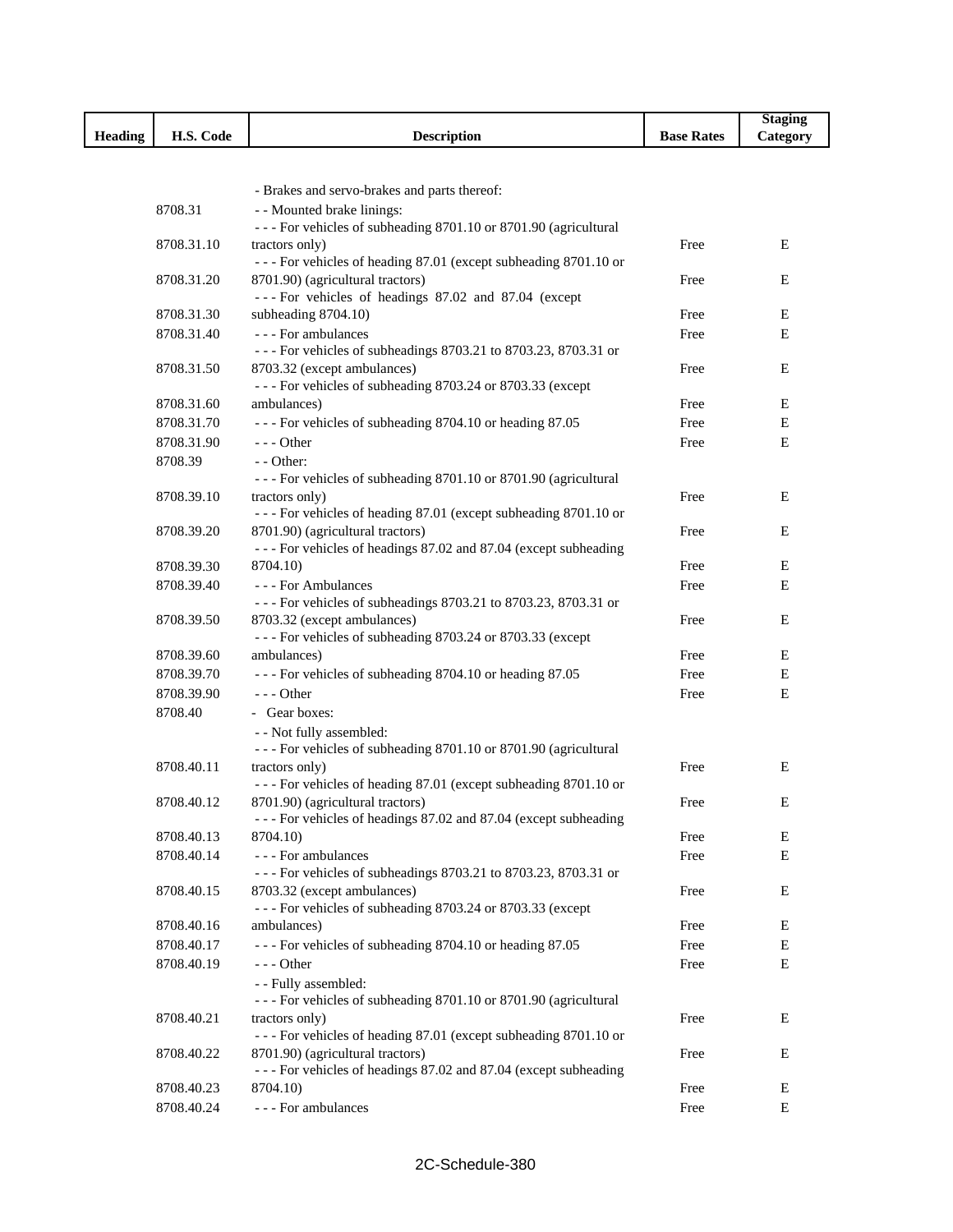|                |            |                                                                                                     |                   | <b>Staging</b> |
|----------------|------------|-----------------------------------------------------------------------------------------------------|-------------------|----------------|
| <b>Heading</b> | H.S. Code  | <b>Description</b>                                                                                  | <b>Base Rates</b> | Category       |
|                |            |                                                                                                     |                   |                |
|                |            |                                                                                                     |                   |                |
|                |            | - Brakes and servo-brakes and parts thereof:                                                        |                   |                |
|                | 8708.31    | - - Mounted brake linings:                                                                          |                   |                |
|                |            | - - - For vehicles of subheading 8701.10 or 8701.90 (agricultural                                   |                   |                |
|                | 8708.31.10 | tractors only)                                                                                      | Free              | Е              |
|                | 8708.31.20 | --- For vehicles of heading 87.01 (except subheading 8701.10 or<br>8701.90) (agricultural tractors) | Free              | Е              |
|                |            | --- For vehicles of headings 87.02 and 87.04 (except                                                |                   |                |
|                | 8708.31.30 | subheading 8704.10)                                                                                 | Free              | Е              |
|                | 8708.31.40 | --- For ambulances                                                                                  | Free              | E              |
|                |            | --- For vehicles of subheadings 8703.21 to 8703.23, 8703.31 or                                      |                   |                |
|                | 8708.31.50 | 8703.32 (except ambulances)                                                                         | Free              | Е              |
|                |            | --- For vehicles of subheading 8703.24 or 8703.33 (except                                           |                   |                |
|                | 8708.31.60 | ambulances)                                                                                         | Free              | Ε              |
|                | 8708.31.70 | --- For vehicles of subheading 8704.10 or heading 87.05                                             | Free              | Е              |
|                | 8708.31.90 | - - - Other                                                                                         | Free              | Е              |
|                | 8708.39    | $-$ - Other:                                                                                        |                   |                |
|                |            | - - - For vehicles of subheading 8701.10 or 8701.90 (agricultural                                   |                   |                |
|                | 8708.39.10 | tractors only)                                                                                      | Free              | E              |
|                |            | --- For vehicles of heading 87.01 (except subheading 8701.10 or                                     |                   |                |
|                | 8708.39.20 | 8701.90) (agricultural tractors)                                                                    | Free              | Е              |
|                |            | --- For vehicles of headings 87.02 and 87.04 (except subheading                                     |                   |                |
|                | 8708.39.30 | 8704.10)                                                                                            | Free              | Е              |
|                | 8708.39.40 | - - - For Ambulances                                                                                | Free              | E              |
|                |            | - - - For vehicles of subheadings 8703.21 to 8703.23, 8703.31 or                                    |                   |                |
|                | 8708.39.50 | 8703.32 (except ambulances)                                                                         | Free              | Е              |
|                |            | --- For vehicles of subheading 8703.24 or 8703.33 (except                                           |                   |                |
|                | 8708.39.60 | ambulances)                                                                                         | Free              | Ε              |
|                | 8708.39.70 | --- For vehicles of subheading 8704.10 or heading 87.05                                             | Free              | Е              |
|                | 8708.39.90 | $--$ Other                                                                                          | Free              | Е              |
|                | 8708.40    | - Gear boxes:                                                                                       |                   |                |
|                |            | - - Not fully assembled:                                                                            |                   |                |
|                | 8708.40.11 | - - - For vehicles of subheading 8701.10 or 8701.90 (agricultural<br>tractors only)                 | Free              | Е              |
|                |            | --- For vehicles of heading 87.01 (except subheading 8701.10 or                                     |                   |                |
|                | 8708.40.12 | 8701.90) (agricultural tractors)                                                                    | Free              | E              |
|                |            | - - - For vehicles of headings 87.02 and 87.04 (except subheading                                   |                   |                |
|                | 8708.40.13 | 8704.10)                                                                                            | Free              | Е              |
|                | 8708.40.14 | - - - For ambulances                                                                                | Free              | Е              |
|                |            | --- For vehicles of subheadings 8703.21 to 8703.23, 8703.31 or                                      |                   |                |
|                | 8708.40.15 | 8703.32 (except ambulances)                                                                         | Free              | Е              |
|                |            | --- For vehicles of subheading 8703.24 or 8703.33 (except                                           |                   |                |
|                | 8708.40.16 | ambulances)                                                                                         | Free              | Ε              |
|                | 8708.40.17 | --- For vehicles of subheading 8704.10 or heading 87.05                                             | Free              | Е              |
|                | 8708.40.19 | $--$ Other                                                                                          | Free              | Е              |
|                |            | - - Fully assembled:                                                                                |                   |                |
|                |            | - - - For vehicles of subheading 8701.10 or 8701.90 (agricultural                                   |                   |                |
|                | 8708.40.21 | tractors only)                                                                                      | Free              | Е              |
|                |            | --- For vehicles of heading 87.01 (except subheading 8701.10 or                                     |                   |                |
|                | 8708.40.22 | 8701.90) (agricultural tractors)                                                                    | Free              | E              |
|                |            | - - - For vehicles of headings 87.02 and 87.04 (except subheading                                   |                   |                |
|                | 8708.40.23 | 8704.10)                                                                                            | Free              | Е              |
|                | 8708.40.24 | - - - For ambulances                                                                                | Free              | E              |

ľ ı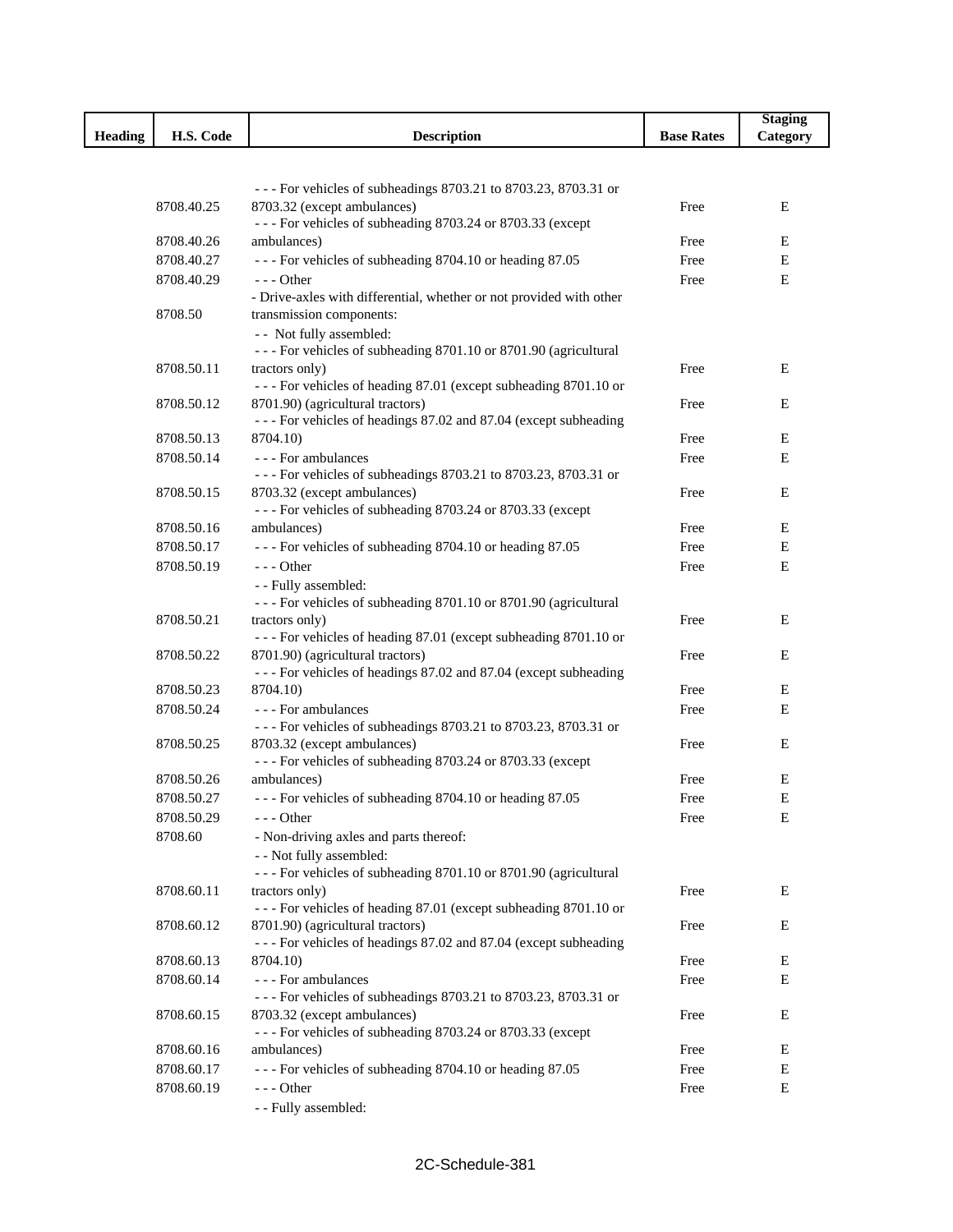|                |            |                                                                                                 |                   | <b>Staging</b> |
|----------------|------------|-------------------------------------------------------------------------------------------------|-------------------|----------------|
| <b>Heading</b> | H.S. Code  | <b>Description</b>                                                                              | <b>Base Rates</b> | Category       |
|                |            |                                                                                                 |                   |                |
|                |            |                                                                                                 |                   |                |
|                | 8708.40.25 | - - - For vehicles of subheadings 8703.21 to 8703.23, 8703.31 or<br>8703.32 (except ambulances) | Free              | Е              |
|                |            | --- For vehicles of subheading 8703.24 or 8703.33 (except                                       |                   |                |
|                | 8708.40.26 | ambulances)                                                                                     | Free              | Е              |
|                | 8708.40.27 | --- For vehicles of subheading 8704.10 or heading 87.05                                         | Free              | E              |
|                | 8708.40.29 | $--$ Other                                                                                      | Free              | E              |
|                |            | - Drive-axles with differential, whether or not provided with other                             |                   |                |
|                | 8708.50    | transmission components:                                                                        |                   |                |
|                |            | - - Not fully assembled:                                                                        |                   |                |
|                |            | - - - For vehicles of subheading 8701.10 or 8701.90 (agricultural                               |                   |                |
|                | 8708.50.11 | tractors only)<br>--- For vehicles of heading 87.01 (except subheading 8701.10 or               | Free              | E              |
|                | 8708.50.12 | 8701.90) (agricultural tractors)                                                                | Free              | Ε              |
|                |            | --- For vehicles of headings 87.02 and 87.04 (except subheading                                 |                   |                |
|                | 8708.50.13 | 8704.10)                                                                                        | Free              | Ε              |
|                | 8708.50.14 | --- For ambulances                                                                              | Free              | E              |
|                |            | --- For vehicles of subheadings 8703.21 to 8703.23, 8703.31 or                                  |                   |                |
|                | 8708.50.15 | 8703.32 (except ambulances)                                                                     | Free              | E              |
|                |            | --- For vehicles of subheading 8703.24 or 8703.33 (except                                       |                   |                |
|                | 8708.50.16 | ambulances)                                                                                     | Free              | Е              |
|                | 8708.50.17 | --- For vehicles of subheading 8704.10 or heading 87.05                                         | Free              | Е              |
|                | 8708.50.19 | $--$ Other                                                                                      | Free              | E              |
|                |            | - - Fully assembled:<br>- - - For vehicles of subheading 8701.10 or 8701.90 (agricultural       |                   |                |
|                | 8708.50.21 | tractors only)                                                                                  | Free              | Е              |
|                |            | --- For vehicles of heading 87.01 (except subheading 8701.10 or                                 |                   |                |
|                | 8708.50.22 | 8701.90) (agricultural tractors)                                                                | Free              | Е              |
|                |            | --- For vehicles of headings 87.02 and 87.04 (except subheading                                 |                   |                |
|                | 8708.50.23 | 8704.10)                                                                                        | Free              | Е              |
|                | 8708.50.24 | --- For ambulances                                                                              | Free              | E              |
|                |            | --- For vehicles of subheadings 8703.21 to 8703.23, 8703.31 or                                  |                   |                |
|                | 8708.50.25 | 8703.32 (except ambulances)<br>--- For vehicles of subheading 8703.24 or 8703.33 (except        | Free              | Ε              |
|                | 8708.50.26 | ambulances)                                                                                     | Free              | Е              |
|                | 8708.50.27 | --- For vehicles of subheading 8704.10 or heading 87.05                                         | Free              | E              |
|                | 8708.50.29 | $--$ Other                                                                                      | Free              | Е              |
|                | 8708.60    | - Non-driving axles and parts thereof:                                                          |                   |                |
|                |            | - - Not fully assembled:                                                                        |                   |                |
|                |            | - - - For vehicles of subheading 8701.10 or 8701.90 (agricultural                               |                   |                |
|                | 8708.60.11 | tractors only)                                                                                  | Free              | Е              |
|                |            | --- For vehicles of heading 87.01 (except subheading 8701.10 or                                 |                   |                |
|                | 8708.60.12 | 8701.90) (agricultural tractors)                                                                | Free              | Ε              |
|                |            | --- For vehicles of headings 87.02 and 87.04 (except subheading                                 |                   |                |
|                | 8708.60.13 | 8704.10)                                                                                        | Free              | Е              |
|                | 8708.60.14 | - - - For ambulances<br>--- For vehicles of subheadings 8703.21 to 8703.23, 8703.31 or          | Free              | E              |
|                | 8708.60.15 | 8703.32 (except ambulances)                                                                     | Free              | Ε              |
|                |            | --- For vehicles of subheading 8703.24 or 8703.33 (except                                       |                   |                |
|                | 8708.60.16 | ambulances)                                                                                     | Free              | Ε              |
|                | 8708.60.17 | --- For vehicles of subheading 8704.10 or heading 87.05                                         | Free              | E              |
|                | 8708.60.19 | $--$ Other                                                                                      | Free              | Е              |
|                |            | - - Fully assembled:                                                                            |                   |                |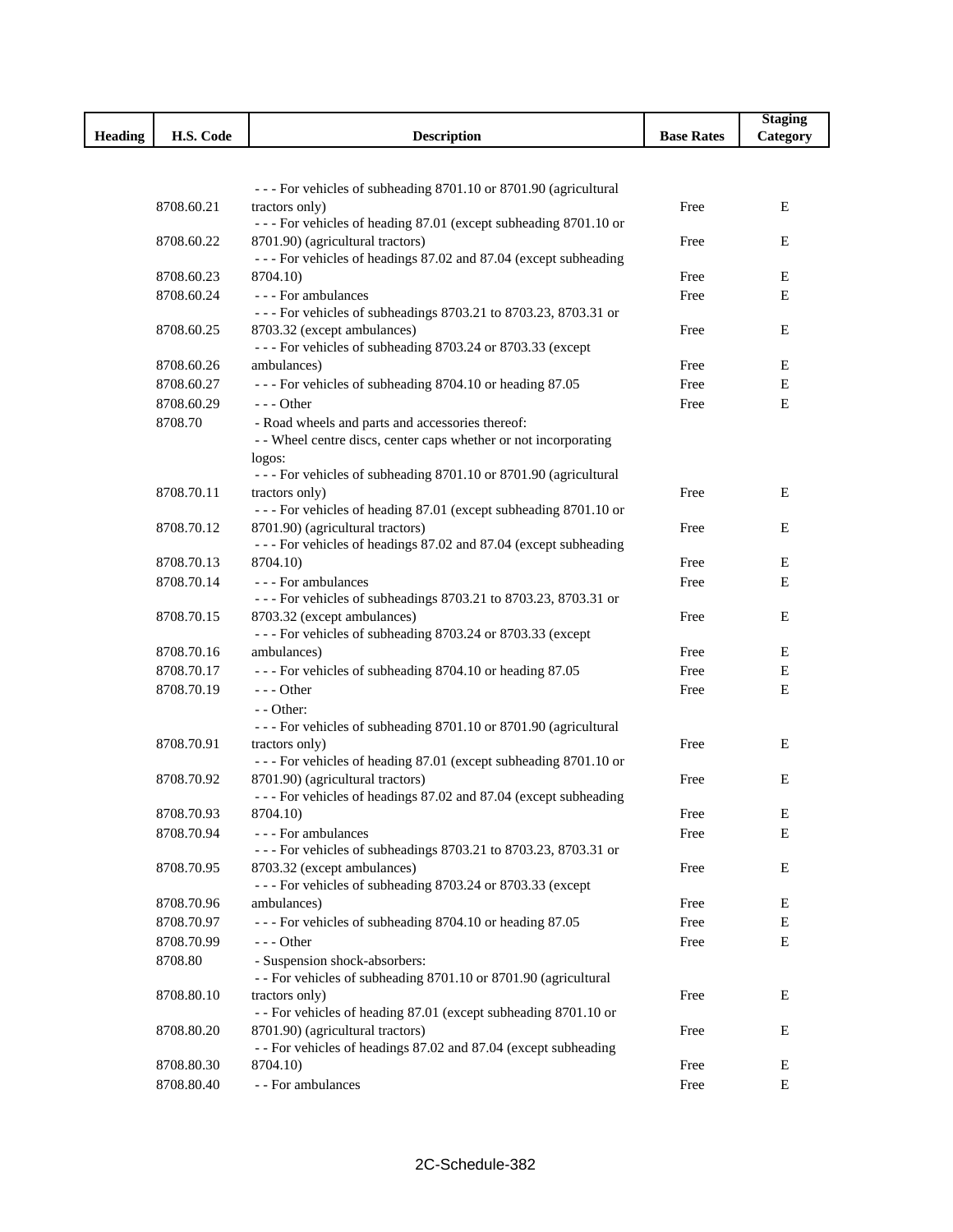|                |                       |                                                                                                       |                   | <b>Staging</b> |
|----------------|-----------------------|-------------------------------------------------------------------------------------------------------|-------------------|----------------|
| <b>Heading</b> | H.S. Code             | <b>Description</b>                                                                                    | <b>Base Rates</b> | Category       |
|                |                       |                                                                                                       |                   |                |
|                |                       |                                                                                                       |                   |                |
|                | 8708.60.21            | - - - For vehicles of subheading 8701.10 or 8701.90 (agricultural                                     | Free              | Е              |
|                |                       | tractors only)<br>--- For vehicles of heading 87.01 (except subheading 8701.10 or                     |                   |                |
|                | 8708.60.22            | 8701.90) (agricultural tractors)                                                                      | Free              | E              |
|                |                       | - - - For vehicles of headings 87.02 and 87.04 (except subheading                                     |                   |                |
|                | 8708.60.23            | 8704.10)                                                                                              | Free              | Е              |
|                | 8708.60.24            | --- For ambulances                                                                                    | Free              | Е              |
|                |                       | --- For vehicles of subheadings 8703.21 to 8703.23, 8703.31 or                                        |                   |                |
|                | 8708.60.25            | 8703.32 (except ambulances)                                                                           | Free              | Е              |
|                |                       | --- For vehicles of subheading 8703.24 or 8703.33 (except                                             |                   |                |
|                | 8708.60.26            | ambulances)                                                                                           | Free              | Е              |
|                | 8708.60.27            | --- For vehicles of subheading 8704.10 or heading 87.05                                               | Free              | Е              |
|                | 8708.60.29<br>8708.70 | - - - Other<br>- Road wheels and parts and accessories thereof:                                       | Free              | Е              |
|                |                       | - - Wheel centre discs, center caps whether or not incorporating                                      |                   |                |
|                |                       | logos:                                                                                                |                   |                |
|                |                       | - - - For vehicles of subheading 8701.10 or 8701.90 (agricultural                                     |                   |                |
|                | 8708.70.11            | tractors only)                                                                                        | Free              | Е              |
|                |                       | --- For vehicles of heading 87.01 (except subheading 8701.10 or                                       |                   |                |
|                | 8708.70.12            | 8701.90) (agricultural tractors)                                                                      | Free              | Ε              |
|                |                       | - - - For vehicles of headings 87.02 and 87.04 (except subheading                                     |                   |                |
|                | 8708.70.13            | 8704.10)                                                                                              | Free              | Ε              |
|                | 8708.70.14            | --- For ambulances<br>- - - For vehicles of subheadings 8703.21 to 8703.23, 8703.31 or                | Free              | Е              |
|                | 8708.70.15            | 8703.32 (except ambulances)                                                                           | Free              | Ε              |
|                |                       | --- For vehicles of subheading 8703.24 or 8703.33 (except                                             |                   |                |
|                | 8708.70.16            | ambulances)                                                                                           | Free              | Е              |
|                | 8708.70.17            | --- For vehicles of subheading 8704.10 or heading 87.05                                               | Free              | E              |
|                | 8708.70.19            | $- -$ Other                                                                                           | Free              | Е              |
|                |                       | - - Other:                                                                                            |                   |                |
|                |                       | - - - For vehicles of subheading 8701.10 or 8701.90 (agricultural                                     |                   |                |
|                | 8708.70.91            | tractors only)                                                                                        | Free              | Е              |
|                |                       | --- For vehicles of heading 87.01 (except subheading 8701.10 or                                       |                   |                |
|                | 8708.70.92            | 8701.90) (agricultural tractors)<br>- - - For vehicles of headings 87.02 and 87.04 (except subheading | Free              | E              |
|                | 8708.70.93            | 8704.10)                                                                                              | Free              | Е              |
|                | 8708.70.94            | - - - For ambulances                                                                                  | Free              | Е              |
|                |                       | - - - For vehicles of subheadings 8703.21 to 8703.23, 8703.31 or                                      |                   |                |
|                | 8708.70.95            | 8703.32 (except ambulances)                                                                           | Free              | Ε              |
|                |                       | --- For vehicles of subheading 8703.24 or 8703.33 (except                                             |                   |                |
|                | 8708.70.96            | ambulances)                                                                                           | Free              | Е              |
|                | 8708.70.97            | --- For vehicles of subheading 8704.10 or heading 87.05                                               | Free              | E              |
|                | 8708.70.99            | - - - Other                                                                                           | Free              | E              |
|                | 8708.80               | - Suspension shock-absorbers:<br>- - For vehicles of subheading 8701.10 or 8701.90 (agricultural      |                   |                |
|                | 8708.80.10            | tractors only)                                                                                        | Free              | E              |
|                |                       | - - For vehicles of heading 87.01 (except subheading 8701.10 or                                       |                   |                |
|                | 8708.80.20            | 8701.90) (agricultural tractors)                                                                      | Free              | Е              |
|                |                       | - - For vehicles of headings 87.02 and 87.04 (except subheading                                       |                   |                |
|                | 8708.80.30            | 8704.10)                                                                                              | Free              | Е              |
|                | 8708.80.40            | - - For ambulances                                                                                    | Free              | Е              |

I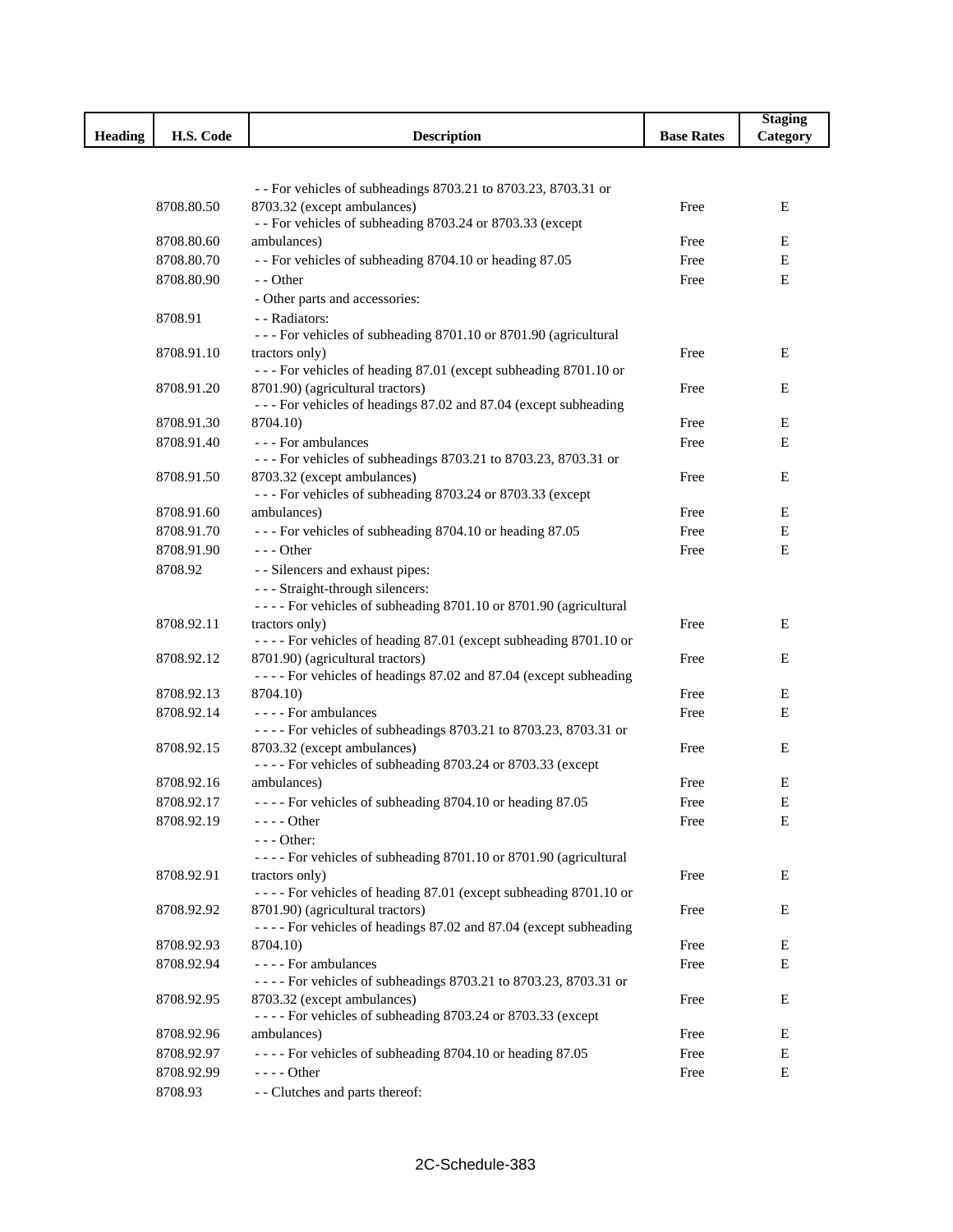|                |                          |                                                                                                      |                   | <b>Staging</b> |
|----------------|--------------------------|------------------------------------------------------------------------------------------------------|-------------------|----------------|
| <b>Heading</b> | H.S. Code                | <b>Description</b>                                                                                   | <b>Base Rates</b> | Category       |
|                |                          |                                                                                                      |                   |                |
|                |                          | - - For vehicles of subheadings 8703.21 to 8703.23, 8703.31 or                                       |                   |                |
|                | 8708.80.50               | 8703.32 (except ambulances)                                                                          | Free              | E              |
|                |                          | - - For vehicles of subheading 8703.24 or 8703.33 (except                                            |                   |                |
|                | 8708.80.60               | ambulances)                                                                                          | Free              | Ε              |
|                | 8708.80.70               | - - For vehicles of subheading 8704.10 or heading 87.05                                              | Free              | Е              |
|                | 8708.80.90               | - - Other                                                                                            | Free              | E              |
|                |                          | - Other parts and accessories:                                                                       |                   |                |
|                | 8708.91                  | - - Radiators:                                                                                       |                   |                |
|                | 8708.91.10               | --- For vehicles of subheading 8701.10 or 8701.90 (agricultural<br>tractors only)                    | Free              | Ε              |
|                |                          | --- For vehicles of heading 87.01 (except subheading 8701.10 or                                      |                   |                |
|                | 8708.91.20               | 8701.90) (agricultural tractors)                                                                     | Free              | E              |
|                |                          | --- For vehicles of headings 87.02 and 87.04 (except subheading                                      |                   |                |
|                | 8708.91.30               | 8704.10)                                                                                             | Free              | Ε              |
|                | 8708.91.40               | --- For ambulances                                                                                   | Free              | Е              |
|                |                          | --- For vehicles of subheadings 8703.21 to 8703.23, 8703.31 or                                       |                   |                |
|                | 8708.91.50               | 8703.32 (except ambulances)                                                                          | Free              | Ε              |
|                |                          | --- For vehicles of subheading 8703.24 or 8703.33 (except                                            |                   | Е              |
|                | 8708.91.60<br>8708.91.70 | ambulances)<br>--- For vehicles of subheading 8704.10 or heading 87.05                               | Free<br>Free      | Е              |
|                | 8708.91.90               | $- -$ Other                                                                                          | Free              | E              |
|                | 8708.92                  | - - Silencers and exhaust pipes:                                                                     |                   |                |
|                |                          | --- Straight-through silencers:                                                                      |                   |                |
|                |                          | - - - - For vehicles of subheading 8701.10 or 8701.90 (agricultural                                  |                   |                |
|                | 8708.92.11               | tractors only)                                                                                       | Free              | E              |
|                |                          | ---- For vehicles of heading 87.01 (except subheading 8701.10 or                                     |                   |                |
|                | 8708.92.12               | 8701.90) (agricultural tractors)                                                                     | Free              | Ε              |
|                |                          | - - - - For vehicles of headings 87.02 and 87.04 (except subheading                                  |                   |                |
|                | 8708.92.13               | 8704.10)                                                                                             | Free              | Ε              |
|                | 8708.92.14               | - - - - For ambulances<br>---- For vehicles of subheadings 8703.21 to 8703.23, 8703.31 or            | Free              | E              |
|                | 8708.92.15               | 8703.32 (except ambulances)                                                                          | Free              | E              |
|                |                          | ---- For vehicles of subheading 8703.24 or 8703.33 (except                                           |                   |                |
|                | 8708.92.16               | ambulances)                                                                                          | Free              | E              |
|                | 8708.92.17               | ---- For vehicles of subheading 8704.10 or heading 87.05                                             | Free              | E              |
|                | 8708.92.19               | $--- Other$                                                                                          | Free              | Е              |
|                |                          | - - - Other:                                                                                         |                   |                |
|                |                          | - - - - For vehicles of subheading 8701.10 or 8701.90 (agricultural                                  |                   |                |
|                | 8708.92.91               | tractors only)                                                                                       | Free              | Ε              |
|                |                          | - - - - For vehicles of heading 87.01 (except subheading 8701.10 or                                  |                   |                |
|                | 8708.92.92               | 8701.90) (agricultural tractors)<br>---- For vehicles of headings 87.02 and 87.04 (except subheading | Free              | Ε              |
|                | 8708.92.93               | 8704.10)                                                                                             | Free              | Ε              |
|                | 8708.92.94               | - - - - For ambulances                                                                               | Free              | Е              |
|                |                          | ---- For vehicles of subheadings 8703.21 to 8703.23, 8703.31 or                                      |                   |                |
|                | 8708.92.95               | 8703.32 (except ambulances)                                                                          | Free              | Ε              |
|                |                          | ---- For vehicles of subheading 8703.24 or 8703.33 (except                                           |                   |                |
|                | 8708.92.96               | ambulances)                                                                                          | Free              | Ε              |
|                | 8708.92.97               | ---- For vehicles of subheading 8704.10 or heading 87.05                                             | Free              | E              |
|                | 8708.92.99               | $--- Other$                                                                                          | Free              | $\mathbf E$    |
|                | 8708.93                  | - - Clutches and parts thereof:                                                                      |                   |                |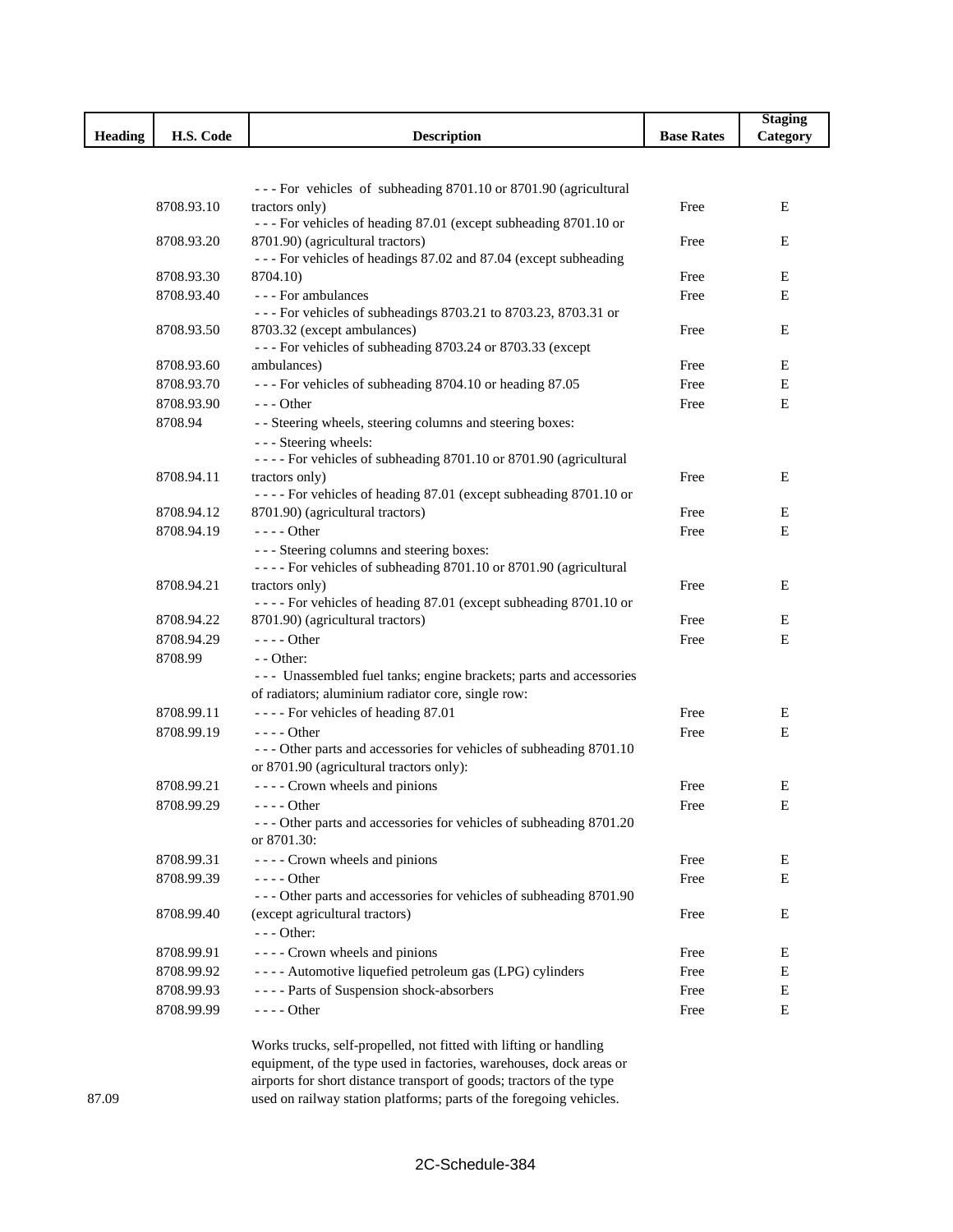|                |            |                                                                                   |                   | <b>Staging</b> |
|----------------|------------|-----------------------------------------------------------------------------------|-------------------|----------------|
| <b>Heading</b> | H.S. Code  | <b>Description</b>                                                                | <b>Base Rates</b> | Category       |
|                |            |                                                                                   |                   |                |
|                |            |                                                                                   |                   |                |
|                |            | --- For vehicles of subheading 8701.10 or 8701.90 (agricultural                   |                   |                |
|                | 8708.93.10 | tractors only)<br>--- For vehicles of heading 87.01 (except subheading 8701.10 or | Free              | Ε              |
|                | 8708.93.20 | 8701.90) (agricultural tractors)                                                  | Free              | Ε              |
|                |            | --- For vehicles of headings 87.02 and 87.04 (except subheading                   |                   |                |
|                | 8708.93.30 | 8704.10)                                                                          | Free              | Ε              |
|                | 8708.93.40 | - - - For ambulances                                                              | Free              | E              |
|                |            | --- For vehicles of subheadings 8703.21 to 8703.23, 8703.31 or                    |                   |                |
|                | 8708.93.50 | 8703.32 (except ambulances)                                                       | Free              | Ε              |
|                |            | --- For vehicles of subheading 8703.24 or 8703.33 (except                         |                   |                |
|                | 8708.93.60 | ambulances)                                                                       | Free              | Е              |
|                | 8708.93.70 | --- For vehicles of subheading 8704.10 or heading 87.05                           | Free              | Ε              |
|                | 8708.93.90 | $- -$ Other                                                                       | Free              | E              |
|                | 8708.94    | - - Steering wheels, steering columns and steering boxes:                         |                   |                |
|                |            | - - - Steering wheels:                                                            |                   |                |
|                |            | - - - - For vehicles of subheading 8701.10 or 8701.90 (agricultural               |                   |                |
|                | 8708.94.11 | tractors only)                                                                    | Free              | Ε              |
|                |            | - - - - For vehicles of heading 87.01 (except subheading 8701.10 or               |                   |                |
|                | 8708.94.12 | 8701.90) (agricultural tractors)                                                  | Free              | Ε              |
|                | 8708.94.19 | - - - - Other                                                                     | Free              | E              |
|                |            | --- Steering columns and steering boxes:                                          |                   |                |
|                |            | - - - - For vehicles of subheading 8701.10 or 8701.90 (agricultural               |                   |                |
|                | 8708.94.21 | tractors only)                                                                    | Free              | Ε              |
|                |            | ---- For vehicles of heading 87.01 (except subheading 8701.10 or                  |                   |                |
|                | 8708.94.22 | 8701.90) (agricultural tractors)                                                  | Free              | Ε              |
|                | 8708.94.29 | $--- Other$                                                                       | Free              | E              |
|                | 8708.99    | - - Other:                                                                        |                   |                |
|                |            | --- Unassembled fuel tanks; engine brackets; parts and accessories                |                   |                |
|                | 8708.99.11 | of radiators; aluminium radiator core, single row:                                |                   |                |
|                |            | ---- For vehicles of heading 87.01                                                | Free              | Ε              |
|                | 8708.99.19 | $---$ Other<br>--- Other parts and accessories for vehicles of subheading 8701.10 | Free              | E              |
|                |            | or 8701.90 (agricultural tractors only):                                          |                   |                |
|                | 8708.99.21 | - - - - Crown wheels and pinions                                                  | Free              | Ε              |
|                | 8708.99.29 | - Other                                                                           | Free              | $\bf E$        |
|                |            | --- Other parts and accessories for vehicles of subheading 8701.20                |                   |                |
|                |            | or 8701.30:                                                                       |                   |                |
|                | 8708.99.31 | ---- Crown wheels and pinions                                                     | Free              | Ε              |
|                | 8708.99.39 | - - - - Other                                                                     | Free              | Ε              |
|                |            | --- Other parts and accessories for vehicles of subheading 8701.90                |                   |                |
|                | 8708.99.40 | (except agricultural tractors)                                                    | Free              | Ε              |
|                |            | $--$ Other:                                                                       |                   |                |
|                | 8708.99.91 | ---- Crown wheels and pinions                                                     | Free              | Ε              |
|                | 8708.99.92 | - - - - Automotive liquefied petroleum gas (LPG) cylinders                        | Free              | Ε              |
|                | 8708.99.93 | ---- Parts of Suspension shock-absorbers                                          | Free              | E              |
|                | 8708.99.99 | - - - - Other                                                                     | Free              | Ε              |
|                |            |                                                                                   |                   |                |
|                |            |                                                                                   |                   |                |

Works trucks, self-propelled, not fitted with lifting or handling equipment, of the type used in factories, warehouses, dock areas or airports for short distance transport of goods; tractors of the type used on railway station platforms; parts of the foregoing vehicles.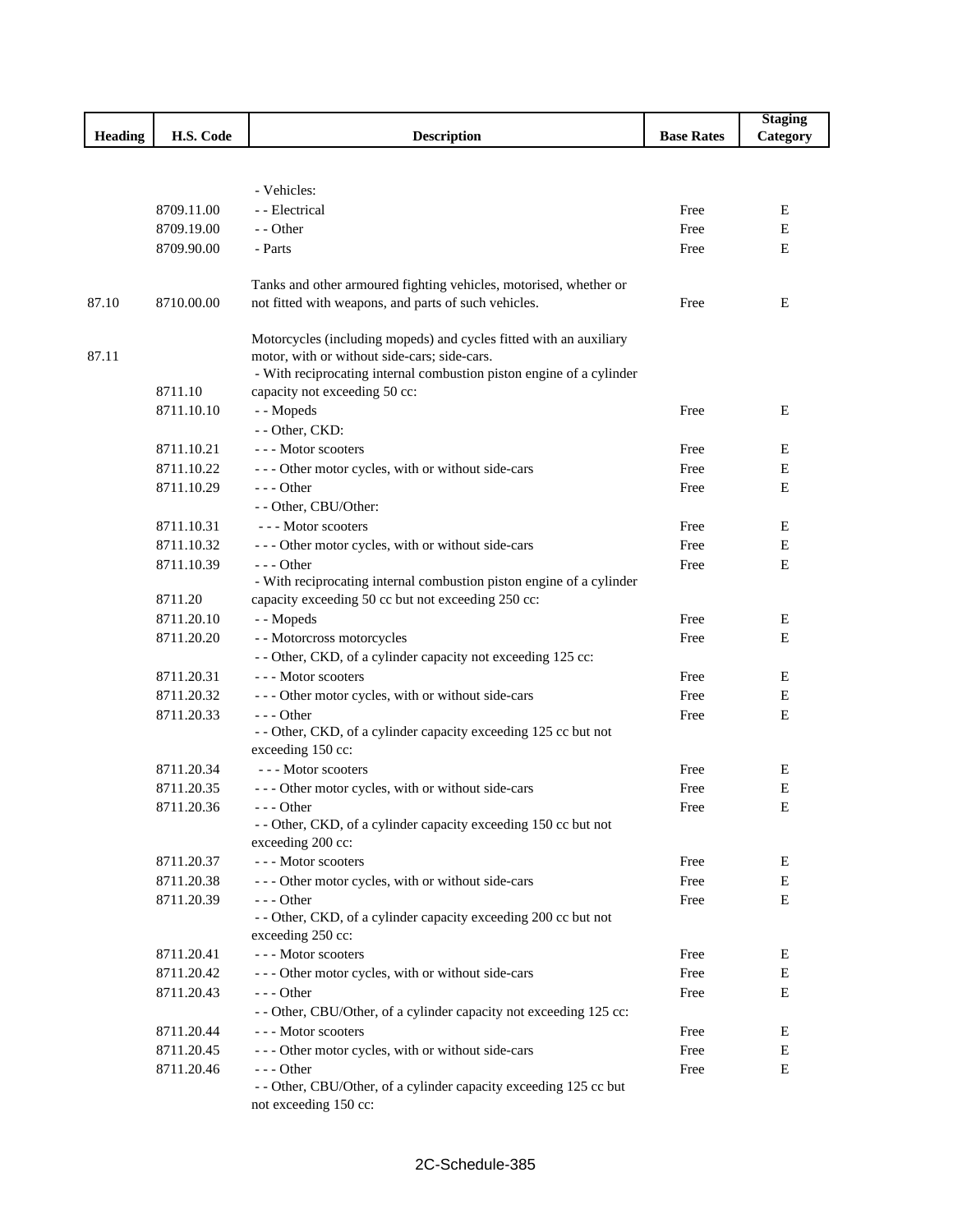|                |            |                                                                                    |                   | <b>Staging</b> |
|----------------|------------|------------------------------------------------------------------------------------|-------------------|----------------|
| <b>Heading</b> | H.S. Code  | <b>Description</b>                                                                 | <b>Base Rates</b> | Category       |
|                |            |                                                                                    |                   |                |
|                |            |                                                                                    |                   |                |
|                |            | - Vehicles:                                                                        |                   |                |
|                | 8709.11.00 | - - Electrical                                                                     | Free              | E              |
|                | 8709.19.00 | - - Other                                                                          | Free              | E              |
|                | 8709.90.00 | - Parts                                                                            | Free              | $\mathbf E$    |
|                |            | Tanks and other armoured fighting vehicles, motorised, whether or                  |                   |                |
| 87.10          | 8710.00.00 | not fitted with weapons, and parts of such vehicles.                               | Free              | E              |
|                |            |                                                                                    |                   |                |
|                |            | Motorcycles (including mopeds) and cycles fitted with an auxiliary                 |                   |                |
| 87.11          |            | motor, with or without side-cars; side-cars.                                       |                   |                |
|                |            | - With reciprocating internal combustion piston engine of a cylinder               |                   |                |
|                | 8711.10    | capacity not exceeding 50 cc:                                                      |                   |                |
|                | 8711.10.10 | - - Mopeds                                                                         | Free              | Ε              |
|                |            | - - Other, CKD:                                                                    |                   |                |
|                | 8711.10.21 | --- Motor scooters                                                                 | Free              | E              |
|                | 8711.10.22 | --- Other motor cycles, with or without side-cars                                  | Free              | E              |
|                | 8711.10.29 | $--$ Other                                                                         | Free              | Ε              |
|                |            | - - Other, CBU/Other:                                                              |                   |                |
|                | 8711.10.31 | --- Motor scooters                                                                 | Free              | Ε              |
|                | 8711.10.32 | --- Other motor cycles, with or without side-cars                                  | Free              | E              |
|                | 8711.10.39 | $--$ Other<br>- With reciprocating internal combustion piston engine of a cylinder | Free              | E              |
|                | 8711.20    | capacity exceeding 50 cc but not exceeding 250 cc:                                 |                   |                |
|                | 8711.20.10 | - - Mopeds                                                                         | Free              | E              |
|                | 8711.20.20 | - - Motorcross motorcycles                                                         | Free              | Ε              |
|                |            | - - Other, CKD, of a cylinder capacity not exceeding 125 cc:                       |                   |                |
|                | 8711.20.31 | --- Motor scooters                                                                 | Free              | Ε              |
|                | 8711.20.32 | --- Other motor cycles, with or without side-cars                                  | Free              | E              |
|                | 8711.20.33 | $--$ Other                                                                         | Free              | $\mathbf E$    |
|                |            | - - Other, CKD, of a cylinder capacity exceeding 125 cc but not                    |                   |                |
|                |            | exceeding 150 cc:                                                                  |                   |                |
|                | 8711.20.34 | --- Motor scooters                                                                 | Free              | Ε              |
|                | 8711.20.35 | --- Other motor cycles, with or without side-cars                                  | Free              | Е              |
|                | 8711.20.36 | - - - Other                                                                        | Free              | ${\bf E}$      |
|                |            | - - Other, CKD, of a cylinder capacity exceeding 150 cc but not                    |                   |                |
|                |            | exceeding 200 cc:                                                                  |                   |                |
|                | 8711.20.37 | --- Motor scooters                                                                 | Free              | E              |
|                | 8711.20.38 | --- Other motor cycles, with or without side-cars                                  | Free              | Ε              |
|                | 8711.20.39 | $- -$ Other<br>- - Other, CKD, of a cylinder capacity exceeding 200 cc but not     | Free              | E              |
|                |            | exceeding 250 cc:                                                                  |                   |                |
|                | 8711.20.41 | --- Motor scooters                                                                 | Free              | E              |
|                | 8711.20.42 | --- Other motor cycles, with or without side-cars                                  | Free              | E              |
|                | 8711.20.43 | $--$ Other                                                                         | Free              | E              |
|                |            | - - Other, CBU/Other, of a cylinder capacity not exceeding 125 cc:                 |                   |                |
|                | 8711.20.44 | --- Motor scooters                                                                 | Free              | Ε              |
|                | 8711.20.45 | --- Other motor cycles, with or without side-cars                                  | Free              | E              |
|                | 8711.20.46 | $--$ Other                                                                         | Free              | Ε              |
|                |            | - - Other, CBU/Other, of a cylinder capacity exceeding 125 cc but                  |                   |                |
|                |            | not exceeding 150 cc:                                                              |                   |                |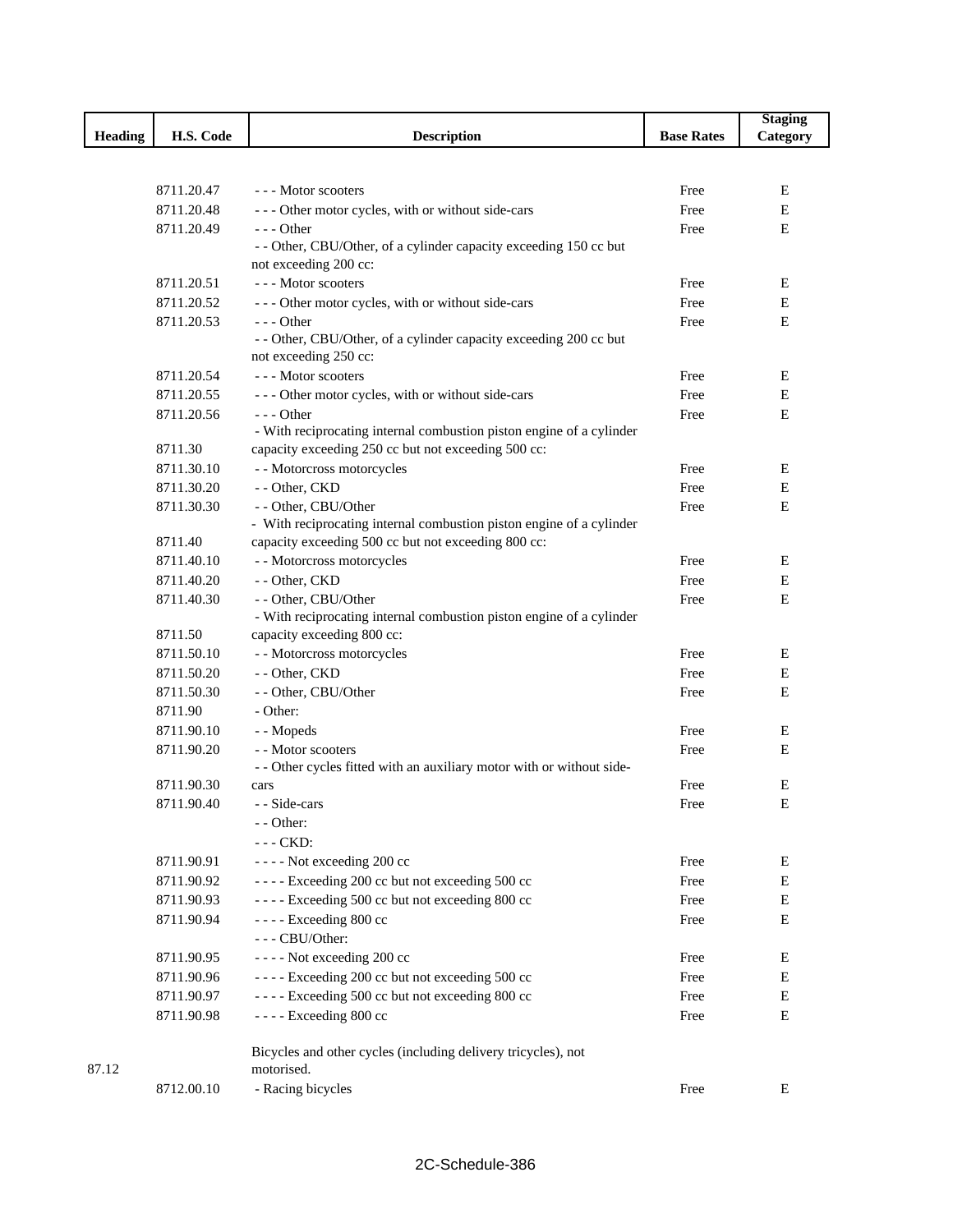|                |            |                                                                                                                             |                   | <b>Staging</b> |
|----------------|------------|-----------------------------------------------------------------------------------------------------------------------------|-------------------|----------------|
| <b>Heading</b> | H.S. Code  | <b>Description</b>                                                                                                          | <b>Base Rates</b> | Category       |
|                |            |                                                                                                                             |                   |                |
|                |            |                                                                                                                             |                   |                |
|                | 8711.20.47 | --- Motor scooters                                                                                                          | Free              | E              |
|                | 8711.20.48 | --- Other motor cycles, with or without side-cars                                                                           | Free              | E              |
|                | 8711.20.49 | $- -$ Other                                                                                                                 | Free              | E              |
|                |            | - - Other, CBU/Other, of a cylinder capacity exceeding 150 cc but                                                           |                   |                |
|                |            | not exceeding 200 cc:                                                                                                       |                   |                |
|                | 8711.20.51 | --- Motor scooters                                                                                                          | Free              | E              |
|                | 8711.20.52 | --- Other motor cycles, with or without side-cars                                                                           | Free              | Ε              |
|                | 8711.20.53 | $--$ Other                                                                                                                  | Free              | E              |
|                |            | - - Other, CBU/Other, of a cylinder capacity exceeding 200 cc but                                                           |                   |                |
|                |            | not exceeding 250 cc:                                                                                                       |                   |                |
|                | 8711.20.54 | --- Motor scooters                                                                                                          | Free              | Ε              |
|                | 8711.20.55 | --- Other motor cycles, with or without side-cars                                                                           | Free              | Е              |
|                | 8711.20.56 | $- -$ Other                                                                                                                 | Free              | Ε              |
|                | 8711.30    | - With reciprocating internal combustion piston engine of a cylinder<br>capacity exceeding 250 cc but not exceeding 500 cc: |                   |                |
|                | 8711.30.10 | - - Motorcross motorcycles                                                                                                  | Free              | Ε              |
|                | 8711.30.20 | - - Other, CKD                                                                                                              | Free              | Е              |
|                |            |                                                                                                                             |                   |                |
|                | 8711.30.30 | - - Other, CBU/Other<br>- With reciprocating internal combustion piston engine of a cylinder                                | Free              | Ε              |
|                | 8711.40    | capacity exceeding 500 cc but not exceeding 800 cc:                                                                         |                   |                |
|                | 8711.40.10 | - - Motorcross motorcycles                                                                                                  | Free              | Ε              |
|                | 8711.40.20 | - - Other, CKD                                                                                                              | Free              | Е              |
|                | 8711.40.30 | - - Other, CBU/Other                                                                                                        | Free              | E              |
|                |            | - With reciprocating internal combustion piston engine of a cylinder                                                        |                   |                |
|                | 8711.50    | capacity exceeding 800 cc:                                                                                                  |                   |                |
|                | 8711.50.10 | - - Motorcross motorcycles                                                                                                  | Free              | Ε              |
|                | 8711.50.20 | - - Other, CKD                                                                                                              | Free              | Е              |
|                | 8711.50.30 | - - Other, CBU/Other                                                                                                        | Free              | E              |
|                | 8711.90    | - Other:                                                                                                                    |                   |                |
|                | 8711.90.10 | - - Mopeds                                                                                                                  | Free              | Ε              |
|                | 8711.90.20 | - - Motor scooters                                                                                                          | Free              | Ε              |
|                |            | - - Other cycles fitted with an auxiliary motor with or without side-                                                       |                   |                |
|                | 8711.90.30 | cars                                                                                                                        | Free              | Ε              |
|                | 8711.90.40 | - - Side-cars                                                                                                               | Free              | Е              |
|                |            | - - Other:                                                                                                                  |                   |                |
|                |            | --- CKD:                                                                                                                    |                   |                |
|                | 8711.90.91 | - - - - Not exceeding 200 cc                                                                                                | Free              | Ε              |
|                | 8711.90.92 | ---- Exceeding 200 cc but not exceeding 500 cc                                                                              | Free              | Ε              |
|                | 8711.90.93 | ---- Exceeding 500 cc but not exceeding 800 cc                                                                              | Free              | Ε              |
|                | 8711.90.94 | - - - - Exceeding 800 cc                                                                                                    | Free              | Ε              |
|                |            | --- CBU/Other:                                                                                                              |                   |                |
|                | 8711.90.95 | ---- Not exceeding 200 cc                                                                                                   | Free              | Е              |
|                | 8711.90.96 | ---- Exceeding 200 cc but not exceeding 500 cc                                                                              | Free              | Е              |
|                | 8711.90.97 | ---- Exceeding 500 cc but not exceeding 800 cc                                                                              | Free              | Ε              |
|                | 8711.90.98 | - - - - Exceeding 800 cc                                                                                                    | Free              | E              |
|                |            |                                                                                                                             |                   |                |
|                |            | Bicycles and other cycles (including delivery tricycles), not                                                               |                   |                |
| 87.12          |            | motorised.                                                                                                                  |                   |                |
|                | 8712.00.10 | - Racing bicycles                                                                                                           | Free              | E              |
|                |            |                                                                                                                             |                   |                |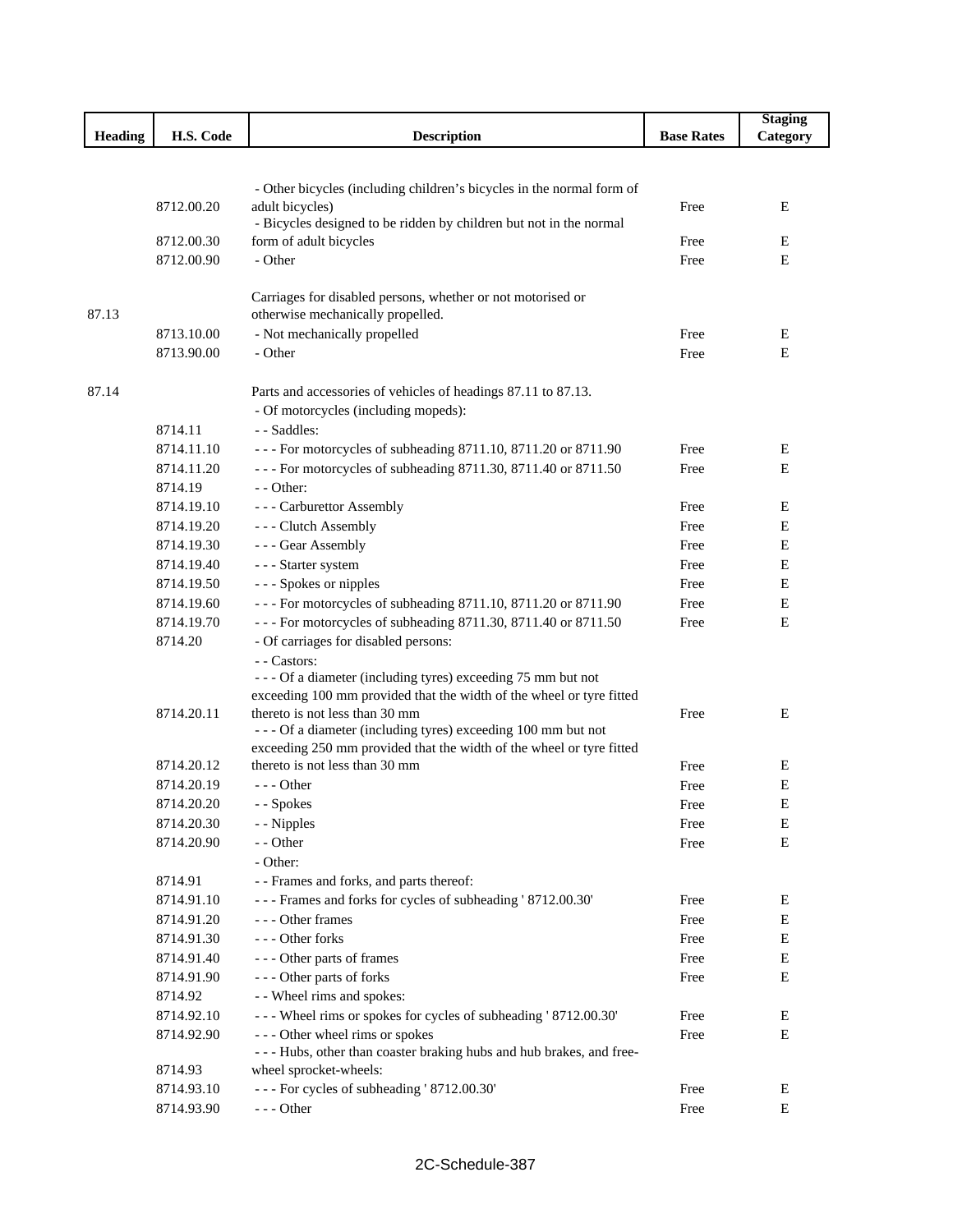|                |                          |                                                                                          |                   | <b>Staging</b> |
|----------------|--------------------------|------------------------------------------------------------------------------------------|-------------------|----------------|
| <b>Heading</b> | H.S. Code                | <b>Description</b>                                                                       | <b>Base Rates</b> | Category       |
|                |                          |                                                                                          |                   |                |
|                |                          |                                                                                          |                   |                |
|                | 8712.00.20               | - Other bicycles (including children's bicycles in the normal form of<br>adult bicycles) | Free              | Ε              |
|                |                          | - Bicycles designed to be ridden by children but not in the normal                       |                   |                |
|                | 8712.00.30               | form of adult bicycles                                                                   | Free              | E              |
|                | 8712.00.90               | - Other                                                                                  | Free              | E              |
|                |                          |                                                                                          |                   |                |
|                |                          | Carriages for disabled persons, whether or not motorised or                              |                   |                |
| 87.13          |                          | otherwise mechanically propelled.                                                        |                   |                |
|                | 8713.10.00               | - Not mechanically propelled                                                             | Free              | Е              |
|                | 8713.90.00               | - Other                                                                                  | Free              | E              |
|                |                          |                                                                                          |                   |                |
| 87.14          |                          | Parts and accessories of vehicles of headings 87.11 to 87.13.                            |                   |                |
|                |                          | - Of motorcycles (including mopeds):                                                     |                   |                |
|                | 8714.11                  | - - Saddles:                                                                             |                   |                |
|                | 8714.11.10               | - - - For motorcycles of subheading 8711.10, 8711.20 or 8711.90                          | Free              | Ε              |
|                | 8714.11.20               | --- For motorcycles of subheading 8711.30, 8711.40 or 8711.50                            | Free              | Е              |
|                | 8714.19<br>8714.19.10    | - - Other:<br>- - - Carburettor Assembly                                                 |                   |                |
|                | 8714.19.20               | --- Clutch Assembly                                                                      | Free<br>Free      | E<br>Е         |
|                | 8714.19.30               | - - - Gear Assembly                                                                      | Free              | Е              |
|                | 8714.19.40               | - - - Starter system                                                                     | Free              | Е              |
|                | 8714.19.50               | --- Spokes or nipples                                                                    | Free              | Е              |
|                | 8714.19.60               | - - - For motorcycles of subheading 8711.10, 8711.20 or 8711.90                          | Free              | Е              |
|                | 8714.19.70               | --- For motorcycles of subheading 8711.30, 8711.40 or 8711.50                            | Free              | E              |
|                | 8714.20                  | - Of carriages for disabled persons:                                                     |                   |                |
|                |                          | - - Castors:                                                                             |                   |                |
|                |                          | --- Of a diameter (including tyres) exceeding 75 mm but not                              |                   |                |
|                |                          | exceeding 100 mm provided that the width of the wheel or tyre fitted                     |                   |                |
|                | 8714.20.11               | thereto is not less than 30 mm                                                           | Free              | E              |
|                |                          | --- Of a diameter (including tyres) exceeding 100 mm but not                             |                   |                |
|                |                          | exceeding 250 mm provided that the width of the wheel or tyre fitted                     |                   |                |
|                | 8714.20.12               | thereto is not less than 30 mm                                                           | Free              | Ε              |
|                | 8714.20.19               | $- -$ Other                                                                              | Free              | E              |
|                | 8714.20.20               | - - Spokes                                                                               | Free              | E              |
|                | 8714.20.30<br>8714.20.90 | - - Nipples<br>- - Other                                                                 | Free<br>Free      | Ε<br>Е         |
|                |                          | - Other:                                                                                 |                   |                |
|                | 8714.91                  | - - Frames and forks, and parts thereof:                                                 |                   |                |
|                | 8714.91.10               | --- Frames and forks for cycles of subheading '8712.00.30'                               | Free              | Ε              |
|                | 8714.91.20               | --- Other frames                                                                         | Free              | E              |
|                | 8714.91.30               | --- Other forks                                                                          | Free              | E              |
|                | 8714.91.40               | --- Other parts of frames                                                                | Free              | E              |
|                | 8714.91.90               | --- Other parts of forks                                                                 | Free              | E              |
|                | 8714.92                  | - - Wheel rims and spokes:                                                               |                   |                |
|                | 8714.92.10               | --- Wheel rims or spokes for cycles of subheading ' 8712.00.30'                          | Free              | E              |
|                | 8714.92.90               | --- Other wheel rims or spokes                                                           | Free              | Е              |
|                |                          | - - - Hubs, other than coaster braking hubs and hub brakes, and free-                    |                   |                |
|                | 8714.93                  | wheel sprocket-wheels:                                                                   |                   |                |
|                | 8714.93.10               | --- For cycles of subheading '8712.00.30'                                                | Free              | Ε              |
|                | 8714.93.90               | $--$ Other                                                                               | Free              | E              |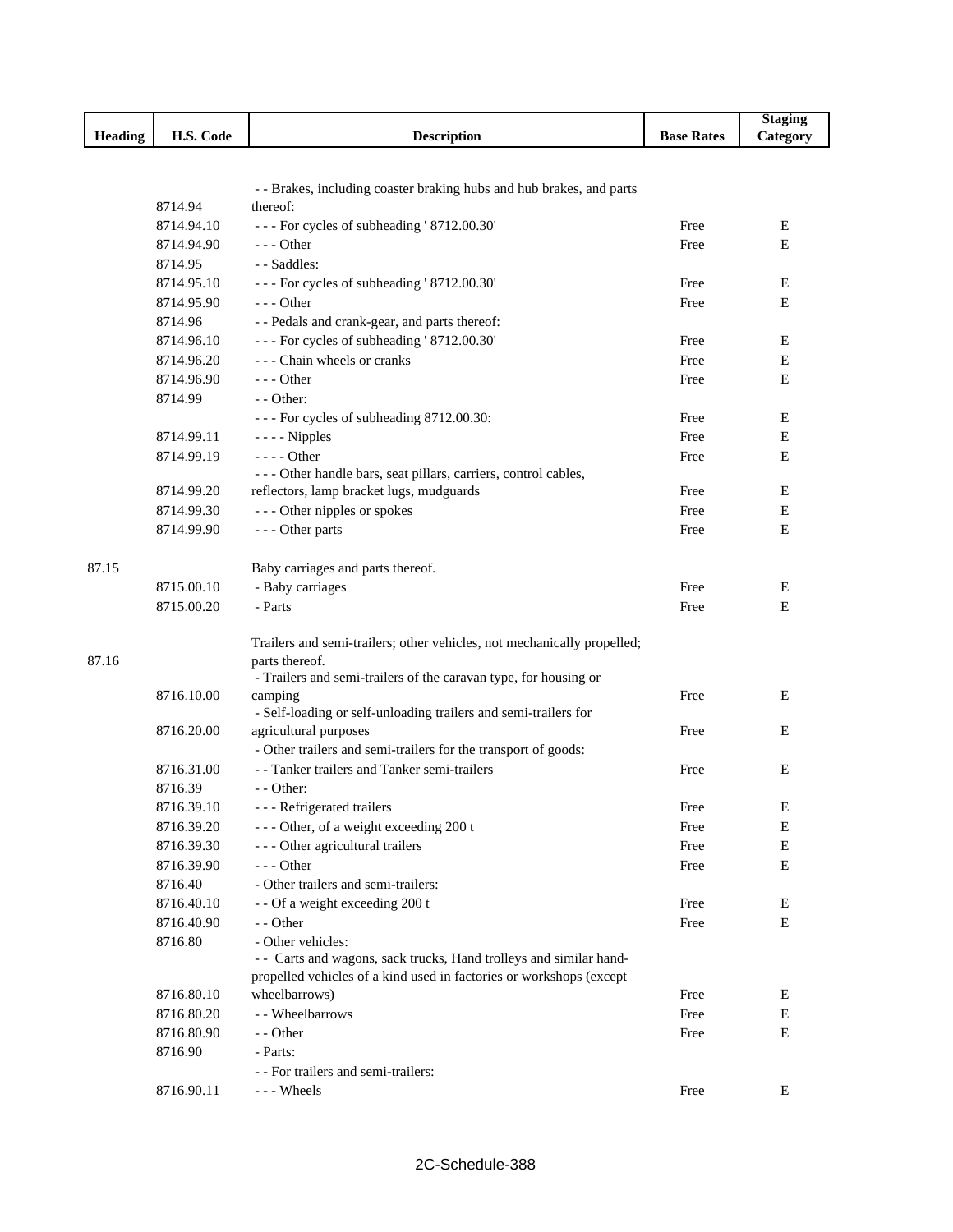|                |            |                                                                         |                   | <b>Staging</b> |
|----------------|------------|-------------------------------------------------------------------------|-------------------|----------------|
| <b>Heading</b> | H.S. Code  | <b>Description</b>                                                      | <b>Base Rates</b> | Category       |
|                |            |                                                                         |                   |                |
|                |            |                                                                         |                   |                |
|                |            | - - Brakes, including coaster braking hubs and hub brakes, and parts    |                   |                |
|                | 8714.94    | thereof:                                                                |                   |                |
|                | 8714.94.10 | --- For cycles of subheading '8712.00.30'                               | Free              | Е              |
|                | 8714.94.90 | $--$ Other                                                              | Free              | Е              |
|                | 8714.95    | - - Saddles:                                                            |                   |                |
|                | 8714.95.10 | --- For cycles of subheading '8712.00.30'                               | Free              | Е              |
|                | 8714.95.90 | --- Other                                                               | Free              | E              |
|                | 8714.96    | - - Pedals and crank-gear, and parts thereof:                           |                   |                |
|                | 8714.96.10 | --- For cycles of subheading '8712.00.30'                               | Free              | Ε              |
|                | 8714.96.20 | - - - Chain wheels or cranks                                            | Free              | Е              |
|                | 8714.96.90 | $--$ Other                                                              | Free              | Е              |
|                | 8714.99    | - - Other:                                                              |                   |                |
|                |            | - - - For cycles of subheading 8712.00.30:                              | Free              | Е              |
|                | 8714.99.11 | $--$ - Nipples                                                          | Free              | Е              |
|                | 8714.99.19 | $--- Other$                                                             | Free              | Е              |
|                |            | - - - Other handle bars, seat pillars, carriers, control cables,        |                   |                |
|                | 8714.99.20 | reflectors, lamp bracket lugs, mudguards                                | Free              | E              |
|                | 8714.99.30 | --- Other nipples or spokes                                             | Free              | Е              |
|                | 8714.99.90 | --- Other parts                                                         | Free              | Е              |
|                |            |                                                                         |                   |                |
| 87.15          |            | Baby carriages and parts thereof.                                       |                   |                |
|                | 8715.00.10 | - Baby carriages                                                        | Free              | Е              |
|                | 8715.00.20 | - Parts                                                                 | Free              | Е              |
|                |            |                                                                         |                   |                |
|                |            | Trailers and semi-trailers; other vehicles, not mechanically propelled; |                   |                |
| 87.16          |            | parts thereof.                                                          |                   |                |
|                |            | - Trailers and semi-trailers of the caravan type, for housing or        |                   |                |
|                | 8716.10.00 | camping                                                                 | Free              | E              |
|                |            | - Self-loading or self-unloading trailers and semi-trailers for         |                   | E              |
|                | 8716.20.00 | agricultural purposes                                                   | Free              |                |
|                |            | - Other trailers and semi-trailers for the transport of goods:          |                   |                |
|                | 8716.31.00 | - - Tanker trailers and Tanker semi-trailers                            | Free              | E              |
|                | 8716.39    | - - Other:                                                              |                   |                |
|                | 8716.39.10 | - - - Refrigerated trailers                                             | Free              | ${\bf E}$      |
|                | 8716.39.20 | --- Other, of a weight exceeding 200 t                                  | Free              | Е              |
|                | 8716.39.30 | --- Other agricultural trailers                                         | Free              | Е              |
|                | 8716.39.90 | --- Other                                                               | Free              | E              |
|                | 8716.40    | - Other trailers and semi-trailers:                                     |                   |                |
|                | 8716.40.10 | - - Of a weight exceeding 200 t                                         | Free              | Е              |
|                | 8716.40.90 | - - Other                                                               | Free              | Е              |
|                | 8716.80    | - Other vehicles:                                                       |                   |                |
|                |            | - - Carts and wagons, sack trucks, Hand trolleys and similar hand-      |                   |                |
|                |            | propelled vehicles of a kind used in factories or workshops (except     |                   |                |
|                | 8716.80.10 | wheelbarrows)                                                           | Free              | Ε              |
|                | 8716.80.20 | - - Wheelbarrows                                                        | Free              | Е              |
|                | 8716.80.90 | - - Other                                                               | Free              | Е              |
|                | 8716.90    | - Parts:                                                                |                   |                |
|                |            | - - For trailers and semi-trailers:                                     |                   |                |
|                | 8716.90.11 | --- Wheels                                                              | Free              | Ε              |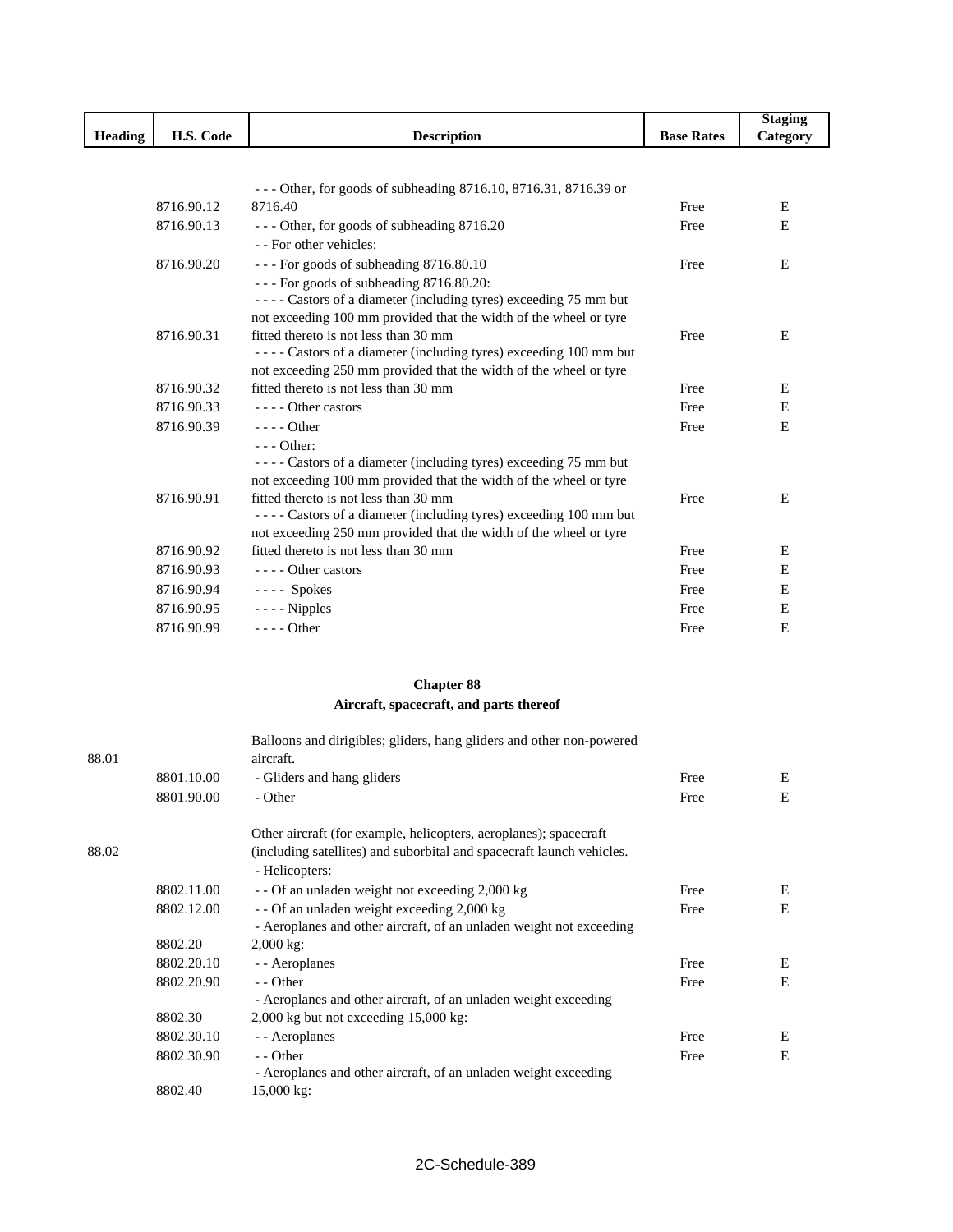|                |            |                                                                   |                   | <b>Staging</b> |
|----------------|------------|-------------------------------------------------------------------|-------------------|----------------|
| <b>Heading</b> | H.S. Code  | <b>Description</b>                                                | <b>Base Rates</b> | Category       |
|                |            |                                                                   |                   |                |
|                |            |                                                                   |                   |                |
|                |            | $-$ - Other, for goods of subheading 8716.10, 8716.31, 8716.39 or |                   |                |
|                | 8716.90.12 | 8716.40                                                           | Free              | E              |
|                | 8716.90.13 | --- Other, for goods of subheading 8716.20                        | Free              | E              |
|                |            | - - For other vehicles:                                           |                   |                |
|                | 8716.90.20 | --- For goods of subheading 8716.80.10                            | Free              | E              |
|                |            | --- For goods of subheading 8716.80.20:                           |                   |                |
|                |            | ---- Castors of a diameter (including tyres) exceeding 75 mm but  |                   |                |
|                |            | not exceeding 100 mm provided that the width of the wheel or tyre |                   |                |
|                | 8716.90.31 | fitted thereto is not less than 30 mm                             | Free              | E              |
|                |            | ---- Castors of a diameter (including tyres) exceeding 100 mm but |                   |                |
|                |            | not exceeding 250 mm provided that the width of the wheel or tyre |                   |                |
|                | 8716.90.32 | fitted thereto is not less than 30 mm                             | Free              | E              |
|                | 8716.90.33 | ---- Other castors                                                | Free              | E              |
|                | 8716.90.39 | $--$ Other                                                        | Free              | E              |
|                |            | $--$ Other:                                                       |                   |                |
|                |            | ---- Castors of a diameter (including tyres) exceeding 75 mm but  |                   |                |
|                |            | not exceeding 100 mm provided that the width of the wheel or tyre |                   |                |
|                | 8716.90.91 | fitted thereto is not less than 30 mm                             | Free              | E              |
|                |            | ---- Castors of a diameter (including tyres) exceeding 100 mm but |                   |                |
|                |            | not exceeding 250 mm provided that the width of the wheel or tyre |                   |                |
|                | 8716.90.92 | fitted thereto is not less than 30 mm                             | Free              | E              |
|                | 8716.90.93 | $---$ Other castors                                               | Free              | E              |
|                | 8716.90.94 | $---$ Spokes                                                      | Free              | E              |
|                | 8716.90.95 | $--$ - Nipples                                                    | Free              | E              |
|                | 8716.90.99 | $--- Other$                                                       | Free              | E              |
|                |            |                                                                   |                   |                |

## **Chapter 88**

## **Aircraft, spacecraft, and parts thereof**

| 88.01 |            | Balloons and dirigibles; gliders, hang gliders and other non-powered<br>aircraft.                                                                            |      |   |
|-------|------------|--------------------------------------------------------------------------------------------------------------------------------------------------------------|------|---|
|       | 8801.10.00 | - Gliders and hang gliders                                                                                                                                   | Free | E |
|       | 8801.90.00 | - Other                                                                                                                                                      | Free | E |
| 88.02 |            | Other aircraft (for example, helicopters, aeroplanes); spacecraft<br>(including satellites) and suborbital and spacecraft launch vehicles.<br>- Helicopters: |      |   |
|       | 8802.11.00 | - - Of an unladen weight not exceeding 2,000 kg                                                                                                              | Free | E |
|       | 8802.12.00 | - - Of an unladen weight exceeding 2,000 kg                                                                                                                  | Free | E |
|       |            | - Aeroplanes and other aircraft, of an unladen weight not exceeding                                                                                          |      |   |
|       | 8802.20    | $2,000$ kg:                                                                                                                                                  |      |   |
|       | 8802.20.10 | - - Aeroplanes                                                                                                                                               | Free | E |
|       | 8802.20.90 | - - Other                                                                                                                                                    | Free | E |
|       |            | - Aeroplanes and other aircraft, of an unladen weight exceeding                                                                                              |      |   |
|       | 8802.30    | $2,000 \text{ kg}$ but not exceeding 15,000 kg:                                                                                                              |      |   |
|       | 8802.30.10 | - - Aeroplanes                                                                                                                                               | Free | E |
|       | 8802.30.90 | - - Other                                                                                                                                                    | Free | E |
|       |            | - Aeroplanes and other aircraft, of an unladen weight exceeding                                                                                              |      |   |
|       | 8802.40    | 15,000 kg:                                                                                                                                                   |      |   |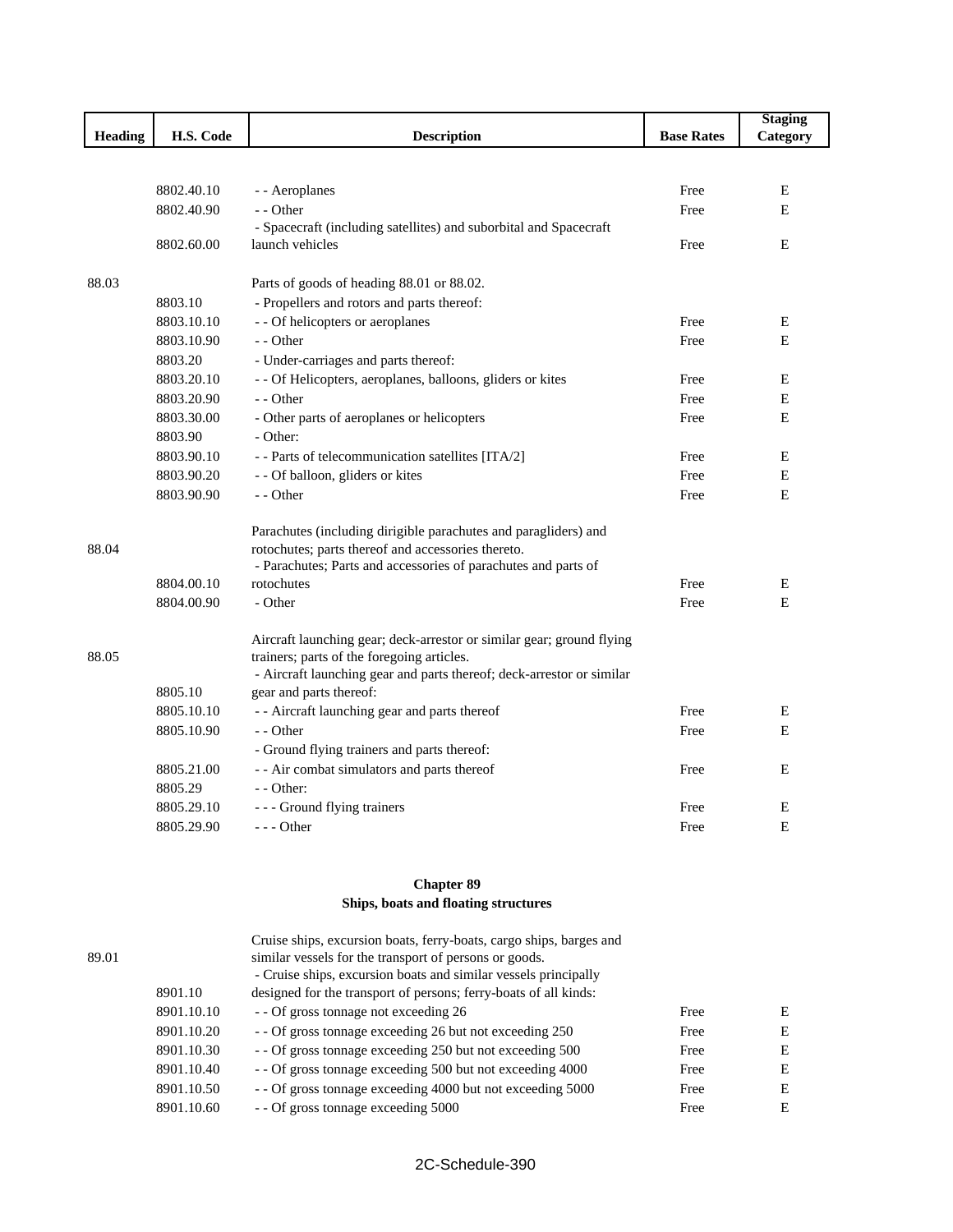|         |            |                                                                       |                   | <b>Staging</b> |
|---------|------------|-----------------------------------------------------------------------|-------------------|----------------|
| Heading | H.S. Code  | <b>Description</b>                                                    | <b>Base Rates</b> | Category       |
|         |            |                                                                       |                   |                |
|         | 8802.40.10 | - - Aeroplanes                                                        | Free              | E              |
|         | 8802.40.90 | - - Other                                                             | Free              | E              |
|         |            | - Spacecraft (including satellites) and suborbital and Spacecraft     |                   |                |
|         | 8802.60.00 | launch vehicles                                                       | Free              | E              |
| 88.03   |            | Parts of goods of heading 88.01 or 88.02.                             |                   |                |
|         | 8803.10    | - Propellers and rotors and parts thereof:                            |                   |                |
|         | 8803.10.10 | - - Of helicopters or aeroplanes                                      | Free              | Ε              |
|         | 8803.10.90 | - - Other                                                             | Free              | E              |
|         | 8803.20    | - Under-carriages and parts thereof:                                  |                   |                |
|         | 8803.20.10 | - - Of Helicopters, aeroplanes, balloons, gliders or kites            | Free              | E              |
|         | 8803.20.90 | - - Other                                                             | Free              |                |
|         | 8803.30.00 |                                                                       | Free              | Ε<br>E         |
|         | 8803.90    | - Other parts of aeroplanes or helicopters<br>- Other:                |                   |                |
|         | 8803.90.10 |                                                                       |                   | E              |
|         |            | - - Parts of telecommunication satellites [ITA/2]                     | Free              |                |
|         | 8803.90.20 | - - Of balloon, gliders or kites                                      | Free              | E              |
|         | 8803.90.90 | - - Other                                                             | Free              | E              |
|         |            | Parachutes (including dirigible parachutes and paragliders) and       |                   |                |
| 88.04   |            | rotochutes; parts thereof and accessories thereto.                    |                   |                |
|         |            | - Parachutes; Parts and accessories of parachutes and parts of        |                   |                |
|         | 8804.00.10 | rotochutes                                                            | Free              | E              |
|         | 8804.00.90 | - Other                                                               | Free              | E              |
|         |            | Aircraft launching gear; deck-arrestor or similar gear; ground flying |                   |                |
| 88.05   |            | trainers; parts of the foregoing articles.                            |                   |                |
|         |            | - Aircraft launching gear and parts thereof; deck-arrestor or similar |                   |                |
|         | 8805.10    | gear and parts thereof:                                               |                   |                |
|         | 8805.10.10 | - - Aircraft launching gear and parts thereof                         | Free              | E              |
|         | 8805.10.90 | - - Other                                                             | Free              | E              |
|         |            | - Ground flying trainers and parts thereof:                           |                   |                |
|         | 8805.21.00 | - - Air combat simulators and parts thereof                           | Free              | E              |
|         | 8805.29    | $-$ - Other:                                                          |                   |                |
|         | 8805.29.10 | - - - Ground flying trainers                                          | Free              | Е              |
|         | 8805.29.90 | --- Other                                                             | Free              | E              |
|         |            |                                                                       |                   |                |

## **Chapter 89 Ships, boats and floating structures**

|       |            | Cruise ships, excursion boats, ferry-boats, cargo ships, barges and |      |   |
|-------|------------|---------------------------------------------------------------------|------|---|
| 89.01 |            | similar vessels for the transport of persons or goods.              |      |   |
|       |            | - Cruise ships, excursion boats and similar vessels principally     |      |   |
|       | 8901.10    | designed for the transport of persons; ferry-boats of all kinds:    |      |   |
|       | 8901.10.10 | - - Of gross tonnage not exceeding 26                               | Free | E |
|       | 8901.10.20 | - - Of gross tonnage exceeding 26 but not exceeding 250             | Free | E |
|       | 8901.10.30 | - - Of gross tonnage exceeding 250 but not exceeding 500            | Free | E |
|       | 8901.10.40 | - - Of gross tonnage exceeding 500 but not exceeding 4000           | Free | E |
|       | 8901.10.50 | - - Of gross tonnage exceeding 4000 but not exceeding 5000          | Free | E |
|       | 8901.10.60 | - - Of gross tonnage exceeding 5000                                 | Free | E |
|       |            |                                                                     |      |   |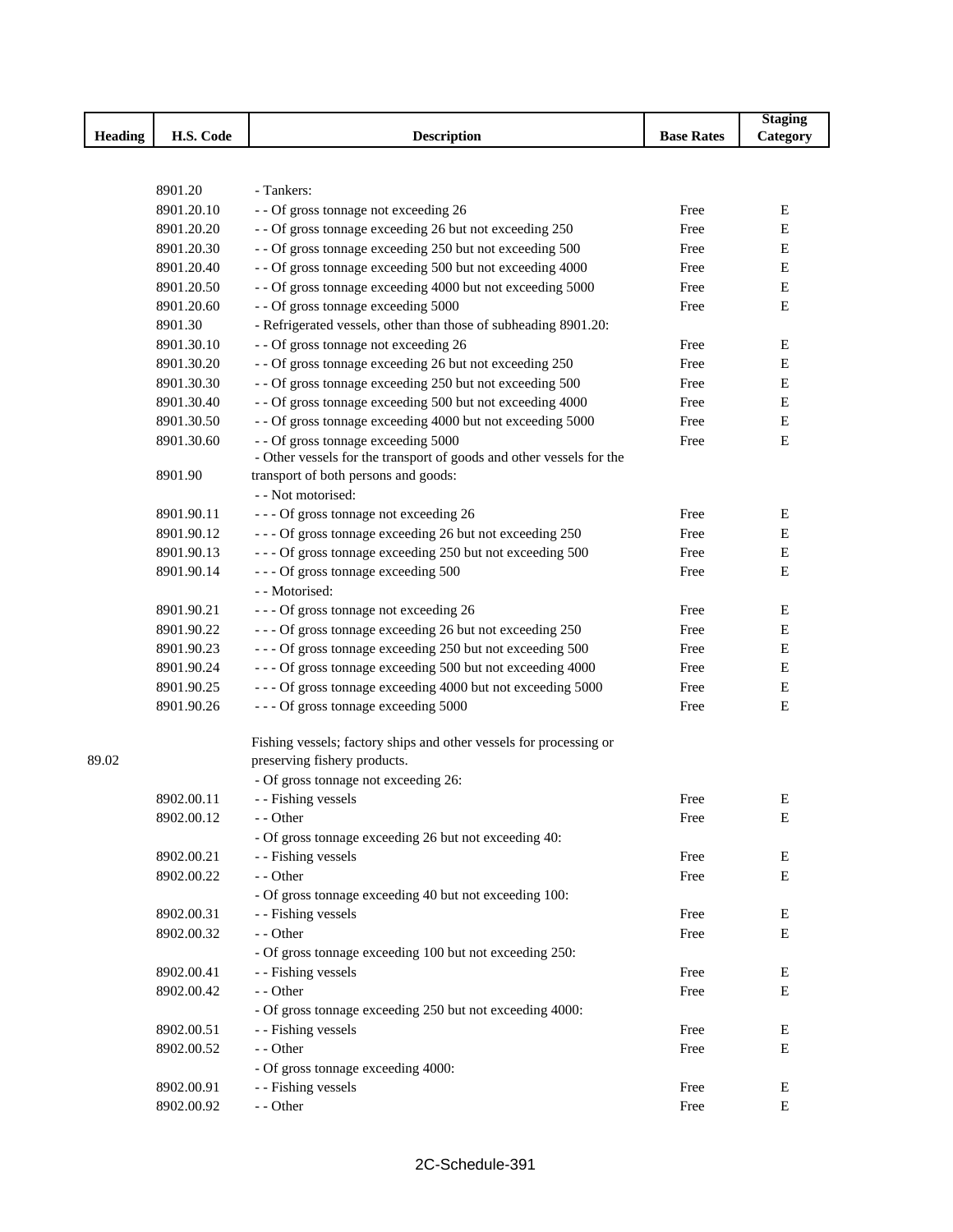|                |            |                                                                      |                   | <b>Staging</b> |
|----------------|------------|----------------------------------------------------------------------|-------------------|----------------|
| <b>Heading</b> | H.S. Code  | <b>Description</b>                                                   | <b>Base Rates</b> | Category       |
|                |            |                                                                      |                   |                |
|                |            |                                                                      |                   |                |
|                | 8901.20    | - Tankers:                                                           |                   |                |
|                | 8901.20.10 | - - Of gross tonnage not exceeding 26                                | Free              | E              |
|                | 8901.20.20 | - - Of gross tonnage exceeding 26 but not exceeding 250              | Free              | Е              |
|                | 8901.20.30 | - - Of gross tonnage exceeding 250 but not exceeding 500             | Free              | E              |
|                | 8901.20.40 | - - Of gross tonnage exceeding 500 but not exceeding 4000            | Free              | E              |
|                | 8901.20.50 | - - Of gross tonnage exceeding 4000 but not exceeding 5000           | Free              | E              |
|                | 8901.20.60 | - - Of gross tonnage exceeding 5000                                  | Free              | Е              |
|                | 8901.30    | - Refrigerated vessels, other than those of subheading 8901.20:      |                   |                |
|                | 8901.30.10 | - - Of gross tonnage not exceeding 26                                | Free              | Е              |
|                | 8901.30.20 | - - Of gross tonnage exceeding 26 but not exceeding 250              | Free              | Е              |
|                | 8901.30.30 | - - Of gross tonnage exceeding 250 but not exceeding 500             | Free              | Е              |
|                | 8901.30.40 | - - Of gross tonnage exceeding 500 but not exceeding 4000            | Free              | Е              |
|                | 8901.30.50 | - - Of gross tonnage exceeding 4000 but not exceeding 5000           | Free              | E              |
|                | 8901.30.60 | - - Of gross tonnage exceeding 5000                                  | Free              | E              |
|                |            | - Other vessels for the transport of goods and other vessels for the |                   |                |
|                | 8901.90    | transport of both persons and goods:                                 |                   |                |
|                |            | - - Not motorised:                                                   |                   |                |
|                | 8901.90.11 | --- Of gross tonnage not exceeding 26                                | Free              | Ε              |
|                | 8901.90.12 | --- Of gross tonnage exceeding 26 but not exceeding 250              | Free              | E              |
|                | 8901.90.13 | --- Of gross tonnage exceeding 250 but not exceeding 500             | Free              | E              |
|                | 8901.90.14 | --- Of gross tonnage exceeding 500                                   | Free              | E              |
|                |            | - - Motorised:                                                       |                   |                |
|                | 8901.90.21 | --- Of gross tonnage not exceeding 26                                | Free              | Ε              |
|                | 8901.90.22 | --- Of gross tonnage exceeding 26 but not exceeding 250              | Free              | Е              |
|                | 8901.90.23 | --- Of gross tonnage exceeding 250 but not exceeding 500             | Free              | Е              |
|                | 8901.90.24 | --- Of gross tonnage exceeding 500 but not exceeding 4000            | Free              | Е              |
|                | 8901.90.25 | --- Of gross tonnage exceeding 4000 but not exceeding 5000           | Free              | E              |
|                | 8901.90.26 | --- Of gross tonnage exceeding 5000                                  | Free              | E              |
|                |            | Fishing vessels; factory ships and other vessels for processing or   |                   |                |
| 89.02          |            | preserving fishery products.                                         |                   |                |
|                |            | - Of gross tonnage not exceeding 26:                                 |                   |                |
|                | 8902.00.11 | - - Fishing vessels                                                  | Free              | E              |
|                | 8902.00.12 | - - Other                                                            | Free              | E              |
|                |            | - Of gross tonnage exceeding 26 but not exceeding 40:                |                   |                |
|                | 8902.00.21 | - - Fishing vessels                                                  | Free              | E              |
|                | 8902.00.22 | - - Other                                                            | Free              | E              |
|                |            | - Of gross tonnage exceeding 40 but not exceeding 100:               |                   |                |
|                | 8902.00.31 | - - Fishing vessels                                                  | Free              | E              |
|                | 8902.00.32 | - - Other                                                            | Free              | E              |
|                |            | - Of gross tonnage exceeding 100 but not exceeding 250:              |                   |                |
|                | 8902.00.41 | - - Fishing vessels                                                  | Free              | E              |
|                | 8902.00.42 | - - Other                                                            | Free              | E              |
|                |            | - Of gross tonnage exceeding 250 but not exceeding 4000:             |                   |                |
|                | 8902.00.51 | - - Fishing vessels                                                  | Free              | Е              |
|                | 8902.00.52 | - - Other                                                            | Free              | E              |
|                |            | - Of gross tonnage exceeding 4000:                                   |                   |                |
|                | 8902.00.91 | - - Fishing vessels                                                  | Free              | E              |
|                | 8902.00.92 | - - Other                                                            | Free              | ${\bf E}$      |
|                |            |                                                                      |                   |                |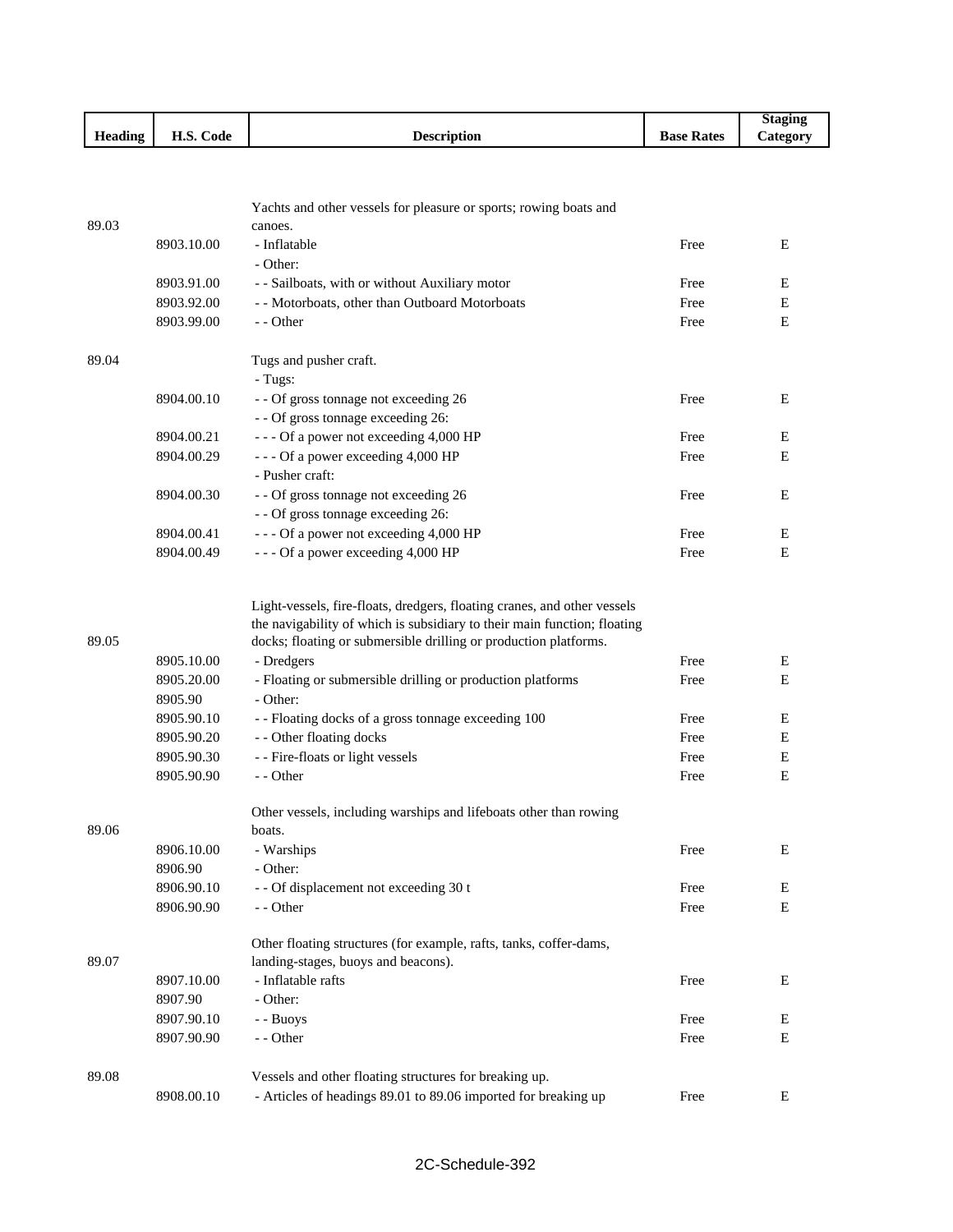|         |                      |                    |                                           | Staging                |
|---------|----------------------|--------------------|-------------------------------------------|------------------------|
| Heading | TT C<br>Code<br>п.э. | <b>Description</b> | $\overline{\phantom{a}}$<br>Rates<br>Base | $-$<br><b>Category</b> |

|       |            | Yachts and other vessels for pleasure or sports; rowing boats and                                                                                    |      |   |
|-------|------------|------------------------------------------------------------------------------------------------------------------------------------------------------|------|---|
| 89.03 |            | canoes.                                                                                                                                              |      |   |
|       | 8903.10.00 | - Inflatable                                                                                                                                         | Free | E |
|       |            | - Other:                                                                                                                                             |      |   |
|       | 8903.91.00 | - - Sailboats, with or without Auxiliary motor                                                                                                       | Free | E |
|       | 8903.92.00 | - - Motorboats, other than Outboard Motorboats                                                                                                       | Free | E |
|       | 8903.99.00 | - - Other                                                                                                                                            | Free | Ε |
| 89.04 |            | Tugs and pusher craft.                                                                                                                               |      |   |
|       |            | - Tugs:                                                                                                                                              |      |   |
|       | 8904.00.10 | - - Of gross tonnage not exceeding 26                                                                                                                | Free | Ε |
|       |            | - - Of gross tonnage exceeding 26:                                                                                                                   |      |   |
|       | 8904.00.21 | --- Of a power not exceeding 4,000 HP                                                                                                                | Free | E |
|       | 8904.00.29 | --- Of a power exceeding 4,000 HP                                                                                                                    | Free | Е |
|       |            | - Pusher craft:                                                                                                                                      |      |   |
|       | 8904.00.30 | - - Of gross tonnage not exceeding 26                                                                                                                | Free | Е |
|       |            | - - Of gross tonnage exceeding 26:                                                                                                                   |      |   |
|       | 8904.00.41 | --- Of a power not exceeding 4,000 HP                                                                                                                | Free | E |
|       | 8904.00.49 | --- Of a power exceeding 4,000 HP                                                                                                                    | Free | E |
|       |            | Light-vessels, fire-floats, dredgers, floating cranes, and other vessels<br>the navigability of which is subsidiary to their main function; floating |      |   |
| 89.05 |            | docks; floating or submersible drilling or production platforms.                                                                                     |      |   |
|       | 8905.10.00 | - Dredgers                                                                                                                                           | Free | Е |
|       | 8905.20.00 | - Floating or submersible drilling or production platforms                                                                                           | Free | E |
|       | 8905.90    | - Other:                                                                                                                                             |      |   |
|       | 8905.90.10 | -- Floating docks of a gross tonnage exceeding 100                                                                                                   | Free | Ε |
|       | 8905.90.20 | - - Other floating docks                                                                                                                             | Free | Е |
|       | 8905.90.30 | - - Fire-floats or light vessels                                                                                                                     | Free | Е |
|       | 8905.90.90 | - - Other                                                                                                                                            | Free | E |
| 89.06 |            | Other vessels, including warships and lifeboats other than rowing<br>boats.                                                                          |      |   |
|       | 8906.10.00 | - Warships                                                                                                                                           | Free | E |
|       | 8906.90    | - Other:                                                                                                                                             |      |   |
|       | 8906.90.10 | - - Of displacement not exceeding 30 t                                                                                                               | Free | E |
|       | 8906.90.90 | - - Other                                                                                                                                            | Free | Е |
| 89.07 |            | Other floating structures (for example, rafts, tanks, coffer-dams,<br>landing-stages, buoys and beacons).                                            |      |   |
|       |            | - Inflatable rafts                                                                                                                                   |      |   |
|       | 8907.10.00 | - Other:                                                                                                                                             | Free | E |
|       | 8907.90    |                                                                                                                                                      |      |   |
|       | 8907.90.10 | - - Buoys                                                                                                                                            | Free | E |
|       | 8907.90.90 | - - Other                                                                                                                                            | Free | E |
| 89.08 |            | Vessels and other floating structures for breaking up.                                                                                               |      |   |
|       | 8908.00.10 | - Articles of headings 89.01 to 89.06 imported for breaking up                                                                                       | Free | E |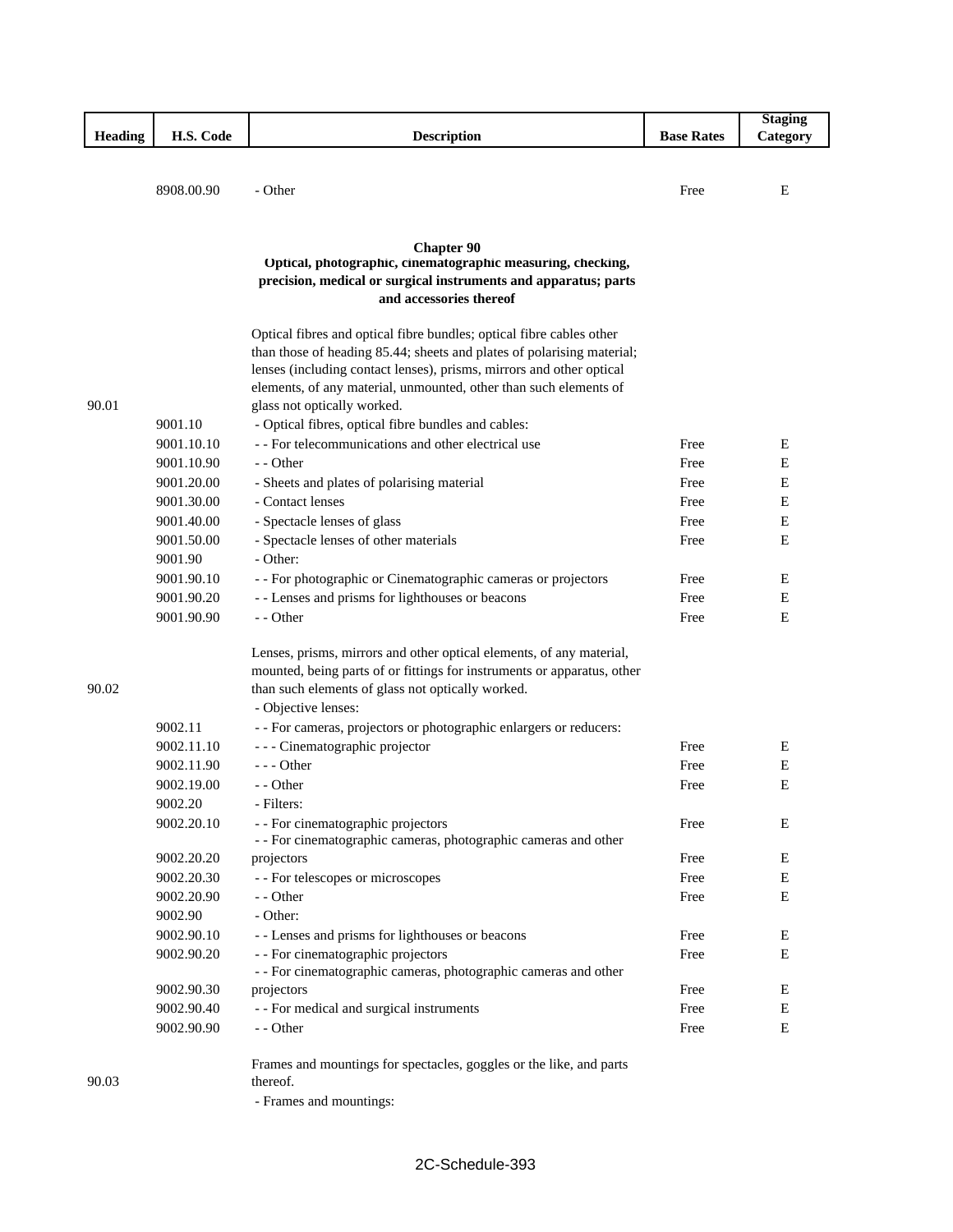|         |            |                                                                         |                   | <b>Staging</b>   |
|---------|------------|-------------------------------------------------------------------------|-------------------|------------------|
| Heading | H.S. Code  | <b>Description</b>                                                      | <b>Base Rates</b> | Category         |
|         |            |                                                                         |                   |                  |
|         |            |                                                                         |                   |                  |
|         | 8908.00.90 | - Other                                                                 | Free              | E                |
|         |            |                                                                         |                   |                  |
|         |            |                                                                         |                   |                  |
|         |            | <b>Chapter 90</b>                                                       |                   |                  |
|         |            | Optical, photographic, cinematographic measuring, checking,             |                   |                  |
|         |            | precision, medical or surgical instruments and apparatus; parts         |                   |                  |
|         |            | and accessories thereof                                                 |                   |                  |
|         |            | Optical fibres and optical fibre bundles; optical fibre cables other    |                   |                  |
|         |            | than those of heading 85.44; sheets and plates of polarising material;  |                   |                  |
|         |            | lenses (including contact lenses), prisms, mirrors and other optical    |                   |                  |
|         |            | elements, of any material, unmounted, other than such elements of       |                   |                  |
| 90.01   |            | glass not optically worked.                                             |                   |                  |
|         | 9001.10    | - Optical fibres, optical fibre bundles and cables:                     |                   |                  |
|         | 9001.10.10 | - - For telecommunications and other electrical use                     | Free              | E                |
|         | 9001.10.90 | - - Other                                                               | Free              | Е                |
|         | 9001.20.00 | - Sheets and plates of polarising material                              | Free              | Ε                |
|         | 9001.30.00 | - Contact lenses                                                        | Free              | Ε                |
|         | 9001.40.00 | - Spectacle lenses of glass                                             | Free              | E                |
|         | 9001.50.00 | - Spectacle lenses of other materials                                   | Free              | E                |
|         | 9001.90    | - Other:                                                                |                   |                  |
|         |            |                                                                         |                   |                  |
|         | 9001.90.10 | - - For photographic or Cinematographic cameras or projectors           | Free<br>Free      | Ε<br>$\mathbf E$ |
|         | 9001.90.20 | - - Lenses and prisms for lighthouses or beacons                        |                   |                  |
|         | 9001.90.90 | - - Other                                                               | Free              | E                |
|         |            | Lenses, prisms, mirrors and other optical elements, of any material,    |                   |                  |
|         |            | mounted, being parts of or fittings for instruments or apparatus, other |                   |                  |
| 90.02   |            | than such elements of glass not optically worked.                       |                   |                  |
|         |            | - Objective lenses:                                                     |                   |                  |
|         | 9002.11    | - - For cameras, projectors or photographic enlargers or reducers:      |                   |                  |
|         | 9002.11.10 | - - - Cinematographic projector                                         | Free              | Ε                |
|         | 9002.11.90 | $--$ Other                                                              | Free              | E                |
|         | 9002.19.00 | - - Other                                                               | Free              | E                |
|         | 9002.20    | - Filters:                                                              |                   |                  |
|         | 9002.20.10 | - - For cinematographic projectors                                      | Free              | E                |
|         |            | - - For cinematographic cameras, photographic cameras and other         |                   |                  |
|         | 9002.20.20 | projectors                                                              | Free              | E                |
|         | 9002.20.30 | - - For telescopes or microscopes                                       | Free              | E                |
|         | 9002.20.90 | - - Other                                                               | Free              | E                |
|         | 9002.90    | - Other:                                                                |                   |                  |
|         | 9002.90.10 | - - Lenses and prisms for lighthouses or beacons                        | Free              | E                |
|         | 9002.90.20 | - - For cinematographic projectors                                      | Free              | E                |
|         |            | - - For cinematographic cameras, photographic cameras and other         |                   |                  |
|         | 9002.90.30 | projectors                                                              | Free              | E                |
|         | 9002.90.40 | - - For medical and surgical instruments                                | Free              | E                |
|         | 9002.90.90 | - - Other                                                               | Free              | E                |
|         |            |                                                                         |                   |                  |
|         |            | Frames and mountings for spectacles, goggles or the like, and parts     |                   |                  |
| 90.03   |            | thereof.                                                                |                   |                  |
|         |            | - Frames and mountings:                                                 |                   |                  |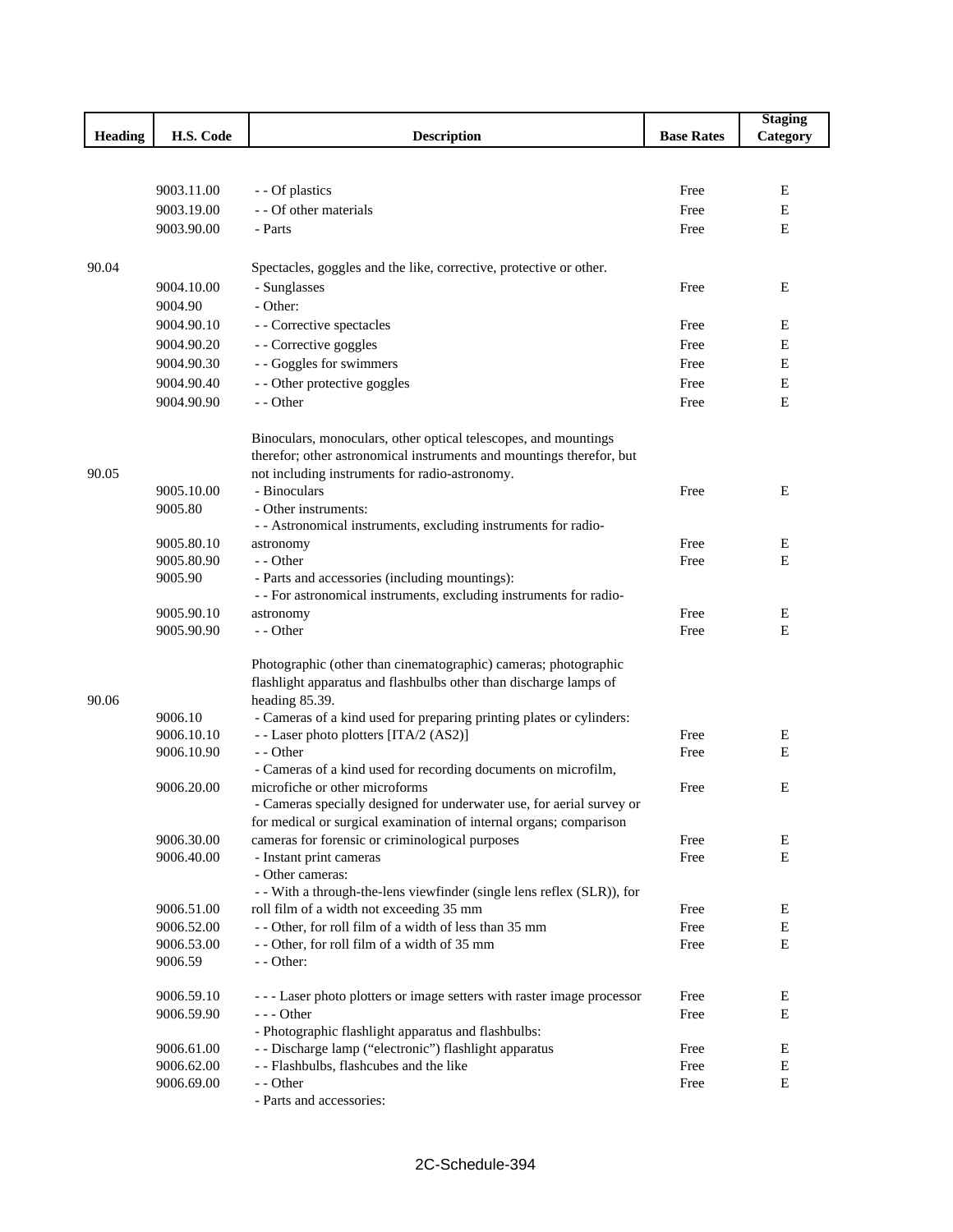|                |            |                                                                        |                   | <b>Staging</b> |
|----------------|------------|------------------------------------------------------------------------|-------------------|----------------|
| <b>Heading</b> | H.S. Code  | <b>Description</b>                                                     | <b>Base Rates</b> | Category       |
|                |            |                                                                        |                   |                |
|                |            |                                                                        |                   |                |
|                | 9003.11.00 | - - Of plastics                                                        | Free              | Е              |
|                | 9003.19.00 | - - Of other materials                                                 | Free              | E              |
|                | 9003.90.00 | - Parts                                                                | Free              | E              |
|                |            |                                                                        |                   |                |
| 90.04          |            | Spectacles, goggles and the like, corrective, protective or other.     |                   |                |
|                |            |                                                                        | Free              | Е              |
|                | 9004.10.00 | - Sunglasses                                                           |                   |                |
|                | 9004.90    | - Other:                                                               |                   |                |
|                | 9004.90.10 | - - Corrective spectacles                                              | Free              | E              |
|                | 9004.90.20 | - - Corrective goggles                                                 | Free              | E              |
|                | 9004.90.30 | - - Goggles for swimmers                                               | Free              | Е              |
|                | 9004.90.40 | - - Other protective goggles                                           | Free              | E              |
|                | 9004.90.90 | - - Other                                                              | Free              | E              |
|                |            | Binoculars, monoculars, other optical telescopes, and mountings        |                   |                |
|                |            | therefor; other astronomical instruments and mountings therefor, but   |                   |                |
| 90.05          |            | not including instruments for radio-astronomy.                         |                   |                |
|                | 9005.10.00 | - Binoculars                                                           | Free              | E              |
|                | 9005.80    | - Other instruments:                                                   |                   |                |
|                |            | - - Astronomical instruments, excluding instruments for radio-         |                   |                |
|                | 9005.80.10 | astronomy                                                              | Free              | E              |
|                | 9005.80.90 | - - Other                                                              | Free              | Е              |
|                | 9005.90    | - Parts and accessories (including mountings):                         |                   |                |
|                |            | - - For astronomical instruments, excluding instruments for radio-     |                   |                |
|                | 9005.90.10 | astronomy                                                              | Free              | E              |
|                | 9005.90.90 | - - Other                                                              | Free              | E              |
|                |            |                                                                        |                   |                |
|                |            | Photographic (other than cinematographic) cameras; photographic        |                   |                |
|                |            | flashlight apparatus and flashbulbs other than discharge lamps of      |                   |                |
| 90.06          |            | heading 85.39.                                                         |                   |                |
|                | 9006.10    | - Cameras of a kind used for preparing printing plates or cylinders:   |                   |                |
|                | 9006.10.10 | - - Laser photo plotters [ITA/2 (AS2)]                                 | Free              | Е              |
|                | 9006.10.90 | - - Other                                                              | Free              | E              |
|                |            | - Cameras of a kind used for recording documents on microfilm,         |                   |                |
|                | 9006.20.00 | microfiche or other microforms                                         | Free              | E              |
|                |            | - Cameras specially designed for underwater use, for aerial survey or  |                   |                |
|                |            | for medical or surgical examination of internal organs; comparison     |                   |                |
|                | 9006.30.00 | cameras for forensic or criminological purposes                        | Free              | Е              |
|                | 9006.40.00 | - Instant print cameras                                                | Free              | E              |
|                |            | - Other cameras:                                                       |                   |                |
|                |            | - - With a through-the-lens viewfinder (single lens reflex (SLR)), for |                   |                |
|                | 9006.51.00 | roll film of a width not exceeding 35 mm                               | Free              | Ε              |
|                | 9006.52.00 | -- Other, for roll film of a width of less than 35 mm                  | Free              | Е              |
|                | 9006.53.00 | -- Other, for roll film of a width of 35 mm                            | Free              | Е              |
|                | 9006.59    | - - Other:                                                             |                   |                |
|                | 9006.59.10 | --- Laser photo plotters or image setters with raster image processor  | Free              | Е              |
|                | 9006.59.90 | - - - Other                                                            | Free              | Е              |
|                |            | - Photographic flashlight apparatus and flashbulbs:                    |                   |                |
|                | 9006.61.00 | - - Discharge lamp ("electronic") flashlight apparatus                 | Free              | E              |
|                | 9006.62.00 | - - Flashbulbs, flashcubes and the like                                | Free              | E              |
|                | 9006.69.00 | - - Other                                                              | Free              | Е              |
|                |            | - Parts and accessories:                                               |                   |                |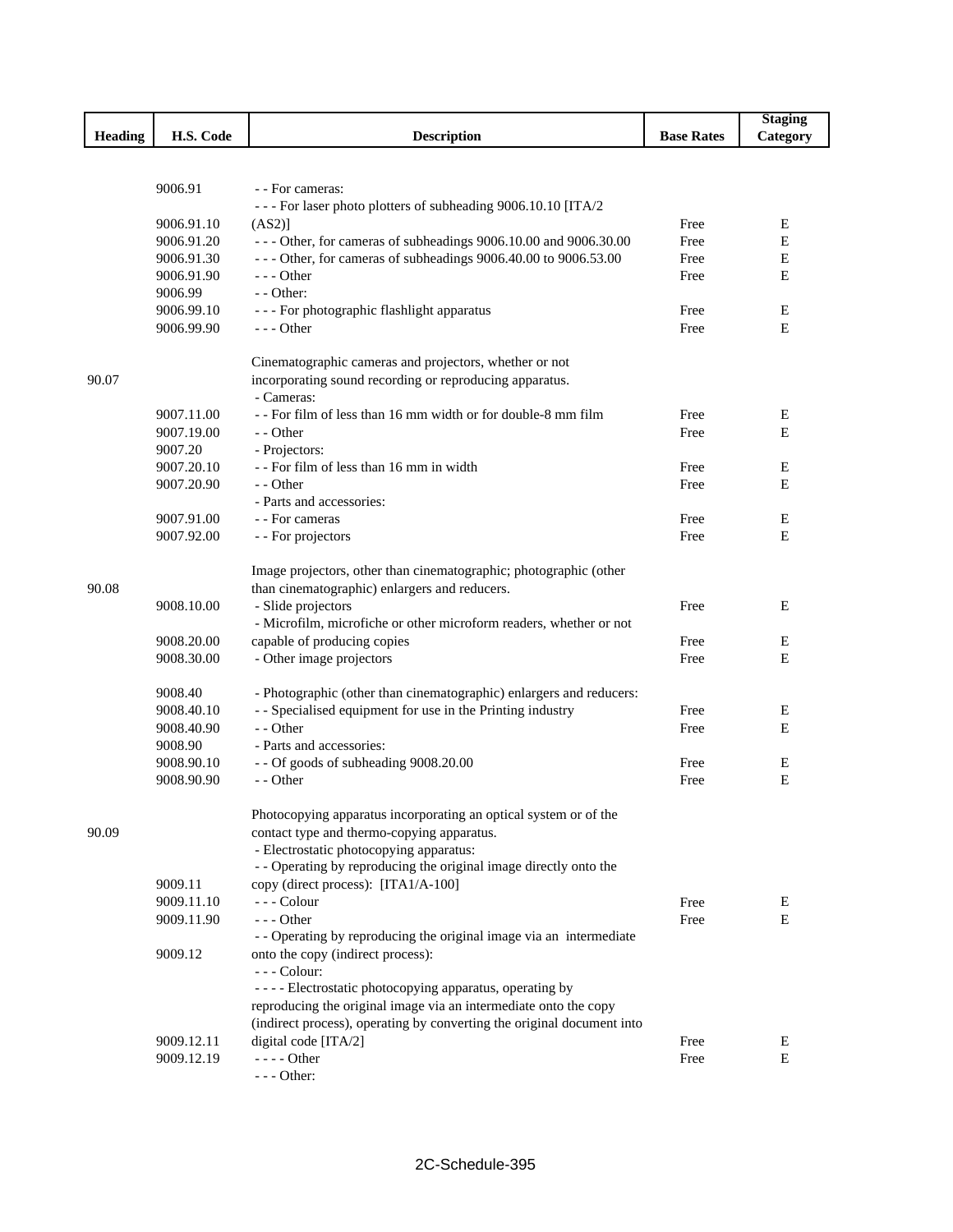|                |            |                                                                        |                   | <b>Staging</b> |
|----------------|------------|------------------------------------------------------------------------|-------------------|----------------|
| <b>Heading</b> | H.S. Code  | <b>Description</b>                                                     | <b>Base Rates</b> | Category       |
|                |            |                                                                        |                   |                |
|                |            |                                                                        |                   |                |
|                | 9006.91    | - - For cameras:                                                       |                   |                |
|                |            | --- For laser photo plotters of subheading 9006.10.10 [ITA/2           |                   |                |
|                | 9006.91.10 | (AS2)]                                                                 | Free              | Ε              |
|                | 9006.91.20 | - - - Other, for cameras of subheadings 9006.10.00 and 9006.30.00      | Free              | E              |
|                | 9006.91.30 | --- Other, for cameras of subheadings 9006.40.00 to 9006.53.00         | Free              | $\mathbf E$    |
|                | 9006.91.90 | $--$ Other                                                             | Free              | E              |
|                | 9006.99    | $-$ - Other:                                                           |                   |                |
|                | 9006.99.10 | - - - For photographic flashlight apparatus                            | Free              | E              |
|                | 9006.99.90 | $--$ Other                                                             | Free              | E              |
|                |            | Cinematographic cameras and projectors, whether or not                 |                   |                |
| 90.07          |            | incorporating sound recording or reproducing apparatus.                |                   |                |
|                |            | - Cameras:                                                             |                   |                |
|                | 9007.11.00 | -- For film of less than 16 mm width or for double-8 mm film           | Free              | E              |
|                | 9007.19.00 | - - Other                                                              | Free              | E              |
|                | 9007.20    | - Projectors:                                                          |                   |                |
|                | 9007.20.10 | -- For film of less than 16 mm in width                                | Free              | E              |
|                | 9007.20.90 | - - Other                                                              | Free              | E              |
|                |            | - Parts and accessories:                                               |                   |                |
|                | 9007.91.00 | - - For cameras                                                        | Free              | Ε              |
|                | 9007.92.00 | - - For projectors                                                     | Free              | E              |
|                |            |                                                                        |                   |                |
|                |            | Image projectors, other than cinematographic; photographic (other      |                   |                |
| 90.08          |            | than cinematographic) enlargers and reducers.                          |                   |                |
|                | 9008.10.00 | - Slide projectors                                                     | Free              | E              |
|                |            | - Microfilm, microfiche or other microform readers, whether or not     |                   |                |
|                | 9008.20.00 | capable of producing copies                                            | Free              | Ε              |
|                | 9008.30.00 | - Other image projectors                                               | Free              | E              |
|                |            |                                                                        |                   |                |
|                | 9008.40    | - Photographic (other than cinematographic) enlargers and reducers:    |                   |                |
|                | 9008.40.10 | - - Specialised equipment for use in the Printing industry             | Free              | Ε              |
|                | 9008.40.90 | - - Other                                                              | Free              | E              |
|                | 9008.90    | - Parts and accessories:                                               |                   |                |
|                | 9008.90.10 | - - Of goods of subheading 9008.20.00                                  | Free              | Ε              |
|                | 9008.90.90 | - - Other                                                              | Free              | E              |
|                |            |                                                                        |                   |                |
|                |            | Photocopying apparatus incorporating an optical system or of the       |                   |                |
| 90.09          |            | contact type and thermo-copying apparatus.                             |                   |                |
|                |            | - Electrostatic photocopying apparatus:                                |                   |                |
|                |            | - - Operating by reproducing the original image directly onto the      |                   |                |
|                | 9009.11    | copy (direct process): [ITA1/A-100]                                    |                   |                |
|                | 9009.11.10 | --- Colour                                                             |                   | E              |
|                | 9009.11.90 | $--$ Other                                                             | Free              | E              |
|                |            |                                                                        | Free              |                |
|                |            | - - Operating by reproducing the original image via an intermediate    |                   |                |
|                | 9009.12    | onto the copy (indirect process):                                      |                   |                |
|                |            | - - - Colour:                                                          |                   |                |
|                |            | - - - - Electrostatic photocopying apparatus, operating by             |                   |                |
|                |            | reproducing the original image via an intermediate onto the copy       |                   |                |
|                |            | (indirect process), operating by converting the original document into |                   |                |
|                | 9009.12.11 | digital code [ITA/2]                                                   | Free              | E              |
|                | 9009.12.19 | - - - - Other                                                          | Free              | E              |
|                |            | $--$ Other:                                                            |                   |                |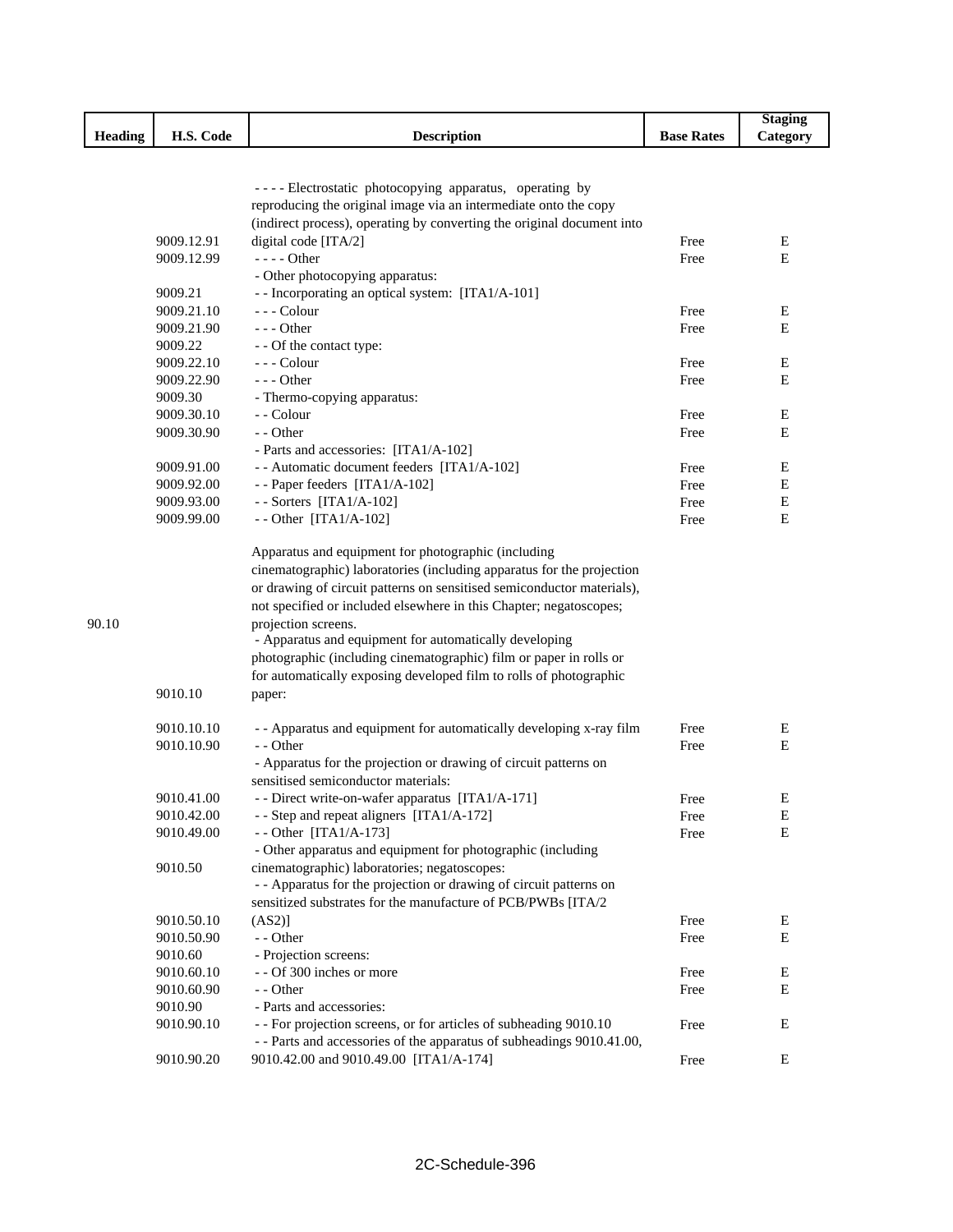|                |                       |                                                                        |                   | <b>Staging</b> |
|----------------|-----------------------|------------------------------------------------------------------------|-------------------|----------------|
| <b>Heading</b> | H.S. Code             | <b>Description</b>                                                     | <b>Base Rates</b> | Category       |
|                |                       |                                                                        |                   |                |
|                |                       |                                                                        |                   |                |
|                |                       | ---- Electrostatic photocopying apparatus, operating by                |                   |                |
|                |                       | reproducing the original image via an intermediate onto the copy       |                   |                |
|                |                       | (indirect process), operating by converting the original document into |                   |                |
|                | 9009.12.91            | digital code [ITA/2]                                                   | Free              | Е              |
|                | 9009.12.99            | - - - - Other                                                          | Free              | E              |
|                |                       | - Other photocopying apparatus:                                        |                   |                |
|                | 9009.21               | - - Incorporating an optical system: [ITA1/A-101]                      |                   |                |
|                | 9009.21.10            | --- Colour                                                             | Free              | E              |
|                | 9009.21.90<br>9009.22 | $- -$ Other                                                            | Free              | Е              |
|                | 9009.22.10            | - - Of the contact type:                                               |                   | Ε              |
|                |                       | - - - Colour<br>$--$ Other                                             | Free              | Е              |
|                | 9009.22.90<br>9009.30 |                                                                        | Free              |                |
|                | 9009.30.10            | - Thermo-copying apparatus:<br>- - Colour                              | Free              | Ε              |
|                | 9009.30.90            | - - Other                                                              | Free              | E              |
|                |                       | - Parts and accessories: [ITA1/A-102]                                  |                   |                |
|                | 9009.91.00            | -- Automatic document feeders [ITA1/A-102]                             | Free              | E              |
|                | 9009.92.00            | -- Paper feeders [ITA1/A-102]                                          | Free              | E              |
|                | 9009.93.00            | -- Sorters [ITA1/A-102]                                                | Free              | ${\bf E}$      |
|                | 9009.99.00            | - - Other [ITA1/A-102]                                                 | Free              | Ε              |
|                |                       |                                                                        |                   |                |
|                |                       | Apparatus and equipment for photographic (including                    |                   |                |
|                |                       | cinematographic) laboratories (including apparatus for the projection  |                   |                |
|                |                       | or drawing of circuit patterns on sensitised semiconductor materials), |                   |                |
|                |                       | not specified or included elsewhere in this Chapter; negatoscopes;     |                   |                |
| 90.10          |                       | projection screens.                                                    |                   |                |
|                |                       | - Apparatus and equipment for automatically developing                 |                   |                |
|                |                       | photographic (including cinematographic) film or paper in rolls or     |                   |                |
|                |                       | for automatically exposing developed film to rolls of photographic     |                   |                |
|                | 9010.10               | paper:                                                                 |                   |                |
|                |                       |                                                                        |                   |                |
|                | 9010.10.10            | - - Apparatus and equipment for automatically developing x-ray film    | Free              | Ε              |
|                | 9010.10.90            | - - Other                                                              | Free              | Е              |
|                |                       | - Apparatus for the projection or drawing of circuit patterns on       |                   |                |
|                |                       | sensitised semiconductor materials:                                    |                   |                |
|                | 9010.41.00            | - - Direct write-on-wafer apparatus [ITA1/A-171]                       | Free              | E              |
|                | 9010.42.00            | - - Step and repeat aligners [ITA1/A-172]                              | Free              | ${\bf E}$      |
|                | 9010.49.00            | - - Other [ITA1/A-173]                                                 | Free              | E              |
|                |                       | - Other apparatus and equipment for photographic (including            |                   |                |
|                | 9010.50               | cinematographic) laboratories; negatoscopes:                           |                   |                |
|                |                       | - - Apparatus for the projection or drawing of circuit patterns on     |                   |                |
|                |                       | sensitized substrates for the manufacture of PCB/PWBs [ITA/2           |                   |                |
|                | 9010.50.10            | (AS2)]                                                                 | Free              | Ε              |
|                | 9010.50.90            | - - Other                                                              | Free              | E              |
|                | 9010.60               | - Projection screens:                                                  |                   |                |
|                | 9010.60.10            | - - Of 300 inches or more                                              | Free              | Ε              |
|                | 9010.60.90            | - - Other                                                              | Free              | Ε              |
|                | 9010.90               | - Parts and accessories:                                               |                   |                |
|                | 9010.90.10            | - - For projection screens, or for articles of subheading 9010.10      | Free              | Е              |
|                |                       | - - Parts and accessories of the apparatus of subheadings 9010.41.00,  |                   |                |
|                | 9010.90.20            | 9010.42.00 and 9010.49.00 [ITA1/A-174]                                 | Free              | $\mathbf E$    |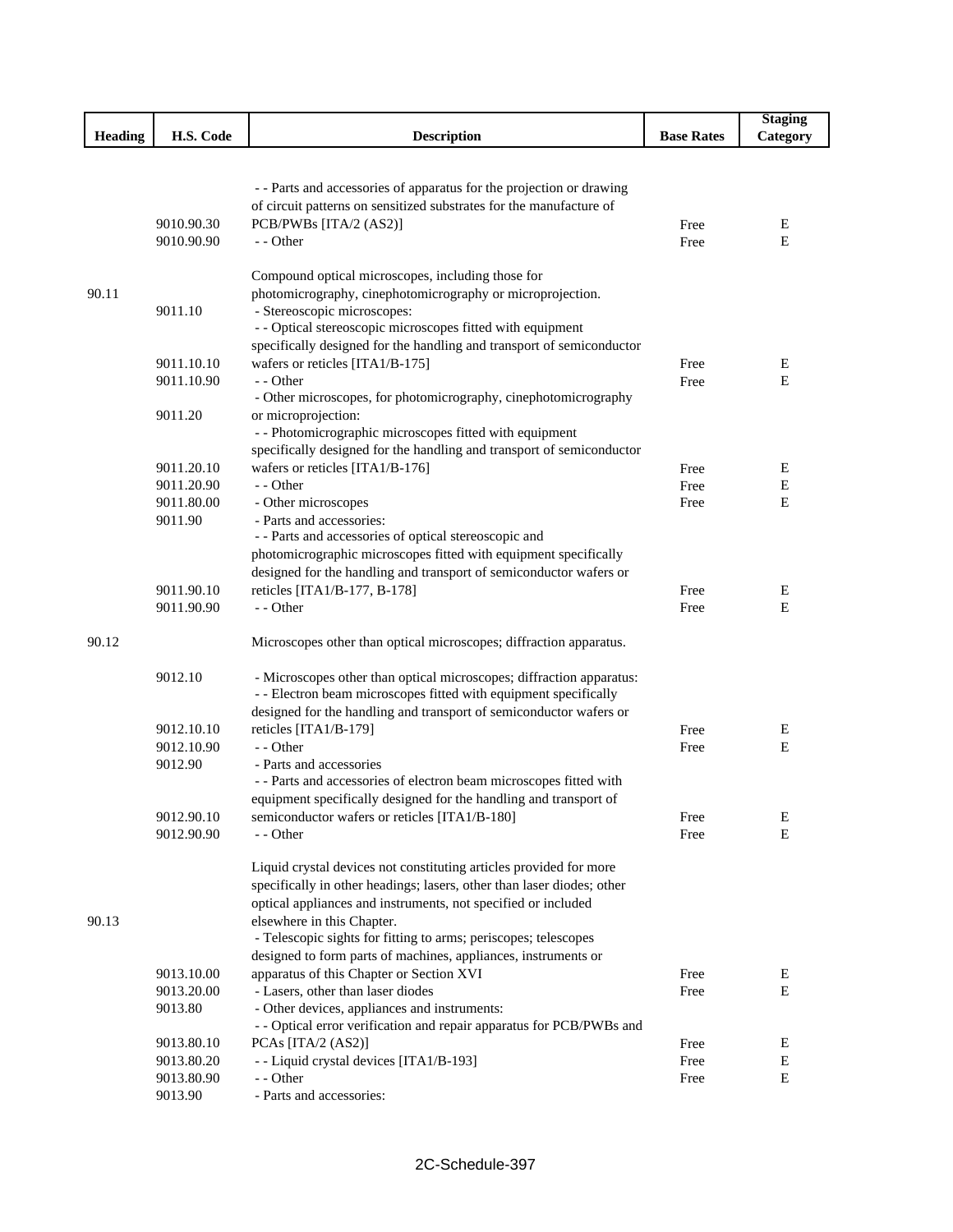|                |            |                                                                        |                   | <b>Staging</b> |
|----------------|------------|------------------------------------------------------------------------|-------------------|----------------|
| <b>Heading</b> | H.S. Code  | <b>Description</b>                                                     | <b>Base Rates</b> | Category       |
|                |            |                                                                        |                   |                |
|                |            |                                                                        |                   |                |
|                |            | - - Parts and accessories of apparatus for the projection or drawing   |                   |                |
|                |            | of circuit patterns on sensitized substrates for the manufacture of    |                   |                |
|                | 9010.90.30 | PCB/PWBs [ITA/2 (AS2)]                                                 | Free              | Ε              |
|                | 9010.90.90 | - - Other                                                              | Free              | E              |
|                |            |                                                                        |                   |                |
|                |            | Compound optical microscopes, including those for                      |                   |                |
| 90.11          |            | photomicrography, cinephotomicrography or microprojection.             |                   |                |
|                | 9011.10    | - Stereoscopic microscopes:                                            |                   |                |
|                |            | - - Optical stereoscopic microscopes fitted with equipment             |                   |                |
|                |            | specifically designed for the handling and transport of semiconductor  |                   |                |
|                | 9011.10.10 | wafers or reticles [ITA1/B-175]                                        | Free              | Ε              |
|                | 9011.10.90 | - - Other                                                              | Free              | E              |
|                |            | - Other microscopes, for photomicrography, cinephotomicrography        |                   |                |
|                | 9011.20    | or microprojection:                                                    |                   |                |
|                |            | - - Photomicrographic microscopes fitted with equipment                |                   |                |
|                |            | specifically designed for the handling and transport of semiconductor  |                   |                |
|                | 9011.20.10 | wafers or reticles [ITA1/B-176]                                        | Free              | Ε              |
|                | 9011.20.90 | - - Other                                                              | Free              | $\mathbf E$    |
|                | 9011.80.00 | - Other microscopes                                                    | Free              | E              |
|                | 9011.90    | - Parts and accessories:                                               |                   |                |
|                |            | - - Parts and accessories of optical stereoscopic and                  |                   |                |
|                |            | photomicrographic microscopes fitted with equipment specifically       |                   |                |
|                |            | designed for the handling and transport of semiconductor wafers or     |                   |                |
|                | 9011.90.10 | reticles [ITA1/B-177, B-178]                                           | Free              | E              |
|                | 9011.90.90 | - - Other                                                              | Free              | Е              |
| 90.12          |            | Microscopes other than optical microscopes; diffraction apparatus.     |                   |                |
|                |            |                                                                        |                   |                |
|                | 9012.10    | - Microscopes other than optical microscopes; diffraction apparatus:   |                   |                |
|                |            | - - Electron beam microscopes fitted with equipment specifically       |                   |                |
|                |            | designed for the handling and transport of semiconductor wafers or     |                   |                |
|                | 9012.10.10 | reticles [ITA1/B-179]                                                  | Free              | E              |
|                | 9012.10.90 | - - Other                                                              | Free              | E              |
|                | 9012.90    | - Parts and accessories                                                |                   |                |
|                |            | - - Parts and accessories of electron beam microscopes fitted with     |                   |                |
|                |            | equipment specifically designed for the handling and transport of      |                   |                |
|                | 9012.90.10 | semiconductor wafers or reticles [ITA1/B-180]                          | Free              | E<br>Е         |
|                | 9012.90.90 | - - Other                                                              | Free              |                |
|                |            | Liquid crystal devices not constituting articles provided for more     |                   |                |
|                |            | specifically in other headings; lasers, other than laser diodes; other |                   |                |
|                |            | optical appliances and instruments, not specified or included          |                   |                |
| 90.13          |            | elsewhere in this Chapter.                                             |                   |                |
|                |            | - Telescopic sights for fitting to arms; periscopes; telescopes        |                   |                |
|                |            | designed to form parts of machines, appliances, instruments or         |                   |                |
|                | 9013.10.00 | apparatus of this Chapter or Section XVI                               | Free              | Ε              |
|                | 9013.20.00 | - Lasers, other than laser diodes                                      | Free              | Ε              |
|                | 9013.80    | - Other devices, appliances and instruments:                           |                   |                |
|                |            | - - Optical error verification and repair apparatus for PCB/PWBs and   |                   |                |
|                | 9013.80.10 | PCAs [ITA/2 (AS2)]                                                     | Free              | Ε              |
|                | 9013.80.20 | - - Liquid crystal devices [ITA1/B-193]                                | Free              | E              |
|                | 9013.80.90 | - - Other                                                              | Free              | E              |
|                | 9013.90    | - Parts and accessories:                                               |                   |                |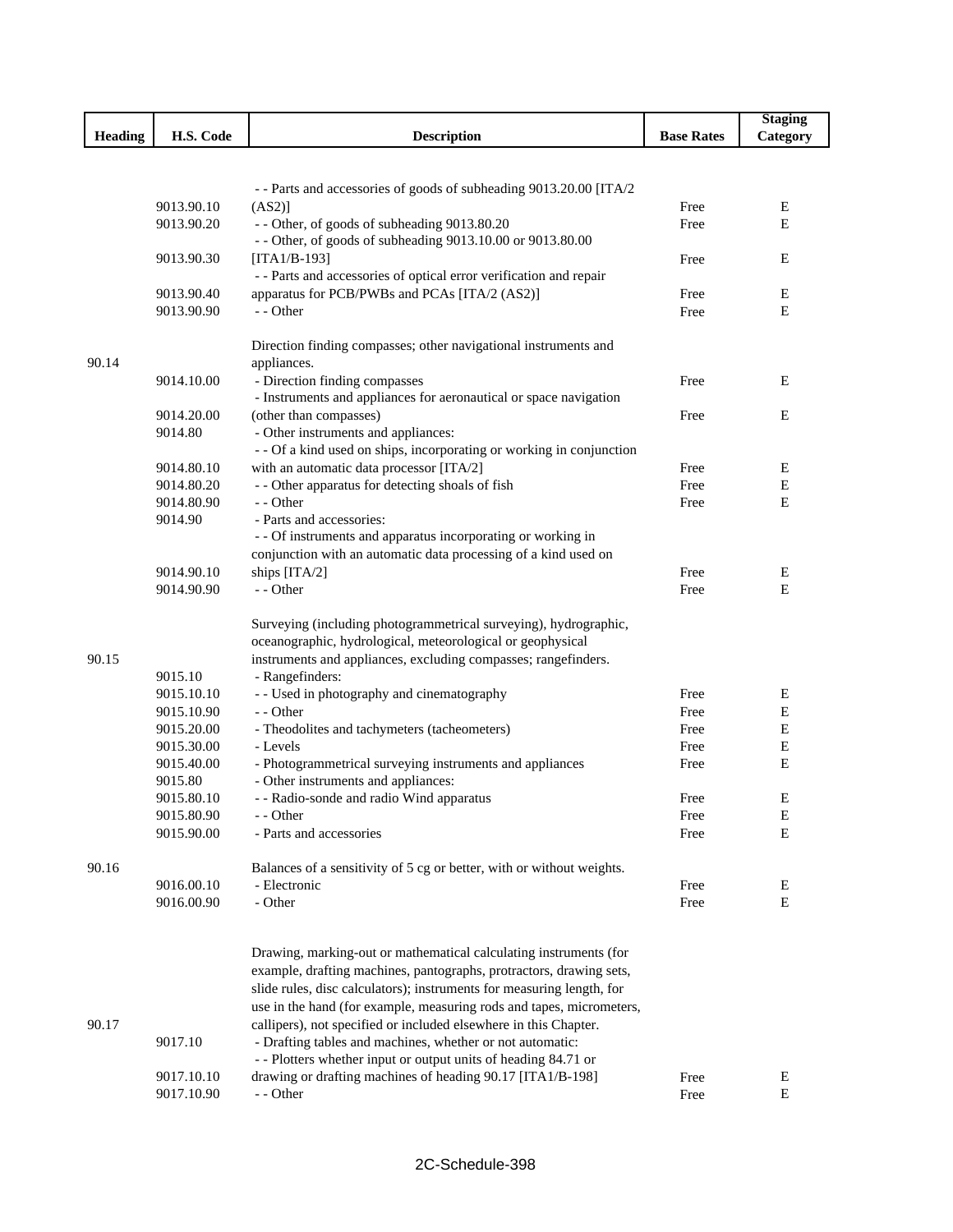|                |            |                                                                             |                   | <b>Staging</b> |
|----------------|------------|-----------------------------------------------------------------------------|-------------------|----------------|
| <b>Heading</b> | H.S. Code  | <b>Description</b>                                                          | <b>Base Rates</b> | Category       |
|                |            |                                                                             |                   |                |
|                |            |                                                                             |                   |                |
|                | 9013.90.10 | -- Parts and accessories of goods of subheading 9013.20.00 [ITA/2<br>(AS2)] |                   | Ε              |
|                | 9013.90.20 | -- Other, of goods of subheading 9013.80.20                                 | Free<br>Free      | E              |
|                |            | - - Other, of goods of subheading 9013.10.00 or 9013.80.00                  |                   |                |
|                | 9013.90.30 | [ITA1/B-193]                                                                | Free              | E              |
|                |            | - - Parts and accessories of optical error verification and repair          |                   |                |
|                | 9013.90.40 | apparatus for PCB/PWBs and PCAs [ITA/2 (AS2)]                               | Free              | Е              |
|                | 9013.90.90 | - - Other                                                                   | Free              | E              |
|                |            | Direction finding compasses; other navigational instruments and             |                   |                |
| 90.14          |            | appliances.                                                                 |                   |                |
|                | 9014.10.00 | - Direction finding compasses                                               | Free              | Е              |
|                |            | - Instruments and appliances for aeronautical or space navigation           |                   |                |
|                | 9014.20.00 | (other than compasses)                                                      | Free              | Е              |
|                | 9014.80    | - Other instruments and appliances:                                         |                   |                |
|                |            | - - Of a kind used on ships, incorporating or working in conjunction        |                   |                |
|                | 9014.80.10 | with an automatic data processor [ITA/2]                                    | Free              | Ε              |
|                | 9014.80.20 | - - Other apparatus for detecting shoals of fish                            | Free              | E              |
|                | 9014.80.90 | - - Other                                                                   | Free              | E              |
|                | 9014.90    | - Parts and accessories:                                                    |                   |                |
|                |            | - - Of instruments and apparatus incorporating or working in                |                   |                |
|                |            | conjunction with an automatic data processing of a kind used on             |                   |                |
|                | 9014.90.10 | ships [ITA/2]                                                               | Free              | Е              |
|                | 9014.90.90 | - - Other                                                                   | Free              | E              |
|                |            | Surveying (including photogrammetrical surveying), hydrographic,            |                   |                |
|                |            | oceanographic, hydrological, meteorological or geophysical                  |                   |                |
| 90.15          |            | instruments and appliances, excluding compasses; rangefinders.              |                   |                |
|                | 9015.10    | - Rangefinders:                                                             |                   |                |
|                | 9015.10.10 | - - Used in photography and cinematography                                  | Free              | Е              |
|                | 9015.10.90 | - - Other                                                                   | Free              | Е              |
|                | 9015.20.00 | - Theodolites and tachymeters (tacheometers)                                | Free              | E              |
|                | 9015.30.00 | - Levels                                                                    | Free              | Е              |
|                | 9015.40.00 | - Photogrammetrical surveying instruments and appliances                    | Free              | E              |
|                | 9015.80    | - Other instruments and appliances:                                         |                   |                |
|                | 9015.80.10 | - - Radio-sonde and radio Wind apparatus                                    | Free              | Е              |
|                | 9015.80.90 | - - Other                                                                   | Free              | E              |
|                | 9015.90.00 | - Parts and accessories                                                     | Free              | Е              |
| 90.16          |            | Balances of a sensitivity of 5 cg or better, with or without weights.       |                   |                |
|                | 9016.00.10 | - Electronic                                                                | Free              | Е              |
|                | 9016.00.90 | - Other                                                                     | Free              | Е              |
|                |            |                                                                             |                   |                |
|                |            | Drawing, marking-out or mathematical calculating instruments (for           |                   |                |
|                |            | example, drafting machines, pantographs, protractors, drawing sets,         |                   |                |
|                |            | slide rules, disc calculators); instruments for measuring length, for       |                   |                |
|                |            | use in the hand (for example, measuring rods and tapes, micrometers,        |                   |                |
| 90.17          |            | callipers), not specified or included elsewhere in this Chapter.            |                   |                |
|                | 9017.10    | - Drafting tables and machines, whether or not automatic:                   |                   |                |
|                |            | - - Plotters whether input or output units of heading 84.71 or              |                   |                |
|                | 9017.10.10 | drawing or drafting machines of heading 90.17 [ITA1/B-198]                  | Free              | E              |
|                | 9017.10.90 | - - Other                                                                   | Free              | E              |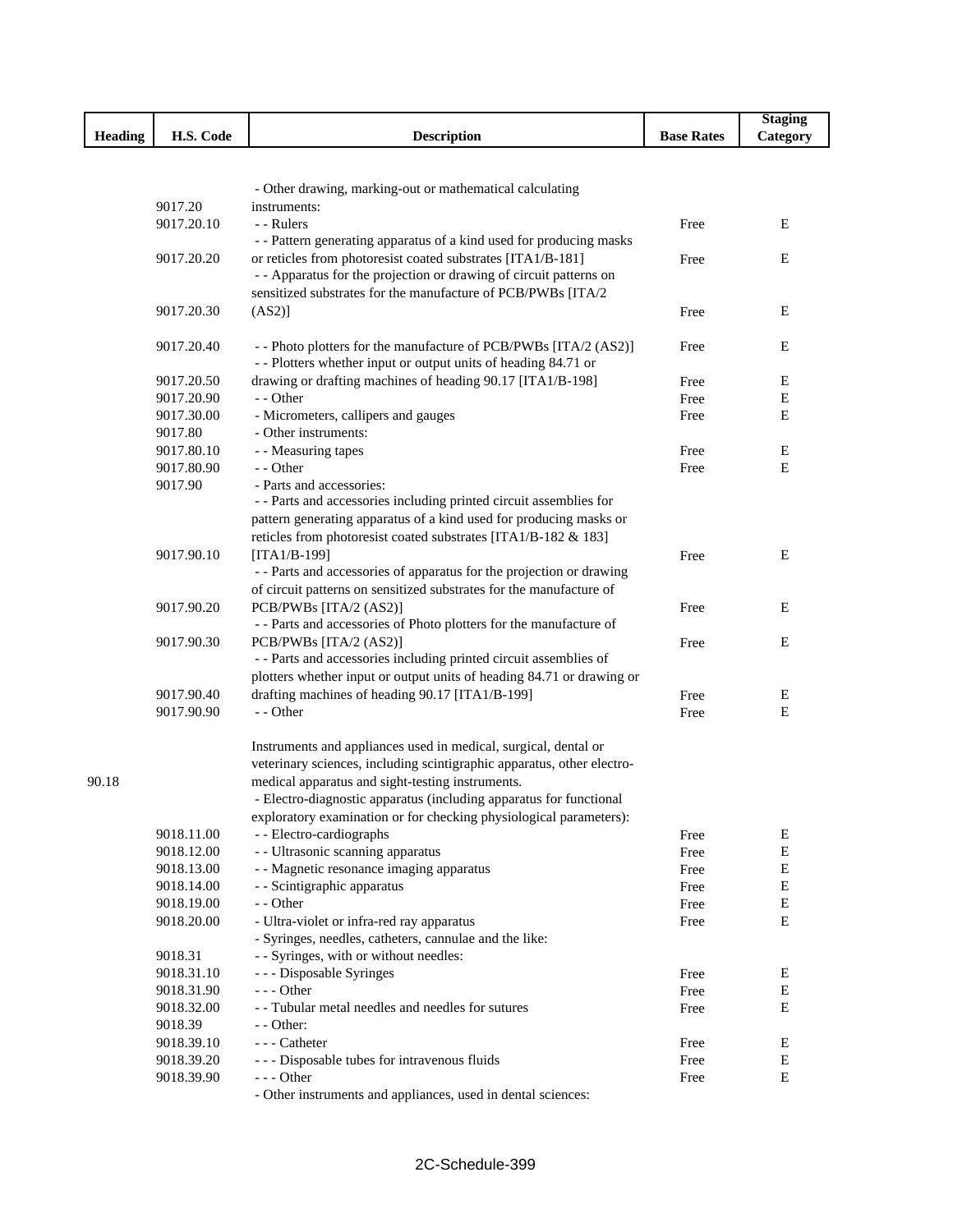|                |            |                                                                        |                   | <b>Staging</b> |
|----------------|------------|------------------------------------------------------------------------|-------------------|----------------|
| <b>Heading</b> | H.S. Code  | <b>Description</b>                                                     | <b>Base Rates</b> | Category       |
|                |            |                                                                        |                   |                |
|                |            |                                                                        |                   |                |
|                |            | - Other drawing, marking-out or mathematical calculating               |                   |                |
|                | 9017.20    | instruments:                                                           |                   |                |
|                | 9017.20.10 | - - Rulers                                                             | Free              | E              |
|                |            | - - Pattern generating apparatus of a kind used for producing masks    |                   |                |
|                | 9017.20.20 | or reticles from photoresist coated substrates [ITA1/B-181]            | Free              | Ε              |
|                |            | - - Apparatus for the projection or drawing of circuit patterns on     |                   |                |
|                |            | sensitized substrates for the manufacture of PCB/PWBs [ITA/2           |                   |                |
|                | 9017.20.30 | $(AS2)$ ]                                                              | Free              | Ε              |
|                | 9017.20.40 | - - Photo plotters for the manufacture of PCB/PWBs [ITA/2 (AS2)]       | Free              | Е              |
|                |            | - - Plotters whether input or output units of heading 84.71 or         |                   |                |
|                | 9017.20.50 | drawing or drafting machines of heading 90.17 [ITA1/B-198]             | Free              | Ε              |
|                | 9017.20.90 | - - Other                                                              | Free              | $\mathbf E$    |
|                | 9017.30.00 | - Micrometers, callipers and gauges                                    | Free              | $\mathbf E$    |
|                | 9017.80    | - Other instruments:                                                   |                   |                |
|                | 9017.80.10 | - - Measuring tapes                                                    | Free              | Ε              |
|                | 9017.80.90 | - - Other                                                              | Free              | E              |
|                | 9017.90    | - Parts and accessories:                                               |                   |                |
|                |            | - - Parts and accessories including printed circuit assemblies for     |                   |                |
|                |            | pattern generating apparatus of a kind used for producing masks or     |                   |                |
|                |            | reticles from photoresist coated substrates [ITA1/B-182 & 183]         |                   |                |
|                | 9017.90.10 | $[ITA1/B-199]$                                                         | Free              | Ε              |
|                |            | - - Parts and accessories of apparatus for the projection or drawing   |                   |                |
|                |            | of circuit patterns on sensitized substrates for the manufacture of    |                   |                |
|                | 9017.90.20 | PCB/PWBs [ITA/2 (AS2)]                                                 | Free              | Ε              |
|                |            | - - Parts and accessories of Photo plotters for the manufacture of     |                   |                |
|                | 9017.90.30 | PCB/PWBs [ITA/2 (AS2)]                                                 | Free              | E              |
|                |            | - - Parts and accessories including printed circuit assemblies of      |                   |                |
|                |            | plotters whether input or output units of heading 84.71 or drawing or  |                   |                |
|                | 9017.90.40 | drafting machines of heading 90.17 [ITA1/B-199]                        | Free              | Ε              |
|                | 9017.90.90 | - - Other                                                              | Free              | E              |
|                |            |                                                                        |                   |                |
|                |            | Instruments and appliances used in medical, surgical, dental or        |                   |                |
|                |            | veterinary sciences, including scintigraphic apparatus, other electro- |                   |                |
| 90.18          |            | medical apparatus and sight-testing instruments.                       |                   |                |
|                |            | - Electro-diagnostic apparatus (including apparatus for functional     |                   |                |
|                |            | exploratory examination or for checking physiological parameters):     |                   |                |
|                | 9018.11.00 | - - Electro-cardiographs                                               | Free              | Ε              |
|                | 9018.12.00 | - - Ultrasonic scanning apparatus                                      | Free              | Е              |
|                | 9018.13.00 | - - Magnetic resonance imaging apparatus                               | Free              | E              |
|                | 9018.14.00 | - - Scintigraphic apparatus                                            | Free              | Ε              |
|                | 9018.19.00 | - - Other                                                              | Free              | $\mathbf E$    |
|                | 9018.20.00 | - Ultra-violet or infra-red ray apparatus                              | Free              | E              |
|                |            | - Syringes, needles, catheters, cannulae and the like:                 |                   |                |
|                | 9018.31    | - - Syringes, with or without needles:                                 |                   |                |
|                | 9018.31.10 | --- Disposable Syringes                                                | Free              | Ε              |
|                | 9018.31.90 | - - - Other                                                            | Free              | Ε              |
|                | 9018.32.00 | - - Tubular metal needles and needles for sutures                      | Free              | E              |
|                | 9018.39    | - - Other:                                                             |                   |                |
|                | 9018.39.10 | --- Catheter                                                           | Free              | E              |
|                | 9018.39.20 | --- Disposable tubes for intravenous fluids                            | Free              | $\mathbf E$    |
|                | 9018.39.90 | $--$ Other                                                             | Free              | $\mathbf E$    |
|                |            | - Other instruments and appliances, used in dental sciences:           |                   |                |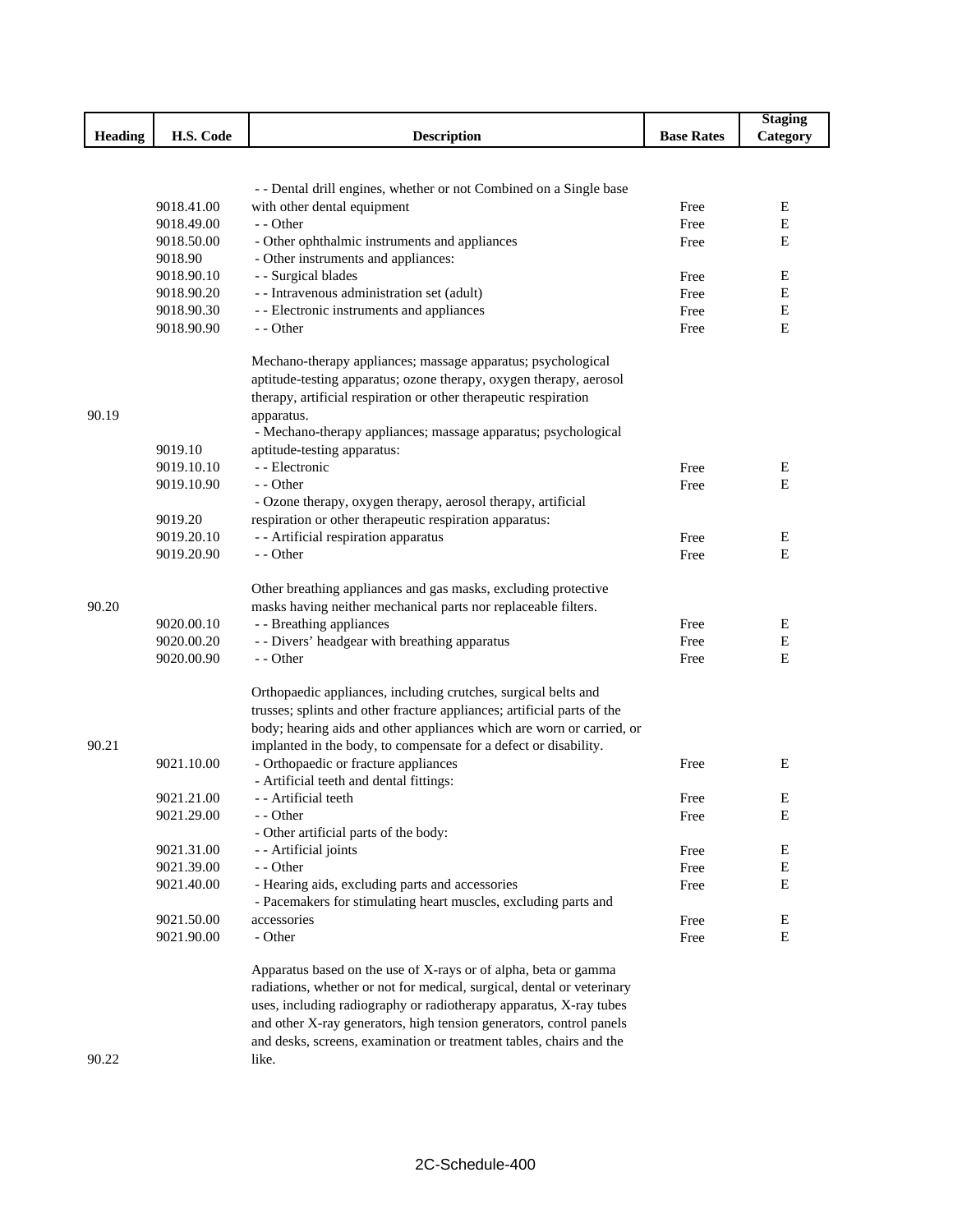|                |                          |                                                                         |                   | <b>Staging</b> |
|----------------|--------------------------|-------------------------------------------------------------------------|-------------------|----------------|
| <b>Heading</b> | H.S. Code                | <b>Description</b>                                                      | <b>Base Rates</b> | Category       |
|                |                          |                                                                         |                   |                |
|                |                          |                                                                         |                   |                |
|                |                          | - - Dental drill engines, whether or not Combined on a Single base      |                   |                |
|                | 9018.41.00               | with other dental equipment                                             | Free              | E              |
|                | 9018.49.00<br>9018.50.00 | - - Other<br>- Other ophthalmic instruments and appliances              | Free              | Е<br>Е         |
|                | 9018.90                  | - Other instruments and appliances:                                     | Free              |                |
|                | 9018.90.10               | - - Surgical blades                                                     | Free              | Е              |
|                | 9018.90.20               | - - Intravenous administration set (adult)                              | Free              | Е              |
|                | 9018.90.30               | - - Electronic instruments and appliances                               | Free              | Е              |
|                | 9018.90.90               | - - Other                                                               | Free              | Е              |
|                |                          | Mechano-therapy appliances; massage apparatus; psychological            |                   |                |
|                |                          | aptitude-testing apparatus; ozone therapy, oxygen therapy, aerosol      |                   |                |
|                |                          | therapy, artificial respiration or other therapeutic respiration        |                   |                |
| 90.19          |                          | apparatus.                                                              |                   |                |
|                |                          | - Mechano-therapy appliances; massage apparatus; psychological          |                   |                |
|                | 9019.10                  | aptitude-testing apparatus:                                             |                   |                |
|                | 9019.10.10               | - - Electronic                                                          | Free              | E              |
|                | 9019.10.90               | - - Other                                                               | Free              | Е              |
|                |                          | - Ozone therapy, oxygen therapy, aerosol therapy, artificial            |                   |                |
|                | 9019.20                  | respiration or other therapeutic respiration apparatus:                 |                   |                |
|                | 9019.20.10               | - - Artificial respiration apparatus                                    | Free              | E              |
|                | 9019.20.90               | - - Other                                                               | Free              | Е              |
|                |                          | Other breathing appliances and gas masks, excluding protective          |                   |                |
| 90.20          |                          | masks having neither mechanical parts nor replaceable filters.          |                   |                |
|                | 9020.00.10               | - - Breathing appliances                                                | Free              | E              |
|                | 9020.00.20               | - - Divers' headgear with breathing apparatus                           | Free              | $\mathbf E$    |
|                | 9020.00.90               | - - Other                                                               | Free              | E              |
|                |                          | Orthopaedic appliances, including crutches, surgical belts and          |                   |                |
|                |                          | trusses; splints and other fracture appliances; artificial parts of the |                   |                |
|                |                          | body; hearing aids and other appliances which are worn or carried, or   |                   |                |
| 90.21          |                          | implanted in the body, to compensate for a defect or disability.        |                   |                |
|                | 9021.10.00               | - Orthopaedic or fracture appliances                                    | Free              | E              |
|                |                          | - Artificial teeth and dental fittings:                                 |                   |                |
|                | 9021.21.00               | - - Artificial teeth                                                    | Free              | E              |
|                | 9021.29.00               | - - Other                                                               | Free              | E              |
|                |                          | - Other artificial parts of the body:                                   |                   |                |
|                | 9021.31.00<br>9021.39.00 | - - Artificial joints<br>- - Other                                      | Free              | E<br>E         |
|                | 9021.40.00               | - Hearing aids, excluding parts and accessories                         | Free<br>Free      | E              |
|                |                          | - Pacemakers for stimulating heart muscles, excluding parts and         |                   |                |
|                | 9021.50.00               | accessories                                                             | Free              | E              |
|                | 9021.90.00               | - Other                                                                 | Free              | ${\bf E}$      |
|                |                          | Apparatus based on the use of X-rays or of alpha, beta or gamma         |                   |                |
|                |                          | radiations, whether or not for medical, surgical, dental or veterinary  |                   |                |
|                |                          | uses, including radiography or radiotherapy apparatus, X-ray tubes      |                   |                |
|                |                          | and other X-ray generators, high tension generators, control panels     |                   |                |
|                |                          | and desks, screens, examination or treatment tables, chairs and the     |                   |                |

like.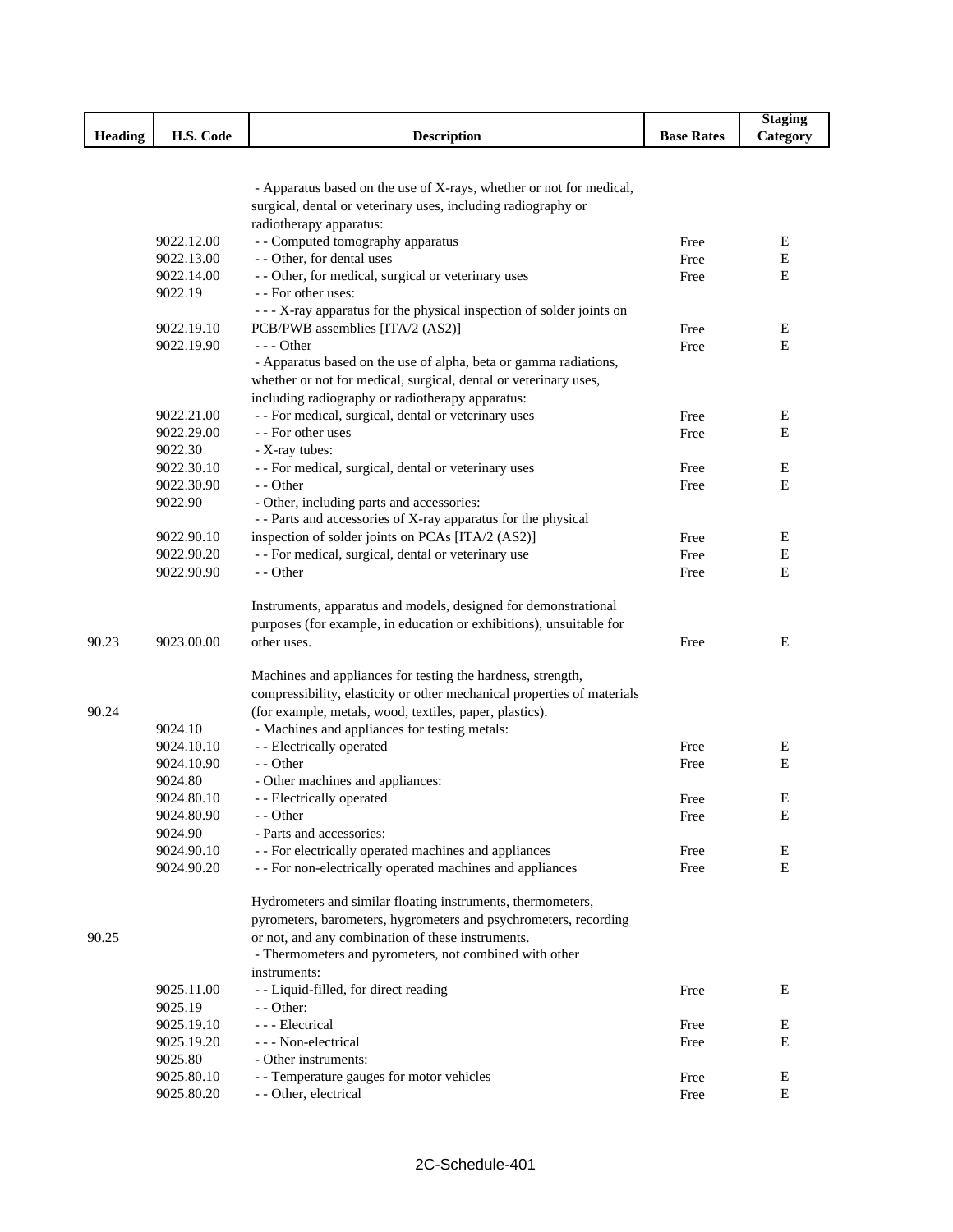|                |                          |                                                                         |                   | <b>Staging</b> |
|----------------|--------------------------|-------------------------------------------------------------------------|-------------------|----------------|
| <b>Heading</b> | H.S. Code                | <b>Description</b>                                                      | <b>Base Rates</b> | Category       |
|                |                          |                                                                         |                   |                |
|                |                          |                                                                         |                   |                |
|                |                          | - Apparatus based on the use of X-rays, whether or not for medical,     |                   |                |
|                |                          | surgical, dental or veterinary uses, including radiography or           |                   |                |
|                |                          | radiotherapy apparatus:                                                 |                   |                |
|                | 9022.12.00               | - - Computed tomography apparatus                                       | Free              | Ε              |
|                | 9022.13.00               | - - Other, for dental uses                                              | Free              | Е              |
|                | 9022.14.00               | - - Other, for medical, surgical or veterinary uses                     | Free              | E              |
|                | 9022.19                  | - - For other uses:                                                     |                   |                |
|                |                          | - - - X-ray apparatus for the physical inspection of solder joints on   |                   |                |
|                | 9022.19.10               | PCB/PWB assemblies [ITA/2 (AS2)]                                        | Free              | Ε              |
|                | 9022.19.90               | $- -$ Other                                                             | Free              | E              |
|                |                          | - Apparatus based on the use of alpha, beta or gamma radiations,        |                   |                |
|                |                          | whether or not for medical, surgical, dental or veterinary uses,        |                   |                |
|                |                          | including radiography or radiotherapy apparatus:                        |                   |                |
|                | 9022.21.00               | - - For medical, surgical, dental or veterinary uses                    | Free              | Е              |
|                | 9022.29.00               | - - For other uses                                                      | Free              | E              |
|                | 9022.30                  | - X-ray tubes:                                                          |                   |                |
|                | 9022.30.10               | - - For medical, surgical, dental or veterinary uses                    | Free              | Ε              |
|                | 9022.30.90               | - - Other                                                               | Free              | E              |
|                | 9022.90                  | - Other, including parts and accessories:                               |                   |                |
|                |                          | - - Parts and accessories of X-ray apparatus for the physical           |                   |                |
|                | 9022.90.10               | inspection of solder joints on PCAs [ITA/2 (AS2)]                       | Free              | Ε              |
|                | 9022.90.20<br>9022.90.90 | - - For medical, surgical, dental or veterinary use<br>- - Other        | Free              | Е<br>Е         |
|                |                          |                                                                         | Free              |                |
|                |                          | Instruments, apparatus and models, designed for demonstrational         |                   |                |
|                |                          | purposes (for example, in education or exhibitions), unsuitable for     |                   |                |
| 90.23          | 9023.00.00               | other uses.                                                             | Free              | Е              |
|                |                          |                                                                         |                   |                |
|                |                          | Machines and appliances for testing the hardness, strength,             |                   |                |
|                |                          | compressibility, elasticity or other mechanical properties of materials |                   |                |
| 90.24          |                          | (for example, metals, wood, textiles, paper, plastics).                 |                   |                |
|                | 9024.10                  | - Machines and appliances for testing metals:                           |                   |                |
|                | 9024.10.10               | - - Electrically operated                                               | Free              | Ε              |
|                | 9024.10.90               | - - Other                                                               | Free              | E              |
|                | 9024.80                  | - Other machines and appliances:                                        |                   |                |
|                | 9024.80.10               | - - Electrically operated                                               | Free              | E              |
|                | 9024.80.90               | - - Other                                                               | Free              | Ε              |
|                | 9024.90                  | - Parts and accessories:                                                |                   |                |
|                | 9024.90.10               | - - For electrically operated machines and appliances                   | Free              | Ε              |
|                | 9024.90.20               | - - For non-electrically operated machines and appliances               | Free              | $\mathbf E$    |
|                |                          |                                                                         |                   |                |
|                |                          | Hydrometers and similar floating instruments, thermometers,             |                   |                |
|                |                          | pyrometers, barometers, hygrometers and psychrometers, recording        |                   |                |
| 90.25          |                          | or not, and any combination of these instruments.                       |                   |                |
|                |                          | - Thermometers and pyrometers, not combined with other                  |                   |                |
|                |                          | instruments:                                                            |                   |                |
|                | 9025.11.00               | - - Liquid-filled, for direct reading                                   | Free              | E              |
|                | 9025.19                  | - - Other:                                                              |                   |                |
|                | 9025.19.10               | - - - Electrical                                                        | Free              | E              |
|                | 9025.19.20               | - - - Non-electrical                                                    | Free              | E              |
|                | 9025.80                  | - Other instruments:                                                    |                   |                |
|                | 9025.80.10               | - - Temperature gauges for motor vehicles                               | Free              | Ε              |
|                | 9025.80.20               | - - Other, electrical                                                   | Free              | $\mathbf E$    |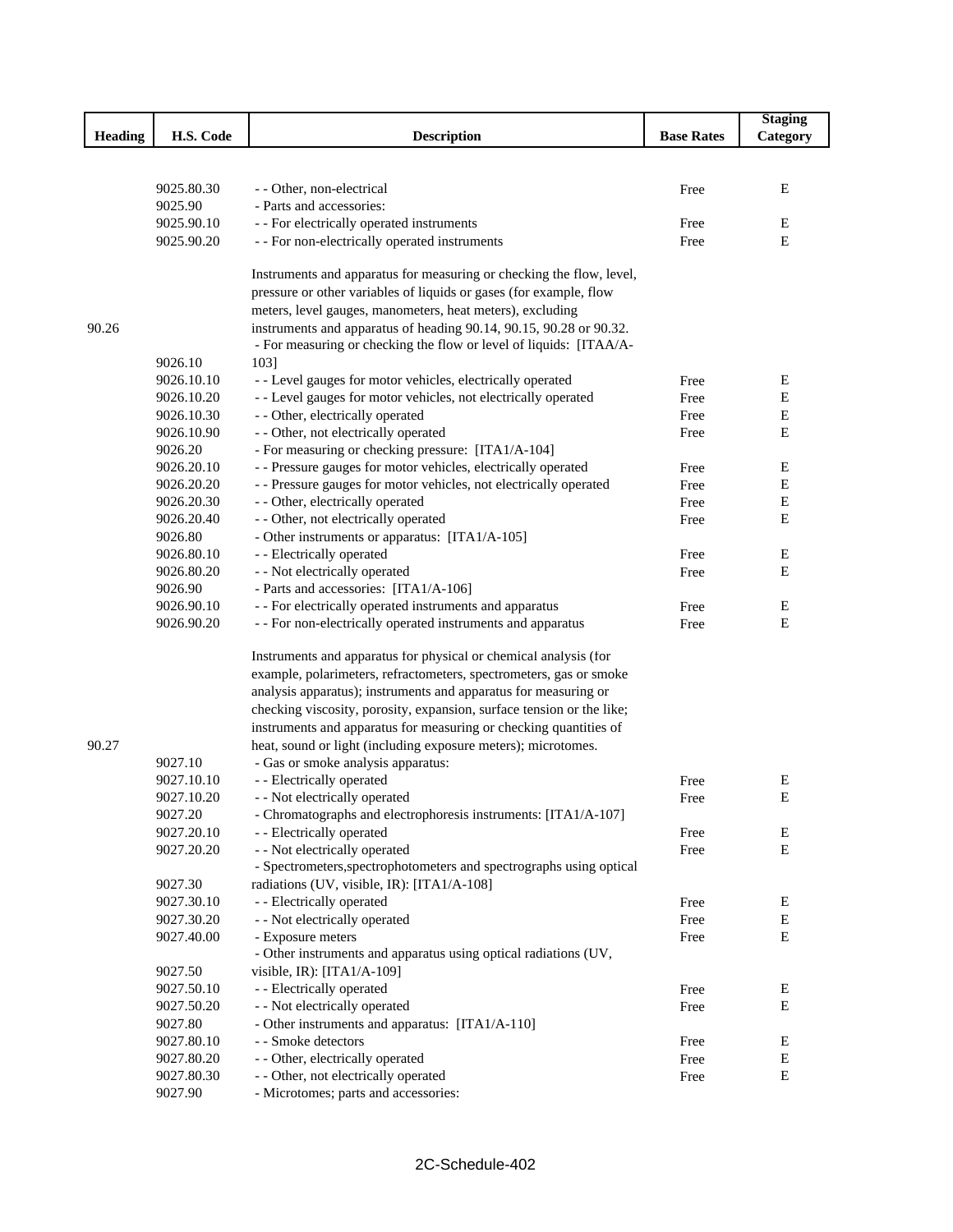|         |            |                                                                       |                   | <b>Staging</b> |
|---------|------------|-----------------------------------------------------------------------|-------------------|----------------|
| Heading | H.S. Code  | <b>Description</b>                                                    | <b>Base Rates</b> | Category       |
|         |            |                                                                       |                   |                |
|         |            |                                                                       |                   |                |
|         | 9025.80.30 | - - Other, non-electrical                                             | Free              | Ε              |
|         | 9025.90    | - Parts and accessories:                                              |                   |                |
|         | 9025.90.10 | - - For electrically operated instruments                             | Free              | Е              |
|         | 9025.90.20 | - - For non-electrically operated instruments                         | Free              | E              |
|         |            |                                                                       |                   |                |
|         |            | Instruments and apparatus for measuring or checking the flow, level,  |                   |                |
|         |            | pressure or other variables of liquids or gases (for example, flow    |                   |                |
|         |            | meters, level gauges, manometers, heat meters), excluding             |                   |                |
| 90.26   |            | instruments and apparatus of heading 90.14, 90.15, 90.28 or 90.32.    |                   |                |
|         |            | - For measuring or checking the flow or level of liquids: [ITAA/A-    |                   |                |
|         | 9026.10    | 1031                                                                  |                   |                |
|         | 9026.10.10 | - - Level gauges for motor vehicles, electrically operated            | Free              | Ε              |
|         | 9026.10.20 | - - Level gauges for motor vehicles, not electrically operated        | Free              | Е              |
|         | 9026.10.30 | - - Other, electrically operated                                      | Free              | Ε              |
|         | 9026.10.90 | - - Other, not electrically operated                                  | Free              | E              |
|         | 9026.20    | - For measuring or checking pressure: [ITA1/A-104]                    |                   |                |
|         | 9026.20.10 | - - Pressure gauges for motor vehicles, electrically operated         | Free              | Ε              |
|         | 9026.20.20 | - - Pressure gauges for motor vehicles, not electrically operated     | Free              | Ε              |
|         | 9026.20.30 | - - Other, electrically operated                                      | Free              | Ε              |
|         | 9026.20.40 | - - Other, not electrically operated                                  | Free              | Ε              |
|         | 9026.80    | - Other instruments or apparatus: [ITA1/A-105]                        |                   |                |
|         | 9026.80.10 | - - Electrically operated                                             | Free              | Ε              |
|         | 9026.80.20 | - - Not electrically operated                                         | Free              | Ε              |
|         | 9026.90    | - Parts and accessories: [ITA1/A-106]                                 |                   |                |
|         | 9026.90.10 | - - For electrically operated instruments and apparatus               | Free              | Е              |
|         | 9026.90.20 | - - For non-electrically operated instruments and apparatus           | Free              | E              |
|         |            |                                                                       |                   |                |
|         |            | Instruments and apparatus for physical or chemical analysis (for      |                   |                |
|         |            | example, polarimeters, refractometers, spectrometers, gas or smoke    |                   |                |
|         |            | analysis apparatus); instruments and apparatus for measuring or       |                   |                |
|         |            | checking viscosity, porosity, expansion, surface tension or the like; |                   |                |
|         |            | instruments and apparatus for measuring or checking quantities of     |                   |                |
| 90.27   |            | heat, sound or light (including exposure meters); microtomes.         |                   |                |
|         | 9027.10    | - Gas or smoke analysis apparatus:                                    |                   |                |
|         | 9027.10.10 | - - Electrically operated                                             | Free              | E              |
|         | 9027.10.20 | - - Not electrically operated                                         | Free              | Ε              |
|         | 9027.20    | - Chromatographs and electrophoresis instruments: [ITA1/A-107]        |                   |                |
|         | 9027.20.10 | - - Electrically operated                                             | Free              | Ε              |
|         | 9027.20.20 | - - Not electrically operated                                         | Free              | E              |
|         |            | - Spectrometers, spectrophotometers and spectrographs using optical   |                   |                |
|         | 9027.30    | radiations (UV, visible, IR): [ITA1/A-108]                            |                   |                |
|         | 9027.30.10 | - - Electrically operated                                             | Free              | E              |
|         | 9027.30.20 | - - Not electrically operated                                         | Free              | E              |
|         | 9027.40.00 | - Exposure meters                                                     | Free              | E              |
|         |            | - Other instruments and apparatus using optical radiations (UV,       |                   |                |
|         | 9027.50    | visible, IR): $[ITA1/A-109]$                                          |                   |                |
|         | 9027.50.10 | - - Electrically operated                                             | Free              | Е              |
|         | 9027.50.20 | - - Not electrically operated                                         | Free              | Ε              |
|         | 9027.80    | - Other instruments and apparatus: [ITA1/A-110]                       |                   |                |
|         | 9027.80.10 | - - Smoke detectors                                                   | Free              | ${\bf E}$      |
|         | 9027.80.20 | - - Other, electrically operated                                      | Free              | ${\bf E}$      |
|         | 9027.80.30 | - - Other, not electrically operated                                  | Free              | E              |
|         | 9027.90    | - Microtomes; parts and accessories:                                  |                   |                |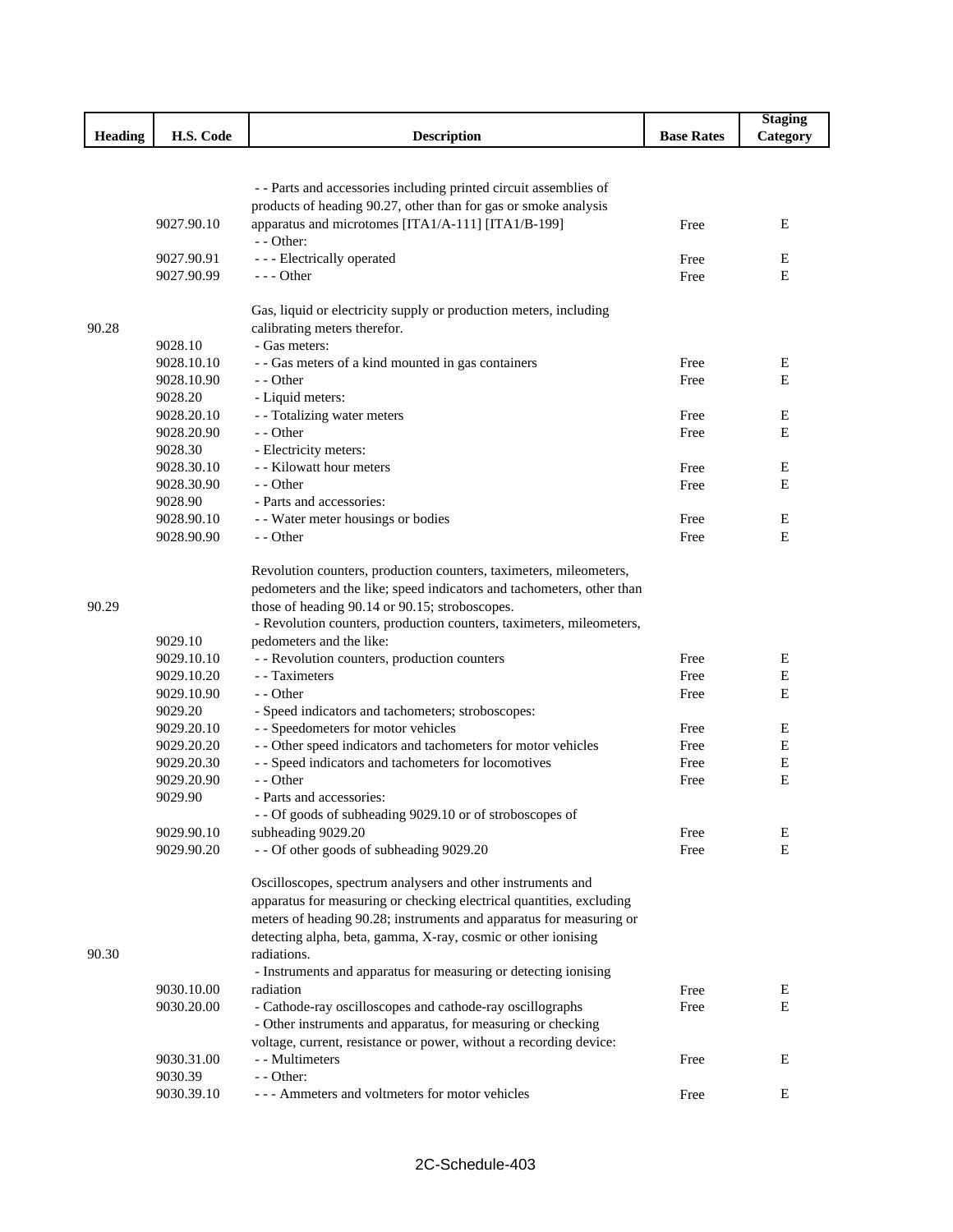|                |                       |                                                                                          |                   | <b>Staging</b> |
|----------------|-----------------------|------------------------------------------------------------------------------------------|-------------------|----------------|
| <b>Heading</b> | H.S. Code             | <b>Description</b>                                                                       | <b>Base Rates</b> | Category       |
|                |                       |                                                                                          |                   |                |
|                |                       | - - Parts and accessories including printed circuit assemblies of                        |                   |                |
|                |                       | products of heading 90.27, other than for gas or smoke analysis                          |                   |                |
|                | 9027.90.10            | apparatus and microtomes [ITA1/A-111] [ITA1/B-199]                                       | Free              | E              |
|                |                       | - - Other:                                                                               |                   |                |
|                | 9027.90.91            | - - - Electrically operated                                                              | Free              | Ε              |
|                | 9027.90.99            | $- -$ Other                                                                              | Free              | E              |
|                |                       |                                                                                          |                   |                |
|                |                       | Gas, liquid or electricity supply or production meters, including                        |                   |                |
| 90.28          |                       | calibrating meters therefor.                                                             |                   |                |
|                | 9028.10               | - Gas meters:                                                                            |                   |                |
|                | 9028.10.10            | - - Gas meters of a kind mounted in gas containers                                       | Free<br>Free      | E<br>E         |
|                | 9028.10.90<br>9028.20 | - - Other                                                                                |                   |                |
|                | 9028.20.10            | - Liquid meters:<br>- - Totalizing water meters                                          | Free              | Ε              |
|                | 9028.20.90            | - - Other                                                                                | Free              | E              |
|                | 9028.30               | - Electricity meters:                                                                    |                   |                |
|                | 9028.30.10            | - - Kilowatt hour meters                                                                 | Free              | E              |
|                | 9028.30.90            | - - Other                                                                                | Free              | Ε              |
|                | 9028.90               | - Parts and accessories:                                                                 |                   |                |
|                | 9028.90.10            | - - Water meter housings or bodies                                                       | Free              | Ε              |
|                | 9028.90.90            | - - Other                                                                                | Free              | E              |
|                |                       |                                                                                          |                   |                |
|                |                       | Revolution counters, production counters, taximeters, mileometers,                       |                   |                |
|                |                       | pedometers and the like; speed indicators and tachometers, other than                    |                   |                |
| 90.29          |                       | those of heading 90.14 or 90.15; stroboscopes.                                           |                   |                |
|                |                       | - Revolution counters, production counters, taximeters, mileometers,                     |                   |                |
|                | 9029.10               | pedometers and the like:                                                                 |                   |                |
|                | 9029.10.10            | - - Revolution counters, production counters                                             | Free              | Е              |
|                | 9029.10.20            | - Taximeters                                                                             | Free              | ${\bf E}$      |
|                | 9029.10.90            | - - Other                                                                                | Free              | E              |
|                | 9029.20<br>9029.20.10 | - Speed indicators and tachometers; stroboscopes:<br>- - Speedometers for motor vehicles | Free              | Е              |
|                | 9029.20.20            | - - Other speed indicators and tachometers for motor vehicles                            | Free              | Е              |
|                | 9029.20.30            | - - Speed indicators and tachometers for locomotives                                     | Free              | E              |
|                | 9029.20.90            | - - Other                                                                                | Free              | Е              |
|                | 9029.90               | - Parts and accessories:                                                                 |                   |                |
|                |                       | - - Of goods of subheading 9029.10 or of stroboscopes of                                 |                   |                |
|                | 9029.90.10            | subheading 9029.20                                                                       | Free              | Е              |
|                | 9029.90.20            | - - Of other goods of subheading 9029.20                                                 | Free              | E              |
|                |                       | Oscilloscopes, spectrum analysers and other instruments and                              |                   |                |
|                |                       | apparatus for measuring or checking electrical quantities, excluding                     |                   |                |
|                |                       | meters of heading 90.28; instruments and apparatus for measuring or                      |                   |                |
|                |                       | detecting alpha, beta, gamma, X-ray, cosmic or other ionising                            |                   |                |
| 90.30          |                       | radiations.                                                                              |                   |                |
|                |                       | - Instruments and apparatus for measuring or detecting ionising                          |                   |                |
|                | 9030.10.00            | radiation                                                                                | Free              | Ε              |
|                | 9030.20.00            | - Cathode-ray oscilloscopes and cathode-ray oscillographs                                | Free              | E              |
|                |                       | - Other instruments and apparatus, for measuring or checking                             |                   |                |
|                |                       | voltage, current, resistance or power, without a recording device:                       |                   |                |
|                | 9030.31.00            | - - Multimeters                                                                          | Free              | Ε              |
|                | 9030.39               | - - Other:                                                                               |                   |                |
|                | 9030.39.10            | --- Ammeters and voltmeters for motor vehicles                                           | Free              | E              |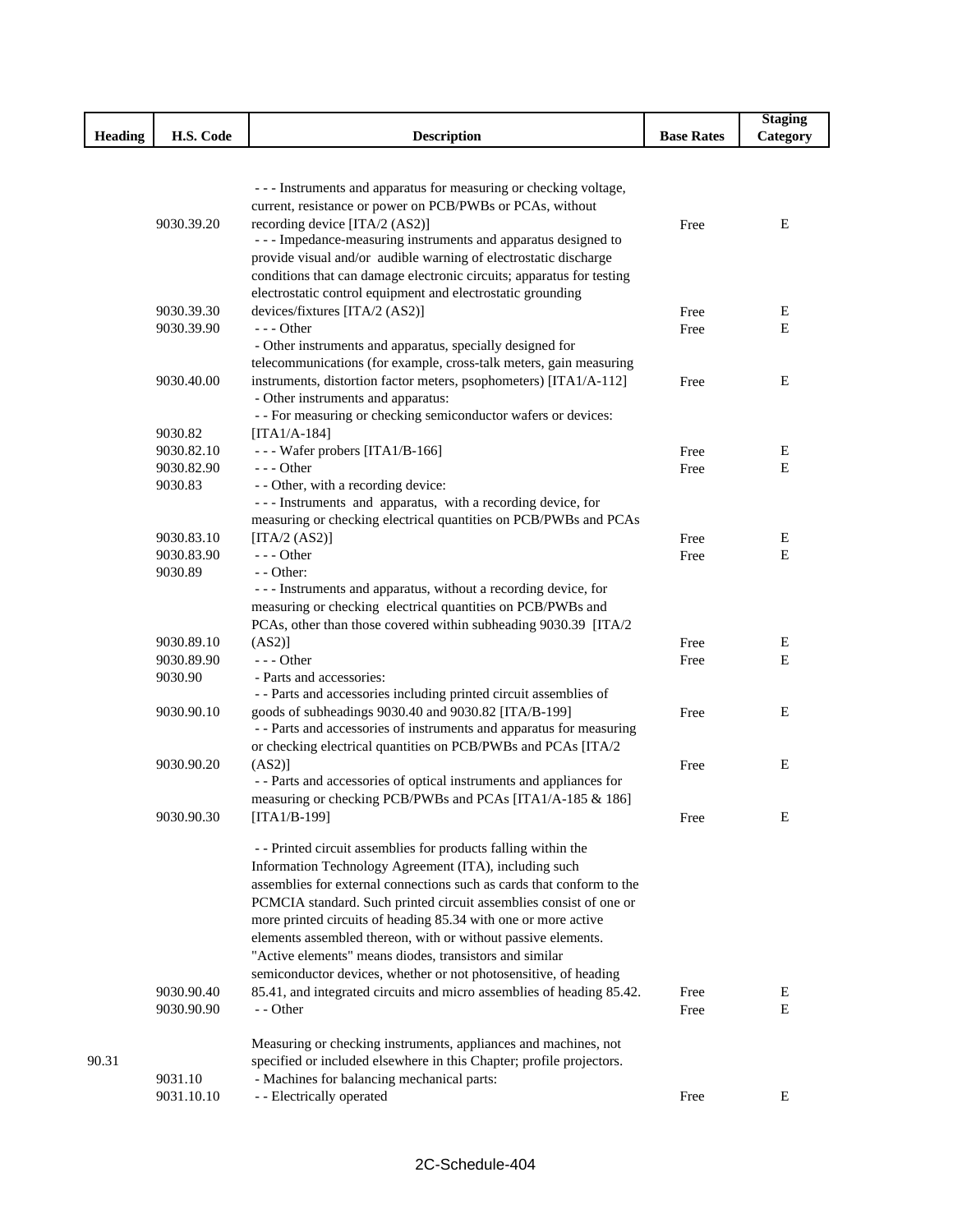|                |            |                                                                       |                   | <b>Staging</b> |
|----------------|------------|-----------------------------------------------------------------------|-------------------|----------------|
| <b>Heading</b> | H.S. Code  | <b>Description</b>                                                    | <b>Base Rates</b> | Category       |
|                |            |                                                                       |                   |                |
|                |            |                                                                       |                   |                |
|                |            | - - - Instruments and apparatus for measuring or checking voltage,    |                   |                |
|                |            | current, resistance or power on PCB/PWBs or PCAs, without             |                   |                |
|                | 9030.39.20 | recording device [ITA/2 (AS2)]                                        | Free              | E              |
|                |            | - - - Impedance-measuring instruments and apparatus designed to       |                   |                |
|                |            | provide visual and/or audible warning of electrostatic discharge      |                   |                |
|                |            | conditions that can damage electronic circuits; apparatus for testing |                   |                |
|                |            | electrostatic control equipment and electrostatic grounding           |                   |                |
|                | 9030.39.30 | devices/fixtures [ITA/2 (AS2)]                                        | Free              | E              |
|                | 9030.39.90 | $--$ Other                                                            | Free              | E              |
|                |            | - Other instruments and apparatus, specially designed for             |                   |                |
|                |            | telecommunications (for example, cross-talk meters, gain measuring    |                   |                |
|                | 9030.40.00 | instruments, distortion factor meters, psophometers) [ITA1/A-112]     | Free              | Ε              |
|                |            | - Other instruments and apparatus:                                    |                   |                |
|                |            | - - For measuring or checking semiconductor wafers or devices:        |                   |                |
|                | 9030.82    | $[ITA1/A-184]$                                                        |                   |                |
|                | 9030.82.10 | --- Wafer probers [ITA1/B-166]                                        |                   | Ε              |
|                | 9030.82.90 | $- -$ Other                                                           | Free              | Е              |
|                | 9030.83    | - - Other, with a recording device:                                   | Free              |                |
|                |            | --- Instruments and apparatus, with a recording device, for           |                   |                |
|                |            |                                                                       |                   |                |
|                |            | measuring or checking electrical quantities on PCB/PWBs and PCAs      |                   |                |
|                | 9030.83.10 | [ITA/2 $(AS2)$ ]<br>$--$ Other                                        | Free              | Е              |
|                | 9030.83.90 |                                                                       | Free              | E              |
|                | 9030.89    | - - Other:                                                            |                   |                |
|                |            | - - - Instruments and apparatus, without a recording device, for      |                   |                |
|                |            | measuring or checking electrical quantities on PCB/PWBs and           |                   |                |
|                |            | PCAs, other than those covered within subheading 9030.39 [ITA/2       |                   |                |
|                | 9030.89.10 | (AS2)]                                                                | Free              | Ε              |
|                | 9030.89.90 | $--$ Other                                                            | Free              | $\mathbf E$    |
|                | 9030.90    | - Parts and accessories:                                              |                   |                |
|                |            | - - Parts and accessories including printed circuit assemblies of     |                   |                |
|                | 9030.90.10 | goods of subheadings 9030.40 and 9030.82 [ITA/B-199]                  | Free              | Е              |
|                |            | - - Parts and accessories of instruments and apparatus for measuring  |                   |                |
|                |            | or checking electrical quantities on PCB/PWBs and PCAs [ITA/2         |                   |                |
|                | 9030.90.20 | $(AS2)$ ]                                                             | Free              | Ε              |
|                |            | - - Parts and accessories of optical instruments and appliances for   |                   |                |
|                |            | measuring or checking PCB/PWBs and PCAs [ITA1/A-185 & 186]            |                   |                |
|                | 9030.90.30 | [ITA1/B-199]                                                          | Free              | E              |
|                |            |                                                                       |                   |                |
|                |            | - - Printed circuit assemblies for products falling within the        |                   |                |
|                |            | Information Technology Agreement (ITA), including such                |                   |                |
|                |            | assemblies for external connections such as cards that conform to the |                   |                |
|                |            | PCMCIA standard. Such printed circuit assemblies consist of one or    |                   |                |
|                |            | more printed circuits of heading 85.34 with one or more active        |                   |                |
|                |            | elements assembled thereon, with or without passive elements.         |                   |                |
|                |            | "Active elements" means diodes, transistors and similar               |                   |                |
|                |            | semiconductor devices, whether or not photosensitive, of heading      |                   |                |
|                | 9030.90.40 | 85.41, and integrated circuits and micro assemblies of heading 85.42. | Free              | E              |
|                | 9030.90.90 | - - Other                                                             | Free              | Ε              |
|                |            |                                                                       |                   |                |
|                |            | Measuring or checking instruments, appliances and machines, not       |                   |                |
| 90.31          |            | specified or included elsewhere in this Chapter; profile projectors.  |                   |                |
|                | 9031.10    | - Machines for balancing mechanical parts:                            |                   |                |
|                | 9031.10.10 | - - Electrically operated                                             | Free              | E              |
|                |            |                                                                       |                   |                |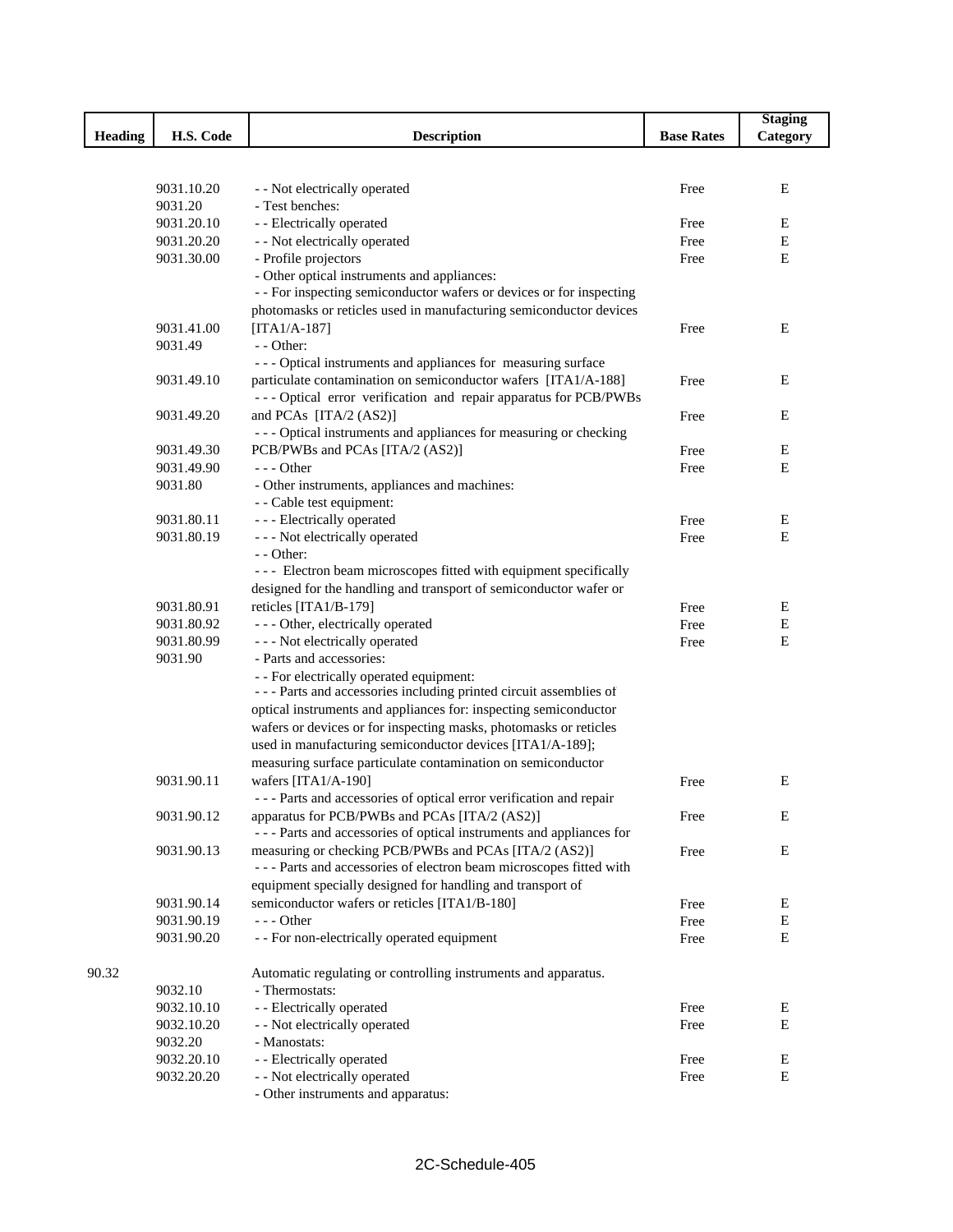|         |            |                                                                      |                   | <b>Staging</b> |
|---------|------------|----------------------------------------------------------------------|-------------------|----------------|
| Heading | H.S. Code  | <b>Description</b>                                                   | <b>Base Rates</b> | Category       |
|         |            |                                                                      |                   |                |
|         |            |                                                                      |                   |                |
|         | 9031.10.20 | - - Not electrically operated                                        | Free              | Ε              |
|         | 9031.20    | - Test benches:                                                      |                   |                |
|         | 9031.20.10 | - - Electrically operated                                            | Free              | Ε              |
|         | 9031.20.20 | - - Not electrically operated                                        | Free              | ${\bf E}$      |
|         | 9031.30.00 | - Profile projectors                                                 | Free              | E              |
|         |            | - Other optical instruments and appliances:                          |                   |                |
|         |            | - - For inspecting semiconductor wafers or devices or for inspecting |                   |                |
|         |            | photomasks or reticles used in manufacturing semiconductor devices   |                   |                |
|         | 9031.41.00 | $[ITA1/A-187]$                                                       | Free              | E              |
|         | 9031.49    | $-$ - Other:                                                         |                   |                |
|         |            | --- Optical instruments and appliances for measuring surface         |                   |                |
|         | 9031.49.10 | particulate contamination on semiconductor wafers [ITA1/A-188]       | Free              | Ε              |
|         |            | --- Optical error verification and repair apparatus for PCB/PWBs     |                   |                |
|         | 9031.49.20 | and PCAs [ITA/2 (AS2)]                                               | Free              | Ε              |
|         |            | --- Optical instruments and appliances for measuring or checking     |                   |                |
|         | 9031.49.30 | PCB/PWBs and PCAs [ITA/2 (AS2)]                                      | Free              | Ε              |
|         | 9031.49.90 | $- -$ Other                                                          | Free              | E              |
|         | 9031.80    | - Other instruments, appliances and machines:                        |                   |                |
|         |            | - - Cable test equipment:                                            |                   |                |
|         | 9031.80.11 | - - - Electrically operated                                          | Free              | Е              |
|         | 9031.80.19 | --- Not electrically operated                                        | Free              | E              |
|         |            | - - Other:                                                           |                   |                |
|         |            | - - - Electron beam microscopes fitted with equipment specifically   |                   |                |
|         |            | designed for the handling and transport of semiconductor wafer or    |                   |                |
|         | 9031.80.91 | reticles [ITA1/B-179]                                                | Free              | Ε              |
|         | 9031.80.92 | - - - Other, electrically operated                                   | Free              | Е              |
|         | 9031.80.99 | - - - Not electrically operated                                      | Free              | E              |
|         | 9031.90    | - Parts and accessories:                                             |                   |                |
|         |            | - - For electrically operated equipment:                             |                   |                |
|         |            | --- Parts and accessories including printed circuit assemblies of    |                   |                |
|         |            | optical instruments and appliances for: inspecting semiconductor     |                   |                |
|         |            | wafers or devices or for inspecting masks, photomasks or reticles    |                   |                |
|         |            | used in manufacturing semiconductor devices [ITA1/A-189];            |                   |                |
|         |            | measuring surface particulate contamination on semiconductor         |                   |                |
|         | 9031.90.11 | wafers [ITA1/A-190]                                                  | Free              | E              |
|         |            | --- Parts and accessories of optical error verification and repair   |                   |                |
|         | 9031.90.12 | apparatus for PCB/PWBs and PCAs [ITA/2 (AS2)]                        | Free              | Ε              |
|         |            | --- Parts and accessories of optical instruments and appliances for  |                   |                |
|         | 9031.90.13 | measuring or checking PCB/PWBs and PCAs [ITA/2 (AS2)]                | Free              | Ε              |
|         |            | --- Parts and accessories of electron beam microscopes fitted with   |                   |                |
|         |            | equipment specially designed for handling and transport of           |                   |                |
|         | 9031.90.14 | semiconductor wafers or reticles [ITA1/B-180]                        | Free              | Ε              |
|         | 9031.90.19 | $- -$ Other                                                          | Free              | Е              |
|         | 9031.90.20 | - - For non-electrically operated equipment                          | Free              | Е              |
|         |            |                                                                      |                   |                |
| 90.32   |            | Automatic regulating or controlling instruments and apparatus.       |                   |                |
|         | 9032.10    | - Thermostats:                                                       |                   |                |
|         | 9032.10.10 | - - Electrically operated                                            | Free              | Ε              |
|         | 9032.10.20 | - - Not electrically operated                                        | Free              | E              |
|         | 9032.20    | - Manostats:                                                         |                   |                |
|         | 9032.20.10 | - - Electrically operated                                            | Free              | Ε              |
|         | 9032.20.20 | - - Not electrically operated                                        | Free              | Е              |
|         |            | - Other instruments and apparatus:                                   |                   |                |
|         |            |                                                                      |                   |                |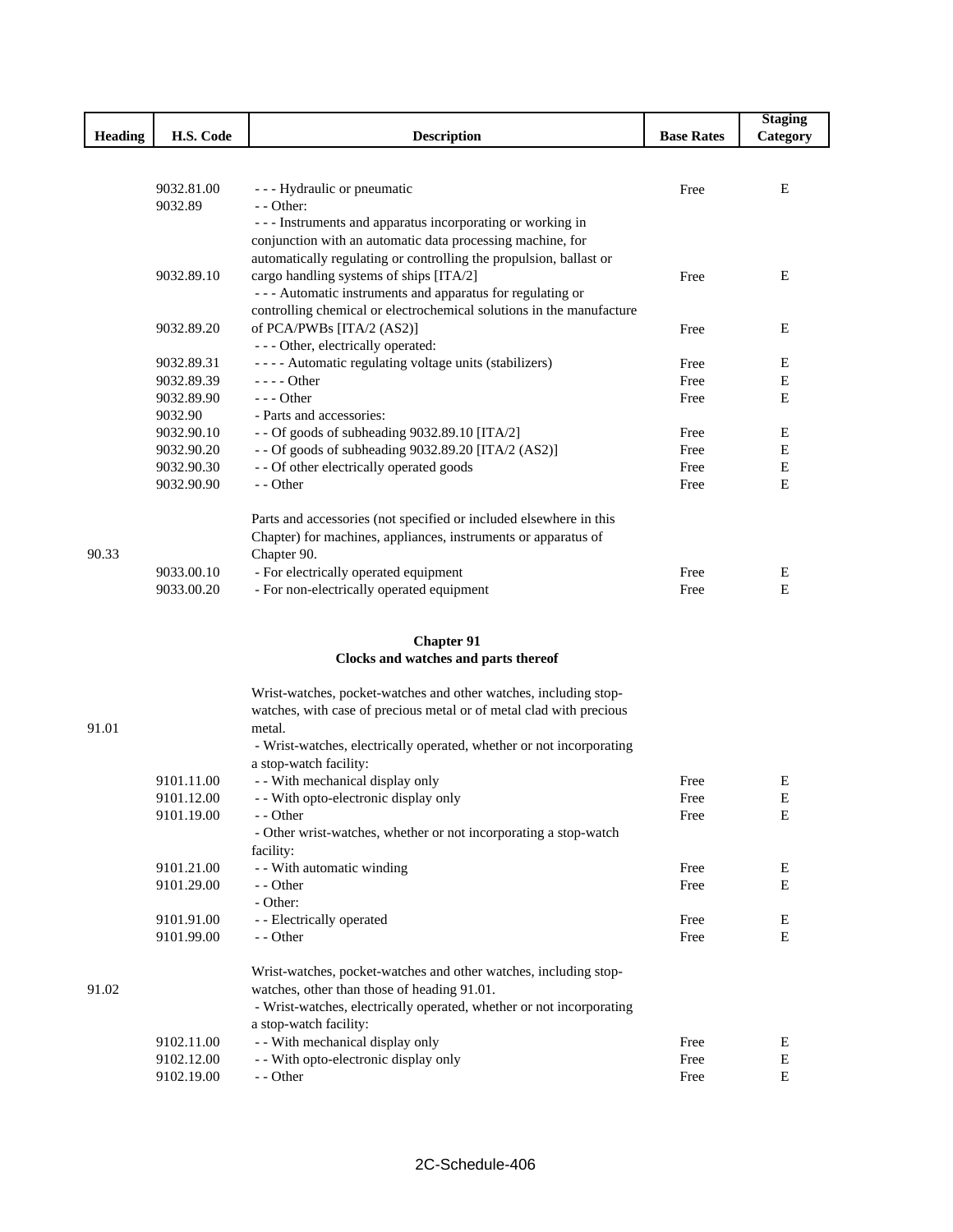|         |            |                                                                      |                   | <b>Staging</b> |
|---------|------------|----------------------------------------------------------------------|-------------------|----------------|
| Heading | H.S. Code  | <b>Description</b>                                                   | <b>Base Rates</b> | Category       |
|         |            |                                                                      |                   |                |
|         |            |                                                                      |                   |                |
|         | 9032.81.00 | - - - Hydraulic or pneumatic                                         | Free              | Ε              |
|         | 9032.89    | $-$ - Other:                                                         |                   |                |
|         |            | --- Instruments and apparatus incorporating or working in            |                   |                |
|         |            | conjunction with an automatic data processing machine, for           |                   |                |
|         |            | automatically regulating or controlling the propulsion, ballast or   |                   |                |
|         | 9032.89.10 | cargo handling systems of ships [ITA/2]                              | Free              | Ε              |
|         |            | - - - Automatic instruments and apparatus for regulating or          |                   |                |
|         |            | controlling chemical or electrochemical solutions in the manufacture |                   |                |
|         | 9032.89.20 | of PCA/PWBs [ITA/2 (AS2)]                                            | Free              | Ε              |
|         |            | - - - Other, electrically operated:                                  |                   |                |
|         | 9032.89.31 | ---- Automatic regulating voltage units (stabilizers)                | Free              | Ε              |
|         | 9032.89.39 | $--- Other$                                                          | Free              | Ε              |
|         | 9032.89.90 | $--$ Other                                                           | Free              | Ε              |
|         | 9032.90    | - Parts and accessories:                                             |                   |                |
|         | 9032.90.10 | - - Of goods of subheading 9032.89.10 [ITA/2]                        | Free              | E              |
|         | 9032.90.20 | - - Of goods of subheading 9032.89.20 [ITA/2 (AS2)]                  | Free              | Ε              |
|         | 9032.90.30 | - - Of other electrically operated goods                             | Free              | Ε              |
|         | 9032.90.90 | - - Other                                                            | Free              | Ε              |
|         |            |                                                                      |                   |                |
|         |            | Parts and accessories (not specified or included elsewhere in this   |                   |                |
|         |            | Chapter) for machines, appliances, instruments or apparatus of       |                   |                |
| 90.33   |            | Chapter 90.                                                          |                   |                |
|         | 9033.00.10 | - For electrically operated equipment                                | Free              | Ε              |
|         | 9033.00.20 | - For non-electrically operated equipment                            | Free              | Ε              |
|         |            |                                                                      |                   |                |
|         |            |                                                                      |                   |                |
|         |            | <b>Chapter 91</b>                                                    |                   |                |
|         |            | Clocks and watches and parts thereof                                 |                   |                |
|         |            |                                                                      |                   |                |
|         |            | Wrist-watches, pocket-watches and other watches, including stop-     |                   |                |
|         |            | watches, with case of precious metal or of metal clad with precious  |                   |                |
| 91.01   |            | metal.                                                               |                   |                |
|         |            | - Wrist-watches, electrically operated, whether or not incorporating |                   |                |
|         |            | a stop-watch facility:                                               |                   |                |
|         | 9101.11.00 | - - With mechanical display only                                     | Free              | E              |
|         | 9101.12.00 | - With opto-electronic display only                                  | Free              | $\mathbf E$    |
|         | 9101.19.00 | - - Other                                                            | Free              | Ε              |
|         |            | - Other wrist-watches, whether or not incorporating a stop-watch     |                   |                |
|         |            | facility:                                                            |                   |                |
|         | 9101.21.00 | - - With automatic winding                                           | Free              | E              |
|         | 9101.29.00 | - - Other                                                            | Free              | Ε              |
|         |            | - Other:                                                             |                   |                |
|         | 9101.91.00 | - - Electrically operated                                            | Free              | E              |
|         | 9101.99.00 | - - Other                                                            | Free              | E              |
|         |            |                                                                      |                   |                |
|         |            | Wrist-watches, pocket-watches and other watches, including stop-     |                   |                |
| 91.02   |            | watches, other than those of heading 91.01.                          |                   |                |
|         |            | - Wrist-watches, electrically operated, whether or not incorporating |                   |                |
|         |            | a stop-watch facility:                                               |                   |                |
|         | 9102.11.00 | - - With mechanical display only                                     | Free              | E              |
|         | 9102.12.00 | - - With opto-electronic display only                                | Free              | E              |
|         | 9102.19.00 | - - Other                                                            | Free              | E              |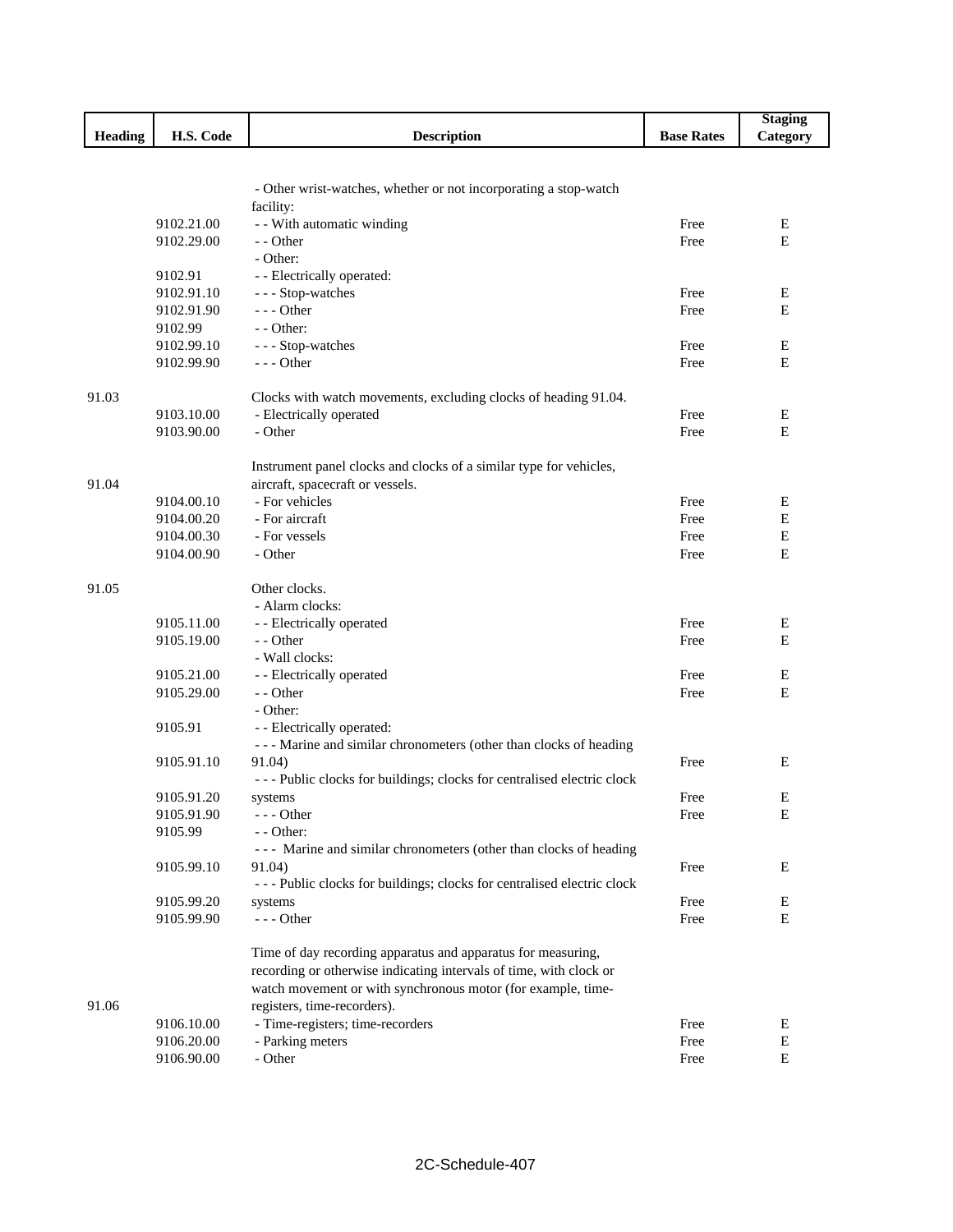|         |                          |                                                                                 |                   | <b>Staging</b>   |
|---------|--------------------------|---------------------------------------------------------------------------------|-------------------|------------------|
| Heading | H.S. Code                | <b>Description</b>                                                              | <b>Base Rates</b> | Category         |
|         |                          |                                                                                 |                   |                  |
|         |                          |                                                                                 |                   |                  |
|         |                          | - Other wrist-watches, whether or not incorporating a stop-watch                |                   |                  |
|         |                          | facility:                                                                       |                   |                  |
|         | 9102.21.00<br>9102.29.00 | - - With automatic winding<br>- - Other                                         | Free<br>Free      | E<br>E           |
|         |                          | - Other:                                                                        |                   |                  |
|         | 9102.91                  | - - Electrically operated:                                                      |                   |                  |
|         | 9102.91.10               | --- Stop-watches                                                                | Free              | Ε                |
|         | 9102.91.90               | $--$ Other                                                                      | Free              | E                |
|         | 9102.99                  | $-$ - Other:                                                                    |                   |                  |
|         | 9102.99.10               | --- Stop-watches                                                                | Free              | Ε                |
|         | 9102.99.90               | $--$ Other                                                                      | Free              | E                |
|         |                          |                                                                                 |                   |                  |
| 91.03   |                          | Clocks with watch movements, excluding clocks of heading 91.04.                 |                   |                  |
|         | 9103.10.00               | - Electrically operated                                                         | Free              | Ε                |
|         | 9103.90.00               | - Other                                                                         | Free              | E                |
|         |                          |                                                                                 |                   |                  |
|         |                          | Instrument panel clocks and clocks of a similar type for vehicles,              |                   |                  |
| 91.04   |                          | aircraft, spacecraft or vessels.                                                |                   |                  |
|         | 9104.00.10               | - For vehicles                                                                  | Free              | Ε                |
|         | 9104.00.20               | - For aircraft                                                                  | Free              | E                |
|         | 9104.00.30<br>9104.00.90 | - For vessels<br>- Other                                                        | Free              | $\mathbf E$<br>E |
|         |                          |                                                                                 | Free              |                  |
| 91.05   |                          | Other clocks.                                                                   |                   |                  |
|         |                          | - Alarm clocks:                                                                 |                   |                  |
|         | 9105.11.00               | - - Electrically operated                                                       | Free              | Ε                |
|         | 9105.19.00               | - - Other                                                                       | Free              | E                |
|         |                          | - Wall clocks:                                                                  |                   |                  |
|         | 9105.21.00               | - - Electrically operated                                                       | Free              | Ε                |
|         | 9105.29.00               | - - Other                                                                       | Free              | E                |
|         |                          | - Other:                                                                        |                   |                  |
|         | 9105.91                  | - - Electrically operated:                                                      |                   |                  |
|         |                          | --- Marine and similar chronometers (other than clocks of heading               |                   |                  |
|         | 9105.91.10               | 91.04)                                                                          | Free              | Ε                |
|         |                          | --- Public clocks for buildings; clocks for centralised electric clock          |                   |                  |
|         | 9105.91.20               | systems                                                                         | Free              | E                |
|         | 9105.91.90               | $--$ Other                                                                      | Free              | Е                |
|         | 9105.99                  | - - Other:<br>--- Marine and similar chronometers (other than clocks of heading |                   |                  |
|         | 9105.99.10               | 91.04)                                                                          | Free              | Ε                |
|         |                          | --- Public clocks for buildings; clocks for centralised electric clock          |                   |                  |
|         | 9105.99.20               | systems                                                                         | Free              | E                |
|         | 9105.99.90               | --- Other                                                                       | Free              | E                |
|         |                          |                                                                                 |                   |                  |
|         |                          | Time of day recording apparatus and apparatus for measuring,                    |                   |                  |
|         |                          | recording or otherwise indicating intervals of time, with clock or              |                   |                  |
|         |                          | watch movement or with synchronous motor (for example, time-                    |                   |                  |
| 91.06   |                          | registers, time-recorders).                                                     |                   |                  |
|         | 9106.10.00               | - Time-registers; time-recorders                                                | Free              | E                |
|         | 9106.20.00               | - Parking meters                                                                | Free              | ${\bf E}$        |
|         | 9106.90.00               | - Other                                                                         | Free              | $\mathbf E$      |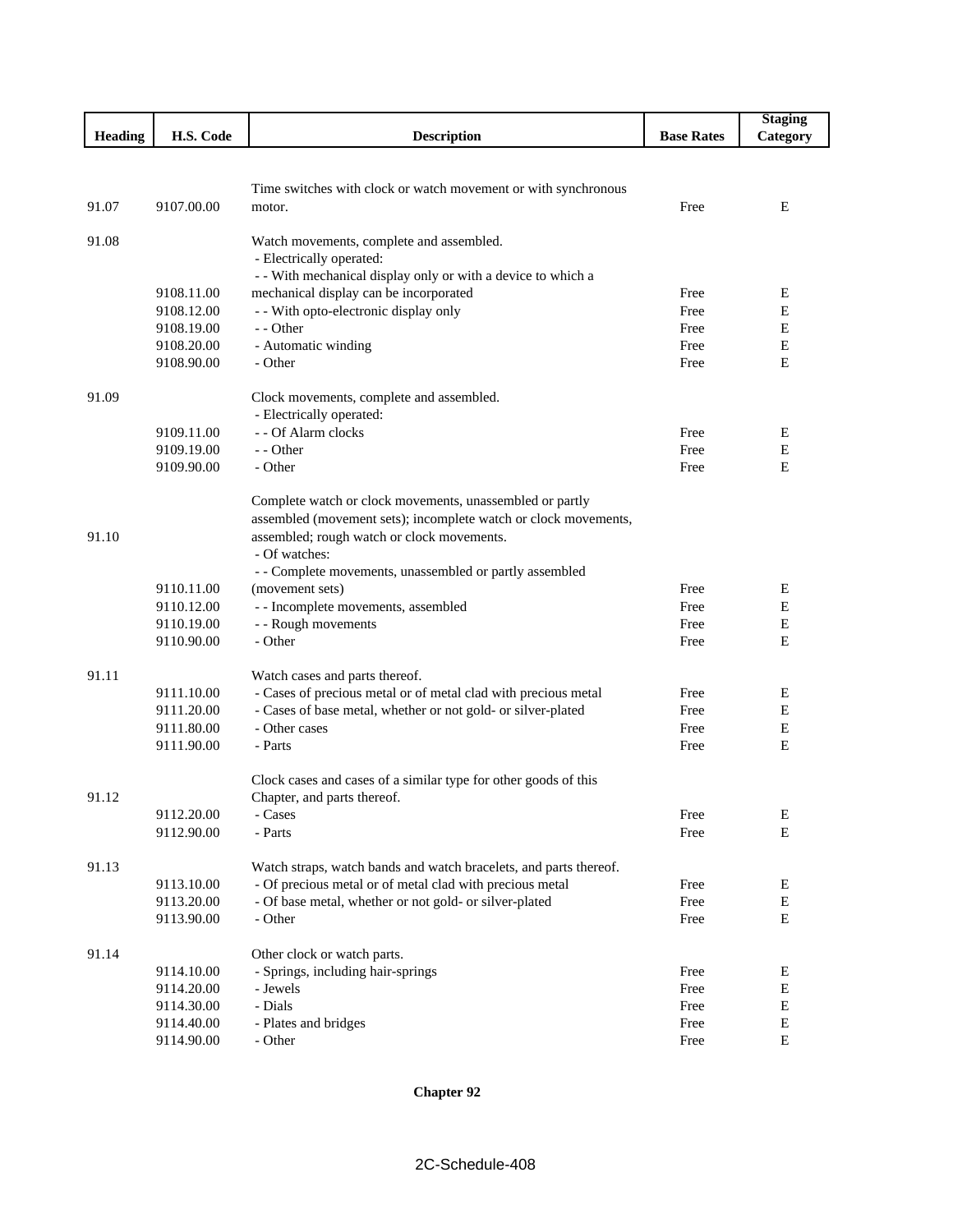|                |                          |                                                                   |                   | <b>Staging</b> |
|----------------|--------------------------|-------------------------------------------------------------------|-------------------|----------------|
| <b>Heading</b> | H.S. Code                | <b>Description</b>                                                | <b>Base Rates</b> | Category       |
|                |                          |                                                                   |                   |                |
|                |                          |                                                                   |                   |                |
|                |                          | Time switches with clock or watch movement or with synchronous    |                   |                |
| 91.07          | 9107.00.00               | motor.                                                            | Free              | Ε              |
|                |                          |                                                                   |                   |                |
| 91.08          |                          | Watch movements, complete and assembled.                          |                   |                |
|                |                          | - Electrically operated:                                          |                   |                |
|                |                          | - - With mechanical display only or with a device to which a      |                   |                |
|                | 9108.11.00<br>9108.12.00 | mechanical display can be incorporated                            | Free              | E              |
|                |                          | - - With opto-electronic display only                             | Free              | Е              |
|                | 9108.19.00<br>9108.20.00 | - - Other                                                         | Free<br>Free      | Ε<br>Ε         |
|                | 9108.90.00               | - Automatic winding<br>- Other                                    | Free              | E              |
|                |                          |                                                                   |                   |                |
| 91.09          |                          | Clock movements, complete and assembled.                          |                   |                |
|                |                          | - Electrically operated:                                          |                   |                |
|                | 9109.11.00               | - - Of Alarm clocks                                               | Free              | Е              |
|                | 9109.19.00               | - - Other                                                         | Free              | E              |
|                | 9109.90.00               | - Other                                                           | Free              | E              |
|                |                          |                                                                   |                   |                |
|                |                          | Complete watch or clock movements, unassembled or partly          |                   |                |
|                |                          | assembled (movement sets); incomplete watch or clock movements,   |                   |                |
| 91.10          |                          | assembled; rough watch or clock movements.                        |                   |                |
|                |                          | - Of watches:                                                     |                   |                |
|                |                          | - - Complete movements, unassembled or partly assembled           |                   |                |
|                | 9110.11.00               | (movement sets)                                                   | Free              | E              |
|                | 9110.12.00               | - - Incomplete movements, assembled                               | Free              | E              |
|                | 9110.19.00               | - - Rough movements                                               | Free              | $\mathbf E$    |
|                | 9110.90.00               | - Other                                                           | Free              | E              |
|                |                          |                                                                   |                   |                |
| 91.11          |                          | Watch cases and parts thereof.                                    |                   |                |
|                | 9111.10.00               | - Cases of precious metal or of metal clad with precious metal    | Free              | Ε              |
|                | 9111.20.00               | - Cases of base metal, whether or not gold- or silver-plated      | Free              | E              |
|                | 9111.80.00               | - Other cases<br>- Parts                                          | Free              | Е<br>E         |
|                | 9111.90.00               |                                                                   | Free              |                |
|                |                          | Clock cases and cases of a similar type for other goods of this   |                   |                |
| 91.12          |                          | Chapter, and parts thereof.                                       |                   |                |
|                | 9112.20.00               | - Cases                                                           | Free              | E              |
|                | 9112.90.00               | - Parts                                                           | Free              | ${\bf E}$      |
|                |                          |                                                                   |                   |                |
| 91.13          |                          | Watch straps, watch bands and watch bracelets, and parts thereof. |                   |                |
|                | 9113.10.00               | - Of precious metal or of metal clad with precious metal          | Free              | Е              |
|                | 9113.20.00               | - Of base metal, whether or not gold- or silver-plated            | Free              | $\mathbf E$    |
|                | 9113.90.00               | - Other                                                           | Free              | $\mathbf E$    |
|                |                          |                                                                   |                   |                |
| 91.14          |                          | Other clock or watch parts.                                       |                   |                |
|                | 9114.10.00               | - Springs, including hair-springs                                 | Free              | Ε              |
|                | 9114.20.00               | - Jewels                                                          | Free              | E              |
|                | 9114.30.00               | - Dials                                                           | Free              | Е              |
|                | 9114.40.00               | - Plates and bridges                                              | Free              | $\mathbf E$    |
|                | 9114.90.00               | - Other                                                           | Free              | ${\bf E}$      |

**Chapter 92**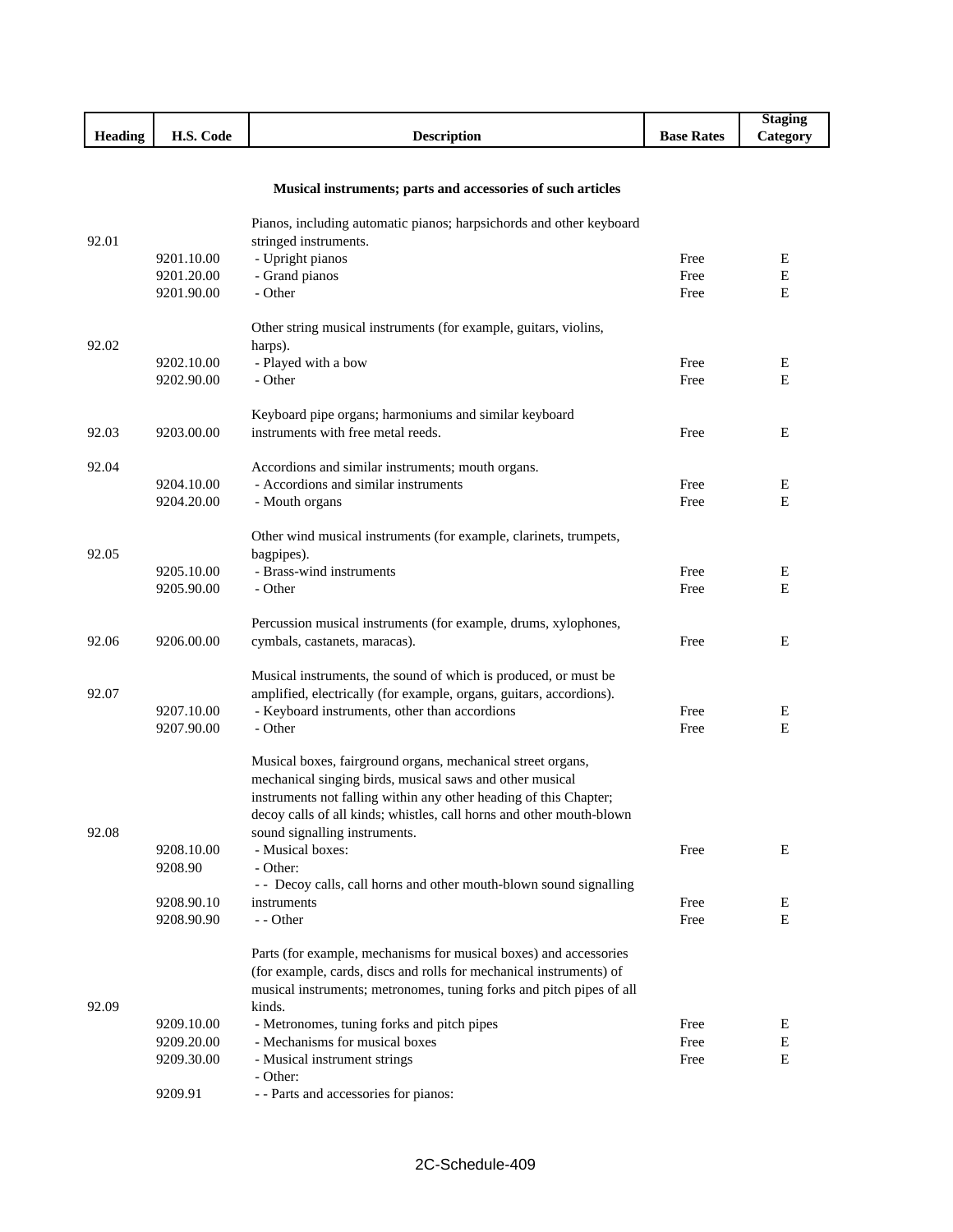|                |              |                    |                   | Staging         |
|----------------|--------------|--------------------|-------------------|-----------------|
| <b>Heading</b> | Code<br>H.S. | <b>Description</b> | <b>Base Rates</b> | <b>Category</b> |
|                |              |                    |                   |                 |

I

I

## **Musical instruments; parts and accessories of such articles**

| 92.01 |            | Pianos, including automatic pianos; harpsichords and other keyboard<br>stringed instruments. |      |   |
|-------|------------|----------------------------------------------------------------------------------------------|------|---|
|       | 9201.10.00 | - Upright pianos                                                                             | Free | Ε |
|       | 9201.20.00 | - Grand pianos                                                                               | Free | E |
|       | 9201.90.00 | - Other                                                                                      | Free | E |
|       |            | Other string musical instruments (for example, guitars, violins,                             |      |   |
| 92.02 |            | harps).                                                                                      |      |   |
|       | 9202.10.00 | - Played with a bow                                                                          | Free | E |
|       | 9202.90.00 | - Other                                                                                      | Free | Е |
|       |            | Keyboard pipe organs; harmoniums and similar keyboard                                        |      |   |
| 92.03 | 9203.00.00 | instruments with free metal reeds.                                                           | Free | Е |
| 92.04 |            | Accordions and similar instruments; mouth organs.                                            |      |   |
|       | 9204.10.00 | - Accordions and similar instruments                                                         | Free | E |
|       | 9204.20.00 | - Mouth organs                                                                               | Free | E |
|       |            | Other wind musical instruments (for example, clarinets, trumpets,                            |      |   |
| 92.05 |            | bagpipes).                                                                                   |      |   |
|       | 9205.10.00 | - Brass-wind instruments                                                                     | Free | Е |
|       | 9205.90.00 | - Other                                                                                      | Free | E |
|       |            | Percussion musical instruments (for example, drums, xylophones,                              |      |   |
| 92.06 | 9206.00.00 | cymbals, castanets, maracas).                                                                | Free | E |
|       |            | Musical instruments, the sound of which is produced, or must be                              |      |   |
| 92.07 |            | amplified, electrically (for example, organs, guitars, accordions).                          |      |   |
|       | 9207.10.00 | - Keyboard instruments, other than accordions                                                | Free | E |
|       | 9207.90.00 | - Other                                                                                      | Free | E |
|       |            | Musical boxes, fairground organs, mechanical street organs,                                  |      |   |
|       |            | mechanical singing birds, musical saws and other musical                                     |      |   |
|       |            | instruments not falling within any other heading of this Chapter;                            |      |   |
|       |            | decoy calls of all kinds; whistles, call horns and other mouth-blown                         |      |   |
| 92.08 |            | sound signalling instruments.                                                                |      |   |
|       | 9208.10.00 | - Musical boxes:                                                                             | Free | E |
|       | 9208.90    | - Other:                                                                                     |      |   |
|       |            | - - Decoy calls, call horns and other mouth-blown sound signalling                           |      |   |
|       | 9208.90.10 | instruments                                                                                  | Free | E |
|       | 9208.90.90 | - - Other                                                                                    | Free | Е |
|       |            | Parts (for example, mechanisms for musical boxes) and accessories                            |      |   |
|       |            | (for example, cards, discs and rolls for mechanical instruments) of                          |      |   |
|       |            | musical instruments; metronomes, tuning forks and pitch pipes of all                         |      |   |
| 92.09 |            | kinds.                                                                                       |      |   |
|       | 9209.10.00 | - Metronomes, tuning forks and pitch pipes                                                   | Free | Ε |
|       | 9209.20.00 | - Mechanisms for musical boxes                                                               | Free | Е |
|       | 9209.30.00 | - Musical instrument strings                                                                 | Free | Е |
|       |            | - Other:                                                                                     |      |   |
|       | 9209.91    | - - Parts and accessories for pianos:                                                        |      |   |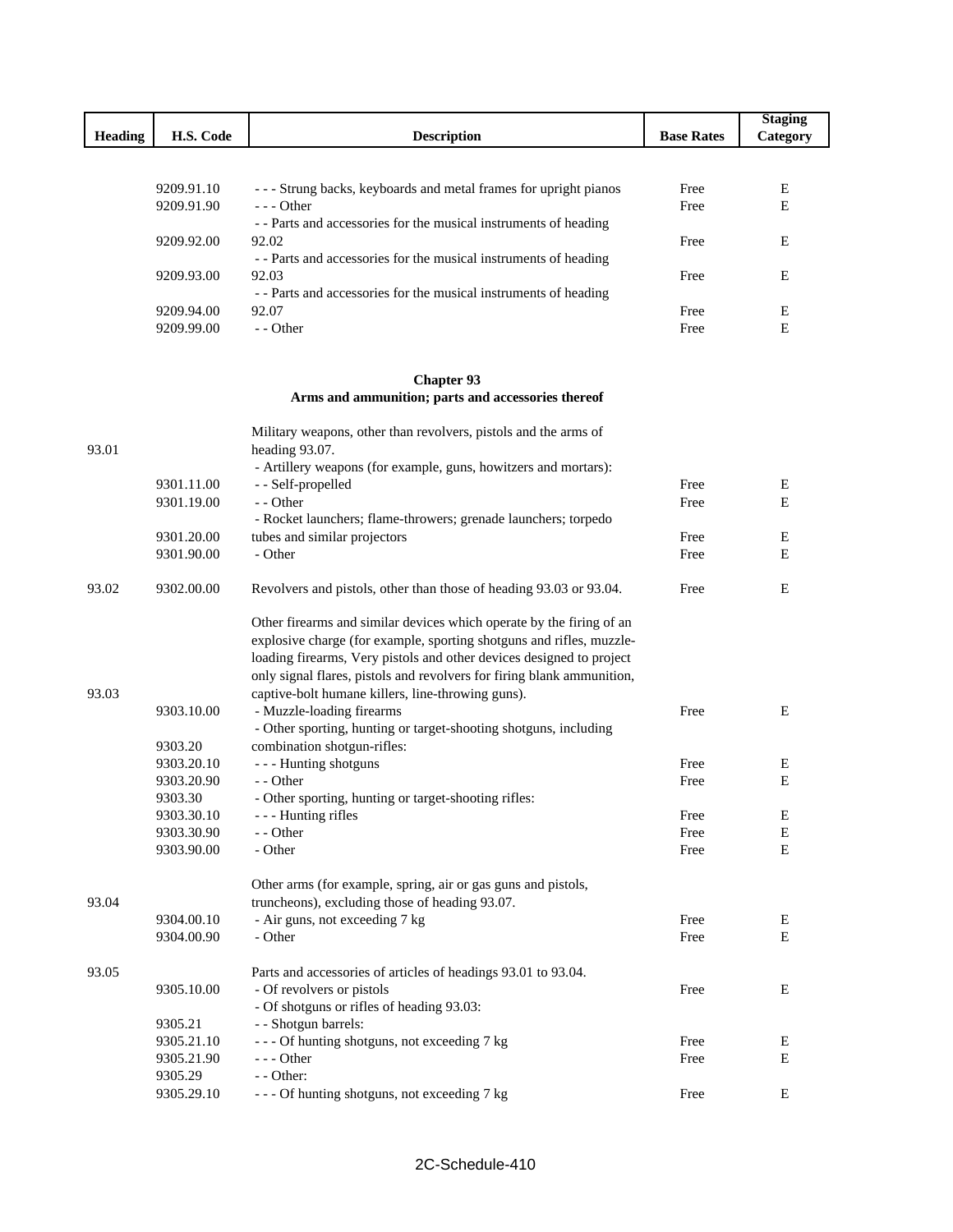|                |                          |                                                                                                                             |                   | <b>Staging</b> |
|----------------|--------------------------|-----------------------------------------------------------------------------------------------------------------------------|-------------------|----------------|
| <b>Heading</b> | H.S. Code                | <b>Description</b>                                                                                                          | <b>Base Rates</b> | Category       |
|                |                          |                                                                                                                             |                   |                |
|                | 9209.91.10               | - - - Strung backs, keyboards and metal frames for upright pianos                                                           | Free              | Е              |
|                | 9209.91.90               | --- Other                                                                                                                   | Free              | E              |
|                |                          | - - Parts and accessories for the musical instruments of heading                                                            |                   |                |
|                | 9209.92.00               | 92.02                                                                                                                       | Free              | Ε              |
|                | 9209.93.00               | - - Parts and accessories for the musical instruments of heading<br>92.03                                                   | Free              | E              |
|                |                          | - - Parts and accessories for the musical instruments of heading                                                            |                   |                |
|                | 9209.94.00               | 92.07                                                                                                                       | Free              | Ε              |
|                | 9209.99.00               | - - Other                                                                                                                   | Free              | Ε              |
|                |                          | <b>Chapter 93</b>                                                                                                           |                   |                |
|                |                          | Arms and ammunition; parts and accessories thereof                                                                          |                   |                |
|                |                          | Military weapons, other than revolvers, pistols and the arms of                                                             |                   |                |
| 93.01          |                          | heading 93.07.                                                                                                              |                   |                |
|                |                          | - Artillery weapons (for example, guns, howitzers and mortars):                                                             |                   |                |
|                | 9301.11.00<br>9301.19.00 | - - Self-propelled<br>- - Other                                                                                             | Free<br>Free      | E<br>E         |
|                |                          | - Rocket launchers; flame-throwers; grenade launchers; torpedo                                                              |                   |                |
|                | 9301.20.00               | tubes and similar projectors                                                                                                | Free              | Ε              |
|                | 9301.90.00               | - Other                                                                                                                     | Free              | E              |
| 93.02          | 9302.00.00               | Revolvers and pistols, other than those of heading 93.03 or 93.04.                                                          | Free              | E              |
|                |                          | Other firearms and similar devices which operate by the firing of an                                                        |                   |                |
|                |                          | explosive charge (for example, sporting shotguns and rifles, muzzle-                                                        |                   |                |
|                |                          | loading firearms, Very pistols and other devices designed to project                                                        |                   |                |
|                |                          | only signal flares, pistols and revolvers for firing blank ammunition,<br>captive-bolt humane killers, line-throwing guns). |                   |                |
| 93.03          | 9303.10.00               | - Muzzle-loading firearms                                                                                                   | Free              | Ε              |
|                |                          | - Other sporting, hunting or target-shooting shotguns, including                                                            |                   |                |
|                | 9303.20                  | combination shotgun-rifles:                                                                                                 |                   |                |
|                | 9303.20.10               | --- Hunting shotguns                                                                                                        | Free              | Ε              |
|                | 9303.20.90               | - - Other                                                                                                                   | Free              | Е              |
|                | 9303.30                  | - Other sporting, hunting or target-shooting rifles:                                                                        |                   |                |
|                | 9303.30.10<br>9303.30.90 | - - - Hunting rifles<br>- - Other                                                                                           | Free<br>Free      | Е<br>Е         |
|                | 9303.90.00               | - Other                                                                                                                     | Free              | E              |
|                |                          | Other arms (for example, spring, air or gas guns and pistols,                                                               |                   |                |
| 93.04          |                          | truncheons), excluding those of heading 93.07.                                                                              |                   |                |
|                | 9304.00.10               | - Air guns, not exceeding 7 kg                                                                                              | Free              | Ε              |
|                | 9304.00.90               | - Other                                                                                                                     | Free              | $\mathbf E$    |
| 93.05          |                          | Parts and accessories of articles of headings 93.01 to 93.04.                                                               |                   |                |
|                | 9305.10.00               | - Of revolvers or pistols                                                                                                   | Free              | E              |
|                | 9305.21                  | - Of shotguns or rifles of heading 93.03:<br>- - Shotgun barrels:                                                           |                   |                |
|                | 9305.21.10               | --- Of hunting shotguns, not exceeding 7 kg                                                                                 | Free              | Ε              |
|                | 9305.21.90               | $--$ Other                                                                                                                  | Free              | $\mathbf E$    |
|                | 9305.29                  | - - Other:                                                                                                                  |                   |                |
|                | 9305.29.10               | --- Of hunting shotguns, not exceeding 7 kg                                                                                 | Free              | $\mathbf E$    |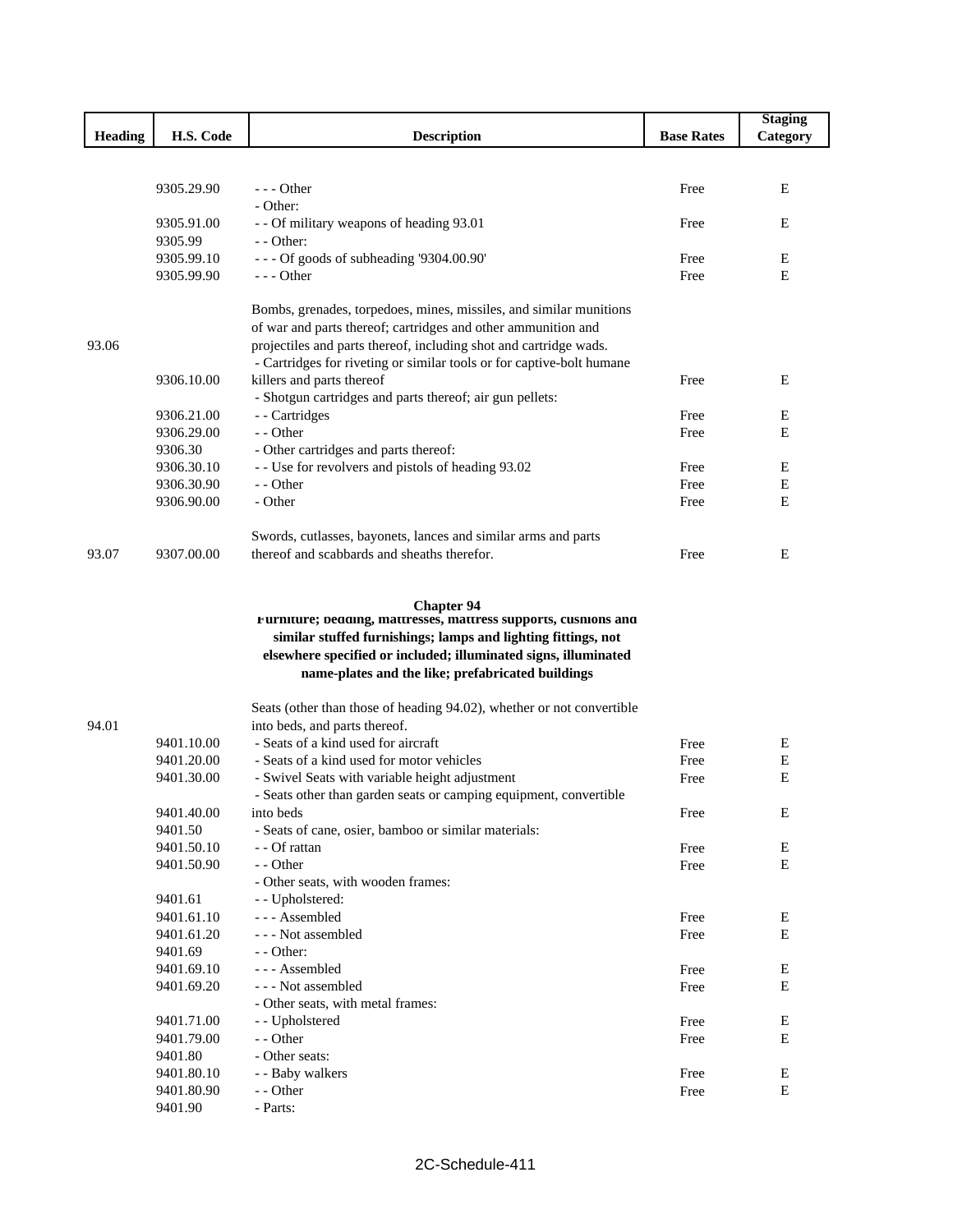|                |            |                                                                       |                   | <b>Staging</b> |
|----------------|------------|-----------------------------------------------------------------------|-------------------|----------------|
| <b>Heading</b> | H.S. Code  | <b>Description</b>                                                    | <b>Base Rates</b> | Category       |
|                |            |                                                                       |                   |                |
|                |            |                                                                       |                   |                |
|                | 9305.29.90 | $- -$ Other                                                           | Free              | E              |
|                |            | - Other:                                                              |                   |                |
|                | 9305.91.00 | - - Of military weapons of heading 93.01                              | Free              | Ε              |
|                | 9305.99    | - - Other:                                                            |                   |                |
|                | 9305.99.10 | --- Of goods of subheading '9304.00.90'                               | Free              | E              |
|                | 9305.99.90 | - - - Other                                                           | Free              | E              |
|                |            | Bombs, grenades, torpedoes, mines, missiles, and similar munitions    |                   |                |
|                |            | of war and parts thereof; cartridges and other ammunition and         |                   |                |
| 93.06          |            | projectiles and parts thereof, including shot and cartridge wads.     |                   |                |
|                |            | - Cartridges for riveting or similar tools or for captive-bolt humane |                   |                |
|                | 9306.10.00 | killers and parts thereof                                             | Free              | Ε              |
|                |            | - Shotgun cartridges and parts thereof; air gun pellets:              |                   |                |
|                | 9306.21.00 | - - Cartridges                                                        | Free              | Ε              |
|                | 9306.29.00 | - - Other                                                             | Free              | Е              |
|                | 9306.30    | - Other cartridges and parts thereof:                                 |                   |                |
|                | 9306.30.10 | - - Use for revolvers and pistols of heading 93.02                    | Free              | Ε              |
|                | 9306.30.90 | - - Other                                                             | Free              | ${\bf E}$      |
|                | 9306.90.00 | - Other                                                               | Free              | E              |
|                |            |                                                                       |                   |                |
|                |            | Swords, cutlasses, bayonets, lances and similar arms and parts        |                   |                |
| 93.07          | 9307.00.00 | thereof and scabbards and sheaths therefor.                           | Free              | E              |
|                |            |                                                                       |                   |                |
|                |            | <b>Chapter 94</b>                                                     |                   |                |
|                |            | Furniture; bedding, mattresses, mattress supports, cushions and       |                   |                |
|                |            | similar stuffed furnishings; lamps and lighting fittings, not         |                   |                |
|                |            | elsewhere specified or included; illuminated signs, illuminated       |                   |                |
|                |            | name-plates and the like; prefabricated buildings                     |                   |                |
|                |            |                                                                       |                   |                |
|                |            | Seats (other than those of heading 94.02), whether or not convertible |                   |                |
| 94.01          |            | into beds, and parts thereof.                                         |                   |                |
|                | 9401.10.00 | - Seats of a kind used for aircraft                                   | Free              | E              |
|                | 9401.20.00 | - Seats of a kind used for motor vehicles                             | Free              | Е              |
|                | 9401.30.00 | - Swivel Seats with variable height adjustment                        | Free              | E              |
|                |            | - Seats other than garden seats or camping equipment, convertible     |                   |                |
|                | 9401.40.00 | into beds                                                             | Free              | Ε              |
|                | 9401.50    | - Seats of cane, osier, bamboo or similar materials:                  |                   |                |
|                | 9401.50.10 | - - Of rattan                                                         | Free              | E              |
|                | 9401.50.90 | - - Other                                                             | Free              | $\mathbf E$    |
|                | 9401.61    | - Other seats, with wooden frames:<br>- Upholstered:                  |                   |                |
|                | 9401.61.10 | --- Assembled                                                         | Free              | Ε              |
|                | 9401.61.20 | --- Not assembled                                                     | Free              | E              |
|                | 9401.69    | - - Other:                                                            |                   |                |
|                | 9401.69.10 | --- Assembled                                                         | Free              | ${\bf E}$      |
|                | 9401.69.20 | --- Not assembled                                                     | Free              | E              |
|                |            | - Other seats, with metal frames:                                     |                   |                |
|                | 9401.71.00 | - - Upholstered                                                       | Free              | E              |
|                | 9401.79.00 | - - Other                                                             | Free              | E              |
|                | 9401.80    | - Other seats:                                                        |                   |                |
|                | 9401.80.10 | - - Baby walkers                                                      | Free              | E              |
|                | 9401.80.90 | - - Other                                                             | Free              | $\mathbf E$    |
|                | 9401.90    | - Parts:                                                              |                   |                |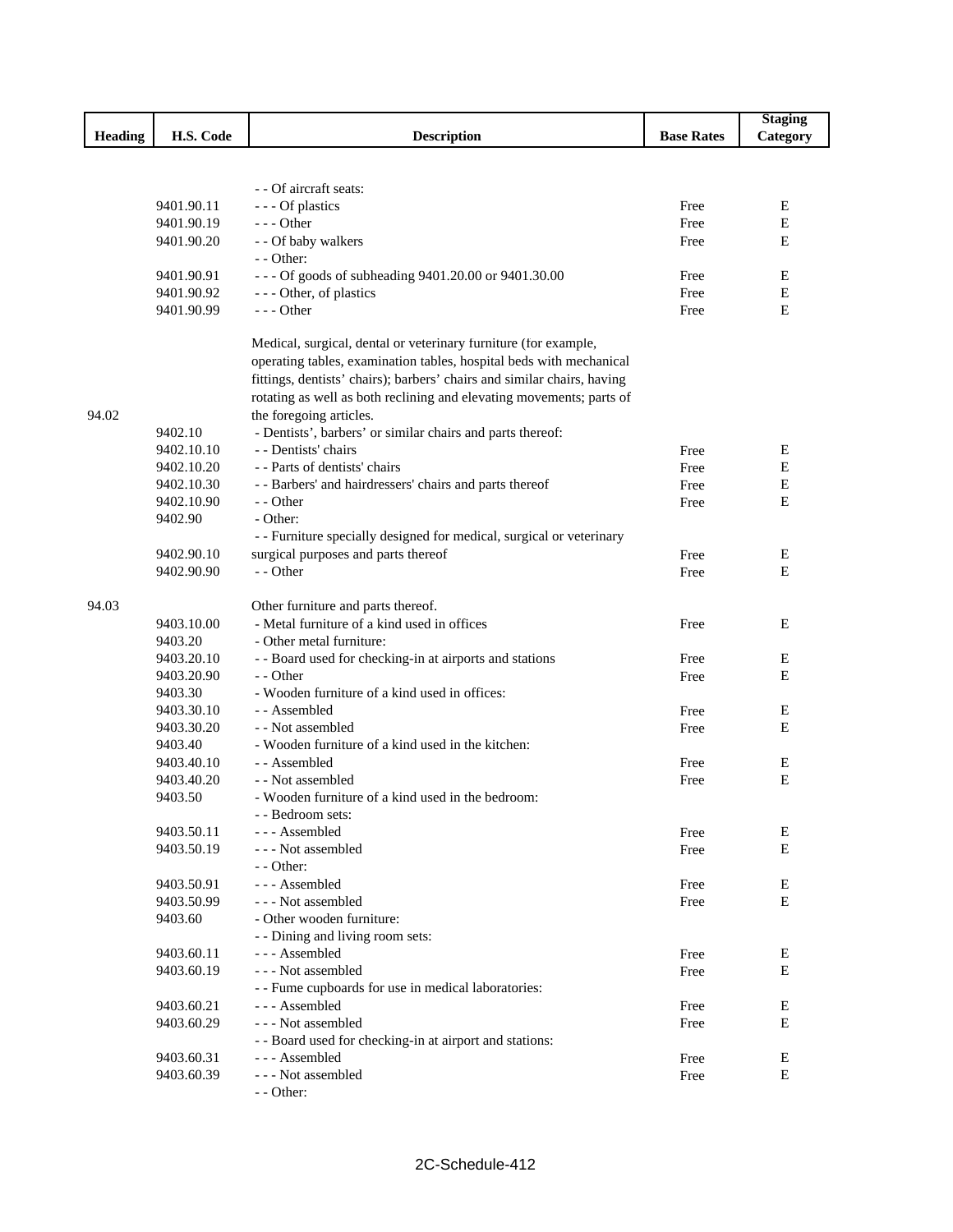|         |                          |                                                                          |                   | <b>Staging</b> |
|---------|--------------------------|--------------------------------------------------------------------------|-------------------|----------------|
| Heading | H.S. Code                | <b>Description</b>                                                       | <b>Base Rates</b> | Category       |
|         |                          |                                                                          |                   |                |
|         |                          |                                                                          |                   |                |
|         |                          | - - Of aircraft seats:                                                   |                   |                |
|         | 9401.90.11               | --- Of plastics                                                          | Free              | Е              |
|         | 9401.90.19               | $- -$ Other                                                              | Free              | E              |
|         | 9401.90.20               | - - Of baby walkers                                                      | Free              | Ε              |
|         |                          | - - Other:                                                               |                   |                |
|         | 9401.90.91               | --- Of goods of subheading 9401.20.00 or 9401.30.00                      | Free              | E              |
|         | 9401.90.92               | --- Other, of plastics                                                   | Free              | Ε              |
|         | 9401.90.99               | $--$ Other                                                               | Free              | Ε              |
|         |                          | Medical, surgical, dental or veterinary furniture (for example,          |                   |                |
|         |                          | operating tables, examination tables, hospital beds with mechanical      |                   |                |
|         |                          | fittings, dentists' chairs); barbers' chairs and similar chairs, having  |                   |                |
|         |                          | rotating as well as both reclining and elevating movements; parts of     |                   |                |
| 94.02   |                          | the foregoing articles.                                                  |                   |                |
|         | 9402.10                  | - Dentists', barbers' or similar chairs and parts thereof:               |                   |                |
|         | 9402.10.10               | - - Dentists' chairs                                                     | Free              | Е              |
|         | 9402.10.20               | - - Parts of dentists' chairs                                            | Free              | Е              |
|         | 9402.10.30               | - - Barbers' and hairdressers' chairs and parts thereof                  | Free              | Е              |
|         | 9402.10.90               | - - Other                                                                | Free              | Ε              |
|         | 9402.90                  | - Other:                                                                 |                   |                |
|         |                          | - - Furniture specially designed for medical, surgical or veterinary     |                   |                |
|         | 9402.90.10               | surgical purposes and parts thereof                                      | Free              | E              |
|         | 9402.90.90               | - - Other                                                                | Free              | Ε              |
|         |                          |                                                                          |                   |                |
| 94.03   |                          | Other furniture and parts thereof.                                       |                   |                |
|         | 9403.10.00               | - Metal furniture of a kind used in offices                              | Free              | E              |
|         | 9403.20                  | - Other metal furniture:                                                 |                   |                |
|         | 9403.20.10               | - - Board used for checking-in at airports and stations                  | Free              | Е              |
|         | 9403.20.90               | - - Other                                                                | Free              | Ε              |
|         | 9403.30                  | - Wooden furniture of a kind used in offices:                            |                   |                |
|         | 9403.30.10               | - - Assembled                                                            | Free              | Е              |
|         | 9403.30.20               | - - Not assembled                                                        | Free              | Ε              |
|         | 9403.40                  | - Wooden furniture of a kind used in the kitchen:                        |                   |                |
|         | 9403.40.10               | - - Assembled                                                            | Free              | Е              |
|         | 9403.40.20               | - - Not assembled                                                        | Free              | E              |
|         | 9403.50                  | - Wooden furniture of a kind used in the bedroom:                        |                   |                |
|         |                          | - - Bedroom sets:                                                        |                   |                |
|         | 9403.50.11               | --- Assembled                                                            | Free              | Е              |
|         | 9403.50.19               | --- Not assembled                                                        | Free              | E              |
|         |                          | - - Other:                                                               |                   |                |
|         | 9403.50.91               | --- Assembled                                                            | Free              | E              |
|         | 9403.50.99               | --- Not assembled                                                        | Free              | E              |
|         | 9403.60                  | - Other wooden furniture:                                                |                   |                |
|         |                          | - - Dining and living room sets:                                         |                   |                |
|         | 9403.60.11               | --- Assembled                                                            | Free              | Ε              |
|         | 9403.60.19               | --- Not assembled                                                        | Free              | Е              |
|         |                          | - - Fume cupboards for use in medical laboratories:                      |                   |                |
|         | 9403.60.21               | --- Assembled                                                            |                   | Е              |
|         | 9403.60.29               | --- Not assembled                                                        | Free              | Ε              |
|         |                          |                                                                          | Free              |                |
|         |                          | - - Board used for checking-in at airport and stations:<br>--- Assembled |                   |                |
|         | 9403.60.31<br>9403.60.39 | --- Not assembled                                                        | Free              | Ε<br>E         |
|         |                          |                                                                          | Free              |                |
|         |                          | - - Other:                                                               |                   |                |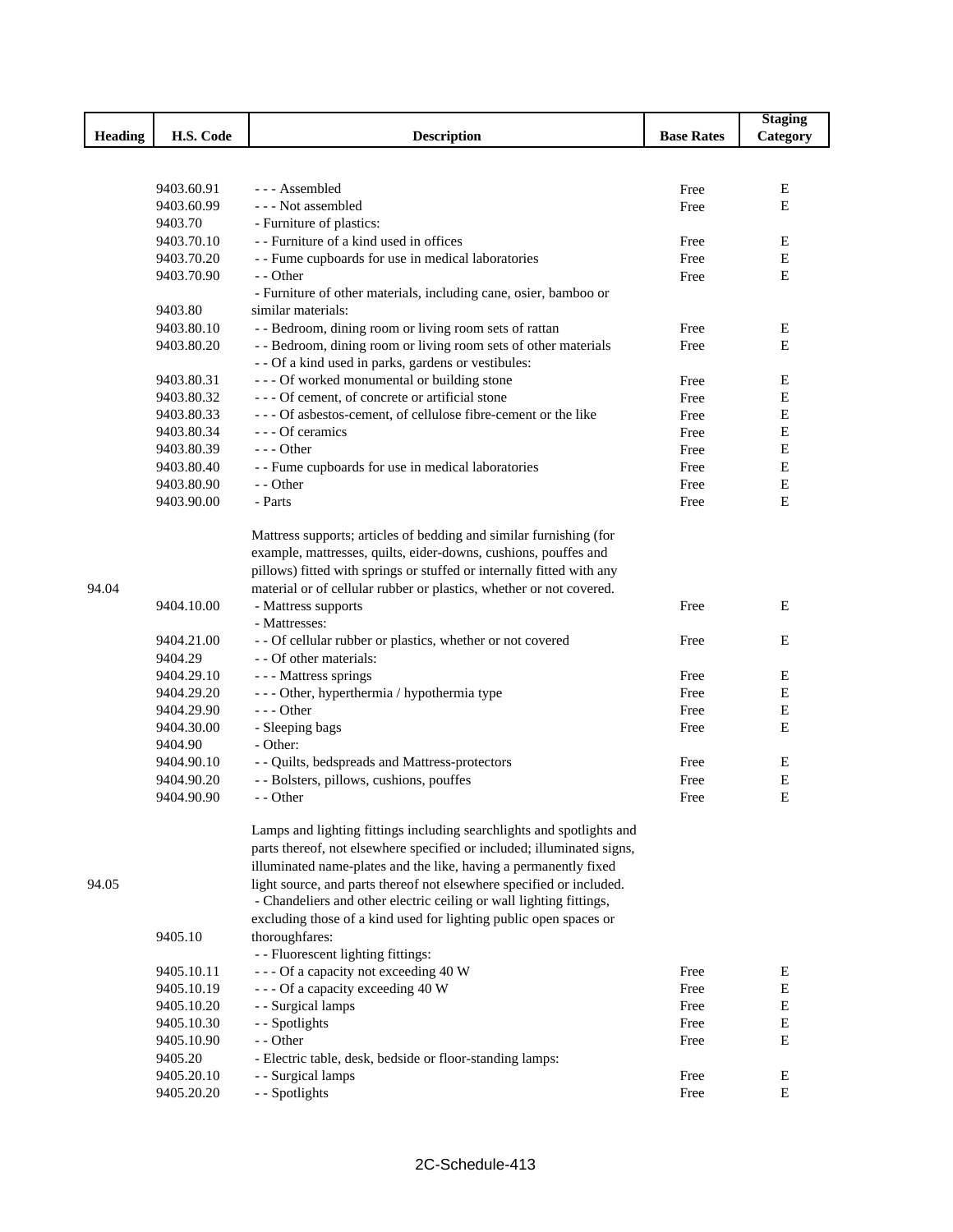|                |            |                                                                        |                   | <b>Staging</b> |
|----------------|------------|------------------------------------------------------------------------|-------------------|----------------|
| <b>Heading</b> | H.S. Code  | <b>Description</b>                                                     | <b>Base Rates</b> | Category       |
|                |            |                                                                        |                   |                |
|                |            |                                                                        |                   |                |
|                | 9403.60.91 | --- Assembled                                                          | Free              | Ε              |
|                | 9403.60.99 | --- Not assembled                                                      | Free              | E              |
|                | 9403.70    | - Furniture of plastics:                                               |                   |                |
|                | 9403.70.10 | - - Furniture of a kind used in offices                                | Free              | Ε              |
|                | 9403.70.20 | - - Fume cupboards for use in medical laboratories                     | Free              | $\mathbf E$    |
|                | 9403.70.90 | - - Other                                                              | Free              | E              |
|                |            | - Furniture of other materials, including cane, osier, bamboo or       |                   |                |
|                | 9403.80    | similar materials:                                                     |                   |                |
|                | 9403.80.10 | - - Bedroom, dining room or living room sets of rattan                 | Free              | Ε              |
|                | 9403.80.20 | - - Bedroom, dining room or living room sets of other materials        | Free              | E              |
|                |            | - - Of a kind used in parks, gardens or vestibules:                    |                   |                |
|                | 9403.80.31 | --- Of worked monumental or building stone                             | Free              | Ε              |
|                | 9403.80.32 | --- Of cement, of concrete or artificial stone                         | Free              | Е              |
|                | 9403.80.33 | --- Of asbestos-cement, of cellulose fibre-cement or the like          | Free              | E              |
|                | 9403.80.34 | - - - Of ceramics                                                      | Free              | Е              |
|                | 9403.80.39 | $--$ Other                                                             | Free              | E              |
|                | 9403.80.40 | - - Fume cupboards for use in medical laboratories                     | Free              | $\mathbf E$    |
|                | 9403.80.90 | - - Other                                                              | Free              | E              |
|                | 9403.90.00 | - Parts                                                                | Free              | E              |
|                |            |                                                                        |                   |                |
|                |            | Mattress supports; articles of bedding and similar furnishing (for     |                   |                |
|                |            | example, mattresses, quilts, eider-downs, cushions, pouffes and        |                   |                |
|                |            | pillows) fitted with springs or stuffed or internally fitted with any  |                   |                |
| 94.04          |            | material or of cellular rubber or plastics, whether or not covered.    |                   |                |
|                | 9404.10.00 | - Mattress supports                                                    | Free              | E              |
|                |            | - Mattresses:                                                          |                   |                |
|                | 9404.21.00 | - - Of cellular rubber or plastics, whether or not covered             | Free              | E              |
|                | 9404.29    | - - Of other materials:                                                |                   |                |
|                | 9404.29.10 | --- Mattress springs                                                   | Free              | Ε              |
|                | 9404.29.20 |                                                                        | Free              | Ε              |
|                | 9404.29.90 | - - - Other, hyperthermia / hypothermia type<br>$--$ Other             | Free              | E              |
|                | 9404.30.00 | - Sleeping bags                                                        | Free              | E              |
|                | 9404.90    | - Other:                                                               |                   |                |
|                |            |                                                                        |                   | E              |
|                | 9404.90.10 | - - Quilts, bedspreads and Mattress-protectors                         | Free              |                |
|                | 9404.90.20 | - - Bolsters, pillows, cushions, pouffes                               | Free              | Е              |
|                | 9404.90.90 | - - Other                                                              | Free              | E              |
|                |            | Lamps and lighting fittings including searchlights and spotlights and  |                   |                |
|                |            | parts thereof, not elsewhere specified or included; illuminated signs, |                   |                |
|                |            | illuminated name-plates and the like, having a permanently fixed       |                   |                |
|                |            |                                                                        |                   |                |
| 94.05          |            | light source, and parts thereof not elsewhere specified or included.   |                   |                |
|                |            | - Chandeliers and other electric ceiling or wall lighting fittings,    |                   |                |
|                |            | excluding those of a kind used for lighting public open spaces or      |                   |                |
|                | 9405.10    | thoroughfares:                                                         |                   |                |
|                |            | - - Fluorescent lighting fittings:                                     |                   |                |
|                | 9405.10.11 | --- Of a capacity not exceeding 40 W                                   | Free              | E              |
|                | 9405.10.19 | --- Of a capacity exceeding 40 W                                       | Free              | ${\bf E}$      |
|                | 9405.10.20 | - - Surgical lamps                                                     | Free              | ${\bf E}$      |
|                | 9405.10.30 | - - Spotlights                                                         | Free              | ${\bf E}$      |
|                | 9405.10.90 | - - Other                                                              | Free              | E              |
|                | 9405.20    | - Electric table, desk, bedside or floor-standing lamps:               |                   |                |
|                | 9405.20.10 | - - Surgical lamps                                                     | Free              | E              |
|                | 9405.20.20 | - - Spotlights                                                         | Free              | E              |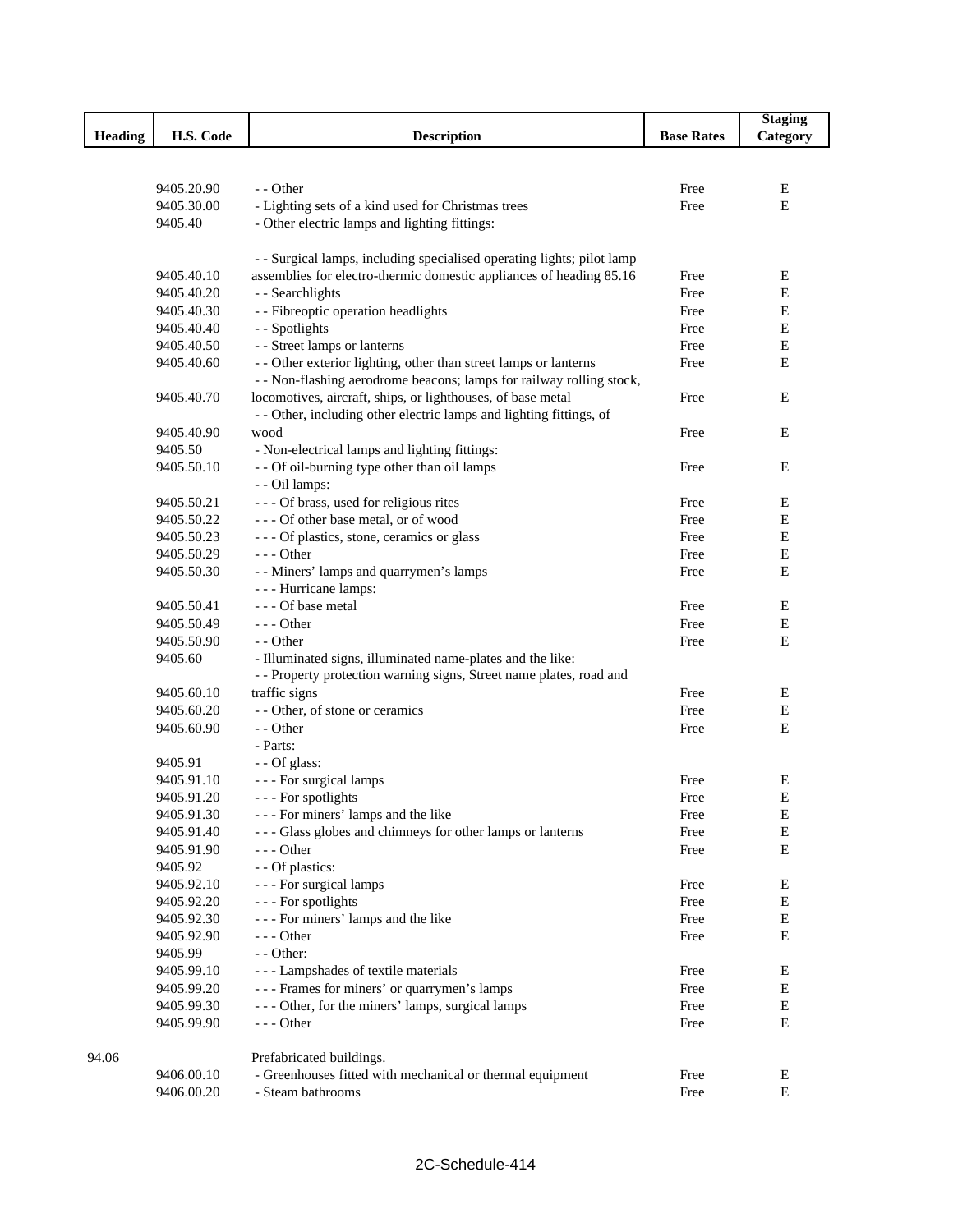|                |            |                                                                        |                   | <b>Staging</b> |
|----------------|------------|------------------------------------------------------------------------|-------------------|----------------|
| <b>Heading</b> | H.S. Code  | <b>Description</b>                                                     | <b>Base Rates</b> | Category       |
|                |            |                                                                        |                   |                |
|                |            |                                                                        |                   |                |
|                | 9405.20.90 | - - Other                                                              | Free              | Ε              |
|                | 9405.30.00 | - Lighting sets of a kind used for Christmas trees                     | Free              | E              |
|                | 9405.40    | - Other electric lamps and lighting fittings:                          |                   |                |
|                |            |                                                                        |                   |                |
|                |            | - - Surgical lamps, including specialised operating lights; pilot lamp |                   |                |
|                | 9405.40.10 | assemblies for electro-thermic domestic appliances of heading 85.16    | Free              | Е              |
|                | 9405.40.20 | - - Searchlights                                                       | Free              | E              |
|                | 9405.40.30 | - - Fibreoptic operation headlights                                    | Free              | Е              |
|                | 9405.40.40 | - - Spotlights                                                         | Free              | Е              |
|                | 9405.40.50 | - - Street lamps or lanterns                                           | Free              | E              |
|                | 9405.40.60 | - - Other exterior lighting, other than street lamps or lanterns       | Free              | E              |
|                |            | - - Non-flashing aerodrome beacons; lamps for railway rolling stock,   |                   |                |
|                | 9405.40.70 | locomotives, aircraft, ships, or lighthouses, of base metal            | Free              | Ε              |
|                |            | - - Other, including other electric lamps and lighting fittings, of    |                   |                |
|                | 9405.40.90 | wood                                                                   | Free              | Е              |
|                | 9405.50    | - Non-electrical lamps and lighting fittings:                          |                   |                |
|                | 9405.50.10 | - - Of oil-burning type other than oil lamps                           | Free              | Ε              |
|                |            | - - Oil lamps:                                                         |                   |                |
|                | 9405.50.21 | --- Of brass, used for religious rites                                 | Free              | Ε              |
|                | 9405.50.22 | --- Of other base metal, or of wood                                    | Free              | Е              |
|                | 9405.50.23 | --- Of plastics, stone, ceramics or glass                              | Free              | ${\bf E}$      |
|                | 9405.50.29 | $--$ Other                                                             | Free              | Е              |
|                | 9405.50.30 | - - Miners' lamps and quarrymen's lamps                                |                   | Е              |
|                |            |                                                                        | Free              |                |
|                |            | - - - Hurricane lamps:<br>--- Of base metal                            |                   | Е              |
|                | 9405.50.41 |                                                                        | Free              |                |
|                | 9405.50.49 | $--$ Other                                                             | Free              | Е              |
|                | 9405.50.90 | - - Other                                                              | Free              | $\mathbf E$    |
|                | 9405.60    | - Illuminated signs, illuminated name-plates and the like:             |                   |                |
|                |            | - - Property protection warning signs, Street name plates, road and    |                   |                |
|                | 9405.60.10 | traffic signs                                                          | Free              | E              |
|                | 9405.60.20 | - - Other, of stone or ceramics                                        | Free              | Е              |
|                | 9405.60.90 | - - Other                                                              | Free              | Е              |
|                |            | - Parts:                                                               |                   |                |
|                | 9405.91    | - - Of glass:                                                          |                   |                |
|                | 9405.91.10 | - - - For surgical lamps                                               | Free              | E              |
|                | 9405.91.20 | --- For spotlights                                                     | Free              | $\mathbf E$    |
|                | 9405.91.30 | --- For miners' lamps and the like                                     | Free              | Ε              |
|                | 9405.91.40 | --- Glass globes and chimneys for other lamps or lanterns              | Free              | Е              |
|                | 9405.91.90 | - - - Other                                                            | Free              | Е              |
|                | 9405.92    | - - Of plastics:                                                       |                   |                |
|                | 9405.92.10 | - - - For surgical lamps                                               | Free              | Ε              |
|                | 9405.92.20 | --- For spotlights                                                     | Free              | ${\bf E}$      |
|                | 9405.92.30 | --- For miners' lamps and the like                                     | Free              | Е              |
|                | 9405.92.90 | $--$ Other                                                             | Free              | Е              |
|                | 9405.99    | - - Other:                                                             |                   |                |
|                | 9405.99.10 | --- Lampshades of textile materials                                    | Free              | Е              |
|                | 9405.99.20 | --- Frames for miners' or quarrymen's lamps                            | Free              | Е              |
|                | 9405.99.30 | - - - Other, for the miners' lamps, surgical lamps                     | Free              | ${\bf E}$      |
|                | 9405.99.90 | $--$ Other                                                             | Free              | E              |
|                |            |                                                                        |                   |                |
| 94.06          |            | Prefabricated buildings.                                               |                   |                |
|                | 9406.00.10 | - Greenhouses fitted with mechanical or thermal equipment              | Free              | Ε              |
|                | 9406.00.20 | - Steam bathrooms                                                      | Free              | Е              |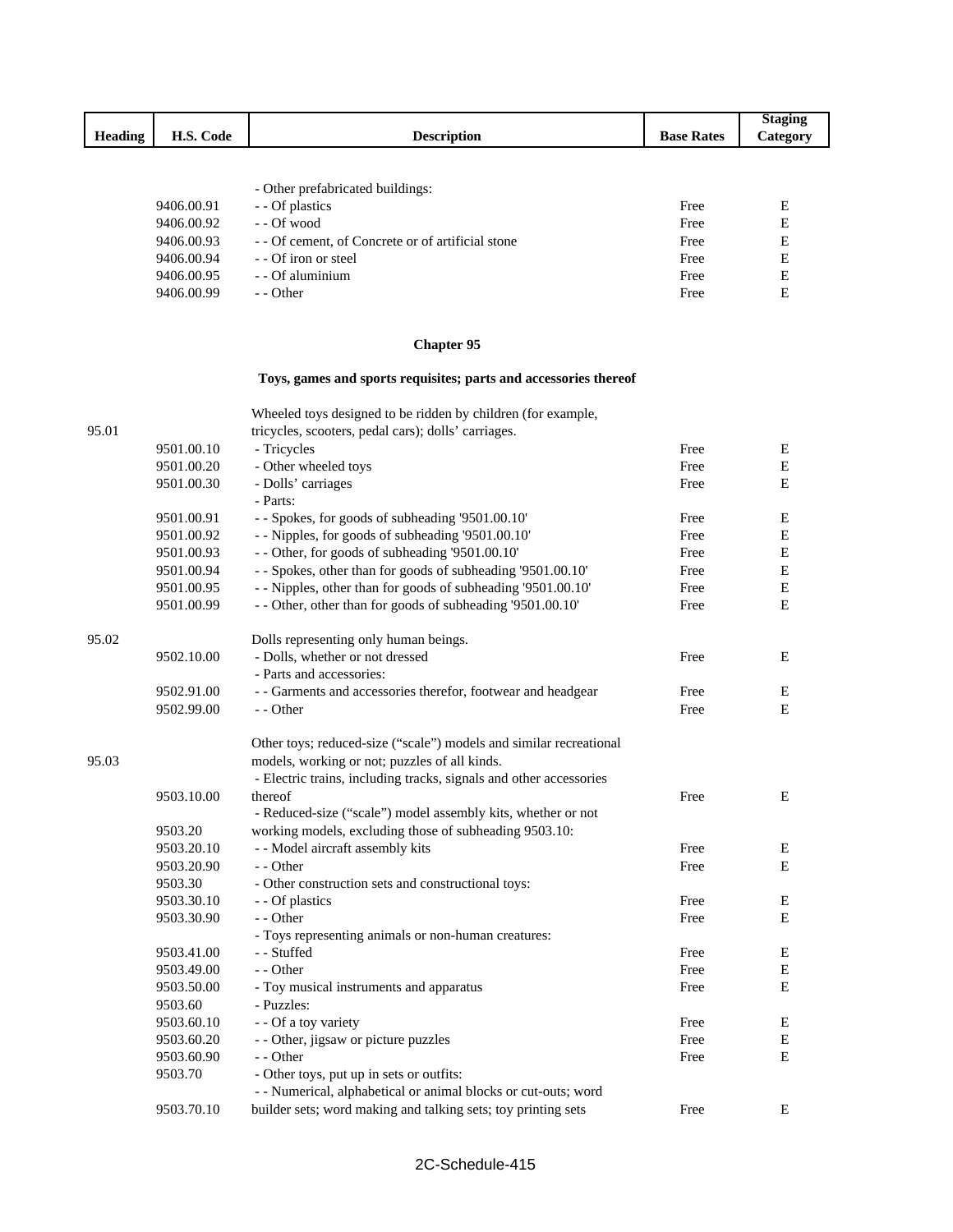| <b>Heading</b> | H.S. Code  | <b>Description</b>                              | <b>Base Rates</b> | <b>Staging</b><br>Category |
|----------------|------------|-------------------------------------------------|-------------------|----------------------------|
|                |            |                                                 |                   |                            |
|                |            | - Other prefabricated buildings:                |                   |                            |
|                | 9406.00.91 | - Of plastics                                   | Free              | E                          |
|                | 9406.00.92 | - Of wood                                       | Free              | E                          |
|                | 9406.00.93 | - Of cement, of Concrete or of artificial stone | Free              | E                          |
|                | 9406.00.94 | - Of iron or steel                              | Free              | E                          |

## **Chapter 95**

9406.00.99

9406.00.95 - - Of aluminium Free E<br>9406.00.99 - - Other E

## **Toys, games and sports requisites; parts and accessories thereof**

|       |            | Wheeled toys designed to be ridden by children (for example,       |      |             |
|-------|------------|--------------------------------------------------------------------|------|-------------|
| 95.01 |            | tricycles, scooters, pedal cars); dolls' carriages.                |      |             |
|       | 9501.00.10 | - Tricycles                                                        | Free | Е           |
|       | 9501.00.20 | - Other wheeled toys                                               | Free | ${\bf E}$   |
|       | 9501.00.30 | - Dolls' carriages                                                 | Free | Ε           |
|       |            | - Parts:                                                           |      |             |
|       | 9501.00.91 | - - Spokes, for goods of subheading '9501.00.10'                   | Free | Е           |
|       | 9501.00.92 | - - Nipples, for goods of subheading '9501.00.10'                  | Free | ${\bf E}$   |
|       | 9501.00.93 | - - Other, for goods of subheading '9501.00.10'                    | Free | ${\bf E}$   |
|       | 9501.00.94 | - - Spokes, other than for goods of subheading '9501.00.10'        | Free | ${\bf E}$   |
|       | 9501.00.95 | - - Nipples, other than for goods of subheading '9501.00.10'       | Free | $\mathbf E$ |
|       | 9501.00.99 | - - Other, other than for goods of subheading '9501.00.10'         | Free | E           |
| 95.02 |            | Dolls representing only human beings.                              |      |             |
|       | 9502.10.00 | - Dolls, whether or not dressed                                    | Free | E           |
|       |            | - Parts and accessories:                                           |      |             |
|       | 9502.91.00 | - - Garments and accessories therefor, footwear and headgear       | Free | E           |
|       | 9502.99.00 | - - Other                                                          | Free | E           |
|       |            | Other toys; reduced-size ("scale") models and similar recreational |      |             |
| 95.03 |            | models, working or not; puzzles of all kinds.                      |      |             |
|       |            | - Electric trains, including tracks, signals and other accessories |      |             |
|       | 9503.10.00 | thereof                                                            | Free | Ε           |
|       |            | - Reduced-size ("scale") model assembly kits, whether or not       |      |             |
|       | 9503.20    | working models, excluding those of subheading 9503.10:             |      |             |
|       | 9503.20.10 | - - Model aircraft assembly kits                                   | Free | E           |
|       | 9503.20.90 | - - Other                                                          | Free | E           |
|       | 9503.30    | - Other construction sets and constructional toys:                 |      |             |
|       | 9503.30.10 | - - Of plastics                                                    | Free | Е           |
|       | 9503.30.90 | - - Other                                                          | Free | E           |
|       |            | - Toys representing animals or non-human creatures:                |      |             |
|       | 9503.41.00 | - - Stuffed                                                        | Free | ${\bf E}$   |
|       | 9503.49.00 | - - Other                                                          | Free | Ε           |
|       | 9503.50.00 | - Toy musical instruments and apparatus                            | Free | E           |
|       | 9503.60    | - Puzzles:                                                         |      |             |
|       | 9503.60.10 | - - Of a toy variety                                               | Free | E           |
|       | 9503.60.20 | - - Other, jigsaw or picture puzzles                               | Free | Е           |
|       | 9503.60.90 | - - Other                                                          | Free | $\mathbf E$ |
|       | 9503.70    | - Other toys, put up in sets or outfits:                           |      |             |
|       |            | - - Numerical, alphabetical or animal blocks or cut-outs; word     |      |             |
|       | 9503.70.10 | builder sets; word making and talking sets; toy printing sets      | Free | $\mathbf E$ |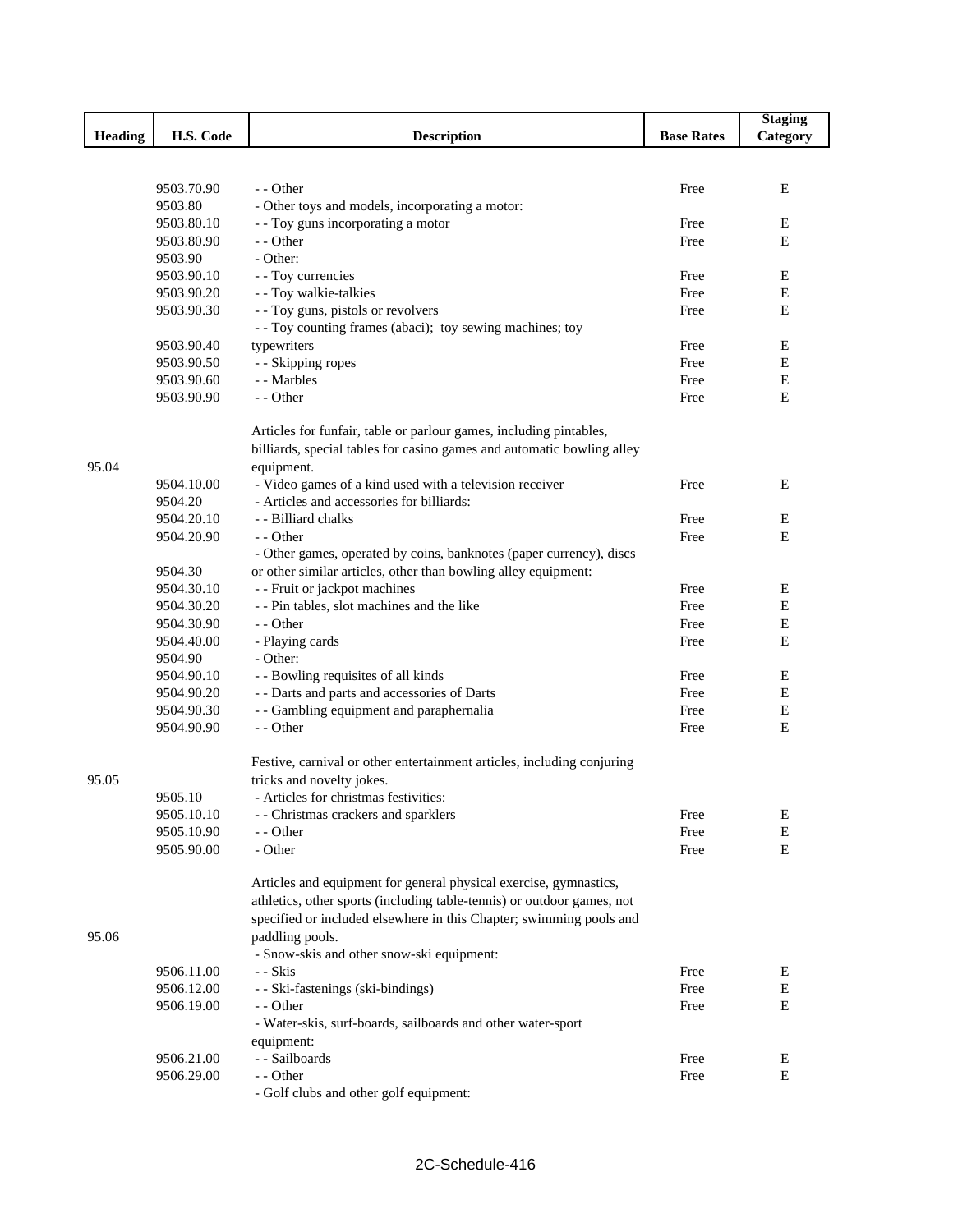|                |                          |                                                                        |                   | <b>Staging</b> |
|----------------|--------------------------|------------------------------------------------------------------------|-------------------|----------------|
| <b>Heading</b> | H.S. Code                | <b>Description</b>                                                     | <b>Base Rates</b> | Category       |
|                |                          |                                                                        |                   |                |
|                |                          |                                                                        |                   |                |
|                | 9503.70.90               | - - Other                                                              | Free              | E              |
|                | 9503.80                  | - Other toys and models, incorporating a motor:                        |                   |                |
|                | 9503.80.10               | - - Toy guns incorporating a motor                                     | Free              | Е              |
|                | 9503.80.90               | - - Other                                                              | Free              | E              |
|                | 9503.90                  | - Other:                                                               |                   |                |
|                | 9503.90.10               | - - Toy currencies                                                     | Free              | Е              |
|                | 9503.90.20               | - - Toy walkie-talkies                                                 | Free              | E              |
|                | 9503.90.30               | - - Toy guns, pistols or revolvers                                     | Free              | E              |
|                |                          | - - Toy counting frames (abaci); toy sewing machines; toy              |                   |                |
|                | 9503.90.40               | typewriters                                                            | Free              | Е              |
|                | 9503.90.50               | - - Skipping ropes                                                     | Free              | E              |
|                | 9503.90.60               | - - Marbles                                                            | Free              | ${\bf E}$      |
|                | 9503.90.90               | - - Other                                                              | Free              | E              |
|                |                          |                                                                        |                   |                |
|                |                          | Articles for funfair, table or parlour games, including pintables,     |                   |                |
|                |                          | billiards, special tables for casino games and automatic bowling alley |                   |                |
| 95.04          |                          | equipment.                                                             |                   |                |
|                | 9504.10.00               | - Video games of a kind used with a television receiver                | Free              | Ε              |
|                | 9504.20                  | - Articles and accessories for billiards:                              |                   |                |
|                | 9504.20.10               | - - Billiard chalks                                                    | Free              | Е              |
|                | 9504.20.90               | - - Other                                                              | Free              | E              |
|                |                          | - Other games, operated by coins, banknotes (paper currency), discs    |                   |                |
|                | 9504.30                  | or other similar articles, other than bowling alley equipment:         |                   |                |
|                | 9504.30.10               | - - Fruit or jackpot machines                                          | Free              | Е              |
|                | 9504.30.20               | - - Pin tables, slot machines and the like                             | Free              | E              |
|                | 9504.30.90               | - - Other                                                              | Free              | ${\bf E}$      |
|                | 9504.40.00               |                                                                        | Free              | E              |
|                |                          | - Playing cards                                                        |                   |                |
|                | 9504.90                  | - Other:                                                               |                   |                |
|                | 9504.90.10               | - - Bowling requisites of all kinds                                    | Free              | Е<br>Е         |
|                | 9504.90.20               | - - Darts and parts and accessories of Darts                           | Free              |                |
|                | 9504.90.30               | - - Gambling equipment and paraphernalia                               | Free              | E              |
|                | 9504.90.90               | - - Other                                                              | Free              | E              |
|                |                          | Festive, carnival or other entertainment articles, including conjuring |                   |                |
| 95.05          |                          | tricks and novelty jokes.                                              |                   |                |
|                | 9505.10                  | - Articles for christmas festivities:                                  |                   |                |
|                | 9505.10.10               |                                                                        |                   |                |
|                |                          | - - Christmas crackers and sparklers                                   | Free              | Е              |
|                | 9505.10.90<br>9505.90.00 | - - Other<br>- Other                                                   | Free              | Е<br>E         |
|                |                          |                                                                        | Free              |                |
|                |                          | Articles and equipment for general physical exercise, gymnastics,      |                   |                |
|                |                          | athletics, other sports (including table-tennis) or outdoor games, not |                   |                |
|                |                          | specified or included elsewhere in this Chapter; swimming pools and    |                   |                |
|                |                          |                                                                        |                   |                |
| 95.06          |                          | paddling pools.                                                        |                   |                |
|                |                          | - Snow-skis and other snow-ski equipment:                              |                   |                |
|                | 9506.11.00               | - - Skis                                                               | Free              | Е              |
|                | 9506.12.00               | - - Ski-fastenings (ski-bindings)                                      | Free              | Е              |
|                | 9506.19.00               | - - Other                                                              | Free              | E              |
|                |                          | - Water-skis, surf-boards, sailboards and other water-sport            |                   |                |
|                |                          | equipment:                                                             |                   |                |
|                | 9506.21.00               | - - Sailboards                                                         | Free              | E              |
|                | 9506.29.00               | - - Other                                                              | Free              | Е              |
|                |                          | - Golf clubs and other golf equipment:                                 |                   |                |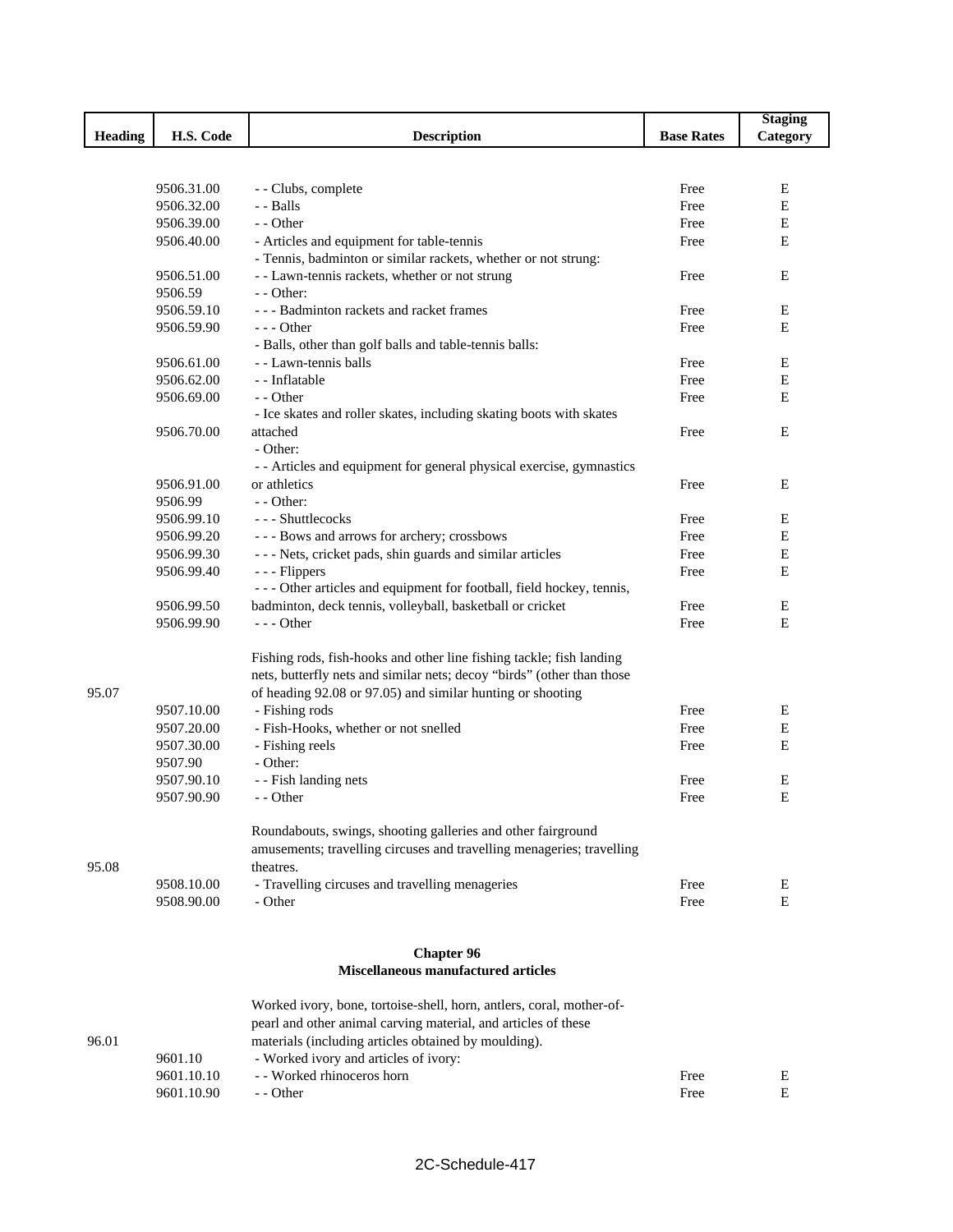|                |            |                                                                        |                   | <b>Staging</b> |
|----------------|------------|------------------------------------------------------------------------|-------------------|----------------|
| <b>Heading</b> | H.S. Code  | <b>Description</b>                                                     | <b>Base Rates</b> | Category       |
|                |            |                                                                        |                   |                |
|                |            |                                                                        |                   |                |
|                | 9506.31.00 | - - Clubs, complete                                                    | Free              | E              |
|                | 9506.32.00 | - Balls                                                                | Free              | E              |
|                | 9506.39.00 | - - Other                                                              | Free              | E              |
|                | 9506.40.00 | - Articles and equipment for table-tennis                              | Free              | E              |
|                |            | - Tennis, badminton or similar rackets, whether or not strung:         |                   |                |
|                | 9506.51.00 | - - Lawn-tennis rackets, whether or not strung                         | Free              | E              |
|                | 9506.59    | $-$ - Other:                                                           |                   |                |
|                | 9506.59.10 | --- Badminton rackets and racket frames                                | Free              | Е              |
|                | 9506.59.90 | $--$ Other                                                             | Free              | E              |
|                |            | - Balls, other than golf balls and table-tennis balls:                 |                   |                |
|                | 9506.61.00 | - - Lawn-tennis balls                                                  | Free              | E              |
|                | 9506.62.00 | - - Inflatable                                                         | Free              | E              |
|                | 9506.69.00 | - - Other                                                              | Free              | Е              |
|                |            | - Ice skates and roller skates, including skating boots with skates    |                   |                |
|                | 9506.70.00 | attached                                                               | Free              | E              |
|                |            | - Other:                                                               |                   |                |
|                |            | - - Articles and equipment for general physical exercise, gymnastics   |                   |                |
|                | 9506.91.00 | or athletics                                                           | Free              | E              |
|                | 9506.99    | $-$ - Other:                                                           |                   |                |
|                | 9506.99.10 | - - - Shuttlecocks                                                     | Free              | E              |
|                | 9506.99.20 | --- Bows and arrows for archery; crossbows                             | Free              | E              |
|                | 9506.99.30 | - - - Nets, cricket pads, shin guards and similar articles             | Free              | E              |
|                | 9506.99.40 | - - - Flippers                                                         | Free              | E              |
|                |            | - - - Other articles and equipment for football, field hockey, tennis, |                   |                |
|                | 9506.99.50 | badminton, deck tennis, volleyball, basketball or cricket              | Free              | Е              |
|                | 9506.99.90 | $--$ Other                                                             | Free              | Е              |
|                |            |                                                                        |                   |                |
|                |            | Fishing rods, fish-hooks and other line fishing tackle; fish landing   |                   |                |
|                |            | nets, butterfly nets and similar nets; decoy "birds" (other than those |                   |                |
| 95.07          |            | of heading 92.08 or 97.05) and similar hunting or shooting             |                   |                |
|                | 9507.10.00 | - Fishing rods                                                         | Free              | Е              |
|                | 9507.20.00 | - Fish-Hooks, whether or not snelled                                   | Free              | E              |
|                | 9507.30.00 | - Fishing reels                                                        | Free              | E              |
|                | 9507.90    | - Other:                                                               |                   |                |
|                | 9507.90.10 | - - Fish landing nets                                                  | Free              | E              |
|                | 9507.90.90 | - - Other                                                              | Free              | E              |
|                |            |                                                                        |                   |                |
|                |            | Roundabouts, swings, shooting galleries and other fairground           |                   |                |
|                |            | amusements; travelling circuses and travelling menageries; travelling  |                   |                |
| 95.08          |            | theatres.                                                              |                   |                |
|                | 9508.10.00 | - Travelling circuses and travelling menageries<br>- Other             | Free              | Е<br>E         |
|                | 9508.90.00 |                                                                        | Free              |                |
|                |            |                                                                        |                   |                |
|                |            | <b>Chapter 96</b>                                                      |                   |                |
|                |            | <b>Miscellaneous manufactured articles</b>                             |                   |                |
|                |            | Worked ivory, bone, tortoise-shell, horn, antlers, coral, mother-of-   |                   |                |
|                |            | pearl and other animal carving material, and articles of these         |                   |                |
| 96.01          |            | materials (including articles obtained by moulding).                   |                   |                |
|                | 9601.10    | - Worked ivory and articles of ivory:                                  |                   |                |
|                | 9601.10.10 | - - Worked rhinoceros horn                                             | Free              | Е              |
|                | 9601.10.90 | - - Other                                                              | Free              | Е              |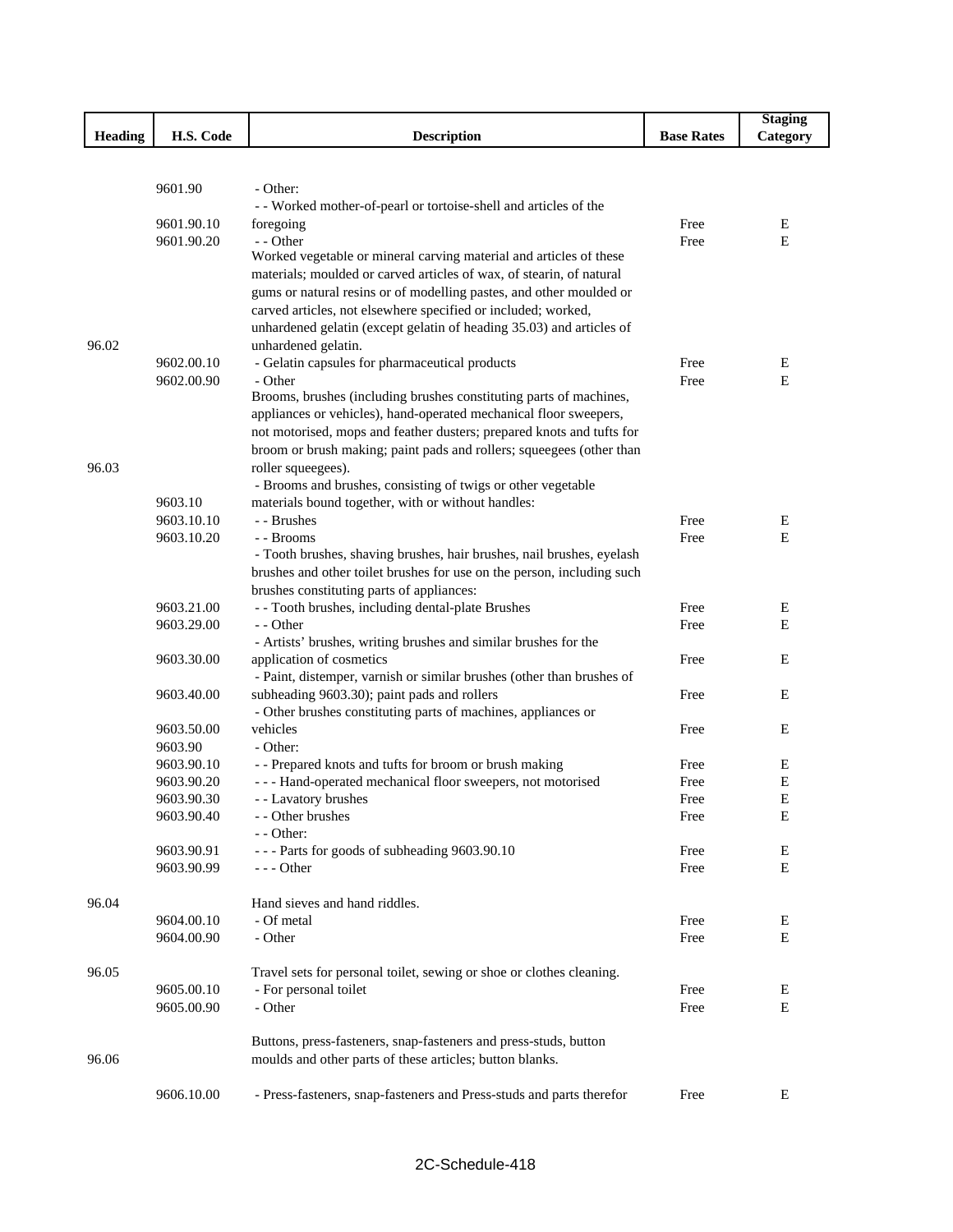|                |            |                                                                                                              |                   | <b>Staging</b> |
|----------------|------------|--------------------------------------------------------------------------------------------------------------|-------------------|----------------|
| <b>Heading</b> | H.S. Code  | <b>Description</b>                                                                                           | <b>Base Rates</b> | Category       |
|                |            |                                                                                                              |                   |                |
|                |            |                                                                                                              |                   |                |
|                | 9601.90    | - Other:                                                                                                     |                   |                |
|                | 9601.90.10 | - - Worked mother-of-pearl or tortoise-shell and articles of the<br>foregoing                                | Free              | Ε              |
|                | 9601.90.20 | - - Other                                                                                                    | Free              | E              |
|                |            | Worked vegetable or mineral carving material and articles of these                                           |                   |                |
|                |            | materials; moulded or carved articles of wax, of stearin, of natural                                         |                   |                |
|                |            | gums or natural resins or of modelling pastes, and other moulded or                                          |                   |                |
|                |            | carved articles, not elsewhere specified or included; worked,                                                |                   |                |
|                |            | unhardened gelatin (except gelatin of heading 35.03) and articles of                                         |                   |                |
| 96.02          |            | unhardened gelatin.                                                                                          |                   |                |
|                | 9602.00.10 | - Gelatin capsules for pharmaceutical products                                                               | Free              | Ε              |
|                | 9602.00.90 | - Other                                                                                                      | Free              | E              |
|                |            | Brooms, brushes (including brushes constituting parts of machines,                                           |                   |                |
|                |            | appliances or vehicles), hand-operated mechanical floor sweepers,                                            |                   |                |
|                |            | not motorised, mops and feather dusters; prepared knots and tufts for                                        |                   |                |
|                |            | broom or brush making; paint pads and rollers; squeegees (other than                                         |                   |                |
| 96.03          |            | roller squeegees).                                                                                           |                   |                |
|                |            | - Brooms and brushes, consisting of twigs or other vegetable                                                 |                   |                |
|                | 9603.10    | materials bound together, with or without handles:                                                           |                   |                |
|                | 9603.10.10 | - - Brushes                                                                                                  | Free              | E              |
|                | 9603.10.20 | - - Brooms                                                                                                   | Free              | E              |
|                |            | - Tooth brushes, shaving brushes, hair brushes, nail brushes, eyelash                                        |                   |                |
|                |            | brushes and other toilet brushes for use on the person, including such                                       |                   |                |
|                |            | brushes constituting parts of appliances:                                                                    |                   |                |
|                | 9603.21.00 | - - Tooth brushes, including dental-plate Brushes                                                            | Free              | E              |
|                | 9603.29.00 | - - Other                                                                                                    | Free              | Е              |
|                |            | - Artists' brushes, writing brushes and similar brushes for the                                              |                   |                |
|                | 9603.30.00 | application of cosmetics                                                                                     | Free              | Е              |
|                | 9603.40.00 | - Paint, distemper, varnish or similar brushes (other than brushes of                                        | Free              | E              |
|                |            | subheading 9603.30); paint pads and rollers<br>- Other brushes constituting parts of machines, appliances or |                   |                |
|                | 9603.50.00 | vehicles                                                                                                     | Free              | Е              |
|                | 9603.90    | - Other:                                                                                                     |                   |                |
|                | 9603.90.10 | - - Prepared knots and tufts for broom or brush making                                                       | Free              | Ε              |
|                | 9603.90.20 | - - - Hand-operated mechanical floor sweepers, not motorised                                                 | Free              | E              |
|                | 9603.90.30 | - - Lavatory brushes                                                                                         | Free              | E              |
|                | 9603.90.40 | - - Other brushes                                                                                            | Free              | Е              |
|                |            | - - Other:                                                                                                   |                   |                |
|                | 9603.90.91 | --- Parts for goods of subheading 9603.90.10                                                                 | Free              | Е              |
|                | 9603.90.99 | $- -$ Other                                                                                                  | Free              | E              |
|                |            |                                                                                                              |                   |                |
| 96.04          |            | Hand sieves and hand riddles.                                                                                |                   |                |
|                | 9604.00.10 | - Of metal                                                                                                   | Free              | Ε              |
|                | 9604.00.90 | - Other                                                                                                      | Free              | $\mathbf E$    |
|                |            |                                                                                                              |                   |                |
| 96.05          |            | Travel sets for personal toilet, sewing or shoe or clothes cleaning.                                         |                   |                |
|                | 9605.00.10 | - For personal toilet                                                                                        | Free              | Ε              |
|                | 9605.00.90 | - Other                                                                                                      | Free              | E              |
|                |            | Buttons, press-fasteners, snap-fasteners and press-studs, button                                             |                   |                |
| 96.06          |            | moulds and other parts of these articles; button blanks.                                                     |                   |                |
|                |            |                                                                                                              |                   |                |
|                | 9606.10.00 | - Press-fasteners, snap-fasteners and Press-studs and parts therefor                                         | Free              | E              |
|                |            |                                                                                                              |                   |                |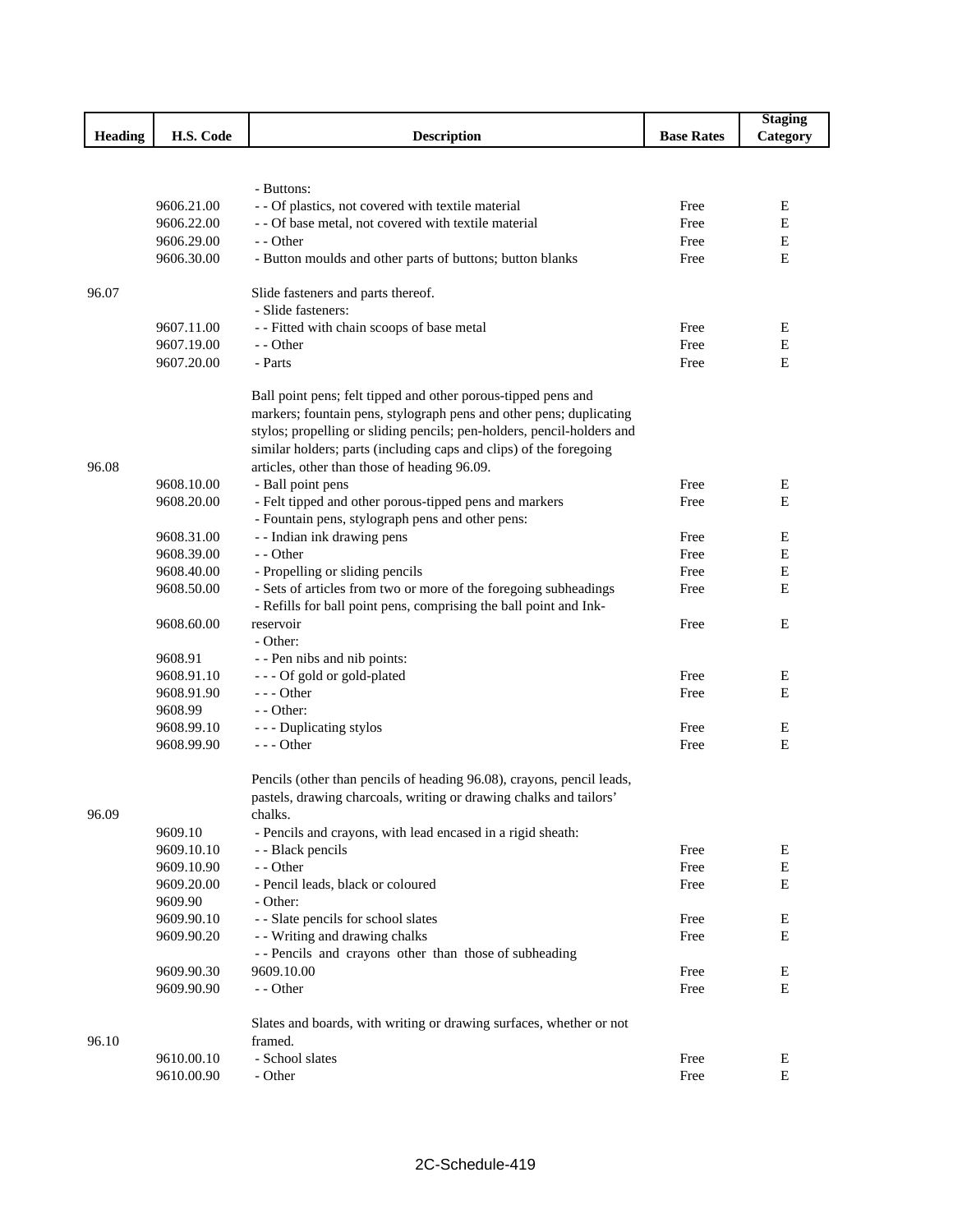|                |            |                                                                        |                   | <b>Staging</b> |
|----------------|------------|------------------------------------------------------------------------|-------------------|----------------|
| <b>Heading</b> | H.S. Code  | <b>Description</b>                                                     | <b>Base Rates</b> | Category       |
|                |            |                                                                        |                   |                |
|                |            |                                                                        |                   |                |
|                |            | - Buttons:                                                             |                   |                |
|                | 9606.21.00 | - - Of plastics, not covered with textile material                     | Free              | Е              |
|                | 9606.22.00 | - - Of base metal, not covered with textile material                   | Free              | E              |
|                | 9606.29.00 | - - Other                                                              | Free              | E              |
|                | 9606.30.00 | - Button moulds and other parts of buttons; button blanks              | Free              | E              |
| 96.07          |            | Slide fasteners and parts thereof.                                     |                   |                |
|                |            | - Slide fasteners:                                                     |                   |                |
|                | 9607.11.00 | - - Fitted with chain scoops of base metal                             | Free              | E              |
|                | 9607.19.00 | - - Other                                                              | Free              | Е              |
|                | 9607.20.00 | - Parts                                                                | Free              | E              |
|                |            | Ball point pens; felt tipped and other porous-tipped pens and          |                   |                |
|                |            | markers; fountain pens, stylograph pens and other pens; duplicating    |                   |                |
|                |            | stylos; propelling or sliding pencils; pen-holders, pencil-holders and |                   |                |
|                |            | similar holders; parts (including caps and clips) of the foregoing     |                   |                |
| 96.08          |            | articles, other than those of heading 96.09.                           |                   |                |
|                | 9608.10.00 | - Ball point pens                                                      | Free              | Ε              |
|                | 9608.20.00 | - Felt tipped and other porous-tipped pens and markers                 | Free              | E              |
|                |            | - Fountain pens, stylograph pens and other pens:                       |                   |                |
|                | 9608.31.00 | - - Indian ink drawing pens                                            | Free              | E              |
|                | 9608.39.00 | - - Other                                                              | Free              | Е              |
|                | 9608.40.00 | - Propelling or sliding pencils                                        | Free              | Е              |
|                | 9608.50.00 | - Sets of articles from two or more of the foregoing subheadings       | Free              | E              |
|                |            | - Refills for ball point pens, comprising the ball point and Ink-      |                   |                |
|                | 9608.60.00 | reservoir                                                              | Free              | E              |
|                |            | - Other:                                                               |                   |                |
|                | 9608.91    | - - Pen nibs and nib points:                                           |                   |                |
|                | 9608.91.10 | --- Of gold or gold-plated                                             | Free              | E              |
|                | 9608.91.90 | $--$ Other                                                             | Free              | E              |
|                | 9608.99    | $-$ - Other:                                                           |                   |                |
|                | 9608.99.10 | --- Duplicating stylos                                                 | Free              | E              |
|                | 9608.99.90 | $--$ Other                                                             | Free              | E              |
|                |            | Pencils (other than pencils of heading 96.08), crayons, pencil leads,  |                   |                |
|                |            | pastels, drawing charcoals, writing or drawing chalks and tailors'     |                   |                |
|                |            | chalks.                                                                |                   |                |
| 96.09          |            |                                                                        |                   |                |
|                | 9609.10    | - Pencils and crayons, with lead encased in a rigid sheath:            |                   |                |
|                | 9609.10.10 | - - Black pencils                                                      | Free              | E              |
|                | 9609.10.90 | - - Other                                                              | Free              | Е              |
|                | 9609.20.00 | - Pencil leads, black or coloured                                      | Free              | E              |
|                | 9609.90    | - Other:                                                               |                   |                |
|                | 9609.90.10 | - - Slate pencils for school slates                                    | Free              | Е              |
|                | 9609.90.20 | - - Writing and drawing chalks                                         | Free              | E              |
|                |            | -- Pencils and crayons other than those of subheading                  |                   |                |
|                | 9609.90.30 | 9609.10.00                                                             | Free              | E              |
|                | 9609.90.90 | - - Other                                                              | Free              | Е              |
|                |            | Slates and boards, with writing or drawing surfaces, whether or not    |                   |                |
| 96.10          |            | framed.                                                                |                   |                |
|                | 9610.00.10 | - School slates                                                        | Free              | E              |
|                | 9610.00.90 | - Other                                                                | Free              | Е              |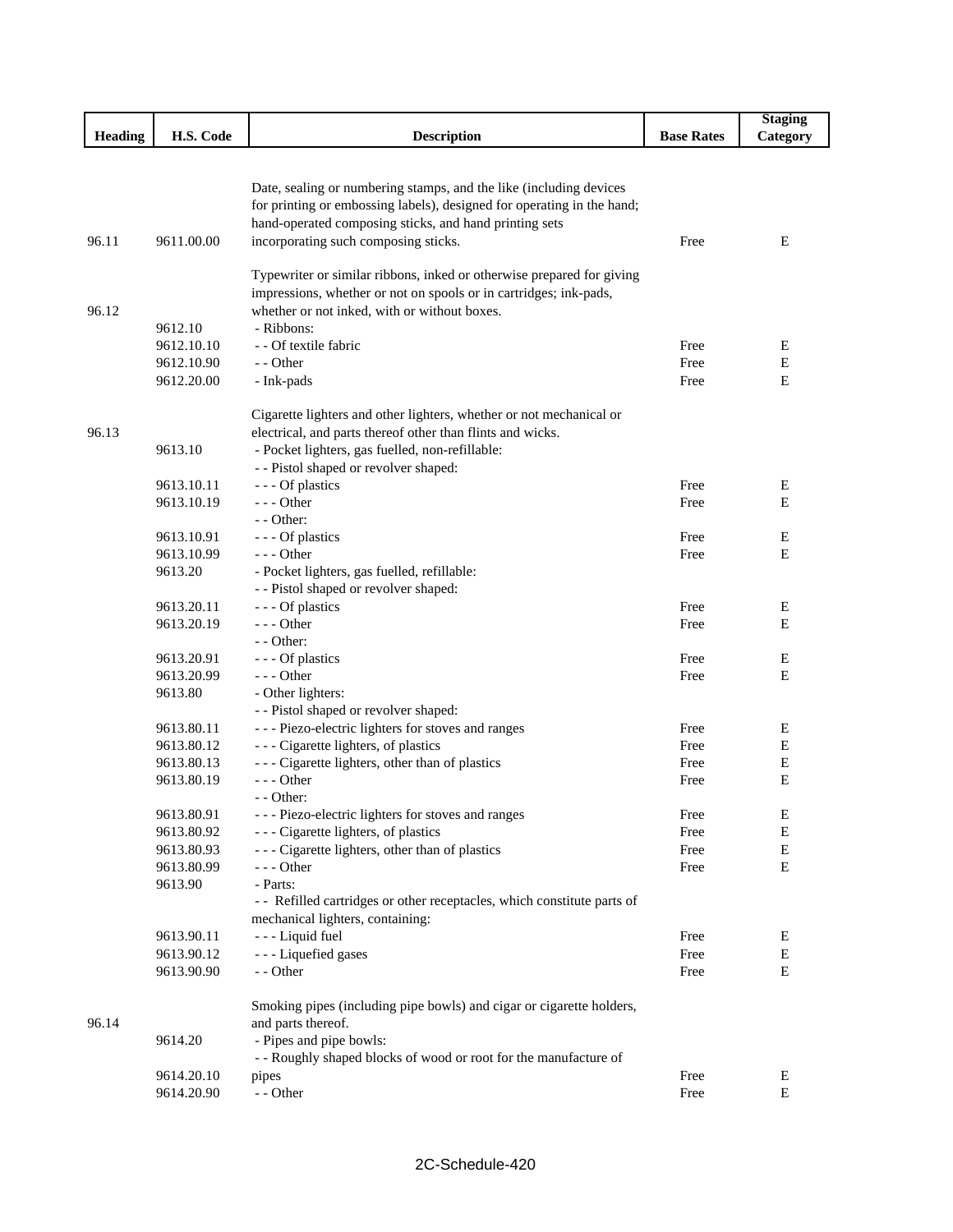|         |            |                                                                         |                   | <b>Staging</b> |
|---------|------------|-------------------------------------------------------------------------|-------------------|----------------|
| Heading | H.S. Code  | <b>Description</b>                                                      | <b>Base Rates</b> | Category       |
|         |            |                                                                         |                   |                |
|         |            |                                                                         |                   |                |
|         |            | Date, sealing or numbering stamps, and the like (including devices      |                   |                |
|         |            | for printing or embossing labels), designed for operating in the hand;  |                   |                |
|         |            | hand-operated composing sticks, and hand printing sets                  |                   |                |
| 96.11   | 9611.00.00 | incorporating such composing sticks.                                    | Free              | Ε              |
|         |            |                                                                         |                   |                |
|         |            | Typewriter or similar ribbons, inked or otherwise prepared for giving   |                   |                |
|         |            | impressions, whether or not on spools or in cartridges; ink-pads,       |                   |                |
| 96.12   |            | whether or not inked, with or without boxes.                            |                   |                |
|         | 9612.10    | - Ribbons:                                                              |                   |                |
|         | 9612.10.10 | - - Of textile fabric                                                   | Free              | E              |
|         | 9612.10.90 | - - Other                                                               | Free              | E              |
|         | 9612.20.00 | - Ink-pads                                                              | Free              | E              |
|         |            |                                                                         |                   |                |
|         |            | Cigarette lighters and other lighters, whether or not mechanical or     |                   |                |
| 96.13   |            | electrical, and parts thereof other than flints and wicks.              |                   |                |
|         | 9613.10    | - Pocket lighters, gas fuelled, non-refillable:                         |                   |                |
|         |            | - - Pistol shaped or revolver shaped:                                   |                   |                |
|         | 9613.10.11 | --- Of plastics                                                         | Free              | Ε              |
|         | 9613.10.19 | $--$ Other                                                              | Free              | Е              |
|         |            | $-$ - Other:                                                            |                   |                |
|         | 9613.10.91 | --- Of plastics                                                         | Free              | Ε              |
|         | 9613.10.99 | $- -$ Other                                                             | Free              | E              |
|         | 9613.20    | - Pocket lighters, gas fuelled, refillable:                             |                   |                |
|         |            | - - Pistol shaped or revolver shaped:                                   |                   |                |
|         | 9613.20.11 | --- Of plastics                                                         | Free              | Ε              |
|         | 9613.20.19 | $- -$ Other                                                             | Free              | E              |
|         |            | - - Other:                                                              |                   |                |
|         | 9613.20.91 | --- Of plastics                                                         | Free              | Ε              |
|         | 9613.20.99 | $--$ Other                                                              | Free              | Е              |
|         | 9613.80    | - Other lighters:                                                       |                   |                |
|         |            | - - Pistol shaped or revolver shaped:                                   |                   |                |
|         | 9613.80.11 | --- Piezo-electric lighters for stoves and ranges                       | Free              | Е              |
|         | 9613.80.12 | --- Cigarette lighters, of plastics                                     | Free              | Е              |
|         | 9613.80.13 | --- Cigarette lighters, other than of plastics                          | Free              | Е              |
|         | 9613.80.19 | --- Other                                                               | Free              | E              |
|         |            | $-$ - Other:                                                            |                   |                |
|         | 9613.80.91 | --- Piezo-electric lighters for stoves and ranges                       | Free              | Ε              |
|         | 9613.80.92 | --- Cigarette lighters, of plastics                                     | Free              | E              |
|         | 9613.80.93 | --- Cigarette lighters, other than of plastics                          | Free              | E              |
|         | 9613.80.99 | $--$ Other                                                              | Free              | $\mathbf E$    |
|         | 9613.90    | - Parts:                                                                |                   |                |
|         |            | - - Refilled cartridges or other receptacles, which constitute parts of |                   |                |
|         |            | mechanical lighters, containing:                                        |                   |                |
|         | 9613.90.11 | - - - Liquid fuel                                                       | Free              | Ε              |
|         | 9613.90.12 | - - - Liquefied gases                                                   | Free              | E              |
|         | 9613.90.90 | - - Other                                                               | Free              | Е              |
|         |            | Smoking pipes (including pipe bowls) and cigar or cigarette holders,    |                   |                |
| 96.14   |            | and parts thereof.                                                      |                   |                |
|         | 9614.20    | - Pipes and pipe bowls:                                                 |                   |                |
|         |            | - - Roughly shaped blocks of wood or root for the manufacture of        |                   |                |
|         | 9614.20.10 | pipes                                                                   | Free              | Ε              |
|         | 9614.20.90 | - - Other                                                               | Free              | Е              |
|         |            |                                                                         |                   |                |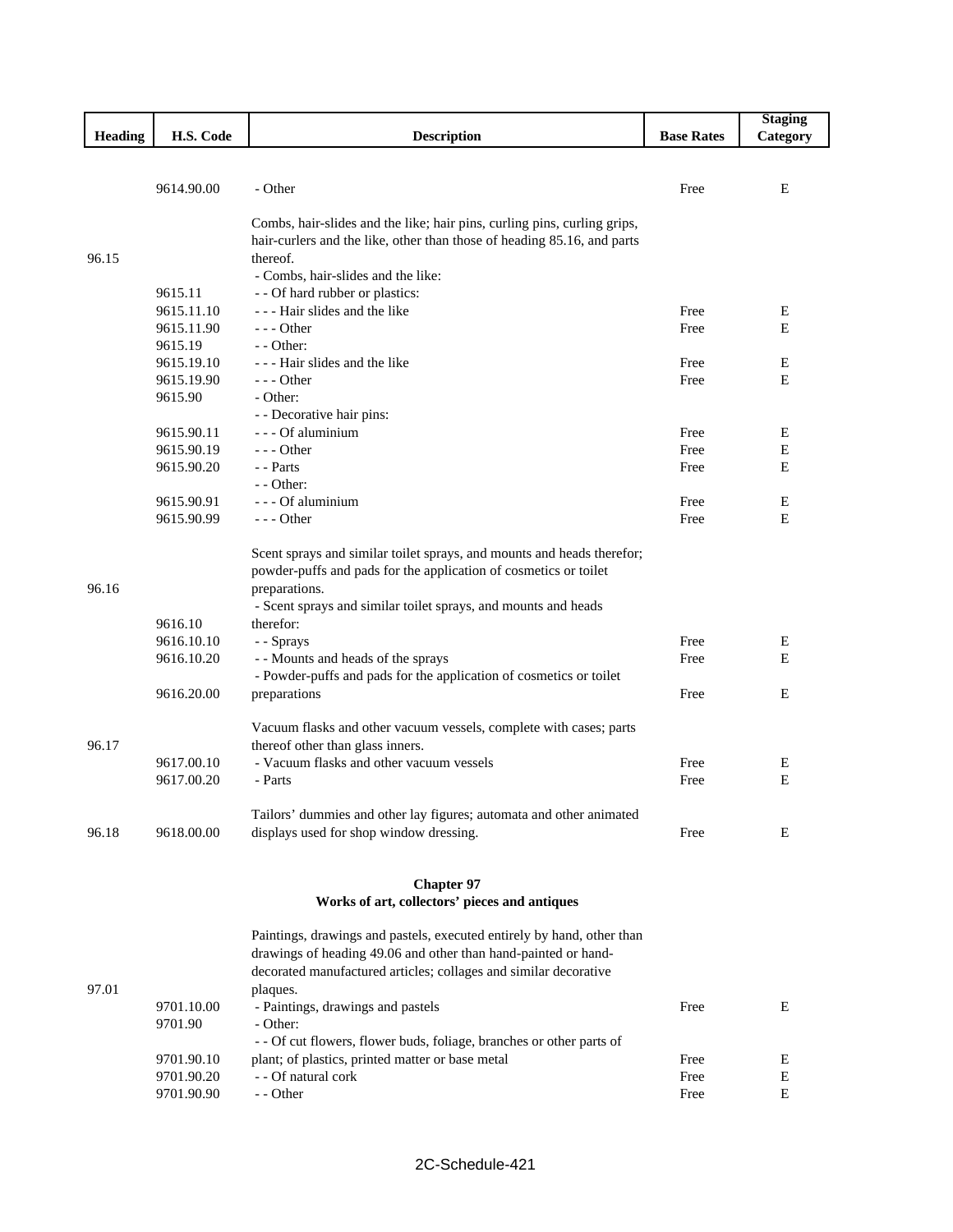|         |            |                                                                                                                                            |                   | <b>Staging</b> |
|---------|------------|--------------------------------------------------------------------------------------------------------------------------------------------|-------------------|----------------|
| Heading | H.S. Code  | <b>Description</b>                                                                                                                         | <b>Base Rates</b> | Category       |
|         |            |                                                                                                                                            |                   |                |
|         |            |                                                                                                                                            |                   |                |
|         | 9614.90.00 | - Other                                                                                                                                    | Free              | Ε              |
|         |            |                                                                                                                                            |                   |                |
|         |            | Combs, hair-slides and the like; hair pins, curling pins, curling grips,                                                                   |                   |                |
|         |            | hair-curlers and the like, other than those of heading 85.16, and parts                                                                    |                   |                |
| 96.15   |            | thereof.                                                                                                                                   |                   |                |
|         | 9615.11    | - Combs, hair-slides and the like:<br>- - Of hard rubber or plastics:                                                                      |                   |                |
|         | 9615.11.10 | - - - Hair slides and the like                                                                                                             | Free              | Ε              |
|         | 9615.11.90 | $--$ Other                                                                                                                                 | Free              | E              |
|         | 9615.19    | $-$ - Other:                                                                                                                               |                   |                |
|         | 9615.19.10 | - - - Hair slides and the like                                                                                                             | Free              | Ε              |
|         | 9615.19.90 | $--$ Other                                                                                                                                 | Free              | E              |
|         | 9615.90    | - Other:                                                                                                                                   |                   |                |
|         |            | - - Decorative hair pins:                                                                                                                  |                   |                |
|         | 9615.90.11 | - - - Of aluminium                                                                                                                         | Free              | Ε              |
|         | 9615.90.19 | $--$ Other                                                                                                                                 | Free              | Ε              |
|         | 9615.90.20 | - - Parts                                                                                                                                  | Free              | E              |
|         |            | $-$ - Other:                                                                                                                               |                   |                |
|         | 9615.90.91 | - - - Of aluminium                                                                                                                         | Free              | E              |
|         | 9615.90.99 | $--$ Other                                                                                                                                 | Free              | E              |
|         |            |                                                                                                                                            |                   |                |
|         |            | Scent sprays and similar toilet sprays, and mounts and heads therefor;<br>powder-puffs and pads for the application of cosmetics or toilet |                   |                |
| 96.16   |            | preparations.                                                                                                                              |                   |                |
|         |            | - Scent sprays and similar toilet sprays, and mounts and heads                                                                             |                   |                |
|         | 9616.10    | therefor:                                                                                                                                  |                   |                |
|         | 9616.10.10 | - - Sprays                                                                                                                                 | Free              | Ε              |
|         | 9616.10.20 | - - Mounts and heads of the sprays                                                                                                         | Free              | E              |
|         |            | - Powder-puffs and pads for the application of cosmetics or toilet                                                                         |                   |                |
|         | 9616.20.00 | preparations                                                                                                                               | Free              | E              |
|         |            |                                                                                                                                            |                   |                |
|         |            | Vacuum flasks and other vacuum vessels, complete with cases; parts                                                                         |                   |                |
| 96.17   |            | thereof other than glass inners.                                                                                                           |                   |                |
|         | 9617.00.10 | - Vacuum flasks and other vacuum vessels                                                                                                   | Free              | Ε              |
|         | 9617.00.20 | - Parts                                                                                                                                    | Free              | Е              |
|         |            | Tailors' dummies and other lay figures; automata and other animated                                                                        |                   |                |
| 96.18   | 9618.00.00 | displays used for shop window dressing.                                                                                                    | Free              | E              |
|         |            |                                                                                                                                            |                   |                |
|         |            |                                                                                                                                            |                   |                |
|         |            | <b>Chapter 97</b>                                                                                                                          |                   |                |
|         |            | Works of art, collectors' pieces and antiques                                                                                              |                   |                |
|         |            | Paintings, drawings and pastels, executed entirely by hand, other than                                                                     |                   |                |
|         |            | drawings of heading 49.06 and other than hand-painted or hand-                                                                             |                   |                |
|         |            | decorated manufactured articles; collages and similar decorative                                                                           |                   |                |
| 97.01   |            | plaques.                                                                                                                                   |                   |                |
|         | 9701.10.00 | - Paintings, drawings and pastels                                                                                                          | Free              | Е              |
|         | 9701.90    | - Other:                                                                                                                                   |                   |                |
|         |            | - - Of cut flowers, flower buds, foliage, branches or other parts of                                                                       |                   |                |
|         | 9701.90.10 | plant; of plastics, printed matter or base metal                                                                                           | Free              | Ε              |
|         | 9701.90.20 | - - Of natural cork                                                                                                                        | Free              | E              |
|         | 9701.90.90 | - - Other                                                                                                                                  | Free              | Е              |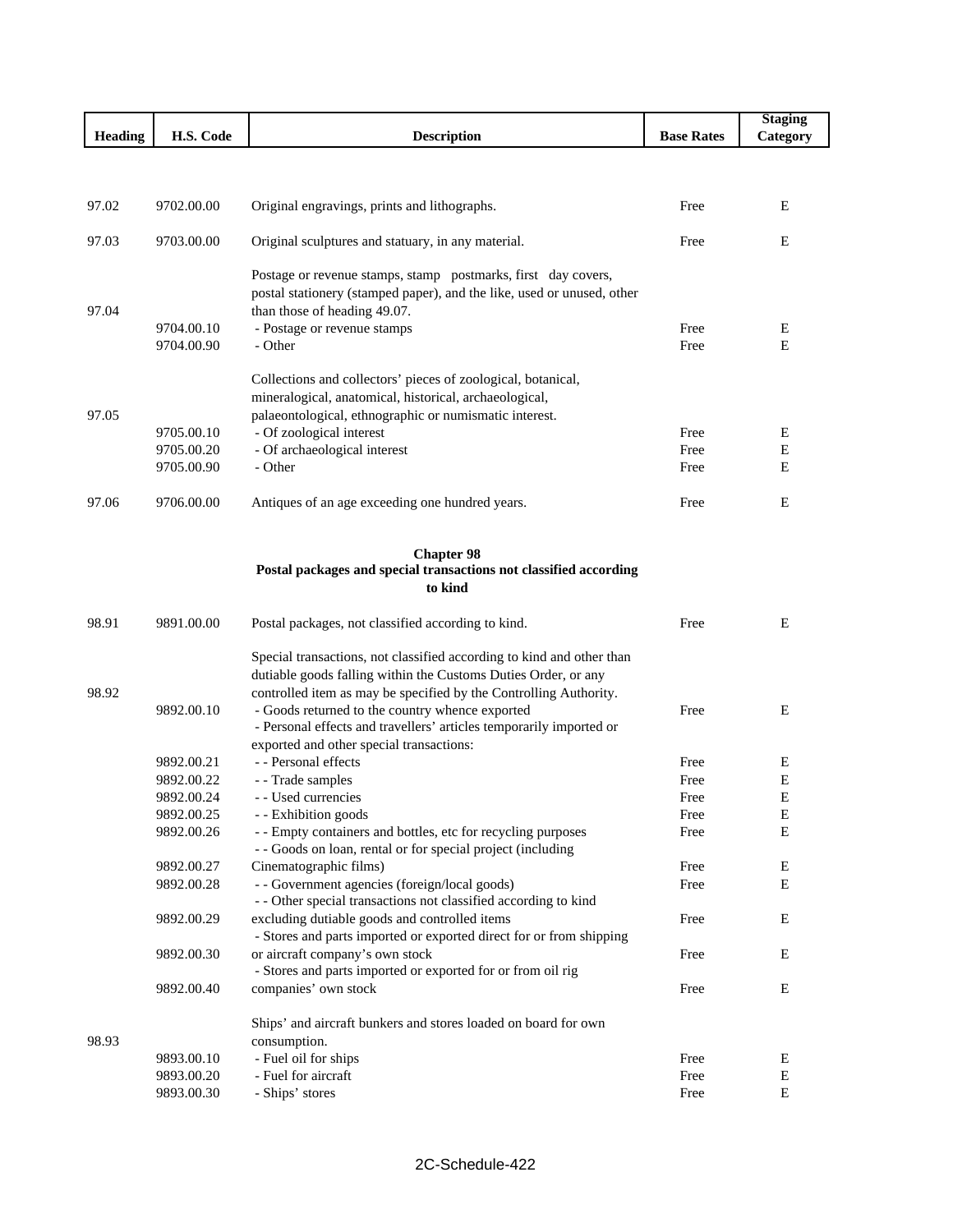|         |                          |                                                                         |                   | <b>Staging</b> |
|---------|--------------------------|-------------------------------------------------------------------------|-------------------|----------------|
| Heading | H.S. Code                | <b>Description</b>                                                      | <b>Base Rates</b> | Category       |
|         |                          |                                                                         |                   |                |
|         |                          |                                                                         |                   |                |
| 97.02   | 9702.00.00               | Original engravings, prints and lithographs.                            | Free              | Ε              |
|         |                          |                                                                         |                   |                |
| 97.03   | 9703.00.00               | Original sculptures and statuary, in any material.                      | Free              | E              |
|         |                          |                                                                         |                   |                |
|         |                          | Postage or revenue stamps, stamp postmarks, first day covers,           |                   |                |
|         |                          | postal stationery (stamped paper), and the like, used or unused, other  |                   |                |
| 97.04   | 9704.00.10               | than those of heading 49.07.                                            | Free              |                |
|         | 9704.00.90               | - Postage or revenue stamps<br>- Other                                  | Free              | Ε<br>E         |
|         |                          |                                                                         |                   |                |
|         |                          | Collections and collectors' pieces of zoological, botanical,            |                   |                |
|         |                          | mineralogical, anatomical, historical, archaeological,                  |                   |                |
| 97.05   |                          | palaeontological, ethnographic or numismatic interest.                  |                   |                |
|         | 9705.00.10               | - Of zoological interest                                                | Free              | Ε              |
|         | 9705.00.20               | - Of archaeological interest                                            | Free              | Ε              |
|         | 9705.00.90               | - Other                                                                 | Free              | E              |
|         |                          |                                                                         |                   |                |
| 97.06   | 9706.00.00               | Antiques of an age exceeding one hundred years.                         | Free              | E              |
|         |                          |                                                                         |                   |                |
|         |                          | <b>Chapter 98</b>                                                       |                   |                |
|         |                          | Postal packages and special transactions not classified according       |                   |                |
|         |                          | to kind                                                                 |                   |                |
|         |                          |                                                                         |                   |                |
| 98.91   | 9891.00.00               | Postal packages, not classified according to kind.                      | Free              | Ε              |
|         |                          | Special transactions, not classified according to kind and other than   |                   |                |
|         |                          | dutiable goods falling within the Customs Duties Order, or any          |                   |                |
| 98.92   |                          | controlled item as may be specified by the Controlling Authority.       |                   |                |
|         | 9892.00.10               | - Goods returned to the country whence exported                         | Free              | E              |
|         |                          | - Personal effects and travellers' articles temporarily imported or     |                   |                |
|         |                          | exported and other special transactions:                                |                   |                |
|         | 9892.00.21               | - - Personal effects                                                    | Free              | Ε              |
|         | 9892.00.22               | - - Trade samples                                                       | Free              | E              |
|         | 9892.00.24               | - - Used currencies                                                     | Free              | Ε              |
|         | 9892.00.25               | - Exhibition goods                                                      | Free              | Е              |
|         | 9892.00.26               | - - Empty containers and bottles, etc for recycling purposes            | Free              | E              |
|         |                          | - - Goods on loan, rental or for special project (including             |                   |                |
|         | 9892.00.27<br>9892.00.28 | Cinematographic films)<br>- - Government agencies (foreign/local goods) | Free<br>Free      | Е<br>Е         |
|         |                          | - - Other special transactions not classified according to kind         |                   |                |
|         | 9892.00.29               | excluding dutiable goods and controlled items                           | Free              | Е              |
|         |                          | - Stores and parts imported or exported direct for or from shipping     |                   |                |
|         | 9892.00.30               | or aircraft company's own stock                                         | Free              | Ε              |
|         |                          | - Stores and parts imported or exported for or from oil rig             |                   |                |
|         | 9892.00.40               | companies' own stock                                                    | Free              | Ε              |
|         |                          |                                                                         |                   |                |
|         |                          | Ships' and aircraft bunkers and stores loaded on board for own          |                   |                |
| 98.93   |                          | consumption.                                                            |                   |                |
|         | 9893.00.10               | - Fuel oil for ships                                                    | Free              | Ε              |
|         | 9893.00.20<br>9893.00.30 | - Fuel for aircraft                                                     | Free<br>Free      | E<br>E         |
|         |                          | - Ships' stores                                                         |                   |                |